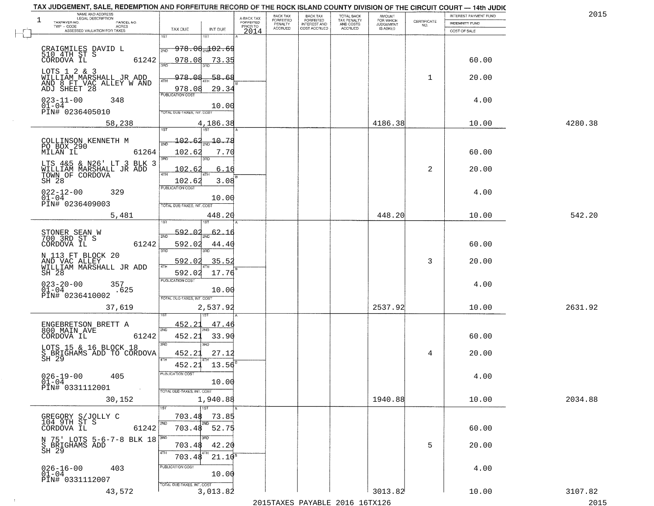| 1<br>TAXPAYER NO.<br>TWP - CODE                                                     | NAME AND ADDRESS<br>LEGAL DESCRIPTION<br>PARCEL NO.<br>ACRES  |                                                                                                      | A-BACK TAX<br>FORFEITED<br>PRIOR TO | BACK TAX<br>FORFEITED<br>PENALTY | BACK TAX<br>FORFEITED<br>INTEREST AND | TOTAL BACK<br>TAX PENALTY<br>AND COSTS | AMOUNT<br>FOR WHICH<br><b>JUDGEMENT</b> | $\begin{array}{c} \text{CERTIFICATE} \\ \text{NO.} \end{array}$ | INTEREST PAYMENT FUND<br>INDEMNITY FUND | 2015    |
|-------------------------------------------------------------------------------------|---------------------------------------------------------------|------------------------------------------------------------------------------------------------------|-------------------------------------|----------------------------------|---------------------------------------|----------------------------------------|-----------------------------------------|-----------------------------------------------------------------|-----------------------------------------|---------|
|                                                                                     | ASSESSED VALUATION FOR TAXES                                  | TAX DUE<br>INT DUE<br>1ST<br>1ST                                                                     | 2014                                | <b>ACCRUED</b>                   | COST ACCRUED                          | <b>ACCRUED</b>                         | IS ASKED                                |                                                                 | COST OF SALE                            |         |
| CRAIGMILES DAVID L<br>510 4TH ST S<br>CORDOVA IL                                    | 61242                                                         | <del>978.08<sub>20</sub>102.69</del><br>2ND<br>978.08<br>73.35                                       |                                     |                                  |                                       |                                        |                                         |                                                                 | 60.00                                   |         |
| LOTS 1 2 & 3<br>ADJ SHEET 28                                                        | WILLIAM MARSHALL JR ADD<br>AND 8 FT VAC ALLEY W AND           | 978.08<br>58.<br>-68<br>4TH<br>978.08<br>29.34                                                       |                                     |                                  |                                       |                                        |                                         | 1                                                               | 20.00                                   |         |
| $023 - 11 - 00$<br>$01 - 04$<br>PIN# 0236405010                                     | 348                                                           | <b>PUBLICATION COST</b><br>10.00<br>TOTAL DUE-TAXES, INT. COST                                       |                                     |                                  |                                       |                                        |                                         |                                                                 | 4.00                                    |         |
|                                                                                     | 58,238                                                        | 4,186.38                                                                                             |                                     |                                  |                                       |                                        | 4186.38                                 |                                                                 | 10.00                                   | 4280.38 |
| COLLINSON KENNETH M<br>PO BOX 290<br>MILAN IL<br>TOWN OF CORDOVA<br>SH 28           | 61264<br>LTS 4&5 & N26' LT 3 BLK 3<br>WILLIAM MARSHALL JR ADD | 102.62<br>$-10.78$<br>102.62<br>7.70<br>3RD<br>3RD<br>102.6<br>6.16<br>47H<br>102.62<br>3.08         |                                     |                                  |                                       |                                        |                                         | 2                                                               | 60.00<br>20.00                          |         |
| $022 - 12 - 00$<br>$01 - 04$<br>PIN# 0236409003                                     | 329                                                           | PUBLICATION COST<br>10.00<br>TOTAL DUE-TAXES, INT. COST                                              |                                     |                                  |                                       |                                        |                                         |                                                                 | 4.00                                    |         |
|                                                                                     | 5,481                                                         | 448.20                                                                                               |                                     |                                  |                                       |                                        | 448.20                                  |                                                                 | 10.00                                   | 542.20  |
| STONER SEAN W<br>700 3RD ST S<br>CORDOVA IL<br>N 113 FT BLOCK 20<br>AND VAC ALLEY   | 61242                                                         | 592.02<br><u>62.16</u><br>2ND<br>592.02<br>44.40<br>3RD<br>3RD<br>592.02<br>35.52                    |                                     |                                  |                                       |                                        |                                         | 3                                                               | 60.00<br>20.00                          |         |
| SH 28<br>$023 - 20 - 00$<br>$01 - 04$<br>PIN# 0236410002                            | WILLIAM MARSHALL JR ADD<br>357<br>.625                        | 592.02<br>17.76<br><b>PUBLICATION COST</b><br>10.00<br>TOTAL OUE-TAXES, INT. COST                    |                                     |                                  |                                       |                                        |                                         |                                                                 | 4.00                                    |         |
|                                                                                     | 37,619                                                        | 2,537.92                                                                                             |                                     |                                  |                                       |                                        | 2537.92                                 |                                                                 | 10.00                                   | 2631.92 |
| ENGEBRETSON BRETT A<br>800 MAIN AVE<br>CORDOVA IL<br>LOTS 15 & 16 BLOCK 18<br>SH 29 | 61242<br>S BRIGHAMS ADD TO CORDOVA                            | 452.21<br>47.46<br>2ND<br>452.21<br>33.90<br>3RD<br>ਸ਼ਾ<br>452.21<br>27.12<br>4TH<br>452.21<br>13.56 |                                     |                                  |                                       |                                        |                                         | 4                                                               | 60.00<br>20.00                          |         |
| $026 - 19 - 00$<br>$01 - 04$<br>PIN# 0331112001                                     | 405<br>$\sim 100$<br>30,152                                   | PUBLICATION COST<br>10.00<br>TOTAL DUE-TAXES, INT. COST<br>1,940.88                                  |                                     |                                  |                                       |                                        | 1940.88                                 |                                                                 | 4.00<br>10.00                           | 2034.88 |
| GREGORY S/JOLLY C<br>104 9TH ST S<br>CORDOVA IL                                     | 61242                                                         | 1ST<br>703.48<br>73.85<br>2ND<br>2ND<br>703.48<br>52.75                                              |                                     |                                  |                                       |                                        |                                         |                                                                 | 60.00                                   |         |
| S BRIGHAMS ADD<br>SH 29                                                             | N 75' LOTS 5-6-7-8 BLK 18                                     | חחי<br>42.20<br>703.48<br>4TH<br>$21.10^{8}$<br>703.48                                               |                                     |                                  |                                       |                                        |                                         | 5                                                               | 20.00                                   |         |
| $026 - 16 - 00$<br>$01 - 04$<br>PIN# 0331112007                                     | 403                                                           | PUBLICATION COST<br>10.00<br>TOTAL DUE-TAXES, INT. COST                                              |                                     |                                  |                                       |                                        |                                         |                                                                 | 4.00                                    |         |
|                                                                                     | 43,572                                                        | 3,013.82                                                                                             |                                     |                                  |                                       |                                        | 3013.82                                 |                                                                 | 10.00                                   | 3107.82 |

 $\sim 10$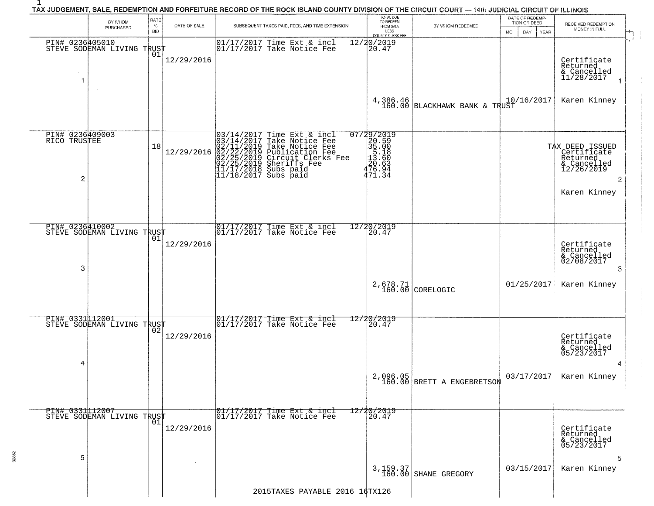|                                      | BY WHOM<br>PURCHASED       | RATE<br>$\%$<br><b>BID</b> | DATE OF SALE | SUBSEQUENT TAXES PAID, FEES, AND TIME EXTENSION.                                                                                                                                                                                           | TOTAL DUE<br>TO REDEEM<br>FROM SALE<br>LESS<br>COUNTY CLERK FEE                                                   | BY WHOM REDEEMED                       | DATE OF REDEMP-<br>TION OR DEED<br>DAY.<br><b>YEAR</b><br>MO. | RECEIVED REDEMPTION<br>MONEY IN FULL                                                      |
|--------------------------------------|----------------------------|----------------------------|--------------|--------------------------------------------------------------------------------------------------------------------------------------------------------------------------------------------------------------------------------------------|-------------------------------------------------------------------------------------------------------------------|----------------------------------------|---------------------------------------------------------------|-------------------------------------------------------------------------------------------|
| PIN# 0236405010<br>1                 | STEVE SODEMAN LIVING TRUST | 01                         | 12/29/2016   | 01/17/2017 Time Ext & incl<br>01/17/2017 Take Notice Fee                                                                                                                                                                                   | 12/20/2019<br>20.47                                                                                               |                                        |                                                               | Certificate<br>Returned<br>& Cancelled<br>11/28/2017                                      |
|                                      |                            |                            |              |                                                                                                                                                                                                                                            | 4,386.46                                                                                                          | 160.00 BLACKHAWK BANK & TRUST          | 10/16/2017                                                    | Karen Kinney                                                                              |
| PIN# 0236409003<br>RICO TRUSTEE<br>2 |                            | 18                         | 12/29/2016   | $03/14/2017$ Time Ext & incl<br>$03/14/2017$ Take Notice Fee<br>$02/11/2019$ Take Notice Fee<br>$02/22/2019$ Publication Fee<br>$02/25/2019$ Sheriffs Fee<br>$02/25/2019$ Sheriffs Fee<br>$11/17/2018$ Subs paid<br>$11/18/2017$ Subs paid | 07/29/2019<br>$\frac{20.59}{35.00}$<br>$\begin{array}{r} 35.18 \\ 13.60 \\ 20.63 \\ 476.94 \\ 471.34 \end{array}$ |                                        |                                                               | TAX DEED ISSUED<br>Certificate<br>Returned<br>& Cancelled<br>12/26/2019<br>$\overline{2}$ |
|                                      |                            |                            |              |                                                                                                                                                                                                                                            |                                                                                                                   |                                        |                                                               | Karen Kinney                                                                              |
| PIN# 0236410002<br>3                 | STEVE SODEMAN LIVING TRUST | 01                         | 12/29/2016   | 01/17/2017 Time Ext & incl<br>01/17/2017 Take Notice Fee                                                                                                                                                                                   | 12/20/2019<br>20.47                                                                                               |                                        |                                                               | Certificate<br>Returned<br>& Cancelled<br>02/08/2017<br>3                                 |
|                                      |                            |                            |              |                                                                                                                                                                                                                                            |                                                                                                                   | $2,678.71$ CORELOGIC                   | 01/25/2017                                                    | Karen Kinney                                                                              |
| PIN# 0331112001<br>4                 | STEVE SODEMAN LIVING TRUST |                            | 12/29/2016   | 01/17/2017 Time Ext & incl<br>01/17/2017 Take Notice Fee                                                                                                                                                                                   | 12/20/2019<br>20.47                                                                                               |                                        |                                                               | Certificate<br>Returned<br>& Cancelled<br>05/23/2017                                      |
|                                      |                            |                            |              |                                                                                                                                                                                                                                            |                                                                                                                   | 2,096.05<br>160.00 BRETT A ENGEBRETSON | 03/17/2017                                                    | Karen Kinney                                                                              |
| PIN# 0331112007                      | STEVE SODEMAN LIVING TRUST | 01                         | 12/29/2016   | 01/17/2017 Time Ext & incl<br>01/17/2017 Take Notice Fee                                                                                                                                                                                   | 12/20/2019<br>20.47                                                                                               |                                        |                                                               | Certificate<br>Returned<br>& Cancelled<br>05/23/2017                                      |
| 5                                    |                            |                            |              |                                                                                                                                                                                                                                            |                                                                                                                   | 3, 159.37<br>160.00 SHANE GREGORY      | 03/15/2017                                                    | 5<br>Karen Kinney                                                                         |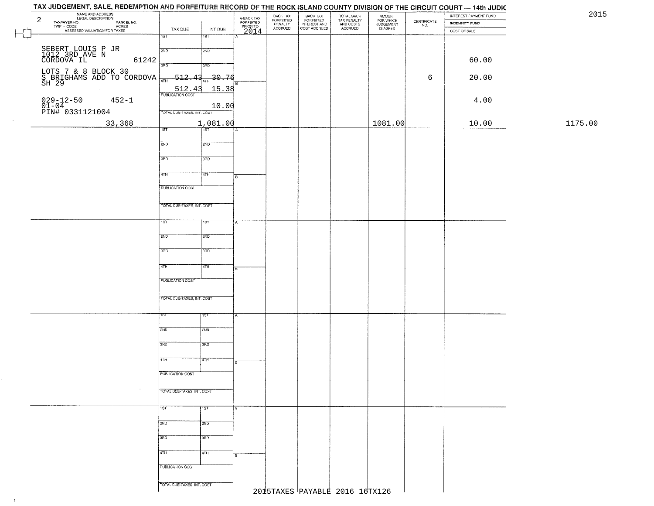## TAX JUDGEMENT, SALE, REDEMPTION AND FORFEITURE RECORD OF THE ROCK ISLAND COUNTY DIVISION OF THE CIRCUIT COURT - 14th JUDIC NAME AND ADDRESS<br>TAXPAYER NO. EGAL DESCRIPTION<br>TWP - CODE AGRES<br>ASSESSED VALUATION FOR TAXES BACK TAX<br>FORFEITED<br>INTEREST AND TOTAL BACK<br>TAX PENALTY<br>AND COSTS AMOUNT<br>FOR WHICH<br>JUDGEMENT<br>IS ASKED BACK TAX INTEREST PAYMENT FUND 2FORFEITED<br>PENALTY<br>ACCRUED  $\begin{array}{c} \text{CEPTIFICATE} \\ \text{NO.} \end{array}$ PARCEL NO. INDEMNITY FUND ACRES TAX DUE INT DUE COST ACCRUED ACCRUED COST OF SALE 2014  $\overline{\phantom{a}}$ गडा खा SEBERT LOUIS P JR2ND  $2ND$ 1012 3RD AVE N CORDOVA IL 61242 60.00 LOTS 7 & 8 BLOCK 30<br>S BRIGHAMS ADD TO CORDOVA 17TH 512.43 1HH 30.76 6 20.00<br>SH 29 6 20.00 512.43 15.38 029-12-50 452-1<br>01-04 10.00 4.00 PIN# 0331121004 TOTAL DUE-TAXES INT COST 33,368 1,081.00 1081.00 10.00 1175.00  $2ND$ 12ND 3RD 3RD 4TH ৰিয়া **FUBLICATION COST** TOTAL DUE-TAXES, INT. COST TST ST  $2ND$ **SMD**  $3BD$ 3RD  $4TH$  $4TH$ **PUBLICATION COST** TOTAL OUE-TAXES, INT. COST 2ND **T2ND** 3RD tarao 4TH īΤH PUBLICATION COST TOTAL DUE-TAXES, INT. COST 1ST 1ST  $2ND$  $\frac{1}{2ND}$ 3RD **3RD** 4TH 4TH **PUBLICATION COST** TOTAL DUE-TAXES, INT. COST 2015TAXES PAYABLE 2016 16TX126

 $\pm 1$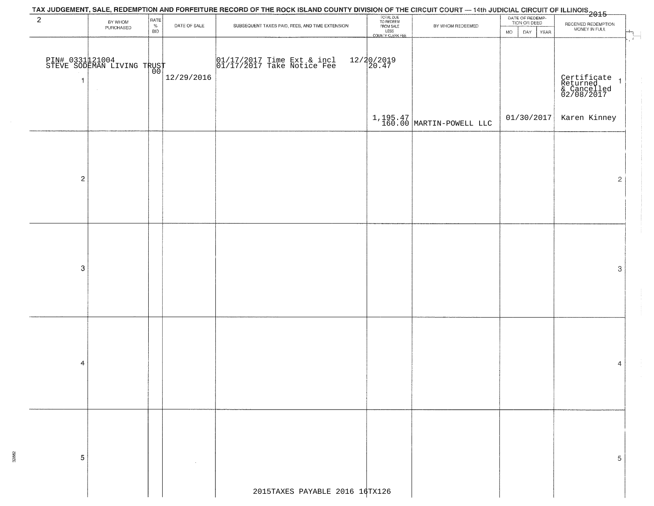|                         |                                               |                                                                           |              | TAX JUDGEMENT, SALE, REDEMPTION AND FORFEITURE RECORD OF THE ROCK ISLAND COUNTY DIVISION OF THE CIRCUIT COURT — 14th JUDICIAL CIRCUIT OF ILLINOIS<br>2015 |                                                                 |                              |                                                          |                                                                                      |
|-------------------------|-----------------------------------------------|---------------------------------------------------------------------------|--------------|-----------------------------------------------------------------------------------------------------------------------------------------------------------|-----------------------------------------------------------------|------------------------------|----------------------------------------------------------|--------------------------------------------------------------------------------------|
| $\overline{a}$          | BY WHOM<br>PURCHASED                          | $\begin{array}{c} \mathsf{RATE} \\ \mathsf{\%} \end{array}$<br><b>BID</b> | DATE OF SALE | SUBSEQUENT TAXES PAID, FEES, AND TIME EXTENSION                                                                                                           | TOTAL DUE<br>TO REDEEM<br>FROM SALE<br>LESS<br>COUNTY CLERK FEE | BY WHOM REDEEMED             | DATE OF REDEMP-<br>TION OR DEED<br>DAY YEAR<br><b>MO</b> | RECEIVED REDEMPTION<br>MONEY IN FULL                                                 |
| 1                       | PIN# 0331121004<br>STEVE SODEMAN LIVING TRUST |                                                                           | 12/29/2016   | 01/17/2017 Time Ext & incl<br>01/17/2017 Take Notice Fee                                                                                                  | $12/20/2019$<br>20.47                                           |                              |                                                          | $\sqrt{1}$<br>Certificate<br>Returned<br>& Cancelled<br>02/08/2017<br>$\overline{1}$ |
|                         |                                               |                                                                           |              |                                                                                                                                                           |                                                                 | $1,195.47$ MARTIN-POWELL LLC | 01/30/2017                                               | Karen Kinney                                                                         |
| $\overline{\mathbf{c}}$ |                                               |                                                                           |              |                                                                                                                                                           |                                                                 |                              |                                                          | $\mathbf{2}$                                                                         |
| $\boldsymbol{3}$        |                                               |                                                                           |              |                                                                                                                                                           |                                                                 |                              |                                                          | 3                                                                                    |
| 4                       |                                               |                                                                           |              |                                                                                                                                                           |                                                                 |                              |                                                          | 4                                                                                    |
| 5                       |                                               |                                                                           |              | 2015TAXES PAYABLE 2016 16TX126                                                                                                                            |                                                                 |                              |                                                          | 5                                                                                    |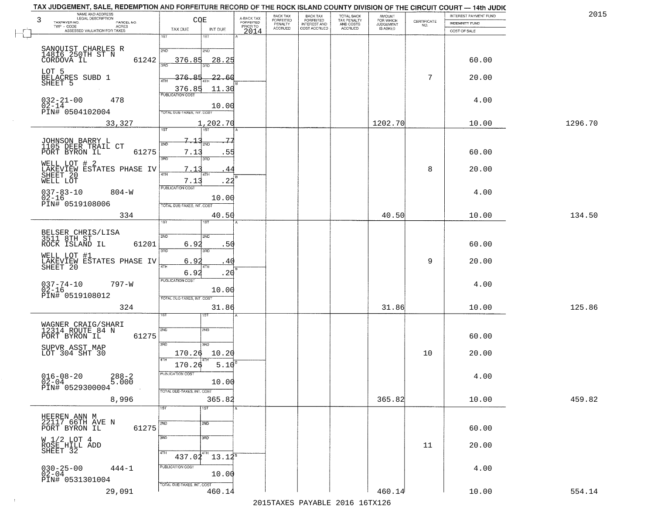| 3 | NAME AND ADDRESS<br>LEGAL DESCRIPTION                            | COE                                        | A-BACK TAX<br>FORFEITED | BACK TAX<br>FORFEITED     | BACK TAX<br>FORFEITED        | TOTAL BACK<br>TAX PENALTY<br>AND COSTS | <b>AMOUNT</b>                      |                    | INTEREST PAYMENT FUND | 2015    |
|---|------------------------------------------------------------------|--------------------------------------------|-------------------------|---------------------------|------------------------------|----------------------------------------|------------------------------------|--------------------|-----------------------|---------|
|   | TAXPAYER NO.<br>PARCEL NO.<br>TWP - CODE<br><b>ACRES</b>         |                                            | PRIOR TO                | PENALTY<br><b>ACCRUED</b> | INTEREST AND<br>COST ACCRUED | ACCRUED                                | FOR WHICH<br>JUDGEMENT<br>IS ASKED | CERTIFICATE<br>NO. | <b>INDEMNITY FUND</b> |         |
|   | ASSESSED VALUATION FOR TAXES                                     | TAX DUE<br>INT DUE<br>1ST<br>1ST           | 2014                    |                           |                              |                                        |                                    |                    | COST OF SALE          |         |
|   |                                                                  |                                            |                         |                           |                              |                                        |                                    |                    |                       |         |
|   | SANQUIST CHARLES R<br>14816 250TH ST N                           | 2ND<br>2ND                                 |                         |                           |                              |                                        |                                    |                    |                       |         |
|   | 61242<br>CORDOVA IL                                              | 28.25<br>376.85<br>3AD<br>3BD              |                         |                           |                              |                                        |                                    |                    | 60.00                 |         |
|   | LOT 5                                                            | 22.60<br>376.85                            |                         |                           |                              |                                        |                                    | 7                  | 20.00                 |         |
|   | BELACRES SUBD 1<br>SHEET 5                                       | 4TH                                        |                         |                           |                              |                                        |                                    |                    |                       |         |
|   |                                                                  | 376.85<br>11.30<br><b>PUBLICATION COST</b> |                         |                           |                              |                                        |                                    |                    |                       |         |
|   | $032 - 21 - 00$<br>02-14<br>478                                  | 10.00                                      |                         |                           |                              |                                        |                                    |                    | 4.00                  |         |
|   | PIN# 0504102004                                                  | TOTAL DUE-TAXES, INT. COST                 |                         |                           |                              |                                        |                                    |                    |                       |         |
|   | 33,327                                                           | 1,202.70<br>$\overline{1ST}$<br>1ST        |                         |                           |                              |                                        | 1202.70                            |                    | 10.00                 | 1296.70 |
|   |                                                                  |                                            |                         |                           |                              |                                        |                                    |                    |                       |         |
|   | JOHNSON BARRY L<br>1105 DEER TRAIL CT                            | 2ND<br>2ND                                 |                         |                           |                              |                                        |                                    |                    |                       |         |
|   | PORT BYRON IL<br>61275                                           | 7.13<br>.55<br>3RD<br>3RD                  |                         |                           |                              |                                        |                                    |                    | 60.00                 |         |
|   | WELL LOT # 2                                                     | 7.1<br>44                                  |                         |                           |                              |                                        |                                    | 8                  | 20.00                 |         |
|   | LAKEVIEW ESTATES PHASE IV<br>SHEET 20<br>WELL LOT                | 47H<br>4TH<br>.22<br>7.13                  | łВ                      |                           |                              |                                        |                                    |                    |                       |         |
|   |                                                                  | <b>PUBLICATION COST</b>                    |                         |                           |                              |                                        |                                    |                    |                       |         |
|   | $037 - 83 - 10$<br>$804 - W$<br>$02 - 16$                        | 10.00                                      |                         |                           |                              |                                        |                                    |                    | 4.00                  |         |
|   | PIN# 0519108006                                                  | TOTAL DUE-TAXES, INT. COST                 |                         |                           |                              |                                        |                                    |                    |                       |         |
|   | 334                                                              | 40.50<br>ïsτ                               |                         |                           |                              |                                        | 40.50                              |                    | 10.00                 | 134.50  |
|   |                                                                  |                                            |                         |                           |                              |                                        |                                    |                    |                       |         |
|   | BELSER CHRIS/LISA<br>3511 8TH ST<br>ROCK ISLAND IL<br>61201      | 2ND<br>2ND<br>6.92<br>.5 <sub>C</sub>      |                         |                           |                              |                                        |                                    |                    | 60.00                 |         |
|   |                                                                  | 3RD<br>3RD                                 |                         |                           |                              |                                        |                                    |                    |                       |         |
|   | WELL LOT #1<br>LAKEVIEW ESTATES PHASE IV                         | 6.92<br>40                                 |                         |                           |                              |                                        |                                    | 9                  | 20.00                 |         |
|   | SHEET 20                                                         | 4TH<br>6.92<br>.2 <sub>0</sub>             |                         |                           |                              |                                        |                                    |                    |                       |         |
|   | $037 - 74 - 10$<br>797-W                                         | <b>PUBLICATION COST</b>                    |                         |                           |                              |                                        |                                    |                    | 4.00                  |         |
|   | $02 - 16$<br>PIN# 0519108012                                     | 10.00                                      |                         |                           |                              |                                        |                                    |                    |                       |         |
|   |                                                                  | TOTAL OUE-TAXES, INT. COST                 |                         |                           |                              |                                        |                                    |                    |                       |         |
|   | 324                                                              | 31.86<br>15T                               |                         |                           |                              |                                        | 31.86                              |                    | 10.00                 | 125.86  |
|   |                                                                  |                                            |                         |                           |                              |                                        |                                    |                    |                       |         |
|   | WAGNER CRAIG/SHARI<br>12314 ROUTE 84 N<br>PORT BYRON IL<br>61275 | 2ND<br>2ND                                 |                         |                           |                              |                                        |                                    |                    | 60.00                 |         |
|   | SUPVR ASST MAP                                                   | 3BD<br>3RD                                 |                         |                           |                              |                                        |                                    |                    |                       |         |
|   | LOT 304 SHT 30                                                   | 170.26<br>10.20                            |                         |                           |                              |                                        |                                    | 10                 | 20.00                 |         |
|   |                                                                  | 4TH<br>170.26<br>5.10                      |                         |                           |                              |                                        |                                    |                    |                       |         |
|   | $016 - 08 - 20$<br>$288 - 2$<br>5.000                            | PUBLICATION COST                           |                         |                           |                              |                                        |                                    |                    | 4.00                  |         |
|   | $0\bar{2} - 0\bar{4}$<br>PIN# 0529300004                         | 10.00                                      |                         |                           |                              |                                        |                                    |                    |                       |         |
|   | 8,996                                                            | TOTAL DUE-TAXES, INT. COST<br>365.82       |                         |                           |                              |                                        | 365.82                             |                    | 10.00                 | 459.82  |
|   |                                                                  | 1ST<br>1ST                                 |                         |                           |                              |                                        |                                    |                    |                       |         |
|   | HEEREN ANN M<br>22117 66TH AVE N                                 |                                            |                         |                           |                              |                                        |                                    |                    |                       |         |
|   | 61275<br>PORT BYRON IL                                           | 2ND<br>$\overline{2ND}$                    |                         |                           |                              |                                        |                                    |                    | 60.00                 |         |
|   |                                                                  | 3BD<br>3RD                                 |                         |                           |                              |                                        |                                    |                    |                       |         |
|   | W 1/2 LOT 4<br>ROSE HILL ADD<br>SHEET 32                         |                                            |                         |                           |                              |                                        |                                    | 11                 | 20.00                 |         |
|   |                                                                  | 4TH<br>4TH<br>$13.12^8$<br>437.02          |                         |                           |                              |                                        |                                    |                    |                       |         |
|   | $030 - 25 - 00$<br>$444 - 1$                                     | PUBLICATION COST                           |                         |                           |                              |                                        |                                    |                    | 4.00                  |         |
|   | $02 - 04$<br>PIN# 0531301004                                     | 10.00                                      |                         |                           |                              |                                        |                                    |                    |                       |         |
|   | 29,091                                                           | TOTAL DUE-TAXES, INT. COST<br>460.14       |                         |                           |                              |                                        | 460.14                             |                    | 10.00                 | 554.14  |
|   |                                                                  |                                            |                         |                           |                              |                                        |                                    |                    |                       |         |

 $\sim 100$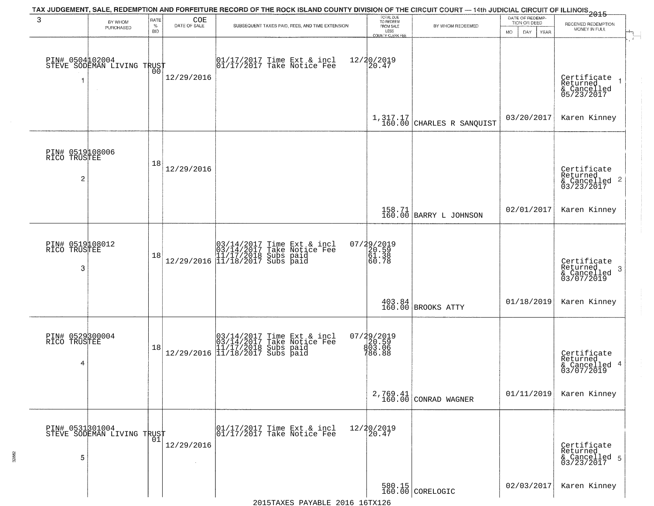| 3                                                 | BY WHOM<br>PURCHASED                          | RATE<br>%<br><b>BID</b> | COE<br>DATE OF SALE | SUBSEQUENT TAXES PAID, FEES, AND TIME EXTENSION                                                                                               | TOTAL DUE<br>TO REDEEM<br>FROM SALE<br>LESS<br>COUNTY CLERK FEE | BY WHOM REDEEMED                                                 | DATE OF REDEMP-<br>TION OR DEED<br>MO.<br>DAY.<br>YEAR | 2015<br>RECEIVED REDEMPTION<br>MONEY IN FULL<br>$\overline{\phantom{a}+}$  |
|---------------------------------------------------|-----------------------------------------------|-------------------------|---------------------|-----------------------------------------------------------------------------------------------------------------------------------------------|-----------------------------------------------------------------|------------------------------------------------------------------|--------------------------------------------------------|----------------------------------------------------------------------------|
| 1                                                 | PIN# 0504102004<br>STEVE SODEMAN LIVING TRUST |                         | 12/29/2016          | $\begin{bmatrix} 01/17/2017 \\ 01/17/2017 \\ 01 \end{bmatrix}$ Take Notice Fee                                                                | 12/20/2019<br>20.47                                             |                                                                  |                                                        | Certificate<br>Returned<br>& Cancelled<br>05/23/2017                       |
|                                                   |                                               |                         |                     |                                                                                                                                               |                                                                 | $1,317.17$ CHARLES R SANQUIST                                    | 03/20/2017                                             | Karen Kinney                                                               |
| PIN# 0519108006<br>RICO TRUSTEE<br>$\overline{2}$ |                                               | 18                      | 12/29/2016          |                                                                                                                                               |                                                                 |                                                                  |                                                        | Certificate<br>Returned<br>$\frac{12241164}{68}$ Cancelled 2<br>03/23/2017 |
|                                                   |                                               |                         |                     |                                                                                                                                               |                                                                 | 158.71<br>160.00 BARRY L JOHNSON                                 | 02/01/2017                                             | Karen Kinney                                                               |
| PIN# 0519108012<br>RICO TRUSTEE<br>3              |                                               | 18                      |                     | $[03/14/2017 \t{Time Ext & incl} 03/14/2017 \t{Take Notice Feel} 11/17/2018 \t{Subs paid} 12/29/2016 \t{11/18/2017 \t{Subs paid} 13/2017}$    | $07/29/2019$<br>20.59<br>61.38<br>60.78                         |                                                                  |                                                        | Certificate<br>Returned<br>& Cancelled<br>03/07/2019<br>3                  |
|                                                   |                                               |                         |                     |                                                                                                                                               |                                                                 | $\begin{array}{c} 403.84 \ 160.00 \end{array}$ BROOKS ATTY       | 01/18/2019                                             | Karen Kinney                                                               |
| PIN# 0529300004<br>RICO TRUSTEE<br>4              |                                               | 18                      |                     | $[03/14/2017 \t{Time Ext & incl} 03/14/2017 \t{Take Notice Feel} 11/17/2018 \t{Subs paid} 11/29/2016 \t{11/18/2017 \t{Subs paid} 11/18/2017}$ | 07/29/2019<br>20.59<br>803.06<br>786.88                         |                                                                  |                                                        | Certificate<br>Returned<br>& Cancelled 4<br>03/07/2019                     |
|                                                   |                                               |                         |                     |                                                                                                                                               |                                                                 | 2,769.41<br>160.00 CONRAD WAGNER                                 | 01/11/2019                                             | Karen Kinney                                                               |
| 5                                                 | PIN# 0531301004<br>STEVE SODEMAN LIVING TRUST | 01                      | 12/29/2016          | 01/17/2017 Time Ext & incl<br>01/17/2017 Take Notice Fee                                                                                      | 12/20/2019<br>20.47                                             |                                                                  |                                                        | Certificate<br>Returned<br>& Cancelled 5<br>03/23/2017                     |
|                                                   |                                               |                         |                     | 2015 TAVES DAVABLE 2016 16TV126                                                                                                               |                                                                 | $\begin{array}{ c c c }\n580.15 & \text{CORELOGIC}\n\end{array}$ | 02/03/2017                                             | Karen Kinney                                                               |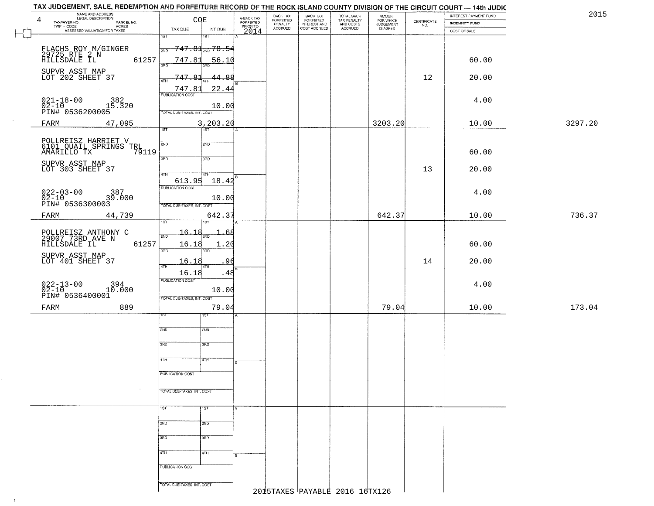| TAX JUDGEMENT, SALE, REDEMPTION AND FORFEITURE RECORD OF THE ROCK ISLAND COUNTY DIVISION OF THE CIRCUIT COURT - 14th JUDIC |                            |                                        |                                     |                      |                                       |                                        |                                              |                                                                 |                       |         |
|----------------------------------------------------------------------------------------------------------------------------|----------------------------|----------------------------------------|-------------------------------------|----------------------|---------------------------------------|----------------------------------------|----------------------------------------------|-----------------------------------------------------------------|-----------------------|---------|
| NAME AND ADDRESS<br><b>LEGAL DESCRIPTION</b><br>4                                                                          | CQE                        |                                        |                                     | BACK TAX             | BACK TAX<br>FORFEITED<br>INTEREST AND | TOTAL BACK<br>TAX PENALTY<br>AND COSTS | AMOUNT<br>FOR WHICH<br>JUDGEMENT<br>IS ASKED |                                                                 | INTEREST PAYMENT FUND | 2015    |
| TAXPAYER NO.<br>PARCEL NO.<br>ACRES                                                                                        |                            |                                        | A-BACK TAX<br>FORFEITED<br>PRIOR TO | FORFEITED<br>PENALTY |                                       |                                        |                                              | $\begin{array}{c} \text{CERTIFICATE} \\ \text{NO.} \end{array}$ | <b>INDEMNITY FUND</b> |         |
| ASSESSED VALUATION FOR TAXES                                                                                               | TAX DUE                    | INT DUE                                | 2014                                | <b>ACCRUED</b>       | COST ACCRUED                          | <b>ACCRUED</b>                         |                                              |                                                                 | COST OF SALE          |         |
|                                                                                                                            | 1ST                        | $1S$ T                                 |                                     |                      |                                       |                                        |                                              |                                                                 |                       |         |
| FLACHS ROY M/GINGER                                                                                                        | 2ND                        | $\overline{747.81}_{\text{2ND}}$ 78.54 |                                     |                      |                                       |                                        |                                              |                                                                 |                       |         |
| 29725 RTE 2 N<br>HILLSDALE IL                                                                                              |                            |                                        |                                     |                      |                                       |                                        |                                              |                                                                 |                       |         |
| 61257                                                                                                                      | 747.81<br>3HD              | <u>56.10</u>                           |                                     |                      |                                       |                                        |                                              |                                                                 | 60.00                 |         |
|                                                                                                                            |                            |                                        |                                     |                      |                                       |                                        |                                              |                                                                 |                       |         |
| SUPVR ASST MAP<br>LOT 202 SHEET 37                                                                                         | 747.81<br>4TH              | 44.88                                  |                                     |                      |                                       |                                        |                                              | 12                                                              | 20.00                 |         |
|                                                                                                                            |                            |                                        |                                     |                      |                                       |                                        |                                              |                                                                 |                       |         |
|                                                                                                                            | 747.81                     | 22.44                                  |                                     |                      |                                       |                                        |                                              |                                                                 |                       |         |
| $021 - 18 - 00$<br>$02 - 10$<br>382                                                                                        |                            |                                        |                                     |                      |                                       |                                        |                                              |                                                                 | 4.00                  |         |
| 15.320                                                                                                                     |                            | 10.00                                  |                                     |                      |                                       |                                        |                                              |                                                                 |                       |         |
| PIN# 0536200005                                                                                                            | TOTAL DUE-TAXES, INT. COST |                                        |                                     |                      |                                       |                                        |                                              |                                                                 |                       |         |
| 47,095<br>FARM                                                                                                             |                            | 3, 203.20                              |                                     |                      |                                       |                                        | 3203.20                                      |                                                                 | 10.00                 | 3297.20 |
|                                                                                                                            | 1ST                        | $\overline{151}$                       |                                     |                      |                                       |                                        |                                              |                                                                 |                       |         |
|                                                                                                                            |                            |                                        |                                     |                      |                                       |                                        |                                              |                                                                 |                       |         |
| POLLREISZ HARRIET V<br>6101 QUAIL SPRINGS TRL<br>AMARILLO TX 79:                                                           | 2ND                        | 2ND                                    |                                     |                      |                                       |                                        |                                              |                                                                 |                       |         |
| 79119                                                                                                                      |                            |                                        |                                     |                      |                                       |                                        |                                              |                                                                 | 60.00                 |         |
| SUPVR ASST MAP                                                                                                             | 3BD                        | 3RD                                    |                                     |                      |                                       |                                        |                                              |                                                                 |                       |         |
| LOT 303 SHEET 37                                                                                                           |                            |                                        |                                     |                      |                                       |                                        |                                              | 13                                                              | 20.00                 |         |
|                                                                                                                            | 47H<br>613.95              | 4TH                                    |                                     |                      |                                       |                                        |                                              |                                                                 |                       |         |
|                                                                                                                            | PUBLICATION COST           | 18.42                                  |                                     |                      |                                       |                                        |                                              |                                                                 |                       |         |
|                                                                                                                            |                            |                                        |                                     |                      |                                       |                                        |                                              |                                                                 | 4.00                  |         |
|                                                                                                                            |                            | 10.00                                  |                                     |                      |                                       |                                        |                                              |                                                                 |                       |         |
| ∪∠∠−∪3−00 387<br>02−10 39.000<br>PIN# 0536300003<br>-                                                                      | TOTAL DUE-TAXES, INT. COST |                                        |                                     |                      |                                       |                                        |                                              |                                                                 |                       |         |
| FARM<br>44,739                                                                                                             |                            | 642.37                                 |                                     |                      |                                       |                                        | 642.37                                       |                                                                 | 10.00                 | 736.37  |
|                                                                                                                            | ist                        | 1ST                                    |                                     |                      |                                       |                                        |                                              |                                                                 |                       |         |
|                                                                                                                            | 16.18                      | -68                                    |                                     |                      |                                       |                                        |                                              |                                                                 |                       |         |
| POLLREISZ ANTHONY C<br>29007 73RD AVE N<br>HILLSDALE IL                                                                    | 2ND                        |                                        |                                     |                      |                                       |                                        |                                              |                                                                 |                       |         |
| 61257                                                                                                                      | 16.18<br>3BD               | 1.20<br>3RD                            |                                     |                      |                                       |                                        |                                              |                                                                 | 60.00                 |         |
| SUPVR ASST MAP                                                                                                             |                            |                                        |                                     |                      |                                       |                                        |                                              |                                                                 |                       |         |
| LOT 401 SHEET 37                                                                                                           | 16.18<br>4TH               | 96<br>4TH                              |                                     |                      |                                       |                                        |                                              | 14                                                              | 20.00                 |         |
|                                                                                                                            | 16.18                      | .48                                    |                                     |                      |                                       |                                        |                                              |                                                                 |                       |         |
|                                                                                                                            | PUBLICATION COST           |                                        |                                     |                      |                                       |                                        |                                              |                                                                 |                       |         |
| $022 - 13 - 00$<br>02-10<br>10.000                                                                                         |                            |                                        |                                     |                      |                                       |                                        |                                              |                                                                 | 4.00                  |         |
| PIN# 0536400001                                                                                                            | TOTAL OUE-TAXES, INT. COST | 10.00                                  |                                     |                      |                                       |                                        |                                              |                                                                 |                       |         |
|                                                                                                                            |                            |                                        |                                     |                      |                                       |                                        |                                              |                                                                 |                       |         |
| 889<br>FARM                                                                                                                |                            | 79.04                                  |                                     |                      |                                       |                                        | 79.04                                        |                                                                 | 10.00                 | 173.04  |
|                                                                                                                            | ΙSΤ                        | 1ST                                    |                                     |                      |                                       |                                        |                                              |                                                                 |                       |         |
|                                                                                                                            |                            |                                        |                                     |                      |                                       |                                        |                                              |                                                                 |                       |         |
|                                                                                                                            | 2ND                        | 2ND                                    |                                     |                      |                                       |                                        |                                              |                                                                 |                       |         |
|                                                                                                                            | 3RD                        | 3BD                                    |                                     |                      |                                       |                                        |                                              |                                                                 |                       |         |
|                                                                                                                            |                            |                                        |                                     |                      |                                       |                                        |                                              |                                                                 |                       |         |
|                                                                                                                            | 4TH                        | 47H                                    |                                     |                      |                                       |                                        |                                              |                                                                 |                       |         |
|                                                                                                                            |                            |                                        | B                                   |                      |                                       |                                        |                                              |                                                                 |                       |         |
|                                                                                                                            | PUBLICATION COST           |                                        |                                     |                      |                                       |                                        |                                              |                                                                 |                       |         |
|                                                                                                                            |                            |                                        |                                     |                      |                                       |                                        |                                              |                                                                 |                       |         |
|                                                                                                                            | TOTAL DUE-TAXES, INT. COST |                                        |                                     |                      |                                       |                                        |                                              |                                                                 |                       |         |
|                                                                                                                            |                            |                                        |                                     |                      |                                       |                                        |                                              |                                                                 |                       |         |
|                                                                                                                            |                            |                                        |                                     |                      |                                       |                                        |                                              |                                                                 |                       |         |
|                                                                                                                            | 1ST                        | 1ST                                    | A.                                  |                      |                                       |                                        |                                              |                                                                 |                       |         |
|                                                                                                                            |                            |                                        |                                     |                      |                                       |                                        |                                              |                                                                 |                       |         |
|                                                                                                                            | 2ND                        | 2ND                                    |                                     |                      |                                       |                                        |                                              |                                                                 |                       |         |
|                                                                                                                            | 3BD                        | 3BD                                    |                                     |                      |                                       |                                        |                                              |                                                                 |                       |         |
|                                                                                                                            |                            |                                        |                                     |                      |                                       |                                        |                                              |                                                                 |                       |         |
|                                                                                                                            | 4TH                        | 4TH                                    |                                     |                      |                                       |                                        |                                              |                                                                 |                       |         |
|                                                                                                                            |                            |                                        | B.                                  |                      |                                       |                                        |                                              |                                                                 |                       |         |
|                                                                                                                            | PUBLICATION COST           |                                        |                                     |                      |                                       |                                        |                                              |                                                                 |                       |         |
|                                                                                                                            |                            |                                        |                                     |                      |                                       |                                        |                                              |                                                                 |                       |         |
|                                                                                                                            | TOTAL OUE-TAXES, INT. COST |                                        |                                     |                      |                                       |                                        |                                              |                                                                 |                       |         |
|                                                                                                                            |                            |                                        |                                     |                      |                                       | 2015TAXES PAYABLE 2016 16TX126         |                                              |                                                                 |                       |         |

 $\sim 10$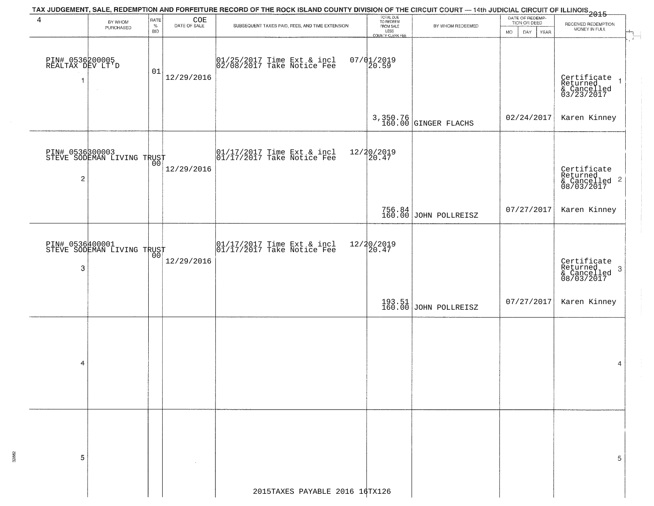| 4                                   | TAX JUDGEMENT, SALE, REDEMPTION AND FORFEITURE RECORD OF THE ROCK ISLAND COUNTY DIVISION OF THE CIRCUIT COURT — 14th JUDICIAL CIRCUIT OF ILLINOIS 2015<br>RATE<br>$\underset{\text{DATE of sale}}{\text{COE}}$<br>BY WHOM |                    | TOTAL DUE<br>TO REDEEM |                                                                                                                   | DATE OF REDEMP-          |                                  |                                            |                                                          |
|-------------------------------------|---------------------------------------------------------------------------------------------------------------------------------------------------------------------------------------------------------------------------|--------------------|------------------------|-------------------------------------------------------------------------------------------------------------------|--------------------------|----------------------------------|--------------------------------------------|----------------------------------------------------------|
|                                     | PURCHASED                                                                                                                                                                                                                 | $\%$<br><b>BID</b> |                        | SUBSEQUENT TAXES PAID, FEES, AND TIME EXTENSION.                                                                  | FROM SALE                | BY WHOM REDEEMED                 | TION OR DEED<br><b>YEAR</b><br>MO.<br>DAY. | RECEIVED REDEMPTION<br>MONEY IN FULL                     |
|                                     |                                                                                                                                                                                                                           |                    |                        |                                                                                                                   | LESS<br>COUNTY CLERK FEE |                                  |                                            |                                                          |
|                                     |                                                                                                                                                                                                                           |                    |                        |                                                                                                                   |                          |                                  |                                            |                                                          |
| PIN# 0536200005<br>REALTAX DEV LT'D |                                                                                                                                                                                                                           |                    |                        | 01/25/2017 Time Ext & incl<br>02/08/2017 Take Notice Fee                                                          | $07/01/2019$<br>20.59    |                                  |                                            |                                                          |
|                                     |                                                                                                                                                                                                                           | 01                 | 12/29/2016             |                                                                                                                   |                          |                                  |                                            |                                                          |
| 1                                   |                                                                                                                                                                                                                           |                    |                        |                                                                                                                   |                          |                                  |                                            | Certificate 1<br>Returned 1<br>& Cancelled<br>03/23/2017 |
|                                     |                                                                                                                                                                                                                           |                    |                        |                                                                                                                   |                          |                                  |                                            |                                                          |
|                                     |                                                                                                                                                                                                                           |                    |                        |                                                                                                                   |                          |                                  |                                            |                                                          |
|                                     |                                                                                                                                                                                                                           |                    |                        |                                                                                                                   |                          | 3,350.76<br>160.00 GINGER FLACHS | 02/24/2017                                 | Karen Kinney                                             |
|                                     |                                                                                                                                                                                                                           |                    |                        |                                                                                                                   |                          |                                  |                                            |                                                          |
|                                     |                                                                                                                                                                                                                           |                    |                        |                                                                                                                   |                          |                                  |                                            |                                                          |
|                                     | PIN# 0536800003<br>STEVE SODEMAN LIVING TRUST                                                                                                                                                                             |                    |                        | 01/17/2017 Time Ext & incl<br>01/17/2017 Take Notice Fee                                                          | 12/20/2019<br>20.47      |                                  |                                            |                                                          |
| $\overline{c}$                      |                                                                                                                                                                                                                           |                    | 12/29/2016             |                                                                                                                   |                          |                                  |                                            | Certificate<br>Returned                                  |
|                                     |                                                                                                                                                                                                                           |                    |                        |                                                                                                                   |                          |                                  |                                            | & Cancelled 2<br>08/03/2017                              |
|                                     |                                                                                                                                                                                                                           |                    |                        |                                                                                                                   |                          |                                  |                                            |                                                          |
|                                     |                                                                                                                                                                                                                           |                    |                        |                                                                                                                   |                          | 756.84<br>160.00 JOHN POLLREISZ  | 07/27/2017                                 | Karen Kinney                                             |
|                                     |                                                                                                                                                                                                                           |                    |                        |                                                                                                                   |                          |                                  |                                            |                                                          |
|                                     |                                                                                                                                                                                                                           |                    |                        |                                                                                                                   |                          |                                  |                                            |                                                          |
|                                     | PIN# 0536400001<br>STEVE SODEMAN LIVING TRUST                                                                                                                                                                             |                    |                        | $\begin{array}{cc} 01/17/2017 & \text{Time Ext} & \text{incl} \\ 01/17/2017 & \text{Take Notice Fee} \end{array}$ | 12/20/2019<br>20.47      |                                  |                                            |                                                          |
|                                     |                                                                                                                                                                                                                           |                    | 12/29/2016             |                                                                                                                   |                          |                                  |                                            | Certificate<br>Returned                                  |
| 3                                   |                                                                                                                                                                                                                           |                    |                        |                                                                                                                   |                          |                                  |                                            | 3<br>& Cancelled<br>08/03/2017                           |
|                                     |                                                                                                                                                                                                                           |                    |                        |                                                                                                                   |                          |                                  |                                            |                                                          |
|                                     |                                                                                                                                                                                                                           |                    |                        |                                                                                                                   |                          |                                  | 07/27/2017                                 | Karen Kinney                                             |
|                                     |                                                                                                                                                                                                                           |                    |                        |                                                                                                                   |                          | 193.51<br>160.00 JOHN POLLREISZ  |                                            |                                                          |
|                                     |                                                                                                                                                                                                                           |                    |                        |                                                                                                                   |                          |                                  |                                            |                                                          |
|                                     |                                                                                                                                                                                                                           |                    |                        |                                                                                                                   |                          |                                  |                                            |                                                          |
|                                     |                                                                                                                                                                                                                           |                    |                        |                                                                                                                   |                          |                                  |                                            |                                                          |
| 4                                   |                                                                                                                                                                                                                           |                    |                        |                                                                                                                   |                          |                                  |                                            | 4                                                        |
|                                     |                                                                                                                                                                                                                           |                    |                        |                                                                                                                   |                          |                                  |                                            |                                                          |
|                                     |                                                                                                                                                                                                                           |                    |                        |                                                                                                                   |                          |                                  |                                            |                                                          |
|                                     |                                                                                                                                                                                                                           |                    |                        |                                                                                                                   |                          |                                  |                                            |                                                          |
|                                     |                                                                                                                                                                                                                           |                    |                        |                                                                                                                   |                          |                                  |                                            |                                                          |
|                                     |                                                                                                                                                                                                                           |                    |                        |                                                                                                                   |                          |                                  |                                            |                                                          |
|                                     |                                                                                                                                                                                                                           |                    |                        |                                                                                                                   |                          |                                  |                                            |                                                          |
|                                     |                                                                                                                                                                                                                           |                    |                        |                                                                                                                   |                          |                                  |                                            |                                                          |
| 5                                   |                                                                                                                                                                                                                           |                    |                        |                                                                                                                   |                          |                                  |                                            | 5                                                        |
|                                     |                                                                                                                                                                                                                           |                    |                        |                                                                                                                   |                          |                                  |                                            |                                                          |
|                                     |                                                                                                                                                                                                                           |                    |                        |                                                                                                                   |                          |                                  |                                            |                                                          |
|                                     |                                                                                                                                                                                                                           |                    |                        | 2015TAXES PAYABLE 2016 16TX126                                                                                    |                          |                                  |                                            |                                                          |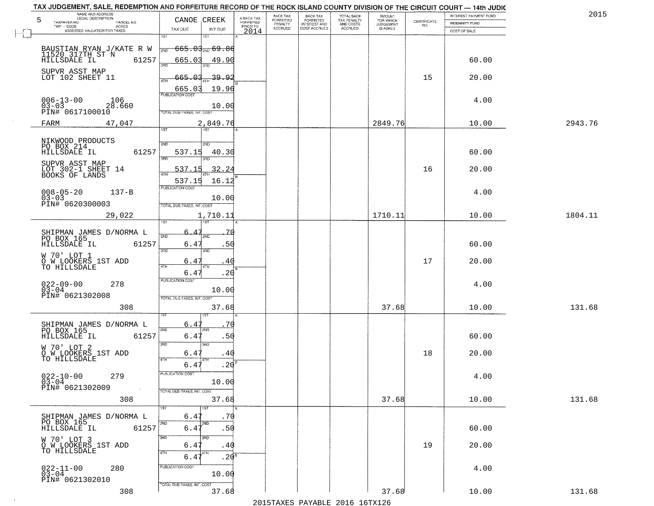| TAX JUDGEMENT, SALE, REDEMPTION AND FORFEITURE RECORD OF THE ROCK ISLAND COUNTY DIVISION OF THE CIRCUIT COURT - 14th JUDIC<br>NAME AND ADDRESS<br>LEGAL DESCRIPTION |                                 |                         | BACK TAX                    | BACK TAX<br>FORFEITED |                                        | AMOUNT<br>FOR WHICH |                                                                 | INTEREST PAYMENT FUND | 2015    |
|---------------------------------------------------------------------------------------------------------------------------------------------------------------------|---------------------------------|-------------------------|-----------------------------|-----------------------|----------------------------------------|---------------------|-----------------------------------------------------------------|-----------------------|---------|
| 5<br>TAXPAYER NO.<br>PARCEL NO.                                                                                                                                     | CANOE CREEK                     | A-BACK TAX<br>FORFEITED | <b>FORFEITED</b><br>PENALTY | <b>INTEREST AND</b>   | TOTAL BACK<br>TAX PENALTY<br>AND COSTS | <b>JUDGEMENT</b>    | $\begin{array}{c} \text{CERTIFICATE} \\ \text{NO.} \end{array}$ | INDEMNITY FUND        |         |
| ACRES<br>ASSESSED VALUATION FOR TAXES                                                                                                                               | INT DUE<br>TAX DUE              | PRIOR TO<br>2014        | <b>ACCRUED</b>              | COST ACCRUED          | <b>ACCRUED</b>                         | IS ASKED            |                                                                 | COST OF SALE          |         |
|                                                                                                                                                                     | 1ST<br>1ST                      |                         |                             |                       |                                        |                     |                                                                 |                       |         |
| BAUSTIAN RYAN J/KATE R W                                                                                                                                            | <del>665.03, 69.86</del><br>2ND |                         |                             |                       |                                        |                     |                                                                 |                       |         |
| 11520 317TH ST N                                                                                                                                                    |                                 |                         |                             |                       |                                        |                     |                                                                 |                       |         |
| 61257<br>HILLSDALE IL                                                                                                                                               | 665.03<br>49.90<br>3RD          |                         |                             |                       |                                        |                     |                                                                 | 60.00                 |         |
| SUPVR ASST MAP                                                                                                                                                      |                                 |                         |                             |                       |                                        |                     |                                                                 |                       |         |
| LOT 102 SHEET 11                                                                                                                                                    | 665.03<br><u>39.92</u>          |                         |                             |                       |                                        |                     | 15                                                              | 20.00                 |         |
|                                                                                                                                                                     | 19.96<br>665.03                 |                         |                             |                       |                                        |                     |                                                                 |                       |         |
| $006 - 13 - 00$<br>106                                                                                                                                              | <b>PUBLICATION COST</b>         |                         |                             |                       |                                        |                     |                                                                 | 4.00                  |         |
| $03 - 03$<br>28.660                                                                                                                                                 | 10.00                           |                         |                             |                       |                                        |                     |                                                                 |                       |         |
| PIN# 0617100010                                                                                                                                                     | TOTAL DUE-TAXES, INT. COST      |                         |                             |                       |                                        |                     |                                                                 |                       |         |
| 47,047<br>FARM                                                                                                                                                      | 2,849.76                        |                         |                             |                       |                                        | 2849.76             |                                                                 | 10.00                 | 2943.76 |
|                                                                                                                                                                     | <b>IST</b><br>1ST               |                         |                             |                       |                                        |                     |                                                                 |                       |         |
|                                                                                                                                                                     |                                 |                         |                             |                       |                                        |                     |                                                                 |                       |         |
| NIKWOOD PRODUCTS<br>PO BOX 214                                                                                                                                      | 2ND<br>2ND                      |                         |                             |                       |                                        |                     |                                                                 |                       |         |
| 61257<br>HILLSDALE IL                                                                                                                                               | 537.15<br>40.30<br>3RD          |                         |                             |                       |                                        |                     |                                                                 | 60.00                 |         |
| SUPVR ASST MAP                                                                                                                                                      |                                 |                         |                             |                       |                                        |                     |                                                                 |                       |         |
| LOT 302-1 SHEET 14<br>BOOKS OF LANDS                                                                                                                                | 32.24<br>537.15                 |                         |                             |                       |                                        |                     | 16                                                              | 20.00                 |         |
|                                                                                                                                                                     | 537.15<br>16.12                 |                         |                             |                       |                                        |                     |                                                                 |                       |         |
| $008 - 05 - 20$<br>$137 - B$                                                                                                                                        | PUBLICATION COST                |                         |                             |                       |                                        |                     |                                                                 | 4.00                  |         |
| $03 - 03$                                                                                                                                                           | 10.00                           |                         |                             |                       |                                        |                     |                                                                 |                       |         |
| PIN# 0620300003                                                                                                                                                     | TOTAL DUE-TAXES, INT. COST      |                         |                             |                       |                                        |                     |                                                                 |                       |         |
| 29,022                                                                                                                                                              | 1,710.11                        |                         |                             |                       |                                        | 1710.11             |                                                                 | 10.00                 | 1804.11 |
|                                                                                                                                                                     | is T<br>1ST                     |                         |                             |                       |                                        |                     |                                                                 |                       |         |
|                                                                                                                                                                     |                                 |                         |                             |                       |                                        |                     |                                                                 |                       |         |
| SHIPMAN JAMES D/NORMA L<br>PO BOX 165                                                                                                                               | 2ND<br>2ND                      |                         |                             |                       |                                        |                     |                                                                 |                       |         |
| HILLSDALE IL<br>61257                                                                                                                                               | 6.47<br>.50<br>3BD<br>3RD       |                         |                             |                       |                                        |                     |                                                                 | 60.00                 |         |
| W 70' LOT 1                                                                                                                                                         |                                 |                         |                             |                       |                                        |                     |                                                                 |                       |         |
| O W LOOKERS 1ST ADD<br>TO HILLSDALE                                                                                                                                 | 6.47<br>4 C<br>4TH<br>4TH       |                         |                             |                       |                                        |                     | 17                                                              | 20.00                 |         |
|                                                                                                                                                                     | 6.47<br>.20                     |                         |                             |                       |                                        |                     |                                                                 |                       |         |
| 278                                                                                                                                                                 | <b>PUBLICATION COST</b>         |                         |                             |                       |                                        |                     |                                                                 | 4.00                  |         |
| $022 - 09 - 00$<br>03-04                                                                                                                                            | 10.00                           |                         |                             |                       |                                        |                     |                                                                 |                       |         |
| PIN# 0621302008                                                                                                                                                     | TOTAL OUE-TAXES, INT. COST      |                         |                             |                       |                                        |                     |                                                                 |                       |         |
| 308                                                                                                                                                                 | 37.68                           |                         |                             |                       |                                        | 37.68               |                                                                 | 10.00                 | 131.68  |
|                                                                                                                                                                     |                                 |                         |                             |                       |                                        |                     |                                                                 |                       |         |
| SHIPMAN JAMES D/NORMA L<br>PO BOX 165                                                                                                                               | 6.47<br>70                      |                         |                             |                       |                                        |                     |                                                                 |                       |         |
| HILLSDALE IL<br>61257                                                                                                                                               | 2ND<br>2ND.<br>6.47<br>.50      |                         |                             |                       |                                        |                     |                                                                 | 60.00                 |         |
|                                                                                                                                                                     | 3RD<br>3HD                      |                         |                             |                       |                                        |                     |                                                                 |                       |         |
| W 70' LOT 2<br>O W LOOKERS 1ST ADD<br>TO HILLSDALE                                                                                                                  |                                 |                         |                             |                       |                                        |                     | 18                                                              | 20.00                 |         |
|                                                                                                                                                                     | 6.47<br>.40<br>4TH<br>4TH       |                         |                             |                       |                                        |                     |                                                                 |                       |         |
|                                                                                                                                                                     | .20<br>6.47                     |                         |                             |                       |                                        |                     |                                                                 |                       |         |
| $022 - 10 - 00$<br>03-04<br>279                                                                                                                                     | PUBLICATION COS-                |                         |                             |                       |                                        |                     |                                                                 | 4.00                  |         |
|                                                                                                                                                                     | 10.00                           |                         |                             |                       |                                        |                     |                                                                 |                       |         |
| PIN# 0621302009<br>$\sim 100$                                                                                                                                       | TOTAL DUE-TAXES, INT. COST      |                         |                             |                       |                                        |                     |                                                                 |                       |         |
| 308                                                                                                                                                                 | 37.68                           |                         |                             |                       |                                        | 37.68               |                                                                 | 10.00                 | 131.68  |
|                                                                                                                                                                     |                                 |                         |                             |                       |                                        |                     |                                                                 |                       |         |
| SHIPMAN JAMES D/NORMA L                                                                                                                                             | .70<br>6.4                      |                         |                             |                       |                                        |                     |                                                                 |                       |         |
| PO BOX 165<br>61257<br>HILLSDALE IL                                                                                                                                 | 2ND<br>2ND.<br>6.41<br>.50      |                         |                             |                       |                                        |                     |                                                                 | 60.00                 |         |
|                                                                                                                                                                     | 3RD<br>3RD                      |                         |                             |                       |                                        |                     |                                                                 |                       |         |
| W 70' LOT 3<br>O W LOOKERS 1ST ADD                                                                                                                                  | 6.4'<br>.40                     |                         |                             |                       |                                        |                     | 19                                                              | 20.00                 |         |
| TO HILLSDALE                                                                                                                                                        | 4TH<br>4TH                      |                         |                             |                       |                                        |                     |                                                                 |                       |         |
|                                                                                                                                                                     | .20 <sup>8</sup><br>6.47        |                         |                             |                       |                                        |                     |                                                                 |                       |         |
| $022 - 11 - 00$<br>03-04<br>280                                                                                                                                     | PUBLICATION COST                |                         |                             |                       |                                        |                     |                                                                 | 4.00                  |         |
|                                                                                                                                                                     | 10.00                           |                         |                             |                       |                                        |                     |                                                                 |                       |         |
| PIN# 0621302010                                                                                                                                                     | TOTAL DUE-TAXES, INT. COST      |                         |                             |                       |                                        |                     |                                                                 |                       |         |
| 308                                                                                                                                                                 | 37.68                           |                         |                             |                       |                                        | 37.68               |                                                                 | 10.00                 | 131.68  |
|                                                                                                                                                                     |                                 |                         |                             |                       | 2015 TAVEC DAVADIE 2016 16TV126        |                     |                                                                 |                       |         |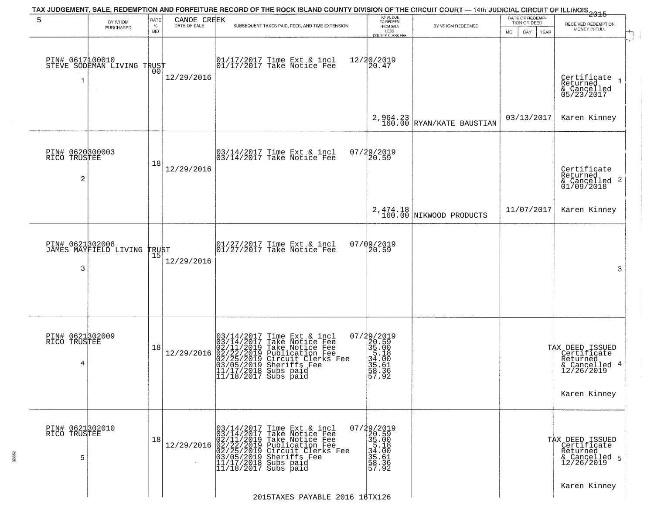|                                                   |                                                   |                            |                             | TAX JUDGEMENT, SALE, REDEMPTION AND FORFEITURE RECORD OF THE ROCK ISLAND COUNTY DIVISION OF THE CIRCUIT COURT — 14th JUDICIAL CIRCUIT OF ILLINOIS 2015                                                                                      |                                                                                                            |                                      |                                                                    |                                                                                                 |
|---------------------------------------------------|---------------------------------------------------|----------------------------|-----------------------------|---------------------------------------------------------------------------------------------------------------------------------------------------------------------------------------------------------------------------------------------|------------------------------------------------------------------------------------------------------------|--------------------------------------|--------------------------------------------------------------------|-------------------------------------------------------------------------------------------------|
| 5                                                 | BY WHOM<br>PURCHASED                              | RATE<br>$\%$<br><b>BID</b> | CANOE CREEK<br>DATE OF SALE | SUBSEQUENT TAXES PAID, FEES, AND TIME EXTENSION                                                                                                                                                                                             | TOTAL DUE<br>TO REDEEM<br>FROM SALE<br>LESS<br><b>COUNTY CLERK FEE</b>                                     | BY WHOM REDEEMED                     | DATE OF REDEMP-<br>TION OR DEED<br><b>MO</b><br>DAY<br><b>YEAR</b> | RECEIVED REDEMPTION<br>MONEY IN FULL                                                            |
| -1                                                | PIN# 0617100010    <br>STEVE SODEMAN LIVING TRUST | 0 <sub>0</sub>             | 12/29/2016                  | 01/17/2017 Time Ext & incl<br>01/17/2017 Take Notice Fee                                                                                                                                                                                    | 12/20/2019<br>20.47                                                                                        |                                      |                                                                    | $\mathbf{r}$<br>Certificate<br>Returned<br>$\rightarrow$<br>& Cancelled<br>05/23/2017           |
|                                                   |                                                   |                            |                             |                                                                                                                                                                                                                                             |                                                                                                            | $2,964.23$ RYAN/KATE BAUSTIAN        | 03/13/2017                                                         | Karen Kinney                                                                                    |
| PIN# 0620300003<br>RICO TRUSTEE<br>$\overline{2}$ |                                                   | 18                         | 12/29/2016                  | $\begin{array}{c}  03/14/2017 \text{ Time} \text{ Ext} & \text{incl} \\  03/14/2017 \text{ Take Notice } \text{Fe} \end{array}$                                                                                                             | 07/29/2019<br>20.59                                                                                        |                                      |                                                                    | Certificate<br>Returned<br>$\overline{2}$<br>& Cancelled<br>01/09/2018                          |
|                                                   |                                                   |                            |                             |                                                                                                                                                                                                                                             |                                                                                                            | 2, 474.18<br>160.00 NIKWOOD PRODUCTS | 11/07/2017                                                         | Karen Kinney                                                                                    |
| 3                                                 | PIN# 0621802008<br>JAMES MAYFIELD LIVING          | <b>TRUST</b><br>15         | 12/29/2016                  | $\begin{array}{ccc}  01/27/2017 \text{ Time} & \text{Ext} & \text{incl} \\  01/27/2017 \text{ Take Notice } \text{Fe} \end{array}$                                                                                                          | 07/09/2019<br>20.59                                                                                        |                                      |                                                                    | 3                                                                                               |
| PIN# 0621302009<br>RICO TRUSTEE<br>4              |                                                   | 18                         | 12/29/2016                  | $03/14/2017$ Time Ext & incl<br>$03/14/2017$ Take Notice Fee<br>$02/11/2019$ Take Notice Fee<br>$02/22/2019$ Circuit Clerks Fee<br>$03/05/2019$ Sheriffs Fee<br>$03/05/2019$ Sheriffs Fee<br>$11/17/2018$ Subs paid<br>11/18/2017 Subs paid | $\begin{smallmatrix} 07/29/2019\\20.59\\35.00\\51.18\\34.10\\35.61\\35.61\\58.36\\57.92 \end{smallmatrix}$ |                                      |                                                                    | TAX DEED ISSUED<br>  Certificate<br>Returned<br>-4<br>& Cancelled<br>12/26/2019<br>Karen Kinney |
| PIN# 0621302010<br>RICO TRUSTEE<br>5              |                                                   | 18                         | 12/29/2016                  | $03/14/2017$ Time Ext & incl<br>$03/14/2017$ Take Notice Fee<br>$02/11/2019$ Take Notice Fee<br>$02/22/2019$ Publication Fee<br>$03/05/2019$ Sheriffs Fee<br>$11/17/2018$ Subs paid<br>$11/18/2017$ Subs paid                               | 07/29/2019<br>20.59<br>$35.00$<br>$35.18$<br>$34.00$<br>$35.36$<br>$58.36$<br>$57.92$                      |                                      |                                                                    | TAX DEED ISSUED<br>Certificate<br>Returned<br>& Cancelled 5<br>12/26/2019                       |
|                                                   |                                                   |                            |                             | 2015TAXES PAYABLE 2016 16TX126                                                                                                                                                                                                              |                                                                                                            |                                      |                                                                    | Karen Kinney                                                                                    |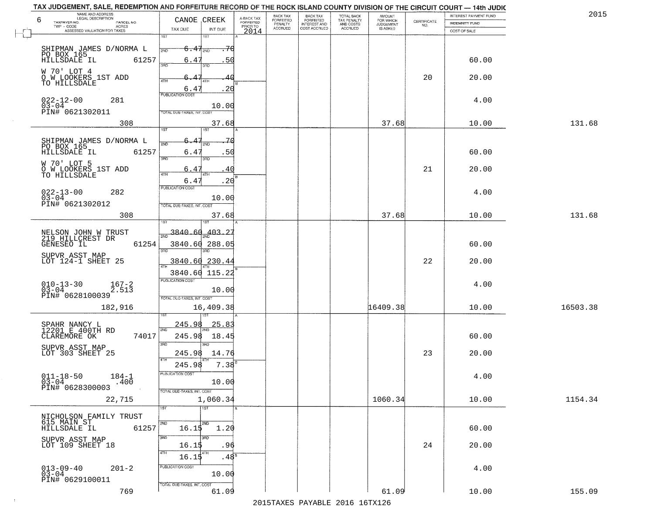| TOWNSPACING IT, WARE, ITEMENT TO IT AND LOTE BLOKE HEAVING OF THE HOOK ISLAND SOUNT LIDINGHOR OF THE UROUT SOUNT THIS BOOK. |                                                    |                             |                                                  |                                     |                        |                    |                       |          |
|-----------------------------------------------------------------------------------------------------------------------------|----------------------------------------------------|-----------------------------|--------------------------------------------------|-------------------------------------|------------------------|--------------------|-----------------------|----------|
| NAME AND ADDRESS<br>LEGAL DESCRIPTION                                                                                       |                                                    | BACK TAX                    | <b>BACK TAX</b>                                  | TOTAL BACK                          | <b>AMOUNT</b>          |                    | INTEREST PAYMENT FUND | 2015     |
| 6<br>TAXPAYER NO.<br>PARCEL NO.<br>ACRES<br>TWP - CODE                                                                      | A-BACK TAX<br>FORFEITED<br>CANOE CREEK<br>PRIOR TO | <b>FORFEITED</b><br>PENALTY | <b>FORFEITED</b><br>INTEREST AND<br>COST ACCRUED | TAX PENALTY<br>AND COSTS<br>ACCRUED | FOR WHICH<br>JUDGEMENT | CERTIFICATE<br>NO. | <b>INDEMNITY FUND</b> |          |
| ASSESSED VALUATION FOR TAXES                                                                                                | TAX DUE<br>INT DUE<br>2014                         | <b>ACCRUED</b>              |                                                  |                                     | IS ASKED               |                    | COST OF SALE          |          |
|                                                                                                                             | 1ST<br>1ST                                         |                             |                                                  |                                     |                        |                    |                       |          |
|                                                                                                                             |                                                    |                             |                                                  |                                     |                        |                    |                       |          |
| SHIPMAN JAMES D/NORMA L                                                                                                     | $6.47_{200}$<br>2ND                                |                             |                                                  |                                     |                        |                    |                       |          |
| PO BOX 165<br>61257                                                                                                         | 6.47<br>50                                         |                             |                                                  |                                     |                        |                    | 60.00                 |          |
|                                                                                                                             | 3RD<br>3RD                                         |                             |                                                  |                                     |                        |                    |                       |          |
| W 70' LOT 4<br>O W LOOKERS 1ST ADD                                                                                          |                                                    |                             |                                                  |                                     |                        | 20                 | 20.00                 |          |
| TO HILLSDALE                                                                                                                | 4TH<br>4TH                                         |                             |                                                  |                                     |                        |                    |                       |          |
|                                                                                                                             | .20<br>6.47                                        |                             |                                                  |                                     |                        |                    |                       |          |
| $022 - 12 - 00$                                                                                                             | <b>PUBLICATION COST</b>                            |                             |                                                  |                                     |                        |                    |                       |          |
| 281<br>$03 - 04$                                                                                                            | 10.00                                              |                             |                                                  |                                     |                        |                    | 4.00                  |          |
| PIN# 0621302011                                                                                                             | TOTAL DUE-TAXES, INT. COST                         |                             |                                                  |                                     |                        |                    |                       |          |
|                                                                                                                             |                                                    |                             |                                                  |                                     |                        |                    |                       |          |
| 308                                                                                                                         | 37.68<br>1ST<br>1ST                                |                             |                                                  |                                     | 37.68                  |                    | 10.00                 | 131.68   |
|                                                                                                                             |                                                    |                             |                                                  |                                     |                        |                    |                       |          |
| SHIPMAN JAMES D/NORMA L<br>PO BOX 165                                                                                       | 2ND<br>2ND                                         |                             |                                                  |                                     |                        |                    |                       |          |
| HILLSDALE IL<br>61257                                                                                                       | 6.47<br>.50                                        |                             |                                                  |                                     |                        |                    | 60.00                 |          |
|                                                                                                                             | 3RD<br>3RD                                         |                             |                                                  |                                     |                        |                    |                       |          |
| W 70' LOT 5                                                                                                                 |                                                    |                             |                                                  |                                     |                        |                    |                       |          |
| O W LOOKERS 1ST ADD<br>TO HILLSDALE                                                                                         | 6.4<br>4 C<br>ৰাম<br>4T <sub>1</sub>               |                             |                                                  |                                     |                        | 21                 | 20.00                 |          |
|                                                                                                                             | .20<br>6.47                                        |                             |                                                  |                                     |                        |                    |                       |          |
|                                                                                                                             | PUBLICATION COST                                   |                             |                                                  |                                     |                        |                    |                       |          |
| $022 - 13 - 00$<br>282<br>$03-04$                                                                                           |                                                    |                             |                                                  |                                     |                        |                    | 4.00                  |          |
| PIN# 0621302012                                                                                                             | 10.00<br>TOTAL DUE-TAXES, INT. COST                |                             |                                                  |                                     |                        |                    |                       |          |
|                                                                                                                             |                                                    |                             |                                                  |                                     |                        |                    |                       |          |
| 308                                                                                                                         | 37.68                                              |                             |                                                  |                                     | 37.68                  |                    | 10.00                 | 131.68   |
|                                                                                                                             | 1ST                                                |                             |                                                  |                                     |                        |                    |                       |          |
| NELSON JOHN W TRUST<br>219 HILLCREST DR                                                                                     | $\frac{200}{200}$ 3840.60 403.27                   |                             |                                                  |                                     |                        |                    |                       |          |
| 61254                                                                                                                       | 3840.60 288.05                                     |                             |                                                  |                                     |                        |                    | 60.00                 |          |
| GENESEO IL                                                                                                                  | 3RD                                                |                             |                                                  |                                     |                        |                    |                       |          |
| SUPVR ASST MAP                                                                                                              |                                                    |                             |                                                  |                                     |                        |                    |                       |          |
| LOT 124-1 SHEET 25                                                                                                          | 3840.60 230.44<br>4TH                              |                             |                                                  |                                     |                        | 22                 | 20.00                 |          |
|                                                                                                                             | 3840.60 115.22                                     |                             |                                                  |                                     |                        |                    |                       |          |
|                                                                                                                             | <b>PUBLICATION COST</b>                            |                             |                                                  |                                     |                        |                    |                       |          |
| $010 - 13 - 30$<br>$03 - 04$<br>$\frac{167-2}{2.513}$                                                                       | 10.00                                              |                             |                                                  |                                     |                        |                    | 4.00                  |          |
| PIN# 0628100039                                                                                                             | TOTAL OUE-TAXES, INT. COST                         |                             |                                                  |                                     |                        |                    |                       |          |
|                                                                                                                             |                                                    |                             |                                                  |                                     |                        |                    |                       |          |
| 182,916                                                                                                                     | 16,409.38                                          |                             |                                                  |                                     | 16409.38               |                    | 10.00                 | 16503.38 |
|                                                                                                                             | 1ST                                                |                             |                                                  |                                     |                        |                    |                       |          |
| SPAHR NANCY L<br>12201 E_400TH RD                                                                                           | <u>245.98</u><br><u>25.83</u>                      |                             |                                                  |                                     |                        |                    |                       |          |
| CLAREMORE OK                                                                                                                | 2ND                                                |                             |                                                  |                                     |                        |                    |                       |          |
| 74017                                                                                                                       | 245.98<br>18.45                                    |                             |                                                  |                                     |                        |                    | 60.00                 |          |
| SUPVR ASST MAP<br>LOT 303 SHEET 25                                                                                          | 3RD<br>3BD                                         |                             |                                                  |                                     |                        |                    |                       |          |
|                                                                                                                             | 245.98<br>14.76                                    |                             |                                                  |                                     |                        | 23                 | 20.00                 |          |
|                                                                                                                             | 7.38<br>245.98                                     |                             |                                                  |                                     |                        |                    |                       |          |
|                                                                                                                             | PUBLICATION COST                                   |                             |                                                  |                                     |                        |                    |                       |          |
| $011 - 18 - 50$<br>03-04<br>$184 - 1$                                                                                       |                                                    |                             |                                                  |                                     |                        |                    | 4.00                  |          |
| .400<br>PIN# 0628300003                                                                                                     | 10.00                                              |                             |                                                  |                                     |                        |                    |                       |          |
|                                                                                                                             | TOTAL DUE-TAXES, INT. COST                         |                             |                                                  |                                     |                        |                    |                       |          |
| 22,715                                                                                                                      | 1,060.34                                           |                             |                                                  |                                     | 1060.34                |                    | 10.00                 | 1154.34  |
|                                                                                                                             | 1ST<br>1ST                                         |                             |                                                  |                                     |                        |                    |                       |          |
| NICHOLSON FAMILY TRUST<br>615 MAIN ST                                                                                       |                                                    |                             |                                                  |                                     |                        |                    |                       |          |
|                                                                                                                             | 2ND<br>2ND                                         |                             |                                                  |                                     |                        |                    |                       |          |
| 61257<br>HILLSDALE IL                                                                                                       | 16.15<br>1.20                                      |                             |                                                  |                                     |                        |                    | 60.00                 |          |
| SUPVR ASST MAP                                                                                                              | 3RD<br>3BD                                         |                             |                                                  |                                     |                        |                    |                       |          |
| LOT 109 SHEET 18                                                                                                            | 16.15<br>.96                                       |                             |                                                  |                                     |                        | 24                 | 20.00                 |          |
|                                                                                                                             | 4TH<br>$16.15^{4}$<br>$.48^{\circ}$                |                             |                                                  |                                     |                        |                    |                       |          |
|                                                                                                                             |                                                    |                             |                                                  |                                     |                        |                    |                       |          |
| $013 - 09 - 40$<br>03-04<br>$201 - 2$                                                                                       | PUBLICATION COST                                   |                             |                                                  |                                     |                        |                    | 4.00                  |          |
| PIN# 0629100011                                                                                                             | 10.00                                              |                             |                                                  |                                     |                        |                    |                       |          |
|                                                                                                                             | TOTAL DUE-TAXES, INT. COST                         |                             |                                                  |                                     |                        |                    |                       |          |
| 769                                                                                                                         | 61.09                                              |                             |                                                  |                                     | 61.09                  |                    | 10.00                 | 155.09   |

TAX JUDGEMENT, SALE, REDEMPTION AND FORFEITURE RECORD OF THE ROCK ISLAND COUNTY DIVISION OF THE CIRCUIT COURT - 14th JUDIC

2015TAXES PAYABLE 2016 16TX126

 $\sim 40$ 

155.09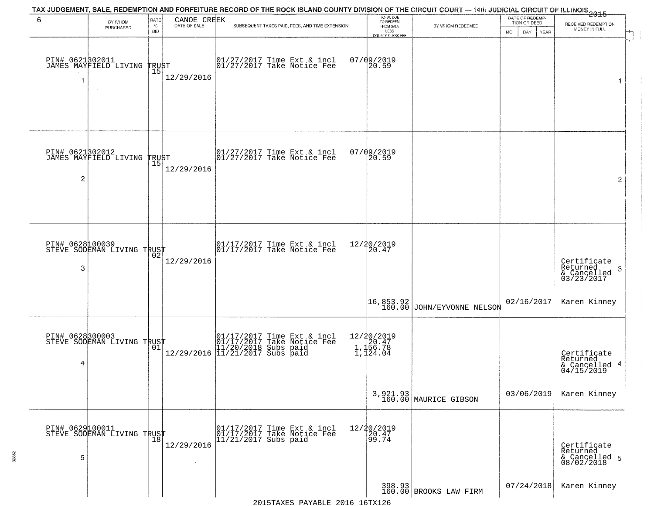| 6                    | BY WHOM                                       | RATE                            | CANOE CREEK<br>DATE OF SALE | TAX JUDGEMENT, SALE, REDEMPTION AND FORFEITURE RECORD OF THE ROCK ISLAND COUNTY DIVISION OF THE CIRCUIT COURT — 14th JUDICIAL CIRCUIT OF ILLINOIS 2015 | TOTAL DUE<br>TO REDEEM |                                                | DATE OF REDEMP-<br>TION OR DEED   | RECEIVED REDEMPTION |                                                           |
|----------------------|-----------------------------------------------|---------------------------------|-----------------------------|--------------------------------------------------------------------------------------------------------------------------------------------------------|------------------------|------------------------------------------------|-----------------------------------|---------------------|-----------------------------------------------------------|
|                      | PURCHASED                                     | $\%$<br><b>BID</b>              |                             | SUBSEQUENT TAXES PAID, FEES, AND TIME EXTENSION                                                                                                        |                        | FROM SALE<br>LESS                              | BY WHOM REDEEMED                  | MO.<br>DAY.<br>YEAR | MONEY IN FULL                                             |
| 1                    | PIN# 0621302011<br>JAMES MAYFIELD LIVING      | <b>TRUST</b><br>$\overline{15}$ | 12/29/2016                  | $\begin{bmatrix} 01/27/2017 \\ 01/27/2017 \\ 01 \end{bmatrix}$ Take Notice Fee                                                                         |                        | COUNTY CLERK FEE<br>$07/09/2019$<br>20.59      |                                   |                     | $\mathbf{r}$<br>1                                         |
| $\overline{c}$       | PIN# 0621302012<br>JAMES MAYFIELD LIVING      | TRUST<br>  15                   | 12/29/2016                  | 01/27/2017 Time Ext & incl<br>01/27/2017 Take Notice Fee                                                                                               |                        | 07/09/2019<br>20.59                            |                                   |                     | 2                                                         |
| PIN# 0628100039<br>3 | STEVE SODEMAN LIVING TRUST                    | 02                              | 12/29/2016                  | 01/17/2017 Time Ext & incl<br>01/17/2017 Take Notice Fee                                                                                               |                        | 12/20/2019<br>20.47                            |                                   |                     | Certificate<br>Returned<br>3<br>& Cancelled<br>03/23/2017 |
|                      |                                               |                                 |                             |                                                                                                                                                        |                        |                                                | 16,853.92 JOHN/EYVONNE NELSON     | 02/16/2017          | Karen Kinney                                              |
| 4                    | PIN# 0628300003<br>STEVE SODEMAN LIVING TRUST | 01                              |                             | 01/17/2017 Time Ext & incl<br>01/17/2017 Take Notice Fee<br>11/20/2018 Subs paid<br>12/29/2016 11/21/2017 Subs paid                                    |                        | 12/20/2019<br>1,120.47<br>1,156.78<br>1,124.04 |                                   |                     | Certificate<br>Returned<br>& Cancelled 4<br>04/15/2019    |
|                      |                                               |                                 |                             |                                                                                                                                                        |                        |                                                | 3,921.93<br>160.00 MAURICE GIBSON | 03/06/2019          | Karen Kinney                                              |
| 5                    | PIN# 0629100011<br>STEVE SODEMAN LIVING TRUST | $\frac{18}{18}$                 | 12/29/2016                  | 01/17/2017 Time Ext & incl<br>01/17/2017 Take Notice Fee<br>11/21/2017 Subs paid                                                                       |                        | 12/20/2019<br>20.47<br>99.74                   |                                   |                     | Certificate<br>Returned<br>& Cancelled 5<br>08/02/2018    |
|                      |                                               |                                 |                             |                                                                                                                                                        |                        |                                                | 398.93<br>160.00 BROOKS LAW FIRM  | 07/24/2018          | Karen Kinney                                              |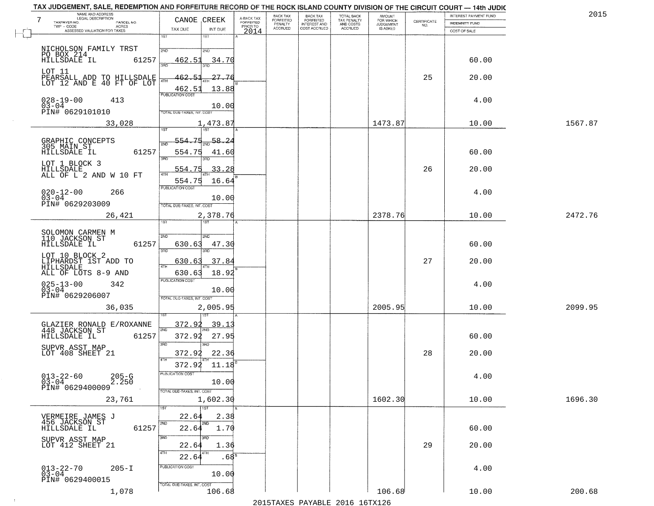| NAME AND ADDRESS<br>LEGAL DESCRIPTION<br>7<br>TAXPAYER NO.<br>PARCEL NO. | CANOE CREEK                                  | A-BACK TAX<br>FORFEITED<br>PRIOR TO | BACK TAX<br>FORFEITED     | BACK TAX<br>FORFEITED<br>INTEREST AND | TOTAL BACK<br>TAX PENALTY<br>AND COSTS | AMOUNT<br>FOR WHICH          | CERTIFICATE | INTEREST PAYMENT FUND                 | 2015    |
|--------------------------------------------------------------------------|----------------------------------------------|-------------------------------------|---------------------------|---------------------------------------|----------------------------------------|------------------------------|-------------|---------------------------------------|---------|
| $TWP - CODE$<br>ACRES<br>ASSESSED VALUATION FOR TAXES                    | TAX DUE<br>INT DUE                           | 2014                                | PENALTY<br><b>ACCRUED</b> | COST ACCRUED                          | <b>ACCRUED</b>                         | <b>JUDGEMENT</b><br>IS ASKED | NO.         | <b>INDEMNITY FUND</b><br>COST OF SALE |         |
|                                                                          | 1ST<br>1ST                                   |                                     |                           |                                       |                                        |                              |             |                                       |         |
|                                                                          | 2ND<br>2ND                                   |                                     |                           |                                       |                                        |                              |             |                                       |         |
| NICHOLSON FAMILY TRST<br>PO BOX 214<br>HILLSDALE IL 6:<br>61257          | 462.51<br>34.70                              |                                     |                           |                                       |                                        |                              |             | 60.00                                 |         |
| LOT 11<br>PEARSALL ADD TO HILLSDALE<br>LOT 12 AND E 40 FT OF LOT         | 27.76<br>462.51                              |                                     |                           |                                       |                                        |                              | 25          | 20.00                                 |         |
|                                                                          | 4TH<br>13.88<br>462.51                       |                                     |                           |                                       |                                        |                              |             |                                       |         |
| $028 - 19 - 00$<br>413                                                   | PUBLICATION COST                             |                                     |                           |                                       |                                        |                              |             | 4.00                                  |         |
| $03 - 04$<br>PIN# 0629101010                                             | 10.00<br>TOTAL DUE-TAXES, INT. COST          |                                     |                           |                                       |                                        |                              |             |                                       |         |
| 33,028                                                                   | 1,473.87                                     |                                     |                           |                                       |                                        | 1473.87                      |             | 10.00                                 | 1567.87 |
|                                                                          | 1ST<br>1ST                                   |                                     |                           |                                       |                                        |                              |             |                                       |         |
| GRAPHIC CONCEPTS<br>305 MAIN ST                                          | 554.75<br>58.2<br>2ND                        |                                     |                           |                                       |                                        |                              |             |                                       |         |
| 61257                                                                    | 554.75<br>41.60<br>$\overline{\text{3BD}}$   |                                     |                           |                                       |                                        |                              |             | 60.00                                 |         |
| LOT 1 BLOCK 3<br>HILLSDALE                                               | 554.75<br>33.<br>-28                         |                                     |                           |                                       |                                        |                              | 26          | 20.00                                 |         |
| ALL OF L 2 AND W 10 FT                                                   | 16.64<br>554.75                              |                                     |                           |                                       |                                        |                              |             |                                       |         |
| $020 - 12 - 00$<br>266<br>$03 - 04$                                      | PUBLICATION COST<br>10.00                    |                                     |                           |                                       |                                        |                              |             | 4.00                                  |         |
| PIN# 0629203009                                                          | TOTAL DUE-TAXES, INT. COST                   |                                     |                           |                                       |                                        |                              |             |                                       |         |
| 26,421                                                                   | 2,378.76<br>1ST.                             |                                     |                           |                                       |                                        | 2378.76                      |             | 10.00                                 | 2472.76 |
|                                                                          |                                              |                                     |                           |                                       |                                        |                              |             |                                       |         |
| SOLOMON CARMEN M<br>110 JACKSON ST<br>HILLSDALE IL<br>61257              | S/ID<br>2ND<br>630.63<br>47.30               |                                     |                           |                                       |                                        |                              |             | 60.00                                 |         |
| LOT 10 BLOCK 2                                                           | 3BD<br>3BD                                   |                                     |                           |                                       |                                        |                              |             |                                       |         |
| LIPHARDST 1ST ADD TO<br>HILLSDALE                                        | 630.63<br>37.84<br>4TH                       |                                     |                           |                                       |                                        |                              | 27          | 20.00                                 |         |
| ALL OF LOTS 8-9 AND                                                      | 18.92<br>630.63<br><b>PUBLICATION COST</b>   |                                     |                           |                                       |                                        |                              |             |                                       |         |
| $025 - 13 - 00$<br>03-04<br>342                                          | 10.00                                        |                                     |                           |                                       |                                        |                              |             | 4.00                                  |         |
| PIN# 0629206007<br>36,035                                                | TOTAL OUE-TAXES, INT. COST                   |                                     |                           |                                       |                                        | 2005.95                      |             | 10.00                                 | 2099.95 |
|                                                                          | 2,005.95                                     |                                     |                           |                                       |                                        |                              |             |                                       |         |
| GLAZIER RONALD E/ROXANNE<br>448 JACKSON ST                               | <u>372.92</u><br>39.1<br>2ND                 |                                     |                           |                                       |                                        |                              |             |                                       |         |
| HILLSDALE IL<br>61257                                                    | 372.92<br>27.95                              |                                     |                           |                                       |                                        |                              |             | 60.00                                 |         |
| SUPVR ASST MAP<br>LOT 408 SHEET 21                                       | 3RD<br>3BD<br>372.92<br>22.36                |                                     |                           |                                       |                                        |                              | 28          | 20.00                                 |         |
|                                                                          | 4TH<br>372.92 11.18                          |                                     |                           |                                       |                                        |                              |             |                                       |         |
| $013 - 22 - 60$<br>03-04<br>$205 - G$<br>2.250                           | PUBLICATION COST                             |                                     |                           |                                       |                                        |                              |             | 4.00                                  |         |
| PIN# 0629400009                                                          | 10.00<br>TOTAL DUE-TAXES, INT. COST          |                                     |                           |                                       |                                        |                              |             |                                       |         |
| 23,761                                                                   | 1,602.30                                     |                                     |                           |                                       |                                        | 1602.30                      |             | 10.00                                 | 1696.30 |
|                                                                          | 1ST<br>1ST                                   |                                     |                           |                                       |                                        |                              |             |                                       |         |
| VERMEIRE JAMES J<br>456 JACKSON ST                                       | 2.38<br>22.64<br>2ND<br>2ND<br>1.70<br>22.64 |                                     |                           |                                       |                                        |                              |             |                                       |         |
| 61257<br>HILLSDALE IL<br>SUPVR ASST MAP                                  | उत्तर<br>3RD                                 |                                     |                           |                                       |                                        |                              |             | 60.00                                 |         |
| LOT 412 SHEET 21                                                         | 1.36<br>22.64                                |                                     |                           |                                       |                                        |                              | 29          | 20.00                                 |         |
|                                                                          | 4TH<br>4TH<br>.68 <sup>B</sup><br>22.64      |                                     |                           |                                       |                                        |                              |             |                                       |         |
| $013 - 22 - 70$<br>03-04<br>$205 - I$                                    | PUBLICATION COST<br>10.00                    |                                     |                           |                                       |                                        |                              |             | 4.00                                  |         |
| PIN# 0629400015                                                          | TOTAL DUE-TAXES, INT. COST                   |                                     |                           |                                       |                                        |                              |             |                                       |         |
| 1,078                                                                    | 106.68                                       |                                     |                           |                                       |                                        | 106.68                       |             | 10.00                                 | 200.68  |

 $\sim 10$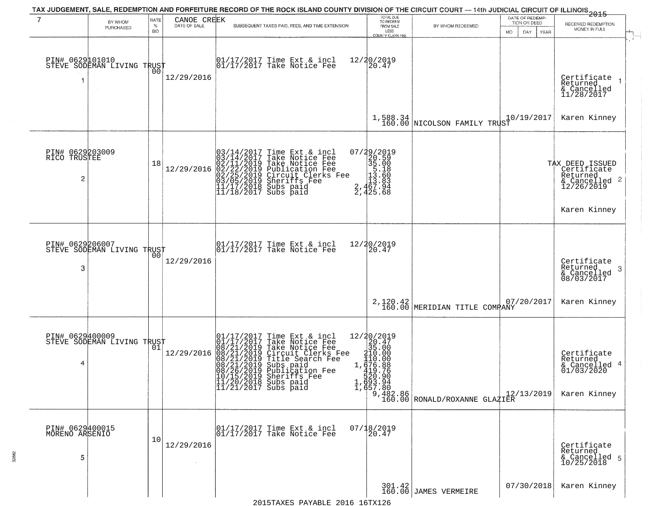| 7                                                 | BY WHOM<br>PURCHASED                              | RATE<br>$\%$<br><b>BID</b> | CANOE CREEK<br>DATE OF SALE | SUBSEQUENT TAXES PAID, FEES, AND TIME EXTENSION                                                                                                                                                                                                       | TOTAL DUE<br>TO REDEEM<br>FROM SALE<br>LESS                                                                                                                            | BY WHOM REDEEMED                                                                                                    | DATE OF REDEMP-<br>TION OR DEED<br><b>MO</b><br>DAY.<br>YEAR | 2015<br>RECEIVED REDEMPTION<br>MONEY IN FULL                                        |
|---------------------------------------------------|---------------------------------------------------|----------------------------|-----------------------------|-------------------------------------------------------------------------------------------------------------------------------------------------------------------------------------------------------------------------------------------------------|------------------------------------------------------------------------------------------------------------------------------------------------------------------------|---------------------------------------------------------------------------------------------------------------------|--------------------------------------------------------------|-------------------------------------------------------------------------------------|
| PIN# 0629101010<br>-1                             | STEVE SODEMAN LIVING TRUST                        | 00                         | 12/29/2016                  | $\begin{bmatrix} 01/17/2017 \\ 01/17/2017 \end{bmatrix}$ Take Notice Fee                                                                                                                                                                              | COUNTY CLERK FEE<br>12/20/2019<br>20.47                                                                                                                                |                                                                                                                     |                                                              | Certifiçate<br>Returned<br>& Cancelled<br>11/28/2017                                |
|                                                   |                                                   |                            |                             |                                                                                                                                                                                                                                                       |                                                                                                                                                                        | $1,588.34$ NICOLSON FAMILY TRUST                                                                                    | 10/19/2017                                                   | Karen Kinney                                                                        |
| PIN# 0629203009<br>RICO TRUSTEE<br>$\overline{2}$ |                                                   | 18                         | 12/29/2016                  | $03/14/2017$ Time Ext & incl<br>$03/14/2017$ Take Notice Fee<br>$02/11/2019$ Take Notice Fee<br>$02/22/2019$ Publication Fee<br>$03/05/2019$ Sheriffs Fee<br>$11/17/2018$ Subs paid<br>$11/18/2017$ Subs paid                                         | 07/29/2019<br>$\begin{array}{r} 22013 \\ 20.59 \\ 35.18 \\ 13.60 \\ 13.60 \\ 13.63 \\ 2,467.94 \\ 2,425.68 \end{array}$                                                |                                                                                                                     |                                                              | TAX DEED ISSUED<br>Certificate<br>Returned<br>$\frac{12}{26/26/2019}$<br>12/26/2019 |
|                                                   |                                                   |                            |                             |                                                                                                                                                                                                                                                       |                                                                                                                                                                        |                                                                                                                     |                                                              | Karen Kinney                                                                        |
| PIN# 0629206007<br>3                              | STEVE SODEMAN LIVING TRUST                        | 00                         | 12/29/2016                  | $\begin{array}{ccc}  01/17/2017 \text{ Time} & \text{Ext} & \text{incl} \\  01/17/2017 \text{ Take Notice } \text{Fe} \end{array}$                                                                                                                    | 12/20/2019<br>20.47                                                                                                                                                    |                                                                                                                     |                                                              | Certificate<br>Returned<br>3<br>& Cancelled<br>08/03/2017                           |
|                                                   |                                                   |                            |                             |                                                                                                                                                                                                                                                       |                                                                                                                                                                        | 2,120.42<br>160.00 MERIDIAN TITLE COMPANY                                                                           | 07/20/2017                                                   | Karen Kinney                                                                        |
| 4                                                 | PIN# 0629400009    <br>STEVE SODEMAN LIVING TRUST | 01                         | 12/29/2016                  | 01/17/2017 Time Ext & incl<br>01/17/2017 Take Notice Fee<br>08/21/2019 Take Notice Fee<br>08/21/2019 Circuit Clerks Fee<br>08/21/2019 Title Search Fee<br>08/21/2019 Subs paid<br>08/26/2019 Sheriffs Fee<br>10/15/2019 Sheriffs Fee<br>11/20/2018 Su | $\begin{array}{r} 12/20/2019 \\20.47 \\35.00 \\ \textrm{210.00} \\ 1.410.00 \\ 1.410.00 \\ \end{array}$<br>1, $\frac{1}{419}$ . 88<br>520.90<br>1, 693.94<br>1, 657.80 | $\begin{array}{c} 9,482.86 \\ 160.00 \end{array} \begin{array}{c} 12, \\ \text{ROMALD/ROXANNE GLAZIER} \end{array}$ | 12/13/2019                                                   | Certificate<br>Returned<br>& Cancelled 4<br>01/03/2020<br>Karen Kinney              |
| PIN# 0629400015<br>MORENO ARSENIO<br>5            |                                                   | 10                         | 12/29/2016                  | 01/17/2017 Time Ext & incl<br>01/17/2017 Take Notice Fee                                                                                                                                                                                              | 07/18/2019<br>20.47                                                                                                                                                    |                                                                                                                     |                                                              | Certificate<br>Returned<br>& Cancelled 5<br>10/25/2018                              |
|                                                   |                                                   |                            |                             | $2015T^2$ $T^2$ $R^2$ $R^2$ $R^2$ $R^2$ $R^2$ $R^2$ $R^2$ $R^2$ $R^2$ $R^2$ $R^2$ $R^2$ $R^2$ $R^2$ $R^2$ $R^2$ $R^2$ $R^2$ $R^2$ $R^2$ $R^2$ $R^2$ $R^2$ $R^2$ $R^2$ $R^2$ $R^2$ $R^2$ $R^2$ $R^2$ $R^2$ $R^2$ $R^2$ $R^2$                           |                                                                                                                                                                        | 301.42<br>160.00 JAMES VERMEIRE                                                                                     | 07/30/2018                                                   | Karen Kinney                                                                        |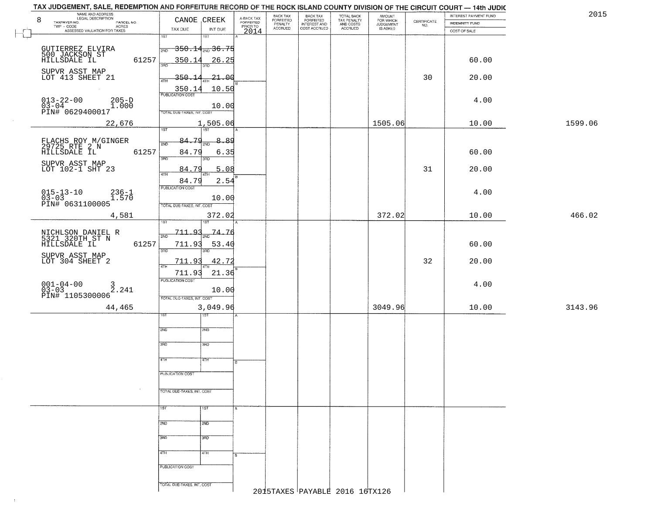| TAX JUDGEMENT, SALE, REDEMPTION AND FORFEITURE RECORD OF THE ROCK ISLAND COUNTY DIVISION OF THE CIRCUIT COURT — 14th JUDIC |                                             |                                             |                                 |                                                       |                                                   |                                  |                                                                 |                       |         |      |
|----------------------------------------------------------------------------------------------------------------------------|---------------------------------------------|---------------------------------------------|---------------------------------|-------------------------------------------------------|---------------------------------------------------|----------------------------------|-----------------------------------------------------------------|-----------------------|---------|------|
| NAME AND ADDRESS<br>LEGAL DESCRIPTION<br>8<br>TAXPAYER NO.<br>PARCEL NO.                                                   | CANOE CREEK                                 | A-BACK TAX<br>FORFEITED<br>PRIOR TO<br>2014 | BACK TAX                        | BACK TAX<br>FORFEITED<br>INTEREST AND<br>COST ACCRUED | TOTAL BACK<br>TAX PENALTY<br>AND COSTS<br>ACCRUED | AMOUNT<br>FOR WHICH<br>JUDGEMENT |                                                                 | INTEREST PAYMENT FUND |         | 2015 |
| $\mathsf{TWP} \, \cdot \, \mathsf{CODE}$<br>- CODE<br>ACRES<br>ASSESSED VALUATION FOR TAXES                                | TAX DUE<br>INT DUE                          |                                             | FORFEITED<br>PENALTY<br>ACCRUED |                                                       |                                                   | IS ASKED                         | $\begin{array}{c} \text{CERTIFICATE} \\ \text{NO.} \end{array}$ | INDEMNITY FUND        |         |      |
|                                                                                                                            | 1ST<br>1ST                                  |                                             |                                 |                                                       |                                                   |                                  |                                                                 | COST OF SALE          |         |      |
|                                                                                                                            |                                             |                                             |                                 |                                                       |                                                   |                                  |                                                                 |                       |         |      |
| GUTIERREZ ELVIRA<br>500 JACKSON ST<br>HILLSDALE IL                                                                         | <del>350.14<sub>2ND</sub>36.75</del><br>2ND |                                             |                                 |                                                       |                                                   |                                  |                                                                 |                       |         |      |
| 61257                                                                                                                      | 350.14<br>26.25                             |                                             |                                 |                                                       |                                                   |                                  |                                                                 | 60.00                 |         |      |
|                                                                                                                            | 3AD<br>3RD                                  |                                             |                                 |                                                       |                                                   |                                  |                                                                 |                       |         |      |
| SUPVR ASST MAP<br>LOT 413 SHEET 21                                                                                         | $-21 - 00$<br>350.1                         |                                             |                                 |                                                       |                                                   |                                  | 30                                                              | 20.00                 |         |      |
|                                                                                                                            | 4TH                                         |                                             |                                 |                                                       |                                                   |                                  |                                                                 |                       |         |      |
|                                                                                                                            | 10.50<br>350.1<br><b>PUBLICATION COST</b>   |                                             |                                 |                                                       |                                                   |                                  |                                                                 |                       |         |      |
| $013 - 22 - 00$<br>$205-D$                                                                                                 |                                             |                                             |                                 |                                                       |                                                   |                                  |                                                                 | 4.00                  |         |      |
| $03-04$ PIN# 0629400017<br>1.000                                                                                           | 10.00                                       |                                             |                                 |                                                       |                                                   |                                  |                                                                 |                       |         |      |
|                                                                                                                            | TOTAL DUE-TAXES, INT. COST                  |                                             |                                 |                                                       |                                                   |                                  |                                                                 |                       |         |      |
| 22,676                                                                                                                     | 1,505.06                                    |                                             |                                 |                                                       |                                                   | 1505.06                          |                                                                 | 10.00                 | 1599.06 |      |
|                                                                                                                            | 1ST<br>1ST                                  |                                             |                                 |                                                       |                                                   |                                  |                                                                 |                       |         |      |
|                                                                                                                            | 84.79<br>8.89<br>2ND<br>2ND                 |                                             |                                 |                                                       |                                                   |                                  |                                                                 |                       |         |      |
| FLACHS ROY M/GINGER<br>29725 RTE 2 N<br>HILLSDALE IL<br>61257                                                              | 84.79                                       |                                             |                                 |                                                       |                                                   |                                  |                                                                 | 60.00                 |         |      |
|                                                                                                                            | 6.35<br>3RD<br>3RD                          |                                             |                                 |                                                       |                                                   |                                  |                                                                 |                       |         |      |
| SUPVR ASST MAP<br>LOT 102-1 SHT 23                                                                                         |                                             |                                             |                                 |                                                       |                                                   |                                  |                                                                 |                       |         |      |
|                                                                                                                            | 84.79<br>5.08<br>4TH<br>4TH                 |                                             |                                 |                                                       |                                                   |                                  | 31                                                              | 20.00                 |         |      |
|                                                                                                                            | 84.79<br>2.54                               |                                             |                                 |                                                       |                                                   |                                  |                                                                 |                       |         |      |
|                                                                                                                            | PUBLICATION COST                            |                                             |                                 |                                                       |                                                   |                                  |                                                                 | 4.00                  |         |      |
| $015 - 13 - 10$<br>$03 - 03$<br>$236 - 1$<br>$1.570$                                                                       | 10.00                                       |                                             |                                 |                                                       |                                                   |                                  |                                                                 |                       |         |      |
| PIN# 0631100005                                                                                                            | TOTAL DUE-TAXES, INT. COST                  |                                             |                                 |                                                       |                                                   |                                  |                                                                 |                       |         |      |
| 4,581                                                                                                                      | 372.02                                      |                                             |                                 |                                                       |                                                   | 372.02                           |                                                                 | 10.00                 | 466.02  |      |
|                                                                                                                            | īst                                         |                                             |                                 |                                                       |                                                   |                                  |                                                                 |                       |         |      |
|                                                                                                                            | 711.93<br>-74.76<br>2ND                     |                                             |                                 |                                                       |                                                   |                                  |                                                                 |                       |         |      |
| NICHLSON DANIEL R<br>5321 320TH ST N                                                                                       | 2ND                                         |                                             |                                 |                                                       |                                                   |                                  |                                                                 |                       |         |      |
| 61257<br>HILLSDALE IL                                                                                                      | 711.93<br>53.40<br>3RD<br>3RD               |                                             |                                 |                                                       |                                                   |                                  |                                                                 | 60.00                 |         |      |
| SUPVR ASST MAP                                                                                                             |                                             |                                             |                                 |                                                       |                                                   |                                  |                                                                 |                       |         |      |
| LOT 304 SHEET 2                                                                                                            | 42.72<br>711.93<br>4TH                      |                                             |                                 |                                                       |                                                   |                                  | 32                                                              | 20.00                 |         |      |
|                                                                                                                            | 711.93<br>21.36                             |                                             |                                 |                                                       |                                                   |                                  |                                                                 |                       |         |      |
|                                                                                                                            | PUBLICATION COST                            |                                             |                                 |                                                       |                                                   |                                  |                                                                 | 4.00                  |         |      |
| $001 - 04 - 00$<br>03-03<br>$\frac{3}{2}$ . 241                                                                            | 10.00                                       |                                             |                                 |                                                       |                                                   |                                  |                                                                 |                       |         |      |
| PIN# 1105300006                                                                                                            | TOTAL OUE-TAXES, INT. COST                  |                                             |                                 |                                                       |                                                   |                                  |                                                                 |                       |         |      |
| 44,465                                                                                                                     | 3,049.96                                    |                                             |                                 |                                                       |                                                   | 3049.96                          |                                                                 | 10.00                 | 3143.96 |      |
|                                                                                                                            | डिक<br>1ST                                  |                                             |                                 |                                                       |                                                   |                                  |                                                                 |                       |         |      |
|                                                                                                                            |                                             |                                             |                                 |                                                       |                                                   |                                  |                                                                 |                       |         |      |
|                                                                                                                            | 2ND<br>2ND                                  |                                             |                                 |                                                       |                                                   |                                  |                                                                 |                       |         |      |
|                                                                                                                            |                                             |                                             |                                 |                                                       |                                                   |                                  |                                                                 |                       |         |      |
|                                                                                                                            | 3RD<br>3BD                                  |                                             |                                 |                                                       |                                                   |                                  |                                                                 |                       |         |      |
|                                                                                                                            | 4TH<br>47H                                  |                                             |                                 |                                                       |                                                   |                                  |                                                                 |                       |         |      |
|                                                                                                                            |                                             | l B                                         |                                 |                                                       |                                                   |                                  |                                                                 |                       |         |      |
|                                                                                                                            | PUBLICATION COST                            |                                             |                                 |                                                       |                                                   |                                  |                                                                 |                       |         |      |
|                                                                                                                            |                                             |                                             |                                 |                                                       |                                                   |                                  |                                                                 |                       |         |      |
|                                                                                                                            | TOTAL DUE-TAXES, INT. COST                  |                                             |                                 |                                                       |                                                   |                                  |                                                                 |                       |         |      |
|                                                                                                                            |                                             |                                             |                                 |                                                       |                                                   |                                  |                                                                 |                       |         |      |
|                                                                                                                            | 1ST<br>1ST                                  |                                             |                                 |                                                       |                                                   |                                  |                                                                 |                       |         |      |
|                                                                                                                            |                                             |                                             |                                 |                                                       |                                                   |                                  |                                                                 |                       |         |      |
|                                                                                                                            | 2ND<br>2ND                                  |                                             |                                 |                                                       |                                                   |                                  |                                                                 |                       |         |      |
|                                                                                                                            |                                             |                                             |                                 |                                                       |                                                   |                                  |                                                                 |                       |         |      |
|                                                                                                                            | 3RD<br>3RD                                  |                                             |                                 |                                                       |                                                   |                                  |                                                                 |                       |         |      |
|                                                                                                                            | 4TH<br>4TH                                  |                                             |                                 |                                                       |                                                   |                                  |                                                                 |                       |         |      |
|                                                                                                                            |                                             |                                             |                                 |                                                       |                                                   |                                  |                                                                 |                       |         |      |
|                                                                                                                            | PUBLICATION COST                            |                                             |                                 |                                                       |                                                   |                                  |                                                                 |                       |         |      |
|                                                                                                                            |                                             |                                             |                                 |                                                       |                                                   |                                  |                                                                 |                       |         |      |
|                                                                                                                            | TOTAL DUE-TAXES, INT. COST                  |                                             |                                 |                                                       |                                                   |                                  |                                                                 |                       |         |      |
|                                                                                                                            |                                             |                                             |                                 |                                                       | 2015TAXES PAYABLE 2016 16TX126                    |                                  |                                                                 |                       |         |      |
|                                                                                                                            |                                             |                                             |                                 |                                                       |                                                   |                                  |                                                                 |                       |         |      |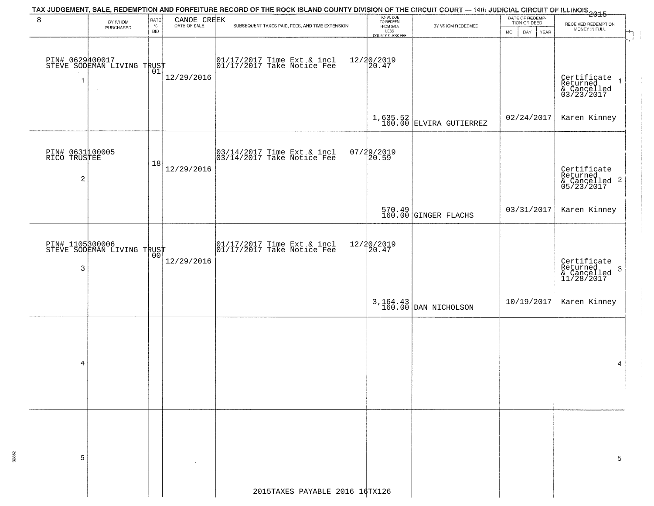|                                      |                                               |                            |                             | TAX JUDGEMENT, SALE, REDEMPTION AND FORFEITURE RECORD OF THE ROCK ISLAND COUNTY DIVISION OF THE CIRCUIT COURT — 14th JUDICIAL CIRCUIT OF ILLINOIS<br>2015 - |                                                                 |                                   |                                                                     |                                                                                             |
|--------------------------------------|-----------------------------------------------|----------------------------|-----------------------------|-------------------------------------------------------------------------------------------------------------------------------------------------------------|-----------------------------------------------------------------|-----------------------------------|---------------------------------------------------------------------|---------------------------------------------------------------------------------------------|
| 8                                    | BY WHOM<br>PURCHASED                          | RATE<br>$\%$<br><b>BID</b> | CANOE CREEK<br>DATE OF SALE | SUBSEQUENT TAXES PAID, FEES, AND TIME EXTENSION                                                                                                             | TOTAL DUE<br>TO REDEEM<br>FROM SALE<br>LESS<br>COUNTY CLERK FEE | BY WHOM REDEEMED                  | DATE OF REDEMP-<br>TION OR DEED<br>DAY.<br><b>YEAR</b><br><b>MO</b> | RECEIVED REDEMPTION<br>MONEY IN FULL<br>$\mathbb{H}_{\overline{\mathbb{R}}_{\mathbb{R}}^+}$ |
| 1                                    | PIN# 0629400017<br>STEVE SODEMAN LIVING TRUST |                            | 12/29/2016                  | 01/17/2017 Time Ext & incl<br>01/17/2017 Take Notice Fee                                                                                                    | 12/20/2019<br>20.47                                             |                                   |                                                                     | Certificate<br>Returned<br>& Cancelled<br>03/23/2017                                        |
|                                      |                                               |                            |                             |                                                                                                                                                             |                                                                 | $1,635.52$ ELVIRA GUTIERREZ       | 02/24/2017                                                          | Karen Kinney                                                                                |
| PIN# 0631100005<br>RICO TRUSTEE<br>2 |                                               | 18                         | 12/29/2016                  | 03/14/2017 Time Ext & incl<br>03/14/2017 Take Notice Fee                                                                                                    | 07/29/2019<br>20.59                                             |                                   |                                                                     | Certificate<br>Returned<br>& Cancelled 2<br>05/23/2017                                      |
|                                      |                                               |                            |                             |                                                                                                                                                             |                                                                 | 570.49<br>160.00 GINGER FLACHS    | 03/31/2017                                                          | Karen Kinney                                                                                |
| 3                                    | PIN# 1105300006<br>STEVE SODEMAN LIVING TRUST | 00                         | 12/29/2016                  | $\begin{array}{cc} 01/17/2017 \\ 01/17/2017 \\ \end{array}$ Take Notice Fee                                                                                 | 12/20/2019<br>20.47                                             |                                   |                                                                     | Certificate<br>Returned<br>-3<br>& Cancelled<br>11/28/2017                                  |
|                                      |                                               |                            |                             |                                                                                                                                                             |                                                                 | 3, 164.43<br>160.00 DAN NICHOLSON | 10/19/2017                                                          | Karen Kinney                                                                                |
| 4                                    |                                               |                            |                             |                                                                                                                                                             |                                                                 |                                   |                                                                     | 4                                                                                           |
| 5                                    |                                               |                            |                             |                                                                                                                                                             |                                                                 |                                   |                                                                     | 5                                                                                           |
|                                      |                                               |                            |                             | 2015TAXES PAYABLE 2016 16TX126                                                                                                                              |                                                                 |                                   |                                                                     |                                                                                             |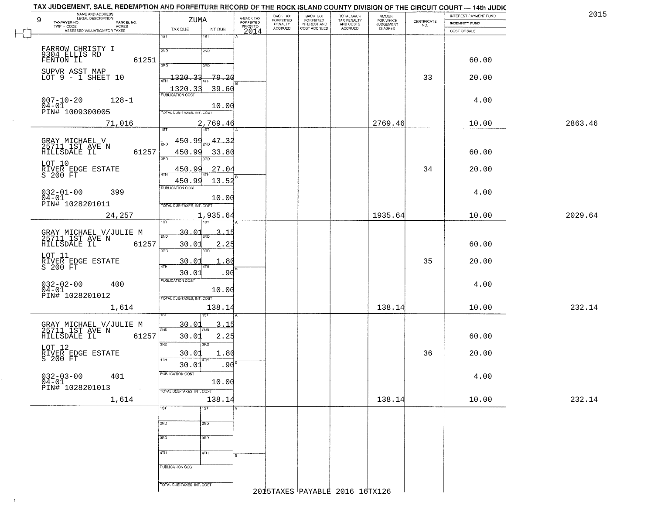| 2015    | INTEREST PAYMENT FUND | CERTIFICATE |                                              | TOTAL BACK<br>TAX PENALTY<br>AND COSTS |                                                       | BACK TAX<br>FORFEITED<br>PENALTY |                                     |                  | ZUMA                               |                     | LEGAL DESCRIPTION<br>9<br>TAXPAYER NO.    |
|---------|-----------------------|-------------|----------------------------------------------|----------------------------------------|-------------------------------------------------------|----------------------------------|-------------------------------------|------------------|------------------------------------|---------------------|-------------------------------------------|
|         | <b>INDEMNITY FUND</b> | NO.         | AMOUNT<br>FOR WHICH<br>JUDGEMENT<br>IS ASKED | ACCRUED                                | BACK TAX<br>FORFEITED<br>INTEREST AND<br>COST ACCRUED | <b>ACCRUED</b>                   | A-BACK TAX<br>FORFEITED<br>PRIOR TO | INT DUE          | TAX DUE                            | PARCEL NO.<br>ACRES | TWP - CODE                                |
|         | COST OF SALE          |             |                                              |                                        |                                                       |                                  | 2014                                | 1ST              | 1ST                                |                     | ASSESSED VALUATION FOR TAXES              |
|         |                       |             |                                              |                                        |                                                       |                                  |                                     |                  |                                    |                     |                                           |
|         |                       |             |                                              |                                        |                                                       |                                  |                                     | 2ND              | 2ND                                |                     | FARROW CHRISTY I<br>9304 ELLIS RD         |
|         | 60.00                 |             |                                              |                                        |                                                       |                                  |                                     | 3RD              | 370                                | 61251               |                                           |
|         |                       |             |                                              |                                        |                                                       |                                  |                                     |                  |                                    |                     | SUPVR ASST MAP                            |
|         | 20.00                 | 33          |                                              |                                        |                                                       |                                  |                                     | 79.20            | 1320.33                            |                     | LOT $9 - 1$ SHEET 10                      |
|         |                       |             |                                              |                                        |                                                       |                                  |                                     | 39.60            | 1320.33<br><b>PUBLICATION COST</b> |                     |                                           |
|         | 4.00                  |             |                                              |                                        |                                                       |                                  |                                     |                  |                                    | $128 - 1$           | $007 - 10 - 20$                           |
|         |                       |             |                                              |                                        |                                                       |                                  |                                     | 10.00            | TOTAL DUE-TAXES, INT. COST         |                     | $04 - 01$<br>PIN# 1009300005              |
| 2863.46 | 10.00                 |             | 2769.46                                      |                                        |                                                       |                                  |                                     | 2,769.46         |                                    | 71,016              |                                           |
|         |                       |             |                                              |                                        |                                                       |                                  |                                     | list             | 1ST                                |                     |                                           |
|         |                       |             |                                              |                                        |                                                       |                                  |                                     | 47.32            | <u>450.99</u>                      |                     |                                           |
|         | 60.00                 |             |                                              |                                        |                                                       |                                  |                                     | 2ND              | 2ND<br>450.99                      | 61257               | GRAY MICHAEL V<br>25711 1ST AVE N         |
|         |                       |             |                                              |                                        |                                                       |                                  |                                     | 33.80<br>3RD     | 3RD                                |                     | HILLSDALE IL                              |
|         | 20.00                 | 34          |                                              |                                        |                                                       |                                  |                                     | 27.04            | <u>450.99</u>                      |                     | LOT 10                                    |
|         |                       |             |                                              |                                        |                                                       |                                  |                                     |                  | 47H<br>450.99                      |                     | RIVER EDGE ESTATE<br>S 200 FT             |
|         |                       |             |                                              |                                        |                                                       |                                  |                                     | 13.52            | PUBLICATION COST                   |                     |                                           |
|         | 4.00                  |             |                                              |                                        |                                                       |                                  |                                     | 10.00            |                                    | 399                 | $032 - 01 - 00$<br>$04 - 01$              |
|         |                       |             |                                              |                                        |                                                       |                                  |                                     |                  | TOTAL DUE-TAXES, INT. COST         |                     | PIN# 1028201011                           |
| 2029.64 | 10.00                 |             | 1935.64                                      |                                        |                                                       |                                  |                                     | 1,935.64         |                                    | 24,257              |                                           |
|         |                       |             |                                              |                                        |                                                       |                                  |                                     |                  | 1S1                                |                     |                                           |
|         |                       |             |                                              |                                        |                                                       |                                  |                                     | -15              | 30.01<br>2ND                       |                     | GRAY MICHAEL V/JULIE M<br>25711 1ST AVE N |
|         | 60.00                 |             |                                              |                                        |                                                       |                                  |                                     | 2.25             | 30.01                              | 61257               | HILLSDALE IL                              |
|         |                       |             |                                              |                                        |                                                       |                                  |                                     | 3RD              | 3RD                                |                     | LOT 11                                    |
|         | 20.00                 | 35          |                                              |                                        |                                                       |                                  |                                     | 1.80             | 30.01<br>4TH                       |                     | RIVER EDGE ESTATE<br>S 200 FT             |
|         |                       |             |                                              |                                        |                                                       |                                  |                                     | .90              | 30.01                              |                     |                                           |
|         | 4.00                  |             |                                              |                                        |                                                       |                                  |                                     |                  | <b>PUBLICATION COST</b>            | 400                 | $032 - 02 - 00$<br>04-01                  |
|         |                       |             |                                              |                                        |                                                       |                                  |                                     | 10.00            |                                    |                     | PIN# 1028201012                           |
|         |                       |             |                                              |                                        |                                                       |                                  |                                     |                  | TOTAL OUE-TAXES, INT. COST         |                     |                                           |
| 232.14  | 10.00                 |             | 138.14                                       |                                        |                                                       |                                  |                                     | 138.14           |                                    | 1,614               |                                           |
|         |                       |             |                                              |                                        |                                                       |                                  |                                     | 3.15             | 30.01                              |                     |                                           |
|         |                       |             |                                              |                                        |                                                       |                                  |                                     | 2ND              | 2ND                                |                     | GRAY MICHAEL V/JULIE M<br>25711 1ST AVE N |
|         | 60.00                 |             |                                              |                                        |                                                       |                                  |                                     | 2.25<br>3RD      | 30.01<br>3RD                       | 61257               | HILLSDALE IL                              |
|         | 20.00                 | 36          |                                              |                                        |                                                       |                                  |                                     | 1.80             | 30.01                              |                     | LOT 12                                    |
|         |                       |             |                                              |                                        |                                                       |                                  |                                     |                  | 4TH                                |                     | RIVER EDGE ESTATE<br>S 200 FT             |
|         |                       |             |                                              |                                        |                                                       |                                  |                                     | .90              | 30.01<br>PUBLICATION COST          |                     |                                           |
|         | 4.00                  |             |                                              |                                        |                                                       |                                  |                                     | 10.00            |                                    | 401                 | $032 - 03 - 00$<br>$04-01$                |
|         |                       |             |                                              |                                        |                                                       |                                  |                                     |                  | TOTAL DUE-TAXES, INT. COST         |                     | PIN# 1028201013                           |
| 232.14  | 10.00                 |             | 138.14                                       |                                        |                                                       |                                  |                                     | 138.14           |                                    | 1,614               |                                           |
|         |                       |             |                                              |                                        |                                                       |                                  |                                     | $\overline{1ST}$ | 1ST                                |                     |                                           |
|         |                       |             |                                              |                                        |                                                       |                                  |                                     |                  |                                    |                     |                                           |
|         |                       |             |                                              |                                        |                                                       |                                  |                                     | 2ND              | 2ND                                |                     |                                           |
|         |                       |             |                                              |                                        |                                                       |                                  |                                     | 3RD              | 3RD                                |                     |                                           |
|         |                       |             |                                              |                                        |                                                       |                                  |                                     |                  |                                    |                     |                                           |
|         |                       |             |                                              |                                        |                                                       |                                  |                                     | 4TH              | 4TH                                |                     |                                           |
|         |                       |             |                                              |                                        |                                                       |                                  |                                     |                  | PUBLICATION COST                   |                     |                                           |
|         |                       |             |                                              |                                        |                                                       |                                  |                                     |                  |                                    |                     |                                           |
|         |                       |             |                                              |                                        |                                                       |                                  |                                     |                  |                                    |                     |                                           |

 $\sim 40$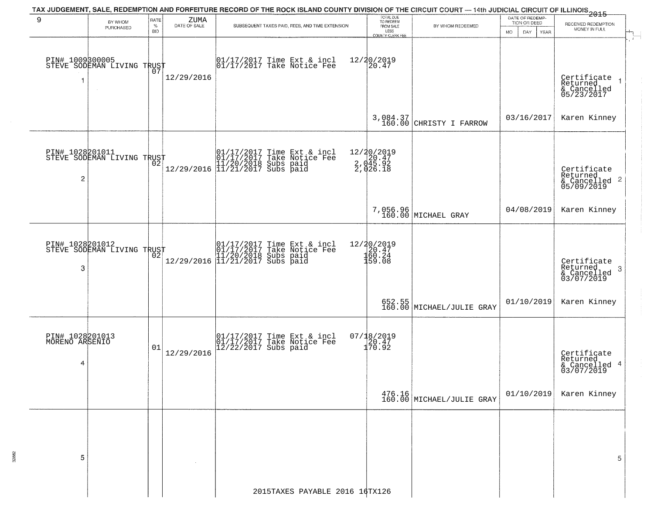| 9                                      | BY WHOM<br>PURCHASED                              | RATE<br>$\%$<br><b>BID</b> | ZUMA<br>DATE OF SALE | SUBSEQUENT TAXES PAID, FEES, AND TIME EXTENSION                                                                                                                                      | TOTAL DUE<br>TO REDEEM<br>FROM SALE<br>LESS<br><b>COUNTY CLERK FEE</b>  | BY WHOM REDEEMED                                        | DATE OF REDEMP-<br>TION OR DEED<br>MO.<br>DAY.<br>YEAR | RECEIVED REDEMPTION<br>MONEY IN FULL                                         |  |  |  |  |  |
|----------------------------------------|---------------------------------------------------|----------------------------|----------------------|--------------------------------------------------------------------------------------------------------------------------------------------------------------------------------------|-------------------------------------------------------------------------|---------------------------------------------------------|--------------------------------------------------------|------------------------------------------------------------------------------|--|--|--|--|--|
|                                        | PIN# 1009300005    <br>STEVE SODEMAN LIVING TRUST | 07                         | 12/29/2016           | 01/17/2017 Time Ext & incl<br>01/17/2017 Take Notice Fee                                                                                                                             | 12/20/2019<br>20.47                                                     |                                                         |                                                        | Certificate<br>Returned<br>& Cancelled<br>05/23/2017                         |  |  |  |  |  |
|                                        |                                                   |                            |                      |                                                                                                                                                                                      |                                                                         | 3,084.37<br>160.00 CHRISTY I FARROW                     | 03/16/2017                                             | Karen Kinney                                                                 |  |  |  |  |  |
| $\overline{c}$                         | PIN# 1028201011<br>STEVE SODEMAN LIVING TRUST     |                            |                      | $\begin{array}{ll} & [01/17/2017 \text{ Time Ext & incl} \\ & [01/17/2017 \text{ Take Notice Fee} \\ & [11/20/2018 \text{ Subs paid} \\ & [11/21/2017 \text{ Subs paid} \end{array}$ | 12/20/2019<br>2, 045.92<br>2, 045.92<br>2, 026.18                       |                                                         |                                                        | Certificate<br>Returned<br>$\frac{1}{2}$ Cancelled 2<br>05/09/2019           |  |  |  |  |  |
|                                        |                                                   |                            |                      |                                                                                                                                                                                      |                                                                         | 7,056.96<br>160.00 MICHAEL GRAY                         | 04/08/2019                                             | Karen Kinney                                                                 |  |  |  |  |  |
| 3                                      | PIN# 1028201012<br>STEVE SODEMAN LIVING TRUST     |                            |                      | 01/17/2017 Time Ext & incl<br>01/17/2017 Take Notice Fee<br>11/20/2018 Subs paid<br>12/29/2016 11/21/2017 Subs paid                                                                  | 12/20/2019<br>$\begin{array}{c} 120.47 \\ 160.24 \\ 159.08 \end{array}$ |                                                         |                                                        | Certificate<br>Returned<br>$\boldsymbol{\beta}$<br>& Cancelled<br>03/07/2019 |  |  |  |  |  |
|                                        |                                                   |                            |                      |                                                                                                                                                                                      |                                                                         | 652.55<br>160.00 MICHAEL/JULIE GRAY                     | 01/10/2019                                             | Karen Kinney                                                                 |  |  |  |  |  |
| PIN# 1028201013<br>MORENO ARSENIO<br>4 |                                                   | 01                         | 12/29/2016           | 01/17/2017 Time Ext & incl<br>01/17/2017 Take Notice Fee<br>12/22/2017 Subs paid                                                                                                     | 07/18/2019<br>20.47<br>170.92                                           |                                                         |                                                        | Certificate<br>Returned<br>& Cancelled 4<br>03/07/2019                       |  |  |  |  |  |
|                                        |                                                   |                            |                      |                                                                                                                                                                                      |                                                                         | $\left.\frac{476.16}{160.00}\right $ MICHAEL/JULIE GRAY | 01/10/2019                                             | Karen Kinney                                                                 |  |  |  |  |  |
| 5                                      |                                                   |                            |                      |                                                                                                                                                                                      |                                                                         |                                                         |                                                        | 5                                                                            |  |  |  |  |  |
|                                        |                                                   |                            |                      | 2015TAXES PAYABLE 2016 16TX126                                                                                                                                                       |                                                                         |                                                         |                                                        |                                                                              |  |  |  |  |  |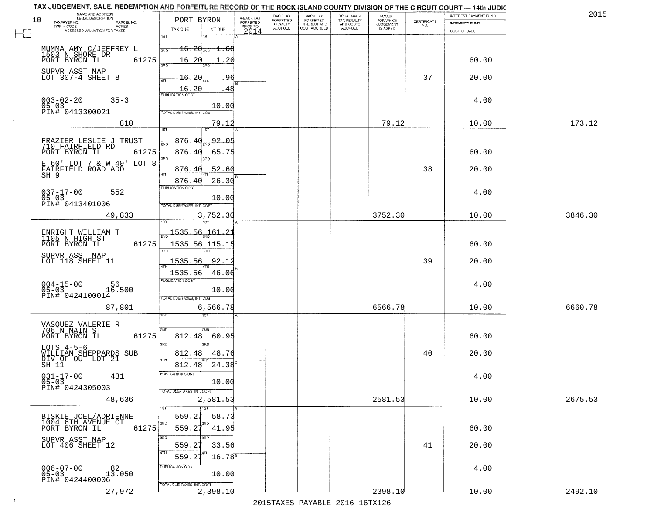| NAME AND ADDRESS<br>LEGAL DESCRIPTION<br>10           | PORT BYRON                       |                                     | BACK TAX<br>FORFEITED     | <b>BACK TAX</b><br>FORFEITED        | TOTAL BACK                                 | AMOUNT<br>FOR WHICH          |                    | INTEREST PAYMENT FUND | 2015    |
|-------------------------------------------------------|----------------------------------|-------------------------------------|---------------------------|-------------------------------------|--------------------------------------------|------------------------------|--------------------|-----------------------|---------|
| TAXPAYER NO.<br>PARCEL NO.<br>$TWP - CODE$<br>ACRES   |                                  | A-BACK TAX<br>FORFEITED<br>PRIOR TO | PENALTY<br><b>ACCRUED</b> | <b>INTEREST AND</b><br>COST ACCRUED | TAX PENALTY<br>AND COSTS<br><b>ACCRUED</b> | <b>JUDGEMENT</b><br>IS ASKED | CERTIFICATE<br>NO. | <b>INDEMNITY FUND</b> |         |
| ASSESSED VALUATION FOR TAXES                          | TAX DUE<br>INT DUE<br>1ST<br>1ST | 2014                                |                           |                                     |                                            |                              |                    | COST OF SALE          |         |
| MUMMA AMY C/JEFFREY L                                 | $16.20_{200}$                    | $\pm .68$                           |                           |                                     |                                            |                              |                    |                       |         |
| 1503 N SHORE DR                                       | 2ND                              |                                     |                           |                                     |                                            |                              |                    |                       |         |
| 61275<br>PORT BYRON IL                                | 16.20<br>355                     | . 20                                |                           |                                     |                                            |                              |                    | 60.00                 |         |
| SUPVR ASST MAP<br>LOT 307-4 SHEET 8                   | 16.20<br>4TH                     | 96                                  |                           |                                     |                                            |                              | 37                 | 20.00                 |         |
|                                                       | 16.20                            | .48                                 |                           |                                     |                                            |                              |                    |                       |         |
| $003 - 02 - 20$<br>$35 - 3$                           | <b>PUBLICATION COST</b>          |                                     |                           |                                     |                                            |                              |                    | 4.00                  |         |
| $05 - 03$<br>PIN# 0413300021                          | TOTAL DUE-TAXES, INT, COST       | 10.00                               |                           |                                     |                                            |                              |                    |                       |         |
|                                                       |                                  |                                     |                           |                                     |                                            |                              |                    |                       |         |
| 810                                                   | 1ST                              | 79.12                               |                           |                                     |                                            | 79.12                        |                    | 10.00                 | 173.12  |
| FRAZIER LESLIE J TRUST                                | 876.40                           | 92.05                               |                           |                                     |                                            |                              |                    |                       |         |
| 710 FAIRFIELD RD<br>61275<br>PORT BYRON IL            | 876.40                           | 65.75                               |                           |                                     |                                            |                              |                    | 60.00                 |         |
| E 60' LOT 7 & W 40' LOT 8                             | 3RD<br>3RD                       |                                     |                           |                                     |                                            |                              |                    |                       |         |
| FAIRFIELD ROAD ADD<br>$SH-9$                          | 876.40<br>47H                    | 52.60                               |                           |                                     |                                            |                              | 38                 | 20.00                 |         |
|                                                       | 876.40<br>PUBLICATION COST       | 26.30                               |                           |                                     |                                            |                              |                    |                       |         |
| $037 - 17 - 00$<br>552<br>$05 - 03$                   |                                  | 10.00                               |                           |                                     |                                            |                              |                    | 4.00                  |         |
| PIN# 0413401006                                       | TOTAL DUE-TAXES, INT. COST       |                                     |                           |                                     |                                            |                              |                    |                       |         |
| 49,833                                                | 3,752.30                         |                                     |                           |                                     |                                            | 3752.30                      |                    | 10.00                 | 3846.30 |
|                                                       | isT<br>181                       |                                     |                           |                                     |                                            |                              |                    |                       |         |
| ENRIGHT WILLIAM T<br>1105 N HIGH ST                   | 1535.56<br>$\overline{2ND}$      | <u> 161.2.</u>                      |                           |                                     |                                            |                              |                    |                       |         |
| PORT BYRON IL<br>61275                                | 1535.56 115.19<br>3RD<br>3RD     |                                     |                           |                                     |                                            |                              |                    | 60.00                 |         |
| SUPVR ASST MAP<br>LOT 118 SHEET 11                    | 1535.56                          | 92.1                                |                           |                                     |                                            |                              | 39                 | 20.00                 |         |
|                                                       | 1535.56                          | 46.06                               |                           |                                     |                                            |                              |                    |                       |         |
|                                                       | <b>PUBLICATION COST</b>          |                                     |                           |                                     |                                            |                              |                    | 4.00                  |         |
| $004 - 15 - 00$<br>05-03<br>16.500<br>PIN# 0424100014 | TOTAL OUE-TAXES, INT. COST       | 10.00                               |                           |                                     |                                            |                              |                    |                       |         |
| 87,801                                                | 6,566.78                         |                                     |                           |                                     |                                            | 6566.78                      |                    | 10.00                 | 6660.78 |
|                                                       | नङ्ग                             |                                     |                           |                                     |                                            |                              |                    |                       |         |
| VASQUEZ VALERIE R<br>706 N MAIN ST                    | 2ND<br>2ND.                      |                                     |                           |                                     |                                            |                              |                    |                       |         |
| PORT BYRON IL<br>61275                                | 812.48                           | 60.95                               |                           |                                     |                                            |                              |                    | 60.00                 |         |
| LOTS $4-5-6$                                          | 3RD<br>$\overline{3BD}$          |                                     |                           |                                     |                                            |                              |                    |                       |         |
| WILLIAM SHEPPARDS SUB<br>DIV OF OUT LOT 21            | 812.48<br>4TH                    | 48.76                               |                           |                                     |                                            |                              | 40                 | 20.00                 |         |
| SH 11                                                 | 812.48<br>PUBLICATION COS        | 24.38                               |                           |                                     |                                            |                              |                    |                       |         |
| $031 - 17 - 00$<br>431<br>$05 - 03$                   |                                  | 10.00                               |                           |                                     |                                            |                              |                    | 4.00                  |         |
| PIN# 0424305003<br>$\sim 100$                         | TOTAL DUE-TAXES, INT. COST       |                                     |                           |                                     |                                            |                              |                    |                       |         |
| 48,636                                                | 2,581.53                         |                                     |                           |                                     |                                            | 2581.53                      |                    | 10.00                 | 2675.53 |
| BISKIE JOEL/ADRIENNE                                  | 1ST<br>559.27                    | 58.73                               |                           |                                     |                                            |                              |                    |                       |         |
| 1004 6TH AVENUE CT<br>61275<br>PORT BYRON IL          | 2ND<br>2ND<br>559.27             | 41.95                               |                           |                                     |                                            |                              |                    | 60.00                 |         |
|                                                       | 3RD                              |                                     |                           |                                     |                                            |                              |                    |                       |         |
| SUPVR ASST MAP<br>LOT 406 SHEET 12                    | 559.27                           | 33.56                               |                           |                                     |                                            |                              | 41                 | 20.00                 |         |
|                                                       | 559.27                           | $16.78^{\circ}$                     |                           |                                     |                                            |                              |                    |                       |         |
| $006 - 07 - 00$<br>13.050                             | PUBLICATION COST                 |                                     |                           |                                     |                                            |                              |                    | 4.00                  |         |
| $05 - 03$<br>PIN# 0424400006                          | TOTAL DUE-TAXES, INT. COST       | 10.00                               |                           |                                     |                                            |                              |                    |                       |         |
| 27,972                                                | 2,398.10                         |                                     |                           |                                     |                                            | 2398.10                      |                    | 10.00                 | 2492.10 |

 $\sim 4$  .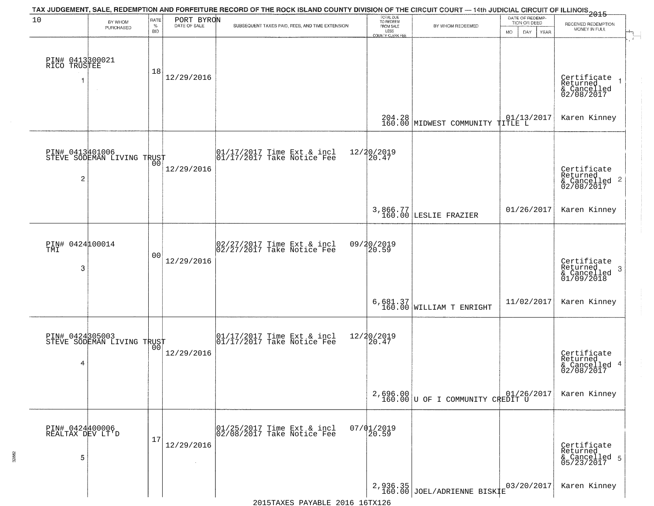| 10                                       | BY WHOM                                           | RATE               | PORT BYRON | TAX JUDGEMENT, SALE, REDEMPTION AND FORFEITURE RECORD OF THE ROCK ISLAND COUNTY DIVISION OF THE CIRCUIT COURT — 14th JUDICIAL CIRCUIT OF ILLINOIS 2015 | TOTAL DUE<br>TO REDEEM<br>FROM SALE |                                                | DATE OF REDEMP-<br>TION OR DEED |                                                        |
|------------------------------------------|---------------------------------------------------|--------------------|------------|--------------------------------------------------------------------------------------------------------------------------------------------------------|-------------------------------------|------------------------------------------------|---------------------------------|--------------------------------------------------------|
|                                          | PURCHASED                                         | $\%$<br><b>BID</b> |            | SUBSEQUENT TAXES PAID, FEES, AND TIME EXTENSION                                                                                                        | LESS<br>COUNTY CLERK FEE            | BY WHOM REDEEMED                               | <b>MO</b><br>DAY<br>YEAR        | RECEIVED REDEMPTION<br>MONEY IN FULL                   |
| PIN# 0413300021<br>RICO TRUSTEE<br>1     | $\sim$                                            | 18                 | 12/29/2016 |                                                                                                                                                        |                                     |                                                |                                 | Certificate<br>Returned<br>& Cancelled<br>02/08/2017   |
|                                          |                                                   |                    |            |                                                                                                                                                        |                                     | 204.28<br>160.00 MIDWEST COMMUNITY             | $101/13/2017$ TITLE L           | Karen Kinney                                           |
| 2                                        | PIN# 0413401006<br>STEVE SODEMAN LIVING TRUST     |                    | 12/29/2016 | 01/17/2017 Time Ext & incl<br>01/17/2017 Take Notice Fee                                                                                               | 12/20/2019<br>20.47                 |                                                |                                 | Certificate<br>Returned<br>& Cancelled 2<br>02/08/2017 |
|                                          |                                                   |                    |            |                                                                                                                                                        |                                     | 3,866.77<br>160.00 LESLIE FRAZIER              | 01/26/2017                      | Karen Kinney                                           |
| PIN# 0424100014<br>TMI<br>3              |                                                   | 0 <sub>0</sub>     | 12/29/2016 | 02/27/2017 Time Ext & incl<br>02/27/2017 Take Notice Fee                                                                                               | 09/20/2019<br>20.59                 |                                                |                                 | Certificate<br>Returned<br>3<br>$\frac{6}{01/09/2018}$ |
|                                          |                                                   |                    |            |                                                                                                                                                        |                                     | $6,681.37$<br>160.00 WILLIAM T ENRIGHT         | 11/02/2017                      | Karen Kinney                                           |
| 4                                        | PIN# 0424305003    <br>STEVE SODEMAN LIVING TRUST | 0 <sub>0</sub>     | 12/29/2016 | 01/17/2017 Time Ext & incl<br>01/17/2017 Take Notice Fee                                                                                               | 12/20/2019<br>20.47                 |                                                |                                 | Certificate<br>Returned<br>& Cancelled 4<br>02/08/2017 |
|                                          |                                                   |                    |            |                                                                                                                                                        |                                     | $2,696.00$<br>160.00 U OF I COMMUNITY CREDIT U |                                 | Karen Kinney                                           |
| PIN# 0424400006<br>REALTAX DEV LT'D<br>5 |                                                   | 17                 | 12/29/2016 | 01/25/2017 Time Ext & incl<br>02/08/2017 Take Notice Fee                                                                                               | $07/01/2019$<br>20.59               |                                                |                                 | Certificate<br>Returned<br>& Cancelled 5<br>05/23/2017 |
|                                          |                                                   |                    |            |                                                                                                                                                        |                                     | $2,936.35$<br>160.00 JOEL/ADRIENNE BISK $E$    | 03/20/2017                      | Karen Kinney                                           |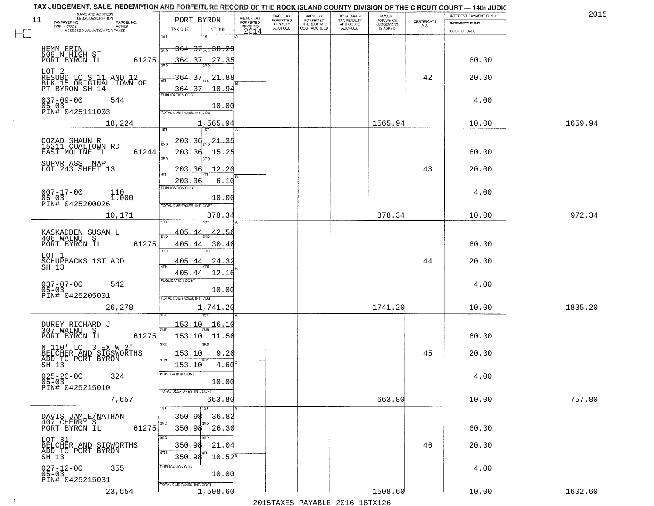| NAME AND ADDRESS<br>LEGAL DESCRIPTION<br>11                   | PORT BYRON                                   | A-BACK TAX                   | BACK TAX<br><b>FORFEITED</b> | <b>BACK TAX</b><br><b>FORFEITED</b> | TOTAL BACK<br>TAX PENALTY | <b>AMOUNT</b>                      | CERTIFICATE | INTEREST PAYMENT FUND | 2015    |
|---------------------------------------------------------------|----------------------------------------------|------------------------------|------------------------------|-------------------------------------|---------------------------|------------------------------------|-------------|-----------------------|---------|
| TAXPAYER NO.<br>PARCEL NO.<br>TWP - CODE<br>ACRES             | TAX DUE<br>INT DUE                           | <b>FORFEITED</b><br>PRIOR TO | PENALTY<br>ACCRUED           | INTEREST AND<br>COST ACCRUED        | AND COSTS<br>ACCRUED      | FOR WHICH<br>JUDGEMENT<br>IS ASKED | NO.         | <b>INDEMNITY FUND</b> |         |
| ASSESSED VALUATION FOR TAXES                                  | 1ST<br>1ST                                   | 2014                         |                              |                                     |                           |                                    |             | COST OF SALE          |         |
| HEMM ERIN                                                     | <del>364.31<sub>200</sub>38.2</del> 9<br>2ND |                              |                              |                                     |                           |                                    |             |                       |         |
| 509 N HIGH ST<br>PORT BYRON IL<br>61275                       | 364.37<br>27.35                              |                              |                              |                                     |                           |                                    |             | 60.00                 |         |
| LOT 2                                                         | 3AD                                          |                              |                              |                                     |                           |                                    |             |                       |         |
| RESUBD LOTS 11 AND 12<br>BLK 15 ORIGINAL TOWN OF              | -21.88<br>364<br>4TH                         |                              |                              |                                     |                           |                                    | 42          | 20.00                 |         |
| PT BYRON SH 14                                                | 10.94<br>364.3<br>PUBLICATION COST           |                              |                              |                                     |                           |                                    |             |                       |         |
| $037 - 09 - 00$<br>544<br>$05 - 03$                           | 10.00                                        |                              |                              |                                     |                           |                                    |             | 4.00                  |         |
| PIN# 0425111003                                               | TOTAL DUE-TAXES, INT. COST                   |                              |                              |                                     |                           |                                    |             |                       |         |
| 18,224                                                        | 1,565.94<br>1ST<br>1ST <sup>1</sup>          |                              |                              |                                     |                           | 1565.94                            |             | 10.00                 | 1659.94 |
|                                                               | 203.<br>-36<br>21<br>-35                     |                              |                              |                                     |                           |                                    |             |                       |         |
| COZAD SHAUN R<br>15211 COALTOWN RD<br>61244<br>EAST MOLINE IL | 2ND<br>203.36<br>15.25                       |                              |                              |                                     |                           |                                    |             | 60.00                 |         |
| SUPVR ASST MAP                                                | 3RD                                          |                              |                              |                                     |                           |                                    |             |                       |         |
| LOT 243 SHEET 13                                              | 12.20<br>203.<br>್ತ<br>47H                   |                              |                              |                                     |                           |                                    | 43          | 20.00                 |         |
|                                                               | 203.36<br>6.10<br>PUBLICATION COST           |                              |                              |                                     |                           |                                    |             |                       |         |
| $007 - 17 - 00$<br>110<br>$05 - 03$<br>1.000                  | 10.00                                        |                              |                              |                                     |                           |                                    |             | 4.00                  |         |
| PIN# 0425200026                                               | TOTAL DUE-TAXES, INT. COST                   |                              |                              |                                     |                           |                                    |             |                       |         |
| 10,171                                                        | 878.34                                       |                              |                              |                                     |                           | 878.34                             |             | 10.00                 | 972.34  |
| KASKADDEN SUSAN L<br>406 WALNUT ST                            | 405.4<br>42.56                               |                              |                              |                                     |                           |                                    |             |                       |         |
| 61275<br>PORT BYRON IL                                        | 405.44<br>30.40                              |                              |                              |                                     |                           |                                    |             | 60.00                 |         |
| LOT 1                                                         | 3RD                                          |                              |                              |                                     |                           |                                    |             |                       |         |
| SCHUPBACKS 1ST ADD<br>SH 13                                   | 24.32<br>405.44<br>4TH                       |                              |                              |                                     |                           |                                    | 44          | 20.00                 |         |
|                                                               | 405.44<br>12.16<br><b>PUBLICATION COST</b>   |                              |                              |                                     |                           |                                    |             |                       |         |
| $037 - 07 - 00$<br>05-03<br>542                               | 10.00                                        |                              |                              |                                     |                           |                                    |             | 4.00                  |         |
| PIN# 0425205001<br>26,278                                     | TOTAL OUE-TAXES, INT. COST                   |                              |                              |                                     |                           | 1741.20                            |             | 10.00                 | 1835.20 |
|                                                               | 1,741.20                                     |                              |                              |                                     |                           |                                    |             |                       |         |
| DUREY RICHARD J<br>307 WALNUT ST                              | <u>153.10</u><br><u> 16.10</u><br>2ND        |                              |                              |                                     |                           |                                    |             |                       |         |
| 61275<br>PORT BYRON IL                                        | 153.10<br>11.50                              |                              |                              |                                     |                           |                                    |             | 60.00                 |         |
| N 110' LOT 3 EX W 2'                                          | 3 <sub>BD</sub><br>3BD<br>153.10<br>9.20     |                              |                              |                                     |                           |                                    | 45          | 20.00                 |         |
| BELCHER AND SIGSWORTHS<br>ADD TO PORT BYRON<br>SH 13          | 4TH<br>153.10<br>4.60                        |                              |                              |                                     |                           |                                    |             |                       |         |
| 324                                                           | PUBLICATION COST                             |                              |                              |                                     |                           |                                    |             | 4.00                  |         |
| $025 - 20 - 00$<br>05-03<br>PIN# 0425215010<br>$\sim$         | 10.00                                        |                              |                              |                                     |                           |                                    |             |                       |         |
| 7,657                                                         | TOTAL DUE-TAXES, INT. COST<br>663.80         |                              |                              |                                     |                           | 663.80                             |             | 10.00                 | 757.80  |
|                                                               | 1ST                                          |                              |                              |                                     |                           |                                    |             |                       |         |
| DAVIS JAMIE/NATHAN<br>407 CHERRY ST                           | 350.98<br>36.82<br>2ND<br>2ND                |                              |                              |                                     |                           |                                    |             |                       |         |
| PORT BYRON IL<br>61275                                        | 350.98<br>26.30                              |                              |                              |                                     |                           |                                    |             | 60.00                 |         |
| LOT 31<br>BELCHER AND SIGWORTHS<br>ADD TO PORT BYRON          | 3BD<br>अक<br>350.98<br>21.04                 |                              |                              |                                     |                           |                                    | 46          | 20.00                 |         |
| SH 13                                                         | 4TH<br>350.98<br>$10.52^s$                   |                              |                              |                                     |                           |                                    |             |                       |         |
| $027 - 12 - 00$<br>05-03<br>355                               | PUBLICATION COST                             |                              |                              |                                     |                           |                                    |             | 4.00                  |         |
| PIN# 0425215031                                               | 10.00<br>TOTAL DUE-TAXES, INT. COST          |                              |                              |                                     |                           |                                    |             |                       |         |
| 23,554                                                        | 1,508.60                                     |                              |                              |                                     |                           | 1508.60                            |             | 10.00                 | 1602.60 |

 $\sim 100$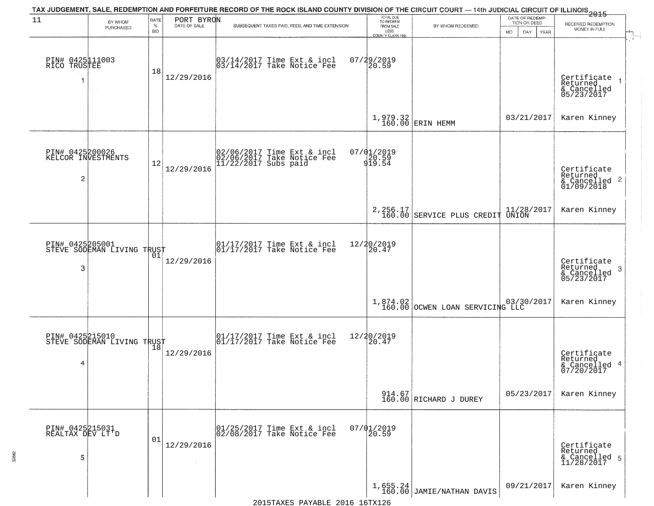|                                                         |                                                   |                            |            | TAX JUDGEMENT, SALE, REDEMPTION AND FORFEITURE RECORD OF THE ROCK ISLAND COUNTY DIVISION OF THE CIRCUIT COURT — 14th JUDICIAL CIRCUIT OF ILLINOIS 2015 |                                                                        |                                         |                                                        |                                                                      |
|---------------------------------------------------------|---------------------------------------------------|----------------------------|------------|--------------------------------------------------------------------------------------------------------------------------------------------------------|------------------------------------------------------------------------|-----------------------------------------|--------------------------------------------------------|----------------------------------------------------------------------|
| 11                                                      | BY WHOM<br>PURCHASED                              | RATE<br>$\%$<br><b>BID</b> | PORT BYRON | SUBSEQUENT TAXES PAID, FEES, AND TIME EXTENSION                                                                                                        | TOTAL DUE<br>TO REDEEM<br>FROM SALE<br>LESS<br><b>COUNTY CLERK FEE</b> | BY WHOM REDEEMED                        | DATE OF REDEMP-<br>TION OR DEED<br>MO.<br>DAY.<br>YEAR | RECEIVED REDEMPTION<br>MONEY IN FULL                                 |
| PIN# 0425111003<br>RICO TRUSTEE<br>$\overline{1}$       |                                                   | 18                         | 12/29/2016 | 03/14/2017 Time Ext & incl<br>03/14/2017 Take Notice Fee                                                                                               | 07/29/2019<br>20.59                                                    |                                         |                                                        | $\mathbf{r}$<br>Certificate<br>Returned<br>& Cancelled<br>05/23/2017 |
|                                                         |                                                   |                            |            |                                                                                                                                                        |                                                                        | $1,979.32$ ERIN HEMM                    | 03/21/2017                                             | Karen Kinney                                                         |
| PIN# 0425200026<br>KELCOR INVESTMENTS<br>$\overline{2}$ |                                                   | 12                         | 12/29/2016 | 02/06/2017 Time Ext & incl<br>02/06/2017 Take Notice Fee<br>11/22/2017 Subs paid                                                                       | $07/01/2019$<br>20.59<br>919.54                                        |                                         |                                                        | Certificate<br>Returned<br>$\frac{1}{6}$ Cancelled 2<br>01/09/2018   |
|                                                         |                                                   |                            |            |                                                                                                                                                        |                                                                        | 2, 256.17<br>160.00 SERVICE PLUS CREDIT | 11/28/2017<br>UNION                                    | Karen Kinney                                                         |
| PIN# 0425205001<br>3                                    | STEVE SODEMAN LIVING TRUST                        | 01                         | 12/29/2016 | $\begin{array}{ccc}  01/17/2017 \text{ Time} & \text{Ext} & \text{incl} \\  01/17/2017 \text{ Take Notice } \text{Fe} \end{array}$                     | 12/20/2019<br>20.47                                                    |                                         |                                                        | Certificate<br>Returned<br>$\mathbf{3}$<br>& Cancelled<br>05/23/2017 |
|                                                         |                                                   |                            |            |                                                                                                                                                        |                                                                        | 1,874.02 000 000 160.00 03/30/2017      |                                                        | Karen Kinney                                                         |
| 4                                                       | PIN# 0425215010    <br>STEVE SODEMAN LIVING TRUST | 18                         | 12/29/2016 | $\begin{bmatrix} 01/17/2017 \\ 01/17/2017 \end{bmatrix}$ Take Notice Fee                                                                               | 12/20/2019<br>20.47                                                    |                                         |                                                        | Certificate<br>Returned<br>& Cancelled 4<br>07/20/2017               |
|                                                         |                                                   |                            |            |                                                                                                                                                        |                                                                        | 914.67<br>160.00 RICHARD J DUREY        | 05/23/2017                                             | Karen Kinney                                                         |
| PIN# 0425215031<br>REALTAX DEV LT'D<br>5                |                                                   | 01                         | 12/29/2016 | 01/25/2017 Time Ext & incl<br>02/08/2017 Take Notice Fee                                                                                               | $07/01/2019$<br>20.59                                                  |                                         |                                                        | Certificate<br>Returned<br>& Cancelled 5<br>11/28/2017               |
|                                                         |                                                   |                            |            |                                                                                                                                                        |                                                                        | $1,655.24$<br>160.00 JAMIE/NATHAN DAVIS | 09/21/2017                                             | Karen Kinney                                                         |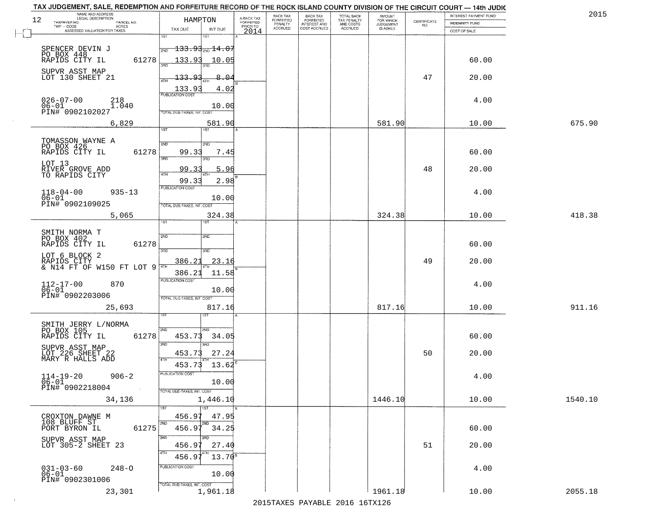| NAME AND ADDRESS<br>LEGAL DESCRIPTION<br>12                     | HAMRTON                                                               |                                     | BACK TAX             | <b>BACK TAX</b>           | TOTAL BACK<br>TAX PENALTY<br>AND COSTS | AMOUNT<br>FOR WHICH |                    | INTEREST PAYMENT FUND | 2015    |
|-----------------------------------------------------------------|-----------------------------------------------------------------------|-------------------------------------|----------------------|---------------------------|----------------------------------------|---------------------|--------------------|-----------------------|---------|
| TAXPAYER NO.<br>PARCEL NO.<br>ACRES                             |                                                                       | A-BACK TAX<br>FORFEITED<br>PRIOR TO | FORFEITED<br>PENALTY | FORFEITED<br>INTEREST AND |                                        | <b>JUDGEMENT</b>    | CERTIFICATE<br>NO. | <b>INDEMNITY FUND</b> |         |
| ASSESSED VALUATION FOR TAXES                                    | TAX DUE<br>INT DUE<br>1ST<br>1ST                                      | 2014                                | <b>ACCRUED</b>       | COST ACCRUED              | ACCRUED                                | <b>IS ASKED</b>     |                    | COST OF SALE          |         |
| SPENCER DEVIN J<br>PO BOX 448<br>RAPIDS CITY IL                 | $-133.93_{\rm 2ND}$ 14.07<br>2ND                                      |                                     |                      |                           |                                        |                     |                    |                       |         |
| 61278<br>SUPVR ASST MAP                                         | 133.93<br>10.05                                                       |                                     |                      |                           |                                        |                     |                    | 60.00                 |         |
| LOT 130 SHEET 21                                                | 133.93<br>8.04<br>ATH<br>133.93<br>4.02                               |                                     |                      |                           |                                        |                     | 47                 | 20.00                 |         |
| $026 - 07 - 00$<br>218<br>$06 - 01$<br>1.040<br>PIN# 0902102027 | <b>PUBLICATION COST</b><br>10.00<br>TOTAL DUE-TAXES, INT, COST        |                                     |                      |                           |                                        |                     |                    | 4.00                  |         |
| 6,829                                                           | 581.90<br>1ST                                                         |                                     |                      |                           |                                        | 581.90              |                    | 10.00                 | 675.90  |
|                                                                 |                                                                       |                                     |                      |                           |                                        |                     |                    |                       |         |
| TOMASSON WAYNE A<br>PO BOX 426<br>61278<br>RAPIDS CITY IL       | 2ND<br>2ND<br>99.33<br>7.45<br>3RD<br>3RD                             |                                     |                      |                           |                                        |                     |                    | 60.00                 |         |
| LOT 13<br>RIVER GROVE ADD<br>TO RAPIDS CITY                     | 99.33<br>5.96<br>47H                                                  |                                     |                      |                           |                                        |                     | 48                 | 20.00                 |         |
| $118 - 04 - 00$<br>$935 - 13$                                   | 99.33<br>2.98<br>PUBLICATION COST                                     |                                     |                      |                           |                                        |                     |                    | 4.00                  |         |
| $06 - 01$<br>PIN# 0902109025                                    | 10.00<br>TOTAL DUE-TAXES, INT. COST                                   |                                     |                      |                           |                                        |                     |                    |                       |         |
| 5,065                                                           | 324.38<br>1ST<br>is T                                                 |                                     |                      |                           |                                        | 324.38              |                    | 10.00                 | 418.38  |
| SMITH NORMA T                                                   |                                                                       |                                     |                      |                           |                                        |                     |                    |                       |         |
| PO BOX 402<br>RAPIDS CITY IL<br>61278                           | 2ND<br><b>SMD</b><br>3 <sub>BD</sub><br>3BD                           |                                     |                      |                           |                                        |                     |                    | 60.00                 |         |
| LOT 6 BLOCK 2<br>RAPIDS CITY<br>& N14 FT OF W150 FT LOT 9       | <u>386.21</u><br>23.16<br>4TH                                         |                                     |                      |                           |                                        |                     | 49                 | 20.00                 |         |
|                                                                 | 386.21<br>11.58<br><b>PUBLICATION COST</b>                            |                                     |                      |                           |                                        |                     |                    |                       |         |
| $112 - 17 - 00$<br>$06 - 01$<br>870<br>PIN# 0902203006          | 10.00<br>TOTAL OUE-TAXES, INT. COST                                   |                                     |                      |                           |                                        |                     |                    | 4.00                  |         |
| 25,693                                                          | 817.16<br>ist                                                         |                                     |                      |                           |                                        | 817.16              |                    | 10.00                 | 911.16  |
| SMITH JERRY L/NORMA                                             |                                                                       |                                     |                      |                           |                                        |                     |                    |                       |         |
| PO BOX 105<br>RAPIDS CITY IL<br>61278                           | 2ND<br>2ND.<br>453.73<br>34.05<br>3 <sub>BD</sub><br>$\overline{3BD}$ |                                     |                      |                           |                                        |                     |                    | 60.00                 |         |
| SUPVR ASST MAP<br>LOT 226 SHEET 22<br>MARY R HALLS ADD          | 27.24<br>453.73<br>4TH                                                |                                     |                      |                           |                                        |                     | 50                 | 20.00                 |         |
| $114 - 19 - 20$<br>$906 - 2$                                    | 453.73<br>13.62<br>PUBLICATION COS                                    |                                     |                      |                           |                                        |                     |                    | 4.00                  |         |
| $06 - 01$<br>PIN# 0902218004<br>$\sim 100$                      | 10.00<br>TOTAL DUE-TAXES, INT. COST                                   |                                     |                      |                           |                                        |                     |                    |                       |         |
| 34,136                                                          | 1,446.10<br>$\overline{\phantom{a}}$ 1ST                              |                                     |                      |                           |                                        | 1446.10             |                    | 10.00                 | 1540.10 |
| CROXTON DAWNE M<br>108 BLUFF ST                                 | 456.97<br>47.95                                                       |                                     |                      |                           |                                        |                     |                    |                       |         |
| 61275<br>PORT BYRON IL                                          | 2ND<br>$456.97^{200}$<br>34.25<br>3RD                                 |                                     |                      |                           |                                        |                     |                    | 60.00                 |         |
| SUPVR ASST MAP<br>LOT 305-2 SHEET 23                            | 456.97<br>27.40<br>4TH                                                |                                     |                      |                           |                                        |                     | 51                 | 20.00                 |         |
|                                                                 | 456.97<br>$13.70^8$<br>PUBLICATION COST                               |                                     |                      |                           |                                        |                     |                    |                       |         |
| $031 - 03 - 60$<br>$248 - 0$<br>$06 - 01$<br>PIN# 0902301006    | 10.00<br>TOTAL DUE-TAXES, INT. COST                                   |                                     |                      |                           |                                        |                     |                    | 4.00                  |         |
| 23,301                                                          | 1,961.18                                                              |                                     |                      |                           |                                        | 1961.18             |                    | 10.00                 | 2055.18 |

 $\pm 4$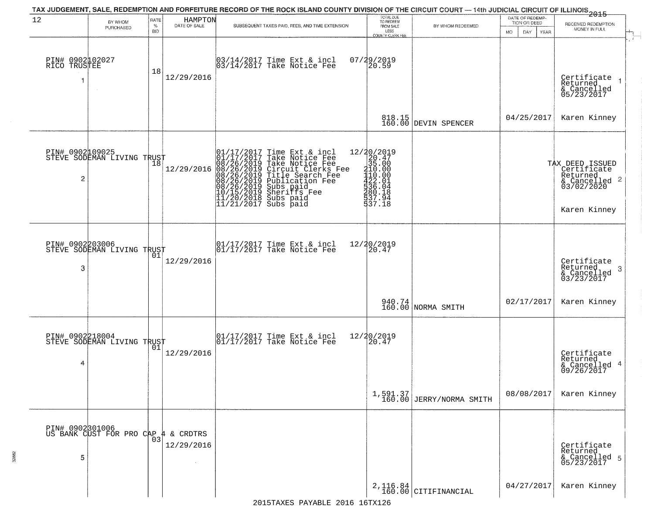| 12                                   | BY WHOM                                       | <b>RATE</b>        | HAMPTON<br>DATE OF SALE | TAX JUDGEMENT, SALE, REDEMPTION AND FORFEITURE RECORD OF THE ROCK ISLAND COUNTY DIVISION OF THE CIRCUIT COURT — 14th JUDICIAL CIRCUIT OF ILLINOIS 2015                                                                                                | TOTAL DUE<br>TO REDEEM                                                                       |                                    | DATE OF REDEMP-<br>TION OR DEED |                                                                                           |
|--------------------------------------|-----------------------------------------------|--------------------|-------------------------|-------------------------------------------------------------------------------------------------------------------------------------------------------------------------------------------------------------------------------------------------------|----------------------------------------------------------------------------------------------|------------------------------------|---------------------------------|-------------------------------------------------------------------------------------------|
|                                      | PURCHASED                                     | $\%$<br><b>BID</b> |                         | SUBSEQUENT TAXES PAID, FEES, AND TIME EXTENSION                                                                                                                                                                                                       | FROM SALE<br>LESS<br><b>COUNTY CLERK FEE</b>                                                 | BY WHOM REDEEMED                   | <b>MO</b><br>DAY<br><b>YEAR</b> | RECEIVED REDEMPTION<br>MONEY IN FULL                                                      |
| PIN# 0902102027<br>RICO TRUSTEE<br>1 |                                               | 18                 | 12/29/2016              | 03/14/2017 Time Ext & incl<br>03/14/2017 Take Notice Fee                                                                                                                                                                                              | 07/29/2019<br>20.59                                                                          |                                    |                                 | Certificate<br>Returned<br>$\rightarrow$<br>& Cancelled<br>05/23/2017                     |
|                                      |                                               |                    |                         |                                                                                                                                                                                                                                                       |                                                                                              | 818.15<br>160.00 DEVIN SPENCER     | 04/25/2017                      | Karen Kinney                                                                              |
| $\overline{2}$                       | PIN# 0902109025<br>STEVE SODEMAN LIVING TRUST |                    | 12/29/2016              | 01/17/2017 Time Ext & incl<br>01/17/2017 Take Notice Fee<br>08/26/2019 Take Notice Fee<br>08/26/2019 Circuit Clerks Fee<br>08/26/2019 Title Search Fee<br>08/26/2019 Publication Fee<br>10/15/2019 Sheriffs Fee<br>11/20/2018 Subs paid<br>11/21/2017 | 12/20/2019<br>20.47<br>35.00<br>110.000<br>110.000<br>122.014<br>1336.04<br>137.18<br>137.18 |                                    |                                 | TAX DEED ISSUED<br>Certificate<br>Returned<br>& Cancelled 2<br>03/02/2020<br>Karen Kinney |
| 3                                    | PIN# 0902203006<br>STEVE SODEMAN LIVING TRUST | 01                 | 12/29/2016              | 01/17/2017 Time Ext & incl<br>01/17/2017 Take Notice Fee                                                                                                                                                                                              | 12/20/2019<br>20.47                                                                          |                                    |                                 | Certificate<br>Returned<br>3<br>$\frac{2}{03/23/2017}$                                    |
|                                      |                                               |                    |                         |                                                                                                                                                                                                                                                       |                                                                                              | 940.74<br>160.00 NORMA SMITH       | 02/17/2017                      | Karen Kinney                                                                              |
| PIN# 0902218004<br>4                 | STEVE SODEMAN LIVING TRUST                    |                    | 12/29/2016              | $\begin{bmatrix} 01/17/2017 \\ 01/17/2017 \end{bmatrix}$ Time Ext & incl                                                                                                                                                                              | 12/20/2019<br>$\left[20.47\right]$                                                           |                                    |                                 | Certificate<br>Returned<br>4<br>& Cancelled<br>09/26/2017                                 |
|                                      |                                               |                    |                         |                                                                                                                                                                                                                                                       | 1,591.37<br>160.00                                                                           | JERRY/NORMA SMITH                  | 08/08/2017                      | Karen Kinney                                                                              |
| 5                                    | PIN# 0902301006<br>US BANK CUST FOR PRO CAP   | ¥.<br>03           | & CRDTRS<br>12/29/2016  |                                                                                                                                                                                                                                                       |                                                                                              |                                    |                                 | Certificate<br>Returned<br>& Cancelled 5<br>05/23/2017                                    |
|                                      |                                               |                    |                         |                                                                                                                                                                                                                                                       |                                                                                              | $2,116.84$<br>160.00 CITIFINANCIAL | 04/27/2017                      | Karen Kinney                                                                              |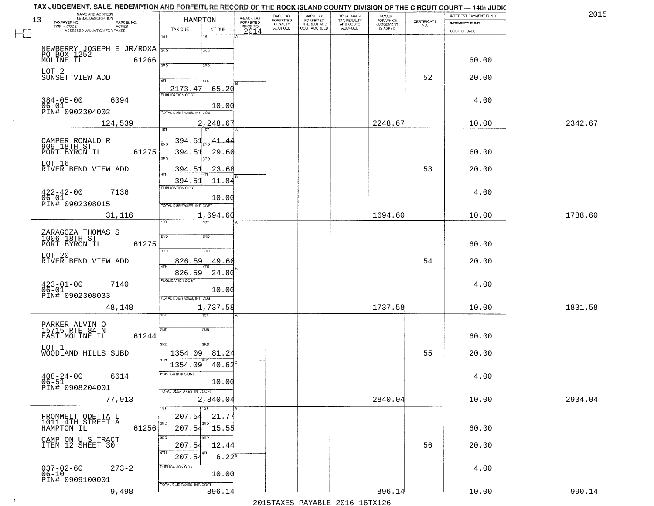| NAME AND ADDRESS<br>LEGAL DESCRIPTION<br>13                             | HAMPTON                             |                                     | BACK TAX<br>FORFEITED | <b>BACK TAX</b>           | TOTAL BACK<br>TAX PENALTY<br>AND COSTS | AMOUNT<br>FOR WHICH<br>JUDGEMENT |                                                                 | INTEREST PAYMENT FUND | 2015    |
|-------------------------------------------------------------------------|-------------------------------------|-------------------------------------|-----------------------|---------------------------|----------------------------------------|----------------------------------|-----------------------------------------------------------------|-----------------------|---------|
| TAXPAYER NO.<br>PARCEL NO.<br>ACRES                                     |                                     | A-BACK TAX<br>FORFEITED<br>PRIOR TO | PENALTY               | FORFEITED<br>INTEREST AND |                                        |                                  | $\begin{array}{c} \text{CERTIFICATE} \\ \text{NO.} \end{array}$ | <b>INDEMNITY FUND</b> |         |
| ASSESSED VALUATION FOR TAXES                                            | TAX DUE<br>INT DUE<br>1ST<br>$1S$ T | 2014                                | <b>ACCRUED</b>        | COST ACCRUED              | <b>ACCRUED</b>                         | IS ASKED                         |                                                                 | COST OF SALE          |         |
|                                                                         |                                     |                                     |                       |                           |                                        |                                  |                                                                 |                       |         |
|                                                                         | 2ND                                 |                                     |                       |                           |                                        |                                  |                                                                 |                       |         |
| NEWBERRY JOSEPH E JR/ROXA NO BOX 1252<br>PO BOX 1252<br>MOLINE IL 61266 | 350                                 |                                     |                       |                           |                                        |                                  |                                                                 | 60.00                 |         |
| LOT 2                                                                   | 3RD                                 |                                     |                       |                           |                                        |                                  |                                                                 |                       |         |
| SUNSET VIEW ADD                                                         | 4TH<br>4TH                          |                                     |                       |                           |                                        |                                  | 52                                                              | 20.00                 |         |
|                                                                         | 65.20<br>2173.47                    |                                     |                       |                           |                                        |                                  |                                                                 |                       |         |
| $384 - 05 - 00$<br>6094                                                 |                                     |                                     |                       |                           |                                        |                                  |                                                                 | 4.00                  |         |
| $06 - 01$<br>PIN# 0902304002                                            | 10.00                               |                                     |                       |                           |                                        |                                  |                                                                 |                       |         |
|                                                                         | TOTAL DUE-TAXES, INT. COST          |                                     |                       |                           |                                        |                                  |                                                                 |                       |         |
| 124,539                                                                 | 2,248.67                            |                                     |                       |                           |                                        | 2248.67                          |                                                                 | 10.00                 | 2342.67 |
|                                                                         | 394.51                              |                                     |                       |                           |                                        |                                  |                                                                 |                       |         |
| CAMPER RONALD R<br>909 18TH ST                                          | 41.4<br><b>PND</b>                  |                                     |                       |                           |                                        |                                  |                                                                 |                       |         |
| 61275<br>PORT BYRON IL                                                  | 394.51<br>29.60<br>3RD<br>3BD.      |                                     |                       |                           |                                        |                                  |                                                                 | 60.00                 |         |
| LOT 16<br>RIVER BEND VIEW ADD                                           |                                     |                                     |                       |                           |                                        |                                  | 53                                                              |                       |         |
|                                                                         | 394.51<br>23.68<br>$\overline{47H}$ |                                     |                       |                           |                                        |                                  |                                                                 | 20.00                 |         |
|                                                                         | 394.51<br>11.84<br>PUBLICATION COST |                                     |                       |                           |                                        |                                  |                                                                 |                       |         |
| $422 - 42 - 00$<br>7136                                                 |                                     |                                     |                       |                           |                                        |                                  |                                                                 | 4.00                  |         |
| $06 - 01$<br>PIN# 0902308015                                            | 10.00<br>TOTAL DUE-TAXES, INT. COST |                                     |                       |                           |                                        |                                  |                                                                 |                       |         |
| 31,116                                                                  | 1,694.60                            |                                     |                       |                           |                                        | 1694.60                          |                                                                 | 10.00                 | 1788.60 |
|                                                                         | īst<br>1ST                          |                                     |                       |                           |                                        |                                  |                                                                 |                       |         |
| ZARAGOZA THOMAS S<br>1006 18TH ST                                       | 2ND<br>2ND                          |                                     |                       |                           |                                        |                                  |                                                                 |                       |         |
| 61275<br>PORT BYRON IL                                                  |                                     |                                     |                       |                           |                                        |                                  |                                                                 | 60.00                 |         |
| LOT 20                                                                  | 3RD<br>3RD                          |                                     |                       |                           |                                        |                                  |                                                                 |                       |         |
| RIVER BEND VIEW ADD                                                     | 49.60<br>826.59<br>ATH              |                                     |                       |                           |                                        |                                  | 54                                                              | 20.00                 |         |
|                                                                         | 24.80<br>826.59                     |                                     |                       |                           |                                        |                                  |                                                                 |                       |         |
| 7140                                                                    | <b>PUBLICATION COST</b>             |                                     |                       |                           |                                        |                                  |                                                                 | 4.00                  |         |
| $423 - 01 - 00$<br>$06 - 01$                                            | 10.00                               |                                     |                       |                           |                                        |                                  |                                                                 |                       |         |
| PIN# 0902308033                                                         | TOTAL OUE-TAXES, INT. COST          |                                     |                       |                           |                                        |                                  |                                                                 |                       |         |
| 48,148                                                                  | 1,737.58                            |                                     |                       |                           |                                        | 1737.58                          |                                                                 | 10.00                 | 1831.58 |
|                                                                         | 151                                 |                                     |                       |                           |                                        |                                  |                                                                 |                       |         |
| PARKER ALVIN O<br>15715 RTE 84 N                                        | 2ND<br>2ND                          |                                     |                       |                           |                                        |                                  |                                                                 |                       |         |
| EAST MOLINE IL<br>61244                                                 |                                     |                                     |                       |                           |                                        |                                  |                                                                 | 60.00                 |         |
| LOT 1                                                                   | 3RD<br>3RD.                         |                                     |                       |                           |                                        |                                  |                                                                 |                       |         |
| WOODLAND HILLS SUBD                                                     | 1354.09<br>81.24                    |                                     |                       |                           |                                        |                                  | 55                                                              | 20.00                 |         |
|                                                                         | 1354.09<br>40.62                    |                                     |                       |                           |                                        |                                  |                                                                 |                       |         |
| $408 - 24 - 00$<br>6614                                                 | PUBLICATION COST                    |                                     |                       |                           |                                        |                                  |                                                                 | 4.00                  |         |
| $06 - 51$<br>PIN# 0908204001<br><b>Contract</b>                         | 10.00<br>TOTAL DUE-TAXES, INT. COST |                                     |                       |                           |                                        |                                  |                                                                 |                       |         |
| 77,913                                                                  | 2,840.04                            |                                     |                       |                           |                                        | 2840.04                          |                                                                 | 10.00                 | 2934.04 |
|                                                                         | $\overline{11}$ st                  |                                     |                       |                           |                                        |                                  |                                                                 |                       |         |
| FROMMELT ODETTA L<br>1011 4TH STREET A                                  | 207.54<br>21.77                     |                                     |                       |                           |                                        |                                  |                                                                 |                       |         |
| 61256<br>HAMPTON IL                                                     | 2ND<br>2ND<br>207.54 15.55          |                                     |                       |                           |                                        |                                  |                                                                 | 60.00                 |         |
|                                                                         | 3RD<br>3BD                          |                                     |                       |                           |                                        |                                  |                                                                 |                       |         |
| CAMP ON U S TRACT<br>ITEM 12 SHEET 30                                   | 207.54<br>12.44                     |                                     |                       |                           |                                        |                                  | 56                                                              | 20.00                 |         |
|                                                                         | 4TH<br>207.54<br>$6.22^{8}$         |                                     |                       |                           |                                        |                                  |                                                                 |                       |         |
| $273 - 2$                                                               | PUBLICATION COST                    |                                     |                       |                           |                                        |                                  |                                                                 | 4.00                  |         |
| 037-02-60<br>06-10                                                      | 10.00                               |                                     |                       |                           |                                        |                                  |                                                                 |                       |         |
| PIN# 0909100001                                                         | TOTAL DUE-TAXES, INT. COST          |                                     |                       |                           |                                        |                                  |                                                                 |                       |         |
| 9,498                                                                   | 896.14                              |                                     |                       |                           |                                        | 896.14                           |                                                                 | 10.00                 | 990.14  |

 $\sim 10^{-1}$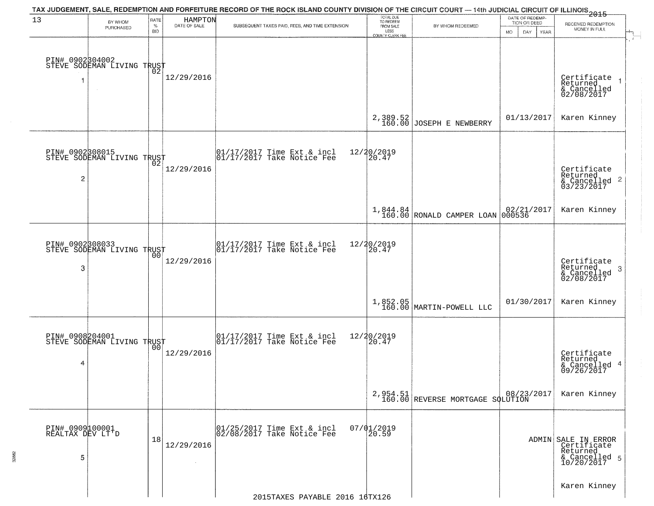|                                          |                                                   |                |                         | TAX JUDGEMENT, SALE, REDEMPTION AND FORFEITURE RECORD OF THE ROCK ISLAND COUNTY DIVISION OF THE CIRCUIT COURT — 14th JUDICIAL CIRCUIT OF ILLINOIS 2015 | TOTAL DUE                |                                              |                                 |                                                                               |
|------------------------------------------|---------------------------------------------------|----------------|-------------------------|--------------------------------------------------------------------------------------------------------------------------------------------------------|--------------------------|----------------------------------------------|---------------------------------|-------------------------------------------------------------------------------|
| 13                                       | BY WHOM<br>PURCHASED                              | RATE<br>$\%$   | HAMPTON<br>DATE OF SALE | SUBSEQUENT TAXES PAID, FEES, AND TIME EXTENSION                                                                                                        | TO REDEEM<br>FROM SALE   | BY WHOM REDEEMED                             | DATE OF REDEMP-<br>TION OR DEED | RECEIVED REDEMPTION                                                           |
|                                          |                                                   | <b>BID</b>     |                         |                                                                                                                                                        | LESS<br>COUNTY CLERK FEE |                                              | <b>MO</b><br>DAY<br>YEAR        | MONEY IN FULL                                                                 |
| 1                                        | PIN# 0902304002<br>STEVE SODEMAN LIVING TRUST     |                | 12/29/2016              |                                                                                                                                                        |                          |                                              |                                 | Certificate<br>Returned<br>& Cancelled<br>02/08/2017                          |
|                                          |                                                   |                |                         |                                                                                                                                                        | 2,389.52<br>160.00       | JOSEPH E NEWBERRY                            | 01/13/2017                      | Karen Kinney                                                                  |
| PIN# 0902308015<br>2                     | STEVE SODEMAN LIVING TRUST                        |                | 12/29/2016              | 01/17/2017 Time Ext & incl<br>01/17/2017 Take Notice Fee                                                                                               | 12/20/2019<br>20.47      |                                              |                                 | Certificate<br>Returned<br>$\frac{12241164}{63/23/2017}$<br>03/23/2017        |
|                                          |                                                   |                |                         |                                                                                                                                                        |                          | $1,844.84$<br>160.00 RONALD CAMPER LOAN      | 02/21/2017<br>000536            | Karen Kinney                                                                  |
| PIN# 0902308033<br>3                     | STEVE SODEMAN LIVING TRUST                        | 00             | 12/29/2016              | $\begin{array}{cc} 01/17/2017 & \text{Time Ext} & \text{incl} \\ 01/17/2017 & \text{Take Notice Fee} \end{array}$                                      | 12/20/2019<br>20.47      |                                              |                                 | Certificate<br>Returned<br>3<br>& Cancelled<br>02/08/2017                     |
|                                          |                                                   |                |                         |                                                                                                                                                        | 1,852.05<br>160.00       | MARTIN-POWELL LLC                            | 01/30/2017                      | Karen Kinney                                                                  |
| 4                                        | PIN# 0908204001    <br>STEVE SODEMAN LIVING TRUST | 0 <sub>0</sub> | 12/29/2016              | 01/17/2017 Time Ext & incl<br>01/17/2017 Take Notice Fee                                                                                               | 12/20/2019<br>20.47      |                                              |                                 | Certificate<br>Returned<br>& Cancelled 4<br>09/26/2017                        |
|                                          |                                                   |                |                         |                                                                                                                                                        |                          | 2,954.51<br>160.00 REVERSE MORTGAGE SQLUTION |                                 | Karen Kinney                                                                  |
| PIN# 0909100001<br>REALTAX DEV LT'D<br>5 |                                                   | 18             | 12/29/2016              | 01/25/2017 Time Ext & incl<br>02/08/2017 Take Notice Fee                                                                                               | $07/01/2019$<br>20.59    |                                              |                                 | ADMIN SALE IN ERROR<br>Certificate<br>Returned<br>& Cancelled 5<br>10/20/2017 |
|                                          |                                                   |                |                         | 2015TAXES PAYABLE 2016 16TX126                                                                                                                         |                          |                                              |                                 | Karen Kinney                                                                  |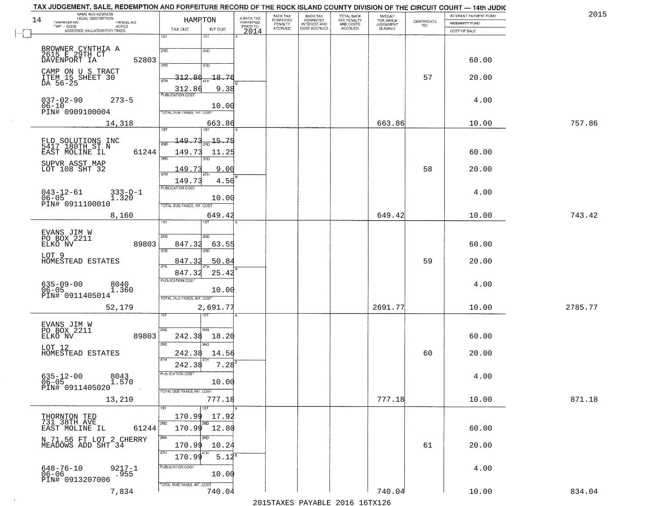| TAX JUDGEMENT, SALE, REDEMPTION AND FORFEITURE RECORD OF THE ROCK ISLAND COUNTY DIVISION OF THE CIRCUIT COURT — 14th JUDIC<br>NAME AND ADDRESS<br>LEGAL DESCRIPTION<br>14<br>TAXPAYER NO.<br>PARCEL NO.<br>$TWP - CODE$<br>- CODE AGRES<br>ASSESSED VALUATION FOR TAXES | TAX DUE                                                  | HAMRTON<br>INT DUE               | A-BACK TAX<br>FORFEITED<br>PRIOR TO<br>2014 | BACK TAX<br>FORFEITED<br>PENALTY<br>ACCRUED | BACK TAX<br>FORFEITED<br>INTEREST AND<br>COST ACCRUED | TOTAL BACK<br>TAX PENALTY<br>AND COSTS<br>ACCRUED | <b>AMOUNT</b><br>FOR WHICH<br>JUDGEMENT<br>IS ASKED | CERTIFICATE<br>NO. | INTEREST PAYMENT FUND<br><b>INDEMNITY FUND</b><br>COST OF SALE | 2015    |
|-------------------------------------------------------------------------------------------------------------------------------------------------------------------------------------------------------------------------------------------------------------------------|----------------------------------------------------------|----------------------------------|---------------------------------------------|---------------------------------------------|-------------------------------------------------------|---------------------------------------------------|-----------------------------------------------------|--------------------|----------------------------------------------------------------|---------|
| BROWNER CYNTHIA A<br>2615 E 29TH CT                                                                                                                                                                                                                                     | 1ST<br>2ND                                               | 1ST<br>2ND                       |                                             |                                             |                                                       |                                                   |                                                     |                    |                                                                |         |
| DAVENPORT IA                                                                                                                                                                                                                                                            | 52803<br>3AD.                                            | 3RD                              |                                             |                                             |                                                       |                                                   |                                                     |                    | 60.00                                                          |         |
| CAMP ON U S TRACT<br>ITEM 15 SHEET 30<br>DA 56-25                                                                                                                                                                                                                       | 312<br>4TH<br>312.86                                     | $-18.76$<br>9.38                 |                                             |                                             |                                                       |                                                   |                                                     | 57                 | 20.00                                                          |         |
| $037 - 02 - 90$<br>$273 - 5$<br>$06 - 10$                                                                                                                                                                                                                               | <b>PUBLICATION COST</b>                                  | 10.00                            |                                             |                                             |                                                       |                                                   |                                                     |                    | 4.00                                                           |         |
| PIN# 0909100004<br>14,318                                                                                                                                                                                                                                               | TOTAL DUE-TAXES, INT. COST<br>1ST                        | 663.86<br>1ST <sup></sup>        |                                             |                                             |                                                       |                                                   | 663.86                                              |                    | 10.00                                                          | 757.86  |
| FLD SOLUTIONS INC<br>5417 180TH ST N<br>EAST MOLINE IL                                                                                                                                                                                                                  | 149.73<br>2ND<br>61244<br>149.73                         | -15.75<br>11.25                  |                                             |                                             |                                                       |                                                   |                                                     |                    | 60.00                                                          |         |
| SUPVR ASST MAP<br>LOT 108 SHT 32                                                                                                                                                                                                                                        | 3RD<br>149.73<br>47H                                     | 9.00                             |                                             |                                             |                                                       |                                                   |                                                     | 58                 | 20.00                                                          |         |
| $043 - 12 - 61$<br>$333-D-1$<br>$06 - 05$<br>1.320<br>PIN# 0911100010                                                                                                                                                                                                   | 149.73<br>PUBLICATION COST<br>TOTAL DUE-TAXES, INT. COST | 4.50<br>10.00                    |                                             |                                             |                                                       |                                                   |                                                     |                    | 4.00                                                           |         |
| 8,160                                                                                                                                                                                                                                                                   | 1ST                                                      | 649.42                           |                                             |                                             |                                                       |                                                   | 649.42                                              |                    | 10.00                                                          | 743.42  |
| EVANS JIM W<br>PO BOX 2211<br>ELKO NV                                                                                                                                                                                                                                   | 2ND<br>89803<br>847.32<br>3RD                            | 2ND<br>63.55                     |                                             |                                             |                                                       |                                                   |                                                     |                    | 60.00                                                          |         |
| LOT 9<br>HOMESTEAD ESTATES                                                                                                                                                                                                                                              | 847.32<br>4TH<br>847.32                                  | 50.84                            |                                             |                                             |                                                       |                                                   |                                                     | 59                 | 20.00                                                          |         |
| 635-09-00<br>06-05<br>8040<br>1.360<br>PIN# 0911405014                                                                                                                                                                                                                  | <b>PUBLICATION COST</b><br>TOTAL OUE-TAXES, INT. COST    | 25.42<br>10.00                   |                                             |                                             |                                                       |                                                   |                                                     |                    | 4.00                                                           |         |
| 52,179                                                                                                                                                                                                                                                                  |                                                          | 2,691.77<br>उड़ा                 |                                             |                                             |                                                       |                                                   | 2691.77                                             |                    | 10.00                                                          | 2785.77 |
| EVANS JIM W<br>PO BOX 2211<br>ELKO NV                                                                                                                                                                                                                                   | 2ND<br>89803<br>242.38<br>3 <sub>BD</sub>                | 2ND<br>18.20<br>3RD              |                                             |                                             |                                                       |                                                   |                                                     |                    | 60.00                                                          |         |
| LOT 12<br>HOMESTEAD ESTATES                                                                                                                                                                                                                                             | 242.38<br>4TH                                            | 14.56                            |                                             |                                             |                                                       |                                                   |                                                     | 60                 | 20.00                                                          |         |
| $635 - 12 - 00$<br>$8043$ <sub>2</sub> 1.570<br>$06-05$<br>PIN# 0911405020                                                                                                                                                                                              | 242.38<br>PUBLICATION COST                               | 7.28<br>10.00                    |                                             |                                             |                                                       |                                                   |                                                     |                    | 4.00                                                           |         |
| 13,210                                                                                                                                                                                                                                                                  | TOTAL DUE-TAXES, INT. COST                               | 777.18<br>1ST                    |                                             |                                             |                                                       |                                                   | 777.18                                              |                    | 10.00                                                          | 871.18  |
| THORNTON TED<br>731 38TH AVE<br>EAST MOLINE IL                                                                                                                                                                                                                          | 170.99<br>2ND<br>61244                                   | 17.92<br>2ND<br>$170.99$ $12.80$ |                                             |                                             |                                                       |                                                   |                                                     |                    | 60.00                                                          |         |
| N 71.56 FT LOT 2 CHERRY<br>MEADOWS ADD SHT 34                                                                                                                                                                                                                           | 3BD<br>170.99<br>4TH                                     | 3RD<br>10.24                     |                                             |                                             |                                                       |                                                   |                                                     | 61                 | 20.00                                                          |         |
| $9217-1$ .955<br>648-76-10<br>06-06<br>PIN# 0913207006                                                                                                                                                                                                                  | 170.99<br>PUBLICATION COST<br>TOTAL DUE-TAXES, INT. COST | $5.12^{5}$<br>10.00              |                                             |                                             |                                                       |                                                   |                                                     |                    | 4.00                                                           |         |
| 7,834                                                                                                                                                                                                                                                                   |                                                          | 740.04                           |                                             |                                             |                                                       |                                                   | 740.04                                              |                    | 10.00                                                          | 834.04  |

 $\sim 10^{-1}$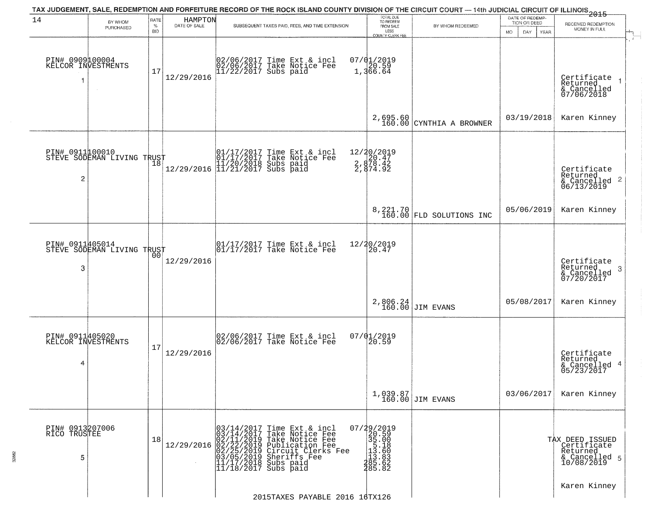| 14                                         | BY WHOM                    | RATE<br>%  | HAMPTON<br>DATE OF SALE | TAX JUDGEMENT, SALE, REDEMPTION AND FORFEITURE RECORD OF THE ROCK ISLAND COUNTY DIVISION OF THE CIRCUIT COURT — 14th JUDICIAL CIRCUIT OF ILLINOIS 2015                                                                                                                                                                               | TOTAL DUE<br>TO REDEEM                                                                                             |                              | DATE OF REDEMP-<br>TION OR DEED | RECEIVED REDEMPTION                                                                                                                    |
|--------------------------------------------|----------------------------|------------|-------------------------|--------------------------------------------------------------------------------------------------------------------------------------------------------------------------------------------------------------------------------------------------------------------------------------------------------------------------------------|--------------------------------------------------------------------------------------------------------------------|------------------------------|---------------------------------|----------------------------------------------------------------------------------------------------------------------------------------|
|                                            | PURCHASED                  | <b>BID</b> |                         | SUBSEQUENT TAXES PAID, FEES, AND TIME EXTENSION                                                                                                                                                                                                                                                                                      | FROM SALE<br>LESS<br>COUNTY CLERK FEE                                                                              | BY WHOM REDEEMED             | <b>MO</b><br>DAY<br><b>YEAR</b> | MONEY IN FULL                                                                                                                          |
| PIN# 0909100004<br>KELCOR INVESTMENTS<br>1 | $\sim$                     | 17         | 12/29/2016              | 02/06/2017 Time Ext & incl<br>02/06/2017 Take Notice Fee<br>11/22/2017 Subs paid                                                                                                                                                                                                                                                     | $07/01/2019$<br>1,366.64                                                                                           |                              |                                 | Certificate<br>Returned<br>& Cancelled<br>07/06/2018                                                                                   |
|                                            |                            |            |                         |                                                                                                                                                                                                                                                                                                                                      | 2,695.60<br>160.00                                                                                                 | CYNTHIA A BROWNER            | 03/19/2018                      | Karen Kinney                                                                                                                           |
| PIN# 0911100010<br>2                       | STEVE SODEMAN LIVING TRUST |            |                         | 01/17/2017 Time Ext & incl<br>01/17/2017 Take Notice Fee<br>11/20/2018 Subs paid<br>12/29/2016 11/21/2017 Subs paid                                                                                                                                                                                                                  | 12/20/2019<br>2.878.42<br>2.878.42<br>2.874.92                                                                     |                              |                                 | Certificate<br>Returned<br>$\begin{array}{c}\text{scum} \\ \text{6} \text{Cancelled} \\ \text{06}/\text{13}/\text{2019} \end{array}$ 2 |
|                                            |                            |            |                         |                                                                                                                                                                                                                                                                                                                                      |                                                                                                                    | 8, 221.70 FLD SOLUTIONS INC  | 05/06/2019                      | Karen Kinney                                                                                                                           |
| PIN# 0911405014<br>3                       | STEVE SODEMAN LIVING TRUST | 00         | 12/29/2016              | 01/17/2017 Time Ext & incl<br>01/17/2017 Take Notice Fee                                                                                                                                                                                                                                                                             | 12/20/2019<br>20.47                                                                                                |                              |                                 | Certificate<br>Returned<br>$\mathbf{3}$<br>& Cancelled<br>07/20/2017                                                                   |
|                                            |                            |            |                         |                                                                                                                                                                                                                                                                                                                                      | 2,806.24<br>160.00                                                                                                 | <b>JIM EVANS</b>             | 05/08/2017                      | Karen Kinney                                                                                                                           |
| PIN# 0911405020<br>KELCOR INVESTMENTS<br>4 |                            | 17         | 12/29/2016              | 02/06/2017 Time Ext & incl<br>02/06/2017 Take Notice Fee                                                                                                                                                                                                                                                                             | $07/01/2019$<br>20.59                                                                                              |                              |                                 | Certificate<br>Returned<br>& Cancelled 4<br>05/23/2017                                                                                 |
|                                            |                            |            |                         |                                                                                                                                                                                                                                                                                                                                      |                                                                                                                    | 1,039.87<br>160.00 JIM EVANS | 03/06/2017                      | Karen Kinney                                                                                                                           |
| PIN# 0913207006<br>RICO TRUSTEE<br>5       |                            | 18         |                         | $12/29/2016 \begin{array}{l} 03/14/2017 \text{ Time Ext & incl} \\ 03/14/2017 \text{ Take Notice Free} \\ 02/11/2019 \text{ Take Notice Free} \\ 02/22/25/2019 \text{ Circuit Clerks Free} \\ 03/05/2019 \text{ Sheriffs} \\ 03/05/2019 \text{ Sheriffs} \\ 11/17/2/2017 \text{ Subs paid} \\ \end{array}$<br>$11/18/2017$ Subs paid | $\begin{smallmatrix} 07/29/2019\\20.59\\35.00\\11.13.60\\11.3.60\\113.60\\240\\365.632\end{smallmatrix}$<br>285.82 |                              |                                 | TAX DEED ISSUED<br>Certificate<br>Returned<br>& Cancelled 5<br>10/08/2019                                                              |
|                                            |                            |            |                         | 2015TAXES PAYABLE 2016 16TX126                                                                                                                                                                                                                                                                                                       |                                                                                                                    |                              |                                 | Karen Kinney                                                                                                                           |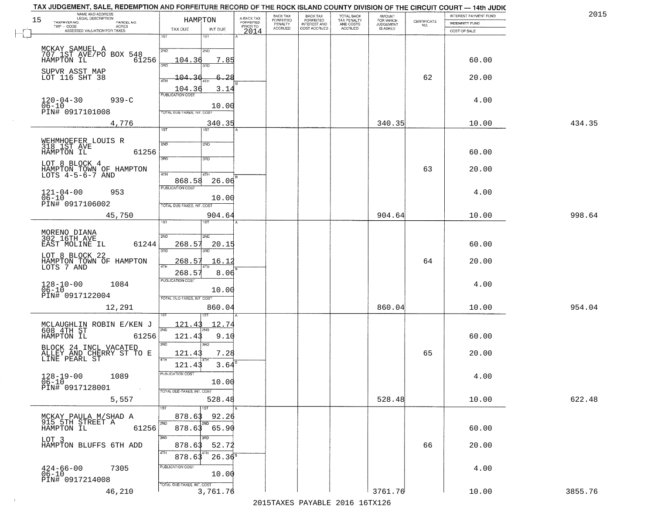| NAME AND ADDRESS<br>LEGAL DESCRIPTION<br>15<br>TAXPAYER NO.         | HAMPTON                                    |               |                                     | BACK TAX<br>FORFEITED<br>PENALTY | BACK TAX<br>FORFEITED<br>INTEREST AND | TOTAL BACK<br>TAX PENALTY<br>AND COSTS | AMOUNT<br>FOR WHICH<br>JUDGEMENT |                                                                 | INTEREST PAYMENT FUND                 | 201!    |
|---------------------------------------------------------------------|--------------------------------------------|---------------|-------------------------------------|----------------------------------|---------------------------------------|----------------------------------------|----------------------------------|-----------------------------------------------------------------|---------------------------------------|---------|
| PARCEL NO.<br>ACRES<br>TWP - CODE<br>ASSESSED VALUATION FOR TAXES   | TAX DUE                                    | INT DUE       | A-BACK TAX<br>FORFEITED<br>PRIOR TO | <b>ACCRUED</b>                   | COST ACCRUED                          | <b>ACCRUED</b>                         | IS ASKED                         | $\begin{array}{c} \text{CERTIFICATE} \\ \text{NO.} \end{array}$ | <b>INDEMNITY FUND</b><br>COST OF SALE |         |
|                                                                     | 1ST                                        | 1ST           | 2014                                |                                  |                                       |                                        |                                  |                                                                 |                                       |         |
|                                                                     | 2ND                                        | 2ND           |                                     |                                  |                                       |                                        |                                  |                                                                 |                                       |         |
| MCKAY SAMUEL A<br>707 1ST AVE/PO BOX 548<br>HAMPTON IL 61:<br>61256 | 104.36                                     | 7.85          |                                     |                                  |                                       |                                        |                                  |                                                                 | 60.00                                 |         |
| SUPVR ASST MAP                                                      | 3HD                                        | 3RD           |                                     |                                  |                                       |                                        |                                  |                                                                 |                                       |         |
| LOT 116 SHT 38                                                      | 104.36<br>4TH                              | 6.28          |                                     |                                  |                                       |                                        |                                  | 62                                                              | 20.00                                 |         |
|                                                                     | 104.36<br><b>PUBLICATION COST</b>          | 3.14          |                                     |                                  |                                       |                                        |                                  |                                                                 |                                       |         |
| $120 - 04 - 30$<br>$939 - C$                                        |                                            |               |                                     |                                  |                                       |                                        |                                  |                                                                 | 4.00                                  |         |
| $06 - 10$<br>PIN# 0917101008                                        | TOTAL DUE-TAXES, INT. COST                 | 10.00         |                                     |                                  |                                       |                                        |                                  |                                                                 |                                       |         |
| 4,776                                                               |                                            | 340.35        |                                     |                                  |                                       |                                        | 340.35                           |                                                                 | 10.00                                 | 434.35  |
|                                                                     | 1ST                                        | 1ST           |                                     |                                  |                                       |                                        |                                  |                                                                 |                                       |         |
| WEHMHOEFER LOUIS R<br>318 1ST AVE                                   | 2ND                                        | 2ND           |                                     |                                  |                                       |                                        |                                  |                                                                 |                                       |         |
| 61256<br>HAMPTON IL                                                 | 3RD                                        | 3RD           |                                     |                                  |                                       |                                        |                                  |                                                                 | 60.00                                 |         |
| LOT 8 BLOCK 4                                                       |                                            |               |                                     |                                  |                                       |                                        |                                  | 63                                                              | 20.00                                 |         |
| HAMPTON TOWN OF HAMPTON<br>LOTS 4-5-6-7 AND                         | 47H<br>868.58                              | 4TH<br>26.06  |                                     |                                  |                                       |                                        |                                  |                                                                 |                                       |         |
| $121 - 04 - 00$<br>953                                              | PUBLICATION COST                           |               |                                     |                                  |                                       |                                        |                                  |                                                                 | 4.00                                  |         |
| $06 - 10$<br>PIN# 0917106002                                        |                                            | 10.00         |                                     |                                  |                                       |                                        |                                  |                                                                 |                                       |         |
| 45,750                                                              | TOTAL DUE-TAXES, INT. COST                 | 904.64        |                                     |                                  |                                       |                                        | 904.64                           |                                                                 | 10.00                                 | 998.64  |
|                                                                     | is T                                       |               |                                     |                                  |                                       |                                        |                                  |                                                                 |                                       |         |
| MORENO DIANA<br>302 16TH AVE                                        | 2ND                                        | SND           |                                     |                                  |                                       |                                        |                                  |                                                                 |                                       |         |
| EAST MOLINE IL<br>61244                                             | 268.57                                     | 20.15         |                                     |                                  |                                       |                                        |                                  |                                                                 | 60.00                                 |         |
| LOT 8 BLOCK 22                                                      | 3RD                                        | 3RD           |                                     |                                  |                                       |                                        |                                  |                                                                 |                                       |         |
| HAMPTON TOWN OF HAMPTON<br>LOTS 7 AND                               | 268.57<br>4TH                              | 16.12         |                                     |                                  |                                       |                                        |                                  | 64                                                              | 20.00                                 |         |
|                                                                     | $268.5^{\circ}$<br><b>PUBLICATION COST</b> | 8.06          |                                     |                                  |                                       |                                        |                                  |                                                                 |                                       |         |
| 1084<br>$128 - 10 - 00$<br>06-10                                    |                                            | 10.00         |                                     |                                  |                                       |                                        |                                  |                                                                 | 4.00                                  |         |
| PIN# 0917122004                                                     | TOTAL OUE-TAXES, INT. COST                 |               |                                     |                                  |                                       |                                        |                                  |                                                                 |                                       |         |
| 12,291                                                              |                                            | 860.04        |                                     |                                  |                                       |                                        | 860.04                           |                                                                 | 10.00                                 | 954.04  |
|                                                                     | <u> 121.43</u>                             | <u> 12.74</u> |                                     |                                  |                                       |                                        |                                  |                                                                 |                                       |         |
| MCLAUGHLIN ROBIN E/KEN J<br>608 4TH ST<br>HAMPTON IL<br>61256       | 2ND<br>121.43                              | 9.10          |                                     |                                  |                                       |                                        |                                  |                                                                 | 60.00                                 |         |
| BLOCK 24 INCL VACATED                                               | 3RD                                        | 3BD           |                                     |                                  |                                       |                                        |                                  |                                                                 |                                       |         |
| ALLEY AND CHERRY ST TO E<br>LINE PEARL ST                           | 121.43<br>4TH                              | 7.28          |                                     |                                  |                                       |                                        |                                  | 65                                                              | 20.00                                 |         |
|                                                                     | 121.43                                     | 3.64          |                                     |                                  |                                       |                                        |                                  |                                                                 |                                       |         |
| $128 - 19 - 00$<br>1089                                             | PUBLICATION COST                           |               |                                     |                                  |                                       |                                        |                                  |                                                                 | 4.00                                  |         |
| $06 - 10$<br>PIN# 0917128001                                        | TOTAL DUE-TAXES, INT. COST                 | 10.00         |                                     |                                  |                                       |                                        |                                  |                                                                 |                                       |         |
| 5,557                                                               |                                            | 528.48        |                                     |                                  |                                       |                                        | 528.48                           |                                                                 | 10.00                                 | 622.48  |
|                                                                     | 1ST                                        |               |                                     |                                  |                                       |                                        |                                  |                                                                 |                                       |         |
| MCKAY PAULA M/SHAD A<br>915 5TH STREET A                            | 878.63<br>2ND                              | 92.26         |                                     |                                  |                                       |                                        |                                  |                                                                 |                                       |         |
| HAMPTON IL<br>61256                                                 | 878.63<br>3BD                              | 65.90         |                                     |                                  |                                       |                                        |                                  |                                                                 | 60.00                                 |         |
| LOT <sub>3</sub><br>HAMPTON BLUFFS 6TH ADD                          | 878.63                                     | 3RD<br>52.72  |                                     |                                  |                                       |                                        |                                  | 66                                                              | 20.00                                 |         |
|                                                                     | 4TH<br>878.63                              | $26.36^8$     |                                     |                                  |                                       |                                        |                                  |                                                                 |                                       |         |
| 7305                                                                | PUBLICATION COST                           |               |                                     |                                  |                                       |                                        |                                  |                                                                 | 4.00                                  |         |
| $424 - 66 - 00$<br>06-10<br>PIN# 0917214008                         |                                            | 10.00         |                                     |                                  |                                       |                                        |                                  |                                                                 |                                       |         |
| 46,210                                                              | TOTAL DUE-TAXES, INT. COST                 | 3,761.76      |                                     |                                  |                                       |                                        | 3761.76                          |                                                                 | 10.00                                 | 3855.76 |
|                                                                     |                                            |               |                                     |                                  |                                       |                                        |                                  |                                                                 |                                       |         |

 $\sim 10^6$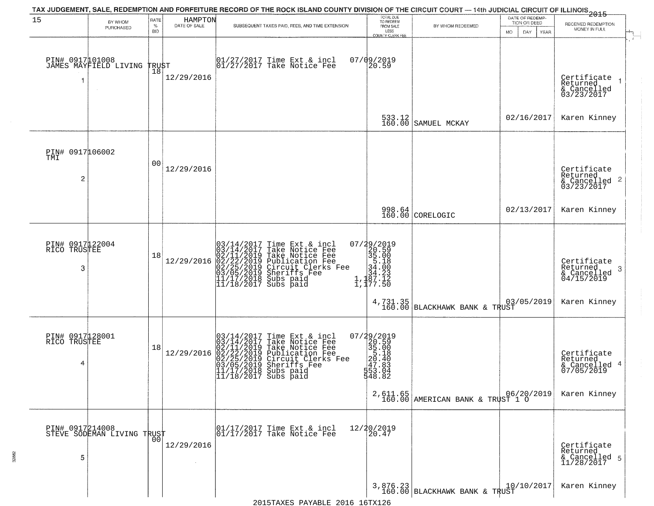| 15                                   | BY WHOM<br>PURCHASED                          | RATE<br>$\%$<br><b>BID</b> | HAMPTON<br>DATE OF SALE | TAX JUDGEMENT, SALE, REDEMPTION AND FORFEITURE RECORD OF THE ROCK ISLAND COUNTY DIVISION OF THE CIRCUIT COURT — 14th JUDICIAL CIRCUIT OF ILLINOIS 2015<br>SUBSEQUENT TAXES PAID, FEES, AND TIME EXTENSION                                                                                 | TOTAL DUE<br>TO REDEEM<br>FROM SALE<br>LESS<br>COUNTY CLERK FEE                                                 | BY WHOM REDEEMED                             | DATE OF REDEMP-<br>TION OR DEED<br>MO.<br>DAY<br><b>YEAR</b> | RECEIVED REDEMPTION<br>MONEY IN FULL                                   |
|--------------------------------------|-----------------------------------------------|----------------------------|-------------------------|-------------------------------------------------------------------------------------------------------------------------------------------------------------------------------------------------------------------------------------------------------------------------------------------|-----------------------------------------------------------------------------------------------------------------|----------------------------------------------|--------------------------------------------------------------|------------------------------------------------------------------------|
|                                      | PIN# 0917101008<br>JAMES MAYFIELD LIVING      | TRUST<br>18                | 12/29/2016              | 01/27/2017 Time Ext & incl<br>01/27/2017 Take Notice Fee                                                                                                                                                                                                                                  | 07/09/2019<br>20.59                                                                                             |                                              |                                                              | Certificate<br>Returned<br>& Cancelled<br>03/23/2017                   |
|                                      |                                               |                            |                         |                                                                                                                                                                                                                                                                                           | 533.12<br>160.00                                                                                                | SAMUEL MCKAY                                 | 02/16/2017                                                   | Karen Kinney                                                           |
| PIN# 0917106002<br>TMI<br>2          |                                               | 0 <sup>0</sup>             | 12/29/2016              |                                                                                                                                                                                                                                                                                           |                                                                                                                 |                                              |                                                              | Certificate<br>Returned<br>$\frac{12241164}{63/23/2017}$<br>03/23/2017 |
|                                      |                                               |                            |                         |                                                                                                                                                                                                                                                                                           |                                                                                                                 | 998.64<br>160.00 CORELOGIC                   | 02/13/2017                                                   | Karen Kinney                                                           |
| PIN# 0917122004<br>RICO TRUSTEE<br>3 |                                               | 18                         | 12/29/2016              | $03/14/2017$ Time Ext & incl<br>$03/14/2017$ Take Notice Fee<br>$02/11/2019$ Take Notice Fee<br>$02/22/2019$ Publication Fee<br>$03/05/2019$ Sheriffs Fee<br>$11/17/2018$ Subs paid<br>$11/18/2017$ Subs paid                                                                             | 07/29/2019<br>20.59<br>35.00<br>35.18<br>34.00<br>$1, \frac{134.23}{87.12}$<br>1, 177.50                        |                                              |                                                              | Certificate<br>Returned<br>-3<br>& Cancelled<br>04/15/2019             |
|                                      |                                               |                            |                         |                                                                                                                                                                                                                                                                                           | 4,731.35<br>160.00                                                                                              | BLACKHAWK BANK & TRUST                       | 03/05/2019                                                   | Karen Kinney                                                           |
| PIN# 0917128001<br>RICO TRUSTEE<br>4 |                                               | 18                         | 12/29/2016              | $\begin{smallmatrix} 03/14/2017\\ 03/14/2017\\ 02/11/2019\\ 02/22/2019\\ 03/05/2019\\ 11/17/2019\\ 11/18/2019\\ \end{smallmatrix}$<br>Time Ext & incl<br>Take Notice Fee<br>Take Notice Fee<br>Publication Fee<br>Circuit Clerks Fee<br>Sheriffs Fee<br>Subs paid<br>11/18/2017 Subs paid | $\begin{smallmatrix} 07/29/2019\\20.59\\35.00\\35.00\\20.40\\27.8\\47.83\\543.0\\6 \end{smallmatrix}$<br>548.82 |                                              |                                                              | Certificate<br>Returned<br>& Cancelled 4<br>07/05/2019                 |
|                                      |                                               |                            |                         |                                                                                                                                                                                                                                                                                           |                                                                                                                 | 2,611.65<br>160.00 AMERICAN BANK & TRUST 1 0 |                                                              | Karen Kinney                                                           |
| 5                                    | PIN# 0917214008<br>STEVE SODEMAN LIVING TRUST |                            | 12/29/2016              | 01/17/2017 Time Ext & incl<br>01/17/2017 Take Notice Fee                                                                                                                                                                                                                                  | 12/20/2019<br>20.47                                                                                             |                                              |                                                              | Certificate<br>Returned<br>& Cancelled 5<br>11/28/2017                 |
|                                      |                                               |                            |                         |                                                                                                                                                                                                                                                                                           |                                                                                                                 | $3,876.23$ 160.00 BLACKHAWK BANK & TRUST     | 10/10/2017                                                   | Karen Kinney                                                           |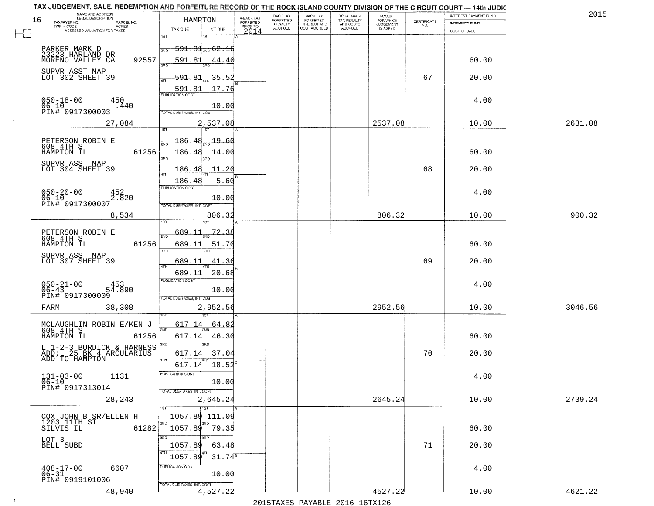| NAME AND ADDRESS<br>LEGAL DESCRIPTION                                   |                                     |                                     | BACK TAX             |                                       |                                        | AMOUNT<br>FOR WHICH |                                                                 | INTEREST PAYMENT FUND | 2015    |
|-------------------------------------------------------------------------|-------------------------------------|-------------------------------------|----------------------|---------------------------------------|----------------------------------------|---------------------|-----------------------------------------------------------------|-----------------------|---------|
| 16<br>TAXPAYER NO.<br>PARCEL NO.                                        | HAMPTON                             | A-BACK TAX<br>FORFEITED<br>PRIOR TO | FORFEITED<br>PENALTY | BACK TAX<br>FORFEITED<br>INTEREST AND | TOTAL BACK<br>TAX PENALTY<br>AND COSTS | <b>JUDGEMENT</b>    | $\begin{array}{c} \text{CERTIFICATE} \\ \text{NO.} \end{array}$ | INDEMNITY FUND        |         |
| TWP - CODE<br>ACRES<br>ASSESSED VALUATION FOR TAXES                     | TAX DUE<br>INT DUE                  | 2014                                | <b>ACCRUED</b>       | COST ACCRUED                          | ACCRUED                                | IS ASKED            |                                                                 | COST OF SALE          |         |
|                                                                         | 1ST<br>IST                          |                                     |                      |                                       |                                        |                     |                                                                 |                       |         |
| PARKER MARK D                                                           | <del>591.81, 62.16</del><br>2ND     |                                     |                      |                                       |                                        |                     |                                                                 |                       |         |
| 23223 HARLAND DR<br>92557<br>MORENO VALLEY CA                           | 591.81<br>44.40                     |                                     |                      |                                       |                                        |                     |                                                                 | 60.00                 |         |
|                                                                         |                                     |                                     |                      |                                       |                                        |                     |                                                                 |                       |         |
| SUPVR ASST MAP<br>LOT 302 SHEET 39                                      | 591.81<br>35.52                     |                                     |                      |                                       |                                        |                     | 67                                                              | 20.00                 |         |
|                                                                         | 17.76<br>591.81                     |                                     |                      |                                       |                                        |                     |                                                                 |                       |         |
| 450                                                                     | <b>PUBLICATION COST</b>             |                                     |                      |                                       |                                        |                     |                                                                 | 4.00                  |         |
| $050 - 18 - 00$<br>$06 - 10$<br>.440<br>PIN# 0917300003                 | 10.00                               |                                     |                      |                                       |                                        |                     |                                                                 |                       |         |
|                                                                         | <b>TOTAL DUE-TAXES, INT. COST</b>   |                                     |                      |                                       |                                        |                     |                                                                 |                       |         |
| 27,084                                                                  | 2,537.08                            |                                     |                      |                                       |                                        | 2537.08             |                                                                 | 10.00                 | 2631.08 |
| PETERSON ROBIN E                                                        | 19.60<br>186.48                     |                                     |                      |                                       |                                        |                     |                                                                 |                       |         |
| 608 4TH ST<br>61256                                                     |                                     |                                     |                      |                                       |                                        |                     |                                                                 |                       |         |
| HAMPTON IL                                                              | 186.48<br>14.00<br>380              |                                     |                      |                                       |                                        |                     |                                                                 | 60.00                 |         |
| SUPVR ASST MAP<br>LOT 304 SHEET 39                                      | 11.20<br>186.48                     |                                     |                      |                                       |                                        |                     | 68                                                              | 20.00                 |         |
|                                                                         | 5.60<br>186.48                      |                                     |                      |                                       |                                        |                     |                                                                 |                       |         |
| 452                                                                     | PUBLICATION COST                    |                                     |                      |                                       |                                        |                     |                                                                 | 4.00                  |         |
| 050-20-00<br>06-10<br>PIN# 0917300007<br>2.820                          | 10.00                               |                                     |                      |                                       |                                        |                     |                                                                 |                       |         |
|                                                                         | TOTAL DUE-TAXES, INT. COST          |                                     |                      |                                       |                                        |                     |                                                                 |                       |         |
| 8,534                                                                   | 806.32<br>IST.                      |                                     |                      |                                       |                                        | 806.32              |                                                                 | 10.00                 | 900.32  |
|                                                                         | 689<br>72.38                        |                                     |                      |                                       |                                        |                     |                                                                 |                       |         |
| PETERSON ROBIN E<br>608 4TH ST                                          | 2ND                                 |                                     |                      |                                       |                                        |                     |                                                                 |                       |         |
| 61256<br>HAMPTON IL                                                     | 689.11<br>51.70<br>3BD<br>3RD       |                                     |                      |                                       |                                        |                     |                                                                 | 60.00                 |         |
| SUPVR ASST MAP<br>LOT 307 SHEET 39                                      | 689.11<br>41.36                     |                                     |                      |                                       |                                        |                     | 69                                                              | 20.00                 |         |
|                                                                         | <b>ATH</b><br>689.11<br>20.68       |                                     |                      |                                       |                                        |                     |                                                                 |                       |         |
|                                                                         | <b>PUBLICATION COST</b>             |                                     |                      |                                       |                                        |                     |                                                                 |                       |         |
| $050 - 21 - 00$<br>06-43<br>453<br>54.890                               | 10.00                               |                                     |                      |                                       |                                        |                     |                                                                 | 4.00                  |         |
| PIN# 0917300009                                                         | TOTAL OUE-TAXES, INT. COST          |                                     |                      |                                       |                                        |                     |                                                                 |                       |         |
| 38,308<br>FARM                                                          | 2,952.56                            |                                     |                      |                                       |                                        | 2952.56             |                                                                 | 10.00                 | 3046.56 |
|                                                                         |                                     |                                     |                      |                                       |                                        |                     |                                                                 |                       |         |
| MCLAUGHLIN ROBIN E/KEN J<br>608 4TH ST<br>HAMPTON IL 61250              | 617.14<br>64.82<br>2ND              |                                     |                      |                                       |                                        |                     |                                                                 |                       |         |
| 61256                                                                   | 617.14<br>46.30                     |                                     |                      |                                       |                                        |                     |                                                                 | 60.00                 |         |
| L 1-2-3 BURDICK & HARNESS<br>ADD;L 25 BK 4 ARCULARIUS<br>ADD TO HAMPTON | 3RD<br>617.14<br>37.04              |                                     |                      |                                       |                                        |                     | 70                                                              | 20.00                 |         |
|                                                                         | 4TH                                 |                                     |                      |                                       |                                        |                     |                                                                 |                       |         |
|                                                                         | 18.52<br>617.14<br>PUBLICATION COS- |                                     |                      |                                       |                                        |                     |                                                                 |                       |         |
| $131 - 03 - 00$<br>1131<br>$06 - 10$                                    | 10.00                               |                                     |                      |                                       |                                        |                     |                                                                 | 4.00                  |         |
| PIN# 0917313014<br>$\sim$                                               | TOTAL DUE-TAXES, INT. COST          |                                     |                      |                                       |                                        |                     |                                                                 |                       |         |
| 28,243                                                                  | 2,645.24                            |                                     |                      |                                       |                                        | 2645.24             |                                                                 | 10.00                 | 2739.24 |
|                                                                         | 1ST                                 |                                     |                      |                                       |                                        |                     |                                                                 |                       |         |
| COX JOHN B SR/ELLEN H<br>1203 11TH ST                                   | 1057.89 111.09<br>2ND               |                                     |                      |                                       |                                        |                     |                                                                 |                       |         |
| 61282<br>SILVIS IL                                                      | 1057.89 79.35                       |                                     |                      |                                       |                                        |                     |                                                                 | 60.00                 |         |
| LOT 3<br>BELL SUBD                                                      | 3RD                                 |                                     |                      |                                       |                                        |                     |                                                                 |                       |         |
|                                                                         | 1057.89<br>63.48<br>4TH             |                                     |                      |                                       |                                        |                     | 71                                                              | 20.00                 |         |
|                                                                         | $31.74^8$<br>1057.89                |                                     |                      |                                       |                                        |                     |                                                                 |                       |         |
| $408 - 17 - 00$<br>$06 - 31$<br>6607                                    | PUBLICATION COST<br>10.00           |                                     |                      |                                       |                                        |                     |                                                                 | 4.00                  |         |
| PIN# 0919101006                                                         | TOTAL DUE-TAXES, INT. COST          |                                     |                      |                                       |                                        |                     |                                                                 |                       |         |
| 48,940                                                                  | 4,527.22                            |                                     |                      |                                       |                                        | 4527.22             |                                                                 | 10.00                 | 4621.22 |
|                                                                         |                                     |                                     |                      | 2015 TAVEC DAVADIE 2016 16TV126       |                                        |                     |                                                                 |                       |         |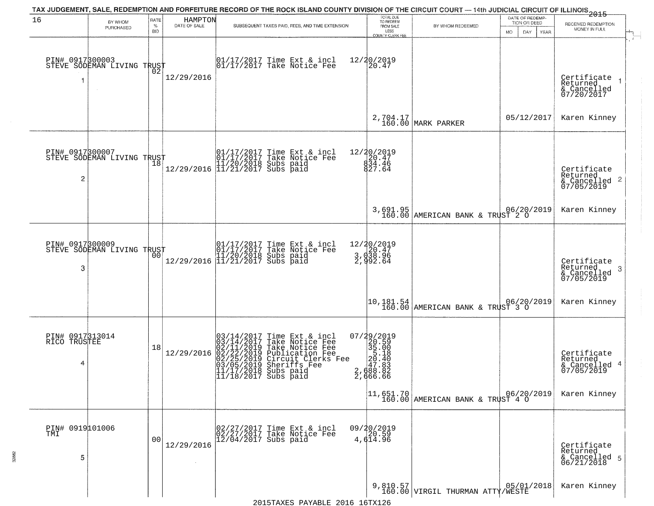| 16                                   | BY WHOM<br>PURCHASED       | RATE<br>$\%$<br><b>BID</b> | HAMPTON<br>DATE OF SALE | TAX JUDGEMENT, SALE, REDEMPTION AND FORFEITURE RECORD OF THE ROCK ISLAND COUNTY DIVISION OF THE CIRCUIT COURT — 14th JUDICIAL CIRCUIT OF ILLINOIS 2015<br>SUBSEQUENT TAXES PAID, FEES, AND TIME EXTENSION                        | TOTAL DUE<br>TO REDEEM<br>FROM SALE<br>LESS<br>COUNTY CLERK FEE                   | BY WHOM REDEEMED                              | DATE OF REDEMP-<br>TION OR DEED<br>MO.<br>DAY<br><b>YEAR</b> | RECEIVED REDEMPTION<br>MONEY IN FULL                       |
|--------------------------------------|----------------------------|----------------------------|-------------------------|----------------------------------------------------------------------------------------------------------------------------------------------------------------------------------------------------------------------------------|-----------------------------------------------------------------------------------|-----------------------------------------------|--------------------------------------------------------------|------------------------------------------------------------|
| PIN# 0917300003                      | STEVE SODEMAN LIVING TRUST | 02                         | 12/29/2016              | 01/17/2017 Time Ext & incl<br>01/17/2017 Take Notice Fee                                                                                                                                                                         | 12/20/2019<br>20.47                                                               |                                               |                                                              | Certificate<br>Returned<br>& Cancelled<br>07/20/2017       |
|                                      |                            |                            |                         |                                                                                                                                                                                                                                  |                                                                                   | 2,704.17<br>160.00 MARK PARKER                | 05/12/2017                                                   | Karen Kinney                                               |
| PIN# 0917300007<br>2                 | STEVE SODEMAN LIVING TRUST |                            |                         | $[01/17/2017 \t\t Time \t\t Ext & incl \\ 01/17/2017 \t\t Take \tNotice \t\ا \\ 11/20/2018 \t\Subs \t paid \\ 12/29/2016 \t\t 11/21/2017 \t\Subs \t paid \\$                                                                     | 12/20/2019<br>$\begin{array}{c} 20.47 \\ 834.46 \\ 927.64 \end{array}$            |                                               |                                                              | Certificate<br>Returned<br>& Cancelled 2<br>07/05/2019     |
|                                      |                            |                            |                         |                                                                                                                                                                                                                                  |                                                                                   | 3,691.95<br>160.00 AMERICAN BANK & TRUST 2 0  |                                                              | Karen Kinney                                               |
| PIN# 0917300009<br>3                 | STEVE SODEMAN LIVING TRUST | 00                         |                         | 01/17/2017 Time Ext & incl<br>01/17/2017 Take Notice Fee<br>11/20/2018 Subs paid<br>12/29/2016 11/21/2017 Subs paid                                                                                                              | 12/20/2019<br>3, d20.47<br>3, d38.96<br>2, 992.64                                 |                                               |                                                              | Certificate<br>Returned<br>-3<br>& Cancelled<br>07/05/2019 |
|                                      |                            |                            |                         |                                                                                                                                                                                                                                  | 10,181.54<br>160.00                                                               | AMERICAN BANK & TRUST 3 0                     |                                                              | Karen Kinney                                               |
| PIN# 0917313014<br>RICO TRUSTEE<br>4 |                            | 18                         | 12/29/2016              | 03/14/2017 Time Ext & incl<br>03/14/2017 Take Notice Fee<br>02/11/2019 Take Notice Fee<br>02/22/2019 Publication Fee<br>02/22/2019 Circuit Clerks Fee<br>03/05/2019 Sheriffs Fee<br>11/17/2011 Subs paid<br>11/18/2017 Subs paid | 07/29/2019<br>35.00<br>35.00<br>35.00<br>2, 40<br>2, 40<br>3, 688.882<br>2,666.66 |                                               |                                                              | Certificate<br>Returned<br>& Cancelled 4<br>07/05/2019     |
|                                      |                            |                            |                         |                                                                                                                                                                                                                                  |                                                                                   | 11,651.70<br>160.00 AMERICAN BANK & TRUST 4 0 |                                                              | Karen Kinney                                               |
| PIN# 0919 01006<br>5                 |                            | 00                         | 12/29/2016              | 02/27/2017 Time Ext & incl<br>02/27/2017 Take Notice Fee<br>12/04/2017 Subs paid                                                                                                                                                 | $09/20/2019$<br>$20.59$<br>4,614.96                                               |                                               |                                                              | Certificate<br>Returned<br>& Cancelled 5<br>06/21/2018     |
|                                      |                            |                            |                         |                                                                                                                                                                                                                                  |                                                                                   | 9,810.57<br>160.00 VIRGIL THURMAN ATTY/WESTE  |                                                              | Karen Kinney                                               |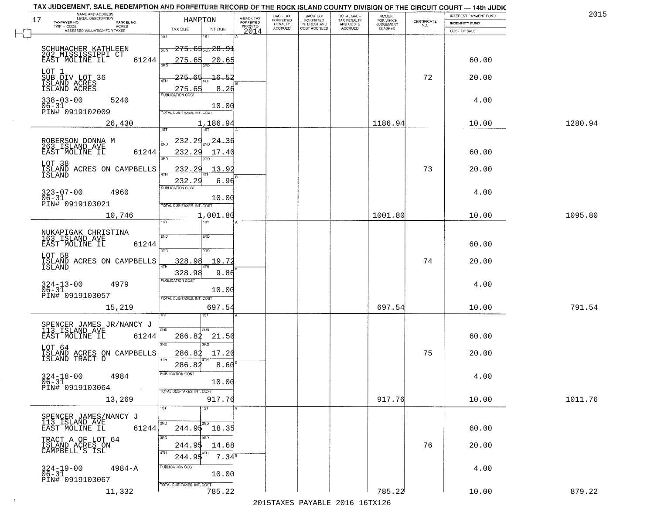| NAME AND ADDRESS<br>LEGAL DESCRIPTION<br>17                   | HAMRTON                                | A-BACK TAX                   | BACK TAX<br><b>FORFEITED</b> | <b>BACK TAX</b><br><b>FORFEITED</b> | TOTAL BACK<br>TAX PENALTY | <b>AMOUNT</b>                      |                    | INTEREST PAYMENT FUND | 2015    |
|---------------------------------------------------------------|----------------------------------------|------------------------------|------------------------------|-------------------------------------|---------------------------|------------------------------------|--------------------|-----------------------|---------|
| TAXPAYER NO.<br>PARCEL NO.<br>TWP - CODE<br>ACRES             |                                        | <b>FORFEITED</b><br>PRIOR TO | PENALTY<br>ACCRUED           | INTEREST AND<br>COST ACCRUED        | AND COSTS<br>ACCRUED      | FOR WHICH<br>JUDGEMENT<br>IS ASKED | CERTIFICATE<br>NO. | <b>INDEMNITY FUND</b> |         |
| ASSESSED VALUATION FOR TAXES                                  | TAX DUE<br>INT DUE<br>1ST<br>1ST       | 2014                         |                              |                                     |                           |                                    |                    | COST OF SALE          |         |
|                                                               | <del>275.65<sub>2ND</sub>28.91</del>   |                              |                              |                                     |                           |                                    |                    |                       |         |
| SCHUMACHER KATHLEEN<br>202 MISSISSIPPI CT                     | 2ND                                    |                              |                              |                                     |                           |                                    |                    |                       |         |
| 61244<br>EAST MOLINE IL                                       | 275.65<br>20.65<br>3AD<br>3BD          |                              |                              |                                     |                           |                                    |                    | 60.00                 |         |
| SUB DIV LOT 36<br>SUB DIV LOT 36                              | 275.<br><u> 16.52</u>                  |                              |                              |                                     |                           |                                    | 72                 | 20.00                 |         |
| ISLAND ACRES<br>ISLAND ACRES                                  | 4TH<br>275.65<br>8.26                  |                              |                              |                                     |                           |                                    |                    |                       |         |
| $338 - 03 - 00$<br>5240                                       | <b>PUBLICATION COST</b>                |                              |                              |                                     |                           |                                    |                    | 4.00                  |         |
| $06 - 31$                                                     | 10.00                                  |                              |                              |                                     |                           |                                    |                    |                       |         |
| PIN# 0919102009                                               | TOTAL DUE-TAXES, INT. COST             |                              |                              |                                     |                           |                                    |                    |                       |         |
| 26,430                                                        | 1,186.94<br>1ST<br>1ST <sup>1</sup>    |                              |                              |                                     |                           | 1186.94                            |                    | 10.00                 | 1280.94 |
|                                                               | <u> 232.29</u><br>24.36                |                              |                              |                                     |                           |                                    |                    |                       |         |
| ROBERSON DONNA M<br>263 ISLAND AVE<br>EAST MOLINE IL<br>61244 | 2ND<br>232.29<br>17.40                 |                              |                              |                                     |                           |                                    |                    | 60.00                 |         |
|                                                               | 3BD                                    |                              |                              |                                     |                           |                                    |                    |                       |         |
| LOT 38<br>ISLAND ACRES ON CAMPBELLS                           | 232<br>13.92<br>2                      |                              |                              |                                     |                           |                                    | 73                 | 20.00                 |         |
| ISLAND                                                        | ৰাম<br>6.96<br>232.29                  |                              |                              |                                     |                           |                                    |                    |                       |         |
| 4960                                                          | PUBLICATION COST                       |                              |                              |                                     |                           |                                    |                    | 4.00                  |         |
| $323 - 07 - 00$<br>$06 - 31$<br>PIN# 0919103021               | 10.00                                  |                              |                              |                                     |                           |                                    |                    |                       |         |
|                                                               | TOTAL DUE-TAXES, INT. COST<br>1,001.80 |                              |                              |                                     |                           | 1001.80                            |                    | 10.00                 | 1095.80 |
| 10,746                                                        | 1ST                                    |                              |                              |                                     |                           |                                    |                    |                       |         |
| NUKAPIGAK CHRISTINA<br>163 ISLAND AVE                         | 2ND<br>5 <sub>MD</sub>                 |                              |                              |                                     |                           |                                    |                    |                       |         |
| EAST MOLINE IL<br>61244                                       |                                        |                              |                              |                                     |                           |                                    |                    | 60.00                 |         |
| LOT 58                                                        | 3RD<br>3RD                             |                              |                              |                                     |                           |                                    |                    |                       |         |
| ISLAND ACRES ON CAMPBELLS<br>ISLAND                           | 328.98<br>19.72<br>4TH                 |                              |                              |                                     |                           |                                    | 74                 | 20.00                 |         |
|                                                               | 9.86<br>328.98                         |                              |                              |                                     |                           |                                    |                    |                       |         |
| $324 - 13 - 00$<br>06-31<br>4979                              | <b>PUBLICATION COST</b>                |                              |                              |                                     |                           |                                    |                    | 4.00                  |         |
| PIN# 0919103057                                               | 10.00<br>TOTAL OUE-TAXES, INT. COST    |                              |                              |                                     |                           |                                    |                    |                       |         |
| 15,219                                                        | 697.54                                 |                              |                              |                                     |                           | 697.54                             |                    | 10.00                 | 791.54  |
|                                                               |                                        |                              |                              |                                     |                           |                                    |                    |                       |         |
| SPENCER JAMES JR/NANCY J<br>113 ISLAND AVE                    | 2ND<br>2ND                             |                              |                              |                                     |                           |                                    |                    |                       |         |
| 61244<br>EAST MOLINE IL                                       | 286.82<br>21.50                        |                              |                              |                                     |                           |                                    |                    | 60.00                 |         |
| LOT 64                                                        | 3BD<br>3RD                             |                              |                              |                                     |                           |                                    |                    |                       |         |
| ISLAND ACRES ON CAMPBELLS<br>ISLAND TRACT D                   | 17.20<br>286.82<br>4TH                 |                              |                              |                                     |                           |                                    | 75                 | 20.00                 |         |
|                                                               | 8.60<br>286.82                         |                              |                              |                                     |                           |                                    |                    |                       |         |
| $324 - 18 - 00$<br>06-31<br>4984                              | PUBLICATION COST<br>10.00              |                              |                              |                                     |                           |                                    |                    | 4.00                  |         |
| PIN# 0919103064<br>$\sim$                                     | TOTAL DUE-TAXES, INT. COST             |                              |                              |                                     |                           |                                    |                    |                       |         |
| 13,269                                                        | 917.76                                 |                              |                              |                                     |                           | 917.76                             |                    | 10.00                 | 1011.76 |
|                                                               | 1ST<br>1ST                             |                              |                              |                                     |                           |                                    |                    |                       |         |
| SPENCER JAMES/NANCY J<br>113 ISLAND AVE                       | 2ND<br>2ND                             |                              |                              |                                     |                           |                                    |                    |                       |         |
| EAST MOLINE IL<br>61244                                       | $244.95$ 18.35                         |                              |                              |                                     |                           |                                    |                    | 60.00                 |         |
| TRACT A OF LOT 64                                             | 3BD<br>3RD                             |                              |                              |                                     |                           |                                    | 76                 |                       |         |
| ISLAND ACRES ON<br>CAMPBELL'S ISL                             | 244.95<br>14.68<br>4TH                 |                              |                              |                                     |                           |                                    |                    | 20.00                 |         |
|                                                               | $7.34^{\circ}$<br>244.95               |                              |                              |                                     |                           |                                    |                    |                       |         |
| $4984 - A$<br>$324 - 19 - 00$<br>06-31                        | PUBLICATION COST<br>10.00              |                              |                              |                                     |                           |                                    |                    | 4.00                  |         |
| PIN# 0919103067                                               | TOTAL DUE-TAXES, INT. COST             |                              |                              |                                     |                           |                                    |                    |                       |         |
| 11,332                                                        | 785.22                                 |                              |                              |                                     |                           | 785.22                             |                    | 10.00                 | 879.22  |

 $\sim 10^{-1}$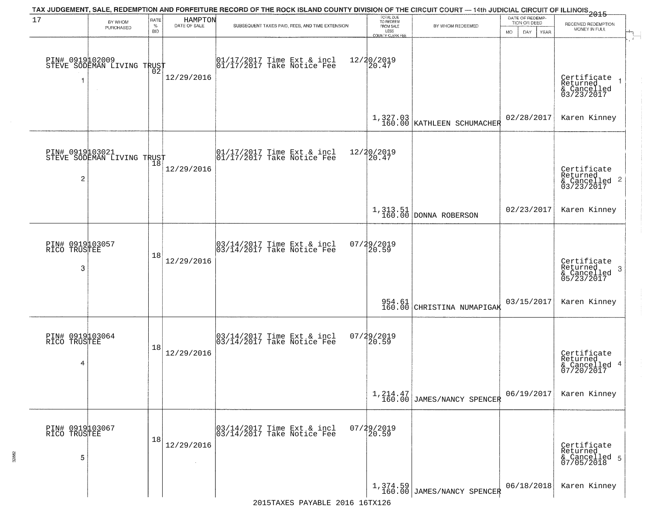|                                      |                                               |                            |                         | TAX JUDGEMENT, SALE, REDEMPTION AND FORFEITURE RECORD OF THE ROCK ISLAND COUNTY DIVISION OF THE CIRCUIT COURT — 14th JUDICIAL CIRCUIT OF ILLINOIS 2015 |                                                                        |                                           |                                                              |                                                                       |
|--------------------------------------|-----------------------------------------------|----------------------------|-------------------------|--------------------------------------------------------------------------------------------------------------------------------------------------------|------------------------------------------------------------------------|-------------------------------------------|--------------------------------------------------------------|-----------------------------------------------------------------------|
| 17                                   | BY WHOM<br>PURCHASED                          | RATE<br>$\%$<br><b>BID</b> | HAMPTON<br>DATE OF SALE | SUBSEQUENT TAXES PAID, FEES, AND TIME EXTENSION                                                                                                        | TOTAL DUE<br>TO REDEEM<br>FROM SALE<br>LESS<br><b>COUNTY CLERK FEE</b> | BY WHOM REDEEMED                          | DATE OF REDEMP-<br>TION OR DEED<br><b>MO</b><br>DAY.<br>YEAR | RECEIVED REDEMPTION<br>MONEY IN FULL                                  |
| -1                                   | PIN# 0919102009<br>STEVE SODEMAN LIVING TRUST | 02                         | 12/29/2016              | $\begin{bmatrix} 01/17/2017 \\ 01/17/2017 \end{bmatrix}$ Take Notice Fee                                                                               | 12/20/2019<br>20.47                                                    |                                           |                                                              | Certificate<br>Returned<br>$\rightarrow$<br>& Cancelled<br>03/23/2017 |
|                                      |                                               |                            |                         |                                                                                                                                                        |                                                                        | $1,327.03$<br>160.00 KATHLEEN SCHUMACHER  | 02/28/2017                                                   | Karen Kinney                                                          |
| $\overline{c}$                       | PIN# 0919103021<br>STEVE SODEMAN LIVING TRUST |                            | 12/29/2016              | $\begin{array}{cc}  01/17/2017 \text{ Time Ext} & \text{incl} \\  01/17/2017 \text{ Take Notice Fe} \end{array}$                                       | 12/20/2019<br>20.47                                                    |                                           |                                                              | Certificate<br>Returned<br>$\frac{1}{6}$ Cancelled 2<br>03/23/2017    |
|                                      |                                               |                            |                         |                                                                                                                                                        |                                                                        | 1, 313.51<br>160.00 DONNA ROBERSON        | 02/23/2017                                                   | Karen Kinney                                                          |
| PIN# 0919103057<br>RICO TRUSTEE<br>3 |                                               | 18                         | 12/29/2016              | $\begin{bmatrix} 03/14/2017 \\ 03/14/2017 \end{bmatrix}$ Time Ext & incl                                                                               | 07/29/2019<br>20.59                                                    |                                           |                                                              | Certificate<br>Returned<br>3<br>$\frac{6}{05/23/2017}$                |
|                                      |                                               |                            |                         |                                                                                                                                                        | 954.61<br>160.00                                                       | CHRISTINA NUMAPIGAK                       | 03/15/2017                                                   | Karen Kinney                                                          |
| PIN# 0919103064<br>RICO TRUSTEE<br>4 |                                               | 18                         | 12/29/2016              | 03/14/2017 Time Ext & incl<br>03/14/2017 Take Notice Fee                                                                                               | 07/29/2019<br>[20.59]                                                  |                                           |                                                              | Certificate<br>Returned<br>& Cancelled 4<br>07/20/2017                |
|                                      |                                               |                            |                         |                                                                                                                                                        |                                                                        | $1, 214.47$<br>160.00 JAMES/NANCY SPENCER | 06/19/2017                                                   | Karen Kinney                                                          |
| PIN# 0919103067<br>RICO TRUSTEE<br>5 |                                               | 18                         | 12/29/2016              | 03/14/2017 Time Ext & incl<br>03/14/2017 Take Notice Fee                                                                                               | 07/29/2019<br>20.59                                                    |                                           |                                                              | Certificate<br>Returned<br>& Cancelled 5<br>07/05/2018                |
|                                      |                                               |                            |                         |                                                                                                                                                        |                                                                        | $1,374.59$ JAMES/NANCY SPENCER            | 06/18/2018                                                   | Karen Kinney                                                          |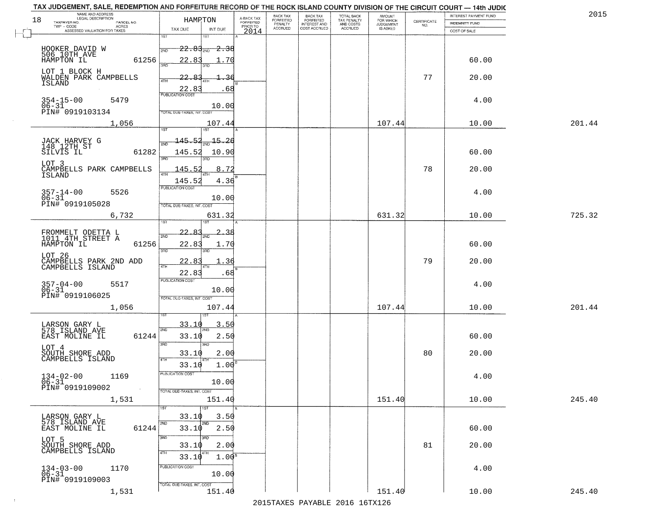| 18 | NAME AND ADDRESS<br>LEGAL DESCRIPTION                           | HAMRTON                                  | A-BACK TAX<br>FORFEITED | BACK TAX<br>FORFEITED | <b>BACK TAX</b><br><b>FORFEITED</b> | TOTAL BACK<br>TAX PENALTY<br>AND COSTS<br>ACCRUED | <b>AMOUNT</b>                      |                                                                 | INTEREST PAYMENT FUND | 2015   |
|----|-----------------------------------------------------------------|------------------------------------------|-------------------------|-----------------------|-------------------------------------|---------------------------------------------------|------------------------------------|-----------------------------------------------------------------|-----------------------|--------|
|    | TAXPAYER NO.<br>PARCEL NO.<br>TWP - CODE<br>ACRES               | TAX DUE<br>INT DUE                       | PRIOR TO                | PENALTY<br>ACCRUED    | INTEREST AND                        |                                                   | FOR WHICH<br>JUDGEMENT<br>IS ASKED | $\begin{array}{c} \text{CERTIFICATE} \\ \text{NO.} \end{array}$ | <b>INDEMNITY FUND</b> |        |
|    | ASSESSED VALUATION FOR TAXES                                    | 1ST                                      | 2014                    |                       |                                     |                                                   |                                    |                                                                 | COST OF SALE          |        |
|    |                                                                 | $22.83_{200}$<br><del>2.38</del><br>2ND  |                         |                       |                                     |                                                   |                                    |                                                                 |                       |        |
|    | HOOKER DAVID W<br>506 10TH AVE<br>HAMPTON IL<br>61256           | 22.83<br>. 70                            |                         |                       |                                     |                                                   |                                    |                                                                 | 60.00                 |        |
|    | LOT 1 BLOCK H                                                   | ïПD<br>۱RD                               |                         |                       |                                     |                                                   |                                    |                                                                 |                       |        |
|    | WALDEN PARK CAMPBELLS<br>ISLAND                                 | 22.<br>4TH                               |                         |                       |                                     |                                                   |                                    | 77                                                              | 20.00                 |        |
|    |                                                                 | 22.8<br>68<br><b>PUBLICATION COST</b>    |                         |                       |                                     |                                                   |                                    |                                                                 |                       |        |
|    | $354 - 15 - 00$<br>5479<br>$06 - 31$                            | 10.00                                    |                         |                       |                                     |                                                   |                                    |                                                                 | 4.00                  |        |
|    | PIN# 0919103134                                                 | TOTAL DUE-TAXES, INT. COST               |                         |                       |                                     |                                                   |                                    |                                                                 |                       |        |
|    | 1,056                                                           | 107.44                                   |                         |                       |                                     |                                                   | 107.44                             |                                                                 | 10.00                 | 201.44 |
|    |                                                                 | 1ST<br><b>1ST</b>                        |                         |                       |                                     |                                                   |                                    |                                                                 |                       |        |
|    | JACK HARVEY G<br>148 12TH ST                                    | 145.52<br>$-15.26$                       |                         |                       |                                     |                                                   |                                    |                                                                 |                       |        |
|    | SILVIS IL<br>61282                                              | 145.52<br>10.90<br>3RD<br>3RD            |                         |                       |                                     |                                                   |                                    |                                                                 | 60.00                 |        |
|    | LOT 3<br>CAMPBELLS PARK CAMPBELLS                               | 145.52<br>8.72<br>47H                    |                         |                       |                                     |                                                   |                                    | 78                                                              | 20.00                 |        |
|    | ISLAND                                                          | 145.52<br>4.36                           |                         |                       |                                     |                                                   |                                    |                                                                 |                       |        |
|    | $357 - 14 - 00$<br>5526                                         | <b>PUBLICATION COST</b>                  |                         |                       |                                     |                                                   |                                    |                                                                 | 4.00                  |        |
|    | $06 - 31$<br>PIN# 0919105028                                    | 10.00<br>TOTAL DUE-TAXES, INT. COST      |                         |                       |                                     |                                                   |                                    |                                                                 |                       |        |
|    | 6,732                                                           | 631.32                                   |                         |                       |                                     |                                                   | 631.32                             |                                                                 | 10.00                 | 725.32 |
|    |                                                                 | IST                                      |                         |                       |                                     |                                                   |                                    |                                                                 |                       |        |
|    | FROMMELT ODETTA L<br>1011_4TH_STREET A                          | 22.<br>$\mathcal{R}$<br>2ND              |                         |                       |                                     |                                                   |                                    |                                                                 |                       |        |
|    | 61256<br>HAMPTON IL                                             | 22.83<br>1.70<br>3RD<br>3RD              |                         |                       |                                     |                                                   |                                    |                                                                 | 60.00                 |        |
|    | LOT <sub>26</sub><br>CAMPBELLS PARK 2ND ADD<br>CAMPBELLS ISLAND | 22.83<br>36                              |                         |                       |                                     |                                                   |                                    | 79                                                              | 20.00                 |        |
|    |                                                                 | 4TF<br>4TH<br>22.83<br>.68               |                         |                       |                                     |                                                   |                                    |                                                                 |                       |        |
|    | 357-04-00<br>06-31<br>5517                                      | <b>PUBLICATION COST</b>                  |                         |                       |                                     |                                                   |                                    |                                                                 | 4.00                  |        |
|    | PIN# 0919106025                                                 | 10.00<br>TOTAL OUE-TAXES, INT. COST      |                         |                       |                                     |                                                   |                                    |                                                                 |                       |        |
|    | 1,056                                                           | 107.44                                   |                         |                       |                                     |                                                   | 107.44                             |                                                                 | 10.00                 | 201.44 |
|    |                                                                 |                                          |                         |                       |                                     |                                                   |                                    |                                                                 |                       |        |
|    | LARSON GARY L<br>578 ISLAND AVE                                 | 33.10<br>3.50<br>2ND                     |                         |                       |                                     |                                                   |                                    |                                                                 |                       |        |
|    | 61244<br>EAST MOLINE IL                                         | 33.10<br>2.50<br>3RD<br>3BD              |                         |                       |                                     |                                                   |                                    |                                                                 | 60.00                 |        |
|    | LOT 4                                                           | 2.00<br>33.10                            |                         |                       |                                     |                                                   |                                    | 80                                                              | 20.00                 |        |
|    | SOUTH SHORE ADD<br>CAMPBELLS ISLAND                             | 4TH<br>1.00 <sup>B</sup><br>33.10        |                         |                       |                                     |                                                   |                                    |                                                                 |                       |        |
|    | $134 - 02 - 00$<br>1169                                         | PUBLICATION COST                         |                         |                       |                                     |                                                   |                                    |                                                                 | 4.00                  |        |
|    | $06 - 31$<br>PIN# 0919109002<br>$\sim 10$                       | 10.00                                    |                         |                       |                                     |                                                   |                                    |                                                                 |                       |        |
|    | 1,531                                                           | TOTAL DUE-TAXES, INT. COST<br>151.40     |                         |                       |                                     |                                                   | 151.40                             |                                                                 | 10.00                 | 245.40 |
|    |                                                                 | 1ST<br>1ST                               |                         |                       |                                     |                                                   |                                    |                                                                 |                       |        |
|    | LARSON GARY L<br>578 ISLAND AVE                                 | 33.10<br>3.50<br>2ND<br>2ND              |                         |                       |                                     |                                                   |                                    |                                                                 |                       |        |
|    | EAST MOLINE IL<br>61244                                         | 2.50<br>33.10                            |                         |                       |                                     |                                                   |                                    |                                                                 | 60.00                 |        |
|    | LOT 5                                                           | 3RD<br>उत्तर<br>33.10<br>2.00            |                         |                       |                                     |                                                   |                                    | 81                                                              | 20.00                 |        |
|    | SOUTH SHORE ADD<br>CAMPBELLS ISLAND                             | 4TH<br>4TH<br>33.10<br>1.00 <sup>8</sup> |                         |                       |                                     |                                                   |                                    |                                                                 |                       |        |
|    | 1170                                                            | PUBLICATION COST                         |                         |                       |                                     |                                                   |                                    |                                                                 | 4.00                  |        |
|    | $134 - 03 - 00$<br>06-31<br>PIN# 0919109003                     | 10.00                                    |                         |                       |                                     |                                                   |                                    |                                                                 |                       |        |
|    | 1,531                                                           | TOTAL DUE-TAXES, INT. COST<br>151.40     |                         |                       |                                     |                                                   | 151.40                             |                                                                 | 10.00                 | 245.40 |
|    |                                                                 |                                          |                         |                       |                                     |                                                   |                                    |                                                                 |                       |        |

 $\sim 100$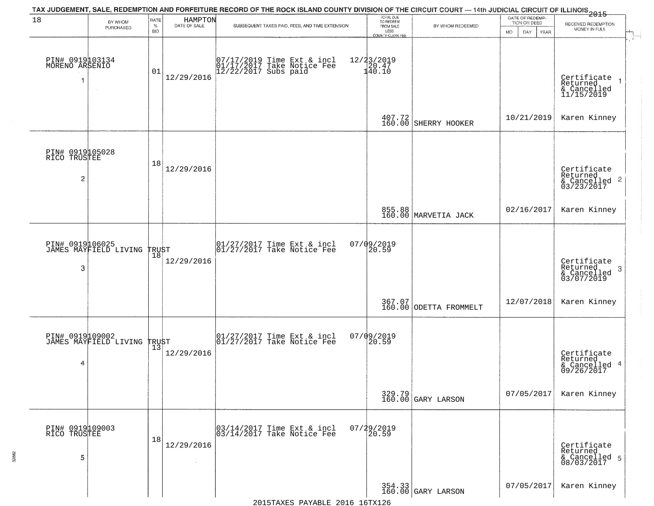| 18                                     | BY WHOM                                        | RATE            | HAMPTON<br>DATE OF SALE | TAX JUDGEMENT, SALE, REDEMPTION AND FORFEITURE RECORD OF THE ROCK ISLAND COUNTY DIVISION OF THE CIRCUIT COURT — 14th JUDICIAL CIRCUIT OF ILLINOIS 2015 | TOTAL DUE<br>TO REDEEM                                      |                                  | DATE OF REDEMP-<br>TION OR DEED | RECEIVED REDEMPTION                                        |
|----------------------------------------|------------------------------------------------|-----------------|-------------------------|--------------------------------------------------------------------------------------------------------------------------------------------------------|-------------------------------------------------------------|----------------------------------|---------------------------------|------------------------------------------------------------|
|                                        | PURCHASED                                      | %<br><b>BID</b> |                         | SUBSEQUENT TAXES PAID, FEES, AND TIME EXTENSION                                                                                                        | FROM SALE<br>LESS<br>COUNTY CLERK FEE                       | BY WHOM REDEEMED                 | <b>MO</b><br>DAY<br><b>YEAR</b> | MONEY IN FULL                                              |
| PIN# 0919103134<br>MORENO ARSENIO<br>1 | $\sim$ 4 $^\circ$                              | 01              | 12/29/2016              | 07/17/2019 Time Ext & incl<br>01/17/2017 Take Notice Fee<br>12/22/2017 Subs paid                                                                       | $\begin{array}{r} 12/23/2019 \\ 20.47 \\ 40.10 \end{array}$ |                                  |                                 | Certificate<br>Returned<br>& Cancelled<br>11/15/2019       |
|                                        |                                                |                 |                         |                                                                                                                                                        | 407.72<br>160.00                                            | SHERRY HOOKER                    | 10/21/2019                      | Karen Kinney                                               |
| PIN# 0919105028<br>RICO TRUSTEE<br>2   |                                                | 18              | 12/29/2016              |                                                                                                                                                        |                                                             |                                  |                                 | Certificate<br>Returned<br>& Cancelled 2<br>03/23/2017     |
|                                        |                                                |                 |                         |                                                                                                                                                        |                                                             | 855.88<br>160.00 MARVETIA JACK   | 02/16/2017                      | Karen Kinney                                               |
| 3                                      | PIN# 0919106025<br>JAMES MAYFIELD LIVING TRUST | 18              | 12/29/2016              | 01/27/2017 Time Ext & incl<br>01/27/2017 Take Notice Fee                                                                                               | $07/09/2019$<br>20.59                                       |                                  |                                 | Certificate<br>Returned<br>-3<br>& Cancelled<br>03/07/2019 |
|                                        |                                                |                 |                         |                                                                                                                                                        |                                                             | 367.07<br>160.00 ODETTA FROMMELT | 12/07/2018                      | Karen Kinney                                               |
| 4                                      | PIN# 0919109002<br>JAMES MAYFIELD LIVING TRUST |                 | 12/29/2016              | 01/27/2017 Time Ext & incl<br>01/27/2017 Take Notice Fee                                                                                               | $07/09/2019$<br>20.59                                       |                                  |                                 | Certificate<br>Returned<br>& Cancelled 4<br>09/26/2017     |
|                                        |                                                |                 |                         |                                                                                                                                                        |                                                             | 329.79<br>160.00 GARY LARSON     | 07/05/2017                      | Karen Kinney                                               |
| PIN# 0919109003<br>RICO TRUSTEE<br>5   |                                                | 18              | 12/29/2016              | 03/14/2017 Time Ext & incl<br>03/14/2017 Take Notice Fee                                                                                               | 07/29/2019<br>20.59                                         |                                  |                                 | Certificate<br>Returned<br>& Cancelled 5<br>08/03/2017     |
|                                        |                                                |                 |                         | 2015TAXES PAYABLE 2016 16TX126                                                                                                                         |                                                             | 354.33<br>160.00 GARY LARSON     | 07/05/2017                      | Karen Kinney                                               |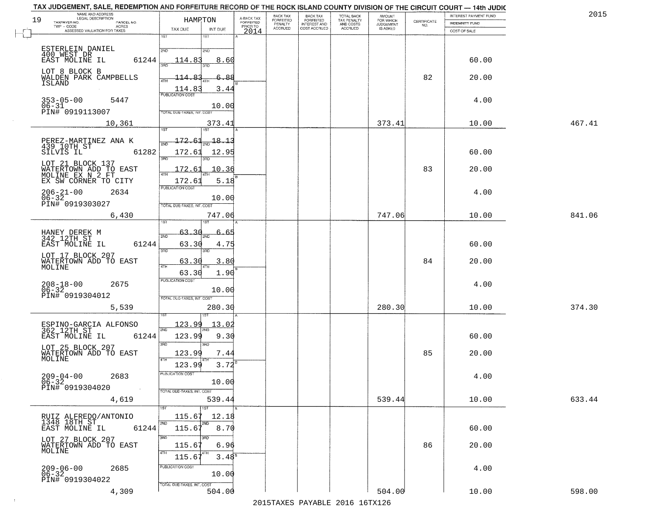| 19 | NAME AND ADDRESS                                                | HAMPTON                    |               |                                     | BACK TAX<br>FORFEITED     | BACK TAX<br>FORFEITED<br>INTEREST AND | TOTAL BACK<br>TAX PENALTY<br>AND COSTS | AMOUNT<br>FOR WHICH |                                                                 | INTEREST PAYMENT FUND | 2015   |
|----|-----------------------------------------------------------------|----------------------------|---------------|-------------------------------------|---------------------------|---------------------------------------|----------------------------------------|---------------------|-----------------------------------------------------------------|-----------------------|--------|
|    | TAXPAYER NO.<br>PARCEL NO.<br>ACRES<br>$TWP - CODE$             | TAX DUE                    | INT DUE       | A-BACK TAX<br>FORFEITED<br>PRIOR TO | PENALTY<br><b>ACCRUED</b> | COST ACCRUED                          | ACCRUED                                | <b>JUDGEMENT</b>    | $\begin{array}{c} \text{CERTIFICATE} \\ \text{NO.} \end{array}$ | <b>INDEMNITY FUND</b> |        |
|    | ASSESSED VALUATION FOR TAXES                                    | 1ST                        | 1ST           | 2014                                |                           |                                       |                                        |                     |                                                                 | COST OF SALE          |        |
|    | ESTERLEIN DANIEL                                                |                            |               |                                     |                           |                                       |                                        |                     |                                                                 |                       |        |
|    | 400 WEST DR                                                     | 2ND                        | 2ND           |                                     |                           |                                       |                                        |                     |                                                                 |                       |        |
|    | 61244<br>EAST MOLINE IL                                         | 114.83<br>396              | 8.60<br>3RD   |                                     |                           |                                       |                                        |                     |                                                                 | 60.00                 |        |
|    | LOT 8 BLOCK B<br>WALDEN PARK CAMPBELLS                          | <u> 114.83</u>             | 6.88          |                                     |                           |                                       |                                        |                     | 82                                                              | 20.00                 |        |
|    | ISLAND                                                          |                            |               |                                     |                           |                                       |                                        |                     |                                                                 |                       |        |
|    |                                                                 | 114.83<br>PUBLICATION COST | 3.44          |                                     |                           |                                       |                                        |                     |                                                                 |                       |        |
|    | $353 - 05 - 00$<br>5447<br>$06 - 31$                            |                            | 10.00         |                                     |                           |                                       |                                        |                     |                                                                 | 4.00                  |        |
|    | PIN# 0919113007                                                 | TOTAL DUE-TAXES, INT. COST |               |                                     |                           |                                       |                                        |                     |                                                                 |                       |        |
|    | 10,361                                                          |                            | 373.41        |                                     |                           |                                       |                                        | 373.41              |                                                                 | 10.00                 | 467.41 |
|    |                                                                 | 1ST                        | 1ST           |                                     |                           |                                       |                                        |                     |                                                                 |                       |        |
|    | PEREZ-MARTINEZ ANA K<br>439 10TH ST                             | 172.61<br>সমূ              | 18.13         |                                     |                           |                                       |                                        |                     |                                                                 |                       |        |
|    | 61282<br>SILVIS IL                                              | 172.61                     | 12.95         |                                     |                           |                                       |                                        |                     |                                                                 | 60.00                 |        |
|    | LOT 21 BLOCK 137                                                | 3RD                        |               |                                     |                           |                                       |                                        |                     |                                                                 |                       |        |
|    | WATERTOWN ADD TO EAST<br>MOLINE EX N 2 FT                       | 172.61<br>47H              | 10.36         |                                     |                           |                                       |                                        |                     | 83                                                              | 20.00                 |        |
|    | EX SW CORNER TO CITY                                            | 172.6                      | 5.18          |                                     |                           |                                       |                                        |                     |                                                                 |                       |        |
|    | $206 - 21 - 00$<br>2634                                         | PUBLICATION COST           |               |                                     |                           |                                       |                                        |                     |                                                                 | 4.00                  |        |
|    | $06 - 32$<br>PIN# 0919303027                                    | TOTAL DUE-TAXES, INT. COST | 10.00         |                                     |                           |                                       |                                        |                     |                                                                 |                       |        |
|    | 6,430                                                           |                            | 747.06        |                                     |                           |                                       |                                        | 747.06              |                                                                 | 10.00                 | 841.06 |
|    |                                                                 |                            | 18T           |                                     |                           |                                       |                                        |                     |                                                                 |                       |        |
|    | HANEY DEREK M<br>342 12TH ST                                    | 63.30<br>2ND               | 6<br>-65      |                                     |                           |                                       |                                        |                     |                                                                 |                       |        |
|    | EAST MOLINE IL<br>61244                                         | 63.30                      | 4.75          |                                     |                           |                                       |                                        |                     |                                                                 | 60.00                 |        |
|    | LOT 17 BLOCK 207                                                | 3RD                        | 3RD           |                                     |                           |                                       |                                        |                     |                                                                 |                       |        |
|    | WATERTOWN ADD TO EAST<br>MOLINE                                 | 63.30<br>4TH               | 3.80          |                                     |                           |                                       |                                        |                     | 84                                                              | 20.00                 |        |
|    |                                                                 | 63.30                      | 1.90          |                                     |                           |                                       |                                        |                     |                                                                 |                       |        |
|    | $208 - 18 - 00$<br>06-32<br>2675                                | <b>PUBLICATION COST</b>    |               |                                     |                           |                                       |                                        |                     |                                                                 | 4.00                  |        |
|    | PIN# 0919304012                                                 | TOTAL OUE-TAXES, INT. COST | 10.00         |                                     |                           |                                       |                                        |                     |                                                                 |                       |        |
|    | 5,539                                                           |                            | 280.30        |                                     |                           |                                       |                                        | 280.30              |                                                                 | 10.00                 | 374.30 |
|    |                                                                 |                            | 1ST           |                                     |                           |                                       |                                        |                     |                                                                 |                       |        |
|    | ESPINO-GARCIA ALFONSO<br>362 12TH ST                            | <u> 123.99</u>             | 13.02         |                                     |                           |                                       |                                        |                     |                                                                 |                       |        |
|    | EAST MOLINE IL<br>61244                                         | 2ND<br>123.99              | 9.30          |                                     |                           |                                       |                                        |                     |                                                                 | 60.00                 |        |
|    | LOT 25 BLOCK 207                                                | 3RD                        | 3RD           |                                     |                           |                                       |                                        |                     |                                                                 |                       |        |
|    | WATERTOWN ADD TO EAST<br>MOLINE                                 | 123.99                     | 7.44          |                                     |                           |                                       |                                        |                     | 85                                                              | 20.00                 |        |
|    |                                                                 | 4TH<br>123.99              | 3.72          |                                     |                           |                                       |                                        |                     |                                                                 |                       |        |
|    | 2683<br>$209 - 04 - 00$                                         | PUBLICATION COST           |               |                                     |                           |                                       |                                        |                     |                                                                 | 4.00                  |        |
|    | $06 - 32$<br>PIN# 0919304020                                    |                            | 10.00         |                                     |                           |                                       |                                        |                     |                                                                 |                       |        |
|    |                                                                 | TOTAL DUE-TAXES, INT. COST |               |                                     |                           |                                       |                                        |                     |                                                                 |                       |        |
|    | 4,619                                                           | 1ST                        | 539.44<br>1ST |                                     |                           |                                       |                                        | 539.44              |                                                                 | 10.00                 | 633.44 |
|    |                                                                 | 115.67                     | 12.18         |                                     |                           |                                       |                                        |                     |                                                                 |                       |        |
|    | RUIZ ALFREDO/ANTONIO<br>1348 18TH ST<br>EAST MOLINE IL<br>61244 | 2ND<br>115.67              | 2ND<br>8.70   |                                     |                           |                                       |                                        |                     |                                                                 | 60.00                 |        |
|    |                                                                 | 3RD                        | 3RD           |                                     |                           |                                       |                                        |                     |                                                                 |                       |        |
|    | LOT 27 BLOCK 207<br>WATERTOWN ADD TO EAST                       | 115.67                     | 6.96          |                                     |                           |                                       |                                        |                     | 86                                                              | 20.00                 |        |
|    | MOLINE                                                          | 4TH<br>115.6               | $3.48^{8}$    |                                     |                           |                                       |                                        |                     |                                                                 |                       |        |
|    | 2685                                                            | PUBLICATION COST           |               |                                     |                           |                                       |                                        |                     |                                                                 | 4.00                  |        |
|    | $209 - 06 - 00$<br>06-32                                        |                            | 10.00         |                                     |                           |                                       |                                        |                     |                                                                 |                       |        |
|    | PIN# 0919304022                                                 | TOTAL DUE-TAXES, INT. COST |               |                                     |                           |                                       |                                        |                     |                                                                 |                       |        |
|    | 4,309                                                           |                            | 504.00        |                                     |                           |                                       |                                        | 504.00              |                                                                 | 10.00                 | 598.00 |

 $\sim 10^{-1}$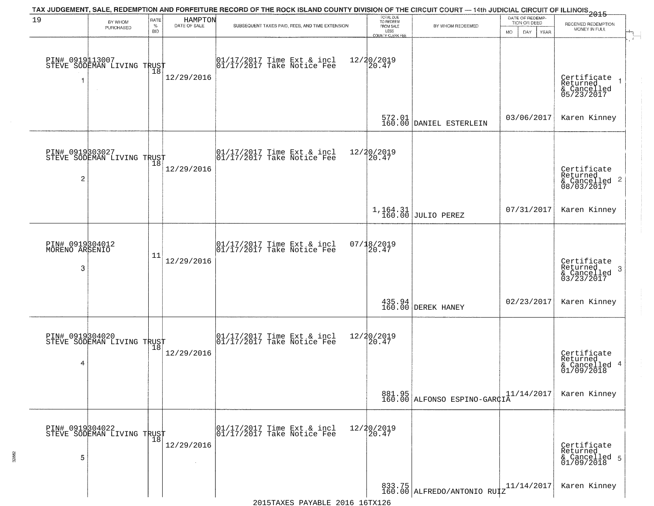|                                        |                                               |                            |                         | TAX JUDGEMENT, SALE, REDEMPTION AND FORFEITURE RECORD OF THE ROCK ISLAND COUNTY DIVISION OF THE CIRCUIT COURT — 14th JUDICIAL CIRCUIT OF ILLINOIS 2015                                                                      |                                                                        |                                                                       |                                                        |                                                                    |
|----------------------------------------|-----------------------------------------------|----------------------------|-------------------------|-----------------------------------------------------------------------------------------------------------------------------------------------------------------------------------------------------------------------------|------------------------------------------------------------------------|-----------------------------------------------------------------------|--------------------------------------------------------|--------------------------------------------------------------------|
| 19                                     | BY WHOM<br>PURCHASED                          | RATE<br>$\%$<br><b>BID</b> | HAMPTON<br>DATE OF SALE | SUBSEQUENT TAXES PAID, FEES, AND TIME EXTENSION                                                                                                                                                                             | TOTAL DUE<br>TO REDEEM<br>FROM SALE<br>LESS<br><b>COUNTY CLERK FEE</b> | BY WHOM REDEEMED                                                      | DATE OF REDEMP-<br>TION OR DEED<br>MO.<br>DAY.<br>YEAR | RECEIVED REDEMPTION<br>MONEY IN FULL                               |
|                                        | PIN# 0919113007<br>STEVE SODEMAN LIVING TRUST |                            | 12/29/2016              | $\begin{bmatrix} 01/17/2017 \\ 01/17/2017 \\ 01 \end{bmatrix}$ Take Notice Fee                                                                                                                                              | 12/20/2019<br>[20.47]                                                  |                                                                       |                                                        | Certificate<br>Returned<br>& Cancelled<br>05/23/2017               |
|                                        |                                               |                            |                         |                                                                                                                                                                                                                             |                                                                        | 572.01<br>160.00 DANIEL ESTERLEIN                                     | 03/06/2017                                             | Karen Kinney                                                       |
| $\overline{2}$                         | PIN# 0919303027<br>STEVE SODEMAN LIVING TRUST |                            | 12/29/2016              | $\begin{array}{cc}  01/17/2017 \text{ Time Ext} & \text{incl} \\  01/17/2017 \text{ Take Notice Fe} \end{array}$                                                                                                            | 12/20/2019<br>20.47                                                    |                                                                       |                                                        | Certificate<br>Returned<br>$\frac{1}{2}$ Cancelled 2<br>08/03/2017 |
|                                        |                                               |                            |                         |                                                                                                                                                                                                                             |                                                                        | $1,164.31$ JULIO PEREZ                                                | 07/31/2017                                             | Karen Kinney                                                       |
| PIN# 0919304012<br>MORENO ARSENIO<br>3 |                                               | 11                         | 12/29/2016              | 01/17/2017 Time Ext & incl<br>01/17/2017 Take Notice Fee                                                                                                                                                                    | 07/18/2019<br>20.47                                                    |                                                                       |                                                        | Certificate<br>Returned<br>3<br>$\frac{6}{03/23/2017}$             |
|                                        |                                               |                            |                         |                                                                                                                                                                                                                             |                                                                        | 435.94<br>160.00 DEREK HANEY                                          | 02/23/2017                                             | Karen Kinney                                                       |
| 4                                      | PIN# 0919304020<br>STEVE SODEMAN LIVING TRUST | 18                         | 12/29/2016              | 01/17/2017 Time Ext & incl<br>01/17/2017 Take Notice Fee                                                                                                                                                                    | 12/20/2019<br>$\overline{20.47}$                                       |                                                                       |                                                        | Certificate<br>Returned<br>& Cancelled 4<br>01/09/2018             |
|                                        |                                               |                            |                         |                                                                                                                                                                                                                             |                                                                        | 881.95<br>160.00 ALFONSO ESPINO-GARÇIA                                | 11/14/2017                                             | Karen Kinney                                                       |
| 5                                      | PIN# 0919304022<br>STEVE SODEMAN LIVING TRUST |                            | 12/29/2016              | 01/17/2017 Time Ext & incl<br>01/17/2017 Take Notice Fee                                                                                                                                                                    | 12/20/2019<br>20.47                                                    |                                                                       |                                                        | Certificate<br>Returned<br>& Cancelled 5<br>01/09/2018             |
|                                        |                                               |                            |                         | $2015T^2$ $T^2$ $R^2$ $R^2$ $R^2$ $R^2$ $R^2$ $R^2$ $R^2$ $R^2$ $R^2$ $R^2$ $R^2$ $R^2$ $R^2$ $R^2$ $R^2$ $R^2$ $R^2$ $R^2$ $R^2$ $R^2$ $R^2$ $R^2$ $R^2$ $R^2$ $R^2$ $R^2$ $R^2$ $R^2$ $R^2$ $R^2$ $R^2$ $R^2$ $R^2$ $R^2$ |                                                                        | $\begin{bmatrix} 833.75 \\ 160.00 \end{bmatrix}$ ALFREDO/ANTONIO RUTZ | 11/14/2017                                             | Karen Kinney                                                       |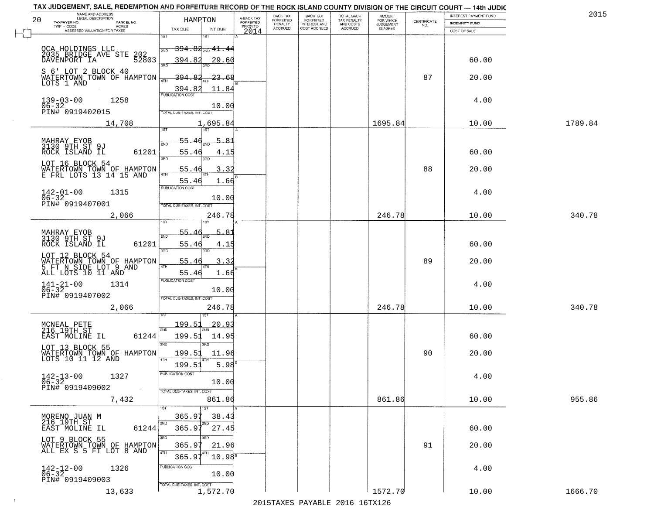|    | TAX JUDGEMENT, SALE, REDEMPTION AND FORFEITURE RECORD OF THE ROCK ISLAND COUNTY DIVISION OF THE CIRCUIT COURT — 14th JUDIC<br>NAME AND ADDRESS |                                             |                 |                                     | BACK TAX                        |                                                       | TOTAL BACK<br>TAX PENALTY<br>AND COSTS | <b>AMOUNT</b>                      |                                                                 | INTEREST PAYMENT FUND | 2015    |
|----|------------------------------------------------------------------------------------------------------------------------------------------------|---------------------------------------------|-----------------|-------------------------------------|---------------------------------|-------------------------------------------------------|----------------------------------------|------------------------------------|-----------------------------------------------------------------|-----------------------|---------|
| 20 | TAXPAYER NO.<br>PARCEL NO.<br>- CODE<br>ASSESSED VALUATION FOR TAXES<br>$TWP - CODE$                                                           | HAMPTON<br>TAX DUE                          |                 | A-BACK TAX<br>FORFEITED<br>PRIOR TO | FORFEITED<br>PENALTY<br>ACCRUED | BACK TAX<br>FORFEITED<br>INTEREST AND<br>COST ACCRUED | ACCRUED                                | FOR WHICH<br>JUDGEMENT<br>IS ASKED | $\begin{array}{c} \text{CERTIFICATE} \\ \text{NO.} \end{array}$ | INDEMNITY FUND        |         |
|    |                                                                                                                                                | 1ST                                         | INT DUE<br>1ST  | 2014                                |                                 |                                                       |                                        |                                    |                                                                 | COST OF SALE          |         |
|    |                                                                                                                                                | $\frac{1}{2ND}$ 394.82 <sub>2ND</sub> 41.44 |                 |                                     |                                 |                                                       |                                        |                                    |                                                                 |                       |         |
|    | OCA HOLDINGS LLC<br>2035 BRIDGE AVE STE 202<br>3335 BRIDGE TA                                                                                  |                                             |                 |                                     |                                 |                                                       |                                        |                                    |                                                                 |                       |         |
|    |                                                                                                                                                | 394.82<br>3PD                               | 29.60<br>3BC    |                                     |                                 |                                                       |                                        |                                    |                                                                 | 60.00                 |         |
|    | S 6' LOT 2 BLOCK 40<br>WATERTOWN TOWN OF HAMPTON                                                                                               | -394.8                                      | 23.6            |                                     |                                 |                                                       |                                        |                                    | 87                                                              | 20.00                 |         |
|    | LOTS 1 AND                                                                                                                                     | 4TH<br>394.82                               | 11.84           |                                     |                                 |                                                       |                                        |                                    |                                                                 |                       |         |
|    |                                                                                                                                                | <b>PUBLICATION COST</b>                     |                 |                                     |                                 |                                                       |                                        |                                    |                                                                 |                       |         |
|    | $139 - 03 - 00$<br>1258<br>$06 - 32$                                                                                                           |                                             | 10.00           |                                     |                                 |                                                       |                                        |                                    |                                                                 | 4.00                  |         |
|    | PIN# 0919402015                                                                                                                                | TOTAL DUE-TAXES, INT. COST                  |                 |                                     |                                 |                                                       |                                        |                                    |                                                                 |                       |         |
|    | 14,708                                                                                                                                         | 1ST                                         | 1,695.84<br>1ST |                                     |                                 |                                                       |                                        | 1695.84                            |                                                                 | 10.00                 | 1789.84 |
|    |                                                                                                                                                | 55.                                         | 5.81            |                                     |                                 |                                                       |                                        |                                    |                                                                 |                       |         |
|    | MAHRAY EYOB<br>3130 9TH ST 9J                                                                                                                  | 2ND                                         |                 |                                     |                                 |                                                       |                                        |                                    |                                                                 |                       |         |
|    | 61201<br>ROCK ISLAND IL                                                                                                                        | 55.46<br>3RD                                | 4.15            |                                     |                                 |                                                       |                                        |                                    |                                                                 | 60.00                 |         |
|    | LOT 16 BLOCK 54<br>WATERTOWN TOWN OF HAMPTON                                                                                                   | 55.4                                        | 3.32            |                                     |                                 |                                                       |                                        |                                    | 88                                                              | 20.00                 |         |
|    | E FRL LOTS 13 14 15 AND                                                                                                                        | i 47H<br>55.46                              | 1.66            |                                     |                                 |                                                       |                                        |                                    |                                                                 |                       |         |
|    | $142 - 01 - 00$<br>1315                                                                                                                        | PUBLICATION COST                            |                 |                                     |                                 |                                                       |                                        |                                    |                                                                 | 4.00                  |         |
|    | $06 - 32$                                                                                                                                      |                                             | 10.00           |                                     |                                 |                                                       |                                        |                                    |                                                                 |                       |         |
|    | PIN# 0919407001                                                                                                                                | TOTAL DUE-TAXES, INT. COST                  |                 |                                     |                                 |                                                       |                                        |                                    |                                                                 |                       |         |
|    | 2,066                                                                                                                                          |                                             | 246.78          |                                     |                                 |                                                       |                                        | 246.78                             |                                                                 | 10.00                 | 340.78  |
|    | MAHRAY EYOB                                                                                                                                    | 55.                                         | 5.<br>-81       |                                     |                                 |                                                       |                                        |                                    |                                                                 |                       |         |
|    | 3130 9TH ST 9J<br>ROCK ISLAND IL<br>61201                                                                                                      | 2ND<br>55.46                                | 4.15            |                                     |                                 |                                                       |                                        |                                    |                                                                 | 60.00                 |         |
|    |                                                                                                                                                | 3RD                                         | 3RD             |                                     |                                 |                                                       |                                        |                                    |                                                                 |                       |         |
|    | LOT 12 BLOCK 54                                                                                                                                | 55.46                                       | 3.32            |                                     |                                 |                                                       |                                        |                                    | 89                                                              | 20.00                 |         |
|    | WATERTOWN TOWN OF HAMPTON<br>5 FT N SIDE LOT 9 AND<br>ALL LOTS 10 11 AND                                                                       | 4TH<br>55.46                                | 1.66            |                                     |                                 |                                                       |                                        |                                    |                                                                 |                       |         |
|    | 1314                                                                                                                                           | <b>PUBLICATION COST</b>                     |                 |                                     |                                 |                                                       |                                        |                                    |                                                                 | 4.00                  |         |
|    | $141 - 21 - 00$<br>06-32<br>PIN# 0919407002                                                                                                    |                                             | 10.00           |                                     |                                 |                                                       |                                        |                                    |                                                                 |                       |         |
|    |                                                                                                                                                | TOTAL OUE-TAXES, INT. COST                  |                 |                                     |                                 |                                                       |                                        |                                    |                                                                 |                       |         |
|    | 2,066                                                                                                                                          |                                             | 246.78<br>1ST   |                                     |                                 |                                                       |                                        | 246.78                             |                                                                 | 10.00                 | 340.78  |
|    | MCNEAL PETE<br>216 19TH ST                                                                                                                     | 199.51                                      | <u> 20.93</u>   |                                     |                                 |                                                       |                                        |                                    |                                                                 |                       |         |
|    | EAST MOLINE IL<br>61244                                                                                                                        | 2ND<br>199.51                               | 14.95           |                                     |                                 |                                                       |                                        |                                    |                                                                 | 60.00                 |         |
|    | LOT 13 BLOCK 55                                                                                                                                | 3RD                                         | 3RD             |                                     |                                 |                                                       |                                        |                                    |                                                                 |                       |         |
|    | WATERTOWN TOWN OF HAMPTON<br>LOTS 10 11 12 AND                                                                                                 | 199.51<br>4TH                               | 11.96           |                                     |                                 |                                                       |                                        |                                    | 90                                                              | 20.00                 |         |
|    |                                                                                                                                                | 199.51                                      | 5.98            |                                     |                                 |                                                       |                                        |                                    |                                                                 |                       |         |
|    | 1327<br>$142 - 13 - 00$                                                                                                                        | PUBLICATION COST                            |                 |                                     |                                 |                                                       |                                        |                                    |                                                                 | 4.00                  |         |
|    | $\frac{06-32}{P1N#}$ 0919409002                                                                                                                |                                             | 10.00           |                                     |                                 |                                                       |                                        |                                    |                                                                 |                       |         |
|    | 7,432                                                                                                                                          | TOTAL DUE-TAXES, INT. COST                  | 861.86          |                                     |                                 |                                                       |                                        | 861.86                             |                                                                 | 10.00                 | 955.86  |
|    |                                                                                                                                                | 1ST                                         | 1ST             |                                     |                                 |                                                       |                                        |                                    |                                                                 |                       |         |
|    | MORENO JUAN M<br>216 19TH ST                                                                                                                   | 365.97                                      | 38.43           |                                     |                                 |                                                       |                                        |                                    |                                                                 |                       |         |
|    | EAST MOLINE IL<br>61244                                                                                                                        | 2ND<br>365.97                               | 27.45           |                                     |                                 |                                                       |                                        |                                    |                                                                 | 60.00                 |         |
|    | LOT 9 BLOCK 55                                                                                                                                 | 3RD                                         | उत्तर           |                                     |                                 |                                                       |                                        |                                    |                                                                 |                       |         |
|    | WATERTOWN TOWN OF HAMPTON                                                                                                                      | 365.97<br>4TH                               | 21.96           |                                     |                                 |                                                       |                                        |                                    | 91                                                              | 20.00                 |         |
|    |                                                                                                                                                | 365.97                                      | $10.98^{\circ}$ |                                     |                                 |                                                       |                                        |                                    |                                                                 |                       |         |
|    | $142 - 12 - 00$<br>$06 - 32$<br>1326                                                                                                           | PUBLICATION COST                            | 10.00           |                                     |                                 |                                                       |                                        |                                    |                                                                 | 4.00                  |         |
|    | PIN# 0919409003                                                                                                                                | TOTAL DUE-TAXES, INT. COST                  |                 |                                     |                                 |                                                       |                                        |                                    |                                                                 |                       |         |
|    | 13,633                                                                                                                                         |                                             | 1,572.70        |                                     |                                 |                                                       |                                        | 1572.70                            |                                                                 | 10.00                 | 1666.70 |

 $\sim 10^6$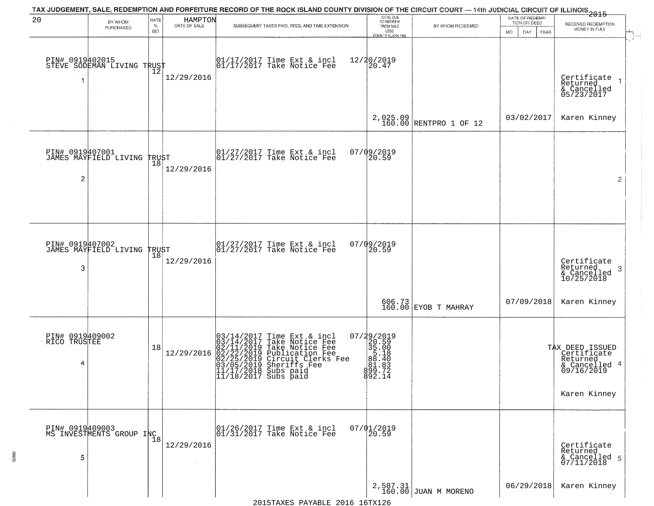| 20                                   | BY WHOM<br>PURCHASED                        | RATE<br>$\%$<br><b>BID</b> | HAMPTON<br>DATE OF SALE | TAX JUDGEMENT, SALE, REDEMPTION AND FORFEITURE RECORD OF THE ROCK ISLAND COUNTY DIVISION OF THE CIRCUIT COURT — 14th JUDICIAL CIRCUIT OF ILLINOIS 2015<br>SUBSEQUENT TAXES PAID, FEES, AND TIME EXTENSION                                   | TOTAL DUE<br>TO REDEEM<br>FROM SALE<br>LESS<br>COUNTY CLERK FEE                   | BY WHOM REDEEMED               | DATE OF REDEMP-<br>TION OR DEED<br>MO.<br>DAY<br><b>YEAR</b> | RECEIVED REDEMPTION<br>MONEY IN FULL                                      |
|--------------------------------------|---------------------------------------------|----------------------------|-------------------------|---------------------------------------------------------------------------------------------------------------------------------------------------------------------------------------------------------------------------------------------|-----------------------------------------------------------------------------------|--------------------------------|--------------------------------------------------------------|---------------------------------------------------------------------------|
| PIN# 0919402015                      | STEVE SODEMAN LIVING TRUST                  | 12                         | 12/29/2016              | 01/17/2017 Time Ext & incl<br>01/17/2017 Take Notice Fee                                                                                                                                                                                    | 12/20/2019<br>20.47                                                               |                                |                                                              | Certificate<br>Returned<br>& Cancelled<br>05/23/2017                      |
|                                      |                                             |                            |                         |                                                                                                                                                                                                                                             | 2,025.09<br>160.00                                                                | RENTPRO 1 OF 12                | 03/02/2017                                                   | Karen Kinney                                                              |
| PIN# 0919407001<br>2                 | JAMES MAYFIELD LIVING TRUST                 |                            | 12/29/2016              | $\begin{array}{ccc}  01/27/2017 \text{ Time} & \text{Ext} & \text{incl} \\  01/27/2017 \text{ Take Notice } \text{Fe} \end{array}$                                                                                                          | 07/09/2019<br>20.59                                                               |                                |                                                              | $\overline{2}$                                                            |
|                                      |                                             |                            |                         |                                                                                                                                                                                                                                             |                                                                                   |                                |                                                              |                                                                           |
| 3                                    | PIN# 0919407002<br>JAMES MAYFIELD LIVING    | TRUST<br> 18               | 12/29/2016              | $ 01/27/2017$ Time Ext & incl<br>$ 01/27/2017$ Take Notice Fee                                                                                                                                                                              | $07/09/2019$<br>20.59                                                             |                                |                                                              | Certificate<br>Returned<br>-3<br>& Cancelled<br>10/25/2018                |
|                                      |                                             |                            |                         |                                                                                                                                                                                                                                             |                                                                                   | 606.73<br>160.00 EYOB T MAHRAY | 07/09/2018                                                   | Karen Kinney                                                              |
| PIN# 0919409002<br>RICO TRUSTEE<br>4 |                                             | 18                         | 12/29/2016              | $03/14/2017$ Time Ext & incl<br>$03/14/2017$ Take Notice Fee<br>$02/11/2019$ Take Notice Fee<br>$02/22/2019$ Circuit Clerks Fee<br>$03/05/2019$ Sheriffs Fee<br>$03/05/2019$ Sheriffs Fee<br>$11/17/2019$ Subs paid<br>11/18/2017 Subs paid | 07/29/2019<br>20.59<br>35.00<br>5.18<br>88.40<br>88.40<br>89.3<br>89.71<br>892.14 |                                |                                                              | TAX DEED ISSUED<br>Certificate<br>Returned<br>& Cancelled 4<br>09/16/2019 |
|                                      |                                             |                            |                         |                                                                                                                                                                                                                                             |                                                                                   |                                |                                                              | Karen Kinney                                                              |
| 5                                    | PIN# 0919409003<br>MS INVESTMENTS GROUP INC | $\overline{1}8$            | 12/29/2016              | 01/26/2017 Time Ext & incl<br>01/31/2017 Take Notice Fee                                                                                                                                                                                    | $07/01/2019$<br>20.59                                                             |                                |                                                              | Certificate<br>Returned<br>& Cancelled 5<br>07/11/2018                    |
|                                      |                                             |                            |                         |                                                                                                                                                                                                                                             |                                                                                   | $2,587.31$ JUAN M MORENO       | 06/29/2018                                                   | Karen Kinney                                                              |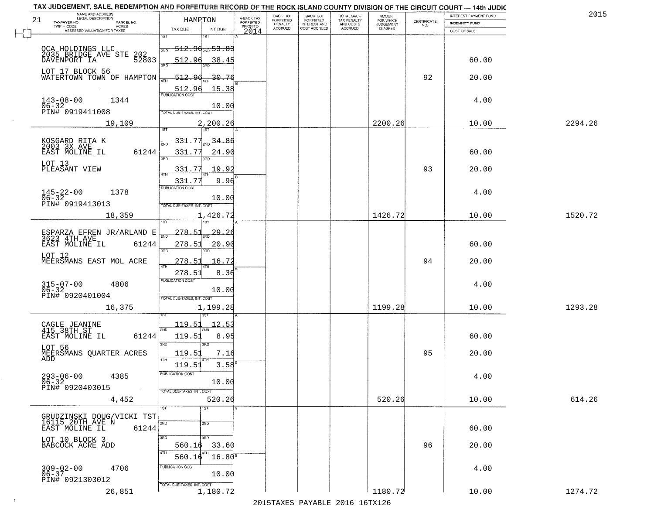| 21 | NAME AND ADDRESS<br>LEGAL DESCRIPTION<br>TAXPAYER NO.<br>PARCEL NO.     | HAMRTON                                    |                      | A-BACK TAX<br>FORFEITED | BACK TAX<br>FORFEITED | <b>BACK TAX</b><br><b>FORFEITED</b> | TOTAL BACK<br>TAX PENALTY<br>AND COSTS | <b>AMOUNT</b><br>FOR WHICH<br>JUDGEMENT<br>IS ASKED | $\begin{array}{c} \text{CERTIFICATE} \\ \text{NO.} \end{array}$ | INTEREST PAYMENT FUND<br>INDEMNITY FUND | 2015    |
|----|-------------------------------------------------------------------------|--------------------------------------------|----------------------|-------------------------|-----------------------|-------------------------------------|----------------------------------------|-----------------------------------------------------|-----------------------------------------------------------------|-----------------------------------------|---------|
|    | TWP - CODE<br><b>ACRES</b><br>ASSESSED VALUATION FOR TAXES              | TAX DUE                                    | INT DUE              | PRIOR TO<br>2014        | PENALTY<br>ACCRUED    | INTEREST AND<br>COST ACCRUED        | ACCRUED                                |                                                     |                                                                 | COST OF SALE                            |         |
|    |                                                                         | 1ST<br><del>512.96<sub>2№</sub>53.83</del> |                      |                         |                       |                                     |                                        |                                                     |                                                                 |                                         |         |
|    | OCA HOLDINGS LLC<br>2035 BRIDGE AVE STE<br>202<br>52803<br>DAVENPORT IA | 2ND<br>512.96                              | 38.45                |                         |                       |                                     |                                        |                                                     |                                                                 | 60.00                                   |         |
|    | LOT 17 BLOCK 56<br>WATERTOWN TOWN OF HAMPTON                            | 3AD<br>512.96                              | -30.76               |                         |                       |                                     |                                        |                                                     | 92                                                              | 20.00                                   |         |
|    |                                                                         | 4TH<br>512.96                              | 15.38                |                         |                       |                                     |                                        |                                                     |                                                                 |                                         |         |
|    | $143 - 08 - 00$<br>1344                                                 | <b>PUBLICATION COST</b>                    | 10.00                |                         |                       |                                     |                                        |                                                     |                                                                 | 4.00                                    |         |
|    | 06-32<br>PIN# 0919411008                                                | TOTAL DUE-TAXES, INT. COST                 |                      |                         |                       |                                     |                                        |                                                     |                                                                 |                                         |         |
|    | 19,109                                                                  | 1ST<br>1ST                                 | 2,200.26             |                         |                       |                                     |                                        | 2200.26                                             |                                                                 | 10.00                                   | 2294.26 |
|    | KOSGARD RITA K<br>2003 3X AVE                                           | 331.77                                     | 34.86                |                         |                       |                                     |                                        |                                                     |                                                                 |                                         |         |
|    | 61244<br>EAST MOLINE IL                                                 | 331.77<br>3RD                              | 24.90                |                         |                       |                                     |                                        |                                                     |                                                                 | 60.00                                   |         |
|    | LOT 13<br>PLEASANT VIEW                                                 | 331.77<br>ৰিয়াম                           | 19.92                |                         |                       |                                     |                                        |                                                     | 93                                                              | 20.00                                   |         |
|    |                                                                         | 331.77<br>PUBLICATION COST                 | 9.96                 |                         |                       |                                     |                                        |                                                     |                                                                 |                                         |         |
|    | $145 - 22 - 00$<br>$06 - 32$<br>1378<br>PIN# 0919413013                 | TOTAL DUE-TAXES, INT. COST                 | 10.00                |                         |                       |                                     |                                        |                                                     |                                                                 | 4.00                                    |         |
|    | 18,359                                                                  |                                            | 1,426.72             |                         |                       |                                     |                                        | 1426.72                                             |                                                                 | 10.00                                   | 1520.72 |
|    |                                                                         | 278.51<br>$\overline{2ND}$                 | 29                   |                         |                       |                                     |                                        |                                                     |                                                                 |                                         |         |
|    | ESPARZA EFREN JR/ARLAND E<br>3623 4TH AVE<br>61244<br>EAST MOLINE IL    | 278.51                                     | 20.90                |                         |                       |                                     |                                        |                                                     |                                                                 | 60.00                                   |         |
|    | LOT 12<br>MEERSMANS EAST MOL ACRE                                       | 3RD<br>3RD<br>278.51                       | 16.72                |                         |                       |                                     |                                        |                                                     | 94                                                              | 20.00                                   |         |
|    |                                                                         | 4TH<br>278.51                              | 8.36                 |                         |                       |                                     |                                        |                                                     |                                                                 |                                         |         |
|    | $315 - 07 - 00$<br>06-32<br>4806                                        | <b>PUBLICATION COST</b>                    | 10.00                |                         |                       |                                     |                                        |                                                     |                                                                 | 4.00                                    |         |
|    | PIN# 0920401004<br>16,375                                               | TOTAL OUE-TAXES, INT. COST                 | 1,199.28             |                         |                       |                                     |                                        | 1199.28                                             |                                                                 | 10.00                                   | 1293.28 |
|    |                                                                         |                                            |                      |                         |                       |                                     |                                        |                                                     |                                                                 |                                         |         |
|    | CAGLE JEANINE<br>415 38TH ST                                            | <u> 119.51</u><br>2ND                      | 12.5                 |                         |                       |                                     |                                        |                                                     |                                                                 |                                         |         |
|    | 61244<br>EAST MOLINE IL<br>LOT 56                                       | 119.51<br>3RD<br>3BD                       | 8.95                 |                         |                       |                                     |                                        |                                                     |                                                                 | 60.00                                   |         |
|    | MEERSMANS QUARTER ACRES<br>ADD                                          | 119.51<br>4TH                              | 7.16<br>$3.58^{B}$   |                         |                       |                                     |                                        |                                                     | 95                                                              | 20.00                                   |         |
|    | $293 - 06 - 00$<br>06-32<br>4385                                        | 119.51<br>PUBLICATION COST                 |                      |                         |                       |                                     |                                        |                                                     |                                                                 | 4.00                                    |         |
|    | PIN# 0920403015<br>$\sim 100$                                           | TOTAL DUE-TAXES, INT. COST                 | 10.00                |                         |                       |                                     |                                        |                                                     |                                                                 |                                         |         |
|    | 4,452                                                                   | 1ST<br>1ST                                 | 520.26               |                         |                       |                                     |                                        | 520.26                                              |                                                                 | 10.00                                   | 614.26  |
|    | GRUDZINSKI DOUG/VICKI TST<br>16115 20TH AVE N                           |                                            |                      |                         |                       |                                     |                                        |                                                     |                                                                 |                                         |         |
|    | EAST MOLINE IL<br>61244                                                 | 2ND<br>2ND                                 |                      |                         |                       |                                     |                                        |                                                     |                                                                 | 60.00                                   |         |
|    | LOT 10 BLOCK 3<br>BABCOCK ACRE ADD                                      | 3RD<br>3RD<br>560.16                       | 33.60                |                         |                       |                                     |                                        |                                                     | 96                                                              | 20.00                                   |         |
|    |                                                                         | 4TH<br>4TH<br>560.16                       | $16.80$ <sup>s</sup> |                         |                       |                                     |                                        |                                                     |                                                                 |                                         |         |
|    | $309 - 02 - 00$<br>06-37<br>4706<br>PIN# 0921303012                     | PUBLICATION COST                           | 10.00                |                         |                       |                                     |                                        |                                                     |                                                                 | 4.00                                    |         |
|    | 26,851                                                                  | TOTAL DUE-TAXES, INT. COST                 | 1,180.72             |                         |                       |                                     |                                        | 1180.72                                             |                                                                 | 10.00                                   | 1274.72 |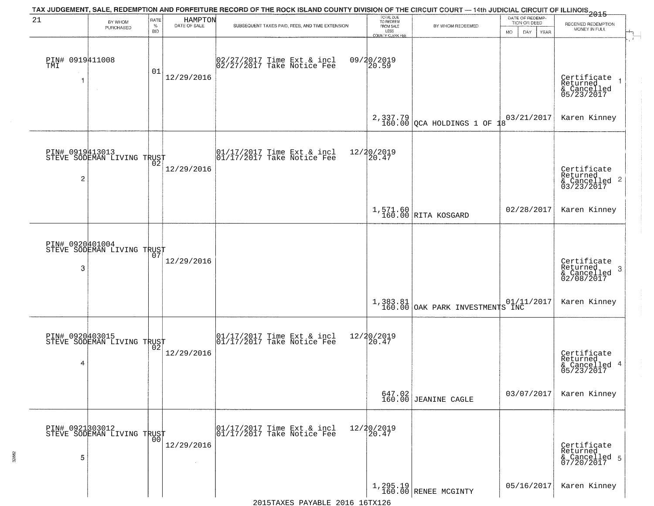| 21                           | BY WHOM<br>PURCHASED                          | RATE<br>$\%$<br>BID | HAMPTON<br>DATE OF SALE | TAX JUDGEMENT, SALE, REDEMPTION AND FORFEITURE RECORD OF THE ROCK ISLAND COUNTY DIVISION OF THE CIRCUIT COURT — 14th JUDICIAL CIRCUIT OF ILLINOIS 2015<br>SUBSEQUENT TAXES PAID, FEES, AND TIME EXTENSION | TOTAL DUE<br>TO REDEEM<br>FROM SALE<br>LESS<br>COUNTY CLERK FEE | BY WHOM REDEEMED                     | DATE OF REDEMP-<br>TION OR DEED<br><b>MO</b><br>DAY<br><b>YEAR</b> | RECEIVED REDEMPTION<br>MONEY IN FULL                               |
|------------------------------|-----------------------------------------------|---------------------|-------------------------|-----------------------------------------------------------------------------------------------------------------------------------------------------------------------------------------------------------|-----------------------------------------------------------------|--------------------------------------|--------------------------------------------------------------------|--------------------------------------------------------------------|
| PIN# 0919411008<br>TMI<br>-1 | $\sim 10^{-1}$                                | 01                  | 12/29/2016              | 02/27/2017 Time Ext & incl<br>02/27/2017 Take Notice Fee                                                                                                                                                  | 09/20/2019<br>20.59                                             |                                      |                                                                    | Certificate<br>Returned<br>& Cancelled<br>05/23/2017               |
|                              |                                               |                     |                         |                                                                                                                                                                                                           |                                                                 | 2,337.79<br>160.00 QCA HOLDINGS 1 OF | 03/21/2017<br>18                                                   | Karen Kinney                                                       |
| $\overline{\mathbf{c}}$      | PIN# 0919413013<br>STEVE SODEMAN LIVING TRUST |                     | 12/29/2016              | $\begin{array}{ccc}  01/17/2017 \text{ Time} & \text{Ext} & \text{incl} \\  01/17/2017 \text{ Take Notice } \text{Fe} \end{array}$                                                                        | 12/20/2019<br>20.47                                             |                                      |                                                                    | Certificate<br>Returned<br>$\frac{1}{2}$ Cancelled 2<br>03/23/2017 |
|                              |                                               |                     |                         |                                                                                                                                                                                                           |                                                                 | 1,571.60<br>160.00 RITA KOSGARD      | 02/28/2017                                                         | Karen Kinney                                                       |
| PIN# 0920401004<br>3         | STEVE SODEMAN LIVING TRUST                    |                     | 12/29/2016              |                                                                                                                                                                                                           |                                                                 |                                      |                                                                    | Certificate<br>Returned<br>3<br>& Cancelled<br>02/08/2017          |
|                              |                                               |                     |                         |                                                                                                                                                                                                           | 1,383.81<br>160.00                                              | OAK PARK INVESTMENTS INC             | 01/11/2017                                                         | Karen Kinney                                                       |
| 4                            | PIN# 0920403015<br>STEVE SODEMAN LIVING TRUST |                     | 12/29/2016              | $\begin{array}{cc} 01/17/2017 & \text{Time Ext} & \text{incl} \\ 01/17/2017 & \text{Take Notice Fee} \end{array}$                                                                                         | 12/20/2019<br>20.47                                             |                                      |                                                                    | Certificate<br>Returned<br>& Cancelled 4<br>05/23/2017             |
|                              |                                               |                     |                         |                                                                                                                                                                                                           |                                                                 | $647.02$<br>160.00 JEANINE CAGLE     | 03/07/2017                                                         | Karen Kinney                                                       |
| 5                            | PIN# 0921303012<br>STEVE SODEMAN LIVING TRUST |                     | 12/29/2016              | 01/17/2017 Time Ext & incl<br>01/17/2017 Take Notice Fee                                                                                                                                                  | 12/20/2019<br>20.47                                             |                                      |                                                                    | Certificate<br>Returned<br>& Cancelled 5<br>07/20/2017             |
|                              |                                               |                     |                         |                                                                                                                                                                                                           |                                                                 | $1,295.19$ RENEE MCGINTY             | 05/16/2017                                                         | Karen Kinney                                                       |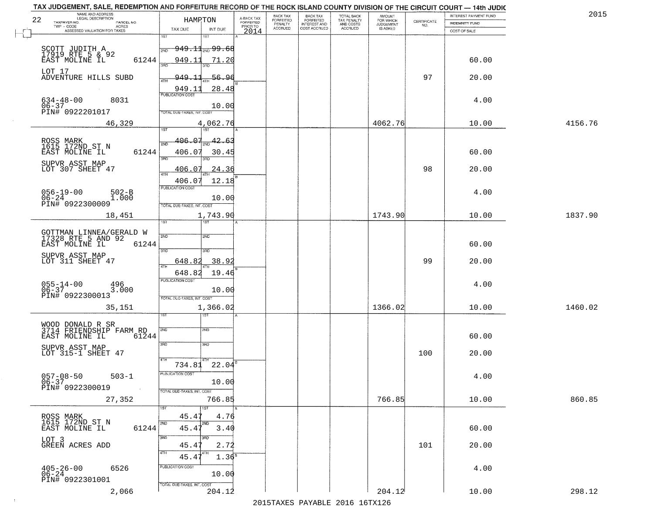| 4156.76<br>1837.90 |
|--------------------|
|                    |
|                    |
|                    |
|                    |
|                    |
|                    |
|                    |
|                    |
|                    |
|                    |
|                    |
|                    |
|                    |
|                    |
| 1460.02            |
|                    |
|                    |
|                    |
| 860.85             |
|                    |
|                    |
|                    |
| 298.12             |
|                    |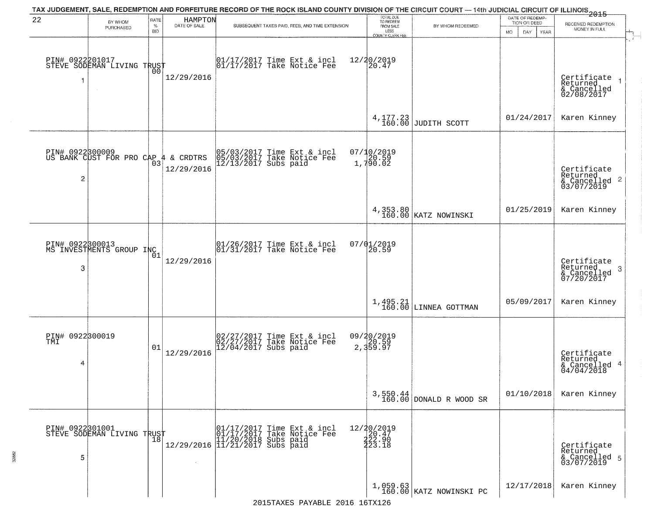| 22                                         | BY WHOM                                       | RATE            | HAMPTON<br>DATE OF SALE | TAX JUDGEMENT, SALE, REDEMPTION AND FORFEITURE RECORD OF THE ROCK ISLAND COUNTY DIVISION OF THE CIRCUIT COURT — 14th JUDICIAL CIRCUIT OF ILLINOIS 2015 | TOTAL DUE<br>TO REDEEM                                               |                                       | DATE OF REDEMP-<br>TION OR DEED | RECEIVED REDEMPTION                                                |
|--------------------------------------------|-----------------------------------------------|-----------------|-------------------------|--------------------------------------------------------------------------------------------------------------------------------------------------------|----------------------------------------------------------------------|---------------------------------------|---------------------------------|--------------------------------------------------------------------|
|                                            | PURCHASED                                     | %<br><b>BID</b> |                         | SUBSEQUENT TAXES PAID, FEES, AND TIME EXTENSION                                                                                                        | FROM SALE<br>LESS<br>COUNTY CLERK FEE                                | BY WHOM REDEEMED                      | MO.<br>DAY<br><b>YEAR</b>       | MONEY IN FULL                                                      |
|                                            | PIN# 0922201017<br>STEVE SODEMAN LIVING TRUST | 00              | 12/29/2016              | $\begin{bmatrix} 01/17/2017 \\ 17/17/2017 \end{bmatrix}$ Take Notice Fee                                                                               | 12/20/2019<br>20.47                                                  |                                       |                                 | Certificate<br>Returned<br>& Cancelled<br>02/08/2017               |
|                                            |                                               |                 |                         |                                                                                                                                                        |                                                                      | $4,177.23$ JUDITH SCOTT               | 01/24/2017                      | Karen Kinney                                                       |
| PIN# 0922300009<br>$\overline{\mathbf{c}}$ | US BANK CUST FOR PRO CAP 4                    |                 | & CRDTRS<br>12/29/2016  | 05/03/2017 Time Ext & incl<br>05/03/2017 Take Notice Fee<br>12/13/2017 Subs paid                                                                       | 07/10/2019<br>$\begin{array}{c} 77.186 & 59 \\ 1,790.02 \end{array}$ |                                       |                                 | Certificate<br>Returned<br>$\frac{1}{2}$ Cancelled 2<br>03/07/2019 |
|                                            |                                               |                 |                         |                                                                                                                                                        |                                                                      | 4,353.80<br>160.00 KATZ NOWINSKI      | 01/25/2019                      | Karen Kinney                                                       |
| -3                                         | PIN# 0922300013<br>MS INVESTMENTS GROUP INC   | 01              | 12/29/2016              | 01/26/2017 Time Ext & incl<br>01/31/2017 Take Notice Fee                                                                                               | 07/01/2019<br>20.59                                                  |                                       |                                 | Certificate<br>Returned<br>-3<br>& Cancelled<br>07/20/2017         |
|                                            |                                               |                 |                         |                                                                                                                                                        |                                                                      | $1,495.21$ LINNEA GOTTMAN             | 05/09/2017                      | Karen Kinney                                                       |
| PIN# 0922300019<br>TMI<br>4                |                                               | 01              | 12/29/2016              | 02/27/2017 Time Ext & incl<br>02/27/2017 Take Notice Fee<br>12/04/2017 Subs paid                                                                       | 09/20/2019<br>2,359.59<br>2,359.97                                   |                                       |                                 | Certificate<br>Returned<br>& Cancelled 4<br>04/04/2018             |
|                                            |                                               |                 |                         |                                                                                                                                                        |                                                                      | $3,550.44$<br>160.00 DONALD R WOOD SR | 01/10/2018                      | Karen Kinney                                                       |
| 5                                          | PIN# 0922301001<br>STEVE SODEMAN LIVING TRUST |                 |                         | r and 1/17/2017 Time Ext & incl<br>01/17/2017 Take Notice Fee<br>12/29/2016 11/20/2018 Subs paid<br>12/29/2016 11/21/2017 Subs paid                    | 12/20/2019<br>20.47<br>222.90<br>223.18                              |                                       |                                 | Certificate<br>Returned<br>& Cancelled 5<br>03/07/2019             |
|                                            |                                               |                 |                         |                                                                                                                                                        |                                                                      | $1,059.63$<br>160.00 KATZ NOWINSKI PC | 12/17/2018                      | Karen Kinney                                                       |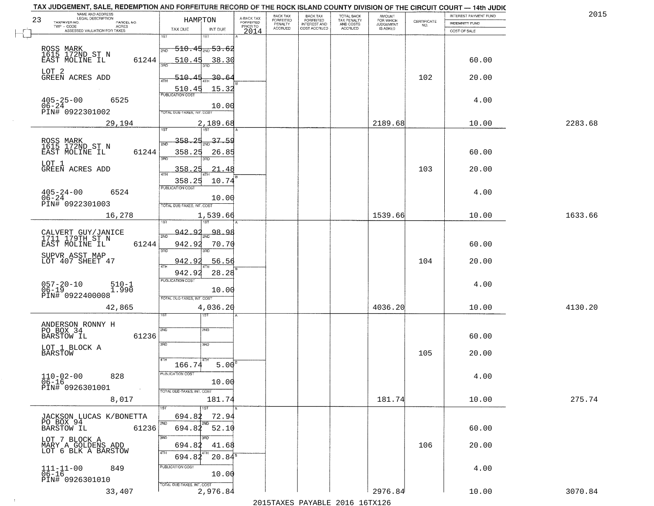|                                        | A-BACK TAX                                                                                                                                                                                                                                                                                                                                         | BACK TAX                                                           | <b>BACK TAX</b>                        |                                                  | <b>AMOUNT</b>                                     |                                                          | INTEREST PAYMENT FUND | 2015                                                      |
|----------------------------------------|----------------------------------------------------------------------------------------------------------------------------------------------------------------------------------------------------------------------------------------------------------------------------------------------------------------------------------------------------|--------------------------------------------------------------------|----------------------------------------|--------------------------------------------------|---------------------------------------------------|----------------------------------------------------------|-----------------------|-----------------------------------------------------------|
|                                        |                                                                                                                                                                                                                                                                                                                                                    |                                                                    |                                        |                                                  |                                                   | NO.                                                      | <b>INDEMNITY FUND</b> |                                                           |
| $\overline{1ST}$<br>श्डा               |                                                                                                                                                                                                                                                                                                                                                    |                                                                    |                                        |                                                  |                                                   |                                                          | COST OF SALE          |                                                           |
| 2ND                                    |                                                                                                                                                                                                                                                                                                                                                    |                                                                    |                                        |                                                  |                                                   |                                                          |                       |                                                           |
| 61244<br>510.45<br>38.30               |                                                                                                                                                                                                                                                                                                                                                    |                                                                    |                                        |                                                  |                                                   |                                                          | 60.00                 |                                                           |
| 510-<br>$-30.6$                        |                                                                                                                                                                                                                                                                                                                                                    |                                                                    |                                        |                                                  |                                                   | 102                                                      | 20.00                 |                                                           |
| 15.32<br>510.45                        |                                                                                                                                                                                                                                                                                                                                                    |                                                                    |                                        |                                                  |                                                   |                                                          |                       |                                                           |
|                                        |                                                                                                                                                                                                                                                                                                                                                    |                                                                    |                                        |                                                  |                                                   |                                                          | 4.00                  |                                                           |
| TOTAL DUE-TAXES, INT. COST             |                                                                                                                                                                                                                                                                                                                                                    |                                                                    |                                        |                                                  |                                                   |                                                          |                       |                                                           |
| 1ST<br>1ST                             |                                                                                                                                                                                                                                                                                                                                                    |                                                                    |                                        |                                                  |                                                   |                                                          |                       | 2283.68                                                   |
| 37.59<br>358.25                        |                                                                                                                                                                                                                                                                                                                                                    |                                                                    |                                        |                                                  |                                                   |                                                          |                       |                                                           |
|                                        |                                                                                                                                                                                                                                                                                                                                                    |                                                                    |                                        |                                                  |                                                   |                                                          |                       |                                                           |
| 358<br>21.48<br>47H                    |                                                                                                                                                                                                                                                                                                                                                    |                                                                    |                                        |                                                  |                                                   | 103                                                      | 20.00                 |                                                           |
| PUBLICATION COST                       |                                                                                                                                                                                                                                                                                                                                                    |                                                                    |                                        |                                                  |                                                   |                                                          |                       |                                                           |
| 10.00                                  |                                                                                                                                                                                                                                                                                                                                                    |                                                                    |                                        |                                                  |                                                   |                                                          |                       |                                                           |
| 1,539.66                               |                                                                                                                                                                                                                                                                                                                                                    |                                                                    |                                        |                                                  | 1539.66                                           |                                                          | 10.00                 | 1633.66                                                   |
| Q                                      |                                                                                                                                                                                                                                                                                                                                                    |                                                                    |                                        |                                                  |                                                   |                                                          |                       |                                                           |
| 942.92<br>61244<br>70.70               |                                                                                                                                                                                                                                                                                                                                                    |                                                                    |                                        |                                                  |                                                   |                                                          | 60.00                 |                                                           |
|                                        |                                                                                                                                                                                                                                                                                                                                                    |                                                                    |                                        |                                                  |                                                   |                                                          |                       |                                                           |
| 942.92<br>28.28                        |                                                                                                                                                                                                                                                                                                                                                    |                                                                    |                                        |                                                  |                                                   |                                                          |                       |                                                           |
| 10.00                                  |                                                                                                                                                                                                                                                                                                                                                    |                                                                    |                                        |                                                  |                                                   |                                                          | 4.00                  |                                                           |
| TOTAL OUE-TAXES, INT. COST             |                                                                                                                                                                                                                                                                                                                                                    |                                                                    |                                        |                                                  |                                                   |                                                          |                       | 4130.20                                                   |
| ख़                                     |                                                                                                                                                                                                                                                                                                                                                    |                                                                    |                                        |                                                  |                                                   |                                                          |                       |                                                           |
| 2ND<br>SMD                             |                                                                                                                                                                                                                                                                                                                                                    |                                                                    |                                        |                                                  |                                                   |                                                          |                       |                                                           |
| 3RD<br>3 <sub>BD</sub>                 |                                                                                                                                                                                                                                                                                                                                                    |                                                                    |                                        |                                                  |                                                   |                                                          |                       |                                                           |
|                                        |                                                                                                                                                                                                                                                                                                                                                    |                                                                    |                                        |                                                  |                                                   | 105                                                      | 20.00                 |                                                           |
| PUBLICATION COST                       |                                                                                                                                                                                                                                                                                                                                                    |                                                                    |                                        |                                                  |                                                   |                                                          |                       |                                                           |
| 10.00                                  |                                                                                                                                                                                                                                                                                                                                                    |                                                                    |                                        |                                                  |                                                   |                                                          |                       |                                                           |
| 181.74                                 |                                                                                                                                                                                                                                                                                                                                                    |                                                                    |                                        |                                                  | 181.74                                            |                                                          | 10.00                 | 275.74                                                    |
| 1ST<br>694.82<br>72.94                 |                                                                                                                                                                                                                                                                                                                                                    |                                                                    |                                        |                                                  |                                                   |                                                          |                       |                                                           |
| 2ND<br>2ND<br>694.82<br>52.10<br>61236 |                                                                                                                                                                                                                                                                                                                                                    |                                                                    |                                        |                                                  |                                                   |                                                          | 60.00                 |                                                           |
| 3RD<br>694.82<br>41.68                 |                                                                                                                                                                                                                                                                                                                                                    |                                                                    |                                        |                                                  |                                                   | 106                                                      | 20.00                 |                                                           |
|                                        |                                                                                                                                                                                                                                                                                                                                                    |                                                                    |                                        |                                                  |                                                   |                                                          |                       |                                                           |
| 4TH<br>$20.84^5$<br>694.82             |                                                                                                                                                                                                                                                                                                                                                    |                                                                    |                                        |                                                  |                                                   |                                                          |                       |                                                           |
| PUBLICATION COST<br>10.00              |                                                                                                                                                                                                                                                                                                                                                    |                                                                    |                                        |                                                  |                                                   |                                                          | 4.00                  |                                                           |
|                                        | HAMPTON<br>TAX DUE<br>INT DUE<br><del>510.45<sub>2ND</sub> 53.62</del><br><b>PUBLICATION COST</b><br>10.00<br>2,189.68<br>61244<br>358.25<br>26.85<br>358.25<br>TOTAL DUE-TAXES, INT. COST<br>942.<br>98.98<br>2ND<br>3RD<br>3RD<br>942.92<br>56.56<br><b>PUBLICATION COST</b><br>4,036.20<br>61236<br>166.74<br>TOTAL DUE-TAXES, INT. COST<br>1ST | <b>FORFEITED</b><br>PRIOR TO<br>2014<br>10.74<br>5.00 <sup>B</sup> | <b>FORFEITED</b><br>PENALTY<br>ACCRUED | <b>FORFEITED</b><br>INTEREST AND<br>COST ACCRUED | TOTAL BACK<br>TAX PENALTY<br>AND COSTS<br>ACCRUED | FOR WHICH<br>JUDGEMENT<br>IS ASKED<br>2189.68<br>4036.20 | CERTIFICATE<br>104    | 10.00<br>60.00<br>4.00<br>20.00<br>10.00<br>60.00<br>4.00 |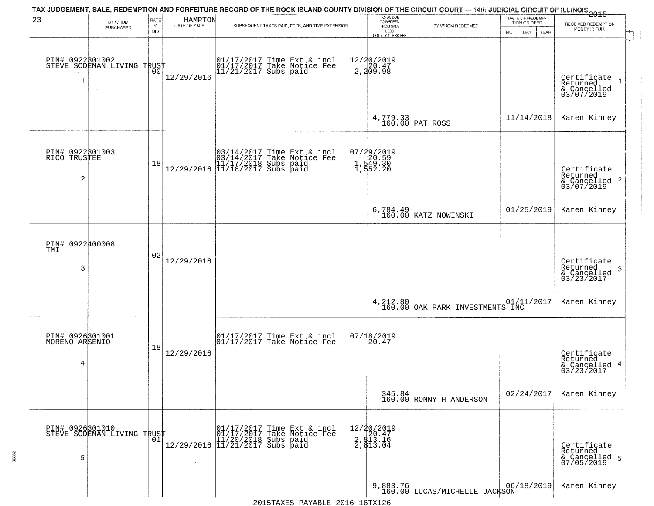|                                                   |                                                   |                     |                         | TAX JUDGEMENT, SALE, REDEMPTION AND FORFEITURE RECORD OF THE ROCK ISLAND COUNTY DIVISION OF THE CIRCUIT COURT — 14th JUDICIAL CIRCUIT OF ILLINOIS 2015 |                                                                        |                                                  |                                                        |                                                                    |
|---------------------------------------------------|---------------------------------------------------|---------------------|-------------------------|--------------------------------------------------------------------------------------------------------------------------------------------------------|------------------------------------------------------------------------|--------------------------------------------------|--------------------------------------------------------|--------------------------------------------------------------------|
| 23                                                | BY WHOM<br>PURCHASED                              | RATE<br>$\%$<br>BID | HAMPTON<br>DATE OF SALE | SUBSEQUENT TAXES PAID, FEES, AND TIME EXTENSION                                                                                                        | TOTAL DUE<br>TO REDEEM<br>FROM SALE<br>LESS<br><b>COUNTY CLERK FEE</b> | BY WHOM REDEEMED                                 | DATE OF REDEMP-<br>TION OR DEED<br>MO.<br>DAY.<br>YEAR | RECEIVED REDEMPTION<br>MONEY IN FULL                               |
| -1                                                | PIN# 0922301002    <br>STEVE SODEMAN LIVING TRUST | 00                  | 12/29/2016              | 01/17/2017 Time Ext & incl<br>01/17/2017 Take Notice Fee<br>11/21/2017 Subs paid                                                                       | 12/20/2019<br>2,20.47<br>2,209.98                                      |                                                  |                                                        | Certificate<br>Returned<br>& Cancelled<br>03/07/2019               |
|                                                   |                                                   |                     |                         |                                                                                                                                                        |                                                                        | 4,779.33<br>160.00 PAT ROSS                      | 11/14/2018                                             | Karen Kinney                                                       |
| PIN# 0922301003<br>RICO TRUSTEE<br>$\overline{2}$ |                                                   | 18                  |                         | $[03/14/2017 \tTime Ext & incl \\ 03/14/2017 \tTake Notice Free \\ 11/17/2018 Subs paid \\ 12/29/2016 \t[11/18/2017 Subs paid]$                        | 07/29/2019<br>20.59<br>1,549.30<br>1,552.20                            |                                                  |                                                        | Certificate<br>Returned<br>$\frac{1}{6}$ Cancelled 2<br>03/07/2019 |
|                                                   |                                                   |                     |                         |                                                                                                                                                        |                                                                        | 6,784.49<br>160.00 KATZ NOWINSKI                 | 01/25/2019                                             | Karen Kinney                                                       |
| PIN# 0922400008<br>TMI<br>3                       |                                                   | 02                  | 12/29/2016              |                                                                                                                                                        |                                                                        |                                                  |                                                        | Certificate<br>Returned<br>3<br>& Cancelled<br>03/23/2017          |
|                                                   |                                                   |                     |                         |                                                                                                                                                        |                                                                        | 4, 212.80  <br>160.00   OAK PARK INVESTMENTS INC |                                                        | Karen Kinney                                                       |
| PIN# 0926301001<br>MORENO ARSENIO<br>4            |                                                   | 18                  | 12/29/2016              | $\begin{bmatrix} 01/17/2017 \\ 01/17/2017 \end{bmatrix}$ Take Notice Fee                                                                               | $07/18/2019$<br>20.47                                                  |                                                  |                                                        | Certificate<br>Returned<br>4<br>& Cancelled<br>03/23/2017          |
|                                                   |                                                   |                     |                         |                                                                                                                                                        |                                                                        | $345.84$<br>160.00 RONNY H ANDERSON              | 02/24/2017                                             | Karen Kinney                                                       |
| 5                                                 | PIN# 0926301010    <br>STEVE SODEMAN LIVING TRUST | 01                  |                         | r 1/17/2017 Time Ext & incl<br>01/17/2017 Take Notice Fee<br>12/29/2016 11/21/2017 Subs paid<br>12/29/2016 11/21/2017 Subs paid                        | 12/20/2019<br>20.47<br>2, 813.16<br>2, 813.04                          |                                                  |                                                        | Certificate<br>Returned<br>& Cancelled 5<br>07/05/2019             |
|                                                   |                                                   |                     |                         | 2015 TAVES DAVARIE 2016 16 TV126                                                                                                                       |                                                                        | 9,883.76<br>160.00 LUCAS/MICHELLE JACKSON        | 06/18/2019                                             | Karen Kinney                                                       |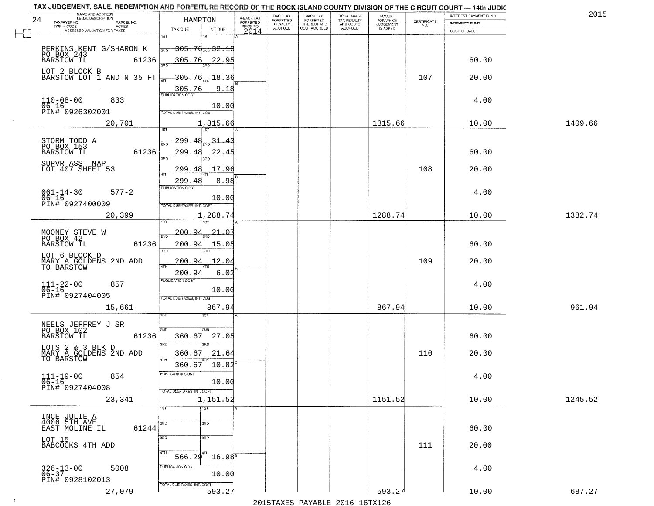| 201     | INTEREST PAYMENT FUND |                    | AMOUNT<br>FOR WHICH | TOTAL BACK<br>TAX PENALTY<br>AND COSTS | <b>BACK TAX</b><br>FORFEITED | BACK TAX             |                                     | HAMRTON                |                                                                    | NAME AND ADDRESS<br>LEGAL DESCRIPTION      | 24        |
|---------|-----------------------|--------------------|---------------------|----------------------------------------|------------------------------|----------------------|-------------------------------------|------------------------|--------------------------------------------------------------------|--------------------------------------------|-----------|
|         | INDEMNITY FUND        | CERTIFICATE<br>NO. | <b>JUDGEMENT</b>    |                                        | <b>INTEREST AND</b>          | FORFEITED<br>PENALTY | A-BACK TAX<br>FORFEITED<br>PRIOR TO |                        |                                                                    | TAXPAYER NO.<br>PARCEL NO.<br>ACRES        |           |
|         | COST OF SALE          |                    | IS ASKED            | ACCRUED                                | COST ACCRUED                 | <b>ACCRUED</b>       | 2014                                | INT DUE                | TAX DUE                                                            | ASSESSED VALUATION FOR TAXES               |           |
|         |                       |                    |                     |                                        |                              |                      |                                     | 181                    | 1ST                                                                |                                            |           |
|         |                       |                    |                     |                                        |                              |                      |                                     |                        | $\left.\right _{\text{2ND}}$ 305.7 $\mathsf{d}_{\text{2ND}}$ 32.13 | PERKINS KENT G/SHARON K                    |           |
|         | 60.00                 |                    |                     |                                        |                              |                      |                                     | <u>22.95</u>           | <u>305.76</u>                                                      | PO BOX 243<br>61236                        |           |
|         |                       |                    |                     |                                        |                              |                      |                                     |                        |                                                                    |                                            |           |
|         | 20.00                 | 107                |                     |                                        |                              |                      |                                     | 18.36                  | $-305.76$                                                          | LOT 2 BLOCK B<br>BARSTOW LOT 1 AND N 35 FT |           |
|         |                       |                    |                     |                                        |                              |                      |                                     | 9.18                   |                                                                    |                                            |           |
|         |                       |                    |                     |                                        |                              |                      |                                     |                        | 305.76                                                             |                                            |           |
|         | 4.00                  |                    |                     |                                        |                              |                      |                                     | 10.00                  |                                                                    | $110-08-00$<br>06-16<br>833                |           |
|         |                       |                    |                     |                                        |                              |                      |                                     |                        | TOTAL DUE-TAXES, INT. COST                                         | PIN# 0926302001                            |           |
| 1409.66 | 10.00                 |                    | 1315.66             |                                        |                              |                      |                                     | 1,315.66               |                                                                    | 20,701                                     |           |
|         |                       |                    |                     |                                        |                              |                      |                                     |                        |                                                                    |                                            |           |
|         |                       |                    |                     |                                        |                              |                      |                                     | -31                    | 299.48<br>2ND                                                      | STORM TODD A                               |           |
|         |                       |                    |                     |                                        |                              |                      |                                     |                        |                                                                    | PO BOX 153<br>61236                        |           |
|         | 60.00                 |                    |                     |                                        |                              |                      |                                     | 22.45                  | 299.48<br>त्रहा                                                    | <b>BARSTOW IL</b>                          |           |
|         | 20.00                 | 108                |                     |                                        |                              |                      |                                     | 17.96                  | 299.48                                                             | SUPVR ASST MAP<br>LOT 407 SHEET 53         |           |
|         |                       |                    |                     |                                        |                              |                      |                                     |                        |                                                                    |                                            |           |
|         |                       |                    |                     |                                        |                              |                      |                                     | 8.98                   | 299.4                                                              |                                            |           |
|         | 4.00                  |                    |                     |                                        |                              |                      |                                     |                        | PUBLICATION COST                                                   | $061 - 14 - 30$<br>$577 - 2$               |           |
|         |                       |                    |                     |                                        |                              |                      |                                     | 10.00                  |                                                                    | PIN# 0927400009                            | $06 - 16$ |
|         |                       |                    |                     |                                        |                              |                      |                                     |                        | TOTAL DUE-TAXES, INT. COST                                         |                                            |           |
| 1382.74 | 10.00                 |                    | 1288.74             |                                        |                              |                      |                                     | 1,288.74<br>187        | is T                                                               | 20,399                                     |           |
|         |                       |                    |                     |                                        |                              |                      |                                     |                        |                                                                    |                                            |           |
|         |                       |                    |                     |                                        |                              |                      |                                     | <u> 21. 0'</u>         | -200.94<br>2ND                                                     | MOONEY STEVE W<br>PO BOX 42                |           |
|         | 60.00                 |                    |                     |                                        |                              |                      |                                     | 15.05                  | 200.94                                                             | BARSTOW IL<br>61236                        |           |
|         |                       |                    |                     |                                        |                              |                      |                                     | 3RD                    | 3RD                                                                | LOT 6 BLOCK D                              |           |
|         | 20.00                 | 109                |                     |                                        |                              |                      |                                     | 12.04                  | <u> 200.9</u><br>4TH                                               | MARY A GOLDENS 2ND ADD<br>TO BARSTOW       |           |
|         |                       |                    |                     |                                        |                              |                      |                                     | 6.02                   | 200.9                                                              |                                            |           |
|         | 4.00                  |                    |                     |                                        |                              |                      |                                     |                        | <b>PUBLICATION COST</b>                                            | 857                                        |           |
|         |                       |                    |                     |                                        |                              |                      |                                     | 10.00                  |                                                                    | $111 - 22 - 00$<br>06-16                   |           |
|         |                       |                    |                     |                                        |                              |                      |                                     |                        | TOTAL OUE-TAXES, INT. COST                                         | PIN# 0927404005                            |           |
| 961.94  | 10.00                 |                    | 867.94              |                                        |                              |                      |                                     | 867.94                 |                                                                    | 15,661                                     |           |
|         |                       |                    |                     |                                        |                              |                      |                                     |                        |                                                                    |                                            |           |
|         |                       |                    |                     |                                        |                              |                      |                                     | 2ND                    | 2ND                                                                | NEELS JEFFREY J SR<br>PO BOX 102           |           |
|         | 60.00                 |                    |                     |                                        |                              |                      |                                     | 27.05                  | 360.6'                                                             | BARSTOW IL<br>61236                        |           |
|         |                       |                    |                     |                                        |                              |                      |                                     | 3RD                    | 3RD                                                                | LOTS 2 & 3 BLK D                           |           |
|         | 20.00                 | 110                |                     |                                        |                              |                      |                                     | 21.64                  | 360.67                                                             | MARY A GOLDENS 2ND ADD                     |           |
|         |                       |                    |                     |                                        |                              |                      |                                     | 10.82                  | 4TH<br>360.67                                                      | TO BARSTOW                                 |           |
|         |                       |                    |                     |                                        |                              |                      |                                     |                        | PUBLICA HUN CUS                                                    |                                            |           |
|         | 4.00                  |                    |                     |                                        |                              |                      |                                     | 10.00                  |                                                                    | $111 - 19 - 00$<br>854                     | $06 - 16$ |
|         |                       |                    |                     |                                        |                              |                      |                                     |                        | TOTAL DUE-TAXES, INT. COST                                         | PIN# 0927404008<br>$\sim 100$              |           |
| 1245.52 | 10.00                 |                    | 1151.52             |                                        |                              |                      |                                     | 1,151.52               |                                                                    | 23,341                                     |           |
|         |                       |                    |                     |                                        |                              |                      |                                     | 1ST                    |                                                                    |                                            |           |
|         |                       |                    |                     |                                        |                              |                      |                                     |                        |                                                                    | INCE JULIE A<br>4006 5TH AVE               |           |
|         | 60.00                 |                    |                     |                                        |                              |                      |                                     | 2ND                    | 2ND                                                                | 61244<br>EAST MOLINE IL                    |           |
|         |                       |                    |                     |                                        |                              |                      |                                     | 3BD                    | 3RD                                                                |                                            |           |
|         | 20.00                 | 111                |                     |                                        |                              |                      |                                     |                        |                                                                    | LOT 15<br>BABCOCKS 4TH ADD                 |           |
|         |                       |                    |                     |                                        |                              |                      |                                     |                        | 4TH                                                                |                                            |           |
|         |                       |                    |                     |                                        |                              |                      |                                     | $16.98^{\overline{5}}$ | 566.29                                                             |                                            |           |
|         | 4.00                  |                    |                     |                                        |                              |                      |                                     |                        | PUBLICATION COST                                                   | $326 - 13 - 00$<br>06-37<br>5008           |           |
|         |                       |                    |                     |                                        |                              |                      |                                     | 10.00                  |                                                                    | PIN# 0928102013                            |           |
|         | 10.00                 |                    | 593.27              |                                        |                              |                      |                                     | 593.27                 | TOTAL DUE-TAXES, INT. COST                                         | 27,079                                     |           |
| 687.27  |                       |                    |                     |                                        |                              |                      |                                     |                        |                                                                    |                                            |           |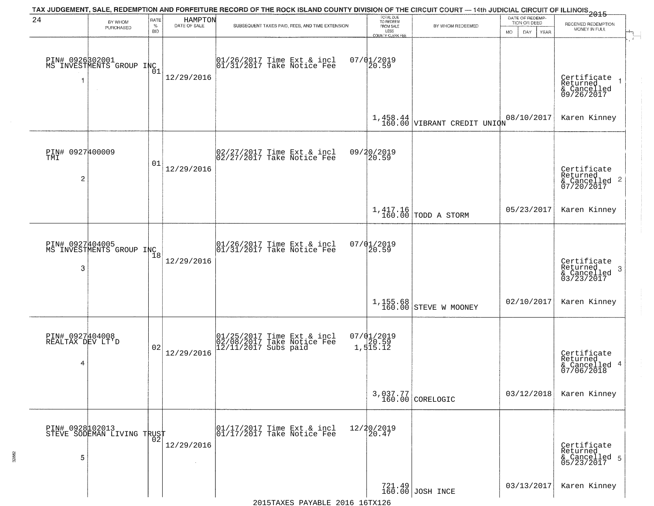| 24                                       | BY WHOM<br>PURCHASED                                  | RATE<br>$\%$<br><b>BID</b> | HAMPTON<br>DATE OF SALE | TAX JUDGEMENT, SALE, REDEMPTION AND FORFEITURE RECORD OF THE ROCK ISLAND COUNTY DIVISION OF THE CIRCUIT COURT — 14th JUDICIAL CIRCUIT OF ILLINOIS 2015<br>SUBSEQUENT TAXES PAID, FEES, AND TIME EXTENSION | TOTAL DUE<br>TO REDEEM<br>FROM SALE<br>LESS<br>COUNTY CLERK FEE | BY WHOM REDEEMED                | DATE OF REDEMP-<br>TION OR DEED<br>MO.<br>DAY.<br>YEAR | RECEIVED REDEMPTION<br>MONEY IN FULL                               |
|------------------------------------------|-------------------------------------------------------|----------------------------|-------------------------|-----------------------------------------------------------------------------------------------------------------------------------------------------------------------------------------------------------|-----------------------------------------------------------------|---------------------------------|--------------------------------------------------------|--------------------------------------------------------------------|
| 1                                        | PIN# 0926302001<br>MS INVESTMENTS GROUP INC<br>$\sim$ | 01                         | 12/29/2016              | $\begin{array}{c}  01/26/2017 \text{ Time Ext} & \text{incl} \\  01/31/2017 \text{ Take Notice Fe} \end{array}$                                                                                           | $07/01/2019$<br>20.59                                           |                                 |                                                        | Certificate<br>Returned<br>& Cancelled<br>09/26/2017               |
|                                          |                                                       |                            |                         |                                                                                                                                                                                                           |                                                                 | $1,458.44$ VIBRANT CREDIT UNION | 08/10/2017                                             | Karen Kinney                                                       |
| PIN# 0927400009<br>TMI<br>$\overline{c}$ |                                                       | 01                         | 12/29/2016              | 02/27/2017 Time Ext & incl<br>02/27/2017 Take Notice Fee                                                                                                                                                  | 09/20/2019<br>20.59                                             |                                 |                                                        | Certificate<br>Returned<br>$\frac{1}{2}$ Cancelled 2<br>07/20/2017 |
|                                          |                                                       |                            |                         |                                                                                                                                                                                                           |                                                                 | $1,417.16$ TODD A STORM         | 05/23/2017                                             | Karen Kinney                                                       |
| 3                                        | PIN# 0927404005<br>MS INVESTMENTS GROUP INC           | 18                         | 12/29/2016              | 01/26/2017 Time Ext & incl<br>01/31/2017 Take Notice Fee                                                                                                                                                  | 07/01/2019<br>20.59                                             |                                 |                                                        | Certificate<br>Returned<br>3<br>& Cancelled<br>03/23/2017          |
|                                          |                                                       |                            |                         |                                                                                                                                                                                                           |                                                                 | $1,155.68$ STEVE W MOONEY       | 02/10/2017                                             | Karen Kinney                                                       |
| PIN# 0927404008<br>REALTAX DEV LT'D<br>4 |                                                       | 02                         | 12/29/2016              | 01/25/2017 Time Ext & incl<br>02/08/2017 Take Notice Fee<br>12/11/2017 Subs paid                                                                                                                          | $07/01/2019$<br>$20.59$<br>$1,515.12$                           |                                 |                                                        | Certificate<br>Returned<br>& Cancelled 4<br>07/06/2018             |
|                                          |                                                       |                            |                         |                                                                                                                                                                                                           |                                                                 | 3,037.77<br>160.00 CORELOGIC    | 03/12/2018                                             | Karen Kinney                                                       |
| 5                                        | PIN# 0928102013    <br>STEVE SODEMAN LIVING TRUST     | 02                         | 12/29/2016              | 01/17/2017 Time Ext & incl<br>01/17/2017 Take Notice Fee                                                                                                                                                  | 12/20/2019<br>20.47                                             |                                 |                                                        | Certificate<br>Returned<br>& Cancelled 5<br>05/23/2017             |
|                                          |                                                       |                            |                         |                                                                                                                                                                                                           |                                                                 | 721.49<br>160.00 JOSH INCE      | 03/13/2017                                             | Karen Kinney                                                       |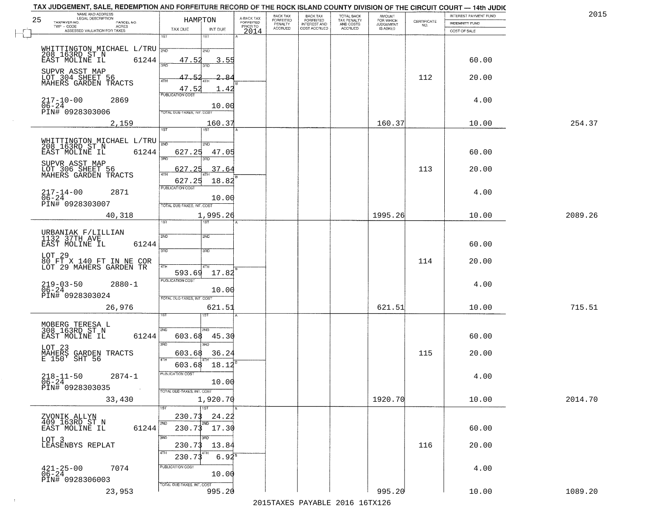| 25 | NAME AND ADDRESS<br>LEGAL DESCRIPTION                               | HAMRTON                                             |                                     | BACK TAX<br>FORFEITED     | BACK TAX<br>FORFEITED<br>INTEREST AND | TOTAL BACK<br>TAX PENALTY<br>AND COSTS | AMOUNT<br>FOR WHICH<br>JUDGEMENT |                                                                 | INTEREST PAYMENT FUND | 2015    |
|----|---------------------------------------------------------------------|-----------------------------------------------------|-------------------------------------|---------------------------|---------------------------------------|----------------------------------------|----------------------------------|-----------------------------------------------------------------|-----------------------|---------|
|    | TAXPAYER NO.<br>PARCEL NO.<br>TWP - CODE<br>ACRES                   | TAX DUE<br>INT DUE                                  | A-BACK TAX<br>FORFEITED<br>PRIOR TO | PENALTY<br><b>ACCRUED</b> | COST ACCRUED                          | <b>ACCRUED</b>                         | IS ASKED                         | $\begin{array}{c} \text{CERTIFICATE} \\ \text{NO.} \end{array}$ | <b>INDEMNITY FUND</b> |         |
|    | ASSESSED VALUATION FOR TAXES                                        | 1ST<br>1ST                                          | 2014                                |                           |                                       |                                        |                                  |                                                                 | COST OF SALE          |         |
|    | WHITTINGTON MICHAEL L/TRU                                           | 2ND                                                 |                                     |                           |                                       |                                        |                                  |                                                                 |                       |         |
|    | 208 163RD ST N<br>EAST MOLINE IL<br>61244                           | 3.55<br>47.52                                       |                                     |                           |                                       |                                        |                                  |                                                                 | 60.00                 |         |
|    |                                                                     |                                                     |                                     |                           |                                       |                                        |                                  |                                                                 |                       |         |
|    | SUPVR ASST MAP<br>LOT 304 SHEET 56<br>MAHERS GARDEN TRACTS          | 47.52<br>₽<br>4TH                                   |                                     |                           |                                       |                                        |                                  | 112                                                             | 20.00                 |         |
|    |                                                                     | 47.52<br>1.42<br><b>PUBLICATION COST</b>            |                                     |                           |                                       |                                        |                                  |                                                                 |                       |         |
|    | $217 - 10 - 00$<br>2869<br>06-24<br>PIN# 0928303006                 | 10.00                                               |                                     |                           |                                       |                                        |                                  |                                                                 | 4.00                  |         |
|    |                                                                     | TOTAL DUE-TAXES, INT. COST                          |                                     |                           |                                       |                                        |                                  |                                                                 |                       |         |
|    | 2,159                                                               | 160.37<br>1ST<br>1ST                                |                                     |                           |                                       |                                        | 160.37                           |                                                                 | 10.00                 | 254.37  |
|    |                                                                     | 2ND<br>2ND                                          |                                     |                           |                                       |                                        |                                  |                                                                 |                       |         |
|    | WHITTINGTON MICHAEL L/TRU<br>208 163RD ST N<br>EAST MOLINE IL 61244 | 627.25<br>47.05                                     |                                     |                           |                                       |                                        |                                  |                                                                 | 60.00                 |         |
|    | SUPVR ASST MAP<br>LOT_306_SHEET 56                                  | 3RD<br>הוא                                          |                                     |                           |                                       |                                        |                                  |                                                                 |                       |         |
|    | MAHERS GARDEN TRACTS                                                | 627.25<br>37.64<br>47H                              |                                     |                           |                                       |                                        |                                  | 113                                                             | 20.00                 |         |
|    | $217 - 14 - 00$<br>2871                                             | 627.25<br>18.82<br>PUBLICATION COST                 |                                     |                           |                                       |                                        |                                  |                                                                 | 4.00                  |         |
|    | $\overline{06} - 2\overline{4}$<br>PIN# 0928303007                  | 10.00                                               |                                     |                           |                                       |                                        |                                  |                                                                 |                       |         |
|    | 40,318                                                              | TOTAL DUE-TAXES, INT. COST<br>1,995.26              |                                     |                           |                                       |                                        | 1995.26                          |                                                                 | 10.00                 | 2089.26 |
|    |                                                                     | 1ST.                                                |                                     |                           |                                       |                                        |                                  |                                                                 |                       |         |
|    | URBANIAK F/LILLIAN<br>1132 37TH AVE                                 | 2ND<br>2ND                                          |                                     |                           |                                       |                                        |                                  |                                                                 |                       |         |
|    | EAST MOLINE IL<br>61244                                             | 3BD<br>3 <sub>3</sub>                               |                                     |                           |                                       |                                        |                                  |                                                                 | 60.00                 |         |
|    | LOT 29<br>80 FT X 140 FT IN NE COR<br>LOT 29 MAHERS GARDEN TR       |                                                     |                                     |                           |                                       |                                        |                                  | 114                                                             | 20.00                 |         |
|    |                                                                     | 4TH<br>4TH<br>593.69<br>17.82                       |                                     |                           |                                       |                                        |                                  |                                                                 |                       |         |
|    | $219-03-50$<br>06-24<br>$2880 - 1$                                  | <b>PUBLICATION COST</b>                             |                                     |                           |                                       |                                        |                                  |                                                                 | 4.00                  |         |
|    | PIN# 0928303024                                                     | 10.00<br>TOTAL OUE-TAXES, INT. COST                 |                                     |                           |                                       |                                        |                                  |                                                                 |                       |         |
|    | 26,976                                                              | 621.51                                              |                                     |                           |                                       |                                        | 621.51                           |                                                                 | 10.00                 | 715.51  |
|    |                                                                     | डिक                                                 |                                     |                           |                                       |                                        |                                  |                                                                 |                       |         |
|    | MOBERG TERESA L<br>308 163RD ST N<br>EAST MOLINE IL<br>61244        | 2ND<br>2ND.<br>603.68<br>45.30                      |                                     |                           |                                       |                                        |                                  |                                                                 | 60.00                 |         |
|    | LOT 23                                                              | 3BD<br>$\overline{3BD}$                             |                                     |                           |                                       |                                        |                                  |                                                                 |                       |         |
|    | MAHERS GARDEN TRACTS<br>E 150' SHT 56                               | 36.24<br>603.68<br>4TH                              |                                     |                           |                                       |                                        |                                  | 115                                                             | 20.00                 |         |
|    |                                                                     | 18.12<br>603.68                                     |                                     |                           |                                       |                                        |                                  |                                                                 |                       |         |
|    | $218 - 11 - 50$<br>$2874 - 1$<br>$06 - 24$                          | PUBLICATION COST<br>10.00                           |                                     |                           |                                       |                                        |                                  |                                                                 | 4.00                  |         |
|    | PIN# 0928303035                                                     | TOTAL DUE-TAXES, INT. COST                          |                                     |                           |                                       |                                        |                                  |                                                                 |                       |         |
|    | 33,430                                                              | 1,920.70<br>1ST<br>1ST                              |                                     |                           |                                       |                                        | 1920.70                          |                                                                 | 10.00                 | 2014.70 |
|    | ZVONIK ALLYN<br>409 163RD ST N                                      | 230.73<br>24.22                                     |                                     |                           |                                       |                                        |                                  |                                                                 |                       |         |
|    | 61244<br>EAST MOLINE IL                                             | 2ND<br>2ND<br>$230.73$ 17.30                        |                                     |                           |                                       |                                        |                                  |                                                                 | 60.00                 |         |
|    | LOT 3                                                               | 3RD<br>3RD                                          |                                     |                           |                                       |                                        |                                  |                                                                 |                       |         |
|    | LEASENBYS REPLAT                                                    | 230.73<br>13.84<br>4TH                              |                                     |                           |                                       |                                        |                                  | 116                                                             | 20.00                 |         |
|    |                                                                     | $6.94^{\overline{8}}$<br>230.73<br>PUBLICATION COST |                                     |                           |                                       |                                        |                                  |                                                                 |                       |         |
|    | $421 - 25 - 00$<br>06-24<br>7074<br>PIN# 0928306003                 | 10.00                                               |                                     |                           |                                       |                                        |                                  |                                                                 | 4.00                  |         |
|    | 23,953                                                              | TOTAL DUE-TAXES, INT. COST<br>995.20                |                                     |                           |                                       |                                        | 995.20                           |                                                                 | 10.00                 | 1089.20 |
|    |                                                                     |                                                     |                                     |                           |                                       |                                        |                                  |                                                                 |                       |         |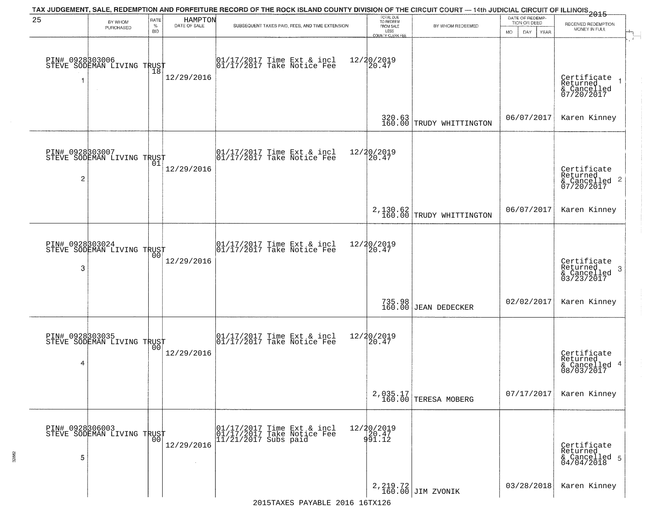| 25                    | BY WHOM<br>PURCHASED                          | RATE<br>$\%$<br><b>BID</b> | HAMPTON<br>DATE OF SALE | TAX JUDGEMENT, SALE, REDEMPTION AND FORFEITURE RECORD OF THE ROCK ISLAND COUNTY DIVISION OF THE CIRCUIT COURT — 14th JUDICIAL CIRCUIT OF ILLINOIS 2015<br>SUBSEQUENT TAXES PAID, FEES, AND TIME EXTENSION | TOTAL DUE<br>TO REDEEM<br>FROM SALE<br>LESS<br><b>COUNTY CLERK FEE</b> | BY WHOM REDEEMED                       | DATE OF REDEMP-<br>TION OR DEED<br>MO.<br>DAY.<br>YEAR | RECEIVED REDEMPTION<br>MONEY IN FULL                               |
|-----------------------|-----------------------------------------------|----------------------------|-------------------------|-----------------------------------------------------------------------------------------------------------------------------------------------------------------------------------------------------------|------------------------------------------------------------------------|----------------------------------------|--------------------------------------------------------|--------------------------------------------------------------------|
| PIN# 0928303006<br>f. | STEVE SODEMAN LIVING TRUST<br>$\sim$          | 18                         | 12/29/2016              | 01/17/2017 Time Ext & incl<br>01/17/2017 Take Notice Fee                                                                                                                                                  | 12/20/2019<br>20.47                                                    |                                        |                                                        | Certificate<br>Returned<br>& Cancelled<br>07/20/2017               |
|                       |                                               |                            |                         |                                                                                                                                                                                                           |                                                                        | 320.63<br>160.00 TRUDY WHITTINGTON     | 06/07/2017                                             | Karen Kinney                                                       |
| $\overline{c}$        | PIN# 0928803007<br>STEVE SODEMAN LIVING TRUST |                            | 12/29/2016              | 01/17/2017 Time Ext & incl<br>01/17/2017 Take Notice Fee                                                                                                                                                  | 12/20/2019<br>20.47                                                    |                                        |                                                        | Certificate<br>Returned<br>$\frac{1}{2}$ Cancelled 2<br>07/20/2017 |
|                       |                                               |                            |                         |                                                                                                                                                                                                           |                                                                        | $2,130.62$<br>160.00 TRUDY WHITTINGTON | 06/07/2017                                             | Karen Kinney                                                       |
| 3                     | PIN# 0928303024<br>STEVE SODEMAN LIVING TRUST | 00                         | 12/29/2016              | 01/17/2017 Time Ext & incl<br>01/17/2017 Take Notice Fee                                                                                                                                                  | 12/20/2019<br>20.47                                                    |                                        |                                                        | Certificate<br>Returned<br>3<br>$\frac{6}{03/23/2017}$             |
|                       |                                               |                            |                         |                                                                                                                                                                                                           |                                                                        | 735.98<br>160.00 JEAN DEDECKER         | 02/02/2017                                             | Karen Kinney                                                       |
| 4                     | PIN# 0928303035<br>STEVE SODEMAN LIVING TRUST | 0 <sub>0</sub>             | 12/29/2016              | 01/17/2017 Time Ext & incl<br>01/17/2017 Take Notice Fee                                                                                                                                                  | 12/20/2019<br>[20.47]                                                  |                                        |                                                        | Certificate<br>Returned<br>4<br>& Cancelled<br>08/03/2017          |
|                       |                                               |                            |                         |                                                                                                                                                                                                           |                                                                        | 2,035.17<br>160.00 TERESA MOBERG       | 07/17/2017                                             | Karen Kinney                                                       |
| PIN# 0928306003<br>5  | STEVE SODEMAN LIVING TRUST                    | 00                         | 12/29/2016              | 01/17/2017 Time Ext & incl<br>01/17/2017 Take Notice Fee<br>$11/21/2017$ Subs paid                                                                                                                        | 12/20/2019<br>20.47<br>91.12                                           |                                        |                                                        | Certificate<br>Returned<br>& Cancelled 5<br>04/04/2018             |
|                       |                                               |                            |                         |                                                                                                                                                                                                           |                                                                        | 2, 219.72<br>160.00 JIM ZVONIK         | 03/28/2018                                             | Karen Kinney                                                       |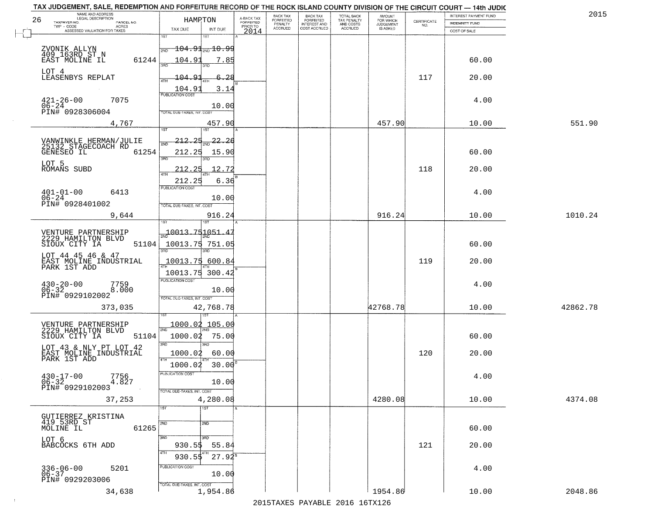|    | TAX JUDGEMENT, SALE, REDEMPTION AND FORFEITURE RECORD OF THE ROCK ISLAND COUNTY DIVISION OF THE CIRCUIT COURT - 14th JUDIC<br>NAME AND ADDRESS<br>LEGAL DESCRIPTION |                                           |                                     | BACK TAX                    | BACK TAX<br>FORFEITED |                                        | AMOUNT<br>FOR WHICH |                                                                 | INTEREST PAYMENT FUND | 2015     |
|----|---------------------------------------------------------------------------------------------------------------------------------------------------------------------|-------------------------------------------|-------------------------------------|-----------------------------|-----------------------|----------------------------------------|---------------------|-----------------------------------------------------------------|-----------------------|----------|
| 26 | TAXPAYER NO.<br>PARCEL NO.                                                                                                                                          | HAMPTON                                   | A-BACK TAX<br>FORFEITED<br>PRIOR TO | <b>FORFEITED</b><br>PENALTY | <b>INTEREST AND</b>   | TOTAL BACK<br>TAX PENALTY<br>AND COSTS | <b>JUDGEMENT</b>    | $\begin{array}{c} \text{CERTIFICATE} \\ \text{NO.} \end{array}$ | INDEMNITY FUND        |          |
|    | ACRES<br>ASSESSED VALUATION FOR TAXES                                                                                                                               | TAX DUE                                   | INT DUE<br>2014                     | <b>ACCRUED</b>              | COST ACCRUED          | <b>ACCRUED</b>                         | IS ASKED            |                                                                 | COST OF SALE          |          |
|    |                                                                                                                                                                     | 1ST<br>۱ST                                |                                     |                             |                       |                                        |                     |                                                                 |                       |          |
|    | ZVONIK ALLYN                                                                                                                                                        | $\frac{1}{200}$ 104.91 $_{\rm 700}$ 10.99 |                                     |                             |                       |                                        |                     |                                                                 |                       |          |
|    | 409 163RD ST N<br>61244<br>EAST MOLINE IL                                                                                                                           | 104.91                                    | 7.85                                |                             |                       |                                        |                     |                                                                 | 60.00                 |          |
|    |                                                                                                                                                                     |                                           |                                     |                             |                       |                                        |                     |                                                                 |                       |          |
|    | LOT 4<br>LEASENBYS REPLAT                                                                                                                                           | 104.91                                    | 6.28                                |                             |                       |                                        |                     | 117                                                             | 20.00                 |          |
|    |                                                                                                                                                                     |                                           |                                     |                             |                       |                                        |                     |                                                                 |                       |          |
|    |                                                                                                                                                                     | $\frac{104.91}{FUBUCATON COST}$           | 3.14                                |                             |                       |                                        |                     |                                                                 |                       |          |
|    | $421 - 26 - 00$<br>$06 - 24$<br>7075                                                                                                                                |                                           | 10.00                               |                             |                       |                                        |                     |                                                                 | 4.00                  |          |
|    | PIN# 0928306004                                                                                                                                                     | TOTAL DUE-TAXES, INT. COST                |                                     |                             |                       |                                        |                     |                                                                 |                       |          |
|    | 4,767                                                                                                                                                               |                                           | 457.90                              |                             |                       |                                        | 457.90              |                                                                 | 10.00                 | 551.90   |
|    |                                                                                                                                                                     |                                           |                                     |                             |                       |                                        |                     |                                                                 |                       |          |
|    | VANWINKLE HERMAN/JULIE<br>25132 STAGECOACH RD                                                                                                                       | <u> 212.25</u>                            | $\frac{22.2}{8}$                    |                             |                       |                                        |                     |                                                                 |                       |          |
|    | 61254<br>GENESEO IL                                                                                                                                                 | 212.25                                    | 15.90                               |                             |                       |                                        |                     |                                                                 | 60.00                 |          |
|    |                                                                                                                                                                     | त्रहा<br>3RD                              |                                     |                             |                       |                                        |                     |                                                                 |                       |          |
|    | LOT 5<br>ROMANS SUBD                                                                                                                                                | 212.25                                    | 12.72                               |                             |                       |                                        |                     | 118                                                             | 20.00                 |          |
|    |                                                                                                                                                                     | 212.25                                    | 6.36                                |                             |                       |                                        |                     |                                                                 |                       |          |
|    |                                                                                                                                                                     | PUBLICATION COST                          |                                     |                             |                       |                                        |                     |                                                                 |                       |          |
|    | $\begin{array}{ll} 401 - 01 - 00 & \text{6} \\ 06 - 24 & \text{PINH} & 0928401002 \end{array}$<br>6413                                                              |                                           | 10.00                               |                             |                       |                                        |                     |                                                                 | 4.00                  |          |
|    |                                                                                                                                                                     | TOTAL DUE-TAXES, INT. COST                |                                     |                             |                       |                                        |                     |                                                                 |                       |          |
|    | 9,644                                                                                                                                                               |                                           | 916.24                              |                             |                       |                                        | 916.24              |                                                                 | 10.00                 | 1010.24  |
|    |                                                                                                                                                                     | 1ST                                       |                                     |                             |                       |                                        |                     |                                                                 |                       |          |
|    | VENTURE PARTNERSHIP                                                                                                                                                 | $-10013.751051$                           |                                     |                             |                       |                                        |                     |                                                                 |                       |          |
|    | 2229 HAMILTON BLVD<br>SIOUX CITY IA<br>51104                                                                                                                        | 10013.75 751.05                           |                                     |                             |                       |                                        |                     |                                                                 | 60.00                 |          |
|    | LOT 44 45 46 & 47                                                                                                                                                   | 3RD<br>3RD                                |                                     |                             |                       |                                        |                     |                                                                 |                       |          |
|    | EAST MOLINE INDUSTRIAL<br>PARK 1ST ADD                                                                                                                              | 10013.75 600.84                           |                                     |                             |                       |                                        |                     | 119                                                             | 20.00                 |          |
|    |                                                                                                                                                                     | 10013.75                                  | 300.42                              |                             |                       |                                        |                     |                                                                 |                       |          |
|    |                                                                                                                                                                     | <b>PUBLICATION COST</b>                   |                                     |                             |                       |                                        |                     |                                                                 | 4.00                  |          |
|    | $430 - 20 - 00$<br>06-32<br>7759<br>8.000                                                                                                                           |                                           | 10.00                               |                             |                       |                                        |                     |                                                                 |                       |          |
|    | PIN# 0929102002                                                                                                                                                     | TOTAL OUE-TAXES, INT. COST                |                                     |                             |                       |                                        |                     |                                                                 |                       |          |
|    | 373,035                                                                                                                                                             | 42,768.78                                 |                                     |                             |                       |                                        | 42768.78            |                                                                 | 10.00                 | 42862.78 |
|    |                                                                                                                                                                     |                                           |                                     |                             |                       |                                        |                     |                                                                 |                       |          |
|    | VENTURE PARTNERSHIP<br>2229 HAMILTON BLVD                                                                                                                           | 1000.02 105.00<br>2ND                     |                                     |                             |                       |                                        |                     |                                                                 |                       |          |
|    | SIOUX CITY IA<br>51104                                                                                                                                              | 1000.02 75.00                             |                                     |                             |                       |                                        |                     |                                                                 | 60.00                 |          |
|    | LOT 43 & NLY PT LOT 42                                                                                                                                              | 3BD                                       |                                     |                             |                       |                                        |                     |                                                                 |                       |          |
|    | EAST MOLINE INDUSTRIAL<br>PARK 1ST ADD                                                                                                                              | 1000.02                                   | 60.00                               |                             |                       |                                        |                     | 120                                                             | 20.00                 |          |
|    |                                                                                                                                                                     | 1000.02                                   | 30.00                               |                             |                       |                                        |                     |                                                                 |                       |          |
|    | $430 - 17 - 00$<br>06-32<br>7756                                                                                                                                    | <b>PUBLICATION COS</b>                    |                                     |                             |                       |                                        |                     |                                                                 | 4.00                  |          |
|    | 4.827<br>PIN# 0929102003                                                                                                                                            |                                           | 10.00                               |                             |                       |                                        |                     |                                                                 |                       |          |
|    | 37,253                                                                                                                                                              | TOTAL DUE-TAXES, INT. COST                | 4,280.08                            |                             |                       |                                        | 4280.08             |                                                                 | 10.00                 | 4374.08  |
|    |                                                                                                                                                                     | 1ST<br>1ST                                |                                     |                             |                       |                                        |                     |                                                                 |                       |          |
|    | GUTIERREZ KRISTINA                                                                                                                                                  |                                           |                                     |                             |                       |                                        |                     |                                                                 |                       |          |
|    | 419 53RD ST<br>61265                                                                                                                                                | 2ND<br>2ND.                               |                                     |                             |                       |                                        |                     |                                                                 | 60.00                 |          |
|    | MOLINE IL                                                                                                                                                           | 3RD<br>3RD                                |                                     |                             |                       |                                        |                     |                                                                 |                       |          |
|    | LOT 6<br>BABCOCKS 6TH ADD                                                                                                                                           | 930.55                                    | 55.84                               |                             |                       |                                        |                     | 121                                                             | 20.00                 |          |
|    |                                                                                                                                                                     |                                           |                                     |                             |                       |                                        |                     |                                                                 |                       |          |
|    |                                                                                                                                                                     | 930.55                                    | $27.92^8$                           |                             |                       |                                        |                     |                                                                 |                       |          |
|    | 336-06-00<br>06-37<br>5201                                                                                                                                          | PUBLICATION COST                          | 10.00                               |                             |                       |                                        |                     |                                                                 | 4.00                  |          |
|    | PIN# 0929203006                                                                                                                                                     | TOTAL DUE-TAXES, INT. COST                |                                     |                             |                       |                                        |                     |                                                                 |                       |          |
|    | 34,638                                                                                                                                                              |                                           | 1,954.86                            |                             |                       |                                        | 1954.86             |                                                                 | 10.00                 | 2048.86  |
|    |                                                                                                                                                                     |                                           |                                     |                             |                       | 2015 TAVEC DAVADIE 2016 16TV126        |                     |                                                                 |                       |          |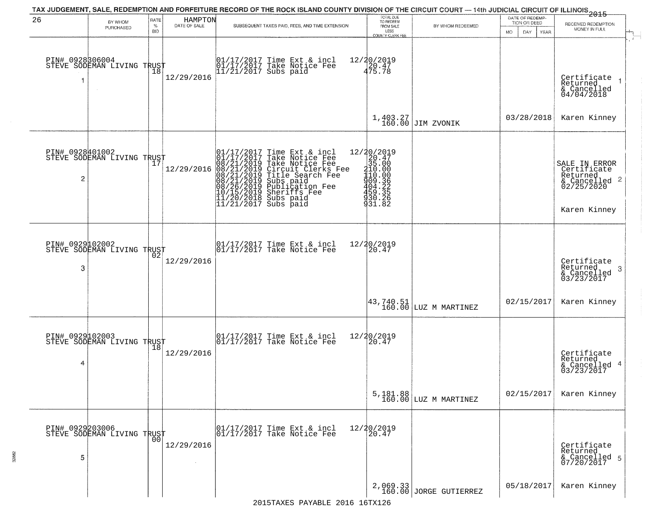| 26                   | BY WHOM<br>PURCHASED                                            | RATE<br>$\%$<br><b>BID</b> | HAMPTON<br>DATE OF SALE | TAX JUDGEMENT, SALE, REDEMPTION AND FORFEITURE RECORD OF THE ROCK ISLAND COUNTY DIVISION OF THE CIRCUIT COURT — 14th JUDICIAL CIRCUIT OF ILLINOIS 2015<br>SUBSEQUENT TAXES PAID, FEES, AND TIME EXTENSION                                                                                                                                                                                                       | TOTAL DUE<br>TO REDEEM<br>FROM SALE<br>LESS<br>COUNTY CLERK FEE                                              | BY WHOM REDEEMED                                                    | DATE OF REDEMP-<br>TION OR DEED<br>MO.<br>DAY<br><b>YEAR</b> | RECEIVED REDEMPTION<br>MONEY IN FULL                                                    |
|----------------------|-----------------------------------------------------------------|----------------------------|-------------------------|-----------------------------------------------------------------------------------------------------------------------------------------------------------------------------------------------------------------------------------------------------------------------------------------------------------------------------------------------------------------------------------------------------------------|--------------------------------------------------------------------------------------------------------------|---------------------------------------------------------------------|--------------------------------------------------------------|-----------------------------------------------------------------------------------------|
|                      | PIN# 0928306004<br>STEVE SODEMAN LIVING TRUST                   | 18                         | 12/29/2016              | 01/17/2017 Time Ext & incl<br>01/17/2017 Take Notice Fee<br>11/21/2017 Subs paid                                                                                                                                                                                                                                                                                                                                | 12/20/2019<br>20.47<br>475.78                                                                                |                                                                     |                                                              | Certificate<br>Returned<br>& Cancelled<br>04/04/2018                                    |
|                      |                                                                 |                            |                         |                                                                                                                                                                                                                                                                                                                                                                                                                 |                                                                                                              | $1,403.27$ J60.00 JIM ZVONIK                                        | 03/28/2018                                                   | Karen Kinney                                                                            |
| PIN# 0928401002<br>2 | <b>STEVE SODEMAN LIVING TRUST</b><br>STEVE SODEMAN LIVING TRUST |                            | 12/29/2016              | Time Ext & incl<br>Take Notice Fee<br>Take Notice Fee<br>Circuit Clerks Fee<br>Title Search Fee<br>Subs paid<br>Publication Fee<br>Sherifs Fee<br>Subs paid<br>01/17/2017 Time Ext & 01/17/2017 Take Notic<br>08/21/2019 Take Notic<br>08/21/2019 Circuit Cl<br>08/21/2019 Circuit Cl<br>08/21/2019 Title Sear<br>08/26/2019 Subs paid<br>10/15/2019 Sheriffs F<br>11/20/2018 Subs paid<br>11/21/2017 Subs paid | ${\begin{array}{c} 12/20/2019\\20.47\\35.000\\410.00\\409.35\\499.325\\459.325\\530.282\\931.82\end{array}}$ |                                                                     |                                                              | SALE IN ERROR<br>Certificate<br>Returned<br>& Cancelled 2<br>02/25/2020<br>Karen Kinney |
| PIN# 0929102002<br>3 | STEVE SODEMAN LIVING TRUST                                      |                            | 12/29/2016              | $\begin{array}{ccc}  01/17/2017 \text{ Time} & \text{Ext} & \text{incl} \\  01/17/2017 \text{ Take Notice } \text{Fe} \end{array}$                                                                                                                                                                                                                                                                              | 12/20/2019<br>20.47                                                                                          |                                                                     |                                                              | Certificate<br>Returned<br>-3<br>& Cancelled<br>03/23/2017                              |
|                      |                                                                 |                            |                         |                                                                                                                                                                                                                                                                                                                                                                                                                 |                                                                                                              | $\begin{vmatrix} 43, 740.51 \\ 160.00 \end{vmatrix}$ LUZ M MARTINEZ | 02/15/2017                                                   | Karen Kinney                                                                            |
| 4                    | PIN# 0929102003<br>STEVE SODEMAN LIVING TRUST                   |                            | 12/29/2016              | $\begin{array}{cc} 01/17/2017 & \text{Time Ext} & \text{incl} \\ 01/17/2017 & \text{Take Notice Fee} \end{array}$                                                                                                                                                                                                                                                                                               | 12/20/2019<br>20.47                                                                                          |                                                                     |                                                              | Certificate<br>Returned<br>& Cancelled 4<br>03/23/2017                                  |
|                      |                                                                 |                            |                         |                                                                                                                                                                                                                                                                                                                                                                                                                 |                                                                                                              | 5, 181.88<br>160.00 LUZ M MARTINEZ                                  | 02/15/2017                                                   | Karen Kinney                                                                            |
| 5                    | PIN# 0929203006<br>STEVE SODEMAN LIVING TRUST                   |                            | 12/29/2016              | 01/17/2017 Time Ext & incl<br>01/17/2017 Take Notice Fee                                                                                                                                                                                                                                                                                                                                                        | 12/20/2019<br>20.47                                                                                          |                                                                     |                                                              | Certificate<br>Returned<br>& Cancelled 5<br>07/20/2017                                  |
|                      |                                                                 |                            |                         |                                                                                                                                                                                                                                                                                                                                                                                                                 |                                                                                                              | 2,069.33<br>160.00 JORGE GUTIERREZ                                  | 05/18/2017                                                   | Karen Kinney                                                                            |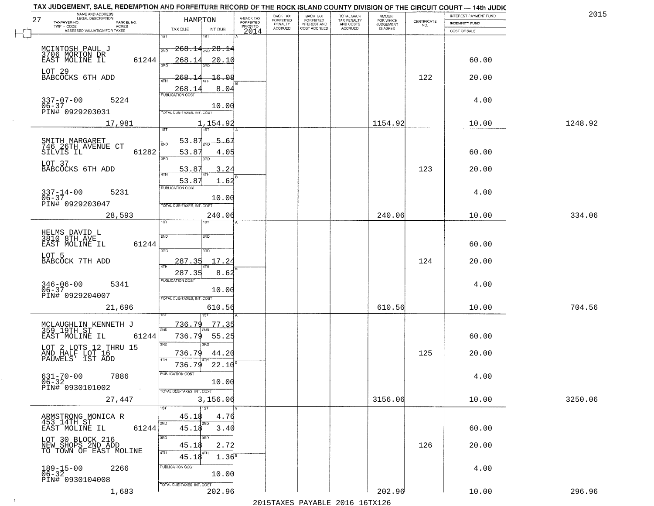| 27 | NAME AND ADDRESS<br>LEGAL DESCRIPTION                                                    | HAMPTON                                                                            | A-BACK TAX                   | BACK TAX<br><b>FORFEITED</b> | BACK TAX<br>FORFEITED           | TOTAL BACK<br>TAX PENALTY<br>AND COSTS<br>ACCRUED | <b>AMOUNT</b>                      | CERTIFICATE | INTEREST PAYMENT FUND | 2015    |
|----|------------------------------------------------------------------------------------------|------------------------------------------------------------------------------------|------------------------------|------------------------------|---------------------------------|---------------------------------------------------|------------------------------------|-------------|-----------------------|---------|
|    | TAXPAYER NO.<br>PARCEL NO.<br>TWP - CODE<br><b>ACRES</b><br>ASSESSED VALUATION FOR TAXES | TAX DUE<br>INT DUE                                                                 | <b>FORFEITED</b><br>PRIOR TO | PENALTY<br>ACCRUED           | INTEREST AND<br>COST ACCRUED    |                                                   | FOR WHICH<br>JUDGEMENT<br>IS ASKED | NO.         | <b>INDEMNITY FUND</b> |         |
|    |                                                                                          | $\overline{1ST}$<br>श्डा                                                           | 2014                         |                              |                                 |                                                   |                                    |             | COST OF SALE          |         |
|    |                                                                                          | $\textcolor{blue}{\textbf{268.14}} \textcolor{blue}{\textbf{_{2ND} 28.14}}$<br>2ND |                              |                              |                                 |                                                   |                                    |             |                       |         |
|    | MCINTOSH PAUL J<br>3706 MORTON DR<br>EAST MOLINE IL<br>61244                             | 268.14<br><u> 20.10</u><br>заг                                                     |                              |                              |                                 |                                                   |                                    |             | 60.00                 |         |
|    | LOT 29<br>BABCOCKS 6TH ADD                                                               | $-16.08$<br>268.                                                                   |                              |                              |                                 |                                                   |                                    | 122         | 20.00                 |         |
|    |                                                                                          | 268.1<br>8.04                                                                      |                              |                              |                                 |                                                   |                                    |             |                       |         |
|    | $337 - 07 - 00$<br>5224                                                                  | <b>PUBLICATION COST</b>                                                            |                              |                              |                                 |                                                   |                                    |             | 4.00                  |         |
|    | 06-37<br>PIN# 0929203031                                                                 | 10.00<br>TOTAL DUE-TAXES, INT. COST                                                |                              |                              |                                 |                                                   |                                    |             |                       |         |
|    | 17,981                                                                                   | 1,154.92<br>1ST<br>1ST                                                             |                              |                              |                                 |                                                   | 1154.92                            |             | 10.00                 | 1248.92 |
|    |                                                                                          | 53.87                                                                              |                              |                              |                                 |                                                   |                                    |             |                       |         |
|    | SMITH MARGARET<br>746 26TH AVENUE CT<br>SILVIS IL<br>61282                               | 53.8'<br>4.05                                                                      |                              |                              |                                 |                                                   |                                    |             | 60.00                 |         |
|    | LOT 37<br>BABCOCKS 6TH ADD                                                               | 3RD<br>53.8<br>24<br>ર                                                             |                              |                              |                                 |                                                   |                                    | 123         | 20.00                 |         |
|    |                                                                                          | 4TH<br>53.87<br>1.62                                                               |                              |                              |                                 |                                                   |                                    |             |                       |         |
|    | $337 - 14 - 00$<br>06-37<br>5231                                                         | PUBLICATION COST                                                                   |                              |                              |                                 |                                                   |                                    |             | 4.00                  |         |
|    | PIN# 0929203047                                                                          | 10.00<br>TOTAL DUE-TAXES, INT. COST                                                |                              |                              |                                 |                                                   |                                    |             |                       |         |
|    | 28,593                                                                                   | 240.06<br>ist<br>ST                                                                |                              |                              |                                 |                                                   | 240.06                             |             | 10.00                 | 334.06  |
|    | HELMS DAVID L<br>3810 8TH AVE                                                            | 2ND<br>2ND                                                                         |                              |                              |                                 |                                                   |                                    |             |                       |         |
|    | 61244<br>EAST MOLINE IL                                                                  | 3 <sub>BD</sub>                                                                    |                              |                              |                                 |                                                   |                                    |             | 60.00                 |         |
|    | LOT 5<br>BABCOCK 7TH ADD                                                                 | 3RD<br>17.24<br>287.35                                                             |                              |                              |                                 |                                                   |                                    | 124         | 20.00                 |         |
|    |                                                                                          | 8.62<br>287.35                                                                     |                              |                              |                                 |                                                   |                                    |             |                       |         |
|    | $346 - 06 - 00$<br>06-37<br>5341                                                         | <b>PUBLICATION COST</b><br>10.00                                                   |                              |                              |                                 |                                                   |                                    |             | 4.00                  |         |
|    | PIN# 0929204007                                                                          | TOTAL OUE-TAXES, INT. COST                                                         |                              |                              |                                 |                                                   |                                    |             |                       |         |
|    | 21,696                                                                                   | 610.56                                                                             |                              |                              |                                 |                                                   | 610.56                             |             | 10.00                 | 704.56  |
|    | MCLAUGHLIN KENNETH J<br>359_19TH_ST___                                                   | 736.79<br><u>77.35</u><br>2ND                                                      |                              |                              |                                 |                                                   |                                    |             |                       |         |
|    | EAST MOLINE IL<br>61244                                                                  | 736.79<br>55.25<br>3RD<br>3RD                                                      |                              |                              |                                 |                                                   |                                    |             | 60.00                 |         |
|    | LOT 2 LOTS 12 THRU 15<br>AND HALF LOT 16<br>PAUWELS' 1ST ADD                             | 736.79<br>44.20                                                                    |                              |                              |                                 |                                                   |                                    | 125         | 20.00                 |         |
|    |                                                                                          | 22.10<br>736.79                                                                    |                              |                              |                                 |                                                   |                                    |             |                       |         |
|    | $631 - 70 - 00$<br>06-32<br>7886                                                         | PUBLICATION COST<br>10.00                                                          |                              |                              |                                 |                                                   |                                    |             | 4.00                  |         |
|    | PIN# 0930101002<br>$\sim 10$                                                             | TOTAL DUE-TAXES, INT. COST                                                         |                              |                              |                                 |                                                   |                                    |             |                       |         |
|    | 27,447                                                                                   | 3,156.06<br>1ST<br>1ST                                                             |                              |                              |                                 |                                                   | 3156.06                            |             | 10.00                 | 3250.06 |
|    | ARMSTRONG MONICA R<br>453 14TH ST                                                        | 45.18<br>4.76<br>2ND.<br>2ND                                                       |                              |                              |                                 |                                                   |                                    |             |                       |         |
|    | EAST MOLINE IL<br>61244                                                                  | 3.40<br>45.18<br>3RD                                                               |                              |                              |                                 |                                                   |                                    |             | 60.00                 |         |
|    | LOT 30 BLOCK 216<br>NEW SHOPS 2ND ADD<br>TO TOWN OF EAST MOLINE                          | 3RD<br>45.18<br>2.72                                                               |                              |                              |                                 |                                                   |                                    | 126         | 20.00                 |         |
|    |                                                                                          | 4TH<br>4TH<br>1.36 <sup>s</sup><br>45.18                                           |                              |                              |                                 |                                                   |                                    |             |                       |         |
|    | 189-15-00<br>06-32<br>2266                                                               | PUBLICATION COST<br>10.00                                                          |                              |                              |                                 |                                                   |                                    |             | 4.00                  |         |
|    | PIN# 0930104008                                                                          | TOTAL DUE-TAXES, INT. COST                                                         |                              |                              |                                 |                                                   |                                    |             |                       |         |
|    | 1,683                                                                                    | 202.96                                                                             |                              |                              | 2015 TAVES DAVADIE 2016 16TV126 |                                                   | 202.96                             |             | 10.00                 | 296.96  |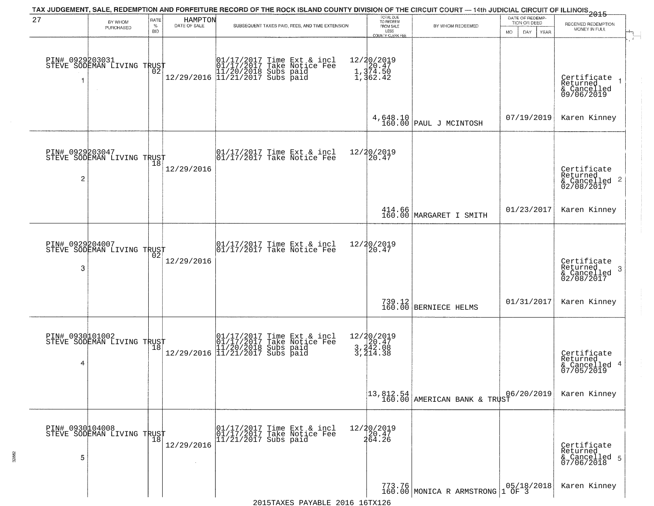|                                   |                                                   |                            |                         | TAX JUDGEMENT, SALE, REDEMPTION AND FORFEITURE RECORD OF THE ROCK ISLAND COUNTY DIVISION OF THE CIRCUIT COURT — 14th JUDICIAL CIRCUIT OF ILLINOIS 2015                               |                                                                        |                                                                                                         |                                                        |                                                                        |
|-----------------------------------|---------------------------------------------------|----------------------------|-------------------------|--------------------------------------------------------------------------------------------------------------------------------------------------------------------------------------|------------------------------------------------------------------------|---------------------------------------------------------------------------------------------------------|--------------------------------------------------------|------------------------------------------------------------------------|
| 27                                | BY WHOM<br>PURCHASED                              | RATE<br>$\%$<br><b>BID</b> | HAMPTON<br>DATE OF SALE | SUBSEQUENT TAXES PAID, FEES, AND TIME EXTENSION                                                                                                                                      | TOTAL DUE<br>TO REDEEM<br>FROM SALE<br>LESS<br><b>COUNTY CLERK FEE</b> | BY WHOM REDEEMED                                                                                        | DATE OF REDEMP-<br>TION OR DEED<br>MO.<br>DAY.<br>YEAR | RECEIVED REDEMPTION<br>MONEY IN FULL                                   |
|                                   | PIN# 0929203031<br>STEVE SODEMAN LIVING TRUST     | ŌŽ                         |                         | $\begin{array}{ll} & [01/17/2017 \text{ Time Ext & incl} \\ & [01/17/2017 \text{ Take Notice Fe}] \\ & [11/20/2018 \text{ Subs paid} \\ & [11/21/2017 \text{ Subs paid} \end{array}$ | 12/20/2019<br>1,374.50<br>1,374.50<br>1,362.42                         |                                                                                                         |                                                        | Certificate<br>Returned<br>& Cancelled<br>09/06/2019                   |
|                                   |                                                   |                            |                         |                                                                                                                                                                                      |                                                                        | $4,648.10$<br>160.00 PAUL J MCINTOSH                                                                    | 07/19/2019                                             | Karen Kinney                                                           |
| PIN# 0929203047<br>$\overline{2}$ | STEVE SODEMAN LIVING TRUST                        |                            | 12/29/2016              | 01/17/2017 Time Ext & incl<br>01/17/2017 Take Notice Fee                                                                                                                             | 12/20/2019<br>20.47                                                    |                                                                                                         |                                                        | Certificate<br>Returned<br>$\overline{2}$<br>& Cancelled<br>02/08/2017 |
|                                   |                                                   |                            |                         |                                                                                                                                                                                      |                                                                        | 414.66<br>160.00 MARGARET I SMITH                                                                       | 01/23/2017                                             | Karen Kinney                                                           |
| PIN# 0929204007<br>3              | STEVE SODEMAN LIVING TRUST                        | 02                         | 12/29/2016              | 01/17/2017 Time Ext & incl<br>01/17/2017 Take Notice Fee                                                                                                                             | 12/20/2019<br>20.47                                                    |                                                                                                         |                                                        | Certificate<br>Returned<br>3<br>$\frac{6}{02/08/2017}$                 |
|                                   |                                                   |                            |                         |                                                                                                                                                                                      |                                                                        | 739.12<br>160.00 BERNIECE HELMS                                                                         | 01/31/2017                                             | Karen Kinney                                                           |
| 4                                 | PIN# 0930101002    <br>STEVE SODEMAN LIVING TRUST | 18                         |                         | 01/17/2017 Time Ext & incl<br>01/17/2017 Take Notice Fee<br>11/20/2018 Subs paid<br>12/29/2016 11/21/2017 Subs paid                                                                  | 12/20/2019<br>3,242.08<br>3,242.08                                     |                                                                                                         |                                                        | Certificate<br>Returned<br>4<br>& Cancelled<br>07/05/2019              |
|                                   |                                                   |                            |                         |                                                                                                                                                                                      |                                                                        | $\begin{array}{ c c c c c c }\n \hline 13,812.54 & & 0 \\ 160.00 & AMERICAN & BANK & TRUST \end{array}$ | 06/20/2019                                             | Karen Kinney                                                           |
| PIN# 0930104008<br>5              | STEVE SODEMAN LIVING TRUST                        |                            | 12/29/2016              | 01/17/2017 Time Ext & incl<br>01/17/2017 Take Notice Fee<br>$11/21/2017$ Subs paid                                                                                                   | 12/20/2019<br>20.47<br>264.26                                          |                                                                                                         |                                                        | Certificate<br>Returned<br>& Cancelled 5<br>07/06/2018                 |
|                                   |                                                   |                            |                         | 2015TAYES DAVARLE 2016 16TY126                                                                                                                                                       |                                                                        | 773.76<br>160.00 MONICA R ARMSTRONG                                                                     | 05/18/2018<br>1 OF 3                                   | Karen Kinney                                                           |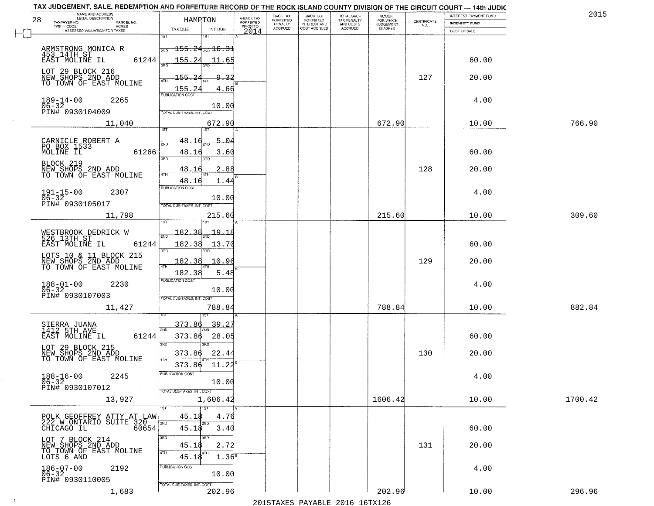| 28 | NAME AND ADDRESS<br>LEGAL DESCRIPTION                                 | HAMRTON                                               |                                     | BACK TAX<br>FORFEITED     | BACK TAX<br>FORFEITED<br>INTEREST AND | TOTAL BACK<br>TAX PENALTY<br>AND COSTS | AMOUNT<br>FOR WHICH<br>JUDGEMENT |                                                                 | INTEREST PAYMENT FUND | 2015    |
|----|-----------------------------------------------------------------------|-------------------------------------------------------|-------------------------------------|---------------------------|---------------------------------------|----------------------------------------|----------------------------------|-----------------------------------------------------------------|-----------------------|---------|
|    | TAXPAYER NO.<br>PARCEL NO.<br>TWP - CODE<br>ACRES                     | TAX DUE<br>INT DUE                                    | A-BACK TAX<br>FORFEITED<br>PRIOR TO | PENALTY<br><b>ACCRUED</b> | COST ACCRUED                          | <b>ACCRUED</b>                         | IS ASKED                         | $\begin{array}{c} \text{CERTIFICATE} \\ \text{NO.} \end{array}$ | <b>INDEMNITY FUND</b> |         |
|    | ASSESSED VALUATION FOR TAXES                                          | 1ST<br>1ST                                            | 2014                                |                           |                                       |                                        |                                  |                                                                 | COST OF SALE          |         |
|    |                                                                       | $\overline{155.24}$ <sub>2ND</sub> $\overline{16.31}$ |                                     |                           |                                       |                                        |                                  |                                                                 |                       |         |
|    | ARMSTRONG MONICA R<br>453 14TH ST<br>EAST MOLINE IL<br>61244          | 155.24<br>11.65                                       |                                     |                           |                                       |                                        |                                  |                                                                 | 60.00                 |         |
|    |                                                                       |                                                       |                                     |                           |                                       |                                        |                                  |                                                                 |                       |         |
|    | LOT 29 BLOCK 216<br>NEW SHOPS 2ND ADD<br>TO TOWN OF EAST MOLINE       | $155 -$<br>$2\ell$<br>$\mathsf{Q}_-$<br>3.<br>4TH     |                                     |                           |                                       |                                        |                                  | 127                                                             | 20.00                 |         |
|    |                                                                       | 155.24<br>4.66<br><b>PUBLICATION COST</b>             |                                     |                           |                                       |                                        |                                  |                                                                 |                       |         |
|    | $189 - 14 - 00$<br>$06 - 32$<br>2265                                  | 10.00                                                 |                                     |                           |                                       |                                        |                                  |                                                                 | 4.00                  |         |
|    | PIN# 0930104009                                                       | TOTAL DUE-TAXES, INT. COST                            |                                     |                           |                                       |                                        |                                  |                                                                 |                       |         |
|    | 11,040                                                                | 672.90<br>1ST<br>1ST                                  |                                     |                           |                                       |                                        | 672.90                           |                                                                 | 10.00                 | 766.90  |
|    | CARNICLE ROBERT A                                                     | 5.04<br>48.1<br>2ND                                   |                                     |                           |                                       |                                        |                                  |                                                                 |                       |         |
|    | PO BOX 1533<br>61266                                                  | 48.16<br>3.60                                         |                                     |                           |                                       |                                        |                                  |                                                                 | 60.00                 |         |
|    |                                                                       | 3RD<br>3RD                                            |                                     |                           |                                       |                                        |                                  |                                                                 |                       |         |
|    | BLOCK 219<br>NEW SHOPS 2ND ADD<br>TO TOWN OF EAST MOLINE              | 2.88<br>48.16<br>4TH<br>1.44                          | в                                   |                           |                                       |                                        |                                  | 128                                                             | 20.00                 |         |
|    | $191 - 15 - 00$<br>2307                                               | 48.16<br>PUBLICATION COST                             |                                     |                           |                                       |                                        |                                  |                                                                 | 4.00                  |         |
|    | $06 - 32$<br>PIN# 0930105017                                          | 10.00                                                 |                                     |                           |                                       |                                        |                                  |                                                                 |                       |         |
|    | 11,798                                                                | TOTAL DUE-TAXES, INT. COST<br>215.60                  |                                     |                           |                                       |                                        | 215.60                           |                                                                 | 10.00                 | 309.60  |
|    |                                                                       |                                                       |                                     |                           |                                       |                                        |                                  |                                                                 |                       |         |
|    | WESTBROOK DEDRICK W<br>526 13TH ST                                    | 182.38<br><u> 19.18</u><br>2ND                        |                                     |                           |                                       |                                        |                                  |                                                                 |                       |         |
|    | EAST MOLINE IL<br>61244                                               | 182.38<br>13.70<br>3BD<br>3RD                         |                                     |                           |                                       |                                        |                                  |                                                                 | 60.00                 |         |
|    | LOTS 10 & 11 BLOCK 215<br>NEW SHOPS 2ND ADD<br>TO TOWN OF EAST MOLINE | 182.38<br>10.96                                       |                                     |                           |                                       |                                        |                                  | 129                                                             | 20.00                 |         |
|    |                                                                       | 4TH<br>182.38<br>5.48                                 |                                     |                           |                                       |                                        |                                  |                                                                 |                       |         |
|    | $188 - 01 - 00$<br>$06 - 32$<br>2230                                  | <b>PUBLICATION COST</b>                               |                                     |                           |                                       |                                        |                                  |                                                                 | 4.00                  |         |
|    | PIN# 0930107003                                                       | 10.00<br>TOTAL OUE-TAXES, INT. COST                   |                                     |                           |                                       |                                        |                                  |                                                                 |                       |         |
|    | 11,427                                                                | 788.84                                                |                                     |                           |                                       |                                        | 788.84                           |                                                                 | 10.00                 | 882.84  |
|    |                                                                       | 39.2<br><u>373.86</u>                                 |                                     |                           |                                       |                                        |                                  |                                                                 |                       |         |
|    | SIERRA JUANA<br>1412 5TH AVE<br>61244<br>EAST MOLINE IL               | 2ND<br>373.86<br>28.05                                |                                     |                           |                                       |                                        |                                  |                                                                 | 60.00                 |         |
|    | LOT 29 BLOCK 215                                                      | 3RD<br>$\overline{3BD}$                               |                                     |                           |                                       |                                        |                                  |                                                                 |                       |         |
|    | NEW SHOPS 2ND ADD<br>TO TOWN OF EAST MOLINE                           | 22.44<br>373.86<br>4TH                                |                                     |                           |                                       |                                        |                                  | 130                                                             | 20.00                 |         |
|    |                                                                       | 373.86<br>11.22<br>PUBLICATION COST                   |                                     |                           |                                       |                                        |                                  |                                                                 |                       |         |
|    | $188 - 16 - 00$<br>2245<br>$06 - 32$                                  | 10.00                                                 |                                     |                           |                                       |                                        |                                  |                                                                 | 4.00                  |         |
|    | PIN# 0930107012<br>$\sim 100$                                         | TOTAL DUE-TAXES, INT. COST                            |                                     |                           |                                       |                                        |                                  |                                                                 |                       |         |
|    | 13,927                                                                | 1,606.42<br>1ST<br>1ST                                |                                     |                           |                                       |                                        | 1606.42                          |                                                                 | 10.00                 | 1700.42 |
|    | POLK GEOFFREY ATTY AT LAW<br>222 W ONTARIO SUITE 320                  | 45.18<br>4.76                                         |                                     |                           |                                       |                                        |                                  |                                                                 |                       |         |
|    | 60654<br>CHICAGO IL                                                   | 2ND<br>2ND<br>45.18<br>3.40                           |                                     |                           |                                       |                                        |                                  |                                                                 | 60.00                 |         |
|    | LOT 7 BLOCK 214                                                       | 3RD<br>3RD<br>2.72                                    |                                     |                           |                                       |                                        |                                  | 131                                                             |                       |         |
|    | NEW SHOPS 2ND ADD<br>TO TOWN OF EAST MOLINE<br>LOTS 6 AND             | 45.18<br>4TH<br>4TH<br>$1.36^{B}$<br>45.18            |                                     |                           |                                       |                                        |                                  |                                                                 | 20.00                 |         |
|    | 2192                                                                  | PUBLICATION COST                                      |                                     |                           |                                       |                                        |                                  |                                                                 | 4.00                  |         |
|    | $186 - 07 - 00$<br>06-32<br>PIN# 0930110005                           | 10.00                                                 |                                     |                           |                                       |                                        |                                  |                                                                 |                       |         |
|    | 1,683                                                                 | TOTAL DUE-TAXES, INT. COST<br>202.96                  |                                     |                           |                                       |                                        | 202.96                           |                                                                 | 10.00                 | 296.96  |
|    |                                                                       |                                                       |                                     |                           |                                       |                                        |                                  |                                                                 |                       |         |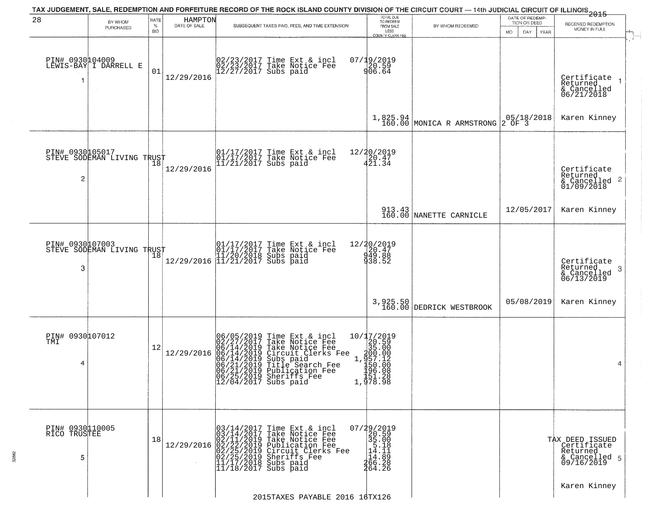|                                      |                                               |              |                         | TAX JUDGEMENT, SALE, REDEMPTION AND FORFEITURE RECORD OF THE ROCK ISLAND COUNTY DIVISION OF THE CIRCUIT COURT — 14th JUDICIAL CIRCUIT OF ILLINOIS 2015                                                                                                                                           |                                                                                                                                                                        |                                       | DATE OF REDEMP-            |                                                                           |
|--------------------------------------|-----------------------------------------------|--------------|-------------------------|--------------------------------------------------------------------------------------------------------------------------------------------------------------------------------------------------------------------------------------------------------------------------------------------------|------------------------------------------------------------------------------------------------------------------------------------------------------------------------|---------------------------------------|----------------------------|---------------------------------------------------------------------------|
| 28                                   | BY WHOM<br>PURCHASED                          | RATE<br>$\%$ | HAMPTON<br>DATE OF SALE | SUBSEQUENT TAXES PAID, FEES, AND TIME EXTENSION                                                                                                                                                                                                                                                  | TOTAL DUE<br>TO REDEEM<br>FROM SALE                                                                                                                                    | BY WHOM REDEEMED                      | TION OR DEED               | RECEIVED REDEMPTION                                                       |
|                                      |                                               | <b>BID</b>   |                         |                                                                                                                                                                                                                                                                                                  | LESS<br><b>COUNTY CLERK FEE</b>                                                                                                                                        |                                       | DAY.<br>MO.<br><b>YEAR</b> | MONEY IN FULL                                                             |
| PIN# 0930104009<br>1                 | LEWIS-BAY I DARRELL E                         | 01           | 12/29/2016              | 02/23/2017 Time Ext & incl<br>02/23/2017 Take Notice Fee<br>12/27/2017 Subs paid                                                                                                                                                                                                                 | 07/19/2019<br>20.59<br>906.64                                                                                                                                          |                                       |                            | Certificate<br>Returned<br>& Cancelled<br>06/21/2018                      |
|                                      |                                               |              |                         |                                                                                                                                                                                                                                                                                                  |                                                                                                                                                                        | 1,825.94<br>160.00 MONICA R ARMSTRONG | $205/18/2018$<br>2 OF 3    | Karen Kinney                                                              |
| 2                                    | PIN# 0930005017<br>STEVE SODEMAN LIVING TRUST |              | 12/29/2016              | 01/17/2017 Time Ext & incl<br>01/17/2017 Take Notice Fee<br>11/21/2017 Subs paid                                                                                                                                                                                                                 | 12/20/2019<br>20.47<br>421.34                                                                                                                                          |                                       |                            | Certificate<br>Returned<br>$\frac{1}{6}$ Cancelled 2<br>01/09/2018        |
|                                      |                                               |              |                         |                                                                                                                                                                                                                                                                                                  |                                                                                                                                                                        | 913.43<br>160.00 NANETTE CARNICLE     | 12/05/2017                 | Karen Kinney                                                              |
| PIN# 0930107003<br>3                 | STEVE SODEMAN LIVING TRUST                    | 18           | 12/29/2016              | Time Ext & incl<br>Take Notice Fee<br>Subs paid<br>Subs paid<br>$\begin{array}{ c c c c } \hline 01/17/2017 \\ \hline 01/17/2017 \\ \hline 11/20/2018 \\ \hline 11/21/2017 \\ \hline \end{array}$                                                                                                | 12/20/2019<br>$\begin{array}{c} 26.47 \\ 49.88 \\ 938.52 \end{array}$                                                                                                  |                                       |                            | Certificate<br>Returned<br>3<br>& Cancelled<br>06/13/2019                 |
|                                      |                                               |              |                         |                                                                                                                                                                                                                                                                                                  |                                                                                                                                                                        | 3,925.50<br>160.00 DEDRICK WESTBROOK  | 05/08/2019                 | Karen Kinney                                                              |
| PIN# 0930107012<br>TMI<br>4          |                                               | 12           | 12/29/2016              | 06/05/2019<br>02/27/2017<br>06/14/2019<br>06/14/2019<br>06/21/2019<br>06/21/2019<br>06/25/2019<br>Time Ext & incl<br>Take Notice Fee<br>Take Notice Fee<br>Circuit Clerks Fee<br>Subs paid<br>Title Search Fee<br>Publication Fee<br>Phariffs<br>06/25/2019 Sheriffs Fee<br>12/04/2017 Subs paid | 10/17/2019<br>$\left[\frac{26.59}{35.00}\right]$<br>$\begin{array}{r} \n 1.30000 \\  1.495700 \\  1.50000 \\  1.50000 \\  1.5100 \\  1.4510\n \end{array}$<br>1,978.98 |                                       |                            | 4                                                                         |
| PIN# 0930110005<br>RICO TRUSTEE<br>5 |                                               | 18           | 12/29/2016              | $03/14/2017$ Time Ext & incl<br>$03/14/2017$ Take Notice Fee<br>$02/11/2019$ Take Notice Fee<br>$02/22/2019$ Publication Fee<br>$02/25/2019$ Sheriffs Fee<br>$02/25/2019$ Sheriffs Fee<br>$11/17/2018$ Subs paid<br>$11/18/2017$ Subs paid                                                       | $07/29/2019$<br>20.59<br>35.00<br>14.18<br> 14.89<br> 46.28<br>264.26                                                                                                  |                                       |                            | TAX DEED ISSUED<br>Certificate<br>Returned<br>& Cancelled 5<br>09/16/2019 |
|                                      |                                               |              |                         | 2015TAXES PAYABLE 2016 16TX126                                                                                                                                                                                                                                                                   |                                                                                                                                                                        |                                       |                            | Karen Kinney                                                              |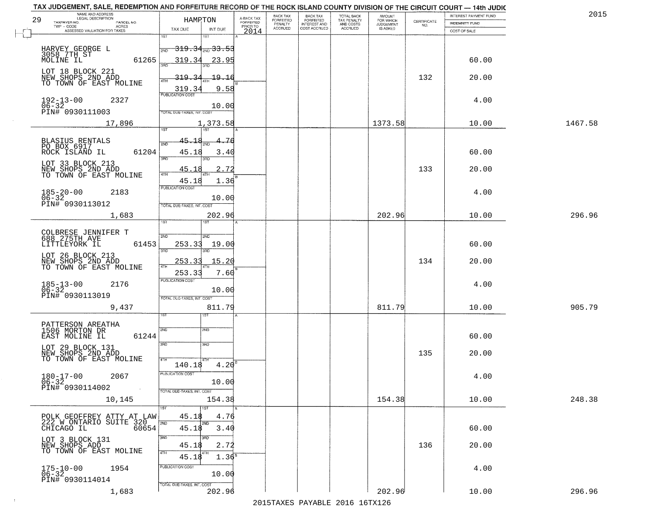| 29 | NAME AND ADDRESS<br>LEGAL DESCRIPTION<br>TAXPAYER NO.<br>PARCEL NO.      | HAMRTON                            |                   | A-BACK TAX<br>FORFEITED | BACK TAX<br>FORFEITED | <b>BACK TAX</b><br><b>FORFEITED</b> | TOTAL BACK<br>TAX PENALTY | <b>AMOUNT</b>                      | $\begin{array}{c} \text{CERTIFICATE} \\ \text{NO.} \end{array}$ | INTEREST PAYMENT FUND<br><b>INDEMNITY FUND</b> | 2015    |
|----|--------------------------------------------------------------------------|------------------------------------|-------------------|-------------------------|-----------------------|-------------------------------------|---------------------------|------------------------------------|-----------------------------------------------------------------|------------------------------------------------|---------|
|    | TWP - CODE<br>ACRES<br>ASSESSED VALUATION FOR TAXES                      | TAX DUE                            | INT DUE           | PRIOR TO<br>2014        | PENALTY<br>ACCRUED    | INTEREST AND<br>COST ACCRUED        | AND COSTS<br>ACCRUED      | FOR WHICH<br>JUDGEMENT<br>IS ASKED |                                                                 | COST OF SALE                                   |         |
|    |                                                                          | 1ST                                |                   |                         |                       |                                     |                           |                                    |                                                                 |                                                |         |
|    | HARVEY GEORGE L<br>3058 7TH ST                                           | <del>319.34 210 33.53</del><br>2ND |                   |                         |                       |                                     |                           |                                    |                                                                 |                                                |         |
|    | MOLINE IL<br>61265                                                       | 319.34                             | 23.95             |                         |                       |                                     |                           |                                    |                                                                 | 60.00                                          |         |
|    | LOT 18 BLOCK 221                                                         | 319.                               | $-19.16$          |                         |                       |                                     |                           |                                    | 132                                                             | 20.00                                          |         |
|    | NEW SHOPS 2ND ADD<br>TO TOWN OF EAST MOLINE                              | 319.3                              | 9.58              |                         |                       |                                     |                           |                                    |                                                                 |                                                |         |
|    | $192 - 13 - 00$<br>2327                                                  | PUBLICATION COST                   |                   |                         |                       |                                     |                           |                                    |                                                                 | 4.00                                           |         |
|    | $06 - 32$<br>PIN# 0930111003                                             | TOTAL DUE-TAXES, INT. COST         | 10.00             |                         |                       |                                     |                           |                                    |                                                                 |                                                |         |
|    | 17,896                                                                   |                                    | 1,373.58          |                         |                       |                                     |                           | 1373.58                            |                                                                 | 10.00                                          | 1467.58 |
|    |                                                                          | 1ST<br>1ST                         |                   |                         |                       |                                     |                           |                                    |                                                                 |                                                |         |
|    | BLASIUS RENTALS<br>PO BOX 6917                                           | 45.18<br>2ND                       | 76                |                         |                       |                                     |                           |                                    |                                                                 |                                                |         |
|    | ROCK ISLAND IL<br>61204                                                  | 45.18<br>3RD<br>3RD                | 3.40              |                         |                       |                                     |                           |                                    |                                                                 | 60.00                                          |         |
|    | LOT 33 BLOCK 213<br>NEW SHOPS 2ND ADD                                    | 45.18                              | 2.72              |                         |                       |                                     |                           |                                    | 133                                                             | 20.00                                          |         |
|    | TO TOWN OF EAST MOLINE                                                   | $\sqrt{4}$<br>45.18                | 1.36              |                         |                       |                                     |                           |                                    |                                                                 |                                                |         |
|    | $185 - 20 - 00$<br>2183                                                  | PUBLICATION COST                   |                   |                         |                       |                                     |                           |                                    |                                                                 | 4.00                                           |         |
|    | $06 - 32$<br>PIN# 0930113012                                             | TOTAL DUE-TAXES, INT. COST         | 10.00             |                         |                       |                                     |                           |                                    |                                                                 |                                                |         |
|    | 1,683                                                                    |                                    | 202.96            |                         |                       |                                     |                           | 202.96                             |                                                                 | 10.00                                          | 296.96  |
|    |                                                                          | 1ST                                |                   |                         |                       |                                     |                           |                                    |                                                                 |                                                |         |
|    | COLBRESE JENNIFER T<br>688 275TH AVE<br>LITTLEYORK IL                    | 2ND<br>2ND                         |                   |                         |                       |                                     |                           |                                    |                                                                 |                                                |         |
|    | 61453                                                                    | 253.33<br>3RD<br>3RD               | 19.00             |                         |                       |                                     |                           |                                    |                                                                 | 60.00                                          |         |
|    | LOT 26 BLOCK 213<br>NEW SHOPS 2ND ADD<br>TO TOWN OF EAST MOLINE          | 253.33<br>4TF                      | 15.20             |                         |                       |                                     |                           |                                    | 134                                                             | 20.00                                          |         |
|    |                                                                          | 253.33                             | 7.60              |                         |                       |                                     |                           |                                    |                                                                 |                                                |         |
|    | $185 - 13 - 00$<br>$06 - 32$<br>2176                                     | <b>PUBLICATION COST</b>            | 10.00             |                         |                       |                                     |                           |                                    |                                                                 | 4.00                                           |         |
|    | PIN# 0930113019                                                          | TOTAL OUE-TAXES, INT. COST         |                   |                         |                       |                                     |                           |                                    |                                                                 |                                                |         |
|    | 9,437                                                                    |                                    | 811.79            |                         |                       |                                     |                           | 811.79                             |                                                                 | 10.00                                          | 905.79  |
|    |                                                                          | खा                                 |                   |                         |                       |                                     |                           |                                    |                                                                 |                                                |         |
|    | PATTERSON AREATHA<br>1506 MORTON DR<br>61244<br>EAST MOLINE IL           | 2ND<br>2ND                         |                   |                         |                       |                                     |                           |                                    |                                                                 | 60.00                                          |         |
|    | LOT 29 BLOCK 131                                                         | 3RD<br>3BD                         |                   |                         |                       |                                     |                           |                                    |                                                                 |                                                |         |
|    | NEW SHOPS 2ND ADD<br>TO TOWN OF EAST MOLINE                              | 4TH<br>4TH                         |                   |                         |                       |                                     |                           |                                    | 135                                                             | 20.00                                          |         |
|    |                                                                          | 140.18                             | 4.20              |                         |                       |                                     |                           |                                    |                                                                 |                                                |         |
|    | $180 - 17 - 00$<br>2067<br>$06 - 32$                                     | PUBLICATION COST                   | 10.00             |                         |                       |                                     |                           |                                    |                                                                 | 4.00                                           |         |
|    | PIN# 0930114002<br>$\sim 100$ km $^{-1}$                                 | TOTAL DUE-TAXES, INT. COST         |                   |                         |                       |                                     |                           |                                    |                                                                 |                                                |         |
|    | 10,145                                                                   |                                    | 154.38            |                         |                       |                                     |                           | 154.38                             |                                                                 | 10.00                                          | 248.38  |
|    |                                                                          | 1ST <sup>1</sup><br>1ST<br>45.18   | 4.76              |                         |                       |                                     |                           |                                    |                                                                 |                                                |         |
|    | POLK GEOFFREY ATTY AT LAW<br>222 W ONTARIO SUITE 320<br>CHICAGO IL 60654 | 2ND<br>2ND<br>45.18                | 3.40              |                         |                       |                                     |                           |                                    |                                                                 | 60.00                                          |         |
|    | LOT 3 BLOCK 131                                                          | 3RD<br>3RD                         |                   |                         |                       |                                     |                           |                                    |                                                                 |                                                |         |
|    | NEW SHOPS ADD<br>TO TOWN OF EAST MOLINE                                  | 45.18<br>4TH<br>4TH                | 2.72              |                         |                       |                                     |                           |                                    | 136                                                             | 20.00                                          |         |
|    |                                                                          | 45.18<br>PUBLICATION COST          | 1.36 <sup>B</sup> |                         |                       |                                     |                           |                                    |                                                                 |                                                |         |
|    | $175 - 10 - 00$<br>06-32<br>1954                                         |                                    | 10.00             |                         |                       |                                     |                           |                                    |                                                                 | 4.00                                           |         |
|    | PIN# 0930114014                                                          | TOTAL DUE-TAXES, INT. COST         |                   |                         |                       |                                     |                           |                                    |                                                                 |                                                |         |
|    | 1,683                                                                    |                                    | 202.96            |                         |                       |                                     |                           | 202.96                             |                                                                 | 10.00                                          | 296.96  |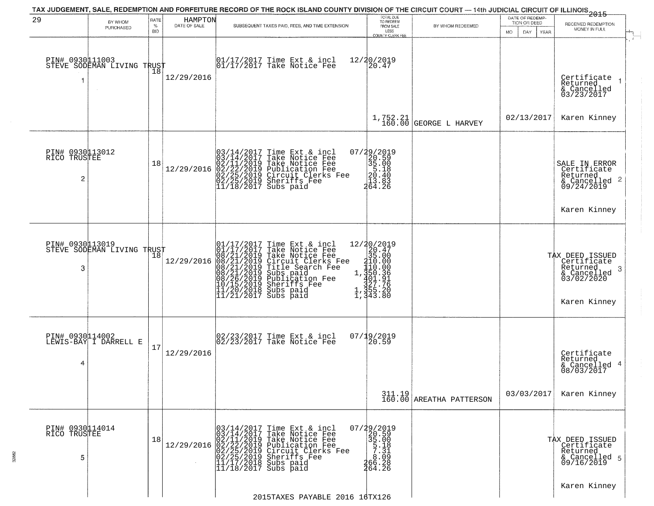|                                      |                            |                         |                         | TAX JUDGEMENT, SALE, REDEMPTION AND FORFEITURE RECORD OF THE ROCK ISLAND COUNTY DIVISION OF THE CIRCUIT COURT — 14th JUDICIAL CIRCUIT OF ILLINOIS 2015                                                                                                                                                                                                                                                         |                                                                                                                                                                                            |                                                                   |                                                              |                                                                                               |
|--------------------------------------|----------------------------|-------------------------|-------------------------|----------------------------------------------------------------------------------------------------------------------------------------------------------------------------------------------------------------------------------------------------------------------------------------------------------------------------------------------------------------------------------------------------------------|--------------------------------------------------------------------------------------------------------------------------------------------------------------------------------------------|-------------------------------------------------------------------|--------------------------------------------------------------|-----------------------------------------------------------------------------------------------|
| 29                                   | BY WHOM<br>PURCHASED       | RATE<br>%<br><b>BID</b> | HAMPTON<br>DATE OF SALE | SUBSEQUENT TAXES PAID, FEES, AND TIME EXTENSION                                                                                                                                                                                                                                                                                                                                                                | TOTAL DUE<br>TO REDEEM<br>FROM SALE<br>LESS<br>COUNTY CLERK FEE                                                                                                                            | BY WHOM REDEEMED                                                  | DATE OF REDEMP-<br>TION OR DEED<br>MO.<br>DAY<br><b>YEAR</b> | RECEIVED REDEMPTION<br>MONEY IN FULL                                                          |
| PIN# 0930111003<br>1                 | STEVE SODEMAN LIVING TRUST | 18                      | 12/29/2016              | 01/17/2017 Time Ext & incl<br>01/17/2017 Take Notice Fee                                                                                                                                                                                                                                                                                                                                                       | 12/20/2019<br>20.47                                                                                                                                                                        |                                                                   |                                                              | Certificate<br>Returned<br>& Cancelled<br>03/23/2017                                          |
|                                      |                            |                         |                         |                                                                                                                                                                                                                                                                                                                                                                                                                | 1,752.21<br>160.00                                                                                                                                                                         | GEORGE L HARVEY                                                   | 02/13/2017                                                   | Karen Kinney                                                                                  |
| PIN# 0930113012<br>RICO TRUSTEE<br>2 |                            | 18                      | 12/29/2016              | Time Ext & incl<br>Take Notice Fee<br>Take Notice Fee<br>Publication Fee<br>Circuit Clerks Fee<br>Sheriffs Fee<br>Subs paid<br>$\begin{smallmatrix} 0\,3\,/\,1\,4\,/\,2\,0\,1\,7\\ 0\,3\,/\,1\,4\,/\,2\,0\,1\,7\\ 0\,2\,/\,1\,1\,/\,2\,0\,1\,9\\ 0\,2\,/\,2\,5\,/\,2\,0\,1\,9\\ 0\,2\,/\,2\,5\,/\,2\,0\,1\,9\\ 1\,1\,/\,1\,8\,/\,2\,0\,1\,7 \end{smallmatrix}$                                                 | ${29/2019\n\n20.59\n\n35.00\n\n20.40\n\n13.83\n\n464.26$                                                                                                                                   |                                                                   |                                                              | SALE IN ERROR<br>Certificate<br>Returned<br>$\frac{1}{6}$ Cancelled 2<br>09/24/2019           |
|                                      |                            |                         |                         |                                                                                                                                                                                                                                                                                                                                                                                                                |                                                                                                                                                                                            |                                                                   |                                                              | Karen Kinney                                                                                  |
| PIN# 0930113019<br>3                 | STEVE SODEMAN LIVING TRUST | Ίõ                      | 12/29/2016              | 01/17/2017 Time Ext & 01/17/2017 Take Notic<br>08/21/2019 Take Notic<br>08/21/2019 Circuit Cl<br>08/21/2019 Title Sear<br>08/21/2019 Subs paid<br>08/26/2019 Subsider<br>08/26/2019 Sheriffs F<br>11/20/2018 Subs paid<br>11/21/2017 Subs paid<br>Time Ext & incl<br>Take Notice Fee<br>Take Notice Fee<br>Circuit Clerks Fee<br>Title Search Fee<br>Subs paid<br>Publication Fee<br>Sheriffs Fee<br>Subs naid | $\begin{array}{r} 12/30/2019 \\ 20.47 \\ 35.00 \\ 410.00 \\ -1.420.00 \\ \end{array}$<br>$1,\frac{350}{401}.36$<br>$\frac{327.76}{355.20}$<br>$\frac{1}{1}, \frac{3}{3}$ 55.20<br>1,343.80 |                                                                   |                                                              | TAX DEED ISSUED<br>Certificate<br>Returned<br>-3<br>& Cancelled<br>03/02/2020<br>Karen Kinney |
| PIN# 0930114002<br>4                 | LEWIS-BAY I DARRELL E      | 17                      | 12/29/2016              | 02/23/2017 Time Ext & incl<br>02/23/2017 Take Notice Fee                                                                                                                                                                                                                                                                                                                                                       | $07/19/2019$<br>20.59                                                                                                                                                                      |                                                                   |                                                              | Certificate<br>Returned<br>& Cancelled 4<br>08/03/2017                                        |
|                                      |                            |                         |                         |                                                                                                                                                                                                                                                                                                                                                                                                                |                                                                                                                                                                                            | $\begin{array}{c} 311.19 \\ 160.00 \end{array}$ AREATHA PATTERSON | 03/03/2017                                                   | Karen Kinney                                                                                  |
| PIN#<br>RICO<br>5                    | 0930114014<br>TRUSTEE      | 18                      | 12/29/2016              | Time Ext & incl<br>Take Notice Fee<br>03/14/2017 Time Ext &<br>03/14/2017 Take Notic<br>02/11/2019 Take Notic<br>02/22/2019 Publicatic<br>02/25/2019 Sheriffs F<br>11/17/2018 Subs paid<br>11/18/2017 Subs paid<br>Take Notice Fee<br>Publication Fee<br>Circuit Clerks Fee<br>Sheriffs Fee                                                                                                                    | 07/29/2019<br>35.00<br>35.00<br>57.11<br>26.008<br>36.208<br>264.26                                                                                                                        |                                                                   |                                                              | TAX DEED ISSUED<br>Certificate<br>Returned<br>& Cancelled 5<br>09/16/2019                     |
|                                      |                            |                         |                         | 2015TAXES PAYABLE 2016 16TX126                                                                                                                                                                                                                                                                                                                                                                                 |                                                                                                                                                                                            |                                                                   |                                                              | Karen Kinney                                                                                  |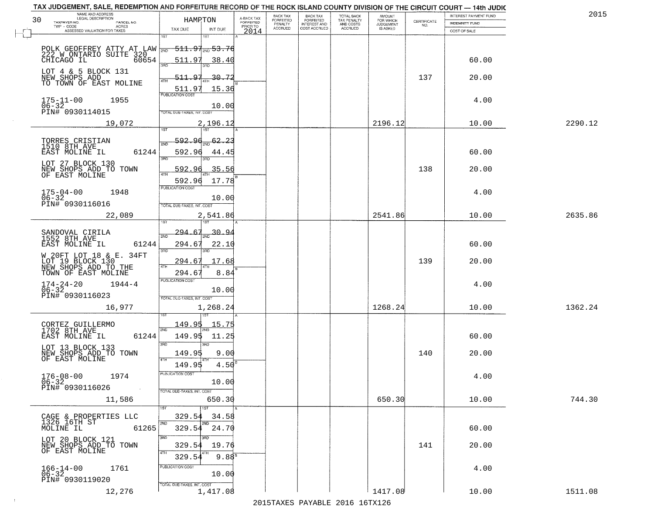| NAME AND ADDRESS<br>LEGAL DESCRIPTION                                                      |                                                                |                                     | BACK TAX             | <b>BACK TAX</b>           | <b>TOTAL BACK</b>        | AMOUNT<br>FOR WHICH |                                                                 | INTEREST PAYMENT FUND | 2015    |
|--------------------------------------------------------------------------------------------|----------------------------------------------------------------|-------------------------------------|----------------------|---------------------------|--------------------------|---------------------|-----------------------------------------------------------------|-----------------------|---------|
| 30<br>TAXPAYER NO.<br>PARCEL NO.<br>ACRES                                                  | HAMPTON                                                        | A-BACK TAX<br>FORFEITED<br>PRIOR TO | FORFEITED<br>PENALTY | FORFEITED<br>INTEREST AND | TAX PENALTY<br>AND COSTS | <b>JUDGEMENT</b>    | $\begin{array}{c} \text{CERTIFICATE} \\ \text{NO.} \end{array}$ | INDEMNITY FUND        |         |
| ASSESSED VALUATION FOR TAXES                                                               | TAX DUE<br>INT DUE                                             | 2014                                | <b>ACCRUED</b>       | COST ACCRUED              | <b>ACCRUED</b>           | IS ASKED            |                                                                 | COST OF SALE          |         |
| POLK GEOFFREY ATTY AT LAW WE<br>222 W ONTARIO SUITE 320<br>CHICAGO IL 60654                | 1ST<br>18T<br><del>511.97<sub>2NG</sub> 53.76</del>            |                                     |                      |                           |                          |                     |                                                                 |                       |         |
| LOT 4 & 5 BLOCK 131<br>NEW SHOPS ADD                                                       | <u>38.40</u><br>511.97<br>3RD<br>511.97<br>-30 - 72            |                                     |                      |                           |                          |                     | 137                                                             | 60.00<br>20.00        |         |
| TO TOWN OF EAST MOLINE<br>1955                                                             | 511.97<br>15.36                                                |                                     |                      |                           |                          |                     |                                                                 | 4.00                  |         |
| $175 - 11 - 00$<br>$06 - 32$<br>PIN# 0930114015<br>19,072                                  | 10.00<br>TOTAL DUE-TAXES, INT. COST<br>2,196.12                |                                     |                      |                           |                          | 2196.12             |                                                                 | 10.00                 | 2290.12 |
| TORRES CRISTIAN<br>1510 8TH AVE                                                            | 592.96<br><u>62.23</u><br><sup>5</sup> মান                     |                                     |                      |                           |                          |                     |                                                                 |                       |         |
| 61244<br>EAST MOLINE IL<br>LOT 27 BLOCK 130                                                | 592.96<br>44.45<br>3RD<br>38D                                  |                                     |                      |                           |                          |                     |                                                                 | 60.00                 |         |
| NEW SHOPS ADD TO TOWN<br>OF EAST MOLINE                                                    | 35.56<br>592.96<br>592.96<br>17.78<br>PUBLICATION COST         |                                     |                      |                           |                          |                     | 138                                                             | 20.00                 |         |
| $175 - 04 - 00$<br>1948<br>$06 - 32$<br>PIN# 0930116016                                    | 10.00<br>TOTAL DUE-TAXES, INT. COST                            |                                     |                      |                           |                          |                     |                                                                 | 4.00                  |         |
| 22,089                                                                                     | 2,541.86<br>1ST<br>isT<br>$-294.67$<br><u>، 30.9</u>           |                                     |                      |                           |                          | 2541.86             |                                                                 | 10.00                 | 2635.86 |
| SANDOVAL CIRILA<br>1552 8TH AVE<br>EAST MOLINE IL<br>61244                                 | 2ND<br>294.67<br>22.10<br>3RD<br>3RD                           |                                     |                      |                           |                          |                     |                                                                 | 60.00                 |         |
| W 20FT LOT 18 & E. 34FT<br>LOT 19 BLOCK 130<br>NEW SHOPS ADD TO THE<br>TOWN OF EAST MOLINE | 294.67<br>17.68<br>4TH<br>294.6<br>8.84                        |                                     |                      |                           |                          |                     | 139                                                             | 20.00                 |         |
| $174 - 24 - 20$<br>06-32<br>$1944 - 4$<br>PIN# 0930116023                                  | <b>PUBLICATION COST</b><br>10.00<br>TOTAL OUE-TAXES, INT. COST |                                     |                      |                           |                          |                     |                                                                 | 4.00                  |         |
| 16,977                                                                                     | 1,268.24                                                       |                                     |                      |                           |                          | 1268.24             |                                                                 | 10.00                 | 1362.24 |
| CORTEZ GUILLERMO<br>1702 8TH AVE<br>EAST MOLINE IL<br>61244                                | <u>149.95</u><br>15.75<br>2ND<br>149.95<br>11.25<br>3RD        |                                     |                      |                           |                          |                     |                                                                 | 60.00                 |         |
| LOT 13 BLOCK 133<br>NEW SHOPS ADD TO TOWN<br>OF EAST MOLINE                                | 3RD<br>149.95<br>9.00<br>4TH<br>$4.50^{8}$<br>149.95           |                                     |                      |                           |                          |                     | 140                                                             | 20.00                 |         |
| $176 - 08 - 00$<br>1974<br>06-32<br>PIN# 0930116026<br>$\sim 100$                          | "UBLICA HUN CUS<br>10.00                                       |                                     |                      |                           |                          |                     |                                                                 | 4.00                  |         |
| 11,586                                                                                     | TOTAL DUE-TAXES, INT. COST<br>650.30<br>1ST                    |                                     |                      |                           |                          | 650.30              |                                                                 | 10.00                 | 744.30  |
| CAGE & PROPERTIES LLC<br>1326 16TH ST<br>61265<br>MOLINE IL                                | 329.54<br>34.58<br>2ND<br>2ND<br>329.54 24.70                  |                                     |                      |                           |                          |                     |                                                                 | 60.00                 |         |
| LOT 20 BLOCK 121<br>NEW SHOPS ADD TO TOWN<br>OF EAST MOLINE                                | 3RD<br>חחי<br>329.54<br>19.76<br>4TH                           |                                     |                      |                           |                          |                     | 141                                                             | 20.00                 |         |
| $166 - 14 - 00$<br>1761<br>$06 - 32$<br>PIN# 0930119020                                    | $9.88^{8}$<br>329.54<br>PUBLICATION COST<br>10.00              |                                     |                      |                           |                          |                     |                                                                 | 4.00                  |         |
| 12,276                                                                                     | TOTAL DUE-TAXES, INT. COST<br>1,417.08                         |                                     |                      |                           |                          | 1417.08             |                                                                 | 10.00                 | 1511.08 |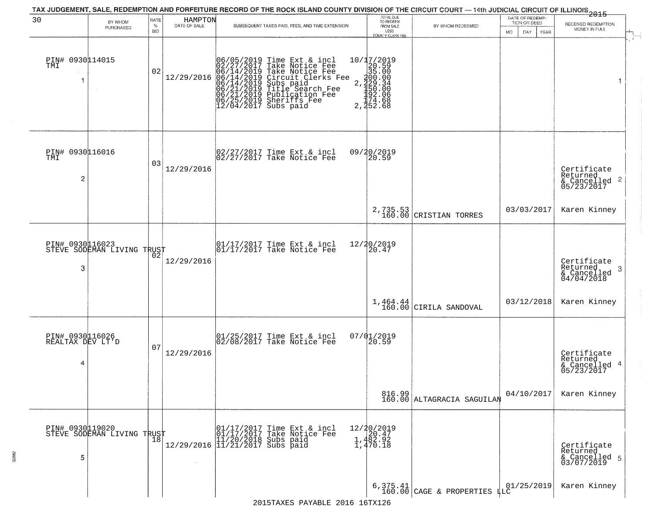| 30                                       | BY WHOM<br>PURCHASED                          | RATE<br>$\%$<br>BID | HAMPTON<br>DATE OF SALE | TAX JUDGEMENT, SALE, REDEMPTION AND FORFEITURE RECORD OF THE ROCK ISLAND COUNTY DIVISION OF THE CIRCUIT COURT — 14th JUDICIAL CIRCUIT OF ILLINOIS 2015<br>SUBSEQUENT TAXES PAID, FEES, AND TIME EXTENSION                                           | TOTAL DUE<br>TO REDEEM<br>FROM SALE<br>LESS<br>COUNTY CLERK FEE                             | BY WHOM REDEEMED                      | DATE OF REDEMP-<br>TION OR DEED<br><b>MO</b><br>DAY<br><b>YEAR</b> | RECEIVED REDEMPTION<br>MONEY IN FULL                                                                                  |
|------------------------------------------|-----------------------------------------------|---------------------|-------------------------|-----------------------------------------------------------------------------------------------------------------------------------------------------------------------------------------------------------------------------------------------------|---------------------------------------------------------------------------------------------|---------------------------------------|--------------------------------------------------------------------|-----------------------------------------------------------------------------------------------------------------------|
| PIN# 0930114015<br>TMI<br>-1             | $\sim 10^{-1}$                                | 02                  |                         | 06/05/2019 Time Ext & incl<br>02/27/2017 Take Notice Fee<br>12/29/2016 06/14/2019 Take Notice Fee<br>12/29/2016 06/14/2019 Circuit Clerks Fee<br>06/21/2019 Subs paid<br>06/21/2019 Title Search Fee<br>06/21/2019 Publication Fee<br>06/25/2019 Sh | 10/17/2019<br>20.590<br>300.000<br>2.329.340<br>2.329.340<br>192.066<br>174.688<br>2.352.68 |                                       |                                                                    | 1                                                                                                                     |
| PIN# 0930116016<br>TMI<br>2              |                                               | 03                  | 12/29/2016              | 02/27/2017 Time Ext & incl<br>02/27/2017 Take Notice Fee                                                                                                                                                                                            | 09/20/2019<br>20.59                                                                         |                                       |                                                                    | Certificate<br>Returned<br>$\begin{array}{c}\text{scum} \\ \text{6} \text{Cancelled} \\ \text{05/23/2017}\end{array}$ |
|                                          |                                               |                     |                         |                                                                                                                                                                                                                                                     | 2,735.53<br>160.00                                                                          | CRISTIAN TORRES                       | 03/03/2017                                                         | Karen Kinney                                                                                                          |
| PIN# 0930116023<br>3                     | STEVE SODEMAN LIVING TRUST                    |                     | 12/29/2016              | $\begin{array}{ccc}  01/17/2017 \text{ Time} & \text{Ext} & \text{incl} \\  01/17/2017 \text{ Take Notice } \text{Fe} \end{array}$                                                                                                                  | 12/20/2019<br>20.47                                                                         |                                       |                                                                    | Certificate<br>Returned<br>-3<br>& Cancelled<br>04/04/2018                                                            |
|                                          |                                               |                     |                         |                                                                                                                                                                                                                                                     | 1,464.44<br>160.00                                                                          | CIRILA SANDOVAL                       | 03/12/2018                                                         | Karen Kinney                                                                                                          |
| PIN# 0930116026<br>REALTAX DEV LT'D<br>4 |                                               | 07                  | 12/29/2016              | $ 01/25/2017$ Time Ext & incl<br>$ 02/08/2017$ Take Notice Fee                                                                                                                                                                                      | $07/01/2019$<br>20.59                                                                       |                                       |                                                                    | Certificate<br>Returned<br>& Cancelled 4<br>05/23/2017                                                                |
|                                          |                                               |                     |                         |                                                                                                                                                                                                                                                     |                                                                                             | 816.99 <br>160.00 ALTAGRACIA SAGUILAN | 04/10/2017                                                         | Karen Kinney                                                                                                          |
| 5                                        | PIN# 0930119020<br>STEVE SODEMAN LIVING TRUST |                     |                         | r (01/17/2017 Time Ext & incl<br>01/17/2017 Take Notice Fee<br>12/29/2016 11/21/2017 Subs paid<br>12/29/2016 11/21/2017 Subs paid                                                                                                                   | 12/20/2019<br>1,482.92<br>1,482.92<br>1,470.18                                              |                                       |                                                                    | Certificate<br>Returned<br>& Cancelled 5<br>03/07/2019                                                                |
|                                          |                                               |                     |                         |                                                                                                                                                                                                                                                     |                                                                                             | 6,375.41 CAGE & PROPERTIES $\mu$ LC   | 01/25/2019                                                         | Karen Kinney                                                                                                          |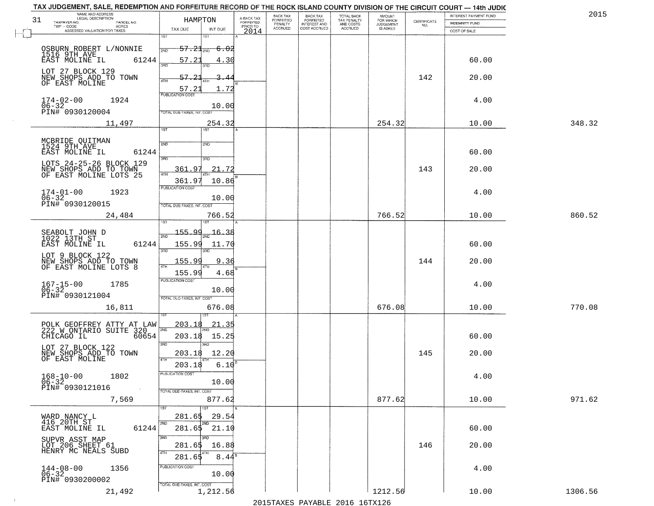| NAME AND ADDRESS<br>LEGAL DESCRIPTION                                      | HAMPTON                                                 |                                     | BACK TAX<br>FORFEITED | <b>BACK TAX</b>           | <b>TOTAL BACK</b>        | AMOUNT<br>FOR WHICH |                    | INTEREST PAYMENT FUND | 2015    |
|----------------------------------------------------------------------------|---------------------------------------------------------|-------------------------------------|-----------------------|---------------------------|--------------------------|---------------------|--------------------|-----------------------|---------|
| 31<br>TAXPAYER NO.<br>PARCEL NO.<br>TWP - CODE<br>ACRES                    |                                                         | A-BACK TAX<br>FORFEITED<br>PRIOR TO | PENALTY               | FORFEITED<br>INTEREST AND | TAX PENALTY<br>AND COSTS | <b>JUDGEMENT</b>    | CERTIFICATE<br>NO. | <b>INDEMNITY FUND</b> |         |
| ASSESSED VALUATION FOR TAXES                                               | TAX DUE<br>INT DUE<br>1ST                               | 2014                                | <b>ACCRUED</b>        | COST ACCRUED              | <b>ACCRUED</b>           | IS ASKED            |                    | COST OF SALE          |         |
| OSBURN ROBERT L/NONNIE                                                     | 1ST<br>$57.21_{200}$<br>- <del>6.02</del><br>2ND        |                                     |                       |                           |                          |                     |                    |                       |         |
| 1516 9TH AVE<br>EAST MOLINE IL<br>61244<br>LOT 27 BLOCK 129                | 57.21<br>4.30<br>3RD<br>חחז                             |                                     |                       |                           |                          |                     |                    | 60.00                 |         |
| NEW SHOPS ADD TO TOWN<br>OF EAST MOLINE                                    | $57 - 21$<br>4TH<br>1.72<br>57.21                       |                                     |                       |                           |                          |                     | 142                | 20.00                 |         |
| $174 - 02 - 00$<br>06-32<br>1924<br>PIN# 0930120004                        | PUBLICATION COST<br>10.00<br>TOTAL DUE-TAXES, INT. COST |                                     |                       |                           |                          |                     |                    | 4.00                  |         |
| 11,497                                                                     | 254.32<br>1ST<br>1ST                                    |                                     |                       |                           |                          | 254.32              |                    | 10.00                 | 348.32  |
|                                                                            |                                                         |                                     |                       |                           |                          |                     |                    |                       |         |
| MCBRIDE QUITMAN<br>1524 9TH AVE<br>61244<br>EAST MOLINE IL                 | 2ND<br>2ND<br>3BD<br>3RD                                |                                     |                       |                           |                          |                     |                    | 60.00                 |         |
| LOTS 24-25-26 BLOCK 129<br>NEW SHOPS ADD TO TOWN<br>OF EAST MOLINE LOTS 25 | 21.72<br>361.97                                         |                                     |                       |                           |                          |                     | 143                | 20.00                 |         |
| $174 - 01 - 00$<br>1923                                                    | 361.97<br>10.86<br>PUBLICATION COST                     |                                     |                       |                           |                          |                     |                    | 4.00                  |         |
| $06 - 32$<br>PIN# 0930120015                                               | 10.00<br>TOTAL DUE-TAXES, INT. COST                     |                                     |                       |                           |                          |                     |                    |                       |         |
| 24,484                                                                     | 766.52<br>is T                                          |                                     |                       |                           |                          | 766.52              |                    | 10.00                 | 860.52  |
|                                                                            | 155.99<br>16.<br>3٤                                     |                                     |                       |                           |                          |                     |                    |                       |         |
| SEABOLT JOHN D<br>1022 13TH ST<br>EAST MOLINE IL<br>61244                  | 2ND<br>155.99<br>11.70<br>3BD<br>3RD                    |                                     |                       |                           |                          |                     |                    | 60.00                 |         |
| LOT 9 BLOCK 122<br>NEW SHOPS ADD TO TOWN<br>OF EAST MOLINE LOTS 8          | 155.99<br>9.36<br>4TH                                   |                                     |                       |                           |                          |                     | 144                | 20.00                 |         |
|                                                                            | 155.99<br>4.68<br><b>PUBLICATION COST</b>               |                                     |                       |                           |                          |                     |                    |                       |         |
| $167 - 15 - 00$<br>06-32<br>1785<br>PIN# 0930121004                        | 10.00<br>TOTAL OUE-TAXES, INT. COST                     |                                     |                       |                           |                          |                     |                    | 4.00                  |         |
| 16,811                                                                     | 676.08                                                  |                                     |                       |                           |                          | 676.08              |                    | 10.00                 | 770.08  |
| POLK GEOFFREY ATTY AT LAW<br>222 W ONTARIO SUITE 320                       | 203.18<br>21.35<br>2ND                                  |                                     |                       |                           |                          |                     |                    |                       |         |
| CHICAGO IL<br>60654                                                        | 203.18<br>15.25<br>3RD<br>3RD                           |                                     |                       |                           |                          |                     |                    | 60.00                 |         |
| LOT 27 BLOCK 122<br>NEW SHOPS ADD TO TOWN<br>OF EAST MOLINE                | 12.20<br>203.18<br>4TH                                  |                                     |                       |                           |                          |                     | 145                | 20.00                 |         |
| $168 - 10 - 00$<br>1802                                                    | 6.10<br>203.18<br>"UBLICA HUN CUS                       |                                     |                       |                           |                          |                     |                    | 4.00                  |         |
| $06 - 32$<br>PIN# 0930121016<br>$\sim 100$                                 | 10.00<br>TOTAL DUE-TAXES, INT. COST                     |                                     |                       |                           |                          |                     |                    |                       |         |
| 7,569                                                                      | 877.62<br>1ST                                           |                                     |                       |                           |                          | 877.62              |                    | 10.00                 | 971.62  |
| WARD NANCY L<br>416 20TH ST                                                | 29.54<br>281.65                                         |                                     |                       |                           |                          |                     |                    |                       |         |
| 61244<br>EAST MOLINE IL                                                    | 2ND<br>2ND<br>281.65 21.10                              |                                     |                       |                           |                          |                     |                    | 60.00                 |         |
| SUPVR ASST MAP<br>LOT 206 SHEET 61<br>HENRY MC NEALS SUBD                  | 3RD<br>16.88<br>281.65<br>4TH                           |                                     |                       |                           |                          |                     | 146                | 20.00                 |         |
| 1356                                                                       | 281.65<br>$8.44^{\circ}$<br>PUBLICATION COST            |                                     |                       |                           |                          |                     |                    | 4.00                  |         |
| $144 - 08 - 00$<br>$06 - 32$<br>PIN# 0930200002                            | 10.00<br>TOTAL DUE-TAXES, INT. COST                     |                                     |                       |                           |                          |                     |                    |                       |         |
| 21,492                                                                     | 1,212.56                                                |                                     |                       |                           |                          | 1212.56             |                    | 10.00                 | 1306.56 |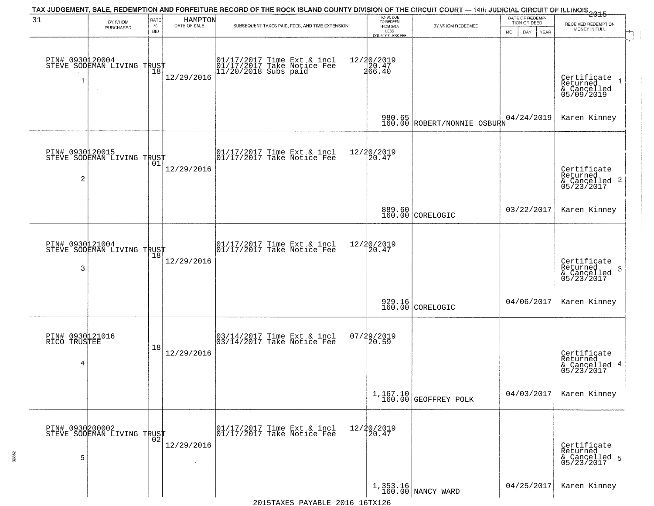| 31                                   | BY WHOM<br>PURCHASED                          | RATE<br>$\%$<br><b>BID</b> | HAMPTON<br>DATE OF SALE | TAX JUDGEMENT, SALE, REDEMPTION AND FORFEITURE RECORD OF THE ROCK ISLAND COUNTY DIVISION OF THE CIRCUIT COURT — 14th JUDICIAL CIRCUIT OF ILLINOIS 2015<br>SUBSEQUENT TAXES PAID, FEES, AND TIME EXTENSION | TOTAL DUE<br>TO REDEEM<br>FROM SALE<br>LESS<br>COUNTY CLERK FEE | BY WHOM REDEEMED                 | DATE OF REDEMP-<br>TION OR DEED<br>MO.<br>DAY<br><b>YEAR</b> | RECEIVED REDEMPTION<br>MONEY IN FULL                       |
|--------------------------------------|-----------------------------------------------|----------------------------|-------------------------|-----------------------------------------------------------------------------------------------------------------------------------------------------------------------------------------------------------|-----------------------------------------------------------------|----------------------------------|--------------------------------------------------------------|------------------------------------------------------------|
|                                      | PIN# 0930120004<br>STEVE SODEMAN LIVING TRUST | 18                         | 12/29/2016              | 01/17/2017 Time Ext & incl<br>01/17/2017 Take Notice Fee<br>11/20/2018 Subs paid                                                                                                                          | 12/20/2019<br>20.47<br>266.40                                   |                                  |                                                              | Certificate<br>Returned<br>& Cancelled<br>05/09/2019       |
|                                      |                                               |                            |                         |                                                                                                                                                                                                           | 980.65<br>160.00                                                | ROBERT/NONNIE OSBURN             | 04/24/2019                                                   | Karen Kinney                                               |
| PIN# 0930120015<br>2                 | STEVE SODEMAN LIVING TRUST                    |                            | 12/29/2016              | $\begin{array}{ccc}  01/17/2017 \text{ Time} & \text{Ext} & \text{incl} \\  01/17/2017 \text{ Take Notice } \text{Fe} \end{array}$                                                                        | 12/20/2019<br>20.47                                             |                                  |                                                              | Certificate<br>Returned<br>& Cancelled 2<br>05/23/2017     |
|                                      |                                               |                            |                         |                                                                                                                                                                                                           |                                                                 | 889.60<br>160.00 CORELOGIC       | 03/22/2017                                                   | Karen Kinney                                               |
| 3                                    | PIN# 0930121004<br>STEVE SODEMAN LIVING TRUST | Ίõ                         | 12/29/2016              | $\begin{array}{ccc}  01/17/2017 \text{ Time} & \text{Ext} & \text{incl} \\  01/17/2017 \text{ Take Notice } \text{Fe} \end{array}$                                                                        | 12/20/2019<br>20.47                                             |                                  |                                                              | Certificate<br>Returned<br>-3<br>& Cancelled<br>05/23/2017 |
|                                      |                                               |                            |                         |                                                                                                                                                                                                           |                                                                 | 929.16<br>160.00 CORELOGIC       | 04/06/2017                                                   | Karen Kinney                                               |
| PIN# 0930121016<br>RICO TRUSTEE<br>4 |                                               | 18                         | 12/29/2016              | $\begin{bmatrix} 03/14/2017 \\ 03/14/2017 \end{bmatrix}$ Time Ext & incl                                                                                                                                  | $07/29/2019$<br>20.59                                           |                                  |                                                              | Certificate<br>Returned<br>& Cancelled 4<br>05/23/2017     |
|                                      |                                               |                            |                         |                                                                                                                                                                                                           |                                                                 | 1,167.10<br>160.00 GEOFFREY POLK | 04/03/2017                                                   | Karen Kinney                                               |
| 5                                    | PIN# 0930200002<br>STEVE SODEMAN LIVING TRUST |                            | 12/29/2016              | 01/17/2017 Time Ext & incl<br>01/17/2017 Take Notice Fee                                                                                                                                                  | 12/20/2019<br>20.47                                             |                                  |                                                              | Certificate<br>Returned<br>& Cancelled 5<br>05/23/2017     |
|                                      |                                               |                            |                         |                                                                                                                                                                                                           |                                                                 | 1,353.16<br>160.00 NANCY WARD    | 04/25/2017                                                   | Karen Kinney                                               |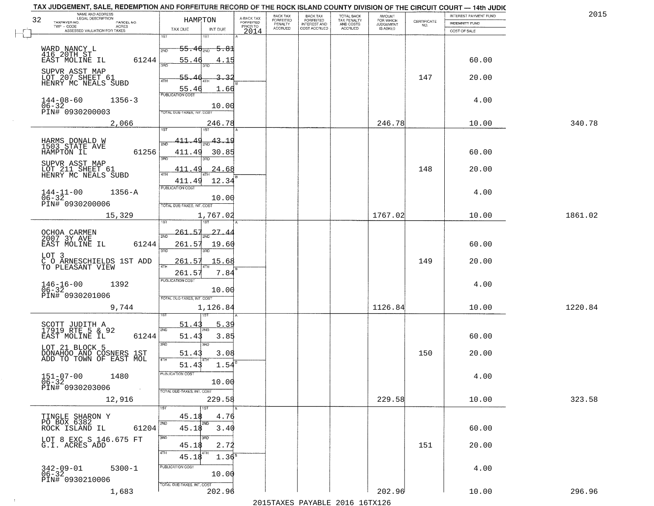| NAME AND ADDRESS<br>LEGAL DESCRIPTION                                                                                                 |                                                                                                                                                     |                                     | BACK TAX             | <b>BACK TAX</b>           | TOTAL BACK<br>TAX PENALTY<br>AND COSTS | AMOUNT<br>FOR WHICH |                                                                 | INTEREST PAYMENT FUND | 2015    |
|---------------------------------------------------------------------------------------------------------------------------------------|-----------------------------------------------------------------------------------------------------------------------------------------------------|-------------------------------------|----------------------|---------------------------|----------------------------------------|---------------------|-----------------------------------------------------------------|-----------------------|---------|
| 32<br>TAXPAYER NO.<br>PARCEL NO.<br>ACRES                                                                                             | HAMPTON                                                                                                                                             | A-BACK TAX<br>FORFEITED<br>PRIOR TO | FORFEITED<br>PENALTY | FORFEITED<br>INTEREST AND |                                        | <b>JUDGEMENT</b>    | $\begin{array}{c} \text{CERTIFICATE} \\ \text{NO.} \end{array}$ | INDEMNITY FUND        |         |
| ASSESSED VALUATION FOR TAXES                                                                                                          | TAX DUE<br>INT DUE                                                                                                                                  | 2014                                | <b>ACCRUED</b>       | COST ACCRUED              | <b>ACCRUED</b>                         | IS ASKED            |                                                                 | COST OF SALE          |         |
| WARD NANCY L<br>416 20TH ST<br>61244<br>EAST MOLINE IL<br>SUPVR ASST MAP                                                              | 1ST<br>$-55.46_{200}$<br><del>5.8</del> 1<br>55.46<br>4.15<br>55.46<br>-32                                                                          |                                     |                      |                           |                                        |                     | 147                                                             | 60.00<br>20.00        |         |
| LOT 207 SHEET 61<br>HENRY MC NEALS SUBD<br>$144 - 08 - 60$<br>06-32<br>$1356 - 3$<br>PIN# 0930200003<br>2,066                         | <u>55.46</u><br>1.66<br><b>PUBLICATION COST</b><br>10.00<br>TOTAL DUE-TAXES, INT. COST<br>246.78                                                    |                                     |                      |                           |                                        | 246.78              |                                                                 | 4.00<br>10.00         | 340.78  |
|                                                                                                                                       |                                                                                                                                                     |                                     |                      |                           |                                        |                     |                                                                 |                       |         |
| HARMS DONALD W<br>1503 STATE AVE<br>61256<br>HAMPTON IL<br>SUPVR ASST MAP<br>LOT 211 SHEET 61<br>HENRY MC NEALS SUBD                  | $\frac{43.19}{200}$<br><u>411.49</u><br>411.49<br>30.85<br>3RD<br>3RD<br>24.68<br>411.49<br>$\overline{47H}$<br>12.34<br>411.49<br>PUBLICATION COST |                                     |                      |                           |                                        |                     | 148                                                             | 60.00<br>20.00        |         |
| $144 - 11 - 00$<br>$1356 - A$<br>$06 - 32$                                                                                            | 10.00                                                                                                                                               |                                     |                      |                           |                                        |                     |                                                                 | 4.00                  |         |
| PIN# 0930200006<br>15,329                                                                                                             | TOTAL DUE-TAXES, INT. COST<br>1,767.02<br>isT<br>187                                                                                                |                                     |                      |                           |                                        | 1767.02             |                                                                 | 10.00                 | 1861.02 |
| OCHOA CARMEN<br>2007 3Y AVE<br>EAST MOLINE IL<br>61244<br>LOT 3                                                                       | $-261.57$<br>27.<br>2ND<br>261.57<br>19.60<br>3RD<br>3RD                                                                                            |                                     |                      |                           |                                        |                     |                                                                 | 60.00                 |         |
| C O ARNESCHIELDS 1ST ADD<br>TO PLEASANT VIEW                                                                                          | 261.57<br>15.68<br>4TH<br>261.57<br>7.84                                                                                                            |                                     |                      |                           |                                        |                     | 149                                                             | 20.00                 |         |
| $146 - 16 - 00$<br>06-32<br>1392<br>PIN# 0930201006                                                                                   | <b>PUBLICATION COST</b><br>10.00<br>TOTAL OUE-TAXES, INT. COST                                                                                      |                                     |                      |                           |                                        |                     |                                                                 | 4.00                  |         |
| 9,744                                                                                                                                 | 1,126.84                                                                                                                                            |                                     |                      |                           |                                        | 1126.84             |                                                                 | 10.00                 | 1220.84 |
| SCOTT JUDITH A<br>17919 RTE 5 & 92<br>EAST MOLINE IL<br>61244<br>LOT 21 BLOCK 5<br>DONAHOO AND COSNERS 1ST<br>ADD TO TOWN OF EAST MOL | 5.39<br>51.4<br>2ND<br>51.43<br>3.85<br>3RD<br>3RD<br>3.08<br>51.43                                                                                 |                                     |                      |                           |                                        |                     | 150                                                             | 60.00<br>20.00        |         |
| $151-07-00$<br>06-32<br>1480<br>PIN# 0930203006<br>$\sim 100$                                                                         | 4TH<br>1.54<br>51.43<br>PUBLICATION COS<br>10.00<br>TOTAL DUE-TAXES, INT. COST                                                                      |                                     |                      |                           |                                        |                     |                                                                 | 4.00                  |         |
| 12,916                                                                                                                                | 229.58                                                                                                                                              |                                     |                      |                           |                                        | 229.58              |                                                                 | 10.00                 | 323.58  |
| TINGLE SHARON Y<br>PO BOX 6382<br>ROCK ISLAND IL<br>61204                                                                             | 1ST<br>45.18<br>4.76<br>2ND<br>2ND<br>45.18<br>3.40<br>3HD                                                                                          |                                     |                      |                           |                                        |                     |                                                                 | 60.00                 |         |
| LOT 8 EXC S 146.675 FT<br>G.I. ACRES ADD                                                                                              | 45.18<br>2.72<br>4TH                                                                                                                                |                                     |                      |                           |                                        |                     | 151                                                             | 20.00                 |         |
| $342 - 09 - 01$<br>06-32<br>$5300 - 1$<br>PIN# 0930210006                                                                             | 1.36 <sup>s</sup><br>45.18<br>PUBLICATION COST<br>10.00<br>TOTAL DUE-TAXES, INT. COST                                                               |                                     |                      |                           |                                        |                     |                                                                 | 4.00                  |         |
| 1,683                                                                                                                                 | 202.96                                                                                                                                              |                                     |                      |                           |                                        | 202.96              |                                                                 | 10.00                 | 296.96  |

 $\sim 10^{-1}$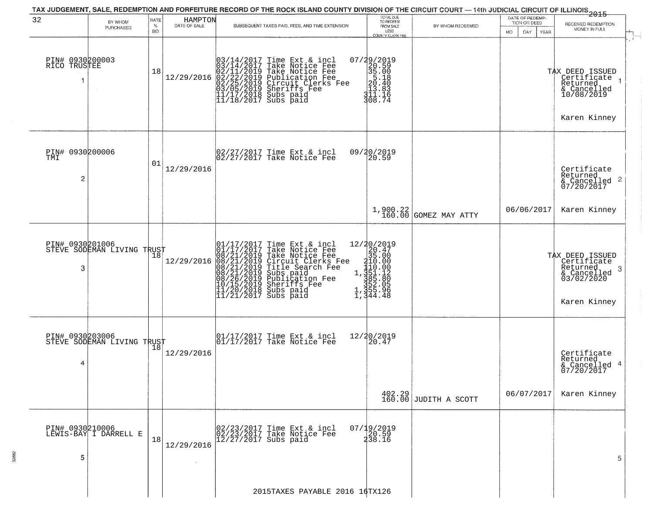|                                          |                                                   |                            |                         | TAX JUDGEMENT, SALE, REDEMPTION AND FORFEITURE RECORD OF THE ROCK ISLAND COUNTY DIVISION OF THE CIRCUIT COURT — 14th JUDICIAL CIRCUIT OF ILLINOIS<br>2015 - 1992 - 1992 - 1993 - 1994 - 1994 - 1994 - 1994 - 1995 - 1994 - 1995                                                                                                                                     |                                                                                                                            |                                                                |                                                        |                                                                                              |
|------------------------------------------|---------------------------------------------------|----------------------------|-------------------------|---------------------------------------------------------------------------------------------------------------------------------------------------------------------------------------------------------------------------------------------------------------------------------------------------------------------------------------------------------------------|----------------------------------------------------------------------------------------------------------------------------|----------------------------------------------------------------|--------------------------------------------------------|----------------------------------------------------------------------------------------------|
| 32                                       | BY WHOM<br>PURCHASED                              | RATE<br>$\%$<br><b>BID</b> | HAMPTON<br>DATE OF SALE | SUBSEQUENT TAXES PAID, FEES, AND TIME EXTENSION                                                                                                                                                                                                                                                                                                                     | TOTAL DUE<br>TO REDEEM<br>FROM SALE<br>LESS<br>COUNTY CLERK FEE                                                            | BY WHOM REDEEMED                                               | DATE OF REDEMP-<br>TION OR DEED<br>MO.<br>DAY.<br>YEAR | RECEIVED REDEMPTION<br>MONEY IN FULL                                                         |
| PIN# 0930200003<br>RICO TRUSTEE<br>-1    |                                                   | 18                         |                         | $[03/14/2017 \text{ Time Ext & incl} \newline [03/14/2017 \text{ Take Notice Free} \newline [02/11/2019 \text{ Take Notice Free} \newline [02/11/2019 \text{ Public action Free} \newline [02/22/2019 \text{ Publication Free} \newline [03/05/2019 \text{Sherifts Free} \newline [11/17/2018 \text{ Subs paid} \newline [11/18/2017 \text{ Subs paid} \newline ]]$ | 07/29/2019<br>20.59<br>35.00<br>35.00<br>20.40<br>20.40<br>31.3.83<br>31.1.1.7<br>308.74                                   |                                                                |                                                        | TAX DEED ISSUED<br>  Certificate<br>Returned<br>& Cancelled<br>10/08/2019                    |
|                                          |                                                   |                            |                         |                                                                                                                                                                                                                                                                                                                                                                     |                                                                                                                            |                                                                |                                                        | Karen Kinney                                                                                 |
| PIN# 0930200006<br>TMI<br>$\overline{c}$ |                                                   | 01                         | 12/29/2016              | 02/27/2017 Time Ext & incl<br>02/27/2017 Take Notice Fee                                                                                                                                                                                                                                                                                                            | 09/20/2019<br>20.59                                                                                                        |                                                                |                                                        | Certificate<br>Returned<br>$\frac{1}{6}$ Cancelled 2<br>07/20/2017                           |
|                                          |                                                   |                            |                         |                                                                                                                                                                                                                                                                                                                                                                     |                                                                                                                            | $1,900.22$<br>$160.00$ GOMEZ MAY ATTY                          | 06/06/2017                                             | Karen Kinney                                                                                 |
| PIN# 0930201006<br>3                     | STEVE SODEMAN LIVING TRUST                        | 18                         | 12/29/2016              | 01/17/2017 Time Ext & incl<br>01/17/2017 Take Notice Fee<br>08/21/2019 Take Notice Fee<br>08/21/2019 Circuit Clerks Fee<br>08/21/2019 Title Search Fee<br>08/21/2019 Subs paid<br>10/15/2019 Sheriffs Fee<br>10/15/2019 Sheriffs Fee<br>11/20/2018 Su<br>$ 11/21/2017$ Subs paid                                                                                    | $\begin{smallmatrix} 12/20/2019\\20.47\\215.00\\110.00\\1.351.10\\1.351.120\\355.05\\1.355.96\\1.344.48 \end{smallmatrix}$ |                                                                |                                                        | TAX DEED ISSUED<br>Certificate<br>Returned<br>3<br>& Cancelled<br>03/02/2020<br>Karen Kinney |
| 4                                        | PIN# 0930203006    <br>STEVE SODEMAN LIVING TRUST | 18                         | 12/29/2016              | 01/17/2017 Time Ext & incl<br>01/17/2017 Take Notice Fee                                                                                                                                                                                                                                                                                                            | 12/20/2019<br>20.47                                                                                                        |                                                                |                                                        | Certificate<br>Returned<br>& Cancelled 4<br>07/20/2017                                       |
|                                          |                                                   |                            |                         |                                                                                                                                                                                                                                                                                                                                                                     |                                                                                                                            | $\begin{array}{c} 402.29 \\ 160.00 \end{array}$ JUDITH A SCOTT | 06/07/2017                                             | Karen Kinney                                                                                 |
| PIN# 0930210006<br>5                     | LEWIS-BAY I DARRELL E                             | 18                         | 12/29/2016              | 02/23/2017 Time Ext & incl<br>02/23/2017 Take Notice Fee<br>$12/27/2017$ Subs paid                                                                                                                                                                                                                                                                                  | 07/19/2019<br>20.59<br>238.16                                                                                              |                                                                |                                                        | 5                                                                                            |
|                                          |                                                   |                            |                         | 2015TAXES PAYABLE 2016 16TX126                                                                                                                                                                                                                                                                                                                                      |                                                                                                                            |                                                                |                                                        |                                                                                              |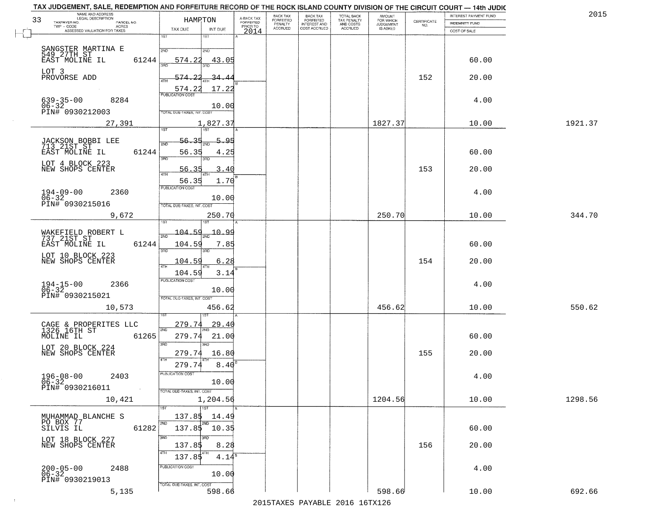| 33 | NAME AND ADDRESS<br>LEGAL DESCRIPTION<br>TAXPAYER NO.<br>PARCEL NO. | HAMRTON                                    | A-BACK TAX<br>FORFEITED | BACK TAX<br>FORFEITED | <b>BACK TAX</b><br><b>FORFEITED</b> | TOTAL BACK<br>TAX PENALTY<br>AND COSTS<br>ACCRUED | <b>AMOUNT</b><br>FOR WHICH<br>JUDGEMENT<br>IS ASKED | $\begin{array}{c} \text{CERTIFICATE} \\ \text{NO.} \end{array}$ | INTEREST PAYMENT FUND<br><b>INDEMNITY FUND</b> | 2015    |
|----|---------------------------------------------------------------------|--------------------------------------------|-------------------------|-----------------------|-------------------------------------|---------------------------------------------------|-----------------------------------------------------|-----------------------------------------------------------------|------------------------------------------------|---------|
|    | $TWP - CODE$<br>ACRES<br>ASSESSED VALUATION FOR TAXES               | TAX DUE<br>INT DUE                         | PRIOR TO<br>2014        | PENALTY<br>ACCRUED    | INTEREST AND<br>COST ACCRUED        |                                                   |                                                     |                                                                 | COST OF SALE                                   |         |
|    |                                                                     | 1ST<br>181                                 |                         |                       |                                     |                                                   |                                                     |                                                                 |                                                |         |
|    | SANGSTER MARTINA E<br>549 27TH ST                                   | 2ND<br>2ND                                 |                         |                       |                                     |                                                   |                                                     |                                                                 |                                                |         |
|    | EAST MOLINE IL<br>61244                                             | 574.22<br>43.05                            |                         |                       |                                     |                                                   |                                                     |                                                                 | 60.00                                          |         |
|    | LOT 3<br>PROVORSE ADD                                               | 574.<br>-34.4                              |                         |                       |                                     |                                                   |                                                     | 152                                                             | 20.00                                          |         |
|    |                                                                     | 4TH<br>574.22<br>17.22                     |                         |                       |                                     |                                                   |                                                     |                                                                 |                                                |         |
|    | $639 - 35 - 00$<br>8284                                             | PUBLICATION COST                           |                         |                       |                                     |                                                   |                                                     |                                                                 | 4.00                                           |         |
|    | $06 - 32$<br>PIN# 0930212003                                        | 10.00<br>TOTAL DUE-TAXES, INT. COST        |                         |                       |                                     |                                                   |                                                     |                                                                 |                                                |         |
|    | 27,391                                                              | 1,827.37                                   |                         |                       |                                     |                                                   | 1827.37                                             |                                                                 | 10.00                                          | 1921.37 |
|    |                                                                     | 1ST<br>1ST<br>56.35                        |                         |                       |                                     |                                                   |                                                     |                                                                 |                                                |         |
|    | JACKSON BOBBI LEE<br>713 21ST ST<br>EAST MOLINE IL<br>61244         | 5.95<br>2NL<br>56.35                       |                         |                       |                                     |                                                   |                                                     |                                                                 | 60.00                                          |         |
|    | LOT 4 BLOCK 223                                                     | 4.25<br>3RD<br>3RD                         |                         |                       |                                     |                                                   |                                                     |                                                                 |                                                |         |
|    | NEW SHOPS CENTER                                                    | 56.35<br>3.40<br>$\sqrt{4}$                |                         |                       |                                     |                                                   |                                                     | 153                                                             | 20.00                                          |         |
|    |                                                                     | 56.35<br>1.70<br>PUBLICATION COST          |                         |                       |                                     |                                                   |                                                     |                                                                 |                                                |         |
|    | $194 - 09 - 00$<br>2360<br>$06 - 32$                                | 10.00                                      |                         |                       |                                     |                                                   |                                                     |                                                                 | 4.00                                           |         |
|    | PIN# 0930215016                                                     | TOTAL DUE-TAXES, INT. COST                 |                         |                       |                                     |                                                   |                                                     |                                                                 |                                                |         |
|    | 9,672                                                               | 250.70                                     |                         |                       |                                     |                                                   | 250.70                                              |                                                                 | 10.00                                          | 344.70  |
|    | WAKEFIELD ROBERT L<br>737 21ST ST                                   | 104.59<br>10.99                            |                         |                       |                                     |                                                   |                                                     |                                                                 |                                                |         |
|    | EAST MOLINE IL<br>61244                                             | 104.59<br>7.85                             |                         |                       |                                     |                                                   |                                                     |                                                                 | 60.00                                          |         |
|    | LOT 10 BLOCK 223                                                    | 3RD<br>3RD                                 |                         |                       |                                     |                                                   |                                                     |                                                                 |                                                |         |
|    | NEW SHOPS CENTER                                                    | 6.28<br>104.59                             |                         |                       |                                     |                                                   |                                                     | 154                                                             | 20.00                                          |         |
|    |                                                                     | 104.59<br>3.14<br><b>PUBLICATION COST</b>  |                         |                       |                                     |                                                   |                                                     |                                                                 |                                                |         |
|    | $194 - 15 - 00$<br>$06 - 32$<br>2366<br>PIN# 0930215021             | 10.00                                      |                         |                       |                                     |                                                   |                                                     |                                                                 | 4.00                                           |         |
|    | 10,573                                                              | TOTAL OUE-TAXES, INT. COST<br>456.62       |                         |                       |                                     |                                                   | 456.62                                              |                                                                 | 10.00                                          | 550.62  |
|    |                                                                     |                                            |                         |                       |                                     |                                                   |                                                     |                                                                 |                                                |         |
|    | CAGE & PROPERITES LLC<br>1326 16TH ST                               | 279.74<br><u>29.40</u><br>2ND              |                         |                       |                                     |                                                   |                                                     |                                                                 |                                                |         |
|    | 61265<br>MOLINE IL                                                  | 279.74<br>21.00<br>3RD<br>3RD              |                         |                       |                                     |                                                   |                                                     |                                                                 | 60.00                                          |         |
|    | LOT 20 BLOCK 224<br>NEW SHOPS CENTER                                | 279.74<br>16.80                            |                         |                       |                                     |                                                   |                                                     | 155                                                             | 20.00                                          |         |
|    |                                                                     | 4TH<br>8.40<br>279.74                      |                         |                       |                                     |                                                   |                                                     |                                                                 |                                                |         |
|    | $196 - 08 - 00$<br>06-32<br>2403                                    | PUBLICATION COST                           |                         |                       |                                     |                                                   |                                                     |                                                                 | 4.00                                           |         |
|    | PIN# 0930216011<br>$\sim 100$                                       | 10.00<br>TOTAL DUE-TAXES, INT. COST        |                         |                       |                                     |                                                   |                                                     |                                                                 |                                                |         |
|    | 10,421                                                              | 1,204.56                                   |                         |                       |                                     |                                                   | 1204.56                                             |                                                                 | 10.00                                          | 1298.56 |
|    | MUHAMMAD BLANCHE S                                                  | 1ST<br>1ST <sup>1</sup><br>137.85<br>14.49 |                         |                       |                                     |                                                   |                                                     |                                                                 |                                                |         |
|    | PO BOX 77<br>SILVIS IL<br>61282                                     | 2ND<br>2ND<br>$137.85$ $10.35$             |                         |                       |                                     |                                                   |                                                     |                                                                 | 60.00                                          |         |
|    | LOT 18 BLOCK 227                                                    | 3RD<br>उत्तर                               |                         |                       |                                     |                                                   |                                                     |                                                                 |                                                |         |
|    | NEW SHOPS CENTER                                                    | 137.85<br>8.28<br>4TH<br>4TH               |                         |                       |                                     |                                                   |                                                     | 156                                                             | 20.00                                          |         |
|    |                                                                     | $4.14^{\circ}$<br>137.85                   |                         |                       |                                     |                                                   |                                                     |                                                                 |                                                |         |
|    | 200-05-00<br>06-32<br>2488                                          | PUBLICATION COST<br>10.00                  |                         |                       |                                     |                                                   |                                                     |                                                                 | 4.00                                           |         |
|    | PIN# 0930219013                                                     | TOTAL DUE-TAXES, INT. COST                 |                         |                       |                                     |                                                   |                                                     |                                                                 |                                                |         |
|    | 5,135                                                               | 598.66                                     |                         |                       |                                     |                                                   | 598.66                                              |                                                                 | 10.00                                          | 692.66  |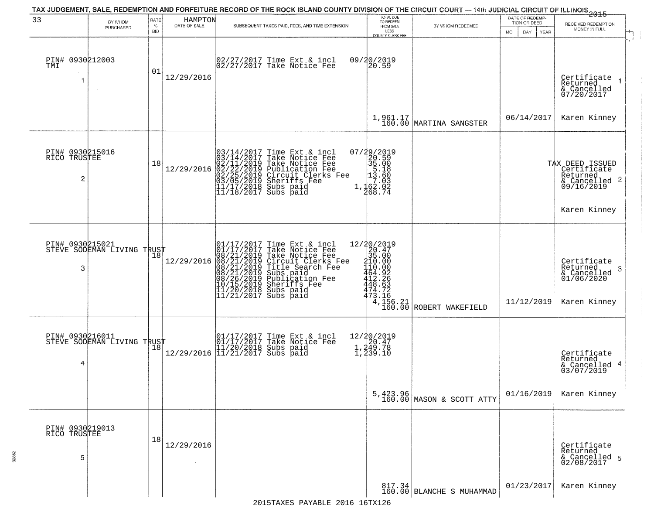|                                      |                                               |                            |                         | TAX JUDGEMENT, SALE, REDEMPTION AND FORFEITURE RECORD OF THE ROCK ISLAND COUNTY DIVISION OF THE CIRCUIT COURT - 14th JUDICIAL CIRCUIT OF ILLINOIS 2015                                                                                                |                                                                                                     |                                                                                    |                                                        |                                                                                       |
|--------------------------------------|-----------------------------------------------|----------------------------|-------------------------|-------------------------------------------------------------------------------------------------------------------------------------------------------------------------------------------------------------------------------------------------------|-----------------------------------------------------------------------------------------------------|------------------------------------------------------------------------------------|--------------------------------------------------------|---------------------------------------------------------------------------------------|
| 33                                   | BY WHOM<br>PURCHASED                          | RATE<br>$\%$<br><b>BID</b> | HAMPTON<br>DATE OF SALE | SUBSEQUENT TAXES PAID, FEES, AND TIME EXTENSION                                                                                                                                                                                                       | TOTAL DUE<br>TO REDEEM<br>FROM SALE<br>LESS<br>COUNTY CLERK FEE                                     | BY WHOM REDEEMED                                                                   | DATE OF REDEMP-<br>TION OR DEED<br>DAY.<br>YEAR<br>MO. | RECEIVED REDEMPTION<br>MONEY IN FULL                                                  |
| PIN# 0930212003<br>TMI               |                                               | 01                         | 12/29/2016              | 02/27/2017 Time Ext & incl<br>02/27/2017 Take Notice Fee                                                                                                                                                                                              | 09/20/2019<br> 20.59                                                                                |                                                                                    |                                                        | Certificate<br>Returned<br>& Cancelled<br>07/20/2017                                  |
|                                      |                                               |                            |                         |                                                                                                                                                                                                                                                       |                                                                                                     | 1,961.17<br>160.00 MARTINA SANGSTER                                                | 06/14/2017                                             | Karen Kinney                                                                          |
| PIN# 0930215016<br>RICO TRUSTEE<br>2 |                                               | 18                         | 12/29/2016              | $03/14/2017$ Time Ext & incl<br>03/14/2017 Take Notice Fee<br>02/11/2019 Take Notice Fee<br>02/22/2019 Publication Fee<br>02/22/2019 Circuit Clerks Fee<br>03/05/2019 Sheriffs Fee<br>11/17/2018 Subs paid<br>11/18/2017 Subs paid                    | 07/29/2019<br>20.59<br>35.00<br>5.18<br>2 13.60<br>$1,162.02$ $7.03$ $7.02$ $7.03$ $7.04$           |                                                                                    |                                                        | TAX DEED ISSUED<br>Certificate<br>Returned<br>$\frac{1}{6}$ Cancelled 2<br>09/16/2019 |
|                                      |                                               |                            |                         |                                                                                                                                                                                                                                                       |                                                                                                     |                                                                                    |                                                        | Karen Kinney                                                                          |
| 3                                    | PIN# 0930215021<br>STEVE SODEMAN LIVING TRUST | Ίõ                         | 12/29/2016              | 01/17/2017 Time Ext & incl<br>01/17/2017 Take Notice Fee<br>08/21/2019 Take Notice Fee<br>08/21/2019 Circuit Clerks Fee<br>08/21/2019 Title Search Fee<br>08/21/2019 Subs paid<br>08/26/2019 Publication Fee<br>10/15/2019 Sheriffs Fee<br>11/20/2018 | ${\begin{array}{c} 12/20/2019\\20.47\\35.00\\410.00\\464.926\\448.63\\474.72\\473.156 \end{array}}$ | $\left( \frac{4}{156} \right)$ , $\left( \frac{156}{160} \right)$ ROBERT WAKEFIELD | 11/12/2019                                             | Certificate<br>Returned<br>-3<br>& Cancelled<br>01/06/2020<br>Karen Kinney            |
| 4                                    | PIN# 0930216011<br>STEVE SODEMAN LIVING TRUST |                            |                         | 01/17/2017 Time Ext & incl<br>01/17/2017 Take Notice Fee<br>11/20/2018 Subs paid<br>12/29/2016 11/21/2017 Subs paid                                                                                                                                   | 12/20/2019<br>1,249.78<br>1,249.78<br>1,239.10                                                      |                                                                                    |                                                        | Certificate<br>Returned<br>& Cancelled 4<br>03/07/2019                                |
|                                      |                                               |                            |                         |                                                                                                                                                                                                                                                       |                                                                                                     | 5,423.96<br>160.00 MASON & SCOTT ATTY                                              | 01/16/2019                                             | Karen Kinney                                                                          |
| PIN# 0930219013<br>RICO TRUSTEE<br>5 |                                               | 18                         | 12/29/2016              |                                                                                                                                                                                                                                                       |                                                                                                     |                                                                                    |                                                        | Certificate<br>Returned<br>& Cancelled 5<br>02/08/2017                                |
|                                      |                                               |                            |                         |                                                                                                                                                                                                                                                       |                                                                                                     | 817.34<br>160.00 BLANCHE S MUHAMMAD                                                | 01/23/2017                                             | Karen Kinney                                                                          |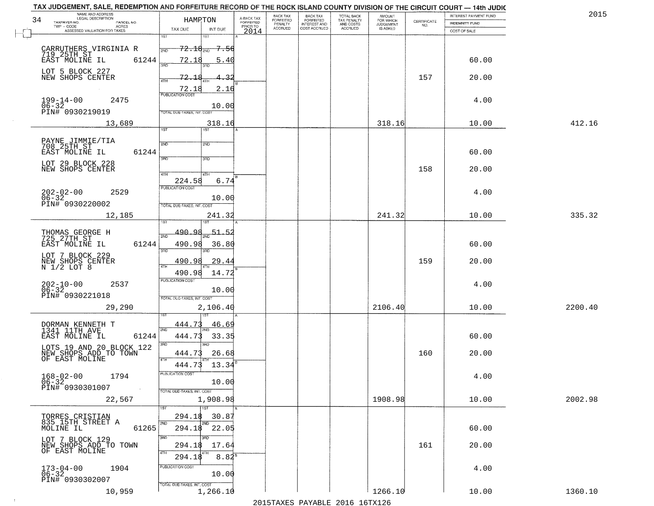|    | TAX JUDGEMENT, SALE, REDEMPTION AND FORFEITURE RECORD OF THE ROCK ISLAND COUNTY DIVISION OF THE CIRCUIT COURT - 14th JUDIC |                                         |                                     |                                     |                                     |                                        |                                  |                                                                 |                              | 201     |
|----|----------------------------------------------------------------------------------------------------------------------------|-----------------------------------------|-------------------------------------|-------------------------------------|-------------------------------------|----------------------------------------|----------------------------------|-----------------------------------------------------------------|------------------------------|---------|
| 34 | NAME AND ADDRESS<br>LEGAL DESCRIPTION<br>PARCEL NO.                                                                        | HAMPTON                                 | A-BACK TAX<br>FORFEITED<br>PRIOR TO | <b>BACK TAX</b><br><b>FORFEITED</b> | BACK TAX<br>FORFEITED               | TOTAL BACK<br>TAX PENALTY<br>AND COSTS | AMOUNT<br>FOR WHICH<br>JUDGEMENT |                                                                 | <b>INTEREST PAYMENT FUND</b> |         |
|    | TAXPAYER NO.<br>ACRES                                                                                                      | TAX DUE<br>INT DUE                      |                                     | PENALTY<br><b>ACCRUED</b>           | <b>INTEREST AND</b><br>COST ACCRUED | <b>ACCRUED</b>                         | <b>IS ASKED</b>                  | $\begin{array}{c} \text{CERTIFICATE} \\ \text{NO.} \end{array}$ | INDEMNITY FUND               |         |
|    | ASSESSED VALUATION FOR TAXES                                                                                               | 1ST<br>18T                              | 2014                                |                                     |                                     |                                        |                                  |                                                                 | COST OF SALE                 |         |
|    |                                                                                                                            |                                         |                                     |                                     |                                     |                                        |                                  |                                                                 |                              |         |
|    | CARRUTHERS VIRGINIA R<br>719 25TH ST<br>EAST MOLINE IL 61                                                                  | $72.16_{200}$<br><del>7.56</del><br>2ND |                                     |                                     |                                     |                                        |                                  |                                                                 |                              |         |
|    | 61244                                                                                                                      | 72.18<br>5.40                           |                                     |                                     |                                     |                                        |                                  |                                                                 | 60.00                        |         |
|    |                                                                                                                            | $3 - 5$                                 |                                     |                                     |                                     |                                        |                                  |                                                                 |                              |         |
|    | LOT 5 BLOCK 227<br>NEW SHOPS CENTER                                                                                        | 72.18<br>₹                              |                                     |                                     |                                     |                                        |                                  | 157                                                             | 20.00                        |         |
|    |                                                                                                                            | 4TH                                     |                                     |                                     |                                     |                                        |                                  |                                                                 |                              |         |
|    |                                                                                                                            | 2.16<br>$\frac{72.18}{PUBUCATONCGST}$   |                                     |                                     |                                     |                                        |                                  |                                                                 |                              |         |
|    | $199 - 14 - 00$<br>2475                                                                                                    |                                         |                                     |                                     |                                     |                                        |                                  |                                                                 | 4.00                         |         |
|    | $06 - 32$<br>PIN# 0930219019                                                                                               | 10.00<br>TOTAL DUE-TAXES, INT. COST     |                                     |                                     |                                     |                                        |                                  |                                                                 |                              |         |
|    |                                                                                                                            |                                         |                                     |                                     |                                     |                                        |                                  |                                                                 |                              |         |
|    | 13,689                                                                                                                     | 318.16<br>1ST<br>1ST                    |                                     |                                     |                                     |                                        | 318.16                           |                                                                 | 10.00                        | 412.16  |
|    |                                                                                                                            |                                         |                                     |                                     |                                     |                                        |                                  |                                                                 |                              |         |
|    | PAYNE JIMMIE/TIA<br>708 25TH ST                                                                                            | 2ND<br>2ND                              |                                     |                                     |                                     |                                        |                                  |                                                                 |                              |         |
|    | 61244<br>EAST MOLINE IL                                                                                                    |                                         |                                     |                                     |                                     |                                        |                                  |                                                                 | 60.00                        |         |
|    | LOT 29 BLOCK 228                                                                                                           | 3RD<br>3RD                              |                                     |                                     |                                     |                                        |                                  |                                                                 |                              |         |
|    | NEW SHOPS CENTER                                                                                                           |                                         |                                     |                                     |                                     |                                        |                                  | 158                                                             | 20.00                        |         |
|    |                                                                                                                            | 47H<br>4TH<br>6.74                      |                                     |                                     |                                     |                                        |                                  |                                                                 |                              |         |
|    |                                                                                                                            | 224.58<br>PUBLICATION COST              |                                     |                                     |                                     |                                        |                                  |                                                                 |                              |         |
|    | $202 - 02 - 00$<br>2529                                                                                                    |                                         |                                     |                                     |                                     |                                        |                                  |                                                                 | 4.00                         |         |
|    | $06 - 32$<br>PIN# 0930220002                                                                                               | 10.00<br>TOTAL DUE-TAXES, INT. COST     |                                     |                                     |                                     |                                        |                                  |                                                                 |                              |         |
|    |                                                                                                                            |                                         |                                     |                                     |                                     |                                        |                                  |                                                                 |                              |         |
|    | 12,185                                                                                                                     | 241.32<br>īst<br>1ST                    |                                     |                                     |                                     |                                        | 241.32                           |                                                                 | 10.00                        | 335.32  |
|    |                                                                                                                            |                                         |                                     |                                     |                                     |                                        |                                  |                                                                 |                              |         |
|    | THOMAS GEORGE H<br>725 27TH ST                                                                                             | 490.98<br>$-51 - 5.$<br>2ND             |                                     |                                     |                                     |                                        |                                  |                                                                 |                              |         |
|    | EAST MOLINE IL<br>61244                                                                                                    | 490.98<br>36.80                         |                                     |                                     |                                     |                                        |                                  |                                                                 | 60.00                        |         |
|    | LOT 7 BLOCK 229                                                                                                            | 3RD<br>3RD                              |                                     |                                     |                                     |                                        |                                  |                                                                 |                              |         |
|    | NEW SHOPS CENTER<br>N 1/2 LOT 8                                                                                            | 490.98<br>29.44                         |                                     |                                     |                                     |                                        |                                  | 159                                                             | 20.00                        |         |
|    |                                                                                                                            | ATH<br>490.98<br>14.72                  |                                     |                                     |                                     |                                        |                                  |                                                                 |                              |         |
|    |                                                                                                                            | <b>PUBLICATION COST</b>                 |                                     |                                     |                                     |                                        |                                  |                                                                 |                              |         |
|    | $202 - 10 - 00$<br>06-32<br>2537                                                                                           | 10.00                                   |                                     |                                     |                                     |                                        |                                  |                                                                 | 4.00                         |         |
|    | PIN# 0930221018                                                                                                            | TOTAL OUE-TAXES, INT. COST              |                                     |                                     |                                     |                                        |                                  |                                                                 |                              |         |
|    |                                                                                                                            |                                         |                                     |                                     |                                     |                                        |                                  |                                                                 |                              | 2200.40 |
|    | 29,290                                                                                                                     | 2,106.40                                |                                     |                                     |                                     |                                        | 2106.40                          |                                                                 | 10.00                        |         |
|    |                                                                                                                            |                                         |                                     |                                     |                                     |                                        |                                  |                                                                 |                              |         |
|    | DORMAN KENNETH T<br>1341 11TH AVE                                                                                          | 444.73<br>46.69<br>2ND                  |                                     |                                     |                                     |                                        |                                  |                                                                 |                              |         |
|    | EAST MOLINE IL<br>61244                                                                                                    | 444.73<br>33.35                         |                                     |                                     |                                     |                                        |                                  |                                                                 | 60.00                        |         |
|    | LOTS 19 AND 20 BLOCK 122                                                                                                   | 3BD<br>3RD                              |                                     |                                     |                                     |                                        |                                  |                                                                 |                              |         |
|    | NEW SHOPS ADD TO TOWN<br>OF EAST MOLINE                                                                                    | 444.73<br>26.68                         |                                     |                                     |                                     |                                        |                                  | 160                                                             | 20.00                        |         |
|    |                                                                                                                            | 4TH<br>13.34<br>444.73                  |                                     |                                     |                                     |                                        |                                  |                                                                 |                              |         |
|    |                                                                                                                            | "UBLICA HUN CUS"                        |                                     |                                     |                                     |                                        |                                  |                                                                 |                              |         |
|    | $168 - 02 - 00$<br>1794<br>06-32                                                                                           | 10.00                                   |                                     |                                     |                                     |                                        |                                  |                                                                 | 4.00                         |         |
|    | PIN# 0930301007<br>$\sim 100$                                                                                              | TOTAL DUE-TAXES, INT. COST              |                                     |                                     |                                     |                                        |                                  |                                                                 |                              |         |
|    | 22,567                                                                                                                     | 1,908.98                                |                                     |                                     |                                     |                                        | 1908.98                          |                                                                 | 10.00                        | 2002.98 |
|    |                                                                                                                            | 1ST                                     |                                     |                                     |                                     |                                        |                                  |                                                                 |                              |         |
|    |                                                                                                                            | 294.18<br>30.87                         |                                     |                                     |                                     |                                        |                                  |                                                                 |                              |         |
|    | TORRES CRISTIAN<br>835 15TH STREET A                                                                                       | 2ND<br>2ND                              |                                     |                                     |                                     |                                        |                                  |                                                                 |                              |         |
|    | 61265<br>MOLINE IL                                                                                                         | 294.18 22.05                            |                                     |                                     |                                     |                                        |                                  |                                                                 | 60.00                        |         |
|    | LOT 7 BLOCK 129                                                                                                            | 3RD                                     |                                     |                                     |                                     |                                        |                                  |                                                                 |                              |         |
|    | NEW SHOPS ADD TO TOWN                                                                                                      | 294.18<br>17.64                         |                                     |                                     |                                     |                                        |                                  | 161                                                             | 20.00                        |         |
|    | OF EAST MOLINE                                                                                                             | 4TH<br>$8.82^{8}$<br>294.18             |                                     |                                     |                                     |                                        |                                  |                                                                 |                              |         |
|    |                                                                                                                            | PUBLICATION COST                        |                                     |                                     |                                     |                                        |                                  |                                                                 |                              |         |
|    | 1904<br>$173 - 04 - 00$<br>06-32                                                                                           | 10.00                                   |                                     |                                     |                                     |                                        |                                  |                                                                 | 4.00                         |         |
|    | PIN# 0930302007                                                                                                            | TOTAL DUE-TAXES, INT. COST              |                                     |                                     |                                     |                                        |                                  |                                                                 |                              |         |
|    | 10,959                                                                                                                     | 1,266.10                                |                                     |                                     |                                     |                                        | 1266.10                          |                                                                 | 10.00                        | 1360.10 |

 $\pm 4$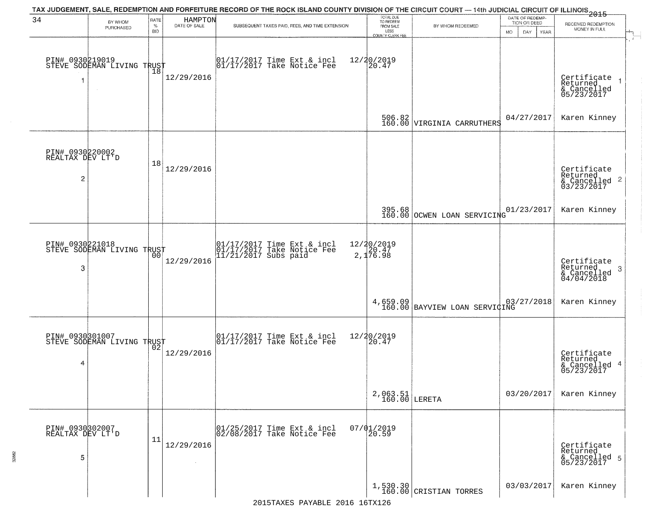|                                          |                                               |                            |                         | TAX JUDGEMENT, SALE, REDEMPTION AND FORFEITURE RECORD OF THE ROCK ISLAND COUNTY DIVISION OF THE CIRCUIT COURT — 14th JUDICIAL CIRCUIT OF ILLINOIS 2015 |                                                                 |                                      |                                                        |                                                                    |
|------------------------------------------|-----------------------------------------------|----------------------------|-------------------------|--------------------------------------------------------------------------------------------------------------------------------------------------------|-----------------------------------------------------------------|--------------------------------------|--------------------------------------------------------|--------------------------------------------------------------------|
| 34                                       | BY WHOM<br>PURCHASED                          | RATE<br>$\%$<br><b>BID</b> | HAMPTON<br>DATE OF SALE | SUBSEQUENT TAXES PAID, FEES, AND TIME EXTENSION                                                                                                        | TOTAL DUE<br>TO REDEEM<br>FROM SALE<br>LESS<br>COUNTY CLERK FEE | BY WHOM REDEEMED                     | DATE OF REDEMP-<br>TION OR DEED<br>MO.<br>DAY.<br>YEAR | RECEIVED REDEMPTION<br>MONEY IN FULL                               |
| 1                                        | PIN# 0930219019<br>STEVE SODEMAN LIVING TRUST | Ίõ                         | 12/29/2016              | 01/17/2017 Time Ext & incl<br>01/17/2017 Take Notice Fee                                                                                               | 12/20/2019<br>20.47                                             |                                      |                                                        | Certificate<br>Returned<br>& Cancelled<br>05/23/2017               |
|                                          |                                               |                            |                         |                                                                                                                                                        |                                                                 | 506.82<br>160.00 VIRGINIA CARRUTHERS | 04/27/2017                                             | Karen Kinney                                                       |
| PIN# 0930220002<br>REALTAX DEV LT'D<br>2 |                                               | 18                         | 12/29/2016              |                                                                                                                                                        |                                                                 |                                      |                                                        | Certificate<br>Returned<br>$\frac{1}{6}$ Cancelled 2<br>03/23/2017 |
|                                          |                                               |                            |                         |                                                                                                                                                        |                                                                 | 395.68 OCWEN LOAN SERVICING          | 01/23/2017                                             | Karen Kinney                                                       |
| PIN# 0930221018<br>3                     | STEVE SODEMAN LIVING TRUST                    | 00                         | 12/29/2016              | 01/17/2017 Time Ext & incl<br>01/17/2017 Take Notice Fee<br>11/21/2017 Subs paid                                                                       | 12/20/2019<br>$\frac{20.47}{2,176.98}$                          |                                      |                                                        | Certificate<br>Returned<br>3<br>$\frac{6}{04/04/2018}$             |
|                                          |                                               |                            |                         |                                                                                                                                                        | 4,659.09<br>160.00                                              | BAYVIEW LOAN SERVICING               | 03/27/2018                                             | Karen Kinney                                                       |
| 4                                        | PIN# 0930301007<br>STEVE SODEMAN LIVING TRUST |                            | 12/29/2016              | $\begin{bmatrix} 01/17/2017 \\ 01/17/2017 \end{bmatrix}$ Take Notice Fee                                                                               | 12/20/2019<br>20.47                                             |                                      |                                                        | Certificate<br>Returned<br>4<br>& Cancelled<br>05/23/2017          |
|                                          |                                               |                            |                         |                                                                                                                                                        | $2,063.51$<br>160.00 LERETA                                     |                                      | 03/20/2017                                             | Karen Kinney                                                       |
| PIN# 0930302007<br>REALTAX DEV LT'D<br>5 |                                               | 11                         | 12/29/2016<br>$\sim$    | 01/25/2017 Time Ext & incl<br>02/08/2017 Take Notice Fee                                                                                               | $07/01/2019$<br>20.59                                           |                                      |                                                        | Certificate<br>Returned<br>& Cancelled 5<br>05/23/2017             |
|                                          |                                               |                            |                         | 2015TAXES PAYABLE 2016 16TX126                                                                                                                         |                                                                 | $1,530.30$ CRISTIAN TORRES           | 03/03/2017                                             | Karen Kinney                                                       |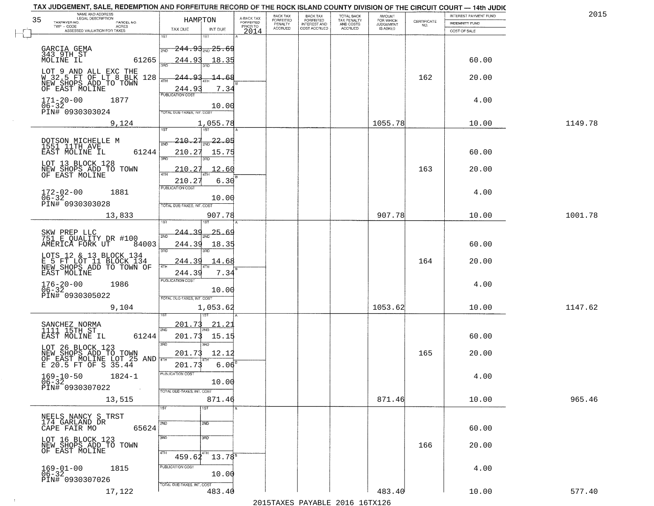| NAME AND ADDRESS<br>LEGAL DESCRIPTION<br>35<br>TAXPAYER NO.<br>PARCEL NO.   | HAMRTON                                             | A-BACK TAX<br>FORFEITED | BACK TAX<br>FORFEITED     | BACK TAX<br>FORFEITED<br>INTEREST AND | TOTAL BACK<br>TAX PENALTY<br>AND COSTS | AMOUNT<br>FOR WHICH          | $\begin{array}{c} \text{CERTIFICATE} \\ \text{NO.} \end{array}$ | INTEREST PAYMENT FUND<br>INDEMNITY FUND | 2015    |
|-----------------------------------------------------------------------------|-----------------------------------------------------|-------------------------|---------------------------|---------------------------------------|----------------------------------------|------------------------------|-----------------------------------------------------------------|-----------------------------------------|---------|
| $TWP - CODE$<br>ACRES<br>ASSESSED VALUATION FOR TAXES                       | TAX DUE<br>INT DUE                                  | PRIOR TO<br>2014        | PENALTY<br><b>ACCRUED</b> | COST ACCRUED                          | <b>ACCRUED</b>                         | <b>JUDGEMENT</b><br>IS ASKED |                                                                 | COST OF SALE                            |         |
|                                                                             | 1ST<br>1ST                                          |                         |                           |                                       |                                        |                              |                                                                 |                                         |         |
| GARCIA GEMA<br>343 9TH ST<br>MOLINE IL                                      | <del>244.93, 25.6</del> 9<br>2ND                    |                         |                           |                                       |                                        |                              |                                                                 |                                         |         |
| 61265                                                                       | 244.93<br>18.35                                     |                         |                           |                                       |                                        |                              |                                                                 | 60.00                                   |         |
| LOT 9 AND ALL EXC THE<br>W 32.5 FT OF LT 8 BLK 128<br>NEW SHOPS ADD TO TOWN | 93<br>-244-<br>-68<br>-14-                          |                         |                           |                                       |                                        |                              | 162                                                             | 20.00                                   |         |
| OF EAST MOLINE                                                              | <b>ATH</b><br>7.34<br>244.9                         |                         |                           |                                       |                                        |                              |                                                                 |                                         |         |
| $171 - 20 - 00$<br>1877                                                     | <b>PUBLICATION COST</b>                             |                         |                           |                                       |                                        |                              |                                                                 | 4.00                                    |         |
| 06-32<br>PIN# 0930303024                                                    | 10.00<br>TOTAL DUE-TAXES, INT. COST                 |                         |                           |                                       |                                        |                              |                                                                 |                                         |         |
| 9,124                                                                       | 1,055.78                                            |                         |                           |                                       |                                        | 1055.78                      |                                                                 | 10.00                                   | 1149.78 |
|                                                                             | 1ST                                                 |                         |                           |                                       |                                        |                              |                                                                 |                                         |         |
| DOTSON MICHELLE M<br>1551 11TH AVE                                          | 210.27<br>22.05<br>2ND                              |                         |                           |                                       |                                        |                              |                                                                 |                                         |         |
| EAST MOLINE IL<br>61244                                                     | 210.27<br>15.75<br>3RD                              |                         |                           |                                       |                                        |                              |                                                                 | 60.00                                   |         |
| LOT 13 BLOCK 128<br>NEW SHOPS ADD TO TOWN                                   | 210.27<br>12.60                                     |                         |                           |                                       |                                        |                              | 163                                                             | 20.00                                   |         |
| OF EAST MOLINE                                                              | 6.30<br>210.2                                       |                         |                           |                                       |                                        |                              |                                                                 |                                         |         |
| $172 - 02 - 00$<br>1881                                                     | PUBLICATION COST                                    |                         |                           |                                       |                                        |                              |                                                                 | 4.00                                    |         |
| $06 - 32$<br>PIN# 0930303028                                                | 10.00<br>TOTAL DUE-TAXES, INT. COST                 |                         |                           |                                       |                                        |                              |                                                                 |                                         |         |
| 13,833                                                                      | 907.78                                              |                         |                           |                                       |                                        | 907.78                       |                                                                 | 10.00                                   | 1001.78 |
|                                                                             |                                                     |                         |                           |                                       |                                        |                              |                                                                 |                                         |         |
| SKW PREP LLC<br>751 E QUALITY DR #100                                       | <u>244.39</u><br>25.<br>-69<br>2ND                  |                         |                           |                                       |                                        |                              |                                                                 |                                         |         |
| AMERICÃ FORK UT<br>84003                                                    | 18.35<br>244.39<br>3RD<br>3RD                       |                         |                           |                                       |                                        |                              |                                                                 | 60.00                                   |         |
| LOTS 12 & 13 BLOCK 134                                                      | 244.39<br>14.68                                     |                         |                           |                                       |                                        |                              | 164                                                             | 20.00                                   |         |
| E 5 FT LOT I1 BLOCK 134<br>NEW SHOPS ADD TO TOWN OF<br>EAST MOLINE          | 4TH<br>244.39<br>7.34                               |                         |                           |                                       |                                        |                              |                                                                 |                                         |         |
| $176 - 20 - 00$<br>06-32<br>1986                                            | <b>PUBLICATION COST</b>                             |                         |                           |                                       |                                        |                              |                                                                 | 4.00                                    |         |
| PIN# 0930305022                                                             | 10.00<br>TOTAL OUE-TAXES, INT. COST                 |                         |                           |                                       |                                        |                              |                                                                 |                                         |         |
| 9,104                                                                       | 1,053.62                                            |                         |                           |                                       |                                        | 1053.62                      |                                                                 | 10.00                                   | 1147.62 |
|                                                                             | 201.73<br><u> 21.2</u>                              |                         |                           |                                       |                                        |                              |                                                                 |                                         |         |
| SANCHEZ NORMA<br>1111 15TH ST<br>61244<br>EAST MOLINE IL                    | 2ND<br>201.73<br>15.15                              |                         |                           |                                       |                                        |                              |                                                                 | 60.00                                   |         |
| LOT 26 BLOCK 123                                                            | 3RD<br>3RD                                          |                         |                           |                                       |                                        |                              |                                                                 |                                         |         |
| NEW SHOPS ADD TO TOWN                                                       | 12.12<br>201.73                                     |                         |                           |                                       |                                        |                              | 165                                                             | 20.00                                   |         |
| OF EAST MOLINE LOT 25 AND THE E 20.5 FT OF S 35.44                          | 201.73<br>6.06                                      |                         |                           |                                       |                                        |                              |                                                                 |                                         |         |
| $169 - 10 - 50$<br>$1824 - 1$<br>$06 - 32$                                  | PUBLICATION COST<br>10.00                           |                         |                           |                                       |                                        |                              |                                                                 | 4.00                                    |         |
| PIN# 0930307022                                                             | TOTAL DUE-TAXES, INT. COST                          |                         |                           |                                       |                                        |                              |                                                                 |                                         |         |
| 13,515                                                                      | 871.46                                              |                         |                           |                                       |                                        | 871.46                       |                                                                 | 10.00                                   | 965.46  |
|                                                                             | 1ST<br>1ST                                          |                         |                           |                                       |                                        |                              |                                                                 |                                         |         |
| NEELS NANCY S TRST<br>174_GARLAND DR<br>65624<br>CAPE FAIR MO               | 2ND<br>2ND                                          |                         |                           |                                       |                                        |                              |                                                                 | 60.00                                   |         |
| LOT 16 BLOCK 123                                                            | 3RD<br>$\overline{3}$ RD                            |                         |                           |                                       |                                        |                              |                                                                 |                                         |         |
| NEW SHOPS ADD TO TOWN<br>OF EAST MOLINE                                     | 4TH                                                 |                         |                           |                                       |                                        |                              | 166                                                             | 20.00                                   |         |
|                                                                             | $459.62^{4}$ 13.78 <sup>8</sup><br>PUBLICATION COST |                         |                           |                                       |                                        |                              |                                                                 |                                         |         |
| $169-01-00$<br>$06-32$<br>1815                                              | 10.00                                               |                         |                           |                                       |                                        |                              |                                                                 | 4.00                                    |         |
| PIN# 0930307026<br>17,122                                                   | TOTAL DUE-TAXES, INT. COST<br>483.40                |                         |                           |                                       |                                        | 483.40                       |                                                                 | 10.00                                   | 577.40  |
|                                                                             |                                                     |                         |                           |                                       |                                        |                              |                                                                 |                                         |         |

 $\sim 10^{-1}$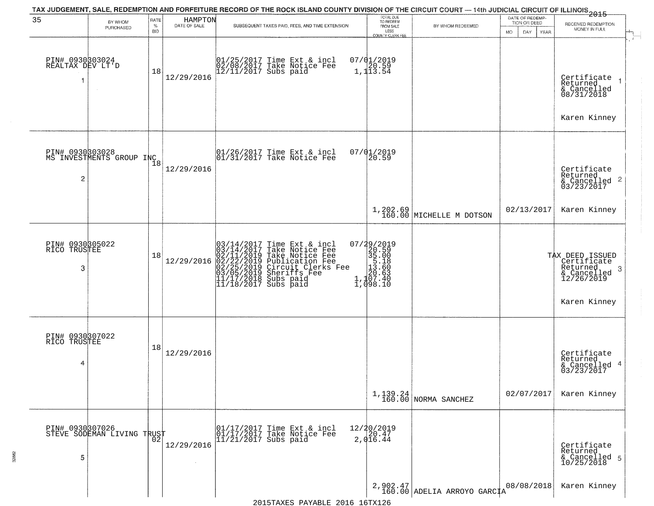| 35                                       | BY WHOM                                     | <b>RATE</b>        | HAMPTON      | TAX JUDGEMENT, SALE, REDEMPTION AND FORFEITURE RECORD OF THE ROCK ISLAND COUNTY DIVISION OF THE CIRCUIT COURT — 14th JUDICIAL CIRCUIT OF ILLINOIS 2015                                                                                  | TOTAL DUE<br>TO REDEEM                                                                        |                                           | DATE OF REDEMP-<br>TION OR DEED |                                                                                              |
|------------------------------------------|---------------------------------------------|--------------------|--------------|-----------------------------------------------------------------------------------------------------------------------------------------------------------------------------------------------------------------------------------------|-----------------------------------------------------------------------------------------------|-------------------------------------------|---------------------------------|----------------------------------------------------------------------------------------------|
|                                          | PURCHASED                                   | $\%$<br><b>BID</b> | DATE OF SALE | SUBSEQUENT TAXES PAID, FEES, AND TIME EXTENSION                                                                                                                                                                                         | FROM SALE<br>LESS<br><b>COUNTY CLERK FEE</b>                                                  | BY WHOM REDEEMED                          | MO.<br>DAY.<br>YEAR             | RECEIVED REDEMPTION<br>MONEY IN FULL                                                         |
| PIN# 0930803024<br>REALTAX DEV LT'D<br>1 | $\sim$                                      | 18                 | 12/29/2016   | 01/25/2017 Time Ext & incl<br>02/08/2017 Take Notice Fee<br>12/11/2017 Subs paid                                                                                                                                                        | $07/01/2019$<br>1, 120.59<br>1, 113.54                                                        |                                           |                                 | Certificate<br>Returned<br>& Cancelled<br>08/31/2018                                         |
|                                          |                                             |                    |              |                                                                                                                                                                                                                                         | 07/01/2019                                                                                    |                                           |                                 | Karen Kinney                                                                                 |
| $\overline{c}$                           | PIN# 0930303028<br>MS INVESTMENTS GROUP INC | 18                 | 12/29/2016   | 01/26/2017 Time Ext & incl<br>01/31/2017 Take Notice Fee                                                                                                                                                                                | 20.59                                                                                         |                                           |                                 | Certificate<br>Returned<br>& Cancelled 2<br>03/23/2017                                       |
|                                          |                                             |                    |              |                                                                                                                                                                                                                                         |                                                                                               | $1,202.69$<br>160.00 MICHELLE M DOTSON    | 02/13/2017                      | Karen Kinney                                                                                 |
| PIN# 0930305022<br>RICO TRUSTEE<br>3     |                                             | 18                 | 12/29/2016   | $03/14/2017$ Time Ext & incl<br>$03/14/2017$ Take Notice Fee<br>$02/11/2019$ Take Notice Fee<br>$02/22/2019$ Publication Fee<br>$03/05/2019$ Sheriffs Fee<br>$11/17/2018$ Subs paid<br>$11/18/2017$ Subs paid<br>$11/18/2017$ Subs paid | $\begin{smallmatrix} 07/29/2019\\20.59\\35.00\\15.18\\11.107.40\\1,1098.10 \end{smallmatrix}$ |                                           |                                 | TAX DEED ISSUED<br>Certificate<br>Returned<br>3<br>& Cancelled<br>12/26/2019<br>Karen Kinney |
| PIN# 0930307022<br>RICO TRUSTEE          |                                             |                    |              |                                                                                                                                                                                                                                         |                                                                                               |                                           |                                 |                                                                                              |
| 4                                        |                                             | 18                 | 12/29/2016   |                                                                                                                                                                                                                                         |                                                                                               |                                           |                                 | Certificate<br>Returned<br>& Cancelled 4<br>03/23/2017                                       |
|                                          |                                             |                    |              |                                                                                                                                                                                                                                         |                                                                                               | $1,139.24$ NORMA SANCHEZ                  | 02/07/2017                      | Karen Kinney                                                                                 |
| PIN# 0930307026<br>5                     | STEVE SODEMAN LIVING TRUST                  |                    | 12/29/2016   | 01/17/2017 Time Ext & incl<br>01/17/2017 Take Notice Fee<br>11/21/2017 Subs paid                                                                                                                                                        | 12/20/2019<br>20.47<br>2,016.44                                                               |                                           |                                 | Certificate<br>Returned<br>& Cancelled 5<br>10/25/2018                                       |
|                                          |                                             |                    |              |                                                                                                                                                                                                                                         |                                                                                               | $2,902.47$<br>160.00 ADELIA ARROYO GARCIA | 08/08/2018                      | Karen Kinney                                                                                 |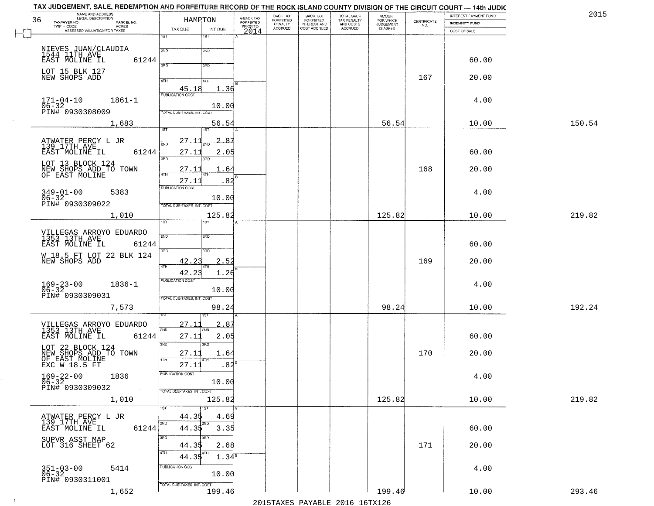| NAME AND ADDRESS<br>LEGAL DESCRIPTION<br>36<br>TAXPAYER NO.<br>PARCEL NO.    | HAMPTON                                    | A-BACK TAX<br>FORFEITED<br>PRIOR TO | BACK TAX<br>FORFEITED<br>PENALTY | BACK TAX<br>FORFEITED<br>INTEREST AND | TOTAL BACK<br>TAX PENALTY<br>AND COSTS | AMOUNT<br>FOR WHICH                 |                                                                 | INTEREST PAYMENT FUND                 | 2015   |
|------------------------------------------------------------------------------|--------------------------------------------|-------------------------------------|----------------------------------|---------------------------------------|----------------------------------------|-------------------------------------|-----------------------------------------------------------------|---------------------------------------|--------|
| TWP - CODE<br>ACRES<br>ASSESSED VALUATION FOR TAXES                          | TAX DUE<br>INT DUE                         | 2014                                | <b>ACCRUED</b>                   | COST ACCRUED                          | ACCRUED                                | <b>JUDGEMENT</b><br><b>IS ASKED</b> | $\begin{array}{c} \text{CERTIFICATE} \\ \text{NO.} \end{array}$ | <b>INDEMNITY FUND</b><br>COST OF SALE |        |
|                                                                              | 1ST<br>$1S$ T                              |                                     |                                  |                                       |                                        |                                     |                                                                 |                                       |        |
|                                                                              | 2ND<br>2ND                                 |                                     |                                  |                                       |                                        |                                     |                                                                 |                                       |        |
| NIEVES JUAN/CLAUDIA<br>1544 11TH AVE<br>EAST MOLINE IL<br>61244              |                                            |                                     |                                  |                                       |                                        |                                     |                                                                 | 60.00                                 |        |
|                                                                              | 390<br>3RD                                 |                                     |                                  |                                       |                                        |                                     |                                                                 |                                       |        |
| LOT 15 BLK 127<br>NEW SHOPS ADD                                              | 4TH<br>4TH                                 |                                     |                                  |                                       |                                        |                                     | 167                                                             | 20.00                                 |        |
|                                                                              | $\frac{45.18}{FUBUCATON CGST}$<br>1.36     |                                     |                                  |                                       |                                        |                                     |                                                                 |                                       |        |
| $171 - 04 - 10$<br>$1861 - 1$                                                |                                            |                                     |                                  |                                       |                                        |                                     |                                                                 | 4.00                                  |        |
| 06-32<br>PIN# 0930308009                                                     | 10.00<br><b>TOTAL DUE-TAXES, INT, COST</b> |                                     |                                  |                                       |                                        |                                     |                                                                 |                                       |        |
| 1,683                                                                        | 56.54                                      |                                     |                                  |                                       |                                        | 56.54                               |                                                                 | 10.00                                 | 150.54 |
|                                                                              | 1ST<br>1ST                                 |                                     |                                  |                                       |                                        |                                     |                                                                 |                                       |        |
|                                                                              | 27.11<br>2.87                              |                                     |                                  |                                       |                                        |                                     |                                                                 |                                       |        |
| ATWATER PERCY L JR<br>139 17TH AVE<br>EAST MOLINE IL<br>61244                | 27.11<br>2.05                              |                                     |                                  |                                       |                                        |                                     |                                                                 | 60.00                                 |        |
|                                                                              | उन्नठ                                      |                                     |                                  |                                       |                                        |                                     |                                                                 |                                       |        |
| LOT 13 BLOCK 124<br>NEW SHOPS ADD TO TOWN<br>OF EAST MOLINE                  | 27.11<br>64<br>47H                         |                                     |                                  |                                       |                                        |                                     | 168                                                             | 20.00                                 |        |
|                                                                              | 27.11<br>.82                               |                                     |                                  |                                       |                                        |                                     |                                                                 |                                       |        |
| $349 - 01 - 00$<br>5383                                                      | PUBLICATION COST                           |                                     |                                  |                                       |                                        |                                     |                                                                 | 4.00                                  |        |
| 06-32<br>PIN# 0930309022                                                     | 10.00<br>TOTAL DUE-TAXES, INT. COST        |                                     |                                  |                                       |                                        |                                     |                                                                 |                                       |        |
| 1,010                                                                        | 125.82                                     |                                     |                                  |                                       |                                        | 125.82                              |                                                                 | 10.00                                 | 219.82 |
|                                                                              | 1ST<br>1ST                                 |                                     |                                  |                                       |                                        |                                     |                                                                 |                                       |        |
| VILLEGAS ARROYO EDUARDO<br>1353 13TH AVE                                     | 2ND<br>2ND                                 |                                     |                                  |                                       |                                        |                                     |                                                                 |                                       |        |
| EAST MOLINE IL<br>61244                                                      |                                            |                                     |                                  |                                       |                                        |                                     |                                                                 | 60.00                                 |        |
| W 18.5 FT LOT 22 BLK 124<br>NEW SHOPS ADD                                    | 3BD<br>3 <sub>3</sub>                      |                                     |                                  |                                       |                                        |                                     |                                                                 |                                       |        |
|                                                                              | 42.23<br>2.52<br>4TH<br>4TH                |                                     |                                  |                                       |                                        |                                     | 169                                                             | 20.00                                 |        |
|                                                                              | 42.23<br>1.26<br><b>PUBLICATION COST</b>   |                                     |                                  |                                       |                                        |                                     |                                                                 |                                       |        |
| $169 - 23 - 00$<br>06-32<br>$1836 - 1$                                       | 10.00                                      |                                     |                                  |                                       |                                        |                                     |                                                                 | 4.00                                  |        |
| PIN# 0930309031                                                              | TOTAL OUE-TAXES, INT. COST                 |                                     |                                  |                                       |                                        |                                     |                                                                 |                                       |        |
| 7,573                                                                        | 98.24                                      |                                     |                                  |                                       |                                        | 98.24                               |                                                                 | 10.00                                 | 192.24 |
|                                                                              |                                            |                                     |                                  |                                       |                                        |                                     |                                                                 |                                       |        |
| VILLEGAS ARROYO EDUARDO<br>1353 13TH AVE                                     | 27.1<br>2.87<br>2ND                        |                                     |                                  |                                       |                                        |                                     |                                                                 |                                       |        |
| EAST MOLINE IL<br>61244                                                      | 2.05<br>27.1<br>3RD<br>3RD                 |                                     |                                  |                                       |                                        |                                     |                                                                 | 60.00                                 |        |
| LOT 22 BLOCK 124<br>NEW SHOPS ADD TO TOWN<br>OF EAST MOLINE<br>EXC W 18.5 FT | 27.11<br>1.64                              |                                     |                                  |                                       |                                        |                                     | 170                                                             | 20.00                                 |        |
|                                                                              | 4TH<br>$.84^{8}$<br>27.11                  |                                     |                                  |                                       |                                        |                                     |                                                                 |                                       |        |
| 1836                                                                         | PUBLICATION COST                           |                                     |                                  |                                       |                                        |                                     |                                                                 | 4.00                                  |        |
| $169 - 22 - 00$<br>06-32                                                     | 10.00                                      |                                     |                                  |                                       |                                        |                                     |                                                                 |                                       |        |
| PIN# 0930309032                                                              | TOTAL DUE-TAXES, INT. COST                 |                                     |                                  |                                       |                                        |                                     |                                                                 |                                       |        |
| 1,010                                                                        | 125.82                                     |                                     |                                  |                                       |                                        | 125.82                              |                                                                 | 10.00                                 | 219.82 |
|                                                                              | 1ST<br>1ST<br>44.35<br>4.69                |                                     |                                  |                                       |                                        |                                     |                                                                 |                                       |        |
| ATWATER PERCY L JR<br>139 17TH AVE<br>61244<br>EAST MOLINE IL                | 2ND<br>2ND<br>44.35<br>3.35                |                                     |                                  |                                       |                                        |                                     |                                                                 | 60.00                                 |        |
|                                                                              | 3RD<br>3RD                                 |                                     |                                  |                                       |                                        |                                     |                                                                 |                                       |        |
| SUPVR ASST MAP<br>LOT 316 SHEET 62                                           | 2.68<br>44.35                              |                                     |                                  |                                       |                                        |                                     | 171                                                             | 20.00                                 |        |
|                                                                              | 4TH<br>4TH<br>$1.34^8$<br>44.35            |                                     |                                  |                                       |                                        |                                     |                                                                 |                                       |        |
| 5414                                                                         | PUBLICATION COST                           |                                     |                                  |                                       |                                        |                                     |                                                                 | 4.00                                  |        |
| $351 - 03 - 00$<br>06-32<br>PIN# 0930311001                                  | 10.00                                      |                                     |                                  |                                       |                                        |                                     |                                                                 |                                       |        |
| 1,652                                                                        | TOTAL DUE-TAXES, INT. COST<br>199.46       |                                     |                                  |                                       |                                        | 199.46                              |                                                                 | 10.00                                 | 293.46 |
|                                                                              |                                            |                                     |                                  |                                       |                                        |                                     |                                                                 |                                       |        |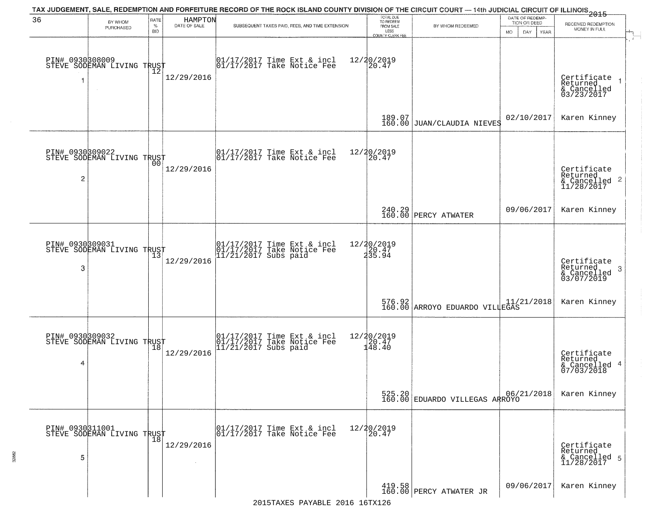| 36                   | BY WHOM<br>PURCHASED                          | RATE<br>$\%$<br><b>BID</b> | HAMPTON<br>DATE OF SALE | TAX JUDGEMENT, SALE, REDEMPTION AND FORFEITURE RECORD OF THE ROCK ISLAND COUNTY DIVISION OF THE CIRCUIT COURT — 14th JUDICIAL CIRCUIT OF ILLINOIS 2015<br>SUBSEQUENT TAXES PAID, FEES, AND TIME EXTENSION | TOTAL DUE<br>TO REDEEM<br>FROM SALE<br>LESS<br>COUNTY CLERK FEE | BY WHOM REDEEMED                              | DATE OF REDEMP-<br>TION OR DEED<br>MO.<br>DAY.<br>YEAR | RECEIVED REDEMPTION<br>MONEY IN FULL                      |
|----------------------|-----------------------------------------------|----------------------------|-------------------------|-----------------------------------------------------------------------------------------------------------------------------------------------------------------------------------------------------------|-----------------------------------------------------------------|-----------------------------------------------|--------------------------------------------------------|-----------------------------------------------------------|
| 1                    | PIN# 0930308009<br>STEVE SODEMAN LIVING TRUST | ΊŽ                         | 12/29/2016              | $\begin{array}{cc} 01/17/2017 \\ 01/17/2017 \\ \end{array}$ Take Notice Fee                                                                                                                               | 12/20/2019<br>20.47                                             |                                               |                                                        | Certificate<br>Returned<br>& Cancelled<br>03/23/2017      |
|                      |                                               |                            |                         |                                                                                                                                                                                                           |                                                                 | 189.07<br>160.00 JUAN/CLAUDIA NIEVES          | 02/10/2017                                             | Karen Kinney                                              |
| $\overline{c}$       | PIN# 0930809022<br>STEVE SODEMAN LIVING TRUST |                            | 12/29/2016              | 01/17/2017 Time Ext & incl<br>01/17/2017 Take Notice Fee                                                                                                                                                  | 12/20/2019<br>20.47                                             |                                               |                                                        | Certificate<br>Returned<br>& Cancelled 2<br>11/28/2017    |
|                      |                                               |                            |                         |                                                                                                                                                                                                           |                                                                 | 240.29<br>160.00 PERCY ATWATER                | 09/06/2017                                             | Karen Kinney                                              |
| PIN# 0930309031<br>3 | STEVE SODEMAN LIVING TRUST                    | 13                         | 12/29/2016              | 01/17/2017 Time Ext & incl<br>01/17/2017 Take Notice Fee<br>11/21/2017 Subs paid                                                                                                                          | 12/20/2019<br>]20.47<br>235.94                                  |                                               |                                                        | Certificate<br>Returned<br>3<br>& Cancelled<br>03/07/2019 |
|                      |                                               |                            |                         |                                                                                                                                                                                                           |                                                                 | 576.92<br>160.00 ARROYO EDUARDO VILLEGAS      |                                                        | Karen Kinney                                              |
| 4                    | PIN# 0930309032<br>STEVE SODEMAN LIVING TRUST |                            | 12/29/2016              | 01/17/2017 Time Ext & incl<br>01/17/2017 Take Notice Fee<br>11/21/2017 Subs paid                                                                                                                          | $\begin{array}{r} 12/20/2019 \\ 120.47 \\ 148.40 \end{array}$   |                                               |                                                        | Certificate<br>Returned<br>& Cancelled 4<br>07/03/2018    |
|                      |                                               |                            |                         |                                                                                                                                                                                                           |                                                                 | 525.20 06/2<br>160.00 EDUARDO VILLEGAS ARROYO | 06/21/2018                                             | Karen Kinney                                              |
| 5                    | PIN# 0930311001<br>STEVE SODEMAN LIVING TRUST |                            | 12/29/2016              | 01/17/2017 Time Ext & incl<br>01/17/2017 Take Notice Fee                                                                                                                                                  | 12/20/2019<br>20.47                                             |                                               |                                                        | Certificate<br>Returned<br>& Cancelled 5<br>11/28/2017    |
|                      |                                               |                            |                         |                                                                                                                                                                                                           |                                                                 | 419.58  <br>160.00 PERCY ATWATER JR           | 09/06/2017                                             | Karen Kinney                                              |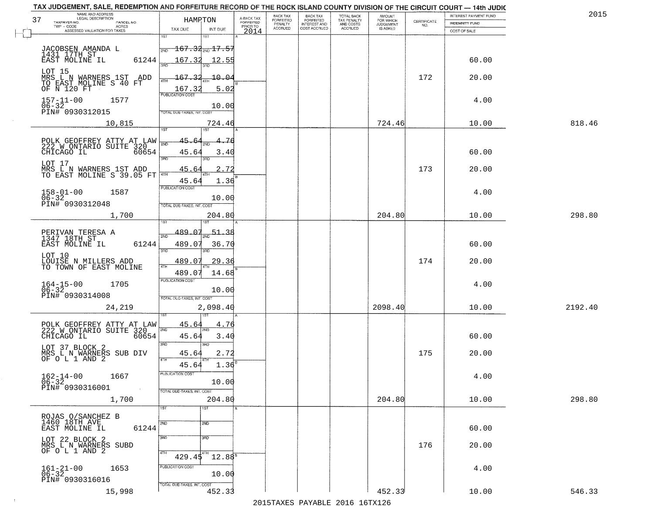| TAX JUDGEMENT, SALE, REDEMPTION AND FORFEITURE RECORD OF THE ROCK ISLAND COUNTY DIVISION OF THE CIRCUIT COURT — 14th JUDIC<br>NAME AND ADDRESS |                                           |                 |                         | BACK TAX             |                                       |                                        | <b>AMOUNT</b>          |                    | INTEREST PAYMENT FUND | 201     |
|------------------------------------------------------------------------------------------------------------------------------------------------|-------------------------------------------|-----------------|-------------------------|----------------------|---------------------------------------|----------------------------------------|------------------------|--------------------|-----------------------|---------|
| 37<br>TAXPAYER NO.<br>PARCEL NO.                                                                                                               |                                           | HAMRTON         | A-BACK TAX<br>FORFEITED | FORFEITED<br>PENALTY | BACK TAX<br>FORFEITED<br>INTEREST AND | TOTAL BACK<br>TAX PENALTY<br>AND COSTS | FOR WHICH<br>JUDGEMENT | CERTIFICATE<br>NO. | INDEMNITY FUND        |         |
| - CODE<br>ASSESSED VALUATION FOR TAXES<br>$TWP - CODE$                                                                                         | TAX DUE                                   | INT DUE         | PRIOR TO<br>2014        | <b>ACCRUED</b>       | COST ACCRUED                          | ACCRUED                                | IS ASKED               |                    | COST OF SALE          |         |
|                                                                                                                                                | 1ST                                       | 1ST             |                         |                      |                                       |                                        |                        |                    |                       |         |
| JACOBSEN AMANDA L<br>1431 17TH ST                                                                                                              | $\frac{1}{200}$ 167.32 $_{\rm 200}$ 17.57 |                 |                         |                      |                                       |                                        |                        |                    |                       |         |
| 61244<br>EAST MOLINE IL                                                                                                                        | 167.32<br>3RD                             | 12.55<br>3BD    |                         |                      |                                       |                                        |                        |                    | 60.00                 |         |
| LOT 15<br>MRS_L_N_WARNERS_1ST__ADD                                                                                                             |                                           |                 |                         |                      |                                       |                                        |                        |                    |                       |         |
| TO EAST MOLINE S-40 FT<br>OF N 120 FT                                                                                                          | $167 -$<br>4TH                            | $-10 - 04$      |                         |                      |                                       |                                        |                        | 172                | 20.00                 |         |
|                                                                                                                                                | 167.3<br><b>PUBLICATION COST</b>          | 5.02            |                         |                      |                                       |                                        |                        |                    |                       |         |
| $157 - 11 - 00$<br>1577<br>$06 - 32$                                                                                                           |                                           | 10.00           |                         |                      |                                       |                                        |                        |                    | 4.00                  |         |
| PIN# 0930312015                                                                                                                                | TOTAL DUE-TAXES, INT. COST                |                 |                         |                      |                                       |                                        |                        |                    |                       |         |
| 10,815                                                                                                                                         |                                           | 724.46          |                         |                      |                                       |                                        | 724.46                 |                    | 10.00                 | 818.46  |
|                                                                                                                                                | 1ST                                       |                 |                         |                      |                                       |                                        |                        |                    |                       |         |
| POLK GEOFFREY ATTY AT LAW<br>222 W ONTARIO SUITE 320                                                                                           | 45.<br>2ND                                |                 |                         |                      |                                       |                                        |                        |                    |                       |         |
| 60654<br>CHICAGO IL                                                                                                                            | 45.64<br>3RD                              | 3.40<br>3RD     |                         |                      |                                       |                                        |                        |                    | 60.00                 |         |
| LOT 17                                                                                                                                         | 45.64                                     | 2.72            |                         |                      |                                       |                                        |                        | 173                | 20.00                 |         |
| MRS L N WARNERS 1ST ADD<br>TO EAST MOLINE S 39.05 FT                                                                                           | 4TH                                       |                 |                         |                      |                                       |                                        |                        |                    |                       |         |
|                                                                                                                                                | 45.64<br>PUBLICATION COST                 | 1.36            |                         |                      |                                       |                                        |                        |                    |                       |         |
| $158 - 01 - 00$<br>$06 - 32$<br>1587                                                                                                           |                                           | 10.00           |                         |                      |                                       |                                        |                        |                    | 4.00                  |         |
| PIN# 0930312048                                                                                                                                | TOTAL DUE-TAXES, INT. COST                |                 |                         |                      |                                       |                                        |                        |                    |                       |         |
| 1,700                                                                                                                                          |                                           | 204.80          |                         |                      |                                       |                                        | 204.80                 |                    | 10.00                 | 298.80  |
|                                                                                                                                                | 489.07                                    | <u>51.38</u>    |                         |                      |                                       |                                        |                        |                    |                       |         |
| PERIVAN TERESA A<br>1347 18TH ST                                                                                                               | 2ND                                       |                 |                         |                      |                                       |                                        |                        |                    |                       |         |
| 61244<br>EAST MOLINE IL                                                                                                                        | 489.07<br>3RD                             | 36.70<br>3RD    |                         |                      |                                       |                                        |                        |                    | 60.00                 |         |
| LOT 10<br>LOUISE N MILLERS ADD<br>TO TOWN OF EAST MOLINE                                                                                       | 489.07                                    | 29.36           |                         |                      |                                       |                                        |                        | 174                | 20.00                 |         |
|                                                                                                                                                | 4TH<br>489.07                             | 14.68           |                         |                      |                                       |                                        |                        |                    |                       |         |
| 1705                                                                                                                                           | <b>PUBLICATION COST</b>                   |                 |                         |                      |                                       |                                        |                        |                    | 4.00                  |         |
| $164 - 15 - 00$<br>06-32<br>PIN# 0930314008                                                                                                    |                                           | 10.00           |                         |                      |                                       |                                        |                        |                    |                       |         |
|                                                                                                                                                | TOTAL OUE-TAXES, INT. COST                |                 |                         |                      |                                       |                                        |                        |                    |                       |         |
| 24,219                                                                                                                                         |                                           | 2,098.40        |                         |                      |                                       |                                        | 2098.40                |                    | 10.00                 | 2192.40 |
| POLK GEOFFREY ATTY AT LAW<br>222 N ONTARIO SUITE 320                                                                                           | 45.64                                     | 4.76            |                         |                      |                                       |                                        |                        |                    |                       |         |
| CHICAGO IL<br>60654                                                                                                                            | 2ND<br>45.64                              | 3.40            |                         |                      |                                       |                                        |                        |                    | 60.00                 |         |
| LOT 37 BLOCK 2                                                                                                                                 | 3RD                                       | 3RD             |                         |                      |                                       |                                        |                        |                    |                       |         |
| MRS L N WARNERS SUB DIV<br>OF O L 1 AND 2                                                                                                      | 45.64<br>4TH                              | 2.72            |                         |                      |                                       |                                        |                        | 175                | 20.00                 |         |
|                                                                                                                                                | 45.64                                     | 1.36            |                         |                      |                                       |                                        |                        |                    |                       |         |
| $162 - 14 - 00$<br>1667                                                                                                                        | PUBLICATION COST                          |                 |                         |                      |                                       |                                        |                        |                    | 4.00                  |         |
| $06 - 32$<br>PIN# 0930316001                                                                                                                   | TOTAL DUE-TAXES, INT. COST                | 10.00           |                         |                      |                                       |                                        |                        |                    |                       |         |
| 1,700                                                                                                                                          |                                           | 204.80          |                         |                      |                                       |                                        | 204.80                 |                    | 10.00                 | 298.80  |
|                                                                                                                                                | 1ST                                       | 1ST             |                         |                      |                                       |                                        |                        |                    |                       |         |
| ROJAS O/SANCHEZ B<br>1460 18TH AVE                                                                                                             | 2ND                                       | 2ND             |                         |                      |                                       |                                        |                        |                    |                       |         |
| EAST MOLINE IL<br>61244                                                                                                                        |                                           |                 |                         |                      |                                       |                                        |                        |                    | 60.00                 |         |
| LOT 22 BLOCK 2<br>MRS L N WARNERS SUBD                                                                                                         | 3BD                                       | 3 <sub>BD</sub> |                         |                      |                                       |                                        |                        | 176                | 20.00                 |         |
| OF O L 1 AND 2                                                                                                                                 | 4TH                                       | 4TH             |                         |                      |                                       |                                        |                        |                    |                       |         |
|                                                                                                                                                | 429.45<br>PUBLICATION COST                | $12.88^{5}$     |                         |                      |                                       |                                        |                        |                    |                       |         |
| $161 - 21 - 00$<br>$06 - 32$<br>1653                                                                                                           |                                           | 10.00           |                         |                      |                                       |                                        |                        |                    | 4.00                  |         |
| PIN# 0930316016                                                                                                                                | TOTAL DUE-TAXES, INT. COST                |                 |                         |                      |                                       |                                        |                        |                    |                       |         |
| 15,998                                                                                                                                         |                                           | 452.33          |                         |                      |                                       |                                        | 452.33                 |                    | 10.00                 | 546.33  |

 $\sim 10^{-1}$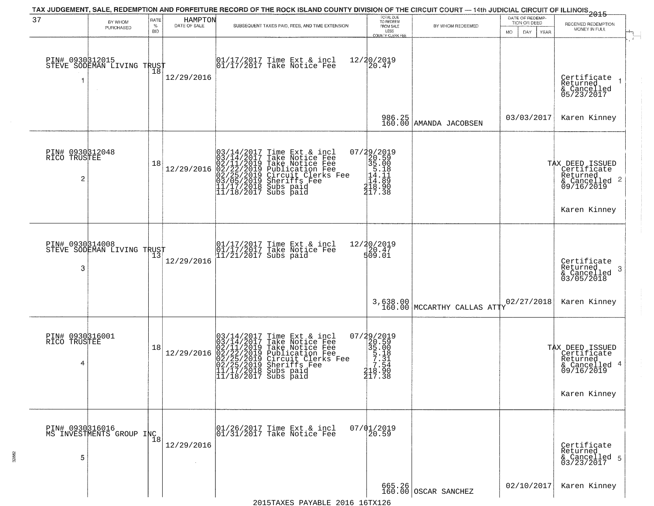| 37                                                | BY WHOM<br>PURCHASED                          | RATE<br>$\%$<br><b>BID</b> | HAMPTON<br>DATE OF SALE | SUBSEQUENT TAXES PAID, FEES, AND TIME EXTENSION                                                                                                                                                                                            | TOTAL DUE<br>TO REDEEM<br>FROM SALE<br>LESS<br><b>COUNTY CLERK FEE</b>                                                                   | BY WHOM REDEEMED                 | MO. | DATE OF REDEMP-<br>TION OR DEED<br>DAY.<br>YEAR | $-2015$<br>RECEIVED REDEMPTION<br>MONEY IN FULL                                           | $\ddot{r}$ |
|---------------------------------------------------|-----------------------------------------------|----------------------------|-------------------------|--------------------------------------------------------------------------------------------------------------------------------------------------------------------------------------------------------------------------------------------|------------------------------------------------------------------------------------------------------------------------------------------|----------------------------------|-----|-------------------------------------------------|-------------------------------------------------------------------------------------------|------------|
|                                                   | PIN# 0930312015<br>STEVE SODEMAN LIVING TRUST | 18                         | 12/29/2016              | $\begin{bmatrix} 01/17/2017 \\ 01/17/2017 \\ 01 \end{bmatrix}$ Take Notice Fee                                                                                                                                                             | 12/20/2019<br>$\left[20.47\right]$                                                                                                       |                                  |     |                                                 | Certificate<br>Returned<br>& Cancelled<br>05/23/2017                                      |            |
|                                                   |                                               |                            |                         |                                                                                                                                                                                                                                            |                                                                                                                                          | 986.25<br>160.00 AMANDA JACOBSEN |     | 03/03/2017                                      | Karen Kinney                                                                              |            |
| PIN# 0930312048<br>RICO TRUSTEE<br>$\overline{2}$ |                                               | 18                         | 12/29/2016              | $03/14/2017$ Time Ext & incl<br>03/14/2017 Take Notice Fee<br>02/11/2019 Take Notice Fee<br>02/22/2019 Publication Fee<br>02/25/2019 Circuit Clerks Fee<br>03/05/2019 Sheriffs Fee<br>11/17/2018 Subs paid<br>11/18/2017 Subs paid         | 07/29/2019<br>20.59<br>35.00<br>35.18<br>4.14.11<br>$\frac{1}{4}$ $\frac{1}{8}$ $\cdot \frac{1}{90}$ $\frac{2}{17}$ $\cdot \frac{3}{38}$ |                                  |     |                                                 | TAX DEED ISSUED<br>Certificate<br>Returned<br>$\frac{1}{6}$ Cancelled 2<br>09/16/2019     |            |
|                                                   |                                               |                            |                         |                                                                                                                                                                                                                                            |                                                                                                                                          |                                  |     |                                                 | Karen Kinney                                                                              |            |
| PIN# 0930314008<br>3                              | STEVE SODEMAN LIVING TRUST                    |                            | 12/29/2016              | 01/17/2017 Time Ext & incl<br>01/17/2017 Take Notice Fee<br>11/21/2017 Subs paid                                                                                                                                                           | 12/20/2019<br>20.47<br>509.01                                                                                                            |                                  |     |                                                 | Certificate<br>Returned<br>3<br>& Cancelled<br>03/05/2018                                 |            |
|                                                   |                                               |                            |                         |                                                                                                                                                                                                                                            |                                                                                                                                          | $3,638.00$ MCCARTHY CALLAS ATTY  |     | 02/27/2018                                      | Karen Kinney                                                                              |            |
| PIN# 0930316001<br>RICO TRUSTEE<br>4              |                                               | 18                         | 12/29/2016              | $03/14/2017$ Time Ext & incl<br>$03/14/2017$ Take Notice Fee<br>$02/11/2019$ Take Notice Fee<br>$02/22/2019$ Publication Fee<br>$02/25/2019$ Sheriffs Fee<br>$02/25/2019$ Sheriffs Fee<br>$11/17/2018$ Subs paid<br>$11/18/2017$ Subs paid | 07/29/2019<br>20.59<br>35.00<br>5.18<br>5.18<br>7.31<br>7.54<br>218.90<br>217.38                                                         |                                  |     |                                                 | TAX DEED ISSUED<br>Certificate<br>Returned<br>& Cancelled 4<br>09/16/2019<br>Karen Kinney |            |
| 5                                                 | PIN# 0930316016<br>MS INVESTMENTS GROUP INC   | 18                         | 12/29/2016              | 01/26/2017 Time Ext & incl<br>01/31/2017 Take Notice Fee                                                                                                                                                                                   | $07/01/2019$<br>20.59                                                                                                                    |                                  |     |                                                 | Certificate<br>Returned<br>& Cancelled 5<br>03/23/2017                                    |            |
|                                                   |                                               |                            |                         | $\sim$                                                                                                                                                                                                                                     |                                                                                                                                          | 665.26<br>160.00 OSCAR SANCHEZ   |     | 02/10/2017                                      | Karen Kinney                                                                              |            |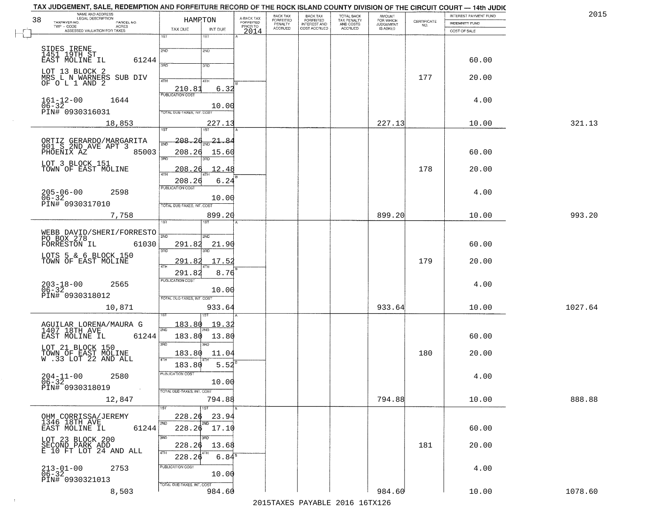|    | TAX JUDGEMENT, SALE, REDEMPTION AND FORFEITURE RECORD OF THE ROCK ISLAND COUNTY DIVISION OF THE CIRCUIT COURT — 14th JUDIC<br>NAME AND ADDRESS |                            |                           |                                     | BACK TAX             |                                       |                                        | AMOUNT<br>FOR WHICH |                    | INTEREST PAYMENT FUND | 2015    |
|----|------------------------------------------------------------------------------------------------------------------------------------------------|----------------------------|---------------------------|-------------------------------------|----------------------|---------------------------------------|----------------------------------------|---------------------|--------------------|-----------------------|---------|
| 38 | TAXPAYER NO.<br>PARCEL NO.<br>TWP - CODE<br>ACRES                                                                                              | HAMPTON                    |                           | A-BACK TAX<br>FORFEITED<br>PRIOR TO | FORFEITED<br>PENALTY | BACK TAX<br>FORFEITED<br>INTEREST AND | TOTAL BACK<br>TAX PENALTY<br>AND COSTS | <b>JUDGEMENT</b>    | CERTIFICATE<br>NO. | <b>INDEMNITY FUND</b> |         |
|    | ASSESSED VALUATION FOR TAXES                                                                                                                   | TAX DUE                    | INT DUE                   | 2014                                | <b>ACCRUED</b>       | COST ACCRUED                          | ACCRUED                                | IS ASKED            |                    | COST OF SALE          |         |
|    |                                                                                                                                                | 1ST                        | 1ST                       |                                     |                      |                                       |                                        |                     |                    |                       |         |
|    | SIDES IRENE<br>1451 19TH ST                                                                                                                    | 2ND                        | 2ND                       |                                     |                      |                                       |                                        |                     |                    |                       |         |
|    | 61244<br>EAST MOLINE IL                                                                                                                        |                            |                           |                                     |                      |                                       |                                        |                     |                    | 60.00                 |         |
|    | LOT 13 BLOCK 2                                                                                                                                 | 3RD                        | 3RD                       |                                     |                      |                                       |                                        |                     |                    |                       |         |
|    | MRS L N WARNERS SUB DIV<br>OF O L 1 AND 2                                                                                                      | 4TH                        | 4TH                       |                                     |                      |                                       |                                        |                     | 177                | 20.00                 |         |
|    |                                                                                                                                                | 210.81                     | 6.32                      |                                     |                      |                                       |                                        |                     |                    |                       |         |
|    | 1644                                                                                                                                           | <b>PUBLICATION COST</b>    |                           |                                     |                      |                                       |                                        |                     |                    | 4.00                  |         |
|    | $161 - 12 - 00$<br>$06 - 32$<br>PIN# 0930316031                                                                                                |                            | 10.00                     |                                     |                      |                                       |                                        |                     |                    |                       |         |
|    |                                                                                                                                                | TOTAL DUE-TAXES, INT. COST |                           |                                     |                      |                                       |                                        |                     |                    |                       |         |
|    | 18,853                                                                                                                                         | 1ST                        | 227.13<br>1ST             |                                     |                      |                                       |                                        | 227.13              |                    | 10.00                 | 321.13  |
|    |                                                                                                                                                |                            |                           |                                     |                      |                                       |                                        |                     |                    |                       |         |
|    | ORTIZ GERARDO/MARGARITA<br>901 S 2ND AVE APT 3                                                                                                 | <u> 208.26</u><br>2ND      | $-21 -$<br>-84            |                                     |                      |                                       |                                        |                     |                    |                       |         |
|    | 85003<br>PHOENIX AZ                                                                                                                            | 208.26<br>3RD              | 15.60<br>3RD              |                                     |                      |                                       |                                        |                     |                    | 60.00                 |         |
|    | LOT 3 BLOCK 151                                                                                                                                |                            | 12.48                     |                                     |                      |                                       |                                        |                     | 178                |                       |         |
|    | TOWN OF EAST MOLINE                                                                                                                            | 208.26<br>47H              |                           |                                     |                      |                                       |                                        |                     |                    | 20.00                 |         |
|    |                                                                                                                                                | 208.26<br>PUBLICATION COST | 6.24                      |                                     |                      |                                       |                                        |                     |                    |                       |         |
|    | $205 - 06 - 00$<br>2598<br>$06 - 32$                                                                                                           |                            | 10.00                     |                                     |                      |                                       |                                        |                     |                    | 4.00                  |         |
|    | PIN# 0930317010                                                                                                                                | TOTAL DUE-TAXES, INT. COST |                           |                                     |                      |                                       |                                        |                     |                    |                       |         |
|    | 7,758                                                                                                                                          |                            | 899.20                    |                                     |                      |                                       |                                        | 899.20              |                    | 10.00                 | 993.20  |
|    |                                                                                                                                                | īsT                        |                           |                                     |                      |                                       |                                        |                     |                    |                       |         |
|    | WEBB DAVID/SHERI/FORRESTO                                                                                                                      | 2ND                        | 2ND                       |                                     |                      |                                       |                                        |                     |                    |                       |         |
|    | PO BOX 278<br>FORRESTON IL<br>61030                                                                                                            | 291.82                     | 21.90                     |                                     |                      |                                       |                                        |                     |                    | 60.00                 |         |
|    | LOTS 5 & 6 BLOCK 150                                                                                                                           | 3RD                        | 3RD                       |                                     |                      |                                       |                                        |                     |                    |                       |         |
|    | TOWN OF EAST MOLINE                                                                                                                            | <u> 291.82</u><br>4TH      | 17.52                     |                                     |                      |                                       |                                        |                     | 179                | 20.00                 |         |
|    |                                                                                                                                                | 291.82                     | 8.76                      |                                     |                      |                                       |                                        |                     |                    |                       |         |
|    | 2565                                                                                                                                           | <b>PUBLICATION COST</b>    |                           |                                     |                      |                                       |                                        |                     |                    | 4.00                  |         |
|    | $203 - 18 - 00$<br>06-32<br>PIN# 0930318012                                                                                                    |                            | 10.00                     |                                     |                      |                                       |                                        |                     |                    |                       |         |
|    |                                                                                                                                                | TOTAL OUE-TAXES, INT. COST |                           |                                     |                      |                                       |                                        |                     |                    |                       |         |
|    | 10,871                                                                                                                                         |                            | 933.64<br>IST             |                                     |                      |                                       |                                        | 933.64              |                    | 10.00                 | 1027.64 |
|    | AGUILAR LORENA/MAURA G                                                                                                                         | 183.80                     | <u> 19.3;</u>             |                                     |                      |                                       |                                        |                     |                    |                       |         |
|    | 1407 18TH AVE                                                                                                                                  | 2ND                        |                           |                                     |                      |                                       |                                        |                     |                    |                       |         |
|    | EAST MOLINE IL<br>61244                                                                                                                        | 183.80<br>3RD              | 13.80<br>$\overline{3BD}$ |                                     |                      |                                       |                                        |                     |                    | 60.00                 |         |
|    | LOT 21 BLOCK 150                                                                                                                               | 183.80                     | 11.04                     |                                     |                      |                                       |                                        |                     | 180                | 20.00                 |         |
|    | TOWN OF EAST MOLINE<br>W.33 LOT 22 AND ALL                                                                                                     | 4TH<br>183.80              | 5.52                      |                                     |                      |                                       |                                        |                     |                    |                       |         |
|    |                                                                                                                                                | PUBLICATION COST           |                           |                                     |                      |                                       |                                        |                     |                    |                       |         |
|    | 2580<br>$204 - 11 - 00$<br>$06 - 32$                                                                                                           |                            | 10.00                     |                                     |                      |                                       |                                        |                     |                    | 4.00                  |         |
|    | PIN# 0930318019                                                                                                                                | TOTAL DUE-TAXES, INT. COST |                           |                                     |                      |                                       |                                        |                     |                    |                       |         |
|    | 12,847                                                                                                                                         |                            | 794.88                    |                                     |                      |                                       |                                        | 794.88              |                    | 10.00                 | 888.88  |
|    |                                                                                                                                                |                            | 1ST                       |                                     |                      |                                       |                                        |                     |                    |                       |         |
|    | OHM CORRISSA/JEREMY                                                                                                                            | 228.26<br>2ND              | 23.94<br>2ND              |                                     |                      |                                       |                                        |                     |                    |                       |         |
|    | 1346 18TH AVE<br>EAST MOLINE IL<br>61244                                                                                                       | 228.26                     | 17.10                     |                                     |                      |                                       |                                        |                     |                    | 60.00                 |         |
|    | LOT 23 BLOCK 200<br>SECOND PARK ADD                                                                                                            | 3RD                        | 3RD                       |                                     |                      |                                       |                                        |                     |                    |                       |         |
|    | E 10 FT LOT 24 AND ALL                                                                                                                         | 228.26<br>4TH              | 13.68                     |                                     |                      |                                       |                                        |                     | 181                | 20.00                 |         |
|    |                                                                                                                                                | 228.26                     | 6.84 <sup>8</sup>         |                                     |                      |                                       |                                        |                     |                    |                       |         |
|    | $213 - 01 - 00$<br>06-32<br>2753                                                                                                               | PUBLICATION COST           |                           |                                     |                      |                                       |                                        |                     |                    | 4.00                  |         |
|    | PIN# 0930321013                                                                                                                                |                            | 10.00                     |                                     |                      |                                       |                                        |                     |                    |                       |         |
|    | 8,503                                                                                                                                          | TOTAL DUE-TAXES, INT. COST | 984.60                    |                                     |                      |                                       |                                        | 984.60              |                    | 10.00                 | 1078.60 |
|    |                                                                                                                                                |                            |                           |                                     |                      |                                       |                                        |                     |                    |                       |         |

 $\sim 100$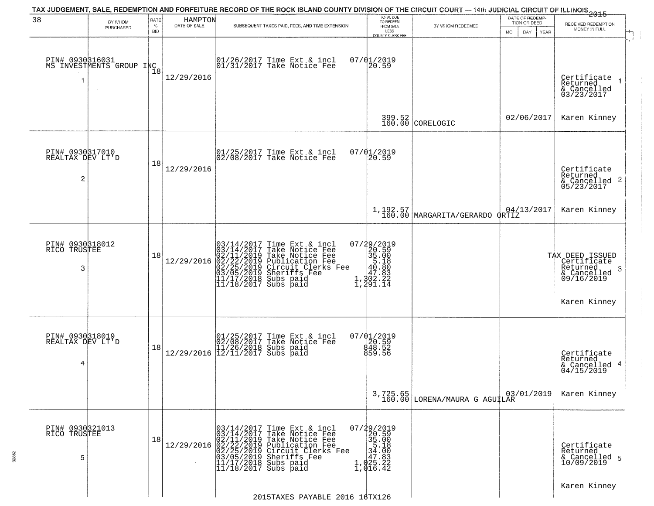|                                                       |                                             |                            |                         | TAX JUDGEMENT, SALE, REDEMPTION AND FORFEITURE RECORD OF THE ROCK ISLAND COUNTY DIVISION OF THE CIRCUIT COURT — 14th JUDICIAL CIRCUIT OF ILLINOIS 2015                                                                                  |                                                                                                                |                                            |                                                        |                                                                                                           |
|-------------------------------------------------------|---------------------------------------------|----------------------------|-------------------------|-----------------------------------------------------------------------------------------------------------------------------------------------------------------------------------------------------------------------------------------|----------------------------------------------------------------------------------------------------------------|--------------------------------------------|--------------------------------------------------------|-----------------------------------------------------------------------------------------------------------|
| 38                                                    | BY WHOM<br>PURCHASED                        | RATE<br>$\%$<br><b>BID</b> | HAMPTON<br>DATE OF SALE | SUBSEQUENT TAXES PAID, FEES, AND TIME EXTENSION                                                                                                                                                                                         | TOTAL DUE<br>TO REDEEM<br>FROM SALE<br>LESS<br>COUNTY CLERK FEE                                                | BY WHOM REDEEMED                           | DATE OF REDEMP-<br>TION OR DEED<br>MO.<br>DAY.<br>YEAR | RECEIVED REDEMPTION<br>MONEY IN FULL                                                                      |
| -1                                                    | PIN# 0930816031<br>MS INVESTMENTS GROUP INC | 18                         | 12/29/2016              | $\begin{array}{cc} 01/26/2017 & \text{Time Ext} & \text{incl} \\ 01/31/2017 & \text{Take Notice Fee} \end{array}$                                                                                                                       | 07/01/2019<br>20.59                                                                                            |                                            |                                                        | Certificate<br>Returned<br>& Cancelled<br>03/23/2017                                                      |
|                                                       |                                             |                            |                         |                                                                                                                                                                                                                                         |                                                                                                                | $399.52$ CORELOGIC                         | 02/06/2017                                             | Karen Kinney                                                                                              |
| PIN# 0930317010<br>REALTAX DEV LT'D<br>$\overline{c}$ |                                             | 18                         | 12/29/2016              | $ 01/25/2017$ Time Ext & incl<br>$ 02/08/2017$ Take Notice Fee                                                                                                                                                                          | 07/01/2019<br>20.59                                                                                            |                                            |                                                        | Certificate<br>Returned<br>$\frac{1}{6}$ Cancelled 2<br>05/23/2017                                        |
|                                                       |                                             |                            |                         |                                                                                                                                                                                                                                         |                                                                                                                | 1,192.57<br>160.00 MARGARITA/GERARDO QRTIZ |                                                        | Karen Kinney                                                                                              |
| PIN# 0930318012<br>RICO TRUSTEE<br>3                  |                                             | 18                         | 12/29/2016              | $03/14/2017$ Time Ext & incl<br>$03/14/2017$ Take Notice Fee<br>$02/11/2019$ Take Notice Fee<br>$02/22/2019$ Publication Fee<br>$03/05/2019$ Sheriffs Fee<br>$11/17/2018$ Subs paid<br>$11/18/2017$ Subs paid<br>$11/18/2017$ Subs paid | $\begin{smallmatrix} 07/29/2019\\20.59\\35.00\\40.18\\ \vdots\\ 47.89\\1,302.22\\1,491.14 \end{smallmatrix}$   |                                            |                                                        | TAX DEED ISSUED<br>Certificate<br>Returned<br>-3<br>$\frac{1}{2}$ Cancelled<br>09/16/2019<br>Karen Kinney |
| PIN# 0930318019<br>REALTAX DEV LT'D<br>4              |                                             | 18                         | 12/29/2016              | 01/25/2017 Time Ext & incl<br>02/08/2017 Take Notice Fee<br>11/26/2018 Subs paid<br>12/11/2017 Subs paid                                                                                                                                | 07/01/2019<br>20.59<br>848.52<br>859.56                                                                        |                                            |                                                        | Certificate<br>Returned<br>& Cancelled 4<br>04/15/2019                                                    |
|                                                       |                                             |                            |                         |                                                                                                                                                                                                                                         |                                                                                                                | 3,725.65<br>160.00 LORENA/MAURA G AGUILAR  | 03/01/2019                                             | Karen Kinney                                                                                              |
| PIN# 0930321013<br>RICO TRUSTEE<br>5                  |                                             | 18                         | 12/29/2016              | $03/14/2017$ Time Ext & incl<br>$03/14/2017$ Take Notice Fee<br>$02/11/2019$ Take Notice Fee<br>$02/22/2019$ Publication Fee<br>$03/05/2019$ Sheriffs Fee<br>$11/17/2018$ Subs paid<br>$11/18/2017$ Subs paid<br>$11/18/2017$ Subs paid | 07/29/2019<br>20.59<br>$\begin{array}{r} 25.00 \\ 35.00 \\ 34.00 \\ 47.83 \\ 1,025.22 \\ 1,016.42 \end{array}$ |                                            |                                                        | Certificate<br>Returned<br>& Cancelled 5<br>10/09/2019                                                    |
|                                                       |                                             |                            |                         | 2015TAXES PAYABLE 2016 16TX126                                                                                                                                                                                                          |                                                                                                                |                                            |                                                        | Karen Kinney                                                                                              |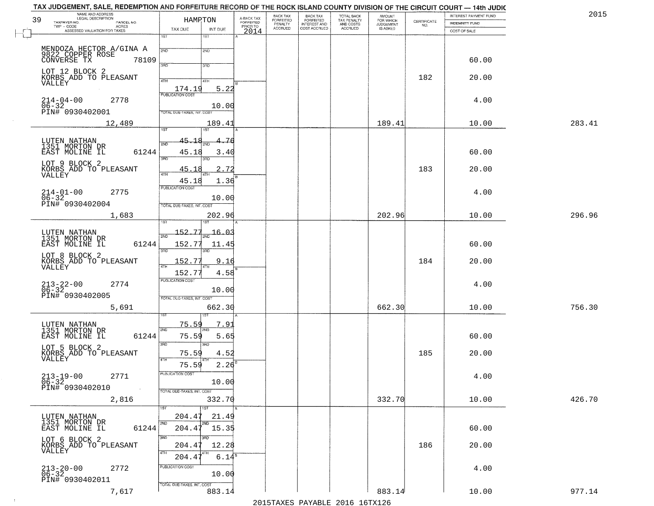|    | TAX JUDGEMENT, SALE, REDEMPTION AND FORFEITURE RECORD OF THE ROCK ISLAND COUNTY DIVISION OF THE CIRCUIT COURT — 14th JUDIC<br>NAME AND ADDRESS |                            |                     |                                     | BACK TAX                        |                                                       |                                        | <b>AMOUNT</b>          |                                                                 | INTEREST PAYMENT FUND | 2015   |
|----|------------------------------------------------------------------------------------------------------------------------------------------------|----------------------------|---------------------|-------------------------------------|---------------------------------|-------------------------------------------------------|----------------------------------------|------------------------|-----------------------------------------------------------------|-----------------------|--------|
| 39 | TAXPAYER NO.<br>PARCEL NO.                                                                                                                     | HAMRTON                    |                     | A-BACK TAX<br>FORFEITED<br>PRIOR TO | FORFEITED<br>PENALTY<br>ACCRUED | BACK TAX<br>FORFEITED<br>INTEREST AND<br>COST ACCRUED | TOTAL BACK<br>TAX PENALTY<br>AND COSTS | FOR WHICH<br>JUDGEMENT | $\begin{array}{c} \text{CERTIFICATE} \\ \text{NO.} \end{array}$ | <b>INDEMNITY FUND</b> |        |
|    | - CODE<br>ASSESSED VALUATION FOR TAXES<br>$TWP - CODE$                                                                                         | TAX DUE                    | INT DUE             | 2014                                |                                 |                                                       | ACCRUED                                | IS ASKED               |                                                                 | COST OF SALE          |        |
|    |                                                                                                                                                | 1ST                        | 1ST                 |                                     |                                 |                                                       |                                        |                        |                                                                 |                       |        |
|    |                                                                                                                                                |                            |                     |                                     |                                 |                                                       |                                        |                        |                                                                 |                       |        |
|    | MENDOZA HECTOR A/GINA A<br>9822 COPPER ROSE                                                                                                    | 2ND                        | 2ND                 |                                     |                                 |                                                       |                                        |                        |                                                                 |                       |        |
|    | CONVERSE TX<br>78109                                                                                                                           |                            |                     |                                     |                                 |                                                       |                                        |                        |                                                                 | 60.00                 |        |
|    | LOT 12 BLOCK 2                                                                                                                                 | 3PD                        | 3RD                 |                                     |                                 |                                                       |                                        |                        |                                                                 |                       |        |
|    | KORBS ADD TO PLEASANT                                                                                                                          | 4TH                        | 4TH                 |                                     |                                 |                                                       |                                        |                        | 182                                                             | 20.00                 |        |
|    | VALLEY                                                                                                                                         | 174.19                     | 5.22                |                                     |                                 |                                                       |                                        |                        |                                                                 |                       |        |
|    |                                                                                                                                                | <b>PUBLICATION COST</b>    |                     |                                     |                                 |                                                       |                                        |                        |                                                                 |                       |        |
|    | 2778<br>$214 - 04 - 00$<br>$06 - 32$                                                                                                           |                            | 10.00               |                                     |                                 |                                                       |                                        |                        |                                                                 | 4.00                  |        |
|    | PIN# 0930402001                                                                                                                                | TOTAL DUE-TAXES, INT. COST |                     |                                     |                                 |                                                       |                                        |                        |                                                                 |                       |        |
|    | 12,489                                                                                                                                         |                            | 189.41              |                                     |                                 |                                                       |                                        | 189.41                 |                                                                 | 10.00                 | 283.41 |
|    |                                                                                                                                                | 1ST                        | 1ST                 |                                     |                                 |                                                       |                                        |                        |                                                                 |                       |        |
|    |                                                                                                                                                | 45.18                      | -76                 |                                     |                                 |                                                       |                                        |                        |                                                                 |                       |        |
|    | LUTEN NATHAN<br>1351 MORTON DR                                                                                                                 | 2ND                        |                     |                                     |                                 |                                                       |                                        |                        |                                                                 |                       |        |
|    | 61244<br>EAST MOLINE IL                                                                                                                        | 45.18                      | 3.40                |                                     |                                 |                                                       |                                        |                        |                                                                 | 60.00                 |        |
|    | LOT 9 BLOCK 2                                                                                                                                  | 3RD                        |                     |                                     |                                 |                                                       |                                        |                        |                                                                 |                       |        |
|    | KORBS ADD TO PLEASANT                                                                                                                          | 45.18<br>47H               | 2.72<br>4TH         |                                     |                                 |                                                       |                                        |                        | 183                                                             | 20.00                 |        |
|    | VALLEY                                                                                                                                         | 45.18                      | 1.36                |                                     |                                 |                                                       |                                        |                        |                                                                 |                       |        |
|    |                                                                                                                                                | <b>PUBLICATION COST</b>    |                     |                                     |                                 |                                                       |                                        |                        |                                                                 |                       |        |
|    | $214 - 01 - 00$<br>06-32<br>2775                                                                                                               |                            | 10.00               |                                     |                                 |                                                       |                                        |                        |                                                                 | 4.00                  |        |
|    | PIN# 0930402004                                                                                                                                | TOTAL DUE-TAXES, INT. COST |                     |                                     |                                 |                                                       |                                        |                        |                                                                 |                       |        |
|    | 1,683                                                                                                                                          |                            | 202.96              |                                     |                                 |                                                       |                                        | 202.96                 |                                                                 | 10.00                 | 296.96 |
|    |                                                                                                                                                |                            | 187                 |                                     |                                 |                                                       |                                        |                        |                                                                 |                       |        |
|    | LUTEN NATHAN                                                                                                                                   | 152.77                     | $\frac{16.03}{200}$ |                                     |                                 |                                                       |                                        |                        |                                                                 |                       |        |
|    | 1351 MORTON DR                                                                                                                                 | 2ND                        |                     |                                     |                                 |                                                       |                                        |                        |                                                                 |                       |        |
|    | 61244<br>EAST MOLINE IL                                                                                                                        | 152.77<br>3RD              | 11.45<br>3RD        |                                     |                                 |                                                       |                                        |                        |                                                                 | 60.00                 |        |
|    | LOT 8 BLOCK 2                                                                                                                                  |                            |                     |                                     |                                 |                                                       |                                        |                        |                                                                 |                       |        |
|    | KORBS ADD TO PLEASANT<br>VALLEY                                                                                                                | 152.77                     | 9.16                |                                     |                                 |                                                       |                                        |                        | 184                                                             | 20.00                 |        |
|    |                                                                                                                                                | 152.77                     | 4.58                |                                     |                                 |                                                       |                                        |                        |                                                                 |                       |        |
|    | 2774                                                                                                                                           | PUBLICATION COST           |                     |                                     |                                 |                                                       |                                        |                        |                                                                 | 4.00                  |        |
|    | $213 - 22 - 00$<br>06-32                                                                                                                       |                            | 10.00               |                                     |                                 |                                                       |                                        |                        |                                                                 |                       |        |
|    | PIN# 0930402005                                                                                                                                | TOTAL OUE-TAXES, INT. COST |                     |                                     |                                 |                                                       |                                        |                        |                                                                 |                       |        |
|    | 5,691                                                                                                                                          |                            | 662.30              |                                     |                                 |                                                       |                                        | 662.30                 |                                                                 | 10.00                 | 756.30 |
|    |                                                                                                                                                |                            | 1ST                 |                                     |                                 |                                                       |                                        |                        |                                                                 |                       |        |
|    | LUTEN NATHAN                                                                                                                                   | 75.59                      | 7.9                 |                                     |                                 |                                                       |                                        |                        |                                                                 |                       |        |
|    | 1351 MORTON DR<br>EAST MOLINE IL<br>61244                                                                                                      | 2ND<br>75.59               |                     |                                     |                                 |                                                       |                                        |                        |                                                                 | 60.00                 |        |
|    |                                                                                                                                                | 3RD                        | 5.65<br>3BD         |                                     |                                 |                                                       |                                        |                        |                                                                 |                       |        |
|    | LOT 5 BLOCK 2                                                                                                                                  |                            |                     |                                     |                                 |                                                       |                                        |                        | 185                                                             | 20.00                 |        |
|    | KORBS ADD TO PLEASANT<br>VALLEY                                                                                                                | 75.59<br>4TH               | 4.52                |                                     |                                 |                                                       |                                        |                        |                                                                 |                       |        |
|    |                                                                                                                                                | 75.59                      | 2.26                |                                     |                                 |                                                       |                                        |                        |                                                                 |                       |        |
|    | 2771<br>$213 - 19 - 00$                                                                                                                        | PUBLICATION COST           |                     |                                     |                                 |                                                       |                                        |                        |                                                                 | 4.00                  |        |
|    | $\frac{06-32}{P1N#}$ 0930402010                                                                                                                |                            | 10.00               |                                     |                                 |                                                       |                                        |                        |                                                                 |                       |        |
|    |                                                                                                                                                | TOTAL DUE-TAXES, INT. COST |                     |                                     |                                 |                                                       |                                        |                        |                                                                 |                       |        |
|    | 2,816                                                                                                                                          |                            | 332.70              |                                     |                                 |                                                       |                                        | 332.70                 |                                                                 | 10.00                 | 426.70 |
|    |                                                                                                                                                | 1ST <sup></sup>            | 1ST                 |                                     |                                 |                                                       |                                        |                        |                                                                 |                       |        |
|    | LUTEN NATHAN<br>1351 MORTON DR                                                                                                                 | 204.47                     | 21.49               |                                     |                                 |                                                       |                                        |                        |                                                                 |                       |        |
|    | EAST MOLINE IL<br>61244                                                                                                                        | 2ND<br>204.47              | 15.35               |                                     |                                 |                                                       |                                        |                        |                                                                 | 60.00                 |        |
|    |                                                                                                                                                | 3RD                        | 3BD                 |                                     |                                 |                                                       |                                        |                        |                                                                 |                       |        |
|    | LOT 6 BLOCK 2<br>KORBS ADD TO PLEASANT                                                                                                         | 204.47                     | 12.28               |                                     |                                 |                                                       |                                        |                        | 186                                                             | 20.00                 |        |
|    | VALLEY                                                                                                                                         | 4TH                        |                     |                                     |                                 |                                                       |                                        |                        |                                                                 |                       |        |
|    |                                                                                                                                                | 204.4                      | $6.14^{8}$          |                                     |                                 |                                                       |                                        |                        |                                                                 |                       |        |
|    | $213 - 20 - 00$<br>06-32<br>2772                                                                                                               | PUBLICATION COST           |                     |                                     |                                 |                                                       |                                        |                        |                                                                 | 4.00                  |        |
|    | PIN# 0930402011                                                                                                                                |                            | 10.00               |                                     |                                 |                                                       |                                        |                        |                                                                 |                       |        |
|    |                                                                                                                                                | TOTAL DUE-TAXES, INT. COST |                     |                                     |                                 |                                                       |                                        |                        |                                                                 |                       |        |
|    | 7,617                                                                                                                                          |                            | 883.14              |                                     |                                 |                                                       |                                        | 883.14                 |                                                                 | 10.00                 | 977.14 |

 $\sim 10^6$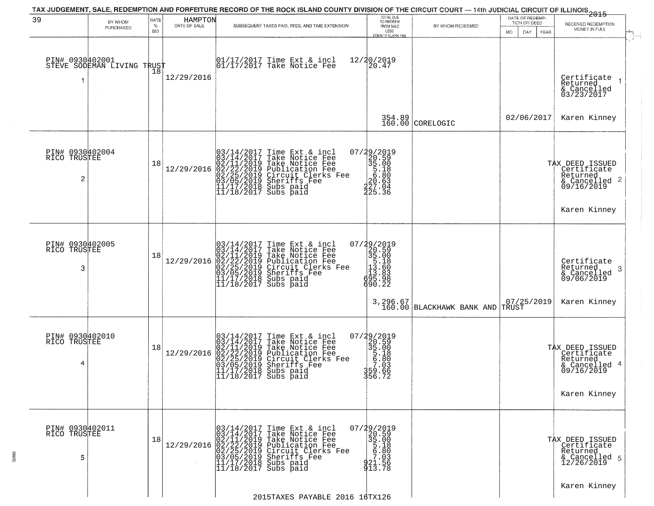| 39                                                | BY WHOM<br>PURCHASED                                     | RATE<br>$\%$<br><b>BID</b> | HAMPTON<br>DATE OF SALE | SUBSEQUENT TAXES PAID, FEES, AND TIME EXTENSION                                                                                                                                                                                                                                                          | TOTAL DUE<br>TO REDEEM<br>FROM SALE<br>LESS<br><b>COUNTY CLERK FEE</b>                                           | BY WHOM REDEEMED              | DATE OF REDEMP-<br>TION OR DEED<br>MO.<br>DAY.<br>YEAR | -------------<br>2015<br>RECEIVED REDEMPTION<br>MONEY IN FULL                             |  |
|---------------------------------------------------|----------------------------------------------------------|----------------------------|-------------------------|----------------------------------------------------------------------------------------------------------------------------------------------------------------------------------------------------------------------------------------------------------------------------------------------------------|------------------------------------------------------------------------------------------------------------------|-------------------------------|--------------------------------------------------------|-------------------------------------------------------------------------------------------|--|
| PIN# 0930402001                                   | STEVE SODEMAN LIVING TRUST<br>STEVE SODEMAN LIVING TRUST |                            | 12/29/2016              | $\begin{bmatrix} 01/17/2017 \\ 01/17/2017 \end{bmatrix}$ Take Notice Fee                                                                                                                                                                                                                                 | 12/20/2019<br>20.47                                                                                              |                               |                                                        | Certifiçate<br>Returned<br>& Cancelled<br>03/23/2017                                      |  |
|                                                   |                                                          |                            |                         |                                                                                                                                                                                                                                                                                                          | 354.89<br>160.00                                                                                                 | CORELOGIC                     | 02/06/2017                                             | Karen Kinney                                                                              |  |
| PIN# 0930402004<br>RICO TRUSTEE<br>$\overline{c}$ |                                                          | 18                         | 12/29/2016              | 03/14/2017 Time Ext 8<br>03/14/2017 Take Notic<br>02/11/2019 Take Notic<br>02/22/2019 Publicatic<br>03/05/2019 Sheriffs F<br>11/17/2018 Subs paid<br>11/17/2018 Subs paid<br>Time Ext & incl<br>Take Notice Fee<br>Take Notice Fee<br>Publication Fee<br>Circuit Clerks Fee<br>Sheriffs, Fee             | 07/29/2019<br>$20.50$<br>$35.00$<br>$5.18$<br>$5.18$<br>$20.68$<br>$22.04$<br>225.36                             |                               |                                                        | TAX DEED ISSUED<br>  Certificate<br>Returned<br>$\frac{1}{6}$ Cancelled 2<br>09/16/2019   |  |
|                                                   |                                                          |                            |                         |                                                                                                                                                                                                                                                                                                          |                                                                                                                  |                               |                                                        | Karen Kinney                                                                              |  |
| PIN# 0930402005<br>RICO TRUSTEE<br>3              |                                                          | 18                         | 12/29/2016              | 03/14/2017 Time Ext 8<br>03/14/2017 Take Notic<br>02/11/2019 Take Notic<br>02/22/2019 Publicatic<br>03/05/2019 Sheriffs F<br>11/17/2018 Subs paid<br>11/18/2017 Subs paid<br>Time Ext & incl<br>Take Notice Fee<br>Take Notice Fee<br>Publication Fee<br>Circuit Clerks Fee<br>Sheriffs Fee<br>Subs paid | $\begin{smallmatrix} 07/29/2019\\20.59\\35.00\\15.18\\113.86\\ 95.98\\ 90.22 \end{smallmatrix}$                  |                               |                                                        | Certificate<br>Returned<br>3<br>& Cancelled<br>09/06/2019                                 |  |
|                                                   |                                                          |                            |                         |                                                                                                                                                                                                                                                                                                          |                                                                                                                  | $3,296.67$ BLACKHAWK BANK AND | 07/25/2019<br>TRUST                                    | Karen Kinney                                                                              |  |
| PIN# 0930402010<br>RICO TRUSTEE<br>4              |                                                          | 18                         | 12/29/2016              | 03/14/2017 Time Ext & incl<br>03/14/2017 Take Notice Fee<br>02/11/2019 Take Notice Fee<br>02/22/2019 Publication Fee<br>02/22/2019 Circuit Clerks Fee<br>03/05/2019 Sheriffs Fee<br>11/17/2019 Subs paid<br>$11/18/2017$ Subs paid                                                                       | 07/29/2019<br>$\begin{array}{r} 20.59 \\ 20.59 \\ 35.00 \\ 5.180 \\ 7.03 \\ 7.03 \\ 59.66 \end{array}$<br>356.72 |                               |                                                        | TAX DEED ISSUED<br>Certificate<br>Returned<br>& Cancelled 4<br>09/16/2019<br>Karen Kinney |  |
| PIN# 0930402011<br>RICO TRUSTEE<br>5              |                                                          | 18                         | 12/29/2016              | 03/14/2017<br>03/14/2017<br>Time Ext & incl<br>Take Notice Fee<br>02/11/2019 Take Notice Fee<br>02/22/2019 Publication Fee<br>02/25/2019 Circuit Clerks Fee<br>03/05/2019 Sheriffs Fee<br>11/17/2019 Subs paid<br>$11/18/2017$ Subs paid                                                                 | $\begin{smallmatrix} 07/29/2019\\20.59\\35.00\\5.18\\5.180\\7.033\\921.56\\913.78 \end{smallmatrix}$             |                               |                                                        | TAX DEED ISSUED<br>Certificate<br>Returned<br>& Cancelled 5<br>12/26/2019                 |  |
|                                                   |                                                          |                            |                         | 2015TAXES PAYABLE 2016 16TX126                                                                                                                                                                                                                                                                           |                                                                                                                  |                               |                                                        | Karen Kinney                                                                              |  |

32862

## TAX JUDGEMENT, SALE, REDEMPTION AND FORFEITURE RECORD OF THE ROCK ISLAND COUNTY DIVISION OF THE CIRCUIT COURT - 14th JUDICIAL CIRCUIT OF ILLINOIS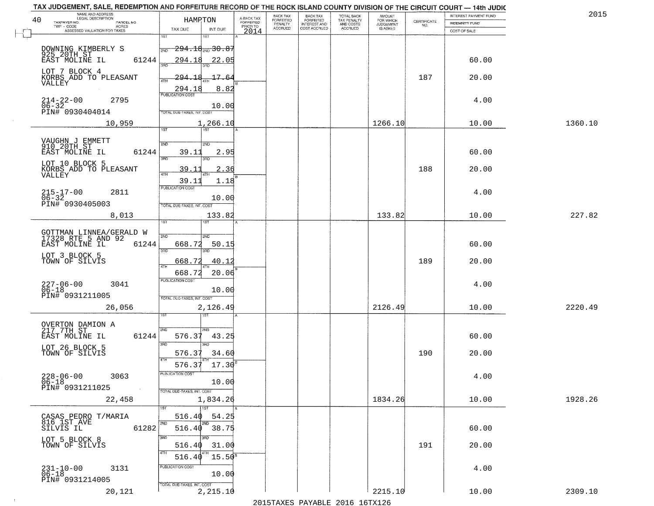| NAME AND ADDRESS<br>LEGAL DESCRIPTION<br>40                        | HAMRTON                                     | A-BACK TAX<br>FORFEITED | BACK TAX<br>FORFEITED | <b>BACK TAX</b><br><b>FORFEITED</b> | TOTAL BACK<br>TAX PENALTY<br>AND COSTS<br>ACCRUED | <b>AMOUNT</b>                      |                                                                 | INTEREST PAYMENT FUND | 2015    |
|--------------------------------------------------------------------|---------------------------------------------|-------------------------|-----------------------|-------------------------------------|---------------------------------------------------|------------------------------------|-----------------------------------------------------------------|-----------------------|---------|
| TAXPAYER NO.<br>PARCEL NO.<br>TWP - CODE<br>ACRES                  | TAX DUE<br>INT DUE                          | PRIOR TO                | PENALTY<br>ACCRUED    | INTEREST AND<br>COST ACCRUED        |                                                   | FOR WHICH<br>JUDGEMENT<br>IS ASKED | $\begin{array}{c} \text{CERTIFICATE} \\ \text{NO.} \end{array}$ | <b>INDEMNITY FUND</b> |         |
| ASSESSED VALUATION FOR TAXES                                       | 1ST                                         | 2014                    |                       |                                     |                                                   |                                    |                                                                 | COST OF SALE          |         |
| DOWNING KIMBERLY S<br>925 20TH ST                                  | $-294.18_{\rm 200}$ 30.87<br>2ND            |                         |                       |                                     |                                                   |                                    |                                                                 |                       |         |
| EAST MOLINE IL<br>61244                                            | 294.18<br>22.05                             |                         |                       |                                     |                                                   |                                    |                                                                 | 60.00                 |         |
| LOT 7 BLOCK 4                                                      | 390                                         |                         |                       |                                     |                                                   |                                    |                                                                 |                       |         |
| KORBS ADD TO PLEASANT<br>VALLEY                                    | 294.18<br>17.64<br>4TH                      |                         |                       |                                     |                                                   |                                    | 187                                                             | 20.00                 |         |
|                                                                    | 294.18<br>8.82<br><b>PUBLICATION COST</b>   |                         |                       |                                     |                                                   |                                    |                                                                 |                       |         |
| $214 - 22 - 00$<br>2795<br>$\overline{06} - 32$<br>PIN# 0930404014 | 10.00<br>TOTAL DUE-TAXES, INT. COST         |                         |                       |                                     |                                                   |                                    |                                                                 | 4.00                  |         |
| 10,959                                                             | 1,266.10                                    |                         |                       |                                     |                                                   | 1266.10                            |                                                                 | 10.00                 | 1360.10 |
|                                                                    | 75T<br>1ST                                  |                         |                       |                                     |                                                   |                                    |                                                                 |                       |         |
| VAUGHN J EMMETT<br>910 20TH ST                                     | 2ND<br>2ND                                  |                         |                       |                                     |                                                   |                                    |                                                                 |                       |         |
| EAST MOLINE IL<br>61244                                            | 39.11<br>2.95<br>3RD<br>3RD                 |                         |                       |                                     |                                                   |                                    |                                                                 | 60.00                 |         |
| LOT 10 BLOCK 5<br>KORBS ADD TO PLEASANT                            | 39.1<br>2.36<br>$\sqrt{4}$                  |                         |                       |                                     |                                                   |                                    | 188                                                             | 20.00                 |         |
| VALLEY                                                             | 1.18<br>39.1                                |                         |                       |                                     |                                                   |                                    |                                                                 |                       |         |
| $215 - 17 - 00$<br>$06 - 32$<br>2811                               | <b>PUBLICATION COST</b><br>10.00            |                         |                       |                                     |                                                   |                                    |                                                                 | 4.00                  |         |
| PIN# 0930405003                                                    | TOTAL DUE-TAXES, INT. COST                  |                         |                       |                                     |                                                   |                                    |                                                                 |                       |         |
| 8,013                                                              | 133.82<br>1ST                               |                         |                       |                                     |                                                   | 133.82                             |                                                                 | 10.00                 | 227.82  |
| GOTTMAN LINNEA/GERALD W<br>17328 RTE 5 AND 92                      | 2ND<br>2ND                                  |                         |                       |                                     |                                                   |                                    |                                                                 |                       |         |
| EAST MOLINE IL<br>61244                                            | 668.72<br>50.15                             |                         |                       |                                     |                                                   |                                    |                                                                 | 60.00                 |         |
| LOT 3 BLOCK 5<br>TOWN OF SILVIS                                    | 3RD<br>3RD                                  |                         |                       |                                     |                                                   |                                    | 189                                                             |                       |         |
|                                                                    | 668.72<br>40.12<br>4TF<br>668.72<br>20.06   |                         |                       |                                     |                                                   |                                    |                                                                 | 20.00                 |         |
| 3041                                                               | <b>PUBLICATION COST</b>                     |                         |                       |                                     |                                                   |                                    |                                                                 | 4.00                  |         |
| 227-06-00<br>06-18<br>PIN# 0931211005                              | 10.00<br>TOTAL OUE-TAXES, INT. COST         |                         |                       |                                     |                                                   |                                    |                                                                 |                       |         |
| 26,056                                                             | 2,126.49                                    |                         |                       |                                     |                                                   | 2126.49                            |                                                                 | 10.00                 | 2220.49 |
|                                                                    | ख                                           |                         |                       |                                     |                                                   |                                    |                                                                 |                       |         |
| OVERTON DAMION A<br>217 7TH ST<br>61244                            | 2ND<br>2ND.<br>576.37<br>43.25              |                         |                       |                                     |                                                   |                                    |                                                                 | 60.00                 |         |
| EAST MOLINE IL<br>LOT 26 BLOCK 5                                   | 3RD<br>3RD                                  |                         |                       |                                     |                                                   |                                    |                                                                 |                       |         |
| TOWN OF SILVIS                                                     | 576.37<br>34.60                             |                         |                       |                                     |                                                   |                                    | 190                                                             | 20.00                 |         |
|                                                                    | 576.37<br>17.30<br>PUBLICATION COST         |                         |                       |                                     |                                                   |                                    |                                                                 |                       |         |
| $228 - 06 - 00$<br>3063<br>$06 - 18$                               | 10.00                                       |                         |                       |                                     |                                                   |                                    |                                                                 | 4.00                  |         |
| PIN# 0931211025<br>$\sim 100$                                      | TOTAL DUE-TAXES, INT. COST                  |                         |                       |                                     |                                                   |                                    |                                                                 |                       |         |
| 22,458                                                             | 1,834.26<br>$\overline{1ST}$<br>1ST         |                         |                       |                                     |                                                   | 1834.26                            |                                                                 | 10.00                 | 1928.26 |
| CASAS PEDRO T/MARIA<br>816 IST AVE                                 | 516.40<br>54.25<br>2ND<br>2ND               |                         |                       |                                     |                                                   |                                    |                                                                 |                       |         |
| 61282<br>SILVIS IL                                                 | $516.40$ $38.75$                            |                         |                       |                                     |                                                   |                                    |                                                                 | 60.00                 |         |
| LOT 5 BLOCK 8<br>TOWN OF SILVIS                                    | 350<br>3RD<br>516.40<br>31.00               |                         |                       |                                     |                                                   |                                    | 191                                                             | 20.00                 |         |
|                                                                    | 4TH<br>4TH<br>$516.40$ $15.50$ <sup>s</sup> |                         |                       |                                     |                                                   |                                    |                                                                 |                       |         |
| 3131<br>231-10-00<br>06-18                                         | PUBLICATION COST                            |                         |                       |                                     |                                                   |                                    |                                                                 | 4.00                  |         |
| PIN# 0931214005                                                    | 10.00<br>TOTAL DUE-TAXES, INT. COST         |                         |                       |                                     |                                                   |                                    |                                                                 |                       |         |
| 20,121                                                             | 2,215.10                                    |                         |                       |                                     |                                                   | 2215.10                            |                                                                 | 10.00                 | 2309.10 |

 $\sim 100$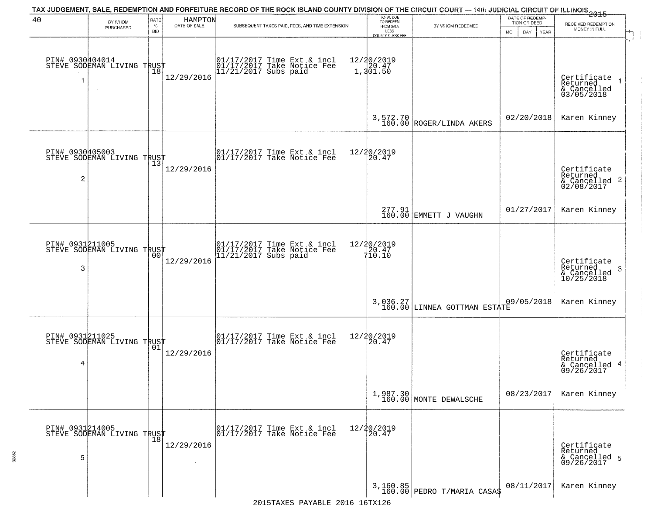|                      |                                                   |              |                         | TAX JUDGEMENT, SALE, REDEMPTION AND FORFEITURE RECORD OF THE ROCK ISLAND COUNTY DIVISION OF THE CIRCUIT COURT — 14th JUDICIAL CIRCUIT OF ILLINOIS 2015 | TOTAL DUE<br>TO REDEEM          |                                                      | DATE OF REDEMP-            |                                                                    |
|----------------------|---------------------------------------------------|--------------|-------------------------|--------------------------------------------------------------------------------------------------------------------------------------------------------|---------------------------------|------------------------------------------------------|----------------------------|--------------------------------------------------------------------|
| 40                   | BY WHOM<br>PURCHASED                              | RATE<br>$\%$ | HAMPTON<br>DATE OF SALE | SUBSEQUENT TAXES PAID, FEES, AND TIME EXTENSION                                                                                                        | FROM SALE                       | BY WHOM REDEEMED                                     | TION OR DEED               | RECEIVED REDEMPTION<br>MONEY IN FULL                               |
|                      |                                                   | <b>BID</b>   |                         |                                                                                                                                                        | LESS<br><b>COUNTY CLERK FEE</b> |                                                      | MO.<br>DAY.<br><b>YEAR</b> | $\mathbf{r}$                                                       |
| 1                    | PIN# 0930404014<br>STEVE SODEMAN LIVING TRUST     | 18           | 12/29/2016              | 01/17/2017 Time Ext & incl<br>01/17/2017 Take Notice Fee<br>11/21/2017 Subs paid                                                                       | 12/20/2019<br>1,301.50          |                                                      |                            | Certificate<br>Returned<br>& Cancelled<br>03/05/2018               |
|                      |                                                   |              |                         |                                                                                                                                                        |                                 | $3,572.70$<br>$160.00$<br>$\mbox{ROGER/LINDA AKERS}$ | 02/20/2018                 | Karen Kinney                                                       |
| $\overline{c}$       | PIN# 0930405003<br>STEVE SODEMAN LIVING TRUST     | 13           | 12/29/2016              | 01/17/2017 Time Ext & incl<br>01/17/2017 Take Notice Fee                                                                                               | 12/20/2019<br>20.47             |                                                      |                            | Certificate<br>Returned<br>$\frac{1}{6}$ Cancelled 2<br>02/08/2017 |
|                      |                                                   |              |                         |                                                                                                                                                        |                                 | 277.91<br>160.00 EMMETT J VAUGHN                     | 01/27/2017                 | Karen Kinney                                                       |
| PIN# 0931211005<br>3 | STEVE SODEMAN LIVING TRUST                        | 00           | 12/29/2016              | 01/17/2017 Time Ext & incl<br>01/17/2017 Take Notice Fee<br>11/21/2017 Subs paid                                                                       | 12/20/2019                      |                                                      |                            | Certificate<br>Returned<br>3<br>& Cancelled<br>10/25/2018          |
|                      |                                                   |              |                         |                                                                                                                                                        |                                 | 3,036.27<br>160.00 LINNEA GOTTMAN ESTATE             | 09/05/2018                 | Karen Kinney                                                       |
| 4                    | PIN# 0931211025    <br>STEVE SODEMAN LIVING TRUST | 01           | 12/29/2016              | 01/17/2017 Time Ext & incl<br>01/17/2017 Take Notice Fee                                                                                               | 12/20/2019<br>120.47            |                                                      |                            | Certificate<br>Returned<br>& Cancelled 4<br>09/26/2017             |
|                      |                                                   |              |                         |                                                                                                                                                        |                                 | $1,987.30$ MONTE DEWALSCHE                           | 08/23/2017                 | Karen Kinney                                                       |
| PIN# 0931214005<br>5 | STEVE SODEMAN LIVING TRUST                        | 18           | 12/29/2016              | 01/17/2017 Time Ext & incl<br>01/17/2017 Take Notice Fee                                                                                               | 12/20/2019<br>20.47             |                                                      |                            | Certificate<br>Returned<br>& Cancelled 5<br>09/26/2017             |
|                      |                                                   |              |                         |                                                                                                                                                        |                                 | 3,160.85<br>160.00 PEDRO T/MARIA CASA\$              | 08/11/2017                 | Karen Kinney                                                       |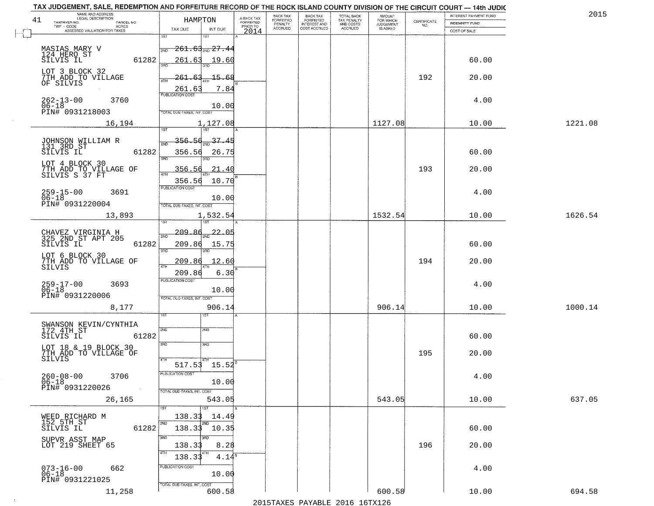| TAX JUDGEMENT, SALE, REDEMPTION AND FORFEITURE RECORD OF THE ROCK ISLAND COUNTY DIVISION OF THE CIRCUIT COURT - 14th JUDIC<br>NAME AND ADDRESS<br>LEGAL DESCRIPTION |                                         |                                     | BACK TAX                    |                                              |                                        |                                         |                                                                 | INTEREST PAYMENT FUND | 2015    |
|---------------------------------------------------------------------------------------------------------------------------------------------------------------------|-----------------------------------------|-------------------------------------|-----------------------------|----------------------------------------------|----------------------------------------|-----------------------------------------|-----------------------------------------------------------------|-----------------------|---------|
| 41<br>TAXPAYER NO.<br>PARCEL NO.                                                                                                                                    | HAMPTON                                 | A-BACK TAX<br>FORFEITED<br>PRIOR TO | <b>FORFEITED</b><br>PENALTY | BACK TAX<br>FORFEITED<br><b>INTEREST AND</b> | TOTAL BACK<br>TAX PENALTY<br>AND COSTS | AMOUNT<br>FOR WHICH<br><b>JUDGEMENT</b> | $\begin{array}{c} \text{CERTIFICATE} \\ \text{NO.} \end{array}$ | <b>INDEMNITY FUND</b> |         |
| ACRES<br>ASSESSED VALUATION FOR TAXES                                                                                                                               | TAX DUE<br>INT DUE                      | 2014                                | <b>ACCRUED</b>              | COST ACCRUED                                 | <b>ACCRUED</b>                         | IS ASKED                                |                                                                 | COST OF SALE          |         |
|                                                                                                                                                                     | 1ST<br>IST                              |                                     |                             |                                              |                                        |                                         |                                                                 |                       |         |
| MASIAS MARY V                                                                                                                                                       | $-261.63$ <sub>2ND</sub> $27.44$<br>2ND |                                     |                             |                                              |                                        |                                         |                                                                 |                       |         |
| 124 HERO ST                                                                                                                                                         |                                         |                                     |                             |                                              |                                        |                                         |                                                                 |                       |         |
| 61282<br>SILVIS IL                                                                                                                                                  | 261.63<br>19.60<br>350                  |                                     |                             |                                              |                                        |                                         |                                                                 | 60.00                 |         |
| LOT 3 BLOCK 32                                                                                                                                                      |                                         |                                     |                             |                                              |                                        |                                         |                                                                 |                       |         |
| 7TH ADD TO VILLAGE<br>OF SILVIS                                                                                                                                     | 261.63                                  | -15.68                              |                             |                                              |                                        |                                         | 192                                                             | 20.00                 |         |
|                                                                                                                                                                     | 261.63                                  | 7.84                                |                             |                                              |                                        |                                         |                                                                 |                       |         |
| 3760                                                                                                                                                                | <b>PUBLICATION COST</b>                 |                                     |                             |                                              |                                        |                                         |                                                                 | 4.00                  |         |
| $262 - 13 - 00$<br>06-18                                                                                                                                            |                                         | 10.00                               |                             |                                              |                                        |                                         |                                                                 |                       |         |
| PIN# 0931218003                                                                                                                                                     | TOTAL DUE-TAXES, INT. COST              |                                     |                             |                                              |                                        |                                         |                                                                 |                       |         |
| 16,194                                                                                                                                                              | 1,127.08                                |                                     |                             |                                              |                                        | 1127.08                                 |                                                                 | 10.00                 | 1221.08 |
|                                                                                                                                                                     |                                         |                                     |                             |                                              |                                        |                                         |                                                                 |                       |         |
| JOHNSON WILLIAM R<br>131 3RD ST                                                                                                                                     | 356.56 <sub>2ND</sub> 37.45             |                                     |                             |                                              |                                        |                                         |                                                                 |                       |         |
| 61282<br>SILVIS IL                                                                                                                                                  | 356.56                                  | 26.75                               |                             |                                              |                                        |                                         |                                                                 | 60.00                 |         |
| LOT 4 BLOCK 30                                                                                                                                                      | 3RD                                     |                                     |                             |                                              |                                        |                                         |                                                                 |                       |         |
| 7TH ADD TO VILLAGE OF<br>SILVIS S 37 FT                                                                                                                             | 356.56                                  | 21.40                               |                             |                                              |                                        |                                         | 193                                                             | 20.00                 |         |
|                                                                                                                                                                     | 356.56                                  | 10.70                               |                             |                                              |                                        |                                         |                                                                 |                       |         |
|                                                                                                                                                                     | PUBLICATION COST                        |                                     |                             |                                              |                                        |                                         |                                                                 |                       |         |
| $259 - 15 - 00$<br>3691<br>$06 - 18$                                                                                                                                |                                         | 10.00                               |                             |                                              |                                        |                                         |                                                                 | 4.00                  |         |
| PIN# 0931220004                                                                                                                                                     | TOTAL DUE-TAXES, INT. COST              |                                     |                             |                                              |                                        |                                         |                                                                 |                       |         |
| 13,893                                                                                                                                                              | 1,532.54                                |                                     |                             |                                              |                                        | 1532.54                                 |                                                                 | 10.00                 | 1626.54 |
|                                                                                                                                                                     | 1ST                                     |                                     |                             |                                              |                                        |                                         |                                                                 |                       |         |
| CHAVEZ VIRGINIA H<br>325 2ND ST APT 205                                                                                                                             | -209.<br>-86<br>2ND                     | 22.05                               |                             |                                              |                                        |                                         |                                                                 |                       |         |
| SILVIS IL<br>61282                                                                                                                                                  | 209.86<br>15.75                         |                                     |                             |                                              |                                        |                                         |                                                                 | 60.00                 |         |
|                                                                                                                                                                     | 3RD<br>3RD                              |                                     |                             |                                              |                                        |                                         |                                                                 |                       |         |
| LOT 6 BLOCK 30                                                                                                                                                      | 209.86<br><u>12.60</u>                  |                                     |                             |                                              |                                        |                                         | 194                                                             | 20.00                 |         |
| 7TH ADD TO VILLAGE OF<br>SILVIS                                                                                                                                     | 4TH                                     |                                     |                             |                                              |                                        |                                         |                                                                 |                       |         |
|                                                                                                                                                                     | 209.86<br><b>PUBLICATION COST</b>       | 6.30                                |                             |                                              |                                        |                                         |                                                                 |                       |         |
| 259-17-00<br>06-18<br>3693                                                                                                                                          |                                         | 10.00                               |                             |                                              |                                        |                                         |                                                                 | 4.00                  |         |
| PIN# 0931220006                                                                                                                                                     | TOTAL OUE-TAXES, INT. COST              |                                     |                             |                                              |                                        |                                         |                                                                 |                       |         |
| 8,177                                                                                                                                                               | 906.14                                  |                                     |                             |                                              |                                        | 906.14                                  |                                                                 | 10.00                 | 1000.14 |
|                                                                                                                                                                     | 1ST                                     |                                     |                             |                                              |                                        |                                         |                                                                 |                       |         |
|                                                                                                                                                                     |                                         |                                     |                             |                                              |                                        |                                         |                                                                 |                       |         |
| SWANSON KEVIN/CYNTHIA<br>172 4TH ST<br>SILVIS IL<br>61282                                                                                                           | 2ND<br>2ND                              |                                     |                             |                                              |                                        |                                         |                                                                 | 60.00                 |         |
|                                                                                                                                                                     | 3RD<br>3HD                              |                                     |                             |                                              |                                        |                                         |                                                                 |                       |         |
| LOT 18 & 19 BLOCK 30<br>7TH ADD TO VILLAGE OF                                                                                                                       |                                         |                                     |                             |                                              |                                        |                                         | 195                                                             | 20.00                 |         |
| SILVIS                                                                                                                                                              | 4TH                                     |                                     |                             |                                              |                                        |                                         |                                                                 |                       |         |
|                                                                                                                                                                     | $517.53$ 15.52                          |                                     |                             |                                              |                                        |                                         |                                                                 |                       |         |
| $260 - 08 - 00$<br>06-18<br>3706                                                                                                                                    | PUBLICATION COS-                        |                                     |                             |                                              |                                        |                                         |                                                                 | 4.00                  |         |
| PIN# 0931220026<br>$\sim 100$                                                                                                                                       | 10.00                                   |                                     |                             |                                              |                                        |                                         |                                                                 |                       |         |
| 26,165                                                                                                                                                              | TOTAL DUE-TAXES, INT. COST<br>543.05    |                                     |                             |                                              |                                        | 543.05                                  |                                                                 | 10.00                 | 637.05  |
|                                                                                                                                                                     |                                         |                                     |                             |                                              |                                        |                                         |                                                                 |                       |         |
|                                                                                                                                                                     | 138.33                                  | 14.49                               |                             |                                              |                                        |                                         |                                                                 |                       |         |
| WEED RICHARD M<br>152 5TH ST                                                                                                                                        | 2ND                                     |                                     |                             |                                              |                                        |                                         |                                                                 |                       |         |
| 61282<br>SILVIS IL                                                                                                                                                  | 138.33<br>10.35                         |                                     |                             |                                              |                                        |                                         |                                                                 | 60.00                 |         |
| SUPVR ASST MAP<br>LOT 219 SHEET 65                                                                                                                                  | 3RD                                     |                                     |                             |                                              |                                        |                                         |                                                                 |                       |         |
|                                                                                                                                                                     | 138.33                                  | 8.28                                |                             |                                              |                                        |                                         | 196                                                             | 20.00                 |         |
|                                                                                                                                                                     | 138.33                                  | $4.14^{\overline{8}}$               |                             |                                              |                                        |                                         |                                                                 |                       |         |
| $073 - 16 - 00$<br>06-18<br>662                                                                                                                                     | PUBLICATION COST                        |                                     |                             |                                              |                                        |                                         |                                                                 | 4.00                  |         |
| PIN# 0931221025                                                                                                                                                     |                                         | 10.00                               |                             |                                              |                                        |                                         |                                                                 |                       |         |
|                                                                                                                                                                     | TOTAL DUE-TAXES, INT. COST              |                                     |                             |                                              |                                        |                                         |                                                                 |                       |         |
| 11,258                                                                                                                                                              | 600.58                                  |                                     |                             |                                              |                                        | 600.58                                  |                                                                 | 10.00                 | 694.58  |
|                                                                                                                                                                     |                                         |                                     |                             |                                              | 2015 TAVEC DAVADIE 2016 16TV126        |                                         |                                                                 |                       |         |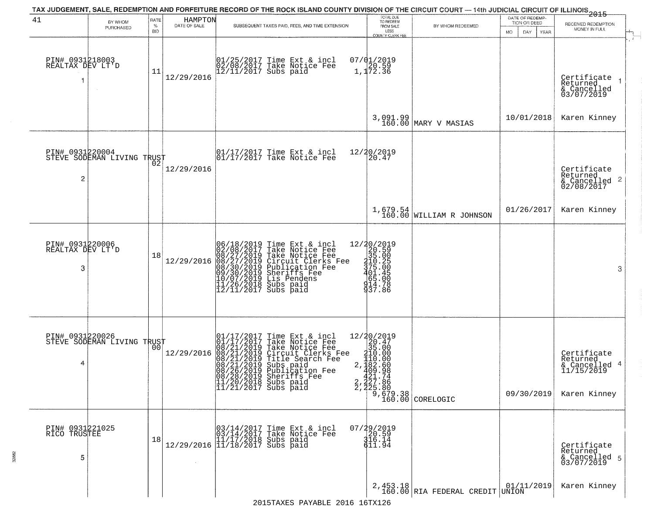|                                           |                                               |                            |                         | TAX JUDGEMENT, SALE, REDEMPTION AND FORFEITURE RECORD OF THE ROCK ISLAND COUNTY DIVISION OF THE CIRCUIT COURT — 14th JUDICIAL CIRCUIT OF ILLINOIS 2015                                                                                                |                                                                                                                      |                                                                                    |                                                        |                                                                        |
|-------------------------------------------|-----------------------------------------------|----------------------------|-------------------------|-------------------------------------------------------------------------------------------------------------------------------------------------------------------------------------------------------------------------------------------------------|----------------------------------------------------------------------------------------------------------------------|------------------------------------------------------------------------------------|--------------------------------------------------------|------------------------------------------------------------------------|
| 41                                        | BY WHOM<br>PURCHASED                          | RATE<br>$\%$<br><b>BID</b> | HAMPTON<br>DATE OF SALE | SUBSEQUENT TAXES PAID, FEES, AND TIME EXTENSION                                                                                                                                                                                                       | TOTAL DUE<br>TO REDEEM<br>FROM SALE<br>LESS<br>COUNTY CLERK FEE                                                      | BY WHOM REDEEMED                                                                   | DATE OF REDEMP-<br>TION OR DEED<br>MO.<br>DAY.<br>YEAR | RECEIVED REDEMPTION<br>MONEY IN FULL                                   |
| PIN# 0931218003<br>REALTAX DEV LT'D<br>-1 |                                               | 11                         | 12/29/2016              | 01/25/2017 Time Ext & incl<br>02/08/2017 Take Notice Fee<br>12/11/2017 Subs paid                                                                                                                                                                      | $07/01/2019$<br>$1,172.36$                                                                                           |                                                                                    |                                                        | Certificate<br>Returned<br>& Cancelled<br>03/07/2019                   |
|                                           |                                               |                            |                         |                                                                                                                                                                                                                                                       |                                                                                                                      | 3,091.99<br>160.00 MARY V MASIAS                                                   | 10/01/2018                                             | Karen Kinney                                                           |
| $\overline{c}$                            | PIN# 0931220004<br>STEVE SODEMAN LIVING TRUST |                            | 12/29/2016              | 01/17/2017 Time Ext & incl<br>01/17/2017 Take Notice Fee                                                                                                                                                                                              | 12/20/2019<br>20.47                                                                                                  |                                                                                    |                                                        | Certificate<br>Returned<br>$\frac{1}{2}$ Cancelled 2<br>02/08/2017     |
|                                           |                                               |                            |                         |                                                                                                                                                                                                                                                       |                                                                                                                      | $1,679.54$ MILLIAM R JOHNSON                                                       | 01/26/2017                                             | Karen Kinney                                                           |
| PIN# 0931220006<br>REALTAX DEV LT'D<br>3  |                                               | 18                         | 12/29/2016              | 06/18/2019 Time Ext & incl<br>02/08/2017 Take Notice Fee<br>08/27/2019 Take Notice Fee<br>08/27/2019 Circuit Clerks Fee<br>08/30/2019 Publication Fee<br>09/30/2019 Sheriffs Fee<br>11/26/2019 Lis Pendens<br>11/26/2018 Subs paid<br>12/11/2017 Subs | $=\begin{smallmatrix} 12/20/2019\\20.59\\215.00\\315.00\\317.2\\401.45\\614.99\end{smallmatrix}$<br>914.78<br>937.86 |                                                                                    |                                                        | 3                                                                      |
| 4                                         | PIN# 0931220026<br>STEVE SODEMAN LIVING TRUST |                            | 12/29/2016              | 01/17/2017 Time Ext & incl<br>01/17/2017 Take Notice Fee<br>08/21/2019 Take Notice Fee<br>08/21/2019 Circuit Clerks Fee<br>08/21/2019 Title Search Fee<br>08/21/2019 Subs paid<br>08/26/2019 Sheriffs Fee<br>11/20/2018 Subs paid<br>11/21/2017 Subs  | 12/20/2019<br>$\frac{26}{35}$ .00<br>$310.00$<br>$110.00$                                                            | 2, $\frac{182.60}{409.98}$<br>421.74<br>2, 227.86<br>2, 225.80<br>160.00 CORELOGIC | 09/30/2019                                             | Certificate<br>Returned<br>& Cancelled 4<br>11/15/2019<br>Karen Kinney |
| PIN# 0931221025<br>RICO TRUSTEE<br>5      |                                               | 18                         | 12/29/2016              | 03/14/2017 Time Ext & incl<br>03/14/2017 Take Notice Fee<br>11/17/2018 Subs paid<br>11/18/2017 Subs paid                                                                                                                                              | $07/29/2019$<br>20.59<br>316.14<br>$\bar{6}11.94$                                                                    |                                                                                    |                                                        | Certificate<br>Returned<br>& Cancelled 5<br>03/07/2019                 |
|                                           |                                               |                            |                         |                                                                                                                                                                                                                                                       |                                                                                                                      | 2,453.18<br>160.00 RIA FEDERAL CREDIT UNION                                        | 01/11/2019                                             | Karen Kinney                                                           |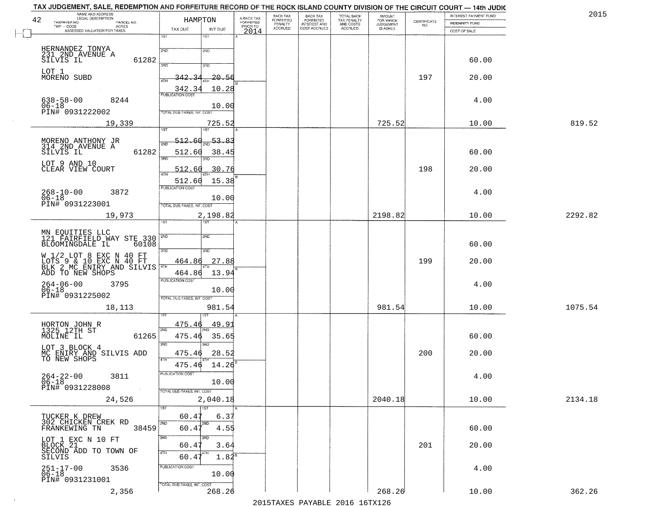| TAX JUDGEMENT, SALE, REDEMPTION AND FORFEITURE RECORD OF THE ROCK ISLAND COUNTY DIVISION OF THE CIRCUIT COURT — 14th JUDIC<br>NAME AND ADDRESS<br>42 |            | HAMRTON                           |                  |                                     | BACK TAX                        |                                                       |                                                   | AMOUNT<br>FOR WHICH<br>JUDGEMENT |                                                                 | INTEREST PAYMENT FUND | 2015    |
|------------------------------------------------------------------------------------------------------------------------------------------------------|------------|-----------------------------------|------------------|-------------------------------------|---------------------------------|-------------------------------------------------------|---------------------------------------------------|----------------------------------|-----------------------------------------------------------------|-----------------------|---------|
| TAXPAYER NO.<br>TWP - CODE<br>ASSESSED VALUATION FOR TAXES                                                                                           | PARCEL NO. | TAX DUE                           | INT DUE          | A-BACK TAX<br>FORFEITED<br>PRIOR TO | FORFEITED<br>PENALTY<br>ACCRUED | BACK TAX<br>FORFEITED<br>INTEREST AND<br>COST ACCRUED | TOTAL BACK<br>TAX PENALTY<br>AND COSTS<br>ACCRUED | IS ASKED                         | $\begin{array}{c} \text{CERTIFICATE} \\ \text{NO.} \end{array}$ | <b>INDEMNITY FUND</b> |         |
|                                                                                                                                                      |            | 1ST                               | 1ST              | 2014                                |                                 |                                                       |                                                   |                                  |                                                                 | COST OF SALE          |         |
|                                                                                                                                                      |            |                                   |                  |                                     |                                 |                                                       |                                                   |                                  |                                                                 |                       |         |
| HERNANDEZ TONYA<br>231 2ND AVENUE A                                                                                                                  |            | 2ND                               | 2ND              |                                     |                                 |                                                       |                                                   |                                  |                                                                 |                       |         |
| SILVIS IL                                                                                                                                            | 61282      | 3PD                               | 3BD              |                                     |                                 |                                                       |                                                   |                                  |                                                                 | 60.00                 |         |
| LOT 1                                                                                                                                                |            |                                   |                  |                                     |                                 |                                                       |                                                   |                                  |                                                                 |                       |         |
| MORENO SUBD                                                                                                                                          |            |                                   | $20 - 54$        |                                     |                                 |                                                       |                                                   |                                  | 197                                                             | 20.00                 |         |
|                                                                                                                                                      |            | 342.3<br><b>PUBLICATION COST</b>  | 10.28            |                                     |                                 |                                                       |                                                   |                                  |                                                                 |                       |         |
| $638 - 58 - 00$<br>$06 - 18$                                                                                                                         | 8244       |                                   |                  |                                     |                                 |                                                       |                                                   |                                  |                                                                 | 4.00                  |         |
| PIN# 0931222002                                                                                                                                      |            | TOTAL DUE-TAXES, INT. COST        | 10.00            |                                     |                                 |                                                       |                                                   |                                  |                                                                 |                       |         |
| 19,339                                                                                                                                               |            |                                   | 725.52           |                                     |                                 |                                                       |                                                   | 725.52                           |                                                                 | 10.00                 | 819.52  |
|                                                                                                                                                      |            | 1ST                               | ist              |                                     |                                 |                                                       |                                                   |                                  |                                                                 |                       |         |
| MORENO ANTHONY JR<br>314 2ND AVENUE A                                                                                                                |            | $-512.60$<br>2ND                  | 53.83            |                                     |                                 |                                                       |                                                   |                                  |                                                                 |                       |         |
| SILVIS IL                                                                                                                                            | 61282      | 512.60                            | 38.45            |                                     |                                 |                                                       |                                                   |                                  |                                                                 | 60.00                 |         |
| LOT 9 AND 10                                                                                                                                         |            | 3RD                               |                  |                                     |                                 |                                                       |                                                   |                                  |                                                                 |                       |         |
| CLEAR VIEW COURT                                                                                                                                     |            | 512.60<br>i 47H                   | 30.76            |                                     |                                 |                                                       |                                                   |                                  | 198                                                             | 20.00                 |         |
|                                                                                                                                                      |            | 512.60                            | 15.38            |                                     |                                 |                                                       |                                                   |                                  |                                                                 |                       |         |
| $268 - 10 - 00$                                                                                                                                      | 3872       | <b>PUBLICATION COST</b>           |                  |                                     |                                 |                                                       |                                                   |                                  |                                                                 | 4.00                  |         |
| $06 - 18$                                                                                                                                            |            |                                   | 10.00            |                                     |                                 |                                                       |                                                   |                                  |                                                                 |                       |         |
| PIN# 0931223001                                                                                                                                      |            | TOTAL DUE-TAXES, INT. COST        |                  |                                     |                                 |                                                       |                                                   |                                  |                                                                 |                       |         |
| 19,973                                                                                                                                               |            | īst                               | 2,198.82         |                                     |                                 |                                                       |                                                   | 2198.82                          |                                                                 | 10.00                 | 2292.82 |
|                                                                                                                                                      |            |                                   |                  |                                     |                                 |                                                       |                                                   |                                  |                                                                 |                       |         |
| MN EQUITIES LLC<br>121 FAIRFIELD WAY STE 330                                                                                                         |            |                                   | 2ND              |                                     |                                 |                                                       |                                                   |                                  |                                                                 |                       |         |
| BLOOMINGDALE IL                                                                                                                                      | 60108      | 3RD                               | 3RD              |                                     |                                 |                                                       |                                                   |                                  |                                                                 | 60.00                 |         |
| W 1/2 LOT 8 EXC N 40 FT                                                                                                                              |            | 464.86                            | 27.88            |                                     |                                 |                                                       |                                                   |                                  | 199                                                             | 20.00                 |         |
| LOTS 9 & 10 EXC N 40 FT<br>BLK 2 MC ENIRY AND SILVIS<br>ADD TO NEW SHOPS                                                                             |            |                                   |                  |                                     |                                 |                                                       |                                                   |                                  |                                                                 |                       |         |
|                                                                                                                                                      |            | 464.86<br><b>PUBLICATION COST</b> | 13.94            |                                     |                                 |                                                       |                                                   |                                  |                                                                 |                       |         |
| $264 - 06 - 00$<br>06-18                                                                                                                             | 3795       |                                   | 10.00            |                                     |                                 |                                                       |                                                   |                                  |                                                                 | 4.00                  |         |
| PIN# 0931225002                                                                                                                                      |            | TOTAL OUE-TAXES, INT. COST        |                  |                                     |                                 |                                                       |                                                   |                                  |                                                                 |                       |         |
|                                                                                                                                                      | 18,113     |                                   | 981.54           |                                     |                                 |                                                       |                                                   | 981.54                           |                                                                 | 10.00                 | 1075.54 |
|                                                                                                                                                      |            |                                   |                  |                                     |                                 |                                                       |                                                   |                                  |                                                                 |                       |         |
| HORTON JOHN R<br>1325 12TH ST                                                                                                                        |            | 475.46<br>2ND                     | 49.9             |                                     |                                 |                                                       |                                                   |                                  |                                                                 |                       |         |
| MOLINE IL                                                                                                                                            | 61265      | 475.46                            | 35.65            |                                     |                                 |                                                       |                                                   |                                  |                                                                 | 60.00                 |         |
| LOT 3 BLOCK 4                                                                                                                                        |            | 3RD                               | $\overline{3BD}$ |                                     |                                 |                                                       |                                                   |                                  |                                                                 |                       |         |
| MC ENIRY AND SILVIS ADD<br>TO NEW SHOPS                                                                                                              |            | 475.46<br>4TH                     | 28.52            |                                     |                                 |                                                       |                                                   |                                  | 200                                                             | 20.00                 |         |
|                                                                                                                                                      |            | 475.46                            | 14.26            |                                     |                                 |                                                       |                                                   |                                  |                                                                 |                       |         |
| $264 - 22 - 00$<br>3811                                                                                                                              |            | PUBLICATION COST                  |                  |                                     |                                 |                                                       |                                                   |                                  |                                                                 | 4.00                  |         |
| $06 - 18$<br>PIN# 0931228008                                                                                                                         |            |                                   | 10.00            |                                     |                                 |                                                       |                                                   |                                  |                                                                 |                       |         |
|                                                                                                                                                      |            | TOTAL DUE-TAXES, INT. COST        |                  |                                     |                                 |                                                       |                                                   | 2040.18                          |                                                                 |                       | 2134.18 |
| 24,526                                                                                                                                               |            | 1ST <sup></sup>                   | 2,040.18<br>1ST  |                                     |                                 |                                                       |                                                   |                                  |                                                                 | 10.00                 |         |
| TUCKER K DREW                                                                                                                                        |            | 60.47                             | 6.37             |                                     |                                 |                                                       |                                                   |                                  |                                                                 |                       |         |
| 302 CHICKEN CREK RD                                                                                                                                  | 38459      | 2ND                               |                  |                                     |                                 |                                                       |                                                   |                                  |                                                                 |                       |         |
| FRANKEWING TN                                                                                                                                        |            | 60.4<br>3RD                       | 4.55<br>3RD      |                                     |                                 |                                                       |                                                   |                                  |                                                                 | 60.00                 |         |
| LOT 1 EXC N 10 FT                                                                                                                                    |            | 60.47                             | 3.64             |                                     |                                 |                                                       |                                                   |                                  | 201                                                             | 20.00                 |         |
| BLOCK 21 THE TERRITORY OF<br>SILVIS                                                                                                                  |            | 4TH<br>60.47                      | $1.84^8$         |                                     |                                 |                                                       |                                                   |                                  |                                                                 |                       |         |
|                                                                                                                                                      |            | PUBLICATION COST                  |                  |                                     |                                 |                                                       |                                                   |                                  |                                                                 |                       |         |
| 251-17-00<br>06-18                                                                                                                                   | 3536       |                                   | 10.00            |                                     |                                 |                                                       |                                                   |                                  |                                                                 | 4.00                  |         |
| PIN# 0931231001                                                                                                                                      |            | TOTAL DUE-TAXES, INT. COST        |                  |                                     |                                 |                                                       |                                                   |                                  |                                                                 |                       |         |
|                                                                                                                                                      | 2,356      |                                   | 268.26           |                                     |                                 |                                                       |                                                   | 268.26                           |                                                                 | 10.00                 | 362.26  |

 $\sim 10^6$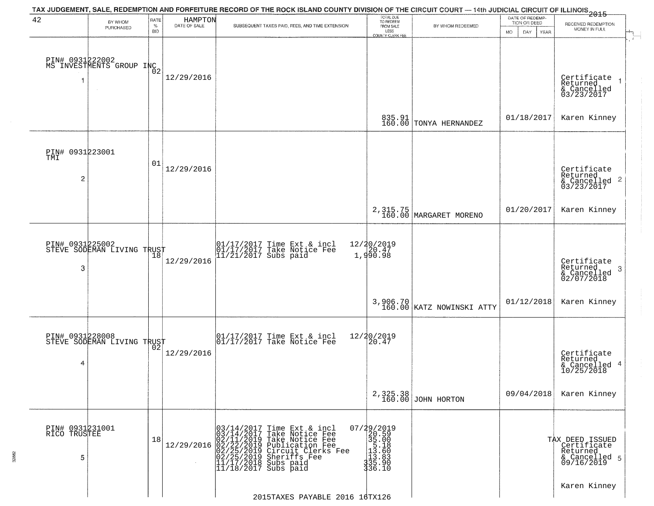| 42                                       | BY WHOM<br>PURCHASED                                 | RATE<br>$\%$<br><b>BID</b> | HAMPTON<br>DATE OF SALE | TAX JUDGEMENT, SALE, REDEMPTION AND FORFEITURE RECORD OF THE ROCK ISLAND COUNTY DIVISION OF THE CIRCUIT COURT — 14th JUDICIAL CIRCUIT OF ILLINOIS 2015<br>SUBSEQUENT TAXES PAID, FEES, AND TIME EXTENSION                                  | TOTAL DUE<br>TO REDEEM<br>FROM SALE<br>LESS<br>COUNTY CLERK FEE                             | BY WHOM REDEEMED                      | DATE OF REDEMP-<br>TION OR DEED<br>DAY<br><b>YEAR</b><br>MO. | RECEIVED REDEMPTION<br>MONEY IN FULL                                        |
|------------------------------------------|------------------------------------------------------|----------------------------|-------------------------|--------------------------------------------------------------------------------------------------------------------------------------------------------------------------------------------------------------------------------------------|---------------------------------------------------------------------------------------------|---------------------------------------|--------------------------------------------------------------|-----------------------------------------------------------------------------|
|                                          | PIN# 0931222002<br>MS INVESTMENTS GROUP INC          |                            | 12/29/2016              |                                                                                                                                                                                                                                            |                                                                                             |                                       |                                                              | Certificate<br>Returned<br>$\rightarrow$<br>& Cancelled<br>03/23/2017       |
|                                          |                                                      |                            |                         |                                                                                                                                                                                                                                            | 835.91<br>160.00                                                                            | TONYA HERNANDEZ                       | 01/18/2017                                                   | Karen Kinney                                                                |
| PIN# 0931223001<br>TMI<br>$\overline{c}$ |                                                      | 01                         | 12/29/2016              |                                                                                                                                                                                                                                            |                                                                                             |                                       |                                                              | Certificate<br>Returned<br>$\mathbf{2}$<br>& Cancelled<br>03/23/2017        |
|                                          |                                                      |                            |                         |                                                                                                                                                                                                                                            |                                                                                             | 2, 315.75<br>160.00 MARGARET MORENO   | 01/20/2017                                                   | Karen Kinney                                                                |
| PIN# 0931225002<br>3                     | STEVE SODEMAN LIVING TRUST                           | 18                         | 12/29/2016              | 01/17/2017 Time Ext & incl<br>01/17/2017 Take Notice Fee<br>11/21/2017 Subs paid                                                                                                                                                           | 12/20/2019<br>$\begin{bmatrix} 1, 90.47 \\ 1, 990.98 \end{bmatrix}$                         |                                       |                                                              | Certificate<br>Returned<br>3<br>$\frac{2}{02/07/2018}$                      |
|                                          |                                                      |                            |                         |                                                                                                                                                                                                                                            |                                                                                             | 3,906.70<br>160.00 KATZ NOWINSKI ATTY | 01/12/2018                                                   | Karen Kinney                                                                |
| PIN# 0931228008<br>4                     | <b>PIN# USSIAANUST</b><br>STEVE SODEMAN LIVING TRUST |                            | 12/29/2016              | $\begin{bmatrix} 01/17/2017 \\ 01/17/2017 \end{bmatrix}$ Take Notice Fee                                                                                                                                                                   | 12/20/2019<br>$\tilde{20.47}$                                                               |                                       |                                                              | Certificate<br>Returned<br>4<br>& Cancelled<br>10/25/2018                   |
|                                          |                                                      |                            |                         |                                                                                                                                                                                                                                            |                                                                                             | 2,325.38<br>160.00 JOHN HORTON        | 09/04/2018                                                   | Karen Kinney                                                                |
| PIN# 0931231001<br>RICO TRUSTEE<br>5     |                                                      | 18                         | 12/29/2016              | $03/14/2017$ Time Ext & incl<br>$03/14/2017$ Take Notice Fee<br>$02/11/2019$ Take Notice Fee<br>$02/22/2019$ Publication Fee<br>$02/25/2019$ Sheriffs Fee<br>$02/25/2019$ Sheriffs Fee<br>$11/17/2018$ Subs paid<br>$11/18/2017$ Subs paid | 07/29/2019<br>20.59<br>$35.008$<br>$13.500$<br>$13.600$<br>$13.803$<br>$335.90$<br>$336.10$ |                                       |                                                              | TAX DEED ISSUED<br>  Certificate<br>Returned<br>& Cancelled 5<br>09/16/2019 |
|                                          |                                                      |                            |                         | 2015TAXES PAYABLE 2016 16TX126                                                                                                                                                                                                             |                                                                                             |                                       |                                                              | Karen Kinney                                                                |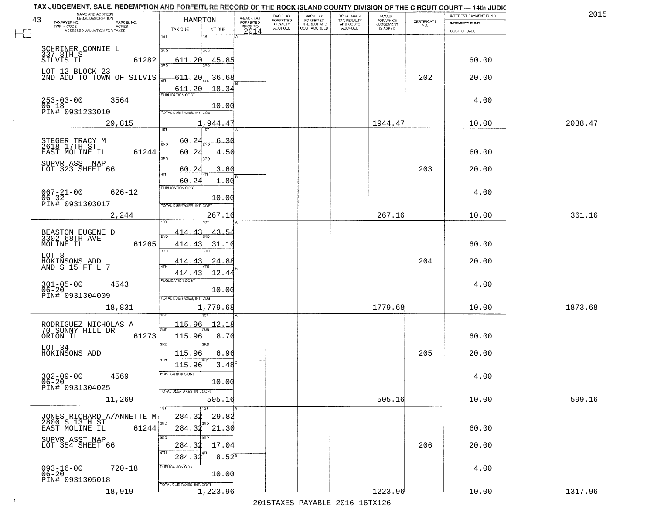| NAME AND ADDRESS<br>LEGAL DESCRIPTION<br>43  |                     | HAMRTON                                    | A-BACK TAX            | BACK TAX<br>FORFEITED | <b>BACK TAX</b><br><b>FORFEITED</b> | TOTAL BACK<br>TAX PENALTY<br>AND COSTS<br>ACCRUED | <b>AMOUNT</b>                             | CERTIFICATE | INTEREST PAYMENT FUND | 201     |
|----------------------------------------------|---------------------|--------------------------------------------|-----------------------|-----------------------|-------------------------------------|---------------------------------------------------|-------------------------------------------|-------------|-----------------------|---------|
| TAXPAYER NO.<br>TWP - CODE                   | PARCEL NO.<br>ACRES | TAX DUE<br>INT DUE                         | FORFEITED<br>PRIOR TO | PENALTY<br>ACCRUED    | INTEREST AND<br>COST ACCRUED        |                                                   | FOR WHICH<br>JUDGEMENT<br><b>IS ASKED</b> | NO.         | INDEMNITY FUND        |         |
| ASSESSED VALUATION FOR TAXES<br>$\Box$       |                     | 1ST<br>IST                                 | 2014                  |                       |                                     |                                                   |                                           |             | COST OF SALE          |         |
|                                              |                     |                                            |                       |                       |                                     |                                                   |                                           |             |                       |         |
| SCHRINER CONNIE L<br>337 8TH ST              |                     | 2ND<br>2ND                                 |                       |                       |                                     |                                                   |                                           |             |                       |         |
| SILVIS IL                                    | 61282               | 611.20<br>45.85                            |                       |                       |                                     |                                                   |                                           |             | 60.00                 |         |
| LOT 12 BLOCK 23<br>2ND ADD TO TOWN OF SILVIS |                     | $-611.20$<br><u>36.68</u>                  |                       |                       |                                     |                                                   |                                           | 202         | 20.00                 |         |
|                                              |                     | 4TH                                        |                       |                       |                                     |                                                   |                                           |             |                       |         |
|                                              |                     | 18.34<br>611.20<br><b>PUBLICATION COST</b> |                       |                       |                                     |                                                   |                                           |             |                       |         |
| $253 - 03 - 00$<br>$06 - 18$                 | 3564                | 10.00                                      |                       |                       |                                     |                                                   |                                           |             | 4.00                  |         |
| PIN# 0931233010                              |                     | TOTAL DUE-TAXES, INT. COST                 |                       |                       |                                     |                                                   |                                           |             |                       |         |
|                                              | 29,815              | 1,944.47                                   |                       |                       |                                     |                                                   | 1944.47                                   |             | 10.00                 | 2038.47 |
|                                              |                     | 1ST<br>1ST                                 |                       |                       |                                     |                                                   |                                           |             |                       |         |
| STEGER TRACY M<br>2618 17TH ST               |                     | 2<br>60.<br>-30                            |                       |                       |                                     |                                                   |                                           |             |                       |         |
| EAST MOLINE IL                               | 61244               | 60.2<br>4.50                               |                       |                       |                                     |                                                   |                                           |             | 60.00                 |         |
| SUPVR ASST MAP                               |                     | 3RD<br>3RD                                 |                       |                       |                                     |                                                   |                                           |             |                       |         |
| LOT 323 SHEET 66                             |                     | 3.60<br>60<br>47H                          |                       |                       |                                     |                                                   |                                           | 203         | 20.00                 |         |
|                                              |                     | 60.24<br>1.80                              |                       |                       |                                     |                                                   |                                           |             |                       |         |
|                                              | $626 - 12$          | PUBLICATION COST                           |                       |                       |                                     |                                                   |                                           |             | 4.00                  |         |
| $067 - 21 - 00$<br>$06 - 32$                 |                     | 10.00                                      |                       |                       |                                     |                                                   |                                           |             |                       |         |
| PIN# 0931303017                              |                     | TOTAL DUE-TAXES, INT. COST                 |                       |                       |                                     |                                                   |                                           |             |                       |         |
|                                              | 2,244               | 267.16                                     |                       |                       |                                     |                                                   | 267.16                                    |             | 10.00                 | 361.16  |
|                                              |                     |                                            |                       |                       |                                     |                                                   |                                           |             |                       |         |
| BEASTON EUGENE D<br>3302 68TH AVE            |                     | 43.54<br>414                               |                       |                       |                                     |                                                   |                                           |             |                       |         |
| MOLINE IL                                    | 61265               | 414.43<br>31.1(<br>3RD<br>3RD              |                       |                       |                                     |                                                   |                                           |             | 60.00                 |         |
| LOT 8                                        |                     |                                            |                       |                       |                                     |                                                   |                                           |             |                       |         |
| HOKINSONS ADD<br>AND S 15 FT L 7             |                     | 24.88<br>414.4<br>4TH                      |                       |                       |                                     |                                                   |                                           | 204         | 20.00                 |         |
|                                              |                     | 414.43<br>12.44<br><b>PUBLICATION COST</b> |                       |                       |                                     |                                                   |                                           |             |                       |         |
| $301 - 05 - 00$<br>06-20                     | 4543                | 10.00                                      |                       |                       |                                     |                                                   |                                           |             | 4.00                  |         |
| PIN# 0931304009                              |                     | TOTAL OUE-TAXES, INT. COST                 |                       |                       |                                     |                                                   |                                           |             |                       |         |
|                                              | 18,831              | 1,779.68                                   |                       |                       |                                     |                                                   | 1779.68                                   |             | 10.00                 | 1873.68 |
|                                              |                     |                                            |                       |                       |                                     |                                                   |                                           |             |                       |         |
| RODRIGUEZ NICHOLAS A<br>70 SUNNY HILL DR     |                     | <u> 115.96</u><br>12.1<br>2ND              |                       |                       |                                     |                                                   |                                           |             |                       |         |
| ORION IL                                     | 61273               | 115.96<br>8.70                             |                       |                       |                                     |                                                   |                                           |             | 60.00                 |         |
| LOT 34                                       |                     | 3RD<br>3RD                                 |                       |                       |                                     |                                                   |                                           |             |                       |         |
| HOKINSONS ADD                                |                     | 115.96<br>6.96                             |                       |                       |                                     |                                                   |                                           | 205         | 20.00                 |         |
|                                              |                     | 115.96<br>3.48                             |                       |                       |                                     |                                                   |                                           |             |                       |         |
|                                              | 4569                | PUBLICATION COST                           |                       |                       |                                     |                                                   |                                           |             | 4.00                  |         |
| $302 - 09 - 00$<br>06-20<br>PIN# 0931304025  |                     | 10.00                                      |                       |                       |                                     |                                                   |                                           |             |                       |         |
|                                              |                     | TOTAL DUE-TAXES, INT. COST                 |                       |                       |                                     |                                                   |                                           |             |                       |         |
|                                              | 11,269              | 505.16                                     |                       |                       |                                     |                                                   | 505.16                                    |             | 10.00                 | 599.16  |
|                                              |                     | 1ST<br>1ST<br>284.32<br>29.82              |                       |                       |                                     |                                                   |                                           |             |                       |         |
| JONES RICHARD A/ANNETTE M<br>2800 S 13TH ST  |                     | 2ND                                        |                       |                       |                                     |                                                   |                                           |             |                       |         |
| EAST MOLINE IL                               | 61244               | $284.32$ $21.30$                           |                       |                       |                                     |                                                   |                                           |             | 60.00                 |         |
| SUPVR ASST MAP<br>LOT 354 SHEET 66           |                     | 3RD<br>284.32<br>17.04                     |                       |                       |                                     |                                                   |                                           | 206         | 20.00                 |         |
|                                              |                     | 4TH                                        |                       |                       |                                     |                                                   |                                           |             |                       |         |
|                                              |                     | $8.54^{8}$<br>284.32                       |                       |                       |                                     |                                                   |                                           |             |                       |         |
| $093 - 16 - 00$<br>06-20                     | $720 - 18$          | PUBLICATION COST<br>10.00                  |                       |                       |                                     |                                                   |                                           |             | 4.00                  |         |
| PIN# 0931305018                              |                     | TOTAL DUE-TAXES, INT. COST                 |                       |                       |                                     |                                                   |                                           |             |                       |         |
|                                              | 18,919              | 1,223.96                                   |                       |                       |                                     |                                                   | 1223.96                                   |             | 10.00                 | 1317.96 |
|                                              |                     |                                            |                       |                       |                                     | 2015 TAVEC DAVADIE 2016 16TV126                   |                                           |             |                       |         |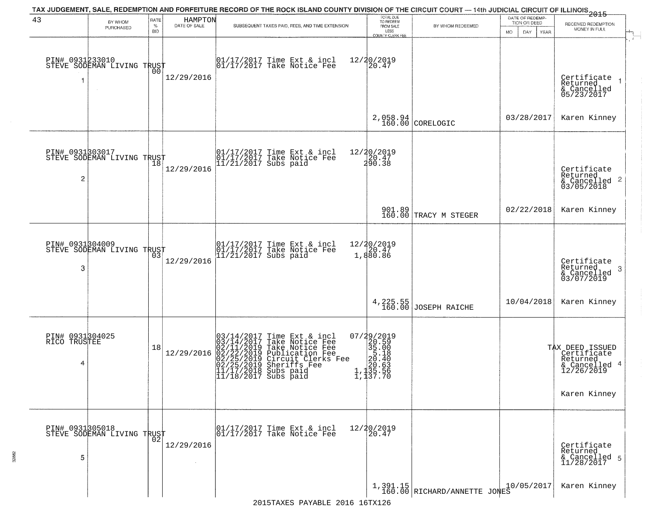|                                      |                                                         |                         |                         | TAX JUDGEMENT, SALE, REDEMPTION AND FORFEITURE RECORD OF THE ROCK ISLAND COUNTY DIVISION OF THE CIRCUIT COURT — 14th JUDICIAL CIRCUIT OF ILLINOIS<br>2015 - The Contemporary of the Carolina County of the Circuit County of the                                                             |                                                                                                           |                                          |                                                        |                                                                                           |
|--------------------------------------|---------------------------------------------------------|-------------------------|-------------------------|----------------------------------------------------------------------------------------------------------------------------------------------------------------------------------------------------------------------------------------------------------------------------------------------|-----------------------------------------------------------------------------------------------------------|------------------------------------------|--------------------------------------------------------|-------------------------------------------------------------------------------------------|
| 43                                   | BY WHOM<br>PURCHASED                                    | RATE<br>%<br><b>BID</b> | HAMPTON<br>DATE OF SALE | SUBSEQUENT TAXES PAID, FEES, AND TIME EXTENSION                                                                                                                                                                                                                                              | TOTAL DUE<br>TO REDEEM<br>FROM SALE<br>LESS<br>COUNTY CLERK FEE                                           | BY WHOM REDEEMED                         | DATE OF REDEMP-<br>TION OR DEED<br>DAY.<br>YEAR<br>MO. | RECEIVED REDEMPTION<br>MONEY IN FULL                                                      |
| 1                                    | PIN# 0931233010<br>STEVE SODEMAN LIVING TRUST<br>$\sim$ | 00                      | 12/29/2016              | $\begin{bmatrix} 01/17/2017 \\ 17/17/2017 \end{bmatrix}$ Take Notice Fee                                                                                                                                                                                                                     | 12/20/2019<br>20.47                                                                                       |                                          |                                                        | Certificate<br>Returned<br>& Cancelled<br>05/23/2017                                      |
|                                      |                                                         |                         |                         |                                                                                                                                                                                                                                                                                              |                                                                                                           | 2,058.94<br>160.00 CORELOGIC             | 03/28/2017                                             | Karen Kinney                                                                              |
| 2                                    | PIN# 0931803017<br>STEVE SODEMAN LIVING TRUST           |                         | 12/29/2016              | 01/17/2017 Time Ext & incl<br>01/17/2017 Take Notice Fee<br>11/21/2017 Subs paid                                                                                                                                                                                                             | 12/20/2019<br>20.47<br>290.38                                                                             |                                          |                                                        | Certificate<br>Returned<br>$\frac{1}{6}$ Cancelled 2<br>03/05/2018                        |
|                                      |                                                         |                         |                         |                                                                                                                                                                                                                                                                                              |                                                                                                           | 901.89<br>160.00 TRACY M STEGER          | 02/22/2018                                             | Karen Kinney                                                                              |
| 3                                    | PIN# 0931304009<br>STEVE SODEMAN LIVING TRUST           | 03                      | 12/29/2016              | 01/17/2017 Time Ext & incl<br>01/17/2017 Take Notice Fee<br>11/21/2017 Subs paid                                                                                                                                                                                                             | $12/20/2019$<br>$20.47$<br>1,880.86                                                                       |                                          |                                                        | Certificate<br>Returned<br>3<br>& Cancelled<br>03/07/2019                                 |
|                                      |                                                         |                         |                         |                                                                                                                                                                                                                                                                                              |                                                                                                           | 4, 225.55 JOSEPH RAICHE                  | 10/04/2018                                             | Karen Kinney                                                                              |
| PIN# 0931304025<br>RICO TRUSTEE<br>4 |                                                         | 18                      | 12/29/2016              | Time Ext & incl<br>Take Notice Fee<br>Take Notice Fee<br>Publication Fee<br>Circuit Clerks Fee<br>Sheriffs, Fee<br>03/14/2017 Time Ext &<br>03/14/2017 Take Notic<br>02/11/2019 Take Notic<br>02/22/2019 Publicatic<br>02/25/2019 Sheriffs F<br>11/17/2018 Subs paid<br>11/18/2017 Subs paid | $\begin{smallmatrix} 07/29/2019\\20.59\\35.00\\55.18\\20.40\\20.63\\1,135.56\\1,137.70 \end{smallmatrix}$ |                                          |                                                        | TAX DEED ISSUED<br>Certificate<br>Returned<br>& Cancelled 4<br>12/26/2019<br>Karen Kinney |
| 5                                    | PIN# 0931305018<br>STEVE SODEMAN LIVING TRUST           |                         | 12/29/2016              | 01/17/2017 Time Ext & incl<br>01/17/2017 Take Notice Fee                                                                                                                                                                                                                                     | 12/20/2019<br>20.47                                                                                       |                                          |                                                        | Certificate<br>Returned<br>& Cancelled 5<br>11/28/2017                                    |
|                                      |                                                         |                         |                         |                                                                                                                                                                                                                                                                                              |                                                                                                           | 1,391.15<br>160.00 RICHARD/ANNETTE JONES | 10/05/2017                                             | Karen Kinney                                                                              |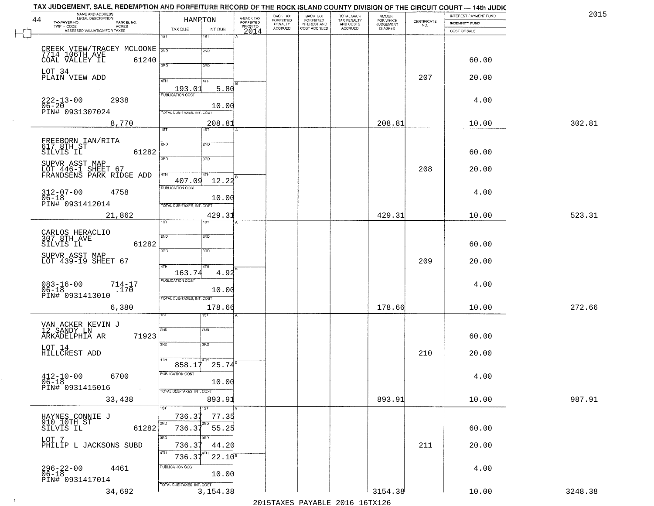| NAME AND ADDRESS<br>LEGAL DESCRIPTION<br>44                              |                            | HAMPTON         | A-BACK TAX<br>FORFEITED | BACK TAX                        |                                                       | TOTAL BACK<br>TAX PENALTY<br>AND COSTS | AMOUNT<br>FOR WHICH<br>JUDGEMENT |                                                                 | INTEREST PAYMENT FUND | 2015    |
|--------------------------------------------------------------------------|----------------------------|-----------------|-------------------------|---------------------------------|-------------------------------------------------------|----------------------------------------|----------------------------------|-----------------------------------------------------------------|-----------------------|---------|
| TAXPAYER NO.<br>PARCEL NO.<br>TWP - CODE<br>ASSESSED VALUATION FOR TAXES | TAX DUE                    | INT DUE         | PRIOR TO                | FORFEITED<br>PENALTY<br>ACCRUED | BACK TAX<br>FORFEITED<br>INTEREST AND<br>COST ACCRUED | ACCRUED                                | IS ASKED                         | $\begin{array}{c} \text{CERTIFICATE} \\ \text{NO.} \end{array}$ | <b>INDEMNITY FUND</b> |         |
|                                                                          | 1ST                        | 1ST             | 2014                    |                                 |                                                       |                                        |                                  |                                                                 | COST OF SALE          |         |
|                                                                          |                            | 2ND             |                         |                                 |                                                       |                                        |                                  |                                                                 |                       |         |
| CREEK VIEW/TRACEY MCLOONE 2ND<br>COAL VALLEY IL<br>61240                 |                            |                 |                         |                                 |                                                       |                                        |                                  |                                                                 | 60.00                 |         |
| LOT 34                                                                   | 3RD                        | 3RD             |                         |                                 |                                                       |                                        |                                  |                                                                 |                       |         |
| PLAIN VIEW ADD                                                           | 4TH                        | 4TH             |                         |                                 |                                                       |                                        |                                  | 207                                                             | 20.00                 |         |
|                                                                          | 193.01                     | 5.80            |                         |                                 |                                                       |                                        |                                  |                                                                 |                       |         |
| $222 - 13 - 00$<br>06-20<br>2938                                         | <b>PUBLICATION COST</b>    |                 |                         |                                 |                                                       |                                        |                                  |                                                                 | 4.00                  |         |
| PIN# 0931307024                                                          | TOTAL DUE-TAXES, INT. COST | 10.00           |                         |                                 |                                                       |                                        |                                  |                                                                 |                       |         |
| 8,770                                                                    |                            | 208.81          |                         |                                 |                                                       |                                        | 208.81                           |                                                                 | 10.00                 | 302.81  |
|                                                                          | $\overline{1ST}$           | 1ST             |                         |                                 |                                                       |                                        |                                  |                                                                 |                       |         |
| FREEBORN IAN/RITA<br>617 8TH ST                                          | 2ND                        | 2ND             |                         |                                 |                                                       |                                        |                                  |                                                                 |                       |         |
| 61282<br>SILVIS IL                                                       | 3BD                        | 3RD             |                         |                                 |                                                       |                                        |                                  |                                                                 | 60.00                 |         |
| SUPVR ASST MAP<br>LOT 446-1 SHEET 67<br>FRANDSENS PARK RIDGE ADD         |                            |                 |                         |                                 |                                                       |                                        |                                  | 208                                                             | 20.00                 |         |
|                                                                          | 47H<br>407.09              | 4TH<br>12.22    |                         |                                 |                                                       |                                        |                                  |                                                                 |                       |         |
|                                                                          | <b>PUBLICATION COST</b>    |                 |                         |                                 |                                                       |                                        |                                  |                                                                 |                       |         |
| $312 - 07 - 00$<br>$06 - 18$<br>4758                                     |                            | 10.00           |                         |                                 |                                                       |                                        |                                  |                                                                 | 4.00                  |         |
| PIN# 0931412014                                                          | TOTAL DUE-TAXES, INT. COST |                 |                         |                                 |                                                       |                                        |                                  |                                                                 |                       |         |
| 21,862                                                                   | 1ST                        | 429.31          |                         |                                 |                                                       |                                        | 429.31                           |                                                                 | 10.00                 | 523.31  |
| CARLOS HERACLIO                                                          | 2ND                        |                 |                         |                                 |                                                       |                                        |                                  |                                                                 |                       |         |
| 307 8TH AVE<br>61282<br>SILVIS IL                                        |                            | 2ND             |                         |                                 |                                                       |                                        |                                  |                                                                 | 60.00                 |         |
| SUPVR ASST MAP                                                           | 3RD                        | 3RD             |                         |                                 |                                                       |                                        |                                  |                                                                 |                       |         |
| LOT 439-19 SHEET 67                                                      | 4TH                        | 4TH             |                         |                                 |                                                       |                                        |                                  | 209                                                             | 20.00                 |         |
|                                                                          | 163.74                     | 4.92            |                         |                                 |                                                       |                                        |                                  |                                                                 |                       |         |
| $083 - 16 - 00$<br>06-18<br>$714 - 17$<br>.170                           | <b>PUBLICATION COST</b>    | 10.00           |                         |                                 |                                                       |                                        |                                  |                                                                 | 4.00                  |         |
| PIN# 0931413010                                                          | TOTAL OUE-TAXES, INT. COST |                 |                         |                                 |                                                       |                                        |                                  |                                                                 |                       |         |
| 6,380                                                                    |                            | 178.66          |                         |                                 |                                                       |                                        | 178.66                           |                                                                 | 10.00                 | 272.66  |
|                                                                          |                            | ख़              |                         |                                 |                                                       |                                        |                                  |                                                                 |                       |         |
| VAN ACKER KEVIN J<br>12 SANDY LN                                         | 2ND                        | 2ND             |                         |                                 |                                                       |                                        |                                  |                                                                 |                       |         |
| ARKADELPHIA AR<br>71923                                                  | 3RD                        | 3BD             |                         |                                 |                                                       |                                        |                                  |                                                                 | 60.00                 |         |
| LOT 14<br>HILLCREST ADD                                                  |                            |                 |                         |                                 |                                                       |                                        |                                  | 210                                                             | 20.00                 |         |
|                                                                          | 858.17                     | $25.74^{5}$     |                         |                                 |                                                       |                                        |                                  |                                                                 |                       |         |
| 412-10-00 6700                                                           | PUBLICATION COST           |                 |                         |                                 |                                                       |                                        |                                  |                                                                 | 4.00                  |         |
| $\frac{0}{0.6}$ -18<br>PIN# 0931415016                                   |                            | 10.00           |                         |                                 |                                                       |                                        |                                  |                                                                 |                       |         |
| 33,438                                                                   | TOTAL DUE-TAXES, INT. COST | 893.91          |                         |                                 |                                                       |                                        | 893.91                           |                                                                 | 10.00                 | 987.91  |
|                                                                          | 1ST                        |                 |                         |                                 |                                                       |                                        |                                  |                                                                 |                       |         |
| HAYNES CONNIE J<br>910 10TH ST                                           | 736.37                     | 77.35           |                         |                                 |                                                       |                                        |                                  |                                                                 |                       |         |
| SILVIS IL<br>61282                                                       | 2ND<br>736.37              | 55.25           |                         |                                 |                                                       |                                        |                                  |                                                                 | 60.00                 |         |
| LOT 7                                                                    | 3RD                        | 3 <sub>BD</sub> |                         |                                 |                                                       |                                        |                                  |                                                                 |                       |         |
| PHILIP L JACKSONS SUBD                                                   | 736.37<br>4TH              | 44.20           |                         |                                 |                                                       |                                        |                                  | 211                                                             | 20.00                 |         |
|                                                                          | 736.3'                     | $22.10^{8}$     |                         |                                 |                                                       |                                        |                                  |                                                                 |                       |         |
| $296 - 22 - 00$<br>06-18<br>4461                                         | PUBLICATION COST           | 10.00           |                         |                                 |                                                       |                                        |                                  |                                                                 | 4.00                  |         |
| PIN# 0931417014                                                          | TOTAL DUE-TAXES, INT. COST |                 |                         |                                 |                                                       |                                        |                                  |                                                                 |                       |         |
| 34,692                                                                   |                            | 3, 154. 38      |                         |                                 |                                                       |                                        | 3154.38                          |                                                                 | 10.00                 | 3248.38 |

 $\sim 10^{-1}$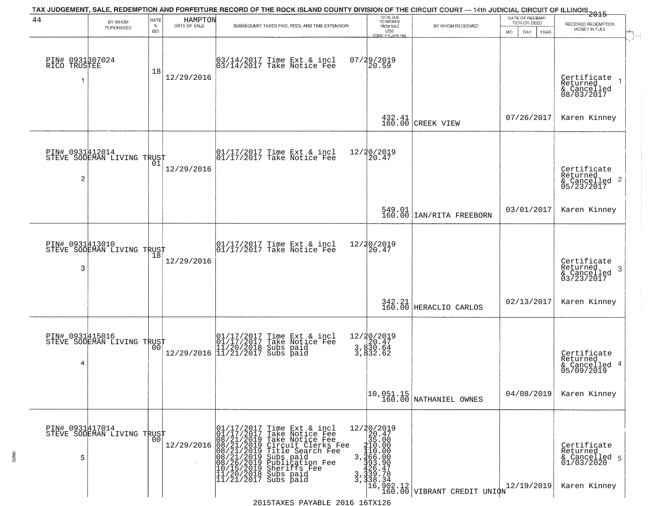|                                   |                                                   |                            |                         | TAX JUDGEMENT, SALE, REDEMPTION AND FORFEITURE RECORD OF THE ROCK ISLAND COUNTY DIVISION OF THE CIRCUIT COURT — 14th JUDICIAL CIRCUIT OF ILLINOIS 2015                                                                                                                                                                                                                        |                                                                                                     |                                                                           |                                                        |                                                                        |
|-----------------------------------|---------------------------------------------------|----------------------------|-------------------------|-------------------------------------------------------------------------------------------------------------------------------------------------------------------------------------------------------------------------------------------------------------------------------------------------------------------------------------------------------------------------------|-----------------------------------------------------------------------------------------------------|---------------------------------------------------------------------------|--------------------------------------------------------|------------------------------------------------------------------------|
| 44                                | BY WHOM<br>PURCHASED                              | RATE<br>$\%$<br><b>BID</b> | HAMPTON<br>DATE OF SALE | SUBSEQUENT TAXES PAID, FEES, AND TIME EXTENSION                                                                                                                                                                                                                                                                                                                               | TOTAL DUE<br>TO REDEEM<br>FROM SALE<br>LESS<br>COUNTY CLERK FFF                                     | BY WHOM REDEEMED                                                          | DATE OF REDEMP-<br>TION OR DEED<br>MO.<br>DAY.<br>YEAR | RECEIVED REDEMPTION<br>MONEY IN FULL                                   |
| PIN# 0931307024<br>RICO TRUSTEE   |                                                   | 18                         | 12/29/2016              | 03/14/2017 Time Ext & incl<br>03/14/2017 Take Notice Fee                                                                                                                                                                                                                                                                                                                      | 07/29/2019<br>20.59                                                                                 |                                                                           |                                                        | i film<br>Certificate<br>Returned<br>& Cancelled<br>08/03/2017         |
|                                   |                                                   |                            |                         |                                                                                                                                                                                                                                                                                                                                                                               |                                                                                                     | 432.41 CREEK VIEW                                                         | 07/26/2017                                             | Karen Kinney                                                           |
| PIN# 0931412014<br>$\overline{2}$ | STEVE SODEMAN LIVING TRUST                        | 01                         | 12/29/2016              | $\begin{array}{cc}  01/17/2017 \text{ Time Ext} & \text{incl} \\  01/17/2017 \text{ Take Notice Fe} \end{array}$                                                                                                                                                                                                                                                              | 12/20/2019<br>20.47                                                                                 |                                                                           |                                                        | Certificate<br>Returned<br>$\frac{1}{6}$ Cancelled 2<br>05/23/2017     |
|                                   |                                                   |                            |                         |                                                                                                                                                                                                                                                                                                                                                                               |                                                                                                     | $\begin{array}{c c} 549.01 \\ 160.00 \end{array}$ IAN/RITA FREEBORN       | 03/01/2017                                             | Karen Kinney                                                           |
| PIN# 0931413010<br>3              | STEVE SODEMAN LIVING TRUST                        | 18                         | 12/29/2016              | $\begin{bmatrix} 01/17/2017 \\ 01/17/2017 \\ 01 \end{bmatrix}$ Take Notice Fee                                                                                                                                                                                                                                                                                                | 12/20/2019<br>20.47                                                                                 |                                                                           |                                                        | Certificate<br>Returned<br>3<br>& Cancelled<br>03/23/2017              |
|                                   |                                                   |                            |                         |                                                                                                                                                                                                                                                                                                                                                                               |                                                                                                     | 342.21<br>160.00 HERACLIO CARLOS                                          | 02/13/2017                                             | Karen Kinney                                                           |
| 4                                 | PIN# 0931415016    <br>STEVE SODEMAN LIVING TRUST | 0Ō                         |                         | 01/17/2017 Time Ext & incl<br>01/17/2017 Take Notice Fee<br>11/20/2018 Subs paid<br>12/29/2016 11/21/2017 Subs paid                                                                                                                                                                                                                                                           | 12/20/2019<br>3,830.47<br>3,830.64<br>$3,830.64$<br>3,832.62                                        |                                                                           |                                                        | Certificate<br>Returned<br>& Cancelled 4<br>05/09/2019                 |
|                                   |                                                   |                            |                         |                                                                                                                                                                                                                                                                                                                                                                               |                                                                                                     | $\begin{bmatrix} 10,051.15 \\ 160.00 \end{bmatrix}$ NATHANIEL OWNES       | 04/08/2019                                             | Karen Kinney                                                           |
| PIN# 0931417014<br>5              | STEVE SODEMAN LIVING TRUST                        | 0 <sub>0</sub>             | 12/29/2016              | 01/17/2017<br>08/21/2019<br>08/21/2019<br>08/21/2019<br>08/21/2019<br>08/26/2019<br>10/15/2019<br>10/15/2019<br>11/20/2019<br>Time Ext & incl<br>Take Notice Fee<br>Take Notice Fee<br>Circuit Clerks Fee<br>Title Search Fee<br>subs paid<br>Publication Fee<br>3<br>Sheriffs Fee<br>Subs paid<br>3<br>$\bar{3}$<br>$ \overline{11}/\overline{21}/\overline{2017}$ Subs paid | $\begin{array}{r} 12/20/2019 \\ 20.47 \\ 35.00 \end{array}$<br>410.00<br>110.00<br>366.00<br>393.90 | 426:47<br>139.78<br>138.34<br>16,902.12<br>16,000.00 VIBRANT CREDIT UNION | 12/19/2019                                             | Certificate<br>Returned<br>& Cancelled 5<br>01/03/2020<br>Karen Kinney |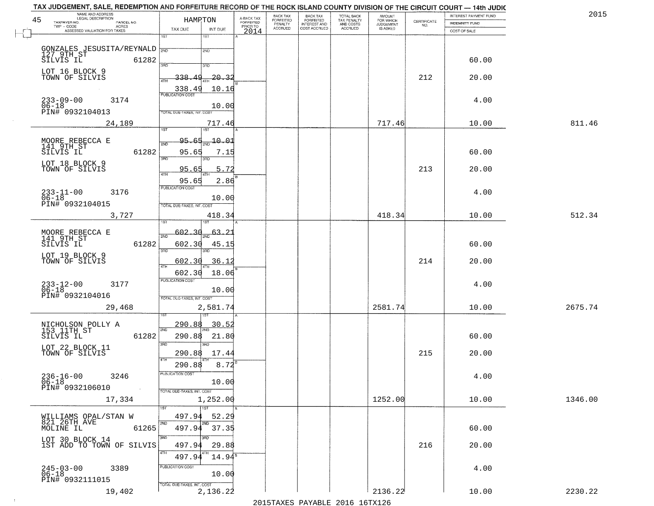| 45 | NAME AND ADDRESS<br>LEGAL DESCRIPTION<br>TAXPAYER NO.<br>PARCEL NO. | HAMPTON                           |                  | A-BACK TAX<br>FORFEITED | BACK TAX<br>FORFEITED | <b>BACK TAX</b><br><b>FORFEITED</b> | TOTAL BACK<br>TAX PENALTY<br>AND COSTS<br>ACCRUED | <b>AMOUNT</b>                      |                                                                 | INTEREST PAYMENT FUND                 | 2015    |
|----|---------------------------------------------------------------------|-----------------------------------|------------------|-------------------------|-----------------------|-------------------------------------|---------------------------------------------------|------------------------------------|-----------------------------------------------------------------|---------------------------------------|---------|
|    | TWP - CODE<br>ACRES<br>ASSESSED VALUATION FOR TAXES                 | TAX DUE                           | INT DUE          | PRIOR TO                | PENALTY<br>ACCRUED    | INTEREST AND<br>COST ACCRUED        |                                                   | FOR WHICH<br>JUDGEMENT<br>IS ASKED | $\begin{array}{c} \text{CERTIFICATE} \\ \text{NO.} \end{array}$ | <b>INDEMNITY FUND</b><br>COST OF SALE |         |
|    |                                                                     | 1ST                               | 1ST              | 2014                    |                       |                                     |                                                   |                                    |                                                                 |                                       |         |
|    |                                                                     |                                   | 2ND              |                         |                       |                                     |                                                   |                                    |                                                                 |                                       |         |
|    | GONZALES JESUSITA/REYNALD 300<br>127 9TH ST<br>SILVIS IL 61282      | 390                               | 3RD              |                         |                       |                                     |                                                   |                                    |                                                                 | 60.00                                 |         |
|    | LOT 16 BLOCK 9                                                      | <u>49</u>                         |                  |                         |                       |                                     |                                                   |                                    |                                                                 |                                       |         |
|    | TOWN OF SILVIS                                                      | 338.<br><b>ATH</b>                | $-20 - 3$        |                         |                       |                                     |                                                   |                                    | 212                                                             | 20.00                                 |         |
|    | $233 - 09 - 00$<br>3174                                             | 338.49<br><b>PUBLICATION COST</b> | 10.16            |                         |                       |                                     |                                                   |                                    |                                                                 | 4.00                                  |         |
|    | $06 - 18$<br>PIN# 0932104013                                        | TOTAL DUE-TAXES, INT. COST        | 10.00            |                         |                       |                                     |                                                   |                                    |                                                                 |                                       |         |
|    | 24,189                                                              |                                   | 717.46           |                         |                       |                                     |                                                   | 717.46                             |                                                                 | 10.00                                 | 811.46  |
|    |                                                                     | 1ST                               | 1ST <sup>-</sup> |                         |                       |                                     |                                                   |                                    |                                                                 |                                       |         |
|    | MOORE REBECCA E<br>141 9TH ST                                       | 95.65<br>2NL                      | $-10.01$         |                         |                       |                                     |                                                   |                                    |                                                                 |                                       |         |
|    | SILVIS IL<br>61282                                                  | 95.65<br>3RD                      | 7.15<br>3RD      |                         |                       |                                     |                                                   |                                    |                                                                 | 60.00                                 |         |
|    | LOT 18 BLOCK 9<br>TOWN OF SILVIS                                    | 95.65                             | 5.72             |                         |                       |                                     |                                                   |                                    | 213                                                             | 20.00                                 |         |
|    |                                                                     | 47H<br>95.65                      | 2.86             |                         |                       |                                     |                                                   |                                    |                                                                 |                                       |         |
|    | 3176                                                                | <b>PUBLICATION COST</b>           |                  |                         |                       |                                     |                                                   |                                    |                                                                 | 4.00                                  |         |
|    | $233 - 11 - 00$<br>$06 - 18$<br>PIN# 0932104015                     | TOTAL DUE-TAXES, INT. COST        | 10.00            |                         |                       |                                     |                                                   |                                    |                                                                 |                                       |         |
|    | 3,727                                                               |                                   | 418.34           |                         |                       |                                     |                                                   | 418.34                             |                                                                 | 10.00                                 | 512.34  |
|    |                                                                     |                                   |                  |                         |                       |                                     |                                                   |                                    |                                                                 |                                       |         |
|    | MOORE REBECCA E<br>141 9TH ST                                       | 602.30<br>2ND                     | 63               |                         |                       |                                     |                                                   |                                    |                                                                 |                                       |         |
|    | 61282<br>SILVIS IL                                                  | 602.30<br>3RD                     | 45.1<br>3RD      |                         |                       |                                     |                                                   |                                    |                                                                 | 60.00                                 |         |
|    | LOT 19 BLOCK 9<br>TOWN OF SILVIS                                    | 602.30                            | 36.12            |                         |                       |                                     |                                                   |                                    | 214                                                             | 20.00                                 |         |
|    |                                                                     | 4TH<br>602.30                     | 18.06            |                         |                       |                                     |                                                   |                                    |                                                                 |                                       |         |
|    | $233 - 12 - 00$<br>06-18<br>3177                                    | <b>PUBLICATION COST</b>           |                  |                         |                       |                                     |                                                   |                                    |                                                                 | 4.00                                  |         |
|    | PIN# 0932104016                                                     | TOTAL OUE-TAXES, INT. COST        | 10.00            |                         |                       |                                     |                                                   |                                    |                                                                 |                                       |         |
|    | 29,468                                                              |                                   | 2,581.74         |                         |                       |                                     |                                                   | 2581.74                            |                                                                 | 10.00                                 | 2675.74 |
|    |                                                                     |                                   |                  |                         |                       |                                     |                                                   |                                    |                                                                 |                                       |         |
|    | NICHOLSON POLLY A<br>153 11TH ST                                    | 290.88<br>2ND                     | 30.52            |                         |                       |                                     |                                                   |                                    |                                                                 |                                       |         |
|    | 61282<br>SILVIS IL                                                  | 290.88<br>3RD                     | 21.80<br>3RD     |                         |                       |                                     |                                                   |                                    |                                                                 | 60.00                                 |         |
|    | LOT 22 BLOCK 11<br>TOWN OF SILVIS                                   | 290.88<br>4TH                     | 17.44            |                         |                       |                                     |                                                   |                                    | 215                                                             | 20.00                                 |         |
|    |                                                                     | 290.88                            | 8.72             |                         |                       |                                     |                                                   |                                    |                                                                 |                                       |         |
|    | $236 - 16 - 00$<br>06-18<br>3246                                    | PUBLICATION COST                  | 10.00            |                         |                       |                                     |                                                   |                                    |                                                                 | 4.00                                  |         |
|    | PIN# 0932106010<br>$\sim 100$ km                                    | TOTAL DUE-TAXES, INT. COST        |                  |                         |                       |                                     |                                                   |                                    |                                                                 |                                       |         |
|    | 17,334                                                              |                                   | 1,252.00         |                         |                       |                                     |                                                   | 1252.00                            |                                                                 | 10.00                                 | 1346.00 |
|    |                                                                     | 1ST<br>497.94                     | 1ST<br>52.29     |                         |                       |                                     |                                                   |                                    |                                                                 |                                       |         |
|    | WILLIAMS OPAL/STAN W<br>821 26TH AVE<br>MOLINE IL<br>61265          | 2ND<br>497.94                     | 2ND<br>37.35     |                         |                       |                                     |                                                   |                                    |                                                                 | 60.00                                 |         |
|    | LOT 30 BLOCK 14                                                     | 3RD                               | 3RD.             |                         |                       |                                     |                                                   |                                    |                                                                 |                                       |         |
|    | 1ST ADD TO TOWN OF SILVIS                                           | 497.94<br>4TH                     | 29.88            |                         |                       |                                     |                                                   |                                    | 216                                                             | 20.00                                 |         |
|    |                                                                     | 497.94                            | $14.94^s$        |                         |                       |                                     |                                                   |                                    |                                                                 |                                       |         |
|    | $245 - 03 - 00$<br>06-18<br>3389                                    | PUBLICATION COST                  | 10.00            |                         |                       |                                     |                                                   |                                    |                                                                 | 4.00                                  |         |
|    | PIN# 0932111015                                                     | TOTAL DUE-TAXES, INT. COST        |                  |                         |                       |                                     |                                                   |                                    |                                                                 |                                       |         |
|    | 19,402                                                              |                                   | 2,136.22         |                         |                       |                                     |                                                   | 2136.22                            |                                                                 | 10.00                                 | 2230.22 |

 $\sim 100$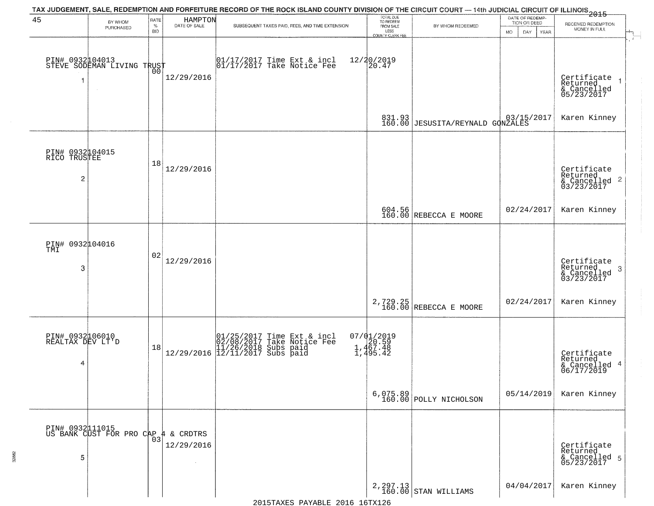| 45                                                | BY WHOM                                       | RATE               | HAMPTON<br>DATE OF SALE      | TAX JUDGEMENT, SALE, REDEMPTION AND FORFEITURE RECORD OF THE ROCK ISLAND COUNTY DIVISION OF THE CIRCUIT COURT — 14th JUDICIAL CIRCUIT OF ILLINOIS 2015                                                                              | TOTAL DUE<br>TO REDEEM<br>FROM SALE         |                                                      | DATE OF REDEMP-<br>TION OR DEED |                                                                        |
|---------------------------------------------------|-----------------------------------------------|--------------------|------------------------------|-------------------------------------------------------------------------------------------------------------------------------------------------------------------------------------------------------------------------------------|---------------------------------------------|------------------------------------------------------|---------------------------------|------------------------------------------------------------------------|
|                                                   | PURCHASED                                     | $\%$<br><b>BID</b> |                              | SUBSEQUENT TAXES PAID, FEES, AND TIME EXTENSION                                                                                                                                                                                     | LESS                                        | BY WHOM REDEEMED                                     | <b>MO</b><br>DAY<br>YEAR        | RECEIVED REDEMPTION<br>MONEY IN FULL                                   |
| 1                                                 | PIN# 0932104013<br>STEVE SODEMAN LIVING TRUST | 0Ō                 | 12/29/2016                   | 01/17/2017 Time Ext & incl<br>01/17/2017 Take Notice Fee                                                                                                                                                                            | COUNTY CLERK FEE<br>12/20/2019<br>20.47     |                                                      |                                 | Certificate<br>Returned<br>$\rightarrow$                               |
|                                                   |                                               |                    |                              |                                                                                                                                                                                                                                     |                                             | 831.93 3/15/2017<br>160.00 JESUSITA/REYNALD GONZALES |                                 | & Cancelled<br>05/23/2017<br>Karen Kinney                              |
| PIN# 0932104015<br>RICO TRUSTEE<br>$\overline{c}$ |                                               | 18                 | 12/29/2016                   |                                                                                                                                                                                                                                     |                                             |                                                      |                                 | Certificate<br>Returned<br>& Cancelled<br>03/23/2017<br>$\overline{2}$ |
|                                                   |                                               |                    |                              |                                                                                                                                                                                                                                     |                                             | 604.56<br>160.00 REBECCA E MOORE                     | 02/24/2017                      | Karen Kinney                                                           |
| PIN# 0932104016<br>TMI<br>3                       |                                               | 02                 | 12/29/2016                   |                                                                                                                                                                                                                                     |                                             |                                                      |                                 | Certificate<br>Returned<br>3<br>& Cancelled<br>03/23/2017              |
|                                                   |                                               |                    |                              |                                                                                                                                                                                                                                     |                                             | 2,729.25<br>160.00 REBECCA E MOORE                   | 02/24/2017                      | Karen Kinney                                                           |
| PIN# 0932106010<br>REALTAX DEV LT'D<br>4          |                                               | 18                 |                              | $\begin{array}{ c c c c c c c c } \hline &01/25/2017 &\text{Time Ext & incl} \\ \hline &02/08/2017 &\text{Take Notice Free} \\ &11/26/2018 &\text{Subs paid} \\ \hline &12/29/2016 &\text{12/11/2017 Subs paid} \hline \end{array}$ | 07/01/2019<br>20.59<br>1,467.48<br>1,495.42 |                                                      |                                 | Certificate<br>Returned<br>4<br>& Cancelled<br>06/17/2019              |
|                                                   |                                               |                    |                              |                                                                                                                                                                                                                                     | 6,075.89<br>160.00                          | POLLY NICHOLSON                                      | 05/14/2019                      | Karen Kinney                                                           |
| 5                                                 | PIN# 0932111015<br>US BANK CUST FOR PRO CAP   | 03                 | & CRDTRS<br>44<br>12/29/2016 |                                                                                                                                                                                                                                     |                                             |                                                      |                                 | Certificate<br>Returned<br>& Cancelled 5<br>05/23/2017                 |
|                                                   |                                               |                    |                              |                                                                                                                                                                                                                                     |                                             | $2,297.13$ STAN WILLIAMS                             | 04/04/2017                      | Karen Kinney                                                           |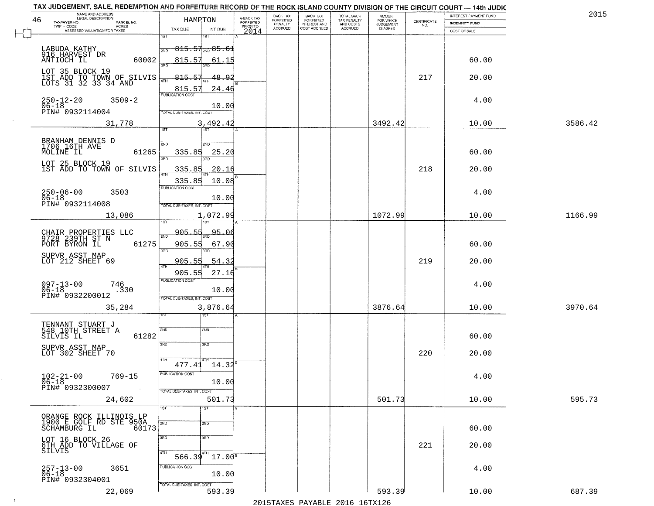| 46 | NAME AND ADDRESS<br>LEGAL DESCRIPTION                   | HAMRTON                                      | A-BACK TAX                   | BACK TAX<br><b>FORFEITED</b> | <b>BACK TAX</b><br><b>FORFEITED</b> | TOTAL BACK<br>TAX PENALTY | <b>AMOUNT</b>                      | CERTIFICATE | INTEREST PAYMENT FUND | 2015    |
|----|---------------------------------------------------------|----------------------------------------------|------------------------------|------------------------------|-------------------------------------|---------------------------|------------------------------------|-------------|-----------------------|---------|
|    | TAXPAYER NO.<br>PARCEL NO.<br>TWP - CODE<br>ACRES       | TAX DUE<br>INT DUE                           | <b>FORFEITED</b><br>PRIOR TO | PENALTY<br>ACCRUED           | INTEREST AND<br>COST ACCRUED        | AND COSTS<br>ACCRUED      | FOR WHICH<br>JUDGEMENT<br>IS ASKED | NO.         | <b>INDEMNITY FUND</b> |         |
|    | ASSESSED VALUATION FOR TAXES                            | 1ST<br>1ST                                   | 2014                         |                              |                                     |                           |                                    |             | COST OF SALE          |         |
|    | LABUDA KATHY                                            | <del>815.51<sub>2ND</sub>85.6</del> 1<br>2ND |                              |                              |                                     |                           |                                    |             |                       |         |
|    | 916 HARVEST DR<br>ANTIOCH IL<br>60002                   | 815.57<br>61.15                              |                              |                              |                                     |                           |                                    |             | 60.00                 |         |
|    | LOT 35 BLOCK 19                                         | 3AD                                          |                              |                              |                                     |                           |                                    |             |                       |         |
|    | 1ST ADD TO TOWN OF SILVIS<br>LOTS 31 32 33 34 AND       | $-815.57$<br>48.92<br>4TH                    |                              |                              |                                     |                           |                                    | 217         | 20.00                 |         |
|    |                                                         | 815.57<br>24.46<br><b>PUBLICATION COST</b>   |                              |                              |                                     |                           |                                    |             |                       |         |
|    | $250 - 12 - 20$<br>$3509 - 2$<br>$06 - 18$              | 10.00                                        |                              |                              |                                     |                           |                                    |             | 4.00                  |         |
|    | PIN# 0932114004                                         | TOTAL DUE-TAXES, INT. COST                   |                              |                              |                                     |                           |                                    |             |                       |         |
|    | 31,778                                                  | 3,492.42<br>$\overline{\text{tsr}}$<br>1ST   |                              |                              |                                     |                           | 3492.42                            |             | 10.00                 | 3586.42 |
|    |                                                         |                                              |                              |                              |                                     |                           |                                    |             |                       |         |
|    | BRANHAM DENNIS D<br>1706 16TH AVE<br>MOLINE IL<br>61265 | 2ND<br>2ND                                   |                              |                              |                                     |                           |                                    |             | 60.00                 |         |
|    |                                                         | 335.85<br>25.20<br>3RD<br>3RD                |                              |                              |                                     |                           |                                    |             |                       |         |
|    | LOT 25 BLOCK 19<br>1ST ADD TO TOWN OF SILVIS            | 335.85<br>20.16<br>47H                       |                              |                              |                                     |                           |                                    | 218         | 20.00                 |         |
|    |                                                         | 335.85<br>10.08                              |                              |                              |                                     |                           |                                    |             |                       |         |
|    | $250 - 06 - 00$<br>$06 - 18$<br>3503                    | PUBLICATION COST                             |                              |                              |                                     |                           |                                    |             | 4.00                  |         |
|    | PIN# 0932114008                                         | 10.00<br>TOTAL DUE-TAXES, INT. COST          |                              |                              |                                     |                           |                                    |             |                       |         |
|    | 13,086                                                  | 1,072.99                                     |                              |                              |                                     |                           | 1072.99                            |             | 10.00                 | 1166.99 |
|    |                                                         |                                              |                              |                              |                                     |                           |                                    |             |                       |         |
|    | CHAIR PROPERTIES LLC<br>9728 239TH ST N                 | 905.55<br>95.06<br>2ND                       |                              |                              |                                     |                           |                                    |             |                       |         |
|    | 61275<br>PORT BYRON IL                                  | 905.55<br>67.90<br>3RD                       |                              |                              |                                     |                           |                                    |             | 60.00                 |         |
|    | SUPVR ASST MAP<br>LOT 212 SHEET 69                      | 905.55<br>54.32<br>4TH                       |                              |                              |                                     |                           |                                    | 219         | 20.00                 |         |
|    |                                                         | 905.55<br>27.16                              |                              |                              |                                     |                           |                                    |             |                       |         |
|    | $097 - 13 - 00$<br>06-18<br>746                         | <b>PUBLICATION COST</b>                      |                              |                              |                                     |                           |                                    |             | 4.00                  |         |
|    | .330<br>PIN# 0932200012                                 | 10.00<br>TOTAL OUE-TAXES, INT. COST          |                              |                              |                                     |                           |                                    |             |                       |         |
|    | 35,284                                                  | 3,876.64                                     |                              |                              |                                     |                           | 3876.64                            |             | 10.00                 | 3970.64 |
|    |                                                         | বরস                                          |                              |                              |                                     |                           |                                    |             |                       |         |
|    | TENNANT STUART J<br>548 10TH STREET A<br>61282          | 2ND<br>2ND                                   |                              |                              |                                     |                           |                                    |             | 60.00                 |         |
|    | SILVIS IL                                               | 3RD<br>3RD                                   |                              |                              |                                     |                           |                                    |             |                       |         |
|    | SUPVR ASST MAP<br>LOT 302 SHEET 70                      |                                              |                              |                              |                                     |                           |                                    | 220         | 20.00                 |         |
|    |                                                         | 4TH<br>$477.41$ $14.32^8$                    |                              |                              |                                     |                           |                                    |             |                       |         |
|    | $102 - 21 - 00$<br>$769 - 15$                           | PUBLICATION COST                             |                              |                              |                                     |                           |                                    |             | 4.00                  |         |
|    | $06 - 18$<br>PIN# 0932300007<br>$\sim 100$ km $^{-1}$   | 10.00<br>TOTAL DUE-TAXES, INT. COST          |                              |                              |                                     |                           |                                    |             |                       |         |
|    | 24,602                                                  | 501.73                                       |                              |                              |                                     |                           | 501.73                             |             | 10.00                 | 595.73  |
|    |                                                         | 1ST<br>1ST                                   |                              |                              |                                     |                           |                                    |             |                       |         |
|    | ORANGE ROCK ILLINOIS LP<br>1900 E GOLF RD STE 950A      | 2ND<br>2ND                                   |                              |                              |                                     |                           |                                    |             |                       |         |
|    | SCHAMBURG IL<br>60173                                   | 3BD<br>3 <sub>RD</sub>                       |                              |                              |                                     |                           |                                    |             | 60.00                 |         |
|    | LOT 16 BLOCK 26<br>6TH ADD TO VILLAGE OF                |                                              |                              |                              |                                     |                           |                                    | 221         | 20.00                 |         |
|    | SILVIS                                                  | 4TH<br>[4TH]<br>$17.00^8$<br>566.39          |                              |                              |                                     |                           |                                    |             |                       |         |
|    | 3651<br>257-13-00<br>06-18                              | PUBLICATION COST                             |                              |                              |                                     |                           |                                    |             | 4.00                  |         |
|    | PIN# 0932304001                                         | 10.00                                        |                              |                              |                                     |                           |                                    |             |                       |         |
|    | 22,069                                                  | TOTAL DUE-TAXES, INT. COST<br>593.39         |                              |                              |                                     |                           | 593.39                             |             | 10.00                 | 687.39  |

 $\sim 100$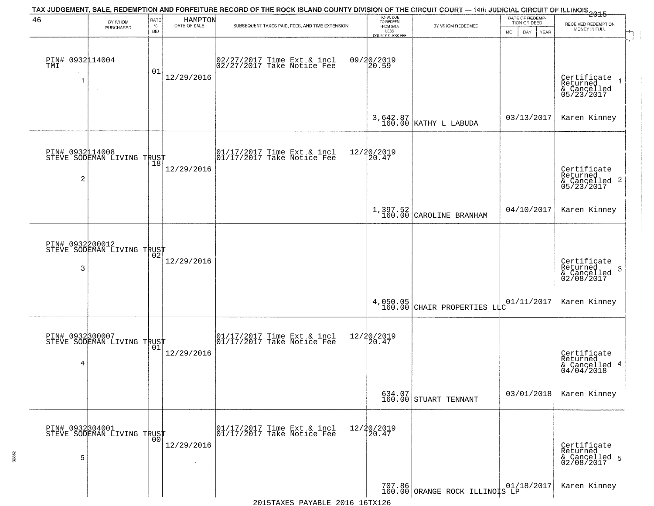| 46                          | BY WHOM<br>PURCHASED                              | RATE<br>$\%$<br><b>BID</b> | HAMPTON<br>DATE OF SALE | TAX JUDGEMENT, SALE, REDEMPTION AND FORFEITURE RECORD OF THE ROCK ISLAND COUNTY DIVISION OF THE CIRCUIT COURT — 14th JUDICIAL CIRCUIT OF ILLINOIS 2015<br>SUBSEQUENT TAXES PAID, FEES, AND TIME EXTENSION | TOTAL DUE<br>TO REDEEM<br>FROM SALE<br>LESS<br>COUNTY CLERK FEE | BY WHOM REDEEMED                        | DATE OF REDEMP-<br>TION OR DEED<br>MO.<br>DAY.<br>YEAR | RECEIVED REDEMPTION<br>MONEY IN FULL                      |
|-----------------------------|---------------------------------------------------|----------------------------|-------------------------|-----------------------------------------------------------------------------------------------------------------------------------------------------------------------------------------------------------|-----------------------------------------------------------------|-----------------------------------------|--------------------------------------------------------|-----------------------------------------------------------|
| PIN# 0932114004<br>TMI<br>1 | $\sim$ 4 $^\circ$                                 | 01                         | 12/29/2016              | 02/27/2017 Time Ext & incl<br>02/27/2017 Take Notice Fee                                                                                                                                                  | 09/20/2019<br>20.59                                             |                                         |                                                        | Certificate<br>Returned<br>& Cancelled<br>05/23/2017      |
|                             |                                                   |                            |                         |                                                                                                                                                                                                           |                                                                 | $3,642.87 \big  {\rm KATHY\ L\ LABUDA}$ | 03/13/2017                                             | Karen Kinney                                              |
| $\overline{c}$              | PIN# 0932114008<br>STEVE SODEMAN LIVING TRUST     |                            | 12/29/2016              | 01/17/2017 Time Ext & incl<br>01/17/2017 Take Notice Fee                                                                                                                                                  | 12/20/2019<br>20.47                                             |                                         |                                                        | Certificate<br>Returned<br>& Cancelled 2<br>05/23/2017    |
|                             |                                                   |                            |                         |                                                                                                                                                                                                           |                                                                 | $1,397.52$<br>160.00 CAROLINE BRANHAM   | 04/10/2017                                             | Karen Kinney                                              |
| 3                           | PIN# 0932200012<br>STEVE SODEMAN LIVING TRUST     |                            | 12/29/2016              |                                                                                                                                                                                                           |                                                                 |                                         |                                                        | Certificate<br>Returned<br>3<br>& Cancelled<br>02/08/2017 |
|                             |                                                   |                            |                         |                                                                                                                                                                                                           |                                                                 | $4,050.05$ CHAIR PROPERTIES LIC         | 01/11/2017                                             | Karen Kinney                                              |
| PIN# 0932300007<br>4        | STEVE SODEMAN LIVING TRUST                        |                            | 12/29/2016              | 01/17/2017 Time Ext & incl<br>01/17/2017 Take Notice Fee                                                                                                                                                  | 12/20/2019<br>20.47                                             |                                         |                                                        | Certificate<br>Returned<br>& Cancelled 4<br>04/04/2018    |
|                             |                                                   |                            |                         |                                                                                                                                                                                                           |                                                                 | 634.07<br>160.00 STUART TENNANT         | 03/01/2018                                             | Karen Kinney                                              |
| 5                           | PIN# 0932304001    <br>STEVE SODEMAN LIVING TRUST | 00                         | 12/29/2016              | 01/17/2017 Time Ext & incl<br>01/17/2017 Take Notice Fee                                                                                                                                                  | 12/20/2019<br>20.47                                             |                                         |                                                        | Certificate<br>Returned<br>& Cancelled 5<br>02/08/2017    |
|                             |                                                   |                            |                         |                                                                                                                                                                                                           |                                                                 | 707.86 ORANGE ROCK ILLINO S LP          | 01/18/2017                                             | Karen Kinney                                              |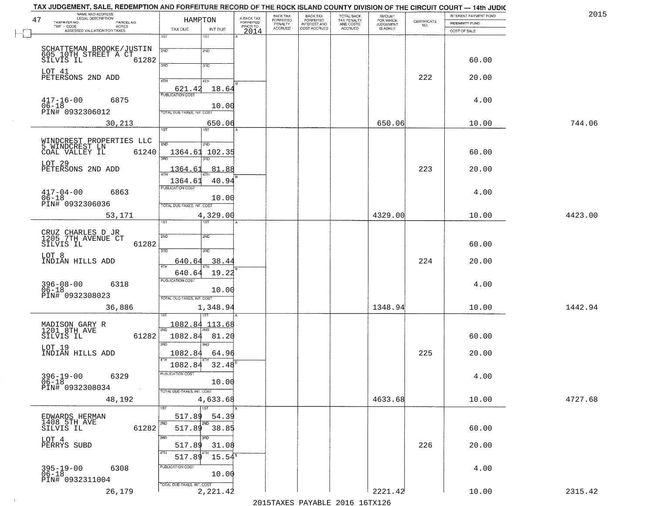| NAME AND ADDRESS<br>LEGAL DESCRIPTION<br>47                  | HAMPTON                             |                                     | BACK TAX<br>FORFEITED     | <b>BACK TAX</b>                           | TOTAL BACK<br>TAX PENALTY<br>AND COSTS | AMOUNT<br>FOR WHICH<br>JUDGEMENT |                                                                 | INTEREST PAYMENT FUND | 2015    |
|--------------------------------------------------------------|-------------------------------------|-------------------------------------|---------------------------|-------------------------------------------|----------------------------------------|----------------------------------|-----------------------------------------------------------------|-----------------------|---------|
| TAXPAYER NO.<br>PARCEL NO.<br>ACRES                          |                                     | A-BACK TAX<br>FORFEITED<br>PRIOR TO | PENALTY<br><b>ACCRUED</b> | FORFEITED<br>INTEREST AND<br>COST ACCRUED | ACCRUED                                | IS ASKED                         | $\begin{array}{c} \text{CERTIFICATE} \\ \text{NO.} \end{array}$ | <b>INDEMNITY FUND</b> |         |
| ASSESSED VALUATION FOR TAXES                                 | TAX DUE<br>INT DUE<br>1ST<br>$1S$ T | 2014                                |                           |                                           |                                        |                                  |                                                                 | COST OF SALE          |         |
|                                                              |                                     |                                     |                           |                                           |                                        |                                  |                                                                 |                       |         |
| SCHATTEMAN BROOKE/JUSTIN<br>605 10TH STREET A CT             | 2ND<br>2ND                          |                                     |                           |                                           |                                        |                                  |                                                                 |                       |         |
| 61282<br>SILVIS IL                                           | 3RD<br>3RD                          |                                     |                           |                                           |                                        |                                  |                                                                 | 60.00                 |         |
| LOT 41<br>PETERSONS 2ND ADD                                  |                                     |                                     |                           |                                           |                                        |                                  | 222                                                             | 20.00                 |         |
|                                                              | 4TH<br>4TH<br>18.64                 |                                     |                           |                                           |                                        |                                  |                                                                 |                       |         |
|                                                              | 621.42                              |                                     |                           |                                           |                                        |                                  |                                                                 |                       |         |
| $417 - 16 - 00$<br>06-18<br>6875                             | 10.00                               |                                     |                           |                                           |                                        |                                  |                                                                 | 4.00                  |         |
| PIN# 0932306012                                              | TOTAL DUE-TAXES, INT. COST          |                                     |                           |                                           |                                        |                                  |                                                                 |                       |         |
| 30,213                                                       | 650.06<br>1ST                       |                                     |                           |                                           |                                        | 650.06                           |                                                                 | 10.00                 | 744.06  |
|                                                              |                                     |                                     |                           |                                           |                                        |                                  |                                                                 |                       |         |
| WINDCREST PROPERTIES LLC<br>5 WINDCREST LN<br>COAL VALLEY IL | 2ND<br>2ND                          |                                     |                           |                                           |                                        |                                  |                                                                 |                       |         |
| 61240                                                        | 1364.61<br>102.35<br>3RD            |                                     |                           |                                           |                                        |                                  |                                                                 | 60.00                 |         |
| LOT 29<br>PETERSONS 2ND ADD                                  | 1364.61<br>81.88                    |                                     |                           |                                           |                                        |                                  | 223                                                             | 20.00                 |         |
|                                                              | 40.94<br>1364.61                    |                                     |                           |                                           |                                        |                                  |                                                                 |                       |         |
|                                                              | PUBLICATION COST                    |                                     |                           |                                           |                                        |                                  |                                                                 |                       |         |
| $417 - 04 - 00$<br>6863<br>$06 - 18$                         | 10.00                               |                                     |                           |                                           |                                        |                                  |                                                                 | 4.00                  |         |
| PIN# 0932306036                                              | TOTAL DUE-TAXES, INT. COST          |                                     |                           |                                           |                                        |                                  |                                                                 |                       |         |
| 53,171                                                       | 4,329.00<br>TST<br>1ST              |                                     |                           |                                           |                                        | 4329.00                          |                                                                 | 10.00                 | 4423.00 |
|                                                              |                                     |                                     |                           |                                           |                                        |                                  |                                                                 |                       |         |
| CRUZ CHARLES D JR<br>1205 7TH AVENUE CT                      | 2ND<br>2ND                          |                                     |                           |                                           |                                        |                                  |                                                                 |                       |         |
| 61282<br>SILVIS IL                                           | 3RD<br>3RD                          |                                     |                           |                                           |                                        |                                  |                                                                 | 60.00                 |         |
| LOT 8<br>INDIAN HILLS ADD                                    | 640.64<br>38.4                      |                                     |                           |                                           |                                        |                                  | 224                                                             | 20.00                 |         |
|                                                              | ATH<br>19.22<br>640.64              |                                     |                           |                                           |                                        |                                  |                                                                 |                       |         |
| 6318                                                         | <b>PUBLICATION COST</b>             |                                     |                           |                                           |                                        |                                  |                                                                 | 4.00                  |         |
| $396 - 08 - 00$<br>06-18                                     | 10.00                               |                                     |                           |                                           |                                        |                                  |                                                                 |                       |         |
| PIN# 0932308023                                              | TOTAL OUE-TAXES, INT. COST          |                                     |                           |                                           |                                        |                                  |                                                                 |                       |         |
| 36,886                                                       | 1,348.94                            |                                     |                           |                                           |                                        | 1348.94                          |                                                                 | 10.00                 | 1442.94 |
|                                                              | 1082.84<br>113.68                   |                                     |                           |                                           |                                        |                                  |                                                                 |                       |         |
| MADISON GARY R<br>1201 8TH AVE<br>SILVIS IL<br>61282         | 2ND<br>1082.84<br>81.20             |                                     |                           |                                           |                                        |                                  |                                                                 | 60.00                 |         |
|                                                              | 3RD<br><b>IRD</b>                   |                                     |                           |                                           |                                        |                                  |                                                                 |                       |         |
| LOT 19<br>INDIAN HILLS ADD                                   | 1082.84<br>64.96                    |                                     |                           |                                           |                                        |                                  | 225                                                             | 20.00                 |         |
|                                                              | 1082.84<br>32.48                    |                                     |                           |                                           |                                        |                                  |                                                                 |                       |         |
| $396 - 19 - 00$<br>6329                                      | -usuca i un cus-                    |                                     |                           |                                           |                                        |                                  |                                                                 | 4.00                  |         |
| $06 - 18$<br>PIN# 0932308034                                 | 10.00                               |                                     |                           |                                           |                                        |                                  |                                                                 |                       |         |
| $\sim 100$                                                   | TOTAL DUE-TAXES, INT. COST          |                                     |                           |                                           |                                        |                                  |                                                                 |                       |         |
| 48,192                                                       | 4,633.68<br>1ST                     |                                     |                           |                                           |                                        | 4633.68                          |                                                                 | 10.00                 | 4727.68 |
| EDWARDS HERMAN                                               | 517.89<br>54.39                     |                                     |                           |                                           |                                        |                                  |                                                                 |                       |         |
| 1408 5TH AVE<br>SILVIS IL<br>61282                           | 2ND<br>2ND<br>517.89 38.85          |                                     |                           |                                           |                                        |                                  |                                                                 | 60.00                 |         |
|                                                              | 3RD<br>חתו?                         |                                     |                           |                                           |                                        |                                  |                                                                 |                       |         |
| LOT 4<br>PERRYS SUBD                                         | 517.89<br>31.08                     |                                     |                           |                                           |                                        |                                  | 226                                                             | 20.00                 |         |
|                                                              | 4TH<br>517.89<br>$15.54^s$          |                                     |                           |                                           |                                        |                                  |                                                                 |                       |         |
| 6308                                                         | PUBLICATION COST                    |                                     |                           |                                           |                                        |                                  |                                                                 | 4.00                  |         |
| 395-19-00<br>06-18<br>PIN# 0932311004                        | 10.00                               |                                     |                           |                                           |                                        |                                  |                                                                 |                       |         |
|                                                              | TOTAL DUE-TAXES, INT. COST          |                                     |                           |                                           |                                        | 2221.42                          |                                                                 |                       |         |
| 26,179                                                       | 2,221.42                            |                                     |                           |                                           |                                        |                                  |                                                                 | 10.00                 | 2315.42 |

 $\sim 10^{-1}$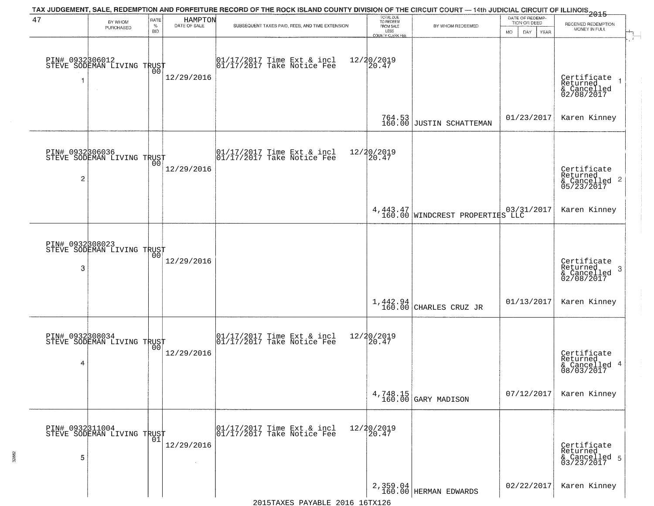| 47                   | BY WHOM                                           | RATE               | HAMPTON              | TAX JUDGEMENT, SALE, REDEMPTION AND FORFEITURE RECORD OF THE ROCK ISLAND COUNTY DIVISION OF THE CIRCUIT COURT — 14th JUDICIAL CIRCUIT OF ILLINOIS 2015 | TOTAL DUE<br>TO REDEEM                         |                                                      | DATE OF REDEMP-                     |                                                                    |
|----------------------|---------------------------------------------------|--------------------|----------------------|--------------------------------------------------------------------------------------------------------------------------------------------------------|------------------------------------------------|------------------------------------------------------|-------------------------------------|--------------------------------------------------------------------|
|                      | PURCHASED                                         | $\%$<br><b>BID</b> | DATE OF SALE         | SUBSEQUENT TAXES PAID, FEES, AND TIME EXTENSION                                                                                                        | FROM SALE<br>LESS                              | BY WHOM REDEEMED                                     | TION OR DEED<br>MO.<br>DAY.<br>YEAR | RECEIVED REDEMPTION<br>MONEY IN FULL                               |
| 1                    | PIN# 0932306012    <br>STEVE SODEMAN LIVING TRUST | 00                 | 12/29/2016           | $\begin{bmatrix} 01/17/2017 \\ 01/17/2017 \\ 01 \end{bmatrix}$ Take Notice Fee                                                                         | <b>COUNTY CLERK FEE</b><br>12/20/2019<br>20.47 |                                                      |                                     | Certificate<br>Returned<br>& Cancelled<br>02/08/2017               |
|                      |                                                   |                    |                      |                                                                                                                                                        |                                                | $764.53$<br>160.00 JUSTIN SCHATTEMAN                 | 01/23/2017                          | Karen Kinney                                                       |
| $\overline{c}$       | PIN# 0932306036<br>STEVE SODEMAN LIVING TRUST     |                    | 12/29/2016           | 01/17/2017 Time Ext & incl<br>01/17/2017 Take Notice Fee                                                                                               | 12/20/2019<br>20.47                            |                                                      |                                     | Certificate<br>Returned<br>$\frac{1}{6}$ Cancelled 2<br>05/23/2017 |
|                      |                                                   |                    |                      |                                                                                                                                                        |                                                | 4,443.47   03/3<br>160.00   WINDCREST PROPERTIES LLC | 03/31/2017                          | Karen Kinney                                                       |
| 3                    | PIN# 0932308023<br>STEVE SODEMAN LIVING TRUST     | 00                 | 12/29/2016           |                                                                                                                                                        |                                                |                                                      |                                     | Certificate<br>Returned<br>3<br>& Cancelled<br>02/08/2017          |
|                      |                                                   |                    |                      |                                                                                                                                                        | $1,442.94$<br>$160.00$                         | CHARLES CRUZ JR                                      | 01/13/2017                          | Karen Kinney                                                       |
| PIN# 0932308034<br>4 | STEVE SODEMAN LIVING TRUST                        | 0 <sub>0</sub>     | 12/29/2016           | 01/17/2017 Time Ext & incl<br>01/17/2017 Take Notice Fee                                                                                               | 12/20/2019<br>120.47                           |                                                      |                                     | Certificate<br>Returned<br>& Cancelled 4<br>08/03/2017             |
|                      |                                                   |                    |                      |                                                                                                                                                        |                                                | $4,748.15$ (GARY MADISON                             | 07/12/2017                          | Karen Kinney                                                       |
| PIN# 0932311004<br>5 | STEVE SODEMAN LIVING TRUST                        | 01                 | 12/29/2016<br>$\sim$ | 01/17/2017 Time Ext & incl<br>01/17/2017 Take Notice Fee                                                                                               | 12/20/2019<br>20.47                            |                                                      |                                     | Certificate<br>Returned<br>& Cancelled 5<br>03/23/2017             |
|                      |                                                   |                    |                      |                                                                                                                                                        |                                                | 2, 359.04<br>160.00 HERMAN EDWARDS                   | 02/22/2017                          | Karen Kinney                                                       |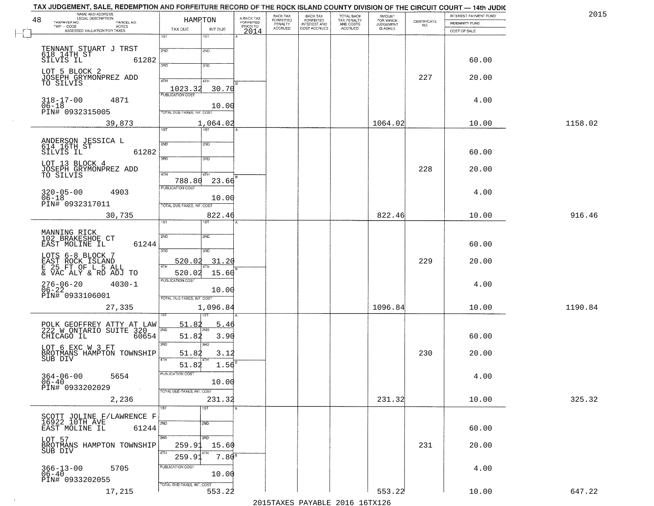| NAME AND ADDRESS<br>LEGAL DESCRIPTION<br>48          |                                   | HAMPTON         |                                     | BACK TAX<br><b>FORFEITED</b> | BACK TAX<br>FORFEITED<br>INTEREST AND<br>COST ACCRUED | TOTAL BACK<br>TAX PENALTY<br>AND COSTS | AMOUNT<br>FOR WHICH<br>JUDGEMENT | CERTIFICATE | INTEREST PAYMENT FUND | 2015    |
|------------------------------------------------------|-----------------------------------|-----------------|-------------------------------------|------------------------------|-------------------------------------------------------|----------------------------------------|----------------------------------|-------------|-----------------------|---------|
| TAXPAYER NO.<br>PARCEL NO.<br>ACRES<br>TWP - CODE    | TAX DUE                           | INT DUE         | A-BACK TAX<br>FORFEITED<br>PRIOR TO | PENALTY<br><b>ACCRUED</b>    |                                                       | ACCRUED                                | IS ASKED                         | NO.         | <b>INDEMNITY FUND</b> |         |
| ASSESSED VALUATION FOR TAXES                         | 1ST                               | 1ST             | 2014                                |                              |                                                       |                                        |                                  |             | COST OF SALE          |         |
|                                                      |                                   |                 |                                     |                              |                                                       |                                        |                                  |             |                       |         |
| TENNANT STUART J TRST<br>618 14TH ST<br>SILVIS IL    | 2ND                               | 2ND             |                                     |                              |                                                       |                                        |                                  |             |                       |         |
| 61282                                                | 370                               | 3RD             |                                     |                              |                                                       |                                        |                                  |             | 60.00                 |         |
| LOT 5 BLOCK 2<br>JOSEPH GRYMONPREZ ADD               |                                   |                 |                                     |                              |                                                       |                                        |                                  | 227         | 20.00                 |         |
| TO SILVIS                                            | 4TH                               | 4TH             |                                     |                              |                                                       |                                        |                                  |             |                       |         |
|                                                      | 1023.32<br>PUBLICATION COST       | 30.70           |                                     |                              |                                                       |                                        |                                  |             |                       |         |
| $318 - 17 - 00$<br>4871<br>$06 - 18$                 |                                   | 10.00           |                                     |                              |                                                       |                                        |                                  |             | 4.00                  |         |
| PIN# 0932315005                                      | TOTAL DUE-TAXES, INT. COST        |                 |                                     |                              |                                                       |                                        |                                  |             |                       |         |
| 39,873                                               |                                   | 1,064.02        |                                     |                              |                                                       |                                        | 1064.02                          |             | 10.00                 | 1158.02 |
|                                                      | 1ST                               | <b>TST</b>      |                                     |                              |                                                       |                                        |                                  |             |                       |         |
| ANDERSON JESSICA L<br>614 16TH ST                    | 2ND                               | 2ND             |                                     |                              |                                                       |                                        |                                  |             |                       |         |
| 61282<br>SILVIS IL                                   |                                   |                 |                                     |                              |                                                       |                                        |                                  |             | 60.00                 |         |
| LOT 13 BLOCK 4                                       | $\overline{3\text{RD}}$           | 3RD             |                                     |                              |                                                       |                                        |                                  |             |                       |         |
| JOSEPH GRYMONPREZ ADD<br>TO SILVIS                   | 4TH                               | 4TH             |                                     |                              |                                                       |                                        |                                  | 228         | 20.00                 |         |
|                                                      | 788.80                            | 23.66           |                                     |                              |                                                       |                                        |                                  |             |                       |         |
| $320 - 05 - 00$<br>4903                              | PUBLICATION COST                  |                 |                                     |                              |                                                       |                                        |                                  |             | 4.00                  |         |
| $06 - 18$<br>PIN# 0932317011                         |                                   | 10.00           |                                     |                              |                                                       |                                        |                                  |             |                       |         |
|                                                      | TOTAL DUE-TAXES, INT. COST        |                 |                                     |                              |                                                       |                                        |                                  |             |                       |         |
| 30,735                                               | 1ST                               | 822.46          |                                     |                              |                                                       |                                        | 822.46                           |             | 10.00                 | 916.46  |
|                                                      |                                   |                 |                                     |                              |                                                       |                                        |                                  |             |                       |         |
| MANNING RICK<br>102 BRAKESHOE CT                     | 2ND                               | 5 <sub>MD</sub> |                                     |                              |                                                       |                                        |                                  |             |                       |         |
| EAST MOLINE IL<br>61244                              | 3BD                               | 3RD             |                                     |                              |                                                       |                                        |                                  |             | 60.00                 |         |
| LOTS 6-8 BLOCK 7                                     | 520.02                            | 31.20           |                                     |                              |                                                       |                                        |                                  | 229         | 20.00                 |         |
| EAST ROCK ISLAND<br>E 25 FT OF L 5 ALL               |                                   |                 |                                     |                              |                                                       |                                        |                                  |             |                       |         |
| & VAC ALY & RD ADJ TO                                | 520.02<br><b>PUBLICATION COST</b> | 15.60           |                                     |                              |                                                       |                                        |                                  |             |                       |         |
| 276-06-20<br>06-22<br>$4030 - 1$                     |                                   | 10.00           |                                     |                              |                                                       |                                        |                                  |             | 4.00                  |         |
| PIN# 0933106001                                      | TOTAL OUE-TAXES, INT. COST        |                 |                                     |                              |                                                       |                                        |                                  |             |                       |         |
| 27,335                                               |                                   | 1,096.84        |                                     |                              |                                                       |                                        | 1096.84                          |             | 10.00                 | 1190.84 |
|                                                      |                                   |                 |                                     |                              |                                                       |                                        |                                  |             |                       |         |
| POLK GEOFFREY ATTY AT LAW<br>222 W ONTARIO SUITE 320 | 51.82<br>2ND                      | 5.46            |                                     |                              |                                                       |                                        |                                  |             |                       |         |
| 60654<br>CHICAGO IL                                  | 51.82                             | 3.90            |                                     |                              |                                                       |                                        |                                  |             | 60.00                 |         |
| LOT 6 EXC W 3 FT                                     | 3RD                               | 3RD             |                                     |                              |                                                       |                                        |                                  |             |                       |         |
| BROTMANS HAMPTON TOWNSHIP<br>SUB DIV                 | 51.82<br><b>ATH</b>               | 3.12            |                                     |                              |                                                       |                                        |                                  | 230         | 20.00                 |         |
|                                                      | 51.82                             | 1.56            |                                     |                              |                                                       |                                        |                                  |             |                       |         |
| $364 - 06 - 00$<br>5654                              | PUBLICATION COST                  |                 |                                     |                              |                                                       |                                        |                                  |             | 4.00                  |         |
| $06 - 40$<br>PIN# 0933202029                         |                                   | 10.00           |                                     |                              |                                                       |                                        |                                  |             |                       |         |
|                                                      | TOTAL DUE-TAXES, INT. COST        |                 |                                     |                              |                                                       |                                        |                                  |             |                       |         |
| 2,236                                                | 1ST                               | 231.32<br>1ST   |                                     |                              |                                                       |                                        | 231.32                           |             | 10.00                 | 325.32  |
|                                                      |                                   |                 |                                     |                              |                                                       |                                        |                                  |             |                       |         |
| SCOTT JOLINE F/LAWRENCE F<br>16922 10TH AVE          | 2ND                               | 2ND             |                                     |                              |                                                       |                                        |                                  |             |                       |         |
| EAST MOLINE IL<br>61244                              |                                   |                 |                                     |                              |                                                       |                                        |                                  |             | 60.00                 |         |
| LOT 57<br>BROTMANS HAMPTON TOWNSHIP                  | 3RD<br>259.91                     | 3RD<br>15.60    |                                     |                              |                                                       |                                        |                                  | 231         | 20.00                 |         |
| SUB DIV                                              | 4TH                               |                 |                                     |                              |                                                       |                                        |                                  |             |                       |         |
|                                                      | 259.9                             | $7.80^{8}$      |                                     |                              |                                                       |                                        |                                  |             |                       |         |
| $366 - 13 - 00$<br>06-40<br>5705                     | PUBLICATION COST                  | 10.00           |                                     |                              |                                                       |                                        |                                  |             | 4.00                  |         |
| PIN# 0933202055                                      | TOTAL DUE-TAXES, INT. COST        |                 |                                     |                              |                                                       |                                        |                                  |             |                       |         |
| 17,215                                               |                                   | 553.22          |                                     |                              |                                                       |                                        | 553.22                           |             | 10.00                 | 647.22  |

 $\sim 100$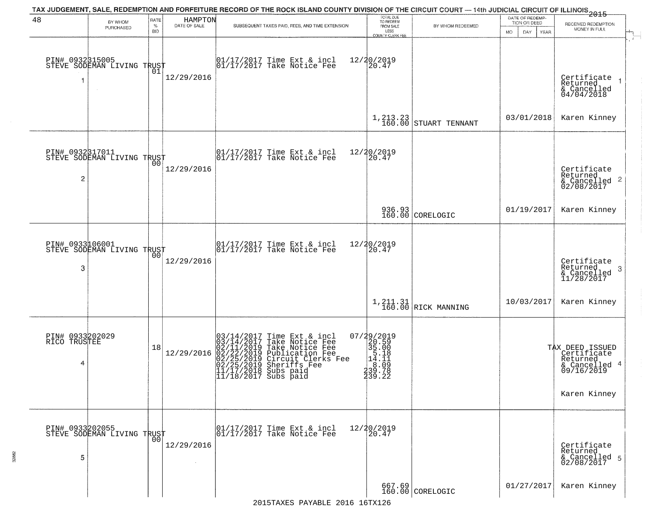| 48                                   | BY WHOM<br>PURCHASED                                    | RATE<br>%<br><b>BID</b> | HAMPTON<br>DATE OF SALE | TAX JUDGEMENT, SALE, REDEMPTION AND FORFEITURE RECORD OF THE ROCK ISLAND COUNTY DIVISION OF THE CIRCUIT COURT — 14th JUDICIAL CIRCUIT OF ILLINOIS 2015<br>SUBSEQUENT TAXES PAID, FEES, AND TIME EXTENSION                                             | TOTAL DUE<br>TO REDEEM<br>FROM SALE<br>LESS<br>COUNTY CLERK FEE                                           | BY WHOM REDEEMED                 | DATE OF REDEMP-<br>TION OR DEED<br><b>MO</b><br>DAY<br><b>YEAR</b> | RECEIVED REDEMPTION<br>MONEY IN FULL                                                                             |
|--------------------------------------|---------------------------------------------------------|-------------------------|-------------------------|-------------------------------------------------------------------------------------------------------------------------------------------------------------------------------------------------------------------------------------------------------|-----------------------------------------------------------------------------------------------------------|----------------------------------|--------------------------------------------------------------------|------------------------------------------------------------------------------------------------------------------|
| 1                                    | PIN# 0932315005<br>STEVE SODEMAN LIVING TRUST<br>$\sim$ | 01                      | 12/29/2016              | 01/17/2017 Time Ext & incl<br>01/17/2017 Take Notice Fee                                                                                                                                                                                              | 12/20/2019<br>20.47                                                                                       |                                  |                                                                    | Certificate<br>Returned<br>& Cancelled<br>04/04/2018                                                             |
|                                      |                                                         |                         |                         |                                                                                                                                                                                                                                                       | $1, 213.23$<br>$160.00$                                                                                   | STUART TENNANT                   | 03/01/2018                                                         | Karen Kinney                                                                                                     |
| 2                                    | PIN# 0932317011<br>STEVE SODEMAN LIVING TRUST           | 0 <sub>0</sub>          | 12/29/2016              | 01/17/2017 Time Ext & incl<br>01/17/2017 Take Notice Fee                                                                                                                                                                                              | 12/20/2019<br>20.47                                                                                       |                                  |                                                                    | Certificate<br>Returned<br>$\begin{array}{c}\text{scum} \\ \text{6} \text{Cancelled} \\ 02/08/2017\end{array}$ 2 |
|                                      |                                                         |                         |                         |                                                                                                                                                                                                                                                       |                                                                                                           | 936.93<br>160.00 CORELOGIC       | 01/19/2017                                                         | Karen Kinney                                                                                                     |
| PIN# 0933106001<br>3                 | STEVE SODEMAN LIVING TRUST                              | 00                      | 12/29/2016              | 01/17/2017 Time Ext & incl<br>01/17/2017 Take Notice Fee                                                                                                                                                                                              | 12/20/2019<br>20.47                                                                                       |                                  |                                                                    | Certificate<br>Returned<br>-3<br>& Cancelled<br>11/28/2017                                                       |
|                                      |                                                         |                         |                         |                                                                                                                                                                                                                                                       |                                                                                                           | 1, 211.31<br>160.00 RICK MANNING | 10/03/2017                                                         | Karen Kinney                                                                                                     |
| PIN# 0933202029<br>RICO TRUSTEE<br>4 |                                                         | 18                      | 12/29/2016              | $03/14/2017$ Time Ext & incl<br>$03/14/2017$ Take Notice Fee<br>$02/11/2019$ Take Notice Fee<br>$02/22/2019$ Circuit Clerks Fee<br>$02/25/2019$ Circuit Clerks Fee<br>$02/25/2019$ Sheriffs Fee<br>$11/17/2/2018$ Subs paid<br>$11/18/2017$ Subs paid | $\begin{smallmatrix} 07/29/2019\\20.59\\35.00\\14.11\\14.11\\230.098\\330.73 \end{smallmatrix}$<br>239.22 |                                  |                                                                    | TAX DEED ISSUED<br>  Certificate<br>  Returned<br>& Cancelled 4<br>09/16/2019<br>Karen Kinney                    |
| 5                                    | PIN# 0933202055<br>STEVE SODEMAN LIVING TRUST           |                         | 12/29/2016              | 01/17/2017 Time Ext & incl<br>01/17/2017 Take Notice Fee                                                                                                                                                                                              | 12/20/2019<br>20.47                                                                                       |                                  |                                                                    | Certificate<br>Returned<br>& Cancelled 5<br>02/08/2017                                                           |
|                                      |                                                         |                         |                         |                                                                                                                                                                                                                                                       |                                                                                                           | 667.69<br>160.00 CORELOGIC       | 01/27/2017                                                         | Karen Kinney                                                                                                     |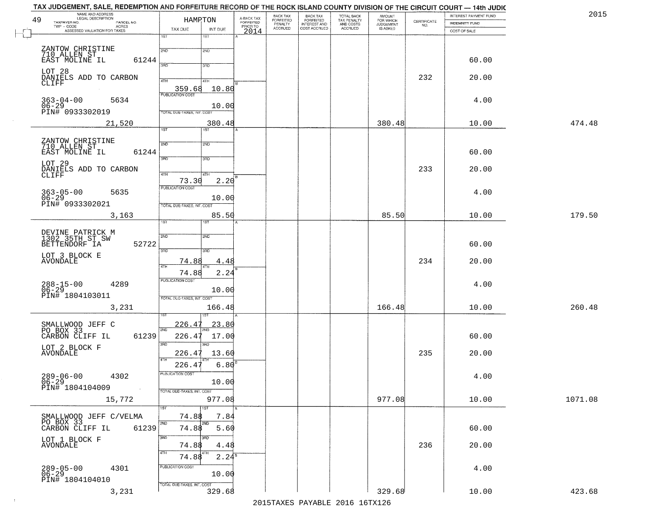|    | TAX JUDGEMENT, SALE, REDEMPTION AND FORFEITURE RECORD OF THE ROCK ISLAND COUNTY DIVISION OF THE CIRCUIT COURT — 14th JUDIC |                            |                  |                         |                                 |                                                       |                                        |                                  |                                                                 |                       |         |
|----|----------------------------------------------------------------------------------------------------------------------------|----------------------------|------------------|-------------------------|---------------------------------|-------------------------------------------------------|----------------------------------------|----------------------------------|-----------------------------------------------------------------|-----------------------|---------|
| 49 | NAME AND ADDRESS<br>LEGAL DESCRIPTION                                                                                      |                            | HAMPTON          | A-BACK TAX<br>FORFEITED | BACK TAX                        | BACK TAX<br>FORFEITED<br>INTEREST AND<br>COST ACCRUED | TOTAL BACK<br>TAX PENALTY<br>AND COSTS | AMOUNT<br>FOR WHICH<br>JUDGEMENT |                                                                 | INTEREST PAYMENT FUND | 2015    |
|    | TAXPAYER NO.<br>PARCEL NO.<br>$TWP - CODE$                                                                                 |                            |                  | PRIOR TO                | FORFEITED<br>PENALTY<br>ACCRUED |                                                       |                                        |                                  | $\begin{array}{c} \text{CERTIFICATE} \\ \text{NO.} \end{array}$ | <b>INDEMNITY FUND</b> |         |
|    | CODE AGRES<br>ASSESSED VALUATION FOR TAXES                                                                                 | TAX DUE                    | INT DUE          | 2014                    |                                 |                                                       | ACCRUED                                | IS ASKED                         |                                                                 | COST OF SALE          |         |
|    |                                                                                                                            | $\overline{1ST}$           | 18T              |                         |                                 |                                                       |                                        |                                  |                                                                 |                       |         |
|    |                                                                                                                            |                            |                  |                         |                                 |                                                       |                                        |                                  |                                                                 |                       |         |
|    | ZANTOW CHRISTINE<br>710 ALLEN ST                                                                                           | 2ND                        | 2ND              |                         |                                 |                                                       |                                        |                                  |                                                                 |                       |         |
|    | 61244<br>EAST MOLINE IL                                                                                                    |                            |                  |                         |                                 |                                                       |                                        |                                  |                                                                 | 60.00                 |         |
|    |                                                                                                                            | 3AD                        | 3RD              |                         |                                 |                                                       |                                        |                                  |                                                                 |                       |         |
|    | LOT 28<br>DANIELS ADD TO CARBON                                                                                            |                            |                  |                         |                                 |                                                       |                                        |                                  | 232                                                             | 20.00                 |         |
|    | CLIFF                                                                                                                      | 4TH                        | 4TH              |                         |                                 |                                                       |                                        |                                  |                                                                 |                       |         |
|    |                                                                                                                            | 359.68                     | 10.80            |                         |                                 |                                                       |                                        |                                  |                                                                 |                       |         |
|    | $363 - 04 - 00$<br>5634                                                                                                    | <b>PUBLICATION COST</b>    |                  |                         |                                 |                                                       |                                        |                                  |                                                                 | 4.00                  |         |
|    | $06 - 29$                                                                                                                  |                            | 10.00            |                         |                                 |                                                       |                                        |                                  |                                                                 |                       |         |
|    | PIN# 0933302019                                                                                                            | TOTAL DUE-TAXES, INT. COST |                  |                         |                                 |                                                       |                                        |                                  |                                                                 |                       |         |
|    | 21,520                                                                                                                     |                            | 380.48           |                         |                                 |                                                       |                                        | 380.48                           |                                                                 | 10.00                 | 474.48  |
|    |                                                                                                                            | 1ST                        | 1ST              |                         |                                 |                                                       |                                        |                                  |                                                                 |                       |         |
|    |                                                                                                                            |                            |                  |                         |                                 |                                                       |                                        |                                  |                                                                 |                       |         |
|    | ZANTOW CHRISTINE<br>710 ALLEN ST                                                                                           | 2ND                        | 2ND              |                         |                                 |                                                       |                                        |                                  |                                                                 |                       |         |
|    | 61244<br>EAST MOLINE IL                                                                                                    |                            |                  |                         |                                 |                                                       |                                        |                                  |                                                                 | 60.00                 |         |
|    |                                                                                                                            | 3RD                        | 3RD              |                         |                                 |                                                       |                                        |                                  |                                                                 |                       |         |
|    | LOT 29                                                                                                                     |                            |                  |                         |                                 |                                                       |                                        |                                  |                                                                 |                       |         |
|    | DANIELS ADD TO CARBON<br>CLIFF                                                                                             | 47H                        | 4TH              |                         |                                 |                                                       |                                        |                                  | 233                                                             | 20.00                 |         |
|    |                                                                                                                            | 73.30                      | 2.20             |                         |                                 |                                                       |                                        |                                  |                                                                 |                       |         |
|    |                                                                                                                            | <b>PUBLICATION COST</b>    |                  |                         |                                 |                                                       |                                        |                                  |                                                                 |                       |         |
|    | $363 - 05 - 00$<br>06-29<br>5635                                                                                           |                            | 10.00            |                         |                                 |                                                       |                                        |                                  |                                                                 | 4.00                  |         |
|    | PIN# 0933302021                                                                                                            | TOTAL DUE-TAXES, INT. COST |                  |                         |                                 |                                                       |                                        |                                  |                                                                 |                       |         |
|    |                                                                                                                            |                            |                  |                         |                                 |                                                       |                                        |                                  |                                                                 |                       |         |
|    | 3,163                                                                                                                      | īst                        | 85.50<br>181     |                         |                                 |                                                       |                                        | 85.50                            |                                                                 | 10.00                 | 179.50  |
|    |                                                                                                                            |                            |                  |                         |                                 |                                                       |                                        |                                  |                                                                 |                       |         |
|    | DEVINE PATRICK M<br>1302 35TH ST SW                                                                                        | 2ND                        | 2ND              |                         |                                 |                                                       |                                        |                                  |                                                                 |                       |         |
|    | BETTENDORF IA<br>52722                                                                                                     |                            |                  |                         |                                 |                                                       |                                        |                                  |                                                                 | 60.00                 |         |
|    |                                                                                                                            | $\overline{3BD}$           | 3RD              |                         |                                 |                                                       |                                        |                                  |                                                                 |                       |         |
|    | LOT 3 BLOCK E                                                                                                              |                            |                  |                         |                                 |                                                       |                                        |                                  |                                                                 |                       |         |
|    | AVONDALE                                                                                                                   | <u>74.88</u><br>4TH        | 4.48             |                         |                                 |                                                       |                                        |                                  | 234                                                             | 20.00                 |         |
|    |                                                                                                                            | 74.88                      | 2.24             |                         |                                 |                                                       |                                        |                                  |                                                                 |                       |         |
|    |                                                                                                                            | <b>PUBLICATION COST</b>    |                  |                         |                                 |                                                       |                                        |                                  |                                                                 |                       |         |
|    | 288-15-00<br>06-29<br>4289                                                                                                 |                            |                  |                         |                                 |                                                       |                                        |                                  |                                                                 | 4.00                  |         |
|    | PIN# 1804103011                                                                                                            |                            | 10.00            |                         |                                 |                                                       |                                        |                                  |                                                                 |                       |         |
|    |                                                                                                                            | TOTAL OUE-TAXES, INT. COST |                  |                         |                                 |                                                       |                                        |                                  |                                                                 |                       |         |
|    | 3,231                                                                                                                      |                            | 166.48           |                         |                                 |                                                       |                                        | 166.48                           |                                                                 | 10.00                 | 260.48  |
|    |                                                                                                                            |                            |                  |                         |                                 |                                                       |                                        |                                  |                                                                 |                       |         |
|    | SMALLWOOD JEFF C                                                                                                           | 226.4                      | <u>23.80</u>     |                         |                                 |                                                       |                                        |                                  |                                                                 |                       |         |
|    | PO BOX 33                                                                                                                  | 2ND                        |                  |                         |                                 |                                                       |                                        |                                  |                                                                 |                       |         |
|    | CARBON CLIFF IL<br>61239                                                                                                   | 226.47                     | 17.00            |                         |                                 |                                                       |                                        |                                  |                                                                 | 60.00                 |         |
|    |                                                                                                                            | 3BD                        | $\overline{3BD}$ |                         |                                 |                                                       |                                        |                                  |                                                                 |                       |         |
|    | LOT 2 BLOCK F<br>AVONDALE                                                                                                  | 226.47                     | 13.60            |                         |                                 |                                                       |                                        |                                  | 235                                                             | 20.00                 |         |
|    |                                                                                                                            | 4TH<br>226.47              | 6.80             |                         |                                 |                                                       |                                        |                                  |                                                                 |                       |         |
|    |                                                                                                                            |                            |                  |                         |                                 |                                                       |                                        |                                  |                                                                 |                       |         |
|    | $289 - 06 - 00$<br>4302                                                                                                    | PUBLICATION COST           |                  |                         |                                 |                                                       |                                        |                                  |                                                                 | 4.00                  |         |
|    | $06-29$<br>PIN# 1804104009                                                                                                 |                            | 10.00            |                         |                                 |                                                       |                                        |                                  |                                                                 |                       |         |
|    | $\sim 100$ km $^{-1}$                                                                                                      | TOTAL DUE-TAXES, INT. COST |                  |                         |                                 |                                                       |                                        |                                  |                                                                 |                       |         |
|    | 15,772                                                                                                                     |                            | 977.08           |                         |                                 |                                                       |                                        | 977.08                           |                                                                 | 10.00                 | 1071.08 |
|    |                                                                                                                            | 1ST                        | 1ST              |                         |                                 |                                                       |                                        |                                  |                                                                 |                       |         |
|    | SMALLWOOD JEFF C/VELMA                                                                                                     | 74.88                      | 7.84             |                         |                                 |                                                       |                                        |                                  |                                                                 |                       |         |
|    | PO BOX 33                                                                                                                  | 2ND                        | 2ND              |                         |                                 |                                                       |                                        |                                  |                                                                 |                       |         |
|    | CARBON CLIFF IL<br>61239                                                                                                   | 74.88                      | 5.60             |                         |                                 |                                                       |                                        |                                  |                                                                 | 60.00                 |         |
|    | LOT 1 BLOCK F                                                                                                              | 3RD                        | 3BD              |                         |                                 |                                                       |                                        |                                  |                                                                 |                       |         |
|    | <b>AVONDALE</b>                                                                                                            | 74.88                      | 4.48             |                         |                                 |                                                       |                                        |                                  | 236                                                             | 20.00                 |         |
|    |                                                                                                                            | 4TH                        |                  |                         |                                 |                                                       |                                        |                                  |                                                                 |                       |         |
|    |                                                                                                                            | 74.88                      | $2.24^8$         |                         |                                 |                                                       |                                        |                                  |                                                                 |                       |         |
|    | 4301                                                                                                                       | PUBLICATION COST           |                  |                         |                                 |                                                       |                                        |                                  |                                                                 | 4.00                  |         |
|    | $289 - 05 - 00$<br>06-29                                                                                                   |                            | 10.00            |                         |                                 |                                                       |                                        |                                  |                                                                 |                       |         |
|    | PIN# 1804104010                                                                                                            | TOTAL DUE-TAXES, INT. COST |                  |                         |                                 |                                                       |                                        |                                  |                                                                 |                       |         |
|    | 3,231                                                                                                                      |                            | 329.68           |                         |                                 |                                                       |                                        | 329.68                           |                                                                 | 10.00                 | 423.68  |

 $\sim 10^{-1}$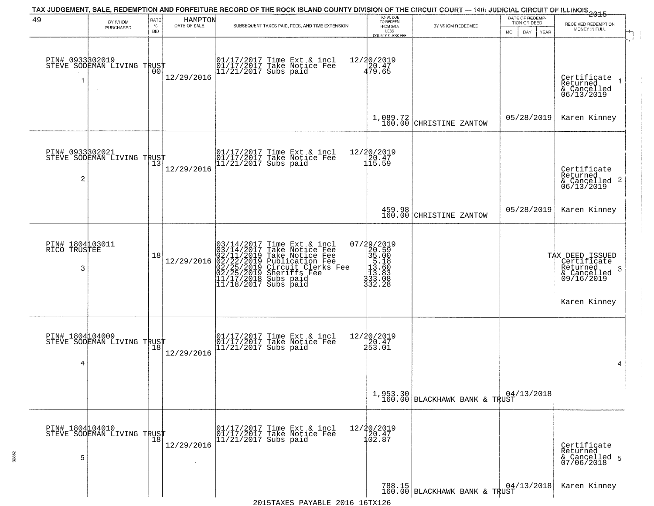|                                         |                                               |              |                         | TAX JUDGEMENT, SALE, REDEMPTION AND FORFEITURE RECORD OF THE ROCK ISLAND COUNTY DIVISION OF THE CIRCUIT COURT — 14th JUDICIAL CIRCUIT OF ILLINOIS 2015                                                                                     |                                                                                                                                                                                                                                                                                                                                                                                                                      |                                       | DATE OF REDEMP-           |                                                                               |
|-----------------------------------------|-----------------------------------------------|--------------|-------------------------|--------------------------------------------------------------------------------------------------------------------------------------------------------------------------------------------------------------------------------------------|----------------------------------------------------------------------------------------------------------------------------------------------------------------------------------------------------------------------------------------------------------------------------------------------------------------------------------------------------------------------------------------------------------------------|---------------------------------------|---------------------------|-------------------------------------------------------------------------------|
| 49                                      | BY WHOM<br>PURCHASED                          | RATE<br>$\%$ | HAMPTON<br>DATE OF SALE | SUBSEQUENT TAXES PAID, FEES, AND TIME EXTENSION                                                                                                                                                                                            | TOTAL DUE<br>TO REDEEM<br>FROM SALE                                                                                                                                                                                                                                                                                                                                                                                  | BY WHOM REDEEMED                      | TION OR DEED              | RECEIVED REDEMPTION<br>MONEY IN FULL                                          |
|                                         |                                               | <b>BID</b>   |                         |                                                                                                                                                                                                                                            | LESS<br>COUNTY CLERK FEE                                                                                                                                                                                                                                                                                                                                                                                             |                                       | MO.<br>DAY<br><b>YEAR</b> |                                                                               |
| PIN# 0933302019<br>1                    | STEVE SODEMAN LIVING TRUST                    | 00           | 12/29/2016              | 01/17/2017 Time Ext & incl<br>01/17/2017 Take Notice Fee<br>11/21/2017 Subs paid                                                                                                                                                           | 12/20/2019<br>$\frac{120.47}{479.65}$                                                                                                                                                                                                                                                                                                                                                                                |                                       |                           | Certificate<br>Returned<br>& Cancelled<br>06/13/2019                          |
|                                         |                                               |              |                         |                                                                                                                                                                                                                                            |                                                                                                                                                                                                                                                                                                                                                                                                                      | $1,089.72$<br>160.00 CHRISTINE ZANTOW | 05/28/2019                | Karen Kinney                                                                  |
| PIN# 0933302021<br>2                    | STEVE SODEMAN LIVING TRUST                    |              | 12/29/2016              | 01/17/2017 Time Ext & incl<br>01/17/2017 Take Notice Fee<br>11/21/2017 Subs paid                                                                                                                                                           | 12/20/2019<br>20.47<br>115.59                                                                                                                                                                                                                                                                                                                                                                                        |                                       |                           | Certificate<br>Returned<br>$\frac{1}{6}$ Cancelled 2<br>06/13/2019            |
|                                         |                                               |              |                         |                                                                                                                                                                                                                                            |                                                                                                                                                                                                                                                                                                                                                                                                                      | 459.98<br>160.00 CHRISTINE ZANTOW     | 05/28/2019                | Karen Kinney                                                                  |
| PIN# 1804103011<br>RICO<br>TRUSTEE<br>3 |                                               | 18           | 12/29/2016              | $03/14/2017$ Time Ext & incl<br>$03/14/2017$ Take Notice Fee<br>$02/11/2019$ Take Notice Fee<br>$02/22/2019$ Publication Fee<br>$02/25/2019$ Sheriffs Fee<br>$02/25/2019$ Sheriffs Fee<br>$11/17/2018$ Subs paid<br>$11/18/2017$ Subs paid | 07/29/2019<br>20.59<br>35.00<br>5.18<br>13.60<br>$\frac{1}{3}$ $\frac{3}{3}$ $\frac{3}{3}$ $\frac{3}{3}$ $\frac{3}{3}$ $\frac{3}{3}$ $\frac{3}{3}$ $\frac{3}{3}$ $\frac{3}{3}$ $\frac{3}{3}$ $\frac{3}{3}$ $\frac{3}{3}$ $\frac{3}{3}$ $\frac{3}{3}$ $\frac{3}{3}$ $\frac{3}{3}$ $\frac{3}{3}$ $\frac{3}{3}$ $\frac{3}{3}$ $\frac{3}{3}$ $\frac{3}{3}$ $\frac{3}{3}$ $\frac{3}{3}$ $\frac{3}{3}$ $\frac{3$<br>332.28 |                                       |                           | TAX DEED ISSUED<br>Certificate<br>Returned<br>-3<br>& Cancelled<br>09/16/2019 |
|                                         |                                               |              |                         |                                                                                                                                                                                                                                            |                                                                                                                                                                                                                                                                                                                                                                                                                      |                                       |                           | Karen Kinney                                                                  |
| 4                                       | PIN# 1804104009<br>STEVE SODEMAN LIVING TRUST |              | 12/29/2016              | 01/17/2017 Time Ext & incl<br>01/17/2017 Take Notice Fee<br>11/21/2017 Subs paid                                                                                                                                                           | 12/20/2019<br>20.47<br>253.01                                                                                                                                                                                                                                                                                                                                                                                        |                                       |                           | 4                                                                             |
|                                         |                                               |              |                         |                                                                                                                                                                                                                                            |                                                                                                                                                                                                                                                                                                                                                                                                                      | 1,953.30 BLACKHAWK BANK & TRUST       | 04/13/2018                |                                                                               |
| PIN# 1804104010<br>5                    | STEVE SODEMAN LIVING TRUST                    |              | 12/29/2016              | 01/17/2017 Time Ext & incl<br>01/17/2017 Take Notice Fee<br>11/21/2017 Subs paid                                                                                                                                                           | $12/20/2019$<br>$20.47$<br>102.87                                                                                                                                                                                                                                                                                                                                                                                    |                                       |                           | Certificate<br>Returned<br>& Cancelled 5<br>07/06/2018                        |
|                                         |                                               |              |                         |                                                                                                                                                                                                                                            |                                                                                                                                                                                                                                                                                                                                                                                                                      | 160.00 BLACKHAWK BANK & TRUST         | 04/13/2018                | Karen Kinney                                                                  |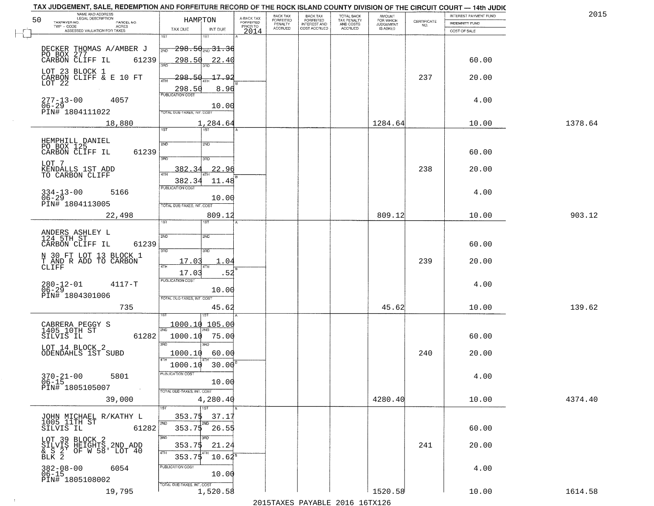| TAX JUDGEMENT, SALE, REDEMPTION AND FORFEITURE RECORD OF THE ROCK ISLAND COUNTY DIVISION OF THE CIRCUIT COURT - 14th JUDIC<br>NAME AND ADDRESS<br>LEGAL DESCRIPTION |                                                                   |                                     | BACK TAX             | <b>BACK TAX</b>           |                                        | AMOUNT<br>FOR WHICH |                                                                 | INTEREST PAYMENT FUND | 2015    |
|---------------------------------------------------------------------------------------------------------------------------------------------------------------------|-------------------------------------------------------------------|-------------------------------------|----------------------|---------------------------|----------------------------------------|---------------------|-----------------------------------------------------------------|-----------------------|---------|
| 50<br>TAXPAYER NO.<br>PARCEL NO.<br>ACRES                                                                                                                           | <b>HAMPTON</b>                                                    | A-BACK TAX<br>FORFEITED<br>PRIOR TO | FORFEITED<br>PENALTY | FORFEITED<br>INTEREST AND | TOTAL BACK<br>TAX PENALTY<br>AND COSTS | <b>JUDGEMENT</b>    | $\begin{array}{c} \text{CERTIFICATE} \\ \text{NO.} \end{array}$ | <b>INDEMNITY FUND</b> |         |
| ASSESSED VALUATION FOR TAXES                                                                                                                                        | TAX DUE<br>INT DUE                                                | 2014                                | <b>ACCRUED</b>       | COST ACCRUED              | <b>ACCRUED</b>                         | IS ASKED            |                                                                 | COST OF SALE          |         |
| DECKER THOMAS A/AMBER J<br>PO BOX 277<br>CARBON CLIFF IL 6123                                                                                                       | 1ST<br>18T<br>$-298.50$ sup $31.36$<br>2ND                        |                                     |                      |                           |                                        |                     |                                                                 |                       |         |
| 61239<br>LOT 23 BLOCK 1                                                                                                                                             | 298.50<br>22.40                                                   |                                     |                      |                           |                                        |                     |                                                                 | 60.00                 |         |
| CARBON CLIFF & E 10 FT<br>LOT 22                                                                                                                                    | 298.50<br>17.92<br>4TH<br>8.96<br>298.50                          |                                     |                      |                           |                                        |                     | 237                                                             | 20.00                 |         |
| 277-13-00<br>06-29<br>4057<br>PIN# 1804111022                                                                                                                       | 10.00<br>TOTAL DUE-TAXES, INT. COST                               |                                     |                      |                           |                                        |                     |                                                                 | 4.00                  |         |
| 18,880                                                                                                                                                              | 1,284.64<br>1ST                                                   |                                     |                      |                           |                                        | 1284.64             |                                                                 | 10.00                 | 1378.64 |
| HEMPHILL DANIEL<br>PO BOX 125<br>61239<br>CARBON CLIFF IL                                                                                                           | 2ND<br>2ND<br>3RD<br>3RD                                          |                                     |                      |                           |                                        |                     |                                                                 | 60.00                 |         |
| LOT 7<br>KENDALLS 1ST ADD<br>TO CARBON CLIFF                                                                                                                        | 22.96<br>382.34<br>ৰাম<br>382.34<br>11.48                         |                                     |                      |                           |                                        |                     | 238                                                             | 20.00                 |         |
| $334 - 13 - 00$<br>5166<br>$06 - 29$<br>PIN# 1804113005                                                                                                             | PUBLICATION COST<br>10.00<br>TOTAL DUE-TAXES, INT. COST           |                                     |                      |                           |                                        |                     |                                                                 | 4.00                  |         |
| 22,498                                                                                                                                                              | 809.12<br>īst<br>1ST                                              |                                     |                      |                           |                                        | 809.12              |                                                                 | 10.00                 | 903.12  |
| ANDERS ASHLEY L<br>124 5TH ST<br>CARBON CLIFF IL<br>61239                                                                                                           | 2ND<br>2ND<br>3RD<br>3RD                                          |                                     |                      |                           |                                        |                     |                                                                 | 60.00                 |         |
| N 30 FT LOT 13 BLOCK 1<br>T AND R ADD TO CARBON<br>CLIFF                                                                                                            | 17.03<br>1.04<br>ATH<br>17.03<br>.52                              |                                     |                      |                           |                                        |                     | 239                                                             | 20.00                 |         |
| $280 - 12 - 01$<br>06-29<br>$4117 - T$<br>PIN# 1804301006                                                                                                           | <b>PUBLICATION COST</b><br>10.00<br>TOTAL OUE-TAXES, INT. COST    |                                     |                      |                           |                                        |                     |                                                                 | 4.00                  |         |
| 735                                                                                                                                                                 | 45.62                                                             |                                     |                      |                           |                                        | 45.62               |                                                                 | 10.00                 | 139.62  |
| CABRERA PEGGY S<br>1405 10TH ST<br>SILVIS IL<br>61282                                                                                                               | 105.00<br>1000.10<br>2ND<br>1000.10<br>75.00<br>3RD<br><b>IRD</b> |                                     |                      |                           |                                        |                     |                                                                 | 60.00                 |         |
| LOT 14 BLOCK 2<br>ODENDAHLS 1ST SUBD                                                                                                                                | 1000.10<br>60.00<br>1000.10<br>$30.00^{6}$                        |                                     |                      |                           |                                        |                     | 240                                                             | 20.00                 |         |
| $370 - 21 - 00$<br>5801<br>06-15<br>PIN# 1805105007<br><b>Contractor</b>                                                                                            | -usuca i un cus-<br>10.00<br>TOTAL DUE-TAXES, INT. COST           |                                     |                      |                           |                                        |                     |                                                                 | 4.00                  |         |
| 39,000                                                                                                                                                              | 4,280.40<br><b>TIST</b>                                           |                                     |                      |                           |                                        | 4280.40             |                                                                 | 10.00                 | 4374.40 |
| JOHN MICHAEL R/KATHY L<br>1005 11TH ST<br>SILVIS IL<br>61282                                                                                                        | 353.75<br>37.17<br>2ND<br>2ND<br>$353.75$ $26.55$                 |                                     |                      |                           |                                        |                     |                                                                 | 60.00                 |         |
| LOT 39 BLOCK 2<br>SILVIS HEIGHTS 2ND ADD<br>& S 2 OF W 58' LOT 40<br>BLK 2                                                                                          | 3RD<br>3BD<br>353.7\$<br>21.24<br>4TH<br>353.75<br>$10.62^8$      |                                     |                      |                           |                                        |                     | 241                                                             | 20.00                 |         |
| $382 - 08 - 00$<br>06-15<br>6054<br>PIN# 1805108002                                                                                                                 | PUBLICATION COST<br>10.00<br>TOTAL DUE-TAXES, INT. COST           |                                     |                      |                           |                                        |                     |                                                                 | 4.00                  |         |
| 19,795                                                                                                                                                              | 1,520.58                                                          |                                     |                      |                           |                                        | 1520.58             |                                                                 | 10.00                 | 1614.58 |

 $\sim 10^{-1}$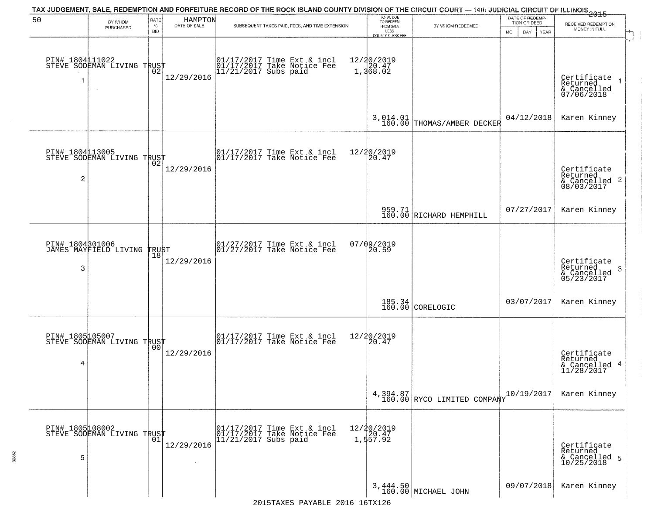|                      |                                                |                            |                         | TAX JUDGEMENT, SALE, REDEMPTION AND FORFEITURE RECORD OF THE ROCK ISLAND COUNTY DIVISION OF THE CIRCUIT COURT — 14th JUDICIAL CIRCUIT OF ILLINOIS 2015                                                                      |                                                                        |                                         |                                                        |                                                                        |
|----------------------|------------------------------------------------|----------------------------|-------------------------|-----------------------------------------------------------------------------------------------------------------------------------------------------------------------------------------------------------------------------|------------------------------------------------------------------------|-----------------------------------------|--------------------------------------------------------|------------------------------------------------------------------------|
| 50                   | BY WHOM<br>PURCHASED                           | RATE<br>$\%$<br><b>BID</b> | HAMPTON<br>DATE OF SALE | SUBSEQUENT TAXES PAID, FEES, AND TIME EXTENSION                                                                                                                                                                             | TOTAL DUE<br>TO REDEEM<br>FROM SALE<br>LESS<br><b>COUNTY CLERK FEE</b> | BY WHOM REDEEMED                        | DATE OF REDEMP-<br>TION OR DEED<br>MO.<br>DAY.<br>YEAR | RECEIVED REDEMPTION<br>MONEY IN FULL                                   |
|                      | PIN# 1804 11022<br>STEVE SODEMAN LIVING TRUST  |                            | 12/29/2016              | 01/17/2017 Time Ext & incl<br>01/17/2017 Take Notice Fee<br>11/21/2017 Subs paid                                                                                                                                            | 12/20/2019<br>1,368.02                                                 |                                         |                                                        | Certificate<br>Returned<br>& Cancelled<br>07/06/2018                   |
|                      |                                                |                            |                         |                                                                                                                                                                                                                             |                                                                        | 3,014.01<br>160.00 THOMAS/AMBER DECKER  | 04/12/2018                                             | Karen Kinney                                                           |
| $\overline{2}$       | PIN# 1804113005<br>STEVE SODEMAN LIVING TRUST  |                            | 12/29/2016              | $\begin{array}{cc}  01/17/2017 \text{ Time Ext} & \text{incl} \\  01/17/2017 \text{ Take Notice Fe} \end{array}$                                                                                                            | 12/20/2019<br>20.47                                                    |                                         |                                                        | Certificate<br>Returned<br>$\frac{12241164}{68/03/2017}$<br>08/03/2017 |
|                      |                                                |                            |                         |                                                                                                                                                                                                                             |                                                                        | 959.71<br>160.00 RICHARD HEMPHILL       | 07/27/2017                                             | Karen Kinney                                                           |
| 3                    | PIN# 1804301006<br>JAMES MAYFIELD LIVING TRUST | 18                         | 12/29/2016              | 01/27/2017 Time Ext & incl<br>01/27/2017 Take Notice Fee                                                                                                                                                                    | 07/09/2019<br>20.59                                                    |                                         |                                                        | Certificate<br>Returned<br>3<br>$\frac{6}{05/23/2017}$                 |
|                      |                                                |                            |                         |                                                                                                                                                                                                                             |                                                                        | 185.34<br>160.00 CORELOGIC              | 03/07/2017                                             | Karen Kinney                                                           |
| 4                    | PIN# 1805105007<br>STEVE SODEMAN LIVING TRUST  | 0 <sub>0</sub>             | 12/29/2016              | 01/17/2017 Time Ext & incl<br>01/17/2017 Take Notice Fee                                                                                                                                                                    | 12/20/2019<br>120.47                                                   |                                         |                                                        | Certificate<br>Returned<br>4<br>& Cancelled<br>11/28/2017              |
|                      |                                                |                            |                         |                                                                                                                                                                                                                             |                                                                        | 4,394.87<br>160.00 RYCO LIMITED COMPANY | 10/19/2017                                             | Karen Kinney                                                           |
| PIN# 1805108002<br>5 | STEVE SODEMAN LIVING TRUST                     | 01                         | 12/29/2016              | 01/17/2017 Time Ext & incl<br>01/17/2017 Take Notice Fee<br>11/21/2017 Subs paid                                                                                                                                            | 12/20/2019<br>20.47<br>1,557.92                                        |                                         |                                                        | Certificate<br>Returned<br>& Cancelled 5<br>10/25/2018                 |
|                      |                                                |                            |                         | $2015T^2$ $T^2$ $R^2$ $R^2$ $R^2$ $R^2$ $R^2$ $R^2$ $R^2$ $R^2$ $R^2$ $R^2$ $R^2$ $R^2$ $R^2$ $R^2$ $R^2$ $R^2$ $R^2$ $R^2$ $R^2$ $R^2$ $R^2$ $R^2$ $R^2$ $R^2$ $R^2$ $R^2$ $R^2$ $R^2$ $R^2$ $R^2$ $R^2$ $R^2$ $R^2$ $R^2$ |                                                                        | 3,444.50<br>160.00 MICHAEL JOHN         | 09/07/2018                                             | Karen Kinney                                                           |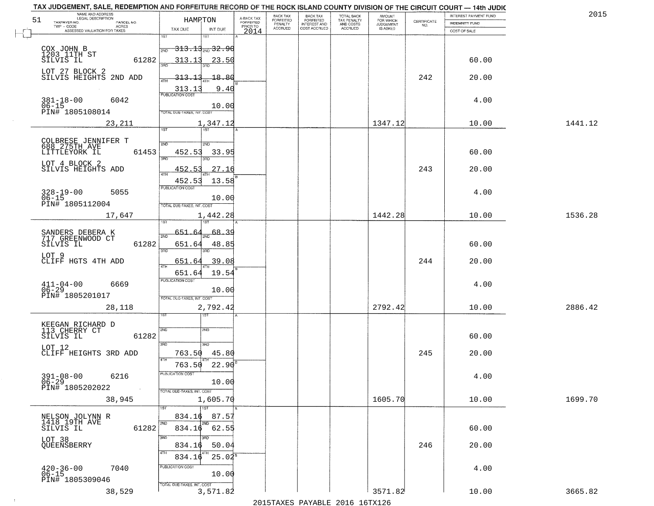| TAX JUDGEMENT, SALE, REDEMPTION AND FORFEITURE RECORD OF THE ROCK ISLAND COUNTY DIVISION OF THE CIRCUIT COURT - 14th JUDIC<br>NAME AND ADDRESS<br>LEGAL DESCRIPTION |                                              |                                     | BACK TAX             |                                       |                                        | AMOUNT<br>FOR WHICH |                                                                 | INTEREST PAYMENT FUND | 2015    |
|---------------------------------------------------------------------------------------------------------------------------------------------------------------------|----------------------------------------------|-------------------------------------|----------------------|---------------------------------------|----------------------------------------|---------------------|-----------------------------------------------------------------|-----------------------|---------|
| 51<br>TAXPAYER NO.<br>PARCEL NO.                                                                                                                                    | HAMPTON                                      | A-BACK TAX<br>FORFEITED<br>PRIOR TO | FORFEITED<br>PENALTY | BACK TAX<br>FORFEITED<br>INTEREST AND | TOTAL BACK<br>TAX PENALTY<br>AND COSTS | <b>JUDGEMENT</b>    | $\begin{array}{c} \text{CERTIFICATE} \\ \text{NO.} \end{array}$ | INDEMNITY FUND        |         |
| TWP - CODE<br>ACRES<br>ASSESSED VALUATION FOR TAXES                                                                                                                 | TAX DUE<br>INT DUE                           | 2014                                | <b>ACCRUED</b>       | COST ACCRUED                          | ACCRUED                                | IS ASKED            |                                                                 | COST OF SALE          |         |
|                                                                                                                                                                     | 181<br>IST                                   |                                     |                      |                                       |                                        |                     |                                                                 |                       |         |
|                                                                                                                                                                     | <del>313.13<sub>2ND</sub> 32.90</del><br>2ND |                                     |                      |                                       |                                        |                     |                                                                 |                       |         |
| COX JOHN B<br>1203 11TH ST<br>SILVIS IL<br>61282                                                                                                                    | 313.13<br>23.50                              |                                     |                      |                                       |                                        |                     |                                                                 | 60.00                 |         |
|                                                                                                                                                                     |                                              |                                     |                      |                                       |                                        |                     |                                                                 |                       |         |
| LOT 27 BLOCK 2<br>SILVIS HEIGHTS 2ND ADD                                                                                                                            | <u>313.13</u><br>18.80                       |                                     |                      |                                       |                                        |                     | 242                                                             | 20.00                 |         |
|                                                                                                                                                                     | 9.40                                         |                                     |                      |                                       |                                        |                     |                                                                 |                       |         |
|                                                                                                                                                                     | 513.13<br>PUBLICATION COST                   |                                     |                      |                                       |                                        |                     |                                                                 |                       |         |
| $381 - 18 - 00$<br>$06 - 15$<br>6042                                                                                                                                | 10.00                                        |                                     |                      |                                       |                                        |                     |                                                                 | 4.00                  |         |
| PIN# 1805108014                                                                                                                                                     | <b>TOTAL DUE-TAXES, INT. COST</b>            |                                     |                      |                                       |                                        |                     |                                                                 |                       |         |
| 23, 211                                                                                                                                                             | 1,347.12                                     |                                     |                      |                                       |                                        | 1347.12             |                                                                 | 10.00                 | 1441.12 |
|                                                                                                                                                                     |                                              |                                     |                      |                                       |                                        |                     |                                                                 |                       |         |
| COLBRESE JENNIFER T                                                                                                                                                 | 2ND<br>5 <sub>MD</sub>                       |                                     |                      |                                       |                                        |                     |                                                                 |                       |         |
| 688 275TH AVE<br>LITTLEYORK IL<br>61453                                                                                                                             | 452.53<br>33.95                              |                                     |                      |                                       |                                        |                     |                                                                 | 60.00                 |         |
|                                                                                                                                                                     | ਭਸ਼ਨ<br>3RD                                  |                                     |                      |                                       |                                        |                     |                                                                 |                       |         |
| LOT 4 BLOCK 2<br>SILVIS HEIGHTS ADD                                                                                                                                 | 27.16<br>452.53                              |                                     |                      |                                       |                                        |                     | 243                                                             | 20.00                 |         |
|                                                                                                                                                                     | 13.58<br>452.53                              |                                     |                      |                                       |                                        |                     |                                                                 |                       |         |
|                                                                                                                                                                     | PUBLICATION COST                             |                                     |                      |                                       |                                        |                     |                                                                 |                       |         |
| $328 - 19 - 00$<br>5055<br>$06 - 15$                                                                                                                                | 10.00                                        |                                     |                      |                                       |                                        |                     |                                                                 | 4.00                  |         |
| PIN# 1805112004                                                                                                                                                     | TOTAL DUE-TAXES, INT. COST                   |                                     |                      |                                       |                                        |                     |                                                                 |                       |         |
| 17,647                                                                                                                                                              | 1,442.28                                     |                                     |                      |                                       |                                        | 1442.28             |                                                                 | 10.00                 | 1536.28 |
|                                                                                                                                                                     | 187                                          |                                     |                      |                                       |                                        |                     |                                                                 |                       |         |
| SANDERS DEBERA K<br>717 GREENWOOD CT                                                                                                                                | 651.<br>68.39<br>2ND                         |                                     |                      |                                       |                                        |                     |                                                                 |                       |         |
| 61282<br>SILVIS IL                                                                                                                                                  | 651.64<br>48.85                              |                                     |                      |                                       |                                        |                     |                                                                 | 60.00                 |         |
| LOT 9                                                                                                                                                               | 3RD<br>3RD                                   |                                     |                      |                                       |                                        |                     |                                                                 |                       |         |
| CLIFF HGTS 4TH ADD                                                                                                                                                  | 651.64<br>39.08                              |                                     |                      |                                       |                                        |                     | 244                                                             | 20.00                 |         |
|                                                                                                                                                                     | 4T<br>19.54<br>651.64                        |                                     |                      |                                       |                                        |                     |                                                                 |                       |         |
|                                                                                                                                                                     | <b>PUBLICATION COST</b>                      |                                     |                      |                                       |                                        |                     |                                                                 |                       |         |
| $411 - 04 - 00$<br>06-29<br>6669                                                                                                                                    | 10.00                                        |                                     |                      |                                       |                                        |                     |                                                                 | 4.00                  |         |
| PIN# 1805201017                                                                                                                                                     | TOTAL OUE-TAXES, INT. COST                   |                                     |                      |                                       |                                        |                     |                                                                 |                       |         |
| 28,118                                                                                                                                                              | 2,792.42                                     |                                     |                      |                                       |                                        | 2792.42             |                                                                 | 10.00                 | 2886.42 |
|                                                                                                                                                                     | 1ST                                          |                                     |                      |                                       |                                        |                     |                                                                 |                       |         |
| KEEGAN RICHARD D<br>113 CHERRY CT                                                                                                                                   | 2ND<br>2ND                                   |                                     |                      |                                       |                                        |                     |                                                                 |                       |         |
| SILVIS IL<br>61282                                                                                                                                                  |                                              |                                     |                      |                                       |                                        |                     |                                                                 | 60.00                 |         |
| LOT 12                                                                                                                                                              | 3RD<br>3RD                                   |                                     |                      |                                       |                                        |                     |                                                                 |                       |         |
| CLIFF HEIGHTS 3RD ADD                                                                                                                                               | 45.80<br>763.50<br>4TH                       |                                     |                      |                                       |                                        |                     | 245                                                             | 20.00                 |         |
|                                                                                                                                                                     | 763.50<br>22.90                              |                                     |                      |                                       |                                        |                     |                                                                 |                       |         |
| $391 - 08 - 00$<br>6216                                                                                                                                             | PUBLICATION COST                             |                                     |                      |                                       |                                        |                     |                                                                 | 4.00                  |         |
| $06 - 29$                                                                                                                                                           | 10.00                                        |                                     |                      |                                       |                                        |                     |                                                                 |                       |         |
| PIN# 1805202022<br>$\sim$                                                                                                                                           | TOTAL DUE-TAXES, INT. COST                   |                                     |                      |                                       |                                        |                     |                                                                 |                       |         |
| 38,945                                                                                                                                                              | 1,605.70                                     |                                     |                      |                                       |                                        | 1605.70             |                                                                 | 10.00                 | 1699.70 |
|                                                                                                                                                                     | 1ST                                          |                                     |                      |                                       |                                        |                     |                                                                 |                       |         |
| NELSON JOLYNN R<br>1418 19TH AVE<br>SILVIS IL                                                                                                                       | 87.57<br>834.16<br>2ND<br>2ND                |                                     |                      |                                       |                                        |                     |                                                                 |                       |         |
| 61282                                                                                                                                                               | $834.16$ $62.55$                             |                                     |                      |                                       |                                        |                     |                                                                 | 60.00                 |         |
| LOT 38<br>QUEENSBERRY                                                                                                                                               | 3RD                                          |                                     |                      |                                       |                                        |                     |                                                                 |                       |         |
|                                                                                                                                                                     | 50.04<br>834.16                              |                                     |                      |                                       |                                        |                     | 246                                                             | 20.00                 |         |
|                                                                                                                                                                     | 4TH<br>$25.04^s$<br>834.16                   |                                     |                      |                                       |                                        |                     |                                                                 |                       |         |
| 7040                                                                                                                                                                | PUBLICATION COST                             |                                     |                      |                                       |                                        |                     |                                                                 | 4.00                  |         |
| $420 - 36 - 00$<br>06-15                                                                                                                                            | 10.00                                        |                                     |                      |                                       |                                        |                     |                                                                 |                       |         |
|                                                                                                                                                                     |                                              |                                     |                      |                                       |                                        |                     |                                                                 |                       |         |
| PIN# 1805309046<br>38,529                                                                                                                                           | TOTAL DUE-TAXES, INT. COST<br>3,571.82       |                                     |                      |                                       |                                        | 3571.82             |                                                                 | 10.00                 | 3665.82 |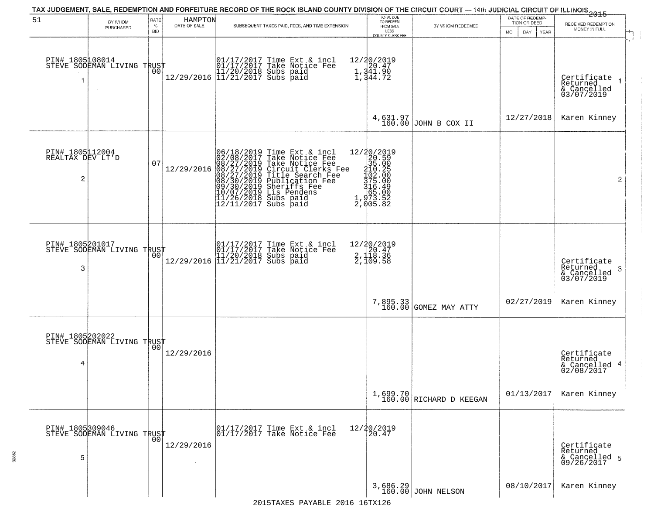| 51                                       | BY WHOM<br>PURCHASED                          | RATE<br>$\%$<br><b>BID</b> | HAMPTON<br>DATE OF SALE | TAX JUDGEMENT, SALE, REDEMPTION AND FORFEITURE RECORD OF THE ROCK ISLAND COUNTY DIVISION OF THE CIRCUIT COURT — 14th JUDICIAL CIRCUIT OF ILLINOIS 2015<br>SUBSEQUENT TAXES PAID, FEES, AND TIME EXTENSION                                             | TOTAL DUE<br>TO REDEEM<br>FROM SALE<br>LESS<br>COUNTY CLERK FEE                                   | BY WHOM REDEEMED                    | DATE OF REDEMP-<br>TION OR DEED<br>MO.<br>DAY<br><b>YEAR</b> | RECEIVED REDEMPTION<br>MONEY IN FULL                       |
|------------------------------------------|-----------------------------------------------|----------------------------|-------------------------|-------------------------------------------------------------------------------------------------------------------------------------------------------------------------------------------------------------------------------------------------------|---------------------------------------------------------------------------------------------------|-------------------------------------|--------------------------------------------------------------|------------------------------------------------------------|
|                                          | PIN# 1805108014<br>STEVE SODEMAN LIVING TRUST | 00                         |                         | 01/17/2017 Time Ext & incl<br>01/17/2017 Take Notice Fee<br>11/20/2018 Subs paid<br>12/29/2016 11/21/2017 Subs paid                                                                                                                                   | 12/20/2019<br>1,341.90<br>1,341.90                                                                |                                     |                                                              | Certificate<br>Returned<br>& Cancelled<br>03/07/2019       |
|                                          |                                               |                            |                         |                                                                                                                                                                                                                                                       | 4,631.97<br>160.00                                                                                | JOHN B COX II                       | 12/27/2018                                                   | Karen Kinney                                               |
| PIN# 1805112004<br>REALTAX DEV LT'D<br>2 |                                               | 07                         | 12/29/2016              | 06/18/2019 Time Ext & incl<br>02/08/2017 Take Notice Fee<br>08/27/2019 Take Notice Fee<br>08/27/2019 Circuit Clerks Fee<br>08/27/2019 Title Search Fee<br>08/30/2019 Diblication Fee<br>09/30/2019 Diblication Fee<br>10/07/2019 Lis Pendens<br>11/26 | 12/20/2019<br>20.59<br>35.005<br>3102.000<br>3102.000<br>375.009<br>375.000<br>473.52<br>2,005.82 |                                     |                                                              | $\overline{2}$                                             |
| PIN# 1805201017<br>3                     | STEVE SODEMAN LIVING TRUST                    | 00                         |                         | 01/17/2017 Time Ext & incl<br>01/17/2017 Take Notice Fee<br>11/20/2018 Subs paid<br>12/29/2016 11/21/2017 Subs paid                                                                                                                                   | $\begin{array}{r} 12/20/2019 \\2,120.47 \\2,118.36 \\2,109.58 \end{array}$                        |                                     |                                                              | Certifiçate<br>Returned<br>-3<br>& Cancelled<br>03/07/2019 |
|                                          |                                               |                            |                         |                                                                                                                                                                                                                                                       |                                                                                                   | 7,895.33 GOMEZ MAY ATTY             | 02/27/2019                                                   | Karen Kinney                                               |
| PIN# 1805202022<br>4                     | STEVE SODEMAN LIVING TRUST                    |                            | 12/29/2016              |                                                                                                                                                                                                                                                       |                                                                                                   |                                     |                                                              | Certificate<br>Returned<br>& Cancelled 4<br>02/08/2017     |
|                                          |                                               |                            |                         |                                                                                                                                                                                                                                                       |                                                                                                   | 1,699.70<br>160.00 RICHARD D KEEGAN | 01/13/2017                                                   | Karen Kinney                                               |
| 5                                        | PIN# 1805309046<br>STEVE SODEMAN LIVING TRUST |                            | 12/29/2016              | 01/17/2017 Time Ext & incl<br>01/17/2017 Take Notice Fee                                                                                                                                                                                              | 12/20/2019<br>20.47                                                                               |                                     |                                                              | Certificate<br>Returned<br>& Cancelled 5<br>09/26/2017     |
|                                          |                                               |                            |                         |                                                                                                                                                                                                                                                       |                                                                                                   | 3,686.29<br>160.00 JOHN NELSON      | 08/10/2017                                                   | Karen Kinney                                               |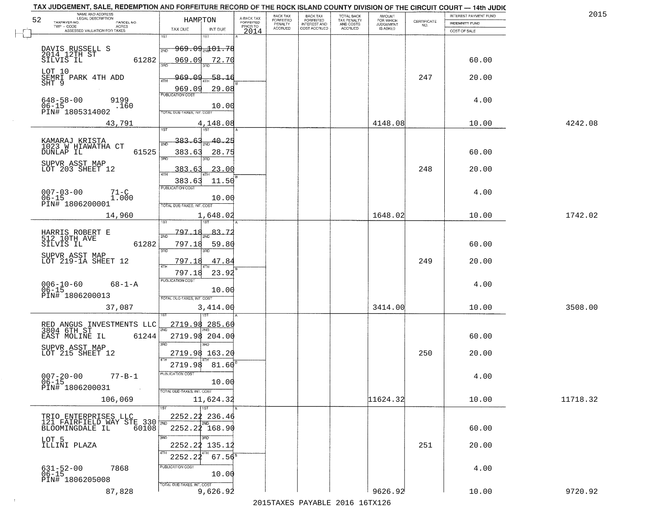|                            |                                                                                                                                                                                                                                                                                                                                                                                                                                                                                                                                                                                            | BACK TAX                                                                                                                                                              |                      |                                              |                                        |                                                                           | INTEREST PAYMENT FUND                                                                       | 2015                                                                                                           |
|----------------------------|--------------------------------------------------------------------------------------------------------------------------------------------------------------------------------------------------------------------------------------------------------------------------------------------------------------------------------------------------------------------------------------------------------------------------------------------------------------------------------------------------------------------------------------------------------------------------------------------|-----------------------------------------------------------------------------------------------------------------------------------------------------------------------|----------------------|----------------------------------------------|----------------------------------------|---------------------------------------------------------------------------|---------------------------------------------------------------------------------------------|----------------------------------------------------------------------------------------------------------------|
|                            |                                                                                                                                                                                                                                                                                                                                                                                                                                                                                                                                                                                            |                                                                                                                                                                       |                      |                                              |                                        |                                                                           | INDEMNITY FUND                                                                              |                                                                                                                |
| TAX DUE<br>INT DUE         |                                                                                                                                                                                                                                                                                                                                                                                                                                                                                                                                                                                            | <b>ACCRUED</b>                                                                                                                                                        | COST ACCRUED         | ACCRUED                                      | IS ASKED                               |                                                                           | COST OF SALE                                                                                |                                                                                                                |
| 181<br>IST                 |                                                                                                                                                                                                                                                                                                                                                                                                                                                                                                                                                                                            |                                                                                                                                                                       |                      |                                              |                                        |                                                                           |                                                                                             |                                                                                                                |
|                            |                                                                                                                                                                                                                                                                                                                                                                                                                                                                                                                                                                                            |                                                                                                                                                                       |                      |                                              |                                        |                                                                           |                                                                                             |                                                                                                                |
|                            |                                                                                                                                                                                                                                                                                                                                                                                                                                                                                                                                                                                            |                                                                                                                                                                       |                      |                                              |                                        |                                                                           |                                                                                             |                                                                                                                |
|                            |                                                                                                                                                                                                                                                                                                                                                                                                                                                                                                                                                                                            |                                                                                                                                                                       |                      |                                              |                                        |                                                                           |                                                                                             |                                                                                                                |
|                            |                                                                                                                                                                                                                                                                                                                                                                                                                                                                                                                                                                                            |                                                                                                                                                                       |                      |                                              |                                        |                                                                           |                                                                                             |                                                                                                                |
|                            |                                                                                                                                                                                                                                                                                                                                                                                                                                                                                                                                                                                            |                                                                                                                                                                       |                      |                                              |                                        |                                                                           |                                                                                             |                                                                                                                |
| 969.09                     |                                                                                                                                                                                                                                                                                                                                                                                                                                                                                                                                                                                            |                                                                                                                                                                       |                      |                                              |                                        |                                                                           |                                                                                             |                                                                                                                |
|                            |                                                                                                                                                                                                                                                                                                                                                                                                                                                                                                                                                                                            |                                                                                                                                                                       |                      |                                              |                                        |                                                                           |                                                                                             |                                                                                                                |
| 10.00                      |                                                                                                                                                                                                                                                                                                                                                                                                                                                                                                                                                                                            |                                                                                                                                                                       |                      |                                              |                                        |                                                                           |                                                                                             |                                                                                                                |
|                            |                                                                                                                                                                                                                                                                                                                                                                                                                                                                                                                                                                                            |                                                                                                                                                                       |                      |                                              |                                        |                                                                           |                                                                                             |                                                                                                                |
| 4,148.08                   |                                                                                                                                                                                                                                                                                                                                                                                                                                                                                                                                                                                            |                                                                                                                                                                       |                      |                                              | 4148.08                                |                                                                           | 10.00                                                                                       | 4242.08                                                                                                        |
|                            |                                                                                                                                                                                                                                                                                                                                                                                                                                                                                                                                                                                            |                                                                                                                                                                       |                      |                                              |                                        |                                                                           |                                                                                             |                                                                                                                |
| <u>383.63</u><br>40.25     |                                                                                                                                                                                                                                                                                                                                                                                                                                                                                                                                                                                            |                                                                                                                                                                       |                      |                                              |                                        |                                                                           |                                                                                             |                                                                                                                |
|                            |                                                                                                                                                                                                                                                                                                                                                                                                                                                                                                                                                                                            |                                                                                                                                                                       |                      |                                              |                                        |                                                                           |                                                                                             |                                                                                                                |
| 3BD<br>3BD.                |                                                                                                                                                                                                                                                                                                                                                                                                                                                                                                                                                                                            |                                                                                                                                                                       |                      |                                              |                                        |                                                                           |                                                                                             |                                                                                                                |
|                            |                                                                                                                                                                                                                                                                                                                                                                                                                                                                                                                                                                                            |                                                                                                                                                                       |                      |                                              |                                        |                                                                           |                                                                                             |                                                                                                                |
|                            |                                                                                                                                                                                                                                                                                                                                                                                                                                                                                                                                                                                            |                                                                                                                                                                       |                      |                                              |                                        |                                                                           |                                                                                             |                                                                                                                |
|                            |                                                                                                                                                                                                                                                                                                                                                                                                                                                                                                                                                                                            |                                                                                                                                                                       |                      |                                              |                                        |                                                                           |                                                                                             |                                                                                                                |
|                            |                                                                                                                                                                                                                                                                                                                                                                                                                                                                                                                                                                                            |                                                                                                                                                                       |                      |                                              |                                        |                                                                           | 4.00                                                                                        |                                                                                                                |
|                            |                                                                                                                                                                                                                                                                                                                                                                                                                                                                                                                                                                                            |                                                                                                                                                                       |                      |                                              |                                        |                                                                           |                                                                                             |                                                                                                                |
|                            |                                                                                                                                                                                                                                                                                                                                                                                                                                                                                                                                                                                            |                                                                                                                                                                       |                      |                                              |                                        |                                                                           |                                                                                             |                                                                                                                |
|                            |                                                                                                                                                                                                                                                                                                                                                                                                                                                                                                                                                                                            |                                                                                                                                                                       |                      |                                              |                                        |                                                                           |                                                                                             | 1742.02                                                                                                        |
|                            |                                                                                                                                                                                                                                                                                                                                                                                                                                                                                                                                                                                            |                                                                                                                                                                       |                      |                                              |                                        |                                                                           |                                                                                             |                                                                                                                |
| 2ND                        |                                                                                                                                                                                                                                                                                                                                                                                                                                                                                                                                                                                            |                                                                                                                                                                       |                      |                                              |                                        |                                                                           |                                                                                             |                                                                                                                |
| 797.18<br>59.80            |                                                                                                                                                                                                                                                                                                                                                                                                                                                                                                                                                                                            |                                                                                                                                                                       |                      |                                              |                                        |                                                                           | 60.00                                                                                       |                                                                                                                |
| 3RD<br>3RD                 |                                                                                                                                                                                                                                                                                                                                                                                                                                                                                                                                                                                            |                                                                                                                                                                       |                      |                                              |                                        |                                                                           |                                                                                             |                                                                                                                |
| 47.84<br>797.18            |                                                                                                                                                                                                                                                                                                                                                                                                                                                                                                                                                                                            |                                                                                                                                                                       |                      |                                              |                                        | 249                                                                       | 20.00                                                                                       |                                                                                                                |
|                            |                                                                                                                                                                                                                                                                                                                                                                                                                                                                                                                                                                                            |                                                                                                                                                                       |                      |                                              |                                        |                                                                           |                                                                                             |                                                                                                                |
|                            |                                                                                                                                                                                                                                                                                                                                                                                                                                                                                                                                                                                            |                                                                                                                                                                       |                      |                                              |                                        |                                                                           |                                                                                             |                                                                                                                |
|                            |                                                                                                                                                                                                                                                                                                                                                                                                                                                                                                                                                                                            |                                                                                                                                                                       |                      |                                              |                                        |                                                                           |                                                                                             |                                                                                                                |
|                            |                                                                                                                                                                                                                                                                                                                                                                                                                                                                                                                                                                                            |                                                                                                                                                                       |                      |                                              |                                        |                                                                           |                                                                                             |                                                                                                                |
|                            |                                                                                                                                                                                                                                                                                                                                                                                                                                                                                                                                                                                            |                                                                                                                                                                       |                      |                                              |                                        |                                                                           |                                                                                             | 3508.00                                                                                                        |
|                            |                                                                                                                                                                                                                                                                                                                                                                                                                                                                                                                                                                                            |                                                                                                                                                                       |                      |                                              |                                        |                                                                           |                                                                                             |                                                                                                                |
|                            |                                                                                                                                                                                                                                                                                                                                                                                                                                                                                                                                                                                            |                                                                                                                                                                       |                      |                                              |                                        |                                                                           |                                                                                             |                                                                                                                |
|                            |                                                                                                                                                                                                                                                                                                                                                                                                                                                                                                                                                                                            |                                                                                                                                                                       |                      |                                              |                                        |                                                                           |                                                                                             |                                                                                                                |
|                            |                                                                                                                                                                                                                                                                                                                                                                                                                                                                                                                                                                                            |                                                                                                                                                                       |                      |                                              |                                        |                                                                           |                                                                                             |                                                                                                                |
|                            |                                                                                                                                                                                                                                                                                                                                                                                                                                                                                                                                                                                            |                                                                                                                                                                       |                      |                                              |                                        |                                                                           |                                                                                             |                                                                                                                |
|                            |                                                                                                                                                                                                                                                                                                                                                                                                                                                                                                                                                                                            |                                                                                                                                                                       |                      |                                              |                                        |                                                                           |                                                                                             |                                                                                                                |
| 2719.98<br>81.60           |                                                                                                                                                                                                                                                                                                                                                                                                                                                                                                                                                                                            |                                                                                                                                                                       |                      |                                              |                                        |                                                                           |                                                                                             |                                                                                                                |
| PUBLICATION COS-           |                                                                                                                                                                                                                                                                                                                                                                                                                                                                                                                                                                                            |                                                                                                                                                                       |                      |                                              |                                        |                                                                           |                                                                                             |                                                                                                                |
| 10.00                      |                                                                                                                                                                                                                                                                                                                                                                                                                                                                                                                                                                                            |                                                                                                                                                                       |                      |                                              |                                        |                                                                           |                                                                                             |                                                                                                                |
| TOTAL DUE-TAXES, INT. COST |                                                                                                                                                                                                                                                                                                                                                                                                                                                                                                                                                                                            |                                                                                                                                                                       |                      |                                              |                                        |                                                                           |                                                                                             |                                                                                                                |
|                            |                                                                                                                                                                                                                                                                                                                                                                                                                                                                                                                                                                                            |                                                                                                                                                                       |                      |                                              |                                        |                                                                           | 10.00                                                                                       | 11718.32                                                                                                       |
| 1ST                        |                                                                                                                                                                                                                                                                                                                                                                                                                                                                                                                                                                                            |                                                                                                                                                                       |                      |                                              |                                        |                                                                           |                                                                                             |                                                                                                                |
|                            |                                                                                                                                                                                                                                                                                                                                                                                                                                                                                                                                                                                            |                                                                                                                                                                       |                      |                                              |                                        |                                                                           |                                                                                             |                                                                                                                |
| 2ND                        |                                                                                                                                                                                                                                                                                                                                                                                                                                                                                                                                                                                            |                                                                                                                                                                       |                      |                                              |                                        |                                                                           |                                                                                             |                                                                                                                |
|                            |                                                                                                                                                                                                                                                                                                                                                                                                                                                                                                                                                                                            |                                                                                                                                                                       |                      |                                              |                                        |                                                                           |                                                                                             |                                                                                                                |
|                            |                                                                                                                                                                                                                                                                                                                                                                                                                                                                                                                                                                                            |                                                                                                                                                                       |                      |                                              |                                        |                                                                           |                                                                                             |                                                                                                                |
|                            |                                                                                                                                                                                                                                                                                                                                                                                                                                                                                                                                                                                            |                                                                                                                                                                       |                      |                                              |                                        |                                                                           |                                                                                             |                                                                                                                |
|                            |                                                                                                                                                                                                                                                                                                                                                                                                                                                                                                                                                                                            |                                                                                                                                                                       |                      |                                              |                                        |                                                                           |                                                                                             |                                                                                                                |
| <b>PUBLICATION COST</b>    |                                                                                                                                                                                                                                                                                                                                                                                                                                                                                                                                                                                            |                                                                                                                                                                       |                      |                                              |                                        |                                                                           | 4.00                                                                                        |                                                                                                                |
|                            |                                                                                                                                                                                                                                                                                                                                                                                                                                                                                                                                                                                            |                                                                                                                                                                       |                      |                                              |                                        |                                                                           |                                                                                             |                                                                                                                |
| TOTAL DUE-TAXES, INT. COST |                                                                                                                                                                                                                                                                                                                                                                                                                                                                                                                                                                                            |                                                                                                                                                                       |                      |                                              |                                        |                                                                           |                                                                                             |                                                                                                                |
| 9,626.92                   |                                                                                                                                                                                                                                                                                                                                                                                                                                                                                                                                                                                            |                                                                                                                                                                       |                      |                                              | 9626.92                                |                                                                           | 10.00                                                                                       | 9720.92                                                                                                        |
|                            |                                                                                                                                                                                                                                                                                                                                                                                                                                                                                                                                                                                            |                                                                                                                                                                       |                      |                                              |                                        |                                                                           |                                                                                             |                                                                                                                |
|                            | HAMPTON<br>$969.09_{20}101.78$<br>2ND<br>61282<br>969.09<br>72.70<br>969.09<br><b>PUBLICATION COST</b><br><b>TOTAL DUE-TAXES, INT. COST</b><br>61525<br>383.63<br>383.63<br>383.63<br>PUBLICATION COST<br>10.00<br>TOTAL DUE-TAXES, INT. COST<br>187<br>797.<br>83.ZZ<br>61282<br>23.92<br>797.18<br><b>PUBLICATION COST</b><br>10.00<br>TOTAL OUE-TAXES, INT. COST<br>3,414.00<br>2719.98<br>RED ANGUS INVESTMENTS LLC<br>285.60<br>61244<br>2719.98 204.00<br>3BD<br>3BD<br>2719.98 163.20<br>121 FAIRFIELD WAY STE 330 700<br>60108<br>3RD<br>3RD<br>2252.22 135.12<br>2252.22<br>10.00 | A-BACK TAX<br>FORFEITED<br>PRIOR TO<br>2014<br>$-58.16$<br>29.08<br>28.75<br>23.00<br>11.50<br>1,648.02<br>11,624.32<br>2252.22 236.46<br>2252.22 168.90<br>$67.56^8$ | FORFEITED<br>PENALTY | BACK TAX<br>FORFEITED<br><b>INTEREST AND</b> | TOTAL BACK<br>TAX PENALTY<br>AND COSTS | AMOUNT<br>FOR WHICH<br><b>JUDGEMENT</b><br>1648.02<br>3414.00<br>11624.32 | $\begin{array}{c} \text{CERTIFICATE} \\ \text{NO.} \end{array}$<br>247<br>248<br>250<br>251 | 60.00<br>20.00<br>4.00<br>60.00<br>20.00<br>10.00<br>4.00<br>10.00<br>60.00<br>20.00<br>4.00<br>60.00<br>20.00 |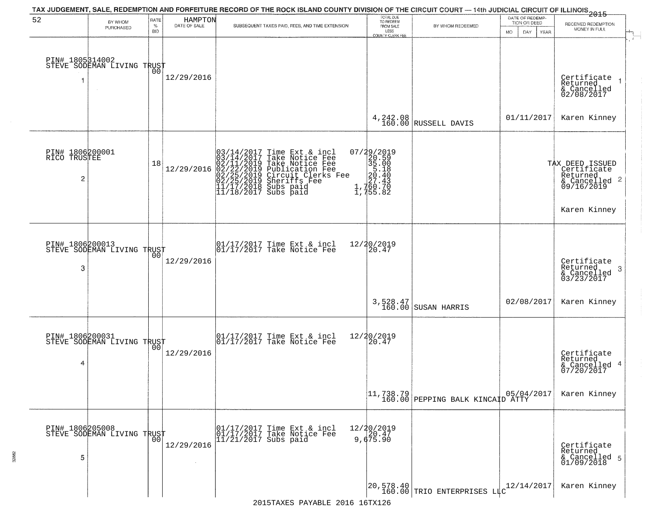|                                      |                                                                 |                            |                         | TAX JUDGEMENT, SALE, REDEMPTION AND FORFEITURE RECORD OF THE ROCK ISLAND COUNTY DIVISION OF THE CIRCUIT COURT — 14th JUDICIAL CIRCUIT OF ILLINOIS 2015                                                                                     |                                                                                                                      |                                                                                                                                       |                                                        |                                                                           |
|--------------------------------------|-----------------------------------------------------------------|----------------------------|-------------------------|--------------------------------------------------------------------------------------------------------------------------------------------------------------------------------------------------------------------------------------------|----------------------------------------------------------------------------------------------------------------------|---------------------------------------------------------------------------------------------------------------------------------------|--------------------------------------------------------|---------------------------------------------------------------------------|
| 52                                   | BY WHOM<br>PURCHASED                                            | RATE<br>$\%$<br><b>BID</b> | HAMPTON<br>DATE OF SALE | SUBSEQUENT TAXES PAID, FEES, AND TIME EXTENSION                                                                                                                                                                                            | TOTAL DUE<br>TO REDEEM<br>FROM SALE<br>LESS<br>COUNTY CLERK FEE                                                      | BY WHOM REDEEMED                                                                                                                      | DATE OF REDEMP-<br>TION OR DEED<br>MO.<br>DAY.<br>YEAR | RECEIVED REDEMPTION<br>MONEY IN FULL                                      |
| PIN# 1805314002<br>1                 | <b>STEVE SODEMAN LIVING TRUST</b><br>STEVE SODEMAN LIVING TRUST |                            | 12/29/2016              |                                                                                                                                                                                                                                            |                                                                                                                      |                                                                                                                                       |                                                        | Certificate<br>Returned<br>& Cancelled<br>02/08/2017                      |
|                                      |                                                                 |                            |                         |                                                                                                                                                                                                                                            |                                                                                                                      | $4,242.08$ RUSSELL DAVIS                                                                                                              | 01/11/2017                                             | Karen Kinney                                                              |
| PIN# 1806200001<br>RICO TRUSTEE<br>2 |                                                                 | 18                         | 12/29/2016              | 03/14/2017<br>03/14/2017<br>02/11/2019<br>02/22/2019<br>02/25/2019<br>11/17/2018<br>11/18/2017<br>Time Ext & incl<br>Take Notice Fee<br>Take Notice Fee<br>Publication Fee<br>Circuit Clerks Fee<br>Sheriffs Fee<br>Subs paid<br>Subs paid | 07/29/2019<br>$\begin{smallmatrix}2&2&5&5\\2&6&1&8\\3&5&1&8\\2&5&1&8\\2&7&4&3\\2&7&4&3\\1&7&5&5&82\end{smallmatrix}$ |                                                                                                                                       |                                                        | TAX DEED ISSUED<br>Certificate<br>Returned<br>& Cancelled 2<br>09/16/2019 |
|                                      |                                                                 |                            |                         |                                                                                                                                                                                                                                            |                                                                                                                      |                                                                                                                                       |                                                        | Karen Kinney                                                              |
| PIN# 1806200013<br>3                 | STEVE SODEMAN LIVING TRUST                                      | 00                         | 12/29/2016              | $\begin{bmatrix} 01/17/2017 \\ 01/17/2017 \\ 01 \end{bmatrix}$ Take Notice Fee                                                                                                                                                             | 12/20/2019<br>20.47                                                                                                  |                                                                                                                                       |                                                        | Certificate<br>Returned<br>3<br>$\frac{6}{03/23/2017}$                    |
|                                      |                                                                 |                            |                         |                                                                                                                                                                                                                                            |                                                                                                                      | 3,528.47<br>160.00 SUSAN HARRIS                                                                                                       | 02/08/2017                                             | Karen Kinney                                                              |
| 4                                    | PIN# 1806200031    <br>STEVE SODEMAN LIVING TRUST               | 00                         | 12/29/2016              | $\begin{bmatrix} 01/17/2017 \\ 01/17/2017 \end{bmatrix}$ Take Notice Fee                                                                                                                                                                   | 12/20/2019<br>$\tilde{20.47}$                                                                                        |                                                                                                                                       |                                                        | Certificate<br>Returned<br>4<br>& Cancelled<br>07/20/2017                 |
|                                      |                                                                 |                            |                         |                                                                                                                                                                                                                                            |                                                                                                                      | $\begin{array}{ c c c c c c c c } \hline 11.738.79 & & 05/04, \\ \hline 160.00 & \text{PEPPING BALK KINCAID ATTY} \hline \end{array}$ | 05/04/2017                                             | Karen Kinney                                                              |
| PIN# 1806205008<br>5                 | STEVE SODEMAN LIVING TRUST                                      | 00                         | 12/29/2016              | 01/17/2017 Time Ext & incl<br>01/17/2017 Take Notice Fee<br>$11/21/2017$ Subs paid                                                                                                                                                         | 12/20/2019<br>20.47<br>9,675.90                                                                                      |                                                                                                                                       |                                                        | Certificate<br>Returned<br>& Cancelled 5<br>01/09/2018                    |
|                                      |                                                                 |                            |                         | 2015TAXES PAYABLE 2016 16TX126                                                                                                                                                                                                             |                                                                                                                      | $\begin{bmatrix} 20.578.40 \\ 160.00 \end{bmatrix}$ TRIO ENTERPRISES LLC                                                              | 12/14/2017                                             | Karen Kinney                                                              |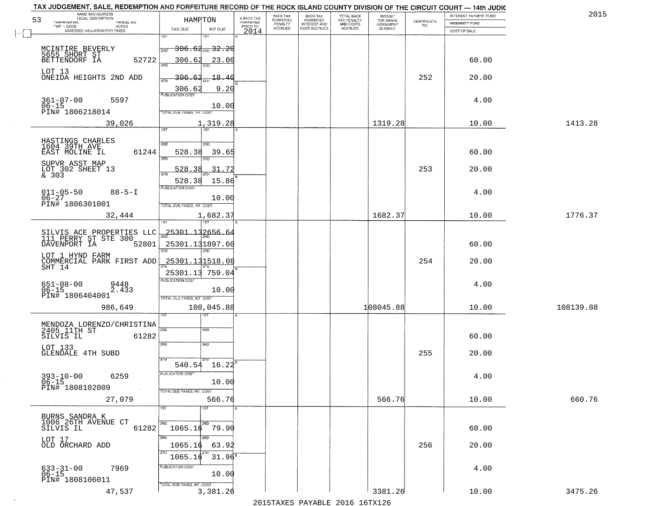| NAME AND ADDRESS<br>LEGAL DESCRIPTION<br>53<br>TAXPAYER NO.<br>PARCEL NO. | HAMRTON                                    | A-BACK TAX<br>FORFEITED     | BACK TAX<br>FORFEITED | <b>BACK TAX</b><br><b>FORFEITED</b> | TOTAL BACK<br>TAX PENALTY | <b>AMOUNT</b>                      | $\begin{array}{c} \text{CERTIFICATE} \\ \text{NO.} \end{array}$ | INTEREST PAYMENT FUND<br>INDEMNITY FUND | 2015      |
|---------------------------------------------------------------------------|--------------------------------------------|-----------------------------|-----------------------|-------------------------------------|---------------------------|------------------------------------|-----------------------------------------------------------------|-----------------------------------------|-----------|
| TWP - CODE<br><b>ACRES</b><br>ASSESSED VALUATION FOR TAXES                | TAX DUE                                    | PRIOR TO<br>INT DUE<br>2014 | PENALTY<br>ACCRUED    | INTEREST AND<br>COST ACCRUED        | AND COSTS<br>ACCRUED      | FOR WHICH<br>JUDGEMENT<br>IS ASKED |                                                                 | COST OF SALE                            |           |
|                                                                           | 1ST                                        |                             |                       |                                     |                           |                                    |                                                                 |                                         |           |
|                                                                           | <del>306.62<sub>2№</sub>32.20</del><br>2ND |                             |                       |                                     |                           |                                    |                                                                 |                                         |           |
| MCINTIRE BEVERLY<br>5655 SHORT ST<br>BETTENDORF IA<br>52722               | 306.62<br>រគក                              | 23.00                       |                       |                                     |                           |                                    |                                                                 | 60.00                                   |           |
| LOT 13<br>ONEIDA HEIGHTS 2ND ADD                                          | 306.                                       | -18 - 4                     |                       |                                     |                           |                                    | 252                                                             | 20.00                                   |           |
|                                                                           | <b>ATH</b><br>306.62                       | 9.20                        |                       |                                     |                           |                                    |                                                                 |                                         |           |
| $361 - 07 - 00$<br>5597                                                   | <b>PUBLICATION COST</b>                    |                             |                       |                                     |                           |                                    |                                                                 | 4.00                                    |           |
| $06 - 15$<br>PIN# 1806218014                                              | TOTAL DUE-TAXES, INT. COST                 | 10.00                       |                       |                                     |                           |                                    |                                                                 |                                         |           |
| 39,026                                                                    | 1,319.28                                   |                             |                       |                                     |                           | 1319.28                            |                                                                 | 10.00                                   | 1413.28   |
|                                                                           | <b>TST</b><br>1ST                          |                             |                       |                                     |                           |                                    |                                                                 |                                         |           |
| HASTINGS CHARLES<br>1604 39TH AVE                                         | 2ND<br>2ND                                 |                             |                       |                                     |                           |                                    |                                                                 |                                         |           |
| EAST MOLINE IL<br>61244                                                   | 528.38<br>3RD                              | 39.65                       |                       |                                     |                           |                                    |                                                                 | 60.00                                   |           |
| SUPVR ASST MAP<br>LOT 302 SHEET 13<br>& 303                               | 528<br>ิวุ<br><b>ATH</b>                   | 31.72                       |                       |                                     |                           |                                    | 253                                                             | 20.00                                   |           |
|                                                                           | 528.38                                     | 15.86                       |                       |                                     |                           |                                    |                                                                 |                                         |           |
| $011 - 05 - 50$<br>$88 - 5 - I$<br>$06 - 27$                              | PUBLICATION COST                           | 10.00                       |                       |                                     |                           |                                    |                                                                 | 4.00                                    |           |
| PIN# 1806301001                                                           | TOTAL DUE-TAXES, INT. COST                 |                             |                       |                                     |                           |                                    |                                                                 |                                         |           |
| 32,444                                                                    | 1,682.37                                   |                             |                       |                                     |                           | 1682.37                            |                                                                 | 10.00                                   | 1776.37   |
|                                                                           | <u> 25301.132656.</u>                      | -64                         |                       |                                     |                           |                                    |                                                                 |                                         |           |
| SILVIS ACE PROPERTIES LLC<br>111 PERRY ST STE 300<br>DAVENPORT IA 52801   | 25301.131897.60                            |                             |                       |                                     |                           |                                    |                                                                 | 60.00                                   |           |
| LOT 1 HYND FARM                                                           | 3RD                                        |                             |                       |                                     |                           |                                    |                                                                 |                                         |           |
| COMMERCIAL PARK FIRST ADD<br>SHT 14                                       | 25301.131518.08                            |                             |                       |                                     |                           |                                    | 254                                                             | 20.00                                   |           |
|                                                                           | 25301.13 759.04<br><b>PUBLICATION COST</b> |                             |                       |                                     |                           |                                    |                                                                 |                                         |           |
| 651-08-00<br>06-15<br>9448<br>2.433                                       |                                            | 10.00                       |                       |                                     |                           |                                    |                                                                 | 4.00                                    |           |
| PIN# 1806404001                                                           | TOTAL OUE-TAXES, INT. COST                 |                             |                       |                                     |                           |                                    |                                                                 |                                         |           |
| 986,649                                                                   | 108,045.88<br>ख़ा                          |                             |                       |                                     |                           | 108045.88                          |                                                                 | 10.00                                   | 108139.88 |
| MENDOZA LORENZO/CHRISTINA<br>2405 11TH ST                                 | 2ND<br>2ND                                 |                             |                       |                                     |                           |                                    |                                                                 |                                         |           |
| 61282<br>SILVIS IL                                                        |                                            |                             |                       |                                     |                           |                                    |                                                                 | 60.00                                   |           |
| LOT 133<br><b>GLENDALE 4TH SUBD</b>                                       | 3RD<br>3BD                                 |                             |                       |                                     |                           |                                    | 255                                                             | 20.00                                   |           |
|                                                                           | 4TH<br>$540.54$ $16.22^8$                  |                             |                       |                                     |                           |                                    |                                                                 |                                         |           |
| 6259                                                                      | PUBLICATION COST                           |                             |                       |                                     |                           |                                    |                                                                 | 4.00                                    |           |
| $393 - 10 - 00$<br>06-15<br>PIN# 1808102009<br>$\sim 100$ km $^{-1}$      |                                            | 10.00                       |                       |                                     |                           |                                    |                                                                 |                                         |           |
| 27,079                                                                    | TOTAL DUE-TAXES, INT. COST                 | 566.76                      |                       |                                     |                           | 566.76                             |                                                                 | 10.00                                   | 660.76    |
|                                                                           | 1ST<br>1ST                                 |                             |                       |                                     |                           |                                    |                                                                 |                                         |           |
| BURNS SANDRA K<br>1006 26TH AVENUE CT                                     | 2ND<br>2ND                                 |                             |                       |                                     |                           |                                    |                                                                 |                                         |           |
| SILVIS IL<br>61282                                                        | $1065.16$ 79.90                            |                             |                       |                                     |                           |                                    |                                                                 | 60.00                                   |           |
| LOT 17<br>OLD ORCHARD ADD                                                 | 3RD<br>अंक<br>1065.16                      | 63.92                       |                       |                                     |                           |                                    | 256                                                             | 20.00                                   |           |
|                                                                           | 4TH<br>1065.16                             | $31.96^{\overline{8}}$      |                       |                                     |                           |                                    |                                                                 |                                         |           |
| 7969<br>633-31-00<br>06-15                                                | PUBLICATION COST                           |                             |                       |                                     |                           |                                    |                                                                 | 4.00                                    |           |
| PIN# 1808106011                                                           |                                            | 10.00                       |                       |                                     |                           |                                    |                                                                 |                                         |           |
| 47,537                                                                    | TOTAL DUE-TAXES, INT. COST<br>3,381.26     |                             |                       |                                     |                           | 3381.26                            |                                                                 | 10.00                                   | 3475.26   |

 $\sim 100$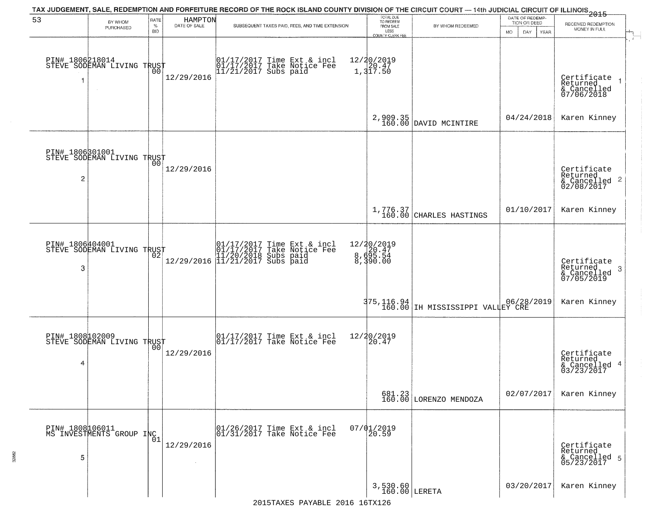| 53                   | BY WHOM<br>PURCHASED                                    | RATE<br>%<br><b>BID</b> | HAMPTON<br>DATE OF SALE | TAX JUDGEMENT, SALE, REDEMPTION AND FORFEITURE RECORD OF THE ROCK ISLAND COUNTY DIVISION OF THE CIRCUIT COURT — 14th JUDICIAL CIRCUIT OF ILLINOIS 2015<br>SUBSEQUENT TAXES PAID, FEES, AND TIME EXTENSION | TOTAL DUE<br>TO REDEEM<br>FROM SALE<br>LESS<br>COUNTY CLERK FEE | BY WHOM REDEEMED                      | DATE OF REDEMP-<br>TION OR DEED<br><b>MO</b><br>DAY<br><b>YEAR</b> | RECEIVED REDEMPTION<br>MONEY IN FULL                       |
|----------------------|---------------------------------------------------------|-------------------------|-------------------------|-----------------------------------------------------------------------------------------------------------------------------------------------------------------------------------------------------------|-----------------------------------------------------------------|---------------------------------------|--------------------------------------------------------------------|------------------------------------------------------------|
| 1                    | PIN# 1806218014<br>STEVE SODEMAN LIVING TRUST<br>$\sim$ | 00                      | 12/29/2016              | 01/17/2017 Time Ext & incl<br>01/17/2017 Take Notice Fee<br>11/21/2017 Subs paid                                                                                                                          | 12/20/2019<br>1,317.50                                          |                                       |                                                                    | Certificate<br>Returned<br>& Cancelled<br>07/06/2018       |
|                      |                                                         |                         |                         |                                                                                                                                                                                                           | 2,909.35<br>160.00                                              | DAVID MCINTIRE                        | 04/24/2018                                                         | Karen Kinney                                               |
| 2                    | PIN# 1806301001<br>STEVE SODEMAN LIVING TRUST           | 00                      | 12/29/2016              |                                                                                                                                                                                                           |                                                                 |                                       |                                                                    | Certificate<br>Returned<br>& Cancelled 2<br>02/08/2017     |
|                      |                                                         |                         |                         |                                                                                                                                                                                                           |                                                                 | $1,776.37$<br>160.00 CHARLES HASTINGS | 01/10/2017                                                         | Karen Kinney                                               |
| PIN# 1806404001<br>3 | STEVE SODEMAN LIVING TRUST                              |                         |                         |                                                                                                                                                                                                           | 12/20/2019<br>8,695.54<br>8,599.00                              |                                       |                                                                    | Certificate<br>Returned<br>-3<br>& Cancelled<br>07/05/2019 |
|                      |                                                         |                         |                         |                                                                                                                                                                                                           | 375, 116.94<br>160.00                                           | IH MISSISSIPPI VALLEY CRE             |                                                                    | Karen Kinney                                               |
| 4                    | PIN# 1808102009<br>STEVE SODEMAN LIVING TRUST           |                         | 12/29/2016              | 01/17/2017 Time Ext & incl<br>01/17/2017 Take Notice Fee                                                                                                                                                  | 12/20/2019<br>20.47                                             |                                       |                                                                    | Certificate<br>Returned<br>& Cancelled 4<br>03/23/2017     |
|                      |                                                         |                         |                         |                                                                                                                                                                                                           |                                                                 | 681.23<br>160.00 LORENZO MENDOZA      | 02/07/2017                                                         | Karen Kinney                                               |
| 5                    | PIN# 1808 106011<br>MS INVESTMENTS GROUP INC            |                         | 12/29/2016              | 01/26/2017 Time Ext & incl<br>01/31/2017 Take Notice Fee                                                                                                                                                  | $07/01/2019$<br>20.59                                           |                                       |                                                                    | Certificate<br>Returned<br>& Cancelled 5<br>05/23/2017     |
|                      |                                                         |                         |                         |                                                                                                                                                                                                           | 3,530.60<br>160.00 LERETA                                       |                                       | 03/20/2017                                                         | Karen Kinney                                               |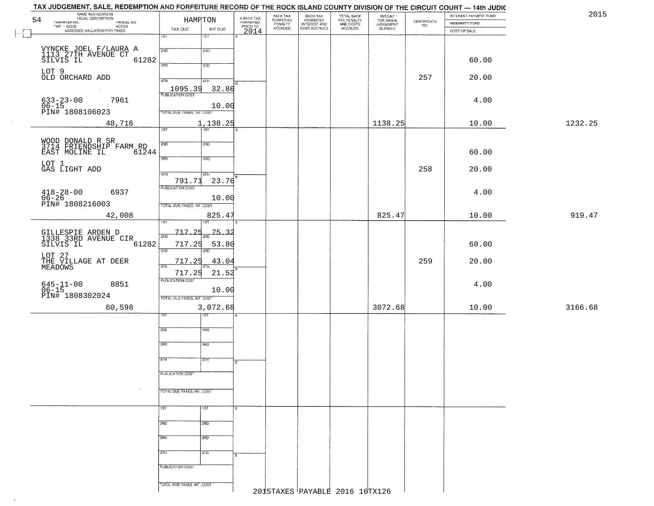| INTEREST PAYMENT FUND |                       |         |
|-----------------------|-----------------------|---------|
|                       | <b>INDEMNITY FUND</b> |         |
|                       | COST OF SALE          |         |
|                       |                       |         |
|                       |                       |         |
|                       | 60.00                 |         |
|                       |                       |         |
|                       | 20.00                 |         |
|                       |                       |         |
|                       |                       |         |
|                       | 4.00                  |         |
|                       |                       |         |
|                       |                       |         |
|                       | 10.00                 | 1232.25 |
|                       |                       |         |
|                       |                       |         |
|                       | 60.00                 |         |
|                       |                       |         |
|                       | 20.00                 |         |
|                       |                       |         |
|                       |                       |         |
|                       | 4.00                  |         |
|                       |                       |         |
|                       | 10.00                 |         |
|                       |                       |         |
|                       |                       |         |
|                       |                       |         |
|                       | 60.00                 |         |
|                       |                       |         |
|                       | 20.00                 |         |
|                       |                       |         |
|                       | 4.00                  |         |
|                       |                       |         |
|                       |                       |         |
|                       | 10.00                 |         |
|                       |                       |         |
|                       |                       |         |
|                       |                       |         |
|                       |                       |         |
|                       |                       |         |
|                       |                       |         |
|                       |                       |         |
|                       |                       |         |
|                       |                       |         |
|                       |                       |         |
|                       |                       |         |
|                       |                       |         |
|                       |                       |         |
|                       |                       |         |
|                       |                       |         |
|                       |                       |         |
|                       |                       |         |
|                       |                       |         |
|                       |                       |         |
|                       |                       |         |
|                       |                       |         |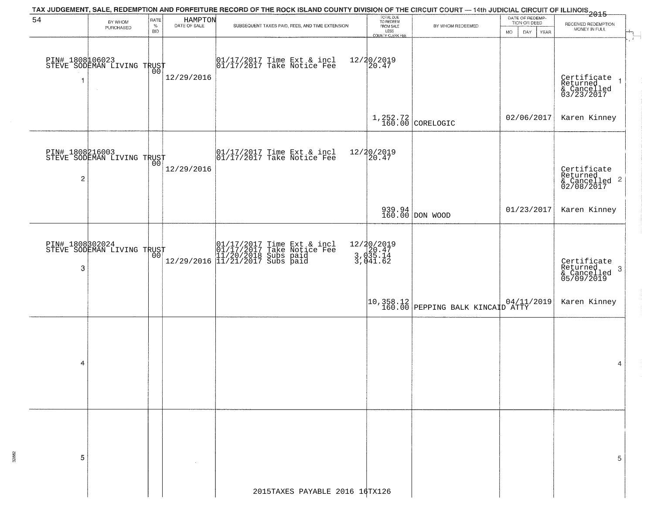| BY WHOM | RATE<br>$\%$ |            | SUBSEQUENT TAXES PAID, FEES, AND TIME EXTENSION                                                                                                              | FROM SALE                                                                                                                                                                                                                                                                                                                                                     | BY WHOM REDEEMED                                                                                                                                      | DATE OF REDEMP-<br>TION OR DEED                   | RECEIVED REDEMPTION<br>MONEY IN FULL                                                                                                                                                                                                                                                                                |
|---------|--------------|------------|--------------------------------------------------------------------------------------------------------------------------------------------------------------|---------------------------------------------------------------------------------------------------------------------------------------------------------------------------------------------------------------------------------------------------------------------------------------------------------------------------------------------------------------|-------------------------------------------------------------------------------------------------------------------------------------------------------|---------------------------------------------------|---------------------------------------------------------------------------------------------------------------------------------------------------------------------------------------------------------------------------------------------------------------------------------------------------------------------|
|         | <b>BID</b>   |            |                                                                                                                                                              |                                                                                                                                                                                                                                                                                                                                                               |                                                                                                                                                       | DAY.<br>MO.<br>YEAR                               | $\mathbf{r}$                                                                                                                                                                                                                                                                                                        |
|         |              | 12/29/2016 |                                                                                                                                                              |                                                                                                                                                                                                                                                                                                                                                               |                                                                                                                                                       |                                                   | Certificate<br>Returned<br>& Cancelled<br>03/23/2017                                                                                                                                                                                                                                                                |
|         |              |            |                                                                                                                                                              |                                                                                                                                                                                                                                                                                                                                                               |                                                                                                                                                       |                                                   | Karen Kinney                                                                                                                                                                                                                                                                                                        |
|         |              | 12/29/2016 |                                                                                                                                                              |                                                                                                                                                                                                                                                                                                                                                               |                                                                                                                                                       |                                                   | Certificate<br>Returned<br>& Cancelled <sup>2</sup><br>02/08/2017                                                                                                                                                                                                                                                   |
|         |              |            |                                                                                                                                                              |                                                                                                                                                                                                                                                                                                                                                               |                                                                                                                                                       | 01/23/2017                                        | Karen Kinney                                                                                                                                                                                                                                                                                                        |
|         |              |            |                                                                                                                                                              |                                                                                                                                                                                                                                                                                                                                                               |                                                                                                                                                       |                                                   | Certificate<br>Returned<br>3<br>& Cancelled<br>05/09/2019                                                                                                                                                                                                                                                           |
|         |              |            |                                                                                                                                                              |                                                                                                                                                                                                                                                                                                                                                               |                                                                                                                                                       |                                                   | Karen Kinney                                                                                                                                                                                                                                                                                                        |
|         |              |            |                                                                                                                                                              |                                                                                                                                                                                                                                                                                                                                                               |                                                                                                                                                       |                                                   | 4                                                                                                                                                                                                                                                                                                                   |
|         |              |            | 2015TAXES PAYABLE 2016 16TX126                                                                                                                               |                                                                                                                                                                                                                                                                                                                                                               |                                                                                                                                                       |                                                   | 5                                                                                                                                                                                                                                                                                                                   |
|         | PURCHASED    |            | PIN# 1808006023<br>STEVE SODEMAN LIVING TRUST<br>PIN# 1808216003<br>STEVE SODEMAN LIVING TRUST<br>001<br>PIN# 1808302024<br>STEVE SODEMAN LIVING TRUST<br>00 | HAMPTON<br>DATE OF SALE<br>$\begin{array}{cc} 01/17/2017 \\ 01/17/2017 \\ \end{array}$ Take Notice Fee<br>$\begin{array}{cc}  01/17/2017 \text{ Time Ext} & \text{incl} \\  01/17/2017 \text{ Take Notice Fee} \end{array}$<br>01/17/2017 Time Ext & incl<br>01/17/2017 Take Notice Fee<br>12/29/2016 11/20/2018 Subs paid<br>12/29/2016 11/21/2017 Subs paid | TOTAL DUE<br>TO REDEEM<br>LESS<br>COUNTY CLERK FEE<br>12/20/2019<br>20.47<br>12/20/2019<br>20.47<br>12/20/2019<br>3, d20.47<br>3, d35.14<br>3, d41.62 | $1,252.72$ CORELOGIC<br>939.94<br>160.00 DON WOOD | TAX JUDGEMENT, SALE, REDEMPTION AND FORFEITURE RECORD OF THE ROCK ISLAND COUNTY DIVISION OF THE CIRCUIT COURT — 14th JUDICIAL CIRCUIT OF ILLINOIS 2015<br>02/06/2017<br>$\begin{array}{ c c c c c c c c c } \hline 10,358.12 & & 04/11/2019 \\ \hline 160.00 & \text{PEPPING BALK KINCAID ATTY} \hline \end{array}$ |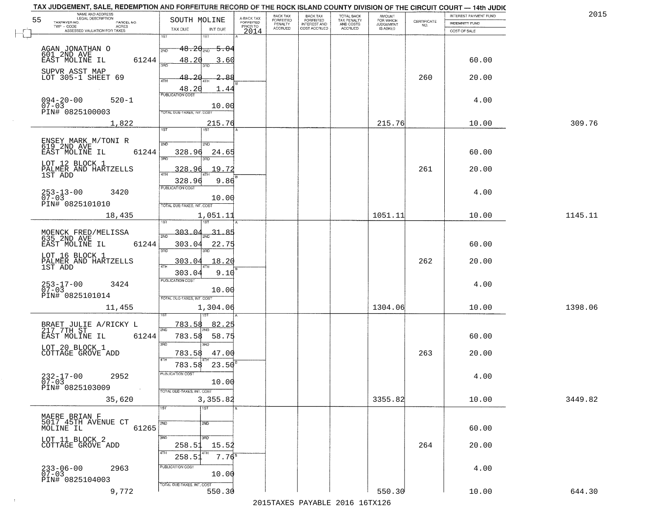| TAX JUDGEMENT, SALE, REDEMPTION AND FORFEITURE RECORD OF THE ROCK ISLAND COUNTY DIVISION OF THE CIRCUIT COURT - 14th JUDIC<br>NAME AND ADDRESS<br>LEGAL DESCRIPTION |                                                                |                                     | BACK TAX             | <b>BACK TAX</b>           |                                        | AMOUNT<br>FOR WHICH |                                                                 | INTEREST PAYMENT FUND | 2015    |
|---------------------------------------------------------------------------------------------------------------------------------------------------------------------|----------------------------------------------------------------|-------------------------------------|----------------------|---------------------------|----------------------------------------|---------------------|-----------------------------------------------------------------|-----------------------|---------|
| 55<br>TAXPAYER NO.<br>PARCEL NO.<br>ACRES                                                                                                                           | SOUTH MOLINE                                                   | A-BACK TAX<br>FORFEITED<br>PRIOR TO | FORFEITED<br>PENALTY | FORFEITED<br>INTEREST AND | TOTAL BACK<br>TAX PENALTY<br>AND COSTS | <b>JUDGEMENT</b>    | $\begin{array}{c} \text{CERTIFICATE} \\ \text{NO.} \end{array}$ | <b>INDEMNITY FUND</b> |         |
| ASSESSED VALUATION FOR TAXES                                                                                                                                        | TAX DUE<br>INT DUE                                             | 2014                                | <b>ACCRUED</b>       | COST ACCRUED              | <b>ACCRUED</b>                         | IS ASKED            |                                                                 | COST OF SALE          |         |
| AGAN JONATHAN O                                                                                                                                                     | 1ST<br>18T<br>$48.20_{200}$ 5.04<br>2ND                        |                                     |                      |                           |                                        |                     |                                                                 |                       |         |
| 601 2ND AVE<br>EAST MOLINE IL<br>61244<br>SUPVR ASST MAP<br>LOT 305-1 SHEET 69                                                                                      | 48.20<br>3.60<br>3BD                                           |                                     |                      |                           |                                        |                     |                                                                 | 60.00                 |         |
|                                                                                                                                                                     | 48.20<br>2.88<br>48.20<br>1.44<br><b>PUBLICATION COST</b>      |                                     |                      |                           |                                        |                     | 260                                                             | 20.00                 |         |
| $094 - 20 - 00$<br>07-03<br>$520 - 1$<br>PIN# 0825100003                                                                                                            | 10.00<br>TOTAL DUE-TAXES, INT. COST                            |                                     |                      |                           |                                        |                     |                                                                 | 4.00                  |         |
| 1,822                                                                                                                                                               | 215.76<br>1ST                                                  |                                     |                      |                           |                                        | 215.76              |                                                                 | 10.00                 | 309.76  |
| ENSEY MARK M/TONI R<br>619 2ND AVE<br>61244<br>EAST MOLINE IL                                                                                                       | 2ND<br>200<br>328.96<br>24.65<br>उन्नत<br>3RD                  |                                     |                      |                           |                                        |                     |                                                                 | 60.00                 |         |
| LOT 12 BLOCK 1<br>PALMER AND HARTZELLS<br>1ST ADD                                                                                                                   | 19.72<br>328.96<br>328.96<br>9.86                              |                                     |                      |                           |                                        |                     | 261                                                             | 20.00                 |         |
| $253 - 13 - 00$<br>3420<br>$07 - 03$<br>PIN# 0825101010                                                                                                             | PUBLICATION COST<br>10.00<br>TOTAL DUE-TAXES, INT. COST        |                                     |                      |                           |                                        |                     |                                                                 | 4.00                  |         |
| 18,435                                                                                                                                                              | 1,051.11<br>īsT<br>187                                         |                                     |                      |                           |                                        | 1051.11             |                                                                 | 10.00                 | 1145.11 |
| MOENCK FRED/MELISSA<br>635 2ND AVE                                                                                                                                  | $-303 - 04$<br>31.85<br>2ND                                    |                                     |                      |                           |                                        |                     |                                                                 |                       |         |
| EAST MOLINE IL<br>61244                                                                                                                                             | 303.04<br>22.75<br>3RD<br>3RD                                  |                                     |                      |                           |                                        |                     |                                                                 | 60.00                 |         |
| LOT 16 BLOCK 1<br>PALMER AND HARTZELLS<br>1ST ADD                                                                                                                   | 303.04<br>18.20<br>ATH<br>303.04<br>9.10                       |                                     |                      |                           |                                        |                     | 262                                                             | 20.00                 |         |
| $253 - 17 - 00$<br>07-03<br>3424<br>PIN# 0825101014                                                                                                                 | <b>PUBLICATION COST</b><br>10.00<br>TOTAL OUE-TAXES, INT. COST |                                     |                      |                           |                                        |                     |                                                                 | 4.00                  |         |
| 11,455                                                                                                                                                              | 1,304.06                                                       |                                     |                      |                           |                                        | 1304.06             |                                                                 | 10.00                 | 1398.06 |
| BRAET JULIE A/RICKY L<br>$217 - 7$ TH $ST$<br>EAST MOLINE IL<br>61244                                                                                               | 82.25<br>783.58<br>2ND<br>58.75<br>783.58                      |                                     |                      |                           |                                        |                     |                                                                 | 60.00                 |         |
| LOT 20 BLOCK 1<br>COTTAGE GROVE ADD                                                                                                                                 | 3RD<br><b>IRD</b><br>783.58<br>47.00<br>4TH                    |                                     |                      |                           |                                        |                     | 263                                                             | 20.00                 |         |
| $232 - 17 - 00$<br>07-03<br>2952<br>PIN# 0825103009<br><b>Contract</b>                                                                                              | 23.50<br>783.58<br>PUBLICATION COS-<br>10.00                   |                                     |                      |                           |                                        |                     |                                                                 | 4.00                  |         |
| 35,620                                                                                                                                                              | TOTAL DUE-TAXES, INT. COST<br>3,355.82<br>1ST<br>1ST           |                                     |                      |                           |                                        | 3355.82             |                                                                 | 10.00                 | 3449.82 |
| MAERE BRIAN F<br>5017 45TH AVENUE CT<br>MOLINE IL                                                                                                                   | 2ND<br>2ND                                                     |                                     |                      |                           |                                        |                     |                                                                 |                       |         |
| 61265<br>LOT 11 BLOCK 2                                                                                                                                             | 3RD<br>3RD                                                     |                                     |                      |                           |                                        |                     |                                                                 | 60.00                 |         |
| COTTAGE GROVE ADD                                                                                                                                                   | 258.51<br>15.52<br>4TH<br>$7.76^8$<br>258.51                   |                                     |                      |                           |                                        |                     | 264                                                             | 20.00                 |         |
| 233-06-00<br>07-03<br>2963<br>PIN# 0825104003                                                                                                                       | PUBLICATION COST<br>10.00                                      |                                     |                      |                           |                                        |                     |                                                                 | 4.00                  |         |
| 9,772                                                                                                                                                               | TOTAL DUE-TAXES, INT. COST<br>550.30                           |                                     |                      |                           |                                        | 550.30              |                                                                 | 10.00                 | 644.30  |

 $\sim 10^{-1}$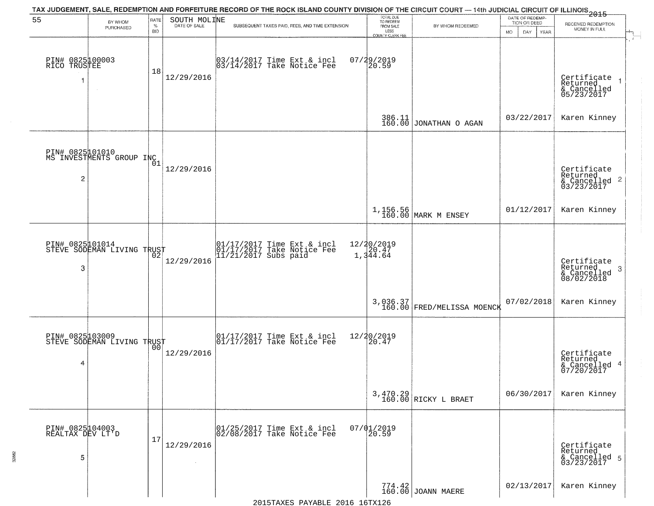| 55                                       | BY WHOM                                           | RATE               | SOUTH MOLINE                 | TAX JUDGEMENT, SALE, REDEMPTION AND FORFEITURE RECORD OF THE ROCK ISLAND COUNTY DIVISION OF THE CIRCUIT COURT — 14th JUDICIAL CIRCUIT OF ILLINOIS 2015 | TOTAL DUE<br>TO REDEEM<br>FROM SALE |                                        | DATE OF REDEMP-<br>TION OR DEED | RECEIVED REDEMPTION                                                |
|------------------------------------------|---------------------------------------------------|--------------------|------------------------------|--------------------------------------------------------------------------------------------------------------------------------------------------------|-------------------------------------|----------------------------------------|---------------------------------|--------------------------------------------------------------------|
|                                          | PURCHASED                                         | $\%$<br><b>BID</b> | DATE OF SALE                 | SUBSEQUENT TAXES PAID, FEES, AND TIME EXTENSION                                                                                                        | LESS<br>COUNTY CLERK FEE            | BY WHOM REDEEMED                       | MO.<br>DAY.<br>YEAR             | MONEY IN FULL                                                      |
| PIN# 0825100003<br>RICO TRUSTEE<br>1     | $\sim$                                            | 18                 | 12/29/2016                   | 03/14/2017 Time Ext & incl<br>03/14/2017 Take Notice Fee                                                                                               | 07/29/2019<br>20.59                 |                                        |                                 | Certificate<br>Returned<br>& Cancelled<br>05/23/2017               |
|                                          |                                                   |                    |                              |                                                                                                                                                        |                                     | 386.11<br>160.00 JONATHAN O AGAN       | 03/22/2017                      | Karen Kinney                                                       |
| $\overline{c}$                           | PIN# 0825101010<br>MS INVESTMENTS GROUP INC       | 01                 | 12/29/2016                   |                                                                                                                                                        |                                     |                                        |                                 | Certificate<br>Returned<br>$\frac{1}{2}$ Cancelled 2<br>03/23/2017 |
|                                          |                                                   |                    |                              |                                                                                                                                                        |                                     | 1,156.56<br>160.00 MARK M ENSEY        | 01/12/2017                      | Karen Kinney                                                       |
| 3                                        | PIN# 082501014<br>STEVE SODEMAN LIVING TRUST      |                    | 12/29/2016                   | 01/17/2017 Time Ext & incl<br>01/17/2017 Take Notice Fee<br>11/21/2017 Subs paid                                                                       | 12/20/2019<br>1,344.64              |                                        |                                 | Certificate<br>Returned<br>3<br>& Cancelled<br>08/02/2018          |
|                                          |                                                   |                    |                              |                                                                                                                                                        |                                     | 3,036.37<br>160.00 FRED/MELISSA MOENCK | 07/02/2018                      | Karen Kinney                                                       |
| 4                                        | PIN# 0825103009    <br>STEVE SODEMAN LIVING TRUST | 0 <sub>0</sub>     | 12/29/2016                   | $\begin{array}{cc} 01/17/2017 \\ 01/17/2017 \\ \end{array}$ Take Notice Fee                                                                            | 12/20/2019<br>20.47                 |                                        |                                 | Certificate<br>Returned<br>& Cancelled 4<br>07/20/2017             |
|                                          |                                                   |                    |                              |                                                                                                                                                        |                                     | 3,470.29<br>160.00 RICKY L BRAET       | 06/30/2017                      | Karen Kinney                                                       |
| PIN# 0825104003<br>REALTAX DEV LT'D<br>5 |                                                   | 17                 | 12/29/2016<br>$\sim 10^{-1}$ | 01/25/2017 Time Ext & incl<br>02/08/2017 Take Notice Fee                                                                                               | $07/01/2019$<br>20.59               |                                        |                                 | Certificate<br>Returned<br>& Cancelled 5<br>03/23/2017             |
|                                          |                                                   |                    |                              |                                                                                                                                                        |                                     | $774.42$ JOANN MAERE                   | 02/13/2017                      | Karen Kinney                                                       |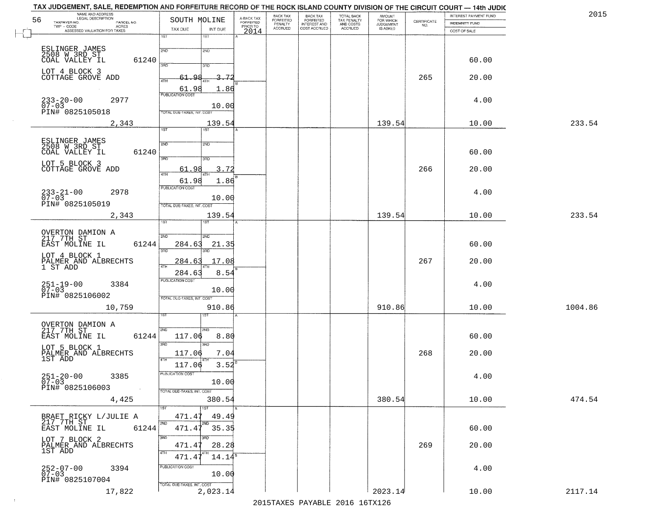|                                   | SOUTH MOLINE   | A-BACK TAX<br>FORFEITED | BACK TAX<br><b>FORFEITED</b> | BACK TAX<br>FORFEITED           | TOTAL BACK<br>TAX PENALTY<br>AND COSTS<br>ACCRUED | <b>AMOUNT</b>                      |                                                                 | INTEREST PAYMENT FUND | 2015    |
|-----------------------------------|----------------|-------------------------|------------------------------|---------------------------------|---------------------------------------------------|------------------------------------|-----------------------------------------------------------------|-----------------------|---------|
|                                   |                | PRIOR TO                | PENALTY<br>ACCRUED           | INTEREST AND<br>COST ACCRUED    |                                                   | FOR WHICH<br>JUDGEMENT<br>IS ASKED | $\begin{array}{c} \text{CERTIFICATE} \\ \text{NO.} \end{array}$ | INDEMNITY FUND        |         |
| TAX DUE<br>1ST                    | INT DUE<br>1ST | 2014                    |                              |                                 |                                                   |                                    |                                                                 | COST OF SALE          |         |
|                                   |                |                         |                              |                                 |                                                   |                                    |                                                                 |                       |         |
| 2ND                               | 2ND            |                         |                              |                                 |                                                   |                                    |                                                                 |                       |         |
| 61240<br>390                      | 3RD            |                         |                              |                                 |                                                   |                                    |                                                                 | 60.00                 |         |
|                                   | 3.72           |                         |                              |                                 |                                                   |                                    | 265                                                             | 20.00                 |         |
| 4TH                               |                |                         |                              |                                 |                                                   |                                    |                                                                 |                       |         |
| <b>PUBLICATION COST</b>           | 61.98<br>1.86  |                         |                              |                                 |                                                   |                                    |                                                                 |                       |         |
|                                   | 10.00          |                         |                              |                                 |                                                   |                                    |                                                                 | 4.00                  |         |
| <b>TOTAL DUE-TAXES, INT. COST</b> |                |                         |                              |                                 |                                                   |                                    |                                                                 |                       |         |
|                                   | 139.54         |                         |                              |                                 |                                                   | 139.54                             |                                                                 | 10.00                 | 233.54  |
| 1ST                               | 1ST            |                         |                              |                                 |                                                   |                                    |                                                                 |                       |         |
| 2ND                               | 2ND            |                         |                              |                                 |                                                   |                                    |                                                                 |                       |         |
| 61240<br>3RD                      | 3RD            |                         |                              |                                 |                                                   |                                    |                                                                 | 60.00                 |         |
|                                   | ۹۶             |                         |                              |                                 |                                                   |                                    |                                                                 |                       |         |
| 61<br>47H                         | 3.72           |                         |                              |                                 |                                                   |                                    | 266                                                             | 20.00                 |         |
| PUBLICATION COST                  | 61.98<br>1.86  |                         |                              |                                 |                                                   |                                    |                                                                 |                       |         |
|                                   | 10.00          |                         |                              |                                 |                                                   |                                    |                                                                 | 4.00                  |         |
| TOTAL DUE-TAXES, INT. COST        |                |                         |                              |                                 |                                                   |                                    |                                                                 |                       |         |
|                                   | 139.54         |                         |                              |                                 |                                                   | 139.54                             |                                                                 | 10.00                 | 233.54  |
| ist.                              | <b>ST</b>      |                         |                              |                                 |                                                   |                                    |                                                                 |                       |         |
| 2ND                               | <b>SMD</b>     |                         |                              |                                 |                                                   |                                    |                                                                 |                       |         |
| 61244<br>284.63                   | 21.35          |                         |                              |                                 |                                                   |                                    |                                                                 | 60.00                 |         |
| 3BD                               | 3RD            |                         |                              |                                 |                                                   |                                    |                                                                 |                       |         |
| 284.63                            | 17.08          |                         |                              |                                 |                                                   |                                    | 267                                                             | 20.00                 |         |
| 284.6<br><b>PUBLICATION COST</b>  | 8.54           |                         |                              |                                 |                                                   |                                    |                                                                 |                       |         |
|                                   | 10.00          |                         |                              |                                 |                                                   |                                    |                                                                 | 4.00                  |         |
| TOTAL OUE-TAXES, INT. COST        |                |                         |                              |                                 |                                                   |                                    |                                                                 |                       |         |
|                                   | 910.86         |                         |                              |                                 |                                                   | 910.86                             |                                                                 | 10.00                 | 1004.86 |
|                                   |                |                         |                              |                                 |                                                   |                                    |                                                                 |                       |         |
| 2ND                               | 2ND            |                         |                              |                                 |                                                   |                                    |                                                                 |                       |         |
| 61244<br>117.06                   | 8.80           |                         |                              |                                 |                                                   |                                    |                                                                 | 60.00                 |         |
| 3RD                               | 3BD            |                         |                              |                                 |                                                   |                                    |                                                                 |                       |         |
| 117.06                            | 7.04           |                         |                              |                                 |                                                   |                                    | 268                                                             | 20.00                 |         |
| 117.06                            | $3.52^{B}$     |                         |                              |                                 |                                                   |                                    |                                                                 |                       |         |
| PUBLICATION COST                  | 10.00          |                         |                              |                                 |                                                   |                                    |                                                                 | 4.00                  |         |
| TOTAL DUE-TAXES, INT. COST        |                |                         |                              |                                 |                                                   |                                    |                                                                 |                       |         |
|                                   | 380.54         |                         |                              |                                 |                                                   | 380.54                             |                                                                 | 10.00                 | 474.54  |
| 1ST                               | 1ST            |                         |                              |                                 |                                                   |                                    |                                                                 |                       |         |
| 471.47<br>2ND.                    | 49.49          |                         |                              |                                 |                                                   |                                    |                                                                 |                       |         |
| 61244<br>471.47                   | 2ND<br>35.35   |                         |                              |                                 |                                                   |                                    |                                                                 | 60.00                 |         |
| 3RD                               |                |                         |                              |                                 |                                                   |                                    |                                                                 |                       |         |
| 471.47<br>4TH                     | 28.28          |                         |                              |                                 |                                                   |                                    | 269                                                             | 20.00                 |         |
| 471.47                            | $14.14^8$      |                         |                              |                                 |                                                   |                                    |                                                                 |                       |         |
| PUBLICATION COST                  |                |                         |                              |                                 |                                                   |                                    |                                                                 | 4.00                  |         |
|                                   | 10.00          |                         |                              |                                 |                                                   |                                    |                                                                 |                       |         |
| TOTAL DUE-TAXES, INT. COST        | 2,023.14       |                         |                              |                                 |                                                   | 2023.14                            |                                                                 | 10.00                 | 2117.14 |
|                                   |                |                         |                              | 2015 TAVEC DAVADIE 2016 16TV126 |                                                   |                                    |                                                                 |                       |         |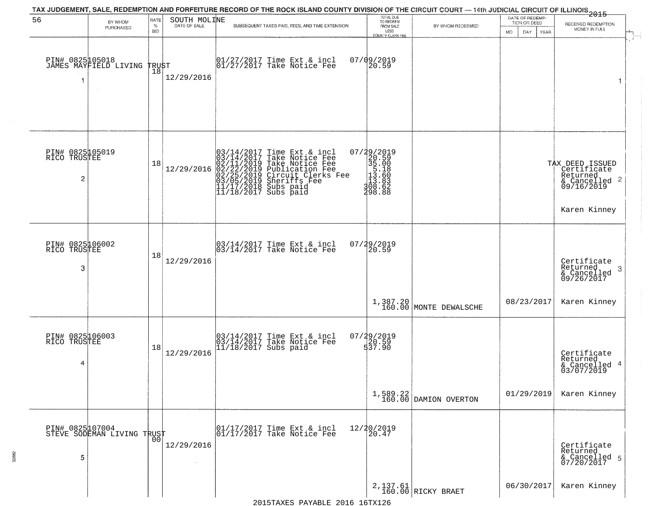| 56                                      | BY WHOM<br>PURCHASED                               | RATE<br>$\%$<br><b>BID</b> | SOUTH MOLINE | TAX JUDGEMENT, SALE, REDEMPTION AND FORFEITURE RECORD OF THE ROCK ISLAND COUNTY DIVISION OF THE CIRCUIT COURT — 14th JUDICIAL CIRCUIT OF ILLINOIS 2015<br>SUBSEQUENT TAXES PAID, FEES, AND TIME EXTENSION     | TOTAL DUE<br>TO REDEEM<br>FROM SALE<br>LESS<br>COUNTY CLERK FEE                                            | BY WHOM REDEEMED                   | DATE OF REDEMP-<br>TION OR DEED<br><b>MO</b><br>DAY<br>YEAR | RECEIVED REDEMPTION<br>MONEY IN FULL                                                                  |
|-----------------------------------------|----------------------------------------------------|----------------------------|--------------|---------------------------------------------------------------------------------------------------------------------------------------------------------------------------------------------------------------|------------------------------------------------------------------------------------------------------------|------------------------------------|-------------------------------------------------------------|-------------------------------------------------------------------------------------------------------|
| 1                                       | PIN# 0825105018<br>JAMES MAYFIELD LIVING<br>$\sim$ | TRUST<br>18                | 12/29/2016   | 01/27/2017 Time Ext & incl<br>01/27/2017 Take Notice Fee                                                                                                                                                      | $07/09/2019$<br>20.59                                                                                      |                                    |                                                             | 1                                                                                                     |
| PIN# 0825105019<br>RICO TRUSTEE<br>2    |                                                    | 18                         | 12/29/2016   | $03/14/2017$ Time Ext & incl<br>$03/14/2017$ Take Notice Fee<br>$02/11/2019$ Take Notice Fee<br>$02/22/2019$ Publication Fee<br>$03/05/2019$ Sheriffs Fee<br>$11/17/2018$ Subs paid<br>$11/18/2017$ Subs paid | $\begin{smallmatrix} 07/29/2019\\20.59\\35.00\\15.18\\11.13.60\\113.60\\308.63\end{smallmatrix}$<br>298.88 |                                    |                                                             | TAX DEED ISSUED<br>Certificate<br>Returned<br>$\frac{1}{6}$ Cancelled 2<br>09/16/2019<br>Karen Kinney |
| PIN# 0825106002<br>RICO<br>TRUSTEE<br>3 |                                                    | 18                         | 12/29/2016   | 03/14/2017 Time Ext & incl<br>03/14/2017 Take Notice Fee                                                                                                                                                      | 07/29/2019<br>20.59                                                                                        |                                    |                                                             | Certificate<br>Returned<br>-3<br>& Cancelled<br>09/26/2017                                            |
|                                         |                                                    |                            |              |                                                                                                                                                                                                               |                                                                                                            | 1,387.20<br>160.00 MONTE DEWALSCHE | 08/23/2017                                                  | Karen Kinney                                                                                          |
| PIN# 0825106003<br>RICO TRUSTEE<br>4    |                                                    | 18                         | 12/29/2016   | 03/14/2017 Time Ext & incl<br>03/14/2017 Take Notice Fee<br>11/18/2017 Subs paid                                                                                                                              | 07/29/2019<br>20.59<br>537.90                                                                              |                                    |                                                             | Certificate<br>Returned<br>& Cancelled 4<br>03/07/2019                                                |
|                                         |                                                    |                            |              |                                                                                                                                                                                                               |                                                                                                            | 1,589.22<br>160.00 DAMION OVERTON  | 01/29/2019                                                  | Karen Kinney                                                                                          |
| 5                                       | PIN# 0825107004<br>STEVE SODEMAN LIVING TRUST      |                            | 12/29/2016   | 01/17/2017 Time Ext & incl<br>01/17/2017 Take Notice Fee                                                                                                                                                      | 12/20/2019<br>20.47                                                                                        |                                    |                                                             | Certificate<br>Returned<br>& Cancelled 5<br>07/20/2017                                                |
|                                         |                                                    |                            |              |                                                                                                                                                                                                               |                                                                                                            | 2,137.61<br>160.00 RICKY BRAET     | 06/30/2017                                                  | Karen Kinney                                                                                          |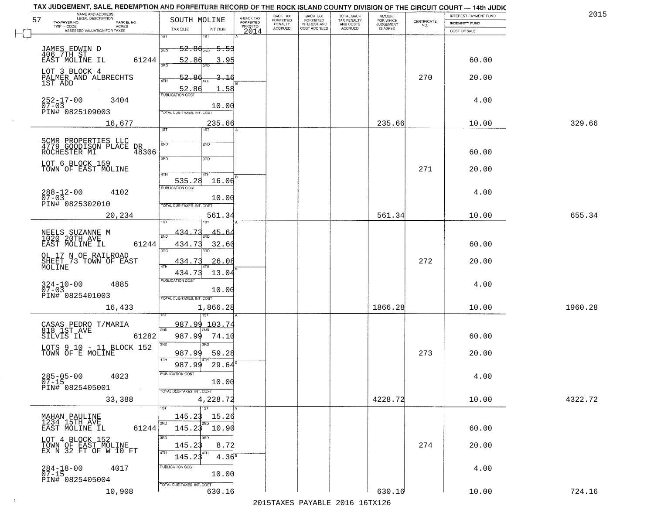| TAX JUDGEMENT, SALE, REDEMPTION AND FORFEITURE RECORD OF THE ROCK ISLAND COUNTY DIVISION OF THE CIRCUIT COURT - 14th JUDIC<br>NAME AND ADDRESS<br>LEGAL DESCRIPTION |                                                                                          |                                     | BACK TAX             | <b>BACK TAX</b>           |                                        | AMOUNT<br>FOR WHICH |                                                                 | INTEREST PAYMENT FUND | 2015    |
|---------------------------------------------------------------------------------------------------------------------------------------------------------------------|------------------------------------------------------------------------------------------|-------------------------------------|----------------------|---------------------------|----------------------------------------|---------------------|-----------------------------------------------------------------|-----------------------|---------|
| 57<br>TAXPAYER NO.<br>PARCEL NO.<br>ACRES                                                                                                                           | SOUTH MOLINE                                                                             | A-BACK TAX<br>FORFEITED<br>PRIOR TO | FORFEITED<br>PENALTY | FORFEITED<br>INTEREST AND | TOTAL BACK<br>TAX PENALTY<br>AND COSTS | <b>JUDGEMENT</b>    | $\begin{array}{c} \text{CERTIFICATE} \\ \text{NO.} \end{array}$ | <b>INDEMNITY FUND</b> |         |
| ASSESSED VALUATION FOR TAXES                                                                                                                                        | TAX DUE<br>INT DUE                                                                       | 2014                                | <b>ACCRUED</b>       | COST ACCRUED              | <b>ACCRUED</b>                         | IS ASKED            |                                                                 | COST OF SALE          |         |
| JAMES EDWIN D<br>406 7TH ST<br>EAST MOLINE IL                                                                                                                       | 1ST<br>18T<br>$52.86_{200}$<br><del>5.53</del>                                           |                                     |                      |                           |                                        |                     |                                                                 |                       |         |
| 61244<br>LOT 3 BLOCK 4<br>PALMER AND ALBRECHTS                                                                                                                      | 52.86<br>3.95<br>52.86<br>3.16<br>4TH                                                    |                                     |                      |                           |                                        |                     | 270                                                             | 60.00<br>20.00        |         |
| 1ST ADD<br>252-17-00<br>07-03<br>3404                                                                                                                               | 52.86<br>1.58<br><b>PUBLICATION COST</b><br>10.00                                        |                                     |                      |                           |                                        |                     |                                                                 | 4.00                  |         |
| PIN# 0825109003<br>16,677                                                                                                                                           | TOTAL DUE-TAXES, INT. COST<br>235.66<br>1ST                                              |                                     |                      |                           |                                        | 235.66              |                                                                 | 10.00                 | 329.66  |
| SCMR PROPERTIES LLC<br>4779 GOODISON PLACE DR<br>ROCHESTER MI 483<br>48306<br>LOT 6 BLOCK 159<br>TOWN OF EAST MOLINE                                                | 2ND<br>2ND<br>3RD<br>3RD                                                                 |                                     |                      |                           |                                        |                     | 271                                                             | 60.00<br>20.00        |         |
| $288 - 12 - 00$<br>4102<br>$07 - 03$<br>PIN# 0825302010                                                                                                             | 47H<br>4TH<br>535.28<br>16.06<br>PUBLICATION COST<br>10.00<br>TOTAL DUE-TAXES, INT. COST |                                     |                      |                           |                                        |                     |                                                                 | 4.00                  |         |
| 20,234                                                                                                                                                              | 561.34<br>isT                                                                            |                                     |                      |                           |                                        | 561.34              |                                                                 | 10.00                 | 655.34  |
| NEELS SUZANNE M<br>1020 20TH AVE<br>EAST MOLINE IL<br>61244                                                                                                         | 434.73<br>45.64<br>2ND<br>434.73<br>32.60<br>3RD<br>3RD                                  |                                     |                      |                           |                                        |                     |                                                                 | 60.00                 |         |
| OL 17 N OF RAILROAD<br>SHEET 73 TOWN OF EAST                                                                                                                        | 434.73<br><u>26.08</u><br>ATH<br>13.04<br>434.73                                         |                                     |                      |                           |                                        |                     | 272                                                             | 20.00                 |         |
| $324-10-00$<br>07-03<br>4885<br>PIN# 0825401003                                                                                                                     | <b>PUBLICATION COST</b><br>10.00<br>TOTAL OUE-TAXES, INT. COST                           |                                     |                      |                           |                                        |                     |                                                                 | 4.00                  |         |
| 16,433                                                                                                                                                              | 1,866.28                                                                                 |                                     |                      |                           |                                        | 1866.28             |                                                                 | 10.00                 | 1960.28 |
| CASAS PEDRO T/MARIA<br>818 1ST AVE<br>SILVIS IL<br>61282                                                                                                            | 987.99<br>103.74<br>2ND<br>987.99<br>74.10<br>3RD<br>3RD                                 |                                     |                      |                           |                                        |                     |                                                                 | 60.00                 |         |
| LOTS 9 10 - 11 BLOCK 152<br>TOWN OF E MOLINE                                                                                                                        | 987.99<br>59.28<br>4TH<br>987.99<br>29.64                                                |                                     |                      |                           |                                        |                     | 273                                                             | 20.00                 |         |
| $285 - 05 - 00$<br>4023<br>$07 - 15$<br>PIN# 0825405001<br><b>Contract</b>                                                                                          | "UBLICA HUN CUS<br>10.00<br>TOTAL DUE-TAXES, INT. COST                                   |                                     |                      |                           |                                        |                     |                                                                 | 4.00                  |         |
| 33,388                                                                                                                                                              | 4,228.72<br>1ST                                                                          |                                     |                      |                           |                                        | 4228.72             |                                                                 | 10.00                 | 4322.72 |
| MAHAN PAULINE<br>1234 15TH AVE<br>61244<br>EAST MOLINE IL                                                                                                           | 145.23<br>15.26<br>2ND<br>2ND<br>$145.23$ 10.90                                          |                                     |                      |                           |                                        |                     |                                                                 | 60.00                 |         |
| LOT 4 BLOCK 152<br>TOWN OF EAST MOLINE<br>EX N 32 FT OF W 10 FT                                                                                                     | 3RD<br>3RD<br>145.23<br>8.72<br>4TH<br>145.23<br>$4.36^{\overline{8}}$                   |                                     |                      |                           |                                        |                     | 274                                                             | 20.00                 |         |
| $284 - 18 - 00$<br>07-15<br>4017<br>PIN# 0825405004                                                                                                                 | PUBLICATION COST<br>10.00<br>TOTAL DUE-TAXES, INT. COST                                  |                                     |                      |                           |                                        |                     |                                                                 | 4.00                  |         |
| 10,908                                                                                                                                                              | 630.16                                                                                   |                                     |                      |                           |                                        | 630.16              |                                                                 | 10.00                 | 724.16  |

 $\sim 10^{-1}$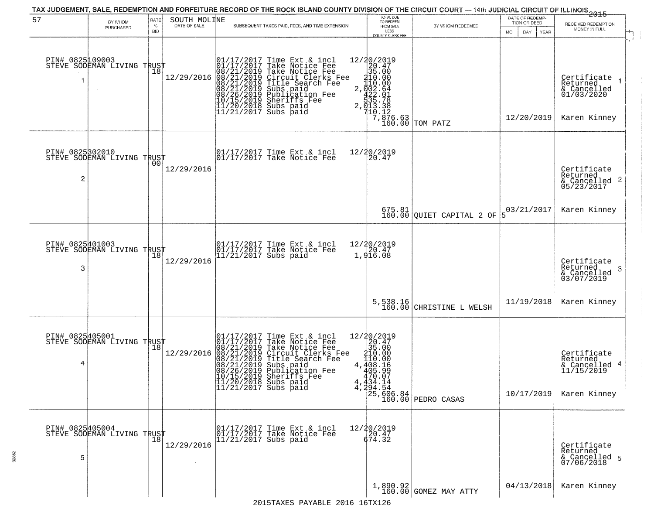| 57                   | BY WHOM                                       | RATE               | SOUTH MOLINE | TAX JUDGEMENT, SALE, REDEMPTION AND FORFEITURE RECORD OF THE ROCK ISLAND COUNTY DIVISION OF THE CIRCUIT COURT — 14th JUDICIAL CIRCUIT OF ILLINOIS 2015                                                                                                                                                                       | TOTAL DUE<br>TO REDEEM                                                                                                                                                                                                                                                                                                                            |                                                                                          | DATE OF REDEMP-<br>TION OR DEED | RECEIVED REDEMPTION                                                                                                             |
|----------------------|-----------------------------------------------|--------------------|--------------|------------------------------------------------------------------------------------------------------------------------------------------------------------------------------------------------------------------------------------------------------------------------------------------------------------------------------|---------------------------------------------------------------------------------------------------------------------------------------------------------------------------------------------------------------------------------------------------------------------------------------------------------------------------------------------------|------------------------------------------------------------------------------------------|---------------------------------|---------------------------------------------------------------------------------------------------------------------------------|
|                      | PURCHASED                                     | $\%$<br><b>BID</b> |              | SUBSEQUENT TAXES PAID, FEES, AND TIME EXTENSION                                                                                                                                                                                                                                                                              | FROM SALE<br>LESS<br>COUNTY CLERK FEE                                                                                                                                                                                                                                                                                                             | BY WHOM REDEEMED                                                                         | MO.<br>DAY<br><b>YEAR</b>       | MONEY IN FULL                                                                                                                   |
|                      | PIN# 0825109003<br>STEVE SODEMAN LIVING TRUST | 18                 | 12/29/2016   | 01/17/2017 Time Ext & incl<br>01/17/2017 Take Notice Fee<br>08/21/2019 Take Notice Fee<br>08/21/2019 Circuit Clerks Fee<br>08/21/2019 Title Search Fee<br>08/21/2019 Subs paid<br>08/26/2019 Subsidion Fee<br>10/15/2019 Sheriffs Fee<br>11/20/2018 S                                                                        | 12/20/2019<br>$\begin{array}{r} 12/20/2015 \\ 20.47 \\ 35.00 \\ 110.00 \\ 2.0422.64 \\ 35.78 \\ 7.013.38 \\ 7.013.38 \\ 7.013.32 \\ 16.63 \end{array}$                                                                                                                                                                                            | TOM PATZ                                                                                 | 12/20/2019                      | Certificate<br>Returned<br>& Cancelled<br>01/03/2020<br>Karen Kinney                                                            |
| PIN# 0825302010<br>2 | STEVE SODEMAN LIVING TRUST                    | 0 <sub>0</sub>     | 12/29/2016   | $\begin{array}{ccc}  01/17/2017 \text{ Time} & \text{Ext} & \text{incl} \\  01/17/2017 \text{ Take Notice } \text{Fe} \end{array}$                                                                                                                                                                                           | 12/20/2019<br>20.47                                                                                                                                                                                                                                                                                                                               |                                                                                          |                                 | Certificate<br>Returned<br>$\begin{array}{c}\text{scum} & \text{cum} \\ \text{cumcelled} & 2 \\ \text{05/23/2017}\n\end{array}$ |
|                      |                                               |                    |              |                                                                                                                                                                                                                                                                                                                              |                                                                                                                                                                                                                                                                                                                                                   | $675.81$ QUIET CAPITAL 2 OF                                                              | 03/21/2017<br>5                 | Karen Kinney                                                                                                                    |
| PIN# 0825401003<br>3 | STEVE SODEMAN LIVING TRUST                    | Ίõ                 | 12/29/2016   | 01/17/2017 Time Ext & incl<br>01/17/2017 Take Notice Fee<br>11/21/2017 Subs paid                                                                                                                                                                                                                                             | 12/20/2019<br>$\begin{smallmatrix} 2 & 4 & 7 \\ 2 & 0 & 4 \\ 1 & 9 & 16 & 0 \\ 0 & 0 & 0 & 0 \\ 0 & 0 & 0 & 0 \\ 0 & 0 & 0 & 0 \\ 0 & 0 & 0 & 0 \\ 0 & 0 & 0 & 0 \\ 0 & 0 & 0 & 0 \\ 0 & 0 & 0 & 0 \\ 0 & 0 & 0 & 0 \\ 0 & 0 & 0 & 0 \\ 0 & 0 & 0 & 0 \\ 0 & 0 & 0 & 0 \\ 0 & 0 & 0 & 0 \\ 0 & 0 & 0 & 0 & 0 \\ 0 & 0 & 0 & 0 & 0 \\ 0 & 0 & 0 &$ |                                                                                          |                                 | Certificate<br>Returned<br>-3<br>& Cancelled<br>03/07/2019                                                                      |
|                      |                                               |                    |              |                                                                                                                                                                                                                                                                                                                              | 5,538.16<br>160.00                                                                                                                                                                                                                                                                                                                                | CHRISTINE L WELSH                                                                        | 11/19/2018                      | Karen Kinney                                                                                                                    |
| 4                    | PIN# 0825405001<br>STEVE SODEMAN LIVING TRUST |                    | 12/29/2016   | 01/17/2017<br>08/21/2019<br>08/21/2019<br>08/21/2019<br>08/21/2019<br>08/21/2019<br>08/26/2019<br>Time Ext & incl<br>Take Notice Fee<br>Take Notice Fee<br>Circuit Clerks Fee<br>Title Search Fee<br>Subs paid<br>Publication Fee<br>Shariffs Fee<br>10/15/2019 Sheriffs Fee<br>11/20/2018 Subs paid<br>11/21/2017 Subs paid | $\begin{array}{r} 12/20/2019 \\20.47 \\35.00 \\4.408.16 \\4.408.16 \\7.70 \end{array}$                                                                                                                                                                                                                                                            | $405.95$<br>$470.07$<br>$4.434.14$<br>$4.294.54$<br>$125.606.84$<br>$160.00$ PEDRO CASAS | 10/17/2019                      | Certificate<br>Returned<br>& Cancelled 4<br>11/15/2019<br>Karen Kinney                                                          |
| PIN# 0825405004<br>5 | STEVE SODEMAN LIVING TRUST                    |                    | 12/29/2016   | 01/17/2017 Time Ext & incl<br>01/17/2017 Take Notice Fee<br>11/21/2017 Subs paid                                                                                                                                                                                                                                             | $\begin{array}{r} 12/20/2019 \\ 20.47 \\ 674.32 \end{array}$                                                                                                                                                                                                                                                                                      |                                                                                          |                                 | Certificate<br>Returned<br>& Cancelled 5<br>07/06/2018                                                                          |
|                      |                                               |                    |              |                                                                                                                                                                                                                                                                                                                              |                                                                                                                                                                                                                                                                                                                                                   | 1,890.92<br>160.00 GOMEZ MAY ATTY                                                        | 04/13/2018                      | Karen Kinney                                                                                                                    |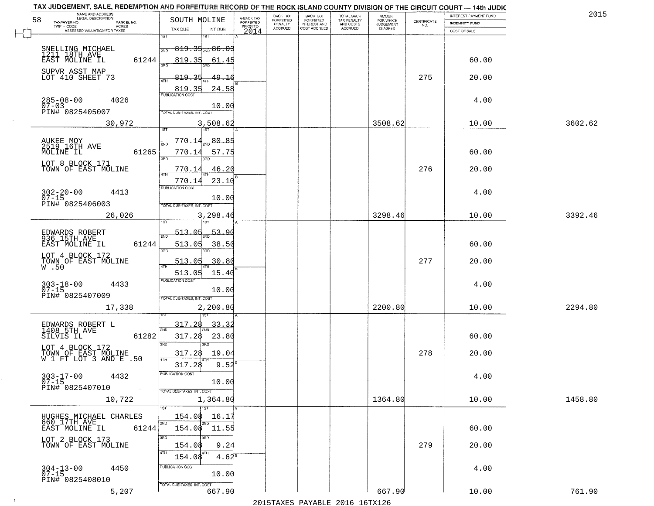| NAME AND ADDRESS<br>LEGAL DESCRIPTION<br>58                      | SOUTH MOLINE                      |                                     | BACK TAX<br>FORFEITED     | BACK TAX<br>FORFEITED               | TOTAL BACK<br>TAX PENALTY<br>AND COSTS | AMOUNT<br>FOR WHICH          |                                                                 | INTEREST PAYMENT FUND | 2015    |
|------------------------------------------------------------------|-----------------------------------|-------------------------------------|---------------------------|-------------------------------------|----------------------------------------|------------------------------|-----------------------------------------------------------------|-----------------------|---------|
| TAXPAYER NO.<br>PARCEL NO.<br>ACRES                              |                                   | A-BACK TAX<br>FORFEITED<br>PRIOR TO | PENALTY<br><b>ACCRUED</b> | <b>INTEREST AND</b><br>COST ACCRUED | <b>ACCRUED</b>                         | <b>JUDGEMENT</b><br>IS ASKED | $\begin{array}{c} \text{CEPTIFICATE} \\ \text{NO.} \end{array}$ | <b>INDEMNITY FUND</b> |         |
| ASSESSED VALUATION FOR TAXES                                     | TAX DUE<br>1ST<br>1ST             | INT DUE<br>2014                     |                           |                                     |                                        |                              |                                                                 | COST OF SALE          |         |
| SNELLING MICHAEL<br>1211 18TH AVE                                | $819.35_{200}86.03$<br>2ND        |                                     |                           |                                     |                                        |                              |                                                                 |                       |         |
| 61244<br>EAST MOLINE IL                                          | 819.35<br>बन्नल                   | 61.45                               |                           |                                     |                                        |                              |                                                                 | 60.00                 |         |
| SUPVR ASST MAP<br>LOT 410 SHEET 73                               | 819.35<br>ATH<br>819.35           | 49.16<br>24.58                      |                           |                                     |                                        |                              | 275                                                             | 20.00                 |         |
| $285 - 08 - 00$<br>07-03<br>4026<br>PIN# 0825405007              | <b>PUBLICATION COST</b>           | 10.00                               |                           |                                     |                                        |                              |                                                                 | 4.00                  |         |
| 30,972                                                           | TOTAL DUE-TAXES, INT. COST        | 3,508.62                            |                           |                                     |                                        | 3508.62                      |                                                                 | 10.00                 | 3602.62 |
|                                                                  |                                   |                                     |                           |                                     |                                        |                              |                                                                 |                       |         |
| AUKEE MOY<br>2519 16TH AVE<br>61265<br>MOLINE IL                 | 770.14<br>2ND<br>770.14<br>3RD    | 20.85<br>57.75                      |                           |                                     |                                        |                              |                                                                 | 60.00                 |         |
| LOT 8 BLOCK 171<br>TOWN OF EAST MOLINE                           | 770.14                            | 46.20                               |                           |                                     |                                        |                              | 276                                                             | 20.00                 |         |
|                                                                  | 770.14                            | 23.10                               |                           |                                     |                                        |                              |                                                                 |                       |         |
| $302 - 20 - 00$<br>07-15<br>4413                                 | PUBLICATION COST                  | 10.00                               |                           |                                     |                                        |                              |                                                                 | 4.00                  |         |
| PIN# 0825406003                                                  | TOTAL DUE-TAXES, INT. COST        |                                     |                           |                                     |                                        | 3298.46                      |                                                                 |                       |         |
| 26,026                                                           | i ST<br>187                       | 3,298.46                            |                           |                                     |                                        |                              |                                                                 | 10.00                 | 3392.46 |
| EDWARDS ROBERT<br>936 15TH AVE                                   | 513.05<br>2ND                     | 53.96                               |                           |                                     |                                        |                              |                                                                 |                       |         |
| EAST MOLINE IL<br>61244                                          | 513.05<br>3BD<br>3RD              | 38.50                               |                           |                                     |                                        |                              |                                                                 | 60.00                 |         |
| LOT 4 BLOCK 172<br>TOWN OF EAST MOLINE<br>W .50                  | 513.05<br>4TH                     | 30.80                               |                           |                                     |                                        |                              | 277                                                             | 20.00                 |         |
|                                                                  | 513.05                            | 15.40                               |                           |                                     |                                        |                              |                                                                 |                       |         |
| $303 - 18 - 00$<br>07-15<br>4433                                 | <b>PUBLICATION COST</b>           | 10.00                               |                           |                                     |                                        |                              |                                                                 | 4.00                  |         |
| PIN# 0825407009                                                  | TOTAL OUE-TAXES, INT. COST        |                                     |                           |                                     |                                        | 2200.80                      |                                                                 | 10.00                 | 2294.80 |
| 17,338                                                           | 187                               | 2,200.80                            |                           |                                     |                                        |                              |                                                                 |                       |         |
| EDWARDS ROBERT L<br>1408 5TH AVE                                 | 317.28<br>2ND                     | 33.3                                |                           |                                     |                                        |                              |                                                                 |                       |         |
| SILVIS IL<br>61282                                               | 317.28<br>3RD<br>$\overline{3BD}$ | 23.80                               |                           |                                     |                                        |                              |                                                                 | 60.00                 |         |
| LOT 4 BLOCK 172<br>TOWN OF EAST MOLINE<br>W 1 FT LOT 3 AND E .50 | 317.28<br>4TH                     | 19.04                               |                           |                                     |                                        |                              | 278                                                             | 20.00                 |         |
|                                                                  | 317.28                            | 9.52                                |                           |                                     |                                        |                              |                                                                 |                       |         |
| $303 - 17 - 00$<br>07-15<br>4432                                 | -usuca i un cus-                  | 10.00                               |                           |                                     |                                        |                              |                                                                 | 4.00                  |         |
| PIN# 0825407010<br><b>Contract</b><br>10,722                     | TOTAL DUE-TAXES, INT. COST        | 1,364.80                            |                           |                                     |                                        | 1364.80                      |                                                                 | 10.00                 | 1458.80 |
|                                                                  | 1ST                               |                                     |                           |                                     |                                        |                              |                                                                 |                       |         |
| HUGHES MICHAEL CHARLES<br>660 17TH AVE                           | 154.08<br>2ND<br>2ND              | 16.17                               |                           |                                     |                                        |                              |                                                                 |                       |         |
| 61244<br>EAST MOLINE IL                                          | 154.08 11.55                      |                                     |                           |                                     |                                        |                              |                                                                 | 60.00                 |         |
| LOT 2 BLOCK 173<br>TOWN OF EAST MOLINE                           | 3RD<br>3RC<br>154.08              | 9.24                                |                           |                                     |                                        |                              | 279                                                             | 20.00                 |         |
|                                                                  | 4TH<br>4TH<br>154.08              | $4.62^8$                            |                           |                                     |                                        |                              |                                                                 |                       |         |
| $304 - 13 - 00$<br>07-15<br>4450<br>PIN# 0825408010              | PUBLICATION COST                  | 10.00                               |                           |                                     |                                        |                              |                                                                 | 4.00                  |         |
| 5,207                                                            | TOTAL DUE-TAXES, INT. COST        | 667.90                              |                           |                                     |                                        | 667.90                       |                                                                 | 10.00                 | 761.90  |

 $\sim 10$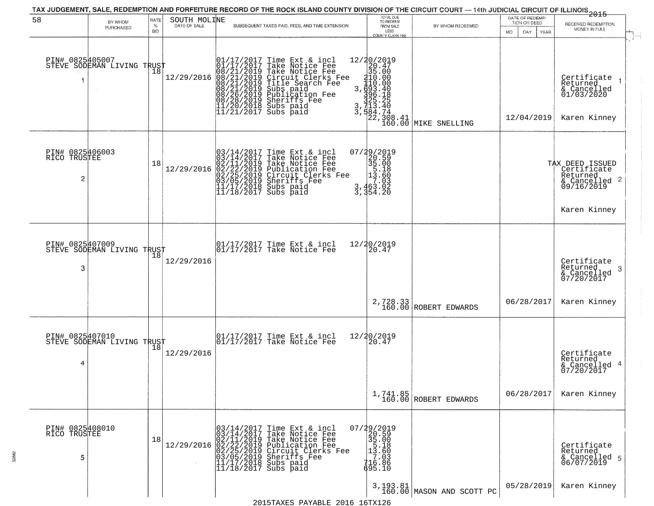|                                      |                                               |                     |              |                                                                                                                                                     | TAX JUDGEMENT, SALE, REDEMPTION AND FORFEITURE RECORD OF THE ROCK ISLAND COUNTY DIVISION OF THE CIRCUIT COURT — 14th JUDICIAL CIRCUIT OF ILLINOIS 2015                                                                                               | TOTAL DUE<br>TO REDEEM                                                                                                                                              |                                                                                               | DATE OF REDEMP-          |                                                                                       |
|--------------------------------------|-----------------------------------------------|---------------------|--------------|-----------------------------------------------------------------------------------------------------------------------------------------------------|------------------------------------------------------------------------------------------------------------------------------------------------------------------------------------------------------------------------------------------------------|---------------------------------------------------------------------------------------------------------------------------------------------------------------------|-----------------------------------------------------------------------------------------------|--------------------------|---------------------------------------------------------------------------------------|
| 58                                   | BY WHOM<br>PURCHASED                          | RATE<br>$\%$<br>BID | SOUTH MOLINE |                                                                                                                                                     | SUBSEQUENT TAXES PAID, FEES, AND TIME EXTENSION                                                                                                                                                                                                      | FROM SALE                                                                                                                                                           | BY WHOM REDEEMED                                                                              | TION OR DEED             | RECEIVED REDEMPTION<br>MONEY IN FULL                                                  |
|                                      |                                               |                     |              |                                                                                                                                                     |                                                                                                                                                                                                                                                      | LESS<br>COUNTY CLERK FEE                                                                                                                                            |                                                                                               | <b>MO</b><br>DAY<br>YEAR |                                                                                       |
| PIN# 0825405007<br>-1                | STEVE SODEMAN LIVING TRUST                    | 18                  | 12/29/2016   |                                                                                                                                                     | 01/17/2017 Time Ext & incl<br>01/17/2017 Take Notice Fee<br>08/21/2019 Take Notice Fee<br>08/21/2019 Circuit Clerks Fee<br>08/21/2019 Title Search Fee<br>08/21/2019 Subs paid<br>08/26/2019 Sheriffs Fee<br>11/20/2018 Subs paid<br>11/21/2017 Subs | 12/20/2019<br>$\begin{smallmatrix} 12/30/2011 \\ 29.47 \\ 35.00 \\ 110.00 \\ 110.00 \\ 3,6936.40 \\ 325.25 \\ 3,713.40 \\ 22,308.41 \\ 160.00 \\ \end{smallmatrix}$ |                                                                                               | 12/04/2019               | Certificate<br>Returned<br>& Cancelled<br>01/03/2020<br>Karen Kinney                  |
|                                      |                                               |                     |              |                                                                                                                                                     |                                                                                                                                                                                                                                                      |                                                                                                                                                                     | MIKE SNELLING                                                                                 |                          |                                                                                       |
| PIN# 0825406003<br>RICO TRUSTEE<br>2 |                                               | 18                  | 12/29/2016   |                                                                                                                                                     | $03/14/2017$ Time Ext & incl<br>$03/14/2017$ Take Notice Fee<br>$02/11/2019$ Take Notice Fee<br>$02/22/2019$ Publication Fee<br>$03/05/2019$ Sheriffs Fee<br>$11/17/2018$ Subs paid<br>$11/18/2017$ Subs paid                                        | 07/29/2019<br>20.59<br>35.00<br>13.60<br>13.60<br>3,463.03<br>3,354.20                                                                                              |                                                                                               |                          | TAX DEED ISSUED<br>Certificate<br>Returned<br>$\frac{1}{6}$ Cancelled 2<br>09/16/2019 |
|                                      |                                               |                     |              |                                                                                                                                                     |                                                                                                                                                                                                                                                      |                                                                                                                                                                     |                                                                                               |                          | Karen Kinney                                                                          |
| PIN# 0825407009                      |                                               |                     |              |                                                                                                                                                     | $\begin{array}{ccc}  01/17/2017 \text{ Time} & \text{Ext} & \text{incl} \\  01/17/2017 \text{ Take Notice } \text{Fe} \end{array}$                                                                                                                   | 12/20/2019                                                                                                                                                          |                                                                                               |                          |                                                                                       |
| 3                                    | STEVE SODEMAN LIVING TRUST                    |                     | 12/29/2016   |                                                                                                                                                     |                                                                                                                                                                                                                                                      | 20.47                                                                                                                                                               |                                                                                               |                          | Certificate<br>Returned<br>-3<br>& Cancelled<br>07/20/2017                            |
|                                      |                                               |                     |              |                                                                                                                                                     |                                                                                                                                                                                                                                                      |                                                                                                                                                                     | $\begin{array}{c c} \texttt{2,728.33} \\ \texttt{160.00} \texttt{ROBERT EDWARDS} \end{array}$ | 06/28/2017               | Karen Kinney                                                                          |
|                                      | PIN# 0825407010<br>STEVE SODEMAN LIVING TRUST |                     |              |                                                                                                                                                     | $\begin{array}{cc} 01/17/2017 & \text{Time Ext} & \text{incl} \\ 01/17/2017 & \text{Take Notice Fee} \end{array}$                                                                                                                                    | 12/20/2019<br>20.47                                                                                                                                                 |                                                                                               |                          |                                                                                       |
| 4                                    |                                               |                     | 12/29/2016   |                                                                                                                                                     |                                                                                                                                                                                                                                                      |                                                                                                                                                                     |                                                                                               |                          | Certificate<br>Returned<br>& Cancelled 4<br>07/20/2017                                |
|                                      |                                               |                     |              |                                                                                                                                                     |                                                                                                                                                                                                                                                      |                                                                                                                                                                     | 1,741.85<br>160.00 ROBERT EDWARDS                                                             | 06/28/2017               | Karen Kinney                                                                          |
| PIN# 0825408010<br>RICO TRUSTEE<br>5 |                                               | 18                  | 12/29/2016   | 03/14/2017<br>03/14/2017<br>$\tilde{0}$ 2/II/20I9<br>02/11/2013 Publication<br>02/25/2019 Circuit C.<br>03/05/2019 Sheriffs<br>11/17/2018 Subs paid | Time Ext & incl<br>Take Notice Fee<br>Take Notice Fee<br>Publication Fee<br>Circuit Clerks Fee<br>Sheriffs Fee                                                                                                                                       | 07/29/2019<br>20.59<br>35.00<br>13.60<br>13.60<br>13.60<br>416.886                                                                                                  |                                                                                               |                          | Certificate<br>Returned                                                               |
|                                      |                                               |                     |              | $11/18/2017$ Subs paid                                                                                                                              |                                                                                                                                                                                                                                                      | 695.10                                                                                                                                                              |                                                                                               |                          | & Cancelled 5<br>06/07/2019                                                           |
|                                      |                                               |                     |              |                                                                                                                                                     |                                                                                                                                                                                                                                                      |                                                                                                                                                                     |                                                                                               |                          |                                                                                       |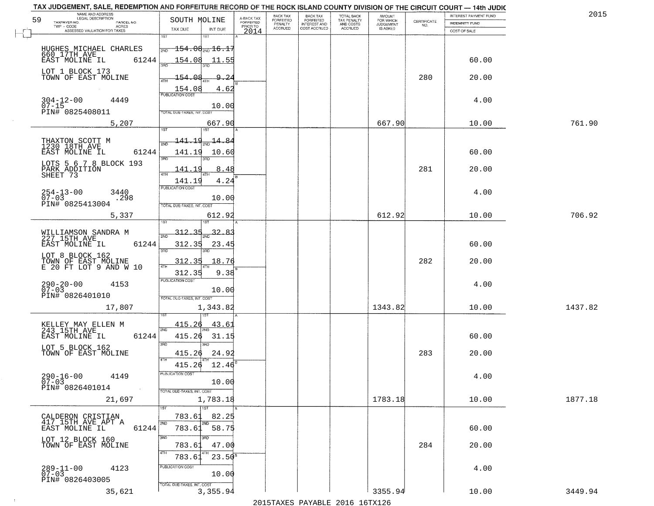| NAME AND ADDRESS<br>LEGAL DESCRIPTION         |                                           |                                     | BACK TAX             | <b>BACK TAX</b>                  | <b>TOTAL BACK</b>        | AMOUNT<br>FOR WHICH |                                                                 | INTEREST PAYMENT FUND | 2015    |
|-----------------------------------------------|-------------------------------------------|-------------------------------------|----------------------|----------------------------------|--------------------------|---------------------|-----------------------------------------------------------------|-----------------------|---------|
| 59<br>TAXPAYER NO.<br>PARCEL NO.<br>ACRES     | SOUTH MOLINE                              | A-BACK TAX<br>FORFEITED<br>PRIOR TO | FORFEITED<br>PENALTY | FORFEITED<br><b>INTEREST AND</b> | TAX PENALTY<br>AND COSTS | <b>JUDGEMENT</b>    | $\begin{array}{c} \text{CEPTIFICATE} \\ \text{NO.} \end{array}$ | <b>INDEMNITY FUND</b> |         |
| ASSESSED VALUATION FOR TAXES                  | TAX DUE<br>INT DUE<br>1ST<br>1ST          | 2014                                | <b>ACCRUED</b>       | COST ACCRUED                     | <b>ACCRUED</b>           | IS ASKED            |                                                                 | COST OF SALE          |         |
|                                               |                                           |                                     |                      |                                  |                          |                     |                                                                 |                       |         |
| HUGHES MICHAEL CHARLES<br>660_17TH_AVE        | $-154.08_{\text{\tiny 2ND}}$ 16.1.<br>2ND |                                     |                      |                                  |                          |                     |                                                                 |                       |         |
| 61244<br>EAST MOLINE IL                       | 154.08<br>11.55                           |                                     |                      |                                  |                          |                     |                                                                 | 60.00                 |         |
| LOT 1 BLOCK 173                               | 154.08<br>9.                              | -24                                 |                      |                                  |                          |                     | 280                                                             |                       |         |
| TOWN OF EAST MOLINE                           |                                           |                                     |                      |                                  |                          |                     |                                                                 | 20.00                 |         |
|                                               | $\frac{154.08}{FUBUCATONCCST}$<br>4.62    |                                     |                      |                                  |                          |                     |                                                                 |                       |         |
| $304 - 12 - 00$<br>4449<br>$07 - 15$          | 10.00                                     |                                     |                      |                                  |                          |                     |                                                                 | 4.00                  |         |
| PIN# 0825408011                               | TOTAL DUE-TAXES, INT. COST                |                                     |                      |                                  |                          |                     |                                                                 |                       |         |
| 5,207                                         | 667.90                                    |                                     |                      |                                  |                          | 667.90              |                                                                 | 10.00                 | 761.90  |
|                                               | ist                                       |                                     |                      |                                  |                          |                     |                                                                 |                       |         |
| THAXTON SCOTT M<br>1230 18TH AVE              | <u> 141.19</u><br>$\frac{14.84}{200}$     |                                     |                      |                                  |                          |                     |                                                                 |                       |         |
| 61244<br>EAST MOLINE IL                       | 141.19<br>10.60<br>3RD                    |                                     |                      |                                  |                          |                     |                                                                 | 60.00                 |         |
| LOTS 5 6 7 8 BLOCK 193                        | 8.48<br>141.19                            |                                     |                      |                                  |                          |                     | 281                                                             | 20.00                 |         |
| PARK ADDITION<br>SHEET 73                     | ATH                                       |                                     |                      |                                  |                          |                     |                                                                 |                       |         |
|                                               | 4.24<br>141.19<br>PUBLICATION COST        |                                     |                      |                                  |                          |                     |                                                                 |                       |         |
| $254 - 13 - 00$<br>07-03<br>3440<br>.298      | 10.00                                     |                                     |                      |                                  |                          |                     |                                                                 | 4.00                  |         |
| PIN# 0825413004                               | TOTAL DUE-TAXES, INT. COST                |                                     |                      |                                  |                          |                     |                                                                 |                       |         |
| 5,337                                         | 612.92<br>i ST                            |                                     |                      |                                  |                          | 612.92              |                                                                 | 10.00                 | 706.92  |
|                                               |                                           |                                     |                      |                                  |                          |                     |                                                                 |                       |         |
| WILLIAMSON SANDRA M<br>227 15TH AVE           | <u>312.35</u><br>2ND                      |                                     |                      |                                  |                          |                     |                                                                 |                       |         |
| EAST MOLINE IL<br>61244                       | 312.35<br>23.45<br>3RD<br>3RD             |                                     |                      |                                  |                          |                     |                                                                 | 60.00                 |         |
| LOT 8 BLOCK 162                               | 312.35<br>18.76                           |                                     |                      |                                  |                          |                     | 282                                                             | 20.00                 |         |
| TOWN OF EAST MOLINE<br>E 20 FT LOT 9 AND W 10 | 4TH<br>9.38<br>312.35                     |                                     |                      |                                  |                          |                     |                                                                 |                       |         |
| 4153                                          | <b>PUBLICATION COST</b>                   |                                     |                      |                                  |                          |                     |                                                                 | 4.00                  |         |
| $290 - 20 - 00$<br>07-03                      | 10.00                                     |                                     |                      |                                  |                          |                     |                                                                 |                       |         |
| PIN# 0826401010                               | TOTAL OUE-TAXES, INT. COST                |                                     |                      |                                  |                          |                     |                                                                 |                       |         |
| 17,807                                        | 1,343.82                                  |                                     |                      |                                  |                          | 1343.82             |                                                                 | 10.00                 | 1437.82 |
|                                               | 415.26<br>43.61                           |                                     |                      |                                  |                          |                     |                                                                 |                       |         |
| KELLEY MAY ELLEN M<br>243 15TH AVE            | 2ND<br>415.26                             |                                     |                      |                                  |                          |                     |                                                                 |                       |         |
| EAST MOLINE IL<br>61244                       | 31.15<br>3BD<br>3RD                       |                                     |                      |                                  |                          |                     |                                                                 | 60.00                 |         |
| LOT 5 BLOCK 162<br>TOWN OF EAST MOLINE        | 24.9<br>415.26                            |                                     |                      |                                  |                          |                     | 283                                                             | 20.00                 |         |
|                                               | 4TH<br>415.26<br>12.46                    |                                     |                      |                                  |                          |                     |                                                                 |                       |         |
| 4149                                          | "UBLICA HUN CUS                           |                                     |                      |                                  |                          |                     |                                                                 | 4.00                  |         |
| $290 - 16 - 00$<br>07-03<br>PIN# 0826401014   | 10.00                                     |                                     |                      |                                  |                          |                     |                                                                 |                       |         |
| $\sim 100$                                    | TOTAL DUE-TAXES, INT. COST                |                                     |                      |                                  |                          |                     |                                                                 |                       |         |
| 21,697                                        | 1,783.18<br>1ST                           |                                     |                      |                                  |                          | 1783.18             |                                                                 | 10.00                 | 1877.18 |
| CALDERON CRISTIAN                             | 82.25<br>783.61                           |                                     |                      |                                  |                          |                     |                                                                 |                       |         |
| 417 15TH AVE APT A<br>61244<br>EAST MOLINE IL | 2ND<br>2ND<br>783.61 58.75                |                                     |                      |                                  |                          |                     |                                                                 | 60.00                 |         |
| LOT 12 BLOCK 160                              | 3RD<br>3RD                                |                                     |                      |                                  |                          |                     |                                                                 |                       |         |
| TOWN OF EAST MOLINE                           | 47.00<br>783.61                           |                                     |                      |                                  |                          |                     | 284                                                             | 20.00                 |         |
|                                               | 4TH<br>4TH<br>783.61<br>$23.50^8$         |                                     |                      |                                  |                          |                     |                                                                 |                       |         |
| 4123                                          | PUBLICATION COST                          |                                     |                      |                                  |                          |                     |                                                                 | 4.00                  |         |
| $289 - 11 - 00$<br>07-03<br>PIN# 0826403005   | 10.00                                     |                                     |                      |                                  |                          |                     |                                                                 |                       |         |
| 35,621                                        | TOTAL DUE-TAXES, INT. COST<br>3,355.94    |                                     |                      |                                  |                          | 3355.94             |                                                                 | 10.00                 | 3449.94 |
|                                               |                                           |                                     |                      |                                  |                          |                     |                                                                 |                       |         |

 $\sim 4$  .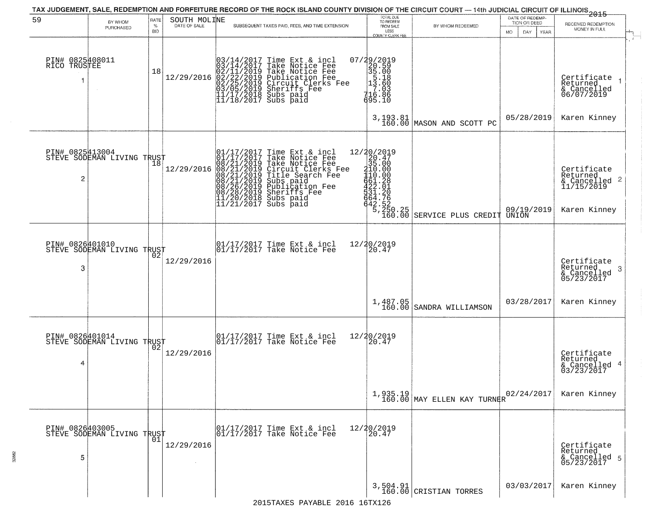| 59                                   | BY WHOM                                                  | RATE               |              | TAX JUDGEMENT, SALE, REDEMPTION AND FORFEITURE RECORD OF THE ROCK ISLAND COUNTY DIVISION OF THE CIRCUIT COURT — 14th JUDICIAL CIRCUIT OF ILLINOIS 2015                                                                                                | TOTAL DUE<br>TO REDEEM                                                                                                                |                                          | DATE OF REDEMP-                          |                                                                        |
|--------------------------------------|----------------------------------------------------------|--------------------|--------------|-------------------------------------------------------------------------------------------------------------------------------------------------------------------------------------------------------------------------------------------------------|---------------------------------------------------------------------------------------------------------------------------------------|------------------------------------------|------------------------------------------|------------------------------------------------------------------------|
|                                      | PURCHASED                                                | $\%$<br><b>BID</b> | SOUTH MOLINE | SUBSEQUENT TAXES PAID, FEES, AND TIME EXTENSION                                                                                                                                                                                                       | FROM SALE<br>LESS<br>COUNTY CLERK FEE                                                                                                 | BY WHOM REDEEMED                         | TION OR DEED<br><b>MO</b><br>DAY<br>YEAR | RECEIVED REDEMPTION<br>MONEY IN FULL                                   |
| PIN# 0825408011<br>RICO TRUSTEE<br>1 | $\sim$                                                   | 18                 | 12/29/2016   | $03/14/2017$ Time Ext & incl<br>$03/14/2017$ Take Notice Fee<br>$02/11/2019$ Take Notice Fee<br>$02/22/2019$ Publication Fee<br>$03/05/2019$ Sheriffs Fee<br>$11/17/2018$ Subs paid<br>$11/18/2017$ Subs paid<br>$11/18/2017$ Subs paid               | 07/29/2019<br>20.59<br>35.00<br>13.60<br>13.60<br>13.60<br>416.886<br>695.10                                                          |                                          | 05/28/2019                               | Certificate<br>Returned<br>& Cancelled<br>06/07/2019<br>Karen Kinney   |
|                                      |                                                          |                    |              |                                                                                                                                                                                                                                                       | 3,193.81<br>160.00                                                                                                                    | MASON AND SCOTT PC                       |                                          |                                                                        |
| PIN# 0825413004<br>2                 | STEVE SODEMAN LIVING TRUST<br>STEVE SODEMAN LIVING TRUST |                    | 12/29/2016   | 01/17/2017 Time Ext & incl<br>01/17/2017 Take Notice Fee<br>08/21/2019 Take Notice Fee<br>08/21/2019 Circuit Clerks Fee<br>08/21/2019 Title Search Fee<br>08/21/2019 Subs paid<br>08/26/2019 Publication Fee<br>08/28/2019 Sheriffs Fee<br>11/20/2018 | $22/20/2019$ $20.47$ $35.00$ $2410.00$<br>110.000<br>61.281<br>622.010<br>531.2005<br>642.52<br>$\frac{5}{2}$ , $\frac{25}{160}$ , 25 | SERVICE PLUS CREDIT                      | 09/19/2019<br>UNION                      | Certificate<br>Returned<br>& Cancelled 2<br>11/15/2019<br>Karen Kinney |
|                                      |                                                          |                    |              |                                                                                                                                                                                                                                                       |                                                                                                                                       |                                          |                                          |                                                                        |
| PIN# 0826401010<br>3                 | STEVE SODEMAN LIVING TRUST                               |                    | 12/29/2016   | 01/17/2017 Time Ext & incl<br>01/17/2017 Take Notice Fee                                                                                                                                                                                              | 12/20/2019<br>20.47                                                                                                                   |                                          |                                          | Certificate<br>Returned<br>-3<br>& Cancelled<br>05/23/2017             |
|                                      |                                                          |                    |              |                                                                                                                                                                                                                                                       | 1,487.05<br>160.00                                                                                                                    | SANDRA WILLIAMSON                        | 03/28/2017                               | Karen Kinney                                                           |
| 4                                    | PIN# 0826401014<br>STEVE SODEMAN LIVING TRUST            |                    | 12/29/2016   | $\begin{bmatrix} 01/17/2017 \\ 01/17/2017 \\ 01 \end{bmatrix}$ Take Notice Fee                                                                                                                                                                        | 12/20/2019<br>20.47                                                                                                                   |                                          |                                          | Certificate<br>Returned<br>& Cancelled 4<br>03/23/2017                 |
|                                      |                                                          |                    |              |                                                                                                                                                                                                                                                       |                                                                                                                                       | $1,935.19$ $160.00$ MAY ELLEN KAY TURNER | 02/24/2017                               | Karen Kinney                                                           |
| PIN# 0826403005<br>5                 | PIN# ∪8∠04∪JOU<br>STEVE SODEMAN LIVING TRUST<br> 01      |                    | 12/29/2016   | 01/17/2017 Time Ext & incl<br>01/17/2017 Take Notice Fee                                                                                                                                                                                              | 12/20/2019<br>20.47                                                                                                                   |                                          |                                          | Certificate<br>Returned<br>& Cancelled 5<br>05/23/2017                 |
|                                      |                                                          |                    |              |                                                                                                                                                                                                                                                       |                                                                                                                                       | 3,504.91<br>160.00 CRISTIAN TORRES       | 03/03/2017                               | Karen Kinney                                                           |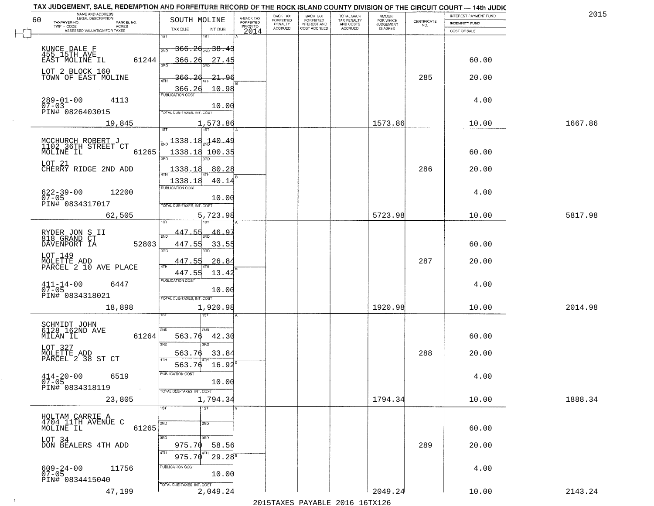| NAME AND ADDRESS<br>LEGAL DESCRIPTION                                            |                                                                       |                                     | BACK TAX             | <b>BACK TAX</b>           |                                        | AMOUNT<br>FOR WHICH |                                                                 | INTEREST PAYMENT FUND | 2015    |
|----------------------------------------------------------------------------------|-----------------------------------------------------------------------|-------------------------------------|----------------------|---------------------------|----------------------------------------|---------------------|-----------------------------------------------------------------|-----------------------|---------|
| 60<br>TAXPAYER NO.<br>PARCEL NO.<br>$\sf ACRES$                                  | SOUTH MOLINE                                                          | A-BACK TAX<br>FORFEITED<br>PRIOR TO | FORFEITED<br>PENALTY | FORFEITED<br>INTEREST AND | TOTAL BACK<br>TAX PENALTY<br>AND COSTS | <b>JUDGEMENT</b>    | $\begin{array}{c} \text{CERTIFICATE} \\ \text{NO.} \end{array}$ | <b>INDEMNITY FUND</b> |         |
| ASSESSED VALUATION FOR TAXES                                                     | TAX DUE<br>INT DUE                                                    | 2014                                | <b>ACCRUED</b>       | COST ACCRUED              | ACCRUED                                | IS ASKED            |                                                                 | COST OF SALE          |         |
| KUNCE DALE F<br>455_15TH AVE                                                     | 1ST<br><del>366.20 mg 38.43</del><br>2ND                              |                                     |                      |                           |                                        |                     |                                                                 |                       |         |
| 61244<br>EAST MOLINE IL<br>LOT 2 BLOCK 160                                       | 366.26<br>27.45                                                       |                                     |                      |                           |                                        |                     |                                                                 | 60.00                 |         |
| TOWN OF EAST MOLINE                                                              | 366.26<br><u> 21.96</u><br>10.98<br>$\frac{366.26}{FUBLICATION COST}$ |                                     |                      |                           |                                        |                     | 285                                                             | 20.00                 |         |
| $289 - 01 - 00$<br>07-03<br>4113<br>PIN# 0826403015                              | 10.00<br>TOTAL DUE-TAXES, INT. COST                                   |                                     |                      |                           |                                        |                     |                                                                 | 4.00                  |         |
| 19,845                                                                           | 1,573.86                                                              |                                     |                      |                           |                                        | 1573.86             |                                                                 | 10.00                 | 1667.86 |
| MCCHURCH ROBERT J<br>1102 36TH STREET CT<br>61265<br>MOLINE IL                   | <u>1338.18.140.49</u><br>1338.18 100.35<br>उन्नत                      |                                     |                      |                           |                                        |                     |                                                                 | 60.00                 |         |
| LOT 21<br>CHERRY RIDGE 2ND ADD                                                   | 1338.18<br>80.28<br>40.14<br>1338.18                                  |                                     |                      |                           |                                        |                     | 286                                                             | 20.00                 |         |
| 12200<br>$622 - 39 - 00$<br>$07 - 05$<br>PIN# 0834317017                         | PUBLICATION COST<br>10.00<br>TOTAL DUE-TAXES, INT. COST               |                                     |                      |                           |                                        |                     |                                                                 | 4.00                  |         |
| 62,505                                                                           | 5,723.98<br>1ST<br>1ST                                                |                                     |                      |                           |                                        | 5723.98             |                                                                 | 10.00                 | 5817.98 |
| RYDER JON S II<br>818 GRAND CT<br>DAVENPORT IA<br>52803                          | 447.55<br>$-46.97$<br>2ND<br>447.55<br>33.55<br>3RD<br>3RD.           |                                     |                      |                           |                                        |                     |                                                                 | 60.00                 |         |
| LOT 149<br>MOLETTE ADD<br>PARCEL 2 10 AVE PLACE                                  | 447.55<br>26.84<br>4TH<br>447.55<br>13.42                             |                                     |                      |                           |                                        |                     | 287                                                             | 20.00                 |         |
| $411 - 14 - 00$<br>07-05<br>6447<br>PIN# 0834318021                              | <b>PUBLICATION COST</b><br>10.00<br>TOTAL OUE-TAXES, INT. COST        |                                     |                      |                           |                                        |                     |                                                                 | 4.00                  |         |
| 18,898                                                                           | 1,920.98<br>1ST                                                       |                                     |                      |                           |                                        | 1920.98             |                                                                 | 10.00                 | 2014.98 |
| SCHMIDT JOHN<br>6128 162ND AVE<br>MILAN IL<br>61264                              | 2ND<br>2ND<br>563.76<br>42.30<br>3RD<br>3RD                           |                                     |                      |                           |                                        |                     |                                                                 | 60.00                 |         |
| LOT 327<br>MOLETTE ADD<br>PARCEL 2 38 ST CT                                      | 563.76<br>33.84<br>4TH<br>16.92<br>563.76                             |                                     |                      |                           |                                        |                     | 288                                                             | 20.00                 |         |
| $414 - 20 - 00$<br>6519<br>$07 - 05$<br>PIN# 0834318119<br>$\sim 100$ km $^{-1}$ | PUBLICATION COS<br>10.00<br>TOTAL DUE-TAXES, INT. COST                |                                     |                      |                           |                                        |                     |                                                                 | 4.00                  |         |
| 23,805                                                                           | 1,794.34<br>1ST<br>1ST                                                |                                     |                      |                           |                                        | 1794.34             |                                                                 | 10.00                 | 1888.34 |
| HOLTAM CARRIE A<br>4704 11TH AVENUE C<br>MOLINE IL<br>61265                      | 2ND<br>2ND                                                            |                                     |                      |                           |                                        |                     |                                                                 | 60.00                 |         |
| LOT 34<br>DON BEALERS 4TH ADD                                                    | 3RD<br>3RD<br>975.70<br>58.56<br>4TH<br>4TH<br>$29.28^{8}$<br>975.70  |                                     |                      |                           |                                        |                     | 289                                                             | 20.00                 |         |
| $609 - 24 - 00$<br>11756<br>$07 - 05$<br>PIN# 0834415040                         | PUBLICATION COST<br>10.00                                             |                                     |                      |                           |                                        |                     |                                                                 | 4.00                  |         |
| 47,199                                                                           | TOTAL DUE-TAXES, INT. COST<br>2,049.24                                |                                     |                      |                           |                                        | 2049.24             |                                                                 | 10.00                 | 2143.24 |

 $\sim 100$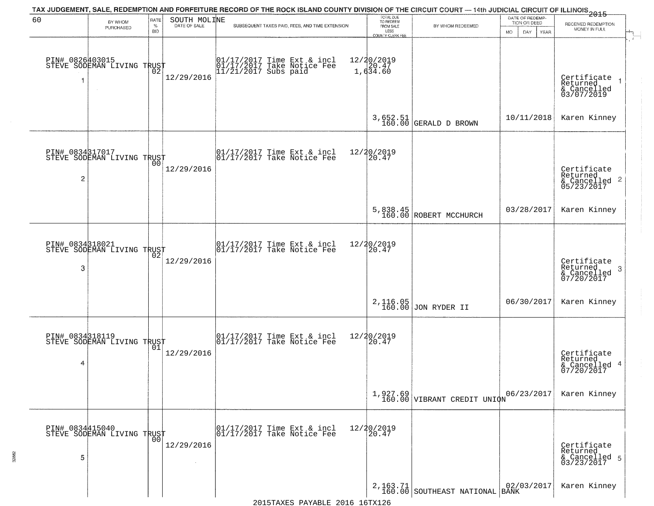| 60                   | TAX JUDGEMENT, SALE, REDEMPTION AND FORFEITURE RECORD OF THE ROCK ISLAND COUNTY DIVISION OF THE CIRCUIT COURT — 14th JUDICIAL CIRCUIT OF ILLINOIS 2015<br>SOUTH MOLINE<br>RATE<br>BY WHOM |                    |              |                                                                                  | TOTAL DUE<br>TO REDEEM                     |                                           | DATE OF REDEMP-                            |                                                                    |
|----------------------|-------------------------------------------------------------------------------------------------------------------------------------------------------------------------------------------|--------------------|--------------|----------------------------------------------------------------------------------|--------------------------------------------|-------------------------------------------|--------------------------------------------|--------------------------------------------------------------------|
|                      | PURCHASED                                                                                                                                                                                 | $\%$<br><b>BID</b> | DATE OF SALE | SUBSEQUENT TAXES PAID, FEES, AND TIME EXTENSION                                  | FROM SALE<br>LESS                          | BY WHOM REDEEMED                          | TION OR DEED<br>MO.<br>DAY.<br><b>YEAR</b> | RECEIVED REDEMPTION<br>MONEY IN FULL                               |
| 1                    | PIN# 0826403015<br>STEVE SODEMAN LIVING TRUST                                                                                                                                             | Ō2                 | 12/29/2016   | 01/17/2017 Time Ext & incl<br>01/17/2017 Take Notice Fee<br>11/21/2017 Subs paid | COUNTY CLERK FEE<br>12/20/2019<br>1,634.60 |                                           |                                            | Certificate<br>Returned<br>& Cancelled<br>03/07/2019               |
|                      |                                                                                                                                                                                           |                    |              |                                                                                  |                                            | 3,652.51<br>160.00 GERALD D BROWN         | 10/11/2018                                 | Karen Kinney                                                       |
| $\overline{c}$       | PIN# 0834317017<br>STEVE SODEMAN LIVING TRUST                                                                                                                                             |                    | 12/29/2016   | 01/17/2017 Time Ext & incl<br>01/17/2017 Take Notice Fee                         | 12/20/2019<br>20.47                        |                                           |                                            | Certificate<br>Returned<br>$\frac{1}{6}$ Cancelled 2<br>05/23/2017 |
|                      |                                                                                                                                                                                           |                    |              |                                                                                  |                                            | 5,838.45<br>160.00 ROBERT MCCHURCH        | 03/28/2017                                 | Karen Kinney                                                       |
| PIN# 0834318021<br>3 | STEVE SODEMAN LIVING TRUST                                                                                                                                                                | 02                 | 12/29/2016   | 01/17/2017 Time Ext & incl<br>01/17/2017 Take Notice Fee                         | 12/20/2019<br>20.47                        |                                           |                                            | Certificate<br>Returned<br>3<br>& Cancelled<br>07/20/2017          |
|                      |                                                                                                                                                                                           |                    |              |                                                                                  |                                            | 2,116.05<br>160.00 JON RYDER II           | 06/30/2017                                 | Karen Kinney                                                       |
| 4                    | PIN# 0834318119    <br>STEVE SODEMAN LIVING TRUST                                                                                                                                         | 01                 | 12/29/2016   | 01/17/2017 Time Ext & incl<br>01/17/2017 Take Notice Fee                         | 12/20/2019<br>120.47                       |                                           |                                            | Certificate<br>Returned<br>& Cancelled 4<br>07/20/2017             |
|                      |                                                                                                                                                                                           |                    |              |                                                                                  |                                            | $1,927.69$<br>160.00 VIBRANT CREDIT UNION | 06/23/2017                                 | Karen Kinney                                                       |
| PIN# 0834415040<br>5 | STEVE SODEMAN LIVING TRUST                                                                                                                                                                | 0 <sup>0</sup>     | 12/29/2016   | 01/17/2017 Time Ext & incl<br>01/17/2017 Take Notice Fee                         | 12/20/2019<br>20.47                        |                                           |                                            | Certificate<br>Returned<br>& Cancelled 5<br>03/23/2017             |
|                      |                                                                                                                                                                                           |                    |              |                                                                                  |                                            | 2, 163.71 SOUTHEAST NATIONAL BANK         | 02/03/2017                                 | Karen Kinney                                                       |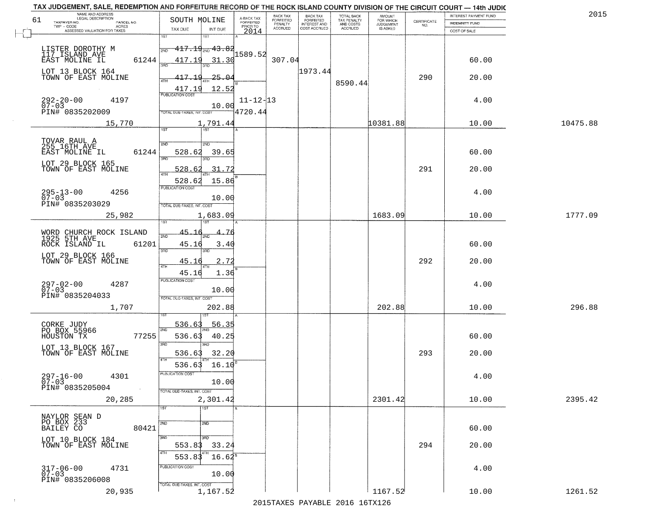|    | TAX JUDGEMENT, SALE, REDEMPTION AND FORFEITURE RECORD OF THE ROCK ISLAND COUNTY DIVISION OF THE CIRCUIT COURT - 14th JUDIC<br>NAME AND ADDRESS<br>LEGAL DESCRIPTION |                                                                                            |                                     | BACK TAX             | <b>BACK TAX</b>           |                                        | AMOUNT<br>FOR WHICH |                                                                 | INTEREST PAYMENT FUND | 2015     |
|----|---------------------------------------------------------------------------------------------------------------------------------------------------------------------|--------------------------------------------------------------------------------------------|-------------------------------------|----------------------|---------------------------|----------------------------------------|---------------------|-----------------------------------------------------------------|-----------------------|----------|
| 61 | TAXPAYER NO.<br>PARCEL NO.<br>ACRES                                                                                                                                 | SOUTH MOLINE                                                                               | A-BACK TAX<br>FORFEITED<br>PRIOR TO | FORFEITED<br>PENALTY | FORFEITED<br>INTEREST AND | TOTAL BACK<br>TAX PENALTY<br>AND COSTS | <b>JUDGEMENT</b>    | $\begin{array}{c} \text{CERTIFICATE} \\ \text{NO.} \end{array}$ | <b>INDEMNITY FUND</b> |          |
|    | ASSESSED VALUATION FOR TAXES                                                                                                                                        | TAX DUE<br>INT DUE                                                                         | 2014                                | <b>ACCRUED</b>       | COST ACCRUED              | <b>ACCRUED</b>                         | IS ASKED            |                                                                 | COST OF SALE          |          |
|    | LISTER DOROTHY M<br>117 ISLAND AVE<br>61244<br>EAST MOLINE IL                                                                                                       | 1ST<br>18T<br>$417.19_{200}$ $43.82$<br>2ND<br>417.19<br>31.30                             | 1589.52                             | 307.04               |                           |                                        |                     |                                                                 | 60.00                 |          |
|    | LOT 13 BLOCK 164<br>TOWN OF EAST MOLINE                                                                                                                             | $-25 - 04$<br>417.19<br>$\frac{417.19}{PUBUCATONCGST}$<br>12.52                            |                                     |                      | 1973.44                   | 8590.44                                |                     | 290                                                             | 20.00                 |          |
|    | $292 - 20 - 00$<br>07-03<br>4197<br>PIN# 0835202009                                                                                                                 | 10.00<br>TOTAL DUE-TAXES, INT. COST                                                        | $11 - 12 - 13$<br>4720.44           |                      |                           |                                        |                     |                                                                 | 4.00                  |          |
|    | 15,770                                                                                                                                                              | 1,791.44                                                                                   |                                     |                      |                           |                                        | 10381.88            |                                                                 | 10.00                 | 10475.88 |
|    | TOVAR RAUL A<br>255 16TH AVE<br>EAST MOLINE IL<br>61244<br>LOT 29 BLOCK 165<br>TOWN OF EAST MOLINE                                                                  | 1ST<br>2ND<br>2ND<br>528.62<br>39.65<br>3BD<br>3RD<br>31.72<br>528.62<br>$\overline{47H}$  |                                     |                      |                           |                                        |                     | 291                                                             | 60.00<br>20.00        |          |
|    | $295 - 13 - 00$<br>4256<br>$07 - 03$<br>PIN# 0835203029<br>25,982                                                                                                   | 15.86<br>528.62<br>PUBLICATION COST<br>10.00<br>TOTAL DUE-TAXES, INT. COST                 |                                     |                      |                           |                                        | 1683.09             |                                                                 | 4.00<br>10.00         | 1777.09  |
|    |                                                                                                                                                                     | 1,683.09<br>īst                                                                            |                                     |                      |                           |                                        |                     |                                                                 |                       |          |
|    | WORD CHURCH ROCK ISLAND<br>1925 5TH AVE<br>ROCK ISLAND IL<br>61201<br>LOT 29 BLOCK 166                                                                              | 45.1<br>2ND<br>45.16<br>3.40<br>3RD<br>3RD                                                 |                                     |                      |                           |                                        |                     |                                                                 | 60.00                 |          |
|    | TOWN OF EAST MOLINE                                                                                                                                                 | 45.16<br>2.72<br>4TH                                                                       |                                     |                      |                           |                                        |                     | 292                                                             | 20.00                 |          |
|    | $297 - 02 - 00$<br>07-03<br>4287<br>PIN# 0835204033<br>1,707                                                                                                        | 1.36<br>45.16<br><b>PUBLICATION COST</b><br>10.00<br>TOTAL OUE-TAXES, INT. COST<br>202.88  |                                     |                      |                           |                                        | 202.88              |                                                                 | 4.00<br>10.00         | 296.88   |
|    | CORKE JUDY<br>PO BOX 55966<br>HOUSTON TX<br>77255<br>LOT 13 BLOCK 167<br>TOWN OF EAST MOLINE                                                                        | 536.63<br>56.35<br>2ND<br>536.63<br>40.25<br>3 <sub>BD</sub><br><b>IRD</b><br>536.63       |                                     |                      |                           |                                        |                     | 293                                                             | 60.00<br>20.00        |          |
|    | $297 - 16 - 00$<br>4301<br>$07 - 03$<br>PIN# 0835205004<br><b>Contract</b>                                                                                          | 32.20<br>4TH<br>16.10<br>536.63<br>PUBLICATION COST<br>10.00<br>TOTAL DUE-TAXES, INT. COST |                                     |                      |                           |                                        |                     |                                                                 | 4.00                  |          |
|    | 20,285                                                                                                                                                              | 2,301.42                                                                                   |                                     |                      |                           |                                        | 2301.42             |                                                                 | 10.00                 | 2395.42  |
|    | NAYLOR SEAN D<br>PO BOX 233<br>BAILEY CO<br>80421                                                                                                                   | 1ST<br>2ND<br>2ND                                                                          |                                     |                      |                           |                                        |                     |                                                                 | 60.00                 |          |
|    | LOT 10 BLOCK 184<br>TOWN OF EAST MOLINE                                                                                                                             | 3RD<br>3RD<br>553.83<br>33.24<br>4TH<br>553.83<br>$16.62^8$                                |                                     |                      |                           |                                        |                     | 294                                                             | 20.00                 |          |
|    | 317-06-00<br>07-03<br>4731<br>PIN# 0835206008                                                                                                                       | PUBLICATION COST<br>10.00<br>TOTAL DUE-TAXES, INT. COST                                    |                                     |                      |                           |                                        |                     |                                                                 | 4.00                  |          |
|    | 20,935                                                                                                                                                              | 1,167.52                                                                                   |                                     |                      |                           |                                        | 1167.52             |                                                                 | 10.00                 | 1261.52  |

 $\sim$  1  $^{\circ}$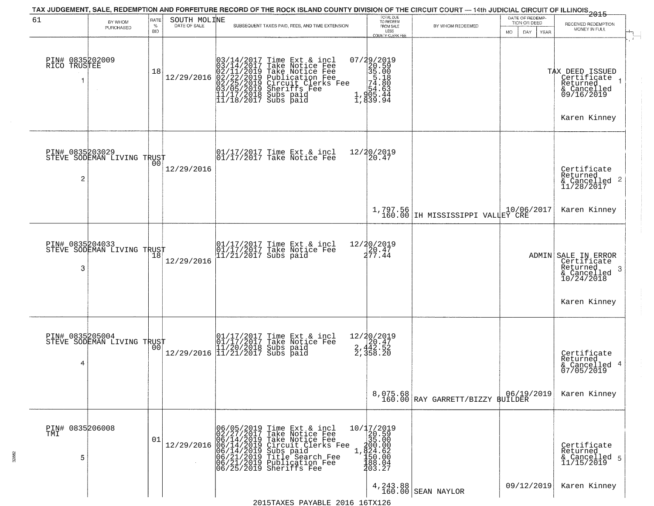|                                      |                            |                            |                              | TAX JUDGEMENT, SALE, REDEMPTION AND FORFEITURE RECORD OF THE ROCK ISLAND COUNTY DIVISION OF THE CIRCUIT COURT — 14th JUDICIAL CIRCUIT OF ILLINOIS 2015                                                                                           |                                                                                                                       |                                                     |                                                        |                                                                                         |
|--------------------------------------|----------------------------|----------------------------|------------------------------|--------------------------------------------------------------------------------------------------------------------------------------------------------------------------------------------------------------------------------------------------|-----------------------------------------------------------------------------------------------------------------------|-----------------------------------------------------|--------------------------------------------------------|-----------------------------------------------------------------------------------------|
| 61                                   | BY WHOM<br>PURCHASED       | RATE<br>$\%$<br><b>BID</b> | SOUTH MOLINE<br>DATE OF SALE | SUBSEQUENT TAXES PAID, FEES, AND TIME EXTENSION                                                                                                                                                                                                  | TOTAL DUE<br>TO REDEEM<br>FROM SALE<br>LESS<br><b>COUNTY CLERK FEE</b>                                                | BY WHOM REDEEMED                                    | DATE OF REDEMP-<br>TION OR DEED<br>MO.<br>DAY.<br>YEAR | RECEIVED REDEMPTION<br>MONEY IN FULL                                                    |
| PIN# 0835202009<br>RICO TRUSTEE<br>1 |                            | 18                         | 12/29/2016                   | $03/14/2017$ Time Ext & incl<br>$03/14/2017$ Take Notice Fee<br>$02/11/2019$ Take Notice Fee<br>$02/22/2019$ Publication Fee<br>$03/05/2019$ Sheriffs Fee<br>$11/17/2018$ Subs paid<br>$11/18/2017$ Subs paid                                    | $\begin{smallmatrix} 07/29/2019\\20.59\\35.00\\54.18\\54.63\\1,905.44\\1,939.94 \end{smallmatrix}$                    |                                                     |                                                        | TAX DEED ISSUED<br>Certificate<br>Returned<br>& Cancelled<br>09/16/2019<br>Karen Kinney |
| PIN# 0835203029<br>2                 | STEVE SODEMAN LIVING TRUST | 001                        | 12/29/2016                   | $\begin{array}{ccc}  01/17/2017 \text{ Time} & \text{Ext} & \text{incl} \\  01/17/2017 \text{ Take Notice } \text{Fe} \end{array}$                                                                                                               | 12/20/2019<br>20.47                                                                                                   |                                                     |                                                        | Certificate<br>Returned<br>$\frac{1}{2}$ Cancelled 2<br>11/28/2017                      |
|                                      |                            |                            |                              |                                                                                                                                                                                                                                                  |                                                                                                                       | 1,797.56<br>160.00 IH MISSISSIPPI VALLEY CRE        |                                                        | Karen Kinney                                                                            |
| PIN# 0835204033<br>3                 | STEVE SODEMAN LIVING TRUST | 18                         | 12/29/2016                   | 01/17/2017 Time Ext & incl<br>01/17/2017 Take Notice Fee<br>11/21/2017 Subs paid                                                                                                                                                                 | 12/20/2019<br>20.47<br>277.44                                                                                         |                                                     |                                                        | ADMIN SALE IN ERROR<br>Certificate<br>Returned<br>3<br>$\frac{6}{10/24/2018}$           |
|                                      |                            |                            |                              |                                                                                                                                                                                                                                                  |                                                                                                                       |                                                     |                                                        | Karen Kinney                                                                            |
| PIN# 0835205004<br>4                 | STEVE SODEMAN LIVING TRUST | 00                         | 12/29/2016                   | 01/17/2017 Time Ext & incl<br>01/17/2017 Take Notice Fee<br>11/20/2018 Subs paid<br>11/21/2017 Subs paid                                                                                                                                         | 12/20/2019<br>2, 420.47<br>2, 442.52<br>2, 358.20                                                                     |                                                     |                                                        | Certificate<br>Returned<br>4<br>& Cancelled<br>07/05/2019                               |
|                                      |                            |                            |                              |                                                                                                                                                                                                                                                  |                                                                                                                       | 8,075.68 06/19,<br>160.00 RAY GARRETT/BIZZY BUILDER | 06/19/2019                                             | Karen Kinney                                                                            |
| PIN# 0835206008<br>TMI<br>5          |                            | 01                         | 12/29/2016                   | 06/05/2019 Time Ext & incl<br>02/27/2017 Take Notice Fee<br>06/14/2019 Take Notice Fee<br>06/14/2019 Circuit Clerks Fee<br>06/14/2019 Subs paid<br>06/21/2019 Title Search Fee<br>06/21/2019 Publication Fee<br>06/25/2019 Sheriffs Fee<br>$1$ . | $10/17/2019$<br>$20.59$<br>35.00<br>$\begin{array}{r} 200.000 \\ 204.62 \\ 500.00 \\ 188.04 \\ \end{array}$<br>203.27 |                                                     |                                                        | Certificate<br>Returned<br>& Cancelled 5<br>11/15/2019                                  |
|                                      |                            |                            |                              |                                                                                                                                                                                                                                                  |                                                                                                                       | $\left.\frac{4,243.88}{160.00}\right $ SEAN NAYLOR  | 09/12/2019                                             | Karen Kinney                                                                            |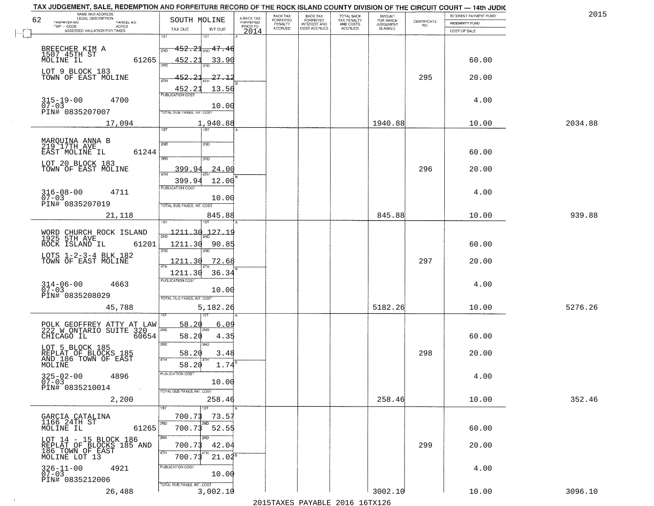| TAX JUDGEMENT, SALE, REDEMPTION AND FORFEITURE RECORD OF THE ROCK ISLAND COUNTY DIVISION OF THE CIRCUIT COURT - 14th JUDIC<br>NAME AND ADDRESS<br>LEGAL DESCRIPTION |                                       |                                     | BACK TAX                    |                                              |                                        |                                         |                                                                 | INTEREST PAYMENT FUND | 2015    |
|---------------------------------------------------------------------------------------------------------------------------------------------------------------------|---------------------------------------|-------------------------------------|-----------------------------|----------------------------------------------|----------------------------------------|-----------------------------------------|-----------------------------------------------------------------|-----------------------|---------|
| 62<br>TAXPAYER NO.<br>PARCEL NO.                                                                                                                                    | SOUTH MOLINE                          | A-BACK TAX<br>FORFEITED<br>PRIOR TO | <b>FORFEITED</b><br>PENALTY | BACK TAX<br>FORFEITED<br><b>INTEREST AND</b> | TOTAL BACK<br>TAX PENALTY<br>AND COSTS | AMOUNT<br>FOR WHICH<br><b>JUDGEMENT</b> | $\begin{array}{c} \text{CERTIFICATE} \\ \text{NO.} \end{array}$ | <b>INDEMNITY FUND</b> |         |
| ACRES<br>ASSESSED VALUATION FOR TAXES                                                                                                                               | TAX DUE<br>INT DUE                    | 2014                                | <b>ACCRUED</b>              | COST ACCRUED                                 | <b>ACCRUED</b>                         | IS ASKED                                |                                                                 | COST OF SALE          |         |
|                                                                                                                                                                     | 1ST<br>1ST                            |                                     |                             |                                              |                                        |                                         |                                                                 |                       |         |
|                                                                                                                                                                     | $-452.21$ <sub>2W0</sub> 47.46<br>2ND |                                     |                             |                                              |                                        |                                         |                                                                 |                       |         |
| BREECHER KIM A<br>1507 45TH ST<br>MOLINE IL                                                                                                                         |                                       |                                     |                             |                                              |                                        |                                         |                                                                 |                       |         |
| 61265                                                                                                                                                               | 452.21<br>33.90                       |                                     |                             |                                              |                                        |                                         |                                                                 | 60.00                 |         |
| LOT 9 BLOCK 183                                                                                                                                                     |                                       |                                     |                             |                                              |                                        |                                         |                                                                 |                       |         |
| TOWN OF EAST MOLINE                                                                                                                                                 | 452.21<br>27.12                       |                                     |                             |                                              |                                        |                                         | 295                                                             | 20.00                 |         |
|                                                                                                                                                                     | 13.56<br>452.21                       |                                     |                             |                                              |                                        |                                         |                                                                 |                       |         |
| 4700                                                                                                                                                                |                                       |                                     |                             |                                              |                                        |                                         |                                                                 | 4.00                  |         |
| $315 - 19 - 00$<br>07-03                                                                                                                                            | 10.00                                 |                                     |                             |                                              |                                        |                                         |                                                                 |                       |         |
| PIN# 0835207007                                                                                                                                                     | TOTAL DUE-TAXES, INT. COST            |                                     |                             |                                              |                                        |                                         |                                                                 |                       |         |
| 17,094                                                                                                                                                              | 1,940.88                              |                                     |                             |                                              |                                        | 1940.88                                 |                                                                 | 10.00                 | 2034.88 |
|                                                                                                                                                                     | <b>IST</b><br>1ST                     |                                     |                             |                                              |                                        |                                         |                                                                 |                       |         |
|                                                                                                                                                                     |                                       |                                     |                             |                                              |                                        |                                         |                                                                 |                       |         |
| MARQUINA ANNA B<br>219 17TH AVE                                                                                                                                     | 2ND<br>2ND                            |                                     |                             |                                              |                                        |                                         |                                                                 |                       |         |
| EAST MOLINE IL<br>61244                                                                                                                                             | 3RD                                   |                                     |                             |                                              |                                        |                                         |                                                                 | 60.00                 |         |
| LOT 20 BLOCK 183                                                                                                                                                    |                                       |                                     |                             |                                              |                                        |                                         |                                                                 |                       |         |
| TOWN OF EAST MOLINE                                                                                                                                                 | 399.94<br>.24.00                      |                                     |                             |                                              |                                        |                                         | 296                                                             | 20.00                 |         |
|                                                                                                                                                                     | 399.94<br>12.00                       |                                     |                             |                                              |                                        |                                         |                                                                 |                       |         |
| $316 - 08 - 00$<br>4711                                                                                                                                             | PUBLICATION COST                      |                                     |                             |                                              |                                        |                                         |                                                                 | 4.00                  |         |
| $07 - 03$                                                                                                                                                           | 10.00                                 |                                     |                             |                                              |                                        |                                         |                                                                 |                       |         |
| PIN# 0835207019                                                                                                                                                     | TOTAL DUE-TAXES, INT. COST            |                                     |                             |                                              |                                        |                                         |                                                                 |                       |         |
| 21,118                                                                                                                                                              | 845.88                                |                                     |                             |                                              |                                        | 845.88                                  |                                                                 | 10.00                 | 939.88  |
|                                                                                                                                                                     | <b>ST</b>                             |                                     |                             |                                              |                                        |                                         |                                                                 |                       |         |
|                                                                                                                                                                     | $\frac{1211.30}{ }$<br>127.1          |                                     |                             |                                              |                                        |                                         |                                                                 |                       |         |
| WORD CHURCH ROCK ISLAND<br>1925 5TH AVE                                                                                                                             |                                       |                                     |                             |                                              |                                        |                                         |                                                                 |                       |         |
| ROCK ISLAND IL<br>61201                                                                                                                                             | 1211.30<br>90.85<br>3RD<br>3RD        |                                     |                             |                                              |                                        |                                         |                                                                 | 60.00                 |         |
| LOTS 1-2-3-4 BLK 182                                                                                                                                                |                                       |                                     |                             |                                              |                                        |                                         |                                                                 |                       |         |
| TOWN OF EAST MOLINE                                                                                                                                                 | 1211.30<br><u>72.68</u>               |                                     |                             |                                              |                                        |                                         | 297                                                             | 20.00                 |         |
|                                                                                                                                                                     | 1211.30<br>36.34                      |                                     |                             |                                              |                                        |                                         |                                                                 |                       |         |
| 4663                                                                                                                                                                | <b>PUBLICATION COST</b>               |                                     |                             |                                              |                                        |                                         |                                                                 | 4.00                  |         |
| $314 - 06 - 00$<br>07-03                                                                                                                                            | 10.00                                 |                                     |                             |                                              |                                        |                                         |                                                                 |                       |         |
| PIN# 0835208029                                                                                                                                                     | TOTAL OUE-TAXES, INT. COST            |                                     |                             |                                              |                                        |                                         |                                                                 |                       |         |
| 45,788                                                                                                                                                              | 5,182.26                              |                                     |                             |                                              |                                        | 5182.26                                 |                                                                 | 10.00                 | 5276.26 |
|                                                                                                                                                                     |                                       |                                     |                             |                                              |                                        |                                         |                                                                 |                       |         |
| POLK GEOFFREY ATTY AT LAW<br>222 W ONTARIO SUITE 320                                                                                                                | 58.20<br>6.09                         |                                     |                             |                                              |                                        |                                         |                                                                 |                       |         |
| CHICAGO IL<br>60654                                                                                                                                                 | 2ND<br>58.20<br>4.35                  |                                     |                             |                                              |                                        |                                         |                                                                 | 60.00                 |         |
|                                                                                                                                                                     | 3RD<br>3 <sub>BD</sub>                |                                     |                             |                                              |                                        |                                         |                                                                 |                       |         |
| LOT 5 BLOCK 185<br>REPLAT OF BLOCKS 185<br>AND 186 TOWN OF EAST                                                                                                     | 58.20<br>3.48                         |                                     |                             |                                              |                                        |                                         | 298                                                             | 20.00                 |         |
|                                                                                                                                                                     | 4TH                                   |                                     |                             |                                              |                                        |                                         |                                                                 |                       |         |
| MOLINE                                                                                                                                                              | 58.20<br>1.74                         |                                     |                             |                                              |                                        |                                         |                                                                 |                       |         |
| $325 - 02 - 00$<br>07-03<br>4896                                                                                                                                    | PUBLICATION COS.                      |                                     |                             |                                              |                                        |                                         |                                                                 | 4.00                  |         |
| PIN# 0835210014                                                                                                                                                     | 10.00                                 |                                     |                             |                                              |                                        |                                         |                                                                 |                       |         |
| $\sim 10$                                                                                                                                                           | TOTAL DUE-TAXES, INT. COST            |                                     |                             |                                              |                                        |                                         |                                                                 |                       |         |
| 2,200                                                                                                                                                               | 258.46                                |                                     |                             |                                              |                                        | 258.46                                  |                                                                 | 10.00                 | 352.46  |
|                                                                                                                                                                     |                                       |                                     |                             |                                              |                                        |                                         |                                                                 |                       |         |
| GARCIA CATALINA                                                                                                                                                     | 700.73<br>73.57                       |                                     |                             |                                              |                                        |                                         |                                                                 |                       |         |
| 1166 24TH ST<br>61265<br>MOLINE IL                                                                                                                                  | 2ND<br>700.73<br>52.55                |                                     |                             |                                              |                                        |                                         |                                                                 | 60.00                 |         |
|                                                                                                                                                                     | 3RD                                   |                                     |                             |                                              |                                        |                                         |                                                                 |                       |         |
| LOT 14 - 15 BLOCK 186<br>REPLAT OF BLOCKS 185 AND                                                                                                                   | 700.73<br>42.04                       |                                     |                             |                                              |                                        |                                         | 299                                                             | 20.00                 |         |
| 186 TOWN OF EAST                                                                                                                                                    | 4TH                                   |                                     |                             |                                              |                                        |                                         |                                                                 |                       |         |
| MOLINE LOT 13                                                                                                                                                       | $21.04^5$<br>700.7                    |                                     |                             |                                              |                                        |                                         |                                                                 |                       |         |
| $326 - 11 - 00$<br>07-03<br>4921                                                                                                                                    | PUBLICATION COST                      |                                     |                             |                                              |                                        |                                         |                                                                 | 4.00                  |         |
| PIN# 0835212006                                                                                                                                                     | 10.00                                 |                                     |                             |                                              |                                        |                                         |                                                                 |                       |         |
|                                                                                                                                                                     | TOTAL DUE-TAXES, INT. COST            |                                     |                             |                                              |                                        |                                         |                                                                 |                       |         |
| 26,488                                                                                                                                                              | 3,002.10                              |                                     |                             |                                              |                                        | 3002.10                                 |                                                                 | 10.00                 | 3096.10 |
|                                                                                                                                                                     |                                       |                                     |                             |                                              | 2015 TAVEC DAVADIE 2016 16TV126        |                                         |                                                                 |                       |         |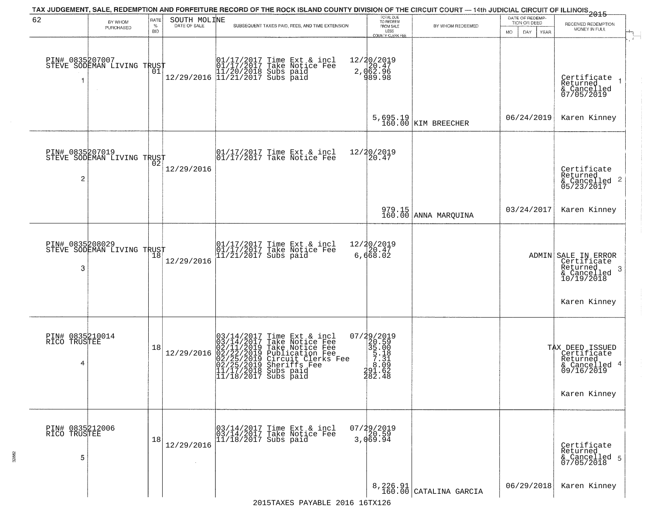|                                      |                                                   |                            |                              |                        | TAX JUDGEMENT, SALE, REDEMPTION AND FORFEITURE RECORD OF THE ROCK ISLAND COUNTY DIVISION OF THE CIRCUIT COURT — 14th JUDICIAL CIRCUIT OF ILLINOIS 2015                                                                                                                                                   |                                                                                                          |                                                                                                |                                                        |                                                                                               |
|--------------------------------------|---------------------------------------------------|----------------------------|------------------------------|------------------------|----------------------------------------------------------------------------------------------------------------------------------------------------------------------------------------------------------------------------------------------------------------------------------------------------------|----------------------------------------------------------------------------------------------------------|------------------------------------------------------------------------------------------------|--------------------------------------------------------|-----------------------------------------------------------------------------------------------|
| 62                                   | BY WHOM<br>PURCHASED                              | RATE<br>$\%$<br><b>BID</b> | SOUTH MOLINE<br>DATE OF SALE |                        | SUBSEQUENT TAXES PAID, FEES, AND TIME EXTENSION                                                                                                                                                                                                                                                          | TOTAL DUE<br>TO REDEEM<br>FROM SALE<br>LESS<br><b>COUNTY CLERK FEE</b>                                   | BY WHOM REDEEMED                                                                               | DATE OF REDEMP-<br>TION OR DEED<br>MO.<br>DAY.<br>YEAR | RECEIVED REDEMPTION<br>MONEY IN FULL                                                          |
| 1                                    | PIN# 0835207007    <br>STEVE SODEMAN LIVING TRUST | 01                         |                              |                        | $[01/17/2017$ Time Ext & incl\n01/17/2017 Take Notice Free\n11/20/2018 Subs paid\n12/29/2016$ 11/21/2017 Subs paid$                                                                                                                                                                                      | 12/20/2019<br>2, 062.96<br>2, 062.96<br>989.98                                                           |                                                                                                |                                                        | Certificate<br>Returned<br>& Cancelled<br>07/05/2019                                          |
|                                      |                                                   |                            |                              |                        |                                                                                                                                                                                                                                                                                                          |                                                                                                          | 5,695.19<br>160.00 KIM BREECHER                                                                | 06/24/2019                                             | Karen Kinney                                                                                  |
| PIN# 0835207019<br>2                 | STEVE SODEMAN LIVING TRUST                        |                            | 12/29/2016                   |                        | $\begin{bmatrix} 01/17/2017 \\ 01/17/2017 \\ 01 \end{bmatrix}$ Take Notice Fee                                                                                                                                                                                                                           | 12/20/2019<br>20.47                                                                                      |                                                                                                |                                                        | Certificate<br>Returned<br>$& \text{Cancelled}$ 2<br>05/23/2017                               |
|                                      |                                                   |                            |                              |                        |                                                                                                                                                                                                                                                                                                          |                                                                                                          | 979.15<br>160.00 ANNA MARQUINA                                                                 | 03/24/2017                                             | Karen Kinney                                                                                  |
| PIN# 0835208029<br>3                 | STEVE SODEMAN LIVING TRUST                        | 18                         | 12/29/2016                   |                        | 01/17/2017 Time Ext & incl<br>01/17/2017 Take Notice Fee<br>11/21/2017 Subs paid                                                                                                                                                                                                                         | 12/20/2019<br>$\overline{1}\overline{2}\overline{0}\cdot\overline{4}\overline{7}$<br>6,668.02            |                                                                                                |                                                        | ADMIN SALE IN ERROR<br>Certificate<br>Returned<br>3<br>$\frac{6}{10/19/2018}$                 |
|                                      |                                                   |                            |                              |                        |                                                                                                                                                                                                                                                                                                          |                                                                                                          |                                                                                                |                                                        | Karen Kinney                                                                                  |
| PIN# 0835210014<br>RICO TRUSTEE<br>4 |                                                   | 18                         | 12/29/2016                   |                        | 03/14/2017 Time Ext &<br>03/14/2017 Take Notic<br>02/11/2019 Take Notic<br>02/22/2019 Publicatic<br>02/25/2019 Sheriffs F<br>11/17/2018 Subs paid<br>11/17/2018 Subs paid<br>Time Ext & incl<br>Take Notice Fee<br>Take Notice Fee<br>Publication Fee<br>Circuit Clerks Fee<br>Sheriffs Fee<br>Subs paid | 07/29/2019<br>$\begin{array}{r} 20.59 \\ 35.00 \\ 5.18 \\ 7.31 \end{array}$<br>291.62<br>$\bar{482}$ .48 |                                                                                                |                                                        | TAX DEED ISSUED<br>  Certificate<br>  Returned<br>& Cancelled 4<br>09/16/2019<br>Karen Kinney |
| PIN# 0835212006<br>RICO TRUSTEE<br>5 |                                                   | 18                         | 12/29/2016                   | $11/18/2017$ Subs paid | 03/14/2017 Time Ext & incl<br>03/14/2017 Take Notice Fee                                                                                                                                                                                                                                                 | $07/29/2019$<br>20.59<br>3,069.94                                                                        |                                                                                                |                                                        | Certificate<br>Returned<br>& Cancelled 5<br>07/05/2018                                        |
|                                      |                                                   |                            |                              |                        | 2015TAXES PAYABLE 2016 16TX126                                                                                                                                                                                                                                                                           |                                                                                                          | $\begin{array}{c c} \texttt{8,226.91} \\ \texttt{160.00} \end{array} \texttt{CATALINA GARCHA}$ | 06/29/2018                                             | Karen Kinney                                                                                  |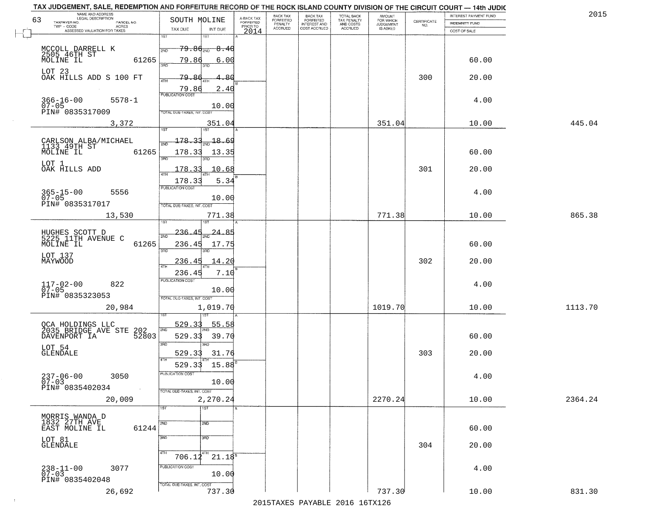| TOTAL BACK<br>TAX PENALTY<br>AND COSTS<br>AMOUNT<br>FOR WHICH<br>JUDGEMENT<br>A-BACK TAX<br>FORFEITED<br>PRIOR TO<br>63<br>SOUTH MOLINE<br><b>FORFEITED</b><br>$\begin{array}{c} \text{CERTIFICATE} \\ \text{NO.} \end{array}$<br>TAXPAYER NO.<br>PARCEL NO.<br><b>INDEMNITY FUND</b><br>PENALTY<br><b>INTEREST AND</b><br>ACRES<br><b>ACCRUED</b><br>COST ACCRUED<br><b>ACCRUED</b><br>IS ASKED<br>TAX DUE<br>INT DUE<br>ASSESSED VALUATION FOR TAXES<br>2014<br>COST OF SALE<br>1ST<br>1ST<br>MCCOLL DARRELL K<br>2505 46TH ST<br>MOLINE IL<br><del>79.80 aug 8.40</del><br>2ND<br>61265<br>79.86<br>60.00<br>6.00<br>350<br>LOT 23<br>OAK HILLS ADD S 100 FT<br>79.86<br>300<br>-86<br>20.00<br>4TH<br>79.86<br>2.40<br>4.00<br>$366 - 16 - 00$<br>07-05<br>$5578 - 1$<br>10.00<br>PIN# 0835317009<br>TOTAL DUE-TAXES, INT. COST<br>351.04<br>10.00<br>445.04<br>3,372<br>351.04<br><u> 178.33</u><br>$\frac{18.69}{200}$<br>CARLSON ALBA/MICHAEL<br>1133_49TH ST<br>MOLINE IL<br>61265<br>178.33<br>60.00<br>13.35<br>3RD<br>त्रहा<br>LOT 1<br>OAK HILLS ADD<br>301<br>178.33<br>10.68<br>20.00<br>5.34<br>178.33<br>PUBLICATION COST<br>$365 - 15 - 00$<br>07-05<br>4.00<br>5556<br>10.00<br>PIN# 0835317017<br>TOTAL DUE-TAXES, INT. COST<br>771.38<br>865.38<br>13,530<br>771.38<br>10.00<br>ST.<br>$-236.$<br>24.85<br>HUGHES SCOTT D<br>5225 11TH AVENUE C<br>2ND<br>61265<br>60.00<br>MOLINE IL<br>236.45<br>17.75<br>3RD<br>3RD<br>LOT 137<br>MAYWOOD<br>302<br>236.45<br>14.20<br>20.00<br><b>ATH</b><br>236.45<br>7.10<br><b>PUBLICATION COST</b><br>$117 - 02 - 00$<br>07-05<br>822<br>4.00<br>10.00<br>PIN# 0835323053<br>TOTAL OUE-TAXES, INT. COST<br>1019.70<br>1113.70<br>20,984<br>1,019.70<br>10.00<br>529.33<br>55.58<br>2ND<br>529.33<br>39.70<br>60.00<br>3RD<br>3RD<br>LOT 54<br>GLENDALE<br>31.76<br>303<br>20.00<br>529.33<br>4TH<br>529.33<br>15.88<br>$237 - 06 - 00$<br>07-03<br>PUBLICATION COST<br>3050<br>4.00<br>10.00<br>PIN# 0835402034<br>$\sim 10$<br>TOTAL DUE-TAXES, INT. COST<br>2,270.24<br>2270.24<br>2364.24<br>20,009<br>10.00<br>1ST<br>1ST<br>MORRIS WANDA D<br>1832 27TH AVE<br>2ND<br>2ND<br>61244<br>60.00<br>EAST MOLINE IL<br>3RD<br>3RD<br>LOT 81<br>GLENDALE<br>304<br>20.00<br>4TH<br>$706.14^{4}$<br>$21.18^{8}$<br>PUBLICATION COST<br>$238 - 11 - 00$<br>07-03<br>3077<br>4.00<br>10.00<br>PIN# 0835402048<br>TOTAL DUE-TAXES, INT. COST<br>26,692<br>737.30<br>737.30<br>831.30<br>10.00 | TAX JUDGEMENT, SALE, REDEMPTION AND FORFEITURE RECORD OF THE ROCK ISLAND COUNTY DIVISION OF THE CIRCUIT COURT - 14th JUDIC<br>NAME AND ADDRESS<br>LEGAL DESCRIPTION |  | BACK TAX | BACK TAX<br>FORFEITED |  | INTEREST PAYMENT FUND | 2015 |
|-----------------------------------------------------------------------------------------------------------------------------------------------------------------------------------------------------------------------------------------------------------------------------------------------------------------------------------------------------------------------------------------------------------------------------------------------------------------------------------------------------------------------------------------------------------------------------------------------------------------------------------------------------------------------------------------------------------------------------------------------------------------------------------------------------------------------------------------------------------------------------------------------------------------------------------------------------------------------------------------------------------------------------------------------------------------------------------------------------------------------------------------------------------------------------------------------------------------------------------------------------------------------------------------------------------------------------------------------------------------------------------------------------------------------------------------------------------------------------------------------------------------------------------------------------------------------------------------------------------------------------------------------------------------------------------------------------------------------------------------------------------------------------------------------------------------------------------------------------------------------------------------------------------------------------------------------------------------------------------------------------------------------------------------------------------------------------------------------------------------------------------------------------------------------------------------------------------------------------------------------------------------------------------------------------------------------------------------------------------------------------------------------------------------------------------------------------|---------------------------------------------------------------------------------------------------------------------------------------------------------------------|--|----------|-----------------------|--|-----------------------|------|
|                                                                                                                                                                                                                                                                                                                                                                                                                                                                                                                                                                                                                                                                                                                                                                                                                                                                                                                                                                                                                                                                                                                                                                                                                                                                                                                                                                                                                                                                                                                                                                                                                                                                                                                                                                                                                                                                                                                                                                                                                                                                                                                                                                                                                                                                                                                                                                                                                                                     |                                                                                                                                                                     |  |          |                       |  |                       |      |
|                                                                                                                                                                                                                                                                                                                                                                                                                                                                                                                                                                                                                                                                                                                                                                                                                                                                                                                                                                                                                                                                                                                                                                                                                                                                                                                                                                                                                                                                                                                                                                                                                                                                                                                                                                                                                                                                                                                                                                                                                                                                                                                                                                                                                                                                                                                                                                                                                                                     |                                                                                                                                                                     |  |          |                       |  |                       |      |
|                                                                                                                                                                                                                                                                                                                                                                                                                                                                                                                                                                                                                                                                                                                                                                                                                                                                                                                                                                                                                                                                                                                                                                                                                                                                                                                                                                                                                                                                                                                                                                                                                                                                                                                                                                                                                                                                                                                                                                                                                                                                                                                                                                                                                                                                                                                                                                                                                                                     |                                                                                                                                                                     |  |          |                       |  |                       |      |
|                                                                                                                                                                                                                                                                                                                                                                                                                                                                                                                                                                                                                                                                                                                                                                                                                                                                                                                                                                                                                                                                                                                                                                                                                                                                                                                                                                                                                                                                                                                                                                                                                                                                                                                                                                                                                                                                                                                                                                                                                                                                                                                                                                                                                                                                                                                                                                                                                                                     |                                                                                                                                                                     |  |          |                       |  |                       |      |
|                                                                                                                                                                                                                                                                                                                                                                                                                                                                                                                                                                                                                                                                                                                                                                                                                                                                                                                                                                                                                                                                                                                                                                                                                                                                                                                                                                                                                                                                                                                                                                                                                                                                                                                                                                                                                                                                                                                                                                                                                                                                                                                                                                                                                                                                                                                                                                                                                                                     |                                                                                                                                                                     |  |          |                       |  |                       |      |
|                                                                                                                                                                                                                                                                                                                                                                                                                                                                                                                                                                                                                                                                                                                                                                                                                                                                                                                                                                                                                                                                                                                                                                                                                                                                                                                                                                                                                                                                                                                                                                                                                                                                                                                                                                                                                                                                                                                                                                                                                                                                                                                                                                                                                                                                                                                                                                                                                                                     |                                                                                                                                                                     |  |          |                       |  |                       |      |
|                                                                                                                                                                                                                                                                                                                                                                                                                                                                                                                                                                                                                                                                                                                                                                                                                                                                                                                                                                                                                                                                                                                                                                                                                                                                                                                                                                                                                                                                                                                                                                                                                                                                                                                                                                                                                                                                                                                                                                                                                                                                                                                                                                                                                                                                                                                                                                                                                                                     |                                                                                                                                                                     |  |          |                       |  |                       |      |
|                                                                                                                                                                                                                                                                                                                                                                                                                                                                                                                                                                                                                                                                                                                                                                                                                                                                                                                                                                                                                                                                                                                                                                                                                                                                                                                                                                                                                                                                                                                                                                                                                                                                                                                                                                                                                                                                                                                                                                                                                                                                                                                                                                                                                                                                                                                                                                                                                                                     |                                                                                                                                                                     |  |          |                       |  |                       |      |
|                                                                                                                                                                                                                                                                                                                                                                                                                                                                                                                                                                                                                                                                                                                                                                                                                                                                                                                                                                                                                                                                                                                                                                                                                                                                                                                                                                                                                                                                                                                                                                                                                                                                                                                                                                                                                                                                                                                                                                                                                                                                                                                                                                                                                                                                                                                                                                                                                                                     |                                                                                                                                                                     |  |          |                       |  |                       |      |
|                                                                                                                                                                                                                                                                                                                                                                                                                                                                                                                                                                                                                                                                                                                                                                                                                                                                                                                                                                                                                                                                                                                                                                                                                                                                                                                                                                                                                                                                                                                                                                                                                                                                                                                                                                                                                                                                                                                                                                                                                                                                                                                                                                                                                                                                                                                                                                                                                                                     |                                                                                                                                                                     |  |          |                       |  |                       |      |
|                                                                                                                                                                                                                                                                                                                                                                                                                                                                                                                                                                                                                                                                                                                                                                                                                                                                                                                                                                                                                                                                                                                                                                                                                                                                                                                                                                                                                                                                                                                                                                                                                                                                                                                                                                                                                                                                                                                                                                                                                                                                                                                                                                                                                                                                                                                                                                                                                                                     |                                                                                                                                                                     |  |          |                       |  |                       |      |
|                                                                                                                                                                                                                                                                                                                                                                                                                                                                                                                                                                                                                                                                                                                                                                                                                                                                                                                                                                                                                                                                                                                                                                                                                                                                                                                                                                                                                                                                                                                                                                                                                                                                                                                                                                                                                                                                                                                                                                                                                                                                                                                                                                                                                                                                                                                                                                                                                                                     |                                                                                                                                                                     |  |          |                       |  |                       |      |
|                                                                                                                                                                                                                                                                                                                                                                                                                                                                                                                                                                                                                                                                                                                                                                                                                                                                                                                                                                                                                                                                                                                                                                                                                                                                                                                                                                                                                                                                                                                                                                                                                                                                                                                                                                                                                                                                                                                                                                                                                                                                                                                                                                                                                                                                                                                                                                                                                                                     |                                                                                                                                                                     |  |          |                       |  |                       |      |
|                                                                                                                                                                                                                                                                                                                                                                                                                                                                                                                                                                                                                                                                                                                                                                                                                                                                                                                                                                                                                                                                                                                                                                                                                                                                                                                                                                                                                                                                                                                                                                                                                                                                                                                                                                                                                                                                                                                                                                                                                                                                                                                                                                                                                                                                                                                                                                                                                                                     |                                                                                                                                                                     |  |          |                       |  |                       |      |
|                                                                                                                                                                                                                                                                                                                                                                                                                                                                                                                                                                                                                                                                                                                                                                                                                                                                                                                                                                                                                                                                                                                                                                                                                                                                                                                                                                                                                                                                                                                                                                                                                                                                                                                                                                                                                                                                                                                                                                                                                                                                                                                                                                                                                                                                                                                                                                                                                                                     |                                                                                                                                                                     |  |          |                       |  |                       |      |
|                                                                                                                                                                                                                                                                                                                                                                                                                                                                                                                                                                                                                                                                                                                                                                                                                                                                                                                                                                                                                                                                                                                                                                                                                                                                                                                                                                                                                                                                                                                                                                                                                                                                                                                                                                                                                                                                                                                                                                                                                                                                                                                                                                                                                                                                                                                                                                                                                                                     |                                                                                                                                                                     |  |          |                       |  |                       |      |
|                                                                                                                                                                                                                                                                                                                                                                                                                                                                                                                                                                                                                                                                                                                                                                                                                                                                                                                                                                                                                                                                                                                                                                                                                                                                                                                                                                                                                                                                                                                                                                                                                                                                                                                                                                                                                                                                                                                                                                                                                                                                                                                                                                                                                                                                                                                                                                                                                                                     |                                                                                                                                                                     |  |          |                       |  |                       |      |
|                                                                                                                                                                                                                                                                                                                                                                                                                                                                                                                                                                                                                                                                                                                                                                                                                                                                                                                                                                                                                                                                                                                                                                                                                                                                                                                                                                                                                                                                                                                                                                                                                                                                                                                                                                                                                                                                                                                                                                                                                                                                                                                                                                                                                                                                                                                                                                                                                                                     |                                                                                                                                                                     |  |          |                       |  |                       |      |
|                                                                                                                                                                                                                                                                                                                                                                                                                                                                                                                                                                                                                                                                                                                                                                                                                                                                                                                                                                                                                                                                                                                                                                                                                                                                                                                                                                                                                                                                                                                                                                                                                                                                                                                                                                                                                                                                                                                                                                                                                                                                                                                                                                                                                                                                                                                                                                                                                                                     |                                                                                                                                                                     |  |          |                       |  |                       |      |
|                                                                                                                                                                                                                                                                                                                                                                                                                                                                                                                                                                                                                                                                                                                                                                                                                                                                                                                                                                                                                                                                                                                                                                                                                                                                                                                                                                                                                                                                                                                                                                                                                                                                                                                                                                                                                                                                                                                                                                                                                                                                                                                                                                                                                                                                                                                                                                                                                                                     |                                                                                                                                                                     |  |          |                       |  |                       |      |
|                                                                                                                                                                                                                                                                                                                                                                                                                                                                                                                                                                                                                                                                                                                                                                                                                                                                                                                                                                                                                                                                                                                                                                                                                                                                                                                                                                                                                                                                                                                                                                                                                                                                                                                                                                                                                                                                                                                                                                                                                                                                                                                                                                                                                                                                                                                                                                                                                                                     |                                                                                                                                                                     |  |          |                       |  |                       |      |
|                                                                                                                                                                                                                                                                                                                                                                                                                                                                                                                                                                                                                                                                                                                                                                                                                                                                                                                                                                                                                                                                                                                                                                                                                                                                                                                                                                                                                                                                                                                                                                                                                                                                                                                                                                                                                                                                                                                                                                                                                                                                                                                                                                                                                                                                                                                                                                                                                                                     |                                                                                                                                                                     |  |          |                       |  |                       |      |
|                                                                                                                                                                                                                                                                                                                                                                                                                                                                                                                                                                                                                                                                                                                                                                                                                                                                                                                                                                                                                                                                                                                                                                                                                                                                                                                                                                                                                                                                                                                                                                                                                                                                                                                                                                                                                                                                                                                                                                                                                                                                                                                                                                                                                                                                                                                                                                                                                                                     |                                                                                                                                                                     |  |          |                       |  |                       |      |
|                                                                                                                                                                                                                                                                                                                                                                                                                                                                                                                                                                                                                                                                                                                                                                                                                                                                                                                                                                                                                                                                                                                                                                                                                                                                                                                                                                                                                                                                                                                                                                                                                                                                                                                                                                                                                                                                                                                                                                                                                                                                                                                                                                                                                                                                                                                                                                                                                                                     |                                                                                                                                                                     |  |          |                       |  |                       |      |
|                                                                                                                                                                                                                                                                                                                                                                                                                                                                                                                                                                                                                                                                                                                                                                                                                                                                                                                                                                                                                                                                                                                                                                                                                                                                                                                                                                                                                                                                                                                                                                                                                                                                                                                                                                                                                                                                                                                                                                                                                                                                                                                                                                                                                                                                                                                                                                                                                                                     |                                                                                                                                                                     |  |          |                       |  |                       |      |
|                                                                                                                                                                                                                                                                                                                                                                                                                                                                                                                                                                                                                                                                                                                                                                                                                                                                                                                                                                                                                                                                                                                                                                                                                                                                                                                                                                                                                                                                                                                                                                                                                                                                                                                                                                                                                                                                                                                                                                                                                                                                                                                                                                                                                                                                                                                                                                                                                                                     |                                                                                                                                                                     |  |          |                       |  |                       |      |
|                                                                                                                                                                                                                                                                                                                                                                                                                                                                                                                                                                                                                                                                                                                                                                                                                                                                                                                                                                                                                                                                                                                                                                                                                                                                                                                                                                                                                                                                                                                                                                                                                                                                                                                                                                                                                                                                                                                                                                                                                                                                                                                                                                                                                                                                                                                                                                                                                                                     |                                                                                                                                                                     |  |          |                       |  |                       |      |
|                                                                                                                                                                                                                                                                                                                                                                                                                                                                                                                                                                                                                                                                                                                                                                                                                                                                                                                                                                                                                                                                                                                                                                                                                                                                                                                                                                                                                                                                                                                                                                                                                                                                                                                                                                                                                                                                                                                                                                                                                                                                                                                                                                                                                                                                                                                                                                                                                                                     |                                                                                                                                                                     |  |          |                       |  |                       |      |
|                                                                                                                                                                                                                                                                                                                                                                                                                                                                                                                                                                                                                                                                                                                                                                                                                                                                                                                                                                                                                                                                                                                                                                                                                                                                                                                                                                                                                                                                                                                                                                                                                                                                                                                                                                                                                                                                                                                                                                                                                                                                                                                                                                                                                                                                                                                                                                                                                                                     |                                                                                                                                                                     |  |          |                       |  |                       |      |
|                                                                                                                                                                                                                                                                                                                                                                                                                                                                                                                                                                                                                                                                                                                                                                                                                                                                                                                                                                                                                                                                                                                                                                                                                                                                                                                                                                                                                                                                                                                                                                                                                                                                                                                                                                                                                                                                                                                                                                                                                                                                                                                                                                                                                                                                                                                                                                                                                                                     |                                                                                                                                                                     |  |          |                       |  |                       |      |
|                                                                                                                                                                                                                                                                                                                                                                                                                                                                                                                                                                                                                                                                                                                                                                                                                                                                                                                                                                                                                                                                                                                                                                                                                                                                                                                                                                                                                                                                                                                                                                                                                                                                                                                                                                                                                                                                                                                                                                                                                                                                                                                                                                                                                                                                                                                                                                                                                                                     |                                                                                                                                                                     |  |          |                       |  |                       |      |
|                                                                                                                                                                                                                                                                                                                                                                                                                                                                                                                                                                                                                                                                                                                                                                                                                                                                                                                                                                                                                                                                                                                                                                                                                                                                                                                                                                                                                                                                                                                                                                                                                                                                                                                                                                                                                                                                                                                                                                                                                                                                                                                                                                                                                                                                                                                                                                                                                                                     |                                                                                                                                                                     |  |          |                       |  |                       |      |
|                                                                                                                                                                                                                                                                                                                                                                                                                                                                                                                                                                                                                                                                                                                                                                                                                                                                                                                                                                                                                                                                                                                                                                                                                                                                                                                                                                                                                                                                                                                                                                                                                                                                                                                                                                                                                                                                                                                                                                                                                                                                                                                                                                                                                                                                                                                                                                                                                                                     |                                                                                                                                                                     |  |          |                       |  |                       |      |
|                                                                                                                                                                                                                                                                                                                                                                                                                                                                                                                                                                                                                                                                                                                                                                                                                                                                                                                                                                                                                                                                                                                                                                                                                                                                                                                                                                                                                                                                                                                                                                                                                                                                                                                                                                                                                                                                                                                                                                                                                                                                                                                                                                                                                                                                                                                                                                                                                                                     |                                                                                                                                                                     |  |          |                       |  |                       |      |
|                                                                                                                                                                                                                                                                                                                                                                                                                                                                                                                                                                                                                                                                                                                                                                                                                                                                                                                                                                                                                                                                                                                                                                                                                                                                                                                                                                                                                                                                                                                                                                                                                                                                                                                                                                                                                                                                                                                                                                                                                                                                                                                                                                                                                                                                                                                                                                                                                                                     |                                                                                                                                                                     |  |          |                       |  |                       |      |
|                                                                                                                                                                                                                                                                                                                                                                                                                                                                                                                                                                                                                                                                                                                                                                                                                                                                                                                                                                                                                                                                                                                                                                                                                                                                                                                                                                                                                                                                                                                                                                                                                                                                                                                                                                                                                                                                                                                                                                                                                                                                                                                                                                                                                                                                                                                                                                                                                                                     |                                                                                                                                                                     |  |          |                       |  |                       |      |
|                                                                                                                                                                                                                                                                                                                                                                                                                                                                                                                                                                                                                                                                                                                                                                                                                                                                                                                                                                                                                                                                                                                                                                                                                                                                                                                                                                                                                                                                                                                                                                                                                                                                                                                                                                                                                                                                                                                                                                                                                                                                                                                                                                                                                                                                                                                                                                                                                                                     |                                                                                                                                                                     |  |          |                       |  |                       |      |
|                                                                                                                                                                                                                                                                                                                                                                                                                                                                                                                                                                                                                                                                                                                                                                                                                                                                                                                                                                                                                                                                                                                                                                                                                                                                                                                                                                                                                                                                                                                                                                                                                                                                                                                                                                                                                                                                                                                                                                                                                                                                                                                                                                                                                                                                                                                                                                                                                                                     |                                                                                                                                                                     |  |          |                       |  |                       |      |
|                                                                                                                                                                                                                                                                                                                                                                                                                                                                                                                                                                                                                                                                                                                                                                                                                                                                                                                                                                                                                                                                                                                                                                                                                                                                                                                                                                                                                                                                                                                                                                                                                                                                                                                                                                                                                                                                                                                                                                                                                                                                                                                                                                                                                                                                                                                                                                                                                                                     |                                                                                                                                                                     |  |          |                       |  |                       |      |
|                                                                                                                                                                                                                                                                                                                                                                                                                                                                                                                                                                                                                                                                                                                                                                                                                                                                                                                                                                                                                                                                                                                                                                                                                                                                                                                                                                                                                                                                                                                                                                                                                                                                                                                                                                                                                                                                                                                                                                                                                                                                                                                                                                                                                                                                                                                                                                                                                                                     |                                                                                                                                                                     |  |          |                       |  |                       |      |
|                                                                                                                                                                                                                                                                                                                                                                                                                                                                                                                                                                                                                                                                                                                                                                                                                                                                                                                                                                                                                                                                                                                                                                                                                                                                                                                                                                                                                                                                                                                                                                                                                                                                                                                                                                                                                                                                                                                                                                                                                                                                                                                                                                                                                                                                                                                                                                                                                                                     |                                                                                                                                                                     |  |          |                       |  |                       |      |
|                                                                                                                                                                                                                                                                                                                                                                                                                                                                                                                                                                                                                                                                                                                                                                                                                                                                                                                                                                                                                                                                                                                                                                                                                                                                                                                                                                                                                                                                                                                                                                                                                                                                                                                                                                                                                                                                                                                                                                                                                                                                                                                                                                                                                                                                                                                                                                                                                                                     |                                                                                                                                                                     |  |          |                       |  |                       |      |
|                                                                                                                                                                                                                                                                                                                                                                                                                                                                                                                                                                                                                                                                                                                                                                                                                                                                                                                                                                                                                                                                                                                                                                                                                                                                                                                                                                                                                                                                                                                                                                                                                                                                                                                                                                                                                                                                                                                                                                                                                                                                                                                                                                                                                                                                                                                                                                                                                                                     |                                                                                                                                                                     |  |          |                       |  |                       |      |
|                                                                                                                                                                                                                                                                                                                                                                                                                                                                                                                                                                                                                                                                                                                                                                                                                                                                                                                                                                                                                                                                                                                                                                                                                                                                                                                                                                                                                                                                                                                                                                                                                                                                                                                                                                                                                                                                                                                                                                                                                                                                                                                                                                                                                                                                                                                                                                                                                                                     |                                                                                                                                                                     |  |          |                       |  |                       |      |
|                                                                                                                                                                                                                                                                                                                                                                                                                                                                                                                                                                                                                                                                                                                                                                                                                                                                                                                                                                                                                                                                                                                                                                                                                                                                                                                                                                                                                                                                                                                                                                                                                                                                                                                                                                                                                                                                                                                                                                                                                                                                                                                                                                                                                                                                                                                                                                                                                                                     |                                                                                                                                                                     |  |          |                       |  |                       |      |
|                                                                                                                                                                                                                                                                                                                                                                                                                                                                                                                                                                                                                                                                                                                                                                                                                                                                                                                                                                                                                                                                                                                                                                                                                                                                                                                                                                                                                                                                                                                                                                                                                                                                                                                                                                                                                                                                                                                                                                                                                                                                                                                                                                                                                                                                                                                                                                                                                                                     |                                                                                                                                                                     |  |          |                       |  |                       |      |
|                                                                                                                                                                                                                                                                                                                                                                                                                                                                                                                                                                                                                                                                                                                                                                                                                                                                                                                                                                                                                                                                                                                                                                                                                                                                                                                                                                                                                                                                                                                                                                                                                                                                                                                                                                                                                                                                                                                                                                                                                                                                                                                                                                                                                                                                                                                                                                                                                                                     |                                                                                                                                                                     |  |          |                       |  |                       |      |
|                                                                                                                                                                                                                                                                                                                                                                                                                                                                                                                                                                                                                                                                                                                                                                                                                                                                                                                                                                                                                                                                                                                                                                                                                                                                                                                                                                                                                                                                                                                                                                                                                                                                                                                                                                                                                                                                                                                                                                                                                                                                                                                                                                                                                                                                                                                                                                                                                                                     |                                                                                                                                                                     |  |          |                       |  |                       |      |
|                                                                                                                                                                                                                                                                                                                                                                                                                                                                                                                                                                                                                                                                                                                                                                                                                                                                                                                                                                                                                                                                                                                                                                                                                                                                                                                                                                                                                                                                                                                                                                                                                                                                                                                                                                                                                                                                                                                                                                                                                                                                                                                                                                                                                                                                                                                                                                                                                                                     |                                                                                                                                                                     |  |          |                       |  |                       |      |
|                                                                                                                                                                                                                                                                                                                                                                                                                                                                                                                                                                                                                                                                                                                                                                                                                                                                                                                                                                                                                                                                                                                                                                                                                                                                                                                                                                                                                                                                                                                                                                                                                                                                                                                                                                                                                                                                                                                                                                                                                                                                                                                                                                                                                                                                                                                                                                                                                                                     |                                                                                                                                                                     |  |          |                       |  |                       |      |
|                                                                                                                                                                                                                                                                                                                                                                                                                                                                                                                                                                                                                                                                                                                                                                                                                                                                                                                                                                                                                                                                                                                                                                                                                                                                                                                                                                                                                                                                                                                                                                                                                                                                                                                                                                                                                                                                                                                                                                                                                                                                                                                                                                                                                                                                                                                                                                                                                                                     |                                                                                                                                                                     |  |          |                       |  |                       |      |
|                                                                                                                                                                                                                                                                                                                                                                                                                                                                                                                                                                                                                                                                                                                                                                                                                                                                                                                                                                                                                                                                                                                                                                                                                                                                                                                                                                                                                                                                                                                                                                                                                                                                                                                                                                                                                                                                                                                                                                                                                                                                                                                                                                                                                                                                                                                                                                                                                                                     |                                                                                                                                                                     |  |          |                       |  |                       |      |
|                                                                                                                                                                                                                                                                                                                                                                                                                                                                                                                                                                                                                                                                                                                                                                                                                                                                                                                                                                                                                                                                                                                                                                                                                                                                                                                                                                                                                                                                                                                                                                                                                                                                                                                                                                                                                                                                                                                                                                                                                                                                                                                                                                                                                                                                                                                                                                                                                                                     |                                                                                                                                                                     |  |          |                       |  |                       |      |
|                                                                                                                                                                                                                                                                                                                                                                                                                                                                                                                                                                                                                                                                                                                                                                                                                                                                                                                                                                                                                                                                                                                                                                                                                                                                                                                                                                                                                                                                                                                                                                                                                                                                                                                                                                                                                                                                                                                                                                                                                                                                                                                                                                                                                                                                                                                                                                                                                                                     |                                                                                                                                                                     |  |          |                       |  |                       |      |
|                                                                                                                                                                                                                                                                                                                                                                                                                                                                                                                                                                                                                                                                                                                                                                                                                                                                                                                                                                                                                                                                                                                                                                                                                                                                                                                                                                                                                                                                                                                                                                                                                                                                                                                                                                                                                                                                                                                                                                                                                                                                                                                                                                                                                                                                                                                                                                                                                                                     |                                                                                                                                                                     |  |          |                       |  |                       |      |
|                                                                                                                                                                                                                                                                                                                                                                                                                                                                                                                                                                                                                                                                                                                                                                                                                                                                                                                                                                                                                                                                                                                                                                                                                                                                                                                                                                                                                                                                                                                                                                                                                                                                                                                                                                                                                                                                                                                                                                                                                                                                                                                                                                                                                                                                                                                                                                                                                                                     |                                                                                                                                                                     |  |          |                       |  |                       |      |
|                                                                                                                                                                                                                                                                                                                                                                                                                                                                                                                                                                                                                                                                                                                                                                                                                                                                                                                                                                                                                                                                                                                                                                                                                                                                                                                                                                                                                                                                                                                                                                                                                                                                                                                                                                                                                                                                                                                                                                                                                                                                                                                                                                                                                                                                                                                                                                                                                                                     |                                                                                                                                                                     |  |          |                       |  |                       |      |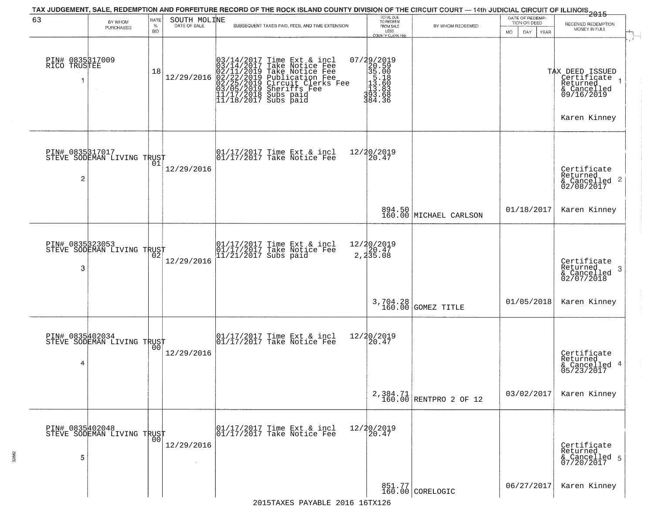| 63                                   | BY WHOM<br>PURCHASED                          | RATE<br>$\%$<br><b>BID</b> | SOUTH MOLINE<br>DATE OF SALE | TAX JUDGEMENT, SALE, REDEMPTION AND FORFEITURE RECORD OF THE ROCK ISLAND COUNTY DIVISION OF THE CIRCUIT COURT — 14th JUDICIAL CIRCUIT OF ILLINOIS 2015<br>SUBSEQUENT TAXES PAID, FEES, AND TIME EXTENSION     | TOTAL DUE<br>TO REDEEM<br>FROM SALE                                                                                     | BY WHOM REDEEMED                   | DATE OF REDEMP-<br>TION OR DEED<br>MO.<br>DAY<br><b>YEAR</b> | RECEIVED REDEMPTION<br>MONEY IN FULL                                                      |
|--------------------------------------|-----------------------------------------------|----------------------------|------------------------------|---------------------------------------------------------------------------------------------------------------------------------------------------------------------------------------------------------------|-------------------------------------------------------------------------------------------------------------------------|------------------------------------|--------------------------------------------------------------|-------------------------------------------------------------------------------------------|
| PIN# 0835317009<br>RICO TRUSTEE<br>1 |                                               | 18                         | 12/29/2016                   | $03/14/2017$ Time Ext & incl<br>$03/14/2017$ Take Notice Fee<br>$02/11/2019$ Take Notice Fee<br>$02/22/2019$ Publication Fee<br>$03/05/2019$ Sheriffs Fee<br>$11/17/2018$ Subs paid<br>$11/18/2017$ Subs paid | LESS<br>COUNTY CLERK FEE<br>07/29/2019<br>$23.500$<br>$35.008$<br>$13.508$<br>$13.603$<br>$13.683$<br>$13.68$<br>384.36 |                                    |                                                              | TAX DEED ISSUED<br>  Certificate<br>Returned<br>& Cancelled<br>09/16/2019<br>Karen Kinney |
| PIN# 0835317017<br>2                 | FIN# UOSSPITTLE<br>STEVE SODEMAN LIVING TRUST |                            | 12/29/2016                   | 01/17/2017 Time Ext & incl<br>01/17/2017 Take Notice Fee                                                                                                                                                      | 12/20/2019<br>20.47                                                                                                     |                                    |                                                              | Certificate<br>Returned<br>& Cancelled 2<br>02/08/2017                                    |
|                                      |                                               |                            |                              |                                                                                                                                                                                                               |                                                                                                                         | 894.50<br>160.00 MICHAEL CARLSON   | 01/18/2017                                                   | Karen Kinney                                                                              |
| PIN# 0835323053<br>3                 | STEVE SODEMAN LIVING TRUST                    |                            | 12/29/2016                   | 01/17/2017 Time Ext & incl<br>01/17/2017 Take Notice Fee<br>11/21/2017 Subs paid                                                                                                                              | 12/20/2019<br>20.47<br>$2,4\bar{3}\bar{5}.08$                                                                           |                                    |                                                              | Certificate<br>Returned<br>- 3<br>& Cancelled<br>02/07/2018                               |
|                                      |                                               |                            |                              |                                                                                                                                                                                                               | 3,704.28<br>160.00                                                                                                      | GOMEZ TITLE                        | 01/05/2018                                                   | Karen Kinney                                                                              |
| PIN# 0835402034<br>4                 | STEVE SODEMAN LIVING TRUST                    | 00                         | 12/29/2016                   | 01/17/2017 Time Ext & incl<br>01/17/2017 Take Notice Fee                                                                                                                                                      | 12/20/2019<br>20.47                                                                                                     |                                    |                                                              | Certificate<br>Returned<br>& Cancelled 4<br>05/23/2017                                    |
|                                      |                                               |                            |                              |                                                                                                                                                                                                               |                                                                                                                         | 2,384.71<br>160.00 RENTPRO 2 OF 12 | 03/02/2017                                                   | Karen Kinney                                                                              |
| 5                                    | PIN# 0835402048<br>STEVE SODEMAN LIVING TRUST | 00                         | 12/29/2016                   | 01/17/2017 Time Ext & incl<br>01/17/2017 Take Notice Fee                                                                                                                                                      | 12/20/2019<br>20.47                                                                                                     |                                    |                                                              | Certificate<br>Returned<br>& Cancelled 5<br>07/20/2017                                    |
|                                      |                                               |                            |                              |                                                                                                                                                                                                               |                                                                                                                         | 851.77<br>160.00 CORELOGIC         | 06/27/2017                                                   | Karen Kinney                                                                              |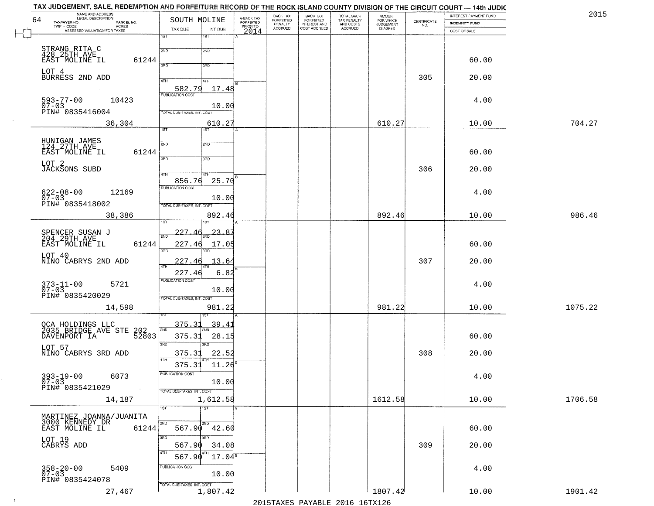| TAX JUDGEMENT, SALE, REDEMPTION AND FORFEITURE RECORD OF THE ROCK ISLAND COUNTY DIVISION OF THE CIRCUIT COURT — 14th JUDIC |                                |                         |                              |                                                       |                                                   |                                    |                                                                 |                       |         |
|----------------------------------------------------------------------------------------------------------------------------|--------------------------------|-------------------------|------------------------------|-------------------------------------------------------|---------------------------------------------------|------------------------------------|-----------------------------------------------------------------|-----------------------|---------|
| NAME AND ADDRESS<br>LEGAL DESCRIPTION                                                                                      |                                |                         | BACK TAX<br><b>FORFEITED</b> |                                                       |                                                   | <b>AMOUNT</b>                      |                                                                 | INTEREST PAYMENT FUND | 2015    |
| 64<br>TAXPAYER NO.<br>PARCEL NO.<br>TWP - CODE                                                                             | SOUTH MOLINE                   | A-BACK TAX<br>FORFEITED | PENALTY                      | BACK TAX<br>FORFEITED<br>INTEREST AND<br>COST ACCRUED | TOTAL BACK<br>TAX PENALTY<br>AND COSTS<br>ACCRUED | FOR WHICH<br>JUDGEMENT<br>IS ASKED | $\begin{array}{c} \text{CERTIFICATE} \\ \text{NO.} \end{array}$ | <b>INDEMNITY FUND</b> |         |
| - CODE ACRES<br>ASSESSED VALUATION FOR TAXES                                                                               | TAX DUE<br>INT DUE             | PRIOR TO<br>2014        | <b>ACCRUED</b>               |                                                       |                                                   |                                    |                                                                 | COST OF SALE          |         |
|                                                                                                                            | $\overline{1ST}$<br>1ST        |                         |                              |                                                       |                                                   |                                    |                                                                 |                       |         |
|                                                                                                                            | 2ND<br>2ND                     |                         |                              |                                                       |                                                   |                                    |                                                                 |                       |         |
| STRANG RITA C<br>428 25TH AVE                                                                                              |                                |                         |                              |                                                       |                                                   |                                    |                                                                 |                       |         |
| EAST MOLINE IL<br>61244                                                                                                    | 3RD<br>3RD                     |                         |                              |                                                       |                                                   |                                    |                                                                 | 60.00                 |         |
| LOT 4                                                                                                                      |                                |                         |                              |                                                       |                                                   |                                    |                                                                 |                       |         |
| BURRESS 2ND ADD                                                                                                            | 4TH<br>41H                     |                         |                              |                                                       |                                                   |                                    | 305                                                             | 20.00                 |         |
|                                                                                                                            | 582.79<br>17.48                |                         |                              |                                                       |                                                   |                                    |                                                                 |                       |         |
|                                                                                                                            | <b>PUBLICATION COST</b>        |                         |                              |                                                       |                                                   |                                    |                                                                 |                       |         |
| $593 - 77 - 00$<br>10423<br>$07 - 03$                                                                                      | 10.00                          |                         |                              |                                                       |                                                   |                                    |                                                                 | 4.00                  |         |
| PIN# 0835416004                                                                                                            | TOTAL DUE-TAXES, INT. COST     |                         |                              |                                                       |                                                   |                                    |                                                                 |                       |         |
|                                                                                                                            |                                |                         |                              |                                                       |                                                   |                                    |                                                                 |                       |         |
| 36,304                                                                                                                     | 610.27<br>1ST<br>1ST           |                         |                              |                                                       |                                                   | 610.27                             |                                                                 | 10.00                 | 704.27  |
|                                                                                                                            |                                |                         |                              |                                                       |                                                   |                                    |                                                                 |                       |         |
| HUNIGAN JAMES<br>124 27TH AVE                                                                                              | 2ND<br>2ND                     |                         |                              |                                                       |                                                   |                                    |                                                                 |                       |         |
| EAST MOLINE IL<br>61244                                                                                                    |                                |                         |                              |                                                       |                                                   |                                    |                                                                 | 60.00                 |         |
|                                                                                                                            | 3RD<br>3RD                     |                         |                              |                                                       |                                                   |                                    |                                                                 |                       |         |
| LOT 2<br><b>JACKSONS SUBD</b>                                                                                              |                                |                         |                              |                                                       |                                                   |                                    | 306                                                             | 20.00                 |         |
|                                                                                                                            | 47H<br>4TH                     |                         |                              |                                                       |                                                   |                                    |                                                                 |                       |         |
|                                                                                                                            | 25.70<br>856.76                |                         |                              |                                                       |                                                   |                                    |                                                                 |                       |         |
| 12169                                                                                                                      | PUBLICATION COST               |                         |                              |                                                       |                                                   |                                    |                                                                 | 4.00                  |         |
| $622 - 08 - 00$<br>07-03                                                                                                   | 10.00                          |                         |                              |                                                       |                                                   |                                    |                                                                 |                       |         |
| PIN# 0835418002                                                                                                            | TOTAL DUE-TAXES, INT. COST     |                         |                              |                                                       |                                                   |                                    |                                                                 |                       |         |
| 38,386                                                                                                                     | 892.46                         |                         |                              |                                                       |                                                   | 892.46                             |                                                                 | 10.00                 | 986.46  |
|                                                                                                                            |                                |                         |                              |                                                       |                                                   |                                    |                                                                 |                       |         |
|                                                                                                                            | 227.46<br>23.87                |                         |                              |                                                       |                                                   |                                    |                                                                 |                       |         |
| SPENCER SUSAN J<br>204 29TH AVE                                                                                            | 2ND                            |                         |                              |                                                       |                                                   |                                    |                                                                 |                       |         |
| 61244<br>EAST MOLINE IL                                                                                                    | 227.46<br>17.05                |                         |                              |                                                       |                                                   |                                    |                                                                 | 60.00                 |         |
| LOT 40                                                                                                                     | 3RD<br>3RD                     |                         |                              |                                                       |                                                   |                                    |                                                                 |                       |         |
| NINO CABRYS 2ND ADD                                                                                                        | 13.64<br>227.46                |                         |                              |                                                       |                                                   |                                    | 307                                                             | 20.00                 |         |
|                                                                                                                            | 6.82<br>227.4                  |                         |                              |                                                       |                                                   |                                    |                                                                 |                       |         |
|                                                                                                                            | <b>PUBLICATION COST</b>        |                         |                              |                                                       |                                                   |                                    |                                                                 |                       |         |
| $373 - 11 - 00$<br>07-03<br>5721                                                                                           |                                |                         |                              |                                                       |                                                   |                                    |                                                                 | 4.00                  |         |
| PIN# 0835420029                                                                                                            | 10.00                          |                         |                              |                                                       |                                                   |                                    |                                                                 |                       |         |
|                                                                                                                            | TOTAL OUE-TAXES, INT. COST     |                         |                              |                                                       |                                                   |                                    |                                                                 |                       |         |
| 14,598                                                                                                                     | 981.22                         |                         |                              |                                                       |                                                   | 981.22                             |                                                                 | 10.00                 | 1075.22 |
|                                                                                                                            |                                |                         |                              |                                                       |                                                   |                                    |                                                                 |                       |         |
| OCA HOLDINGS LLC<br>2035 BRIDGE AVE STE 202                                                                                | 375.3<br>39.4                  |                         |                              |                                                       |                                                   |                                    |                                                                 |                       |         |
| 52803<br>DAVENPORT IA                                                                                                      | 2ND<br>375.31<br>28.15         |                         |                              |                                                       |                                                   |                                    |                                                                 | 60.00                 |         |
|                                                                                                                            | 3RD<br>3BD                     |                         |                              |                                                       |                                                   |                                    |                                                                 |                       |         |
| LOT 57                                                                                                                     |                                |                         |                              |                                                       |                                                   |                                    |                                                                 |                       |         |
| NINO CABRYS 3RD ADD                                                                                                        | 22.52<br>375.31<br>4TH         |                         |                              |                                                       |                                                   |                                    | 308                                                             | 20.00                 |         |
|                                                                                                                            | 375.31<br>11.26                |                         |                              |                                                       |                                                   |                                    |                                                                 |                       |         |
| 6073                                                                                                                       | PUBLICATION COST               |                         |                              |                                                       |                                                   |                                    |                                                                 | 4.00                  |         |
| $393 - 19 - 00$<br>07-03                                                                                                   | 10.00                          |                         |                              |                                                       |                                                   |                                    |                                                                 |                       |         |
| PIN# 0835421029                                                                                                            | TOTAL DUE-TAXES, INT. COST     |                         |                              |                                                       |                                                   |                                    |                                                                 |                       |         |
| 14,187                                                                                                                     | 1,612.58                       |                         |                              |                                                       |                                                   | 1612.58                            |                                                                 | 10.00                 | 1706.58 |
|                                                                                                                            | $\overline{\text{1ST}}$<br>1ST |                         |                              |                                                       |                                                   |                                    |                                                                 |                       |         |
|                                                                                                                            |                                |                         |                              |                                                       |                                                   |                                    |                                                                 |                       |         |
| MARTINEZ JOANNA/JUANITA<br>3000 KENNEDY DR                                                                                 | 2ND<br>2ND                     |                         |                              |                                                       |                                                   |                                    |                                                                 |                       |         |
| EAST MOLINE IL<br>61244                                                                                                    | 567.90<br>42.60                |                         |                              |                                                       |                                                   |                                    |                                                                 | 60.00                 |         |
|                                                                                                                            | 3RD<br>$\overline{3}$ RD       |                         |                              |                                                       |                                                   |                                    |                                                                 |                       |         |
| LOT 19<br>CABRYS ADD                                                                                                       | 567.90<br>34.08                |                         |                              |                                                       |                                                   |                                    | 309                                                             | 20.00                 |         |
|                                                                                                                            | 4TH<br>4TH<br>567.90           |                         |                              |                                                       |                                                   |                                    |                                                                 |                       |         |
|                                                                                                                            | $17.04^s$                      |                         |                              |                                                       |                                                   |                                    |                                                                 |                       |         |
| $358 - 20 - 00$<br>07-03<br>5409                                                                                           | PUBLICATION COST               |                         |                              |                                                       |                                                   |                                    |                                                                 | 4.00                  |         |
| PIN# 0835424078                                                                                                            | 10.00                          |                         |                              |                                                       |                                                   |                                    |                                                                 |                       |         |
|                                                                                                                            | TOTAL DUE-TAXES, INT. COST     |                         |                              |                                                       |                                                   |                                    |                                                                 |                       |         |
| 27,467                                                                                                                     | 1,807.42                       |                         |                              |                                                       |                                                   | 1807.42                            |                                                                 | 10.00                 | 1901.42 |
|                                                                                                                            |                                |                         |                              |                                                       | 2015 TAVEC DAVADIE 2016 16TV126                   |                                    |                                                                 |                       |         |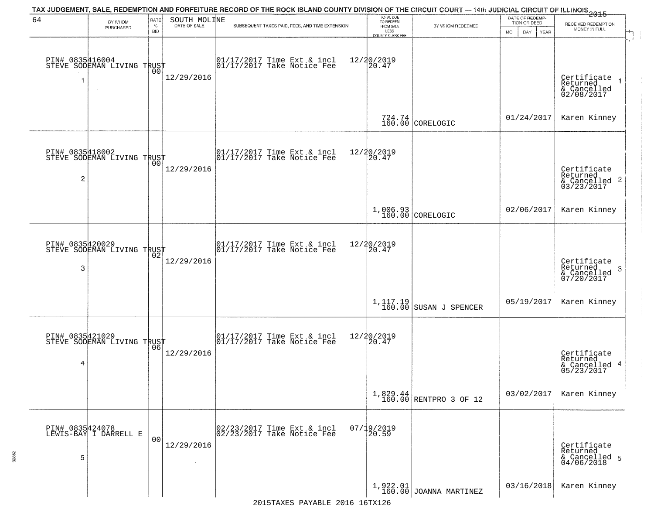|                      |                                                   |                |                              | TAX JUDGEMENT, SALE, REDEMPTION AND FORFEITURE RECORD OF THE ROCK ISLAND COUNTY DIVISION OF THE CIRCUIT COURT — 14th JUDICIAL CIRCUIT OF ILLINOIS 2015 |                                     |                                    | DATE OF REDEMP-            |                                                                    |
|----------------------|---------------------------------------------------|----------------|------------------------------|--------------------------------------------------------------------------------------------------------------------------------------------------------|-------------------------------------|------------------------------------|----------------------------|--------------------------------------------------------------------|
| 64                   | BY WHOM<br>PURCHASED                              | RATE<br>$\%$   | SOUTH MOLINE<br>DATE OF SALE | SUBSEQUENT TAXES PAID, FEES, AND TIME EXTENSION                                                                                                        | TOTAL DUE<br>TO REDEEM<br>FROM SALE | BY WHOM REDEEMED                   | TION OR DEED               | RECEIVED REDEMPTION<br>MONEY IN FULL                               |
|                      |                                                   | <b>BID</b>     |                              |                                                                                                                                                        | LESS<br><b>COUNTY CLERK FEE</b>     |                                    | MO.<br>DAY.<br><b>YEAR</b> |                                                                    |
| 1                    | PIN# 0835416004    <br>STEVE SODEMAN LIVING TRUST | 00             | 12/29/2016                   | $\begin{bmatrix} 01/17/2017 \\ 01/17/2017 \\ 01 \end{bmatrix}$ Take Notice Fee                                                                         | 12/20/2019<br>20.47                 |                                    |                            | Certificate<br>Returned<br>& Cancelled<br>02/08/2017               |
|                      |                                                   |                |                              |                                                                                                                                                        |                                     | $724.74$<br>160.00 CORELOGIC       | 01/24/2017                 | Karen Kinney                                                       |
| $\overline{c}$       | PIN# 0835418002<br>STEVE SODEMAN LIVING TRUST     |                | 12/29/2016                   | 01/17/2017 Time Ext & incl<br>01/17/2017 Take Notice Fee                                                                                               | 12/20/2019<br>20.47                 |                                    |                            | Certificate<br>Returned<br>$\frac{1}{6}$ Cancelled 2<br>03/23/2017 |
|                      |                                                   |                |                              |                                                                                                                                                        |                                     | 1,006.93<br>160.00 CORELOGIC       | 02/06/2017                 | Karen Kinney                                                       |
| PIN# 0835420029<br>3 | STEVE SODEMAN LIVING TRUST                        | 02             | 12/29/2016                   | 01/17/2017 Time Ext & incl<br>01/17/2017 Take Notice Fee                                                                                               | 12/20/2019<br>20.47                 |                                    |                            | Certificate<br>Returned<br>3<br>& Cancelled<br>07/20/2017          |
|                      |                                                   |                |                              |                                                                                                                                                        |                                     | 1,117.19<br>160.00 SUSAN J SPENCER | 05/19/2017                 | Karen Kinney                                                       |
| 4                    | PIN# 0835421029    <br>STEVE SODEMAN LIVING TRUST | 06             | 12/29/2016                   | 01/17/2017 Time Ext & incl<br>01/17/2017 Take Notice Fee                                                                                               | 12/20/2019<br>120.47                |                                    |                            | Certificate<br>Returned<br>& Cancelled 4<br>05/23/2017             |
|                      |                                                   |                |                              |                                                                                                                                                        |                                     | $1,829.44$ RENTPRO 3 OF 12         | 03/02/2017                 | Karen Kinney                                                       |
| 5                    | PIN# 0835424078<br>LEWIS-BAY I DARRELL E          | 0 <sub>0</sub> | 12/29/2016<br>$\sim 10^{-1}$ | 02/23/2017 Time Ext & incl<br>02/23/2017 Take Notice Fee                                                                                               | $07/19/2019$<br>20.59               |                                    |                            | Certificate<br>Returned<br>& Cancelled 5<br>04/06/2018             |
|                      |                                                   |                |                              |                                                                                                                                                        |                                     | $1,922.01$ JOANNA MARTINEZ         | 03/16/2018                 | Karen Kinney                                                       |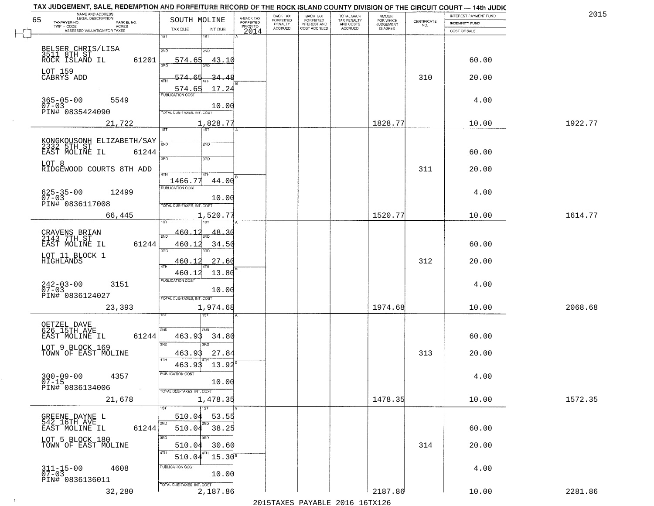| NAME AND ADDRESS<br>LEGAL DESCRIPTION  |                          | TAX JUDGEMENT, SALE, REDEMPTION AND FORFEITURE RECORD OF THE ROCK ISLAND COUNTY DIVISION OF THE CIRCUIT COURT - 14th JUDIC |                                     | BACK TAX                    | BACK TAX<br>FORFEITED |                                        | AMOUNT<br>FOR WHICH |                                                                 | INTEREST PAYMENT FUND | 2015    |
|----------------------------------------|--------------------------|----------------------------------------------------------------------------------------------------------------------------|-------------------------------------|-----------------------------|-----------------------|----------------------------------------|---------------------|-----------------------------------------------------------------|-----------------------|---------|
| 65<br>TAXPAYER NO.                     | PARCEL NO.               | SOUTH MOLINE                                                                                                               | A-BACK TAX<br>FORFEITED<br>PRIOR TO | <b>FORFEITED</b><br>PENALTY | <b>INTEREST AND</b>   | TOTAL BACK<br>TAX PENALTY<br>AND COSTS | <b>JUDGEMENT</b>    | $\begin{array}{c} \text{CERTIFICATE} \\ \text{NO.} \end{array}$ | INDEMNITY FUND        |         |
| ASSESSED VALUATION FOR TAXES           | ACRES                    | INT DUE<br>TAX DUE                                                                                                         | 2014                                | <b>ACCRUED</b>              | COST ACCRUED          | ACCRUED                                | IS ASKED            |                                                                 | COST OF SALE          |         |
|                                        |                          | 1ST<br>1ST                                                                                                                 |                                     |                             |                       |                                        |                     |                                                                 |                       |         |
| BELSER CHRIS/LISA                      |                          | 2ND<br>2NP                                                                                                                 |                                     |                             |                       |                                        |                     |                                                                 |                       |         |
| 3511 8TH ST                            |                          |                                                                                                                            |                                     |                             |                       |                                        |                     |                                                                 |                       |         |
| ROCK ISLAND IL                         | 61201                    | 574.65<br>43.10                                                                                                            |                                     |                             |                       |                                        |                     |                                                                 | 60.00                 |         |
| LOT 159                                |                          |                                                                                                                            |                                     |                             |                       |                                        |                     |                                                                 |                       |         |
| CABRYS ADD                             |                          | 574.65<br><u>34.48</u>                                                                                                     |                                     |                             |                       |                                        |                     | 310                                                             | 20.00                 |         |
|                                        |                          | 17.24<br>574.65                                                                                                            |                                     |                             |                       |                                        |                     |                                                                 |                       |         |
|                                        |                          |                                                                                                                            |                                     |                             |                       |                                        |                     |                                                                 |                       |         |
| $365 - 05 - 00$<br>07-03               | 5549                     | 10.00                                                                                                                      |                                     |                             |                       |                                        |                     |                                                                 | 4.00                  |         |
| PIN# 0835424090                        |                          | TOTAL DUE-TAXES, INT. COST                                                                                                 |                                     |                             |                       |                                        |                     |                                                                 |                       |         |
|                                        | 21,722                   | 1,828.77                                                                                                                   |                                     |                             |                       |                                        | 1828.77             |                                                                 | 10.00                 | 1922.77 |
|                                        |                          | 1ST                                                                                                                        |                                     |                             |                       |                                        |                     |                                                                 |                       |         |
|                                        |                          |                                                                                                                            |                                     |                             |                       |                                        |                     |                                                                 |                       |         |
|                                        |                          | 2ND<br>2ND                                                                                                                 |                                     |                             |                       |                                        |                     |                                                                 |                       |         |
| EAST MOLINE IL                         | 61244                    | 3RD<br>$\overline{\text{3BD}}$                                                                                             |                                     |                             |                       |                                        |                     |                                                                 | 60.00                 |         |
| LOT 8                                  |                          |                                                                                                                            |                                     |                             |                       |                                        |                     |                                                                 |                       |         |
|                                        | RIDGEWOOD COURTS 8TH ADD | 47H<br>4TH                                                                                                                 |                                     |                             |                       |                                        |                     | 311                                                             | 20.00                 |         |
|                                        |                          | 44.00<br>1466.77                                                                                                           |                                     |                             |                       |                                        |                     |                                                                 |                       |         |
|                                        |                          | PUBLICATION COST                                                                                                           |                                     |                             |                       |                                        |                     |                                                                 |                       |         |
| $625 - 35 - 00$<br>$07 - 03$           | 12499                    | 10.00                                                                                                                      |                                     |                             |                       |                                        |                     |                                                                 | 4.00                  |         |
| PIN# 0836117008                        |                          | TOTAL DUE-TAXES, INT. COST                                                                                                 |                                     |                             |                       |                                        |                     |                                                                 |                       |         |
|                                        | 66,445                   | 1,520.77                                                                                                                   |                                     |                             |                       |                                        | 1520.77             |                                                                 | 10.00                 | 1614.77 |
|                                        |                          | 1ST                                                                                                                        |                                     |                             |                       |                                        |                     |                                                                 |                       |         |
|                                        |                          | 460.12                                                                                                                     |                                     |                             |                       |                                        |                     |                                                                 |                       |         |
| CRAVENS BRIAN<br>2143 7TH ST           |                          | 48.36<br>2ND                                                                                                               |                                     |                             |                       |                                        |                     |                                                                 |                       |         |
| EAST MOLINE IL                         | 61244                    | 460.12<br>34.50                                                                                                            |                                     |                             |                       |                                        |                     |                                                                 | 60.00                 |         |
|                                        |                          | 3RD<br>3RD                                                                                                                 |                                     |                             |                       |                                        |                     |                                                                 |                       |         |
| LOT 11 BLOCK 1<br>HIGHLANDS            |                          | 460.1<br>27.60                                                                                                             |                                     |                             |                       |                                        |                     | 312                                                             | 20.00                 |         |
|                                        |                          | <b>ATH</b><br>460.12<br>13.80                                                                                              |                                     |                             |                       |                                        |                     |                                                                 |                       |         |
|                                        |                          | <b>PUBLICATION COST</b>                                                                                                    |                                     |                             |                       |                                        |                     |                                                                 |                       |         |
| $242 - 03 - 00$<br>07-03               | 3151                     | 10.00                                                                                                                      |                                     |                             |                       |                                        |                     |                                                                 | 4.00                  |         |
| PIN# 0836124027                        |                          | TOTAL OUE-TAXES, INT. COST                                                                                                 |                                     |                             |                       |                                        |                     |                                                                 |                       |         |
|                                        |                          |                                                                                                                            |                                     |                             |                       |                                        | 1974.68             |                                                                 |                       | 2068.68 |
|                                        | 23,393                   | 1,974.68<br>1ST                                                                                                            |                                     |                             |                       |                                        |                     |                                                                 | 10.00                 |         |
|                                        |                          |                                                                                                                            |                                     |                             |                       |                                        |                     |                                                                 |                       |         |
| OETZEL DAVE<br>626 15TH AVE            |                          | 2ND<br>2ND                                                                                                                 |                                     |                             |                       |                                        |                     |                                                                 |                       |         |
| EAST MOLINE IL                         | 61244                    | 463.93<br>34.80                                                                                                            |                                     |                             |                       |                                        |                     |                                                                 | 60.00                 |         |
| LOT 9 BLOCK 169                        |                          | 3RD<br>3RD                                                                                                                 |                                     |                             |                       |                                        |                     |                                                                 |                       |         |
| TOWN OF EAST MOLINE                    |                          | 27.84<br>463.93                                                                                                            |                                     |                             |                       |                                        |                     | 313                                                             | 20.00                 |         |
|                                        |                          | 463.93<br>13.92                                                                                                            |                                     |                             |                       |                                        |                     |                                                                 |                       |         |
|                                        |                          |                                                                                                                            |                                     |                             |                       |                                        |                     |                                                                 |                       |         |
| $300 - 09 - 00$<br>$07 - 15$           | 4357                     | PUBLICATION COS-                                                                                                           |                                     |                             |                       |                                        |                     |                                                                 | 4.00                  |         |
| PIN# 0836134006                        | $\sim 40$                | 10.00                                                                                                                      |                                     |                             |                       |                                        |                     |                                                                 |                       |         |
|                                        |                          | TOTAL DUE-TAXES, INT. COST                                                                                                 |                                     |                             |                       |                                        |                     |                                                                 |                       |         |
|                                        | 21,678                   | 1,478.35                                                                                                                   |                                     |                             |                       |                                        | 1478.35             |                                                                 | 10.00                 | 1572.35 |
|                                        |                          | $\overline{1}$ 1ST                                                                                                         |                                     |                             |                       |                                        |                     |                                                                 |                       |         |
| GREENE DAYNE L<br>542 16TH AVE         |                          | 53.55<br>510.04                                                                                                            |                                     |                             |                       |                                        |                     |                                                                 |                       |         |
| EAST MOLINE IL                         | 61244                    | 2ND<br>510.04 38.25                                                                                                        |                                     |                             |                       |                                        |                     |                                                                 | 60.00                 |         |
|                                        |                          | 3RD<br>3RD                                                                                                                 |                                     |                             |                       |                                        |                     |                                                                 |                       |         |
| LOT 5 BLOCK 180<br>TOWN OF EAST MOLINE |                          | 30.60<br>510.04                                                                                                            |                                     |                             |                       |                                        |                     | 314                                                             | 20.00                 |         |
|                                        |                          |                                                                                                                            |                                     |                             |                       |                                        |                     |                                                                 |                       |         |
|                                        |                          | $15.30^{8}$<br>510.04                                                                                                      |                                     |                             |                       |                                        |                     |                                                                 |                       |         |
| $311 - 15 - 00$<br>07-03               | 4608                     | PUBLICATION COST                                                                                                           |                                     |                             |                       |                                        |                     |                                                                 | 4.00                  |         |
|                                        |                          | 10.00                                                                                                                      |                                     |                             |                       |                                        |                     |                                                                 |                       |         |
| PIN# 0836136011                        |                          | TOTAL DUE-TAXES, INT. COST                                                                                                 |                                     |                             |                       |                                        |                     |                                                                 |                       |         |
|                                        | 32,280                   | 2,187.86                                                                                                                   |                                     |                             |                       |                                        | 2187.86             |                                                                 | 10.00                 | 2281.86 |
|                                        |                          |                                                                                                                            |                                     |                             |                       | 2015 TAVEC DAVADIE 2016 16TV126        |                     |                                                                 |                       |         |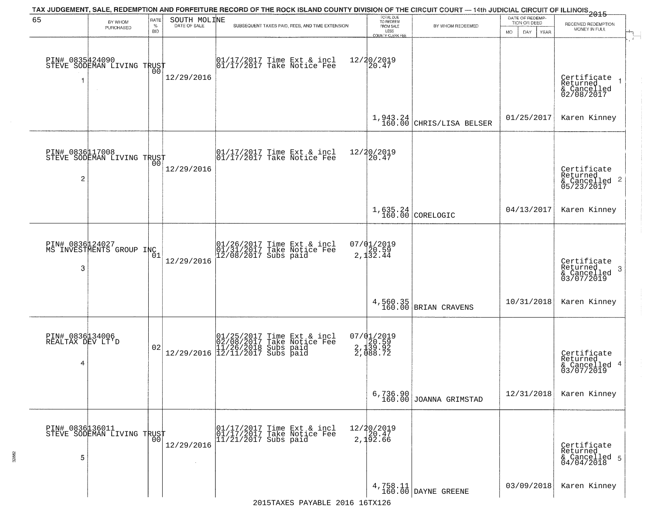|                                          |                                               |                            |                              | TAX JUDGEMENT, SALE, REDEMPTION AND FORFEITURE RECORD OF THE ROCK ISLAND COUNTY DIVISION OF THE CIRCUIT COURT — 14th JUDICIAL CIRCUIT OF ILLINOIS 2015                                                                       |                                                                 |                                                                             | DATE OF REDEMP-                     |                                                                 |
|------------------------------------------|-----------------------------------------------|----------------------------|------------------------------|------------------------------------------------------------------------------------------------------------------------------------------------------------------------------------------------------------------------------|-----------------------------------------------------------------|-----------------------------------------------------------------------------|-------------------------------------|-----------------------------------------------------------------|
| 65                                       | BY WHOM<br>PURCHASED                          | RATE<br>$\%$<br><b>BID</b> | SOUTH MOLINE<br>DATE OF SALE | SUBSEQUENT TAXES PAID, FEES, AND TIME EXTENSION                                                                                                                                                                              | TOTAL DUE<br>TO REDEEM<br>FROM SALE<br>LESS<br>COUNTY CLERK FEE | BY WHOM REDEEMED                                                            | TION OR DEED<br>MO.<br>DAY.<br>YEAR | RECEIVED REDEMPTION<br>MONEY IN FULL                            |
| PIN# 0835424090<br>1                     | STEVE SODEMAN LIVING TRUST                    | 00                         | 12/29/2016                   | 01/17/2017 Time Ext & incl<br>01/17/2017 Take Notice Fee                                                                                                                                                                     | 12/20/2019<br>20.47                                             |                                                                             |                                     | Certificate<br>Returned<br>& Cancelled<br>02/08/2017            |
|                                          |                                               |                            |                              |                                                                                                                                                                                                                              | 1,943.24<br>160.00                                              | CHRIS/LISA BELSER                                                           | 01/25/2017                          | Karen Kinney                                                    |
| 2                                        | PIN# 0836117008<br>STEVE SODEMAN LIVING TRUST | 00                         | 12/29/2016                   | $\begin{bmatrix} 01/17/2017 \\ 01/17/2017 \\ 01 \end{bmatrix}$ Take Notice Fee                                                                                                                                               | 12/20/2019<br>20.47                                             |                                                                             |                                     | Certificate<br>Returned<br>$& \text{Cancelled}$ 2<br>05/23/2017 |
|                                          |                                               |                            |                              |                                                                                                                                                                                                                              |                                                                 | $1,635.24$ CORELOGIC                                                        | 04/13/2017                          | Karen Kinney                                                    |
| 3                                        | PIN# 0836124027<br>MS INVESTMENTS GROUP INC   | 01                         | 12/29/2016                   | 01/26/2017 Time Ext & incl<br>01/31/2017 Take Notice Fee<br>12/08/2017 Subs paid                                                                                                                                             | 07/01/2019<br>2, 132.44                                         |                                                                             |                                     | Certificate<br>Returned<br>3<br>& Cancelled<br>03/07/2019       |
|                                          |                                               |                            |                              |                                                                                                                                                                                                                              | 4,560.35<br>160.00                                              | <b>BRIAN CRAVENS</b>                                                        | 10/31/2018                          | Karen Kinney                                                    |
| PIN# 0836134006<br>REALTAX DEV LT'D<br>4 |                                               | 02                         |                              | $[01/25/2017 \tTime Ext & incl 02/08/2017 \tTake Notice Free 11/26/2018 Subs paid 12/29/2016 12/11/2017 Subs paid 12/11/2017)$                                                                                               | 07/01/2019<br>2, 139.59<br>2, 139.92<br>2, 088.72               |                                                                             |                                     | Certificate<br>Returned<br>& Cancelled 4<br>03/07/2019          |
|                                          |                                               |                            |                              |                                                                                                                                                                                                                              |                                                                 | $6,736.90$<br>160.00 JOANNA GRIMSTAD                                        | 12/31/2018                          | Karen Kinney                                                    |
| PIN# 0836136011<br>5                     | STEVE SODEMAN LIVING TRUST                    | 00                         | 12/29/2016                   | 01/17/2017 Time Ext & incl<br>01/17/2017 Take Notice Fee<br>$11/21/2017$ Subs paid                                                                                                                                           | 12/20/2019<br>20.47<br>2,192.66                                 |                                                                             |                                     | Certificate<br>Returned<br>& Cancelled 5<br>04/04/2018          |
|                                          |                                               |                            |                              | $2015T^2$ $NV^2$ $R^2$ $R^2$ $R^2$ $R^2$ $R^2$ $R^2$ $R^2$ $R^2$ $R^2$ $R^2$ $R^2$ $R^2$ $R^2$ $R^2$ $R^2$ $R^2$ $R^2$ $R^2$ $R^2$ $R^2$ $R^2$ $R^2$ $R^2$ $R^2$ $R^2$ $R^2$ $R^2$ $R^2$ $R^2$ $R^2$ $R^2$ $R^2$ $R^2$ $R^2$ |                                                                 | $\left.\begin{array}{c} 4,758.11 \\ 160.00 \end{array}\right $ DAYNE GREENE | 03/09/2018                          | Karen Kinney                                                    |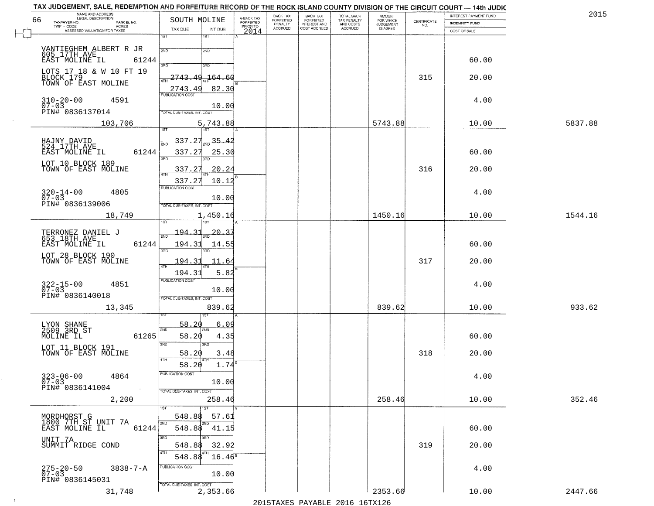| NAME AND ADDRESS<br>LEGAL DESCRIPTION                        |                                     |                                     | BACK TAX             | BACK TAX<br>FORFEITED |                                        | AMOUNT<br>FOR WHICH |                    | INTEREST PAYMENT FUND | 2015    |
|--------------------------------------------------------------|-------------------------------------|-------------------------------------|----------------------|-----------------------|----------------------------------------|---------------------|--------------------|-----------------------|---------|
| 66<br>TAXPAYER NO.<br>PARCEL NO.<br>ACRES                    | SOUTH MOLINE                        | A-BACK TAX<br>FORFEITED<br>PRIOR TO | FORFEITED<br>PENALTY | <b>INTEREST AND</b>   | TOTAL BACK<br>TAX PENALTY<br>AND COSTS | <b>JUDGEMENT</b>    | CERTIFICATE<br>NO. | <b>INDEMNITY FUND</b> |         |
| ASSESSED VALUATION FOR TAXES                                 | TAX DUE<br>INT DUE                  | 2014                                | <b>ACCRUED</b>       | COST ACCRUED          | <b>ACCRUED</b>                         | IS ASKED            |                    | COST OF SALE          |         |
|                                                              | 18T<br>1ST                          |                                     |                      |                       |                                        |                     |                    |                       |         |
| VANTIEGHEM ALBERT R JR<br>605 17TH AVE<br>EAST MOLINE IL 612 | 2ND<br>2ND                          |                                     |                      |                       |                                        |                     |                    |                       |         |
| 61244                                                        |                                     |                                     |                      |                       |                                        |                     |                    | 60.00                 |         |
| LOTS 17 18 & W 10 FT 19                                      | 3RD<br>3RD                          |                                     |                      |                       |                                        |                     |                    |                       |         |
| BLOCK 179<br>TOWN OF EAST MOLINE                             | 2743.49<br>164.60                   |                                     |                      |                       |                                        |                     | 315                | 20.00                 |         |
|                                                              | 82.30<br>2743.49                    |                                     |                      |                       |                                        |                     |                    |                       |         |
| $310 - 20 - 00$<br>07-03<br>4591                             | <b>PUBLICATION COST</b>             |                                     |                      |                       |                                        |                     |                    | 4.00                  |         |
| PIN# 0836137014                                              | 10.00<br>TOTAL DUE-TAXES, INT. COST |                                     |                      |                       |                                        |                     |                    |                       |         |
|                                                              |                                     |                                     |                      |                       |                                        |                     |                    |                       |         |
| 103,706                                                      | 5,743.88                            |                                     |                      |                       |                                        | 5743.88             |                    | 10.00                 | 5837.88 |
|                                                              | 337.27<br>$\frac{35.42}{200}$       |                                     |                      |                       |                                        |                     |                    |                       |         |
| HAJNY DAVID<br>524 17TH AVE                                  | 2ND                                 |                                     |                      |                       |                                        |                     |                    |                       |         |
| EAST MOLINE IL<br>61244                                      | 337.27<br>25.30<br>3RD              |                                     |                      |                       |                                        |                     |                    | 60.00                 |         |
| LOT 10 BLOCK 189<br>TOWN OF EAST MOLINE                      | 337.27<br>20.24                     |                                     |                      |                       |                                        |                     | 316                | 20.00                 |         |
|                                                              |                                     |                                     |                      |                       |                                        |                     |                    |                       |         |
|                                                              | 337.27<br>10.12<br>PUBLICATION COST |                                     |                      |                       |                                        |                     |                    |                       |         |
| $320 - 14 - 00$<br>07-03<br>4805                             | 10.00                               |                                     |                      |                       |                                        |                     |                    | 4.00                  |         |
| PIN# 0836139006                                              | TOTAL DUE-TAXES, INT. COST          |                                     |                      |                       |                                        |                     |                    |                       |         |
| 18,749                                                       | 1,450.16                            |                                     |                      |                       |                                        | 1450.16             |                    | 10.00                 | 1544.16 |
|                                                              | isT                                 |                                     |                      |                       |                                        |                     |                    |                       |         |
| TERRONEZ DANIEL J<br>653 18TH AVE                            | 194.31<br>$20 - 3$<br>2ND           |                                     |                      |                       |                                        |                     |                    |                       |         |
| EAST MOLINE IL<br>61244                                      | 194.31<br>14.55                     |                                     |                      |                       |                                        |                     |                    | 60.00                 |         |
| LOT 28 BLOCK 190                                             | 3BD<br>3RD                          |                                     |                      |                       |                                        |                     |                    |                       |         |
| TOWN OF EAST MOLINE                                          | 194.31<br>11.64<br>4TH              |                                     |                      |                       |                                        |                     | 317                | 20.00                 |         |
|                                                              | 5.82<br>194.31                      |                                     |                      |                       |                                        |                     |                    |                       |         |
| 4851                                                         | <b>PUBLICATION COST</b>             |                                     |                      |                       |                                        |                     |                    | 4.00                  |         |
| $322 - 15 - 00$<br>07-03<br>PIN# 0836140018                  | 10.00                               |                                     |                      |                       |                                        |                     |                    |                       |         |
|                                                              | TOTAL OUE-TAXES, INT. COST          |                                     |                      |                       |                                        |                     |                    |                       |         |
| 13,345                                                       | 839.62                              |                                     |                      |                       |                                        | 839.62              |                    | 10.00                 | 933.62  |
|                                                              | 58.20<br>6.09                       |                                     |                      |                       |                                        |                     |                    |                       |         |
| LYON SHANE<br>2509 3RD ST                                    | 2ND                                 |                                     |                      |                       |                                        |                     |                    |                       |         |
| MOLINE IL<br>61265                                           | 58.20<br>4.35<br>3BD<br>3BD         |                                     |                      |                       |                                        |                     |                    | 60.00                 |         |
| LOT 11 BLOCK 191<br>TOWN OF EAST MOLINE                      | 3.48<br>58.20                       |                                     |                      |                       |                                        |                     | 318                | 20.00                 |         |
|                                                              | 4TH                                 |                                     |                      |                       |                                        |                     |                    |                       |         |
|                                                              | 1.74<br>58.20                       |                                     |                      |                       |                                        |                     |                    |                       |         |
| $323 - 06 - 00$<br>07-03<br>4864                             | "UBLICA HUN CUS<br>10.00            |                                     |                      |                       |                                        |                     |                    | 4.00                  |         |
| PIN# 0836141004<br><b>Contract</b>                           | TOTAL DUE-TAXES, INT. COST          |                                     |                      |                       |                                        |                     |                    |                       |         |
| 2,200                                                        | 258.46                              |                                     |                      |                       |                                        | 258.46              |                    | 10.00                 | 352.46  |
|                                                              | 1ST                                 |                                     |                      |                       |                                        |                     |                    |                       |         |
| MORDHORST G                                                  | 548.88<br>57.61                     |                                     |                      |                       |                                        |                     |                    |                       |         |
| 1800 7TH ST UNIT 7A<br>EAST MOLINE IL<br>61244               | 2ND<br>548.88 41.15                 |                                     |                      |                       |                                        |                     |                    | 60.00                 |         |
| UNIT 7A                                                      | 3BD.                                |                                     |                      |                       |                                        |                     |                    |                       |         |
| SUMMIT RIDGE COND                                            | 32.92<br>548.88                     |                                     |                      |                       |                                        |                     | 319                | 20.00                 |         |
|                                                              | 548.88<br>$16.46^{\circ}$           |                                     |                      |                       |                                        |                     |                    |                       |         |
| $275 - 20 - 50$<br>$3838 - 7 - A$                            | PUBLICATION COST                    |                                     |                      |                       |                                        |                     |                    | 4.00                  |         |
| $07 - 03$<br>PIN# 0836145031                                 | 10.00                               |                                     |                      |                       |                                        |                     |                    |                       |         |
|                                                              | TOTAL DUE-TAXES, INT. COST          |                                     |                      |                       |                                        |                     |                    |                       |         |
| 31,748                                                       | 2,353.66                            |                                     |                      |                       |                                        | 2353.66             |                    | 10.00                 | 2447.66 |

 $\sim 100$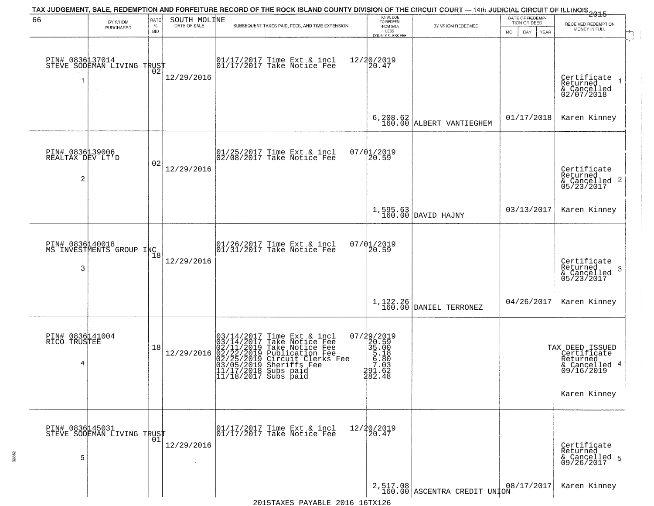|                                                       |                                             |                            |                              | TAX JUDGEMENT, SALE, REDEMPTION AND FORFEITURE RECORD OF THE ROCK ISLAND COUNTY DIVISION OF THE CIRCUIT COURT — 14th JUDICIAL CIRCUIT OF ILLINOIS 2015                                                                                      |                                                                                                     |                                          |                                                        |                                                                                           |
|-------------------------------------------------------|---------------------------------------------|----------------------------|------------------------------|---------------------------------------------------------------------------------------------------------------------------------------------------------------------------------------------------------------------------------------------|-----------------------------------------------------------------------------------------------------|------------------------------------------|--------------------------------------------------------|-------------------------------------------------------------------------------------------|
| 66                                                    | BY WHOM<br>PURCHASED                        | RATE<br>$\%$<br><b>BID</b> | SOUTH MOLINE<br>DATE OF SALE | SUBSEQUENT TAXES PAID, FEES, AND TIME EXTENSION                                                                                                                                                                                             | TOTAL DUE<br>TO REDEEM<br>FROM SALE<br>LESS                                                         | BY WHOM REDEEMED                         | DATE OF REDEMP-<br>TION OR DEED<br>MO.<br>DAY.<br>YEAR | RECEIVED REDEMPTION<br>MONEY IN FULL                                                      |
| PIN# 0836137014                                       | STEVE SODEMAN LIVING TRUST                  | ŌŽ                         | 12/29/2016                   | 01/17/2017 Time Ext & incl<br>01/17/2017 Take Notice Fee                                                                                                                                                                                    | COUNTY CLERK FEE<br>12/20/2019<br>20.47                                                             |                                          |                                                        | $\mathbf{r}$<br>Certificate<br>Returned<br>& Cancelled<br>02/07/2018                      |
|                                                       |                                             |                            |                              |                                                                                                                                                                                                                                             |                                                                                                     | $6, 208.62$<br>160.00 ALBERT VANTIEGHEM  | 01/17/2018                                             | Karen Kinney                                                                              |
| PIN# 0836139006<br>REALTAX DEV LT'D<br>$\overline{c}$ |                                             | 02                         | 12/29/2016                   | $ 01/25/2017$ Time Ext & incl<br>$ 02/08/2017$ Take Notice Fee                                                                                                                                                                              | 07/01/2019<br>20.59                                                                                 |                                          |                                                        | Certificate<br>Returned<br>$\frac{1}{6}$ Cancelled 2<br>05/23/2017                        |
|                                                       |                                             |                            |                              |                                                                                                                                                                                                                                             |                                                                                                     | $1,595.63$ DAVID HAJNY                   | 03/13/2017                                             | Karen Kinney                                                                              |
| 3                                                     | PIN# 0836140018<br>MS INVESTMENTS GROUP INC | 18                         | 12/29/2016                   | $\begin{array}{cc} 01/26/2017 &$ Time Ext & incl<br>$01/31/2017 &$ Take Notice Fee                                                                                                                                                          | 07/01/2019<br>20.59                                                                                 |                                          |                                                        | Certificate<br>Returned<br>3<br>& Cancelled<br>05/23/2017                                 |
|                                                       |                                             |                            |                              |                                                                                                                                                                                                                                             |                                                                                                     | $1,122.26$ DANIEL TERRONEZ               | 04/26/2017                                             | Karen Kinney                                                                              |
| PIN# 0836141004<br>RICO TRUSTEE<br>4                  |                                             | 18                         | 12/29/2016                   | $03/14/2017$ Time Ext & incl<br>$03/14/2017$ Take Notice Fee<br>$02/11/2019$ Take Notice Fee<br>$02/22/2019$ Circuit Clerks Fee<br>$03/05/2019$ Sheriffs Fee<br>$03/05/2019$ Sheriffs Fee<br>$11/1722018$ Subs paid<br>11/18/2017 Subs paid | $\begin{smallmatrix} 07/29/2019\\20.59\\35.00\\5.18\\5.180\\7.03\\291.62\\282.48 \end{smallmatrix}$ |                                          |                                                        | TAX DEED ISSUED<br>Certificate<br>Returned<br>& Cancelled 4<br>09/16/2019<br>Karen Kinney |
| PIN# 0836145031<br>5                                  | STEVE SODEMAN LIVING TRUST                  | 01                         | 12/29/2016                   | 01/17/2017 Time Ext & incl<br>01/17/2017 Take Notice Fee                                                                                                                                                                                    | 12/20/2019<br>20.47                                                                                 |                                          |                                                        | Certificate<br>Returned<br>& Cancelled 5<br>09/26/2017                                    |
|                                                       |                                             |                            |                              |                                                                                                                                                                                                                                             |                                                                                                     | 2,517.08<br>160.00 ASCENTRA CREDIT UNION | 08/17/2017                                             | Karen Kinney                                                                              |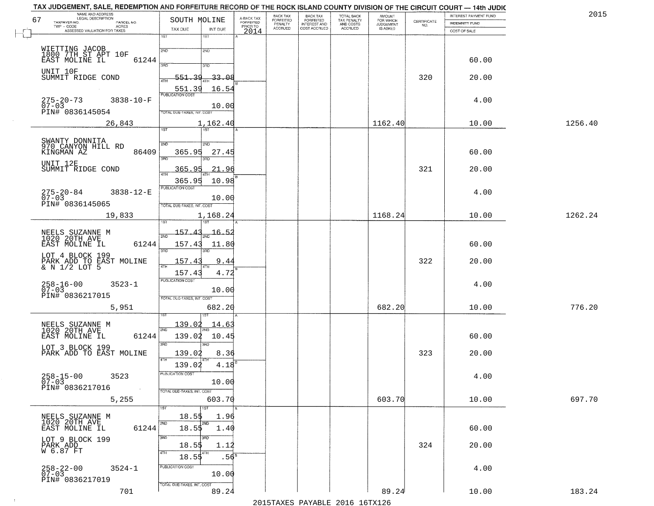|         | INTEREST PAYMENT FUND |                                                                 | <b>AMOUNT</b><br>FOR WHICH | TOTAL BACK                          | <b>BACK TAX</b><br><b>FORFEITED</b> | BACK TAX<br><b>FORFEITED</b> | A-BACK TAX            | SOUTH MOLINE                         |                         | NAME AND ADDRESS<br>LEGAL DESCRIPTION                   |
|---------|-----------------------|-----------------------------------------------------------------|----------------------------|-------------------------------------|-------------------------------------|------------------------------|-----------------------|--------------------------------------|-------------------------|---------------------------------------------------------|
|         | INDEMNITY FUND        | $\begin{array}{c} \text{CERTIFICATE} \\ \text{NO.} \end{array}$ | JUDGEMENT                  | TAX PENALTY<br>AND COSTS<br>ACCRUED | INTEREST AND<br>COST ACCRUED        | PENALTY<br>ACCRUED           | FORFEITED<br>PRIOR TO |                                      | PARCEL NO.              | TAXPAYER NO.<br>TWP - CODE<br><b>ACRES</b>              |
|         | COST OF SALE          |                                                                 |                            |                                     |                                     |                              | 2014                  | TAX DUE<br>INT DUE<br>1ST            | 1ST                     | ASSESSED VALUATION FOR TAXES                            |
|         |                       |                                                                 |                            |                                     |                                     |                              |                       |                                      |                         |                                                         |
|         |                       |                                                                 |                            |                                     |                                     |                              |                       | 2ND                                  | 2ND                     | WIETTING JACOB<br>1800 7TH ST APT 10F<br>EAST MOLINE IL |
|         | 60.00                 |                                                                 |                            |                                     |                                     |                              |                       | 3RD                                  | 61244<br>370            |                                                         |
|         | 20.00                 | 320                                                             |                            |                                     |                                     |                              |                       | $-33 - 08$<br>551.<br>-39            |                         | UNIT 10F<br>SUMMIT RIDGE COND                           |
|         |                       |                                                                 |                            |                                     |                                     |                              |                       |                                      | 4TH                     |                                                         |
|         |                       |                                                                 |                            |                                     |                                     |                              |                       | 551.39<br>16.54                      | PUBLICATION COST        |                                                         |
|         | 4.00                  |                                                                 |                            |                                     |                                     |                              |                       | 10.00                                | $3838 - 10 - F$         | $275 - 20 - 73$<br>$07 - 03$                            |
|         |                       |                                                                 |                            |                                     |                                     |                              |                       | TOTAL DUE-TAXES, INT. COST           |                         | PIN# 0836145054                                         |
| 1256.40 | 10.00                 |                                                                 | 1162.40                    |                                     |                                     |                              |                       | 1,162.40                             |                         | 26,843                                                  |
|         |                       |                                                                 |                            |                                     |                                     |                              |                       | 1ST <sup>-</sup>                     | 1ST                     |                                                         |
|         |                       |                                                                 |                            |                                     |                                     |                              |                       | 2ND                                  | 2ND                     | SWANTY DONNITA<br>970 CANYON HILL RD                    |
|         | 60.00                 |                                                                 |                            |                                     |                                     |                              |                       | 365.95<br>27.45                      | 86409<br>3RD            | KINGMAN AZ                                              |
|         |                       |                                                                 |                            |                                     |                                     |                              |                       |                                      |                         | UNIT 12E                                                |
|         | 20.00                 | 321                                                             |                            |                                     |                                     |                              |                       | 365.95<br>21<br>.96                  |                         | SUMMIT RIDGE COND                                       |
|         |                       |                                                                 |                            |                                     |                                     |                              |                       | 365.95<br>10.98                      | PUBLICATION COST        |                                                         |
|         | 4.00                  |                                                                 |                            |                                     |                                     |                              |                       |                                      | 3838-12-E               | $275 - 20 - 84$<br>07-03                                |
|         |                       |                                                                 |                            |                                     |                                     |                              |                       | 10.00<br>TOTAL DUE-TAXES, INT. COST  |                         | PIN# 0836145065                                         |
| 1262.24 | 10.00                 |                                                                 | 1168.24                    |                                     |                                     |                              |                       | 1,168.24                             |                         | 19,833                                                  |
|         |                       |                                                                 |                            |                                     |                                     |                              |                       |                                      |                         |                                                         |
|         |                       |                                                                 |                            |                                     |                                     |                              |                       | 157.43<br>16.52                      |                         | NEELS SUZANNE M<br>1020 20TH AVE                        |
|         | 60.00                 |                                                                 |                            |                                     |                                     |                              |                       | 157.43<br>11.80                      | 61244                   | EAST MOLINE IL                                          |
|         |                       |                                                                 |                            |                                     |                                     |                              |                       | 3RD                                  | 3BD                     | LOT 4 BLOCK 199                                         |
|         | 20.00                 | 322                                                             |                            |                                     |                                     |                              |                       | 157.43<br>9.44                       |                         | PARK ADD TO EAST MOLINE & N 1/2 LOT 5                   |
|         |                       |                                                                 |                            |                                     |                                     |                              |                       | 4.72<br>157.43                       |                         |                                                         |
|         | 4.00                  |                                                                 |                            |                                     |                                     |                              |                       |                                      | <b>PUBLICATION COST</b> | $258 - 16 - 00$<br>07-03<br>$3523 - 1$                  |
|         |                       |                                                                 |                            |                                     |                                     |                              |                       | 10.00<br>TOTAL OUE-TAXES, INT. COST  |                         | PIN# 0836217015                                         |
| 776.20  | 10.00                 |                                                                 | 682.20                     |                                     |                                     |                              |                       | 682.20                               |                         | 5,951                                                   |
|         |                       |                                                                 |                            |                                     |                                     |                              |                       |                                      |                         |                                                         |
|         |                       |                                                                 |                            |                                     |                                     |                              |                       | <u> 139.02</u><br><u> 14.6</u>       | 2ND                     | NEELS SUZANNE M<br>1020 20TH AVE                        |
|         | 60.00                 |                                                                 |                            |                                     |                                     |                              |                       | 139.02<br>10.45                      | 61244                   | EAST MOLINE IL                                          |
|         |                       |                                                                 |                            |                                     |                                     |                              |                       | 3BD                                  | 3RD                     | LOT 3 BLOCK 199                                         |
|         | 20.00                 | 323                                                             |                            |                                     |                                     |                              |                       | 139.02<br>8.36                       | 4TH                     | PARK ADD TO EAST MOLINE                                 |
|         |                       |                                                                 |                            |                                     |                                     |                              |                       | $4.18^{B}$<br>139.02                 |                         |                                                         |
|         | 4.00                  |                                                                 |                            |                                     |                                     |                              |                       |                                      | PUBLICATION COST        | $258 - 15 - 00$<br>07-03<br>3523                        |
|         |                       |                                                                 |                            |                                     |                                     |                              |                       | 10.00                                |                         | PIN# 0836217016                                         |
| 697.70  | 10.00                 |                                                                 | 603.70                     |                                     |                                     |                              |                       | TOTAL DUE-TAXES, INT. COST<br>603.70 |                         | 5,255                                                   |
|         |                       |                                                                 |                            |                                     |                                     |                              |                       | 1ST                                  | 1ST                     |                                                         |
|         |                       |                                                                 |                            |                                     |                                     |                              |                       | 18.55<br>1.96                        |                         | NEELS SUZANNE M<br>1020 20TH AVE                        |
|         | 60.00                 |                                                                 |                            |                                     |                                     |                              |                       | 2ND<br>$18.5\frac{1}{9}$<br>1.40     | 2ND<br>61244            | EAST MOLINE IL                                          |
|         |                       |                                                                 |                            |                                     |                                     |                              |                       | अंग                                  | 3RD                     | LOT 9 BLOCK 199                                         |
|         | 20.00                 | 324                                                             |                            |                                     |                                     |                              |                       | 18.5\$<br>1.12                       |                         | PARK ADD<br>W 6.87 FT                                   |
|         |                       |                                                                 |                            |                                     |                                     |                              |                       | 4TH<br>18.55<br>.56 <sup>s</sup>     | 4TH                     |                                                         |
|         | 4.00                  |                                                                 |                            |                                     |                                     |                              |                       |                                      | PUBLICATION COST        | $3524 - 1$                                              |
|         |                       |                                                                 |                            |                                     |                                     |                              |                       | 10.00                                |                         | 258-22-00<br>07-03<br>PIN# 0836217019                   |
|         |                       |                                                                 |                            |                                     |                                     |                              |                       | TOTAL DUE-TAXES, INT. COST           |                         |                                                         |
| 183.24  | 10.00                 |                                                                 | 89.24                      |                                     |                                     |                              |                       | 89.24                                | 701                     |                                                         |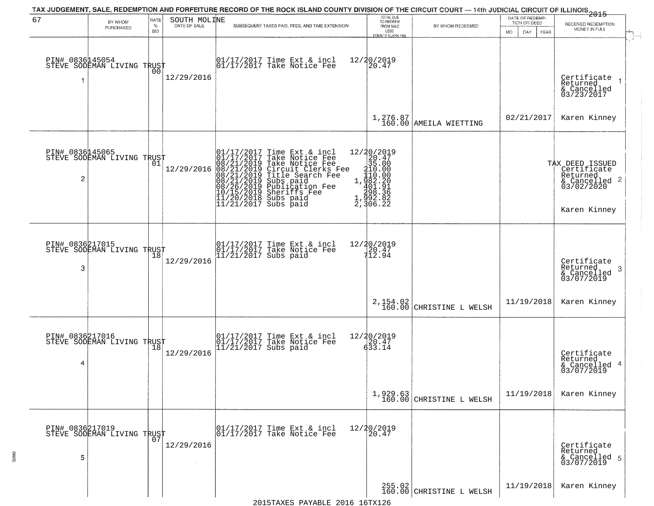| 67                    | BY WHOM<br>PURCHASED                          | RATE<br>$\%$<br><b>BID</b> | SOUTH MOLINE | TAX JUDGEMENT, SALE, REDEMPTION AND FORFEITURE RECORD OF THE ROCK ISLAND COUNTY DIVISION OF THE CIRCUIT COURT — 14th JUDICIAL CIRCUIT OF ILLINOIS 2015<br>SUBSEQUENT TAXES PAID, FEES, AND TIME EXTENSION                                                                                                                                                                                                       | TOTAL DUE<br>TO REDEEM<br>FROM SALE                                                                        | BY WHOM REDEEMED                     | DATE OF REDEMP-<br>TION OR DEED<br><b>MO</b><br>DAY<br>YEAR | RECEIVED REDEMPTION<br>MONEY IN FULL                                                                  |
|-----------------------|-----------------------------------------------|----------------------------|--------------|-----------------------------------------------------------------------------------------------------------------------------------------------------------------------------------------------------------------------------------------------------------------------------------------------------------------------------------------------------------------------------------------------------------------|------------------------------------------------------------------------------------------------------------|--------------------------------------|-------------------------------------------------------------|-------------------------------------------------------------------------------------------------------|
| PIN# 0836145054<br>-1 | STEVE SODEMAN LIVING TRUST<br>$\sim$          | 00                         | 12/29/2016   | 01/17/2017 Time Ext & incl<br>01/17/2017 Take Notice Fee                                                                                                                                                                                                                                                                                                                                                        | LESS<br>COUNTY CLERK FEE<br>12/20/2019<br>20.47                                                            |                                      |                                                             | Certificate<br>Returned<br>& Cancelled<br>03/23/2017                                                  |
|                       |                                               |                            |              |                                                                                                                                                                                                                                                                                                                                                                                                                 |                                                                                                            | $1,276.87$<br>160.00 AMEILA WIETTING | 02/21/2017                                                  | Karen Kinney                                                                                          |
| 2                     | PIN# 0836145065<br>STEVE SODEMAN LIVING TRUST |                            | 12/29/2016   | 01/17/2017 Time Ext & 01/17/2017 Take Notic<br>08/21/2019 Take Notic<br>08/21/2019 Circuit Cl<br>08/21/2019 Circuit Cl<br>08/21/2019 Title Sear<br>08/26/2019 Subs paid<br>10/15/2019 Sheriffs F<br>11/20/2018 Subs paid<br>11/21/2017 Subs paid<br>Time Ext & incl<br>Take Notice Fee<br>Take Notice Fee<br>Circuit Clerks Fee<br>Title Search Fee<br>Subs paid<br>Publication Fee<br>Shariffs<br>Sheriffs Fee | ${\begin{matrix} 12/20/2019\\20.47\\315.000\\110.000\\1,982.201\\298.386\\2,992.82\\2,106.22\end{matrix}}$ |                                      |                                                             | TAX DEED ISSUED<br>Certificate<br>Returned<br>$\frac{1}{6}$ Cancelled 2<br>03/02/2020<br>Karen Kinney |
| PIN# 0836217015<br>3  | STEVE SODEMAN LIVING TRUST                    |                            | 12/29/2016   | 01/17/2017 Time Ext & incl<br>01/17/2017 Take Notice Fee<br>11/21/2017 Subs paid                                                                                                                                                                                                                                                                                                                                | 12/20/2019<br>20.47<br>712.94                                                                              |                                      |                                                             | Certificate<br>Returned<br>-3<br>& Cancelled<br>03/07/2019                                            |
|                       |                                               |                            |              |                                                                                                                                                                                                                                                                                                                                                                                                                 | 2,154.02<br>160.00                                                                                         | CHRISTINE L WELSH                    | 11/19/2018                                                  | Karen Kinney                                                                                          |
| 4                     | PIN# 0836217016<br>STEVE SODEMAN LIVING TRUST |                            | 12/29/2016   | 01/17/2017 Time Ext & incl<br>01/17/2017 Take Notice Fee<br>11/21/2017 Subs paid                                                                                                                                                                                                                                                                                                                                | $\begin{array}{r} 12/20/2019 \\ 20.47 \\ 633.14 \end{array}$                                               |                                      |                                                             | Certificate<br>Returned<br>& Cancelled 4<br>03/07/2019                                                |
|                       |                                               |                            |              |                                                                                                                                                                                                                                                                                                                                                                                                                 | 1,929.63<br>160.00                                                                                         | CHRISTINE L WELSH                    | 11/19/2018                                                  | Karen Kinney                                                                                          |
| 5                     | PIN# 0836217019<br>STEVE SODEMAN LIVING TRUST |                            | 12/29/2016   | 01/17/2017 Time Ext & incl<br>01/17/2017 Take Notice Fee                                                                                                                                                                                                                                                                                                                                                        | 12/20/2019<br>20.47                                                                                        |                                      |                                                             | Certificate<br>Returned<br>& Cancelled 5<br>03/07/2019                                                |
|                       |                                               |                            |              |                                                                                                                                                                                                                                                                                                                                                                                                                 |                                                                                                            | $255.02$<br>160.00 CHRISTINE L WELSH | 11/19/2018                                                  | Karen Kinney                                                                                          |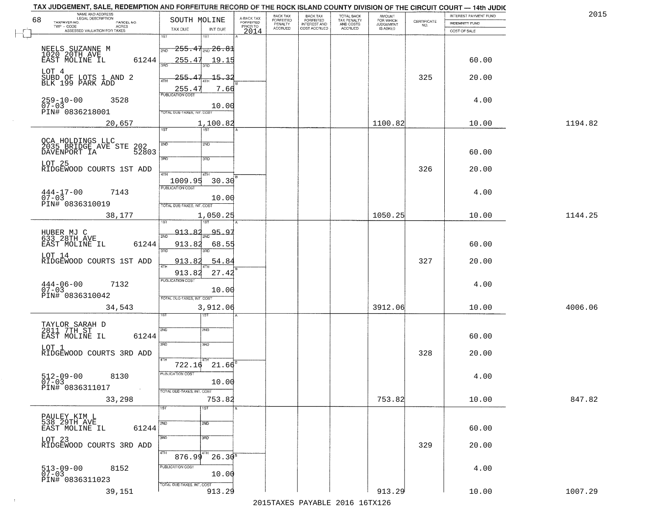| TAX JUDGEMENT, SALE, REDEMPTION AND FORFEITURE RECORD OF THE ROCK ISLAND COUNTY DIVISION OF THE CIRCUIT COURT - 14th JUDIC<br>NAME AND ADDRESS<br>LEGAL DESCRIPTION |                                                                                  |                                     | BACK TAX             | <b>BACK TAX</b>           |                                        | AMOUNT<br>FOR WHICH |                                                                 | INTEREST PAYMENT FUND | 2015    |
|---------------------------------------------------------------------------------------------------------------------------------------------------------------------|----------------------------------------------------------------------------------|-------------------------------------|----------------------|---------------------------|----------------------------------------|---------------------|-----------------------------------------------------------------|-----------------------|---------|
| 68<br>TAXPAYER NO.<br>PARCEL NO.<br>ACRES                                                                                                                           | SOUTH MOLINE                                                                     | A-BACK TAX<br>FORFEITED<br>PRIOR TO | FORFEITED<br>PENALTY | FORFEITED<br>INTEREST AND | TOTAL BACK<br>TAX PENALTY<br>AND COSTS | <b>JUDGEMENT</b>    | $\begin{array}{c} \text{CERTIFICATE} \\ \text{NO.} \end{array}$ | INDEMNITY FUND        |         |
| ASSESSED VALUATION FOR TAXES                                                                                                                                        | TAX DUE<br>INT DUE                                                               | 2014                                | <b>ACCRUED</b>       | COST ACCRUED              | ACCRUED                                | IS ASKED            |                                                                 | COST OF SALE          |         |
| NEELS SUZANNE M<br>1020 20TH AVE<br>EAST MOLINE IL<br>61244                                                                                                         | 1ST<br>18T<br>$-255.47_{\rm 200}$ $26.81$<br>2ND<br>255.47<br>19.15              |                                     |                      |                           |                                        |                     |                                                                 | 60.00                 |         |
| LOT 4<br>SUBD OF LOTS 1 AND 2<br>BLK 199 PARK ADD                                                                                                                   | 255.47<br>15.32                                                                  |                                     |                      |                           |                                        |                     | 325                                                             | 20.00                 |         |
| 259-10-00<br>07-03<br>3528<br>PIN# 0836218001                                                                                                                       | 255.47<br>7.66<br>10.00<br>TOTAL DUE-TAXES, INT, COST                            |                                     |                      |                           |                                        |                     |                                                                 | 4.00                  |         |
| 20,657                                                                                                                                                              | 1,100.82<br>1ST                                                                  |                                     |                      |                           |                                        | 1100.82             |                                                                 | 10.00                 | 1194.82 |
| QCA HOLDINGS LLC<br>2035 BRIDGE AVE STE<br>202<br>DAVENPORT IA<br>52803<br>LOT 25                                                                                   | 2ND<br>2ND<br>3RD<br>3RD                                                         |                                     |                      |                           |                                        |                     |                                                                 | 60.00                 |         |
| RIDGEWOOD COURTS 1ST ADD<br>$444 - 17 - 00$<br>7143<br>$07 - 03$                                                                                                    | 47H<br>4TH<br>1009.95<br>30.30<br>PUBLICATION COST<br>10.00                      |                                     |                      |                           |                                        |                     | 326                                                             | 20.00<br>4.00         |         |
| PIN# 0836310019<br>38,177                                                                                                                                           | TOTAL DUE-TAXES, INT. COST<br>1,050.25<br>isT<br>187                             |                                     |                      |                           |                                        | 1050.25             |                                                                 | 10.00                 | 1144.25 |
| HUBER MJ C<br>633 28TH AVE<br>EAST MOLINE IL<br>61244<br>LOT 14                                                                                                     | 95.9<br>913.82<br>2ND<br>913.82<br>68.55<br>3RD<br>3RD                           |                                     |                      |                           |                                        |                     |                                                                 | 60.00                 |         |
| RIDGEWOOD COURTS 1ST ADD                                                                                                                                            | 913.8<br>54.84<br>4TH<br>27.42<br>913.82                                         |                                     |                      |                           |                                        |                     | 327                                                             | 20.00                 |         |
| $444-06-00$<br>07-03<br>7132<br>PIN# 0836310042                                                                                                                     | <b>PUBLICATION COST</b><br>10.00<br>TOTAL OUE-TAXES, INT. COST                   |                                     |                      |                           |                                        |                     |                                                                 | 4.00                  |         |
| 34,543                                                                                                                                                              | 3,912.06<br>151                                                                  |                                     |                      |                           |                                        | 3912.06             |                                                                 | 10.00                 | 4006.06 |
| TAYLOR SARAH D<br>2811 7TH ST<br>EAST MOLINE IL<br>61244                                                                                                            | 2ND<br>2ND<br>3RD<br>3BD                                                         |                                     |                      |                           |                                        |                     |                                                                 | 60.00                 |         |
| LOT 1<br>RIDGEWOOD COURTS 3RD ADD                                                                                                                                   | 4TH                                                                              |                                     |                      |                           |                                        |                     | 328                                                             | 20.00                 |         |
| $512 - 09 - 00$<br>8130<br>$07 - 03$<br>PIN# 0836311017<br>$\sim 10^{11}$ km $^{-1}$                                                                                | $21.66^{B}$<br>722.16<br>-usuca i un cus-<br>10.00<br>TOTAL DUE-TAXES, INT. COST |                                     |                      |                           |                                        |                     |                                                                 | 4.00                  |         |
| 33,298                                                                                                                                                              | 753.82<br>1ST                                                                    |                                     |                      |                           |                                        | 753.82              |                                                                 | 10.00                 | 847.82  |
| PAULEY KIM L<br>538 29TH AVE<br>61244<br>EAST MOLINE IL                                                                                                             | 2ND<br>2ND                                                                       |                                     |                      |                           |                                        |                     |                                                                 | 60.00                 |         |
| LOT 23<br>RIDGEWOOD COURTS 3RD ADD                                                                                                                                  | 3RD<br>3BD<br>4TH<br>$876.99^{4}$<br>$26.30^{8}$                                 |                                     |                      |                           |                                        |                     | 329                                                             | 20.00                 |         |
| 513-09-00<br>07-03<br>8152<br>PIN# 0836311023                                                                                                                       | PUBLICATION COST<br>10.00<br>TOTAL DUE-TAXES, INT. COST                          |                                     |                      |                           |                                        |                     |                                                                 | 4.00                  |         |
| 39,151                                                                                                                                                              | 913.29                                                                           |                                     |                      |                           |                                        | 913.29              |                                                                 | 10.00                 | 1007.29 |

 $\sim 10^{-1}$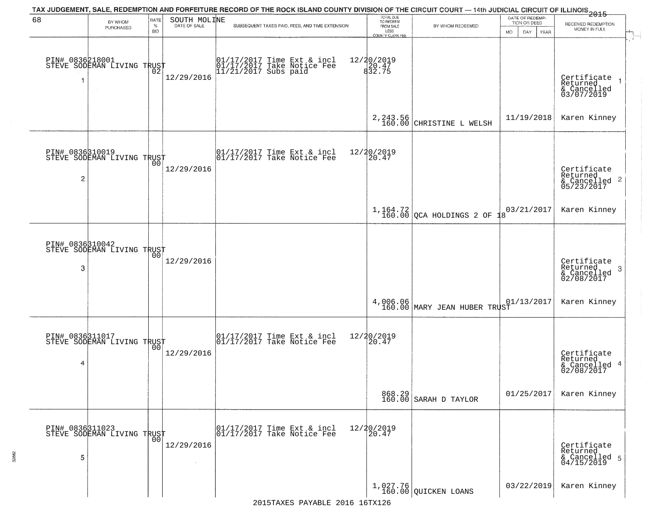| 68                   | BY WHOM<br>PURCHASED                                        | RATE<br>$\%$   | SOUTH MOLINE<br>DATE OF SALE | TAX JUDGEMENT, SALE, REDEMPTION AND FORFEITURE RECORD OF THE ROCK ISLAND COUNTY DIVISION OF THE CIRCUIT COURT — 14th JUDICIAL CIRCUIT OF ILLINOIS 2015<br>SUBSEQUENT TAXES PAID, FEES, AND TIME EXTENSION | TOTAL DUE<br>TO REDEEM<br>FROM SALE | BY WHOM REDEEMED                        | DATE OF REDEMP<br>TION OR DEED | RECEIVED REDEMPTION                                             |
|----------------------|-------------------------------------------------------------|----------------|------------------------------|-----------------------------------------------------------------------------------------------------------------------------------------------------------------------------------------------------------|-------------------------------------|-----------------------------------------|--------------------------------|-----------------------------------------------------------------|
|                      |                                                             | <b>BID</b>     |                              |                                                                                                                                                                                                           | LESS<br><b>COUNTY CLERK FEE</b>     |                                         | MO.<br>DAY.<br>YEAR            | MONEY IN FULL                                                   |
|                      | PIN# 0836218001    <br>STEVE SODEMAN LIVING TRUST<br>$\sim$ | ŌŽ.            | 12/29/2016                   | 01/17/2017 Time Ext & incl<br>01/17/2017 Take Notice Fee<br>11/21/2017 Subs paid                                                                                                                          | 12/20/2019<br>20.47<br>832.75       |                                         |                                | Certificate<br>Returned<br>& Cancelled<br>03/07/2019            |
|                      |                                                             |                |                              |                                                                                                                                                                                                           |                                     | $2, 243.56$<br>160.00 CHRISTINE L WELSH | 11/19/2018                     | Karen Kinney                                                    |
| $\overline{c}$       | PIN# 0836310019<br>STEVE SODEMAN LIVING TRUST               |                | 12/29/2016                   | $\begin{array}{cc}  01/17/2017 \text{ Time} & \text{Ext} & \text{incl} \\  01/17/2017 \text{ Take Notice } \text{Fe} \end{array}$                                                                         | 12/20/2019<br>20.47                 |                                         |                                | Certificate<br>Returned<br>$& \text{Cancelled}$ 2<br>05/23/2017 |
|                      |                                                             |                |                              |                                                                                                                                                                                                           |                                     | $1,164.72$ $200$ $20$ HOLDINGS 2 OF     | 03/21/2017<br>$\mathsf{R}$     | Karen Kinney                                                    |
| PIN# 0836310042<br>3 | STEVE SODEMAN LIVING TRUST                                  | 00             | 12/29/2016                   |                                                                                                                                                                                                           |                                     |                                         |                                | Certificate<br>Returned<br>3<br>& Cancelled<br>02/08/2017       |
|                      |                                                             |                |                              |                                                                                                                                                                                                           | 4,006.06<br>160.00                  | MARY JEAN HUBER TRUST                   | 01/13/2017                     | Karen Kinney                                                    |
| 4                    | PIN# 0836311017<br>STEVE SODEMAN LIVING TRUST               | 0 <sub>0</sub> | 12/29/2016                   | $\begin{bmatrix} 01/17/2017 \\ 01/17/2017 \end{bmatrix}$ Take Notice Fee                                                                                                                                  | 12/20/2019<br>20.47                 |                                         |                                | Certificate<br>Returned<br>4<br>& Cancelled<br>02/08/2017       |
|                      |                                                             |                |                              |                                                                                                                                                                                                           |                                     | 868.29<br>160.00 SARAH D TAYLOR         | 01/25/2017                     | Karen Kinney                                                    |
| 5                    | PIN# 0836311023    <br>STEVE SODEMAN LIVING TRUST           | 0 <sub>0</sub> | 12/29/2016<br>$\sim 10^{-1}$ | 01/17/2017 Time Ext & incl<br>01/17/2017 Take Notice Fee                                                                                                                                                  | 12/20/2019<br>20.47                 |                                         |                                | Certificate<br>Returned<br>& Cancelled 5<br>04/15/2019          |
|                      |                                                             |                |                              |                                                                                                                                                                                                           |                                     | 1,027.76<br>160.00 QUICKEN LOANS        | 03/22/2019                     | Karen Kinney                                                    |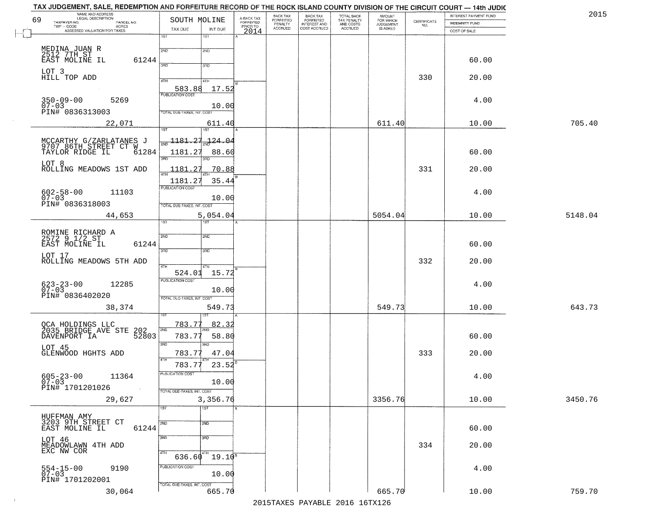| 69        | NAME AND ADDRESS<br>LEGAL DESCRIPTION                                        | SOUTH MOLINE                               | A-BACK TAX            | BACK TAX<br><b>FORFEITED</b> | <b>BACK TAX</b><br><b>FORFEITED</b> | TOTAL BACK<br>TAX PENALTY<br>AND COSTS<br>ACCRUED | <b>AMOUNT</b>                      |                                                                 | INTEREST PAYMENT FUND | 2015    |
|-----------|------------------------------------------------------------------------------|--------------------------------------------|-----------------------|------------------------------|-------------------------------------|---------------------------------------------------|------------------------------------|-----------------------------------------------------------------|-----------------------|---------|
|           | TAXPAYER NO.<br>PARCEL NO.<br>TWP - CODE<br><b>ACRES</b>                     |                                            | FORFEITED<br>PRIOR TO | PENALTY<br>ACCRUED           | INTEREST AND<br>COST ACCRUED        |                                                   | FOR WHICH<br>JUDGEMENT<br>IS ASKED | $\begin{array}{c} \text{CERTIFICATE} \\ \text{NO.} \end{array}$ | INDEMNITY FUND        |         |
|           | ASSESSED VALUATION FOR TAXES                                                 | TAX DUE<br>INT DUE<br>1ST<br>1ST           | 2014                  |                              |                                     |                                                   |                                    |                                                                 | COST OF SALE          |         |
|           |                                                                              |                                            |                       |                              |                                     |                                                   |                                    |                                                                 |                       |         |
|           | MEDINA JUAN R<br>2512 7TH ST<br>EAST MOLINE IL                               | 2ND<br>2ND                                 |                       |                              |                                     |                                                   |                                    |                                                                 |                       |         |
|           | 61244                                                                        | 390<br>3RD                                 |                       |                              |                                     |                                                   |                                    |                                                                 | 60.00                 |         |
| LOT 3     |                                                                              |                                            |                       |                              |                                     |                                                   |                                    |                                                                 |                       |         |
|           | HILL TOP ADD                                                                 | 4TH<br>4TH                                 |                       |                              |                                     |                                                   |                                    | 330                                                             | 20.00                 |         |
|           |                                                                              | 583.88<br>17.52<br><b>PUBLICATION COST</b> |                       |                              |                                     |                                                   |                                    |                                                                 |                       |         |
|           | $350 - 09 - 00$<br>5269                                                      |                                            |                       |                              |                                     |                                                   |                                    |                                                                 | 4.00                  |         |
| $07 - 03$ | PIN# 0836313003                                                              | 10.00<br><b>TOTAL DUE-TAXES, INT. COST</b> |                       |                              |                                     |                                                   |                                    |                                                                 |                       |         |
|           | 22,071                                                                       | 611.40                                     |                       |                              |                                     |                                                   | 611.40                             |                                                                 | 10.00                 | 705.40  |
|           |                                                                              | 1ST.<br>1ST                                |                       |                              |                                     |                                                   |                                    |                                                                 |                       |         |
|           |                                                                              | $-1181.27$<br>124.04                       |                       |                              |                                     |                                                   |                                    |                                                                 |                       |         |
|           | MCCARTHY G/ZARLATANES J<br>9707 86TH STREET CT W<br>TAYLOR RIDGE IL<br>61284 | 1181.2<br>88.60                            |                       |                              |                                     |                                                   |                                    |                                                                 | 60.00                 |         |
|           |                                                                              | 3RD                                        |                       |                              |                                     |                                                   |                                    |                                                                 |                       |         |
| LOT 8     | ROLLING MEADOWS 1ST ADD                                                      | 1181<br>っ<br>70.88                         |                       |                              |                                     |                                                   |                                    | 331                                                             | 20.00                 |         |
|           |                                                                              | 1181.27<br>35.44                           |                       |                              |                                     |                                                   |                                    |                                                                 |                       |         |
|           | 11103                                                                        | PUBLICATION COST                           |                       |                              |                                     |                                                   |                                    |                                                                 | 4.00                  |         |
|           | $602 - 58 - 00$<br>07-03                                                     | 10.00                                      |                       |                              |                                     |                                                   |                                    |                                                                 |                       |         |
|           | PIN# 0836318003                                                              | TOTAL DUE-TAXES, INT. COST                 |                       |                              |                                     |                                                   |                                    |                                                                 |                       |         |
|           | 44,653                                                                       | 5,054.04<br>ist.<br>1ST                    |                       |                              |                                     |                                                   | 5054.04                            |                                                                 | 10.00                 | 5148.04 |
|           |                                                                              |                                            |                       |                              |                                     |                                                   |                                    |                                                                 |                       |         |
|           | ROMINE RICHARD A<br>2572 9 1/2 ST                                            | 2ND<br>2ND                                 |                       |                              |                                     |                                                   |                                    |                                                                 |                       |         |
|           | EAST MOLINE IL<br>61244                                                      | 3RD<br>3 <sub>3</sub>                      |                       |                              |                                     |                                                   |                                    |                                                                 | 60.00                 |         |
| LOT 17    | ROLLING MEADOWS 5TH ADD                                                      |                                            |                       |                              |                                     |                                                   |                                    | 332                                                             | 20.00                 |         |
|           |                                                                              | 4TH                                        |                       |                              |                                     |                                                   |                                    |                                                                 |                       |         |
|           |                                                                              | 524.01<br>15.72<br><b>PUBLICATION COST</b> |                       |                              |                                     |                                                   |                                    |                                                                 |                       |         |
|           | $623 - 23 - 00$<br>07-03<br>12285                                            | 10.00                                      |                       |                              |                                     |                                                   |                                    |                                                                 | 4.00                  |         |
|           | PIN# 0836402020                                                              | TOTAL OUE-TAXES, INT. COST                 |                       |                              |                                     |                                                   |                                    |                                                                 |                       |         |
|           | 38,374                                                                       | 549.73                                     |                       |                              |                                     |                                                   | 549.73                             |                                                                 | 10.00                 | 643.73  |
|           |                                                                              |                                            |                       |                              |                                     |                                                   |                                    |                                                                 |                       |         |
|           | OCA HOLDINGS LLC<br>2035 BRIDGE AVE STE                                      | 783.77<br>82.32<br>2ND                     |                       |                              |                                     |                                                   |                                    |                                                                 |                       |         |
|           | 202<br>52803<br>DAVENPORT IA                                                 | 783.7<br>58.80                             |                       |                              |                                     |                                                   |                                    |                                                                 | 60.00                 |         |
| LOT 45    |                                                                              | 3RD<br>3BD                                 |                       |                              |                                     |                                                   |                                    |                                                                 |                       |         |
|           | GLENWOOD HGHTS ADD                                                           | 783.77<br>47.04                            |                       |                              |                                     |                                                   |                                    | 333                                                             | 20.00                 |         |
|           |                                                                              | 23.52<br>783.77                            |                       |                              |                                     |                                                   |                                    |                                                                 |                       |         |
|           | $605 - 23 - 00$<br>07-03<br>11364                                            | PUBLICATION COST                           |                       |                              |                                     |                                                   |                                    |                                                                 | 4.00                  |         |
|           | PIN# 1701201026                                                              | 10.00                                      |                       |                              |                                     |                                                   |                                    |                                                                 |                       |         |
|           |                                                                              | TOTAL DUE-TAXES, INT. COST                 |                       |                              |                                     |                                                   | 3356.76                            |                                                                 | 10.00                 | 3450.76 |
|           | 29,627                                                                       | 3,356.76<br>$\overline{1ST}$<br>1ST        |                       |                              |                                     |                                                   |                                    |                                                                 |                       |         |
|           | HUFFMAN AMY                                                                  |                                            |                       |                              |                                     |                                                   |                                    |                                                                 |                       |         |
|           | 3203 9TH STREET CT<br>EAST MOLINE IL<br>61244                                | 2ND<br>2ND                                 |                       |                              |                                     |                                                   |                                    |                                                                 | 60.00                 |         |
|           |                                                                              | 3RD<br>3 <sub>BD</sub>                     |                       |                              |                                     |                                                   |                                    |                                                                 |                       |         |
| LOT 46    |                                                                              |                                            |                       |                              |                                     |                                                   |                                    | 334                                                             | 20.00                 |         |
|           | MEADOWLAWN 4TH ADD<br>EXC NW COR                                             | 4TH<br>$\sqrt[411]{19.10^8}$<br>636.60     |                       |                              |                                     |                                                   |                                    |                                                                 |                       |         |
|           |                                                                              | PUBLICATION COST                           |                       |                              |                                     |                                                   |                                    |                                                                 |                       |         |
|           | 9190<br>554-15-00<br>07-03                                                   | 10.00                                      |                       |                              |                                     |                                                   |                                    |                                                                 | 4.00                  |         |
|           | PIN# 1701202001                                                              | TOTAL DUE-TAXES, INT. COST                 |                       |                              |                                     |                                                   |                                    |                                                                 |                       |         |
|           | 30,064                                                                       | 665.70                                     |                       |                              |                                     |                                                   | 665.70                             |                                                                 | 10.00                 | 759.70  |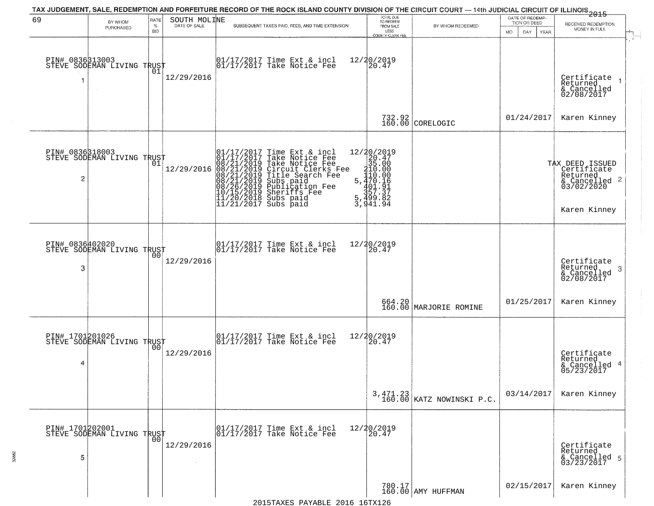| 69                    | BY WHOM                                           | RATE        | SOUTH MOLINE | TAX JUDGEMENT, SALE, REDEMPTION AND FORFEITURE RECORD OF THE ROCK ISLAND COUNTY DIVISION OF THE CIRCUIT COURT — 14th JUDICIAL CIRCUIT OF ILLINOIS 2015                                                                                                | TOTAL DUE<br>TO REDEEM                                                                                                    |                                         | DATE OF REDEMP-<br>TION OR DEED | RECEIVED REDEMPTION                                                                                       |
|-----------------------|---------------------------------------------------|-------------|--------------|-------------------------------------------------------------------------------------------------------------------------------------------------------------------------------------------------------------------------------------------------------|---------------------------------------------------------------------------------------------------------------------------|-----------------------------------------|---------------------------------|-----------------------------------------------------------------------------------------------------------|
|                       | PURCHASED                                         | $\%$<br>BID |              | SUBSEQUENT TAXES PAID, FEES, AND TIME EXTENSION                                                                                                                                                                                                       | FROM SALE<br>LESS<br>COUNTY CLERK FEE                                                                                     | BY WHOM REDEEMED                        | <b>MO</b><br>DAY<br>YEAR        | MONEY IN FULL                                                                                             |
| PIN# 0836313003<br>-1 | STEVE SODEMAN LIVING TRUST                        | 01          | 12/29/2016   | 01/17/2017 Time Ext & incl<br>01/17/2017 Take Notice Fee                                                                                                                                                                                              | 12/20/2019<br>20.47                                                                                                       |                                         |                                 | Certificate<br>Returned<br>& Cancelled<br>02/08/2017                                                      |
|                       |                                                   |             |              |                                                                                                                                                                                                                                                       |                                                                                                                           | 732.92<br>160.00 CORELOGIC              | 01/24/2017                      | Karen Kinney                                                                                              |
| 2                     | PIN# 0836318003    <br>STEVE SODEMAN LIVING TRUST | 01          | 12/29/2016   | 01/17/2017 Time Ext & incl<br>01/17/2017 Take Notice Fee<br>08/21/2019 Take Notice Fee<br>08/21/2019 Circuit Clerks Fee<br>08/21/2019 Title Search Fee<br>08/21/2019 Subs paid<br>08/26/2019 Sheriffs Fee<br>10/15/2019 Sheriffs Fee<br>11/20/2018 Su | $\begin{array}{r} 12/20/2019 \\20.47 \\35.00 \\110.00 \\5.470.16 \\401.91 \\5.490.31 \end{array}$<br>5,499.82<br>3,941.94 |                                         |                                 | TAX DEED ISSUED<br>  Certificate<br>  Returned<br>$\frac{1}{6}$ Cancelled 2<br>03/02/2020<br>Karen Kinney |
| PIN# 0836402020<br>3  | STEVE SODEMAN LIVING TRUST                        | 00          | 12/29/2016   | $\begin{array}{ccc}  01/17/2017 \text{ Time} & \text{Ext} & \text{incl} \\  01/17/2017 \text{ Take Notice } \text{Fe} \end{array}$                                                                                                                    | 12/20/2019<br>20.47                                                                                                       |                                         |                                 | Certificate<br>Returned<br>-3<br>& Cancelled<br>02/08/2017                                                |
|                       |                                                   |             |              |                                                                                                                                                                                                                                                       |                                                                                                                           | 664.20<br>160.00 MARJORIE ROMINE        | 01/25/2017                      | Karen Kinney                                                                                              |
| 4                     | PIN# 1701201026<br>STEVE SODEMAN LIVING TRUST     |             | 12/29/2016   | $\begin{array}{cc} 01/17/2017 & \text{Time Ext} & \text{incl} \\ 01/17/2017 & \text{Take Notice Fee} \end{array}$                                                                                                                                     | 12/20/2019<br>20.47                                                                                                       |                                         |                                 | Certificate<br>Returned<br>& Cancelled 4<br>05/23/2017                                                    |
|                       |                                                   |             |              |                                                                                                                                                                                                                                                       |                                                                                                                           | $3,471.23$<br>160.00 KATZ NOWINSKI P.C. | 03/14/2017                      | Karen Kinney                                                                                              |
| 5                     | PIN# 1701202001<br>STEVE SODEMAN LIVING TRUST     |             | 12/29/2016   | 01/17/2017 Time Ext & incl<br>01/17/2017 Take Notice Fee                                                                                                                                                                                              | 12/20/2019<br>20.47                                                                                                       |                                         |                                 | Certificate<br>Returned<br>& Cancelled 5<br>03/23/2017                                                    |
|                       |                                                   |             |              |                                                                                                                                                                                                                                                       |                                                                                                                           | 780.17<br>160.00 AMY HUFFMAN            | 02/15/2017                      | Karen Kinney                                                                                              |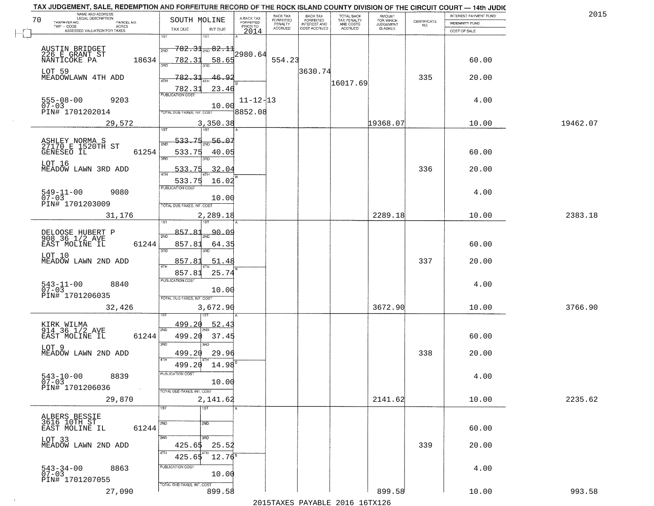|    | TAX JUDGEMENT, SALE, REDEMPTION AND FORFEITURE RECORD OF THE ROCK ISLAND COUNTY DIVISION OF THE CIRCUIT COURT - 14th JUDIC<br>NAME AND ADDRESS<br><b>LEGAL DESCRIPTION</b> |                                            |                         | <b>BACK TAX</b>             |                                       |                                        |                                  |                                                                 | INTEREST PAYMENT FUND | 2015     |
|----|----------------------------------------------------------------------------------------------------------------------------------------------------------------------------|--------------------------------------------|-------------------------|-----------------------------|---------------------------------------|----------------------------------------|----------------------------------|-----------------------------------------------------------------|-----------------------|----------|
| 70 | TAXPAYER NO.<br>PARCEL NO.                                                                                                                                                 | SOUTH MOLINE                               | A-BACK TAX<br>FORFEITED | <b>FORFEITED</b><br>PENALTY | BACK TAX<br>FORFEITED<br>INTEREST AND | TOTAL BACK<br>TAX PENALTY<br>AND COSTS | AMOUNT<br>FOR WHICH<br>JUDGEMENT | $\begin{array}{c} \text{CERTIFICATE} \\ \text{NO.} \end{array}$ | <b>INDEMNITY FUND</b> |          |
|    | TWP - CODE<br>ACRES<br>ASSESSED VALUATION FOR TAXES                                                                                                                        | INT DUE<br>TAX DUE                         | PRIOR TO<br>2014        | <b>ACCRUED</b>              | COST ACCRUED                          | ACCRUED                                | IS ASKED                         |                                                                 | COST OF SALE          |          |
|    |                                                                                                                                                                            | 1ST<br>1ST                                 |                         |                             |                                       |                                        |                                  |                                                                 |                       |          |
|    |                                                                                                                                                                            | <del>782.31<sub>200</sub>82.1</del>        |                         |                             |                                       |                                        |                                  |                                                                 |                       |          |
|    | AUSTIN BRIDGET<br>226 E GRANT ST                                                                                                                                           | 2ND                                        | 2980.64                 |                             |                                       |                                        |                                  |                                                                 |                       |          |
|    | 18634<br>NANTICOKE PA                                                                                                                                                      | 782.31<br>58.65<br>350                     |                         | 554.23                      |                                       |                                        |                                  |                                                                 | 60.00                 |          |
|    | LOT 59                                                                                                                                                                     |                                            |                         |                             | 3630.74                               |                                        |                                  |                                                                 |                       |          |
|    | MEADOWLAWN 4TH ADD                                                                                                                                                         | 782.31<br>46.92<br>ATH                     |                         |                             |                                       |                                        |                                  | 335                                                             | 20.00                 |          |
|    |                                                                                                                                                                            |                                            |                         |                             |                                       | 16017.69                               |                                  |                                                                 |                       |          |
|    |                                                                                                                                                                            | 23.46<br>782.31<br><b>PUBLICATION COST</b> |                         |                             |                                       |                                        |                                  |                                                                 |                       |          |
|    | $555 - 08 - 00$<br>07-03<br>9203                                                                                                                                           |                                            | $11 - 12 - 13$          |                             |                                       |                                        |                                  |                                                                 | 4.00                  |          |
|    | PIN# 1701202014                                                                                                                                                            | 10.00                                      | 3852.08                 |                             |                                       |                                        |                                  |                                                                 |                       |          |
|    |                                                                                                                                                                            | TOTAL DUE-TAXES, INT. COST                 |                         |                             |                                       |                                        |                                  |                                                                 |                       |          |
|    | 29,572                                                                                                                                                                     | 3,350.38                                   |                         |                             |                                       |                                        | 19368.07                         |                                                                 | 10.00                 | 19462.07 |
|    |                                                                                                                                                                            |                                            |                         |                             |                                       |                                        |                                  |                                                                 |                       |          |
|    |                                                                                                                                                                            | 533 75<br>56.07                            |                         |                             |                                       |                                        |                                  |                                                                 |                       |          |
|    | ASHLEY NORMA S<br>27170 E 1520TH ST                                                                                                                                        |                                            |                         |                             |                                       |                                        |                                  |                                                                 |                       |          |
|    | GENESEO IL<br>61254                                                                                                                                                        | 533.75<br>40.05<br>उन्नठ                   |                         |                             |                                       |                                        |                                  |                                                                 | 60.00                 |          |
|    | LOT 16                                                                                                                                                                     |                                            |                         |                             |                                       |                                        |                                  |                                                                 |                       |          |
|    | MEADOW LAWN 3RD ADD                                                                                                                                                        | 533.75<br>32.04                            |                         |                             |                                       |                                        |                                  | 336                                                             | 20.00                 |          |
|    |                                                                                                                                                                            | 533.75<br>16.02                            |                         |                             |                                       |                                        |                                  |                                                                 |                       |          |
|    |                                                                                                                                                                            | PUBLICATION COST                           |                         |                             |                                       |                                        |                                  |                                                                 |                       |          |
|    | $549 - 11 - 00$<br>9080<br>$07 - 03$                                                                                                                                       | 10.00                                      |                         |                             |                                       |                                        |                                  |                                                                 | 4.00                  |          |
|    | PIN# 1701203009                                                                                                                                                            | TOTAL DUE-TAXES, INT. COST                 |                         |                             |                                       |                                        |                                  |                                                                 |                       |          |
|    |                                                                                                                                                                            |                                            |                         |                             |                                       |                                        | 2289.18                          |                                                                 |                       | 2383.18  |
|    | 31,176                                                                                                                                                                     | 2,289.18<br>1ST                            |                         |                             |                                       |                                        |                                  |                                                                 | 10.00                 |          |
|    |                                                                                                                                                                            |                                            |                         |                             |                                       |                                        |                                  |                                                                 |                       |          |
|    | DELOOSE HUBERT P<br>908 36 1/2 AVE                                                                                                                                         | 857.81<br><u>90.09</u><br>2ND              |                         |                             |                                       |                                        |                                  |                                                                 |                       |          |
|    | EAST MOLINE IL<br>61244                                                                                                                                                    | 857.81<br>64.35                            |                         |                             |                                       |                                        |                                  |                                                                 | 60.00                 |          |
|    |                                                                                                                                                                            | 3RD<br>3RD                                 |                         |                             |                                       |                                        |                                  |                                                                 |                       |          |
|    | LOT 10<br>MEADOW LAWN 2ND ADD                                                                                                                                              | 857.8<br>51.48                             |                         |                             |                                       |                                        |                                  | 337                                                             | 20.00                 |          |
|    |                                                                                                                                                                            | ATH                                        |                         |                             |                                       |                                        |                                  |                                                                 |                       |          |
|    |                                                                                                                                                                            | 25.74<br>857.81                            |                         |                             |                                       |                                        |                                  |                                                                 |                       |          |
|    | 8840                                                                                                                                                                       | PUBLICATION COST                           |                         |                             |                                       |                                        |                                  |                                                                 | 4.00                  |          |
|    | $543 - 11 - 00$<br>07-03                                                                                                                                                   | 10.00                                      |                         |                             |                                       |                                        |                                  |                                                                 |                       |          |
|    | PIN# 1701206035                                                                                                                                                            | TOTAL OUE-TAXES, INT. COST                 |                         |                             |                                       |                                        |                                  |                                                                 |                       |          |
|    | 32,426                                                                                                                                                                     | 3,672.90                                   |                         |                             |                                       |                                        | 3672.90                          |                                                                 | 10.00                 | 3766.90  |
|    |                                                                                                                                                                            |                                            |                         |                             |                                       |                                        |                                  |                                                                 |                       |          |
|    |                                                                                                                                                                            | 499.20<br>52.4                             |                         |                             |                                       |                                        |                                  |                                                                 |                       |          |
|    | KIRK WILMA<br>914 36 1/2 AVE                                                                                                                                               | 2ND                                        |                         |                             |                                       |                                        |                                  |                                                                 |                       |          |
|    | EAST MOLINE IL<br>61244                                                                                                                                                    | 499.20<br>37.45                            |                         |                             |                                       |                                        |                                  |                                                                 | 60.00                 |          |
|    | LOT 9                                                                                                                                                                      | 3RD<br>3RD                                 |                         |                             |                                       |                                        |                                  |                                                                 |                       |          |
|    | MEADOW LAWN 2ND ADD                                                                                                                                                        | 499.20<br>29.96                            |                         |                             |                                       |                                        |                                  | 338                                                             | 20.00                 |          |
|    |                                                                                                                                                                            | 4TH<br>499.20<br>14.98                     |                         |                             |                                       |                                        |                                  |                                                                 |                       |          |
|    |                                                                                                                                                                            | ruslica i IUN COS                          |                         |                             |                                       |                                        |                                  |                                                                 |                       |          |
|    | $543 - 10 - 00$<br>8839<br>$07 - 03$                                                                                                                                       | 10.00                                      |                         |                             |                                       |                                        |                                  |                                                                 | 4.00                  |          |
|    | PIN# 1701206036                                                                                                                                                            | TOTAL DUE-TAXES, INT. COST                 |                         |                             |                                       |                                        |                                  |                                                                 |                       |          |
|    |                                                                                                                                                                            |                                            |                         |                             |                                       |                                        |                                  |                                                                 |                       |          |
|    | 29,870                                                                                                                                                                     | 2,141.62                                   |                         |                             |                                       |                                        | 2141.62                          |                                                                 | 10.00                 | 2235.62  |
|    |                                                                                                                                                                            | 1ST<br>1ST                                 |                         |                             |                                       |                                        |                                  |                                                                 |                       |          |
|    | ALBERS BESSIE<br>3616 10TH ST_                                                                                                                                             |                                            |                         |                             |                                       |                                        |                                  |                                                                 |                       |          |
|    | 61244<br>EAST MOLINE IL                                                                                                                                                    | 2ND<br>2ND                                 |                         |                             |                                       |                                        |                                  |                                                                 | 60.00                 |          |
|    |                                                                                                                                                                            | 3RD<br>3RD.                                |                         |                             |                                       |                                        |                                  |                                                                 |                       |          |
|    | LOT 33<br>MEADOW LAWN 2ND ADD                                                                                                                                              | 25.52<br>425.65                            |                         |                             |                                       |                                        |                                  | 339                                                             | 20.00                 |          |
|    |                                                                                                                                                                            | 4TH                                        |                         |                             |                                       |                                        |                                  |                                                                 |                       |          |
|    |                                                                                                                                                                            | $12.76^8$<br>425.65                        |                         |                             |                                       |                                        |                                  |                                                                 |                       |          |
|    | 8863                                                                                                                                                                       | PUBLICATION COST                           |                         |                             |                                       |                                        |                                  |                                                                 | 4.00                  |          |
|    | $543 - 34 - 00$<br>07-03                                                                                                                                                   | 10.00                                      |                         |                             |                                       |                                        |                                  |                                                                 |                       |          |
|    | PIN# 1701207055                                                                                                                                                            | TOTAL DUE-TAXES, INT. COST                 |                         |                             |                                       |                                        |                                  |                                                                 |                       |          |
|    | 27,090                                                                                                                                                                     | 899.58                                     |                         |                             |                                       |                                        | 899.58                           |                                                                 | 10.00                 | 993.58   |
|    |                                                                                                                                                                            |                                            |                         | $0.01$ Ema $\overline{3}$   |                                       | 0.01                                   | $C$ matri $\theta$ $\theta$      |                                                                 |                       |          |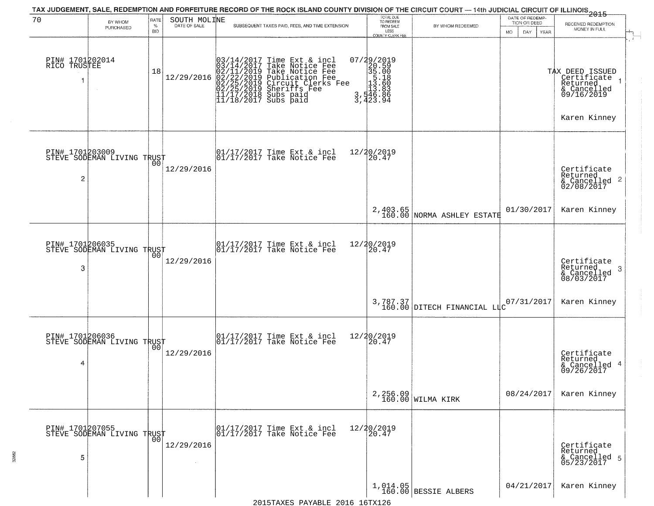| 70                                | BY WHOM                                           | RATE               | SOUTH MOLINE | TAX JUDGEMENT, SALE, REDEMPTION AND FORFEITURE RECORD OF THE ROCK ISLAND COUNTY DIVISION OF THE CIRCUIT COURT — 14th JUDICIAL CIRCUIT OF ILLINOIS 2015                                                                                     | TOTAL DUE<br>TO REDEEM                                                                               |                                         | DATE OF REDEMP-<br>TION OR DEED | RECEIVED REDEMPTION                                                                     |
|-----------------------------------|---------------------------------------------------|--------------------|--------------|--------------------------------------------------------------------------------------------------------------------------------------------------------------------------------------------------------------------------------------------|------------------------------------------------------------------------------------------------------|-----------------------------------------|---------------------------------|-----------------------------------------------------------------------------------------|
|                                   | <b>PURCHASED</b>                                  | $\%$<br><b>BID</b> | DATE OF SALE | SUBSEQUENT TAXES PAID, FEES, AND TIME EXTENSION                                                                                                                                                                                            | FROM SALE<br>LESS<br><b>COUNTY CLERK FEE</b>                                                         | BY WHOM REDEEMED                        | MO.<br>DAY.<br><b>YEAR</b>      | MONEY IN FULL                                                                           |
| PIN# 1701202014<br>RICO TRUSTEE   |                                                   | 18                 | 12/29/2016   | $03/14/2017$ Time Ext & incl<br>$03/14/2017$ Take Notice Fee<br>$02/11/2019$ Take Notice Fee<br>$02/22/2019$ Publication Fee<br>$02/25/2019$ Sheriffs Fee<br>$02/25/2019$ Sheriffs Fee<br>$11/17/2018$ Subs paid<br>$11/18/2017$ Subs paid | $\begin{smallmatrix} 07/29/2019\\20.59\\35.00\\15.18\\113.883\\3,446.86\\3,423.94 \end{smallmatrix}$ |                                         |                                 | TAX DEED ISSUED<br>Certificate<br>Returned<br>& Cancelled<br>09/16/2019<br>Karen Kinney |
| PIN# 1701203009<br>$\overline{c}$ | STEVE SODEMAN LIVING TRUST                        | 00 <sup>o</sup>    | 12/29/2016   | $\begin{array}{cc}  01/17/2017 \text{ Time} & \text{Ext} & \text{incl} \\  01/17/2017 \text{ Take Notice } \text{Fe} \end{array}$                                                                                                          | 12/20/2019<br>20.47                                                                                  |                                         |                                 | Certificate<br>Returned<br>& Cancelled 2<br>02/08/2017                                  |
|                                   |                                                   |                    |              |                                                                                                                                                                                                                                            |                                                                                                      | 2,403.65<br>160.00 NORMA ASHLEY ESTATE  | 01/30/2017                      | Karen Kinney                                                                            |
| PIN# 1701206035<br>3              | STEVE SODEMAN LIVING TRUST                        | 00                 | 12/29/2016   | 01/17/2017 Time Ext & incl<br>01/17/2017 Take Notice Fee                                                                                                                                                                                   | 12/20/2019<br>20.47                                                                                  |                                         |                                 | Certificate<br>Returned<br>3<br>& Cancelled<br>08/03/2017                               |
|                                   |                                                   |                    |              |                                                                                                                                                                                                                                            |                                                                                                      | 3,787.37<br>160.00 DITECH FINANCIAL LLC | 07/31/2017                      | Karen Kinney                                                                            |
| 4                                 | PIN# 1701206036    <br>STEVE SODEMAN LIVING TRUST | 00                 | 12/29/2016   | 01/17/2017 Time Ext & incl<br>01/17/2017 Take Notice Fee                                                                                                                                                                                   | 12/20/2019<br>20.47                                                                                  |                                         |                                 | Certificate<br>Returned<br>& Cancelled 4<br>09/26/2017                                  |
|                                   |                                                   |                    |              |                                                                                                                                                                                                                                            |                                                                                                      | 2,256.09<br>160.00 WILMA KIRK           | 08/24/2017                      | Karen Kinney                                                                            |
| 5                                 | PIN# 1701207055    <br>STEVE SODEMAN LIVING TRUST | 0 <sub>0</sub>     | 12/29/2016   | 01/17/2017 Time Ext & incl<br>01/17/2017 Take Notice Fee                                                                                                                                                                                   | 12/20/2019<br>20.47                                                                                  |                                         |                                 | Certificate<br>Returned<br>& Cancelled 5<br>05/23/2017                                  |
|                                   |                                                   |                    |              |                                                                                                                                                                                                                                            |                                                                                                      | $1,014.05$ BESSIE ALBERS                | 04/21/2017                      | Karen Kinney                                                                            |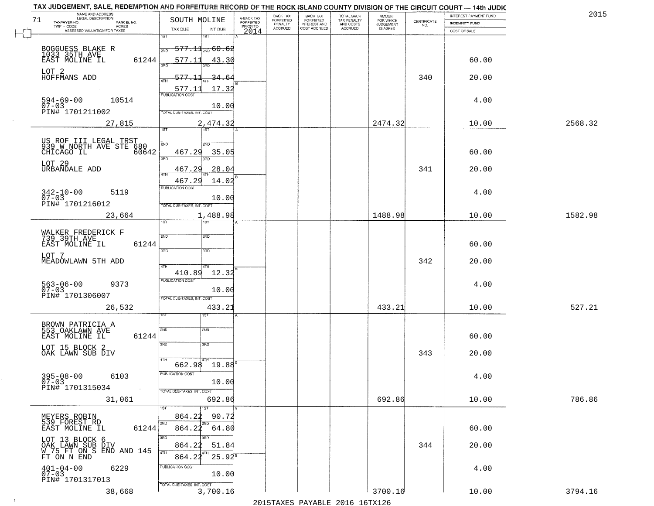|         | INTEREST PAYMENT FUND |                                                                 | <b>AMOUNT</b>                      |                                                   |                                                       | BACK TAX<br><b>FORFEITED</b> | A-BACK TAX<br>FORFEITED | SOUTH MOLINE                            |                            | NAME AND ADDRESS<br>LEGAL DESCRIPTION<br>71                 |
|---------|-----------------------|-----------------------------------------------------------------|------------------------------------|---------------------------------------------------|-------------------------------------------------------|------------------------------|-------------------------|-----------------------------------------|----------------------------|-------------------------------------------------------------|
|         | INDEMNITY FUND        | $\begin{array}{c} \text{CERTIFICATE} \\ \text{NO.} \end{array}$ | FOR WHICH<br>JUDGEMENT<br>IS ASKED | TOTAL BACK<br>TAX PENALTY<br>AND COSTS<br>ACCRUED | BACK TAX<br>FORFEITED<br>INTEREST AND<br>COST ACCRUED | PENALTY<br>ACCRUED           | PRIOR TO                |                                         | PARCEL NO.<br><b>ACRES</b> | TAXPAYER NO.<br>TWP - CODE                                  |
|         | COST OF SALE          |                                                                 |                                    |                                                   |                                                       |                              | 2014                    | TAX DUE<br>INT DUE<br>1ST<br>1ST        |                            | ASSESSED VALUATION FOR TAXES                                |
|         |                       |                                                                 |                                    |                                                   |                                                       |                              |                         | $-577.11_{\text{2ND}} 60.62$            |                            |                                                             |
|         |                       |                                                                 |                                    |                                                   |                                                       |                              |                         | <b>DND</b>                              |                            | BOGGUESS BLAKE R<br>1033 35TH AVE                           |
|         | 60.00                 |                                                                 |                                    |                                                   |                                                       |                              |                         | 577.11<br>43.30                         | 61244                      | EAST MOLINE IL                                              |
|         | 20.00                 | 340                                                             |                                    |                                                   |                                                       |                              |                         | 577.11<br>34.64<br>ATH                  |                            | LOT 2<br>HOFFMANS ADD                                       |
|         |                       |                                                                 |                                    |                                                   |                                                       |                              |                         | 577.11<br>17.32                         |                            |                                                             |
|         | 4.00                  |                                                                 |                                    |                                                   |                                                       |                              |                         | <b>PUBLICATION COST</b>                 | 10514                      | $594 - 69 - 00$                                             |
|         |                       |                                                                 |                                    |                                                   |                                                       |                              |                         | 10.00<br>TOTAL DUE-TAXES, INT. COST     |                            | 07-03<br>PIN# 1701211002                                    |
| 2568.32 | 10.00                 |                                                                 | 2474.32                            |                                                   |                                                       |                              |                         | 2,474.32                                | 27,815                     |                                                             |
|         |                       |                                                                 |                                    |                                                   |                                                       |                              |                         | 1ST<br>1ST                              |                            |                                                             |
|         |                       |                                                                 |                                    |                                                   |                                                       |                              |                         | 2ND<br>2ND                              |                            | US ROF III LEGAL TRST<br>939 W NORTH AVE STE 680            |
|         | 60.00                 |                                                                 |                                    |                                                   |                                                       |                              |                         | 467.29<br>35.05                         | 60642                      | CHICAGO IL                                                  |
|         |                       |                                                                 |                                    |                                                   |                                                       |                              |                         | 3RD                                     |                            | LOT 29                                                      |
|         | 20.00                 | 341                                                             |                                    |                                                   |                                                       |                              |                         | 467.<br>28.04<br>29<br>$\overline{ATH}$ |                            | URBANDALE ADD                                               |
|         |                       |                                                                 |                                    |                                                   |                                                       |                              |                         | 14.02<br>467.29<br>PUBLICATION COST     |                            |                                                             |
|         | 4.00                  |                                                                 |                                    |                                                   |                                                       |                              |                         | 10.00                                   | 5119                       | $342 - 10 - 00$<br>07-03                                    |
|         |                       |                                                                 |                                    |                                                   |                                                       |                              |                         | TOTAL DUE-TAXES, INT. COST              |                            | PIN# 1701216012                                             |
| 1582.98 | 10.00                 |                                                                 | 1488.98                            |                                                   |                                                       |                              |                         | 1,488.98                                | 23,664                     |                                                             |
|         |                       |                                                                 |                                    |                                                   |                                                       |                              |                         | ist.<br>181                             |                            |                                                             |
|         |                       |                                                                 |                                    |                                                   |                                                       |                              |                         | 2ND<br>2ND                              |                            | WALKER FREDERICK F<br>739 39TH AVE                          |
|         | 60.00                 |                                                                 |                                    |                                                   |                                                       |                              |                         | 3RD<br>3 <sub>3</sub>                   | 61244                      | EAST MOLINE IL                                              |
|         | 20.00                 | 342                                                             |                                    |                                                   |                                                       |                              |                         |                                         |                            | LOT 7<br>MEADOWLAWN 5TH ADD                                 |
|         |                       |                                                                 |                                    |                                                   |                                                       |                              |                         | 4TH<br>410.89<br>12.32                  |                            |                                                             |
|         | 4.00                  |                                                                 |                                    |                                                   |                                                       |                              |                         | <b>PUBLICATION COST</b>                 | 9373                       |                                                             |
|         |                       |                                                                 |                                    |                                                   |                                                       |                              |                         | 10.00                                   |                            | 563-06-00<br>07-03<br>PIN# 1701306007                       |
| 527.21  | 10.00                 |                                                                 |                                    |                                                   |                                                       |                              |                         | TOTAL OUE-TAXES, INT. COST              |                            |                                                             |
|         |                       |                                                                 | 433.21                             |                                                   |                                                       |                              |                         | 433.21<br>IST                           | 26,532                     |                                                             |
|         |                       |                                                                 |                                    |                                                   |                                                       |                              |                         |                                         |                            | BROWN PATRICIA A<br>553 OAKLAWN AVE                         |
|         | 60.00                 |                                                                 |                                    |                                                   |                                                       |                              |                         | SVD<br>SND                              | 61244                      | EAST MOLINE IL                                              |
|         |                       |                                                                 |                                    |                                                   |                                                       |                              |                         | 3RD<br>3RD                              |                            | LOT 15 BLOCK 2                                              |
|         | 20.00                 | 343                                                             |                                    |                                                   |                                                       |                              |                         |                                         |                            | OAK LAWN SUB DIV                                            |
|         |                       |                                                                 |                                    |                                                   |                                                       |                              |                         | $662.98$ 19.88                          |                            |                                                             |
|         | 4.00                  |                                                                 |                                    |                                                   |                                                       |                              |                         | PUBLICATION COST<br>10.00               | 6103                       | $395 - 08 - 00$<br>07-03                                    |
|         |                       |                                                                 |                                    |                                                   |                                                       |                              |                         | TOTAL DUE-TAXES, INT. COST              |                            | PIN# 1701315034                                             |
| 786.86  | 10.00                 |                                                                 | 692.86                             |                                                   |                                                       |                              |                         | 692.86                                  | 31,061                     |                                                             |
|         |                       |                                                                 |                                    |                                                   |                                                       |                              |                         | 1ST<br>1ST                              |                            |                                                             |
|         |                       |                                                                 |                                    |                                                   |                                                       |                              |                         | 864.22<br>90.72<br>2ND<br>2ND           |                            | MEYERS ROBIN<br>539 FOREST RD                               |
|         | 60.00                 |                                                                 |                                    |                                                   |                                                       |                              |                         | 864.22<br>64.80                         | 61244                      | EAST MOLINE IL                                              |
|         | 20.00                 | 344                                                             |                                    |                                                   |                                                       |                              |                         | 3RD<br>864.22<br>51.84                  |                            | LOT 13 BLOCK 6                                              |
|         |                       |                                                                 |                                    |                                                   |                                                       |                              |                         | 4TH<br>$25.94^s$<br>864.22              |                            | OAK LAWN SUB DIV<br>W 75 FT ON S END AND 145<br>FT ON N END |
|         | 4.00                  |                                                                 |                                    |                                                   |                                                       |                              |                         | PUBLICATION COST                        | 6229                       |                                                             |
|         |                       |                                                                 |                                    |                                                   |                                                       |                              |                         | 10.00                                   |                            | $401 - 04 - 00$<br>07-03<br>PIN# 1701317013                 |
|         |                       |                                                                 |                                    |                                                   |                                                       |                              |                         | TOTAL DUE-TAXES, INT. COST              |                            |                                                             |
| 3794.16 | 10.00                 |                                                                 | 3700.16                            | 2015 TAVEC DAVADIE 2016 16TV126                   |                                                       |                              |                         | 3,700.16                                | 38,668                     |                                                             |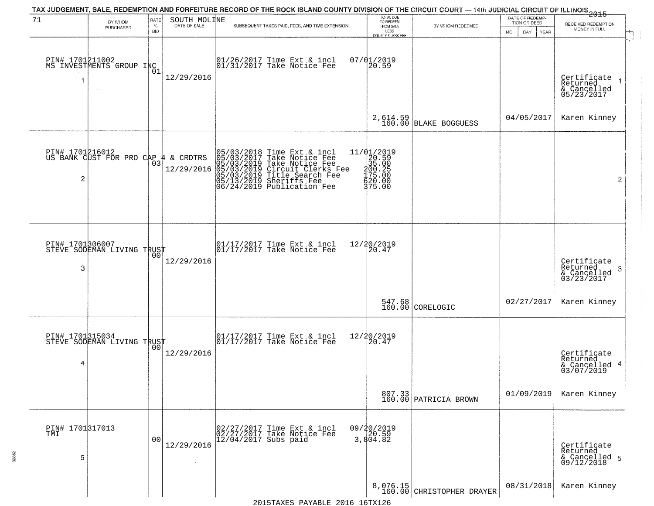| 71                   | BY WHOM                                       | <b>RATE</b>        | SOUTH MOLINE           | TAX JUDGEMENT, SALE, REDEMPTION AND FORFEITURE RECORD OF THE ROCK ISLAND COUNTY DIVISION OF THE CIRCUIT COURT — 14th JUDICIAL CIRCUIT OF ILLINOIS 2015                                                          | TOTAL DUE<br>TO REDEEM                                                                                                                                 |                                       | DATE OF REDEMP-<br>TION OR DEED | RECEIVED REDEMPTION                                        |
|----------------------|-----------------------------------------------|--------------------|------------------------|-----------------------------------------------------------------------------------------------------------------------------------------------------------------------------------------------------------------|--------------------------------------------------------------------------------------------------------------------------------------------------------|---------------------------------------|---------------------------------|------------------------------------------------------------|
|                      | PURCHASED                                     | $\%$<br><b>BID</b> | DATE OF SALE           | SUBSEQUENT TAXES PAID, FEES, AND TIME EXTENSION                                                                                                                                                                 | FROM SALE<br>LESS<br>COUNTY CLERK FEE                                                                                                                  | BY WHOM REDEEMED                      | MO.<br>YEAR<br>DAY.             | MONEY IN FULL                                              |
| 1                    | PIN# 1701211002<br>MS INVESTMENTS GROUP INC   | 01                 | 12/29/2016             | 01/26/2017 Time Ext & incl<br>01/31/2017 Take Notice Fee                                                                                                                                                        | 07/01/2019<br>20.59                                                                                                                                    |                                       |                                 | Certificate<br>Returned<br>& Cancelled<br>05/23/2017       |
|                      |                                               |                    |                        |                                                                                                                                                                                                                 |                                                                                                                                                        | 2,614.59<br>160.00 BLAKE BOGGUESS     | 04/05/2017                      | Karen Kinney                                               |
| 2                    | PIN# 1701216012<br>US BANK CUST FOR PRO CAP 4 | 03                 | & CRDTRS<br>12/29/2016 | 05/03/2018 Time Ext & incl<br>05/03/2017 Take Notice Fee<br>05/03/2019 Take Notice Fee<br>05/03/2019 Circuit Clerks Fee<br>05/03/2019 Title Search Fee<br>05/13/2019 Sheriffs Fee<br>06/24/2019 Publication Fee | $e = \begin{array}{c} 11/(\begin{array}{c} 11/2019 \\ 20.59 \\ 35.00 \\ 35.00 \\ 100.25 \\ 400.2 \\ 400.0 \\ 475.00 \\ 375.00 \end{array} \end{array}$ |                                       |                                 | $\overline{2}$                                             |
| PIN# 1701306007<br>3 | STEVE SODEMAN LIVING TRUST                    | 00                 | 12/29/2016             | 01/17/2017 Time Ext & incl<br>01/17/2017 Take Notice Fee                                                                                                                                                        | 12/20/2019<br>20.47                                                                                                                                    |                                       |                                 | Certificate<br>Returned<br>-3<br>& Cancelled<br>03/23/2017 |
|                      |                                               |                    |                        |                                                                                                                                                                                                                 |                                                                                                                                                        | $547.68$<br>160.00 CORELOGIC          | 02/27/2017                      | Karen Kinney                                               |
| PIN# 1701315034<br>4 | STEVE SODEMAN LIVING TRUST                    |                    | 12/29/2016             | 01/17/2017 Time Ext & incl<br>01/17/2017 Take Notice Fee                                                                                                                                                        | 12/20/2019<br>20.47                                                                                                                                    |                                       |                                 | Certificate<br>Returned<br>& Cancelled 4<br>03/07/2019     |
|                      |                                               |                    |                        |                                                                                                                                                                                                                 |                                                                                                                                                        | 807.33<br>160.00 PATRICIA BROWN       | 01/09/2019                      | Karen Kinney                                               |
| PIN# 1701317013<br>5 |                                               | 0 <sub>0</sub>     | 12/29/2016             | 02/27/2017 Time Ext & incl<br>02/27/2017 Take Notice Fee<br>12/04/2017 Subs paid                                                                                                                                | 09/20/2019<br>20.59<br>3,804.82                                                                                                                        |                                       |                                 | Certificate<br>Returned<br>& Cancelled 5<br>09/12/2018     |
|                      |                                               |                    |                        |                                                                                                                                                                                                                 |                                                                                                                                                        | 8,076.15<br>160.00 CHRISTOPHER DRAYER | 08/31/2018                      | Karen Kinney                                               |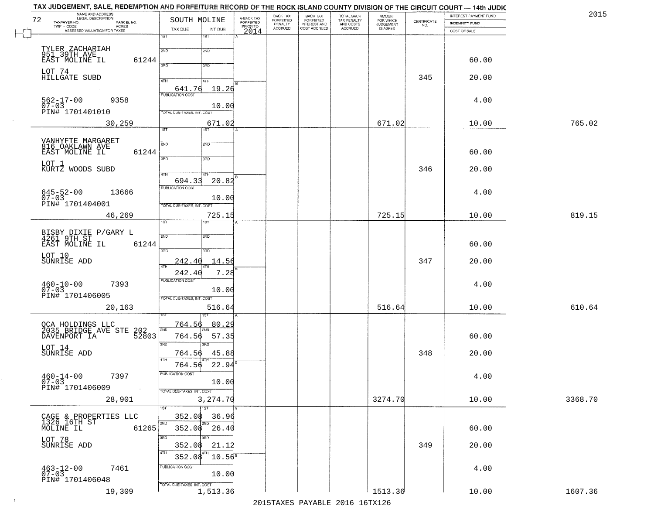| NAME AND ADDRESS<br>LEGAL DESCRIPTION<br>72                                              | SOUTH MOLINE                                     | A-BACK TAX<br>FORFEITED | BACK TAX<br>FORFEITED     | <b>BACK TAX</b><br><b>FORFEITED</b> | TOTAL BACK                          | <b>AMOUNT</b>                      |                                                                | INTEREST PAYMENT FUND | 201     |
|------------------------------------------------------------------------------------------|--------------------------------------------------|-------------------------|---------------------------|-------------------------------------|-------------------------------------|------------------------------------|----------------------------------------------------------------|-----------------------|---------|
| TAXPAYER NO.<br>PARCEL NO.<br>TWP - CODE<br><b>ACRES</b><br>ASSESSED VALUATION FOR TAXES | TAX DUE<br>INT DUE                               | PRIOR TO                | PENALTY<br><b>ACCRUED</b> | INTEREST AND<br>COST ACCRUED        | TAX PENALTY<br>AND COSTS<br>ACCRUED | FOR WHICH<br>JUDGEMENT<br>IS ASKED | $\begin{array}{c} \text{GETIFICATE} \\ \text{NO.} \end{array}$ | INDEMNITY FUND        |         |
|                                                                                          | 1ST<br>1ST                                       | 2014                    |                           |                                     |                                     |                                    |                                                                | COST OF SALE          |         |
| TYLER ZACHARIAH<br>951 39TH AVE                                                          | 2ND<br>2ND                                       |                         |                           |                                     |                                     |                                    |                                                                |                       |         |
| EAST MOLINE IL<br>61244                                                                  | 3PD                                              |                         |                           |                                     |                                     |                                    |                                                                | 60.00                 |         |
| LOT 74<br>HILLGATE SUBD                                                                  | 3RD                                              |                         |                           |                                     |                                     |                                    |                                                                |                       |         |
|                                                                                          | 4TH<br>4TH                                       |                         |                           |                                     |                                     |                                    | 345                                                            | 20.00                 |         |
| $562 - 17 - 00$<br>9358                                                                  | 19.26<br>641.76<br><b>PUBLICATION COST</b>       |                         |                           |                                     |                                     |                                    |                                                                | 4.00                  |         |
| $07 - 03$<br>PIN# 1701401010                                                             | 10.00<br>TOTAL DUE-TAXES, INT. COST              |                         |                           |                                     |                                     |                                    |                                                                |                       |         |
| 30,259                                                                                   | 671.02                                           |                         |                           |                                     |                                     | 671.02                             |                                                                | 10.00                 | 765.02  |
|                                                                                          | 1ST<br>1ST                                       |                         |                           |                                     |                                     |                                    |                                                                |                       |         |
| VANHYFTE MARGARET<br>816 OAKLAWN AVE                                                     | 2ND<br>2ND                                       |                         |                           |                                     |                                     |                                    |                                                                |                       |         |
| 61244<br>EAST MOLINE IL                                                                  | 3RD<br>3RD                                       |                         |                           |                                     |                                     |                                    |                                                                | 60.00                 |         |
| LOT 1<br>KURTZ WOODS SUBD                                                                |                                                  |                         |                           |                                     |                                     |                                    | 346                                                            | 20.00                 |         |
|                                                                                          | $\sqrt{47H}$<br>4TH<br>20.82<br>694.33           |                         |                           |                                     |                                     |                                    |                                                                |                       |         |
| $645 - 52 - 00$<br>$07 - 03$<br>13666                                                    | <b>PUBLICATION COST</b>                          |                         |                           |                                     |                                     |                                    |                                                                | 4.00                  |         |
| PIN# 1701404001                                                                          | 10.00<br>TOTAL DUE-TAXES, INT. COST              |                         |                           |                                     |                                     |                                    |                                                                |                       |         |
| 46,269                                                                                   | 725.15                                           |                         |                           |                                     |                                     | 725.15                             |                                                                | 10.00                 | 819.15  |
|                                                                                          | 1ST                                              |                         |                           |                                     |                                     |                                    |                                                                |                       |         |
| BISBY DIXIE P/GARY L<br>4261 9TH ST<br>61244<br>EAST MOLINE IL                           | 2ND<br>2ND                                       |                         |                           |                                     |                                     |                                    |                                                                | 60.00                 |         |
| LOT 10                                                                                   | 3 <sub>BD</sub><br>3 <sub>BD</sub>               |                         |                           |                                     |                                     |                                    |                                                                |                       |         |
| SUNRISE ADD                                                                              | 242.40<br>14.56<br>4TH                           |                         |                           |                                     |                                     |                                    | 347                                                            | 20.00                 |         |
|                                                                                          | 7.28<br>242.40<br><b>PUBLICATION COST</b>        |                         |                           |                                     |                                     |                                    |                                                                |                       |         |
| $460 - 10 - 00$<br>07-03<br>7393                                                         | 10.00                                            |                         |                           |                                     |                                     |                                    |                                                                | 4.00                  |         |
| PIN# 1701406005                                                                          | TOTAL OUE-TAXES, INT. COST                       |                         |                           |                                     |                                     |                                    |                                                                |                       |         |
| 20,163                                                                                   | 516.64                                           |                         |                           |                                     |                                     | 516.64                             |                                                                | 10.00                 | 610.64  |
| QCA HOLDINGS LLC<br>2035 BRIDGE AVE STE                                                  | 764.56<br>80.29<br>2ND                           |                         |                           |                                     |                                     |                                    |                                                                |                       |         |
| 202<br>52803<br>DAVENPORT IA                                                             | 764.56<br>57.35                                  |                         |                           |                                     |                                     |                                    |                                                                | 60.00                 |         |
| LOT 14<br>SUNRISE ADD                                                                    | 3RD<br>3RD<br>764.56<br>45.88                    |                         |                           |                                     |                                     |                                    | 348                                                            | 20.00                 |         |
|                                                                                          | 4TH<br>22.94<br>764.56                           |                         |                           |                                     |                                     |                                    |                                                                |                       |         |
| $460 - 14 - 00$<br>07-03<br>7397                                                         | PUBLICATION COST                                 |                         |                           |                                     |                                     |                                    |                                                                | 4.00                  |         |
| PIN# 1701406009<br><b>Contract</b>                                                       | 10.00<br>TOTAL DUE-TAXES, INT. COST              |                         |                           |                                     |                                     |                                    |                                                                |                       |         |
| 28,901                                                                                   | 3,274.70                                         |                         |                           |                                     |                                     | 3274.70                            |                                                                | 10.00                 | 3368.70 |
|                                                                                          | 1ST<br>1ST                                       |                         |                           |                                     |                                     |                                    |                                                                |                       |         |
| CAGE & PROPERTIES LLC<br>1326 16TH ST<br>MOLINE IL<br>61265                              | 352.08<br>36.96<br>2ND<br>2ND<br>26.40<br>352.08 |                         |                           |                                     |                                     |                                    |                                                                | 60.00                 |         |
| LOT 78                                                                                   | 3RD<br>3RD                                       |                         |                           |                                     |                                     |                                    |                                                                |                       |         |
| SUNRISE ADD                                                                              | 352.08<br>21.12<br>4TH                           |                         |                           |                                     |                                     |                                    | 349                                                            | 20.00                 |         |
|                                                                                          | $10.56^8$<br>352.08                              |                         |                           |                                     |                                     |                                    |                                                                |                       |         |
| 7461<br>$463 - 12 - 00$<br>07-03                                                         | PUBLICATION COST<br>10.00                        |                         |                           |                                     |                                     |                                    |                                                                | 4.00                  |         |
| PIN# 1701406048                                                                          | TOTAL DUE-TAXES, INT. COST                       |                         |                           |                                     |                                     |                                    |                                                                |                       |         |
| 19,309                                                                                   | 1,513.36                                         |                         |                           |                                     |                                     | 1513.36                            |                                                                | 10.00                 | 1607.36 |

 $\sim 10^{-1}$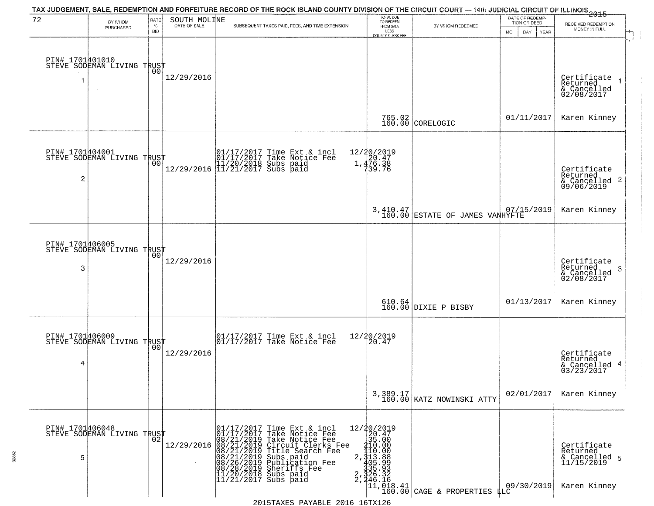| 72                   | BY WHOM                                           | RATE               | SOUTH MOLINE | TAX JUDGEMENT, SALE, REDEMPTION AND FORFEITURE RECORD OF THE ROCK ISLAND COUNTY DIVISION OF THE CIRCUIT COURT — 14th JUDICIAL CIRCUIT OF ILLINOIS 2015                                                                                       | TOTAL DUE<br>TO REDEEM<br>FROM SALE                                             |                                                                                                              | DATE OF REDEMP<br>TION OR DEED |                                                                        |
|----------------------|---------------------------------------------------|--------------------|--------------|----------------------------------------------------------------------------------------------------------------------------------------------------------------------------------------------------------------------------------------------|---------------------------------------------------------------------------------|--------------------------------------------------------------------------------------------------------------|--------------------------------|------------------------------------------------------------------------|
|                      | PURCHASED                                         | $\%$<br><b>BID</b> | DATE OF SALE | SUBSEQUENT TAXES PAID, FEES, AND TIME EXTENSION                                                                                                                                                                                              | LESS                                                                            | BY WHOM REDEEMED                                                                                             | MO.<br>DAY.<br>YEAR            | RECEIVED REDEMPTION<br>MONEY IN FULL                                   |
|                      | PIN# 1701401010<br>STEVE SODEMAN LIVING TRUST     |                    | 12/29/2016   |                                                                                                                                                                                                                                              | COUNTY CLERK FEE                                                                |                                                                                                              |                                | Certificate<br>Returned<br>& Cancelled<br>02/08/2017                   |
|                      |                                                   |                    |              |                                                                                                                                                                                                                                              |                                                                                 | 765.02<br>160.00 CORELOGIC                                                                                   | 01/11/2017                     | Karen Kinney                                                           |
| $\overline{c}$       | PIN# 1701404001<br>STEVE SODEMAN LIVING TRUST     | 00                 |              | $\begin{array}{ll} & [01/17/2017 \text{ Time Ext & incl} \\ & [01/17/2017 \text{ Take Notice Fee} \\ & [11/20/2018 \text{ Subs paid} \\ & [12/29/2016 \text{ }] 11/21/2017 \text{ Subs paid} \end{array}$                                    | 12/20/2019<br>1,476.38<br>1,476.38<br>739.76                                    |                                                                                                              |                                | Certificate<br>Returned<br>$\frac{12241164}{609/06/2019}$ 2            |
|                      |                                                   |                    |              |                                                                                                                                                                                                                                              |                                                                                 | 3,410.47<br>160.00 ESTATE OF JAMES VANHYFTE                                                                  | 07/15/2019                     | Karen Kinney                                                           |
| PIN# 1701406005<br>3 | STEVE SODEMAN LIVING TRUST                        | 00                 | 12/29/2016   |                                                                                                                                                                                                                                              |                                                                                 |                                                                                                              |                                | Certificate<br>Returned<br>3<br>& Cancelled<br>02/08/2017              |
|                      |                                                   |                    |              |                                                                                                                                                                                                                                              |                                                                                 | 610.64<br>160.00 DIXIE P BISBY                                                                               | 01/13/2017                     | Karen Kinney                                                           |
| 4                    | PIN# 1701406009    <br>STEVE SODEMAN LIVING TRUST | 0 <sub>0</sub>     | 12/29/2016   | 01/17/2017 Time Ext & incl<br>01/17/2017 Take Notice Fee                                                                                                                                                                                     | 12/20/2019<br>20.47                                                             |                                                                                                              |                                | Certificate<br>Returned<br>4<br>& Cancelled<br>03/23/2017              |
|                      |                                                   |                    |              |                                                                                                                                                                                                                                              |                                                                                 | 3,389.17<br>160.00 KATZ NOWINSKI ATTY                                                                        | 02/01/2017                     | Karen Kinney                                                           |
| PIN# 1701406048<br>5 | STEVE SODEMAN LIVING TRUST                        | 02                 |              | r<br>01/17/2017 Time Ext & incl<br>01/17/2017 Take Notice Fee<br>12/29/2016 08/21/2019 Take Notice Fee<br>12/29/2016 08/21/2019 Circuit Clerks Fee<br>08/21/2019 Title Search Fee<br>08/26/2019 Publication Fee<br>08/26/2019 Publication Fe | $\begin{array}{r} 12/20/2019 \\ 20.47 \\ 35.00 \end{array}$<br>210.00<br>110.00 | $\begin{array}{c} 410.00\\2,313.88\\2,325.99\\3,35.93\\2,46.16\\2,111,018.41\\11,018.41\\2.60.00\end{array}$ | 09/30/2019                     | Certificate<br>Returned<br>& Cancelled 5<br>11/15/2019<br>Karen Kinney |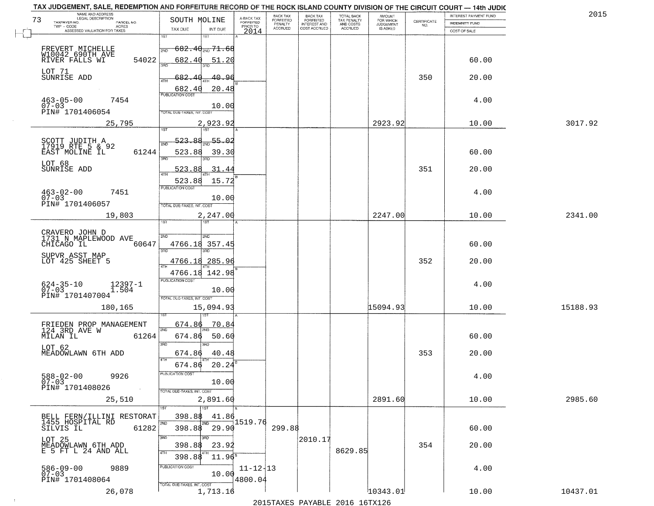| NAME AND ADDRESS<br>LEGAL DESCRIPTION               |                                            |                                     | BACK TAX             | BACK TAX<br>FORFEITED |                                        | AMOUNT<br>FOR WHICH |                                                                 | INTEREST PAYMENT FUND | 2015     |
|-----------------------------------------------------|--------------------------------------------|-------------------------------------|----------------------|-----------------------|----------------------------------------|---------------------|-----------------------------------------------------------------|-----------------------|----------|
| 73<br>TAXPAYER NO.<br>PARCEL NO.                    | SOUTH MOLINE                               | A-BACK TAX<br>FORFEITED<br>PRIOR TO | FORFEITED<br>PENALTY | <b>INTEREST AND</b>   | TOTAL BACK<br>TAX PENALTY<br>AND COSTS | <b>JUDGEMENT</b>    | $\begin{array}{c} \text{CERTIFICATE} \\ \text{NO.} \end{array}$ | INDEMNITY FUND        |          |
| TWP - CODE<br>ACRES<br>ASSESSED VALUATION FOR TAXES | INT DUE<br>TAX DUE                         | 2014                                | <b>ACCRUED</b>       | COST ACCRUED          | ACCRUED                                | IS ASKED            |                                                                 | COST OF SALE          |          |
|                                                     | 1ST<br>1ST                                 |                                     |                      |                       |                                        |                     |                                                                 |                       |          |
| FREVERT MICHELLE                                    | <del>682.40<sub>2ND</sub> 71.68</del>      |                                     |                      |                       |                                        |                     |                                                                 |                       |          |
| W10042 690TH AVE<br>RIVER FALLS WI<br>54022         | 682.40<br>51.20                            |                                     |                      |                       |                                        |                     |                                                                 | 60.00                 |          |
|                                                     |                                            |                                     |                      |                       |                                        |                     |                                                                 |                       |          |
| LOT 71<br>SUNRISE ADD                               | 682.<br>40.96<br>-40                       |                                     |                      |                       |                                        |                     | 350                                                             | 20.00                 |          |
|                                                     |                                            |                                     |                      |                       |                                        |                     |                                                                 |                       |          |
|                                                     | 20.48<br>682.40<br><b>PUBLICATION COST</b> |                                     |                      |                       |                                        |                     |                                                                 |                       |          |
| $463 - 05 - 00$<br>07-03<br>7454                    |                                            |                                     |                      |                       |                                        |                     |                                                                 | 4.00                  |          |
| PIN# 1701406054                                     | 10.00<br><b>TOTAL DUE-TAXES, INT. COST</b> |                                     |                      |                       |                                        |                     |                                                                 |                       |          |
| 25,795                                              |                                            |                                     |                      |                       |                                        | 2923.92             |                                                                 | 10.00                 | 3017.92  |
|                                                     | 2,923.92                                   |                                     |                      |                       |                                        |                     |                                                                 |                       |          |
|                                                     | $-55 - 02$<br><u>523.88</u>                |                                     |                      |                       |                                        |                     |                                                                 |                       |          |
| SCOTT JUDITH A<br>17919 RTE 5 & 92                  |                                            |                                     |                      |                       |                                        |                     |                                                                 |                       |          |
| EAST MOLINE IL<br>61244                             | 523.88<br>39.30<br>380                     |                                     |                      |                       |                                        |                     |                                                                 | 60.00                 |          |
| LOT 68                                              |                                            |                                     |                      |                       |                                        |                     |                                                                 |                       |          |
| SUNRISE ADD                                         | .31.44<br>523.88                           |                                     |                      |                       |                                        |                     | 351                                                             | 20.00                 |          |
|                                                     | 523.88<br>15.72                            |                                     |                      |                       |                                        |                     |                                                                 |                       |          |
| $463 - 02 - 00$<br>7451                             | PUBLICATION COST                           |                                     |                      |                       |                                        |                     |                                                                 | 4.00                  |          |
| $07 - 03$                                           | 10.00                                      |                                     |                      |                       |                                        |                     |                                                                 |                       |          |
| PIN# 1701406057                                     | TOTAL DUE-TAXES, INT. COST                 |                                     |                      |                       |                                        |                     |                                                                 |                       |          |
| 19,803                                              | 2,247.00<br><b>ST</b>                      |                                     |                      |                       |                                        | 2247.00             |                                                                 | 10.00                 | 2341.00  |
|                                                     |                                            |                                     |                      |                       |                                        |                     |                                                                 |                       |          |
| CRAVERO JOHN D<br>1731 N MAPLEWOOD AVE              | 2ND<br>SND                                 |                                     |                      |                       |                                        |                     |                                                                 |                       |          |
| CHICAGO IL<br>60647                                 | 4766.18 357.45                             |                                     |                      |                       |                                        |                     |                                                                 | 60.00                 |          |
| SUPVR ASST MAP                                      | 3RD<br>3RD                                 |                                     |                      |                       |                                        |                     |                                                                 |                       |          |
| LOT 425 SHEET 5                                     | 4766.18<br>285.96                          |                                     |                      |                       |                                        |                     | 352                                                             | 20.00                 |          |
|                                                     | 4766.18 142.98                             |                                     |                      |                       |                                        |                     |                                                                 |                       |          |
|                                                     | <b>PUBLICATION COST</b>                    |                                     |                      |                       |                                        |                     |                                                                 |                       |          |
| $624 - 35 - 10$<br>07-03<br>12397-1<br>1.504        | 10.00                                      |                                     |                      |                       |                                        |                     |                                                                 | 4.00                  |          |
| PIN# 1701407004                                     | TOTAL OUE-TAXES, INT. COST                 |                                     |                      |                       |                                        |                     |                                                                 |                       |          |
| 180,165                                             | 15,094.93                                  |                                     |                      |                       |                                        | 15094.93            |                                                                 | 10.00                 | 15188.93 |
|                                                     |                                            |                                     |                      |                       |                                        |                     |                                                                 |                       |          |
| FRIEDEN PROP MANAGEMENT<br>124 3RD AVE W            | 674.86<br>70.84                            |                                     |                      |                       |                                        |                     |                                                                 |                       |          |
| MILAN IL<br>61264                                   | 2ND<br>674.86<br>50.60                     |                                     |                      |                       |                                        |                     |                                                                 | 60.00                 |          |
|                                                     | 3RD                                        |                                     |                      |                       |                                        |                     |                                                                 |                       |          |
| LOT 62<br>MEADOWLAWN 6TH ADD                        | 40.48<br>674.86                            |                                     |                      |                       |                                        |                     | 353                                                             | 20.00                 |          |
|                                                     | 4TH                                        |                                     |                      |                       |                                        |                     |                                                                 |                       |          |
|                                                     | 674.86<br>20.24                            |                                     |                      |                       |                                        |                     |                                                                 |                       |          |
| $588 - 02 - 00$<br>9926<br>$07 - 03$                | PUBLICATION COS-<br>10.00                  |                                     |                      |                       |                                        |                     |                                                                 | 4.00                  |          |
| PIN# 1701408026<br>$\sim 10^{-1}$                   | TOTAL DUE-TAXES, INT. COST                 |                                     |                      |                       |                                        |                     |                                                                 |                       |          |
| 25,510                                              | 2,891.60                                   |                                     |                      |                       |                                        | 2891.60             |                                                                 | 10.00                 | 2985.60  |
|                                                     | 1ST                                        |                                     |                      |                       |                                        |                     |                                                                 |                       |          |
| BELL FERN/ILLINI RESTORAT                           | 398.88<br>41.86                            |                                     |                      |                       |                                        |                     |                                                                 |                       |          |
| 1455 HOSPITAL RD                                    | 2ND<br>2ND                                 | 1519.76                             |                      |                       |                                        |                     |                                                                 |                       |          |
| 61282<br>SILVIS IL                                  | 398.88<br>29.90                            |                                     | 299.88               |                       |                                        |                     |                                                                 | 60.00                 |          |
| LOT 25<br>MEADOWLAWN 6TH ADD                        | 3RD<br>3BD                                 |                                     |                      | 2010.17               |                                        |                     |                                                                 |                       |          |
| E 5 FT L 24 AND ALL                                 | 23.92<br>398.88<br>4TH                     |                                     |                      |                       | 8629.85                                |                     | 354                                                             | 20.00                 |          |
|                                                     | $11.96^8$<br>398.88                        |                                     |                      |                       |                                        |                     |                                                                 |                       |          |
| $586 - 09 - 00$<br>9889                             | PUBLICATION COST                           | $11 - 12 + 13$                      |                      |                       |                                        |                     |                                                                 | 4.00                  |          |
| $07 - 03$<br>PIN# 1701408064                        | 10.00                                      | 4800.04                             |                      |                       |                                        |                     |                                                                 |                       |          |
|                                                     | TOTAL DUE-TAXES, INT. COST                 |                                     |                      |                       |                                        |                     |                                                                 |                       |          |
| 26,078                                              | 1,713.16                                   |                                     |                      |                       |                                        | '10343.01           |                                                                 | 10.00                 | 10437.01 |
|                                                     |                                            |                                     |                      |                       | 2015 TAVEC DAVADIE 2016 16TV126        |                     |                                                                 |                       |          |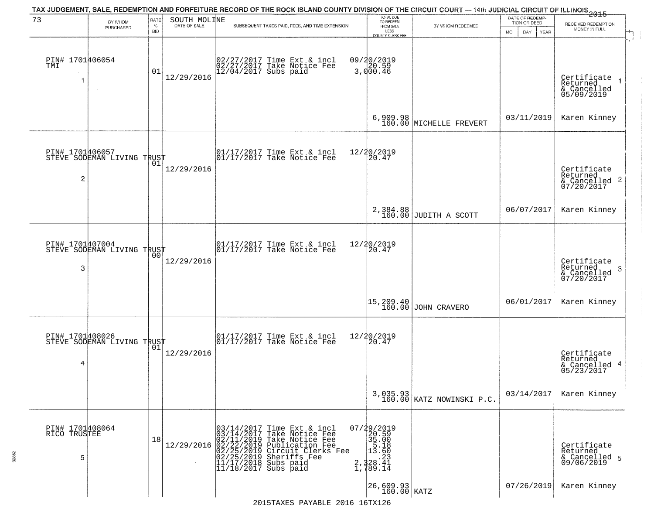| 73                                   | BY WHOM                                       | RATE               | SOUTH MOLINE | TAX JUDGEMENT, SALE, REDEMPTION AND FORFEITURE RECORD OF THE ROCK ISLAND COUNTY DIVISION OF THE CIRCUIT COURT — 14th JUDICIAL CIRCUIT OF ILLINOIS 2015                                                                                                                                                                              | TOTAL DUE<br>TO REDEEM                                                                         |                                       | DATE OF REDEMP-<br>TION OR DEED | RECEIVED REDEMPTION                                        |  |
|--------------------------------------|-----------------------------------------------|--------------------|--------------|-------------------------------------------------------------------------------------------------------------------------------------------------------------------------------------------------------------------------------------------------------------------------------------------------------------------------------------|------------------------------------------------------------------------------------------------|---------------------------------------|---------------------------------|------------------------------------------------------------|--|
|                                      | PURCHASED                                     | $\%$<br><b>BID</b> |              | SUBSEQUENT TAXES PAID, FEES, AND TIME EXTENSION                                                                                                                                                                                                                                                                                     | FROM SALE<br>LESS<br>COUNTY CLERK FEE                                                          | BY WHOM REDEEMED                      | <b>MO</b><br>DAY<br>YEAR        | MONEY IN FULL                                              |  |
| PIN# 1701406054<br>TMI<br>1          | $\sim 10$                                     | 01                 | 12/29/2016   | 02/27/2017 Time Ext & incl<br>02/27/2017 Take Notice Fee<br>12/04/2017 Subs paid                                                                                                                                                                                                                                                    | 09/20/2019<br>3,000.46                                                                         |                                       |                                 | Certificate<br>Returned<br>& Cancelled<br>05/09/2019       |  |
|                                      |                                               |                    |              |                                                                                                                                                                                                                                                                                                                                     | 6,909.98<br>160.00                                                                             | MICHELLE FREVERT                      | 03/11/2019                      | Karen Kinney                                               |  |
| 2                                    | PIN# 1701406057<br>STEVE SODEMAN LIVING TRUST | 01                 | 12/29/2016   | 01/17/2017 Time Ext & incl<br>01/17/2017 Take Notice Fee                                                                                                                                                                                                                                                                            | 12/20/2019<br>20.47                                                                            |                                       |                                 | Certificate<br>Returned<br>& Cancelled 2<br>07/20/2017     |  |
|                                      |                                               |                    |              |                                                                                                                                                                                                                                                                                                                                     | 2,384.88<br>160.00                                                                             | JUDITH A SCOTT                        | 06/07/2017                      | Karen Kinney                                               |  |
| PIN# 1701407004<br>3                 | STEVE SODEMAN LIVING TRUST                    | 00                 | 12/29/2016   | 01/17/2017 Time Ext & incl<br>01/17/2017 Take Notice Fee                                                                                                                                                                                                                                                                            | 12/20/2019<br>20.47                                                                            |                                       |                                 | Certificate<br>Returned<br>-3<br>& Cancelled<br>07/20/2017 |  |
|                                      |                                               |                    |              |                                                                                                                                                                                                                                                                                                                                     | 15,209.40<br>160.00                                                                            | JOHN CRAVERO                          | 06/01/2017                      | Karen Kinney                                               |  |
| 4                                    | PIN# 1701408026<br>STEVE SODEMAN LIVING TRUST |                    | 12/29/2016   | 01/17/2017 Time Ext & incl<br>01/17/2017 Take Notice Fee                                                                                                                                                                                                                                                                            | 12/20/2019<br>20.47                                                                            |                                       |                                 | Certificate<br>Returned<br>& Cancelled 4<br>05/23/2017     |  |
|                                      |                                               |                    |              |                                                                                                                                                                                                                                                                                                                                     |                                                                                                | 3,035.93<br>160.00 KATZ NOWINSKI P.C. | 03/14/2017                      | Karen Kinney                                               |  |
| PIN# 1701408064<br>RICO TRUSTEE<br>5 |                                               | 18                 |              | $12/29/2016 \begin{array}{l} 03/14/2017 \text{ Time Ext & incl} \\ 03/14/2017 \text{ Take Notice Free} \\ 02/11/2019 \text{ Take Notice Free} \\ 02/22/2019 \text{ Publication Free} \\ 02/22/2019 \text{ Circuit.} \\ 02/25/2019 \text{Sheriffs Free} \\ 11/17/2018 \text{ Subs paid} \\ 11/18/2017 \text{ Subs paid} \end{array}$ | $\begin{smallmatrix} 07/29/2019\\20.59\\35.00\\15.18\\2\\2.328.41\\1.789.14 \end{smallmatrix}$ |                                       |                                 | Certificate<br>Returned<br>& Cancelled 5<br>09/06/2019     |  |
|                                      |                                               |                    |              |                                                                                                                                                                                                                                                                                                                                     | $26,609.93$ KATZ                                                                               |                                       | 07/26/2019                      | Karen Kinney                                               |  |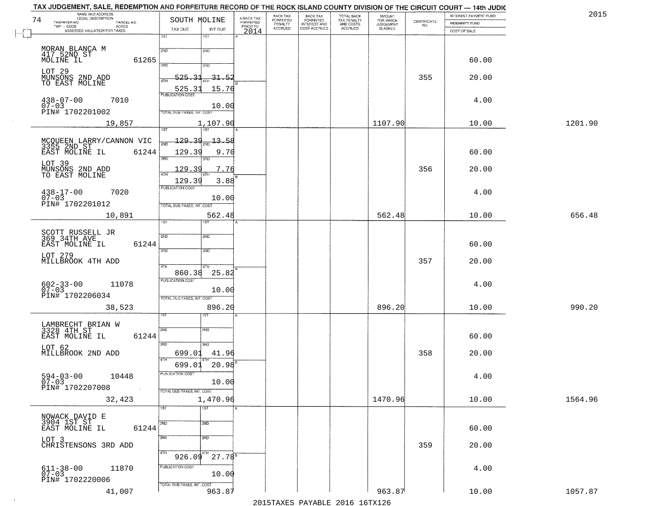| NAME AND ADDRESS<br>LEGAL DESCRIPTION<br>74<br>TAXPAYER NO.<br>PARCEL NO. | SOUTH MOLINE                                  | A-BACK TAX<br>FORFEITED<br>PRIOR TO | BACK TAX<br>FORFEITED     | BACK TAX<br>FORFEITED<br>INTEREST AND | TOTAL BACK<br>TAX PENALTY<br>AND COSTS | AMOUNT<br>FOR WHICH          |                                                                 | INTEREST PAYMENT FUND<br><b>INDEMNITY FUND</b> | 2015    |
|---------------------------------------------------------------------------|-----------------------------------------------|-------------------------------------|---------------------------|---------------------------------------|----------------------------------------|------------------------------|-----------------------------------------------------------------|------------------------------------------------|---------|
| TWP - CODE<br>ACRES<br>ASSESSED VALUATION FOR TAXES                       | TAX DUE<br>INT DUE                            |                                     | PENALTY<br><b>ACCRUED</b> | COST ACCRUED                          | ACCRUED                                | <b>JUDGEMENT</b><br>IS ASKED | $\begin{array}{c} \text{CERTIFICATE} \\ \text{NO.} \end{array}$ | COST OF SALE                                   |         |
|                                                                           | 1ST<br>1ST                                    | 2014                                |                           |                                       |                                        |                              |                                                                 |                                                |         |
|                                                                           | 2ND<br>2ND                                    |                                     |                           |                                       |                                        |                              |                                                                 |                                                |         |
| MORAN BLANCA M<br>417 52ND ST<br>MOLINE IL<br>61265                       | 丽<br>3BD                                      |                                     |                           |                                       |                                        |                              |                                                                 | 60.00                                          |         |
|                                                                           | 525.31<br>$-31.52$                            |                                     |                           |                                       |                                        |                              | 355                                                             |                                                |         |
| LOT 29<br>MUNSONS 2ND ADD<br>TO EAST MOLINE                               | 4TH<br>525.31<br>15.76                        |                                     |                           |                                       |                                        |                              |                                                                 | 20.00                                          |         |
| $438 - 07 - 00$<br>7010                                                   | <b>PUBLICATION COST</b>                       |                                     |                           |                                       |                                        |                              |                                                                 | 4.00                                           |         |
| $07 - 03$<br>PIN# 1702201002                                              | 10.00<br>TOTAL DUE-TAXES, INT. COST           |                                     |                           |                                       |                                        |                              |                                                                 |                                                |         |
| 19,857                                                                    | 1,107.90                                      |                                     |                           |                                       |                                        | 1107.90                      |                                                                 | 10.00                                          | 1201.90 |
|                                                                           | 1ST<br>1ST                                    |                                     |                           |                                       |                                        |                              |                                                                 |                                                |         |
| MCOUEEN LARRY/CANNON VIC<br>3355 2ND ST<br>EAST MOLINE IL 61244           | <u> 129.39</u><br>$-13.58$                    |                                     |                           |                                       |                                        |                              |                                                                 |                                                |         |
| 61244                                                                     | 129.39<br>9.70<br>3RD<br>3RD                  |                                     |                           |                                       |                                        |                              |                                                                 | 60.00                                          |         |
| LOT 39<br>MUNSONS 2ND ADD<br>TO EAST MOLINE                               | 129.39<br>7.76                                |                                     |                           |                                       |                                        |                              | 356                                                             | 20.00                                          |         |
|                                                                           | ৰিয়াম<br>3.88<br>129.39                      |                                     |                           |                                       |                                        |                              |                                                                 |                                                |         |
| $438 - 17 - 00$<br>7020                                                   | PUBLICATION COST                              |                                     |                           |                                       |                                        |                              |                                                                 | 4.00                                           |         |
| $07 - 03$<br>PIN# 1702201012                                              | 10.00<br>TOTAL DUE-TAXES, INT. COST           |                                     |                           |                                       |                                        |                              |                                                                 |                                                |         |
| 10,891                                                                    | 562.48                                        |                                     |                           |                                       |                                        | 562.48                       |                                                                 | 10.00                                          | 656.48  |
|                                                                           | 1ST<br><b>ST</b>                              |                                     |                           |                                       |                                        |                              |                                                                 |                                                |         |
| SCOTT RUSSELL JR<br>369 34TH AVE                                          | 2ND<br>2ND<br>61244                           |                                     |                           |                                       |                                        |                              |                                                                 | 60.00                                          |         |
| EAST MOLINE IL<br>LOT 279                                                 | 3RD<br>3 <sub>BD</sub>                        |                                     |                           |                                       |                                        |                              |                                                                 |                                                |         |
| MILLBROOK 4TH ADD                                                         | 4TH<br>4TH                                    |                                     |                           |                                       |                                        |                              | 357                                                             | 20.00                                          |         |
|                                                                           | 860.38<br>25.82<br><b>PUBLICATION COST</b>    |                                     |                           |                                       |                                        |                              |                                                                 |                                                |         |
| $602 - 33 - 00$<br>07-03<br>11078                                         | 10.00                                         |                                     |                           |                                       |                                        |                              |                                                                 | 4.00                                           |         |
| PIN# 1702206034                                                           | TOTAL OUE-TAXES, INT. COST                    |                                     |                           |                                       |                                        |                              |                                                                 |                                                |         |
| 38,523                                                                    | 896.20<br>ख़ा                                 |                                     |                           |                                       |                                        | 896.20                       |                                                                 | 10.00                                          | 990.20  |
| LAMBRECHT BRIAN W<br>3328 4TH ST                                          |                                               |                                     |                           |                                       |                                        |                              |                                                                 |                                                |         |
| EAST MOLINE IL<br>61244                                                   | 2ND<br>2ND                                    |                                     |                           |                                       |                                        |                              |                                                                 | 60.00                                          |         |
| LOT 62                                                                    | 3RD<br>3RD                                    |                                     |                           |                                       |                                        |                              |                                                                 |                                                |         |
| MILLBROOK 2ND ADD                                                         | 699.01<br>41.96<br>4TH                        |                                     |                           |                                       |                                        |                              | 358                                                             | 20.00                                          |         |
|                                                                           | $20.98^{B}$<br>699.01<br>PUBLICATION COST     |                                     |                           |                                       |                                        |                              |                                                                 |                                                |         |
| $594 - 03 - 00$<br>07-03<br>10448                                         | 10.00                                         |                                     |                           |                                       |                                        |                              |                                                                 | 4.00                                           |         |
| PIN# 1702207008<br>$\sim 100$<br>32,423                                   | TOTAL DUE-TAXES, INT. COST<br>1,470.96        |                                     |                           |                                       |                                        | 1470.96                      |                                                                 | 10.00                                          | 1564.96 |
|                                                                           | 1ST<br>1ST                                    |                                     |                           |                                       |                                        |                              |                                                                 |                                                |         |
| NOWACK DAVID E<br>3904 1ST ST                                             | 2ND<br>2ND                                    |                                     |                           |                                       |                                        |                              |                                                                 |                                                |         |
| 61244<br>EAST MOLINE IL                                                   |                                               |                                     |                           |                                       |                                        |                              |                                                                 | 60.00                                          |         |
| LOT 3<br>CHRISTENSONS 3RD ADD                                             | 3RD<br>3RD                                    |                                     |                           |                                       |                                        |                              | 359                                                             | 20.00                                          |         |
|                                                                           | 4TH<br>$926.09$ <sup>4TH</sup><br>$27.78^{8}$ |                                     |                           |                                       |                                        |                              |                                                                 |                                                |         |
| $611 - 38 - 00$<br>07-03<br>11870                                         | PUBLICATION COST                              |                                     |                           |                                       |                                        |                              |                                                                 | 4.00                                           |         |
| PIN# 1702220006                                                           | 10.00                                         |                                     |                           |                                       |                                        |                              |                                                                 |                                                |         |
| 41,007                                                                    | TOTAL DUE-TAXES, INT. COST<br>963.87          |                                     |                           |                                       |                                        | 963.87                       |                                                                 | 10.00                                          | 1057.87 |

 $\sim 100$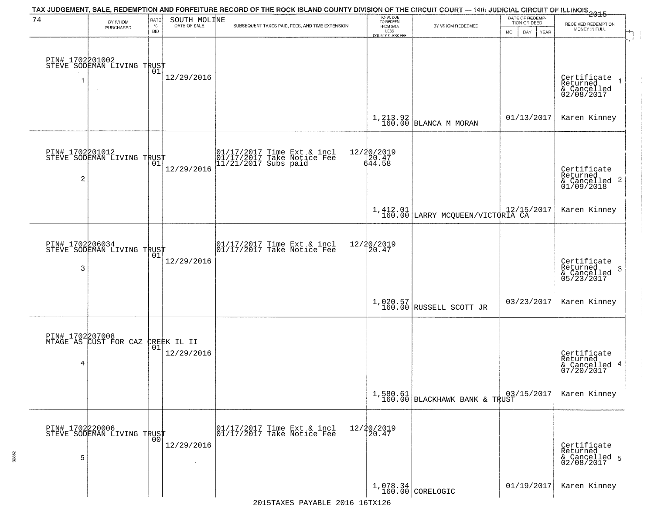| 74 | BY WHOM                                           | RATE               | SOUTH MOLINE       | TAX JUDGEMENT, SALE, REDEMPTION AND FORFEITURE RECORD OF THE ROCK ISLAND COUNTY DIVISION OF THE CIRCUIT COURT — 14th JUDICIAL CIRCUIT OF ILLINOIS 2015 | TOTAL DUE<br>TO REDEEM<br>FROM SALE |                                              | DATE OF REDEMP-<br>TION OR DEED | RECEIVED REDEMPTION                                                   |
|----|---------------------------------------------------|--------------------|--------------------|--------------------------------------------------------------------------------------------------------------------------------------------------------|-------------------------------------|----------------------------------------------|---------------------------------|-----------------------------------------------------------------------|
|    | PURCHASED                                         | $\%$<br><b>BID</b> | DATE OF SALE       | SUBSEQUENT TAXES PAID, FEES, AND TIME EXTENSION                                                                                                        | LESS<br>COUNTY CLERK FEE            | BY WHOM REDEEMED                             | <b>MO</b><br>DAY.<br>YEAR       | MONEY IN FULL                                                         |
|    | PIN# 1702201002<br>STEVE SODEMAN LIVING TRUST     |                    |                    |                                                                                                                                                        |                                     |                                              |                                 |                                                                       |
| 1  |                                                   |                    | 12/29/2016         |                                                                                                                                                        |                                     |                                              |                                 | Certificate<br>Returned<br>$\rightarrow$<br>& Cancelled<br>02/08/2017 |
|    |                                                   |                    |                    |                                                                                                                                                        |                                     | $1,213.92$ BLANCA M MORAN                    | 01/13/2017                      | Karen Kinney                                                          |
|    | PIN# 1702201012<br>STEVE SODEMAN LIVING TRUST     |                    | 12/29/2016         | 01/17/2017 Time Ext & incl<br>01/17/2017 Take Notice Fee<br>11/21/2017 Subs paid                                                                       | 12/20/2019<br>20.47<br>644.58       |                                              |                                 | Certificate<br>Returned                                               |
| 2  |                                                   |                    |                    |                                                                                                                                                        |                                     |                                              |                                 | $\overline{2}$<br>& Cancelled<br>01/09/2018                           |
|    |                                                   |                    |                    |                                                                                                                                                        |                                     | 1,412.01<br>160.00 LARRY MCQUEEN/VICTORIA CA |                                 | Karen Kinney                                                          |
|    | PIN# 1702206034<br>STEVE SODEMAN LIVING TRUST     | 01                 |                    | 01/17/2017 Time Ext & incl<br>01/17/2017 Take Notice Fee                                                                                               | 12/20/2019<br>20.47                 |                                              |                                 |                                                                       |
| 3  |                                                   |                    | 12/29/2016         |                                                                                                                                                        |                                     |                                              |                                 | Certificate<br>Returned<br>3<br>& Cancelled<br>05/23/2017             |
|    |                                                   |                    |                    |                                                                                                                                                        |                                     | 1,020.57<br>160.00 RUSSELL SCOTT JR          | 03/23/2017                      | Karen Kinney                                                          |
|    | PIN# 1702207008<br>MTAGE AS CUST FOR CAZ          |                    | CREEK IL II<br> 01 |                                                                                                                                                        |                                     |                                              |                                 |                                                                       |
| 4  |                                                   |                    | 12/29/2016         |                                                                                                                                                        |                                     |                                              |                                 | Certificate<br>Returned<br>4<br>& Cancelled<br>07/20/2017             |
|    |                                                   |                    |                    |                                                                                                                                                        |                                     | $1,580.61$ 03, 160.00 BLACKHAWK BANK & TRUST | 03/15/2017                      | Karen Kinney                                                          |
|    | PIN# 1702220006    <br>STEVE SODEMAN LIVING TRUST | 00                 |                    | 01/17/2017 Time Ext & incl<br>01/17/2017 Take Notice Fee                                                                                               | 12/20/2019<br>20.47                 |                                              |                                 |                                                                       |
| 5  |                                                   |                    | 12/29/2016         |                                                                                                                                                        |                                     |                                              |                                 | Certificate<br>Returned<br>& Cancelled 5<br>02/08/2017                |
|    |                                                   |                    |                    |                                                                                                                                                        |                                     | $1,078.34$ CORELOGIC                         | 01/19/2017                      | Karen Kinney                                                          |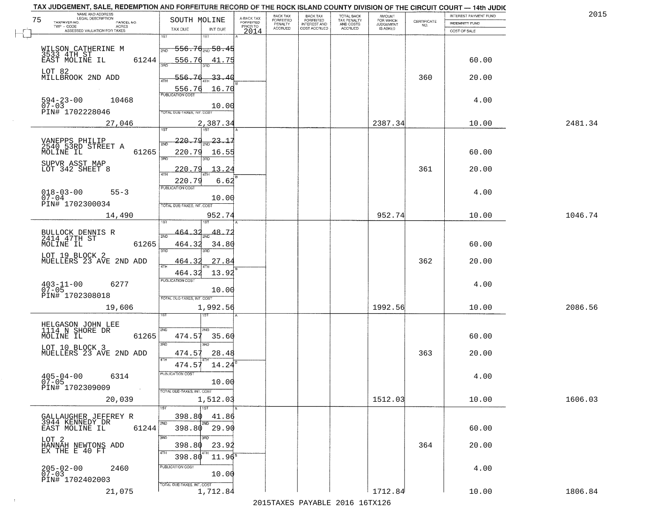|    | TAX JUDGEMENT, SALE, REDEMPTION AND FORFEITURE RECORD OF THE ROCK ISLAND COUNTY DIVISION OF THE CIRCUIT COURT - 14th JUDIC<br>NAME AND ADDRESS<br>LEGAL DESCRIPTION |                                       |                                     | BACK TAX                    | BACK TAX<br>FORFEITED |                                        | AMOUNT<br>FOR WHICH |                                                                 | INTEREST PAYMENT FUND | 2015    |
|----|---------------------------------------------------------------------------------------------------------------------------------------------------------------------|---------------------------------------|-------------------------------------|-----------------------------|-----------------------|----------------------------------------|---------------------|-----------------------------------------------------------------|-----------------------|---------|
| 75 | TAXPAYER NO.<br>PARCEL NO.                                                                                                                                          | SOUTH MOLINE                          | A-BACK TAX<br>FORFEITED<br>PRIOR TO | <b>FORFEITED</b><br>PENALTY | <b>INTEREST AND</b>   | TOTAL BACK<br>TAX PENALTY<br>AND COSTS | <b>JUDGEMENT</b>    | $\begin{array}{c} \text{CERTIFICATE} \\ \text{NO.} \end{array}$ | INDEMNITY FUND        |         |
|    | ACRES<br>ASSESSED VALUATION FOR TAXES                                                                                                                               | TAX DUE<br>INT DUE                    | 2014                                | <b>ACCRUED</b>              | COST ACCRUED          | <b>ACCRUED</b>                         | IS ASKED            |                                                                 | COST OF SALE          |         |
|    |                                                                                                                                                                     | 1ST<br>1ST                            |                                     |                             |                       |                                        |                     |                                                                 |                       |         |
|    | WILSON CATHERINE M                                                                                                                                                  | -556.7ɗ <sub>a№</sub> 58.45<br>2ND    |                                     |                             |                       |                                        |                     |                                                                 |                       |         |
|    | 3533 4TH ST<br>EAST MOLINE IL                                                                                                                                       |                                       |                                     |                             |                       |                                        |                     |                                                                 |                       |         |
|    | 61244                                                                                                                                                               | 556.76<br>41.75                       |                                     |                             |                       |                                        |                     |                                                                 | 60.00                 |         |
|    | LOT 82                                                                                                                                                              |                                       |                                     |                             |                       |                                        |                     |                                                                 |                       |         |
|    | MILLBROOK 2ND ADD                                                                                                                                                   | 556.76<br>33.40                       |                                     |                             |                       |                                        |                     | 360                                                             | 20.00                 |         |
|    |                                                                                                                                                                     | 556.76<br>16.70                       |                                     |                             |                       |                                        |                     |                                                                 |                       |         |
|    | 10468                                                                                                                                                               |                                       |                                     |                             |                       |                                        |                     |                                                                 |                       |         |
|    | $594 - 23 - 00$<br>07-03                                                                                                                                            | 10.00                                 |                                     |                             |                       |                                        |                     |                                                                 | 4.00                  |         |
|    | PIN# 1702228046                                                                                                                                                     | TOTAL DUE-TAXES, INT. COST            |                                     |                             |                       |                                        |                     |                                                                 |                       |         |
|    | 27,046                                                                                                                                                              | 2,387.34                              |                                     |                             |                       |                                        | 2387.34             |                                                                 | 10.00                 | 2481.34 |
|    |                                                                                                                                                                     |                                       |                                     |                             |                       |                                        |                     |                                                                 |                       |         |
|    |                                                                                                                                                                     | <u> 220.79</u><br>$\frac{23.17}{280}$ |                                     |                             |                       |                                        |                     |                                                                 |                       |         |
|    | VANEPPS PHILIP<br>2540 53RD STREET A<br>MOLINE IL                                                                                                                   | সাঁচ                                  |                                     |                             |                       |                                        |                     |                                                                 |                       |         |
|    | 61265                                                                                                                                                               | 220.79<br>16.55<br>3RD                |                                     |                             |                       |                                        |                     |                                                                 | 60.00                 |         |
|    | SUPVR ASST MAP                                                                                                                                                      |                                       |                                     |                             |                       |                                        |                     |                                                                 |                       |         |
|    | LOT 342 SHEET 8                                                                                                                                                     | 220.79<br>13.24                       |                                     |                             |                       |                                        |                     | 361                                                             | 20.00                 |         |
|    |                                                                                                                                                                     | 6.62<br>220.79                        |                                     |                             |                       |                                        |                     |                                                                 |                       |         |
|    |                                                                                                                                                                     | PUBLICATION COST                      |                                     |                             |                       |                                        |                     |                                                                 |                       |         |
|    | $018 - 03 - 00$<br>$55 - 3$<br>$07 - 04$                                                                                                                            | 10.00                                 |                                     |                             |                       |                                        |                     |                                                                 | 4.00                  |         |
|    | PIN# 1702300034                                                                                                                                                     | TOTAL DUE-TAXES, INT. COST            |                                     |                             |                       |                                        |                     |                                                                 |                       |         |
|    | 14,490                                                                                                                                                              | 952.74                                |                                     |                             |                       |                                        | 952.74              |                                                                 | 10.00                 | 1046.74 |
|    |                                                                                                                                                                     |                                       |                                     |                             |                       |                                        |                     |                                                                 |                       |         |
|    |                                                                                                                                                                     | 464<br>48.7                           |                                     |                             |                       |                                        |                     |                                                                 |                       |         |
|    | BULLOCK DENNIS R<br>2414 47TH ST                                                                                                                                    | 2ND                                   |                                     |                             |                       |                                        |                     |                                                                 |                       |         |
|    | MOLINE IL<br>61265                                                                                                                                                  | 464.32<br>34.80                       |                                     |                             |                       |                                        |                     |                                                                 | 60.00                 |         |
|    | LOT 19 BLOCK 2                                                                                                                                                      | 3BD<br>3RD                            |                                     |                             |                       |                                        |                     |                                                                 |                       |         |
|    | MUELLERS 23 AVE 2ND ADD                                                                                                                                             | 464.3<br>27.84<br>4TH                 |                                     |                             |                       |                                        |                     | 362                                                             | 20.00                 |         |
|    |                                                                                                                                                                     | 13.92<br>464.32                       |                                     |                             |                       |                                        |                     |                                                                 |                       |         |
|    |                                                                                                                                                                     | <b>PUBLICATION COST</b>               |                                     |                             |                       |                                        |                     |                                                                 |                       |         |
|    | $403 - 11 - 00$<br>07-05<br>6277                                                                                                                                    | 10.00                                 |                                     |                             |                       |                                        |                     |                                                                 | 4.00                  |         |
|    | PIN# 1702308018                                                                                                                                                     | TOTAL OUE-TAXES, INT. COST            |                                     |                             |                       |                                        |                     |                                                                 |                       |         |
|    | 19,606                                                                                                                                                              | 1,992.56                              |                                     |                             |                       |                                        | 1992.56             |                                                                 | 10.00                 | 2086.56 |
|    |                                                                                                                                                                     | 1ST                                   |                                     |                             |                       |                                        |                     |                                                                 |                       |         |
|    |                                                                                                                                                                     |                                       |                                     |                             |                       |                                        |                     |                                                                 |                       |         |
|    | HELGASON JOHN LEE<br>1114 N SHORE DR                                                                                                                                | 2ND<br>2ND                            |                                     |                             |                       |                                        |                     |                                                                 |                       |         |
|    | MOLINE IL<br>61265                                                                                                                                                  | 474.57<br>35.60                       |                                     |                             |                       |                                        |                     |                                                                 | 60.00                 |         |
|    |                                                                                                                                                                     | 3RD                                   |                                     |                             |                       |                                        |                     |                                                                 |                       |         |
|    | LOT 10 BLOCK 3<br>MUELLERS 23 AVE 2ND ADD                                                                                                                           | 474.57<br>28.48                       |                                     |                             |                       |                                        |                     | 363                                                             | 20.00                 |         |
|    |                                                                                                                                                                     | 4TH<br>474.57<br>14.24                |                                     |                             |                       |                                        |                     |                                                                 |                       |         |
|    |                                                                                                                                                                     | PUBLICATION COS-                      |                                     |                             |                       |                                        |                     |                                                                 |                       |         |
|    | $405 - 04 - 00$<br>6314<br>$07 - 05$                                                                                                                                | 10.00                                 |                                     |                             |                       |                                        |                     |                                                                 | 4.00                  |         |
|    | PIN# 1702309009<br>$\sim 100$                                                                                                                                       | TOTAL DUE-TAXES, INT. COST            |                                     |                             |                       |                                        |                     |                                                                 |                       |         |
|    | 20,039                                                                                                                                                              | 1,512.03                              |                                     |                             |                       |                                        | 1512.03             |                                                                 | 10.00                 | 1606.03 |
|    |                                                                                                                                                                     | $\overline{1}$ 1ST                    |                                     |                             |                       |                                        |                     |                                                                 |                       |         |
|    |                                                                                                                                                                     |                                       |                                     |                             |                       |                                        |                     |                                                                 |                       |         |
|    | GALLAUGHER JEFFREY R<br>3944 KENNEDY DR                                                                                                                             | 398.80<br>41.86                       |                                     |                             |                       |                                        |                     |                                                                 |                       |         |
|    | 61244<br>EAST MOLINE IL                                                                                                                                             | 398.80<br>29.90                       |                                     |                             |                       |                                        |                     |                                                                 | 60.00                 |         |
|    |                                                                                                                                                                     | 3RD                                   |                                     |                             |                       |                                        |                     |                                                                 |                       |         |
|    | LOT 2<br>HANNAH NEWTONS ADD<br>EX THE E 40 FT                                                                                                                       | 398.80<br>23.92                       |                                     |                             |                       |                                        |                     | 364                                                             | 20.00                 |         |
|    |                                                                                                                                                                     | $11.96^{\rm s}$<br>398.80             |                                     |                             |                       |                                        |                     |                                                                 |                       |         |
|    |                                                                                                                                                                     |                                       |                                     |                             |                       |                                        |                     |                                                                 |                       |         |
|    | $205 - 02 - 00$<br>07-03<br>2460                                                                                                                                    | PUBLICATION COST<br>10.00             |                                     |                             |                       |                                        |                     |                                                                 | 4.00                  |         |
|    | PIN# 1702402003                                                                                                                                                     |                                       |                                     |                             |                       |                                        |                     |                                                                 |                       |         |
|    |                                                                                                                                                                     | TOTAL DUE-TAXES, INT. COST            |                                     |                             |                       |                                        | 1712.84             |                                                                 |                       |         |
|    | 21,075                                                                                                                                                              | 1,712.84                              |                                     |                             |                       |                                        |                     |                                                                 | 10.00                 | 1806.84 |
|    |                                                                                                                                                                     |                                       |                                     |                             |                       | 2015 TAVEC DAVADIE 2016 16TV126        |                     |                                                                 |                       |         |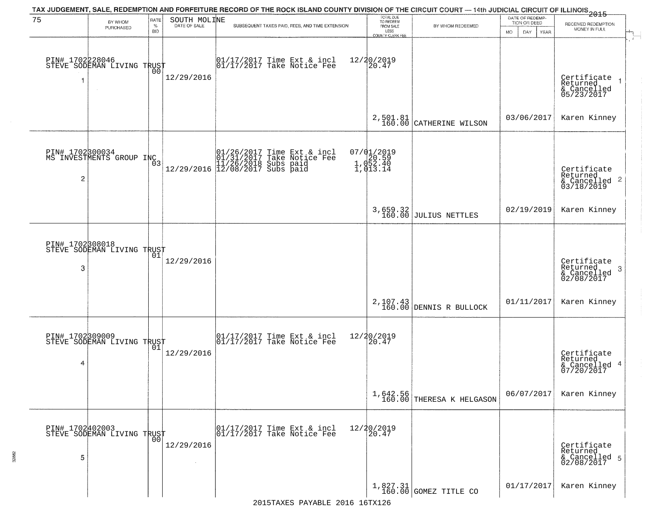| 75                      | BY WHOM                                       | RATE     | SOUTH MOLINE | TAX JUDGEMENT, SALE, REDEMPTION AND FORFEITURE RECORD OF THE ROCK ISLAND COUNTY DIVISION OF THE CIRCUIT COURT — 14th JUDICIAL CIRCUIT OF ILLINOIS 2015 | TOTAL DUE<br>TO REDEEM                                      |                                         | DATE OF REDEMP-<br>TION OR DEED | RECEIVED REDEMPTION                                                                             |
|-------------------------|-----------------------------------------------|----------|--------------|--------------------------------------------------------------------------------------------------------------------------------------------------------|-------------------------------------------------------------|-----------------------------------------|---------------------------------|-------------------------------------------------------------------------------------------------|
|                         | PURCHASED                                     | %<br>BID |              | SUBSEQUENT TAXES PAID, FEES, AND TIME EXTENSION                                                                                                        | FROM SALE<br>LESS<br>COUNTY CLERK FEE                       | BY WHOM REDEEMED                        | <b>MO</b><br>DAY<br>YEAR        | MONEY IN FULL                                                                                   |
| PIN# 1702228046<br>-1   | STEVE SODEMAN LIVING TRUST<br>$\sim$          | 00       | 12/29/2016   | 01/17/2017 Time Ext & incl<br>01/17/2017 Take Notice Fee                                                                                               | 12/20/2019<br>20.47                                         |                                         |                                 | Certificate<br>Returned<br>& Cancelled<br>05/23/2017                                            |
|                         |                                               |          |              |                                                                                                                                                        | 2,501.81<br>160.00                                          | CATHERINE WILSON                        | 03/06/2017                      | Karen Kinney                                                                                    |
| $\overline{\mathbf{c}}$ | PIN# 1702800034<br>MS INVESTMENTS GROUP INC   |          |              | $[01/26/2017 \tTime Ext & incl 01/31/2017 \tTake Notice Free 11/26/2018 Subs paid 12/29/2016 12/08/2017 Subs paid 12/08/2017)$                         | 07/01/2019<br>20.59<br>1,052.40<br>$1,052.40$<br>$1,013.14$ |                                         |                                 | Certificate<br>Returned<br>$\begin{array}{c}\n 6 \text{Cancelled} \\  03/18/2019\n \end{array}$ |
|                         |                                               |          |              |                                                                                                                                                        |                                                             | 3,659.32<br>160.00 JULIUS NETTLES       | 02/19/2019                      | Karen Kinney                                                                                    |
| PIN# 1702308018<br>3    | STEVE SODEMAN LIVING TRUST                    |          | 12/29/2016   |                                                                                                                                                        |                                                             |                                         |                                 | Certificate<br>Returned<br>$\mathbf{3}$<br>& Cancelled<br>02/08/2017                            |
|                         |                                               |          |              |                                                                                                                                                        |                                                             | 2, 107.43 DENNIS R BULLOCK              | 01/11/2017                      | Karen Kinney                                                                                    |
| 4                       | PIN# 1702309009<br>STEVE SODEMAN LIVING TRUST |          | 12/29/2016   | $\begin{array}{cc} 01/17/2017 & \text{Time Ext} & \text{incl} \\ 01/17/2017 & \text{Take Notice Fee} \end{array}$                                      | 12/20/2019<br>20.47                                         |                                         |                                 | Certificate<br>Returned<br>& Cancelled 4<br>07/20/2017                                          |
|                         |                                               |          |              |                                                                                                                                                        |                                                             | $1,642.56$<br>160.00 THERESA K HELGASON | 06/07/2017                      | Karen Kinney                                                                                    |
| 5                       | PIN# 1702402003<br>STEVE SODEMAN LIVING TRUST |          | 12/29/2016   | 01/17/2017 Time Ext & incl<br>01/17/2017 Take Notice Fee                                                                                               | 12/20/2019<br>20.47                                         |                                         |                                 | Certificate<br>Returned<br>& Cancelled 5<br>02/08/2017                                          |
|                         |                                               |          |              |                                                                                                                                                        |                                                             | $1,827.31$ GOMEZ TITLE CO               | 01/17/2017                      | Karen Kinney                                                                                    |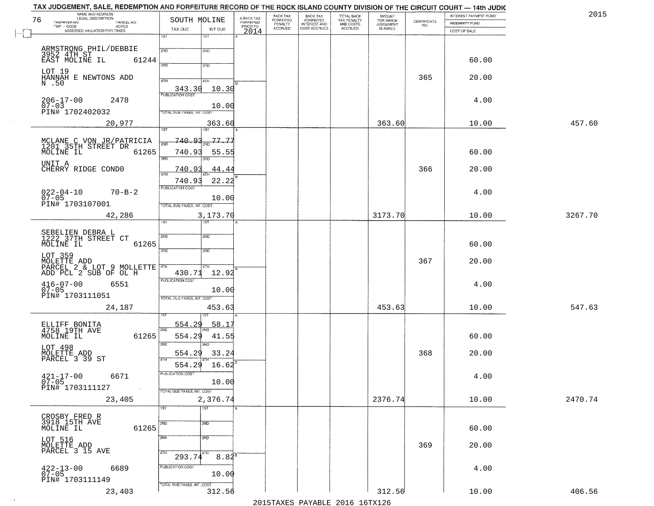| NAME AND ADDRESS<br>LEGAL DESCRIPTION<br>76     | SOUTH MOLINE                        |                                     | BACK TAX                               | <b>BACK TAX</b>                           | TOTAL BACK                                 | AMOUNT<br>FOR WHICH<br>JUDGEMENT |                    | INTEREST PAYMENT FUND | 2015    |
|-------------------------------------------------|-------------------------------------|-------------------------------------|----------------------------------------|-------------------------------------------|--------------------------------------------|----------------------------------|--------------------|-----------------------|---------|
| TAXPAYER NO.<br>PARCEL NO.<br><b>ACRES</b>      |                                     | A-BACK TAX<br>FORFEITED<br>PRIOR TO | FORFEITED<br>PENALTY<br><b>ACCRUED</b> | FORFEITED<br>INTEREST AND<br>COST ACCRUED | TAX PENALTY<br>AND COSTS<br><b>ACCRUED</b> | IS ASKED                         | CERTIFICATE<br>NO. | <b>INDEMNITY FUND</b> |         |
| ASSESSED VALUATION FOR TAXES                    | TAX DUE<br>INT DUE<br>1ST<br>1ST    | 2014                                |                                        |                                           |                                            |                                  |                    | COST OF SALE          |         |
|                                                 |                                     |                                     |                                        |                                           |                                            |                                  |                    |                       |         |
| ARMSTRONG PHIL/DEBBIE                           | 2ND<br>2ND                          |                                     |                                        |                                           |                                            |                                  |                    |                       |         |
| 3952 4TH ST<br>EAST MOLINE IL<br>61244          |                                     |                                     |                                        |                                           |                                            |                                  |                    | 60.00                 |         |
| LOT 19                                          | 3RD<br>3RD                          |                                     |                                        |                                           |                                            |                                  |                    |                       |         |
| HANNAH E NEWTONS ADD                            | 4TH<br>4TH                          |                                     |                                        |                                           |                                            |                                  | 365                | 20.00                 |         |
| N .50                                           | 10.30                               |                                     |                                        |                                           |                                            |                                  |                    |                       |         |
|                                                 | 343.30                              |                                     |                                        |                                           |                                            |                                  |                    |                       |         |
| $206 - 17 - 00$<br>2478<br>$07 - 03$            | 10.00                               |                                     |                                        |                                           |                                            |                                  |                    | 4.00                  |         |
| PIN# 1702402032                                 | TOTAL DUE-TAXES, INT. COST          |                                     |                                        |                                           |                                            |                                  |                    |                       |         |
| 20,977                                          | 363.60                              |                                     |                                        |                                           |                                            | 363.60                           |                    | 10.00                 | 457.60  |
|                                                 | 1ST<br>1ST                          |                                     |                                        |                                           |                                            |                                  |                    |                       |         |
|                                                 | 740.93<br>-77.77                    |                                     |                                        |                                           |                                            |                                  |                    |                       |         |
| MCLANE C VON JR/PATRICIA<br>1201 35TH STREET DR |                                     |                                     |                                        |                                           |                                            |                                  |                    |                       |         |
| MOLINE IL<br>61265                              | 740.93<br>55.55<br>3RD<br>3RD       |                                     |                                        |                                           |                                            |                                  |                    | 60.00                 |         |
| UNIT A                                          |                                     |                                     |                                        |                                           |                                            |                                  |                    |                       |         |
| CHERRY RIDGE CONDO                              | 740.93<br>44.44<br>$\overline{ATH}$ |                                     |                                        |                                           |                                            |                                  | 366                | 20.00                 |         |
|                                                 | 22.22<br>740.93                     |                                     |                                        |                                           |                                            |                                  |                    |                       |         |
| $70 - B - 2$                                    | PUBLICATION COST                    |                                     |                                        |                                           |                                            |                                  |                    | 4.00                  |         |
| $022 - 04 - 10$<br>07-05<br>PIN# 1703107001     | 10.00                               |                                     |                                        |                                           |                                            |                                  |                    |                       |         |
|                                                 | TOTAL DUE-TAXES, INT. COST          |                                     |                                        |                                           |                                            |                                  |                    |                       |         |
| 42,286                                          | 3,173.70<br>TST"<br>1ST             |                                     |                                        |                                           |                                            | 3173.70                          |                    | 10.00                 | 3267.70 |
|                                                 |                                     |                                     |                                        |                                           |                                            |                                  |                    |                       |         |
| SEBELIEN DEBRA L<br>1222 37TH STREET CT         | 2ND<br>2ND                          |                                     |                                        |                                           |                                            |                                  |                    |                       |         |
| MOLINE IL<br>61265                              |                                     |                                     |                                        |                                           |                                            |                                  |                    | 60.00                 |         |
| LOT 359                                         | 3 <sub>BD</sub><br>3BD              |                                     |                                        |                                           |                                            |                                  |                    |                       |         |
| PARCEL 2 & LOT 9 MOLLETTE                       |                                     |                                     |                                        |                                           |                                            |                                  | 367                | 20.00                 |         |
| ADD PCL 2 SUB OF OL H                           | 4TH<br>12.92<br>430.71              |                                     |                                        |                                           |                                            |                                  |                    |                       |         |
|                                                 | <b>PUBLICATION COST</b>             |                                     |                                        |                                           |                                            |                                  |                    |                       |         |
| $416 - 07 - 00$<br>07-05<br>6551                | 10.00                               |                                     |                                        |                                           |                                            |                                  |                    | 4.00                  |         |
| PIN# 1703111051                                 | TOTAL OUE-TAXES, INT. COST          |                                     |                                        |                                           |                                            |                                  |                    |                       |         |
| 24,187                                          | 453.63                              |                                     |                                        |                                           |                                            | 453.63                           |                    | 10.00                 | 547.63  |
|                                                 |                                     |                                     |                                        |                                           |                                            |                                  |                    |                       |         |
| ELLIFF BONITA<br>4758 19TH AVE                  | 554.29<br>$58.1^{\circ}$            |                                     |                                        |                                           |                                            |                                  |                    |                       |         |
| MOLINE IL<br>61265                              | 2ND<br>554.29<br>41.55              |                                     |                                        |                                           |                                            |                                  |                    | 60.00                 |         |
|                                                 | 3RD<br>3RD                          |                                     |                                        |                                           |                                            |                                  |                    |                       |         |
| LOT 498                                         | 554.29<br>33.24                     |                                     |                                        |                                           |                                            |                                  | 368                | 20.00                 |         |
| MOLETTE ADD<br>PARCEL 3 39 ST                   | 4TH                                 |                                     |                                        |                                           |                                            |                                  |                    |                       |         |
|                                                 | 554.29<br>16.62                     |                                     |                                        |                                           |                                            |                                  |                    |                       |         |
| $421 - 17 - 00$<br>07-05<br>6671                | 'usuca hun cus                      |                                     |                                        |                                           |                                            |                                  |                    | 4.00                  |         |
| PIN# 1703111127<br>$\sim 100$ km $^{-1}$        | 10.00                               |                                     |                                        |                                           |                                            |                                  |                    |                       |         |
|                                                 | TOTAL DUE-TAXES, INT. COST          |                                     |                                        |                                           |                                            |                                  |                    |                       |         |
| 23,405                                          | 2,376.74                            |                                     |                                        |                                           |                                            | 2376.74                          |                    | 10.00                 | 2470.74 |
|                                                 | $\overline{1ST}$<br>1ST             |                                     |                                        |                                           |                                            |                                  |                    |                       |         |
| CROSBY FRED R<br>3918 15TH AVE                  | 2ND<br>2ND                          |                                     |                                        |                                           |                                            |                                  |                    |                       |         |
| 61265<br>MOLINE IL                              |                                     |                                     |                                        |                                           |                                            |                                  |                    | 60.00                 |         |
|                                                 | 3RD<br>3BD                          |                                     |                                        |                                           |                                            |                                  |                    |                       |         |
| LOT 516<br>MOLETTE ADD<br>PARCEL 3 15 AVE       |                                     |                                     |                                        |                                           |                                            |                                  | 369                | 20.00                 |         |
|                                                 | 4TH<br>4TH<br>293.74<br>$8.84^{8}$  |                                     |                                        |                                           |                                            |                                  |                    |                       |         |
| 6689                                            | PUBLICATION COST                    |                                     |                                        |                                           |                                            |                                  |                    | 4.00                  |         |
| $422 - 13 - 00$<br>07-05                        | 10.00                               |                                     |                                        |                                           |                                            |                                  |                    |                       |         |
| PIN# 1703111149                                 | TOTAL DUE-TAXES, INT. COST          |                                     |                                        |                                           |                                            |                                  |                    |                       |         |
| 23,403                                          | 312.56                              |                                     |                                        |                                           |                                            | 312.56                           |                    | 10.00                 | 406.56  |

 $\sim 10^{-1}$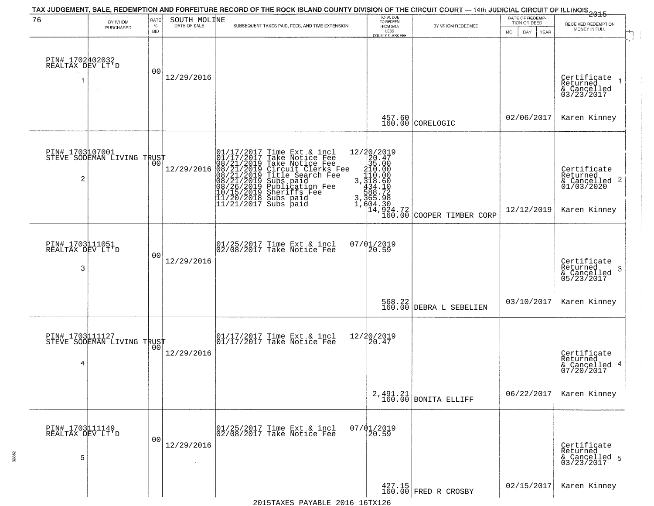| 76                                       | BY WHOM<br>PURCHASED                          | RATE<br>$\%$<br><b>BID</b> | SOUTH MOLINE | TAX JUDGEMENT, SALE, REDEMPTION AND FORFEITURE RECORD OF THE ROCK ISLAND COUNTY DIVISION OF THE CIRCUIT COURT — 14th JUDICIAL CIRCUIT OF ILLINOIS 2015<br>SUBSEQUENT TAXES PAID, FEES, AND TIME EXTENSION                                            | TOTAL DUE<br>TO REDEEM<br>FROM SALE<br>LESS<br>COUNTY CLERK FEE                                                                                                            | BY WHOM REDEEMED               | DATE OF REDEMP-<br>TION OR DEED<br><b>MO</b><br>DAY<br>YEAR | RECEIVED REDEMPTION<br>MONEY IN FULL                                   |
|------------------------------------------|-----------------------------------------------|----------------------------|--------------|------------------------------------------------------------------------------------------------------------------------------------------------------------------------------------------------------------------------------------------------------|----------------------------------------------------------------------------------------------------------------------------------------------------------------------------|--------------------------------|-------------------------------------------------------------|------------------------------------------------------------------------|
| PIN# 1702402032<br>REALTAX DEV LT'D      | $\sim$                                        | 00                         | 12/29/2016   |                                                                                                                                                                                                                                                      |                                                                                                                                                                            |                                |                                                             | Certificate<br>Returned<br>& Cancelled<br>03/23/2017                   |
|                                          |                                               |                            |              |                                                                                                                                                                                                                                                      | 457.60<br>160.00                                                                                                                                                           | CORELOGIC                      | 02/06/2017                                                  | Karen Kinney                                                           |
| 2                                        | PIN# 1703107001<br>STEVE SODEMAN LIVING TRUST |                            | 12/29/2016   | 01/17/2017 Time Ext & incl<br>01/17/2017 Take Notice Fee<br>08/21/2019 Take Notice Fee<br>08/21/2019 Circuit Clerks Fee<br>08/21/2019 Title Search Fee<br>08/21/2019 Subs paid<br>10/15/2019 Sheriffs Fee<br>11/20/2018 Subs paid<br>11/21/2017 Subs | $\begin{smallmatrix} 12/20/2019\\20.47\\315.000\\110.000\\3.110.00\\3.118.600\\434.18\\434.702\\7.804\\7.604\\7.604\\7.604\\8\end{smallmatrix}$<br>$14,924.72$<br>$160.00$ | COOPER TIMBER CORP             | 12/12/2019                                                  | Certificate<br>Returned<br>& Cancelled 2<br>01/03/2020<br>Karen Kinney |
| PIN# 1703111051<br>REALTAX DEV LT'D<br>3 |                                               | 00                         | 12/29/2016   | 01/25/2017 Time Ext & incl<br>02/08/2017 Take Notice Fee                                                                                                                                                                                             | $07/01/2019$<br>20.59                                                                                                                                                      |                                |                                                             | Certificate<br>Returned<br>-3<br>& Cancelled<br>05/23/2017             |
|                                          |                                               |                            |              |                                                                                                                                                                                                                                                      | 568.22<br>160.00                                                                                                                                                           | DEBRA L SEBELIEN               | 03/10/2017                                                  | Karen Kinney                                                           |
| PIN# 1703111127<br>4                     | STEVE SODEMAN LIVING TRUST                    |                            | 12/29/2016   | 01/17/2017 Time Ext & incl<br>01/17/2017 Take Notice Fee                                                                                                                                                                                             | 12/20/2019<br>20.47                                                                                                                                                        |                                |                                                             | Certificate<br>Returned<br>& Cancelled 4<br>07/20/2017                 |
|                                          |                                               |                            |              |                                                                                                                                                                                                                                                      |                                                                                                                                                                            | $2,491.21$ BONITA ELLIFF       | 06/22/2017                                                  | Karen Kinney                                                           |
| PIN# 1703111149<br>REALTAX DEV LT'D<br>5 |                                               | 0 <sub>0</sub>             | 12/29/2016   | 01/25/2017 Time Ext & incl<br>02/08/2017 Take Notice Fee                                                                                                                                                                                             | $07/01/2019$<br>$20.59$                                                                                                                                                    |                                |                                                             | Certificate<br>Returned<br>& Cancelled 5<br>03/23/2017                 |
|                                          |                                               |                            |              |                                                                                                                                                                                                                                                      |                                                                                                                                                                            | 427.15<br>160.00 FRED R CROSBY | 02/15/2017                                                  | Karen Kinney                                                           |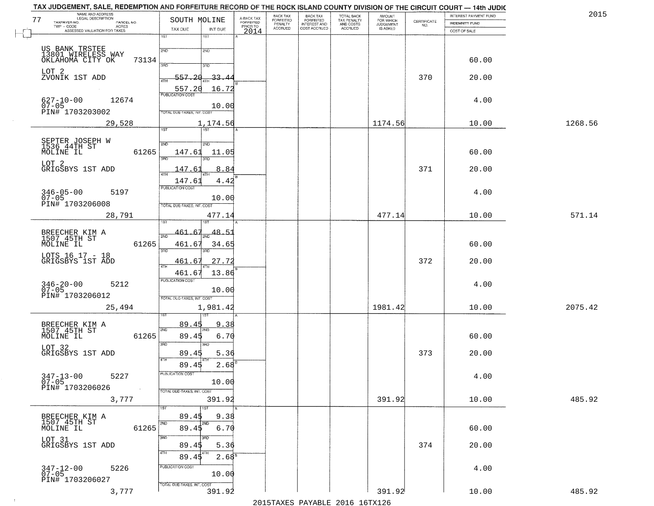| NAME AND ADDRESS<br>LEGAL DESCRIPTION<br>77                       | SOUTH MOLINE                                          | A-BACK TAX<br>FORFEITED | BACK TAX<br>FORFEITED | <b>BACK TAX</b><br><b>FORFEITED</b> | TOTAL BACK<br>TAX PENALTY<br>AND COSTS<br>ACCRUED | <b>AMOUNT</b>                      |                                                                 | INTEREST PAYMENT FUND | 2015    |
|-------------------------------------------------------------------|-------------------------------------------------------|-------------------------|-----------------------|-------------------------------------|---------------------------------------------------|------------------------------------|-----------------------------------------------------------------|-----------------------|---------|
| TAXPAYER NO.<br>PARCEL NO.<br>$TWP - CODE$<br>ACRES               | TAX DUE<br>INT DUE                                    | PRIOR TO                | PENALTY<br>ACCRUED    | INTEREST AND                        |                                                   | FOR WHICH<br>JUDGEMENT<br>IS ASKED | $\begin{array}{c} \text{CERTIFICATE} \\ \text{NO.} \end{array}$ | <b>INDEMNITY FUND</b> |         |
| ASSESSED VALUATION FOR TAXES                                      | 1ST<br>1ST                                            | 2014                    |                       |                                     |                                                   |                                    |                                                                 | COST OF SALE          |         |
|                                                                   | 2ND<br>2ND                                            |                         |                       |                                     |                                                   |                                    |                                                                 |                       |         |
| US BANK TRSTEE<br>13801 WIRELESS WAY<br>OKLAHOMA CITY OK<br>73134 |                                                       |                         |                       |                                     |                                                   |                                    |                                                                 | 60.00                 |         |
|                                                                   | 3PD<br>3BD                                            |                         |                       |                                     |                                                   |                                    |                                                                 |                       |         |
| LOT 2<br>ZVONIK 1ST ADD                                           | 557.20<br>$-33 - 4$<br>4TH                            |                         |                       |                                     |                                                   |                                    | 370                                                             | 20.00                 |         |
|                                                                   | 557.20<br>16.72<br><b>PUBLICATION COST</b>            |                         |                       |                                     |                                                   |                                    |                                                                 |                       |         |
| 12674<br>$627 - 10 - 00$                                          | 10.00                                                 |                         |                       |                                     |                                                   |                                    |                                                                 | 4.00                  |         |
| $07-05$<br>PIN# 1703203002                                        | TOTAL DUE-TAXES, INT. COST                            |                         |                       |                                     |                                                   |                                    |                                                                 |                       |         |
| 29,528                                                            | 1,174.56<br>75T<br>1ST                                |                         |                       |                                     |                                                   | 1174.56                            |                                                                 | 10.00                 | 1268.56 |
|                                                                   |                                                       |                         |                       |                                     |                                                   |                                    |                                                                 |                       |         |
| SEPTER JOSEPH W<br>1536 44TH ST<br>MOLINE IL<br>61265             | 2ND<br>2ND<br>147.61<br>11.05                         |                         |                       |                                     |                                                   |                                    |                                                                 | 60.00                 |         |
| LOT 2                                                             | 3RD<br>3RD                                            |                         |                       |                                     |                                                   |                                    |                                                                 |                       |         |
| GRIGSBYS 1ST ADD                                                  | 147.6<br>8.84<br>ৰিয়াম                               |                         |                       |                                     |                                                   |                                    | 371                                                             | 20.00                 |         |
|                                                                   | 147.61<br>4.42                                        |                         |                       |                                     |                                                   |                                    |                                                                 |                       |         |
| $346 - 05 - 00$<br>5197<br>$07 - 05$                              | <b>PUBLICATION COST</b>                               |                         |                       |                                     |                                                   |                                    |                                                                 | 4.00                  |         |
| PIN# 1703206008                                                   | 10.00<br>TOTAL DUE-TAXES, INT. COST                   |                         |                       |                                     |                                                   |                                    |                                                                 |                       |         |
| 28,791                                                            | 477.14                                                |                         |                       |                                     |                                                   | 477.14                             |                                                                 | 10.00                 | 571.14  |
|                                                                   | -67                                                   |                         |                       |                                     |                                                   |                                    |                                                                 |                       |         |
| BREECHER KIM A<br>1507 45TH ST                                    | 461.<br>48.51<br>2ND                                  |                         |                       |                                     |                                                   |                                    |                                                                 |                       |         |
| 61265<br>MOLINE IL                                                | 461.67<br>34.65<br>3 <sub>BD</sub><br>3 <sub>RD</sub> |                         |                       |                                     |                                                   |                                    |                                                                 | 60.00                 |         |
| LOTS 16 17 - 18<br>GRIGSBYS 1ST ADD                               | 27.72<br>461.67<br>4TH                                |                         |                       |                                     |                                                   |                                    | 372                                                             | 20.00                 |         |
|                                                                   | 461.67<br>13.86                                       |                         |                       |                                     |                                                   |                                    |                                                                 |                       |         |
| $346 - 20 - 00$<br>07-05<br>5212                                  | <b>PUBLICATION COST</b>                               |                         |                       |                                     |                                                   |                                    |                                                                 | 4.00                  |         |
| PIN# 1703206012                                                   | 10.00<br>TOTAL OUE-TAXES, INT. COST                   |                         |                       |                                     |                                                   |                                    |                                                                 |                       |         |
| 25,494                                                            | 1,981.42                                              |                         |                       |                                     |                                                   | 1981.42                            |                                                                 | 10.00                 | 2075.42 |
|                                                                   |                                                       |                         |                       |                                     |                                                   |                                    |                                                                 |                       |         |
| BREECHER KIM A<br>1507_45TH ST                                    | 89.45<br>9.38<br>2ND                                  |                         |                       |                                     |                                                   |                                    |                                                                 |                       |         |
| 61265<br>MOLINE IL                                                | 89.45<br>6.70<br>3RD<br>3BD                           |                         |                       |                                     |                                                   |                                    |                                                                 | 60.00                 |         |
| LOT 32<br>GRIGSBYS 1ST ADD                                        | 89.45<br>5.36                                         |                         |                       |                                     |                                                   |                                    | 373                                                             | 20.00                 |         |
|                                                                   | 4TH<br>$2.68^{B}$<br>89.45                            |                         |                       |                                     |                                                   |                                    |                                                                 |                       |         |
| $347 - 13 - 00$<br>5227                                           | PUBLICATION COST                                      |                         |                       |                                     |                                                   |                                    |                                                                 | 4.00                  |         |
| $07 - 05$<br>PIN# 1703206026<br>$\sim 100$                        | 10.00<br>TOTAL DUE-TAXES, INT. COST                   |                         |                       |                                     |                                                   |                                    |                                                                 |                       |         |
| 3,777                                                             | 391.92                                                |                         |                       |                                     |                                                   | 391.92                             |                                                                 | 10.00                 | 485.92  |
|                                                                   | 1ST<br>1ST                                            |                         |                       |                                     |                                                   |                                    |                                                                 |                       |         |
| BREECHER KIM A<br>1507 45TH ST                                    | 89.45<br>9.38<br>2ND<br>2ND                           |                         |                       |                                     |                                                   |                                    |                                                                 |                       |         |
| 61265<br>MOLINE IL                                                | 6.70<br>89.45                                         |                         |                       |                                     |                                                   |                                    |                                                                 | 60.00                 |         |
| LOT 31<br>GRIGSBYS 1ST ADD                                        | 3RD<br>3RD<br>89.45<br>5.36                           |                         |                       |                                     |                                                   |                                    | 374                                                             | 20.00                 |         |
|                                                                   | 4TH<br>89.45<br>2.68 <sup>8</sup>                     |                         |                       |                                     |                                                   |                                    |                                                                 |                       |         |
| 5226                                                              | PUBLICATION COST                                      |                         |                       |                                     |                                                   |                                    |                                                                 | 4.00                  |         |
| 347-12-00<br>07-05<br>PIN# 1703206027                             | 10.00                                                 |                         |                       |                                     |                                                   |                                    |                                                                 |                       |         |
| 3,777                                                             | TOTAL DUE-TAXES, INT. COST<br>391.92                  |                         |                       |                                     |                                                   | 391.92                             |                                                                 | 10.00                 | 485.92  |
|                                                                   |                                                       |                         |                       |                                     |                                                   |                                    |                                                                 |                       |         |

 $\sim 100$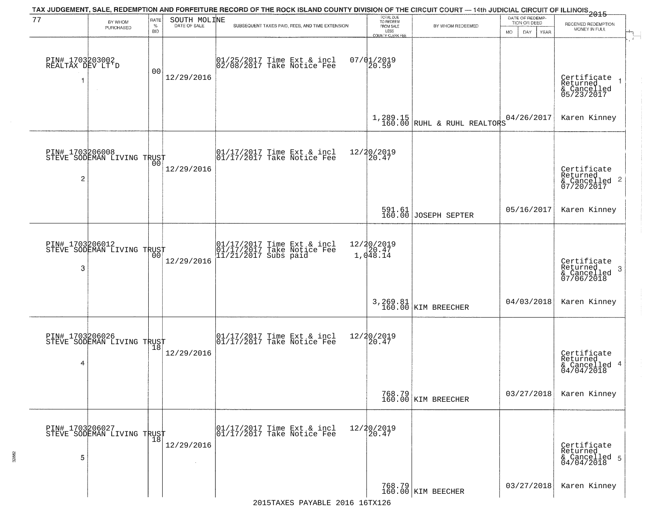| 77                                        | BY WHOM<br>PURCHASED                          | RATE<br>%<br>BID | SOUTH MOLINE | TAX JUDGEMENT, SALE, REDEMPTION AND FORFEITURE RECORD OF THE ROCK ISLAND COUNTY DIVISION OF THE CIRCUIT COURT — 14th JUDICIAL CIRCUIT OF ILLINOIS 2015<br>SUBSEQUENT TAXES PAID, FEES, AND TIME EXTENSION | TOTAL DUE<br>TO REDEEM<br>FROM SALE<br>LESS<br>COUNTY CLERK FEE | BY WHOM REDEEMED                          | DATE OF REDEMP-<br>TION OR DEED<br><b>MO</b><br>DAY<br>YEAR | RECEIVED REDEMPTION<br>MONEY IN FULL                       |
|-------------------------------------------|-----------------------------------------------|------------------|--------------|-----------------------------------------------------------------------------------------------------------------------------------------------------------------------------------------------------------|-----------------------------------------------------------------|-------------------------------------------|-------------------------------------------------------------|------------------------------------------------------------|
| PIN# 1703203002<br>REALTAX DEV LT'D<br>-1 | $\sim$                                        | 0 <sub>0</sub>   | 12/29/2016   | 01/25/2017 Time Ext & incl<br>02/08/2017 Take Notice Fee                                                                                                                                                  | $07/01/2019$<br>20.59                                           |                                           |                                                             | Certificate<br>Returned<br>& Cancelled<br>05/23/2017       |
|                                           |                                               |                  |              |                                                                                                                                                                                                           |                                                                 | $1,289.15$<br>160.00 RUHL & RUHL REALTORS | 04/26/2017                                                  | Karen Kinney                                               |
| $\overline{\mathbf{c}}$                   | PIN# 1703206008<br>STEVE SODEMAN LIVING TRUST | 0 <sub>0</sub>   | 12/29/2016   | $\begin{array}{cc} 01/17/2017 & \text{Time Ext} & \text{incl} \\ 01/17/2017 & \text{Take Notice Fee} \end{array}$                                                                                         | 12/20/2019<br>20.47                                             |                                           |                                                             | Certificate<br>Returned<br>& Cancelled 2<br>07/20/2017     |
|                                           |                                               |                  |              |                                                                                                                                                                                                           |                                                                 | 591.61<br>160.00 JOSEPH SEPTER            | 05/16/2017                                                  | Karen Kinney                                               |
| PIN# 1703206012<br>3                      | STEVE SODEMAN LIVING TRUST                    | 00               | 12/29/2016   | 01/17/2017 Time Ext & incl<br>01/17/2017 Take Notice Fee<br>11/21/2017 Subs paid                                                                                                                          | 12/20/2019<br>1,048.14                                          |                                           |                                                             | Certificate<br>Returned<br>-3<br>& Cancelled<br>07/06/2018 |
|                                           |                                               |                  |              |                                                                                                                                                                                                           |                                                                 | 3, 269.81<br>160.00 KIM BREECHER          | 04/03/2018                                                  | Karen Kinney                                               |
| 4                                         | PIN# 1703206026<br>STEVE SODEMAN LIVING TRUST |                  | 12/29/2016   | $\begin{array}{cc} 01/17/2017 & \text{Time Ext} & \text{incl} \\ 01/17/2017 & \text{Take Notice Fee} \end{array}$                                                                                         | 12/20/2019<br>20.47                                             |                                           |                                                             | Certificate<br>Returned<br>& Cancelled 4<br>04/04/2018     |
|                                           |                                               |                  |              |                                                                                                                                                                                                           |                                                                 | 768.79<br>160.00 KIM BREECHER             | 03/27/2018                                                  | Karen Kinney                                               |
| 5                                         | PIN# 1703206027<br>STEVE SODEMAN LIVING TRUST |                  | 12/29/2016   | 01/17/2017 Time Ext & incl<br>01/17/2017 Take Notice Fee                                                                                                                                                  | 12/20/2019<br>20.47                                             |                                           |                                                             | Certificate<br>Returned<br>& Cancelled 5<br>04/04/2018     |
|                                           |                                               |                  |              |                                                                                                                                                                                                           |                                                                 | 768.79<br>160.00 KIM BEECHER              | 03/27/2018                                                  | Karen Kinney                                               |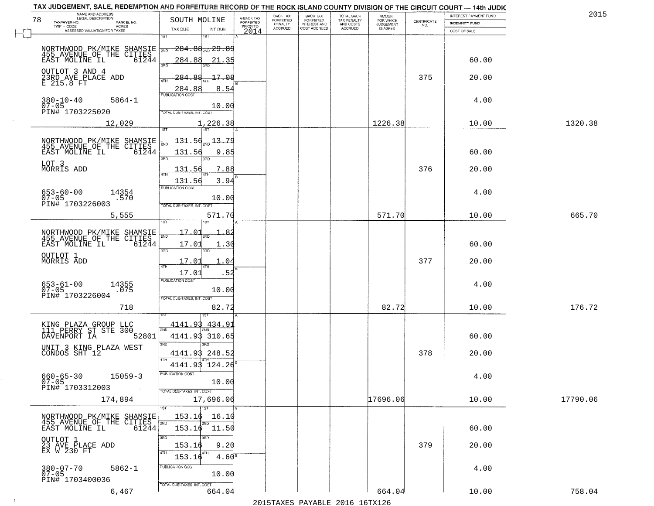| TAX JUDGEMENT, SALE, REDEMPTION AND FORFEITURE RECORD OF THE ROCK ISLAND COUNTY DIVISION OF THE CIRCUIT COURT - 14th JUDIC |                                      |                   |                                     | BACK TAX             |                                       |                                        |                                  |                                                                 | INTEREST PAYMENT FUND | 2015     |
|----------------------------------------------------------------------------------------------------------------------------|--------------------------------------|-------------------|-------------------------------------|----------------------|---------------------------------------|----------------------------------------|----------------------------------|-----------------------------------------------------------------|-----------------------|----------|
| NAME AND ADDRESS<br>LEGAL DESCRIPTION<br>78<br>TAXPAYER NO.<br>PARCEL NO.                                                  | SOUTH MOLINE                         |                   | A-BACK TAX<br>FORFEITED<br>PRIOR TO | FORFEITED<br>PENALTY | BACK TAX<br>FORFEITED<br>INTEREST AND | TOTAL BACK<br>TAX PENALTY<br>AND COSTS | AMOUNT<br>FOR WHICH<br>JUDGEMENT | $\begin{array}{c} \text{CERTIFICATE} \\ \text{NO.} \end{array}$ | <b>INDEMNITY FUND</b> |          |
| TWP - CODE<br>ACRES<br>ASSESSED VALUATION FOR TAXES                                                                        | TAX DUE                              | INT DUE           | 2014                                | <b>ACCRUED</b>       | COST ACCRUED                          | <b>ACCRUED</b>                         | IS ASKED                         |                                                                 | COST OF SALE          |          |
|                                                                                                                            | 1ST                                  | 1ST               |                                     |                      |                                       |                                        |                                  |                                                                 |                       |          |
|                                                                                                                            | <del>284.88<sub>2ND</sub> 29.8</del> |                   |                                     |                      |                                       |                                        |                                  |                                                                 |                       |          |
| NORTHWOOD PK/MIKE SHAMSIE 780<br>455 AVENUE OF THE CITIES<br>EAST MOLINE IL 61244                                          | 284.88                               | 21.35             |                                     |                      |                                       |                                        |                                  |                                                                 | 60.00                 |          |
|                                                                                                                            | 3RD                                  |                   |                                     |                      |                                       |                                        |                                  |                                                                 |                       |          |
| OUTLOT 3 AND 4<br>23RD AVE PLACE ADD<br>E 215.8 FT                                                                         | $-284$<br>೫<br>4TH                   | 17.08             |                                     |                      |                                       |                                        |                                  | 375                                                             | 20.00                 |          |
|                                                                                                                            | 284.88<br><b>PUBLICATION COST</b>    | 8.54              |                                     |                      |                                       |                                        |                                  |                                                                 |                       |          |
| $380 - 10 - 40$<br>$5864 - 1$                                                                                              |                                      |                   |                                     |                      |                                       |                                        |                                  |                                                                 | 4.00                  |          |
| $07 - 05$<br>PIN# 1703225020                                                                                               | TOTAL DUE-TAXES, INT. COST           | 10.00             |                                     |                      |                                       |                                        |                                  |                                                                 |                       |          |
| 12,029                                                                                                                     |                                      | 1,226.38          |                                     |                      |                                       |                                        | 1226.38                          |                                                                 | 10.00                 | 1320.38  |
|                                                                                                                            | 1ST                                  | 1ST               |                                     |                      |                                       |                                        |                                  |                                                                 |                       |          |
|                                                                                                                            | 131.56                               | 13.79             |                                     |                      |                                       |                                        |                                  |                                                                 |                       |          |
| NORTHWOOD PK/MIKE SHAMSIE<br>455 AVENUE OF THE CITIES<br>EAST MOLINE IL 61244                                              | 131.56                               | 9.85              |                                     |                      |                                       |                                        |                                  |                                                                 | 60.00                 |          |
| LOT 3                                                                                                                      | $\overline{\text{3BD}}$              | 3RD               |                                     |                      |                                       |                                        |                                  |                                                                 |                       |          |
| MORRIS ADD                                                                                                                 | 131.56<br>47H                        | 7.88              |                                     |                      |                                       |                                        |                                  | 376                                                             | 20.00                 |          |
|                                                                                                                            | 131.56                               | 3.94              |                                     |                      |                                       |                                        |                                  |                                                                 |                       |          |
| $653 - 60 - 00$<br>14354                                                                                                   | PUBLICATION COST                     |                   |                                     |                      |                                       |                                        |                                  |                                                                 | 4.00                  |          |
| $07 - 05$<br>.570<br>PIN# 1703226003                                                                                       | TOTAL DUE-TAXES, INT. COST           | 10.00             |                                     |                      |                                       |                                        |                                  |                                                                 |                       |          |
| 5,555                                                                                                                      |                                      | 571.70            |                                     |                      |                                       |                                        | 571.70                           |                                                                 | 10.00                 | 665.70   |
|                                                                                                                            | 1ST                                  |                   |                                     |                      |                                       |                                        |                                  |                                                                 |                       |          |
| NORTHWOOD PK/MIKE SHAMSIE<br>455 AVENUE OF THE CITIES                                                                      | 17.01<br>2ND                         |                   |                                     |                      |                                       |                                        |                                  |                                                                 |                       |          |
| EAST MOLINE IL<br>61244                                                                                                    | 17.01                                | 1.30              |                                     |                      |                                       |                                        |                                  |                                                                 | 60.00                 |          |
| OUTLOT 1<br>MORRIS ADD                                                                                                     | 3BD                                  | 3RD               |                                     |                      |                                       |                                        |                                  |                                                                 |                       |          |
|                                                                                                                            | 17.01<br>4TH                         | 1.04              |                                     |                      |                                       |                                        |                                  | 377                                                             | 20.00                 |          |
|                                                                                                                            | 17.01                                | .52               |                                     |                      |                                       |                                        |                                  |                                                                 |                       |          |
| 653-61-00<br>07-05<br>14355<br>.075                                                                                        | <b>PUBLICATION COST</b>              |                   |                                     |                      |                                       |                                        |                                  |                                                                 | 4.00                  |          |
| PIN# 1703226004                                                                                                            | TOTAL OUE-TAXES, INT. COST           | 10.00             |                                     |                      |                                       |                                        |                                  |                                                                 |                       |          |
| 718                                                                                                                        |                                      | 82.72             |                                     |                      |                                       |                                        | 82.72                            |                                                                 | 10.00                 | 176.72   |
|                                                                                                                            |                                      | IST               |                                     |                      |                                       |                                        |                                  |                                                                 |                       |          |
| KING PLAZA GROUP LLC<br>111 PERRY ST STE 300<br>DAVENPORT IA                                                               | 4141.93 434.9<br>2ND                 |                   |                                     |                      |                                       |                                        |                                  |                                                                 |                       |          |
| 52801                                                                                                                      | 4141.93 310.65                       |                   |                                     |                      |                                       |                                        |                                  |                                                                 | 60.00                 |          |
| UNIT 3 KING PLAZA WEST                                                                                                     | 3BD                                  | 3RD               |                                     |                      |                                       |                                        |                                  |                                                                 |                       |          |
| CONDOS SHT 12                                                                                                              | 4141.93 248.52<br>4TH                |                   |                                     |                      |                                       |                                        |                                  | 378                                                             | 20.00                 |          |
|                                                                                                                            | 4141.93 124.26                       |                   |                                     |                      |                                       |                                        |                                  |                                                                 |                       |          |
| $660 - 65 - 30$<br>$15059 - 3$<br>$07 - 05$                                                                                | PUBLICATION COST                     | 10.00             |                                     |                      |                                       |                                        |                                  |                                                                 | 4.00                  |          |
| PIN# 1703312003<br>$\sim 100$ km                                                                                           | TOTAL DUE-TAXES, INT. COST           |                   |                                     |                      |                                       |                                        |                                  |                                                                 |                       |          |
| 174,894                                                                                                                    |                                      | 17,696.06         |                                     |                      |                                       |                                        | 17696.06                         |                                                                 | 10.00                 | 17790.06 |
|                                                                                                                            | 1ST                                  | 1ST               |                                     |                      |                                       |                                        |                                  |                                                                 |                       |          |
| NORTHWOOD PK/MIKE SHAMSIE<br>455 AVENUE OF THE CITIES                                                                      | 153.16<br>2ND                        | 16.10<br>2ND      |                                     |                      |                                       |                                        |                                  |                                                                 |                       |          |
| 61244<br>EAST MOLINE IL                                                                                                    | 153.16 11.50                         |                   |                                     |                      |                                       |                                        |                                  |                                                                 | 60.00                 |          |
| OUTLOT 1                                                                                                                   | 3RD                                  | 3RD               |                                     |                      |                                       |                                        |                                  |                                                                 |                       |          |
| $\overline{23}$ $\overline{AVE}$ $\overline{PLACE}$ ADD<br>EX W 230 FT                                                     | 153.16<br>4TH                        | 9.20<br>4TH       |                                     |                      |                                       |                                        |                                  | 379                                                             | 20.00                 |          |
|                                                                                                                            | 153.16                               | 4.60 <sup>s</sup> |                                     |                      |                                       |                                        |                                  |                                                                 |                       |          |
| $5862 - 1$<br>380-07-70<br>07-05                                                                                           | PUBLICATION COST                     | 10.00             |                                     |                      |                                       |                                        |                                  |                                                                 | 4.00                  |          |
| PIN# 1703400036                                                                                                            | TOTAL DUE-TAXES, INT. COST           |                   |                                     |                      |                                       |                                        |                                  |                                                                 |                       |          |
| 6,467                                                                                                                      |                                      | 664.04            |                                     |                      |                                       |                                        | 664.04                           |                                                                 | 10.00                 | 758.04   |
|                                                                                                                            |                                      |                   |                                     |                      |                                       |                                        |                                  |                                                                 |                       |          |

 $\sim 10$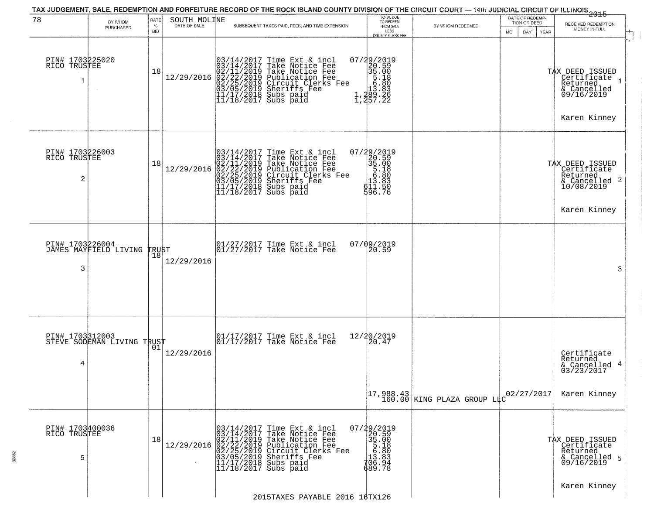| 78                                   | BY WHOM                                       | RATE               | SOUTH MOLINE | TAX JUDGEMENT, SALE, REDEMPTION AND FORFEITURE RECORD OF THE ROCK ISLAND COUNTY DIVISION OF THE CIRCUIT COURT — 14th JUDICIAL CIRCUIT OF ILLINOIS 2015                                                                                                                                                                                                      | TOTAL DUE<br>TO REDEEM                                                                                                                                                                                                                                                                                      |                                                                          | DATE OF REDEMP-<br>TION OR DEED |                                                                                             |
|--------------------------------------|-----------------------------------------------|--------------------|--------------|-------------------------------------------------------------------------------------------------------------------------------------------------------------------------------------------------------------------------------------------------------------------------------------------------------------------------------------------------------------|-------------------------------------------------------------------------------------------------------------------------------------------------------------------------------------------------------------------------------------------------------------------------------------------------------------|--------------------------------------------------------------------------|---------------------------------|---------------------------------------------------------------------------------------------|
|                                      | PURCHASED                                     | %<br><b>BID</b>    | DATE OF SALE | SUBSEQUENT TAXES PAID, FEES, AND TIME EXTENSION                                                                                                                                                                                                                                                                                                             | FROM SALE<br>LESS<br>COUNTY CLERK FEE                                                                                                                                                                                                                                                                       | BY WHOM REDEEMED                                                         | <b>MO</b><br>DAY<br>YEAR        | RECEIVED REDEMPTION<br>MONEY IN FULL                                                        |
| PIN# 1703225020<br>RICO TRUSTEE<br>1 | $\sim$                                        | 18                 |              | $[03/14/2017 \text{ Time Ext & incl} \newline [03/14/2017 \text{ Take Notice Free} \newline 02/11/2019 \text{ Take Notice Free} \newline 02/21/2019 \text{ Publication Free} \newline 02/22/2019 \text{ Circuit Clerks Free} \newline 03/05/2019 \text{ Sheriffs } \text{Free} \newline 11/17/2018 \text{ Subs paid} \newline 11/18/2017 \text{ Subs paid}$ | $\begin{smallmatrix} 07/29/2019\\20.59\\35.00\\5.18\\10.80\\11.289.26\\1,289.26\end{smallmatrix}$                                                                                                                                                                                                           |                                                                          |                                 | TAX DEED ISSUED<br>  Certificate<br>Returned<br>& Cancelled<br>09/16/2019<br>Karen Kinney   |
| PIN# 1703226003<br>RICO TRUSTEE<br>2 |                                               | 18                 | 12/29/2016   | $03/14/2017$ Time Ext & incl<br>$03/14/2017$ Take Notice Fee<br>$02/11/2019$ Take Notice Fee<br>$02/22/2019$ Publication Fee<br>$02/25/2019$ Circuit Clerks Fee<br>$03/05/2019$ Sheriffs Fee<br>$11/17/2018$ Subs paid<br>$11/18/2017$ Subs paid                                                                                                            | 07/29/2019<br>20.59<br>35.00<br>5.180<br>13.83<br>d11.57<br>596.76                                                                                                                                                                                                                                          |                                                                          |                                 | TAX DEED ISSUED<br>  Certificate<br>Returned<br>& Cancelled 2<br>10/08/2019<br>Karen Kinney |
| PIN# 1703226004<br>3                 | JAMES MAYFIELD LIVING                         | <b>TRUST</b><br>18 | 12/29/2016   | 01/27/2017 Time Ext & incl<br>01/27/2017 Take Notice Fee                                                                                                                                                                                                                                                                                                    | 07/09/2019<br>20.59                                                                                                                                                                                                                                                                                         |                                                                          |                                 | 3                                                                                           |
| 4                                    | PIN# 1703312003<br>STEVE SODEMAN LIVING TRUST |                    | 12/29/2016   | 01/17/2017 Time Ext & incl<br>01/17/2017 Take Notice Fee                                                                                                                                                                                                                                                                                                    | 12/20/2019<br>20.47                                                                                                                                                                                                                                                                                         |                                                                          |                                 | Certificate<br>Returned<br>& Cancelled 4<br>03/23/2017                                      |
|                                      |                                               |                    |              |                                                                                                                                                                                                                                                                                                                                                             |                                                                                                                                                                                                                                                                                                             | $\begin{bmatrix} 17,988.43 \\ 160.00 \end{bmatrix}$ KING PLAZA GROUP LLC | 02/27/2017                      | Karen Kinney                                                                                |
| PIN# 1703400036<br>RICO TRUSTEE<br>5 |                                               | 18                 |              | $12/29/2016 \begin{array}{l} 03/14/2017 \text{ Time Ext & incl} \\ 03/14/2017 \text{ Take Notice Free} \\ 02/11/2019 \text{ Take Notice Free} \\ 02/22/25/2019 \text{ Circuit Clerks Free} \\ 03/05/2019 \text{ Sheriffs} \\ 03/05/2019 \text{ Sheriffs} \\ 11/17/2/2017 \text{ Subs paid} \\ \end{array}$<br>$11/18/2017$ Subs paid                        | $\begin{array}{r} 07/29/2019 \\ 20.59 \\ 35.00 \\ 5.18 \\ 13.80 \\ 13.83 \\ 13.83 \\ 13.83 \\ 13.83 \\ 13.83 \\ 13.83 \\ 13.83 \\ 13.83 \\ 13.83 \\ 13.83 \\ 13.83 \\ 13.83 \\ 13.83 \\ 13.83 \\ 13.83 \\ 13.83 \\ 13.83 \\ 13.83 \\ 13.83 \\ 13.83 \\ 13.83 \\ 13.83 \\ 13.83 \\ 13.83 \\ 13.83$<br>689.78 |                                                                          |                                 | TAX DEED ISSUED<br>Certificate<br>Returned<br>& Cancelled 5<br>09/16/2019                   |
|                                      |                                               |                    |              | 2015TAXES PAYABLE 2016 16TX126                                                                                                                                                                                                                                                                                                                              |                                                                                                                                                                                                                                                                                                             |                                                                          |                                 | Karen Kinney                                                                                |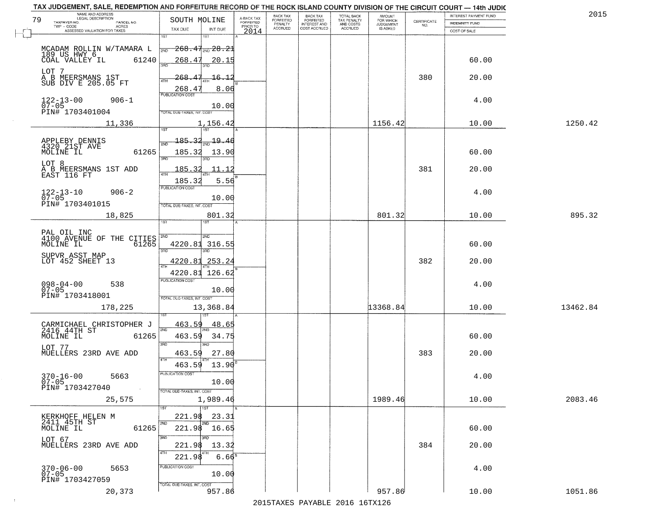| TAX JUDGEMENT, SALE, REDEMPTION AND FORFEITURE RECORD OF THE ROCK ISLAND COUNTY DIVISION OF THE CIRCUIT COURT - 14th JUDIC |                                                                                                                                                       |                                     |                      |                                  |                                        |                     |                                                                 |                       |          |
|----------------------------------------------------------------------------------------------------------------------------|-------------------------------------------------------------------------------------------------------------------------------------------------------|-------------------------------------|----------------------|----------------------------------|----------------------------------------|---------------------|-----------------------------------------------------------------|-----------------------|----------|
| NAME AND ADDRESS<br>LEGAL DESCRIPTION                                                                                      |                                                                                                                                                       |                                     | <b>BACK TAX</b>      | <b>BACK TAX</b>                  | TOTAL BACK<br>TAX PENALTY<br>AND COSTS | AMOUNT<br>FOR WHICH |                                                                 | INTEREST PAYMENT FUND | 2015     |
| 79<br>TAXPAYER NO.<br>PARCEL NO.<br>ACRES                                                                                  | SOUTH MOLINE                                                                                                                                          | A-BACK TAX<br>FORFEITED<br>PRIOR TO | FORFEITED<br>PENALTY | FORFEITED<br><b>INTEREST AND</b> |                                        | <b>JUDGEMENT</b>    | $\begin{array}{c} \text{CERTIFICATE} \\ \text{NO.} \end{array}$ | <b>INDEMNITY FUND</b> |          |
| ASSESSED VALUATION FOR TAXES                                                                                               | TAX DUE<br>INT DUE                                                                                                                                    | 2014                                | <b>ACCRUED</b>       | COST ACCRUED                     | ACCRUED                                | <b>IS ASKED</b>     |                                                                 | COST OF SALE          |          |
| MCADAM ROLLIN W/TAMARA L<br>189 US HWY 6<br>COAL VALLEY IL<br>61240                                                        | 1ST<br>1ST<br>$268.47_{200}$ $28.21$<br>2ND<br>268.47<br>380                                                                                          | 20.15                               |                      |                                  |                                        |                     |                                                                 | 60.00                 |          |
| LOT 7<br>A B MEERSMANS 1ST<br>SUB DIV E 205.05 FT                                                                          | <u> 268.47</u><br>ATH<br>268.4                                                                                                                        | <u> 16.12</u><br>8.06               |                      |                                  |                                        |                     | 380                                                             | 20.00                 |          |
| $122 - 13 - 00$<br>07-05<br>$906 - 1$<br>PIN# 1703401004                                                                   | <b>PUBLICATION COST</b><br>OTAL DUE-TAXES, INT. COST                                                                                                  | 10.00                               |                      |                                  |                                        |                     |                                                                 | 4.00                  |          |
| 11,336                                                                                                                     | 1,156.42                                                                                                                                              |                                     |                      |                                  |                                        | 1156.42             |                                                                 | 10.00                 | 1250.42  |
| APPLEBY DENNIS<br>4320 21ST AVE<br>61265<br>MOLINE IL<br>LOT 8<br>A B MEERSMANS 1ST ADD<br>EAST 116 FT                     | <u> 185.32</u><br>$\frac{19.46}{200}$<br>2ND<br>185.32<br>उन्नत<br>185.32<br>ৰাম                                                                      | 13.90<br>11.12                      |                      |                                  |                                        |                     | 381                                                             | 60.00<br>20.00        |          |
| $122 - 13 - 10$<br>07-05<br>$906 - 2$<br>PIN# 1703401015                                                                   | 185.32<br>PUBLICATION COST<br>TOTAL DUE-TAXES, INT. COST                                                                                              | 5.56<br>10.00                       |                      |                                  |                                        |                     |                                                                 | 4.00                  |          |
| 18,825                                                                                                                     | 801.32                                                                                                                                                |                                     |                      |                                  |                                        | 801.32              |                                                                 | 10.00                 | 895.32   |
| PAL OIL INC<br>4100 AVENUE OF THE CITIES<br>61265<br>MOLINE IL<br>SUPVR ASST MAP<br>LOT 452 SHEET 13                       | 1ST<br><b>ST</b><br><b>SMD</b><br>2ND<br>4220.81 316.55<br>3RD<br>3RD<br>4220.81<br>253.24<br><b>ATH</b><br>4220.81 126.62<br><b>PUBLICATION COST</b> |                                     |                      |                                  |                                        |                     | 382                                                             | 60.00<br>20.00        |          |
| $098 - 04 - 00$<br>07-05<br>538<br>PIN# 1703418001<br>178,225                                                              | TOTAL OUE-TAXES, INT. COST<br>13,368.84                                                                                                               | 10.00                               |                      |                                  |                                        | 13368.84            |                                                                 | 4.00<br>10.00         | 13462.84 |
| CARMICHAEL CHRISTOPHER J<br>2416 44TH ST<br>MOLINE IL<br>61265<br>LOT 77<br>MUELLERS 23RD AVE ADD                          | 463.59<br>2ND<br>463.59<br>3RD<br>3RD<br>463.59                                                                                                       | 48.65<br>34.75<br>27.80             |                      |                                  |                                        |                     | 383                                                             | 60.00<br>20.00        |          |
| $370 - 16 - 00$<br>5663<br>$07 - 05$<br>PIN# 1703427040<br>$\sim 100$                                                      | 4TH<br>463.59<br>PUBLICATION COST<br>TOTAL DUE-TAXES, INT. COST                                                                                       | 13.90<br>10.00                      |                      |                                  |                                        | 1989.46             |                                                                 | 4.00                  | 2083.46  |
| 25,575                                                                                                                     | 1,989.46<br>1ST<br>1ST                                                                                                                                |                                     |                      |                                  |                                        |                     |                                                                 | 10.00                 |          |
| KERKHOFF HELEN M<br>2411 45TH ST<br>MOLINE IL<br>61265<br>LOT 67<br>MUELLERS 23RD AVE ADD                                  | 221.98<br>2ND<br>221.98 16.65<br>3RD<br><u>aan</u><br>221.98<br>4TH<br>221.98                                                                         | 23.31<br>13.32<br>6.66 <sup>s</sup> |                      |                                  |                                        |                     | 384                                                             | 60.00<br>20.00        |          |
| $370 - 06 - 00$<br>5653<br>$07 - 05$<br>PIN# 1703427059<br>20,373                                                          | PUBLICATION COST<br>TOTAL DUE-TAXES, INT. COST<br>957.86                                                                                              | 10.00                               |                      |                                  |                                        | 957.86              |                                                                 | 4.00<br>10.00         | 1051.86  |
|                                                                                                                            |                                                                                                                                                       |                                     |                      |                                  |                                        |                     |                                                                 |                       |          |

 $\sim 10$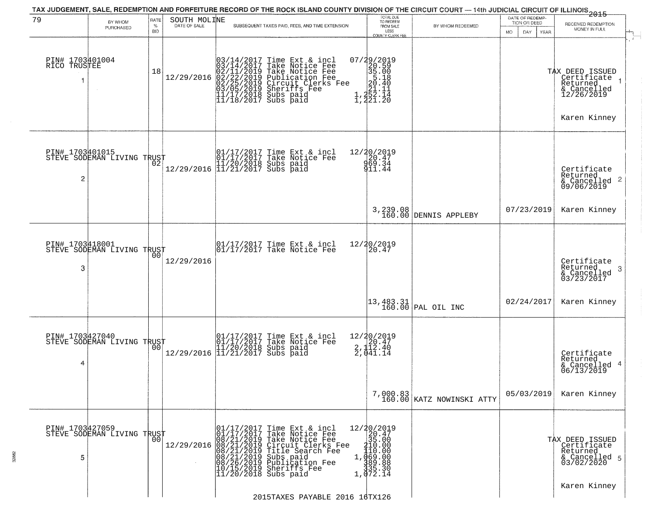| 79                              | BY WHOM                                                  | RATE               | SOUTH MOLINE |                          | TAX JUDGEMENT, SALE, REDEMPTION AND FORFEITURE RECORD OF THE ROCK ISLAND COUNTY DIVISION OF THE CIRCUIT COURT — 14th JUDICIAL CIRCUIT OF ILLINOIS 2015                                                                                                                                                | TOTAL DUE<br>TO REDEEM                                                                                                                   |                                                                 | DATE OF REDEMP<br>TION OR DEED | RECEIVED REDEMPTION                                                                     |
|---------------------------------|----------------------------------------------------------|--------------------|--------------|--------------------------|-------------------------------------------------------------------------------------------------------------------------------------------------------------------------------------------------------------------------------------------------------------------------------------------------------|------------------------------------------------------------------------------------------------------------------------------------------|-----------------------------------------------------------------|--------------------------------|-----------------------------------------------------------------------------------------|
|                                 | PURCHASED                                                | $\%$<br><b>BID</b> | DATE OF SALE |                          | SUBSEQUENT TAXES PAID, FEES, AND TIME EXTENSION                                                                                                                                                                                                                                                       | FROM SALE<br>LESS<br><b>COUNTY CLERK FEE</b>                                                                                             | BY WHOM REDEEMED                                                | DAY.<br>MO.<br>YEAR            | MONEY IN FULL                                                                           |
| PIN# 1703401004<br>RICO TRUSTEE |                                                          | 18                 | 12/29/2016   |                          | $03/14/2017$ Time Ext & incl<br>$03/14/2017$ Take Notice Fee<br>$02/11/2019$ Take Notice Fee<br>$02/22/2019$ Publication Fee<br>$03/05/2019$ Sheriffs Fee<br>$11/17/2018$ Subs paid<br>$11/18/2017$ Subs paid                                                                                         | 07/29/2019<br>20.59<br>35.00<br>5.18<br>20.40<br>$\frac{1}{2}, \frac{21}{22}.$ $\frac{11}{221}.$ $\frac{20}{21}.$ $\frac{20}{20}$        |                                                                 |                                | TAX DEED ISSUED<br>Certificate<br>Returned<br>& Cancelled<br>12/26/2019<br>Karen Kinney |
| PIN# 1703401015<br>2            | STEVE SODEMAN LIVING TRUST<br>STEVE SODEMAN LIVING TRUST |                    |              |                          | 01/17/2017 Time Ext & incl<br>01/17/2017 Take Notice Fee<br>11/20/2018 Subs paid<br>12/29/2016 11/21/2017 Subs paid                                                                                                                                                                                   | 12/20/2019<br>20.47<br>969.34<br>911.44                                                                                                  |                                                                 |                                | Certificate<br>Returned<br>& Cancelled 2<br>09/06/2019                                  |
|                                 |                                                          |                    |              |                          |                                                                                                                                                                                                                                                                                                       |                                                                                                                                          | 3,239.08<br>160.00 DENNIS APPLEBY                               | 07/23/2019                     | Karen Kinney                                                                            |
| PIN# 1703418001<br>3            | STEVE SODEMAN LIVING TRUST                               | 00                 | 12/29/2016   |                          | 01/17/2017 Time Ext & incl<br>01/17/2017 Take Notice Fee                                                                                                                                                                                                                                              | 12/20/2019<br>20.47                                                                                                                      |                                                                 |                                | Certificate<br>Returned<br>3<br>& Cancelled<br>03/23/2017                               |
|                                 |                                                          |                    |              |                          |                                                                                                                                                                                                                                                                                                       |                                                                                                                                          | $\begin{vmatrix} 13,483.31 \\ 160.00 \end{vmatrix}$ PAL OIL INC | 02/24/2017                     | Karen Kinney                                                                            |
| PIN# 1703427040<br>4            | STEVE SODEMAN LIVING TRUST                               | 0 <sub>0</sub>     |              |                          | 01/17/2017 Time Ext & incl<br>01/17/2017 Take Notice Fee<br>11/20/2018 Subs paid<br>12/29/2016 11/21/2017 Subs paid                                                                                                                                                                                   | $\begin{array}{c}\n 12/20/2019 \\  20.47 \\  2.112.40\n \end{array}$<br>$\frac{2}{10}$ , $\frac{1}{0}$ , $\frac{2}{11}$ , $\frac{1}{14}$ |                                                                 |                                | Certificate<br>Returned<br>& Cancelled 4<br>06/13/2019                                  |
|                                 |                                                          |                    |              |                          |                                                                                                                                                                                                                                                                                                       |                                                                                                                                          | 7,000.83<br>160.00 KATZ NOWINSKI ATTY                           | 05/03/2019                     | Karen Kinney                                                                            |
| PIN# 1703427059<br>5            | STEVE SODEMAN LIVING TRUST                               | 0 <sub>0</sub>     | 12/29/2016   | 01/17/2017<br>01/17/2017 | Time Ext & incl<br>Take Notice Fee<br>$08/21/2019$ Take Notice Fee<br>$08/21/2019$ Take Notice Fee<br>$08/21/2019$ Circuit Clerks F<br>$08/21/2019$ Title Search Fee<br>$08/21/2019$ Subsication Fee<br>$10/15/2019$ Sheriffs Fee<br>$11/20/2018$ Subs paid<br>Circuit Clerks Fee<br>Title Search Fee | 12/20/2019<br>20.47<br>35.00<br>410.00<br>110.00<br>1,069.00<br>389.88<br>335.30<br>1,072.14                                             |                                                                 |                                | TAX DEED ISSUED<br>Certificate<br>Returned<br>& Cancelled 5<br>03/02/2020               |
|                                 |                                                          |                    |              |                          | 2015TAXES PAYABLE 2016 16TX126                                                                                                                                                                                                                                                                        |                                                                                                                                          |                                                                 |                                | Karen Kinney                                                                            |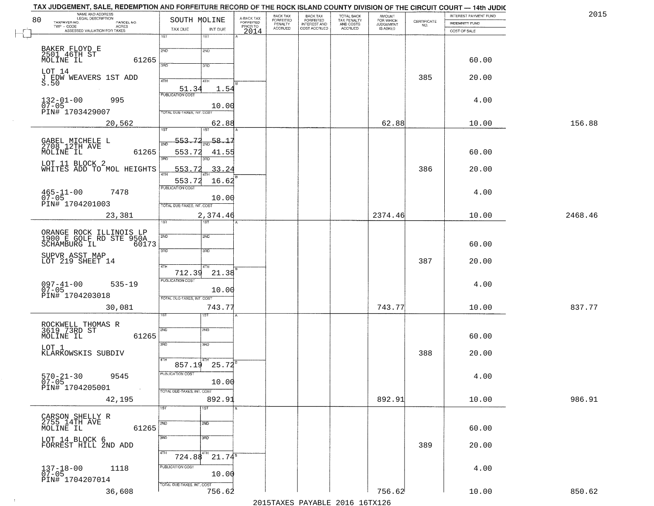| 80 | NAME AND ADDRESS<br>LEGAL DESCRIPTION                    | SOUTH MOLINE                                    | A-BACK TAX<br>FORFEITED | BACK TAX<br><b>FORFEITED</b> | BACK TAX<br>FORFEITED        | TOTAL BACK<br>TAX PENALTY<br>AND COSTS<br>ACCRUED | <b>AMOUNT</b>                      |                                                                 | INTEREST PAYMENT FUND | 2015    |
|----|----------------------------------------------------------|-------------------------------------------------|-------------------------|------------------------------|------------------------------|---------------------------------------------------|------------------------------------|-----------------------------------------------------------------|-----------------------|---------|
|    | TAXPAYER NO.<br>PARCEL NO.<br>TWP - CODE<br><b>ACRES</b> |                                                 | PRIOR TO                | PENALTY<br>ACCRUED           | INTEREST AND<br>COST ACCRUED |                                                   | FOR WHICH<br>JUDGEMENT<br>IS ASKED | $\begin{array}{c} \text{CERTIFICATE} \\ \text{NO.} \end{array}$ | INDEMNITY FUND        |         |
|    | ASSESSED VALUATION FOR TAXES                             | TAX DUE<br>INT DUE<br>1ST<br>1ST                | 2014                    |                              |                              |                                                   |                                    |                                                                 | COST OF SALE          |         |
|    |                                                          |                                                 |                         |                              |                              |                                                   |                                    |                                                                 |                       |         |
|    | BAKER FLOYD E<br>2501 46TH ST                            | 2ND<br>2ND                                      |                         |                              |                              |                                                   |                                    |                                                                 |                       |         |
|    | MOLINE IL<br>61265                                       | 390<br>3RD                                      |                         |                              |                              |                                                   |                                    |                                                                 | 60.00                 |         |
|    | LOT 14                                                   |                                                 |                         |                              |                              |                                                   |                                    | 385                                                             | 20.00                 |         |
|    | J EDW WEAVERS 1ST ADD<br>S.50                            | 4TH<br>41H                                      |                         |                              |                              |                                                   |                                    |                                                                 |                       |         |
|    |                                                          | 51.34<br>1.54<br><b>PUBLICATION COST</b>        |                         |                              |                              |                                                   |                                    |                                                                 |                       |         |
|    | 995<br>$132 - 01 - 00$<br>$07 - 05$                      | 10.00                                           |                         |                              |                              |                                                   |                                    |                                                                 | 4.00                  |         |
|    | PIN# 1703429007                                          | TOTAL DUE-TAXES, INT. COST                      |                         |                              |                              |                                                   |                                    |                                                                 |                       |         |
|    | 20,562                                                   | 62.88                                           |                         |                              |                              |                                                   | 62.88                              |                                                                 | 10.00                 | 156.88  |
|    |                                                          | 1ST <sup>1</sup><br>1ST                         |                         |                              |                              |                                                   |                                    |                                                                 |                       |         |
|    | GABEL MICHELE L<br>2708 12TH AVE                         | 553.72<br>58.17                                 |                         |                              |                              |                                                   |                                    |                                                                 |                       |         |
|    | MOLINE IL<br>61265                                       | 553.72<br>41.55<br>बल                           |                         |                              |                              |                                                   |                                    |                                                                 | 60.00                 |         |
|    | LOT 11 BLOCK 2                                           | 553.<br>33.24                                   |                         |                              |                              |                                                   |                                    | 386                                                             | 20.00                 |         |
|    | WHITES ADD TO MOL HEIGHTS                                |                                                 |                         |                              |                              |                                                   |                                    |                                                                 |                       |         |
|    |                                                          | 553.72<br>16.62<br>PUBLICATION COST             |                         |                              |                              |                                                   |                                    |                                                                 |                       |         |
|    | $465 - 11 - 00$<br>07-05<br>7478                         | 10.00                                           |                         |                              |                              |                                                   |                                    |                                                                 | 4.00                  |         |
|    | PIN# 1704201003                                          | TOTAL DUE-TAXES, INT. COST                      |                         |                              |                              |                                                   |                                    |                                                                 |                       |         |
|    | 23,381                                                   | 2,374.46                                        |                         |                              |                              |                                                   | 2374.46                            |                                                                 | 10.00                 | 2468.46 |
|    |                                                          | 1ST <sup>-</sup>                                |                         |                              |                              |                                                   |                                    |                                                                 |                       |         |
|    | ORANGE ROCK ILLINOIS LP<br>1900 E GOLF RD STE 950A       | 2ND<br>2ND                                      |                         |                              |                              |                                                   |                                    |                                                                 |                       |         |
|    | 60173<br>SCHAMBURG IL                                    | 3BD<br>3 <sub>BD</sub>                          |                         |                              |                              |                                                   |                                    |                                                                 | 60.00                 |         |
|    | SUPVR ASST MAP<br>LOT 219 SHEET 14                       |                                                 |                         |                              |                              |                                                   |                                    | 387                                                             | 20.00                 |         |
|    |                                                          | 4TH                                             |                         |                              |                              |                                                   |                                    |                                                                 |                       |         |
|    |                                                          | 712.39<br>21.38<br><b>PUBLICATION COST</b>      |                         |                              |                              |                                                   |                                    |                                                                 |                       |         |
|    | 097-41-00<br>07-05<br>$535 - 19$                         | 10.00                                           |                         |                              |                              |                                                   |                                    |                                                                 | 4.00                  |         |
|    | PIN# 1704203018                                          | TOTAL OUE-TAXES, INT. COST                      |                         |                              |                              |                                                   |                                    |                                                                 |                       |         |
|    | 30,081                                                   | 743.77                                          |                         |                              |                              |                                                   | 743.77                             |                                                                 | 10.00                 | 837.77  |
|    |                                                          | IST                                             |                         |                              |                              |                                                   |                                    |                                                                 |                       |         |
|    | ROCKWELL THOMAS R<br>3619 73RD ST                        | SVD<br>SND                                      |                         |                              |                              |                                                   |                                    |                                                                 |                       |         |
|    | 61265<br>MOLINE IL                                       |                                                 |                         |                              |                              |                                                   |                                    |                                                                 | 60.00                 |         |
|    | LOT 1<br>KLARKOWSKIS SUBDIV                              | 3RD<br>3RD                                      |                         |                              |                              |                                                   |                                    | 388                                                             | 20.00                 |         |
|    |                                                          | 4TH                                             |                         |                              |                              |                                                   |                                    |                                                                 |                       |         |
|    |                                                          | $857.19$ 25.72 <sup>8</sup><br>PUBLICATION COST |                         |                              |                              |                                                   |                                    |                                                                 |                       |         |
|    | $570 - 21 - 30$<br>9545<br>$07 - 05$                     | 10.00                                           |                         |                              |                              |                                                   |                                    |                                                                 | 4.00                  |         |
|    | PIN# 1704205001                                          | TOTAL DUE-TAXES, INT. COST                      |                         |                              |                              |                                                   |                                    |                                                                 |                       |         |
|    | 42,195                                                   | 892.93                                          |                         |                              |                              |                                                   | 892.91                             |                                                                 | 10.00                 | 986.91  |
|    |                                                          | 1ST<br>1ST                                      |                         |                              |                              |                                                   |                                    |                                                                 |                       |         |
|    | CARSON SHELLY R<br>2755 14TH AVE                         | 2ND<br>2ND                                      |                         |                              |                              |                                                   |                                    |                                                                 |                       |         |
|    | MOLINE IL<br>61265                                       |                                                 |                         |                              |                              |                                                   |                                    |                                                                 | 60.00                 |         |
|    | LOT 14 BLOCK 6<br>FORREST HILL 2ND ADD                   | 3RD<br>3 <sub>BD</sub>                          |                         |                              |                              |                                                   |                                    | 389                                                             | 20.00                 |         |
|    |                                                          | 4TH<br>$724.88^{4}$ $21.74^8$                   |                         |                              |                              |                                                   |                                    |                                                                 |                       |         |
|    |                                                          | PUBLICATION COST                                |                         |                              |                              |                                                   |                                    |                                                                 |                       |         |
|    | $137 - 18 - 00$<br>07-05<br>1118                         | 10.00                                           |                         |                              |                              |                                                   |                                    |                                                                 | 4.00                  |         |
|    | PIN# 1704207014                                          | TOTAL DUE-TAXES, INT. COST                      |                         |                              |                              |                                                   |                                    |                                                                 |                       |         |
|    | 36,608                                                   | 756.62                                          |                         |                              |                              |                                                   | 756.62                             |                                                                 | 10.00                 | 850.62  |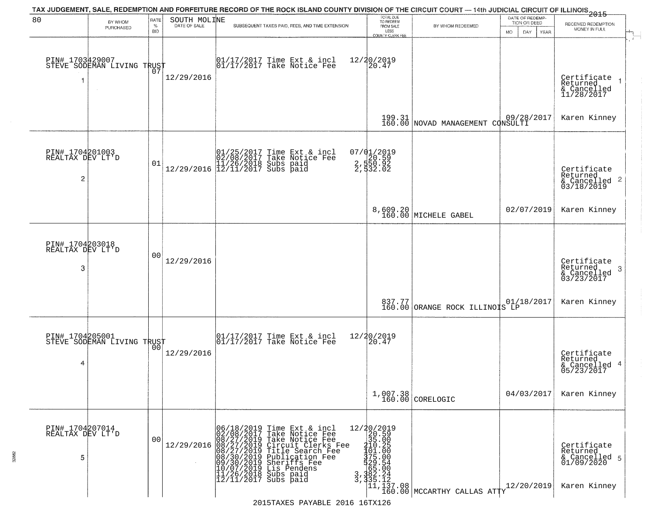| 80                                       | BY WHOM<br>PURCHASED                              | <b>RATE</b><br>$\%$<br><b>BID</b> | SOUTH MOLINE<br>DATE OF SALE | TAX JUDGEMENT, SALE, REDEMPTION AND FORFEITURE RECORD OF THE ROCK ISLAND COUNTY DIVISION OF THE CIRCUIT COURT — 14th JUDICIAL CIRCUIT OF ILLINOIS 2015<br>SUBSEQUENT TAXES PAID, FEES, AND TIME EXTENSION                                                                                                                                                                                                      | TOTAL DUE<br>TO REDEEM<br>FROM SALE<br>LESS      | BY WHOM REDEEMED                                      | DATE OF REDEMP-<br>TION OR DEED<br>DAY.<br>YEAR<br>MO. | RECEIVED REDEMPTION<br>MONEY IN FULL                                   |
|------------------------------------------|---------------------------------------------------|-----------------------------------|------------------------------|----------------------------------------------------------------------------------------------------------------------------------------------------------------------------------------------------------------------------------------------------------------------------------------------------------------------------------------------------------------------------------------------------------------|--------------------------------------------------|-------------------------------------------------------|--------------------------------------------------------|------------------------------------------------------------------------|
| 1                                        | PIN# 1703429007    <br>STEVE SODEMAN LIVING TRUST | 07                                | 12/29/2016                   | $\begin{bmatrix} 01/17/2017 \\ 01/17/2017 \\ 01 \end{bmatrix}$ Take Notice Fee                                                                                                                                                                                                                                                                                                                                 | COUNTY CLERK FEE<br>12/20/2019<br>20.47          |                                                       |                                                        | Certificate<br>Returned<br>& Cancelled<br>11/28/2017                   |
|                                          |                                                   |                                   |                              |                                                                                                                                                                                                                                                                                                                                                                                                                |                                                  | 199.31 09/28/2017<br>160.00 NOVAD MANAGEMENT CONSULTI |                                                        | Karen Kinney                                                           |
| PIN# 1704201003<br>REALTAX DEV LT'D<br>2 |                                                   | 01                                |                              | $[01/25/2017 \tTime Ext & incl 02/08/2017 \tTake Notice Free 11/26/2018 Subs paid 12/29/2016 12/11/2017 Subs paid 12/11/2017)$                                                                                                                                                                                                                                                                                 | 07/01/2019<br>2,590.59<br>2,550.92<br>2,532.02   |                                                       |                                                        | Certificate<br>Returned<br>$\frac{1}{6}$ Cancelled 2<br>03/18/2019     |
|                                          |                                                   |                                   |                              |                                                                                                                                                                                                                                                                                                                                                                                                                |                                                  | 8,609.20<br>160.00 MICHELE GABEL                      | 02/07/2019                                             | Karen Kinney                                                           |
| PIN# 1704203018<br>REALTAX DEV LT'D<br>3 |                                                   | 0 <sub>0</sub>                    | 12/29/2016                   |                                                                                                                                                                                                                                                                                                                                                                                                                |                                                  |                                                       |                                                        | Certificate<br>Returned<br>3<br>& Cancelled<br>03/23/2017              |
|                                          |                                                   |                                   |                              |                                                                                                                                                                                                                                                                                                                                                                                                                |                                                  | 837.77 01/18/2017<br>160.00 ORANGE ROCK ILLINOIS LP   |                                                        | Karen Kinney                                                           |
| 4                                        | PIN# 1704205001    <br>STEVE SODEMAN LIVING TRUST | 0 <sub>0</sub>                    | 12/29/2016                   | 01/17/2017 Time Ext & incl<br>01/17/2017 Take Notice Fee                                                                                                                                                                                                                                                                                                                                                       | 12/20/2019<br>$\left[20.47\right]$               |                                                       |                                                        | Certificate<br>Returned<br>& Cancelled 4<br>05/23/2017                 |
|                                          |                                                   |                                   |                              |                                                                                                                                                                                                                                                                                                                                                                                                                |                                                  | $1,007.38$<br>160.00 CORELOGIC                        | 04/03/2017                                             | Karen Kinney                                                           |
| PIN# 1704207014<br>REALTAX DEV LT'D<br>5 |                                                   | 0 <sub>0</sub>                    | 12/29/2016                   | 06/18/2019 Time Ext &<br>02/08/2017 Take Notic<br>08/27/2019 Take Notic<br>08/27/2019 Circuit Cl<br>08/27/2019 Title Sear<br>08/30/2019 Diblicatic<br>09/30/2019 Diblicatic<br>10/07/2019 Lis Penden<br>11/26/2018 Subs paid<br>12/11/2017 Subs paid<br>Time Ext & incl<br>Take Notice Fee<br>Take Notice Fee<br>Circuit Clerks Fee<br>Title Search Fee<br>Publication Fee<br>Sheriffs Fee<br>Lis Pendens<br>3 | 12/20/2019<br>20.59<br>35.00<br>110.25<br>101.00 |                                                       | 12/20/2019                                             | Certificate<br>Returned<br>& Cancelled 5<br>01/09/2020<br>Karen Kinney |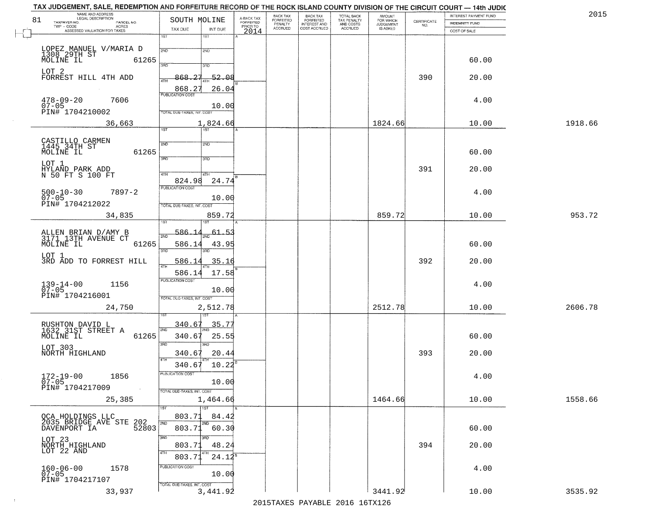| 81 | NAME AND ADDRESS<br>LEGAL DESCRIPTION<br>TAXPAYER NO.<br>PARCEL NO.   | SOUTH MOLINE                                         | A-BACK TAX<br>FORFEITED | BACK TAX<br>FORFEITED<br>PENALTY | BACK TAX<br>FORFEITED<br>INTEREST AND | TOTAL BACK<br>TAX PENALTY<br>AND COSTS | AMOUNT<br>FOR WHICH<br>JUDGEMENT | $\begin{array}{c} \text{CERTIFICATE} \\ \text{NO.} \end{array}$ | INTEREST PAYMENT FUND<br><b>INDEMNITY FUND</b> | 2015    |
|----|-----------------------------------------------------------------------|------------------------------------------------------|-------------------------|----------------------------------|---------------------------------------|----------------------------------------|----------------------------------|-----------------------------------------------------------------|------------------------------------------------|---------|
|    | $TWP - CODE$<br>ACRES<br>ASSESSED VALUATION FOR TAXES                 | TAX DUE<br>INT DUE                                   | PRIOR TO<br>2014        | <b>ACCRUED</b>                   | COST ACCRUED                          | <b>ACCRUED</b>                         | IS ASKED                         |                                                                 | COST OF SALE                                   |         |
|    |                                                                       | 1ST<br>1ST                                           |                         |                                  |                                       |                                        |                                  |                                                                 |                                                |         |
|    | LOPEZ MANUEL V/MARIA D<br>1308 29TH ST<br>MOLINE IL 612<br>61265      | 2ND<br>2ND                                           |                         |                                  |                                       |                                        |                                  |                                                                 | 60.00                                          |         |
|    |                                                                       | 350<br>3RD                                           |                         |                                  |                                       |                                        |                                  |                                                                 |                                                |         |
|    | LOT 2<br>FORREST HILL 4TH ADD                                         | 868.27<br>-52.08<br>4TH                              |                         |                                  |                                       |                                        |                                  | 390                                                             | 20.00                                          |         |
|    | $478 - 09 - 20$<br>7606                                               | 868.27<br>26.04<br><b>PUBLICATION COST</b>           |                         |                                  |                                       |                                        |                                  |                                                                 | 4.00                                           |         |
|    | 07-05<br>PIN# 1704210002                                              | 10.00<br>TOTAL DUE-TAXES, INT. COST                  |                         |                                  |                                       |                                        |                                  |                                                                 |                                                |         |
|    | 36,663                                                                | 1,824.66                                             |                         |                                  |                                       |                                        | 1824.66                          |                                                                 | 10.00                                          | 1918.66 |
|    |                                                                       | 1ST<br>1ST                                           |                         |                                  |                                       |                                        |                                  |                                                                 |                                                |         |
|    | CASTILLO CARMEN<br>1445 34TH ST<br>MOLINE IL<br>61265                 | 2ND<br>2ND                                           |                         |                                  |                                       |                                        |                                  |                                                                 | 60.00                                          |         |
|    | LOT 1                                                                 | 3RD<br>3HD                                           |                         |                                  |                                       |                                        |                                  |                                                                 |                                                |         |
|    | HÝLAND PARK ADD<br>N 50 FT S 100 FT                                   | 47H<br>4TH<br>24.74<br>824.98                        |                         |                                  |                                       |                                        |                                  | 391                                                             | 20.00                                          |         |
|    | $7897 - 2$<br>$500 - 10 - 30$                                         | PUBLICATION COST                                     |                         |                                  |                                       |                                        |                                  |                                                                 | 4.00                                           |         |
|    | $07 - 05$<br>PIN# 1704212022                                          | 10.00<br>TOTAL DUE-TAXES, INT. COST                  |                         |                                  |                                       |                                        |                                  |                                                                 |                                                |         |
|    | 34,835                                                                | 859.72                                               |                         |                                  |                                       |                                        | 859.72                           |                                                                 | 10.00                                          | 953.72  |
|    | ALLEN BRIAN D/AMY B<br>3171 13TH AVENUE CT                            | 586.1<br>61.<br>-53<br>2ND                           |                         |                                  |                                       |                                        |                                  |                                                                 |                                                |         |
|    | MOLINE IL<br>61265                                                    | 586.14<br>43.95<br>3RD<br>3BD                        |                         |                                  |                                       |                                        |                                  |                                                                 | 60.00                                          |         |
|    | LOT 1<br>3RD ADD TO FORREST HILL                                      | 586.14<br>35.16                                      |                         |                                  |                                       |                                        |                                  | 392                                                             | 20.00                                          |         |
|    |                                                                       | 4TH<br>586.14<br>17.58                               |                         |                                  |                                       |                                        |                                  |                                                                 |                                                |         |
|    | $139 - 14 - 00$<br>07-05<br>1156                                      | <b>PUBLICATION COST</b><br>10.00                     |                         |                                  |                                       |                                        |                                  |                                                                 | 4.00                                           |         |
|    | PIN# 1704216001                                                       | TOTAL OUE-TAXES, INT. COST                           |                         |                                  |                                       |                                        |                                  |                                                                 |                                                |         |
|    | 24,750                                                                | 2,512.78                                             |                         |                                  |                                       |                                        | 2512.78                          |                                                                 | 10.00                                          | 2606.78 |
|    | RUSHTON DAVID L<br>1632 31ST STREET A                                 | 340.67<br><u>35.77</u><br>2ND                        |                         |                                  |                                       |                                        |                                  |                                                                 |                                                |         |
|    | MOLINE IL<br>61265<br>LOT 303                                         | 340.67<br>25.55<br>3RD<br>3BD                        |                         |                                  |                                       |                                        |                                  |                                                                 | 60.00                                          |         |
|    | NORTH HIGHLAND                                                        | 20.44<br>340.67<br>4TH                               |                         |                                  |                                       |                                        |                                  | 393                                                             | 20.00                                          |         |
|    |                                                                       | $10.22^8$<br>340.67<br>PUBLICATION COST              |                         |                                  |                                       |                                        |                                  |                                                                 |                                                |         |
|    | $172 - 19 - 00$<br>1856<br>$07 - 05$<br>PIN# 1704217009<br>$\sim 100$ | 10.00                                                |                         |                                  |                                       |                                        |                                  |                                                                 | 4.00                                           |         |
|    | 25,385                                                                | TOTAL DUE-TAXES, INT. COST<br>1,464.66               |                         |                                  |                                       |                                        | 1464.66                          |                                                                 | 10.00                                          | 1558.66 |
|    |                                                                       | 1ST<br>1ST<br>803.71<br>84.42                        |                         |                                  |                                       |                                        |                                  |                                                                 |                                                |         |
|    | OCA HOLDINGS LLC<br>2035 BRIDGE AVE STE 202<br>- WENDORT TA 52803     | 2ND<br>2ND<br>803.71<br>60.30                        |                         |                                  |                                       |                                        |                                  |                                                                 | 60.00                                          |         |
|    |                                                                       | 3RD<br>3RD                                           |                         |                                  |                                       |                                        |                                  |                                                                 |                                                |         |
|    | LOT 23<br>NORTH HIGHLAND<br>LOT 22 AND                                | 48.24<br>803.71<br>4TH<br>4TH<br>$24.12^5$<br>803.71 |                         |                                  |                                       |                                        |                                  | 394                                                             | 20.00                                          |         |
|    | $160 - 06 - 00$<br>07-05<br>1578                                      | PUBLICATION COST                                     |                         |                                  |                                       |                                        |                                  |                                                                 | 4.00                                           |         |
|    | PIN# 1704217107                                                       | 10.00<br>TOTAL DUE-TAXES, INT. COST                  |                         |                                  |                                       |                                        |                                  |                                                                 |                                                |         |
|    | 33,937                                                                | 3,441.92                                             |                         |                                  |                                       |                                        | 3441.92                          |                                                                 | 10.00                                          | 3535.92 |

 $\sim 40$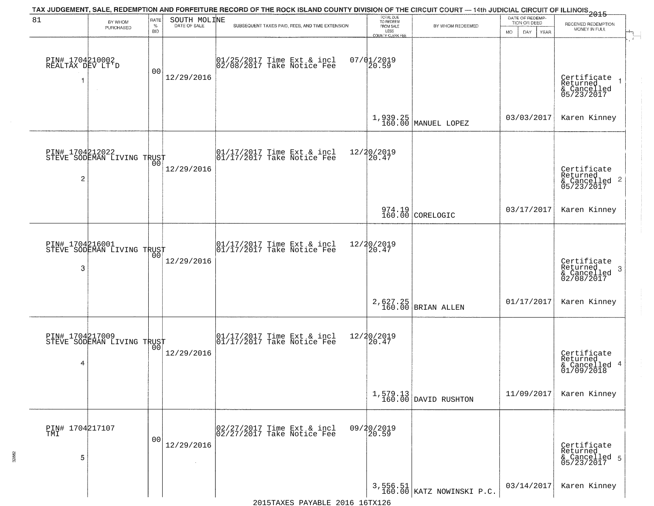| 81                                       | BY WHOM                                           | <b>RATE</b>        | SOUTH MOLINE | TAX JUDGEMENT, SALE, REDEMPTION AND FORFEITURE RECORD OF THE ROCK ISLAND COUNTY DIVISION OF THE CIRCUIT COURT — 14th JUDICIAL CIRCUIT OF ILLINOIS 2015 | TOTAL DUE<br>TO REDEEM                |                                                                                | DATE OF REDEMP-<br>TION OR DEED |                                                                    |
|------------------------------------------|---------------------------------------------------|--------------------|--------------|--------------------------------------------------------------------------------------------------------------------------------------------------------|---------------------------------------|--------------------------------------------------------------------------------|---------------------------------|--------------------------------------------------------------------|
|                                          | PURCHASED                                         | $\%$<br><b>BID</b> | DATE OF SALE | SUBSEQUENT TAXES PAID, FEES, AND TIME EXTENSION                                                                                                        | FROM SALE<br>LESS<br>COUNTY CLERK FEE | BY WHOM REDEEMED                                                               | MO.<br>DAY.<br>YEAR             | RECEIVED REDEMPTION<br>MONEY IN FULL                               |
| PIN# 1704210002<br>REALTAX DEV LT'D<br>1 | $\sim$                                            | 00                 | 12/29/2016   | $01/25/2017$ Time Ext & incl<br>$02/08/2017$ Take Notice Fee                                                                                           | $07/01/2019$<br>20.59                 |                                                                                |                                 | Certificate<br>Returned<br>& Cancelled<br>05/23/2017               |
|                                          |                                                   |                    |              |                                                                                                                                                        |                                       | 1,939.25<br>160.00 MANUEL LOPEZ                                                | 03/03/2017                      | Karen Kinney                                                       |
| $\overline{c}$                           | PIN# 1704212022<br>STEVE SODEMAN LIVING TRUST     |                    | 12/29/2016   | 01/17/2017 Time Ext & incl<br>01/17/2017 Take Notice Fee                                                                                               | 12/20/2019<br>20.47                   |                                                                                |                                 | Certificate<br>Returned<br>$\frac{1}{6}$ Cancelled 2<br>05/23/2017 |
|                                          |                                                   |                    |              |                                                                                                                                                        |                                       | $974.19$ CORELOGIC                                                             | 03/17/2017                      | Karen Kinney                                                       |
| PIN# 1704216001<br>3                     | STEVE SODEMAN LIVING TRUST                        | 00                 | 12/29/2016   | 01/17/2017 Time Ext & incl<br>01/17/2017 Take Notice Fee                                                                                               | 12/20/2019<br>20.47                   |                                                                                |                                 | Certificate<br>Returned<br>3<br>& Cancelled<br>02/08/2017          |
|                                          |                                                   |                    |              |                                                                                                                                                        |                                       | 2,627.25<br>160.00 BRIAN ALLEN                                                 | 01/17/2017                      | Karen Kinney                                                       |
| 4                                        | PIN# 1704217009    <br>STEVE SODEMAN LIVING TRUST | 0 <sub>0</sub>     | 12/29/2016   | 01/17/2017 Time Ext & incl<br>01/17/2017 Take Notice Fee                                                                                               | 12/20/2019<br>$\tilde{20.47}$         |                                                                                |                                 | Certificate<br>Returned<br>& Cancelled 4<br>01/09/2018             |
|                                          |                                                   |                    |              |                                                                                                                                                        |                                       | $\left[ \begin{array}{c} 1,579.13 \\ 160.00 \end{array} \right]$ DAVID RUSHTON | 11/09/2017                      | Karen Kinney                                                       |
| PIN# 1704217107<br>5                     |                                                   | 0 <sub>0</sub>     | 12/29/2016   | 02/27/2017 Time Ext & incl<br>02/27/2017 Take Notice Fee                                                                                               | 09/20/2019<br>20.59                   |                                                                                |                                 | Certificate<br>Returned<br>& Cancelled 5<br>05/23/2017             |
|                                          |                                                   |                    |              |                                                                                                                                                        |                                       | 3,556.51<br>160.00 KATZ NOWINSKI P.C.                                          | 03/14/2017                      | Karen Kinney                                                       |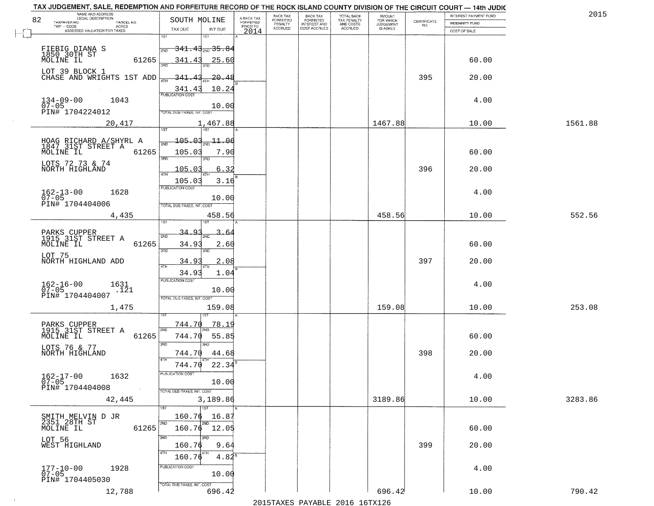| TAX JUDGEMENT, SALE, REDEMPTION AND FORFEITURE RECORD OF THE ROCK ISLAND COUNTY DIVISION OF THE CIRCUIT COURT - 14th JUDIC<br>NAME AND ADDRESS<br>LEGAL DESCRIPTION |                                                            |                                     | BACK TAX             | <b>BACK TAX</b>           |                                        | AMOUNT<br>FOR WHICH |                                                                 | INTEREST PAYMENT FUND | 2015    |
|---------------------------------------------------------------------------------------------------------------------------------------------------------------------|------------------------------------------------------------|-------------------------------------|----------------------|---------------------------|----------------------------------------|---------------------|-----------------------------------------------------------------|-----------------------|---------|
| 82<br>TAXPAYER NO.<br>PARCEL NO.<br>ACRES                                                                                                                           | SOUTH MOLINE                                               | A-BACK TAX<br>FORFEITED<br>PRIOR TO | FORFEITED<br>PENALTY | FORFEITED<br>INTEREST AND | TOTAL BACK<br>TAX PENALTY<br>AND COSTS | <b>JUDGEMENT</b>    | $\begin{array}{c} \text{CERTIFICATE} \\ \text{NO.} \end{array}$ | INDEMNITY FUND        |         |
| ASSESSED VALUATION FOR TAXES                                                                                                                                        | TAX DUE<br>INT DUE                                         | 2014                                | <b>ACCRUED</b>       | COST ACCRUED              | <b>ACCRUED</b>                         | IS ASKED            |                                                                 | COST OF SALE          |         |
|                                                                                                                                                                     | 1ST<br>18T<br><del>341.43<sub>2ND</sub> 35.84</del><br>2ND |                                     |                      |                           |                                        |                     |                                                                 |                       |         |
| FIEBIG DIANA S<br>1850 30TH ST<br>MOLINE IL<br>61265                                                                                                                | 341.43<br>25.60                                            |                                     |                      |                           |                                        |                     |                                                                 | 60.00                 |         |
| LOT 39 BLOCK 1<br>CHASE AND WRIGHTS 1ST ADD                                                                                                                         | $-20.48$<br>-341.43                                        |                                     |                      |                           |                                        |                     | 395                                                             | 20.00                 |         |
|                                                                                                                                                                     | 10.24<br>$\frac{341.43}{FUBUCATON COST}$                   |                                     |                      |                           |                                        |                     |                                                                 |                       |         |
| $134 - 09 - 00$<br>07-05<br>1043<br>PIN# 1704224012                                                                                                                 | 10.00<br>TOTAL DUE-TAXES, INT. COST                        |                                     |                      |                           |                                        |                     |                                                                 | 4.00                  |         |
| 20,417                                                                                                                                                              | 1,467.88                                                   |                                     |                      |                           |                                        | 1467.88             |                                                                 | 10.00                 | 1561.88 |
|                                                                                                                                                                     | 105.03<br>$\frac{11.00}{200}$                              |                                     |                      |                           |                                        |                     |                                                                 |                       |         |
| HOAG RICHARD A/SHYRL A<br>1847 31ST STREET A<br>61265<br>MOLINE IL                                                                                                  | 105.03<br>7.90                                             |                                     |                      |                           |                                        |                     |                                                                 | 60.00                 |         |
| LOTS 72 73 & 74<br>NORTH HIGHLAND                                                                                                                                   | 3RD<br>3RD<br>105.03<br>6.32<br>ৰাম                        |                                     |                      |                           |                                        |                     | 396                                                             | 20.00                 |         |
|                                                                                                                                                                     | 105.03<br>3.16                                             |                                     |                      |                           |                                        |                     |                                                                 |                       |         |
| $162 - 13 - 00$<br>1628                                                                                                                                             | PUBLICATION COST                                           |                                     |                      |                           |                                        |                     |                                                                 | 4.00                  |         |
| $07 - 05$<br>PIN# 1704404006                                                                                                                                        | 10.00<br>TOTAL DUE-TAXES, INT. COST                        |                                     |                      |                           |                                        |                     |                                                                 |                       |         |
| 4,435                                                                                                                                                               | 458.56                                                     |                                     |                      |                           |                                        | 458.56              |                                                                 | 10.00                 | 552.56  |
|                                                                                                                                                                     | 1ST<br>1ST<br>34.<br>$\Omega$                              |                                     |                      |                           |                                        |                     |                                                                 |                       |         |
| PARKS CUPPER<br>1915 31ST STREET A<br>MOLINE IL<br>61265                                                                                                            | ىم.<br>2ND<br>34.93<br>2.60                                |                                     |                      |                           |                                        |                     |                                                                 | 60.00                 |         |
| LOT 75<br>NORTH HIGHLAND ADD                                                                                                                                        | 3RD<br>3RD<br>34.9<br>2.08                                 |                                     |                      |                           |                                        |                     | 397                                                             | 20.00                 |         |
|                                                                                                                                                                     | 4TH<br>34.93<br>1.04                                       |                                     |                      |                           |                                        |                     |                                                                 |                       |         |
| $162 - 16 - 00$<br>07-05<br>1631<br>.121                                                                                                                            | <b>PUBLICATION COST</b><br>10.00                           |                                     |                      |                           |                                        |                     |                                                                 | 4.00                  |         |
| PIN# 1704404007<br>1,475                                                                                                                                            | TOTAL OUE-TAXES, INT. COST<br>159.08                       |                                     |                      |                           |                                        | 159.08              |                                                                 | 10.00                 | 253.08  |
|                                                                                                                                                                     |                                                            |                                     |                      |                           |                                        |                     |                                                                 |                       |         |
| PARKS CUPPER<br>1915 31ST STREET A<br>MOLINE IL<br>61265                                                                                                            | 744.70<br>78.19<br>2ND<br>744.70<br>55.85                  |                                     |                      |                           |                                        |                     |                                                                 | 60.00                 |         |
| LOTS 76 & 77<br>NORTH HIGHLAND                                                                                                                                      | 3 <sub>BD</sub><br><b>IRD</b><br>744.70<br>44.68           |                                     |                      |                           |                                        |                     | 398                                                             | 20.00                 |         |
|                                                                                                                                                                     | 4TH<br>744.70<br>22.34                                     |                                     |                      |                           |                                        |                     |                                                                 |                       |         |
| $162 - 17 - 00$<br>07-05<br>1632                                                                                                                                    | PUBLICATION CUS.<br>10.00                                  |                                     |                      |                           |                                        |                     |                                                                 | 4.00                  |         |
| PIN# 1704404008<br>$\sim 100$                                                                                                                                       | TOTAL DUE-TAXES, INT. COST                                 |                                     |                      |                           |                                        |                     |                                                                 |                       |         |
| 42,445                                                                                                                                                              | 3,189.86<br>$\overline{11ST}$                              |                                     |                      |                           |                                        | 3189.86             |                                                                 | 10.00                 | 3283.86 |
|                                                                                                                                                                     | 160.76<br>16.87                                            |                                     |                      |                           |                                        |                     |                                                                 |                       |         |
| SMITH MELVIN D JR<br>2351 28TH ST<br>MOLINE IL<br>61265                                                                                                             | 2ND<br>2ND<br>$160.76$ $12.05$                             |                                     |                      |                           |                                        |                     |                                                                 | 60.00                 |         |
| LOT 56<br>WEST HIGHLAND                                                                                                                                             | 3RD<br>3BD<br>160.76<br>9.64<br>4TH                        |                                     |                      |                           |                                        |                     | 399                                                             | 20.00                 |         |
|                                                                                                                                                                     | 160.76<br>$4.82^8$                                         |                                     |                      |                           |                                        |                     |                                                                 |                       |         |
| 177-10-00<br>07-05<br>1928<br>PIN# 1704405030                                                                                                                       | PUBLICATION COST<br>10.00                                  |                                     |                      |                           |                                        |                     |                                                                 | 4.00                  |         |
| 12,788                                                                                                                                                              | TOTAL DUE-TAXES, INT. COST<br>696.42                       |                                     |                      |                           |                                        | 696.42              |                                                                 | 10.00                 | 790.42  |

 $\sim 10^{-1}$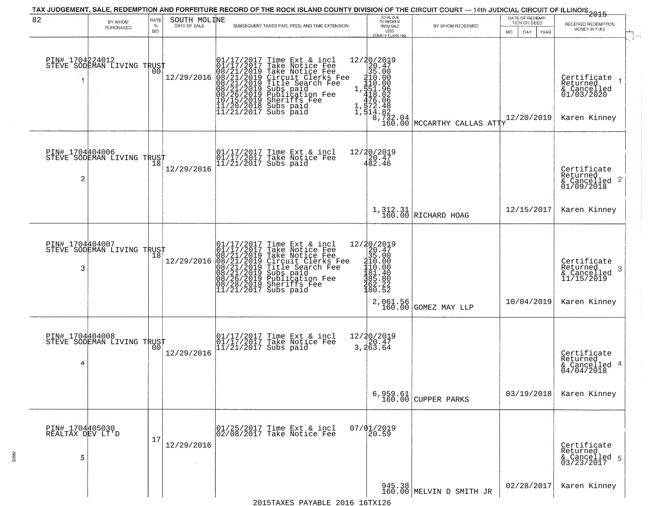|                                          |                                               |                            |                              |                                                                                                                                                                                                                                                                                                                                                                                        |                                                                                                                                                |                                                                                                                                             |                                                        | ------------<br>2015                                                      |
|------------------------------------------|-----------------------------------------------|----------------------------|------------------------------|----------------------------------------------------------------------------------------------------------------------------------------------------------------------------------------------------------------------------------------------------------------------------------------------------------------------------------------------------------------------------------------|------------------------------------------------------------------------------------------------------------------------------------------------|---------------------------------------------------------------------------------------------------------------------------------------------|--------------------------------------------------------|---------------------------------------------------------------------------|
| 82                                       | BY WHOM<br>PURCHASED                          | RATE<br>$\%$<br><b>BID</b> | SOUTH MOLINE<br>DATE OF SALE | SUBSEQUENT TAXES PAID, FEES, AND TIME EXTENSION                                                                                                                                                                                                                                                                                                                                        | TOTAL DUE<br>TO REDEEM<br>FROM SALE<br>LESS<br><b>COUNTY CLERK FEE</b>                                                                         | BY WHOM REDEEMED                                                                                                                            | DATE OF REDEMP-<br>TION OR DEED<br>MO.<br>DAY.<br>YEAR | RECEIVED REDEMPTION<br>MONEY IN FULL                                      |
| PIN# 1704224012<br>1                     | STEVE SODEMAN LIVING TRUST                    | 00                         | 12/29/2016                   | $\begin{smallmatrix} 01/17/2017\\01/17/2017\\08/21/2019\\08/21/2019\\08/21/2019\\08/21/2019\\08/26/2019\\10/15/2019\\11/20/2019\end{smallmatrix}$<br>Time Ext & incl<br>Take Notice Fee<br>Take Notice Fee<br>Circuit Clerks Fee<br>Title Search Fee<br>Subs paid<br>Publication Fee<br>Sherifs Fee<br>Subs paid<br>$\frac{1}{11}\frac{1}{20}\frac{2}{2018}$<br>Subs paid<br>Subs paid | 12/20/2019<br>20.47<br>35.00<br>210.00<br>110.00                                                                                               | 1, $\frac{151.96}{418.02}$<br>476.06<br>1, $\frac{17}{372.48}$<br>1, $\frac{13}{314.82}$<br>8, $\frac{732.04}{160.00}$ MCCARTHY CALLAS ATTY | 12/20/2019                                             | Certifiçate 1<br>Returned<br>& Cancelled<br>01/03/2020<br>Karen Kinney    |
| PIN# 1704404006<br>2                     | STEVE SODEMAN LIVING TRUST                    | 18                         | 12/29/2016                   | 01/17/2017 Time Ext & incl<br>01/17/2017 Take Notice Fee<br>11/21/2017 Subs paid                                                                                                                                                                                                                                                                                                       | 12/20/2019<br>20.47<br>482.46                                                                                                                  |                                                                                                                                             |                                                        | Certificate<br>Returned<br>$\frac{1}{2}$ Cancelled 2<br>01/09/2018        |
|                                          |                                               |                            |                              |                                                                                                                                                                                                                                                                                                                                                                                        |                                                                                                                                                | $1,312.31$ RICHARD HOAG                                                                                                                     | 12/15/2017                                             | Karen Kinney                                                              |
| 3                                        | PIN# 1704404007<br>STEVE SODEMAN LIVING TRUST |                            | 12/29/2016                   | $\begin{smallmatrix} 01/17/2017\\01/17/2017\\08/21/2019\\08/21/2019\\08/21/2019\\08/21/2019\\08/26/2019\\08/28/2019\\11/21/2017 \end{smallmatrix}$<br>Time Ext & incl<br>Take Notice Fee<br>Take Notice Fee<br>Circuit Clerks Fee<br>Title Search Fee<br>Subs paid<br>Publication Fee<br>Shariffs<br>Sheriffs Fee<br>Subs paid                                                         | $\begin{array}{r} 12/20/2019 \\20.47 \\35.00 \\ \textrm{210.00} \\ 110.00 \\ \textrm{181.40} \end{array}$<br>$\frac{385.80}{362.22}$<br>180.52 | 2,061.56<br>160.00 GOMEZ MAY LLP                                                                                                            | 10/04/2019                                             | Certificate<br>Returned<br>3<br>& Cancelled<br>11/15/2019<br>Karen Kinney |
| PIN# 1704404008<br>4                     | STEVE SODEMAN LIVING TRUST                    | 00                         | 12/29/2016                   | 01/17/2017 Time Ext & incl<br>01/17/2017 Take Notice Fee<br>11/21/2017 Subs paid                                                                                                                                                                                                                                                                                                       | 12/20/2019<br>3,20.47<br>3,263.64                                                                                                              |                                                                                                                                             |                                                        | Certificate<br>Returned<br>& Cancelled 4<br>04/04/2018                    |
|                                          |                                               |                            |                              |                                                                                                                                                                                                                                                                                                                                                                                        |                                                                                                                                                | $6,959.61$ (CUPPER PARKS                                                                                                                    | 03/19/2018                                             | Karen Kinney                                                              |
| PIN# 1704405030<br>REALTAX DEV LT'D<br>5 |                                               | 17                         | 12/29/2016                   | 01/25/2017 Time Ext & incl<br>02/08/2017 Take Notice Fee                                                                                                                                                                                                                                                                                                                               | $07/01/2019$<br>20.59                                                                                                                          |                                                                                                                                             |                                                        | Certificate<br>Returned<br>& Cancelled 5<br>03/23/2017                    |
|                                          |                                               |                            |                              | $0.01C$ 1 $C$ mars                                                                                                                                                                                                                                                                                                                                                                     |                                                                                                                                                | 945.38 MELVIN D SMITH JR                                                                                                                    | 02/28/2017                                             | Karen Kinney                                                              |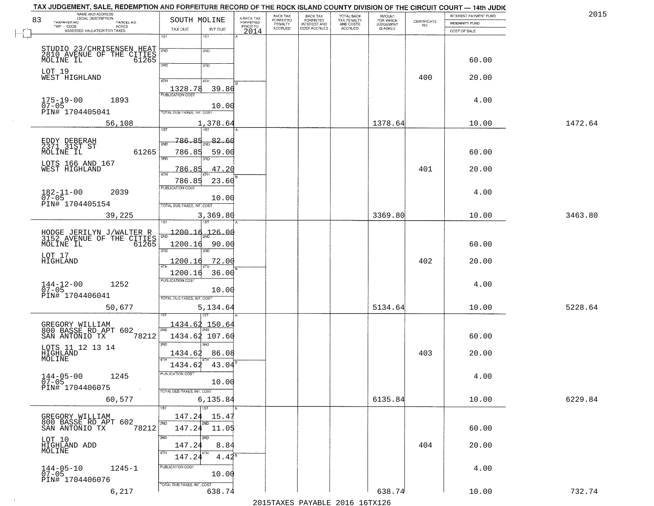| NAME AND ADDRESS<br>LEGAL DESCRIPTION                                     |                                      |                                     | BACK TAX<br>FORFEITED | <b>BACK TAX</b>           | TOTAL BACK<br>TAX PENALTY<br>AND COSTS | AMOUNT<br>FOR WHICH<br>JUDGEMENT |                                                                 | INTEREST PAYMENT FUND | 2015    |
|---------------------------------------------------------------------------|--------------------------------------|-------------------------------------|-----------------------|---------------------------|----------------------------------------|----------------------------------|-----------------------------------------------------------------|-----------------------|---------|
| 83<br>TAXPAYER NO.<br>PARCEL NO.<br>ACRES                                 | SOUTH MOLINE                         | A-BACK TAX<br>FORFEITED<br>PRIOR TO | PENALTY               | FORFEITED<br>INTEREST AND |                                        |                                  | $\begin{array}{c} \text{CERTIFICATE} \\ \text{NO.} \end{array}$ | INDEMNITY FUND        |         |
| ASSESSED VALUATION FOR TAXES                                              | TAX DUE<br>INT DUE<br>1ST<br>1ST     | 2014                                | <b>ACCRUED</b>        | COST ACCRUED              | ACCRUED                                | IS ASKED                         |                                                                 | COST OF SALE          |         |
|                                                                           |                                      |                                     |                       |                           |                                        |                                  |                                                                 |                       |         |
| STUDIO 23/CHRISENSEN HEAT<br>2810 AVENUE OF THE CITIES<br>MOLINE IL 61265 | 2ND<br>2ND                           |                                     |                       |                           |                                        |                                  |                                                                 |                       |         |
| MOLINE IL                                                                 | 3RD                                  |                                     |                       |                           |                                        |                                  |                                                                 | 60.00                 |         |
| LOT 19                                                                    | 3RD                                  |                                     |                       |                           |                                        |                                  |                                                                 |                       |         |
| WEST HIGHLAND                                                             | 4TH<br>4TH                           |                                     |                       |                           |                                        |                                  | 400                                                             | 20.00                 |         |
|                                                                           | 1328.78<br>39.86                     |                                     |                       |                           |                                        |                                  |                                                                 |                       |         |
| $175 - 19 - 00$<br>07-05<br>1893                                          |                                      |                                     |                       |                           |                                        |                                  |                                                                 | 4.00                  |         |
| PIN# 1704405041                                                           | 10.00<br>TOTAL DUE-TAXES, INT. COST  |                                     |                       |                           |                                        |                                  |                                                                 |                       |         |
|                                                                           |                                      |                                     |                       |                           |                                        |                                  |                                                                 |                       | 1472.64 |
| 56,108                                                                    | 1,378.64                             |                                     |                       |                           |                                        | 1378.64                          |                                                                 | 10.00                 |         |
|                                                                           | $\frac{82.60}{200}$<br><u>786.85</u> |                                     |                       |                           |                                        |                                  |                                                                 |                       |         |
| EDDY DEBERAH<br>2371 31ST ST<br>61265                                     | 2ND                                  |                                     |                       |                           |                                        |                                  |                                                                 |                       |         |
| MOLINE IL                                                                 | 786.85<br>59.00<br>3RD<br>3RD        |                                     |                       |                           |                                        |                                  |                                                                 | 60.00                 |         |
| LOTS 166 AND 167<br>WEST HIGHLAND                                         | 47.20<br>786.85                      |                                     |                       |                           |                                        |                                  | 401                                                             | 20.00                 |         |
|                                                                           | ৰাম                                  |                                     |                       |                           |                                        |                                  |                                                                 |                       |         |
|                                                                           | 786.85<br>23.60<br>PUBLICATION COST  |                                     |                       |                           |                                        |                                  |                                                                 |                       |         |
| $182 - 11 - 00$<br>2039<br>$07 - 05$                                      | 10.00                                |                                     |                       |                           |                                        |                                  |                                                                 | 4.00                  |         |
| PIN# 1704405154                                                           | TOTAL DUE-TAXES, INT. COST           |                                     |                       |                           |                                        |                                  |                                                                 |                       |         |
| 39,225                                                                    | 3,369.80                             |                                     |                       |                           |                                        | 3369.80                          |                                                                 | 10.00                 | 3463.80 |
|                                                                           | TST<br>1ST                           |                                     |                       |                           |                                        |                                  |                                                                 |                       |         |
| HODGE JERILYN J/WALTER R<br>3152 AVENUE OF THE CITIES<br>MOLINE IL 61265  | 1200.16<br>126.00<br>2ND             |                                     |                       |                           |                                        |                                  |                                                                 |                       |         |
|                                                                           | 1200.16<br>90.00                     |                                     |                       |                           |                                        |                                  |                                                                 | 60.00                 |         |
| LOT 17                                                                    | 3RD<br>3RD                           |                                     |                       |                           |                                        |                                  |                                                                 |                       |         |
| HIGHLAND                                                                  | 1200.16<br><u>72.00</u><br>ATH       |                                     |                       |                           |                                        |                                  | 402                                                             | 20.00                 |         |
|                                                                           | 36.00<br>1200.16                     |                                     |                       |                           |                                        |                                  |                                                                 |                       |         |
| $144 - 12 - 00$<br>07-05<br>1252                                          | <b>PUBLICATION COST</b>              |                                     |                       |                           |                                        |                                  |                                                                 | 4.00                  |         |
| PIN# 1704406041                                                           | 10.00                                |                                     |                       |                           |                                        |                                  |                                                                 |                       |         |
|                                                                           | TOTAL OUE-TAXES, INT. COST           |                                     |                       |                           |                                        |                                  |                                                                 |                       |         |
| 50,677                                                                    | 5,134.64                             |                                     |                       |                           |                                        | 5134.64                          |                                                                 | 10.00                 | 5228.64 |
|                                                                           | <u>1434.62 150.64</u>                |                                     |                       |                           |                                        |                                  |                                                                 |                       |         |
| GREGORY WILLIAM<br>800 BASSE RD APT 602                                   | 1434.62 107.60                       |                                     |                       |                           |                                        |                                  |                                                                 |                       |         |
| SAN ANTONIO TX<br>78212                                                   | 3BD<br>IBD                           |                                     |                       |                           |                                        |                                  |                                                                 | 60.00                 |         |
| LOTS 11 12 13 14<br>HIGHLAND                                              | 1434.62<br>86.08                     |                                     |                       |                           |                                        |                                  | 403                                                             | 20.00                 |         |
| MOLINE                                                                    | 1434.62<br>43.04                     |                                     |                       |                           |                                        |                                  |                                                                 |                       |         |
|                                                                           | "UBLICA HUN CUS                      |                                     |                       |                           |                                        |                                  |                                                                 |                       |         |
| $144 - 05 - 00$<br>1245<br>$07 - 05$                                      | 10.00                                |                                     |                       |                           |                                        |                                  |                                                                 | 4.00                  |         |
| PIN# 1704406075<br>$\sim 100$ km $^{-1}$                                  | TOTAL DUE-TAXES, INT. COST           |                                     |                       |                           |                                        |                                  |                                                                 |                       |         |
| 60,577                                                                    | 6, 135.84                            |                                     |                       |                           |                                        | 6135.84                          |                                                                 | 10.00                 | 6229.84 |
|                                                                           | 1ST                                  |                                     |                       |                           |                                        |                                  |                                                                 |                       |         |
| GREGORY WILLIAM<br>800 BASSE RD APT 602                                   | 147.24<br>15.47<br>2ND<br>2ND        |                                     |                       |                           |                                        |                                  |                                                                 |                       |         |
| 78212<br>SAN ANTONIO TX                                                   | 147.24 11.05                         |                                     |                       |                           |                                        |                                  |                                                                 | 60.00                 |         |
|                                                                           | 3RD<br>3RD                           |                                     |                       |                           |                                        |                                  |                                                                 |                       |         |
| LOT 10<br>HIGHLAND ADD<br>MOLINE                                          | 147.24<br>8.84                       |                                     |                       |                           |                                        |                                  | 404                                                             | 20.00                 |         |
|                                                                           | 4TH<br>147.24<br>$4.42^8$            |                                     |                       |                           |                                        |                                  |                                                                 |                       |         |
| $144 - 05 - 10$<br>$1245 - 1$                                             | PUBLICATION COST                     |                                     |                       |                           |                                        |                                  |                                                                 | 4.00                  |         |
| $\overline{0}7 - 05$<br>PIN# 1704406076                                   | 10.00                                |                                     |                       |                           |                                        |                                  |                                                                 |                       |         |
| 6,217                                                                     | TOTAL DUE-TAXES, INT. COST<br>638.74 |                                     |                       |                           |                                        | 638.74                           |                                                                 |                       | 732.74  |
|                                                                           |                                      |                                     |                       |                           |                                        |                                  |                                                                 | 10.00                 |         |

 $\sim 10^{-1}$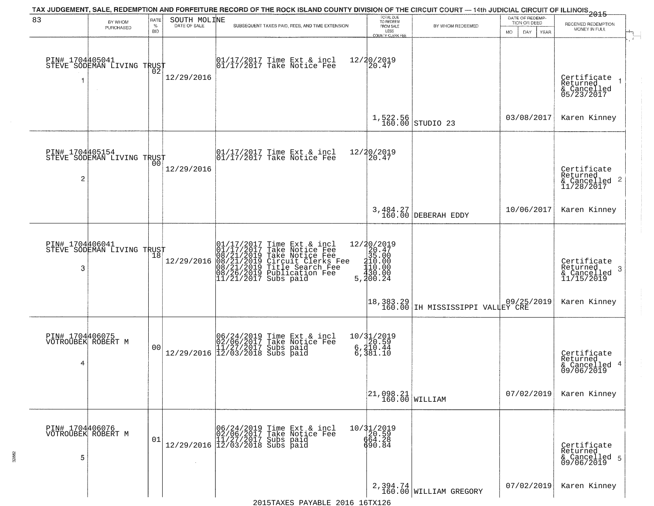|                                            |                                               |                                   |                              | TAX JUDGEMENT, SALE, REDEMPTION AND FORFEITURE RECORD OF THE ROCK ISLAND COUNTY DIVISION OF THE CIRCUIT COURT — 14th JUDICIAL CIRCUIT OF ILLINOIS 2015                                                       |                                                                                                                 |                                                                                                  |                                                             |                                                                    |
|--------------------------------------------|-----------------------------------------------|-----------------------------------|------------------------------|--------------------------------------------------------------------------------------------------------------------------------------------------------------------------------------------------------------|-----------------------------------------------------------------------------------------------------------------|--------------------------------------------------------------------------------------------------|-------------------------------------------------------------|--------------------------------------------------------------------|
| 83                                         | BY WHOM<br>PURCHASED                          | <b>RATE</b><br>$\%$<br><b>BID</b> | SOUTH MOLINE<br>DATE OF SALE | SUBSEQUENT TAXES PAID, FEES, AND TIME EXTENSION                                                                                                                                                              | TOTAL DUE<br>TO REDEEM<br>FROM SALE<br>LESS<br>COUNTY CLERK FEE                                                 | BY WHOM REDEEMED                                                                                 | DATE OF REDEMP-<br>TION OR DEED<br>DAY<br><b>MO</b><br>YEAR | RECEIVED REDEMPTION<br>MONEY IN FULL                               |
| PIN# 1704405041<br>-1                      | STEVE SODEMAN LIVING TRUST                    | ŌŽ                                | 12/29/2016                   | 01/17/2017 Time Ext & incl<br>01/17/2017 Take Notice Fee                                                                                                                                                     | 12/20/2019<br>20.47                                                                                             |                                                                                                  |                                                             | Certificate<br>Returned<br>& Cancelled<br>05/23/2017               |
|                                            |                                               |                                   |                              |                                                                                                                                                                                                              |                                                                                                                 | $1,522.56$ STUDIO 23                                                                             | 03/08/2017                                                  | Karen Kinney                                                       |
| $\overline{c}$                             | PIN# 1704405154<br>STEVE SODEMAN LIVING TRUST |                                   | 12/29/2016                   | 01/17/2017 Time Ext & incl<br>01/17/2017 Take Notice Fee                                                                                                                                                     | 12/20/2019<br>20.47                                                                                             |                                                                                                  |                                                             | Certificate<br>Returned<br>$\frac{1}{2}$ Cancelled 2<br>11/28/2017 |
|                                            |                                               |                                   |                              |                                                                                                                                                                                                              |                                                                                                                 | 3,484.27<br>160.00 DEBERAH EDDY                                                                  | 10/06/2017                                                  | Karen Kinney                                                       |
| PIN# 1704406041<br>3                       | STEVE SODEMAN LIVING TRUST                    | 18                                | 12/29/2016                   | 01/17/2017 Time Ext & incl<br>01/17/2017 Take Notice Fee<br>08/21/2019 Take Notice Fee<br>08/21/2019 Circuit Clerks Fee<br>08/21/2019 Title Search Fee<br>08/26/2019 Publication Fee<br>11/21/2017 Subs paid | 12/20/2019<br>$\begin{array}{r} 20.47 \\ 35.00 \\ 10.00 \\ 1.00 \\ 1.00 \end{array}$<br>$\frac{430.00}{300.24}$ |                                                                                                  |                                                             | Certificate<br>Returned<br>3<br>$\frac{6}{11/15/2019}$             |
|                                            |                                               |                                   |                              |                                                                                                                                                                                                              | $\begin{vmatrix} 18,383.29 \\ 160.00 \end{vmatrix}$                                                             | $\begin{array}{ l l } \hline & 09/25/2019 \\ \hline \text{IH MISISSIPPI VALLEY CRE} \end{array}$ |                                                             | Karen Kinney                                                       |
| PIN# 1704406075<br>VOTROUBEK ROBERT M<br>4 |                                               | 0 <sub>0</sub>                    |                              | $[06/24/2019 \tTime Ext & incl 02/06/2017 \tTake Notice Free 11/27/2017 Subs paid 12/29/2016 \t 1/27/3018 Subs paid 12/03/2018$                                                                              | 10/31/2019<br>6,210.59<br>6,210.44<br>6,381.10                                                                  |                                                                                                  |                                                             | Certificate<br>Returned<br>4<br>& Cancelled<br>09/06/2019          |
|                                            |                                               |                                   |                              |                                                                                                                                                                                                              | $\begin{array}{ c c c c }\n 21,098.21 & \text{WILLIAM}\n \end{array}$                                           |                                                                                                  | 07/02/2019                                                  | Karen Kinney                                                       |
| PIN# 1704406076<br>5                       | VOTROUBEK ROBERT M                            | 01                                |                              | 06/24/2019 Time Ext & incl<br>02/06/2017 Take Notice Fee<br>$12/29/2016$ $\begin{bmatrix} 11/27/2017 & 5018 & 0414 \\ 12/03/2018 & 5018 & 0414 \end{bmatrix}$                                                | 10/31/2019<br>20.59<br>664.28<br>690.84                                                                         |                                                                                                  |                                                             | Certificate<br>Returned<br>& Cancelled 5<br>09/06/2019             |
|                                            |                                               |                                   |                              |                                                                                                                                                                                                              |                                                                                                                 | 2,394.74<br>160.00 WILLIAM GREGORY                                                               | 07/02/2019                                                  | Karen Kinney                                                       |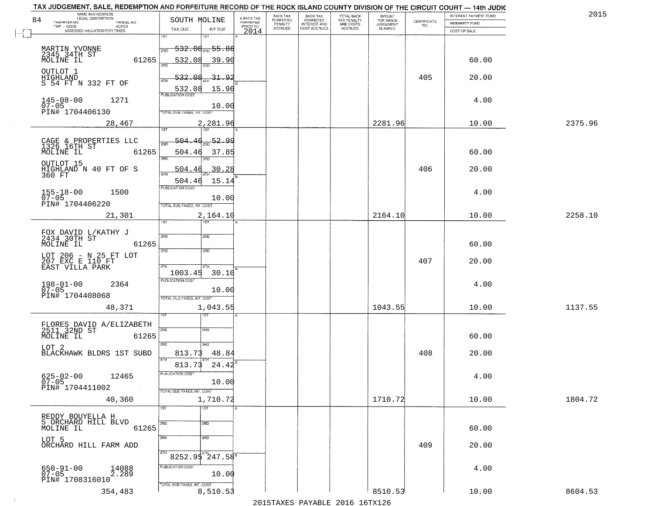|                                                                 | <b>AMOUNT</b> | TOTAL BACK                                   | <b>BACK TAX</b>                     | BACK TAX                                                                                                                                                                       | A-BACK TAX                             |                                      | NAME AND ADDRESS<br>LEGAL DESCRIPTION                                                                                                                                                                                                                                                                                                                                                                                                                                                                           |
|-----------------------------------------------------------------|---------------|----------------------------------------------|-------------------------------------|--------------------------------------------------------------------------------------------------------------------------------------------------------------------------------|----------------------------------------|--------------------------------------|-----------------------------------------------------------------------------------------------------------------------------------------------------------------------------------------------------------------------------------------------------------------------------------------------------------------------------------------------------------------------------------------------------------------------------------------------------------------------------------------------------------------|
| $\begin{array}{c} \text{CERTIFICATE} \\ \text{NO.} \end{array}$ |               |                                              |                                     |                                                                                                                                                                                |                                        |                                      | TAXPAYER NO.<br>PARCEL NO.<br>TWP - CODE<br><b>ACRES</b>                                                                                                                                                                                                                                                                                                                                                                                                                                                        |
|                                                                 |               |                                              |                                     |                                                                                                                                                                                |                                        |                                      | ASSESSED VALUATION FOR TAXES                                                                                                                                                                                                                                                                                                                                                                                                                                                                                    |
|                                                                 |               |                                              |                                     |                                                                                                                                                                                |                                        | <del>532.08<sub>ଆ</sub> 55.86</del>  | MARTIN YVONNE<br>2345 34TH ST                                                                                                                                                                                                                                                                                                                                                                                                                                                                                   |
|                                                                 |               |                                              |                                     |                                                                                                                                                                                |                                        | 532.08<br>39.90                      | MOLINE IL<br>61265                                                                                                                                                                                                                                                                                                                                                                                                                                                                                              |
| 405                                                             |               |                                              |                                     |                                                                                                                                                                                |                                        | <u>31.92</u><br>532.                 | OUTLOT 1<br>HIGHLAND<br>S 54 FT N 332 FT OF                                                                                                                                                                                                                                                                                                                                                                                                                                                                     |
|                                                                 |               |                                              |                                     |                                                                                                                                                                                |                                        | 10.00                                | 1271<br>$145 - 08 - 00$                                                                                                                                                                                                                                                                                                                                                                                                                                                                                         |
|                                                                 | 2281.96       |                                              |                                     |                                                                                                                                                                                |                                        | 2,281.96                             | PIN# 1704406130<br>28,467                                                                                                                                                                                                                                                                                                                                                                                                                                                                                       |
|                                                                 |               |                                              |                                     |                                                                                                                                                                                |                                        |                                      |                                                                                                                                                                                                                                                                                                                                                                                                                                                                                                                 |
|                                                                 |               |                                              |                                     |                                                                                                                                                                                |                                        | 504.46<br>37.85                      | CAGE & PROPERTIES LLC<br>1326 16TH ST<br>MOLINE IL<br>61265                                                                                                                                                                                                                                                                                                                                                                                                                                                     |
| 406                                                             |               |                                              |                                     |                                                                                                                                                                                |                                        | 30.28<br>504.4                       | OUTLOT 15<br>HIGHLAND N 40 FT OF S<br>360 FT                                                                                                                                                                                                                                                                                                                                                                                                                                                                    |
|                                                                 |               |                                              |                                     |                                                                                                                                                                                |                                        | 15.14<br>504.46                      |                                                                                                                                                                                                                                                                                                                                                                                                                                                                                                                 |
|                                                                 |               |                                              |                                     |                                                                                                                                                                                |                                        | 10.00                                | $155 - 18 - 00$<br>07-05<br>1500                                                                                                                                                                                                                                                                                                                                                                                                                                                                                |
|                                                                 |               |                                              |                                     |                                                                                                                                                                                |                                        |                                      | PIN# 1704406220<br>21,301                                                                                                                                                                                                                                                                                                                                                                                                                                                                                       |
|                                                                 |               |                                              |                                     |                                                                                                                                                                                |                                        | 181                                  |                                                                                                                                                                                                                                                                                                                                                                                                                                                                                                                 |
|                                                                 |               |                                              |                                     |                                                                                                                                                                                |                                        |                                      | FOX DAVID L/KATHY J<br>2434 30TH ST                                                                                                                                                                                                                                                                                                                                                                                                                                                                             |
|                                                                 |               |                                              |                                     |                                                                                                                                                                                |                                        | 3 <sub>3</sub>                       | 61265<br>MOLINE IL                                                                                                                                                                                                                                                                                                                                                                                                                                                                                              |
| 407                                                             |               |                                              |                                     |                                                                                                                                                                                |                                        | 4TH                                  | LOT 206 - N 25 FT LOT<br>207 EXC E 110 FT<br>EAST VILLA PARK                                                                                                                                                                                                                                                                                                                                                                                                                                                    |
|                                                                 |               |                                              |                                     |                                                                                                                                                                                |                                        | 30.10                                |                                                                                                                                                                                                                                                                                                                                                                                                                                                                                                                 |
|                                                                 |               |                                              |                                     |                                                                                                                                                                                |                                        |                                      | $198 - 01 - 00$<br>07-05<br>2364                                                                                                                                                                                                                                                                                                                                                                                                                                                                                |
|                                                                 |               |                                              |                                     |                                                                                                                                                                                |                                        |                                      | PIN# 1704408068                                                                                                                                                                                                                                                                                                                                                                                                                                                                                                 |
|                                                                 | 1043.55       |                                              |                                     |                                                                                                                                                                                |                                        | 1,043.55                             | 48,371                                                                                                                                                                                                                                                                                                                                                                                                                                                                                                          |
|                                                                 |               |                                              |                                     |                                                                                                                                                                                |                                        | ख                                    |                                                                                                                                                                                                                                                                                                                                                                                                                                                                                                                 |
|                                                                 |               |                                              |                                     |                                                                                                                                                                                |                                        | SND                                  | FLORES DAVID A/ELIZABETH<br>2511 32ND ST                                                                                                                                                                                                                                                                                                                                                                                                                                                                        |
|                                                                 |               |                                              |                                     |                                                                                                                                                                                |                                        |                                      | MOLINE IL<br>61265                                                                                                                                                                                                                                                                                                                                                                                                                                                                                              |
| 408                                                             |               |                                              |                                     |                                                                                                                                                                                |                                        | 813.73<br>48.84                      | BLACKHAWK BLDRS 1ST SUBD                                                                                                                                                                                                                                                                                                                                                                                                                                                                                        |
|                                                                 |               |                                              |                                     |                                                                                                                                                                                |                                        | 24.42<br>813.73                      |                                                                                                                                                                                                                                                                                                                                                                                                                                                                                                                 |
|                                                                 |               |                                              |                                     |                                                                                                                                                                                |                                        |                                      | $625 - 02 - 00$<br>12465                                                                                                                                                                                                                                                                                                                                                                                                                                                                                        |
|                                                                 |               |                                              |                                     |                                                                                                                                                                                |                                        |                                      | PIN# 1704411002                                                                                                                                                                                                                                                                                                                                                                                                                                                                                                 |
|                                                                 |               |                                              |                                     |                                                                                                                                                                                |                                        |                                      | 40,360                                                                                                                                                                                                                                                                                                                                                                                                                                                                                                          |
|                                                                 |               |                                              |                                     |                                                                                                                                                                                |                                        |                                      |                                                                                                                                                                                                                                                                                                                                                                                                                                                                                                                 |
|                                                                 |               |                                              |                                     |                                                                                                                                                                                |                                        |                                      | REDDY BOUYELLA H<br>5 ORCHARD HILL BLVD                                                                                                                                                                                                                                                                                                                                                                                                                                                                         |
|                                                                 |               |                                              |                                     |                                                                                                                                                                                |                                        | 2ND                                  | MOLINE IL<br>61265                                                                                                                                                                                                                                                                                                                                                                                                                                                                                              |
|                                                                 |               |                                              |                                     |                                                                                                                                                                                |                                        | $3\overline{BD}$                     |                                                                                                                                                                                                                                                                                                                                                                                                                                                                                                                 |
|                                                                 |               |                                              |                                     |                                                                                                                                                                                |                                        | 8252.95 247.58                       | ORCHARD HILL FARM ADD                                                                                                                                                                                                                                                                                                                                                                                                                                                                                           |
| 409                                                             |               |                                              |                                     |                                                                                                                                                                                |                                        |                                      |                                                                                                                                                                                                                                                                                                                                                                                                                                                                                                                 |
|                                                                 |               |                                              |                                     |                                                                                                                                                                                |                                        | PUBLICATION COST                     |                                                                                                                                                                                                                                                                                                                                                                                                                                                                                                                 |
|                                                                 |               |                                              |                                     |                                                                                                                                                                                |                                        | 10.00<br>TOTAL DUE-TAXES, INT. COST  | 650-91-00<br>07-05<br>14088<br>2.289<br>PIN# 1708316010                                                                                                                                                                                                                                                                                                                                                                                                                                                         |
|                                                                 |               | FOR WHICH<br>JUDGEMENT<br>2164.10<br>1710.72 | TAX PENALTY<br>AND COSTS<br>ACCRUED | TAX JUDGEMENT, SALE, REDEMPTION AND FORFEITURE RECORD OF THE ROCK ISLAND COUNTY DIVISION OF THE CIRCUIT COURT - 14th JUDIC<br><b>FORFEITED</b><br>INTEREST AND<br>COST ACCRUED | <b>FORFEITED</b><br>PENALTY<br>ACCRUED | <b>FORFEITED</b><br>PRIOR TO<br>2014 | SOUTH MOLINE<br>TAX DUE<br>INT DUE<br>1ST<br>1ST<br>2ND<br>15.96<br>532.08<br><b>PUBLICATION COST</b><br>TOTAL DUE-TAXES, INT. COST<br>1ST <sup>1</sup><br>1ST<br>504<br>52.99<br>3RD<br>PUBLICATION COST<br>TOTAL DUE-TAXES, INT. COST<br>2,164.10<br>ist.<br>2ND<br>2ND<br>3RD<br>1003.45<br><b>PUBLICATION COST</b><br>10.00<br>TOTAL OUE-TAXES, INT. COST<br>2ND<br>3RD<br>3RD<br>4TH<br>PUBLICATION COST<br>10.00<br>TOTAL DUE-TAXES, INT. COST<br>1,710.72<br>$\overline{1ST}$<br>1ST <sup>1</sup><br>2ND |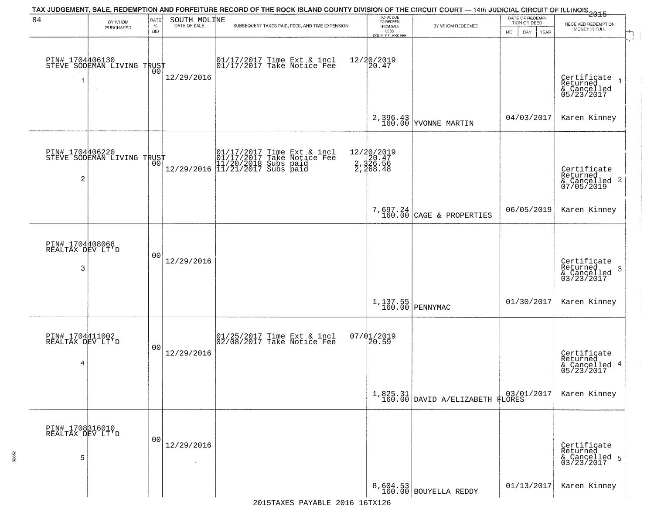| 84                                       | BY WHOM                                           | RATE               | SOUTH MOLINE | TAX JUDGEMENT, SALE, REDEMPTION AND FORFEITURE RECORD OF THE ROCK ISLAND COUNTY DIVISION OF THE CIRCUIT COURT — 14th JUDICIAL CIRCUIT OF ILLINOIS 2015 | TOTAL DUE<br>TO REDEEM                         |                                                                                                          | DATE OF REDEMP-<br>TION OR DEED |                                                                        |
|------------------------------------------|---------------------------------------------------|--------------------|--------------|--------------------------------------------------------------------------------------------------------------------------------------------------------|------------------------------------------------|----------------------------------------------------------------------------------------------------------|---------------------------------|------------------------------------------------------------------------|
|                                          | PURCHASED                                         | $\%$<br><b>BID</b> | DATE OF SALE | SUBSEQUENT TAXES PAID, FEES, AND TIME EXTENSION                                                                                                        | FROM SALE<br>LESS<br><b>COUNTY CLERK FEE</b>   | BY WHOM REDEEMED                                                                                         | <b>MO</b><br>DAY<br>YEAR        | RECEIVED REDEMPTION<br>MONEY IN FULL                                   |
| 1                                        | PIN# 1704406130    <br>STEVE SODEMAN LIVING TRUST | 0Ō                 | 12/29/2016   | 01/17/2017 Time Ext & incl<br>01/17/2017 Take Notice Fee                                                                                               | 12/20/2019<br>20.47                            |                                                                                                          |                                 | Certificate<br>Returned<br>$\rightarrow$<br>& Cancelled<br>05/23/2017  |
|                                          |                                                   |                    |              |                                                                                                                                                        |                                                | 2,396.43<br>160.00 YVONNE MARTIN                                                                         | 04/03/2017                      | Karen Kinney                                                           |
| $\overline{2}$                           | PIN# 1704406220<br>STEVE SODEMAN LIVING TRUST     |                    |              | 01/17/2017 Time Ext & incl<br>01/17/2017 Take Notice Fee<br>11/20/2018 Subs paid<br>12/29/2016 11/21/2017 Subs paid                                    | 12/20/2019<br>2,320.47<br>2,326.56<br>2,468.48 |                                                                                                          |                                 | Certificate<br>Returned<br>$\overline{2}$<br>& Cancelled<br>07/05/2019 |
|                                          |                                                   |                    |              |                                                                                                                                                        |                                                | 7,697.24<br>160.00 CAGE & PROPERTIES                                                                     | 06/05/2019                      | Karen Kinney                                                           |
| PIN# 1704408068<br>REALTAX DEV LT'D<br>3 |                                                   | 0 <sub>0</sub>     | 12/29/2016   |                                                                                                                                                        |                                                |                                                                                                          |                                 | Certificate<br>Returned<br>3<br>& Cancelled<br>03/23/2017              |
|                                          |                                                   |                    |              |                                                                                                                                                        |                                                | 1,137.55<br>160.00 PENNYMAC                                                                              | 01/30/2017                      | Karen Kinney                                                           |
| PIN# 1704411002<br>REALTAX DEV LT'D<br>4 |                                                   | 0 <sub>0</sub>     | 12/29/2016   | 01/25/2017 Time Ext & incl<br>02/08/2017 Take Notice Fee                                                                                               | $07/01/2019$<br>20.59                          |                                                                                                          |                                 | Certificate<br>Returned<br>4<br>& Cancelled<br>05/23/2017              |
|                                          |                                                   |                    |              |                                                                                                                                                        | 1,825.31<br>160.00                             | $\begin{array}{ c c c c c } \hline & 03/01/2017 \\ \hline \texttt{DAVID A/ELIZABETH FLORES} \end{array}$ |                                 | Karen Kinney                                                           |
| PIN# 1708316010<br>REALTAX DEV LT'D<br>5 |                                                   | 00                 | 12/29/2016   |                                                                                                                                                        |                                                |                                                                                                          |                                 | Certificate<br>Returned<br>& Cancelled 5<br>03/23/2017                 |
|                                          |                                                   |                    |              |                                                                                                                                                        |                                                | 8,604.53<br>160.00 BOUYELLA REDDY                                                                        | 01/13/2017                      | Karen Kinney                                                           |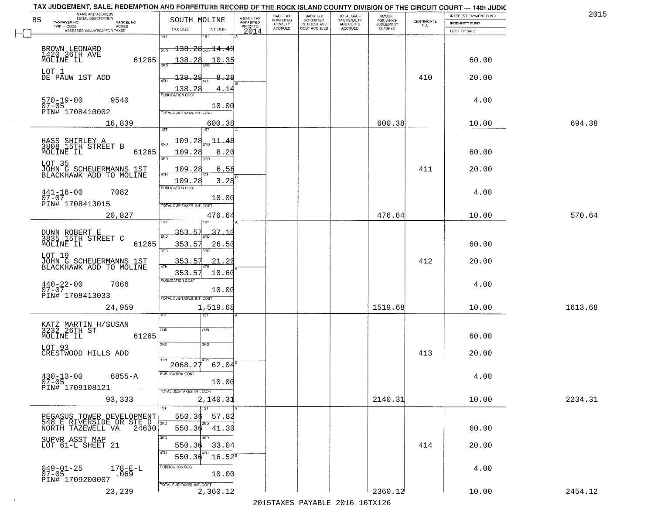| TAX JUDGEMENT, SALE, REDEMPTION AND FORFEITURE RECORD OF THE ROCK ISLAND COUNTY DIVISION OF THE CIRCUIT COURT - 14th JUDIC |                                               |                                     |                      |                       |                                        |                     |                                                                 |                              |         |
|----------------------------------------------------------------------------------------------------------------------------|-----------------------------------------------|-------------------------------------|----------------------|-----------------------|----------------------------------------|---------------------|-----------------------------------------------------------------|------------------------------|---------|
| NAME AND ADDRESS<br>LEGAL DESCRIPTION                                                                                      |                                               |                                     | <b>BACK TAX</b>      | BACK TAX<br>FORFEITED |                                        | AMOUNT<br>FOR WHICH |                                                                 | <b>INTEREST PAYMENT FUND</b> | 201!    |
| 85<br>TAXPAYER NO.<br>PARCEL NO.<br>ACRES                                                                                  | SOUTH MOLINE                                  | A-BACK TAX<br>FORFEITED<br>PRIOR TO | FORFEITED<br>PENALTY | <b>INTEREST AND</b>   | TOTAL BACK<br>TAX PENALTY<br>AND COSTS | <b>JUDGEMENT</b>    | $\begin{array}{c} \text{CERTIFICATE} \\ \text{NO.} \end{array}$ | <b>INDEMNITY FUND</b>        |         |
| ASSESSED VALUATION FOR TAXES                                                                                               | TAX DUE<br>INT DUE                            | 2014                                | <b>ACCRUED</b>       | COST ACCRUED          | <b>ACCRUED</b>                         | <b>IS ASKED</b>     |                                                                 | COST OF SALE                 |         |
|                                                                                                                            | 1ST<br>1ST                                    |                                     |                      |                       |                                        |                     |                                                                 |                              |         |
| BROWN LEONARD<br>1420.36TH AVE                                                                                             | $\overline{138.28}$ $\overline{14.49}$<br>2ND |                                     |                      |                       |                                        |                     |                                                                 |                              |         |
|                                                                                                                            |                                               |                                     |                      |                       |                                        |                     |                                                                 |                              |         |
| 61265<br>MOLINE IL                                                                                                         | 138.28<br>10.35                               |                                     |                      |                       |                                        |                     |                                                                 | 60.00                        |         |
| LOT 1                                                                                                                      |                                               |                                     |                      |                       |                                        |                     |                                                                 |                              |         |
| DE PAUW 1ST ADD                                                                                                            | 138.28<br>8.28                                |                                     |                      |                       |                                        |                     | 410                                                             | 20.00                        |         |
|                                                                                                                            | $\frac{138.28}{PUBUCATON COST}$<br>4.14       |                                     |                      |                       |                                        |                     |                                                                 |                              |         |
| 9540                                                                                                                       |                                               |                                     |                      |                       |                                        |                     |                                                                 | 4.00                         |         |
| $570 - 19 - 00$<br>07-05                                                                                                   | 10.00                                         |                                     |                      |                       |                                        |                     |                                                                 |                              |         |
| PIN# 1708410002                                                                                                            | TOTAL DUE-TAXES, INT, COST                    |                                     |                      |                       |                                        |                     |                                                                 |                              |         |
| 16,839                                                                                                                     | 600.38                                        |                                     |                      |                       |                                        | 600.38              |                                                                 | 10.00                        | 694.38  |
|                                                                                                                            | 1ST                                           |                                     |                      |                       |                                        |                     |                                                                 |                              |         |
| HASS SHIRLEY A<br>3808 15TH STREET B                                                                                       | <u> 109.28</u><br>$\frac{11.48}{200}$         |                                     |                      |                       |                                        |                     |                                                                 |                              |         |
| MOLINE IL<br>61265                                                                                                         | 109.28<br>8.20                                |                                     |                      |                       |                                        |                     |                                                                 | 60.00                        |         |
|                                                                                                                            | 3RD                                           |                                     |                      |                       |                                        |                     |                                                                 |                              |         |
| LOT 35                                                                                                                     | 109.28<br>6.56                                |                                     |                      |                       |                                        |                     | 411                                                             | 20.00                        |         |
| JOHN G SCHEUERMANNS 1ST<br>BLACKHAWK ADD TO MOLINE                                                                         | ৰিয়া                                         |                                     |                      |                       |                                        |                     |                                                                 |                              |         |
|                                                                                                                            | 109.28<br>3.28<br>PUBLICATION COST            |                                     |                      |                       |                                        |                     |                                                                 |                              |         |
| $441 - 16 - 00$<br>7082                                                                                                    |                                               |                                     |                      |                       |                                        |                     |                                                                 | 4.00                         |         |
| $07 - 07$<br>PIN# 1708413015                                                                                               | 10.00                                         |                                     |                      |                       |                                        |                     |                                                                 |                              |         |
|                                                                                                                            | TOTAL DUE-TAXES, INT. COST                    |                                     |                      |                       |                                        |                     |                                                                 |                              |         |
| 20,827                                                                                                                     | 476.64<br>1ST<br>i ST                         |                                     |                      |                       |                                        | 476.64              |                                                                 | 10.00                        | 570.64  |
|                                                                                                                            |                                               |                                     |                      |                       |                                        |                     |                                                                 |                              |         |
| DUNN ROBERT E<br>3835 15TH STREET C                                                                                        | 353.57<br>37.10<br>2ND                        |                                     |                      |                       |                                        |                     |                                                                 |                              |         |
| MOLINE IL<br>61265                                                                                                         | 353.57<br>26.50                               |                                     |                      |                       |                                        |                     |                                                                 | 60.00                        |         |
| LOT 19                                                                                                                     | 3RD<br>3RD                                    |                                     |                      |                       |                                        |                     |                                                                 |                              |         |
| JOHN G SCHEUERMANNS 1ST<br>BLACKHAWK ADD TO MOLINE                                                                         | 353.57<br>21.20                               |                                     |                      |                       |                                        |                     | 412                                                             | 20.00                        |         |
|                                                                                                                            | 4TH<br>353.57<br>10.60                        |                                     |                      |                       |                                        |                     |                                                                 |                              |         |
|                                                                                                                            | <b>PUBLICATION COST</b>                       |                                     |                      |                       |                                        |                     |                                                                 |                              |         |
| $440 - 22 - 00$<br>07-07<br>7066                                                                                           | 10.00                                         |                                     |                      |                       |                                        |                     |                                                                 | 4.00                         |         |
| PIN# 1708413033                                                                                                            | TOTAL OUE-TAXES, INT. COST                    |                                     |                      |                       |                                        |                     |                                                                 |                              |         |
| 24,959                                                                                                                     | 1,519.68                                      |                                     |                      |                       |                                        | 1519.68             |                                                                 | 10.00                        | 1613.68 |
|                                                                                                                            | उड़ा                                          |                                     |                      |                       |                                        |                     |                                                                 |                              |         |
|                                                                                                                            |                                               |                                     |                      |                       |                                        |                     |                                                                 |                              |         |
| KATZ MARTIN H/SUSAN<br>3232_26TH ST                                                                                        | 2ND<br>SND                                    |                                     |                      |                       |                                        |                     |                                                                 |                              |         |
| MOLINE IL<br>61265                                                                                                         |                                               |                                     |                      |                       |                                        |                     |                                                                 | 60.00                        |         |
| LOT 93                                                                                                                     | 3RD<br>3BD                                    |                                     |                      |                       |                                        |                     |                                                                 |                              |         |
| CRESTWOOD HILLS ADD                                                                                                        | 4TH                                           |                                     |                      |                       |                                        |                     | 413                                                             | 20.00                        |         |
|                                                                                                                            | 2068.27<br>62.04                              |                                     |                      |                       |                                        |                     |                                                                 |                              |         |
| $430 - 13 - 00$<br>6855-A                                                                                                  | PUBLICATION COST                              |                                     |                      |                       |                                        |                     |                                                                 | 4.00                         |         |
| $07 - 05$                                                                                                                  | 10.00                                         |                                     |                      |                       |                                        |                     |                                                                 |                              |         |
| PIN# 1709108121<br><b>Contract</b>                                                                                         | TOTAL DUE-TAXES, INT. COST                    |                                     |                      |                       |                                        |                     |                                                                 |                              |         |
| 93,333                                                                                                                     | 2,140.31                                      |                                     |                      |                       |                                        | 2140.31             |                                                                 | 10.00                        | 2234.31 |
|                                                                                                                            | 1ST<br>1ST                                    |                                     |                      |                       |                                        |                     |                                                                 |                              |         |
| PEGASUS TOWER DEVELOPMENT                                                                                                  | 57.82<br>550.36                               |                                     |                      |                       |                                        |                     |                                                                 |                              |         |
| 548 E RIVERSIDE DR STE D  <br>NORTH TAZEWELL VA 24630<br>NORTH TAZEWELL VA                                                 | 2ND<br>2ND<br>550.36 41.30                    |                                     |                      |                       |                                        |                     |                                                                 | 60.00                        |         |
|                                                                                                                            | <b>BBD</b><br>3RD                             |                                     |                      |                       |                                        |                     |                                                                 |                              |         |
| SUPVR ASST MAP<br>LOT 61-L SHEET 21                                                                                        | 33.04<br>550.36                               |                                     |                      |                       |                                        |                     | 414                                                             | 20.00                        |         |
|                                                                                                                            | 4TH                                           |                                     |                      |                       |                                        |                     |                                                                 |                              |         |
|                                                                                                                            | 550.36<br>$16.52^8$                           |                                     |                      |                       |                                        |                     |                                                                 |                              |         |
| $049 - 01 - 25$<br>07-05<br>$178 - E - L$                                                                                  | PUBLICATION COST                              |                                     |                      |                       |                                        |                     |                                                                 | 4.00                         |         |
| .069<br>PIN# 1709200007                                                                                                    | 10.00                                         |                                     |                      |                       |                                        |                     |                                                                 |                              |         |
|                                                                                                                            | TOTAL DUE-TAXES, INT. COST                    |                                     |                      |                       |                                        |                     |                                                                 |                              |         |
| 23,239                                                                                                                     | 2,360.12                                      |                                     |                      |                       |                                        | 2360.12             |                                                                 | 10.00                        | 2454.12 |

 $\sim 40$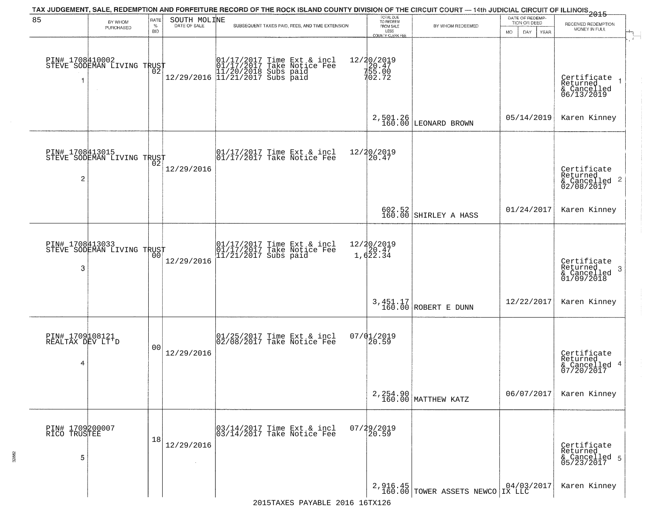| 85                                       | BY WHOM                                                     | RATE               | SOUTH MOLINE | TAX JUDGEMENT, SALE, REDEMPTION AND FORFEITURE RECORD OF THE ROCK ISLAND COUNTY DIVISION OF THE CIRCUIT COURT — 14th JUDICIAL CIRCUIT OF ILLINOIS 2015 | TOTAL DUE<br>TO REDEEM<br>FROM SALE     |                                                                  | DATE OF REDEMP-<br>TION OR DEED | RECEIVED REDEMPTION                                                |
|------------------------------------------|-------------------------------------------------------------|--------------------|--------------|--------------------------------------------------------------------------------------------------------------------------------------------------------|-----------------------------------------|------------------------------------------------------------------|---------------------------------|--------------------------------------------------------------------|
|                                          | PURCHASED                                                   | $\%$<br><b>BID</b> | DATE OF SALE | SUBSEQUENT TAXES PAID, FEES, AND TIME EXTENSION                                                                                                        | LESS<br><b>COUNTY CLERK FEE</b>         | BY WHOM REDEEMED                                                 | MO.<br>DAY.<br>YEAR             | MONEY IN FULL                                                      |
|                                          | PIN# 1708410002    <br>STEVE SODEMAN LIVING TRUST<br>$\sim$ | ŌŽ.                |              |                                                                                                                                                        | 12/20/2019<br>20.47<br>755.00<br>702.72 |                                                                  |                                 | Certificate<br>Returned<br>& Cancelled<br>06/13/2019               |
|                                          |                                                             |                    |              |                                                                                                                                                        |                                         | $2,501.26$ LEONARD BROWN                                         | 05/14/2019                      | Karen Kinney                                                       |
| $\overline{c}$                           | PIN# 1708413015<br>STEVE SODEMAN LIVING TRUST               |                    | 12/29/2016   | $\begin{array}{cc}  01/17/2017 \text{ Time} & \text{Ext} & \text{incl} \\  01/17/2017 \text{ Take Notice } \text{Fe} \end{array}$                      | 12/20/2019<br>20.47                     |                                                                  |                                 | Certificate<br>Returned<br>$\frac{1}{2}$ Cancelled 2<br>02/08/2017 |
|                                          |                                                             |                    |              |                                                                                                                                                        |                                         | $\begin{array}{c c} 602.52 \\ 160.00 \end{array}$ SHIRLEY A HASS | 01/24/2017                      | Karen Kinney                                                       |
| PIN# 1708413033<br>3                     | STEVE SODEMAN LIVING TRUST                                  | 00                 | 12/29/2016   | 01/17/2017 Time Ext & incl<br>01/17/2017 Take Notice Fee<br>11/21/2017 Subs paid                                                                       | 12/20/2019<br>$\frac{20.47}{1,622.34}$  |                                                                  |                                 | Certificate<br>Returned<br>3<br>& Cancelled<br>01/09/2018          |
|                                          |                                                             |                    |              |                                                                                                                                                        |                                         | 3,451.17<br>160.00 ROBERT E DUNN                                 | 12/22/2017                      | Karen Kinney                                                       |
| PIN# 1709108121<br>REALTAX DEV LT'D<br>4 |                                                             | 0 <sub>0</sub>     | 12/29/2016   | $\begin{array}{c} 01/25/2017 \\ 02/08/2017 \\ 03 \end{array}$ Take Notice Fee                                                                          | 07/01/2019<br>20.59                     |                                                                  |                                 | Certificate<br>Returned<br>& Cancelled 4<br>07/20/2017             |
|                                          |                                                             |                    |              |                                                                                                                                                        |                                         | 2, 254.90<br>160.00 MATTHEW KATZ                                 | 06/07/2017                      | Karen Kinney                                                       |
| PIN# 1709200007<br>RICO TRUSTEE<br>5     |                                                             | 18                 | 12/29/2016   | 03/14/2017 Time Ext & incl<br>03/14/2017 Take Notice Fee                                                                                               | 07/29/2019<br>20.59                     |                                                                  |                                 | Certificate<br>Returned<br>& Cancelled 5<br>05/23/2017             |
|                                          |                                                             |                    |              |                                                                                                                                                        |                                         | 2,916.45 TOWER ASSETS NEWCO IX LLC                               |                                 | Karen Kinney                                                       |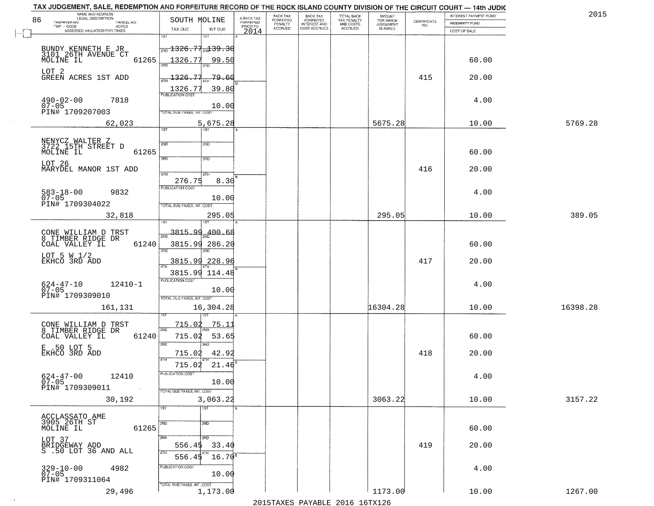| NAME AND ADDRESS<br>LEGAL DESCRIPTION<br>86                     |                                          |                                     | BACK TAX<br>FORFEITED | <b>BACK TAX</b>           | TOTAL BACK<br>TAX PENALTY<br>AND COSTS | AMOUNT<br>FOR WHICH |                                                                 | INTEREST PAYMENT FUND | 2015     |
|-----------------------------------------------------------------|------------------------------------------|-------------------------------------|-----------------------|---------------------------|----------------------------------------|---------------------|-----------------------------------------------------------------|-----------------------|----------|
| TAXPAYER NO.<br>PARCEL NO.<br>ACRES                             | SOUTH MOLINE                             | A-BACK TAX<br>FORFEITED<br>PRIOR TO | PENALTY               | FORFEITED<br>INTEREST AND |                                        | <b>JUDGEMENT</b>    | $\begin{array}{c} \text{CERTIFICATE} \\ \text{NO.} \end{array}$ | INDEMNITY FUND        |          |
| ASSESSED VALUATION FOR TAXES                                    | TAX DUE<br>INT DUE<br>1ST<br>18T         | 2014                                | <b>ACCRUED</b>        | COST ACCRUED              | ACCRUED                                | IS ASKED            |                                                                 | COST OF SALE          |          |
|                                                                 | $\frac{1326.77}{20}$ 39.30               |                                     |                       |                           |                                        |                     |                                                                 |                       |          |
| BUNDY KENNETH E JR<br>3101 26TH AVENUE CT<br>MOLINE IL<br>61265 | 1326.77<br>99.50                         |                                     |                       |                           |                                        |                     |                                                                 | 60.00                 |          |
| LOT 2<br>GREEN ACRES 1ST ADD                                    | $\frac{1326.77}{1}$<br>-79.60            |                                     |                       |                           |                                        |                     | 415                                                             | 20.00                 |          |
| $490 - 02 - 00$<br>7818                                         | 39.80<br>$\frac{1326.77}{FUBUCATONCGST}$ |                                     |                       |                           |                                        |                     |                                                                 | 4.00                  |          |
| $07 - 05$<br>PIN# 1709207003                                    | 10.00<br>TOTAL DUE-TAXES, INT. COST      |                                     |                       |                           |                                        |                     |                                                                 |                       |          |
| 62,023                                                          | 5,675.28<br>1ST                          |                                     |                       |                           |                                        | 5675.28             |                                                                 | 10.00                 | 5769.28  |
|                                                                 | 2ND                                      |                                     |                       |                           |                                        |                     |                                                                 |                       |          |
| NENYCZ WALTER Z<br>3722 15TH STREET D<br>MOLINE IL<br>61265     | 2ND<br>3RD<br>3RD                        |                                     |                       |                           |                                        |                     |                                                                 | 60.00                 |          |
| LOT 26<br>MARYDEL MANOR 1ST ADD                                 | 47H<br>4TH                               |                                     |                       |                           |                                        |                     | 416                                                             | 20.00                 |          |
|                                                                 | 276.75<br>8.30                           |                                     |                       |                           |                                        |                     |                                                                 |                       |          |
| $583 - 18 - 00$<br>9832<br>$07 - 05$                            | PUBLICATION COST<br>10.00                |                                     |                       |                           |                                        |                     |                                                                 | 4.00                  |          |
| PIN# 1709304022                                                 | TOTAL DUE-TAXES, INT. COST               |                                     |                       |                           |                                        |                     |                                                                 |                       |          |
| 32,818                                                          | 295.05<br>isT                            |                                     |                       |                           |                                        | 295.05              |                                                                 | 10.00                 | 389.05   |
| CONE WILLIAM D TRST<br>8 TIMBER RIDGE DR                        | $\frac{3815.99}{200}$<br>400.68          |                                     |                       |                           |                                        |                     |                                                                 |                       |          |
| COAL VALLEY IL<br>61240                                         | 3815.99 286.20<br>3RD<br>3RD             |                                     |                       |                           |                                        |                     |                                                                 | 60.00                 |          |
| LOT 5 W $1/2$<br>EKHCO 3RD ADD                                  | 3815.99<br>228.96                        |                                     |                       |                           |                                        |                     | 417                                                             | 20.00                 |          |
|                                                                 | 3815.99 114.48                           |                                     |                       |                           |                                        |                     |                                                                 |                       |          |
| 624-47-10<br>07-05<br>$12410 - 1$                               | <b>PUBLICATION COST</b><br>10.00         |                                     |                       |                           |                                        |                     |                                                                 | 4.00                  |          |
| PIN# 1709309010                                                 | TOTAL OUE-TAXES, INT. COST               |                                     |                       |                           |                                        |                     |                                                                 |                       |          |
| 161,131                                                         | 16,304.28                                |                                     |                       |                           |                                        | 16304.28            |                                                                 | 10.00                 | 16398.28 |
| CONE WILLIAM D TRST<br>8 TIMBER RIDGE DR                        | <u>715.02</u><br><u>75.11</u><br>2ND     |                                     |                       |                           |                                        |                     |                                                                 |                       |          |
| COAL VALLEY IL<br>61240                                         | 715.02<br>53.65<br>3 <sub>BD</sub><br>m  |                                     |                       |                           |                                        |                     |                                                                 | 60.00                 |          |
| E .50 LOT 5<br>EKHCO 3RD ADD                                    | 715.02<br>42.92<br>4TH                   |                                     |                       |                           |                                        |                     | 418                                                             | 20.00                 |          |
|                                                                 | 715.02<br>21.46                          |                                     |                       |                           |                                        |                     |                                                                 |                       |          |
| $624 - 47 - 00$<br>07-05<br>12410                               | -usuca i un cus-<br>10.00                |                                     |                       |                           |                                        |                     |                                                                 | 4.00                  |          |
| PIN# 1709309011<br>$\sim 100$<br>30,192                         | TOTAL DUE-TAXES, INT. COST<br>3,063.22   |                                     |                       |                           |                                        | 3063.22             |                                                                 | 10.00                 | 3157.22  |
|                                                                 | 1ST<br>1ST                               |                                     |                       |                           |                                        |                     |                                                                 |                       |          |
| ACCLASSATO AME<br>3905 26TH ST                                  | 2ND<br>2ND                               |                                     |                       |                           |                                        |                     |                                                                 |                       |          |
| 61265<br>MOLINE IL                                              | 3RD<br>3RD                               |                                     |                       |                           |                                        |                     |                                                                 | 60.00                 |          |
| LOT 37<br>BRIDGEWAY ADD<br>S .50 LOT 36 AND ALL                 | 33.40<br>556.4\$<br>4TH                  |                                     |                       |                           |                                        |                     | 419                                                             | 20.00                 |          |
|                                                                 | 556.45<br>$16.70^8$<br>PUBLICATION COST  |                                     |                       |                           |                                        |                     |                                                                 |                       |          |
| 329-10-00<br>07-05<br>4982<br>PIN# 1709311064                   | 10.00                                    |                                     |                       |                           |                                        |                     |                                                                 | 4.00                  |          |
| 29,496                                                          | TOTAL DUE-TAXES, INT. COST<br>1,173.00   |                                     |                       |                           |                                        | 1173.00             |                                                                 | 10.00                 | 1267.00  |

 $\sim 10^{-1}$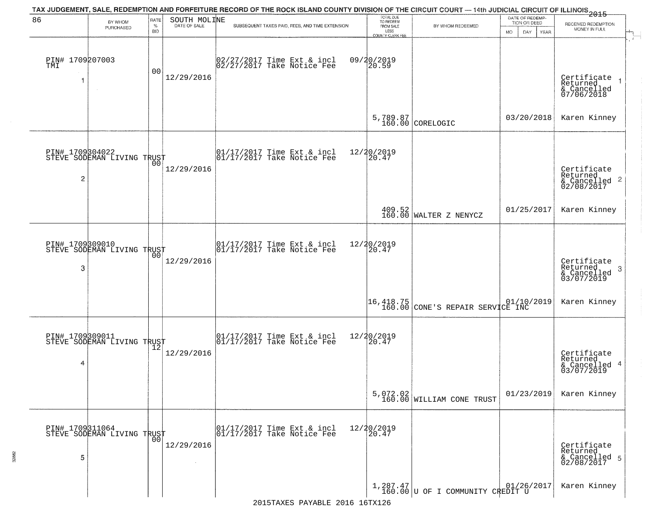| 86                          | BY WHOM                                           | <b>RATE</b>        | SOUTH MOLINE | TAX JUDGEMENT, SALE, REDEMPTION AND FORFEITURE RECORD OF THE ROCK ISLAND COUNTY DIVISION OF THE CIRCUIT COURT — 14th JUDICIAL CIRCUIT OF ILLINOIS 2015 | TOTAL DUE<br>TO REDEEM                       |                                                                              | DATE OF REDEMP-<br>TION OR DEED | RECEIVED REDEMPTION                                                |
|-----------------------------|---------------------------------------------------|--------------------|--------------|--------------------------------------------------------------------------------------------------------------------------------------------------------|----------------------------------------------|------------------------------------------------------------------------------|---------------------------------|--------------------------------------------------------------------|
|                             | PURCHASED                                         | $\%$<br><b>BID</b> | DATE OF SALE | SUBSEQUENT TAXES PAID, FEES, AND TIME EXTENSION                                                                                                        | FROM SALE<br>LESS<br><b>COUNTY CLERK FEE</b> | BY WHOM REDEEMED                                                             | MO.<br>DAY.<br>YEAR             | MONEY IN FULL                                                      |
| PIN# 1709207003<br>TMI<br>1 |                                                   | 00                 | 12/29/2016   | 02/27/2017 Time Ext & incl<br>02/27/2017 Take Notice Fee                                                                                               | 09/20/2019<br>20.59                          |                                                                              |                                 | Certificate<br>Returned<br>& Cancelled<br>07/06/2018               |
|                             |                                                   |                    |              |                                                                                                                                                        |                                              | $5,789.87$ CORELOGIC                                                         | 03/20/2018                      | Karen Kinney                                                       |
| $\overline{c}$              | PIN# 1709304022<br>STEVE SODEMAN LIVING TRUST     |                    | 12/29/2016   | 01/17/2017 Time Ext & incl<br>01/17/2017 Take Notice Fee                                                                                               | 12/20/2019<br>20.47                          |                                                                              |                                 | Certificate<br>Returned<br>$\frac{1}{6}$ Cancelled 2<br>02/08/2017 |
|                             |                                                   |                    |              |                                                                                                                                                        |                                              | $\left.\begin{array}{c} 409.52 \\ 160.00 \end{array}\right $ WALTER Z NENYCZ | 01/25/2017                      | Karen Kinney                                                       |
| PIN# 1709309010<br>3        | STEVE SODEMAN LIVING TRUST                        | 00                 | 12/29/2016   | 01/17/2017 Time Ext & incl<br>01/17/2017 Take Notice Fee                                                                                               | 12/20/2019<br>20.47                          |                                                                              |                                 | Certificate<br>Returned<br>3<br>& Cancelled<br>03/07/2019          |
|                             |                                                   |                    |              |                                                                                                                                                        |                                              | 16,418.75<br>160.00 CONE'S REPAIR SERVICE INC                                |                                 | Karen Kinney                                                       |
| 4                           | PIN# 1709309011<br>STEVE SODEMAN LIVING TRUST     |                    | 12/29/2016   | 01/17/2017 Time Ext & incl<br>01/17/2017 Take Notice Fee                                                                                               | 12/20/2019<br>$\tilde{20.47}$                |                                                                              |                                 | Certificate<br>Returned<br>& Cancelled 4<br>03/07/2019             |
|                             |                                                   |                    |              |                                                                                                                                                        |                                              | $5,072.02$<br>160.00 WILLIAM CONE TRUST                                      | 01/23/2019                      | Karen Kinney                                                       |
| 5                           | PIN# 1709311064    <br>STEVE SODEMAN LIVING TRUST | 00                 | 12/29/2016   | 01/17/2017 Time Ext & incl<br>01/17/2017 Take Notice Fee                                                                                               | 12/20/2019<br>20.47                          |                                                                              |                                 | Certificate<br>Returned<br>& Cancelled 5<br>02/08/2017             |
|                             |                                                   |                    |              |                                                                                                                                                        |                                              | $1,287.47$<br>160.00 U OF I COMMUNITY CREDIT U                               |                                 | Karen Kinney                                                       |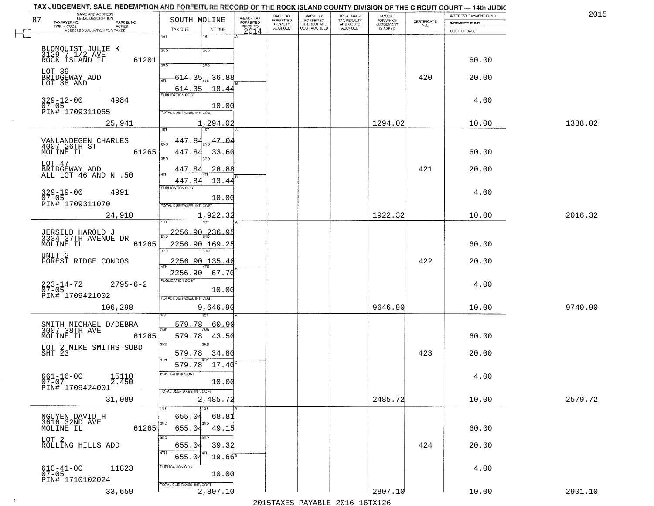| NAME AND ADDRESS<br>LEGAL DESCRIPTION<br>87                       | SOUTH MOLINE                                |                                     | BACK TAX<br>FORFEITED | <b>BACK TAX</b>           | TOTAL BACK<br>TAX PENALTY<br>AND COSTS | AMOUNT<br>FOR WHICH |                                                                 | INTEREST PAYMENT FUND | 2015    |
|-------------------------------------------------------------------|---------------------------------------------|-------------------------------------|-----------------------|---------------------------|----------------------------------------|---------------------|-----------------------------------------------------------------|-----------------------|---------|
| TAXPAYER NO.<br>PARCEL NO.<br>ACRES                               |                                             | A-BACK TAX<br>FORFEITED<br>PRIOR TO | PENALTY               | FORFEITED<br>INTEREST AND |                                        | <b>JUDGEMENT</b>    | $\begin{array}{c} \text{CERTIFICATE} \\ \text{NO.} \end{array}$ | INDEMNITY FUND        |         |
| ASSESSED VALUATION FOR TAXES                                      | TAX DUE<br>INT DUE<br>1ST<br>1ST            | 2014                                | <b>ACCRUED</b>        | COST ACCRUED              | ACCRUED                                | IS ASKED            |                                                                 | COST OF SALE          |         |
|                                                                   |                                             |                                     |                       |                           |                                        |                     |                                                                 |                       |         |
| BLOMQUIST JULIE K<br>3129 7.1/2 AVE<br>ROCK ISLAND IL<br>61201    | 2ND<br>2ND                                  |                                     |                       |                           |                                        |                     |                                                                 | 60.00                 |         |
| LOT 39                                                            | 3RD<br>3RD                                  |                                     |                       |                           |                                        |                     |                                                                 |                       |         |
| BRIDGEWAY ADD<br>LOT 38 AND                                       | -36.88<br>614.35                            |                                     |                       |                           |                                        |                     | 420                                                             | 20.00                 |         |
| 4984                                                              | F <sub>UBUCATONCGST</sub><br>18.44          |                                     |                       |                           |                                        |                     |                                                                 | 4.00                  |         |
| $329 - 12 - 00$<br>07-05<br>PIN# 1709311065                       | 10.00<br>TOTAL DUE-TAXES, INT. COST         |                                     |                       |                           |                                        |                     |                                                                 |                       |         |
| 25,941                                                            | 1,294.02                                    |                                     |                       |                           |                                        | 1294.02             |                                                                 | 10.00                 | 1388.02 |
|                                                                   | 447.84<br>47.04                             |                                     |                       |                           |                                        |                     |                                                                 |                       |         |
| VANLANDEGEN CHARLES<br>4007 26TH ST<br>61265<br>MOLINE IL         | 447.84<br>33.60                             |                                     |                       |                           |                                        |                     |                                                                 | 60.00                 |         |
| LOT 47<br>BRIDGEWAY ADD                                           | 3RD<br>3BD.<br>447.84<br>26.88              |                                     |                       |                           |                                        |                     | 421                                                             | 20.00                 |         |
| ALL LOT 46 AND N .50                                              | $\overline{47H}$<br>447.84<br>13.44         |                                     |                       |                           |                                        |                     |                                                                 |                       |         |
| $329 - 19 - 00$<br>4991                                           | PUBLICATION COST                            |                                     |                       |                           |                                        |                     |                                                                 | 4.00                  |         |
| $07 - 05$<br>PIN# 1709311070                                      | 10.00<br>TOTAL DUE-TAXES, INT. COST         |                                     |                       |                           |                                        |                     |                                                                 |                       |         |
| 24,910                                                            | 1,922.32<br>isT                             |                                     |                       |                           |                                        | 1922.32             |                                                                 | 10.00                 | 2016.32 |
| JERSILD HAROLD J<br>3334 37TH AVENUE DR                           | $\frac{2256.90}{200}$<br>236.95             |                                     |                       |                           |                                        |                     |                                                                 |                       |         |
| MOLINE IL<br>61265                                                | 2256.90 169.25<br>3RD<br>3RD                |                                     |                       |                           |                                        |                     |                                                                 | 60.00                 |         |
| UNIT <sub>2</sub><br>FOREST RIDGE CONDOS                          | 2256.90<br>135.40                           |                                     |                       |                           |                                        |                     | 422                                                             | 20.00                 |         |
|                                                                   | 67.70<br>2256.90<br><b>PUBLICATION COST</b> |                                     |                       |                           |                                        |                     |                                                                 |                       |         |
| $223 - 14 - 72$<br>07-05<br>$2795 - 6 - 2$                        | 10.00                                       |                                     |                       |                           |                                        |                     |                                                                 | 4.00                  |         |
| PIN# 1709421002<br>106,298                                        | TOTAL OUE-TAXES, INT. COST                  |                                     |                       |                           |                                        | 9646.90             |                                                                 | 10.00                 | 9740.90 |
|                                                                   | 9,646.90                                    |                                     |                       |                           |                                        |                     |                                                                 |                       |         |
| SMITH MICHAEL D/DEBRA<br>3007 38TH AVE                            | 579.78<br>60.90<br>2ND                      |                                     |                       |                           |                                        |                     |                                                                 |                       |         |
| MOLINE IL<br>61265<br>LOT 2 MIKE SMITHS SUBD                      | 579.78<br>43.50<br>3RD<br><b>IRD</b>        |                                     |                       |                           |                                        |                     |                                                                 | 60.00                 |         |
| SHT 23                                                            | 579.78<br>34.80<br>4TH                      |                                     |                       |                           |                                        |                     | 423                                                             | 20.00                 |         |
|                                                                   | 579.78<br>17.40<br>-usuca i un cus-         |                                     |                       |                           |                                        |                     |                                                                 |                       |         |
| $661 - 16 - 00$<br>15110<br>2.450<br>$07 - 07$<br>PIN# 1709424001 | 10.00                                       |                                     |                       |                           |                                        |                     |                                                                 | 4.00                  |         |
| 31,089                                                            | TOTAL DUE-TAXES, INT. COST<br>2,485.72      |                                     |                       |                           |                                        | 2485.72             |                                                                 | 10.00                 | 2579.72 |
| NGUYEN DAVID H                                                    | 1ST<br>655.04<br>68.81                      |                                     |                       |                           |                                        |                     |                                                                 |                       |         |
| 3616 32ND AVE<br>MOLINE IL<br>61265                               | 2ND<br>2ND<br>655.04 49.15                  |                                     |                       |                           |                                        |                     |                                                                 | 60.00                 |         |
| LOT 2<br>ROLLING HILLS ADD                                        | 3RD<br>3BD<br>39.32<br>655.04               |                                     |                       |                           |                                        |                     | 424                                                             | 20.00                 |         |
|                                                                   | 4TH<br>$19.66^{\circ}$<br>655.04            |                                     |                       |                           |                                        |                     |                                                                 |                       |         |
| 11823<br>$610 - 41 - 00$<br>$07 - 05$                             | PUBLICATION COST<br>10.00                   |                                     |                       |                           |                                        |                     |                                                                 | 4.00                  |         |
| PIN# 1710102024                                                   | TOTAL DUE-TAXES, INT. COST                  |                                     |                       |                           |                                        |                     |                                                                 |                       |         |
| 33,659                                                            | 2,807.10                                    |                                     |                       |                           |                                        | 2807.10             |                                                                 | 10.00                 | 2901.10 |

 $\sim 10^{-1}$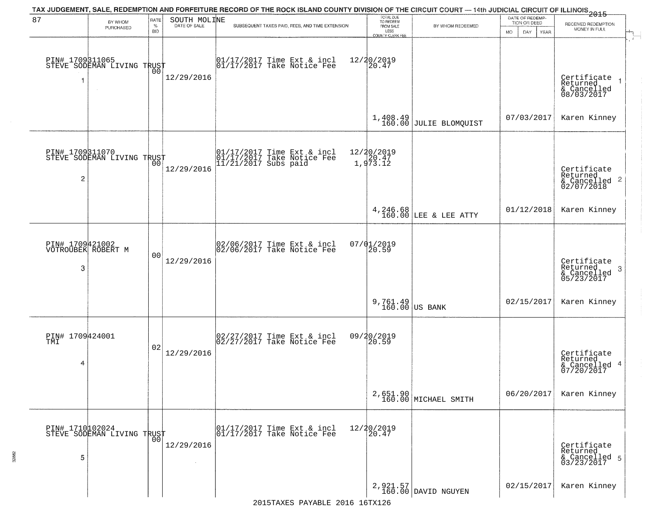| 87                                         | BY WHOM<br>PURCHASED                                    | RATE<br>$\%$<br><b>BID</b> | SOUTH MOLINE | TAX JUDGEMENT, SALE, REDEMPTION AND FORFEITURE RECORD OF THE ROCK ISLAND COUNTY DIVISION OF THE CIRCUIT COURT — 14th JUDICIAL CIRCUIT OF ILLINOIS 2015<br>SUBSEQUENT TAXES PAID, FEES, AND TIME EXTENSION | TOTAL DUE<br>TO REDEEM<br>FROM SALE<br>LESS<br>COUNTY CLERK FEE | BY WHOM REDEEMED                   | DATE OF REDEMP-<br>TION OR DEED<br><b>MO</b><br>DAY<br>YEAR | RECEIVED REDEMPTION<br>MONEY IN FULL                                 |
|--------------------------------------------|---------------------------------------------------------|----------------------------|--------------|-----------------------------------------------------------------------------------------------------------------------------------------------------------------------------------------------------------|-----------------------------------------------------------------|------------------------------------|-------------------------------------------------------------|----------------------------------------------------------------------|
| 1                                          | PIN# 1709311065<br>STEVE SODEMAN LIVING TRUST<br>$\sim$ | 00                         | 12/29/2016   | 01/17/2017 Time Ext & incl<br>01/17/2017 Take Notice Fee                                                                                                                                                  | 12/20/2019<br>20.47                                             |                                    |                                                             | Certificate<br>Returned<br>& Cancelled<br>08/03/2017                 |
|                                            |                                                         |                            |              |                                                                                                                                                                                                           | 1,408.49<br>160.00                                              | JULIE BLOMQUIST                    | 07/03/2017                                                  | Karen Kinney                                                         |
| 2                                          | PIN# 1709311070<br>STEVE SODEMAN LIVING TRUST           |                            | 12/29/2016   | 01/17/2017 Time Ext & incl<br>01/17/2017 Take Notice Fee<br>11/21/2017 Subs paid                                                                                                                          | 12/20/2019<br>1,973.12                                          |                                    |                                                             | Certificate<br>Returned<br>$\frac{1}{2}$ Cancelled 2<br>02/07/2018   |
|                                            |                                                         |                            |              |                                                                                                                                                                                                           |                                                                 | 4, 246.68<br>160.00 LEE & LEE ATTY | 01/12/2018                                                  | Karen Kinney                                                         |
| PIN# 1709421002<br>VOTROUBEK ROBERT M<br>3 |                                                         | 0 <sub>0</sub>             | 12/29/2016   | 02/06/2017 Time Ext & incl<br>02/06/2017 Take Notice Fee                                                                                                                                                  | 07/01/2019<br>20.59                                             |                                    |                                                             | Certificate<br>Returned<br>$\mathbf{3}$<br>& Cancelled<br>05/23/2017 |
|                                            |                                                         |                            |              |                                                                                                                                                                                                           | $9,761.49$ US BANK                                              |                                    | 02/15/2017                                                  | Karen Kinney                                                         |
| PIN# 1709424001<br>TMI<br>4                |                                                         | 02                         | 12/29/2016   | 02/27/2017 Time Ext & incl<br>02/27/2017 Take Notice Fee                                                                                                                                                  | 09/20/2019<br>20.59                                             |                                    |                                                             | Certificate<br>Returned<br>& Cancelled 4<br>07/20/2017               |
|                                            |                                                         |                            |              |                                                                                                                                                                                                           |                                                                 | 2,651.90<br>160.00 MICHAEL SMITH   | 06/20/2017                                                  | Karen Kinney                                                         |
| 5                                          | PIN# 1710102024<br>STEVE SODEMAN LIVING TRUST           |                            | 12/29/2016   | 01/17/2017 Time Ext & incl<br>01/17/2017 Take Notice Fee                                                                                                                                                  | 12/20/2019<br>20.47                                             |                                    |                                                             | Certificate<br>Returned<br>& Cancelled 5<br>03/23/2017               |
|                                            |                                                         |                            |              |                                                                                                                                                                                                           |                                                                 | 2, 921.57<br>160.00 DAVID NGUYEN   | 02/15/2017                                                  | Karen Kinney                                                         |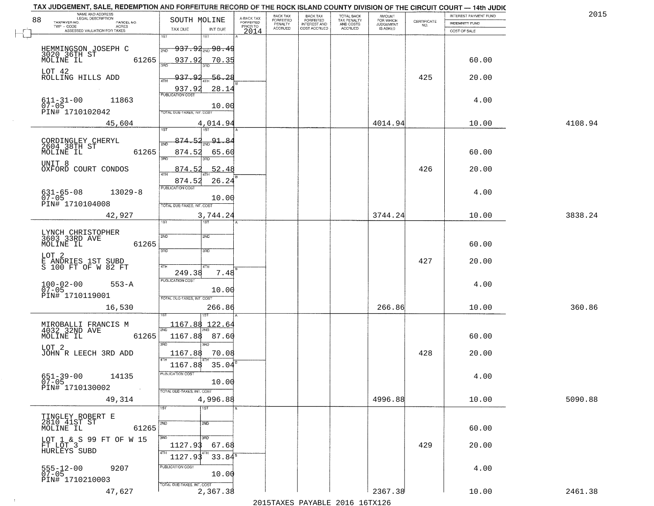| NAME AND ADDRESS<br>LEGAL DESCRIPTION                                  |                                                                      |                                     | BACK TAX             | <b>BACK TAX</b>           |                                        |                                  |                                                                 | INTEREST PAYMENT FUND | 2015    |
|------------------------------------------------------------------------|----------------------------------------------------------------------|-------------------------------------|----------------------|---------------------------|----------------------------------------|----------------------------------|-----------------------------------------------------------------|-----------------------|---------|
| 88<br>TAXPAYER NO.<br>PARCEL NO.<br>ACRES                              | SOUTH MOLINE                                                         | A-BACK TAX<br>FORFEITED<br>PRIOR TO | FORFEITED<br>PENALTY | FORFEITED<br>INTEREST AND | TOTAL BACK<br>TAX PENALTY<br>AND COSTS | AMOUNT<br>FOR WHICH<br>JUDGEMENT | $\begin{array}{c} \text{CERTIFICATE} \\ \text{NO.} \end{array}$ | INDEMNITY FUND        |         |
| ASSESSED VALUATION FOR TAXES                                           | TAX DUE<br>INT DUE                                                   | 2014                                | <b>ACCRUED</b>       | COST ACCRUED              | ACCRUED                                | IS ASKED                         |                                                                 | COST OF SALE          |         |
|                                                                        | 1ST<br>18T<br><del>937.92 mg 98.49</del><br>2ND                      |                                     |                      |                           |                                        |                                  |                                                                 |                       |         |
| HEMMINGSON JOSEPH C<br>3020 36TH ST<br>MOLINE IL<br>61265<br>LOT 42    | 937.92<br>70.35                                                      |                                     |                      |                           |                                        |                                  |                                                                 | 60.00                 |         |
| ROLLING HILLS ADD                                                      | <u>ړو د دو</u><br>56.28<br>28.14<br>937.92                           |                                     |                      |                           |                                        |                                  | 425                                                             | 20.00                 |         |
| $611 - 31 - 00$<br>07-05<br>11863<br>PIN# 1710102042                   | 10.00<br>TOTAL DUE-TAXES, INT. COST                                  |                                     |                      |                           |                                        |                                  |                                                                 | 4.00                  |         |
| 45,604                                                                 | 4,014.94                                                             |                                     |                      |                           |                                        | 4014.94                          |                                                                 | 10.00                 | 4108.94 |
| CORDINGLEY CHERYL<br>2604 38TH ST<br>61265<br>MOLINE IL                | 874.52<br>91.84<br>2ND<br>874.52<br>65.60<br>3RD<br>3BD.             |                                     |                      |                           |                                        |                                  |                                                                 | 60.00                 |         |
| UNIT <sup>8</sup><br>OXFORD COURT CONDOS                               | 52.48<br>874.52<br>$\overline{47H}$<br>874.52<br>26.24               |                                     |                      |                           |                                        |                                  | 426                                                             | 20.00                 |         |
| $631 - 65 - 08$<br>$13029 - 8$<br>$07 - 05$<br>PIN# 1710104008         | PUBLICATION COST<br>10.00<br>TOTAL DUE-TAXES, INT. COST              |                                     |                      |                           |                                        |                                  |                                                                 | 4.00                  |         |
| 42,927                                                                 | 3,744.24<br>TST<br>1ST                                               |                                     |                      |                           |                                        | 3744.24                          |                                                                 | 10.00                 | 3838.24 |
| LYNCH CHRISTOPHER<br>3603 33RD AVE<br>MOLINE IL<br>61265               | 2ND<br>2ND<br>3RD<br>3RD                                             |                                     |                      |                           |                                        |                                  |                                                                 | 60.00                 |         |
| LOT <sub>2</sub><br>E ANDRIES 1ST SUBD<br>S 100 FT OF W 82 FT          | 4TH<br>4TH<br>249.38<br>7.48                                         |                                     |                      |                           |                                        |                                  | 427                                                             | 20.00                 |         |
| $100 - 02 - 00$<br>07-05<br>$553 - A$<br>PIN# 1710119001               | <b>PUBLICATION COST</b><br>10.00<br>TOTAL OUE-TAXES, INT. COST       |                                     |                      |                           |                                        |                                  |                                                                 | 4.00                  |         |
| 16,530                                                                 | 266.86                                                               |                                     |                      |                           |                                        | 266.86                           |                                                                 | 10.00                 | 360.86  |
| MIROBALLI FRANCIS M<br>4032 32ND AVE<br>MOLINE IL<br>61265             | 1167.88<br>122.64<br>1167.88<br>87.60<br>3RD<br>m                    |                                     |                      |                           |                                        |                                  |                                                                 | 60.00                 |         |
| LOT 2<br>JOHN R LEECH 3RD ADD                                          | 1167.88<br>70.08<br>1167.88<br>35.04                                 |                                     |                      |                           |                                        |                                  | 428                                                             | 20.00                 |         |
| $651 - 39 - 00$<br>14135<br>$07 - 05$<br>PIN# 1710130002<br>$\sim 100$ | PUBLICATION COST<br>10.00<br>TOTAL DUE-TAXES, INT. COST              |                                     |                      |                           |                                        |                                  |                                                                 | 4.00                  |         |
| 49,314                                                                 | 4,996.88<br>1ST<br>1ST                                               |                                     |                      |                           |                                        | 4996.88                          |                                                                 | 10.00                 | 5090.88 |
| TINGLEY ROBERT E<br>2810 41ST ST<br>MOLINE IL<br>61265                 | 2ND<br>2ND                                                           |                                     |                      |                           |                                        |                                  |                                                                 | 60.00                 |         |
| LOT 1 & S 99 FT OF W 15<br>FT LOT 3<br>HURLEYS SUBD                    | 3RD<br>3RD<br>1127.93<br>67.68<br>4TH<br>4TH<br>$33.84^5$<br>1127.93 |                                     |                      |                           |                                        |                                  | 429                                                             | 20.00                 |         |
| $555 - 12 - 00$<br>07-05<br>9207<br>PIN# 1710210003                    | PUBLICATION COST<br>10.00                                            |                                     |                      |                           |                                        |                                  |                                                                 | 4.00                  |         |
| 47,627                                                                 | TOTAL DUE-TAXES, INT. COST<br>2,367.38                               |                                     |                      |                           |                                        | 2367.38                          |                                                                 | 10.00                 | 2461.38 |

 $\sim 10^{-1}$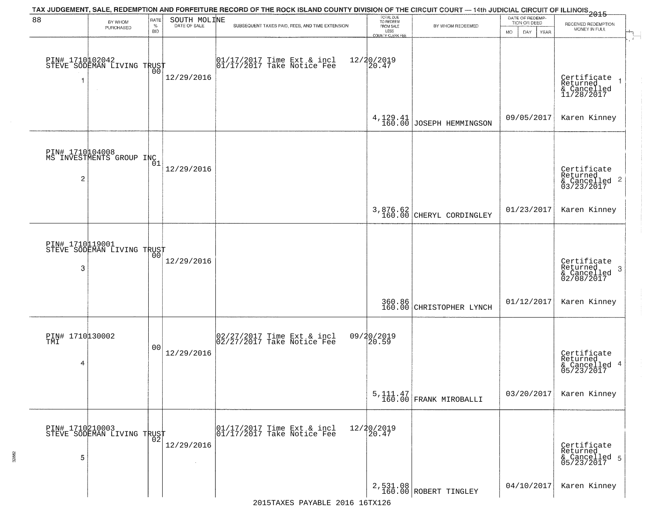|                       |                                                   |                            |                              | TAX JUDGEMENT, SALE, REDEMPTION AND FORFEITURE RECORD OF THE ROCK ISLAND COUNTY DIVISION OF THE CIRCUIT COURT — 14th JUDICIAL CIRCUIT OF ILLINOIS 2015                                                                         |                                             |                                   |                                                        |                                                           |
|-----------------------|---------------------------------------------------|----------------------------|------------------------------|--------------------------------------------------------------------------------------------------------------------------------------------------------------------------------------------------------------------------------|---------------------------------------------|-----------------------------------|--------------------------------------------------------|-----------------------------------------------------------|
| 88                    | BY WHOM<br>PURCHASED                              | RATE<br>$\%$<br><b>BID</b> | SOUTH MOLINE<br>DATE OF SALE | SUBSEQUENT TAXES PAID, FEES, AND TIME EXTENSION                                                                                                                                                                                | TOTAL DUE<br>TO REDEEM<br>FROM SALE<br>LESS | BY WHOM REDEEMED                  | DATE OF REDEMP-<br>TION OR DEED<br>MO.<br>DAY.<br>YEAR | RECEIVED REDEMPTION<br>MONEY IN FULL                      |
| 1                     | PIN# 1710102042    <br>STEVE SODEMAN LIVING TRUST | 00                         | 12/29/2016                   | $\begin{bmatrix} 01/17/2017 \\ 01/17/2017 \\ 01 \end{bmatrix}$ Take Notice Fee                                                                                                                                                 | COUNTY CLERK FEE<br>12/20/2019<br>20.47     |                                   |                                                        | Certificate<br>Returned<br>& Cancelled<br>11/28/2017      |
|                       |                                                   |                            |                              |                                                                                                                                                                                                                                |                                             | $4,129.41$ JOSEPH HEMMINGSON      | 09/05/2017                                             | Karen Kinney                                              |
| $\overline{c}$        | PIN# 1710004008<br>MS INVESTMENTS GROUP INC       |                            | 12/29/2016                   |                                                                                                                                                                                                                                |                                             |                                   |                                                        | Certificate<br>Returned<br>& Cancelled 2<br>03/23/2017    |
|                       |                                                   |                            |                              |                                                                                                                                                                                                                                | 3,876.62<br>160.00                          | CHERYL CORDINGLEY                 | 01/23/2017                                             | Karen Kinney                                              |
| PIN# 1710119001<br>3  | STEVE SODEMAN LIVING TRUST                        |                            | 12/29/2016                   |                                                                                                                                                                                                                                |                                             |                                   |                                                        | Certificate<br>Returned<br>3<br>& Cancelled<br>02/08/2017 |
|                       |                                                   |                            |                              |                                                                                                                                                                                                                                | 360.86<br>160.00                            | CHRISTOPHER LYNCH                 | 01/12/2017                                             | Karen Kinney                                              |
| PIN# 1710 130002<br>4 |                                                   | 00                         | 12/29/2016                   | 02/27/2017 Time Ext & incl<br>02/27/2017 Take Notice Fee                                                                                                                                                                       | 09/20/2019<br>120.59                        |                                   |                                                        | Certificate<br>Returned<br>& Cancelled 4<br>05/23/2017    |
|                       |                                                   |                            |                              |                                                                                                                                                                                                                                |                                             | $5,111.47$ FRANK MIROBALLI        | 03/20/2017                                             | Karen Kinney                                              |
| 5                     | PIN# 1710210003<br>STEVE SODEMAN LIVING TRUST     | $0\overline{2}$            | 12/29/2016<br>$\sim$         | 01/17/2017 Time Ext & incl<br>01/17/2017 Take Notice Fee                                                                                                                                                                       | 12/20/2019<br>20.47                         |                                   |                                                        | Certificate<br>Returned<br>& Cancelled 5<br>05/23/2017    |
|                       |                                                   |                            |                              | $2015T^2$ $Y^2$ $R^2$ $N$ $Y^2$ $T^2$ $T^2$ $T^2$ $T^2$ $T^2$ $T^2$ $T^2$ $T^2$ $T^2$ $T^2$ $T^2$ $T^2$ $T^2$ $T^2$ $T^2$ $T^2$ $T^2$ $T^2$ $T^2$ $T^2$ $T^2$ $T^2$ $T^2$ $T^2$ $T^2$ $T^2$ $T^2$ $T^2$ $T^2$ $T^2$ $T^2$ $T^$ |                                             | 2,531.08<br>160.00 ROBERT TINGLEY | 04/10/2017                                             | Karen Kinney                                              |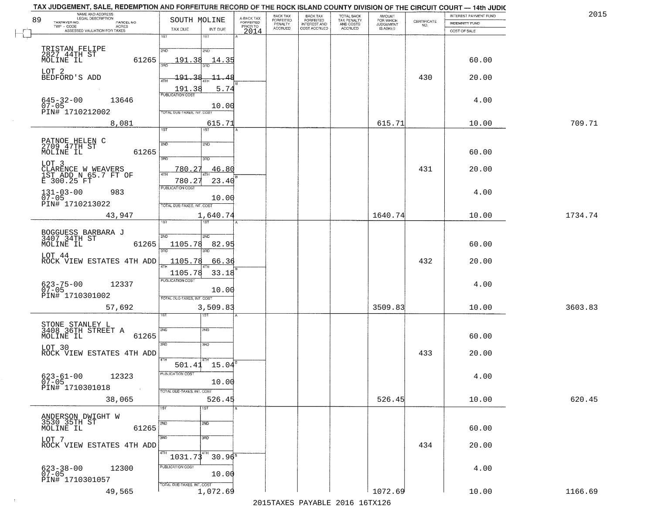| 89 | NAME AND ADDRESS<br>LEGAL DESCRIPTION<br>TAXPAYER NO.<br>PARCEL NO. | SOUTH MOLINE                       |                               | A-BACK TAX<br>FORFEITED | BACK TAX<br>FORFEITED | <b>BACK TAX</b><br><b>FORFEITED</b> | TOTAL BACK<br>TAX PENALTY | <b>AMOUNT</b>                      |                                                                 | INTEREST PAYMENT FUND | 2015    |
|----|---------------------------------------------------------------------|------------------------------------|-------------------------------|-------------------------|-----------------------|-------------------------------------|---------------------------|------------------------------------|-----------------------------------------------------------------|-----------------------|---------|
|    | $TWP - CODE$<br>ACRES<br>ASSESSED VALUATION FOR TAXES               | TAX DUE                            | INT DUE                       | PRIOR TO                | PENALTY<br>ACCRUED    | INTEREST AND<br>COST ACCRUED        | AND COSTS<br>ACCRUED      | FOR WHICH<br>JUDGEMENT<br>IS ASKED | $\begin{array}{c} \text{CERTIFICATE} \\ \text{NO.} \end{array}$ | <b>INDEMNITY FUND</b> |         |
|    |                                                                     | 1ST                                | $1S$ T                        | 2014                    |                       |                                     |                           |                                    |                                                                 | COST OF SALE          |         |
|    | TRISTAN FELIPE<br>2827_44TH ST                                      | 2ND                                | 2ND                           |                         |                       |                                     |                           |                                    |                                                                 |                       |         |
|    | MOLINE IL<br>61265                                                  | 191.38                             | 14.35                         |                         |                       |                                     |                           |                                    |                                                                 | 60.00                 |         |
|    | LOT 2<br>BEDFORD'S ADD                                              | <u> 191.38</u><br>4TH              | <u> 11.48</u>                 |                         |                       |                                     |                           |                                    | 430                                                             | 20.00                 |         |
|    |                                                                     | 191.38<br><b>PUBLICATION COST</b>  | 5.74                          |                         |                       |                                     |                           |                                    |                                                                 |                       |         |
|    | $645 - 32 - 00$<br>13646<br>$07 - 05$                               |                                    | 10.00                         |                         |                       |                                     |                           |                                    |                                                                 | 4.00                  |         |
|    | PIN# 1710212002<br>8,081                                            | TOTAL DUE-TAXES, INT. COST         | 615.71                        |                         |                       |                                     |                           | 615.71                             |                                                                 | 10.00                 | 709.71  |
|    |                                                                     | 1ST                                | 1ST <sup>-</sup>              |                         |                       |                                     |                           |                                    |                                                                 |                       |         |
|    | PATNOE HELEN C<br>2709 47TH ST<br>MOLINE IL<br>61265                | 2ND                                | 2ND                           |                         |                       |                                     |                           |                                    |                                                                 | 60.00                 |         |
|    | LOT 3                                                               | 3BD<br>780.27                      | 3HD<br>46.80                  |                         |                       |                                     |                           |                                    | 431                                                             | 20.00                 |         |
|    | CLARENCE W WEAVERS<br>1ST ADD N 65.7 FT OF<br>E 300.25 FT           | $\sqrt{4}$<br>780.27               | 23.40                         |                         |                       |                                     |                           |                                    |                                                                 |                       |         |
|    | $131 - 03 - 00$<br>983<br>$07 - 05$                                 | PUBLICATION COST                   |                               |                         |                       |                                     |                           |                                    |                                                                 | 4.00                  |         |
|    | PIN# 1710213022                                                     | TOTAL DUE-TAXES, INT. COST         | 10.00                         |                         |                       |                                     |                           |                                    |                                                                 |                       |         |
|    | 43,947                                                              | 1ST                                | 1,640.74                      |                         |                       |                                     |                           | 1640.74                            |                                                                 | 10.00                 | 1734.74 |
|    | BOGGUESS BARBARA J<br>3407 34TH ST                                  | 2ND                                | 2ND                           |                         |                       |                                     |                           |                                    |                                                                 |                       |         |
|    | MOLINE IL<br>61265                                                  | 1105.78<br>3RD                     | 82.95<br>3RD                  |                         |                       |                                     |                           |                                    |                                                                 | 60.00                 |         |
|    | LOT 44<br>ROCK VIEW ESTATES 4TH ADD                                 | 1105.78                            | 66.36                         |                         |                       |                                     |                           |                                    | 432                                                             | 20.00                 |         |
|    |                                                                     | 1105.78<br><b>PUBLICATION COST</b> | 33.18                         |                         |                       |                                     |                           |                                    |                                                                 |                       |         |
|    | 623-75-00<br>07-05<br>12337<br>PIN# 1710301002                      |                                    | 10.00                         |                         |                       |                                     |                           |                                    |                                                                 | 4.00                  |         |
|    | 57,692                                                              | TOTAL OUE-TAXES, INT. COST         | 3,509.83                      |                         |                       |                                     |                           | 3509.83                            |                                                                 | 10.00                 | 3603.83 |
|    |                                                                     |                                    | १९४                           |                         |                       |                                     |                           |                                    |                                                                 |                       |         |
|    | STONE STANLEY L<br>3408 36TH STREET A<br>61265<br>MOLINE IL         | 2ND                                | 2ND                           |                         |                       |                                     |                           |                                    |                                                                 | 60.00                 |         |
|    | LOT 30                                                              | 3RD                                | 3BD                           |                         |                       |                                     |                           |                                    | 433                                                             |                       |         |
|    | ROCK VIEW ESTATES 4TH ADD                                           | 4TH                                | $501.41$ $15.04$ <sup>B</sup> |                         |                       |                                     |                           |                                    |                                                                 | 20.00                 |         |
|    | $623 - 61 - 00$<br>12323                                            | PUBLICATION COST                   |                               |                         |                       |                                     |                           |                                    |                                                                 | 4.00                  |         |
|    | $07 - 05$<br>PIN# 1710301018<br>$\sim 100$                          | TOTAL DUE-TAXES, INT. COST         | 10.00                         |                         |                       |                                     |                           |                                    |                                                                 |                       |         |
|    | 38,065                                                              | 1ST                                | 526.45<br>1ST                 |                         |                       |                                     |                           | 526.45                             |                                                                 | 10.00                 | 620.45  |
|    | ANDERSON DWIGHT W<br>3530 35TH ST                                   |                                    | 2ND                           |                         |                       |                                     |                           |                                    |                                                                 |                       |         |
|    | 61265<br>MOLINE IL                                                  | 2ND                                |                               |                         |                       |                                     |                           |                                    |                                                                 | 60.00                 |         |
|    | LOT 7<br>ROCK VIEW ESTATES 4TH ADD                                  | 3RD                                | 3RD                           |                         |                       |                                     |                           |                                    | 434                                                             | 20.00                 |         |
|    |                                                                     | 4TH<br>1031.73                     | 4TH<br>$30.96^{\circ}$        |                         |                       |                                     |                           |                                    |                                                                 |                       |         |
|    | 12300<br>623-38-00<br>07-05                                         | PUBLICATION COST                   | 10.00                         |                         |                       |                                     |                           |                                    |                                                                 | 4.00                  |         |
|    | PIN# 1710301057<br>49,565                                           | TOTAL OUE-TAXES, INT. COST         | 1,072.69                      |                         |                       |                                     |                           | 1072.69                            |                                                                 | 10.00                 | 1166.69 |
|    |                                                                     |                                    |                               |                         |                       |                                     |                           |                                    |                                                                 |                       |         |

 $\sim 100$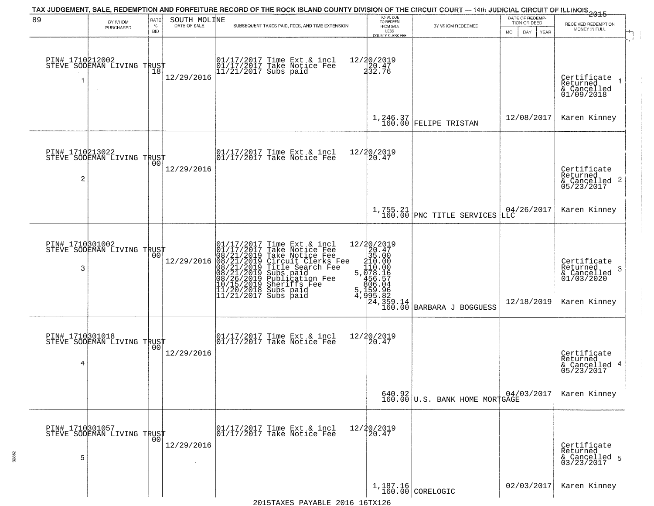| 89                   | BY WHOM<br>PURCHASED                                    | RATE<br>$\%$<br><b>BID</b> | SOUTH MOLINE | TAX JUDGEMENT, SALE, REDEMPTION AND FORFEITURE RECORD OF THE ROCK ISLAND COUNTY DIVISION OF THE CIRCUIT COURT — 14th JUDICIAL CIRCUIT OF ILLINOIS 2015<br>SUBSEQUENT TAXES PAID, FEES, AND TIME EXTENSION                                    | TOTAL DUE<br>TO REDEEM<br>FROM SALE<br>LESS<br>COUNTY CLERK FEE                                                                                                                  | BY WHOM REDEEMED                                                                        | DATE OF REDEMP-<br>TION OR DEED<br><b>MO</b><br>DAY<br>YEAR | RECEIVED REDEMPTION<br>MONEY IN FULL                                                   |
|----------------------|---------------------------------------------------------|----------------------------|--------------|----------------------------------------------------------------------------------------------------------------------------------------------------------------------------------------------------------------------------------------------|----------------------------------------------------------------------------------------------------------------------------------------------------------------------------------|-----------------------------------------------------------------------------------------|-------------------------------------------------------------|----------------------------------------------------------------------------------------|
| 1                    | PIN# 1710212002<br>STEVE SODEMAN LIVING TRUST<br>$\sim$ | 18                         | 12/29/2016   | 01/17/2017 Time Ext & incl<br>01/17/2017 Take Notice Fee<br>11/21/2017 Subs paid                                                                                                                                                             | 12/20/2019<br>$\frac{20.47}{232.76}$                                                                                                                                             |                                                                                         |                                                             | Certificate<br>Returned<br>& Cancelled<br>01/09/2018                                   |
|                      |                                                         |                            |              |                                                                                                                                                                                                                                              |                                                                                                                                                                                  | $1,246.37$ FELIPE TRISTAN                                                               | 12/08/2017                                                  | Karen Kinney                                                                           |
| 2                    | PIN# 1710213022<br>STEVE SODEMAN LIVING TRUST           | 0 <sub>0</sub>             | 12/29/2016   | 01/17/2017 Time Ext & incl<br>01/17/2017 Take Notice Fee                                                                                                                                                                                     | 12/20/2019<br>20.47                                                                                                                                                              |                                                                                         |                                                             | Certificate<br>Returned<br>$\frac{1}{6}$ Cancelled 2<br>05/23/2017                     |
|                      |                                                         |                            |              |                                                                                                                                                                                                                                              |                                                                                                                                                                                  | $1,755.21$<br>160.00 PNC TITLE SERVICES                                                 | 04/26/2017<br> LLC                                          | Karen Kinney                                                                           |
| PIN# 1710301002<br>3 | STEVE SODEMAN LIVING TRUST                              | 00                         |              | 01/17/2017 Time Ext & incl<br>01/17/2017 Take Notice Fee<br>12/29/2016 08/21/2019 Take Notice Fee<br>12/29/2016 08/21/2019 Circuit Clerks Fee<br>08/21/2019 Title Search Fee<br>08/26/2019 Publication Fee<br>08/26/2019 Publication Fee<br> | $\begin{smallmatrix} 12/20/2019\\20.47\\315.000\\110.000\\5,178.157\\456.564\\5,1592.82\\4,992.82\\8\end{smallmatrix}$<br>$\begin{bmatrix} 24 \\ 359 \\ 160 \\ 00 \end{bmatrix}$ | BARBARA J BOGGUESS                                                                      | 12/18/2019                                                  | Certifiçate<br>Returned<br>-3<br>$\frac{2}{6}$ Cancelled<br>01/03/2020<br>Karen Kinney |
| 4                    | PIN# 1710301018<br>STEVE SODEMAN LIVING TRUST           |                            | 12/29/2016   | $\begin{bmatrix} 01/17/2017 \\ 01/17/2017 \\ 01 \end{bmatrix}$ Take Notice Fee                                                                                                                                                               | 12/20/2019<br>20.47                                                                                                                                                              |                                                                                         |                                                             | Certificate<br>Returned<br>& Cancelled 4<br>05/23/2017                                 |
|                      |                                                         |                            |              |                                                                                                                                                                                                                                              |                                                                                                                                                                                  | $\begin{array}{c c} 640.92 & 04/(160.00) \end{array}$<br>160.00 U.S. BANK HOME MORTGAGE | 04/03/2017                                                  | Karen Kinney                                                                           |
| 5                    | PIN# 1710301057<br>STEVE SODEMAN LIVING TRUST           |                            | 12/29/2016   | 01/17/2017 Time Ext & incl<br>01/17/2017 Take Notice Fee                                                                                                                                                                                     | 12/20/2019<br>20.47                                                                                                                                                              |                                                                                         |                                                             | Certificate<br>Returned<br>& Cancelled 5<br>03/23/2017                                 |
|                      |                                                         |                            |              |                                                                                                                                                                                                                                              |                                                                                                                                                                                  | $1,187.16$ CORELOGIC                                                                    | 02/03/2017                                                  | Karen Kinney                                                                           |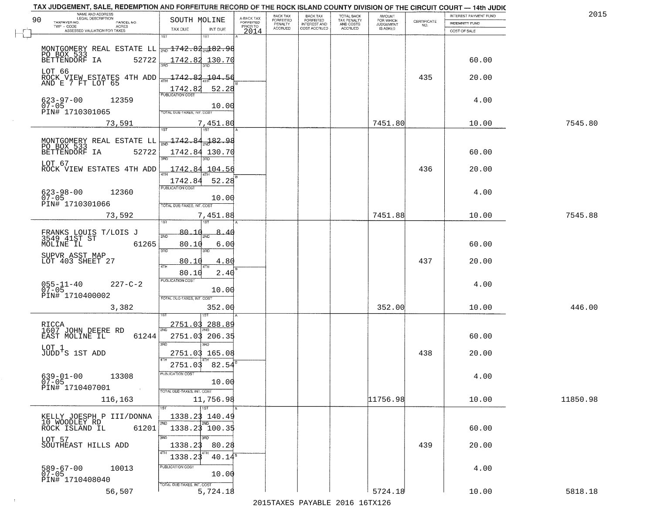| 2015     | INTEREST PAYMENT FUND |                                                                 | AMOUNT<br>FOR WHICH | <b>TOTAL BACK</b>        | <b>BACK TAX</b>                  | BACK TAX             |                                     |                                                                | NAME AND ADDRESS<br>LEGAL DESCRIPTION                                                                                                                                                                                                                                                                                                                                                                                                                  |
|----------|-----------------------|-----------------------------------------------------------------|---------------------|--------------------------|----------------------------------|----------------------|-------------------------------------|----------------------------------------------------------------|--------------------------------------------------------------------------------------------------------------------------------------------------------------------------------------------------------------------------------------------------------------------------------------------------------------------------------------------------------------------------------------------------------------------------------------------------------|
|          | INDEMNITY FUND        | $\begin{array}{c} \text{CERTIFICATE} \\ \text{NO.} \end{array}$ | <b>JUDGEMENT</b>    | TAX PENALTY<br>AND COSTS | FORFEITED<br><b>INTEREST AND</b> | FORFEITED<br>PENALTY | A-BACK TAX<br>FORFEITED<br>PRIOR TO | SOUTH MOLINE                                                   | 90<br>TAXPAYER NO.<br>PARCEL NO.<br>ACRES                                                                                                                                                                                                                                                                                                                                                                                                              |
|          | COST OF SALE          |                                                                 | IS ASKED            | <b>ACCRUED</b>           | COST ACCRUED                     | <b>ACCRUED</b>       | 2014                                | TAX DUE<br>INT DUE                                             | ASSESSED VALUATION FOR TAXES                                                                                                                                                                                                                                                                                                                                                                                                                           |
|          | 60.00                 |                                                                 |                     |                          |                                  |                      |                                     | 1ST<br>18T<br>$\frac{1742.82}{200}$ 130.70                     | MONTGOMERY REAL ESTATE LL $\frac{1}{200}$ 1742.82 $\frac{1}{204}$ 82.98<br>PO BOX 533<br>BETTENDORF IA<br>52722                                                                                                                                                                                                                                                                                                                                        |
|          | 20.00                 | 435                                                             |                     |                          |                                  |                      |                                     |                                                                | LOT 66<br>ROCK VIEW ESTATES 4TH ADD $\frac{1742.83}{4711}$ 194.56                                                                                                                                                                                                                                                                                                                                                                                      |
|          | 4.00                  |                                                                 |                     |                          |                                  |                      |                                     | 1742.82<br>52.28<br>10.00<br>TOTAL DUE-TAXES, INT. COST        | $623 - 97 - 00$<br>07-05<br>12359<br>PIN# 1710301065                                                                                                                                                                                                                                                                                                                                                                                                   |
| 7545.80  | 10.00                 |                                                                 | 7451.80             |                          |                                  |                      |                                     | 7,451.80                                                       | 73,591                                                                                                                                                                                                                                                                                                                                                                                                                                                 |
|          | 60.00                 |                                                                 |                     |                          |                                  |                      |                                     | 1742.84 130.70                                                 | MONTGOMERY REAL ESTATE LL $\left  \frac{1}{2ND} \frac{1742.84}{2ND} \frac{1}{2ND} \frac{1}{2} \cdot \frac{1}{2} \cdot \frac{1}{2} \cdot \frac{1}{2} \cdot \frac{1}{2} \cdot \frac{1}{2} \cdot \frac{1}{2} \cdot \frac{1}{2} \cdot \frac{1}{2} \cdot \frac{1}{2} \cdot \frac{1}{2} \cdot \frac{1}{2} \cdot \frac{1}{2} \cdot \frac{1}{2} \cdot \frac{1}{2} \cdot \frac{1}{2} \cdot \frac{1}{2} \cdot \frac{1}{2} \$<br>52722<br>BETTENDORF IA<br>LOT 67 |
|          | 20.00                 | 436                                                             |                     |                          |                                  |                      |                                     | $-1742.84$ 104.56<br>1742.84<br>52.28<br>PUBLICATION COST      | ROCK VIEW ESTATES 4TH ADD                                                                                                                                                                                                                                                                                                                                                                                                                              |
|          | 4.00                  |                                                                 |                     |                          |                                  |                      |                                     | 10.00<br>TOTAL DUE-TAXES, INT. COST                            | $623 - 98 - 00$<br>12360<br>$07 - 05$<br>PIN# 1710301066                                                                                                                                                                                                                                                                                                                                                                                               |
| 7545.88  | 10.00                 |                                                                 | 7451.88             |                          |                                  |                      |                                     | 7,451.88<br>isT<br>187                                         | 73,592                                                                                                                                                                                                                                                                                                                                                                                                                                                 |
|          | 60.00                 |                                                                 |                     |                          |                                  |                      |                                     | 80.10<br>8.40<br>2ND<br>80.10<br>6.00<br>3RD<br>3RD            | FRANKS LOUIS T/LOIS J<br>3549 41ST ST<br>MOLINE IL<br>61265                                                                                                                                                                                                                                                                                                                                                                                            |
|          | 20.00                 | 437                                                             |                     |                          |                                  |                      |                                     | 80.10<br>4.80<br>4TH<br>80.10<br>2.40                          | SUPVR ASST MAP<br>LOT 403 SHEET 27                                                                                                                                                                                                                                                                                                                                                                                                                     |
|          | 4.00                  |                                                                 |                     |                          |                                  |                      |                                     | <b>PUBLICATION COST</b><br>10.00<br>TOTAL OUE-TAXES, INT. COST | $055 - 11 - 40$<br>07-05<br>$227 - C - 2$<br>PIN# 1710400002                                                                                                                                                                                                                                                                                                                                                                                           |
| 446.00   | 10.00                 |                                                                 | 352.00              |                          |                                  |                      |                                     | 352.00                                                         | 3,382                                                                                                                                                                                                                                                                                                                                                                                                                                                  |
|          | 60.00                 |                                                                 |                     |                          |                                  |                      |                                     | 2751.03 288.89<br>2751.03 206.35<br>3BD<br>3BD.                | RICCA<br>1607 JOHN DEERE RD<br>EAST MOLINE IL<br>61244                                                                                                                                                                                                                                                                                                                                                                                                 |
|          | 20.00                 | 438                                                             |                     |                          |                                  |                      |                                     | 2751.03 165.08<br>82.54<br>2751.03                             | LOT 1<br>JUDD'S 1ST ADD                                                                                                                                                                                                                                                                                                                                                                                                                                |
|          | 4.00                  |                                                                 |                     |                          |                                  |                      |                                     | UBLICA HUN COS-<br>10.00<br>TOTAL DUE-TAXES, INT. COST         | $639 - 01 - 00$<br>13308<br>$07 - 05$<br>PIN# 1710407001<br>$\sim 100$                                                                                                                                                                                                                                                                                                                                                                                 |
| 11850.98 | 10.00                 |                                                                 | 11756.98            |                          |                                  |                      |                                     | 11,756.98<br>$\overline{11}$ st                                | 116,163                                                                                                                                                                                                                                                                                                                                                                                                                                                |
|          | 60.00                 |                                                                 |                     |                          |                                  |                      |                                     | 1338.23 140.49<br>2ND<br>2ND<br>1338.23 100.35                 | KELLY JOESPH P III/DONNA<br>10 WOODLEY RD<br>61201<br>ROCK ISLAND IL                                                                                                                                                                                                                                                                                                                                                                                   |
|          | 20.00                 | 439                                                             |                     |                          |                                  |                      |                                     | 3RD<br>3BD<br>1338.23<br>80.28<br>4TH<br>1338.23<br>$40.14^s$  | LOT 57<br>SOUTHEAST HILLS ADD                                                                                                                                                                                                                                                                                                                                                                                                                          |
|          | 4.00                  |                                                                 |                     |                          |                                  |                      |                                     | PUBLICATION COST<br>10.00<br>TOTAL DUE-TAXES, INT. COST        | 589-67-00<br>07-05<br>10013<br>PIN# 1710408040                                                                                                                                                                                                                                                                                                                                                                                                         |
| 5818.18  | 10.00                 |                                                                 | 5724.18             |                          |                                  |                      |                                     | 5,724.18                                                       | 56,507                                                                                                                                                                                                                                                                                                                                                                                                                                                 |

 $\sim 10^{-1}$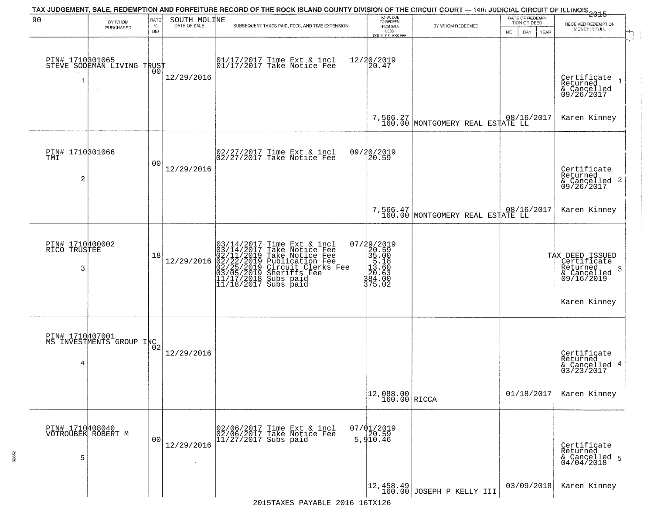|                                          |                                                   |                     |                              |                        | TAX JUDGEMENT, SALE, REDEMPTION AND FORFEITURE RECORD OF THE ROCK ISLAND COUNTY DIVISION OF THE CIRCUIT COURT — 14th JUDICIAL CIRCUIT OF ILLINOIS 2015                                                                                  |                                                                             |                                                              |                                                        |                                                                                                           |
|------------------------------------------|---------------------------------------------------|---------------------|------------------------------|------------------------|-----------------------------------------------------------------------------------------------------------------------------------------------------------------------------------------------------------------------------------------|-----------------------------------------------------------------------------|--------------------------------------------------------------|--------------------------------------------------------|-----------------------------------------------------------------------------------------------------------|
| 90                                       | BY WHOM<br>PURCHASED                              | RATE<br>$\%$<br>BID | SOUTH MOLINE<br>DATE OF SALE |                        | SUBSEQUENT TAXES PAID, FEES, AND TIME EXTENSION                                                                                                                                                                                         | TOTAL DUE<br>TO REDEEM<br>FROM SALE<br>LESS<br><b>COUNTY CLERK FEE</b>      | BY WHOM REDEEMED                                             | DATE OF REDEMP-<br>TION OR DEED<br>MO.<br>DAY.<br>YEAR | RECEIVED REDEMPTION<br>MONEY IN FULL                                                                      |
|                                          | PIN# 1710301065    <br>STEVE SODEMAN LIVING TRUST | 0Ō                  | 12/29/2016                   |                        | 01/17/2017 Time Ext & incl<br>01/17/2017 Take Notice Fee                                                                                                                                                                                | 12/20/2019<br>20.47                                                         |                                                              |                                                        | Certificate<br>Returned<br>& Cancelled<br>09/26/2017                                                      |
|                                          |                                                   |                     |                              |                        |                                                                                                                                                                                                                                         |                                                                             | 7,566.27<br>160.00 MONTGOMERY REAL ESTATE LL                 |                                                        | Karen Kinney                                                                                              |
| PIN# 1710301066<br>TMI<br>$\overline{c}$ |                                                   | 00                  | 12/29/2016                   |                        | $\begin{bmatrix} 02/27/2017 \\ 02/27/2017 \\ 03/27 \end{bmatrix}$ Take Notice Fee                                                                                                                                                       | 09/20/2019<br>20.59                                                         |                                                              |                                                        | Certificate<br>Returned<br>$\frac{1}{6}$ Cancelled 2<br>09/26/2017                                        |
|                                          |                                                   |                     |                              |                        |                                                                                                                                                                                                                                         |                                                                             | 7,566.47<br>160.00 MONTGOMERY REAL ESTATE LL                 |                                                        | Karen Kinney                                                                                              |
| PIN# 1710400002<br>RICO TRUSTEE<br>3     |                                                   | 18                  | 12/29/2016                   |                        | $03/14/2017$ Time Ext & incl<br>$03/14/2017$ Take Notice Fee<br>$02/11/2019$ Take Notice Fee<br>$02/22/2019$ Publication Fee<br>$03/05/2019$ Sheriffs Fee<br>$11/17/2018$ Subs paid<br>$11/18/2017$ Subs paid<br>$11/18/2017$ Subs paid | 07/29/2019<br>320.59<br>35.00<br>13.60<br>20.63<br>39.63<br>39.63<br>375.02 |                                                              |                                                        | TAX DEED ISSUED<br>Certificate<br>Returned<br>-3<br>$\frac{1}{2}$ Cancelled<br>09/16/2019<br>Karen Kinney |
| 4                                        | PIN# 1710407001<br>MS INVESTMENTS GROUP INC2      |                     | 12/29/2016                   |                        |                                                                                                                                                                                                                                         |                                                                             |                                                              | 01/18/2017                                             | Certificate<br>Returned<br>& Cancelled 4<br>03/23/2017<br>Karen Kinney                                    |
|                                          |                                                   |                     |                              |                        |                                                                                                                                                                                                                                         | $\begin{array}{ c c c }\n12,088.00 & \text{RICCA}\n\end{array}$             |                                                              |                                                        |                                                                                                           |
| PIN# 1710408040<br>5                     | VOTROUBEK ROBERT M                                | 00                  | 12/29/2016                   | $11/27/2017$ Subs paid | 02/06/2017 Time Ext & incl<br>02/06/2017 Take Notice Fee                                                                                                                                                                                | $07/01/2019$<br>20.59<br>5,910.46                                           |                                                              |                                                        | Certificate<br>Returned<br>& Cancelled 5<br>04/04/2018                                                    |
|                                          |                                                   |                     |                              |                        | 2015 TAVEC DAVADIE 2016 16 TV126                                                                                                                                                                                                        |                                                                             | $\left  \frac{12,458.49}{160.00} \right $ JOSEPH P KELLY III | 03/09/2018                                             | Karen Kinney                                                                                              |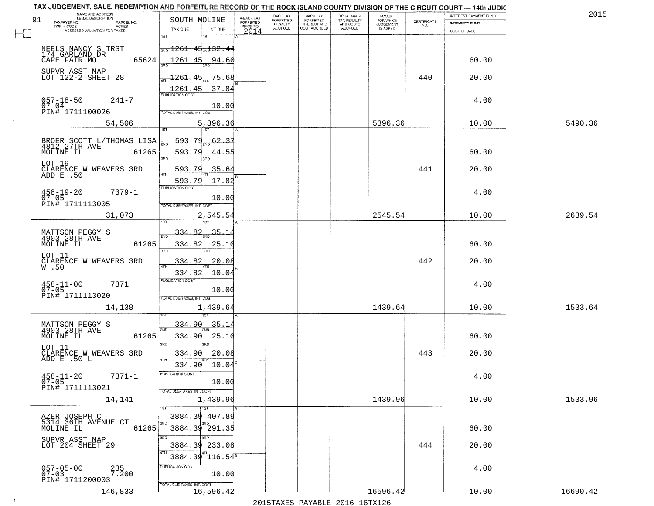|    | TAX JUDGEMENT, SALE, REDEMPTION AND FORFEITURE RECORD OF THE ROCK ISLAND COUNTY DIVISION OF THE CIRCUIT COURT - 14th JUDIC<br>NAME AND ADDRESS<br>LEGAL DESCRIPTION |                                                                    |                                      |                                     | BACK TAX             | <b>BACK TAX</b>           |                                        | AMOUNT<br>FOR WHICH |                                                                 | INTEREST PAYMENT FUND | 2015     |
|----|---------------------------------------------------------------------------------------------------------------------------------------------------------------------|--------------------------------------------------------------------|--------------------------------------|-------------------------------------|----------------------|---------------------------|----------------------------------------|---------------------|-----------------------------------------------------------------|-----------------------|----------|
| 91 | TAXPAYER NO.<br>PARCEL NO.<br>TWP - CODE<br>$\sf ACRES$                                                                                                             | SOUTH MOLINE                                                       |                                      | A-BACK TAX<br>FORFEITED<br>PRIOR TO | FORFEITED<br>PENALTY | FORFEITED<br>INTEREST AND | TOTAL BACK<br>TAX PENALTY<br>AND COSTS | <b>JUDGEMENT</b>    | $\begin{array}{c} \text{CERTIFICATE} \\ \text{NO.} \end{array}$ | INDEMNITY FUND        |          |
|    | ASSESSED VALUATION FOR TAXES                                                                                                                                        | TAX DUE                                                            | INT DUE                              | 2014                                | <b>ACCRUED</b>       | COST ACCRUED              | ACCRUED                                | IS ASKED            |                                                                 | COST OF SALE          |          |
|    | NEELS NANCY S TRST<br>174 GARLAND DR                                                                                                                                | 1ST<br><del>  <sub>200</sub> 1261 . 45 . 132 . 44</del>            |                                      |                                     |                      |                           |                                        |                     |                                                                 |                       |          |
|    | 65624<br>CAPE FAIR MO<br>SUPVR ASST MAP                                                                                                                             | 1261.45 94.60                                                      |                                      |                                     |                      |                           |                                        |                     |                                                                 | 60.00                 |          |
|    | LOT 122-2 SHEET 28                                                                                                                                                  | $\frac{1261.45}{1}$<br>$\frac{1261.45}{\frac{70}{BUBUCATON COST}}$ | -75.68<br>37.84                      |                                     |                      |                           |                                        |                     | 440                                                             | 20.00                 |          |
|    | $057 - 18 - 50$<br>$241 - 7$<br>$07 - 04$<br>PIN# 1711100026                                                                                                        | <b>FOTAL DUE-TAXES, INT. COST</b>                                  | 10.00                                |                                     |                      |                           |                                        |                     |                                                                 | 4.00                  |          |
|    | 54,506                                                                                                                                                              | 1ST                                                                | 5,396.36                             |                                     |                      |                           |                                        | 5396.36             |                                                                 | 10.00                 | 5490.36  |
|    | BROER SCOTT L/THOMAS LISA<br>MOLINE IL<br>61265                                                                                                                     | $-593.79$<br>593.79<br>3RD                                         | $\frac{62.37}{200}$<br>44.55<br>3BD. |                                     |                      |                           |                                        |                     |                                                                 | 60.00                 |          |
|    | LOT 19<br>CLARENCE W WEAVERS 3RD<br>ADD E .50                                                                                                                       | 593.79<br>593.79                                                   | 35.64<br>17.82                       |                                     |                      |                           |                                        |                     | 441                                                             | 20.00                 |          |
|    | $7379 - 1$<br>$458 - 19 - 20$<br>$07 - 05$<br>PIN# 1711113005                                                                                                       | <b>PUBLICATION COST</b><br>TOTAL DUE-TAXES, INT. COST              | 10.00                                |                                     |                      |                           |                                        |                     |                                                                 | 4.00                  |          |
|    | 31,073                                                                                                                                                              |                                                                    | 2,545.54<br>1ST                      |                                     |                      |                           |                                        | 2545.54             |                                                                 | 10.00                 | 2639.54  |
|    | MATTSON PEGGY S<br>4903 28TH AVE<br>MOLINE IL<br>61265                                                                                                              | $-334.82$<br>2ND<br>334.82<br>3RD                                  | $-35 - 1$<br>25.10<br>3RD            |                                     |                      |                           |                                        |                     |                                                                 | 60.00                 |          |
|    | LOT 11<br>CLARENCE W WEAVERS 3RD<br>W.50                                                                                                                            | 334.82<br>4TH<br>334.82                                            | 20.08<br>10.04                       |                                     |                      |                           |                                        |                     | 442                                                             | 20.00                 |          |
|    | $458 - 11 - 00$<br>07-05<br>7371<br>PIN# 1711113020                                                                                                                 | <b>PUBLICATION COST</b><br>TOTAL OUE-TAXES, INT. COST              | 10.00                                |                                     |                      |                           |                                        |                     |                                                                 | 4.00                  |          |
|    | 14,138                                                                                                                                                              |                                                                    | 1,439.64                             |                                     |                      |                           |                                        | 1439.64             |                                                                 | 10.00                 | 1533.64  |
|    | MATTSON PEGGY S<br>4903 28TH AVE<br>MOLINE IL<br>61265                                                                                                              | 334.90<br>2ND<br>334.90<br>3RD                                     | 35.14<br>25.10                       |                                     |                      |                           |                                        |                     |                                                                 | 60.00                 |          |
|    | LOT 11<br>CLARENCE W WEAVERS 3RD<br>ADD E .50 L                                                                                                                     | 334.90<br>4TH<br>334.90                                            | 20.08<br>10.04                       |                                     |                      |                           |                                        |                     | 443                                                             | 20.00                 |          |
|    | $458 - 11 - 20$<br>7371-1<br>$07 - 05$<br>PIN# 1711113021<br><b>Contract</b>                                                                                        | PUBLICATION COS<br>TOTAL DUE-TAXES, INT. COST                      | 10.00                                |                                     |                      |                           |                                        |                     |                                                                 | 4.00                  |          |
|    | 14,141                                                                                                                                                              |                                                                    | 1,439.96<br>1ST                      |                                     |                      |                           |                                        | 1439.96             |                                                                 | 10.00                 | 1533.96  |
|    | AZER JOSEPH C<br>5314 36TH AVENUE CT<br>61265<br>MOLINE IL                                                                                                          | 3884.39 407.89<br>2ND<br>3884.39 291.35                            | 2ND                                  |                                     |                      |                           |                                        |                     |                                                                 | 60.00                 |          |
|    | SUPVR ASST MAP<br>LOT 204 SHEET 29                                                                                                                                  | 3RD<br>3884.39 233.08<br>4TH<br>3884.39                            | 3BD<br>$116.54^s$                    |                                     |                      |                           |                                        |                     | 444                                                             | 20.00                 |          |
|    | 057-05-00<br>07-03<br>235<br>7.200<br>PIN# 1711200003                                                                                                               | PUBLICATION COST<br>TOTAL DUE-TAXES, INT. COST                     | 10.00                                |                                     |                      |                           |                                        |                     |                                                                 | 4.00                  |          |
|    | 146,833                                                                                                                                                             |                                                                    | 16,596.42                            |                                     |                      |                           |                                        | 16596.42            |                                                                 | 10.00                 | 16690.42 |

 $\sim 100$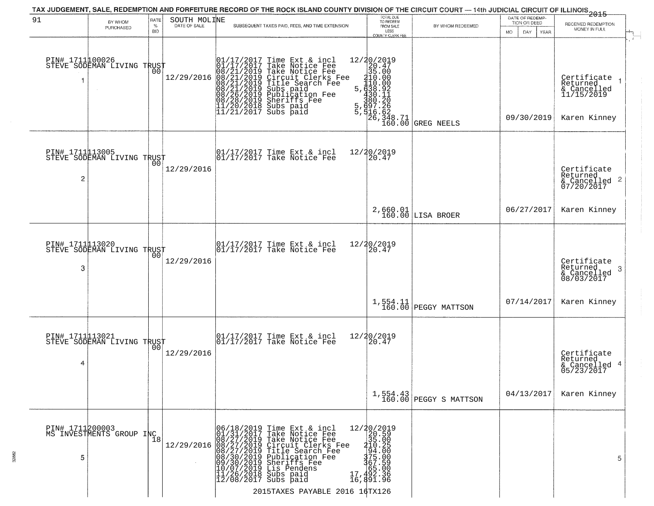|                      |                                                    |                            |                              | TAX JUDGEMENT, SALE, REDEMPTION AND FORFEITURE RECORD OF THE ROCK ISLAND COUNTY DIVISION OF THE CIRCUIT COURT — 14th JUDICIAL CIRCUIT OF ILLINOIS 2015                                                                                                                                                                                                                                                                                                                 |                                                                                                                                                                                      |                                      |                                                                    |                                                                      |
|----------------------|----------------------------------------------------|----------------------------|------------------------------|------------------------------------------------------------------------------------------------------------------------------------------------------------------------------------------------------------------------------------------------------------------------------------------------------------------------------------------------------------------------------------------------------------------------------------------------------------------------|--------------------------------------------------------------------------------------------------------------------------------------------------------------------------------------|--------------------------------------|--------------------------------------------------------------------|----------------------------------------------------------------------|
| 91                   | BY WHOM<br>PURCHASED                               | RATE<br>$\%$<br><b>BID</b> | SOUTH MOLINE<br>DATE OF SALE | SUBSEQUENT TAXES PAID, FEES, AND TIME EXTENSION                                                                                                                                                                                                                                                                                                                                                                                                                        | TOTAL DUE<br>TO REDEEM<br>FROM SALE<br>LESS<br>COUNTY CLERK FEE                                                                                                                      | BY WHOM REDEEMED                     | DATE OF REDEMP-<br>TION OR DEED<br><b>MO</b><br>DAY<br><b>YEAR</b> | RECEIVED REDEMPTION<br>MONEY IN FULL                                 |
| PIN# 171100026<br>1  | STEVE SODEMAN LIVING TRUST                         | 00                         | 12/29/2016                   | 01/17/2017 Time Ext & incl<br>01/17/2017 Take Notice Fee<br>08/21/2019 Take Notice Fee<br>08/21/2019 Circuit Clerks Fee<br>08/21/2019 Title Search Fee<br>08/21/2019 Subs paid<br>08/26/2019 Sheriffs Fee<br>08/28/2019 Sheriffs Fee<br>11/20/2018 Su                                                                                                                                                                                                                  | $\begin{array}{r l} 12/ \color{red} 20/ \color{black} 2019 \\ 20/ \color{red} 2017 \\ 35.00 \\ 410.00 \\ 5,430.00 \\ 4380.92 \\ 5,430.12 \\ 7,726 \\ 80.20 \\ 166.62 \\ \end{array}$ | <b>GREG NEELS</b>                    | 09/30/2019                                                         | Certifiçate<br>Returned<br>& Cancelled<br>11/15/2019<br>Karen Kinney |
| 2                    | PIN# 1711113005<br>STEVE SODEMAN LIVING TRUST      |                            | 12/29/2016                   | 01/17/2017 Time Ext & incl<br>01/17/2017 Take Notice Fee                                                                                                                                                                                                                                                                                                                                                                                                               | 12/20/2019<br>20.47                                                                                                                                                                  |                                      |                                                                    | Certificate<br>Returned<br>& Cancelled 2<br>07/20/2017               |
|                      |                                                    |                            |                              |                                                                                                                                                                                                                                                                                                                                                                                                                                                                        |                                                                                                                                                                                      | 2,660.01<br>160.00 LISA BROER        | 06/27/2017                                                         | Karen Kinney                                                         |
| 3                    | PIN# 1711013020<br>STEVE SODEMAN LIVING TRUST      | 0 <sub>0</sub>             | 12/29/2016                   | 01/17/2017 Time Ext & incl<br>01/17/2017 Take Notice Fee                                                                                                                                                                                                                                                                                                                                                                                                               | 12/20/2019<br>20.47                                                                                                                                                                  |                                      |                                                                    | Certificate<br>Returned<br>3<br>& Cancelled<br>08/03/2017            |
|                      |                                                    |                            |                              |                                                                                                                                                                                                                                                                                                                                                                                                                                                                        | 1,554.11<br>160.00                                                                                                                                                                   | PEGGY MATTSON                        | 07/14/2017                                                         | Karen Kinney                                                         |
| 4                    | PIN# 1711113021    <br>STEVE SODEMAN LIVING TRUST  | 0 <sub>0</sub>             | 12/29/2016                   | 01/17/2017 Time Ext & incl<br>01/17/2017 Take Notice Fee                                                                                                                                                                                                                                                                                                                                                                                                               | 12/20/2019<br>20.47                                                                                                                                                                  |                                      |                                                                    | Certificate<br>Returned<br>& Cancelled 4<br>05/23/2017               |
|                      |                                                    |                            |                              |                                                                                                                                                                                                                                                                                                                                                                                                                                                                        |                                                                                                                                                                                      | $1,554.43$<br>160.00 PEGGY S MATTSON | 04/13/2017                                                         | Karen Kinney                                                         |
| PIN# 1711200003<br>5 | PIN# 1/11200000<br>MS INVESTMENTS GROUP INC<br> 18 |                            |                              | $12/29/2016 \begin{array}{l} 06/18/2019 \text{ Time Ext } \& \text{ incl} \\ 01/31/2017 \text{ Take Notice Free} \\ 08/27/2019 \text{ Take Notice Free} \\ 08/27/2019 \text{ Circuit Clearly.} \\ 08/27/2019 \text{ Circuit Clearly.} \\ 08/30/2019 \text{ Publication Free} \\ 09/30/2019 \text{ Sublication} \\ 10/07/2019 \text{ Dis Periodes} \\ 11/26/2018 \text{ Subs paid} \\ 12/08/2017 \text{ Subs paid} \end{array}$<br>17<br>2015TAXES PAYABLE 2016 16TX126 | 12/20/2019<br>$220.500$<br>$35.005$<br>$34.005$<br>$375.000$<br>$375.098$<br>$\frac{165.00}{492.36}$<br>16,891.96                                                                    |                                      |                                                                    | 5.                                                                   |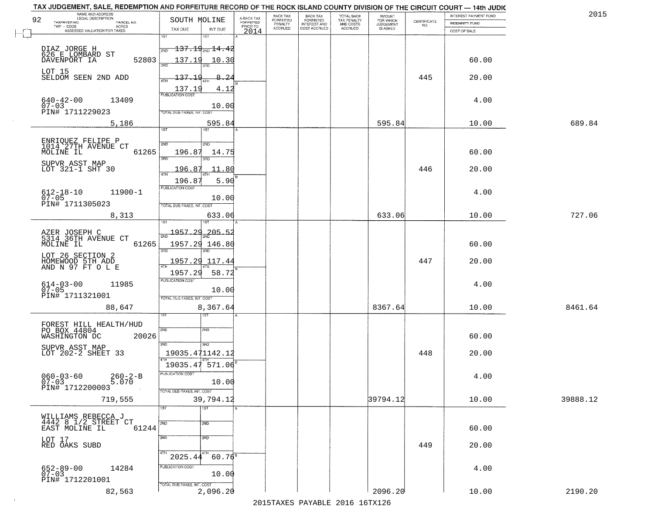|                                              |                                                                                                                                                                                                                                                                                                                                                                                                         | BACK TAX<br><b>FORFEITED</b>                                                                             | <b>BACK TAX</b><br><b>FORFEITED</b> | TOTAL BACK                   | <b>AMOUNT</b>                       |                                                                               | INTEREST PAYMENT FUND                   | 2015                                                                                                                                                                                                                                                                        |
|----------------------------------------------|---------------------------------------------------------------------------------------------------------------------------------------------------------------------------------------------------------------------------------------------------------------------------------------------------------------------------------------------------------------------------------------------------------|----------------------------------------------------------------------------------------------------------|-------------------------------------|------------------------------|-------------------------------------|-------------------------------------------------------------------------------|-----------------------------------------|-----------------------------------------------------------------------------------------------------------------------------------------------------------------------------------------------------------------------------------------------------------------------------|
|                                              | PRIOR TO                                                                                                                                                                                                                                                                                                                                                                                                |                                                                                                          |                                     |                              |                                     | NO.                                                                           |                                         |                                                                                                                                                                                                                                                                             |
| 1ST<br>1ST                                   |                                                                                                                                                                                                                                                                                                                                                                                                         |                                                                                                          |                                     |                              |                                     |                                                                               |                                         |                                                                                                                                                                                                                                                                             |
| <del>137.19<sub>2ND</sub> 14.42</del><br>2ND |                                                                                                                                                                                                                                                                                                                                                                                                         |                                                                                                          |                                     |                              |                                     |                                                                               |                                         |                                                                                                                                                                                                                                                                             |
| 52803<br>137.19<br>10.30                     |                                                                                                                                                                                                                                                                                                                                                                                                         |                                                                                                          |                                     |                              |                                     |                                                                               | 60.00                                   |                                                                                                                                                                                                                                                                             |
|                                              |                                                                                                                                                                                                                                                                                                                                                                                                         |                                                                                                          |                                     |                              |                                     |                                                                               |                                         |                                                                                                                                                                                                                                                                             |
| 4TH                                          |                                                                                                                                                                                                                                                                                                                                                                                                         |                                                                                                          |                                     |                              |                                     |                                                                               |                                         |                                                                                                                                                                                                                                                                             |
| <b>PUBLICATION COST</b>                      |                                                                                                                                                                                                                                                                                                                                                                                                         |                                                                                                          |                                     |                              |                                     |                                                                               |                                         |                                                                                                                                                                                                                                                                             |
| 10.00                                        |                                                                                                                                                                                                                                                                                                                                                                                                         |                                                                                                          |                                     |                              |                                     |                                                                               |                                         |                                                                                                                                                                                                                                                                             |
|                                              |                                                                                                                                                                                                                                                                                                                                                                                                         |                                                                                                          |                                     |                              |                                     |                                                                               |                                         |                                                                                                                                                                                                                                                                             |
| 1ST<br>1ST                                   |                                                                                                                                                                                                                                                                                                                                                                                                         |                                                                                                          |                                     |                              |                                     |                                                                               |                                         | 689.84                                                                                                                                                                                                                                                                      |
|                                              |                                                                                                                                                                                                                                                                                                                                                                                                         |                                                                                                          |                                     |                              |                                     |                                                                               |                                         |                                                                                                                                                                                                                                                                             |
| 196.87<br>14.75                              |                                                                                                                                                                                                                                                                                                                                                                                                         |                                                                                                          |                                     |                              |                                     |                                                                               | 60.00                                   |                                                                                                                                                                                                                                                                             |
| 3RD.                                         |                                                                                                                                                                                                                                                                                                                                                                                                         |                                                                                                          |                                     |                              |                                     |                                                                               |                                         |                                                                                                                                                                                                                                                                             |
| 47H                                          |                                                                                                                                                                                                                                                                                                                                                                                                         |                                                                                                          |                                     |                              |                                     |                                                                               |                                         |                                                                                                                                                                                                                                                                             |
| PUBLICATION COST                             |                                                                                                                                                                                                                                                                                                                                                                                                         |                                                                                                          |                                     |                              |                                     |                                                                               |                                         |                                                                                                                                                                                                                                                                             |
| 10.00                                        |                                                                                                                                                                                                                                                                                                                                                                                                         |                                                                                                          |                                     |                              |                                     |                                                                               |                                         |                                                                                                                                                                                                                                                                             |
| TOTAL DUE-TAXES, INT. COST                   |                                                                                                                                                                                                                                                                                                                                                                                                         |                                                                                                          |                                     |                              |                                     |                                                                               |                                         |                                                                                                                                                                                                                                                                             |
|                                              |                                                                                                                                                                                                                                                                                                                                                                                                         |                                                                                                          |                                     |                              |                                     |                                                                               |                                         | 727.06                                                                                                                                                                                                                                                                      |
| 1957.29<br>$205 - 52$                        |                                                                                                                                                                                                                                                                                                                                                                                                         |                                                                                                          |                                     |                              |                                     |                                                                               |                                         |                                                                                                                                                                                                                                                                             |
| 61265<br>1957.29 146.8                       |                                                                                                                                                                                                                                                                                                                                                                                                         |                                                                                                          |                                     |                              |                                     |                                                                               | 60.00                                   |                                                                                                                                                                                                                                                                             |
|                                              |                                                                                                                                                                                                                                                                                                                                                                                                         |                                                                                                          |                                     |                              |                                     |                                                                               |                                         |                                                                                                                                                                                                                                                                             |
|                                              |                                                                                                                                                                                                                                                                                                                                                                                                         |                                                                                                          |                                     |                              |                                     |                                                                               |                                         |                                                                                                                                                                                                                                                                             |
| <b>PUBLICATION COST</b>                      |                                                                                                                                                                                                                                                                                                                                                                                                         |                                                                                                          |                                     |                              |                                     |                                                                               |                                         |                                                                                                                                                                                                                                                                             |
| 10.00                                        |                                                                                                                                                                                                                                                                                                                                                                                                         |                                                                                                          |                                     |                              |                                     |                                                                               |                                         |                                                                                                                                                                                                                                                                             |
|                                              |                                                                                                                                                                                                                                                                                                                                                                                                         |                                                                                                          |                                     |                              |                                     |                                                                               |                                         | 8461.64                                                                                                                                                                                                                                                                     |
|                                              |                                                                                                                                                                                                                                                                                                                                                                                                         |                                                                                                          |                                     |                              |                                     |                                                                               |                                         |                                                                                                                                                                                                                                                                             |
| 2ND<br>2ND                                   |                                                                                                                                                                                                                                                                                                                                                                                                         |                                                                                                          |                                     |                              |                                     |                                                                               |                                         |                                                                                                                                                                                                                                                                             |
| 20026                                        |                                                                                                                                                                                                                                                                                                                                                                                                         |                                                                                                          |                                     |                              |                                     |                                                                               | 60.00                                   |                                                                                                                                                                                                                                                                             |
|                                              |                                                                                                                                                                                                                                                                                                                                                                                                         |                                                                                                          |                                     |                              |                                     |                                                                               |                                         |                                                                                                                                                                                                                                                                             |
|                                              |                                                                                                                                                                                                                                                                                                                                                                                                         |                                                                                                          |                                     |                              |                                     |                                                                               |                                         |                                                                                                                                                                                                                                                                             |
| PUBLICATION COST                             |                                                                                                                                                                                                                                                                                                                                                                                                         |                                                                                                          |                                     |                              |                                     |                                                                               |                                         |                                                                                                                                                                                                                                                                             |
| 10.00                                        |                                                                                                                                                                                                                                                                                                                                                                                                         |                                                                                                          |                                     |                              |                                     |                                                                               |                                         |                                                                                                                                                                                                                                                                             |
|                                              |                                                                                                                                                                                                                                                                                                                                                                                                         |                                                                                                          |                                     |                              |                                     |                                                                               |                                         | 39888.12                                                                                                                                                                                                                                                                    |
| 1ST<br>1ST                                   |                                                                                                                                                                                                                                                                                                                                                                                                         |                                                                                                          |                                     |                              |                                     |                                                                               |                                         |                                                                                                                                                                                                                                                                             |
| 2ND<br>2ND                                   |                                                                                                                                                                                                                                                                                                                                                                                                         |                                                                                                          |                                     |                              |                                     |                                                                               |                                         |                                                                                                                                                                                                                                                                             |
| 61244                                        |                                                                                                                                                                                                                                                                                                                                                                                                         |                                                                                                          |                                     |                              |                                     |                                                                               | 60.00                                   |                                                                                                                                                                                                                                                                             |
|                                              |                                                                                                                                                                                                                                                                                                                                                                                                         |                                                                                                          |                                     |                              |                                     | 449                                                                           | 20.00                                   |                                                                                                                                                                                                                                                                             |
| 4TH<br>4TH                                   |                                                                                                                                                                                                                                                                                                                                                                                                         |                                                                                                          |                                     |                              |                                     |                                                                               |                                         |                                                                                                                                                                                                                                                                             |
| PUBLICATION COST                             |                                                                                                                                                                                                                                                                                                                                                                                                         |                                                                                                          |                                     |                              |                                     |                                                                               | 4.00                                    |                                                                                                                                                                                                                                                                             |
|                                              |                                                                                                                                                                                                                                                                                                                                                                                                         |                                                                                                          |                                     |                              |                                     |                                                                               |                                         |                                                                                                                                                                                                                                                                             |
| 2,096.20                                     |                                                                                                                                                                                                                                                                                                                                                                                                         |                                                                                                          |                                     |                              | 2096.20                             |                                                                               | 10.00                                   | 2190.20                                                                                                                                                                                                                                                                     |
|                                              | SOUTH MOLINE<br>TAX DUE<br>INT DUE<br>រគក<br>$-137.1$<br>8.24<br>137.19<br>4.12<br>TOTAL DUE-TAXES, INT. COST<br>2ND<br>2ND<br>3RD<br>196.87<br>196.8<br>3RD<br>1957.29<br>117.44<br>58.72<br>1957.29<br>TOTAL OUE-TAXES, INT. COST<br>8,367.64<br>3RD<br>3RD<br>19035.471142.12<br>TOTAL DUE-TAXES, INT. COST<br>39,794.12<br>3BD<br>3 <sub>RD</sub><br>2025.44<br>10.00<br>TOTAL DUE-TAXES, INT. COST | A-BACK TAX<br>FORFEITED<br>2014<br>595.84<br>11.80<br>5.90<br>633.06<br>$19035.47$ 571.06<br>$60.76^{8}$ | PENALTY<br>ACCRUED                  | INTEREST AND<br>COST ACCRUED | TAX PENALTY<br>AND COSTS<br>ACCRUED | FOR WHICH<br>JUDGEMENT<br>IS ASKED<br>595.84<br>633.06<br>8367.64<br>39794.12 | CERTIFICATE<br>445<br>446<br>447<br>448 | TAX JUDGEMENT, SALE, REDEMPTION AND FORFEITURE RECORD OF THE ROCK ISLAND COUNTY DIVISION OF THE CIRCUIT COURT - 14th JUDIC<br><b>INDEMNITY FUND</b><br>COST OF SALE<br>20.00<br>4.00<br>10.00<br>20.00<br>4.00<br>10.00<br>20.00<br>4.00<br>10.00<br>20.00<br>4.00<br>10.00 |

 $\sim 100$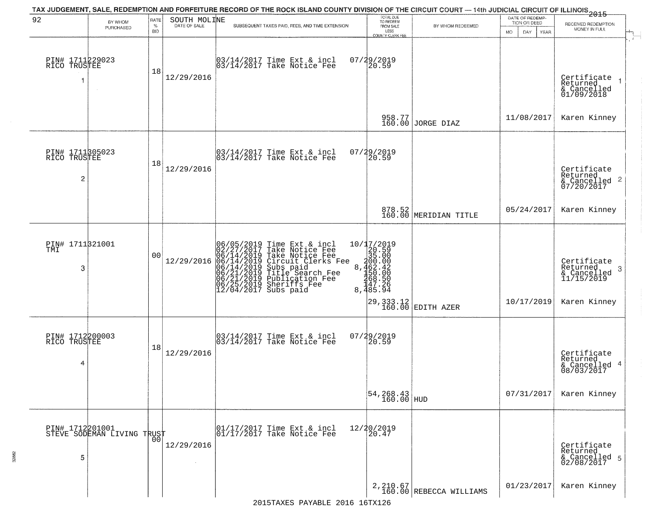| 92                                                |                            | RATE        | SOUTH MOLINE | TAX JUDGEMENT, SALE, REDEMPTION AND FORFEITURE RECORD OF THE ROCK ISLAND COUNTY DIVISION OF THE CIRCUIT COURT — 14th JUDICIAL CIRCUIT OF ILLINOIS 2015                                                                                                |                                                                                        |                                                                                                      | DATE OF REDEMP-     |                                                                            |
|---------------------------------------------------|----------------------------|-------------|--------------|-------------------------------------------------------------------------------------------------------------------------------------------------------------------------------------------------------------------------------------------------------|----------------------------------------------------------------------------------------|------------------------------------------------------------------------------------------------------|---------------------|----------------------------------------------------------------------------|
|                                                   | BY WHOM<br>PURCHASED       | $\%$<br>BID | DATE OF SALE | SUBSEQUENT TAXES PAID, FEES, AND TIME EXTENSION                                                                                                                                                                                                       | TOTAL DUE<br>TO REDEEM<br>FROM SALE<br>LESS                                            | BY WHOM REDEEMED                                                                                     | TION OR DEED        | RECEIVED REDEMPTION<br>MONEY IN FULL                                       |
| PIN# 1711229023<br>RICO TRUSTEE                   |                            | 18          | 12/29/2016   | 03/14/2017 Time Ext & incl<br>03/14/2017 Take Notice Fee                                                                                                                                                                                              | <b>COUNTY CLERK FEE</b><br>07/29/2019<br>20.59                                         |                                                                                                      | MO.<br>DAY.<br>YEAR | Certificate<br>Returned<br>& Cancelled<br>01/09/2018                       |
|                                                   |                            |             |              |                                                                                                                                                                                                                                                       |                                                                                        | 958.77<br>160.00 JORGE DIAZ                                                                          | 11/08/2017          | Karen Kinney                                                               |
| PIN# 1711305023<br>RICO TRUSTEE<br>$\overline{c}$ |                            | 18          | 12/29/2016   | 03/14/2017 Time Ext & incl<br>03/14/2017 Take Notice Fee                                                                                                                                                                                              | 07/29/2019<br>$ 20.59\rangle$                                                          |                                                                                                      |                     | Certificate<br>Returned<br>$\frac{1}{2}$ Cancelled 2<br>07/20/2017         |
|                                                   |                            |             |              |                                                                                                                                                                                                                                                       |                                                                                        | 878.52<br>160.00 MERIDIAN TITLE                                                                      | 05/24/2017          | Karen Kinney                                                               |
| PIN# 1711321001<br>TMI<br>3                       |                            | 00          | 12/29/2016   | 06/05/2019 Time Ext & incl<br>02/27/2017 Take Notice Fee<br>06/14/2019 Take Notice Fee<br>06/14/2019 Circuit Clerks Fee<br>06/14/2019 Subs paid<br>06/21/2019 Title Search Fee<br>06/25/2019 Sheriffs Fee<br>06/25/2019 Sheriffs Fee<br>12/04/2017 Su | 10/17/2019<br>20.59<br>30.00<br>8,462.42<br>8,462.42<br>5050<br>447.26<br>8,485.94     | $\left  \begin{smallmatrix} 29 & 333 & 12 \\ 160 & 00 & \text{EDITH AZER} \end{smallmatrix} \right $ | 10/17/2019          | Certificate<br>Returned<br>-3<br>& Cancelled<br>11/15/2019<br>Karen Kinney |
| PIN# 1712200003<br>RICO TRUSTEE<br>4              |                            | 18          | 12/29/2016   | 03/14/2017 Time Ext & incl<br>03/14/2017 Take Notice Fee                                                                                                                                                                                              | 07/29/2019<br>$\left[20.59\right]$                                                     |                                                                                                      |                     | Certificate<br>Returned<br>& Cancelled 4<br>08/03/2017                     |
|                                                   |                            |             |              |                                                                                                                                                                                                                                                       | $\begin{array}{ c c c }\n 54, & 268.43 \\  \hline\n 160.00 & \text{HUD}\n \end{array}$ |                                                                                                      | 07/31/2017          | Karen Kinney                                                               |
| PIN# 1712201001<br>5                              | STEVE SODEMAN LIVING TRUST |             | 12/29/2016   | 01/17/2017 Time Ext & incl<br>$ 01/17/2017$ Take Notice Fee                                                                                                                                                                                           | 12/20/2019<br>20.47                                                                    |                                                                                                      |                     | Certificate<br>Returned<br>& Cancelled 5<br>02/08/2017                     |
|                                                   |                            |             |              |                                                                                                                                                                                                                                                       |                                                                                        | $2,210.67$<br>160.00 REBECCA WILLIAMS                                                                | 01/23/2017          | Karen Kinney                                                               |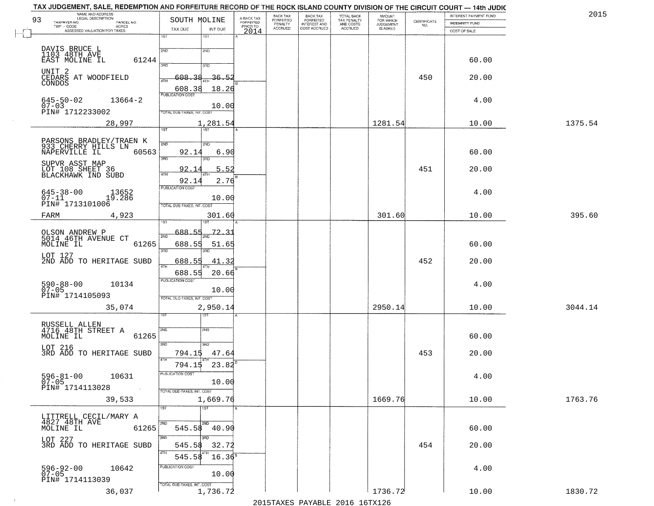|    | TAX JUDGEMENT, SALE, REDEMPTION AND FORFEITURE RECORD OF THE ROCK ISLAND COUNTY DIVISION OF THE CIRCUIT COURT — 14th JUDIC |                                   |              |                         |                       |                                                       |                                                   |                                    |             |                                |         |
|----|----------------------------------------------------------------------------------------------------------------------------|-----------------------------------|--------------|-------------------------|-----------------------|-------------------------------------------------------|---------------------------------------------------|------------------------------------|-------------|--------------------------------|---------|
| 93 | NAME AND ADDRESS<br>LEGAL DESCRIPTION<br>TAXPAYER NO.<br>PARCEL NO.                                                        | SOUTH MOLINE                      |              | A-BACK TAX<br>FORFEITED | BACK TAX<br>FORFEITED | BACK TAX<br>FORFEITED<br>INTEREST AND<br>COST ACCRUED | TOTAL BACK<br>TAX PENALTY<br>AND COSTS<br>ACCRUED | <b>AMOUNT</b>                      | CERTIFICATE | INTEREST PAYMENT FUND          | 2015    |
|    | $TWP - CODE$<br><b>ACRES</b><br>ASSESSED VALUATION FOR TAXES                                                               | TAX DUE                           | INT DUE      | PRIOR TO<br>2014        | PENALTY<br>ACCRUED    |                                                       |                                                   | FOR WHICH<br>JUDGEMENT<br>IS ASKED | NO.         | INDEMNITY FUND<br>COST OF SALE |         |
|    |                                                                                                                            | 1ST                               | 1ST          |                         |                       |                                                       |                                                   |                                    |             |                                |         |
|    |                                                                                                                            |                                   |              |                         |                       |                                                       |                                                   |                                    |             |                                |         |
|    | DAVIS BRUCE L<br>1103 48TH AVE                                                                                             | 2ND                               | 2ND          |                         |                       |                                                       |                                                   |                                    |             |                                |         |
|    | 61244<br>EAST MOLINE IL                                                                                                    | san                               | 3RD          |                         |                       |                                                       |                                                   |                                    |             | 60.00                          |         |
|    | UNIT <sub>2</sub>                                                                                                          | $-608$                            | 36.5         |                         |                       |                                                       |                                                   |                                    | 450         |                                |         |
|    | CEDARS AT WOODFIELD<br>CONDOS                                                                                              | 4TH                               |              |                         |                       |                                                       |                                                   |                                    |             | 20.00                          |         |
|    |                                                                                                                            | 608.38<br><b>PUBLICATION COST</b> | 18.26        |                         |                       |                                                       |                                                   |                                    |             |                                |         |
|    | $645 - 50 - 02$<br>13664-2                                                                                                 |                                   |              |                         |                       |                                                       |                                                   |                                    |             | 4.00                           |         |
|    | $07 - 03$<br>PIN# 1712233002                                                                                               | TOTAL DUE-TAXES, INT. COST        | 10.00        |                         |                       |                                                       |                                                   |                                    |             |                                |         |
|    | 28,997                                                                                                                     |                                   | 1,281.54     |                         |                       |                                                       |                                                   | 1281.54                            |             | 10.00                          | 1375.54 |
|    |                                                                                                                            | 1ST                               | 1ST          |                         |                       |                                                       |                                                   |                                    |             |                                |         |
|    |                                                                                                                            |                                   |              |                         |                       |                                                       |                                                   |                                    |             |                                |         |
|    | PARSONS BRADLEY/TRAEN K<br>933 CHERRY HILLS LN<br>NAPERVILLE IL<br>60563                                                   | 2ND<br>92.14                      | 2ND<br>6.90  |                         |                       |                                                       |                                                   |                                    |             | 60.00                          |         |
|    |                                                                                                                            | 3RD                               | 3RD          |                         |                       |                                                       |                                                   |                                    |             |                                |         |
|    | SUPVR ASST MAP                                                                                                             | 92.1                              | 5.52         |                         |                       |                                                       |                                                   |                                    | 451         | 20.00                          |         |
|    | LOT 108 SHEET 36<br>BLACKHAWK IND SUBD                                                                                     | 47H                               |              |                         |                       |                                                       |                                                   |                                    |             |                                |         |
|    |                                                                                                                            | 92.14<br><b>PUBLICATION COST</b>  | 2.76         |                         |                       |                                                       |                                                   |                                    |             |                                |         |
|    | $645 - 38 - 00$<br>$07 - 11$<br>13652<br>19.286                                                                            |                                   | 10.00        |                         |                       |                                                       |                                                   |                                    |             | 4.00                           |         |
|    | PIN# 1713101006                                                                                                            | TOTAL DUE-TAXES, INT. COST        |              |                         |                       |                                                       |                                                   |                                    |             |                                |         |
|    | 4,923<br>FARM                                                                                                              |                                   | 301.60       |                         |                       |                                                       |                                                   | 301.60                             |             | 10.00                          | 395.60  |
|    |                                                                                                                            | isi                               |              |                         |                       |                                                       |                                                   |                                    |             |                                |         |
|    | OLSON ANDREW P<br>5014 46TH AVENUE CT                                                                                      | 688.55<br>2ND                     | 72.31        |                         |                       |                                                       |                                                   |                                    |             |                                |         |
|    | 61265<br>MOLINE IL                                                                                                         | 688.55                            | 51.65        |                         |                       |                                                       |                                                   |                                    |             | 60.00                          |         |
|    | LOT 127                                                                                                                    | 3RD                               | 3RD          |                         |                       |                                                       |                                                   |                                    |             |                                |         |
|    | 2ND ADD TO HERITAGE SUBD                                                                                                   | 688.55                            | 41.32        |                         |                       |                                                       |                                                   |                                    | 452         | 20.00                          |         |
|    |                                                                                                                            | 4TH<br>688.55                     | 20.66        |                         |                       |                                                       |                                                   |                                    |             |                                |         |
|    |                                                                                                                            | <b>PUBLICATION COST</b>           |              |                         |                       |                                                       |                                                   |                                    |             |                                |         |
|    | 590-88-00<br>07-05<br>10134                                                                                                |                                   | 10.00        |                         |                       |                                                       |                                                   |                                    |             | 4.00                           |         |
|    | PIN# 1714105093                                                                                                            | TOTAL OUE-TAXES, INT. COST        |              |                         |                       |                                                       |                                                   |                                    |             |                                |         |
|    | 35,074                                                                                                                     |                                   | 2,950.14     |                         |                       |                                                       |                                                   | 2950.14                            |             | 10.00                          | 3044.14 |
|    |                                                                                                                            |                                   |              |                         |                       |                                                       |                                                   |                                    |             |                                |         |
|    | RUSSELL ALLEN<br>4716 48TH STREET A                                                                                        | 2ND                               | 2ND          |                         |                       |                                                       |                                                   |                                    |             |                                |         |
|    | 61265<br>MOLINE IL                                                                                                         |                                   |              |                         |                       |                                                       |                                                   |                                    |             | 60.00                          |         |
|    | LOT 216                                                                                                                    | 3RD                               | 3RD          |                         |                       |                                                       |                                                   |                                    |             |                                |         |
|    | 3RD ADD TO HERITAGE SUBD                                                                                                   | 794.15<br>4TH                     | 47.64        |                         |                       |                                                       |                                                   |                                    | 453         | 20.00                          |         |
|    |                                                                                                                            | 794.15                            | 23.82        |                         |                       |                                                       |                                                   |                                    |             |                                |         |
|    | $596 - 81 - 00$ 10631                                                                                                      | PUBLICATION COST                  |              |                         |                       |                                                       |                                                   |                                    |             | 4.00                           |         |
|    | 07-05<br>PIN# 1714113028                                                                                                   |                                   | 10.00        |                         |                       |                                                       |                                                   |                                    |             |                                |         |
|    |                                                                                                                            | TOTAL DUE-TAXES, INT. COST        |              |                         |                       |                                                       |                                                   |                                    |             |                                |         |
|    | 39,533                                                                                                                     |                                   | 1,669.76     |                         |                       |                                                       |                                                   | 1669.76                            |             | 10.00                          | 1763.76 |
|    | LITTRELL CECIL/MARY A                                                                                                      | 1ST                               | 1ST          |                         |                       |                                                       |                                                   |                                    |             |                                |         |
|    | 4827 48TH AVE                                                                                                              | 2ND                               | 2ND          |                         |                       |                                                       |                                                   |                                    |             |                                |         |
|    | MOLINE IL<br>61265                                                                                                         |                                   | 545.58 40.90 |                         |                       |                                                       |                                                   |                                    |             | 60.00                          |         |
|    | LOT 227                                                                                                                    | 3RD                               | 3RD          |                         |                       |                                                       |                                                   |                                    |             |                                |         |
|    | 3RD ADD TO HERITAGE SUBD                                                                                                   | 545.58<br>4TH                     | 32.72        |                         |                       |                                                       |                                                   |                                    | 454         | 20.00                          |         |
|    |                                                                                                                            | 545.58                            | $16.36^8$    |                         |                       |                                                       |                                                   |                                    |             |                                |         |
|    | 596-92-00<br>07-05<br>10642                                                                                                | PUBLICATION COST                  |              |                         |                       |                                                       |                                                   |                                    |             | 4.00                           |         |
|    | PIN# 1714113039                                                                                                            |                                   | 10.00        |                         |                       |                                                       |                                                   |                                    |             |                                |         |
|    | 36,037                                                                                                                     | TOTAL DUE-TAXES, INT. COST        | 1,736.72     |                         |                       |                                                       |                                                   | 1736.72                            |             | 10.00                          | 1830.72 |

 $\sim 100$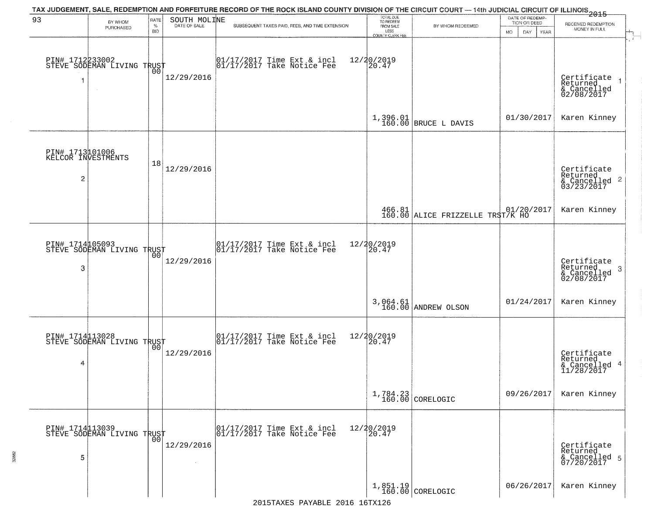|                      |                                               |                            |                              | TAX JUDGEMENT, SALE, REDEMPTION AND FORFEITURE RECORD OF THE ROCK ISLAND COUNTY DIVISION OF THE CIRCUIT COURT — 14th JUDICIAL CIRCUIT OF ILLINOIS 2015                                                                       | TOTAL DUE<br>TO REDEEM                         |                                                                              | DATE OF REDEMP-             |                                                                    |
|----------------------|-----------------------------------------------|----------------------------|------------------------------|------------------------------------------------------------------------------------------------------------------------------------------------------------------------------------------------------------------------------|------------------------------------------------|------------------------------------------------------------------------------|-----------------------------|--------------------------------------------------------------------|
| 93                   | BY WHOM<br>PURCHASED                          | RATE<br>$\%$<br><b>BID</b> | SOUTH MOLINE<br>DATE OF SALE | SUBSEQUENT TAXES PAID, FEES, AND TIME EXTENSION                                                                                                                                                                              | FROM SALE<br>LESS                              | BY WHOM REDEEMED                                                             | TION OR DEED<br>MO.<br>DAY. | RECEIVED REDEMPTION<br>MONEY IN FULL                               |
|                      | PIN# 1712233002<br>STEVE SODEMAN LIVING TRUST | 00                         | 12/29/2016                   | $\begin{bmatrix} 01/17/2017 \\ 01/17/2017 \\ 01 \end{bmatrix}$ Take Notice Fee                                                                                                                                               | <b>COUNTY CLERK FEE</b><br>12/20/2019<br>20.47 |                                                                              | YEAR                        | Certificate<br>Returned                                            |
|                      |                                               |                            |                              |                                                                                                                                                                                                                              |                                                | $\left.\begin{array}{c} 1,396.01 \\ 160.00 \end{array}\right $ BRUCE L DAVIS | 01/30/2017                  | & Cancelled<br>02/08/2017<br>Karen Kinney                          |
| $\overline{2}$       | PIN# 1713101006<br>KELCOR INVESTMENTS         | 18                         | 12/29/2016                   |                                                                                                                                                                                                                              |                                                |                                                                              |                             | Certificate<br>Returned<br>$\frac{1}{6}$ Cancelled 2<br>03/23/2017 |
|                      |                                               |                            |                              |                                                                                                                                                                                                                              |                                                | 466.81 01/20/2017<br>160.00 ALICE FRIZZELLE TRST/K HO                        |                             | Karen Kinney                                                       |
| 3                    | PIN# 1714105093<br>STEVE SODEMAN LIVING TRUST | 0 <sub>0</sub>             | 12/29/2016                   | 01/17/2017 Time Ext & incl<br>01/17/2017 Take Notice Fee                                                                                                                                                                     | 12/20/2019<br>20.47                            |                                                                              |                             | Certificate<br>Returned<br>3<br>& Cancelled<br>02/08/2017          |
|                      |                                               |                            |                              |                                                                                                                                                                                                                              |                                                | 3,064.61<br>160.00 ANDREW OLSON                                              | 01/24/2017                  | Karen Kinney                                                       |
| 4                    | PIN# 1714113028<br>STEVE SODEMAN LIVING TRUST | 0 <sub>0</sub>             | 12/29/2016                   | 01/17/2017 Time Ext & incl<br>01/17/2017 Take Notice Fee                                                                                                                                                                     | 12/20/2019<br>$\overline{20.47}$               |                                                                              |                             | Certificate<br>Returned<br>4<br>& Cancelled<br>11/28/2017          |
|                      |                                               |                            |                              |                                                                                                                                                                                                                              |                                                | $1,784.23$ CORELOGIC                                                         | 09/26/2017                  | Karen Kinney                                                       |
| PIN# 1714113039<br>5 | STEVE SODEMAN LIVING TRUST                    | 00 <sup>1</sup>            | 12/29/2016                   | 01/17/2017 Time Ext & incl<br>01/17/2017 Take Notice Fee                                                                                                                                                                     | 12/20/2019<br>20.47                            |                                                                              |                             | Certificate<br>Returned<br>& Cancelled 5<br>07/20/2017             |
|                      |                                               |                            |                              | $2015T^2$ $NV^2$ $R^2$ $R^2$ $R^2$ $R^2$ $R^2$ $R^2$ $R^2$ $R^2$ $R^2$ $R^2$ $R^2$ $R^2$ $R^2$ $R^2$ $R^2$ $R^2$ $R^2$ $R^2$ $R^2$ $R^2$ $R^2$ $R^2$ $R^2$ $R^2$ $R^2$ $R^2$ $R^2$ $R^2$ $R^2$ $R^2$ $R^2$ $R^2$ $R^2$ $R^2$ |                                                | $1,851.19$ CORELOGIC                                                         | 06/26/2017                  | Karen Kinney                                                       |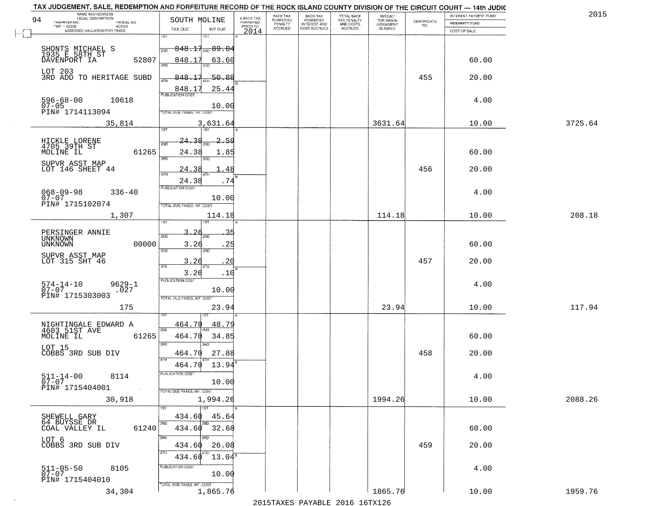| NAME AND ADDRESS<br>LEGAL DESCRIPTION<br>94                                               | SOUTH MOLINE                                                                                                     |                                     | BACK TAX<br>FORFEITED | <b>BACK TAX</b>                           | TOTAL BACK<br>TAX PENALTY<br>AND COSTS | AMOUNT<br>FOR WHICH<br>JUDGEMENT |                                                                 | INTEREST PAYMENT FUND | 2015    |
|-------------------------------------------------------------------------------------------|------------------------------------------------------------------------------------------------------------------|-------------------------------------|-----------------------|-------------------------------------------|----------------------------------------|----------------------------------|-----------------------------------------------------------------|-----------------------|---------|
| TAXPAYER NO.<br>PARCEL NO.<br>ACRES                                                       |                                                                                                                  | A-BACK TAX<br>FORFEITED<br>PRIOR TO | PENALTY               | FORFEITED<br>INTEREST AND<br>COST ACCRUED |                                        |                                  | $\begin{array}{c} \text{CERTIFICATE} \\ \text{NO.} \end{array}$ | INDEMNITY FUND        |         |
| ASSESSED VALUATION FOR TAXES                                                              | TAX DUE<br>INT DUE<br>1ST<br>18T                                                                                 | 2014                                | <b>ACCRUED</b>        |                                           | ACCRUED                                | IS ASKED                         |                                                                 | COST OF SALE          |         |
| SHONTS MICHAEL S<br>1935 E 58TH ST<br>DAVENPORT IA<br>52807                               | $848.17_{\text{\tiny 2ND}}89.04$<br>2ND<br>848.17<br><u>63.60</u>                                                |                                     |                       |                                           |                                        |                                  |                                                                 | 60.00                 |         |
| LOT 203<br>3RD ADD TO HERITAGE SUBD                                                       | -50.88<br>848.17<br>25.44                                                                                        |                                     |                       |                                           |                                        |                                  | 455                                                             | 20.00                 |         |
| 596-68-00<br>07-05<br>10618<br>PIN# 1714113094                                            | 848.17<br>10.00<br>TOTAL DUE-TAXES, INT. COST                                                                    |                                     |                       |                                           |                                        |                                  |                                                                 | 4.00                  |         |
| 35,814                                                                                    | 3,631.64                                                                                                         |                                     |                       |                                           |                                        | 3631.64                          |                                                                 | 10.00                 | 3725.64 |
| HICKLE LORENE<br>4705 39TH ST<br>MOLINE IL<br>61265<br>SUPVR ASST MAP<br>LOT 146 SHEET 44 | 2.59<br>24<br>2ND<br>24.38<br>1.85<br>3RD<br>חחי<br>24.38<br>48                                                  |                                     |                       |                                           |                                        |                                  | 456                                                             | 60.00<br>20.00        |         |
| $068 - 09 - 98$<br>$336 - 40$<br>$07 - 07$<br>PIN# 1715102074                             | 24.38<br>.74<br>PUBLICATION COST<br>10.00<br>TOTAL DUE-TAXES, INT. COST                                          |                                     |                       |                                           |                                        |                                  |                                                                 | 4.00                  |         |
| 1,307                                                                                     | 114.18                                                                                                           |                                     |                       |                                           |                                        | 114.18                           |                                                                 | 10.00                 | 208.18  |
| PERSINGER ANNIE<br>UNKNOWN<br>00000<br><b>UNKNOWN</b><br>SUPVR ASST MAP<br>LOT 315 SHT 46 | īst<br>1ST<br>З.<br>2ND<br>2ND<br>3.26<br>.25<br>3RD<br>3RD<br>3.26<br>20<br>4TH<br>4TH<br>3.26<br>.10           |                                     |                       |                                           |                                        |                                  | 457                                                             | 60.00<br>20.00        |         |
| $574 - 14 - 10$<br>07-07<br>$9629 - 1$<br>.027<br>PIN# 1715303003<br>175                  | <b>PUBLICATION COST</b><br>10.00<br>TOTAL OUE-TAXES, INT. COST<br>23.94                                          |                                     |                       |                                           |                                        | 23.94                            |                                                                 | 4.00<br>10.00         | 117.94  |
| 61265<br>LOT 15<br>COBBS 3RD SUB DIV                                                      | 464.70<br>48.79<br>2ND<br>464.70<br>34.85<br>3 <sub>BD</sub><br>3RD<br>464.70<br>27.88<br>4TH<br>464.70<br>13.94 |                                     |                       |                                           |                                        |                                  | 458                                                             | 60.00<br>20.00        |         |
| $511 - 14 - 00$<br>8114<br>$07 - 07$<br>PIN# 1715404001<br>$\sim 100$ km $^{-1}$          | PUBLICATION COS-<br>10.00<br>TOTAL DUE-TAXES, INT. COST                                                          |                                     |                       |                                           |                                        |                                  |                                                                 | 4.00                  |         |
| 30,918                                                                                    | 1,994.26                                                                                                         |                                     |                       |                                           |                                        | 1994.26                          |                                                                 | 10.00                 | 2088.26 |
| SHEWELL GARY<br>64 BUYSSE DR<br>61240<br>COAL VALLEY IL<br>LOT 6                          | 1ST<br>434.60<br>45.64<br>2ND<br>2ND<br>434.60 32.60<br>3RD<br>3RD                                               |                                     |                       |                                           |                                        |                                  |                                                                 | 60.00                 |         |
| COBBS 3RD SUB DIV<br>511-05-50<br>07-07<br>8105                                           | 26.08<br>434.60<br>4TH<br>$13.04^{\circ}$<br>434.60<br>PUBLICATION COST<br>10.00                                 |                                     |                       |                                           |                                        |                                  | 459                                                             | 20.00<br>4.00         |         |
| PIN# 1715404010<br>34,304                                                                 | TOTAL DUE-TAXES, INT. COST<br>1,865.76                                                                           |                                     |                       |                                           |                                        | 1865.76                          |                                                                 | 10.00                 | 1959.76 |

 $\sim 10^{-1}$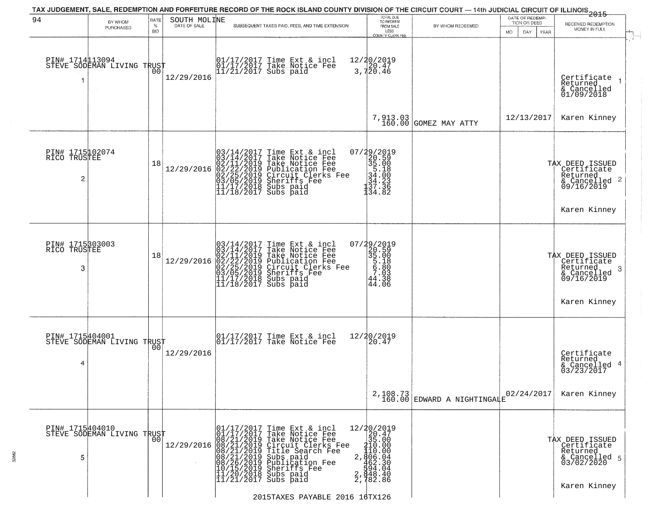|                                                   |                                               |                     |                              | TAX JUDGEMENT, SALE, REDEMPTION AND FORFEITURE RECORD OF THE ROCK ISLAND COUNTY DIVISION OF THE CIRCUIT COURT - 14th JUDICIAL CIRCUIT OF ILLINOIS 2015                                                                                                                                                                                                                                                                            |                                                                                                                                                                |                                           |                                                              |                                                                                                |
|---------------------------------------------------|-----------------------------------------------|---------------------|------------------------------|-----------------------------------------------------------------------------------------------------------------------------------------------------------------------------------------------------------------------------------------------------------------------------------------------------------------------------------------------------------------------------------------------------------------------------------|----------------------------------------------------------------------------------------------------------------------------------------------------------------|-------------------------------------------|--------------------------------------------------------------|------------------------------------------------------------------------------------------------|
| 94                                                | BY WHOM<br>PURCHASED                          | RATE<br>$\%$<br>BID | SOUTH MOLINE<br>DATE OF SALE | SUBSEQUENT TAXES PAID, FEES, AND TIME EXTENSION                                                                                                                                                                                                                                                                                                                                                                                   | TOTAL DUE<br>TO REDEEM<br>FROM SALE<br>LESS<br>COUNTY CLERK FEE                                                                                                | BY WHOM REDEEMED                          | DATE OF REDEMP-<br>TION OR DEED<br>MO.<br>DAY<br><b>YEAR</b> | RECEIVED REDEMPTION<br>MONEY IN FULL                                                           |
| PIN# 1714113094<br>1                              | STEVE SODEMAN LIVING TRUST                    | 00                  | 12/29/2016                   | 01/17/2017 Time Ext & incl<br>01/17/2017 Take Notice Fee<br>11/21/2017 Subs paid                                                                                                                                                                                                                                                                                                                                                  | 12/20/2019<br>$\frac{120.47}{3,720.46}$                                                                                                                        |                                           |                                                              | Certificate<br>Returned<br>& Cancelled<br>01/09/2018                                           |
|                                                   |                                               |                     |                              |                                                                                                                                                                                                                                                                                                                                                                                                                                   | 7,913.03<br>160.00                                                                                                                                             | GOMEZ MAY ATTY                            | 12/13/2017                                                   | Karen Kinney                                                                                   |
| PIN# 1715102074<br>RICO TRUSTEE<br>$\overline{c}$ |                                               | 18                  | 12/29/2016                   | $03/14/2017$ Time Ext & incl<br>$03/14/2017$ Take Notice Fee<br>$02/11/2019$ Take Notice Fee<br>$02/22/2019$ Publication Fee<br>$03/05/2019$ Sheriffs Fee<br>$11/17/2018$ Subs paid<br>$11/18/2017$ Subs paid<br>$11/18/2017$ Subs paid                                                                                                                                                                                           | 07/29/2019<br>320.59<br>35.00<br>54.00<br>34.23<br>34.23<br>137.33<br>134.82                                                                                   |                                           |                                                              | TAX DEED ISSUED<br>  Certificate<br>  Returned<br>$\frac{1}{6}$ Cancelled 2<br>09/16/2019      |
|                                                   |                                               |                     |                              |                                                                                                                                                                                                                                                                                                                                                                                                                                   |                                                                                                                                                                |                                           |                                                              | Karen Kinney                                                                                   |
| PIN# 1715303003<br>TRUSTEE<br>RICO<br>3           |                                               | 18                  | 12/29/2016                   | $03/14/2017$ Time Ext & incl<br>$03/14/2017$ Take Notice Fee<br>$02/11/2019$ Take Notice Fee<br>$02/22/2019$ Publication Fee<br>$03/05/2019$ Sheriffs Fee<br>$11/17/2018$ Subs paid<br>$11/18/2017$ Subs paid                                                                                                                                                                                                                     | 07/29/2019<br>20.59<br>35.00<br>5.18<br>5.80<br>7.03<br>44.38<br>44.06                                                                                         |                                           |                                                              | TAX DEED ISSUED<br>Certificate<br>Returned<br>- 3<br>& Cancelled<br>09/16/2019<br>Karen Kinney |
| 4                                                 | PIN# 1715404001<br>STEVE SODEMAN LIVING TRUST |                     | 12/29/2016                   | 01/17/2017 Time Ext & incl<br>01/17/2017 Take Notice Fee                                                                                                                                                                                                                                                                                                                                                                          | 12/20/2019<br>20.47                                                                                                                                            |                                           |                                                              | Certificate<br>Returned<br>& Cancelled 4<br>03/23/2017                                         |
|                                                   |                                               |                     |                              |                                                                                                                                                                                                                                                                                                                                                                                                                                   |                                                                                                                                                                | $2,108.73$<br>160.00 EDWARD A NIGHTINGALE | 02/24/2017                                                   | Karen Kinney                                                                                   |
| PIN# 1715404010<br>5                              | STEVE SODEMAN LIVING TRUST                    | 00 <sub>1</sub>     | 12/29/2016                   | 01/17/2017 Time Ext & 01/17/2017 Take Notic<br>08/21/2019 Take Notic<br>08/21/2019 Circuit Cl<br>08/21/2019 Title Sear<br>08/21/2019 Subs paid<br>08/26/2019 Subsider<br>08/26/2019 Sheriffs F<br>11/20/2018 Subs paid<br>11/21/2017 Subs paid<br>Time Ext & incl<br>Take Notice Fee<br>Take Notice Fee<br>Circuit Clerks Fee<br>Title Search Fee<br>Subs paid<br>Publication Fee<br>Whalication Fee<br>Sheriffs Fee<br>Subs paid | 12/20/2019<br>20.47<br>35.00<br>$2, \frac{135.000}{110.00}$<br>2, $\frac{110.00}{62.30}$<br>462.30<br>2, $\frac{1304.04}{648.40}$<br>2, $\frac{248.40}{62.86}$ |                                           |                                                              | TAX DEED ISSUED<br>Certificate<br>Returned<br>& Cancelled 5<br>03/02/2020<br>Karen Kinney      |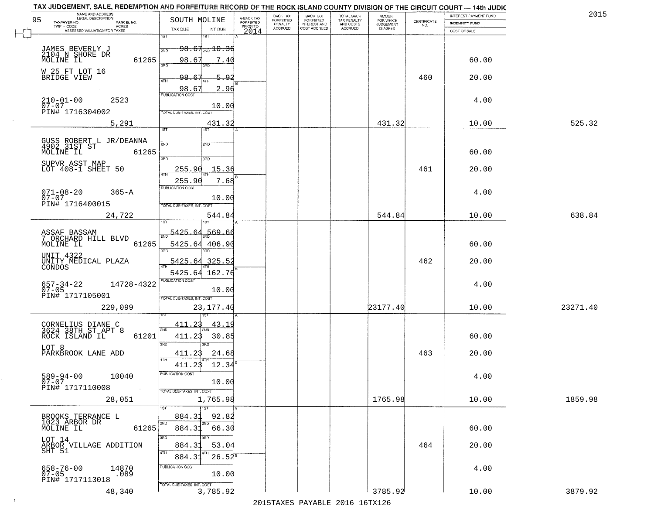| NAME AND ADDRESS<br>LEGAL DESCRIPTION<br>95<br>TAXPAYER NO.<br>PARCEL NO. | SOUTH MOLINE                             |                              | A-BACK TAX<br>FORFEITED | BACK TAX<br>FORFEITED | <b>BACK TAX</b><br><b>FORFEITED</b> | TOTAL BACK<br>TAX PENALTY | <b>AMOUNT</b>                      | CERTIFICATE | INTEREST PAYMENT FUND                 | 2015     |
|---------------------------------------------------------------------------|------------------------------------------|------------------------------|-------------------------|-----------------------|-------------------------------------|---------------------------|------------------------------------|-------------|---------------------------------------|----------|
| TWP - CODE<br><b>ACRES</b><br>ASSESSED VALUATION FOR TAXES                | TAX DUE                                  | INT DUE                      | PRIOR TO<br>2014        | PENALTY<br>ACCRUED    | INTEREST AND<br>COST ACCRUED        | AND COSTS<br>ACCRUED      | FOR WHICH<br>JUDGEMENT<br>IS ASKED | NO.         | <b>INDEMNITY FUND</b><br>COST OF SALE |          |
|                                                                           | 1ST                                      | 1ST                          |                         |                       |                                     |                           |                                    |             |                                       |          |
| JAMES BEVERLY J<br>2104 N SHORE DR                                        | 2ND                                      | $98.67_{200}10.36$           |                         |                       |                                     |                           |                                    |             |                                       |          |
| MOLINE IL                                                                 | 61265<br>98.67                           | 7.40<br>3BD                  |                         |                       |                                     |                           |                                    |             | 60.00                                 |          |
| W 25 FT LOT 16<br>BRIDGE VIEW                                             | $98-$<br>4TH                             | $5 - 9$                      |                         |                       |                                     |                           |                                    | 460         | 20.00                                 |          |
|                                                                           | 98.6<br><b>PUBLICATION COST</b>          | 2.96                         |                         |                       |                                     |                           |                                    |             |                                       |          |
| 2523<br>$210 - 01 - 00$<br>$07 - 07$                                      |                                          | 10.00                        |                         |                       |                                     |                           |                                    |             | 4.00                                  |          |
| PIN# 1716304002                                                           | TOTAL DUE-TAXES, INT. COS                |                              |                         |                       |                                     |                           |                                    |             |                                       |          |
| 5,291                                                                     | 1ST                                      | 431.32<br>1ST                |                         |                       |                                     |                           | 431.32                             |             | 10.00                                 | 525.32   |
| GUSS ROBERT L JR/DEANNA<br>4902_31ST ST                                   | 2ND                                      | 2ND                          |                         |                       |                                     |                           |                                    |             |                                       |          |
| MOLINE IL                                                                 | 61265<br>3RD                             | 3HD                          |                         |                       |                                     |                           |                                    |             | 60.00                                 |          |
| SUPVR ASST MAP<br>LOT 408-1 SHEET 50                                      | 255.90<br>47H                            | 15.36                        |                         |                       |                                     |                           |                                    | 461         | 20.00                                 |          |
|                                                                           | 255.90                                   | 7.68                         |                         |                       |                                     |                           |                                    |             |                                       |          |
| $071 - 08 - 20$<br>$365 - A$<br>$07 - 07$                                 | PUBLICATION COST                         | 10.00                        |                         |                       |                                     |                           |                                    |             | 4.00                                  |          |
| PIN# 1716400015                                                           | TOTAL DUE-TAXES, INT. COST               |                              |                         |                       |                                     |                           |                                    |             |                                       |          |
| 24,722                                                                    |                                          | 544.84                       |                         |                       |                                     |                           | 544.84                             |             | 10.00                                 | 638.84   |
| ASSAF BASSAM<br>7 ORCHARD HILL BLVD                                       | 5425 6.                                  | 569.66                       |                         |                       |                                     |                           |                                    |             |                                       |          |
| MOLINE IL                                                                 | 61265<br>3BD                             | 5425.64 406.90               |                         |                       |                                     |                           |                                    |             | 60.00                                 |          |
| UNIT 4322<br>UNITY MEDICAL PLAZA                                          | 5425.64 325.5                            |                              |                         |                       |                                     |                           |                                    | 462         | 20.00                                 |          |
| CONDOS                                                                    |                                          | 5425.64 162.76               |                         |                       |                                     |                           |                                    |             |                                       |          |
| 657-34-22<br>07-05<br>14728-4322                                          | <b>PUBLICATION COST</b>                  | 10.00                        |                         |                       |                                     |                           |                                    |             | 4.00                                  |          |
| PIN# 1717105001                                                           | TOTAL OUE-TAXES, INT. COST               |                              |                         |                       |                                     |                           |                                    |             |                                       |          |
| 229,099                                                                   |                                          | 23, 177. 40                  |                         |                       |                                     |                           | 23177.40                           |             | 10.00                                 | 23271.40 |
| CORNELIUS DIANE C<br>3624 38TH ST_APT 8                                   | 411.23<br>2ND                            | <u>43.19</u>                 |                         |                       |                                     |                           |                                    |             |                                       |          |
| ROCK ISLAND IL                                                            | 61201<br>411.23<br>3RD                   | 30.85<br>3BD                 |                         |                       |                                     |                           |                                    |             | 60.00                                 |          |
| LOT 8<br>PARKBROOK LANE ADD                                               | 411.23                                   | 24.68                        |                         |                       |                                     |                           |                                    | 463         | 20.00                                 |          |
|                                                                           | 4TH<br>411.23                            | 12.34                        |                         |                       |                                     |                           |                                    |             |                                       |          |
| 589-94-00<br>07-07<br>10040                                               | PUBLICATION COST                         | 10.00                        |                         |                       |                                     |                           |                                    |             | 4.00                                  |          |
| PIN# 1717110008                                                           | $\sim 100$<br>TOTAL DUE-TAXES, INT. COST |                              |                         |                       |                                     |                           |                                    |             |                                       |          |
| 28,051                                                                    | 1ST <sup>1</sup>                         | 1,765.98<br>$\overline{1ST}$ |                         |                       |                                     |                           | 1765.98                            |             | 10.00                                 | 1859.98  |
| BROOKS TERRANCE L<br>1023 ARBOR DR                                        | 884.31<br>2ND                            | 92.82<br>2ND                 |                         |                       |                                     |                           |                                    |             |                                       |          |
| MOLINE IL                                                                 | 884.31<br>61265<br>3RD                   | 66.30<br>अंग                 |                         |                       |                                     |                           |                                    |             | 60.00                                 |          |
| LOT 14<br>ARBOR VILLAGE ADDITION                                          | 884.31                                   | 53.04                        |                         |                       |                                     |                           |                                    | 464         | 20.00                                 |          |
| SHT 51                                                                    | 4TH<br>884.31                            | $26.52^{8}$                  |                         |                       |                                     |                           |                                    |             |                                       |          |
| 658-76-00<br>07-05<br>14870<br>.089                                       | PUBLICATION COST                         | 10.00                        |                         |                       |                                     |                           |                                    |             | 4.00                                  |          |
| PIN# 1717113018                                                           | TOTAL DUE-TAXES, INT. COST               |                              |                         |                       |                                     |                           |                                    |             |                                       |          |
| 48,340                                                                    |                                          | 3,785.92                     |                         |                       |                                     |                           | 3785.92                            |             | 10.00                                 | 3879.92  |

 $\sim 10^{-1}$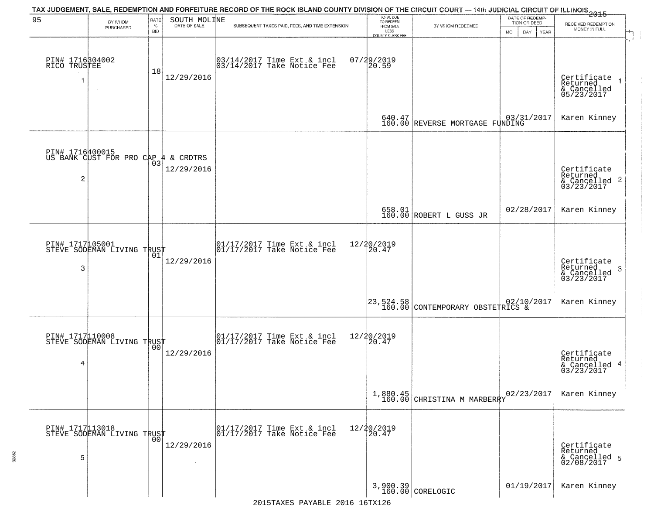|                                      |                                                        |                            |                              | TAX JUDGEMENT, SALE, REDEMPTION AND FORFEITURE RECORD OF THE ROCK ISLAND COUNTY DIVISION OF THE CIRCUIT COURT — 14th JUDICIAL CIRCUIT OF ILLINOIS 2015                                                                       |                                                                 |                                           |                                                        |                                                                    |
|--------------------------------------|--------------------------------------------------------|----------------------------|------------------------------|------------------------------------------------------------------------------------------------------------------------------------------------------------------------------------------------------------------------------|-----------------------------------------------------------------|-------------------------------------------|--------------------------------------------------------|--------------------------------------------------------------------|
| 95                                   | BY WHOM<br>PURCHASED                                   | RATE<br>$\%$<br><b>BID</b> | SOUTH MOLINE<br>DATE OF SALE | SUBSEQUENT TAXES PAID, FEES, AND TIME EXTENSION                                                                                                                                                                              | TOTAL DUE<br>TO REDEEM<br>FROM SALE<br>LESS<br>COUNTY CLERK FEE | BY WHOM REDEEMED                          | DATE OF REDEMP-<br>TION OR DEED<br>MO.<br>DAY.<br>YEAR | RECEIVED REDEMPTION<br>MONEY IN FULL                               |
| PIN# 1716304002<br>RICO TRUSTEE<br>1 | $\sim$                                                 | 18                         | 12/29/2016                   | 03/14/2017 Time Ext & incl<br>03/14/2017 Take Notice Fee                                                                                                                                                                     | 07/29/2019<br>20.59                                             |                                           |                                                        | Certificate<br>Returned<br>& Cancelled<br>05/23/2017               |
|                                      |                                                        |                            |                              |                                                                                                                                                                                                                              |                                                                 | 640.47<br>160.00 REVERSE MORTGAGE FUNDING | 03/31/2017                                             | Karen Kinney                                                       |
| 2                                    | PIN# 1716#00015<br>US BANK CUST FOR PRO CAP # & CRDTRS | 03                         | 12/29/2016                   |                                                                                                                                                                                                                              |                                                                 |                                           |                                                        | Certificate<br>Returned<br>$\frac{1}{2}$ Cancelled 2<br>03/23/2017 |
|                                      |                                                        |                            |                              |                                                                                                                                                                                                                              |                                                                 | 658.01<br>160.00 ROBERT L GUSS JR         | 02/28/2017                                             | Karen Kinney                                                       |
| 3                                    | PIN# 1717105001<br>STEVE SODEMAN LIVING TRUST          | 01                         | 12/29/2016                   | $\begin{bmatrix} 01/17/2017 \\ 01/17/2017 \\ 01 \end{bmatrix}$ Take Notice Fee                                                                                                                                               | 12/20/2019<br>20.47                                             |                                           |                                                        | Certificate<br>Returned<br>3<br>$\frac{6}{03/23/2017}$             |
|                                      |                                                        |                            |                              |                                                                                                                                                                                                                              | $\left  \frac{23,524.58}{160.00} \right $                       | CONTEMPORARY OBSTETRICS &                 |                                                        | Karen Kinney                                                       |
| 4                                    | PIN# 1717 10008<br>STEVE SODEMAN LIVING TRUST          |                            | 12/29/2016                   | $\begin{bmatrix} 01/17/2017 \\ 01/17/2017 \end{bmatrix}$ Take Notice Fee                                                                                                                                                     | 12/20/2019<br>20.47                                             |                                           |                                                        | Certificate<br>Returned<br>4<br>& Cancelled<br>03/23/2017          |
|                                      |                                                        |                            |                              |                                                                                                                                                                                                                              |                                                                 | $1,880.45$<br>160.00 CHRISTINA M MARBERRY | 02/23/2017                                             | Karen Kinney                                                       |
| PIN# 1717113018<br>5                 | STEVE SODEMAN LIVING TRUST                             | 00                         | 12/29/2016<br>$\sim$         | 01/17/2017 Time Ext & incl<br>01/17/2017 Take Notice Fee                                                                                                                                                                     | 12/20/2019<br>20.47                                             |                                           |                                                        | Certificate<br>Returned<br>& Cancelled 5<br>02/08/2017             |
|                                      |                                                        |                            |                              | $2015T^2$ $NV^2$ $R^2$ $R^2$ $R^2$ $R^2$ $R^2$ $R^2$ $R^2$ $R^2$ $R^2$ $R^2$ $R^2$ $R^2$ $R^2$ $R^2$ $R^2$ $R^2$ $R^2$ $R^2$ $R^2$ $R^2$ $R^2$ $R^2$ $R^2$ $R^2$ $R^2$ $R^2$ $R^2$ $R^2$ $R^2$ $R^2$ $R^2$ $R^2$ $R^2$ $R^2$ |                                                                 | 3,900.39<br>160.00 CORELOGIC              | 01/19/2017                                             | Karen Kinney                                                       |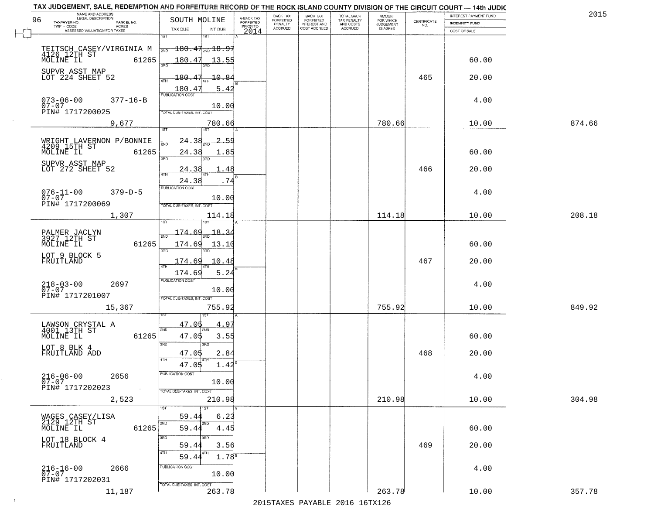| 2015   | INTEREST PAYMENT FUND |                                                                 |                                  | TOTAL BACK<br>TAX PENALTY<br>AND COSTS | <b>BACK TAX</b>           | BACK TAX             |                                     |                                                                                | NAME AND ADDRESS<br>LEGAL DESCRIPTION                                            |
|--------|-----------------------|-----------------------------------------------------------------|----------------------------------|----------------------------------------|---------------------------|----------------------|-------------------------------------|--------------------------------------------------------------------------------|----------------------------------------------------------------------------------|
|        | INDEMNITY FUND        | $\begin{array}{c} \text{CERTIFICATE} \\ \text{NO.} \end{array}$ | AMOUNT<br>FOR WHICH<br>JUDGEMENT |                                        | FORFEITED<br>INTEREST AND | FORFEITED<br>PENALTY | A-BACK TAX<br>FORFEITED<br>PRIOR TO | SOUTH MOLINE                                                                   | 96<br>TAXPAYER NO.<br>PARCEL NO.<br>ACRES                                        |
|        | COST OF SALE          |                                                                 | IS ASKED                         | <b>ACCRUED</b>                         | COST ACCRUED              | <b>ACCRUED</b>       | 2014                                | TAX DUE<br>INT DUE                                                             | ASSESSED VALUATION FOR TAXES                                                     |
|        | 60.00                 |                                                                 |                                  |                                        |                           |                      |                                     | 1ST<br>18T<br>$\frac{180}{200}$ 180.47 <sub>2ND</sub> 18.97<br>180.47<br>13.55 | TEITSCH CASEY/VIRGINIA M<br>4126 12TH ST<br>MOLINE IL 61265<br>61265             |
|        | 20.00                 | 465                                                             |                                  |                                        |                           |                      |                                     | 180.47<br>10.84                                                                | SUPVR ASST MAP<br>LOT 224 SHEET 52                                               |
|        | 4.00                  |                                                                 |                                  |                                        |                           |                      |                                     | 5.42<br>$\frac{180.47}{PUBUCATON COST}$<br>10.00<br>TOTAL DUE-TAXES, INT. COST | $073 - 06 - 00$<br>$377 - 16 - B$<br>$07 - 07$<br>PIN# 1717200025                |
| 874.66 | 10.00                 |                                                                 | 780.66                           |                                        |                           |                      |                                     | 780.66<br>197                                                                  | 9,677                                                                            |
|        | 60.00                 |                                                                 |                                  |                                        |                           |                      |                                     | 24.38<br>2.59<br>24.38<br>1.85<br>3RD<br>3PD                                   | WRIGHT LAVERNON P/BONNIE<br>4209 15TH ST<br>MOLINE IL<br>61265<br>SUPVR_ASST MAP |
|        | 20.00<br>4.00         | 466                                                             |                                  |                                        |                           |                      |                                     | 24.38<br>48<br>24.38<br>.74<br>PUBLICATION COST                                | LOT 272 SHEET 52<br>$076 - 11 - 00$<br>$379 - D - 5$                             |
| 208.18 | 10.00                 |                                                                 | 114.18                           |                                        |                           |                      |                                     | 10.00<br>TOTAL DUE-TAXES, INT. COST<br>114.18<br>is T                          | $07 - 07$<br>PIN# 1717200069<br>1,307                                            |
|        | 60.00                 |                                                                 |                                  |                                        |                           |                      |                                     | 174.69<br>18.3<br>2ND<br>174.69<br>13.10<br>3RD<br>3RD                         | PALMER JACLYN<br>3927 12TH ST<br>61265<br>MOLINE IL                              |
|        | 20.00                 | 467                                                             |                                  |                                        |                           |                      |                                     | 174.69<br>10.48<br>ATH<br>5.24<br>174.69                                       | LOT 9 BLOCK 5<br>FRUITLAND                                                       |
|        | 4.00                  |                                                                 |                                  |                                        |                           |                      |                                     | <b>PUBLICATION COST</b><br>10.00<br>TOTAL OUE-TAXES, INT. COST                 | $218 - 03 - 00$<br>07-07<br>2697<br>PIN# 1717201007                              |
| 849.92 | 10.00                 |                                                                 | 755.92                           |                                        |                           |                      |                                     | 755.92                                                                         | 15,367                                                                           |
|        | 60.00                 |                                                                 |                                  |                                        |                           |                      |                                     | 47.05<br>4.9<br>2ND<br>47.05<br>3.55<br>3 <sub>BD</sub><br>3RD                 | LAWSON CRYSTAL A<br>4001 13TH ST<br>MOLINE IL<br>61265                           |
|        | 20.00                 | 468                                                             |                                  |                                        |                           |                      |                                     | 2.84<br>47.05<br>4TH<br>1.42<br>47.05                                          | LOT 8 BLK 4<br>FRUITLAND ADD                                                     |
|        | 4.00                  |                                                                 |                                  |                                        |                           |                      |                                     | PUBLICATION COS-<br>10.00<br>TOTAL DUE-TAXES, INT. COST                        | $216 - 06 - 00$<br>2656<br>$07 - 07$<br>PIN# 1717202023<br>$\sim 100$            |
| 304.98 | 10.00                 |                                                                 | 210.98                           |                                        |                           |                      |                                     | 210.98<br>1ST                                                                  | 2,523                                                                            |
|        | 60.00                 |                                                                 |                                  |                                        |                           |                      |                                     | 59.44<br>6.23<br>2ND<br>2ND<br>4.45<br>59.44                                   | WAGES CASEY/LISA<br>2129_12TH ST<br>MOLINE IL<br>61265                           |
|        | 20.00                 | 469                                                             |                                  |                                        |                           |                      |                                     | 3RD<br>3RC<br>3.56<br>59.44<br>4TH<br>$1.78^{B}$<br>59.44                      | LOT 18 BLOCK 4<br>FRUITLAND                                                      |
|        | 4.00                  |                                                                 |                                  |                                        |                           |                      |                                     | PUBLICATION COST<br>10.00<br>TOTAL DUE-TAXES, INT. COST                        | $216 - 16 - 00$<br>07-07<br>2666<br>PIN# 1717202031                              |
| 357.78 | 10.00                 |                                                                 | 263.78                           |                                        |                           |                      |                                     | 263.78                                                                         | 11,187                                                                           |

 $\sim 10^{-1}$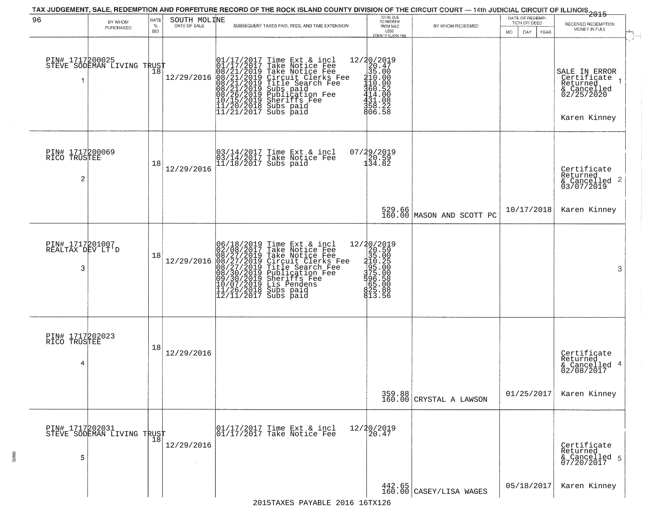| 96                                       | BY WHOM                                       | RATE            | SOUTH MOLINE | TAX JUDGEMENT, SALE, REDEMPTION AND FORFEITURE RECORD OF THE ROCK ISLAND COUNTY DIVISION OF THE CIRCUIT COURT — 14th JUDICIAL CIRCUIT OF ILLINOIS 2015                                                                                                                                                                                                                                                    | TOTAL DUE<br>TO REDEEM                                                                                                                  |                                                       | DATE OF REDEMP-<br>TION OR DEED |                                                                                       |
|------------------------------------------|-----------------------------------------------|-----------------|--------------|-----------------------------------------------------------------------------------------------------------------------------------------------------------------------------------------------------------------------------------------------------------------------------------------------------------------------------------------------------------------------------------------------------------|-----------------------------------------------------------------------------------------------------------------------------------------|-------------------------------------------------------|---------------------------------|---------------------------------------------------------------------------------------|
|                                          | PURCHASED                                     | %<br><b>BID</b> |              | SUBSEQUENT TAXES PAID, FEES, AND TIME EXTENSION                                                                                                                                                                                                                                                                                                                                                           | FROM SALE<br>LESS<br>COUNTY CLERK FEE                                                                                                   | BY WHOM REDEEMED                                      | <b>MO</b><br>DAY<br><b>YEAR</b> | RECEIVED REDEMPTION<br>MONEY IN FULL                                                  |
| PIN# 1717200025<br>1                     | STEVE SODEMAN LIVING TRUST                    | 18              |              | $[01/17/2017 \text{ Time Ext } \& \text{ incl } 101/17/2017 \text{ Take Notice Free} 108/21/2019 \text{ Take Notice Free} 08/21/2019 \text{ Take Notice Free} 08/21/2019 \text{ Circuit Clerks Free} 08/21/2019 \text{ Circuit Clerks Free} 08/21/2019 \text{ Sublication Free} 08/25/2019 \text{ Sublication Free} 10/15/2019 \text{ Sheriffs Free} 11/20/2018 \text{ Subs paid} 11/21/2017 \text{ Subs$ | 12/20/2019<br>$\begin{array}{c}\n 20.47 \\  35.00 \\  410.00\n \end{array}$<br>110.00<br>360.52<br>414.00<br>431.08<br>358.22<br>806.58 |                                                       |                                 | SALE IN ERROR<br>Certificate<br>Returned<br>& Cancelled<br>02/25/2020<br>Karen Kinney |
| PIN# 1717200069<br>RICO TRUSTEE<br>2     |                                               | 18              | 12/29/2016   | 03/14/2017 Time Ext & incl<br>03/14/2017 Take Notice Fee<br>11/18/2017 Subs paid                                                                                                                                                                                                                                                                                                                          | 07/29/2019<br>20.59<br>134.82                                                                                                           |                                                       |                                 | Certificate<br>Returned<br>& Cancelled 2<br>03/07/2019                                |
|                                          |                                               |                 |              |                                                                                                                                                                                                                                                                                                                                                                                                           |                                                                                                                                         | 529.66<br>160.00 MASON AND SCOTT PC                   | 10/17/2018                      | Karen Kinney                                                                          |
| PIN# 1717201007<br>REALTAX DEV LT'D<br>3 |                                               | 18              |              | 06/18/2019 Time Ext & incl<br>02/08/2017 Take Notice Fee<br>12/29/2016 08/27/2019 Take Notice Fee<br>12/29/2016 08/27/2019 Circuit Clerks Fee<br>08/27/2019 Title Search Fee<br>08/30/2019 Bublication Fee<br>10/07/2019 Subs paid<br>11/26/2018 Su                                                                                                                                                       | 813.56                                                                                                                                  |                                                       |                                 | 3                                                                                     |
| PIN# 1717202023<br>RICO TRUSTEE<br>4     |                                               | 18              | 12/29/2016   |                                                                                                                                                                                                                                                                                                                                                                                                           |                                                                                                                                         |                                                       |                                 | Certificate<br>Returned<br>& Cancelled 4<br>02/08/2017                                |
|                                          |                                               |                 |              |                                                                                                                                                                                                                                                                                                                                                                                                           |                                                                                                                                         | $359.88$<br>160.00 CRYSTAL A LAWSON                   | 01/25/2017                      | Karen Kinney                                                                          |
| 5                                        | PIN# 1717202031<br>STEVE SODEMAN LIVING TRUST |                 | 12/29/2016   | 01/17/2017 Time Ext & incl<br>01/17/2017 Take Notice Fee                                                                                                                                                                                                                                                                                                                                                  | 12/20/2019<br>20.47                                                                                                                     |                                                       |                                 | Certificate<br>Returned<br>& Cancelled 5<br>07/20/2017                                |
|                                          |                                               |                 |              |                                                                                                                                                                                                                                                                                                                                                                                                           |                                                                                                                                         | $\left.\frac{442.65}{160.00}\right $ CASEY/LISA WAGES | 05/18/2017                      | Karen Kinney                                                                          |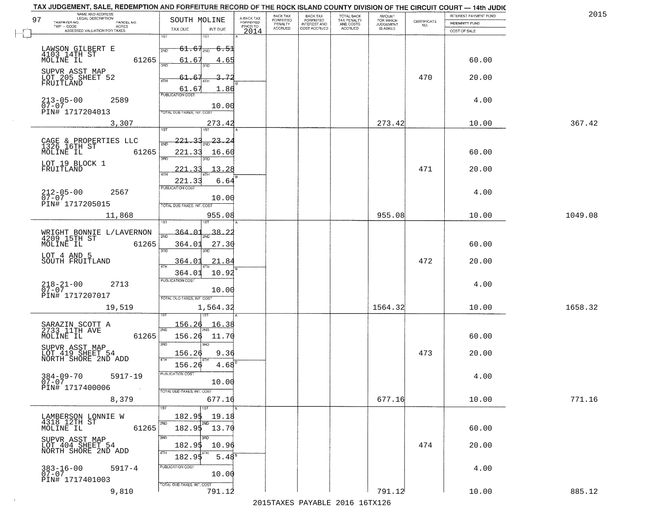| NAME AND ADDRESS<br>LEGAL DESCRIPTION                                    |                                                  |                                    |                                     | BACK TAX             |                                       |                                        |                                  |                    | INTEREST PAYMENT FUND | 2015    |
|--------------------------------------------------------------------------|--------------------------------------------------|------------------------------------|-------------------------------------|----------------------|---------------------------------------|----------------------------------------|----------------------------------|--------------------|-----------------------|---------|
| 97<br>TAXPAYER NO.<br>PARCEL NO.<br>ACRES                                | SOUTH MOLINE                                     |                                    | A-BACK TAX<br>FORFEITED<br>PRIOR TO | FORFEITED<br>PENALTY | BACK TAX<br>FORFEITED<br>INTEREST AND | TOTAL BACK<br>TAX PENALTY<br>AND COSTS | AMOUNT<br>FOR WHICH<br>JUDGEMENT | CERTIFICATE<br>NO. | <b>INDEMNITY FUND</b> |         |
| ASSESSED VALUATION FOR TAXES                                             | TAX DUE                                          | INT DUE                            | 2014                                | <b>ACCRUED</b>       | COST ACCRUED                          | <b>ACCRUED</b>                         | IS ASKED                         |                    | COST OF SALE          |         |
| LAWSON GILBERT E<br>4103 14TH ST<br>MOLINE IL                            | 1ST<br>$61.67_{200}$<br>2ND                      | 1ST<br>- <del>6.5</del> 1          |                                     |                      |                                       |                                        |                                  |                    |                       |         |
| 61265<br>SUPVR ASST MAP                                                  | 61.67<br>350                                     | 4.65<br>חחז                        |                                     |                      |                                       |                                        |                                  |                    | 60.00                 |         |
| LOT 205 SHEET 52<br>FRUITLAND                                            | 61.67<br>4TH<br>61.67<br><b>PUBLICATION COST</b> | ΩĹ<br>1.86                         |                                     |                      |                                       |                                        |                                  | 470                | 20.00                 |         |
| $213 - 05 - 00$<br>07-07<br>2589<br>PIN# 1717204013                      | TOTAL DUE-TAXES, INT. COST                       | 10.00                              |                                     |                      |                                       |                                        |                                  |                    | 4.00                  |         |
| 3,307                                                                    |                                                  | 273.42                             |                                     |                      |                                       |                                        | 273.42                           |                    | 10.00                 | 367.42  |
| CAGE & PROPERTIES LLC<br>1326 16TH ST<br>61265<br>MOLINE IL              | $221 - 33$<br>221.33<br>3RD                      | $\frac{1}{2ND}$ 23.<br>-2<br>16.60 |                                     |                      |                                       |                                        |                                  |                    | 60.00                 |         |
| LOT 19 BLOCK 1<br>FRUITLAND                                              | . २२<br>221<br>$\overline{ATH}$<br>221.33        | 13.28<br>6.64                      |                                     |                      |                                       |                                        |                                  | 471                | 20.00                 |         |
| $212 - 05 - 00$<br>07-07<br>2567<br>PIN# 1717205015                      | PUBLICATION COST<br>TOTAL DUE-TAXES, INT. COST   | 10.00                              |                                     |                      |                                       |                                        |                                  |                    | 4.00                  |         |
| 11,868                                                                   | is T                                             | 955.08                             |                                     |                      |                                       |                                        | 955.08                           |                    | 10.00                 | 1049.08 |
| WRIGHT BONNIE L/LAVERNON<br>4209 15TH ST<br>MOLINE IL<br>61265           | 364.01<br>2ND<br>364.01                          | <u>38.2</u><br>27.30               |                                     |                      |                                       |                                        |                                  |                    | 60.00                 |         |
| LOT 4 AND 5<br>SOUTH FRUITLAND                                           | 3BD<br>364.01                                    | 3RD<br>21.84                       |                                     |                      |                                       |                                        |                                  | 472                | 20.00                 |         |
|                                                                          | 4TH<br>364.01<br><b>PUBLICATION COST</b>         | 10.92                              |                                     |                      |                                       |                                        |                                  |                    |                       |         |
| $218 - 21 - 00$<br>07-07<br>2713<br>PIN# 1717207017                      | TOTAL OUE-TAXES, INT. COST                       | 10.00                              |                                     |                      |                                       |                                        |                                  |                    | 4.00                  |         |
| 19,519                                                                   |                                                  | 1,564.32                           |                                     |                      |                                       |                                        | 1564.32                          |                    | 10.00                 | 1658.32 |
| SARAZIN SCOTT A<br>2733 11TH AVE<br>MOLINE IL<br>61265                   | 156.26<br>2ND<br>156.26<br>3RD                   | 16.38<br>11.70<br>3RD              |                                     |                      |                                       |                                        |                                  |                    | 60.00                 |         |
| SUPVR ASST MAP<br>LOT 419 SHEET 54<br>NORTH SHORE 2ND ADD                | 156.26<br>4TH<br>156.26                          | 9.36<br>4.68                       |                                     |                      |                                       |                                        |                                  | 473                | 20.00                 |         |
| $384 - 09 - 70$<br>5917-19<br>$07 - 07$<br>PIN# 1717400006<br>$\sim 100$ | -usuca i un cus-<br>TOTAL DUE-TAXES, INT. COST   | 10.00                              |                                     |                      |                                       |                                        |                                  |                    | 4.00                  |         |
| 8,379                                                                    |                                                  | 677.16<br>1ST                      |                                     |                      |                                       |                                        | 677.16                           |                    | 10.00                 | 771.16  |
| LAMBERSON LONNIE W<br>4318 12TH ST                                       | 182.95<br>2ND                                    | 19.18<br>2ND                       |                                     |                      |                                       |                                        |                                  |                    |                       |         |
| 61265<br>MOLINE IL<br>SUPVR ASST MAP                                     | 182.95 13.70<br>3RD                              |                                    |                                     |                      |                                       |                                        |                                  |                    | 60.00                 |         |
| LOT 404 SHEET 54<br>NORTH SHORE 2ND ADD                                  | 182.95<br>4TH<br>182.95                          | 10.96<br>5.48 <sup>s</sup>         |                                     |                      |                                       |                                        |                                  | 474                | 20.00                 |         |
| $383 - 16 - 00$<br>07-07<br>$5917 - 4$<br>PIN# 1717401003                | PUBLICATION COST                                 | 10.00                              |                                     |                      |                                       |                                        |                                  |                    | 4.00                  |         |
| 9,810                                                                    | TOTAL DUE-TAXES, INT. COST                       | 791.12                             |                                     |                      |                                       |                                        | 791.12                           |                    | 10.00                 | 885.12  |

 $\sim 10$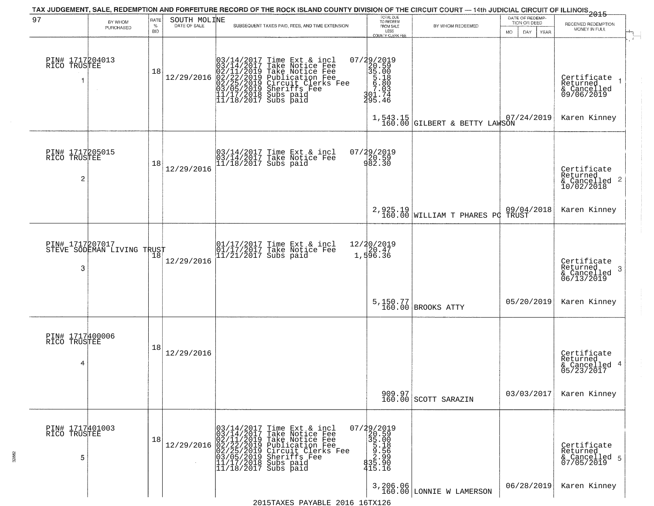|                                      |                            |                            |                              |                                                                                                                                                                                  | TAX JUDGEMENT, SALE, REDEMPTION AND FORFEITURE RECORD OF THE ROCK ISLAND COUNTY DIVISION OF THE CIRCUIT COURT — 14th JUDICIAL CIRCUIT OF ILLINOIS 2015                                                        | TOTAL DUE<br>TO REDEEM                                                                              |                                              | DATE OF REDEMP              |                                                                       |
|--------------------------------------|----------------------------|----------------------------|------------------------------|----------------------------------------------------------------------------------------------------------------------------------------------------------------------------------|---------------------------------------------------------------------------------------------------------------------------------------------------------------------------------------------------------------|-----------------------------------------------------------------------------------------------------|----------------------------------------------|-----------------------------|-----------------------------------------------------------------------|
| 97                                   | BY WHOM<br>PURCHASED       | RATE<br>$\%$<br><b>BID</b> | SOUTH MOLINE<br>DATE OF SALE |                                                                                                                                                                                  | SUBSEQUENT TAXES PAID, FEES, AND TIME EXTENSION                                                                                                                                                               | FROM SALE<br>LESS                                                                                   | BY WHOM REDEEMED                             | TION OR DEED<br>DAY.<br>MO. | RECEIVED REDEMPTION<br>MONEY IN FULL                                  |
| PIN# 1717204013<br>RICO TRUSTEE      | $\sim$                     | 18                         | 12/29/2016                   |                                                                                                                                                                                  | $03/14/2017$ Time Ext & incl<br>$03/14/2017$ Take Notice Fee<br>$02/11/2019$ Take Notice Fee<br>$02/22/2019$ Publication Fee<br>$03/05/2019$ Sheriffs Fee<br>$11/17/2018$ Subs paid<br>$11/18/2017$ Subs paid | COUNTY CLERK FEE<br>07/29/2019<br>20.59<br>35.00<br>5.18<br>5.90<br>$\frac{7.03}{301.74}$<br>295.46 |                                              | YEAR                        | Certificate<br>Returned<br>$\frac{1}{6}$ Cancelled<br>09/06/2019      |
|                                      |                            |                            |                              |                                                                                                                                                                                  |                                                                                                                                                                                                               |                                                                                                     | 1,543.15<br>160.00 GILBERT & BETTY LAWSON    | 07/24/2019                  | Karen Kinney                                                          |
| PIN# 1717205015<br>RICO TRUSTEE<br>2 |                            | 18                         | 12/29/2016                   |                                                                                                                                                                                  | 03/14/2017 Time Ext & incl<br>03/14/2017 Take Notice Fee<br>11/18/2017 Subs paid                                                                                                                              | 07/29/2019<br>20.59<br>982.30                                                                       |                                              |                             | Certificate<br>Returned<br>$\frac{1}{6}$ Cancelled 2<br>10/02/2018    |
|                                      |                            |                            |                              |                                                                                                                                                                                  |                                                                                                                                                                                                               |                                                                                                     | 2,925.19<br>160.00 WILLIAM T PHARES PC TRUST | 09/04/2018                  | Karen Kinney                                                          |
| PIN# 1717207017<br>3                 | STEVE SODEMAN LIVING TRUST |                            | 12/29/2016                   |                                                                                                                                                                                  | 01/17/2017 Time Ext & incl<br>01/17/2017 Take Notice Fee<br>11/21/2017 Subs paid                                                                                                                              | 12/20/2019<br>1,596.36                                                                              |                                              |                             | Certificate<br>Returned<br>3<br>$\frac{1}{2}$ Cancelled<br>06/13/2019 |
|                                      |                            |                            |                              |                                                                                                                                                                                  |                                                                                                                                                                                                               |                                                                                                     | 5,150.77<br>160.00 BROOKS ATTY               | 05/20/2019                  | Karen Kinney                                                          |
| PIN# 1717400006<br>RICO TRUSTEE<br>4 |                            | 18                         | 12/29/2016                   |                                                                                                                                                                                  |                                                                                                                                                                                                               |                                                                                                     |                                              |                             | Certificate<br>Returned<br>& Cancelled 4<br>05/23/2017                |
|                                      |                            |                            |                              |                                                                                                                                                                                  |                                                                                                                                                                                                               |                                                                                                     | 909.97<br>160.00 SCOTT SARAZIN               | 03/03/2017                  | Karen Kinney                                                          |
| PIN# 1717401003<br>RICO TRUSTEE<br>5 |                            | 18                         | 12/29/2016                   | 03/14/2017<br>03/14/2017<br>02/11/2019 Take Notio<br>02/22/2019 Publicatio<br>02/25/2019 Publicatio<br>03/05/2019 Sheriffs Fight<br>11/17/2018 Subs paid<br>11/17/2018 Subs paid | Time Ext & incl<br>Take Notice Fee<br>Take Notice Fee<br>Publication Fee<br>Circuit Clerks Fee<br>Sheriffs Fee<br>Subs paid                                                                                   | 07/29/2019<br>20.59<br>35.00<br>5.18<br>5.18<br>2.56<br>2.99<br>835.99<br>415.16                    |                                              |                             | Certificate<br>Returned<br>& Cancelled 5<br>07/05/2019                |
|                                      |                            |                            |                              |                                                                                                                                                                                  | 2015 TAVES DAVARLE 2016 16 TV126                                                                                                                                                                              |                                                                                                     | 3, 206.06<br>160.00 LONNIE W LAMERSON        | 06/28/2019                  | Karen Kinney                                                          |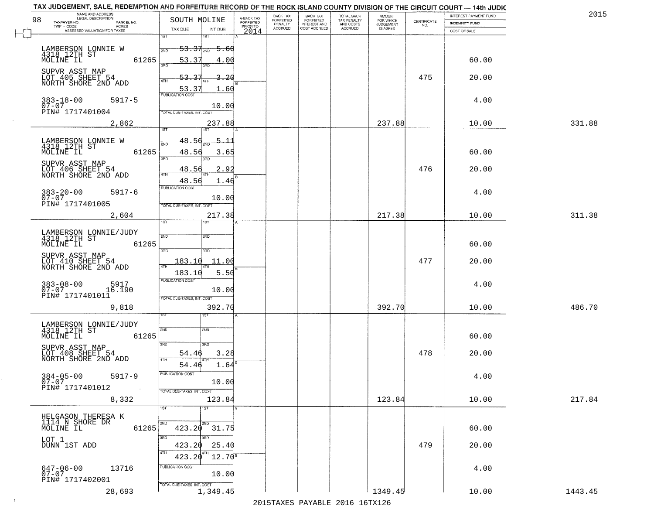|                          |                                             | TAX JUDGEMENT, SALE, REDEMPTION AND FORFEITURE RECORD OF THE ROCK ISLAND COUNTY DIVISION OF THE CIRCUIT COURT - 14th JUDIC |                                     |                      |                       |                                        |                     |                                                                 |                       |         |
|--------------------------|---------------------------------------------|----------------------------------------------------------------------------------------------------------------------------|-------------------------------------|----------------------|-----------------------|----------------------------------------|---------------------|-----------------------------------------------------------------|-----------------------|---------|
|                          | NAME AND ADDRESS<br>LEGAL DESCRIPTION       |                                                                                                                            |                                     | <b>BACK TAX</b>      | BACK TAX<br>FORFEITED |                                        | AMOUNT<br>FOR WHICH |                                                                 | INTEREST PAYMENT FUND | 201!    |
| 98                       | TAXPAYER NO.<br>PARCEL NO.<br>ACRES         | SOUTH MOLINE                                                                                                               | A-BACK TAX<br>FORFEITED<br>PRIOR TO | FORFEITED<br>PENALTY | <b>INTEREST AND</b>   | TOTAL BACK<br>TAX PENALTY<br>AND COSTS | <b>JUDGEMENT</b>    | $\begin{array}{c} \text{CERTIFICATE} \\ \text{NO.} \end{array}$ | <b>INDEMNITY FUND</b> |         |
|                          | ASSESSED VALUATION FOR TAXES                | TAX DUE<br>INT DUE                                                                                                         | 2014                                | <b>ACCRUED</b>       | COST ACCRUED          | <b>ACCRUED</b>                         | <b>IS ASKED</b>     |                                                                 | COST OF SALE          |         |
|                          |                                             | 1ST<br>1ST                                                                                                                 |                                     |                      |                       |                                        |                     |                                                                 |                       |         |
|                          |                                             | $53.37_{200}$<br><del>5.60</del><br>2ND                                                                                    |                                     |                      |                       |                                        |                     |                                                                 |                       |         |
|                          | LAMBERSON LONNIE W<br>4318 12TH ST<br>61265 |                                                                                                                            |                                     |                      |                       |                                        |                     |                                                                 |                       |         |
| MOLINE IL                |                                             | 53.37<br>4.00<br>350<br>3 <sub>BD</sub>                                                                                    |                                     |                      |                       |                                        |                     |                                                                 | 60.00                 |         |
|                          | SUPVR ASST MAP<br>LOT 405 SHEET 54          |                                                                                                                            |                                     |                      |                       |                                        |                     |                                                                 |                       |         |
|                          | NORTH SHORE 2ND ADD                         | 53.37<br>3.20                                                                                                              |                                     |                      |                       |                                        |                     | 475                                                             | 20.00                 |         |
|                          |                                             | <u>53.37</u><br>1.60                                                                                                       |                                     |                      |                       |                                        |                     |                                                                 |                       |         |
|                          | $5917 - 5$                                  | <b>PUBLICATION COST</b>                                                                                                    |                                     |                      |                       |                                        |                     |                                                                 | 4.00                  |         |
| $383 - 18 - 00$<br>07-07 |                                             | 10.00                                                                                                                      |                                     |                      |                       |                                        |                     |                                                                 |                       |         |
|                          | PIN# 1717401004                             | TOTAL DUE-TAXES, INT. COST                                                                                                 |                                     |                      |                       |                                        |                     |                                                                 |                       |         |
|                          | 2,862                                       | 237.88                                                                                                                     |                                     |                      |                       |                                        | 237.88              |                                                                 | 10.00                 | 331.88  |
|                          |                                             | 197<br>1ST                                                                                                                 |                                     |                      |                       |                                        |                     |                                                                 |                       |         |
|                          | LAMBERSON LONNIE W<br>4318 12TH ST          | 48.56<br>$-5 - 11$<br>2ND                                                                                                  |                                     |                      |                       |                                        |                     |                                                                 |                       |         |
| MOLINE IL                |                                             | 61265<br>48.56<br>3.65                                                                                                     |                                     |                      |                       |                                        |                     |                                                                 | 60.00                 |         |
|                          |                                             | 3RD<br>3BD                                                                                                                 |                                     |                      |                       |                                        |                     |                                                                 |                       |         |
|                          | SUPVR ASST MAP                              | 2.92<br>48.56                                                                                                              |                                     |                      |                       |                                        |                     | 476                                                             | 20.00                 |         |
|                          | LOT 406 SHEET 54<br>NORTH SHORE 2ND ADD     | 47H                                                                                                                        |                                     |                      |                       |                                        |                     |                                                                 |                       |         |
|                          |                                             | 48.56<br>1.46<br>PUBLICATION COST                                                                                          |                                     |                      |                       |                                        |                     |                                                                 |                       |         |
| $383 - 20 - 00$<br>07-07 | $5917 - 6$                                  |                                                                                                                            |                                     |                      |                       |                                        |                     |                                                                 | 4.00                  |         |
|                          | PIN# 1717401005                             | 10.00                                                                                                                      |                                     |                      |                       |                                        |                     |                                                                 |                       |         |
|                          |                                             | TOTAL DUE-TAXES, INT. COST                                                                                                 |                                     |                      |                       |                                        |                     |                                                                 |                       |         |
|                          | 2,604                                       | 217.38<br>TST<br>1ST                                                                                                       |                                     |                      |                       |                                        | 217.38              |                                                                 | 10.00                 | 311.38  |
|                          |                                             |                                                                                                                            |                                     |                      |                       |                                        |                     |                                                                 |                       |         |
|                          | LAMBERSON LONNIE/JUDY<br>4318 12TH ST       | 2ND<br><b>SMD</b>                                                                                                          |                                     |                      |                       |                                        |                     |                                                                 |                       |         |
| MOLINE IL                |                                             | 61265                                                                                                                      |                                     |                      |                       |                                        |                     |                                                                 | 60.00                 |         |
|                          | SUPVR ASST MAP                              | 3RD<br>3RD                                                                                                                 |                                     |                      |                       |                                        |                     |                                                                 |                       |         |
|                          | LOT 410 SHEET 54<br>NORTH SHORE 2ND ADD     | 183.10<br>11.00                                                                                                            |                                     |                      |                       |                                        |                     | 477                                                             | 20.00                 |         |
|                          |                                             | 4TH<br>183.10<br>5.50                                                                                                      |                                     |                      |                       |                                        |                     |                                                                 |                       |         |
|                          |                                             | <b>PUBLICATION COST</b>                                                                                                    |                                     |                      |                       |                                        |                     |                                                                 |                       |         |
| $383 - 08 - 00$<br>07-07 | 5917<br>16.190                              | 10.00                                                                                                                      |                                     |                      |                       |                                        |                     |                                                                 | 4.00                  |         |
|                          | PIN# 1717401011                             | TOTAL OUE-TAXES, INT. COST                                                                                                 |                                     |                      |                       |                                        |                     |                                                                 |                       |         |
|                          | 9,818                                       | 392.70                                                                                                                     |                                     |                      |                       |                                        | 392.70              |                                                                 | 10.00                 | 486.70  |
|                          |                                             | 1ST                                                                                                                        |                                     |                      |                       |                                        |                     |                                                                 |                       |         |
|                          |                                             |                                                                                                                            |                                     |                      |                       |                                        |                     |                                                                 |                       |         |
|                          | LAMBERSON LONNIE/JUDY<br>4318 12TH ST       | 2ND<br>2ND                                                                                                                 |                                     |                      |                       |                                        |                     |                                                                 |                       |         |
| MOLINE IL                |                                             | 61265                                                                                                                      |                                     |                      |                       |                                        |                     |                                                                 | 60.00                 |         |
|                          | SUPVR ASST MAP<br>LOT 408 SHEET 54          | 3BD<br>3RD                                                                                                                 |                                     |                      |                       |                                        |                     |                                                                 |                       |         |
|                          | NORTH SHORE 2ND ADD                         | 3.28<br>54.46<br>4TH                                                                                                       |                                     |                      |                       |                                        |                     | 478                                                             | 20.00                 |         |
|                          |                                             | 1.64<br>54.46                                                                                                              |                                     |                      |                       |                                        |                     |                                                                 |                       |         |
| $384 - 05 - 00$          | $5917 - 9$                                  | PUBLICATION COST                                                                                                           |                                     |                      |                       |                                        |                     |                                                                 | 4.00                  |         |
| $07 - 07$                |                                             | 10.00                                                                                                                      |                                     |                      |                       |                                        |                     |                                                                 |                       |         |
|                          | PIN# 1717401012<br>$\sim 100$               | TOTAL DUE-TAXES, INT. COST                                                                                                 |                                     |                      |                       |                                        |                     |                                                                 |                       |         |
|                          | 8,332                                       | 123.84                                                                                                                     |                                     |                      |                       |                                        | 123.84              |                                                                 | 10.00                 | 217.84  |
|                          |                                             | 1ST<br>1ST                                                                                                                 |                                     |                      |                       |                                        |                     |                                                                 |                       |         |
|                          | HELGASON THERESA K                          |                                                                                                                            |                                     |                      |                       |                                        |                     |                                                                 |                       |         |
| MOLINE IL                | 1114 N SHORE DR                             | 2ND<br>$423.20$ $31.75$<br>61265                                                                                           |                                     |                      |                       |                                        |                     |                                                                 | 60.00                 |         |
|                          |                                             | 3BD                                                                                                                        |                                     |                      |                       |                                        |                     |                                                                 |                       |         |
| LOT 1                    | DUNN 1ST ADD                                | 423.20<br>25.40                                                                                                            |                                     |                      |                       |                                        |                     | 479                                                             | 20.00                 |         |
|                          |                                             | 4TH                                                                                                                        |                                     |                      |                       |                                        |                     |                                                                 |                       |         |
|                          |                                             | 423.20<br>$12.70^8$                                                                                                        |                                     |                      |                       |                                        |                     |                                                                 |                       |         |
|                          | 13716<br>$647 - 06 - 00$                    | PUBLICATION COST                                                                                                           |                                     |                      |                       |                                        |                     |                                                                 | 4.00                  |         |
| $07 - 07$                | PIN# 1717402001                             | 10.00                                                                                                                      |                                     |                      |                       |                                        |                     |                                                                 |                       |         |
|                          |                                             | TOTAL DUE-TAXES, INT. COST                                                                                                 |                                     |                      |                       |                                        |                     |                                                                 |                       |         |
|                          | 28,693                                      | 1,349.45                                                                                                                   |                                     |                      |                       |                                        | 1349.45             |                                                                 | 10.00                 | 1443.45 |

 $\sim 10$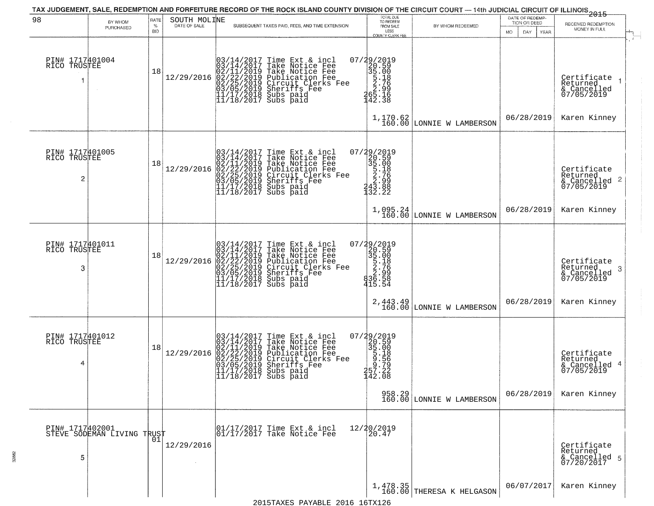| 98                                                | BY WHOM<br>PURCHASED                          | <b>RATE</b><br>$\%$<br><b>BID</b> | SOUTH MOLINE<br>DATE OF SALE | SUBSEQUENT TAXES PAID, FEES, AND TIME EXTENSION                                                                                                                                                                                                                                              | TOTAL DUE<br>TO REDEEM<br>FROM SALE<br>LESS                                                                         | BY WHOM REDEEMED                                            | DATE OF REDEMP-<br>TION OR DEED<br>DAY.<br>YEAR<br>MO. | $-2015$<br>RECEIVED REDEMPTION<br>MONEY IN FULL                                    |
|---------------------------------------------------|-----------------------------------------------|-----------------------------------|------------------------------|----------------------------------------------------------------------------------------------------------------------------------------------------------------------------------------------------------------------------------------------------------------------------------------------|---------------------------------------------------------------------------------------------------------------------|-------------------------------------------------------------|--------------------------------------------------------|------------------------------------------------------------------------------------|
| PIN# 1717401004<br>RICO TRUSTEE<br>1              |                                               | 18                                | 12/29/2016                   | Time Ext & incl<br>Take Notice Fee<br>03/14/2017<br>03/14/2017<br>02/21/2019<br>02/22/2019<br>02/25/2019<br>11/17/2018<br>11/17/2018<br>11/18/2017<br>Take Notice Fee<br>Publication Fee<br>Circuit Clerks Fee<br>Sheriffs Fee<br>Subs paid<br>Subs paid                                     | COUNTY CLERK FEE<br>07/29/2019<br>20.59<br>35.00<br>5.18<br>5.776<br>20.996<br>20.996<br>31.515<br>142.38           | $1,170.62$ LONNIE W LAMBERSON                               | 06/28/2019                                             | Certificate<br>Returned<br>& Cancelled<br>07/05/2019<br>Karen Kinney               |
| PIN# 1717401005<br>RICO TRUSTEE<br>$\overline{c}$ |                                               | 18                                | 12/29/2016                   | $03/14/2017$ Time Ext & incl<br>$03/14/2017$ Take Notice Fee<br>$02/11/2019$ Take Notice Fee<br>$02/22/2019$ Publication Fee<br>$03/05/2019$ Sheriffs Fee<br>$11/17/2018$ Subs paid<br>$11/18/2017$ Subs paid                                                                                | $\begin{smallmatrix} 07/29/2019\\20.59\\35.00\\5.18\\2.799\\243.88\\132.22 \end{smallmatrix}$<br>1,095.24<br>160.00 |                                                             | 06/28/2019                                             | Certificate<br>Returned<br>$\frac{1}{6}$ Cancelled 2<br>07/05/2019<br>Karen Kinney |
| PIN# 1717401011<br>RICO<br>TRUSTEE<br>3           |                                               | 18                                | 12/29/2016                   | 03/14/2017 Time Ext 8<br>03/14/2017 Take Notic<br>02/11/2019 Take Notic<br>02/22/2019 Publicatic<br>03/05/2019 Sheriffs F<br>11/17/2018 Subs paid<br>11/18/2017 Subs paid<br>Time Ext & incl<br>Take Notice Fee<br>Take Notice Fee<br>Publication Fee<br>Circuit Clerks Fee<br>Sheriffs, Fee | $\begin{smallmatrix} 07/29/2019\\20.59\\35.00\\5.18\\2.99\\36.58\\415.54 \end{smallmatrix}$                         | LONNIE W LAMBERSON<br>2,443.49<br>160.00 LONNIE W LAMBERSON | 06/28/2019                                             | Certificate<br>Returned<br>& Cancelled<br>07/05/2019<br>3<br>Karen Kinney          |
| PIN# 1717401012<br>RICO TRUSTEE<br>4              |                                               | 18                                | 12/29/2016                   | 03/14/2017 Time Ext & incl<br>03/14/2017 Take Notice Fee<br>02/11/2019 Take Notice Fee<br>02/22/2019 Publication Fee<br>02/22/2019 Circuit Clerks Fee<br>03/05/2019 Sheriffs Fee<br>11/17/2017 Subs paid<br>$11/18/2017$ Subs paid                                                           | 07/29/2019<br>20.59<br>35.00<br>5.18<br>5.56<br>5.72<br>7.7.22<br>7.7.22<br>142.08                                  | $958.29$<br>160.00 LONNIE W LAMBERSON                       | 06/28/2019                                             | Certificate<br>Returned<br>& Cancelled 4<br>07/05/2019<br>Karen Kinney             |
| 5                                                 | PIN# 1717402001<br>STEVE SODEMAN LIVING TRUST |                                   | 12/29/2016                   | 01/17/2017 Time Ext & incl<br>01/17/2017 Take Notice Fee                                                                                                                                                                                                                                     | 12/20/2019<br>20.47                                                                                                 |                                                             |                                                        | Certificate<br>Returned<br>& Cancelled 5<br>07/20/2017                             |
|                                                   |                                               |                                   |                              |                                                                                                                                                                                                                                                                                              |                                                                                                                     | $1,478.35$<br>160.00 THERESA K HELGASON                     | 06/07/2017                                             | Karen Kinney                                                                       |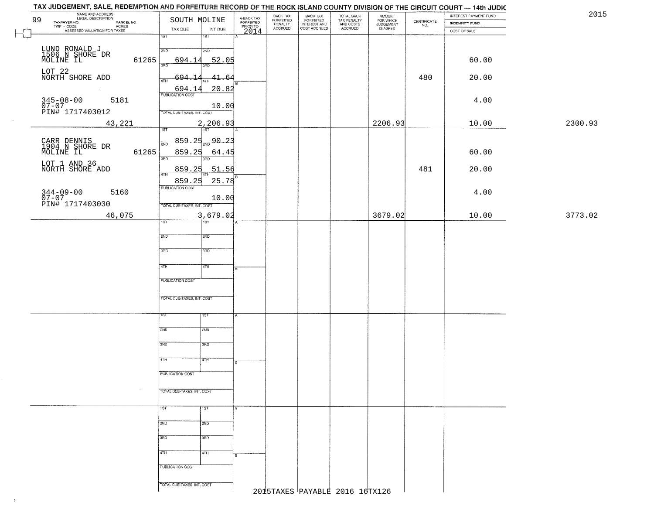|          | NAME AND ADDRESS<br>LEGAL DESCRIPTION<br>99                                                                       | SOUTH MOLINE                        |                                     | BACK TAX<br>FORFEITED<br>PENALTY | BACK TAX<br>FORFEITED<br>INTEREST AND | TOTAL BACK<br>TAX PENALTY<br>AND COSTS | AMOUNT<br>FOR WHICH<br>JUDGEMENT |                                                                 | INTEREST PAYMENT FUND                 | 2015    |
|----------|-------------------------------------------------------------------------------------------------------------------|-------------------------------------|-------------------------------------|----------------------------------|---------------------------------------|----------------------------------------|----------------------------------|-----------------------------------------------------------------|---------------------------------------|---------|
|          | TAXPAYER NO.<br>ECONOMIC DESCRIPTION PARCEL NO.<br>- CODE ACRES<br>- ASSESSED VALUATION FOR TAXES<br>$TWP - CODE$ | TAX DUE<br>INT DUE                  | A-BACK TAX<br>FORFEITED<br>PRIOR TO | <b>ACCRUED</b>                   | COST ACCRUED                          | <b>ACCRUED</b>                         | IS ASKED                         | $\begin{array}{c} \text{CEPTIFICATE} \\ \text{NO.} \end{array}$ | <b>INDEMNITY FUND</b><br>COST OF SALE |         |
| $\vdash$ |                                                                                                                   | 1ST<br>1ST                          | 2014                                |                                  |                                       |                                        |                                  |                                                                 |                                       |         |
|          |                                                                                                                   | 2ND<br>2ND                          |                                     |                                  |                                       |                                        |                                  |                                                                 |                                       |         |
|          | LUND RONALD J<br>1506 N SHORE DR<br>MOLINE IL<br>61265                                                            | 694.14                              | 52.05                               |                                  |                                       |                                        |                                  |                                                                 | 60.00                                 |         |
|          |                                                                                                                   |                                     |                                     |                                  |                                       |                                        |                                  |                                                                 |                                       |         |
|          | LOT 22<br>NORTH SHORE ADD                                                                                         | <u>694.14</u><br>41.64<br>4TH       |                                     |                                  |                                       |                                        |                                  | 480                                                             | 20.00                                 |         |
|          |                                                                                                                   | 20.82                               |                                     |                                  |                                       |                                        |                                  |                                                                 |                                       |         |
|          | 5181                                                                                                              | $\frac{694.14}{FUBUCATON COST}$     |                                     |                                  |                                       |                                        |                                  |                                                                 | 4.00                                  |         |
|          | $345 - 08 - 00$<br>07-07                                                                                          | 10.00                               |                                     |                                  |                                       |                                        |                                  |                                                                 |                                       |         |
|          | PIN# 1717403012                                                                                                   | TOTAL DUE-TAXES, INT. COST          |                                     |                                  |                                       |                                        |                                  |                                                                 |                                       |         |
|          | 43,221                                                                                                            | 2,206.93<br>$\overline{151}$<br>1ST |                                     |                                  |                                       |                                        | 2206.93                          |                                                                 | 10.00                                 | 2300.93 |
|          |                                                                                                                   | 859.25<br>$\frac{90.23}{5}$         |                                     |                                  |                                       |                                        |                                  |                                                                 |                                       |         |
|          | CARR DENNIS<br>1904 N SHORE DR<br>MOLINE IL                                                                       | 2ND                                 |                                     |                                  |                                       |                                        |                                  |                                                                 |                                       |         |
|          | 61265                                                                                                             | 859.25<br>64.45<br>उन्नठ            |                                     |                                  |                                       |                                        |                                  |                                                                 | 60.00                                 |         |
|          | LOT 1 AND 36<br>NORTH SHORE ADD                                                                                   | 859.25                              | 51.56                               |                                  |                                       |                                        |                                  | 481                                                             | 20.00                                 |         |
|          |                                                                                                                   | 47H<br>859.25                       |                                     |                                  |                                       |                                        |                                  |                                                                 |                                       |         |
|          |                                                                                                                   | <b>PUBLICATION COST</b>             | 25.78                               |                                  |                                       |                                        |                                  |                                                                 |                                       |         |
|          | 344-09-00 !<br>07-07<br>PIN# 1717403030<br>5160                                                                   | 10.00                               |                                     |                                  |                                       |                                        |                                  |                                                                 | 4.00                                  |         |
|          |                                                                                                                   | TOTAL DUE-TAXES, INT. COST          |                                     |                                  |                                       |                                        |                                  |                                                                 |                                       |         |
|          | 46,075                                                                                                            | 3,679.02<br>1ST                     |                                     |                                  |                                       |                                        | 3679.02                          |                                                                 | 10.00                                 | 3773.02 |
|          |                                                                                                                   | 1ST                                 |                                     |                                  |                                       |                                        |                                  |                                                                 |                                       |         |
|          |                                                                                                                   | 2ND<br>2ND                          |                                     |                                  |                                       |                                        |                                  |                                                                 |                                       |         |
|          |                                                                                                                   | 3 <sub>BD</sub><br>3RD              |                                     |                                  |                                       |                                        |                                  |                                                                 |                                       |         |
|          |                                                                                                                   |                                     |                                     |                                  |                                       |                                        |                                  |                                                                 |                                       |         |
|          |                                                                                                                   | 4TH<br>4TH                          | l B.                                |                                  |                                       |                                        |                                  |                                                                 |                                       |         |
|          |                                                                                                                   | PUBLICATION COST                    |                                     |                                  |                                       |                                        |                                  |                                                                 |                                       |         |
|          |                                                                                                                   |                                     |                                     |                                  |                                       |                                        |                                  |                                                                 |                                       |         |
|          |                                                                                                                   | TOTAL OUE-TAXES, INT. COST          |                                     |                                  |                                       |                                        |                                  |                                                                 |                                       |         |
|          |                                                                                                                   |                                     |                                     |                                  |                                       |                                        |                                  |                                                                 |                                       |         |
|          |                                                                                                                   | १९४<br>1ST                          |                                     |                                  |                                       |                                        |                                  |                                                                 |                                       |         |
|          |                                                                                                                   | 2ND<br>2ND                          |                                     |                                  |                                       |                                        |                                  |                                                                 |                                       |         |
|          |                                                                                                                   |                                     |                                     |                                  |                                       |                                        |                                  |                                                                 |                                       |         |
|          |                                                                                                                   | 3RD<br>3BD                          |                                     |                                  |                                       |                                        |                                  |                                                                 |                                       |         |
|          |                                                                                                                   | 77H<br>4TH                          |                                     |                                  |                                       |                                        |                                  |                                                                 |                                       |         |
|          |                                                                                                                   |                                     |                                     |                                  |                                       |                                        |                                  |                                                                 |                                       |         |
|          |                                                                                                                   | PUBLICATION COST                    |                                     |                                  |                                       |                                        |                                  |                                                                 |                                       |         |
|          |                                                                                                                   | TOTAL DUE-TAXES, INT. COST          |                                     |                                  |                                       |                                        |                                  |                                                                 |                                       |         |
|          |                                                                                                                   |                                     |                                     |                                  |                                       |                                        |                                  |                                                                 |                                       |         |
|          |                                                                                                                   | 1ST<br>1ST                          | LA.                                 |                                  |                                       |                                        |                                  |                                                                 |                                       |         |
|          |                                                                                                                   | 2ND<br>2ND                          |                                     |                                  |                                       |                                        |                                  |                                                                 |                                       |         |
|          |                                                                                                                   |                                     |                                     |                                  |                                       |                                        |                                  |                                                                 |                                       |         |
|          |                                                                                                                   | 3RD<br>3RD                          |                                     |                                  |                                       |                                        |                                  |                                                                 |                                       |         |
|          |                                                                                                                   | 4TH<br>4TH                          |                                     |                                  |                                       |                                        |                                  |                                                                 |                                       |         |
|          |                                                                                                                   |                                     |                                     |                                  |                                       |                                        |                                  |                                                                 |                                       |         |
|          |                                                                                                                   | PUBLICATION COST                    |                                     |                                  |                                       |                                        |                                  |                                                                 |                                       |         |
|          |                                                                                                                   | TOTAL DUE-TAXES, INT. COST          |                                     |                                  |                                       |                                        |                                  |                                                                 |                                       |         |
|          |                                                                                                                   |                                     |                                     |                                  |                                       | 2015TAXES PAYABLE 2016 16TX126         |                                  |                                                                 |                                       |         |
|          |                                                                                                                   |                                     |                                     |                                  |                                       |                                        |                                  |                                                                 |                                       |         |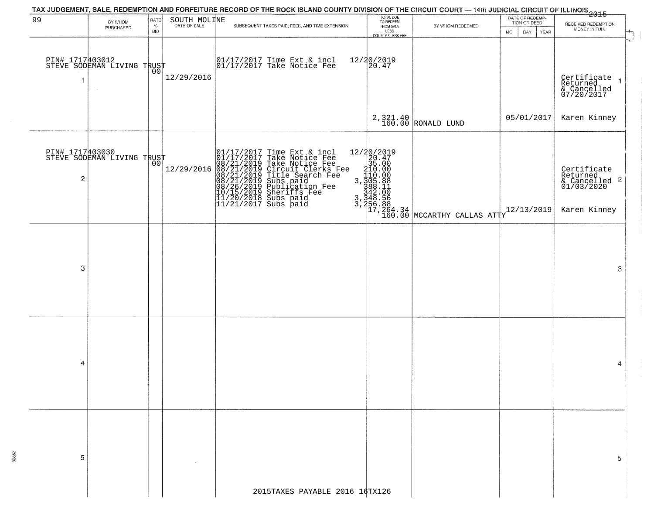|                |                                               |              |                              | TAX JUDGEMENT, SALE, REDEMPTION AND FORFEITURE RECORD OF THE ROCK ISLAND COUNTY DIVISION OF THE CIRCUIT COURT — 14th JUDICIAL CIRCUIT OF ILLINOIS 2015                                                                                                |                                     |                                                                                                                                           |                                  |                                                                        |
|----------------|-----------------------------------------------|--------------|------------------------------|-------------------------------------------------------------------------------------------------------------------------------------------------------------------------------------------------------------------------------------------------------|-------------------------------------|-------------------------------------------------------------------------------------------------------------------------------------------|----------------------------------|------------------------------------------------------------------------|
| 99             | BY WHOM<br>PURCHASED                          | RATE<br>$\%$ | SOUTH MOLINE<br>DATE OF SALE | SUBSEQUENT TAXES PAID, FEES, AND TIME EXTENSION                                                                                                                                                                                                       | TOTAL DUE<br>TO REDEEM<br>FROM SALE | BY WHOM REDEEMED                                                                                                                          | DATE OF REDEMP-<br>TION OR DEED  | RECEIVED REDEMPTION                                                    |
|                |                                               | <b>BID</b>   |                              |                                                                                                                                                                                                                                                       | LESS<br>COUNTY CLERK FEE            |                                                                                                                                           | <b>MO</b><br>DAY.<br><b>YEAR</b> | MONEY IN FULL<br>$\mathbf{r}$                                          |
| 1              | PIN# 1717403012<br>STEVE SODEMAN LIVING TRUST |              | 12/29/2016                   | 01/17/2017 Time Ext & incl<br>01/17/2017 Take Notice Fee                                                                                                                                                                                              | 12/20/2019<br>20.47                 |                                                                                                                                           |                                  | Certificate<br>Returned<br>$\vert$<br>& Cancelled<br>07/20/2017        |
|                |                                               |              |                              |                                                                                                                                                                                                                                                       |                                     | $2,321.40$ RONALD LUND                                                                                                                    | 05/01/2017                       | Karen Kinney                                                           |
| $\overline{c}$ | PIN# 1717403030<br>STEVE SODEMAN LIVING TRUST |              | 12/29/2016                   | 01/17/2017 Time Ext & incl<br>01/17/2017 Take Notice Fee<br>08/21/2019 Take Notice Fee<br>08/21/2019 Circuit Clerks Fee<br>08/21/2019 Title Search Fee<br>08/21/2019 Subs paid<br>08/26/2019 Publication Fee<br>10/15/2019 Sheriffs Fee<br>11/20/2018 |                                     | $\begin{array}{l} 12/20/2019 \\20.47 \\35.00 \\ 210.00 \\ 3,305.88 \\ 3,42.00 \\ 3,442.00 \\ 3,465.88 \\ 17,264.34 \\ 160.00 \end{array}$ |                                  | Certificate<br>Returned<br>& Cancelled<br>01/03/2020<br>$\overline{c}$ |
|                |                                               |              |                              |                                                                                                                                                                                                                                                       |                                     |                                                                                                                                           | 12/13/2019                       | Karen Kinney                                                           |
| 3              |                                               |              |                              |                                                                                                                                                                                                                                                       |                                     |                                                                                                                                           |                                  | 3                                                                      |
| 4              |                                               |              |                              |                                                                                                                                                                                                                                                       |                                     |                                                                                                                                           |                                  | 4                                                                      |
| 5              |                                               |              |                              |                                                                                                                                                                                                                                                       |                                     |                                                                                                                                           |                                  | 5                                                                      |
|                |                                               |              |                              | 2015TAXES PAYABLE 2016 16TX126                                                                                                                                                                                                                        |                                     |                                                                                                                                           |                                  |                                                                        |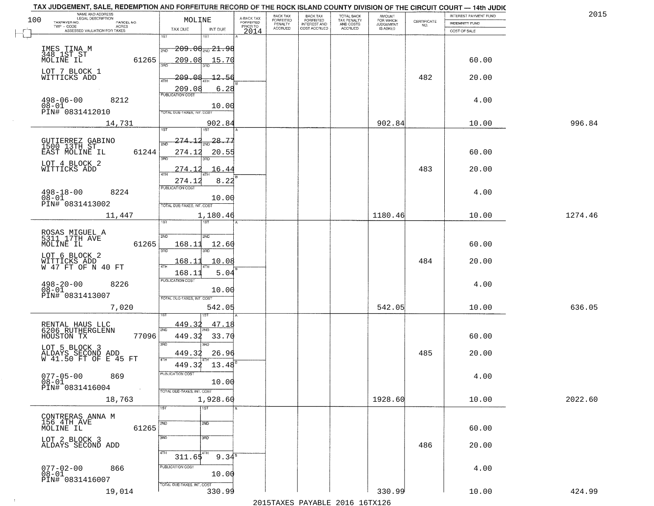|     | TAX JUDGEMENT, SALE, REDEMPTION AND FORFEITURE RECORD OF THE ROCK ISLAND COUNTY DIVISION OF THE CIRCUIT COURT - 14th JUDIC<br>NAME AND ADDRESS<br>LEGAL DESCRIPTION |                               |                                     | BACK TAX                     | BACK TAX<br>FORFEITED |                                        |                                     |                                                                 | INTEREST PAYMENT FUND | 2015    |
|-----|---------------------------------------------------------------------------------------------------------------------------------------------------------------------|-------------------------------|-------------------------------------|------------------------------|-----------------------|----------------------------------------|-------------------------------------|-----------------------------------------------------------------|-----------------------|---------|
| 100 | TAXPAYER NO.<br>PARCEL NO.                                                                                                                                          | MOLINE                        | A-BACK TAX<br>FORFEITED<br>PRIOR TO | <b>FORFEITED</b><br>PENALTY  | <b>INTEREST AND</b>   | TOTAL BACK<br>TAX PENALTY<br>AND COSTS | AMOUNT<br>FOR WHICH<br>JUDGEMENT    | $\begin{array}{c} \text{CERTIFICATE} \\ \text{NO.} \end{array}$ | INDEMNITY FUND        |         |
|     | ACRES<br>ASSESSED VALUATION FOR TAXES                                                                                                                               | INT DUE<br>TAX DUE            | 2014                                | <b>ACCRUED</b>               | COST ACCRUED          | <b>ACCRUED</b>                         | IS ASKED                            |                                                                 | COST OF SALE          |         |
|     |                                                                                                                                                                     | 1ST<br>۱ST                    |                                     |                              |                       |                                        |                                     |                                                                 |                       |         |
|     |                                                                                                                                                                     | $-209.06$ and $21.98$<br>2ND  |                                     |                              |                       |                                        |                                     |                                                                 |                       |         |
|     | IMES TINA M<br>348 1ST ST                                                                                                                                           |                               |                                     |                              |                       |                                        |                                     |                                                                 |                       |         |
|     | 61265<br>MOLINE IL                                                                                                                                                  | 209.08<br>15.70<br>350        |                                     |                              |                       |                                        |                                     |                                                                 | 60.00                 |         |
|     | LOT 7 BLOCK 1                                                                                                                                                       |                               |                                     |                              |                       |                                        |                                     |                                                                 |                       |         |
|     | WITTICKS ADD                                                                                                                                                        | -209.08<br>4TH                | $-12.56$                            |                              |                       |                                        |                                     | 482                                                             | 20.00                 |         |
|     |                                                                                                                                                                     | 209.08                        | 6.28                                |                              |                       |                                        |                                     |                                                                 |                       |         |
|     |                                                                                                                                                                     |                               |                                     |                              |                       |                                        |                                     |                                                                 |                       |         |
|     | $498 - 06 - 00$<br>$08 - 01$<br>8212                                                                                                                                |                               | 10.00                               |                              |                       |                                        |                                     |                                                                 | 4.00                  |         |
|     | PIN# 0831412010                                                                                                                                                     | TOTAL DUE-TAXES, INT. COST    |                                     |                              |                       |                                        |                                     |                                                                 |                       |         |
|     | 14,731                                                                                                                                                              | 902.84                        |                                     |                              |                       |                                        | 902.84                              |                                                                 | 10.00                 | 996.84  |
|     |                                                                                                                                                                     |                               |                                     |                              |                       |                                        |                                     |                                                                 |                       |         |
|     |                                                                                                                                                                     | $\frac{28.77}{200}$<br>274.12 |                                     |                              |                       |                                        |                                     |                                                                 |                       |         |
|     | GUTIERREZ GABINO<br>1500 13TH ST                                                                                                                                    |                               |                                     |                              |                       |                                        |                                     |                                                                 |                       |         |
|     | 61244<br>EAST MOLINE IL                                                                                                                                             | 274.12<br>3RD                 | 20.55                               |                              |                       |                                        |                                     |                                                                 | 60.00                 |         |
|     | LOT 4 BLOCK 2                                                                                                                                                       |                               |                                     |                              |                       |                                        |                                     |                                                                 |                       |         |
|     | WITTICKS ADD                                                                                                                                                        | 274.12                        | 16.44                               |                              |                       |                                        |                                     | 483                                                             | 20.00                 |         |
|     |                                                                                                                                                                     | 274.12                        | 8.22                                |                              |                       |                                        |                                     |                                                                 |                       |         |
|     | $498 - 18 - 00$<br>8224                                                                                                                                             | PUBLICATION COST              |                                     |                              |                       |                                        |                                     |                                                                 | 4.00                  |         |
|     | $08 - 01$                                                                                                                                                           |                               | 10.00                               |                              |                       |                                        |                                     |                                                                 |                       |         |
|     | PIN# 0831413002                                                                                                                                                     | TOTAL DUE-TAXES, INT. COST    |                                     |                              |                       |                                        |                                     |                                                                 |                       |         |
|     | 11,447                                                                                                                                                              | 1,180.46                      |                                     |                              |                       |                                        | 1180.46                             |                                                                 | 10.00                 | 1274.46 |
|     |                                                                                                                                                                     | <b>ST</b><br>i ST             |                                     |                              |                       |                                        |                                     |                                                                 |                       |         |
|     |                                                                                                                                                                     |                               |                                     |                              |                       |                                        |                                     |                                                                 |                       |         |
|     | ROSAS MIGUEL A<br>5311 17TH AVE                                                                                                                                     | SVD<br>2ND                    |                                     |                              |                       |                                        |                                     |                                                                 |                       |         |
|     | MOLINE IL<br>61265                                                                                                                                                  | 168.11<br>12.60<br>3BD<br>3RD |                                     |                              |                       |                                        |                                     |                                                                 | 60.00                 |         |
|     | LOT 6 BLOCK 2                                                                                                                                                       |                               |                                     |                              |                       |                                        |                                     |                                                                 |                       |         |
|     | WITTICKS ADD<br>W 47 FT OF N 40 FT                                                                                                                                  | 168.11<br>10.08<br>4TH        |                                     |                              |                       |                                        |                                     | 484                                                             | 20.00                 |         |
|     |                                                                                                                                                                     | 168.11                        | 5.04                                |                              |                       |                                        |                                     |                                                                 |                       |         |
|     | 8226                                                                                                                                                                | <b>PUBLICATION COST</b>       |                                     |                              |                       |                                        |                                     |                                                                 | 4.00                  |         |
|     | $498 - 20 - 00$<br>$08 - 01$                                                                                                                                        |                               | 10.00                               |                              |                       |                                        |                                     |                                                                 |                       |         |
|     | PIN# 0831413007                                                                                                                                                     | TOTAL OUE-TAXES, INT. COST    |                                     |                              |                       |                                        |                                     |                                                                 |                       |         |
|     | 7,020                                                                                                                                                               | 542.05                        |                                     |                              |                       |                                        | 542.05                              |                                                                 | 10.00                 | 636.05  |
|     |                                                                                                                                                                     |                               |                                     |                              |                       |                                        |                                     |                                                                 |                       |         |
|     |                                                                                                                                                                     | 449.32                        | 47.18                               |                              |                       |                                        |                                     |                                                                 |                       |         |
|     | RENTAL HAUS LLC<br>6206 RUTHERGLENN                                                                                                                                 | 2ND                           |                                     |                              |                       |                                        |                                     |                                                                 |                       |         |
|     | HOUSTON TX<br>77096                                                                                                                                                 | 449.32<br>33.70               |                                     |                              |                       |                                        |                                     |                                                                 | 60.00                 |         |
|     | LOT 5 BLOCK 3                                                                                                                                                       | 3RD<br>3RD.                   |                                     |                              |                       |                                        |                                     |                                                                 |                       |         |
|     | ALDAYS SECOND ADD<br>W 41.50 FT OF E 45 FT                                                                                                                          | 449.32<br>4TH                 | 26.96                               |                              |                       |                                        |                                     | 485                                                             | 20.00                 |         |
|     |                                                                                                                                                                     | 449.32<br>13.48               |                                     |                              |                       |                                        |                                     |                                                                 |                       |         |
|     | $077 - 05 - 00$<br>869                                                                                                                                              | PUBLICATION COS-              |                                     |                              |                       |                                        |                                     |                                                                 | 4.00                  |         |
|     | $08 - 01$                                                                                                                                                           | 10.00                         |                                     |                              |                       |                                        |                                     |                                                                 |                       |         |
|     | PIN# 0831416004<br>$\sim 10^{-1}$                                                                                                                                   | TOTAL DUE-TAXES, INT. COST    |                                     |                              |                       |                                        |                                     |                                                                 |                       |         |
|     | 18,763                                                                                                                                                              | 1,928.60                      |                                     |                              |                       |                                        | 1928.60                             |                                                                 | 10.00                 | 2022.60 |
|     |                                                                                                                                                                     | 1ST<br>$\overline{1}$ 1ST     |                                     |                              |                       |                                        |                                     |                                                                 |                       |         |
|     | CONTRERAS ANNA M                                                                                                                                                    |                               |                                     |                              |                       |                                        |                                     |                                                                 |                       |         |
|     | 156 4TH AVE                                                                                                                                                         | 2ND<br>2ND                    |                                     |                              |                       |                                        |                                     |                                                                 |                       |         |
|     | 61265<br>MOLINE IL                                                                                                                                                  |                               |                                     |                              |                       |                                        |                                     |                                                                 | 60.00                 |         |
|     | LOT 2 BLOCK 3                                                                                                                                                       | 3RD<br>3RD                    |                                     |                              |                       |                                        |                                     |                                                                 |                       |         |
|     | ALDAYS SECOND ADD                                                                                                                                                   |                               |                                     |                              |                       |                                        |                                     | 486                                                             | 20.00                 |         |
|     |                                                                                                                                                                     | 4TH<br>$311.65^{4}$           | 9.3 $4^{\overline{8}}$              |                              |                       |                                        |                                     |                                                                 |                       |         |
|     | $077 - 02 - 00$<br>866                                                                                                                                              | PUBLICATION COST              |                                     |                              |                       |                                        |                                     |                                                                 | 4.00                  |         |
|     | $08 - 01$                                                                                                                                                           |                               | 10.00                               |                              |                       |                                        |                                     |                                                                 |                       |         |
|     | PIN# 0831416007                                                                                                                                                     | TOTAL DUE-TAXES, INT. COST    |                                     |                              |                       |                                        |                                     |                                                                 |                       |         |
|     | 19,014                                                                                                                                                              | 330.99                        |                                     |                              |                       |                                        | 330.99                              |                                                                 | 10.00                 | 424.99  |
|     |                                                                                                                                                                     |                               |                                     | $0.01$ Ema $\overline{v}$ no | $\mathbf{D}$          | 2015                                   | $1$ $\epsilon$ matri $2$ $\epsilon$ |                                                                 |                       |         |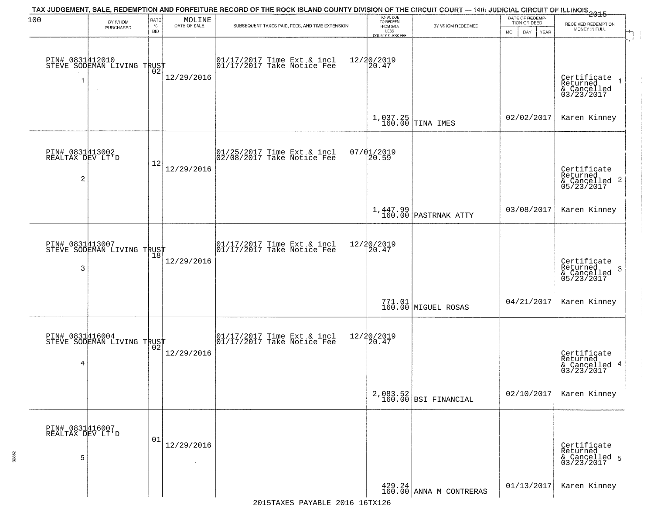| 100                                      | BY WHOM                                                 | RATE               | MOLINE       | TAX JUDGEMENT, SALE, REDEMPTION AND FORFEITURE RECORD OF THE ROCK ISLAND COUNTY DIVISION OF THE CIRCUIT COURT — 14th JUDICIAL CIRCUIT OF ILLINOIS 2015 | TOTAL DUE<br>TO REDEEM                |                                                                  | DATE OF REDEMP-<br>TION OR DEED  | RECEIVED REDEMPTION                                                                   |
|------------------------------------------|---------------------------------------------------------|--------------------|--------------|--------------------------------------------------------------------------------------------------------------------------------------------------------|---------------------------------------|------------------------------------------------------------------|----------------------------------|---------------------------------------------------------------------------------------|
|                                          | PURCHASED                                               | $\%$<br><b>BID</b> | DATE OF SALE | SUBSEQUENT TAXES PAID, FEES, AND TIME EXTENSION                                                                                                        | FROM SALE<br>LESS<br>COUNTY CLERK FEE | BY WHOM REDEEMED                                                 | <b>MO</b><br>DAY.<br><b>YEAR</b> | MONEY IN FULL                                                                         |
| 1                                        | PIN# 0831412010<br>STEVE SODEMAN LIVING TRUST<br>$\sim$ | Ō2                 | 12/29/2016   | $\begin{bmatrix} 01/17/2017 \\ 01/17/2017 \\ 01 \end{bmatrix}$ Take Notice Fee                                                                         | 12/20/2019<br>20.47                   |                                                                  |                                  | Certificate<br>Returned<br>& Cancelled<br>03/23/2017                                  |
|                                          |                                                         |                    |              |                                                                                                                                                        |                                       | $1,037.25$ TINA IMES                                             | 02/02/2017                       | Karen Kinney                                                                          |
| PIN# 0831413002<br>REALTAX DEV LT'D<br>2 |                                                         | 12                 | 12/29/2016   | 01/25/2017 Time Ext & incl<br>02/08/2017 Take Notice Fee                                                                                               | 07/01/2019<br>20.59                   |                                                                  |                                  | Certificate<br>Returned<br>$\overline{2}$<br>& Cancelled<br>& Cancelled<br>05/23/2017 |
|                                          |                                                         |                    |              |                                                                                                                                                        |                                       | 1,447.99<br>160.00 PASTRNAK ATTY                                 | 03/08/2017                       | Karen Kinney                                                                          |
| 3                                        | PIN# 0831413007<br>STEVE SODEMAN LIVING TRUST           | 18                 | 12/29/2016   | 01/17/2017 Time Ext & incl<br>01/17/2017 Take Notice Fee                                                                                               | 12/20/2019<br>20.47                   |                                                                  |                                  | Certificate<br>Returned<br>3<br>& Cancelled<br>05/23/2017                             |
|                                          |                                                         |                    |              |                                                                                                                                                        |                                       | 771.01<br>160.00 MIGUEL ROSAS                                    | 04/21/2017                       | Karen Kinney                                                                          |
| 4                                        | PIN# 0831416004<br>STEVE SODEMAN LIVING TRUST           |                    | 12/29/2016   | 01/17/2017 Time Ext & incl<br>01/17/2017 Take Notice Fee                                                                                               | 12/20/2019<br>$\left[20.47\right]$    |                                                                  |                                  | Certificate<br>Returned<br>-4<br>& Cancelled<br>03/23/2017                            |
|                                          |                                                         |                    |              |                                                                                                                                                        |                                       | 2,083.52<br>160.00 BSI FINANCIAL                                 | 02/10/2017                       | Karen Kinney                                                                          |
| PIN# 0831416007<br>REALTAX DEV LT'D<br>5 |                                                         | 01                 | 12/29/2016   |                                                                                                                                                        |                                       |                                                                  |                                  | Certificate<br>Returned<br>& Cancelled 5<br>03/23/2017                                |
|                                          |                                                         |                    |              |                                                                                                                                                        |                                       | $\begin{array}{c} 429.24 \\ 160.00 \end{array}$ ANNA M CONTRERAS | 01/13/2017                       | Karen Kinney                                                                          |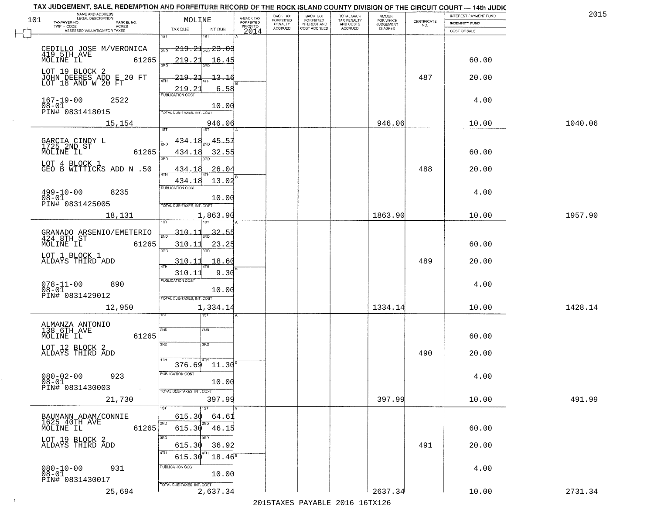| NAME AND ADDRESS<br>LEGAL DESCRIPTION               |                        | TAX JUDGEMENT, SALE, REDEMPTION AND FORFEITURE RECORD OF THE ROCK ISLAND COUNTY DIVISION OF THE CIRCUIT COURT - 14th JUDIC |                                     | BACK TAX             | <b>BACK TAX</b>           |                                        | AMOUNT<br>FOR WHICH |                                                                 | INTEREST PAYMENT FUND | 2015    |
|-----------------------------------------------------|------------------------|----------------------------------------------------------------------------------------------------------------------------|-------------------------------------|----------------------|---------------------------|----------------------------------------|---------------------|-----------------------------------------------------------------|-----------------------|---------|
| 101<br>TAXPAYER NO.                                 | PARCEL NO.<br>ACRES    | MOLINE                                                                                                                     | A-BACK TAX<br>FORFEITED<br>PRIOR TO | FORFEITED<br>PENALTY | FORFEITED<br>INTEREST AND | TOTAL BACK<br>TAX PENALTY<br>AND COSTS | <b>JUDGEMENT</b>    | $\begin{array}{c} \text{CERTIFICATE} \\ \text{NO.} \end{array}$ | INDEMNITY FUND        |         |
| ASSESSED VALUATION FOR TAXES                        |                        | TAX DUE<br>INT DUE                                                                                                         | 2014                                | <b>ACCRUED</b>       | COST ACCRUED              | <b>ACCRUED</b>                         | IS ASKED            |                                                                 | COST OF SALE          |         |
| CEDILLO JOSE M/VERONICA                             |                        | 1ST<br>18T<br>$219.21_{200} 23.03$<br>2ND                                                                                  |                                     |                      |                           |                                        |                     |                                                                 |                       |         |
| 419 5TH AVE<br>MOLINE IL<br>LOT 19 BLOCK 2          | 61265                  | 219.21<br>16.45                                                                                                            |                                     |                      |                           |                                        |                     |                                                                 | 60.00                 |         |
| JOHN DEERES ADD E 20 FT<br>LOT 18 AND W 20 FT       |                        | 219.21<br><del>13.16</del><br>ATH<br>219.21<br>6.58                                                                        |                                     |                      |                           |                                        |                     | 487                                                             | 20.00                 |         |
| $167 - 19 - 00$<br>$08 - 01$<br>PIN# 0831418015     | 2522                   | 10.00<br>TOTAL DUE-TAXES, INT. COST                                                                                        |                                     |                      |                           |                                        |                     |                                                                 | 4.00                  |         |
|                                                     | 15,154                 | 946.06                                                                                                                     |                                     |                      |                           |                                        | 946.06              |                                                                 | 10.00                 | 1040.06 |
| GARCIA CINDY L<br>1725 2ND ST<br>MOLINE IL          | 61265                  | 45.57<br>434.18<br>434.18<br>32.55<br>3RD<br>3PD                                                                           |                                     |                      |                           |                                        |                     |                                                                 | 60.00                 |         |
| LOT 4 BLOCK 1<br>GEO B WITTICKS ADD N .50           |                        | 26.04<br>434.18<br>47H<br>13.02<br>434.18                                                                                  |                                     |                      |                           |                                        |                     | 488                                                             | 20.00                 |         |
| $499 - 10 - 00$<br>$08 - 01$<br>PIN# 0831425005     | 8235                   | PUBLICATION COST<br>10.00<br>TOTAL DUE-TAXES, INT. COST                                                                    |                                     |                      |                           |                                        |                     |                                                                 | 4.00                  |         |
|                                                     | 18,131                 | 1,863.90<br>īsT                                                                                                            |                                     |                      |                           |                                        | 1863.90             |                                                                 | 10.00                 | 1957.90 |
| GRANADO ARSENIO/EMETERIO<br>424 8TH ST<br>MOLINE IL | 61265                  | $-310 - 11$<br>32.55<br>2ND<br>310.11<br>23.25<br>3RD<br>3RD                                                               |                                     |                      |                           |                                        |                     |                                                                 | 60.00                 |         |
| LOT 1 BLOCK 1<br>ALDAYS THIRD ADD                   |                        | 310.11<br>18.60<br>ATH                                                                                                     |                                     |                      |                           |                                        |                     | 489                                                             | 20.00                 |         |
| $078 - 11 - 00$<br>$08 - 01$<br>PIN# 0831429012     | 890                    | 9.30<br>310.11<br><b>PUBLICATION COST</b><br>10.00<br>TOTAL OUE-TAXES, INT. COST                                           |                                     |                      |                           |                                        |                     |                                                                 | 4.00                  |         |
|                                                     | 12,950                 | 1,334.14<br>বে                                                                                                             |                                     |                      |                           |                                        | 1334.14             |                                                                 | 10.00                 | 1428.14 |
| ALMANZA ANTONIO<br>138 6TH AVE<br>MOLINE IL         | 61265                  | 2ND<br>2ND<br>3RD<br>3RD                                                                                                   |                                     |                      |                           |                                        |                     |                                                                 | 60.00                 |         |
| LOT 12 BLOCK 2<br>ALDAYS THIRD ADD                  |                        | 4TH                                                                                                                        |                                     |                      |                           |                                        |                     | 490                                                             | 20.00                 |         |
| $080 - 02 - 00$<br>$08 - 01$<br>PIN# 0831430003     | 923<br><b>Contract</b> | $11.30^{8}$<br>376.69<br>PUBLICATION COS<br>10.00<br>TOTAL DUE-TAXES, INT. COST                                            |                                     |                      |                           |                                        |                     |                                                                 | 4.00                  |         |
|                                                     | 21,730                 | 397.99<br>1ST                                                                                                              |                                     |                      |                           |                                        | 397.99              |                                                                 | 10.00                 | 491.99  |
| BAUMANN ADAM/CONNIE<br>1625 40TH AVE<br>MOLINE IL   | 61265                  | 615.30<br>64.61<br>2ND<br>2ND<br>615.30 46.15                                                                              |                                     |                      |                           |                                        |                     |                                                                 | 60.00                 |         |
| LOT 19 BLOCK 2<br>ALDAYS THIRD ADD                  |                        | 3RD<br>615.30<br>36.92<br>4TH<br>615.30<br>$18.46^s$                                                                       |                                     |                      |                           |                                        |                     | 491                                                             | 20.00                 |         |
| $080 - 10 - 00$<br>$08 - 01$<br>PIN# 0831430017     | 931                    | PUBLICATION COST<br>10.00<br>TOTAL DUE-TAXES, INT. COST                                                                    |                                     |                      |                           |                                        |                     |                                                                 | 4.00                  |         |
|                                                     | 25,694                 | 2,637.34                                                                                                                   |                                     |                      |                           |                                        | 2637.34             |                                                                 | 10.00                 | 2731.34 |

 $\sim 10^{-1}$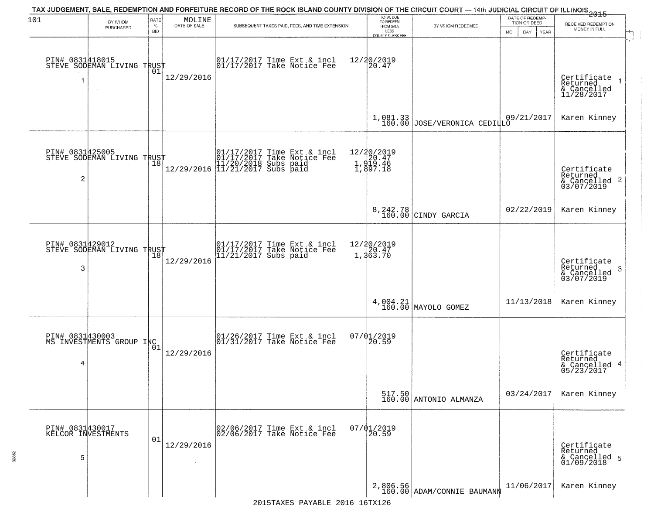| 101                  | BY WHOM<br>PURCHASED                                        | RATE<br>$\%$<br><b>BID</b> | MOLINE<br>DATE OF SALE | TAX JUDGEMENT, SALE, REDEMPTION AND FORFEITURE RECORD OF THE ROCK ISLAND COUNTY DIVISION OF THE CIRCUIT COURT — 14th JUDICIAL CIRCUIT OF ILLINOIS 2015<br>SUBSEQUENT TAXES PAID, FEES, AND TIME EXTENSION | TOTAL DUE<br>TO REDEEM<br>FROM SALE<br>LESS<br>COUNTY CLERK FEE | BY WHOM REDEEMED                           | DATE OF REDEMP-<br>TION OR DEED<br>DAY<br><b>MO</b><br>YEAR | RECEIVED REDEMPTION<br>MONEY IN FULL                                   |
|----------------------|-------------------------------------------------------------|----------------------------|------------------------|-----------------------------------------------------------------------------------------------------------------------------------------------------------------------------------------------------------|-----------------------------------------------------------------|--------------------------------------------|-------------------------------------------------------------|------------------------------------------------------------------------|
| 1                    | PIN# 0831418015    <br>STEVE SODEMAN LIVING TRUST<br>$\sim$ | 01                         | 12/29/2016             | $\begin{bmatrix} 01/17/2017 \\ 17/17/2017 \end{bmatrix}$ Take Notice Fee                                                                                                                                  | 12/20/2019<br>20.47                                             |                                            |                                                             | Certificate<br>Returned<br>$\overline{1}$<br>& Cancelled<br>11/28/2017 |
|                      |                                                             |                            |                        |                                                                                                                                                                                                           |                                                                 | $1,081.33$<br>160.00 JOSE/VERONICA CEDILLO | 09/21/2017                                                  | Karen Kinney                                                           |
| 2                    | PIN# 0831425005<br>STEVE SODEMAN LIVING TRUST               |                            |                        | $\begin{array}{ll} & [01/17/2017 \text{ Time Ext & incl} \\ & [01/17/2017 \text{ Take Notice Fe}] \\ & [11/20/2018 \text{ Subs paid} \\ & [11/21/2017 \text{ Subs paid} \\ \end{array}$                   | 12/20/2019<br>1, 20.47<br>1, 319.46<br>1, 397.18                |                                            |                                                             | Certificate<br>Returned<br>& Cancelled 2<br>03/07/2019                 |
|                      |                                                             |                            |                        |                                                                                                                                                                                                           |                                                                 | 8,242.78<br>160.00 CINDY GARCIA            | 02/22/2019                                                  | Karen Kinney                                                           |
| PIN# 0831429012<br>3 | STEVE SODEMAN LIVING TRUST                                  | 18                         | 12/29/2016             | 01/17/2017 Time Ext & incl<br>01/17/2017 Take Notice Fee<br>11/21/2017 Subs paid                                                                                                                          | $12/20/2019$<br>$20.47$<br>1,363.70                             |                                            |                                                             | Certificate<br>Returned<br>3<br>& Cancelled<br>03/07/2019              |
|                      |                                                             |                            |                        |                                                                                                                                                                                                           |                                                                 | $4,004.21$ MAYOLO GOMEZ                    | 11/13/2018                                                  | Karen Kinney                                                           |
| 4                    | PIN# 0831430003<br>MS INVESTMENTS GROUP INC 1               |                            | 12/29/2016             | 01/26/2017 Time Ext & incl<br>01/31/2017 Take Notice Fee                                                                                                                                                  | 07/01/2019<br>$\overline{20.59}$                                |                                            |                                                             | Certificate<br>Returned<br>& Cancelled 4<br>05/23/2017                 |
|                      |                                                             |                            |                        |                                                                                                                                                                                                           |                                                                 | 517.50<br>160.00 ANTONIO ALMANZA           | 03/24/2017                                                  | Karen Kinney                                                           |
| 5                    | PIN# 0831430017<br>KELCOR INVESTMENTS                       | 01                         | 12/29/2016             | 02/06/2017 Time Ext & incl<br>02/06/2017 Take Notice Fee                                                                                                                                                  | $07/01/2019$<br>20.59                                           |                                            |                                                             | Certificate<br>Returned<br>& Cancelled 5<br>01/09/2018                 |
|                      |                                                             |                            |                        |                                                                                                                                                                                                           |                                                                 | 2,806.56<br>160.00 ADAM/CONNIE BAUMANN     | 11/06/2017                                                  | Karen Kinney                                                           |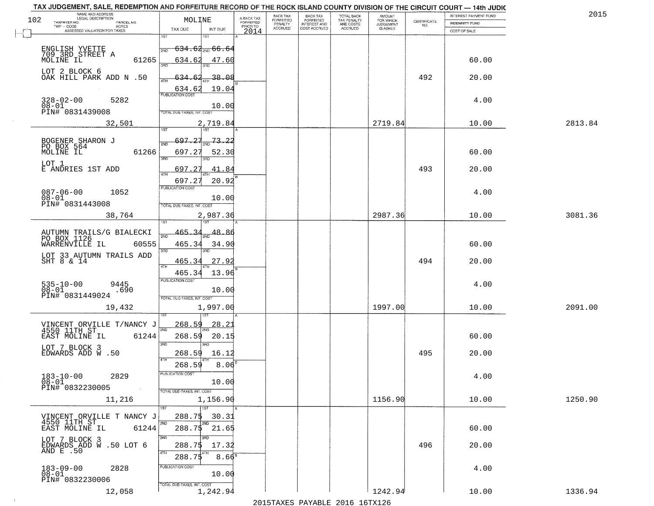| NAME AND ADDRESS<br>LEGAL DESCRIPTION<br>102      | MOLINE                            |                     |                                     | BACK TAX<br><b>FORFEITED</b> | <b>BACK TAX</b>                           | TOTAL BACK<br>TAX PENALTY<br>AND COSTS | AMOUNT<br>FOR WHICH                 |                    | INTEREST PAYMENT FUND | 2015    |
|---------------------------------------------------|-----------------------------------|---------------------|-------------------------------------|------------------------------|-------------------------------------------|----------------------------------------|-------------------------------------|--------------------|-----------------------|---------|
| TAXPAYER NO.<br>PARCEL NO.<br>TWP - CODE<br>ACRES |                                   |                     | A-BACK TAX<br>FORFEITED<br>PRIOR TO | PENALTY<br><b>ACCRUED</b>    | FORFEITED<br>INTEREST AND<br>COST ACCRUED | ACCRUED                                | <b>JUDGEMENT</b><br><b>IS ASKED</b> | CERTIFICATE<br>NO. | INDEMNITY FUND        |         |
| ASSESSED VALUATION FOR TAXES                      | TAX DUE                           | INT DUE<br>1ST      | 2014                                |                              |                                           |                                        |                                     |                    | COST OF SALE          |         |
|                                                   |                                   |                     |                                     |                              |                                           |                                        |                                     |                    |                       |         |
| ENGLISH YVETTE<br>709 3RD STREET A<br>MOLINE IL   | $634.64_{200}66.64$<br>2ND        |                     |                                     |                              |                                           |                                        |                                     |                    |                       |         |
| 61265                                             | 634.62                            | 47.60               |                                     |                              |                                           |                                        |                                     |                    | 60.00                 |         |
| LOT 2 BLOCK 6                                     |                                   |                     |                                     |                              |                                           |                                        |                                     |                    |                       |         |
| OAK HILL PARK ADD N .50                           | 534.62                            | 38.08               |                                     |                              |                                           |                                        |                                     | 492                | 20.00                 |         |
|                                                   | 634.62<br>PUBLICATION COST        | 19.04               |                                     |                              |                                           |                                        |                                     |                    |                       |         |
| $328 - 02 - 00$<br>5282                           |                                   |                     |                                     |                              |                                           |                                        |                                     |                    | 4.00                  |         |
| $08 - 01$<br>PIN# 0831439008                      | <b>TOTAL DUE-TAXES, INT. COST</b> | 10.00               |                                     |                              |                                           |                                        |                                     |                    |                       |         |
| 32,501                                            |                                   | 2,719.84            |                                     |                              |                                           |                                        | 2719.84                             |                    | 10.00                 | 2813.84 |
|                                                   |                                   |                     |                                     |                              |                                           |                                        |                                     |                    |                       |         |
| BOGENER SHARON J                                  | 697.27<br>সূঁাম                   | 73.<br>$2^{\prime}$ |                                     |                              |                                           |                                        |                                     |                    |                       |         |
| PO BOX 564<br>MOLINE IL<br>61266                  | 697.27                            | 52.30               |                                     |                              |                                           |                                        |                                     |                    | 60.00                 |         |
|                                                   | $\overline{3BD}$                  | 3RD                 |                                     |                              |                                           |                                        |                                     |                    |                       |         |
| LOT 1<br>E ANDRIES 1ST ADD                        | 697.27                            | 41.84               |                                     |                              |                                           |                                        |                                     | 493                | 20.00                 |         |
|                                                   | <b>ATH</b><br>697.27              | 20.92               |                                     |                              |                                           |                                        |                                     |                    |                       |         |
|                                                   | PUBLICATION COST                  |                     |                                     |                              |                                           |                                        |                                     |                    |                       |         |
| $087 - 06 - 00$<br>1052<br>$08 - 01$              |                                   | 10.00               |                                     |                              |                                           |                                        |                                     |                    | 4.00                  |         |
| PIN# 0831443008                                   | TOTAL DUE-TAXES, INT. COST        |                     |                                     |                              |                                           |                                        |                                     |                    |                       |         |
| 38,764                                            |                                   | 2,987.36            |                                     |                              |                                           |                                        | 2987.36                             |                    | 10.00                 | 3081.36 |
|                                                   | 151                               |                     |                                     |                              |                                           |                                        |                                     |                    |                       |         |
| AUTUMN TRAILS/G BIALECKI<br>PO BOX 1126           | 465.34<br>2ND                     | 48.86               |                                     |                              |                                           |                                        |                                     |                    |                       |         |
| WARRENVILLE IL<br>60555                           | 465.34                            | 34.90               |                                     |                              |                                           |                                        |                                     |                    | 60.00                 |         |
| LOT 33 AUTUMN TRAILS ADD SHT 8 $\&$ 14            | 3RD                               | 3RD                 |                                     |                              |                                           |                                        |                                     |                    |                       |         |
|                                                   | <u>465.34</u><br>4TH              | 27.92               |                                     |                              |                                           |                                        |                                     | 494                | 20.00                 |         |
|                                                   | 465.34                            | 13.96               |                                     |                              |                                           |                                        |                                     |                    |                       |         |
| 535-10-00<br>08-01<br>9445                        | <b>PUBLICATION COST</b>           |                     |                                     |                              |                                           |                                        |                                     |                    | 4.00                  |         |
| .690<br>PIN# 0831449024                           | TOTAL OUE-TAXES, INT. COST        | 10.00               |                                     |                              |                                           |                                        |                                     |                    |                       |         |
|                                                   |                                   |                     |                                     |                              |                                           |                                        | 1997.00                             |                    | 10.00                 | 2091.00 |
| 19,432                                            |                                   | 1,997.00            |                                     |                              |                                           |                                        |                                     |                    |                       |         |
| VINCENT ORVILLE T/NANCY J                         | 268.59                            | <u>28.21</u>        |                                     |                              |                                           |                                        |                                     |                    |                       |         |
| 4550 11TH ST<br>EAST MOLINE IL<br>61244           | 2ND<br>268.59                     | 20.15               |                                     |                              |                                           |                                        |                                     |                    | 60.00                 |         |
|                                                   | 3RD                               | 3RD                 |                                     |                              |                                           |                                        |                                     |                    |                       |         |
| LOT 7 BLOCK 3<br>EDWARDS ADD W.50                 | 268.59                            | 16.12               |                                     |                              |                                           |                                        |                                     | 495                | 20.00                 |         |
|                                                   | 268.59                            | 8.06                |                                     |                              |                                           |                                        |                                     |                    |                       |         |
|                                                   | PUBLICATION COS'                  |                     |                                     |                              |                                           |                                        |                                     |                    |                       |         |
| $183 - 10 - 00$<br>2829<br>$08-01$                |                                   | 10.00               |                                     |                              |                                           |                                        |                                     |                    | 4.00                  |         |
| PIN# 0832230005<br>$\sim 100$ km s                | TOTAL DUE-TAXES, INT. COST        |                     |                                     |                              |                                           |                                        |                                     |                    |                       |         |
| 11,216                                            |                                   | 1,156.90            |                                     |                              |                                           |                                        | 1156.90                             |                    | 10.00                 | 1250.90 |
|                                                   |                                   | 11ST                |                                     |                              |                                           |                                        |                                     |                    |                       |         |
| VINCENT ORVILLE T NANCY J<br>4550 11TH ST         | 288.75                            | 30.31               |                                     |                              |                                           |                                        |                                     |                    |                       |         |
| 61244<br>EAST MOLINE IL                           | 2ND                               | 2ND<br>288.75 21.65 |                                     |                              |                                           |                                        |                                     |                    | 60.00                 |         |
| LOT 7 BLOCK 3                                     | 3RD                               | 3RD                 |                                     |                              |                                           |                                        |                                     |                    |                       |         |
| EDWARDS ADD W.50 LOT 6<br>AND E .50               | 288.75                            | 17.32               |                                     |                              |                                           |                                        |                                     | 496                | 20.00                 |         |
|                                                   | 4TH<br>288.75                     | 8.66 <sup>s</sup>   |                                     |                              |                                           |                                        |                                     |                    |                       |         |
| $183 - 09 - 00$<br>2828                           | PUBLICATION COST                  |                     |                                     |                              |                                           |                                        |                                     |                    | 4.00                  |         |
| $08 - 01$<br>PIN# 0832230006                      |                                   | 10.00               |                                     |                              |                                           |                                        |                                     |                    |                       |         |
|                                                   | TOTAL DUE-TAXES, INT. COST        |                     |                                     |                              |                                           |                                        |                                     |                    |                       |         |
| 12,058                                            |                                   | 1,242.94            |                                     |                              |                                           |                                        | 1242.94                             |                    | 10.00                 | 1336.94 |

 $\sim 10^{-1}$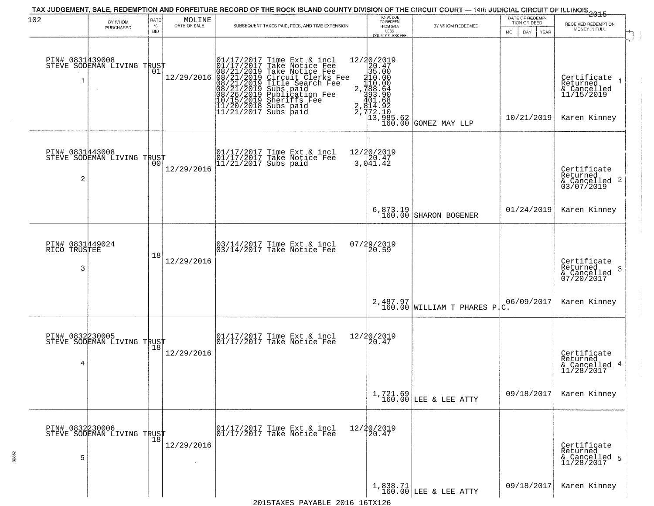| 102                                     | BY WHOM                                                  | RATE               | $\begin{array}{c} \text{MOLINE} \\ \text{DATE of SALE} \end{array}$ | TAX JUDGEMENT, SALE, REDEMPTION AND FORFEITURE RECORD OF THE ROCK ISLAND COUNTY DIVISION OF THE CIRCUIT COURT — 14th JUDICIAL CIRCUIT OF ILLINOIS 2015                                                                                                                  | TOTAL DUE<br>TO REDEEM                                                                                                                             |                                            | DATE OF REDEMP-<br>TION OR DEED | RECEIVED REDEMPTION                                                  |
|-----------------------------------------|----------------------------------------------------------|--------------------|---------------------------------------------------------------------|-------------------------------------------------------------------------------------------------------------------------------------------------------------------------------------------------------------------------------------------------------------------------|----------------------------------------------------------------------------------------------------------------------------------------------------|--------------------------------------------|---------------------------------|----------------------------------------------------------------------|
|                                         | PURCHASED                                                | $\%$<br><b>BID</b> |                                                                     | SUBSEQUENT TAXES PAID, FEES, AND TIME EXTENSION                                                                                                                                                                                                                         | FROM SALE<br>LESS<br>COUNTY CLERK FEE                                                                                                              | BY WHOM REDEEMED                           | MO.<br>DAY<br><b>YEAR</b>       | MONEY IN FULL                                                        |
| PIN# 0831439008                         | STEVE SODEMAN LIVING TRUST                               | 01                 | 12/29/2016                                                          | 01/17/2017 Time Ext & incl<br>01/17/2017 Take Notice Fee<br>08/21/2019 Take Notice Fee<br>08/21/2019 Circuit Clerks Fee<br>08/21/2019 Title Search Fee<br>08/21/2019 Subs paid<br>08/26/2019 Sheriffs Fee<br>10/15/2019 Sheriffs Fee<br>11/20/2018 Su<br>2,<br>2,<br>2, | 12/20/2019<br>$\begin{smallmatrix} 22019 \ 226.47 \ 35.000 \ 410.000 \ 735.000 \ 738.64 \ 738.664 \ 732.10 \ 73.210 \ 13.985.62 \end{smallmatrix}$ | GOMEZ MAY LLP                              | 10/21/2019                      | Certificate<br>Returned<br>& Cancelled<br>11/15/2019<br>Karen Kinney |
| PIN# 0831443008<br>2                    | STEVE SODEMAN LIVING TRUST<br>STEVE SODEMAN LIVING TRUST |                    | 12/29/2016                                                          | 01/17/2017 Time Ext & incl<br>01/17/2017 Take Notice Fee<br>11/21/2017 Subs paid                                                                                                                                                                                        | 12/20/2019<br>3,041.42                                                                                                                             |                                            |                                 | Certificate<br>Returned<br>& Cancelled 2<br>03/07/2019               |
|                                         |                                                          |                    |                                                                     |                                                                                                                                                                                                                                                                         | 6,873.19<br>160.00                                                                                                                                 | SHARON BOGENER                             | 01/24/2019                      | Karen Kinney                                                         |
| PIN# 0831449024<br>TRUSTEE<br>RICO<br>3 |                                                          | 18                 | 12/29/2016                                                          | 03/14/2017 Time Ext & incl<br>03/14/2017 Take Notice Fee                                                                                                                                                                                                                | 07/29/2019<br>20.59                                                                                                                                |                                            |                                 | Certificate<br>Returned<br>-3<br>& Cancelled<br>07/20/2017           |
|                                         |                                                          |                    |                                                                     |                                                                                                                                                                                                                                                                         |                                                                                                                                                    | $2,487.97$<br>160.00 WILLIAM T PHARES P.C. | 06/09/2017                      | Karen Kinney                                                         |
| PIN# 0832230005<br>4                    | STEVE SODEMAN LIVING TRUST                               |                    | 12/29/2016                                                          | 01/17/2017 Time Ext & incl<br>01/17/2017 Take Notice Fee                                                                                                                                                                                                                | 12/20/2019<br>20.47                                                                                                                                |                                            |                                 | Certificate<br>Returned<br>& Cancelled 4<br>11/28/2017               |
|                                         |                                                          |                    |                                                                     |                                                                                                                                                                                                                                                                         |                                                                                                                                                    | $1,721.69$ LEE & LEE ATTY                  | 09/18/2017                      | Karen Kinney                                                         |
| PIN# 0832230006<br>5                    | PIN# ∪834430000<br>STEVE SODEMAN LIVING TRUST<br> 18     |                    | 12/29/2016                                                          | 01/17/2017 Time Ext & incl<br>01/17/2017 Take Notice Fee                                                                                                                                                                                                                | 12/20/2019<br>20.47                                                                                                                                |                                            |                                 | Certificate<br>Returned<br>& Cancelled 5<br>11/28/2017               |
|                                         |                                                          |                    |                                                                     |                                                                                                                                                                                                                                                                         |                                                                                                                                                    | $1,838.71$<br>160.00 LEE & LEE ATTY        | 09/18/2017                      | Karen Kinney                                                         |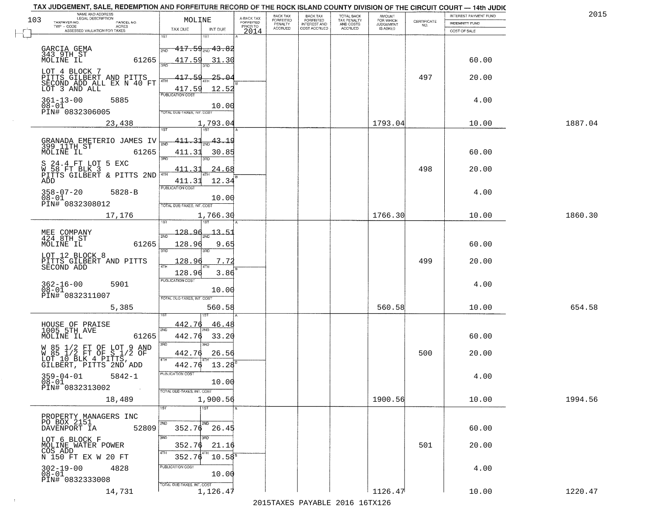| 103 | NAME AND ADDRESS<br>LEGAL DESCRIPTION                                                                                                          | MOLINE                                                  |                                                |                                     | BACK TAX<br>FORFEITED | <b>BACK TAX</b><br>FORFEITED        | <b>TOTAL BACK</b>        | AMOUNT<br>FOR WHICH |                                                                 | INTEREST PAYMENT FUND | 2015    |
|-----|------------------------------------------------------------------------------------------------------------------------------------------------|---------------------------------------------------------|------------------------------------------------|-------------------------------------|-----------------------|-------------------------------------|--------------------------|---------------------|-----------------------------------------------------------------|-----------------------|---------|
|     | TAXPAYER NO.<br>PARCEL NO.<br>TWP - CODE<br>ACRES                                                                                              |                                                         |                                                | A-BACK TAX<br>FORFEITED<br>PRIOR TO | PENALTY               | <b>INTEREST AND</b><br>COST ACCRUED | TAX PENALTY<br>AND COSTS | <b>JUDGEMENT</b>    | $\begin{array}{c} \text{CEPTIFICATE} \\ \text{NO.} \end{array}$ | <b>INDEMNITY FUND</b> |         |
|     | ASSESSED VALUATION FOR TAXES                                                                                                                   | TAX DUE<br>1ST                                          | INT DUE<br>181                                 | 2014                                | <b>ACCRUED</b>        |                                     | <b>ACCRUED</b>           | IS ASKED            |                                                                 | COST OF SALE          |         |
|     | GARCIA GEMA<br>343 9TH ST<br>MOLINE IL<br>61265                                                                                                | 2ND<br>417.59                                           | $417.59_{200}$ $43.82$<br>31.30                |                                     |                       |                                     |                          |                     |                                                                 | 60.00                 |         |
|     | LOT 4 BLOCK 7<br>PITTS GILBERT AND PITTS<br>SECOND ADD ALL EX N 40 FT<br>LOT 3 AND ALL                                                         | 417.59<br>417.59                                        | -25.04<br>12.52                                |                                     |                       |                                     |                          |                     | 497                                                             | 20.00                 |         |
|     | $361 - 13 - 00$<br>5885<br>$08 - 01$<br>PIN# 0832306005                                                                                        | <b>PUBLICATION COST</b><br>TOTAL DUE-TAXES, INT. COST   | 10.00                                          |                                     |                       |                                     |                          |                     |                                                                 | 4.00                  |         |
|     | 23,438                                                                                                                                         |                                                         | 1,793.04                                       |                                     |                       |                                     |                          | 1793.04             |                                                                 | 10.00                 | 1887.04 |
|     | GRANADA EMETERIO JAMES IV<br>399 11TH ST<br>MOLINE IL<br>61265<br>S 24.4 FT LOT 5 EXC<br>W 58 FT BLK 3<br>PITTS GILBERT & PITTS 2ND 4TH<br>ADD | $\frac{411.31}{ }$<br>411.31<br>3RD<br>411.31<br>411.31 | <u>43.19</u><br>30.85<br>38D<br>24.68<br>12.34 |                                     |                       |                                     |                          |                     | 498                                                             | 60.00<br>20.00        |         |
|     | $358 - 07 - 20$<br>$5828 - B$<br>$08 - 01$<br>PIN# 0832308012                                                                                  | PUBLICATION COST<br>TOTAL DUE-TAXES, INT. COST          | 10.00                                          |                                     |                       |                                     |                          |                     |                                                                 | 4.00                  |         |
|     | 17,176                                                                                                                                         |                                                         | 1,766.30                                       |                                     |                       |                                     |                          | 1766.30             |                                                                 | 10.00                 | 1860.30 |
|     | MEE COMPANY<br>424 8TH ST<br>MOLINE IL<br>61265                                                                                                | 128.96<br>2ND<br>128.96<br>3BD                          | 13.<br>$-5$<br>9.65<br>3RD                     |                                     |                       |                                     |                          |                     |                                                                 | 60.00                 |         |
|     | LOT 12 BLOCK 8<br>PITTS GILBERT AND PITTS<br>SECOND ADD                                                                                        | 128.96<br>4TH<br>128.96                                 | 7.72<br>3.86                                   |                                     |                       |                                     |                          |                     | 499                                                             | 20.00                 |         |
|     | $362 - 16 - 00$<br>5901<br>$08 - 01$<br>PIN# 0832311007                                                                                        | <b>PUBLICATION COST</b><br>TOTAL OUE-TAXES, INT. COST   | 10.00                                          |                                     |                       |                                     |                          |                     |                                                                 | 4.00                  |         |
|     | 5,385                                                                                                                                          |                                                         | 560.58                                         |                                     |                       |                                     |                          | 560.58              |                                                                 | 10.00                 | 654.58  |
|     | HOUSE OF PRAISE<br>1005 5TH AVE<br>MOLINE IL<br>61265                                                                                          | 442.76<br>2ND<br>442.76<br>3RD                          | 46.48<br>33.20<br>3BD                          |                                     |                       |                                     |                          |                     |                                                                 | 60.00                 |         |
|     | W 85 1/2 FT OF LOT 9 AND<br>W 85 1/2 FT OF S 1/2 OF<br>LOT 10 BLK 4 PITTS,<br>GILBERT, PITTS 2ND ADD                                           | 442.76<br>4TH<br>442.76                                 | 26.56<br>13.28                                 |                                     |                       |                                     |                          |                     | 500                                                             | 20.00                 |         |
|     | 359-04-01<br>$5842 - 1$<br>08-01<br>PIN# 0832313002<br>$\sim 100$                                                                              | -usuca i un cus-<br>TOTAL DUE-TAXES, INT. COST          | 10.00                                          |                                     |                       |                                     |                          |                     |                                                                 | 4.00                  |         |
|     | 18,489                                                                                                                                         |                                                         | 1,900.56                                       |                                     |                       |                                     |                          | 1900.56             |                                                                 | 10.00                 | 1994.56 |
|     | PROPERTY MANAGERS INC<br>PO BOX 2151<br>52809<br>DAVENPORT IA                                                                                  | 1ST <sup>1</sup>                                        | 1ST<br>2ND<br>$352.76$ $26.45$                 |                                     |                       |                                     |                          |                     |                                                                 | 60.00                 |         |
|     | LOT 6 BLOCK F<br>MOLINE WATER POWER<br>COS ADD<br>N 150 FT EX W 20 FT                                                                          | 3RD<br>352.76<br>4TH<br>352.76                          | חחו<br>21.16<br>$10.58^8$                      |                                     |                       |                                     |                          |                     | 501                                                             | 20.00                 |         |
|     | 4828<br>302-19-00<br>$08 - 01$<br>PIN# 0832333008                                                                                              | PUBLICATION COST<br>TOTAL DUE-TAXES, INT. COST          | 10.00                                          |                                     |                       |                                     |                          |                     |                                                                 | 4.00                  |         |
|     | 14,731                                                                                                                                         |                                                         | 1,126.47                                       |                                     |                       |                                     |                          | 1126.47             |                                                                 | 10.00                 | 1220.47 |

 $\sim 100$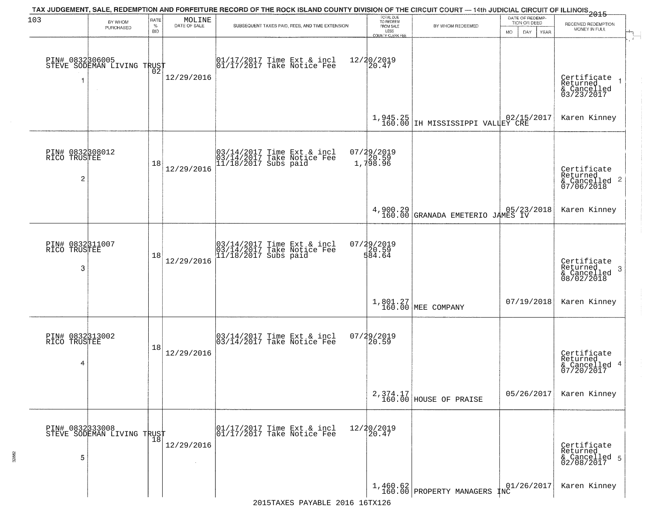| 103                                  | BY WHOM                                                 | RATE               | $\begin{array}{c} \text{MOLINE} \\ \text{DATE of SALE} \end{array}$ | TAX JUDGEMENT, SALE, REDEMPTION AND FORFEITURE RECORD OF THE ROCK ISLAND COUNTY DIVISION OF THE CIRCUIT COURT — 14th JUDICIAL CIRCUIT OF ILLINOIS<br>2015 - | TOTAL DUE<br>TO REDEEM                |                                                       | DATE OF REDEMP-<br>TION OR DEED | RECEIVED REDEMPTION                                                |
|--------------------------------------|---------------------------------------------------------|--------------------|---------------------------------------------------------------------|-------------------------------------------------------------------------------------------------------------------------------------------------------------|---------------------------------------|-------------------------------------------------------|---------------------------------|--------------------------------------------------------------------|
|                                      | PURCHASED                                               | $\%$<br><b>BID</b> |                                                                     | SUBSEQUENT TAXES PAID, FEES, AND TIME EXTENSION                                                                                                             | FROM SALE<br>LESS<br>COUNTY CLERK FEE | BY WHOM REDEEMED                                      | MO.<br>DAY.<br>YEAR             | MONEY IN FULL                                                      |
|                                      | PIN# 0832306005<br>STEVE SODEMAN LIVING TRUST<br>$\sim$ |                    | 12/29/2016                                                          | $\begin{bmatrix} 01/17/2017 \\ 17/17/2017 \end{bmatrix}$ Take Notice Fee                                                                                    | 12/20/2019<br>20.47                   |                                                       |                                 | Certificate 1<br>Returned 1<br>& Cancelled<br>03/23/2017           |
|                                      |                                                         |                    |                                                                     |                                                                                                                                                             |                                       | 1,945.25<br>160.00 IH MISSISSIPPI VALLEY CRE          |                                 | Karen Kinney                                                       |
| PIN# 0832308012<br>RICO TRUSTEE<br>2 |                                                         | 18                 | 12/29/2016                                                          | 03/14/2017 Time Ext & incl<br>03/14/2017 Take Notice Fee<br>11/18/2017 Subs paid                                                                            | 07/29/2019<br>20.59<br>1,798.96       |                                                       |                                 | Certificate<br>Returned<br>$\frac{1}{2}$ Cancelled 2<br>07/06/2018 |
|                                      |                                                         |                    |                                                                     |                                                                                                                                                             |                                       | 4,900.29<br>160.00 GRANADA EMETERIO JAMES IV          |                                 | Karen Kinney                                                       |
| PIN# 0832311007<br>RICO TRUSTEE<br>3 |                                                         | 18                 | 12/29/2016                                                          | 03/14/2017 Time Ext & incl<br>03/14/2017 Take Notice Fee<br>11/18/2017 Subs paid                                                                            | 07/29/2019<br>20.59<br>584.64         |                                                       |                                 | Certificate<br>Returned<br>3<br>& Cancelled<br>08/02/2018          |
|                                      |                                                         |                    |                                                                     |                                                                                                                                                             |                                       | 1,801.27<br>160.00 MEE COMPANY                        | 07/19/2018                      | Karen Kinney                                                       |
| PIN# 0832313002<br>RICO TRUSTEE<br>4 |                                                         | 18                 | 12/29/2016                                                          | $\begin{bmatrix} 03/14/2017 \\ 03/14/2017 \end{bmatrix}$ Take Notice Fee                                                                                    | $07/29/2019$<br>20.59                 |                                                       |                                 | Certificate<br>Returned<br>& Cancelled 4<br>07/20/2017             |
|                                      |                                                         |                    |                                                                     |                                                                                                                                                             |                                       | $2,374.17$<br>160.00 HOUSE OF PRAISE                  | 05/26/2017                      | Karen Kinney                                                       |
| 5                                    | PIN# 0832333008<br>STEVE SODEMAN LIVING TRUST           |                    | 12/29/2016                                                          | $\begin{array}{cc}  01/17/2017 \text{ Time Ext} & \text{incl} \\  01/17/2017 \text{ Take Notice Fe} \end{array}$                                            | 12/20/2019<br>20.47                   |                                                       |                                 | Certificate<br>Returned<br>& Cancelled 5<br>02/08/2017             |
|                                      |                                                         |                    |                                                                     |                                                                                                                                                             |                                       | $\left[1,460.62\right]$ (160.00 PROPERTY MANAGERS INC | 01/26/2017                      | Karen Kinney                                                       |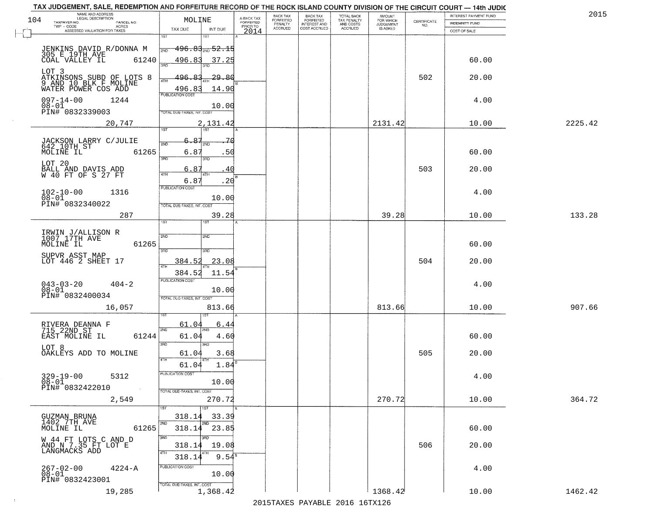| 104 | NAME AND ADDRESS<br>LEGAL DESCRIPTION                                             | MOLINE                                       | A-BACK TAX<br>FORFEITED | BACK TAX<br>FORFEITED | <b>BACK TAX</b><br><b>FORFEITED</b> | TOTAL BACK<br>TAX PENALTY | <b>AMOUNT</b>                      |                                                                 | INTEREST PAYMENT FUND | 2015    |
|-----|-----------------------------------------------------------------------------------|----------------------------------------------|-------------------------|-----------------------|-------------------------------------|---------------------------|------------------------------------|-----------------------------------------------------------------|-----------------------|---------|
|     | TAXPAYER NO.<br>PARCEL NO.<br>TWP - CODE<br>ACRES<br>ASSESSED VALUATION FOR TAXES | TAX DUE<br>INT DUE                           | PRIOR TO                | PENALTY<br>ACCRUED    | INTEREST AND<br>COST ACCRUED        | AND COSTS<br>ACCRUED      | FOR WHICH<br>JUDGEMENT<br>IS ASKED | $\begin{array}{c} \text{CERTIFICATE} \\ \text{NO.} \end{array}$ | <b>INDEMNITY FUND</b> |         |
|     |                                                                                   | 1ST                                          | 2014                    |                       |                                     |                           |                                    |                                                                 | COST OF SALE          |         |
|     | JENKINS DAVID R/DONNA M<br>305 E 19TH AVE                                         | <del>196.83<sub>2ND</sub> 52.15</del><br>2ND |                         |                       |                                     |                           |                                    |                                                                 |                       |         |
|     | 61240<br>COAL VALLEY IL                                                           | 496.83<br><u>37.25</u><br>390                |                         |                       |                                     |                           |                                    |                                                                 | 60.00                 |         |
|     | LOT 3                                                                             |                                              |                         |                       |                                     |                           |                                    |                                                                 |                       |         |
|     | ATKINSONS SUBD OF LOTS 8<br>9 AND 10 BLK F MOLINE<br>WATER POWER COS ADD          | -29.86<br>496.<br>4TH<br>496.83<br>14.90     |                         |                       |                                     |                           |                                    | 502                                                             | 20.00                 |         |
|     | $097 - 14 - 00$<br>1244                                                           | <b>PUBLICATION COST</b>                      |                         |                       |                                     |                           |                                    |                                                                 | 4.00                  |         |
|     | 08-01<br>PIN# 0832339003                                                          | 10.00<br>TOTAL DUE-TAXES, INT. COST          |                         |                       |                                     |                           |                                    |                                                                 |                       |         |
|     | 20,747                                                                            | 2,131.42                                     |                         |                       |                                     |                           | 2131.42                            |                                                                 | 10.00                 | 2225.42 |
|     |                                                                                   | 1ST<br>1ST                                   |                         |                       |                                     |                           |                                    |                                                                 |                       |         |
|     | JACKSON LARRY C/JULIE<br>642 10TH ST                                              | $6 - 8$                                      | 70                      |                       |                                     |                           |                                    |                                                                 |                       |         |
|     | MOLINE IL<br>61265                                                                | 6.8<br>3RD<br>3RD                            | .50                     |                       |                                     |                           |                                    |                                                                 | 60.00                 |         |
|     | LOT 20<br>BALL AND DAVIS ADD<br>W 40 FT OF S 27 FT                                | 6.87<br>  47H<br>4TH                         | 40                      |                       |                                     |                           |                                    | 503                                                             | 20.00                 |         |
|     |                                                                                   | 6.87<br><b>PUBLICATION COST</b>              | .20                     |                       |                                     |                           |                                    |                                                                 |                       |         |
|     | $102 - 10 - 00$<br>1316<br>$08 - 01$                                              | 10.00                                        |                         |                       |                                     |                           |                                    |                                                                 | 4.00                  |         |
|     | PIN# 0832340022                                                                   | TOTAL DUE-TAXES, INT. COST                   |                         |                       |                                     |                           |                                    |                                                                 |                       |         |
|     | 287                                                                               | 39.28<br>1ST<br>18 <sup>-</sup>              |                         |                       |                                     |                           | 39.28                              |                                                                 | 10.00                 | 133.28  |
|     | IRWIN J/ALLISON R<br>1007 17TH AVE                                                | 2ND<br><b>2ND</b>                            |                         |                       |                                     |                           |                                    |                                                                 |                       |         |
|     | 61265<br>MOLINE IL                                                                |                                              |                         |                       |                                     |                           |                                    |                                                                 | 60.00                 |         |
|     | SUPVR ASST MAP<br>LOT 446 2 SHEET 17                                              | 3RD<br>3RD<br>23.08<br>384.52                |                         |                       |                                     |                           |                                    | 504                                                             | 20.00                 |         |
|     |                                                                                   | 384.52<br>11.54                              |                         |                       |                                     |                           |                                    |                                                                 |                       |         |
|     | $043 - 03 - 20$<br>$08 - 01$<br>$404 - 2$                                         | PUBLICATION COST                             |                         |                       |                                     |                           |                                    |                                                                 | 4.00                  |         |
|     | PIN# 0832400034                                                                   | 10.00<br>TOTAL OUE-TAXES, INT. COST          |                         |                       |                                     |                           |                                    |                                                                 |                       |         |
|     | 16,057                                                                            | 813.66                                       |                         |                       |                                     |                           | 813.66                             |                                                                 | 10.00                 | 907.66  |
|     |                                                                                   | 61.04<br>6.44                                |                         |                       |                                     |                           |                                    |                                                                 |                       |         |
|     | RIVERA DEANNA F<br>715 22ND ST<br>61244<br>EAST MOLINE IL                         | 2ND<br>61.04<br>4.60                         |                         |                       |                                     |                           |                                    |                                                                 | 60.00                 |         |
|     | LOT 8                                                                             | 3RD<br>3BD                                   |                         |                       |                                     |                           |                                    |                                                                 |                       |         |
|     | OAKLEYS ADD TO MOLINE                                                             | 3.68<br>61.04<br>4TH                         |                         |                       |                                     |                           |                                    | 505                                                             | 20.00                 |         |
|     |                                                                                   | 61.04<br>PUBLICATION COST                    | $1.84^{\circ}$          |                       |                                     |                           |                                    |                                                                 |                       |         |
|     | $329 - 19 - 00$<br>5312<br>08-01                                                  | 10.00                                        |                         |                       |                                     |                           |                                    |                                                                 | 4.00                  |         |
|     | PIN# 0832422010<br>$\sim 100$                                                     | TOTAL DUE-TAXES, INT. COST<br>270.72         |                         |                       |                                     |                           | 270.72                             |                                                                 | 10.00                 | 364.72  |
|     | 2,549                                                                             | 1ST<br>1ST                                   |                         |                       |                                     |                           |                                    |                                                                 |                       |         |
|     | GUZMAN BRUNA<br>1402 7TH AVE                                                      | 318.14<br>33.39<br>2ND<br>2ND                |                         |                       |                                     |                           |                                    |                                                                 |                       |         |
|     | 61265<br>MOLINE IL                                                                | 318.14<br>23.85                              |                         |                       |                                     |                           |                                    |                                                                 | 60.00                 |         |
|     | W 44 FT LOTS C AND D<br>AND N 7.35 FT LOT E<br>LANGMACKS ADD                      | 3RD<br>3RD<br>318.14<br>19.08                |                         |                       |                                     |                           |                                    | 506                                                             | 20.00                 |         |
|     |                                                                                   | 4TH<br>318.14                                | $9.54^8$                |                       |                                     |                           |                                    |                                                                 |                       |         |
|     | 267-02-00<br>08-01<br>$4224 - A$                                                  | PUBLICATION COST<br>10.00                    |                         |                       |                                     |                           |                                    |                                                                 | 4.00                  |         |
|     | PIN# 0832423001                                                                   | TOTAL DUE-TAXES, INT. COST                   |                         |                       |                                     |                           |                                    |                                                                 |                       |         |
|     | 19,285                                                                            | 1,368.42                                     |                         |                       |                                     |                           | 1368.42                            |                                                                 | 10.00                 | 1462.42 |

 $\sim 100$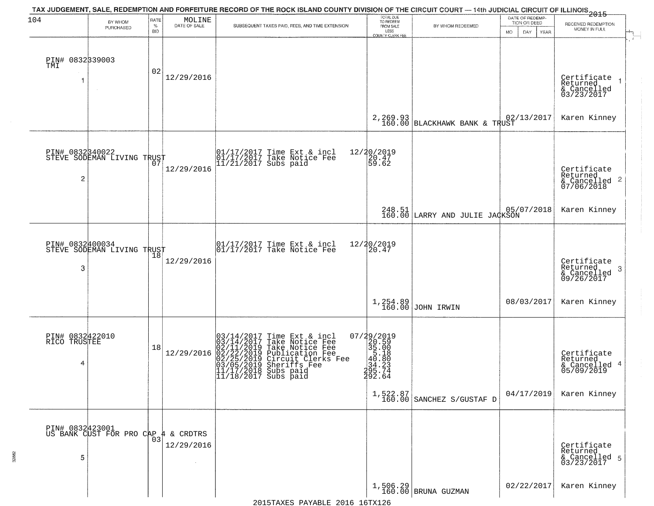| 104                             | BY WHOM<br>PURCHASED                          | RATE<br>$\%$ | $\begin{array}{c} \text{MOLINE} \\ \text{DATE of SALE} \end{array}$ | TAX JUDGEMENT, SALE, REDEMPTION AND FORFEITURE RECORD OF THE ROCK ISLAND COUNTY DIVISION OF THE CIRCUIT COURT — 14th JUDICIAL CIRCUIT OF ILLINOIS 2015<br>SUBSEQUENT TAXES PAID, FEES, AND TIME EXTENSION     | TOTAL DUE<br>TO REDEEM<br>FROM SALE                                                                                | BY WHOM REDEEMED                        | DATE OF REDEMP-<br>TION OR DEED | RECEIVED REDEMPTION                                        |
|---------------------------------|-----------------------------------------------|--------------|---------------------------------------------------------------------|---------------------------------------------------------------------------------------------------------------------------------------------------------------------------------------------------------------|--------------------------------------------------------------------------------------------------------------------|-----------------------------------------|---------------------------------|------------------------------------------------------------|
|                                 |                                               | <b>BID</b>   |                                                                     |                                                                                                                                                                                                               | LESS<br>COUNTY CLERK FEE                                                                                           |                                         | DAY<br>MO.<br>YEAR              | MONEY IN FULL                                              |
| PIN# 0832339003<br>TMI          |                                               | 02           |                                                                     |                                                                                                                                                                                                               |                                                                                                                    |                                         |                                 |                                                            |
|                                 |                                               |              | 12/29/2016                                                          |                                                                                                                                                                                                               |                                                                                                                    |                                         |                                 | Certificate<br>Returned<br>& Cancelled<br>03/23/2017       |
|                                 |                                               |              |                                                                     |                                                                                                                                                                                                               |                                                                                                                    | 2, 269.93 BLACKHAWK BANK & TRUST        |                                 | Karen Kinney                                               |
|                                 | PIN# 0832340022<br>STEVE SODEMAN LIVING TRUST |              |                                                                     | 01/17/2017 Time Ext & incl<br>01/17/2017 Take Notice Fee<br>11/21/2017 Subs paid                                                                                                                              | 12/20/2019<br>20.47<br>59.62                                                                                       |                                         |                                 |                                                            |
| $\overline{c}$                  |                                               |              | 12/29/2016                                                          |                                                                                                                                                                                                               |                                                                                                                    |                                         |                                 | Certificate<br>Returned<br>& Cancelled 2<br>07/06/2018     |
|                                 |                                               |              |                                                                     |                                                                                                                                                                                                               |                                                                                                                    | $248.51$ 05/                            | 05/07/2018                      | Karen Kinney                                               |
|                                 | PIN# 0832400034<br>STEVE SODEMAN LIVING TRUST | 18           |                                                                     | 01/17/2017 Time Ext & incl<br>01/17/2017 Take Notice Fee                                                                                                                                                      | 12/20/2019<br>20.47                                                                                                |                                         |                                 |                                                            |
| 3                               |                                               |              | 12/29/2016                                                          |                                                                                                                                                                                                               |                                                                                                                    |                                         |                                 | Certificate<br>Returned<br>-3<br>& Cancelled<br>09/26/2017 |
|                                 |                                               |              |                                                                     |                                                                                                                                                                                                               |                                                                                                                    | $1,254.89$ JOHN IRWIN                   | 08/03/2017                      | Karen Kinney                                               |
| PIN# 0832422010<br>RICO TRUSTEE |                                               | 18           |                                                                     |                                                                                                                                                                                                               |                                                                                                                    |                                         |                                 |                                                            |
| 4                               |                                               |              | 12/29/2016                                                          | $03/14/2017$ Time Ext & incl<br>$03/14/2017$ Take Notice Fee<br>$02/11/2019$ Take Notice Fee<br>$02/22/2019$ Publication Fee<br>$03/05/2019$ Sheriffs Fee<br>$11/17/2018$ Subs paid<br>$11/18/2017$ Subs paid | $\begin{smallmatrix} 07/29/2019\\20.59\\35.00\\45.18\\ \textbf{24.23}\\295.74\\ \textbf{292.64} \end{smallmatrix}$ |                                         |                                 | Certificate<br>Returned<br>& Cancelled 4<br>05/09/2019     |
|                                 |                                               |              |                                                                     |                                                                                                                                                                                                               |                                                                                                                    | $1,522.87$<br>160.00 SANCHEZ S/GUSTAF D | 04/17/2019                      | Karen Kinney                                               |
|                                 | PIN# 0832423001<br>US BANK CUST FOR PRO CAP   | 03           | 4 & CRDTRS                                                          |                                                                                                                                                                                                               |                                                                                                                    |                                         |                                 |                                                            |
| 5                               |                                               |              | 12/29/2016                                                          |                                                                                                                                                                                                               |                                                                                                                    |                                         |                                 | Certificate<br>Returned<br>& Cancelled 5<br>03/23/2017     |
|                                 |                                               |              |                                                                     |                                                                                                                                                                                                               |                                                                                                                    | $1,506.29$ BRUNA GUZMAN                 | 02/22/2017                      | Karen Kinney                                               |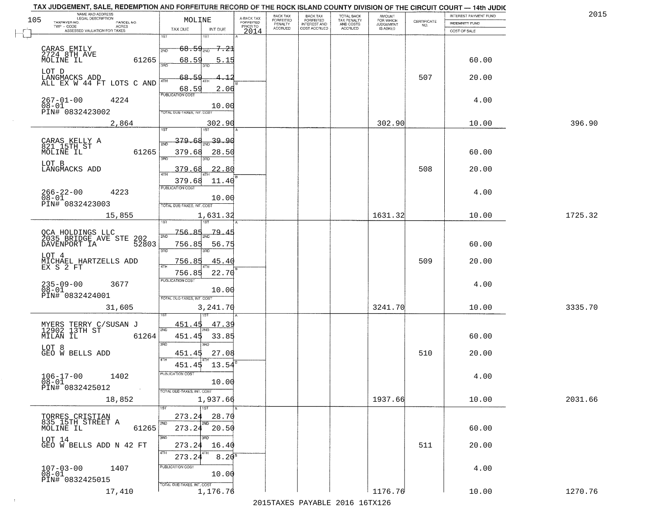| 105 | NAME AND ADDRESS<br>LEGAL DESCRIPTION<br>TAXPAYER NO.<br>PARCEL NO. | MOLINE                                |                     | A-BACK TAX<br>FORFEITED | BACK TAX<br>FORFEITED | <b>BACK TAX</b><br><b>FORFEITED</b> | TOTAL BACK<br>TAX PENALTY | <b>AMOUNT</b>                      | CERTIFICATE | INTEREST PAYMENT FUND                 | 2015    |
|-----|---------------------------------------------------------------------|---------------------------------------|---------------------|-------------------------|-----------------------|-------------------------------------|---------------------------|------------------------------------|-------------|---------------------------------------|---------|
|     | TWP - CODE<br>ACRES<br>ASSESSED VALUATION FOR TAXES                 | TAX DUE                               | INT DUE             | PRIOR TO<br>2014        | PENALTY<br>ACCRUED    | INTEREST AND<br>COST ACCRUED        | AND COSTS<br>ACCRUED      | FOR WHICH<br>JUDGEMENT<br>IS ASKED | NO.         | <b>INDEMNITY FUND</b><br>COST OF SALE |         |
|     |                                                                     | 1ST<br>181                            |                     |                         |                       |                                     |                           |                                    |             |                                       |         |
|     | CARAS EMILY<br>2724 8TH AVE                                         | <del>68.59 210</del><br>2ND           | <del>7.2</del> 1    |                         |                       |                                     |                           |                                    |             |                                       |         |
|     | MOLINE IL<br>61265                                                  | 68.59<br>29F)<br>3BD                  | 5.15                |                         |                       |                                     |                           |                                    |             | 60.00                                 |         |
|     | LOT D<br>LANGMACKS ADD                                              | 68.59                                 |                     |                         |                       |                                     |                           |                                    | 507         | 20.00                                 |         |
|     | ALL EX W 44 FT LOTS C AND                                           | 4TH<br>68.59                          | 2.06                |                         |                       |                                     |                           |                                    |             |                                       |         |
|     | $267 - 01 - 00$<br>4224                                             | <b>PUBLICATION COST</b>               |                     |                         |                       |                                     |                           |                                    |             | 4.00                                  |         |
|     | $08 - 01$<br>PIN# 0832423002                                        | TOTAL DUE-TAXES, INT. COS             | 10.00               |                         |                       |                                     |                           |                                    |             |                                       |         |
|     | 2,864                                                               | 1ST<br>1ST                            | 302.90              |                         |                       |                                     |                           | 302.90                             |             | 10.00                                 | 396.90  |
|     |                                                                     | 379.                                  | 39 90               |                         |                       |                                     |                           |                                    |             |                                       |         |
|     | CARAS KELLY A<br>821 15TH ST<br>MOLINE IL<br>61265                  | 2ND<br>379.68                         | 28.50               |                         |                       |                                     |                           |                                    |             | 60.00                                 |         |
|     | LOT B                                                               | 3RD                                   |                     |                         |                       |                                     |                           |                                    |             |                                       |         |
|     | LANGMACKS ADD                                                       | 379.68<br>47H                         | 22.80               |                         |                       |                                     |                           |                                    | 508         | 20.00                                 |         |
|     | $266 - 22 - 00$<br>4223                                             | 379.68<br>PUBLICATION COST            | 11.40               |                         |                       |                                     |                           |                                    |             | 4.00                                  |         |
|     | $08 - 01$<br>PIN# 0832423003                                        | TOTAL DUE-TAXES, INT. COST            | 10.00               |                         |                       |                                     |                           |                                    |             |                                       |         |
|     | 15,855                                                              |                                       | 1,631.32            |                         |                       |                                     |                           | 1631.32                            |             | 10.00                                 | 1725.32 |
|     |                                                                     |                                       |                     |                         |                       |                                     |                           |                                    |             |                                       |         |
|     | QCA HOLDINGS LLC<br>2035 BRIDGE AVE STE<br>202<br>52803             | 756.85<br>2ND                         | 79                  |                         |                       |                                     |                           |                                    |             |                                       |         |
|     | DAVENPORT IA<br>LOT 4                                               | 756.85<br>3 <sub>BD</sub><br>3RD      | 56.75               |                         |                       |                                     |                           |                                    |             | 60.00                                 |         |
|     | MICHAEL HARTZELLS ADD<br>EX S 2 FT                                  | 756.85<br>4TH                         | 45.40               |                         |                       |                                     |                           |                                    | 509         | 20.00                                 |         |
|     |                                                                     | 756.85<br><b>PUBLICATION COST</b>     | 22.70               |                         |                       |                                     |                           |                                    |             |                                       |         |
|     | 235-09-00<br>08-01<br>3677                                          |                                       | 10.00               |                         |                       |                                     |                           |                                    |             | 4.00                                  |         |
|     | PIN# 0832424001                                                     | TOTAL OUE-TAXES, INT. COST            |                     |                         |                       |                                     |                           |                                    |             |                                       |         |
|     | 31,605                                                              |                                       | 3,241.70            |                         |                       |                                     |                           | 3241.70                            |             | 10.00                                 | 3335.70 |
|     | MYERS TERRY C/SUSAN J<br>12902 13TH ST                              | 451.45<br>2ND                         | 47.39               |                         |                       |                                     |                           |                                    |             |                                       |         |
|     | 61264<br>MILAN IL                                                   | 451.45<br>3RD<br>3RD                  | 33.85               |                         |                       |                                     |                           |                                    |             | 60.00                                 |         |
|     | LOT 8<br>GEO W BELLS ADD                                            | 451.45                                | 27.08               |                         |                       |                                     |                           |                                    | 510         | 20.00                                 |         |
|     |                                                                     | 4TH<br>451.45                         | 13.54               |                         |                       |                                     |                           |                                    |             |                                       |         |
|     | $106 - 17 - 00$<br>1402<br>$08 - 01$                                | PUBLICATION COST                      | 10.00               |                         |                       |                                     |                           |                                    |             | 4.00                                  |         |
|     | PIN# 0832425012<br>$\sim 100$                                       | TOTAL DUE-TAXES, INT. COST            |                     |                         |                       |                                     |                           |                                    |             |                                       |         |
|     | 18,852                                                              | 1ST<br>1ST                            | 1,937.66            |                         |                       |                                     |                           | 1937.66                            |             | 10.00                                 | 2031.66 |
|     | TORRES CRISTIAN<br>835 15TH STREET A                                | 273.24                                | 28.70               |                         |                       |                                     |                           |                                    |             |                                       |         |
|     | MOLINE IL<br>61265                                                  | 2ND<br>2ND<br>$273.24$ <sup>eve</sup> | 20.50               |                         |                       |                                     |                           |                                    |             | 60.00                                 |         |
|     | LOT 14<br>GEO W BELLS ADD N 42 FT                                   | 3RD<br>273.24                         | 16.40               |                         |                       |                                     |                           |                                    | 511         | 20.00                                 |         |
|     |                                                                     | 4TH<br>273.24                         | $8.20$ <sup>B</sup> |                         |                       |                                     |                           |                                    |             |                                       |         |
|     | $107 - 03 - 00$<br>$08 - 01$<br>1407                                | PUBLICATION COST                      |                     |                         |                       |                                     |                           |                                    |             | 4.00                                  |         |
|     | PIN# 0832425015                                                     | TOTAL DUE-TAXES, INT. COST            | 10.00               |                         |                       |                                     |                           |                                    |             |                                       |         |
|     | 17,410                                                              |                                       | 1,176.76            |                         |                       |                                     |                           | 1176.76                            |             | 10.00                                 | 1270.76 |

 $\sim 10^{-1}$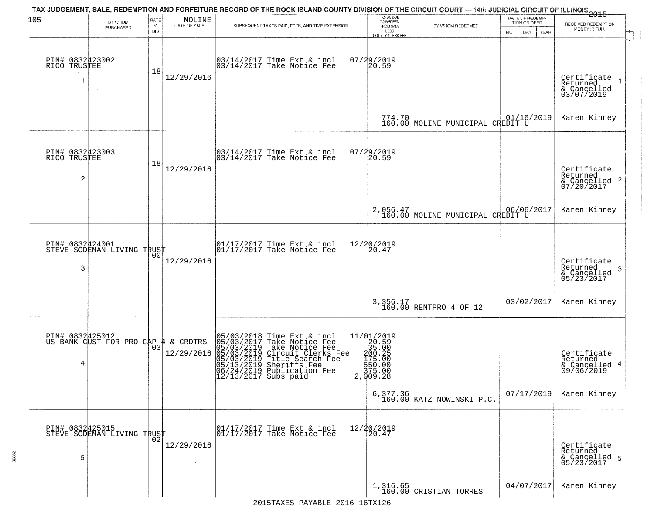| 105                                               | BY WHOM<br>PURCHASED                              | RATE<br>$\%$<br><b>BID</b> | MOLINE<br>DATE OF SALE | TAX JUDGEMENT, SALE, REDEMPTION AND FORFEITURE RECORD OF THE ROCK ISLAND COUNTY DIVISION OF THE CIRCUIT COURT — 14th JUDICIAL CIRCUIT OF ILLINOIS 2015<br>SUBSEQUENT TAXES PAID, FEES, AND TIME EXTENSION                            | TOTAL DUE<br>TO REDEEM<br>FROM SALE<br>LESS<br><b>COUNTY CLERK FEE</b>                                                     | BY WHOM REDEEMED                             | DATE OF REDEMP-<br>TION OR DEED<br>MO.<br>DAY.<br>YEAR | RECEIVED REDEMPTION<br>MONEY IN FULL                                   |
|---------------------------------------------------|---------------------------------------------------|----------------------------|------------------------|--------------------------------------------------------------------------------------------------------------------------------------------------------------------------------------------------------------------------------------|----------------------------------------------------------------------------------------------------------------------------|----------------------------------------------|--------------------------------------------------------|------------------------------------------------------------------------|
| PIN# 0832423002<br>RICO TRUSTEE                   |                                                   | 18                         | 12/29/2016             | 03/14/2017 Time Ext & incl<br>03/14/2017 Take Notice Fee                                                                                                                                                                             | 07/29/2019<br>20.59                                                                                                        |                                              |                                                        | Certificate 1<br>Returned<br>& Cancelled<br>03/07/2019                 |
|                                                   |                                                   |                            |                        |                                                                                                                                                                                                                                      |                                                                                                                            | 774.70 MOLINE MUNICIPAL CREDIT U             | 01/16/2019                                             | Karen Kinney                                                           |
| PIN# 0832423003<br>RICO TRUSTEE<br>$\overline{c}$ |                                                   | 18                         | 12/29/2016             | 03/14/2017 Time Ext & incl<br>03/14/2017 Take Notice Fee                                                                                                                                                                             | 07/29/2019<br>20.59                                                                                                        |                                              |                                                        | Certificate<br>Returned<br>$\frac{12241164}{67/20/2017}$<br>07/20/2017 |
|                                                   |                                                   |                            |                        |                                                                                                                                                                                                                                      |                                                                                                                            | 2,056.47<br>160.00 MOLINE MUNICIPAL CREDIT U |                                                        | Karen Kinney                                                           |
| PIN# 0832424001<br>3                              | STEVE SODEMAN LIVING TRUST                        | 00                         | 12/29/2016             | 01/17/2017 Time Ext & incl<br>01/17/2017 Take Notice Fee                                                                                                                                                                             | 12/20/2019<br>20.47                                                                                                        |                                              |                                                        | Certificate<br>Returned<br>3<br>& Cancelled<br>05/23/2017              |
|                                                   |                                                   |                            |                        |                                                                                                                                                                                                                                      |                                                                                                                            | $3,356.17$ RENTPRO 4 OF 12                   | 03/02/2017                                             | Karen Kinney                                                           |
| PIN# 0832425012<br>4                              | US BANK CUST FOR PRO CAP 4 & CRDTRS               |                            | 12/29/2016             | 05/03/2018 Time Ext & incl<br>05/03/2017 Take Notice Fee<br>05/03/2019 Take Notice Fee<br>05/03/2019 Circuit Clerks Fee<br>05/03/2019 Title Search Fee<br>05/13/2019 Publication Fee<br>06/24/2017 Subs paid<br>12/13/2017 Subs paid | ${\begin{array}{c} 11/01/2019\\20.59\\35.00\\ \textrm{200.25}\\ \textrm{175.00}\\ 175.00\\ 375.00\\ 2,009.28 \end{array}}$ |                                              |                                                        | Certificate<br>Returned<br>& Cancelled 4<br>09/06/2019                 |
|                                                   |                                                   |                            |                        |                                                                                                                                                                                                                                      |                                                                                                                            | 6,377.36 $\big $ KATZ NOWINSKI P.C.          | 07/17/2019                                             | Karen Kinney                                                           |
| 5                                                 | PIN# 0832425015    <br>STEVE SODEMAN LIVING TRUST | 02                         | 12/29/2016             | 01/17/2017 Time Ext & incl<br>01/17/2017 Take Notice Fee                                                                                                                                                                             | 12/20/2019<br>20.47                                                                                                        |                                              |                                                        | Certificate<br>Returned<br>& Cancelled 5<br>05/23/2017                 |
|                                                   |                                                   |                            |                        |                                                                                                                                                                                                                                      |                                                                                                                            | $1,316.65$<br>160.00 CRISTIAN TORRES         | 04/07/2017                                             | Karen Kinney                                                           |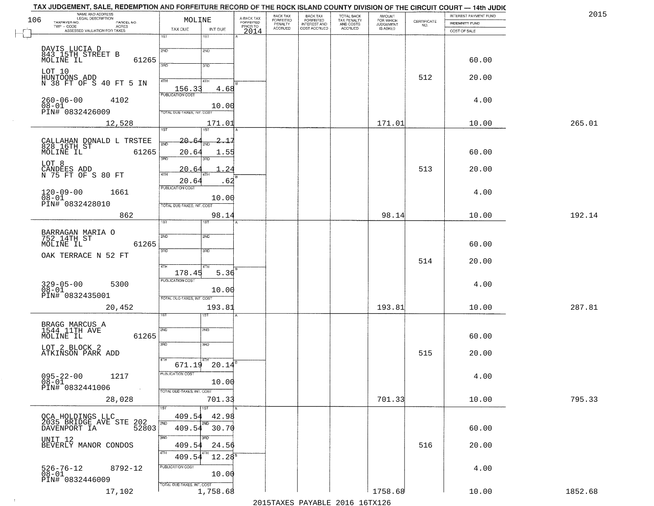| 2015   | INTEREST PAYMENT FUND |                                                                 | <b>AMOUNT</b>                      | TOTAL BACK<br>TAX PENALTY<br>AND COSTS<br>ACCRUED | BACK TAX<br>FORFEITED        | BACK TAX<br><b>FORFEITED</b> | A-BACK TAX            | MOLINE                                          | NAME AND ADDRESS<br>LEGAL DESCRIPTION                             |
|--------|-----------------------|-----------------------------------------------------------------|------------------------------------|---------------------------------------------------|------------------------------|------------------------------|-----------------------|-------------------------------------------------|-------------------------------------------------------------------|
|        | INDEMNITY FUND        | $\begin{array}{c} \text{CERTIFICATE} \\ \text{NO.} \end{array}$ | FOR WHICH<br>JUDGEMENT<br>IS ASKED |                                                   | INTEREST AND<br>COST ACCRUED | PENALTY<br>ACCRUED           | FORFEITED<br>PRIOR TO |                                                 | TAXPAYER NO.<br>PARCEL NO.<br>TWP - CODE<br><b>ACRES</b>          |
|        | COST OF SALE          |                                                                 |                                    |                                                   |                              |                              | 2014                  | TAX DUE<br>INT DUE<br>1ST<br>1ST                | ASSESSED VALUATION FOR TAXES                                      |
|        |                       |                                                                 |                                    |                                                   |                              |                              |                       |                                                 |                                                                   |
|        | 60.00                 |                                                                 |                                    |                                                   |                              |                              |                       | 2ND<br>2ND<br>3RD<br>3RD                        | DAVIS LUCIA D<br>843 15TH STREET B<br>MOLINE IL<br>61265          |
|        | 20.00                 | 512                                                             |                                    |                                                   |                              |                              |                       | 4TH<br>41H                                      | LOT 10<br>HUNTOONS ADD<br>N 38 FT OF S 40 FT 5 IN                 |
|        |                       |                                                                 |                                    |                                                   |                              |                              |                       | 156.33<br>4.68<br><b>PUBLICATION COST</b>       |                                                                   |
|        | 4.00                  |                                                                 |                                    |                                                   |                              |                              |                       | 10.00<br><b>TOTAL DUE-TAXES, INT. COST</b>      | $260 - 06 - 00$<br>4102<br>08-01<br>PIN# 0832426009               |
| 265.01 | 10.00                 |                                                                 | 171.01                             |                                                   |                              |                              |                       | 171.01<br>1ST<br>1ST                            | 12,528                                                            |
|        |                       |                                                                 |                                    |                                                   |                              |                              |                       | 20.6<br>2.15                                    |                                                                   |
|        | 60.00                 |                                                                 |                                    |                                                   |                              |                              |                       | 20.64<br>1.55                                   | CALLAHAN DONALD L TRSTEE<br>828 16TH ST<br>MOLINE IL<br>61265     |
|        | 20.00                 | 513                                                             |                                    |                                                   |                              |                              |                       | 3RD<br>20.6                                     | LOT 8                                                             |
|        |                       |                                                                 |                                    |                                                   |                              |                              |                       | 47H<br>4TH<br>20.64<br>.62                      | CANDEES ADD<br>N 75 FT OF S 80 FT                                 |
|        | 4.00                  |                                                                 |                                    |                                                   |                              |                              |                       | PUBLICATION COST<br>10.00                       | $120 - 09 - 00$<br>$08 - 01$<br>1661                              |
| 192.14 | 10.00                 |                                                                 | 98.14                              |                                                   |                              |                              |                       | TOTAL DUE-TAXES, INT. COST<br>98.14             | PIN# 0832428010<br>862                                            |
|        |                       |                                                                 |                                    |                                                   |                              |                              |                       | ist.<br>1ST                                     |                                                                   |
|        | 60.00                 |                                                                 |                                    |                                                   |                              |                              |                       | 2ND<br>2ND                                      | BARRAGAN MARIA O<br>752 14TH ST<br>61265<br>MOLINE IL             |
|        |                       | 514                                                             |                                    |                                                   |                              |                              |                       | 3RD<br>3 <sub>3</sub>                           | OAK TERRACE N 52 FT                                               |
|        | 20.00                 |                                                                 |                                    |                                                   |                              |                              |                       | 4TH<br>4TH<br>178.45<br>5.36                    |                                                                   |
|        | 4.00                  |                                                                 |                                    |                                                   |                              |                              |                       | <b>PUBLICATION COST</b><br>10.00                | 329-05-00<br>08-01<br>5300                                        |
|        |                       |                                                                 |                                    |                                                   |                              |                              |                       | TOTAL OUE-TAXES, INT. COST                      | PIN# 0832435001                                                   |
| 287.81 | 10.00                 |                                                                 | 193.81                             |                                                   |                              |                              |                       | 193.81<br>ड़ा                                   | 20,452                                                            |
|        | 60.00                 |                                                                 |                                    |                                                   |                              |                              |                       | SVD<br>SND                                      | BRAGG MARCUS A<br>1544 11TH AVE<br>61265<br>MOLINE IL             |
|        |                       |                                                                 |                                    |                                                   |                              |                              |                       | 3RD<br>3RD                                      | LOT 2 BLOCK 2                                                     |
|        | 20.00                 | 515                                                             |                                    |                                                   |                              |                              |                       | 4TH<br>$671.19$ $20.14^8$                       | ATKINSON PARK ADD                                                 |
|        | 4.00                  |                                                                 |                                    |                                                   |                              |                              |                       | PUBLICATION COST<br>10.00                       | $095 - 22 - 00$<br>1217<br>$08 - 01$                              |
|        |                       |                                                                 |                                    |                                                   |                              |                              |                       | TOTAL DUE-TAXES, INT. COST                      | PIN# 0832441006                                                   |
| 795.33 | 10.00                 |                                                                 | 701.33                             |                                                   |                              |                              |                       | 701.33<br>1ST<br>1ST                            | 28,028                                                            |
|        |                       |                                                                 |                                    |                                                   |                              |                              |                       | 409.54<br>42.98<br>2ND<br>2ND                   | OCA HOLDINGS LLC<br>2035 BRIDGE AVE STE 202<br>- WENDORT TA 52803 |
|        | 60.00                 |                                                                 |                                    |                                                   |                              |                              |                       | 30.70<br>409.54<br>3RD<br>3RD                   | UNIT <sub>12</sub>                                                |
|        | 20.00                 | 516                                                             |                                    |                                                   |                              |                              |                       | 409.54<br>24.56<br>4TH<br>$12.28^{8}$<br>409.54 | BEVERLY MANOR CONDOS                                              |
|        | 4.00                  |                                                                 |                                    |                                                   |                              |                              |                       | PUBLICATION COST                                | 526-76-12<br>08-01<br>8792-12                                     |
|        |                       |                                                                 |                                    |                                                   |                              |                              |                       | 10.00<br>TOTAL DUE-TAXES, INT. COST             | PIN# 0832446009                                                   |
|        |                       |                                                                 |                                    |                                                   |                              |                              |                       |                                                 |                                                                   |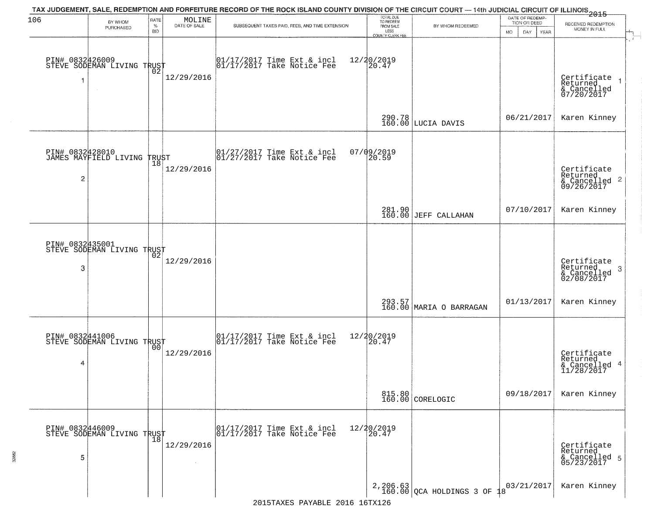| 106 | BY WHOM                                        | RATE               | MOLINE       | TAX JUDGEMENT, SALE, REDEMPTION AND FORFEITURE RECORD OF THE ROCK ISLAND COUNTY DIVISION OF THE CIRCUIT COURT — 14th JUDICIAL CIRCUIT OF ILLINOIS 2015 | TOTAL DUE<br>TO REDEEM                       |                                       | DATE OF REDEMP<br>TION OR DEED |                                                           |
|-----|------------------------------------------------|--------------------|--------------|--------------------------------------------------------------------------------------------------------------------------------------------------------|----------------------------------------------|---------------------------------------|--------------------------------|-----------------------------------------------------------|
|     | PURCHASED                                      | $\%$<br><b>BID</b> | DATE OF SALE | SUBSEQUENT TAXES PAID, FEES, AND TIME EXTENSION                                                                                                        | FROM SALE<br>LESS<br><b>COUNTY CLERK FEE</b> | BY WHOM REDEEMED                      | MO.<br>DAY.<br>YEAR            | RECEIVED REDEMPTION<br>MONEY IN FULL                      |
| 1   | PIN# 0832426009<br>STEVE SODEMAN LIVING TRUST  | 02                 | 12/29/2016   | $\begin{bmatrix} 01/17/2017 \\ 01/17/2017 \\ 01 \end{bmatrix}$ Take Notice Fee                                                                         | 12/20/2019<br>20.47                          |                                       |                                | Certificate<br>Returned<br>& Cancelled<br>07/20/2017      |
|     |                                                |                    |              |                                                                                                                                                        |                                              | 290.78<br>160.00 LUCIA DAVIS          | 06/21/2017                     | Karen Kinney                                              |
| 2   | PIN# 0832428010<br>JAMES MAYFIELD LIVING TRUST |                    | 12/29/2016   | 01/27/2017 Time Ext & incl<br>01/27/2017 Take Notice Fee                                                                                               | $07/09/2019$<br>20.59                        |                                       |                                | Certificate<br>Returned<br>& Cancelled 2<br>09/26/2017    |
|     |                                                |                    |              |                                                                                                                                                        |                                              | 281.90<br>160.00 JEFF CALLAHAN        | 07/10/2017                     | Karen Kinney                                              |
| 3   | PIN# 0832435001<br>STEVE SODEMAN LIVING TRUST  | 02                 | 12/29/2016   |                                                                                                                                                        |                                              |                                       |                                | Certificate<br>Returned<br>3<br>& Cancelled<br>02/08/2017 |
|     |                                                |                    |              |                                                                                                                                                        |                                              | 293.57<br>160.00 MARIA O BARRAGAN     | 01/13/2017                     | Karen Kinney                                              |
| 4   | PIN# 0832441006<br>STEVE SODEMAN LIVING TRUST  |                    | 12/29/2016   | $\begin{bmatrix} 01/17/2017 \\ 01/17/2017 \end{bmatrix}$ Take Notice Fee                                                                               | 12/20/2019<br>$\overline{20.47}$             |                                       |                                | Certificate<br>Returned<br>& Cancelled 4<br>11/28/2017    |
|     |                                                |                    |              |                                                                                                                                                        |                                              | 815.80<br>160.00 CORELOGIC            | 09/18/2017                     | Karen Kinney                                              |
| 5   | PIN# 0832446009<br>STEVE SODEMAN LIVING TRUST  |                    | 12/29/2016   | 01/17/2017 Time Ext & incl<br>01/17/2017 Take Notice Fee                                                                                               | 12/20/2019<br>20.47                          |                                       |                                | Certificate<br>Returned<br>& Cancelled 5<br>05/23/2017    |
|     |                                                |                    |              |                                                                                                                                                        |                                              | $2,206.63$ QCA HOLDINGS 3 OF $18^{9}$ | 03/21/2017                     | Karen Kinney                                              |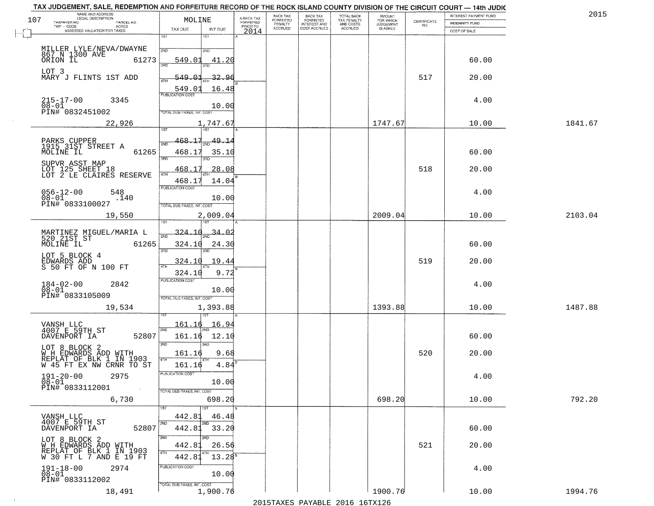|     | NAME AND ADDRESS<br>LEGAL DESCRIPTION              |                                   |               |                                     | BACK TAX             | <b>BACK TAX</b>                  | <b>TOTAL BACK</b>        | AMOUNT<br>FOR WHICH |                                                                 | INTEREST PAYMENT FUND |         | 2015 |
|-----|----------------------------------------------------|-----------------------------------|---------------|-------------------------------------|----------------------|----------------------------------|--------------------------|---------------------|-----------------------------------------------------------------|-----------------------|---------|------|
| 107 | TAXPAYER NO.<br>PARCEL NO.<br>TWP - CODE<br>ACRES  | MOLINE                            |               | A-BACK TAX<br>FORFEITED<br>PRIOR TO | FORFEITED<br>PENALTY | FORFEITED<br><b>INTEREST AND</b> | TAX PENALTY<br>AND COSTS | <b>JUDGEMENT</b>    | $\begin{array}{c} \text{CERTIFICATE} \\ \text{NO.} \end{array}$ | <b>INDEMNITY FUND</b> |         |      |
|     | ASSESSED VALUATION FOR TAXES                       | TAX DUE<br>1ST                    | INT DUE       | 2014                                | <b>ACCRUED</b>       | COST ACCRUED                     | <b>ACCRUED</b>           | IS ASKED            |                                                                 | COST OF SALE          |         |      |
|     |                                                    |                                   | 18T           |                                     |                      |                                  |                          |                     |                                                                 |                       |         |      |
|     | MILLER LYLE/NEVA/DWAYNE<br>867 N 1300 AVE 612      | 2ND                               | 2ND           |                                     |                      |                                  |                          |                     |                                                                 |                       |         |      |
|     | 61273                                              | 549.01                            | 41.20         |                                     |                      |                                  |                          |                     |                                                                 | 60.00                 |         |      |
|     | LOT 3                                              | 350                               |               |                                     |                      |                                  |                          |                     |                                                                 |                       |         |      |
|     | MARY J FLINTS 1ST ADD                              | 549.01<br>ATH                     | 32.96         |                                     |                      |                                  |                          |                     | 517                                                             | 20.00                 |         |      |
|     |                                                    | 549.01                            | 16.48         |                                     |                      |                                  |                          |                     |                                                                 |                       |         |      |
|     | $215 - 17 - 00$<br>3345                            | <b>PUBLICATION COST</b>           |               |                                     |                      |                                  |                          |                     |                                                                 | 4.00                  |         |      |
|     | $\overline{08} - 0\overline{1}$<br>PIN# 0832451002 | TOTAL DUE-TAXES, INT. COST        | 10.00         |                                     |                      |                                  |                          |                     |                                                                 |                       |         |      |
|     |                                                    |                                   |               |                                     |                      |                                  |                          |                     |                                                                 |                       |         |      |
|     | 22,926                                             |                                   | 1,747.67      |                                     |                      |                                  |                          | 1747.67             |                                                                 | 10.00                 | 1841.67 |      |
|     |                                                    | 468.17                            | <u>49.1</u>   |                                     |                      |                                  |                          |                     |                                                                 |                       |         |      |
|     | PARKS CUPPER<br>1915 31ST STREET A                 | 2ND                               |               |                                     |                      |                                  |                          |                     |                                                                 |                       |         |      |
|     | 61265<br>MOLINE IL                                 | 468.17<br>$\overline{3BD}$        | 35.10<br>חוז  |                                     |                      |                                  |                          |                     |                                                                 | 60.00                 |         |      |
|     | SUPVR ASST MAP                                     | 468.17                            | 28.08         |                                     |                      |                                  |                          |                     | 518                                                             | 20.00                 |         |      |
|     | LOT 125 SHEET 18<br>LOT 2 LE CLAIRES RESERVE       | $\sqrt{4}$<br>468.17              | 14.04         |                                     |                      |                                  |                          |                     |                                                                 |                       |         |      |
|     |                                                    | PUBLICATION COST                  |               |                                     |                      |                                  |                          |                     |                                                                 |                       |         |      |
|     | $056 - 12 - 00$<br>548<br>$08 - 01$<br>.140        |                                   | 10.00         |                                     |                      |                                  |                          |                     |                                                                 | 4.00                  |         |      |
|     | PIN# 0833100027                                    | TOTAL DUE-TAXES, INT. COST        |               |                                     |                      |                                  |                          |                     |                                                                 |                       |         |      |
|     | 19,550                                             |                                   | 2,009.04      |                                     |                      |                                  |                          | 2009.04             |                                                                 | 10.00                 | 2103.04 |      |
|     |                                                    | isT                               | ١S٦           |                                     |                      |                                  |                          |                     |                                                                 |                       |         |      |
|     | MARTINEZ MIGUEL/MARIA L<br>520 21ST ST             | 324.10<br>2ND                     | <u>34.0.</u>  |                                     |                      |                                  |                          |                     |                                                                 |                       |         |      |
|     | MOLINE IL<br>61265                                 | 324.10<br>3BD                     | 24.30<br>3RD  |                                     |                      |                                  |                          |                     |                                                                 | 60.00                 |         |      |
|     | LOT 5 BLOCK 4                                      |                                   |               |                                     |                      |                                  |                          |                     |                                                                 |                       |         |      |
|     | EDWARDS ADD<br>S 50 FT OF N 100 FT                 | 324.10<br>4TH                     | 19.4          |                                     |                      |                                  |                          |                     | 519                                                             | 20.00                 |         |      |
|     |                                                    | 324.10<br><b>PUBLICATION COST</b> | 9.72          |                                     |                      |                                  |                          |                     |                                                                 |                       |         |      |
|     | $184 - 02 - 00$<br>2842<br>$08 - 01$               |                                   | 10.00         |                                     |                      |                                  |                          |                     |                                                                 | 4.00                  |         |      |
|     | PIN# 0833105009                                    | TOTAL OUE-TAXES, INT. COST        |               |                                     |                      |                                  |                          |                     |                                                                 |                       |         |      |
|     | 19,534                                             |                                   | 1,393.88      |                                     |                      |                                  |                          | 1393.88             |                                                                 | 10.00                 | 1487.88 |      |
|     |                                                    |                                   |               |                                     |                      |                                  |                          |                     |                                                                 |                       |         |      |
|     | VANSH LLC<br>4007 E 59TH ST                        | 161.16<br>2ND                     | 16.94         |                                     |                      |                                  |                          |                     |                                                                 |                       |         |      |
|     | DAVENPORT IA<br>52807                              | 161.16                            | 12.10         |                                     |                      |                                  |                          |                     |                                                                 | 60.00                 |         |      |
|     | LOT 8 BLOCK 2                                      | 3RD                               | 3RD           |                                     |                      |                                  |                          |                     |                                                                 |                       |         |      |
|     | W H EDWARDS ADD WITH<br>REPLAT OF BLK 1 IN 1903    | 161.16<br>4TH                     | 9.68          |                                     |                      |                                  |                          |                     | 520                                                             | 20.00                 |         |      |
|     | W 45 FT EX NW CRNR TO ST                           | 161.16                            | 4.84          |                                     |                      |                                  |                          |                     |                                                                 |                       |         |      |
|     | $191 - 20 - 00$<br>2975                            | 'usuca hun cus                    |               |                                     |                      |                                  |                          |                     |                                                                 | 4.00                  |         |      |
|     | 08-01<br>PIN# 0833112001<br><b>Contract</b>        |                                   | 10.00         |                                     |                      |                                  |                          |                     |                                                                 |                       |         |      |
|     |                                                    | TOTAL DUE-TAXES, INT. COST        |               |                                     |                      |                                  |                          | 698.20              |                                                                 |                       | 792.20  |      |
|     | 6,730                                              |                                   | 698.20<br>1ST |                                     |                      |                                  |                          |                     |                                                                 | 10.00                 |         |      |
|     | VANSH LLC                                          | 442.81                            | 46.48         |                                     |                      |                                  |                          |                     |                                                                 |                       |         |      |
|     | 4007 E 59TH ST<br>52807<br>DAVENPORT IA            | 2ND<br>442.81                     | 2ND<br>33.20  |                                     |                      |                                  |                          |                     |                                                                 | 60.00                 |         |      |
|     |                                                    | 3RD                               |               |                                     |                      |                                  |                          |                     |                                                                 |                       |         |      |
|     | LOT 8 BLOCK 2<br>W H EDWARDS ADD WITH              | 442.81                            | 26.56         |                                     |                      |                                  |                          |                     | 521                                                             | 20.00                 |         |      |
|     | REPLAT OF BLK 1 IN 1903<br>W 30 FT L 7 AND E 19 FT | 4TH<br>442.81                     | $13.28^{8}$   |                                     |                      |                                  |                          |                     |                                                                 |                       |         |      |
|     | $191 - 18 - 00$<br>2974                            | PUBLICATION COST                  |               |                                     |                      |                                  |                          |                     |                                                                 | 4.00                  |         |      |
|     | $08 - 01$                                          |                                   | 10.00         |                                     |                      |                                  |                          |                     |                                                                 |                       |         |      |
|     | PIN# 0833112002                                    | TOTAL DUE-TAXES, INT. COST        |               |                                     |                      |                                  |                          |                     |                                                                 |                       |         |      |
|     | 18,491                                             |                                   | 1,900.76      |                                     |                      |                                  |                          | 1900.76             |                                                                 | 10.00                 | 1994.76 |      |

 $\sim 10^{-1}$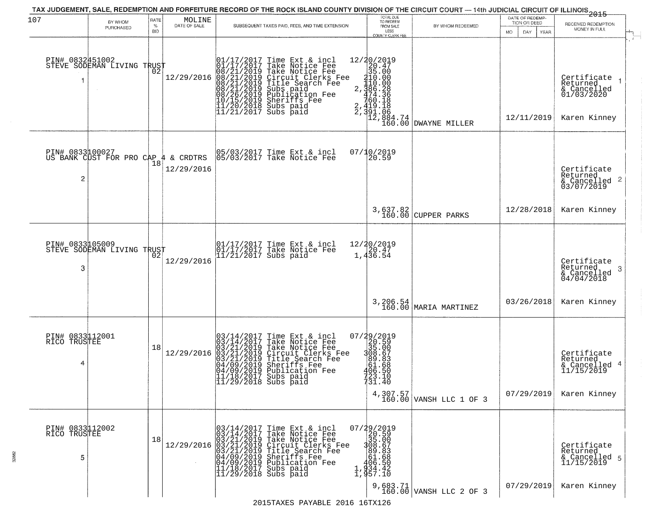| 107                                  | BY WHOM<br>PURCHASED                                     | RATE<br>$\%$<br><b>BID</b> | MOLINE<br>DATE OF SALE | SUBSEQUENT TAXES PAID, FEES, AND TIME EXTENSION                                                                                                                                                                                                                                                                                                                    | TOTAL DUE<br>TO REDEEM<br>FROM SALE<br>LESS<br>COUNTY CLERK FEE                                                                                                                                                                     | BY WHOM REDEEMED                     | DATE OF REDEMP-<br>TION OR DEED<br>MO.<br>DAY<br>YEAR | 2015<br>RECEIVED REDEMPTION<br>MONEY IN FULL                                                                                  |
|--------------------------------------|----------------------------------------------------------|----------------------------|------------------------|--------------------------------------------------------------------------------------------------------------------------------------------------------------------------------------------------------------------------------------------------------------------------------------------------------------------------------------------------------------------|-------------------------------------------------------------------------------------------------------------------------------------------------------------------------------------------------------------------------------------|--------------------------------------|-------------------------------------------------------|-------------------------------------------------------------------------------------------------------------------------------|
| PIN# 0832451002                      | STEVE SODEMAN LIVING TRUST                               |                            | 12/29/2016             | $\begin{smallmatrix} 01/17/2017\\01/17/2017\\08/21/2019\\08/21/2019\\08/21/2019\\08/21/2019\\08/21/2019\\08/26/2019\\10/15/2019\\11/20/2018\\11/21/2017 \end{smallmatrix}$<br>Time Ext & incl<br>Take Notice Fee<br>Circuit Clerks Fee<br>Circuit Clerks Fee<br>Title Search Fee<br>Subs paid<br>Publication Fee<br>Sheriffs Fee<br>Subs paid<br>Subs paid         | $\begin{array}{r} 12/20/2019 \\20.47 \\35.000 \\110.000 \\2.386 \\2.410 \\760.18 \\760.18 \\760.18 \\760.18 \\760.18 \\191.08 \\2.419 \\1.08 \\2.419 \\1.08 \\2\end{array}$<br>$\overline{12}, \overline{884}.74 \overline{160}.00$ | <b>DWAYNE MILLER</b>                 | 12/11/2019                                            | $\mathcal{L}$<br>Certificate<br>Returned<br>& Cancelled<br>01/03/2020<br>Karen Kinney                                         |
| 2                                    | PIN# 0833100027<br>US BANK CUST FOR PRO CAP 4 & CRDTRS   | ้18                        | 12/29/2016             | 05/03/2017 Time Ext & incl<br>05/03/2017 Take Notice Fee                                                                                                                                                                                                                                                                                                           | 07/10/2019<br>20.59                                                                                                                                                                                                                 |                                      |                                                       | Certificate<br>Returned<br>$\frac{1}{6}$ Cancelled 2<br>03/07/2019                                                            |
|                                      |                                                          |                            |                        |                                                                                                                                                                                                                                                                                                                                                                    |                                                                                                                                                                                                                                     | 3,637.82<br>160.00 CUPPER PARKS      | 12/28/2018                                            | Karen Kinney                                                                                                                  |
| PIN# 0833105009<br>3                 | STEVE SODEMAN LIVING TRUST<br>STEVE SODEMAN LIVING TRUST |                            | 12/29/2016             | 01/17/2017 Time Ext & incl<br>01/17/2017 Take Notice Fee<br>11/21/2017 Subs paid                                                                                                                                                                                                                                                                                   | $12/20/2019$<br>$20.47$<br>$1,4\bar{3}\bar{6}.54$                                                                                                                                                                                   |                                      |                                                       | Certificate<br>Returned<br>-3<br>$\begin{array}{c}\n\text{recenter} \\ \text{\&} \text{Cancelled} \\ 04/04/2018\n\end{array}$ |
|                                      |                                                          |                            |                        |                                                                                                                                                                                                                                                                                                                                                                    |                                                                                                                                                                                                                                     | 3, 206.54<br>160.00 MARIA MARTINEZ   | 03/26/2018                                            | Karen Kinney                                                                                                                  |
| PIN# 0833112001<br>RICO TRUSTEE<br>4 |                                                          | 18                         | 12/29/2016             | $03/14/2017$ Time Ext & incl<br>$03/14/2017$ Take Notice Fee<br>$03/21/2019$ Take Notice Fee<br>$03/21/2019$ Circuit Clerks Fee<br>$03/21/2019$ Title Search Fee<br>$04/09/2019$ Sublication Fee<br>$11/18/2017$ Subs paid<br>$11/29/2018$                                                                                                                         | ${\footnotesize \begin{array}{c} 07/29/2019 \\ 20.590 \\ 308.67 \\ 908.673 \\ 61.653 \\ 406.550 \\ 406.550 \\ 723.10 \\ 731.40 \end{array}}$                                                                                        | 4, 307.57<br>160.00 VANSH LLC 1 OF 3 | 07/29/2019                                            | Certificate<br>Returned<br>& Cancelled 4<br>11/15/2019<br>Karen Kinney                                                        |
| PIN# 0833112002<br>RICO TRUSTEE<br>5 |                                                          | 18                         |                        | $12/29/2016 \begin{array}{l} 03/14/2017 \text{ Time Ext & incl} \\ 03/14/2017 \text{ Take Notice Free} \\ 03/21/2019 \text{ Take Notice Free} \\ 03/21/2019 \text{ Circle See} \\ 03/21/2019 \text{ Title Search} \\ 04/09/2019 \text{ Sublication} \\ 04/09/2019 \text{ Sublication} \\ 11/18/2017 \text{ Subs paid} \\ 11/29/2018 \text{ Subs paid} \end{array}$ | $\begin{smallmatrix} 07/29/2019\\20.59\\368.00\\308.67\\89.63\\406.550\\1,934.42\\1,957.10 \end{smallmatrix}$                                                                                                                       |                                      |                                                       | Certificate<br>Returned<br>& Cancelled 5<br>11/15/2019                                                                        |
|                                      |                                                          |                            |                        | 2015TAXES PAYABLE 2016 16TX126                                                                                                                                                                                                                                                                                                                                     |                                                                                                                                                                                                                                     | 9,683.71<br>160.00 VANSH LLC 2 OF 3  | 07/29/2019                                            | Karen Kinney                                                                                                                  |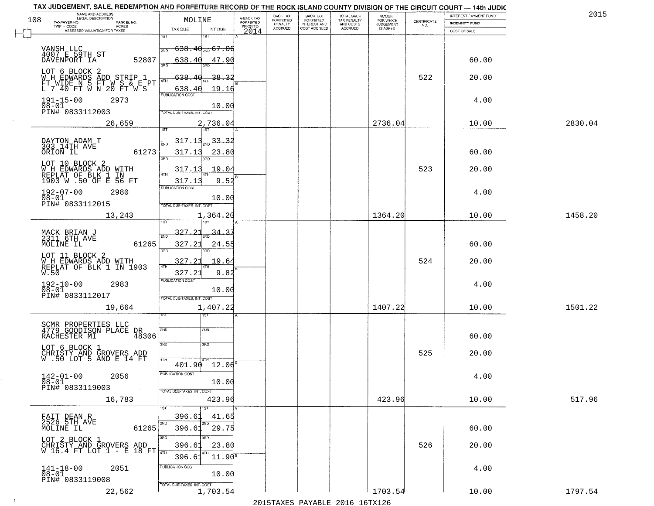| 108 | NAME AND ADDRESS<br>LEGAL DESCRIPTION                                          | MOLINE                                     | A-BACK TAX                   | BACK TAX<br><b>FORFEITED</b> | <b>BACK TAX</b><br><b>FORFEITED</b> | TOTAL BACK<br>TAX PENALTY | <b>AMOUNT</b>                      | CERTIFICATE | INTEREST PAYMENT FUND | 2015    |
|-----|--------------------------------------------------------------------------------|--------------------------------------------|------------------------------|------------------------------|-------------------------------------|---------------------------|------------------------------------|-------------|-----------------------|---------|
|     | TAXPAYER NO.<br>PARCEL NO.<br>TWP - CODE<br>ACRES                              |                                            | <b>FORFEITED</b><br>PRIOR TO | PENALTY<br>ACCRUED           | INTEREST AND<br>COST ACCRUED        | AND COSTS<br>ACCRUED      | FOR WHICH<br>JUDGEMENT<br>IS ASKED | NO.         | <b>INDEMNITY FUND</b> |         |
|     | ASSESSED VALUATION FOR TAXES                                                   | TAX DUE<br>INT DUE<br>ist<br>1ST           | 2014                         |                              |                                     |                           |                                    |             | COST OF SALE          |         |
|     |                                                                                |                                            |                              |                              |                                     |                           |                                    |             |                       |         |
|     | VANSH LLC<br>4007 E 59TH ST                                                    | <del>638․40<sub>ଆ</sub> 67․06</del><br>2ND |                              |                              |                                     |                           |                                    |             |                       |         |
|     | 52807<br>DAVENPORT IA                                                          | 638.40<br>47.90<br>3AD                     |                              |                              |                                     |                           |                                    |             | 60.00                 |         |
|     | LOT 6 BLOCK 2                                                                  | $-638$<br>38.3                             |                              |                              |                                     |                           |                                    | 522         | 20.00                 |         |
|     | WH EDWARDS ADD STRIP 1<br>FT WIDE N 5 FT W S & E PT<br>L 7 40 FT W N 20 FT W S | 4TH                                        |                              |                              |                                     |                           |                                    |             |                       |         |
|     |                                                                                | 638.40<br>19.16<br>PUBLICATION COST        |                              |                              |                                     |                           |                                    |             |                       |         |
|     | $191 - 15 - 00$<br>2973<br>$08 - 01$                                           | 10.00                                      |                              |                              |                                     |                           |                                    |             | 4.00                  |         |
|     | PIN# 0833112003                                                                | TOTAL DUE-TAXES, INT. COST                 |                              |                              |                                     |                           |                                    |             |                       |         |
|     | 26,659                                                                         | 2,736.04<br>Tist<br>1ST                    |                              |                              |                                     |                           | 2736.04                            |             | 10.00                 | 2830.04 |
|     |                                                                                | <u>317.13</u><br>33.                       |                              |                              |                                     |                           |                                    |             |                       |         |
|     | DAYTON ADAM T<br>303 14TH AVE                                                  | 2ND                                        |                              |                              |                                     |                           |                                    |             |                       |         |
|     | ORION IL<br>61273                                                              | 317.13<br>23.80<br>3RD                     |                              |                              |                                     |                           |                                    |             | 60.00                 |         |
|     | LOT 10 BLOCK 2<br>W H EDWARDS ADD WITH                                         | 317.1<br>19.04                             |                              |                              |                                     |                           |                                    | 523         | 20.00                 |         |
|     | REPLAT OF BLK 1 IN<br>1903 W .50 OF E 56 FT                                    | 47H<br>9.52<br>317.1                       |                              |                              |                                     |                           |                                    |             |                       |         |
|     | $192 - 07 - 00$<br>2980                                                        | PUBLICATION COST                           |                              |                              |                                     |                           |                                    |             | 4.00                  |         |
|     | $08 - 01$<br>PIN# 0833112015                                                   | 10.00                                      |                              |                              |                                     |                           |                                    |             |                       |         |
|     |                                                                                | TOTAL DUE-TAXES, INT. COST<br>1,364.20     |                              |                              |                                     |                           | 1364.20                            |             | 10.00                 | 1458.20 |
|     | 13,243                                                                         |                                            |                              |                              |                                     |                           |                                    |             |                       |         |
|     | MACK BRIAN J<br>2311 6TH AVE                                                   | 327.2<br><u>34.37</u><br>2ND               |                              |                              |                                     |                           |                                    |             |                       |         |
|     | 61265<br>MOLINE IL                                                             | 327.23<br>24.55                            |                              |                              |                                     |                           |                                    |             | 60.00                 |         |
|     | LOT 11 BLOCK 2                                                                 | 3RD                                        |                              |                              |                                     |                           |                                    |             |                       |         |
|     | W H EDWARDS ADD WITH<br>REPLAT OF BLK 1 IN 1903                                | 327.23<br>19.64<br>4TH                     |                              |                              |                                     |                           |                                    | 524         | 20.00                 |         |
|     | W.50                                                                           | 9.82<br>327.23                             |                              |                              |                                     |                           |                                    |             |                       |         |
|     | $192 - 10 - 00$<br>$08 - 01$<br>2983                                           | <b>PUBLICATION COST</b>                    |                              |                              |                                     |                           |                                    |             | 4.00                  |         |
|     | PIN# 0833112017                                                                | 10.00<br>TOTAL OUE-TAXES, INT. COST        |                              |                              |                                     |                           |                                    |             |                       |         |
|     | 19,664                                                                         | 1,407.22                                   |                              |                              |                                     |                           | 1407.22                            |             | 10.00                 | 1501.22 |
|     |                                                                                |                                            |                              |                              |                                     |                           |                                    |             |                       |         |
|     | SCMR PROPERTIES LLC<br>4779 GOODISON PLACE<br>DR                               | 2ND<br>2ND                                 |                              |                              |                                     |                           |                                    |             |                       |         |
|     | 48306<br>RACHESTER MI                                                          |                                            |                              |                              |                                     |                           |                                    |             | 60.00                 |         |
|     | LOT 6 BLOCK 1                                                                  | 3RD<br>3RD                                 |                              |                              |                                     |                           |                                    | 525         | 20.00                 |         |
|     | CHRISTY AND GROVERS ADD<br>W.50 LOT 5 AND E 14 FT                              | 4TH<br>$401.90$ $12.06$ <sup>B</sup>       |                              |                              |                                     |                           |                                    |             |                       |         |
|     |                                                                                | PUBLICATION COST                           |                              |                              |                                     |                           |                                    |             |                       |         |
|     | $142 - 01 - 00$<br>2056<br>08-01                                               | 10.00                                      |                              |                              |                                     |                           |                                    |             | 4.00                  |         |
|     | PIN# 0833119003<br>$\sim 100$                                                  | TOTAL DUE-TAXES, INT. COST                 |                              |                              |                                     |                           |                                    |             |                       |         |
|     | 16,783                                                                         | 423.96                                     |                              |                              |                                     |                           | 423.96                             |             | 10.00                 | 517.96  |
|     |                                                                                | 396.61<br>41.65                            |                              |                              |                                     |                           |                                    |             |                       |         |
|     | FAIT DEAN R<br>2526 5TH AVE<br>MOLINE IL<br>61265                              | 2ND<br><b>2ND</b><br>29.75<br>396.61       |                              |                              |                                     |                           |                                    |             | 60.00                 |         |
|     | LOT 2 BLOCK 1                                                                  | 3BD<br>अंग                                 |                              |                              |                                     |                           |                                    |             |                       |         |
|     | CHRISTY AND GROVERS ADD<br>W 16.4 FT LOT 1 - E 18 FT                           | 396.61<br>23.80                            |                              |                              |                                     |                           |                                    | 526         | 20.00                 |         |
|     |                                                                                | $11.90^8$<br>396.61                        |                              |                              |                                     |                           |                                    |             |                       |         |
|     | 2051<br>$141 - 18 - 00$<br>$08 - 01$                                           | PUBLICATION COST                           |                              |                              |                                     |                           |                                    |             | 4.00                  |         |
|     | PIN# 0833119008                                                                | 10.00                                      |                              |                              |                                     |                           |                                    |             |                       |         |
|     | 22,562                                                                         | TOTAL DUE-TAXES, INT. COST<br>1,703.54     |                              |                              |                                     |                           | 1703.54                            |             | 10.00                 | 1797.54 |
|     |                                                                                |                                            |                              |                              |                                     |                           |                                    |             |                       |         |

 $\sim 100$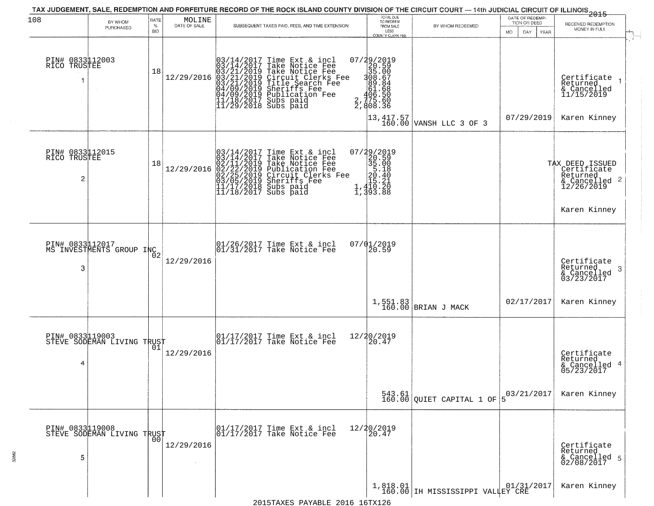| 108                                  | BY WHOM<br>PURCHASED                          | RATE<br>$\%$<br><b>BID</b> | MOLINE<br>DATE OF SALE | SUBSEQUENT TAXES PAID, FEES, AND TIME EXTENSION                                                                                                                                                                                                                                                                              | TOTAL DUE<br>TO REDEEM<br>FROM SALE<br>LESS<br><b>COUNTY CLERK FEE</b>                                          | BY WHOM REDEEMED                                                                 | DATE OF REDEMP-<br>TION OR DEED<br>MO.<br>DAY.<br>YEAR | $-2015$<br>RECEIVED REDEMPTION<br>MONEY IN FULL                                                         |
|--------------------------------------|-----------------------------------------------|----------------------------|------------------------|------------------------------------------------------------------------------------------------------------------------------------------------------------------------------------------------------------------------------------------------------------------------------------------------------------------------------|-----------------------------------------------------------------------------------------------------------------|----------------------------------------------------------------------------------|--------------------------------------------------------|---------------------------------------------------------------------------------------------------------|
| PIN# 0833112003<br>RICO TRUSTEE<br>1 |                                               | 18                         | 12/29/2016             | Time Ext & incl<br>Take Notice Fee<br>$\begin{smallmatrix} 03/14/2017\\ 03/14/2017\\ 03/21/2019\\ 03/21/2019\\ 03/21/2019\\ 04/09/2019\\ 04/09/2019\\ 11/18/2017 \end{smallmatrix}$<br>Take Notice Fee<br>Circuit Clerks Fee<br>Circuit Clerks Fee<br>Sheriffs Fee<br>Publication Fee<br>Subs paid<br>$11/29/2018$ Subs paid | 07/29/2019<br>20.59<br>35.00<br>388.64<br>81.68<br>81.68<br>2,775.50<br>$\overline{2}$ , 808.36                 | $\begin{array}{ c c c c c }\n 13,417.57 & \text{VANSH LLC 3 OF 3}\n \end{array}$ | 07/29/2019                                             | $\mathbf{r}$<br>Certificate<br>Returned<br>& Cancelled<br>11/15/2019<br>Karen Kinney                    |
| PIN# 0833112015<br>RICO TRUSTEE<br>2 |                                               | 18                         | 12/29/2016             | $03/14/2017$ Time Ext & incl<br>$03/14/2017$ Take Notice Fee<br>$02/11/2019$ Take Notice Fee<br>$02/22/2019$ Publication Fee<br>$03/05/2019$ Sheriffs Fee<br>$11/17/2018$ Subs paid<br>$11/18/2017$ Subs paid                                                                                                                | 07/29/2019<br>20.59<br>35.00<br>5.18<br>5.140<br>1,410.20<br>7.410.20<br>$\frac{1}{1}$ , $\frac{410}{393}$ . 88 |                                                                                  |                                                        | TAX DEED ISSUED<br>Certificate<br>Returned<br>$\frac{12}{26}$ Cancelled 2<br>12/26/2019<br>Karen Kinney |
| 3                                    | PIN# 0833112017<br>MS INVESTMENTS GROUP INC2  |                            | 12/29/2016             | $\begin{array}{c} 01/26/2017 \\ 01/31/2017 \\ 01 \end{array}$ Take Notice Fee                                                                                                                                                                                                                                                | 07/01/2019<br>20.59                                                                                             |                                                                                  |                                                        | Certificate<br>Returned<br>3<br>& Cancelled<br>03/23/2017                                               |
|                                      |                                               |                            |                        |                                                                                                                                                                                                                                                                                                                              | $1, 551.83$<br>160.00                                                                                           | BRIAN J MACK                                                                     | 02/17/2017                                             | Karen Kinney                                                                                            |
| 4                                    | PIN# 0833119003<br>STEVE SODEMAN LIVING TRUST | 01                         | 12/29/2016             | 01/17/2017 Time Ext & incl<br>01/17/2017 Take Notice Fee                                                                                                                                                                                                                                                                     | 12/20/2019<br>20.47                                                                                             |                                                                                  |                                                        | Certificate<br>Returned<br>& Cancelled 4<br>05/23/2017                                                  |
|                                      |                                               |                            |                        |                                                                                                                                                                                                                                                                                                                              |                                                                                                                 | $\begin{bmatrix} 543.61 \\ 160.00 \end{bmatrix}$ QUIET CAPITAL 1 OF              | 03/21/2017                                             | Karen Kinney                                                                                            |
| 5                                    | PIN# 0833119008<br>STEVE SODEMAN LIVING TRUST | 0 <sub>0</sub>             | 12/29/2016             | 01/17/2017 Time Ext & incl<br>01/17/2017 Take Notice Fee                                                                                                                                                                                                                                                                     | 12/20/2019<br>20.47                                                                                             |                                                                                  |                                                        | Certificate<br>Returned<br>& Cancelled 5<br>02/08/2017                                                  |
|                                      |                                               |                            |                        | 2015TAXES PAYABLE 2016 16TX126                                                                                                                                                                                                                                                                                               |                                                                                                                 | 1,818.01<br>160.00 IH MISSISSIPPI VALLEY CRE                                     |                                                        | Karen Kinney                                                                                            |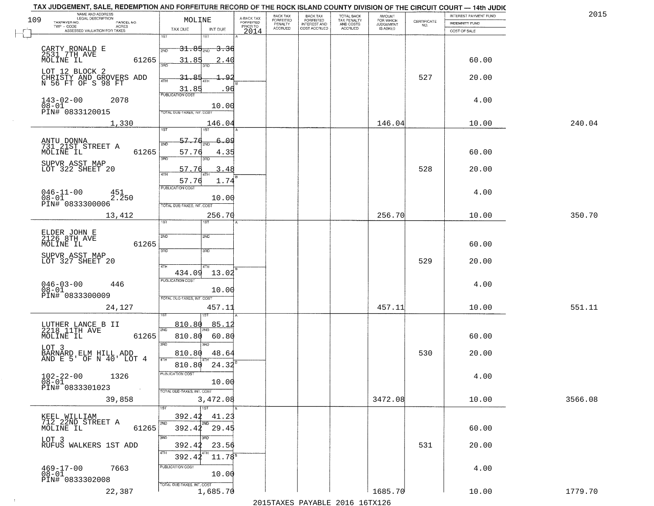| 109 | NAME AND ADDRESS<br>LEGAL DESCRIPTION<br>TAXPAYER NO.<br>PARCEL NO. | MOLINE                                                      | A-BACK TAX<br>FORFEITED | BACK TAX<br>FORFEITED | <b>BACK TAX</b><br><b>FORFEITED</b> | TOTAL BACK<br>TAX PENALTY | <b>AMOUNT</b>                      |                                                                 | INTEREST PAYMENT FUND          | 2015    |
|-----|---------------------------------------------------------------------|-------------------------------------------------------------|-------------------------|-----------------------|-------------------------------------|---------------------------|------------------------------------|-----------------------------------------------------------------|--------------------------------|---------|
|     | $TWP - CODE$<br><b>ACRES</b><br>ASSESSED VALUATION FOR TAXES        | TAX DUE<br>INT DUE                                          | PRIOR TO<br>2014        | PENALTY<br>ACCRUED    | INTEREST AND                        | AND COSTS<br>ACCRUED      | FOR WHICH<br>JUDGEMENT<br>IS ASKED | $\begin{array}{c} \text{CERTIFICATE} \\ \text{NO.} \end{array}$ | INDEMNITY FUND<br>COST OF SALE |         |
|     |                                                                     | 1ST                                                         |                         |                       |                                     |                           |                                    |                                                                 |                                |         |
|     | CARTY RONALD E<br>2531 7TH AVE                                      | $-31.85_{\scriptscriptstyle 200}$<br><del>3.36</del><br>2ND |                         |                       |                                     |                           |                                    |                                                                 |                                |         |
|     | MOLINE IL<br>61265                                                  | 31.85<br>2.40<br>3BD                                        |                         |                       |                                     |                           |                                    |                                                                 | 60.00                          |         |
|     | LOT 12 BLOCK 2                                                      |                                                             |                         |                       |                                     |                           |                                    | 527                                                             | 20.00                          |         |
|     | CHRISTY AND GROVERS ADD<br>N 56 FT OF S 98 FT                       | 4TH<br>31.85<br>96                                          |                         |                       |                                     |                           |                                    |                                                                 |                                |         |
|     | $143 - 02 - 00$<br>2078                                             | <b>PUBLICATION COST</b>                                     |                         |                       |                                     |                           |                                    |                                                                 | 4.00                           |         |
|     | $08 - 01$<br>PIN# 0833120015                                        | 10.00<br>TOTAL DUE-TAXES, INT. COST                         |                         |                       |                                     |                           |                                    |                                                                 |                                |         |
|     | 1,330                                                               | 146.04                                                      |                         |                       |                                     |                           | 146.04                             |                                                                 | 10.00                          | 240.04  |
|     |                                                                     | 1ST<br>1ST<br>57.76<br>ون<br>6.                             |                         |                       |                                     |                           |                                    |                                                                 |                                |         |
|     | ANTU DONNA<br>731 21ST STREET A<br>MOLINE IL<br>61265               | 2ND<br>57.76<br>4.35                                        |                         |                       |                                     |                           |                                    |                                                                 | 60.00                          |         |
|     | SUPVR ASST MAP                                                      | 3RD<br>3RD                                                  |                         |                       |                                     |                           |                                    |                                                                 |                                |         |
|     | LOT 322 SHEET 20                                                    | 57.76<br>3.<br>. 48<br>47H                                  |                         |                       |                                     |                           |                                    | 528                                                             | 20.00                          |         |
|     |                                                                     | 57.76<br>1.74<br>PUBLICATION COST                           |                         |                       |                                     |                           |                                    |                                                                 |                                |         |
|     | $046 - 11 - 00$<br>451<br>2.250<br>$08 - 01$<br>PIN# 0833300006     | 10.00                                                       |                         |                       |                                     |                           |                                    |                                                                 | 4.00                           |         |
|     | 13,412                                                              | TOTAL DUE-TAXES, INT. COST<br>256.70                        |                         |                       |                                     |                           | 256.70                             |                                                                 | 10.00                          | 350.70  |
|     |                                                                     | 1ST<br><b>ST</b>                                            |                         |                       |                                     |                           |                                    |                                                                 |                                |         |
|     | ELDER JOHN E<br>2126 8TH AVE                                        | 2ND<br>2ND                                                  |                         |                       |                                     |                           |                                    |                                                                 |                                |         |
|     | 61265<br>MOLINE IL                                                  | 3 <sub>BD</sub><br>3RD                                      |                         |                       |                                     |                           |                                    |                                                                 | 60.00                          |         |
|     | SUPVR ASST MAP<br>LOT 327 SHEET 20                                  | 4TH<br>4TH                                                  |                         |                       |                                     |                           |                                    | 529                                                             | 20.00                          |         |
|     |                                                                     | 13.02<br>434.09<br><b>PUBLICATION COST</b>                  |                         |                       |                                     |                           |                                    |                                                                 |                                |         |
|     | $046 - 03 - 00$<br>$08 - 01$<br>446                                 | 10.00                                                       |                         |                       |                                     |                           |                                    |                                                                 | 4.00                           |         |
|     | PIN# 0833300009                                                     | TOTAL OUE-TAXES, INT. COST                                  |                         |                       |                                     |                           |                                    |                                                                 |                                |         |
|     | 24,127                                                              | 457.11                                                      |                         |                       |                                     |                           | 457.11                             |                                                                 | 10.00                          | 551.11  |
|     | LUTHER LANCE B II<br>2218 11TH AVE                                  | 85.1<br>810.80<br>2ND                                       |                         |                       |                                     |                           |                                    |                                                                 |                                |         |
|     | 61265<br>MOLINE IL                                                  | 810.80<br>60.80                                             |                         |                       |                                     |                           |                                    |                                                                 | 60.00                          |         |
|     | LOT 3<br>BARNARD ELM HILL ADD<br>AND E 5' OF N 40' LOT 4            | 3RD<br>3RD<br>810.80<br>48.64                               |                         |                       |                                     |                           |                                    | 530                                                             | 20.00                          |         |
|     |                                                                     | 4TH<br>24.32<br>810.80                                      |                         |                       |                                     |                           |                                    |                                                                 |                                |         |
|     | $102 - 22 - 00$<br>$08 - 01$<br>1326                                | PUBLICATION COST                                            |                         |                       |                                     |                           |                                    |                                                                 | 4.00                           |         |
|     | PIN# 0833301023<br>$\sim 100$ km                                    | 10.00<br>TOTAL DUE-TAXES, INT. COST                         |                         |                       |                                     |                           |                                    |                                                                 |                                |         |
|     | 39,858                                                              | 3,472.08                                                    |                         |                       |                                     |                           | 3472.08                            |                                                                 | 10.00                          | 3566.08 |
|     | KEEL WILLIAM                                                        | 1ST<br>392.42<br>41.23                                      |                         |                       |                                     |                           |                                    |                                                                 |                                |         |
|     | 712 22ND STREET A<br>MOLINE IL<br>61265                             | 2ND<br>2ND<br>$392.42$ $29.45$                              |                         |                       |                                     |                           |                                    |                                                                 | 60.00                          |         |
|     | LOT 3                                                               | 3RD<br>अंक                                                  |                         |                       |                                     |                           |                                    |                                                                 |                                |         |
|     | RUFUS WALKERS 1ST ADD                                               | 392.42<br>23.56<br>4TH<br>$11.78^{5}$<br>392.42             |                         |                       |                                     |                           |                                    | 531                                                             | 20.00                          |         |
|     | $469 - 17 - 00$<br>7663                                             | PUBLICATION COST                                            |                         |                       |                                     |                           |                                    |                                                                 | 4.00                           |         |
|     | $08 - 01$<br>PIN# 0833302008                                        | 10.00                                                       |                         |                       |                                     |                           |                                    |                                                                 |                                |         |
|     | 22,387                                                              | TOTAL DUE-TAXES, INT. COST<br>1,685.70                      |                         |                       |                                     |                           | 1685.70                            |                                                                 | 10.00                          | 1779.70 |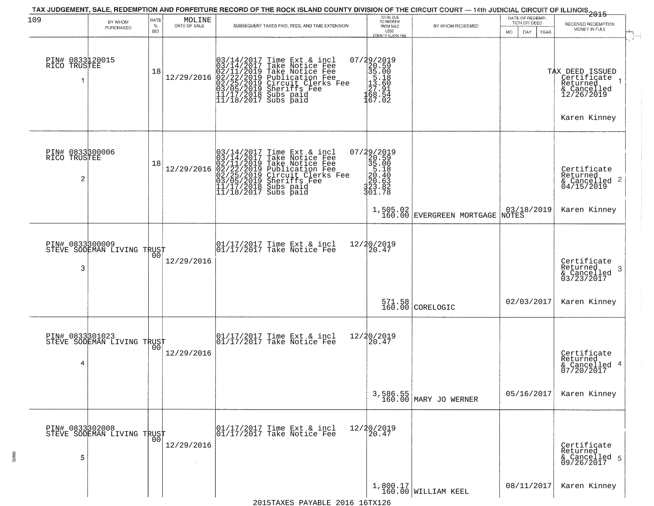| 109                                  | BY WHOM<br>PURCHASED                          | RATE<br>$\%$<br><b>BID</b> | MOLINE<br>DATE OF SALE | SUBSEQUENT TAXES PAID, FEES, AND TIME EXTENSION                                                                                                                                                                                                                                                                                                                                                        | TOTAL DUE<br>TO REDEEM<br>FROM SALE<br>LESS<br><b>COUNTY CLERK FEE</b>                                | BY WHOM REDEEMED                      | DATE OF REDEMP-<br>TION OR DEED<br>MO.<br>DAY.<br>YEAR | $-2015$<br>RECEIVED REDEMPTION<br>MONEY IN FULL                             |
|--------------------------------------|-----------------------------------------------|----------------------------|------------------------|--------------------------------------------------------------------------------------------------------------------------------------------------------------------------------------------------------------------------------------------------------------------------------------------------------------------------------------------------------------------------------------------------------|-------------------------------------------------------------------------------------------------------|---------------------------------------|--------------------------------------------------------|-----------------------------------------------------------------------------|
| PIN# 0833120015<br>RICO TRUSTEE      |                                               | 18                         |                        | $[03/14/2017 \text{ Time Ext & incl} \newline [03/14/2017 \text{ Take Notice Free} \newline [02/11/2019 \text{ Take Notice Free} \newline [02/11/2019 \text{ Public lattice Free} \newline [02/22/2019 \text{ Publication Free} \newline [03/05/2019 \text{ Sheriffs} \newline [03/05/2019 \text{ Sheriffs} \newline [11/17/2018 \text{ Subs paid} \newline [11/18/2017 \text{ Subs paid} \newline ]]$ | $\begin{smallmatrix} 07/29/2019\\20.59\\35.00\\15.18\\27.91\\168.54\\167.02 \end{smallmatrix}$        |                                       |                                                        | TAX DEED ISSUED<br>  Certificate<br>  Returned<br>& Cancelled<br>12/26/2019 |
|                                      |                                               |                            |                        |                                                                                                                                                                                                                                                                                                                                                                                                        |                                                                                                       |                                       |                                                        | Karen Kinney                                                                |
| PIN# 0833300006<br>RICO TRUSTEE<br>2 |                                               | 18                         | 12/29/2016             | $03/14/2017$ Time Ext & incl<br>$03/14/2017$ Take Notice Fee<br>$02/11/2019$ Take Notice Fee<br>$02/22/2019$ Publication Fee<br>$03/05/2019$ Sheriffs Fee<br>$11/17/2018$ Subs paid<br>$11/18/2017$ Subs paid                                                                                                                                                                                          | $\begin{smallmatrix} 07/29/2019\\20.59\\35.00\\5.18\\20.63\\220.63\\323.82\\301.78 \end{smallmatrix}$ |                                       |                                                        | Certificate<br>Returned<br>$\frac{1}{2}$ Cancelled 2<br>04/15/2019          |
|                                      |                                               |                            |                        |                                                                                                                                                                                                                                                                                                                                                                                                        |                                                                                                       | 1,505.02<br>160.00 EVERGREEN MORTGAGE | 03/18/2019<br>NOTES                                    | Karen Kinney                                                                |
| PIN# 0833300009<br>3                 | STEVE SODEMAN LIVING TRUST                    | 0 <sub>0</sub>             | 12/29/2016             | 01/17/2017 Time Ext & incl<br>01/17/2017 Take Notice Fee                                                                                                                                                                                                                                                                                                                                               | 12/20/2019<br>20.47                                                                                   |                                       |                                                        | Certificate<br>Returned                                                     |
|                                      |                                               |                            |                        |                                                                                                                                                                                                                                                                                                                                                                                                        |                                                                                                       |                                       |                                                        | 3<br>& Cancelled<br>03/23/2017                                              |
|                                      |                                               |                            |                        |                                                                                                                                                                                                                                                                                                                                                                                                        |                                                                                                       | 571.58<br>160.00 CORELOGIC            | 02/03/2017                                             | Karen Kinney                                                                |
| PIN# 0833301023<br>4                 | STEVE SODEMAN LIVING TRUST                    | 00                         | 12/29/2016             | 01/17/2017 Time Ext & incl<br>01/17/2017 Take Notice Fee                                                                                                                                                                                                                                                                                                                                               | 12/20/2019<br>20.47                                                                                   |                                       |                                                        | Certificate<br>Returned<br>& Cancelled 4<br>07/20/2017                      |
|                                      |                                               |                            |                        |                                                                                                                                                                                                                                                                                                                                                                                                        |                                                                                                       | 3,586.55<br>160.00 MARY JO WERNER     | 05/16/2017                                             | Karen Kinney                                                                |
| 5                                    | PIN# 0833302008<br>STEVE SODEMAN LIVING TRUST | 0 <sub>0</sub>             | 12/29/2016             | 01/17/2017 Time Ext & incl<br>01/17/2017 Take Notice Fee                                                                                                                                                                                                                                                                                                                                               | 12/20/2019<br>20.47                                                                                   |                                       |                                                        | Certificate<br>Returned<br>& Cancelled 5<br>09/26/2017                      |
|                                      |                                               |                            |                        | 0015                                                                                                                                                                                                                                                                                                                                                                                                   | $1$ $\sim$ $m \times 1$                                                                               | $1,800.17$<br>160.00 WILLIAM KEEL     | 08/11/2017                                             | Karen Kinney                                                                |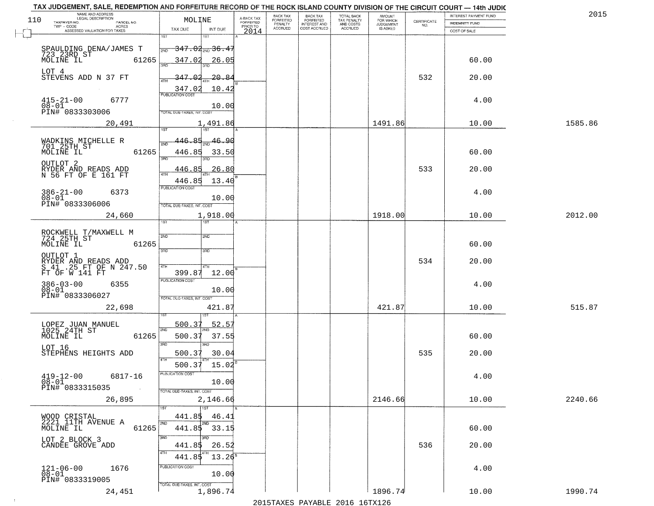| TAX JUDGEMENT, SALE, REDEMPTION AND FORFEITURE RECORD OF THE ROCK ISLAND COUNTY DIVISION OF THE CIRCUIT COURT - 14th JUDIC |                                                                              |                                     |                              |                              |                                        |                     |                                                                 |                       |         |
|----------------------------------------------------------------------------------------------------------------------------|------------------------------------------------------------------------------|-------------------------------------|------------------------------|------------------------------|----------------------------------------|---------------------|-----------------------------------------------------------------|-----------------------|---------|
| NAME AND ADDRESS<br>LEGAL DESCRIPTION<br>110                                                                               | MOLINE                                                                       |                                     | BACK TAX<br><b>FORFEITED</b> | <b>BACK TAX</b><br>FORFEITED | TOTAL BACK<br>TAX PENALTY<br>AND COSTS | AMOUNT<br>FOR WHICH |                                                                 | INTEREST PAYMENT FUND | 2015    |
| TAXPAYER NO.<br>PARCEL NO.<br>ACRES<br>TWP - CODE                                                                          |                                                                              | A-BACK TAX<br>FORFEITED<br>PRIOR TO | PENALTY                      | <b>INTEREST AND</b>          |                                        | <b>JUDGEMENT</b>    | $\begin{array}{c} \text{CERTIFICATE} \\ \text{NO.} \end{array}$ | <b>INDEMNITY FUND</b> |         |
| ASSESSED VALUATION FOR TAXES                                                                                               | TAX DUE<br>INT DUE                                                           | 2014                                | <b>ACCRUED</b>               | COST ACCRUED                 | ACCRUED                                | <b>IS ASKED</b>     |                                                                 | COST OF SALE          |         |
| SPAULDING DENA/JAMES T<br>723 23RD ST<br>61265<br>MOLINE IL                                                                | $1S$ T<br>1ST<br>$-347.02_{\text{200}}$ 36.47<br>2ND<br>347.02<br>26.05      |                                     |                              |                              |                                        |                     |                                                                 | 60.00                 |         |
| LOT 4<br>STEVENS ADD N 37 FT                                                                                               | 347.02<br>20.84                                                              |                                     |                              |                              |                                        |                     | 532                                                             | 20.00                 |         |
|                                                                                                                            | 347.02<br>10.42<br><b>PUBLICATION COST</b>                                   |                                     |                              |                              |                                        |                     |                                                                 |                       |         |
| $415 - 21 - 00$<br>6777<br>$08 - 01$<br>PIN# 0833303006                                                                    | 10.00<br>TOTAL DUE-TAXES, INT. COST                                          |                                     |                              |                              |                                        |                     |                                                                 | 4.00                  |         |
| 20,491                                                                                                                     | 1,491.86                                                                     |                                     |                              |                              |                                        | 1491.86             |                                                                 | 10.00                 | 1585.86 |
| WADKINS MICHELLE R<br>701 25TH ST<br>MOLINE IL<br>61265                                                                    | 446.85<br>$\frac{46.90}{200}$<br>সাঁচ<br>446.85<br>33.50<br>$\overline{3BD}$ |                                     |                              |                              |                                        |                     |                                                                 | 60.00                 |         |
| OUTLOT <sub>2</sub><br>RYDER AND READS ADD<br>N 56 FT OF E 161 FT                                                          | <u>446.85</u><br>26.80<br>ৰাম<br>446.85<br>13.40                             |                                     |                              |                              |                                        |                     | 533                                                             | 20.00                 |         |
| $386 - 21 - 00$<br>6373<br>$08 - 01$<br>PIN# 0833306006                                                                    | PUBLICATION COST<br>10.00<br>TOTAL DUE-TAXES, INT. COST                      |                                     |                              |                              |                                        |                     |                                                                 | 4.00                  |         |
| 24,660                                                                                                                     | 1,918.00<br>1ST<br>1ST                                                       |                                     |                              |                              |                                        | 1918.00             |                                                                 | 10.00                 | 2012.00 |
| ROCKWELL T/MAXWELL M<br>724 25TH ST<br>MOLINE IL<br>61265                                                                  | 2ND<br><b>SMD</b><br>3 <sub>3</sub><br>3RD                                   |                                     |                              |                              |                                        |                     |                                                                 | 60.00                 |         |
| OUTLOT 1<br>RYDER AND READS ADD<br>S 41 .25 FT OF N 247.50<br>FT OF W 141 FT                                               | 4TH<br>4TH<br>399.87<br>12.00                                                |                                     |                              |                              |                                        |                     | 534                                                             | 20.00                 |         |
| $386 - 03 - 00$<br>6355<br>$08 - 01$<br>PIN# 0833306027                                                                    | <b>PUBLICATION COST</b><br>10.00<br>TOTAL OUE-TAXES, INT. COST               |                                     |                              |                              |                                        |                     |                                                                 | 4.00                  |         |
| 22,698                                                                                                                     | 421.87                                                                       |                                     |                              |                              |                                        | 421.87              |                                                                 | 10.00                 | 515.87  |
| LOPEZ JUAN MANUEL<br>1025 24TH ST<br>MOLINE IL<br>61265                                                                    | 500.37<br>52.57<br>2ND<br>500.37<br>37.55<br>3RD<br>3RD                      |                                     |                              |                              |                                        |                     |                                                                 | 60.00                 |         |
| LOT 16<br>STEPHENS HEIGHTS ADD                                                                                             | 30.04<br>500.37<br>4TH<br>500.37<br>15.02                                    |                                     |                              |                              |                                        |                     | 535                                                             | 20.00                 |         |
| $419 - 12 - 00$<br>6817-16<br>$08 - 01$<br>PIN# 0833315035<br>$\sim 100$ km $^{-1}$                                        | <b>PUBLICATION COST</b><br>10.00<br>TOTAL DUE-TAXES, INT. COST               |                                     |                              |                              |                                        |                     |                                                                 | 4.00                  |         |
| 26,895                                                                                                                     | 2,146.66<br>1ST<br>1ST                                                       |                                     |                              |                              |                                        | 2146.66             |                                                                 | 10.00                 | 2240.66 |
| WOOD CRISTAL<br>2221 11TH AVENUE A<br>61265<br>MOLINE IL                                                                   | 441.85<br>46.41<br>2ND<br>2ND<br>441.85<br>33.15                             |                                     |                              |                              |                                        |                     |                                                                 | 60.00                 |         |
| LOT 2 BLOCK 3<br>CANDEE GROVE ADD                                                                                          | 3BD<br>380<br>441.85<br>26.52<br>4TH<br>441.85<br>$13.26^8$                  |                                     |                              |                              |                                        |                     | 536                                                             | 20.00                 |         |
| $121 - 06 - 00$<br>$08 - 01$<br>1676<br>PIN# 0833319005                                                                    | PUBLICATION COST<br>10.00<br>TOTAL DUE-TAXES, INT. COST                      |                                     |                              |                              |                                        |                     |                                                                 | 4.00                  |         |
| 24,451                                                                                                                     | 1,896.74                                                                     |                                     |                              |                              |                                        | 1896.74             |                                                                 | 10.00                 | 1990.74 |

 $\sim 10^{-1}$ 

2015TAXES PAYABLE 2016 16TX126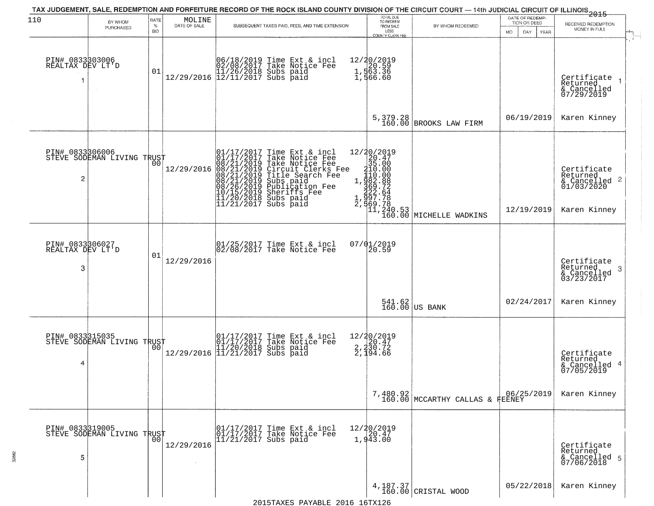| 110                                      | BY WHOM<br>PURCHASED                          | RATE<br>$\%$     | $\begin{array}{c} \text{MOLINE} \\ \text{DATE of SALE} \end{array}$ | TAX JUDGEMENT, SALE, REDEMPTION AND FORFEITURE RECORD OF THE ROCK ISLAND COUNTY DIVISION OF THE CIRCUIT COURT — 14th JUDICIAL CIRCUIT OF ILLINOIS 2015<br>SUBSEQUENT TAXES PAID, FEES, AND TIME EXTENSION                                            | TOTAL DUE<br>TO REDEEM<br>FROM SALE                                        | BY WHOM REDEEMED                                                                                              | DATE OF REDEMP-<br>TION OR DEED | RECEIVED REDEMPTION                                                    |
|------------------------------------------|-----------------------------------------------|------------------|---------------------------------------------------------------------|------------------------------------------------------------------------------------------------------------------------------------------------------------------------------------------------------------------------------------------------------|----------------------------------------------------------------------------|---------------------------------------------------------------------------------------------------------------|---------------------------------|------------------------------------------------------------------------|
| PIN# 0833803006<br>REALTAX DEV LT'D      | $\sim$                                        | <b>BID</b><br>01 |                                                                     | 06/18/2019 Time Ext & incl<br>02/08/2017 Take Notice Fee<br>11/26/2018 Subs paid<br>12/29/2016 12/11/2017 Subs paid                                                                                                                                  | LESS<br>COUNTY CLERK FEE<br>12/20/2019<br>1,563.36<br>1,563.36<br>1,566.60 |                                                                                                               | <b>MO</b><br>DAY<br>YEAR        | MONEY IN FULL<br>Certificate<br>Returned<br>& Cancelled<br>07/29/2019  |
|                                          |                                               |                  |                                                                     |                                                                                                                                                                                                                                                      | 5, 379.28<br>160.00                                                        | BROOKS LAW FIRM                                                                                               | 06/19/2019                      | Karen Kinney                                                           |
| 2                                        | PIN# 0833306006<br>STEVE SODEMAN LIVING TRUST | 00               | 12/29/2016                                                          | 01/17/2017 Time Ext & incl<br>01/17/2017 Take Notice Fee<br>08/21/2019 Take Notice Fee<br>08/21/2019 Circuit Clerks Fee<br>08/21/2019 Title Search Fee<br>08/21/2019 Subs paid<br>10/15/2019 Sheriffs Fee<br>11/20/2018 Subs paid<br>11/21/2017 Subs |                                                                            | $12/20/2019$ $20.47$ $35.00$ $1,982.88$ $362.724$ $222.78$ $2,997.78$ $1,240.53$ $11,240.53$ MICHELLE WADKINS | 12/19/2019                      | Certificate<br>Returned<br>& Cancelled 2<br>01/03/2020<br>Karen Kinney |
| PIN# 0833306027<br>REALTAX DEV LT'D<br>3 |                                               | 01               | 12/29/2016                                                          | 01/25/2017 Time Ext & incl<br>02/08/2017 Take Notice Fee                                                                                                                                                                                             | 07/01/2019<br>20.59                                                        |                                                                                                               |                                 | Certificate<br>Returned<br>-3<br>& Cancelled<br>03/23/2017             |
|                                          |                                               |                  |                                                                     |                                                                                                                                                                                                                                                      |                                                                            | $\begin{array}{c c} 541.62 \\ 160.00 \end{array}$ US BANK                                                     | 02/24/2017                      | Karen Kinney                                                           |
| PIN# 0833315035<br>4                     | STEVE SODEMAN LIVING TRUST                    |                  |                                                                     | 01/17/2017 Time Ext & incl<br>01/17/2017 Take Notice Fee<br>11/20/2018 Subs paid<br>12/29/2016 11/21/2017 Subs paid                                                                                                                                  | 12/20/2019<br>2,230.47<br>2,230.72<br>2,194.66                             |                                                                                                               |                                 | Certificate<br>Returned<br>& Cancelled 4<br>07/05/2019                 |
|                                          |                                               |                  |                                                                     |                                                                                                                                                                                                                                                      |                                                                            | 7,480.92<br>160.00 MCCARTHY CALLAS & FEENEY                                                                   |                                 | Karen Kinney                                                           |
| PIN# 0833319005<br>5                     | STEVE SODEMAN LIVING TRUST                    |                  | 12/29/2016                                                          | 01/17/2017 Time Ext & incl<br>01/17/2017 Take Notice Fee<br>11/21/2017 Subs paid                                                                                                                                                                     | 12/20/2019<br>$\frac{1}{1}$ , 943.00                                       |                                                                                                               |                                 | Certificate<br>Returned<br>& Cancelled 5<br>07/06/2018                 |
|                                          |                                               |                  |                                                                     |                                                                                                                                                                                                                                                      |                                                                            | 4,187.37<br>160.00 CRISTAL WOOD                                                                               | 05/22/2018                      | Karen Kinney                                                           |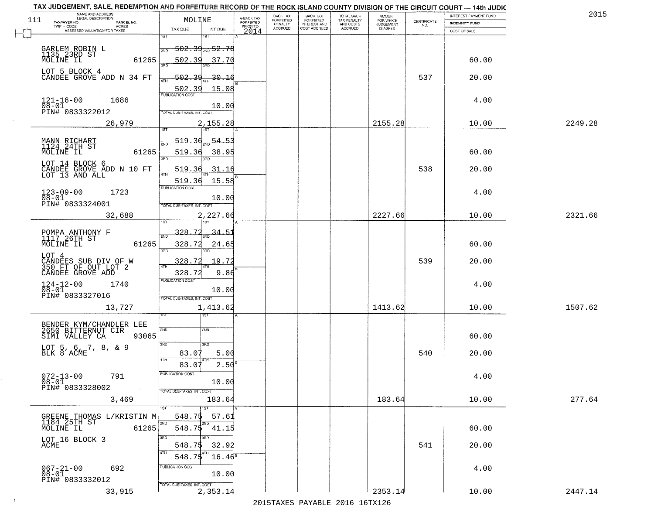| 111 | NAME AND ADDRESS<br>LEGAL DESCRIPTION                           | MOLINE                                      | A-BACK TAX                   | BACK TAX<br><b>FORFEITED</b> | <b>BACK TAX</b><br><b>FORFEITED</b> | TOTAL BACK<br>TAX PENALTY<br>AND COSTS<br>ACCRUED | <b>AMOUNT</b>                      | CERTIFICATE | INTEREST PAYMENT FUND | 2015    |
|-----|-----------------------------------------------------------------|---------------------------------------------|------------------------------|------------------------------|-------------------------------------|---------------------------------------------------|------------------------------------|-------------|-----------------------|---------|
|     | TAXPAYER NO.<br>PARCEL NO.<br>TWP - CODE<br>ACRES               | TAX DUE<br>INT DUE                          | <b>FORFEITED</b><br>PRIOR TO | PENALTY<br>ACCRUED           | INTEREST AND                        |                                                   | FOR WHICH<br>JUDGEMENT<br>IS ASKED | NO.         | <b>INDEMNITY FUND</b> |         |
|     | ASSESSED VALUATION FOR TAXES                                    | $\overline{1ST}$<br>श्डा                    | 2014                         |                              |                                     |                                                   |                                    |             | COST OF SALE          |         |
|     |                                                                 | <del>502.39<sub>210</sub>52.78</del><br>2ND |                              |                              |                                     |                                                   |                                    |             |                       |         |
|     | GARLEM ROBIN L<br>1135 23RD ST<br>MOLINE IL<br>61265            | 502.39<br>37.70                             |                              |                              |                                     |                                                   |                                    |             | 60.00                 |         |
|     | LOT 5 BLOCK 4<br>CANDEE GROVE ADD N 34 FT                       | <u>502.39</u><br>$-30 - 16$                 |                              |                              |                                     |                                                   |                                    | 537         | 20.00                 |         |
|     |                                                                 | 502.39<br>15.08<br><b>PUBLICATION COST</b>  |                              |                              |                                     |                                                   |                                    |             |                       |         |
|     | 1686<br>$121 - 16 - 00$<br>$08 - 01$                            | 10.00                                       |                              |                              |                                     |                                                   |                                    |             | 4.00                  |         |
|     | PIN# 0833322012                                                 | TOTAL DUE-TAXES, INT. COST                  |                              |                              |                                     |                                                   |                                    |             |                       |         |
|     | 26,979                                                          | 2,155.28<br>1ST<br>1ST                      |                              |                              |                                     |                                                   | 2155.28                            |             | 10.00                 | 2249.28 |
|     | MANN RICHART<br>1124 24TH ST                                    | 519.<br>54.                                 |                              |                              |                                     |                                                   |                                    |             |                       |         |
|     | MOLINE IL<br>61265                                              | 519.36<br>38.95                             |                              |                              |                                     |                                                   |                                    |             | 60.00                 |         |
|     | LOT 14 BLOCK 6<br>CANDEE GROVE ADD N 10 FT<br>LOT 13 AND ALL    | 519.3<br>31.16                              |                              |                              |                                     |                                                   |                                    | 538         | 20.00                 |         |
|     |                                                                 | 519.36<br>15.58<br>PUBLICATION COST         |                              |                              |                                     |                                                   |                                    |             |                       |         |
|     | $123 - 09 - 00$<br>1723<br>$08 - 01$                            | 10.00                                       |                              |                              |                                     |                                                   |                                    |             | 4.00                  |         |
|     | PIN# 0833324001                                                 | TOTAL DUE-TAXES, INT. COST                  |                              |                              |                                     |                                                   |                                    |             |                       |         |
|     | 32,688                                                          | 2,227.66                                    |                              |                              |                                     |                                                   | 2227.66                            |             | 10.00                 | 2321.66 |
|     | POMPA ANTHONY F<br>1117 26TH ST                                 | 328.<br>34.51                               |                              |                              |                                     |                                                   |                                    |             |                       |         |
|     | 61265<br>MOLINE IL                                              | 328.72<br>24.65<br>3RD<br>3 <sub>BD</sub>   |                              |                              |                                     |                                                   |                                    |             | 60.00                 |         |
|     | LOT 4<br>CANDEES SUB DIV OF W<br>350 FT OF OUT LOT 2            | 328.72<br>19.72                             |                              |                              |                                     |                                                   |                                    | 539         | 20.00                 |         |
|     | CANDEE GROVE ADD                                                | 9.86<br>328.72<br><b>PUBLICATION COST</b>   |                              |                              |                                     |                                                   |                                    |             |                       |         |
|     | $124-12-00$<br>$08-01$<br>1740                                  | 10.00                                       |                              |                              |                                     |                                                   |                                    |             | 4.00                  |         |
|     | PIN# 0833327016<br>13,727                                       | TOTAL OUE-TAXES, INT. COST<br>1,413.62      |                              |                              |                                     |                                                   | 1413.62                            |             | 10.00                 | 1507.62 |
|     |                                                                 | खि                                          |                              |                              |                                     |                                                   |                                    |             |                       |         |
|     | BENDER KYM/CHANDLER LEE<br>2650 BITTERNUT CIR                   | 2ND<br>2ND                                  |                              |                              |                                     |                                                   |                                    |             |                       |         |
|     | 93065<br>SIMI VALLEY CA                                         | 3RD<br>3RD                                  |                              |                              |                                     |                                                   |                                    |             | 60.00                 |         |
|     | LOT 5, 6, 7, 8, & 9<br>BLK 8 ACME                               | 83.07<br>5.00<br>4TH                        |                              |                              |                                     |                                                   |                                    | 540         | 20.00                 |         |
|     |                                                                 | 2.50<br>83.07<br>PUBLICATION COST           |                              |                              |                                     |                                                   |                                    |             |                       |         |
|     | $072 - 13 - 00$<br>791<br>$08 - 01$<br>PIN# 0833328002          | 10.00                                       |                              |                              |                                     |                                                   |                                    |             | 4.00                  |         |
|     | 3,469                                                           | TOTAL DUE-TAXES, INT. COST<br>183.64        |                              |                              |                                     |                                                   | 183.64                             |             | 10.00                 | 277.64  |
|     |                                                                 | 1ST                                         |                              |                              |                                     |                                                   |                                    |             |                       |         |
|     | GREENE THOMAS L/KRISTIN M<br>1184 25TH ST<br>MOLINE IL<br>61265 | 57.61<br>548.75<br>2ND<br>548.75<br>41.15   |                              |                              |                                     |                                                   |                                    |             | 60.00                 |         |
|     | LOT 16 BLOCK 3                                                  | 3RD                                         |                              |                              |                                     |                                                   |                                    |             |                       |         |
|     | ACME                                                            | 548.75<br>32.92<br>ATH                      |                              |                              |                                     |                                                   |                                    | 541         | 20.00                 |         |
|     | 692                                                             | $16.46^8$<br>548.7\$<br>PUBLICATION COST    |                              |                              |                                     |                                                   |                                    |             | 4.00                  |         |
|     | $067 - 21 - 00$<br>$08 - 01$<br>PIN# 0833332012                 | 10.00                                       |                              |                              |                                     |                                                   |                                    |             |                       |         |
|     | 33,915                                                          | TOTAL DUE-TAXES, INT. COST<br>2,353.14      |                              |                              |                                     |                                                   | 2353.14                            |             | 10.00                 | 2447.14 |
|     |                                                                 |                                             |                              |                              | 2015 TAVES DAVADIE 2016 16TV126     |                                                   |                                    |             |                       |         |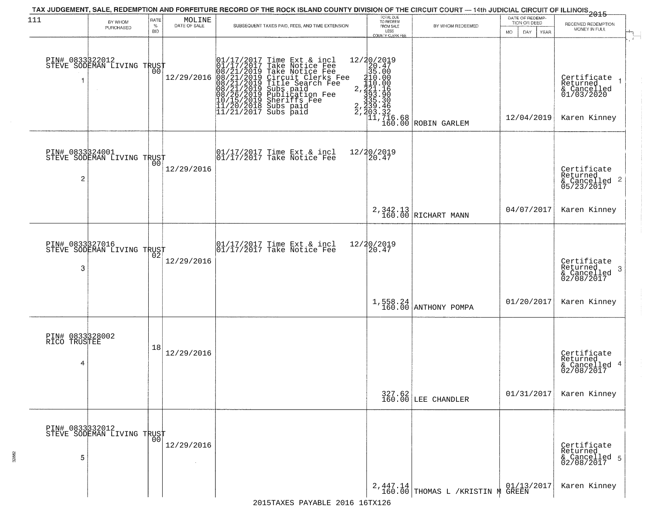| 111                                  | BY WHOM                                           | RATE               | MOLINE       | TAX JUDGEMENT, SALE, REDEMPTION AND FORFEITURE RECORD OF THE ROCK ISLAND COUNTY DIVISION OF THE CIRCUIT COURT — 14th JUDICIAL CIRCUIT OF ILLINOIS 2015                                                                                               | TOTAL DUE<br>TO REDEEM                                                                                                                                                                                                                                                                            |                                                | DATE OF REDEMP-<br>TION OR DEED |                                                                      |
|--------------------------------------|---------------------------------------------------|--------------------|--------------|------------------------------------------------------------------------------------------------------------------------------------------------------------------------------------------------------------------------------------------------------|---------------------------------------------------------------------------------------------------------------------------------------------------------------------------------------------------------------------------------------------------------------------------------------------------|------------------------------------------------|---------------------------------|----------------------------------------------------------------------|
|                                      | PURCHASED                                         | $\%$<br><b>BID</b> | DATE OF SALE | SUBSEQUENT TAXES PAID, FEES, AND TIME EXTENSION                                                                                                                                                                                                      | FROM SALE<br>LESS<br><b>COUNTY CLERK FEE</b>                                                                                                                                                                                                                                                      | BY WHOM REDEEMED                               | MO.<br>DAY.<br><b>YEAR</b>      | RECEIVED REDEMPTION<br>MONEY IN FULL                                 |
|                                      | PIN# 0833322012    <br>STEVE SODEMAN LIVING TRUST | 00                 | 12/29/2016   | 01/17/2017 Time Ext & incl<br>01/17/2017 Take Notice Fee<br>08/21/2019 Take Notice Fee<br>08/21/2019 Circuit Clerks Fee<br>08/21/2019 Title Search Fee<br>08/21/2019 Subs paid<br>10/15/2019 Sheriffs Fee<br>11/20/2018 Subs paid<br>11/21/2017 Subs | ${12/20/2019 \atop 20.47} \atop {20.47 \atop 35.00 \atop 210.00 \atop 2121.16} \atop {20.47 \atop 2325.36} \atop {20.47 \atop 2335.36} \atop {20.48 \atop 2335.36}$<br>$\begin{matrix} 2, & 335\cdot 30 \\ 2, & 239\cdot 46 \\ 2, & 203\cdot 32 \\ 11, & 716\cdot 68 \\ 160\cdot 00 \end{matrix}$ | ROBIN GARLEM                                   | 12/04/2019                      | Certificate<br>Returned<br>& Cancelled<br>01/03/2020<br>Karen Kinney |
| PIN# 0833324001<br>$\overline{c}$    | STEVE SODEMAN LIVING TRUST                        |                    | 12/29/2016   | $\begin{array}{cc}  01/17/2017 \text{ Time Ext} & \text{incl} \\  01/17/2017 \text{ Take Notice Fe} \end{array}$                                                                                                                                     | 12/20/2019<br>20.47                                                                                                                                                                                                                                                                               |                                                |                                 | Certificate<br>Returned<br>$\frac{1}{6}$ Cancelled 2<br>05/23/2017   |
|                                      |                                                   |                    |              |                                                                                                                                                                                                                                                      |                                                                                                                                                                                                                                                                                                   | 2,342.13<br>160.00 RICHART MANN                | 04/07/2017                      | Karen Kinney                                                         |
| 3                                    | PIN# 0833327016<br>STEVE SODEMAN LIVING TRUST     | 02                 | 12/29/2016   | 01/17/2017 Time Ext & incl<br>01/17/2017 Take Notice Fee                                                                                                                                                                                             | 12/20/2019<br>20.47                                                                                                                                                                                                                                                                               |                                                |                                 | Certificate<br>Returned<br>3<br>& Cancelled<br>02/08/2017            |
|                                      |                                                   |                    |              |                                                                                                                                                                                                                                                      |                                                                                                                                                                                                                                                                                                   | $1,558.24$ ANTHONY POMPA                       | 01/20/2017                      | Karen Kinney                                                         |
| PIN# 0833328002<br>RICO TRUSTEE<br>4 |                                                   | 18                 | 12/29/2016   |                                                                                                                                                                                                                                                      |                                                                                                                                                                                                                                                                                                   |                                                |                                 | Certificate<br>Returned<br>& Cancelled 4<br>02/08/2017               |
|                                      |                                                   |                    |              |                                                                                                                                                                                                                                                      |                                                                                                                                                                                                                                                                                                   | 327.62<br>160.00 LEE CHANDLER                  | 01/31/2017                      | Karen Kinney                                                         |
| PIN# 0833332012<br>5                 | STEVE SODEMAN LIVING TRUST                        |                    | 12/29/2016   |                                                                                                                                                                                                                                                      |                                                                                                                                                                                                                                                                                                   |                                                |                                 | Certificate<br>Returned<br>& Cancelled 5<br>02/08/2017               |
|                                      |                                                   |                    |              |                                                                                                                                                                                                                                                      |                                                                                                                                                                                                                                                                                                   | $2,447.14$<br>160.00 THOMAS L /KRISTIN M GREEN |                                 | Karen Kinney                                                         |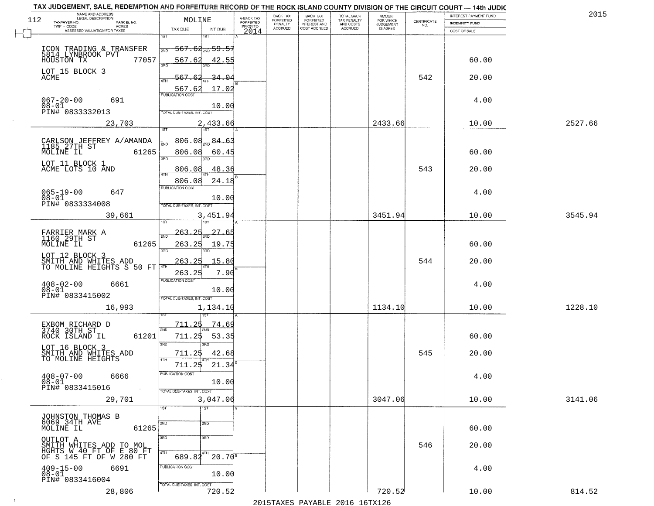| TAX JUDGEMENT, SALE, REDEMPTION AND FORFEITURE RECORD OF THE ROCK ISLAND COUNTY DIVISION OF THE CIRCUIT COURT - 14th JUDIC<br>NAME AND ADDRESS<br>LEGAL DESCRIPTION |                |                                   |                                       |                                     | BACK TAX                    |                                       |                                        | AMOUNT<br>FOR WHICH |                                                                 | INTEREST PAYMENT FUND | 2015    |
|---------------------------------------------------------------------------------------------------------------------------------------------------------------------|----------------|-----------------------------------|---------------------------------------|-------------------------------------|-----------------------------|---------------------------------------|----------------------------------------|---------------------|-----------------------------------------------------------------|-----------------------|---------|
| 112<br>TAXPAYER NO.                                                                                                                                                 | PARCEL NO.     |                                   | MOLINE                                | A-BACK TAX<br>FORFEITED<br>PRIOR TO | <b>FORFEITED</b><br>PENALTY | BACK TAX<br>FORFEITED<br>INTEREST AND | TOTAL BACK<br>TAX PENALTY<br>AND COSTS | <b>JUDGEMENT</b>    | $\begin{array}{c} \text{CERTIFICATE} \\ \text{NO.} \end{array}$ | INDEMNITY FUND        |         |
| TWP - CODE<br>ASSESSED VALUATION FOR TAXES                                                                                                                          | <b>ACRES</b>   | TAX DUE                           | INT DUE                               | 2014                                | <b>ACCRUED</b>              | COST ACCRUED                          | ACCRUED                                | IS ASKED            |                                                                 | COST OF SALE          |         |
|                                                                                                                                                                     |                | 1ST                               |                                       |                                     |                             |                                       |                                        |                     |                                                                 |                       |         |
|                                                                                                                                                                     |                | 2ND                               | <del>567.62<sub>2N0</sub> 59.57</del> |                                     |                             |                                       |                                        |                     |                                                                 |                       |         |
| ICON TRADING & TRANSFER<br>5814 LYNBROOK PVT 1000STON TX                                                                                                            |                |                                   |                                       |                                     |                             |                                       |                                        |                     |                                                                 |                       |         |
|                                                                                                                                                                     | 77057          | 567.62<br>350                     | 42.55                                 |                                     |                             |                                       |                                        |                     |                                                                 | 60.00                 |         |
| LOT 15 BLOCK 3                                                                                                                                                      |                |                                   |                                       |                                     |                             |                                       |                                        |                     |                                                                 |                       |         |
| ACME                                                                                                                                                                |                | 567.62                            | <u>34.O4</u>                          |                                     |                             |                                       |                                        |                     | 542                                                             | 20.00                 |         |
|                                                                                                                                                                     |                | 567.62                            | 17.02                                 |                                     |                             |                                       |                                        |                     |                                                                 |                       |         |
|                                                                                                                                                                     |                | <b>PUBLICATION COST</b>           |                                       |                                     |                             |                                       |                                        |                     |                                                                 |                       |         |
| $067 - 20 - 00$<br>$08 - 01$                                                                                                                                        | 691            |                                   | 10.00                                 |                                     |                             |                                       |                                        |                     |                                                                 | 4.00                  |         |
| PIN# 0833332013                                                                                                                                                     |                | TOTAL DUE-TAXES, INT. COST        |                                       |                                     |                             |                                       |                                        |                     |                                                                 |                       |         |
|                                                                                                                                                                     | 23,703         |                                   | 2,433.66                              |                                     |                             |                                       |                                        | 2433.66             |                                                                 | 10.00                 | 2527.66 |
|                                                                                                                                                                     |                |                                   |                                       |                                     |                             |                                       |                                        |                     |                                                                 |                       |         |
| CARLSON JEFFREY A/AMANDA                                                                                                                                            |                | 806.08                            | 84.63                                 |                                     |                             |                                       |                                        |                     |                                                                 |                       |         |
| 1185 27TH ST                                                                                                                                                        |                |                                   |                                       |                                     |                             |                                       |                                        |                     |                                                                 |                       |         |
| MOLINE IL                                                                                                                                                           | 61265          | 806.08<br>3BD                     | 60.45                                 |                                     |                             |                                       |                                        |                     |                                                                 | 60.00                 |         |
| LOT 11 BLOCK 1                                                                                                                                                      |                |                                   | 3BD.                                  |                                     |                             |                                       |                                        |                     |                                                                 |                       |         |
| ACME LOTS 10 AND                                                                                                                                                    |                | 806.08                            | 48.36                                 |                                     |                             |                                       |                                        |                     | 543                                                             | 20.00                 |         |
|                                                                                                                                                                     |                | 806.08                            | 24.18                                 |                                     |                             |                                       |                                        |                     |                                                                 |                       |         |
|                                                                                                                                                                     |                | PUBLICATION COST                  |                                       |                                     |                             |                                       |                                        |                     |                                                                 |                       |         |
| $065 - 19 - 00$<br>$08 - 01$                                                                                                                                        | 647            |                                   |                                       |                                     |                             |                                       |                                        |                     |                                                                 | 4.00                  |         |
| PIN# <sup>-0833334008</sup>                                                                                                                                         |                | TOTAL DUE-TAXES, INT. COST        | 10.00                                 |                                     |                             |                                       |                                        |                     |                                                                 |                       |         |
|                                                                                                                                                                     |                |                                   |                                       |                                     |                             |                                       |                                        |                     |                                                                 |                       |         |
|                                                                                                                                                                     | 39,661         |                                   | 3,451.94<br>187                       |                                     |                             |                                       |                                        | 3451.94             |                                                                 | 10.00                 | 3545.94 |
|                                                                                                                                                                     |                |                                   |                                       |                                     |                             |                                       |                                        |                     |                                                                 |                       |         |
| FARRIER MARK A<br>1160 29TH ST                                                                                                                                      |                | 263.<br>2ND                       | 27.65                                 |                                     |                             |                                       |                                        |                     |                                                                 |                       |         |
| MOLINE IL                                                                                                                                                           | 61265          | 263.25                            | 19.75                                 |                                     |                             |                                       |                                        |                     |                                                                 | 60.00                 |         |
| LOT 12 BLOCK 3                                                                                                                                                      |                | 3RD                               | 3RD                                   |                                     |                             |                                       |                                        |                     |                                                                 |                       |         |
| SMITH AND WHITES ADD<br>TO MOLINE HEIGHTS S 50 FT                                                                                                                   |                | 263.25                            | 15.80                                 |                                     |                             |                                       |                                        |                     | 544                                                             | 20.00                 |         |
|                                                                                                                                                                     |                |                                   |                                       |                                     |                             |                                       |                                        |                     |                                                                 |                       |         |
|                                                                                                                                                                     |                | 263.25<br><b>PUBLICATION COST</b> | 7.90                                  |                                     |                             |                                       |                                        |                     |                                                                 |                       |         |
| $408 - 02 - 00$                                                                                                                                                     | 6661           |                                   |                                       |                                     |                             |                                       |                                        |                     |                                                                 | 4.00                  |         |
| $08 - 01$<br>PIN# 0833415002                                                                                                                                        |                | TOTAL OUE-TAXES, INT. COST        | 10.00                                 |                                     |                             |                                       |                                        |                     |                                                                 |                       |         |
|                                                                                                                                                                     |                |                                   |                                       |                                     |                             |                                       |                                        |                     |                                                                 |                       |         |
|                                                                                                                                                                     | 16,993         |                                   | 1,134.10                              |                                     |                             |                                       |                                        | 1134.10             |                                                                 | 10.00                 | 1228.10 |
|                                                                                                                                                                     |                |                                   |                                       |                                     |                             |                                       |                                        |                     |                                                                 |                       |         |
| EXBOM RICHARD D<br>3740 30TH ST                                                                                                                                     |                | 711.25<br>2ND                     | 74.69                                 |                                     |                             |                                       |                                        |                     |                                                                 |                       |         |
| ROCK ISLAND IL                                                                                                                                                      | 61201          | 711.25                            | 53.35                                 |                                     |                             |                                       |                                        |                     |                                                                 | 60.00                 |         |
|                                                                                                                                                                     |                | 3BD                               | 3BD                                   |                                     |                             |                                       |                                        |                     |                                                                 |                       |         |
| LOT 16 BLOCK 3<br>SMITH AND WHITES ADD                                                                                                                              |                | 711.25                            | 42.68                                 |                                     |                             |                                       |                                        |                     | 545                                                             | 20.00                 |         |
| TO MOLINE HEIGHTS                                                                                                                                                   |                | 4TH                               |                                       |                                     |                             |                                       |                                        |                     |                                                                 |                       |         |
|                                                                                                                                                                     |                | 711.25                            | 21.34                                 |                                     |                             |                                       |                                        |                     |                                                                 |                       |         |
| $408 - 07 - 00$                                                                                                                                                     | 6666           | PUBLICATION COS-                  |                                       |                                     |                             |                                       |                                        |                     |                                                                 | 4.00                  |         |
| $08 - 01$<br>PIN# 0833415016                                                                                                                                        | $\sim 10^{-1}$ |                                   | 10.00                                 |                                     |                             |                                       |                                        |                     |                                                                 |                       |         |
|                                                                                                                                                                     |                | TOTAL DUE-TAXES, INT. COST        |                                       |                                     |                             |                                       |                                        |                     |                                                                 |                       |         |
|                                                                                                                                                                     | 29,701         |                                   | 3,047.06                              |                                     |                             |                                       |                                        | 3047.06             |                                                                 | 10.00                 | 3141.06 |
|                                                                                                                                                                     |                | 1ST                               | 1ST                                   |                                     |                             |                                       |                                        |                     |                                                                 |                       |         |
| JOHNSTON THOMAS B                                                                                                                                                   |                |                                   |                                       |                                     |                             |                                       |                                        |                     |                                                                 |                       |         |
| 6069 34TH AVE<br>MOLINE IL                                                                                                                                          | 61265          | 2ND                               | 2ND                                   |                                     |                             |                                       |                                        |                     |                                                                 | 60.00                 |         |
|                                                                                                                                                                     |                | 3RD                               | 3 <sub>BD</sub>                       |                                     |                             |                                       |                                        |                     |                                                                 |                       |         |
| OUTLOT A<br>SMITH MHITES ADD TO MOL                                                                                                                                 |                |                                   |                                       |                                     |                             |                                       |                                        |                     | 546                                                             | 20.00                 |         |
| HGHTS W 40 FT OF E 80 FT                                                                                                                                            |                | 4TH                               |                                       |                                     |                             |                                       |                                        |                     |                                                                 |                       |         |
| OF S 145 FT OF W 280 FT                                                                                                                                             |                | 689.82                            | $20.70^{8}$                           |                                     |                             |                                       |                                        |                     |                                                                 |                       |         |
| $409 - 15 - 00$                                                                                                                                                     | 6691           | PUBLICATION COST                  |                                       |                                     |                             |                                       |                                        |                     |                                                                 | 4.00                  |         |
|                                                                                                                                                                     |                |                                   |                                       |                                     |                             |                                       |                                        |                     |                                                                 |                       |         |
| $08 - 01$                                                                                                                                                           |                |                                   | 10.00                                 |                                     |                             |                                       |                                        |                     |                                                                 |                       |         |
| PIN# 0833416004                                                                                                                                                     |                | TOTAL DUE-TAXES, INT. COST        |                                       |                                     |                             |                                       |                                        |                     |                                                                 |                       |         |
|                                                                                                                                                                     | 28,806         |                                   | 720.52                                |                                     |                             |                                       |                                        | 720.52              |                                                                 | 10.00                 | 814.52  |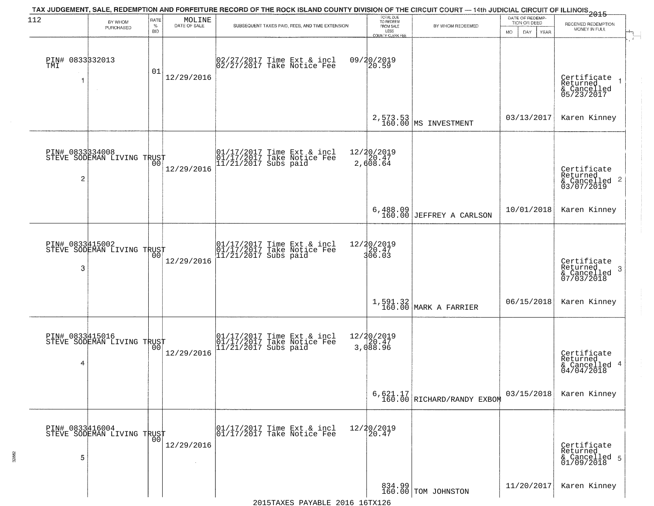| 112                    | BY WHOM<br>PURCHASED                          | RATE<br>$\%$<br><b>BID</b> | $\begin{array}{c} \text{MOLINE} \\ \text{DATE of sale} \end{array}$ | TAX JUDGEMENT, SALE, REDEMPTION AND FORFEITURE RECORD OF THE ROCK ISLAND COUNTY DIVISION OF THE CIRCUIT COURT — 14th JUDICIAL CIRCUIT OF ILLINOIS 2015<br>SUBSEQUENT TAXES PAID, FEES, AND TIME EXTENSION | TOTAL DUE<br>TO REDEEM<br>FROM SALE<br>LESS<br>COUNTY CLERK FEE | BY WHOM REDEEMED                         | DATE OF REDEMP-<br>TION OR DEED<br>DAY<br>MO.<br>YEAR | RECEIVED REDEMPTION<br>MONEY IN FULL                               |
|------------------------|-----------------------------------------------|----------------------------|---------------------------------------------------------------------|-----------------------------------------------------------------------------------------------------------------------------------------------------------------------------------------------------------|-----------------------------------------------------------------|------------------------------------------|-------------------------------------------------------|--------------------------------------------------------------------|
| PIN# 0833332013<br>TMI | $\sim 10^{-1}$                                | 01                         | 12/29/2016                                                          | 02/27/2017 Time Ext & incl<br>02/27/2017 Take Notice Fee                                                                                                                                                  | 09/20/2019<br>20.59                                             |                                          |                                                       | Certificate<br>Returned<br>& Cancelled<br>05/23/2017               |
|                        |                                               |                            |                                                                     |                                                                                                                                                                                                           |                                                                 | 2,573.53<br>160.00 MS INVESTMENT         | 03/13/2017                                            | Karen Kinney                                                       |
| PIN# 0833334008<br>2   | STEVE SODEMAN LIVING TRUST                    | 00                         | 12/29/2016                                                          | 01/17/2017 Time Ext & incl<br>01/17/2017 Take Notice Fee<br>11/21/2017 Subs paid                                                                                                                          | 12/20/2019<br>20.47<br>2,608.64                                 |                                          |                                                       | Certificate<br>Returned<br>$\frac{1}{2}$ Cancelled 2<br>03/07/2019 |
|                        |                                               |                            |                                                                     |                                                                                                                                                                                                           | $6,488.09$<br>$160.00$                                          | <b>JEFFREY A CARLSON</b>                 | 10/01/2018                                            | Karen Kinney                                                       |
| PIN# 0833415002<br>3   | STEVE SODEMAN LIVING TRUST                    |                            | 12/29/2016                                                          | 01/17/2017 Time Ext & incl<br>01/17/2017 Take Notice Fee<br>11/21/2017 Subs paid                                                                                                                          | 12/20/2019<br>$\frac{1}{306}$ . 47<br>306.03                    |                                          |                                                       | Certificate<br>Returned<br>-3<br>& Cancelled<br>07/03/2018         |
|                        |                                               |                            |                                                                     |                                                                                                                                                                                                           |                                                                 | $1,591.32$ MARK A FARRIER                | 06/15/2018                                            | Karen Kinney                                                       |
| 4                      | PIN# 0833415016<br>STEVE SODEMAN LIVING TRUST |                            | 12/29/2016                                                          | 01/17/2017 Time Ext & incl<br>01/17/2017 Take Notice Fee<br>11/21/2017 Subs paid                                                                                                                          | 12/20/2019<br>3,088.96                                          |                                          |                                                       | Certificate<br>Returned<br>& Cancelled 4<br>04/04/2018             |
|                        |                                               |                            |                                                                     |                                                                                                                                                                                                           |                                                                 | $6,621.17$<br>160.00 RICHARD/RANDY EXBOM | 03/15/2018                                            | Karen Kinney                                                       |
| 5                      | PIN# 0833416004<br>STEVE SODEMAN LIVING TRUST |                            | 12/29/2016                                                          | 01/17/2017 Time Ext & incl<br>01/17/2017 Take Notice Fee                                                                                                                                                  | 12/20/2019<br>20.47                                             |                                          |                                                       | Certificate<br>Returned<br>& Cancelled 5<br>01/09/2018             |
|                        |                                               |                            |                                                                     |                                                                                                                                                                                                           |                                                                 | 834.99<br>160.00 TOM JOHNSTON            | 11/20/2017                                            | Karen Kinney                                                       |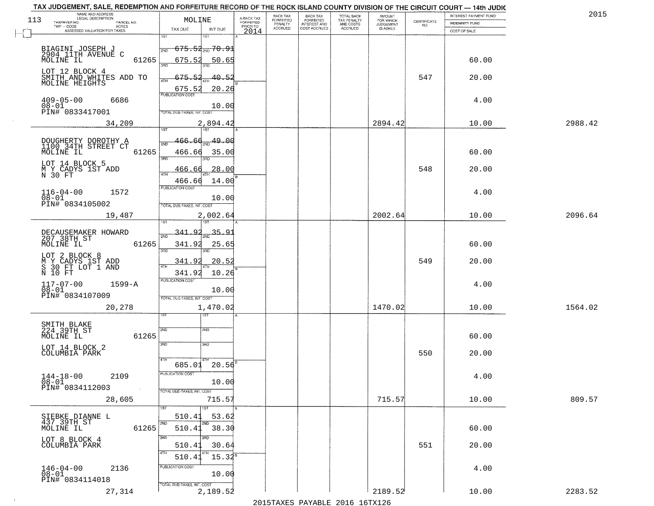| NAME AND ADDRESS<br>LEGAL DESCRIPTION<br>113<br>TAXPAYER NO.<br>PARCEL NO. | MOLINE                                       | A-BACK TAX<br>FORFEITED | BACK TAX<br>FORFEITED | <b>BACK TAX</b><br><b>FORFEITED</b> | TOTAL BACK<br>TAX PENALTY | <b>AMOUNT</b>                      | $\begin{array}{c} \text{CERTIFICATE} \\ \text{NO.} \end{array}$ | INTEREST PAYMENT FUND<br><b>INDEMNITY FUND</b> | 2015    |
|----------------------------------------------------------------------------|----------------------------------------------|-------------------------|-----------------------|-------------------------------------|---------------------------|------------------------------------|-----------------------------------------------------------------|------------------------------------------------|---------|
| TWP - CODE<br>ACRES<br>ASSESSED VALUATION FOR TAXES                        | TAX DUE<br>INT DUE                           | PRIOR TO<br>2014        | PENALTY<br>ACCRUED    | INTEREST AND<br>COST ACCRUED        | AND COSTS<br>ACCRUED      | FOR WHICH<br>JUDGEMENT<br>IS ASKED |                                                                 | COST OF SALE                                   |         |
|                                                                            | 1ST                                          |                         |                       |                                     |                           |                                    |                                                                 |                                                |         |
| BIAGINI JOSEPH J<br>2904_11TH AVENUE C                                     | <del>675.52<sub>2ND</sub> 70.91</del><br>2ND |                         |                       |                                     |                           |                                    |                                                                 |                                                |         |
| MOLINE IL<br>61265                                                         | 675.52<br>3AD                                | 50.65                   |                       |                                     |                           |                                    |                                                                 | 60.00                                          |         |
| LOT 12 BLOCK 4<br>SMITH AND WHITES ADD TO                                  | 675.52                                       | $-40.5.$                |                       |                                     |                           |                                    | 547                                                             | 20.00                                          |         |
| MOLINE HEIGHTS                                                             | 4TH<br>675.52                                | 20.26                   |                       |                                     |                           |                                    |                                                                 |                                                |         |
| $409 - 05 - 00$<br>6686                                                    | <b>PUBLICATION COST</b>                      |                         |                       |                                     |                           |                                    |                                                                 | 4.00                                           |         |
| $08 - 01$<br>PIN# 0833417001                                               | TOTAL DUE-TAXES, INT. COST                   | 10.00                   |                       |                                     |                           |                                    |                                                                 |                                                |         |
| 34,209                                                                     | 2,894.42                                     |                         |                       |                                     |                           | 2894.42                            |                                                                 | 10.00                                          | 2988.42 |
|                                                                            | <b>TST</b><br>1ST                            |                         |                       |                                     |                           |                                    |                                                                 |                                                |         |
| DOUGHERTY DOROTHY A<br>1100 34TH STREET CT<br>MOLINE IL<br>61265           | 466.<br>-66<br>466.66                        | 49.00<br>35.00          |                       |                                     |                           |                                    |                                                                 | 60.00                                          |         |
| LOT 14 BLOCK 5                                                             | 3BD                                          |                         |                       |                                     |                           |                                    |                                                                 |                                                |         |
| M Y CADYS 1ST ADD<br>N 30 FT                                               | 466.66<br>$\sqrt{4}$                         | 28.00                   |                       |                                     |                           |                                    | 548                                                             | 20.00                                          |         |
|                                                                            | 466.66<br>PUBLICATION COST                   | 14.00                   |                       |                                     |                           |                                    |                                                                 |                                                |         |
| $116 - 04 - 00$<br>1572<br>$08 - 01$                                       |                                              | 10.00                   |                       |                                     |                           |                                    |                                                                 | 4.00                                           |         |
| PIN# 0834105002                                                            | TOTAL DUE-TAXES, INT. COST                   |                         |                       |                                     |                           |                                    |                                                                 |                                                |         |
| 19,487                                                                     | 2,002.64                                     |                         |                       |                                     |                           | 2002.64                            |                                                                 | 10.00                                          | 2096.64 |
| DECAUSEMAKER HOWARD<br>207 38TH ST                                         | 341.92<br>2ND                                | 35.91                   |                       |                                     |                           |                                    |                                                                 |                                                |         |
| MOLINE IL<br>61265                                                         | 341.92                                       | 25.65                   |                       |                                     |                           |                                    |                                                                 | 60.00                                          |         |
| LOT 2 BLOCK 8                                                              | 3RD<br>3RD<br>341.92                         | 20.52                   |                       |                                     |                           |                                    | 549                                                             | 20.00                                          |         |
| M Ý ČADÝS IST ADD<br>S 30 FT LOT 1 AND<br>N 10 FT                          | 341.92                                       | 10.26                   |                       |                                     |                           |                                    |                                                                 |                                                |         |
| $1599 - A$                                                                 | <b>PUBLICATION COST</b>                      |                         |                       |                                     |                           |                                    |                                                                 | 4.00                                           |         |
| $117 - 07 - 00$<br>$08 - 01$<br>PIN# 0834107009                            | TOTAL OUE-TAXES, INT. COST                   | 10.00                   |                       |                                     |                           |                                    |                                                                 |                                                |         |
| 20,278                                                                     | 1,470.02                                     |                         |                       |                                     |                           | 1470.02                            |                                                                 | 10.00                                          | 1564.02 |
|                                                                            | १९४                                          |                         |                       |                                     |                           |                                    |                                                                 |                                                |         |
| SMITH BLAKE<br>224 39TH ST                                                 | 2ND<br>2ND                                   |                         |                       |                                     |                           |                                    |                                                                 |                                                |         |
| 61265<br>MOLINE IL                                                         | 3RD<br>3BD                                   |                         |                       |                                     |                           |                                    |                                                                 | 60.00                                          |         |
| LOT 14 BLOCK 2<br>COLUMBIA PARK                                            | 4TH                                          |                         |                       |                                     |                           |                                    | 550                                                             | 20.00                                          |         |
|                                                                            | $685.01$ 20.56                               |                         |                       |                                     |                           |                                    |                                                                 |                                                |         |
| $144 - 18 - 00$<br>2109<br>08-01                                           | PUBLICATION COST                             | 10.00                   |                       |                                     |                           |                                    |                                                                 | 4.00                                           |         |
| PIN# 0834112003<br>$\sim 100$                                              | TOTAL DUE-TAXES, INT. COST                   |                         |                       |                                     |                           |                                    |                                                                 |                                                |         |
| 28,605                                                                     | 1ST<br>1ST                                   | 715.57                  |                       |                                     |                           | 715.57                             |                                                                 | 10.00                                          | 809.57  |
| SIEBKE DIANNE L<br>437 39TH ST                                             | 510.41                                       | 53.62                   |                       |                                     |                           |                                    |                                                                 |                                                |         |
| 61265<br>MOLINE IL                                                         | 2ND<br>2ND<br>510.41                         | 38.30                   |                       |                                     |                           |                                    |                                                                 | 60.00                                          |         |
| LOT 8 BLOCK 4                                                              | उत्तर<br>3RD                                 |                         |                       |                                     |                           |                                    |                                                                 |                                                |         |
| COLUMBIA PARK                                                              | 510.41<br>4TH<br>4TH<br>510.41               | 30.64<br>$15.32^{B}$    |                       |                                     |                           |                                    | 551                                                             | 20.00                                          |         |
| 2136<br>$146 - 04 - 00$                                                    | PUBLICATION COST                             |                         |                       |                                     |                           |                                    |                                                                 | 4.00                                           |         |
| $08 - 01$<br>PIN# 0834114018                                               |                                              | 10.00                   |                       |                                     |                           |                                    |                                                                 |                                                |         |
| 27,314                                                                     | TOTAL OUE-TAXES, INT. COST<br>2,189.52       |                         |                       |                                     |                           | 2189.52                            |                                                                 | 10.00                                          | 2283.52 |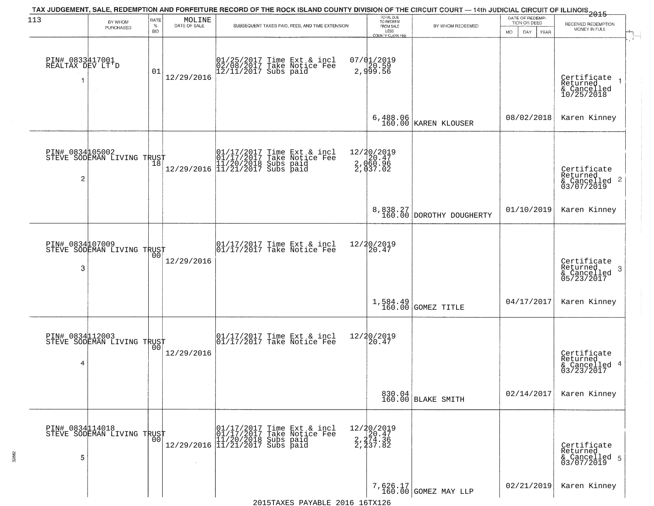| 113                                      |                                                   | RATE               |                        | TAX JUDGEMENT, SALE, REDEMPTION AND FORFEITURE RECORD OF THE ROCK ISLAND COUNTY DIVISION OF THE CIRCUIT COURT — 14th JUDICIAL CIRCUIT OF ILLINOIS 2015                                                                       |                                                                        |                                      | DATE OF REDEMP-                     |                                                                    |
|------------------------------------------|---------------------------------------------------|--------------------|------------------------|------------------------------------------------------------------------------------------------------------------------------------------------------------------------------------------------------------------------------|------------------------------------------------------------------------|--------------------------------------|-------------------------------------|--------------------------------------------------------------------|
|                                          | BY WHOM<br>PURCHASED                              | $\%$<br><b>BID</b> | MOLINE<br>DATE OF SALE | SUBSEQUENT TAXES PAID, FEES, AND TIME EXTENSION                                                                                                                                                                              | TOTAL DUE<br>TO REDEEM<br>FROM SALE<br>LESS<br><b>COUNTY CLERK FEE</b> | BY WHOM REDEEMED                     | TION OR DEED<br>MO.<br>DAY.<br>YEAR | RECEIVED REDEMPTION<br>MONEY IN FULL                               |
| PIN# 0833417001<br>REALTAX DEV LT'D<br>1 | $\sim$                                            | 01                 | 12/29/2016             | 01/25/2017 Time Ext & incl<br>02/08/2017 Take Notice Fee<br>12/11/2017 Subs paid                                                                                                                                             | 07/01/2019<br>2,920.59<br>2,999.56                                     |                                      |                                     | Certificate<br>Returned<br>& Cancelled<br>10/25/2018               |
|                                          |                                                   |                    |                        |                                                                                                                                                                                                                              | 6,488.06<br>160.00                                                     | KAREN KLOUSER                        | 08/02/2018                          | Karen Kinney                                                       |
| PIN# 0834105002<br>$\overline{c}$        | STEVE SODEMAN LIVING TRUST                        |                    |                        | $[01/17/2017$ Time Ext & incl\n01/17/2017 Take Notice Free\n11/20/2018 Subs paid\n12/29/2016] 11/21/2017 Subs paid$                                                                                                          | 12/20/2019<br>2, d20.47<br>2, d60.96<br>2, d37.02                      |                                      |                                     | Certificate<br>Returned<br>$\frac{1}{2}$ Cancelled 2<br>03/07/2019 |
|                                          |                                                   |                    |                        |                                                                                                                                                                                                                              |                                                                        | 8,838.27<br>160.00 DOROTHY DOUGHERTY | 01/10/2019                          | Karen Kinney                                                       |
| PIN# 0834107009<br>3                     | STEVE SODEMAN LIVING TRUST                        | 0 <sub>0</sub>     | 12/29/2016             | 01/17/2017 Time Ext & incl<br>01/17/2017 Take Notice Fee                                                                                                                                                                     | 12/20/2019<br>20.47                                                    |                                      |                                     | Certificate<br>Returned<br>3<br>& Cancelled<br>05/23/2017          |
|                                          |                                                   |                    |                        |                                                                                                                                                                                                                              |                                                                        | $1,584.49$ GOMEZ TITLE               | 04/17/2017                          | Karen Kinney                                                       |
| 4                                        | PIN# 0834112003    <br>STEVE SODEMAN LIVING TRUST | 0 <sub>0</sub>     | 12/29/2016             | $\begin{bmatrix} 01/17/2017 \\ 01/17/2017 \end{bmatrix}$ Time Ext & incl                                                                                                                                                     | 12/20/2019<br>$\left[20.47\right]$                                     |                                      |                                     | Certificate<br>Returned<br>& Cancelled 4<br>03/23/2017             |
|                                          |                                                   |                    |                        |                                                                                                                                                                                                                              |                                                                        | 830.04<br>160.00 BLAKE SMITH         | 02/14/2017                          | Karen Kinney                                                       |
| PIN# 0834114018<br>5                     | STEVE SODEMAN LIVING TRUST                        | 0 <sub>0</sub>     | $\sim 10^{-1}$         | 01/17/2017 Time Ext & incl<br>01/17/2017 Take Notice Fee<br>11/20/2018 Subs paid<br>12/29/2016 11/21/2017 Subs paid                                                                                                          | 12/20/2019<br>2, 20.47<br>2, 274.36<br>2, 237.82                       |                                      |                                     | Certificate<br>Returned<br>& Cancelled 5<br>03/07/2019             |
|                                          |                                                   |                    |                        | $2015T^2$ $NV^2$ $R^2$ $R^2$ $R^2$ $R^2$ $R^2$ $R^2$ $R^2$ $R^2$ $R^2$ $R^2$ $R^2$ $R^2$ $R^2$ $R^2$ $R^2$ $R^2$ $R^2$ $R^2$ $R^2$ $R^2$ $R^2$ $R^2$ $R^2$ $R^2$ $R^2$ $R^2$ $R^2$ $R^2$ $R^2$ $R^2$ $R^2$ $R^2$ $R^2$ $R^2$ |                                                                        | 7,626.17<br>160.00 GOMEZ MAY LLP     | 02/21/2019                          | Karen Kinney                                                       |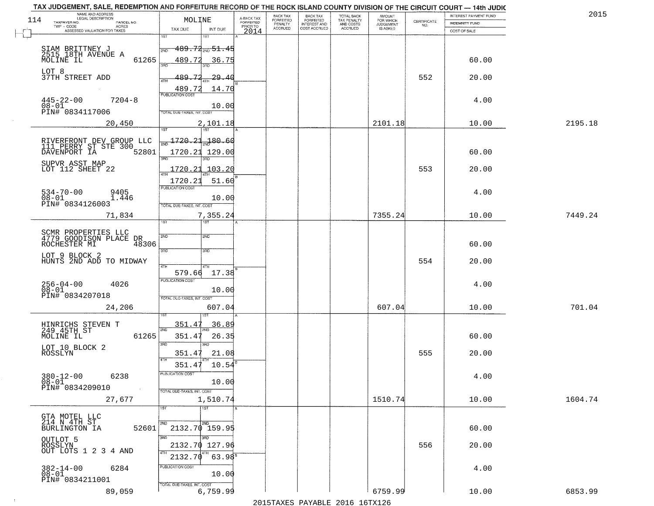| NAME AND ADDRESS<br>LEGAL DESCRIPTION<br>114              | MOLINE                              | A-BACK TAX            | BACK TAX<br><b>FORFEITED</b> | <b>BACK TAX</b><br><b>FORFEITED</b> |                                                   | <b>AMOUNT</b><br>FOR WHICH |                                                                 | INTEREST PAYMENT FUND | 2015    |
|-----------------------------------------------------------|-------------------------------------|-----------------------|------------------------------|-------------------------------------|---------------------------------------------------|----------------------------|-----------------------------------------------------------------|-----------------------|---------|
| TAXPAYER NO.<br>PARCEL NO.<br>TWP - CODE<br><b>ACRES</b>  |                                     | FORFEITED<br>PRIOR TO | PENALTY<br>ACCRUED           | INTEREST AND<br>COST ACCRUED        | TOTAL BACK<br>TAX PENALTY<br>AND COSTS<br>ACCRUED | JUDGEMENT                  | $\begin{array}{c} \text{CERTIFICATE} \\ \text{NO.} \end{array}$ | INDEMNITY FUND        |         |
| ASSESSED VALUATION FOR TAXES                              | TAX DUE<br>INT DUE<br>1ST<br>នោ     | 2014                  |                              |                                     |                                                   |                            |                                                                 | COST OF SALE          |         |
|                                                           |                                     |                       |                              |                                     |                                                   |                            |                                                                 |                       |         |
| SIAM BRITTNEY J<br>2515 18TH AVENUE A<br>MOLINE IL        | <del>189.72 200 51.45</del><br>2ND  |                       |                              |                                     |                                                   |                            |                                                                 |                       |         |
| 61265                                                     | 489.72<br>36.75<br>300              |                       |                              |                                     |                                                   |                            |                                                                 | 60.00                 |         |
| LOT 8<br>37TH STREET ADD                                  | 489.Z2<br>29.4(                     |                       |                              |                                     |                                                   |                            | 552                                                             | 20.00                 |         |
|                                                           | 4TH<br>14.70                        |                       |                              |                                     |                                                   |                            |                                                                 |                       |         |
|                                                           | 489.72<br><b>PUBLICATION COST</b>   |                       |                              |                                     |                                                   |                            |                                                                 |                       |         |
| $445 - 22 - 00$<br>$7204 - 8$<br>08-01<br>PIN# 0834117006 | 10.00                               |                       |                              |                                     |                                                   |                            |                                                                 | 4.00                  |         |
|                                                           | TOTAL DUE-TAXES, INT. COST          |                       |                              |                                     |                                                   |                            |                                                                 |                       |         |
| 20,450                                                    | 2,101.18<br>1ST <sup>1</sup><br>1ST |                       |                              |                                     |                                                   | 2101.18                    |                                                                 | 10.00                 | 2195.18 |
|                                                           | <u> 1720.21</u><br>180.60           |                       |                              |                                     |                                                   |                            |                                                                 |                       |         |
| RIVERFRONT DEV GROUP LLC<br>111 PERRY ST STE 300          |                                     |                       |                              |                                     |                                                   |                            |                                                                 |                       |         |
| DAVENPORT IA<br>52801                                     | 1720.21<br>129.00<br><b>BRC</b>     |                       |                              |                                     |                                                   |                            |                                                                 | 60.00                 |         |
| SUPVR ASST MAP<br>LOT 112 SHEET 22                        | 1720.21<br>103.20                   |                       |                              |                                     |                                                   |                            | 553                                                             | 20.00                 |         |
|                                                           | 1720.23<br>51.60                    |                       |                              |                                     |                                                   |                            |                                                                 |                       |         |
|                                                           | PUBLICATION COST                    |                       |                              |                                     |                                                   |                            |                                                                 |                       |         |
| $534 - 70 - 00$<br>9405<br>$08 - 01$<br>1.446             | 10.00                               |                       |                              |                                     |                                                   |                            |                                                                 | 4.00                  |         |
| PIN# 0834126003                                           | TOTAL DUE-TAXES, INT. COST          |                       |                              |                                     |                                                   |                            |                                                                 |                       |         |
| 71,834                                                    | 7,355.24<br>ist.<br>1ST             |                       |                              |                                     |                                                   | 7355.24                    |                                                                 | 10.00                 | 7449.24 |
|                                                           |                                     |                       |                              |                                     |                                                   |                            |                                                                 |                       |         |
| SCMR PROPERTIES LLC<br>4779 GOODISON PLACE DR             | 2ND<br>2ND                          |                       |                              |                                     |                                                   |                            |                                                                 |                       |         |
| 48306<br>ROCHESTER MI                                     | 3BD<br>3 <sub>3</sub>               |                       |                              |                                     |                                                   |                            |                                                                 | 60.00                 |         |
| LOT 9 BLOCK 2<br>HUNTS 2ND ADD TO MIDWAY                  |                                     |                       |                              |                                     |                                                   |                            | 554                                                             | 20.00                 |         |
|                                                           | 4TH<br>579.66<br>17.38              |                       |                              |                                     |                                                   |                            |                                                                 |                       |         |
| 4026                                                      | <b>PUBLICATION COST</b>             |                       |                              |                                     |                                                   |                            |                                                                 | 4.00                  |         |
| 256-04-00<br>08-01                                        | 10.00                               |                       |                              |                                     |                                                   |                            |                                                                 |                       |         |
| PIN# 0834207018                                           | TOTAL OUE-TAXES, INT. COST          |                       |                              |                                     |                                                   |                            |                                                                 |                       |         |
| 24,206                                                    | 607.04                              |                       |                              |                                     |                                                   | 607.04                     |                                                                 | 10.00                 | 701.04  |
|                                                           | 351.47<br>36.89                     |                       |                              |                                     |                                                   |                            |                                                                 |                       |         |
| HINRICHS STEVEN T<br>249 45TH ST<br>61265<br>MOLINE IL    | 2ND<br>351.4<br>26.35               |                       |                              |                                     |                                                   |                            |                                                                 | 60.00                 |         |
|                                                           | 3RD<br>3RD                          |                       |                              |                                     |                                                   |                            |                                                                 |                       |         |
| LOT 10 BLOCK 2<br>ROSSLYN                                 | 351.47<br>21.08                     |                       |                              |                                     |                                                   |                            | 555                                                             | 20.00                 |         |
|                                                           | 10.54<br>351.47                     |                       |                              |                                     |                                                   |                            |                                                                 |                       |         |
| $380 - 12 - 00$<br>6238                                   | PUBLICATION COST                    |                       |                              |                                     |                                                   |                            |                                                                 | 4.00                  |         |
| $08 - 01$                                                 | 10.00                               |                       |                              |                                     |                                                   |                            |                                                                 |                       |         |
| PIN# 0834209010                                           | TOTAL DUE-TAXES, INT. COST          |                       |                              |                                     |                                                   |                            |                                                                 |                       |         |
| 27,677                                                    | 1,510.74<br>$\overline{1ST}$<br>1ST |                       |                              |                                     |                                                   | 1510.74                    |                                                                 | 10.00                 | 1604.74 |
|                                                           |                                     |                       |                              |                                     |                                                   |                            |                                                                 |                       |         |
| GTA MOTEL LLC<br>214 N 4TH ST<br>BURLINGTON IA<br>52601   | 2ND<br>2ND<br>$2132.70$ 159.95      |                       |                              |                                     |                                                   |                            |                                                                 | 60.00                 |         |
|                                                           | अंगर<br>3RD                         |                       |                              |                                     |                                                   |                            |                                                                 |                       |         |
| OUTLOT 5<br>ROSSLYN<br>OUT LOTS 1 2 3 4 AND               | 2132.70 127.96                      |                       |                              |                                     |                                                   |                            | 556                                                             | 20.00                 |         |
|                                                           | 4TH<br>$63.98^{5}$<br>2132.70       |                       |                              |                                     |                                                   |                            |                                                                 |                       |         |
| 6284                                                      | PUBLICATION COST                    |                       |                              |                                     |                                                   |                            |                                                                 | 4.00                  |         |
| 382-14-00<br>08-01<br>PIN# 0834211001                     | 10.00                               |                       |                              |                                     |                                                   |                            |                                                                 |                       |         |
|                                                           | TOTAL DUE-TAXES, INT. COST          |                       |                              |                                     |                                                   |                            |                                                                 |                       |         |
| 89,059                                                    | 6,759.99                            |                       |                              |                                     |                                                   | 6759.99                    |                                                                 | 10.00                 | 6853.99 |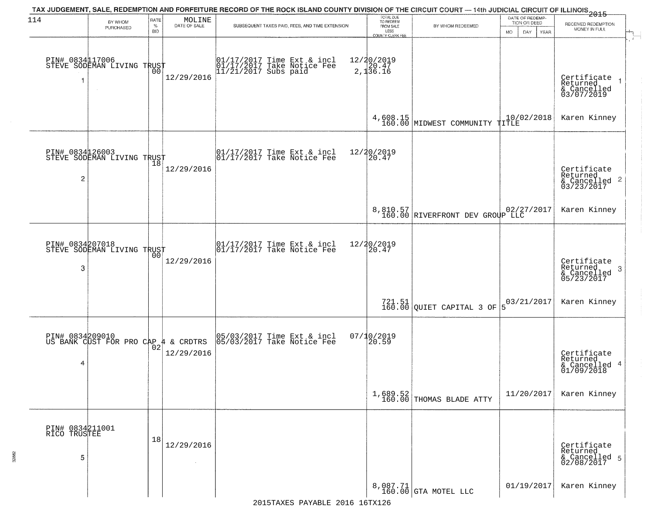| 114                                  | BY WHOM<br>PURCHASED                                   | RATE<br>$\%$<br><b>BID</b> | MOLINE<br>DATE OF SALE | TAX JUDGEMENT, SALE, REDEMPTION AND FORFEITURE RECORD OF THE ROCK ISLAND COUNTY DIVISION OF THE CIRCUIT COURT — 14th JUDICIAL CIRCUIT OF ILLINOIS 2015<br>SUBSEQUENT TAXES PAID, FEES, AND TIME EXTENSION | TOTAL DUE<br>TO REDEEM<br>FROM SALE<br>LESS<br><b>COUNTY CLERK FEE</b> | BY WHOM REDEEMED                            | DATE OF REDEMP-<br>TION OR DEED<br>DAY<br><b>YEAR</b><br>MO. | RECEIVED REDEMPTION<br>MONEY IN FULL                               |
|--------------------------------------|--------------------------------------------------------|----------------------------|------------------------|-----------------------------------------------------------------------------------------------------------------------------------------------------------------------------------------------------------|------------------------------------------------------------------------|---------------------------------------------|--------------------------------------------------------------|--------------------------------------------------------------------|
|                                      | PIN# 0834117006    <br>STEVE SODEMAN LIVING TRUST      | 00                         | 12/29/2016             | 01/17/2017 Time Ext & incl<br>01/17/2017 Take Notice Fee<br>11/21/2017 Subs paid                                                                                                                          | 12/20/2019<br>2,120.47<br>2,136.16                                     |                                             |                                                              | Certificate<br>Returned<br>& Cancelled<br>03/07/2019               |
|                                      |                                                        |                            |                        |                                                                                                                                                                                                           |                                                                        | 4,608.15<br>160.00 MIDWEST COMMUNITY TITLE  |                                                              | Karen Kinney                                                       |
| 2                                    | PIN# 0834126003<br>STEVE SODEMAN LIVING TRUST          | 18                         | 12/29/2016             | $\begin{array}{cc}  01/17/2017 \text{ Time} & \text{Ext} & \text{incl} \\  01/17/2017 \text{ Take Notice } \text{Fe} \end{array}$                                                                         | 12/20/2019<br>20.47                                                    |                                             |                                                              | Certificate<br>Returned<br>$\frac{1}{2}$ Cancelled 2<br>03/23/2017 |
|                                      |                                                        |                            |                        |                                                                                                                                                                                                           |                                                                        | 8,810.57<br>160.00 RIVERFRONT DEV GROUP LLC |                                                              | Karen Kinney                                                       |
| PIN# 0834207018<br>3                 | STEVE SODEMAN LIVING TRUST                             | 00                         | 12/29/2016             | 01/17/2017 Time Ext & incl<br>01/17/2017 Take Notice Fee                                                                                                                                                  | 12/20/2019<br>20.47                                                    |                                             |                                                              | Certificate<br>Returned<br>-3<br>$\frac{6}{05/23/2017}$            |
|                                      |                                                        |                            |                        |                                                                                                                                                                                                           |                                                                        | $721.51$ QUIET CAPITAL 3 OF                 | 03/21/2017<br>5                                              | Karen Kinney                                                       |
| 4                                    | PIN# 0834209010<br>US BANK CUST FOR PRO CAP 4 & CRDTRS |                            | 12/29/2016             | 05/03/2017 Time Ext & incl<br>05/03/2017 Take Notice Fee                                                                                                                                                  | 07/10/2019<br>120.59                                                   |                                             |                                                              | Certificate<br>Returned<br>& Cancelled 4<br>01/09/2018             |
|                                      |                                                        |                            |                        |                                                                                                                                                                                                           |                                                                        | $1,689.52$<br>160.00 THOMAS BLADE ATTY      | 11/20/2017                                                   | Karen Kinney                                                       |
| PIN# 0834211001<br>RICO TRUSTEE<br>5 |                                                        | 18                         | 12/29/2016             |                                                                                                                                                                                                           |                                                                        |                                             |                                                              | Certificate<br>Returned<br>& Cancelled 5<br>02/08/2017             |
|                                      |                                                        |                            |                        |                                                                                                                                                                                                           |                                                                        | 8,087.71<br>160.00 GTA MOTEL LLC            | 01/19/2017                                                   | Karen Kinney                                                       |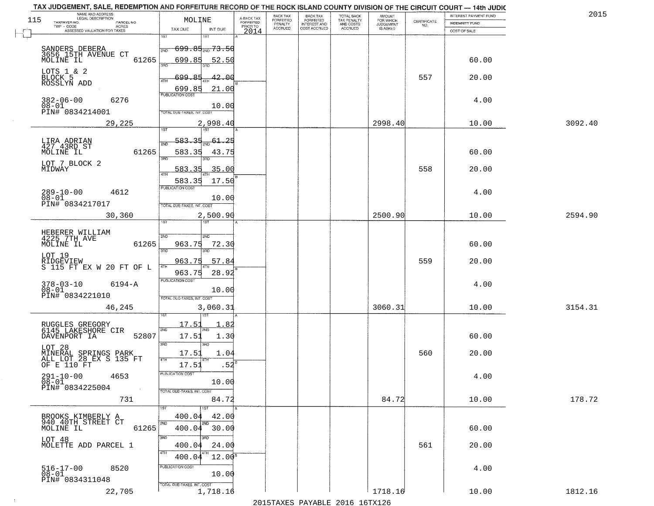|                                                       |                                                                                                                                                                                                                                                                                                                       | BACK TAX<br>FORFEITED                                                                                                                                                                                                                                                                                                                                          | <b>BACK TAX</b><br><b>FORFEITED</b> | TOTAL BACK<br>TAX PENALTY    | <b>AMOUNT</b>        |                                                                   | INTEREST PAYMENT FUND                                                         | 2015                                                                                                                                                                                                                                                        |
|-------------------------------------------------------|-----------------------------------------------------------------------------------------------------------------------------------------------------------------------------------------------------------------------------------------------------------------------------------------------------------------------|----------------------------------------------------------------------------------------------------------------------------------------------------------------------------------------------------------------------------------------------------------------------------------------------------------------------------------------------------------------|-------------------------------------|------------------------------|----------------------|-------------------------------------------------------------------|-------------------------------------------------------------------------------|-------------------------------------------------------------------------------------------------------------------------------------------------------------------------------------------------------------------------------------------------------------|
|                                                       | PRIOR TO                                                                                                                                                                                                                                                                                                              |                                                                                                                                                                                                                                                                                                                                                                |                                     |                              |                      |                                                                   |                                                                               |                                                                                                                                                                                                                                                             |
| 1ST                                                   |                                                                                                                                                                                                                                                                                                                       |                                                                                                                                                                                                                                                                                                                                                                |                                     |                              |                      |                                                                   |                                                                               |                                                                                                                                                                                                                                                             |
| 2ND                                                   |                                                                                                                                                                                                                                                                                                                       |                                                                                                                                                                                                                                                                                                                                                                |                                     |                              |                      |                                                                   |                                                                               |                                                                                                                                                                                                                                                             |
| 61265<br>699.85                                       |                                                                                                                                                                                                                                                                                                                       |                                                                                                                                                                                                                                                                                                                                                                |                                     |                              |                      |                                                                   | 60.00                                                                         |                                                                                                                                                                                                                                                             |
|                                                       |                                                                                                                                                                                                                                                                                                                       |                                                                                                                                                                                                                                                                                                                                                                |                                     |                              |                      |                                                                   |                                                                               |                                                                                                                                                                                                                                                             |
| 4TH                                                   |                                                                                                                                                                                                                                                                                                                       |                                                                                                                                                                                                                                                                                                                                                                |                                     |                              |                      |                                                                   |                                                                               |                                                                                                                                                                                                                                                             |
| <b>PUBLICATION COST</b>                               |                                                                                                                                                                                                                                                                                                                       |                                                                                                                                                                                                                                                                                                                                                                |                                     |                              |                      |                                                                   |                                                                               |                                                                                                                                                                                                                                                             |
|                                                       |                                                                                                                                                                                                                                                                                                                       |                                                                                                                                                                                                                                                                                                                                                                |                                     |                              |                      |                                                                   |                                                                               |                                                                                                                                                                                                                                                             |
|                                                       |                                                                                                                                                                                                                                                                                                                       |                                                                                                                                                                                                                                                                                                                                                                |                                     |                              |                      |                                                                   |                                                                               | 3092.40                                                                                                                                                                                                                                                     |
| 1ST<br>1ST                                            |                                                                                                                                                                                                                                                                                                                       |                                                                                                                                                                                                                                                                                                                                                                |                                     |                              |                      |                                                                   |                                                                               |                                                                                                                                                                                                                                                             |
| 583.35<br>2NL                                         |                                                                                                                                                                                                                                                                                                                       |                                                                                                                                                                                                                                                                                                                                                                |                                     |                              |                      |                                                                   |                                                                               |                                                                                                                                                                                                                                                             |
| 3RD                                                   |                                                                                                                                                                                                                                                                                                                       |                                                                                                                                                                                                                                                                                                                                                                |                                     |                              |                      |                                                                   |                                                                               |                                                                                                                                                                                                                                                             |
| 583<br>$-35$                                          |                                                                                                                                                                                                                                                                                                                       |                                                                                                                                                                                                                                                                                                                                                                |                                     |                              |                      | 558                                                               | 20.00                                                                         |                                                                                                                                                                                                                                                             |
| 583.35                                                |                                                                                                                                                                                                                                                                                                                       |                                                                                                                                                                                                                                                                                                                                                                |                                     |                              |                      |                                                                   |                                                                               |                                                                                                                                                                                                                                                             |
| <b>PUBLICATION COST</b>                               |                                                                                                                                                                                                                                                                                                                       |                                                                                                                                                                                                                                                                                                                                                                |                                     |                              |                      |                                                                   | 4.00                                                                          |                                                                                                                                                                                                                                                             |
| TOTAL DUE-TAXES, INT. COST                            |                                                                                                                                                                                                                                                                                                                       |                                                                                                                                                                                                                                                                                                                                                                |                                     |                              |                      |                                                                   |                                                                               |                                                                                                                                                                                                                                                             |
|                                                       |                                                                                                                                                                                                                                                                                                                       |                                                                                                                                                                                                                                                                                                                                                                |                                     |                              | 2500.90              |                                                                   | 10.00                                                                         | 2594.90                                                                                                                                                                                                                                                     |
|                                                       |                                                                                                                                                                                                                                                                                                                       |                                                                                                                                                                                                                                                                                                                                                                |                                     |                              |                      |                                                                   |                                                                               |                                                                                                                                                                                                                                                             |
| 2ND<br>2ND                                            |                                                                                                                                                                                                                                                                                                                       |                                                                                                                                                                                                                                                                                                                                                                |                                     |                              |                      |                                                                   |                                                                               |                                                                                                                                                                                                                                                             |
| 3RD<br>3RD                                            |                                                                                                                                                                                                                                                                                                                       |                                                                                                                                                                                                                                                                                                                                                                |                                     |                              |                      |                                                                   |                                                                               |                                                                                                                                                                                                                                                             |
| 963.75<br>4TH                                         |                                                                                                                                                                                                                                                                                                                       |                                                                                                                                                                                                                                                                                                                                                                |                                     |                              |                      | 559                                                               | 20.00                                                                         |                                                                                                                                                                                                                                                             |
| 963.75                                                |                                                                                                                                                                                                                                                                                                                       |                                                                                                                                                                                                                                                                                                                                                                |                                     |                              |                      |                                                                   |                                                                               |                                                                                                                                                                                                                                                             |
|                                                       |                                                                                                                                                                                                                                                                                                                       |                                                                                                                                                                                                                                                                                                                                                                |                                     |                              |                      |                                                                   | 4.00                                                                          |                                                                                                                                                                                                                                                             |
| TOTAL OUE-TAXES, INT. COST                            |                                                                                                                                                                                                                                                                                                                       |                                                                                                                                                                                                                                                                                                                                                                |                                     |                              |                      |                                                                   |                                                                               |                                                                                                                                                                                                                                                             |
|                                                       |                                                                                                                                                                                                                                                                                                                       |                                                                                                                                                                                                                                                                                                                                                                |                                     |                              |                      |                                                                   |                                                                               | 3154.31                                                                                                                                                                                                                                                     |
| 17.51                                                 |                                                                                                                                                                                                                                                                                                                       |                                                                                                                                                                                                                                                                                                                                                                |                                     |                              |                      |                                                                   |                                                                               |                                                                                                                                                                                                                                                             |
| 52807<br>17.51                                        |                                                                                                                                                                                                                                                                                                                       |                                                                                                                                                                                                                                                                                                                                                                |                                     |                              |                      |                                                                   | 60.00                                                                         |                                                                                                                                                                                                                                                             |
| 3RD<br>3BD                                            |                                                                                                                                                                                                                                                                                                                       |                                                                                                                                                                                                                                                                                                                                                                |                                     |                              |                      |                                                                   |                                                                               |                                                                                                                                                                                                                                                             |
| MINERAL SPRINGS PARK<br>ALL LOT 28 EX S 135 FT<br>4TH |                                                                                                                                                                                                                                                                                                                       |                                                                                                                                                                                                                                                                                                                                                                |                                     |                              |                      |                                                                   |                                                                               |                                                                                                                                                                                                                                                             |
| PUBLICATION COST                                      |                                                                                                                                                                                                                                                                                                                       |                                                                                                                                                                                                                                                                                                                                                                |                                     |                              |                      |                                                                   |                                                                               |                                                                                                                                                                                                                                                             |
|                                                       |                                                                                                                                                                                                                                                                                                                       |                                                                                                                                                                                                                                                                                                                                                                |                                     |                              |                      |                                                                   |                                                                               |                                                                                                                                                                                                                                                             |
| TOTAL DUE-TAXES, INT. COST                            |                                                                                                                                                                                                                                                                                                                       |                                                                                                                                                                                                                                                                                                                                                                |                                     |                              |                      |                                                                   |                                                                               | 178.72                                                                                                                                                                                                                                                      |
| 1ST<br>1ST                                            |                                                                                                                                                                                                                                                                                                                       |                                                                                                                                                                                                                                                                                                                                                                |                                     |                              |                      |                                                                   |                                                                               |                                                                                                                                                                                                                                                             |
| 400.04                                                |                                                                                                                                                                                                                                                                                                                       |                                                                                                                                                                                                                                                                                                                                                                |                                     |                              |                      |                                                                   |                                                                               |                                                                                                                                                                                                                                                             |
| 61265                                                 |                                                                                                                                                                                                                                                                                                                       |                                                                                                                                                                                                                                                                                                                                                                |                                     |                              |                      |                                                                   | 60.00                                                                         |                                                                                                                                                                                                                                                             |
| 400.04                                                |                                                                                                                                                                                                                                                                                                                       |                                                                                                                                                                                                                                                                                                                                                                |                                     |                              |                      | 561                                                               |                                                                               |                                                                                                                                                                                                                                                             |
| 4TH<br>4TH<br>400.04                                  |                                                                                                                                                                                                                                                                                                                       |                                                                                                                                                                                                                                                                                                                                                                |                                     |                              |                      |                                                                   |                                                                               |                                                                                                                                                                                                                                                             |
| PUBLICATION COST                                      |                                                                                                                                                                                                                                                                                                                       |                                                                                                                                                                                                                                                                                                                                                                |                                     |                              |                      |                                                                   | 4.00                                                                          |                                                                                                                                                                                                                                                             |
|                                                       |                                                                                                                                                                                                                                                                                                                       |                                                                                                                                                                                                                                                                                                                                                                |                                     |                              |                      |                                                                   |                                                                               |                                                                                                                                                                                                                                                             |
|                                                       |                                                                                                                                                                                                                                                                                                                       |                                                                                                                                                                                                                                                                                                                                                                |                                     |                              | 1718.16              |                                                                   | 10.00                                                                         | 1812.16                                                                                                                                                                                                                                                     |
|                                                       | MOLINE<br>TAX DUE<br>INT DUE<br>3AD<br>699.85<br>699.85<br>TOTAL DUE-TAXES, INT. COST<br>61265<br>583.35<br>$\sqrt{4}$<br>1ST<br>61265<br>963.75<br>RIDGEVIEW<br>S 115 FT EX W 20 FT OF L<br><b>PUBLICATION COST</b><br>2ND<br>17.51<br>17.51<br>$\sim 100$<br>2ND<br>2ND<br>3RD<br>3BD<br>TOTAL DUE-TAXES, INT. COST | A-BACK TAX<br>FORFEITED<br>2014<br><del>699.85<sub>2ND</sub> 73.50</del><br>52.50<br>42.00<br>21.00<br>10.00<br>2,998.40<br>61, 25<br>43.75<br>.35.00<br>17.50<br>10.00<br>2,500.90<br>72.30<br>57.84<br>28.92<br>10.00<br>3,060.31<br>8.<br>1.30<br>1.04<br>$.54^{8}$<br>10.00<br>84.72<br>42.00<br>$400.04$ 30.00<br>24.00<br>$12.00^8$<br>10.00<br>1,718.16 | PENALTY<br>ACCRUED                  | INTEREST AND<br>COST ACCRUED | AND COSTS<br>ACCRUED | FOR WHICH<br>JUDGEMENT<br>IS ASKED<br>2998.40<br>3060.31<br>84.72 | $\begin{array}{c} \text{CERTIFICATE} \\ \text{NO.} \end{array}$<br>557<br>560 | TAX JUDGEMENT, SALE, REDEMPTION AND FORFEITURE RECORD OF THE ROCK ISLAND COUNTY DIVISION OF THE CIRCUIT COURT - 14th JUDIC<br><b>INDEMNITY FUND</b><br>COST OF SALE<br>20.00<br>4.00<br>10.00<br>60.00<br>60.00<br>10.00<br>20.00<br>4.00<br>10.00<br>20.00 |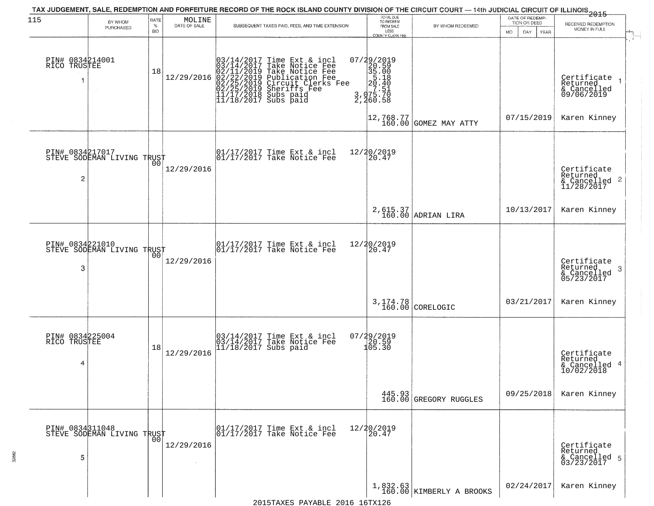| 115                                  | BY WHOM                                       | RATE               | MOLINE<br>DATE OF SALE | TAX JUDGEMENT, SALE, REDEMPTION AND FORFEITURE RECORD OF THE ROCK ISLAND COUNTY DIVISION OF THE CIRCUIT COURT — 14th JUDICIAL CIRCUIT OF ILLINOIS 2015                                                                                     | TOTAL DUE<br>TO REDEEM                                                                         |                                                                       | DATE OF REDEMP-<br>TION OR DEED | RECEIVED REDEMPTION                                        |
|--------------------------------------|-----------------------------------------------|--------------------|------------------------|--------------------------------------------------------------------------------------------------------------------------------------------------------------------------------------------------------------------------------------------|------------------------------------------------------------------------------------------------|-----------------------------------------------------------------------|---------------------------------|------------------------------------------------------------|
|                                      | PURCHASED                                     | $\%$<br><b>BID</b> |                        | SUBSEQUENT TAXES PAID, FEES, AND TIME EXTENSION                                                                                                                                                                                            | FROM SALE<br>LESS<br>COUNTY CLERK FEE                                                          | BY WHOM REDEEMED                                                      | MO.<br>DAY<br><b>YEAR</b>       | MONEY IN FULL                                              |
| PIN# 0834214001<br>RICO TRUSTEE<br>1 |                                               | 18                 | 12/29/2016             | $03/14/2017$ Time Ext & incl<br>$03/14/2017$ Take Notice Fee<br>$02/11/2019$ Take Notice Fee<br>$02/22/2019$ Publication Fee<br>$02/25/2019$ Sheriffs Fee<br>$02/25/2019$ Sheriffs Fee<br>$11/17/2018$ Subs paid<br>$11/18/2017$ Subs paid | 07/29/2019<br>$3,40.59$<br>$35.00$<br>$35.18$<br>$20.40$<br>$7.51$<br>$3,475.70$<br>$3,460.58$ |                                                                       |                                 | Certificate<br>Returned<br>& Cancelled<br>09/06/2019       |
|                                      |                                               |                    |                        |                                                                                                                                                                                                                                            |                                                                                                | $\begin{bmatrix} 12, 768, 77 \\ 160, 00 \end{bmatrix}$ GOMEZ MAY ATTY | 07/15/2019                      | Karen Kinney                                               |
| PIN# 0834217017<br>2                 | STEVE SODEMAN LIVING TRUST                    |                    | 12/29/2016             | 01/17/2017 Time Ext & incl<br>01/17/2017 Take Notice Fee                                                                                                                                                                                   | 12/20/2019<br>20.47                                                                            |                                                                       |                                 | Certificate<br>Returned<br>& Cancelled 2<br>11/28/2017     |
|                                      |                                               |                    |                        |                                                                                                                                                                                                                                            |                                                                                                | 2,615.37<br>160.00 ADRIAN LIRA                                        | 10/13/2017                      | Karen Kinney                                               |
| PIN# 0834221010<br>3                 | STEVE SODEMAN LIVING TRUST                    | 00                 | 12/29/2016             | 01/17/2017 Time Ext & incl<br>01/17/2017 Take Notice Fee                                                                                                                                                                                   | 12/20/2019<br>20.47                                                                            |                                                                       |                                 | Certificate<br>Returned<br>-3<br>& Cancelled<br>05/23/2017 |
|                                      |                                               |                    |                        |                                                                                                                                                                                                                                            |                                                                                                | 3, 174.78<br>160.00 CORELOGIC                                         | 03/21/2017                      | Karen Kinney                                               |
| PIN# 0834225004<br>RICO TRUSTEE<br>4 |                                               | 18                 | 12/29/2016             | 03/14/2017 Time Ext & incl<br>03/14/2017 Take Notice Fee<br>11/18/2017 Subs paid                                                                                                                                                           | $07/29/2019$<br>$120.59$<br>$105.30$                                                           |                                                                       |                                 | Certificate<br>Returned<br>& Cancelled 4<br>10/02/2018     |
|                                      |                                               |                    |                        |                                                                                                                                                                                                                                            |                                                                                                | 445.93<br>160.00 GREGORY RUGGLES                                      | 09/25/2018                      | Karen Kinney                                               |
| 5                                    | PIN# 0834311048<br>STEVE SODEMAN LIVING TRUST | 00                 | 12/29/2016             | 01/17/2017 Time Ext & incl<br>01/17/2017 Take Notice Fee                                                                                                                                                                                   | 12/20/2019<br>20.47                                                                            |                                                                       |                                 | Certificate<br>Returned<br>& Cancelled 5<br>03/23/2017     |
|                                      |                                               |                    |                        |                                                                                                                                                                                                                                            |                                                                                                | $\left[1,832.63\atop160.00\right]$ KIMBERLY A BROOKS                  | 02/24/2017                      | Karen Kinney                                               |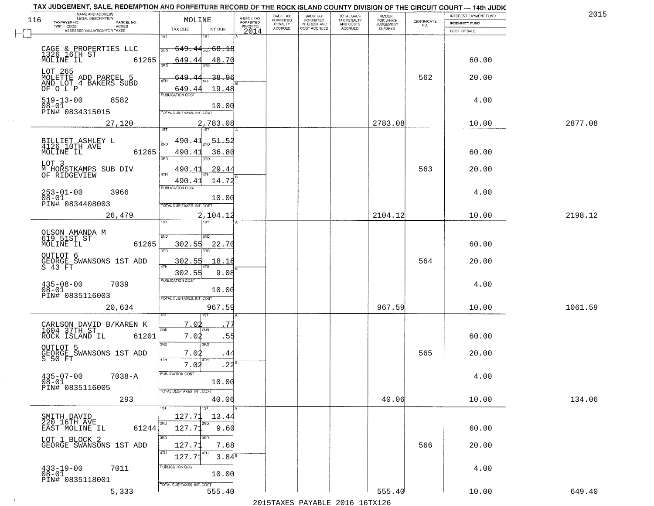|     | TAX JUDGEMENT, SALE, REDEMPTION AND FORFEITURE RECORD OF THE ROCK ISLAND COUNTY DIVISION OF THE CIRCUIT COURT - 14th JUDIC<br>NAME AND ADDRESS<br>LEGAL DESCRIPTION |                                                                                                       |                                     | BACK TAX             | <b>BACK TAX</b>           | <b>TOTAL BACK</b>        | AMOUNT<br>FOR WHICH |                    | INTEREST PAYMENT FUND | 2015    |
|-----|---------------------------------------------------------------------------------------------------------------------------------------------------------------------|-------------------------------------------------------------------------------------------------------|-------------------------------------|----------------------|---------------------------|--------------------------|---------------------|--------------------|-----------------------|---------|
| 116 | TAXPAYER NO.<br>PARCEL NO.<br>$TWP - CODE$<br><b>ACRES</b>                                                                                                          | MOLINE                                                                                                | A-BACK TAX<br>FORFEITED<br>PRIOR TO | FORFEITED<br>PENALTY | FORFEITED<br>INTEREST AND | TAX PENALTY<br>AND COSTS | <b>JUDGEMENT</b>    | CERTIFICATE<br>NO. | <b>INDEMNITY FUND</b> |         |
|     | ASSESSED VALUATION FOR TAXES                                                                                                                                        | TAX DUE<br>INT DUE                                                                                    | 2014                                | <b>ACCRUED</b>       | COST ACCRUED              | <b>ACCRUED</b>           | IS ASKED            |                    | COST OF SALE          |         |
|     | CAGE & PROPERTIES LLC<br>1326_16TH ST<br>61265<br>MOLINE IL                                                                                                         | 181<br>1ST<br>$649.44_{200}$ 68.18<br>2ND<br>649.44<br>48.70                                          |                                     |                      |                           |                          |                     |                    | 60.00                 |         |
|     | LOT 265<br>MOLETTE ADD PARCEL 5<br>AND LOT 4 BAKERS SUBD<br>OF O L P                                                                                                | 3RD<br>649.<br>38.96<br>ATH<br>19.48<br>649.44                                                        |                                     |                      |                           |                          |                     | 562                | 20.00                 |         |
|     | $519 - 13 - 00$<br>8582<br>$08 - 01$<br>PIN# 0834315015                                                                                                             | <b>PUBLICATION COST</b><br>10.00<br>TOTAL DUE-TAXES, INT. COST                                        |                                     |                      |                           |                          |                     |                    | 4.00                  |         |
|     | 27,120                                                                                                                                                              | 2,783.08                                                                                              |                                     |                      |                           |                          | 2783.08             |                    | 10.00                 | 2877.08 |
|     | BILLIET ASHLEY L<br>4126 10TH AVE<br>MOLINE IL<br>61265<br>LOT 3<br>M HORSTKAMPS SUB DIV                                                                            | 1ST<br><u>490.41</u><br>51.52<br>2ND<br>490.41<br>36.80<br>$\overline{3BD}$<br>חוז<br>29.44<br>490.41 |                                     |                      |                           |                          |                     | 563                | 60.00<br>20.00        |         |
|     | OF RIDGEVIEW<br>$253 - 01 - 00$<br>3966<br>$08 - 01$<br>PIN# 0834408003                                                                                             | $\overline{ATH}$<br>14.72<br>490.41<br>PUBLICATION COST<br>10.00<br>TOTAL DUE-TAXES, INT. COST        |                                     |                      |                           |                          |                     |                    | 4.00                  |         |
|     | 26,479                                                                                                                                                              | 2,104.12<br>1ST<br>ist                                                                                |                                     |                      |                           |                          | 2104.12             |                    | 10.00                 | 2198.12 |
|     | OLSON AMANDA M<br>619 51ST ST<br>MOLINE IL<br>61265<br>OUTLOT 6                                                                                                     | 2ND<br>SMD<br>302.55<br>22.70<br>3BD<br>3 <sub>BD</sub><br>302.55<br>18.16                            |                                     |                      |                           |                          |                     | 564                | 60.00<br>20.00        |         |
|     | GEORGE SWANSONS 1ST ADD<br>S 43 FT<br>$435 - 08 - 00$<br>7039<br>$08 - 01$<br>PIN# 0835116003                                                                       | 4TH<br>9.08<br>302.55<br><b>PUBLICATION COST</b><br>10.00<br>TOTAL OUE-TAXES, INT. COST               |                                     |                      |                           |                          |                     |                    | 4.00                  |         |
|     | 20,634                                                                                                                                                              | 967.59                                                                                                |                                     |                      |                           |                          | 967.59              |                    | 10.00                 | 1061.59 |
|     | CARLSON DAVID B/KAREN K<br>1604 37TH ST<br>ROCK ISLAND IL<br>61201<br>OUTLOT 5                                                                                      | 1ST<br>7.02<br>7'<br>2ND<br>'ND<br>7.02<br>.55<br>3RD<br>3RD                                          |                                     |                      |                           |                          |                     |                    | 60.00                 |         |
|     | GEORGE SWANSONS 1ST ADD<br>S 50 FT                                                                                                                                  | 7.02<br>.44<br>4TH                                                                                    |                                     |                      |                           |                          |                     | 565                | 20.00                 |         |
|     | $435 - 07 - 00$<br>$7038 - A$<br>$08 - 01$<br>PIN# 0835116005<br>$\sim 10^{11}$ km $^{-1}$                                                                          | 7.02<br>.22<br>-usuca i un cus-<br>10.00<br>TOTAL DUE-TAXES, INT. COST                                |                                     |                      |                           |                          |                     |                    | 4.00                  |         |
|     | 293                                                                                                                                                                 | 40.06                                                                                                 |                                     |                      |                           |                          | 40.06               |                    | 10.00                 | 134.06  |
|     | SMITH DAVID<br>220 16TH AVE<br>61244<br>EAST MOLINE IL                                                                                                              | 1ST<br>127.71<br>13.44<br>2ND<br>2ND<br>127.71<br>9.60                                                |                                     |                      |                           |                          |                     |                    | 60.00                 |         |
|     | LOT 1 BLOCK 2<br>GEORGE SWANSONS 1ST ADD                                                                                                                            | 3RD<br>127.71<br>7.68<br>4TH<br>4TH<br>3.84 <sup>B</sup><br>127.71                                    |                                     |                      |                           |                          |                     | 566                | 20.00                 |         |
|     | $433 - 19 - 00$<br>7011<br>$08 - 01$<br>PIN# 0835118001                                                                                                             | PUBLICATION COST<br>10.00<br>TOTAL DUE-TAXES, INT. COST                                               |                                     |                      |                           |                          |                     |                    | 4.00                  |         |
|     | 5,333                                                                                                                                                               | 555.40                                                                                                |                                     |                      |                           |                          | 555.40              |                    | 10.00                 | 649.40  |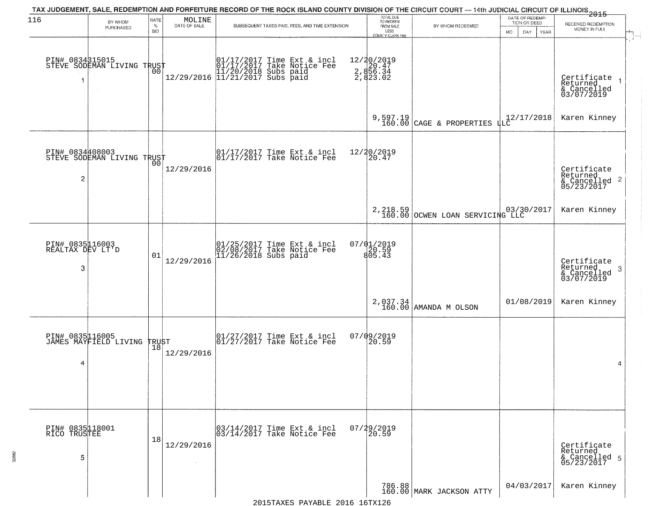| 116                                      |                                                         | RATE               | MOLINE       | TAX JUDGEMENT, SALE, REDEMPTION AND FORFEITURE RECORD OF THE ROCK ISLAND COUNTY DIVISION OF THE CIRCUIT COURT — 14th JUDICIAL CIRCUIT OF ILLINOIS 2015 | TOTAL DUE<br>TO REDEEM                                             |                                                         | DATE OF REDEMP-                           |                                                                        |
|------------------------------------------|---------------------------------------------------------|--------------------|--------------|--------------------------------------------------------------------------------------------------------------------------------------------------------|--------------------------------------------------------------------|---------------------------------------------------------|-------------------------------------------|------------------------------------------------------------------------|
|                                          | BY WHOM<br>PURCHASED                                    | $\%$<br><b>BID</b> | DATE OF SALE | SUBSEQUENT TAXES PAID, FEES, AND TIME EXTENSION                                                                                                        | FROM SALE<br>LESS                                                  | BY WHOM REDEEMED                                        | TION OR DEED<br><b>MO</b><br>DAY.<br>YEAR | RECEIVED REDEMPTION<br>MONEY IN FULL                                   |
| 1                                        | PIN# 0834315015<br>STEVE SODEMAN LIVING TRUST<br>$\sim$ | 0Ō                 |              | 01/17/2017 Time Ext & incl<br>01/17/2017 Take Notice Fee<br>11/20/2018 Subs paid<br>12/29/2016 11/21/2017 Subs paid                                    | COUNTY CLERK FEE<br>12/20/2019<br>2.856.34<br>2.856.34<br>2.823.02 |                                                         |                                           | Certificate<br>Returned<br>& Cancelled<br>03/07/2019                   |
|                                          |                                                         |                    |              |                                                                                                                                                        |                                                                    | 9,597.19<br>160.00 CAGE & PROPERTIES                    | $\frac{1}{4}$ LC <sup>12</sup> /17/2018   | Karen Kinney                                                           |
| PIN# 0834408003<br>2                     | STEVE SODEMAN LIVING TRUST                              |                    | 12/29/2016   | 01/17/2017 Time Ext & incl<br>01/17/2017 Take Notice Fee                                                                                               | 12/20/2019<br>20.47                                                |                                                         |                                           | Certificate<br>Returned<br>$\overline{2}$<br>& Cancelled<br>05/23/2017 |
|                                          |                                                         |                    |              |                                                                                                                                                        |                                                                    | 2, 218.59 03/30/2017<br>160.00 OCWEN LOAN SERVICING LLC |                                           | Karen Kinney                                                           |
| PIN# 0835116003<br>REALTAX DEV LT'D<br>3 |                                                         | 01                 | 12/29/2016   | 01/25/2017 Time Ext & incl<br>02/08/2017 Take Notice Fee<br>11/26/2018 Subs paid                                                                       | $07/01/2019$<br>$805.43$                                           |                                                         |                                           | Certificate<br>Returned<br>3<br>& Cancelled<br>03/07/2019              |
|                                          |                                                         |                    |              |                                                                                                                                                        |                                                                    | 2,037.34<br>160.00 AMANDA M OLSON                       | 01/08/2019                                | Karen Kinney                                                           |
| 4                                        | PIN# 0835116005<br>JAMES MAYFIELD LIVING                | TRUST<br>  18      | 12/29/2016   | 01/27/2017 Time Ext & incl<br>01/27/2017 Take Notice Fee                                                                                               | 07/09/2019<br>$\left[20.59\right]$                                 |                                                         |                                           | 4                                                                      |
| PIN# 0835118001<br>RICO TRUSTEE<br>5     |                                                         | 18                 | 12/29/2016   | 03/14/2017 Time Ext & incl<br>03/14/2017 Take Notice Fee                                                                                               | 07/29/2019<br>20.59                                                |                                                         |                                           | Certificate<br>Returned<br>& Cancelled 5<br>05/23/2017                 |
|                                          |                                                         |                    |              |                                                                                                                                                        |                                                                    | 786.88<br>160.00 MARK JACKSON ATTY                      | 04/03/2017                                | Karen Kinney                                                           |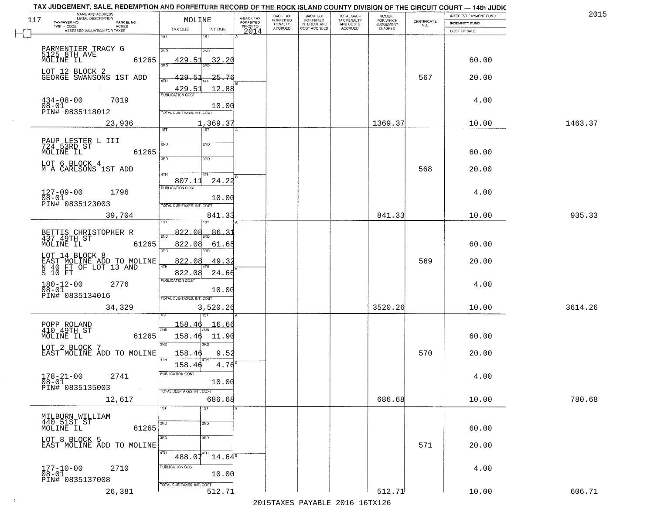| 2015    | INTEREST PAYMENT FUND |                                                                 | <b>AMOUNT</b><br>FOR WHICH | TOTAL BACK                          | <b>BACK TAX</b><br><b>FORFEITED</b> | BACK TAX<br><b>FORFEITED</b> | A-BACK TAX            | MOLINE                                                                         | NAME AND ADDRESS<br>LEGAL DESCRIPTION<br>117                                    |
|---------|-----------------------|-----------------------------------------------------------------|----------------------------|-------------------------------------|-------------------------------------|------------------------------|-----------------------|--------------------------------------------------------------------------------|---------------------------------------------------------------------------------|
|         | INDEMNITY FUND        | $\begin{array}{c} \text{CERTIFICATE} \\ \text{NO.} \end{array}$ | JUDGEMENT                  | TAX PENALTY<br>AND COSTS<br>ACCRUED | INTEREST AND<br>COST ACCRUED        | PENALTY<br>ACCRUED           | FORFEITED<br>PRIOR TO |                                                                                | TAXPAYER NO.<br>PARCEL NO.<br>TWP - CODE<br><b>ACRES</b>                        |
|         | COST OF SALE          |                                                                 |                            |                                     |                                     |                              | 2014                  | TAX DUE<br>INT DUE<br>1ST<br>1ST                                               | ASSESSED VALUATION FOR TAXES                                                    |
|         | 60.00                 |                                                                 |                            |                                     |                                     |                              |                       | 2ND<br>2ND<br>429.5<br>32.20                                                   | PARMENTIER TRACY G<br>5125 8TH AVE<br>MOLINE IL<br>61265                        |
|         | 20.00                 | 567                                                             |                            |                                     |                                     |                              |                       | 429.<br>25.76<br>4TH<br>12.88                                                  | LOT 12 BLOCK 2<br>GEORGE SWANSONS 1ST ADD                                       |
|         | 4.00                  |                                                                 |                            |                                     |                                     |                              |                       | 429.5<br><b>FUBLICATION COST</b><br>10.00<br><b>FOTAL DUE-TAXES, INT. COST</b> | $434 - 08 - 00$<br>7019<br>08-01<br>PIN# 0835118012                             |
| 1463.37 | 10.00                 |                                                                 | 1369.37                    |                                     |                                     |                              |                       | 1,369.37                                                                       | 23,936                                                                          |
|         | 60.00                 |                                                                 |                            |                                     |                                     |                              |                       | $\overline{1ST}$<br>1ST<br>2ND<br>2ND<br>3RD<br>3RD                            | PAUP LESTER L III<br>724 53RD ST<br>61265<br>MOLINE IL                          |
|         | 20.00                 | 568                                                             |                            |                                     |                                     |                              |                       | 47H<br>4TH<br>24.22<br>807.11                                                  | LOT 6 BLOCK 4<br>M A CARLSONS 1ST ADD                                           |
|         | 4.00                  |                                                                 |                            |                                     |                                     |                              |                       | PUBLICATION COST<br>10.00<br>TOTAL DUE-TAXES, INT. COST                        | $127 - 09 - 00$<br>1796<br>$08 - 01$<br>PIN# 0835123003                         |
| 935.33  | 10.00                 |                                                                 | 841.33                     |                                     |                                     |                              |                       | 841.33                                                                         | 39,704                                                                          |
|         | 60.00                 |                                                                 |                            |                                     |                                     |                              |                       | 822.08<br>86.31<br>822.08<br>61.65<br>3BD<br>3RD                               | BETTIS CHRISTOPHER R<br>437 49TH ST<br>61265<br>MOLINE IL                       |
|         | 20.00                 | 569                                                             |                            |                                     |                                     |                              |                       | 822.08<br>49.32<br>4TH<br>822.08<br>24.66                                      | LOT_14_BLOCK_8<br>EAST MOLINE ADD TO MOLINE<br>N 40 FT OF LOT 13 AND<br>S 10 FT |
|         | 4.00                  |                                                                 |                            |                                     |                                     |                              |                       | <b>PUBLICATION COST</b><br>10.00<br>TOTAL OUE-TAXES, INT. COST                 | $180 - 12 - 00$<br>$08 - 01$<br>2776<br>PIN# 0835134016                         |
| 3614.26 | 10.00                 |                                                                 | 3520.26                    |                                     |                                     |                              |                       | 3,520.26                                                                       | 34,329                                                                          |
|         | 60.00                 |                                                                 |                            |                                     |                                     |                              |                       | <u> 158.46</u><br><u> 16.66</u><br>2ND<br>158.46<br>11.90<br>3RD<br>3RD        | POPP ROLAND<br>410 49TH ST<br>61265<br>MOLINE IL                                |
|         | 20.00                 | 570                                                             |                            |                                     |                                     |                              |                       | 158.46<br>9.52<br>$4.76^8$<br>158.46                                           | LOT 2 BLOCK 7<br>EAST MOLINE ADD TO MOLINE                                      |
|         | 4.00                  |                                                                 |                            |                                     |                                     |                              |                       | PUBLICATION COST<br>10.00<br>TOTAL DUE-TAXES, INT. COST                        | $178 - 21 - 00$<br>2741<br>$08 - 01$<br>PIN# 0835135003                         |
| 780.68  | 10.00                 |                                                                 | 686.68                     |                                     |                                     |                              |                       | 686.68                                                                         | 12,617                                                                          |
|         | 60.00                 |                                                                 |                            |                                     |                                     |                              |                       | 1ST<br>1ST<br>2ND<br>2ND                                                       | MILBURN WILLIAM<br>440 51ST ST<br>MOLINE IL<br>61265                            |
|         | 20.00                 | 571                                                             |                            |                                     |                                     |                              |                       | 3RD<br>3 <sub>BD</sub><br>4TH<br>$488.07^{4}$<br>$14.64^8$                     | LOT 8 BLOCK 5<br>EAST MOLINE ADD TO MOLINE                                      |
|         | 4.00                  |                                                                 |                            |                                     |                                     |                              |                       | PUBLICATION COST<br>10.00<br>TOTAL DUE-TAXES, INT. COST                        | 2710<br>$177 - 10 - 00$<br>$08 - 01$<br>PIN# 0835137008                         |
|         |                       |                                                                 | 512.71                     |                                     |                                     |                              |                       |                                                                                |                                                                                 |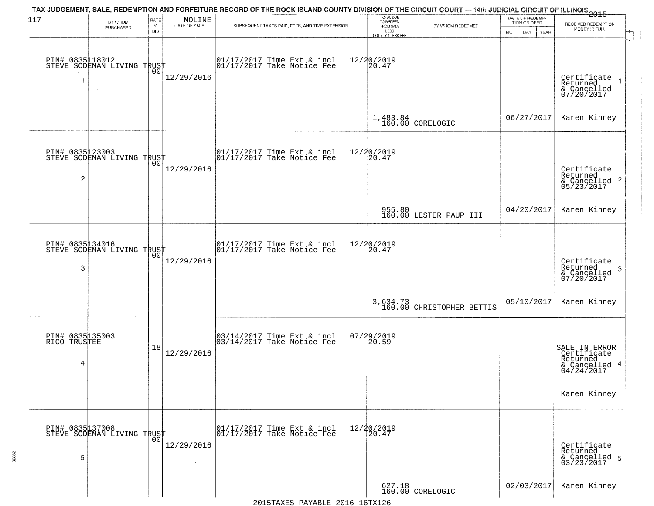|                                      | TAX JUDGEMENT, SALE, REDEMPTION AND FORFEITURE RECORD OF THE ROCK ISLAND COUNTY DIVISION OF THE CIRCUIT COURT — 14th JUDICIAL CIRCUIT OF ILLINOIS 2015 |                            |                        |                                                                                | DATE OF REDEMP-                                |                                       |                                     |                                                                         |
|--------------------------------------|--------------------------------------------------------------------------------------------------------------------------------------------------------|----------------------------|------------------------|--------------------------------------------------------------------------------|------------------------------------------------|---------------------------------------|-------------------------------------|-------------------------------------------------------------------------|
| 117                                  | BY WHOM<br>PURCHASED                                                                                                                                   | RATE<br>$\%$<br><b>BID</b> | MOLINE<br>DATE OF SALE | SUBSEQUENT TAXES PAID, FEES, AND TIME EXTENSION                                | TOTAL DUE<br>TO REDEEM<br>FROM SALE<br>LESS    | BY WHOM REDEEMED                      | TION OR DEED<br>MO.<br>DAY.<br>YEAR | RECEIVED REDEMPTION<br>MONEY IN FULL                                    |
|                                      | PIN# 0835118012    <br>STEVE SODEMAN LIVING TRUST                                                                                                      | 00                         | 12/29/2016             | $\begin{bmatrix} 01/17/2017 \\ 01/17/2017 \end{bmatrix}$ Take Notice Fee       | <b>COUNTY CLERK FEE</b><br>12/20/2019<br>20.47 |                                       |                                     | Certificate<br>Returned<br>& Cancelled<br>07/20/2017                    |
|                                      |                                                                                                                                                        |                            |                        |                                                                                |                                                | $1,483.84$ CORELOGIC                  | 06/27/2017                          | Karen Kinney                                                            |
| $\overline{c}$                       | PIN# 0835123003<br>STEVE SODEMAN LIVING TRUST                                                                                                          | 00 <sup>o</sup>            | 12/29/2016             | $\begin{bmatrix} 01/17/2017 \\ 01/17/2017 \\ 01 \end{bmatrix}$ Take Notice Fee | 12/20/2019<br>20.47                            |                                       |                                     | Certificate<br>Returned<br>$& \text{Cancelled}$ 2<br>05/23/2017         |
|                                      |                                                                                                                                                        |                            |                        |                                                                                |                                                | 955.80<br>160.00 LESTER PAUP III      | 04/20/2017                          | Karen Kinney                                                            |
| 3                                    | PIN# 0835134016<br>STEVE SODEMAN LIVING TRUST                                                                                                          | 00                         | 12/29/2016             | 01/17/2017 Time Ext & incl<br>01/17/2017 Take Notice Fee                       | 12/20/2019<br>20.47                            |                                       |                                     | Certificate<br>Returned<br>3<br>& Cancelled<br>07/20/2017               |
|                                      |                                                                                                                                                        |                            |                        |                                                                                |                                                | 3,634.73<br>160.00 CHRISTOPHER BETTIS | 05/10/2017                          | Karen Kinney                                                            |
| PIN# 0835135003<br>RICO TRUSTEE<br>4 |                                                                                                                                                        | 18                         | 12/29/2016             | 03/14/2017 Time Ext & incl<br>03/14/2017 Take Notice Fee                       | 07/29/2019<br>20.59                            |                                       |                                     | SALE IN ERROR<br>Certificate<br>Returned<br>& Cancelled 4<br>04/24/2017 |
|                                      | PIN# 0835137008    <br>STEVE SODEMAN LIVING TRUST                                                                                                      |                            |                        | 01/17/2017 Time Ext & incl<br>01/17/2017 Take Notice Fee                       | 12/20/2019<br>20.47                            |                                       |                                     | Karen Kinney                                                            |
| 5                                    |                                                                                                                                                        | 0 <sup>0</sup>             | 12/29/2016<br>$\sim$   |                                                                                |                                                |                                       |                                     | Certificate<br>Returned<br>& Cancelled 5<br>03/23/2017                  |
|                                      |                                                                                                                                                        |                            |                        |                                                                                |                                                | $627.18$<br>160.00 CORELOGIC          | 02/03/2017                          | Karen Kinney                                                            |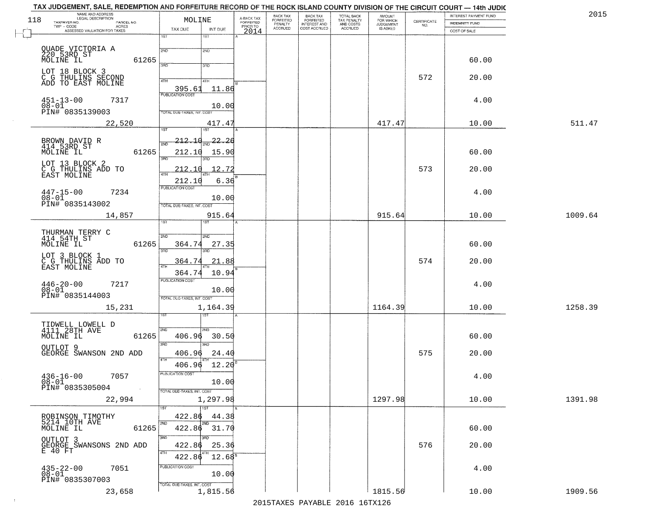| TAX JUDGEMENT, SALE, REDEMPTION AND FORFEITURE RECORD OF THE ROCK ISLAND COUNTY DIVISION OF THE CIRCUIT COURT - 14th JUDIC<br>NAME AND ADDRESS<br>LEGAL DESCRIPTION |                                                              |                                       |                                     | BACK TAX             | <b>BACK TAX</b>           |                                        | AMOUNT<br>FOR WHICH |                                                                 | INTEREST PAYMENT FUND | 2015    |
|---------------------------------------------------------------------------------------------------------------------------------------------------------------------|--------------------------------------------------------------|---------------------------------------|-------------------------------------|----------------------|---------------------------|----------------------------------------|---------------------|-----------------------------------------------------------------|-----------------------|---------|
| 118<br>TAXPAYER NO.<br>PARCEL NO.<br>ACRES                                                                                                                          |                                                              | MOLINE                                | A-BACK TAX<br>FORFEITED<br>PRIOR TO | FORFEITED<br>PENALTY | FORFEITED<br>INTEREST AND | TOTAL BACK<br>TAX PENALTY<br>AND COSTS | <b>JUDGEMENT</b>    | $\begin{array}{c} \text{CERTIFICATE} \\ \text{NO.} \end{array}$ | <b>INDEMNITY FUND</b> |         |
| ASSESSED VALUATION FOR TAXES                                                                                                                                        | TAX DUE                                                      | INT DUE                               | 2014                                | <b>ACCRUED</b>       | COST ACCRUED              | ACCRUED                                | IS ASKED            |                                                                 | COST OF SALE          |         |
| QUADE VICTORIA A<br>220 53RD ST<br>MOLINE IL                                                                                                                        | 1ST<br>2ND                                                   | $1S$ T<br>2ND                         |                                     |                      |                           |                                        |                     |                                                                 |                       |         |
|                                                                                                                                                                     | 61265<br>3RD                                                 | 3RD                                   |                                     |                      |                           |                                        |                     |                                                                 | 60.00                 |         |
| LOT 18 BLOCK 3<br>C G THULINS SECOND<br>ADD TO EAST MOLINE                                                                                                          | 4TH<br>395.61<br><b>PUBLICATION COST</b>                     | 4TH<br>11.86                          |                                     |                      |                           |                                        |                     | 572                                                             | 20.00                 |         |
| $451 - 13 - 00$<br>$08 - 01$<br>7317<br>PIN# 0835139003                                                                                                             | TOTAL DUE-TAXES, INT. COST                                   | 10.00                                 |                                     |                      |                           |                                        |                     |                                                                 | 4.00                  |         |
| 22,520                                                                                                                                                              |                                                              | 417.47                                |                                     |                      |                           |                                        | 417.47              |                                                                 | 10.00                 | 511.47  |
| BROWN DAVID R<br>414 53RD ST<br>MOLINE IL                                                                                                                           | <u> 212.10</u><br><sup>5</sup> মান<br>61265<br>212.10<br>3RD | $\frac{1}{2ND}$ 22.20<br>15.90<br>3RD |                                     |                      |                           |                                        |                     |                                                                 | 60.00                 |         |
| LOT 13 BLOCK 2<br>C G THULINS ADD TO<br>EAST MOLINE                                                                                                                 | 212.10<br>212.10                                             | 12.72<br>6.36                         |                                     |                      |                           |                                        |                     | 573                                                             | 20.00                 |         |
| $447 - 15 - 00$<br>7234<br>$08 - 01$<br>PIN# 0835143002                                                                                                             | PUBLICATION COST<br>TOTAL DUE-TAXES, INT. COST               | 10.00                                 |                                     |                      |                           |                                        |                     |                                                                 | 4.00                  |         |
| 14,857                                                                                                                                                              | 1ST                                                          | 915.64<br>1ST                         |                                     |                      |                           |                                        | 915.64              |                                                                 | 10.00                 | 1009.64 |
| THURMAN TERRY C<br>414 54TH ST<br>MOLINE IL                                                                                                                         | 2ND<br>61265<br>364.74<br>3 <sub>BD</sub>                    | 2ND<br>27.35<br>3RD                   |                                     |                      |                           |                                        |                     |                                                                 | 60.00                 |         |
| LOT 3 BLOCK 1<br>C G THULINS ADD TO<br>EAST MOLINE                                                                                                                  | 364.74<br>4TH<br>364.74                                      | 21.88<br>10.94                        |                                     |                      |                           |                                        |                     | 574                                                             | 20.00                 |         |
| $446 - 20 - 00$<br>7217<br>$08 - 01$<br>PIN# 0835144003                                                                                                             | <b>PUBLICATION COST</b><br>TOTAL OUE-TAXES, INT. COST        | 10.00                                 |                                     |                      |                           |                                        |                     |                                                                 | 4.00                  |         |
| 15,231                                                                                                                                                              |                                                              | 1,164.39<br>उड़ा                      |                                     |                      |                           |                                        | 1164.39             |                                                                 | 10.00                 | 1258.39 |
| TIDWELL LOWELL D<br>4111 28TH AVE<br>MOLINE IL                                                                                                                      | 2ND<br>61265<br>406.96<br>3RD                                | 2ND<br>30.50                          |                                     |                      |                           |                                        |                     |                                                                 | 60.00                 |         |
| OUTLOT 9<br>GEORGE SWANSON 2ND ADD                                                                                                                                  | 406.96<br>4TH<br>406.96                                      | 24.40<br>12.20                        |                                     |                      |                           |                                        |                     | 575                                                             | 20.00                 |         |
| $436 - 16 - 00$<br>7057<br>$08 - 01$<br>PIN# 0835305004<br>$\sim 100$ km $^{-1}$                                                                                    | "UBLICA HUN CUS<br>TOTAL DUE-TAXES, INT. COST                | 10.00                                 |                                     |                      |                           |                                        |                     |                                                                 | 4.00                  |         |
| 22,994                                                                                                                                                              |                                                              | 1,297.98<br>1ST                       |                                     |                      |                           |                                        | 1297.98             |                                                                 | 10.00                 | 1391.98 |
| ROBINSON TIMOTHY<br>5214 10TH AVE<br>MOLINE IL                                                                                                                      | 422.86<br>2ND<br>61265                                       | 44.38<br>2ND<br>422.86 31.70          |                                     |                      |                           |                                        |                     |                                                                 | 60.00                 |         |
| OUTLOT 3<br>GEORGE SWANSONS 2ND ADD<br>E 40 FT                                                                                                                      | 3RD<br>422.86<br>4TH<br>422.86                               | 3BD<br>25.36<br>4TH<br>$12.68^8$      |                                     |                      |                           |                                        |                     | 576                                                             | 20.00                 |         |
| $435 - 22 - 00$<br>7051<br>$08 - 01$<br>PIN# 0835307003                                                                                                             | PUBLICATION COST<br>TOTAL DUE-TAXES, INT. COST               | 10.00                                 |                                     |                      |                           |                                        |                     |                                                                 | 4.00                  |         |
| 23,658                                                                                                                                                              |                                                              | 1,815.56                              |                                     |                      |                           |                                        | 1815.56             |                                                                 | 10.00                 | 1909.56 |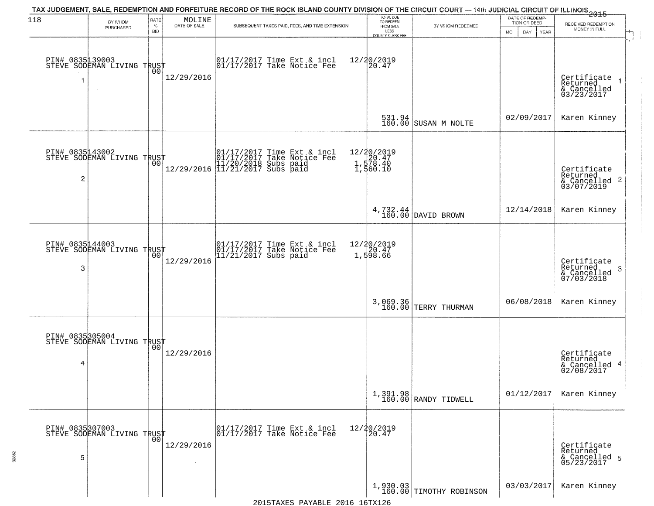| 118            | BY WHOM                                           | RATE               | MOLINE       | TAX JUDGEMENT, SALE, REDEMPTION AND FORFEITURE RECORD OF THE ROCK ISLAND COUNTY DIVISION OF THE CIRCUIT COURT — 14th JUDICIAL CIRCUIT OF ILLINOIS 2015                               | TOTAL DUE<br>TO REDEEM                         |                                  | DATE OF REDEMP<br>TION OR DEED | RECEIVED REDEMPTION                                                |
|----------------|---------------------------------------------------|--------------------|--------------|--------------------------------------------------------------------------------------------------------------------------------------------------------------------------------------|------------------------------------------------|----------------------------------|--------------------------------|--------------------------------------------------------------------|
|                | PURCHASED                                         | $\%$<br><b>BID</b> | DATE OF SALE | SUBSEQUENT TAXES PAID, FEES, AND TIME EXTENSION                                                                                                                                      | FROM SALE<br>LESS<br><b>COUNTY CLERK FEE</b>   | BY WHOM REDEEMED                 | MO.<br>DAY.<br>YEAR            | MONEY IN FULL                                                      |
|                | PIN# 0835139003    <br>STEVE SODEMAN LIVING TRUST | 00                 | 12/29/2016   | 01/17/2017 Time Ext & incl<br>01/17/2017 Take Notice Fee                                                                                                                             | 12/20/2019<br>20.47                            |                                  |                                | Certificate<br>Returned<br>& Cancelled<br>03/23/2017               |
|                |                                                   |                    |              |                                                                                                                                                                                      | 531.94<br>160.00                               | SUSAN M NOLTE                    | 02/09/2017                     | Karen Kinney                                                       |
| $\overline{c}$ | PIN# 0835143002<br>STEVE SODEMAN LIVING TRUST     |                    |              | $\begin{tabular}{ll} \hline & 01/17/2017 Time Ext & incl \\ \hline 01/17/2017 Take Notice Free \\ 11/20/2018 Subs paid \\ 12/29/2016 & 11/21/2017 Subs paid \\ \hline \end{tabular}$ | 12/20/2019<br>1,578.40<br>1,578.40<br>1,560.10 |                                  |                                | Certificate<br>Returned<br>$\frac{1}{6}$ Cancelled 2<br>03/07/2019 |
|                |                                                   |                    |              |                                                                                                                                                                                      |                                                | $4,732.44$ DAVID BROWN           | 12/14/2018                     | Karen Kinney                                                       |
| 3              | PIN# 0835144003<br>STEVE SODEMAN LIVING TRUST     | 00                 | 12/29/2016   | 01/17/2017 Time Ext & incl<br>01/17/2017 Take Notice Fee<br>11/21/2017 Subs paid                                                                                                     | 12/20/2019<br>1,598.66                         |                                  |                                | Certificate<br>Returned<br>3<br>& Cancelled<br>07/03/2018          |
|                |                                                   |                    |              |                                                                                                                                                                                      |                                                | 3,069.36<br>160.00 TERRY THURMAN | 06/08/2018                     | Karen Kinney                                                       |
| 4              | PIN# 0835305004    <br>STEVE SODEMAN LIVING TRUST | 00                 | 12/29/2016   |                                                                                                                                                                                      |                                                |                                  |                                | Certificate<br>Returned<br>& Cancelled 4<br>02/08/2017             |
|                |                                                   |                    |              |                                                                                                                                                                                      |                                                | 1,391.98<br>160.00 RANDY TIDWELL | 01/12/2017                     | Karen Kinney                                                       |
| 5              | PIN# 0835307003    <br>STEVE SODEMAN LIVING TRUST | 0 <sub>0</sub>     | 12/29/2016   | 01/17/2017 Time Ext & incl<br>01/17/2017 Take Notice Fee                                                                                                                             | 12/20/2019<br>20.47                            |                                  |                                | Certificate<br>Returned<br>& Cancelled 5<br>05/23/2017             |
|                |                                                   |                    |              |                                                                                                                                                                                      |                                                | $1,930.03$ TIMOTHY ROBINSON      | 03/03/2017                     | Karen Kinney                                                       |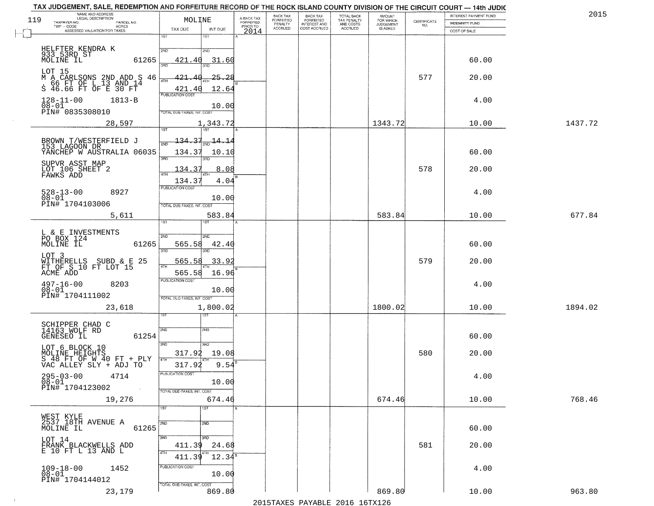| 2015    | INTEREST PAYMENT FUND          | CERTIFICATE | <b>AMOUNT</b><br>FOR WHICH<br>JUDGEMENT | TOTAL BACK<br>TAX PENALTY | <b>BACK TAX</b><br><b>FORFEITED</b> | BACK TAX<br>FORFEITED     | A-BACK TAX<br>FORFEITED | MOLINE                                   | NAME AND ADDRESS<br>LEGAL DESCRIPTION<br>119<br>TAXPAYER NO.<br>PARCEL NO.   |
|---------|--------------------------------|-------------|-----------------------------------------|---------------------------|-------------------------------------|---------------------------|-------------------------|------------------------------------------|------------------------------------------------------------------------------|
|         | INDEMNITY FUND<br>COST OF SALE | NO.         | IS ASKED                                | AND COSTS<br>ACCRUED      | INTEREST AND                        | PENALTY<br><b>ACCRUED</b> | PRIOR TO                | TAX DUE<br>INT DUE                       | TWP - CODE<br><b>ACRES</b><br>ASSESSED VALUATION FOR TAXES                   |
|         |                                |             |                                         |                           |                                     |                           | 2014                    | 1ST<br>181                               |                                                                              |
|         |                                |             |                                         |                           |                                     |                           |                         | 2ND<br>2ND                               | HELFTER KENDRA K<br>933 53RD ST                                              |
|         | 60.00                          |             |                                         |                           |                                     |                           |                         | 421.40<br>31.60<br>aan                   | MOLINE IL<br>61265                                                           |
|         | 20.00                          | 577         |                                         |                           |                                     |                           |                         | $-25 - 28$<br>-421 -                     | LOT 15                                                                       |
|         |                                |             |                                         |                           |                                     |                           |                         | 4TH<br>421.40<br>12.64                   | M A CARLSONS 2ND ADD S 46<br>. 66 FT OF L 13 AND 14<br>S 46.66 FT OF E 30 FT |
|         | 4.00                           |             |                                         |                           |                                     |                           |                         | <b>PUBLICATION COST</b>                  | $128 - 11 - 00$<br>$1813 - B$                                                |
|         |                                |             |                                         |                           |                                     |                           |                         | 10.00<br>TOTAL DUE-TAXES, INT. COST      | $08 - 01$<br>PIN# 0835308010                                                 |
| 1437.72 | 10.00                          |             | 1343.72                                 |                           |                                     |                           |                         | 1,343.72<br><b>TST</b><br>1ST            | 28,597                                                                       |
|         |                                |             |                                         |                           |                                     |                           |                         | 134.37<br>14.14                          |                                                                              |
|         | 60.00                          |             |                                         |                           |                                     |                           |                         | 134.3<br>10.10                           | BROWN T/WESTERFIELD J<br>153 LAGOON DR<br>YANCHEP W AUSTRALIA 06035          |
|         |                                |             |                                         |                           |                                     |                           |                         | 3RD<br>3RD                               | SUPVR ASST MAP                                                               |
|         | 20.00                          | 578         |                                         |                           |                                     |                           |                         | 134.37<br>8.08<br>ATH                    | LOT 106 SHEET 2<br>FAWKS ADD                                                 |
|         |                                |             |                                         |                           |                                     |                           |                         | 4.04<br>134.37<br>PUBLICATION COST       |                                                                              |
|         | 4.00                           |             |                                         |                           |                                     |                           |                         | 10.00                                    | $528 - 13 - 00$<br>8927<br>$08 - 01$                                         |
| 677.84  | 10.00                          |             | 583.84                                  |                           |                                     |                           |                         | TOTAL DUE-TAXES, INT. COST<br>583.84     | PIN# 1704103006<br>5,611                                                     |
|         |                                |             |                                         |                           |                                     |                           |                         | 1ST                                      |                                                                              |
|         |                                |             |                                         |                           |                                     |                           |                         | 2ND<br>2ND                               | L & E INVESTMENTS<br>PO BOX 124                                              |
|         | 60.00                          |             |                                         |                           |                                     |                           |                         | 565.58<br>42.4(<br>3RD<br>3RD            | MOLINE IL<br>61265                                                           |
|         | 20.00                          | 579         |                                         |                           |                                     |                           |                         | 565.58<br>33.9                           | LOT 3<br>WITHERELLS SUBD & E 25<br>FT OF S 10 FT LOT 15                      |
|         |                                |             |                                         |                           |                                     |                           |                         | 4TH<br>565.58<br>16.96                   | ACME ADD                                                                     |
|         | 4.00                           |             |                                         |                           |                                     |                           |                         | <b>PUBLICATION COST</b><br>10.00         | $497 - 16 - 00$<br>$08 - 01$<br>8203                                         |
|         |                                |             |                                         |                           |                                     |                           |                         | TOTAL OUE-TAXES, INT. COST               | PIN# 1704111002                                                              |
| 1894.02 | 10.00                          |             | 1800.02                                 |                           |                                     |                           |                         | 1,800.02                                 | 23,618                                                                       |
|         |                                |             |                                         |                           |                                     |                           |                         |                                          | SCHIPPER CHAD C<br>14163 WOLF RD                                             |
|         | 60.00                          |             |                                         |                           |                                     |                           |                         | 2ND<br>2ND                               | 61254<br>GENESEO IL                                                          |
|         |                                |             |                                         |                           |                                     |                           |                         | 3RD<br>3RD                               | LOT 6 BLOCK 10                                                               |
|         | 20.00                          | 580         |                                         |                           |                                     |                           |                         | 317.92<br>19.08<br>4TH<br>9.54<br>317.92 | MOLINE HEIGHTS<br>S 48 FT OF W 40 FT + PLY<br>VAC ALLEY SLY + ADJ TO         |
|         | 4.00                           |             |                                         |                           |                                     |                           |                         | PUBLICATION COST                         | 4714                                                                         |
|         |                                |             |                                         |                           |                                     |                           |                         | 10.00                                    | $295 - 03 - 00$<br>$08 - 01$<br>PIN# 1704123002<br>$\sim 100$                |
| 768.46  | 10.00                          |             | 674.46                                  |                           |                                     |                           |                         | TOTAL DUE-TAXES, INT. COST<br>674.46     | 19,276                                                                       |
|         |                                |             |                                         |                           |                                     |                           |                         | 1ST<br>1ST                               |                                                                              |
|         |                                |             |                                         |                           |                                     |                           |                         | 2ND<br>2ND                               | WEST KYLE<br>2537 18TH AVENUE A                                              |
|         | 60.00                          |             |                                         |                           |                                     |                           |                         | 3BD<br>उत्तर                             | 61265<br>MOLINE IL<br>LOT 14                                                 |
|         | 20.00                          | 581         |                                         |                           |                                     |                           |                         | 411.39<br>24.68<br>4TH                   | FRANK BLACKWELLS ADD<br>E 10 FT L 13 AND L                                   |
|         |                                |             |                                         |                           |                                     |                           |                         | $12.34^5$<br>411.39                      |                                                                              |
|         | 4.00                           |             |                                         |                           |                                     |                           |                         | PUBLICATION COST<br>10.00                | $109 - 18 - 00$<br>1452<br>$08 - 01$                                         |
|         |                                |             |                                         |                           |                                     |                           |                         | TOTAL DUE-TAXES, INT. COST               | PIN# 1704144012                                                              |
| 963.80  | 10.00                          |             | 869.80                                  |                           |                                     |                           |                         | 869.80                                   | 23,179                                                                       |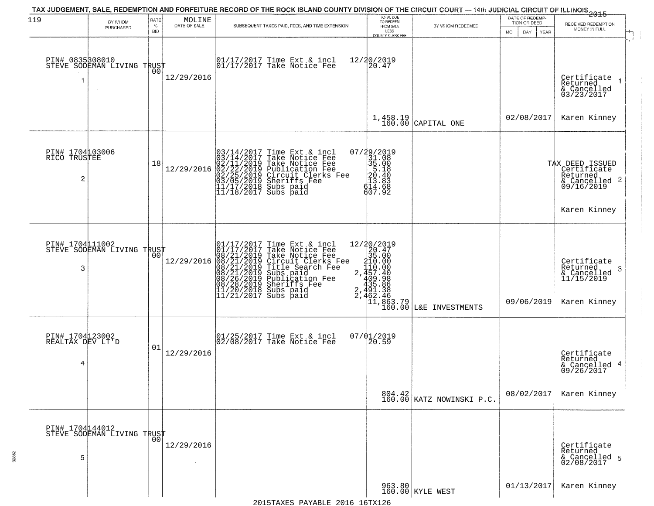| 119                                      | BY WHOM<br>PURCHASED                                   | RATE<br>$\%$ | $\begin{array}{c} \text{MOLINE} \\ \text{DATE of SALE} \end{array}$ | TAX JUDGEMENT, SALE, REDEMPTION AND FORFEITURE RECORD OF THE ROCK ISLAND COUNTY DIVISION OF THE CIRCUIT COURT — 14th JUDICIAL CIRCUIT OF ILLINOIS 2015<br>SUBSEQUENT TAXES PAID, FEES, AND TIME EXTENSION                                            | TOTAL DUE<br>TO REDEEM<br>FROM SALE                                                                          | BY WHOM REDEEMED                                                                                                                         | DATE OF REDEMP-<br>TION OR DEED | RECEIVED REDEMPTION<br>MONEY IN FULL                                                                  |
|------------------------------------------|--------------------------------------------------------|--------------|---------------------------------------------------------------------|------------------------------------------------------------------------------------------------------------------------------------------------------------------------------------------------------------------------------------------------------|--------------------------------------------------------------------------------------------------------------|------------------------------------------------------------------------------------------------------------------------------------------|---------------------------------|-------------------------------------------------------------------------------------------------------|
| 1                                        | PIN# 083598010<br>STEVE SODEMAN LIVING TRUST<br>$\sim$ | <b>BID</b>   | 12/29/2016                                                          | 01/17/2017 Time Ext & incl<br>01/17/2017 Take Notice Fee                                                                                                                                                                                             | LESS<br>COUNTY CLERK FEE<br>12/20/2019<br>20.47                                                              |                                                                                                                                          | <b>DAY</b><br>YEAR<br>MO.       | Certificate<br>Returned<br>& Cancelled<br>03/23/2017                                                  |
|                                          |                                                        |              |                                                                     |                                                                                                                                                                                                                                                      |                                                                                                              | $1,458.19$ CAPITAL ONE                                                                                                                   | 02/08/2017                      | Karen Kinney                                                                                          |
| PIN# 1704103006<br>RICO TRUSTEE<br>2     |                                                        | 18           | 12/29/2016                                                          | $03/14/2017$ Time Ext & incl<br>$03/14/2017$ Take Notice Fee<br>$02/11/2019$ Take Notice Fee<br>$02/22/2019$ Publication Fee<br>$03/05/2019$ Sheriffs Fee<br>$11/17/2018$ Subs paid<br>$11/18/2017$ Subs paid                                        | $\begin{smallmatrix} 07/29/2019\\31.08\\35.00\\5.18\\20.40\\20.40\\13.883\\614.68\\607.92 \end{smallmatrix}$ |                                                                                                                                          |                                 | TAX DEED ISSUED<br>Certificate<br>Returned<br>$\frac{1}{6}$ Cancelled 2<br>09/16/2019<br>Karen Kinney |
| PIN# 1704111002<br>3                     | STEVE SODEMAN LIVING TRUST                             | 0Ō           | 12/29/2016                                                          | 01/17/2017 Time Ext & incl<br>01/17/2017 Take Notice Fee<br>08/21/2019 Take Notice Fee<br>08/21/2019 Circuit Clerks Fee<br>08/21/2019 Title Search Fee<br>08/26/2019 Subs paid<br>08/26/2019 Sheriffs Fee<br>11/20/2018 Subs paid<br>11/20/2018 Subs |                                                                                                              | 12/20/2019<br>20.47<br>35.00<br>2,110.00<br>2,457.40<br>409.98<br>435.86<br>431.38<br>2,462.46<br>11,863.79<br>160.00<br>L&E INVESTMENTS | 09/06/2019                      | Certificate<br>Returned<br>-3<br>& Cancelled<br>11/15/2019<br>Karen Kinney                            |
| PIN# 1704123002<br>REALTAX DEV LT'D<br>4 |                                                        | 01           | 12/29/2016                                                          | $\begin{bmatrix} 01/25/2017 \\ 02/08/2017 \end{bmatrix}$ Take Notice Fee                                                                                                                                                                             | 07/01/2019<br>20.59                                                                                          |                                                                                                                                          |                                 | Certificate<br>Returned<br>& Cancelled 4<br>09/26/2017                                                |
|                                          |                                                        |              |                                                                     |                                                                                                                                                                                                                                                      |                                                                                                              | 804.42<br>160.00 KATZ NOWINSKI P.C.                                                                                                      | 08/02/2017                      | Karen Kinney                                                                                          |
| 5                                        | PIN# 1704144012<br>STEVE SODEMAN LIVING TRUST          |              | 12/29/2016<br>$\sim$                                                |                                                                                                                                                                                                                                                      |                                                                                                              |                                                                                                                                          |                                 | Certificate<br>Returned<br>& Cancelled 5<br>02/08/2017                                                |
|                                          |                                                        |              |                                                                     |                                                                                                                                                                                                                                                      |                                                                                                              | 963.80 KYLE WEST                                                                                                                         | 01/13/2017                      | Karen Kinney                                                                                          |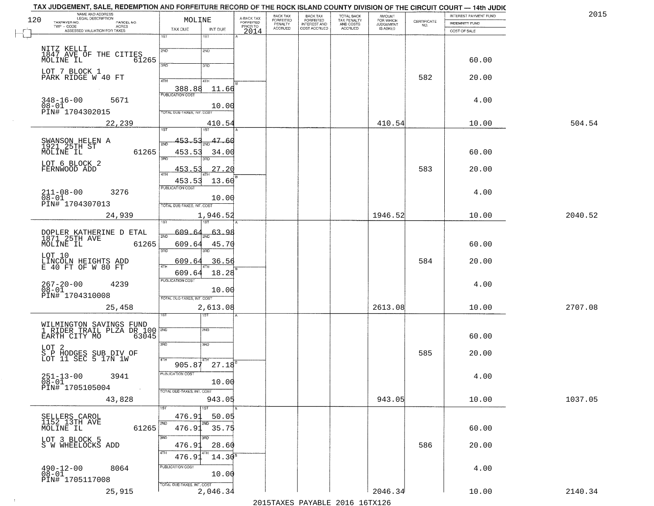| NAME AND ADDRESS<br>LEGAL DESCRIPTION<br>120<br>TAXPAYER NO.<br>PARCEL NO.         | MOLINE                                        | A-BACK TAX<br>FORFEITED | BACK TAX<br>FORFEITED | <b>BACK TAX</b><br><b>FORFEITED</b> | TOTAL BACK<br>TAX PENALTY | <b>AMOUNT</b>                      | CERTIFICATE | INTEREST PAYMENT FUND | 2015    |
|------------------------------------------------------------------------------------|-----------------------------------------------|-------------------------|-----------------------|-------------------------------------|---------------------------|------------------------------------|-------------|-----------------------|---------|
| TWP - CODE<br><b>ACRES</b><br>ASSESSED VALUATION FOR TAXES                         | TAX DUE<br>INT DUE                            | PRIOR TO                | PENALTY<br>ACCRUED    | INTEREST AND                        | AND COSTS<br>ACCRUED      | FOR WHICH<br>JUDGEMENT<br>IS ASKED | NO.         | INDEMNITY FUND        |         |
|                                                                                    | 1ST<br>1ST                                    | 2014                    |                       |                                     |                           |                                    |             | COST OF SALE          |         |
| NITZ KELLI<br>1847 AVE OF THE CITIES                                               | 2ND<br>2ND                                    |                         |                       |                                     |                           |                                    |             |                       |         |
| MOLINE IL<br>61265                                                                 | 3RD<br>3RD                                    |                         |                       |                                     |                           |                                    |             | 60.00                 |         |
| LOT 7 BLOCK 1<br>PARK RIDGE W 40 FT                                                | 4TH<br>4TH                                    |                         |                       |                                     |                           |                                    | 582         | 20.00                 |         |
|                                                                                    | 388.88<br>11.66<br><b>PUBLICATION COST</b>    |                         |                       |                                     |                           |                                    |             |                       |         |
| $348 - 16 - 00$<br>5671                                                            | 10.00                                         |                         |                       |                                     |                           |                                    |             | 4.00                  |         |
| 08-01<br>PIN# 1704302015                                                           | TOTAL DUE-TAXES, INT. COST                    |                         |                       |                                     |                           |                                    |             |                       |         |
| 22,239                                                                             | 410.54<br>1ST<br>1ST                          |                         |                       |                                     |                           | 410.54                             |             | 10.00                 | 504.54  |
| SWANSON HELEN A<br>1921 25TH ST<br>MOLINE IL                                       | 453.53<br>47.60<br>2ND                        |                         |                       |                                     |                           |                                    |             |                       |         |
| 61265                                                                              | 453.53<br>34.00<br>3RD<br>3RD                 |                         |                       |                                     |                           |                                    |             | 60.00                 |         |
| LOT 6 BLOCK 2<br>FERNWOOD ADD                                                      | 453.5<br>27.20<br>47H                         |                         |                       |                                     |                           |                                    | 583         | 20.00                 |         |
|                                                                                    | 13.60<br>453.53<br>PUBLICATION COST           |                         |                       |                                     |                           |                                    |             |                       |         |
| $211 - 08 - 00$<br>3276<br>$08 - 01$                                               | 10.00                                         |                         |                       |                                     |                           |                                    |             | 4.00                  |         |
| PIN# <sup>-1704307013</sup>                                                        | TOTAL DUE-TAXES, INT. COST<br>1,946.52        |                         |                       |                                     |                           | 1946.52                            |             | 10.00                 | 2040.52 |
| 24,939                                                                             | īst                                           |                         |                       |                                     |                           |                                    |             |                       |         |
| DOPLER KATHERINE D ETAL<br>1871 25TH AVE                                           | 609.64<br>63.<br>عو<br>$\overline{200}$       |                         |                       |                                     |                           |                                    |             |                       |         |
| MOLINE IL<br>61265                                                                 | 609.64<br>45.70<br>3RD<br>3RD                 |                         |                       |                                     |                           |                                    |             | 60.00                 |         |
| LOT 10<br>LINCOLN HEIGHTS ADD<br>E 40 FT OF W 80 FT                                | 609.64<br>36.56<br>4TH                        |                         |                       |                                     |                           |                                    | 584         | 20.00                 |         |
|                                                                                    | 609.64<br>18.28<br><b>PUBLICATION COST</b>    |                         |                       |                                     |                           |                                    |             |                       |         |
| 267-20-00<br>08-01<br>4239<br>PIN# 1704310008                                      | 10.00                                         |                         |                       |                                     |                           |                                    |             | 4.00                  |         |
| 25,458                                                                             | TOTAL OUE-TAXES, INT. COST<br>2,613.08        |                         |                       |                                     |                           | 2613.08                            |             | 10.00                 | 2707.08 |
|                                                                                    | गड़ा                                          |                         |                       |                                     |                           |                                    |             |                       |         |
| WILMINGTON SAVINGS FUND<br>1 RIDER TRAIL PLZA DR 100 2ND<br>63045<br>EARTH CITY MO | 2ND                                           |                         |                       |                                     |                           |                                    |             | 60.00                 |         |
| LOT <sub>2</sub>                                                                   | 3RD<br>3BD                                    |                         |                       |                                     |                           |                                    |             |                       |         |
| S P HODGES SUB DIV OF<br>LOT 11 SEC 5 17N 1W                                       | 4TH                                           |                         |                       |                                     |                           |                                    | 585         | 20.00                 |         |
| 3941                                                                               | $27.18^{8}$<br>905.87<br>PUBLICATION COST     |                         |                       |                                     |                           |                                    |             | 4.00                  |         |
| $251 - 13 - 00$<br>$08 - 01$<br>PIN# 1705105004<br>$\sim 100$                      | 10.00<br>TOTAL DUE-TAXES, INT. COST           |                         |                       |                                     |                           |                                    |             |                       |         |
| 43,828                                                                             | 943.05                                        |                         |                       |                                     |                           | 943.05                             |             | 10.00                 | 1037.05 |
|                                                                                    | 1ST<br>476.91<br>50.05                        |                         |                       |                                     |                           |                                    |             |                       |         |
| SELLERS CAROL<br>1152 13TH AVE<br>MOLINE IL<br>61265                               | 2ND<br>2ND<br>476.91<br>35.75                 |                         |                       |                                     |                           |                                    |             | 60.00                 |         |
| LOT 3 BLOCK 5                                                                      | 3RD<br>अंग                                    |                         |                       |                                     |                           |                                    |             |                       |         |
| S W WHEELOCKS ADD                                                                  | 476.91<br>28.60<br>4TH<br>$14.30^5$<br>476.91 |                         |                       |                                     |                           |                                    | 586         | 20.00                 |         |
| $490 - 12 - 00$<br>8064                                                            | PUBLICATION COST                              |                         |                       |                                     |                           |                                    |             | 4.00                  |         |
| $08 - 01$<br>PIN# 1705117008                                                       | 10.00<br>TOTAL OUE-TAXES, INT. COST           |                         |                       |                                     |                           |                                    |             |                       |         |
| 25,915                                                                             | 2,046.34                                      |                         |                       |                                     |                           | 2046.34                            |             | 10.00                 | 2140.34 |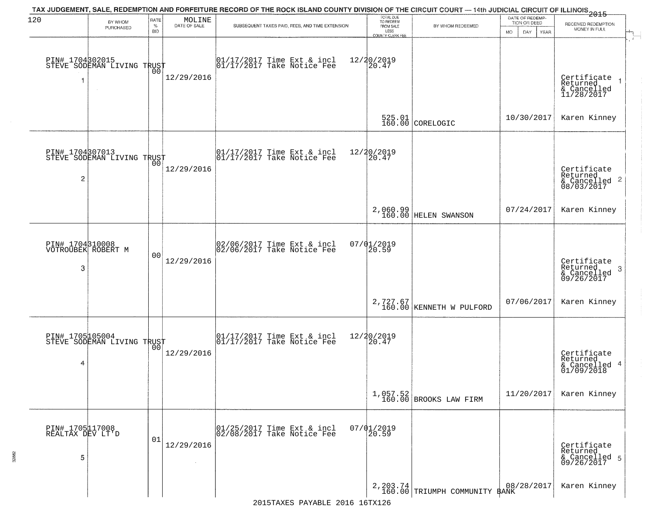| 120                                      | BY WHOM<br>PURCHASED                                        | RATE<br>$\%$<br><b>BID</b> | MOLINE<br>DATE OF SALE | TAX JUDGEMENT, SALE, REDEMPTION AND FORFEITURE RECORD OF THE ROCK ISLAND COUNTY DIVISION OF THE CIRCUIT COURT — 14th JUDICIAL CIRCUIT OF ILLINOIS 2015<br>SUBSEQUENT TAXES PAID, FEES, AND TIME EXTENSION | TOTAL DUE<br>TO REDEEM<br>FROM SALE<br>LESS<br><b>COUNTY CLERK FEE</b> | BY WHOM REDEEMED                                          | DATE OF REDEMP-<br>TION OR DEED<br>MO.<br>DAY.<br>YEAR | RECEIVED REDEMPTION<br>MONEY IN FULL                               |
|------------------------------------------|-------------------------------------------------------------|----------------------------|------------------------|-----------------------------------------------------------------------------------------------------------------------------------------------------------------------------------------------------------|------------------------------------------------------------------------|-----------------------------------------------------------|--------------------------------------------------------|--------------------------------------------------------------------|
|                                          | PIN# 1704302015    <br>STEVE SODEMAN LIVING TRUST<br>$\sim$ | 00                         | 12/29/2016             | $\begin{bmatrix} 01/17/2017 \\ 01/17/2017 \\ 01 \end{bmatrix}$ Take Notice Fee                                                                                                                            | 12/20/2019<br>20.47                                                    |                                                           |                                                        | Certificate<br>Returned<br>& Cancelled<br>11/28/2017               |
|                                          |                                                             |                            |                        |                                                                                                                                                                                                           |                                                                        | $\begin{array}{c} 525.01 \\ 160.00 \end{array}$ CORELOGIC | 10/30/2017                                             | Karen Kinney                                                       |
| $\overline{c}$                           | PIN# 1704807013<br>STEVE SODEMAN LIVING TRUST               |                            | 12/29/2016             | $\begin{array}{cc}  01/17/2017 \text{ Time} & \text{Ext} & \text{incl} \\  01/17/2017 \text{ Take Notice } \text{Fe} \end{array}$                                                                         | 12/20/2019<br>20.47                                                    |                                                           |                                                        | Certificate<br>Returned<br>$\frac{1}{2}$ Cancelled 2<br>08/03/2017 |
|                                          |                                                             |                            |                        |                                                                                                                                                                                                           |                                                                        | 2,060.99<br>160.00 HELEN SWANSON                          | 07/24/2017                                             | Karen Kinney                                                       |
| 3                                        | PIN# 1704310008<br>VOTROUBEK ROBERT M                       | 0 <sub>0</sub>             | 12/29/2016             | 02/06/2017 Time Ext & incl<br>02/06/2017 Take Notice Fee                                                                                                                                                  | 07/01/2019<br>20.59                                                    |                                                           |                                                        | Certificate<br>Returned<br>3<br>& Cancelled<br>09/26/2017          |
|                                          |                                                             |                            |                        |                                                                                                                                                                                                           |                                                                        | $2,727.67$<br>160.00 KENNETH W PULFORD                    | 07/06/2017                                             | Karen Kinney                                                       |
| 4                                        | PIN# 1705105004    <br>STEVE SODEMAN LIVING TRUST           | 0 <sub>0</sub>             | 12/29/2016             | $\begin{bmatrix} 01/17/2017 \\ 01/17/2017 \end{bmatrix}$ Time Ext & incl                                                                                                                                  | 12/20/2019<br>20.47                                                    |                                                           |                                                        | Certificate<br>Returned<br>& Cancelled 4<br>01/09/2018             |
|                                          |                                                             |                            |                        |                                                                                                                                                                                                           |                                                                        | $1,057.52$<br>160.00 BROOKS LAW FIRM                      | 11/20/2017                                             | Karen Kinney                                                       |
| PIN# 1705117008<br>REALTAX DEV LT'D<br>5 |                                                             | 01                         | 12/29/2016             | 01/25/2017 Time Ext & incl<br>02/08/2017 Take Notice Fee                                                                                                                                                  | $07/01/2019$<br>20.59                                                  |                                                           |                                                        | Certificate<br>Returned<br>& Cancelled 5<br>09/26/2017             |
|                                          |                                                             |                            |                        |                                                                                                                                                                                                           |                                                                        | 2, 203.74<br>160.00 TRIUMPH COMMUNITY BANK                | 08/28/2017                                             | Karen Kinney                                                       |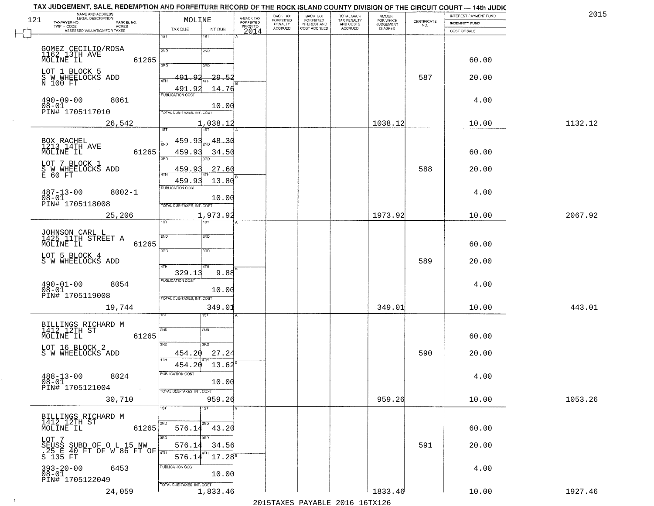| NAME AND ADDRESS<br>LEGAL DESCRIPTION<br>121<br>TAXPAYER NO.               | MOLINE                                     | A-BACK TAX<br>FORFEITED | BACK TAX<br>FORFEITED     | <b>BACK TAX</b><br><b>FORFEITED</b> | TOTAL BACK<br>TAX PENALTY | <b>AMOUNT</b>                      | CERTIFICATE | INTEREST PAYMENT FUND | 2015    |
|----------------------------------------------------------------------------|--------------------------------------------|-------------------------|---------------------------|-------------------------------------|---------------------------|------------------------------------|-------------|-----------------------|---------|
| PARCEL NO.<br>$TWP - CODE$<br><b>ACRES</b><br>ASSESSED VALUATION FOR TAXES | TAX DUE<br>INT DUE                         | PRIOR TO                | PENALTY<br><b>ACCRUED</b> | INTEREST AND                        | AND COSTS<br>ACCRUED      | FOR WHICH<br>JUDGEMENT<br>IS ASKED | NO.         | INDEMNITY FUND        |         |
|                                                                            | 1ST<br>1ST                                 | 2014                    |                           |                                     |                           |                                    |             | COST OF SALE          |         |
| GOMEZ CECILIO/ROSA<br>1162_13TH AVE                                        | 2ND<br>2ND                                 |                         |                           |                                     |                           |                                    |             |                       |         |
| MOLINE IL                                                                  | 61265<br>350                               |                         |                           |                                     |                           |                                    |             | 60.00                 |         |
| LOT 1 BLOCK 5                                                              | 3RD                                        |                         |                           |                                     |                           |                                    |             |                       |         |
| S W WHEELOCKS ADD<br>N 100 FT                                              | 29.52<br>491.92<br>4TH                     |                         |                           |                                     |                           |                                    | 587         | 20.00                 |         |
| $490 - 09 - 00$<br>8061                                                    | 491.92<br>14.76<br><b>PUBLICATION COST</b> |                         |                           |                                     |                           |                                    |             | 4.00                  |         |
| $08 - 01$<br>PIN# <sup>-1705117010</sup>                                   | 10.00<br>TOTAL DUE-TAXES, INT. COST        |                         |                           |                                     |                           |                                    |             |                       |         |
| 26,542                                                                     | 1,038.12                                   |                         |                           |                                     |                           | 1038.12                            |             | 10.00                 | 1132.12 |
|                                                                            | <b>TST</b><br>1ST                          |                         |                           |                                     |                           |                                    |             |                       |         |
| BOX RACHEL<br>1213 14TH AVE                                                | 459.93<br>48.30<br>2ND                     |                         |                           |                                     |                           |                                    |             |                       |         |
| MOLINE IL                                                                  | 61265<br>459.93<br>34.50<br>3RD<br>3RD     |                         |                           |                                     |                           |                                    |             | 60.00                 |         |
| LOT 7 BLOCK 1<br>S W WHEELOCKS ADD                                         | 459.9<br>27.60<br>47H                      |                         |                           |                                     |                           |                                    | 588         | 20.00                 |         |
| E 60 FT                                                                    | 13.80<br>459.93                            |                         |                           |                                     |                           |                                    |             |                       |         |
| $487 - 13 - 00$<br>$8002 - 1$<br>$08 - 01$                                 | PUBLICATION COST<br>10.00                  |                         |                           |                                     |                           |                                    |             | 4.00                  |         |
| PIN# 1705118008                                                            | TOTAL DUE-TAXES, INT. COST                 |                         |                           |                                     |                           |                                    |             |                       |         |
| 25,206                                                                     | 1,973.92<br>1ST<br>1ST                     |                         |                           |                                     |                           | 1973.92                            |             | 10.00                 | 2067.92 |
|                                                                            | 2ND<br>2ND                                 |                         |                           |                                     |                           |                                    |             |                       |         |
| JOHNSON CARL L<br>1425 11TH STREET A<br>MOLINE IL                          | 61265                                      |                         |                           |                                     |                           |                                    |             | 60.00                 |         |
| LOT 5 BLOCK 4                                                              | 3 <sub>BD</sub><br>3RD                     |                         |                           |                                     |                           |                                    |             |                       |         |
| S W WHEELOCKS ADD                                                          | 4TH<br>4TH<br>329.13<br>9.88               |                         |                           |                                     |                           |                                    | 589         | 20.00                 |         |
| 8054                                                                       | <b>PUBLICATION COST</b>                    |                         |                           |                                     |                           |                                    |             | 4.00                  |         |
| $490 - 01 - 00$<br>$08 - 01$<br>PIN# 1705119008                            | 10.00<br>TOTAL OUE-TAXES, INT. COST        |                         |                           |                                     |                           |                                    |             |                       |         |
| 19,744                                                                     | 349.01                                     |                         |                           |                                     |                           | 349.01                             |             | 10.00                 | 443.01  |
|                                                                            | गड़ा                                       |                         |                           |                                     |                           |                                    |             |                       |         |
| BILLINGS RICHARD M<br>1412 12TH ST                                         | 2ND<br>2ND                                 |                         |                           |                                     |                           |                                    |             |                       |         |
| MOLINE IL                                                                  | 61265<br>3RD<br>3RD                        |                         |                           |                                     |                           |                                    |             | 60.00                 |         |
| LOT 16 BLOCK 2<br>S W WHEELOCKS ADD                                        | 27.24<br>454.20<br>4TH                     |                         |                           |                                     |                           |                                    | 590         | 20.00                 |         |
|                                                                            | 454.20<br>13.62                            |                         |                           |                                     |                           |                                    |             |                       |         |
| $488 - 13 - 00$<br>8024<br>08-01                                           | PUBLICATION COST<br>10.00                  |                         |                           |                                     |                           |                                    |             | 4.00                  |         |
| PIN# 1705121004<br><b>Contract</b>                                         | TOTAL DUE-TAXES, INT. COST                 |                         |                           |                                     |                           |                                    |             |                       |         |
| 30,710                                                                     | 959.26<br>1ST<br>1ST                       |                         |                           |                                     |                           | 959.26                             |             | 10.00                 | 1053.26 |
| BILLINGS RICHARD M<br>1412 12TH ST                                         |                                            |                         |                           |                                     |                           |                                    |             |                       |         |
| MOLINE IL                                                                  | 2ND<br>2ND<br>576.14 43.20<br>61265        |                         |                           |                                     |                           |                                    |             | 60.00                 |         |
| LOT 7                                                                      | 3RD<br>3RD<br>576.14<br>34.56              |                         |                           |                                     |                           |                                    | 591         | 20.00                 |         |
| SEUSS SUBD OF O L 15 NW<br>.25 E 40 FT OF W 86 FT OF TH                    | $17.28^{8}$<br>576.14                      |                         |                           |                                     |                           |                                    |             |                       |         |
| 393-20-00<br>08-01<br>6453                                                 | PUBLICATION COST                           |                         |                           |                                     |                           |                                    |             | 4.00                  |         |
| PIN# 1705122049                                                            | 10.00<br>TOTAL DUE-TAXES, INT. COST        |                         |                           |                                     |                           |                                    |             |                       |         |
| 24,059                                                                     | 1,833.46                                   |                         |                           |                                     |                           | 1833.46                            |             | 10.00                 | 1927.46 |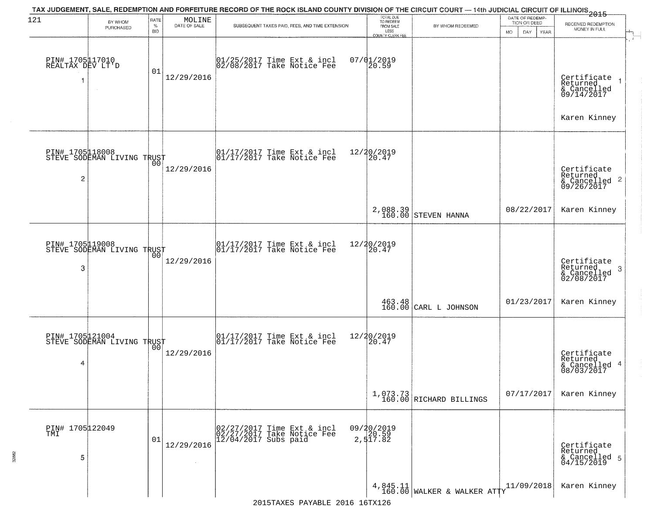| 121                                 | TAX JUDGEMENT, SALE, REDEMPTION AND FORFEITURE RECORD OF THE ROCK ISLAND COUNTY DIVISION OF THE CIRCUIT COURT — 14th JUDICIAL CIRCUIT OF ILLINOIS 2015<br>RATE<br>MOLINE<br>BY WHOM<br>DATE OF SALE<br>$\%$ |            |            | TOTAL DUE<br>TO REDEEM                                                                                             |                                              | DATE OF REDEMP-<br>TION OR DEED       | RECEIVED REDEMPTION        |                                                           |
|-------------------------------------|-------------------------------------------------------------------------------------------------------------------------------------------------------------------------------------------------------------|------------|------------|--------------------------------------------------------------------------------------------------------------------|----------------------------------------------|---------------------------------------|----------------------------|-----------------------------------------------------------|
|                                     | PURCHASED                                                                                                                                                                                                   | <b>BID</b> |            | SUBSEQUENT TAXES PAID, FEES, AND TIME EXTENSION                                                                    | FROM SALE<br>LESS<br><b>COUNTY CLERK FEE</b> | BY WHOM REDEEMED                      | MO.<br>DAY.<br><b>YEAR</b> | MONEY IN FULL                                             |
| PIN# 1705117010<br>REALTAX DEV LT'D |                                                                                                                                                                                                             | 01         | 12/29/2016 | 01/25/2017 Time Ext & incl<br>02/08/2017 Take Notice Fee                                                           | $07/01/2019$<br>20.59                        |                                       |                            | Certificate<br>Returned<br>& Cancelled<br>09/14/2017      |
|                                     |                                                                                                                                                                                                             |            |            |                                                                                                                    |                                              |                                       |                            | Karen Kinney                                              |
| $\overline{c}$                      | PIN# 1705118008<br>STEVE SODEMAN LIVING TRUST                                                                                                                                                               |            | 12/29/2016 | $\begin{array}{cc}  01/17/2017 \text{ Time Ext} & \text{incl} \\  01/17/2017 \text{ Take Notice } Fee \end{array}$ | 12/20/2019<br>20.47                          |                                       |                            | Certificate<br>Returned<br>$\frac{12241164}{609/26/2017}$ |
|                                     |                                                                                                                                                                                                             |            |            |                                                                                                                    |                                              | 2,088.39<br>160.00 STEVEN HANNA       | 08/22/2017                 | Karen Kinney                                              |
| 3                                   | PIN# 1705119008<br>STEVE SODEMAN LIVING TRUST                                                                                                                                                               | 00         | 12/29/2016 | $\begin{array}{cc}  01/17/2017 \text{ Time Ext} & \text{incl} \\  01/17/2017 \text{ Take Notice Fe} \end{array}$   | 12/20/2019<br>20.47                          |                                       |                            | Certificate<br>Returned<br>3<br>& Cancelled<br>02/08/2017 |
|                                     |                                                                                                                                                                                                             |            |            |                                                                                                                    |                                              | 463.48<br>160.00 CARL L JOHNSON       | 01/23/2017                 | Karen Kinney                                              |
| 4                                   | PIN# 1705121004    <br>STEVE SODEMAN LIVING TRUST                                                                                                                                                           | 00         | 12/29/2016 | $\begin{bmatrix} 01/17/2017 \\ 01/17/2017 \end{bmatrix}$ Time Ext & incl                                           | 12/20/2019<br>$\overline{20.47}$             |                                       |                            | Certificate<br>Returned<br>& Cancelled 4<br>08/03/2017    |
|                                     |                                                                                                                                                                                                             |            |            |                                                                                                                    |                                              | $1,073.73$<br>160.00 RICHARD BILLINGS | 07/17/2017                 | Karen Kinney                                              |
| PIN# 1705 122049<br>5               |                                                                                                                                                                                                             | 01         | 12/29/2016 | 02/27/2017 Time Ext & incl<br>02/27/2017 Take Notice Fee<br>$12/04/2017$ Subs paid                                 | 09/20/2019<br>20.59<br>2,517.82              |                                       |                            | Certificate<br>Returned<br>& Cancelled 5<br>04/15/2019    |
|                                     |                                                                                                                                                                                                             |            |            |                                                                                                                    |                                              | $4,845.11$ WALKER & WALKER ATTY       | 11/09/2018                 | Karen Kinney                                              |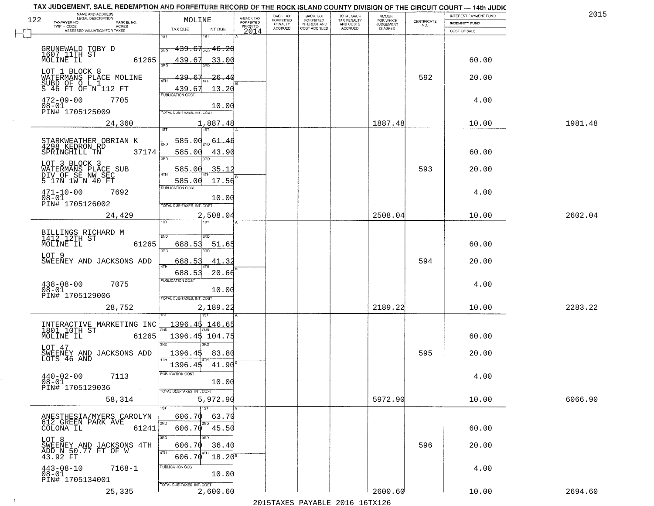|     | TAX JUDGEMENT, SALE, REDEMPTION AND FORFEITURE RECORD OF THE ROCK ISLAND COUNTY DIVISION OF THE CIRCUIT COURT - 14th JUDIC<br>NAME AND ADDRESS<br>LEGAL DESCRIPTION |                                            |                                     | BACK TAX             |                                       |                                        | AMOUNT<br>FOR WHICH |                                                                 | INTEREST PAYMENT FUND | 2015    |
|-----|---------------------------------------------------------------------------------------------------------------------------------------------------------------------|--------------------------------------------|-------------------------------------|----------------------|---------------------------------------|----------------------------------------|---------------------|-----------------------------------------------------------------|-----------------------|---------|
| 122 | TAXPAYER NO.<br>PARCEL NO.<br>$TWP - CODE$<br>ACRES                                                                                                                 | MOLINE                                     | A-BACK TAX<br>FORFEITED<br>PRIOR TO | FORFEITED<br>PENALTY | BACK TAX<br>FORFEITED<br>INTEREST AND | TOTAL BACK<br>TAX PENALTY<br>AND COSTS | <b>JUDGEMENT</b>    | $\begin{array}{c} \text{CERTIFICATE} \\ \text{NO.} \end{array}$ | <b>INDEMNITY FUND</b> |         |
|     | ASSESSED VALUATION FOR TAXES                                                                                                                                        | TAX DUE<br>INT DUE<br>1ST<br>18T           | 2014                                | <b>ACCRUED</b>       | COST ACCRUED                          | <b>ACCRUED</b>                         | IS ASKED            |                                                                 | COST OF SALE          |         |
|     |                                                                                                                                                                     | $439.67_{200}$ $46.26$                     |                                     |                      |                                       |                                        |                     |                                                                 |                       |         |
|     | GRUNEWALD TOBY D<br>1607 11TH ST<br>MOLINE IL<br>61265                                                                                                              |                                            |                                     |                      |                                       |                                        |                     |                                                                 |                       |         |
|     |                                                                                                                                                                     | 439.67<br><u>33.00</u>                     |                                     |                      |                                       |                                        |                     |                                                                 | 60.00                 |         |
|     | LOT 1 BLOCK 8<br>WATERMANS PLACE MOLINE                                                                                                                             | 439.<br>-26-<br>67<br>40<br>4TH            |                                     |                      |                                       |                                        |                     | 592                                                             | 20.00                 |         |
|     | S 46 FT OF N 112 FT                                                                                                                                                 | 439.67<br>13.20                            |                                     |                      |                                       |                                        |                     |                                                                 |                       |         |
|     | $472 - 09 - 00$<br>7705                                                                                                                                             | <b>PUBLICATION COST</b>                    |                                     |                      |                                       |                                        |                     |                                                                 | 4.00                  |         |
|     | $08 - 01$<br>PIN# 1705125009                                                                                                                                        | 10.00<br>TOTAL DUE-TAXES, INT. COST        |                                     |                      |                                       |                                        |                     |                                                                 |                       |         |
|     | 24,360                                                                                                                                                              | 1,887.48                                   |                                     |                      |                                       |                                        | 1887.48             |                                                                 | 10.00                 | 1981.48 |
|     |                                                                                                                                                                     | 1ST                                        |                                     |                      |                                       |                                        |                     |                                                                 |                       |         |
|     | STARKWEATHER OBRIAN K<br>4298 KEDRON RD                                                                                                                             | 585.OQ<br>-61.46                           |                                     |                      |                                       |                                        |                     |                                                                 |                       |         |
|     | SPRINGHILL TN<br>37174                                                                                                                                              | 585.00<br>43.90<br>3RD<br>הוא              |                                     |                      |                                       |                                        |                     |                                                                 | 60.00                 |         |
|     | LOT 3 BLOCK 3                                                                                                                                                       | .35.12<br>585.00                           |                                     |                      |                                       |                                        |                     | 593                                                             | 20.00                 |         |
|     | WATERMANS PLACE SUB<br>DIV OF SE NW SEC<br>5 17N 1W N 40 FT                                                                                                         | 17.56<br>585.00                            |                                     |                      |                                       |                                        |                     |                                                                 |                       |         |
|     | $471 - 10 - 00$<br>7692                                                                                                                                             | PUBLICATION COST                           |                                     |                      |                                       |                                        |                     |                                                                 | 4.00                  |         |
|     | $08 - 01$<br>PIN# 1705126002                                                                                                                                        | 10.00                                      |                                     |                      |                                       |                                        |                     |                                                                 |                       |         |
|     | 24,429                                                                                                                                                              | TOTAL DUE-TAXES, INT. COST                 |                                     |                      |                                       |                                        | 2508.04             |                                                                 | 10.00                 | 2602.04 |
|     |                                                                                                                                                                     | 2,508.04<br>ist.                           |                                     |                      |                                       |                                        |                     |                                                                 |                       |         |
|     | BILLINGS RICHARD M<br>1412 12TH ST                                                                                                                                  | 2ND<br>2ND                                 |                                     |                      |                                       |                                        |                     |                                                                 |                       |         |
|     | MOLINE IL<br>61265                                                                                                                                                  | 688.53<br>51.65                            |                                     |                      |                                       |                                        |                     |                                                                 | 60.00                 |         |
|     | LOT 9                                                                                                                                                               | 3 <sub>BD</sub><br>3RD                     |                                     |                      |                                       |                                        |                     |                                                                 |                       |         |
|     | SWEENEY AND JACKSONS ADD                                                                                                                                            | 688.53<br>41.32<br><b>ATH</b>              |                                     |                      |                                       |                                        |                     | 594                                                             | 20.00                 |         |
|     |                                                                                                                                                                     | 688.53<br>20.66<br><b>PUBLICATION COST</b> |                                     |                      |                                       |                                        |                     |                                                                 |                       |         |
|     | $438 - 08 - 00$<br>7075<br>$08 - 01$                                                                                                                                | 10.00                                      |                                     |                      |                                       |                                        |                     |                                                                 | 4.00                  |         |
|     | PIN# 1705129006                                                                                                                                                     | TOTAL OUE-TAXES, INT. COST                 |                                     |                      |                                       |                                        |                     |                                                                 |                       |         |
|     | 28,752                                                                                                                                                              | 2,189.22                                   |                                     |                      |                                       |                                        | 2189.22             |                                                                 | 10.00                 | 2283.22 |
|     | INTERACTIVE MARKETING INC<br>1801 10TH ST                                                                                                                           | <u>1396.45 146.65</u>                      |                                     |                      |                                       |                                        |                     |                                                                 |                       |         |
|     | MOLINE IL<br>61265                                                                                                                                                  | 1396.45 104.75                             |                                     |                      |                                       |                                        |                     |                                                                 | 60.00                 |         |
|     | LOT 47                                                                                                                                                              | 3BD<br>3BD                                 |                                     |                      |                                       |                                        |                     |                                                                 |                       |         |
|     | SWEENEY AND JACKSONS ADD<br>LOTS 46 AND                                                                                                                             | 1396.45<br>83.80                           |                                     |                      |                                       |                                        |                     | 595                                                             | 20.00                 |         |
|     |                                                                                                                                                                     | 41.90<br>1396.45<br>PUBLICATION COST       |                                     |                      |                                       |                                        |                     |                                                                 |                       |         |
|     | $440 - 02 - 00$<br>7113<br>$08 - 01$                                                                                                                                | 10.00                                      |                                     |                      |                                       |                                        |                     |                                                                 | 4.00                  |         |
|     | PIN# 1705129036<br>$\sim 100$                                                                                                                                       | TOTAL DUE-TAXES, INT. COST                 |                                     |                      |                                       |                                        |                     |                                                                 |                       |         |
|     | 58,314                                                                                                                                                              | 5,972.90<br>1ST<br>1ST                     |                                     |                      |                                       |                                        | 5972.90             |                                                                 | 10.00                 | 6066.90 |
|     | ANESTHESIA/MYERS CAROLYN                                                                                                                                            | 606.70<br>63.70                            |                                     |                      |                                       |                                        |                     |                                                                 |                       |         |
|     | 612 GREEN PARK AVE<br>61241<br>COLONA IL                                                                                                                            | 2ND<br>2ND<br>606.70<br>45.50              |                                     |                      |                                       |                                        |                     |                                                                 | 60.00                 |         |
|     | LOT 8                                                                                                                                                               | 3RD<br>अंग                                 |                                     |                      |                                       |                                        |                     |                                                                 |                       |         |
|     | SWEENEY AND JACKSONS 4TH<br>ADD N 50.77 FT OF W                                                                                                                     | 36.40<br>606.70<br>4TH                     |                                     |                      |                                       |                                        |                     | 596                                                             | 20.00                 |         |
|     | 43.92 FT                                                                                                                                                            | $18.20^5$<br>606.70<br>PUBLICATION COST    |                                     |                      |                                       |                                        |                     |                                                                 |                       |         |
|     | $443 - 08 - 10$<br>$08 - 01$<br>$7168 - 1$                                                                                                                          | 10.00                                      |                                     |                      |                                       |                                        |                     |                                                                 | 4.00                  |         |
|     | PIN# 1705134001                                                                                                                                                     | TOTAL DUE-TAXES, INT. COST                 |                                     |                      |                                       |                                        |                     |                                                                 |                       |         |
|     | 25,335                                                                                                                                                              | 2,600.60                                   |                                     |                      |                                       |                                        | 2600.60             |                                                                 | 10.00                 | 2694.60 |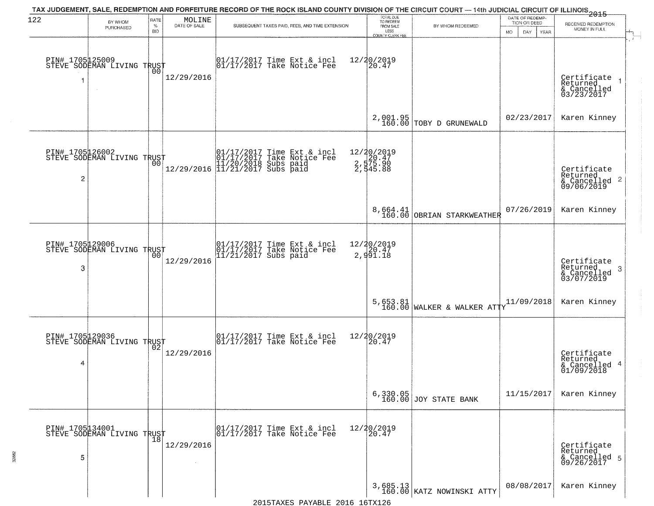| 122 | BY WHOM                                           | RATE               | MOLINE       | TAX JUDGEMENT, SALE, REDEMPTION AND FORFEITURE RECORD OF THE ROCK ISLAND COUNTY DIVISION OF THE CIRCUIT COURT — 14th JUDICIAL CIRCUIT OF ILLINOIS 2015 | TOTAL DUE<br>TO REDEEM                         |                                         | DATE OF REDEMP<br>TION OR DEED | RECEIVED REDEMPTION                                                |
|-----|---------------------------------------------------|--------------------|--------------|--------------------------------------------------------------------------------------------------------------------------------------------------------|------------------------------------------------|-----------------------------------------|--------------------------------|--------------------------------------------------------------------|
|     | PURCHASED                                         | $\%$<br><b>BID</b> | DATE OF SALE | SUBSEQUENT TAXES PAID, FEES, AND TIME EXTENSION                                                                                                        | FROM SALE<br>LESS<br>COUNTY CLERK FEE          | BY WHOM REDEEMED                        | DAY.<br>MO.<br>YEAR            | MONEY IN FULL                                                      |
| 1   | PIN# 1705125009    <br>STEVE SODEMAN LIVING TRUST | 00                 | 12/29/2016   | 01/17/2017 Time Ext & incl<br>01/17/2017 Take Notice Fee                                                                                               | 12/20/2019<br>20.47                            |                                         |                                | Certificate<br>Returned<br>& Cancelled<br>03/23/2017               |
|     |                                                   |                    |              |                                                                                                                                                        |                                                | $2,001.95$<br>160.00 TOBY D GRUNEWALD   | 02/23/2017                     | Karen Kinney                                                       |
| 2   | PIN# 1705126002<br>STEVE SODEMAN LIVING TRUST     |                    |              | $[01/17/2017$ Time Ext & incl\n01/17/2017 Take Notice Free\n11/20/2018 Subs paid\n12/29/2016] 11/21/2017 Subs paid$                                    | 12/20/2019<br>2,575.90<br>2,575.90<br>2,545.88 |                                         |                                | Certificate<br>Returned<br>$\frac{1}{6}$ Cancelled 2<br>09/06/2019 |
|     |                                                   |                    |              |                                                                                                                                                        |                                                | 8,664.41<br>160.00 OBRIAN STARKWEATHER  | 07/26/2019                     | Karen Kinney                                                       |
| 3   | PIN# 1705129006<br>STEVE SODEMAN LIVING TRUST     | 00                 | 12/29/2016   | 01/17/2017 Time Ext & incl<br>01/17/2017 Take Notice Fee<br>11/21/2017 Subs paid                                                                       | 12/20/2019<br>20.47<br>2,991.18                |                                         |                                | Certificate<br>Returned<br>3<br>& Cancelled<br>03/07/2019          |
|     |                                                   |                    |              |                                                                                                                                                        |                                                | 5,653.81<br>160.00 WALKER & WALKER ATTY | 11/09/2018                     | Karen Kinney                                                       |
| 4   | PIN# 1705129036<br>STEVE SODEMAN LIVING TRUST     |                    | 12/29/2016   | $\begin{bmatrix} 01/17/2017 \\ 01/17/2017 \end{bmatrix}$ Take Notice Fee                                                                               | 12/20/2019<br>120.47                           |                                         |                                | Certificate<br>Returned<br>& Cancelled 4<br>01/09/2018             |
|     |                                                   |                    |              |                                                                                                                                                        |                                                | 6,330.05<br>160.00 JOY STATE BANK       | 11/15/2017                     | Karen Kinney                                                       |
| 5   | PIN# 1705µ34001<br>STEVE SODEMAN LIVING TRUST     |                    | 12/29/2016   | 01/17/2017 Time Ext & incl<br>01/17/2017 Take Notice Fee                                                                                               | 12/20/2019<br>20.47                            |                                         |                                | Certificate<br>Returned<br>& Cancelled 5<br>09/26/2017             |
|     |                                                   |                    |              |                                                                                                                                                        |                                                | 3,685.13<br>160.00 KATZ NOWINSKI ATTY   | 08/08/2017                     | Karen Kinney                                                       |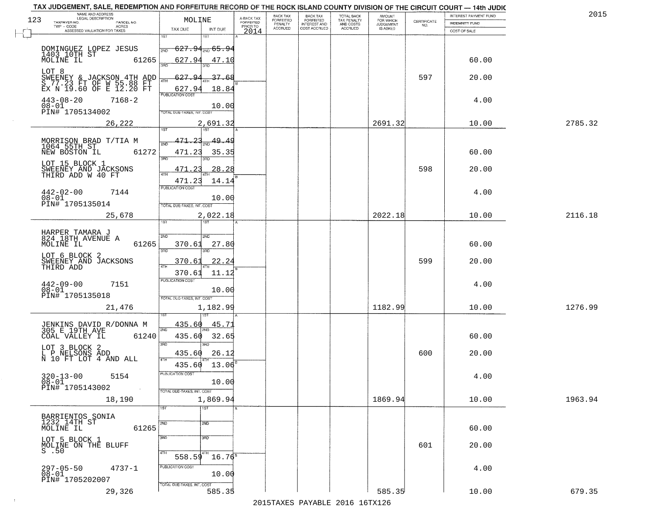| NAME AND ADDRESS<br>LEGAL DESCRIPTION<br>123<br>TAXPAYER NO.<br>PARCEL NO.        | MOLINE                                        | A-BACK TAX<br>FORFEITED | BACK TAX<br>FORFEITED     | BACK TAX<br>FORFEITED<br>INTEREST AND | TOTAL BACK<br>TAX PENALTY<br>AND COSTS | AMOUNT<br>FOR WHICH          |                                                                 | INTEREST PAYMENT FUND                 | 2015    |
|-----------------------------------------------------------------------------------|-----------------------------------------------|-------------------------|---------------------------|---------------------------------------|----------------------------------------|------------------------------|-----------------------------------------------------------------|---------------------------------------|---------|
| TWP - CODE<br>ACRES<br>ASSESSED VALUATION FOR TAXES                               | TAX DUE<br>INT DUE                            | PRIOR TO<br>2014        | PENALTY<br><b>ACCRUED</b> | COST ACCRUED                          | <b>ACCRUED</b>                         | <b>JUDGEMENT</b><br>IS ASKED | $\begin{array}{c} \text{CERTIFICATE} \\ \text{NO.} \end{array}$ | <b>INDEMNITY FUND</b><br>COST OF SALE |         |
|                                                                                   | 1ST<br>1ST                                    |                         |                           |                                       |                                        |                              |                                                                 |                                       |         |
| DOMINGUEZ LOPEZ JESUS                                                             | <del>627.94<sub>2ND</sub> 65.9</del> 4<br>2ND |                         |                           |                                       |                                        |                              |                                                                 |                                       |         |
| 1403 10TH ST<br>MOLINE IL<br>61265                                                | 627.94<br>47.10<br>3BD                        |                         |                           |                                       |                                        |                              |                                                                 | 60.00                                 |         |
| LOT 8                                                                             | 627.94<br>37.68                               |                         |                           |                                       |                                        |                              | 597                                                             | 20.00                                 |         |
| SWEENEY & JACKSON 4TH ADD<br>S 77.23 FT OF W 55.88 FT<br>EX N 19.60 OF E 12.20 FT | 4TH<br>627.94<br>18.84                        |                         |                           |                                       |                                        |                              |                                                                 |                                       |         |
| $443 - 08 - 20$<br>$7168 - 2$                                                     | <b>PUBLICATION COST</b>                       |                         |                           |                                       |                                        |                              |                                                                 | 4.00                                  |         |
| $08 - 01$<br>PIN# 1705134002                                                      | 10.00<br>TOTAL DUE-TAXES, INT. COST           |                         |                           |                                       |                                        |                              |                                                                 |                                       |         |
| 26,222                                                                            | 2,691.32                                      |                         |                           |                                       |                                        | 2691.32                      |                                                                 | 10.00                                 | 2785.32 |
|                                                                                   | 1ST                                           |                         |                           |                                       |                                        |                              |                                                                 |                                       |         |
| MORRISON BRAD T/TIA M<br>1064 55TH ST<br>NEW BOSTON IL 63                         | 471.23<br>49.49                               |                         |                           |                                       |                                        |                              |                                                                 |                                       |         |
| 61272                                                                             | 471.23<br>35.35<br>3RD                        |                         |                           |                                       |                                        |                              |                                                                 | 60.00                                 |         |
| LOT 15 BLOCK 1<br>SWEENEY AND JACKSONS<br>THIRD ADD W 40 FT                       | 28.28<br>471                                  |                         |                           |                                       |                                        |                              | 598                                                             | 20.00                                 |         |
|                                                                                   | 471.23<br>14.14                               |                         |                           |                                       |                                        |                              |                                                                 |                                       |         |
| $442 - 02 - 00$<br>7144<br>$08 - 01$                                              | PUBLICATION COST<br>10.00                     |                         |                           |                                       |                                        |                              |                                                                 | 4.00                                  |         |
| PIN# 1705135014                                                                   | TOTAL DUE-TAXES, INT. COST                    |                         |                           |                                       |                                        |                              |                                                                 |                                       |         |
| 25,678                                                                            | 2,022.18<br>īst                               |                         |                           |                                       |                                        | 2022.18                      |                                                                 | 10.00                                 | 2116.18 |
|                                                                                   |                                               |                         |                           |                                       |                                        |                              |                                                                 |                                       |         |
| HARPER TAMARA J<br>824 18TH AVENUE A<br>61265<br>MOLINE IL                        | <b>2VD</b><br>2ND<br>370.61<br>27.80          |                         |                           |                                       |                                        |                              |                                                                 | 60.00                                 |         |
| LOT 6 BLOCK 2                                                                     | 3RD<br>3RD                                    |                         |                           |                                       |                                        |                              |                                                                 |                                       |         |
| SWEENEY AND JACKSONS<br>THIRD ADD                                                 | <u>22.24</u><br>370.61                        |                         |                           |                                       |                                        |                              | 599                                                             | 20.00                                 |         |
|                                                                                   | 370.61<br>11.12<br><b>PUBLICATION COST</b>    |                         |                           |                                       |                                        |                              |                                                                 |                                       |         |
| 7151<br>442-09-00<br>$08 - 01$                                                    | 10.00                                         |                         |                           |                                       |                                        |                              |                                                                 | 4.00                                  |         |
| PIN# 1705135018                                                                   | TOTAL OUE-TAXES, INT. COST                    |                         |                           |                                       |                                        | 1182.99                      |                                                                 | 10.00                                 | 1276.99 |
| 21,476                                                                            | 1,182.99                                      |                         |                           |                                       |                                        |                              |                                                                 |                                       |         |
| JENKINS DAVID R/DONNA M<br>305 E 19TH AVE                                         | 435.60<br><u>45.7</u><br>2ND                  |                         |                           |                                       |                                        |                              |                                                                 |                                       |         |
| 61240<br>COAL VALLEY IL                                                           | 435.60<br>32.65                               |                         |                           |                                       |                                        |                              |                                                                 | 60.00                                 |         |
| LOT 3 BLOCK 2                                                                     | 3RD<br>3BD<br>435.60<br>26.12                 |                         |                           |                                       |                                        |                              | 600                                                             | 20.00                                 |         |
| L P NELSONS ADD<br>N 10 FT LOT 4 AND ALL                                          | 4TH<br>13.06<br>435.60                        |                         |                           |                                       |                                        |                              |                                                                 |                                       |         |
| $320 - 13 - 00$<br>5154                                                           | PUBLICATION COST                              |                         |                           |                                       |                                        |                              |                                                                 | 4.00                                  |         |
| $08 - 01$<br>PIN# 1705143002<br>$\sim 100$                                        | 10.00<br>TOTAL DUE-TAXES, INT. COST           |                         |                           |                                       |                                        |                              |                                                                 |                                       |         |
| 18,190                                                                            | 1,869.94                                      |                         |                           |                                       |                                        | 1869.94                      |                                                                 | 10.00                                 | 1963.94 |
|                                                                                   | $\overline{1}$ ST<br>1ST                      |                         |                           |                                       |                                        |                              |                                                                 |                                       |         |
| BARRIENTOS SONIA<br>1232 14TH ST<br>61265                                         | 2ND<br>2ND                                    |                         |                           |                                       |                                        |                              |                                                                 | 60.00                                 |         |
| MOLINE IL<br>LOT 5 BLOCK 1                                                        | 3RD<br>$\overline{3}$ RD                      |                         |                           |                                       |                                        |                              |                                                                 |                                       |         |
| MOLINE ON THE BLUFF<br>$S$ .50                                                    |                                               |                         |                           |                                       |                                        |                              | 601                                                             | 20.00                                 |         |
|                                                                                   | 4TH<br>4TH<br>558.59<br>$16.76^8$             |                         |                           |                                       |                                        |                              |                                                                 |                                       |         |
| $4737 - 1$<br>297-05-50<br>08-01                                                  | PUBLICATION COST<br>10.00                     |                         |                           |                                       |                                        |                              |                                                                 | 4.00                                  |         |
| PIN# 1705202007                                                                   | TOTAL DUE-TAXES, INT. COST                    |                         |                           |                                       |                                        |                              |                                                                 |                                       |         |
| 29,326                                                                            | 585.35                                        |                         |                           |                                       |                                        | 585.35                       |                                                                 | 10.00                                 | 679.35  |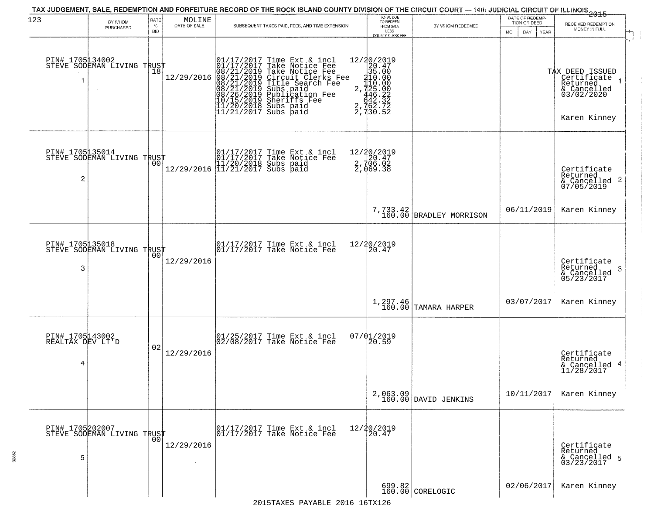| 123                                      | BY WHOM<br>PURCHASED                          | RATE<br>$\%$<br><b>BID</b> | $\begin{array}{c} \text{MOLINE} \\ \text{DATE of SALE} \end{array}$ | TAX JUDGEMENT, SALE, REDEMPTION AND FORFEITURE RECORD OF THE ROCK ISLAND COUNTY DIVISION OF THE CIRCUIT COURT — 14th JUDICIAL CIRCUIT OF ILLINOIS 2015<br>SUBSEQUENT TAXES PAID, FEES, AND TIME EXTENSION                                             | TOTAL DUE<br>TO REDEEM<br>FROM SALE<br>LESS<br>COUNTY CLERK FEE                                                                                 | BY WHOM REDEEMED                 | DATE OF REDEMP-<br>TION OR DEED<br><b>MO</b><br>DAY<br>YEAR | RECEIVED REDEMPTION<br>MONEY IN FULL                                                      |
|------------------------------------------|-----------------------------------------------|----------------------------|---------------------------------------------------------------------|-------------------------------------------------------------------------------------------------------------------------------------------------------------------------------------------------------------------------------------------------------|-------------------------------------------------------------------------------------------------------------------------------------------------|----------------------------------|-------------------------------------------------------------|-------------------------------------------------------------------------------------------|
| PIN# 1705134002                          | STEVE SODEMAN LIVING TRUST                    | 18                         | 12/29/2016                                                          | 01/17/2017 Time Ext & incl<br>01/17/2017 Take Notice Fee<br>08/21/2019 Take Notice Fee<br>08/21/2019 Circuit Clerks Fee<br>08/21/2019 Title Search Fee<br>08/21/2019 Subs paid<br>08/26/2019 Subsidion Fee<br>10/15/2019 Sheriffs Fee<br>11/20/2018 S | 12/20/2019<br>$\begin{array}{r} 2/40/201 \\ -20/201 \\ 35.60 \\ -110.00 \\ 2,742 \\ -446.22 \\ -642.32 \\ 2,762.72 \\ -2,730.52 \\ \end{array}$ |                                  |                                                             | TAX DEED ISSUED<br>  Certificate<br>Returned<br>& Cancelled<br>03/02/2020<br>Karen Kinney |
| 2                                        | PIN# 1705135014<br>STEVE SODEMAN LIVING TRUST | 00                         |                                                                     | $[01/17/2017$ Time Ext & incl\n01/17/2017 Take Notice Free\n11/20/2018 Subs paid\n12/29/2016] 11/21/2017 Subs paid$                                                                                                                                   | 12/20/2019<br>2.720.47<br>2.706.02<br>2,069.38                                                                                                  |                                  |                                                             | Certificate<br>Returned<br>& Cancelled 2<br>07/05/2019                                    |
|                                          |                                               |                            |                                                                     |                                                                                                                                                                                                                                                       | 7,733.42<br>160.00                                                                                                                              | BRADLEY MORRISON                 | 06/11/2019                                                  | Karen Kinney                                                                              |
| PIN# 1705135018<br>3                     | STEVE SODEMAN LIVING TRUST                    | 0 <sub>0</sub>             | 12/29/2016                                                          | 01/17/2017 Time Ext & incl<br>01/17/2017 Take Notice Fee                                                                                                                                                                                              | 12/20/2019<br>20.47                                                                                                                             |                                  |                                                             | Certificate<br>Returned<br>-3<br>& Cancelled<br>05/23/2017                                |
|                                          |                                               |                            |                                                                     |                                                                                                                                                                                                                                                       | 1,297.46<br>160.00                                                                                                                              | TAMARA HARPER                    | 03/07/2017                                                  | Karen Kinney                                                                              |
| PIN# 1705143002<br>REALTAX DEV LT'D<br>4 |                                               | 02                         | 12/29/2016                                                          | 01/25/2017 Time Ext & incl<br>02/08/2017 Take Notice Fee                                                                                                                                                                                              | $07/01/2019$<br>20.59                                                                                                                           |                                  |                                                             | Certificate<br>Returned<br>& Cancelled 4<br>11/28/2017                                    |
|                                          |                                               |                            |                                                                     |                                                                                                                                                                                                                                                       |                                                                                                                                                 | 2,063.09<br>160.00 DAVID JENKINS | 10/11/2017                                                  | Karen Kinney                                                                              |
| 5                                        | PIN# 1705202007<br>STEVE SODEMAN LIVING TRUST |                            | 12/29/2016                                                          | 01/17/2017 Time Ext & incl<br>01/17/2017 Take Notice Fee                                                                                                                                                                                              | 12/20/2019<br>20.47                                                                                                                             |                                  |                                                             | Certificate<br>Returned<br>& Cancelled 5<br>03/23/2017                                    |
|                                          |                                               |                            |                                                                     |                                                                                                                                                                                                                                                       |                                                                                                                                                 | $699.82$<br>160.00 CORELOGIC     | 02/06/2017                                                  | Karen Kinney                                                                              |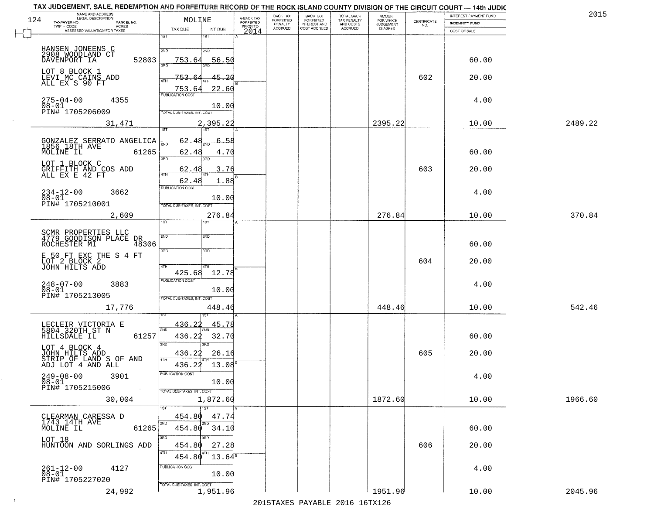|     | TAX JUDGEMENT, SALE, REDEMPTION AND FORFEITURE RECORD OF THE ROCK ISLAND COUNTY DIVISION OF THE CIRCUIT COURT — 14th JUDIC |                                   |                               |                         |                       |                                                       |                                                   |                                    |                                                                 |                       |         |
|-----|----------------------------------------------------------------------------------------------------------------------------|-----------------------------------|-------------------------------|-------------------------|-----------------------|-------------------------------------------------------|---------------------------------------------------|------------------------------------|-----------------------------------------------------------------|-----------------------|---------|
| 124 | NAME AND ADDRESS<br>LEGAL DESCRIPTION<br>TAXPAYER NO.                                                                      | MOLINE                            |                               | A-BACK TAX<br>FORFEITED | BACK TAX<br>FORFEITED | BACK TAX<br>FORFEITED<br>INTEREST AND<br>COST ACCRUED | TOTAL BACK<br>TAX PENALTY<br>AND COSTS<br>ACCRUED | <b>AMOUNT</b>                      |                                                                 | INTEREST PAYMENT FUND | 2015    |
|     | PARCEL NO.<br>$TWP - CODE$<br>ACRES<br>ASSESSED VALUATION FOR TAXES                                                        | TAX DUE                           | INT DUE                       | PRIOR TO                | PENALTY<br>ACCRUED    |                                                       |                                                   | FOR WHICH<br>JUDGEMENT<br>IS ASKED | $\begin{array}{c} \text{CEPTIFICATE} \\ \text{NO.} \end{array}$ | <b>INDEMNITY FUND</b> |         |
|     |                                                                                                                            | 1ST                               | 1ST                           | 2014                    |                       |                                                       |                                                   |                                    |                                                                 | COST OF SALE          |         |
|     |                                                                                                                            |                                   |                               |                         |                       |                                                       |                                                   |                                    |                                                                 |                       |         |
|     | HANSEN JONEENS C<br>2908 WOODLAND CT                                                                                       | 2ND                               | 2ND                           |                         |                       |                                                       |                                                   |                                    |                                                                 |                       |         |
|     | 52803<br>DAVENPORT IA                                                                                                      | 753.64<br>390                     | 56.50                         |                         |                       |                                                       |                                                   |                                    |                                                                 | 60.00                 |         |
|     | LOT 8 BLOCK 1                                                                                                              |                                   |                               |                         |                       |                                                       |                                                   |                                    |                                                                 |                       |         |
|     | LEVI MC CAINS ADD<br>ALL EX S 90 FT                                                                                        | -753-<br><b>ATH</b>               | $45 - 20$                     |                         |                       |                                                       |                                                   |                                    | 602                                                             | 20.00                 |         |
|     |                                                                                                                            | 753.64                            | 22.60                         |                         |                       |                                                       |                                                   |                                    |                                                                 |                       |         |
|     | $275 - 04 - 00$<br>4355                                                                                                    | <b>PUBLICATION COST</b>           |                               |                         |                       |                                                       |                                                   |                                    |                                                                 | 4.00                  |         |
|     | $08 - 01$                                                                                                                  |                                   | 10.00                         |                         |                       |                                                       |                                                   |                                    |                                                                 |                       |         |
|     | PIN# 1705206009                                                                                                            | TOTAL DUE-TAXES, INT, COST        |                               |                         |                       |                                                       |                                                   |                                    |                                                                 |                       |         |
|     | 31,471                                                                                                                     |                                   | 2,395.22                      |                         |                       |                                                       |                                                   | 2395.22                            |                                                                 | 10.00                 | 2489.22 |
|     |                                                                                                                            | 1ST                               | 1ST                           |                         |                       |                                                       |                                                   |                                    |                                                                 |                       |         |
|     | GONZALEZ SERRATO ANGELICA<br>1856 18TH AVE                                                                                 | 62.4                              | -58<br>-6                     |                         |                       |                                                       |                                                   |                                    |                                                                 |                       |         |
|     | MOLINE IL<br>61265                                                                                                         | 62.48                             | 4.70                          |                         |                       |                                                       |                                                   |                                    |                                                                 | 60.00                 |         |
|     | LOT 1 BLOCK C                                                                                                              | 3RD                               | 3RD                           |                         |                       |                                                       |                                                   |                                    |                                                                 |                       |         |
|     | GRIFFITH AND COS ADD                                                                                                       | 62.48                             | 3.76                          |                         |                       |                                                       |                                                   |                                    | 603                                                             | 20.00                 |         |
|     | ALL EX E 42 FT                                                                                                             | $\sqrt{4}$ TH<br>62.48            | 1.88                          |                         |                       |                                                       |                                                   |                                    |                                                                 |                       |         |
|     |                                                                                                                            | <b>PUBLICATION COST</b>           |                               |                         |                       |                                                       |                                                   |                                    |                                                                 |                       |         |
|     | $234 - 12 - 00$<br>3662<br>$08 - 01$                                                                                       |                                   | 10.00                         |                         |                       |                                                       |                                                   |                                    |                                                                 | 4.00                  |         |
|     | PIN# 1705210001                                                                                                            | TOTAL DUE-TAXES, INT. COST        |                               |                         |                       |                                                       |                                                   |                                    |                                                                 |                       |         |
|     | 2,609                                                                                                                      |                                   | 276.84                        |                         |                       |                                                       |                                                   | 276.84                             |                                                                 | 10.00                 | 370.84  |
|     |                                                                                                                            | 1ST                               |                               |                         |                       |                                                       |                                                   |                                    |                                                                 |                       |         |
|     |                                                                                                                            |                                   |                               |                         |                       |                                                       |                                                   |                                    |                                                                 |                       |         |
|     | SCMR PROPERTIES LLC<br>4779 GOODISON PLACE DR<br>ROCHESTER MI<br>48306                                                     | 2ND                               | 2ND                           |                         |                       |                                                       |                                                   |                                    |                                                                 |                       |         |
|     |                                                                                                                            | 3RD                               | 3RD                           |                         |                       |                                                       |                                                   |                                    |                                                                 | 60.00                 |         |
|     | E 50 FT EXC THE S 4 FT<br>LOT 2 BLOCK 2                                                                                    |                                   |                               |                         |                       |                                                       |                                                   |                                    | 604                                                             | 20.00                 |         |
|     | JOHN HILTS ADD                                                                                                             | 4TH                               | 4TH                           |                         |                       |                                                       |                                                   |                                    |                                                                 |                       |         |
|     |                                                                                                                            | 425.68<br><b>PUBLICATION COST</b> | 12.78                         |                         |                       |                                                       |                                                   |                                    |                                                                 |                       |         |
|     | $248 - 07 - 00$<br>$08 - 01$<br>3883                                                                                       |                                   |                               |                         |                       |                                                       |                                                   |                                    |                                                                 | 4.00                  |         |
|     | PIN# 1705213005                                                                                                            |                                   | 10.00                         |                         |                       |                                                       |                                                   |                                    |                                                                 |                       |         |
|     |                                                                                                                            | TOTAL OUE-TAXES, INT. COST        |                               |                         |                       |                                                       |                                                   |                                    |                                                                 |                       |         |
|     | 17,776                                                                                                                     |                                   | 448.46<br>ख़ा                 |                         |                       |                                                       |                                                   | 448.46                             |                                                                 | 10.00                 | 542.46  |
|     |                                                                                                                            |                                   |                               |                         |                       |                                                       |                                                   |                                    |                                                                 |                       |         |
|     | LECLEIR VICTORIA E<br>5804 320TH ST N                                                                                      | 436.2<br>2ND                      | <u>45.78</u>                  |                         |                       |                                                       |                                                   |                                    |                                                                 |                       |         |
|     | 61257<br>HILLSDALE IL                                                                                                      | 436.22                            | 32.70                         |                         |                       |                                                       |                                                   |                                    |                                                                 | 60.00                 |         |
|     | LOT 4 BLOCK 4                                                                                                              | 3RD                               | 3RD                           |                         |                       |                                                       |                                                   |                                    |                                                                 |                       |         |
|     | JOHN HILTS ADD<br>STRIP OF LAND S OF AND                                                                                   | 436.22<br>4TH                     | 26.16                         |                         |                       |                                                       |                                                   |                                    | 605                                                             | 20.00                 |         |
|     | ADJ LOT 4 AND ALL                                                                                                          | 436.22                            | 13.08                         |                         |                       |                                                       |                                                   |                                    |                                                                 |                       |         |
|     | $249 - 08 - 00$<br>3901                                                                                                    | PUBLICATION COST                  |                               |                         |                       |                                                       |                                                   |                                    |                                                                 | 4.00                  |         |
|     | $08 - 01$                                                                                                                  |                                   | 10.00                         |                         |                       |                                                       |                                                   |                                    |                                                                 |                       |         |
|     | PIN# 1705215006                                                                                                            | TOTAL DUE-TAXES, INT. COST        |                               |                         |                       |                                                       |                                                   |                                    |                                                                 |                       |         |
|     | 30,004                                                                                                                     |                                   | 1,872.60                      |                         |                       |                                                       |                                                   | 1872.60                            |                                                                 | 10.00                 | 1966.60 |
|     |                                                                                                                            | 1ST                               | 1ST                           |                         |                       |                                                       |                                                   |                                    |                                                                 |                       |         |
|     | CLEARMAN CARESSA D<br>1743 14TH AVE                                                                                        | 454.80                            | 47.74                         |                         |                       |                                                       |                                                   |                                    |                                                                 |                       |         |
|     | MOLINE IL<br>61265                                                                                                         | 2ND                               | 2ND<br>454.80 34.10           |                         |                       |                                                       |                                                   |                                    |                                                                 | 60.00                 |         |
|     | LOT 18                                                                                                                     | 3RD                               | 3RD                           |                         |                       |                                                       |                                                   |                                    |                                                                 |                       |         |
|     | HUNTOON AND SORLINGS ADD                                                                                                   | 454.80                            | 27.28                         |                         |                       |                                                       |                                                   |                                    | 606                                                             | 20.00                 |         |
|     |                                                                                                                            | 4TH                               | $454.80$ $13.64$ <sup>8</sup> |                         |                       |                                                       |                                                   |                                    |                                                                 |                       |         |
|     |                                                                                                                            | PUBLICATION COST                  |                               |                         |                       |                                                       |                                                   |                                    |                                                                 |                       |         |
|     | $261 - 12 - 00$<br>$08 - 01$<br>4127                                                                                       |                                   | 10.00                         |                         |                       |                                                       |                                                   |                                    |                                                                 | 4.00                  |         |
|     | PIN# 1705227020                                                                                                            | TOTAL OUE-TAXES, INT. COST        |                               |                         |                       |                                                       |                                                   |                                    |                                                                 |                       |         |
|     | 24,992                                                                                                                     |                                   | 1,951.96                      |                         |                       |                                                       |                                                   | 1951.96                            |                                                                 | 10.00                 | 2045.96 |
|     |                                                                                                                            |                                   |                               |                         |                       |                                                       |                                                   |                                    |                                                                 |                       |         |

 $\sim 10^6$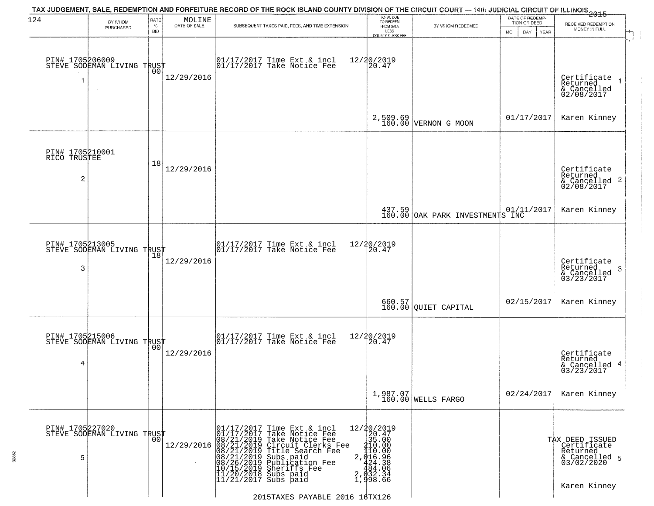| 124                                               | BY WHOM<br>PURCHASED                              | RATE<br>$\%$<br><b>BID</b> | MOLINE<br>DATE OF SALE | TAX JUDGEMENT, SALE, REDEMPTION AND FORFEITURE RECORD OF THE ROCK ISLAND COUNTY DIVISION OF THE CIRCUIT COURT — 14th JUDICIAL CIRCUIT OF ILLINOIS 2015<br>SUBSEQUENT TAXES PAID, FEES, AND TIME EXTENSION                                                                                                                                                                                                                       | TOTAL DUE<br>TO REDEEM<br>FROM SALE<br>LESS<br>COUNTY CLERK FEE                                                                                                           | BY WHOM REDEEMED                                              | DATE OF REDEMP-<br>TION OR DEED<br>MO.<br>DAY.<br><b>YEAR</b> | RECEIVED REDEMPTION<br>MONEY IN FULL                                                      |
|---------------------------------------------------|---------------------------------------------------|----------------------------|------------------------|---------------------------------------------------------------------------------------------------------------------------------------------------------------------------------------------------------------------------------------------------------------------------------------------------------------------------------------------------------------------------------------------------------------------------------|---------------------------------------------------------------------------------------------------------------------------------------------------------------------------|---------------------------------------------------------------|---------------------------------------------------------------|-------------------------------------------------------------------------------------------|
|                                                   | PIN# 1705206009    <br>STEVE SODEMAN LIVING TRUST | 00                         | 12/29/2016             | 01/17/2017 Time Ext & incl<br>01/17/2017 Take Notice Fee                                                                                                                                                                                                                                                                                                                                                                        | 12/20/2019<br>20.47                                                                                                                                                       |                                                               |                                                               | Certificate<br>Returned<br>& Cancelled<br>02/08/2017                                      |
|                                                   |                                                   |                            |                        |                                                                                                                                                                                                                                                                                                                                                                                                                                 |                                                                                                                                                                           | $2,509.69$<br>160.00 VERNON G MOON                            | 01/17/2017                                                    | Karen Kinney                                                                              |
| PIN# 1705210001<br>RICO TRUSTEE<br>$\overline{c}$ |                                                   | 18                         | 12/29/2016             |                                                                                                                                                                                                                                                                                                                                                                                                                                 |                                                                                                                                                                           |                                                               |                                                               | Certificate<br>Returned<br>$\overline{2}$<br>& Cancelled<br>02/08/2017                    |
|                                                   |                                                   |                            |                        |                                                                                                                                                                                                                                                                                                                                                                                                                                 |                                                                                                                                                                           | 437.59 01/11<br>160.00 OAK PARK INVESTMENTS INC               | 01/11/2017                                                    | Karen Kinney                                                                              |
| PIN# 1705213005<br>3                              | STEVE SODEMAN LIVING TRUST                        | 18                         | 12/29/2016             | $\begin{array}{ccc}  01/17/2017 \text{ Time} & \text{Ext} & \text{incl} \\  01/17/2017 \text{ Take Notice } \text{Fe} \end{array}$                                                                                                                                                                                                                                                                                              | 12/20/2019<br>20.47                                                                                                                                                       |                                                               |                                                               | Certificate<br>Returned<br>3<br>& Cancelled<br>03/23/2017                                 |
|                                                   |                                                   |                            |                        |                                                                                                                                                                                                                                                                                                                                                                                                                                 |                                                                                                                                                                           | $\begin{array}{c} 660.57 \\ 160.00 \end{array}$ QUIET CAPITAL | 02/15/2017                                                    | Karen Kinney                                                                              |
| PIN# 1705215006<br>4                              | STEVE SODEMAN LIVING TRUST                        | 0 <sub>0</sub>             | 12/29/2016             | $\begin{bmatrix} 01/17/2017 \\ 01/17/2017 \end{bmatrix}$ Take Notice Fee                                                                                                                                                                                                                                                                                                                                                        | 12/20/2019<br>120.47                                                                                                                                                      |                                                               |                                                               | Certificate<br>Returned<br>4<br>& Cancelled<br>03/23/2017                                 |
|                                                   |                                                   |                            |                        |                                                                                                                                                                                                                                                                                                                                                                                                                                 |                                                                                                                                                                           | 1,987.07<br>160.00 WELLS FARGO                                | 02/24/2017                                                    | Karen Kinney                                                                              |
| PIN# 1705227020<br>5                              | STEVE SODEMAN LIVING TRUST                        | 0 <sub>0</sub>             |                        | $12/29/2016 \begin{array}{c} 01/17/2017 \\ 01/17/2017 \\ 12/29/2016 \\ 08/21/2019 \\ 08/21/2019 \\ 08/21/2019 \\ 08/21/2019 \\ 08/26/2019 \\ 10/15/2019 \\ 11/20/2012 \\ 11/20/2013 \\ \end{array}$<br>Time Ext & incl<br>Take Notice Fee<br>Take Notice Fee<br>Circuit Clerks Fee<br>Title Search Fee<br>Subs paid<br>Publication Fee<br>Sheriffs Fee<br>Subs paid<br>$ \overline{11}/\overline{21}/\overline{2017}$ Subs paid | $\begin{array}{r} 12/20/2019 \\ 20.47 \\ 35.00 \end{array}$<br>$\begin{array}{r} 110.000 \\ 110.000 \\ 2,0116.96 \\ 424.38 \\ 484.06 \\ 2,032.34 \\ 1,998.66 \end{array}$ |                                                               |                                                               | TAX DEED ISSUED<br>Certificate<br>Returned<br>& Cancelled 5<br>03/02/2020<br>Karen Kinney |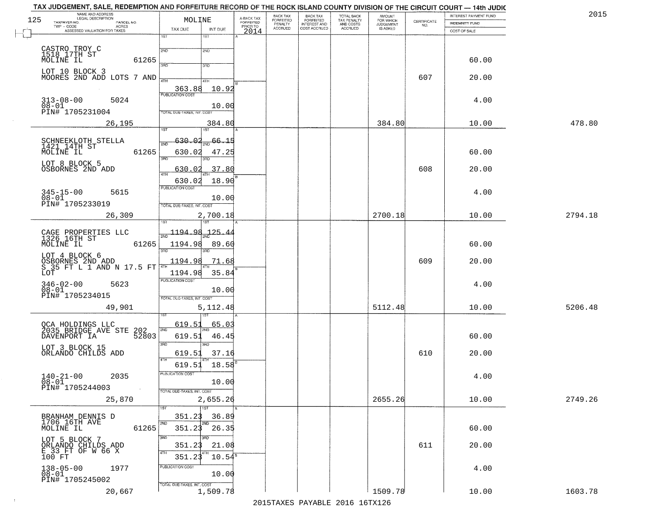| 125 | NAME AND ADDRESS<br>LEGAL DESCRIPTION<br>TAXPAYER NO.<br>PARCEL NO.                  |            | MOLINE                     |                                        | A-BACK TAX<br>FORFEITED | BACK TAX<br>FORFEITED     | BACK TAX<br>FORFEITED<br>INTEREST AND | TOTAL BACK<br>TAX PENALTY<br>AND COSTS | AMOUNT<br>FOR WHICH<br>JUDGEMENT | $\begin{array}{c} \text{CERTIFICATE} \\ \text{NO.} \end{array}$ | INTEREST PAYMENT FUND<br><b>INDEMNITY FUND</b> | 2015    |
|-----|--------------------------------------------------------------------------------------|------------|----------------------------|----------------------------------------|-------------------------|---------------------------|---------------------------------------|----------------------------------------|----------------------------------|-----------------------------------------------------------------|------------------------------------------------|---------|
|     | $TWP - CODE$<br>ACRES<br>ASSESSED VALUATION FOR TAXES                                |            | TAX DUE                    | INT DUE                                | PRIOR TO<br>2014        | PENALTY<br><b>ACCRUED</b> | COST ACCRUED                          | ACCRUED                                | IS ASKED                         |                                                                 | COST OF SALE                                   |         |
|     |                                                                                      |            | 1ST                        | $1S$ T                                 |                         |                           |                                       |                                        |                                  |                                                                 |                                                |         |
|     | CASTRO TROY C<br>1518 17TH ST<br>MOLINE IL                                           |            | 2ND                        | 2ND                                    |                         |                           |                                       |                                        |                                  |                                                                 |                                                |         |
|     |                                                                                      | 61265      | 3HD                        | 3RD                                    |                         |                           |                                       |                                        |                                  |                                                                 | 60.00                                          |         |
|     | LOT 10 BLOCK 3<br>MOORES 2ND ADD LOTS 7 AND                                          |            | 4TH                        | 4TH                                    |                         |                           |                                       |                                        |                                  | 607                                                             | 20.00                                          |         |
|     |                                                                                      |            | 363.88                     | 10.92                                  |                         |                           |                                       |                                        |                                  |                                                                 |                                                |         |
|     | $313 - 08 - 00$<br>5024<br>$08 - 01$                                                 |            | <b>PUBLICATION COST</b>    |                                        |                         |                           |                                       |                                        |                                  |                                                                 | 4.00                                           |         |
|     | PIN# 1705231004                                                                      |            | TOTAL DUE-TAXES, INT, COST | 10.00                                  |                         |                           |                                       |                                        |                                  |                                                                 |                                                |         |
|     | 26,195                                                                               |            | 1ST                        | 384.80<br>IST.                         |                         |                           |                                       |                                        | 384.80                           |                                                                 | 10.00                                          | 478.80  |
|     | SCHNEEKLOTH STELLA<br>1421_14TH ST                                                   |            | 630.02<br>2ND              | 66.15                                  |                         |                           |                                       |                                        |                                  |                                                                 |                                                |         |
|     | MOLINE IL                                                                            | 61265      | 630.02                     | 47.25                                  |                         |                           |                                       |                                        |                                  |                                                                 | 60.00                                          |         |
|     | LOT 8 BLOCK 5<br>OSBORNES 2ND ADD                                                    |            | तका<br>630.02              | .37.80                                 |                         |                           |                                       |                                        |                                  | 608                                                             | 20.00                                          |         |
|     |                                                                                      |            | 47H<br>630.02              | 18.90                                  |                         |                           |                                       |                                        |                                  |                                                                 |                                                |         |
|     | $345 - 15 - 00$<br>5615                                                              |            | PUBLICATION COST           |                                        |                         |                           |                                       |                                        |                                  |                                                                 | 4.00                                           |         |
|     | 08-01<br>PIN# 1705233019                                                             |            | TOTAL DUE-TAXES, INT. COST | 10.00                                  |                         |                           |                                       |                                        |                                  |                                                                 |                                                |         |
|     | 26,309                                                                               |            | 1ST                        | 2,700.18                               |                         |                           |                                       |                                        | 2700.18                          |                                                                 | 10.00                                          | 2794.18 |
|     |                                                                                      |            | $\frac{1194.98}{200}$      | 125.44                                 |                         |                           |                                       |                                        |                                  |                                                                 |                                                |         |
|     | CAGE PROPERTIES LLC<br>1326 16TH ST<br>MOLINE IL                                     | 61265      | 1194.98                    | 89.60                                  |                         |                           |                                       |                                        |                                  |                                                                 | 60.00                                          |         |
|     |                                                                                      |            | 3RD                        | 3BD                                    |                         |                           |                                       |                                        |                                  |                                                                 |                                                |         |
|     | LOT 4 BLOCK 6<br>OSBORNES 2ND ADD<br>S 35 FT L 1 AND N 17.5 FT<br>LOT                |            | 1194.98<br>1194.98         | 71.68<br>35.84                         |                         |                           |                                       |                                        |                                  | 609                                                             | 20.00                                          |         |
|     | 5623                                                                                 |            | <b>PUBLICATION COST</b>    |                                        |                         |                           |                                       |                                        |                                  |                                                                 | 4.00                                           |         |
|     | $346 - 02 - 00$<br>$08 - 01$<br>PIN# 1705234015                                      |            | TOTAL OUE-TAXES, INT. COST | 10.00                                  |                         |                           |                                       |                                        |                                  |                                                                 |                                                |         |
|     | 49,901                                                                               |            |                            | 5,112.48                               |                         |                           |                                       |                                        | 5112.48                          |                                                                 | 10.00                                          | 5206.48 |
|     |                                                                                      |            | 619.51                     | 65.03                                  |                         |                           |                                       |                                        |                                  |                                                                 |                                                |         |
|     | OCA HOLDINGS LLC<br>2035 BRIDGE AVE STE 202<br>- * * * * * * * * * * * * * * * 52803 |            | 2ND<br>619.51              | 46.45                                  |                         |                           |                                       |                                        |                                  |                                                                 | 60.00                                          |         |
|     | LOT 3 BLOCK 15                                                                       |            | 3RD                        | 3BD                                    |                         |                           |                                       |                                        |                                  |                                                                 |                                                |         |
|     | ORLANDO CHILDS ADD                                                                   |            | 619.51<br>4TH              | 37.16<br>$619.51$ $18.58$ <sup>E</sup> |                         |                           |                                       |                                        |                                  | 610                                                             | 20.00                                          |         |
|     | $140 - 21 - 00$<br>2035                                                              |            | PUBLICATION COST           |                                        |                         |                           |                                       |                                        |                                  |                                                                 | 4.00                                           |         |
|     | $08 - 01$<br>PIN# 1705244003                                                         | $\sim 100$ | TOTAL DUE-TAXES, INT. COST | 10.00                                  |                         |                           |                                       |                                        |                                  |                                                                 |                                                |         |
|     | 25,870                                                                               |            |                            | 2,655.26                               |                         |                           |                                       |                                        | 2655.26                          |                                                                 | 10.00                                          | 2749.26 |
|     |                                                                                      |            | 1ST<br>351.23              | $\overline{1}$ st<br>36.89             |                         |                           |                                       |                                        |                                  |                                                                 |                                                |         |
|     | BRANHAM DENNIS D<br>1706 16TH AVE<br>MOLINE IL                                       | 61265      | 2ND<br>351.23              | 2ND<br>26.35                           |                         |                           |                                       |                                        |                                  |                                                                 | 60.00                                          |         |
|     | LOT 5 BLOCK 7                                                                        |            | 3RD                        | 3HD                                    |                         |                           |                                       |                                        |                                  |                                                                 |                                                |         |
|     | ORLANDO CHILDS ADD<br>E 33 FT OF W 66 X                                              |            | 351.23<br>4TH              | 21.08                                  |                         |                           |                                       |                                        |                                  | 611                                                             | 20.00                                          |         |
|     | 100 FT<br>1977                                                                       |            | 351.23<br>PUBLICATION COST | $10.54^{\circ}$                        |                         |                           |                                       |                                        |                                  |                                                                 | 4.00                                           |         |
|     | $138 - 05 - 00$<br>$08 - 01$<br>PIN# 1705245002                                      |            |                            | 10.00                                  |                         |                           |                                       |                                        |                                  |                                                                 |                                                |         |
|     | 20,667                                                                               |            | TOTAL DUE-TAXES, INT. COST | 1,509.78                               |                         |                           |                                       |                                        | 1509.78                          |                                                                 | 10.00                                          | 1603.78 |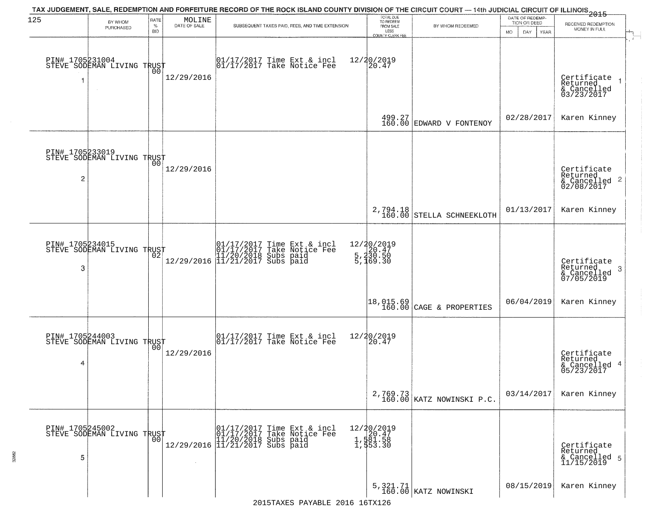| 125                  | BY WHOM                                           | RATE               | MOLINE         | TAX JUDGEMENT, SALE, REDEMPTION AND FORFEITURE RECORD OF THE ROCK ISLAND COUNTY DIVISION OF THE CIRCUIT COURT — 14th JUDICIAL CIRCUIT OF ILLINOIS 2015                | TOTAL DUE<br>TO REDEEM<br>FROM SALE            |                                                                                                                                                  | DATE OF REDEMP<br>TION OR DEED | RECEIVED REDEMPTION                                        |
|----------------------|---------------------------------------------------|--------------------|----------------|-----------------------------------------------------------------------------------------------------------------------------------------------------------------------|------------------------------------------------|--------------------------------------------------------------------------------------------------------------------------------------------------|--------------------------------|------------------------------------------------------------|
|                      | PURCHASED                                         | $\%$<br><b>BID</b> | DATE OF SALE   | SUBSEQUENT TAXES PAID, FEES, AND TIME EXTENSION                                                                                                                       | LESS<br>COUNTY CLERK FEE                       | BY WHOM REDEEMED                                                                                                                                 | MO.<br>DAY.<br>YEAR            | MONEY IN FULL                                              |
|                      | PIN# 1705231004    <br>STEVE SODEMAN LIVING TRUST | 00                 | 12/29/2016     | 01/17/2017 Time Ext & incl<br>01/17/2017 Take Notice Fee                                                                                                              | 12/20/2019<br>20.47                            |                                                                                                                                                  |                                | Certificate<br>Returned<br>& Cancelled<br>03/23/2017       |
|                      |                                                   |                    |                |                                                                                                                                                                       |                                                | $\begin{array}{c c} 499.27 \\ 160.00 \end{array}$ EDWARD V FONTENOY                                                                              | 02/28/2017                     | Karen Kinney                                               |
| $\overline{c}$       | PIN# 1705233019<br>STEVE SODEMAN LIVING TRUST     | 00                 | 12/29/2016     |                                                                                                                                                                       |                                                |                                                                                                                                                  |                                | Certificate<br>Returned<br>$\frac{12241164}{62/08/2017}$ 2 |
|                      |                                                   |                    |                |                                                                                                                                                                       |                                                | $\begin{array}{c c} \texttt{2,794.18} \\ \texttt{160.00} \end{array} \texttt{\small{STELLA} \begin{array}{ll} \texttt{SCHNEEKLOTH} \end{array}}$ | 01/13/2017                     | Karen Kinney                                               |
| PIN# 1705234015<br>3 | STEVE SODEMAN LIVING TRUST                        | 02                 |                | $[01/17/2017 \t\t Time \t\t Ext & incl \\ [01/17/2017 \t\t Take \tNotice \tFeel \\ [11/20/2018 \t\ Subs \tpaid \\ [12/29/2016 \t\t \t] 11/21/2017 \t\ Subs \tpaid \t$ | 12/20/2019<br>5,230.47<br>5,230.50<br>5,169.30 |                                                                                                                                                  |                                | Certificate<br>Returned<br>3<br>& Cancelled<br>07/05/2019  |
|                      |                                                   |                    |                |                                                                                                                                                                       |                                                | 18,015.69<br>160.00 CAGE & PROPERTIES                                                                                                            | 06/04/2019                     | Karen Kinney                                               |
| 4                    | PIN# 1705244003    <br>STEVE SODEMAN LIVING TRUST | 0 <sub>0</sub>     | 12/29/2016     | $\begin{bmatrix} 01/17/2017 \\ 01/17/2017 \end{bmatrix}$ Take Notice Fee                                                                                              | 12/20/2019<br>20.47                            |                                                                                                                                                  |                                | Certificate<br>Returned<br>4<br>& Cancelled<br>05/23/2017  |
|                      |                                                   |                    |                |                                                                                                                                                                       |                                                | 2,769.73<br>160.00 KATZ NOWINSKI P.C.                                                                                                            | 03/14/2017                     | Karen Kinney                                               |
| PIN# 1705245002<br>5 | STEVE SODEMAN LIVING TRUST                        | 0 <sub>0</sub>     | $\sim 10^{-1}$ | 01/17/2017 Time Ext & incl<br>01/17/2017 Take Notice Fee<br>11/20/2018 Subs paid<br>12/29/2016 11/21/2017 Subs paid                                                   | 12/20/2019<br>1,581.58<br>1,581.58<br>1,553.30 |                                                                                                                                                  |                                | Certificate<br>Returned<br>& Cancelled 5<br>11/15/2019     |
|                      |                                                   |                    |                |                                                                                                                                                                       |                                                | 5, 321.71<br>160.00 KATZ NOWINSKI                                                                                                                | 08/15/2019                     | Karen Kinney                                               |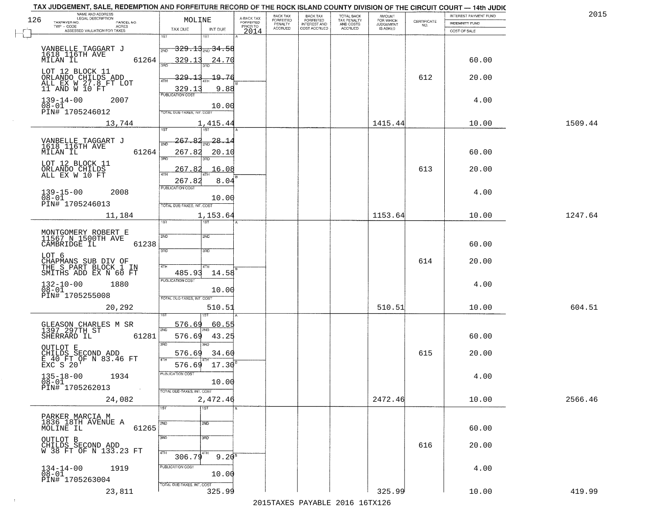| NAME AND ADDRESS<br>LEGAL DESCRIPTION<br>126                          | MOLINE                                                |                            |                                     | BACK TAX<br><b>FORFEITED</b> | <b>BACK TAX</b>                           | TOTAL BACK<br>TAX PENALTY<br>AND COSTS | AMOUNT<br>FOR WHICH<br>JUDGEMENT |                    | INTEREST PAYMENT FUND | 2015    |
|-----------------------------------------------------------------------|-------------------------------------------------------|----------------------------|-------------------------------------|------------------------------|-------------------------------------------|----------------------------------------|----------------------------------|--------------------|-----------------------|---------|
| TAXPAYER NO.<br>PARCEL NO.<br>ACRES<br>TWP - CODE                     |                                                       |                            | A-BACK TAX<br>FORFEITED<br>PRIOR TO | PENALTY<br><b>ACCRUED</b>    | FORFEITED<br>INTEREST AND<br>COST ACCRUED | ACCRUED                                | <b>IS ASKED</b>                  | CERTIFICATE<br>NO. | <b>INDEMNITY FUND</b> |         |
| ASSESSED VALUATION FOR TAXES                                          | TAX DUE<br>1ST                                        | INT DUE<br>1ST             | 2014                                |                              |                                           |                                        |                                  |                    | COST OF SALE          |         |
| VANBELLE TAGGART J<br>1618 116TH AVE                                  | 2ND                                                   | <del>329.13 mg 34.58</del> |                                     |                              |                                           |                                        |                                  |                    |                       |         |
| 61264<br>MILAN IL<br>LOT 12 BLOCK 11                                  | 329.13                                                | 24.70                      |                                     |                              |                                           |                                        |                                  |                    | 60.00                 |         |
| ORLANDO CHILDS ADD<br>ALL EX W 27.8 FT LOT<br>11 AND W 10 FT          | 329.13<br>329.13<br><b>PUBLICATION COST</b>           | 19.76<br>9.88              |                                     |                              |                                           |                                        |                                  | 612                | 20.00                 |         |
| $139 - 14 - 00$<br>2007<br>$08 - 01$<br>PIN# 1705246012               | <b>TOTAL DUE-TAXES, INT. COST</b>                     | 10.00                      |                                     |                              |                                           |                                        |                                  |                    | 4.00                  |         |
| 13,744                                                                |                                                       | 1,415.44                   |                                     |                              |                                           |                                        | 1415.44                          |                    | 10.00                 | 1509.44 |
| VANBELLE TAGGART J                                                    | 267.82                                                | $\frac{28.14}{200}$        |                                     |                              |                                           |                                        |                                  |                    |                       |         |
| 1618 116TH AVE<br>61264<br>MILAN IL                                   | সাঁচ<br>267.82<br>$\overline{3BD}$                    | 20.10                      |                                     |                              |                                           |                                        |                                  |                    | 60.00                 |         |
| LOT 12 BLOCK 11<br>ORLANDO CHILDS<br>ALL EX W 10 FT                   | 267.82<br><b>ATH</b>                                  | 16.08                      |                                     |                              |                                           |                                        |                                  | 613                | 20.00                 |         |
| $139 - 15 - 00$<br>2008                                               | 267.82<br>PUBLICATION COST                            | 8.04                       |                                     |                              |                                           |                                        |                                  |                    | 4.00                  |         |
| $08 - 01$<br>PIN# 1705246013                                          | TOTAL DUE-TAXES, INT. COST                            | 10.00                      |                                     |                              |                                           |                                        |                                  |                    |                       |         |
| 11,184                                                                | TST                                                   | 1,153.64<br><b>ST</b>      |                                     |                              |                                           |                                        | 1153.64                          |                    | 10.00                 | 1247.64 |
|                                                                       |                                                       |                            |                                     |                              |                                           |                                        |                                  |                    |                       |         |
| MONTGOMERY ROBERT E<br>11567 N 1500TH AVE<br>CAMBRIDGE IL<br>61238    | 2ND<br>3RD                                            | 2ND<br>3 <sub>BD</sub>     |                                     |                              |                                           |                                        |                                  |                    | 60.00                 |         |
| LOT 6                                                                 |                                                       |                            |                                     |                              |                                           |                                        |                                  | 614                | 20.00                 |         |
| CHAPMANS SUB DIV OF<br>THE S PART BLOCK 1 IN<br>SMITHS ADD EX N 60 FT | 4TH<br>485.93                                         | 4TH<br>14.58               |                                     |                              |                                           |                                        |                                  |                    |                       |         |
| $132 - 10 - 00$<br>$08 - 01$<br>1880<br>PIN# 1705255008               | <b>PUBLICATION COST</b><br>TOTAL OUE-TAXES, INT. COST | 10.00                      |                                     |                              |                                           |                                        |                                  |                    | 4.00                  |         |
| 20,292                                                                |                                                       | 510.51                     |                                     |                              |                                           |                                        | 510.51                           |                    | 10.00                 | 604.51  |
|                                                                       |                                                       |                            |                                     |                              |                                           |                                        |                                  |                    |                       |         |
| GLEASON CHARLES M SR<br>1397 297TH ST<br>SHERRARD IL<br>61281         | 576.69<br>2ND<br>576.69                               | 60.55<br>43.25             |                                     |                              |                                           |                                        |                                  |                    | 60.00                 |         |
| OUTLOT E                                                              | 3RD<br>576.69                                         | 3BD<br>34.60               |                                     |                              |                                           |                                        |                                  | 615                | 20.00                 |         |
| CHILDS SECOND ADD<br>E 40 FT OF N 83.46 FT<br>EXC S 20'               | 4TH<br>576.69                                         | 17.30                      |                                     |                              |                                           |                                        |                                  |                    |                       |         |
| $135 - 18 - 00$<br>1934<br>$\overline{0}8-0\overline{1}$              | PUBLICATION COST                                      | 10.00                      |                                     |                              |                                           |                                        |                                  |                    | 4.00                  |         |
| PIN# 1705262013<br>$\sim 10^{-1}$<br>24,082                           | TOTAL DUE-TAXES, INT. COST                            | 2,472.46                   |                                     |                              |                                           |                                        | 2472.46                          |                    | 10.00                 | 2566.46 |
|                                                                       | 1ST                                                   | 1ST                        |                                     |                              |                                           |                                        |                                  |                    |                       |         |
| PARKER MARCIA M<br>1836 18TH AVENUE A<br>61265<br>MOLINE IL           | 2ND                                                   | 2ND                        |                                     |                              |                                           |                                        |                                  |                    | 60.00                 |         |
|                                                                       | 3RD                                                   | 3RD                        |                                     |                              |                                           |                                        |                                  |                    |                       |         |
| OUTLOT B<br>CHILDS SECOND ADD<br>W 38 FT OF N 133.23 FT               | 4TH<br>306.79                                         | 4TH<br>$9.20^8$            |                                     |                              |                                           |                                        |                                  | 616                | 20.00                 |         |
| 1919<br>$134-14-00$<br>$08-01$                                        | PUBLICATION COST                                      | 10.00                      |                                     |                              |                                           |                                        |                                  |                    | 4.00                  |         |
| PIN# 1705263004                                                       | TOTAL DUE-TAXES, INT. COST                            |                            |                                     |                              |                                           |                                        |                                  |                    |                       |         |
| 23,811                                                                |                                                       | 325.99                     |                                     |                              |                                           |                                        | 325.99                           |                    | 10.00                 | 419.99  |

 $\sim 10^{-1}$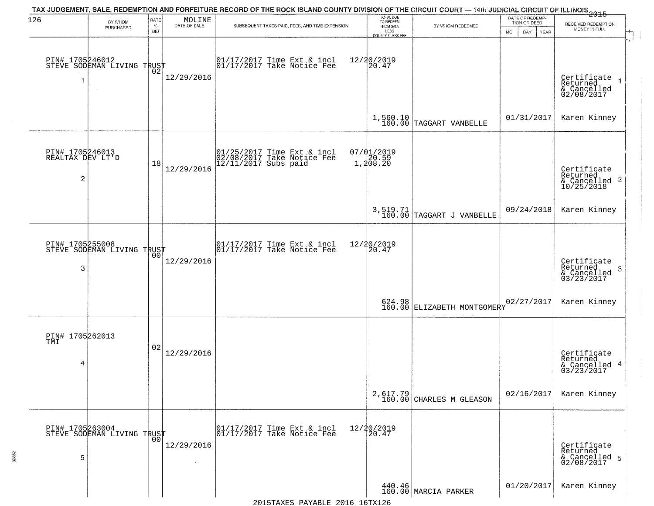| 126                                      | BY WHOM                                           | RATE               | MOLINE               | TAX JUDGEMENT, SALE, REDEMPTION AND FORFEITURE RECORD OF THE ROCK ISLAND COUNTY DIVISION OF THE CIRCUIT COURT — 14th JUDICIAL CIRCUIT OF ILLINOIS 2015 | TOTAL DUE<br>TO REDEEM                       |                                                    | DATE OF REDEMP-<br>TION OR DEED |                                                                                  |
|------------------------------------------|---------------------------------------------------|--------------------|----------------------|--------------------------------------------------------------------------------------------------------------------------------------------------------|----------------------------------------------|----------------------------------------------------|---------------------------------|----------------------------------------------------------------------------------|
|                                          | PURCHASED                                         | $\%$<br><b>BID</b> | DATE OF SALE         | SUBSEQUENT TAXES PAID, FEES, AND TIME EXTENSION                                                                                                        | FROM SALE<br>LESS<br><b>COUNTY CLERK FEE</b> | BY WHOM REDEEMED                                   | MO.<br>DAY.<br><b>YEAR</b>      | RECEIVED REDEMPTION<br>MONEY IN FULL                                             |
| 1                                        | PIN# 1705246012<br>STEVE SODEMAN LIVING TRUST     |                    | 12/29/2016           | $\begin{bmatrix} 01/17/2017 \\ 01/17/2017 \end{bmatrix}$ Take Notice Fee                                                                               | 12/20/2019<br>20.47                          |                                                    |                                 | Certificate<br>Returned<br>& Cancelled<br>02/08/2017                             |
|                                          |                                                   |                    |                      |                                                                                                                                                        |                                              | $1,560.10$ TAGGART VANBELLE                        | 01/31/2017                      | Karen Kinney                                                                     |
| PIN# 1705246013<br>REALTAX DEV LT'D<br>2 |                                                   | 18                 | 12/29/2016           | 01/25/2017 Time Ext & incl<br>02/08/2017 Take Notice Fee<br>12/11/2017 Subs paid                                                                       | 07/01/2019<br>1,20.59<br>1,208.20            |                                                    |                                 | Certificate<br>Returned<br>$\frac{100 \text{ m/s}}{200 \text{ m/s}}$ Cancelled 2 |
|                                          |                                                   |                    |                      |                                                                                                                                                        |                                              | $3,519.71$<br>160.00 TAGGART J VANBELLE            | 09/24/2018                      | Karen Kinney                                                                     |
| 3                                        | PIN# 1705255008<br>STEVE SODEMAN LIVING TRUST     | 00                 | 12/29/2016           | $\begin{array}{c}  01/17/2017 \text{ Time} \text{ Ext} & \text{incl} \\  01/17/2017 \text{ Take Notice } \text{Fe} \end{array}$                        | 12/20/2019<br>20.47                          |                                                    |                                 | Certificate<br>Returned<br>3<br>& Cancelled<br>03/23/2017                        |
|                                          |                                                   |                    |                      |                                                                                                                                                        |                                              | 624.98 ELIZABETH MONTGOMERY                        | 02/27/2017                      | Karen Kinney                                                                     |
| PIN# 1705262013<br>TMI<br>4              |                                                   | 02                 | 12/29/2016           |                                                                                                                                                        |                                              |                                                    |                                 | Certificate<br>Returned<br>& Cancelled 4<br>03/23/2017                           |
|                                          |                                                   |                    |                      |                                                                                                                                                        |                                              | $2,617.79$<br>160.00 CHARLES M GLEASON             | 02/16/2017                      | Karen Kinney                                                                     |
| 5                                        | PIN# 1705263004    <br>STEVE SODEMAN LIVING TRUST | 0 <sub>0</sub>     | 12/29/2016<br>$\sim$ | 01/17/2017 Time Ext & incl<br>01/17/2017 Take Notice Fee                                                                                               | 12/20/2019<br>20.47                          |                                                    |                                 | Certificate<br>Returned<br>& Cancelled 5<br>02/08/2017                           |
|                                          |                                                   |                    |                      |                                                                                                                                                        |                                              | $\left.\frac{440.46}{160.00}\right $ MARCIA PARKER | 01/20/2017                      | Karen Kinney                                                                     |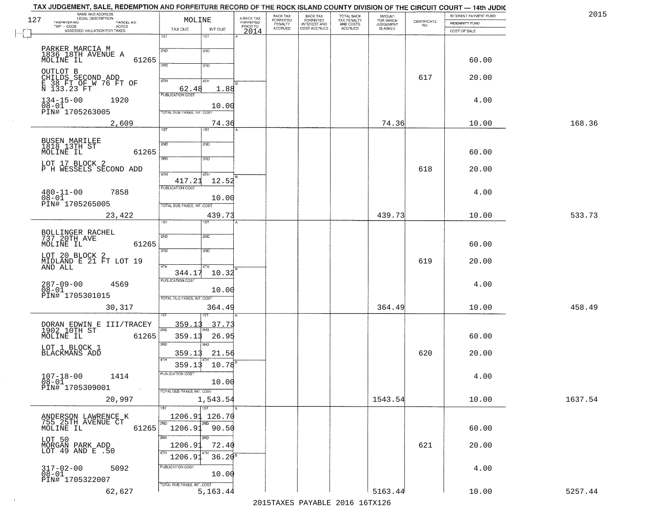|     | TAX JUDGEMENT, SALE, REDEMPTION AND FORFEITURE RECORD OF THE ROCK ISLAND COUNTY DIVISION OF THE CIRCUIT COURT — 14th JUDIC<br>NAME AND ADDRESS |                                          |                         | BACK TAX           |                                                       |                                                   | <b>AMOUNT</b>                      |                    | INTEREST PAYMENT FUND | 2015    |
|-----|------------------------------------------------------------------------------------------------------------------------------------------------|------------------------------------------|-------------------------|--------------------|-------------------------------------------------------|---------------------------------------------------|------------------------------------|--------------------|-----------------------|---------|
| 127 | PARCEL NO.                                                                                                                                     | MOLINE                                   | A-BACK TAX<br>FORFEITED | FORFEITED          | BACK TAX<br>FORFEITED<br>INTEREST AND<br>COST ACCRUED | TOTAL BACK<br>TAX PENALTY<br>AND COSTS<br>ACCRUED | FOR WHICH<br>JUDGEMENT<br>IS ASKED | CERTIFICATE<br>NO. | INDEMNITY FUND        |         |
|     | TWP - CODE<br>- CODE AGRES<br>ASSESSED VALUATION FOR TAXES                                                                                     | TAX DUE<br>INT DUE                       | PRIOR TO<br>2014        | PENALTY<br>ACCRUED |                                                       |                                                   |                                    |                    | COST OF SALE          |         |
|     |                                                                                                                                                | 1ST<br>1ST                               |                         |                    |                                                       |                                                   |                                    |                    |                       |         |
|     |                                                                                                                                                | 2ND<br>2ND                               |                         |                    |                                                       |                                                   |                                    |                    |                       |         |
|     | PARKER MARCIA M<br>1836 18TH AVENUE A<br>MOLINE IL<br>61265                                                                                    |                                          |                         |                    |                                                       |                                                   |                                    |                    | 60.00                 |         |
|     |                                                                                                                                                | 3RD<br>3BD                               |                         |                    |                                                       |                                                   |                                    |                    |                       |         |
|     | OUTLOT B<br>CHILDS SECOND ADD<br>E 38 FT OF W 76 FT OF<br>N 133.23 FT                                                                          |                                          |                         |                    |                                                       |                                                   |                                    | 617                | 20.00                 |         |
|     |                                                                                                                                                | 4TH<br>4TH                               |                         |                    |                                                       |                                                   |                                    |                    |                       |         |
|     |                                                                                                                                                | 1.88<br>62.48<br><b>PUBLICATION COST</b> |                         |                    |                                                       |                                                   |                                    |                    |                       |         |
|     | 1920                                                                                                                                           |                                          |                         |                    |                                                       |                                                   |                                    |                    | 4.00                  |         |
|     | 134-15-00<br>08-01<br>PIN# 1705263005                                                                                                          | 10.00<br>TOTAL DUE-TAXES, INT. COST      |                         |                    |                                                       |                                                   |                                    |                    |                       |         |
|     | 2,609                                                                                                                                          | 74.36                                    |                         |                    |                                                       |                                                   | 74.36                              |                    | 10.00                 | 168.36  |
|     |                                                                                                                                                | 1ST<br>151                               |                         |                    |                                                       |                                                   |                                    |                    |                       |         |
|     |                                                                                                                                                |                                          |                         |                    |                                                       |                                                   |                                    |                    |                       |         |
|     | BUSEN MARILEE<br>1818 13TH ST                                                                                                                  | 2ND<br>2ND                               |                         |                    |                                                       |                                                   |                                    |                    |                       |         |
|     | 61265<br>MOLINE IL                                                                                                                             | 3RD<br>3RD                               |                         |                    |                                                       |                                                   |                                    |                    | 60.00                 |         |
|     | LOT 17 BLOCK 2<br>P H WESSELS SECOND ADD                                                                                                       |                                          |                         |                    |                                                       |                                                   |                                    | 618                | 20.00                 |         |
|     |                                                                                                                                                | $\overline{47H}$<br>4TH                  |                         |                    |                                                       |                                                   |                                    |                    |                       |         |
|     |                                                                                                                                                | 417.21<br>12.52<br>PUBLICATION COST      |                         |                    |                                                       |                                                   |                                    |                    |                       |         |
|     | $480 - 11 - 00$<br>7858<br>$08 - 01$                                                                                                           | 10.00                                    |                         |                    |                                                       |                                                   |                                    |                    | 4.00                  |         |
|     | PIN# 1705265005                                                                                                                                | TOTAL DUE-TAXES, INT. COST               |                         |                    |                                                       |                                                   |                                    |                    |                       |         |
|     | 23,422                                                                                                                                         | 439.73                                   |                         |                    |                                                       |                                                   | 439.73                             |                    | 10.00                 | 533.73  |
|     |                                                                                                                                                | 1ST<br>187                               |                         |                    |                                                       |                                                   |                                    |                    |                       |         |
|     |                                                                                                                                                | 2ND<br>2ND                               |                         |                    |                                                       |                                                   |                                    |                    |                       |         |
|     | BOLLINGER RACHEL<br>737 20TH AVE<br>MOLINE IL<br>61265                                                                                         |                                          |                         |                    |                                                       |                                                   |                                    |                    | 60.00                 |         |
|     |                                                                                                                                                | 3RD<br>3RD                               |                         |                    |                                                       |                                                   |                                    |                    |                       |         |
|     | LOT 20 BLOCK 2<br>MIDLAND E 21 FT LOT 19                                                                                                       |                                          |                         |                    |                                                       |                                                   |                                    | 619                | 20.00                 |         |
|     | AND ALL                                                                                                                                        | 4TH<br>4TH<br>344.17<br>10.32            |                         |                    |                                                       |                                                   |                                    |                    |                       |         |
|     |                                                                                                                                                | <b>PUBLICATION COST</b>                  |                         |                    |                                                       |                                                   |                                    |                    |                       |         |
|     | $287 - 09 - 00$<br>$08 - 01$<br>4569                                                                                                           | 10.00                                    |                         |                    |                                                       |                                                   |                                    |                    | 4.00                  |         |
|     | PIN# 1705301015                                                                                                                                | TOTAL OUE-TAXES, INT. COST               |                         |                    |                                                       |                                                   |                                    |                    |                       |         |
|     | 30,317                                                                                                                                         | 364.49                                   |                         |                    |                                                       |                                                   | 364.49                             |                    | 10.00                 | 458.49  |
|     |                                                                                                                                                | ड़िंग                                    |                         |                    |                                                       |                                                   |                                    |                    |                       |         |
|     | DORAN EDWIN E III/TRACEY<br>1902 10TH ST                                                                                                       | 359.13<br>37.73<br>2ND                   |                         |                    |                                                       |                                                   |                                    |                    |                       |         |
|     | MOLINE IL<br>61265                                                                                                                             | 359.13<br>26.95                          |                         |                    |                                                       |                                                   |                                    |                    | 60.00                 |         |
|     | LOT 1 BLOCK 1                                                                                                                                  | 3RD<br>3RD                               |                         |                    |                                                       |                                                   |                                    |                    |                       |         |
|     | BLACKMANS ADD                                                                                                                                  | 359.13<br>21.56                          |                         |                    |                                                       |                                                   |                                    | 620                | 20.00                 |         |
|     |                                                                                                                                                | $10.78^{B}$<br>359.13                    |                         |                    |                                                       |                                                   |                                    |                    |                       |         |
|     |                                                                                                                                                | PUBLICATION COST                         |                         |                    |                                                       |                                                   |                                    |                    | 4.00                  |         |
|     | $107-18-00$ 1414<br>08-01<br>PIN# 1705309001                                                                                                   | 10.00                                    |                         |                    |                                                       |                                                   |                                    |                    |                       |         |
|     |                                                                                                                                                | TOTAL DUE-TAXES, INT. COST               |                         |                    |                                                       |                                                   |                                    |                    |                       |         |
|     | 20,997                                                                                                                                         | 1,543.54                                 |                         |                    |                                                       |                                                   | 1543.54                            |                    | 10.00                 | 1637.54 |
|     |                                                                                                                                                | <b>TIST</b>                              |                         |                    |                                                       |                                                   |                                    |                    |                       |         |
|     | ANDERSON LAWRENCE K<br>755 25TH AVENUE CT                                                                                                      | 1206.91 126.70<br>2ND                    |                         |                    |                                                       |                                                   |                                    |                    |                       |         |
|     | MOLINE IL<br>61265                                                                                                                             | $1206.91$ 90.50                          |                         |                    |                                                       |                                                   |                                    |                    | 60.00                 |         |
|     | LOT 50                                                                                                                                         | 3RD<br>3RD                               |                         |                    |                                                       |                                                   |                                    |                    |                       |         |
|     | MORGAN PARK ADD<br>LOT 49 AND E .50                                                                                                            | 1206.91<br>72.40<br>4TH                  |                         |                    |                                                       |                                                   |                                    | 621                | 20.00                 |         |
|     |                                                                                                                                                | $36.20^8$<br>1206.91                     |                         |                    |                                                       |                                                   |                                    |                    |                       |         |
|     | 317-02-00<br>08-01<br>5092                                                                                                                     | PUBLICATION COST                         |                         |                    |                                                       |                                                   |                                    |                    | 4.00                  |         |
|     | PIN# 1705322007                                                                                                                                | 10.00                                    |                         |                    |                                                       |                                                   |                                    |                    |                       |         |
|     | 62,627                                                                                                                                         | TOTAL DUE-TAXES, INT. COST<br>5,163.44   |                         |                    |                                                       |                                                   | 5163.44                            |                    | 10.00                 | 5257.44 |
|     |                                                                                                                                                |                                          |                         |                    |                                                       |                                                   |                                    |                    |                       |         |

 $\sim 100$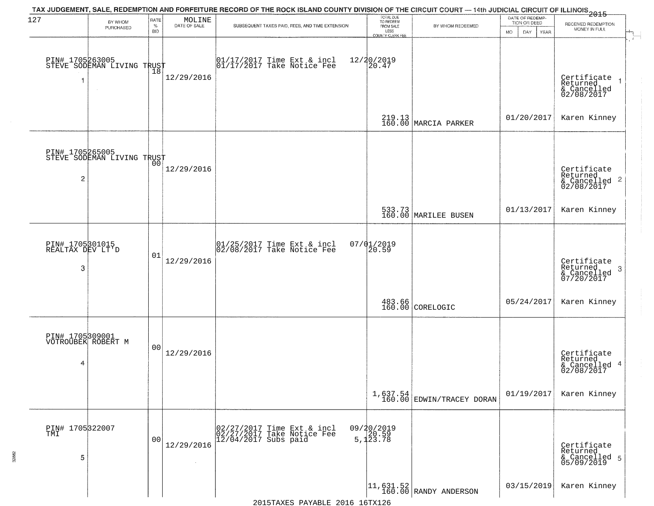| 127                                      | BY WHOM                                       | RATE               | MOLINE       | TAX JUDGEMENT, SALE, REDEMPTION AND FORFEITURE RECORD OF THE ROCK ISLAND COUNTY DIVISION OF THE CIRCUIT COURT — 14th JUDICIAL CIRCUIT OF ILLINOIS 2015 | TOTAL DUE<br>TO REDEEM                       |                                                                          | DATE OF REDEMP-<br>TION OR DEED | RECEIVED REDEMPTION                                       |
|------------------------------------------|-----------------------------------------------|--------------------|--------------|--------------------------------------------------------------------------------------------------------------------------------------------------------|----------------------------------------------|--------------------------------------------------------------------------|---------------------------------|-----------------------------------------------------------|
|                                          | PURCHASED                                     | $\%$<br><b>BID</b> | DATE OF SALE | SUBSEQUENT TAXES PAID, FEES, AND TIME EXTENSION                                                                                                        | FROM SALE<br>LESS<br><b>COUNTY CLERK FEE</b> | BY WHOM REDEEMED                                                         | MO.<br>DAY.<br>YEAR             | MONEY IN FULL                                             |
| 1                                        | PIN# 1705263005<br>STEVE SODEMAN LIVING TRUST | Ίõ                 | 12/29/2016   | $\begin{bmatrix} 01/17/2017 \\ 01/17/2017 \\ 01 \end{bmatrix}$ Take Notice Fee                                                                         | 12/20/2019<br>20.47                          |                                                                          |                                 | Certificate<br>Returned<br>& Cancelled<br>02/08/2017      |
|                                          |                                               |                    |              |                                                                                                                                                        |                                              | 219.13<br>160.00 MARCIA PARKER                                           | 01/20/2017                      | Karen Kinney                                              |
| 2                                        | PIN# 1705265005<br>STEVE SODEMAN LIVING TRUST |                    | 12/29/2016   |                                                                                                                                                        |                                              |                                                                          |                                 | Certificate<br>Returned<br>& Cancelled 2<br>02/08/2017    |
|                                          |                                               |                    |              |                                                                                                                                                        |                                              | 533.73<br>160.00 MARILEE BUSEN                                           | 01/13/2017                      | Karen Kinney                                              |
| PIN# 1705301015<br>REALTAX DEV LT'D<br>3 |                                               | 01                 | 12/29/2016   | $ 01/25/2017$ Time Ext & incl<br>$ 02/08/2017$ Take Notice Fee                                                                                         | $07/01/2019$<br>20.59                        |                                                                          |                                 | Certificate<br>Returned<br>3<br>& Cancelled<br>07/20/2017 |
|                                          |                                               |                    |              |                                                                                                                                                        |                                              | 483.66<br>160.00 CORELOGIC                                               | 05/24/2017                      | Karen Kinney                                              |
| 4                                        | PIN# 1705309001<br>VOTROUBEK ROBERT M         | 0 <sub>0</sub>     | 12/29/2016   |                                                                                                                                                        |                                              |                                                                          |                                 | Certificate<br>Returned<br>& Cancelled 4<br>02/08/2017    |
|                                          |                                               |                    |              |                                                                                                                                                        |                                              | $1,637.54$ EDWIN/TRACEY DORAN                                            | 01/19/2017                      | Karen Kinney                                              |
| PIN# 1705322007<br>5                     |                                               | 0 <sub>0</sub>     | 12/29/2016   | 02/27/2017 Time Ext & incl<br>02/27/2017 Take Notice Fee<br>12/04/2017 Subs paid                                                                       | 09/20/2019<br>5,120.59<br>5,123.78           |                                                                          |                                 | Certificate<br>Returned<br>& Cancelled 5<br>05/09/2019    |
|                                          |                                               |                    |              |                                                                                                                                                        |                                              | $\begin{vmatrix} 11 & 631 & 52 \\ 160 & 00 \end{vmatrix}$ RANDY ANDERSON | 03/15/2019                      | Karen Kinney                                              |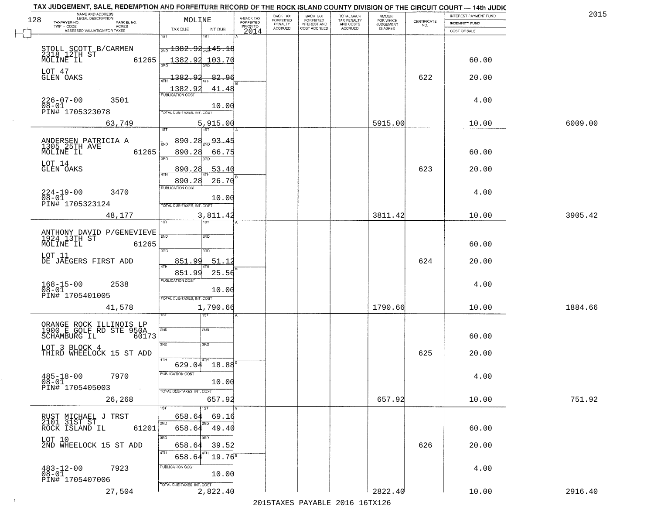| TAX JUDGEMENT, SALE, REDEMPTION AND FORFEITURE RECORD OF THE ROCK ISLAND COUNTY DIVISION OF THE CIRCUIT COURT - 14th JUDIC<br>NAME AND ADDRESS<br>LEGAL DESCRIPTION |                |                                               |                 |                                     | BACK TAX                    |                                       |                                        | AMOUNT<br>FOR WHICH |                                                                 | INTEREST PAYMENT FUND | 2015    |
|---------------------------------------------------------------------------------------------------------------------------------------------------------------------|----------------|-----------------------------------------------|-----------------|-------------------------------------|-----------------------------|---------------------------------------|----------------------------------------|---------------------|-----------------------------------------------------------------|-----------------------|---------|
| 128<br>TAXPAYER NO.<br>PARCEL NO.                                                                                                                                   |                | MOLINE                                        |                 | A-BACK TAX<br>FORFEITED<br>PRIOR TO | <b>FORFEITED</b><br>PENALTY | BACK TAX<br>FORFEITED<br>INTEREST AND | TOTAL BACK<br>TAX PENALTY<br>AND COSTS | <b>JUDGEMENT</b>    | $\begin{array}{c} \text{CERTIFICATE} \\ \text{NO.} \end{array}$ | INDEMNITY FUND        |         |
| TWP - CODE<br>ACRES<br>ASSESSED VALUATION FOR TAXES                                                                                                                 |                | TAX DUE                                       | INT DUE         | 2014                                | <b>ACCRUED</b>              | COST ACCRUED                          | ACCRUED                                | IS ASKED            |                                                                 | COST OF SALE          |         |
|                                                                                                                                                                     |                | 1ST                                           | IST             |                                     |                             |                                       |                                        |                     |                                                                 |                       |         |
|                                                                                                                                                                     |                | $\frac{1}{200}$ 1382.92 $\frac{1}{204}$ 45.18 |                 |                                     |                             |                                       |                                        |                     |                                                                 |                       |         |
| STOLL SCOTT B/CARMEN<br>2318 12TH ST                                                                                                                                |                |                                               |                 |                                     |                             |                                       |                                        |                     |                                                                 |                       |         |
| MOLINE IL                                                                                                                                                           | 61265          |                                               | 1382.92 103.70  |                                     |                             |                                       |                                        |                     |                                                                 | 60.00                 |         |
| LOT 47                                                                                                                                                              |                |                                               |                 |                                     |                             |                                       |                                        |                     |                                                                 |                       |         |
| GLEN OAKS                                                                                                                                                           |                | 1382.92                                       | 82.96           |                                     |                             |                                       |                                        |                     | 622                                                             | 20.00                 |         |
|                                                                                                                                                                     |                | 1382.92                                       | 41.48           |                                     |                             |                                       |                                        |                     |                                                                 |                       |         |
| $226 - 07 - 00$<br>3501                                                                                                                                             |                |                                               |                 |                                     |                             |                                       |                                        |                     |                                                                 | 4.00                  |         |
| $08 - 01$                                                                                                                                                           |                |                                               | 10.00           |                                     |                             |                                       |                                        |                     |                                                                 |                       |         |
| PIN# 1705323078                                                                                                                                                     |                | TOTAL DUE-TAXES, INT. COST                    |                 |                                     |                             |                                       |                                        |                     |                                                                 |                       |         |
| 63,749                                                                                                                                                              |                |                                               | 5,915.00        |                                     |                             |                                       |                                        | 5915.00             |                                                                 | 10.00                 | 6009.00 |
|                                                                                                                                                                     |                |                                               |                 |                                     |                             |                                       |                                        |                     |                                                                 |                       |         |
|                                                                                                                                                                     |                | 890.28                                        | 93.45           |                                     |                             |                                       |                                        |                     |                                                                 |                       |         |
| ANDERSEN PATRICIA A<br>1305 25TH AVE                                                                                                                                |                |                                               |                 |                                     |                             |                                       |                                        |                     |                                                                 |                       |         |
| MOLINE IL                                                                                                                                                           | 61265          | 890.28<br>3RD                                 | 66.75<br>38D    |                                     |                             |                                       |                                        |                     |                                                                 | 60.00                 |         |
| LOT 14                                                                                                                                                              |                |                                               |                 |                                     |                             |                                       |                                        |                     |                                                                 |                       |         |
| <b>GLEN OAKS</b>                                                                                                                                                    |                | 890.28                                        | 53.40           |                                     |                             |                                       |                                        |                     | 623                                                             | 20.00                 |         |
|                                                                                                                                                                     |                | 890.28                                        | 26.70           |                                     |                             |                                       |                                        |                     |                                                                 |                       |         |
| $224 - 19 - 00$<br>3470                                                                                                                                             |                | PUBLICATION COST                              |                 |                                     |                             |                                       |                                        |                     |                                                                 | 4.00                  |         |
| $08 - 01$                                                                                                                                                           |                |                                               | 10.00           |                                     |                             |                                       |                                        |                     |                                                                 |                       |         |
| PIN# 1705323124                                                                                                                                                     |                | TOTAL DUE-TAXES, INT. COST                    |                 |                                     |                             |                                       |                                        |                     |                                                                 |                       |         |
| 48,177                                                                                                                                                              |                |                                               | 3,811.42        |                                     |                             |                                       |                                        | 3811.42             |                                                                 | 10.00                 | 3905.42 |
|                                                                                                                                                                     |                | 'ST                                           | <b>ST</b>       |                                     |                             |                                       |                                        |                     |                                                                 |                       |         |
| ANTHONY DAVID P/GENEVIEVE<br>1924 13TH ST                                                                                                                           |                | 2ND                                           | 2ND             |                                     |                             |                                       |                                        |                     |                                                                 |                       |         |
| MOLINE IL                                                                                                                                                           | 61265          |                                               |                 |                                     |                             |                                       |                                        |                     |                                                                 | 60.00                 |         |
|                                                                                                                                                                     |                | 3RD                                           | 3RD             |                                     |                             |                                       |                                        |                     |                                                                 |                       |         |
| LOT 11                                                                                                                                                              |                |                                               |                 |                                     |                             |                                       |                                        |                     | 624                                                             |                       |         |
| DE JAEGERS FIRST ADD                                                                                                                                                |                | 851.99                                        | 51.12           |                                     |                             |                                       |                                        |                     |                                                                 | 20.00                 |         |
|                                                                                                                                                                     |                | 851.99                                        | 25.56           |                                     |                             |                                       |                                        |                     |                                                                 |                       |         |
| 2538                                                                                                                                                                |                | <b>PUBLICATION COST</b>                       |                 |                                     |                             |                                       |                                        |                     |                                                                 | 4.00                  |         |
| $168 - 15 - 00$<br>$08 - 01$                                                                                                                                        |                |                                               | 10.00           |                                     |                             |                                       |                                        |                     |                                                                 |                       |         |
| PIN# 1705401005                                                                                                                                                     |                | TOTAL OUE-TAXES, INT. COST                    |                 |                                     |                             |                                       |                                        |                     |                                                                 |                       |         |
| 41,578                                                                                                                                                              |                |                                               | 1,790.66        |                                     |                             |                                       |                                        | 1790.66             |                                                                 | 10.00                 | 1884.66 |
|                                                                                                                                                                     |                |                                               | 1ST             |                                     |                             |                                       |                                        |                     |                                                                 |                       |         |
| ORANGE ROCK ILLINOIS LP<br>1900 E GOLF RD STE 950A                                                                                                                  |                |                                               |                 |                                     |                             |                                       |                                        |                     |                                                                 |                       |         |
| SCHAMBURG IL                                                                                                                                                        | 60173          | 2ND                                           | 2ND             |                                     |                             |                                       |                                        |                     |                                                                 | 60.00                 |         |
|                                                                                                                                                                     |                | 3RD                                           | 3BD             |                                     |                             |                                       |                                        |                     |                                                                 |                       |         |
| LOT 3 BLOCK 4<br>THIRD WHEELOCK 15 ST ADD                                                                                                                           |                |                                               |                 |                                     |                             |                                       |                                        |                     | 625                                                             | 20.00                 |         |
|                                                                                                                                                                     |                | 4TH                                           |                 |                                     |                             |                                       |                                        |                     |                                                                 |                       |         |
|                                                                                                                                                                     |                | 629.04                                        | 18.88           |                                     |                             |                                       |                                        |                     |                                                                 |                       |         |
| $485 - 18 - 00$<br>7970                                                                                                                                             |                | PUBLICATION COST                              |                 |                                     |                             |                                       |                                        |                     |                                                                 | 4.00                  |         |
| $08 - 01$                                                                                                                                                           |                |                                               | 10.00           |                                     |                             |                                       |                                        |                     |                                                                 |                       |         |
| PIN# 1705405003                                                                                                                                                     | $\sim 10^{-1}$ | TOTAL DUE-TAXES, INT. COST                    |                 |                                     |                             |                                       |                                        |                     |                                                                 |                       |         |
| 26,268                                                                                                                                                              |                |                                               | 657.92          |                                     |                             |                                       |                                        | 657.92              |                                                                 | 10.00                 | 751.92  |
|                                                                                                                                                                     |                |                                               |                 |                                     |                             |                                       |                                        |                     |                                                                 |                       |         |
| RUST MICHAEL J TRST<br>2101 31ST ST                                                                                                                                 |                | 658.64                                        | 69.16           |                                     |                             |                                       |                                        |                     |                                                                 |                       |         |
| ROCK ISLAND IL                                                                                                                                                      | 61201          | 2ND<br>658.64                                 | 49.40           |                                     |                             |                                       |                                        |                     |                                                                 | 60.00                 |         |
|                                                                                                                                                                     |                | 3RD                                           | 3RD             |                                     |                             |                                       |                                        |                     |                                                                 |                       |         |
| LOT 10<br>2ND WHEELOCK 15 ST ADD                                                                                                                                    |                | 658.64                                        | 39.52           |                                     |                             |                                       |                                        |                     | 626                                                             | 20.00                 |         |
|                                                                                                                                                                     |                | 4TH                                           |                 |                                     |                             |                                       |                                        |                     |                                                                 |                       |         |
|                                                                                                                                                                     |                | 658.64                                        | $19.76^{\rm s}$ |                                     |                             |                                       |                                        |                     |                                                                 |                       |         |
| $483 - 12 - 00$<br>$08 - 01$<br>7923                                                                                                                                |                | PUBLICATION COST                              |                 |                                     |                             |                                       |                                        |                     |                                                                 | 4.00                  |         |
|                                                                                                                                                                     |                |                                               | 10.00           |                                     |                             |                                       |                                        |                     |                                                                 |                       |         |
| PIN# 1705407006                                                                                                                                                     |                | TOTAL DUE-TAXES, INT. COST                    |                 |                                     |                             |                                       |                                        |                     |                                                                 |                       |         |
| 27,504                                                                                                                                                              |                |                                               | 2,822.40        |                                     |                             |                                       |                                        | 2822.40             |                                                                 | 10.00                 | 2916.40 |
|                                                                                                                                                                     |                |                                               |                 |                                     |                             |                                       | 2015 TAVEC DAVADIE 2016 16TV126        |                     |                                                                 |                       |         |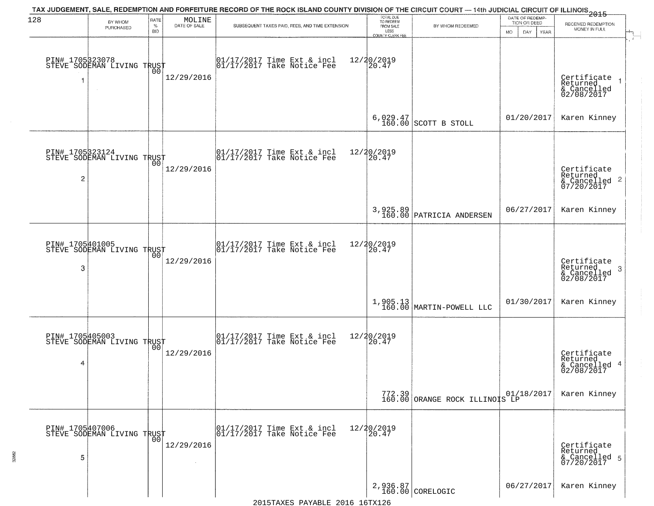| 128                  | BY WHOM<br>PURCHASED                                        | RATE<br>$\%$<br><b>BID</b> | MOLINE<br>DATE OF SALE | TAX JUDGEMENT, SALE, REDEMPTION AND FORFEITURE RECORD OF THE ROCK ISLAND COUNTY DIVISION OF THE CIRCUIT COURT — 14th JUDICIAL CIRCUIT OF ILLINOIS 2015<br>SUBSEQUENT TAXES PAID, FEES, AND TIME EXTENSION | TOTAL DUE<br>TO REDEEM<br>FROM SALE<br>LESS    | BY WHOM REDEEMED                                                                                                 | DATE OF REDEMP-<br>TION OR DEED | RECEIVED REDEMPTION<br>MONEY IN FULL                               |
|----------------------|-------------------------------------------------------------|----------------------------|------------------------|-----------------------------------------------------------------------------------------------------------------------------------------------------------------------------------------------------------|------------------------------------------------|------------------------------------------------------------------------------------------------------------------|---------------------------------|--------------------------------------------------------------------|
|                      | PIN# 1705323078    <br>STEVE SODEMAN LIVING TRUST<br>$\sim$ | 00                         | 12/29/2016             | $\begin{bmatrix} 01/17/2017 \\ 01/17/2017 \\ 01 \end{bmatrix}$ Take Notice Fee                                                                                                                            | <b>COUNTY CLERK FEE</b><br>12/20/2019<br>20.47 |                                                                                                                  | MO.<br>DAY.<br>YEAR             | Certificate<br>Returned<br>& Cancelled<br>02/08/2017               |
|                      |                                                             |                            |                        |                                                                                                                                                                                                           |                                                | 6,029.47<br>160.00 SCOTT B STOLL                                                                                 | 01/20/2017                      | Karen Kinney                                                       |
| $\overline{c}$       | PIN# 1705323124<br>STEVE SODEMAN LIVING TRUST               |                            | 12/29/2016             | $\begin{array}{cc}  01/17/2017 \text{ Time} & \text{Ext} & \text{incl} \\  01/17/2017 \text{ Take Notice } \text{Fe} \end{array}$                                                                         | 12/20/2019<br>20.47                            |                                                                                                                  |                                 | Certificate<br>Returned<br>$\frac{1}{2}$ Cancelled 2<br>07/20/2017 |
|                      |                                                             |                            |                        |                                                                                                                                                                                                           |                                                | 3,925.89<br>160.00 PATRICIA ANDERSEN                                                                             | 06/27/2017                      | Karen Kinney                                                       |
| PIN# 1705401005<br>3 | STEVE SODEMAN LIVING TRUST                                  | 0 <sub>0</sub>             | 12/29/2016             | $\begin{array}{ccc}  01/17/2017 \text{ Time} & \text{Ext} & \text{incl} \\  01/17/2017 \text{ Take Notice } \text{Fe} \end{array}$                                                                        | 12/20/2019<br>20.47                            |                                                                                                                  |                                 | Certificate<br>Returned<br>3<br>& Cancelled<br>02/08/2017          |
|                      |                                                             |                            |                        |                                                                                                                                                                                                           |                                                | $1,905.13$ MARTIN-POWELL LLC                                                                                     | 01/30/2017                      | Karen Kinney                                                       |
| 4                    | PIN# 1705405003    <br>STEVE SODEMAN LIVING TRUST           | 0 <sub>0</sub>             | 12/29/2016             | $\begin{bmatrix} 01/17/2017 \\ 01/17/2017 \end{bmatrix}$ Take Notice Fee                                                                                                                                  | 12/20/2019<br>20.47                            |                                                                                                                  |                                 | Certificate<br>Returned<br>& Cancelled 4<br>02/08/2017             |
|                      |                                                             |                            |                        |                                                                                                                                                                                                           |                                                | $\left.\begin{array}{c c} 772.39 & 01/1 \\ 160.00 & \text{ORANGE ROCK}} & \text{ILLINOIS LP} \end{array}\right.$ | 01/18/2017                      | Karen Kinney                                                       |
| 5                    | PIN# 1705407006    <br>STEVE SODEMAN LIVING TRUST           | 0 <sub>0</sub>             | 12/29/2016             | 01/17/2017 Time Ext & incl<br>01/17/2017 Take Notice Fee                                                                                                                                                  | 12/20/2019<br>20.47                            |                                                                                                                  |                                 | Certificate<br>Returned<br>& Cancelled 5<br>07/20/2017             |
|                      |                                                             |                            |                        |                                                                                                                                                                                                           |                                                | 2,936.87<br>160.00 CORELOGIC                                                                                     | 06/27/2017                      | Karen Kinney                                                       |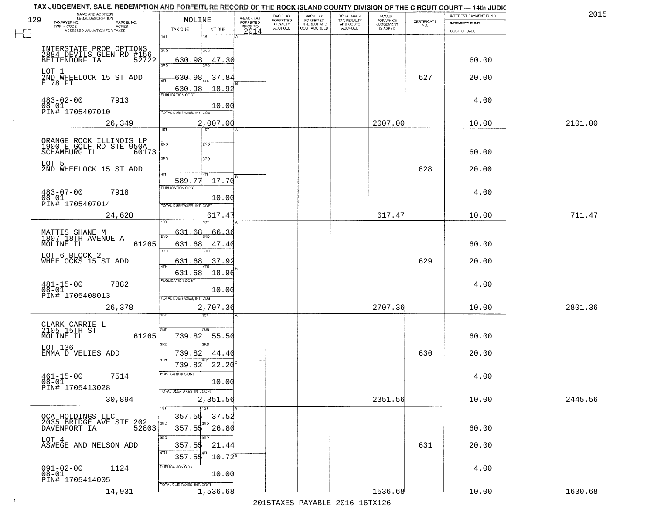|     | TAX JUDGEMENT, SALE, REDEMPTION AND FORFEITURE RECORD OF THE ROCK ISLAND COUNTY DIVISION OF THE CIRCUIT COURT — 14th JUDIC |                                   |                     |                         |                       |                                                       |                                                   |                                    |                                                                 |                                                | 2015    |
|-----|----------------------------------------------------------------------------------------------------------------------------|-----------------------------------|---------------------|-------------------------|-----------------------|-------------------------------------------------------|---------------------------------------------------|------------------------------------|-----------------------------------------------------------------|------------------------------------------------|---------|
| 129 | NAME AND ADDRESS<br>LEGAL DESCRIPTION<br>TAXPAYER NO.<br>PARCEL NO.                                                        | MOLINE                            |                     | A-BACK TAX<br>FORFEITED | BACK TAX<br>FORFEITED | BACK TAX<br>FORFEITED<br>INTEREST AND<br>COST ACCRUED | TOTAL BACK<br>TAX PENALTY<br>AND COSTS<br>ACCRUED | <b>AMOUNT</b>                      | $\begin{array}{c} \text{CEPTIFICATE} \\ \text{NO.} \end{array}$ | INTEREST PAYMENT FUND<br><b>INDEMNITY FUND</b> |         |
|     | TWP - CODE<br>ACRES<br>ASSESSED VALUATION FOR TAXES                                                                        | TAX DUE                           | INT DUE             | PRIOR TO<br>2014        | PENALTY<br>ACCRUED    |                                                       |                                                   | FOR WHICH<br>JUDGEMENT<br>IS ASKED |                                                                 | COST OF SALE                                   |         |
|     |                                                                                                                            | 1ST                               | 1ST                 |                         |                       |                                                       |                                                   |                                    |                                                                 |                                                |         |
|     |                                                                                                                            | 2ND                               | 2ND                 |                         |                       |                                                       |                                                   |                                    |                                                                 |                                                |         |
|     | INTERSTATE PROP OPTIONS<br>2884 DEVILS GLEN RD #156<br>BETTENDORF IA 52722                                                 | 630.98                            | 47.30               |                         |                       |                                                       |                                                   |                                    |                                                                 | 60.00                                          |         |
|     |                                                                                                                            | 3RD                               | 3BD.                |                         |                       |                                                       |                                                   |                                    |                                                                 |                                                |         |
|     | LOT 1<br>2ND WHEELOCK 15 ST ADD                                                                                            | 630.98                            | 37.8                |                         |                       |                                                       |                                                   |                                    | 627                                                             | 20.00                                          |         |
|     | E 78 FT                                                                                                                    | 4TH<br>630.98                     | 18.92               |                         |                       |                                                       |                                                   |                                    |                                                                 |                                                |         |
|     |                                                                                                                            | <b>PUBLICATION COST</b>           |                     |                         |                       |                                                       |                                                   |                                    |                                                                 |                                                |         |
|     | $483 - 02 - 00$<br>7913                                                                                                    |                                   | 10.00               |                         |                       |                                                       |                                                   |                                    |                                                                 | 4.00                                           |         |
|     | 08-01<br>PIN# 1705407010                                                                                                   | TOTAL DUE-TAXES, INT. COST        |                     |                         |                       |                                                       |                                                   |                                    |                                                                 |                                                |         |
|     | 26,349                                                                                                                     |                                   | 2,007.00            |                         |                       |                                                       |                                                   | 2007.00                            |                                                                 | 10.00                                          | 2101.00 |
|     |                                                                                                                            | 1ST                               | 75T                 |                         |                       |                                                       |                                                   |                                    |                                                                 |                                                |         |
|     | ORANGE ROCK ILLINOIS LP<br>1900 E GOLF RD STE 950A                                                                         | 2ND                               | 2ND                 |                         |                       |                                                       |                                                   |                                    |                                                                 |                                                |         |
|     | SCHAMBURG IL<br>60173                                                                                                      |                                   |                     |                         |                       |                                                       |                                                   |                                    |                                                                 | 60.00                                          |         |
|     | LOT 5                                                                                                                      | 3RD                               | 3RD                 |                         |                       |                                                       |                                                   |                                    |                                                                 |                                                |         |
|     | 2ND WHEELOCK 15 ST ADD                                                                                                     | 47H                               | 4TH                 |                         |                       |                                                       |                                                   |                                    | 628                                                             | 20.00                                          |         |
|     |                                                                                                                            | 589.77                            | 17.70               |                         |                       |                                                       |                                                   |                                    |                                                                 |                                                |         |
|     | $483 - 07 - 00$<br>7918                                                                                                    | PUBLICATION COST                  |                     |                         |                       |                                                       |                                                   |                                    |                                                                 | 4.00                                           |         |
|     | $08 - 01$<br>PIN# 1705407014                                                                                               |                                   | 10.00               |                         |                       |                                                       |                                                   |                                    |                                                                 |                                                |         |
|     |                                                                                                                            | TOTAL DUE-TAXES, INT. COST        |                     |                         |                       |                                                       |                                                   |                                    |                                                                 |                                                |         |
|     | 24,628                                                                                                                     | 1ST                               | 617.47              |                         |                       |                                                       |                                                   | 617.47                             |                                                                 | 10.00                                          | 711.47  |
|     |                                                                                                                            | 631.68                            | 66.36               |                         |                       |                                                       |                                                   |                                    |                                                                 |                                                |         |
|     | MATTIS SHANE M<br>1807 18TH AVENUE A                                                                                       | 2ND                               |                     |                         |                       |                                                       |                                                   |                                    |                                                                 |                                                |         |
|     | MOLINE IL<br>61265                                                                                                         | 631.68<br>3RD                     | 47.40<br>3RD        |                         |                       |                                                       |                                                   |                                    |                                                                 | 60.00                                          |         |
|     | LOT 6 BLOCK 2<br>WHEELOCKS 15 ST ADD                                                                                       | 631.68                            | 37.92               |                         |                       |                                                       |                                                   |                                    | 629                                                             | 20.00                                          |         |
|     |                                                                                                                            | 4TH                               |                     |                         |                       |                                                       |                                                   |                                    |                                                                 |                                                |         |
|     |                                                                                                                            | 631.68<br><b>PUBLICATION COST</b> | 18.96               |                         |                       |                                                       |                                                   |                                    |                                                                 |                                                |         |
|     | $481 - 15 - 00$<br>7882<br>$08 - 01$                                                                                       |                                   | 10.00               |                         |                       |                                                       |                                                   |                                    |                                                                 | 4.00                                           |         |
|     | PIN# 1705408013                                                                                                            | TOTAL OUE-TAXES, INT. COST        |                     |                         |                       |                                                       |                                                   |                                    |                                                                 |                                                |         |
|     | 26,378                                                                                                                     |                                   | 2,707.36            |                         |                       |                                                       |                                                   | 2707.36                            |                                                                 | 10.00                                          | 2801.36 |
|     |                                                                                                                            |                                   | ख़                  |                         |                       |                                                       |                                                   |                                    |                                                                 |                                                |         |
|     | CLARK CARRIE L<br>2105 15TH ST                                                                                             | <b>2ND</b>                        | 2MD                 |                         |                       |                                                       |                                                   |                                    |                                                                 |                                                |         |
|     | MOLINE IL<br>61265                                                                                                         | 739.82                            | 55.50               |                         |                       |                                                       |                                                   |                                    |                                                                 | 60.00                                          |         |
|     | LOT 136                                                                                                                    | 3RD                               | 3RD                 |                         |                       |                                                       |                                                   |                                    |                                                                 |                                                |         |
|     | EMMA D VELIES ADD                                                                                                          | 739.82                            | 44.40               |                         |                       |                                                       |                                                   |                                    | 630                                                             | 20.00                                          |         |
|     |                                                                                                                            | 739.82                            | 22.20               |                         |                       |                                                       |                                                   |                                    |                                                                 |                                                |         |
|     | 7514<br>$461 - 15 - 00$                                                                                                    | PUBLICATION COST                  |                     |                         |                       |                                                       |                                                   |                                    |                                                                 | 4.00                                           |         |
|     | $08 - 01$<br>PIN# 1705413028                                                                                               |                                   | 10.00               |                         |                       |                                                       |                                                   |                                    |                                                                 |                                                |         |
|     |                                                                                                                            | TOTAL DUE-TAXES, INT. COST        |                     |                         |                       |                                                       |                                                   |                                    |                                                                 |                                                |         |
|     | 30,894                                                                                                                     |                                   | 2,351.56            |                         |                       |                                                       |                                                   | 2351.56                            |                                                                 | 10.00                                          | 2445.56 |
|     |                                                                                                                            | 1ST                               | 1ST<br>357.55 37.52 |                         |                       |                                                       |                                                   |                                    |                                                                 |                                                |         |
|     | OCA HOLDINGS LLC<br>2035 BRIDGE AVE STE 202                                                                                | 2ND                               | 2ND                 |                         |                       |                                                       |                                                   |                                    |                                                                 |                                                |         |
|     | DAVENPORT IA<br>52803                                                                                                      |                                   | $357.55$ $26.80$    |                         |                       |                                                       |                                                   |                                    |                                                                 | 60.00                                          |         |
|     | LOT 4<br>ASWEGE AND NELSON ADD                                                                                             | 3RD<br>357.55                     | 3RD<br>21.44        |                         |                       |                                                       |                                                   |                                    | 631                                                             | 20.00                                          |         |
|     |                                                                                                                            | 4TH                               |                     |                         |                       |                                                       |                                                   |                                    |                                                                 |                                                |         |
|     |                                                                                                                            | 357.55                            | $10.72^8$           |                         |                       |                                                       |                                                   |                                    |                                                                 |                                                |         |
|     | $091 - 02 - 00$<br>1124<br>$08 - 01$                                                                                       | PUBLICATION COST                  | 10.00               |                         |                       |                                                       |                                                   |                                    |                                                                 | 4.00                                           |         |
|     | PIN# 1705414005                                                                                                            | TOTAL DUE-TAXES, INT. COST        |                     |                         |                       |                                                       |                                                   |                                    |                                                                 |                                                |         |
|     | 14,931                                                                                                                     |                                   | 1,536.68            |                         |                       |                                                       |                                                   | 1536.68                            |                                                                 | 10.00                                          | 1630.68 |
|     |                                                                                                                            |                                   |                     |                         |                       |                                                       |                                                   |                                    |                                                                 |                                                |         |

 $\sim 10^6$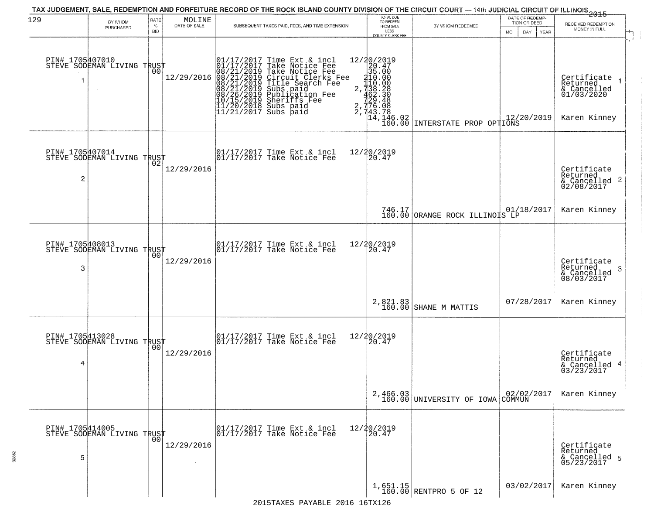| 129                  | BY WHOM                                      | RATE               | MOLINE<br>DATE OF SALE | TAX JUDGEMENT, SALE, REDEMPTION AND FORFEITURE RECORD OF THE ROCK ISLAND COUNTY DIVISION OF THE CIRCUIT COURT — 14th JUDICIAL CIRCUIT OF ILLINOIS 2015                                                                                                | TOTAL DUE<br>TO REDEEM                                                                                                                                                                                                                                                                                                                                                                                                     |                                              | DATE OF REDEMP-<br>TION OR DEED | RECEIVED REDEMPTION                                                  |
|----------------------|----------------------------------------------|--------------------|------------------------|-------------------------------------------------------------------------------------------------------------------------------------------------------------------------------------------------------------------------------------------------------|----------------------------------------------------------------------------------------------------------------------------------------------------------------------------------------------------------------------------------------------------------------------------------------------------------------------------------------------------------------------------------------------------------------------------|----------------------------------------------|---------------------------------|----------------------------------------------------------------------|
|                      | PURCHASED                                    | $\%$<br><b>BID</b> |                        | SUBSEQUENT TAXES PAID, FEES, AND TIME EXTENSION                                                                                                                                                                                                       | FROM SALE<br>LESS<br>COUNTY CLERK FEE                                                                                                                                                                                                                                                                                                                                                                                      | BY WHOM REDEEMED                             | DAY<br>MO.<br><b>YEAR</b>       | MONEY IN FULL                                                        |
| PIN# 1705407010      | STEVE SODEMAN LIVING TRUST                   | 00                 | 12/29/2016             | 01/17/2017 Time Ext & incl<br>01/17/2017 Take Notice Fee<br>08/21/2019 Take Notice Fee<br>08/21/2019 Circuit Clerks Fee<br>08/21/2019 Title Search Fee<br>08/21/2019 Subs paid<br>08/26/2019 Sheriffs Fee<br>10/15/2019 Sheriffs Fee<br>11/20/2018 Su | 12/20/2019<br>$\begin{array}{r l} \texttt{12/120/2011} \texttt{13} \texttt{0} \texttt{14} \texttt{0} \texttt{15} \texttt{0} \texttt{0} \texttt{1} \texttt{0} \texttt{1} \texttt{0} \texttt{0} \texttt{0} \texttt{0} \texttt{1} \texttt{1} \texttt{0} \texttt{0} \texttt{0} \texttt{0} \texttt{0} \texttt{1} \texttt{1} \texttt{0} \texttt{0} \texttt{0} \texttt{0} \texttt{1} \texttt{1} \texttt{0} \texttt{0} \texttt{1}$ | INTERSTATE PROP OPTIONS                      | 12/20/2019                      | Certificate<br>Returned<br>& Cancelled<br>01/03/2020<br>Karen Kinney |
| PIN# 1705407014<br>2 | STEVE SODEMAN LIVING TRUST                   |                    | 12/29/2016             | 01/17/2017 Time Ext & incl<br>01/17/2017 Take Notice Fee                                                                                                                                                                                              | 12/20/2019<br>20.47                                                                                                                                                                                                                                                                                                                                                                                                        |                                              |                                 | Certificate<br>Returned<br>& Cancelled 2<br>02/08/2017               |
|                      |                                              |                    |                        |                                                                                                                                                                                                                                                       |                                                                                                                                                                                                                                                                                                                                                                                                                            |                                              | 01/18/2017                      | Karen Kinney                                                         |
| PIN# 1705408013<br>3 | STEVE SODEMAN LIVING TRUST                   | 00                 | 12/29/2016             | 01/17/2017 Time Ext & incl<br>01/17/2017 Take Notice Fee                                                                                                                                                                                              | 12/20/2019<br>20.47                                                                                                                                                                                                                                                                                                                                                                                                        |                                              |                                 | Certificate<br>Returned<br>-3<br>& Cancelled<br>08/03/2017           |
|                      |                                              |                    |                        |                                                                                                                                                                                                                                                       | $2,821.83$<br>$160.00$                                                                                                                                                                                                                                                                                                                                                                                                     | SHANE M MATTIS                               | 07/28/2017                      | Karen Kinney                                                         |
| PIN# 1705413028<br>4 | STEVE SODEMAN LIVING TRUST                   | 00                 | 12/29/2016             | 01/17/2017 Time Ext & incl<br>01/17/2017 Take Notice Fee                                                                                                                                                                                              | 12/20/2019<br>20.47                                                                                                                                                                                                                                                                                                                                                                                                        |                                              |                                 | Certificate<br>Returned<br>& Cancelled 4<br>03/23/2017               |
|                      |                                              |                    |                        |                                                                                                                                                                                                                                                       |                                                                                                                                                                                                                                                                                                                                                                                                                            | 2,466.03<br>160.00 UNIVERSITY OF IOWA COMMUN |                                 | Karen Kinney                                                         |
| PIN# 1705414005<br>5 | PIN# 1/05#1700<br>STEVE SODEMAN LIVING TRUST |                    | 12/29/2016             | 01/17/2017 Time Ext & incl<br>01/17/2017 Take Notice Fee                                                                                                                                                                                              | 12/20/2019<br>20.47                                                                                                                                                                                                                                                                                                                                                                                                        |                                              |                                 | Certificate<br>Returned<br>& Cancelled 5<br>05/23/2017               |
|                      |                                              |                    |                        |                                                                                                                                                                                                                                                       |                                                                                                                                                                                                                                                                                                                                                                                                                            | $1,651.15$ RENTPRO 5 OF 12                   | 03/02/2017                      | Karen Kinney                                                         |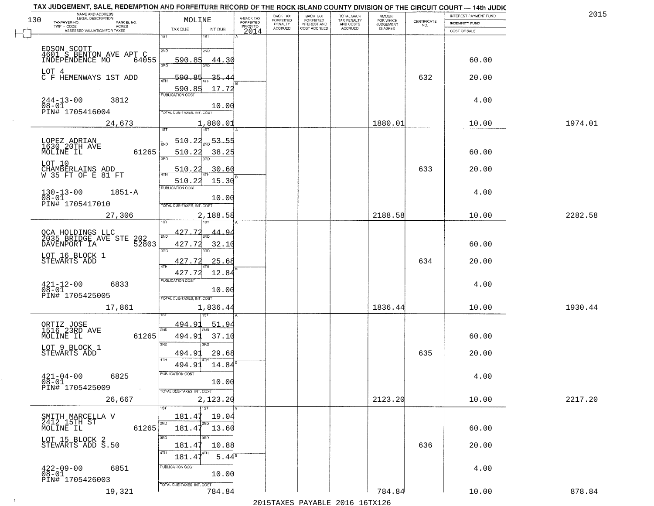|                                | TAX JUDGEMENT, SALE, REDEMPTION AND FORFEITURE RECORD OF THE ROCK ISLAND COUNTY DIVISION OF THE CIRCUIT COURT - 14th JUDIC<br>NAME AND ADDRESS<br>LEGAL DESCRIPTION |                                   |                                     | BACK TAX                    |                                       |                                        |                                         |                                                                 | INTEREST PAYMENT FUND | 2015    |
|--------------------------------|---------------------------------------------------------------------------------------------------------------------------------------------------------------------|-----------------------------------|-------------------------------------|-----------------------------|---------------------------------------|----------------------------------------|-----------------------------------------|-----------------------------------------------------------------|-----------------------|---------|
| 130<br>TAXPAYER NO.            | PARCEL NO.                                                                                                                                                          | MOLINE                            | A-BACK TAX<br>FORFEITED<br>PRIOR TO | <b>FORFEITED</b><br>PENALTY | BACK TAX<br>FORFEITED<br>INTEREST AND | TOTAL BACK<br>TAX PENALTY<br>AND COSTS | AMOUNT<br>FOR WHICH<br><b>JUDGEMENT</b> | $\begin{array}{c} \text{CERTIFICATE} \\ \text{NO.} \end{array}$ | INDEMNITY FUND        |         |
| TWP - CODE                     | ACRES<br>ASSESSED VALUATION FOR TAXES                                                                                                                               | TAX DUE<br>INT DUE                | 2014                                | <b>ACCRUED</b>              | COST ACCRUED                          | ACCRUED                                | IS ASKED                                |                                                                 | COST OF SALE          |         |
|                                |                                                                                                                                                                     | 1ST<br>1ST                        |                                     |                             |                                       |                                        |                                         |                                                                 |                       |         |
|                                |                                                                                                                                                                     |                                   |                                     |                             |                                       |                                        |                                         |                                                                 |                       |         |
|                                | EDSON SCOTT<br>4601 S BENTON AVE APT C<br>INDEPENDENCE MO 640!                                                                                                      | 2ND<br>2ND                        |                                     |                             |                                       |                                        |                                         |                                                                 |                       |         |
|                                | 64055                                                                                                                                                               | 590.85<br>44.30                   |                                     |                             |                                       |                                        |                                         |                                                                 | 60.00                 |         |
|                                |                                                                                                                                                                     | 350                               |                                     |                             |                                       |                                        |                                         |                                                                 |                       |         |
| LOT 4                          | C F HEMENWAYS 1ST ADD                                                                                                                                               | 590.85<br>35.4                    |                                     |                             |                                       |                                        |                                         | 632                                                             | 20.00                 |         |
|                                |                                                                                                                                                                     |                                   |                                     |                             |                                       |                                        |                                         |                                                                 |                       |         |
|                                |                                                                                                                                                                     | 590.85<br>17.72                   |                                     |                             |                                       |                                        |                                         |                                                                 |                       |         |
| $244-13-00$<br>$08-01$         | 3812                                                                                                                                                                |                                   |                                     |                             |                                       |                                        |                                         |                                                                 | 4.00                  |         |
|                                |                                                                                                                                                                     | 10.00                             |                                     |                             |                                       |                                        |                                         |                                                                 |                       |         |
|                                | PIN# 1705416004                                                                                                                                                     | <b>TOTAL DUE-TAXES, INT. COST</b> |                                     |                             |                                       |                                        |                                         |                                                                 |                       |         |
|                                | 24,673                                                                                                                                                              | 1,880.01                          |                                     |                             |                                       |                                        | 1880.01                                 |                                                                 | 10.00                 | 1974.01 |
|                                |                                                                                                                                                                     |                                   |                                     |                             |                                       |                                        |                                         |                                                                 |                       |         |
|                                |                                                                                                                                                                     | 510.22<br>-53.55                  |                                     |                             |                                       |                                        |                                         |                                                                 |                       |         |
| LOPEZ ADRIAN<br>1630 20TH AVE  |                                                                                                                                                                     |                                   |                                     |                             |                                       |                                        |                                         |                                                                 |                       |         |
| MOLINE IL                      | 61265                                                                                                                                                               | 510.22<br>38.25<br>3BD            |                                     |                             |                                       |                                        |                                         |                                                                 | 60.00                 |         |
| LOT 10                         |                                                                                                                                                                     |                                   |                                     |                             |                                       |                                        |                                         |                                                                 |                       |         |
|                                | CHAMBERLAINS ADD<br>W 35 FT OF E 81 FT                                                                                                                              | 510.22<br>30.60                   |                                     |                             |                                       |                                        |                                         | 633                                                             | 20.00                 |         |
|                                |                                                                                                                                                                     | 510.22<br>15.30                   |                                     |                             |                                       |                                        |                                         |                                                                 |                       |         |
|                                |                                                                                                                                                                     | PUBLICATION COST                  |                                     |                             |                                       |                                        |                                         |                                                                 |                       |         |
| $130 - 13 - 00$<br>$08 - 01$   | $1851 - A$                                                                                                                                                          | 10.00                             |                                     |                             |                                       |                                        |                                         |                                                                 | 4.00                  |         |
|                                | PIN# 1705417010                                                                                                                                                     | TOTAL DUE-TAXES, INT. COST        |                                     |                             |                                       |                                        |                                         |                                                                 |                       |         |
|                                |                                                                                                                                                                     |                                   |                                     |                             |                                       |                                        | 2188.58                                 |                                                                 | 10.00                 | 2282.58 |
|                                | 27,306                                                                                                                                                              | 2,188.58<br>187                   |                                     |                             |                                       |                                        |                                         |                                                                 |                       |         |
|                                |                                                                                                                                                                     |                                   |                                     |                             |                                       |                                        |                                         |                                                                 |                       |         |
|                                | QCA HOLDINGS LLC<br>2035 BRIDGE AVE STE<br>202                                                                                                                      | 427.72<br>44.94<br>2ND            |                                     |                             |                                       |                                        |                                         |                                                                 |                       |         |
| DAVENPORT IA                   | 52803                                                                                                                                                               | 427.72<br>32.10                   |                                     |                             |                                       |                                        |                                         |                                                                 | 60.00                 |         |
|                                |                                                                                                                                                                     | 3RD<br>3RD                        |                                     |                             |                                       |                                        |                                         |                                                                 |                       |         |
| LOT 16 BLOCK 1<br>STEWARTS ADD |                                                                                                                                                                     | 427.72<br>25.68                   |                                     |                             |                                       |                                        |                                         | 634                                                             | 20.00                 |         |
|                                |                                                                                                                                                                     |                                   |                                     |                             |                                       |                                        |                                         |                                                                 |                       |         |
|                                |                                                                                                                                                                     | 427.72<br>12.84                   |                                     |                             |                                       |                                        |                                         |                                                                 |                       |         |
| $^{421-12-00}_{08-01}$         | 6833                                                                                                                                                                | <b>PUBLICATION COST</b>           |                                     |                             |                                       |                                        |                                         |                                                                 | 4.00                  |         |
|                                |                                                                                                                                                                     | 10.00                             |                                     |                             |                                       |                                        |                                         |                                                                 |                       |         |
|                                | PIN# 1705425005                                                                                                                                                     | TOTAL OUE-TAXES, INT. COST        |                                     |                             |                                       |                                        |                                         |                                                                 |                       |         |
|                                | 17,861                                                                                                                                                              | 1,836.44                          |                                     |                             |                                       |                                        | 1836.44                                 |                                                                 | 10.00                 | 1930.44 |
|                                |                                                                                                                                                                     |                                   |                                     |                             |                                       |                                        |                                         |                                                                 |                       |         |
| ORTIZ JOSE<br>1516 23RD AVE    |                                                                                                                                                                     | 494.9<br>51.94                    |                                     |                             |                                       |                                        |                                         |                                                                 |                       |         |
| MOLINE IL                      | 61265                                                                                                                                                               | 2ND<br>494.91<br>37.10            |                                     |                             |                                       |                                        |                                         |                                                                 | 60.00                 |         |
|                                |                                                                                                                                                                     | 3BD<br>3BD                        |                                     |                             |                                       |                                        |                                         |                                                                 |                       |         |
| LOT 9 BLOCK 1<br>STEWARTS ADD  |                                                                                                                                                                     |                                   |                                     |                             |                                       |                                        |                                         |                                                                 |                       |         |
|                                |                                                                                                                                                                     | 29.68<br>494.91<br>4TH            |                                     |                             |                                       |                                        |                                         | 635                                                             | 20.00                 |         |
|                                |                                                                                                                                                                     | 14.84<br>494.91                   |                                     |                             |                                       |                                        |                                         |                                                                 |                       |         |
| $421 - 04 - 00$                |                                                                                                                                                                     | PUBLICA HUN COS-                  |                                     |                             |                                       |                                        |                                         |                                                                 |                       |         |
| $08-01$                        | 6825                                                                                                                                                                | 10.00                             |                                     |                             |                                       |                                        |                                         |                                                                 | 4.00                  |         |
|                                | PIN# 1705425009<br>$\sim 10^{-1}$                                                                                                                                   | TOTAL DUE-TAXES, INT. COST        |                                     |                             |                                       |                                        |                                         |                                                                 |                       |         |
|                                | 26,667                                                                                                                                                              | 2,123.20                          |                                     |                             |                                       |                                        | 2123.20                                 |                                                                 | 10.00                 | 2217.20 |
|                                |                                                                                                                                                                     | 1ST                               |                                     |                             |                                       |                                        |                                         |                                                                 |                       |         |
|                                |                                                                                                                                                                     |                                   |                                     |                             |                                       |                                        |                                         |                                                                 |                       |         |
| 2412 15TH ST                   | SMITH MARCELLA V                                                                                                                                                    | 19.04<br>181.47<br>2ND<br>2ND     |                                     |                             |                                       |                                        |                                         |                                                                 |                       |         |
| MOLINE IL                      | 61265                                                                                                                                                               | 181.47<br>13.60                   |                                     |                             |                                       |                                        |                                         |                                                                 | 60.00                 |         |
|                                |                                                                                                                                                                     | 3RD                               |                                     |                             |                                       |                                        |                                         |                                                                 |                       |         |
|                                | LOT 15 BLOCK 2<br>STEWARTS ADD S.50                                                                                                                                 | 10.88<br>181.4                    |                                     |                             |                                       |                                        |                                         | 636                                                             | 20.00                 |         |
|                                |                                                                                                                                                                     | 4TH<br>$5.44^s$                   |                                     |                             |                                       |                                        |                                         |                                                                 |                       |         |
|                                |                                                                                                                                                                     | 181.4                             |                                     |                             |                                       |                                        |                                         |                                                                 |                       |         |
| $422 - 09 - 00$                | 6851                                                                                                                                                                | PUBLICATION COST                  |                                     |                             |                                       |                                        |                                         |                                                                 | 4.00                  |         |
| $08 - 01$                      | PIN# 1705426003                                                                                                                                                     | 10.00                             |                                     |                             |                                       |                                        |                                         |                                                                 |                       |         |
|                                |                                                                                                                                                                     | TOTAL DUE-TAXES, INT. COST        |                                     |                             |                                       |                                        |                                         |                                                                 |                       |         |
|                                | 19,321                                                                                                                                                              | 784.84                            |                                     |                             |                                       |                                        | 784.84                                  |                                                                 | 10.00                 | 878.84  |
|                                |                                                                                                                                                                     |                                   |                                     |                             |                                       | 2015 TAVEC DAVADIE 2016 16TV126        |                                         |                                                                 |                       |         |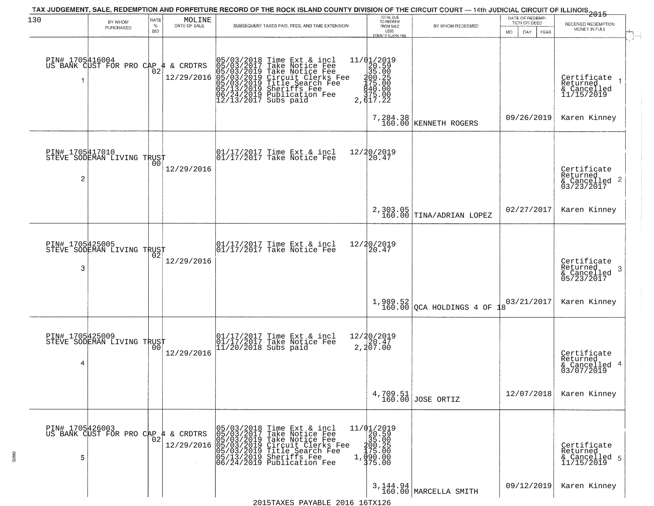| 130                  |                                             | RATE               | MOLINE                      | TAX JUDGEMENT, SALE, REDEMPTION AND FORFEITURE RECORD OF THE ROCK ISLAND COUNTY DIVISION OF THE CIRCUIT COURT — 14th JUDICIAL CIRCUIT OF ILLINOIS 2015                                                                                  | TOTAL DUE<br>TO REDEEM                                                                                  |                                    | DATE OF REDEMP-                           |                                                            |
|----------------------|---------------------------------------------|--------------------|-----------------------------|-----------------------------------------------------------------------------------------------------------------------------------------------------------------------------------------------------------------------------------------|---------------------------------------------------------------------------------------------------------|------------------------------------|-------------------------------------------|------------------------------------------------------------|
|                      | BY WHOM<br>PURCHASED                        | $\%$<br><b>BID</b> | DATE OF SALE                | SUBSEQUENT TAXES PAID, FEES, AND TIME EXTENSION                                                                                                                                                                                         | FROM SALE                                                                                               | BY WHOM REDEEMED                   | TION OR DEED<br>MO.<br>DAY<br><b>YEAR</b> | RECEIVED REDEMPTION<br>MONEY IN FULL                       |
| PIN# 1705416004      | US BANK CUST FOR PRO CAP                    | 02                 | $4 \&$ CRDTRS<br>12/29/2016 |                                                                                                                                                                                                                                         | LESS<br>COUNTY CLERK FEE<br>11/01/2019                                                                  |                                    |                                           |                                                            |
|                      |                                             |                    |                             | 05/03/2018 Time Ext & incl<br>05/03/2017 Take Notice Fee<br>05/03/2019 Take Notice Fee<br>05/03/2019 Circuit Clerks Fee<br>05/03/2019 Title Search Fee<br>05/13/2019 Sheriffs Fee<br>06/24/2019 Publication Fee<br>12/13/2017 Subs paid | $\begin{array}{r} 1/4 \\ 20.59 \\ 35.00 \\ 100.25 \\ 175.00 \\ 40.00 \\ 75.00 \\ 2, 617.22 \end{array}$ |                                    |                                           | Certificate<br>Returned<br>& Cancelled<br>11/15/2019       |
|                      |                                             |                    |                             |                                                                                                                                                                                                                                         |                                                                                                         | 7,284.38<br>160.00 KENNETH ROGERS  | 09/26/2019                                | Karen Kinney                                               |
| PIN# 1705417010<br>2 | STEVE SODEMAN LIVING TRUST                  |                    | 12/29/2016                  | 01/17/2017 Time Ext & incl<br>01/17/2017 Take Notice Fee                                                                                                                                                                                | 12/20/2019<br>20.47                                                                                     |                                    |                                           | Certificate<br>Returned<br>& Cancelled 2<br>03/23/2017     |
|                      |                                             |                    |                             |                                                                                                                                                                                                                                         | 2,303.05<br>160.00                                                                                      | TINA/ADRIAN LOPEZ                  | 02/27/2017                                | Karen Kinney                                               |
| PIN# 1705425005      | STEVE SODEMAN LIVING TRUST                  |                    |                             | 01/17/2017 Time Ext & incl<br>01/17/2017 Take Notice Fee                                                                                                                                                                                | 12/20/2019<br>20.47                                                                                     |                                    |                                           |                                                            |
| 3                    |                                             |                    | 12/29/2016                  |                                                                                                                                                                                                                                         |                                                                                                         |                                    |                                           | Certificate<br>Returned<br>-3<br>& Cancelled<br>05/23/2017 |
|                      |                                             |                    |                             |                                                                                                                                                                                                                                         | 1,989.52<br>160.00                                                                                      | OCA HOLDINGS 4 OF                  | 03/21/2017                                | Karen Kinney                                               |
| PIN# 1705425009      | STEVE SODEMAN LIVING TRUST                  |                    |                             | 01/17/2017 Time Ext & incl<br>01/17/2017 Take Notice Fee<br>11/20/2018 Subs paid                                                                                                                                                        | 12/20/2019<br>20.47<br>2,207.00                                                                         |                                    |                                           |                                                            |
| 4                    |                                             |                    | 12/29/2016                  |                                                                                                                                                                                                                                         |                                                                                                         |                                    |                                           | Certificate<br>Returned<br>& Cancelled 4<br>03/07/2019     |
|                      |                                             |                    |                             |                                                                                                                                                                                                                                         |                                                                                                         | $4,709.51$ JOSE ORTIZ              | 12/07/2018                                | Karen Kinney                                               |
|                      | PIN# 1705426003<br>US BANK CUST FOR PRO CAP | 02                 | & CRDTRS                    |                                                                                                                                                                                                                                         | $\begin{array}{r} 11/01/2019 \\ 20.59 \\ 35.00 \end{array}$                                             |                                    |                                           |                                                            |
| 5                    |                                             |                    | 12/29/2016                  | 05/03/2018 Time Ext & incl<br>05/03/2017 Take Notice Fee<br>05/03/2019 Take Notice Fee<br>05/03/2019 Circuit Clerks Fee<br>05/03/2019 Title Search Fee<br>05/13/2019 Sheriffs Fee<br>06/24/2019 Publication Fee                         | 200:25<br>175:00<br>090:00<br>375:00                                                                    |                                    |                                           | Certificate<br>Returned<br>& Cancelled 5<br>11/15/2019     |
|                      |                                             |                    |                             |                                                                                                                                                                                                                                         |                                                                                                         | 3, 144.94<br>160.00 MARCELLA SMITH | 09/12/2019                                | Karen Kinney                                               |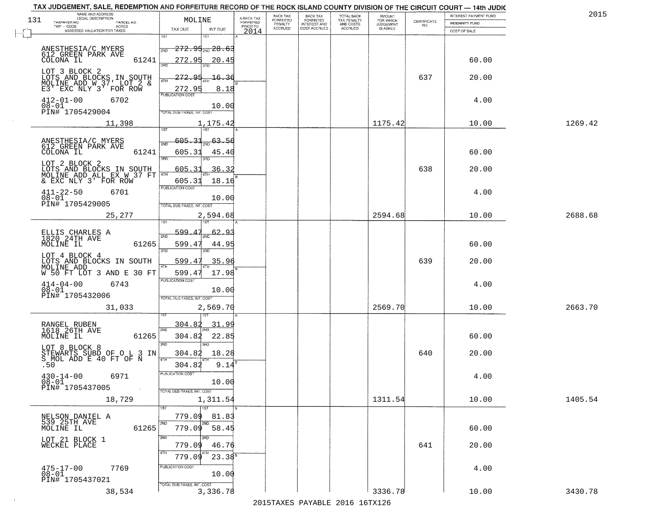| 131 | TAX JUDGEMENT, SALE, REDEMPTION AND FORFEITURE RECORD OF THE ROCK ISLAND COUNTY DIVISION OF THE CIRCUIT COURT - 14th JUDIC<br>NAME AND ADDRESS<br>LEGAL DESCRIPTION | MOLINE                                  |                                     | BACK TAX<br>FORFEITED     | BACK TAX<br>FORFEITED<br>INTEREST AND | TOTAL BACK<br>TAX PENALTY<br>AND COSTS | AMOUNT<br>FOR WHICH          |                                                                 | INTEREST PAYMENT FUND | 2015    |
|-----|---------------------------------------------------------------------------------------------------------------------------------------------------------------------|-----------------------------------------|-------------------------------------|---------------------------|---------------------------------------|----------------------------------------|------------------------------|-----------------------------------------------------------------|-----------------------|---------|
|     | TAXPAYER NO.<br>PARCEL NO.<br>$TWP - CODE$<br>ACRES                                                                                                                 |                                         | A-BACK TAX<br>FORFEITED<br>PRIOR TO | PENALTY<br><b>ACCRUED</b> | COST ACCRUED                          | <b>ACCRUED</b>                         | <b>JUDGEMENT</b><br>IS ASKED | $\begin{array}{c} \text{CERTIFICATE} \\ \text{NO.} \end{array}$ | <b>INDEMNITY FUND</b> |         |
|     | ASSESSED VALUATION FOR TAXES                                                                                                                                        | TAX DUE<br>INT DUE<br>1ST<br>1ST        | 2014                                |                           |                                       |                                        |                              |                                                                 | COST OF SALE          |         |
|     | ANESTHESIA/C MYERS                                                                                                                                                  | <del>272.95<sub>210</sub> 28.63</del>   |                                     |                           |                                       |                                        |                              |                                                                 |                       |         |
|     | 612 GREEN PARK AVE<br>COLONA IL<br>61241                                                                                                                            | 2ND<br>272.95                           |                                     |                           |                                       |                                        |                              |                                                                 | 60.00                 |         |
|     |                                                                                                                                                                     | 20.45<br>350                            |                                     |                           |                                       |                                        |                              |                                                                 |                       |         |
|     | LOT 3 BLOCK 2                                                                                                                                                       | 272.95<br>-16.<br>36<br>4TH             |                                     |                           |                                       |                                        |                              | 637                                                             | 20.00                 |         |
|     | LOTS AND BLOCKS IN SOUTH<br>MOLINE ADD W 37' LOT 2 &<br>E3' EXC NLY 3' FOR ROW                                                                                      | 272.95<br>8.18                          |                                     |                           |                                       |                                        |                              |                                                                 |                       |         |
|     | $412 - 01 - 00$<br>6702                                                                                                                                             | <b>PUBLICATION COST</b>                 |                                     |                           |                                       |                                        |                              |                                                                 | 4.00                  |         |
|     | $08 - 01$<br>PIN# 1705429004                                                                                                                                        | 10.00<br>TOTAL DUE-TAXES, INT. COST     |                                     |                           |                                       |                                        |                              |                                                                 |                       |         |
|     | 11,398                                                                                                                                                              | 1,175.42                                |                                     |                           |                                       |                                        | 1175.42                      |                                                                 | 10.00                 | 1269.42 |
|     |                                                                                                                                                                     | 1ST<br>1ST                              |                                     |                           |                                       |                                        |                              |                                                                 |                       |         |
|     | ANESTHESIA/C MYERS                                                                                                                                                  | 605.31<br>63.56                         |                                     |                           |                                       |                                        |                              |                                                                 |                       |         |
|     | 612 GREEN PARK AVE<br>COLONA IL<br>61241                                                                                                                            | 605.31<br>45.40                         |                                     |                           |                                       |                                        |                              |                                                                 | 60.00                 |         |
|     | LOT 2 BLOCK 2                                                                                                                                                       | <u>रुप्त</u>                            |                                     |                           |                                       |                                        |                              |                                                                 |                       |         |
|     | LOTS AND BLOCKS IN SOUTH MOLINE ADD ALL EX W 37 FT                                                                                                                  | 605.31<br>36.32                         |                                     |                           |                                       |                                        |                              | 638                                                             | 20.00                 |         |
|     | & EXC NLY 3' FOR ROW                                                                                                                                                | 18.16<br>605.31<br>PUBLICATION COST     |                                     |                           |                                       |                                        |                              |                                                                 |                       |         |
|     | $411 - 22 - 50$<br>6701<br>$08 - 01$                                                                                                                                | 10.00                                   |                                     |                           |                                       |                                        |                              |                                                                 | 4.00                  |         |
|     | PIN# 1705429005                                                                                                                                                     | TOTAL DUE-TAXES, INT. COST              |                                     |                           |                                       |                                        |                              |                                                                 |                       |         |
|     | 25,277                                                                                                                                                              | 2,594.68<br>1ST                         |                                     |                           |                                       |                                        | 2594.68                      |                                                                 | 10.00                 | 2688.68 |
|     |                                                                                                                                                                     | 599.<br><u>62.93</u>                    |                                     |                           |                                       |                                        |                              |                                                                 |                       |         |
|     | ELLIS CHARLES A<br>1820 24TH AVE<br>MOLINE IL<br>61265                                                                                                              | 2ND<br>599.47<br>44.95                  |                                     |                           |                                       |                                        |                              |                                                                 | 60.00                 |         |
|     | LOT 4 BLOCK 4                                                                                                                                                       | 3RD<br>3RD                              |                                     |                           |                                       |                                        |                              |                                                                 |                       |         |
|     | LOTS AND BLOCKS IN SOUTH<br>MOLINE ADD                                                                                                                              | 599.47<br>35.96                         |                                     |                           |                                       |                                        |                              | 639                                                             | 20.00                 |         |
|     | W 50 FT LOT 3 AND E 30 FT                                                                                                                                           | 599.47<br>17.98                         |                                     |                           |                                       |                                        |                              |                                                                 |                       |         |
|     | 6743<br>$414 - 04 - 00$                                                                                                                                             | <b>PUBLICATION COST</b>                 |                                     |                           |                                       |                                        |                              |                                                                 | 4.00                  |         |
|     | $08 - 01$<br>PIN# 1705432006                                                                                                                                        | 10.00<br>TOTAL OUE-TAXES, INT. COST     |                                     |                           |                                       |                                        |                              |                                                                 |                       |         |
|     | 31,033                                                                                                                                                              | 2,569.70                                |                                     |                           |                                       |                                        | 2569.70                      |                                                                 | 10.00                 | 2663.70 |
|     |                                                                                                                                                                     |                                         |                                     |                           |                                       |                                        |                              |                                                                 |                       |         |
|     | RANGEL RUBEN<br>1618 26TH AVE<br>MOLINE IL                                                                                                                          | 304.82<br>31.99<br>2ND                  |                                     |                           |                                       |                                        |                              |                                                                 |                       |         |
|     | 61265                                                                                                                                                               | 304.82<br>22.85<br>3BD<br>ਸ਼ਾ           |                                     |                           |                                       |                                        |                              |                                                                 | 60.00                 |         |
|     | LOT 8 BLOCK 8<br>STEWARTS SUBD OF O L 3 IN<br>S_MOL ADD E 40 FT OF N                                                                                                | 18.28<br>304.82                         |                                     |                           |                                       |                                        |                              | 640                                                             | 20.00                 |         |
|     | .50                                                                                                                                                                 | 4TH<br>9.14<br>304.82                   |                                     |                           |                                       |                                        |                              |                                                                 |                       |         |
|     | $430 - 14 - 00$<br>6971                                                                                                                                             | PUBLICATION COST                        |                                     |                           |                                       |                                        |                              |                                                                 | 4.00                  |         |
|     | $08-01$<br>PIN# 1705437005<br>$\sim 100$                                                                                                                            | 10.00                                   |                                     |                           |                                       |                                        |                              |                                                                 |                       |         |
|     | 18,729                                                                                                                                                              | TOTAL DUE-TAXES, INT. COST<br>1,311.54  |                                     |                           |                                       |                                        | 1311.54                      |                                                                 | 10.00                 | 1405.54 |
|     |                                                                                                                                                                     | 1ST<br>1ST                              |                                     |                           |                                       |                                        |                              |                                                                 |                       |         |
|     | NELSON DANIEL A<br>539 25TH AVE                                                                                                                                     | 779.09<br>81.83                         |                                     |                           |                                       |                                        |                              |                                                                 |                       |         |
|     | 61265<br>MOLINE IL                                                                                                                                                  | 2ND<br>2ND<br>58.45<br>779.09           |                                     |                           |                                       |                                        |                              |                                                                 | 60.00                 |         |
|     | LOT 21 BLOCK 1                                                                                                                                                      | 3RD                                     |                                     |                           |                                       |                                        |                              |                                                                 |                       |         |
|     | WECKEL PLACE                                                                                                                                                        | 779.09<br>46.76<br>4TH                  |                                     |                           |                                       |                                        |                              | 641                                                             | 20.00                 |         |
|     |                                                                                                                                                                     | 779.09<br>$23.38^8$<br>PUBLICATION COST |                                     |                           |                                       |                                        |                              |                                                                 |                       |         |
|     | $475 - 17 - 00$<br>$08 - 01$<br>7769                                                                                                                                | 10.00                                   |                                     |                           |                                       |                                        |                              |                                                                 | 4.00                  |         |
|     | PIN# 1705437021                                                                                                                                                     | TOTAL DUE-TAXES, INT. COST              |                                     |                           |                                       |                                        |                              |                                                                 |                       |         |
|     | 38,534                                                                                                                                                              | 3,336.78                                |                                     |                           |                                       |                                        | 3336.78                      |                                                                 | 10.00                 | 3430.78 |

 $\sim 10$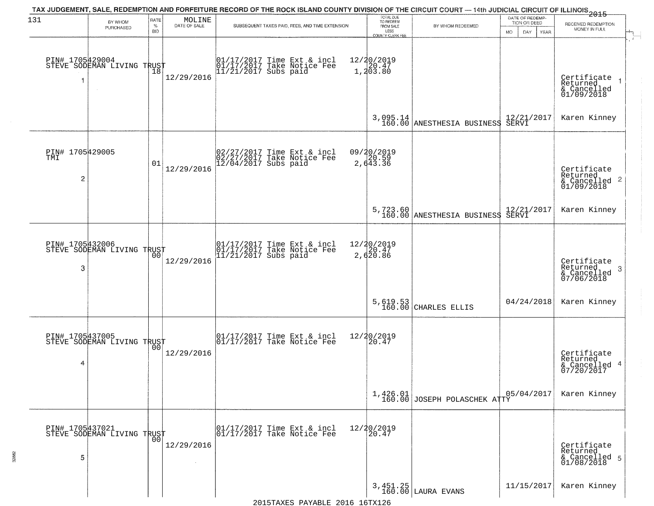| 131                         | BY WHOM<br>PURCHASED                          | RATE<br>$\%$<br><b>BID</b> | $\begin{array}{c} \text{MOLINE} \\ \text{DATE of SALE} \end{array}$ | TAX JUDGEMENT, SALE, REDEMPTION AND FORFEITURE RECORD OF THE ROCK ISLAND COUNTY DIVISION OF THE CIRCUIT COURT — 14th JUDICIAL CIRCUIT OF ILLINOIS 2015<br>SUBSEQUENT TAXES PAID, FEES, AND TIME EXTENSION | TOTAL DUE<br>TO REDEEM<br>FROM SALE<br>LESS<br>COUNTY CLERK FEE     | BY WHOM REDEEMED                         | DATE OF REDEMP-<br>TION OR DEED<br><b>MO</b><br>DAY<br>YEAR | RECEIVED REDEMPTION<br>MONEY IN FULL                                   |
|-----------------------------|-----------------------------------------------|----------------------------|---------------------------------------------------------------------|-----------------------------------------------------------------------------------------------------------------------------------------------------------------------------------------------------------|---------------------------------------------------------------------|------------------------------------------|-------------------------------------------------------------|------------------------------------------------------------------------|
| PIN# 1705429004             | STEVE SODEMAN LIVING TRUST<br>$\sim$          |                            | 12/29/2016                                                          | 01/17/2017 Time Ext & incl<br>01/17/2017 Take Notice Fee<br>11/21/2017 Subs paid                                                                                                                          | 12/20/2019<br>$\begin{bmatrix} 1 \\ 2 \\ 0 \\ 3 \\ 8 \end{bmatrix}$ |                                          |                                                             | Certificate<br>Returned<br>& Cancelled<br>01/09/2018                   |
|                             |                                               |                            |                                                                     |                                                                                                                                                                                                           | 3,095.14<br>160.00                                                  | ANESTHESIA BUSINESS                      | 12/21/2017<br>SERVI                                         | Karen Kinney                                                           |
| PIN# 1705429005<br>TMI<br>2 |                                               | 01                         | 12/29/2016                                                          | 02/27/2017 Time Ext & incl<br>02/27/2017 Take Notice Fee<br>12/04/2017 Subs paid                                                                                                                          | 09/20/2019<br>20.59<br>2,643.36                                     |                                          |                                                             | Certificate<br>Returned<br>& Cancelled 2<br>01/09/2018                 |
|                             |                                               |                            |                                                                     |                                                                                                                                                                                                           |                                                                     | 5,723.60<br>160.00 ANESTHESIA BUSINESS   | 12/21/2017<br>SERVI                                         | Karen Kinney                                                           |
| PIN# 1705432006<br>3        | STEVE SODEMAN LIVING TRUST                    | 00                         | 12/29/2016                                                          | 01/17/2017 Time Ext & incl<br>01/17/2017 Take Notice Fee<br>11/21/2017 Subs paid                                                                                                                          | 12/20/2019<br>20.47<br>2,620.86                                     |                                          |                                                             | Certificate<br>Returned<br>3 <sup>°</sup><br>& Cancelled<br>07/06/2018 |
|                             |                                               |                            |                                                                     |                                                                                                                                                                                                           | $5,619.53$<br>$160.00$                                              | CHARLES ELLIS                            | 04/24/2018                                                  | Karen Kinney                                                           |
| PIN# 1705437005<br>4        | STEVE SODEMAN LIVING TRUST                    |                            | 12/29/2016                                                          | $\begin{array}{cc} 01/17/2017 & \text{Time Ext} & \text{incl} \\ 01/17/2017 & \text{Take Notice Fee} \end{array}$                                                                                         | 12/20/2019<br>20.47                                                 |                                          |                                                             | Certificate<br>Returned<br>& Cancelled 4<br>07/20/2017                 |
|                             |                                               |                            |                                                                     |                                                                                                                                                                                                           |                                                                     | 1,426.01<br>160.00 JOSEPH POLASCHEK ATTY | 05/04/2017                                                  | Karen Kinney                                                           |
| 5                           | PIN# 1705437021<br>STEVE SODEMAN LIVING TRUST |                            | 12/29/2016                                                          | 01/17/2017 Time Ext & incl<br>01/17/2017 Take Notice Fee                                                                                                                                                  | 12/20/2019<br>20.47                                                 |                                          |                                                             | Certificate<br>Returned<br>& Cancelled 5<br>01/08/2018                 |
|                             |                                               |                            |                                                                     |                                                                                                                                                                                                           |                                                                     | 3,451.25<br>160.00 LAURA EVANS           | 11/15/2017                                                  | Karen Kinney                                                           |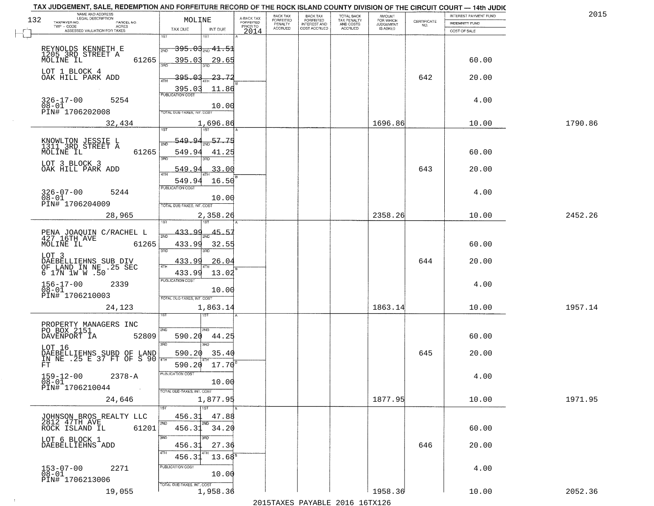|     | TAX JUDGEMENT, SALE, REDEMPTION AND FORFEITURE RECORD OF THE ROCK ISLAND COUNTY DIVISION OF THE CIRCUIT COURT - 14th JUDIC<br>NAME AND ADDRESS<br>LEGAL DESCRIPTION |                                               |                         | BACK TAX                    |                                              |                                        |                                         |                                                                 | INTEREST PAYMENT FUND | 2015    |
|-----|---------------------------------------------------------------------------------------------------------------------------------------------------------------------|-----------------------------------------------|-------------------------|-----------------------------|----------------------------------------------|----------------------------------------|-----------------------------------------|-----------------------------------------------------------------|-----------------------|---------|
| 132 | TAXPAYER NO.<br>PARCEL NO.                                                                                                                                          | MOLINE                                        | A-BACK TAX<br>FORFEITED | <b>FORFEITED</b><br>PENALTY | BACK TAX<br>FORFEITED<br><b>INTEREST AND</b> | TOTAL BACK<br>TAX PENALTY<br>AND COSTS | AMOUNT<br>FOR WHICH<br><b>JUDGEMENT</b> | $\begin{array}{c} \text{CERTIFICATE} \\ \text{NO.} \end{array}$ | INDEMNITY FUND        |         |
|     | ACRES<br>ASSESSED VALUATION FOR TAXES                                                                                                                               | INT DUE<br>TAX DUE                            | PRIOR TO<br>2014        | <b>ACCRUED</b>              | COST ACCRUED                                 | ACCRUED                                | IS ASKED                                |                                                                 | COST OF SALE          |         |
|     |                                                                                                                                                                     | 1ST<br>۱ST                                    |                         |                             |                                              |                                        |                                         |                                                                 |                       |         |
|     | REYNOLDS KENNETH E                                                                                                                                                  | <del>395.03<sub>2ND</sub> 41.5</del> 3<br>2ND |                         |                             |                                              |                                        |                                         |                                                                 |                       |         |
|     | 1205 3RD STREET A MOLINE IL                                                                                                                                         |                                               |                         |                             |                                              |                                        |                                         |                                                                 |                       |         |
|     | 61265                                                                                                                                                               | 395.03<br>29.65                               |                         |                             |                                              |                                        |                                         |                                                                 | 60.00                 |         |
|     | LOT 1 BLOCK 4                                                                                                                                                       |                                               |                         |                             |                                              |                                        |                                         |                                                                 |                       |         |
|     | OAK HILL PARK ADD                                                                                                                                                   | 395.03<br>23.72                               |                         |                             |                                              |                                        |                                         | 642                                                             | 20.00                 |         |
|     |                                                                                                                                                                     | $\frac{395.03}{FUBUCATON COST}$<br>11.86      |                         |                             |                                              |                                        |                                         |                                                                 |                       |         |
|     | $326 - 17 - 00$<br>5254                                                                                                                                             |                                               |                         |                             |                                              |                                        |                                         |                                                                 | 4.00                  |         |
|     | $08 - 01$                                                                                                                                                           | 10.00                                         |                         |                             |                                              |                                        |                                         |                                                                 |                       |         |
|     | PIN# 1706202008                                                                                                                                                     | TOTAL DUE-TAXES, INT. COST                    |                         |                             |                                              |                                        |                                         |                                                                 |                       |         |
|     | 32,434                                                                                                                                                              | 1,696.86                                      |                         |                             |                                              |                                        | 1696.86                                 |                                                                 | 10.00                 | 1790.86 |
|     |                                                                                                                                                                     |                                               |                         |                             |                                              |                                        |                                         |                                                                 |                       |         |
|     | KNOWLTON JESSIE L<br>1311 3RD STREET A                                                                                                                              | 57.75<br>549.94                               |                         |                             |                                              |                                        |                                         |                                                                 |                       |         |
|     | 61265<br>MOLINE IL                                                                                                                                                  | 549.94<br>41.25                               |                         |                             |                                              |                                        |                                         |                                                                 | 60.00                 |         |
|     |                                                                                                                                                                     | ਬਨ<br>3RD                                     |                         |                             |                                              |                                        |                                         |                                                                 |                       |         |
|     | LOT 3 BLOCK 3<br>OAK HILL PARK ADD                                                                                                                                  | 33.00<br>549.94                               |                         |                             |                                              |                                        |                                         | 643                                                             | 20.00                 |         |
|     |                                                                                                                                                                     |                                               |                         |                             |                                              |                                        |                                         |                                                                 |                       |         |
|     |                                                                                                                                                                     | 16.50<br>549.94<br>PUBLICATION COST           |                         |                             |                                              |                                        |                                         |                                                                 |                       |         |
|     | $326 - 07 - 00$<br>5244                                                                                                                                             |                                               |                         |                             |                                              |                                        |                                         |                                                                 | 4.00                  |         |
|     | $08 - 01$<br>PIN# 1706204009                                                                                                                                        | 10.00<br>TOTAL DUE-TAXES, INT. COST           |                         |                             |                                              |                                        |                                         |                                                                 |                       |         |
|     |                                                                                                                                                                     |                                               |                         |                             |                                              |                                        |                                         |                                                                 |                       |         |
|     | 28,965                                                                                                                                                              | 2,358.26<br>1ST                               |                         |                             |                                              |                                        | 2358.26                                 |                                                                 | 10.00                 | 2452.26 |
|     |                                                                                                                                                                     | 433.99                                        |                         |                             |                                              |                                        |                                         |                                                                 |                       |         |
|     | PENA JOAQUIN C/RACHEL L<br>427 16TH AVE                                                                                                                             | <u>45.5'</u><br>2ND                           |                         |                             |                                              |                                        |                                         |                                                                 |                       |         |
|     | MOLINE IL<br>61265                                                                                                                                                  | 433.99<br>32.55<br>3BD                        |                         |                             |                                              |                                        |                                         |                                                                 | 60.00                 |         |
|     | LOT 3                                                                                                                                                               | 3RD                                           |                         |                             |                                              |                                        |                                         |                                                                 |                       |         |
|     |                                                                                                                                                                     | 433.99<br>26.04<br><b>ATH</b>                 |                         |                             |                                              |                                        |                                         | 644                                                             | 20.00                 |         |
|     | DAEBELLIEHNS SUB DIV<br>OF LAND IN NE .25 SEC<br>6 17N 1W W .50                                                                                                     | 433.99<br>13.02                               |                         |                             |                                              |                                        |                                         |                                                                 |                       |         |
|     | 2339                                                                                                                                                                | <b>PUBLICATION COST</b>                       |                         |                             |                                              |                                        |                                         |                                                                 | 4.00                  |         |
|     | $156 - 17 - 00$<br>$08 - 01$                                                                                                                                        | 10.00                                         |                         |                             |                                              |                                        |                                         |                                                                 |                       |         |
|     | PIN# 1706210003                                                                                                                                                     | TOTAL OUE-TAXES, INT. COST                    |                         |                             |                                              |                                        |                                         |                                                                 |                       |         |
|     | 24,123                                                                                                                                                              | 1,863.14                                      |                         |                             |                                              |                                        | 1863.14                                 |                                                                 | 10.00                 | 1957.14 |
|     |                                                                                                                                                                     | 1ST                                           |                         |                             |                                              |                                        |                                         |                                                                 |                       |         |
|     | PROPERTY MANAGERS INC                                                                                                                                               | 2ND<br>2ND.                                   |                         |                             |                                              |                                        |                                         |                                                                 |                       |         |
|     | PO BOX 2151<br>DAVENPORT IA<br>52809                                                                                                                                | 590.20<br>44.25                               |                         |                             |                                              |                                        |                                         |                                                                 | 60.00                 |         |
|     | LOT 16                                                                                                                                                              | 3BD<br>3BD                                    |                         |                             |                                              |                                        |                                         |                                                                 |                       |         |
|     | DAEBELLIEHNS SUBD OF LAND<br>IN NE .25 E 37 FT OF S 90 4TH                                                                                                          | 590.20<br>35.40                               |                         |                             |                                              |                                        |                                         | 645                                                             | 20.00                 |         |
|     | FT                                                                                                                                                                  | 590.20<br>17.70                               |                         |                             |                                              |                                        |                                         |                                                                 |                       |         |
|     |                                                                                                                                                                     | PUBLICATION COS.                              |                         |                             |                                              |                                        |                                         |                                                                 |                       |         |
|     | $159 - 12 - 00$<br>$2378 - A$<br>$08 - 01$                                                                                                                          | 10.00                                         |                         |                             |                                              |                                        |                                         |                                                                 | 4.00                  |         |
|     | PIN# 1706210044                                                                                                                                                     | TOTAL DUE-TAXES, INT. COST                    |                         |                             |                                              |                                        |                                         |                                                                 |                       |         |
|     | 24,646                                                                                                                                                              | 1,877.95                                      |                         |                             |                                              |                                        | 1877.95                                 |                                                                 | 10.00                 | 1971.95 |
|     |                                                                                                                                                                     | $\overline{1}$ 1ST                            |                         |                             |                                              |                                        |                                         |                                                                 |                       |         |
|     | JOHNSON BROS REALTY LLC                                                                                                                                             | 456.3<br>47.88                                |                         |                             |                                              |                                        |                                         |                                                                 |                       |         |
|     | 2812 47TH AVE                                                                                                                                                       | 2ND                                           |                         |                             |                                              |                                        |                                         |                                                                 |                       |         |
|     | 61201<br>ROCK ISLAND IL                                                                                                                                             | 456.31<br>34.20                               |                         |                             |                                              |                                        |                                         |                                                                 | 60.00                 |         |
|     | LOT 6 BLOCK 1                                                                                                                                                       | 3RD<br>חוז                                    |                         |                             |                                              |                                        |                                         |                                                                 |                       |         |
|     | DAEBELLIEHNS ADD                                                                                                                                                    | 27.36<br>456.3                                |                         |                             |                                              |                                        |                                         | 646                                                             | 20.00                 |         |
|     |                                                                                                                                                                     | $13.68^{\circ}$<br>456.3                      |                         |                             |                                              |                                        |                                         |                                                                 |                       |         |
|     | $153 - 07 - 00$<br>2271                                                                                                                                             | PUBLICATION COST                              |                         |                             |                                              |                                        |                                         |                                                                 | 4.00                  |         |
|     | $\overline{08} - 0\overline{1}$                                                                                                                                     | 10.00                                         |                         |                             |                                              |                                        |                                         |                                                                 |                       |         |
|     | PIN# 1706213006                                                                                                                                                     | TOTAL DUE-TAXES, INT. COST                    |                         |                             |                                              |                                        |                                         |                                                                 |                       |         |
|     | 19,055                                                                                                                                                              | 1,958.36                                      |                         |                             |                                              |                                        | 1958.36                                 |                                                                 | 10.00                 | 2052.36 |
|     |                                                                                                                                                                     |                                               |                         |                             |                                              | 2015 TAVEC DAVADIE 2016 16TV126        |                                         |                                                                 |                       |         |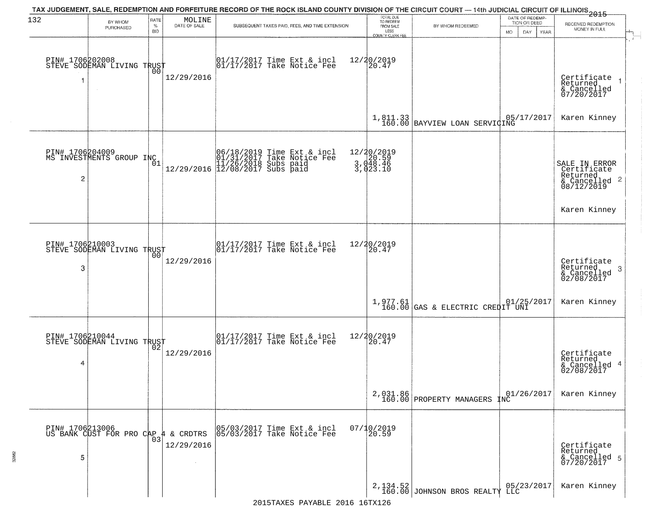| 132                  | BY WHOM<br>PURCHASED                                   | RATE<br>$\%$<br><b>BID</b> | MOLINE<br>DATE OF SALE | TAX JUDGEMENT, SALE, REDEMPTION AND FORFEITURE RECORD OF THE ROCK ISLAND COUNTY DIVISION OF THE CIRCUIT COURT — 14th JUDICIAL CIRCUIT OF ILLINOIS 2015<br>SUBSEQUENT TAXES PAID, FEES, AND TIME EXTENSION | TOTAL DUE<br>TO REDEEM<br>FROM SALE<br>LESS<br>COUNTY CLERK FEE | BY WHOM REDEEMED                                                                        | DATE OF REDEMP-<br>TION OR DEED<br><b>MO</b><br>DAY<br>YEAR | RECEIVED REDEMPTION<br>MONEY IN FULL                                                |
|----------------------|--------------------------------------------------------|----------------------------|------------------------|-----------------------------------------------------------------------------------------------------------------------------------------------------------------------------------------------------------|-----------------------------------------------------------------|-----------------------------------------------------------------------------------------|-------------------------------------------------------------|-------------------------------------------------------------------------------------|
| 1                    | PIN# 1706202008    <br>STEVE SODEMAN LIVING TRUST      | 00                         | 12/29/2016             | $\begin{bmatrix} 01/17/2017 \\ 17/17/2017 \end{bmatrix}$ Take Notice Fee                                                                                                                                  | 12/20/2019<br>20.47                                             |                                                                                         |                                                             | Certificate<br>Returned<br>$\overline{1}$<br>& Cancelled<br>07/20/2017              |
|                      |                                                        |                            |                        |                                                                                                                                                                                                           |                                                                 | $\left.\begin{array}{c c} 1,811.33 \\ 160.00 \end{array}\right $ BAYVIEW LOAN SERVICING | 05/17/2017                                                  | Karen Kinney                                                                        |
| 2                    | PIN# 1706204009<br>MS INVESTMENTS GROUP INC            | 01                         |                        | 06/18/2019 Time Ext & incl<br>01/31/2017 Take Notice Fee<br>11/26/2018 Subs paid<br>12/29/2016 12/08/2017 Subs paid                                                                                       | 12/20/2019<br>3,020.59<br>3,048.46<br>3,023.10                  |                                                                                         |                                                             | SALE IN ERROR<br>Certificate<br>Returned<br>$\frac{1}{6}$ Cancelled 2<br>08/12/2019 |
|                      |                                                        |                            |                        |                                                                                                                                                                                                           |                                                                 |                                                                                         |                                                             | Karen Kinney                                                                        |
| PIN# 1706210003<br>3 | STEVE SODEMAN LIVING TRUST                             | 00                         | 12/29/2016             | 01/17/2017 Time Ext & incl<br>01/17/2017 Take Notice Fee                                                                                                                                                  | 12/20/2019<br>20.47                                             |                                                                                         |                                                             | Certificate<br>Returned<br>3<br>& Cancelled<br>02/08/2017                           |
|                      |                                                        |                            |                        |                                                                                                                                                                                                           |                                                                 | $1,977.61$ (GAS & ELECTRIC CREDIT UNI                                                   | 01/25/2017                                                  | Karen Kinney                                                                        |
| PIN# 1706210044<br>4 | STEVE SODEMAN LIVING TRUST                             |                            | 12/29/2016             | 01/17/2017 Time Ext & incl<br>01/17/2017 Take Notice Fee                                                                                                                                                  | 12/20/2019<br>$\left[20.47\right]$                              |                                                                                         |                                                             | Certificate<br>Returned<br>& Cancelled 4<br>02/08/2017                              |
|                      |                                                        |                            |                        |                                                                                                                                                                                                           |                                                                 | 2,031.86<br>160.00 PROPERTY MANAGERS                                                    | 01/26/2017<br>INC                                           | Karen Kinney                                                                        |
| 5                    | PIN# 1706213006<br>US BANK CUST FOR PRO CAP 4 & CRDTRS | 03                         | 12/29/2016             | 05/03/2017 Time Ext & incl<br>05/03/2017 Take Notice Fee                                                                                                                                                  | 07/10/2019<br>20.59                                             |                                                                                         |                                                             | Certificate<br>Returned<br>& Cancelled 5<br>07/20/2017                              |
|                      |                                                        |                            |                        |                                                                                                                                                                                                           |                                                                 | $2,134.52$ JOHNSON BROS REALTY                                                          | 05/23/2017                                                  | Karen Kinney                                                                        |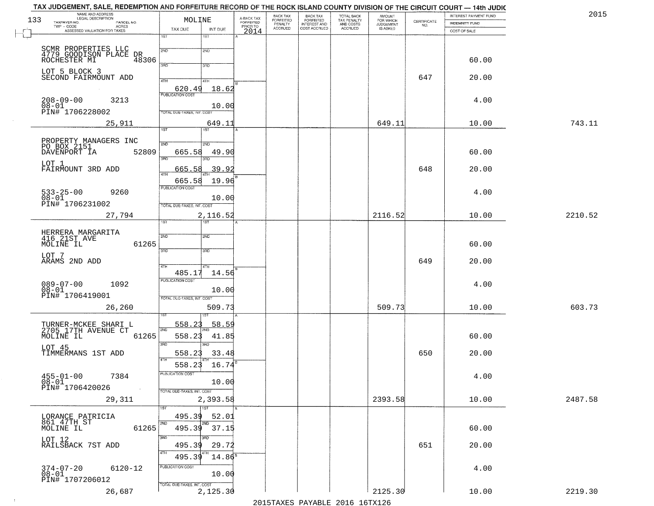| 133 | NAME AND ADDRESS<br>LEGAL DESCRIPTION<br>TAXPAYER NO.<br>PARCEL NO. | MOLINE                     |                    | A-BACK TAX<br>FORFEITED | BACK TAX<br>FORFEITED | <b>BACK TAX</b><br><b>FORFEITED</b> | <b>TOTAL BACK</b><br>TAX PENALTY | <b>AMOUNT</b>                      | CERTIFICATE | INTEREST PAYMENT FUND<br><b>INDEMNITY FUND</b> | 2015    |
|-----|---------------------------------------------------------------------|----------------------------|--------------------|-------------------------|-----------------------|-------------------------------------|----------------------------------|------------------------------------|-------------|------------------------------------------------|---------|
|     | TWP - CODE<br><b>ACRES</b><br>ASSESSED VALUATION FOR TAXES          | TAX DUE                    | INT DUE            | PRIOR TO<br>2014        | PENALTY<br>ACCRUED    | INTEREST AND<br>COST ACCRUED        | AND COSTS<br>ACCRUED             | FOR WHICH<br>JUDGEMENT<br>IS ASKED | NO.         | COST OF SALE                                   |         |
|     |                                                                     | 1ST                        | 1ST                |                         |                       |                                     |                                  |                                    |             |                                                |         |
|     | SCMR PROPERTIES LLC<br>4779 GOODISON PLACE DR<br>ACCUESTER MI 48306 | 2ND                        | 2ND                |                         |                       |                                     |                                  |                                    |             |                                                |         |
|     |                                                                     | 3RD                        | 3RD                |                         |                       |                                     |                                  |                                    |             | 60.00                                          |         |
|     | LOT 5 BLOCK 3<br>SECOND FAIRMOUNT ADD                               | 4TH                        | 4TH                |                         |                       |                                     |                                  |                                    | 647         | 20.00                                          |         |
|     |                                                                     | 620.49                     | 18.62              |                         |                       |                                     |                                  |                                    |             |                                                |         |
|     | $208 - 09 - 00$<br>3213<br>$08 - 01$                                | <b>PUBLICATION COST</b>    | 10.00              |                         |                       |                                     |                                  |                                    |             | 4.00                                           |         |
|     | PIN# 1706228002                                                     | TOTAL DUE-TAXES, INT. COST |                    |                         |                       |                                     |                                  |                                    |             |                                                |         |
|     | 25,911                                                              | 1ST                        | 649.11<br>1ST      |                         |                       |                                     |                                  | 649.11                             |             | 10.00                                          | 743.11  |
|     | PROPERTY MANAGERS INC<br>PO BOX 2151                                | 2ND                        | 2ND                |                         |                       |                                     |                                  |                                    |             |                                                |         |
|     | DAVENPORT IA<br>52809                                               | 665.58                     | 49.90              |                         |                       |                                     |                                  |                                    |             | 60.00                                          |         |
|     | LOT 1<br>FAIRMOUNT 3RD ADD                                          | 3RD<br>665.58              | 3RD<br>39.92       |                         |                       |                                     |                                  |                                    | 648         | 20.00                                          |         |
|     |                                                                     | 47H<br>665.58              | 19.96              |                         |                       |                                     |                                  |                                    |             |                                                |         |
|     | $533 - 25 - 00$<br>$08 - 01$<br>9260                                | PUBLICATION COST           |                    |                         |                       |                                     |                                  |                                    |             | 4.00                                           |         |
|     | PIN# 1706231002                                                     | TOTAL DUE-TAXES, INT. COST | 10.00              |                         |                       |                                     |                                  |                                    |             |                                                |         |
|     | 27,794                                                              | 1ST.                       | 2,116.52<br>1ST    |                         |                       |                                     |                                  | 2116.52                            |             | 10.00                                          | 2210.52 |
|     |                                                                     |                            |                    |                         |                       |                                     |                                  |                                    |             |                                                |         |
|     | HERRERA MARGARITA<br>416 21ST AVE<br>MOLINE IL<br>61265             | 2ND                        | 2ND                |                         |                       |                                     |                                  |                                    |             | 60.00                                          |         |
|     | LOT 7<br>ARAMS 2ND ADD                                              | 3BD                        | 3 <sub>3</sub>     |                         |                       |                                     |                                  |                                    | 649         | 20.00                                          |         |
|     |                                                                     | 4TH<br>485.17              | 4TH<br>14.56       |                         |                       |                                     |                                  |                                    |             |                                                |         |
|     | 089-07-00<br>08-01<br>1092                                          | <b>PUBLICATION COST</b>    |                    |                         |                       |                                     |                                  |                                    |             | 4.00                                           |         |
|     | PIN# 1706419001                                                     | TOTAL OUE-TAXES, INT. COST | 10.00              |                         |                       |                                     |                                  |                                    |             |                                                |         |
|     | 26,260                                                              |                            | 509.73             |                         |                       |                                     |                                  | 509.73                             |             | 10.00                                          | 603.73  |
|     |                                                                     | 558.23                     | 58.59              |                         |                       |                                     |                                  |                                    |             |                                                |         |
|     | TURNER-MCKEE SHARI L<br>2705 17TH AVENUE CT<br>MOLINE IL<br>61265   | 2ND<br>558.23              | 41.85              |                         |                       |                                     |                                  |                                    |             | 60.00                                          |         |
|     | LOT 45                                                              | 3RD                        | 3RD                |                         |                       |                                     |                                  |                                    |             |                                                |         |
|     | TIMMERMANS 1ST ADD                                                  | 558.23<br>558.23           | 33.48<br>16.74     |                         |                       |                                     |                                  |                                    | 650         | 20.00                                          |         |
|     | $455 - 01 - 00$<br>7384                                             | PUBLICATION COST           |                    |                         |                       |                                     |                                  |                                    |             | 4.00                                           |         |
|     | $08 - 01$<br>PIN# 1706420026<br>$\sim 100$                          | TOTAL DUE-TAXES, INT. COST | 10.00              |                         |                       |                                     |                                  |                                    |             |                                                |         |
|     | 29,311                                                              |                            | 2,393.58           |                         |                       |                                     |                                  | 2393.58                            |             | 10.00                                          | 2487.58 |
|     | LORANCE PATRICIA                                                    | 1ST <sup>1</sup><br>495.39 | 1ST<br>52.01       |                         |                       |                                     |                                  |                                    |             |                                                |         |
|     | 861 47TH ST<br>61265<br>MOLINE IL                                   | 2ND<br>495.39              | 2ND<br>37.15       |                         |                       |                                     |                                  |                                    |             | 60.00                                          |         |
|     | LOT 12                                                              | 3BD                        |                    |                         |                       |                                     |                                  |                                    |             |                                                |         |
|     | RAILSBACK 7ST ADD                                                   | 495.39<br>4TH<br>495.39    | 29.72<br>$14.86^5$ |                         |                       |                                     |                                  |                                    | 651         | 20.00                                          |         |
|     | $374 - 07 - 20$<br>6120-12                                          | PUBLICATION COST           |                    |                         |                       |                                     |                                  |                                    |             | 4.00                                           |         |
|     | $08 - 01$<br>PIN# 1707206012                                        |                            | 10.00              |                         |                       |                                     |                                  |                                    |             |                                                |         |
|     | 26,687                                                              | TOTAL DUE-TAXES, INT. COST | 2,125.30           |                         |                       |                                     |                                  | 2125.30                            |             | 10.00                                          | 2219.30 |

 $\sim 100$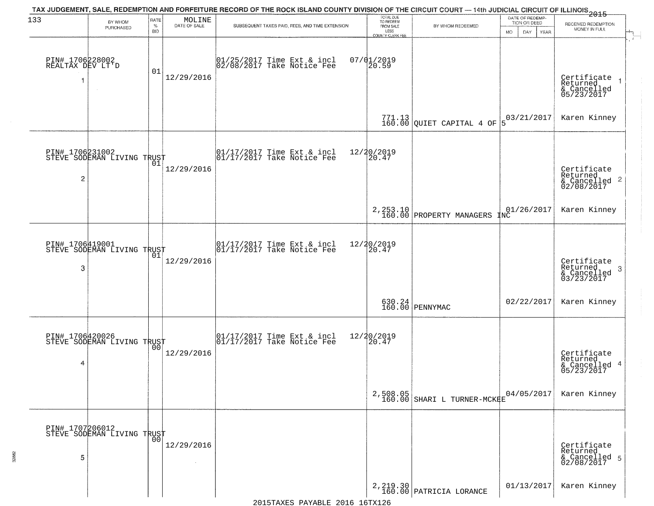| 133                                 |                                               | RATE               |                        | TAX JUDGEMENT, SALE, REDEMPTION AND FORFEITURE RECORD OF THE ROCK ISLAND COUNTY DIVISION OF THE CIRCUIT COURT — 14th JUDICIAL CIRCUIT OF ILLINOIS 2015 | TOTAL DUE<br>TO REDEEM   |                                                                                      | DATE OF REDEMP-   |      |                                                                    |
|-------------------------------------|-----------------------------------------------|--------------------|------------------------|--------------------------------------------------------------------------------------------------------------------------------------------------------|--------------------------|--------------------------------------------------------------------------------------|-------------------|------|--------------------------------------------------------------------|
|                                     | BY WHOM<br>PURCHASED                          | $\%$<br><b>BID</b> | MOLINE<br>DATE OF SALE | SUBSEQUENT TAXES PAID, FEES, AND TIME EXTENSION                                                                                                        | FROM SALE                | BY WHOM REDEEMED                                                                     | TION OR DEED      |      | RECEIVED REDEMPTION<br>MONEY IN FULL                               |
|                                     |                                               |                    |                        |                                                                                                                                                        | LESS<br>COUNTY CLERK FEE |                                                                                      | <b>MO</b><br>DAY  | YEAR |                                                                    |
|                                     |                                               |                    |                        |                                                                                                                                                        |                          |                                                                                      |                   |      |                                                                    |
| PIN# 1706228002<br>REALTAX DEV LT'D |                                               | 01                 |                        | $ 01/25/2017$ Time Ext & incl<br>$ 02/08/2017$ Take Notice Fee                                                                                         | $07/01/2019$<br>20.59    |                                                                                      |                   |      |                                                                    |
|                                     |                                               |                    | 12/29/2016             |                                                                                                                                                        |                          |                                                                                      |                   |      | Certificate<br>Returned                                            |
|                                     |                                               |                    |                        |                                                                                                                                                        |                          |                                                                                      |                   |      | & Cancelled<br>05/23/2017                                          |
|                                     |                                               |                    |                        |                                                                                                                                                        |                          | $771.13$ QUIET CAPITAL 4 OF                                                          | 03/21/2017        |      | Karen Kinney                                                       |
|                                     |                                               |                    |                        |                                                                                                                                                        |                          |                                                                                      | 15                |      |                                                                    |
|                                     |                                               |                    |                        |                                                                                                                                                        |                          |                                                                                      |                   |      |                                                                    |
|                                     | PIN# 1706231002<br>STEVE SODEMAN LIVING TRUST |                    | 12/29/2016             | $\begin{array}{cc}  01/17/2017 \text{ Time} & \text{Ext} & \text{incl} \\  01/17/2017 \text{ Take Notice } \text{Fe} \end{array}$                      | 12/20/2019<br>20.47      |                                                                                      |                   |      |                                                                    |
| 2                                   |                                               |                    |                        |                                                                                                                                                        |                          |                                                                                      |                   |      | Certificate<br>Returned<br>$\frac{1}{2}$ Cancelled 2<br>02/08/2017 |
|                                     |                                               |                    |                        |                                                                                                                                                        |                          |                                                                                      |                   |      |                                                                    |
|                                     |                                               |                    |                        |                                                                                                                                                        |                          | 2, 253.10<br>160.00 PROPERTY MANAGERS                                                | 01/26/2017<br>1NC |      | Karen Kinney                                                       |
|                                     |                                               |                    |                        |                                                                                                                                                        |                          |                                                                                      |                   |      |                                                                    |
| PIN# 1706419001                     |                                               |                    |                        | 01/17/2017 Time Ext & incl<br>01/17/2017 Take Notice Fee                                                                                               | 12/20/2019<br>20.47      |                                                                                      |                   |      |                                                                    |
|                                     | STEVE SODEMAN LIVING TRUST                    | 01                 | 12/29/2016             |                                                                                                                                                        |                          |                                                                                      |                   |      | Certificate<br>Returned                                            |
| 3                                   |                                               |                    |                        |                                                                                                                                                        |                          |                                                                                      |                   |      | 3<br>& Cancelled<br>03/23/2017                                     |
|                                     |                                               |                    |                        |                                                                                                                                                        |                          |                                                                                      |                   |      |                                                                    |
|                                     |                                               |                    |                        |                                                                                                                                                        |                          | 630.24<br>160.00 PENNYMAC                                                            | 02/22/2017        |      | Karen Kinney                                                       |
|                                     |                                               |                    |                        |                                                                                                                                                        |                          |                                                                                      |                   |      |                                                                    |
|                                     | PIN# 1706420026<br>STEVE SODEMAN LIVING TRUST |                    |                        | $\begin{bmatrix} 01/17/2017 \\ 01/17/2017 \end{bmatrix}$ Take Notice Fee                                                                               | 12/20/2019<br>20.47      |                                                                                      |                   |      |                                                                    |
|                                     |                                               |                    | 12/29/2016             |                                                                                                                                                        |                          |                                                                                      |                   |      | Certificate<br>Returned                                            |
| 4                                   |                                               |                    |                        |                                                                                                                                                        |                          |                                                                                      |                   |      | & Cancelled 4<br>05/23/2017                                        |
|                                     |                                               |                    |                        |                                                                                                                                                        |                          |                                                                                      |                   |      |                                                                    |
|                                     |                                               |                    |                        |                                                                                                                                                        |                          | 2,508.05<br>160.00 SHARI L TURNER-MCKKE                                              | 04/05/2017        |      | Karen Kinney                                                       |
|                                     |                                               |                    |                        |                                                                                                                                                        |                          |                                                                                      |                   |      |                                                                    |
|                                     | PIN# 1707206012<br>STEVE SODEMAN LIVING TRUST |                    |                        |                                                                                                                                                        |                          |                                                                                      |                   |      |                                                                    |
|                                     |                                               |                    | 12/29/2016             |                                                                                                                                                        |                          |                                                                                      |                   |      | Certificate<br>Returned                                            |
| 5                                   |                                               |                    |                        |                                                                                                                                                        |                          |                                                                                      |                   |      | & Cancelled 5<br>02/08/2017                                        |
|                                     |                                               |                    |                        |                                                                                                                                                        |                          |                                                                                      |                   |      |                                                                    |
|                                     |                                               |                    |                        |                                                                                                                                                        |                          | $2,219.30 \begin{array}{l} \mid 2.219.30 \end{array} \big  {\tt PARTRICIA\ LORANCE}$ | 01/13/2017        |      | Karen Kinney                                                       |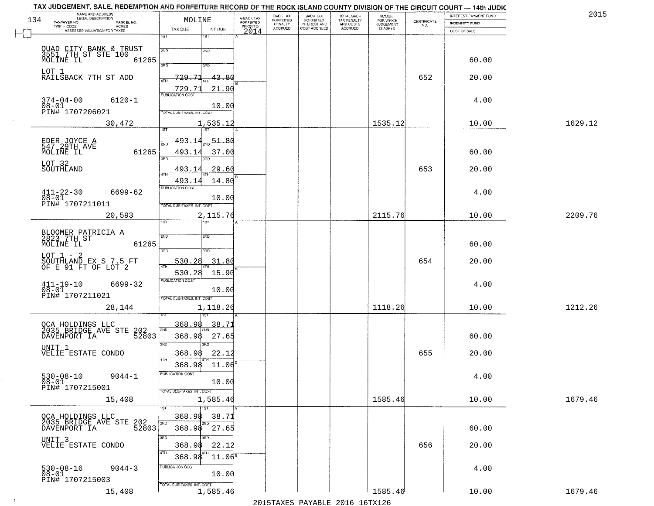| NAME AND ADDRESS<br>LEGAL DESCRIPTION<br>134<br>TAXPAYER NO.                         | PARCEL NO.   | MOLINE                                     | A-BACK TAX<br>FORFEITED | BACK TAX<br>FORFEITED | <b>BACK TAX</b><br><b>FORFEITED</b> | TOTAL BACK<br>TAX PENALTY | <b>AMOUNT</b>                      |                                                                 | INTEREST PAYMENT FUND          | 2015    |
|--------------------------------------------------------------------------------------|--------------|--------------------------------------------|-------------------------|-----------------------|-------------------------------------|---------------------------|------------------------------------|-----------------------------------------------------------------|--------------------------------|---------|
| $TWP - CODE$<br>ASSESSED VALUATION FOR TAXES                                         | <b>ACRES</b> | TAX DUE<br>INT DUE                         | PRIOR TO                | PENALTY<br>ACCRUED    | INTEREST AND                        | AND COSTS<br>ACCRUED      | FOR WHICH<br>JUDGEMENT<br>IS ASKED | $\begin{array}{c} \text{CERTIFICATE} \\ \text{NO.} \end{array}$ | INDEMNITY FUND<br>COST OF SALE |         |
|                                                                                      |              | 1ST<br>18T                                 | 2014                    |                       |                                     |                           |                                    |                                                                 |                                |         |
| QUAD CITY BANK & TRUST<br>3551 7TH ST STE 100                                        |              | 2ND<br>2ND                                 |                         |                       |                                     |                           |                                    |                                                                 |                                |         |
| MOLINE IL                                                                            | 61265        |                                            |                         |                       |                                     |                           |                                    |                                                                 | 60.00                          |         |
| LOT 1                                                                                |              | 3RD<br>3RD                                 |                         |                       |                                     |                           |                                    |                                                                 |                                |         |
| RAILSBACK 7TH ST ADD                                                                 |              | 729.71<br>43.80<br>4TH                     |                         |                       |                                     |                           |                                    | 652                                                             | 20.00                          |         |
|                                                                                      |              | 729.71<br>21.90<br><b>PUBLICATION COST</b> |                         |                       |                                     |                           |                                    |                                                                 |                                |         |
| $374 - 04 - 00$                                                                      | $6120 - 1$   | 10.00                                      |                         |                       |                                     |                           |                                    |                                                                 | 4.00                           |         |
| 08-01<br>PIN# 1707206021                                                             |              | TOTAL DUE-TAXES, INT. COST                 |                         |                       |                                     |                           |                                    |                                                                 |                                |         |
|                                                                                      | 30,472       | 1,535.12<br><b>TST</b><br>1ST              |                         |                       |                                     |                           | 1535.12                            |                                                                 | 10.00                          | 1629.12 |
|                                                                                      |              | 493.14<br>51.80                            |                         |                       |                                     |                           |                                    |                                                                 |                                |         |
| EDER JOYCE A<br>547 29TH AVE<br>MOLINE IL                                            | 61265        | 2ND<br>493.14<br>37.00                     |                         |                       |                                     |                           |                                    |                                                                 | 60.00                          |         |
| LOT 32                                                                               |              | 3RD<br>3RD                                 |                         |                       |                                     |                           |                                    |                                                                 |                                |         |
| SOUTHLAND                                                                            |              | 493.1<br>29.60<br>ৰাম                      |                         |                       |                                     |                           |                                    | 653                                                             | 20.00                          |         |
|                                                                                      |              | 14.80<br>493.1                             |                         |                       |                                     |                           |                                    |                                                                 |                                |         |
| 411-22-30                                                                            | 6699-62      | PUBLICATION COST                           |                         |                       |                                     |                           |                                    |                                                                 | 4.00                           |         |
| $08 - 01$<br>PIN# 1707211011                                                         |              | 10.00<br>TOTAL DUE-TAXES, INT. COST        |                         |                       |                                     |                           |                                    |                                                                 |                                |         |
|                                                                                      | 20,593       | 2,115.76                                   |                         |                       |                                     |                           | 2115.76                            |                                                                 | 10.00                          | 2209.76 |
|                                                                                      |              | 1ST<br>1ST                                 |                         |                       |                                     |                           |                                    |                                                                 |                                |         |
| BLOOMER PATRICIA A<br>2823 7TH ST                                                    |              | 2ND<br>2ND                                 |                         |                       |                                     |                           |                                    |                                                                 |                                |         |
| MOLINE IL                                                                            | 61265        | 3 <sub>BD</sub><br>3RD                     |                         |                       |                                     |                           |                                    |                                                                 | 60.00                          |         |
| $LOT 1 - 2$<br>SOUTHLAND EX S 7.5 FT OF E 91 FT OF LOT 2                             |              | 530.28<br>31.80                            |                         |                       |                                     |                           |                                    | 654                                                             | 20.00                          |         |
|                                                                                      |              | 530.28<br>15.90                            |                         |                       |                                     |                           |                                    |                                                                 |                                |         |
| $^{411-19-10}_{08-01}$                                                               | 6699-32      | <b>PUBLICATION COST</b>                    |                         |                       |                                     |                           |                                    |                                                                 | 4.00                           |         |
| PIN# 1707211021                                                                      |              | 10.00<br>TOTAL OUE-TAXES, INT. COST        |                         |                       |                                     |                           |                                    |                                                                 |                                |         |
|                                                                                      | 28,144       | 1,118.26                                   |                         |                       |                                     |                           | 1118.26                            |                                                                 | 10.00                          | 1212.26 |
|                                                                                      |              |                                            |                         |                       |                                     |                           |                                    |                                                                 |                                |         |
| OCA HOLDINGS LLC<br>2035 BRIDGE AVE STE                                              |              | 368.98<br>38.7<br>2ND                      |                         |                       |                                     |                           |                                    |                                                                 |                                |         |
| DAVENPORT IA                                                                         | 202<br>52803 | 368.98<br>27.65                            |                         |                       |                                     |                           |                                    |                                                                 | 60.00                          |         |
| UNIT 1<br>VELIE ESTATE CONDO                                                         |              | 3RD<br>3RD<br>22.12<br>368.98              |                         |                       |                                     |                           |                                    | 655                                                             | 20.00                          |         |
|                                                                                      |              | 4TH<br>368.98<br>11.06                     |                         |                       |                                     |                           |                                    |                                                                 |                                |         |
| $530 - 08 - 10$                                                                      | $9044 - 1$   | PUBLICATION COST                           |                         |                       |                                     |                           |                                    |                                                                 | 4.00                           |         |
| $08 - 01$<br>PIN# 1707215001                                                         |              | 10.00                                      |                         |                       |                                     |                           |                                    |                                                                 |                                |         |
|                                                                                      |              | TOTAL DUE-TAXES, INT. COST                 |                         |                       |                                     |                           | 1585.46                            |                                                                 |                                |         |
|                                                                                      | 15,408       | 1,585.46<br>$\overline{1}$ st              |                         |                       |                                     |                           |                                    |                                                                 | 10.00                          | 1679.46 |
|                                                                                      |              | 368.98<br>38.71                            |                         |                       |                                     |                           |                                    |                                                                 |                                |         |
| OCA HOLDINGS LLC<br>2035 BRIDGE AVE STE 202<br>- * * * * * * * * * * * * * * * 52803 |              | 2ND<br>2ND<br>368.98<br>27.65              |                         |                       |                                     |                           |                                    |                                                                 | 60.00                          |         |
| UNIT <sub>3</sub>                                                                    |              | 3RD<br>अंग                                 |                         |                       |                                     |                           |                                    |                                                                 |                                |         |
| VELIE ESTATE CONDO                                                                   |              | 368.98<br>22.12<br>4TH                     |                         |                       |                                     |                           |                                    | 656                                                             | 20.00                          |         |
|                                                                                      |              | $11.06^5$<br>368.98<br>PUBLICATION COST    |                         |                       |                                     |                           |                                    |                                                                 |                                |         |
| 530-08-16<br>08-01                                                                   | $9044 - 3$   | 10.00                                      |                         |                       |                                     |                           |                                    |                                                                 | 4.00                           |         |
| PIN# 1707215003                                                                      |              | TOTAL DUE-TAXES, INT. COST                 |                         |                       |                                     |                           |                                    |                                                                 |                                |         |
|                                                                                      | 15,408       | 1,585.46                                   |                         |                       |                                     |                           | 1585.46                            |                                                                 | 10.00                          | 1679.46 |

 $\sim 100$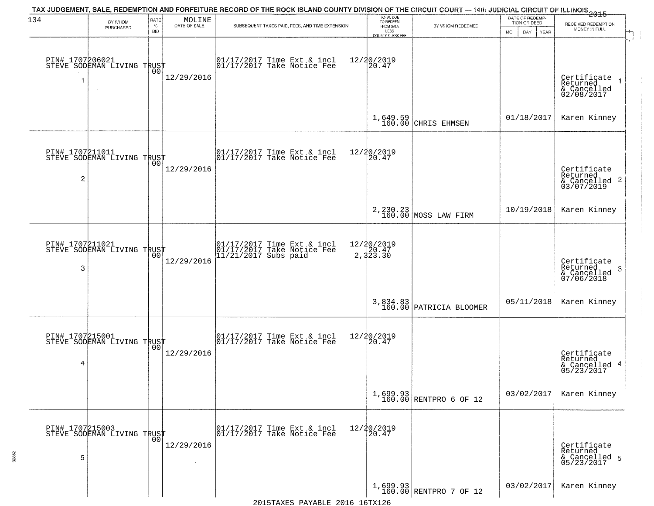| 134                  | BY WHOM<br>PURCHASED                          | RATE<br>$\%$<br><b>BID</b> | $\begin{array}{c} \text{MOLINE} \\ \text{DATE of SALE} \end{array}$ | TAX JUDGEMENT, SALE, REDEMPTION AND FORFEITURE RECORD OF THE ROCK ISLAND COUNTY DIVISION OF THE CIRCUIT COURT — 14th JUDICIAL CIRCUIT OF ILLINOIS 2015<br>SUBSEQUENT TAXES PAID, FEES, AND TIME EXTENSION | TOTAL DUE<br>TO REDEEM<br>FROM SALE<br>LESS<br>COUNTY CLERK FEE | BY WHOM REDEEMED                       | DATE OF REDEMP-<br>TION OR DEED<br><b>MO</b><br>DAY<br><b>YEAR</b> | RECEIVED REDEMPTION<br>MONEY IN FULL                       |
|----------------------|-----------------------------------------------|----------------------------|---------------------------------------------------------------------|-----------------------------------------------------------------------------------------------------------------------------------------------------------------------------------------------------------|-----------------------------------------------------------------|----------------------------------------|--------------------------------------------------------------------|------------------------------------------------------------|
| PIN# 1707206021<br>1 | STEVE SODEMAN LIVING TRUST                    | 00                         | 12/29/2016                                                          | $\begin{bmatrix} 01/17/2017 \\ 01/17/2017 \\ 01 \end{bmatrix}$ Take Notice Fee                                                                                                                            | 12/20/2019<br>$ 20.47\rangle$                                   |                                        |                                                                    | Certificate<br>Returned<br>& Cancelled<br>02/08/2017       |
|                      |                                               |                            |                                                                     |                                                                                                                                                                                                           | 1,649.59<br>160.00                                              | CHRIS EHMSEN                           | 01/18/2017                                                         | Karen Kinney                                               |
| 2                    | PIN# 1707211011<br>STEVE SODEMAN LIVING TRUST |                            | 12/29/2016                                                          | $\begin{array}{cc} 01/17/2017 & \text{Time Ext} & \text{incl} \\ 01/17/2017 & \text{Take Notice Free} \end{array}$                                                                                        | 12/20/2019<br>$\left[20.47\right]$                              |                                        |                                                                    | Certificate<br>Returned<br>& Cancelled 2<br>03/07/2019     |
|                      |                                               |                            |                                                                     |                                                                                                                                                                                                           |                                                                 | 2, 230.23<br>160.00 MOSS LAW FIRM      | 10/19/2018                                                         | Karen Kinney                                               |
| PIN# 1707211021<br>3 | STEVE SODEMAN LIVING TRUST                    |                            | 12/29/2016                                                          | 01/17/2017 Time Ext & incl<br>01/17/2017 Take Notice Fee<br>11/21/2017 Subs paid                                                                                                                          | 12/20/2019<br>20.47<br>2,323.30                                 |                                        |                                                                    | Certificate<br>Returned<br>-3<br>& Cancelled<br>07/06/2018 |
|                      |                                               |                            |                                                                     |                                                                                                                                                                                                           |                                                                 | 3,834.83<br>160.00 PATRICIA BLOOMER    | 05/11/2018                                                         | Karen Kinney                                               |
| PIN# 1707215001<br>4 | STEVE SODEMAN LIVING TRUST                    |                            | 12/29/2016                                                          | 01/17/2017 Time Ext & incl<br>01/17/2017 Take Notice Fee                                                                                                                                                  | 12/20/2019<br>20.47                                             |                                        |                                                                    | Certificate<br>Returned<br>& Cancelled 4<br>05/23/2017     |
|                      |                                               |                            |                                                                     |                                                                                                                                                                                                           |                                                                 | 1,699.93<br>160.00 RENTPRO 6 OF 12     | 03/02/2017                                                         | Karen Kinney                                               |
| 5                    | PIN# 1707215003<br>STEVE SODEMAN LIVING TRUST | 00                         | 12/29/2016                                                          | 01/17/2017 Time Ext & incl<br>01/17/2017 Take Notice Fee                                                                                                                                                  | 12/20/2019<br>20.47                                             |                                        |                                                                    | Certificate<br>Returned<br>& Cancelled 5<br>05/23/2017     |
|                      |                                               |                            |                                                                     |                                                                                                                                                                                                           |                                                                 | $1,699.93$<br>$160.00$ RENTPRO 7 OF 12 | 03/02/2017                                                         | Karen Kinney                                               |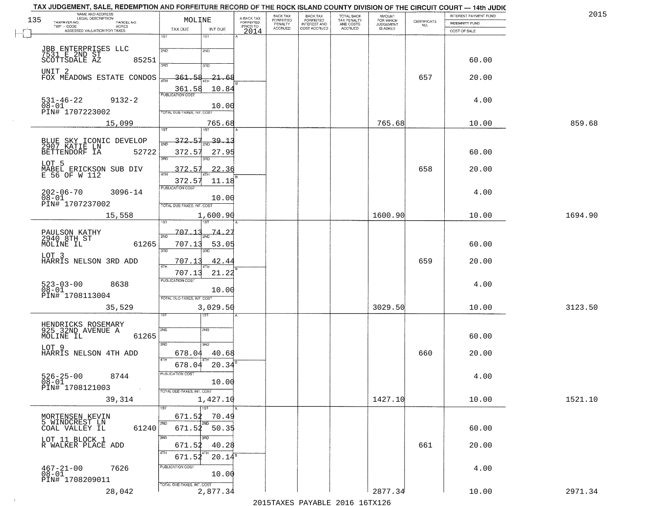|     | TAX JUDGEMENT, SALE, REDEMPTION AND FORFEITURE RECORD OF THE ROCK ISLAND COUNTY DIVISION OF THE CIRCUIT COURT - 14th JUDIC<br>NAME AND ADDRESS<br>LEGAL DESCRIPTION |                                            |                         | BACK TAX                    | BACK TAX<br>FORFEITED |                                        | AMOUNT<br>FOR WHICH |                                                                 | INTEREST PAYMENT FUND | 2015    |
|-----|---------------------------------------------------------------------------------------------------------------------------------------------------------------------|--------------------------------------------|-------------------------|-----------------------------|-----------------------|----------------------------------------|---------------------|-----------------------------------------------------------------|-----------------------|---------|
| 135 | TAXPAYER NO.<br>PARCEL NO.                                                                                                                                          | MOLINE                                     | A-BACK TAX<br>FORFEITED | <b>FORFEITED</b><br>PENALTY | <b>INTEREST AND</b>   | TOTAL BACK<br>TAX PENALTY<br>AND COSTS | <b>JUDGEMENT</b>    | $\begin{array}{c} \text{CERTIFICATE} \\ \text{NO.} \end{array}$ | INDEMNITY FUND        |         |
|     | ACRES<br>ASSESSED VALUATION FOR TAXES                                                                                                                               | INT DUE<br>TAX DUE                         | PRIOR TO<br>2014        | <b>ACCRUED</b>              | COST ACCRUED          | ACCRUED                                | IS ASKED            |                                                                 | COST OF SALE          |         |
|     |                                                                                                                                                                     | 1ST<br>1ST                                 |                         |                             |                       |                                        |                     |                                                                 |                       |         |
|     |                                                                                                                                                                     | 2ND                                        |                         |                             |                       |                                        |                     |                                                                 |                       |         |
|     | JBB ENTERPRISES LLC<br>7531 E 2ND ST<br>SCOTTSDALE AZ                                                                                                               | 2ND                                        |                         |                             |                       |                                        |                     |                                                                 |                       |         |
|     | 85251                                                                                                                                                               | 3BD<br>3RD                                 |                         |                             |                       |                                        |                     |                                                                 | 60.00                 |         |
|     | UNIT <sub>2</sub>                                                                                                                                                   |                                            |                         |                             |                       |                                        |                     |                                                                 |                       |         |
|     | FOX MEADOWS ESTATE CONDOS                                                                                                                                           | $-21 - 68$<br>361.58                       |                         |                             |                       |                                        |                     | 657                                                             | 20.00                 |         |
|     |                                                                                                                                                                     | 361.58<br>10.84                            |                         |                             |                       |                                        |                     |                                                                 |                       |         |
|     | $531 - 46 - 22$<br>$9132 - 2$                                                                                                                                       |                                            |                         |                             |                       |                                        |                     |                                                                 | 4.00                  |         |
|     | $08 - 01$                                                                                                                                                           | 10.00                                      |                         |                             |                       |                                        |                     |                                                                 |                       |         |
|     | PIN# 1707223002                                                                                                                                                     | TOTAL DUE-TAXES, INT. COST                 |                         |                             |                       |                                        |                     |                                                                 |                       |         |
|     | 15,099                                                                                                                                                              | 765.68                                     |                         |                             |                       |                                        | 765.68              |                                                                 | 10.00                 | 859.68  |
|     |                                                                                                                                                                     |                                            |                         |                             |                       |                                        |                     |                                                                 |                       |         |
|     |                                                                                                                                                                     | 372.57<br>$\frac{1}{2ND}$ 39.13            |                         |                             |                       |                                        |                     |                                                                 |                       |         |
|     | BLUE SKY ICONIC DEVELOP<br>2907 KATIE LN<br>BETTENDORF IA 527<br>52722                                                                                              | 372.57<br>27.95                            |                         |                             |                       |                                        |                     |                                                                 | 60.00                 |         |
|     |                                                                                                                                                                     | ਬਨ<br>3RD                                  |                         |                             |                       |                                        |                     |                                                                 |                       |         |
|     | LOT 5                                                                                                                                                               |                                            |                         |                             |                       |                                        |                     | 658                                                             |                       |         |
|     | MABEL ERICKSON SUB DIV<br>E 56 OF W 112                                                                                                                             | 372.57<br>22.36                            |                         |                             |                       |                                        |                     |                                                                 | 20.00                 |         |
|     |                                                                                                                                                                     | 372.57<br>11.18                            |                         |                             |                       |                                        |                     |                                                                 |                       |         |
|     | $202 - 06 - 70$<br>$3096 - 14$                                                                                                                                      | PUBLICATION COST                           |                         |                             |                       |                                        |                     |                                                                 | 4.00                  |         |
|     | $08 - 01$                                                                                                                                                           | 10.00                                      |                         |                             |                       |                                        |                     |                                                                 |                       |         |
|     | PIN# 1707237002                                                                                                                                                     | TOTAL DUE-TAXES, INT. COST                 |                         |                             |                       |                                        |                     |                                                                 |                       |         |
|     | 15,558                                                                                                                                                              | 1,600.90                                   |                         |                             |                       |                                        | 1600.90             |                                                                 | 10.00                 | 1694.90 |
|     |                                                                                                                                                                     | 1ST                                        |                         |                             |                       |                                        |                     |                                                                 |                       |         |
|     | PAULSON KATHY<br>2940 8TH ST                                                                                                                                        | 707.1<br><u>74.2'</u><br>2ND               |                         |                             |                       |                                        |                     |                                                                 |                       |         |
|     | MOLINE IL<br>61265                                                                                                                                                  | 707.13<br>53.05                            |                         |                             |                       |                                        |                     |                                                                 | 60.00                 |         |
|     |                                                                                                                                                                     | 3BD<br>3RD                                 |                         |                             |                       |                                        |                     |                                                                 |                       |         |
|     | LOT 3<br>HARRIS NELSON 3RD ADD                                                                                                                                      | 707.1<br>42.44                             |                         |                             |                       |                                        |                     | 659                                                             | 20.00                 |         |
|     |                                                                                                                                                                     | <b>ATH</b>                                 |                         |                             |                       |                                        |                     |                                                                 |                       |         |
|     |                                                                                                                                                                     | 707.13<br>21.22<br><b>PUBLICATION COST</b> |                         |                             |                       |                                        |                     |                                                                 |                       |         |
|     | 523-03-00<br>08-01<br>8638                                                                                                                                          |                                            |                         |                             |                       |                                        |                     |                                                                 | 4.00                  |         |
|     | PIN# 1708113004                                                                                                                                                     | 10.00<br>TOTAL OUE-TAXES, INT. COST        |                         |                             |                       |                                        |                     |                                                                 |                       |         |
|     |                                                                                                                                                                     |                                            |                         |                             |                       |                                        |                     |                                                                 |                       |         |
|     | 35,529                                                                                                                                                              | 3,029.50<br>१९४                            |                         |                             |                       |                                        | 3029.50             |                                                                 | 10.00                 | 3123.50 |
|     |                                                                                                                                                                     |                                            |                         |                             |                       |                                        |                     |                                                                 |                       |         |
|     | HENDRICKS ROSEMARY<br>925 32ND AVENUE A                                                                                                                             | 2ND<br>2ND                                 |                         |                             |                       |                                        |                     |                                                                 |                       |         |
|     | MOLINE IL<br>61265                                                                                                                                                  |                                            |                         |                             |                       |                                        |                     |                                                                 | 60.00                 |         |
|     | LOT 9                                                                                                                                                               | 3RD<br>3HD                                 |                         |                             |                       |                                        |                     |                                                                 |                       |         |
|     | HARRIS NELSON 4TH ADD                                                                                                                                               | 678.04<br>40.68                            |                         |                             |                       |                                        |                     | 660                                                             | 20.00                 |         |
|     |                                                                                                                                                                     | 4TH<br>678.04<br>20.34                     |                         |                             |                       |                                        |                     |                                                                 |                       |         |
|     |                                                                                                                                                                     | PUBLICATION COS-                           |                         |                             |                       |                                        |                     |                                                                 |                       |         |
|     | $526 - 25 - 00$<br>$08 - 01$<br>8744                                                                                                                                | 10.00                                      |                         |                             |                       |                                        |                     |                                                                 | 4.00                  |         |
|     | PIN# 1708121003<br>$\sim 10$                                                                                                                                        | TOTAL DUE-TAXES, INT. COST                 |                         |                             |                       |                                        |                     |                                                                 |                       |         |
|     | 39,314                                                                                                                                                              | 1,427.10                                   |                         |                             |                       |                                        | 1427.10             |                                                                 | 10.00                 | 1521.10 |
|     |                                                                                                                                                                     | $\overline{1}$ 1ST                         |                         |                             |                       |                                        |                     |                                                                 |                       |         |
|     | MORTENSEN KEVIN                                                                                                                                                     | 671.52<br>70.49                            |                         |                             |                       |                                        |                     |                                                                 |                       |         |
|     | 5 WINDCREST LN                                                                                                                                                      | 2ND                                        |                         |                             |                       |                                        |                     |                                                                 |                       |         |
|     | 61240<br>COAL VALLEY IL                                                                                                                                             | $671.52$ 50.35                             |                         |                             |                       |                                        |                     |                                                                 | 60.00                 |         |
|     | LOT 11 BLOCK 1                                                                                                                                                      | 3RD                                        |                         |                             |                       |                                        |                     |                                                                 |                       |         |
|     | R WALKER PLACE ADD                                                                                                                                                  | 671.52<br>40.28                            |                         |                             |                       |                                        |                     | 661                                                             | 20.00                 |         |
|     |                                                                                                                                                                     | $20.14^{\overline{5}}$<br>671.52           |                         |                             |                       |                                        |                     |                                                                 |                       |         |
|     | 7626                                                                                                                                                                | PUBLICATION COST                           |                         |                             |                       |                                        |                     |                                                                 | 4.00                  |         |
|     | $467 - 21 - 00$<br>$08 - 01$                                                                                                                                        | 10.00                                      |                         |                             |                       |                                        |                     |                                                                 |                       |         |
|     | PIN# 1708209011                                                                                                                                                     | TOTAL DUE-TAXES, INT. COST                 |                         |                             |                       |                                        |                     |                                                                 |                       |         |
|     | 28,042                                                                                                                                                              | 2,877.34                                   |                         |                             |                       |                                        | 2877.34             |                                                                 | 10.00                 | 2971.34 |
|     |                                                                                                                                                                     |                                            |                         |                             |                       | 2015 TAVEC DAVADIE 2016 16TV126        |                     |                                                                 |                       |         |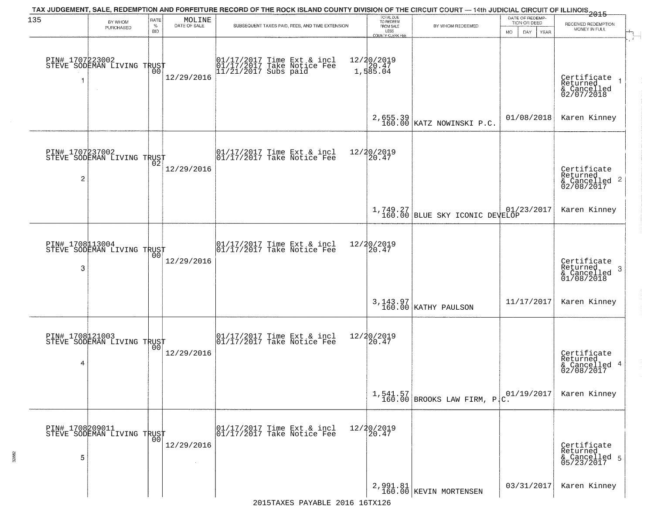| 135                  | BY WHOM                                           | RATE               | MOLINE       | TAX JUDGEMENT, SALE, REDEMPTION AND FORFEITURE RECORD OF THE ROCK ISLAND COUNTY DIVISION OF THE CIRCUIT COURT — 14th JUDICIAL CIRCUIT OF ILLINOIS 2015 | TOTAL DUE<br>TO REDEEM |                                       | DATE OF REDEMP<br>TION OR DEED             |                     |                                                                    |
|----------------------|---------------------------------------------------|--------------------|--------------|--------------------------------------------------------------------------------------------------------------------------------------------------------|------------------------|---------------------------------------|--------------------------------------------|---------------------|--------------------------------------------------------------------|
|                      | PURCHASED                                         | $\%$<br><b>BID</b> | DATE OF SALE | SUBSEQUENT TAXES PAID, FEES, AND TIME EXTENSION                                                                                                        |                        | FROM SALE<br>LESS<br>COUNTY CLERK FEE | BY WHOM REDEEMED                           | MO.<br>DAY.<br>YEAR | RECEIVED REDEMPTION<br>MONEY IN FULL                               |
| 1                    | PIN# 1707223002    <br>STEVE SODEMAN LIVING TRUST | 00                 | 12/29/2016   | 01/17/2017 Time Ext & incl<br>01/17/2017 Take Notice Fee<br>11/21/2017 Subs paid                                                                       |                        | 12/20/2019<br>1,585.04<br>1,585.04    |                                            |                     | Certificate<br>Returned<br>& Cancelled<br>02/07/2018               |
|                      |                                                   |                    |              |                                                                                                                                                        |                        |                                       | $2,655.39$ KATZ NOWINSKI P.C.              | 01/08/2018          | Karen Kinney                                                       |
| PIN# 1707237002<br>2 | STEVE SODEMAN LIVING TRUST                        |                    | 12/29/2016   | $\begin{bmatrix} 01/17/2017 \\ 01/17/2017 \end{bmatrix}$ Take Notice Fee                                                                               |                        | 12/20/2019<br>20.47                   |                                            |                     | Certificate<br>Returned<br>$\frac{1}{6}$ Cancelled 2<br>02/08/2017 |
|                      |                                                   |                    |              |                                                                                                                                                        |                        |                                       | 1,749.27<br>160.00 BLUE SKY ICONIC DEVELOP | 01/23/2017          | Karen Kinney                                                       |
| 3                    | PIN# 1708113004<br>STEVE SODEMAN LIVING TRUST     | 00                 | 12/29/2016   | $\begin{array}{ccc}  01/17/2017 \text{ Time} & \text{Ext} & \text{incl} \\  01/17/2017 \text{ Take Notice } \text{Fe} \end{array}$                     |                        | 12/20/2019<br>20.47                   |                                            |                     | Certificate<br>Returned<br>3<br>& Cancelled<br>01/08/2018          |
|                      |                                                   |                    |              |                                                                                                                                                        |                        |                                       | 3, 143.97<br>160.00 KATHY PAULSON          | 11/17/2017          | Karen Kinney                                                       |
| 4                    | PIN# 1708121003    <br>STEVE SODEMAN LIVING TRUST | 0 <sub>0</sub>     | 12/29/2016   | $\begin{bmatrix} 01/17/2017 \\ 01/17/2017 \end{bmatrix}$ Take Notice Fee                                                                               |                        | 12/20/2019<br>$\overline{20.47}$      |                                            |                     | Certificate<br>Returned<br>& Cancelled 4<br>02/08/2017             |
|                      |                                                   |                    |              |                                                                                                                                                        |                        |                                       | $1,541.57$ BROOKS LAW FIRM, PC.            | 01/19/2017          | Karen Kinney                                                       |
| PIN# 1708209011<br>5 | STEVE SODEMAN LIVING TRUST                        | 0 <sub>0</sub>     | 12/29/2016   | 01/17/2017 Time Ext & incl<br>01/17/2017 Take Notice Fee                                                                                               |                        | 12/20/2019<br>20.47                   |                                            |                     | Certificate<br>Returned<br>& Cancelled 5<br>05/23/2017             |
|                      |                                                   |                    |              |                                                                                                                                                        |                        |                                       | 2,991.81<br>160.00 KEVIN MORTENSEN         | 03/31/2017          | Karen Kinney                                                       |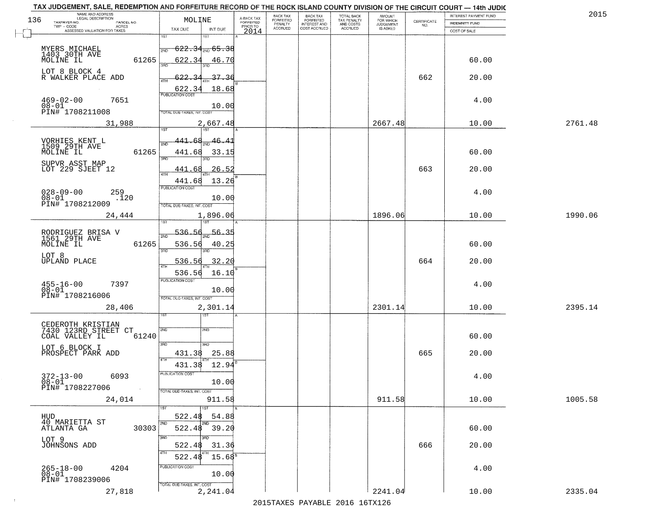|     | TAX JUDGEMENT, SALE, REDEMPTION AND FORFEITURE RECORD OF THE ROCK ISLAND COUNTY DIVISION OF THE CIRCUIT COURT - 14th JUDIC<br>NAME AND ADDRESS<br>LEGAL DESCRIPTION |                                                   |                                     | BACK TAX             |                                       |                                        | AMOUNT<br>FOR WHICH |                                                                 | INTEREST PAYMENT FUND | 2015    |
|-----|---------------------------------------------------------------------------------------------------------------------------------------------------------------------|---------------------------------------------------|-------------------------------------|----------------------|---------------------------------------|----------------------------------------|---------------------|-----------------------------------------------------------------|-----------------------|---------|
| 136 | TAXPAYER NO.<br>PARCEL NO.                                                                                                                                          | MOLINE                                            | A-BACK TAX<br>FORFEITED<br>PRIOR TO | FORFEITED<br>PENALTY | BACK TAX<br>FORFEITED<br>INTEREST AND | TOTAL BACK<br>TAX PENALTY<br>AND COSTS | <b>JUDGEMENT</b>    | $\begin{array}{c} \text{CERTIFICATE} \\ \text{NO.} \end{array}$ | INDEMNITY FUND        |         |
|     | TWP - CODE<br>ACRES<br>ASSESSED VALUATION FOR TAXES                                                                                                                 | TAX DUE<br>INT DUE                                | 2014                                | <b>ACCRUED</b>       | COST ACCRUED                          | ACCRUED                                | IS ASKED            |                                                                 | COST OF SALE          |         |
|     |                                                                                                                                                                     | 1ST<br>IST                                        |                                     |                      |                                       |                                        |                     |                                                                 |                       |         |
|     |                                                                                                                                                                     | <del>622.34,,,65.38</del><br>2ND                  |                                     |                      |                                       |                                        |                     |                                                                 |                       |         |
|     | MYERS MICHAEL<br>1403 30TH AVE<br>MOLINE IL<br>61265                                                                                                                | 622.34<br>46.70                                   |                                     |                      |                                       |                                        |                     |                                                                 | 60.00                 |         |
|     |                                                                                                                                                                     | sañ                                               |                                     |                      |                                       |                                        |                     |                                                                 |                       |         |
|     | LOT 8 BLOCK 4<br>R WALKER PLACE ADD                                                                                                                                 | 37.36<br><u>522.3</u>                             |                                     |                      |                                       |                                        |                     | 662                                                             | 20.00                 |         |
|     |                                                                                                                                                                     |                                                   |                                     |                      |                                       |                                        |                     |                                                                 |                       |         |
|     |                                                                                                                                                                     | 18.68<br><u>622.34</u><br><b>PUBLICATION COST</b> |                                     |                      |                                       |                                        |                     |                                                                 |                       |         |
|     | $469 - 02 - 00$<br>$08 - 01$<br>7651                                                                                                                                |                                                   |                                     |                      |                                       |                                        |                     |                                                                 | 4.00                  |         |
|     | PIN# 1708211008                                                                                                                                                     | 10.00<br><b>TOTAL DUE-TAXES, INT. COST</b>        |                                     |                      |                                       |                                        |                     |                                                                 |                       |         |
|     | 31,988                                                                                                                                                              |                                                   |                                     |                      |                                       |                                        | 2667.48             |                                                                 | 10.00                 | 2761.48 |
|     |                                                                                                                                                                     | 2,667.48                                          |                                     |                      |                                       |                                        |                     |                                                                 |                       |         |
|     |                                                                                                                                                                     | 46.41<br>141.68                                   |                                     |                      |                                       |                                        |                     |                                                                 |                       |         |
|     | VORHIES KENT L<br>1509 29TH AVE                                                                                                                                     |                                                   |                                     |                      |                                       |                                        |                     |                                                                 |                       |         |
|     | 61265<br>MOLINE IL                                                                                                                                                  | 441.68<br>33.15<br>380                            |                                     |                      |                                       |                                        |                     |                                                                 | 60.00                 |         |
|     | SUPVR ASST MAP                                                                                                                                                      |                                                   |                                     |                      |                                       |                                        |                     |                                                                 |                       |         |
|     | LOT 229 SJEET 12                                                                                                                                                    | 26.52<br>441.68                                   |                                     |                      |                                       |                                        |                     | 663                                                             | 20.00                 |         |
|     |                                                                                                                                                                     | 13.26<br>441.68                                   |                                     |                      |                                       |                                        |                     |                                                                 |                       |         |
|     | $028 - 09 - 00$<br>259                                                                                                                                              | PUBLICATION COST                                  |                                     |                      |                                       |                                        |                     |                                                                 | 4.00                  |         |
|     | $08 - 01$<br>.120<br>PIN# <sup>-1708212009</sup>                                                                                                                    | 10.00                                             |                                     |                      |                                       |                                        |                     |                                                                 |                       |         |
|     |                                                                                                                                                                     | TOTAL DUE-TAXES, INT. COST                        |                                     |                      |                                       |                                        |                     |                                                                 |                       |         |
|     | 24,444                                                                                                                                                              | 1,896.06<br>187                                   |                                     |                      |                                       |                                        | 1896.06             |                                                                 | 10.00                 | 1990.06 |
|     |                                                                                                                                                                     |                                                   |                                     |                      |                                       |                                        |                     |                                                                 |                       |         |
|     | RODRIGUEZ BRISA V<br>1561 29TH AVE                                                                                                                                  | 536.<br>56.35<br>2ND                              |                                     |                      |                                       |                                        |                     |                                                                 |                       |         |
|     | MOLINE IL<br>61265                                                                                                                                                  | 536.56<br>40.25                                   |                                     |                      |                                       |                                        |                     |                                                                 | 60.00                 |         |
|     | LOT 8                                                                                                                                                               | 3BD<br>3RD                                        |                                     |                      |                                       |                                        |                     |                                                                 |                       |         |
|     | <b>UPLAND PLACE</b>                                                                                                                                                 | 536.56<br>32.20                                   |                                     |                      |                                       |                                        |                     | 664                                                             | 20.00                 |         |
|     |                                                                                                                                                                     | 536.56<br>16.10                                   |                                     |                      |                                       |                                        |                     |                                                                 |                       |         |
|     | 7397                                                                                                                                                                | <b>PUBLICATION COST</b>                           |                                     |                      |                                       |                                        |                     |                                                                 | 4.00                  |         |
|     | $455 - 16 - 00$<br>$08 - 01$                                                                                                                                        | 10.00                                             |                                     |                      |                                       |                                        |                     |                                                                 |                       |         |
|     | PIN# 1708216006                                                                                                                                                     | TOTAL OUE-TAXES, INT. COST                        |                                     |                      |                                       |                                        |                     |                                                                 |                       |         |
|     | 28,406                                                                                                                                                              | 2,301.14                                          |                                     |                      |                                       |                                        | 2301.14             |                                                                 | 10.00                 | 2395.14 |
|     |                                                                                                                                                                     | इङ                                                |                                     |                      |                                       |                                        |                     |                                                                 |                       |         |
|     | CEDEROTH KRISTIAN<br>7430 123RD STREET CT                                                                                                                           | 2ND<br>2ND                                        |                                     |                      |                                       |                                        |                     |                                                                 |                       |         |
|     | COAL VALLEY IL<br>61240                                                                                                                                             |                                                   |                                     |                      |                                       |                                        |                     |                                                                 | 60.00                 |         |
|     | LOT 6 BLOCK I                                                                                                                                                       | 3RD<br>3BD                                        |                                     |                      |                                       |                                        |                     |                                                                 |                       |         |
|     | PROSPECT PARK ADD                                                                                                                                                   | 25.88<br>431.38<br>4TH                            |                                     |                      |                                       |                                        |                     | 665                                                             | 20.00                 |         |
|     |                                                                                                                                                                     | 431.38<br>12.94                                   |                                     |                      |                                       |                                        |                     |                                                                 |                       |         |
|     | 6093                                                                                                                                                                | PUBLICATION COST                                  |                                     |                      |                                       |                                        |                     |                                                                 | 4.00                  |         |
|     | $372 - 13 - 00$<br>$08 - 01$                                                                                                                                        | 10.00                                             |                                     |                      |                                       |                                        |                     |                                                                 |                       |         |
|     | PIN# 1708227006<br>$\sim 10^{-1}$                                                                                                                                   | TOTAL DUE-TAXES, INT. COST                        |                                     |                      |                                       |                                        |                     |                                                                 |                       |         |
|     | 24,014                                                                                                                                                              | 911.58                                            |                                     |                      |                                       |                                        | 911.58              |                                                                 | 10.00                 | 1005.58 |
|     |                                                                                                                                                                     |                                                   |                                     |                      |                                       |                                        |                     |                                                                 |                       |         |
|     | HUD<br>40 MARIETTA ST                                                                                                                                               | 522.48<br>54.88                                   |                                     |                      |                                       |                                        |                     |                                                                 |                       |         |
|     | 30303<br>ATLANTA GA                                                                                                                                                 | 2ND<br>522.48<br>39.20                            |                                     |                      |                                       |                                        |                     |                                                                 | 60.00                 |         |
|     |                                                                                                                                                                     | 3RD                                               |                                     |                      |                                       |                                        |                     |                                                                 |                       |         |
|     | LOT 9<br>JOHNSONS ADD                                                                                                                                               | 522.48<br>31.36                                   |                                     |                      |                                       |                                        |                     | 666                                                             | 20.00                 |         |
|     |                                                                                                                                                                     | 4TH<br>15.68 <sup>s</sup><br>522.48               |                                     |                      |                                       |                                        |                     |                                                                 |                       |         |
|     |                                                                                                                                                                     | PUBLICATION COST                                  |                                     |                      |                                       |                                        |                     |                                                                 |                       |         |
|     | 265-18-00<br>08-01<br>4204                                                                                                                                          | 10.00                                             |                                     |                      |                                       |                                        |                     |                                                                 | 4.00                  |         |
|     | PIN# 1708239006                                                                                                                                                     | TOTAL DUE-TAXES, INT. COST                        |                                     |                      |                                       |                                        |                     |                                                                 |                       |         |
|     | 27,818                                                                                                                                                              | 2,241.04                                          |                                     |                      |                                       |                                        | 2241.04             |                                                                 | 10.00                 | 2335.04 |
|     |                                                                                                                                                                     |                                                   |                                     |                      |                                       |                                        |                     |                                                                 |                       |         |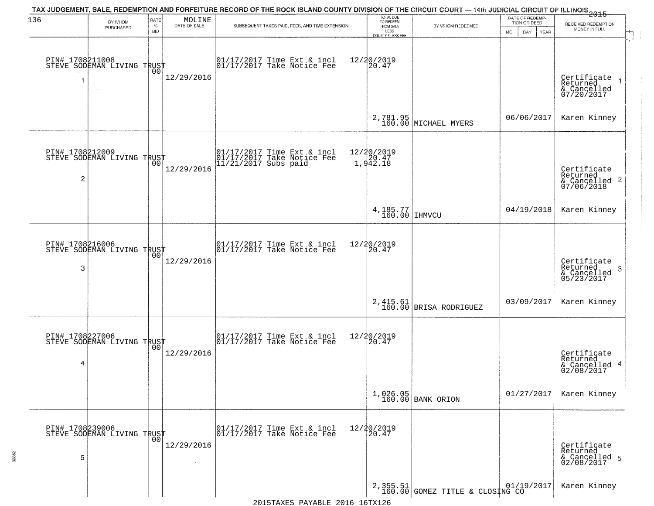| 136                  | BY WHOM<br>PURCHASED                          | RATE<br>$\%$<br><b>BID</b> | $\begin{array}{c} \text{MOLINE} \\ \text{DATE of SALE} \end{array}$ | TAX JUDGEMENT, SALE, REDEMPTION AND FORFEITURE RECORD OF THE ROCK ISLAND COUNTY DIVISION OF THE CIRCUIT COURT — 14th JUDICIAL CIRCUIT OF ILLINOIS 2015<br>SUBSEQUENT TAXES PAID, FEES, AND TIME EXTENSION | TOTAL DUE<br>TO REDEEM<br>FROM SALE<br>LESS<br>COUNTY CLERK FEE | BY WHOM REDEEMED                   | DATE OF REDEMP-<br>TION OR DEED<br><b>MO</b><br>DAY<br><b>YEAR</b> | RECEIVED REDEMPTION<br>MONEY IN FULL                       |
|----------------------|-----------------------------------------------|----------------------------|---------------------------------------------------------------------|-----------------------------------------------------------------------------------------------------------------------------------------------------------------------------------------------------------|-----------------------------------------------------------------|------------------------------------|--------------------------------------------------------------------|------------------------------------------------------------|
| PIN# 1708211008<br>1 | STEVE SODEMAN LIVING TRUST                    | 00                         | 12/29/2016                                                          | $\begin{bmatrix} 01/17/2017 \\ 01/17/2017 \\ 01 \end{bmatrix}$ Take Notice Fee                                                                                                                            | 12/20/2019<br>$ 20.47\rangle$                                   |                                    |                                                                    | Certificate<br>Returned<br>& Cancelled<br>07/20/2017       |
|                      |                                               |                            |                                                                     |                                                                                                                                                                                                           |                                                                 | 2,781.95<br>160.00 MICHAEL MYERS   | 06/06/2017                                                         | Karen Kinney                                               |
| PIN# 1708212009<br>2 | STEVE SODEMAN LIVING TRUST                    |                            | 12/29/2016                                                          | 01/17/2017 Time Ext & incl<br>01/17/2017 Take Notice Fee<br>11/21/2017 Subs paid                                                                                                                          | 12/20/2019<br>1,942.18                                          |                                    |                                                                    | Certificate<br>Returned<br>& Cancelled 2<br>07/06/2018     |
|                      |                                               |                            |                                                                     |                                                                                                                                                                                                           | $4,185.77$<br>160.00 IHMVCU                                     |                                    | 04/19/2018                                                         | Karen Kinney                                               |
| PIN# 1708216006<br>3 | STEVE SODEMAN LIVING TRUST                    | 00                         | 12/29/2016                                                          | 01/17/2017 Time Ext & incl<br>01/17/2017 Take Notice Fee                                                                                                                                                  | 12/20/2019<br>20.47                                             |                                    |                                                                    | Certificate<br>Returned<br>-3<br>& Cancelled<br>05/23/2017 |
|                      |                                               |                            |                                                                     |                                                                                                                                                                                                           |                                                                 | 2,415.61<br>160.00 BRISA RODRIGUEZ | 03/09/2017                                                         | Karen Kinney                                               |
| PIN# 1708227006<br>4 | STEVE SODEMAN LIVING TRUST                    |                            | 12/29/2016                                                          | 01/17/2017 Time Ext & incl<br>01/17/2017 Take Notice Fee                                                                                                                                                  | 12/20/2019<br>20.47                                             |                                    |                                                                    | Certificate<br>Returned<br>& Cancelled 4<br>02/08/2017     |
|                      |                                               |                            |                                                                     |                                                                                                                                                                                                           |                                                                 | $1,026.05$<br>160.00 BANK ORION    | 01/27/2017                                                         | Karen Kinney                                               |
| 5                    | PIN# 1708239006<br>STEVE SODEMAN LIVING TRUST |                            | 12/29/2016                                                          | 01/17/2017 Time Ext & incl<br>01/17/2017 Take Notice Fee                                                                                                                                                  | 12/20/2019<br>20.47                                             |                                    |                                                                    | Certificate<br>Returned<br>& Cancelled 5<br>02/08/2017     |
|                      |                                               |                            |                                                                     |                                                                                                                                                                                                           |                                                                 | 2,355.51 GOMEZ TITLE & CLOSING CO  |                                                                    | Karen Kinney                                               |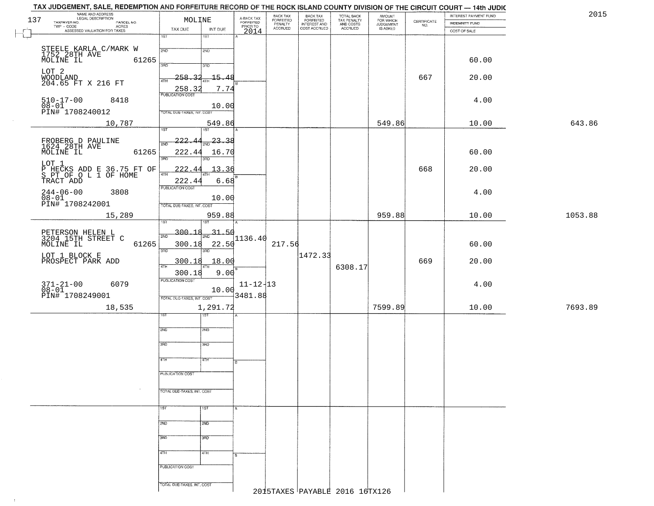|         | INTEREST PAYMENT FUND<br><b>INDEMNITY FUND</b><br>COST OF SALE | CERTIFICATE | <b>AMOUNT</b><br>FOR WHICH<br>JUDGEMENT<br>IS ASKED | TOTAL BACK<br>TAX PENALTY<br>AND COSTS<br>ACCRUED | BACK TAX<br>FORFEITED<br>INTEREST AND<br>COST ACCRUED | BACK TAX<br>FORFEITED<br>PENALTY<br>ACCRUED | A-BACK TAX<br>FORFEITED<br>PRIOR TO | MOLINE<br>INT DUE                   | TAX DUE                    |       | NAME AND ADDRESS<br>LEGAL DESCRIPTION<br>TAXPAYER NO.<br>PARCEL NO.<br>TWP - CODE<br>- CODE ACRES<br>ASSESSED VALUATION FOR TAXES | 137 |
|---------|----------------------------------------------------------------|-------------|-----------------------------------------------------|---------------------------------------------------|-------------------------------------------------------|---------------------------------------------|-------------------------------------|-------------------------------------|----------------------------|-------|-----------------------------------------------------------------------------------------------------------------------------------|-----|
|         |                                                                |             |                                                     |                                                   |                                                       |                                             | 2014                                | 1ST                                 | $\overline{1ST}$           |       |                                                                                                                                   |     |
|         |                                                                |             |                                                     |                                                   |                                                       |                                             |                                     | 2ND                                 | 2ND                        |       | STEELE KARLA C/MARK W<br>1752 28TH AVE                                                                                            |     |
|         | 60.00                                                          |             |                                                     |                                                   |                                                       |                                             |                                     | 3RD                                 | 390                        | 61265 | MOLINE IL                                                                                                                         |     |
|         | 20.00                                                          | 667         |                                                     |                                                   |                                                       |                                             |                                     | $-15 - 48$                          | $-258.32$                  |       | LOT 2<br>WOODLAND<br>204.65 FT X 216 FT                                                                                           |     |
|         |                                                                |             |                                                     |                                                   |                                                       |                                             |                                     | 7.74                                | 4TH<br>258.3               |       |                                                                                                                                   |     |
|         | 4.00                                                           |             |                                                     |                                                   |                                                       |                                             |                                     |                                     | <b>PUBLICATION COST</b>    |       | $510 - 17 - 00$<br>8418                                                                                                           |     |
|         |                                                                |             |                                                     |                                                   |                                                       |                                             |                                     | 10.00                               | TOTAL DUE-TAXES, INT. COST |       | $08-01$<br>PIN# 1708240012                                                                                                        |     |
| 643.86  | 10.00                                                          |             | 549.86                                              |                                                   |                                                       |                                             |                                     | 549.86                              |                            |       | 10,787                                                                                                                            |     |
|         |                                                                |             |                                                     |                                                   |                                                       |                                             |                                     | <b>ST</b>                           | 1ST                        |       |                                                                                                                                   |     |
|         |                                                                |             |                                                     |                                                   |                                                       |                                             |                                     | $23 - 38$                           | 222.4                      |       | FROBERG D PAULINE<br>1624 28TH AVE                                                                                                |     |
|         | 60.00                                                          |             |                                                     |                                                   |                                                       |                                             |                                     | 16.70                               | 222.44<br>3BD              | 61265 | MOLINE IL                                                                                                                         |     |
|         | 20.00                                                          | 668         |                                                     |                                                   |                                                       |                                             |                                     | 13.36                               | 222.44                     |       | LOT 1                                                                                                                             |     |
|         |                                                                |             |                                                     |                                                   |                                                       |                                             |                                     | 6.68                                | 47H<br>222.44              |       | P HECKS ADD E 36.75 FT OF<br>S PT OF O L 1 OF HOME<br>TRACT ADD                                                                   |     |
|         | 4.00                                                           |             |                                                     |                                                   |                                                       |                                             |                                     |                                     | PUBLICATION COST           |       | $244 - 06 - 00$<br>3808                                                                                                           |     |
|         |                                                                |             |                                                     |                                                   |                                                       |                                             |                                     | 10.00                               | TOTAL DUE-TAXES, INT. COST |       | $08 - 01$<br>PIN# 1708242001                                                                                                      |     |
| 1053.88 | 10.00                                                          |             | 959.88                                              |                                                   |                                                       |                                             |                                     | 959.88                              |                            |       | 15,289                                                                                                                            |     |
|         |                                                                |             |                                                     |                                                   |                                                       |                                             |                                     | ST                                  |                            |       |                                                                                                                                   |     |
|         |                                                                |             |                                                     |                                                   |                                                       |                                             | 1136.40                             | 300.18<br>$31 - 50$                 | 2ND                        |       | PETERSON HELEN L<br>3204_15TH STREET C                                                                                            |     |
|         | 60.00                                                          |             |                                                     |                                                   |                                                       | 217.56                                      |                                     | 300.18<br>22.50<br>$3\overline{BD}$ | 3RD                        | 61265 | MOLINE IL                                                                                                                         |     |
|         | 20.00                                                          | 669         |                                                     |                                                   | 1472.33                                               |                                             |                                     | 18.00<br>300.18                     |                            |       | LOT 1 BLOCK E<br>PROSPECT PARK ADD                                                                                                |     |
|         |                                                                |             |                                                     | 6308.17                                           |                                                       |                                             |                                     | 9.00<br>300.18                      |                            |       |                                                                                                                                   |     |
|         | 4.00                                                           |             |                                                     |                                                   |                                                       |                                             | $11 - 12 - 13$                      |                                     | <b>PUBLICATION COST</b>    |       | $371 - 21 - 00$<br>$08 - 01$<br>6079                                                                                              |     |
|         |                                                                |             |                                                     |                                                   |                                                       |                                             | 3481.88                             | 10.00                               | TOTAL OUE-TAXES, INT. COST |       | PIN# 1708249001                                                                                                                   |     |
| 7693.89 | 10.00                                                          |             | 7599.89                                             |                                                   |                                                       |                                             |                                     | 1,291.72                            |                            |       | 18,535                                                                                                                            |     |
|         |                                                                |             |                                                     |                                                   |                                                       |                                             |                                     | डिक                                 |                            |       |                                                                                                                                   |     |
|         |                                                                |             |                                                     |                                                   |                                                       |                                             |                                     | 2ND                                 | 2ND                        |       |                                                                                                                                   |     |
|         |                                                                |             |                                                     |                                                   |                                                       |                                             |                                     | 3BD                                 | 3RD                        |       |                                                                                                                                   |     |
|         |                                                                |             |                                                     |                                                   |                                                       |                                             |                                     |                                     |                            |       |                                                                                                                                   |     |
|         |                                                                |             |                                                     |                                                   |                                                       |                                             |                                     | वाम                                 | 4TH                        |       |                                                                                                                                   |     |
|         |                                                                |             |                                                     |                                                   |                                                       |                                             |                                     |                                     | PUBLICATION COST           |       |                                                                                                                                   |     |
|         |                                                                |             |                                                     |                                                   |                                                       |                                             |                                     |                                     | TOTAL DUE-TAXES, INT. COST |       |                                                                                                                                   |     |
|         |                                                                |             |                                                     |                                                   |                                                       |                                             |                                     |                                     |                            |       |                                                                                                                                   |     |
|         |                                                                |             |                                                     |                                                   |                                                       |                                             |                                     | 1ST                                 | 1ST <sup>1</sup>           |       |                                                                                                                                   |     |
|         |                                                                |             |                                                     |                                                   |                                                       |                                             |                                     | 2ND                                 | 2ND                        |       |                                                                                                                                   |     |
|         |                                                                |             |                                                     |                                                   |                                                       |                                             |                                     | 3RD                                 | 3RD                        |       |                                                                                                                                   |     |
|         |                                                                |             |                                                     |                                                   |                                                       |                                             |                                     |                                     |                            |       |                                                                                                                                   |     |
|         |                                                                |             |                                                     |                                                   |                                                       |                                             |                                     | 4TH                                 | 4TH                        |       |                                                                                                                                   |     |
|         |                                                                |             |                                                     |                                                   |                                                       |                                             |                                     |                                     | PUBLICATION COST           |       |                                                                                                                                   |     |
|         |                                                                |             |                                                     |                                                   |                                                       |                                             |                                     |                                     | TOTAL DUE-TAXES, INT. COST |       |                                                                                                                                   |     |
|         |                                                                |             |                                                     | 2015TAXES PAYABLE 2016 16TX126                    |                                                       |                                             |                                     |                                     |                            |       |                                                                                                                                   |     |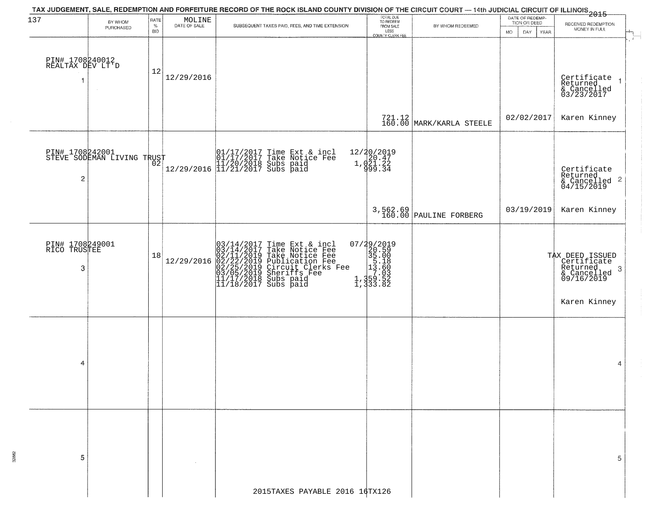| BY WHOM<br>PURCHASED                          | $\%$<br><b>BID</b> | $\begin{array}{c} \text{MOLINE} \\ \text{DATE of SALE} \end{array}$ | SUBSEQUENT TAXES PAID, FEES, AND TIME EXTENSION       | FROM SALE<br>LESS<br>COUNTY CLERK FEE                                                                                                                                                                                                                                                                                                                     | BY WHOM REDEEMED                                                                                                                                                                | DATE OF REDEMP-<br>TION OR DEED<br>MO.<br>DAY<br>YEAR    | RECEIVED REDEMPTION<br>MONEY IN FULL                                                                                                                                 |
|-----------------------------------------------|--------------------|---------------------------------------------------------------------|-------------------------------------------------------|-----------------------------------------------------------------------------------------------------------------------------------------------------------------------------------------------------------------------------------------------------------------------------------------------------------------------------------------------------------|---------------------------------------------------------------------------------------------------------------------------------------------------------------------------------|----------------------------------------------------------|----------------------------------------------------------------------------------------------------------------------------------------------------------------------|
| PIN# 1708240012<br>REALTAX DEV LT'D<br>$\sim$ | 12                 | 12/29/2016                                                          |                                                       |                                                                                                                                                                                                                                                                                                                                                           |                                                                                                                                                                                 |                                                          | Certificate<br>Returned<br>& Cancelled<br>03/23/2017<br>$\mathbf{1}$                                                                                                 |
|                                               |                    |                                                                     |                                                       |                                                                                                                                                                                                                                                                                                                                                           |                                                                                                                                                                                 |                                                          | Karen Kinney                                                                                                                                                         |
|                                               |                    |                                                                     |                                                       |                                                                                                                                                                                                                                                                                                                                                           |                                                                                                                                                                                 |                                                          | Certificate<br>Returned<br>$\begin{array}{c}\n 0.11160 \\  \text{for 1000} \\  0.1156 \\  \text{for 1000} \\  0.0119\n \end{array}$                                  |
|                                               |                    |                                                                     |                                                       |                                                                                                                                                                                                                                                                                                                                                           |                                                                                                                                                                                 | 03/19/2019                                               | Karen Kinney                                                                                                                                                         |
| PIN# 1708249001<br>RICO TRUSTEE               | 18                 | 12/29/2016                                                          |                                                       |                                                                                                                                                                                                                                                                                                                                                           |                                                                                                                                                                                 |                                                          | TAX DEED ISSUED<br>Certificate<br>Returned<br>3<br>& Cancelled<br>09/16/2019<br>Karen Kinney                                                                         |
|                                               |                    |                                                                     |                                                       |                                                                                                                                                                                                                                                                                                                                                           |                                                                                                                                                                                 |                                                          | 4                                                                                                                                                                    |
|                                               |                    |                                                                     |                                                       |                                                                                                                                                                                                                                                                                                                                                           |                                                                                                                                                                                 |                                                          | 5                                                                                                                                                                    |
|                                               |                    |                                                                     | RATE<br>PIN# 1708242001<br>STEVE SODEMAN LIVING TRUST | 01/17/2017 Time Ext & incl<br>01/17/2017 Take Notice Fee<br>11/20/2018 Subs paid<br>12/29/2016 11/21/2017 Subs paid<br>$03/14/2017$ Time Ext & incl<br>03/14/2017 Take Notice Fee<br>02/11/2019 Take Notice Fee<br>02/22/2019 Publication Fee<br>02/25/2019 Circuit Clerks Fee<br>03/05/2019 Sheriffs Fee<br>11/17/2018 Subs paid<br>11/18/2017 Subs paid | TOTAL DUE<br>TO REDEEM<br>12/20/2019<br>1, d20.47<br>1, d21.22<br>999.34<br>$\begin{smallmatrix} 07/29/2019\\20.59\\35.00\\15.18\\21.359\\1,359.52\\1,333.82 \end{smallmatrix}$ | $721.12$ MARK/KARLA STEELE<br>$3,562.69$ PAULINE FORBERG | TAX JUDGEMENT, SALE, REDEMPTION AND FORFEITURE RECORD OF THE ROCK ISLAND COUNTY DIVISION OF THE CIRCUIT COURT — 14th JUDICIAL CIRCUIT OF ILLINOIS 2015<br>02/02/2017 |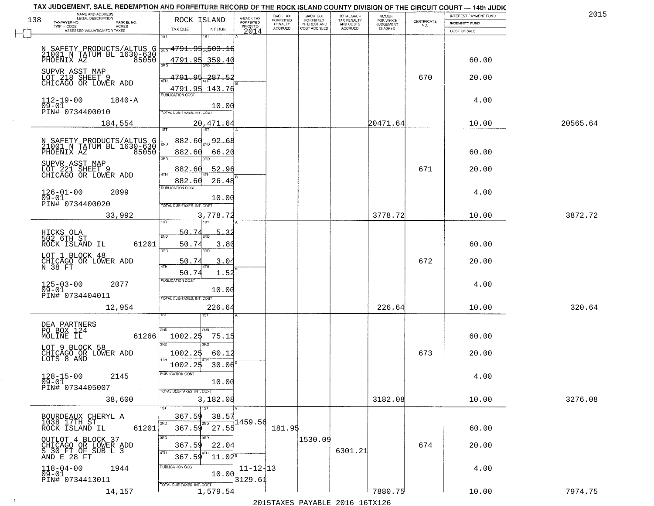|     | TAX JUDGEMENT, SALE, REDEMPTION AND FORFEITURE RECORD OF THE ROCK ISLAND COUNTY DIVISION OF THE CIRCUIT COURT - 14th JUDIC<br>NAME AND ADDRESS<br>LEGAL DESCRIPTION |                                                                    |                           | BACK TAX             | <b>BACK TAX</b>           |                                        |                                         |                                                                 | INTEREST PAYMENT FUND | 2015     |
|-----|---------------------------------------------------------------------------------------------------------------------------------------------------------------------|--------------------------------------------------------------------|---------------------------|----------------------|---------------------------|----------------------------------------|-----------------------------------------|-----------------------------------------------------------------|-----------------------|----------|
| 138 | TAXPAYER NO.<br>PARCEL NO.                                                                                                                                          | ROCK ISLAND                                                        | A-BACK TAX<br>FORFEITED   | FORFEITED<br>PENALTY | FORFEITED<br>INTEREST AND | TOTAL BACK<br>TAX PENALTY<br>AND COSTS | AMOUNT<br>FOR WHICH<br><b>JUDGEMENT</b> | $\begin{array}{c} \text{CERTIFICATE} \\ \text{NO.} \end{array}$ | INDEMNITY FUND        |          |
|     | ACRES<br>ASSESSED VALUATION FOR TAXES                                                                                                                               | TAX DUE<br>INT DUE                                                 | PRIOR TO<br>2014          | <b>ACCRUED</b>       | COST ACCRUED              | ACCRUED                                | IS ASKED                                |                                                                 | COST OF SALE          |          |
|     | N SAFETY PRODUCTS/ALTUS G<br>21001 N TATUM BL 1630-630<br>PHOENIX AZ 85050                                                                                          | 1ST<br>18T<br>$\frac{1}{200}$ 4791.95 $\frac{1}{20}$ 03.16         |                           |                      |                           |                                        |                                         |                                                                 |                       |          |
|     | SUPVR ASST MAP                                                                                                                                                      | 4791.95<br>359.40<br>396                                           |                           |                      |                           |                                        |                                         |                                                                 | 60.00                 |          |
|     | LOT 218 SHEET 9<br>CHICAGO OR LOWER ADD                                                                                                                             | 4791.95 287.52<br>4791.95 143.76<br><b>PUBLICATION COST</b>        |                           |                      |                           |                                        |                                         | 670                                                             | 20.00                 |          |
|     | $112 - 19 - 00$<br>$1840 - A$<br>$09 - 01$<br>PIN# 0734400010                                                                                                       | 10.00<br>TOTAL DUE-TAXES, INT. COST                                |                           |                      |                           |                                        |                                         |                                                                 | 4.00                  |          |
|     | 184,554                                                                                                                                                             | 20,471.64<br>882.60                                                |                           |                      |                           |                                        | 20471.64                                |                                                                 | 10.00                 | 20565.64 |
|     | N SAFETY PRODUCTS/ALTUS G<br>21001 N TATUM BL 1630-630<br>PHOENIX AZ<br>85050                                                                                       | 92.68<br><b>ZND</b><br>882.60<br>66.20<br>3BD<br>3RD               |                           |                      |                           |                                        |                                         |                                                                 | 60.00                 |          |
|     | SUPVR ASST MAP<br>LOT 221 SHEET 9<br>CHICAGO OR LOWER ADD                                                                                                           | 52.96<br>882.60<br>ৰাম<br>882.60<br>26.48                          |                           |                      |                           |                                        |                                         | 671                                                             | 20.00                 |          |
|     | $126 - 01 - 00$<br>2099<br>$09 - 01$<br>PIN# 0734400020                                                                                                             | PUBLICATION COST<br>10.00<br>TOTAL DUE-TAXES, INT. COST            |                           |                      |                           |                                        |                                         |                                                                 | 4.00                  |          |
|     | 33,992                                                                                                                                                              | 3,778.72<br>īst<br>1ST                                             |                           |                      |                           |                                        | 3778.72                                 |                                                                 | 10.00                 | 3872.72  |
|     | HICKS OLA<br>502 6TH ST<br>ROCK ISLAND IL<br>61201                                                                                                                  | 50.7<br>5.,<br>-32<br>2ND<br>50.74<br>3.80<br>3BD<br>3RD           |                           |                      |                           |                                        |                                         |                                                                 | 60.00                 |          |
|     | LOT 1 BLOCK 48<br>CHICAGO OR LOWER ADD<br>N 38 FT                                                                                                                   | 50.74<br>3.04<br>ATH<br>50.74<br>1.52                              |                           |                      |                           |                                        |                                         | 672                                                             | 20.00                 |          |
|     | 125-03-00<br>09-01<br>2077<br>PIN# 0734404011                                                                                                                       | <b>PUBLICATION COST</b><br>10.00<br>TOTAL OUE-TAXES, INT. COST     |                           |                      |                           |                                        |                                         |                                                                 | 4.00                  |          |
|     | 12,954                                                                                                                                                              | 226.64                                                             |                           |                      |                           |                                        | 226.64                                  |                                                                 | 10.00                 | 320.64   |
|     | DEA PARTNERS<br>PO BOX 124<br>MOLINE IL<br>61266                                                                                                                    | 2ND<br>2ND.<br>1002.25<br>75.15<br>3RD<br><b>IRD</b>               |                           |                      |                           |                                        |                                         |                                                                 | 60.00                 |          |
|     | LOT 9 BLOCK 58<br>CHICAGO OR LOWER ADD<br>LOTS 8 AND                                                                                                                | 1002.25<br>60.12<br>$30.06^{8}$<br>1002.25                         |                           |                      |                           |                                        |                                         | 673                                                             | 20.00                 |          |
|     | $128 - 15 - 00$<br>2145<br>$09 - 01$<br>PIN# 0734405007<br><b>Contract</b>                                                                                          | PUBLICATION COS<br>10.00<br>TOTAL DUE-TAXES, INT. COST             |                           |                      |                           |                                        |                                         |                                                                 | 4.00                  |          |
|     | 38,600                                                                                                                                                              | 3,182.08<br>$\overline{1}$ ST                                      |                           |                      |                           |                                        | 3182.08                                 |                                                                 | 10.00                 | 3276.08  |
|     | BOURDEAUX CHERYL A<br>1038 17TH ST<br>ROCK ISLAND IL<br>61201                                                                                                       | 367.59<br>38.57<br>2ND<br>2ND<br>27.55<br>367.59                   | 1459.56                   | 181.95               |                           |                                        |                                         |                                                                 | 60.00                 |          |
|     | OUTLOT 4 BLOCK 37<br>CHICAGO OR LOWER ADD<br>S 30 FT OF SUB L 3<br>AND E 28 FT                                                                                      | 3RD<br>3RD<br>22.04<br>367.59<br>4TH<br>4TH<br>367.59<br>$11.02^s$ |                           |                      | 1530.09                   | 6301.21                                |                                         | 674                                                             | 20.00                 |          |
|     | $118 - 04 - 00$<br>1944<br>$09 - 01$<br>PIN# 0734413011                                                                                                             | PUBLICATION COST<br>10.00<br>TOTAL DUE-TAXES, INT. COST            | $11 - 12 + 13$<br>3129.61 |                      |                           |                                        |                                         |                                                                 | 4.00                  |          |
|     | 14,157                                                                                                                                                              | 1,579.54                                                           |                           |                      |                           |                                        | 7880.75                                 |                                                                 | 10.00                 | 7974.75  |

 $\sim 10^{-1}$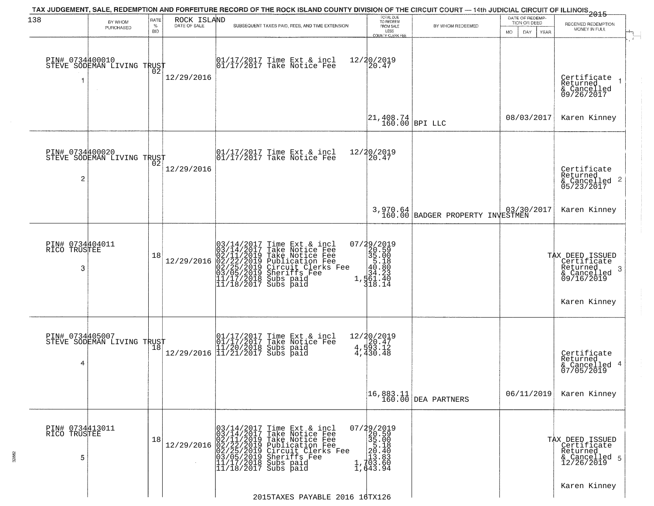| 138                                  | BY WHOM                                           | RATE               | ROCK ISLAND  | TAX JUDGEMENT, SALE, REDEMPTION AND FORFEITURE RECORD OF THE ROCK ISLAND COUNTY DIVISION OF THE CIRCUIT COURT — 14th JUDICIAL CIRCUIT OF ILLINOIS 2015                                                                                                       | TOTAL DUE<br>TO REDEEM                                                                                                  |                                                                  | DATE OF REDEMP-<br>TION OR DEED | RECEIVED REDEMPTION                                                                                      |
|--------------------------------------|---------------------------------------------------|--------------------|--------------|--------------------------------------------------------------------------------------------------------------------------------------------------------------------------------------------------------------------------------------------------------------|-------------------------------------------------------------------------------------------------------------------------|------------------------------------------------------------------|---------------------------------|----------------------------------------------------------------------------------------------------------|
|                                      | PURCHASED                                         | $\%$<br><b>BID</b> | DATE OF SALE | SUBSEQUENT TAXES PAID, FEES, AND TIME EXTENSION                                                                                                                                                                                                              | FROM SALE<br>LESS<br><b>COUNTY CLERK FEE</b>                                                                            | BY WHOM REDEEMED                                                 | MO.<br>DAY.<br>YEAR             | MONEY IN FULL                                                                                            |
|                                      | PIN# 0734400010    <br>STEVE SODEMAN LIVING TRUST | ŌŽ                 | 12/29/2016   | 01/17/2017 Time Ext & incl<br>01/17/2017 Take Notice Fee                                                                                                                                                                                                     | 12/20/2019<br>20.47                                                                                                     |                                                                  |                                 | Certificate<br>Returned<br>& Cancelled<br>09/26/2017                                                     |
|                                      |                                                   |                    |              |                                                                                                                                                                                                                                                              | $\begin{vmatrix} 21,408.74 \\ 160.00 \end{vmatrix}$ BPI LLC                                                             |                                                                  | 08/03/2017                      | Karen Kinney                                                                                             |
| $\overline{c}$                       | PIN# 0734400020<br>STEVE SODEMAN LIVING TRUST     |                    | 12/29/2016   | $\begin{array}{cc}  01/17/2017 \text{ Time} & \text{Ext} & \text{incl} \\  01/17/2017 \text{ Take Notice } \text{Fe} \end{array}$                                                                                                                            | 12/20/2019<br>20.47                                                                                                     |                                                                  |                                 | Certificate<br>Returned<br>& Cancelled 2<br>05/23/2017                                                   |
|                                      |                                                   |                    |              |                                                                                                                                                                                                                                                              |                                                                                                                         | 3,970.64<br>160.00 BADGER PROPERTY INVESTMEN                     | 03/30/2017                      | Karen Kinney                                                                                             |
| PIN# 0734404011<br>RICO TRUSTEE<br>3 |                                                   | 18                 | 12/29/2016   | $03/14/2017$ Time Ext & incl<br>$03/14/2017$ Take Notice Fee<br>$02/11/2019$ Take Notice Fee<br>$02/22/2019$ Publication Fee<br>$03/05/2019$ Sheriffs Fee<br>$11/17/2018$ Subs paid<br>$11/18/2017$ Subs paid                                                | 07/29/2019<br>$20.50$<br>$35.00$<br>$35.18$<br>$40.80$<br>$44.23$<br>1, 461.40<br>318.14                                |                                                                  |                                 | TAX DEED ISSUED<br>Certificate<br>Returned<br>3<br>$\frac{1}{2}$ Cancelled<br>09/16/2019<br>Karen Kinney |
| PIN# 0734405007<br>4                 | STEVE SODEMAN LIVING TRUST                        | 18                 |              | 01/17/2017 Time Ext & incl<br>01/17/2017 Take Notice Fee<br>11/20/2018 Subs paid<br>12/29/2016 11/21/2017 Subs paid                                                                                                                                          | $\begin{array}{r} 12/20/2019 \\ 4.920.47 \\ \frac{4}{9}3.12 \end{array}$<br>4,430.48                                    |                                                                  |                                 | Certificate<br>Returned<br>& Cancelled 4<br>07/05/2019                                                   |
|                                      |                                                   |                    |              |                                                                                                                                                                                                                                                              |                                                                                                                         | $\begin{bmatrix} 16,883.11 \\ 160.00 \end{bmatrix}$ DEA PARTNERS | 06/11/2019                      | Karen Kinney                                                                                             |
| PIN# 0734413011<br>RICO TRUSTEE<br>5 |                                                   | 18                 |              | 03/14/2017<br>03/14/2017<br>Time Ext & incl<br>Take Notice Fee<br>12/29/2016 02/11/2019 Take Notice Fee<br>12/29/2016 02/22/2019 Publication Fee<br>02/25/2019 Circuit Clerks Fee<br>03/05/2019 Sheriffs Fee<br>11/17/2018 Subs paid<br>11/18/2017 Subs paid | 07/29/2019<br>20.59<br>35.00<br>$\begin{array}{r} 35.18 \\ 25.18 \\ 20.40 \\ 13.83 \\ 1,703.60 \\ 1,643.94 \end{array}$ |                                                                  |                                 | TAX DEED ISSUED<br>Certificate<br>Returned<br>& Cancelled 5<br>12/26/2019                                |
|                                      |                                                   |                    |              | 2015TAXES PAYABLE 2016 16TX126                                                                                                                                                                                                                               |                                                                                                                         |                                                                  |                                 | Karen Kinney                                                                                             |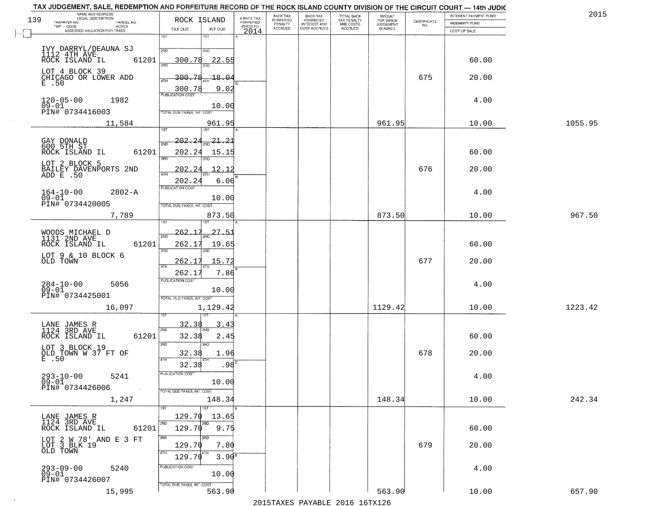| TAX JUDGEMENT, SALE, REDEMPTION AND FORFEITURE RECORD OF THE ROCK ISLAND COUNTY DIVISION OF THE CIRCUIT COURT - 14th JUDIC<br>NAME AND ADDRESS<br>LEGAL DESCRIPTION |                                                         |                                     | BACK TAX             | <b>BACK TAX</b>           |                                        | AMOUNT<br>FOR WHICH |                                                                 | INTEREST PAYMENT FUND | 2015    |
|---------------------------------------------------------------------------------------------------------------------------------------------------------------------|---------------------------------------------------------|-------------------------------------|----------------------|---------------------------|----------------------------------------|---------------------|-----------------------------------------------------------------|-----------------------|---------|
| 139<br>TAXPAYER NO.<br>PARCEL NO.<br>ACRES                                                                                                                          | ROCK ISLAND                                             | A-BACK TAX<br>FORFEITED<br>PRIOR TO | FORFEITED<br>PENALTY | FORFEITED<br>INTEREST AND | TOTAL BACK<br>TAX PENALTY<br>AND COSTS | <b>JUDGEMENT</b>    | $\begin{array}{c} \text{CERTIFICATE} \\ \text{NO.} \end{array}$ | INDEMNITY FUND        |         |
| ASSESSED VALUATION FOR TAXES                                                                                                                                        | TAX DUE<br>INT DUE                                      | 2014                                | <b>ACCRUED</b>       | COST ACCRUED              | ACCRUED                                | IS ASKED            |                                                                 | COST OF SALE          |         |
|                                                                                                                                                                     | 1ST<br>$1S$ T                                           |                                     |                      |                           |                                        |                     |                                                                 |                       |         |
| IVY DARRYL/DEAUNA SJ<br>1112 4TH AVE<br>ROCK ISLAND IL<br>61201                                                                                                     | 2ND<br>2ND<br>300.78<br>22.55                           |                                     |                      |                           |                                        |                     |                                                                 | 60.00                 |         |
| LOT 4 BLOCK 39<br>CHICAGO OR LOWER ADD<br>E .50                                                                                                                     | 300.78<br>18.04                                         |                                     |                      |                           |                                        |                     | 675                                                             | 20.00                 |         |
| $120 - 05 - 00$<br>1982                                                                                                                                             | 9.02<br>$\frac{300.78}{PUBUCATONCGST}$                  |                                     |                      |                           |                                        |                     |                                                                 | 4.00                  |         |
| $09 - 01$<br>PIN# 0734416003                                                                                                                                        | 10.00<br>TOTAL DUE-TAXES, INT. COST                     |                                     |                      |                           |                                        |                     |                                                                 |                       |         |
| 11,584                                                                                                                                                              | 961.95                                                  |                                     |                      |                           |                                        | 961.95              |                                                                 | 10.00                 | 1055.95 |
| GAY DONALD<br>600 5TH ST<br>61201<br>ROCK ISLAND IL                                                                                                                 | 202.24<br>$\frac{21.21}{210}$<br>2ND<br>202.24<br>15.15 |                                     |                      |                           |                                        |                     |                                                                 | 60.00                 |         |
| LOT 2 BLOCK 5                                                                                                                                                       | 3RD<br>3RD<br>202.24<br>12.12                           |                                     |                      |                           |                                        |                     | 676                                                             | 20.00                 |         |
| BAILEY DAVENPORTS 2ND<br>ADD E .50                                                                                                                                  | ৰাম<br>6.06<br>202.24                                   |                                     |                      |                           |                                        |                     |                                                                 |                       |         |
| $164 - 10 - 00$<br>$2802 - A$<br>$09 - 01$<br>PIN# 0734420005                                                                                                       | PUBLICATION COST<br>10.00<br>TOTAL DUE-TAXES, INT. COST |                                     |                      |                           |                                        |                     |                                                                 | 4.00                  |         |
| 7,789                                                                                                                                                               | 873.50<br>isT                                           |                                     |                      |                           |                                        | 873.50              |                                                                 | 10.00                 | 967.50  |
| WOODS MICHAEL D<br>1131 2ND AVE                                                                                                                                     | $-262.17$<br>$27 - 5$<br>2ND                            |                                     |                      |                           |                                        |                     |                                                                 |                       |         |
| ROCK ISLAND IL<br>61201<br>LOT 9 & 10 BLOCK 6                                                                                                                       | 262.17<br>19.65<br>3RD<br>3RD                           |                                     |                      |                           |                                        |                     |                                                                 | 60.00                 |         |
| OLD TOWN                                                                                                                                                            | 262.17<br>15.72<br>4TH<br>262.17<br>7.86                |                                     |                      |                           |                                        |                     | 677                                                             | 20.00                 |         |
| $284-10-00$<br>09-01<br>5056                                                                                                                                        | <b>PUBLICATION COST</b><br>10.00                        |                                     |                      |                           |                                        |                     |                                                                 | 4.00                  |         |
| PIN# 0734425001<br>16,097                                                                                                                                           | TOTAL OUE-TAXES, INT. COST                              |                                     |                      |                           |                                        | 1129.42             |                                                                 | 10.00                 | 1223.42 |
|                                                                                                                                                                     | 1,129.42                                                |                                     |                      |                           |                                        |                     |                                                                 |                       |         |
| LANE JAMES R<br>1124 3RD AVE<br>ROCK ISLAND IL<br>61201                                                                                                             | 32.38<br>3.4<br>2ND<br>32.38<br>2.45                    |                                     |                      |                           |                                        |                     |                                                                 | 60.00                 |         |
| LOT 3 BLOCK 19<br>OLD TOWN W 37 FT OF<br>E .50                                                                                                                      | 3 <sub>BD</sub><br>3RD<br>32.38<br>1.96<br>4TH          |                                     |                      |                           |                                        |                     | 678                                                             | 20.00                 |         |
| $293 - 10 - 00$<br>5241                                                                                                                                             | .98 <sup>5</sup><br>32.38<br>PUBLICATION COS            |                                     |                      |                           |                                        |                     |                                                                 | 4.00                  |         |
| $09 - 01$<br>PIN# 0734426006<br>$\sim 100$ km $^{-1}$                                                                                                               | 10.00<br>TOTAL DUE-TAXES, INT. COST                     |                                     |                      |                           |                                        |                     |                                                                 |                       |         |
| 1,247                                                                                                                                                               | 148.34<br>1ST                                           |                                     |                      |                           |                                        | 148.34              |                                                                 | 10.00                 | 242.34  |
| LANE JAMES R<br>1124 3RD AVE                                                                                                                                        | 129.70<br>13.65<br>2ND<br>2ND                           |                                     |                      |                           |                                        |                     |                                                                 |                       |         |
| ROCK ISLAND IL<br>61201<br>LOT 2 W 78' AND E 3 FT<br>LOT 3 BLK 19                                                                                                   | 129.70<br>9.75<br>3RD<br>3RD                            |                                     |                      |                           |                                        |                     |                                                                 | 60.00                 |         |
| OLD TOWN                                                                                                                                                            | 129.70<br>7.80<br>4TH<br>129.70<br>3.90 <sup>B</sup>    |                                     |                      |                           |                                        |                     | 679                                                             | 20.00                 |         |
| $293 - 09 - 00$<br>5240<br>$09 - 01$                                                                                                                                | PUBLICATION COST<br>10.00                               |                                     |                      |                           |                                        |                     |                                                                 | 4.00                  |         |
| PIN# 0734426007<br>15,995                                                                                                                                           | TOTAL DUE-TAXES, INT. COST<br>563.90                    |                                     |                      |                           |                                        | 563.90              |                                                                 | 10.00                 | 657.90  |

 $\sim 10^{-1}$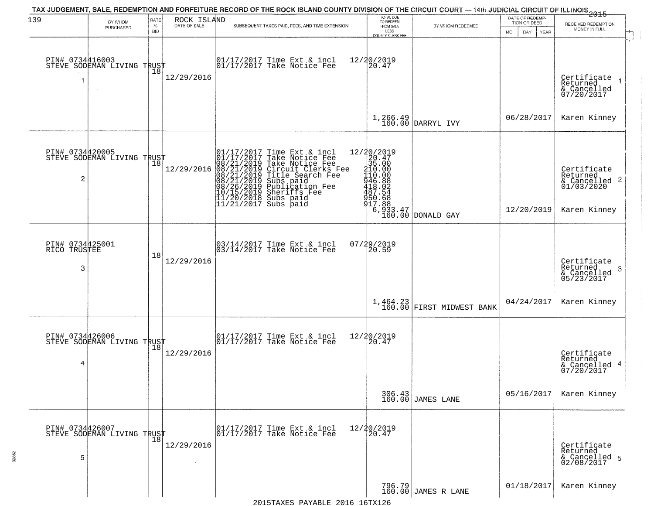| 139                                  | BY WHOM<br>PURCHASED                          | RATE<br>$\%$<br><b>BID</b> | ROCK ISLAND | TAX JUDGEMENT, SALE, REDEMPTION AND FORFEITURE RECORD OF THE ROCK ISLAND COUNTY DIVISION OF THE CIRCUIT COURT — 14th JUDICIAL CIRCUIT OF ILLINOIS 2015<br>SUBSEQUENT TAXES PAID, FEES, AND TIME EXTENSION                                             | TOTAL DUE<br>TO REDEEM<br>FROM SALE<br>LESS<br>COUNTY CLERK FEE                                                                                                 | BY WHOM REDEEMED              | DATE OF REDEMP-<br>TION OR DEED<br><b>MO</b><br>DAY<br>YEAR | RECEIVED REDEMPTION<br>MONEY IN FULL                                   |
|--------------------------------------|-----------------------------------------------|----------------------------|-------------|-------------------------------------------------------------------------------------------------------------------------------------------------------------------------------------------------------------------------------------------------------|-----------------------------------------------------------------------------------------------------------------------------------------------------------------|-------------------------------|-------------------------------------------------------------|------------------------------------------------------------------------|
| PIN# 0734416003                      | STEVE SODEMAN LIVING TRUST<br>$\sim$          | 18                         | 12/29/2016  | $\begin{bmatrix} 01/17/2017 \\ 17/17/2017 \end{bmatrix}$ Take Notice Fee                                                                                                                                                                              | 12/20/2019<br>$ 20.47\rangle$                                                                                                                                   |                               |                                                             | Certificate<br>Returned<br>& Cancelled<br>07/20/2017                   |
|                                      |                                               |                            |             |                                                                                                                                                                                                                                                       | 1,266.49<br>160.00                                                                                                                                              | DARRYL IVY                    | 06/28/2017                                                  | Karen Kinney                                                           |
| 2                                    | PIN# 0734420005<br>STEVE SODEMAN LIVING TRUST |                            | 12/29/2016  | 01/17/2017 Time Ext & incl<br>01/17/2017 Take Notice Fee<br>08/21/2019 Take Notice Fee<br>08/21/2019 Circuit Clerks Fee<br>08/21/2019 Title Search Fee<br>08/21/2019 Subs paid<br>08/26/2019 Subsidion Fee<br>10/15/2019 Sheriffs Fee<br>11/20/2018 S | $[ \begin{smallmatrix} 12/20/2019\\20.47\\215.000\\110.000\\110.000\\446.802\\487.524\\487.562\\500.688\\17.80\\8\end{smallmatrix} ]$<br>$6,933.47$<br>$160.00$ |                               | 12/20/2019                                                  | Certificate<br>Returned<br>& Cancelled 2<br>01/03/2020<br>Karen Kinney |
|                                      |                                               |                            |             |                                                                                                                                                                                                                                                       |                                                                                                                                                                 | DONALD GAY                    |                                                             |                                                                        |
| PIN# 0734425001<br>RICO TRUSTEE<br>3 |                                               | 18                         | 12/29/2016  | 03/14/2017 Time Ext & incl<br>03/14/2017 Take Notice Fee                                                                                                                                                                                              | 07/29/2019<br>20.59                                                                                                                                             |                               |                                                             | Certificate<br>Returned<br>-3<br>& Cancelled<br>05/23/2017             |
|                                      |                                               |                            |             |                                                                                                                                                                                                                                                       | 1,464.23<br>160.00                                                                                                                                              | <b>FIRST MIDWEST BANK</b>     | 04/24/2017                                                  | Karen Kinney                                                           |
| PIN# 0734426006<br>4                 | STEVE SODEMAN LIVING TRUST                    |                            | 12/29/2016  | $\begin{array}{cc} 01/17/2017 & \text{Time Ext} & \text{incl} \\ 01/17/2017 & \text{Take Notice Fee} \end{array}$                                                                                                                                     | 12/20/2019<br>20.47                                                                                                                                             |                               |                                                             | Certificate<br>Returned<br>& Cancelled 4<br>07/20/2017                 |
|                                      |                                               |                            |             |                                                                                                                                                                                                                                                       |                                                                                                                                                                 | 306.43<br>160.00 JAMES LANE   | 05/16/2017                                                  | Karen Kinney                                                           |
| PIN# 0734426007<br>5                 | STEVE SODEMAN LIVING TRUST                    |                            | 12/29/2016  | 01/17/2017 Time Ext & incl<br>01/17/2017 Take Notice Fee                                                                                                                                                                                              | 12/20/2019<br>20.47                                                                                                                                             |                               |                                                             | Certificate<br>Returned<br>& Cancelled 5<br>02/08/2017                 |
|                                      |                                               |                            |             |                                                                                                                                                                                                                                                       |                                                                                                                                                                 | 796.79<br>160.00 JAMES R LANE | 01/18/2017                                                  | Karen Kinney                                                           |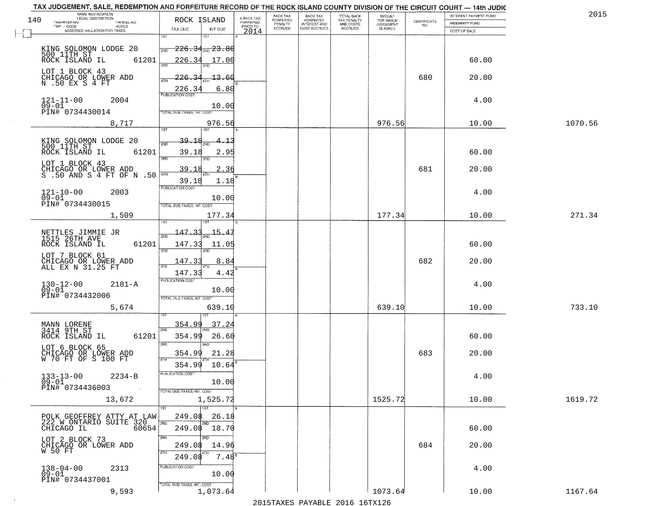|           | TAX JUDGEMENT, SALE, REDEMPTION AND FORFEITURE RECORD OF THE ROCK ISLAND COUNTY DIVISION OF THE CIRCUIT COURT - 14th JUDIC |                            |          |                                     |                           |                                     |                                        |                              |                                                                 |                       | 2015    |
|-----------|----------------------------------------------------------------------------------------------------------------------------|----------------------------|----------|-------------------------------------|---------------------------|-------------------------------------|----------------------------------------|------------------------------|-----------------------------------------------------------------|-----------------------|---------|
| 140       | NAME AND ADDRESS<br>LEGAL DESCRIPTION<br>TAXPAYER NO.<br>PARCEL NO.                                                        | ROCK ISLAND                |          | A-BACK TAX<br>FORFEITED<br>PRIOR TO | BACK TAX<br>FORFEITED     | <b>BACK TAX</b><br>FORFEITED        | TOTAL BACK<br>TAX PENALTY<br>AND COSTS | AMOUNT<br>FOR WHICH          |                                                                 | INTEREST PAYMENT FUND |         |
|           | TWP - CODE<br>ACRES<br>ASSESSED VALUATION FOR TAXES                                                                        | TAX DUE                    | INT DUE  |                                     | PENALTY<br><b>ACCRUED</b> | <b>INTEREST AND</b><br>COST ACCRUED | <b>ACCRUED</b>                         | <b>JUDGEMENT</b><br>IS ASKED | $\begin{array}{c} \text{CERTIFICATE} \\ \text{NO.} \end{array}$ | <b>INDEMNITY FUND</b> |         |
|           |                                                                                                                            | 1ST<br>1ST                 |          | 2014                                |                           |                                     |                                        |                              |                                                                 | COST OF SALE          |         |
|           |                                                                                                                            | $226.34_{\rm 200}$ $23.80$ |          |                                     |                           |                                     |                                        |                              |                                                                 |                       |         |
|           | KING SOLOMON LODGE 20<br>500 11TH ST<br>ROCK ISLAND IL 6:                                                                  | 2ND                        |          |                                     |                           |                                     |                                        |                              |                                                                 |                       |         |
|           | 61201                                                                                                                      | 226.34<br>350              | 17.00    |                                     |                           |                                     |                                        |                              |                                                                 | 60.00                 |         |
|           | LOT 1 BLOCK 43                                                                                                             | 226.3.                     | 13.60    |                                     |                           |                                     |                                        |                              | 680                                                             | 20.00                 |         |
|           | CHICAGO OR LOWER ADD<br>N .50 EX S 4 FT                                                                                    | ATH                        |          |                                     |                           |                                     |                                        |                              |                                                                 |                       |         |
|           |                                                                                                                            | 226.34                     | 6.80     |                                     |                           |                                     |                                        |                              |                                                                 |                       |         |
| $09 - 01$ | $121 - 11 - 00$<br>2004                                                                                                    |                            | 10.00    |                                     |                           |                                     |                                        |                              |                                                                 | 4.00                  |         |
|           | PIN# 0734430014                                                                                                            | TOTAL DUE-TAXES, INT. COST |          |                                     |                           |                                     |                                        |                              |                                                                 |                       |         |
|           | 8,717                                                                                                                      |                            | 976.56   |                                     |                           |                                     |                                        | 976.56                       |                                                                 | 10.00                 | 1070.56 |
|           |                                                                                                                            | 1ST                        |          |                                     |                           |                                     |                                        |                              |                                                                 |                       |         |
|           | KING SOLOMON LODGE 20<br>500_11TH ST                                                                                       | 39.18                      |          |                                     |                           |                                     |                                        |                              |                                                                 |                       |         |
|           | 61201<br>ROCK ISLAND IL                                                                                                    | 39.18                      | 2.95     |                                     |                           |                                     |                                        |                              |                                                                 | 60.00                 |         |
|           | LOT 1 BLOCK 43                                                                                                             | 3RD                        |          |                                     |                           |                                     |                                        |                              |                                                                 |                       |         |
|           | CHICAGO OR LOWER ADD<br>S.50 AND S 4 FT OF N .50 TH                                                                        | 39.18                      | 2.36     |                                     |                           |                                     |                                        |                              | 681                                                             | 20.00                 |         |
|           |                                                                                                                            | 39.18                      | 1.18     |                                     |                           |                                     |                                        |                              |                                                                 |                       |         |
|           | $121 - 10 - 00$<br>2003                                                                                                    | PUBLICATION COST           |          |                                     |                           |                                     |                                        |                              |                                                                 | 4.00                  |         |
| $09 - 01$ | PIN# 0734430015                                                                                                            | TOTAL DUE-TAXES, INT. COST | 10.00    |                                     |                           |                                     |                                        |                              |                                                                 |                       |         |
|           | 1,509                                                                                                                      |                            | 177.34   |                                     |                           |                                     |                                        | 177.34                       |                                                                 | 10.00                 | 271.34  |
|           |                                                                                                                            | i ST                       |          |                                     |                           |                                     |                                        |                              |                                                                 |                       |         |
|           | NETTLES JIMMIE JR<br>1515 26TH AVE                                                                                         | <u> 147.33</u><br>2ND      | 15.      |                                     |                           |                                     |                                        |                              |                                                                 |                       |         |
|           | ROCK ISLAND IL<br>61201                                                                                                    | 147.33                     | 11.05    |                                     |                           |                                     |                                        |                              |                                                                 | 60.00                 |         |
|           | LOT 7 BLOCK 61                                                                                                             | 3BD<br>3RD                 |          |                                     |                           |                                     |                                        |                              |                                                                 |                       |         |
|           | CHICAGO OR LOWER ADD<br>ALL EX N 31.25 FT                                                                                  | 147.33<br>4TH              | 8.84     |                                     |                           |                                     |                                        |                              | 682                                                             | 20.00                 |         |
|           |                                                                                                                            | 147.33                     | 4.42     |                                     |                           |                                     |                                        |                              |                                                                 |                       |         |
|           | $2181 - A$                                                                                                                 | <b>PUBLICATION COST</b>    |          |                                     |                           |                                     |                                        |                              |                                                                 | 4.00                  |         |
|           | $130 - 12 - 00$<br>09-01<br>PIN# 0734432006                                                                                |                            | 10.00    |                                     |                           |                                     |                                        |                              |                                                                 |                       |         |
|           |                                                                                                                            | TOTAL OUE-TAXES, INT. COST |          |                                     |                           |                                     |                                        |                              |                                                                 |                       |         |
|           | 5,674                                                                                                                      |                            | 639.10   |                                     |                           |                                     |                                        | 639.10                       |                                                                 | 10.00                 | 733.10  |
|           | MANN LORENE                                                                                                                | 354.99                     | 37.24    |                                     |                           |                                     |                                        |                              |                                                                 |                       |         |
|           | 3414 9TH ST<br>ROCK ISLAND IL<br>61201                                                                                     | 2ND<br>354.99              | 26.60    |                                     |                           |                                     |                                        |                              |                                                                 | 60.00                 |         |
|           |                                                                                                                            | 3RD<br>3RD                 |          |                                     |                           |                                     |                                        |                              |                                                                 |                       |         |
|           | LOT 6 BLOCK 65<br>CHICAGO OR LOWER ADD<br>W 70 FT OF S 100 FT                                                              | 354.99                     | 21.28    |                                     |                           |                                     |                                        |                              | 683                                                             | 20.00                 |         |
|           |                                                                                                                            | 4TH<br>354.99              | 10.64    |                                     |                           |                                     |                                        |                              |                                                                 |                       |         |
|           | $133 - 13 - 00$<br>$2234 - B$                                                                                              | PUBLICATION COST           |          |                                     |                           |                                     |                                        |                              |                                                                 | 4.00                  |         |
| $09 - 01$ |                                                                                                                            |                            | 10.00    |                                     |                           |                                     |                                        |                              |                                                                 |                       |         |
|           | PIN# 0734436003<br><b>Contract Contract</b>                                                                                | TOTAL DUE-TAXES, INT. COST |          |                                     |                           |                                     |                                        |                              |                                                                 |                       |         |
|           | 13,672                                                                                                                     |                            | 1,525.72 |                                     |                           |                                     |                                        | 1525.72                      |                                                                 | 10.00                 | 1619.72 |
|           | POLK GEOFFREY ATTY AT LAW                                                                                                  | $\overline{1ST}$<br>249.08 | 26.18    |                                     |                           |                                     |                                        |                              |                                                                 |                       |         |
|           | 222 W ONTARIO SUITE 320                                                                                                    | 2ND<br>2ND                 |          |                                     |                           |                                     |                                        |                              |                                                                 |                       |         |
|           | 60654<br>CHICAGO IL                                                                                                        | 249.08 18.70<br>3RD        |          |                                     |                           |                                     |                                        |                              |                                                                 | 60.00                 |         |
|           | LOT 2 BLOCK 73<br>CHICAGO OR LOWER ADD                                                                                     | 249.08                     | 14.96    |                                     |                           |                                     |                                        |                              | 684                                                             | 20.00                 |         |
| W 50 FT   |                                                                                                                            | 4TH<br>249.08              | $7.48^s$ |                                     |                           |                                     |                                        |                              |                                                                 |                       |         |
|           |                                                                                                                            | PUBLICATION COST           |          |                                     |                           |                                     |                                        |                              |                                                                 |                       |         |
| $09 - 01$ | $138 - 04 - 00$<br>2313                                                                                                    |                            | 10.00    |                                     |                           |                                     |                                        |                              |                                                                 | 4.00                  |         |
|           | PIN# 0734437001                                                                                                            | TOTAL DUE-TAXES, INT. COST |          |                                     |                           |                                     |                                        |                              |                                                                 |                       |         |
|           | 9,593                                                                                                                      |                            | 1,073.64 |                                     |                           |                                     |                                        | 1073.64                      |                                                                 | 10.00                 | 1167.64 |

 $\sim 100$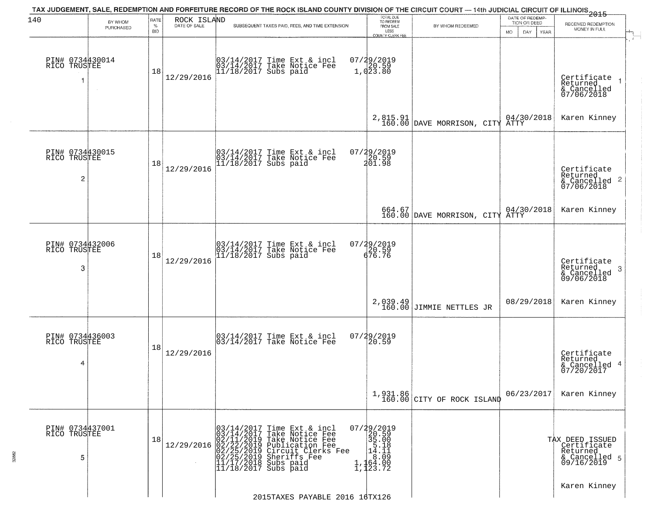| 140                                  | BY WHOM   | RATE               | ROCK ISLAND  |                          | TAX JUDGEMENT, SALE, REDEMPTION AND FORFEITURE RECORD OF THE ROCK ISLAND COUNTY DIVISION OF THE CIRCUIT COURT — 14th JUDICIAL CIRCUIT OF ILLINOIS 2015                                                    | TOTAL DUE<br>TO REDEEM                                                                |                                           | DATE OF REDEMP<br>TION OR DEED |                                                                           |
|--------------------------------------|-----------|--------------------|--------------|--------------------------|-----------------------------------------------------------------------------------------------------------------------------------------------------------------------------------------------------------|---------------------------------------------------------------------------------------|-------------------------------------------|--------------------------------|---------------------------------------------------------------------------|
|                                      | PURCHASED | $\%$<br><b>BID</b> | DATE OF SALE |                          | SUBSEQUENT TAXES PAID, FEES, AND TIME EXTENSION                                                                                                                                                           | FROM SALE<br>LESS<br>COUNTY CLERK FEE                                                 | BY WHOM REDEEMED                          | DAY.<br>MO.<br>YEAR            | RECEIVED REDEMPTION<br>MONEY IN FULL                                      |
| PIN# 0734430014<br>RICO TRUSTEE<br>1 | $\sim$    | 18                 | 12/29/2016   |                          | 03/14/2017 Time Ext & incl<br>03/14/2017 Take Notice Fee<br>11/18/2017 Subs paid                                                                                                                          | 07/29/2019<br>20.59<br>1,023.80                                                       |                                           |                                | Certificate<br>Returned<br>& Cancelled<br>07/06/2018                      |
|                                      |           |                    |              |                          |                                                                                                                                                                                                           |                                                                                       | 2,815.91 DAVE MORRISON, CITY ATTY         |                                | Karen Kinney                                                              |
| PIN# 0734430015<br>RICO TRUSTEE<br>2 |           | 18                 | 12/29/2016   |                          | 03/14/2017 Time Ext & incl<br>03/14/2017 Take Notice Fee<br>11/18/2017 Subs paid                                                                                                                          | 07/29/2019<br>20.59<br>201.98                                                         |                                           |                                | Certificate<br>Returned<br>& Cancelled 2<br>07/06/2018                    |
|                                      |           |                    |              |                          |                                                                                                                                                                                                           |                                                                                       | 664.67<br>160.00 DAVE MORRISON, CITY ATTY |                                | Karen Kinney                                                              |
| PIN# 0734432006<br>RICO TRUSTEE<br>3 |           | 18                 | 12/29/2016   |                          | 03/14/2017 Time Ext & incl<br>03/14/2017 Take Notice Fee<br>11/18/2017 Subs paid                                                                                                                          | 07/29/2019<br>20.59<br>676.76                                                         |                                           |                                | Certificate<br>Returned<br>3<br>& Cancelled<br>09/06/2018                 |
|                                      |           |                    |              |                          |                                                                                                                                                                                                           |                                                                                       | 2,039.49<br>160.00 JIMMIE NETTLES JR      | 08/29/2018                     | Karen Kinney                                                              |
| PIN# 0734436003<br>RICO TRUSTEE<br>4 |           | 18                 | 12/29/2016   |                          | 03/14/2017 Time Ext & incl<br>03/14/2017 Take Notice Fee                                                                                                                                                  | 07/29/2019<br>120.59                                                                  |                                           |                                | Certificate<br>Returned<br>& Cancelled 4<br>07/20/2017                    |
|                                      |           |                    |              |                          |                                                                                                                                                                                                           |                                                                                       | $1,931.86$<br>160.00 CITY OF ROCK ISLAND  | 06/23/2017                     | Karen Kinney                                                              |
| PIN# 0734437001<br>RICO TRUSTEE<br>5 |           | 18                 | 12/29/2016   | 03/14/2017<br>03/14/2017 | Time Ext & incl<br>Take Notice Fee<br>02/11/2019 Take Notice Fee<br>02/22/2019 Publication Fee<br>02/25/2019 Publication Fee<br>02/25/2019 Substriffs Fee<br>11/17/2018 Subs paid<br>11/17/2018 Subs paid | 07/29/2019<br>20.59<br>35.00<br>$\frac{5.18}{14.11}$<br>$\frac{1}{64.00}$<br>1,123.72 |                                           |                                | TAX DEED ISSUED<br>Certificate<br>Returned<br>& Cancelled 5<br>09/16/2019 |
|                                      |           |                    |              |                          | 2015TAXES PAYABLE 2016 16TX126                                                                                                                                                                            |                                                                                       |                                           |                                | Karen Kinney                                                              |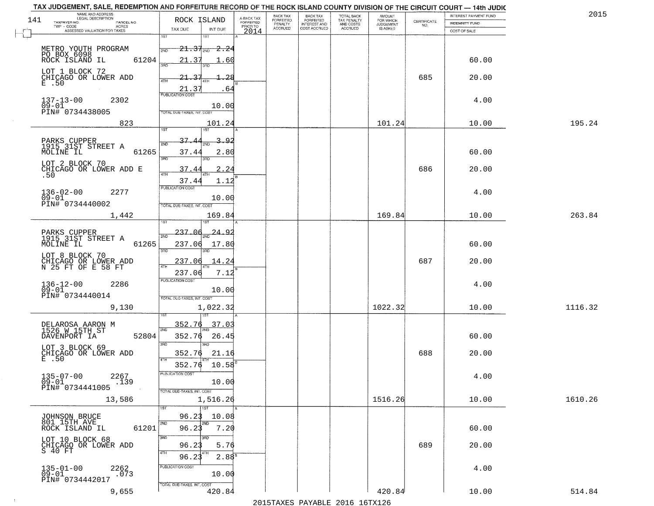|     | TAX JUDGEMENT, SALE, REDEMPTION AND FORFEITURE RECORD OF THE ROCK ISLAND COUNTY DIVISION OF THE CIRCUIT COURT - 14th JUDIC<br>NAME AND ADDRESS<br>LEGAL DESCRIPTION |                                                                        |                                                      |                                     | BACK TAX             |                                       |                                        |                                  |                    | INTEREST PAYMENT FUND | 2015    |
|-----|---------------------------------------------------------------------------------------------------------------------------------------------------------------------|------------------------------------------------------------------------|------------------------------------------------------|-------------------------------------|----------------------|---------------------------------------|----------------------------------------|----------------------------------|--------------------|-----------------------|---------|
| 141 | TAXPAYER NO.<br>PARCEL NO.<br>TWP CODE<br>ACRES                                                                                                                     | ROCK ISLAND                                                            |                                                      | A-BACK TAX<br>FORFEITED<br>PRIOR TO | FORFEITED<br>PENALTY | BACK TAX<br>FORFEITED<br>INTEREST AND | TOTAL BACK<br>TAX PENALTY<br>AND COSTS | AMOUNT<br>FOR WHICH<br>JUDGEMENT | CERTIFICATE<br>NO. | <b>INDEMNITY FUND</b> |         |
|     | ASSESSED VALUATION FOR TAXES                                                                                                                                        | TAX DUE                                                                | INT DUE                                              | 2014                                | <b>ACCRUED</b>       | COST ACCRUED                          | <b>ACCRUED</b>                         | IS ASKED                         |                    | COST OF SALE          |         |
|     | METRO YOUTH PROGRAM<br>PO BOX 6098<br>ROCK ISLAND IL<br>61204                                                                                                       | 1ST<br>2ND<br>21.37                                                    | 1ST<br>$21.37_{200}$ 2.24<br>1.60                    |                                     |                      |                                       |                                        |                                  |                    | 60.00                 |         |
|     | LOT 1 BLOCK 72<br>CHICAGO OR LOWER ADD<br>E .50                                                                                                                     | 355<br>21.37<br>4TH                                                    | -28<br>.64                                           |                                     |                      |                                       |                                        |                                  | 685                | 20.00                 |         |
|     | $137 - 13 - 00$<br>2302<br>$09 - 01$<br>PIN# 0734438005                                                                                                             | $\frac{21.37}{\text{PUBUCATION COST}}$<br>TOTAL DUE-TAXES, INT. COST   | 10.00                                                |                                     |                      |                                       |                                        |                                  |                    | 4.00                  |         |
|     | 823                                                                                                                                                                 |                                                                        | 101.24                                               |                                     |                      |                                       |                                        | 101.24                           |                    | 10.00                 | 195.24  |
|     | PARKS CUPPER<br>1915 31ST STREET A<br>61265<br>MOLINE IL<br>LOT 2 BLOCK 70<br>CHICAGO OR LOWER ADD E<br>.50                                                         | 1ST<br>37<br>2ND<br>37.44<br>3RD<br>37.44<br>37.44<br>PUBLICATION COST | ist<br>3.<br>$\Omega$<br>2.80<br>3RD<br>2.24<br>1.12 |                                     |                      |                                       |                                        |                                  | 686                | 60.00<br>20.00        |         |
|     | $136 - 02 - 00$<br>2277<br>$09 - 01$<br>PIN# 0734440002                                                                                                             | TOTAL DUE-TAXES, INT. COST                                             | 10.00                                                |                                     |                      |                                       |                                        |                                  |                    | 4.00                  |         |
|     | 1,442                                                                                                                                                               | ist                                                                    | 169.84<br>187                                        |                                     |                      |                                       |                                        | 169.84                           |                    | 10.00                 | 263.84  |
|     | PARKS CUPPER<br>1915 31ST STREET A<br>MOLINE IL<br>61265                                                                                                            | 237.06<br>2ND<br>237.06<br>3 <sub>BD</sub>                             | -24 -<br><u>َ ۾</u><br>17.80<br>3RD                  |                                     |                      |                                       |                                        |                                  |                    | 60.00                 |         |
|     | LOT 8 BLOCK 70<br>CHICAGO OR LOWER ADD<br>N 25 FT OF E 58 FT                                                                                                        | 237.06<br>4TH<br>237.06                                                | 14.24<br>7.12                                        |                                     |                      |                                       |                                        |                                  | 687                | 20.00                 |         |
|     | $136 - 12 - 00$<br>09-01<br>2286<br>PIN# 0734440014                                                                                                                 | <b>PUBLICATION COST</b><br>TOTAL OUE-TAXES, INT. COST                  | 10.00                                                |                                     |                      |                                       |                                        |                                  |                    | 4.00                  |         |
|     | 9,130                                                                                                                                                               |                                                                        | 1,022.32                                             |                                     |                      |                                       |                                        | 1022.32                          |                    | 10.00                 | 1116.32 |
|     | DELAROSA AARON M<br>1526 W 15TH ST<br>DAVENPORT IA<br>52804                                                                                                         | 352.76<br>2ND<br>352.76<br>3 <sub>BD</sub>                             | 151<br>37.03<br>26.45<br>3RD                         |                                     |                      |                                       |                                        |                                  |                    | 60.00                 |         |
|     | LOT 3 BLOCK 69<br>CHICAGO OR LOWER ADD<br>E .50                                                                                                                     | 352.76<br>4TH<br>352.76                                                | 21.16<br>10.58                                       |                                     |                      |                                       |                                        |                                  | 688                | 20.00                 |         |
|     | $135 - 07 - 00$<br>2267<br>$09 - 01$<br>.139<br>PIN# 0734441005                                                                                                     | "UBLICA HUN CUS<br>TOTAL DUE-TAXES, INT. COST                          | 10.00                                                |                                     |                      |                                       |                                        |                                  |                    | 4.00                  |         |
|     | 13,586                                                                                                                                                              |                                                                        | 1,516.26<br>1ST                                      |                                     |                      |                                       |                                        | 1516.26                          |                    | 10.00                 | 1610.26 |
|     | JOHNSON BRUCE<br>801 15TH AVE<br>61201<br>ROCK ISLAND IL                                                                                                            | 96.23<br>2ND<br>96.23                                                  | 10.08<br>2ND<br>7.20                                 |                                     |                      |                                       |                                        |                                  |                    | 60.00                 |         |
|     | LOT 10 BLOCK 68<br>CHICAGO OR LOWER ADD<br>S 40 FT                                                                                                                  | 3RD<br>96.23<br>4TH<br>96.23                                           | 5.76<br>2.88 <sup>8</sup>                            |                                     |                      |                                       |                                        |                                  | 689                | 20.00                 |         |
|     | $135 - 01 - 00$<br>2262<br>.073<br>09-01<br>PIN# 0734442017                                                                                                         | PUBLICATION COST<br>TOTAL DUE-TAXES, INT. COST                         | 10.00                                                |                                     |                      |                                       |                                        |                                  |                    | 4.00                  |         |
|     | 9,655                                                                                                                                                               |                                                                        | 420.84                                               |                                     |                      |                                       |                                        | 420.84                           |                    | 10.00                 | 514.84  |

 $\sim 10^{-1}$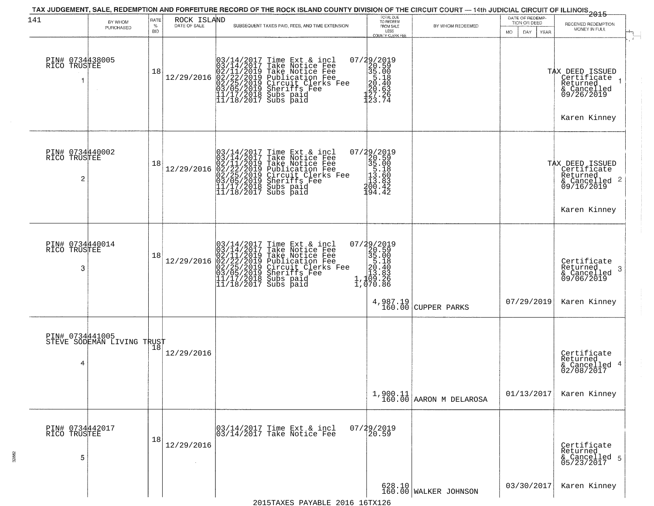| 141                                  | BY WHOM<br>PURCHASED       | RATE<br>%<br><b>BID</b> | ROCK ISLAND<br>DATE OF SALE | SUBSEQUENT TAXES PAID, FEES, AND TIME EXTENSION                                                                                                                                                                                                                                                                                                                     | TOTAL DUE<br>TO REDEEM<br>FROM SALE<br>LESS<br>COUNTY CLERK FEE                                                 | BY WHOM REDEEMED                      | DATE OF REDEMP-<br>TION OR DEED<br><b>MO</b><br>DAY<br>YEAR | 2015<br>RECEIVED REDEMPTION<br>MONEY IN FULL                                                               |
|--------------------------------------|----------------------------|-------------------------|-----------------------------|---------------------------------------------------------------------------------------------------------------------------------------------------------------------------------------------------------------------------------------------------------------------------------------------------------------------------------------------------------------------|-----------------------------------------------------------------------------------------------------------------|---------------------------------------|-------------------------------------------------------------|------------------------------------------------------------------------------------------------------------|
| PIN# 0734438005<br>RICO TRUSTEE      |                            | 18                      |                             | $[03/14/2017 \text{ Time Ext & incl} \newline [03/14/2017 \text{ Take Notice Free} \newline [02/11/2019 \text{ Take Notice Free} \newline [02/11/2019 \text{ Public Notice Free} \newline [02/22/2019 \text{ Publication Free} \newline [03/05/2019 \text{Sheriffs Free} \newline [11/17/2018 \text{ Subs paid} \newline [11/18/2017 \text{ Subs paid} \newline ]]$ | $\begin{smallmatrix} 07/29/2019\\20.59\\35.00\\5.40\\20.63\\20.63\\227.26\\123.74 \end{smallmatrix}$            |                                       |                                                             | $\mathcal{X}$ .<br>TAX DEED ISSUED<br>Certificate<br>Returned<br>& Cancelled<br>09/26/2019<br>Karen Kinney |
| PIN# 0734440002<br>RICO TRUSTEE<br>2 |                            | 18                      | 12/29/2016                  | $03/14/2017$ Time Ext & incl<br>$03/14/2017$ Take Notice Fee<br>$02/11/2019$ Take Notice Fee<br>$02/22/2019$ Publication Fee<br>$03/05/2019$ Sheriffs Fee<br>$11/17/2018$ Subs paid<br>$11/18/2017$ Subs paid<br>$11/18/2017$ Subs paid                                                                                                                             | $\begin{smallmatrix} 07/29/2019\\20.59\\35.00\\15.18\\113.86\\200.42\\194.42\\ \end{smallmatrix}$               |                                       |                                                             | TAX DEED ISSUED<br>Certificate<br>Returned<br>& Cancelled 2<br>09/16/2019<br>Karen Kinney                  |
| PIN# 0734440014<br>RICO TRUSTEE<br>3 |                            | 18                      | 12/29/2016                  | $03/14/2017$ Time Ext & incl<br>$03/14/2017$ Take Notice Fee<br>$02/11/2019$ Take Notice Fee<br>$02/22/2019$ Publication Fee<br>$03/05/2019$ Sheriffs Fee<br>$11/17/2018$ Subs paid<br>$11/18/2017$ Subs paid                                                                                                                                                       | $\begin{smallmatrix} 07/29/2019\\20.59\\35.00\\5.18\\20.40\\21.40\\13.83\\1,109.26\\1,070.86 \end{smallmatrix}$ | $4,987.19$ CUPPER PARKS               | 07/29/2019                                                  | Certificate<br>Returned<br>-3<br>& Cancelled<br>09/06/2019<br>Karen Kinney                                 |
| PIN# 0734441005<br>4                 | STEVE SODEMAN LIVING TRUST | 18                      | 12/29/2016                  |                                                                                                                                                                                                                                                                                                                                                                     |                                                                                                                 | $1,900.11$<br>160.00 AARON M DELAROSA | 01/13/2017                                                  | Certificate<br>Returned<br>& Cancelled 4<br>02/08/2017<br>Karen Kinney                                     |
| PIN# 0734442017<br>RICO TRUSTEE<br>5 |                            | 18                      | 12/29/2016                  | 03/14/2017 Time Ext & incl<br>03/14/2017 Take Notice Fee                                                                                                                                                                                                                                                                                                            | 07/29/2019                                                                                                      |                                       |                                                             | Certificate<br>Returned<br>& Cancelled 5<br>05/23/2017                                                     |
|                                      |                            |                         |                             | 2015 TAVES DAVABLE 2016 16 TV126                                                                                                                                                                                                                                                                                                                                    |                                                                                                                 | 628.10<br>160.00 WALKER JOHNSON       | 03/30/2017                                                  | Karen Kinney                                                                                               |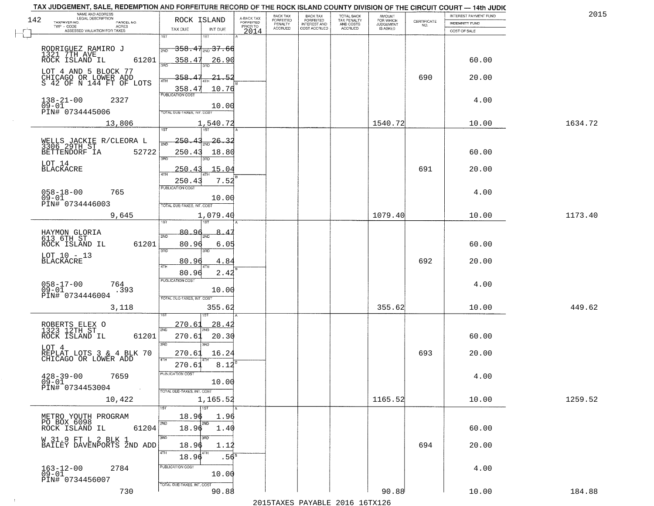|     | TAX JUDGEMENT, SALE, REDEMPTION AND FORFEITURE RECORD OF THE ROCK ISLAND COUNTY DIVISION OF THE CIRCUIT COURT - 14th JUDIC<br>NAME AND ADDRESS<br>LEGAL DESCRIPTION |                                                           |                                     | BACK TAX                    | <b>BACK TAX</b>           |                                        |                                  |                    | <b>INTEREST PAYMENT FUND</b> | 201     |
|-----|---------------------------------------------------------------------------------------------------------------------------------------------------------------------|-----------------------------------------------------------|-------------------------------------|-----------------------------|---------------------------|----------------------------------------|----------------------------------|--------------------|------------------------------|---------|
| 142 | TAXPAYER NO.<br>PARCEL NO.<br>ACRES                                                                                                                                 | ROCK ISLAND                                               | A-BACK TAX<br>FORFEITED<br>PRIOR TO | <b>FORFEITED</b><br>PENALTY | FORFEITED<br>INTEREST AND | TOTAL BACK<br>TAX PENALTY<br>AND COSTS | AMOUNT<br>FOR WHICH<br>JUDGEMENT | CERTIFICATE<br>NO. | <b>INDEMNITY FUND</b>        |         |
|     | ASSESSED VALUATION FOR TAXES                                                                                                                                        | TAX DUE<br>INT DUE                                        | 2014                                | <b>ACCRUED</b>              | COST ACCRUED              | ACCRUED                                | IS ASKED                         |                    | COST OF SALE                 |         |
|     |                                                                                                                                                                     | 1ST<br>1ST<br><del>358.41<sub>2ND</sub>37.66</del><br>2ND |                                     |                             |                           |                                        |                                  |                    |                              |         |
|     | RODRIGUEZ RAMIRO J<br>1321 7TH AVE<br>ROCK ISLAND IL<br>61201                                                                                                       | 358.47                                                    | 26.90                               |                             |                           |                                        |                                  |                    | 60.00                        |         |
|     | LOT 4 AND 5 BLOCK 77<br>CHICAGO OR LOWER ADD<br>S 42 OF N 144 FT OF LOTS                                                                                            | 358.47<br>358.47<br><b>PUBLICATION COST</b>               | $-21 - 52$<br>10.76                 |                             |                           |                                        |                                  | 690                | 20.00                        |         |
|     | $138 - 21 - 00$<br>$09 - 01$<br>2327<br>PIN# 0734445006                                                                                                             | TOTAL DUE-TAXES, INT. COST                                | 10.00                               |                             |                           |                                        |                                  |                    | 4.00                         |         |
|     | 13,806                                                                                                                                                              | 1,540.72                                                  |                                     |                             |                           |                                        | 1540.72                          |                    | 10.00                        | 1634.72 |
|     | WELLS JACKIE R/CLEORA L<br>3306 29TH ST<br>BETTENDORF IA<br>52722                                                                                                   | <u> 250.43</u><br>$\frac{1}{2ND}$ 26.32<br>250.43<br>तका  | 18.80                               |                             |                           |                                        |                                  |                    | 60.00                        |         |
|     | LOT 14<br><b>BLACKACRE</b>                                                                                                                                          | 250.43<br>250.4                                           | 15.04<br>7.52                       |                             |                           |                                        |                                  | 691                | 20.00                        |         |
|     | $058 - 18 - 00$<br>765<br>$09 - 01$<br>PIN# 0734446003                                                                                                              | PUBLICATION COST<br>TOTAL DUE-TAXES, INT. COST            | 10.00                               |                             |                           |                                        |                                  |                    | 4.00                         |         |
|     | 9,645                                                                                                                                                               | 1,079.40<br><b>IST</b><br>1ST                             |                                     |                             |                           |                                        | 1079.40                          |                    | 10.00                        | 1173.40 |
|     | HAYMON GLORIA<br>613 6TH ST<br>ROCK ISLAND IL<br>61201                                                                                                              | 80.91<br>2ND<br>onin<br>80.96<br>3RD<br>3RD               | 6.05                                |                             |                           |                                        |                                  |                    | 60.00                        |         |
|     | LOT 10 - 13<br>BLACKACRE                                                                                                                                            | 80.96<br>4TH<br>80.96                                     | 4.84<br>2.42                        |                             |                           |                                        |                                  | 692                | 20.00                        |         |
|     | $058 - 17 - 00$<br>764<br>$09 - 01$<br>.393<br>PIN# 0734446004                                                                                                      | <b>PUBLICATION COST</b><br>TOTAL OUE-TAXES, INT. COST     | 10.00                               |                             |                           |                                        |                                  |                    | 4.00                         |         |
|     | 3,118                                                                                                                                                               |                                                           | 355.62                              |                             |                           |                                        | 355.62                           |                    | 10.00                        | 449.62  |
|     | ROBERTS ELEX O<br>1323 12TH ST<br>ROCK ISLAND IL<br>61201                                                                                                           | 270.6<br>2ND<br>270.61<br>3RD<br>3BD                      | 28.4<br>20.30                       |                             |                           |                                        |                                  |                    | 60.00                        |         |
|     | LOT 4<br>REPLAT LOTS 3 & 4 BLK 70<br>CHICAGO OR LOWER ADD                                                                                                           | 270.61<br>4TH<br>270.61                                   | 16.24<br>8.12                       |                             |                           |                                        |                                  | 693                | 20.00                        |         |
|     | $428 - 39 - 00$<br>7659<br>$09 - 01$<br>PIN# 0734453004<br>$\sim 100$                                                                                               | PUBLICA HUN CUS<br>TOTAL DUE-TAXES, INT. COST             | 10.00                               |                             |                           |                                        |                                  |                    | 4.00                         |         |
|     | 10,422                                                                                                                                                              | 1,165.52<br>1ST                                           |                                     |                             |                           |                                        | 1165.52                          |                    | 10.00                        | 1259.52 |
|     | METRO YOUTH PROGRAM<br>PO BOX 6098<br>ROCK ISLAND IL<br>61204                                                                                                       | 18.96<br>2ND<br>2ND<br>18.96                              | 1.96<br>1.40                        |                             |                           |                                        |                                  |                    | 60.00                        |         |
|     | W 31.9 FT L 2 BLK 1<br>BAILEY DAVENPORTS 2ND ADD                                                                                                                    | 3RD<br>3RD<br>18.96<br>4TH<br>L4TH<br>18.96               | 1.12<br>.56                         |                             |                           |                                        |                                  | 694                | 20.00                        |         |
|     | 163-12-00<br>09-01<br>2784<br>PIN# 0734456007                                                                                                                       | PUBLICATION COST                                          | 10.00                               |                             |                           |                                        |                                  |                    | 4.00                         |         |
|     | 730                                                                                                                                                                 | TOTAL DUE-TAXES, INT. COST                                | 90.88                               |                             |                           | 2015 TAVEC DAVADIE 2016 16 TV126       | 90.88                            |                    | 10.00                        | 184.88  |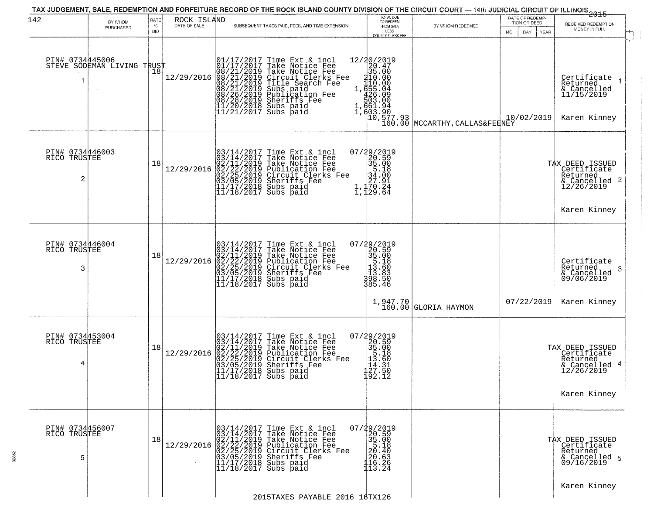| PURCHASED                       | ℅          | ROCK ISLAND<br>DATE OF SALE |                                                 | TOTAL DUE<br>TO REDEEM                                                                                                                                                                                                                                                                                                                                                                                                                                                                                                                                                                                                                                                                                                                                                                                                                                                                                                                                                                                                                                                                                                                                                                                                                                                                                                                                                                                                                                                                                                                                                         | BY WHOM REDEEMED                                                                                                                                                                                                                                                                                                                                                                                                                                                                                                  | TION OR DEED             | RECEIVED REDEMPTION                                                                                                         |
|---------------------------------|------------|-----------------------------|-------------------------------------------------|--------------------------------------------------------------------------------------------------------------------------------------------------------------------------------------------------------------------------------------------------------------------------------------------------------------------------------------------------------------------------------------------------------------------------------------------------------------------------------------------------------------------------------------------------------------------------------------------------------------------------------------------------------------------------------------------------------------------------------------------------------------------------------------------------------------------------------------------------------------------------------------------------------------------------------------------------------------------------------------------------------------------------------------------------------------------------------------------------------------------------------------------------------------------------------------------------------------------------------------------------------------------------------------------------------------------------------------------------------------------------------------------------------------------------------------------------------------------------------------------------------------------------------------------------------------------------------|-------------------------------------------------------------------------------------------------------------------------------------------------------------------------------------------------------------------------------------------------------------------------------------------------------------------------------------------------------------------------------------------------------------------------------------------------------------------------------------------------------------------|--------------------------|-----------------------------------------------------------------------------------------------------------------------------|
|                                 | <b>BID</b> |                             | SUBSEQUENT TAXES PAID, FEES, AND TIME EXTENSION | FROM SALE<br>LESS<br>COUNTY CLERK FEE                                                                                                                                                                                                                                                                                                                                                                                                                                                                                                                                                                                                                                                                                                                                                                                                                                                                                                                                                                                                                                                                                                                                                                                                                                                                                                                                                                                                                                                                                                                                          |                                                                                                                                                                                                                                                                                                                                                                                                                                                                                                                   | DAY<br>YEAR<br>MO.       | MONEY IN FULL                                                                                                               |
| PIN# 0734445006                 | 18         |                             |                                                 |                                                                                                                                                                                                                                                                                                                                                                                                                                                                                                                                                                                                                                                                                                                                                                                                                                                                                                                                                                                                                                                                                                                                                                                                                                                                                                                                                                                                                                                                                                                                                                                |                                                                                                                                                                                                                                                                                                                                                                                                                                                                                                                   | 10/02/2019               | Certificate<br>Returned<br>& Cancelled<br>11/15/2019<br>Karen Kinney                                                        |
| PIN# 0734446003<br>RICO TRUSTEE | 18         | 12/29/2016                  |                                                 |                                                                                                                                                                                                                                                                                                                                                                                                                                                                                                                                                                                                                                                                                                                                                                                                                                                                                                                                                                                                                                                                                                                                                                                                                                                                                                                                                                                                                                                                                                                                                                                |                                                                                                                                                                                                                                                                                                                                                                                                                                                                                                                   |                          | TAX DEED ISSUED<br>Certificate<br>Returned<br>& Cancelled 2<br>12/26/2019<br>Karen Kinney                                   |
| PIN# 0734446004<br>RICO TRUSTEE | 18         |                             |                                                 |                                                                                                                                                                                                                                                                                                                                                                                                                                                                                                                                                                                                                                                                                                                                                                                                                                                                                                                                                                                                                                                                                                                                                                                                                                                                                                                                                                                                                                                                                                                                                                                |                                                                                                                                                                                                                                                                                                                                                                                                                                                                                                                   | 07/22/2019               | Certificate<br>Returned<br>-3<br>& Cancelled<br>09/06/2019<br>Karen Kinney                                                  |
| PIN# 0734453004<br>RICO TRUSTEE | 18         | 12/29/2016                  | $11/18/2017$ Subs paid                          |                                                                                                                                                                                                                                                                                                                                                                                                                                                                                                                                                                                                                                                                                                                                                                                                                                                                                                                                                                                                                                                                                                                                                                                                                                                                                                                                                                                                                                                                                                                                                                                |                                                                                                                                                                                                                                                                                                                                                                                                                                                                                                                   |                          | TAX DEED ISSUED<br>Certificate<br>Returned<br>& Cancelled 4<br>12/26/2019<br>Karen Kinney                                   |
| PIN# 0734456007<br>RICO TRUSTEE | 18         |                             |                                                 |                                                                                                                                                                                                                                                                                                                                                                                                                                                                                                                                                                                                                                                                                                                                                                                                                                                                                                                                                                                                                                                                                                                                                                                                                                                                                                                                                                                                                                                                                                                                                                                |                                                                                                                                                                                                                                                                                                                                                                                                                                                                                                                   |                          | TAX DEED ISSUED<br>Certificate<br>Returned<br>& Cancelled 5<br>09/16/2019                                                   |
|                                 |            |                             | STEVE SODEMAN LIVING TRUST                      | $[01/17/2017 \text{ Time Ext & incl } 101/17/2017 \text{ Take Notice Free } 108/21/2019 \text{ Take Notice Free } 08/21/2019 \text{ Circle Free } 08/21/2019 \text{ Circle Science } 08/21/2019 \text{ Title Search Free } 08/21/2019 \text{ Subs paid } 08/26/2019 \text{ Public Station Free } 08/26/2019 \text{ Subification Free } 08/28/2019 \text{ Sherifs Free } 11/20/2018 \text{ Subs paid } 11/21/2017 \text{ Subs$<br>$03/14/2017$ Time Ext & incl<br>$03/14/2017$ Take Notice Fee<br>$02/11/2019$ Take Notice Fee<br>$02/22/2019$ Publication Fee<br>$03/05/2019$ Sheriffs Fee<br>$11/17/2018$ Subs paid<br>$11/18/2017$ Subs paid<br>$12/29/2016 \begin{array}{l} 03/14/2017 \text{ Time Ext & incl} \\ 03/14/2017 \text{ Take Notice Free} \\ 02/11/2019 \text{ Take Notice Free} \\ 02/22/2019 \text{ Publication Free} \\ 03/05/2019 \text{ Sircuit Clerks Free} \\ 03/05/2019 \text{ Sheriffs} \\ 11/17/2018 \text{ Subs paid} \\ 11/18/2017 \text{ Subs paid} \end{array}$<br>$03/14/2017$ Time Ext & incl<br>$03/14/2017$ Take Notice Fee<br>$02/11/2019$ Take Notice Fee<br>$02/22/2019$ Circuit Clerks Fee<br>$03/05/2019$ Sheriffs Fee<br>$03/05/2019$ Sheriffs Fee<br>$11/17/2018$ Subs paid<br>$[03/14/2017 \text{ Time Ext & incl} \newline [03/14/2017 \text{ Take Notice Free} \newline 02/11/2019 \text{ Take Notice Free} \newline 02/11/2019 \text{ Public action Free} \newline 02/22/2019 \text{ Publication Free} \newline 03/05/2019 \text{Sircuit Cleoks Free} \newline 11/17/2018 \text{ Subs paid} \newline 11/18/2017 \text{ Subs paid}$ | $\begin{smallmatrix}7/4 & 2/6 & 1 & 9 \\ 20 & 5 & 9 & 9 \\ 3 & 5 & 0 & 0 \\ 5 & 4 & 0 & 0 \\ 27 & 9 & 1 & 9 \\ 1 & 1 & 70 & 24 \\ 1 & 1 & 29 & 64 \end{smallmatrix}$<br>$\begin{smallmatrix} 07/29/2019\\20.59\\35.00\\15.18\\113.60\\138.50\\398.50\\385.46 \end{smallmatrix}$<br>$\begin{smallmatrix} 07/29/2019\\20.59\\35.00\\15.18\\11.60\\114.31\\14.31\\120.91\\100.91\end{smallmatrix}$<br>192.12<br>$\begin{smallmatrix} 07/29/2019\\20.59\\35.00\\5.18\\20.63\\20.63\\116.26\\113.24 \end{smallmatrix}$ | $1,947.70$ GLORIA HAYMON | 20/2019<br>20/2019<br>35.00<br>35.00<br>110.00<br>1655.04<br>1,4661.94<br>1,4603.90<br>10.577.93<br>MCCARTHY, CALLAS&FERNEY |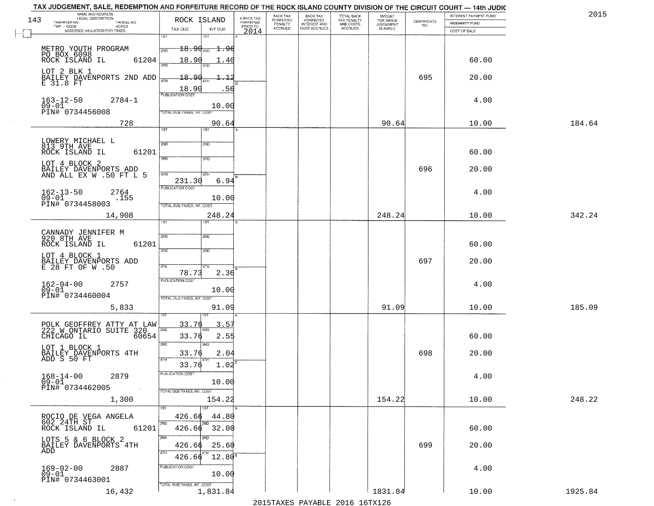| TAX JUDGEMENT, SALE, REDEMPTION AND FORFEITURE RECORD OF THE ROCK ISLAND COUNTY DIVISION OF THE CIRCUIT COURT - 14th JUDIC                                                                                                                                                                                                                                                                                                     |                                                                                                                                                                                                                                                                            |                                     |                      |                           |                                        |                     |                                                                 |                                                           |         |
|--------------------------------------------------------------------------------------------------------------------------------------------------------------------------------------------------------------------------------------------------------------------------------------------------------------------------------------------------------------------------------------------------------------------------------|----------------------------------------------------------------------------------------------------------------------------------------------------------------------------------------------------------------------------------------------------------------------------|-------------------------------------|----------------------|---------------------------|----------------------------------------|---------------------|-----------------------------------------------------------------|-----------------------------------------------------------|---------|
| NAME AND ADDRESS<br>LEGAL DESCRIPTION                                                                                                                                                                                                                                                                                                                                                                                          |                                                                                                                                                                                                                                                                            |                                     | BACK TAX             | <b>BACK TAX</b>           | TOTAL BACK<br>TAX PENALTY<br>AND COSTS | AMOUNT<br>FOR WHICH |                                                                 | INTEREST PAYMENT FUND                                     | 2015    |
| 143<br>TAXPAYER NO.<br>PARCEL NO.<br>ACRES                                                                                                                                                                                                                                                                                                                                                                                     | ROCK ISLAND                                                                                                                                                                                                                                                                | A-BACK TAX<br>FORFEITED<br>PRIOR TO | FORFEITED<br>PENALTY | FORFEITED<br>INTEREST AND |                                        | <b>JUDGEMENT</b>    | $\begin{array}{c} \text{CERTIFICATE} \\ \text{NO.} \end{array}$ | <b>INDEMNITY FUND</b>                                     |         |
| ASSESSED VALUATION FOR TAXES                                                                                                                                                                                                                                                                                                                                                                                                   |                                                                                                                                                                                                                                                                            | 2014                                |                      |                           |                                        |                     |                                                                 | COST OF SALE                                              |         |
| TWP - CODE<br>METRO YOUTH PROGRAM<br>PO BOX 6098<br>ROCK ISLAND IL<br>61204<br>LOT 2 BLK 1<br>BAILEY DAVENPORTS 2ND ADD<br>E 31.8 FT<br>$163 - 12 - 50$<br>$2784 - 1$<br>$\overline{0}\overline{9}-0\overline{1}$<br>PIN# 0734456008<br>728<br>LOWERY MICHAEL L<br>813 9TH AVE<br>61201<br>ROCK ISLAND IL<br>LOT 4 BLOCK 2<br>BAILEY DAVENPORTS ADD<br>AND ALL EX W .50 FT L 5<br>$162 - 13 - 50$<br>2764<br>$09 - 01$<br>.155 | TAX DUE<br>INT DUE<br>1ST<br>1ST<br>$18.90_{200}$<br>±.Y6<br>2ND<br>18.90<br>18.90<br>$\frac{18.90}{FUBUCATONCGST}$<br>10.00<br>TOTAL DUE-TAXES, INT. COST<br>90.64<br>1ST<br>1ST<br>2ND<br>2ND<br>3RD<br>3RD<br>47H<br>4TH<br>6.94<br>231.30<br>PUBLICATION COST<br>10.00 | .40<br>┹<br>.56                     | <b>ACCRUED</b>       | COST ACCRUED              | <b>ACCRUED</b>                         | IS ASKED<br>90.64   | 695<br>696                                                      | 60.00<br>20.00<br>4.00<br>10.00<br>60.00<br>20.00<br>4.00 | 184.64  |
| PIN# 0734458003                                                                                                                                                                                                                                                                                                                                                                                                                | TOTAL DUE-TAXES, INT. COST                                                                                                                                                                                                                                                 |                                     |                      |                           |                                        |                     |                                                                 |                                                           |         |
| 14,908                                                                                                                                                                                                                                                                                                                                                                                                                         | 248.24<br>TST"<br><b>IST</b>                                                                                                                                                                                                                                               |                                     |                      |                           |                                        | 248.24              |                                                                 | 10.00                                                     | 342.24  |
| CANNADY JENNIFER M<br>920 8TH AVE<br>ROCK ISLAND IL<br>61201<br>LOT 4 BLOCK 1<br>BAILEY DAVENPORTS ADD<br>E 28 FT OF W .50<br>$162 - 04 - 00$<br>2757<br>$09 - 01$<br>PIN# 0734460004<br>5,833                                                                                                                                                                                                                                 | 2ND<br>SND<br>3BD<br>3BD<br>4TH<br>4TH<br>78.73<br>2.36<br><b>PUBLICATION COST</b><br>10.00<br>TOTAL OUE-TAXES, INT. COST<br>91.09<br>157                                                                                                                                  |                                     |                      |                           |                                        | 91.09               | 697                                                             | 60.00<br>20.00<br>4.00<br>10.00                           | 185.09  |
| POLK GEOFFREY ATTY AT LAW<br>222 W ONTARIO SUITE 320<br>CHICAGO IL<br>60654<br>LOT 1 BLOCK 1<br>BAILEY DAVENPORTS 4TH<br>ADD S 50 FT<br>$168 - 14 - 00$<br>2879<br>09-01<br>PIN# 0734462005<br>$\sim 100$<br>1,300                                                                                                                                                                                                             | 33.76<br>3.5'<br>2ND<br>33.76<br>2.55<br>3BD<br>3BD<br>2.04<br>33.76<br>4TH<br>1.02<br>33.76<br>"UBLICA HUN CUS<br>10.00<br>TOTAL DUE-TAXES, INT. COST<br>154.22                                                                                                           |                                     |                      |                           |                                        | 154.22              | 698                                                             | 60.00<br>20.00<br>4.00<br>10.00                           | 248.22  |
| ROCIO DE VEGA ANGELA<br>602 24TH ST<br>61201<br>ROCK ISLAND IL<br>LOTS 5 & 6 BLOCK 2<br>BAILEY DAVENPORTS 4TH<br>ADD<br>$169 - 02 - 00$<br>2887<br>09-01<br>PIN# 0734463001                                                                                                                                                                                                                                                    | 1ST<br>426.66<br>44.80<br>2ND<br>2ND<br>426.66 32.00<br>3RD<br>3BD<br>25.60<br>426.66<br>4TH<br>$12.80^8$<br>426.66<br>PUBLICATION COST<br>10.00<br>TOTAL DUE-TAXES, INT. COST                                                                                             |                                     |                      |                           |                                        |                     | 699                                                             | 60.00<br>20.00<br>4.00                                    |         |
| 16,432                                                                                                                                                                                                                                                                                                                                                                                                                         | 1,831.84                                                                                                                                                                                                                                                                   |                                     |                      |                           |                                        | 1831.84             |                                                                 | 10.00                                                     | 1925.84 |

 $\sim 10^{-1}$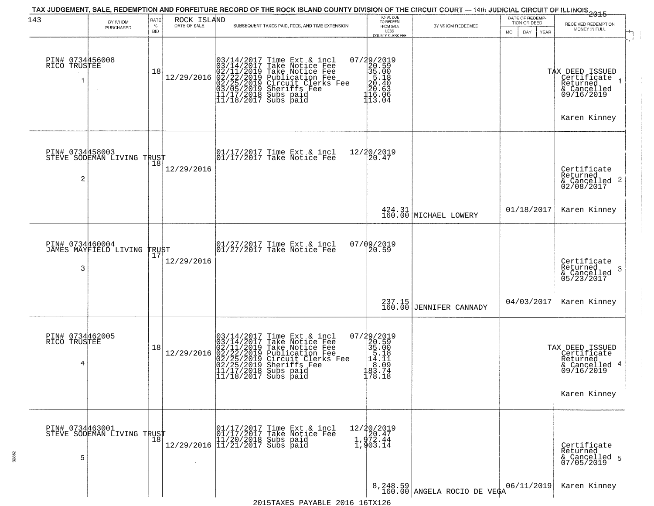| 143                                  | BY WHOM                                           | RATE               | ROCK ISLAND  | TAX JUDGEMENT, SALE, REDEMPTION AND FORFEITURE RECORD OF THE ROCK ISLAND COUNTY DIVISION OF THE CIRCUIT COURT — 14th JUDICIAL CIRCUIT OF ILLINOIS 2015                                                                                                                                                                                                             | TOTAL DUE<br>TO REDEEM                                                                                         |                                          | DATE OF REDEMP-<br>TION OR DEED |                                                                                                      |  |
|--------------------------------------|---------------------------------------------------|--------------------|--------------|--------------------------------------------------------------------------------------------------------------------------------------------------------------------------------------------------------------------------------------------------------------------------------------------------------------------------------------------------------------------|----------------------------------------------------------------------------------------------------------------|------------------------------------------|---------------------------------|------------------------------------------------------------------------------------------------------|--|
|                                      | PURCHASED                                         | $\%$<br><b>BID</b> | DATE OF SALE | SUBSEQUENT TAXES PAID, FEES, AND TIME EXTENSION                                                                                                                                                                                                                                                                                                                    | FROM SALE<br>LESS<br><b>COUNTY CLERK FEE</b>                                                                   | BY WHOM REDEEMED                         | MO.<br>DAY.<br>YEAR             | RECEIVED REDEMPTION<br>MONEY IN FULL                                                                 |  |
| PIN# 0734456008<br>RICO TRUSTEE      |                                                   | 18                 | 12/29/2016   | $03/14/2017$ Time Ext & incl<br>$03/14/2017$ Take Notice Fee<br>$02/11/2019$ Take Notice Fee<br>$02/22/2019$ Publication Fee<br>$03/05/2019$ Sheriffs Fee<br>$11/17/2018$ Subs paid<br>$11/18/2017$ Subs paid                                                                                                                                                      | 07/29/2019<br>20.59<br>35.00<br>35.18<br>20.49<br>$\frac{20.63}{116.06}$<br>113.04                             |                                          |                                 | TAX DEED ISSUED<br>Certificate <sub>1</sub><br>Returned<br>& Cancelled<br>09/16/2019<br>Karen Kinney |  |
| PIN# 0734458003<br>2                 | STEVE SODEMAN LIVING TRUST                        |                    | 12/29/2016   | 01/17/2017 Time Ext & incl<br>01/17/2017 Take Notice Fee                                                                                                                                                                                                                                                                                                           | 12/20/2019<br>20.47                                                                                            |                                          |                                 | Certificate<br>Returned<br>& Cancelled 2<br>02/08/2017                                               |  |
|                                      |                                                   |                    |              |                                                                                                                                                                                                                                                                                                                                                                    |                                                                                                                | 424.31<br>160.00 MICHAEL LOWERY          | 01/18/2017                      | Karen Kinney                                                                                         |  |
| 3                                    | PIN# 0734460004<br>JAMES MAYFIELD LIVING          | TRUST<br>17        | 12/29/2016   | 01/27/2017 Time Ext & incl<br>01/27/2017 Take Notice Fee                                                                                                                                                                                                                                                                                                           | 07/09/2019<br>20.59                                                                                            |                                          |                                 | Certificate<br>Returned<br>3<br>& Cancelled<br>05/23/2017                                            |  |
|                                      |                                                   |                    |              |                                                                                                                                                                                                                                                                                                                                                                    |                                                                                                                | $237.15$<br>160.00 JENNIFER CANNADY      | 04/03/2017                      | Karen Kinney                                                                                         |  |
| PIN# 0734462005<br>RICO TRUSTEE<br>4 |                                                   | 18                 | 12/29/2016   | $03/14/2017$ Time Ext & incl<br>$03/14/2017$ Take Notice Fee<br>$02/11/2019$ Take Notice Fee<br>$02/22/2019$ Publication Fee<br>$02/25/2019$ Sheriffs Fee<br>$02/25/2019$ Sheriffs Fee<br>$11/17/2018$ Subs paid<br>$11/18/2017$ Subs paid                                                                                                                         | 07/29/2019<br>$\begin{array}{r} 20.59 \\ 35.00 \\ 5.18 \\ 14.11 \end{array}$<br>$\frac{1}{183}$ . 09<br>178.18 |                                          |                                 | TAX DEED ISSUED<br>Certificate<br>Returned<br>& Cancelled 4<br>09/16/2019<br>Karen Kinney            |  |
| 5                                    | PIN# 0734463001    <br>STEVE SODEMAN LIVING TRUST | $\overline{18}$    |              | $\begin{tabular}{ll} $\Gamma$ & $01/17/2017$ Time Ext & incl & 01/17/2017$ Take Notice Fee & 11/20/2018 Subs paid & 11/21/2017 Subs paid & 11/21/2017 Subs paid & 11/21/2017 Subs paid & 11/201/2017 Subs paid & 11/201/2017 Subs paid & 11/201/2017 Subs paid & 11/201/2017 Subs paid & 11/201/2017 Subs paid & 11/201/2017 Subs paid & 11/201/2017 Subs paid & $ | 12/20/2019<br>1,972.47<br>1,972.44<br>1,903.14                                                                 |                                          |                                 | Certificate<br>Returned<br>& Cancelled 5<br>07/05/2019                                               |  |
|                                      |                                                   |                    |              |                                                                                                                                                                                                                                                                                                                                                                    |                                                                                                                | 8, 248.59<br>160.00 ANGELA ROCIO DE VEÇA | 06/11/2019                      | Karen Kinney                                                                                         |  |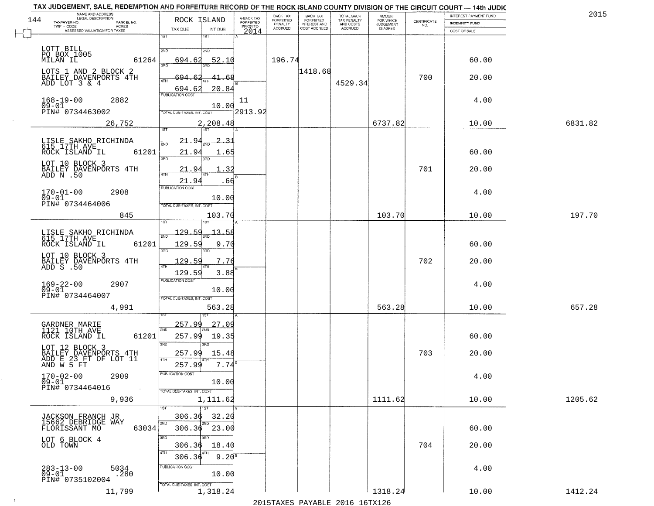| BACK TAX<br>FORFEITED<br>INTEREST AND<br>TOTAL BACK<br>TAX PENALTY<br>AND COSTS<br>A-BACK TAX<br>FORFEITED<br>PRIOR TO<br>144<br>$\begin{array}{c} \text{CERTIFICATE} \\ \text{NO.} \end{array}$<br>TAXPAYER NO.<br>PARCEL NO.<br>INDEMNITY FUND<br>PENALTY<br><b>JUDGEMENT</b><br>ACRES<br><b>ACCRUED</b><br>COST ACCRUED<br><b>ACCRUED</b><br>IS ASKED<br>TAX DUE<br>INT DUE<br>ASSESSED VALUATION FOR TAXES<br>2014<br>COST OF SALE<br>1ST<br>1ST<br>LOTT BILL<br>PO BOX 1005<br>2ND<br>2ND<br>MILAN IL<br>61264<br>196.74<br>694.62<br>52.10<br>60.00<br>350<br>1418.68<br>LOTS 1 AND 2 BLOCK 2<br>700<br>694.62<br>BAILEY DAVENPORTS 4TH<br>20.00<br>41.68<br>ADD LOT 3 & 4<br>4529.34<br>20.84<br>694.62<br><b>PUBLICATION COST</b><br>168-19-00<br>09-01<br>2882<br>4.00<br>11<br>10.00<br>2913.92<br>PIN# 0734463002<br>TOTAL DUE-TAXES, INT, COST<br>6737.82<br>26,752<br>2,208.48<br>10.00<br>6831.82<br><b>IST</b><br>2.31<br>LISLE SAKHO RICHINDA<br><u>21.9</u><br>615 17TH AVE<br>61201<br>ROCK ISLAND IL<br>21.9<br>60.00<br>1.65<br>त्रहा<br>3RD<br>LOT 10 BLOCK 3<br>701<br>21.94<br>32<br>20.00<br>BAILEY DAVENPORTS 4TH<br>ADD N .50<br>21.94<br>.66<br>PUBLICATION COST<br>4.00<br>$170 - 01 - 00$<br>2908<br>$09 - 01$<br>10.00<br>PIN# 0734464006<br>TOTAL DUE-TAXES, INT. COST<br>845<br>103.70<br>197.70<br>103.70<br>10.00<br>1ST<br>$-129.59$<br>$-13 - 58$<br>LISLE SAKHO RICHINDA<br>615 17TH AVE<br>2ND<br>ROCK ISLAND IL<br>61201<br>129.59<br>9.70<br>60.00<br>3BD<br>3RD<br>LOT 10 BLOCK 3<br>702<br>BAILEY DAVENPORTS 4TH<br>ADD S .50<br>129.59<br>7.76<br>20.00<br>129.59<br>3.88<br><b>PUBLICATION COST</b><br>169-22-00<br>09-01<br>2907<br>4.00<br>10.00<br>PIN# 0734464007<br>TOTAL OUE-TAXES, INT. COST<br>563.28<br>657.28<br>4,991<br>563.28<br>10.00<br>257.99<br>27.09<br>GARDNER MARIE<br>2ND<br>1121 10TH AVE<br>ROCK ISLAND IL<br>61201<br>257.99<br>19.35<br>60.00<br>3RD<br>3RD<br>LOT 12 BLOCK 3<br>BAILEY DAVENPORTS 4TH<br>ADD E 23 FT OF LOT 11<br>AND W 5 FT<br>703<br>257.99<br>15.48<br>20.00<br>4TH<br>257.99<br>7.74<br>PUBLICATION COS<br>$170 - 02 - 00$<br>2909<br>4.00<br>$09 - 01$<br>10.00<br>PIN# 0734464016<br>$\sim 100$<br>TOTAL DUE-TAXES, INT. COST<br>1111.62<br>1205.62<br>9,936<br>1,111.62<br>10.00<br>$\overline{1}$ 1ST<br>306.36<br>32.20<br>JACKSON FRANCH JR<br>15662 DEBRIDGE WAY<br>2ND<br>306.36 23.00<br>63034<br>60.00<br>FLORISSANT MO<br>3RD<br>LOT 6 BLOCK 4<br>OLD TOWN<br>704<br>20.00<br>306.36<br>18.40<br>4TH<br>$9.20^{8}$<br>306.36<br>PUBLICATION COST<br>283-13-00<br>09-01<br>5034<br>.280<br>4.00<br>10.00<br>PIN# 0735102004<br>TOTAL DUE-TAXES, INT. COST<br>1,318.24<br>1318.24<br>11,799<br>1412.24<br>10.00<br>2015 TAVEC DAVADIE 2016 16TV126 | TAX JUDGEMENT, SALE, REDEMPTION AND FORFEITURE RECORD OF THE ROCK ISLAND COUNTY DIVISION OF THE CIRCUIT COURT - 14th JUDIC<br>NAME AND ADDRESS<br>LEGAL DESCRIPTION |             | BACK TAX         |  |                     | INTEREST PAYMENT FUND | 2015 |
|-------------------------------------------------------------------------------------------------------------------------------------------------------------------------------------------------------------------------------------------------------------------------------------------------------------------------------------------------------------------------------------------------------------------------------------------------------------------------------------------------------------------------------------------------------------------------------------------------------------------------------------------------------------------------------------------------------------------------------------------------------------------------------------------------------------------------------------------------------------------------------------------------------------------------------------------------------------------------------------------------------------------------------------------------------------------------------------------------------------------------------------------------------------------------------------------------------------------------------------------------------------------------------------------------------------------------------------------------------------------------------------------------------------------------------------------------------------------------------------------------------------------------------------------------------------------------------------------------------------------------------------------------------------------------------------------------------------------------------------------------------------------------------------------------------------------------------------------------------------------------------------------------------------------------------------------------------------------------------------------------------------------------------------------------------------------------------------------------------------------------------------------------------------------------------------------------------------------------------------------------------------------------------------------------------------------------------------------------------------------------------------------------------------------------------------------------------------------------------------------------------------------------------------------------------------------------------------------------------------------------------------------------------------------------------------------------------------------------------------------------------|---------------------------------------------------------------------------------------------------------------------------------------------------------------------|-------------|------------------|--|---------------------|-----------------------|------|
|                                                                                                                                                                                                                                                                                                                                                                                                                                                                                                                                                                                                                                                                                                                                                                                                                                                                                                                                                                                                                                                                                                                                                                                                                                                                                                                                                                                                                                                                                                                                                                                                                                                                                                                                                                                                                                                                                                                                                                                                                                                                                                                                                                                                                                                                                                                                                                                                                                                                                                                                                                                                                                                                                                                                                       |                                                                                                                                                                     | ROCK ISLAND | <b>FORFEITED</b> |  | AMOUNT<br>FOR WHICH |                       |      |
|                                                                                                                                                                                                                                                                                                                                                                                                                                                                                                                                                                                                                                                                                                                                                                                                                                                                                                                                                                                                                                                                                                                                                                                                                                                                                                                                                                                                                                                                                                                                                                                                                                                                                                                                                                                                                                                                                                                                                                                                                                                                                                                                                                                                                                                                                                                                                                                                                                                                                                                                                                                                                                                                                                                                                       |                                                                                                                                                                     |             |                  |  |                     |                       |      |
|                                                                                                                                                                                                                                                                                                                                                                                                                                                                                                                                                                                                                                                                                                                                                                                                                                                                                                                                                                                                                                                                                                                                                                                                                                                                                                                                                                                                                                                                                                                                                                                                                                                                                                                                                                                                                                                                                                                                                                                                                                                                                                                                                                                                                                                                                                                                                                                                                                                                                                                                                                                                                                                                                                                                                       |                                                                                                                                                                     |             |                  |  |                     |                       |      |
|                                                                                                                                                                                                                                                                                                                                                                                                                                                                                                                                                                                                                                                                                                                                                                                                                                                                                                                                                                                                                                                                                                                                                                                                                                                                                                                                                                                                                                                                                                                                                                                                                                                                                                                                                                                                                                                                                                                                                                                                                                                                                                                                                                                                                                                                                                                                                                                                                                                                                                                                                                                                                                                                                                                                                       |                                                                                                                                                                     |             |                  |  |                     |                       |      |
|                                                                                                                                                                                                                                                                                                                                                                                                                                                                                                                                                                                                                                                                                                                                                                                                                                                                                                                                                                                                                                                                                                                                                                                                                                                                                                                                                                                                                                                                                                                                                                                                                                                                                                                                                                                                                                                                                                                                                                                                                                                                                                                                                                                                                                                                                                                                                                                                                                                                                                                                                                                                                                                                                                                                                       |                                                                                                                                                                     |             |                  |  |                     |                       |      |
|                                                                                                                                                                                                                                                                                                                                                                                                                                                                                                                                                                                                                                                                                                                                                                                                                                                                                                                                                                                                                                                                                                                                                                                                                                                                                                                                                                                                                                                                                                                                                                                                                                                                                                                                                                                                                                                                                                                                                                                                                                                                                                                                                                                                                                                                                                                                                                                                                                                                                                                                                                                                                                                                                                                                                       |                                                                                                                                                                     |             |                  |  |                     |                       |      |
|                                                                                                                                                                                                                                                                                                                                                                                                                                                                                                                                                                                                                                                                                                                                                                                                                                                                                                                                                                                                                                                                                                                                                                                                                                                                                                                                                                                                                                                                                                                                                                                                                                                                                                                                                                                                                                                                                                                                                                                                                                                                                                                                                                                                                                                                                                                                                                                                                                                                                                                                                                                                                                                                                                                                                       |                                                                                                                                                                     |             |                  |  |                     |                       |      |
|                                                                                                                                                                                                                                                                                                                                                                                                                                                                                                                                                                                                                                                                                                                                                                                                                                                                                                                                                                                                                                                                                                                                                                                                                                                                                                                                                                                                                                                                                                                                                                                                                                                                                                                                                                                                                                                                                                                                                                                                                                                                                                                                                                                                                                                                                                                                                                                                                                                                                                                                                                                                                                                                                                                                                       |                                                                                                                                                                     |             |                  |  |                     |                       |      |
|                                                                                                                                                                                                                                                                                                                                                                                                                                                                                                                                                                                                                                                                                                                                                                                                                                                                                                                                                                                                                                                                                                                                                                                                                                                                                                                                                                                                                                                                                                                                                                                                                                                                                                                                                                                                                                                                                                                                                                                                                                                                                                                                                                                                                                                                                                                                                                                                                                                                                                                                                                                                                                                                                                                                                       |                                                                                                                                                                     |             |                  |  |                     |                       |      |
|                                                                                                                                                                                                                                                                                                                                                                                                                                                                                                                                                                                                                                                                                                                                                                                                                                                                                                                                                                                                                                                                                                                                                                                                                                                                                                                                                                                                                                                                                                                                                                                                                                                                                                                                                                                                                                                                                                                                                                                                                                                                                                                                                                                                                                                                                                                                                                                                                                                                                                                                                                                                                                                                                                                                                       |                                                                                                                                                                     |             |                  |  |                     |                       |      |
|                                                                                                                                                                                                                                                                                                                                                                                                                                                                                                                                                                                                                                                                                                                                                                                                                                                                                                                                                                                                                                                                                                                                                                                                                                                                                                                                                                                                                                                                                                                                                                                                                                                                                                                                                                                                                                                                                                                                                                                                                                                                                                                                                                                                                                                                                                                                                                                                                                                                                                                                                                                                                                                                                                                                                       |                                                                                                                                                                     |             |                  |  |                     |                       |      |
|                                                                                                                                                                                                                                                                                                                                                                                                                                                                                                                                                                                                                                                                                                                                                                                                                                                                                                                                                                                                                                                                                                                                                                                                                                                                                                                                                                                                                                                                                                                                                                                                                                                                                                                                                                                                                                                                                                                                                                                                                                                                                                                                                                                                                                                                                                                                                                                                                                                                                                                                                                                                                                                                                                                                                       |                                                                                                                                                                     |             |                  |  |                     |                       |      |
|                                                                                                                                                                                                                                                                                                                                                                                                                                                                                                                                                                                                                                                                                                                                                                                                                                                                                                                                                                                                                                                                                                                                                                                                                                                                                                                                                                                                                                                                                                                                                                                                                                                                                                                                                                                                                                                                                                                                                                                                                                                                                                                                                                                                                                                                                                                                                                                                                                                                                                                                                                                                                                                                                                                                                       |                                                                                                                                                                     |             |                  |  |                     |                       |      |
|                                                                                                                                                                                                                                                                                                                                                                                                                                                                                                                                                                                                                                                                                                                                                                                                                                                                                                                                                                                                                                                                                                                                                                                                                                                                                                                                                                                                                                                                                                                                                                                                                                                                                                                                                                                                                                                                                                                                                                                                                                                                                                                                                                                                                                                                                                                                                                                                                                                                                                                                                                                                                                                                                                                                                       |                                                                                                                                                                     |             |                  |  |                     |                       |      |
|                                                                                                                                                                                                                                                                                                                                                                                                                                                                                                                                                                                                                                                                                                                                                                                                                                                                                                                                                                                                                                                                                                                                                                                                                                                                                                                                                                                                                                                                                                                                                                                                                                                                                                                                                                                                                                                                                                                                                                                                                                                                                                                                                                                                                                                                                                                                                                                                                                                                                                                                                                                                                                                                                                                                                       |                                                                                                                                                                     |             |                  |  |                     |                       |      |
|                                                                                                                                                                                                                                                                                                                                                                                                                                                                                                                                                                                                                                                                                                                                                                                                                                                                                                                                                                                                                                                                                                                                                                                                                                                                                                                                                                                                                                                                                                                                                                                                                                                                                                                                                                                                                                                                                                                                                                                                                                                                                                                                                                                                                                                                                                                                                                                                                                                                                                                                                                                                                                                                                                                                                       |                                                                                                                                                                     |             |                  |  |                     |                       |      |
|                                                                                                                                                                                                                                                                                                                                                                                                                                                                                                                                                                                                                                                                                                                                                                                                                                                                                                                                                                                                                                                                                                                                                                                                                                                                                                                                                                                                                                                                                                                                                                                                                                                                                                                                                                                                                                                                                                                                                                                                                                                                                                                                                                                                                                                                                                                                                                                                                                                                                                                                                                                                                                                                                                                                                       |                                                                                                                                                                     |             |                  |  |                     |                       |      |
|                                                                                                                                                                                                                                                                                                                                                                                                                                                                                                                                                                                                                                                                                                                                                                                                                                                                                                                                                                                                                                                                                                                                                                                                                                                                                                                                                                                                                                                                                                                                                                                                                                                                                                                                                                                                                                                                                                                                                                                                                                                                                                                                                                                                                                                                                                                                                                                                                                                                                                                                                                                                                                                                                                                                                       |                                                                                                                                                                     |             |                  |  |                     |                       |      |
|                                                                                                                                                                                                                                                                                                                                                                                                                                                                                                                                                                                                                                                                                                                                                                                                                                                                                                                                                                                                                                                                                                                                                                                                                                                                                                                                                                                                                                                                                                                                                                                                                                                                                                                                                                                                                                                                                                                                                                                                                                                                                                                                                                                                                                                                                                                                                                                                                                                                                                                                                                                                                                                                                                                                                       |                                                                                                                                                                     |             |                  |  |                     |                       |      |
|                                                                                                                                                                                                                                                                                                                                                                                                                                                                                                                                                                                                                                                                                                                                                                                                                                                                                                                                                                                                                                                                                                                                                                                                                                                                                                                                                                                                                                                                                                                                                                                                                                                                                                                                                                                                                                                                                                                                                                                                                                                                                                                                                                                                                                                                                                                                                                                                                                                                                                                                                                                                                                                                                                                                                       |                                                                                                                                                                     |             |                  |  |                     |                       |      |
|                                                                                                                                                                                                                                                                                                                                                                                                                                                                                                                                                                                                                                                                                                                                                                                                                                                                                                                                                                                                                                                                                                                                                                                                                                                                                                                                                                                                                                                                                                                                                                                                                                                                                                                                                                                                                                                                                                                                                                                                                                                                                                                                                                                                                                                                                                                                                                                                                                                                                                                                                                                                                                                                                                                                                       |                                                                                                                                                                     |             |                  |  |                     |                       |      |
|                                                                                                                                                                                                                                                                                                                                                                                                                                                                                                                                                                                                                                                                                                                                                                                                                                                                                                                                                                                                                                                                                                                                                                                                                                                                                                                                                                                                                                                                                                                                                                                                                                                                                                                                                                                                                                                                                                                                                                                                                                                                                                                                                                                                                                                                                                                                                                                                                                                                                                                                                                                                                                                                                                                                                       |                                                                                                                                                                     |             |                  |  |                     |                       |      |
|                                                                                                                                                                                                                                                                                                                                                                                                                                                                                                                                                                                                                                                                                                                                                                                                                                                                                                                                                                                                                                                                                                                                                                                                                                                                                                                                                                                                                                                                                                                                                                                                                                                                                                                                                                                                                                                                                                                                                                                                                                                                                                                                                                                                                                                                                                                                                                                                                                                                                                                                                                                                                                                                                                                                                       |                                                                                                                                                                     |             |                  |  |                     |                       |      |
|                                                                                                                                                                                                                                                                                                                                                                                                                                                                                                                                                                                                                                                                                                                                                                                                                                                                                                                                                                                                                                                                                                                                                                                                                                                                                                                                                                                                                                                                                                                                                                                                                                                                                                                                                                                                                                                                                                                                                                                                                                                                                                                                                                                                                                                                                                                                                                                                                                                                                                                                                                                                                                                                                                                                                       |                                                                                                                                                                     |             |                  |  |                     |                       |      |
|                                                                                                                                                                                                                                                                                                                                                                                                                                                                                                                                                                                                                                                                                                                                                                                                                                                                                                                                                                                                                                                                                                                                                                                                                                                                                                                                                                                                                                                                                                                                                                                                                                                                                                                                                                                                                                                                                                                                                                                                                                                                                                                                                                                                                                                                                                                                                                                                                                                                                                                                                                                                                                                                                                                                                       |                                                                                                                                                                     |             |                  |  |                     |                       |      |
|                                                                                                                                                                                                                                                                                                                                                                                                                                                                                                                                                                                                                                                                                                                                                                                                                                                                                                                                                                                                                                                                                                                                                                                                                                                                                                                                                                                                                                                                                                                                                                                                                                                                                                                                                                                                                                                                                                                                                                                                                                                                                                                                                                                                                                                                                                                                                                                                                                                                                                                                                                                                                                                                                                                                                       |                                                                                                                                                                     |             |                  |  |                     |                       |      |
|                                                                                                                                                                                                                                                                                                                                                                                                                                                                                                                                                                                                                                                                                                                                                                                                                                                                                                                                                                                                                                                                                                                                                                                                                                                                                                                                                                                                                                                                                                                                                                                                                                                                                                                                                                                                                                                                                                                                                                                                                                                                                                                                                                                                                                                                                                                                                                                                                                                                                                                                                                                                                                                                                                                                                       |                                                                                                                                                                     |             |                  |  |                     |                       |      |
|                                                                                                                                                                                                                                                                                                                                                                                                                                                                                                                                                                                                                                                                                                                                                                                                                                                                                                                                                                                                                                                                                                                                                                                                                                                                                                                                                                                                                                                                                                                                                                                                                                                                                                                                                                                                                                                                                                                                                                                                                                                                                                                                                                                                                                                                                                                                                                                                                                                                                                                                                                                                                                                                                                                                                       |                                                                                                                                                                     |             |                  |  |                     |                       |      |
|                                                                                                                                                                                                                                                                                                                                                                                                                                                                                                                                                                                                                                                                                                                                                                                                                                                                                                                                                                                                                                                                                                                                                                                                                                                                                                                                                                                                                                                                                                                                                                                                                                                                                                                                                                                                                                                                                                                                                                                                                                                                                                                                                                                                                                                                                                                                                                                                                                                                                                                                                                                                                                                                                                                                                       |                                                                                                                                                                     |             |                  |  |                     |                       |      |
|                                                                                                                                                                                                                                                                                                                                                                                                                                                                                                                                                                                                                                                                                                                                                                                                                                                                                                                                                                                                                                                                                                                                                                                                                                                                                                                                                                                                                                                                                                                                                                                                                                                                                                                                                                                                                                                                                                                                                                                                                                                                                                                                                                                                                                                                                                                                                                                                                                                                                                                                                                                                                                                                                                                                                       |                                                                                                                                                                     |             |                  |  |                     |                       |      |
|                                                                                                                                                                                                                                                                                                                                                                                                                                                                                                                                                                                                                                                                                                                                                                                                                                                                                                                                                                                                                                                                                                                                                                                                                                                                                                                                                                                                                                                                                                                                                                                                                                                                                                                                                                                                                                                                                                                                                                                                                                                                                                                                                                                                                                                                                                                                                                                                                                                                                                                                                                                                                                                                                                                                                       |                                                                                                                                                                     |             |                  |  |                     |                       |      |
|                                                                                                                                                                                                                                                                                                                                                                                                                                                                                                                                                                                                                                                                                                                                                                                                                                                                                                                                                                                                                                                                                                                                                                                                                                                                                                                                                                                                                                                                                                                                                                                                                                                                                                                                                                                                                                                                                                                                                                                                                                                                                                                                                                                                                                                                                                                                                                                                                                                                                                                                                                                                                                                                                                                                                       |                                                                                                                                                                     |             |                  |  |                     |                       |      |
|                                                                                                                                                                                                                                                                                                                                                                                                                                                                                                                                                                                                                                                                                                                                                                                                                                                                                                                                                                                                                                                                                                                                                                                                                                                                                                                                                                                                                                                                                                                                                                                                                                                                                                                                                                                                                                                                                                                                                                                                                                                                                                                                                                                                                                                                                                                                                                                                                                                                                                                                                                                                                                                                                                                                                       |                                                                                                                                                                     |             |                  |  |                     |                       |      |
|                                                                                                                                                                                                                                                                                                                                                                                                                                                                                                                                                                                                                                                                                                                                                                                                                                                                                                                                                                                                                                                                                                                                                                                                                                                                                                                                                                                                                                                                                                                                                                                                                                                                                                                                                                                                                                                                                                                                                                                                                                                                                                                                                                                                                                                                                                                                                                                                                                                                                                                                                                                                                                                                                                                                                       |                                                                                                                                                                     |             |                  |  |                     |                       |      |
|                                                                                                                                                                                                                                                                                                                                                                                                                                                                                                                                                                                                                                                                                                                                                                                                                                                                                                                                                                                                                                                                                                                                                                                                                                                                                                                                                                                                                                                                                                                                                                                                                                                                                                                                                                                                                                                                                                                                                                                                                                                                                                                                                                                                                                                                                                                                                                                                                                                                                                                                                                                                                                                                                                                                                       |                                                                                                                                                                     |             |                  |  |                     |                       |      |
|                                                                                                                                                                                                                                                                                                                                                                                                                                                                                                                                                                                                                                                                                                                                                                                                                                                                                                                                                                                                                                                                                                                                                                                                                                                                                                                                                                                                                                                                                                                                                                                                                                                                                                                                                                                                                                                                                                                                                                                                                                                                                                                                                                                                                                                                                                                                                                                                                                                                                                                                                                                                                                                                                                                                                       |                                                                                                                                                                     |             |                  |  |                     |                       |      |
|                                                                                                                                                                                                                                                                                                                                                                                                                                                                                                                                                                                                                                                                                                                                                                                                                                                                                                                                                                                                                                                                                                                                                                                                                                                                                                                                                                                                                                                                                                                                                                                                                                                                                                                                                                                                                                                                                                                                                                                                                                                                                                                                                                                                                                                                                                                                                                                                                                                                                                                                                                                                                                                                                                                                                       |                                                                                                                                                                     |             |                  |  |                     |                       |      |
|                                                                                                                                                                                                                                                                                                                                                                                                                                                                                                                                                                                                                                                                                                                                                                                                                                                                                                                                                                                                                                                                                                                                                                                                                                                                                                                                                                                                                                                                                                                                                                                                                                                                                                                                                                                                                                                                                                                                                                                                                                                                                                                                                                                                                                                                                                                                                                                                                                                                                                                                                                                                                                                                                                                                                       |                                                                                                                                                                     |             |                  |  |                     |                       |      |
|                                                                                                                                                                                                                                                                                                                                                                                                                                                                                                                                                                                                                                                                                                                                                                                                                                                                                                                                                                                                                                                                                                                                                                                                                                                                                                                                                                                                                                                                                                                                                                                                                                                                                                                                                                                                                                                                                                                                                                                                                                                                                                                                                                                                                                                                                                                                                                                                                                                                                                                                                                                                                                                                                                                                                       |                                                                                                                                                                     |             |                  |  |                     |                       |      |
|                                                                                                                                                                                                                                                                                                                                                                                                                                                                                                                                                                                                                                                                                                                                                                                                                                                                                                                                                                                                                                                                                                                                                                                                                                                                                                                                                                                                                                                                                                                                                                                                                                                                                                                                                                                                                                                                                                                                                                                                                                                                                                                                                                                                                                                                                                                                                                                                                                                                                                                                                                                                                                                                                                                                                       |                                                                                                                                                                     |             |                  |  |                     |                       |      |
|                                                                                                                                                                                                                                                                                                                                                                                                                                                                                                                                                                                                                                                                                                                                                                                                                                                                                                                                                                                                                                                                                                                                                                                                                                                                                                                                                                                                                                                                                                                                                                                                                                                                                                                                                                                                                                                                                                                                                                                                                                                                                                                                                                                                                                                                                                                                                                                                                                                                                                                                                                                                                                                                                                                                                       |                                                                                                                                                                     |             |                  |  |                     |                       |      |
|                                                                                                                                                                                                                                                                                                                                                                                                                                                                                                                                                                                                                                                                                                                                                                                                                                                                                                                                                                                                                                                                                                                                                                                                                                                                                                                                                                                                                                                                                                                                                                                                                                                                                                                                                                                                                                                                                                                                                                                                                                                                                                                                                                                                                                                                                                                                                                                                                                                                                                                                                                                                                                                                                                                                                       |                                                                                                                                                                     |             |                  |  |                     |                       |      |
|                                                                                                                                                                                                                                                                                                                                                                                                                                                                                                                                                                                                                                                                                                                                                                                                                                                                                                                                                                                                                                                                                                                                                                                                                                                                                                                                                                                                                                                                                                                                                                                                                                                                                                                                                                                                                                                                                                                                                                                                                                                                                                                                                                                                                                                                                                                                                                                                                                                                                                                                                                                                                                                                                                                                                       |                                                                                                                                                                     |             |                  |  |                     |                       |      |
|                                                                                                                                                                                                                                                                                                                                                                                                                                                                                                                                                                                                                                                                                                                                                                                                                                                                                                                                                                                                                                                                                                                                                                                                                                                                                                                                                                                                                                                                                                                                                                                                                                                                                                                                                                                                                                                                                                                                                                                                                                                                                                                                                                                                                                                                                                                                                                                                                                                                                                                                                                                                                                                                                                                                                       |                                                                                                                                                                     |             |                  |  |                     |                       |      |
|                                                                                                                                                                                                                                                                                                                                                                                                                                                                                                                                                                                                                                                                                                                                                                                                                                                                                                                                                                                                                                                                                                                                                                                                                                                                                                                                                                                                                                                                                                                                                                                                                                                                                                                                                                                                                                                                                                                                                                                                                                                                                                                                                                                                                                                                                                                                                                                                                                                                                                                                                                                                                                                                                                                                                       |                                                                                                                                                                     |             |                  |  |                     |                       |      |
|                                                                                                                                                                                                                                                                                                                                                                                                                                                                                                                                                                                                                                                                                                                                                                                                                                                                                                                                                                                                                                                                                                                                                                                                                                                                                                                                                                                                                                                                                                                                                                                                                                                                                                                                                                                                                                                                                                                                                                                                                                                                                                                                                                                                                                                                                                                                                                                                                                                                                                                                                                                                                                                                                                                                                       |                                                                                                                                                                     |             |                  |  |                     |                       |      |
|                                                                                                                                                                                                                                                                                                                                                                                                                                                                                                                                                                                                                                                                                                                                                                                                                                                                                                                                                                                                                                                                                                                                                                                                                                                                                                                                                                                                                                                                                                                                                                                                                                                                                                                                                                                                                                                                                                                                                                                                                                                                                                                                                                                                                                                                                                                                                                                                                                                                                                                                                                                                                                                                                                                                                       |                                                                                                                                                                     |             |                  |  |                     |                       |      |
|                                                                                                                                                                                                                                                                                                                                                                                                                                                                                                                                                                                                                                                                                                                                                                                                                                                                                                                                                                                                                                                                                                                                                                                                                                                                                                                                                                                                                                                                                                                                                                                                                                                                                                                                                                                                                                                                                                                                                                                                                                                                                                                                                                                                                                                                                                                                                                                                                                                                                                                                                                                                                                                                                                                                                       |                                                                                                                                                                     |             |                  |  |                     |                       |      |
|                                                                                                                                                                                                                                                                                                                                                                                                                                                                                                                                                                                                                                                                                                                                                                                                                                                                                                                                                                                                                                                                                                                                                                                                                                                                                                                                                                                                                                                                                                                                                                                                                                                                                                                                                                                                                                                                                                                                                                                                                                                                                                                                                                                                                                                                                                                                                                                                                                                                                                                                                                                                                                                                                                                                                       |                                                                                                                                                                     |             |                  |  |                     |                       |      |
|                                                                                                                                                                                                                                                                                                                                                                                                                                                                                                                                                                                                                                                                                                                                                                                                                                                                                                                                                                                                                                                                                                                                                                                                                                                                                                                                                                                                                                                                                                                                                                                                                                                                                                                                                                                                                                                                                                                                                                                                                                                                                                                                                                                                                                                                                                                                                                                                                                                                                                                                                                                                                                                                                                                                                       |                                                                                                                                                                     |             |                  |  |                     |                       |      |
|                                                                                                                                                                                                                                                                                                                                                                                                                                                                                                                                                                                                                                                                                                                                                                                                                                                                                                                                                                                                                                                                                                                                                                                                                                                                                                                                                                                                                                                                                                                                                                                                                                                                                                                                                                                                                                                                                                                                                                                                                                                                                                                                                                                                                                                                                                                                                                                                                                                                                                                                                                                                                                                                                                                                                       |                                                                                                                                                                     |             |                  |  |                     |                       |      |
|                                                                                                                                                                                                                                                                                                                                                                                                                                                                                                                                                                                                                                                                                                                                                                                                                                                                                                                                                                                                                                                                                                                                                                                                                                                                                                                                                                                                                                                                                                                                                                                                                                                                                                                                                                                                                                                                                                                                                                                                                                                                                                                                                                                                                                                                                                                                                                                                                                                                                                                                                                                                                                                                                                                                                       |                                                                                                                                                                     |             |                  |  |                     |                       |      |
|                                                                                                                                                                                                                                                                                                                                                                                                                                                                                                                                                                                                                                                                                                                                                                                                                                                                                                                                                                                                                                                                                                                                                                                                                                                                                                                                                                                                                                                                                                                                                                                                                                                                                                                                                                                                                                                                                                                                                                                                                                                                                                                                                                                                                                                                                                                                                                                                                                                                                                                                                                                                                                                                                                                                                       |                                                                                                                                                                     |             |                  |  |                     |                       |      |
|                                                                                                                                                                                                                                                                                                                                                                                                                                                                                                                                                                                                                                                                                                                                                                                                                                                                                                                                                                                                                                                                                                                                                                                                                                                                                                                                                                                                                                                                                                                                                                                                                                                                                                                                                                                                                                                                                                                                                                                                                                                                                                                                                                                                                                                                                                                                                                                                                                                                                                                                                                                                                                                                                                                                                       |                                                                                                                                                                     |             |                  |  |                     |                       |      |
|                                                                                                                                                                                                                                                                                                                                                                                                                                                                                                                                                                                                                                                                                                                                                                                                                                                                                                                                                                                                                                                                                                                                                                                                                                                                                                                                                                                                                                                                                                                                                                                                                                                                                                                                                                                                                                                                                                                                                                                                                                                                                                                                                                                                                                                                                                                                                                                                                                                                                                                                                                                                                                                                                                                                                       |                                                                                                                                                                     |             |                  |  |                     |                       |      |
|                                                                                                                                                                                                                                                                                                                                                                                                                                                                                                                                                                                                                                                                                                                                                                                                                                                                                                                                                                                                                                                                                                                                                                                                                                                                                                                                                                                                                                                                                                                                                                                                                                                                                                                                                                                                                                                                                                                                                                                                                                                                                                                                                                                                                                                                                                                                                                                                                                                                                                                                                                                                                                                                                                                                                       |                                                                                                                                                                     |             |                  |  |                     |                       |      |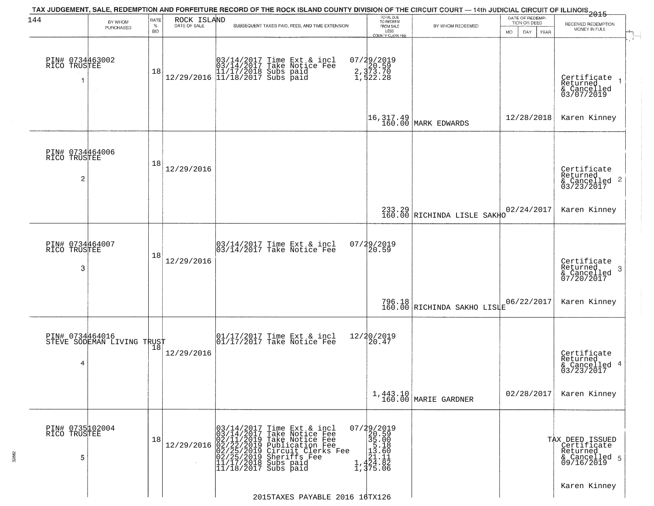| 144                                               | BY WHOM                                       | RATE               | ROCK ISLAND  | TAX JUDGEMENT, SALE, REDEMPTION AND FORFEITURE RECORD OF THE ROCK ISLAND COUNTY DIVISION OF THE CIRCUIT COURT — 14th JUDICIAL CIRCUIT OF ILLINOIS 2015                                                                                                                                       | TOTAL DUE<br>TO REDEEM                                                                                       |                                                                  | DATE OF REDEMP-<br>TION OR DEED | RECEIVED REDEMPTION                                                         |
|---------------------------------------------------|-----------------------------------------------|--------------------|--------------|----------------------------------------------------------------------------------------------------------------------------------------------------------------------------------------------------------------------------------------------------------------------------------------------|--------------------------------------------------------------------------------------------------------------|------------------------------------------------------------------|---------------------------------|-----------------------------------------------------------------------------|
|                                                   | PURCHASED                                     | $\%$<br><b>BID</b> | DATE OF SALE | SUBSEQUENT TAXES PAID, FEES, AND TIME EXTENSION                                                                                                                                                                                                                                              | FROM SALE<br>LESS<br>COUNTY CLERK FEI                                                                        | BY WHOM REDEEMED                                                 | DAY.<br><b>YEAR</b><br>MO.      | MONEY IN FULL                                                               |
| PIN# 0734463002<br>RICO TRUSTEE                   |                                               | 18                 |              | $[03/14/2017 \tTime Ext & incl \\ 03/14/2017 \tTake Notice Free \\ 11/17/2018 Subs paid \\ 12/29/2016 \t[ 11/18/2017 Subs paid]$                                                                                                                                                             | 07/29/2019<br>2, 373.70<br>2, 373.70<br>1, 522.28                                                            |                                                                  |                                 | Certificate<br>Returned<br>& Cancelled<br>03/07/2019                        |
|                                                   |                                               |                    |              |                                                                                                                                                                                                                                                                                              |                                                                                                              | $\begin{vmatrix} 16,317.49 \\ 160.00 \end{vmatrix}$ MARK EDWARDS | 12/28/2018                      | Karen Kinney                                                                |
| PIN# 0734464006<br>RICO TRUSTEE<br>$\overline{c}$ |                                               | 18                 | 12/29/2016   |                                                                                                                                                                                                                                                                                              |                                                                                                              |                                                                  |                                 | Certificate<br>Returned<br>$\mathbf{2}$<br>& Cancelled<br>03/23/2017        |
|                                                   |                                               |                    |              |                                                                                                                                                                                                                                                                                              |                                                                                                              | 233.29<br>160.00 RICHINDA LISLE SAKHO                            | 02/24/2017                      | Karen Kinney                                                                |
| PIN# 0734464007<br>RICO TRUSTEE<br>3              |                                               | 18                 | 12/29/2016   | $\begin{bmatrix} 03/14/2017 \\ 03/14/2017 \end{bmatrix}$ Time Ext & incl                                                                                                                                                                                                                     | 07/29/2019<br>20.59                                                                                          |                                                                  |                                 | Certificate<br>Returned<br>-3<br>& Cancelled<br>07/20/2017                  |
|                                                   |                                               |                    |              |                                                                                                                                                                                                                                                                                              |                                                                                                              | 796.18 RICHINDA SAKHO LISTE                                      | 06/22/2017                      | Karen Kinney                                                                |
| 4                                                 | PIN# 0734464016<br>STEVE SODEMAN LIVING TRUST |                    | 12/29/2016   | $\begin{array}{cc}  01/17/2017 \text{ Time Ext} & \text{incl} \\  01/17/2017 \text{ Take Notice Fe} \end{array}$                                                                                                                                                                             | 12/20/2019<br>120.47                                                                                         |                                                                  |                                 | Certificate<br>Returned<br>4<br>& Cancelled<br>03/23/2017                   |
|                                                   |                                               |                    |              |                                                                                                                                                                                                                                                                                              |                                                                                                              | 1,443.10<br>160.00 MARIE GARDNER                                 | 02/28/2017                      | Karen Kinney                                                                |
| PIN# 0735102004<br>RICO TRUSTEE<br>5              |                                               | 18                 | 12/29/2016   | 03/14/2017<br>03/14/2017<br>Time Ext & incl<br>Take Notice Fee<br>02/11/2019 Take Notic<br>02/22/2019 Publicatio<br>02/25/2019 Publicatio<br>02/25/2019 Sheriffs<br>11/17/2018 Subs paid<br>11/18/2017 Subs paid<br>Take Notice Fee<br>Publication Fee<br>Circuit Clerks Fee<br>Sheriffs Fee | 07/29/2019<br>20.59<br>$\begin{array}{r} 25.00 \\ 35.00 \\ 13.60 \\ 121.11 \\ 24.82 \\ 1,375.06 \end{array}$ |                                                                  |                                 | TAX DEED ISSUED<br>  Certificate<br>Returned<br>& Cancelled 5<br>09/16/2019 |
|                                                   |                                               |                    |              | 2015TAXES PAYABLE 2016 16TX126                                                                                                                                                                                                                                                               |                                                                                                              |                                                                  |                                 | Karen Kinney                                                                |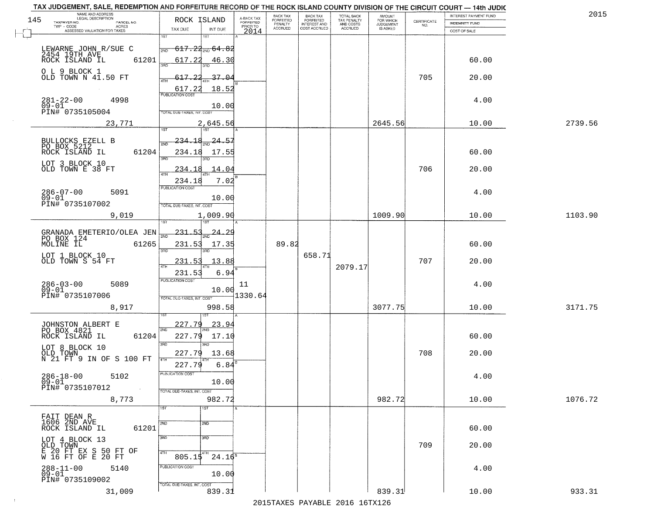| TAX JUDGEMENT, SALE, REDEMPTION AND FORFEITURE RECORD OF THE ROCK ISLAND COUNTY DIVISION OF THE CIRCUIT COURT - 14th JUDIC<br>NAME AND ADDRESS<br>LEGAL DESCRIPTION |                                              |                                     | BACK TAX                    |                                       |                                        | AMOUNT<br>FOR WHICH |                                                                 | INTEREST PAYMENT FUND | 2015    |
|---------------------------------------------------------------------------------------------------------------------------------------------------------------------|----------------------------------------------|-------------------------------------|-----------------------------|---------------------------------------|----------------------------------------|---------------------|-----------------------------------------------------------------|-----------------------|---------|
| 145<br>TAXPAYER NO.<br>PARCEL NO.                                                                                                                                   | ROCK ISLAND                                  | A-BACK TAX<br>FORFEITED<br>PRIOR TO | <b>FORFEITED</b><br>PENALTY | BACK TAX<br>FORFEITED<br>INTEREST AND | TOTAL BACK<br>TAX PENALTY<br>AND COSTS | <b>JUDGEMENT</b>    | $\begin{array}{c} \text{CERTIFICATE} \\ \text{NO.} \end{array}$ | INDEMNITY FUND        |         |
| TWP - CODE<br>ACRES<br>ASSESSED VALUATION FOR TAXES                                                                                                                 | TAX DUE<br>INT DUE                           | 2014                                | <b>ACCRUED</b>              | COST ACCRUED                          | ACCRUED                                | IS ASKED            |                                                                 | COST OF SALE          |         |
|                                                                                                                                                                     | 1ST<br>18T                                   |                                     |                             |                                       |                                        |                     |                                                                 |                       |         |
| LEWARNE JOHN R/SUE C                                                                                                                                                | <del>617.22<sub>2ND</sub> 64.82</del><br>2ND |                                     |                             |                                       |                                        |                     |                                                                 |                       |         |
| 2454 19TH AVE ROCK ISLAND IL                                                                                                                                        |                                              |                                     |                             |                                       |                                        |                     |                                                                 |                       |         |
| 61201                                                                                                                                                               | 617.22<br>46.30<br>350                       |                                     |                             |                                       |                                        |                     |                                                                 | 60.00                 |         |
| O L 9 BLOCK 1                                                                                                                                                       |                                              |                                     |                             |                                       |                                        |                     |                                                                 |                       |         |
| OLD TOWN N 41.50 FT                                                                                                                                                 | 617.22<br>37.04                              |                                     |                             |                                       |                                        |                     | 705                                                             | 20.00                 |         |
|                                                                                                                                                                     | 617.22<br>18.52                              |                                     |                             |                                       |                                        |                     |                                                                 |                       |         |
| 4998                                                                                                                                                                | <b>PUBLICATION COST</b>                      |                                     |                             |                                       |                                        |                     |                                                                 | 4.00                  |         |
| $281 - 22 - 00$<br>09-01                                                                                                                                            | 10.00                                        |                                     |                             |                                       |                                        |                     |                                                                 |                       |         |
| PIN# 0735105004                                                                                                                                                     | <b>TOTAL DUE-TAXES, INT. COST</b>            |                                     |                             |                                       |                                        |                     |                                                                 |                       |         |
| 23,771                                                                                                                                                              | 2,645.56                                     |                                     |                             |                                       |                                        | 2645.56             |                                                                 | 10.00                 | 2739.56 |
|                                                                                                                                                                     |                                              |                                     |                             |                                       |                                        |                     |                                                                 |                       |         |
| BULLOCKS EZELL B<br>PO BOX 5212                                                                                                                                     | 24.57<br><u> 234.18</u>                      |                                     |                             |                                       |                                        |                     |                                                                 |                       |         |
| ROCK ISLAND IL<br>61204                                                                                                                                             | 234.18<br>17.55                              |                                     |                             |                                       |                                        |                     |                                                                 | 60.00                 |         |
|                                                                                                                                                                     |                                              |                                     |                             |                                       |                                        |                     |                                                                 |                       |         |
| LOT 3 BLOCK 10<br>OLD TOWN E 38 FT                                                                                                                                  | 234.18<br>14.04                              |                                     |                             |                                       |                                        |                     | 706                                                             | 20.00                 |         |
|                                                                                                                                                                     |                                              |                                     |                             |                                       |                                        |                     |                                                                 |                       |         |
|                                                                                                                                                                     | 7.02<br>234.18                               |                                     |                             |                                       |                                        |                     |                                                                 |                       |         |
| $286 - 07 - 00$<br>5091                                                                                                                                             | PUBLICATION COST                             |                                     |                             |                                       |                                        |                     |                                                                 | 4.00                  |         |
| $09 - 01$                                                                                                                                                           | 10.00                                        |                                     |                             |                                       |                                        |                     |                                                                 |                       |         |
| PIN# 0735107002                                                                                                                                                     | TOTAL DUE-TAXES, INT. COST                   |                                     |                             |                                       |                                        |                     |                                                                 |                       |         |
| 9,019                                                                                                                                                               | 1,009.90                                     |                                     |                             |                                       |                                        | 1009.90             |                                                                 | 10.00                 | 1103.90 |
|                                                                                                                                                                     | 187                                          |                                     |                             |                                       |                                        |                     |                                                                 |                       |         |
| GRANADA EMETERIO/OLEA JEN                                                                                                                                           | $-231 - 53$<br><u>24.29</u><br>2ND           |                                     |                             |                                       |                                        |                     |                                                                 |                       |         |
| PO BOX 124<br>MOLINE IL<br>61265                                                                                                                                    | 231.53<br>17.35                              |                                     | 89.82                       |                                       |                                        |                     |                                                                 | 60.00                 |         |
|                                                                                                                                                                     | 3RD<br>3RD                                   |                                     |                             |                                       |                                        |                     |                                                                 |                       |         |
| LOT 1 BLOCK 10<br>OLD TOWN S 54 FT                                                                                                                                  | 13.88<br>231.53                              |                                     |                             | 658.71                                |                                        |                     | 707                                                             | 20.00                 |         |
|                                                                                                                                                                     |                                              |                                     |                             |                                       | 2079.17                                |                     |                                                                 |                       |         |
|                                                                                                                                                                     | 6.94<br>231.53                               |                                     |                             |                                       |                                        |                     |                                                                 |                       |         |
| $286 - 03 - 00$<br>09-01<br>5089                                                                                                                                    | <b>PUBLICATION COST</b>                      | 11                                  |                             |                                       |                                        |                     |                                                                 | 4.00                  |         |
| PIN# 0735107006                                                                                                                                                     | 10.00                                        | 1330.64                             |                             |                                       |                                        |                     |                                                                 |                       |         |
|                                                                                                                                                                     | TOTAL OUE-TAXES, INT. COST                   |                                     |                             |                                       |                                        |                     |                                                                 |                       |         |
| 8,917                                                                                                                                                               | 998.58                                       |                                     |                             |                                       |                                        | 3077.75             |                                                                 | 10.00                 | 3171.75 |
|                                                                                                                                                                     |                                              |                                     |                             |                                       |                                        |                     |                                                                 |                       |         |
| JOHNSTON ALBERT E<br>PO BOX 4821                                                                                                                                    | 227.79<br><u>23.94</u><br>2ND                |                                     |                             |                                       |                                        |                     |                                                                 |                       |         |
| ROCK ISLAND IL<br>61204                                                                                                                                             | 227.79<br>17.10                              |                                     |                             |                                       |                                        |                     |                                                                 | 60.00                 |         |
|                                                                                                                                                                     | 3RD<br>3BD                                   |                                     |                             |                                       |                                        |                     |                                                                 |                       |         |
| LOT 8 BLOCK 10<br>OLD TOWN                                                                                                                                          | 227.79<br>13.68                              |                                     |                             |                                       |                                        |                     | 708                                                             | 20.00                 |         |
| N 21 FT 9 IN OF S 100 FT                                                                                                                                            | 6.84<br>227.79                               |                                     |                             |                                       |                                        |                     |                                                                 |                       |         |
|                                                                                                                                                                     | PUBLICATION COST                             |                                     |                             |                                       |                                        |                     |                                                                 |                       |         |
| $286 - 18 - 00$<br>5102<br>$09 - 01$                                                                                                                                | 10.00                                        |                                     |                             |                                       |                                        |                     |                                                                 | 4.00                  |         |
| PIN# 0735107012<br>$\sim 100$                                                                                                                                       | TOTAL DUE-TAXES, INT. COST                   |                                     |                             |                                       |                                        |                     |                                                                 |                       |         |
| 8,773                                                                                                                                                               | 982.72                                       |                                     |                             |                                       |                                        | 982.72              |                                                                 | 10.00                 | 1076.72 |
|                                                                                                                                                                     | 1ST<br>$\overline{\text{1ST}}$               |                                     |                             |                                       |                                        |                     |                                                                 |                       |         |
|                                                                                                                                                                     |                                              |                                     |                             |                                       |                                        |                     |                                                                 |                       |         |
| FAIT DEAN R<br>1606 2ND AVE                                                                                                                                         | 2ND<br>2ND                                   |                                     |                             |                                       |                                        |                     |                                                                 |                       |         |
| 61201<br>ROCK ISLAND IL                                                                                                                                             |                                              |                                     |                             |                                       |                                        |                     |                                                                 | 60.00                 |         |
|                                                                                                                                                                     | 3RD<br>3RD                                   |                                     |                             |                                       |                                        |                     |                                                                 |                       |         |
| LOT 4 BLOCK 13<br>OLD TOWN                                                                                                                                          |                                              |                                     |                             |                                       |                                        |                     | 709                                                             | 20.00                 |         |
| E 20 FT EX S 50 FT OF<br>W 16 FT OF E 20 FT                                                                                                                         | 4TH<br>4TH<br>$24.16^8$<br>805.15            |                                     |                             |                                       |                                        |                     |                                                                 |                       |         |
| $288 - 11 - 00$                                                                                                                                                     | PUBLICATION COST                             |                                     |                             |                                       |                                        |                     |                                                                 |                       |         |
| 5140<br>$09 - 01$                                                                                                                                                   | 10.00                                        |                                     |                             |                                       |                                        |                     |                                                                 | 4.00                  |         |
| PIN# 0735109002                                                                                                                                                     | TOTAL DUE-TAXES, INT. COST                   |                                     |                             |                                       |                                        |                     |                                                                 |                       |         |
| 31,009                                                                                                                                                              | 839.31                                       |                                     |                             |                                       |                                        | 839.31              |                                                                 | 10.00                 | 933.31  |
|                                                                                                                                                                     |                                              |                                     |                             |                                       | 2015 TAVES DAVADIE 2016 16 TV126       |                     |                                                                 |                       |         |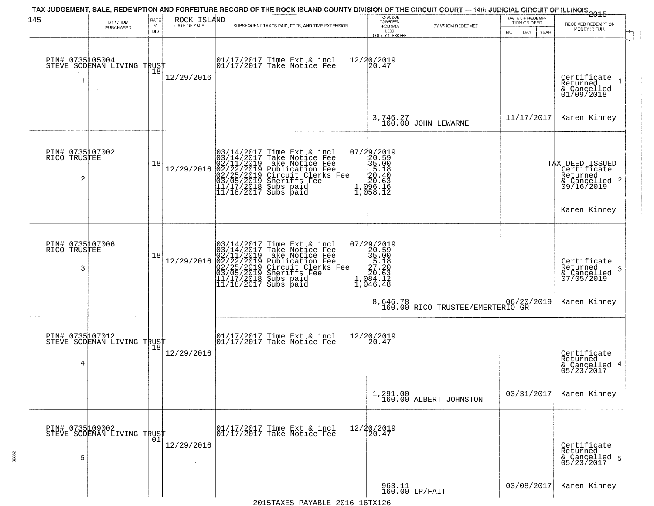| 145                                  | BY WHOM<br>PURCHASED                          | RATE<br>$\%$<br><b>BID</b> | ROCK ISLAND<br>DATE OF SALE | SUBSEQUENT TAXES PAID, FEES, AND TIME EXTENSION                                                                                                                                                               | TOTAL DUE<br>TO REDEEM<br>FROM SALE<br>LESS<br><b>COUNTY CLERK FEE</b>                                                      | BY WHOM REDEEMED                                        | DATE OF REDEMP-<br>TION OR DEED<br>MO.<br>DAY.<br>YEAR | $-2015$<br>RECEIVED REDEMPTION<br>MONEY IN FULL                                       |  |
|--------------------------------------|-----------------------------------------------|----------------------------|-----------------------------|---------------------------------------------------------------------------------------------------------------------------------------------------------------------------------------------------------------|-----------------------------------------------------------------------------------------------------------------------------|---------------------------------------------------------|--------------------------------------------------------|---------------------------------------------------------------------------------------|--|
|                                      | PIN# 0735105004<br>STEVE SODEMAN LIVING TRUST |                            | 12/29/2016                  | $\begin{bmatrix} 01/17/2017 \\ 01/17/2017 \\ 01 \end{bmatrix}$ Take Notice Fee                                                                                                                                | 12/20/2019<br>[20.47]                                                                                                       |                                                         |                                                        | Certificate<br>Returned<br>& Cancelled<br>01/09/2018                                  |  |
|                                      |                                               |                            |                             |                                                                                                                                                                                                               |                                                                                                                             | 3,746.27<br>160.00 JOHN LEWARNE                         | 11/17/2017                                             | Karen Kinney                                                                          |  |
| PIN# 0735107002<br>RICO TRUSTEE<br>2 |                                               | 18                         | 12/29/2016                  | $03/14/2017$ Time Ext & incl<br>$03/14/2017$ Take Notice Fee<br>$02/11/2019$ Take Notice Fee<br>$02/22/2019$ Publication Fee<br>$03/05/2019$ Sheriffs Fee<br>$11/17/2018$ Subs paid<br>$11/18/2017$ Subs paid | 07/29/2019<br>20.59<br>35.00<br>55.00<br>56.40<br>20.63<br>1,096.15<br>$\overline{1}$ , $\overline{0}$ 58. $\overline{1}$ 2 |                                                         |                                                        | TAX DEED ISSUED<br>Certificate<br>Returned<br>$\frac{1}{2}$ Cancelled 2<br>09/16/2019 |  |
|                                      |                                               |                            |                             |                                                                                                                                                                                                               |                                                                                                                             |                                                         |                                                        | Karen Kinney                                                                          |  |
| PIN# 0735107006<br>RICO TRUSTEE<br>3 |                                               | 18                         | 12/29/2016                  | $03/14/2017$ Time Ext & incl<br>$03/14/2017$ Take Notice Fee<br>$02/11/2019$ Take Notice Fee<br>$02/22/2019$ Publication Fee<br>$03/05/2019$ Sheriffs Fee<br>$11/17/2018$ Subs paid<br>$11/18/2017$ Subs paid | $\begin{smallmatrix} 07/29/2019\\20.59\\35.00\\57.18\\27.20\\20.63\\1,084.12\\1,046.48 \end{smallmatrix}$                   |                                                         |                                                        | Certificate<br>Returned<br>3<br>& Cancelled<br>07/05/2019                             |  |
|                                      |                                               |                            |                             |                                                                                                                                                                                                               |                                                                                                                             | 8,646.78<br>160.00 RICO TRUSTEE/EMERTERIO GR            |                                                        | Karen Kinney                                                                          |  |
| PIN# 0735107012<br>4                 | STEVE SODEMAN LIVING TRUST                    | 18                         | 12/29/2016                  | 01/17/2017 Time Ext & incl<br>01/17/2017 Take Notice Fee                                                                                                                                                      | 12/20/2019<br>20.47                                                                                                         |                                                         |                                                        | Certificate<br>Returned<br>& Cancelled 4<br>05/23/2017                                |  |
|                                      |                                               |                            |                             |                                                                                                                                                                                                               |                                                                                                                             | $1,291.00$<br>$160.00$ ALBERT JOHNSTON                  | 03/31/2017                                             | Karen Kinney                                                                          |  |
| 5                                    | PIN# 0735109002<br>STEVE SODEMAN LIVING TRUST |                            | 12/29/2016                  | 01/17/2017 Time Ext & incl<br>01/17/2017 Take Notice Fee                                                                                                                                                      | 12/20/2019<br>20.47                                                                                                         |                                                         |                                                        | Certificate<br>Returned<br>& Cancelled 5<br>05/23/2017                                |  |
|                                      |                                               |                            |                             | 2015 TAVES DAVARIE 2016 16TV126                                                                                                                                                                               |                                                                                                                             | $\begin{array}{c} 963.11 \\ 160.00 \end{array}$ LP/FAIT | 03/08/2017                                             | Karen Kinney                                                                          |  |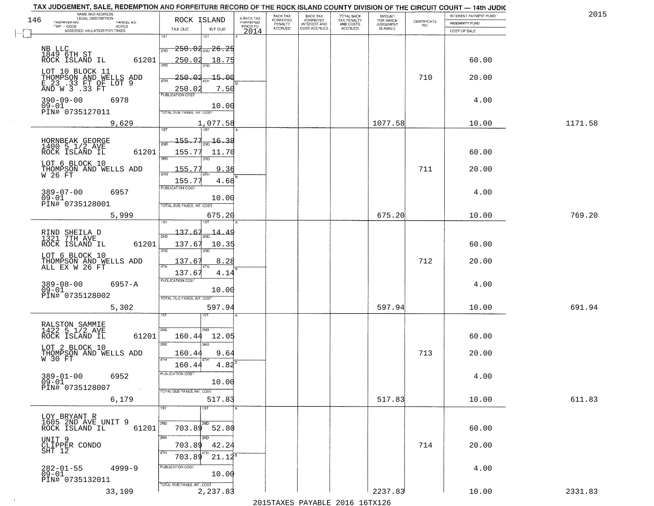|     | TAX JUDGEMENT, SALE, REDEMPTION AND FORFEITURE RECORD OF THE ROCK ISLAND COUNTY DIVISION OF THE CIRCUIT COURT - 14th JUDIC |                                          |                         | BACK TAX             |                                       |                                        |                                         |                                                                 | <b>INTEREST PAYMENT FUND</b> | 2015    |
|-----|----------------------------------------------------------------------------------------------------------------------------|------------------------------------------|-------------------------|----------------------|---------------------------------------|----------------------------------------|-----------------------------------------|-----------------------------------------------------------------|------------------------------|---------|
| 146 | NAME AND ADDRESS<br>LEGAL DESCRIPTION<br>TAXPAYER NO.<br>PARCEL NO.                                                        | ROCK ISLAND                              | A-BACK TAX<br>FORFEITED | FORFEITED<br>PENALTY | BACK TAX<br>FORFEITED<br>INTEREST AND | TOTAL BACK<br>TAX PENALTY<br>AND COSTS | AMOUNT<br>FOR WHICH<br><b>JUDGEMENT</b> | $\begin{array}{c} \text{CERTIFICATE} \\ \text{NO.} \end{array}$ | <b>INDEMNITY FUND</b>        |         |
|     | TWP - CODE<br>ACRES<br>ASSESSED VALUATION FOR TAXES                                                                        | TAX DUE<br>INT DUE                       | PRIOR TO<br>2014        | <b>ACCRUED</b>       | COST ACCRUED                          | <b>ACCRUED</b>                         | IS ASKED                                |                                                                 | COST OF SALE                 |         |
|     |                                                                                                                            | 1ST<br>1ST                               |                         |                      |                                       |                                        |                                         |                                                                 |                              |         |
|     | NB LLC<br>1849 6TH ST<br>ROCK ISLAND IL                                                                                    | $250.02_{\rm 2ND} 26.25$<br>2ND          |                         |                      |                                       |                                        |                                         |                                                                 |                              |         |
|     | 61201                                                                                                                      | 250.02<br>18.75<br>बन्नल                 |                         |                      |                                       |                                        |                                         |                                                                 | 60.00                        |         |
|     | LOT 10 BLOCK 11                                                                                                            | 250.02<br>$-15.00$                       |                         |                      |                                       |                                        |                                         | 710                                                             | 20.00                        |         |
|     | THOMPSON AND WELLS ADD<br>E 23 .33 FT OF LOT 9<br>AND W 3 .33 FT                                                           | 4TH<br>7.50<br>250.02                    |                         |                      |                                       |                                        |                                         |                                                                 |                              |         |
|     | 390-09-00<br>6978                                                                                                          | <b>PUBLICATION COST</b>                  |                         |                      |                                       |                                        |                                         |                                                                 | 4.00                         |         |
|     | $09 - 01$<br>PIN# 0735127011                                                                                               | 10.00<br>TOTAL DUE-TAXES, INT. COST      |                         |                      |                                       |                                        |                                         |                                                                 |                              |         |
|     | 9,629                                                                                                                      | 1,077.58                                 |                         |                      |                                       |                                        | 1077.58                                 |                                                                 | 10.00                        | 1171.58 |
|     |                                                                                                                            | 1ST<br>1ST                               |                         |                      |                                       |                                        |                                         |                                                                 |                              |         |
|     |                                                                                                                            | 155.77<br>16.38<br>2ND                   |                         |                      |                                       |                                        |                                         |                                                                 |                              |         |
|     | HORNBEAK GEORGE<br>1400 5 1/2 AVE<br>ROCK ISLAND IL<br>61201                                                               | 155.77<br>11.70                          |                         |                      |                                       |                                        |                                         |                                                                 | 60.00                        |         |
|     | LOT 6 BLOCK 10                                                                                                             | 3BD<br>3RD                               |                         |                      |                                       |                                        |                                         |                                                                 |                              |         |
|     | THOMPSON AND WELLS ADD<br>$W$ 26 $FT$                                                                                      | 155.77<br>9.36                           |                         |                      |                                       |                                        |                                         | 711                                                             | 20.00                        |         |
|     |                                                                                                                            | 155.77<br>4.68<br>PUBLICATION COST       |                         |                      |                                       |                                        |                                         |                                                                 |                              |         |
|     | $389 - 07 - 00$<br>6957<br>$09 - 01$                                                                                       | 10.00                                    |                         |                      |                                       |                                        |                                         |                                                                 | 4.00                         |         |
|     | PIN# 0735128001                                                                                                            | TOTAL DUE-TAXES, INT. COST<br>675.20     |                         |                      |                                       |                                        | 675.20                                  |                                                                 | 10.00                        | 769.20  |
|     | 5,999                                                                                                                      |                                          |                         |                      |                                       |                                        |                                         |                                                                 |                              |         |
|     | RIND SHEILA D<br>1321 7TH AVE                                                                                              | 137.67<br>14.49<br>2ND                   |                         |                      |                                       |                                        |                                         |                                                                 |                              |         |
|     | 61201<br>ROCK ISLAND IL                                                                                                    | 137.67<br>10.35                          |                         |                      |                                       |                                        |                                         |                                                                 | 60.00                        |         |
|     | LOT 6 BLOCK 10                                                                                                             | 3 <sub>BD</sub><br>3RD<br>137.67<br>8.28 |                         |                      |                                       |                                        |                                         | 712                                                             | 20.00                        |         |
|     | THOMPSON AND WELLS ADD<br>ALL EX W 26 FT                                                                                   | 137.67<br>4.14                           |                         |                      |                                       |                                        |                                         |                                                                 |                              |         |
|     | $6957 - A$                                                                                                                 | <b>PUBLICATION COST</b>                  |                         |                      |                                       |                                        |                                         |                                                                 | 4.00                         |         |
|     | $389 - 08 - 00$<br>$09 - 01$                                                                                               | 10.00                                    |                         |                      |                                       |                                        |                                         |                                                                 |                              |         |
|     | PIN# 0735128002                                                                                                            | TOTAL OUE-TAXES, INT. COST               |                         |                      |                                       |                                        |                                         |                                                                 |                              |         |
|     | 5,302                                                                                                                      | 597.94<br>डिक                            |                         |                      |                                       |                                        | 597.94                                  |                                                                 | 10.00                        | 691.94  |
|     |                                                                                                                            | 2ND<br>2ND                               |                         |                      |                                       |                                        |                                         |                                                                 |                              |         |
|     | RALSTON SAMMIE<br>1422 5 1/2 AVE<br>ROCK ISLAND IL<br>61201                                                                | 160.44<br>12.05                          |                         |                      |                                       |                                        |                                         |                                                                 | 60.00                        |         |
|     | LOT 2 BLOCK 10                                                                                                             | 3BD<br>$\overline{3BD}$<br>9.64          |                         |                      |                                       |                                        |                                         | 713                                                             | 20.00                        |         |
|     | THOMPSON AND WELLS ADD<br>W 30 FT                                                                                          | 160.44<br>4TH                            |                         |                      |                                       |                                        |                                         |                                                                 |                              |         |
|     | $389 - 01 - 00$                                                                                                            | 4.82<br>160.44<br>PUBLICATION COST       |                         |                      |                                       |                                        |                                         |                                                                 |                              |         |
|     | 6952<br>$09 - 01$                                                                                                          | 10.00                                    |                         |                      |                                       |                                        |                                         |                                                                 | 4.00                         |         |
|     | PIN# 0735128007<br>$\sim 100$<br>6,179                                                                                     | TOTAL DUE-TAXES, INT. COST<br>517.83     |                         |                      |                                       |                                        | 517.83                                  |                                                                 | 10.00                        | 611.83  |
|     |                                                                                                                            | 1ST<br>1ST                               |                         |                      |                                       |                                        |                                         |                                                                 |                              |         |
|     | LOY BRYANT R<br>1605 2ND AVE UNIT 9                                                                                        |                                          |                         |                      |                                       |                                        |                                         |                                                                 |                              |         |
|     | 61201<br>ROCK ISLAND IL                                                                                                    | 2ND<br>2ND<br>703.89<br>52.80            |                         |                      |                                       |                                        |                                         |                                                                 | 60.00                        |         |
|     | UNIT 9                                                                                                                     | 3BD<br>3RD.                              |                         |                      |                                       |                                        |                                         |                                                                 |                              |         |
|     | CLIPPER CONDO<br>SHT 12                                                                                                    | 42.24<br>703.89<br>4TH<br>703.89         |                         |                      |                                       |                                        |                                         | 714                                                             | 20.00                        |         |
|     |                                                                                                                            | $21.12^8$<br>PUBLICATION COST            |                         |                      |                                       |                                        |                                         |                                                                 |                              |         |
|     | 282-01-55<br>09-01<br>$4999 - 9$                                                                                           | 10.00                                    |                         |                      |                                       |                                        |                                         |                                                                 | 4.00                         |         |
|     | PIN# 0735132011<br>33,109                                                                                                  | TOTAL DUE-TAXES, INT. COST<br>2,237.83   |                         |                      |                                       |                                        | 2237.83                                 |                                                                 | 10.00                        | 2331.83 |
|     |                                                                                                                            |                                          |                         |                      |                                       |                                        |                                         |                                                                 |                              |         |

 $\sim 10$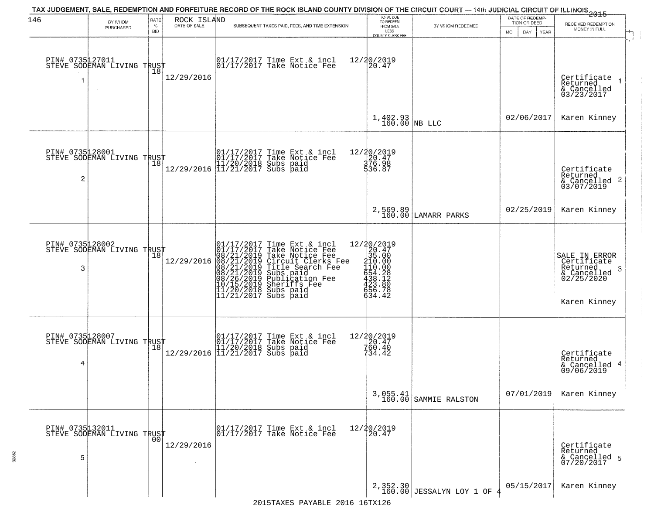| 146                  | BY WHOM                                       | RATE               | ROCK ISLAND | TAX JUDGEMENT, SALE, REDEMPTION AND FORFEITURE RECORD OF THE ROCK ISLAND COUNTY DIVISION OF THE CIRCUIT COURT — 14th JUDICIAL CIRCUIT OF ILLINOIS<br>2015 -                                                                                           |                                                                                                      | TOTAL DUE<br>TO REDEEM                |                                        | DATE OF REDEMP-<br>TION OR DEED | RECEIVED REDEMPTION                                                                        |
|----------------------|-----------------------------------------------|--------------------|-------------|-------------------------------------------------------------------------------------------------------------------------------------------------------------------------------------------------------------------------------------------------------|------------------------------------------------------------------------------------------------------|---------------------------------------|----------------------------------------|---------------------------------|--------------------------------------------------------------------------------------------|
|                      | PURCHASED                                     | $\%$<br><b>BID</b> |             | SUBSEQUENT TAXES PAID, FEES, AND TIME EXTENSION                                                                                                                                                                                                       |                                                                                                      | FROM SALE<br>LESS<br>COUNTY CLERK FEE | BY WHOM REDEEMED                       | MO.<br>DAY.<br>YEAR             | MONEY IN FULL                                                                              |
| 1                    | PIN# 0735127011<br>STEVE SODEMAN LIVING TRUST |                    | 12/29/2016  | $\begin{array}{cc} 01/17/2017 \\ 01/17/2017 \\ \end{array}$ Take Notice Fee                                                                                                                                                                           | 12/20/2019<br>20.47                                                                                  |                                       |                                        |                                 | Certificate 1<br>Returned 1<br>& Cancelled<br>03/23/2017                                   |
|                      |                                               |                    |             |                                                                                                                                                                                                                                                       |                                                                                                      | $1,402.93$ NB LLC                     |                                        | 02/06/2017                      | Karen Kinney                                                                               |
| 2                    | PIN# 0735128001<br>STEVE SODEMAN LIVING TRUST |                    |             | $[01/17/2017$ Time Ext & incl\n01/17/2017 Take Notice Free\n11/20/2018 Subs paid\n12/29/2016] 11/21/2017 Subs paid$                                                                                                                                   | 12/20/2019<br>20.47<br>376.98<br>336.87                                                              |                                       |                                        |                                 | Certificate<br>Returned<br>$\frac{1}{6}$ Cancelled 2<br>03/07/2019                         |
|                      |                                               |                    |             |                                                                                                                                                                                                                                                       |                                                                                                      | 2,569.89<br>160.00                    | LAMARR PARKS                           | 02/25/2019                      | Karen Kinney                                                                               |
| PIN# 0735128002<br>3 | STEVE SODEMAN LIVING TRUST                    | 18                 | 12/29/2016  | 01/17/2017 Time Ext & incl<br>01/17/2017 Take Notice Fee<br>08/21/2019 Take Notice Fee<br>08/21/2019 Circuit Clerks Fee<br>08/21/2019 Title Search Fee<br>08/21/2019 Subs paid<br>08/26/2019 Sheriffs Fee<br>10/15/2019 Sheriffs Fee<br>11/20/2018 Su | $=\begin{smallmatrix} 12/20/2019\\20.47\\25.00\\35.00\\110.00\\410.00\\654.28\\433\end{smallmatrix}$ | $423.80$<br>$456.78$<br>634.42        |                                        |                                 | SALE IN ERROR<br>Certificate<br>Returned<br>3<br>& Cancelled<br>02/25/2020<br>Karen Kinney |
| 4                    | PIN# 0735128007<br>STEVE SODEMAN LIVING TRUST |                    |             | $[01/17/2017 \t\t Time \t\t Ext & incl \\ [01/17/2017 \t\t Take \tNotice \t\text{Fe} \\ [11/20/2018 \t\text{Subs paid} \\ [11/21/2017 \t\text{Subs paid} \\$                                                                                          | 12/20/2019<br>20.47<br>760.40                                                                        | 734.42                                |                                        |                                 | Certificate<br>Returned<br>& Cancelled 4<br>09/06/2019                                     |
|                      |                                               |                    |             |                                                                                                                                                                                                                                                       |                                                                                                      |                                       | 3,055.41<br>160.00 SAMMIE RALSTON      | 07/01/2019                      | Karen Kinney                                                                               |
| 5                    | PIN# 0735132011<br>STEVE SODEMAN LIVING TRUST | 0 <sub>0</sub>     | 12/29/2016  | 01/17/2017 Time Ext & incl<br>01/17/2017 Take Notice Fee                                                                                                                                                                                              | 12/20/2019<br>20.47                                                                                  |                                       |                                        |                                 | Certificate<br>Returned<br>& Cancelled 5<br>07/20/2017                                     |
|                      |                                               |                    |             |                                                                                                                                                                                                                                                       |                                                                                                      |                                       | $2,352.30$<br>160.00 JESSALYN LOY 1 OF | 05/15/2017                      | Karen Kinney                                                                               |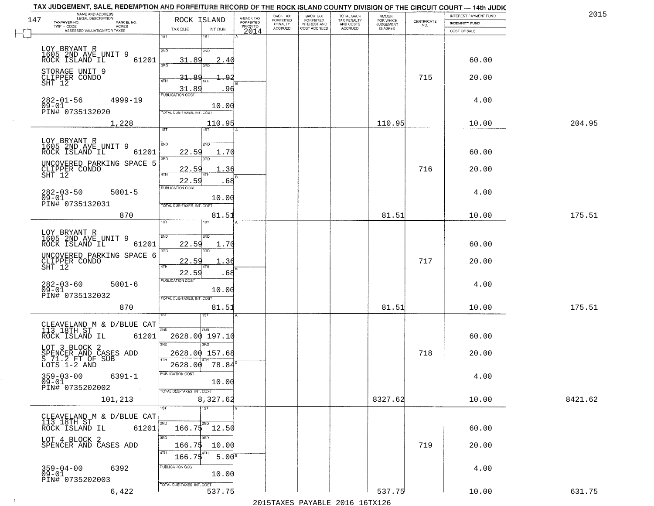|                                |                                                                                                                                                                                                                                                                                                                                                                                                                                                                                                                                                                                                                                                                                                                                                        |                                                                                                                                               |                                                                                                                                                                                                                                                                                                                                     | BACK TAX                                                                                                                                                                                                                                               |                                 |                                                       | <b>AMOUNT</b>                                     |                                    | INTEREST PAYMENT FUND |                                                                                            |                                                                                                                                    |
|--------------------------------|--------------------------------------------------------------------------------------------------------------------------------------------------------------------------------------------------------------------------------------------------------------------------------------------------------------------------------------------------------------------------------------------------------------------------------------------------------------------------------------------------------------------------------------------------------------------------------------------------------------------------------------------------------------------------------------------------------------------------------------------------------|-----------------------------------------------------------------------------------------------------------------------------------------------|-------------------------------------------------------------------------------------------------------------------------------------------------------------------------------------------------------------------------------------------------------------------------------------------------------------------------------------|--------------------------------------------------------------------------------------------------------------------------------------------------------------------------------------------------------------------------------------------------------|---------------------------------|-------------------------------------------------------|---------------------------------------------------|------------------------------------|-----------------------|--------------------------------------------------------------------------------------------|------------------------------------------------------------------------------------------------------------------------------------|
| $TWP - CODE$<br>ACRES          |                                                                                                                                                                                                                                                                                                                                                                                                                                                                                                                                                                                                                                                                                                                                                        |                                                                                                                                               | PRIOR TO                                                                                                                                                                                                                                                                                                                            |                                                                                                                                                                                                                                                        |                                 |                                                       |                                                   | NO.                                |                       |                                                                                            |                                                                                                                                    |
|                                | 1ST                                                                                                                                                                                                                                                                                                                                                                                                                                                                                                                                                                                                                                                                                                                                                    | 1ST                                                                                                                                           |                                                                                                                                                                                                                                                                                                                                     |                                                                                                                                                                                                                                                        |                                 |                                                       |                                                   |                                    |                       |                                                                                            |                                                                                                                                    |
|                                |                                                                                                                                                                                                                                                                                                                                                                                                                                                                                                                                                                                                                                                                                                                                                        |                                                                                                                                               |                                                                                                                                                                                                                                                                                                                                     |                                                                                                                                                                                                                                                        |                                 |                                                       |                                                   |                                    |                       |                                                                                            |                                                                                                                                    |
| ROCK ISLAND IL<br>61201        |                                                                                                                                                                                                                                                                                                                                                                                                                                                                                                                                                                                                                                                                                                                                                        |                                                                                                                                               |                                                                                                                                                                                                                                                                                                                                     |                                                                                                                                                                                                                                                        |                                 |                                                       |                                                   |                                    | 60.00                 |                                                                                            |                                                                                                                                    |
|                                |                                                                                                                                                                                                                                                                                                                                                                                                                                                                                                                                                                                                                                                                                                                                                        |                                                                                                                                               |                                                                                                                                                                                                                                                                                                                                     |                                                                                                                                                                                                                                                        |                                 |                                                       |                                                   |                                    |                       |                                                                                            |                                                                                                                                    |
|                                | 4TH                                                                                                                                                                                                                                                                                                                                                                                                                                                                                                                                                                                                                                                                                                                                                    |                                                                                                                                               |                                                                                                                                                                                                                                                                                                                                     |                                                                                                                                                                                                                                                        |                                 |                                                       |                                                   |                                    |                       |                                                                                            |                                                                                                                                    |
|                                | PUBLICATION COST                                                                                                                                                                                                                                                                                                                                                                                                                                                                                                                                                                                                                                                                                                                                       |                                                                                                                                               |                                                                                                                                                                                                                                                                                                                                     |                                                                                                                                                                                                                                                        |                                 |                                                       |                                                   |                                    |                       |                                                                                            |                                                                                                                                    |
| $282 - 01 - 56$<br>$4999 - 19$ |                                                                                                                                                                                                                                                                                                                                                                                                                                                                                                                                                                                                                                                                                                                                                        |                                                                                                                                               |                                                                                                                                                                                                                                                                                                                                     |                                                                                                                                                                                                                                                        |                                 |                                                       |                                                   |                                    | 4.00                  |                                                                                            |                                                                                                                                    |
|                                |                                                                                                                                                                                                                                                                                                                                                                                                                                                                                                                                                                                                                                                                                                                                                        |                                                                                                                                               |                                                                                                                                                                                                                                                                                                                                     |                                                                                                                                                                                                                                                        |                                 |                                                       |                                                   |                                    |                       |                                                                                            |                                                                                                                                    |
| 1,228                          |                                                                                                                                                                                                                                                                                                                                                                                                                                                                                                                                                                                                                                                                                                                                                        | 1ST <sup>1</sup>                                                                                                                              |                                                                                                                                                                                                                                                                                                                                     |                                                                                                                                                                                                                                                        |                                 |                                                       | 110.95                                            |                                    | 10.00                 | 204.95                                                                                     |                                                                                                                                    |
|                                |                                                                                                                                                                                                                                                                                                                                                                                                                                                                                                                                                                                                                                                                                                                                                        |                                                                                                                                               |                                                                                                                                                                                                                                                                                                                                     |                                                                                                                                                                                                                                                        |                                 |                                                       |                                                   |                                    |                       |                                                                                            |                                                                                                                                    |
|                                |                                                                                                                                                                                                                                                                                                                                                                                                                                                                                                                                                                                                                                                                                                                                                        |                                                                                                                                               |                                                                                                                                                                                                                                                                                                                                     |                                                                                                                                                                                                                                                        |                                 |                                                       |                                                   |                                    |                       |                                                                                            |                                                                                                                                    |
|                                | 3RD                                                                                                                                                                                                                                                                                                                                                                                                                                                                                                                                                                                                                                                                                                                                                    | 3RD                                                                                                                                           |                                                                                                                                                                                                                                                                                                                                     |                                                                                                                                                                                                                                                        |                                 |                                                       |                                                   |                                    |                       |                                                                                            |                                                                                                                                    |
|                                | 22.59<br>$\sqrt{4}$ TH                                                                                                                                                                                                                                                                                                                                                                                                                                                                                                                                                                                                                                                                                                                                 | 4TH                                                                                                                                           |                                                                                                                                                                                                                                                                                                                                     |                                                                                                                                                                                                                                                        |                                 |                                                       |                                                   | 716                                | 20.00                 |                                                                                            |                                                                                                                                    |
|                                |                                                                                                                                                                                                                                                                                                                                                                                                                                                                                                                                                                                                                                                                                                                                                        |                                                                                                                                               |                                                                                                                                                                                                                                                                                                                                     |                                                                                                                                                                                                                                                        |                                 |                                                       |                                                   |                                    |                       |                                                                                            |                                                                                                                                    |
| $5001 - 5$<br>$282 - 03 - 50$  |                                                                                                                                                                                                                                                                                                                                                                                                                                                                                                                                                                                                                                                                                                                                                        |                                                                                                                                               |                                                                                                                                                                                                                                                                                                                                     |                                                                                                                                                                                                                                                        |                                 |                                                       |                                                   |                                    | 4.00                  |                                                                                            |                                                                                                                                    |
| PIN# 0735132031                |                                                                                                                                                                                                                                                                                                                                                                                                                                                                                                                                                                                                                                                                                                                                                        |                                                                                                                                               |                                                                                                                                                                                                                                                                                                                                     |                                                                                                                                                                                                                                                        |                                 |                                                       |                                                   |                                    |                       |                                                                                            |                                                                                                                                    |
| 870                            |                                                                                                                                                                                                                                                                                                                                                                                                                                                                                                                                                                                                                                                                                                                                                        | 81.51                                                                                                                                         |                                                                                                                                                                                                                                                                                                                                     |                                                                                                                                                                                                                                                        |                                 |                                                       | 81.51                                             |                                    | 10.00                 | 175.51                                                                                     |                                                                                                                                    |
|                                |                                                                                                                                                                                                                                                                                                                                                                                                                                                                                                                                                                                                                                                                                                                                                        |                                                                                                                                               |                                                                                                                                                                                                                                                                                                                                     |                                                                                                                                                                                                                                                        |                                 |                                                       |                                                   |                                    |                       |                                                                                            |                                                                                                                                    |
|                                | 2ND                                                                                                                                                                                                                                                                                                                                                                                                                                                                                                                                                                                                                                                                                                                                                    |                                                                                                                                               |                                                                                                                                                                                                                                                                                                                                     |                                                                                                                                                                                                                                                        |                                 |                                                       |                                                   |                                    |                       |                                                                                            |                                                                                                                                    |
|                                | 3RD                                                                                                                                                                                                                                                                                                                                                                                                                                                                                                                                                                                                                                                                                                                                                    | 3RD                                                                                                                                           |                                                                                                                                                                                                                                                                                                                                     |                                                                                                                                                                                                                                                        |                                 |                                                       |                                                   |                                    |                       |                                                                                            |                                                                                                                                    |
| CLIPPER CONDO                  | <u> 22.59</u>                                                                                                                                                                                                                                                                                                                                                                                                                                                                                                                                                                                                                                                                                                                                          | . 36                                                                                                                                          |                                                                                                                                                                                                                                                                                                                                     |                                                                                                                                                                                                                                                        |                                 |                                                       |                                                   | 717                                | 20.00                 |                                                                                            |                                                                                                                                    |
|                                | 22.59                                                                                                                                                                                                                                                                                                                                                                                                                                                                                                                                                                                                                                                                                                                                                  |                                                                                                                                               |                                                                                                                                                                                                                                                                                                                                     |                                                                                                                                                                                                                                                        |                                 |                                                       |                                                   |                                    |                       |                                                                                            |                                                                                                                                    |
| $5001 - 6$                     |                                                                                                                                                                                                                                                                                                                                                                                                                                                                                                                                                                                                                                                                                                                                                        |                                                                                                                                               |                                                                                                                                                                                                                                                                                                                                     |                                                                                                                                                                                                                                                        |                                 |                                                       |                                                   |                                    | 4.00                  |                                                                                            |                                                                                                                                    |
| PIN# 0735132032                |                                                                                                                                                                                                                                                                                                                                                                                                                                                                                                                                                                                                                                                                                                                                                        |                                                                                                                                               |                                                                                                                                                                                                                                                                                                                                     |                                                                                                                                                                                                                                                        |                                 |                                                       |                                                   |                                    |                       |                                                                                            |                                                                                                                                    |
| 870                            |                                                                                                                                                                                                                                                                                                                                                                                                                                                                                                                                                                                                                                                                                                                                                        |                                                                                                                                               |                                                                                                                                                                                                                                                                                                                                     |                                                                                                                                                                                                                                                        |                                 |                                                       | 81.51                                             |                                    | 10.00                 | 175.51                                                                                     |                                                                                                                                    |
|                                |                                                                                                                                                                                                                                                                                                                                                                                                                                                                                                                                                                                                                                                                                                                                                        |                                                                                                                                               |                                                                                                                                                                                                                                                                                                                                     |                                                                                                                                                                                                                                                        |                                 |                                                       |                                                   |                                    |                       |                                                                                            |                                                                                                                                    |
|                                | 2ND                                                                                                                                                                                                                                                                                                                                                                                                                                                                                                                                                                                                                                                                                                                                                    | 2ND                                                                                                                                           |                                                                                                                                                                                                                                                                                                                                     |                                                                                                                                                                                                                                                        |                                 |                                                       |                                                   |                                    |                       |                                                                                            |                                                                                                                                    |
|                                | 3RD                                                                                                                                                                                                                                                                                                                                                                                                                                                                                                                                                                                                                                                                                                                                                    |                                                                                                                                               |                                                                                                                                                                                                                                                                                                                                     |                                                                                                                                                                                                                                                        |                                 |                                                       |                                                   |                                    |                       |                                                                                            |                                                                                                                                    |
|                                |                                                                                                                                                                                                                                                                                                                                                                                                                                                                                                                                                                                                                                                                                                                                                        |                                                                                                                                               |                                                                                                                                                                                                                                                                                                                                     |                                                                                                                                                                                                                                                        |                                 |                                                       |                                                   | 718                                | 20.00                 |                                                                                            |                                                                                                                                    |
|                                |                                                                                                                                                                                                                                                                                                                                                                                                                                                                                                                                                                                                                                                                                                                                                        |                                                                                                                                               |                                                                                                                                                                                                                                                                                                                                     |                                                                                                                                                                                                                                                        |                                 |                                                       |                                                   |                                    |                       |                                                                                            |                                                                                                                                    |
| $359 - 03 - 00$<br>6391-1      |                                                                                                                                                                                                                                                                                                                                                                                                                                                                                                                                                                                                                                                                                                                                                        |                                                                                                                                               |                                                                                                                                                                                                                                                                                                                                     |                                                                                                                                                                                                                                                        |                                 |                                                       |                                                   |                                    | 4.00                  |                                                                                            |                                                                                                                                    |
| PIN# 0735202002                |                                                                                                                                                                                                                                                                                                                                                                                                                                                                                                                                                                                                                                                                                                                                                        |                                                                                                                                               |                                                                                                                                                                                                                                                                                                                                     |                                                                                                                                                                                                                                                        |                                 |                                                       |                                                   |                                    |                       |                                                                                            |                                                                                                                                    |
| 101,213                        |                                                                                                                                                                                                                                                                                                                                                                                                                                                                                                                                                                                                                                                                                                                                                        |                                                                                                                                               |                                                                                                                                                                                                                                                                                                                                     |                                                                                                                                                                                                                                                        |                                 |                                                       | 8327.62                                           |                                    | 10.00                 | 8421.62                                                                                    |                                                                                                                                    |
|                                | 1ST                                                                                                                                                                                                                                                                                                                                                                                                                                                                                                                                                                                                                                                                                                                                                    |                                                                                                                                               |                                                                                                                                                                                                                                                                                                                                     |                                                                                                                                                                                                                                                        |                                 |                                                       |                                                   |                                    |                       |                                                                                            |                                                                                                                                    |
| 113 18TH ST                    | 2ND                                                                                                                                                                                                                                                                                                                                                                                                                                                                                                                                                                                                                                                                                                                                                    |                                                                                                                                               |                                                                                                                                                                                                                                                                                                                                     |                                                                                                                                                                                                                                                        |                                 |                                                       |                                                   |                                    |                       |                                                                                            |                                                                                                                                    |
|                                |                                                                                                                                                                                                                                                                                                                                                                                                                                                                                                                                                                                                                                                                                                                                                        |                                                                                                                                               |                                                                                                                                                                                                                                                                                                                                     |                                                                                                                                                                                                                                                        |                                 |                                                       |                                                   |                                    |                       |                                                                                            |                                                                                                                                    |
| SPENCER AND CASES ADD          |                                                                                                                                                                                                                                                                                                                                                                                                                                                                                                                                                                                                                                                                                                                                                        |                                                                                                                                               |                                                                                                                                                                                                                                                                                                                                     |                                                                                                                                                                                                                                                        |                                 |                                                       |                                                   | 719                                | 20.00                 |                                                                                            |                                                                                                                                    |
|                                | 4TH                                                                                                                                                                                                                                                                                                                                                                                                                                                                                                                                                                                                                                                                                                                                                    |                                                                                                                                               |                                                                                                                                                                                                                                                                                                                                     |                                                                                                                                                                                                                                                        |                                 |                                                       |                                                   |                                    |                       |                                                                                            |                                                                                                                                    |
| 6392                           | PUBLICATION COST                                                                                                                                                                                                                                                                                                                                                                                                                                                                                                                                                                                                                                                                                                                                       |                                                                                                                                               |                                                                                                                                                                                                                                                                                                                                     |                                                                                                                                                                                                                                                        |                                 |                                                       |                                                   |                                    |                       |                                                                                            |                                                                                                                                    |
| PIN# 0735202003                |                                                                                                                                                                                                                                                                                                                                                                                                                                                                                                                                                                                                                                                                                                                                                        |                                                                                                                                               |                                                                                                                                                                                                                                                                                                                                     |                                                                                                                                                                                                                                                        |                                 |                                                       |                                                   |                                    |                       |                                                                                            |                                                                                                                                    |
| 6,422                          |                                                                                                                                                                                                                                                                                                                                                                                                                                                                                                                                                                                                                                                                                                                                                        |                                                                                                                                               |                                                                                                                                                                                                                                                                                                                                     |                                                                                                                                                                                                                                                        |                                 |                                                       | 537.75                                            |                                    | 10.00                 | 631.75                                                                                     |                                                                                                                                    |
|                                | NAME AND ADDRESS<br>LEGAL DESCRIPTION<br>TAXPAYER NO.<br>PARCEL NO.<br>ASSESSED VALUATION FOR TAXES<br>LOY BRYANT R<br>1605 2ND AVE UNIT 9<br>STORAGE UNIT 9<br>CLIPPER CONDO<br>$09 - 01$<br>PIN# 0735132020<br>LOY BRYANT R<br>1605 2ND AVE UNIT 9<br>ROCK ISLAND IL<br>61201<br>UNCOVERED PARKING SPACE 5<br>CLIPPER CONDO<br>SHT 12<br>$09 - 01$<br>LOY BRYANT R<br>1605 2ND AVE UNIT 9<br>61201<br>ROCK ISLAND IL<br>UNCOVERED PARKING SPACE 6<br>$SHT$ 12<br>282-03-60<br>09-01<br>CLEAVELAND M & D/BLUE CAT<br>113 18TH ST<br>61201<br>ROCK ISLAND IL<br>LOT 3 BLOCK 2<br>SPENCER AND CASES ADD<br>S 71.2 FT OF SUB<br>LOTS 1-2 AND<br>$09 - 01$<br>CLEAVELAND M & D/BLUE CAT<br>ROCK ISLAND IL<br>61201<br>LOT 4 BLOCK 2<br>359-04-00<br>09-01 | TAX DUE<br>2ND<br>390<br>31.89<br>31.89<br>1ST<br>2ND<br><b>PUBLICATION COST</b><br>1ST<br>4TH<br>PUBLICATION COST<br>PUBLICATION COST<br>3RD | ROCK ISLAND<br>INT DUE<br>2ND<br>31.89<br>3BD<br>1.9<br>TOTAL DUE-TAXES, INT. COST<br>2ND<br>22.59<br>22.59<br>TOTAL DUE-TAXES, INT. COST<br>2ND<br>22.59<br>1.70<br>4TH<br>TOTAL OUE-TAXES, INT. COST<br>ख़<br>3BD<br>2628.00<br>TOTAL DUE-TAXES, INT. COST<br>1ST<br>2ND<br>3RD<br>166.75<br>166.75<br>TOTAL DUE-TAXES, INT. COST | A-BACK TAX<br>FORFEITED<br>2014<br>2.40<br>96<br>10.00<br>110.95<br>1.70<br>.68<br>10.00<br>.68<br>10.00<br>81.51<br>2628.00 197.10<br>2628.00 157.68<br>78.84<br>10.00<br>8,327.62<br>$166.75$ 12.50<br>10.00<br>5.00 <sup>8</sup><br>10.00<br>537.75 | FORFEITED<br>PENALTY<br>ACCRUED | BACK TAX<br>FORFEITED<br>INTEREST AND<br>COST ACCRUED | TOTAL BACK<br>TAX PENALTY<br>AND COSTS<br>ACCRUED | FOR WHICH<br>JUDGEMENT<br>IS ASKED | CERTIFICATE<br>715    | <b>INDEMNITY FUND</b><br>COST OF SALE<br>20.00<br>60.00<br>60.00<br>60.00<br>60.00<br>4.00 | TAX JUDGEMENT, SALE, REDEMPTION AND FORFEITURE RECORD OF THE ROCK ISLAND COUNTY DIVISION OF THE CIRCUIT COURT — 14th JUDIC<br>2015 |

 $\sim 10^6$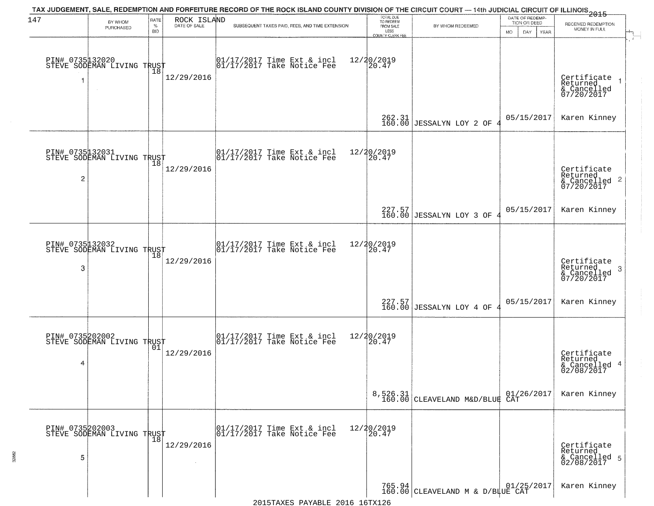| 147            | BY WHOM                                           | RATE               | ROCK ISLAND  | TAX JUDGEMENT, SALE, REDEMPTION AND FORFEITURE RECORD OF THE ROCK ISLAND COUNTY DIVISION OF THE CIRCUIT COURT — 14th JUDICIAL CIRCUIT OF ILLINOIS 2015 | TOTAL DUE<br>TO REDEEM                       |                                                                                                    | DATE OF REDEMP-<br>TION OR DEED |                                                                    |
|----------------|---------------------------------------------------|--------------------|--------------|--------------------------------------------------------------------------------------------------------------------------------------------------------|----------------------------------------------|----------------------------------------------------------------------------------------------------|---------------------------------|--------------------------------------------------------------------|
|                | PURCHASED                                         | $\%$<br><b>BID</b> | DATE OF SALE | SUBSEQUENT TAXES PAID, FEES, AND TIME EXTENSION                                                                                                        | FROM SALE<br>LESS<br><b>COUNTY CLERK FEE</b> | BY WHOM REDEEMED                                                                                   | MO.<br>DAY.<br>YEAR             | RECEIVED REDEMPTION<br>MONEY IN FULL                               |
|                | PIN# 0735132020<br>STEVE SODEMAN LIVING TRUST     | 18                 | 12/29/2016   | $\begin{bmatrix} 01/17/2017 \\ 01/17/2017 \\ 01 \end{bmatrix}$ Take Notice Fee                                                                         | 12/20/2019<br>20.47                          |                                                                                                    |                                 | Certificate<br>Returned<br>& Cancelled<br>07/20/2017               |
|                |                                                   |                    |              |                                                                                                                                                        |                                              | 262.31<br>160.00 JESSALYN LOY 2 OF                                                                 | 05/15/2017                      | Karen Kinney                                                       |
| $\overline{c}$ | PIN# 0735132031<br>STEVE SODEMAN LIVING TRUST     |                    | 12/29/2016   | $\begin{array}{cc}  01/17/2017 \text{ Time Ext} & \text{incl} \\  01/17/2017 \text{ Take Notice Fe} \end{array}$                                       | 12/20/2019<br>20.47                          |                                                                                                    |                                 | Certificate<br>Returned<br>$\frac{1}{2}$ Cancelled 2<br>07/20/2017 |
|                |                                                   |                    |              |                                                                                                                                                        |                                              | $227.57$<br>160.00 JESSALYN LOY 3 OF                                                               | 05/15/2017                      | Karen Kinney                                                       |
| 3              | PIN# 0735132032<br>STEVE SODEMAN LIVING TRUST     | 18                 | 12/29/2016   | $\begin{array}{cc}  01/17/2017 \text{ Time Ext} & \text{incl} \\  01/17/2017 \text{ Take Notice Fe} \end{array}$                                       | 12/20/2019<br>20.47                          |                                                                                                    |                                 | Certificate<br>Returned<br>3<br>& Cancelled<br>07/20/2017          |
|                |                                                   |                    |              |                                                                                                                                                        |                                              | $227.57$<br>160.00 JESSALYN LOY 4 OF                                                               | 05/15/2017                      | Karen Kinney                                                       |
| 4              | PIN# 0735202002<br>STEVE SODEMAN LIVING TRUST     | 01                 | 12/29/2016   | $\begin{bmatrix} 01/17/2017 \\ 01/17/2017 \end{bmatrix}$ Take Notice Fee                                                                               | 12/20/2019<br>$\overline{20.47}$             |                                                                                                    |                                 | Certificate<br>Returned<br>& Cancelled 4<br>02/08/2017             |
|                |                                                   |                    |              |                                                                                                                                                        |                                              | 8,526.31 01/2<br>160.00 CLEAVELAND M&D/BLUE CAT                                                    | 01/26/2017                      | Karen Kinney                                                       |
| 5              | PIN# 0735202003    <br>STEVE SODEMAN LIVING TRUST | $\overline{18}$    | 12/29/2016   | 01/17/2017 Time Ext & incl<br>01/17/2017 Take Notice Fee                                                                                               | 12/20/2019<br>20.47                          |                                                                                                    |                                 | Certificate<br>Returned<br>& Cancelled 5<br>02/08/2017             |
|                |                                                   |                    |              |                                                                                                                                                        |                                              | $\left.\begin{matrix} 765.94\\ 160.00 \end{matrix}\right  \texttt{CLEAVELAND M & D/B\#UE CAT2017}$ |                                 | Karen Kinney                                                       |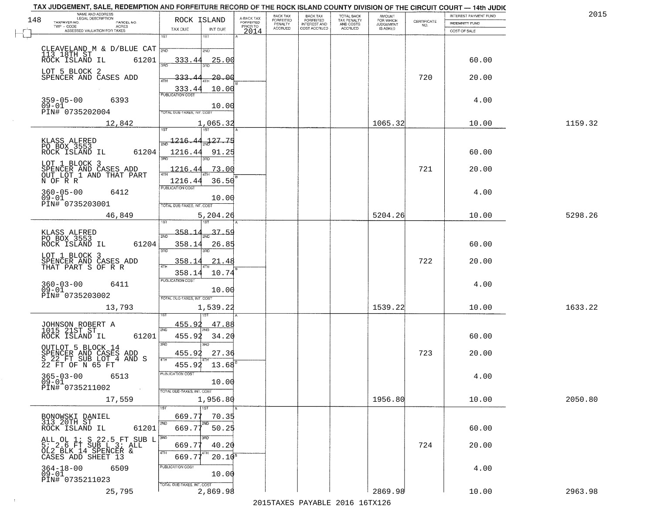| TAX JUDGEMENT, SALE, REDEMPTION AND FORFEITURE RECORD OF THE ROCK ISLAND COUNTY DIVISION OF THE CIRCUIT COURT - 14th JUDIC |                                            |                                     | BACK TAX             | <b>BACK TAX</b>                  | TOTAL BACK               |                                         |                                                                 | INTEREST PAYMENT FUND | 2015    |
|----------------------------------------------------------------------------------------------------------------------------|--------------------------------------------|-------------------------------------|----------------------|----------------------------------|--------------------------|-----------------------------------------|-----------------------------------------------------------------|-----------------------|---------|
| NAME AND ADDRESS<br>LEGAL DESCRIPTION<br>148<br>TAXPAYER NO.<br>PARCEL NO.                                                 | ROCK ISLAND                                | A-BACK TAX<br>FORFEITED<br>PRIOR TO | FORFEITED<br>PENALTY | FORFEITED<br><b>INTEREST AND</b> | TAX PENALTY<br>AND COSTS | AMOUNT<br>FOR WHICH<br><b>JUDGEMENT</b> | $\begin{array}{c} \text{CEPTIFICATE} \\ \text{NO.} \end{array}$ | <b>INDEMNITY FUND</b> |         |
| TWP - CODE<br>ACRES<br>ASSESSED VALUATION FOR TAXES                                                                        | TAX DUE<br>INT DUE                         | 2014                                | <b>ACCRUED</b>       | COST ACCRUED                     | <b>ACCRUED</b>           | IS ASKED                                |                                                                 | COST OF SALE          |         |
|                                                                                                                            | 1ST<br>1ST                                 |                                     |                      |                                  |                          |                                         |                                                                 |                       |         |
| CLEAVELAND M & D/BLUE CAT $\frac{1}{2ND}$                                                                                  | 2ND                                        |                                     |                      |                                  |                          |                                         |                                                                 |                       |         |
| 113 18TH ST<br>61201<br>ROCK ISLAND IL                                                                                     | 25.00<br>333.44                            |                                     |                      |                                  |                          |                                         |                                                                 | 60.00                 |         |
|                                                                                                                            |                                            |                                     |                      |                                  |                          |                                         |                                                                 |                       |         |
| LOT 5 BLOCK 2<br>SPENCER AND CASES ADD                                                                                     | <u> 20.00</u><br>333.<br>ATH               |                                     |                      |                                  |                          |                                         | 720                                                             | 20.00                 |         |
|                                                                                                                            | 10.00<br>333.44                            |                                     |                      |                                  |                          |                                         |                                                                 |                       |         |
| $359 - 05 - 00$<br>6393                                                                                                    | <b>PUBLICATION COST</b>                    |                                     |                      |                                  |                          |                                         |                                                                 | 4.00                  |         |
| $09 - 01$                                                                                                                  | 10.00                                      |                                     |                      |                                  |                          |                                         |                                                                 |                       |         |
| PIN# 0735202004                                                                                                            | TOTAL DUE-TAXES, INT. COST                 |                                     |                      |                                  |                          |                                         |                                                                 |                       |         |
| 12,842                                                                                                                     | 1,065.32                                   |                                     |                      |                                  |                          | 1065.32                                 |                                                                 | 10.00                 | 1159.32 |
|                                                                                                                            | 127.75                                     |                                     |                      |                                  |                          |                                         |                                                                 |                       |         |
| KLASS ALFRED<br>PO BOX 3553                                                                                                | <u> 1216.44</u>                            |                                     |                      |                                  |                          |                                         |                                                                 |                       |         |
| 61204<br>ROCK ISLAND IL                                                                                                    | 1216.44<br>91.25                           |                                     |                      |                                  |                          |                                         |                                                                 | 60.00                 |         |
| LOT 1 BLOCK 3                                                                                                              | 73.00<br>1216.44                           |                                     |                      |                                  |                          |                                         | 721                                                             | 20.00                 |         |
| SPENCER AND CASES ADD<br>OUT_LOT_1 AND THAT PART                                                                           |                                            |                                     |                      |                                  |                          |                                         |                                                                 |                       |         |
| N OF R R                                                                                                                   | 36.50<br>1216.44<br>PUBLICATION COST       |                                     |                      |                                  |                          |                                         |                                                                 |                       |         |
| $360 - 05 - 00$<br>6412<br>$09 - 01$                                                                                       | 10.00                                      |                                     |                      |                                  |                          |                                         |                                                                 | 4.00                  |         |
| PIN# 0735203001                                                                                                            | TOTAL DUE-TAXES, INT. COST                 |                                     |                      |                                  |                          |                                         |                                                                 |                       |         |
| 46,849                                                                                                                     | 5,204.26                                   |                                     |                      |                                  |                          | 5204.26                                 |                                                                 | 10.00                 | 5298.26 |
|                                                                                                                            | i ST                                       |                                     |                      |                                  |                          |                                         |                                                                 |                       |         |
| KLASS ALFRED<br>PO BOX 3553                                                                                                | 358.1<br>$37 - 59$<br>2ND                  |                                     |                      |                                  |                          |                                         |                                                                 |                       |         |
| ROCK ISLAND IL<br>61204                                                                                                    | 358.14<br>26.85<br>3BD<br>3RD              |                                     |                      |                                  |                          |                                         |                                                                 | 60.00                 |         |
| LOT 1 BLOCK 3                                                                                                              |                                            |                                     |                      |                                  |                          |                                         | 722                                                             |                       |         |
| SPENCER AND CASES ADD<br>THAT PART S OF R R                                                                                | 358.14<br>21.4<br>4TH                      |                                     |                      |                                  |                          |                                         |                                                                 | 20.00                 |         |
|                                                                                                                            | 358.14<br>10.74<br><b>PUBLICATION COST</b> |                                     |                      |                                  |                          |                                         |                                                                 |                       |         |
| $360 - 03 - 00$<br>6411<br>$09 - 01$                                                                                       | 10.00                                      |                                     |                      |                                  |                          |                                         |                                                                 | 4.00                  |         |
| PIN# 0735203002                                                                                                            | TOTAL OUE-TAXES, INT. COST                 |                                     |                      |                                  |                          |                                         |                                                                 |                       |         |
| 13,793                                                                                                                     | 1,539.22                                   |                                     |                      |                                  |                          | 1539.22                                 |                                                                 | 10.00                 | 1633.22 |
|                                                                                                                            |                                            |                                     |                      |                                  |                          |                                         |                                                                 |                       |         |
| JOHNSON ROBERT A<br>1015 21ST ST                                                                                           | 455.92<br>47.88<br>2ND                     |                                     |                      |                                  |                          |                                         |                                                                 |                       |         |
| ROCK ISLAND IL<br>61201                                                                                                    | 455.92<br>34.20                            |                                     |                      |                                  |                          |                                         |                                                                 | 60.00                 |         |
| OUTLOT 5 BLOCK 14                                                                                                          | 3 <sub>BD</sub><br>3RD                     |                                     |                      |                                  |                          |                                         |                                                                 |                       |         |
| SPENCER AND CASES ADD<br>S 22 FT SUB LOT 4 AND S<br>22 FT OF N 65 FT                                                       | 455.92<br>27.36<br>4TH                     |                                     |                      |                                  |                          |                                         | 723                                                             | 20.00                 |         |
|                                                                                                                            | 455.92<br>13.68                            |                                     |                      |                                  |                          |                                         |                                                                 |                       |         |
| $365 - 03 - 00$<br>6513<br>$09 - 01$                                                                                       | 'usuca hun cus<br>10.00                    |                                     |                      |                                  |                          |                                         |                                                                 | 4.00                  |         |
| PIN# 0735211002<br>$\sim 100$ km $^{-1}$                                                                                   | TOTAL DUE-TAXES, INT. COST                 |                                     |                      |                                  |                          |                                         |                                                                 |                       |         |
| 17,559                                                                                                                     | 1,956.80                                   |                                     |                      |                                  |                          | 1956.80                                 |                                                                 | 10.00                 | 2050.80 |
|                                                                                                                            | 1ST                                        |                                     |                      |                                  |                          |                                         |                                                                 |                       |         |
| BONOWSKI DANIEL<br>313 20TH ST                                                                                             | 669.77<br>70.35<br>2ND                     |                                     |                      |                                  |                          |                                         |                                                                 |                       |         |
| ROCK ISLAND IL<br>61201                                                                                                    | 669.77<br>50.25                            |                                     |                      |                                  |                          |                                         |                                                                 | 60.00                 |         |
|                                                                                                                            |                                            |                                     |                      |                                  |                          |                                         |                                                                 |                       |         |
| ALL OL 1; S 22.5 FT SUB L $\overline{360}$<br>5; 2.6 FT SUB L 3; ALL<br>OL2 BLK 14 SPENCER &                               | 40.20<br>669.77                            |                                     |                      |                                  |                          |                                         | 724                                                             | 20.00                 |         |
| CASES ADD SHEET 13                                                                                                         | 669.77<br>$20.10^{5}$                      |                                     |                      |                                  |                          |                                         |                                                                 |                       |         |
| $364 - 18 - 00$<br>6509<br>$09-01$                                                                                         | PUBLICATION COST<br>10.00                  |                                     |                      |                                  |                          |                                         |                                                                 | 4.00                  |         |
| PIN# 0735211023                                                                                                            | TOTAL DUE-TAXES, INT. COST                 |                                     |                      |                                  |                          |                                         |                                                                 |                       |         |
| 25,795                                                                                                                     | 2,869.98                                   |                                     |                      |                                  |                          | 2869.98                                 |                                                                 | 10.00                 | 2963.98 |

 $\sim 10$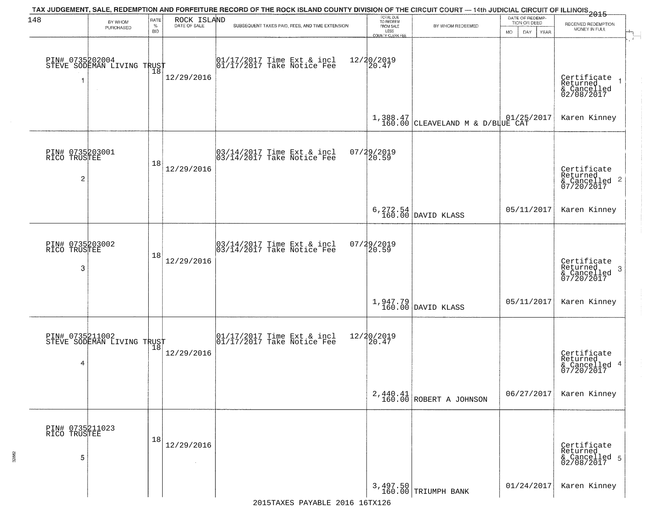| 148                                  | BY WHOM<br>PURCHASED                          | RATE<br>$\%$<br><b>BID</b> | ROCK ISLAND<br>DATE OF SALE | TAX JUDGEMENT, SALE, REDEMPTION AND FORFEITURE RECORD OF THE ROCK ISLAND COUNTY DIVISION OF THE CIRCUIT COURT — 14th JUDICIAL CIRCUIT OF ILLINOIS<br>2015 - 1992 - 1993 - 1994 - 1994 - 1994 - 1995 - 1994 - 1995 - 1996 - 1997<br>SUBSEQUENT TAXES PAID, FEES, AND TIME EXTENSION | TOTAL DUE<br>TO REDEEM<br>FROM SALE<br>LESS<br>COUNTY CLERK FEE | BY WHOM REDEEMED                                                           | DATE OF REDEMP-<br>TION OR DEED<br><b>MO</b><br>DAY<br><b>YEAR</b> | RECEIVED REDEMPTION<br>MONEY IN FULL                      |
|--------------------------------------|-----------------------------------------------|----------------------------|-----------------------------|------------------------------------------------------------------------------------------------------------------------------------------------------------------------------------------------------------------------------------------------------------------------------------|-----------------------------------------------------------------|----------------------------------------------------------------------------|--------------------------------------------------------------------|-----------------------------------------------------------|
| 1                                    | PIN# 0735202004<br>STEVE SODEMAN LIVING TRUST |                            | 12/29/2016                  | $\begin{array}{cc} 01/17/2017 \\ 01/17/2017 \\ \end{array}$ Take Notice Fee                                                                                                                                                                                                        | 12/20/2019<br>20.47                                             |                                                                            |                                                                    | Certificate<br>Returned<br>& Cancelled<br>02/08/2017      |
|                                      |                                               |                            |                             |                                                                                                                                                                                                                                                                                    |                                                                 | $1,388.47$ 01/25/2017<br>160.00 CLEAVELAND M & D/BLUE CAT                  |                                                                    | Karen Kinney                                              |
| PIN# 0735203001<br>RICO TRUSTEE<br>2 |                                               | 18                         | 12/29/2016                  | 03/14/2017 Time Ext & incl<br>03/14/2017 Take Notice Fee                                                                                                                                                                                                                           | 07/29/2019<br>20.59                                             |                                                                            |                                                                    | Certificate<br>Returned<br>& Cancelled 2<br>07/20/2017    |
|                                      |                                               |                            |                             |                                                                                                                                                                                                                                                                                    |                                                                 | $6, 272.54$ DAVID KLASS                                                    | 05/11/2017                                                         | Karen Kinney                                              |
| PIN# 0735203002<br>RICO TRUSTEE<br>3 |                                               | 18                         | 12/29/2016                  | 03/14/2017 Time Ext & incl<br>03/14/2017 Take Notice Fee                                                                                                                                                                                                                           | 07/29/2019<br>20.59                                             |                                                                            |                                                                    | Certificate<br>Returned<br>3<br>& Cancelled<br>07/20/2017 |
|                                      |                                               |                            |                             |                                                                                                                                                                                                                                                                                    |                                                                 | $\left[\begin{array}{c} 1,947.79 \\ 160.00 \end{array}\right]$ DAVID KLASS | 05/11/2017                                                         | Karen Kinney                                              |
| 4                                    | PIN# 0735211002<br>STEVE SODEMAN LIVING TRUST |                            | 12/29/2016                  | $\begin{bmatrix} 01/17/2017 \\ 01/17/2017 \end{bmatrix}$ Take Notice Fee                                                                                                                                                                                                           | 12/20/2019<br>20.47                                             |                                                                            |                                                                    | Certificate<br>Returned<br>& Cancelled 4<br>07/20/2017    |
|                                      |                                               |                            |                             |                                                                                                                                                                                                                                                                                    |                                                                 | $2,440.41$ ROBERT A JOHNSON                                                | 06/27/2017                                                         | Karen Kinney                                              |
| PIN# 0735211023<br>RICO TRUSTEE<br>5 |                                               | 18                         | 12/29/2016<br>$\sim$        |                                                                                                                                                                                                                                                                                    |                                                                 |                                                                            |                                                                    | Certificate<br>Returned<br>& Cancelled 5<br>02/08/2017    |
|                                      |                                               |                            |                             |                                                                                                                                                                                                                                                                                    |                                                                 | 3,497.50<br>160.00 TRIUMPH BANK                                            | 01/24/2017                                                         | Karen Kinney                                              |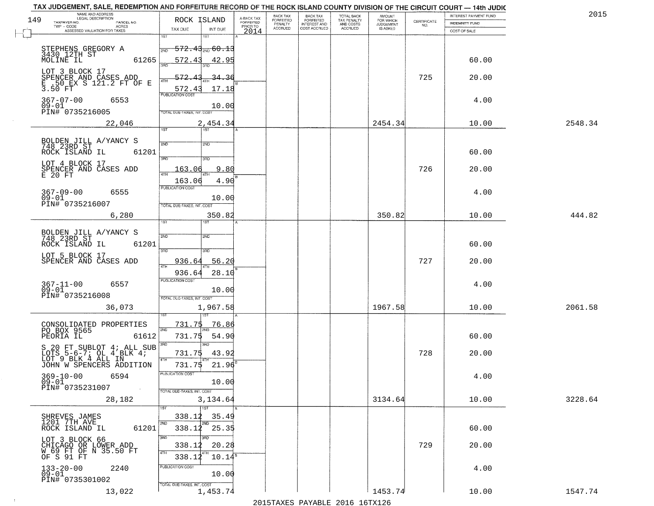|     | TAX JUDGEMENT, SALE, REDEMPTION AND FORFEITURE RECORD OF THE ROCK ISLAND COUNTY DIVISION OF THE CIRCUIT COURT - 14th JUDIC |                            |                      |                                     |                           |                                     |                                               |                              |                                                                 |                                                | 2015    |
|-----|----------------------------------------------------------------------------------------------------------------------------|----------------------------|----------------------|-------------------------------------|---------------------------|-------------------------------------|-----------------------------------------------|------------------------------|-----------------------------------------------------------------|------------------------------------------------|---------|
| 149 | NAME AND ADDRESS<br>LEGAL DESCRIPTION<br>TAXPAYER NO.<br>PARCEL NO.                                                        | ROCK ISLAND                |                      | A-BACK TAX<br>FORFEITED<br>PRIOR TO | BACK TAX<br>FORFEITED     | <b>BACK TAX</b><br>FORFEITED        | <b>TOTAL BACK</b><br>TAX PENALTY<br>AND COSTS | AMOUNT<br>FOR WHICH          | $\begin{array}{c} \text{CERTIFICATE} \\ \text{NO.} \end{array}$ | INTEREST PAYMENT FUND<br><b>INDEMNITY FUND</b> |         |
|     | TWP - CODE<br>ACRES<br>ASSESSED VALUATION FOR TAXES                                                                        | TAX DUE                    | INT DUE              | 2014                                | PENALTY<br><b>ACCRUED</b> | <b>INTEREST AND</b><br>COST ACCRUED | <b>ACCRUED</b>                                | <b>JUDGEMENT</b><br>IS ASKED |                                                                 | COST OF SALE                                   |         |
|     |                                                                                                                            | 1ST                        | 1ST                  |                                     |                           |                                     |                                               |                              |                                                                 |                                                |         |
|     | STEPHENS GREGORY A<br>3430_12TH ST                                                                                         | 2ND                        | $572.43_{200}$ 60.13 |                                     |                           |                                     |                                               |                              |                                                                 |                                                |         |
|     | 61265<br>MOLINE IL                                                                                                         | 572.43                     | 42.95                |                                     |                           |                                     |                                               |                              |                                                                 | 60.00                                          |         |
|     |                                                                                                                            | 355                        |                      |                                     |                           |                                     |                                               |                              |                                                                 |                                                |         |
|     | LOT 3 BLOCK 17                                                                                                             | 572.                       | 34.36                |                                     |                           |                                     |                                               |                              | 725                                                             | 20.00                                          |         |
|     | SPENCER AND CASES ADD<br>E .50 EX S 121.2 FT OF E<br>3.50 FT                                                               | 572.43                     | 17.18                |                                     |                           |                                     |                                               |                              |                                                                 |                                                |         |
|     | $367 - 07 - 00$<br>6553                                                                                                    | <b>PUBLICATION COST</b>    |                      |                                     |                           |                                     |                                               |                              |                                                                 |                                                |         |
|     | $09 - 01$                                                                                                                  |                            | 10.00                |                                     |                           |                                     |                                               |                              |                                                                 | 4.00                                           |         |
|     | PIN# 0735216005                                                                                                            | TOTAL DUE-TAXES, INT. COST |                      |                                     |                           |                                     |                                               |                              |                                                                 |                                                |         |
|     | 22,046                                                                                                                     | 1ST                        | 2,454.34<br>1ST      |                                     |                           |                                     |                                               | 2454.34                      |                                                                 | 10.00                                          | 2548.34 |
|     |                                                                                                                            |                            |                      |                                     |                           |                                     |                                               |                              |                                                                 |                                                |         |
|     | BOLDEN JILL A/YANCY S<br>748 23RD ST                                                                                       | 2ND                        | 2ND                  |                                     |                           |                                     |                                               |                              |                                                                 |                                                |         |
|     | ROCK ISLAND IL<br>61201                                                                                                    | $\overline{3BD}$           | 3RD                  |                                     |                           |                                     |                                               |                              |                                                                 | 60.00                                          |         |
|     | LOT 4 BLOCK 17                                                                                                             |                            |                      |                                     |                           |                                     |                                               |                              |                                                                 |                                                |         |
|     | SPENCER AND CASES ADD<br>E 20 FT                                                                                           | 163.06                     | 9.80                 |                                     |                           |                                     |                                               |                              | 726                                                             | 20.00                                          |         |
|     |                                                                                                                            | 163.06<br>PUBLICATION COST | 4.90                 |                                     |                           |                                     |                                               |                              |                                                                 |                                                |         |
|     | $367 - 09 - 00$<br>6555<br>$09 - 01$                                                                                       |                            |                      |                                     |                           |                                     |                                               |                              |                                                                 | 4.00                                           |         |
|     | PIN# 0735216007                                                                                                            | TOTAL DUE-TAXES, INT. COST | 10.00                |                                     |                           |                                     |                                               |                              |                                                                 |                                                |         |
|     | 6,280                                                                                                                      |                            | 350.82               |                                     |                           |                                     |                                               | 350.82                       |                                                                 | 10.00                                          | 444.82  |
|     |                                                                                                                            | TST"                       | <b>IST</b>           |                                     |                           |                                     |                                               |                              |                                                                 |                                                |         |
|     | BOLDEN JILL A/YANCY S<br>748 23RD ST                                                                                       | 2ND                        | 2ND                  |                                     |                           |                                     |                                               |                              |                                                                 |                                                |         |
|     | ROCK ISLAND IL<br>61201                                                                                                    |                            |                      |                                     |                           |                                     |                                               |                              |                                                                 | 60.00                                          |         |
|     | LOT 5 BLOCK 17                                                                                                             | 3 <sub>BD</sub>            | 3RD                  |                                     |                           |                                     |                                               |                              |                                                                 |                                                |         |
|     | SPENCER AND CASES ADD                                                                                                      | 936.64<br>ATH              | 56.20                |                                     |                           |                                     |                                               |                              | 727                                                             | 20.00                                          |         |
|     |                                                                                                                            | 936.64                     | 28.10                |                                     |                           |                                     |                                               |                              |                                                                 |                                                |         |
|     | 367-11-00<br>09-01<br>6557                                                                                                 | <b>PUBLICATION COST</b>    |                      |                                     |                           |                                     |                                               |                              |                                                                 | 4.00                                           |         |
|     | PIN# 0735216008                                                                                                            | TOTAL OUE-TAXES, INT. COST | 10.00                |                                     |                           |                                     |                                               |                              |                                                                 |                                                |         |
|     | 36,073                                                                                                                     |                            | 1,967.58             |                                     |                           |                                     |                                               | 1967.58                      |                                                                 | 10.00                                          | 2061.58 |
|     |                                                                                                                            |                            |                      |                                     |                           |                                     |                                               |                              |                                                                 |                                                |         |
|     | CONSOLIDATED PROPERTIES<br>PO BOX 9565                                                                                     | <u>731.75</u>              | 76.86                |                                     |                           |                                     |                                               |                              |                                                                 |                                                |         |
|     | PEORIA IL<br>61612                                                                                                         | 2ND<br>731.75              | 54.90                |                                     |                           |                                     |                                               |                              |                                                                 | 60.00                                          |         |
|     | S 20 FT SUBLOT 4; ALL SUB                                                                                                  | 3RD                        | 3BD                  |                                     |                           |                                     |                                               |                              |                                                                 |                                                |         |
|     | LOTS 5-6-7; OL 4 BLK 4;<br>LOT 9 BLK 4 ALL IN                                                                              | 731.75                     | 43.92                |                                     |                           |                                     |                                               |                              | 728                                                             | 20.00                                          |         |
|     | JOHN W SPENCERS ADDITION                                                                                                   | 4TH<br>731.75              | 21.96                |                                     |                           |                                     |                                               |                              |                                                                 |                                                |         |
|     | 369-10-00<br>6594                                                                                                          | "UBLICA HUN CUS            |                      |                                     |                           |                                     |                                               |                              |                                                                 | 4.00                                           |         |
|     | 09-01<br>PIN# 0735231007                                                                                                   |                            | 10.00                |                                     |                           |                                     |                                               |                              |                                                                 |                                                |         |
|     | <b>Contract</b>                                                                                                            | TOTAL DUE-TAXES, INT. COST |                      |                                     |                           |                                     |                                               |                              |                                                                 |                                                |         |
|     | 28,182                                                                                                                     |                            | 3,134.64<br>1ST      |                                     |                           |                                     |                                               | 3134.64                      |                                                                 | 10.00                                          | 3228.64 |
|     |                                                                                                                            | 338.12                     | 35.49                |                                     |                           |                                     |                                               |                              |                                                                 |                                                |         |
|     | SHREVES JAMES<br>1201 7TH AVE<br>61201<br>ROCK ISLAND IL                                                                   | 2ND                        | 2ND<br>338.12 25.35  |                                     |                           |                                     |                                               |                              |                                                                 | 60.00                                          |         |
|     |                                                                                                                            | 3RD                        |                      |                                     |                           |                                     |                                               |                              |                                                                 |                                                |         |
|     | LOT 3 BLOCK 66<br>CHICAGO OR LOWER ADD                                                                                     | 338.12                     | 20.28                |                                     |                           |                                     |                                               |                              | 729                                                             | 20.00                                          |         |
|     | W 69 FT OF N 35.50 FT<br>OF S 91 FT                                                                                        | 4TH<br>338.12              | $10.14^s$            |                                     |                           |                                     |                                               |                              |                                                                 |                                                |         |
|     | $133 - 20 - 00$<br>2240                                                                                                    | PUBLICATION COST           |                      |                                     |                           |                                     |                                               |                              |                                                                 | 4.00                                           |         |
|     | $\overline{0}\,\overline{9}-0\,\overline{1}$<br>PIN# 0735301002                                                            |                            | 10.00                |                                     |                           |                                     |                                               |                              |                                                                 |                                                |         |
|     |                                                                                                                            | TOTAL DUE-TAXES, INT. COST |                      |                                     |                           |                                     |                                               |                              |                                                                 |                                                |         |
|     | 13,022                                                                                                                     |                            | 1,453.74             |                                     |                           |                                     |                                               | 1453.74                      |                                                                 | 10.00                                          | 1547.74 |

 $\sim 10^{-1}$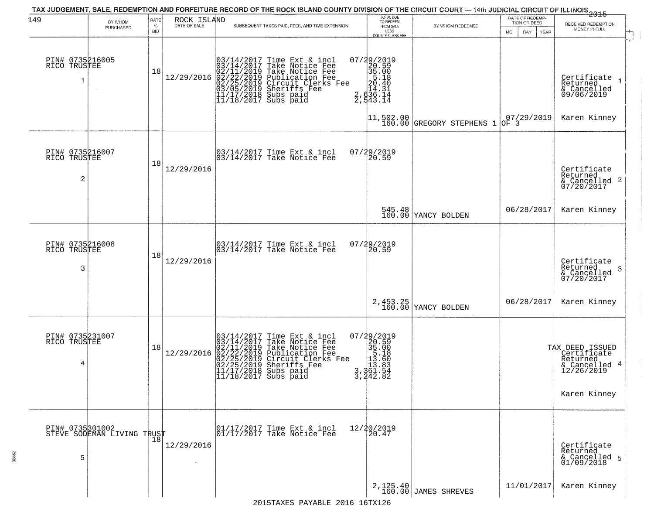|                                                   |                                                   |                            |                             | TAX JUDGEMENT, SALE, REDEMPTION AND FORFEITURE RECORD OF THE ROCK ISLAND COUNTY DIVISION OF THE CIRCUIT COURT — 14th JUDICIAL CIRCUIT OF ILLINOIS 2015                                                                                     |                                                                                                                            |                                                                              | DATE OF REDEMP-                                      |                                                                                           |
|---------------------------------------------------|---------------------------------------------------|----------------------------|-----------------------------|--------------------------------------------------------------------------------------------------------------------------------------------------------------------------------------------------------------------------------------------|----------------------------------------------------------------------------------------------------------------------------|------------------------------------------------------------------------------|------------------------------------------------------|-------------------------------------------------------------------------------------------|
| 149                                               | BY WHOM<br>PURCHASED                              | RATE<br>$\%$<br><b>BID</b> | ROCK ISLAND<br>DATE OF SALE | SUBSEQUENT TAXES PAID, FEES, AND TIME EXTENSION                                                                                                                                                                                            | TOTAL DUE<br>TO REDEEM<br>FROM SALE<br>LESS                                                                                | BY WHOM REDEEMED                                                             | TION OR DEED<br>MO.<br>DAY.<br>YEAR                  | RECEIVED REDEMPTION<br>MONEY IN FULL                                                      |
| PIN# 0735216005<br>RICO TRUSTEE                   |                                                   | 18                         | 12/29/2016                  | $03/14/2017$ Time Ext & incl<br>$03/14/2017$ Take Notice Fee<br>$02/11/2019$ Take Notice Fee<br>$02/22/2019$ Publication Fee<br>$03/05/2019$ Sheriffs Fee<br>$11/17/2018$ Subs paid<br>$11/18/2017$ Subs paid                              | <b>COUNTY CLERK FEE</b><br>$\begin{smallmatrix} 07/29/2019\\20.59\\35.00\\5.18\\2.61\\2.636.14\\2.543.14\end{smallmatrix}$ | $\begin{vmatrix} 11 & 502 & 00 \\ 160 & 00 \end{vmatrix}$ GREGORY STEPHENS 1 | $\begin{vmatrix} 07/29/2019 \\ 0F & 3 \end{vmatrix}$ | Certifiçate<br>Returned<br>& Cancelled<br>09/06/2019<br>Karen Kinney                      |
| PIN# 0735216007<br>RICO TRUSTEE<br>$\overline{c}$ |                                                   | 18                         | 12/29/2016                  | 03/14/2017 Time Ext & incl<br>03/14/2017 Take Notice Fee                                                                                                                                                                                   | 07/29/2019<br>20.59                                                                                                        |                                                                              |                                                      | Certificate<br>Returned<br>& Cancelled 2<br>07/20/2017                                    |
|                                                   |                                                   |                            |                             |                                                                                                                                                                                                                                            |                                                                                                                            | 545.48<br>160.00 YANCY BOLDEN                                                | 06/28/2017                                           | Karen Kinney                                                                              |
| PIN# 0735216008<br>RICO TRUSTEE<br>3              |                                                   | 18                         | 12/29/2016                  | 03/14/2017 Time Ext & incl<br>03/14/2017 Take Notice Fee                                                                                                                                                                                   | 07/29/2019<br>20.59                                                                                                        |                                                                              |                                                      | Certificate<br>Returned<br>3<br>& Cancelled<br>07/20/2017                                 |
|                                                   |                                                   |                            |                             |                                                                                                                                                                                                                                            |                                                                                                                            | 2, 453.25<br>160.00 YANCY BOLDEN                                             | 06/28/2017                                           | Karen Kinney                                                                              |
| PIN# 0735231007<br>RICO TRUSTEE<br>4              |                                                   | 18                         | 12/29/2016                  | $03/14/2017$ Time Ext & incl<br>$03/14/2017$ Take Notice Fee<br>$02/11/2019$ Take Notice Fee<br>$02/22/2019$ Publication Fee<br>$02/25/2019$ Sheriffs Fee<br>$02/25/2019$ Sheriffs Fee<br>$11/17/2018$ Subs paid<br>$11/18/2017$ Subs paid | $\begin{smallmatrix} 07/29/2019\\20.59\\35.00\\15.18\\113.86\\3,361.54\\3,442.8\\ \end{smallmatrix}$                       |                                                                              |                                                      | TAX DEED ISSUED<br>Certificate<br>Returned<br>& Cancelled 4<br>12/26/2019<br>Karen Kinney |
| 5                                                 | PIN# 0735301002    <br>STEVE SODEMAN LIVING TRUST | 18                         | 12/29/2016<br>$\sim$        | 01/17/2017 Time Ext & incl<br>01/17/2017 Take Notice Fee                                                                                                                                                                                   | 12/20/2019<br>20.47                                                                                                        |                                                                              |                                                      | Certificate<br>Returned<br>& Cancelled 5<br>01/09/2018                                    |
|                                                   |                                                   |                            |                             |                                                                                                                                                                                                                                            |                                                                                                                            | 2, 125.40<br>160.00 JAMES SHREVES                                            | 11/01/2017                                           | Karen Kinney                                                                              |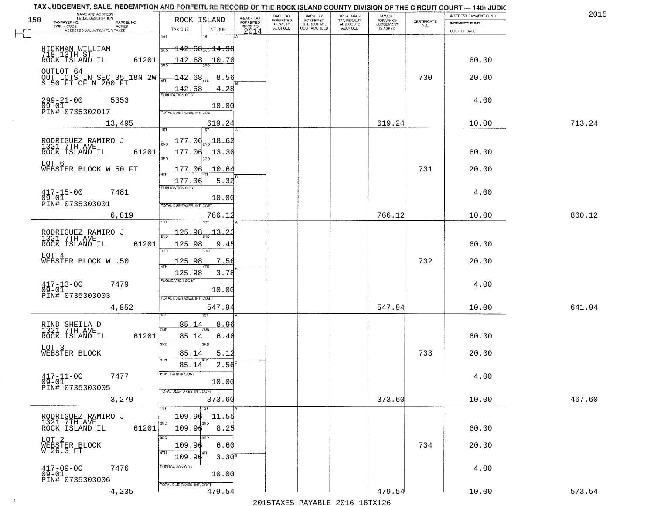| TAX JUDGEMENT, SALE, REDEMPTION AND FORFEITURE RECORD OF THE ROCK ISLAND COUNTY DIVISION OF THE CIRCUIT COURT - 14th JUDIC<br>NAME AND ADDRESS<br>LEGAL DESCRIPTION |                                                                |                                     | BACK TAX             | <b>BACK TAX</b>           |                                        |                                  |                                                                 | INTEREST PAYMENT FUND | 2015   |
|---------------------------------------------------------------------------------------------------------------------------------------------------------------------|----------------------------------------------------------------|-------------------------------------|----------------------|---------------------------|----------------------------------------|----------------------------------|-----------------------------------------------------------------|-----------------------|--------|
| 150<br>TAXPAYER NO.<br>PARCEL NO.<br>ACRES                                                                                                                          | ROCK ISLAND                                                    | A-BACK TAX<br>FORFEITED<br>PRIOR TO | FORFEITED<br>PENALTY | FORFEITED<br>INTEREST AND | TOTAL BACK<br>TAX PENALTY<br>AND COSTS | AMOUNT<br>FOR WHICH<br>JUDGEMENT | $\begin{array}{c} \text{CERTIFICATE} \\ \text{NO.} \end{array}$ | INDEMNITY FUND        |        |
| ASSESSED VALUATION FOR TAXES                                                                                                                                        | TAX DUE<br>INT DUE                                             | 2014                                | <b>ACCRUED</b>       | COST ACCRUED              | <b>ACCRUED</b>                         | IS ASKED                         |                                                                 | COST OF SALE          |        |
| HICKMAN WILLIAM<br>718 13TH ST<br>ROCK ISLAND IL                                                                                                                    | 1ST<br>18T<br>$\frac{1}{2ND}$ 142.68 <sub>2ND</sub> 14.98      |                                     |                      |                           |                                        |                                  |                                                                 |                       |        |
| 61201<br>OUTLOT 64                                                                                                                                                  | <u> 142.68 10.70</u>                                           |                                     |                      |                           |                                        |                                  |                                                                 | 60.00                 |        |
| OUT LOTS IN SEC 35 18N 2W<br>S 50 FT OF N 200 FT                                                                                                                    | $-142.68$<br>8.56<br>$\frac{142.68}{FUBUCATON COST}$<br>4.28   |                                     |                      |                           |                                        |                                  | 730                                                             | 20.00                 |        |
| $299 - 21 - 00$<br>5353<br>$09 - 01$<br>PIN# 0735302017                                                                                                             | 10.00<br>TOTAL DUE-TAXES, INT, COST                            |                                     |                      |                           |                                        |                                  |                                                                 | 4.00                  |        |
| 13,495                                                                                                                                                              | 619.24                                                         |                                     |                      |                           |                                        | 619.24                           |                                                                 | 10.00                 | 713.24 |
| RODRIGUEZ RAMIRO J<br>1321 7TH AVE<br>61201<br>ROCK ISLAND IL                                                                                                       | $177.06_{\rm min}$ 18.62<br>177.06<br>13.30<br>3RD<br>3RD      |                                     |                      |                           |                                        |                                  |                                                                 | 60.00                 |        |
| LOT 6<br>WEBSTER BLOCK W 50 FT                                                                                                                                      | 177.06<br>10.64<br>177.06<br>5.32                              |                                     |                      |                           |                                        |                                  | 731                                                             | 20.00                 |        |
| $417 - 15 - 00$<br>7481<br>$09 - 01$<br>PIN# 0735303001                                                                                                             | <b>FUBLICATION COST</b><br>10.00<br>TOTAL DUE-TAXES, INT. COST |                                     |                      |                           |                                        |                                  |                                                                 | 4.00                  |        |
| 6,819                                                                                                                                                               | 766.12<br>is T                                                 |                                     |                      |                           |                                        | 766.12                           |                                                                 | 10.00                 | 860.12 |
| RODRIGUEZ RAMIRO J<br>1321 7TH AVE<br>ROCK ISLAND IL<br>61201                                                                                                       | $-125.98$<br>13<br>2ND<br>125.98<br>9.45                       |                                     |                      |                           |                                        |                                  |                                                                 | 60.00                 |        |
| LOT 4<br>WEBSTER BLOCK W .50                                                                                                                                        | 3RD<br>3RD<br>125.98<br>7.56                                   |                                     |                      |                           |                                        |                                  | 732                                                             | 20.00                 |        |
| $417 - 13 - 00$<br>7479                                                                                                                                             | ATH<br>3.78<br>125.98<br><b>PUBLICATION COST</b>               |                                     |                      |                           |                                        |                                  |                                                                 | 4.00                  |        |
| $09 - 01$<br>PIN# 0735303003                                                                                                                                        | 10.00<br>TOTAL OUE-TAXES, INT. COST                            |                                     |                      |                           |                                        |                                  |                                                                 |                       |        |
| 4,852                                                                                                                                                               | 547.94                                                         |                                     |                      |                           |                                        | 547.94                           |                                                                 | 10.00                 | 641.94 |
| RIND SHEILA D<br>1321 7TH AVE<br>ROCK ISLAND IL<br>61201                                                                                                            | 85.1<br>8.96<br>2ND<br>85.14<br>6.40                           |                                     |                      |                           |                                        |                                  |                                                                 | 60.00                 |        |
| LOT 3<br>WEBSTER BLOCK                                                                                                                                              | 3 <sub>BD</sub><br>3RD<br>5.12<br>85.14<br>4TH                 |                                     |                      |                           |                                        |                                  | 733                                                             | 20.00                 |        |
| $417 - 11 - 00$<br>7477<br>$09 - 01$<br>PIN# 0735303005<br>$\sim 100$ km s $^{-1}$                                                                                  | 85.14<br>$2.56^{\circ}$<br>PUBLICATION COS-<br>10.00           |                                     |                      |                           |                                        |                                  |                                                                 | 4.00                  |        |
| 3,279                                                                                                                                                               | TOTAL DUE-TAXES, INT. COST<br>373.60<br>1ST                    |                                     |                      |                           |                                        | 373.60                           |                                                                 | 10.00                 | 467.60 |
| RODRIGUEZ RAMIRO J<br>1321 7TH AVE<br>ROCK ISLAND IL                                                                                                                | 109.96<br>11.55<br>2ND<br>2ND                                  |                                     |                      |                           |                                        |                                  |                                                                 |                       |        |
| 61201                                                                                                                                                               | 109.96<br>8.25<br>3RD                                          |                                     |                      |                           |                                        |                                  |                                                                 | 60.00                 |        |
| LOT 2<br>WEBSTER BLOCK<br>W 26.3 FT                                                                                                                                 | 109.96<br>6.60<br>4TH<br>$3.30^{8}$<br>109.96                  |                                     |                      |                           |                                        |                                  | 734                                                             | 20.00                 |        |
| $417 - 09 - 00$<br>7476<br>$09 - 01$<br>PIN# 0735303006                                                                                                             | PUBLICATION COST<br>10.00                                      |                                     |                      |                           |                                        |                                  |                                                                 | 4.00                  |        |
| 4,235                                                                                                                                                               | TOTAL DUE-TAXES, INT. COST<br>479.54                           |                                     |                      |                           |                                        | 479.54                           |                                                                 | 10.00                 | 573.54 |

 $\sim 10^{-1}$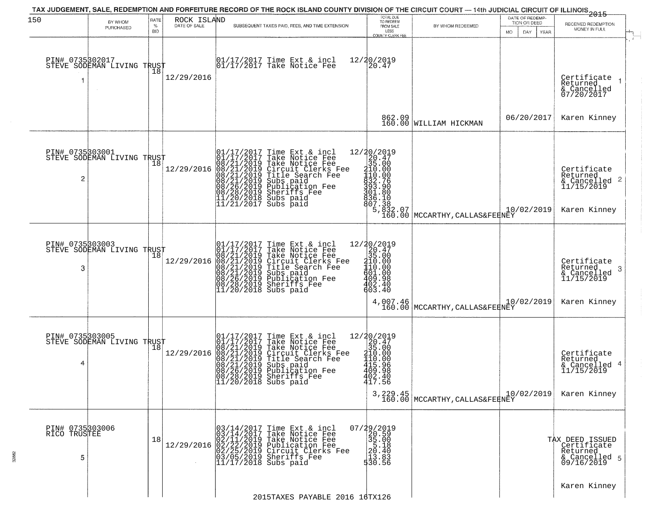| 150                                  | BY WHOM<br>PURCHASED                          | RATE<br>$\%$<br><b>BID</b> | ROCK ISLAND<br>DATE OF SALE | TAX JUDGEMENT, SALE, REDEMPTION AND FORFEITURE RECORD OF THE ROCK ISLAND COUNTY DIVISION OF THE CIRCUIT COURT — 14th JUDICIAL CIRCUIT OF ILLINOIS 2015<br>SUBSEQUENT TAXES PAID, FEES, AND TIME EXTENSION                                                                                       | TOTAL DUE<br>TO REDEEM<br>FROM SALE                                                                                                                        | BY WHOM REDEEMED                                                                                                                                                                                                                                                                                                  | DATE OF REDEMP-<br>TION OR DEED<br>MO. | RECEIVED REDEMPTION<br>MONEY IN FULL                                       |
|--------------------------------------|-----------------------------------------------|----------------------------|-----------------------------|-------------------------------------------------------------------------------------------------------------------------------------------------------------------------------------------------------------------------------------------------------------------------------------------------|------------------------------------------------------------------------------------------------------------------------------------------------------------|-------------------------------------------------------------------------------------------------------------------------------------------------------------------------------------------------------------------------------------------------------------------------------------------------------------------|----------------------------------------|----------------------------------------------------------------------------|
| PIN# 0735302017                      | STEVE SODEMAN LIVING TRUST                    | 18                         | 12/29/2016                  | 01/17/2017 Time Ext & incl<br>01/17/2017 Take Notice Fee                                                                                                                                                                                                                                        | LESS<br>COUNTY CLERK FEE<br>12/20/2019<br>20.47                                                                                                            |                                                                                                                                                                                                                                                                                                                   | DAY<br>YEAR                            | Certificate<br>Returned<br>& Cancelled<br>07/20/2017                       |
|                                      |                                               |                            |                             |                                                                                                                                                                                                                                                                                                 | 862.09<br>160.00                                                                                                                                           | WILLIAM HICKMAN                                                                                                                                                                                                                                                                                                   | 06/20/2017                             | Karen Kinney                                                               |
| 2                                    | PIN# 0735303001<br>STEVE SODEMAN LIVING TRUST |                            | 12/29/2016                  | 01/17/2017 Time Ext & incl<br>01/17/2017 Take Notice Fee<br>08/21/2019 Take Notice Fee<br>08/21/2019 Circuit Clerks Fee<br>08/21/2019 Title Search Fee<br>08/21/2019 Subs paid<br>08/26/2019 Publication Fee<br>08/28/2019 Sheriffs Fee<br>11/20/2018                                           | $=\begin{smallmatrix} 12/20/2019\\20.47\\21.60\\35.00\\411.000\\411.000\\411.000\\432.76\\533.290\\73.300 \end{smallmatrix}$<br>301.80<br>836.10<br>807.38 | $\left( \begin{array}{c} 5 \,, 832 \,. \, 07 \\ 160 \,. \, 00 \end{array} \right $ MCCARTHY , CALLAS&FERNEY                                                                                                                                                                                                       | 10/02/2019                             | Certificate<br>Returned<br>& Cancelled 2<br>11/15/2019<br>Karen Kinney     |
| PIN# 0735303003<br>3                 | STEVE SODEMAN LIVING TRUST                    | Ίõ                         | 12/29/2016                  | 01/17/2017 Time Ext & incl<br>01/17/2017 Take Notice Fee<br>08/21/2019 Take Notice Fee<br>08/21/2019 Circuit Clerks Fee<br>08/21/2019 Title Search Fee<br>08/21/2019 Subs paid<br>08/26/2019 Sublication Fee<br>08/28/2019 Sheriffs Fee<br>11/20/2018                                           | 12/20/2019<br>20.47<br>35.00<br>310.00<br>410.00<br>$\begin{array}{c} 401.00 \\ 409.98 \\ 402.40 \end{array}$<br>603.40<br>4,007.46<br>160.00              | MCCARTHY, CALLAS&FEENEY                                                                                                                                                                                                                                                                                           | 10/02/2019                             | Certifiçate<br>Returned<br>-3<br>& Cancelled<br>11/15/2019<br>Karen Kinney |
| PIN# 0735303005<br>4                 | STEVE SODEMAN LIVING TRUST                    |                            | 12/29/2016                  | 01/17/2017 Time Ext & incl<br>01/17/2017 Take Notice Fee<br>08/21/2019 Take Notice Fee<br>08/21/2019 Circuit Clerks Fee<br>08/21/2019 Title Search Fee<br>08/21/2019 Subsipaid<br>08/26/2019 Publication Fee<br>08/26/2019 Publication Fee<br>08/28/2019 Sheriffs Fee<br>11/20/2018 Subs paid   | $\begin{array}{r} 12/20/2019 \\20.47 \\35.00 \\410.00 \\415.96 \\403.38\end{array}$<br>$402.40$<br>$417.56$                                                | $3,229.45$ $160.00$ $\left.\rule{0pt}{2.5ex}\right] \text{MCCARTHY}, \text{CALLAS\&FER}\xspace \overline{\phantom{0}}\xspace \overline{\phantom{0}}\xspace \overline{\phantom{0}}\xspace \overline{\phantom{0}}\xspace \overline{\phantom{0}}\xspace \overline{\phantom{0}}\xspace \overline{\phantom{0}}\xspace$ | 10/02/2019                             | Certificate<br>Returned<br>& Cancelled 4<br>11/15/2019<br>Karen Kinney     |
| PIN# 0735303006<br>RICO TRUSTEE<br>5 |                                               | 18                         |                             | $12/29/2016 \begin{array}{l} 03/14/2017 \text{ Time Ext & incl} \\ 03/14/2017 \text{ Take Notice Free} \\ 02/11/2019 \text{ Take Notice Free} \\ 02/22/22/2019 \text{ Circuit Clear} \\ 03/05/2019 \text{ Sheriffs} \\ 03/05/2019 \text{ Sheriffs} \\ 11/17/2018 \text{ Subs paid} \end{array}$ | 07/29/2019<br>20.59<br>35.00<br>35.18<br>20.40<br>13.82<br>530.56                                                                                          |                                                                                                                                                                                                                                                                                                                   |                                        | TAX DEED ISSUED<br>Certificate<br>Returned<br>& Cancelled 5<br>09/16/2019  |
|                                      |                                               |                            |                             | 2015TAXES PAYABLE 2016 16TX126                                                                                                                                                                                                                                                                  |                                                                                                                                                            |                                                                                                                                                                                                                                                                                                                   |                                        | Karen Kinney                                                               |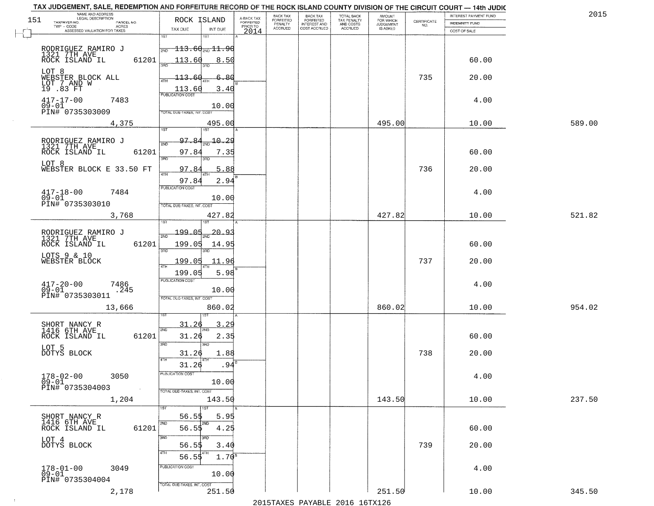| TAX JUDGEMENT, SALE, REDEMPTION AND FORFEITURE RECORD OF THE ROCK ISLAND COUNTY DIVISION OF THE CIRCUIT COURT - 14th JUDIC<br>NAME AND ADDRESS<br>LEGAL DESCRIPTION |                                                                                                      |                                     | BACK TAX             | <b>BACK TAX</b>           |                                        |                                  |                                                                 | INTEREST PAYMENT FUND | 2015   |
|---------------------------------------------------------------------------------------------------------------------------------------------------------------------|------------------------------------------------------------------------------------------------------|-------------------------------------|----------------------|---------------------------|----------------------------------------|----------------------------------|-----------------------------------------------------------------|-----------------------|--------|
| 151<br>TAXPAYER NO.<br>PARCEL NO.<br>ACRES                                                                                                                          | ROCK ISLAND                                                                                          | A-BACK TAX<br>FORFEITED<br>PRIOR TO | FORFEITED<br>PENALTY | FORFEITED<br>INTEREST AND | TOTAL BACK<br>TAX PENALTY<br>AND COSTS | AMOUNT<br>FOR WHICH<br>JUDGEMENT | $\begin{array}{c} \text{CERTIFICATE} \\ \text{NO.} \end{array}$ | INDEMNITY FUND        |        |
| ASSESSED VALUATION FOR TAXES                                                                                                                                        | TAX DUE<br>INT DUE                                                                                   | 2014                                | <b>ACCRUED</b>       | COST ACCRUED              | <b>ACCRUED</b>                         | IS ASKED                         |                                                                 | COST OF SALE          |        |
| RODRIGUEZ RAMIRO J<br>1321 7TH AVE<br>ROCK ISLAND IL<br>61201<br>LOT 8                                                                                              | 1ST<br>18T<br>$\frac{1}{2ND}$ 113.60 <sub>2ND</sub> 11.90<br>113.60<br>8.50                          |                                     |                      |                           |                                        |                                  |                                                                 | 60.00                 |        |
| WEBSTER BLOCK ALL<br>LOT 7 AND W<br>19 .83 FT                                                                                                                       | 6.80<br>$-113.60$<br>$\frac{113.60}{PUBUCATON COST}$<br>3.40                                         |                                     |                      |                           |                                        |                                  | 735                                                             | 20.00                 |        |
| $417 - 17 - 00$<br>7483<br>$09 - 01$<br>PIN# 0735303009                                                                                                             | 10.00<br>TOTAL DUE-TAXES, INT. COST                                                                  |                                     |                      |                           |                                        |                                  |                                                                 | 4.00                  |        |
| 4,375                                                                                                                                                               | 495.00                                                                                               |                                     |                      |                           |                                        | 495.00                           |                                                                 | 10.00                 | 589.00 |
| RODRIGUEZ RAMIRO J<br>1321 7TH AVE<br>61201<br>ROCK ISLAND IL<br>LOT 8<br>WEBSTER BLOCK E 33.50 FT                                                                  | 97.84<br>$\frac{10.29}{10}$<br>2ND<br>97.84<br>7.35<br>3RD<br>3BD.<br>97.84<br>5.88<br>97.84<br>2.94 |                                     |                      |                           |                                        |                                  | 736                                                             | 60.00<br>20.00        |        |
| $417 - 18 - 00$<br>7484<br>$09 - 01$<br>PIN# 0735303010                                                                                                             | PUBLICATION COST<br>10.00<br>TOTAL DUE-TAXES, INT. COST                                              |                                     |                      |                           |                                        |                                  |                                                                 | 4.00                  |        |
| 3,768                                                                                                                                                               | 427.82                                                                                               |                                     |                      |                           |                                        | 427.82                           |                                                                 | 10.00                 | 521.82 |
| RODRIGUEZ RAMIRO J<br>1321 7TH AVE<br>ROCK ISLAND IL<br>61201<br>LOTS 9 & 10<br>WEBSTER BLOCK                                                                       | is T<br>199.05<br>20.9<br>2ND<br>199.05<br>14.95<br>3RD<br>3RD<br>199.05<br>11.96<br>ATH             |                                     |                      |                           |                                        |                                  | 737                                                             | 60.00<br>20.00        |        |
| $417 - 20 - 00$<br>09-01<br>7486<br>.245<br>PIN# 0735303011<br>13,666                                                                                               | 5.98<br>199.05<br><b>PUBLICATION COST</b><br>10.00<br>TOTAL OUE-TAXES, INT. COST<br>860.02           |                                     |                      |                           |                                        | 860.02                           |                                                                 | 4.00<br>10.00         | 954.02 |
| SHORT NANCY R<br>1416 6TH AVE<br>ROCK ISLAND IL<br>61201<br>LOT 5<br>DOTYS BLOCK                                                                                    | 31.26<br>3.29<br>2ND<br>31.26<br>2.35<br>3 <sub>BD</sub><br>3RD<br>31.26<br>1.88<br>4TH              |                                     |                      |                           |                                        |                                  | 738                                                             | 60.00<br>20.00        |        |
| $178 - 02 - 00$<br>3050<br>$09 - 01$<br>PIN# 0735304003<br>$\sim 100$                                                                                               | 31.26<br>.94<br>PUBLICATION COS-<br>10.00<br>TOTAL DUE-TAXES, INT. COST                              |                                     |                      |                           |                                        |                                  |                                                                 | 4.00                  |        |
| 1,204                                                                                                                                                               | 143.50                                                                                               |                                     |                      |                           |                                        | 143.50                           |                                                                 | 10.00                 | 237.50 |
| SHORT NANCY R<br>1416 6TH AVE<br>61201<br>ROCK ISLAND IL<br>LOT 4<br>DOTYS BLOCK                                                                                    | 1ST<br>56.55<br>5.95<br>2ND<br>2ND<br>$56.5\frac{1}{2}$<br>4.25<br>3RD<br>56.55<br>3.40              |                                     |                      |                           |                                        |                                  | 739                                                             | 60.00<br>20.00        |        |
| $178 - 01 - 00$<br>3049<br>09-01<br>PIN# 0735304004                                                                                                                 | 4TH<br>$1.70^{B}$<br>56.55<br>PUBLICATION COST<br>10.00                                              |                                     |                      |                           |                                        |                                  |                                                                 | 4.00                  |        |
| 2,178                                                                                                                                                               | TOTAL DUE-TAXES, INT. COST<br>251.50                                                                 |                                     |                      |                           |                                        | 251.50                           |                                                                 | 10.00                 | 345.50 |

 $\sim 10^{-1}$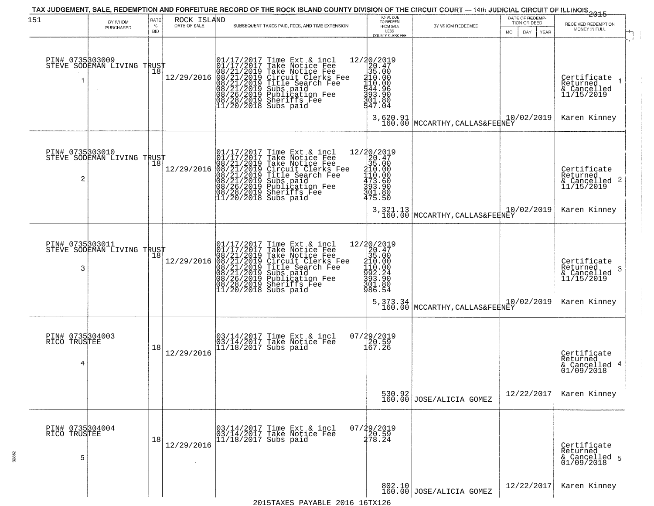| 151                                  | BY WHOM<br>PURCHASED                          | RATE<br>$\%$<br><b>BID</b> | ROCK ISLAND<br>DATE OF SALE | SUBSEQUENT TAXES PAID, FEES, AND TIME EXTENSION                                                                                                                                                                                                                                                                                                                                             | TOTAL DUE<br>TO REDEEM<br>FROM SALE<br>LESS<br><b>COUNTY CLERK FEE</b>                                                                                      | BY WHOM REDEEMED                                                                                 | DATE OF REDEMP-<br>TION OR DEED<br><b>MO</b><br>DAY.<br>YEAR | 2015<br>RECEIVED REDEMPTION<br>MONEY IN FULL                              |
|--------------------------------------|-----------------------------------------------|----------------------------|-----------------------------|---------------------------------------------------------------------------------------------------------------------------------------------------------------------------------------------------------------------------------------------------------------------------------------------------------------------------------------------------------------------------------------------|-------------------------------------------------------------------------------------------------------------------------------------------------------------|--------------------------------------------------------------------------------------------------|--------------------------------------------------------------|---------------------------------------------------------------------------|
|                                      | PIN# 0735503009<br>STEVE SODEMAN LIVING TRUST |                            | 12/29/2016                  | 01/17/2017 Time Ext & incl<br>01/17/2017 Take Notice Fee<br>08/21/2019 Take Notice Fee<br>08/21/2019 Circuit Clerks Fee<br>08/21/2019 Title Search Fee<br>08/21/2019 Subs paid<br>08/26/2019 Publication Fee<br>08/28/2019 Sheriffs Fee<br>11/20/2018                                                                                                                                       | 12/20/2019<br>20.47<br>35.00<br>210.00<br>410.00<br>$\frac{1144}{93}$ : 96<br>$\frac{96}{91}$ : 80<br>547.04                                                |                                                                                                  |                                                              | Certificate<br>Returned<br>& Cancelled<br>11/15/2019                      |
|                                      |                                               |                            |                             |                                                                                                                                                                                                                                                                                                                                                                                             |                                                                                                                                                             | 3,620.91<br>160.00 MCCARTHY, CALLAS&FEENEY                                                       | 10/02/2019                                                   | Karen Kinney                                                              |
| PIN# 0735303010<br>2                 | STEVE SODEMAN LIVING TRUST                    | Ίõ                         | 12/29/2016                  | 01/17/2017 Time Ext 8<br>01/17/2017 Take Notic<br>08/21/2019 Take Notic<br>08/21/2019 Circuit Cl<br>08/21/2019 Title Sear<br>08/21/2019 Subs paid<br>08/26/2019 Sublicatic<br>08/28/2019 Sheriffs F<br>11/20/2018 Subs paid<br>Time Ext & incl<br>Take Notice Fee<br>Take Notice Fee<br>Circuit Clerks Fee<br>Title Search Fee<br>Subs paid<br>Publication Fee<br>Sheriffs Fee<br>Subs paid | $\begin{array}{r} 12/20/2019 \\20.47 \\35.00 \\410.00 \\473.60 \\393.90 \\394 \\70 \\50 \end{array}$<br>475.50                                              |                                                                                                  |                                                              | Certificate<br>Returned<br>& Cancelled 2<br>11/15/2019                    |
|                                      |                                               |                            |                             |                                                                                                                                                                                                                                                                                                                                                                                             |                                                                                                                                                             | $3,321.13$ (MCCARTHY, CALLAS&FEENEY)                                                             | 10/02/2019                                                   | Karen Kinney                                                              |
| 3                                    | PIN# 0735303011<br>STEVE SODEMAN LIVING TRUST |                            | 12/29/2016                  | $\begin{smallmatrix} 01/17/2017\\01/17/2017\\08/21/2019\\08/21/2019\\08/21/2019\\08/21/2019\\08/26/2019\\08/28/2019\\11/20/2018\\ \end{smallmatrix}$<br>Time Ext & incl<br>Take Notice Fee<br>Take Notice Fee<br>Circuit Clerks Fee<br>Title Search Fee<br>Subs paid<br>Publication Fee<br>Sheriffs Fee<br>Subs paid                                                                        | 12/20/2019<br>20.47<br>35.00<br>$\frac{110 \cdot 00}{110 \cdot 00}$<br>$\frac{110 \cdot 00}{992 \cdot 24}$<br>$\frac{110 \cdot 00}{901 \cdot 80}$<br>986.54 |                                                                                                  | 10/02/2019                                                   | Certificate<br>Returned<br>& Cancelled<br>11/15/2019<br>3<br>Karen Kinney |
|                                      |                                               |                            |                             |                                                                                                                                                                                                                                                                                                                                                                                             |                                                                                                                                                             | $5,373.34 \bigg  {\rm MCCARTHY, CALLAS\&FEBNEY} \bigg  \begin{matrix} 10 \\ 160.00 \end{matrix}$ |                                                              |                                                                           |
| PIN# 0735304003<br>RICO TRUSTEE<br>4 |                                               | 18                         | 12/29/2016                  | 03/14/2017 Time Ext & incl<br>03/14/2017 Take Notice Fee<br>11/18/2017 Subs paid                                                                                                                                                                                                                                                                                                            | $07/29/2019$<br>$120.59$<br>$167.26$                                                                                                                        |                                                                                                  |                                                              | Certificate<br>Returned<br>& Cancelled 4<br>01/09/2018                    |
|                                      |                                               |                            |                             |                                                                                                                                                                                                                                                                                                                                                                                             |                                                                                                                                                             | 530.92<br>160.00 JOSE/ALICIA GOMEZ                                                               | 12/22/2017                                                   | Karen Kinney                                                              |
| PIN# 0735304004<br>RICO TRUSTEE<br>5 |                                               | 18                         | 12/29/2016                  | 03/14/2017 Time Ext & incl<br>03/14/2017 Take Notice Fee<br>11/18/2017 Subs paid                                                                                                                                                                                                                                                                                                            | 07/29/2019<br>20.59<br>278.24                                                                                                                               |                                                                                                  |                                                              | Certificate<br>Returned<br>& Cancelled 5<br>01/09/2018                    |
|                                      |                                               |                            |                             |                                                                                                                                                                                                                                                                                                                                                                                             |                                                                                                                                                             | 802.10 JOSE/ALICIA GOMEZ                                                                         | 12/22/2017                                                   | Karen Kinney                                                              |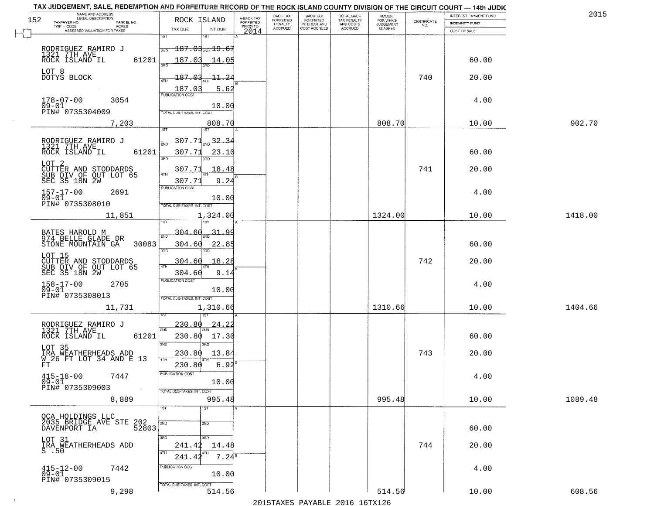| TAX JUDGEMENT, SALE, REDEMPTION AND FORFEITURE RECORD OF THE ROCK ISLAND COUNTY DIVISION OF THE CIRCUIT COURT - 14th JUDIC |                                                                                                      |                                     |                              |                                     |                                        |                                     |                                                                 |                       |         |
|----------------------------------------------------------------------------------------------------------------------------|------------------------------------------------------------------------------------------------------|-------------------------------------|------------------------------|-------------------------------------|----------------------------------------|-------------------------------------|-----------------------------------------------------------------|-----------------------|---------|
| NAME AND ADDRESS<br>LEGAL DESCRIPTION<br>152                                                                               | ROCK ISLAND                                                                                          |                                     | BACK TAX<br><b>FORFEITED</b> | <b>BACK TAX</b><br>FORFEITED        | TOTAL BACK<br>TAX PENALTY<br>AND COSTS | AMOUNT<br>FOR WHICH                 |                                                                 | INTEREST PAYMENT FUND | 2015    |
| TAXPAYER NO.<br>PARCEL NO.<br>ACRES<br>TWP - CODE                                                                          |                                                                                                      | A-BACK TAX<br>FORFEITED<br>PRIOR TO | PENALTY<br><b>ACCRUED</b>    | <b>INTEREST AND</b><br>COST ACCRUED | ACCRUED                                | <b>JUDGEMENT</b><br><b>IS ASKED</b> | $\begin{array}{c} \text{CERTIFICATE} \\ \text{NO.} \end{array}$ | <b>INDEMNITY FUND</b> |         |
| ASSESSED VALUATION FOR TAXES                                                                                               | TAX DUE<br>INT DUE<br>1ST<br>1ST                                                                     | 2014                                |                              |                                     |                                        |                                     |                                                                 | COST OF SALE          |         |
| RODRIGUEZ RAMIRO J<br>1321 7TH AVE<br>61201                                                                                | $\textcolor{red}{\textbf{187.03}} \textcolor{black}{\textbf{3}}$ , $\textbf{19.67}$<br>2ND<br>187.03 |                                     |                              |                                     |                                        |                                     |                                                                 | 60.00                 |         |
| ROCK ISLAND IL<br>LOT 8<br>DOTYS BLOCK                                                                                     | 14.05<br>187.03<br>11.24                                                                             |                                     |                              |                                     |                                        |                                     | 740                                                             | 20.00                 |         |
|                                                                                                                            | 187.03<br>5.62<br><b>PUBLICATION COST</b>                                                            |                                     |                              |                                     |                                        |                                     |                                                                 |                       |         |
| $178 - 07 - 00$<br>3054<br>$09 - 01$<br>PIN# 0735304009                                                                    | 10.00<br><b>TOTAL DUE-TAXES, INT. COST</b>                                                           |                                     |                              |                                     |                                        |                                     |                                                                 | 4.00                  |         |
| 7,203                                                                                                                      | 808.70<br>1ST<br>1ST                                                                                 |                                     |                              |                                     |                                        | 808.70                              |                                                                 | 10.00                 | 902.70  |
| RODRIGUEZ RAMIRO J<br>1321 7TH AVE<br>ROCK ISLAND IL<br>61201                                                              | 307.71<br>$-32.34$<br>ইমান<br>307.71<br>23.10<br>$\overline{3BD}$                                    |                                     |                              |                                     |                                        |                                     |                                                                 | 60.00                 |         |
| LOT <sub>2</sub><br>CUTTER AND STODDARDS<br>SUB DIV OF OUT LOT 65<br>SEC 35 18N 2W                                         | <u>307.71</u><br>18.48<br>ৰাম<br>9.24<br>307.71                                                      |                                     |                              |                                     |                                        |                                     | 741                                                             | 20.00                 |         |
| $157 - 17 - 00$<br>2691<br>$09 - 01$<br>PIN# 0735308010                                                                    | PUBLICATION COST<br>10.00<br>TOTAL DUE-TAXES, INT. COST                                              |                                     |                              |                                     |                                        |                                     |                                                                 | 4.00                  |         |
| 11,851                                                                                                                     | 1,324.00<br>1ST                                                                                      |                                     |                              |                                     |                                        | 1324.00                             |                                                                 | 10.00                 | 1418.00 |
| BATES HAROLD M<br>974 BELLE GLADE DR<br>STONE MOUNTAIN GA<br>30083                                                         | 304.<br><u>31.99</u><br>2ND<br>304.60<br>22.85<br>3RD<br>3RD                                         |                                     |                              |                                     |                                        |                                     |                                                                 | 60.00                 |         |
| LOT 15<br>CUTTER AND STODDARDS<br>SUB DIV OF OUT LOT 65<br>SEC 35 18N 2W                                                   | 18.28<br>304.60<br>4TH<br>304.60<br>9.14                                                             |                                     |                              |                                     |                                        |                                     | 742                                                             | 20.00                 |         |
| $158 - 17 - 00$<br>09-01<br>2705<br>PIN# 0735308013                                                                        | <b>PUBLICATION COST</b><br>10.00<br>TOTAL OUE-TAXES, INT. COST                                       |                                     |                              |                                     |                                        |                                     |                                                                 | 4.00                  |         |
| 11,731                                                                                                                     | 1,310.66                                                                                             |                                     |                              |                                     |                                        | 1310.66                             |                                                                 | 10.00                 | 1404.66 |
| RODRIGUEZ RAMIRO J<br>1321 7TH AVE<br>ROCK ISLAND IL<br>61201                                                              | 230.80<br>24.22<br>2ND<br>230.80<br>17.30<br>3RD<br>3RD                                              |                                     |                              |                                     |                                        |                                     |                                                                 | 60.00                 |         |
| LOT 35<br>IRA WEATHERHEADS ADD<br>W 26 FT LOT 34 AND E 13<br>FT.                                                           | 230.80<br>13.84<br>4TH<br>6.92<br>230.80                                                             |                                     |                              |                                     |                                        |                                     | 743                                                             | 20.00                 |         |
| $415 - 18 - 00$<br>7447<br>$09 - 01$<br>PIN# 0735309003<br>$\sim 100$                                                      | PUBLICATION COST<br>10.00<br>TOTAL DUE-TAXES, INT. COST                                              |                                     |                              |                                     |                                        |                                     |                                                                 | 4.00                  |         |
| 8,889                                                                                                                      | 995.48<br>१डा<br>1ST                                                                                 |                                     |                              |                                     |                                        | 995.48                              |                                                                 | 10.00                 | 1089.48 |
| OCA HOLDINGS LLC<br>2035 BRIDGE AVE STE 202<br>2035 BRIDGE AVE STE 52803                                                   | 2ND<br>2ND                                                                                           |                                     |                              |                                     |                                        |                                     |                                                                 | 60.00                 |         |
| LOT 31<br>IRĀ ŅĒATHERHEADS ADD<br>S .50                                                                                    | 3RD<br>$\overline{3}$ RD<br>241.42<br>14.48<br>4TH<br>$7.24^s$<br>241.42                             |                                     |                              |                                     |                                        |                                     | 744                                                             | 20.00                 |         |
| $415 - 12 - 00$<br>09-01<br>7442<br>PIN# 0735309015                                                                        | PUBLICATION COST<br>10.00<br>TOTAL DUE-TAXES, INT. COST                                              |                                     |                              |                                     |                                        |                                     |                                                                 | 4.00                  |         |
| 9,298                                                                                                                      | 514.56                                                                                               |                                     |                              |                                     |                                        | 514.56                              |                                                                 | 10.00                 | 608.56  |

 $\sim 10^{-1}$ 

2015TAXES PAYABLE 2016 16TX126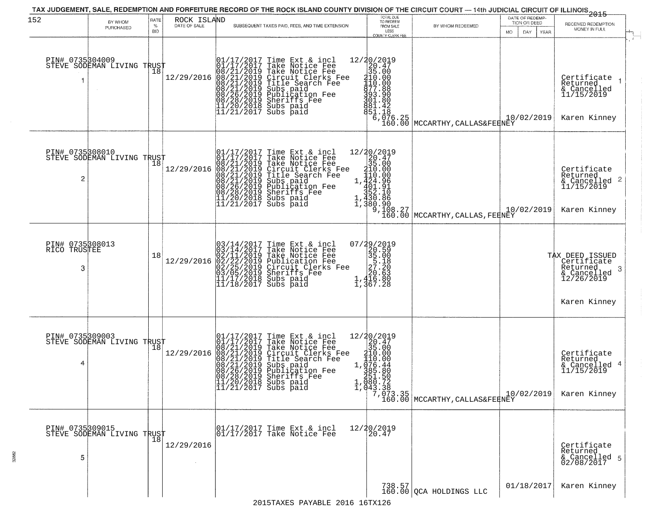| 152                                  | BY WHOM                                            | RATE<br>$\%$ | ROCK ISLAND<br>DATE OF SALE | SUBSEQUENT TAXES PAID, FEES, AND TIME EXTENSION                                                                                                                                                                                                                                                                                                                             | TOTAL DUE<br>TO REDEEM                                                                                                                                                 |                                                                                                                                           | DATE OF REDEMP-<br>TION OR DEED | ------------<br>2015<br>RECEIVED REDEMPTION                                                  |
|--------------------------------------|----------------------------------------------------|--------------|-----------------------------|-----------------------------------------------------------------------------------------------------------------------------------------------------------------------------------------------------------------------------------------------------------------------------------------------------------------------------------------------------------------------------|------------------------------------------------------------------------------------------------------------------------------------------------------------------------|-------------------------------------------------------------------------------------------------------------------------------------------|---------------------------------|----------------------------------------------------------------------------------------------|
|                                      | PURCHASED                                          | <b>BID</b>   |                             |                                                                                                                                                                                                                                                                                                                                                                             | FROM SALE<br>LESS<br><b>COUNTY CLERK FEE</b>                                                                                                                           | BY WHOM REDEEMED                                                                                                                          | MO.<br>DAY.<br>YEAR             | MONEY IN FULL                                                                                |
| PIN# 0735304009                      | STEVE SODEMAN LIVING TRUST                         |              |                             | 01/17/2017 T.<br>01/17/2017 Ta.<br>12/29/2016 08/21/2019 Tak.<br>08/21/2019 Title<br>08/21/2019 Title<br>08/21/2019 Title<br>08/26/2019 Subs paid<br>08/26/2019 Sheriffs<br>11/20/2018 Subs paid<br>11/21/2017 Subs paid<br>Time Ext & incl<br>Take Notice Fee<br>Take Notice Fee<br>Circuit Clerks Fee<br>Title Search Fee<br>Subs paid<br>Publication Fee<br>Sheriffs Fee | 12/20/2019<br>20.47<br>35.00<br>210.00<br>110.00<br>881.42<br>851.18                                                                                                   | $\left\langle \begin{array}{l} 6 \,, 076 \,,\, 25 \,,\, 076 \,. \, 00 \end{array} \right $ MCCARTHY , CALLAS&FEENEY                       | 10/02/2019                      | Certifiçate 1<br>Returned<br>& Cancelled<br>11/15/2019<br>Karen Kinney                       |
| PIN# 0735308010<br>2                 | STEVE SODEMAN LIVING TRUST                         | 18           | 12/29/2016                  | 01/17/2017 Time Ext & incl<br>01/17/2017 Take Notice Fee<br>08/21/2019 Take Notice Fee<br>08/21/2019 Circuit Clerks Fee<br>08/21/2019 Title Search Fee<br>08/21/2019 Subs paid<br>08/26/2019 Sheriffs Fee<br>11/20/2018 Subs paid<br>11/21/2017 Subs                                                                                                                        |                                                                                                                                                                        | 20/2019<br>20/2019<br>35.00<br>35.00<br>210.00<br>1/2010<br>2 ee 1,424.96<br>1,330.96<br>1,380.90<br>9,108.27<br>MCCARTHY, CALLAS, FERNEY | 10/02/2019                      | Certificate<br>Returned<br>& Cancelled 2<br>11/15/2019<br>Karen Kinney                       |
| PIN# 0735308013<br>RICO TRUSTEE<br>3 |                                                    | 18           | 12/29/2016                  | $03/14/2017$ Time Ext & incl<br>$03/14/2017$ Take Notice Fee<br>$02/11/2019$ Take Notice Fee<br>$02/22/2019$ Publication Fee<br>$03/05/2019$ Sheriffs Fee<br>$11/17/2018$ Subs paid<br>$11/18/2017$ Subs paid                                                                                                                                                               | $\begin{smallmatrix}2&9&2&0&1&9\\2&2&0&5&9\\3&5&1&8\\2&7&2&0\\2&0&6&3\\2&1&4&16&8&0\\1&3&6&7&2&8\end{smallmatrix}$                                                     |                                                                                                                                           |                                 | TAX DEED ISSUED<br>Certificate<br>Returned<br>3<br>& Cancelled<br>12/26/2019<br>Karen Kinney |
| PIN# 0735309003<br>4                 | STEVE SODEMAN LIVING TRUST                         | 18           | 12/29/2016                  | 01/17/2017 Time Ext & incl<br>01/17/2017 Take Notice Fee<br>08/21/2019 Take Notice Fee<br>08/21/2019 Circuit Clerks Fee<br>08/21/2019 Title Search Fee<br>08/21/2019 Subs paid<br>08/26/2019 Sheriffs Fee<br>11/20/2018 Subs paid<br>11/21/2017 Subs                                                                                                                        | $\begin{array}{r} 12/30/2019 \\20.47 \\35.00 \\ \vdots \\ 410.00 \\ -1.420.00 \\ \end{array}$<br>1, $\frac{1}{3}$ $\frac{7}{6}$ : $\frac{44}{80}$<br>151.50<br>080.72, | 1, 080.72<br>1, 043.38<br>160.00 MCCARTHY, CALLAS&FERNEY                                                                                  | 10/02/2019                      | Certificate<br>Returned<br>& Cancelled 4<br>11/15/2019<br>Karen Kinney                       |
| PIN# 0735309015<br>5                 | PIN# U/SPUSIL<br>STEVE SODEMAN LIVING TRUST<br> 18 |              | 12/29/2016                  | $\begin{array}{ccc}  01/17/2017 \text{ Time} & \text{Ext} & \text{incl} \\  01/17/2017 \text{ Take Notice } \text{Fe} \end{array}$                                                                                                                                                                                                                                          | 12/20/2019<br>20.47                                                                                                                                                    |                                                                                                                                           |                                 | Certificate<br>Returned<br>& Cancelled 5<br>02/08/2017                                       |
|                                      |                                                    |              |                             | 2015 TAVES DAVABLE 2016 16 TV126                                                                                                                                                                                                                                                                                                                                            |                                                                                                                                                                        | $738.57$<br>160.00 QCA HOLDINGS LLC                                                                                                       | 01/18/2017                      | Karen Kinney                                                                                 |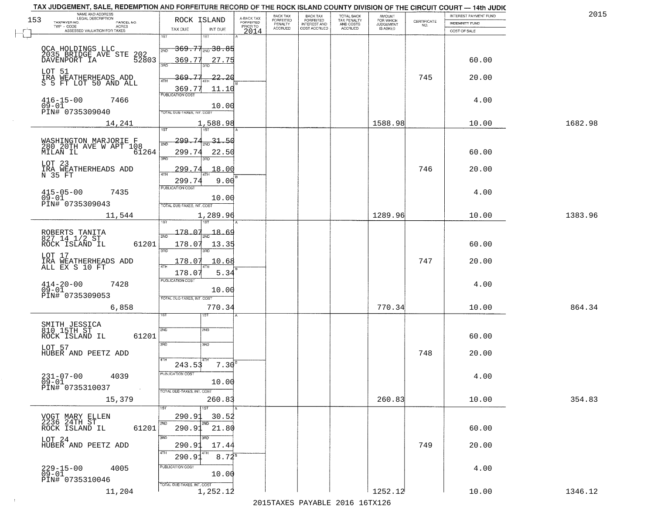| NAME AND ADDRESS<br>LEGAL DESCRIPTION<br>153                    | ROCK ISLAND                                     | A-BACK TAX<br>FORFEITED | BACK TAX<br><b>FORFEITED</b> | <b>BACK TAX</b><br><b>FORFEITED</b> | TOTAL BACK<br>TAX PENALTY | <b>AMOUNT</b>                      |                    | INTEREST PAYMENT FUND | 2015    |
|-----------------------------------------------------------------|-------------------------------------------------|-------------------------|------------------------------|-------------------------------------|---------------------------|------------------------------------|--------------------|-----------------------|---------|
| TAXPAYER NO.<br>PARCEL NO.<br>TWP - CODE<br>ACRES               |                                                 | PRIOR TO                | PENALTY<br>ACCRUED           | INTEREST AND<br>COST ACCRUED        | AND COSTS<br>ACCRUED      | FOR WHICH<br>JUDGEMENT<br>IS ASKED | CERTIFICATE<br>NO. | <b>INDEMNITY FUND</b> |         |
| ASSESSED VALUATION FOR TAXES                                    | TAX DUE<br>INT DUE<br>1ST<br>1ST                | 2014                    |                              |                                     |                           |                                    |                    | COST OF SALE          |         |
|                                                                 | <del>369.71<sub>210</sub>38.85</del>            |                         |                              |                                     |                           |                                    |                    |                       |         |
| OCA HOLDINGS LLC<br>2035 BRIDGE AVE STE 202<br>3335 BRIDGE TA   | 2ND<br>369.77                                   |                         |                              |                                     |                           |                                    |                    | 60.00                 |         |
|                                                                 | 27.75<br>3RD                                    |                         |                              |                                     |                           |                                    |                    |                       |         |
| LOT 51<br>IRA WEATHERHEADS ADD                                  | -77<br>369.<br>$-22.20$<br><b>ATH</b>           |                         |                              |                                     |                           |                                    | 745                | 20.00                 |         |
| S 5 FT LOT 50 AND ALL                                           | 369.77<br>11.10                                 |                         |                              |                                     |                           |                                    |                    |                       |         |
| $416 - 15 - 00$<br>7466                                         | <b>PUBLICATION COST</b>                         |                         |                              |                                     |                           |                                    |                    | 4.00                  |         |
| $09 - 01$<br>PIN# 0735309040                                    | 10.00<br>TOTAL DUE-TAXES, INT. COST             |                         |                              |                                     |                           |                                    |                    |                       |         |
| 14,241                                                          | 1,588.98                                        |                         |                              |                                     |                           | 1588.98                            |                    | 10.00                 | 1682.98 |
|                                                                 | 1ST<br>75T                                      |                         |                              |                                     |                           |                                    |                    |                       |         |
| WASHINGTON MARJORIE F<br>280 20TH AVE W APT 108<br>MILAN IL 61: | 299.74<br>$31 - 50$<br>2ND                      |                         |                              |                                     |                           |                                    |                    |                       |         |
| 61264                                                           | 299.74<br>22.50                                 |                         |                              |                                     |                           |                                    |                    | 60.00                 |         |
| LOT 23                                                          | 3RD                                             |                         |                              |                                     |                           |                                    |                    |                       |         |
| IRA WEATHERHEADS ADD<br>N 35 FT                                 | <u>299.74</u><br>18.00<br>$\overline{ATH}$      |                         |                              |                                     |                           |                                    | 746                | 20.00                 |         |
|                                                                 | 9.00<br>299.7<br>PUBLICATION COST               |                         |                              |                                     |                           |                                    |                    |                       |         |
| $415 - 05 - 00$<br>7435<br>$09 - 01$                            | 10.00                                           |                         |                              |                                     |                           |                                    |                    | 4.00                  |         |
| PIN# 0735309043                                                 | TOTAL DUE-TAXES, INT. COST                      |                         |                              |                                     |                           |                                    |                    |                       |         |
| 11,544                                                          | 1,289.96                                        |                         |                              |                                     |                           | 1289.96                            |                    | 10.00                 | 1383.96 |
|                                                                 | 178.07<br>18.69                                 |                         |                              |                                     |                           |                                    |                    |                       |         |
| ROBERTS TANITA<br>827 14 1/2 ST<br>61201                        |                                                 |                         |                              |                                     |                           |                                    |                    |                       |         |
| ROCK ISLAND IL                                                  | 178.07<br>13.35<br>3RD                          |                         |                              |                                     |                           |                                    |                    | 60.00                 |         |
| LOT 17<br>IRA WEATHERHEADS ADD<br>ALL EX S 10 FT                | 10.68<br>178.07                                 |                         |                              |                                     |                           |                                    | 747                | 20.00                 |         |
|                                                                 | 5.34<br>178.07                                  |                         |                              |                                     |                           |                                    |                    |                       |         |
| $^{414-20-00}_{09-01}$<br>7428                                  | <b>PUBLICATION COST</b>                         |                         |                              |                                     |                           |                                    |                    | 4.00                  |         |
| PIN# 0735309053                                                 | 10.00<br>TOTAL OUE-TAXES, INT. COST             |                         |                              |                                     |                           |                                    |                    |                       |         |
| 6,858                                                           | 770.34                                          |                         |                              |                                     |                           | 770.34                             |                    | 10.00                 | 864.34  |
|                                                                 |                                                 |                         |                              |                                     |                           |                                    |                    |                       |         |
| SMITH JESSICA<br>810 15TH ST                                    | 2ND<br>2ND                                      |                         |                              |                                     |                           |                                    |                    |                       |         |
| 61201<br>ROCK ISLAND IL                                         |                                                 |                         |                              |                                     |                           |                                    |                    | 60.00                 |         |
| LOT 57                                                          | 3RD<br>3RD                                      |                         |                              |                                     |                           |                                    |                    |                       |         |
| HUBER AND PEETZ ADD                                             | 4TH                                             |                         |                              |                                     |                           |                                    | 748                | 20.00                 |         |
|                                                                 | 7.30 <sup>B</sup><br>243.53<br>PUBLICATION COST |                         |                              |                                     |                           |                                    |                    |                       |         |
| $231 - 07 - 00$<br>4039<br>09-01                                | 10.00                                           |                         |                              |                                     |                           |                                    |                    | 4.00                  |         |
| PIN# 0735310037<br>$\sim 10^{11}$ eV.                           | TOTAL DUE-TAXES, INT. COST                      |                         |                              |                                     |                           |                                    |                    |                       |         |
| 15,379                                                          | 260.83                                          |                         |                              |                                     |                           | 260.83                             |                    | 10.00                 | 354.83  |
|                                                                 | 1ST<br>290.91<br>30.52                          |                         |                              |                                     |                           |                                    |                    |                       |         |
| VOGT MARY ELLEN<br>2236 24TH ST<br>61201                        | 2ND<br>2ND<br>290.91<br>21.80                   |                         |                              |                                     |                           |                                    |                    | 60.00                 |         |
| ROCK ISLAND IL                                                  | 3BD<br>3RD                                      |                         |                              |                                     |                           |                                    |                    |                       |         |
| LOT 24<br>HUBER AND PEETZ ADD                                   | 290.91<br>17.44                                 |                         |                              |                                     |                           |                                    | 749                | 20.00                 |         |
|                                                                 | 4TH<br>$8.72^{8}$<br>290.91                     |                         |                              |                                     |                           |                                    |                    |                       |         |
| 4005                                                            | PUBLICATION COST                                |                         |                              |                                     |                           |                                    |                    | 4.00                  |         |
| 229-15-00<br>09-01<br>PIN# 0735310046                           | 10.00                                           |                         |                              |                                     |                           |                                    |                    |                       |         |
| 11,204                                                          | TOTAL DUE-TAXES, INT. COST<br>1,252.12          |                         |                              |                                     |                           | 1252.12                            |                    | 10.00                 | 1346.12 |
|                                                                 |                                                 |                         |                              |                                     |                           |                                    |                    |                       |         |

 $\sim 100$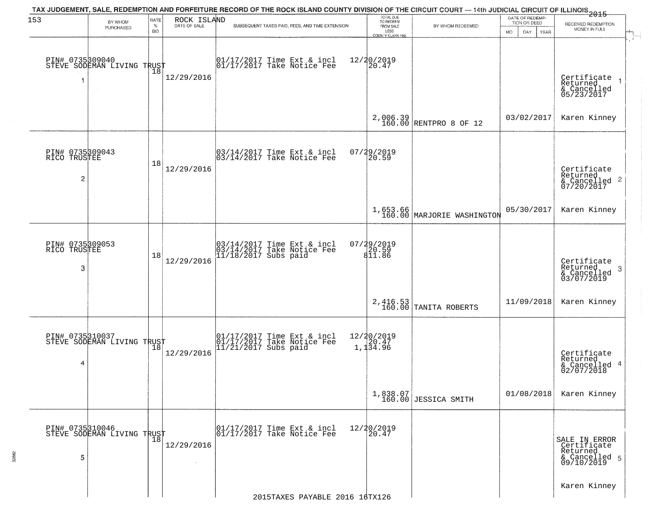|                                      |                                                   |                            |                             | TAX JUDGEMENT, SALE, REDEMPTION AND FORFEITURE RECORD OF THE ROCK ISLAND COUNTY DIVISION OF THE CIRCUIT COURT — 14th JUDICIAL CIRCUIT OF ILLINOIS 2015 |                                                                 |                                        |                                                        |                                                                         |
|--------------------------------------|---------------------------------------------------|----------------------------|-----------------------------|--------------------------------------------------------------------------------------------------------------------------------------------------------|-----------------------------------------------------------------|----------------------------------------|--------------------------------------------------------|-------------------------------------------------------------------------|
| 153                                  | BY WHOM<br>PURCHASED                              | RATE<br>$\%$<br><b>BID</b> | ROCK ISLAND<br>DATE OF SALE | SUBSEQUENT TAXES PAID, FEES, AND TIME EXTENSION                                                                                                        | TOTAL DUE<br>TO REDEEM<br>FROM SALE<br>LESS<br>COUNTY CLERK FEE | BY WHOM REDEEMED                       | DATE OF REDEMP-<br>TION OR DEED<br>MO.<br>DAY.<br>YEAR | RECEIVED REDEMPTION<br>MONEY IN FULL                                    |
| 1                                    | PIN# 0735309040    <br>STEVE SODEMAN LIVING TRUST | Ίõ                         | 12/29/2016                  | 01/17/2017 Time Ext & incl<br>01/17/2017 Take Notice Fee                                                                                               | 12/20/2019<br>20.47                                             |                                        |                                                        | Certificate<br>Returned<br>& Cancelled<br>05/23/2017                    |
|                                      |                                                   |                            |                             |                                                                                                                                                        |                                                                 | $2,006.39$ RENTPRO 8 OF 12             | 03/02/2017                                             | Karen Kinney                                                            |
| PIN# 0735309043<br>RICO TRUSTEE<br>2 |                                                   | 18                         | 12/29/2016                  | $\begin{bmatrix} 03/14/2017 \\ 03/14/2017 \\ 04 \end{bmatrix}$ Take Notice Fee                                                                         | 07/29/2019<br>20.59                                             |                                        |                                                        | Certificate<br>Returned<br>$\frac{12241164}{67/20/2017}$<br>07/20/2017  |
|                                      |                                                   |                            |                             |                                                                                                                                                        |                                                                 | 1,653.66<br>160.00 MARJORIE WASHINGTON | 05/30/2017                                             | Karen Kinney                                                            |
| PIN# 0735309053<br>RICO TRUSTEE<br>3 |                                                   | 18                         | 12/29/2016                  | 03/14/2017 Time Ext & incl<br>03/14/2017 Take Notice Fee<br>11/18/2017 Subs paid                                                                       | 07/29/2019<br>$\frac{1}{811.86}$                                |                                        |                                                        | Certificate<br>Returned<br>3<br>& Cancelled<br>03/07/2019               |
|                                      |                                                   |                            |                             |                                                                                                                                                        | 2,416.53<br>160.00                                              | TANITA ROBERTS                         | 11/09/2018                                             | Karen Kinney                                                            |
| 4                                    | PIN# 0735310037<br>STEVE SODEMAN LIVING TRUST     |                            | 12/29/2016                  | 01/17/2017 Time Ext & incl<br>01/17/2017 Take Notice Fee<br>11/21/2017 Subs paid                                                                       | 12/20/2019<br>1,1 <sup>20.47</sup><br>1,1 <sup>34.96</sup>      |                                        |                                                        | Certificate<br>Returned<br>& Cancelled 4<br>02/07/2018                  |
|                                      |                                                   |                            |                             |                                                                                                                                                        |                                                                 | 1,838.07<br>160.00 JESSICA SMITH       | 01/08/2018                                             | Karen Kinney                                                            |
| PIN# 0735310046<br>5                 | STEVE SODEMAN LIVING TRUST                        | $\overline{18}$            | 12/29/2016<br>$\sim$        | 01/17/2017 Time Ext & incl<br>01/17/2017 Take Notice Fee                                                                                               | 12/20/2019<br>20.47                                             |                                        |                                                        | SALE IN ERROR<br>Certificate<br>Returned<br>& Cancelled 5<br>09/10/2019 |
|                                      |                                                   |                            |                             | 2015TAXES PAYABLE 2016 16TX126                                                                                                                         |                                                                 |                                        |                                                        | Karen Kinney                                                            |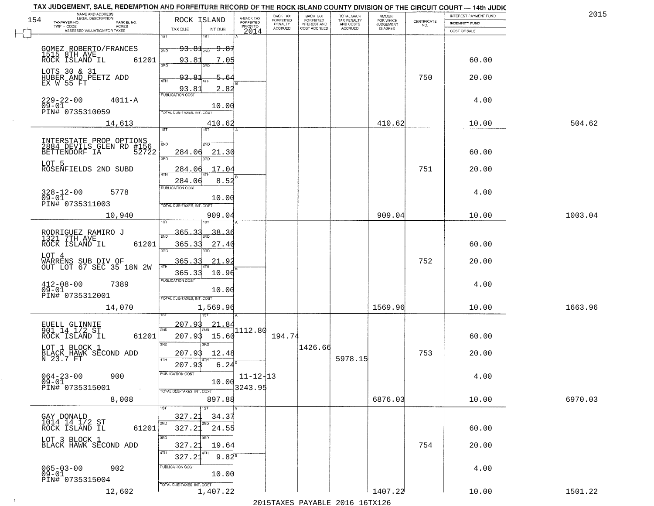|     | TAX JUDGEMENT, SALE, REDEMPTION AND FORFEITURE RECORD OF THE ROCK ISLAND COUNTY DIVISION OF THE CIRCUIT COURT - 14th JUDIC<br>NAME AND ADDRESS<br>LEGAL DESCRIPTION |                                                                |                              |                                     | BACK TAX             | <b>BACK TAX</b>           |                                        |                                         |                                                                 | INTEREST PAYMENT FUND | 2015    |
|-----|---------------------------------------------------------------------------------------------------------------------------------------------------------------------|----------------------------------------------------------------|------------------------------|-------------------------------------|----------------------|---------------------------|----------------------------------------|-----------------------------------------|-----------------------------------------------------------------|-----------------------|---------|
| 154 | TAXPAYER NO.<br>PARCEL NO.<br>ACRES                                                                                                                                 | ROCK ISLAND                                                    |                              | A-BACK TAX<br>FORFEITED<br>PRIOR TO | FORFEITED<br>PENALTY | FORFEITED<br>INTEREST AND | TOTAL BACK<br>TAX PENALTY<br>AND COSTS | AMOUNT<br>FOR WHICH<br><b>JUDGEMENT</b> | $\begin{array}{c} \text{CERTIFICATE} \\ \text{NO.} \end{array}$ | <b>INDEMNITY FUND</b> |         |
|     | ASSESSED VALUATION FOR TAXES                                                                                                                                        | TAX DUE                                                        | INT DUE                      | 2014                                | <b>ACCRUED</b>       | COST ACCRUED              | ACCRUED                                | IS ASKED                                |                                                                 | COST OF SALE          |         |
|     | GOMEZ ROBERTO/FRANCES<br>1515 8TH AVE<br>ROCK ISLAND IL 63<br>61201                                                                                                 | 1ST<br>$93.81$ <sub>2ND</sub><br>2ND<br>93.81                  | <del>9.87</del><br>7.05      |                                     |                      |                           |                                        |                                         |                                                                 | 60.00                 |         |
|     | LOTS 30 & 31<br>HUBER AND PEETZ ADD<br>EX W 55 FT                                                                                                                   | $3 - 5$<br>93.81<br>4TH                                        | 5.64                         |                                     |                      |                           |                                        |                                         | 750                                                             | 20.00                 |         |
|     | $229 - 22 - 00$<br>$4011 - A$<br>$09 - 01$<br>PIN# 0735310059                                                                                                       | 93.81<br><b>PUBLICATION COST</b><br>TOTAL DUE-TAXES, INT. COST | 2.82<br>10.00                |                                     |                      |                           |                                        |                                         |                                                                 | 4.00                  |         |
|     | 14,613                                                                                                                                                              | 1ST                                                            | 410.62                       |                                     |                      |                           |                                        | 410.62                                  |                                                                 | 10.00                 | 504.62  |
|     | INTERSTATE PROP OPTIONS<br>2884 DEVILS GLEN RD #156<br>BETTENDORF IA 52722<br>52722<br>LOT 5                                                                        | 2ND<br>284.06<br>3RD                                           | 200<br>21.30<br>3BD.         |                                     |                      |                           |                                        |                                         |                                                                 | 60.00                 |         |
|     | ROSENFIELDS 2ND SUBD<br>$328 - 12 - 00$<br>5778<br>$09 - 01$                                                                                                        | 284.06<br>$\overline{ATH}$<br>284.06<br>PUBLICATION COST       | .17.04<br>8.52<br>10.00      |                                     |                      |                           |                                        |                                         | 751                                                             | 20.00<br>4.00         |         |
|     | PIN# 0735311003<br>10,940                                                                                                                                           | TOTAL DUE-TAXES, INT. COST<br>isτ                              | 909.04<br>1ST                |                                     |                      |                           |                                        | 909.04                                  |                                                                 | 10.00                 | 1003.04 |
|     | RODRIGUEZ RAMIRO J<br>1321 7TH AVE<br>ROCK ISLAND IL<br>61201<br>LOT 4                                                                                              | 365.33<br>2ND<br>365.33<br>3RD                                 | 38.36<br>27.40<br>3RD        |                                     |                      |                           |                                        |                                         |                                                                 | 60.00                 |         |
|     | WARRENS SUB DIV OF<br>OUT LOT 67 SEC 35 18N 2W                                                                                                                      | 365.33<br>4TH<br>365.33<br><b>PUBLICATION COST</b>             | 21.92<br>10.96               |                                     |                      |                           |                                        |                                         | 752                                                             | 20.00                 |         |
|     | $412 - 08 - 00$<br>7389<br>$09 - 01$<br>PIN# 0735312001<br>14,070                                                                                                   | TOTAL OUE-TAXES, INT. COST                                     | 10.00<br>1,569.96            |                                     |                      |                           |                                        | 1569.96                                 |                                                                 | 4.00<br>10.00         | 1663.96 |
|     |                                                                                                                                                                     |                                                                |                              |                                     |                      |                           |                                        |                                         |                                                                 |                       |         |
|     | EUELL GLINNIE<br>901 14 1/2 ST<br>ROCK ISLAND IL<br>61201<br>LOT 1 BLOCK 1                                                                                          | 207.93<br>2ND<br>207.93<br>3RD                                 | 21.84<br>15.60<br>3RD        | 1112.80                             | 194.74               | 1426.66                   |                                        |                                         |                                                                 | 60.00                 |         |
|     | BLACK HAWK SECOND ADD<br>N 23.7 FT                                                                                                                                  | 207.93<br>4TH<br>207.93                                        | 12.48<br>6.24                |                                     |                      |                           | 5978.15                                |                                         | 753                                                             | 20.00                 |         |
|     | $064 - 23 - 00$<br>900<br>$09 - 01$<br>PIN# 0735315001<br>$\sim 100$ km $^{-1}$                                                                                     | "UBLICA HUN CUS<br>TOTAL DUE-TAXES, INT. COST                  | 10.00                        | $11 - 12 + 13$<br>3243.95           |                      |                           |                                        |                                         |                                                                 | 4.00                  |         |
|     | 8,008                                                                                                                                                               |                                                                | 897.88<br>1ST                |                                     |                      |                           |                                        | 6876.03                                 |                                                                 | 10.00                 | 6970.03 |
|     | GAY DONALD<br>1014    14    1/2 ST<br>ROCK    ISLAND    IL<br>61201                                                                                                 | 327.23<br>2ND<br>327.21                                        | 34.37<br>2ND<br>24.55<br>3RD |                                     |                      |                           |                                        |                                         |                                                                 | 60.00                 |         |
|     | LOT 3 BLOCK 1<br>BLACK HAWK SECOND ADD                                                                                                                              | 3RD<br>327.23<br>4TH<br>327.21                                 | 19.64<br>$9.82^8$            |                                     |                      |                           |                                        |                                         | 754                                                             | 20.00                 |         |
|     | $065 - 03 - 00$<br>902<br>09-01<br>PIN# 0735315004                                                                                                                  | PUBLICATION COST<br>TOTAL DUE-TAXES, INT. COST                 | 10.00                        |                                     |                      |                           |                                        |                                         |                                                                 | 4.00                  |         |
|     | 12,602                                                                                                                                                              |                                                                | 1,407.22                     |                                     |                      |                           |                                        | 1407.22                                 |                                                                 | 10.00                 | 1501.22 |

 $\sim 100$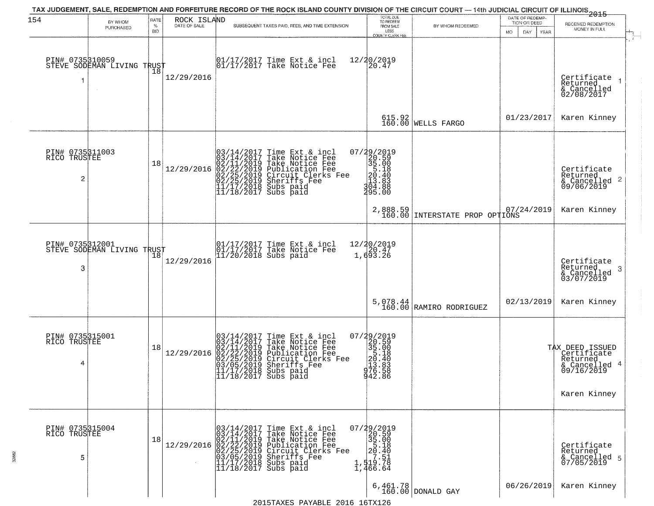| 154                                  | BY WHOM<br>PURCHASED       | RATE<br>$\%$<br><b>BID</b> | ROCK ISLAND<br>DATE OF SALE | TAX JUDGEMENT, SALE, REDEMPTION AND FORFEITURE RECORD OF THE ROCK ISLAND COUNTY DIVISION OF THE CIRCUIT COURT — 14th JUDICIAL CIRCUIT OF ILLINOIS 2015<br>SUBSEQUENT TAXES PAID, FEES, AND TIME EXTENSION                                                                                                                                                  | TOTAL DUE<br>TO REDEEM<br>FROM SALE<br>LESS<br>COUNTY CLERK FEE                                       | BY WHOM REDEEMED               | DATE OF REDEMP-<br>TION OR DEED<br>MO.<br>DAY<br>YEAR | RECEIVED REDEMPTION<br>MONEY IN FULL                                                      |
|--------------------------------------|----------------------------|----------------------------|-----------------------------|------------------------------------------------------------------------------------------------------------------------------------------------------------------------------------------------------------------------------------------------------------------------------------------------------------------------------------------------------------|-------------------------------------------------------------------------------------------------------|--------------------------------|-------------------------------------------------------|-------------------------------------------------------------------------------------------|
| PIN# 0735310059                      | STEVE SODEMAN LIVING TRUST | 18                         | 12/29/2016                  | $\begin{bmatrix} 01/17/2017 \\ 01/17/2017 \\ 01 \end{bmatrix}$ Take Notice Fee                                                                                                                                                                                                                                                                             | 12/20/2019<br>20.47                                                                                   |                                |                                                       | Certificate<br>Returned<br>& Cancelled<br>02/08/2017                                      |
|                                      |                            |                            |                             |                                                                                                                                                                                                                                                                                                                                                            |                                                                                                       | $615.92$<br>160.00 WELLS FARGO | 01/23/2017                                            | Karen Kinney                                                                              |
| PIN# 0735311003<br>RICO TRUSTEE<br>2 |                            | 18                         | 12/29/2016                  | $03/14/2017$ Time Ext & incl<br>$03/14/2017$ Take Notice Fee<br>$02/11/2019$ Take Notice Fee<br>$02/22/2019$ Publication Fee<br>$02/25/2019$ Sheriffs Fee<br>$02/25/2019$ Sheriffs Fee<br>$11/17/2018$ Subs paid<br>$11/18/2017$ Subs paid                                                                                                                 | 07/29/2019<br>$230.59$<br>$35.00$<br>$35.40$<br>$20.40$<br>$20.40$<br>$3.83$<br>$3.88$<br>295.00      |                                |                                                       | Certificate<br>Returned<br>$\frac{1}{6}$ Cancelled 2<br>09/06/2019                        |
|                                      |                            |                            |                             |                                                                                                                                                                                                                                                                                                                                                            | 2,888.59<br>160.00                                                                                    | INTERSTATE PROP OPTIONS        | 07/24/2019                                            | Karen Kinney                                                                              |
| PIN# 0735312001<br>3                 | STEVE SODEMAN LIVING TRUST |                            | 12/29/2016                  | 01/17/2017 Time Ext & incl<br>01/17/2017 Take Notice Fee<br>11/20/2018 Subs paid                                                                                                                                                                                                                                                                           | 12/20/2019<br>20.47<br>1,693.26                                                                       |                                |                                                       | Certificate<br>Returned<br>-3<br>& Cancelled<br>03/07/2019                                |
|                                      |                            |                            |                             |                                                                                                                                                                                                                                                                                                                                                            | $5,078.44$<br>$160.00$                                                                                | RAMIRO RODRIGUEZ               | 02/13/2019                                            | Karen Kinney                                                                              |
| PIN# 0735315001<br>RICO TRUSTEE<br>4 |                            | 18                         | 12/29/2016                  | 03/14/2017 Time Ext & incl<br>03/14/2017 Take Notice Fee<br>02/11/2019 Take Notice Fee<br>02/22/2019 Publication Fee<br>02/22/2019 Circuit Clerks Fee<br>03/05/2019 Sheriffs Fee<br>11/17/2017 Subs paid<br>11/18/2017 Subs paid                                                                                                                           | 07/29/2019<br>20.59<br>35.00<br>5.18<br>20.40<br>20.40<br>20.40<br>20.40<br>20.58<br>30.588<br>942.86 |                                |                                                       | TAX DEED ISSUED<br>Certificate<br>Returned<br>& Cancelled 4<br>09/16/2019<br>Karen Kinney |
| PIN# 0735315004<br>RICO TRUSTEE<br>5 |                            | 18                         |                             | $[03/14/2017 \text{ Time Ext & incl} \newline [03/14/2017 \text{ Take Notice Free} \newline 02/11/2019 \text{ Take Notice Free} \newline 02/11/2019 \text{ Public action Free} \newline 02/22/2019 \text{ Publication Free} \newline 03/05/2019 \text{ Sheriffs } \text{Free} \newline 11/17/2018 \text{ Subs paid} \newline 11/18/2017 \text{ Subs paid}$ | $\begin{smallmatrix} 07/29/2019\\20.59\\35.00\\51.40\\ \vdots\\ 1,519.78\\1,466.64 \end{smallmatrix}$ |                                |                                                       | Certificate<br>Returned<br>& Cancelled 5<br>07/05/2019                                    |
|                                      |                            |                            |                             |                                                                                                                                                                                                                                                                                                                                                            |                                                                                                       | $6,461.78$ DONALD GAY          | 06/26/2019                                            | Karen Kinney                                                                              |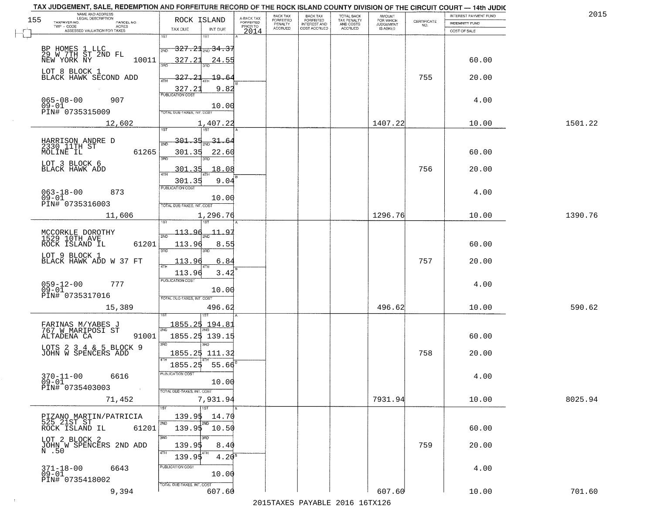|                                                 | TAX JUDGEMENT, SALE, REDEMPTION AND FORFEITURE RECORD OF THE ROCK ISLAND COUNTY DIVISION OF THE CIRCUIT COURT - 14th JUDIC<br>NAME AND ADDRESS<br>LEGAL DESCRIPTION |                                                                              |                                     | BACK TAX             | <b>BACK TAX</b>           |                                        |                                         |                                                                 | INTEREST PAYMENT FUND | 2015    |
|-------------------------------------------------|---------------------------------------------------------------------------------------------------------------------------------------------------------------------|------------------------------------------------------------------------------|-------------------------------------|----------------------|---------------------------|----------------------------------------|-----------------------------------------|-----------------------------------------------------------------|-----------------------|---------|
| 155<br>TAXPAYER NO.                             | PARCEL NO.                                                                                                                                                          | ROCK ISLAND                                                                  | A-BACK TAX<br>FORFEITED<br>PRIOR TO | FORFEITED<br>PENALTY | FORFEITED<br>INTEREST AND | TOTAL BACK<br>TAX PENALTY<br>AND COSTS | AMOUNT<br>FOR WHICH<br><b>JUDGEMENT</b> | $\begin{array}{c} \text{CERTIFICATE} \\ \text{NO.} \end{array}$ | INDEMNITY FUND        |         |
|                                                 | ACRES<br>ASSESSED VALUATION FOR TAXES                                                                                                                               | TAX DUE<br>INT DUE                                                           | 2014                                | <b>ACCRUED</b>       | COST ACCRUED              | ACCRUED                                | IS ASKED                                |                                                                 | COST OF SALE          |         |
|                                                 | BP HOMES 1 LLC<br>29 W 7TH ST 2ND FL<br>NEW YORK NY                                                                                                                 | 1ST<br>18T<br><del>327.21<sub>2ND</sub> 34.37</del><br>2ND                   |                                     |                      |                           |                                        |                                         |                                                                 |                       |         |
| LOT 8 BLOCK 1                                   | 10011                                                                                                                                                               | 327.21<br>24.55                                                              |                                     |                      |                           |                                        |                                         |                                                                 | 60.00                 |         |
|                                                 | BLACK HAWK SECOND ADD                                                                                                                                               | <u>327.21</u><br>19.64<br>9.82<br>$\frac{327.21}{PUBUCATON COST}$            |                                     |                      |                           |                                        |                                         | 755                                                             | 20.00                 |         |
| $065 - 08 - 00$<br>$09 - 01$<br>PIN# 0735315009 | 907                                                                                                                                                                 | 10.00<br>TOTAL DUE-TAXES, INT, COST                                          |                                     |                      |                           |                                        |                                         |                                                                 | 4.00                  |         |
|                                                 | 12,602                                                                                                                                                              | 1,407.22                                                                     |                                     |                      |                           |                                        | 1407.22                                 |                                                                 | 10.00                 | 1501.22 |
| MOLINE IL                                       | HARRISON ANDRE D<br>2330_11TH ST<br>61265                                                                                                                           | <u>301.35</u><br>$\frac{31.64}{210}$<br><b>PND</b><br>301.35<br>22.60<br>3RD |                                     |                      |                           |                                        |                                         |                                                                 | 60.00                 |         |
| LOT 3 BLOCK 6<br>BLACK HAWK ADD                 |                                                                                                                                                                     | 18.08<br><u>301.35</u><br>$\overline{47H}$<br>301.35<br>9.04                 |                                     |                      |                           |                                        |                                         | 756                                                             | 20.00                 |         |
| $063 - 18 - 00$<br>$09 - 01$<br>PIN# 0735316003 | 873                                                                                                                                                                 | <b>FUBLICATION COST</b><br>10.00<br>TOTAL DUE-TAXES, INT. COST               |                                     |                      |                           |                                        |                                         |                                                                 | 4.00                  |         |
|                                                 | 11,606                                                                                                                                                              | 1,296.76<br>īsT                                                              |                                     |                      |                           |                                        | 1296.76                                 |                                                                 | 10.00                 | 1390.76 |
| ROCK ISLAND IL                                  | MCCORKLE DOROTHY<br>1529 10TH AVE<br>61201                                                                                                                          | $-113.96$<br>11.<br><u>_Q</u><br>2ND<br>113.96<br>8.55<br>3RD<br>3RD         |                                     |                      |                           |                                        |                                         |                                                                 | 60.00                 |         |
|                                                 | LOT 9 BLOCK 1<br>BLACK HAWK ADD W 37 FT                                                                                                                             | 113.96<br>6.84<br>ATH<br>113.96<br>3.42                                      |                                     |                      |                           |                                        |                                         | 757                                                             | 20.00                 |         |
| $059 - 12 - 00$<br>09-01<br>PIN# 0735317016     | 777                                                                                                                                                                 | <b>PUBLICATION COST</b><br>10.00<br>TOTAL OUE-TAXES, INT. COST               |                                     |                      |                           |                                        |                                         |                                                                 | 4.00                  |         |
|                                                 | 15,389                                                                                                                                                              | 496.62                                                                       |                                     |                      |                           |                                        | 496.62                                  |                                                                 | 10.00                 | 590.62  |
| ALTADENA CA                                     | FARINAS M/YABES J<br>767 W MARIPOSI ST<br>91001                                                                                                                     | 1855.25<br>194.81<br>2ND<br>1855.25 139.15<br>3BD<br><b>TRD</b>              |                                     |                      |                           |                                        |                                         |                                                                 | 60.00                 |         |
|                                                 | LOTS 2 3 4 & 5 BLOCK 9<br>JOHN W SPENCERS ADD                                                                                                                       | 1855.25 111.32<br>4TH<br>1855.25<br>55.66                                    |                                     |                      |                           |                                        |                                         | 758                                                             | 20.00                 |         |
| $370 - 11 - 00$<br>$09 - 01$<br>PIN# 0735403003 | 6616<br><b>Contract</b>                                                                                                                                             | -usuca i un cus-<br>10.00<br>TOTAL DUE-TAXES, INT. COST                      |                                     |                      |                           |                                        |                                         |                                                                 | 4.00                  |         |
|                                                 | 71,452                                                                                                                                                              | 7,931.94<br><b>TIST</b>                                                      |                                     |                      |                           |                                        | 7931.94                                 |                                                                 | 10.00                 | 8025.94 |
| ROCK ISLAND IL                                  | PIZANO MARTIN/PATRICIA<br>525 21ST ST<br>61201                                                                                                                      | 139.95<br>14.70<br>2ND<br>2ND<br>139.9\$ 10.50                               |                                     |                      |                           |                                        |                                         |                                                                 | 60.00                 |         |
| LOT 2 BLOCK 2<br>N .50                          | JOHN W SPENCERS 2ND ADD                                                                                                                                             | 3RD<br>3RD<br>139.95<br>8.40<br>4TH<br>139.95<br>4.20 <sup>s</sup>           |                                     |                      |                           |                                        |                                         | 759                                                             | 20.00                 |         |
| $371 - 18 - 00$<br>$09 - 01$<br>PIN# 0735418002 | 6643                                                                                                                                                                | PUBLICATION COST<br>10.00<br>TOTAL DUE-TAXES, INT. COST                      |                                     |                      |                           |                                        |                                         |                                                                 | 4.00                  |         |
|                                                 | 9,394                                                                                                                                                               | 607.60                                                                       |                                     |                      |                           |                                        | 607.60                                  |                                                                 | 10.00                 | 701.60  |

 $\sim 10^{-1}$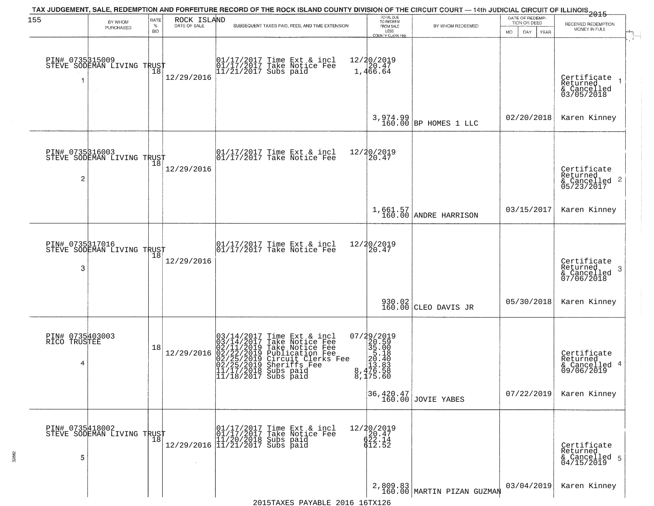| 155                                  | BY WHOM                                           | RATE               | ROCK ISLAND  | TAX JUDGEMENT, SALE, REDEMPTION AND FORFEITURE RECORD OF THE ROCK ISLAND COUNTY DIVISION OF THE CIRCUIT COURT — 14th JUDICIAL CIRCUIT OF ILLINOIS 2015                                                                                     | TOTAL DUE<br>TO REDEEM                                                                                          |                                        | DATE OF REDEMP-<br>TION OR DEED |                                                                        |
|--------------------------------------|---------------------------------------------------|--------------------|--------------|--------------------------------------------------------------------------------------------------------------------------------------------------------------------------------------------------------------------------------------------|-----------------------------------------------------------------------------------------------------------------|----------------------------------------|---------------------------------|------------------------------------------------------------------------|
|                                      | PURCHASED                                         | $\%$<br><b>BID</b> | DATE OF SALE | SUBSEQUENT TAXES PAID, FEES, AND TIME EXTENSION                                                                                                                                                                                            | FROM SALE<br>LESS<br><b>COUNTY CLERK FEE</b>                                                                    | BY WHOM REDEEMED                       | MO.<br>DAY.<br><b>YEAR</b>      | RECEIVED REDEMPTION<br>MONEY IN FULL                                   |
| 1                                    | PIN# 0735315009    <br>STEVE SODEMAN LIVING TRUST | Ίõ                 | 12/29/2016   | 01/17/2017 Time Ext & incl<br>01/17/2017 Take Notice Fee<br>11/21/2017 Subs paid                                                                                                                                                           | 12/20/2019<br>1,466.64                                                                                          |                                        |                                 | Certificate<br>Returned<br>$\rightarrow$<br>& Cancelled<br>03/05/2018  |
|                                      |                                                   |                    |              |                                                                                                                                                                                                                                            |                                                                                                                 | 3,974.99<br>160.00 BP HOMES 1 LLC      | 02/20/2018                      | Karen Kinney                                                           |
| PIN# 0735316003<br>2                 | STEVE SODEMAN LIVING TRUST                        |                    | 12/29/2016   | 01/17/2017 Time Ext & incl<br>01/17/2017 Take Notice Fee                                                                                                                                                                                   | 12/20/2019<br>20.47                                                                                             |                                        |                                 | Certificate<br>Returned<br>$\overline{2}$<br>& Cancelled<br>05/23/2017 |
|                                      |                                                   |                    |              |                                                                                                                                                                                                                                            |                                                                                                                 | 1,661.57<br>160.00 ANDRE HARRISON      | 03/15/2017                      | Karen Kinney                                                           |
| 3                                    | PIN# 0735317016<br>STEVE SODEMAN LIVING TRUST     | 18                 | 12/29/2016   | 01/17/2017 Time Ext & incl<br>01/17/2017 Take Notice Fee                                                                                                                                                                                   | 12/20/2019<br>20.47                                                                                             |                                        |                                 | Certificate<br>Returned<br>3<br>$\frac{2}{07/06/2018}$                 |
|                                      |                                                   |                    |              |                                                                                                                                                                                                                                            |                                                                                                                 | 930.02<br>160.00 CLEO DAVIS JR         | 05/30/2018                      | Karen Kinney                                                           |
| PIN# 0735403003<br>RICO TRUSTEE<br>4 |                                                   | 18                 | 12/29/2016   | $03/14/2017$ Time Ext & incl<br>$03/14/2017$ Take Notice Fee<br>$02/11/2019$ Take Notice Fee<br>$02/22/2019$ Publication Fee<br>$02/25/2019$ Sheriffs Fee<br>$02/25/2019$ Sheriffs Fee<br>$11/17/2018$ Subs paid<br>$11/18/2017$ Subs paid | $\begin{smallmatrix} 07/29/2019\\20.59\\35.00\\5.18\\20.40\\20.40\\13.88\\8,476.58\\8,175.60 \end{smallmatrix}$ |                                        |                                 | Certificate<br>Returned<br>& Cancelled 4<br>09/06/2019                 |
|                                      |                                                   |                    |              |                                                                                                                                                                                                                                            |                                                                                                                 | 36,420.47<br>160.00 JOVIE YABES        | 07/22/2019                      | Karen Kinney                                                           |
| 5                                    | PIN# 0735418002<br>STEVE SODEMAN LIVING TRUST     | 18                 |              | 01/17/2017 Time Ext & incl<br>01/17/2017 Take Notice Fee<br>11/20/2018 Subs paid<br>12/29/2016 11/21/2017 Subs paid                                                                                                                        | $\begin{array}{r} 12/20/2019 \\ 20.47 \\ 622.14 \\ 612.52 \end{array}$                                          |                                        |                                 | Certificate<br>Returned<br>& Cancelled 5<br>04/15/2019                 |
|                                      |                                                   |                    |              |                                                                                                                                                                                                                                            |                                                                                                                 | 2,809.83<br>160.00 MARTIN PIZAN GUZMAN | 03/04/2019                      | Karen Kinney                                                           |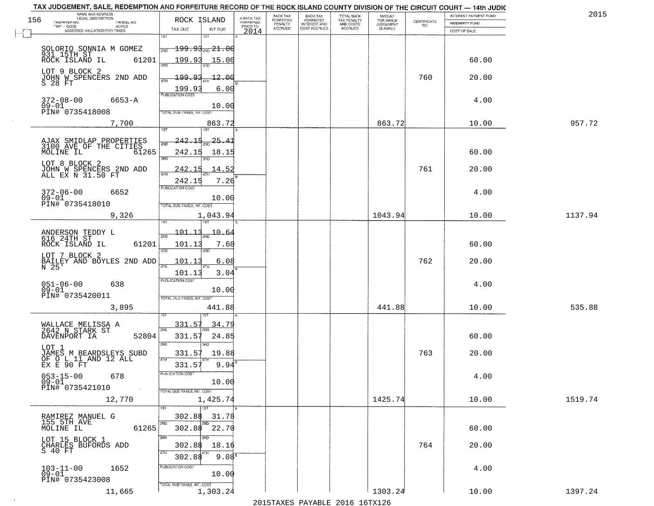| TAX JUDGEMENT, SALE, REDEMPTION AND FORFEITURE RECORD OF THE ROCK ISLAND COUNTY DIVISION OF THE CIRCUIT COURT - 14th JUDIC |                                                 |                                     |                             |                                  |                                        |                     |                                                                 |                       |         |
|----------------------------------------------------------------------------------------------------------------------------|-------------------------------------------------|-------------------------------------|-----------------------------|----------------------------------|----------------------------------------|---------------------|-----------------------------------------------------------------|-----------------------|---------|
| NAME AND ADDRESS<br>LEGAL DESCRIPTION                                                                                      |                                                 |                                     | BACK TAX                    | <b>BACK TAX</b>                  |                                        | AMOUNT<br>FOR WHICH |                                                                 | INTEREST PAYMENT FUND | 2015    |
| 156<br>TAXPAYER NO.<br>PARCEL NO.<br>ACRES<br>TWP - CODE                                                                   | ROCK ISLAND                                     | A-BACK TAX<br>FORFEITED<br>PRIOR TO | <b>FORFEITED</b><br>PENALTY | FORFEITED<br><b>INTEREST AND</b> | TOTAL BACK<br>TAX PENALTY<br>AND COSTS | <b>JUDGEMENT</b>    | $\begin{array}{c} \text{CERTIFICATE} \\ \text{NO.} \end{array}$ | <b>INDEMNITY FUND</b> |         |
| ASSESSED VALUATION FOR TAXES                                                                                               | TAX DUE<br>INT DUE                              | 2014                                | <b>ACCRUED</b>              | COST ACCRUED                     | ACCRUED                                | <b>IS ASKED</b>     |                                                                 | COST OF SALE          |         |
|                                                                                                                            | 1ST<br>1ST                                      |                                     |                             |                                  |                                        |                     |                                                                 |                       |         |
| SOLORIO SONNIA M GOMEZ                                                                                                     | <del>199.93<sub>2ND</sub> 21.00</del><br>2ND    |                                     |                             |                                  |                                        |                     |                                                                 |                       |         |
| 931 15TH ST<br>ROCK ISLAND IL<br>61201                                                                                     | 199.93<br>15.00                                 |                                     |                             |                                  |                                        |                     |                                                                 | 60.00                 |         |
| LOT 9 BLOCK 2                                                                                                              |                                                 |                                     |                             |                                  |                                        |                     |                                                                 |                       |         |
| JOHN W SPENCERS 2ND ADD<br>S 28 FT                                                                                         | 199.93<br><u> 12.00</u>                         |                                     |                             |                                  |                                        |                     | 760                                                             | 20.00                 |         |
|                                                                                                                            | 6.00<br>199.93<br><b>PUBLICATION COST</b>       |                                     |                             |                                  |                                        |                     |                                                                 |                       |         |
| $372 - 08 - 00$<br>$6653 - A$<br>$09 - 01$                                                                                 | 10.00                                           |                                     |                             |                                  |                                        |                     |                                                                 | 4.00                  |         |
| PIN# 0735418008                                                                                                            | OTAL DUE-TAXES, INT. COST                       |                                     |                             |                                  |                                        |                     |                                                                 |                       |         |
| 7,700                                                                                                                      | 863.72<br>1ST                                   |                                     |                             |                                  |                                        | 863.72              |                                                                 | 10.00                 | 957.72  |
|                                                                                                                            |                                                 |                                     |                             |                                  |                                        |                     |                                                                 |                       |         |
| AJAX SMIDLAP PROPERTIES<br>3100 AVE OF THE CITIES                                                                          | 242.15<br>$\frac{25.41}{200}$                   |                                     |                             |                                  |                                        |                     |                                                                 |                       |         |
| 61265<br>MOLINE IL                                                                                                         | 242.15<br>18.15<br>$\overline{3BD}$             |                                     |                             |                                  |                                        |                     |                                                                 | 60.00                 |         |
| LOT 8 BLOCK 2                                                                                                              | 242.15<br>14.52                                 |                                     |                             |                                  |                                        |                     | 761                                                             | 20.00                 |         |
| JOHN W SPENCERS 2ND ADD<br>ALL EX N 31.50 FT                                                                               | ৰাম<br>242.15<br>7.26                           |                                     |                             |                                  |                                        |                     |                                                                 |                       |         |
| $372 - 06 - 00$<br>6652                                                                                                    | PUBLICATION COST                                |                                     |                             |                                  |                                        |                     |                                                                 | 4.00                  |         |
| $09 - 01$                                                                                                                  | 10.00                                           |                                     |                             |                                  |                                        |                     |                                                                 |                       |         |
| PIN# 0735418010                                                                                                            | TOTAL DUE-TAXES, INT. COST                      |                                     |                             |                                  |                                        |                     |                                                                 |                       |         |
| 9,326                                                                                                                      | 1,043.94<br>1ST<br>1ST                          |                                     |                             |                                  |                                        | 1043.94             |                                                                 | 10.00                 | 1137.94 |
|                                                                                                                            | 101.13<br>$\frac{10.64}{200}$                   |                                     |                             |                                  |                                        |                     |                                                                 |                       |         |
| ANDERSON TEDDY L<br>616 24TH ST<br>ROCK ISLAND IL<br>61201                                                                 | 2ND<br>101.13<br>7.60                           |                                     |                             |                                  |                                        |                     |                                                                 | 60.00                 |         |
| LOT 7 BLOCK 2                                                                                                              | 3RD<br>3RD                                      |                                     |                             |                                  |                                        |                     |                                                                 |                       |         |
| BAILEY AND BOYLES 2ND ADD N 25'                                                                                            | 101.13<br>6.08<br>4TH                           |                                     |                             |                                  |                                        |                     | 762                                                             | 20.00                 |         |
|                                                                                                                            | 101.13<br>3.04                                  |                                     |                             |                                  |                                        |                     |                                                                 |                       |         |
| $051 - 06 - 00$<br>638                                                                                                     | <b>PUBLICATION COST</b>                         |                                     |                             |                                  |                                        |                     |                                                                 | 4.00                  |         |
| $09 - 01$<br>PIN# 0735420011                                                                                               | 10.00<br>TOTAL OUE-TAXES, INT. COST             |                                     |                             |                                  |                                        |                     |                                                                 |                       |         |
| 3,895                                                                                                                      | 441.88                                          |                                     |                             |                                  |                                        | 441.88              |                                                                 | 10.00                 | 535.88  |
|                                                                                                                            |                                                 |                                     |                             |                                  |                                        |                     |                                                                 |                       |         |
| WALLACE MELISSA A                                                                                                          | 331.57<br>34.79<br>2ND                          |                                     |                             |                                  |                                        |                     |                                                                 |                       |         |
| 2642 N STARK ST<br>DAVENPORT IA<br>52804                                                                                   | 331.57<br>24.85                                 |                                     |                             |                                  |                                        |                     |                                                                 | 60.00                 |         |
| LOT 1                                                                                                                      | 3RD<br>3RD                                      |                                     |                             |                                  |                                        |                     |                                                                 |                       |         |
| JAMES M BEARDSLEYS SUBD<br>OF O L 11 AND 12 ALL                                                                            | 19.88<br>331.57<br>4TH                          |                                     |                             |                                  |                                        |                     | 763                                                             | 20.00                 |         |
| EX E 90 FT                                                                                                                 | 9.94<br>331.57                                  |                                     |                             |                                  |                                        |                     |                                                                 |                       |         |
| $053 - 15 - 00$<br>678<br>$09 - 01$                                                                                        | PUBLICATION COST<br>10.00                       |                                     |                             |                                  |                                        |                     |                                                                 | 4.00                  |         |
| PIN# 0735421010<br>$\sim 100$                                                                                              | TOTAL DUE-TAXES, INT. COST                      |                                     |                             |                                  |                                        |                     |                                                                 |                       |         |
| 12,770                                                                                                                     | 1,425.74                                        |                                     |                             |                                  |                                        | 1425.74             |                                                                 | 10.00                 | 1519.74 |
|                                                                                                                            | 1ST<br>1ST                                      |                                     |                             |                                  |                                        |                     |                                                                 |                       |         |
| RAMIREZ MANUEL G<br>155 5TH AVE                                                                                            | 302.88<br>31.78<br>2ND                          |                                     |                             |                                  |                                        |                     |                                                                 |                       |         |
| MOLINE IL<br>61265                                                                                                         | 302.88<br>22.70                                 |                                     |                             |                                  |                                        |                     |                                                                 | 60.00                 |         |
| LOT 15 BLOCK 1                                                                                                             | 3RD<br><u> २घ०</u>                              |                                     |                             |                                  |                                        |                     | 764                                                             | 20.00                 |         |
| CHARLES BUFORDS ADD<br>S 40 FT                                                                                             | 302.88<br>18.16<br>4TH                          |                                     |                             |                                  |                                        |                     |                                                                 |                       |         |
|                                                                                                                            | 9.08 <sup>B</sup><br>302.88<br>PUBLICATION COST |                                     |                             |                                  |                                        |                     |                                                                 |                       |         |
| $103 - 11 - 00$<br>1652<br>$09 - 01$                                                                                       | 10.00                                           |                                     |                             |                                  |                                        |                     |                                                                 | 4.00                  |         |
| PIN# 0735423008                                                                                                            | TOTAL DUE-TAXES, INT. COST                      |                                     |                             |                                  |                                        |                     |                                                                 |                       |         |
| 11,665                                                                                                                     | 1,303.24                                        |                                     |                             |                                  |                                        | 1303.24             |                                                                 | 10.00                 | 1397.24 |

 $\sim 10^{-1}$ 

2015TAXES PAYABLE 2016 16TX126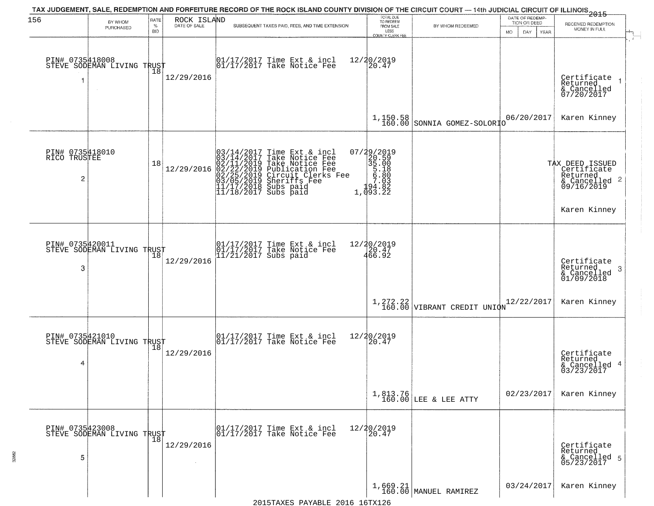| 156                                  | BY WHOM<br>PURCHASED                          | RATE<br>$\%$<br><b>BID</b> | ROCK ISLAND<br>DATE OF SALE | TAX JUDGEMENT, SALE, REDEMPTION AND FORFEITURE RECORD OF THE ROCK ISLAND COUNTY DIVISION OF THE CIRCUIT COURT — 14th JUDICIAL CIRCUIT OF ILLINOIS 2015<br>SUBSEQUENT TAXES PAID, FEES, AND TIME EXTENSION     | TOTAL DUE<br>TO REDEEM<br>FROM SALE<br>LESS<br>COUNTY CLERK FEE                                                                                             | BY WHOM REDEEMED                  | DATE OF REDEMP-<br>TION OR DEED<br>MO.<br>DAY<br>YEAR | RECEIVED REDEMPTION<br>MONEY IN FULL                                                      |
|--------------------------------------|-----------------------------------------------|----------------------------|-----------------------------|---------------------------------------------------------------------------------------------------------------------------------------------------------------------------------------------------------------|-------------------------------------------------------------------------------------------------------------------------------------------------------------|-----------------------------------|-------------------------------------------------------|-------------------------------------------------------------------------------------------|
| PIN# 0735418008<br>1                 | STEVE SODEMAN LIVING TRUST                    | 18                         | 12/29/2016                  | 01/17/2017 Time Ext & incl<br>01/17/2017 Take Notice Fee                                                                                                                                                      | 12/20/2019<br>20.47                                                                                                                                         |                                   |                                                       | Certificate<br>Returned<br>& Cancelled<br>07/20/2017                                      |
|                                      |                                               |                            |                             |                                                                                                                                                                                                               | 1,150.58<br>160.00                                                                                                                                          | SONNIA GOMEZ-SOLORIO              | 06/20/2017                                            | Karen Kinney                                                                              |
| PIN# 0735418010<br>RICO TRUSTEE<br>2 |                                               | 18                         | 12/29/2016                  | $03/14/2017$ Time Ext & incl<br>$03/14/2017$ Take Notice Fee<br>$02/11/2019$ Take Notice Fee<br>$02/22/2019$ Publication Fee<br>$03/05/2019$ Sheriffs Fee<br>$11/17/2018$ Subs paid<br>$11/18/2017$ Subs paid | 07/29/2019<br>$\begin{smallmatrix}77.297 & 2013 \\ 20.59 & 500 \\ 35 & 00 \\ 5 & 618 \\ 6 & 7.03 \\ 7 & 03 \\ 1 & 94 & 82 \\ 1 & 093 & 22\end{smallmatrix}$ |                                   |                                                       | TAX DEED ISSUED<br>Certificate<br>Returned<br>& Cancelled 2<br>09/16/2019<br>Karen Kinney |
| PIN# 0735420011<br>3                 | STEVE SODEMAN LIVING TRUST                    |                            | 12/29/2016                  | 01/17/2017 Time Ext & incl<br>01/17/2017 Take Notice Fee<br>11/21/2017 Subs paid                                                                                                                              | 12/20/2019<br>466.92                                                                                                                                        |                                   |                                                       | Certificate<br>Returned<br>-3<br>& Cancelled<br>01/09/2018                                |
|                                      |                                               |                            |                             |                                                                                                                                                                                                               | 1,272.22<br>160.00                                                                                                                                          | VIBRANT CREDIT UNION              | 12/22/2017                                            | Karen Kinney                                                                              |
| PIN# 0735421010<br>4                 | STEVE SODEMAN LIVING TRUST                    |                            | 12/29/2016                  | 01/17/2017 Time Ext & incl<br>01/17/2017 Take Notice Fee                                                                                                                                                      | 12/20/2019<br>20.47                                                                                                                                         |                                   |                                                       | Certificate<br>Returned<br>& Cancelled 4<br>03/23/2017                                    |
|                                      |                                               |                            |                             |                                                                                                                                                                                                               |                                                                                                                                                             | 1,813.76<br>160.00 LEE & LEE ATTY | 02/23/2017                                            | Karen Kinney                                                                              |
| 5                                    | PIN# 0735423008<br>STEVE SODEMAN LIVING TRUST |                            | 12/29/2016                  | 01/17/2017 Time Ext & incl<br>01/17/2017 Take Notice Fee                                                                                                                                                      | 12/20/2019<br>20.47                                                                                                                                         |                                   |                                                       | Certificate<br>Returned<br>& Cancelled 5<br>05/23/2017                                    |
|                                      |                                               |                            |                             |                                                                                                                                                                                                               |                                                                                                                                                             | 1,669.21<br>160.00 MANUEL RAMIREZ | 03/24/2017                                            | Karen Kinney                                                                              |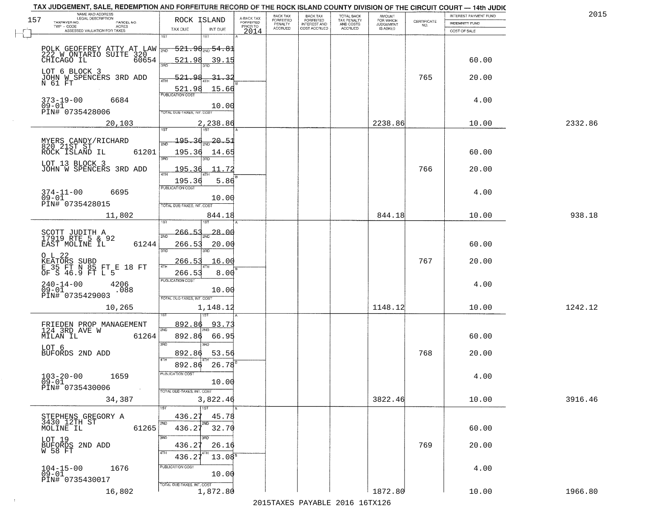| TAX JUDGEMENT, SALE, REDEMPTION AND FORFEITURE RECORD OF THE ROCK ISLAND COUNTY DIVISION OF THE CIRCUIT COURT - 14th JUDIC |                       |                            |                                       |                                     |                                  |                                       |                                        |                              |                                                                 |                                                | 2015    |
|----------------------------------------------------------------------------------------------------------------------------|-----------------------|----------------------------|---------------------------------------|-------------------------------------|----------------------------------|---------------------------------------|----------------------------------------|------------------------------|-----------------------------------------------------------------|------------------------------------------------|---------|
| NAME AND ADDRESS<br>LEGAL DESCRIPTION<br>157<br>TAXPAYER NO.                                                               | PARCEL NO.            | ROCK ISLAND                |                                       | A-BACK TAX<br>FORFEITED<br>PRIOR TO | BACK TAX<br>FORFEITED<br>PENALTY | BACK TAX<br>FORFEITED<br>INTEREST AND | TOTAL BACK<br>TAX PENALTY<br>AND COSTS | AMOUNT<br>FOR WHICH          | $\begin{array}{c} \text{CERTIFICATE} \\ \text{NO.} \end{array}$ | INTEREST PAYMENT FUND<br><b>INDEMNITY FUND</b> |         |
| TWP - CODE<br>ASSESSED VALUATION FOR TAXES                                                                                 | ACRES                 | TAX DUE                    | INT DUE                               | 2014                                | <b>ACCRUED</b>                   | COST ACCRUED                          | <b>ACCRUED</b>                         | <b>JUDGEMENT</b><br>IS ASKED |                                                                 | COST OF SALE                                   |         |
|                                                                                                                            |                       | 1ST                        | 1ST                                   |                                     |                                  |                                       |                                        |                              |                                                                 |                                                |         |
|                                                                                                                            |                       |                            | <del>521.98<sub>200</sub>54.8</del> 1 |                                     |                                  |                                       |                                        |                              |                                                                 |                                                |         |
| POLK GEOFFREY ATTY AT LAW WE<br>222 W ONTARIO SUITE 320<br>CHICAGO IL 60654                                                |                       | 521.98                     | 39.15                                 |                                     |                                  |                                       |                                        |                              |                                                                 | 60.00                                          |         |
|                                                                                                                            |                       | 3RD                        |                                       |                                     |                                  |                                       |                                        |                              |                                                                 |                                                |         |
| LOT 6 BLOCK 3<br>JOHN W SPENCERS 3RD ADD                                                                                   |                       | <u>521.98</u>              | 31.33                                 |                                     |                                  |                                       |                                        |                              | 765                                                             | 20.00                                          |         |
| N 61 FT                                                                                                                    |                       | 521.98                     | 15.66                                 |                                     |                                  |                                       |                                        |                              |                                                                 |                                                |         |
| 373-19-00                                                                                                                  | 6684                  |                            |                                       |                                     |                                  |                                       |                                        |                              |                                                                 | 4.00                                           |         |
| $09 - 01$<br>PIN# 0735428006                                                                                               |                       | TOTAL DUE-TAXES, INT. COST | 10.00                                 |                                     |                                  |                                       |                                        |                              |                                                                 |                                                |         |
|                                                                                                                            |                       |                            |                                       |                                     |                                  |                                       |                                        |                              |                                                                 |                                                |         |
|                                                                                                                            | 20,103                |                            | 2,238.86                              |                                     |                                  |                                       |                                        | 2238.86                      |                                                                 | 10.00                                          | 2332.86 |
|                                                                                                                            |                       | 195.36                     | -20.51                                |                                     |                                  |                                       |                                        |                              |                                                                 |                                                |         |
| MYERS CANDY/RICHARD<br>820 21ST ST<br>ROCK ISLAND IL                                                                       | 61201                 | 195.36                     | 14.65                                 |                                     |                                  |                                       |                                        |                              |                                                                 | 60.00                                          |         |
| LOT 13 BLOCK 3                                                                                                             |                       | 3RD                        |                                       |                                     |                                  |                                       |                                        |                              |                                                                 |                                                |         |
| JOHN W SPENCERS 3RD ADD                                                                                                    |                       | 195.36                     | 11.72                                 |                                     |                                  |                                       |                                        |                              | 766                                                             | 20.00                                          |         |
|                                                                                                                            |                       | 195.36                     | 5.86                                  |                                     |                                  |                                       |                                        |                              |                                                                 |                                                |         |
| $374 - 11 - 00$                                                                                                            | 6695                  | PUBLICATION COST           |                                       |                                     |                                  |                                       |                                        |                              |                                                                 | 4.00                                           |         |
| $09 - 01$<br>PIN# 0735428015                                                                                               |                       | TOTAL DUE-TAXES, INT. COST | 10.00                                 |                                     |                                  |                                       |                                        |                              |                                                                 |                                                |         |
|                                                                                                                            | 11,802                |                            | 844.18                                |                                     |                                  |                                       |                                        | 844.18                       |                                                                 | 10.00                                          | 938.18  |
|                                                                                                                            |                       | i ST                       | 187                                   |                                     |                                  |                                       |                                        |                              |                                                                 |                                                |         |
| SCOTT JUDITH A<br>17919 RTE 5 & 92                                                                                         |                       | 266.53<br>2ND              | 28.00                                 |                                     |                                  |                                       |                                        |                              |                                                                 |                                                |         |
| EAST MOLINE IL                                                                                                             | 61244                 | 266.53                     | 20.00                                 |                                     |                                  |                                       |                                        |                              |                                                                 | 60.00                                          |         |
| O L 22                                                                                                                     |                       | 3BD                        | 3RD                                   |                                     |                                  |                                       |                                        |                              |                                                                 |                                                |         |
| KEATORS SUBD<br>E 35 FT N 85 FT E 18 FT<br>OF S 46.9 FT L 5                                                                |                       | 266.53<br>4TH              | 16.00                                 |                                     |                                  |                                       |                                        |                              | 767                                                             | 20.00                                          |         |
|                                                                                                                            |                       | 266.53                     | 8.00                                  |                                     |                                  |                                       |                                        |                              |                                                                 |                                                |         |
| $240 - 14 - 00$<br>09-01                                                                                                   | 4206<br>.088          | <b>PUBLICATION COST</b>    | 10.00                                 |                                     |                                  |                                       |                                        |                              |                                                                 | 4.00                                           |         |
| PIN# 0735429003                                                                                                            |                       | TOTAL OUE-TAXES, INT. COST |                                       |                                     |                                  |                                       |                                        |                              |                                                                 |                                                |         |
|                                                                                                                            | 10,265                |                            | 1,148.12                              |                                     |                                  |                                       |                                        | 1148.12                      |                                                                 | 10.00                                          | 1242.12 |
|                                                                                                                            |                       |                            |                                       |                                     |                                  |                                       |                                        |                              |                                                                 |                                                |         |
| FRIEDEN PROP MANAGEMENT<br>124 3RD AVE W                                                                                   |                       | 892.86<br>2ND              | 93.7                                  |                                     |                                  |                                       |                                        |                              |                                                                 |                                                |         |
| MILAN IL                                                                                                                   | 61264                 | 892.86                     | 66.95                                 |                                     |                                  |                                       |                                        |                              |                                                                 | 60.00                                          |         |
| LOT 6<br>BUFORDS 2ND ADD                                                                                                   |                       | 3RD                        | 3RD                                   |                                     |                                  |                                       |                                        |                              | 768                                                             |                                                |         |
|                                                                                                                            |                       | 892.86<br>4TH              | 53.56                                 |                                     |                                  |                                       |                                        |                              |                                                                 | 20.00                                          |         |
|                                                                                                                            |                       | 892.86<br>'usuca hun cus   | 26.78                                 |                                     |                                  |                                       |                                        |                              |                                                                 |                                                |         |
| $103 - 20 - 00$<br>09-01                                                                                                   | 1659                  |                            | 10.00                                 |                                     |                                  |                                       |                                        |                              |                                                                 | 4.00                                           |         |
| PIN# 0735430006                                                                                                            | $\sim 100$ km $^{-1}$ | TOTAL DUE-TAXES, INT. COST |                                       |                                     |                                  |                                       |                                        |                              |                                                                 |                                                |         |
|                                                                                                                            | 34,387                |                            | 3,822.46                              |                                     |                                  |                                       |                                        | 3822.46                      |                                                                 | 10.00                                          | 3916.46 |
|                                                                                                                            |                       |                            | 1ST                                   |                                     |                                  |                                       |                                        |                              |                                                                 |                                                |         |
| STEPHENS GREGORY A<br>3430 12TH ST                                                                                         |                       | 436.27<br>2ND              | 45.78<br>2ND                          |                                     |                                  |                                       |                                        |                              |                                                                 |                                                |         |
| MOLINE IL                                                                                                                  | 61265                 | 436.27                     | 32.70                                 |                                     |                                  |                                       |                                        |                              |                                                                 | 60.00                                          |         |
| LOT 19<br>BUFORDS 2ND ADD                                                                                                  |                       | 3RD<br>436.27              | 26.16                                 |                                     |                                  |                                       |                                        |                              | 769                                                             | 20.00                                          |         |
| W 58 FT                                                                                                                    |                       | 4TH<br>436.27              | 13.08 <sup>8</sup>                    |                                     |                                  |                                       |                                        |                              |                                                                 |                                                |         |
|                                                                                                                            |                       | PUBLICATION COST           |                                       |                                     |                                  |                                       |                                        |                              |                                                                 |                                                |         |
| $104 - 15 - 00$<br>$09 - 01$                                                                                               | 1676                  |                            | 10.00                                 |                                     |                                  |                                       |                                        |                              |                                                                 | 4.00                                           |         |
| PIN# 0735430017                                                                                                            |                       | TOTAL DUE-TAXES, INT. COST |                                       |                                     |                                  |                                       |                                        |                              |                                                                 |                                                |         |
|                                                                                                                            | 16,802                |                            | 1,872.80                              |                                     |                                  |                                       |                                        | 1872.80                      |                                                                 | 10.00                                          | 1966.80 |

 $\sim 10$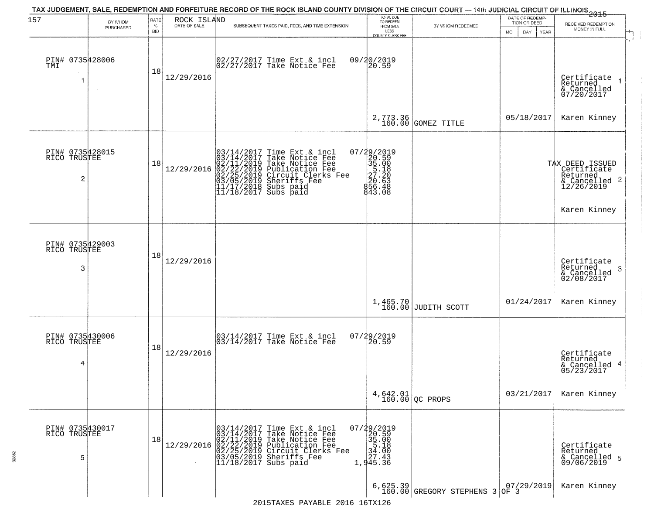| 157                                  | BY WHOM<br>PURCHASED | RATE<br>$\%$<br><b>BID</b> | ROCK ISLAND | TAX JUDGEMENT, SALE, REDEMPTION AND FORFEITURE RECORD OF THE ROCK ISLAND COUNTY DIVISION OF THE CIRCUIT COURT — 14th JUDICIAL CIRCUIT OF ILLINOIS 2015<br>SUBSEQUENT TAXES PAID, FEES, AND TIME EXTENSION                                                              | TOTAL DUE<br>TO REDEEM<br>FROM SALE<br>LESS<br>COUNTY CLERK FEE                                   | BY WHOM REDEEMED                           | DATE OF REDEMP-<br>TION OR DEED<br><b>MO</b><br>DAY<br>YEAR | RECEIVED REDEMPTION<br>MONEY IN FULL                                                        |
|--------------------------------------|----------------------|----------------------------|-------------|------------------------------------------------------------------------------------------------------------------------------------------------------------------------------------------------------------------------------------------------------------------------|---------------------------------------------------------------------------------------------------|--------------------------------------------|-------------------------------------------------------------|---------------------------------------------------------------------------------------------|
| PIN# 0735428006<br>TMI               | $\sim 10^{-1}$       | 18                         | 12/29/2016  | 02/27/2017 Time Ext & incl<br>02/27/2017 Take Notice Fee                                                                                                                                                                                                               | 09/20/2019<br>20.59                                                                               |                                            |                                                             | Certificate<br>Returned<br>& Cancelled<br>07/20/2017                                        |
|                                      |                      |                            |             |                                                                                                                                                                                                                                                                        | 2,773.36<br>160.00                                                                                | GOMEZ TITLE                                | 05/18/2017                                                  | Karen Kinney                                                                                |
| PIN# 0735428015<br>RICO TRUSTEE<br>2 |                      | 18                         | 12/29/2016  | $03/14/2017$ Time Ext & incl<br>$03/14/2017$ Take Notice Fee<br>$02/11/2019$ Take Notice Fee<br>$02/22/2019$ Publication Fee<br>$03/05/2019$ Sheriffs Fee<br>$11/17/2018$ Subs paid<br>$11/18/2017$ Subs paid<br>$11/18/2017$ Subs paid                                | 07/29/2019<br>20.59<br>35.00<br>35.00<br>27.20<br>20.63<br>83.43<br>84.48<br>843.08               |                                            |                                                             | TAX DEED ISSUED<br>  Certificate<br>Returned<br>& Cancelled 2<br>12/26/2019<br>Karen Kinney |
| PIN#<br>TRUSTEE<br>RICO<br>3         | 0735429003           | 18                         | 12/29/2016  |                                                                                                                                                                                                                                                                        |                                                                                                   |                                            |                                                             | Certificate<br>Returned<br>-3<br>& Cancelled<br>02/08/2017                                  |
|                                      |                      |                            |             |                                                                                                                                                                                                                                                                        | 1,465.70<br>160.00                                                                                | JUDITH SCOTT                               | 01/24/2017                                                  | Karen Kinney                                                                                |
| PIN# 0735430006<br>RICO TRUSTEE<br>4 |                      | 18                         | 12/29/2016  | 03/14/2017 Time Ext & incl<br>03/14/2017 Take Notice Fee                                                                                                                                                                                                               | 07/29/2019<br>20.59                                                                               |                                            |                                                             | Certificate<br>Returned<br>& Cancelled 4<br>05/23/2017                                      |
|                                      |                      |                            |             |                                                                                                                                                                                                                                                                        |                                                                                                   | $4,642.01$ QC PROPS                        | 03/21/2017                                                  | Karen Kinney                                                                                |
| PIN# 0735430017<br>RICO TRUSTEE<br>5 |                      | 18                         |             | $12/29/2016 \begin{array}{l} 03/14/2017 \text{ Time Ext & incl} \\ 03/14/2017 \text{ Take Notice Free} \\ 02/11/2019 \text{ Take Notice Free} \\ 02/22/22/2019 \text{ Circuit Clerks Free} \\ 03/05/2019 \text{ Sheriffs} \\ 11/18/2017 \text{ Subs paid} \end{array}$ | $\begin{array}{r} 07/29/2019 \\ 20.59 \\ 35.00 \\ 5.18 \\ 34.00 \\ 27.43 \end{array}$<br>1,945.36 |                                            |                                                             | Certificate<br>Returned<br>& Cancelled 5<br>09/06/2019                                      |
|                                      |                      |                            |             |                                                                                                                                                                                                                                                                        |                                                                                                   | 6,625.39<br>160.00 GREGORY STEPHENS 3 OF 3 |                                                             | Karen Kinney                                                                                |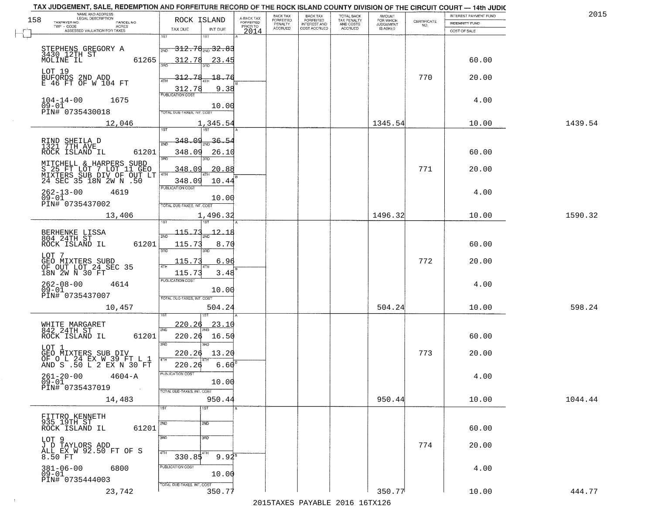| 158 | NAME AND ADDRESS<br>LEGAL DESCRIPTION<br>TAXPAYER NO.<br>PARCEL NO.         | ROCK ISLAND                                | A-BACK TAX<br>FORFEITED | BACK TAX<br>FORFEITED     | <b>BACK TAX</b><br><b>FORFEITED</b> | TOTAL BACK<br>TAX PENALTY | <b>AMOUNT</b><br>FOR WHICH<br>JUDGEMENT | CERTIFICATE | INTEREST PAYMENT FUND          | 2015    |
|-----|-----------------------------------------------------------------------------|--------------------------------------------|-------------------------|---------------------------|-------------------------------------|---------------------------|-----------------------------------------|-------------|--------------------------------|---------|
|     | TWP - CODE<br><b>ACRES</b><br>ASSESSED VALUATION FOR TAXES                  | TAX DUE<br>INT DUE                         | PRIOR TO<br>2014        | PENALTY<br><b>ACCRUED</b> | INTEREST AND                        | AND COSTS<br>ACCRUED      | IS ASKED                                | NO.         | INDEMNITY FUND<br>COST OF SALE |         |
|     |                                                                             | 1ST                                        |                         |                           |                                     |                           |                                         |             |                                |         |
|     | STEPHENS GREGORY A<br>3430 12TH ST                                          | <del>312.78<sub>2№</sub>32.83</del><br>2ND |                         |                           |                                     |                           |                                         |             |                                |         |
|     | MOLINE IL<br>61265                                                          | 312.78<br>23.45                            |                         |                           |                                     |                           |                                         |             | 60.00                          |         |
|     | LOT 19                                                                      | $-18.76$                                   |                         |                           |                                     |                           |                                         | 770         | 20.00                          |         |
|     | BUFORDS 2ND ADD<br>E 46 FT OF W 104 FT                                      | 312.78<br>9.38                             |                         |                           |                                     |                           |                                         |             |                                |         |
|     | 1675<br>$104 - 14 - 00$                                                     | <b>PUBLICATION COST</b>                    |                         |                           |                                     |                           |                                         |             | 4.00                           |         |
|     | $09 - 01$<br>PIN# 0735430018                                                | 10.00<br>TOTAL DUE-TAXES, INT. COST        |                         |                           |                                     |                           |                                         |             |                                |         |
|     | 12,046                                                                      | 1,345.54<br><b>TST</b><br>1ST              |                         |                           |                                     |                           | 1345.54                                 |             | 10.00                          | 1439.54 |
|     |                                                                             | <u>348.09</u><br>36.54                     |                         |                           |                                     |                           |                                         |             |                                |         |
|     | RIND SHEILA D<br>1321 7TH AVE<br>ROCK ISLAND IL<br>61201                    | 2ND<br>348.09<br>26.10                     |                         |                           |                                     |                           |                                         |             | 60.00                          |         |
|     | MITCHELL & HARPERS SUBD                                                     | 3BD<br>3RD                                 |                         |                           |                                     |                           |                                         |             |                                |         |
|     | S 25 FT LOT 7 LOT 11 GEO<br>MIXTERS SUB DIV OF OUT LT                       | 348.09<br>20.88                            |                         |                           |                                     |                           |                                         | 771         | 20.00                          |         |
|     |                                                                             | 348.09<br>10.44<br>PUBLICATION COST        |                         |                           |                                     |                           |                                         |             |                                |         |
|     | $262 - 13 - 00$<br>4619<br>$09 - 01$<br>PIN# 0735437002                     | 10.00                                      |                         |                           |                                     |                           |                                         |             | 4.00                           |         |
|     | 13,406                                                                      | TOTAL DUE-TAXES, INT. COST<br>1,496.32     |                         |                           |                                     |                           | 1496.32                                 |             | 10.00                          | 1590.32 |
|     |                                                                             |                                            |                         |                           |                                     |                           |                                         |             |                                |         |
|     | BERHENKE LISSA<br>804 24TH ST                                               | 115.73<br>12.18<br>$\overline{2ND}$        |                         |                           |                                     |                           |                                         |             |                                |         |
|     | 61201<br>ROCK ISLAND IL                                                     | 115.73<br>8.70<br>3RD<br>3BD               |                         |                           |                                     |                           |                                         |             | 60.00                          |         |
|     | LOT 7<br>GEO MIXTERS SUBD<br>OF OUT LOT 24 SEC 35                           | 6.96<br>115.73                             |                         |                           |                                     |                           |                                         | 772         | 20.00                          |         |
|     | 18N 2W N 30 FT                                                              | 115.73<br>3.48<br><b>PUBLICATION COST</b>  |                         |                           |                                     |                           |                                         |             |                                |         |
|     | 262-08-00<br>09-01<br>4614                                                  | 10.00                                      |                         |                           |                                     |                           |                                         |             | 4.00                           |         |
|     | PIN# 0735437007                                                             | TOTAL OUE-TAXES, INT. COST                 |                         |                           |                                     |                           |                                         |             |                                |         |
|     | 10,457                                                                      | 504.24                                     |                         |                           |                                     |                           | 504.24                                  |             | 10.00                          | 598.24  |
|     | WHITE MARGARET<br>842 24TH ST                                               | <u> 220.26</u><br><u>23.10</u><br>2ND      |                         |                           |                                     |                           |                                         |             |                                |         |
|     | 61201<br>ROCK ISLAND IL                                                     | 220.26<br>16.50<br>3RD                     |                         |                           |                                     |                           |                                         |             | 60.00                          |         |
|     | LOT 1                                                                       | 3RD<br>220.26<br>13.20                     |                         |                           |                                     |                           |                                         | 773         | 20.00                          |         |
|     | GEO MIXTERS SUB DIV<br>OF O L 24 EX W 39 FT L 1<br>AND S .50 L 2 EX N 30 FT | 4TH<br>220.26<br>6.60                      |                         |                           |                                     |                           |                                         |             |                                |         |
|     | $261 - 20 - 00$<br>09-01<br>$4604 - A$                                      | PUBLICATION COST                           |                         |                           |                                     |                           |                                         |             | 4.00                           |         |
|     | PIN# 0735437019<br>$\sim 100$ km                                            | 10.00<br>TOTAL DUE-TAXES, INT. COST        |                         |                           |                                     |                           |                                         |             |                                |         |
|     | 14,483                                                                      | 950.44                                     |                         |                           |                                     |                           | 950.44                                  |             | 10.00                          | 1044.44 |
|     | FITTRO KENNETH                                                              | 1ST<br>1ST                                 |                         |                           |                                     |                           |                                         |             |                                |         |
|     | 935 19TH ST<br>ROCK ISLAND IL<br>61201                                      | 2ND<br>2ND                                 |                         |                           |                                     |                           |                                         |             | 60.00                          |         |
|     | LOT 9                                                                       | 3RD<br>3 <sub>BD</sub>                     |                         |                           |                                     |                           |                                         | 774         |                                |         |
|     | J D TAYLORS ADD<br>ALL EX W 92.50 FT OF S<br>8.50 FT                        | 4TH<br>$330.85^{4TH}$<br>$9.94^8$          |                         |                           |                                     |                           |                                         |             | 20.00                          |         |
|     | $381 - 06 - 00$<br>6800                                                     | PUBLICATION COST                           |                         |                           |                                     |                           |                                         |             | 4.00                           |         |
|     | $09 - 01$<br>PIN# 0735444003                                                | 10.00                                      |                         |                           |                                     |                           |                                         |             |                                |         |
|     | 23,742                                                                      | TOTAL DUE-TAXES, INT. COST<br>350.77       |                         |                           |                                     |                           | 350.77                                  |             | 10.00                          | 444.77  |

 $\sim 100$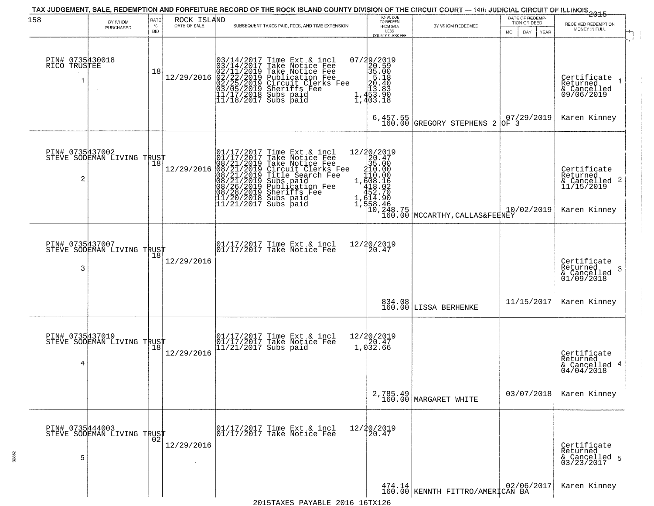| 158                             | BY WHOM                                           | RATE               | ROCK ISLAND  | TAX JUDGEMENT, SALE, REDEMPTION AND FORFEITURE RECORD OF THE ROCK ISLAND COUNTY DIVISION OF THE CIRCUIT COURT — 14th JUDICIAL CIRCUIT OF ILLINOIS 2015                                                                                      | TOTAL DUE<br>TO REDEEM                                                                                                                    |                                                                                                                                                             | DATE OF REDEMP-<br>TION OR DEED |                                                                                    |
|---------------------------------|---------------------------------------------------|--------------------|--------------|---------------------------------------------------------------------------------------------------------------------------------------------------------------------------------------------------------------------------------------------|-------------------------------------------------------------------------------------------------------------------------------------------|-------------------------------------------------------------------------------------------------------------------------------------------------------------|---------------------------------|------------------------------------------------------------------------------------|
|                                 | PURCHASED                                         | $\%$<br><b>BID</b> | DATE OF SALE | SUBSEQUENT TAXES PAID, FEES, AND TIME EXTENSION                                                                                                                                                                                             | FROM SALE<br>LESS<br>COUNTY CLERK FEE                                                                                                     | BY WHOM REDEEMED                                                                                                                                            | MO.<br>DAY.<br>YEAR             | RECEIVED REDEMPTION<br>MONEY IN FULL                                               |
| PIN# 0735430018<br>RICO TRUSTEE |                                                   | 18                 | 12/29/2016   | $03/14/2017$ Time Ext & incl<br>$03/14/2017$ Take Notice Fee<br>$02/11/2019$ Take Notice Fee<br>$02/22/2019$ Publication Fee<br>$03/05/2019$ Sheriffs Fee<br>$11/17/2018$ Subs paid<br>$11/18/2017$ Subs paid                               | $\begin{smallmatrix} 07/29/2019\\20.59\\35.00\\5.18\\20.40\\21.40\\13.83\\1,453.90\\1,403.18 \end{smallmatrix}$<br>$6,457.55$<br>$160.00$ | <b>GREGORY STEPHENS 2</b>                                                                                                                                   | 07/29/2019                      | Certificate 1<br>Returned<br>$\frac{1}{6}$ Cancelled<br>09/06/2019<br>Karen Kinney |
| $\overline{c}$                  | PIN# 0735437002<br>STEVE SODEMAN LIVING TRUST     |                    | 12/29/2016   | $01/17/2017$ Time Ext & incl<br>$01/17/2017$ Take Notice Fee<br>$08/21/2019$ Take Notice Fee<br>$08/21/2019$ Circuit Clerks Fee<br>$08/21/2019$ Title Search Fee<br>$08/21/2019$ Subs paid<br>$08/26/2019$ Sheriffs Fee<br>$08/28/2019$ She | 12/20/2019<br>20.47<br>35.00                                                                                                              | $\begin{array}{r} \n 20.4 \\  35.00 \\  110.00 \\  1,408.16 \\  452.70 \\  452.70 \\  1,614.90 \\  10,248.75 \\  100.00 \\  160.00 \\  \hline\n\end{array}$ | 10/02/2019                      | Certificate<br>Returned<br>& Cancelled 2<br>11/15/2019<br>Karen Kinney             |
| 3                               | PIN# 0735437007    <br>STEVE SODEMAN LIVING TRUST | 18                 | 12/29/2016   | 01/17/2017 Time Ext & incl<br>01/17/2017 Take Notice Fee                                                                                                                                                                                    |                                                                                                                                           |                                                                                                                                                             |                                 | Certificate<br>Returned<br>3<br>$\frac{1}{2}$ Cancelled<br>01/09/2018              |
|                                 |                                                   |                    |              |                                                                                                                                                                                                                                             |                                                                                                                                           | 834.08<br>160.00 LISSA BERHENKE                                                                                                                             | 11/15/2017                      | Karen Kinney                                                                       |
| PIN# 0735437019<br>4            | STEVE SODEMAN LIVING TRUST                        | 18                 | 12/29/2016   | 01/17/2017 Time Ext & incl<br>01/17/2017 Take Notice Fee<br>11/21/2017 Subs paid                                                                                                                                                            | 12/20/2019<br>1,032.66                                                                                                                    |                                                                                                                                                             |                                 | Certificate<br>Returned<br>& Cancelled 4<br>04/04/2018                             |
|                                 |                                                   |                    |              |                                                                                                                                                                                                                                             |                                                                                                                                           | 2,785.49<br>160.00 MARGARET WHITE                                                                                                                           | 03/07/2018                      | Karen Kinney                                                                       |
| PIN# 0735444003<br>5            | STEVE SODEMAN LIVING TRUST                        |                    | 12/29/2016   | $\begin{array}{ccc}  01/17/2017 \text{ Time} & \text{Ext} & \text{incl} \\  01/17/2017 \text{ Take Notice } \text{Fe} \end{array}$                                                                                                          | 12/20/2019<br>20.47                                                                                                                       |                                                                                                                                                             |                                 | Certificate<br>Returned<br>& Cancelled 5<br>03/23/2017                             |
|                                 |                                                   |                    |              |                                                                                                                                                                                                                                             |                                                                                                                                           | 474.14 KENNTH FITTRO/AMERICAN BA                                                                                                                            | 02/06/2017                      | Karen Kinney                                                                       |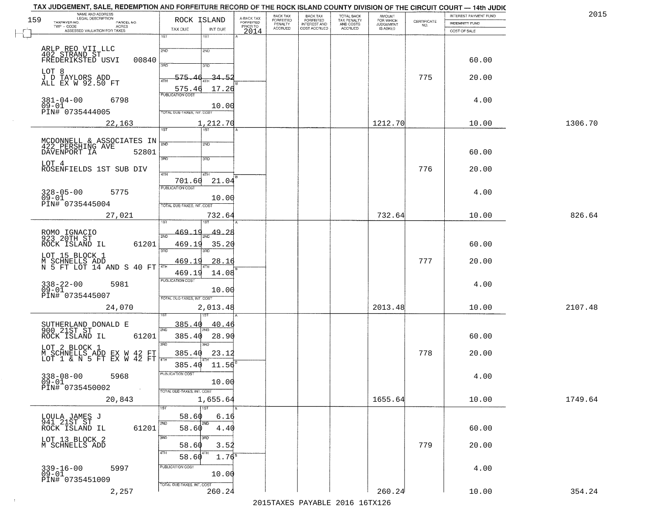| 159       | NAME AND ADDRESS<br>LEGAL DESCRIPTION                                        | ROCK ISLAND                          | A-BACK TAX            | BACK TAX<br><b>FORFEITED</b> | <b>BACK TAX</b><br><b>FORFEITED</b> | TOTAL BACK<br>TAX PENALTY<br>AND COSTS<br>ACCRUED | <b>AMOUNT</b><br>FOR WHICH |                    | INTEREST PAYMENT FUND | 2015    |
|-----------|------------------------------------------------------------------------------|--------------------------------------|-----------------------|------------------------------|-------------------------------------|---------------------------------------------------|----------------------------|--------------------|-----------------------|---------|
|           | TAXPAYER NO.<br>PARCEL NO.<br>TWP - CODE<br><b>ACRES</b>                     |                                      | FORFEITED<br>PRIOR TO | PENALTY<br>ACCRUED           | INTEREST AND<br>COST ACCRUED        |                                                   | JUDGEMENT                  | CERTIFICATE<br>NO. | INDEMNITY FUND        |         |
|           | ASSESSED VALUATION FOR TAXES                                                 | TAX DUE<br>INT DUE<br>1ST<br>1ST     | 2014                  |                              |                                     |                                                   |                            |                    | COST OF SALE          |         |
|           |                                                                              |                                      |                       |                              |                                     |                                                   |                            |                    |                       |         |
|           | ARLP REO VII LLC<br>402 STRAND ST<br>FREDERIKSTED USVI<br>00840              | 2ND<br>2ND                           |                       |                              |                                     |                                                   |                            |                    | 60.00                 |         |
| LOT 8     |                                                                              | 370<br>3RD                           |                       |                              |                                     |                                                   |                            |                    |                       |         |
|           | J D TAYLORS ADD<br>ALL EX W 92.50 FT                                         | 575.<br><u>34.52</u><br>4TH          |                       |                              |                                     |                                                   |                            | 775                | 20.00                 |         |
|           |                                                                              | 575.46<br>17.26                      |                       |                              |                                     |                                                   |                            |                    |                       |         |
|           | $381 - 04 - 00$<br>6798                                                      | <b>PUBLICATION COST</b>              |                       |                              |                                     |                                                   |                            |                    | 4.00                  |         |
| $09 - 01$ | PIN# 0735444005                                                              | 10.00<br>TOTAL DUE-TAXES, INT. COST  |                       |                              |                                     |                                                   |                            |                    |                       |         |
|           | 22,163                                                                       | 1,212.70                             |                       |                              |                                     |                                                   | 1212.70                    |                    | 10.00                 | 1306.70 |
|           |                                                                              | $\overline{1ST}$<br>1ST              |                       |                              |                                     |                                                   |                            |                    |                       |         |
|           | MCDONNELL & ASSOCIATES IN<br>422 PERSHING AVE                                | 2ND<br>2ND                           |                       |                              |                                     |                                                   |                            |                    |                       |         |
|           | DAVENPORT IA<br>52801                                                        | 3RD<br>3RD                           |                       |                              |                                     |                                                   |                            |                    | 60.00                 |         |
| LOT 4     | ROSENFIELDS 1ST SUB DIV                                                      |                                      |                       |                              |                                     |                                                   |                            | 776                | 20.00                 |         |
|           |                                                                              | 47H<br>4TH<br>701.60<br>21.04        |                       |                              |                                     |                                                   |                            |                    |                       |         |
|           | 328-05-00<br>09-01<br>5775                                                   | PUBLICATION COST                     |                       |                              |                                     |                                                   |                            |                    | 4.00                  |         |
|           | PIN# 0735445004                                                              | 10.00<br>TOTAL DUE-TAXES, INT. COST  |                       |                              |                                     |                                                   |                            |                    |                       |         |
|           | 27,021                                                                       | 732.64                               |                       |                              |                                     |                                                   | 732.64                     |                    | 10.00                 | 826.64  |
|           |                                                                              |                                      |                       |                              |                                     |                                                   |                            |                    |                       |         |
|           | ROMO IGNACIO<br>923 20TH ST                                                  | 469.19<br>49.28                      |                       |                              |                                     |                                                   |                            |                    |                       |         |
|           | 61201<br>ROCK ISLAND IL                                                      | 469.19<br>35.20<br>3BD<br>3RD        |                       |                              |                                     |                                                   |                            |                    | 60.00                 |         |
|           | LOT 15 BLOCK 1                                                               | 469.19<br><u>28.16</u>               |                       |                              |                                     |                                                   |                            | 777                | 20.00                 |         |
|           | $\overline{M}$ SCHNELLS ADD<br>N 5 FT LOT 14 AND S 40 FT $\overline{A^{TH}}$ | 469.19<br>14.08                      |                       |                              |                                     |                                                   |                            |                    |                       |         |
|           | 338-22-00<br>09-01<br>5981                                                   | <b>PUBLICATION COST</b>              |                       |                              |                                     |                                                   |                            |                    | 4.00                  |         |
|           | PIN# 0735445007                                                              | 10.00<br>TOTAL OUE-TAXES, INT. COST  |                       |                              |                                     |                                                   |                            |                    |                       |         |
|           | 24,070                                                                       | 2,013.48                             |                       |                              |                                     |                                                   | 2013.48                    |                    | 10.00                 | 2107.48 |
|           |                                                                              |                                      |                       |                              |                                     |                                                   |                            |                    |                       |         |
|           | SUTHERLAND DONALD E<br>900 21ST ST                                           | <u>385.40</u><br><u>40.40</u><br>2ND |                       |                              |                                     |                                                   |                            |                    |                       |         |
|           | 61201<br>ROCK ISLAND IL                                                      | 385.40<br>28.90<br>3RD<br>3RD        |                       |                              |                                     |                                                   |                            |                    | 60.00                 |         |
|           | LOT 2 BLOCK 1<br>M SCHNELLS ADD EX W 42 FT<br>LOT 1 & N 5 FT EX W 42 FT      | 385.40<br>23.12                      |                       |                              |                                     |                                                   |                            | 778                | 20.00                 |         |
|           |                                                                              | 4TH<br>11.56<br>385.40               |                       |                              |                                     |                                                   |                            |                    |                       |         |
|           | $338 - 08 - 00$<br>09-01<br>5968                                             | PUBLICATION COST                     |                       |                              |                                     |                                                   |                            |                    | 4.00                  |         |
|           | PIN# 0735450002                                                              | 10.00<br>TOTAL DUE-TAXES, INT. COST  |                       |                              |                                     |                                                   |                            |                    |                       |         |
|           | 20,843                                                                       | 1,655.64                             |                       |                              |                                     |                                                   | 1655.64                    |                    | 10.00                 | 1749.64 |
|           |                                                                              | 1ST<br>1ST                           |                       |                              |                                     |                                                   |                            |                    |                       |         |
|           | LOULA JAMES J<br>941 21ST ST                                                 | 58.60<br>6.16<br>2ND<br>2ND          |                       |                              |                                     |                                                   |                            |                    |                       |         |
|           | ROCK ISLAND IL<br>61201                                                      | 58.60<br>4.40                        |                       |                              |                                     |                                                   |                            |                    | 60.00                 |         |
|           | LOT 13 BLOCK 2<br>M SCHNELLS ADD                                             | 3RD<br>अंग<br>58.60<br>3.52          |                       |                              |                                     |                                                   |                            | 779                | 20.00                 |         |
|           |                                                                              | 4TH<br>4TH<br>58.60<br>$1.76^8$      |                       |                              |                                     |                                                   |                            |                    |                       |         |
|           | 5997                                                                         | PUBLICATION COST                     |                       |                              |                                     |                                                   |                            |                    | 4.00                  |         |
|           | 339-16-00<br>09-01<br>PIN# 0735451009                                        | 10.00                                |                       |                              |                                     |                                                   |                            |                    |                       |         |
|           | 2,257                                                                        | TOTAL DUE-TAXES, INT. COST<br>260.24 |                       |                              |                                     |                                                   | 260.24                     |                    | 10.00                 | 354.24  |
|           |                                                                              |                                      |                       |                              | 2015 TAVEC DAVADIE 2016 16 TV126    |                                                   |                            |                    |                       |         |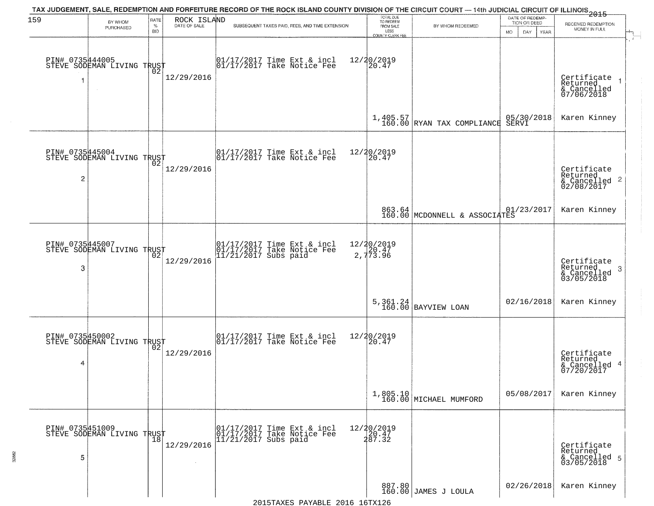| 159                  | BY WHOM<br>PURCHASED                                     | RATE<br>$\%$<br><b>BID</b> | ROCK ISLAND<br>DATE OF SALE | TAX JUDGEMENT, SALE, REDEMPTION AND FORFEITURE RECORD OF THE ROCK ISLAND COUNTY DIVISION OF THE CIRCUIT COURT — 14th JUDICIAL CIRCUIT OF ILLINOIS 2015<br>SUBSEQUENT TAXES PAID, FEES, AND TIME EXTENSION | TOTAL DUE<br>TO REDEEM<br>FROM SALE<br>LESS    | BY WHOM REDEEMED                         | DATE OF REDEMP-<br>TION OR DEED<br>DAY. | RECEIVED REDEMPTION<br>MONEY IN FULL                               |
|----------------------|----------------------------------------------------------|----------------------------|-----------------------------|-----------------------------------------------------------------------------------------------------------------------------------------------------------------------------------------------------------|------------------------------------------------|------------------------------------------|-----------------------------------------|--------------------------------------------------------------------|
|                      | PIN# 0735444005<br>STEVE SODEMAN LIVING TRUST            | ŌŽ                         | 12/29/2016                  | 01/17/2017 Time Ext & incl<br>01/17/2017 Take Notice Fee                                                                                                                                                  | <b>COUNTY CLERK FEE</b><br>12/20/2019<br>20.47 |                                          | MO.<br>YEAR                             | Certificate<br>Returned<br>& Cancelled<br>07/06/2018               |
|                      |                                                          |                            |                             |                                                                                                                                                                                                           |                                                | $1,405.57$<br>160.00 RYAN TAX COMPLIANCE | 05/30/2018<br>SERVI                     | Karen Kinney                                                       |
| 2                    | PIN# 0735445004<br>STEVE SODEMAN LIVING TRUST            |                            | 12/29/2016                  | $\begin{bmatrix} 01/17/2017 \\ 01/17/2017 \end{bmatrix}$ Take Notice Fee                                                                                                                                  | 12/20/2019<br>20.47                            |                                          |                                         | Certificate<br>Returned<br>$\frac{1}{6}$ Cancelled 2<br>02/08/2017 |
|                      |                                                          |                            |                             |                                                                                                                                                                                                           |                                                | 863.64<br>160.00 MCDONNELL & ASSOCIATES  | 01/23/2017                              | Karen Kinney                                                       |
| PIN# 0735445007<br>3 | STEVE SODEMAN LIVING TRUST                               | 02                         | 12/29/2016                  | 01/17/2017 Time Ext & incl<br>01/17/2017 Take Notice Fee<br>11/21/2017 Subs paid                                                                                                                          | 12/20/2019<br>20.47<br>2,773.96                |                                          |                                         | Certificate<br>Returned<br>3<br>& Cancelled<br>03/05/2018          |
|                      |                                                          |                            |                             |                                                                                                                                                                                                           |                                                | $5,361.24$ BAYVIEW LOAN                  | 02/16/2018                              | Karen Kinney                                                       |
| 4                    | PIN# 0735450002<br>STEVE SODEMAN LIVING TRUST            |                            | 12/29/2016                  | $\begin{array}{cc}  01/17/2017 \text{ Time Ext} & \text{incl} \\  01/17/2017 \text{ Take Notice Fe} \end{array}$                                                                                          | 12/20/2019<br>⊺žó̃.47                          |                                          |                                         | Certificate<br>Returned<br>& Cancelled 4<br>07/20/2017             |
|                      |                                                          |                            |                             |                                                                                                                                                                                                           |                                                | $1,805.10$ MICHAEL MUMFORD               | 05/08/2017                              | Karen Kinney                                                       |
| PIN# 0735451009<br>5 | STEVE SODEMAN LIVING TRUST<br>STEVE SODEMAN LIVING TRUST |                            | 12/29/2016                  | 01/17/2017 Time Ext & incl<br>01/17/2017 Take Notice Fee<br>$11/21/2017$ Subs paid                                                                                                                        | 12/20/2019<br>20.47<br>287.32                  |                                          |                                         | Certificate<br>Returned<br>& Cancelled 5<br>03/05/2018             |
|                      |                                                          |                            |                             |                                                                                                                                                                                                           |                                                | 887.80<br>160.00 JAMES J LOULA           | 02/26/2018                              | Karen Kinney                                                       |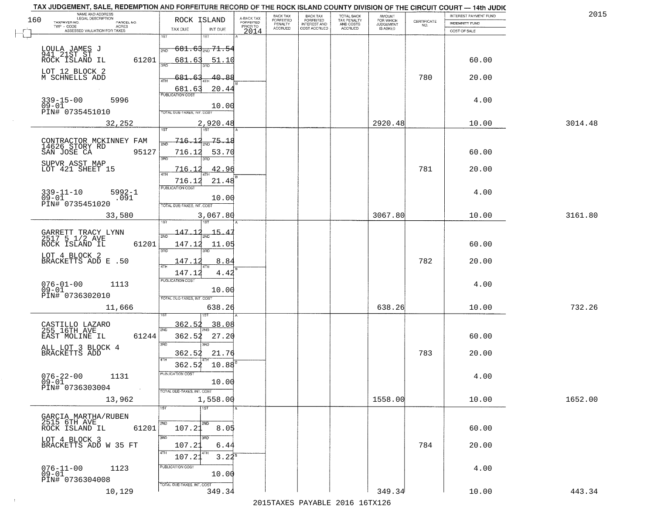| TAX JUDGEMENT, SALE, REDEMPTION AND FORFEITURE RECORD OF THE ROCK ISLAND COUNTY DIVISION OF THE CIRCUIT COURT - 14th JUDIC<br>NAME AND ADDRESS<br>LEGAL DESCRIPTION |                               |                                                          |                              |                                     | BACK TAX             |                                       |                                        |                                  |                    | INTEREST PAYMENT FUND | 2015    |
|---------------------------------------------------------------------------------------------------------------------------------------------------------------------|-------------------------------|----------------------------------------------------------|------------------------------|-------------------------------------|----------------------|---------------------------------------|----------------------------------------|----------------------------------|--------------------|-----------------------|---------|
| 160<br>TAXPAYER NO.<br>TWP - CODE                                                                                                                                   | PARCEL NO.                    | ROCK ISLAND                                              |                              | A-BACK TAX<br>FORFEITED<br>PRIOR TO | FORFEITED<br>PENALTY | BACK TAX<br>FORFEITED<br>INTEREST AND | TOTAL BACK<br>TAX PENALTY<br>AND COSTS | AMOUNT<br>FOR WHICH<br>JUDGEMENT | CERTIFICATE<br>NO. | <b>INDEMNITY FUND</b> |         |
| ASSESSED VALUATION FOR TAXES                                                                                                                                        | ACRES                         | TAX DUE                                                  | INT DUE                      | 2014                                | <b>ACCRUED</b>       | COST ACCRUED                          | <b>ACCRUED</b>                         | IS ASKED                         |                    | COST OF SALE          |         |
| LOULA JAMES J<br>941 21ST ST<br>ROCK ISLAND IL                                                                                                                      |                               | 1ST<br>2ND                                               | 1ST<br>$681.63_{200}$ 71.54  |                                     |                      |                                       |                                        |                                  |                    |                       |         |
| LOT 12 BLOCK 2                                                                                                                                                      | 61201                         | 681.63<br>350                                            | 51.10                        |                                     |                      |                                       |                                        |                                  |                    | 60.00                 |         |
| M SCHNELLS ADD                                                                                                                                                      |                               | <u>681.63</u><br>ATH<br>681.63                           | 40.88<br>20.44               |                                     |                      |                                       |                                        |                                  | 780                | 20.00                 |         |
| $339 - 15 - 00$<br>$09 - 01$<br>PIN# 0735451010                                                                                                                     | 5996                          | <b>PUBLICATION COST</b><br>TOTAL DUE-TAXES, INT. COST    | 10.00                        |                                     |                      |                                       |                                        |                                  |                    | 4.00                  |         |
|                                                                                                                                                                     | 32,252                        |                                                          | 2,920.48                     |                                     |                      |                                       |                                        | 2920.48                          |                    | 10.00                 | 3014.48 |
| CONTRACTOR MCKINNEY FAM<br>14626 STORY RD<br>SAN JOSE CA                                                                                                            | 95127                         | <del>716.12</del><br>716.12                              | 75.18<br>53.70               |                                     |                      |                                       |                                        |                                  |                    | 60.00                 |         |
| SUPVR ASST MAP<br>LOT 421 SHEET 15                                                                                                                                  |                               | 3RD<br>716.12                                            | 42.96                        |                                     |                      |                                       |                                        |                                  | 781                | 20.00                 |         |
| $339 - 11 - 10$<br>$09 - 01$<br>PIN# 0735451020                                                                                                                     | $5992 - 1$<br>.091            | 716.12<br>PUBLICATION COST<br>TOTAL DUE-TAXES, INT. COST | 21.48<br>10.00               |                                     |                      |                                       |                                        |                                  |                    | 4.00                  |         |
|                                                                                                                                                                     | 33,580                        | isT                                                      | 3,067.80<br>١S٦              |                                     |                      |                                       |                                        | 3067.80                          |                    | 10.00                 | 3161.80 |
| GARRETT TRACY LYNN<br>2517 5 1/2 AVE                                                                                                                                |                               | <u> 147.12</u><br>2ND                                    | 15.                          |                                     |                      |                                       |                                        |                                  |                    |                       |         |
| ROCK ISLAND IL<br>LOT 4 BLOCK 2                                                                                                                                     | 61201                         | 147.12<br>3BD                                            | 11.05<br>3RD                 |                                     |                      |                                       |                                        |                                  |                    | 60.00                 |         |
| BRACKETTS ADD E .50                                                                                                                                                 |                               | 147.12<br>4TH<br>147.12                                  | 8.84<br>4.42                 |                                     |                      |                                       |                                        |                                  | 782                | 20.00                 |         |
| $076 - 01 - 00$<br>$09 - 01$<br>PIN# 0736302010                                                                                                                     | 1113                          | <b>PUBLICATION COST</b><br>TOTAL OUE-TAXES, INT. COST    | 10.00                        |                                     |                      |                                       |                                        |                                  |                    | 4.00                  |         |
|                                                                                                                                                                     | 11,666                        |                                                          | 638.26                       |                                     |                      |                                       |                                        | 638.26                           |                    | 10.00                 | 732.26  |
| CASTILLO LAZARO<br>255 16TH AVE<br>EAST MOLINE IL                                                                                                                   | 61244                         | 362.52<br>2ND<br>362.52                                  | 38.08<br>27.20               |                                     |                      |                                       |                                        |                                  |                    | 60.00                 |         |
| ALL LOT 3 BLOCK 4<br>BRACKETTS ADD                                                                                                                                  |                               | 3 <sub>BD</sub><br>362.52<br>4TH<br>362.52               | 3RD<br>21.76<br>10.88        |                                     |                      |                                       |                                        |                                  | 783                | 20.00                 |         |
| $076 - 22 - 00$<br>09-01<br>PIN# 0736303004                                                                                                                         | 1131<br>$\sim 100$ km $^{-1}$ | -usuca i un cus-                                         | 10.00                        |                                     |                      |                                       |                                        |                                  |                    | 4.00                  |         |
|                                                                                                                                                                     | 13,962                        | TOTAL DUE-TAXES, INT. COST<br>1ST                        | 1,558.00<br>$\overline{1ST}$ |                                     |                      |                                       |                                        | 1558.00                          |                    | 10.00                 | 1652.00 |
| GARCIA MARTHA/RUBEN<br>2515 6TH AVE                                                                                                                                 |                               | 2ND                                                      | 2ND                          |                                     |                      |                                       |                                        |                                  |                    |                       |         |
| ROCK ISLAND IL<br>LOT 4 BLOCK 3<br>BRACKETTS ADD W 35 FT                                                                                                            | 61201                         | 107.21<br>3RD<br>107.21                                  | 8.05<br>6.44                 |                                     |                      |                                       |                                        |                                  | 784                | 60.00<br>20.00        |         |
|                                                                                                                                                                     |                               | 4TH<br>107.21                                            | 4TH<br>$3.22^{8}$            |                                     |                      |                                       |                                        |                                  |                    |                       |         |
| $076 - 11 - 00$<br>09-01<br>PIN# 0736304008                                                                                                                         | 1123                          | PUBLICATION COST<br>TOTAL DUE-TAXES, INT. COST           | 10.00                        |                                     |                      |                                       |                                        |                                  |                    | 4.00                  |         |
|                                                                                                                                                                     | 10,129                        |                                                          | 349.34                       |                                     |                      |                                       |                                        | 349.34                           |                    | 10.00                 | 443.34  |

 $\sim 10^{-1}$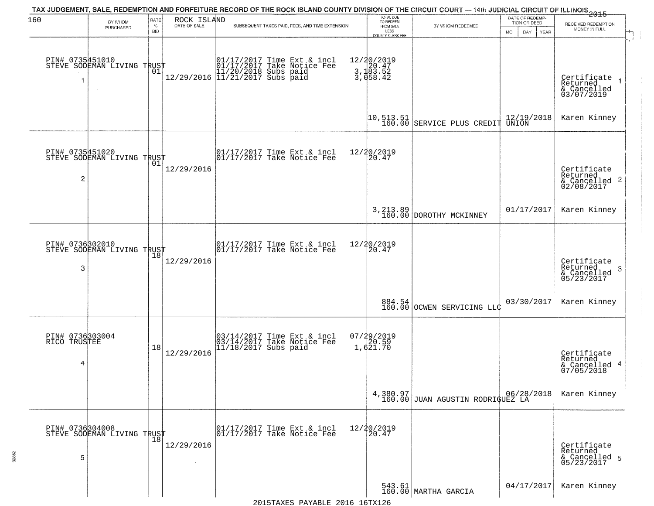| 160                                  |                                                   | RATE               | ROCK ISLAND          | TAX JUDGEMENT, SALE, REDEMPTION AND FORFEITURE RECORD OF THE ROCK ISLAND COUNTY DIVISION OF THE CIRCUIT COURT — 14th JUDICIAL CIRCUIT OF ILLINOIS 2015 |                                                   | TOTAL DUE<br>TO REDEEM<br>FROM SALE |                                                                                                 | DATE OF REDEMP-                     |                                                                    |
|--------------------------------------|---------------------------------------------------|--------------------|----------------------|--------------------------------------------------------------------------------------------------------------------------------------------------------|---------------------------------------------------|-------------------------------------|-------------------------------------------------------------------------------------------------|-------------------------------------|--------------------------------------------------------------------|
|                                      | BY WHOM<br>PURCHASED                              | $\%$<br><b>BID</b> | DATE OF SALE         | SUBSEQUENT TAXES PAID, FEES, AND TIME EXTENSION                                                                                                        |                                                   | LESS                                | BY WHOM REDEEMED                                                                                | TION OR DEED<br>MO.<br>DAY.<br>YEAR | RECEIVED REDEMPTION<br>MONEY IN FULL                               |
|                                      | PIN# 0735451010    <br>STEVE SODEMAN LIVING TRUST | 01                 |                      | 01/17/2017 Time Ext & incl<br>01/17/2017 Take Notice Fee<br>11/20/2018 Subs paid<br>12/29/2016 11/21/2017 Subs paid                                    | 12/20/2019<br>3, 120.47<br>3, 183.52<br>3, 458.42 | <b>COUNTY CLERK FEE</b>             |                                                                                                 |                                     | Certificate<br>Returned<br>& Cancelled<br>03/07/2019               |
|                                      |                                                   |                    |                      |                                                                                                                                                        |                                                   |                                     | $\left  \begin{smallmatrix} 10, 513.51 \\ 160.00 \end{smallmatrix} \right $ SERVICE PLUS CREDIT | $\frac{12/19/2018}{UNION}$          | Karen Kinney                                                       |
| $\overline{c}$                       | PIN# 0735451020<br>STEVE SODEMAN LIVING TRUST     | 01                 | 12/29/2016           | $\begin{bmatrix} 01/17/2017 \\ 01/17/2017 \end{bmatrix}$ Take Notice Fee                                                                               | 12/20/2019<br>20.47                               |                                     |                                                                                                 |                                     | Certificate<br>Returned<br>$\frac{1}{2}$ Cancelled 2<br>02/08/2017 |
|                                      |                                                   |                    |                      |                                                                                                                                                        |                                                   |                                     | 3, 213.89 DOROTHY MCKINNEY                                                                      | 01/17/2017                          | Karen Kinney                                                       |
| PIN# 0736302010<br>3                 | STEVE SODEMAN LIVING TRUST                        | 18                 | 12/29/2016           | 01/17/2017 Time Ext & incl<br>01/17/2017 Take Notice Fee                                                                                               | 12/20/2019<br>20.47                               |                                     |                                                                                                 |                                     | Certificate<br>Returned<br>3<br>& Cancelled<br>05/23/2017          |
|                                      |                                                   |                    |                      |                                                                                                                                                        |                                                   |                                     | 884.54<br>160.00 OCWEN SERVICING LLC                                                            | 03/30/2017                          | Karen Kinney                                                       |
| PIN# 0736303004<br>RICO TRUSTEE<br>4 |                                                   | 18                 | 12/29/2016           | 03/14/2017 Time Ext & incl<br>03/14/2017 Take Notice Fee<br>11/18/2017 Subs paid                                                                       | 07/29/2019<br>20.59<br>1,621.70                   |                                     |                                                                                                 |                                     | Certificate<br>Returned<br>& Cancelled 4<br>07/05/2018             |
|                                      |                                                   |                    |                      |                                                                                                                                                        |                                                   |                                     | $\left[ \begin{array}{c} 4,380.97 \\ 160.00 \end{array} \right]$ JUAN AGUSTIN RODRIGUEZ LA      |                                     | Karen Kinney                                                       |
| 5                                    | PIN# 0736304008<br>STEVE SODEMAN LIVING TRUST     |                    | 12/29/2016<br>$\sim$ | 01/17/2017 Time Ext & incl<br>01/17/2017 Take Notice Fee                                                                                               | 12/20/2019<br>20.47                               |                                     |                                                                                                 |                                     | Certificate<br>Returned<br>& Cancelled 5<br>05/23/2017             |
|                                      |                                                   |                    |                      |                                                                                                                                                        |                                                   |                                     | 543.61<br>160.00 MARTHA GARCIA                                                                  | 04/17/2017                          | Karen Kinney                                                       |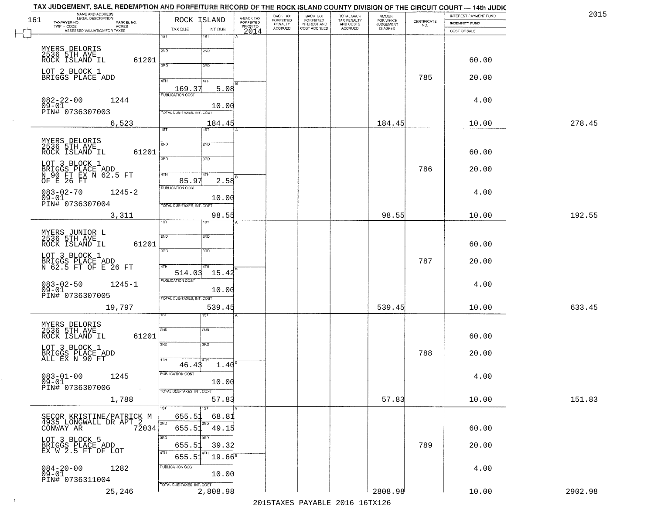|     | TAX JUDGEMENT, SALE, REDEMPTION AND FORFEITURE RECORD OF THE ROCK ISLAND COUNTY DIVISION OF THE CIRCUIT COURT — 14th JUDIC |                                     |                         |                                        |                                           |                                        |                                    |                                                                 |                       |         |
|-----|----------------------------------------------------------------------------------------------------------------------------|-------------------------------------|-------------------------|----------------------------------------|-------------------------------------------|----------------------------------------|------------------------------------|-----------------------------------------------------------------|-----------------------|---------|
| 161 | NAME AND ADDRESS<br>LEGAL DESCRIPTION                                                                                      | ROCK ISLAND                         | A-BACK TAX<br>FORFEITED | BACK TAX                               | <b>BACK TAX</b>                           | TOTAL BACK<br>TAX PENALTY<br>AND COSTS | <b>AMOUNT</b>                      |                                                                 | INTEREST PAYMENT FUND | 2015    |
|     | TAXPAYER NO.<br>PARCEL NO.<br>- CODE<br>ACRES<br>ASSESSED VALUATION FOR TAXES<br>$\textsf{TWP} + \textsf{CODE}$            |                                     | PRIOR TO                | FORFEITED<br>PENALTY<br><b>ACCRUED</b> | FORFEITED<br>INTEREST AND<br>COST ACCRUED | ACCRUED                                | FOR WHICH<br>JUDGEMENT<br>IS ASKED | $\begin{array}{c} \text{CERTIFICATE} \\ \text{NO.} \end{array}$ | INDEMNITY FUND        |         |
|     |                                                                                                                            | TAX DUE<br>INT DUE<br>1ST<br>1ST    | 2014                    |                                        |                                           |                                        |                                    |                                                                 | COST OF SALE          |         |
|     |                                                                                                                            |                                     |                         |                                        |                                           |                                        |                                    |                                                                 |                       |         |
|     | MYERS DELORIS<br>2536 5TH AVE                                                                                              | 2ND<br>2ND                          |                         |                                        |                                           |                                        |                                    |                                                                 |                       |         |
|     |                                                                                                                            |                                     |                         |                                        |                                           |                                        |                                    |                                                                 |                       |         |
|     | ROCK ISLAND IL<br>61201                                                                                                    | 3RD<br>3RD                          |                         |                                        |                                           |                                        |                                    |                                                                 | 60.00                 |         |
|     | LOT 2 BLOCK 1                                                                                                              |                                     |                         |                                        |                                           |                                        |                                    |                                                                 |                       |         |
|     | BRIGGS PLACE ADD                                                                                                           | 4TH<br>41H                          |                         |                                        |                                           |                                        |                                    | 785                                                             | 20.00                 |         |
|     |                                                                                                                            | 169.37<br>5.08                      |                         |                                        |                                           |                                        |                                    |                                                                 |                       |         |
|     |                                                                                                                            | <b>PUBLICATION COST</b>             |                         |                                        |                                           |                                        |                                    |                                                                 |                       |         |
|     | $082 - 22 - 00$<br>1244                                                                                                    |                                     |                         |                                        |                                           |                                        |                                    |                                                                 | 4.00                  |         |
|     | $09 - 01$<br>PIN# 0736307003                                                                                               | 10.00<br>TOTAL DUE-TAXES, INT. COST |                         |                                        |                                           |                                        |                                    |                                                                 |                       |         |
|     |                                                                                                                            |                                     |                         |                                        |                                           |                                        |                                    |                                                                 |                       |         |
|     | 6,523                                                                                                                      | 184.45                              |                         |                                        |                                           |                                        | 184.45                             |                                                                 | 10.00                 | 278.45  |
|     |                                                                                                                            | 1ST<br>1ST                          |                         |                                        |                                           |                                        |                                    |                                                                 |                       |         |
|     | MYERS DELORIS<br>2536 5TH AVE                                                                                              | 2ND<br>2ND                          |                         |                                        |                                           |                                        |                                    |                                                                 |                       |         |
|     | 61201<br>ROCK ISLAND IL                                                                                                    |                                     |                         |                                        |                                           |                                        |                                    |                                                                 | 60.00                 |         |
|     |                                                                                                                            | 3RD<br>3RD                          |                         |                                        |                                           |                                        |                                    |                                                                 |                       |         |
|     | LOT 3 BLOCK 1                                                                                                              |                                     |                         |                                        |                                           |                                        |                                    |                                                                 |                       |         |
|     |                                                                                                                            | 4TH<br>4TH                          |                         |                                        |                                           |                                        |                                    | 786                                                             | 20.00                 |         |
|     | BRIGGS PLACE ADD<br>N 90 FT EX N 62.5 FT<br>OF E 26 FT                                                                     | 85.97<br>2.58                       |                         |                                        |                                           |                                        |                                    |                                                                 |                       |         |
|     |                                                                                                                            | <b>PUBLICATION COST</b>             |                         |                                        |                                           |                                        |                                    |                                                                 |                       |         |
|     | $083 - 02 - 70$<br>$1245 - 2$<br>$09 - 01$                                                                                 | 10.00                               |                         |                                        |                                           |                                        |                                    |                                                                 | 4.00                  |         |
|     | PIN# 0736307004                                                                                                            | TOTAL DUE-TAXES, INT. COST          |                         |                                        |                                           |                                        |                                    |                                                                 |                       |         |
|     |                                                                                                                            |                                     |                         |                                        |                                           |                                        |                                    |                                                                 |                       |         |
|     | 3,311                                                                                                                      | 98.55<br>1ST                        |                         |                                        |                                           |                                        | 98.55                              |                                                                 | 10.00                 | 192.55  |
|     |                                                                                                                            |                                     |                         |                                        |                                           |                                        |                                    |                                                                 |                       |         |
|     | MYERS JUNIOR L<br>2536 5TH AVE                                                                                             | 2ND<br><b>2ND</b>                   |                         |                                        |                                           |                                        |                                    |                                                                 |                       |         |
|     | ROCK ISLAND IL<br>61201                                                                                                    |                                     |                         |                                        |                                           |                                        |                                    |                                                                 | 60.00                 |         |
|     |                                                                                                                            | 3RD<br>3RD                          |                         |                                        |                                           |                                        |                                    |                                                                 |                       |         |
|     | LOT 3 BLOCK 1                                                                                                              |                                     |                         |                                        |                                           |                                        |                                    |                                                                 |                       |         |
|     | BRIGGS PLACE ADD<br>N 62.5 FT OF E 26 FT                                                                                   | 4TH<br>4TH                          |                         |                                        |                                           |                                        |                                    | 787                                                             | 20.00                 |         |
|     |                                                                                                                            | 514.03<br>15.42                     |                         |                                        |                                           |                                        |                                    |                                                                 |                       |         |
|     |                                                                                                                            | <b>PUBLICATION COST</b>             |                         |                                        |                                           |                                        |                                    |                                                                 |                       |         |
|     | $083 - 02 - 50$<br>$1245 - 1$<br>$09 - 01$                                                                                 | 10.00                               |                         |                                        |                                           |                                        |                                    |                                                                 | 4.00                  |         |
|     | PIN# 0736307005                                                                                                            | TOTAL OUE-TAXES, INT. COST          |                         |                                        |                                           |                                        |                                    |                                                                 |                       |         |
|     | 19,797                                                                                                                     | 539.45                              |                         |                                        |                                           |                                        | 539.45                             |                                                                 | 10.00                 | 633.45  |
|     |                                                                                                                            | ख़                                  |                         |                                        |                                           |                                        |                                    |                                                                 |                       |         |
|     |                                                                                                                            |                                     |                         |                                        |                                           |                                        |                                    |                                                                 |                       |         |
|     | MYERS DELORIS<br>2536 5TH AVE                                                                                              | 2ND<br>2ND                          |                         |                                        |                                           |                                        |                                    |                                                                 |                       |         |
|     | ROCK ISLAND IL<br>61201                                                                                                    |                                     |                         |                                        |                                           |                                        |                                    |                                                                 | 60.00                 |         |
|     |                                                                                                                            | 3RD<br>3BD                          |                         |                                        |                                           |                                        |                                    |                                                                 |                       |         |
|     | LOT 3 BLOCK 1                                                                                                              |                                     |                         |                                        |                                           |                                        |                                    | 788                                                             | 20.00                 |         |
|     | BRIGGS PLACE ADD<br>ALL EX N 90 FT                                                                                         | 4TH<br>4TH                          |                         |                                        |                                           |                                        |                                    |                                                                 |                       |         |
|     |                                                                                                                            | 1.40<br>46.43                       |                         |                                        |                                           |                                        |                                    |                                                                 |                       |         |
|     | 083-01-00 1245                                                                                                             | PUBLICATION COST                    |                         |                                        |                                           |                                        |                                    |                                                                 | 4.00                  |         |
|     | $09 - 01$                                                                                                                  | 10.00                               |                         |                                        |                                           |                                        |                                    |                                                                 |                       |         |
|     | PIN# 0736307006                                                                                                            | TOTAL DUE-TAXES, INT. COST          |                         |                                        |                                           |                                        |                                    |                                                                 |                       |         |
|     | 1,788                                                                                                                      | 57.83                               |                         |                                        |                                           |                                        | 57.83                              |                                                                 | 10.00                 | 151.83  |
|     |                                                                                                                            | 1ST<br>1ST                          |                         |                                        |                                           |                                        |                                    |                                                                 |                       |         |
|     |                                                                                                                            | 655.5<br>68.81                      |                         |                                        |                                           |                                        |                                    |                                                                 |                       |         |
|     | SECOR KRISTINE/PATRICK M<br>4935 LONGWALL DR APT 2                                                                         | 2ND                                 |                         |                                        |                                           |                                        |                                    |                                                                 |                       |         |
|     | CONWAY AR<br>72034                                                                                                         | 655.51<br>49.15                     |                         |                                        |                                           |                                        |                                    |                                                                 | 60.00                 |         |
|     | LOT 3 BLOCK 5                                                                                                              | 3RD<br>3 <sub>BD</sub>              |                         |                                        |                                           |                                        |                                    |                                                                 |                       |         |
|     |                                                                                                                            | 655.51<br>39.32                     |                         |                                        |                                           |                                        |                                    | 789                                                             | 20.00                 |         |
|     | BRIGGS PLACE ADD<br>EX W 2.5 FT OF LOT                                                                                     | 4TH                                 |                         |                                        |                                           |                                        |                                    |                                                                 |                       |         |
|     |                                                                                                                            | 19.66<br>655.53                     |                         |                                        |                                           |                                        |                                    |                                                                 |                       |         |
|     | $084 - 20 - 00$<br>09-01<br>1282                                                                                           | PUBLICATION COST                    |                         |                                        |                                           |                                        |                                    |                                                                 | 4.00                  |         |
|     |                                                                                                                            | 10.00                               |                         |                                        |                                           |                                        |                                    |                                                                 |                       |         |
|     | PIN# 0736311004                                                                                                            | TOTAL DUE-TAXES, INT. COST          |                         |                                        |                                           |                                        |                                    |                                                                 |                       |         |
|     | 25,246                                                                                                                     | 2,808.98                            |                         |                                        |                                           |                                        | 2808.98                            |                                                                 | 10.00                 | 2902.98 |
|     |                                                                                                                            |                                     |                         |                                        |                                           | 2015 TAVEC DAVADIE 2016 16 TV126       |                                    |                                                                 |                       |         |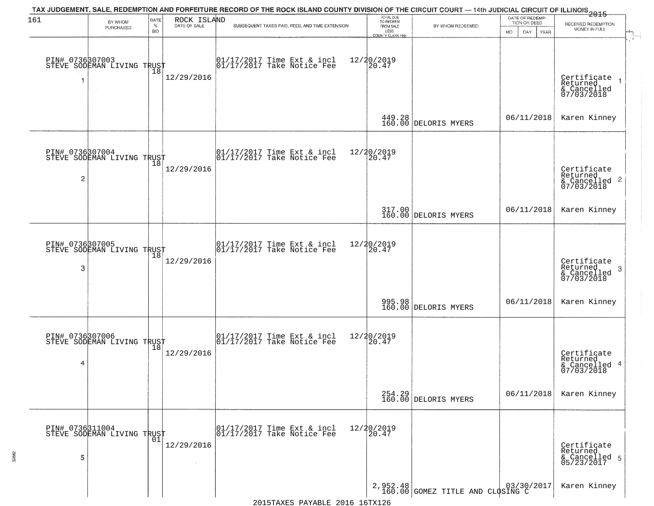| 161 | BY WHOM<br>PURCHASED                          | RATE<br>$\%$<br><b>BID</b> | ROCK ISLAND<br>DATE OF SALE | TAX JUDGEMENT, SALE, REDEMPTION AND FORFEITURE RECORD OF THE ROCK ISLAND COUNTY DIVISION OF THE CIRCUIT COURT — 14th JUDICIAL CIRCUIT OF ILLINOIS 2015<br>SUBSEQUENT TAXES PAID, FEES, AND TIME EXTENSION | TOTAL DUE<br>TO REDEEM<br>FROM SALE<br>LESS | BY WHOM REDEEMED                   | DATE OF REDEMP-<br>TION OR DEED<br><b>MO</b><br>DAY<br><b>YEAR</b> | RECEIVED REDEMPTION<br>MONEY IN FULL                               |
|-----|-----------------------------------------------|----------------------------|-----------------------------|-----------------------------------------------------------------------------------------------------------------------------------------------------------------------------------------------------------|---------------------------------------------|------------------------------------|--------------------------------------------------------------------|--------------------------------------------------------------------|
| 1   | PIN# 0736307003<br>STEVE SODEMAN LIVING TRUST | Ίõ                         | 12/29/2016                  | $\begin{bmatrix} 01/17/2017 \\ 01/17/2017 \\ 01 \end{bmatrix}$ Take Notice Fee                                                                                                                            | COUNTY CLERK FEE<br>12/20/2019<br>20.47     |                                    |                                                                    | Certificate<br>Returned<br>& Cancelled<br>07/03/2018               |
|     |                                               |                            |                             |                                                                                                                                                                                                           |                                             | 449.28<br>160.00 DELORIS MYERS     | 06/11/2018                                                         | Karen Kinney                                                       |
| 2   | PIN# 0736807004<br>STEVE SODEMAN LIVING TRUST |                            | 12/29/2016                  | $\begin{array}{ccc}  01/17/2017 \text{ Time} & \text{Ext} & \text{incl} \\  01/17/2017 \text{ Take Notice } \text{Fe} \end{array}$                                                                        | 12/20/2019<br>20.47                         |                                    |                                                                    | Certificate<br>Returned<br>$\frac{1}{2}$ Cancelled 2<br>07/03/2018 |
|     |                                               |                            |                             |                                                                                                                                                                                                           |                                             | 317.00 DELORIS MYERS               | 06/11/2018                                                         | Karen Kinney                                                       |
| 3   | PIN# 0736307005<br>STEVE SODEMAN LIVING TRUST | 18                         | 12/29/2016                  | 01/17/2017 Time Ext & incl<br>01/17/2017 Take Notice Fee                                                                                                                                                  | 12/20/2019<br>20.47                         |                                    |                                                                    | Certificate<br>Returned<br>3<br>& Cancelled<br>07/03/2018          |
|     |                                               |                            |                             |                                                                                                                                                                                                           |                                             | 995.98<br>160.00 DELORIS MYERS     | 06/11/2018                                                         | Karen Kinney                                                       |
| 4   | PIN# 0736307006<br>STEVE SODEMAN LIVING TRUST |                            | 12/29/2016                  | 01/17/2017 Time Ext & incl<br>01/17/2017 Take Notice Fee                                                                                                                                                  | 12/20/2019<br>$\left[20.47\right]$          |                                    |                                                                    | Certificate<br>Returned<br>& Cancelled 4<br>07/03/2018             |
|     |                                               |                            |                             |                                                                                                                                                                                                           |                                             | 254.29 DELORIS MYERS               | 06/11/2018                                                         | Karen Kinney                                                       |
| 5   | PIN# 0736311004<br>STEVE SODEMAN LIVING TRUST | 01                         | 12/29/2016                  | 01/17/2017 Time Ext & incl<br>01/17/2017 Take Notice Fee                                                                                                                                                  | 12/20/2019<br>20.47                         |                                    |                                                                    | Certificate<br>Returned<br>& Cancelled 5<br>05/23/2017             |
|     |                                               |                            |                             |                                                                                                                                                                                                           |                                             | 2,952.48 GOMEZ TITLE AND CLOSING C |                                                                    | Karen Kinney                                                       |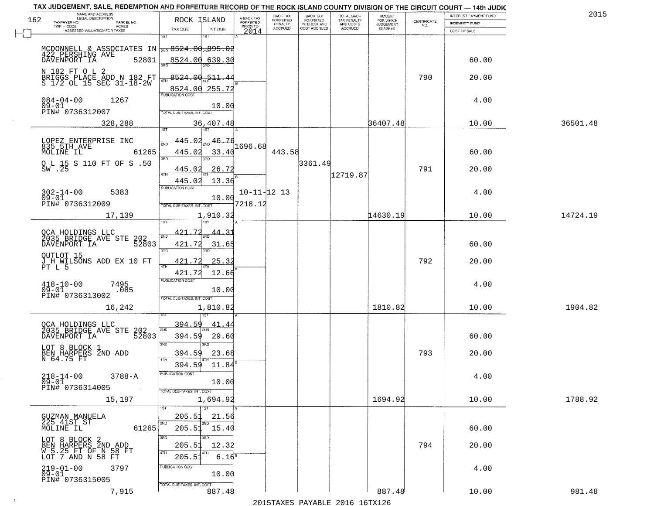|     | TAX JUDGEMENT, SALE, REDEMPTION AND FORFEITURE RECORD OF THE ROCK ISLAND COUNTY DIVISION OF THE CIRCUIT COURT - 14th JUDIC |                            |              |                         |                                     |                                     |                                        |                              |                                                                 |                                         | 2015     |
|-----|----------------------------------------------------------------------------------------------------------------------------|----------------------------|--------------|-------------------------|-------------------------------------|-------------------------------------|----------------------------------------|------------------------------|-----------------------------------------------------------------|-----------------------------------------|----------|
| 162 | NAME AND ADDRESS<br>LEGAL DESCRIPTION<br>PARCEL NO.                                                                        | ROCK ISLAND                |              | A-BACK TAX<br>FORFEITED | <b>BACK TAX</b><br><b>FORFEITED</b> | BACK TAX<br>FORFEITED               | TOTAL BACK<br>TAX PENALTY<br>AND COSTS | AMOUNT<br>FOR WHICH          | $\begin{array}{c} \text{CERTIFICATE} \\ \text{NO.} \end{array}$ | INTEREST PAYMENT FUND<br>INDEMNITY FUND |          |
|     | TAXPAYER NO.<br>ACRES<br>ASSESSED VALUATION FOR TAXES                                                                      | TAX DUE                    | INT DUE      | PRIOR TO<br>2014        | PENALTY<br><b>ACCRUED</b>           | <b>INTEREST AND</b><br>COST ACCRUED | <b>ACCRUED</b>                         | <b>JUDGEMENT</b><br>IS ASKED |                                                                 | COST OF SALE                            |          |
|     |                                                                                                                            | 1ST<br>18T                 |              |                         |                                     |                                     |                                        |                              |                                                                 |                                         |          |
|     | MCDONNELL & ASSOCIATES IN $\frac{1}{2ND}$ 8524.00 $\frac{1}{2ND}$ 895.02                                                   |                            |              |                         |                                     |                                     |                                        |                              |                                                                 |                                         |          |
|     | 422 PERSHING AVE                                                                                                           |                            |              |                         |                                     |                                     |                                        |                              |                                                                 |                                         |          |
|     | 52801<br>DAVENPORT IA                                                                                                      | 8524.00 639.30             |              |                         |                                     |                                     |                                        |                              |                                                                 | 60.00                                   |          |
|     | N 182 FT O L 2                                                                                                             |                            |              |                         |                                     |                                     |                                        |                              |                                                                 |                                         |          |
|     | BRIGGS PLACE ADD N 182 FT<br>S 1/2 OL 15 SEC 31-18-2W                                                                      | 8524.00 511.44             |              |                         |                                     |                                     |                                        |                              | 790                                                             | 20.00                                   |          |
|     |                                                                                                                            | 8524.00 255.72             |              |                         |                                     |                                     |                                        |                              |                                                                 |                                         |          |
|     | $084 - 04 - 00$<br>1267                                                                                                    |                            |              |                         |                                     |                                     |                                        |                              |                                                                 | 4.00                                    |          |
|     | $09 - 01$                                                                                                                  |                            | 10.00        |                         |                                     |                                     |                                        |                              |                                                                 |                                         |          |
|     | PIN# 0736312007                                                                                                            | TOTAL DUE-TAXES, INT. COST |              |                         |                                     |                                     |                                        |                              |                                                                 |                                         |          |
|     | 328,288                                                                                                                    |                            | 36,407.48    |                         |                                     |                                     |                                        | 36407.48                     |                                                                 | 10.00                                   | 36501.48 |
|     |                                                                                                                            |                            |              |                         |                                     |                                     |                                        |                              |                                                                 |                                         |          |
|     | LOPEZ ENTERPRISE INC<br>835 5TH AVE                                                                                        | ึกว่                       | 46.76        | 1696.68                 |                                     |                                     |                                        |                              |                                                                 |                                         |          |
|     | 61265<br>MOLINE IL                                                                                                         | 445.02                     | 33.40        |                         | 443.58                              |                                     |                                        |                              |                                                                 | 60.00                                   |          |
|     | O L 15 S 110 FT OF S .50                                                                                                   | 3RD<br>ਭਸ਼ਨ                |              |                         |                                     | 3361.49                             |                                        |                              |                                                                 |                                         |          |
|     | SW .25                                                                                                                     | 445.02                     | 26.72        |                         |                                     |                                     |                                        |                              | 791                                                             | 20.00                                   |          |
|     |                                                                                                                            | 47H<br>445.02              | 13.36        |                         |                                     |                                     | 12719.87                               |                              |                                                                 |                                         |          |
|     |                                                                                                                            | PUBLICATION COST           |              |                         |                                     |                                     |                                        |                              |                                                                 |                                         |          |
|     | $302 - 14 - 00$<br>5383<br>$09 - 01$                                                                                       |                            | 10.00        | $10 - 11 - 12$ 13       |                                     |                                     |                                        |                              |                                                                 | 4.00                                    |          |
|     | PIN# 0736312009                                                                                                            | TOTAL DUE-TAXES, INT. COST |              | 7218.12                 |                                     |                                     |                                        |                              |                                                                 |                                         |          |
|     | 17,139                                                                                                                     |                            | 1,910.32     |                         |                                     |                                     |                                        | 14630.19                     |                                                                 | 10.00                                   | 14724.19 |
|     |                                                                                                                            | 1ST                        |              |                         |                                     |                                     |                                        |                              |                                                                 |                                         |          |
|     | OCA HOLDINGS LLC<br>2035 BRIDGE AVE STE 202<br>- WENDORT TA 52803                                                          | <u>421.72</u>              |              |                         |                                     |                                     |                                        |                              |                                                                 |                                         |          |
|     |                                                                                                                            | 2ND<br>421.72              | 31.65        |                         |                                     |                                     |                                        |                              |                                                                 | 60.00                                   |          |
|     |                                                                                                                            | 3RD<br>3RD                 |              |                         |                                     |                                     |                                        |                              |                                                                 |                                         |          |
|     | OUTLOT 15                                                                                                                  | 421.72                     | <u>25.32</u> |                         |                                     |                                     |                                        |                              | 792                                                             | 20.00                                   |          |
|     | J H WILSONS ADD EX 10 FT<br>PT L 5                                                                                         | <b>ATH</b>                 |              |                         |                                     |                                     |                                        |                              |                                                                 |                                         |          |
|     |                                                                                                                            | 421.72                     | 12.66        |                         |                                     |                                     |                                        |                              |                                                                 |                                         |          |
|     | $418 - 10 - 00$<br>7495<br>.085                                                                                            | <b>PUBLICATION COST</b>    |              |                         |                                     |                                     |                                        |                              |                                                                 | 4.00                                    |          |
|     | $09 - 01$<br>PIN# 0736313002                                                                                               | TOTAL OUE-TAXES, INT. COST | 10.00        |                         |                                     |                                     |                                        |                              |                                                                 |                                         |          |
|     |                                                                                                                            |                            |              |                         |                                     |                                     |                                        |                              |                                                                 |                                         |          |
|     | 16,242                                                                                                                     |                            | 1,810.82     |                         |                                     |                                     |                                        | 1810.82                      |                                                                 | 10.00                                   | 1904.82  |
|     |                                                                                                                            | 394.59                     | 41.44        |                         |                                     |                                     |                                        |                              |                                                                 |                                         |          |
|     | OCA HOLDINGS LLC<br>2035 BRIDGE AVE STE 202<br>2035 BRIDGE AVE STE 52803                                                   | 2ND                        |              |                         |                                     |                                     |                                        |                              |                                                                 |                                         |          |
|     |                                                                                                                            | 394.59                     | 29.60        |                         |                                     |                                     |                                        |                              |                                                                 | 60.00                                   |          |
|     | LOT 8 BLOCK 1                                                                                                              | 3BD<br>3BD                 |              |                         |                                     |                                     |                                        |                              |                                                                 |                                         |          |
|     | BEN HARPERS 2ND ADD<br>N 64.75 FT                                                                                          | 394.59<br>4TH              | 23.68        |                         |                                     |                                     |                                        |                              | 793                                                             | 20.00                                   |          |
|     |                                                                                                                            | 394.59                     | 11.84        |                         |                                     |                                     |                                        |                              |                                                                 |                                         |          |
|     | $218 - 14 - 00$<br>$3788 - A$                                                                                              | PUBLICATION COS.           |              |                         |                                     |                                     |                                        |                              |                                                                 | 4.00                                    |          |
|     | $09 - 01$                                                                                                                  |                            | 10.00        |                         |                                     |                                     |                                        |                              |                                                                 |                                         |          |
|     | PIN# 0736314005<br>$\sim 100$                                                                                              | TOTAL DUE-TAXES, INT. COST |              |                         |                                     |                                     |                                        |                              |                                                                 |                                         |          |
|     | 15,197                                                                                                                     |                            | 1,694.92     |                         |                                     |                                     |                                        | 1694.92                      |                                                                 | 10.00                                   | 1788.92  |
|     |                                                                                                                            | $\overline{1}$ 1ST         |              |                         |                                     |                                     |                                        |                              |                                                                 |                                         |          |
|     | GUZMAN MANUELA<br>225_41ST_ST                                                                                              | 205.5                      | 21.56        |                         |                                     |                                     |                                        |                              |                                                                 |                                         |          |
|     | 61265<br>MOLINE IL                                                                                                         | 2ND<br>205.51              | 15.40        |                         |                                     |                                     |                                        |                              |                                                                 | 60.00                                   |          |
|     |                                                                                                                            | 3RD<br>3RD                 |              |                         |                                     |                                     |                                        |                              |                                                                 |                                         |          |
|     | LOT 8 BLOCK 2<br>BEN HARPERS 2ND_ADD                                                                                       | 205.51                     | 12.32        |                         |                                     |                                     |                                        |                              | 794                                                             | 20.00                                   |          |
|     | W 5.25 FT OF N 58 FT<br>LOT 7 AND N 58 FT                                                                                  | 4TH<br>205.5               | $6.16^8$     |                         |                                     |                                     |                                        |                              |                                                                 |                                         |          |
|     |                                                                                                                            |                            |              |                         |                                     |                                     |                                        |                              |                                                                 |                                         |          |
|     | $219 - 01 - 00$<br>3797<br>$09 - 01$                                                                                       | PUBLICATION COST           | 10.00        |                         |                                     |                                     |                                        |                              |                                                                 | 4.00                                    |          |
|     | PIN# 0736315005                                                                                                            |                            |              |                         |                                     |                                     |                                        |                              |                                                                 |                                         |          |
|     | 7,915                                                                                                                      | TOTAL DUE-TAXES, INT. COST | 887.48       |                         |                                     |                                     |                                        | 887.48                       |                                                                 | 10.00                                   | 981.48   |
|     |                                                                                                                            |                            |              |                         |                                     |                                     | 2015 TAVEC DAVADIE 2016 16TV126        |                              |                                                                 |                                         |          |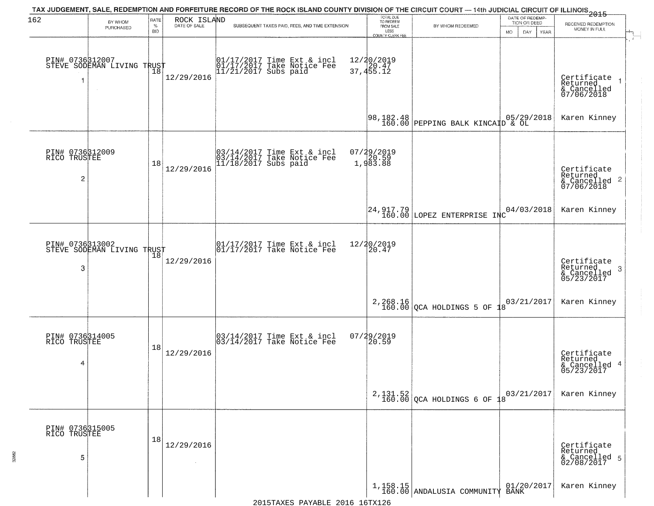| 162                                  | BY WHOM                                       | RATE               | ROCK ISLAND<br>DATE OF SALE | TAX JUDGEMENT, SALE, REDEMPTION AND FORFEITURE RECORD OF THE ROCK ISLAND COUNTY DIVISION OF THE CIRCUIT COURT — 14th JUDICIAL CIRCUIT OF ILLINOIS 2015 | TOTAL DUE<br>TO REDEEM                |                                           | DATE OF REDEMP-<br>TION OR DEED |                                                                    |
|--------------------------------------|-----------------------------------------------|--------------------|-----------------------------|--------------------------------------------------------------------------------------------------------------------------------------------------------|---------------------------------------|-------------------------------------------|---------------------------------|--------------------------------------------------------------------|
|                                      | PURCHASED                                     | $\%$<br><b>BID</b> |                             | SUBSEQUENT TAXES PAID, FEES, AND TIME EXTENSION                                                                                                        | FROM SALE<br>LESS<br>COUNTY CLERK FEE | BY WHOM REDEEMED                          | <b>MO</b><br>DAY<br>YEAR        | RECEIVED REDEMPTION<br>MONEY IN FULL                               |
|                                      | PIN# 0736312007<br>STEVE SODEMAN LIVING TRUST |                    | 12/29/2016                  | 01/17/2017 Time Ext & incl<br>01/17/2017 Take Notice Fee<br>11/21/2017 Subs paid                                                                       | 12/20/2019<br>37,455.12               |                                           |                                 | Certificate<br>Returned<br>& Cancelled<br>07/06/2018               |
|                                      |                                               |                    |                             |                                                                                                                                                        |                                       |                                           |                                 | Karen Kinney                                                       |
| PIN# 0736312009<br>RICO TRUSTEE<br>2 |                                               | 18                 | 12/29/2016                  | 03/14/2017 Time Ext & incl<br>03/14/2017 Take Notice Fee<br>11/18/2017 Subs paid                                                                       | 07/29/2019<br>20.59<br>1,983.88       |                                           |                                 | Certificate<br>Returned<br>$\frac{1}{2}$ Cancelled 2<br>07/06/2018 |
|                                      |                                               |                    |                             |                                                                                                                                                        |                                       | 24, 917.79<br>160.00 LOPEZ ENTERPRISE INC | 04/03/2018                      | Karen Kinney                                                       |
| 3                                    | PIN# 0736313002<br>STEVE SODEMAN LIVING TRUST | 18                 | 12/29/2016                  | $\begin{array}{ccc}  01/17/2017 \text{ Time} & \text{Ext} & \text{incl} \\  01/17/2017 \text{ Take Notice } \text{Fe} \end{array}$                     | 12/20/2019<br>20.47                   |                                           |                                 | Certificate<br>Returned<br>3<br>& Cancelled<br>05/23/2017          |
|                                      |                                               |                    |                             |                                                                                                                                                        |                                       | $2,268.16$ QCA HOLDINGS 5 OF $18$         | 03/21/2017                      | Karen Kinney                                                       |
| PIN# 0736314005<br>RICO TRUSTEE<br>4 |                                               | 18                 | 12/29/2016                  | 03/14/2017 Time Ext & incl<br>03/14/2017 Take Notice Fee                                                                                               | 07/29/2019<br>20.59                   |                                           |                                 | Certificate<br>Returned<br>& Cancelled 4<br>05/23/2017             |
|                                      |                                               |                    |                             |                                                                                                                                                        |                                       | $2,131.52$ QCA HOLDINGS 6 OF              | 03/21/2017                      | Karen Kinney                                                       |
| PIN# 0736315005<br>RICO TRUSTEE<br>5 |                                               | 18                 | 12/29/2016<br>$\sim$        |                                                                                                                                                        |                                       |                                           |                                 | Certificate<br>Returned<br>& Cancelled 5<br>02/08/2017             |
|                                      |                                               |                    |                             |                                                                                                                                                        |                                       | $1,158.15$<br>160.00 ANDALUSIA COMMUNITY  | 01/20/2017<br>BĀNK              | Karen Kinney                                                       |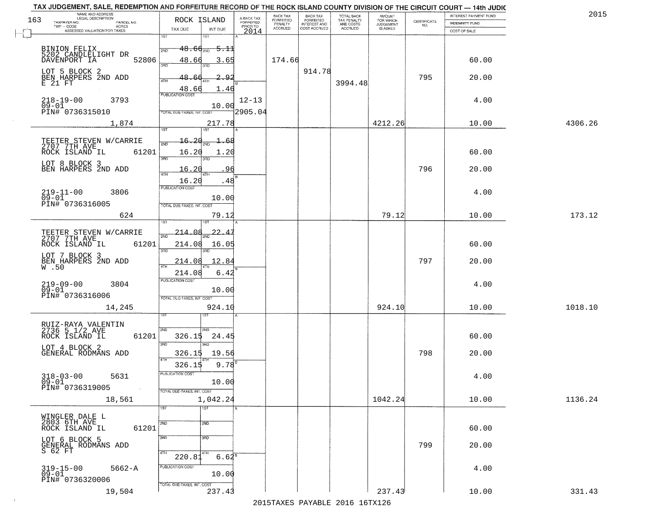|     | TAX JUDGEMENT, SALE, REDEMPTION AND FORFEITURE RECORD OF THE ROCK ISLAND COUNTY DIVISION OF THE CIRCUIT COURT - 14th JUDIC<br>NAME AND ADDRESS<br>LEGAL DESCRIPTION |                                          |                         | BACK TAX                    |                                       |                                        |                                         |                                                                 | INTEREST PAYMENT FUND | 2015    |
|-----|---------------------------------------------------------------------------------------------------------------------------------------------------------------------|------------------------------------------|-------------------------|-----------------------------|---------------------------------------|----------------------------------------|-----------------------------------------|-----------------------------------------------------------------|-----------------------|---------|
| 163 | TAXPAYER NO.<br>PARCEL NO.                                                                                                                                          | ROCK ISLAND                              | A-BACK TAX<br>FORFEITED | <b>FORFEITED</b><br>PENALTY | BACK TAX<br>FORFEITED<br>INTEREST AND | TOTAL BACK<br>TAX PENALTY<br>AND COSTS | AMOUNT<br>FOR WHICH<br><b>JUDGEMENT</b> | $\begin{array}{c} \text{CERTIFICATE} \\ \text{NO.} \end{array}$ | <b>INDEMNITY FUND</b> |         |
|     | TWP - CODE<br><b>ACRES</b><br>ASSESSED VALUATION FOR TAXES                                                                                                          | INT DUE<br>TAX DUE                       | PRIOR TO<br>2014        | <b>ACCRUED</b>              | COST ACCRUED                          | ACCRUED                                | IS ASKED                                |                                                                 | COST OF SALE          |         |
|     |                                                                                                                                                                     | 1ST<br>1ST                               |                         |                             |                                       |                                        |                                         |                                                                 |                       |         |
|     |                                                                                                                                                                     |                                          |                         |                             |                                       |                                        |                                         |                                                                 |                       |         |
|     | BINION FELIX<br>5202 CANDLELIGHT DR                                                                                                                                 | $48.66_{\tiny{2ND}}$<br><del>5.1</del>   |                         |                             |                                       |                                        |                                         |                                                                 |                       |         |
|     | 52806<br>DAVENPORT IA                                                                                                                                               | 48.66<br>3.65                            |                         | 174.66                      |                                       |                                        |                                         |                                                                 | 60.00                 |         |
|     |                                                                                                                                                                     | 350                                      |                         |                             | 914.78                                |                                        |                                         |                                                                 |                       |         |
|     | LOT 5 BLOCK 2<br>BEN HARPERS 2ND ADD                                                                                                                                | 48.66<br>∣Q O                            |                         |                             |                                       |                                        |                                         | 795                                                             | 20.00                 |         |
|     | E 21 FT                                                                                                                                                             |                                          |                         |                             |                                       | 3994.48                                |                                         |                                                                 |                       |         |
|     |                                                                                                                                                                     | 48.66<br>1.46<br><b>PUBLICATION COST</b> |                         |                             |                                       |                                        |                                         |                                                                 |                       |         |
|     | $218 - 19 - 00$<br>3793                                                                                                                                             |                                          | $12 - 13$               |                             |                                       |                                        |                                         |                                                                 | 4.00                  |         |
|     | $09 - 01$<br>PIN# 0736315010                                                                                                                                        | 10.00                                    | 2905.04                 |                             |                                       |                                        |                                         |                                                                 |                       |         |
|     |                                                                                                                                                                     | <b>TOTAL DUE-TAXES, INT. COST</b>        |                         |                             |                                       |                                        |                                         |                                                                 |                       |         |
|     | 1,874                                                                                                                                                               | 217.78                                   |                         |                             |                                       |                                        | 4212.26                                 |                                                                 | 10.00                 | 4306.26 |
|     |                                                                                                                                                                     | 1ST<br>ist                               |                         |                             |                                       |                                        |                                         |                                                                 |                       |         |
|     | TEETER STEVEN W/CARRIE<br>2707 7TH AVE                                                                                                                              | -20<br>16.<br>68                         |                         |                             |                                       |                                        |                                         |                                                                 |                       |         |
|     |                                                                                                                                                                     |                                          |                         |                             |                                       |                                        |                                         |                                                                 |                       |         |
|     | ROCK ISLAND IL<br>61201                                                                                                                                             | 16.20<br>1.20<br><b>उस</b> र             |                         |                             |                                       |                                        |                                         |                                                                 | 60.00                 |         |
|     | LOT 8 BLOCK 3                                                                                                                                                       |                                          |                         |                             |                                       |                                        |                                         |                                                                 |                       |         |
|     | BEN HARPERS 2ND ADD                                                                                                                                                 | 16.20                                    | 96                      |                             |                                       |                                        |                                         | 796                                                             | 20.00                 |         |
|     |                                                                                                                                                                     | 16.20<br>.48                             |                         |                             |                                       |                                        |                                         |                                                                 |                       |         |
|     |                                                                                                                                                                     | PUBLICATION COST                         |                         |                             |                                       |                                        |                                         |                                                                 |                       |         |
|     | $219 - 11 - 00$<br>3806<br>$09 - 01$                                                                                                                                | 10.00                                    |                         |                             |                                       |                                        |                                         |                                                                 | 4.00                  |         |
|     | PIN# 0736316005                                                                                                                                                     | TOTAL DUE-TAXES, INT. COST               |                         |                             |                                       |                                        |                                         |                                                                 |                       |         |
|     | 624                                                                                                                                                                 | 79.12                                    |                         |                             |                                       |                                        | 79.12                                   |                                                                 | 10.00                 | 173.12  |
|     |                                                                                                                                                                     | 181                                      |                         |                             |                                       |                                        |                                         |                                                                 |                       |         |
|     |                                                                                                                                                                     |                                          |                         |                             |                                       |                                        |                                         |                                                                 |                       |         |
|     | TEETER STEVEN W/CARRIE<br>2707 7TH AVE                                                                                                                              | $-22 - 4$<br><u> 214.08</u><br>2ND       |                         |                             |                                       |                                        |                                         |                                                                 |                       |         |
|     | ROCK ISLAND IL<br>61201                                                                                                                                             | 214.08<br>16.05                          |                         |                             |                                       |                                        |                                         |                                                                 | 60.00                 |         |
|     |                                                                                                                                                                     | 3RD<br>3RD                               |                         |                             |                                       |                                        |                                         |                                                                 |                       |         |
|     | LOT 7 BLOCK 3                                                                                                                                                       | 214.08<br>12.84                          |                         |                             |                                       |                                        |                                         | 797                                                             | 20.00                 |         |
|     | BEN HARPERS 2ND ADD<br>W.50                                                                                                                                         |                                          |                         |                             |                                       |                                        |                                         |                                                                 |                       |         |
|     |                                                                                                                                                                     | 214.08<br>6.4.                           |                         |                             |                                       |                                        |                                         |                                                                 |                       |         |
|     | 219-09-00<br>09-01<br>3804                                                                                                                                          | PUBLICATION COST                         |                         |                             |                                       |                                        |                                         |                                                                 | 4.00                  |         |
|     |                                                                                                                                                                     | 10.00                                    |                         |                             |                                       |                                        |                                         |                                                                 |                       |         |
|     | PIN# 0736316006                                                                                                                                                     | TOTAL OUE-TAXES, INT. COST               |                         |                             |                                       |                                        |                                         |                                                                 |                       |         |
|     | 14,245                                                                                                                                                              | 924.10                                   |                         |                             |                                       |                                        | 924.10                                  |                                                                 | 10.00                 | 1018.10 |
|     |                                                                                                                                                                     |                                          |                         |                             |                                       |                                        |                                         |                                                                 |                       |         |
|     | RUIZ-RAYA VALENTIN<br>2736 5 1/2 AVE                                                                                                                                |                                          |                         |                             |                                       |                                        |                                         |                                                                 |                       |         |
|     | ROCK ISLAND IL<br>61201                                                                                                                                             | 2ND<br>326.15<br>24.45                   |                         |                             |                                       |                                        |                                         |                                                                 | 60.00                 |         |
|     |                                                                                                                                                                     | 3RD<br>3RD                               |                         |                             |                                       |                                        |                                         |                                                                 |                       |         |
|     | LOT 4 BLOCK 2                                                                                                                                                       |                                          |                         |                             |                                       |                                        |                                         |                                                                 |                       |         |
|     | GENERAL RODMANS ADD                                                                                                                                                 | 19.56<br>326.15<br>4TH                   |                         |                             |                                       |                                        |                                         | 798                                                             | 20.00                 |         |
|     |                                                                                                                                                                     | $9.78^{B}$<br>326.15                     |                         |                             |                                       |                                        |                                         |                                                                 |                       |         |
|     | $318 - 03 - 00$<br>5631                                                                                                                                             | ruslica i IUN COS                        |                         |                             |                                       |                                        |                                         |                                                                 | 4.00                  |         |
|     | $09 - 01$                                                                                                                                                           | 10.00                                    |                         |                             |                                       |                                        |                                         |                                                                 |                       |         |
|     | PIN# 0736319005<br>$\sim 100$                                                                                                                                       | TOTAL DUE-TAXES, INT. COST               |                         |                             |                                       |                                        |                                         |                                                                 |                       |         |
|     | 18,561                                                                                                                                                              | 1,042.24                                 |                         |                             |                                       |                                        | 1042.24                                 |                                                                 | 10.00                 | 1136.24 |
|     |                                                                                                                                                                     | 1ST<br>1ST                               |                         |                             |                                       |                                        |                                         |                                                                 |                       |         |
|     | WINGLER DALE L                                                                                                                                                      |                                          |                         |                             |                                       |                                        |                                         |                                                                 |                       |         |
|     | 2803 6TH AVE                                                                                                                                                        | 2ND<br>2ND                               |                         |                             |                                       |                                        |                                         |                                                                 |                       |         |
|     | 61201<br>ROCK ISLAND IL                                                                                                                                             |                                          |                         |                             |                                       |                                        |                                         |                                                                 | 60.00                 |         |
|     | LOT 6 BLOCK 5                                                                                                                                                       | 3RD<br>3BD                               |                         |                             |                                       |                                        |                                         |                                                                 |                       |         |
|     | GENERAL RODMANS ADD                                                                                                                                                 |                                          |                         |                             |                                       |                                        |                                         | 799                                                             | 20.00                 |         |
|     | S 62 FT                                                                                                                                                             | 4TH<br>4TH<br>220.81<br>$6.62^8$         |                         |                             |                                       |                                        |                                         |                                                                 |                       |         |
|     |                                                                                                                                                                     |                                          |                         |                             |                                       |                                        |                                         |                                                                 |                       |         |
|     | 319-15-00<br>09-01<br>$5662 - A$                                                                                                                                    | PUBLICATION COST                         |                         |                             |                                       |                                        |                                         |                                                                 | 4.00                  |         |
|     | PIN# 0736320006                                                                                                                                                     | 10.00                                    |                         |                             |                                       |                                        |                                         |                                                                 |                       |         |
|     |                                                                                                                                                                     | TOTAL DUE-TAXES, INT. COST               |                         |                             |                                       |                                        |                                         |                                                                 |                       |         |
|     | 19,504                                                                                                                                                              | 237.43                                   |                         |                             |                                       |                                        | 237.43                                  |                                                                 | 10.00                 | 331.43  |
|     |                                                                                                                                                                     |                                          |                         |                             |                                       | 2015 TAVEC DAVADIE 2016 16TV126        |                                         |                                                                 |                       |         |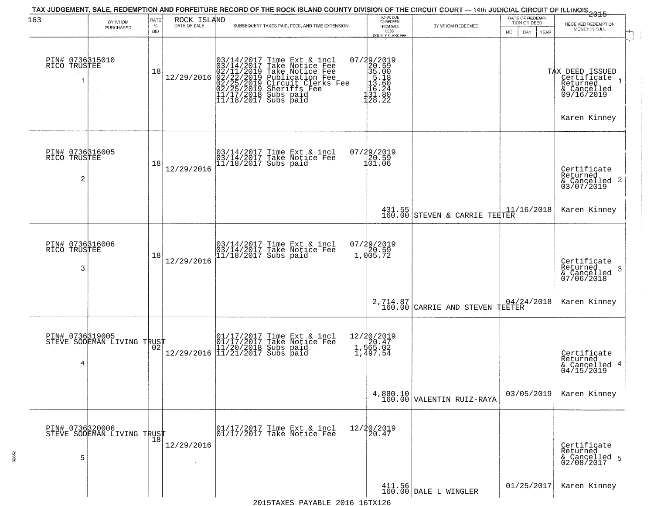| 163                                  | BY WHOM<br>PURCHASED                          | RATE<br>$\%$ | ROCK ISLAND<br>DATE OF SALE | TAX JUDGEMENT, SALE, REDEMPTION AND FORFEITURE RECORD OF THE ROCK ISLAND COUNTY DIVISION OF THE CIRCUIT COURT — 14th JUDICIAL CIRCUIT OF ILLINOIS 2015<br>SUBSEQUENT TAXES PAID, FEES, AND TIME EXTENSION                                  | TOTAL DUE<br>TO REDEEM<br>FROM SALE                                                                                                                                                        | BY WHOM REDEEMED                          | DATE OF REDEMP-<br>TION OR DEED | RECEIVED REDEMPTION                                                     |
|--------------------------------------|-----------------------------------------------|--------------|-----------------------------|--------------------------------------------------------------------------------------------------------------------------------------------------------------------------------------------------------------------------------------------|--------------------------------------------------------------------------------------------------------------------------------------------------------------------------------------------|-------------------------------------------|---------------------------------|-------------------------------------------------------------------------|
|                                      |                                               | <b>BID</b>   |                             |                                                                                                                                                                                                                                            | LESS<br>COUNTY CLERK FEE                                                                                                                                                                   |                                           | MO.<br>DAY<br>YEAR              | MONEY IN FULL                                                           |
| PIN# 0736315010<br>RICO TRUSTEE<br>1 |                                               | 18           | 12/29/2016                  | $03/14/2017$ Time Ext & incl<br>$03/14/2017$ Take Notice Fee<br>$02/11/2019$ Take Notice Fee<br>$02/22/2019$ Publication Fee<br>$02/25/2019$ Sheriffs Fee<br>$02/25/2019$ Sheriffs Fee<br>$11/17/2018$ Subs paid<br>$11/18/2017$ Subs paid | 07/29/2019<br>$\begin{smallmatrix} 2 & 2 & 5 & 9 \\ 20 & 5 & 9 & 0 \\ 3 & 5 & 0 & 0 \\ 1 & 3 & 0 & 6 & 0 \\ 1 & 1 & 6 & 0 & 2 \\ 1 & 3 & 1 & 8 & 0 \\ 1 & 2 & 8 & 0 & 2 \end{smallmatrix}$ |                                           |                                 | TAX DEED ISSUED<br>Certificate<br>Returned<br>& Cancelled<br>09/16/2019 |
|                                      |                                               |              |                             |                                                                                                                                                                                                                                            |                                                                                                                                                                                            |                                           |                                 | Karen Kinney                                                            |
| PIN# 0736316005<br>RICO TRUSTEE<br>2 |                                               | 18           | 12/29/2016                  | 03/14/2017 Time Ext & incl<br>03/14/2017 Take Notice Fee<br>11/18/2017 Subs paid                                                                                                                                                           | 07/29/2019<br>20.59<br>101.06                                                                                                                                                              |                                           |                                 | Certificate<br>Returned<br>& Cancelled 2<br>03/07/2019                  |
|                                      |                                               |              |                             |                                                                                                                                                                                                                                            |                                                                                                                                                                                            | 431.55  <br>160.00 STEVEN & CARRIE TEETER | 11/16/2018                      | Karen Kinney                                                            |
| PIN# 0736316006<br>RICO TRUSTEE<br>3 |                                               | 18           | 12/29/2016                  | 03/14/2017 Time Ext & incl<br>03/14/2017 Take Notice Fee<br>11/18/2017 Subs paid                                                                                                                                                           | 07/29/2019<br>20.59<br>1,005.72                                                                                                                                                            |                                           |                                 | Certificate<br>Returned<br>-3<br>& Cancelled<br>07/06/2018              |
|                                      |                                               |              |                             |                                                                                                                                                                                                                                            | 2,714.87<br>160.00                                                                                                                                                                         | CARRIE AND STEVEN                         | 04/24/2018<br>TEETER            | Karen Kinney                                                            |
| PIN# 0736319005<br>4                 | STEVE SODEMAN LIVING TRUST                    |              |                             | 01/17/2017 Time Ext & incl<br>01/17/2017 Take Notice Fee<br>11/20/2018 Subs paid<br>12/29/2016 11/21/2017 Subs paid                                                                                                                        | 12/20/2019<br>1,565.02<br>1,565.02<br>1,497.54                                                                                                                                             |                                           |                                 | Certificate<br>Returned<br>& Cancelled 4<br>04/15/2019                  |
|                                      |                                               |              |                             |                                                                                                                                                                                                                                            |                                                                                                                                                                                            | 4,880.10<br>160.00 VALENTIN RUIZ-RAYA     | 03/05/2019                      | Karen Kinney                                                            |
| 5                                    | PIN# 0736320006<br>STEVE SODEMAN LIVING TRUST |              | 12/29/2016                  | 01/17/2017 Time Ext & incl<br>01/17/2017 Take Notice Fee                                                                                                                                                                                   | 12/20/2019<br>20.47                                                                                                                                                                        |                                           |                                 | Certificate<br>Returned<br>& Cancelled 5<br>02/08/2017                  |
|                                      |                                               |              |                             |                                                                                                                                                                                                                                            |                                                                                                                                                                                            | 411.56<br>160.00 DALE L WINGLER           | 01/25/2017                      | Karen Kinney                                                            |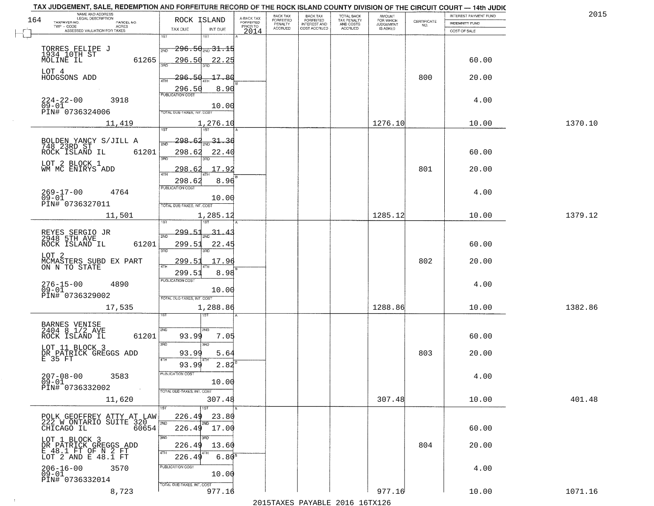|     | TAX JUDGEMENT, SALE, REDEMPTION AND FORFEITURE RECORD OF THE ROCK ISLAND COUNTY DIVISION OF THE CIRCUIT COURT - 14th JUDIC<br>NAME AND ADDRESS<br>LEGAL DESCRIPTION |                                       |                                     | BACK TAX                    |                                              |                                        |                                         |                                                                 | INTEREST PAYMENT FUND | 2015    |
|-----|---------------------------------------------------------------------------------------------------------------------------------------------------------------------|---------------------------------------|-------------------------------------|-----------------------------|----------------------------------------------|----------------------------------------|-----------------------------------------|-----------------------------------------------------------------|-----------------------|---------|
| 164 | TAXPAYER NO.<br>PARCEL NO.                                                                                                                                          | ROCK ISLAND                           | A-BACK TAX<br>FORFEITED<br>PRIOR TO | <b>FORFEITED</b><br>PENALTY | BACK TAX<br>FORFEITED<br><b>INTEREST AND</b> | TOTAL BACK<br>TAX PENALTY<br>AND COSTS | AMOUNT<br>FOR WHICH<br><b>JUDGEMENT</b> | $\begin{array}{c} \text{CERTIFICATE} \\ \text{NO.} \end{array}$ | INDEMNITY FUND        |         |
|     | ACRES<br>ASSESSED VALUATION FOR TAXES                                                                                                                               | INT DUE<br>TAX DUE                    | 2014                                | <b>ACCRUED</b>              | COST ACCRUED                                 | <b>ACCRUED</b>                         | IS ASKED                                |                                                                 | COST OF SALE          |         |
|     |                                                                                                                                                                     | 1ST<br>1ST                            |                                     |                             |                                              |                                        |                                         |                                                                 |                       |         |
|     |                                                                                                                                                                     | <del>296.50mg31.15</del><br>2ND       |                                     |                             |                                              |                                        |                                         |                                                                 |                       |         |
|     | TORRES FELIPE J<br>1934 10TH ST<br>MOLINE IL<br>61265                                                                                                               | 296.50<br>22.25                       |                                     |                             |                                              |                                        |                                         |                                                                 | 60.00                 |         |
|     |                                                                                                                                                                     |                                       |                                     |                             |                                              |                                        |                                         |                                                                 |                       |         |
|     | LOT 4<br>HODGSONS ADD                                                                                                                                               | <u> 296.50</u><br>17.80               |                                     |                             |                                              |                                        |                                         | 800                                                             | 20.00                 |         |
|     |                                                                                                                                                                     |                                       |                                     |                             |                                              |                                        |                                         |                                                                 |                       |         |
|     |                                                                                                                                                                     | 8.90<br>296.50                        |                                     |                             |                                              |                                        |                                         |                                                                 |                       |         |
|     | 224-22-00<br>09-01<br>3918                                                                                                                                          |                                       |                                     |                             |                                              |                                        |                                         |                                                                 | 4.00                  |         |
|     | PIN# 0736324006                                                                                                                                                     | 10.00<br>TOTAL DUE-TAXES, INT. COST   |                                     |                             |                                              |                                        |                                         |                                                                 |                       |         |
|     | 11,419                                                                                                                                                              | 1,276.10                              |                                     |                             |                                              |                                        | 1276.10                                 |                                                                 | 10.00                 | 1370.10 |
|     |                                                                                                                                                                     |                                       |                                     |                             |                                              |                                        |                                         |                                                                 |                       |         |
|     |                                                                                                                                                                     | $\frac{31.30}{200}$<br><u> 298.62</u> |                                     |                             |                                              |                                        |                                         |                                                                 |                       |         |
|     | BOLDEN YANCY S/JILL A<br>748 23RD ST                                                                                                                                | মঁচ                                   |                                     |                             |                                              |                                        |                                         |                                                                 |                       |         |
|     | 61201<br>ROCK ISLAND IL                                                                                                                                             | 298.62<br>22.40<br>बन्ना<br>3RD       |                                     |                             |                                              |                                        |                                         |                                                                 | 60.00                 |         |
|     | LOT 2 BLOCK 1                                                                                                                                                       |                                       |                                     |                             |                                              |                                        |                                         |                                                                 |                       |         |
|     | WM MC ENIRYS ADD                                                                                                                                                    | 17.92<br>298.62                       |                                     |                             |                                              |                                        |                                         | 801                                                             | 20.00                 |         |
|     |                                                                                                                                                                     | 298.62<br>8.96                        |                                     |                             |                                              |                                        |                                         |                                                                 |                       |         |
|     | $269 - 17 - 00$<br>4764                                                                                                                                             | PUBLICATION COST                      |                                     |                             |                                              |                                        |                                         |                                                                 | 4.00                  |         |
|     | $09 - 01$<br>PIN# 0736327011                                                                                                                                        | 10.00                                 |                                     |                             |                                              |                                        |                                         |                                                                 |                       |         |
|     |                                                                                                                                                                     | TOTAL DUE-TAXES, INT. COST            |                                     |                             |                                              |                                        |                                         |                                                                 |                       |         |
|     | 11,501                                                                                                                                                              | 1,285.12<br>1ST                       |                                     |                             |                                              |                                        | 1285.12                                 |                                                                 | 10.00                 | 1379.12 |
|     |                                                                                                                                                                     |                                       |                                     |                             |                                              |                                        |                                         |                                                                 |                       |         |
|     | REYES SERGIO JR<br>2948 5TH AVE                                                                                                                                     | <u> 299.5.</u><br>31.4<br>2ND         |                                     |                             |                                              |                                        |                                         |                                                                 |                       |         |
|     | ROCK ISLAND IL<br>61201                                                                                                                                             | 299.51<br>22.45<br>3RD                |                                     |                             |                                              |                                        |                                         |                                                                 | 60.00                 |         |
|     | LOT 2                                                                                                                                                               | 3RD                                   |                                     |                             |                                              |                                        |                                         |                                                                 |                       |         |
|     | MCMASTERS SUBD EX PART<br>ON N TO STATE                                                                                                                             | 299.5<br>17.96<br>4TH                 |                                     |                             |                                              |                                        |                                         | 802                                                             | 20.00                 |         |
|     |                                                                                                                                                                     | 299.51<br>8.98                        |                                     |                             |                                              |                                        |                                         |                                                                 |                       |         |
|     | 4890                                                                                                                                                                | <b>PUBLICATION COST</b>               |                                     |                             |                                              |                                        |                                         |                                                                 | 4.00                  |         |
|     | 276-15-00<br>09-01                                                                                                                                                  | 10.00                                 |                                     |                             |                                              |                                        |                                         |                                                                 |                       |         |
|     | PIN# 0736329002                                                                                                                                                     | TOTAL OUE-TAXES, INT. COST            |                                     |                             |                                              |                                        |                                         |                                                                 |                       |         |
|     | 17,535                                                                                                                                                              | 1,288.86                              |                                     |                             |                                              |                                        | 1288.86                                 |                                                                 | 10.00                 | 1382.86 |
|     |                                                                                                                                                                     | 1ST                                   |                                     |                             |                                              |                                        |                                         |                                                                 |                       |         |
|     | BARNES VENISE<br>2404 8 1/2 AVE                                                                                                                                     | 2ND<br>2ND                            |                                     |                             |                                              |                                        |                                         |                                                                 |                       |         |
|     | ROCK ISLAND IL<br>61201                                                                                                                                             | 93.99<br>7.05                         |                                     |                             |                                              |                                        |                                         |                                                                 | 60.00                 |         |
|     | LOT 11 BLOCK 3                                                                                                                                                      | 3 <sub>BD</sub><br>3RD                |                                     |                             |                                              |                                        |                                         |                                                                 |                       |         |
|     | DR PATRICK GREGGS ADD<br>E 35 FT                                                                                                                                    | 93.99<br>5.64<br>4TH                  |                                     |                             |                                              |                                        |                                         | 803                                                             | 20.00                 |         |
|     |                                                                                                                                                                     | 93.99<br>2.82                         |                                     |                             |                                              |                                        |                                         |                                                                 |                       |         |
|     | $207 - 08 - 00$<br>3583                                                                                                                                             | PUBLICATION COS-                      |                                     |                             |                                              |                                        |                                         |                                                                 | 4.00                  |         |
|     | $09 - 01$                                                                                                                                                           | 10.00                                 |                                     |                             |                                              |                                        |                                         |                                                                 |                       |         |
|     | PIN# 0736332002<br>$\sim 100$                                                                                                                                       | TOTAL DUE-TAXES, INT. COST            |                                     |                             |                                              |                                        |                                         |                                                                 |                       |         |
|     | 11,620                                                                                                                                                              | 307.48                                |                                     |                             |                                              |                                        | 307.48                                  |                                                                 | 10.00                 | 401.48  |
|     |                                                                                                                                                                     |                                       |                                     |                             |                                              |                                        |                                         |                                                                 |                       |         |
|     | POLK GEOFFREY ATTY AT LAW<br>POLK GEOFFREI SUITE 320<br>222 W ONTARIO SUITE 320<br>CHICAGO IL 60654                                                                 | 226.49<br>23.80<br>2ND                |                                     |                             |                                              |                                        |                                         |                                                                 |                       |         |
|     |                                                                                                                                                                     | 17.00<br>226.49                       |                                     |                             |                                              |                                        |                                         |                                                                 | 60.00                 |         |
|     |                                                                                                                                                                     | 3RD                                   |                                     |                             |                                              |                                        |                                         |                                                                 |                       |         |
|     | LOT 1 BLOCK 3<br>DR PATRICK GREGGS ADD                                                                                                                              | 226.49<br>13.60                       |                                     |                             |                                              |                                        |                                         | 804                                                             | 20.00                 |         |
|     | E 48.1 FT OF N 2 FT<br>LOT 2 AND E 48.1 FT                                                                                                                          | 4TH<br>$6.80^{8}$<br>226.49           |                                     |                             |                                              |                                        |                                         |                                                                 |                       |         |
|     | 206-16-00<br>3570                                                                                                                                                   | PUBLICATION COST                      |                                     |                             |                                              |                                        |                                         |                                                                 | 4.00                  |         |
|     | $09 - 01$                                                                                                                                                           | 10.00                                 |                                     |                             |                                              |                                        |                                         |                                                                 |                       |         |
|     | PIN# 0736332014                                                                                                                                                     | TOTAL DUE-TAXES, INT. COST            |                                     |                             |                                              |                                        |                                         |                                                                 |                       |         |
|     | 8,723                                                                                                                                                               | 977.16                                |                                     |                             |                                              |                                        | 977.16                                  |                                                                 | 10.00                 | 1071.16 |
|     |                                                                                                                                                                     |                                       |                                     |                             |                                              | 2015 TAVEC DAVADIE 2016 16TV126        |                                         |                                                                 |                       |         |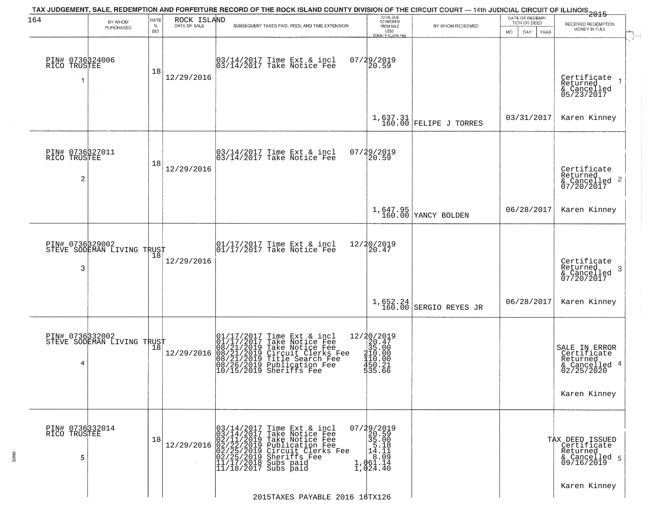| 164                                               | BY WHOM                                                   | RATE<br>$\%$ | ROCK ISLAND<br>DATE OF SALE | TAX JUDGEMENT, SALE, REDEMPTION AND FORFEITURE RECORD OF THE ROCK ISLAND COUNTY DIVISION OF THE CIRCUIT COURT — 14th JUDICIAL CIRCUIT OF ILLINOIS 2015<br>SUBSEQUENT TAXES PAID, FEES, AND TIME EXTENSION                                                                                      | TOTAL DUE<br>TO REDEEM<br>FROM SALE                                                                                                                                                 | BY WHOM REDEEMED                | DATE OF REDEMP-<br>TION OR DEED | RECEIVED REDEMPTION                                                                         |
|---------------------------------------------------|-----------------------------------------------------------|--------------|-----------------------------|------------------------------------------------------------------------------------------------------------------------------------------------------------------------------------------------------------------------------------------------------------------------------------------------|-------------------------------------------------------------------------------------------------------------------------------------------------------------------------------------|---------------------------------|---------------------------------|---------------------------------------------------------------------------------------------|
|                                                   | PURCHASED                                                 | <b>BID</b>   |                             |                                                                                                                                                                                                                                                                                                | LESS<br>COUNTY CLERK FEE                                                                                                                                                            |                                 | MO.<br>DAY.<br><b>YEAR</b>      | MONEY IN FULL                                                                               |
| PIN# 0736324006<br>RICO TRUSTEE                   |                                                           | 18           | 12/29/2016                  | 03/14/2017 Time Ext & incl<br>03/14/2017 Take Notice Fee                                                                                                                                                                                                                                       | $07/29/2019$<br>20.59                                                                                                                                                               |                                 |                                 | Certificate<br>Returned<br>& Cancelled<br>05/23/2017                                        |
|                                                   |                                                           |              |                             |                                                                                                                                                                                                                                                                                                |                                                                                                                                                                                     | $1,637.31$ FELIPE J TORRES      | 03/31/2017                      | Karen Kinney                                                                                |
| PIN# 0736327011<br>RICO TRUSTEE<br>$\overline{c}$ |                                                           | 18           | 12/29/2016                  | $\begin{bmatrix} 03/14/2017 \\ 03/14/2017 \end{bmatrix}$ Take Notice Fee                                                                                                                                                                                                                       | 07/29/2019<br>20.59                                                                                                                                                                 |                                 |                                 | Certificate<br>Returned<br>$\overline{2}$<br>& Cancelled<br>07/20/2017                      |
|                                                   |                                                           |              |                             |                                                                                                                                                                                                                                                                                                |                                                                                                                                                                                     | 1,647.95<br>160.00 YANCY BOLDEN | 06/28/2017                      | Karen Kinney                                                                                |
| PIN# 0736329002<br>3                              | STEVE SODEMAN LIVING TRUST                                | 18           | 12/29/2016                  | $\begin{array}{ccc}  01/17/2017 \text{ Time} & \text{Ext} & \text{incl} \\  01/17/2017 \text{ Take Notice } \text{Fe} \end{array}$                                                                                                                                                             | 12/20/2019<br>20.47                                                                                                                                                                 |                                 |                                 | Certificate<br>Returned<br>3<br>& Cancelled<br>07/20/2017                                   |
|                                                   |                                                           |              |                             |                                                                                                                                                                                                                                                                                                |                                                                                                                                                                                     | 1,652.24 SERGIO REYES JR        | 06/28/2017                      | Karen Kinney                                                                                |
| PIN# 0736332002<br>4                              | FIN# USSOPEMAN LIVING TRUST<br>STEVE SODEMAN LIVING TRUST |              | 12/29/2016                  | $\begin{smallmatrix} 01/17/2017\\01/17/2017\\08/21/2019\\08/21/2019\\08/21/2019\\08/26/2019\\08/26/2019\\10/15/2019\end{smallmatrix}$<br>Time Ext & incl<br>Take Notice Fee<br>Take Notice Fee<br>Circuit Clerks Fee<br>Title Search Fee<br>Publication Fee<br>Sheriffs Fee                    | 12/20/2019<br>$\begin{array}{c}\n 20.47 \\  35.00 \\  410.00 \\  110.00 \\  450.21 \\  56.66\n\end{array}$<br>$\frac{1}{3}$ $\frac{3}{5}$ $\frac{2}{5}$ $\frac{2}{5}$ $\frac{2}{5}$ |                                 |                                 | SALE IN ERROR<br>Certificate<br>Returned<br>-4<br>& Cancelled<br>02/25/2020<br>Karen Kinney |
| PIN# 0736332014<br>RICO TRUSTEE<br>5              |                                                           | 18           | 12/29/2016                  | 03/14/2017<br>03/14/2017<br>Time Ext & incl<br>Take Notice Fee<br>02/11/2019 Take Notic<br>02/22/2019 Publicatio<br>02/25/2019 Publicatio<br>02/25/2019 Sheriffs F<br>11/17/2018 Subs paid<br>11/18/2017 Subs paid<br>Take Notice Fee<br>Publication Fee<br>Circuit Clerks Fee<br>Sheriffs Fee | 07/29/2019<br>20.59<br>$\begin{bmatrix} 35.00 \\ 5.18 \\ 14.11 \end{bmatrix}$<br>$\sqrt{61.14}$<br>$\frac{1}{1}$ , 061.14<br>1, 024.40                                              |                                 |                                 | TAX DEED ISSUED<br>Certificate<br>Returned<br>& Cancelled 5<br>09/16/2019                   |
|                                                   |                                                           |              |                             | 2015TAXES PAYABLE 2016 16TX126                                                                                                                                                                                                                                                                 |                                                                                                                                                                                     |                                 |                                 | Karen Kinney                                                                                |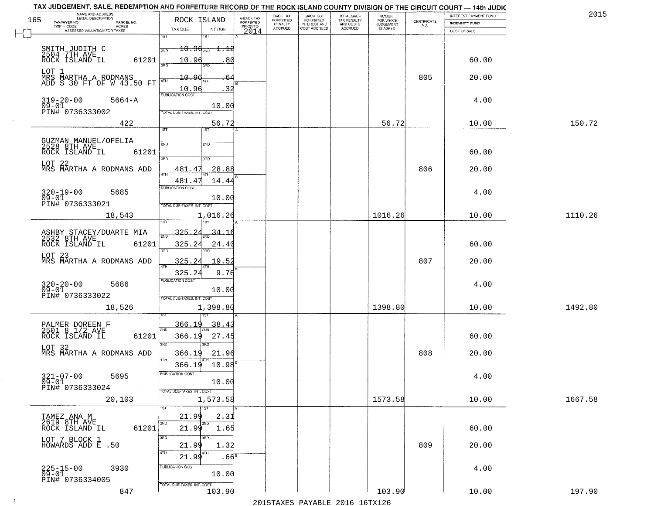|     | TAX JUDGEMENT, SALE, REDEMPTION AND FORFEITURE RECORD OF THE ROCK ISLAND COUNTY DIVISION OF THE CIRCUIT COURT - 14th JUDIC<br>NAME AND ADDRESS<br>LEGAL DESCRIPTION |                                                                                                     |                                     | BACK TAX             |                                              |                                        |                                         |                                                                 | INTEREST PAYMENT FUND | 2015    |
|-----|---------------------------------------------------------------------------------------------------------------------------------------------------------------------|-----------------------------------------------------------------------------------------------------|-------------------------------------|----------------------|----------------------------------------------|----------------------------------------|-----------------------------------------|-----------------------------------------------------------------|-----------------------|---------|
| 165 | TAXPAYER NO.<br>PARCEL NO.                                                                                                                                          | ROCK ISLAND                                                                                         | A-BACK TAX<br>FORFEITED<br>PRIOR TO | FORFEITED<br>PENALTY | BACK TAX<br>FORFEITED<br><b>INTEREST AND</b> | TOTAL BACK<br>TAX PENALTY<br>AND COSTS | AMOUNT<br>FOR WHICH<br><b>JUDGEMENT</b> | $\begin{array}{c} \text{CEPTIFICATE} \\ \text{NO.} \end{array}$ | <b>INDEMNITY FUND</b> |         |
|     | ACRES<br>ASSESSED VALUATION FOR TAXES                                                                                                                               | TAX DUE<br>INT DUE                                                                                  | 2014                                | <b>ACCRUED</b>       | COST ACCRUED                                 | <b>ACCRUED</b>                         | IS ASKED                                |                                                                 | COST OF SALE          |         |
|     | SMITH JUDITH C<br>2504 7TH AVE<br>ROCK ISLAND IL<br>61201                                                                                                           | 1ST<br>1ST<br>$10.96_{200}$<br><del>1.1</del> 2<br>2ND<br>10.96<br>80                               |                                     |                      |                                              |                                        |                                         |                                                                 | 60.00                 |         |
|     | LOT 1<br>MRS MARTHA A RODMANS<br>ADD S 30 FT OF W 43.50 FT                                                                                                          | 3RD<br>3RD<br>10.96<br>10.96<br>. 32                                                                |                                     |                      |                                              |                                        |                                         | 805                                                             | 20.00                 |         |
|     | $319-20-00$<br>09-01<br>$5664 - A$<br>PIN# 0736333002                                                                                                               | <b>PUBLICATION COST</b><br>10.00<br>TOTAL DUE-TAXES, INT. COST                                      |                                     |                      |                                              |                                        |                                         |                                                                 | 4.00                  |         |
|     | 422                                                                                                                                                                 | 56.72                                                                                               |                                     |                      |                                              |                                        | 56.72                                   |                                                                 | 10.00                 | 150.72  |
|     | GUZMAN MANUEL/OFELIA<br>2528 8TH AVE<br>ROCK ISLAND IL<br>61201<br>LOT 22<br>MRS MARTHA A RODMANS ADD                                                               | 1ST<br>1ST<br>2ND<br>2ND<br>$\overline{3BD}$<br>3RD<br>28.88<br>481.47<br>ৰাম                       |                                     |                      |                                              |                                        |                                         | 806                                                             | 60.00<br>20.00        |         |
|     | $320 - 19 - 00$<br>5685<br>$09 - 01$<br>PIN# 0736333021                                                                                                             | 14.44<br>481.47<br>PUBLICATION COST<br>10.00<br>TOTAL DUE-TAXES, INT. COST                          |                                     |                      |                                              |                                        |                                         |                                                                 | 4.00                  |         |
|     | 18,543                                                                                                                                                              | 1,016.26<br>i ST                                                                                    |                                     |                      |                                              |                                        | 1016.26                                 |                                                                 | 10.00                 | 1110.26 |
|     | ASHBY STACEY/DUARTE MIA<br>2532 8TH AVE<br>ROCK ISLAND IL<br>61201<br>LOT 23<br>MRS MARTHA A RODMANS ADD                                                            | 325.24<br>34.16<br>2ND<br>325.24<br>24.40<br>3BD<br>3RD<br>325.24<br>19.5                           |                                     |                      |                                              |                                        |                                         | 807                                                             | 60.00<br>20.00        |         |
|     | $320 - 20 - 00$<br>09-01<br>5686<br>PIN# 0736333022<br>18,526                                                                                                       | 4TH<br>9.76<br>325.24<br><b>PUBLICATION COST</b><br>10.00<br>TOTAL OUE-TAXES, INT. COST<br>1,398.80 |                                     |                      |                                              |                                        | 1398.80                                 |                                                                 | 4.00<br>10.00         | 1492.80 |
|     |                                                                                                                                                                     |                                                                                                     |                                     |                      |                                              |                                        |                                         |                                                                 |                       |         |
|     | PALMER DOREEN F<br>2501 8 1/2 AVE<br>ROCK ISLAND IL<br>61201<br>LOT 32<br>MRS MARTHA A RODMANS ADD                                                                  | 366.19<br>38.4<br>2ND<br>366.19<br>27.45<br>3 <sub>BD</sub><br>3RD<br>366.19<br>21.96               |                                     |                      |                                              |                                        |                                         | 808                                                             | 60.00<br>20.00        |         |
|     | $321 - 07 - 00$<br>5695<br>$09 - 01$<br>PIN# 0736333024                                                                                                             | 4TH<br>10.98<br>366.19<br>-usuca i un cus-<br>10.00                                                 |                                     |                      |                                              |                                        |                                         |                                                                 | 4.00                  |         |
|     | <b>Contract</b><br>20,103                                                                                                                                           | TOTAL DUE-TAXES, INT. COST<br>1,573.58<br>1ST                                                       |                                     |                      |                                              |                                        | 1573.58                                 |                                                                 | 10.00                 | 1667.58 |
|     | TAMEZ ANA M<br>2619 8TH AVE<br>61201<br>ROCK ISLAND IL                                                                                                              | 21.99<br>2.31<br>2ND<br>2ND<br>21.99<br>1.65                                                        |                                     |                      |                                              |                                        |                                         |                                                                 | 60.00                 |         |
|     | LOT 7 BLOCK 1<br>HOWARDS ADD E .50                                                                                                                                  | 3RD<br>21.99<br>1.32<br>4TH<br>4TH<br>21.99<br>.66                                                  |                                     |                      |                                              |                                        |                                         | 809                                                             | 20.00                 |         |
|     | 225-15-00<br>09-01<br>3930<br>PIN# 0736334005                                                                                                                       | PUBLICATION COST<br>10.00<br>TOTAL DUE-TAXES, INT. COST                                             |                                     |                      |                                              |                                        |                                         |                                                                 | 4.00                  |         |
|     | 847                                                                                                                                                                 | 103.90                                                                                              |                                     |                      |                                              |                                        | 103.90                                  |                                                                 | 10.00                 | 197.90  |

 $\sim 10^{-1}$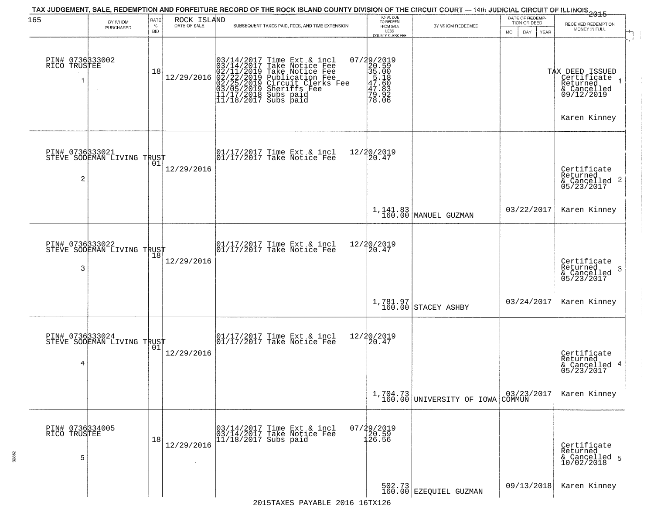| 165                                  | BY WHOM                    | RATE               | ROCK ISLAND  | TAX JUDGEMENT, SALE, REDEMPTION AND FORFEITURE RECORD OF THE ROCK ISLAND COUNTY DIVISION OF THE CIRCUIT COURT — 14th JUDICIAL CIRCUIT OF ILLINOIS 2015                                                        | TOTAL DUE<br>TO REDEEM                                                   |                                                                               | DATE OF REDEMP-<br>TION OR DEED |                                                                                         |
|--------------------------------------|----------------------------|--------------------|--------------|---------------------------------------------------------------------------------------------------------------------------------------------------------------------------------------------------------------|--------------------------------------------------------------------------|-------------------------------------------------------------------------------|---------------------------------|-----------------------------------------------------------------------------------------|
|                                      | PURCHASED                  | $\%$<br><b>BID</b> | DATE OF SALE | SUBSEQUENT TAXES PAID, FEES, AND TIME EXTENSION                                                                                                                                                               | FROM SALE<br>LESS<br><b>COUNTY CLERK FEE</b>                             | BY WHOM REDEEMED                                                              | MO.<br>DAY.<br>YEAR             | RECEIVED REDEMPTION<br>MONEY IN FULL                                                    |
| PIN# 0736333002<br>RICO TRUSTEE      |                            | 18                 | 12/29/2016   | $03/14/2017$ Time Ext & incl<br>$03/14/2017$ Take Notice Fee<br>$02/11/2019$ Take Notice Fee<br>$02/22/2019$ Publication Fee<br>$03/05/2019$ Sheriffs Fee<br>$11/17/2018$ Subs paid<br>$11/18/2017$ Subs paid | 07/29/2019<br>20.59<br>35.00<br>5.18<br>47.60<br>47.83<br>79.92<br>78.06 |                                                                               |                                 | TAX DEED ISSUED<br>Certificate<br>Returned<br>& Cancelled<br>09/12/2019<br>Karen Kinney |
| PIN# 0736333021<br>2                 | STEVE SODEMAN LIVING TRUST | . N 1              | 12/29/2016   | $\begin{bmatrix} 01/17/2017 \\ 01/17/2017 \end{bmatrix}$ Take Notice Fee                                                                                                                                      | 12/20/2019<br>20.47                                                      |                                                                               |                                 | Certificate<br>Returned<br>& Cancelled 2<br>05/23/2017                                  |
|                                      |                            |                    |              |                                                                                                                                                                                                               |                                                                          | 1,141.83<br>160.00 MANUEL GUZMAN                                              | 03/22/2017                      | Karen Kinney                                                                            |
| PIN# 0736333022<br>3                 | STEVE SODEMAN LIVING TRUST | 18                 | 12/29/2016   | 01/17/2017 Time Ext & incl<br>01/17/2017 Take Notice Fee                                                                                                                                                      | 12/20/2019<br>20.47                                                      |                                                                               |                                 | Certificate<br>Returned<br>3<br>& Cancelled<br>05/23/2017                               |
|                                      |                            |                    |              |                                                                                                                                                                                                               |                                                                          | $\left  \begin{array}{c} 1,781.97 \\ 160.00 \end{array} \right $ STACEY ASHBY | 03/24/2017                      | Karen Kinney                                                                            |
| PIN# 0736333024<br>4                 | STEVE SODEMAN LIVING TRUST |                    | 12/29/2016   | 01/17/2017 Time Ext & incl<br>01/17/2017 Take Notice Fee                                                                                                                                                      | 12/20/2019<br>⊺žó̃.47                                                    |                                                                               |                                 | Certificate<br>Returned<br>& Cancelled 4<br>05/23/2017                                  |
|                                      |                            |                    |              |                                                                                                                                                                                                               |                                                                          | 1,704.73<br>160.00 UNIVERSITY OF IOWA COMMUN                                  | 03/23/2017                      | Karen Kinney                                                                            |
| PIN# 0736334005<br>RICO TRUSTEE<br>5 |                            | 18                 | 12/29/2016   | 03/14/2017 Time Ext & incl<br>03/14/2017 Take Notice Fee<br>$11/18/2017$ Subs paid                                                                                                                            | 07/29/2019<br>20.59<br>126.56                                            |                                                                               |                                 | Certificate<br>Returned<br>& Cancelled 5<br>10/02/2018                                  |
|                                      |                            |                    |              |                                                                                                                                                                                                               |                                                                          | 502.73<br>160.00 EZEQUIEL GUZMAN                                              | 09/13/2018                      | Karen Kinney                                                                            |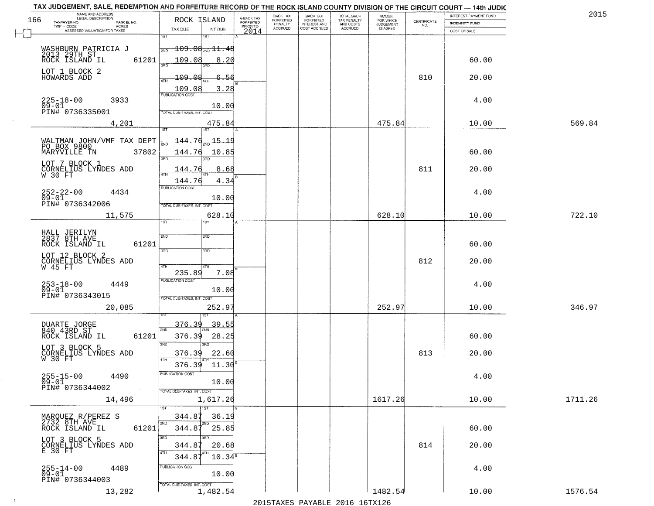| TAX JUDGEMENT, SALE, REDEMPTION AND FORFEITURE RECORD OF THE ROCK ISLAND COUNTY DIVISION OF THE CIRCUIT COURT - 14th JUDIC |                                            |                         |                              |                                           |                                        |                                    |                    |                       |         |
|----------------------------------------------------------------------------------------------------------------------------|--------------------------------------------|-------------------------|------------------------------|-------------------------------------------|----------------------------------------|------------------------------------|--------------------|-----------------------|---------|
| NAME AND ADDRESS<br>LEGAL DESCRIPTION<br>166                                                                               | ROCK ISLAND                                | A-BACK TAX<br>FORFEITED | <b>BACK TAX</b><br>FORFEITED | <b>BACK TAX</b>                           | TOTAL BACK<br>TAX PENALTY<br>AND COSTS | <b>AMOUNT</b>                      | <b>CERTIFICATE</b> | INTEREST PAYMENT FUND | 2015    |
| TAXPAYER NO.<br>PARCEL NO.<br>$TWP - CODE$<br>ACRES                                                                        | TAX DUE<br>INT DUE                         | PRIOR TO                | PENALTY<br>ACCRUED           | FORFEITED<br>INTEREST AND<br>COST ACCRUED | ACCRUED                                | FOR WHICH<br>JUDGEMENT<br>IS ASKED | NO.                | <b>INDEMNITY FUND</b> |         |
| ASSESSED VALUATION FOR TAXES                                                                                               | 1ST<br>15T                                 | 2014                    |                              |                                           |                                        |                                    |                    | COST OF SALE          |         |
|                                                                                                                            |                                            |                         |                              |                                           |                                        |                                    |                    |                       |         |
| WASHBURN PATRICIA J                                                                                                        | $-109.06_{\rm 200}$ $11.48$<br>2ND         |                         |                              |                                           |                                        |                                    |                    |                       |         |
| 2013 29TH ST<br>ROCK ISLAND IL<br>61201                                                                                    | 109.08<br>8.20                             |                         |                              |                                           |                                        |                                    |                    | 60.00                 |         |
| LOT 1 BLOCK 2                                                                                                              | 39ñ                                        |                         |                              |                                           |                                        |                                    |                    |                       |         |
| HOWARDS ADD                                                                                                                | 109.08<br>-56<br>4TH                       |                         |                              |                                           |                                        |                                    | 810                | 20.00                 |         |
|                                                                                                                            | 109.08<br>3.28                             |                         |                              |                                           |                                        |                                    |                    |                       |         |
|                                                                                                                            | <b>PUBLICATION COST</b>                    |                         |                              |                                           |                                        |                                    |                    |                       |         |
| 3933<br>$225 - 18 - 00$<br>$09 - 01$                                                                                       | 10.00                                      |                         |                              |                                           |                                        |                                    |                    | 4.00                  |         |
| PIN# 0736335001                                                                                                            | TOTAL DUE-TAXES, INT. COST                 |                         |                              |                                           |                                        |                                    |                    |                       |         |
| 4,201                                                                                                                      | 475.84                                     |                         |                              |                                           |                                        | 475.84                             |                    | 10.00                 | 569.84  |
|                                                                                                                            | IST                                        |                         |                              |                                           |                                        |                                    |                    |                       |         |
|                                                                                                                            | $\frac{144.76}{200}$ 15.19                 |                         |                              |                                           |                                        |                                    |                    |                       |         |
| WALTMAN JOHN/VMF TAX DEPT<br>PO BOX 9800                                                                                   |                                            |                         |                              |                                           |                                        |                                    |                    |                       |         |
| MARYVILLE TN<br>37802                                                                                                      | 144.76<br>10.85<br>$\overline{3BD}$<br>3RD |                         |                              |                                           |                                        |                                    |                    | 60.00                 |         |
| LOT 7 BLOCK 1                                                                                                              |                                            |                         |                              |                                           |                                        |                                    | 811                |                       |         |
| CORNELIUS LYNDES ADD<br>W 30 FT                                                                                            | 144.76<br>8.68<br>ৰাম                      |                         |                              |                                           |                                        |                                    |                    | 20.00                 |         |
|                                                                                                                            | 144.76<br>4.34                             |                         |                              |                                           |                                        |                                    |                    |                       |         |
| $252 - 22 - 00$<br>4434                                                                                                    | PUBLICATION COST                           |                         |                              |                                           |                                        |                                    |                    | 4.00                  |         |
| $09 - 01$<br>PIN# 0736342006                                                                                               | 10.00                                      |                         |                              |                                           |                                        |                                    |                    |                       |         |
|                                                                                                                            | TOTAL DUE-TAXES, INT. COST                 |                         |                              |                                           |                                        |                                    |                    |                       |         |
| 11,575                                                                                                                     | 628.10<br>1ST<br>1ST                       |                         |                              |                                           |                                        | 628.10                             |                    | 10.00                 | 722.10  |
|                                                                                                                            |                                            |                         |                              |                                           |                                        |                                    |                    |                       |         |
| HALL JERILYN<br>2837 8TH AVE                                                                                               | 2ND<br><b>SMD</b>                          |                         |                              |                                           |                                        |                                    |                    |                       |         |
| 61201<br>ROCK ISLAND IL                                                                                                    |                                            |                         |                              |                                           |                                        |                                    |                    | 60.00                 |         |
| LOT 12 BLOCK 2                                                                                                             | 3BD<br>3BD                                 |                         |                              |                                           |                                        |                                    |                    |                       |         |
| CORNELIUS LYNDES ADD<br>W 45 FT                                                                                            | 4TH<br>4TH                                 |                         |                              |                                           |                                        |                                    | 812                | 20.00                 |         |
|                                                                                                                            | 235.89<br>7.08                             |                         |                              |                                           |                                        |                                    |                    |                       |         |
| 4449                                                                                                                       | <b>PUBLICATION COST</b>                    |                         |                              |                                           |                                        |                                    |                    | 4.00                  |         |
| $253 - 18 - 00$<br>09-01                                                                                                   | 10.00                                      |                         |                              |                                           |                                        |                                    |                    |                       |         |
| PIN# 0736343015                                                                                                            | TOTAL OUE-TAXES, INT. COST                 |                         |                              |                                           |                                        |                                    |                    |                       |         |
| 20,085                                                                                                                     | 252.97                                     |                         |                              |                                           |                                        | 252.97                             |                    | 10.00                 | 346.97  |
|                                                                                                                            |                                            |                         |                              |                                           |                                        |                                    |                    |                       |         |
| DUARTE JORGE<br>840 43RD ST                                                                                                | 376.39<br>39.55<br>2ND                     |                         |                              |                                           |                                        |                                    |                    |                       |         |
| 61201<br>ROCK ISLAND IL                                                                                                    | 28.25<br>376.39                            |                         |                              |                                           |                                        |                                    |                    | 60.00                 |         |
| LOT 3 BLOCK 5                                                                                                              | 3BD<br>3RD                                 |                         |                              |                                           |                                        |                                    |                    |                       |         |
| CORNELIUS LYNDES ADD<br>W 30 FT                                                                                            | 22.60<br>376.39                            |                         |                              |                                           |                                        |                                    | 813                | 20.00                 |         |
|                                                                                                                            | $11.30^{8}$<br>376.39                      |                         |                              |                                           |                                        |                                    |                    |                       |         |
|                                                                                                                            | PUBLICATION COST                           |                         |                              |                                           |                                        |                                    |                    |                       |         |
| 255-15-00<br>09-01<br>4490                                                                                                 | 10.00                                      |                         |                              |                                           |                                        |                                    |                    | 4.00                  |         |
| PIN# 0736344002<br>$\sim 100$                                                                                              | TOTAL DUE-TAXES, INT. COST                 |                         |                              |                                           |                                        |                                    |                    |                       |         |
| 14,496                                                                                                                     | 1,617.26                                   |                         |                              |                                           |                                        | 1617.26                            |                    | 10.00                 | 1711.26 |
|                                                                                                                            | 1ST<br>$\overline{1}$ 1st                  |                         |                              |                                           |                                        |                                    |                    |                       |         |
| MARQUEZ R/PEREZ S<br>2732 8TH AVE                                                                                          | 344.87<br>36.19                            |                         |                              |                                           |                                        |                                    |                    |                       |         |
| ROCK ISLAND IL<br>61201                                                                                                    | 2ND<br>2ND<br>344.87<br>25.85              |                         |                              |                                           |                                        |                                    |                    | 60.00                 |         |
|                                                                                                                            | 3RD<br>3HD                                 |                         |                              |                                           |                                        |                                    |                    |                       |         |
| LOT 3 BLOCK 5<br>CORNELIUS LYNDES ADD                                                                                      | 344.8'<br>20.68                            |                         |                              |                                           |                                        |                                    | 814                | 20.00                 |         |
| E 30 FT                                                                                                                    | 4TH                                        |                         |                              |                                           |                                        |                                    |                    |                       |         |
|                                                                                                                            | 344.8<br>$10.34^{\circ}$                   |                         |                              |                                           |                                        |                                    |                    |                       |         |
| $255 - 14 - 00$<br>09-01<br>4489                                                                                           | PUBLICATION COST                           |                         |                              |                                           |                                        |                                    |                    | 4.00                  |         |
| PIN# 0736344003                                                                                                            | 10.00                                      |                         |                              |                                           |                                        |                                    |                    |                       |         |
|                                                                                                                            | TOTAL DUE-TAXES, INT. COST                 |                         |                              |                                           |                                        | 1482.54                            |                    | 10.00                 | 1576.54 |
| 13,282                                                                                                                     | 1,482.54                                   |                         |                              |                                           |                                        |                                    |                    |                       |         |

 $\sim 10$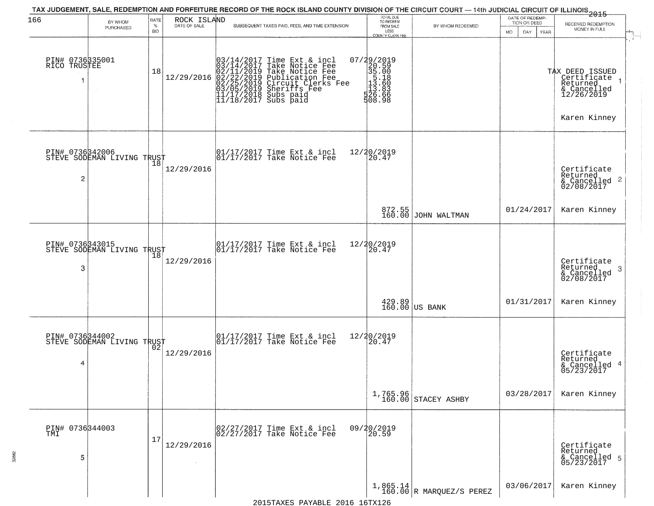| 166                                   |                            | RATE               |                             | TAX JUDGEMENT, SALE, REDEMPTION AND FORFEITURE RECORD OF THE ROCK ISLAND COUNTY DIVISION OF THE CIRCUIT COURT — 14th JUDICIAL CIRCUIT OF ILLINOIS 2015                                                                                                                                                                                                              | TOTAL DUE<br>TO REDEEM                                                           |                                                         | DATE OF REDEMP-                            |                                                                                         |
|---------------------------------------|----------------------------|--------------------|-----------------------------|---------------------------------------------------------------------------------------------------------------------------------------------------------------------------------------------------------------------------------------------------------------------------------------------------------------------------------------------------------------------|----------------------------------------------------------------------------------|---------------------------------------------------------|--------------------------------------------|-----------------------------------------------------------------------------------------|
|                                       | BY WHOM<br>PURCHASED       | $\%$<br><b>BID</b> | ROCK ISLAND<br>DATE OF SALE | SUBSEQUENT TAXES PAID, FEES, AND TIME EXTENSION                                                                                                                                                                                                                                                                                                                     | FROM SALE<br>LESS<br>COUNTY CLERK FEE                                            | BY WHOM REDEEMED                                        | TION OR DEED<br>MO.<br>DAY.<br><b>YEAR</b> | RECEIVED REDEMPTION<br>MONEY IN FULL                                                    |
| PIN# 0736335001<br>RICO TRUSTEE<br>-1 |                            | 18                 |                             | $[03/14/2017 \text{ Time Ext & incl} \newline [03/14/2017 \text{ Take Notice Free} \newline [02/11/2019 \text{ Take Notice Free} \newline [02/11/2019 \text{ Public action Free} \newline [02/22/2019 \text{ Publication Free} \newline [03/05/2019 \text{Sherifts Free} \newline [11/17/2018 \text{ Subs paid} \newline [11/18/2017 \text{ Subs paid} \newline ]]$ | 07/29/2019<br>$200000000$<br>$305.10000$<br>$113.80000$<br>$125.80000$<br>508.98 |                                                         |                                            | TAX DEED ISSUED<br>Certificate<br>Returned<br>& Cancelled<br>12/26/2019<br>Karen Kinney |
| PIN# 0736342006<br>2                  | STEVE SODEMAN LIVING TRUST |                    | 12/29/2016                  | 01/17/2017 Time Ext & incl<br>01/17/2017 Take Notice Fee                                                                                                                                                                                                                                                                                                            | 12/20/2019<br>$\left[ \vphantom{a}20\right. \vphantom{a}4\overline{7}$           |                                                         |                                            | Certificate<br>Returned<br>$\frac{1}{2}$ Cancelled 2<br>02/08/2017                      |
|                                       |                            |                    |                             |                                                                                                                                                                                                                                                                                                                                                                     |                                                                                  | 872.55<br>160.00 JOHN WALTMAN                           | 01/24/2017                                 | Karen Kinney                                                                            |
| PIN# 0736343015<br>3                  | STEVE SODEMAN LIVING TRUST | $\overline{18}$    | 12/29/2016                  | 01/17/2017 Time Ext & incl<br>01/17/2017 Take Notice Fee                                                                                                                                                                                                                                                                                                            | 12/20/2019<br>20.47                                                              |                                                         |                                            | Certificate<br>Returned<br>-3<br>& Cancelled<br>02/08/2017                              |
|                                       |                            |                    |                             |                                                                                                                                                                                                                                                                                                                                                                     |                                                                                  | $\begin{array}{c} 429.89 \\ 160.00 \end{array}$ US BANK | 01/31/2017                                 | Karen Kinney                                                                            |
| PIN# 0736344002<br>4                  | STEVE SODEMAN LIVING TRUST |                    | 12/29/2016                  | 01/17/2017 Time Ext & incl<br>01/17/2017 Take Notice Fee                                                                                                                                                                                                                                                                                                            | 12/20/2019<br>20.47                                                              |                                                         |                                            | Certificate<br>Returned<br>& Cancelled 4<br>05/23/2017                                  |
|                                       |                            |                    |                             |                                                                                                                                                                                                                                                                                                                                                                     |                                                                                  | 1,765.96<br>160.00 STACEY ASHBY                         | 03/28/2017                                 | Karen Kinney                                                                            |
| PIN# 0736344003<br>TMI<br>5           |                            | 17                 | 12/29/2016                  | 02/27/2017 Time Ext & incl<br>02/27/2017 Take Notice Fee                                                                                                                                                                                                                                                                                                            | 09/20/2019<br>20.59                                                              |                                                         |                                            | Certificate<br>Returned<br>& Cancelled 5<br>05/23/2017                                  |
|                                       |                            |                    |                             |                                                                                                                                                                                                                                                                                                                                                                     |                                                                                  | $1,865.14$<br>160.00 R MARQUEZ/S PEREZ                  | 03/06/2017                                 | Karen Kinney                                                                            |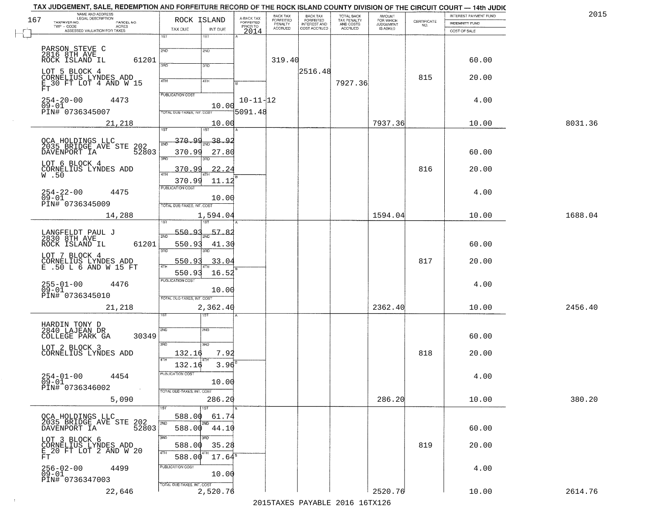|     | TAX JUDGEMENT, SALE, REDEMPTION AND FORFEITURE RECORD OF THE ROCK ISLAND COUNTY DIVISION OF THE CIRCUIT COURT - 14th JUDIC<br>NAME AND ADDRESS<br>LEGAL DESCRIPTION |                            |                           |                                     | BACK TAX             | <b>BACK TAX</b>           |                                        | AMOUNT<br>FOR WHICH |                    | INTEREST PAYMENT FUND | 201     |
|-----|---------------------------------------------------------------------------------------------------------------------------------------------------------------------|----------------------------|---------------------------|-------------------------------------|----------------------|---------------------------|----------------------------------------|---------------------|--------------------|-----------------------|---------|
| 167 | TAXPAYER NO.<br>PARCEL NO.<br>ACRES                                                                                                                                 | ROCK ISLAND                |                           | A-BACK TAX<br>FORFEITED<br>PRIOR TO | FORFEITED<br>PENALTY | FORFEITED<br>INTEREST AND | TOTAL BACK<br>TAX PENALTY<br>AND COSTS | <b>JUDGEMENT</b>    | CERTIFICATE<br>NO. | <b>INDEMNITY FUND</b> |         |
|     | ASSESSED VALUATION FOR TAXES                                                                                                                                        | TAX DUE                    | INT DUE                   | 2014                                | <b>ACCRUED</b>       | COST ACCRUED              | ACCRUED                                | <b>IS ASKED</b>     |                    | COST OF SALE          |         |
|     |                                                                                                                                                                     | 1ST<br>1ST                 |                           |                                     |                      |                           |                                        |                     |                    |                       |         |
|     | PARSON STEVE C                                                                                                                                                      | 2ND<br>2ND                 |                           |                                     |                      |                           |                                        |                     |                    |                       |         |
|     | 2816 8TH AVE ROCK ISLAND IL<br>61201                                                                                                                                |                            |                           |                                     | 319.40               |                           |                                        |                     |                    | 60.00                 |         |
|     |                                                                                                                                                                     | 3RD<br>3RD                 |                           |                                     |                      |                           |                                        |                     |                    |                       |         |
|     | LOT 5 BLOCK 4<br>CORNELIUS LYNDES ADD                                                                                                                               |                            |                           |                                     |                      | 2516.48                   |                                        |                     | 815                | 20.00                 |         |
|     | $\bar{\mathtt{E}}$ 30 FT LOT 4 AND W 15<br>FT                                                                                                                       | 4TH<br>4TH                 |                           |                                     |                      |                           | 7927.36                                |                     |                    |                       |         |
|     |                                                                                                                                                                     | PUBLICATION COST           |                           |                                     |                      |                           |                                        |                     |                    |                       |         |
|     | $254 - 20 - 00$<br>4473<br>$09 - 01$                                                                                                                                |                            | 10.00                     | $10 - 11 - 12$                      |                      |                           |                                        |                     |                    | 4.00                  |         |
|     | PIN# 0736345007                                                                                                                                                     | TOTAL DUE-TAXES, INT. COST |                           | 5091.48                             |                      |                           |                                        |                     |                    |                       |         |
|     | 21,218                                                                                                                                                              |                            | 10.00                     |                                     |                      |                           |                                        | 7937.36             |                    | 10.00                 | 8031.36 |
|     |                                                                                                                                                                     | 1ST<br>1ST                 |                           |                                     |                      |                           |                                        |                     |                    |                       |         |
|     |                                                                                                                                                                     | <u>370.99</u><br>ঁগত       | $1_{\frac{2ND}{2}}$ 38.92 |                                     |                      |                           |                                        |                     |                    |                       |         |
|     | OCA HOLDINGS LLC<br>2035 BRIDGE AVE STE 202<br>52803<br>DAVENPORT IA                                                                                                | 370.99                     |                           |                                     |                      |                           |                                        |                     |                    | 60.00                 |         |
|     |                                                                                                                                                                     | 3RD<br>3RD                 | 27.80                     |                                     |                      |                           |                                        |                     |                    |                       |         |
|     | LOT 6 BLOCK 4                                                                                                                                                       | 370.99                     | 22.24                     |                                     |                      |                           |                                        |                     | 816                | 20.00                 |         |
|     | CORNELIUS LYNDES ADD W.50                                                                                                                                           |                            |                           |                                     |                      |                           |                                        |                     |                    |                       |         |
|     |                                                                                                                                                                     | 370.99<br>PUBLICATION COST | 11.12                     |                                     |                      |                           |                                        |                     |                    |                       |         |
|     | $254 - 22 - 00$<br>4475                                                                                                                                             |                            |                           |                                     |                      |                           |                                        |                     |                    | 4.00                  |         |
|     | $09 - 01$<br>PIN# 0736345009                                                                                                                                        | TOTAL DUE-TAXES, INT. COST | 10.00                     |                                     |                      |                           |                                        |                     |                    |                       |         |
|     |                                                                                                                                                                     |                            |                           |                                     |                      |                           |                                        | 1594.04             |                    |                       |         |
|     | 14,288                                                                                                                                                              | ïsΤ<br>١S٦                 | 1,594.04                  |                                     |                      |                           |                                        |                     |                    | 10.00                 | 1688.04 |
|     | LANGFELDT PAUL J                                                                                                                                                    | 550.93                     | -57                       |                                     |                      |                           |                                        |                     |                    |                       |         |
|     | 2830 8TH AVE                                                                                                                                                        | 2ND                        |                           |                                     |                      |                           |                                        |                     |                    |                       |         |
|     | ROCK ISLAND IL<br>61201                                                                                                                                             | 550.93<br>3RD<br>3RD       | 41.30                     |                                     |                      |                           |                                        |                     |                    | 60.00                 |         |
|     | LOT 7 BLOCK 4                                                                                                                                                       |                            |                           |                                     |                      |                           |                                        |                     |                    |                       |         |
|     | CORNELIUS LYNDES ADD<br>E .50 L 6 AND W 15 FT                                                                                                                       | 550.91                     | 33.04                     |                                     |                      |                           |                                        |                     | 817                | 20.00                 |         |
|     |                                                                                                                                                                     | 550.93                     | 16.52                     |                                     |                      |                           |                                        |                     |                    |                       |         |
|     | 255-01-00<br>09-01<br>4476                                                                                                                                          | <b>PUBLICATION COST</b>    |                           |                                     |                      |                           |                                        |                     |                    | 4.00                  |         |
|     | PIN# 0736345010                                                                                                                                                     | TOTAL OUE-TAXES, INT. COST | 10.00                     |                                     |                      |                           |                                        |                     |                    |                       |         |
|     |                                                                                                                                                                     |                            |                           |                                     |                      |                           |                                        |                     |                    |                       |         |
|     | 21,218                                                                                                                                                              | ख़ा                        | 2,362.40                  |                                     |                      |                           |                                        | 2362.40             |                    | 10.00                 | 2456.40 |
|     | HARDIN TONY D                                                                                                                                                       |                            |                           |                                     |                      |                           |                                        |                     |                    |                       |         |
|     | 2840 LAJEAN DR                                                                                                                                                      | 2ND<br>2ND                 |                           |                                     |                      |                           |                                        |                     |                    |                       |         |
|     | COLLEGE PARK GA<br>30349                                                                                                                                            |                            |                           |                                     |                      |                           |                                        |                     |                    | 60.00                 |         |
|     | LOT 2 BLOCK 3                                                                                                                                                       | 3RD<br>3RD                 |                           |                                     |                      |                           |                                        |                     |                    |                       |         |
|     | CORNELIUS LYNDES ADD                                                                                                                                                | 132.16<br>4TH              | 7.92                      |                                     |                      |                           |                                        |                     | 818                | 20.00                 |         |
|     |                                                                                                                                                                     | 132.16                     | 3.96                      |                                     |                      |                           |                                        |                     |                    |                       |         |
|     | $254 - 01 - 00$<br>4454                                                                                                                                             | PUBLICA HUN CUS            |                           |                                     |                      |                           |                                        |                     |                    | 4.00                  |         |
|     | $09 - 01$<br>PIN# 0736346002                                                                                                                                        |                            | 10.00                     |                                     |                      |                           |                                        |                     |                    |                       |         |
|     |                                                                                                                                                                     | TOTAL DUE-TAXES, INT. COST |                           |                                     |                      |                           |                                        |                     |                    |                       |         |
|     | 5,090                                                                                                                                                               |                            | 286.20                    |                                     |                      |                           |                                        | 286.20              |                    | 10.00                 | 380.20  |
|     |                                                                                                                                                                     | 1ST                        |                           |                                     |                      |                           |                                        |                     |                    |                       |         |
|     | OCA HOLDINGS LLC<br>2035 BRIDGE AVE STE 202<br>2035 BRIDGE AVE STE 52803                                                                                            | 588.00<br>2ND              | 61.74                     |                                     |                      |                           |                                        |                     |                    |                       |         |
|     |                                                                                                                                                                     | 588.00                     | 44.10                     |                                     |                      |                           |                                        |                     |                    | 60.00                 |         |
|     |                                                                                                                                                                     | 3RD<br>חחו                 |                           |                                     |                      |                           |                                        |                     |                    |                       |         |
|     | LOT 3 BLOCK 6<br>CORNELIUS LYNDES ADD<br>E_20 FT LOT 2 AND W 20                                                                                                     | 588.00                     | 35.28                     |                                     |                      |                           |                                        |                     | 819                | 20.00                 |         |
|     | FT.                                                                                                                                                                 | 4TH<br>588.00              | 17.64                     |                                     |                      |                           |                                        |                     |                    |                       |         |
|     | 4499                                                                                                                                                                | PUBLICATION COST           |                           |                                     |                      |                           |                                        |                     |                    | 4.00                  |         |
|     | 256-02-00<br>09-01<br>PIN# 0736347003                                                                                                                               |                            | 10.00                     |                                     |                      |                           |                                        |                     |                    |                       |         |
|     |                                                                                                                                                                     | TOTAL DUE-TAXES, INT. COST |                           |                                     |                      |                           |                                        |                     |                    |                       |         |
|     | 22,646                                                                                                                                                              |                            | 2,520.76                  |                                     |                      |                           |                                        | 2520.76             |                    | 10.00                 | 2614.76 |
|     |                                                                                                                                                                     |                            |                           |                                     |                      |                           | 2015 TAVEC DAVADIE 2016 16TV126        |                     |                    |                       |         |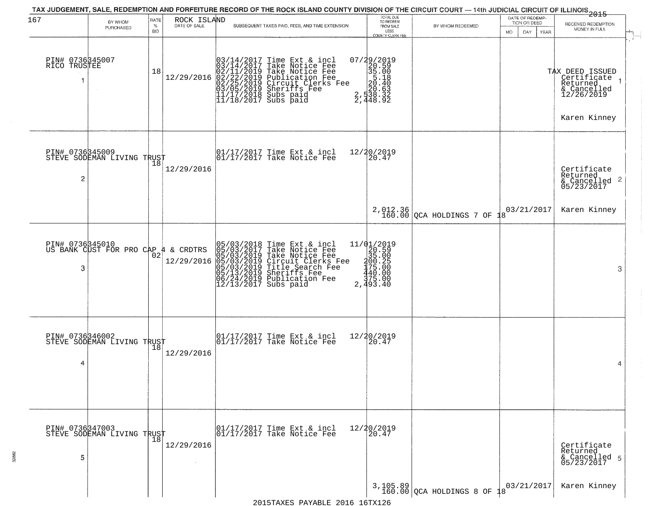|                                      |                                                        |              |                             | TAX JUDGEMENT, SALE, REDEMPTION AND FORFEITURE RECORD OF THE ROCK ISLAND COUNTY DIVISION OF THE CIRCUIT COURT — 14th JUDICIAL CIRCUIT OF ILLINOIS 2015                                                                                                                                                                                  |                                                                                                                                |                                        | DATE OF REDEMP-    |                                                                         |
|--------------------------------------|--------------------------------------------------------|--------------|-----------------------------|-----------------------------------------------------------------------------------------------------------------------------------------------------------------------------------------------------------------------------------------------------------------------------------------------------------------------------------------|--------------------------------------------------------------------------------------------------------------------------------|----------------------------------------|--------------------|-------------------------------------------------------------------------|
| 167                                  | BY WHOM<br>PURCHASED                                   | RATE<br>$\%$ | ROCK ISLAND<br>DATE OF SALE | SUBSEQUENT TAXES PAID, FEES, AND TIME EXTENSION                                                                                                                                                                                                                                                                                         | TOTAL DUE<br>TO REDEEM<br>FROM SALE                                                                                            | BY WHOM REDEEMED                       | TION OR DEED       | RECEIVED REDEMPTION<br>MONEY IN FULL                                    |
|                                      |                                                        | <b>BID</b>   |                             |                                                                                                                                                                                                                                                                                                                                         | LESS<br>COUNTY CLERK FEE                                                                                                       |                                        | DAY<br>MO.<br>YEAR |                                                                         |
| PIN# 0736345007<br>RICO TRUSTEE<br>1 |                                                        | 18           | 12/29/2016                  | $03/14/2017$ Time Ext & incl<br>$03/14/2017$ Take Notice Fee<br>$02/11/2019$ Take Notice Fee<br>$02/22/2019$ Publication Fee<br>$03/05/2019$ Sheriffs Fee<br>$11/17/2018$ Subs paid<br>$11/18/2017$ Subs paid                                                                                                                           | $\begin{smallmatrix} 07/29/2019\\20.59\\35.00\\5.18\\20.40\\20.63\\2,538.32\\2,448.92 \end{smallmatrix}$                       |                                        |                    | TAX DEED ISSUED<br>Certificate<br>Returned<br>& Cancelled<br>12/26/2019 |
|                                      |                                                        |              |                             |                                                                                                                                                                                                                                                                                                                                         |                                                                                                                                |                                        |                    | Karen Kinney                                                            |
| PIN# 0736345009<br>2                 | STEVE SODEMAN LIVING TRUST                             |              | 12/29/2016                  | 01/17/2017 Time Ext & incl<br>01/17/2017 Take Notice Fee                                                                                                                                                                                                                                                                                | 12/20/2019<br>20.47                                                                                                            |                                        |                    | Certificate<br>Returned<br>& Cancelled 2<br>05/23/2017                  |
|                                      |                                                        |              |                             |                                                                                                                                                                                                                                                                                                                                         |                                                                                                                                | $2,012.36$<br>160.00 QCA HOLDINGS 7 OF | 03/21/2017         | Karen Kinney                                                            |
| 3                                    | PIN# 0736345010<br>US BANK CUST FOR PRO CAP 4 & CRDTRS | 02           | 12/29/2016                  | 05/03/2018 Time Ext & incl<br>05/03/2017 Take Notice Fee<br>05/03/2019 Take Notice Fee<br>05/03/2019 Circuit Clerks F<br>05/03/2019 Title Search Fee<br>05/13/2019 Sheriffs Fee<br>06/24/2019 Publication Fee<br>12/13/2017 Subs paid<br>Take Notice Fee<br>Circuit Clerks Fee<br>Circuit Clerks Fee<br>Sheriffs Fee<br>Publication Fee | 11/01/2019<br>$\begin{array}{r} 25.500 \\ 29.500 \\ 35.005 \\ 40.200 \\ 440.000 \\ 43.000 \\ 37.5.000 \end{array}$<br>2,493.40 |                                        |                    | 3                                                                       |
| PIN# 0736346002<br>4                 | STEVE SODEMAN LIVING TRUST                             |              | 12/29/2016                  | 01/17/2017 Time Ext & incl<br>01/17/2017 Take Notice Fee                                                                                                                                                                                                                                                                                | 12/20/2019<br>20.47                                                                                                            |                                        |                    | 4                                                                       |
| 5                                    | PIN# 0736347003    <br>STEVE SODEMAN LIVING TRUST      | 18           | 12/29/2016                  | 01/17/2017 Time Ext & incl<br>01/17/2017 Take Notice Fee                                                                                                                                                                                                                                                                                | 12/20/2019<br>20.47                                                                                                            |                                        |                    | Certificate<br>Returned<br>& Cancelled 5<br>05/23/2017                  |
|                                      |                                                        |              |                             |                                                                                                                                                                                                                                                                                                                                         |                                                                                                                                | $3,105.89$ $2$ CA HOLDINGS 8 OF 18     | 03/21/2017         | Karen Kinney                                                            |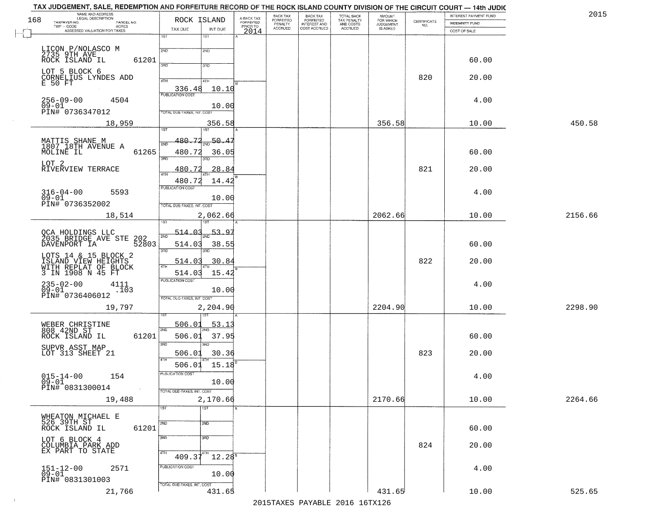| NAME AND ADDRESS<br>LEGAL DESCRIPTION<br>168<br>TAXPAYER NO.<br>PARCEL NO. | ROCK ISLAND                                | A-BACK TAX<br>FORFEITED | <b>BACK TAX</b><br><b>FORFEITED</b> | <b>BACK TAX</b><br><b>FORFEITED</b> | TOTAL BACK                          | <b>AMOUNT</b>                      |                                                                 | INTEREST PAYMENT FUND                 | 201     |
|----------------------------------------------------------------------------|--------------------------------------------|-------------------------|-------------------------------------|-------------------------------------|-------------------------------------|------------------------------------|-----------------------------------------------------------------|---------------------------------------|---------|
| TWP - CODE<br><b>ACRES</b><br>ASSESSED VALUATION FOR TAXES                 | TAX DUE<br>INT DUE                         | PRIOR TO<br>2014        | PENALTY<br>ACCRUED                  | INTEREST AND<br>COST ACCRUED        | TAX PENALTY<br>AND COSTS<br>ACCRUED | FOR WHICH<br>JUDGEMENT<br>IS ASKED | $\begin{array}{c} \text{CERTIFICATE} \\ \text{NO.} \end{array}$ | <b>INDEMNITY FUND</b><br>COST OF SALE |         |
|                                                                            | 1ST<br>1ST                                 |                         |                                     |                                     |                                     |                                    |                                                                 |                                       |         |
| LICON P/NOLASCO M<br>2735 9TH AVE                                          | 2ND<br>2ND                                 |                         |                                     |                                     |                                     |                                    |                                                                 |                                       |         |
| ROCK ISLAND IL<br>61201                                                    | 3PD<br>3RD                                 |                         |                                     |                                     |                                     |                                    |                                                                 | 60.00                                 |         |
| LOT 5 BLOCK 6<br>CORNELIUS LYNDES ADD                                      |                                            |                         |                                     |                                     |                                     |                                    | 820                                                             | 20.00                                 |         |
| E 50 FT                                                                    | 4TH<br>4TH<br>336.48<br>10.10              |                         |                                     |                                     |                                     |                                    |                                                                 |                                       |         |
| $256 - 09 - 00$<br>4504                                                    | <b>PUBLICATION COST</b>                    |                         |                                     |                                     |                                     |                                    |                                                                 | 4.00                                  |         |
| $09 - 01$<br>PIN# 0736347012                                               | 10.00<br>TOTAL DUE-TAXES, INT. COST        |                         |                                     |                                     |                                     |                                    |                                                                 |                                       |         |
| 18,959                                                                     | 356.58                                     |                         |                                     |                                     |                                     | 356.58                             |                                                                 | 10.00                                 | 450.58  |
|                                                                            | 1ST<br>1ST<br>480.72<br>50.4               |                         |                                     |                                     |                                     |                                    |                                                                 |                                       |         |
| MATTIS SHANE M<br>1807 18TH AVENUE A<br>61265<br>MOLINE IL                 | 480.72<br>36.05                            |                         |                                     |                                     |                                     |                                    |                                                                 | 60.00                                 |         |
| LOT <sub>2</sub>                                                           | 3BD                                        |                         |                                     |                                     |                                     |                                    |                                                                 |                                       |         |
| RIVERVIEW TERRACE                                                          | 28.84<br>480<br>47H                        |                         |                                     |                                     |                                     |                                    | 821                                                             | 20.00                                 |         |
|                                                                            | 480.72<br>14.42<br><b>PUBLICATION COST</b> |                         |                                     |                                     |                                     |                                    |                                                                 |                                       |         |
| $316 - 04 - 00$<br>5593<br>$09 - 01$                                       | 10.00                                      |                         |                                     |                                     |                                     |                                    |                                                                 | 4.00                                  |         |
| PIN# 0736352002                                                            | TOTAL DUE-TAXES, INT. COST<br>2,062.66     |                         |                                     |                                     |                                     | 2062.66                            |                                                                 | 10.00                                 | 2156.66 |
| 18,514                                                                     |                                            |                         |                                     |                                     |                                     |                                    |                                                                 |                                       |         |
| OCA HOLDINGS LLC<br>2035 BRIDGE AVE STE                                    | 514.03<br>53.97<br>2ND                     |                         |                                     |                                     |                                     |                                    |                                                                 |                                       |         |
| 202<br>52803<br>DAVENPORT IA                                               | 38.55<br>514.03<br>3RD<br>3RD              |                         |                                     |                                     |                                     |                                    |                                                                 | 60.00                                 |         |
| LOTS 14 & 15 BLOCK 2<br>ISLAND VIEW HEIGHTS                                | 30.84<br>514.03                            |                         |                                     |                                     |                                     |                                    | 822                                                             | 20.00                                 |         |
| WITH REPLAT OF BLOCK<br>3 IN 1908 N 45 FT                                  | 4TH<br>514.03<br>15.42                     |                         |                                     |                                     |                                     |                                    |                                                                 |                                       |         |
| 235-02-00<br>09-01<br>4111                                                 | <b>PUBLICATION COST</b><br>10.00           |                         |                                     |                                     |                                     |                                    |                                                                 | 4.00                                  |         |
| .103<br>PIN# 0736406012                                                    | TOTAL OUE-TAXES, INT. COST                 |                         |                                     |                                     |                                     |                                    |                                                                 |                                       |         |
| 19,797                                                                     | 2,204.90                                   |                         |                                     |                                     |                                     | 2204.90                            |                                                                 | 10.00                                 | 2298.90 |
|                                                                            | 506.01<br><u>53.1</u>                      |                         |                                     |                                     |                                     |                                    |                                                                 |                                       |         |
| WEBER CHRISTINE<br>808 42ND ST<br>61201<br>ROCK ISLAND IL                  | 2ND<br>506.01<br>37.95                     |                         |                                     |                                     |                                     |                                    |                                                                 | 60.00                                 |         |
| SUPVR ASST MAP                                                             | 3RD<br>3RD                                 |                         |                                     |                                     |                                     |                                    |                                                                 |                                       |         |
| LOT 313 SHEET 21                                                           | 30.36<br>506.01                            |                         |                                     |                                     |                                     |                                    | 823                                                             | 20.00                                 |         |
| $015 - 14 - 00$<br>154                                                     | 506.01 15.18<br>PUBLICATION COST           |                         |                                     |                                     |                                     |                                    |                                                                 | 4.00                                  |         |
| $09 - 01$<br>PIN# 0831300014<br>$\sim 100$                                 | 10.00                                      |                         |                                     |                                     |                                     |                                    |                                                                 |                                       |         |
| 19,488                                                                     | TOTAL DUE-TAXES, INT. COST<br>2,170.66     |                         |                                     |                                     |                                     | 2170.66                            |                                                                 | 10.00                                 | 2264.66 |
|                                                                            | TST<br>1ST                                 |                         |                                     |                                     |                                     |                                    |                                                                 |                                       |         |
| WHEATON MICHAEL E<br>526 39TH ST                                           | 2ND<br>2ND                                 |                         |                                     |                                     |                                     |                                    |                                                                 |                                       |         |
| ROCK ISLAND IL<br>61201                                                    | 3RD<br>3 <sub>RD</sub>                     |                         |                                     |                                     |                                     |                                    |                                                                 | 60.00                                 |         |
| LOT 6 BLOCK 4<br>COLUMBIA PARK ADD<br>EX PART TO STATE                     |                                            |                         |                                     |                                     |                                     |                                    | 824                                                             | 20.00                                 |         |
|                                                                            | 4TH<br>$409.37^{4}$<br>$12.28^{8}$         |                         |                                     |                                     |                                     |                                    |                                                                 |                                       |         |
| 2571<br>$151 - 12 - 00$<br>$09 - 01$                                       | PUBLICATION COST<br>10.00                  |                         |                                     |                                     |                                     |                                    |                                                                 | 4.00                                  |         |
| PIN# 0831301003                                                            | TOTAL DUE-TAXES, INT. COST                 |                         |                                     |                                     |                                     |                                    |                                                                 |                                       |         |
| 21,766                                                                     | 431.65                                     |                         |                                     |                                     |                                     | 431.65                             |                                                                 | 10.00                                 | 525.65  |

 $\sim 100$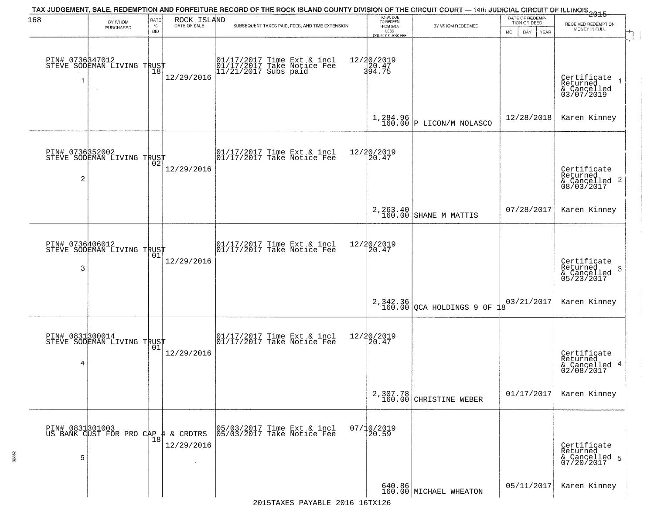| 168                  | BY WHOM<br>PURCHASED                                   | RATE<br>$\%$<br><b>BID</b> | ROCK ISLAND<br>DATE OF SALE | TAX JUDGEMENT, SALE, REDEMPTION AND FORFEITURE RECORD OF THE ROCK ISLAND COUNTY DIVISION OF THE CIRCUIT COURT — 14th JUDICIAL CIRCUIT OF ILLINOIS 2015<br>SUBSEQUENT TAXES PAID, FEES, AND TIME EXTENSION | TOTAL DUE<br>TO REDEEM<br>FROM SALE<br>LESS<br>COUNTY CLERK FEE | BY WHOM REDEEMED                       | DATE OF REDEMP-<br>TION OR DEED<br>MO.<br>DAY.<br><b>YEAR</b> | RECEIVED REDEMPTION<br>MONEY IN FULL                               |
|----------------------|--------------------------------------------------------|----------------------------|-----------------------------|-----------------------------------------------------------------------------------------------------------------------------------------------------------------------------------------------------------|-----------------------------------------------------------------|----------------------------------------|---------------------------------------------------------------|--------------------------------------------------------------------|
|                      | PIN# 0736347012<br>STEVE SODEMAN LIVING TRUST          | Ίõ                         | 12/29/2016                  | 01/17/2017 Time Ext & incl<br>01/17/2017 Take Notice Fee<br>11/21/2017 Subs paid                                                                                                                          | 12/20/2019<br>20.47<br>394.75                                   |                                        |                                                               | Certificate<br>Returned<br>& Cancelled<br>03/07/2019               |
|                      |                                                        |                            |                             |                                                                                                                                                                                                           |                                                                 | $1,284.96$<br>160.00 P LICON/M NOLASCO | 12/28/2018                                                    | Karen Kinney                                                       |
| $\overline{c}$       | PIN# 0736352002<br>STEVE SODEMAN LIVING TRUST          |                            | 12/29/2016                  | $\begin{bmatrix} 01/17/2017 \\ 01/17/2017 \end{bmatrix}$ Take Notice Fee                                                                                                                                  | 12/20/2019<br>20.47                                             |                                        |                                                               | Certificate<br>Returned<br>$\frac{1}{6}$ Cancelled 2<br>08/03/2017 |
|                      |                                                        |                            |                             |                                                                                                                                                                                                           |                                                                 | 2, 263.40<br>160.00 SHANE M MATTIS     | 07/28/2017                                                    | Karen Kinney                                                       |
| PIN# 0736406012<br>3 | STEVE SODEMAN LIVING TRUST                             | 01                         | 12/29/2016                  | $\begin{array}{ccc}  01/17/2017 \text{ Time} & \text{Ext} & \text{incl} \\  01/17/2017 \text{ Take Notice } \text{Fe} \end{array}$                                                                        | 12/20/2019<br>20.47                                             |                                        |                                                               | Certificate<br>Returned<br>-3<br>$\frac{6}{05/23/2017}$            |
|                      |                                                        |                            |                             |                                                                                                                                                                                                           |                                                                 | $2,342.36$ QCA HOLDINGS 9 OF           | 03/21/2017                                                    | Karen Kinney                                                       |
| PIN# 0831300014<br>4 | STEVE SODEMAN LIVING TRUST                             | 01                         | 12/29/2016                  | $\begin{array}{cc}  01/17/2017 \text{ Time Ext} & \text{incl} \\  01/17/2017 \text{ Take Notice Fe} \end{array}$                                                                                          | 12/20/2019<br>120.47                                            |                                        |                                                               | Certificate<br>Returned<br>-4<br>& Cancelled<br>02/08/2017         |
|                      |                                                        |                            |                             |                                                                                                                                                                                                           |                                                                 | 2,307.78<br>160.00 CHRISTINE WEBER     | 01/17/2017                                                    | Karen Kinney                                                       |
| 5                    | PIN# 0831301003<br>US BANK CUST FOR PRO CAP 4 & CRDTRS | 18                         | 12/29/2016<br>$\sim$        | 05/03/2017 Time Ext & incl<br>05/03/2017 Take Notice Fee                                                                                                                                                  | 07/10/2019<br>20.59                                             |                                        |                                                               | Certificate<br>Returned<br>& Cancelled 5<br>07/20/2017             |
|                      |                                                        |                            |                             |                                                                                                                                                                                                           |                                                                 | $640.86$ MICHAEL WHEATON               | 05/11/2017                                                    | Karen Kinney                                                       |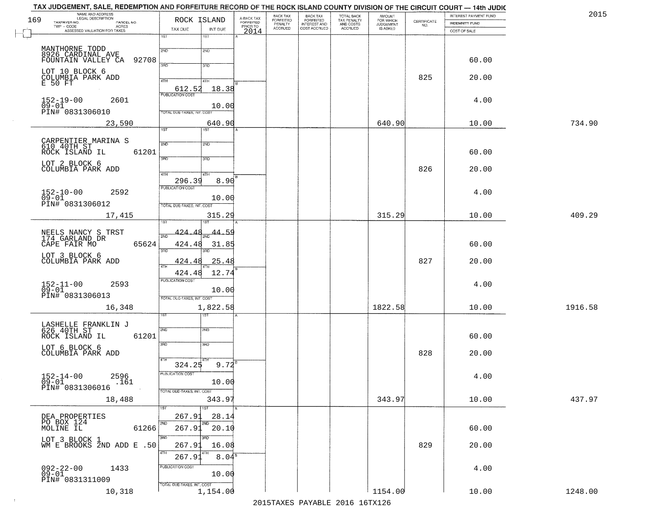|     | TAX JUDGEMENT, SALE, REDEMPTION AND FORFEITURE RECORD OF THE ROCK ISLAND COUNTY DIVISION OF THE CIRCUIT COURT — 14th JUDIC<br>NAME AND ADDRESS<br>LEGAL DESCRIPTION |                                   |                               |                         | BACK TAX                        |                                                       |                                                   | <b>AMOUNT</b>                      |                    | INTEREST PAYMENT FUND | 2015    |
|-----|---------------------------------------------------------------------------------------------------------------------------------------------------------------------|-----------------------------------|-------------------------------|-------------------------|---------------------------------|-------------------------------------------------------|---------------------------------------------------|------------------------------------|--------------------|-----------------------|---------|
| 169 | TAXPAYER NO.<br>PARCEL NO.<br>$TWP - CODE$                                                                                                                          | ROCK ISLAND                       |                               | A-BACK TAX<br>FORFEITED | FORFEITED<br>PENALTY<br>ACCRUED | BACK TAX<br>FORFEITED<br>INTEREST AND<br>COST ACCRUED | TOTAL BACK<br>TAX PENALTY<br>AND COSTS<br>ACCRUED | FOR WHICH<br>JUDGEMENT<br>IS ASKED | CERTIFICATE<br>NO. | INDEMNITY FUND        |         |
|     | - CODE AGRES<br>ASSESSED VALUATION FOR TAXES                                                                                                                        | TAX DUE<br>1ST                    | INT DUE<br>1ST                | PRIORTO                 |                                 |                                                       |                                                   |                                    |                    | COST OF SALE          |         |
|     |                                                                                                                                                                     |                                   |                               |                         |                                 |                                                       |                                                   |                                    |                    |                       |         |
|     | MANTHORNE TODD<br>8926 CARDINAL AVE<br>92708<br>FOUNTAIN VALLEY CA                                                                                                  | 2ND                               | 2ND                           |                         |                                 |                                                       |                                                   |                                    |                    | 60.00                 |         |
|     | LOT 10 BLOCK 6                                                                                                                                                      | 3AD                               | 3RD                           |                         |                                 |                                                       |                                                   |                                    |                    |                       |         |
|     | COLUMBIA PARK ADD<br>E 50 FT                                                                                                                                        | 4TH                               | 4TH                           |                         |                                 |                                                       |                                                   |                                    | 825                | 20.00                 |         |
|     |                                                                                                                                                                     | 612.52<br><b>PUBLICATION COST</b> | 18.38                         |                         |                                 |                                                       |                                                   |                                    |                    |                       |         |
|     | 2601<br>$152 - 19 - 00$<br>$09 - 01$                                                                                                                                |                                   | 10.00                         |                         |                                 |                                                       |                                                   |                                    |                    | 4.00                  |         |
|     | PIN# 0831306010                                                                                                                                                     | TOTAL DUE-TAXES, INT. COST        |                               |                         |                                 |                                                       |                                                   |                                    |                    |                       |         |
|     | 23,590                                                                                                                                                              |                                   | 640.90                        |                         |                                 |                                                       |                                                   | 640.90                             |                    | 10.00                 | 734.90  |
|     |                                                                                                                                                                     | $\overline{1ST}$                  | 1ST                           |                         |                                 |                                                       |                                                   |                                    |                    |                       |         |
|     | CARPENTIER MARINA S<br>610 40TH ST                                                                                                                                  | 2ND                               | 2ND                           |                         |                                 |                                                       |                                                   |                                    |                    |                       |         |
|     | ROCK ISLAND IL<br>61201                                                                                                                                             | 3RD                               | 3RD                           |                         |                                 |                                                       |                                                   |                                    |                    | 60.00                 |         |
|     | LOT 2 BLOCK 6<br>COLUMBIA PARK ADD                                                                                                                                  |                                   |                               |                         |                                 |                                                       |                                                   |                                    | 826                | 20.00                 |         |
|     |                                                                                                                                                                     | 47H<br>296.39                     | 4TH<br>8.90                   |                         |                                 |                                                       |                                                   |                                    |                    |                       |         |
|     | $152 - 10 - 00$<br>2592                                                                                                                                             | <b>PUBLICATION COST</b>           |                               |                         |                                 |                                                       |                                                   |                                    |                    | 4.00                  |         |
|     | $09 - 01$<br>PIN# <sup>-0831306012</sup>                                                                                                                            | TOTAL DUE-TAXES, INT. COST        | 10.00                         |                         |                                 |                                                       |                                                   |                                    |                    |                       |         |
|     | 17,415                                                                                                                                                              |                                   | 315.29                        |                         |                                 |                                                       |                                                   | 315.29                             |                    | 10.00                 | 409.29  |
|     |                                                                                                                                                                     | 'S'I                              |                               |                         |                                 |                                                       |                                                   |                                    |                    |                       |         |
|     | NEELS NANCY S TRST<br>174 GARLAND DR                                                                                                                                |                                   | $424.48_{\text{2ND}}$ $44.59$ |                         |                                 |                                                       |                                                   |                                    |                    |                       |         |
|     | 65624<br>CAPE FAIR MO                                                                                                                                               | 424.48<br>3RD                     | 31.85<br>3RD                  |                         |                                 |                                                       |                                                   |                                    |                    | 60.00                 |         |
|     | LOT 3 BLOCK 6<br>COLUMBIA PARK ADD                                                                                                                                  | 424.48                            | 25.48                         |                         |                                 |                                                       |                                                   |                                    | 827                | 20.00                 |         |
|     |                                                                                                                                                                     | 4TH<br>424.48                     | 12.74                         |                         |                                 |                                                       |                                                   |                                    |                    |                       |         |
|     | 2593                                                                                                                                                                | <b>PUBLICATION COST</b>           |                               |                         |                                 |                                                       |                                                   |                                    |                    | 4.00                  |         |
|     | $152 - 11 - 00$<br>09-01<br>PIN# 0831306013                                                                                                                         |                                   | 10.00                         |                         |                                 |                                                       |                                                   |                                    |                    |                       |         |
|     | 16,348                                                                                                                                                              | TOTAL OUE-TAXES, INT. COST        | 1,822.58                      |                         |                                 |                                                       |                                                   | 1822.58                            |                    | 10.00                 | 1916.58 |
|     |                                                                                                                                                                     | sT                                |                               |                         |                                 |                                                       |                                                   |                                    |                    |                       |         |
|     | LASHELLE FRANKLIN J<br>626 40TH ST                                                                                                                                  | 2ND                               | 2ND                           |                         |                                 |                                                       |                                                   |                                    |                    |                       |         |
|     | 61201<br>ROCK ISLAND IL                                                                                                                                             |                                   |                               |                         |                                 |                                                       |                                                   |                                    |                    | 60.00                 |         |
|     | LOT 6 BLOCK 6<br>COLUMBIA PARK ADD                                                                                                                                  | 3RD                               | 3RD                           |                         |                                 |                                                       |                                                   |                                    | 828                | 20.00                 |         |
|     |                                                                                                                                                                     | 4TH<br>324.25                     | 9.72                          |                         |                                 |                                                       |                                                   |                                    |                    |                       |         |
|     | $152 - 14 - 00$<br>2596                                                                                                                                             | PUBLICATION COST                  |                               |                         |                                 |                                                       |                                                   |                                    |                    | 4.00                  |         |
|     | $09-01$<br>PIN# 0831306016<br>.161                                                                                                                                  |                                   | 10.00                         |                         |                                 |                                                       |                                                   |                                    |                    |                       |         |
|     |                                                                                                                                                                     | TOTAL DUE-TAXES, INT. COST        |                               |                         |                                 |                                                       |                                                   | 343.97                             |                    |                       | 437.97  |
|     | 18,488                                                                                                                                                              | 1ST                               | 343.97<br>1ST                 |                         |                                 |                                                       |                                                   |                                    |                    | 10.00                 |         |
|     | DEA PROPERTIES                                                                                                                                                      | 267.91                            | 28.14                         |                         |                                 |                                                       |                                                   |                                    |                    |                       |         |
|     | PO BOX 124<br>MOLINE IL<br>61266                                                                                                                                    | 2ND<br>267.91                     | 2ND<br>20.10                  |                         |                                 |                                                       |                                                   |                                    |                    | 60.00                 |         |
|     | LOT 3 BLOCK 1                                                                                                                                                       | 3BD                               | 3RD                           |                         |                                 |                                                       |                                                   |                                    |                    |                       |         |
|     | WM E BROOKS 2ND ADD E .50                                                                                                                                           | 267.91<br>4TH                     | 16.08                         |                         |                                 |                                                       |                                                   |                                    | 829                | 20.00                 |         |
|     |                                                                                                                                                                     | 267.91<br>PUBLICATION COST        | 8.04 <sup>s</sup>             |                         |                                 |                                                       |                                                   |                                    |                    |                       |         |
|     | 092-22-00<br>09-01<br>1433                                                                                                                                          |                                   | 10.00                         |                         |                                 |                                                       |                                                   |                                    |                    | 4.00                  |         |
|     | PIN# 0831311009                                                                                                                                                     | TOTAL DUE-TAXES, INT. COST        |                               |                         |                                 |                                                       |                                                   |                                    |                    |                       |         |
|     | 10,318                                                                                                                                                              |                                   | 1,154.00                      |                         |                                 |                                                       |                                                   | 1154.00                            |                    | 10.00                 | 1248.00 |

 $\sim 100$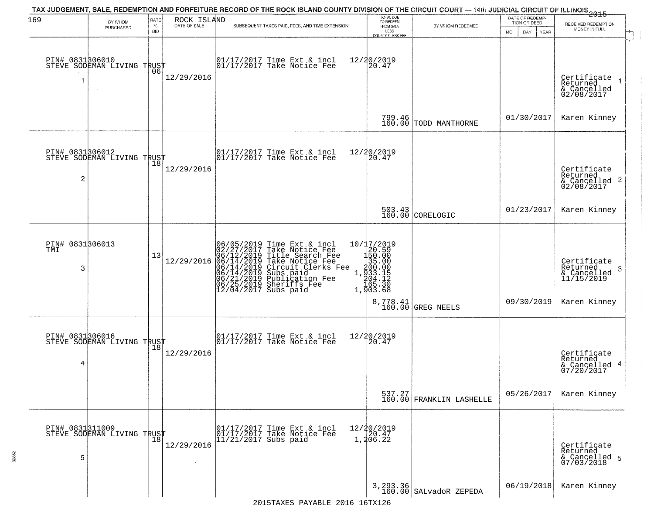| 169                         | BY WHOM                                                     | RATE               | ROCK ISLAND<br>DATE OF SALE | TAX JUDGEMENT, SALE, REDEMPTION AND FORFEITURE RECORD OF THE ROCK ISLAND COUNTY DIVISION OF THE CIRCUIT COURT — 14th JUDICIAL CIRCUIT OF ILLINOIS 2015                                                                                                | TOTAL DUE<br>TO REDEEM<br>FROM SALE                                                               |                                                                  | DATE OF REDEMP-<br>TION OR DEED | RECEIVED REDEMPTION                                                       |
|-----------------------------|-------------------------------------------------------------|--------------------|-----------------------------|-------------------------------------------------------------------------------------------------------------------------------------------------------------------------------------------------------------------------------------------------------|---------------------------------------------------------------------------------------------------|------------------------------------------------------------------|---------------------------------|---------------------------------------------------------------------------|
|                             | PURCHASED                                                   | $\%$<br><b>BID</b> |                             | SUBSEQUENT TAXES PAID, FEES, AND TIME EXTENSION                                                                                                                                                                                                       | LESS<br><b>COUNTY CLERK FEE</b>                                                                   | BY WHOM REDEEMED                                                 | MO.<br>DAY.<br>YEAR             | MONEY IN FULL                                                             |
|                             | PIN# 0831806010    <br>STEVE SODEMAN LIVING TRUST<br>$\sim$ | 06                 | 12/29/2016                  | 01/17/2017 Time Ext & incl<br>01/17/2017 Take Notice Fee                                                                                                                                                                                              | 12/20/2019<br>20.47                                                                               |                                                                  |                                 | Certificate<br>Returned<br>& Cancelled<br>02/08/2017                      |
|                             |                                                             |                    |                             |                                                                                                                                                                                                                                                       |                                                                                                   | 799.46<br>160.00 TODD MANTHORNE                                  | 01/30/2017                      | Karen Kinney                                                              |
| $\overline{c}$              | PIN# 0831306012<br>STEVE SODEMAN LIVING TRUST               | 18                 | 12/29/2016                  | $\begin{array}{cc}  01/17/2017 \text{ Time} & \text{Ext} & \text{incl} \\  01/17/2017 \text{ Take Notice } \text{Fe} \end{array}$                                                                                                                     | 12/20/2019<br>20.47                                                                               |                                                                  |                                 | Certificate<br>Returned<br>$\frac{1}{2}$ Cancelled 2<br>02/08/2017        |
|                             |                                                             |                    |                             |                                                                                                                                                                                                                                                       |                                                                                                   | $\begin{array}{ c c c }\n503.43 & \text{CORELOGIC}\n\end{array}$ | 01/23/2017                      | Karen Kinney                                                              |
| PIN# 0831306013<br>TMI<br>3 |                                                             | 13                 | 12/29/2016                  | 06/05/2019 Time Ext & incl<br>02/27/2017 Take Notice Fee<br>06/12/2019 Title Search Fee<br>06/14/2019 Take Notice Fee<br>06/14/2019 Circuit Clerks Fee<br>06/14/2019 Subs paid<br>06/21/2019 Sublication Fee<br>06/25/2019 Sheriffs Fee<br>12/04/2017 | 10/17/2019<br>$1.0712013$<br>$1.201300$<br>$1.300000$<br>$1.3000000$<br>$1.400310$<br>$1.5003168$ | 8,778.41<br>160.00 GREG NEELS                                    | 09/30/2019                      | Certificate<br>Returned<br>3<br>& Cancelled<br>11/15/2019<br>Karen Kinney |
| 4                           | PIN# 0831306016<br>STEVE SODEMAN LIVING TRUST               |                    | 12/29/2016                  | $\begin{bmatrix} 01/17/2017 \\ 01/17/2017 \end{bmatrix}$ Take Notice Fee                                                                                                                                                                              | 12/20/2019<br>$\left[20.47\right]$                                                                |                                                                  |                                 | Certificate<br>Returned<br>& Cancelled 4<br>07/20/2017                    |
|                             |                                                             |                    |                             |                                                                                                                                                                                                                                                       |                                                                                                   | 537.27<br>160.00 FRANKLIN LASHELLE                               | 05/26/2017                      | Karen Kinney                                                              |
| PIN# 0831311009<br>5        | STEVE SODEMAN LIVING TRUST                                  |                    | 12/29/2016                  | 01/17/2017 Time Ext & incl<br>01/17/2017 Take Notice Fee<br>11/21/2017 Subs paid                                                                                                                                                                      | 12/20/2019<br>1,20.47<br>1,206.22                                                                 |                                                                  |                                 | Certificate<br>Returned<br>& Cancelled 5<br>07/03/2018                    |
|                             |                                                             |                    |                             |                                                                                                                                                                                                                                                       |                                                                                                   | 3, 293.36<br>160.00 SALvadoR ZEPEDA                              | 06/19/2018                      | Karen Kinney                                                              |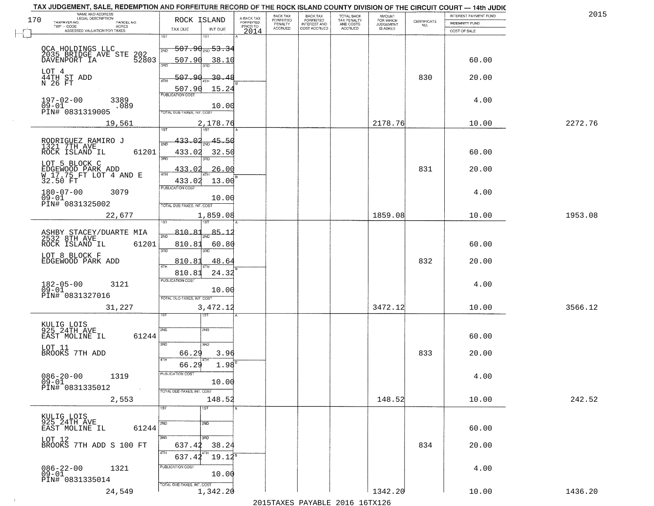| NAME AND ADDRESS<br>LEGAL DESCRIPTION<br>170            | ROCK ISLAND                 |                |                                     | BACK TAX<br>FORFEITED | BACK TAX<br>FORFEITED | TOTAL BACK                                 | AMOUNT<br>FOR WHICH          |                    | INTEREST PAYMENT FUND | 2015    |
|---------------------------------------------------------|-----------------------------|----------------|-------------------------------------|-----------------------|-----------------------|--------------------------------------------|------------------------------|--------------------|-----------------------|---------|
| TAXPAYER NO.<br>PARCEL NO.<br>ACRES                     |                             |                | A-BACK TAX<br>FORFEITED<br>PRIOR TO | PENALTY               | <b>INTEREST AND</b>   | TAX PENALTY<br>AND COSTS<br><b>ACCRUED</b> | <b>JUDGEMENT</b><br>IS ASKED | CERTIFICATE<br>NO. | <b>INDEMNITY FUND</b> |         |
| ASSESSED VALUATION FOR TAXES                            | TAX DUE<br>1ST              | INT DUE<br>1ST | 2014                                | <b>ACCRUED</b>        | COST ACCRUED          |                                            |                              |                    | COST OF SALE          |         |
|                                                         | 507.90 <sub>2ND</sub> 53.34 |                |                                     |                       |                       |                                            |                              |                    |                       |         |
| OCA HOLDINGS LLC<br>2035 BRIDGE AVE STE<br>202<br>52803 | 2ND                         |                |                                     |                       |                       |                                            |                              |                    |                       |         |
| DAVENPORT IA                                            | 507.90<br>350               | 38.10          |                                     |                       |                       |                                            |                              |                    | 60.00                 |         |
| LOT 4                                                   | 507.90                      | -30.48         |                                     |                       |                       |                                            |                              | 830                | 20.00                 |         |
| 44TH ST ADD<br>N 26 FT                                  | 4TH<br>507.90               | 15.24          |                                     |                       |                       |                                            |                              |                    |                       |         |
|                                                         | <b>PUBLICATION COST</b>     |                |                                     |                       |                       |                                            |                              |                    |                       |         |
| $197 - 02 - 00$<br>3389<br>$09 - 01$<br>.089            |                             | 10.00          |                                     |                       |                       |                                            |                              |                    | 4.00                  |         |
| PIN# 0831319005                                         | TOTAL DUE-TAXES, INT. COST  |                |                                     |                       |                       |                                            |                              |                    |                       |         |
| 19,561                                                  |                             | 2,178.76       |                                     |                       |                       |                                            | 2178.76                      |                    | 10.00                 | 2272.76 |
|                                                         | 433.02                      | 45.50          |                                     |                       |                       |                                            |                              |                    |                       |         |
| RODRIGUEZ RAMIRO J<br>1321 7TH AVE                      |                             |                |                                     |                       |                       |                                            |                              |                    |                       |         |
| ROCK ISLAND IL<br>61201                                 | 433.02<br>3RD               | 32.50          |                                     |                       |                       |                                            |                              |                    | 60.00                 |         |
| LOT 5 BLOCK C                                           | 433.02                      | .26.00         |                                     |                       |                       |                                            |                              | 831                | 20.00                 |         |
| EDGEWOOD PARK ADD<br>W 17.75 FT LOT 4 AND E<br>32.50 FT | 433.02                      | 13.00          |                                     |                       |                       |                                            |                              |                    |                       |         |
|                                                         | PUBLICATION COST            |                |                                     |                       |                       |                                            |                              |                    |                       |         |
| $180 - 07 - 00$<br>3079<br>$09 - 01$                    |                             | 10.00          |                                     |                       |                       |                                            |                              |                    | 4.00                  |         |
| PIN# 0831325002                                         | TOTAL DUE-TAXES, INT. COST  |                |                                     |                       |                       |                                            |                              |                    |                       |         |
| 22,677                                                  | isT                         | 1,859.08       |                                     |                       |                       |                                            | 1859.08                      |                    | 10.00                 | 1953.08 |
|                                                         | 810.81                      | -85.           |                                     |                       |                       |                                            |                              |                    |                       |         |
| ASHBY STACEY/DUARTE MIA<br>2532 8TH AVE                 | 2ND                         |                |                                     |                       |                       |                                            |                              |                    |                       |         |
| ROCK ISLAND IL<br>61201                                 | 810.81<br>3 <sub>BD</sub>   | 60.80<br>3RD   |                                     |                       |                       |                                            |                              |                    | 60.00                 |         |
| LOT 8 BLOCK F<br>EDGEWOOD PARK ADD                      | 810.81                      | 48.64          |                                     |                       |                       |                                            |                              | 832                | 20.00                 |         |
|                                                         | 4TH<br>810.81               | 24.32          |                                     |                       |                       |                                            |                              |                    |                       |         |
|                                                         | <b>PUBLICATION COST</b>     |                |                                     |                       |                       |                                            |                              |                    | 4.00                  |         |
| $182 - 05 - 00$<br>3121<br>$\bar{0}9 - 01$              |                             | 10.00          |                                     |                       |                       |                                            |                              |                    |                       |         |
| PIN# 0831327016                                         | TOTAL OUE-TAXES, INT. COST  |                |                                     |                       |                       |                                            |                              |                    |                       |         |
| 31,227                                                  |                             | 3,472.12       |                                     |                       |                       |                                            | 3472.12                      |                    | 10.00                 | 3566.12 |
|                                                         | ৰৱা                         |                |                                     |                       |                       |                                            |                              |                    |                       |         |
| KULIG LOIS<br>925 24TH AVE                              | 2ND<br>2ND                  |                |                                     |                       |                       |                                            |                              |                    |                       |         |
| EAST MOLINE IL<br>61244                                 | 3BD<br>3RD                  |                |                                     |                       |                       |                                            |                              |                    | 60.00                 |         |
| LOT 11<br>BROOKS 7TH ADD                                | 66.29                       | 3.96           |                                     |                       |                       |                                            |                              | 833                | 20.00                 |         |
|                                                         | 4TH<br>66.29                | 1.98           |                                     |                       |                       |                                            |                              |                    |                       |         |
|                                                         | 'usuca hun cus              |                |                                     |                       |                       |                                            |                              |                    |                       |         |
| $086 - 20 - 00$<br>1319<br>$09 - 01$                    |                             | 10.00          |                                     |                       |                       |                                            |                              |                    | 4.00                  |         |
| PIN# 0831335012<br>$\sim 100$                           | TOTAL DUE-TAXES, INT. COST  |                |                                     |                       |                       |                                            |                              |                    |                       |         |
| 2,553                                                   |                             | 148.52         |                                     |                       |                       |                                            | 148.52                       |                    | 10.00                 | 242.52  |
|                                                         | 1ST<br>1ST <sup>1</sup>     |                |                                     |                       |                       |                                            |                              |                    |                       |         |
| KULIG LOIS<br>925 24TH AVE                              | 2ND<br>2ND                  |                |                                     |                       |                       |                                            |                              |                    |                       |         |
| 61244<br>EAST MOLINE IL                                 |                             |                |                                     |                       |                       |                                            |                              |                    | 60.00                 |         |
| LOT 12<br>BROOKS 7TH ADD S 100 FT                       | 3RD<br>3RD<br>637.42        | 38.24          |                                     |                       |                       |                                            |                              | 834                | 20.00                 |         |
|                                                         | 4TH<br>4TH<br>637.42        | $19.12^8$      |                                     |                       |                       |                                            |                              |                    |                       |         |
|                                                         | PUBLICATION COST            |                |                                     |                       |                       |                                            |                              |                    |                       |         |
| $086 - 22 - 00$<br>1321<br>09-01                        |                             | 10.00          |                                     |                       |                       |                                            |                              |                    | 4.00                  |         |
| PIN# 0831335014                                         | TOTAL DUE-TAXES, INT. COST  |                |                                     |                       |                       |                                            |                              |                    |                       |         |
| 24,549                                                  |                             | 1,342.20       |                                     |                       |                       |                                            | 1342.20                      |                    | 10.00                 | 1436.20 |

 $\sim 40$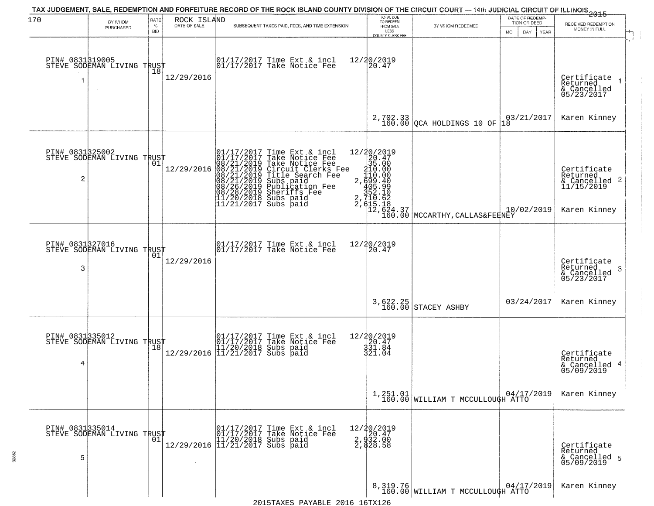| 170                  | BY WHOM                                                  | RATE               | ROCK ISLAND  | TAX JUDGEMENT, SALE, REDEMPTION AND FORFEITURE RECORD OF THE ROCK ISLAND COUNTY DIVISION OF THE CIRCUIT COURT — 14th JUDICIAL CIRCUIT OF ILLINOIS 2015                                                                                               | TOTAL DUE<br>TO REDEEM<br>FROM SALE               |                                                                                                                                                                         | DATE OF REDEMP-<br>TION OR DEED     | RECEIVED REDEMPTION                                                    |
|----------------------|----------------------------------------------------------|--------------------|--------------|------------------------------------------------------------------------------------------------------------------------------------------------------------------------------------------------------------------------------------------------------|---------------------------------------------------|-------------------------------------------------------------------------------------------------------------------------------------------------------------------------|-------------------------------------|------------------------------------------------------------------------|
|                      | PURCHASED                                                | $\%$<br><b>BID</b> | DATE OF SALE | SUBSEQUENT TAXES PAID, FEES, AND TIME EXTENSION                                                                                                                                                                                                      | LESS<br>COUNTY CLERK FEE                          | BY WHOM REDEEMED                                                                                                                                                        | MO.<br>DAY.<br>YEAR                 | MONEY IN FULL                                                          |
|                      | PIN# 0831319005<br>STEVE SODEMAN LIVING TRUST            | 18                 | 12/29/2016   | 01/17/2017 Time Ext & incl<br>01/17/2017 Take Notice Fee                                                                                                                                                                                             | 12/20/2019<br>20.47                               |                                                                                                                                                                         |                                     | Certificate<br>Returned<br>& Cancelled<br>05/23/2017                   |
|                      |                                                          |                    |              |                                                                                                                                                                                                                                                      |                                                   | $2,702.33$ QCA HOLDINGS 10 OF                                                                                                                                           | $\left  \frac{03}{21/2017} \right $ | Karen Kinney                                                           |
| $\overline{c}$       | PIN# 0831325002<br>STEVE SODEMAN LIVING TRUST            |                    | 12/29/2016   | 01/17/2017 Time Ext & incl<br>01/17/2017 Take Notice Fee<br>08/21/2019 Take Notice Fee<br>08/21/2019 Circuit Clerks Fee<br>08/21/2019 Title Search Fee<br>08/21/2019 Subs paid<br>08/26/2019 Sheriffs Fee<br>11/20/2018 Subs paid<br>11/21/2017 Subs | 12/20/2019<br>20.47<br>35.00                      | $\begin{array}{c}\n 20.4 \\  35.00 \\  110.00 \\  110.00 \\  2,699.40 \\  352.10 \\  352.10 \\  12,624.37 \\  12,64.30 \\  12,60.00 \\  160.00 \\  \hline\n\end{array}$ | 10/02/2019                          | Certificate<br>Returned<br>& Cancelled 2<br>11/15/2019<br>Karen Kinney |
| PIN# 0831327016<br>3 | STEVE SODEMAN LIVING TRUST                               | 01                 | 12/29/2016   | 01/17/2017 Time Ext & incl<br>01/17/2017 Take Notice Fee                                                                                                                                                                                             |                                                   |                                                                                                                                                                         |                                     | Certificate<br>Returned<br>3<br>$\frac{6}{05/23/2017}$                 |
|                      |                                                          |                    |              |                                                                                                                                                                                                                                                      | 3,622.25<br>160.00                                | STACEY ASHBY                                                                                                                                                            | 03/24/2017                          | Karen Kinney                                                           |
| 4                    | PIN# 0831335012<br>STEVE SODEMAN LIVING TRUST            |                    |              | $[01/17/2017 \t\t Time \t\t Ext & incl \\ [01/17/2017 \t\t Take \tNotice \t\text{Fe} \\ [11/20/2018 \t\text{Subs paid} \\ [11/21/2017 \t\text{Subs paid} \\$                                                                                         | 12/20/2019<br>20.47<br>331.84<br>321.04           |                                                                                                                                                                         |                                     | Certificate<br>Returned<br>4<br>& Cancelled<br>05/09/2019              |
|                      |                                                          |                    |              |                                                                                                                                                                                                                                                      |                                                   | $1,251.01$ 04/17,<br>160.00 WILLIAM T MCCULLOUGH ATTO                                                                                                                   | 04/17/2019                          | Karen Kinney                                                           |
| PIN# 0831335014<br>5 | STEVE SODEMAN LIVING TRUST<br>STEVE SODEMAN LIVING TRUST |                    |              | 01/17/2017 Time Ext & incl<br>01/17/2017 Take Notice Fee<br>11/20/2018 Subs paid<br>12/29/2016 11/21/2017 Subs paid                                                                                                                                  | 12/20/2019<br>2, 920.47<br>2, 932.00<br>2, 828.58 |                                                                                                                                                                         |                                     | Certificate<br>Returned<br>& Cancelled 5<br>05/09/2019                 |
|                      |                                                          |                    |              |                                                                                                                                                                                                                                                      |                                                   | 8,319.76<br>160.00 WILLIAM T MCCULLOUGH ATTO                                                                                                                            |                                     | Karen Kinney                                                           |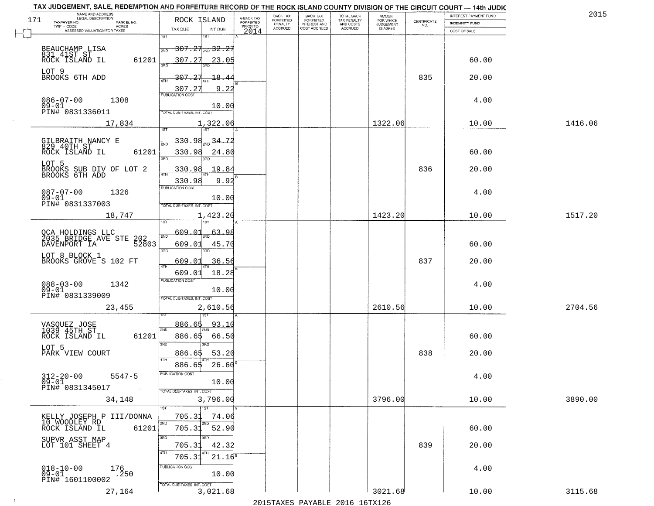| TAX JUDGEMENT, SALE, REDEMPTION AND FORFEITURE RECORD OF THE ROCK ISLAND COUNTY DIVISION OF THE CIRCUIT COURT - 14th JUDIC<br>NAME AND ADDRESS<br>LEGAL DESCRIPTION |                                                                   |                                     | BACK TAX             | <b>BACK TAX</b>           |                                        | AMOUNT<br>FOR WHICH |                                                                 | INTEREST PAYMENT FUND | 2015    |
|---------------------------------------------------------------------------------------------------------------------------------------------------------------------|-------------------------------------------------------------------|-------------------------------------|----------------------|---------------------------|----------------------------------------|---------------------|-----------------------------------------------------------------|-----------------------|---------|
| 171<br>TAXPAYER NO.<br>PARCEL NO.                                                                                                                                   | ROCK ISLAND                                                       | A-BACK TAX<br>FORFEITED<br>PRIOR TO | FORFEITED<br>PENALTY | FORFEITED<br>INTEREST AND | TOTAL BACK<br>TAX PENALTY<br>AND COSTS | <b>JUDGEMENT</b>    | $\begin{array}{c} \text{CERTIFICATE} \\ \text{NO.} \end{array}$ | INDEMNITY FUND        |         |
| ACRES<br>ASSESSED VALUATION FOR TAXES                                                                                                                               | TAX DUE<br>INT DUE                                                | 2014                                | <b>ACCRUED</b>       | COST ACCRUED              | <b>ACCRUED</b>                         | IS ASKED            |                                                                 | COST OF SALE          |         |
| BEAUCHAMP LISA                                                                                                                                                      | 1ST<br>18T<br><del>307.21<sub>2ND</sub>32.27</del><br>2ND         |                                     |                      |                           |                                        |                     |                                                                 |                       |         |
| 831 41ST ST<br>ROCK ISLAND IL<br>61201<br>LOT 9                                                                                                                     | 307.27<br><u>23.05</u>                                            |                                     |                      |                           |                                        |                     |                                                                 | 60.00                 |         |
| BROOKS 6TH ADD                                                                                                                                                      | 307.27<br>18.4<br>9.22<br>307.27                                  |                                     |                      |                           |                                        |                     | 835                                                             | 20.00                 |         |
| $086 - 07 - 00$<br>1308<br>$09 - 01$<br>PIN# 0831336011                                                                                                             | 10.00<br>TOTAL DUE-TAXES, INT. COST                               |                                     |                      |                           |                                        |                     |                                                                 | 4.00                  |         |
| 17,834                                                                                                                                                              | 1,322.06                                                          |                                     |                      |                           |                                        | 1322.06             |                                                                 | 10.00                 | 1416.06 |
| GILBRAITH NANCY E<br>829 40TH ST<br>61201<br>ROCK ISLAND IL                                                                                                         | 330.98<br>34.72<br>330.98<br>24.80<br>3BD                         |                                     |                      |                           |                                        |                     |                                                                 | 60.00                 |         |
| LOT 5<br>BROOKS SUB DIV OF LOT 2<br>BROOKS 6TH ADD                                                                                                                  | 19.84<br><u>330.98</u><br>$\overline{47H}$<br>330.98<br>9.92      |                                     |                      |                           |                                        |                     | 836                                                             | 20.00                 |         |
| $087 - 07 - 00$<br>1326<br>$09 - 01$<br>PIN# 0831337003                                                                                                             | PUBLICATION COST<br>10.00<br>TOTAL DUE-TAXES, INT. COST           |                                     |                      |                           |                                        |                     |                                                                 | 4.00                  |         |
| 18,747                                                                                                                                                              | 1,423.20<br>īsT                                                   |                                     |                      |                           |                                        | 1423.20             |                                                                 | 10.00                 | 1517.20 |
| OCA HOLDINGS LLC<br>2035 BRIDGE AVE STE<br>202<br>DAVENPORT IA<br>52803                                                                                             | 609.01<br>63.98<br>2ND<br>609.01<br>45.70<br>3RD<br>3RD           |                                     |                      |                           |                                        |                     |                                                                 | 60.00                 |         |
| LOT 8 BLOCK 1<br>BROOKS GROVE S 102 FT                                                                                                                              | 609.01<br>36.56<br>ATH<br>18.28<br>609.01                         |                                     |                      |                           |                                        |                     | 837                                                             | 20.00                 |         |
| $088 - 03 - 00$<br>1342<br>$09 - 01$<br>PIN# 0831339009                                                                                                             | <b>PUBLICATION COST</b><br>10.00<br>TOTAL OUE-TAXES, INT. COST    |                                     |                      |                           |                                        |                     |                                                                 | 4.00                  |         |
| 23,455                                                                                                                                                              | 2,610.56                                                          |                                     |                      |                           |                                        | 2610.56             |                                                                 | 10.00                 | 2704.56 |
| VASQUEZ JOSE<br>1039 45TH ST<br>ROCK ISLAND IL<br>61201                                                                                                             | 886.65<br>93.10<br>2ND<br>886.65<br>66.50                         |                                     |                      |                           |                                        |                     |                                                                 | 60.00                 |         |
| LOT 5<br>PARK VIEW COURT                                                                                                                                            | 3 <sub>BD</sub><br>m<br>886.65<br>53.20<br>4TH<br>886.65<br>26.60 |                                     |                      |                           |                                        |                     | 838                                                             | 20.00                 |         |
| $312 - 20 - 00$<br>$5547 - 5$<br>$09 - 01$<br>PIN# 0831345017<br><b>Contractor</b>                                                                                  | PUBLICATION COST<br>10.00                                         |                                     |                      |                           |                                        |                     |                                                                 | 4.00                  |         |
| 34,148                                                                                                                                                              | TOTAL DUE-TAXES, INT. COST<br>3,796.00<br>1ST                     |                                     |                      |                           |                                        | 3796.00             |                                                                 | 10.00                 | 3890.00 |
| KELLY JOSEPH P III/DONNA<br>10 WOODLEY RD<br>61201<br>ROCK ISLAND IL                                                                                                | 705.31<br>74.06<br>2ND<br>2ND<br>705.31<br>52.90                  |                                     |                      |                           |                                        |                     |                                                                 | 60.00                 |         |
| SUPVR ASST MAP<br>LOT 101 SHEET 4                                                                                                                                   | 3RD<br>חחי<br>705.31<br>42.32<br>4TH                              |                                     |                      |                           |                                        |                     | 839                                                             | 20.00                 |         |
| $018 - 10 - 00$<br>176<br>$09 - 01$<br>.250<br>PIN# 1601100002                                                                                                      | 705.31<br>$21.16^8$<br>PUBLICATION COST<br>10.00                  |                                     |                      |                           |                                        |                     |                                                                 | 4.00                  |         |
| 27,164                                                                                                                                                              | TOTAL DUE-TAXES, INT. COST<br>3,021.68                            |                                     |                      |                           |                                        | 3021.68             |                                                                 | 10.00                 | 3115.68 |

 $\sim 10^{-1}$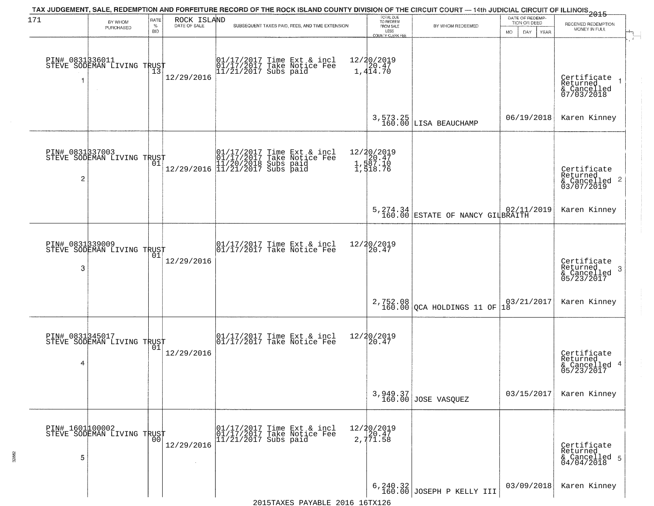| 171                  | BY WHOM                                           | RATE                       | ROCK ISLAND  |                        |                                                                                                                                 | TOTAL DUE<br>TO REDEEM                                  | TAX JUDGEMENT, SALE, REDEMPTION AND FORFEITURE RECORD OF THE ROCK ISLAND COUNTY DIVISION OF THE CIRCUIT COURT — 14th JUDICIAL CIRCUIT OF ILLINOIS 2015 | DATE OF REDEMP<br>TION OR DEED | RECEIVED REDEMPTION                                                |
|----------------------|---------------------------------------------------|----------------------------|--------------|------------------------|---------------------------------------------------------------------------------------------------------------------------------|---------------------------------------------------------|--------------------------------------------------------------------------------------------------------------------------------------------------------|--------------------------------|--------------------------------------------------------------------|
|                      | PURCHASED                                         | $\%$<br><b>BID</b>         | DATE OF SALE |                        | SUBSEQUENT TAXES PAID, FEES, AND TIME EXTENSION                                                                                 | FROM SALE<br>LESS<br>COUNTY CLERK FEE                   | BY WHOM REDEEMED                                                                                                                                       | DAY.<br>MO.<br>YEAR            | MONEY IN FULL                                                      |
| 1                    | PIN# 0831336011<br>STEVE SODEMAN LIVING TRUST     | $\overline{1}\overline{3}$ | 12/29/2016   |                        | 01/17/2017 Time Ext & incl<br>01/17/2017 Take Notice Fee<br>11/21/2017 Subs paid                                                | 12/20/2019<br>1,414.70                                  |                                                                                                                                                        |                                | Certificate<br>Returned<br>& Cancelled<br>07/03/2018               |
|                      |                                                   |                            |              |                        |                                                                                                                                 |                                                         | 3,573.25<br>160.00 LISA BEAUCHAMP                                                                                                                      | 06/19/2018                     | Karen Kinney                                                       |
| PIN# 0831337003<br>2 | STEVE SODEMAN LIVING TRUST                        |                            |              |                        | $[01/17/2017$ Time Ext & incl\n01/17/2017 Take Notice Free\n11/20/2018 Subs paid\n12/29/2016] 11/21/2017 Subs paid$             | 12/20/2019<br>20.47<br>1,587.10<br>1,587.10<br>1,518.76 |                                                                                                                                                        |                                | Certificate<br>Returned<br>$\frac{1}{6}$ Cancelled 2<br>03/07/2019 |
|                      |                                                   |                            |              |                        |                                                                                                                                 |                                                         | 5, 274.34<br>160.00 ESTATE OF NANCY GILBRAITH                                                                                                          | 02/11/2019                     | Karen Kinney                                                       |
| 3                    | PIN# 0831339009    <br>STEVE SODEMAN LIVING TRUST | 01                         | 12/29/2016   |                        | $\begin{array}{c}  01/17/2017 \text{ Time} \text{ Ext} & \text{incl} \\  01/17/2017 \text{ Take Notice } \text{Fe} \end{array}$ | 12/20/2019<br>20.47                                     |                                                                                                                                                        |                                | Certificate<br>Returned<br>3<br>& Cancelled<br>05/23/2017          |
|                      |                                                   |                            |              |                        |                                                                                                                                 |                                                         | 2,752.08<br>160.00 QCA HOLDINGS 11 OF                                                                                                                  | 03/21/2017<br>1Ā               | Karen Kinney                                                       |
| PIN# 0831345017<br>4 | STEVE SODEMAN LIVING TRUST                        | 01                         | 12/29/2016   |                        | $\begin{bmatrix} 01/17/2017 \\ 01/17/2017 \end{bmatrix}$ Take Notice Fee                                                        | 12/20/2019<br>120.47                                    |                                                                                                                                                        |                                | Certificate<br>Returned<br>& Cancelled 4<br>05/23/2017             |
|                      |                                                   |                            |              |                        |                                                                                                                                 |                                                         | 3,949.37<br>160.00 JOSE VASQUEZ                                                                                                                        | 03/15/2017                     | Karen Kinney                                                       |
| PIN# 1601100002<br>5 | STEVE SODEMAN LIVING TRUST                        | 00                         | 12/29/2016   | $11/21/2017$ Subs paid | 01/17/2017 Time Ext & incl<br>01/17/2017 Take Notice Fee                                                                        | 12/20/2019<br>20.47<br>2,771.58                         |                                                                                                                                                        |                                | Certificate<br>Returned<br>& Cancelled 5<br>04/04/2018             |
|                      |                                                   |                            |              |                        |                                                                                                                                 |                                                         | $6, 240.32$<br>160.00 JOSEPH P KELLY III                                                                                                               | 03/09/2018                     | Karen Kinney                                                       |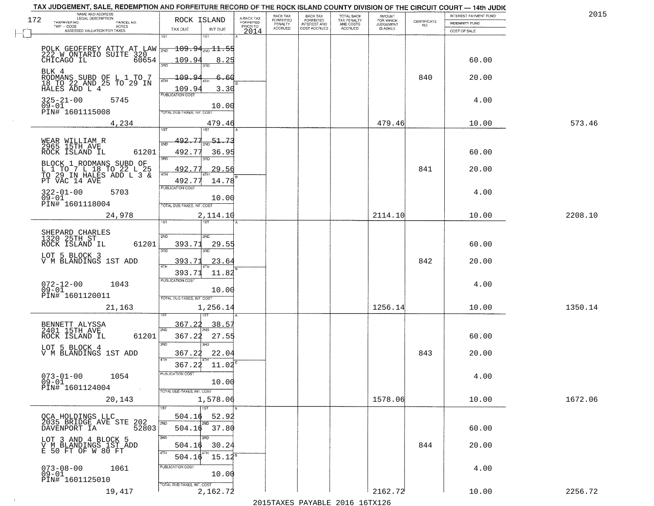|     | TAX JUDGEMENT, SALE, REDEMPTION AND FORFEITURE RECORD OF THE ROCK ISLAND COUNTY DIVISION OF THE CIRCUIT COURT - 14th JUDIC |                                                                |                           |                         |                           |                                       |                                        |                              |                                                                 |                                                |         |
|-----|----------------------------------------------------------------------------------------------------------------------------|----------------------------------------------------------------|---------------------------|-------------------------|---------------------------|---------------------------------------|----------------------------------------|------------------------------|-----------------------------------------------------------------|------------------------------------------------|---------|
| 172 | NAME AND ADDRESS<br>LEGAL DESCRIPTION<br>TAXPAYER NO.<br>PARCEL NO.                                                        | ROCK ISLAND                                                    |                           | A-BACK TAX<br>FORFEITED | BACK TAX<br>FORFEITED     | BACK TAX<br>FORFEITED<br>INTEREST AND | TOTAL BACK<br>TAX PENALTY<br>AND COSTS | AMOUNT<br>FOR WHICH          | $\begin{array}{c} \text{CEPTIFICATE} \\ \text{NO.} \end{array}$ | INTEREST PAYMENT FUND<br><b>INDEMNITY FUND</b> | 2015    |
|     | $TWP - CODE$<br>ACRES<br>ASSESSED VALUATION FOR TAXES                                                                      | TAX DUE                                                        | INT DUE                   | PRIOR TO<br>2014        | PENALTY<br><b>ACCRUED</b> | COST ACCRUED                          | <b>ACCRUED</b>                         | <b>JUDGEMENT</b><br>IS ASKED |                                                                 | COST OF SALE                                   |         |
|     | POLK GEOFFREY ATTY AT LAW WE<br>222 W ONTARIO SUITE 320<br>CHICAGO IL 60654                                                | 1ST<br>$\overline{109.94}$ ang $\overline{11.2}$               | 1ST                       |                         |                           |                                       |                                        |                              |                                                                 |                                                |         |
|     | BLK 4                                                                                                                      | 109.94<br>3RD                                                  | 8.25<br>חת                |                         |                           |                                       |                                        |                              |                                                                 | 60.00                                          |         |
|     | EODMANS SUBD OF L 1 TO 7<br>18 TO 22 AND 25 TO 29 IN<br>HALES ADD L 4                                                      | 109.9.<br>4TH<br>109.94<br><b>PUBLICATION COST</b>             | 6.<br>60<br>3.30          |                         |                           |                                       |                                        |                              | 840                                                             | 20.00                                          |         |
|     | $325 - 21 - 00$<br>5745<br>09-01<br>PIN# 1601115008                                                                        | TOTAL DUE-TAXES, INT. COST                                     | 10.00                     |                         |                           |                                       |                                        |                              |                                                                 | 4.00                                           |         |
|     | 4,234                                                                                                                      | 1ST                                                            | 479.46<br>1ST             |                         |                           |                                       |                                        | 479.46                       |                                                                 | 10.00                                          | 573.46  |
|     | WEAR WILLIAM R<br>2965 15TH AVE<br>ROCK ISLAND IL<br>61201                                                                 | 492.77<br>2ND<br>492.77                                        | 51.73<br>36.95            |                         |                           |                                       |                                        |                              |                                                                 | 60.00                                          |         |
|     | BLOCK 1 RODMANS SUBD OF L 1 TO 7 L 18 TO 22 L 25 TO 29 IN HALES ADD L 3 & PT VAC 14 AVE                                    | 3RD<br>492.77<br>47H                                           | הוא<br>29.56              |                         |                           |                                       |                                        |                              | 841                                                             | 20.00                                          |         |
|     | $322 - 01 - 00$<br>5703<br>$09 - 01$                                                                                       | 492.77<br>PUBLICATION COST                                     | 14.78<br>10.00            |                         |                           |                                       |                                        |                              |                                                                 | 4.00                                           |         |
|     | PIN# 1601118004<br>24,978                                                                                                  | TOTAL DUE-TAXES, INT. COST<br>ist.                             | 2,114.10                  |                         |                           |                                       |                                        | 2114.10                      |                                                                 | 10.00                                          | 2208.10 |
|     | SHEPARD CHARLES<br>1320 25TH ST                                                                                            | S/ID                                                           | SMD                       |                         |                           |                                       |                                        |                              |                                                                 |                                                |         |
|     | 61201<br>ROCK ISLAND IL                                                                                                    | 393.71<br>3 <sub>BD</sub>                                      | 29.55<br>3RD              |                         |                           |                                       |                                        |                              |                                                                 | 60.00                                          |         |
|     | LOT 5 BLOCK 3<br>V M BLANDINGS 1ST ADD                                                                                     | 393.71                                                         | 23.64                     |                         |                           |                                       |                                        |                              | 842                                                             | 20.00                                          |         |
|     | 072-12-00<br>09-01<br>1043<br>PIN# 1601120011                                                                              | 393.71<br><b>PUBLICATION COST</b>                              | 11.82<br>10.00            |                         |                           |                                       |                                        |                              |                                                                 | 4.00                                           |         |
|     | 21,163                                                                                                                     | TOTAL OUE-TAXES, INT. COST                                     | 1,256.14                  |                         |                           |                                       |                                        | 1256.14                      |                                                                 | 10.00                                          | 1350.14 |
|     | BENNETT ALYSSA<br>2401 15TH AVE<br>ROCK ISLAND IL<br>61201                                                                 | <u>367.22</u><br>2ND<br>367.22                                 | 38.5<br>27.55             |                         |                           |                                       |                                        |                              |                                                                 | 60.00                                          |         |
|     | LOT 5 BLOCK 4<br>V M BLANDINGS 1ST ADD                                                                                     | 3BD<br>367.22<br>4TH                                           | $\overline{3BD}$<br>22.04 |                         |                           |                                       |                                        |                              | 843                                                             | 20.00                                          |         |
|     | $073 - 01 - 00$<br>1054<br>$09 - 01$<br>PIN# 1601124004                                                                    | 367.22 11.02<br>PUBLICATION COST<br>TOTAL DUE-TAXES, INT. COST | 10.00                     |                         |                           |                                       |                                        |                              |                                                                 | 4.00                                           |         |
|     | 20,143                                                                                                                     | 1ST<br>1ST                                                     | 1,578.06                  |                         |                           |                                       |                                        | 1578.06                      |                                                                 | 10.00                                          | 1672.06 |
|     | OCA HOLDINGS LLC<br>2035 BRIDGE AVE STE 202<br>2035 BRIDGE AVE STE 52803                                                   | 504.16<br>2ND<br>2ND<br>504.16                                 | 52.92<br>37.80            |                         |                           |                                       |                                        |                              |                                                                 | 60.00                                          |         |
|     | LOT 3 AND 4 BLOCK 5<br>V M BLANDINGS 1ST ADD<br>E 50 FT OF W 80 FT                                                         | 3RD<br>अंग<br>504.16<br>4TH<br>504.16                          | 30.24<br>$15.12^5$        |                         |                           |                                       |                                        |                              | 844                                                             | 20.00                                          |         |
|     | $073 - 08 - 00$<br>09-01<br>1061<br>PIN# 1601125010                                                                        | PUBLICATION COST                                               | 10.00                     |                         |                           |                                       |                                        |                              |                                                                 | 4.00                                           |         |
|     | 19,417                                                                                                                     | TOTAL DUE-TAXES, INT. COST                                     | 2,162.72                  |                         |                           |                                       |                                        | 2162.72                      |                                                                 | 10.00                                          | 2256.72 |

 $\sim 100$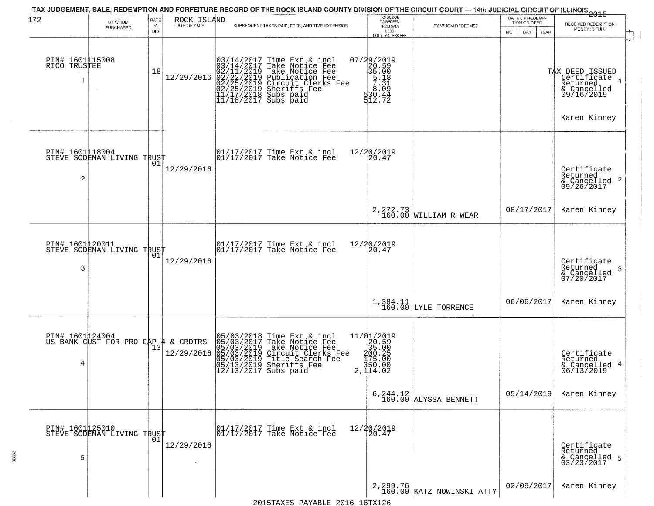| 172                             | BY WHOM                                       | RATE            |                             | TAX JUDGEMENT, SALE, REDEMPTION AND FORFEITURE RECORD OF THE ROCK ISLAND COUNTY DIVISION OF THE CIRCUIT COURT — 14th JUDICIAL CIRCUIT OF ILLINOIS 2015                                                                                     | TOTAL DUE<br>TO REDEEM                                                                                                                                  |                                       | DATE OF REDEMP-                            |                                                                                             |
|---------------------------------|-----------------------------------------------|-----------------|-----------------------------|--------------------------------------------------------------------------------------------------------------------------------------------------------------------------------------------------------------------------------------------|---------------------------------------------------------------------------------------------------------------------------------------------------------|---------------------------------------|--------------------------------------------|---------------------------------------------------------------------------------------------|
|                                 | PURCHASED                                     | %<br><b>BID</b> | ROCK ISLAND<br>DATE OF SALE | SUBSEQUENT TAXES PAID, FEES, AND TIME EXTENSION                                                                                                                                                                                            | FROM SALE<br>LESS<br>COUNTY CLERK FEE                                                                                                                   | BY WHOM REDEEMED                      | TION OR DEED<br>MO.<br>DAY.<br><b>YEAR</b> | RECEIVED REDEMPTION<br>MONEY IN FULL                                                        |
| PIN# 1601115008<br>RICO TRUSTEE |                                               | 18              | 12/29/2016                  | $03/14/2017$ Time Ext & incl<br>$03/14/2017$ Take Notice Fee<br>$02/11/2019$ Take Notice Fee<br>$02/22/2019$ Publication Fee<br>$02/25/2019$ Sheriffs Fee<br>$02/25/2019$ Sheriffs Fee<br>$11/17/2018$ Subs paid<br>$11/18/2017$ Subs paid | 07/29/2019<br>2<br>20.590<br>35.008<br>57.31<br>30.44<br>530.44<br>512.72                                                                               |                                       |                                            | TAX DEED ISSUED<br>  Certificate 1<br>Returned<br>& Cancelled<br>09/16/2019<br>Karen Kinney |
| PIN# 1601118004<br>2            | STEVE SODEMAN LIVING TRUST                    |                 | 12/29/2016                  | 01/17/2017 Time Ext & incl<br>01/17/2017 Take Notice Fee                                                                                                                                                                                   | 12/20/2019<br>$\overline{20.47}$                                                                                                                        |                                       |                                            | Certificate<br>Returned<br>$\frac{1}{6}$ Cancelled 2<br>09/26/2017                          |
|                                 |                                               |                 |                             |                                                                                                                                                                                                                                            |                                                                                                                                                         | 2, 272.73<br>160.00 WILLIAM R WEAR    | 08/17/2017                                 | Karen Kinney                                                                                |
| PIN# 1601020011<br>3            | STEVE SODEMAN LIVING TRUST                    | 01              | 12/29/2016                  | 01/17/2017 Time Ext & incl<br>01/17/2017 Take Notice Fee                                                                                                                                                                                   | 12/20/2019<br>20.47                                                                                                                                     |                                       |                                            | Certificate<br>Returned<br>-3<br>& Cancelled<br>07/20/2017                                  |
|                                 |                                               |                 |                             |                                                                                                                                                                                                                                            |                                                                                                                                                         | 1,384.11<br>160.00 LYLE TORRENCE      | 06/06/2017                                 | Karen Kinney                                                                                |
| 4                               | PIN# 1601 24004<br>US BANK CUST FOR PRO CAP 4 |                 | & CRDTRS<br>12/29/2016      | 05/03/2018 Time Ext & incl<br>05/03/2017 Take Notice Fee<br>05/03/2019 Take Notice Fee<br>05/03/2019 Circuit Clerks Fee<br>05/03/2019 Title Search Fee<br>05/13/2019 Sheriffs Fee<br>12/13/2017 Subs paid                                  | $\begin{array}{r} 11/01/2019 \\ 20.59 \\ 35.00 \end{array}$<br>$\begin{smallmatrix} 200.25 \\ 175.00 \\ 175.00 \\ 350.00 \\ 2,114.02 \end{smallmatrix}$ |                                       |                                            | Certificate<br>Returned<br>& Cancelled 4<br>06/13/2019                                      |
|                                 |                                               |                 |                             |                                                                                                                                                                                                                                            |                                                                                                                                                         | $6, 244.12$<br>160.00 ALYSSA BENNETT  | 05/14/2019                                 | Karen Kinney                                                                                |
| 5                               | PIN# 1601125010<br>STEVE SODEMAN LIVING TRUST | 01              | 12/29/2016                  | $\begin{array}{c}  01/17/2017 \text{ Time Ext & incl} \\ 01/17/2017 \text{ Take Notice Fee} \end{array}$                                                                                                                                   | 12/20/2019<br>20.47                                                                                                                                     |                                       |                                            | Certificate<br>Returned<br>& Cancelled 5<br>03/23/2017                                      |
|                                 |                                               |                 |                             |                                                                                                                                                                                                                                            |                                                                                                                                                         | 2,299.76<br>160.00 KATZ NOWINSKI ATTY | 02/09/2017                                 | Karen Kinney                                                                                |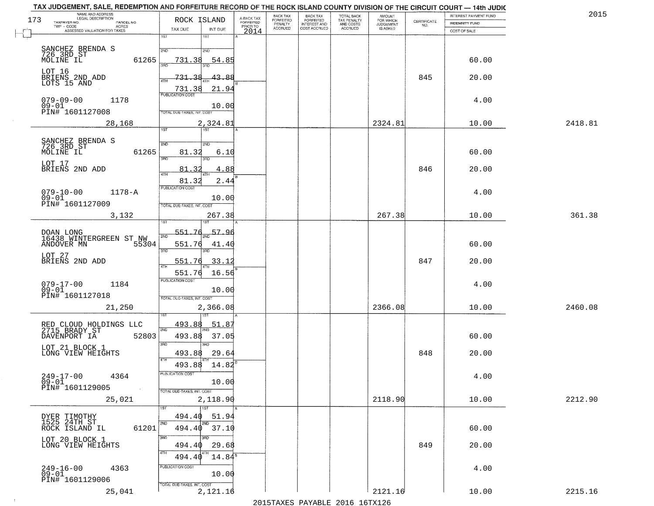| TAX JUDGEMENT, SALE, REDEMPTION AND FORFEITURE RECORD OF THE ROCK ISLAND COUNTY DIVISION OF THE CIRCUIT COURT - 14th JUDIC<br>NAME AND ADDRESS<br>LEGAL DESCRIPTION |                                                                                   |                                     | BACK TAX             | <b>BACK TAX</b>           |                                        |                                  |                                                                 | INTEREST PAYMENT FUND | 2015    |
|---------------------------------------------------------------------------------------------------------------------------------------------------------------------|-----------------------------------------------------------------------------------|-------------------------------------|----------------------|---------------------------|----------------------------------------|----------------------------------|-----------------------------------------------------------------|-----------------------|---------|
| 173<br>TAXPAYER NO.<br>PARCEL NO.<br>ACRES                                                                                                                          | ROCK ISLAND                                                                       | A-BACK TAX<br>FORFEITED<br>PRIOR TO | FORFEITED<br>PENALTY | FORFEITED<br>INTEREST AND | TOTAL BACK<br>TAX PENALTY<br>AND COSTS | AMOUNT<br>FOR WHICH<br>JUDGEMENT | $\begin{array}{c} \text{CERTIFICATE} \\ \text{NO.} \end{array}$ | INDEMNITY FUND        |         |
| ASSESSED VALUATION FOR TAXES                                                                                                                                        | TAX DUE<br>INT DUE                                                                | 2014                                | <b>ACCRUED</b>       | COST ACCRUED              | <b>ACCRUED</b>                         | IS ASKED                         |                                                                 | COST OF SALE          |         |
| SANCHEZ BRENDA S<br>726 3RD ST<br>MOLINE IL                                                                                                                         | 1ST<br>$1S$ T<br>2ND<br>2ND                                                       |                                     |                      |                           |                                        |                                  |                                                                 |                       |         |
| 61265                                                                                                                                                               | 54.85<br>731.38                                                                   |                                     |                      |                           |                                        |                                  |                                                                 | 60.00                 |         |
| LOT 16<br>BRIENS 2ND ADD<br>LOTS 15 AND                                                                                                                             | 43.88<br><u>731.38</u><br>21.94<br>731.38                                         |                                     |                      |                           |                                        |                                  | 845                                                             | 20.00                 |         |
| $079 - 09 - 00$<br>1178<br>$09 - 01$<br>PIN# 1601127008                                                                                                             | 10.00<br>TOTAL DUE-TAXES, INT. COST                                               |                                     |                      |                           |                                        |                                  |                                                                 | 4.00                  |         |
| 28,168                                                                                                                                                              | 2,324.81<br>1ST                                                                   |                                     |                      |                           |                                        | 2324.81                          |                                                                 | 10.00                 | 2418.81 |
| SANCHEZ BRENDA S<br>726 3RD ST<br>MOLINE IL<br>61265                                                                                                                | 2ND<br>2ND<br>81.32<br>6.10<br>उन्नत<br>3RD                                       |                                     |                      |                           |                                        |                                  |                                                                 | 60.00                 |         |
| LOT 17<br>BRIENS 2ND ADD                                                                                                                                            | 4.88<br>81.32<br>47H<br>81.32<br>2.44                                             |                                     |                      |                           |                                        |                                  | 846                                                             | 20.00                 |         |
| $079 - 10 - 00$<br>$1178 - A$<br>$09 - 01$<br>PIN# 1601127009                                                                                                       | PUBLICATION COST<br>10.00<br>TOTAL DUE-TAXES, INT. COST                           |                                     |                      |                           |                                        |                                  |                                                                 | 4.00                  |         |
| 3,132                                                                                                                                                               | 267.38<br>isT                                                                     |                                     |                      |                           |                                        | 267.38                           |                                                                 | 10.00                 | 361.38  |
| DOAN LONG<br>16438 WINTERGREEN ST NW                                                                                                                                | 551.76<br>57.96<br>2ND                                                            |                                     |                      |                           |                                        |                                  |                                                                 |                       |         |
| ANDOVER MN<br>55304                                                                                                                                                 | 551.76<br>41.40<br>3RD<br>3RD                                                     |                                     |                      |                           |                                        |                                  |                                                                 | 60.00                 |         |
| LOT 27<br>BRIENS 2ND ADD                                                                                                                                            | 551.76<br><u>33.12</u><br>$\overline{A^{\top} \vdash}$                            |                                     |                      |                           |                                        |                                  | 847                                                             | 20.00                 |         |
| $079 - 17 - 00$<br>09-01<br>1184<br>PIN# 1601127018                                                                                                                 | 16.56<br>551.76<br><b>PUBLICATION COST</b><br>10.00<br>TOTAL OUE-TAXES, INT. COST |                                     |                      |                           |                                        |                                  |                                                                 | 4.00                  |         |
| 21,250                                                                                                                                                              | 2,366.08                                                                          |                                     |                      |                           |                                        | 2366.08                          |                                                                 | 10.00                 | 2460.08 |
| RED CLOUD HOLDINGS LLC<br>2715 BRADY ST                                                                                                                             | 493.88<br>51.87<br>2ND                                                            |                                     |                      |                           |                                        |                                  |                                                                 |                       |         |
| DAVENPORT IA<br>52803                                                                                                                                               | 493.88<br>37.05<br>3BD<br>m                                                       |                                     |                      |                           |                                        |                                  |                                                                 | 60.00                 |         |
| LOT 21 BLOCK 1<br>LONG VIEW HEIGHTS                                                                                                                                 | 493.88<br>29.64<br>4TH                                                            |                                     |                      |                           |                                        |                                  | 848                                                             | 20.00                 |         |
| $249 - 17 - 00$<br>4364<br>$09 - 01$<br>PIN# 1601129005<br>$\sim 100$ km $^{-1}$                                                                                    | 493.88<br>14.82<br>PUBLICATION COST<br>10.00                                      |                                     |                      |                           |                                        |                                  |                                                                 | 4.00                  |         |
| 25,021                                                                                                                                                              | TOTAL DUE-TAXES, INT. COST<br>2,118.90<br>1ST                                     |                                     |                      |                           |                                        | 2118.90                          |                                                                 | 10.00                 | 2212.90 |
| DYER TIMOTHY<br>1525 24TH ST                                                                                                                                        | 494.40<br>51.94                                                                   |                                     |                      |                           |                                        |                                  |                                                                 |                       |         |
| 61201<br>ROCK ISLAND IL                                                                                                                                             | 2ND<br>2ND<br>494.40 37.10                                                        |                                     |                      |                           |                                        |                                  |                                                                 | 60.00                 |         |
| LOT 20 BLOCK 1<br>LONG VIEW HEIGHTS                                                                                                                                 | 3RD<br>3RD<br>29.68<br>494.40<br>4TH<br>$14.84^{\circ}$<br>494.40                 |                                     |                      |                           |                                        |                                  | 849                                                             | 20.00                 |         |
| 249-16-00<br>09-01<br>4363<br>PIN# 1601129006                                                                                                                       | PUBLICATION COST<br>10.00                                                         |                                     |                      |                           |                                        |                                  |                                                                 | 4.00                  |         |
| 25,041                                                                                                                                                              | TOTAL DUE-TAXES, INT. COST<br>2,121.16                                            |                                     |                      |                           |                                        | 2121.16                          |                                                                 | 10.00                 | 2215.16 |

 $\sim 10^{-1}$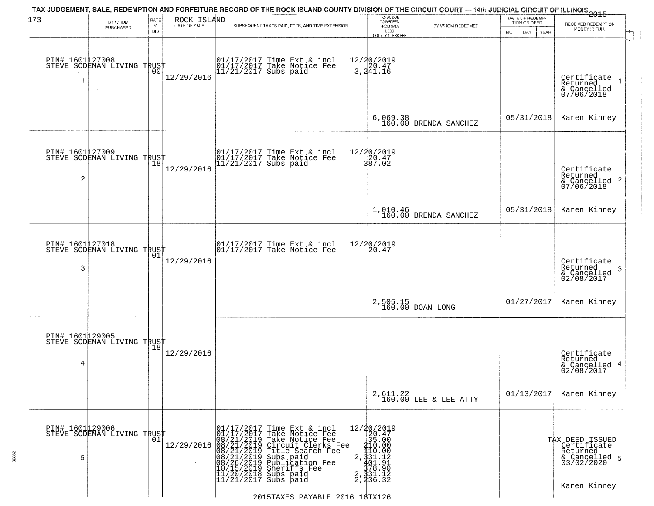| 173                               | BY WHOM                                           | RATE               | ROCK ISLAND  | TAX JUDGEMENT, SALE, REDEMPTION AND FORFEITURE RECORD OF THE ROCK ISLAND COUNTY DIVISION OF THE CIRCUIT COURT — 14th JUDICIAL CIRCUIT OF ILLINOIS 2015                                                                                                                                                     | TOTAL DUE<br>TO REDEEM                                                                                                                                                                                              |                                     | DATE OF REDEMP<br>TION OR DEED | RECEIVED REDEMPTION                                                       |
|-----------------------------------|---------------------------------------------------|--------------------|--------------|------------------------------------------------------------------------------------------------------------------------------------------------------------------------------------------------------------------------------------------------------------------------------------------------------------|---------------------------------------------------------------------------------------------------------------------------------------------------------------------------------------------------------------------|-------------------------------------|--------------------------------|---------------------------------------------------------------------------|
|                                   | PURCHASED                                         | $\%$<br><b>BID</b> | DATE OF SALE | SUBSEQUENT TAXES PAID, FEES, AND TIME EXTENSION                                                                                                                                                                                                                                                            | FROM SALE<br>LESS<br><b>COUNTY CLERK FEE</b>                                                                                                                                                                        | BY WHOM REDEEMED                    | DAY.<br>MO.<br>YEAR            | MONEY IN FULL                                                             |
|                                   | PIN# 1601127008    <br>STEVE SODEMAN LIVING TRUST | 00                 | 12/29/2016   | 01/17/2017 Time Ext & incl<br>01/17/2017 Take Notice Fee<br>11/21/2017 Subs paid                                                                                                                                                                                                                           | 12/20/2019<br>3,241.16                                                                                                                                                                                              |                                     |                                | Certificate<br>Returned<br>& Cancelled<br>07/06/2018                      |
|                                   |                                                   |                    |              |                                                                                                                                                                                                                                                                                                            | 6,069.38<br>160.00                                                                                                                                                                                                  | BRENDA SANCHEZ                      | 05/31/2018                     | Karen Kinney                                                              |
| PIN# 1601127009<br>$\overline{c}$ | STEVE SODEMAN LIVING TRUST                        |                    | 12/29/2016   | 01/17/2017 Time Ext & incl<br>01/17/2017 Take Notice Fee<br>11/21/2017 Subs paid                                                                                                                                                                                                                           | 12/20/2019<br>20.47<br>387.02                                                                                                                                                                                       |                                     |                                | Certificate<br>Returned<br>& Cancelled 2<br>07/06/2018                    |
|                                   |                                                   |                    |              |                                                                                                                                                                                                                                                                                                            |                                                                                                                                                                                                                     | $1,010.46$ BRENDA SANCHEZ           | 05/31/2018                     | Karen Kinney                                                              |
| PIN# 1601127018<br>3              | STEVE SODEMAN LIVING TRUST                        | 01                 | 12/29/2016   | 01/17/2017 Time Ext & incl<br>01/17/2017 Take Notice Fee                                                                                                                                                                                                                                                   | 12/20/2019<br>20.47                                                                                                                                                                                                 |                                     |                                | Certificate<br>Returned<br>3<br>& Cancelled<br>02/08/2017                 |
|                                   |                                                   |                    |              |                                                                                                                                                                                                                                                                                                            |                                                                                                                                                                                                                     | $2,505.15$ DOAN LONG                | 01/27/2017                     | Karen Kinney                                                              |
| PIN# 1601129005<br>4              | STEVE SODEMAN LIVING TRUST                        |                    | 12/29/2016   |                                                                                                                                                                                                                                                                                                            |                                                                                                                                                                                                                     |                                     |                                | Certificate<br>Returned<br>& Cancelled 4<br>02/08/2017                    |
|                                   |                                                   |                    |              |                                                                                                                                                                                                                                                                                                            |                                                                                                                                                                                                                     | $2,611.22$<br>160.00 LEE & LEE ATTY | 01/13/2017                     | Karen Kinney                                                              |
| PIN# 1601129006<br>5              | STEVE SODEMAN LIVING TRUST                        | 01                 |              | 01/17/2017 Time Ext & incl<br>01/17/2017 Take Notice Fee<br>1<br>12/29/2016 08/21/2019 Take Notice Fee<br>12/29/2016 08/21/2019 Circuit Clerks Fee<br>08/21/2019 Title Search Fee<br>08/21/2019 Subs paid<br>08/21/2019 Sublication Fee<br>10/15/2019 Sheriffs Fee<br>11/20/2018 Subs paid<br>11/21/2017 S | $\begin{array}{r} 12/20/2019 \\ 20.47 \\ 35.00 \end{array}$<br>$\begin{array}{r} 210.000 \\ 110.000 \\ 2, \frac{1}{3}31.12 \\ 401.91 \\ \frac{1}{3}78.90 \\ 2, \frac{3}{4}31.12 \\ 2, \frac{3}{4}36.32 \end{array}$ |                                     |                                | TAX DEED ISSUED<br>Certificate<br>Returned<br>& Cancelled 5<br>03/02/2020 |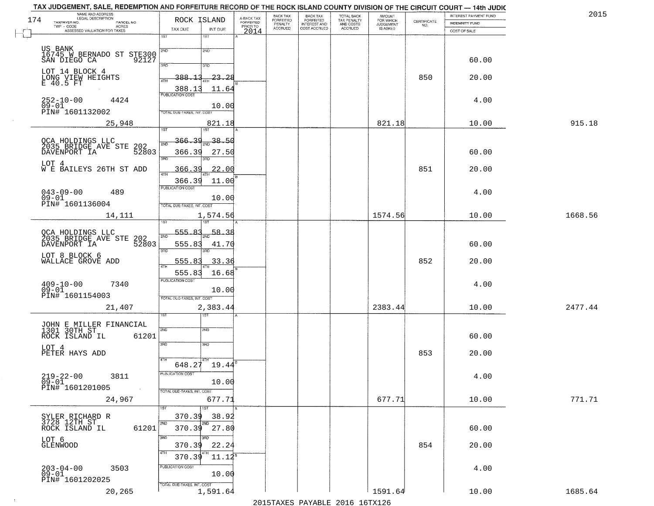|     | TAX JUDGEMENT, SALE, REDEMPTION AND FORFEITURE RECORD OF THE ROCK ISLAND COUNTY DIVISION OF THE CIRCUIT COURT — 14th JUDIC<br>NAME AND ADDRESS<br>LEGAL DESCRIPTION |                            |                           |                                     | BACK TAX                        |                                                       |                                                   |                                              |                                                                 | INTEREST PAYMENT FUND | 2015    |
|-----|---------------------------------------------------------------------------------------------------------------------------------------------------------------------|----------------------------|---------------------------|-------------------------------------|---------------------------------|-------------------------------------------------------|---------------------------------------------------|----------------------------------------------|-----------------------------------------------------------------|-----------------------|---------|
| 174 | TAXPAYER NO.<br>PARCEL NO.<br>- CODE<br>ACRES<br>ASSESSED VALUATION FOR TAXES<br>$\textsf{TWP} + \textsf{CODE}$                                                     | TAX DUE                    | ROCK ISLAND               | A-BACK TAX<br>FORFEITED<br>PRIOR TO | FORFEITED<br>PENALTY<br>ACCRUED | BACK TAX<br>FORFEITED<br>INTEREST AND<br>COST ACCRUED | TOTAL BACK<br>TAX PENALTY<br>AND COSTS<br>ACCRUED | AMOUNT<br>FOR WHICH<br>JUDGEMENT<br>IS ASKED | $\begin{array}{c} \text{CERTIFICATE} \\ \text{NO.} \end{array}$ | <b>INDEMNITY FUND</b> |         |
|     |                                                                                                                                                                     | 1ST                        | INT DUE<br>1ST            | 2014                                |                                 |                                                       |                                                   |                                              |                                                                 | COST OF SALE          |         |
|     |                                                                                                                                                                     |                            |                           |                                     |                                 |                                                       |                                                   |                                              |                                                                 |                       |         |
|     | US BANK<br>16745_W_BERNADO ST STE300<br>92127                                                                                                                       | 2ND                        | 2ND                       |                                     |                                 |                                                       |                                                   |                                              |                                                                 |                       |         |
|     | SAN DIEGO CA                                                                                                                                                        | 3RD                        | 3BD                       |                                     |                                 |                                                       |                                                   |                                              |                                                                 | 60.00                 |         |
|     | LOT 14 BLOCK 4<br>LONG VIEW HEIGHTS                                                                                                                                 | $-388.1$<br>4TH            | 23.28                     |                                     |                                 |                                                       |                                                   |                                              | 850                                                             | 20.00                 |         |
|     | E 40.5 FT                                                                                                                                                           | 388.1                      | 11.64                     |                                     |                                 |                                                       |                                                   |                                              |                                                                 |                       |         |
|     | 4424<br>$252 - 10 - 00$                                                                                                                                             | <b>PUBLICATION COST</b>    |                           |                                     |                                 |                                                       |                                                   |                                              |                                                                 | 4.00                  |         |
|     | $09 - 01$<br>PIN# 1601132002                                                                                                                                        |                            | 10.00                     |                                     |                                 |                                                       |                                                   |                                              |                                                                 |                       |         |
|     |                                                                                                                                                                     | TOTAL DUE-TAXES, INT. COST |                           |                                     |                                 |                                                       |                                                   |                                              |                                                                 |                       |         |
|     | 25,948                                                                                                                                                              | 1ST                        | 821.18<br>1ST             |                                     |                                 |                                                       |                                                   | 821.18                                       |                                                                 | 10.00                 | 915.18  |
|     | OCA HOLDINGS LLC<br>2035 BRIDGE AVE STE 202<br>- ******^°TA 52803                                                                                                   | 366.39<br>2ND              | 38.50                     |                                     |                                 |                                                       |                                                   |                                              |                                                                 |                       |         |
|     |                                                                                                                                                                     | 366.39                     | 27.50                     |                                     |                                 |                                                       |                                                   |                                              |                                                                 | 60.00                 |         |
|     | LOT 4                                                                                                                                                               | 3RD                        |                           |                                     |                                 |                                                       |                                                   |                                              |                                                                 |                       |         |
|     | W E BAILEYS 26TH ST ADD                                                                                                                                             | 366.39<br>47H              | 22.00                     |                                     |                                 |                                                       |                                                   |                                              | 851                                                             | 20.00                 |         |
|     |                                                                                                                                                                     | 366.39                     | 11.00                     |                                     |                                 |                                                       |                                                   |                                              |                                                                 |                       |         |
|     | $043 - 09 - 00$<br>09-01<br>489                                                                                                                                     | <b>PUBLICATION COST</b>    |                           |                                     |                                 |                                                       |                                                   |                                              |                                                                 | 4.00                  |         |
|     | PIN# 1601136004                                                                                                                                                     | TOTAL DUE-TAXES, INT. COST | 10.00                     |                                     |                                 |                                                       |                                                   |                                              |                                                                 |                       |         |
|     | 14,111                                                                                                                                                              |                            | 1,574.56                  |                                     |                                 |                                                       |                                                   | 1574.56                                      |                                                                 | 10.00                 | 1668.56 |
|     |                                                                                                                                                                     |                            |                           |                                     |                                 |                                                       |                                                   |                                              |                                                                 |                       |         |
|     | OCA HOLDINGS LLC<br>2035 BRIDGE AVE STE 202                                                                                                                         | 555.83<br>2ND              | $-58.38$                  |                                     |                                 |                                                       |                                                   |                                              |                                                                 |                       |         |
|     | 52803<br>DAVENPORT IA                                                                                                                                               | 555.83<br>3RD              | 41.70<br>3RD              |                                     |                                 |                                                       |                                                   |                                              |                                                                 | 60.00                 |         |
|     | LOT 8 BLOCK 6<br>WALLACE GROVE ADD                                                                                                                                  | 555.83                     | 33.36                     |                                     |                                 |                                                       |                                                   |                                              | 852                                                             | 20.00                 |         |
|     |                                                                                                                                                                     | 555.83                     | 16.68                     |                                     |                                 |                                                       |                                                   |                                              |                                                                 |                       |         |
|     | $409 - 10 - 00$<br>7340                                                                                                                                             | <b>PUBLICATION COST</b>    |                           |                                     |                                 |                                                       |                                                   |                                              |                                                                 | 4.00                  |         |
|     | $09 - 01$                                                                                                                                                           |                            | 10.00                     |                                     |                                 |                                                       |                                                   |                                              |                                                                 |                       |         |
|     | PIN# 1601154003                                                                                                                                                     | TOTAL OUE-TAXES, INT. COST |                           |                                     |                                 |                                                       |                                                   |                                              |                                                                 |                       |         |
|     | 21,407                                                                                                                                                              |                            | 2,383.44                  |                                     |                                 |                                                       |                                                   | 2383.44                                      |                                                                 | 10.00                 | 2477.44 |
|     | JOHN E MILLER FINANCIAL<br>1301 30TH ST                                                                                                                             |                            |                           |                                     |                                 |                                                       |                                                   |                                              |                                                                 |                       |         |
|     | ROCK ISLAND IL<br>61201                                                                                                                                             | 2ND                        | 2ND                       |                                     |                                 |                                                       |                                                   |                                              |                                                                 | 60.00                 |         |
|     | LOT 4                                                                                                                                                               | 3RD                        | 3BD                       |                                     |                                 |                                                       |                                                   |                                              |                                                                 |                       |         |
|     | PETER HAYS ADD                                                                                                                                                      |                            |                           |                                     |                                 |                                                       |                                                   |                                              | 853                                                             | 20.00                 |         |
|     |                                                                                                                                                                     |                            | 648.27 19.44              |                                     |                                 |                                                       |                                                   |                                              |                                                                 |                       |         |
|     | 3811<br>$219 - 22 - 00$                                                                                                                                             | PUBLICATION COST           | 10.00                     |                                     |                                 |                                                       |                                                   |                                              |                                                                 | 4.00                  |         |
|     | $\frac{09-01}{P1N#}$ 1601201005                                                                                                                                     | TOTAL DUE-TAXES, INT. COST |                           |                                     |                                 |                                                       |                                                   |                                              |                                                                 |                       |         |
|     | 24,967                                                                                                                                                              |                            | 677.71                    |                                     |                                 |                                                       |                                                   | 677.71                                       |                                                                 | 10.00                 | 771.71  |
|     |                                                                                                                                                                     | 1ST                        |                           |                                     |                                 |                                                       |                                                   |                                              |                                                                 |                       |         |
|     | SYLER RICHARD R<br>3728 12TH ST                                                                                                                                     | 370.39<br>2ND              | 38.92<br>2ND              |                                     |                                 |                                                       |                                                   |                                              |                                                                 |                       |         |
|     | ROCK ISLAND IL<br>61201                                                                                                                                             | 370.39                     | 27.80                     |                                     |                                 |                                                       |                                                   |                                              |                                                                 | 60.00                 |         |
|     | LOT 6<br><b>GLENWOOD</b>                                                                                                                                            | 3BD<br>370.39              | $\overline{3BD}$<br>22.24 |                                     |                                 |                                                       |                                                   |                                              | 854                                                             | 20.00                 |         |
|     |                                                                                                                                                                     | 4TH<br>370.39              | $11.12^s$                 |                                     |                                 |                                                       |                                                   |                                              |                                                                 |                       |         |
|     | 3503<br>$203 - 04 - 00$                                                                                                                                             | PUBLICATION COST           |                           |                                     |                                 |                                                       |                                                   |                                              |                                                                 | 4.00                  |         |
|     | $\overline{0}\overline{9}-0\overline{1}$<br>PIN# 1601202025                                                                                                         |                            | 10.00                     |                                     |                                 |                                                       |                                                   |                                              |                                                                 |                       |         |
|     | 20,265                                                                                                                                                              | TOTAL DUE-TAXES, INT. COST | 1,591.64                  |                                     |                                 |                                                       |                                                   | 1591.64                                      |                                                                 | 10.00                 | 1685.64 |
|     |                                                                                                                                                                     |                            |                           |                                     |                                 |                                                       |                                                   |                                              |                                                                 |                       |         |

 $\sim 10^{-1}$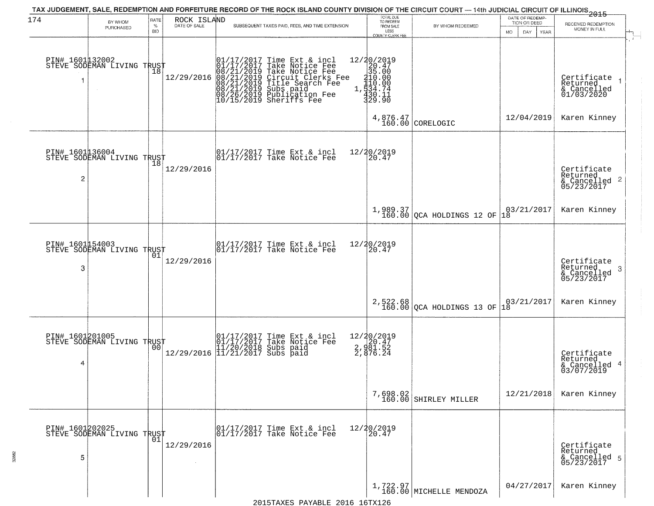| 174                  | BY WHOM                                           | RATE<br>$\%$   | ROCK ISLAND<br>DATE OF SALE | TAX JUDGEMENT, SALE, REDEMPTION AND FORFEITURE RECORD OF THE ROCK ISLAND COUNTY DIVISION OF THE CIRCUIT COURT — 14th JUDICIAL CIRCUIT OF ILLINOIS 2015<br>SUBSEQUENT TAXES PAID, FEES, AND TIME EXTENSION                          | TOTAL DUE<br>TO REDEEM<br>FROM SALE                                                                                 | BY WHOM REDEEMED                        | DATE OF REDEMP<br>TION OR DEED | RECEIVED REDEMPTION                                                    |
|----------------------|---------------------------------------------------|----------------|-----------------------------|------------------------------------------------------------------------------------------------------------------------------------------------------------------------------------------------------------------------------------|---------------------------------------------------------------------------------------------------------------------|-----------------------------------------|--------------------------------|------------------------------------------------------------------------|
|                      | PURCHASED                                         | <b>BID</b>     |                             |                                                                                                                                                                                                                                    | LESS<br>COUNTY CLERK FEE                                                                                            |                                         | MO.<br>DAY<br>YEAR             | MONEY IN FULL                                                          |
|                      | PIN# 1601132002<br>STEVE SODEMAN LIVING TRUST     | 18             | 12/29/2016                  | $01/17/2017$ Time Ext & incl<br>01/17/2017 Take Notice Fee<br>08/21/2019 Take Notice Fee<br>08/21/2019 Circuit Clerks Fee<br>08/21/2019 Subs paid<br>08/21/2019 Subs paid<br>08/26/2019 Publication Fee<br>10/15/2019 Sheriffs Fee | $[ \begin{smallmatrix} 12/20/2019\\20.47\\25.00\\1&35.00\\1&410.00\\1&534.74\\1&430.11\\329.90 \end{smallmatrix} ]$ |                                         |                                | Certificate<br>Returned<br>$\overline{1}$<br>& Cancelled<br>01/03/2020 |
|                      |                                                   |                |                             |                                                                                                                                                                                                                                    |                                                                                                                     | $4,876.47$ CORELOGIC                    | 12/04/2019                     | Karen Kinney                                                           |
| $\overline{c}$       | PIN# 1601136004<br>STEVE SODEMAN LIVING TRUST     |                | 12/29/2016                  | $\begin{array}{cc}  01/17/2017 \text{ Time} & \text{Ext} & \text{incl} \\  01/17/2017 \text{ Take Notice } \text{Fe} \end{array}$                                                                                                  | 12/20/2019<br>20.47                                                                                                 |                                         |                                | Certificate<br>Returned<br>$\frac{1}{6}$ Cancelled 2<br>05/23/2017     |
|                      |                                                   |                |                             |                                                                                                                                                                                                                                    |                                                                                                                     | $1,989.37$<br>160.00 QCA HOLDINGS 12 OF | 03/21/2017<br>18               | Karen Kinney                                                           |
| PIN# 1601154003<br>3 | STEVE SODEMAN LIVING TRUST                        | 01             | 12/29/2016                  | 01/17/2017 Time Ext & incl<br>01/17/2017 Take Notice Fee                                                                                                                                                                           | 12/20/2019<br>20.47                                                                                                 |                                         |                                | Certificate<br>Returned<br>3<br>$\frac{6}{05/23/2017}$                 |
|                      |                                                   |                |                             |                                                                                                                                                                                                                                    |                                                                                                                     | 2,522.68<br>160.00 QCA HOLDINGS 13 OF   | 03/21/2017<br>18               | Karen Kinney                                                           |
| 4                    | PIN# 1601201005    <br>STEVE SODEMAN LIVING TRUST | 0 <sub>0</sub> | 12/29/2016                  | 01/17/2017 Time Ext & incl<br>01/17/2017 Take Notice Fee<br>11/20/2018 Subs paid<br>11/21/2017 Subs paid                                                                                                                           | 12/20/2019<br>2, 920.47<br>2, 981.52<br>2, 876.24                                                                   |                                         |                                | Certificate<br>Returned<br>4<br>& Cancelled<br>03/07/2019              |
|                      |                                                   |                |                             |                                                                                                                                                                                                                                    | 7,698.02<br>160.00                                                                                                  | SHIRLEY MILLER                          | 12/21/2018                     | Karen Kinney                                                           |
| 5                    | PIN# 1601202025    <br>STEVE SODEMAN LIVING TRUST | 01             | 12/29/2016                  | 01/17/2017 Time Ext & incl<br>01/17/2017 Take Notice Fee                                                                                                                                                                           | 12/20/2019<br>20.47                                                                                                 |                                         |                                | Certificate<br>Returned<br>& Cancelled 5<br>05/23/2017                 |
|                      |                                                   |                |                             |                                                                                                                                                                                                                                    |                                                                                                                     | $1,722.97$ MICHELLE MENDOZA             | 04/27/2017                     | Karen Kinney                                                           |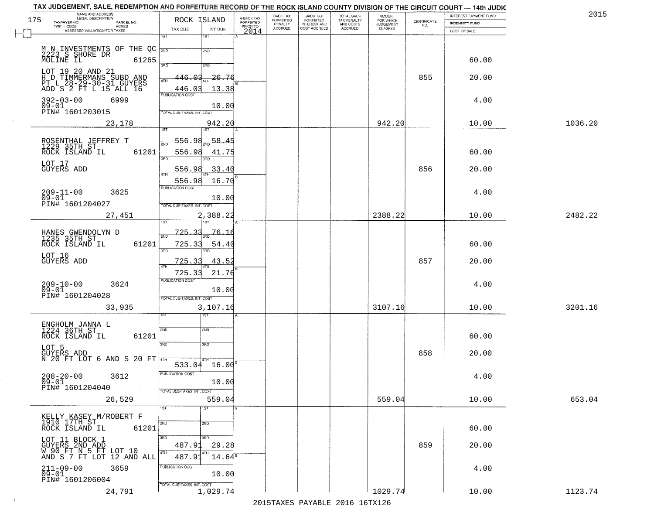| NAME AND ADDRESS<br>LEGAL DESCRIPTION<br>175                                              | ROCK ISLAND                                                | A-BACK TAX            | BACK TAX<br><b>FORFEITED</b> | <b>BACK TAX</b><br><b>FORFEITED</b> | TOTAL BACK                          | <b>AMOUNT</b><br>FOR WHICH |                                                                 | INTEREST PAYMENT FUND | 2015    |
|-------------------------------------------------------------------------------------------|------------------------------------------------------------|-----------------------|------------------------------|-------------------------------------|-------------------------------------|----------------------------|-----------------------------------------------------------------|-----------------------|---------|
| TAXPAYER NO.<br>PARCEL NO.<br>TWP - CODE<br><b>ACRES</b>                                  |                                                            | FORFEITED<br>PRIOR TO | PENALTY<br>ACCRUED           | INTEREST AND<br>COST ACCRUED        | TAX PENALTY<br>AND COSTS<br>ACCRUED | JUDGEMENT                  | $\begin{array}{c} \text{CERTIFICATE} \\ \text{NO.} \end{array}$ | INDEMNITY FUND        |         |
| ASSESSED VALUATION FOR TAXES                                                              | TAX DUE<br>INT DUE<br>$\overline{1ST}$<br>1ST              | 2014                  |                              |                                     |                                     |                            |                                                                 | COST OF SALE          |         |
| M N INVESTMENTS OF THE QC<br>2223 S SHORE DR<br>MOLINE IL<br>61265                        | 2ND<br>2ND                                                 |                       |                              |                                     |                                     |                            |                                                                 | 60.00                 |         |
| LOT 19 20 AND 21<br>H D TIMMERMANS SUBD AND                                               | 370<br>3RD<br>26.76<br>ഹ<br>446-<br>4TH                    |                       |                              |                                     |                                     |                            | 855                                                             | 20.00                 |         |
| PT L 28-29-30-31 GUYERS<br>ADD S 2 FT L 15 ALL 16<br>$392 - 03 - 00$<br>6999<br>$09 - 01$ | 13.38<br>446.03<br><b>PUBLICATION COST</b><br>10.00        |                       |                              |                                     |                                     |                            |                                                                 | 4.00                  |         |
| PIN# 1601203015<br>23,178                                                                 | TOTAL DUE-TAXES, INT. COST<br>942.20                       |                       |                              |                                     |                                     | 942.20                     |                                                                 | 10.00                 | 1036.20 |
|                                                                                           | 1ST <sup></sup><br>1ST                                     |                       |                              |                                     |                                     |                            |                                                                 |                       |         |
| ROSENTHAL JEFFREY T<br>1229 35TH ST<br>61201<br>ROCK ISLAND IL                            | 556.98<br>58.45<br>556.98<br>41.75<br>3RD                  |                       |                              |                                     |                                     |                            |                                                                 | 60.00                 |         |
| LOT 17<br><b>GUYERS ADD</b>                                                               | 33.40<br>556.9<br>556.98<br>16.70                          |                       |                              |                                     |                                     |                            | 856                                                             | 20.00                 |         |
| $209 - 11 - 00$<br>3625<br>$09 - 01$                                                      | PUBLICATION COST<br>10.00                                  |                       |                              |                                     |                                     |                            |                                                                 | 4.00                  |         |
| PIN# 1601204027<br>27,451                                                                 | TOTAL DUE-TAXES, INT. COST<br>2,388.22                     |                       |                              |                                     |                                     | 2388.22                    |                                                                 | 10.00                 | 2482.22 |
| HANES GWENDOLYN D<br>1235 35TH ST<br>61201<br>ROCK ISLAND IL                              | 725.<br>76.16<br>-31<br>725.33<br>54.40                    |                       |                              |                                     |                                     |                            |                                                                 | 60.00                 |         |
| LOT 16<br><b>GUYERS ADD</b>                                                               | 3BD<br>3RD<br>725.33<br>43.52                              |                       |                              |                                     |                                     |                            | 857                                                             | 20.00                 |         |
| 209-10-00<br>09-01<br>3624                                                                | 725.33<br>21.76<br><b>PUBLICATION COST</b><br>10.00        |                       |                              |                                     |                                     |                            |                                                                 | 4.00                  |         |
| PIN# 1601204028<br>33,935                                                                 | TOTAL OUE-TAXES, INT. COST<br>3,107.16<br>ख़ा              |                       |                              |                                     |                                     | 3107.16                    |                                                                 | 10.00                 | 3201.16 |
| ENGHOLM JANNA L<br>1224 36TH ST<br>61201<br>ROCK ISLAND IL                                | SVD<br>SND                                                 |                       |                              |                                     |                                     |                            |                                                                 | 60.00                 |         |
| LOT 5<br>GUYERS ADD<br>N 20 FT LOT 6 AND S 20 FT $\frac{1}{4\pi\pi}$                      | 3RD<br>3RD                                                 |                       |                              |                                     |                                     |                            | 858                                                             | 20.00                 |         |
| $208 - 20 - 00$<br>3612<br>$09 - 01$                                                      | $533.04$ $16.00$ <sup>B</sup><br>PUBLICATION COST<br>10.00 |                       |                              |                                     |                                     |                            |                                                                 | 4.00                  |         |
| PIN# 1601204040<br>$\sim$<br>26,529                                                       | TOTAL DUE-TAXES, INT. COST<br>559.04                       |                       |                              |                                     |                                     | 559.04                     |                                                                 | 10.00                 | 653.04  |
| KELLY KASEY M/ROBERT F<br>1910 17TH ST<br>ROCK ISLAND IL<br>61201                         | 1ST<br>1ST<br>2ND<br>2ND                                   |                       |                              |                                     |                                     |                            |                                                                 | 60.00                 |         |
| LOT 11 BLOCK 1<br>GUYERS 2ND ADD<br>W 90 FT N 5 FT LOT 10                                 | 3RD<br>उत्तर<br>487.91<br>29.28                            |                       |                              |                                     |                                     |                            | 859                                                             | 20.00                 |         |
| AND S 7 FT LOT 12 AND ALL<br>211-09-00<br>09-01<br>3659                                   | 4TH<br>4TH<br>487.91<br>$14.64^s$<br>PUBLICATION COST      |                       |                              |                                     |                                     |                            |                                                                 | 4.00                  |         |
| PIN# 1601206004                                                                           | 10.00<br>TOTAL DUE-TAXES, INT. COST<br>1,029.74            |                       |                              |                                     |                                     | 1029.74                    |                                                                 | 10.00                 | 1123.74 |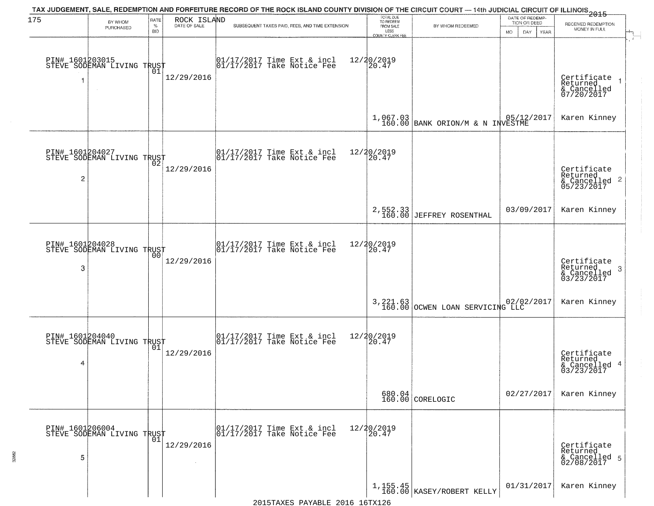| 175            | BY WHOM<br>PURCHASED                              | RATE<br>$\%$<br><b>BID</b> | ROCK ISLAND<br>DATE OF SALE | TAX JUDGEMENT, SALE, REDEMPTION AND FORFEITURE RECORD OF THE ROCK ISLAND COUNTY DIVISION OF THE CIRCUIT COURT — 14th JUDICIAL CIRCUIT OF ILLINOIS 2015<br>SUBSEQUENT TAXES PAID, FEES, AND TIME EXTENSION | TOTAL DUE<br>TO REDEEM<br>FROM SALE<br>LESS<br>COUNTY CLERK FEE | BY WHOM REDEEMED                                  | DATE OF REDEMP-<br>TION OR DEED<br>MO.<br>DAY.<br><b>YEAR</b> | RECEIVED REDEMPTION<br>MONEY IN FULL                               |
|----------------|---------------------------------------------------|----------------------------|-----------------------------|-----------------------------------------------------------------------------------------------------------------------------------------------------------------------------------------------------------|-----------------------------------------------------------------|---------------------------------------------------|---------------------------------------------------------------|--------------------------------------------------------------------|
|                | PIN# 1601203015    <br>STEVE SODEMAN LIVING TRUST | 01                         | 12/29/2016                  | 01/17/2017 Time Ext & incl<br>01/17/2017 Take Notice Fee                                                                                                                                                  | 12/20/2019<br>20.47                                             |                                                   |                                                               | Certificate<br>Returned<br>& Cancelled<br>07/20/2017               |
|                |                                                   |                            |                             |                                                                                                                                                                                                           |                                                                 | $1,067.03$ BANK ORION/M & N INVESTME              |                                                               | Karen Kinney                                                       |
| $\overline{c}$ | PIN# 1601204027<br>STEVE SODEMAN LIVING TRUST     |                            | 12/29/2016                  | $\begin{bmatrix} 01/17/2017 \\ 01/17/2017 \end{bmatrix}$ Take Notice Fee                                                                                                                                  | 12/20/2019<br>20.47                                             |                                                   |                                                               | Certificate<br>Returned<br>$\frac{1}{6}$ Cancelled 2<br>05/23/2017 |
|                |                                                   |                            |                             |                                                                                                                                                                                                           |                                                                 | 2,552.33<br>160.00 JEFFREY ROSENTHAL              | 03/09/2017                                                    | Karen Kinney                                                       |
| 3              | PIN# 1601204028<br>STEVE SODEMAN LIVING TRUST     | 0 <sub>0</sub>             | 12/29/2016                  | $\begin{array}{ccc}  01/17/2017 \text{ Time} & \text{Ext} & \text{incl} \\  01/17/2017 \text{ Take Notice } \text{Fe} \end{array}$                                                                        | 12/20/2019<br>20.47                                             |                                                   |                                                               | Certificate<br>Returned<br>-3<br>$\frac{2}{03/23/2017}$            |
|                |                                                   |                            |                             |                                                                                                                                                                                                           |                                                                 | 3,221.63 02/02<br>160.00 OCWEN LOAN SERVICING LLC | 02/02/2017                                                    | Karen Kinney                                                       |
| 4              | PIN# 1601204040<br>STEVE SODEMAN LIVING TRUST     | 01                         | 12/29/2016                  | $\begin{array}{cc}  01/17/2017 \text{ Time Ext} & \text{incl} \\  01/17/2017 \text{ Take Notice Fe} \end{array}$                                                                                          | 12/20/2019<br>120.47                                            |                                                   |                                                               | Certificate<br>Returned<br>-4<br>& Cancelled<br>03/23/2017         |
|                |                                                   |                            |                             |                                                                                                                                                                                                           |                                                                 | $680.04$<br>160.00 CORELOGIC                      | 02/27/2017                                                    | Karen Kinney                                                       |
| 5              | PIN# 1601206004    <br>STEVE SODEMAN LIVING TRUST | 01                         | 12/29/2016                  | 01/17/2017 Time Ext & incl<br>01/17/2017 Take Notice Fee                                                                                                                                                  | 12/20/2019<br>20.47                                             |                                                   |                                                               | Certificate<br>Returned<br>& Cancelled 5<br>02/08/2017             |
|                |                                                   |                            |                             |                                                                                                                                                                                                           |                                                                 | $1,155.45$<br>160.00 KASEY/ROBERT KELLY           | 01/31/2017                                                    | Karen Kinney                                                       |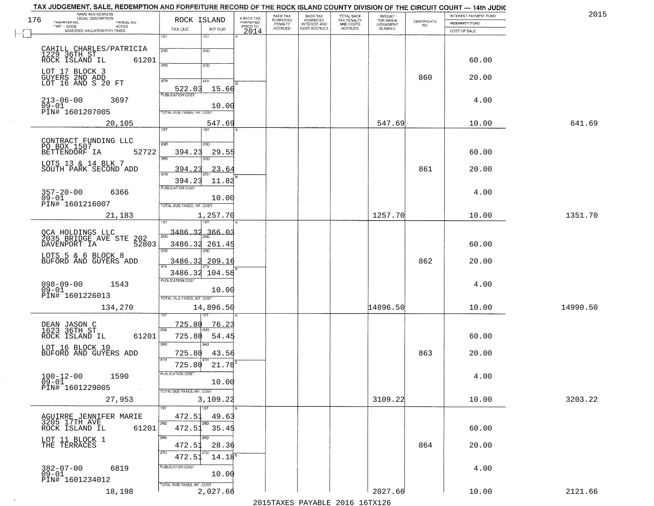| 176 | NAME AND ADDRESS<br>LEGAL DESCRIPTION                   | ROCK ISLAND                             |                                     | BACK TAX<br>FORFEITED     | <b>BACK TAX</b>                           | TOTAL BACK<br>TAX PENALTY<br>AND COSTS | AMOUNT<br>FOR WHICH                 |                                                                 | INTEREST PAYMENT FUND | 2015     |
|-----|---------------------------------------------------------|-----------------------------------------|-------------------------------------|---------------------------|-------------------------------------------|----------------------------------------|-------------------------------------|-----------------------------------------------------------------|-----------------------|----------|
|     | TAXPAYER NO.<br>PARCEL NO.<br>ACRES                     |                                         | A-BACK TAX<br>FORFEITED<br>PRIOR TO | PENALTY<br><b>ACCRUED</b> | FORFEITED<br>INTEREST AND<br>COST ACCRUED | ACCRUED                                | <b>JUDGEMENT</b><br><b>IS ASKED</b> | $\begin{array}{c} \text{CERTIFICATE} \\ \text{NO.} \end{array}$ | <b>INDEMNITY FUND</b> |          |
|     | ASSESSED VALUATION FOR TAXES                            | TAX DUE<br>INT DUE<br>1ST<br>1ST        | 2014                                |                           |                                           |                                        |                                     |                                                                 | COST OF SALE          |          |
|     |                                                         |                                         |                                     |                           |                                           |                                        |                                     |                                                                 |                       |          |
|     | CAHILL CHARLES/PATRICIA                                 | 2ND<br>2ND                              |                                     |                           |                                           |                                        |                                     |                                                                 |                       |          |
|     | 1229 36TH ST<br>ROCK ISLAND IL<br>61201                 | 370<br>3RD                              |                                     |                           |                                           |                                        |                                     |                                                                 | 60.00                 |          |
|     | LOT 17 BLOCK 3                                          |                                         |                                     |                           |                                           |                                        |                                     |                                                                 |                       |          |
|     | GUYERS 2ND ADD<br>LOT 16 AND S 20 FT                    | 4TH<br>4TH                              |                                     |                           |                                           |                                        |                                     | 860                                                             | 20.00                 |          |
|     |                                                         | 522.03<br>15.66                         |                                     |                           |                                           |                                        |                                     |                                                                 |                       |          |
|     | $213 - 06 - 00$<br>09-01<br>3697                        |                                         |                                     |                           |                                           |                                        |                                     |                                                                 | 4.00                  |          |
|     | PIN# 1601207005                                         | 10.00<br>TOTAL DUE-TAXES, INT. COST     |                                     |                           |                                           |                                        |                                     |                                                                 |                       |          |
|     | 20,105                                                  | 547.69                                  |                                     |                           |                                           |                                        | 547.69                              |                                                                 | 10.00                 | 641.69   |
|     |                                                         | 1ST                                     |                                     |                           |                                           |                                        |                                     |                                                                 |                       |          |
|     | CONTRACT FUNDING LLC                                    | 2ND<br>2ND                              |                                     |                           |                                           |                                        |                                     |                                                                 |                       |          |
|     | PO BOX 1507<br>BETTENDORF IA<br>52722                   | 394.23<br>29.55                         |                                     |                           |                                           |                                        |                                     |                                                                 | 60.00                 |          |
|     |                                                         | त्रसा<br>חוז                            |                                     |                           |                                           |                                        |                                     |                                                                 |                       |          |
|     | LOTS 13 & 14 BLK 7<br>SOUTH PARK SECOND ADD             | 23.64<br>394.23                         |                                     |                           |                                           |                                        |                                     | 861                                                             | 20.00                 |          |
|     |                                                         | 11.82<br>394.23                         |                                     |                           |                                           |                                        |                                     |                                                                 |                       |          |
|     |                                                         | PUBLICATION COST                        |                                     |                           |                                           |                                        |                                     |                                                                 |                       |          |
|     | $357 - 20 - 00$<br>6366<br>$09 - 01$                    | 10.00                                   |                                     |                           |                                           |                                        |                                     |                                                                 | 4.00                  |          |
|     | PIN# 1601216007                                         | TOTAL DUE-TAXES, INT. COST              |                                     |                           |                                           |                                        |                                     |                                                                 |                       |          |
|     | 21,183                                                  | 1,257.70                                |                                     |                           |                                           |                                        | 1257.70                             |                                                                 | 10.00                 | 1351.70  |
|     |                                                         | 1ST                                     |                                     |                           |                                           |                                        |                                     |                                                                 |                       |          |
|     | QCA HOLDINGS LLC<br>2035 BRIDGE AVE STE<br>202          | 3486.32<br>366.03                       |                                     |                           |                                           |                                        |                                     |                                                                 |                       |          |
|     | DAVENPORT IA<br>52803                                   | 3486.32 261.45                          |                                     |                           |                                           |                                        |                                     |                                                                 | 60.00                 |          |
|     | LOTS 5 & 6 BLOCK 8                                      | 3RD<br>3RD                              |                                     |                           |                                           |                                        |                                     |                                                                 |                       |          |
|     | BUFORD AND GUYERS ADD                                   | 3486.32 209.16                          |                                     |                           |                                           |                                        |                                     | 862                                                             | 20.00                 |          |
|     |                                                         | 3486.32 104.58                          |                                     |                           |                                           |                                        |                                     |                                                                 |                       |          |
|     | $098 - 09 - 00$<br>1543                                 | <b>PUBLICATION COST</b>                 |                                     |                           |                                           |                                        |                                     |                                                                 | 4.00                  |          |
|     | $09 - 01$<br>PIN# 1601226013                            | 10.00<br>TOTAL OUE-TAXES, INT. COST     |                                     |                           |                                           |                                        |                                     |                                                                 |                       |          |
|     |                                                         |                                         |                                     |                           |                                           |                                        | 14896.50                            |                                                                 | 10.00                 | 14990.50 |
|     | 134,270                                                 | 14,896.50                               |                                     |                           |                                           |                                        |                                     |                                                                 |                       |          |
|     |                                                         | 725.80<br><u>76.23</u>                  |                                     |                           |                                           |                                        |                                     |                                                                 |                       |          |
|     | DEAN JASON C<br>1623 36TH ST<br>ROCK ISLAND IL<br>61201 | 2ND<br>725.80<br>54.45                  |                                     |                           |                                           |                                        |                                     |                                                                 | 60.00                 |          |
|     |                                                         | 3BD<br>3RD                              |                                     |                           |                                           |                                        |                                     |                                                                 |                       |          |
|     | LOT 16 BLOCK 10<br>BUFORD AND GUYERS ADD                | 725.80<br>43.56                         |                                     |                           |                                           |                                        |                                     | 863                                                             | 20.00                 |          |
|     |                                                         | 4TH<br>21.78<br>725.80                  |                                     |                           |                                           |                                        |                                     |                                                                 |                       |          |
|     |                                                         | "UBLICA HUN CUS                         |                                     |                           |                                           |                                        |                                     |                                                                 |                       |          |
|     | $100 - 12 - 00$<br>1590<br>09-01                        | 10.00                                   |                                     |                           |                                           |                                        |                                     |                                                                 | 4.00                  |          |
|     | PIN# 1601229005<br><b>Contract</b>                      | TOTAL DUE-TAXES, INT. COST              |                                     |                           |                                           |                                        |                                     |                                                                 |                       |          |
|     | 27,953                                                  | 3,109.22                                |                                     |                           |                                           |                                        | 3109.22                             |                                                                 | 10.00                 | 3203.22  |
|     |                                                         | <b>TST</b>                              |                                     |                           |                                           |                                        |                                     |                                                                 |                       |          |
|     | AGUIRRE JENNIFER MARIE<br>3205 17TH AVE                 | 472.51<br>49.63<br>2ND<br>2ND           |                                     |                           |                                           |                                        |                                     |                                                                 |                       |          |
|     | 61201<br>ROCK ISLAND IL                                 | 472.51 35.45                            |                                     |                           |                                           |                                        |                                     |                                                                 | 60.00                 |          |
|     |                                                         | 3RD<br>3BD                              |                                     |                           |                                           |                                        |                                     |                                                                 |                       |          |
|     | LOT 11 BLOCK 1<br>THE TERRACES                          | 28.36<br>472.51                         |                                     |                           |                                           |                                        |                                     | 864                                                             | 20.00                 |          |
|     |                                                         | 4TH<br>4TH<br>472.51<br>$14.18^{\rm s}$ |                                     |                           |                                           |                                        |                                     |                                                                 |                       |          |
|     | 382-07-00<br>09-01<br>6819                              | PUBLICATION COST                        |                                     |                           |                                           |                                        |                                     |                                                                 | 4.00                  |          |
|     | PIN# 1601234012                                         | 10.00                                   |                                     |                           |                                           |                                        |                                     |                                                                 |                       |          |
|     |                                                         | TOTAL DUE-TAXES, INT. COST<br>2,027.66  |                                     |                           |                                           |                                        | 2027.66                             |                                                                 |                       | 2121.66  |
|     | 18,198                                                  |                                         |                                     |                           |                                           |                                        |                                     |                                                                 | 10.00                 |          |

 $\sim 100$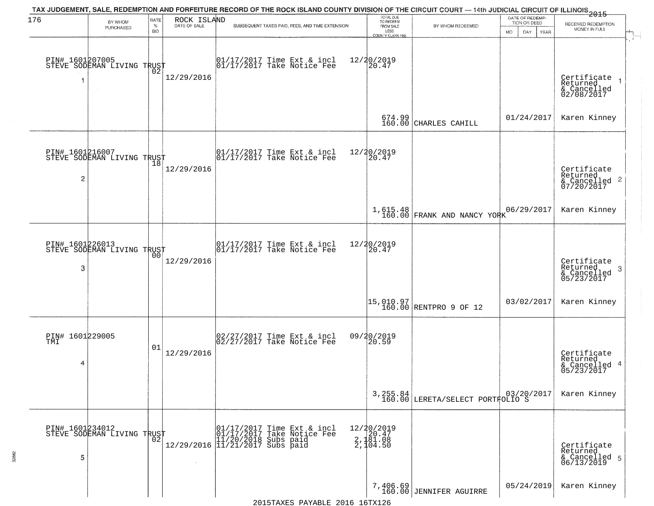| 176                         | BY WHOM                                           | RATE               | ROCK ISLAND  | TAX JUDGEMENT, SALE, REDEMPTION AND FORFEITURE RECORD OF THE ROCK ISLAND COUNTY DIVISION OF THE CIRCUIT COURT — 14th JUDICIAL CIRCUIT OF ILLINOIS 2015 | TOTAL DUE<br>TO REDEEM                       |                                                                     | DATE OF REDEMP-<br>TION OR DEED | RECEIVED REDEMPTION                                                |  |
|-----------------------------|---------------------------------------------------|--------------------|--------------|--------------------------------------------------------------------------------------------------------------------------------------------------------|----------------------------------------------|---------------------------------------------------------------------|---------------------------------|--------------------------------------------------------------------|--|
|                             | PURCHASED                                         | $\%$<br><b>BID</b> | DATE OF SALE | SUBSEQUENT TAXES PAID, FEES, AND TIME EXTENSION                                                                                                        | FROM SALE<br>LESS<br><b>COUNTY CLERK FEE</b> | BY WHOM REDEEMED                                                    | MO.<br>DAY.<br><b>YEAR</b>      | MONEY IN FULL                                                      |  |
|                             | PIN# 1601207005<br>STEVE SODEMAN LIVING TRUST     |                    | 12/29/2016   | $\begin{bmatrix} 01/17/2017 \\ 01/17/2017 \\ 01 \end{bmatrix}$ Take Notice Fee                                                                         | 12/20/2019<br>20.47                          |                                                                     |                                 | Certificate<br>Returned<br>& Cancelled<br>02/08/2017               |  |
|                             |                                                   |                    |              |                                                                                                                                                        | 674.99<br>160.00                             | CHARLES CAHILL                                                      | 01/24/2017                      | Karen Kinney                                                       |  |
| $\overline{c}$              | PIN# 1601216007<br>STEVE SODEMAN LIVING TRUST     |                    | 12/29/2016   | $\begin{array}{cc}  01/17/2017 \text{ Time Ext} & \text{incl} \\  01/17/2017 \text{ Take Notice } Fee \end{array}$                                     | 12/20/2019<br>20.47                          |                                                                     |                                 | Certificate<br>Returned<br>$\frac{1}{6}$ Cancelled 2<br>07/20/2017 |  |
|                             |                                                   |                    |              |                                                                                                                                                        |                                              | 1,615.48<br>160.00 FRANK AND NANCY YORK                             | 06/29/2017                      | Karen Kinney                                                       |  |
| PIN# 1601226013<br>3        | STEVE SODEMAN LIVING TRUST                        | 00                 | 12/29/2016   | $\begin{array}{ccc}  01/17/2017 \text{ Time} & \text{Ext} & \text{incl} \\  01/17/2017 \text{ Take Notice } \text{Fe} \end{array}$                     | 12/20/2019<br>20.47                          |                                                                     |                                 | Certificate<br>Returned<br>3<br>& Cancelled<br>05/23/2017          |  |
|                             |                                                   |                    |              |                                                                                                                                                        |                                              | $\begin{bmatrix} 15,010.97 \\ 160.00 \end{bmatrix}$ RENTPRO 9 OF 12 | 03/02/2017                      | Karen Kinney                                                       |  |
| PIN# 1601229005<br>TMI<br>4 |                                                   | 01                 | 12/29/2016   | 02/27/2017 Time Ext & incl<br>02/27/2017 Take Notice Fee                                                                                               | 09/20/2019<br>120.59                         |                                                                     |                                 | Certificate<br>Returned<br>& Cancelled 4<br>05/23/2017             |  |
|                             |                                                   |                    |              |                                                                                                                                                        |                                              | 3, 255.84<br>160.00 LERETA/SELECT PORTFOLIO S                       |                                 | Karen Kinney                                                       |  |
| 5                           | PIN# 1601234012    <br>STEVE SODEMAN LIVING TRUST | $0\overline{2}$    | $\sim$       | 01/17/2017 Time Ext & incl<br>01/17/2017 Take Notice Fee<br>11/20/2018 Subs paid<br>12/29/2016 11/21/2017 Subs paid                                    | 12/20/2019<br>20.47<br>2,181.08<br>2,104.50  |                                                                     |                                 | Certifiçate<br>Returned<br>& Cancelled 5<br>06/13/2019             |  |
|                             |                                                   |                    |              |                                                                                                                                                        |                                              | 7,406.69<br>160.00 JENNIFER AGUIRRE                                 | 05/24/2019                      | Karen Kinney                                                       |  |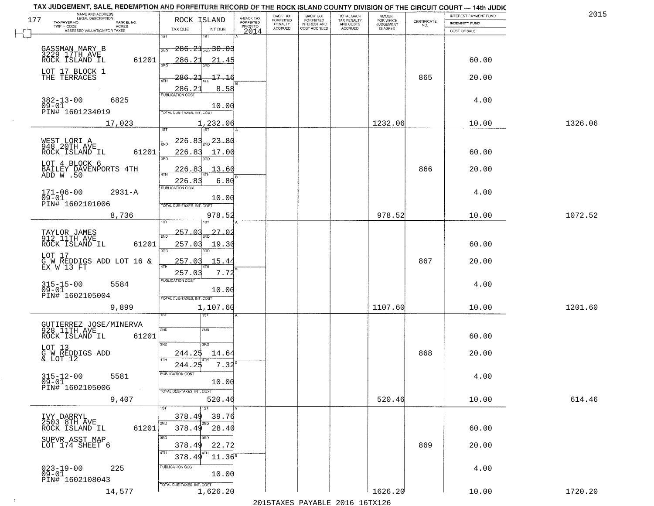| TAX JUDGEMENT, SALE, REDEMPTION AND FORFEITURE RECORD OF THE ROCK ISLAND COUNTY DIVISION OF THE CIRCUIT COURT - 14th JUDIC<br>NAME AND ADDRESS<br>LEGAL DESCRIPTION |                                           |                                     | BACK TAX                    |                                       |                                        | AMOUNT<br>FOR WHICH |                                                                 | INTEREST PAYMENT FUND | 2015    |
|---------------------------------------------------------------------------------------------------------------------------------------------------------------------|-------------------------------------------|-------------------------------------|-----------------------------|---------------------------------------|----------------------------------------|---------------------|-----------------------------------------------------------------|-----------------------|---------|
| 177<br>TAXPAYER NO.<br>PARCEL NO.                                                                                                                                   | ROCK ISLAND                               | A-BACK TAX<br>FORFEITED<br>PRIOR TO | <b>FORFEITED</b><br>PENALTY | BACK TAX<br>FORFEITED<br>INTEREST AND | TOTAL BACK<br>TAX PENALTY<br>AND COSTS | <b>JUDGEMENT</b>    | $\begin{array}{c} \text{CERTIFICATE} \\ \text{NO.} \end{array}$ | INDEMNITY FUND        |         |
| TWP - CODE<br>ACRES<br>ASSESSED VALUATION FOR TAXES                                                                                                                 | TAX DUE<br>INT DUE                        | 2014                                | <b>ACCRUED</b>              | COST ACCRUED                          | ACCRUED                                | IS ASKED            |                                                                 | COST OF SALE          |         |
|                                                                                                                                                                     | 1ST<br>18T                                |                                     |                             |                                       |                                        |                     |                                                                 |                       |         |
| GASSMAN MARY B                                                                                                                                                      | $286.21$ <sub>200</sub> $30.03$<br>2ND    |                                     |                             |                                       |                                        |                     |                                                                 |                       |         |
| 3229 17TH AVE ROCK ISLAND IL<br>61201                                                                                                                               | 286.21<br>21.45                           |                                     |                             |                                       |                                        |                     |                                                                 | 60.00                 |         |
|                                                                                                                                                                     | 350                                       |                                     |                             |                                       |                                        |                     |                                                                 |                       |         |
| LOT 17 BLOCK 1<br>THE TERRACES                                                                                                                                      | <u> 286.2.</u><br>17.16                   |                                     |                             |                                       |                                        |                     | 865                                                             | 20.00                 |         |
|                                                                                                                                                                     |                                           |                                     |                             |                                       |                                        |                     |                                                                 |                       |         |
|                                                                                                                                                                     | 8.58                                      |                                     |                             |                                       |                                        |                     |                                                                 |                       |         |
| $382 - 13 - 00$<br>09-01<br>6825                                                                                                                                    | 10.00                                     |                                     |                             |                                       |                                        |                     |                                                                 | 4.00                  |         |
| PIN# 1601234019                                                                                                                                                     | <b>TOTAL DUE-TAXES, INT. COST</b>         |                                     |                             |                                       |                                        |                     |                                                                 |                       |         |
| 17,023                                                                                                                                                              | 1,232.06                                  |                                     |                             |                                       |                                        | 1232.06             |                                                                 | 10.00                 | 1326.06 |
|                                                                                                                                                                     |                                           |                                     |                             |                                       |                                        |                     |                                                                 |                       |         |
|                                                                                                                                                                     | 23.80<br><u> 226.83</u>                   |                                     |                             |                                       |                                        |                     |                                                                 |                       |         |
| WEST LORI A<br>948 20TH AVE<br>61201<br>ROCK ISLAND IL                                                                                                              | 226.83<br>17.00                           |                                     |                             |                                       |                                        |                     |                                                                 | 60.00                 |         |
|                                                                                                                                                                     | 3BD                                       |                                     |                             |                                       |                                        |                     |                                                                 |                       |         |
| LOT 4 BLOCK 6<br>BAILEY DAVENPORTS 4TH                                                                                                                              | 13.60<br>226.83                           |                                     |                             |                                       |                                        |                     | 866                                                             | 20.00                 |         |
| $ADD\overline{W}$ .50                                                                                                                                               |                                           |                                     |                             |                                       |                                        |                     |                                                                 |                       |         |
|                                                                                                                                                                     | 6.80<br>226.83<br>PUBLICATION COST        |                                     |                             |                                       |                                        |                     |                                                                 |                       |         |
| $171 - 06 - 00$<br>$2931 - A$<br>$09 - 01$                                                                                                                          | 10.00                                     |                                     |                             |                                       |                                        |                     |                                                                 | 4.00                  |         |
| PIN# 1602101006                                                                                                                                                     | TOTAL DUE-TAXES, INT. COST                |                                     |                             |                                       |                                        |                     |                                                                 |                       |         |
| 8,736                                                                                                                                                               | 978.52                                    |                                     |                             |                                       |                                        | 978.52              |                                                                 | 10.00                 | 1072.52 |
|                                                                                                                                                                     | IST.                                      |                                     |                             |                                       |                                        |                     |                                                                 |                       |         |
| TAYLOR JAMES<br>912 11TH AVE                                                                                                                                        | 257.03<br>27.02<br>2ND                    |                                     |                             |                                       |                                        |                     |                                                                 |                       |         |
| ROCK ISLAND IL<br>61201                                                                                                                                             | 257.03<br>19.30                           |                                     |                             |                                       |                                        |                     |                                                                 | 60.00                 |         |
|                                                                                                                                                                     | 3RD<br>3RD                                |                                     |                             |                                       |                                        |                     |                                                                 |                       |         |
| LOT 17                                                                                                                                                              | 257.03<br>15.44                           |                                     |                             |                                       |                                        |                     | 867                                                             | 20.00                 |         |
| G W REDDIGS ADD LOT 16 &<br>EX W 13 FT                                                                                                                              |                                           |                                     |                             |                                       |                                        |                     |                                                                 |                       |         |
|                                                                                                                                                                     | 257.03<br>7.72<br><b>PUBLICATION COST</b> |                                     |                             |                                       |                                        |                     |                                                                 |                       |         |
| 315-15-00<br>09-01<br>5584                                                                                                                                          | 10.00                                     |                                     |                             |                                       |                                        |                     |                                                                 | 4.00                  |         |
| PIN# 1602105004                                                                                                                                                     | TOTAL OUE-TAXES, INT. COST                |                                     |                             |                                       |                                        |                     |                                                                 |                       |         |
| 9,899                                                                                                                                                               | 1,107.60                                  |                                     |                             |                                       |                                        | 1107.60             |                                                                 | 10.00                 | 1201.60 |
|                                                                                                                                                                     | 187                                       |                                     |                             |                                       |                                        |                     |                                                                 |                       |         |
| GUTIERREZ JOSE/MINERVA                                                                                                                                              | 2ND                                       |                                     |                             |                                       |                                        |                     |                                                                 |                       |         |
| 928 11TH AVE<br>ROCK ISLAND IL<br>61201                                                                                                                             | 2ND                                       |                                     |                             |                                       |                                        |                     |                                                                 | 60.00                 |         |
|                                                                                                                                                                     | 3RD<br>3RD                                |                                     |                             |                                       |                                        |                     |                                                                 |                       |         |
| LOT 13<br>G W REDDIGS ADD                                                                                                                                           | 244.25<br>14.64                           |                                     |                             |                                       |                                        |                     | 868                                                             | 20.00                 |         |
| & LOT 12                                                                                                                                                            | 4TH<br>7.32<br>244.25                     |                                     |                             |                                       |                                        |                     |                                                                 |                       |         |
|                                                                                                                                                                     | PUBLICATION COST                          |                                     |                             |                                       |                                        |                     |                                                                 |                       |         |
| $315 - 12 - 00$<br>5581<br>$09 - 01$                                                                                                                                | 10.00                                     |                                     |                             |                                       |                                        |                     |                                                                 | 4.00                  |         |
| PIN# 1602105006<br>$\sim 10^{-1}$                                                                                                                                   | TOTAL DUE-TAXES, INT. COST                |                                     |                             |                                       |                                        |                     |                                                                 |                       |         |
| 9,407                                                                                                                                                               | 520.46                                    |                                     |                             |                                       |                                        | 520.46              |                                                                 | 10.00                 | 614.46  |
|                                                                                                                                                                     |                                           |                                     |                             |                                       |                                        |                     |                                                                 |                       |         |
| IVY DARRYL                                                                                                                                                          | 39.76<br>378.49                           |                                     |                             |                                       |                                        |                     |                                                                 |                       |         |
| 2503 8TH AVE<br>61201<br>ROCK ISLAND IL                                                                                                                             | 2ND<br>28.40<br>378.49                    |                                     |                             |                                       |                                        |                     |                                                                 | 60.00                 |         |
|                                                                                                                                                                     | 3RD                                       |                                     |                             |                                       |                                        |                     |                                                                 |                       |         |
| SUPVR ASST MAP<br>LOT 174 SHEET 6                                                                                                                                   | 22.72<br>378.49                           |                                     |                             |                                       |                                        |                     | 869                                                             | 20.00                 |         |
|                                                                                                                                                                     | 4TH<br>$11.36^8$<br>378.49                |                                     |                             |                                       |                                        |                     |                                                                 |                       |         |
| 225                                                                                                                                                                 | PUBLICATION COST                          |                                     |                             |                                       |                                        |                     |                                                                 | 4.00                  |         |
| 023-19-00<br>09-01                                                                                                                                                  | 10.00                                     |                                     |                             |                                       |                                        |                     |                                                                 |                       |         |
| PIN# 1602108043                                                                                                                                                     | TOTAL DUE-TAXES, INT. COST                |                                     |                             |                                       |                                        |                     |                                                                 |                       |         |
| 14,577                                                                                                                                                              | 1,626.20                                  |                                     |                             |                                       |                                        | 1626.20             |                                                                 | 10.00                 | 1720.20 |
|                                                                                                                                                                     |                                           |                                     |                             |                                       | 2015 TAVEC DAVADIE 2016 16TV126        |                     |                                                                 |                       |         |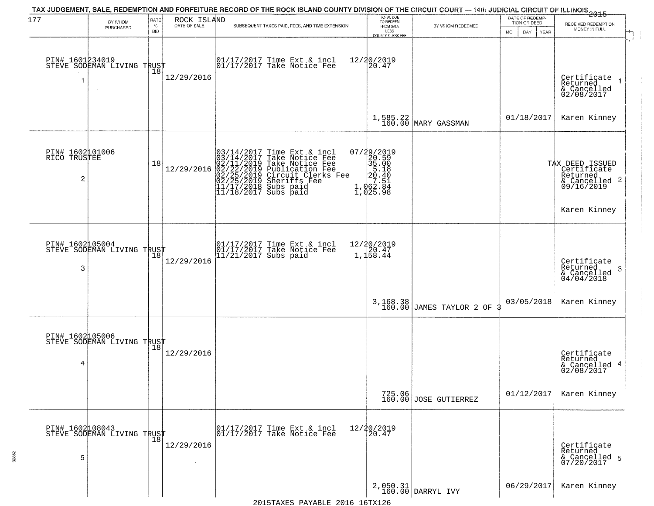| 177                                  | BY WHOM<br>PURCHASED                          | RATE<br>$\%$<br><b>BID</b> | ROCK ISLAND<br>DATE OF SALE | TAX JUDGEMENT, SALE, REDEMPTION AND FORFEITURE RECORD OF THE ROCK ISLAND COUNTY DIVISION OF THE CIRCUIT COURT — 14th JUDICIAL CIRCUIT OF ILLINOIS 2015<br>SUBSEQUENT TAXES PAID, FEES, AND TIME EXTENSION                                  | TOTAL DUE<br>TO REDEEM<br>FROM SALE<br>LESS<br>COUNTY CLERK FEE                                                                 | BY WHOM REDEEMED                | DATE OF REDEMP-<br>TION OR DEED<br>DAY<br>MO.<br><b>YEAR</b> | RECEIVED REDEMPTION<br>MONEY IN FULL                                                      |
|--------------------------------------|-----------------------------------------------|----------------------------|-----------------------------|--------------------------------------------------------------------------------------------------------------------------------------------------------------------------------------------------------------------------------------------|---------------------------------------------------------------------------------------------------------------------------------|---------------------------------|--------------------------------------------------------------|-------------------------------------------------------------------------------------------|
| PIN# 1601234019<br>1                 | PIN# 1601234012<br>STEVE SODEMAN LIVING TRUST |                            | 12/29/2016                  | 01/17/2017 Time Ext & incl<br>01/17/2017 Take Notice Fee                                                                                                                                                                                   | 12/20/2019<br>20.47                                                                                                             |                                 |                                                              | Certificate<br>Returned<br>& Cancelled<br>02/08/2017                                      |
|                                      |                                               |                            |                             |                                                                                                                                                                                                                                            |                                                                                                                                 | 1,585.22<br>160.00 MARY GASSMAN | 01/18/2017                                                   | Karen Kinney                                                                              |
| PIN# 1602101006<br>RICO TRUSTEE<br>2 |                                               | 18                         | 12/29/2016                  | $03/14/2017$ Time Ext & incl<br>$03/14/2017$ Take Notice Fee<br>$02/11/2019$ Take Notice Fee<br>$02/22/2019$ Publication Fee<br>$02/25/2019$ Sheriffs Fee<br>$02/25/2019$ Sheriffs Fee<br>$11/17/2018$ Subs paid<br>$11/18/2017$ Subs paid | 07/29/2019<br>$\begin{smallmatrix}77.72019 \\ 20.59 \\ 35.10 \\ 5.18 \\ 20.40 \\ 7.51 \\ 1.062.84 \\ 1.025.98\end{smallmatrix}$ |                                 |                                                              | TAX DEED ISSUED<br>Certificate<br>Returned<br>& Cancelled 2<br>09/16/2019<br>Karen Kinney |
| PIN# 1602105004<br>3                 | STEVE SODEMAN LIVING TRUST                    |                            | 12/29/2016                  | 01/17/2017 Time Ext & incl<br>01/17/2017 Take Notice Fee<br>11/21/2017 Subs paid                                                                                                                                                           | 12/20/2019<br>1,158.44                                                                                                          |                                 |                                                              | Certificate<br>Returned<br>-3<br>& Cancelled<br>04/04/2018                                |
|                                      |                                               |                            |                             |                                                                                                                                                                                                                                            | 3,168.38<br>160.00                                                                                                              | JAMES TAYLOR 2 OF               | 03/05/2018                                                   | Karen Kinney                                                                              |
| PIN# 1602105006<br>4                 | STEVE SODEMAN LIVING TRUST                    |                            | 12/29/2016                  |                                                                                                                                                                                                                                            |                                                                                                                                 |                                 |                                                              | Certificate<br>Returned<br>& Cancelled 4<br>02/08/2017                                    |
|                                      |                                               |                            |                             |                                                                                                                                                                                                                                            |                                                                                                                                 | 725.06<br>160.00 JOSE GUTIERREZ | 01/12/2017                                                   | Karen Kinney                                                                              |
| 5                                    | PIN# 1602108043<br>STEVE SODEMAN LIVING TRUST |                            | 12/29/2016                  | 01/17/2017 Time Ext & incl<br>01/17/2017 Take Notice Fee                                                                                                                                                                                   | 12/20/2019<br>20.47                                                                                                             |                                 |                                                              | Certificate<br>Returned<br>& Cancelled 5<br>07/20/2017                                    |
|                                      |                                               |                            |                             |                                                                                                                                                                                                                                            |                                                                                                                                 | 2,050.31<br>160.00 DARRYL IVY   | 06/29/2017                                                   | Karen Kinney                                                                              |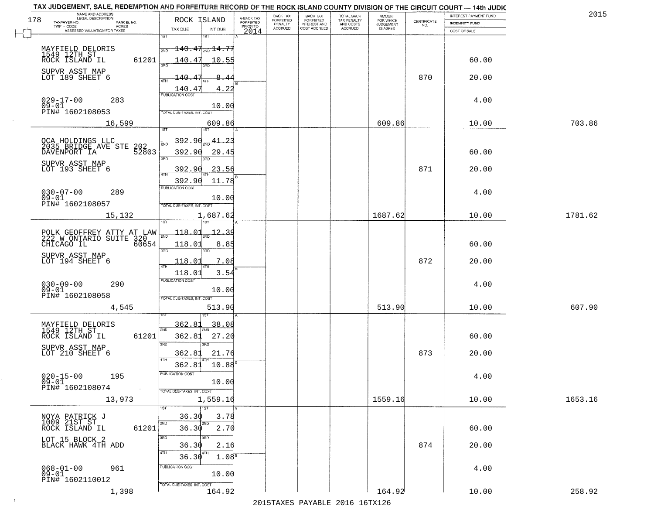| TAX JUDGEMENT, SALE, REDEMPTION AND FORFEITURE RECORD OF THE ROCK ISLAND COUNTY DIVISION OF THE CIRCUIT COURT - 14th JUDIC<br>NAME AND ADDRESS<br>LEGAL DESCRIPTION |                                                                                                              |                                     | BACK TAX             | BACK TAX<br>FORFEITED | TOTAL BACK               | AMOUNT<br>FOR WHICH |                                                                 | INTEREST PAYMENT FUND | 2015    |
|---------------------------------------------------------------------------------------------------------------------------------------------------------------------|--------------------------------------------------------------------------------------------------------------|-------------------------------------|----------------------|-----------------------|--------------------------|---------------------|-----------------------------------------------------------------|-----------------------|---------|
| 178<br>TAXPAYER NO.<br>PARCEL NO.                                                                                                                                   | ROCK ISLAND                                                                                                  | A-BACK TAX<br>FORFEITED<br>PRIOR TO | FORFEITED<br>PENALTY | <b>INTEREST AND</b>   | TAX PENALTY<br>AND COSTS | <b>JUDGEMENT</b>    | $\begin{array}{c} \text{CERTIFICATE} \\ \text{NO.} \end{array}$ | <b>INDEMNITY FUND</b> |         |
| ACRES<br>ASSESSED VALUATION FOR TAXES                                                                                                                               | TAX DUE<br>INT DUE                                                                                           | 2014                                | <b>ACCRUED</b>       | COST ACCRUED          | <b>ACCRUED</b>           | IS ASKED            |                                                                 | COST OF SALE          |         |
| MAYFIELD DELORIS<br>1549 12TH ST<br>ROCK ISLAND IL<br>61201                                                                                                         | 1ST<br>1ST<br>$\textcolor{red}{\textbf{140.47}}\textcolor{white}{\textbf{0.14.7}}$<br>2ND<br>140.47<br>10.55 |                                     |                      |                       |                          |                     |                                                                 | 60.00                 |         |
| SUPVR ASST MAP<br>LOT 189 SHEET 6                                                                                                                                   | 140.47                                                                                                       |                                     |                      |                       |                          |                     | 870                                                             | 20.00                 |         |
| $029 - 17 - 00$<br>283                                                                                                                                              | ATH<br>4.22<br>$\frac{140.47}{FUBUCATON COST}$                                                               |                                     |                      |                       |                          |                     |                                                                 | 4.00                  |         |
| $09 - 01$<br>PIN# 1602108053                                                                                                                                        | 10.00<br>TOTAL DUE-TAXES, INT. COST                                                                          |                                     |                      |                       |                          |                     |                                                                 |                       | 703.86  |
| 16,599                                                                                                                                                              | 609.86                                                                                                       |                                     |                      |                       |                          | 609.86              |                                                                 | 10.00                 |         |
| OCA HOLDINGS LLC<br>2035 BRIDGE AVE STE 202<br>DAVENPORT IA<br>52803<br>SUPVR ASST MAP                                                                              | 392.90<br>41<br>23<br>2ND<br>392.90<br>29.45<br>3RD                                                          |                                     |                      |                       |                          |                     |                                                                 | 60.00                 |         |
| LOT 193 SHEET 6                                                                                                                                                     | 392.90<br>23.56<br>11.78<br>392.90<br>PUBLICATION COST                                                       |                                     |                      |                       |                          |                     | 871                                                             | 20.00                 |         |
| $030 - 07 - 00$<br>289<br>$09 - 01$<br>PIN# 1602108057                                                                                                              | 10.00<br>TOTAL DUE-TAXES, INT. COST                                                                          |                                     |                      |                       |                          |                     |                                                                 | 4.00                  |         |
| 15,132                                                                                                                                                              | 1,687.62<br>isT<br>١S٦                                                                                       |                                     |                      |                       |                          | 1687.62             |                                                                 | 10.00                 | 1781.62 |
| POLK GEOFFREY ATTY AT LAW<br>222 W ONTARIO SUITE 320<br>CHICAGO IL<br>60654                                                                                         | 118.01<br>2ND<br>118.01<br>8.85                                                                              |                                     |                      |                       |                          |                     |                                                                 | 60.00                 |         |
| SUPVR ASST MAP<br>LOT 194 SHEET 6                                                                                                                                   | 3BD<br>3RD<br>118.01<br>7.08<br>4TH                                                                          |                                     |                      |                       |                          |                     | 872                                                             | 20.00                 |         |
| $030 - 09 - 00$<br>290<br>$09 - 01$<br>PIN# 1602108058                                                                                                              | 118.01<br>3.54<br><b>PUBLICATION COST</b><br>10.00<br>TOTAL OUE-TAXES, INT. COST                             |                                     |                      |                       |                          |                     |                                                                 | 4.00                  |         |
| 4,545                                                                                                                                                               | 513.90                                                                                                       |                                     |                      |                       |                          | 513.90              |                                                                 | 10.00                 | 607.90  |
| MAYFIELD DELORIS<br>1549 12TH ST<br>ROCK ISLAND IL<br>61201                                                                                                         | 362.81<br>38.08<br>2ND<br>27.20<br>362.81                                                                    |                                     |                      |                       |                          |                     |                                                                 | 60.00                 |         |
| SUPVR ASST MAP<br>LOT 210 SHEET 6                                                                                                                                   | 3RD<br>3BD<br>21.76<br>362.81<br>4TH                                                                         |                                     |                      |                       |                          |                     | 873                                                             | 20.00                 |         |
| $020 - 15 - 00$<br>09-01<br>195<br>PIN# 1602108074<br>$\sim 100$ km $^{-1}$                                                                                         | 362.81<br>10.88<br>UBLICA HUN COS-<br>10.00<br>TOTAL DUE-TAXES, INT. COST                                    |                                     |                      |                       |                          |                     |                                                                 | 4.00                  |         |
| 13,973                                                                                                                                                              | 1,559.16<br>1ST                                                                                              |                                     |                      |                       |                          | 1559.16             |                                                                 | 10.00                 | 1653.16 |
| NOYA PATRICK J<br>1009 21ST ST<br>61201<br>ROCK ISLAND IL                                                                                                           | 36.30<br>3.78<br>2ND<br>2ND<br>36.30<br>2.70                                                                 |                                     |                      |                       |                          |                     |                                                                 | 60.00                 |         |
| LOT 15 BLOCK 2<br>BLACK HAWK 4TH ADD                                                                                                                                | 3RD<br>36.30<br>2.16<br>4TH<br>36.30<br>1.08 <sup>s</sup>                                                    |                                     |                      |                       |                          |                     | 874                                                             | 20.00                 |         |
| $068 - 01 - 00$<br>961<br>09-01<br>PIN# 1602110012                                                                                                                  | PUBLICATION COST<br>10.00                                                                                    |                                     |                      |                       |                          |                     |                                                                 | 4.00                  |         |
| 1,398                                                                                                                                                               | TOTAL DUE-TAXES, INT. COST<br>164.92                                                                         |                                     |                      |                       |                          | 164.92              |                                                                 | 10.00                 | 258.92  |

 $\sim$  1  $^{\circ}$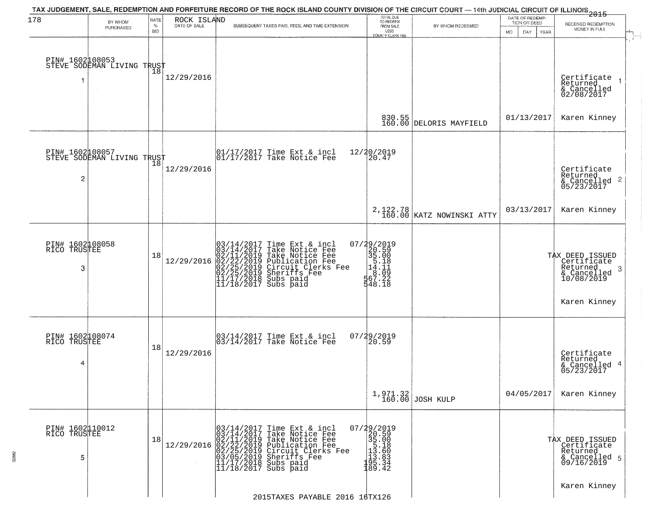| 178                                  | BY WHOM<br>PURCHASED                              | RATE<br>$\%$<br><b>BID</b> | ROCK ISLAND<br>DATE OF SALE | TAX JUDGEMENT, SALE, REDEMPTION AND FORFEITURE RECORD OF THE ROCK ISLAND COUNTY DIVISION OF THE CIRCUIT COURT — 14th JUDICIAL CIRCUIT OF ILLINOIS 2015<br>SUBSEQUENT TAXES PAID, FEES, AND TIME EXTENSION                                                                                    | TOTAL DUE<br>TO REDEEM<br>FROM SALE<br>LESS<br>COUNTY CLERK FEE                                                         | BY WHOM REDEEMED                      | DATE OF REDEMP-<br>TION OR DEED<br>MO.<br>DAY.<br><b>YEAR</b> | RECEIVED REDEMPTION<br>MONEY IN FULL                                                            |
|--------------------------------------|---------------------------------------------------|----------------------------|-----------------------------|----------------------------------------------------------------------------------------------------------------------------------------------------------------------------------------------------------------------------------------------------------------------------------------------|-------------------------------------------------------------------------------------------------------------------------|---------------------------------------|---------------------------------------------------------------|-------------------------------------------------------------------------------------------------|
|                                      | PIN# 1602108053    <br>STEVE SODEMAN LIVING TRUST | $\overline{18}$            | 12/29/2016                  |                                                                                                                                                                                                                                                                                              |                                                                                                                         |                                       |                                                               | Certificate<br>Returned<br>& Cancelled<br>02/08/2017                                            |
|                                      |                                                   |                            |                             |                                                                                                                                                                                                                                                                                              |                                                                                                                         | 830.55<br>160.00 DELORIS MAYFIELD     | 01/13/2017                                                    | Karen Kinney                                                                                    |
| PIN# 1602108057<br>$\overline{c}$    | STEVE SODEMAN LIVING TRUST                        | 18                         | 12/29/2016                  | $\begin{bmatrix} 01/17/2017 \\ 01/17/2017 \end{bmatrix}$ Take Notice Fee                                                                                                                                                                                                                     | 12/20/2019<br>20.47                                                                                                     |                                       |                                                               | Certificate<br>Returned<br>$\overline{2}$<br>& Cancelled<br>05/23/2017                          |
|                                      |                                                   |                            |                             |                                                                                                                                                                                                                                                                                              |                                                                                                                         | 2,122.78<br>160.00 KATZ NOWINSKI ATTY | 03/13/2017                                                    | Karen Kinney                                                                                    |
| PIN# 1602108058<br>RICO TRUSTEE<br>3 |                                                   | 18                         | 12/29/2016                  | $03/14/2017$ Time Ext & incl<br>$03/14/2017$ Take Notice Fee<br>$02/11/2019$ Take Notice Fee<br>$02/22/2019$ Publication Fee<br>$02/25/2019$ Sheriffs Fee<br>$02/25/2019$ Sheriffs Fee<br>$11/17/2018$ Subs paid<br>$11/18/2017$ Subs paid                                                   | 07/29/2019<br>20.59<br>35.00<br>14.11<br>5.00<br>5.00<br>5.00<br>5.00<br>5.00<br>5.00<br>5.00<br>5.00<br>5.00<br>548.18 |                                       |                                                               | TAX DEED ISSUED<br>  Certificate<br>Returned<br>-3<br>& Cancelled<br>10/08/2019<br>Karen Kinney |
| PIN# 1602108074<br>RICO TRUSTEE<br>4 |                                                   | 18                         | 12/29/2016                  | 03/14/2017 Time Ext & incl<br>03/14/2017 Take Notice Fee                                                                                                                                                                                                                                     | 07/29/2019<br>$\overline{20.59}$                                                                                        |                                       |                                                               | Certificate<br>Returned<br>4<br>& Cancelled<br>05/23/2017                                       |
|                                      |                                                   |                            |                             |                                                                                                                                                                                                                                                                                              |                                                                                                                         | 1,971.32<br>160.00 JOSH KULP          | 04/05/2017                                                    | Karen Kinney                                                                                    |
| PIN# 1602110012<br>RICO TRUSTEE<br>5 |                                                   | 18                         | 12/29/2016                  | 03/14/2017<br>03/14/2017<br>Time Ext & incl<br>Take Notice Fee<br>02/11/2019 Take Notic<br>02/22/2019 Publicatio<br>02/25/2019 Publicatio<br>03/25/2019 Sheriffs<br>11/17/2018 Subs paid<br>11/17/2018 Subs paid<br>Take Notice Fee<br>Publication Fee<br>Circuit Clerks Fee<br>Sheriffs Fee | 07/29/2019<br>20.59<br>$\begin{array}{r} 35.008 \\ 35.008 \\ 13.508 \\ 13.603 \\ 195.34 \\ 189.42 \end{array}$          |                                       |                                                               | TAX DEED ISSUED<br>Certificate<br>Returned<br>& Cancelled 5<br>09/16/2019                       |
|                                      |                                                   |                            |                             | 2015TAXES PAYABLE 2016 16TX126                                                                                                                                                                                                                                                               |                                                                                                                         |                                       |                                                               | Karen Kinney                                                                                    |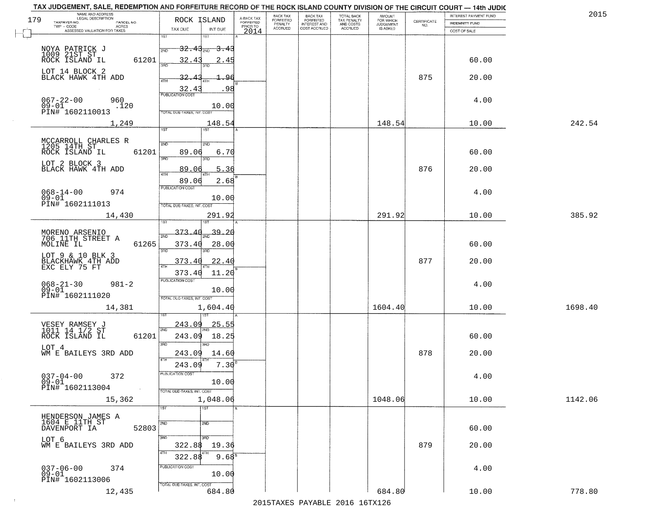| TAX JUDGEMENT, SALE, REDEMPTION AND FORFEITURE RECORD OF THE ROCK ISLAND COUNTY DIVISION OF THE CIRCUIT COURT - 14th JUDIC<br>NAME AND ADDRESS<br>LEGAL DESCRIPTION |                                          |                                     | BACK TAX             |                                       |                                        | AMOUNT<br>FOR WHICH |                                                                 | INTEREST PAYMENT FUND | 2015    |
|---------------------------------------------------------------------------------------------------------------------------------------------------------------------|------------------------------------------|-------------------------------------|----------------------|---------------------------------------|----------------------------------------|---------------------|-----------------------------------------------------------------|-----------------------|---------|
| 179<br>TAXPAYER NO.<br>PARCEL NO.<br>TWP - CODE                                                                                                                     | ROCK ISLAND                              | A-BACK TAX<br>FORFEITED<br>PRIOR TO | FORFEITED<br>PENALTY | BACK TAX<br>FORFEITED<br>INTEREST AND | TOTAL BACK<br>TAX PENALTY<br>AND COSTS | <b>JUDGEMENT</b>    | $\begin{array}{c} \text{CERTIFICATE} \\ \text{NO.} \end{array}$ | INDEMNITY FUND        |         |
| ACRES<br>ASSESSED VALUATION FOR TAXES                                                                                                                               | TAX DUE<br>INT DUE                       | 2014                                | <b>ACCRUED</b>       | COST ACCRUED                          | ACCRUED                                | IS ASKED            |                                                                 | COST OF SALE          |         |
|                                                                                                                                                                     | 1ST<br><b>IST</b>                        |                                     |                      |                                       |                                        |                     |                                                                 |                       |         |
|                                                                                                                                                                     | $-32.43_{200}$<br><del>3.43</del><br>2ND |                                     |                      |                                       |                                        |                     |                                                                 |                       |         |
| NOYA PATRICK J<br>1009 21ST ST<br>ROCK ISLAND IL<br>61201                                                                                                           | 32.43<br>2.45                            |                                     |                      |                                       |                                        |                     |                                                                 | 60.00                 |         |
|                                                                                                                                                                     |                                          |                                     |                      |                                       |                                        |                     |                                                                 |                       |         |
| LOT 14 BLOCK 2<br>BLACK HAWK 4TH ADD                                                                                                                                | 32.<br>-96                               |                                     |                      |                                       |                                        |                     | 875                                                             | 20.00                 |         |
|                                                                                                                                                                     | .98                                      |                                     |                      |                                       |                                        |                     |                                                                 |                       |         |
|                                                                                                                                                                     | 32.43                                    |                                     |                      |                                       |                                        |                     |                                                                 |                       |         |
| $067 - 22 - 00$<br>09-01<br>960<br>.120                                                                                                                             | 10.00                                    |                                     |                      |                                       |                                        |                     |                                                                 | 4.00                  |         |
| PIN# <sup>-1602110013</sup>                                                                                                                                         | <b>TOTAL DUE-TAXES, INT. COST</b>        |                                     |                      |                                       |                                        |                     |                                                                 |                       |         |
| 1,249                                                                                                                                                               | 148.54                                   |                                     |                      |                                       |                                        | 148.54              |                                                                 | 10.00                 | 242.54  |
|                                                                                                                                                                     | <b>IST</b>                               |                                     |                      |                                       |                                        |                     |                                                                 |                       |         |
| MCCARROLL CHARLES R<br>1205 14TH ST                                                                                                                                 | 2ND<br>2ND                               |                                     |                      |                                       |                                        |                     |                                                                 |                       |         |
| ROCK ISLAND IL<br>61201                                                                                                                                             | 89.06<br>6.70                            |                                     |                      |                                       |                                        |                     |                                                                 | 60.00                 |         |
|                                                                                                                                                                     | बन्ना<br>3RD                             |                                     |                      |                                       |                                        |                     |                                                                 |                       |         |
| LOT 2 BLOCK 3<br>BLACK HAWK 4TH ADD                                                                                                                                 | 5.36<br>89.06                            |                                     |                      |                                       |                                        |                     | 876                                                             | 20.00                 |         |
|                                                                                                                                                                     | 89.06<br>2.68                            |                                     |                      |                                       |                                        |                     |                                                                 |                       |         |
| 974                                                                                                                                                                 | PUBLICATION COST                         |                                     |                      |                                       |                                        |                     |                                                                 | 4.00                  |         |
| $068 - 14 - 00$<br>$09 - 01$                                                                                                                                        | 10.00                                    |                                     |                      |                                       |                                        |                     |                                                                 |                       |         |
| PIN# 1602111013                                                                                                                                                     | TOTAL DUE-TAXES, INT. COST               |                                     |                      |                                       |                                        |                     |                                                                 |                       |         |
| 14,430                                                                                                                                                              | 291.92                                   |                                     |                      |                                       |                                        | 291.92              |                                                                 | 10.00                 | 385.92  |
|                                                                                                                                                                     |                                          |                                     |                      |                                       |                                        |                     |                                                                 |                       |         |
| MORENO ARSENIO<br>706 11TH STREET A                                                                                                                                 | 373<br>39.20<br>2ND                      |                                     |                      |                                       |                                        |                     |                                                                 |                       |         |
| MOLINE IL<br>61265                                                                                                                                                  | 373.40<br>28.00                          |                                     |                      |                                       |                                        |                     |                                                                 | 60.00                 |         |
| LOT 9 & 10 BLK 3                                                                                                                                                    | 3RD<br>3RD                               |                                     |                      |                                       |                                        |                     |                                                                 |                       |         |
| BLACKHAWK 4TH ADD<br>EXC ELY 75 FT                                                                                                                                  | 373.40<br><u>22.40</u>                   |                                     |                      |                                       |                                        |                     | 877                                                             | 20.00                 |         |
|                                                                                                                                                                     | 373.40<br>11.20                          |                                     |                      |                                       |                                        |                     |                                                                 |                       |         |
| $068 - 21 - 30$<br>09-01<br>$981 - 2$                                                                                                                               | <b>PUBLICATION COST</b>                  |                                     |                      |                                       |                                        |                     |                                                                 | 4.00                  |         |
| PIN# 1602111020                                                                                                                                                     | 10.00                                    |                                     |                      |                                       |                                        |                     |                                                                 |                       |         |
|                                                                                                                                                                     | TOTAL OUE-TAXES, INT. COST               |                                     |                      |                                       |                                        | 1604.40             |                                                                 |                       |         |
| 14,381                                                                                                                                                              | 1,604.40                                 |                                     |                      |                                       |                                        |                     |                                                                 | 10.00                 | 1698.40 |
|                                                                                                                                                                     | 243.09<br><u> 25.55</u>                  |                                     |                      |                                       |                                        |                     |                                                                 |                       |         |
| VESEY RAMSEY J<br>1011 14 1/2 ST                                                                                                                                    | 2ND                                      |                                     |                      |                                       |                                        |                     |                                                                 |                       |         |
| ROCK ISLAND IL<br>61201                                                                                                                                             | 243.09<br>18.25<br>3RD<br>3BD            |                                     |                      |                                       |                                        |                     |                                                                 | 60.00                 |         |
| LOT 4<br>WM E BAILEYS 3RD ADD                                                                                                                                       | 243.09<br>14.60                          |                                     |                      |                                       |                                        |                     | 878                                                             | 20.00                 |         |
|                                                                                                                                                                     | 4TH                                      |                                     |                      |                                       |                                        |                     |                                                                 |                       |         |
|                                                                                                                                                                     | 7.30<br>243.09                           |                                     |                      |                                       |                                        |                     |                                                                 |                       |         |
| $037 - 04 - 00$<br>372<br>$09 - 01$                                                                                                                                 | PUBLICATION COS-<br>10.00                |                                     |                      |                                       |                                        |                     |                                                                 | 4.00                  |         |
| PIN# 1602113004<br>$\sim 10^{-1}$                                                                                                                                   | TOTAL DUE-TAXES, INT. COST               |                                     |                      |                                       |                                        |                     |                                                                 |                       |         |
| 15,362                                                                                                                                                              | 1,048.06                                 |                                     |                      |                                       |                                        | 1048.06             |                                                                 | 10.00                 | 1142.06 |
|                                                                                                                                                                     | 1ST<br>1ST                               |                                     |                      |                                       |                                        |                     |                                                                 |                       |         |
| HENDERSON JAMES A                                                                                                                                                   |                                          |                                     |                      |                                       |                                        |                     |                                                                 |                       |         |
| 1604 E 11TH ST<br>52803<br>DAVENPORT IA                                                                                                                             | 2ND<br>2ND                               |                                     |                      |                                       |                                        |                     |                                                                 | 60.00                 |         |
|                                                                                                                                                                     | 3RD<br>3RD                               |                                     |                      |                                       |                                        |                     |                                                                 |                       |         |
| LOT 6<br>WM E BAILEYS 3RD ADD                                                                                                                                       | 322.88<br>19.36                          |                                     |                      |                                       |                                        |                     | 879                                                             | 20.00                 |         |
|                                                                                                                                                                     | 4TH<br>322.88<br>9.68 <sup>8</sup>       |                                     |                      |                                       |                                        |                     |                                                                 |                       |         |
|                                                                                                                                                                     | PUBLICATION COST                         |                                     |                      |                                       |                                        |                     |                                                                 |                       |         |
| $037 - 06 - 00$<br>374<br>$09 - 01$                                                                                                                                 | 10.00                                    |                                     |                      |                                       |                                        |                     |                                                                 | 4.00                  |         |
| PIN# 1602113006                                                                                                                                                     | TOTAL DUE-TAXES, INT. COST               |                                     |                      |                                       |                                        |                     |                                                                 |                       |         |
| 12,435                                                                                                                                                              | 684.80                                   |                                     |                      |                                       |                                        | 684.80              |                                                                 | 10.00                 | 778.80  |
|                                                                                                                                                                     |                                          |                                     |                      |                                       | 2015 TAVEC DAVADIE 2016 16TV126        |                     |                                                                 |                       |         |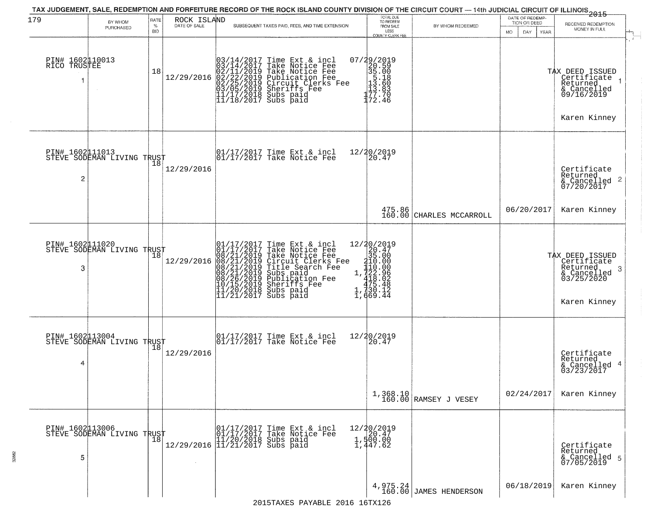| 179                             | BY WHOM                                           | RATE               | ROCK ISLAND                                                                                                                                                                                                         | TAX JUDGEMENT, SALE, REDEMPTION AND FORFEITURE RECORD OF THE ROCK ISLAND COUNTY DIVISION OF THE CIRCUIT COURT — 14th JUDICIAL CIRCUIT OF ILLINOIS 2015                                                                                                | TOTAL DUE<br>TO REDEEM                                                                                                                |                                    | DATE OF REDEMP-                     |                                                                                           |
|---------------------------------|---------------------------------------------------|--------------------|---------------------------------------------------------------------------------------------------------------------------------------------------------------------------------------------------------------------|-------------------------------------------------------------------------------------------------------------------------------------------------------------------------------------------------------------------------------------------------------|---------------------------------------------------------------------------------------------------------------------------------------|------------------------------------|-------------------------------------|-------------------------------------------------------------------------------------------|
|                                 | PURCHASED                                         | $\%$<br><b>BID</b> | DATE OF SALE                                                                                                                                                                                                        | SUBSEQUENT TAXES PAID, FEES, AND TIME EXTENSION                                                                                                                                                                                                       | FROM SALE<br>LESS                                                                                                                     | BY WHOM REDEEMED                   | TION OR DEED<br>YEAR<br>MO.<br>DAY. | RECEIVED REDEMPTION<br>MONEY IN FULL                                                      |
| PIN# 1602110013<br>RICO TRUSTEE |                                                   | 18                 | 12/29/2016                                                                                                                                                                                                          | $03/14/2017$ Time Ext & incl<br>$03/14/2017$ Take Notice Fee<br>$02/11/2019$ Take Notice Fee<br>$02/22/2019$ Publication Fee<br>$03/05/2019$ Sheriffs Fee<br>$11/17/2018$ Subs paid<br>$11/18/2017$ Subs paid                                         | <b>COUNTY CLERK FEE</b><br>$\begin{array}{r} 07/29/2019 \\ 20.59 \\ 35.00 \\ 13.60 \\ 13.60 \\ 13.83 \\ 177.74 \end{array}$<br>172.46 |                                    |                                     | TAX DEED ISSUED<br>Certificate<br>Returned<br>& Cancelled<br>09/16/2019<br>Karen Kinney   |
| 2                               | PIN# 1602 11013<br>STEVE SODEMAN LIVING TRUST     |                    | 12/29/2016                                                                                                                                                                                                          | $\begin{array}{ccc}  01/17/2017 \text{ Time} & \text{Ext} & \text{incl} \\  01/17/2017 \text{ Take Notice } \text{Fe} \end{array}$                                                                                                                    | 12/20/2019<br>20.47                                                                                                                   |                                    |                                     | Certificate<br>Returned<br>& Cancelled 2<br>07/20/2017                                    |
|                                 |                                                   |                    |                                                                                                                                                                                                                     |                                                                                                                                                                                                                                                       |                                                                                                                                       | 475.86<br>160.00 CHARLES MCCARROLL | 06/20/2017                          | Karen Kinney                                                                              |
| 3                               | PIN# 1602111020<br>STEVE SODEMAN LIVING TRUST     | 18                 | 12/29/2016                                                                                                                                                                                                          | 01/17/2017 Time Ext & incl<br>01/17/2017 Take Notice Fee<br>08/21/2019 Take Notice Fee<br>08/21/2019 Circuit Clerks Fee<br>08/21/2019 Title Search Fee<br>08/21/2019 Subs paid<br>08/26/2019 Sheriffs Fee<br>10/15/2019 Sheriffs Fee<br>11/20/2018 Su | 12/20/2019<br>1,730.12<br>1,669.44                                                                                                    |                                    |                                     | TAX DEED ISSUED<br>Certificate<br>Returned<br>3<br>$\frac{2}{03/25/2020}$<br>Karen Kinney |
| PIN# 1602113004<br>4            | STEVE SODEMAN LIVING TRUST                        | 18                 | 12/29/2016                                                                                                                                                                                                          | $\begin{bmatrix} 01/17/2017 \\ 01/17/2017 \end{bmatrix}$ Take Notice Fee                                                                                                                                                                              | 12/20/2019<br>20.47                                                                                                                   |                                    |                                     | Certificate<br>Returned<br>& Cancelled 4<br>03/23/2017                                    |
|                                 |                                                   |                    |                                                                                                                                                                                                                     |                                                                                                                                                                                                                                                       |                                                                                                                                       | 1,368.10<br>160.00 RAMSEY J VESEY  | 02/24/2017                          | Karen Kinney                                                                              |
| 5                               | PIN# 1602113006    <br>STEVE SODEMAN LIVING TRUST | 18                 | $[01/17/2017 \text{ Time Ext } \delta$ \begin{matrix} 01/17/2017 \text{ Time Ext } \delta$ \\ 01/17/2017 \text{ Take Notic} \\ 11/20/2018 \text{ Subs paid} \\ 11/21/2017 \text{ Subs paid} \end{matrix}$<br>$\sim$ | Time Ext & incl<br>Take Notice Fee                                                                                                                                                                                                                    | $12/20/2019$<br>$20.47$<br>1,500.00<br>1,447.62                                                                                       |                                    |                                     | Certificate<br>Returned<br>& Cancelled 5<br>07/05/2019                                    |
|                                 |                                                   |                    |                                                                                                                                                                                                                     |                                                                                                                                                                                                                                                       |                                                                                                                                       | $4,975.24$ JAMES HENDERSON         | 06/18/2019                          | Karen Kinney                                                                              |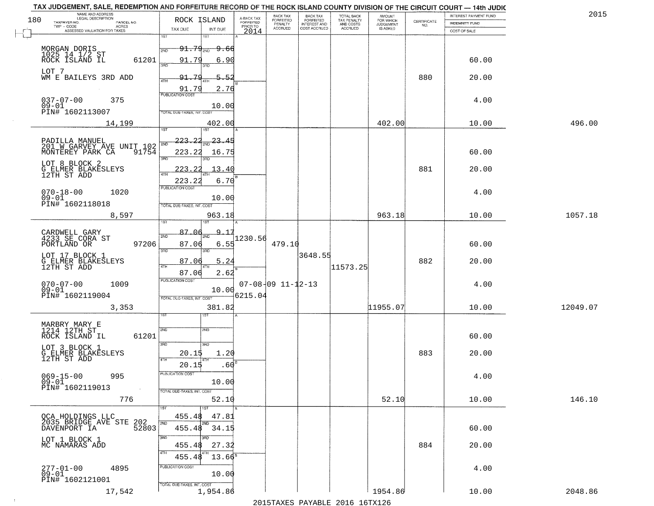|     | TAX JUDGEMENT, SALE, REDEMPTION AND FORFEITURE RECORD OF THE ROCK ISLAND COUNTY DIVISION OF THE CIRCUIT COURT - 14th JUDIC<br>NAME AND ADDRESS<br>LEGAL DESCRIPTION |                                          |                         | BACK TAX                      |                                              |                                        |                                         |                                                                 | INTEREST PAYMENT FUND | 2015     |
|-----|---------------------------------------------------------------------------------------------------------------------------------------------------------------------|------------------------------------------|-------------------------|-------------------------------|----------------------------------------------|----------------------------------------|-----------------------------------------|-----------------------------------------------------------------|-----------------------|----------|
| 180 | TAXPAYER NO.<br>PARCEL NO.                                                                                                                                          | ROCK ISLAND                              | A-BACK TAX<br>FORFEITED | <b>FORFEITED</b><br>PENALTY   | BACK TAX<br>FORFEITED<br><b>INTEREST AND</b> | TOTAL BACK<br>TAX PENALTY<br>AND COSTS | AMOUNT<br>FOR WHICH<br><b>JUDGEMENT</b> | $\begin{array}{c} \text{CERTIFICATE} \\ \text{NO.} \end{array}$ | INDEMNITY FUND        |          |
|     | ACRES<br>ASSESSED VALUATION FOR TAXES                                                                                                                               | TAX DUE<br>INT DUE                       | PRIOR TO<br>2014        | <b>ACCRUED</b>                | COST ACCRUED                                 | <b>ACCRUED</b>                         | IS ASKED                                |                                                                 | COST OF SALE          |          |
|     |                                                                                                                                                                     | 1ST<br>18T                               |                         |                               |                                              |                                        |                                         |                                                                 |                       |          |
|     |                                                                                                                                                                     | $91.79_{200}$<br><del>9.60</del><br>2ND  |                         |                               |                                              |                                        |                                         |                                                                 |                       |          |
|     | MORGAN DORIS<br>1025 14 1/2 ST<br>ROCK ISLAND IL<br>61201                                                                                                           | 91.79<br>6.90                            |                         |                               |                                              |                                        |                                         |                                                                 | 60.00                 |          |
|     |                                                                                                                                                                     | 3RC                                      |                         |                               |                                              |                                        |                                         |                                                                 |                       |          |
|     | LOT 7<br>WM E BAILEYS 3RD ADD                                                                                                                                       | 91.79<br>5.52                            |                         |                               |                                              |                                        |                                         | 880                                                             | 20.00                 |          |
|     |                                                                                                                                                                     |                                          |                         |                               |                                              |                                        |                                         |                                                                 |                       |          |
|     |                                                                                                                                                                     | 91.79<br>2.76<br><b>PUBLICATION COST</b> |                         |                               |                                              |                                        |                                         |                                                                 |                       |          |
|     | 037-07-00<br>09-01<br>375                                                                                                                                           | 10.00                                    |                         |                               |                                              |                                        |                                         |                                                                 | 4.00                  |          |
|     | PIN# 1602113007                                                                                                                                                     | TOTAL DUE-TAXES, INT. COST               |                         |                               |                                              |                                        |                                         |                                                                 |                       |          |
|     | 14,199                                                                                                                                                              | 402.00                                   |                         |                               |                                              |                                        | 402.00                                  |                                                                 | 10.00                 | 496.00   |
|     |                                                                                                                                                                     | ist                                      |                         |                               |                                              |                                        |                                         |                                                                 |                       |          |
|     | PADILLA MANUEL<br>201 W GARVEY AVE UNIT 102                                                                                                                         | 223.22<br>$\frac{23.45}{200}$            |                         |                               |                                              |                                        |                                         |                                                                 |                       |          |
|     | MONTEREY PARK CA<br>91754                                                                                                                                           | 223.22<br>16.75                          |                         |                               |                                              |                                        |                                         |                                                                 | 60.00                 |          |
|     |                                                                                                                                                                     | 3RD                                      |                         |                               |                                              |                                        |                                         |                                                                 |                       |          |
|     | LOT 8 BLOCK 2                                                                                                                                                       | 13.40<br>223.22                          |                         |                               |                                              |                                        |                                         | 881                                                             | 20.00                 |          |
|     | G ELMER BLAKESLEYS<br>12TH ST ADD                                                                                                                                   | 6.70<br>223.22                           |                         |                               |                                              |                                        |                                         |                                                                 |                       |          |
|     |                                                                                                                                                                     | PUBLICATION COST                         |                         |                               |                                              |                                        |                                         |                                                                 |                       |          |
|     | $070 - 18 - 00$<br>1020<br>$09 - 01$                                                                                                                                | 10.00                                    |                         |                               |                                              |                                        |                                         |                                                                 | 4.00                  |          |
|     | PIN# 1602118018                                                                                                                                                     | TOTAL DUE-TAXES, INT. COST               |                         |                               |                                              |                                        |                                         |                                                                 |                       |          |
|     | 8,597                                                                                                                                                               | 963.18                                   |                         |                               |                                              |                                        | 963.18                                  |                                                                 | 10.00                 | 1057.18  |
|     |                                                                                                                                                                     | <b>ST</b>                                |                         |                               |                                              |                                        |                                         |                                                                 |                       |          |
|     | CARDWELL GARY<br>4233 SE CORA ST                                                                                                                                    | 87.01<br>$9 - 17$<br>2ND<br>2ND          | 1230.56                 |                               |                                              |                                        |                                         |                                                                 |                       |          |
|     | 97206<br>PORTLAND OR                                                                                                                                                | 87.06<br>6.55                            |                         | 479.10                        |                                              |                                        |                                         |                                                                 | 60.00                 |          |
|     | LOT 17 BLOCK 1                                                                                                                                                      | 3BD<br>3RD                               |                         |                               | 3648.55                                      |                                        |                                         |                                                                 |                       |          |
|     | G ELMER BLAKESLEYS<br>12TH ST ADD                                                                                                                                   | 87.06<br>5.24<br>4TH                     |                         |                               |                                              | 11573.25                               |                                         | 882                                                             | 20.00                 |          |
|     |                                                                                                                                                                     | 87.06<br>2.62                            |                         |                               |                                              |                                        |                                         |                                                                 |                       |          |
|     | $070 - 07 - 00$<br>1009                                                                                                                                             | <b>PUBLICATION COST</b>                  |                         | $07 - 08 - 09$ $11 - 12 - 13$ |                                              |                                        |                                         |                                                                 | 4.00                  |          |
|     | $09 - 01$                                                                                                                                                           | 10.00                                    |                         |                               |                                              |                                        |                                         |                                                                 |                       |          |
|     | PIN# 1602119004                                                                                                                                                     | TOTAL OUE-TAXES, INT. COST               | 6215.04                 |                               |                                              |                                        |                                         |                                                                 |                       |          |
|     | 3,353                                                                                                                                                               | 381.82                                   |                         |                               |                                              |                                        | 11955.07                                |                                                                 | 10.00                 | 12049.07 |
|     |                                                                                                                                                                     | IST                                      |                         |                               |                                              |                                        |                                         |                                                                 |                       |          |
|     | MARBRY MARY E<br>1214 12TH ST                                                                                                                                       | 2ND<br>2ND                               |                         |                               |                                              |                                        |                                         |                                                                 |                       |          |
|     | ROCK ISLAND IL<br>61201                                                                                                                                             |                                          |                         |                               |                                              |                                        |                                         |                                                                 | 60.00                 |          |
|     | LOT 3 BLOCK 1                                                                                                                                                       | 3RD<br>3HD                               |                         |                               |                                              |                                        |                                         |                                                                 |                       |          |
|     | G ELMER BLAKESLEYS<br>12TH ST ADD                                                                                                                                   | 20.15<br>1.20<br>4TH                     |                         |                               |                                              |                                        |                                         | 883                                                             | 20.00                 |          |
|     |                                                                                                                                                                     | .60<br>20.15                             |                         |                               |                                              |                                        |                                         |                                                                 |                       |          |
|     | $069 - 15 - 00$<br>995                                                                                                                                              | PUBLICATION COS-                         |                         |                               |                                              |                                        |                                         |                                                                 | 4.00                  |          |
|     | $09 - 01$<br>PIN# 1602119013                                                                                                                                        | 10.00<br>TOTAL DUE-TAXES, INT. COST      |                         |                               |                                              |                                        |                                         |                                                                 |                       |          |
|     | 776                                                                                                                                                                 | 52.10                                    |                         |                               |                                              |                                        | 52.10                                   |                                                                 | 10.00                 | 146.10   |
|     |                                                                                                                                                                     |                                          |                         |                               |                                              |                                        |                                         |                                                                 |                       |          |
|     | QCA HOLDINGS LLC<br>2035 BRIDGE AVE STE                                                                                                                             | 455.48<br>47.81                          |                         |                               |                                              |                                        |                                         |                                                                 |                       |          |
|     | 202<br>52803<br>DAVENPORT IA                                                                                                                                        | 2ND<br>455.48 34.15                      |                         |                               |                                              |                                        |                                         |                                                                 | 60.00                 |          |
|     |                                                                                                                                                                     | 3RD<br>חחי                               |                         |                               |                                              |                                        |                                         |                                                                 |                       |          |
|     | LOT 1 BLOCK 1<br>MC NAMARAS ADD                                                                                                                                     | 455.48<br>27.32                          |                         |                               |                                              |                                        |                                         | 884                                                             | 20.00                 |          |
|     |                                                                                                                                                                     | $13.66^8$<br>455.48                      |                         |                               |                                              |                                        |                                         |                                                                 |                       |          |
|     |                                                                                                                                                                     | PUBLICATION COST                         |                         |                               |                                              |                                        |                                         |                                                                 |                       |          |
|     | $277 - 01 - 00$<br>4895<br>$09 - 01$                                                                                                                                | 10.00                                    |                         |                               |                                              |                                        |                                         |                                                                 | 4.00                  |          |
|     | PIN# 1602121001                                                                                                                                                     | TOTAL DUE-TAXES, INT. COST               |                         |                               |                                              |                                        |                                         |                                                                 |                       |          |
|     | 17,542                                                                                                                                                              | 1,954.86                                 |                         |                               |                                              |                                        | 1954.86                                 |                                                                 | 10.00                 | 2048.86  |
|     |                                                                                                                                                                     |                                          |                         |                               |                                              | 2015 TAVEC DAVADIE 2016 16TV126        |                                         |                                                                 |                       |          |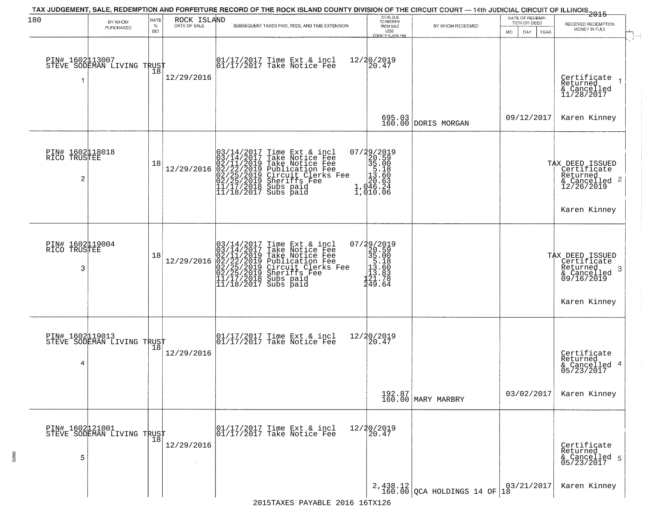| 180                                  | BY WHOM<br>PURCHASED                           | RATE<br>℅<br><b>BID</b> | ROCK ISLAND<br>DATE OF SALE | TAX JUDGEMENT, SALE, REDEMPTION AND FORFEITURE RECORD OF THE ROCK ISLAND COUNTY DIVISION OF THE CIRCUIT COURT — 14th JUDICIAL CIRCUIT OF ILLINOIS 2015<br>SUBSEQUENT TAXES PAID, FEES, AND TIME EXTENSION                                                                                                                                   | TOTAL DUE<br>TO REDEEM<br>FROM SALE<br>LESS<br>COUNTY CLERK FEE                                              | BY WHOM REDEEMED                                | DATE OF REDEMP-<br>TION OR DEED<br>DAY.<br>YEAR<br>MO. | RECEIVED REDEMPTION<br>MONEY IN FULL                                                          |
|--------------------------------------|------------------------------------------------|-------------------------|-----------------------------|---------------------------------------------------------------------------------------------------------------------------------------------------------------------------------------------------------------------------------------------------------------------------------------------------------------------------------------------|--------------------------------------------------------------------------------------------------------------|-------------------------------------------------|--------------------------------------------------------|-----------------------------------------------------------------------------------------------|
| PIN# 1602113007                      | STEVE SODEMAN LIVING TRUST<br>$\sim$           | 18                      | 12/29/2016                  | 01/17/2017 Time Ext & incl<br>01/17/2017 Take Notice Fee                                                                                                                                                                                                                                                                                    | 12/20/2019<br>20.47                                                                                          |                                                 |                                                        | Certificate<br>Returned<br>& Cancelled<br>11/28/2017                                          |
|                                      |                                                |                         |                             |                                                                                                                                                                                                                                                                                                                                             |                                                                                                              | 695.03<br>160.00 DORIS MORGAN                   | 09/12/2017                                             | Karen Kinney                                                                                  |
| PIN# 1602118018<br>RICO TRUSTEE<br>2 |                                                | 18                      | 12/29/2016                  | $\begin{array}{ l} 03/14/2017 \text{ Time Ext} & \text{incl} \\ 03/14/2017 \text{ Take Notice Free} \\ 02/11/2019 \text{ Take Notice Free} \\ 02/22/2019 \text{ Publication Free} \\ 02/25/2019 \text{ Sircuit Clerks Free} \\ 02/25/2019 \text{ Sheriffs See} \\ 11/17/2018 \text{ Subs paid} \\ 11/18/2017 \text{ Subs paid} \end{array}$ | $\begin{smallmatrix} 07/29/2019\\20.59\\35.00\\15.18\\ \vdots\\ 10.63\\1,046.24\\1,010.06 \end{smallmatrix}$ |                                                 |                                                        | TAX DEED ISSUED<br>Certificate<br>Returned<br>& Cancelled 2<br>12/26/2019<br>Karen Kinney     |
| PIN# 1602119004<br>RICO TRUSTEE<br>3 |                                                | 18                      |                             | $12/29/2016 \begin{array}{l} 03/14/2017 \text{ Time Ext & incl} \\ 03/14/2017 \text{ Take Notice Free} \\ 02/11/2019 \text{ Take Notice Free} \\ 02/22/2019 \text{ Publication Free} \\ 02/25/2019 \text{ Sircuit Clerks Free} \\ 02/25/2019 \text{ Sheriffs} \\ 11/17/2018 \text{ Subs paid} \\ 11/18/2017 \text{ Subs paid} \end{array}$  | $\begin{smallmatrix} 07/29/2019\\20.59\\35.00\\5.18\\13.80\\121.76\\249.64 \end{smallmatrix}$                |                                                 |                                                        | TAX DEED ISSUED<br>Certificate<br>Returned<br>-3<br>& Cancelled<br>09/16/2019<br>Karen Kinney |
| PIN# 1602119013<br>4                 | STEVE SODEMAN LIVING TRUST                     |                         | 12/29/2016                  | $\begin{array}{cc} 01/17/2017 & \text{Time Ext} & \text{incl} \\ 01/17/2017 & \text{Take Notice Free} \end{array}$                                                                                                                                                                                                                          | 12/20/2019<br>20.47                                                                                          |                                                 |                                                        | Certificate<br>Returned<br>& Cancelled 4<br>05/23/2017                                        |
|                                      |                                                |                         |                             |                                                                                                                                                                                                                                                                                                                                             |                                                                                                              | 192.87<br>160.00 MARY MARBRY                    | 03/02/2017                                             | Karen Kinney                                                                                  |
| 5                                    | PIN# 1602 121001<br>STEVE SODEMAN LIVING TRUST |                         | 12/29/2016                  | 01/17/2017 Time Ext & incl<br>01/17/2017 Take Notice Fee                                                                                                                                                                                                                                                                                    | 12/20/2019<br>20.47                                                                                          |                                                 |                                                        | Certificate<br>Returned<br>& Cancelled 5<br>05/23/2017                                        |
|                                      |                                                |                         |                             |                                                                                                                                                                                                                                                                                                                                             |                                                                                                              | $2,438.12$ QCA HOLDINGS 14 OF $18^{03/21/2017}$ |                                                        | Karen Kinney                                                                                  |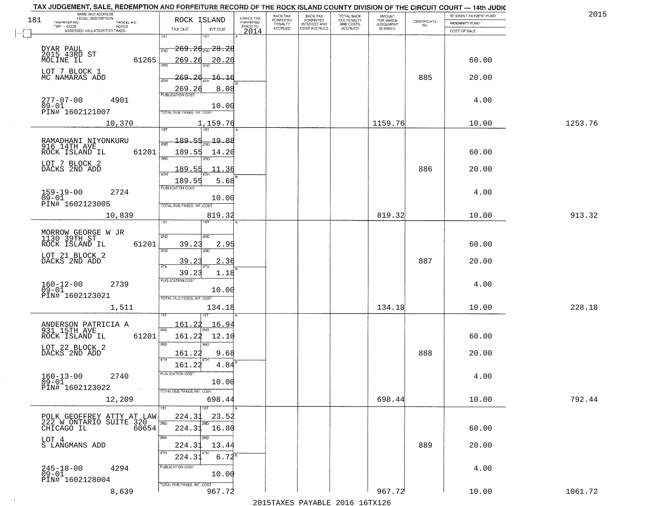|     | TAX JUDGEMENT, SALE, REDEMPTION AND FORFEITURE RECORD OF THE ROCK ISLAND COUNTY DIVISION OF THE CIRCUIT COURT - 14th JUDIC<br>NAME AND ADDRESS<br>LEGAL DESCRIPTION |                                                                                                                               |                                     | BACK TAX             | <b>BACK TAX</b>           |                                        | AMOUNT<br>FOR WHICH |                                                                 | INTEREST PAYMENT FUND  | 2015    |
|-----|---------------------------------------------------------------------------------------------------------------------------------------------------------------------|-------------------------------------------------------------------------------------------------------------------------------|-------------------------------------|----------------------|---------------------------|----------------------------------------|---------------------|-----------------------------------------------------------------|------------------------|---------|
| 181 | TAXPAYER NO.<br>PARCEL NO.<br>ACRES                                                                                                                                 | ROCK ISLAND                                                                                                                   | A-BACK TAX<br>FORFEITED<br>PRIOR TO | FORFEITED<br>PENALTY | FORFEITED<br>INTEREST AND | TOTAL BACK<br>TAX PENALTY<br>AND COSTS | <b>JUDGEMENT</b>    | $\begin{array}{c} \text{CERTIFICATE} \\ \text{NO.} \end{array}$ | <b>INDEMNITY FUND</b>  |         |
|     | ASSESSED VALUATION FOR TAXES                                                                                                                                        | TAX DUE<br>INT DUE                                                                                                            | 2014                                | <b>ACCRUED</b>       | COST ACCRUED              | ACCRUED                                | IS ASKED            |                                                                 | COST OF SALE           |         |
|     | DYAR PAUL<br>2015 43RD ST<br>MOLINE IL<br>61265                                                                                                                     | 1ST<br>269.26 <sub>210</sub> 28.28<br>2ND<br>269.26<br>20.20                                                                  |                                     |                      |                           |                                        |                     |                                                                 | 60.00                  |         |
|     | LOT 7 BLOCK 1<br>MC NAMARAS ADD                                                                                                                                     | <u> 269.26</u><br><u> 16.16</u><br>4TH<br>8.08<br>$\frac{269.26}{PUBUCATON COST}$                                             |                                     |                      |                           |                                        |                     | 885                                                             | 20.00                  |         |
|     | 277-07-00<br>09-01<br>4901<br>PIN# 1602121007                                                                                                                       | 10.00<br>TOTAL DUE-TAXES, INT. COST                                                                                           |                                     |                      |                           |                                        |                     |                                                                 | 4.00                   |         |
|     | 10,370                                                                                                                                                              | 1,159.76                                                                                                                      |                                     |                      |                           |                                        | 1159.76             |                                                                 | 10.00                  | 1253.76 |
|     | RAMADHANI NIYONKURU<br>916 14TH AVE<br>61201<br>ROCK ISLAND IL<br>LOT 7 BLOCK 2<br>DACKS 2ND ADD                                                                    | 189.55<br>$\frac{19.88}{200}$<br>189.55<br>14.20<br>उन्नत<br><u> 189.55</u><br>.11.36<br>189.55<br>5.68                       |                                     |                      |                           |                                        |                     | 886                                                             | 60.00<br>20.00         |         |
|     | $159 - 19 - 00$<br>2724<br>$09 - 01$<br>PIN# 1602123005                                                                                                             | PUBLICATION COST<br>10.00<br>TOTAL DUE-TAXES, INT. COST                                                                       |                                     |                      |                           |                                        |                     |                                                                 | 4.00                   |         |
|     | 10,839                                                                                                                                                              | 819.32<br>1ST<br>1ST                                                                                                          |                                     |                      |                           |                                        | 819.32              |                                                                 | 10.00                  | 913.32  |
|     | MORROW GEORGE W JR<br>1130 39TH ST<br>ROCK ISLAND IL<br>61201<br>LOT 21 BLOCK 2<br>DACKS 2ND ADD                                                                    | 2ND<br><b>2ND</b><br>39.23<br>2.95<br>3 <sub>BD</sub><br>3RD<br>39.23<br>2.36<br>4TH                                          |                                     |                      |                           |                                        |                     | 887                                                             | 60.00<br>20.00         |         |
|     | $160 - 12 - 00$<br>2739<br>$09 - 01$<br>PIN# 1602123021<br>1,511                                                                                                    | 39.23<br>1.18<br><b>PUBLICATION COST</b><br>10.00<br>TOTAL OUE-TAXES, INT. COST<br>134.18                                     |                                     |                      |                           |                                        | 134.18              |                                                                 | 4.00<br>10.00          | 228.18  |
|     | ANDERSON PATRICIA A<br>931 15TH AVE<br>ROCK ISLAND IL<br>61201<br>LOT 22 BLOCK 2<br>DACKS 2ND ADD<br>$160 - 13 - 00$<br>2740                                        | <u> 161.22</u><br>16.94<br>2ND<br>161.22<br>12.10<br>3RD<br>3RD<br>161.22<br>9.68<br>4TH<br>161.22<br>4.84<br>PUBLICATION COS |                                     |                      |                           |                                        |                     | 888                                                             | 60.00<br>20.00<br>4.00 |         |
|     | 09-01<br>PIN# 1602123022<br>$\sim 100$ km $^{-1}$<br>12,209                                                                                                         | 10.00<br>TOTAL DUE-TAXES, INT. COST<br>698.44<br>1ST                                                                          |                                     |                      |                           |                                        | 698.44              |                                                                 | 10.00                  | 792.44  |
|     | POLK GEOFFREY ATTY AT LAW<br>PULA GEUFFALLO SUITE 320<br>LOT 4<br>S LANGMANS ADD                                                                                    | 224.31<br>23.52<br>2ND<br>2ND<br>224.31 16.80<br>3RD<br>3RD<br>224.31<br>13.44                                                |                                     |                      |                           |                                        |                     | 889                                                             | 60.00<br>20.00         |         |
|     | $245 - 18 - 00$<br>4294<br>09-01<br>PIN# 1602128004                                                                                                                 | 4TH<br>224.31<br>$6.72^s$<br>PUBLICATION COST<br>10.00<br>TOTAL DUE-TAXES, INT. COST                                          |                                     |                      |                           |                                        |                     |                                                                 | 4.00                   |         |
|     | 8,639                                                                                                                                                               | 967.72                                                                                                                        |                                     |                      |                           |                                        | 967.72              |                                                                 | 10.00                  | 1061.72 |

 $\sim 100$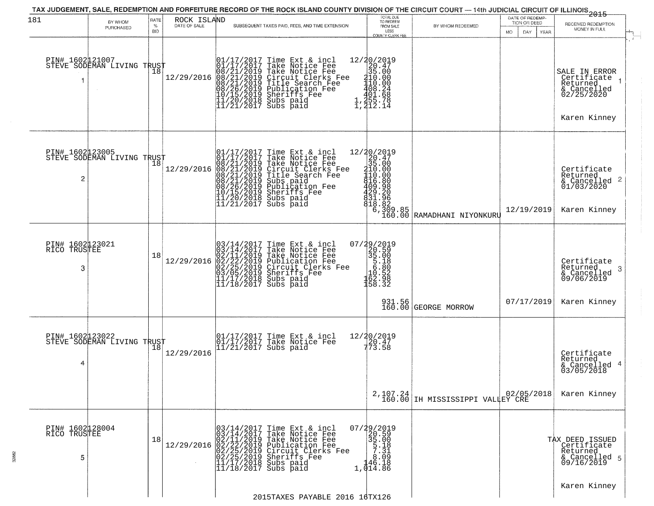| MONEY IN FULL<br>LESS<br><b>BID</b><br>MO.<br>DAY.<br>YEAR<br>COUNTY CLERK FEE<br>PIN# 1602 21007<br>STEVE SODEMAN LIVING TRUST<br>$\begin{array}{r} 12/20/2019 \\20.47 \\35.00 \\410.00 \\408.24 \\401.68 \\401.68 \\1.435 \\7.1 \end{array}$<br>$[01/17/2017 \tTime Ext & incl \\ 01/17/2017 \tTake Notice Free \\ 08/21/2019 \tTake Notice Free \\ 08/21/2019 \tCircle Free \\ 08/21/2019 \tTitle Search Free \\ 08/21/2019 \tTitle Search Free \\ 08/26/2019 \tpublic detection Free \\ 10/15/2019 \tSublcation Free \\ 11/20/2018 \tSubs paid \\ 11/21/2017 \tSubs paid$<br>Take Notice Fee<br>Circuit Clerks Fee<br>Title Search Fee<br>Publication Fee<br>Sheriffs Fee<br>SALE IN ERROR<br>Certificate<br>Returned<br>& Cancelled<br>02/25/2020<br>1, 212.14<br>Karen Kinney<br>PIN# 1602123005    <br>STEVE SODEMAN LIVING TRUST<br>$\begin{array}{c c}\n \begin{array}{c}\n \text{1} & 12/30/2019 \\  \text{Free} & \frac{26}{30} & .47 \\  \text{1erks Free} & 110.000 \\  \text{} & \text{the number of times in the image.}\n \end{array} \\  \begin{array}{c}\n \text{} & \text{} \\  \text{} & \text{} \\  \text{} & \text{} \\  \text{} & \text{} \\  \text{} & \text{} \\  \text{} & \text{} \\  \text{} & \text{} \\  \text{} & \text{} \\  \text{} & \text{} \\  \text{$<br>01/17/2017 Time Ext & incl<br>01/17/2017 Take Notice Fee<br>08/21/2019 Take Notice Fee<br>08/21/2019 Circuit Clerks Fee<br>08/21/2019 Title Search Fee<br>08/21/2019 Subs paid<br>00/26/2019 Sheriffs Fee<br>11/20/2018 Subs paid<br>11/21/2017 Subs<br>18<br>12/29/2016<br>Certificate<br>Returned<br>2<br>$\frac{1}{2}$ Cancelled 2<br>01/03/2020<br>12/19/2019<br>Karen Kinney<br>$\begin{smallmatrix} 07/29/2019\\20.59\\35.00\\5.18\\10.52\\162.98\\158.32 \end{smallmatrix}$<br>PIN# 1602123021<br>RICO TRUSTEE<br>$12/29/2016 \begin{array}{l} 03/14/2017 \text{ Time Ext & incl} \\ 03/14/2017 \text{ Take Notice Free} \\ 02/11/2019 \text{ Take Notice Free} \\ 02/12/29/2016 \text{ 02} \\ 03/05/2019 \text{ Chicult. Cleks Free} \\ 03/05/2019 \text{ Sheriffs} \\ 11/17/2018 \text{ Subs paid} \\ 11/18/2017 \text{ Subs paid} \end{array}$<br>18<br>Certificate<br>Returned<br>3<br>3<br>& Cancelled<br>09/06/2019<br>931.56<br>160.00 GEORGE MORROW<br>07/17/2019<br>Karen Kinney<br>PIN# 1602123022    <br>STEVE SODEMAN LIVING TRUST<br>12/20/2019<br>20.47<br>773.58<br>01/17/2017 Time Ext & incl<br>01/17/2017 Take Notice Fee<br>11/21/2017 Subs paid<br>18<br>12/29/2016<br>Certificate<br>Returned<br>4<br>& Cancelled 4<br>03/05/2018<br>02/05/2018<br>2,107.24<br>160.00 IH MISSISSIPPI VALLEY CRE<br>Karen Kinney<br>07/29/2019<br>20.59<br>35.00<br>5.18<br>3.31<br>PIN# 1602128004<br>RICO TRUSTEE<br>$12/29/2016 \begin{array}{l} 03/14/2017 \text{ Time Ext & incl} \\ 03/14/2017 \text{ Take Notice Free} \\ 02/11/2019 \text{ Take Notice Free} \\ 02/12/29/2016 \begin{array}{l} 02/25/2019 \text{ Circuit Clerks Free} \\ 02/25/2019 \text{ Sheriffs} \\ 02/25/2019 \text{ Sheriffs} \\ 11/17/20119 \text{ Subs paid} \end{array} \end{array}$<br>18<br>TAX DEED ISSUED<br>Certificate<br>Returned<br>5<br>146.18<br>& Cancelled 5<br>09/16/2019<br>$11/18/2017$ Subs paid<br>1,014.86<br>Karen Kinney<br>2015TAXES PAYABLE 2016 16TX126 | 181 | BY WHOM<br>PURCHASED | RATE<br>$\%$ | ROCK ISLAND<br>DATE OF SALE | SUBSEQUENT TAXES PAID, FEES, AND TIME EXTENSION | TOTAL DUE<br>TO REDEEM<br>FROM SALE | BY WHOM REDEEMED | DATE OF REDEMP-<br>TION OR DEED | 2015<br>RECEIVED REDEMPTION |
|--------------------------------------------------------------------------------------------------------------------------------------------------------------------------------------------------------------------------------------------------------------------------------------------------------------------------------------------------------------------------------------------------------------------------------------------------------------------------------------------------------------------------------------------------------------------------------------------------------------------------------------------------------------------------------------------------------------------------------------------------------------------------------------------------------------------------------------------------------------------------------------------------------------------------------------------------------------------------------------------------------------------------------------------------------------------------------------------------------------------------------------------------------------------------------------------------------------------------------------------------------------------------------------------------------------------------------------------------------------------------------------------------------------------------------------------------------------------------------------------------------------------------------------------------------------------------------------------------------------------------------------------------------------------------------------------------------------------------------------------------------------------------------------------------------------------------------------------------------------------------------------------------------------------------------------------------------------------------------------------------------------------------------------------------------------------------------------------------------------------------------------------------------------------------------------------------------------------------------------------------------------------------------------------------------------------------------------------------------------------------------------------------------------------------------------------------------------------------------------------------------------------------------------------------------------------------------------------------------------------------------------------------------------------------------------------------------------------------------------------------------------------------------------------------------------------------------------------------------------------------------------------------------------------------------------------------------------------------------------------------------------------------------------------------------------------------------------------------------------------------------------------------------------------------------------------------------------------------------------------------------------------------|-----|----------------------|--------------|-----------------------------|-------------------------------------------------|-------------------------------------|------------------|---------------------------------|-----------------------------|
|                                                                                                                                                                                                                                                                                                                                                                                                                                                                                                                                                                                                                                                                                                                                                                                                                                                                                                                                                                                                                                                                                                                                                                                                                                                                                                                                                                                                                                                                                                                                                                                                                                                                                                                                                                                                                                                                                                                                                                                                                                                                                                                                                                                                                                                                                                                                                                                                                                                                                                                                                                                                                                                                                                                                                                                                                                                                                                                                                                                                                                                                                                                                                                                                                                                                          |     |                      |              |                             |                                                 |                                     |                  |                                 |                             |
|                                                                                                                                                                                                                                                                                                                                                                                                                                                                                                                                                                                                                                                                                                                                                                                                                                                                                                                                                                                                                                                                                                                                                                                                                                                                                                                                                                                                                                                                                                                                                                                                                                                                                                                                                                                                                                                                                                                                                                                                                                                                                                                                                                                                                                                                                                                                                                                                                                                                                                                                                                                                                                                                                                                                                                                                                                                                                                                                                                                                                                                                                                                                                                                                                                                                          |     |                      |              |                             |                                                 |                                     |                  |                                 |                             |
|                                                                                                                                                                                                                                                                                                                                                                                                                                                                                                                                                                                                                                                                                                                                                                                                                                                                                                                                                                                                                                                                                                                                                                                                                                                                                                                                                                                                                                                                                                                                                                                                                                                                                                                                                                                                                                                                                                                                                                                                                                                                                                                                                                                                                                                                                                                                                                                                                                                                                                                                                                                                                                                                                                                                                                                                                                                                                                                                                                                                                                                                                                                                                                                                                                                                          |     |                      |              |                             |                                                 |                                     |                  |                                 |                             |
|                                                                                                                                                                                                                                                                                                                                                                                                                                                                                                                                                                                                                                                                                                                                                                                                                                                                                                                                                                                                                                                                                                                                                                                                                                                                                                                                                                                                                                                                                                                                                                                                                                                                                                                                                                                                                                                                                                                                                                                                                                                                                                                                                                                                                                                                                                                                                                                                                                                                                                                                                                                                                                                                                                                                                                                                                                                                                                                                                                                                                                                                                                                                                                                                                                                                          |     |                      |              |                             |                                                 |                                     |                  |                                 |                             |
|                                                                                                                                                                                                                                                                                                                                                                                                                                                                                                                                                                                                                                                                                                                                                                                                                                                                                                                                                                                                                                                                                                                                                                                                                                                                                                                                                                                                                                                                                                                                                                                                                                                                                                                                                                                                                                                                                                                                                                                                                                                                                                                                                                                                                                                                                                                                                                                                                                                                                                                                                                                                                                                                                                                                                                                                                                                                                                                                                                                                                                                                                                                                                                                                                                                                          |     |                      |              |                             |                                                 |                                     |                  |                                 |                             |
|                                                                                                                                                                                                                                                                                                                                                                                                                                                                                                                                                                                                                                                                                                                                                                                                                                                                                                                                                                                                                                                                                                                                                                                                                                                                                                                                                                                                                                                                                                                                                                                                                                                                                                                                                                                                                                                                                                                                                                                                                                                                                                                                                                                                                                                                                                                                                                                                                                                                                                                                                                                                                                                                                                                                                                                                                                                                                                                                                                                                                                                                                                                                                                                                                                                                          |     |                      |              |                             |                                                 |                                     |                  |                                 |                             |
|                                                                                                                                                                                                                                                                                                                                                                                                                                                                                                                                                                                                                                                                                                                                                                                                                                                                                                                                                                                                                                                                                                                                                                                                                                                                                                                                                                                                                                                                                                                                                                                                                                                                                                                                                                                                                                                                                                                                                                                                                                                                                                                                                                                                                                                                                                                                                                                                                                                                                                                                                                                                                                                                                                                                                                                                                                                                                                                                                                                                                                                                                                                                                                                                                                                                          |     |                      |              |                             |                                                 |                                     |                  |                                 |                             |
|                                                                                                                                                                                                                                                                                                                                                                                                                                                                                                                                                                                                                                                                                                                                                                                                                                                                                                                                                                                                                                                                                                                                                                                                                                                                                                                                                                                                                                                                                                                                                                                                                                                                                                                                                                                                                                                                                                                                                                                                                                                                                                                                                                                                                                                                                                                                                                                                                                                                                                                                                                                                                                                                                                                                                                                                                                                                                                                                                                                                                                                                                                                                                                                                                                                                          |     |                      |              |                             |                                                 |                                     |                  |                                 |                             |
|                                                                                                                                                                                                                                                                                                                                                                                                                                                                                                                                                                                                                                                                                                                                                                                                                                                                                                                                                                                                                                                                                                                                                                                                                                                                                                                                                                                                                                                                                                                                                                                                                                                                                                                                                                                                                                                                                                                                                                                                                                                                                                                                                                                                                                                                                                                                                                                                                                                                                                                                                                                                                                                                                                                                                                                                                                                                                                                                                                                                                                                                                                                                                                                                                                                                          |     |                      |              |                             |                                                 |                                     |                  |                                 |                             |
|                                                                                                                                                                                                                                                                                                                                                                                                                                                                                                                                                                                                                                                                                                                                                                                                                                                                                                                                                                                                                                                                                                                                                                                                                                                                                                                                                                                                                                                                                                                                                                                                                                                                                                                                                                                                                                                                                                                                                                                                                                                                                                                                                                                                                                                                                                                                                                                                                                                                                                                                                                                                                                                                                                                                                                                                                                                                                                                                                                                                                                                                                                                                                                                                                                                                          |     |                      |              |                             |                                                 |                                     |                  |                                 |                             |
|                                                                                                                                                                                                                                                                                                                                                                                                                                                                                                                                                                                                                                                                                                                                                                                                                                                                                                                                                                                                                                                                                                                                                                                                                                                                                                                                                                                                                                                                                                                                                                                                                                                                                                                                                                                                                                                                                                                                                                                                                                                                                                                                                                                                                                                                                                                                                                                                                                                                                                                                                                                                                                                                                                                                                                                                                                                                                                                                                                                                                                                                                                                                                                                                                                                                          |     |                      |              |                             |                                                 |                                     |                  |                                 |                             |
|                                                                                                                                                                                                                                                                                                                                                                                                                                                                                                                                                                                                                                                                                                                                                                                                                                                                                                                                                                                                                                                                                                                                                                                                                                                                                                                                                                                                                                                                                                                                                                                                                                                                                                                                                                                                                                                                                                                                                                                                                                                                                                                                                                                                                                                                                                                                                                                                                                                                                                                                                                                                                                                                                                                                                                                                                                                                                                                                                                                                                                                                                                                                                                                                                                                                          |     |                      |              |                             |                                                 |                                     |                  |                                 |                             |
|                                                                                                                                                                                                                                                                                                                                                                                                                                                                                                                                                                                                                                                                                                                                                                                                                                                                                                                                                                                                                                                                                                                                                                                                                                                                                                                                                                                                                                                                                                                                                                                                                                                                                                                                                                                                                                                                                                                                                                                                                                                                                                                                                                                                                                                                                                                                                                                                                                                                                                                                                                                                                                                                                                                                                                                                                                                                                                                                                                                                                                                                                                                                                                                                                                                                          |     |                      |              |                             |                                                 |                                     |                  |                                 |                             |
|                                                                                                                                                                                                                                                                                                                                                                                                                                                                                                                                                                                                                                                                                                                                                                                                                                                                                                                                                                                                                                                                                                                                                                                                                                                                                                                                                                                                                                                                                                                                                                                                                                                                                                                                                                                                                                                                                                                                                                                                                                                                                                                                                                                                                                                                                                                                                                                                                                                                                                                                                                                                                                                                                                                                                                                                                                                                                                                                                                                                                                                                                                                                                                                                                                                                          |     |                      |              |                             |                                                 |                                     |                  |                                 |                             |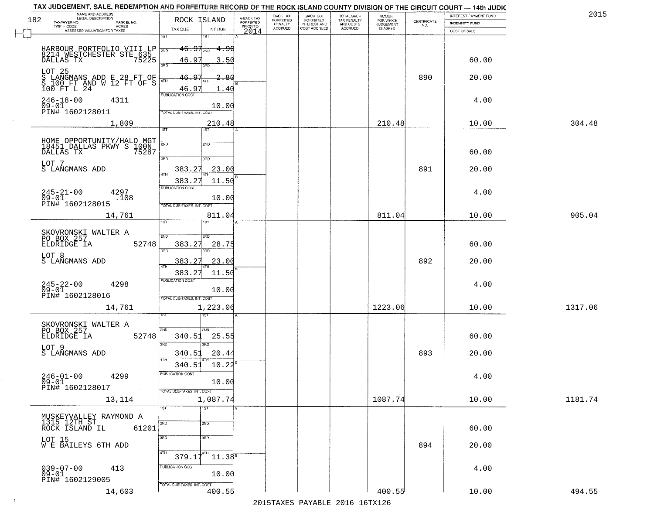|                              | TAX JUDGEMENT, SALE, REDEMPTION AND FORFEITURE RECORD OF THE ROCK ISLAND COUNTY DIVISION OF THE CIRCUIT COURT - 14th JUDIC<br>NAME AND ADDRESS<br>LEGAL DESCRIPTION |                                                                                  |                                     | BACK TAX             | <b>BACK TAX</b>           |                                        |                                         |                                                                 | INTEREST PAYMENT FUND | 2015    |
|------------------------------|---------------------------------------------------------------------------------------------------------------------------------------------------------------------|----------------------------------------------------------------------------------|-------------------------------------|----------------------|---------------------------|----------------------------------------|-----------------------------------------|-----------------------------------------------------------------|-----------------------|---------|
| 182<br>TAXPAYER NO.          | PARCEL NO.                                                                                                                                                          | ROCK ISLAND                                                                      | A-BACK TAX<br>FORFEITED<br>PRIOR TO | FORFEITED<br>PENALTY | FORFEITED<br>INTEREST AND | TOTAL BACK<br>TAX PENALTY<br>AND COSTS | AMOUNT<br>FOR WHICH<br><b>JUDGEMENT</b> | $\begin{array}{c} \text{CERTIFICATE} \\ \text{NO.} \end{array}$ | <b>INDEMNITY FUND</b> |         |
|                              | ACRES<br>ASSESSED VALUATION FOR TAXES                                                                                                                               | TAX DUE<br>INT DUE                                                               | 2014                                | <b>ACCRUED</b>       | COST ACCRUED              | <b>ACCRUED</b>                         | IS ASKED                                |                                                                 | COST OF SALE          |         |
|                              | HARBOUR PORTFOLIO VIII LP NO<br>8214 WESTCHESTER STE 635<br>DALLAS TX 75225                                                                                         | 1ST<br>18T<br>$46.97_{200}$<br>- <del>4.9</del> 0                                |                                     |                      |                           |                                        |                                         |                                                                 |                       |         |
| LOT 25                       |                                                                                                                                                                     | 46.97<br>3.50<br>3RD<br>3RD                                                      |                                     |                      |                           |                                        |                                         |                                                                 | 60.00                 |         |
|                              | S LANGMANS ADD E 28 FT OF<br>S 100 FT AND W 12 FT OF S<br>100 FT L 24                                                                                               | 46.97<br>2.80<br>46.97<br>1.40<br><b>PUBLICATION COST</b>                        |                                     |                      |                           |                                        |                                         | 890                                                             | 20.00                 |         |
| $246 - 18 - 00$<br>$09 - 01$ | 4311<br>PIN# 1602128011                                                                                                                                             | 10.00<br>TOTAL DUE-TAXES, INT. COST                                              |                                     |                      |                           |                                        |                                         |                                                                 | 4.00                  |         |
|                              | 1,809                                                                                                                                                               | 210.48<br>1ST                                                                    |                                     |                      |                           |                                        | 210.48                                  |                                                                 | 10.00                 | 304.48  |
| LOT 7                        | HOME OPPORTUNITY/HALO MGT<br>18451 DALLAS PKWY S 100N<br>DALLAS TX 75287                                                                                            | 2ND<br>2ND<br>3RD<br>3RD                                                         |                                     |                      |                           |                                        |                                         |                                                                 | 60.00                 |         |
|                              | S LANGMANS ADD                                                                                                                                                      | 23.00<br>383.27<br>ৰাম<br>383.27<br>11.50                                        |                                     |                      |                           |                                        |                                         | 891                                                             | 20.00                 |         |
| $245 - 21 - 00$<br>$09 - 01$ | 4297<br>.108<br>PIN# 1602128015                                                                                                                                     | PUBLICATION COST<br>10.00<br>TOTAL DUE-TAXES, INT. COST                          |                                     |                      |                           |                                        |                                         |                                                                 | 4.00                  |         |
|                              | 14,761                                                                                                                                                              | 811.04<br>īst<br>1ST                                                             |                                     |                      |                           |                                        | 811.04                                  |                                                                 | 10.00                 | 905.04  |
| ELDRIDGE IA                  | SKOVRONSKI WALTER A<br>PO BOX 257<br>52748                                                                                                                          | 2ND<br>2ND<br>383.27<br>28.75<br>3RD<br>3RD                                      |                                     |                      |                           |                                        |                                         |                                                                 | 60.00                 |         |
| LOT 8                        | S LANGMANS ADD                                                                                                                                                      | 383.27<br>23.00<br>ATH<br>383.27<br>11.50                                        |                                     |                      |                           |                                        |                                         | 892                                                             | 20.00                 |         |
| $245 - 22 - 00$<br>09-01     | 4298<br>PIN# 1602128016                                                                                                                                             | <b>PUBLICATION COST</b><br>10.00<br>TOTAL OUE-TAXES, INT. COST                   |                                     |                      |                           |                                        |                                         |                                                                 | 4.00                  |         |
|                              | 14,761                                                                                                                                                              | 1,223.06                                                                         |                                     |                      |                           |                                        | 1223.06                                 |                                                                 | 10.00                 | 1317.06 |
| ELDRIDGE IA                  | SKOVRONSKI WALTER A<br>PO BOX 257<br>52748                                                                                                                          | 2ND<br>2ND.<br>340.51<br>25.55<br>3RD<br><b>IRD</b>                              |                                     |                      |                           |                                        |                                         |                                                                 | 60.00                 |         |
| LOT 9                        | S LANGMANS ADD                                                                                                                                                      | 340.51<br>20.44<br>4TH<br>340.51<br>10.22                                        |                                     |                      |                           |                                        |                                         | 893                                                             | 20.00                 |         |
| $246 - 01 - 00$<br>$09 - 01$ | 4299<br>PIN# 1602128017<br>and the control                                                                                                                          | PUBLICATION COST<br>10.00<br>TOTAL DUE-TAXES, INT. COST                          |                                     |                      |                           |                                        |                                         |                                                                 | 4.00                  |         |
|                              | 13,114                                                                                                                                                              | 1,087.74                                                                         |                                     |                      |                           |                                        | 1087.74                                 |                                                                 | 10.00                 | 1181.74 |
|                              | MUSKEYVALLEY RAYMOND A<br>1315 12TH ST<br>61201<br>ROCK ISLAND IL                                                                                                   | 1ST<br>1ST<br>2ND<br>2ND                                                         |                                     |                      |                           |                                        |                                         |                                                                 | 60.00                 |         |
|                              | LOT 15<br>W E BAILEYS 6TH ADD                                                                                                                                       | 3RD<br>3 <sub>BD</sub><br>4TH<br>4TH                                             |                                     |                      |                           |                                        |                                         | 894                                                             | 20.00                 |         |
| 039-07-00<br>09-01           | 413<br>PIN# 1602129005                                                                                                                                              | $11.38^{B}$<br>379.17<br>PUBLICATION COST<br>10.00<br>TOTAL DUE-TAXES, INT. COST |                                     |                      |                           |                                        |                                         |                                                                 | 4.00                  |         |
|                              | 14,603                                                                                                                                                              | 400.55                                                                           |                                     |                      |                           |                                        | 400.55                                  |                                                                 | 10.00                 | 494.55  |

 $\sim 10^{-1}$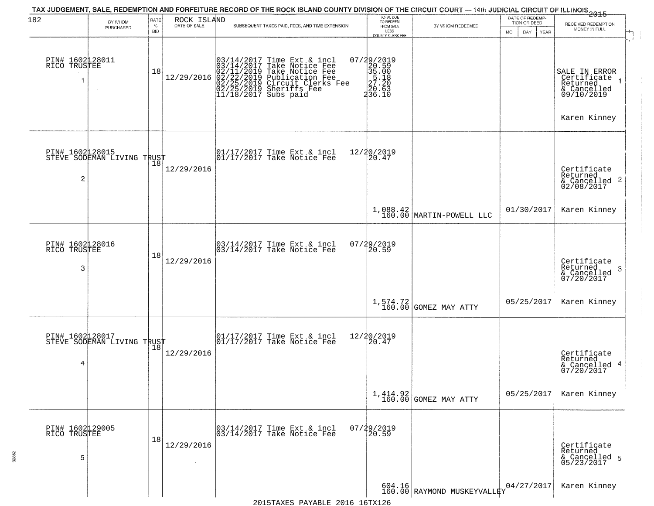| 182                                  | BY WHOM                                       | RATE               | ROCK ISLAND          | TAX JUDGEMENT, SALE, REDEMPTION AND FORFEITURE RECORD OF THE ROCK ISLAND COUNTY DIVISION OF THE CIRCUIT COURT — 14th JUDICIAL CIRCUIT OF ILLINOIS 2015                                                        | TOTAL DUE<br>TO REDEEM |                                                                                               | DATE OF REDEMP-<br>TION OR DEED        | RECEIVED REDEMPTION        |                                                                                                    |
|--------------------------------------|-----------------------------------------------|--------------------|----------------------|---------------------------------------------------------------------------------------------------------------------------------------------------------------------------------------------------------------|------------------------|-----------------------------------------------------------------------------------------------|----------------------------------------|----------------------------|----------------------------------------------------------------------------------------------------|
|                                      | PURCHASED                                     | $\%$<br><b>BID</b> | DATE OF SALE         | SUBSEQUENT TAXES PAID, FEES, AND TIME EXTENSION                                                                                                                                                               |                        | FROM SALE<br>LESS<br><b>COUNTY CLERK FEE</b>                                                  | BY WHOM REDEEMED                       | MO.<br>DAY.<br><b>YEAR</b> | MONEY IN FULL                                                                                      |
| PIN# 1602128011<br>RICO TRUSTEE      |                                               | 18                 | 12/29/2016           | $03/14/2017$ Time Ext & incl<br>03/14/2017 Take Notice Fee<br>02/11/2019 Take Notice Fee<br>02/22/2019 Circuit Clerks Fee<br>02/25/2019 Circuit Clerks Fee<br>02/25/2019 Sheriffs Fee<br>11/18/2017 Subs paid |                        | $\begin{smallmatrix} 07/29/2019\\20.59\\35.00\\25.18\\27.20\\20.63\\236.10 \end{smallmatrix}$ |                                        |                            | SALE IN ERROR<br>Certifiçate <sub>1</sub><br>Returned<br>& Cancelled<br>09/10/2019<br>Karen Kinney |
| 2                                    | PIN# 1602128015<br>STEVE SODEMAN LIVING TRUST |                    | 12/29/2016           | 01/17/2017 Time Ext & incl<br>01/17/2017 Take Notice Fee                                                                                                                                                      |                        | 12/20/2019<br>20.47                                                                           |                                        |                            | Certificate<br>Returned<br>$\frac{1}{6}$ Cancelled 2<br>02/08/2017                                 |
|                                      |                                               |                    |                      |                                                                                                                                                                                                               |                        |                                                                                               | $1,088.42$<br>160.00 MARTIN-POWELL LLC | 01/30/2017                 | Karen Kinney                                                                                       |
| PIN# 1602128016<br>RICO TRUSTEE<br>3 |                                               | 18                 | 12/29/2016           | 03/14/2017 Time Ext & incl<br>03/14/2017 Take Notice Fee                                                                                                                                                      |                        | 07/29/2019<br>20.59                                                                           |                                        |                            | Certificate<br>Returned<br>3<br>& Cancelled<br>07/20/2017                                          |
|                                      |                                               |                    |                      |                                                                                                                                                                                                               |                        |                                                                                               | $1,574.72$ GOMEZ MAY ATTY              | 05/25/2017                 | Karen Kinney                                                                                       |
| PIN# 1602128017<br>4                 | PIN# 1602µ2001/<br>STEVE SODEMAN LIVING TRUST |                    | 12/29/2016           | 01/17/2017 Time Ext & incl<br>01/17/2017 Take Notice Fee                                                                                                                                                      |                        | 12/20/2019<br>⊺žó̃.47                                                                         |                                        |                            | Certificate<br>Returned<br>& Cancelled 4<br>07/20/2017                                             |
|                                      |                                               |                    |                      |                                                                                                                                                                                                               |                        |                                                                                               | $1,414.92$ GOMEZ MAY ATTY              | 05/25/2017                 | Karen Kinney                                                                                       |
| PIN# 1602129005<br>RICO TRUSTEE<br>5 |                                               | 18                 | 12/29/2016<br>$\sim$ | 03/14/2017 Time Ext & incl<br>03/14/2017 Take Notice Fee                                                                                                                                                      |                        | $07/29/2019$<br>20.59                                                                         |                                        |                            | Certificate<br>Returned<br>& Cancelled 5<br>05/23/2017                                             |
|                                      |                                               |                    |                      |                                                                                                                                                                                                               |                        |                                                                                               | 604.16<br>160.00 RAYMOND MUSKEYVALLEY  | 04/27/2017                 | Karen Kinney                                                                                       |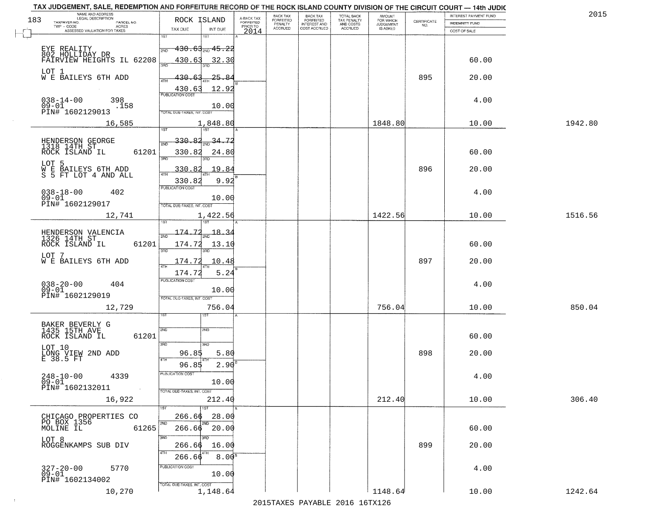| TAX JUDGEMENT, SALE, REDEMPTION AND FORFEITURE RECORD OF THE ROCK ISLAND COUNTY DIVISION OF THE CIRCUIT COURT - 14th JUDIC<br>NAME AND ADDRESS<br>LEGAL DESCRIPTION |                                   |                          |                                     | BACK TAX             | <b>BACK TAX</b>           |                                        |                                         |                                                                 | INTEREST PAYMENT FUND | 2015    |
|---------------------------------------------------------------------------------------------------------------------------------------------------------------------|-----------------------------------|--------------------------|-------------------------------------|----------------------|---------------------------|----------------------------------------|-----------------------------------------|-----------------------------------------------------------------|-----------------------|---------|
| 183<br>TAXPAYER NO.                                                                                                                                                 | ROCK ISLAND                       |                          | A-BACK TAX<br>FORFEITED<br>PRIOR TO | FORFEITED<br>PENALTY | FORFEITED<br>INTEREST AND | TOTAL BACK<br>TAX PENALTY<br>AND COSTS | AMOUNT<br>FOR WHICH<br><b>JUDGEMENT</b> | $\begin{array}{c} \text{CERTIFICATE} \\ \text{NO.} \end{array}$ | <b>INDEMNITY FUND</b> |         |
| PARCEL NO.<br>ACRES<br>ASSESSED VALUATION FOR TAXES                                                                                                                 | TAX DUE                           | INT DUE                  | 2014                                | <b>ACCRUED</b>       | COST ACCRUED              | ACCRUED                                | IS ASKED                                |                                                                 | COST OF SALE          |         |
|                                                                                                                                                                     | 1ST                               |                          |                                     |                      |                           |                                        |                                         |                                                                 |                       |         |
| EYE REALITY                                                                                                                                                         | 2ND                               | <del>130.63, 15.22</del> |                                     |                      |                           |                                        |                                         |                                                                 |                       |         |
| 802 HOLLIDAY DR                                                                                                                                                     |                                   |                          |                                     |                      |                           |                                        |                                         |                                                                 |                       |         |
| FAIRVIEW HEIGHTS IL 62208                                                                                                                                           | 430.63                            | 32.30                    |                                     |                      |                           |                                        |                                         |                                                                 | 60.00                 |         |
| LOT 1<br>W E BAILEYS 6TH ADD                                                                                                                                        | 430.63                            | 25.84                    |                                     |                      |                           |                                        |                                         | 895                                                             | 20.00                 |         |
|                                                                                                                                                                     |                                   |                          |                                     |                      |                           |                                        |                                         |                                                                 |                       |         |
|                                                                                                                                                                     | $\frac{430.63}{pustication cost}$ | 12.92                    |                                     |                      |                           |                                        |                                         |                                                                 |                       |         |
| $038 - 14 - 00$<br>398                                                                                                                                              |                                   |                          |                                     |                      |                           |                                        |                                         |                                                                 | 4.00                  |         |
| $09 - 01$<br>.158<br>PIN# <sup>-1602129013</sup>                                                                                                                    | TOTAL DUE-TAXES, INT. COST        | 10.00                    |                                     |                      |                           |                                        |                                         |                                                                 |                       |         |
| 16,585                                                                                                                                                              |                                   | 1,848.80                 |                                     |                      |                           |                                        | 1848.80                                 |                                                                 | 10.00                 | 1942.80 |
|                                                                                                                                                                     |                                   |                          |                                     |                      |                           |                                        |                                         |                                                                 |                       |         |
|                                                                                                                                                                     | 330.82                            | $\frac{34.72}{200}$      |                                     |                      |                           |                                        |                                         |                                                                 |                       |         |
| HENDERSON GEORGE<br>1318 14TH ST<br>61201                                                                                                                           | <sup>5</sup> মান                  |                          |                                     |                      |                           |                                        |                                         |                                                                 |                       |         |
| ROCK ISLAND IL                                                                                                                                                      | 330.82<br>3RD                     | 24.80                    |                                     |                      |                           |                                        |                                         |                                                                 | 60.00                 |         |
| LOT 5                                                                                                                                                               | 330.82                            | .19.84                   |                                     |                      |                           |                                        |                                         | 896                                                             | 20.00                 |         |
| W E BAILEYS 6TH ADD<br>S 5 FT LOT 4 AND ALL                                                                                                                         |                                   |                          |                                     |                      |                           |                                        |                                         |                                                                 |                       |         |
|                                                                                                                                                                     | 330.82<br><b>FUBLICATION COST</b> | 9.92                     |                                     |                      |                           |                                        |                                         |                                                                 |                       |         |
| $038 - 18 - 00$<br>402<br>$09 - 01$                                                                                                                                 |                                   | 10.00                    |                                     |                      |                           |                                        |                                         |                                                                 | 4.00                  |         |
| PIN# 1602129017                                                                                                                                                     | TOTAL DUE-TAXES, INT. COST        |                          |                                     |                      |                           |                                        |                                         |                                                                 |                       |         |
| 12,741                                                                                                                                                              |                                   | 1,422.56                 |                                     |                      |                           |                                        | 1422.56                                 |                                                                 | 10.00                 | 1516.56 |
|                                                                                                                                                                     | 1ST                               | 187                      |                                     |                      |                           |                                        |                                         |                                                                 |                       |         |
| HENDERSON VALENCIA<br>1326 14TH ST                                                                                                                                  | 174.72<br>2ND                     | $-18 - 3$                |                                     |                      |                           |                                        |                                         |                                                                 |                       |         |
| ROCK ISLAND IL<br>61201                                                                                                                                             | 174.72                            | 13.10                    |                                     |                      |                           |                                        |                                         |                                                                 | 60.00                 |         |
|                                                                                                                                                                     | 3RD                               | 3RD                      |                                     |                      |                           |                                        |                                         |                                                                 |                       |         |
| LOT 7<br>W E BAILEYS 6TH ADD                                                                                                                                        | 174.72                            | 10.48                    |                                     |                      |                           |                                        |                                         | 897                                                             | 20.00                 |         |
|                                                                                                                                                                     | 4TH<br>174.72                     | 5.24                     |                                     |                      |                           |                                        |                                         |                                                                 |                       |         |
|                                                                                                                                                                     | <b>PUBLICATION COST</b>           |                          |                                     |                      |                           |                                        |                                         |                                                                 |                       |         |
| $038 - 20 - 00$<br>09-01<br>404                                                                                                                                     |                                   | 10.00                    |                                     |                      |                           |                                        |                                         |                                                                 | 4.00                  |         |
| PIN# 1602129019                                                                                                                                                     | TOTAL OUE-TAXES, INT. COST        |                          |                                     |                      |                           |                                        |                                         |                                                                 |                       |         |
| 12,729                                                                                                                                                              |                                   | 756.04                   |                                     |                      |                           |                                        | 756.04                                  |                                                                 | 10.00                 | 850.04  |
|                                                                                                                                                                     |                                   |                          |                                     |                      |                           |                                        |                                         |                                                                 |                       |         |
| BAKER BEVERLY G<br>1435 15TH AVE                                                                                                                                    | 2ND                               | 2ND                      |                                     |                      |                           |                                        |                                         |                                                                 |                       |         |
| ROCK ISLAND IL<br>61201                                                                                                                                             |                                   |                          |                                     |                      |                           |                                        |                                         |                                                                 | 60.00                 |         |
| LOT 10                                                                                                                                                              | 3RD                               | 3RD                      |                                     |                      |                           |                                        |                                         |                                                                 |                       |         |
| LONG VIEW 2ND ADD<br>E 38.5 FT                                                                                                                                      | 96.85                             | 5.80                     |                                     |                      |                           |                                        |                                         | 898                                                             | 20.00                 |         |
|                                                                                                                                                                     | 4TH<br>96.85                      | $2.90^{8}$               |                                     |                      |                           |                                        |                                         |                                                                 |                       |         |
| $248 - 10 - 00$<br>4339                                                                                                                                             | PUBLICATION COS                   |                          |                                     |                      |                           |                                        |                                         |                                                                 | 4.00                  |         |
| 09-01                                                                                                                                                               |                                   | 10.00                    |                                     |                      |                           |                                        |                                         |                                                                 |                       |         |
| PIN# 1602132011<br>$\sim 100$ km $^{-1}$                                                                                                                            | TOTAL DUE-TAXES, INT. COST        |                          |                                     |                      |                           |                                        |                                         |                                                                 |                       |         |
| 16,922                                                                                                                                                              |                                   | 212.40                   |                                     |                      |                           |                                        | 212.40                                  |                                                                 | 10.00                 | 306.40  |
|                                                                                                                                                                     |                                   | 1ST                      |                                     |                      |                           |                                        |                                         |                                                                 |                       |         |
| CHICAGO PROPERTIES CO<br>PO BOX 1356                                                                                                                                | 266.66<br>2ND                     | 28.00<br>2ND             |                                     |                      |                           |                                        |                                         |                                                                 |                       |         |
| MOLINE IL<br>61265                                                                                                                                                  |                                   | $266.66$ $20.00$         |                                     |                      |                           |                                        |                                         |                                                                 | 60.00                 |         |
| LOT 8                                                                                                                                                               | 3RD                               | ann                      |                                     |                      |                           |                                        |                                         |                                                                 |                       |         |
| ROGGENKAMPS SUB DIV                                                                                                                                                 | 266.66<br>4TH                     | 16.00                    |                                     |                      |                           |                                        |                                         | 899                                                             | 20.00                 |         |
|                                                                                                                                                                     | 266.66                            | 8.00 <sup>B</sup>        |                                     |                      |                           |                                        |                                         |                                                                 |                       |         |
| $327 - 20 - 00$<br>5770                                                                                                                                             | PUBLICATION COST                  |                          |                                     |                      |                           |                                        |                                         |                                                                 | 4.00                  |         |
| $09 - 01$<br>PIN# 1602134002                                                                                                                                        |                                   | 10.00                    |                                     |                      |                           |                                        |                                         |                                                                 |                       |         |
| 10,270                                                                                                                                                              | TOTAL DUE-TAXES, INT. COST        | 1,148.64                 |                                     |                      |                           |                                        | 1148.64                                 |                                                                 | 10.00                 | 1242.64 |
|                                                                                                                                                                     |                                   |                          |                                     |                      |                           |                                        |                                         |                                                                 |                       |         |

 $\sim 100$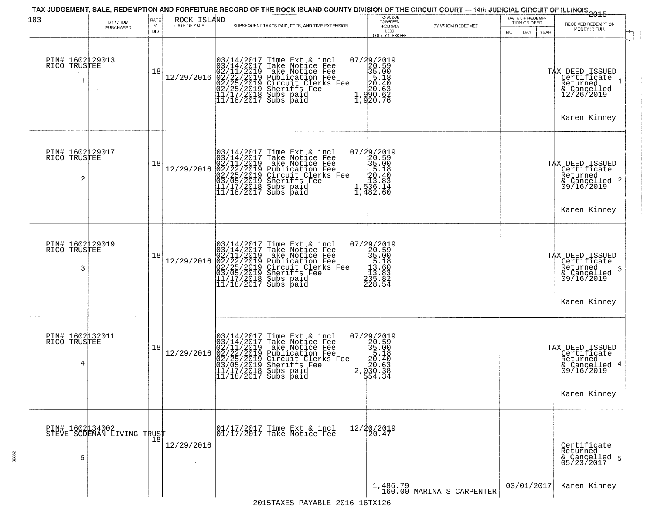|                                       |                                               |                     |                             | TAX JUDGEMENT, SALE, REDEMPTION AND FORFEITURE RECORD OF THE ROCK ISLAND COUNTY DIVISION OF THE CIRCUIT COURT — 14th JUDICIAL CIRCUIT OF ILLINOIS<br>2015 - 1992 - 1993                                                                                                                                              | TOTAL DUE<br>TO REDEEM                                                                                                               |                                         | DATE OF REDEMP-                     |                                                                                                           |
|---------------------------------------|-----------------------------------------------|---------------------|-----------------------------|----------------------------------------------------------------------------------------------------------------------------------------------------------------------------------------------------------------------------------------------------------------------------------------------------------------------|--------------------------------------------------------------------------------------------------------------------------------------|-----------------------------------------|-------------------------------------|-----------------------------------------------------------------------------------------------------------|
| 183                                   | BY WHOM<br>PURCHASED                          | RATE<br>$\%$<br>BID | ROCK ISLAND<br>DATE OF SALE | SUBSEQUENT TAXES PAID, FEES, AND TIME EXTENSION                                                                                                                                                                                                                                                                      | FROM SALE                                                                                                                            | BY WHOM REDEEMED                        | TION OR DEED<br>YEAR<br>MO.<br>DAY. | RECEIVED REDEMPTION<br>MONEY IN FULL                                                                      |
| PIN# 1602129013<br>RICO TRUSTEE<br>-1 |                                               | 18                  | 12/29/2016                  | $03/14/2017$ Time Ext & incl<br>$03/14/2017$ Take Notice Fee<br>$02/11/2019$ Take Notice Fee<br>$02/22/2019$ Publication Fee<br>$02/25/2019$ Sheriffs Fee<br>$02/25/2019$ Sheriffs Fee<br>$11/17/2018$ Subs paid<br>$11/18/2017$ Subs paid                                                                           | LESS<br>COUNTY CLERK FEE<br>$\begin{smallmatrix} 07/29/2019\\20.59\\35.00\\5.18\\20.63\\20.63\\1,990.62\\1,920.76 \end{smallmatrix}$ |                                         |                                     | TAX DEED ISSUED<br>Certificate<br>Returned<br>& Cancelled<br>12/26/2019<br>Karen Kinney                   |
| PIN# 1602129017<br>RICO TRUSTEE<br>2  |                                               | 18                  | 12/29/2016                  | $03/14/2017$ Time Ext & incl<br>$03/14/2017$ Take Notice Fee<br>$02/11/2019$ Take Notice Fee<br>$02/22/2019$ Publication Fee<br>$03/05/2019$ Sheriffs Fee<br>$11/17/2018$ Subs paid<br>$11/18/2017$ Subs paid                                                                                                        | 07/29/2019<br>20.59<br>35.00<br>35.00<br>20.40<br>20.40<br>35.83<br>4,738.140<br>1,482.60                                            |                                         |                                     | TAX DEED ISSUED<br>  Certificate<br>  Returned<br>$\frac{1}{6}$ Cancelled 2<br>09/16/2019<br>Karen Kinney |
| PIN# 1602129019<br>RICO TRUSTEE<br>3  |                                               | 18                  | 12/29/2016                  | $03/14/2017$ Time Ext & incl<br>03/14/2017 Take Notice Fee<br>02/11/2019 Take Notice Fee<br>02/22/2019 Publication Fee<br>02/25/2019 Circuit Clerks Fee<br>03/05/2019 Sheriffs Fee<br>11/17/2018 Subs paid<br>11/18/2017 Subs paid                                                                                   | 07/29/2019<br>20.59<br>35.00<br>5.18<br>13.60<br>$\frac{1}{2}$ $\frac{3}{3}$ $\frac{3}{5}$ $\frac{3}{8}$ $\frac{3}{2}$<br>328.54     |                                         |                                     | TAX DEED ISSUED<br>Certificate<br>Returned<br>3<br>& Cancelled<br>09/16/2019<br>Karen Kinney              |
| PIN# 1602132011<br>RICO TRUSTEE<br>4  |                                               | 18                  | 12/29/2016                  | Time Ext & incl<br>Take Notice Fee<br>Take Notice Fee<br>Publication Fee<br>Circuit Clerks Fee<br>Sheriffs, Fee<br>03/14/2017 Time Ext &<br>03/14/2017 Take Notic<br>02/11/2019 Take Notic<br>02/22/2019 Publicatic<br>03/05/2019 Sheriffs F<br>11/17/2018 Subs paid<br>11/17/2018 Subs paid<br>11/18/2017 Subs paid | $\begin{smallmatrix} 07/29/2019\\20.59\\35.00\\5.18\\20.63\\20.63\\20.53\\30.38\end{smallmatrix}$                                    |                                         |                                     | TAX DEED ISSUED<br>Certificate<br>Returned<br>& Cancelled 4<br>09/16/2019<br>Karen Kinney                 |
| 5                                     | PIN# 1602134002<br>STEVE SODEMAN LIVING TRUST | 18                  | 12/29/2016                  | 01/17/2017 Time Ext & incl<br>01/17/2017 Take Notice Fee                                                                                                                                                                                                                                                             | 12/20/2019<br>20.47                                                                                                                  |                                         |                                     | Certificate<br>Returned<br>& Cancelled 5<br>05/23/2017                                                    |
|                                       |                                               |                     |                             |                                                                                                                                                                                                                                                                                                                      |                                                                                                                                      | $1,486.79$<br>160.00 MARINA S CARPENTER | 03/01/2017                          | Karen Kinney                                                                                              |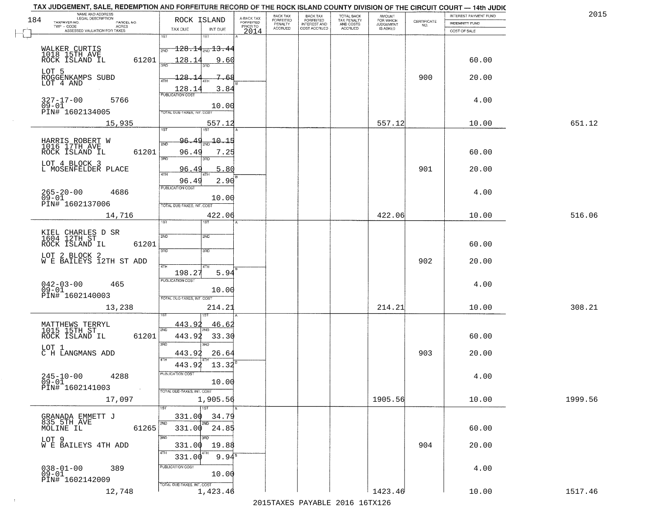| 201     | INTEREST PAYMENT FUND<br><b>INDEMNITY FUND</b> | $\begin{array}{c} \text{CERTIFICATE} \\ \text{NO.} \end{array}$ | <b>AMOUNT</b>                      | TOTAL BACK<br>TAX PENALTY<br>AND COSTS<br>ACCRUED | <b>BACK TAX</b><br><b>FORFEITED</b> | BACK TAX<br>FORFEITED | A-BACK TAX<br><b>FORFEITED</b> | ROCK ISLAND                                                                                     |                            | NAME AND ADDRESS<br>LEGAL DESCRIPTION<br>TAXPAYER NO.<br>PARCEL NO. |
|---------|------------------------------------------------|-----------------------------------------------------------------|------------------------------------|---------------------------------------------------|-------------------------------------|-----------------------|--------------------------------|-------------------------------------------------------------------------------------------------|----------------------------|---------------------------------------------------------------------|
|         | COST OF SALE                                   |                                                                 | FOR WHICH<br>JUDGEMENT<br>IS ASKED |                                                   | INTEREST AND                        | PENALTY<br>ACCRUED    | PRIOR TO<br>2014               | INT DUE                                                                                         | TAX DUE                    | TWP - CODE<br>ACRES<br>ASSESSED VALUATION FOR TAXES                 |
|         |                                                |                                                                 |                                    |                                                   |                                     |                       |                                | 1ST                                                                                             | 1ST                        |                                                                     |
|         |                                                |                                                                 |                                    |                                                   |                                     |                       |                                | $\textcolor{red}{\textbf{-128.14}}\textcolor{white}{\bullet}$ $\textcolor{red}{\textbf{13.44}}$ | 2ND                        | WALKER CURTIS<br>1018 15TH AVE                                      |
|         | 60.00                                          |                                                                 |                                    |                                                   |                                     |                       |                                | 9.60                                                                                            | 61201<br>128.1<br>3AD      | ROCK ISLAND IL                                                      |
|         | 20.00                                          | 900                                                             |                                    |                                                   |                                     |                       |                                | 7.68                                                                                            | -128.                      | LOT 5<br>ROGGENKAMPS SUBD                                           |
|         |                                                |                                                                 |                                    |                                                   |                                     |                       |                                | 3.84                                                                                            | 4TH<br>128.1               | LOT 4 AND                                                           |
|         | 4.00                                           |                                                                 |                                    |                                                   |                                     |                       |                                |                                                                                                 | PUBLICATION COST           | $327 - 17 - 00$<br>5766                                             |
|         |                                                |                                                                 |                                    |                                                   |                                     |                       |                                | 10.00                                                                                           | TOTAL DUE-TAXES, INT. COST | $09-01$<br>PIN# 1602134005                                          |
| 651.12  | 10.00                                          |                                                                 | 557.12                             |                                                   |                                     |                       |                                | 557.12                                                                                          |                            | 15,935                                                              |
|         |                                                |                                                                 |                                    |                                                   |                                     |                       |                                | 1ST                                                                                             | 1ST                        |                                                                     |
|         |                                                |                                                                 |                                    |                                                   |                                     |                       |                                | $-10.15$                                                                                        | 96.49<br>2ND               | HARRIS ROBERT W<br>1016 17TH AVE                                    |
|         | 60.00                                          |                                                                 |                                    |                                                   |                                     |                       |                                | 7.25<br>3RD                                                                                     | 61201<br>96.49<br>3RD      | ROCK ISLAND IL                                                      |
|         | 20.00                                          | 901                                                             |                                    |                                                   |                                     |                       |                                | 5.80                                                                                            | 96.49                      | LOT 4 BLOCK 3<br>L MOSENFELDER PLACE                                |
|         |                                                |                                                                 |                                    |                                                   |                                     |                       |                                | 4TF<br>2.90                                                                                     | 47H<br>96.49               |                                                                     |
|         | 4.00                                           |                                                                 |                                    |                                                   |                                     |                       |                                |                                                                                                 | <b>PUBLICATION COST</b>    | 4686                                                                |
|         |                                                |                                                                 |                                    |                                                   |                                     |                       |                                | 10.00                                                                                           | TOTAL DUE-TAXES, INT. COST | 265-20-00<br>09-01<br>PIN# 1602137006                               |
| 516.06  | 10.00                                          |                                                                 | 422.06                             |                                                   |                                     |                       |                                | 422.06                                                                                          |                            | 14,716                                                              |
|         |                                                |                                                                 |                                    |                                                   |                                     |                       |                                | <b>ST</b>                                                                                       | ist                        |                                                                     |
|         |                                                |                                                                 |                                    |                                                   |                                     |                       |                                | 2ND                                                                                             | 2ND                        | KIEL CHARLES D SR<br>1604 12TH ST                                   |
|         | 60.00                                          |                                                                 |                                    |                                                   |                                     |                       |                                | 3 <sub>BD</sub>                                                                                 | 61201<br>3BD               | ROCK ISLAND IL                                                      |
|         | 20.00                                          | 902                                                             |                                    |                                                   |                                     |                       |                                |                                                                                                 |                            | LOT 2 BLOCK 2<br>W E BAILEYS 12TH ST ADD                            |
|         |                                                |                                                                 |                                    |                                                   |                                     |                       |                                | 4TH<br>5.94                                                                                     | 4TH<br>198.27              |                                                                     |
|         | 4.00                                           |                                                                 |                                    |                                                   |                                     |                       |                                |                                                                                                 | <b>PUBLICATION COST</b>    | 042-03-00<br>09-01<br>465                                           |
|         |                                                |                                                                 |                                    |                                                   |                                     |                       |                                | 10.00                                                                                           | TOTAL OUE-TAXES, INT. COST | PIN# 1602140003                                                     |
| 308.21  | 10.00                                          |                                                                 | 214.21                             |                                                   |                                     |                       |                                | 214.21                                                                                          |                            | 13,238                                                              |
|         |                                                |                                                                 |                                    |                                                   |                                     |                       |                                |                                                                                                 |                            |                                                                     |
|         |                                                |                                                                 |                                    |                                                   |                                     |                       |                                | 46.62                                                                                           | 443.9<br>2ND               | MATTHEWS TERRYL<br>1015 15TH ST                                     |
|         | 60.00                                          |                                                                 |                                    |                                                   |                                     |                       |                                | 33.30<br>3RD                                                                                    | 61201<br>443.9<br>3RD      | ROCK ISLAND IL                                                      |
|         | 20.00                                          | 903                                                             |                                    |                                                   |                                     |                       |                                | 26.64                                                                                           | 443.92                     | LOT 1<br>C H LANGMANS ADD                                           |
|         |                                                |                                                                 |                                    |                                                   |                                     |                       |                                | $443.92 \quad 13.32^8$                                                                          |                            |                                                                     |
|         | 4.00                                           |                                                                 |                                    |                                                   |                                     |                       |                                |                                                                                                 | PUBLICATION COST           | $245 - 10 - 00$<br>09-01<br>4288                                    |
|         |                                                |                                                                 |                                    |                                                   |                                     |                       |                                | 10.00                                                                                           | TOTAL DUE-TAXES, INT. COST | PIN# 1602141003                                                     |
| 1999.56 | 10.00                                          |                                                                 | 1905.56                            |                                                   |                                     |                       |                                | 1,905.56                                                                                        |                            | 17,097                                                              |
|         |                                                |                                                                 |                                    |                                                   |                                     |                       |                                | 1ST                                                                                             |                            |                                                                     |
|         |                                                |                                                                 |                                    |                                                   |                                     |                       |                                | 34.79<br><b>2ND</b><br>$331.00$ $24.85$                                                         | 331.00<br>2ND              | GRANADA EMMETT J<br>835 5TH AVE                                     |
|         | 60.00                                          |                                                                 |                                    |                                                   |                                     |                       |                                | अंग                                                                                             | 61265<br>3RD               | MOLINE IL<br>LOT 9                                                  |
|         | 20.00                                          | 904                                                             |                                    |                                                   |                                     |                       |                                | 19.88                                                                                           | 331.00                     | <b>W E BAILEYS 4TH ADD</b>                                          |
|         |                                                |                                                                 |                                    |                                                   |                                     |                       |                                | $9.94^8$                                                                                        | 4TH<br>331.00              |                                                                     |
|         |                                                |                                                                 |                                    |                                                   |                                     |                       |                                |                                                                                                 | PUBLICATION COST           | 038-01-00<br>09-01<br>389                                           |
|         | 4.00                                           |                                                                 |                                    |                                                   |                                     |                       |                                |                                                                                                 |                            |                                                                     |
|         |                                                |                                                                 |                                    |                                                   |                                     |                       |                                | 10.00                                                                                           | TOTAL DUE-TAXES, INT. COST | PIN# 1602142009                                                     |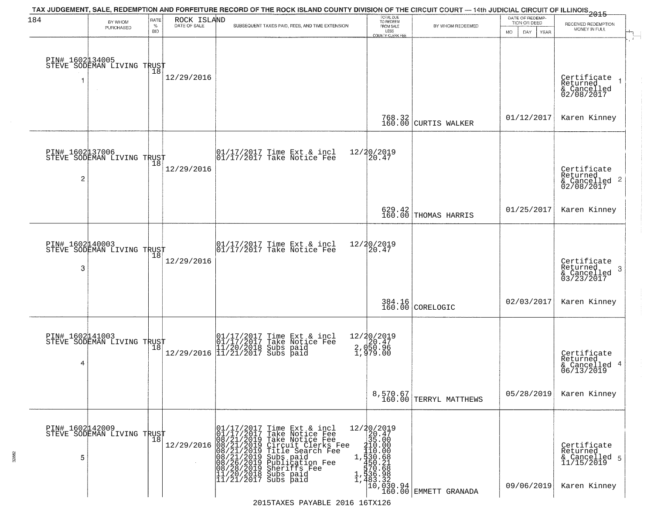| 184                  | BY WHOM                                       | RATE<br>$\%$    | ROCK ISLAND<br>DATE OF SALE | TAX JUDGEMENT, SALE, REDEMPTION AND FORFEITURE RECORD OF THE ROCK ISLAND COUNTY DIVISION OF THE CIRCUIT COURT — 14th JUDICIAL CIRCUIT OF ILLINOIS 2015<br>SUBSEQUENT TAXES PAID, FEES, AND TIME EXTENSION                                                                                                                                                                                                                                                          | TOTAL DUE<br>TO REDEEM<br>FROM SALE                                             | BY WHOM REDEEMED                                                                                                                                                                              | DATE OF REDEMP-<br>TION OR DEED | RECEIVED REDEMPTION                                                    |
|----------------------|-----------------------------------------------|-----------------|-----------------------------|--------------------------------------------------------------------------------------------------------------------------------------------------------------------------------------------------------------------------------------------------------------------------------------------------------------------------------------------------------------------------------------------------------------------------------------------------------------------|---------------------------------------------------------------------------------|-----------------------------------------------------------------------------------------------------------------------------------------------------------------------------------------------|---------------------------------|------------------------------------------------------------------------|
|                      | PURCHASED                                     | <b>BID</b>      |                             |                                                                                                                                                                                                                                                                                                                                                                                                                                                                    | LESS<br>COUNTY CLERK FEE                                                        |                                                                                                                                                                                               | DAY.<br><b>YEAR</b><br>MO.      | MONEY IN FULL                                                          |
|                      | PIN# 1602134005<br>STEVE SODEMAN LIVING TRUST |                 | 12/29/2016                  |                                                                                                                                                                                                                                                                                                                                                                                                                                                                    |                                                                                 |                                                                                                                                                                                               |                                 | Certificate<br>Returned<br>$\rightarrow$<br>& Cancelled<br>02/08/2017  |
|                      |                                               |                 |                             |                                                                                                                                                                                                                                                                                                                                                                                                                                                                    |                                                                                 | 768.32<br>160.00 CURTIS WALKER                                                                                                                                                                | 01/12/2017                      | Karen Kinney                                                           |
| $\overline{c}$       | PIN# 1602137006<br>STEVE SODEMAN LIVING TRUST | 18              | 12/29/2016                  | $\begin{array}{cc}  01/17/2017 \text{ Time Ext} & \text{incl} \\  01/17/2017 \text{ Take Notice Fe} \end{array}$                                                                                                                                                                                                                                                                                                                                                   | 12/20/2019<br>20.47                                                             |                                                                                                                                                                                               |                                 | Certificate<br>Returned<br>$\overline{2}$<br>& Cancelled<br>02/08/2017 |
|                      |                                               |                 |                             |                                                                                                                                                                                                                                                                                                                                                                                                                                                                    |                                                                                 | 629.42<br>160.00 THOMAS HARRIS                                                                                                                                                                | 01/25/2017                      | Karen Kinney                                                           |
| PIN# 1602140003<br>3 | STEVE SODEMAN LIVING TRUST                    | 18              | 12/29/2016                  | $\begin{array}{ccc}  01/17/2017 \text{ Time} & \text{Ext} & \text{incl} \\  01/17/2017 \text{ Take Notice } \text{Fe} \end{array}$                                                                                                                                                                                                                                                                                                                                 | 12/20/2019<br>20.47                                                             |                                                                                                                                                                                               |                                 | Certificate<br>Returned<br>3<br>& Cancelled<br>03/23/2017              |
|                      |                                               |                 |                             |                                                                                                                                                                                                                                                                                                                                                                                                                                                                    |                                                                                 | 384.16<br>160.00 CORELOGIC                                                                                                                                                                    | 02/03/2017                      | Karen Kinney                                                           |
| 4                    | PIN# 1602141003<br>STEVE SODEMAN LIVING TRUST |                 |                             | 01/17/2017 Time Ext & incl<br>01/17/2017 Take Notice Fee<br>11/20/2018 Subs paid<br>12/29/2016 11/21/2017 Subs paid                                                                                                                                                                                                                                                                                                                                                | 12/20/2019<br>2.050.47<br>2.050.96<br>1.979.00                                  |                                                                                                                                                                                               |                                 | Certificate<br>Returned<br>4<br>& Cancelled<br>06/13/2019              |
|                      |                                               |                 |                             |                                                                                                                                                                                                                                                                                                                                                                                                                                                                    |                                                                                 | 8,570.67<br>160.00 TERRYL MATTHEWS                                                                                                                                                            | 05/28/2019                      | Karen Kinney                                                           |
| PIN# 1602142009<br>5 | STEVE SODEMAN LIVING TRUST                    | $\overline{18}$ |                             | $\begin{array}{c}\n12/29/2016\overline{)1/17/2017\hbox{ a}}\n\hline\n\text{12/29/2016}\n008/21/2019\hbox{ Take}\n08/21/2019\hbox{ The left}\n08/21/2019\hbox{ Title}\n08/21/2019\hbox{ Subs }\mathfrak p.\n08/26/2019\hbox{ Sublic\'a}\n08/28/2019\hbox{ Sheriff\'e}\n11/20/2018\hbox{ Subs paid}\n\hline\n\end{array}$<br>Time Ext & incl<br>Take Notice Fee<br>Take Notice Fee<br>Take Worlderfee<br>Title Search Fee<br>Subs paid<br>Worlderfee<br>Sheriffs Fee | $\begin{array}{r} 12/20/2019 \\ 20.47 \\ 35.00 \end{array}$<br>210.00<br>110.00 | 1, $\frac{1}{30}$ . $68$<br>$\frac{1}{370}$ . $68$<br>$1, \frac{1}{336}$ . $\frac{2}{36}$<br>1, $\frac{483}{160}$ . $\frac{32}{360}$<br>$\frac{32}{160}$ . $\frac{34}{160}$<br>EMMETT GRANADA | 09/06/2019                      | Certificate<br>Returned<br>& Cancelled 5<br>11/15/2019<br>Karen Kinney |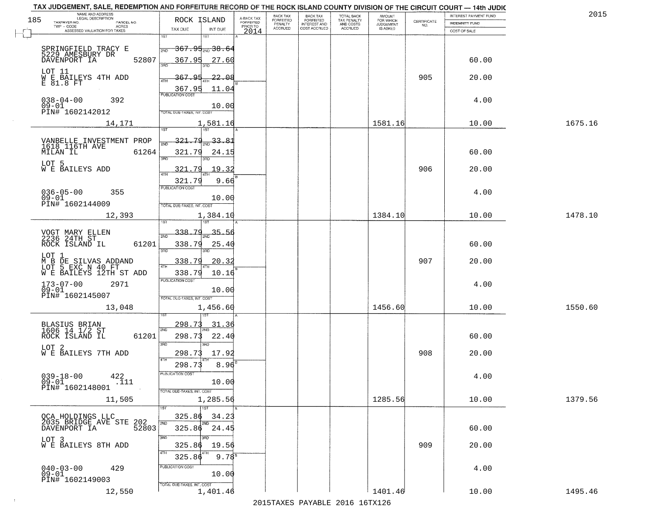| TAX JUDGEMENT, SALE, REDEMPTION AND FORFEITURE RECORD OF THE ROCK ISLAND COUNTY DIVISION OF THE CIRCUIT COURT - 14th JUDIC<br>NAME AND ADDRESS<br>LEGAL DESCRIPTION |                                                                                   |                                     | BACK TAX             | <b>BACK TAX</b>           |                                        | AMOUNT<br>FOR WHICH |                                                                 | INTEREST PAYMENT FUND | 2015    |
|---------------------------------------------------------------------------------------------------------------------------------------------------------------------|-----------------------------------------------------------------------------------|-------------------------------------|----------------------|---------------------------|----------------------------------------|---------------------|-----------------------------------------------------------------|-----------------------|---------|
| 185<br>TAXPAYER NO.<br>PARCEL NO.<br>ACRES                                                                                                                          | ROCK ISLAND                                                                       | A-BACK TAX<br>FORFEITED<br>PRIOR TO | FORFEITED<br>PENALTY | FORFEITED<br>INTEREST AND | TOTAL BACK<br>TAX PENALTY<br>AND COSTS | <b>JUDGEMENT</b>    | $\begin{array}{c} \text{CERTIFICATE} \\ \text{NO.} \end{array}$ | <b>INDEMNITY FUND</b> |         |
| ASSESSED VALUATION FOR TAXES                                                                                                                                        | TAX DUE<br>INT DUE                                                                | 2014                                | <b>ACCRUED</b>       | COST ACCRUED              | ACCRUED                                | IS ASKED            |                                                                 | COST OF SALE          |         |
| SPRINGFIELD TRACY E<br>5229 AMESBURY DR<br>52807<br>DAVENPORT IA                                                                                                    | 1ST<br>18T<br><del>367.95 <sub>2N0</sub> 38.64</del><br>2ND<br>367.95<br>27.60    |                                     |                      |                           |                                        |                     |                                                                 | 60.00                 |         |
| LOT 11<br>W E BAILEYS 4TH ADD<br>E 81.8 FT                                                                                                                          | 367.95<br>22.08                                                                   |                                     |                      |                           |                                        |                     | 905                                                             | 20.00                 |         |
| $038 - 04 - 00$<br>09-01<br>392<br>PIN# 1602142012                                                                                                                  | $\frac{367.95}{PUBUCATON COST}$<br>11.04<br>10.00<br>TOTAL DUE-TAXES, INT. COST   |                                     |                      |                           |                                        |                     |                                                                 | 4.00                  |         |
| 14,171                                                                                                                                                              | 1,581.16                                                                          |                                     |                      |                           |                                        | 1581.16             |                                                                 | 10.00                 | 1675.16 |
| VANBELLE INVESTMENT PROP<br>1618 116TH AVE<br>MILAN IL<br>61264<br>LOT 5<br>W E BAILEYS ADD                                                                         | 321.79<br>$\frac{33.81}{200}$<br>321.79<br>24.15<br>3RD<br>3RD<br>321.79<br>19.32 |                                     |                      |                           |                                        |                     | 906                                                             | 60.00<br>20.00        |         |
| $036 - 05 - 00$<br>355<br>$09 - 01$<br>PIN# 1602144009                                                                                                              | 321.79<br>9.66<br>PUBLICATION COST<br>10.00<br>TOTAL DUE-TAXES, INT. COST         |                                     |                      |                           |                                        |                     |                                                                 | 4.00                  |         |
| 12,393                                                                                                                                                              | 1,384.10<br>isT                                                                   |                                     |                      |                           |                                        | 1384.10             |                                                                 | 10.00                 | 1478.10 |
| VOGT MARY ELLEN<br>2236 24TH ST<br>ROCK ISLAND IL<br>61201                                                                                                          | 338.79<br>35.56<br>2ND<br>338.79<br>25.40<br>3RD<br>3RD                           |                                     |                      |                           |                                        |                     |                                                                 | 60.00                 |         |
| LOT 1<br>M B D<br>M B DE SILVAS ADDAND<br>LOT 5 EXC N 40 FT<br>W E BAILEYS 12TH ST ADD                                                                              | 338.79<br>20.3<br>$\overline{AT}$<br>338.79<br>10.16                              |                                     |                      |                           |                                        |                     | 907                                                             | 20.00                 |         |
| $173 - 07 - 00$<br>2971<br>$09 - 01$<br>PIN# 1602145007                                                                                                             | <b>PUBLICATION COST</b><br>10.00<br>TOTAL OUE-TAXES, INT. COST                    |                                     |                      |                           |                                        |                     |                                                                 | 4.00                  |         |
| 13,048                                                                                                                                                              | 1,456.60                                                                          |                                     |                      |                           |                                        | 1456.60             |                                                                 | 10.00                 | 1550.60 |
| BLASIUS BRIAN<br>1606 14 1/2 ST<br>ROCK ISLAND IL<br>61201                                                                                                          | 298.73<br>31.36<br>2ND<br>298.73<br>22.40<br>3 <sub>BD</sub><br><b>IRD</b>        |                                     |                      |                           |                                        |                     |                                                                 | 60.00                 |         |
| LOT 2<br>W E BAILEYS 7TH ADD                                                                                                                                        | 298.73<br>17.92<br>4TH                                                            |                                     |                      |                           |                                        |                     | 908                                                             | 20.00                 |         |
| $039 - 18 - 00$<br>$^{422}_{.111}$<br>$09 - 01$<br>PIN# 1602148001                                                                                                  | 298.73<br>8.96<br>PUBLICATION COST<br>10.00<br>TOTAL DUE-TAXES, INT. COST         |                                     |                      |                           |                                        |                     |                                                                 | 4.00                  |         |
| 11,505                                                                                                                                                              | 1,285.56                                                                          |                                     |                      |                           |                                        | 1285.56             |                                                                 | 10.00                 | 1379.56 |
| OCA HOLDINGS LLC<br>2035 BRIDGE AVE STE 202<br>2035 BRIDGE AVE STE 52803                                                                                            | 1ST<br>325.86<br>34.23<br>2ND<br>2ND<br>325.86 24.45                              |                                     |                      |                           |                                        |                     |                                                                 | 60.00                 |         |
| LOT 3<br>W E BAILEYS 8TH ADD                                                                                                                                        | 3RD<br>3RD<br>325.86<br>19.56<br>4TH<br>$9.78^{8}$<br>325.86                      |                                     |                      |                           |                                        |                     | 909                                                             | 20.00                 |         |
| $040 - 03 - 00$<br>429<br>09-01<br>PIN# 1602149003                                                                                                                  | PUBLICATION COST<br>10.00<br>TOTAL DUE-TAXES, INT. COST                           |                                     |                      |                           |                                        |                     |                                                                 | 4.00                  |         |
| 12,550                                                                                                                                                              | 1,401.46                                                                          |                                     |                      |                           |                                        | 1401.46             |                                                                 | 10.00                 | 1495.46 |

 $\sim 10^{-1}$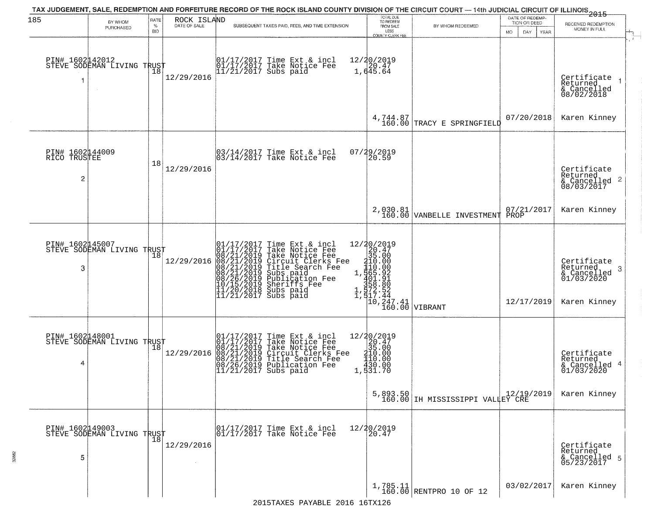| 185                                  |                                               | RATE        |                             | TAX JUDGEMENT, SALE, REDEMPTION AND FORFEITURE RECORD OF THE ROCK ISLAND COUNTY DIVISION OF THE CIRCUIT COURT — 14th JUDICIAL CIRCUIT OF ILLINOIS<br>2015 - 1992 - 1993                                                                               | TOTAL DUE<br>TO REDEEM                                                                                                                  |                                              | DATE OF REDEMP-            |                                                                           |
|--------------------------------------|-----------------------------------------------|-------------|-----------------------------|-------------------------------------------------------------------------------------------------------------------------------------------------------------------------------------------------------------------------------------------------------|-----------------------------------------------------------------------------------------------------------------------------------------|----------------------------------------------|----------------------------|---------------------------------------------------------------------------|
|                                      | BY WHOM<br>PURCHASED                          | $\%$<br>BID | ROCK ISLAND<br>DATE OF SALE | SUBSEQUENT TAXES PAID, FEES, AND TIME EXTENSION                                                                                                                                                                                                       | FROM SALE                                                                                                                               | BY WHOM REDEEMED                             | TION OR DEED               | RECEIVED REDEMPTION<br>MONEY IN FULL                                      |
| -1                                   | PIN# 1602142012<br>STEVE SODEMAN LIVING TRUST | 18          | 12/29/2016                  | 01/17/2017 Time Ext & incl<br>01/17/2017 Take Notice Fee<br>11/21/2017 Subs paid                                                                                                                                                                      | LESS<br>COUNTY CLERK FEE<br>12/20/2019<br>1,645.64                                                                                      |                                              | <b>YEAR</b><br>MO.<br>DAY. | Certificate<br>Returned<br>& Cancelled<br>08/02/2018                      |
|                                      |                                               |             |                             |                                                                                                                                                                                                                                                       | 4,744.87<br>160.00                                                                                                                      | TRACY E SPRINGFIELD                          | 07/20/2018                 | Karen Kinney                                                              |
| PIN# 1602144009<br>RICO TRUSTEE<br>2 |                                               | 18          | 12/29/2016                  | 03/14/2017 Time Ext & incl<br>03/14/2017 Take Notice Fee                                                                                                                                                                                              | 07/29/2019<br>20.59                                                                                                                     |                                              |                            | Certificate<br>Returned<br>& Cancelled 2<br>08/03/2017                    |
|                                      |                                               |             |                             |                                                                                                                                                                                                                                                       | 2,030.81<br>160.00                                                                                                                      | VANBELLE INVESTMENT                          | 07/21/2017<br>PROP         | Karen Kinney                                                              |
| PIN# 1602145007<br>3                 | STEVE SODEMAN LIVING TRUST                    | 18          | 12/29/2016                  | 01/17/2017 Time Ext & incl<br>01/17/2017 Take Notice Fee<br>08/21/2019 Take Notice Fee<br>08/21/2019 Circuit Clerks Fee<br>08/21/2019 Title Search Fee<br>08/21/2019 Subs paid<br>08/26/2019 Subsidication Fee<br>07/15/2019 Sheriffs Fee<br>11/20/20 | ncl 12/20/2019<br>"ee 210/2019<br>"Fee 110.000<br>"Fee 110.000<br>1, 165.922<br>1, 160.000<br>1, 17.44<br>10, 247.41<br>"166.00 VIBRANT |                                              | 12/17/2019                 | Certificate<br>Returned<br>3<br>& Cancelled<br>01/03/2020<br>Karen Kinney |
| 4                                    | PIN# 1602148001<br>STEVE SODEMAN LIVING TRUST |             | 12/29/2016                  | 01/17/2017 Time Ext & incl<br>01/17/2017 Take Notice Fee<br>08/21/2019 Take Notice Fee<br>08/21/2019 Circuit Clerks Fee<br>08/21/2019 Title Search Fee<br>08/26/2019 Publication Fee<br>11/21/2017 Subs paid                                          | $=\begin{array}{c} 12/20/2019\\20.47\\35.00\\210.00\\119.00\\ \end{array}$<br>430.00<br>1,531.70                                        | 5,893.50<br>160.00 IH MISSISSIPPI VALLEY CRE |                            | Certificate<br>Returned<br>& Cancelled 4<br>01/03/2020<br>Karen Kinney    |
| PIN# 1602149003<br>5                 | PIN# 1602442000<br>STEVE SODEMAN LIVING TRUST |             | 12/29/2016                  | 01/17/2017 Time Ext & incl<br>01/17/2017 Take Notice Fee                                                                                                                                                                                              | $12/20/2019$<br>$20.47$                                                                                                                 |                                              |                            | Certificate<br>Returned<br>& Cancelled 5<br>05/23/2017                    |
|                                      |                                               |             |                             |                                                                                                                                                                                                                                                       |                                                                                                                                         | $1,785.11$ RENTPRO 10 OF 12                  | 03/02/2017                 | Karen Kinney                                                              |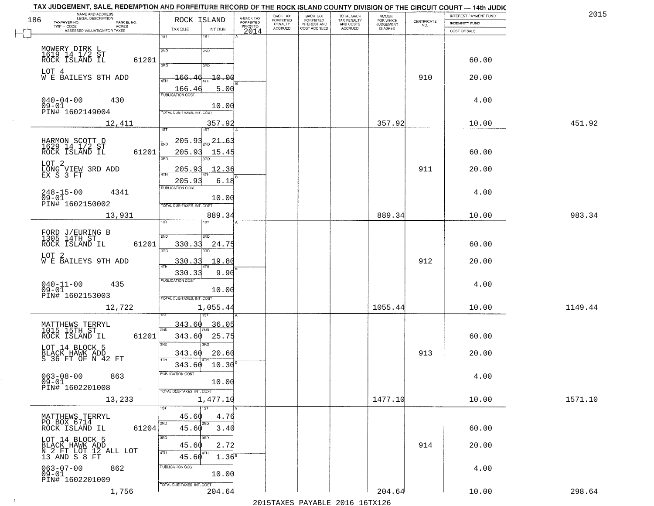| NAME AND ADDRESS<br>LEGAL DESCRIPTION<br>186               | ROCK ISLAND                                    | A-BACK TAX<br>FORFEITED | BACK TAX<br><b>FORFEITED</b> | <b>BACK TAX</b><br><b>FORFEITED</b> |                                                   | <b>AMOUNT</b>                      |                                                                 | INTEREST PAYMENT FUND | 2015    |
|------------------------------------------------------------|------------------------------------------------|-------------------------|------------------------------|-------------------------------------|---------------------------------------------------|------------------------------------|-----------------------------------------------------------------|-----------------------|---------|
| TAXPAYER NO.<br>PARCEL NO.<br>TWP - CODE<br><b>ACRES</b>   |                                                | PRIOR TO                | PENALTY<br>ACCRUED           | INTEREST AND<br>COST ACCRUED        | TOTAL BACK<br>TAX PENALTY<br>AND COSTS<br>ACCRUED | FOR WHICH<br>JUDGEMENT<br>IS ASKED | $\begin{array}{c} \text{CERTIFICATE} \\ \text{NO.} \end{array}$ | INDEMNITY FUND        |         |
| ASSESSED VALUATION FOR TAXES                               | TAX DUE<br>INT DUE<br>1ST<br>1ST               | 2014                    |                              |                                     |                                                   |                                    |                                                                 | COST OF SALE          |         |
|                                                            |                                                |                         |                              |                                     |                                                   |                                    |                                                                 |                       |         |
| MOWERY DIRK L<br>1619 14 1/2 ST<br>ROCK ISLAND IL<br>61201 | 2ND<br>2ND                                     |                         |                              |                                     |                                                   |                                    |                                                                 | 60.00                 |         |
|                                                            | 370<br>3RD                                     |                         |                              |                                     |                                                   |                                    |                                                                 |                       |         |
| LOT 4<br>W E BAILEYS 8TH ADD                               | $-10 - 00$<br><u> 166.46</u><br>ATH            |                         |                              |                                     |                                                   |                                    | 910                                                             | 20.00                 |         |
|                                                            | 5.00<br>166.46<br><b>PUBLICATION COST</b>      |                         |                              |                                     |                                                   |                                    |                                                                 |                       |         |
| $040 - 04 - 00$<br>430                                     |                                                |                         |                              |                                     |                                                   |                                    |                                                                 | 4.00                  |         |
| 09-01<br>PIN# 1602149004                                   | 10.00<br><b>TOTAL DUE-TAXES, INT. COST</b>     |                         |                              |                                     |                                                   |                                    |                                                                 |                       |         |
| 12,411                                                     | 357.92                                         |                         |                              |                                     |                                                   | 357.92                             |                                                                 | 10.00                 | 451.92  |
|                                                            | 1ST <sup></sup><br>1ST                         |                         |                              |                                     |                                                   |                                    |                                                                 |                       |         |
| HARMON SCOTT D<br>1629 14 1/2 ST<br>ROCK ISLAND IL         | 205.93<br><u>21.63</u><br>2ND                  |                         |                              |                                     |                                                   |                                    |                                                                 |                       |         |
| 61201                                                      | 205.91<br>15.45<br>3RD                         |                         |                              |                                     |                                                   |                                    |                                                                 | 60.00                 |         |
| LOT <sub>2</sub><br>LONG VIEW 3RD ADD<br>EX S 3 FT         | 205.9<br>.2.36                                 |                         |                              |                                     |                                                   |                                    | 911                                                             | 20.00                 |         |
|                                                            | 6.18<br>205.93                                 |                         |                              |                                     |                                                   |                                    |                                                                 |                       |         |
| $248 - 15 - 00$<br>4341                                    | PUBLICATION COST                               |                         |                              |                                     |                                                   |                                    |                                                                 | 4.00                  |         |
| $09 - 01$<br>PIN# 1602150002                               | 10.00<br>TOTAL DUE-TAXES, INT. COST            |                         |                              |                                     |                                                   |                                    |                                                                 |                       |         |
| 13,931                                                     | 889.34                                         |                         |                              |                                     |                                                   | 889.34                             |                                                                 | 10.00                 | 983.34  |
|                                                            | ist.<br>IST                                    |                         |                              |                                     |                                                   |                                    |                                                                 |                       |         |
| FORD J/EURING B<br>1305 14TH ST                            | 2ND<br><b>SMD</b>                              |                         |                              |                                     |                                                   |                                    |                                                                 |                       |         |
| 61201<br>ROCK ISLAND IL                                    | 330.33<br>24.75<br>3BD<br>3RD                  |                         |                              |                                     |                                                   |                                    |                                                                 | 60.00                 |         |
| LOT 2<br>W E BAILEYS 9TH ADD                               | 330.33<br>19.80                                |                         |                              |                                     |                                                   |                                    | 912                                                             | 20.00                 |         |
|                                                            | 330.33<br>9.90                                 |                         |                              |                                     |                                                   |                                    |                                                                 |                       |         |
| $040 - 11 - 00$<br>435                                     | <b>PUBLICATION COST</b>                        |                         |                              |                                     |                                                   |                                    |                                                                 | 4.00                  |         |
| $09-01$<br>PIN# 1602153003                                 | 10.00                                          |                         |                              |                                     |                                                   |                                    |                                                                 |                       |         |
| 12,722                                                     | TOTAL OUE-TAXES, INT. COST<br>1,055.44         |                         |                              |                                     |                                                   | 1055.44                            |                                                                 | 10.00                 | 1149.44 |
|                                                            |                                                |                         |                              |                                     |                                                   |                                    |                                                                 |                       |         |
| MATTHEWS TERRYL<br>1015 15TH ST                            | 343.60<br><u>36.05</u><br>2ND                  |                         |                              |                                     |                                                   |                                    |                                                                 |                       |         |
| ROCK ISLAND IL<br>61201                                    | 343.60<br>25.75                                |                         |                              |                                     |                                                   |                                    |                                                                 | 60.00                 |         |
| LOT 14 BLOCK 5                                             | 3RD<br>3RD<br>343.60<br>20.60                  |                         |                              |                                     |                                                   |                                    | 913                                                             | 20.00                 |         |
| BLACK HAWK ADD<br>S 36 FT OF N 42 FT                       | 4TH<br>10.30<br>343.60                         |                         |                              |                                     |                                                   |                                    |                                                                 |                       |         |
| $063 - 08 - 00$<br>863                                     | PUBLICATION COST                               |                         |                              |                                     |                                                   |                                    |                                                                 | 4.00                  |         |
| $09 - 01$<br>PIN# 1602201008                               | 10.00                                          |                         |                              |                                     |                                                   |                                    |                                                                 |                       |         |
|                                                            | TOTAL DUE-TAXES, INT. COST<br>1,477.10         |                         |                              |                                     |                                                   | 1477.10                            |                                                                 | 10.00                 | 1571.10 |
| 13,233                                                     | 1ST<br>1ST                                     |                         |                              |                                     |                                                   |                                    |                                                                 |                       |         |
| MATTHEWS TERRYL<br>PO BOX 6714                             | 45.60<br>4.76<br>2ND                           |                         |                              |                                     |                                                   |                                    |                                                                 |                       |         |
| ROCK ISLAND IL<br>61204                                    | 2ND<br>45.60<br>3.40                           |                         |                              |                                     |                                                   |                                    |                                                                 | 60.00                 |         |
| LOT 14 BLOCK 5                                             | 3RD<br>3RD                                     |                         |                              |                                     |                                                   |                                    | 914                                                             |                       |         |
| BLACK HAWK ADD<br>N 2 FT LOT 12 ALL LOT<br>13 AND S 8 FT   | 45.60<br>2.72<br>4TH<br>4TH                    |                         |                              |                                     |                                                   |                                    |                                                                 | 20.00                 |         |
|                                                            | 45.60<br>1.36 <sup>B</sup><br>PUBLICATION COST |                         |                              |                                     |                                                   |                                    |                                                                 |                       |         |
| 063-07-00<br>09-01<br>862                                  | 10.00                                          |                         |                              |                                     |                                                   |                                    |                                                                 | 4.00                  |         |
| PIN# 1602201009                                            | TOTAL DUE-TAXES, INT. COST                     |                         |                              |                                     |                                                   |                                    |                                                                 |                       |         |
| 1,756                                                      | 204.64                                         |                         |                              | 2015 TAVEC DAVADIE 2016 16TV126     |                                                   | 204.64                             |                                                                 | 10.00                 | 298.64  |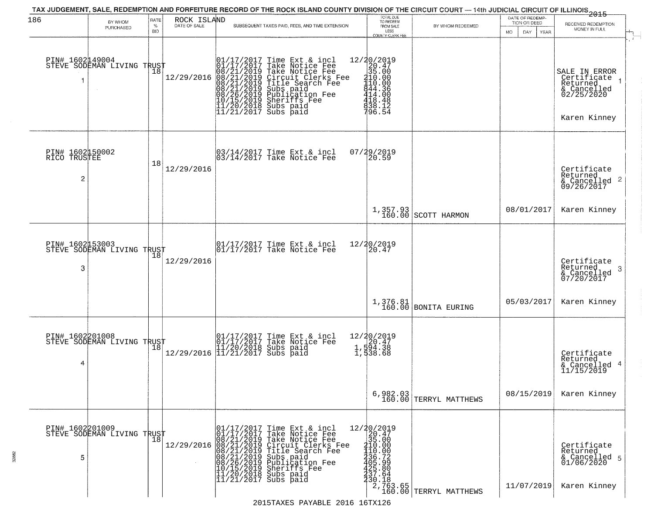|                                                   |                                                   |                            |                                                                                                                                                                                            |                         | TAX JUDGEMENT, SALE, REDEMPTION AND FORFEITURE RECORD OF THE ROCK ISLAND COUNTY DIVISION OF THE CIRCUIT COURT — 14th JUDICIAL CIRCUIT OF ILLINOIS 2015                                                                                                |                                                                                                                                                                                                         |                                      | DATE OF REDEMP-                     |                                                                                       |
|---------------------------------------------------|---------------------------------------------------|----------------------------|--------------------------------------------------------------------------------------------------------------------------------------------------------------------------------------------|-------------------------|-------------------------------------------------------------------------------------------------------------------------------------------------------------------------------------------------------------------------------------------------------|---------------------------------------------------------------------------------------------------------------------------------------------------------------------------------------------------------|--------------------------------------|-------------------------------------|---------------------------------------------------------------------------------------|
| 186                                               | BY WHOM<br>PURCHASED                              | RATE<br>$\%$<br><b>BID</b> | ROCK ISLAND<br>DATE OF SALE                                                                                                                                                                |                         | SUBSEQUENT TAXES PAID, FEES, AND TIME EXTENSION                                                                                                                                                                                                       | TOTAL DUE<br>TO REDEEM<br>FROM SALE<br>LESS                                                                                                                                                             | BY WHOM REDEEMED                     | TION OR DEED<br>MO.<br>DAY.<br>YEAR | RECEIVED REDEMPTION<br>MONEY IN FULL                                                  |
|                                                   | PIN# 1602149004    <br>STEVE SODEMAN LIVING TRUST | 18                         | 12/29/2016                                                                                                                                                                                 |                         | $01/17/2017$ Time Ext & incl<br>01/17/2017 Take Notice Fee<br>08/21/2019 Take Notice Fee<br>08/21/2019 Circuit Clerks Fee<br>08/21/2019 Title Search Fee<br>08/21/2019 Subs paid<br>10/15/2019 Sheriffs Fee<br>11/20/2018 Subs paid<br>11/21/2017 Sub | <b>COUNTY CLERK FEE</b><br>$\begin{array}{r} 12/30/2019 \\ 20.47 \\ 35.00 \\ 410.00 \\ 440.00 \\ 440.00 \\ \end{array}$<br>$\begin{array}{l} 444.36 \\ 414.00 \\ 418.48 \\ 438.12 \\ 96.54 \end{array}$ |                                      |                                     | SALE IN ERROR<br>Certificate<br>Returned<br>& Cancelled<br>02/25/2020<br>Karen Kinney |
| PIN# 1602150002<br>RICO TRUSTEE<br>$\overline{c}$ |                                                   | 18                         | 12/29/2016                                                                                                                                                                                 |                         | 03/14/2017 Time Ext & incl<br>03/14/2017 Take Notice Fee                                                                                                                                                                                              | 07/29/2019<br>20.59                                                                                                                                                                                     |                                      |                                     | Certificate<br>Returned<br>$\frac{12241104}{609/26/2017}$                             |
|                                                   |                                                   |                            |                                                                                                                                                                                            |                         |                                                                                                                                                                                                                                                       |                                                                                                                                                                                                         | 1,357.93<br>160.00 SCOTT HARMON      | 08/01/2017                          | Karen Kinney                                                                          |
| PIN# 1602153003<br>3                              | STEVE SODEMAN LIVING TRUST                        | 18                         | 12/29/2016                                                                                                                                                                                 |                         | 01/17/2017 Time Ext & incl<br>01/17/2017 Take Notice Fee                                                                                                                                                                                              | 12/20/2019<br>20.47                                                                                                                                                                                     |                                      |                                     | Certificate<br>Returned<br>3<br>& Cancelled<br>07/20/2017                             |
|                                                   |                                                   |                            |                                                                                                                                                                                            |                         |                                                                                                                                                                                                                                                       |                                                                                                                                                                                                         | 1,376.81<br>160.00 BONITA EURING     | 05/03/2017                          | Karen Kinney                                                                          |
| 4                                                 | PIN# 1602201008<br>STEVE SODEMAN LIVING TRUST     |                            |                                                                                                                                                                                            |                         | 01/17/2017 Time Ext & incl<br>01/17/2017 Take Notice Fee<br>11/20/2018 Subs paid<br>12/29/2016 11/21/2017 Subs paid                                                                                                                                   | 12/20/2019<br>20.47<br>1,594.38<br>1,538.68                                                                                                                                                             |                                      |                                     | Certificate<br>Returned<br>4<br>& Cancelled<br>11/15/2019                             |
|                                                   |                                                   |                            |                                                                                                                                                                                            |                         |                                                                                                                                                                                                                                                       |                                                                                                                                                                                                         | $6,982.03$<br>160.00 TERRYL MATTHEWS | 08/15/2019                          | Karen Kinney                                                                          |
| PIN# 1602201009<br>5                              | STEVE SODEMAN LIVING TRUST                        | 18                         | $12/29/2016 \begin{array}{c} \mid 01/17/2017 \\ 01/17/2017 \\ 08/21/2019 \\ 08/21/2019 \\ 08/21/2019 \\ 08/21/2019 \\ 08/27/2019 \\ 10/15/2019 \\ 11/20/2013 \\ 11/20/2013 \\ \end{array}$ | $ 11/21/2017$ Subs paid | Time Ext & incl<br>Take Notice Fee<br>Take Notice Fee<br>Circuit Clerks Fee<br>Title Search Fee<br>Subs paid<br>Bublication Fee<br>Sheriffs Fee<br>Subs paid                                                                                          | 12/20/2019<br>20.47<br>35.00<br>210.00<br>110.00<br>$736.72$<br>$425.80$<br>$425.64$<br>330.18                                                                                                          | 2,763.65<br>160.00 TERRYL MATTHEWS   | 11/07/2019                          | Certificate<br>Returned<br>& Cancelled 5<br>01/06/2020<br>Karen Kinney                |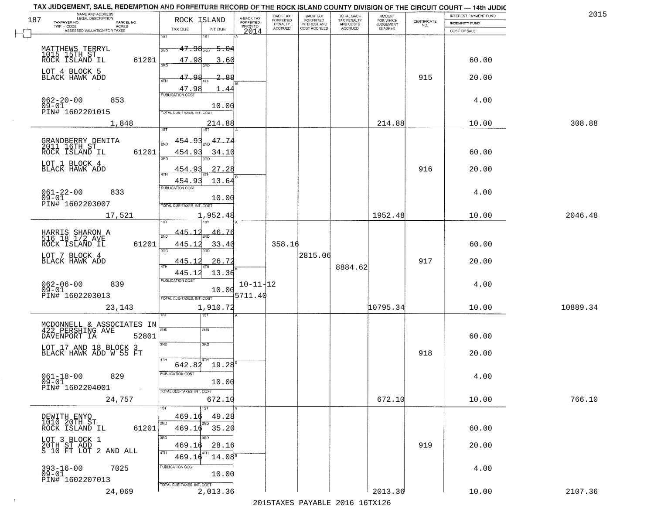|     | TAX JUDGEMENT, SALE, REDEMPTION AND FORFEITURE RECORD OF THE ROCK ISLAND COUNTY DIVISION OF THE CIRCUIT COURT - 14th JUDIC<br>NAME AND ADDRESS<br>LEGAL DESCRIPTION |                                          |                                     | BACK TAX                    |                                              |                                        |                                         |                                                                 | INTEREST PAYMENT FUND | 2015     |
|-----|---------------------------------------------------------------------------------------------------------------------------------------------------------------------|------------------------------------------|-------------------------------------|-----------------------------|----------------------------------------------|----------------------------------------|-----------------------------------------|-----------------------------------------------------------------|-----------------------|----------|
| 187 | TAXPAYER NO.<br>PARCEL NO.                                                                                                                                          | ROCK ISLAND                              | A-BACK TAX<br>FORFEITED<br>PRIOR TO | <b>FORFEITED</b><br>PENALTY | BACK TAX<br>FORFEITED<br><b>INTEREST AND</b> | TOTAL BACK<br>TAX PENALTY<br>AND COSTS | AMOUNT<br>FOR WHICH<br><b>JUDGEMENT</b> | $\begin{array}{c} \text{CERTIFICATE} \\ \text{NO.} \end{array}$ | <b>INDEMNITY FUND</b> |          |
|     | ACRES<br>ASSESSED VALUATION FOR TAXES                                                                                                                               | TAX DUE<br>INT DUE                       | 2014                                | <b>ACCRUED</b>              | COST ACCRUED                                 | ACCRUED                                | IS ASKED                                |                                                                 | COST OF SALE          |          |
|     |                                                                                                                                                                     | 1ST<br>IST                               |                                     |                             |                                              |                                        |                                         |                                                                 |                       |          |
|     |                                                                                                                                                                     | $47.98_{200}$<br><del>5.0</del> 4<br>2ND |                                     |                             |                                              |                                        |                                         |                                                                 |                       |          |
|     | MATTHEWS TERRYL<br>1015 15TH ST<br>ROCK ISLAND IL<br>61201                                                                                                          | 47.98<br>3.60                            |                                     |                             |                                              |                                        |                                         |                                                                 | 60.00                 |          |
|     | LOT 4 BLOCK 5                                                                                                                                                       | 350                                      |                                     |                             |                                              |                                        |                                         |                                                                 |                       |          |
|     | BLACK HAWK ADD                                                                                                                                                      | 47.98<br>-88<br>4TH                      |                                     |                             |                                              |                                        |                                         | 915                                                             | 20.00                 |          |
|     |                                                                                                                                                                     | 47.98<br>1.44                            |                                     |                             |                                              |                                        |                                         |                                                                 |                       |          |
|     | 062-20-00<br>09-01<br>853                                                                                                                                           | <b>PUBLICATION COST</b>                  |                                     |                             |                                              |                                        |                                         |                                                                 | 4.00                  |          |
|     | PIN# 1602201015                                                                                                                                                     | 10.00<br>TOTAL DUE-TAXES, INT. COST      |                                     |                             |                                              |                                        |                                         |                                                                 |                       |          |
|     | 1,848                                                                                                                                                               | 214.88                                   |                                     |                             |                                              |                                        | 214.88                                  |                                                                 | 10.00                 | 308.88   |
|     |                                                                                                                                                                     |                                          |                                     |                             |                                              |                                        |                                         |                                                                 |                       |          |
|     | GRANDBERRY DENITA<br>2011 16TH ST                                                                                                                                   | 47.74<br>-9.3<br>454                     |                                     |                             |                                              |                                        |                                         |                                                                 |                       |          |
|     | 61201<br>ROCK ISLAND IL                                                                                                                                             | 454.93<br>34.10                          |                                     |                             |                                              |                                        |                                         |                                                                 | 60.00                 |          |
|     | LOT 1 BLOCK 4                                                                                                                                                       | ਬਨ<br>3RD                                |                                     |                             |                                              |                                        |                                         |                                                                 |                       |          |
|     | BLACK HAWK ADD                                                                                                                                                      | 454.93<br>27.28                          |                                     |                             |                                              |                                        |                                         | 916                                                             | 20.00                 |          |
|     |                                                                                                                                                                     | 454.93<br>13.64                          |                                     |                             |                                              |                                        |                                         |                                                                 |                       |          |
|     | $061 - 22 - 00$<br>833                                                                                                                                              | PUBLICATION COST                         |                                     |                             |                                              |                                        |                                         |                                                                 | 4.00                  |          |
|     | $09 - 01$<br>PIN# 1602203007                                                                                                                                        | 10.00<br>TOTAL DUE-TAXES, INT. COST      |                                     |                             |                                              |                                        |                                         |                                                                 |                       |          |
|     | 17,521                                                                                                                                                              | 1,952.48                                 |                                     |                             |                                              |                                        | 1952.48                                 |                                                                 | 10.00                 | 2046.48  |
|     |                                                                                                                                                                     | 1ST                                      |                                     |                             |                                              |                                        |                                         |                                                                 |                       |          |
|     | HARRIS SHARON A<br>516 18 1/2 AVE                                                                                                                                   | 445.1<br>46.76<br>2ND                    |                                     |                             |                                              |                                        |                                         |                                                                 |                       |          |
|     | ROCK ISLAND IL<br>61201                                                                                                                                             | 445.12<br>33.40                          |                                     | 358.16                      |                                              |                                        |                                         |                                                                 | 60.00                 |          |
|     | LOT 7 BLOCK 4                                                                                                                                                       | 3BD<br>3RD                               |                                     |                             | 2815.06                                      |                                        |                                         |                                                                 |                       |          |
|     | BLACK HAWK ADD                                                                                                                                                      | 445.1<br><u>26.72</u><br><b>ATH</b>      |                                     |                             |                                              | 8884.62                                |                                         | 917                                                             | 20.00                 |          |
|     |                                                                                                                                                                     | 13.36<br>445.12                          |                                     |                             |                                              |                                        |                                         |                                                                 |                       |          |
|     | 062-06-00<br>09-01<br>839                                                                                                                                           | <b>PUBLICATION COST</b>                  | $10 - 11 - 12$                      |                             |                                              |                                        |                                         |                                                                 | 4.00                  |          |
|     | PIN# 1602203013                                                                                                                                                     | 10.00<br>TOTAL OUE-TAXES, INT. COST      | 5711.40                             |                             |                                              |                                        |                                         |                                                                 |                       |          |
|     | 23,143                                                                                                                                                              | 1,910.72                                 |                                     |                             |                                              |                                        | 10795.34                                |                                                                 | 10.00                 | 10889.34 |
|     |                                                                                                                                                                     | ৰজা                                      |                                     |                             |                                              |                                        |                                         |                                                                 |                       |          |
|     | MCDONNELL & ASSOCIATES IN<br>422 PERSHING AVE                                                                                                                       | 2ND<br>2ND                               |                                     |                             |                                              |                                        |                                         |                                                                 |                       |          |
|     | DAVENPORT IA<br>52801                                                                                                                                               |                                          |                                     |                             |                                              |                                        |                                         |                                                                 | 60.00                 |          |
|     | LOT 17 AND 18 BLOCK 3<br>BLACK HAWK ADD W 55 FT                                                                                                                     | 3RD<br>3HD                               |                                     |                             |                                              |                                        |                                         | 918                                                             |                       |          |
|     |                                                                                                                                                                     | 4TH                                      |                                     |                             |                                              |                                        |                                         |                                                                 | 20.00                 |          |
|     |                                                                                                                                                                     | 642.82 19.28<br>PUBLICATION COS.         |                                     |                             |                                              |                                        |                                         |                                                                 |                       |          |
|     | $061 - 18 - 00$<br>829<br>$09 - 01$                                                                                                                                 | 10.00                                    |                                     |                             |                                              |                                        |                                         |                                                                 | 4.00                  |          |
|     | PIN# 1602204001                                                                                                                                                     | TOTAL DUE-TAXES, INT. COST               |                                     |                             |                                              |                                        |                                         |                                                                 |                       |          |
|     | 24,757                                                                                                                                                              | 672.10                                   |                                     |                             |                                              |                                        | 672.10                                  |                                                                 | 10.00                 | 766.10   |
|     |                                                                                                                                                                     |                                          |                                     |                             |                                              |                                        |                                         |                                                                 |                       |          |
|     | DEWITH ENYO<br>1010 20TH ST                                                                                                                                         | 469.16<br>49.28                          |                                     |                             |                                              |                                        |                                         |                                                                 |                       |          |
|     | 61201<br>ROCK ISLAND IL                                                                                                                                             | $469.16$ 35.20                           |                                     |                             |                                              |                                        |                                         |                                                                 | 60.00                 |          |
|     | LOT 3 BLOCK 1<br>20TH ST ADD<br>S 10 FT LOT 2 AND ALL                                                                                                               | 3RD<br>469.16<br>28.16                   |                                     |                             |                                              |                                        |                                         | 919                                                             | 20.00                 |          |
|     |                                                                                                                                                                     | 4TH<br>$14.08^5$<br>469.16               |                                     |                             |                                              |                                        |                                         |                                                                 |                       |          |
|     |                                                                                                                                                                     | PUBLICATION COST                         |                                     |                             |                                              |                                        |                                         |                                                                 |                       |          |
|     | 7025<br>$393 - 16 - 00$<br>$09 - 01$                                                                                                                                | 10.00                                    |                                     |                             |                                              |                                        |                                         |                                                                 | 4.00                  |          |
|     | PIN# 1602207013                                                                                                                                                     | TOTAL DUE-TAXES, INT. COST               |                                     |                             |                                              |                                        |                                         |                                                                 |                       |          |
|     | 24,069                                                                                                                                                              | 2,013.36                                 |                                     |                             |                                              |                                        | 2013.36                                 |                                                                 | 10.00                 | 2107.36  |
|     |                                                                                                                                                                     |                                          |                                     |                             |                                              | 2015 TAVEC DAVADIE 2016 16TV126        |                                         |                                                                 |                       |          |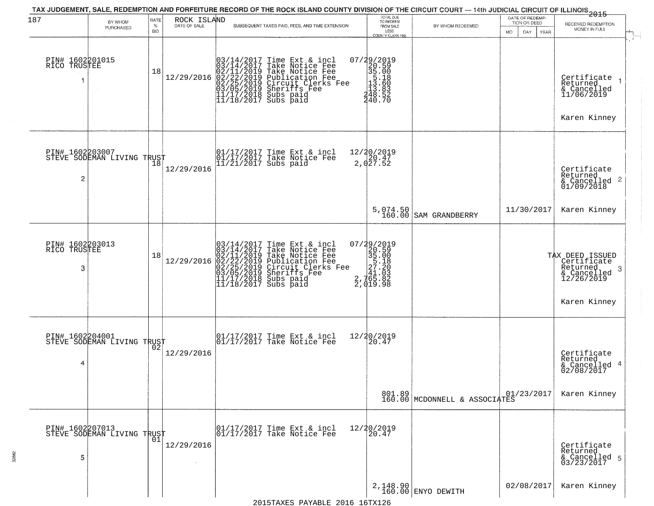|                                      |                                               |            |                             | TAX JUDGEMENT, SALE, REDEMPTION AND FORFEITURE RECORD OF THE ROCK ISLAND COUNTY DIVISION OF THE CIRCUIT COURT — 14th JUDICIAL CIRCUIT OF ILLINOIS 2015                                                        |                                                                                                                                                                  |                                         | DATE OF REDEMP-    |                                                                                                  |
|--------------------------------------|-----------------------------------------------|------------|-----------------------------|---------------------------------------------------------------------------------------------------------------------------------------------------------------------------------------------------------------|------------------------------------------------------------------------------------------------------------------------------------------------------------------|-----------------------------------------|--------------------|--------------------------------------------------------------------------------------------------|
| 187                                  | BY WHOM<br>PURCHASED                          | RATE<br>%  | ROCK ISLAND<br>DATE OF SALE | SUBSEQUENT TAXES PAID, FEES, AND TIME EXTENSION                                                                                                                                                               | TOTAL DUE<br>TO REDEEM<br>FROM SALE                                                                                                                              | BY WHOM REDEEMED                        | TION OR DEED       | RECEIVED REDEMPTION<br>MONEY IN FULL                                                             |
|                                      |                                               | <b>BID</b> |                             |                                                                                                                                                                                                               | LESS<br>COUNTY CLERK FEE                                                                                                                                         |                                         | DAY<br>YEAR<br>MO. |                                                                                                  |
| PIN# 1602201015<br>RICO TRUSTEE      |                                               | 18         | 12/29/2016                  | $03/14/2017$ Time Ext & incl<br>$03/14/2017$ Take Notice Fee<br>$02/11/2019$ Take Notice Fee<br>$02/22/2019$ Publication Fee<br>$03/05/2019$ Sheriffs Fee<br>$11/17/2018$ Subs paid<br>$11/18/2017$ Subs paid | 07/29/2019<br>20.59<br>35.00<br>13.60<br>13.60<br>24.832<br>24.832<br>34.832<br>240.70                                                                           |                                         |                    | Certificate<br>Returned<br>& Cancelled<br>11/06/2019                                             |
|                                      |                                               |            |                             |                                                                                                                                                                                                               |                                                                                                                                                                  |                                         |                    | Karen Kinney                                                                                     |
| PIN# 1602203007<br>2                 | PIN# 160220300,<br>STEVE SODEMAN LIVING TRUST |            | 12/29/2016                  | 01/17/2017 Time Ext & incl<br>01/17/2017 Take Notice Fee<br>11/21/2017 Subs paid                                                                                                                              | 12/20/2019<br>20.47<br>2,027.52                                                                                                                                  |                                         |                    | Certificate<br>Returned<br>$\begin{array}{c}\text{``Cancelled }2\\ \text{01/09/2018}\end{array}$ |
|                                      |                                               |            |                             |                                                                                                                                                                                                               |                                                                                                                                                                  | 5,074.50<br>160.00 SAM GRANDBERRY       | 11/30/2017         | Karen Kinney                                                                                     |
| PIN# 1602203013<br>RICO TRUSTEE<br>3 |                                               | 18         | 12/29/2016                  | $03/14/2017$ Time Ext & incl<br>$03/14/2017$ Take Notice Fee<br>$02/11/2019$ Take Notice Fee<br>$02/22/2019$ Publication Fee<br>$03/05/2019$ Sheriffs Fee<br>$11/17/2018$ Subs paid<br>$11/18/2017$ Subs paid | $\begin{smallmatrix} 07/29/2019\\20.59\\35.00\\5\end{smallmatrix}$<br>= $\begin{smallmatrix} 20.59\\35.18\\27.180\\41.033\\2.765.82\\2.919.98 \end{smallmatrix}$ |                                         |                    | TAX DEED ISSUED<br>Certificate<br>Returned<br>-3<br>& Cancelled<br>12/26/2019                    |
|                                      |                                               |            |                             |                                                                                                                                                                                                               |                                                                                                                                                                  |                                         |                    | Karen Kinney                                                                                     |
| PIN# 1602204001<br>4                 | STEVE SODEMAN LIVING TRUST                    |            | 12/29/2016                  | 01/17/2017 Time Ext & incl<br>01/17/2017 Take Notice Fee                                                                                                                                                      | 12/20/2019<br>20.47                                                                                                                                              |                                         |                    | Certificate<br>Returned                                                                          |
|                                      |                                               |            |                             |                                                                                                                                                                                                               |                                                                                                                                                                  | 801.89<br>160.00 MCDONNELL & ASSOCIATES | 01/23/2017         | & Cancelled 4<br>02/08/2017<br>Karen Kinney                                                      |
|                                      | PIN# 1602207013<br>STEVE SODEMAN LIVING TRUST |            |                             | $\begin{array}{c}  01/17/2017 \text{ Time Ext} & \text{incl} \\  01/17/2017 \text{ Take Notice Fe} \end{array}$                                                                                               | 12/20/2019<br>20.47                                                                                                                                              |                                         |                    |                                                                                                  |
| 5                                    |                                               | 01         | 12/29/2016                  |                                                                                                                                                                                                               |                                                                                                                                                                  |                                         |                    | Certificate<br>Returned<br>& Cancelled 5<br>03/23/2017                                           |
|                                      |                                               |            |                             |                                                                                                                                                                                                               |                                                                                                                                                                  | 2,148.90<br>160.00 ENYO DEWITH          | 02/08/2017         | Karen Kinney                                                                                     |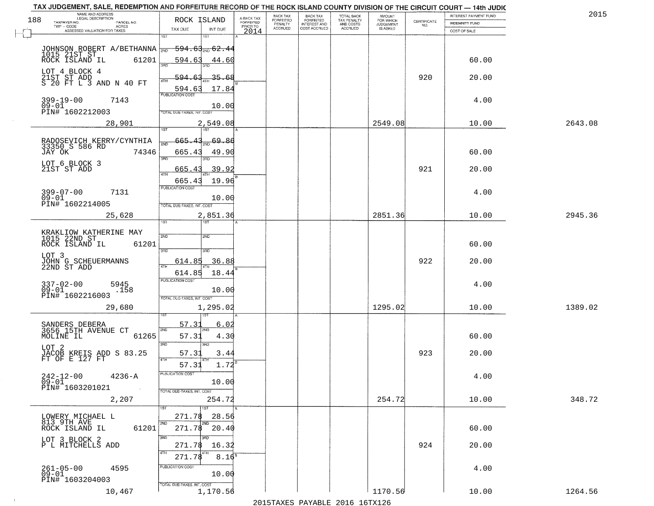|     | TAX JUDGEMENT, SALE, REDEMPTION AND FORFEITURE RECORD OF THE ROCK ISLAND COUNTY DIVISION OF THE CIRCUIT COURT - 14th JUDIC<br>NAME AND ADDRESS<br>LEGAL DESCRIPTION |                                   |                             |                                     | BACK TAX             | <b>BACK TAX</b>           | <b>TOTAL BACK</b>        |                                         |                    | INTEREST PAYMENT FUND | 2015    |
|-----|---------------------------------------------------------------------------------------------------------------------------------------------------------------------|-----------------------------------|-----------------------------|-------------------------------------|----------------------|---------------------------|--------------------------|-----------------------------------------|--------------------|-----------------------|---------|
| 188 | TAXPAYER NO.<br>PARCEL NO.                                                                                                                                          | ROCK ISLAND                       |                             | A-BACK TAX<br>FORFEITED<br>PRIOR TO | FORFEITED<br>PENALTY | FORFEITED<br>INTEREST AND | TAX PENALTY<br>AND COSTS | AMOUNT<br>FOR WHICH<br><b>JUDGEMENT</b> | CERTIFICATE<br>NO. | <b>INDEMNITY FUND</b> |         |
|     | TWP - CODE<br>ACRES<br>ASSESSED VALUATION FOR TAXES                                                                                                                 | TAX DUE                           | INT DUE                     | 2014                                | <b>ACCRUED</b>       | COST ACCRUED              | <b>ACCRUED</b>           | IS ASKED                                |                    | COST OF SALE          |         |
|     |                                                                                                                                                                     | 1ST                               | 1ST                         |                                     |                      |                           |                          |                                         |                    |                       |         |
|     |                                                                                                                                                                     |                                   | <del>594.63,,,,62.4</del> 4 |                                     |                      |                           |                          |                                         |                    |                       |         |
|     | JOHNSON ROBERT A/BETHANNA                                                                                                                                           | 594.63                            | 44.60                       |                                     |                      |                           |                          |                                         |                    | 60.00                 |         |
|     |                                                                                                                                                                     | 350                               |                             |                                     |                      |                           |                          |                                         |                    |                       |         |
|     | LOT 4 BLOCK 4                                                                                                                                                       | 594.63                            | 35.68                       |                                     |                      |                           |                          |                                         | 920                | 20.00                 |         |
|     | 21ST ST ADD<br>S 20 FT L 3 AND N 40 FT                                                                                                                              | ATH                               |                             |                                     |                      |                           |                          |                                         |                    |                       |         |
|     |                                                                                                                                                                     | 594.63<br><b>PUBLICATION COST</b> | 17.84                       |                                     |                      |                           |                          |                                         |                    |                       |         |
|     | 399-19-00<br>7143<br>$09 - 01$                                                                                                                                      |                                   | 10.00                       |                                     |                      |                           |                          |                                         |                    | 4.00                  |         |
|     | PIN# 1602212003                                                                                                                                                     | TOTAL DUE-TAXES, INT. COST        |                             |                                     |                      |                           |                          |                                         |                    |                       |         |
|     | 28,901                                                                                                                                                              |                                   | 2,549.08                    |                                     |                      |                           |                          | 2549.08                                 |                    | 10.00                 | 2643.08 |
|     |                                                                                                                                                                     |                                   |                             |                                     |                      |                           |                          |                                         |                    |                       |         |
|     | RADOSEVICH KERRY/CYNTHIA<br>33350 S 586 RD                                                                                                                          | 665.43                            | $\frac{1}{2ND}$ 69.80       |                                     |                      |                           |                          |                                         |                    |                       |         |
|     | 74346<br>JAY OK                                                                                                                                                     | 665.43                            | 49.90                       |                                     |                      |                           |                          |                                         |                    | 60.00                 |         |
|     |                                                                                                                                                                     | 3RD                               | 3RD                         |                                     |                      |                           |                          |                                         |                    |                       |         |
|     | LOT 6 BLOCK 3<br>21ST ST ADD                                                                                                                                        | 665.43                            | 39.92                       |                                     |                      |                           |                          |                                         | 921                | 20.00                 |         |
|     |                                                                                                                                                                     | ৰাম<br>665.43                     | 19.96                       |                                     |                      |                           |                          |                                         |                    |                       |         |
|     |                                                                                                                                                                     | PUBLICATION COST                  |                             |                                     |                      |                           |                          |                                         |                    |                       |         |
|     | 399-07-00<br>7131<br>$09 - 01$                                                                                                                                      |                                   | 10.00                       |                                     |                      |                           |                          |                                         |                    | 4.00                  |         |
|     | PIN# 1602214005                                                                                                                                                     | TOTAL DUE-TAXES, INT. COST        |                             |                                     |                      |                           |                          |                                         |                    |                       |         |
|     | 25,628                                                                                                                                                              |                                   | 2,851.36                    |                                     |                      |                           |                          | 2851.36                                 |                    | 10.00                 | 2945.36 |
|     |                                                                                                                                                                     | TST"                              | 1ST                         |                                     |                      |                           |                          |                                         |                    |                       |         |
|     | KRAKLIOW KATHERINE MAY<br>1015 22ND ST                                                                                                                              | 2ND                               | 2ND                         |                                     |                      |                           |                          |                                         |                    |                       |         |
|     | ROCK ISLAND IL<br>61201                                                                                                                                             |                                   |                             |                                     |                      |                           |                          |                                         |                    | 60.00                 |         |
|     | LOT 3                                                                                                                                                               | 3 <sub>BD</sub>                   | 3RD                         |                                     |                      |                           |                          |                                         |                    |                       |         |
|     | JOHN G SCHEUERMANNS<br>22ND ST ADD                                                                                                                                  | 614.85<br>4TH                     | 36.88                       |                                     |                      |                           |                          |                                         | 922                | 20.00                 |         |
|     |                                                                                                                                                                     | 614.85                            | 18.44                       |                                     |                      |                           |                          |                                         |                    |                       |         |
|     | $337 - 02 - 00$<br>5945                                                                                                                                             | <b>PUBLICATION COST</b>           |                             |                                     |                      |                           |                          |                                         |                    | 4.00                  |         |
|     | $09 - 01$<br>.158<br>PIN# 1602216003                                                                                                                                |                                   | 10.00                       |                                     |                      |                           |                          |                                         |                    |                       |         |
|     |                                                                                                                                                                     | TOTAL OUE-TAXES, INT. COST        |                             |                                     |                      |                           |                          |                                         |                    |                       |         |
|     | 29,680                                                                                                                                                              |                                   | 1,295.02                    |                                     |                      |                           |                          | 1295.02                                 |                    | 10.00                 | 1389.02 |
|     |                                                                                                                                                                     | 57.31                             | 6.02                        |                                     |                      |                           |                          |                                         |                    |                       |         |
|     | SANDERS DEBERA<br>3656 15TH AVENUE CT                                                                                                                               | 2ND                               |                             |                                     |                      |                           |                          |                                         |                    |                       |         |
|     | MOLINE IL<br>61265                                                                                                                                                  | 57.31                             | 4.30                        |                                     |                      |                           |                          |                                         |                    | 60.00                 |         |
|     | LOT 2                                                                                                                                                               | 3RD                               | 3BD                         |                                     |                      |                           |                          |                                         | 923                |                       |         |
|     | JACOB KREIS ADD S 83.25<br>FT OF E 127 FT                                                                                                                           | 57.31<br><b>ATH</b>               | 3.44                        |                                     |                      |                           |                          |                                         |                    | 20.00                 |         |
|     |                                                                                                                                                                     | 57.31                             | 1.72                        |                                     |                      |                           |                          |                                         |                    |                       |         |
|     | $242 - 12 - 00$<br>$4236 - A$                                                                                                                                       | -usuca i un cus-                  |                             |                                     |                      |                           |                          |                                         |                    | 4.00                  |         |
|     | $09 - 01$<br>PIN# 1603201021<br>$\sim 100$                                                                                                                          | TOTAL DUE-TAXES, INT. COST        | 10.00                       |                                     |                      |                           |                          |                                         |                    |                       |         |
|     | 2,207                                                                                                                                                               |                                   | 254.72                      |                                     |                      |                           |                          | 254.72                                  |                    | 10.00                 | 348.72  |
|     |                                                                                                                                                                     |                                   | 1ST                         |                                     |                      |                           |                          |                                         |                    |                       |         |
|     | LOWERY MICHAEL L                                                                                                                                                    | 271.78                            | 28.56                       |                                     |                      |                           |                          |                                         |                    |                       |         |
|     | 813 9TH AVE<br>61201<br>ROCK ISLAND IL                                                                                                                              | 2ND<br>271.78                     | 2ND<br>20.40                |                                     |                      |                           |                          |                                         |                    | 60.00                 |         |
|     |                                                                                                                                                                     | 3RD                               |                             |                                     |                      |                           |                          |                                         |                    |                       |         |
|     | LOT 3 BLOCK 2<br>P L MITCHELLS ADD                                                                                                                                  | 271.78                            | 16.32                       |                                     |                      |                           |                          |                                         | 924                | 20.00                 |         |
|     |                                                                                                                                                                     | 4TH<br>271.78                     | 8.16 <sup>8</sup>           |                                     |                      |                           |                          |                                         |                    |                       |         |
|     |                                                                                                                                                                     | PUBLICATION COST                  |                             |                                     |                      |                           |                          |                                         |                    |                       |         |
|     | $261 - 05 - 00$<br>4595<br>09-01                                                                                                                                    |                                   | 10.00                       |                                     |                      |                           |                          |                                         |                    | 4.00                  |         |
|     | PIN# 1603204003                                                                                                                                                     | TOTAL DUE-TAXES, INT. COST        |                             |                                     |                      |                           |                          |                                         |                    |                       |         |
|     | 10,467                                                                                                                                                              |                                   | 1,170.56                    |                                     |                      |                           |                          | 1170.56                                 |                    | 10.00                 | 1264.56 |

 $\sim 10^{-1}$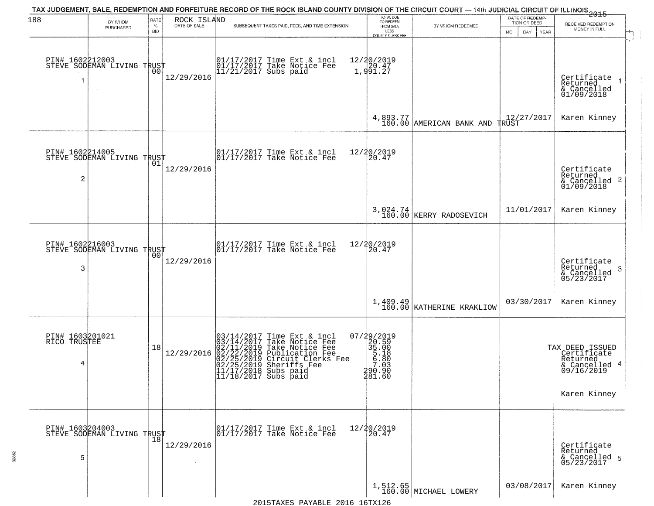|                                      |                                                   | RATE               |                             | TAX JUDGEMENT, SALE, REDEMPTION AND FORFEITURE RECORD OF THE ROCK ISLAND COUNTY DIVISION OF THE CIRCUIT COURT — 14th JUDICIAL CIRCUIT OF ILLINOIS 2015                                                        |                                                                                  |                                         | DATE OF REDEMP-                     |                                                                                           |
|--------------------------------------|---------------------------------------------------|--------------------|-----------------------------|---------------------------------------------------------------------------------------------------------------------------------------------------------------------------------------------------------------|----------------------------------------------------------------------------------|-----------------------------------------|-------------------------------------|-------------------------------------------------------------------------------------------|
| 188                                  | BY WHOM<br>PURCHASED                              | $\%$<br><b>BID</b> | ROCK ISLAND<br>DATE OF SALE | SUBSEQUENT TAXES PAID, FEES, AND TIME EXTENSION                                                                                                                                                               | TOTAL DUE<br>TO REDEEM<br>FROM SALE<br>LESS                                      | BY WHOM REDEEMED                        | TION OR DEED<br>MO.<br>DAY.<br>YEAR | RECEIVED REDEMPTION<br>MONEY IN FULL                                                      |
|                                      | PIN# 1602212003    <br>STEVE SODEMAN LIVING TRUST | 00                 | 12/29/2016                  | 01/17/2017 Time Ext & incl<br>01/17/2017 Take Notice Fee<br>11/21/2017 Subs paid                                                                                                                              | <b>COUNTY CLERK FEE</b><br>12/20/2019<br>1,991.27                                |                                         |                                     | Certificate<br>Returned<br>& Cancelled<br>01/09/2018                                      |
|                                      |                                                   |                    |                             |                                                                                                                                                                                                               |                                                                                  | $4,893.77$ MERICAN BANK AND TRUST       | 12/27/2017                          | Karen Kinney                                                                              |
| $\overline{c}$                       | PIN# 1602214005<br>STEVE SODEMAN LIVING TRUST     | 01                 | 12/29/2016                  | $\begin{bmatrix} 01/17/2017 \\ 01/17/2017 \end{bmatrix}$ Take Notice Fee                                                                                                                                      | 12/20/2019<br>20.47                                                              |                                         |                                     | Certificate<br>Returned<br>$\frac{1}{2}$ Cancelled 2<br>01/09/2018                        |
|                                      |                                                   |                    |                             |                                                                                                                                                                                                               |                                                                                  | 3,024.74<br>160.00 KERRY RADOSEVICH     | 11/01/2017                          | Karen Kinney                                                                              |
| PIN# 1602216003<br>3                 | STEVE SODEMAN LIVING TRUST                        | 00                 | 12/29/2016                  | 01/17/2017 Time Ext & incl<br>01/17/2017 Take Notice Fee                                                                                                                                                      | 12/20/2019<br>20.47                                                              |                                         |                                     | Certificate<br>Returned<br>3<br>$\frac{6}{05/23/2017}$                                    |
|                                      |                                                   |                    |                             |                                                                                                                                                                                                               |                                                                                  | $1,409.49$<br>160.00 KATHERINE KRAKLIOW | 03/30/2017                          | Karen Kinney                                                                              |
| PIN# 1603201021<br>RICO TRUSTEE<br>4 |                                                   | 18                 | 12/29/2016                  | $03/14/2017$ Time Ext & incl<br>$03/14/2017$ Take Notice Fee<br>$02/11/2019$ Take Notice Fee<br>$02/22/2019$ Publication Fee<br>$02/25/2019$ Sheriffs Fee<br>$11/17/2018$ Subs paid<br>$11/18/2017$ Subs paid | 07/29/2019<br>20.59<br>35.00<br>5.18<br>5.18<br>5.80<br>7.03<br>390.90<br>481.60 |                                         |                                     | TAX DEED ISSUED<br>Certificate<br>Returned<br>& Cancelled 4<br>09/16/2019<br>Karen Kinney |
| 5                                    | PIN# 1603204003    <br>STEVE SODEMAN LIVING TRUST | 18                 | 12/29/2016<br>$\sim$        | 01/17/2017 Time Ext & incl<br>01/17/2017 Take Notice Fee                                                                                                                                                      | 12/20/2019<br>20.47                                                              |                                         |                                     | Certificate<br>Returned<br>& Cancelled 5<br>05/23/2017                                    |
|                                      |                                                   |                    |                             |                                                                                                                                                                                                               |                                                                                  | 1,512.65<br>160.00 MICHAEL LOWERY       | 03/08/2017                          | Karen Kinney                                                                              |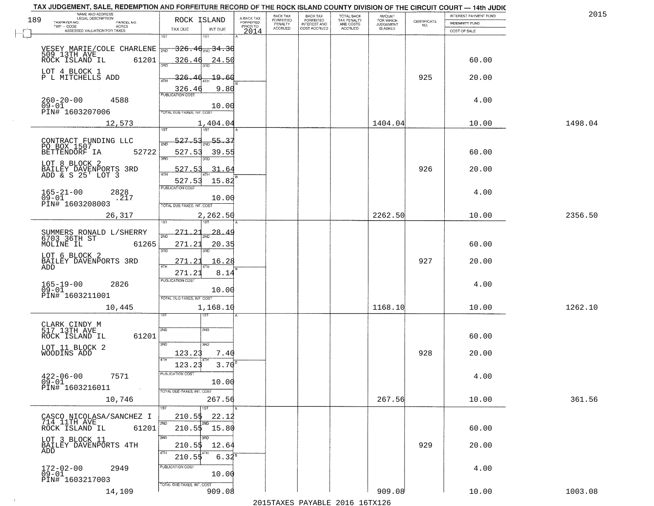| NAME AND ADDRESS<br>LEGAL DESCRIPTION                               |                                                                  |                                     | BACK TAX             | <b>BACK TAX</b>           |                                        | AMOUNT<br>FOR WHICH |                                                                 | INTEREST PAYMENT FUND | 2015    |
|---------------------------------------------------------------------|------------------------------------------------------------------|-------------------------------------|----------------------|---------------------------|----------------------------------------|---------------------|-----------------------------------------------------------------|-----------------------|---------|
| 189<br>TAXPAYER NO.<br>PARCEL NO.<br>ACRES                          | ROCK ISLAND                                                      | A-BACK TAX<br>FORFEITED<br>PRIOR TO | FORFEITED<br>PENALTY | FORFEITED<br>INTEREST AND | TOTAL BACK<br>TAX PENALTY<br>AND COSTS | <b>JUDGEMENT</b>    | $\begin{array}{c} \text{CERTIFICATE} \\ \text{NO.} \end{array}$ | <b>INDEMNITY FUND</b> |         |
| ASSESSED VALUATION FOR TAXES                                        | TAX DUE<br>INT DUE<br>1ST<br>18T                                 | 2014                                | <b>ACCRUED</b>       | COST ACCRUED              | <b>ACCRUED</b>                         | IS ASKED            |                                                                 | COST OF SALE          |         |
| VESEY MARIE/COLE CHARLENE 2ND<br>509 13TH AVE<br>ROCK ISLAND IL     | $-326.46_{\tiny{\rm NID}}$ 34.30                                 |                                     |                      |                           |                                        |                     |                                                                 |                       |         |
| 61201<br>LOT 4 BLOCK 1                                              | 326.46<br><u>24.50</u>                                           |                                     |                      |                           |                                        |                     |                                                                 | 60.00                 |         |
| P L MITCHELLS ADD                                                   | 19.60<br><u>326.46</u><br>9.80<br>$\frac{326.46}{PUBUCATONCGST}$ |                                     |                      |                           |                                        |                     | 925                                                             | 20.00                 |         |
| $260 - 20 - 00$<br>4588<br>$09 - 01$<br>PIN# <sup>-1603207006</sup> | 10.00<br>TOTAL DUE-TAXES, INT. COST                              |                                     |                      |                           |                                        |                     |                                                                 | 4.00                  |         |
| 12,573                                                              | 1,404.04                                                         |                                     |                      |                           |                                        | 1404.04             |                                                                 | 10.00                 | 1498.04 |
| CONTRACT FUNDING LLC                                                | 527.53<br>55.37                                                  |                                     |                      |                           |                                        |                     |                                                                 |                       |         |
| PO BOX 1507<br>52722<br>BETTENDORF IA                               | 527.53<br>39.55<br>3BD                                           |                                     |                      |                           |                                        |                     |                                                                 | 60.00                 |         |
| LOT 8 BLOCK 2<br>BAILEY DAVENPORTS 3RD<br>ADD & S 25' LOT 3         | 527.53<br>31.64<br>15.82<br>527.53                               |                                     |                      |                           |                                        |                     | 926                                                             | 20.00                 |         |
| $165 - 21 - 00$<br>2828<br>$09 - 01$<br>.217<br>PIN# 1603208003     | PUBLICATION COST<br>10.00<br>TOTAL DUE-TAXES, INT. COST          |                                     |                      |                           |                                        |                     |                                                                 | 4.00                  |         |
| 26,317                                                              | 2,262.50<br>is T                                                 |                                     |                      |                           |                                        | 2262.50             |                                                                 | 10.00                 | 2356.50 |
|                                                                     | 28.4<br>271.21                                                   |                                     |                      |                           |                                        |                     |                                                                 |                       |         |
| SUMMERS RONALD L/SHERRY<br>6703 36TH ST<br>MOLINE IL<br>61265       | 2ND<br>271.21<br>20.35<br>3RD<br>3RD                             |                                     |                      |                           |                                        |                     |                                                                 | 60.00                 |         |
| LOT 6 BLOCK 2<br>BAILEY DAVENPORTS 3RD<br>ADD                       | 16.28<br>271.21<br>ATH                                           |                                     |                      |                           |                                        |                     | 927                                                             | 20.00                 |         |
| $165 - 19 - 00$<br>2826                                             | 271.21<br>8.14<br><b>PUBLICATION COST</b>                        |                                     |                      |                           |                                        |                     |                                                                 | 4.00                  |         |
| $09 - 01$<br>PIN# 1603211001                                        | 10.00<br>TOTAL OUE-TAXES, INT. COST                              |                                     |                      |                           |                                        |                     |                                                                 |                       |         |
| 10,445                                                              | 1,168.10<br>ৰৰ                                                   |                                     |                      |                           |                                        | 1168.10             |                                                                 | 10.00                 | 1262.10 |
| CLARK CINDY M                                                       |                                                                  |                                     |                      |                           |                                        |                     |                                                                 |                       |         |
| 517 13TH AVE<br>ROCK ISLAND IL<br>61201                             | 2ND<br>2ND<br>3RD                                                |                                     |                      |                           |                                        |                     |                                                                 | 60.00                 |         |
| LOT 11 BLOCK 2<br>WOODINS ADD                                       | 3RD.<br>123.23<br>7.40<br>4TH                                    |                                     |                      |                           |                                        |                     | 928                                                             | 20.00                 |         |
| $422 - 06 - 00$<br>7571                                             | 123.23<br>3.70<br>PUBLICATION COS                                |                                     |                      |                           |                                        |                     |                                                                 | 4.00                  |         |
| $09-01$<br>PIN# 1603216011<br>$\sim 100$                            | 10.00<br>TOTAL DUE-TAXES, INT. COST                              |                                     |                      |                           |                                        |                     |                                                                 |                       |         |
| 10,746                                                              | 267.56<br>1ST                                                    |                                     |                      |                           |                                        | 267.56              |                                                                 | 10.00                 | 361.56  |
| CASCO NICOLASA/SANCHEZ I<br>714 11TH AVE                            | 210.55<br>22.12                                                  |                                     |                      |                           |                                        |                     |                                                                 |                       |         |
| ROCK ISLAND IL<br>61201                                             | 2ND<br>2ND<br>$210.5\frac{1}{9}$ 15.80                           |                                     |                      |                           |                                        |                     |                                                                 | 60.00                 |         |
| LOT 3 BLOCK 11<br>BAILEY DAVENPORTS 4TH<br>ADD                      | 3RD<br>חחי<br>210.55<br>12.64<br>4TH                             |                                     |                      |                           |                                        |                     | 929                                                             | 20.00                 |         |
|                                                                     | 210.55<br>$6.32^{8}$                                             |                                     |                      |                           |                                        |                     |                                                                 |                       |         |
| $172 - 02 - 00$<br>2949<br>09-01<br>PIN# 1603217003                 | PUBLICATION COST<br>10.00<br>TOTAL DUE-TAXES, INT. COST          |                                     |                      |                           |                                        |                     |                                                                 | 4.00                  |         |
| 14,109                                                              | 909.08                                                           |                                     |                      |                           |                                        | 909.08              |                                                                 | 10.00                 | 1003.08 |

 $\sim 100$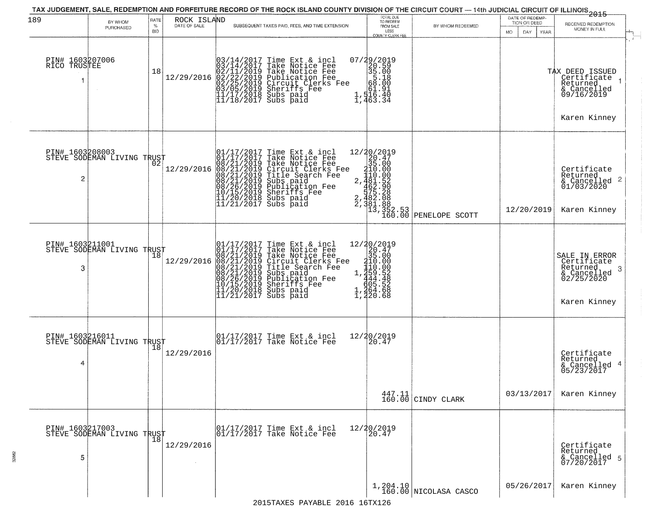| 189                             | BY WHOM                                       | RATE            | ROCK ISLAND  |                                                                                                                                                                                                                                                       | TOTAL DUE<br>TO REDEEM                                                                                       |                                                                                                                                              | DATE OF REDEMP-<br>TION OR DEED | 2015<br>RECEIVED REDEMPTION                                                                              |
|---------------------------------|-----------------------------------------------|-----------------|--------------|-------------------------------------------------------------------------------------------------------------------------------------------------------------------------------------------------------------------------------------------------------|--------------------------------------------------------------------------------------------------------------|----------------------------------------------------------------------------------------------------------------------------------------------|---------------------------------|----------------------------------------------------------------------------------------------------------|
|                                 | PURCHASED                                     | %<br><b>BID</b> | DATE OF SALE | SUBSEQUENT TAXES PAID, FEES, AND TIME EXTENSION                                                                                                                                                                                                       | FROM SALE<br>LESS<br>COUNTY CLERK FEE                                                                        | BY WHOM REDEEMED                                                                                                                             | MO.<br>DAY<br>YEAR              | MONEY IN FULL                                                                                            |
| PIN# 1603207006<br>RICO TRUSTEE |                                               | 18              | 12/29/2016   | $03/14/2017$ Time Ext & incl<br>$03/14/2017$ Take Notice Fee<br>$02/11/2019$ Take Notice Fee<br>$02/22/2019$ Publication Fee<br>$03/05/2019$ Sheriffs Fee<br>$11/17/2018$ Subs paid<br>$11/18/2017$ Subs paid<br>$11/18/2017$ Subs paid               | $\begin{smallmatrix} 07/29/2019\\20.59\\35.00\\58.18\\ \vdots\\ 61.91\\1,516.40\\1,463.34 \end{smallmatrix}$ |                                                                                                                                              |                                 | $\mathcal{L}$<br>TAX DEED ISSUED<br>Certificate<br>Returned<br>& Cancelled<br>09/16/2019<br>Karen Kinney |
| 2                               | PIN# 1603208003<br>STEVE SODEMAN LIVING TRUST |                 | 12/29/2016   | 01/17/2017 Time Ext & incl<br>01/17/2017 Take Notice Fee<br>08/21/2019 Take Notice Fee<br>08/21/2019 Circuit Clerks Fee<br>08/21/2019 Title Search Fee<br>08/21/2019 Subs paid<br>08/26/2019 Sheriffs Fee<br>10/15/2019 Sheriffs Fee<br>11/20/2018 Su |                                                                                                              | 12/20/2019<br>20.47<br>35.00<br>210.00<br>2,481.52<br>52.00<br>53.28<br>53.28<br>75.28<br>762.38<br>73,352.53<br>13,352.53<br>PENELOPE SCOTT | 12/20/2019                      | Certificate<br>Returned<br>$\frac{1}{2}$ Cancelled 2<br>01/03/2020<br>Karen Kinney                       |
| 3                               | PIN# 1603211001<br>STEVE SODEMAN LIVING TRUST |                 | 12/29/2016   | 01/17/2017 Time Ext & incl<br>01/17/2017 Take Notice Fee<br>08/21/2019 Take Notice Fee<br>08/21/2019 Circuit Clerks Fee<br>08/21/2019 Title Search Fee<br>08/21/2019 Subs paid<br>08/26/2019 Subsidication Fee<br>07/15/2019 Sheriffs Fee<br>11/20/20 | $12/20/2019$ $20.47$ $310.000$ $1.444.48$ $1.444.52$ $1.459$ $1.465.528$ $1.465.528$<br>220.68               |                                                                                                                                              |                                 | SALE IN ERROR<br>Certificate<br>Returned<br>-3<br>& Cancelled<br>02/25/2020<br>Karen Kinney              |
| 4                               | PIN# 1603216011<br>STEVE SODEMAN LIVING TRUST | 18              | 12/29/2016   | 01/17/2017 Time Ext & incl<br>01/17/2017 Take Notice Fee                                                                                                                                                                                              | 12/20/2019<br>20.47                                                                                          |                                                                                                                                              |                                 | Certificate<br>Returned<br>& Cancelled 4<br>05/23/2017                                                   |
|                                 |                                               |                 |              |                                                                                                                                                                                                                                                       |                                                                                                              | $\begin{array}{c c} 447.11 \\ 160.00 \end{array}$ CINDY CLARK                                                                                | 03/13/2017                      | Karen Kinney                                                                                             |
| 5                               | PIN# 1603217003<br>STEVE SODEMAN LIVING TRUST | 18              | 12/29/2016   | 01/17/2017 Time Ext & incl<br>01/17/2017 Take Notice Fee                                                                                                                                                                                              | 12/20/2019<br>20.47                                                                                          |                                                                                                                                              |                                 | Certificate<br>Returned<br>& Cancelled 5<br>07/20/2017                                                   |
|                                 |                                               |                 |              |                                                                                                                                                                                                                                                       | 1,204.10                                                                                                     | 160.00 NICOLASA CASCO                                                                                                                        | 05/26/2017                      | Karen Kinney                                                                                             |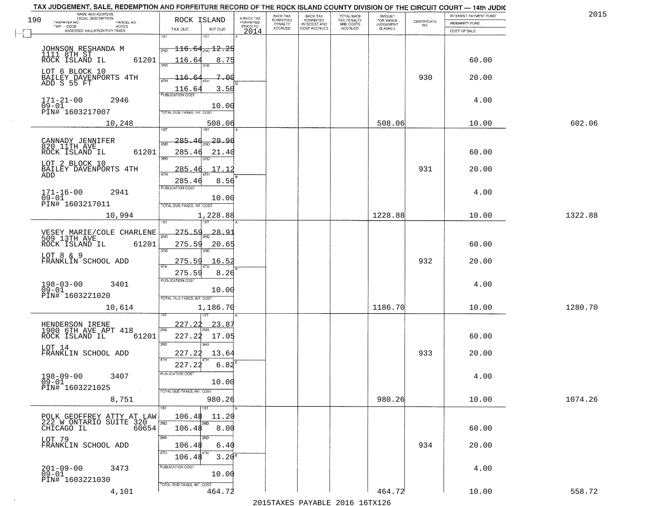| TAX JUDGEMENT, SALE, REDEMPTION AND FORFEITURE RECORD OF THE ROCK ISLAND COUNTY DIVISION OF THE CIRCUIT COURT - 14th JUDIC<br>NAME AND ADDRESS<br>LEGAL DESCRIPTION |                                                                                         |                                     | BACK TAX             | <b>BACK TAX</b>           |                                        |                                         |                                                                 | INTEREST PAYMENT FUND | 2015    |
|---------------------------------------------------------------------------------------------------------------------------------------------------------------------|-----------------------------------------------------------------------------------------|-------------------------------------|----------------------|---------------------------|----------------------------------------|-----------------------------------------|-----------------------------------------------------------------|-----------------------|---------|
| 190<br>TAXPAYER NO.<br>PARCEL NO.                                                                                                                                   | ROCK ISLAND                                                                             | A-BACK TAX<br>FORFEITED<br>PRIOR TO | FORFEITED<br>PENALTY | FORFEITED<br>INTEREST AND | TOTAL BACK<br>TAX PENALTY<br>AND COSTS | AMOUNT<br>FOR WHICH<br><b>JUDGEMENT</b> | $\begin{array}{c} \text{CERTIFICATE} \\ \text{NO.} \end{array}$ | <b>INDEMNITY FUND</b> |         |
| ACRES<br>ASSESSED VALUATION FOR TAXES                                                                                                                               | TAX DUE<br>INT DUE                                                                      | 2014                                | <b>ACCRUED</b>       | COST ACCRUED              | <b>ACCRUED</b>                         | IS ASKED                                |                                                                 | COST OF SALE          |         |
| JOHNSON RESHANDA M<br>1111 8TH ST<br>ROCK ISLAND IL<br>61201                                                                                                        | 1ST<br>18T<br>$\overline{116.64}$ ano $12.25$<br>2ND<br>116.64<br>8.75                  |                                     |                      |                           |                                        |                                         |                                                                 | 60.00                 |         |
| LOT 6 BLOCK 10<br>BAILEY DAVENPORTS 4TH<br>ADD S 55 FT                                                                                                              | 116.64<br>7.00<br>3.50                                                                  |                                     |                      |                           |                                        |                                         | 930                                                             | 20.00                 |         |
| $171 - 21 - 00$<br>2946<br>$09 - 01$<br>PIN# 1603217007                                                                                                             | $\frac{116.64}{FUBUCATONCGST}$<br>10.00<br>TOTAL DUE-TAXES, INT. COST                   |                                     |                      |                           |                                        |                                         |                                                                 | 4.00                  |         |
| 10,248                                                                                                                                                              | 508.06                                                                                  |                                     |                      |                           |                                        | 508.06                                  |                                                                 | 10.00                 | 602.06  |
| CANNADY JENNIFER<br>820 11TH AVE<br>61201<br>ROCK ISLAND IL<br>LOT 2 BLOCK 10<br>BAILEY DAVENPORTS 4TH<br>ADD                                                       | 285.46<br>29.9d<br>সাঁচ<br>285.46<br>21.40<br>3RD<br>17.12<br>285.46<br>8.56<br>285.46  |                                     |                      |                           |                                        |                                         | 931                                                             | 60.00<br>20.00        |         |
| $171 - 16 - 00$<br>2941<br>$09 - 01$<br>PIN# 1603217011                                                                                                             | PUBLICATION COST<br>10.00<br>TOTAL DUE-TAXES, INT. COST                                 |                                     |                      |                           |                                        |                                         |                                                                 | 4.00                  |         |
| 10,994                                                                                                                                                              | 1,228.88<br>īsT                                                                         |                                     |                      |                           |                                        | 1228.88                                 |                                                                 | 10.00                 | 1322.88 |
| VESEY MARIE/COLE CHARLENE<br>509 13TH AVE<br>ROCK ISLAND IL<br>61201<br>LOT 8 & 9                                                                                   | 275.59<br>28.9<br>2ND<br>275.59<br>20.65<br>3RD<br>3RD                                  |                                     |                      |                           |                                        |                                         |                                                                 | 60.00                 |         |
| FRANKLIN SCHOOL ADD<br>$198 - 03 - 00$<br>3401<br>$\overline{0}9 - 01$                                                                                              | 275.59<br>16.5<br>$\overline{AT}$<br>275.59<br>8.26<br><b>PUBLICATION COST</b><br>10.00 |                                     |                      |                           |                                        |                                         | 932                                                             | 20.00<br>4.00         |         |
| PIN# 1603221020<br>10,614                                                                                                                                           | TOTAL OUE-TAXES, INT. COST<br>1,186.70                                                  |                                     |                      |                           |                                        | 1186.70                                 |                                                                 | 10.00                 | 1280.70 |
| HENDERSON IRENE<br>1900 6TH AVE APT 418<br>ROCK ISLAND IL<br>61201<br>LOT 14<br>FRANKLIN SCHOOL ADD                                                                 | 227.22<br>23.87<br>2ND<br>227.22<br>17.05<br>3RD<br>m<br>227.22<br>13.64<br>4TH         |                                     |                      |                           |                                        |                                         | 933                                                             | 60.00<br>20.00        |         |
| $198 - 09 - 00$<br>3407<br>$09 - 01$<br>PIN# 1603221025<br><b>Contract</b>                                                                                          | 227.22<br>6.82<br>"UBLICA HUN CUS<br>10.00<br>TOTAL DUE-TAXES, INT. COST                |                                     |                      |                           |                                        |                                         |                                                                 | 4.00                  |         |
| 8,751                                                                                                                                                               | 980.26                                                                                  |                                     |                      |                           |                                        | 980.26                                  |                                                                 | 10.00                 | 1074.26 |
| POLK GEOFFREY ATTY AT LAW<br>222 W ONTARIO SUITE 320<br>CHICAGO IL 60654<br>CHICAGO IL                                                                              | 1ST<br>106.48<br>11.20<br>2ND<br>2ND<br>8.00<br>106.48                                  |                                     |                      |                           |                                        |                                         |                                                                 | 60.00                 |         |
| LOT 79<br>FRANKLIN SCHOOL ADD                                                                                                                                       | 3RD<br>106.48<br>6.40<br>4TH<br>$3.20^{8}$<br>106.48                                    |                                     |                      |                           |                                        |                                         | 934                                                             | 20.00                 |         |
| $201 - 09 - 00$<br>3473<br>09-01<br>PIN# 1603221030                                                                                                                 | PUBLICATION COST<br>10.00<br>TOTAL DUE-TAXES, INT. COST                                 |                                     |                      |                           |                                        |                                         |                                                                 | 4.00                  |         |
| 4,101                                                                                                                                                               | 464.72                                                                                  |                                     |                      |                           |                                        | 464.72                                  |                                                                 | 10.00                 | 558.72  |

 $\sim 10^{-1}$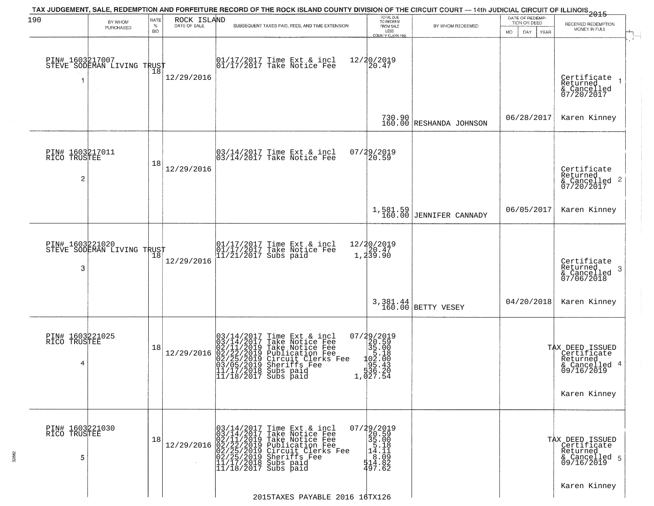| 190                                               | BY WHOM                                       | RATE               | ROCK ISLAND  | TAX JUDGEMENT, SALE, REDEMPTION AND FORFEITURE RECORD OF THE ROCK ISLAND COUNTY DIVISION OF THE CIRCUIT COURT — 14th JUDICIAL CIRCUIT OF ILLINOIS 2015                                                                                                                                     | TOTAL DUE<br>TO REDEEM                                                                                                                                                     |                                     | DATE OF REDEMP-<br>TION OR DEED | RECEIVED REDEMPTION                                                                           |
|---------------------------------------------------|-----------------------------------------------|--------------------|--------------|--------------------------------------------------------------------------------------------------------------------------------------------------------------------------------------------------------------------------------------------------------------------------------------------|----------------------------------------------------------------------------------------------------------------------------------------------------------------------------|-------------------------------------|---------------------------------|-----------------------------------------------------------------------------------------------|
|                                                   | PURCHASED                                     | $\%$<br><b>BID</b> | DATE OF SALE | SUBSEQUENT TAXES PAID, FEES, AND TIME EXTENSION                                                                                                                                                                                                                                            | FROM SALE<br>LESS<br>COUNTY CLERK FEE                                                                                                                                      | BY WHOM REDEEMED                    | DAY.<br><b>YEAR</b><br>MO.      | MONEY IN FULL                                                                                 |
|                                                   | PIN# 1603217007<br>STEVE SODEMAN LIVING TRUST | 18                 | 12/29/2016   | 01/17/2017 Time Ext & incl<br>01/17/2017 Take Notice Fee                                                                                                                                                                                                                                   | 12/20/2019<br>20.47                                                                                                                                                        |                                     |                                 | Certificate<br>Returned<br>$\rightarrow$<br>& Cancelled<br>07/20/2017                         |
|                                                   |                                               |                    |              |                                                                                                                                                                                                                                                                                            |                                                                                                                                                                            | 730.90<br>160.00 RESHANDA JOHNSON   | 06/28/2017                      | Karen Kinney                                                                                  |
| PIN# 1603217011<br>RICO TRUSTEE<br>$\overline{c}$ |                                               | 18                 | 12/29/2016   | $\begin{bmatrix} 03/14/2017 \\ 03/14/2017 \end{bmatrix}$ Take Notice Fee                                                                                                                                                                                                                   | 07/29/2019<br>20.59                                                                                                                                                        |                                     |                                 | Certificate<br>Returned<br>$\overline{2}$<br>& Cancelled<br>07/20/2017                        |
|                                                   |                                               |                    |              |                                                                                                                                                                                                                                                                                            |                                                                                                                                                                            | 1,581.59<br>160.00 JENNIFER CANNADY | 06/05/2017                      | Karen Kinney                                                                                  |
| 3                                                 | PIN# 1603221020<br>STEVE SODEMAN LIVING TRUST | 18                 | 12/29/2016   | 01/17/2017 Time Ext & incl<br>01/17/2017 Take Notice Fee<br>11/21/2017 Subs paid                                                                                                                                                                                                           | 12/20/2019<br>$\begin{bmatrix} 2 & 4 & 7 \\ 1 & 2 & 3 & 9 \end{bmatrix}$                                                                                                   |                                     |                                 | Certificate<br>Returned<br>3<br>& Cancelled<br>07/06/2018                                     |
|                                                   |                                               |                    |              |                                                                                                                                                                                                                                                                                            |                                                                                                                                                                            | 3,381.44<br>160.00 BETTY VESEY      | 04/20/2018                      | Karen Kinney                                                                                  |
| PIN# 1603221025<br>RICO TRUSTEE<br>4              |                                               | 18                 | 12/29/2016   | 03/14/2017<br>Time Ext & incl<br>Take Notice Fee<br>Take Notice Fee<br>Publication Fee<br>Circuit Clerks Fee<br>Sheriffs Fee<br>Subs paid<br>$103/14/2017$<br>$02/11/2019$<br>$02/22/2019$<br>$02/25/2019$<br>$03/05/2019$<br>$11/17/2013$<br>$\overline{11}/\overline{18}/2017$ Subs paid | $\begin{smallmatrix} 07/29/2019\\20.59\\35.00\\1&5.18\\1&92.18\\1&95.43\\336.20\\1,027.54 \end{smallmatrix}$                                                               |                                     |                                 | TAX DEED ISSUED<br>Certificate<br>Returned<br>-4<br>& Cancelled<br>09/16/2019<br>Karen Kinney |
| PIN# 1603221030<br>RICO TRUSTEE<br>5              |                                               | 18                 |              | 03/14/2017 Time Ext & incl<br>03/14/2017 Take Notice Fee<br>02/11/2019 Take Notice Fee<br>12/29/2016 02/22/2019 Take Notice Fee<br>02/25/2019 Publication Fee<br>02/25/2019 Subserifs Fee<br>11/17/2018 Subs paid<br>11/18/2017 Subs paid                                                  | 07/29/2019<br>20.59<br>$\begin{bmatrix} 35.00 \\ 5.18 \\ 14.11 \end{bmatrix}$<br>$\begin{array}{c} 1\overline{6}:\overline{0}\overline{9} \\ 514.82 \\ 497.62 \end{array}$ |                                     |                                 | TAX DEED ISSUED<br>Certificate<br>Returned<br>& Cancelled 5<br>09/16/2019                     |
|                                                   |                                               |                    |              | 2015TAXES PAYABLE 2016 16TX126                                                                                                                                                                                                                                                             |                                                                                                                                                                            |                                     |                                 | Karen Kinney                                                                                  |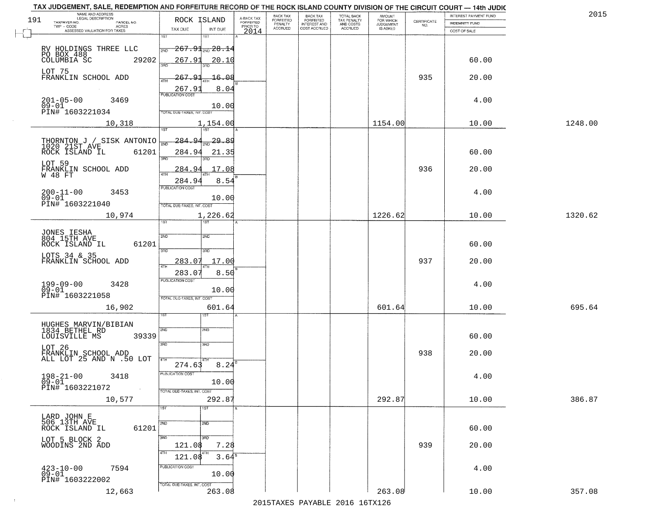|     | TAX JUDGEMENT, SALE, REDEMPTION AND FORFEITURE RECORD OF THE ROCK ISLAND COUNTY DIVISION OF THE CIRCUIT COURT - 14th JUDIC<br>NAME AND ADDRESS<br>LEGAL DESCRIPTION |                                                   |                                     | BACK TAX                    |                                              |                                        |                                         |                                                                 | INTEREST PAYMENT FUND | 2015    |
|-----|---------------------------------------------------------------------------------------------------------------------------------------------------------------------|---------------------------------------------------|-------------------------------------|-----------------------------|----------------------------------------------|----------------------------------------|-----------------------------------------|-----------------------------------------------------------------|-----------------------|---------|
| 191 | TAXPAYER NO.<br>PARCEL NO.                                                                                                                                          | ROCK ISLAND                                       | A-BACK TAX<br>FORFEITED<br>PRIOR TO | <b>FORFEITED</b><br>PENALTY | BACK TAX<br>FORFEITED<br><b>INTEREST AND</b> | TOTAL BACK<br>TAX PENALTY<br>AND COSTS | AMOUNT<br>FOR WHICH<br><b>JUDGEMENT</b> | $\begin{array}{c} \text{CERTIFICATE} \\ \text{NO.} \end{array}$ | <b>INDEMNITY FUND</b> |         |
|     | ACRES<br>ASSESSED VALUATION FOR TAXES                                                                                                                               | INT DUE<br>TAX DUE                                | 2014                                | <b>ACCRUED</b>              | COST ACCRUED                                 | <b>ACCRUED</b>                         | IS ASKED                                |                                                                 | COST OF SALE          |         |
|     |                                                                                                                                                                     | 1ST<br>1ST                                        |                                     |                             |                                              |                                        |                                         |                                                                 |                       |         |
|     |                                                                                                                                                                     | $-267.91_{\scriptscriptstyle 200}$ $28.14$<br>2ND |                                     |                             |                                              |                                        |                                         |                                                                 |                       |         |
|     | RV HOLDINGS THREE LLC<br>PO BOX 488<br>COLUMBIA SC 29                                                                                                               |                                                   |                                     |                             |                                              |                                        |                                         |                                                                 |                       |         |
|     | 29202                                                                                                                                                               | 267.91<br>20.10<br>350                            |                                     |                             |                                              |                                        |                                         |                                                                 | 60.00                 |         |
|     | LOT 75                                                                                                                                                              |                                                   |                                     |                             |                                              |                                        |                                         |                                                                 |                       |         |
|     | FRANKLIN SCHOOL ADD                                                                                                                                                 | 267.91<br>$-16.08$                                |                                     |                             |                                              |                                        |                                         | 935                                                             | 20.00                 |         |
|     |                                                                                                                                                                     | 8.04<br>267.91                                    |                                     |                             |                                              |                                        |                                         |                                                                 |                       |         |
|     |                                                                                                                                                                     | <b>PUBLICATION COST</b>                           |                                     |                             |                                              |                                        |                                         |                                                                 |                       |         |
|     | 201-05-00<br>09-01<br>3469                                                                                                                                          | 10.00                                             |                                     |                             |                                              |                                        |                                         |                                                                 | 4.00                  |         |
|     | PIN# 1603221034                                                                                                                                                     | TOTAL DUE-TAXES, INT. COST                        |                                     |                             |                                              |                                        |                                         |                                                                 |                       |         |
|     | 10,318                                                                                                                                                              | 1,154.00                                          |                                     |                             |                                              |                                        | 1154.00                                 |                                                                 | 10.00                 | 1248.00 |
|     |                                                                                                                                                                     |                                                   |                                     |                             |                                              |                                        |                                         |                                                                 |                       |         |
|     |                                                                                                                                                                     | $\frac{284.94}{200}$ 29.89                        |                                     |                             |                                              |                                        |                                         |                                                                 |                       |         |
|     | THORNTON J / SISK ANTONIO                                                                                                                                           |                                                   |                                     |                             |                                              |                                        |                                         |                                                                 |                       |         |
|     | 61201<br>ROCK ISLAND IL                                                                                                                                             | 284.94<br>21.35<br>बन्ना<br>3RD                   |                                     |                             |                                              |                                        |                                         |                                                                 | 60.00                 |         |
|     | LOT 59                                                                                                                                                              |                                                   |                                     |                             |                                              |                                        |                                         |                                                                 |                       |         |
|     | FRANKLIN SCHOOL ADD<br>W 48 FT                                                                                                                                      | 17.08<br>284.94                                   |                                     |                             |                                              |                                        |                                         | 936                                                             | 20.00                 |         |
|     |                                                                                                                                                                     | 284.94<br>8.54                                    |                                     |                             |                                              |                                        |                                         |                                                                 |                       |         |
|     | $200 - 11 - 00$                                                                                                                                                     | PUBLICATION COST                                  |                                     |                             |                                              |                                        |                                         |                                                                 |                       |         |
|     | 3453<br>$09 - 01$                                                                                                                                                   | 10.00                                             |                                     |                             |                                              |                                        |                                         |                                                                 | 4.00                  |         |
|     | PIN# 1603221040                                                                                                                                                     | TOTAL DUE-TAXES, INT. COST                        |                                     |                             |                                              |                                        |                                         |                                                                 |                       |         |
|     | 10,974                                                                                                                                                              | 1,226.62                                          |                                     |                             |                                              |                                        | 1226.62                                 |                                                                 | 10.00                 | 1320.62 |
|     |                                                                                                                                                                     | 1ST<br>is T                                       |                                     |                             |                                              |                                        |                                         |                                                                 |                       |         |
|     |                                                                                                                                                                     |                                                   |                                     |                             |                                              |                                        |                                         |                                                                 |                       |         |
|     | JONES IESHA<br>804 15TH AVE                                                                                                                                         | 2ND<br>2ND                                        |                                     |                             |                                              |                                        |                                         |                                                                 |                       |         |
|     | ROCK ISLAND IL<br>61201                                                                                                                                             | 3BD<br>3RD                                        |                                     |                             |                                              |                                        |                                         |                                                                 | 60.00                 |         |
|     | LOTS 34 & 35<br>FRANKLIN SCHOOL ADD                                                                                                                                 |                                                   |                                     |                             |                                              |                                        |                                         |                                                                 |                       |         |
|     |                                                                                                                                                                     | 17.00<br>283.07<br>4TH                            |                                     |                             |                                              |                                        |                                         | 937                                                             | 20.00                 |         |
|     |                                                                                                                                                                     | 283.07<br>8.50                                    |                                     |                             |                                              |                                        |                                         |                                                                 |                       |         |
|     |                                                                                                                                                                     | <b>PUBLICATION COST</b>                           |                                     |                             |                                              |                                        |                                         |                                                                 |                       |         |
|     | 199-09-00<br>09-01<br>3428                                                                                                                                          | 10.00                                             |                                     |                             |                                              |                                        |                                         |                                                                 | 4.00                  |         |
|     | PIN# 1603221058                                                                                                                                                     | TOTAL OUE-TAXES, INT. COST                        |                                     |                             |                                              |                                        |                                         |                                                                 |                       |         |
|     | 16,902                                                                                                                                                              | 601.64                                            |                                     |                             |                                              |                                        | 601.64                                  |                                                                 | 10.00                 | 695.64  |
|     |                                                                                                                                                                     | 1ST                                               |                                     |                             |                                              |                                        |                                         |                                                                 |                       |         |
|     |                                                                                                                                                                     |                                                   |                                     |                             |                                              |                                        |                                         |                                                                 |                       |         |
|     | HUGHES MARVIN/BIBIAN<br>1834 BETHEL RD                                                                                                                              | 2ND<br>2ND                                        |                                     |                             |                                              |                                        |                                         |                                                                 |                       |         |
|     | LOUISVILLE MS<br>39339                                                                                                                                              |                                                   |                                     |                             |                                              |                                        |                                         |                                                                 | 60.00                 |         |
|     | LOT 26                                                                                                                                                              | 3 <sub>BD</sub><br>3 <sub>BD</sub>                |                                     |                             |                                              |                                        |                                         |                                                                 |                       |         |
|     | FRANKLIN SCHOOL ADD<br>ALL LOT 25 AND N .50 LOT                                                                                                                     |                                                   |                                     |                             |                                              |                                        |                                         | 938                                                             | 20.00                 |         |
|     |                                                                                                                                                                     | 274.63<br>8.24                                    |                                     |                             |                                              |                                        |                                         |                                                                 |                       |         |
|     | $198 - 21 - 00$<br>3418                                                                                                                                             | PUBLICATION COST                                  |                                     |                             |                                              |                                        |                                         |                                                                 | 4.00                  |         |
|     | $09 - 01$                                                                                                                                                           | 10.00                                             |                                     |                             |                                              |                                        |                                         |                                                                 |                       |         |
|     | PIN# 1603221072<br>$\sim 40$                                                                                                                                        | TOTAL DUE-TAXES, INT. COST                        |                                     |                             |                                              |                                        |                                         |                                                                 |                       |         |
|     | 10,577                                                                                                                                                              | 292.87                                            |                                     |                             |                                              |                                        | 292.87                                  |                                                                 | 10.00                 | 386.87  |
|     |                                                                                                                                                                     | 1ST<br>1ST                                        |                                     |                             |                                              |                                        |                                         |                                                                 |                       |         |
|     |                                                                                                                                                                     |                                                   |                                     |                             |                                              |                                        |                                         |                                                                 |                       |         |
|     | LARD JOHN E<br>506 13TH AVE                                                                                                                                         | 2ND<br>2ND                                        |                                     |                             |                                              |                                        |                                         |                                                                 |                       |         |
|     | 61201<br>ROCK ISLAND IL                                                                                                                                             |                                                   |                                     |                             |                                              |                                        |                                         |                                                                 | 60.00                 |         |
|     | LOT 5 BLOCK 2<br>WOODINS 2ND ADD                                                                                                                                    | 3RD<br>3RD                                        |                                     |                             |                                              |                                        |                                         |                                                                 |                       |         |
|     |                                                                                                                                                                     | 121.08<br>7.28                                    |                                     |                             |                                              |                                        |                                         | 939                                                             | 20.00                 |         |
|     |                                                                                                                                                                     | 3.64 <sup>8</sup><br>121.08                       |                                     |                             |                                              |                                        |                                         |                                                                 |                       |         |
|     | 7594                                                                                                                                                                | PUBLICATION COST                                  |                                     |                             |                                              |                                        |                                         |                                                                 | 4.00                  |         |
|     | $^{423-10-00}_{09-01}$                                                                                                                                              | 10.00                                             |                                     |                             |                                              |                                        |                                         |                                                                 |                       |         |
|     | PIN# 1603222002                                                                                                                                                     | TOTAL DUE-TAXES, INT. COST                        |                                     |                             |                                              |                                        |                                         |                                                                 |                       |         |
|     | 12,663                                                                                                                                                              | 263.08                                            |                                     |                             |                                              |                                        | 263.08                                  |                                                                 | 10.00                 | 357.08  |
|     |                                                                                                                                                                     |                                                   |                                     |                             |                                              | 2015 TAVEC DAVADIE 2016 16TV126        |                                         |                                                                 |                       |         |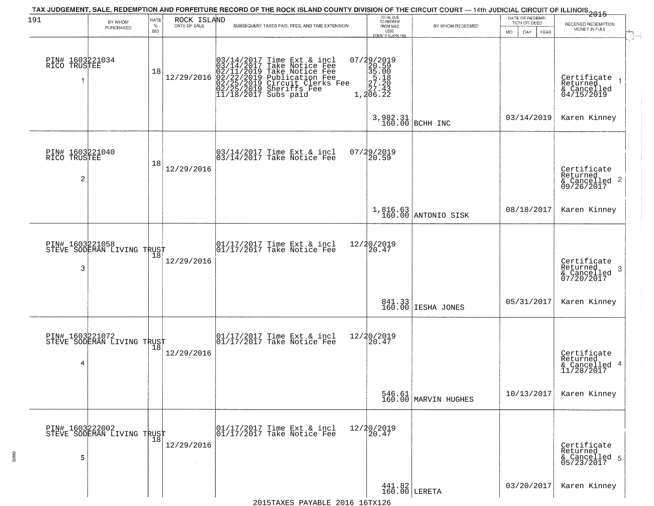|                                                   |                                                   |                            |                             | TAX JUDGEMENT, SALE, REDEMPTION AND FORFEITURE RECORD OF THE ROCK ISLAND COUNTY DIVISION OF THE CIRCUIT COURT — 14th JUDICIAL CIRCUIT OF ILLINOIS 2015                                                        |                                                                                                 |                                                        |                                                               |                                                             |
|---------------------------------------------------|---------------------------------------------------|----------------------------|-----------------------------|---------------------------------------------------------------------------------------------------------------------------------------------------------------------------------------------------------------|-------------------------------------------------------------------------------------------------|--------------------------------------------------------|---------------------------------------------------------------|-------------------------------------------------------------|
| 191                                               | BY WHOM<br>PURCHASED                              | RATE<br>$\%$<br><b>BID</b> | ROCK ISLAND<br>DATE OF SALE | SUBSEQUENT TAXES PAID, FEES, AND TIME EXTENSION                                                                                                                                                               | TOTAL DUE<br>TO REDEEM<br>FROM SALE<br>LESS<br><b>COUNTY CLERK FEE</b>                          | BY WHOM REDEEMED                                       | DATE OF REDEMP-<br>TION OR DEED<br>MO.<br>DAY.<br><b>YEAR</b> | RECEIVED REDEMPTION<br>MONEY IN FULL                        |
| PIN# 1603221034<br>RICO TRUSTEE                   |                                                   | 18                         | 12/29/2016                  | $03/14/2017$ Time Ext & incl<br>03/14/2017 Take Notice Fee<br>02/11/2019 Take Notice Fee<br>02/22/2019 Circuit Clerks Fee<br>02/25/2019 Circuit Clerks Fee<br>02/25/2019 Sheriffs Fee<br>11/18/2017 Subs paid | $\begin{smallmatrix} 07/29/2019\\20.59\\35.00\\27.20\\27.20\\27.43\\1,206.22 \end{smallmatrix}$ |                                                        |                                                               | Certificate 1<br>Returned<br>& Cancelled<br>04/15/2019      |
|                                                   |                                                   |                            |                             |                                                                                                                                                                                                               | 3,982.31<br>160.00                                                                              | BCHH INC                                               | 03/14/2019                                                    | Karen Kinney                                                |
| PIN# 1603221040<br>RICO TRUSTEE<br>$\overline{c}$ |                                                   | 18                         | 12/29/2016                  | 03/14/2017 Time Ext & incl<br>03/14/2017 Take Notice Fee                                                                                                                                                      | 07/29/2019<br>20.59                                                                             |                                                        |                                                               | Certificate<br>Returned<br>$\frac{12241164}{609/26/2017}$ 2 |
|                                                   |                                                   |                            |                             |                                                                                                                                                                                                               |                                                                                                 | 1,816.63<br>160.00 ANTONIO SISK                        | 08/18/2017                                                    | Karen Kinney                                                |
| 3                                                 | PIN# 1603221058<br>STEVE SODEMAN LIVING TRUST     | 18                         | 12/29/2016                  | 01/17/2017 Time Ext & incl<br>01/17/2017 Take Notice Fee                                                                                                                                                      | 12/20/2019<br>20.47                                                                             |                                                        |                                                               | Certificate<br>Returned<br>3<br>& Cancelled<br>07/20/2017   |
|                                                   |                                                   |                            |                             |                                                                                                                                                                                                               |                                                                                                 | 841.33<br>160.00 IESHA JONES                           | 05/31/2017                                                    | Karen Kinney                                                |
| 4                                                 | PIN# 1603221072<br>STEVE SODEMAN LIVING TRUST     |                            | 12/29/2016                  | 01/17/2017 Time Ext & incl<br>01/17/2017 Take Notice Fee                                                                                                                                                      | 12/20/2019<br>20.47                                                                             |                                                        |                                                               | Certificate<br>Returned<br>& Cancelled 4<br>11/28/2017      |
|                                                   |                                                   |                            |                             |                                                                                                                                                                                                               |                                                                                                 | 546.61<br>160.00 MARVIN HUGHES                         | 10/13/2017                                                    | Karen Kinney                                                |
| 5                                                 | PIN# 1603222002    <br>STEVE SODEMAN LIVING TRUST | $\overline{18}$            | 12/29/2016                  | 01/17/2017 Time Ext & incl<br>01/17/2017 Take Notice Fee                                                                                                                                                      | 12/20/2019<br>20.47                                                                             |                                                        |                                                               | Certificate<br>Returned<br>& Cancelled 5<br>05/23/2017      |
|                                                   |                                                   |                            |                             |                                                                                                                                                                                                               |                                                                                                 | $\begin{array}{c} 441.82 \\ 160.00 \end{array}$ LERETA | 03/20/2017                                                    | Karen Kinney                                                |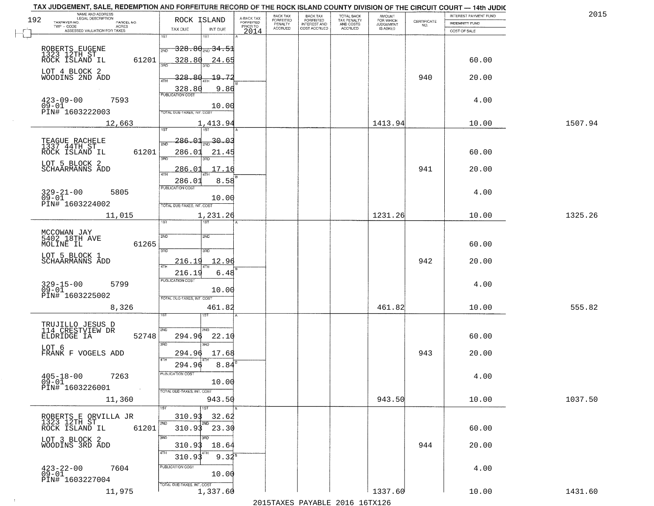| 192 | TAX JUDGEMENT, SALE, REDEMPTION AND FORFEITURE RECORD OF THE ROCK ISLAND COUNTY DIVISION OF THE CIRCUIT COURT - 14th JUDIC<br>NAME AND ADDRESS<br>LEGAL DESCRIPTION | ROCK ISLAND                            |                                     | BACK TAX             | <b>BACK TAX</b><br>FORFEITED | TOTAL BACK<br>TAX PENALTY<br>AND COSTS | AMOUNT<br>FOR WHICH |                                                                 | INTEREST PAYMENT FUND | 201     |
|-----|---------------------------------------------------------------------------------------------------------------------------------------------------------------------|----------------------------------------|-------------------------------------|----------------------|------------------------------|----------------------------------------|---------------------|-----------------------------------------------------------------|-----------------------|---------|
|     | TAXPAYER NO.<br>PARCEL NO.<br>ACRES                                                                                                                                 |                                        | A-BACK TAX<br>FORFEITED<br>PRIOR TO | FORFEITED<br>PENALTY | <b>INTEREST AND</b>          |                                        | <b>JUDGEMENT</b>    | $\begin{array}{c} \text{CERTIFICATE} \\ \text{NO.} \end{array}$ | <b>INDEMNITY FUND</b> |         |
|     | ASSESSED VALUATION FOR TAXES                                                                                                                                        | TAX DUE<br>INT DUE                     | 2014                                | <b>ACCRUED</b>       | COST ACCRUED                 | ACCRUED                                | IS ASKED            |                                                                 | COST OF SALE          |         |
|     |                                                                                                                                                                     | 1ST<br>181                             |                                     |                      |                              |                                        |                     |                                                                 |                       |         |
|     | ROBERTS EUGENE<br>1323 12TH ST<br>ROCK ISLAND IL                                                                                                                    | <del>328.80 20.34.51</del><br>2ND      |                                     |                      |                              |                                        |                     |                                                                 |                       |         |
|     | 61201                                                                                                                                                               | 328.80<br>24.65                        |                                     |                      |                              |                                        |                     |                                                                 | 60.00                 |         |
|     | LOT 4 BLOCK 2                                                                                                                                                       |                                        |                                     |                      |                              |                                        |                     |                                                                 |                       |         |
|     | WOODINS 2ND ADD                                                                                                                                                     | 328.80<br>-19.72                       |                                     |                      |                              |                                        |                     | 940                                                             | 20.00                 |         |
|     |                                                                                                                                                                     | 9.86                                   |                                     |                      |                              |                                        |                     |                                                                 |                       |         |
|     |                                                                                                                                                                     | 328.80                                 |                                     |                      |                              |                                        |                     |                                                                 |                       |         |
|     | $423 - 09 - 00$<br>$09 - 01$<br>7593                                                                                                                                | 10.00                                  |                                     |                      |                              |                                        |                     |                                                                 | 4.00                  |         |
|     | PIN# 1603222003                                                                                                                                                     | TOTAL DUE-TAXES, INT. COST             |                                     |                      |                              |                                        |                     |                                                                 |                       |         |
|     | 12,663                                                                                                                                                              | 1,413.94                               |                                     |                      |                              |                                        | 1413.94             |                                                                 | 10.00                 | 1507.94 |
|     |                                                                                                                                                                     |                                        |                                     |                      |                              |                                        |                     |                                                                 |                       |         |
|     | TEAGUE RACHELE<br>1337 44TH ST                                                                                                                                      | 286.Ol<br>-30.03<br>2ND                |                                     |                      |                              |                                        |                     |                                                                 |                       |         |
|     | 61201<br>ROCK ISLAND IL                                                                                                                                             | 286.01<br>21.45                        |                                     |                      |                              |                                        |                     |                                                                 | 60.00                 |         |
|     | LOT 5 BLOCK 2                                                                                                                                                       | त्रहा<br>הוא                           |                                     |                      |                              |                                        |                     |                                                                 |                       |         |
|     | SCHAARMANNS ADD                                                                                                                                                     | 17.16<br>286.01                        |                                     |                      |                              |                                        |                     | 941                                                             | 20.00                 |         |
|     |                                                                                                                                                                     | 8.58<br>286.01                         |                                     |                      |                              |                                        |                     |                                                                 |                       |         |
|     | $329 - 21 - 00$<br>5805                                                                                                                                             | PUBLICATION COST                       |                                     |                      |                              |                                        |                     |                                                                 | 4.00                  |         |
|     | $09 - 01$                                                                                                                                                           | 10.00                                  |                                     |                      |                              |                                        |                     |                                                                 |                       |         |
|     | PIN# 1603224002                                                                                                                                                     | TOTAL DUE-TAXES, INT. COST             |                                     |                      |                              |                                        |                     |                                                                 |                       |         |
|     | 11,015                                                                                                                                                              | 1,231.26                               |                                     |                      |                              |                                        | 1231.26             |                                                                 | 10.00                 | 1325.26 |
|     |                                                                                                                                                                     | 1ST<br>ist                             |                                     |                      |                              |                                        |                     |                                                                 |                       |         |
|     | MCCOWAN JAY<br>5402 18TH AVE                                                                                                                                        | 2ND<br>2ND                             |                                     |                      |                              |                                        |                     |                                                                 |                       |         |
|     | MOLINE IL<br>61265                                                                                                                                                  |                                        |                                     |                      |                              |                                        |                     |                                                                 | 60.00                 |         |
|     | LOT 5 BLOCK 1                                                                                                                                                       | 3RD<br>3RD                             |                                     |                      |                              |                                        |                     |                                                                 |                       |         |
|     | SCHAARMANNS ADD                                                                                                                                                     | 12.9<br>216.19                         |                                     |                      |                              |                                        |                     | 942                                                             | 20.00                 |         |
|     |                                                                                                                                                                     | 216.19<br>6.48                         |                                     |                      |                              |                                        |                     |                                                                 |                       |         |
|     | 5799                                                                                                                                                                | <b>PUBLICATION COST</b>                |                                     |                      |                              |                                        |                     |                                                                 | 4.00                  |         |
|     | 329-15-00<br>09-01                                                                                                                                                  | 10.00                                  |                                     |                      |                              |                                        |                     |                                                                 |                       |         |
|     | PIN# 1603225002                                                                                                                                                     | TOTAL OUE-TAXES, INT. COST             |                                     |                      |                              |                                        |                     |                                                                 |                       |         |
|     | 8,326                                                                                                                                                               | 461.82                                 |                                     |                      |                              |                                        | 461.82              |                                                                 | 10.00                 | 555.82  |
|     |                                                                                                                                                                     |                                        |                                     |                      |                              |                                        |                     |                                                                 |                       |         |
|     | TRUJILLO JESUS D<br>114 CRESTVIEW DR                                                                                                                                | 2ND<br>2ND.                            |                                     |                      |                              |                                        |                     |                                                                 |                       |         |
|     | ELDRIDGE IA<br>52748                                                                                                                                                | 22.1<br>294.96                         |                                     |                      |                              |                                        |                     |                                                                 | 60.00                 |         |
|     | LOT 6                                                                                                                                                               | 3RD<br>3RD                             |                                     |                      |                              |                                        |                     |                                                                 |                       |         |
|     | FRANK F VOGELS ADD                                                                                                                                                  | 294.96<br>17.68<br>4TH                 |                                     |                      |                              |                                        |                     | 943                                                             | 20.00                 |         |
|     |                                                                                                                                                                     | 8.84<br>294.96                         |                                     |                      |                              |                                        |                     |                                                                 |                       |         |
|     | $405 - 18 - 00$<br>7263                                                                                                                                             | PUBLICA HUN CUS                        |                                     |                      |                              |                                        |                     |                                                                 | 4.00                  |         |
|     | $09 - 01$<br>PIN# 1603226001<br>$\sim 100$                                                                                                                          | 10.00                                  |                                     |                      |                              |                                        |                     |                                                                 |                       |         |
|     |                                                                                                                                                                     | TOTAL DUE-TAXES, INT. COST<br>943.50   |                                     |                      |                              |                                        | 943.50              |                                                                 | 10.00                 | 1037.50 |
|     | 11,360                                                                                                                                                              | $\overline{\text{1ST}}$                |                                     |                      |                              |                                        |                     |                                                                 |                       |         |
|     |                                                                                                                                                                     | 32.62<br>310.93                        |                                     |                      |                              |                                        |                     |                                                                 |                       |         |
|     | ROBERTS E ORVILLA JR<br>1323 12TH ST_                                                                                                                               | 2ND                                    |                                     |                      |                              |                                        |                     |                                                                 |                       |         |
|     | ROCK ISLAND IL<br>61201                                                                                                                                             | $310.93$ $23.30$                       |                                     |                      |                              |                                        |                     |                                                                 | 60.00                 |         |
|     | LOT 3 BLOCK 2<br>WOODINS 3RD ADD                                                                                                                                    | 3RD<br>18.64<br>310.93                 |                                     |                      |                              |                                        |                     | 944                                                             | 20.00                 |         |
|     |                                                                                                                                                                     | 4TH                                    |                                     |                      |                              |                                        |                     |                                                                 |                       |         |
|     |                                                                                                                                                                     | $9.32^8$<br>310.9                      |                                     |                      |                              |                                        |                     |                                                                 |                       |         |
|     | $^{423-22-00}_{09-01}$<br>7604                                                                                                                                      | PUBLICATION COST<br>10.00              |                                     |                      |                              |                                        |                     |                                                                 | 4.00                  |         |
|     | PIN# 1603227004                                                                                                                                                     |                                        |                                     |                      |                              |                                        |                     |                                                                 |                       |         |
|     | 11,975                                                                                                                                                              | TOTAL DUE-TAXES, INT. COST<br>1,337.60 |                                     |                      |                              |                                        | 1337.60             |                                                                 | 10.00                 | 1431.60 |
|     |                                                                                                                                                                     |                                        |                                     |                      |                              | 2015 TAVEC DAVADIE 2016 16 TV126       |                     |                                                                 |                       |         |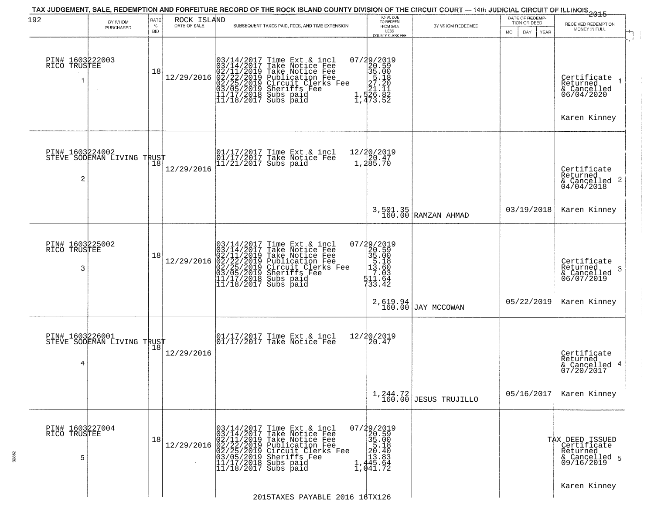| 192                                  | BY WHOM                                       | <b>RATE</b>        | ROCK ISLAND<br>DATE OF SALE | TAX JUDGEMENT, SALE, REDEMPTION AND FORFEITURE RECORD OF THE ROCK ISLAND COUNTY DIVISION OF THE CIRCUIT COURT — 14th JUDICIAL CIRCUIT OF ILLINOIS 2015                                                                                                                                                                                 | TOTAL DUE<br>TO REDEEM                                                                                    |                                 | DATE OF REDEMP-<br>TION OR DEED |                                                                           |
|--------------------------------------|-----------------------------------------------|--------------------|-----------------------------|----------------------------------------------------------------------------------------------------------------------------------------------------------------------------------------------------------------------------------------------------------------------------------------------------------------------------------------|-----------------------------------------------------------------------------------------------------------|---------------------------------|---------------------------------|---------------------------------------------------------------------------|
|                                      | PURCHASED                                     | $\%$<br><b>BID</b> |                             | SUBSEQUENT TAXES PAID, FEES, AND TIME EXTENSION                                                                                                                                                                                                                                                                                        | FROM SALE<br>LESS<br>COUNTY CLERK FEE                                                                     | BY WHOM REDEEMED                | DAY.<br>MO.<br><b>YEAR</b>      | RECEIVED REDEMPTION<br>MONEY IN FULL                                      |
| PIN# 1603222003<br>RICO TRUSTEE      |                                               | 18                 | 12/29/2016                  | $03/14/2017$ Time Ext & incl<br>$03/14/2017$ Take Notice Fee<br>$02/11/2019$ Take Notice Fee<br>$02/22/2019$ Publication Fee<br>$03/05/2019$ Sheriffs Fee<br>$11/17/2018$ Subs paid<br>$11/18/2017$ Subs paid                                                                                                                          | 07/29/2019<br>$720.59$<br>$35.00$<br>$27.20$<br>$27.20$<br>$27.20$<br>$27.11$<br>$27.11$<br>$27.52$       |                                 |                                 | Certificate<br>Returned<br>& Cancelled<br>06/04/2020<br>Karen Kinney      |
| 2                                    | PIN# 1603224002<br>STEVE SODEMAN LIVING TRUST |                    | 12/29/2016                  | 01/17/2017 Time Ext & incl<br>01/17/2017 Take Notice Fee<br>11/21/2017 Subs paid                                                                                                                                                                                                                                                       | 12/20/2019<br>1,20.47<br>1,285.70                                                                         |                                 |                                 | Certificate<br>Returned<br>& Cancelled 2<br>04/04/2018                    |
|                                      |                                               |                    |                             |                                                                                                                                                                                                                                                                                                                                        |                                                                                                           | 3,501.35<br>160.00 RAMZAN AHMAD | 03/19/2018                      | Karen Kinney                                                              |
| PIN# 1603225002<br>RICO TRUSTEE<br>3 |                                               | 18                 |                             | 03/14/2017 Time Ext & incl<br>03/14/2017 Take Notice Fee<br>02/11/2019 Take Notice Fee<br>03/14/2017 Take Notice Fee<br>12/29/2016 02/22/2019 Take Notice Fee<br>02/11/2019 Take Notice Fee<br>02/25/2019 Publication Fee<br>03/05/2019 Circuit Clerks Fee<br>11/17/2018 Subs paid<br>11/18/2017 Subs paid                             | $\begin{smallmatrix} 07/29/2019\\20.59\\35.00\\5.18\\ \vdots\\ 13.60\\ 11.64\\ 733.42 \end{smallmatrix}$  |                                 |                                 | Certificate<br>Returned<br>-3<br>& Cancelled<br>06/07/2019                |
|                                      |                                               |                    |                             |                                                                                                                                                                                                                                                                                                                                        | 2,619.94<br>160.00                                                                                        | JAY MCCOWAN                     | 05/22/2019                      | Karen Kinney                                                              |
| PIN# 1603226001<br>4                 | STEVE SODEMAN LIVING TRUST                    |                    | 12/29/2016                  | $\begin{bmatrix} 01/17/2017 \\ 01/17/2017 \end{bmatrix}$ Take Notice Fee                                                                                                                                                                                                                                                               | 12/20/2019<br>20.47                                                                                       |                                 |                                 | Certificate<br>Returned<br>& Cancelled 4<br>07/20/2017                    |
|                                      |                                               |                    |                             |                                                                                                                                                                                                                                                                                                                                        |                                                                                                           | $1,244.72$ JESUS TRUJILLO       | 05/16/2017                      | Karen Kinney                                                              |
| PIN# 1603227004<br>RICO TRUSTEE<br>5 |                                               | 18                 |                             | $[12/29/2016] \begin{tabular}{ c c c c } \hline & 03/14/2017 Time Ext & $\&$ incl & 03/14/2017 Take Notice Free & 02/11/2019 Take Notice Free & 02/22/2019 Public to Free & 02/22/2019 Public to Free & 03/05/2019 Circuit Cleks Free & 03/05/2019 Sherifs Free & 11/17/2018 Subs paid & 11/18/2017 Subs paid \\ \hline \end{tabular}$ | $\begin{smallmatrix} 07/29/2019\\20.59\\35.00\\55.18\\11.40\\13.83\\1,445.64\\1,041.72 \end{smallmatrix}$ |                                 |                                 | TAX DEED ISSUED<br>Certificate<br>Returned<br>& Cancelled 5<br>09/16/2019 |
|                                      |                                               |                    |                             | 2015TAXES PAYABLE 2016 16TX126                                                                                                                                                                                                                                                                                                         |                                                                                                           |                                 |                                 | Karen Kinney                                                              |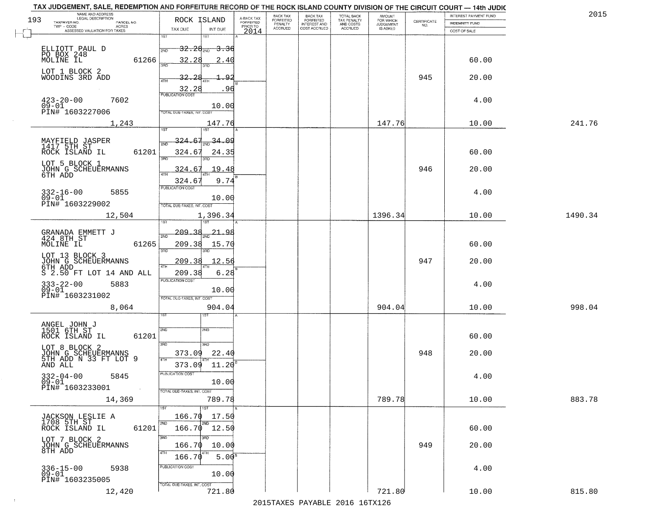|     | TAX JUDGEMENT, SALE, REDEMPTION AND FORFEITURE RECORD OF THE ROCK ISLAND COUNTY DIVISION OF THE CIRCUIT COURT - 14th JUDIC<br>NAME AND ADDRESS<br>LEGAL DESCRIPTION |                                              |                         | BACK TAX                    | BACK TAX<br>FORFEITED |                                        | AMOUNT<br>FOR WHICH |                                                                 | INTEREST PAYMENT FUND | 2015    |
|-----|---------------------------------------------------------------------------------------------------------------------------------------------------------------------|----------------------------------------------|-------------------------|-----------------------------|-----------------------|----------------------------------------|---------------------|-----------------------------------------------------------------|-----------------------|---------|
| 193 | TAXPAYER NO.<br>PARCEL NO.                                                                                                                                          | ROCK ISLAND                                  | A-BACK TAX<br>FORFEITED | <b>FORFEITED</b><br>PENALTY | <b>INTEREST AND</b>   | TOTAL BACK<br>TAX PENALTY<br>AND COSTS | <b>JUDGEMENT</b>    | $\begin{array}{c} \text{CERTIFICATE} \\ \text{NO.} \end{array}$ | <b>INDEMNITY FUND</b> |         |
|     | ACRES<br>ASSESSED VALUATION FOR TAXES                                                                                                                               | TAX DUE<br>INT DUE                           | PRIOR TO<br>2014        | <b>ACCRUED</b>              | COST ACCRUED          | <b>ACCRUED</b>                         | IS ASKED            |                                                                 | COST OF SALE          |         |
|     |                                                                                                                                                                     | 1ST<br>181                                   |                         |                             |                       |                                        |                     |                                                                 |                       |         |
|     | ELLIOTT PAUL D                                                                                                                                                      | $-32.28_{\rm 200}$<br><del>3.36</del><br>2ND |                         |                             |                       |                                        |                     |                                                                 |                       |         |
|     | PO BOX 248<br>61266                                                                                                                                                 | 32.28<br>2.40                                |                         |                             |                       |                                        |                     |                                                                 | 60.00                 |         |
|     |                                                                                                                                                                     |                                              |                         |                             |                       |                                        |                     |                                                                 |                       |         |
|     | LOT 1 BLOCK 2<br>WOODINS 3RD ADD                                                                                                                                    | 32.28                                        |                         |                             |                       |                                        |                     | 945                                                             | 20.00                 |         |
|     |                                                                                                                                                                     |                                              |                         |                             |                       |                                        |                     |                                                                 |                       |         |
|     |                                                                                                                                                                     | $\frac{32.28}{FUBUCATON COST}$<br>. 96       |                         |                             |                       |                                        |                     |                                                                 |                       |         |
|     | $423 - 20 - 00$<br>09-01<br>7602                                                                                                                                    | 10.00                                        |                         |                             |                       |                                        |                     |                                                                 | 4.00                  |         |
|     | PIN# 1603227006                                                                                                                                                     | TOTAL DUE-TAXES, INT. COST                   |                         |                             |                       |                                        |                     |                                                                 |                       |         |
|     | 1,243                                                                                                                                                               | 147.76                                       |                         |                             |                       |                                        | 147.76              |                                                                 | 10.00                 | 241.76  |
|     |                                                                                                                                                                     |                                              |                         |                             |                       |                                        |                     |                                                                 |                       |         |
|     | MAYFIELD JASPER<br>1417 5TH ST                                                                                                                                      | $\frac{34.09}{200}$<br>324.67                |                         |                             |                       |                                        |                     |                                                                 |                       |         |
|     | 61201<br>ROCK ISLAND IL                                                                                                                                             | 324.67<br>24.35                              |                         |                             |                       |                                        |                     |                                                                 | 60.00                 |         |
|     |                                                                                                                                                                     | ਬਾ<br>3RD                                    |                         |                             |                       |                                        |                     |                                                                 |                       |         |
|     | LOT 5 BLOCK 1                                                                                                                                                       | .19.48<br>324.67                             |                         |                             |                       |                                        |                     | 946                                                             | 20.00                 |         |
|     | JOHN G SCHEUERMANNS<br>6TH ADD                                                                                                                                      |                                              |                         |                             |                       |                                        |                     |                                                                 |                       |         |
|     |                                                                                                                                                                     | 9.74<br>324.67<br>PUBLICATION COST           |                         |                             |                       |                                        |                     |                                                                 |                       |         |
|     | $332 - 16 - 00$<br>5855<br>$09 - 01$                                                                                                                                | 10.00                                        |                         |                             |                       |                                        |                     |                                                                 | 4.00                  |         |
|     | PIN# 1603229002                                                                                                                                                     | TOTAL DUE-TAXES, INT. COST                   |                         |                             |                       |                                        |                     |                                                                 |                       |         |
|     | 12,504                                                                                                                                                              | 1,396.34                                     |                         |                             |                       |                                        | 1396.34             |                                                                 | 10.00                 | 1490.34 |
|     |                                                                                                                                                                     | 1ST                                          |                         |                             |                       |                                        |                     |                                                                 |                       |         |
|     | GRANADA EMMETT J<br>424 8TH ST                                                                                                                                      | -209.<br>21.98<br>2ND                        |                         |                             |                       |                                        |                     |                                                                 |                       |         |
|     | 61265<br>MOLINE IL                                                                                                                                                  | 209.38<br>15.70                              |                         |                             |                       |                                        |                     |                                                                 | 60.00                 |         |
|     |                                                                                                                                                                     | 3BD<br>3RD                                   |                         |                             |                       |                                        |                     |                                                                 |                       |         |
|     | LOT 13 BLOCK 3<br>JOHN G SCHEUERMANNS<br>6TH ADD__ ___ __                                                                                                           | 209.3<br><u>12.56</u>                        |                         |                             |                       |                                        |                     | 947                                                             | 20.00                 |         |
|     | S 2.50 FT LOT 14 AND ALL                                                                                                                                            | <b>ATH</b><br>209.38<br>6.28                 |                         |                             |                       |                                        |                     |                                                                 |                       |         |
|     |                                                                                                                                                                     | <b>PUBLICATION COST</b>                      |                         |                             |                       |                                        |                     |                                                                 |                       |         |
|     | 333-22-00<br>09-01<br>5883                                                                                                                                          | 10.00                                        |                         |                             |                       |                                        |                     |                                                                 | 4.00                  |         |
|     | PIN# 1603231002                                                                                                                                                     | TOTAL OUE-TAXES, INT. COST                   |                         |                             |                       |                                        |                     |                                                                 |                       |         |
|     | 8,064                                                                                                                                                               | 904.04                                       |                         |                             |                       |                                        | 904.04              |                                                                 | 10.00                 | 998.04  |
|     |                                                                                                                                                                     | ςT                                           |                         |                             |                       |                                        |                     |                                                                 |                       |         |
|     | ANGEL JOHN J                                                                                                                                                        | 2ND<br>2ND                                   |                         |                             |                       |                                        |                     |                                                                 |                       |         |
|     | 1501 6TH ST<br>ROCK ISLAND IL<br>61201                                                                                                                              |                                              |                         |                             |                       |                                        |                     |                                                                 | 60.00                 |         |
|     | LOT 8 BLOCK 2                                                                                                                                                       | 3BD<br>3HD                                   |                         |                             |                       |                                        |                     |                                                                 |                       |         |
|     |                                                                                                                                                                     | 22.40<br>373.09                              |                         |                             |                       |                                        |                     | 948                                                             | 20.00                 |         |
|     | JOHN G SCHEUERMANNS<br>5TH ADD N 33 FT LOT 9<br>AND ALL                                                                                                             | 4TH<br>373.09<br>11.20                       |                         |                             |                       |                                        |                     |                                                                 |                       |         |
|     | $332 - 04 - 00$                                                                                                                                                     | PUBLICATION COS-                             |                         |                             |                       |                                        |                     |                                                                 |                       |         |
|     | 5845<br>$09 - 01$                                                                                                                                                   | 10.00                                        |                         |                             |                       |                                        |                     |                                                                 | 4.00                  |         |
|     | PIN# 1603233001<br>$\sim 100$                                                                                                                                       | TOTAL DUE-TAXES, INT. COST                   |                         |                             |                       |                                        |                     |                                                                 |                       |         |
|     | 14,369                                                                                                                                                              | 789.78                                       |                         |                             |                       |                                        | 789.78              |                                                                 | 10.00                 | 883.78  |
|     |                                                                                                                                                                     |                                              |                         |                             |                       |                                        |                     |                                                                 |                       |         |
|     | JACKSON LESLIE A<br>1708 5TH ST                                                                                                                                     | 166.70<br>17.50                              |                         |                             |                       |                                        |                     |                                                                 |                       |         |
|     | 61201<br>ROCK ISLAND IL                                                                                                                                             | 2ND<br>166.70 12.50                          |                         |                             |                       |                                        |                     |                                                                 | 60.00                 |         |
|     | LOT 7 BLOCK 2                                                                                                                                                       | 3RD<br>3BD                                   |                         |                             |                       |                                        |                     |                                                                 |                       |         |
|     | JOHN G SCHEUERMANNS<br>8TH ADD                                                                                                                                      | 166.70<br>10.00                              |                         |                             |                       |                                        |                     | 949                                                             | 20.00                 |         |
|     |                                                                                                                                                                     | 5.00 <sup>s</sup><br>166.7                   |                         |                             |                       |                                        |                     |                                                                 |                       |         |
|     | 5938                                                                                                                                                                | PUBLICATION COST                             |                         |                             |                       |                                        |                     |                                                                 | 4.00                  |         |
|     | 336-15-00<br>09-01                                                                                                                                                  | 10.00                                        |                         |                             |                       |                                        |                     |                                                                 |                       |         |
|     | PIN# 1603235005                                                                                                                                                     | TOTAL DUE-TAXES, INT. COST                   |                         |                             |                       |                                        |                     |                                                                 |                       |         |
|     | 12,420                                                                                                                                                              | 721.80                                       |                         |                             |                       |                                        | 721.80              |                                                                 | 10.00                 | 815.80  |
|     |                                                                                                                                                                     |                                              |                         |                             |                       | 2015 TAVEC DAVADIE 2016 16TV126        |                     |                                                                 |                       |         |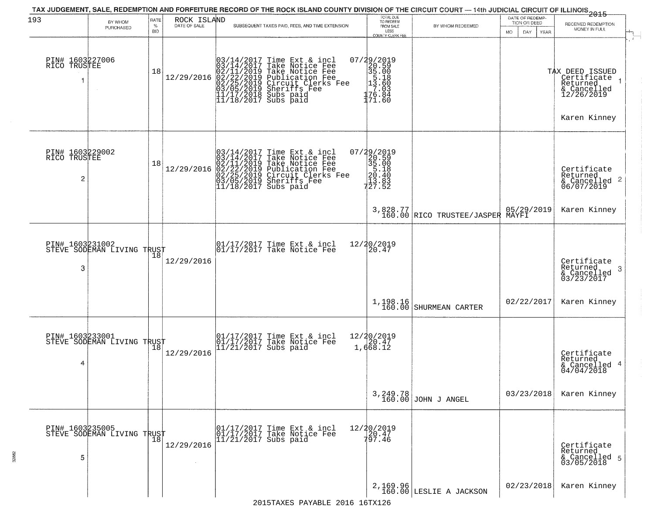| 193                                  | BY WHOM<br>PURCHASED       | RATE<br>$\%$<br><b>BID</b> | ROCK ISLAND<br>DATE OF SALE | TAX JUDGEMENT, SALE, REDEMPTION AND FORFEITURE RECORD OF THE ROCK ISLAND COUNTY DIVISION OF THE CIRCUIT COURT — 14th JUDICIAL CIRCUIT OF ILLINOIS 2015<br>SUBSEQUENT TAXES PAID, FEES, AND TIME EXTENSION     | TOTAL DUE<br>TO REDEEM<br>FROM SALE<br>LESS<br>COUNTY CLERK FEE                                          | BY WHOM REDEEMED                             | DATE OF REDEMP-<br>TION OR DEED<br>MO.<br>DAY<br><b>YEAR</b> | RECEIVED REDEMPTION<br>MONEY IN FULL                                                      |
|--------------------------------------|----------------------------|----------------------------|-----------------------------|---------------------------------------------------------------------------------------------------------------------------------------------------------------------------------------------------------------|----------------------------------------------------------------------------------------------------------|----------------------------------------------|--------------------------------------------------------------|-------------------------------------------------------------------------------------------|
| PIN# 1603227006<br>RICO TRUSTEE<br>1 |                            | 18                         | 12/29/2016                  | $03/14/2017$ Time Ext & incl<br>$03/14/2017$ Take Notice Fee<br>$02/11/2019$ Take Notice Fee<br>$02/22/2019$ Publication Fee<br>$03/05/2019$ Sheriffs Fee<br>$11/17/2018$ Subs paid<br>$11/18/2017$ Subs paid | 07/29/2019<br>$\begin{bmatrix} 20.59 \\ 35.00 \\ 5.18 \\ 13.60 \\ 7.03 \end{bmatrix}$<br>76.84<br>171.60 |                                              |                                                              | TAX DEED ISSUED<br>  Certificate<br>Returned<br>& Cancelled<br>12/26/2019<br>Karen Kinney |
| PIN# 1603229002<br>RICO TRUSTEE<br>2 |                            | 18                         | 12/29/2016                  | $03/14/2017$ Time Ext & incl<br>03/14/2017 Take Notice Fee<br>02/11/2019 Take Notice Fee<br>02/22/2019 Publication Fee<br>02/22/2019 Circuit Clerks Fee<br>03/05/2019 Sheriffs Fee<br>11/18/2017 Subs paid    | 07/29/2019<br>$220.59$<br>$35.00$<br>$35.18$<br>$20.40$<br>$27.52$                                       |                                              |                                                              | Certificate<br>Returned<br>& Cancelled 2<br>06/07/2019                                    |
|                                      |                            |                            |                             |                                                                                                                                                                                                               |                                                                                                          | 3,828.77<br>160.00 RICO TRUSTEE/JASPER MAYFI | 05/29/2019                                                   | Karen Kinney                                                                              |
| PIN# 1603231002<br>3                 | STEVE SODEMAN LIVING TRUST |                            | 12/29/2016                  | 01/17/2017 Time Ext & incl<br>01/17/2017 Take Notice Fee                                                                                                                                                      | 12/20/2019<br>20.47                                                                                      |                                              |                                                              | Certificate<br>Returned<br>-3<br>& Cancelled<br>03/23/2017                                |
|                                      |                            |                            |                             |                                                                                                                                                                                                               | 1,198.16<br>160.00                                                                                       | SHURMEAN CARTER                              | 02/22/2017                                                   | Karen Kinney                                                                              |
| PIN# 1603233001<br>4                 | STEVE SODEMAN LIVING TRUST |                            | 12/29/2016                  | 01/17/2017 Time Ext & incl<br>01/17/2017 Take Notice Fee<br>11/21/2017 Subs paid                                                                                                                              | 12/20/2019<br>20.47<br>1,668.12                                                                          |                                              |                                                              | Certificate<br>Returned<br>& Cancelled 4<br>04/04/2018                                    |
|                                      |                            |                            |                             |                                                                                                                                                                                                               |                                                                                                          | 3, 249.78<br>160.00 JOHN J ANGEL             | 03/23/2018                                                   | Karen Kinney                                                                              |
| PIN# 1603235005<br>5                 | STEVE SODEMAN LIVING TRUST |                            | 12/29/2016                  | 01/17/2017 Time Ext & incl<br>01/17/2017 Take Notice Fee<br>$11/21/2017$ Subs paid                                                                                                                            | 12/20/2019<br>120.47<br>797.46                                                                           |                                              |                                                              | Certificate<br>Returned<br>& Cancelled 5<br>03/05/2018                                    |
|                                      |                            |                            |                             |                                                                                                                                                                                                               |                                                                                                          | $2,169.96$ LESLIE A JACKSON                  | 02/23/2018                                                   | Karen Kinney                                                                              |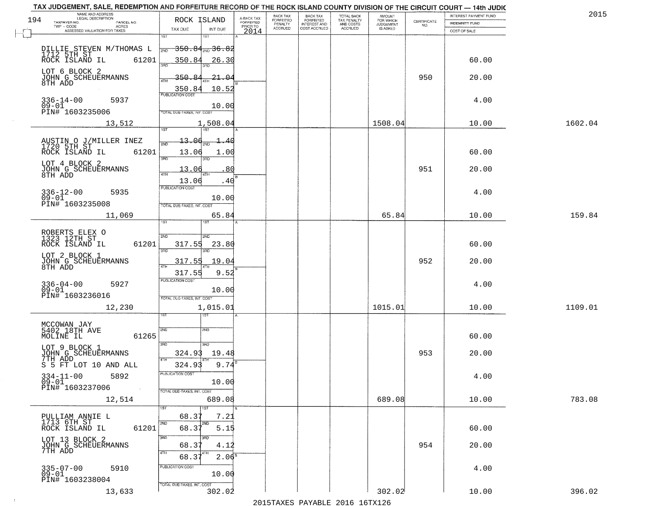|     | TAX JUDGEMENT, SALE, REDEMPTION AND FORFEITURE RECORD OF THE ROCK ISLAND COUNTY DIVISION OF THE CIRCUIT COURT - 14th JUDIC |                                       |                         |                              |                                       |                                        |                              |                                                                 |                       | 2015    |
|-----|----------------------------------------------------------------------------------------------------------------------------|---------------------------------------|-------------------------|------------------------------|---------------------------------------|----------------------------------------|------------------------------|-----------------------------------------------------------------|-----------------------|---------|
| 194 | NAME AND ADDRESS<br>LEGAL DESCRIPTION<br>TAXPAYER NO.<br>PARCEL NO.                                                        | ROCK ISLAND                           | A-BACK TAX<br>FORFEITED | BACK TAX<br><b>FORFEITED</b> | BACK TAX<br>FORFEITED<br>INTEREST AND | TOTAL BACK<br>TAX PENALTY<br>AND COSTS | AMOUNT<br>FOR WHICH          |                                                                 | INTEREST PAYMENT FUND |         |
|     | TWP - CODE<br>ACRES                                                                                                        | INT DUE<br>TAX DUE                    | PRIOR TO                | PENALTY<br><b>ACCRUED</b>    | COST ACCRUED                          | ACCRUED                                | <b>JUDGEMENT</b><br>IS ASKED | $\begin{array}{c} \text{CERTIFICATE} \\ \text{NO.} \end{array}$ | <b>INDEMNITY FUND</b> |         |
|     | ASSESSED VALUATION FOR TAXES                                                                                               | 1ST<br>1ST                            | 2014                    |                              |                                       |                                        |                              |                                                                 | COST OF SALE          |         |
|     |                                                                                                                            |                                       |                         |                              |                                       |                                        |                              |                                                                 |                       |         |
|     | DILLIE STEVEN M/THOMAS L<br>1712 5TH ST<br>ROCK ISLAND IL 61201                                                            | $\frac{1}{200}$ 350.84 $_{200}$ 36.82 |                         |                              |                                       |                                        |                              |                                                                 |                       |         |
|     | 61201                                                                                                                      | 350.84<br>26.30                       |                         |                              |                                       |                                        |                              |                                                                 | 60.00                 |         |
|     | LOT 6 BLOCK 2                                                                                                              |                                       |                         |                              |                                       |                                        |                              |                                                                 |                       |         |
|     | JOHN G SCHEUERMANNS<br>8TH ADD                                                                                             | 350.84<br>21.04                       |                         |                              |                                       |                                        |                              | 950                                                             | 20.00                 |         |
|     |                                                                                                                            | 350.84<br>10.52                       |                         |                              |                                       |                                        |                              |                                                                 |                       |         |
|     |                                                                                                                            |                                       |                         |                              |                                       |                                        |                              |                                                                 |                       |         |
|     | $336 - 14 - 00$<br>5937<br>$09 - 01$                                                                                       | 10.00                                 |                         |                              |                                       |                                        |                              |                                                                 | 4.00                  |         |
|     | PIN# 1603235006                                                                                                            | <b>TOTAL DUE-TAXES, INT, COST</b>     |                         |                              |                                       |                                        |                              |                                                                 |                       |         |
|     | 13,512                                                                                                                     | 1,508.04                              |                         |                              |                                       |                                        | 1508.04                      |                                                                 | 10.00                 | 1602.04 |
|     |                                                                                                                            |                                       |                         |                              |                                       |                                        |                              |                                                                 |                       |         |
|     | AUSTIN O J/MILLER INEZ                                                                                                     | 13.06                                 |                         |                              |                                       |                                        |                              |                                                                 |                       |         |
|     | 1720 5TH ST<br>ROCK ISLAND IL<br>61201                                                                                     | 13.06<br>1.00                         |                         |                              |                                       |                                        |                              |                                                                 | 60.00                 |         |
|     |                                                                                                                            | <b>उस</b> र<br>חחז                    |                         |                              |                                       |                                        |                              |                                                                 |                       |         |
|     | LOT 4 BLOCK 2                                                                                                              | 80<br>13.06                           |                         |                              |                                       |                                        |                              | 951                                                             | 20.00                 |         |
|     | JOHN G SCHEUERMANNS<br>8TH ADD                                                                                             |                                       |                         |                              |                                       |                                        |                              |                                                                 |                       |         |
|     |                                                                                                                            | 13.06<br>.40<br>PUBLICATION COST      |                         |                              |                                       |                                        |                              |                                                                 |                       |         |
|     | $336 - 12 - 00$<br>5935                                                                                                    |                                       |                         |                              |                                       |                                        |                              |                                                                 | 4.00                  |         |
|     | $09 - 01$<br>PIN# 1603235008                                                                                               | 10.00<br>TOTAL DUE-TAXES, INT. COST   |                         |                              |                                       |                                        |                              |                                                                 |                       |         |
|     |                                                                                                                            |                                       |                         |                              |                                       |                                        |                              |                                                                 |                       |         |
|     | 11,069                                                                                                                     | 65.84<br>1ST<br>1ST                   |                         |                              |                                       |                                        | 65.84                        |                                                                 | 10.00                 | 159.84  |
|     |                                                                                                                            |                                       |                         |                              |                                       |                                        |                              |                                                                 |                       |         |
|     | ROBERTS ELEX O<br>1323 12TH ST                                                                                             | 2ND<br><b>SMD</b>                     |                         |                              |                                       |                                        |                              |                                                                 |                       |         |
|     | ROCK ISLAND IL<br>61201                                                                                                    | 317.55<br>23.80<br>3RD<br>3RD         |                         |                              |                                       |                                        |                              |                                                                 | 60.00                 |         |
|     | LOT 2 BLOCK 1                                                                                                              |                                       |                         |                              |                                       |                                        |                              |                                                                 |                       |         |
|     | JOHN G SCHEUERMANNS<br>8TH ADD                                                                                             | 19.04<br>317.5!                       |                         |                              |                                       |                                        |                              | 952                                                             | 20.00                 |         |
|     |                                                                                                                            | 317.55<br>9.52                        |                         |                              |                                       |                                        |                              |                                                                 |                       |         |
|     | 5927                                                                                                                       | PUBLICATION COST                      |                         |                              |                                       |                                        |                              |                                                                 | 4.00                  |         |
|     | 336-04-00<br>09-01<br>PIN# 1603236016                                                                                      | 10.00                                 |                         |                              |                                       |                                        |                              |                                                                 |                       |         |
|     |                                                                                                                            | TOTAL OUE-TAXES, INT. COST            |                         |                              |                                       |                                        |                              |                                                                 |                       |         |
|     | 12,230                                                                                                                     | 1,015.01                              |                         |                              |                                       |                                        | 1015.01                      |                                                                 | 10.00                 | 1109.01 |
|     |                                                                                                                            | १९४                                   |                         |                              |                                       |                                        |                              |                                                                 |                       |         |
|     | MCCOWAN JAY<br>5402 18TH AVE                                                                                               | 2ND<br>SND                            |                         |                              |                                       |                                        |                              |                                                                 |                       |         |
|     | MOLINE IL<br>61265                                                                                                         |                                       |                         |                              |                                       |                                        |                              |                                                                 | 60.00                 |         |
|     | LOT 9 BLOCK 1                                                                                                              | 3RD<br>3RD                            |                         |                              |                                       |                                        |                              |                                                                 |                       |         |
|     | JOHN G SCHEUERMANNS<br>7TH ADD                                                                                             | 324.93<br>19.48<br>4TH                |                         |                              |                                       |                                        |                              | 953                                                             | 20.00                 |         |
|     | S 5 FT LOT 10 AND ALL                                                                                                      | 324.93<br>9.74                        |                         |                              |                                       |                                        |                              |                                                                 |                       |         |
|     | $334 - 11 - 00$<br>5892                                                                                                    | ruslica i IUN COS                     |                         |                              |                                       |                                        |                              |                                                                 | 4.00                  |         |
|     | $09 - 01$                                                                                                                  | 10.00                                 |                         |                              |                                       |                                        |                              |                                                                 |                       |         |
|     | PIN# 1603237006<br>$\sim 100$                                                                                              | TOTAL DUE-TAXES, INT. COST            |                         |                              |                                       |                                        |                              |                                                                 |                       |         |
|     | 12,514                                                                                                                     | 689.08                                |                         |                              |                                       |                                        | 689.08                       |                                                                 | 10.00                 | 783.08  |
|     |                                                                                                                            |                                       |                         |                              |                                       |                                        |                              |                                                                 |                       |         |
|     | PULLIAM ANNIE L<br>1713 6TH ST<br>ROCK ISLAND IL                                                                           | 68.37<br>7.21                         |                         |                              |                                       |                                        |                              |                                                                 |                       |         |
|     | 61201                                                                                                                      | 2ND<br>2ND<br>68.37<br>5.15           |                         |                              |                                       |                                        |                              |                                                                 | 60.00                 |         |
|     |                                                                                                                            | 3RD                                   |                         |                              |                                       |                                        |                              |                                                                 |                       |         |
|     | LOT 13 BLOCK 2<br>JOHN G SCHEUERMANNS<br>7TH ADD                                                                           | 68.37<br>4.12                         |                         |                              |                                       |                                        |                              | 954                                                             | 20.00                 |         |
|     |                                                                                                                            | 4TH<br>68.37<br>2.06 <sup>s</sup>     |                         |                              |                                       |                                        |                              |                                                                 |                       |         |
|     |                                                                                                                            | PUBLICATION COST                      |                         |                              |                                       |                                        |                              |                                                                 |                       |         |
|     | 335-07-00<br>09-01<br>5910                                                                                                 | 10.00                                 |                         |                              |                                       |                                        |                              |                                                                 | 4.00                  |         |
|     | PIN# 1603238004                                                                                                            | TOTAL DUE-TAXES, INT. COST            |                         |                              |                                       |                                        |                              |                                                                 |                       |         |
|     | 13,633                                                                                                                     | 302.02                                |                         |                              |                                       |                                        | 302.02                       |                                                                 | 10.00                 | 396.02  |
|     |                                                                                                                            |                                       |                         |                              |                                       | 2015 TAVEC DAVADIE 2016 16 TV126       |                              |                                                                 |                       |         |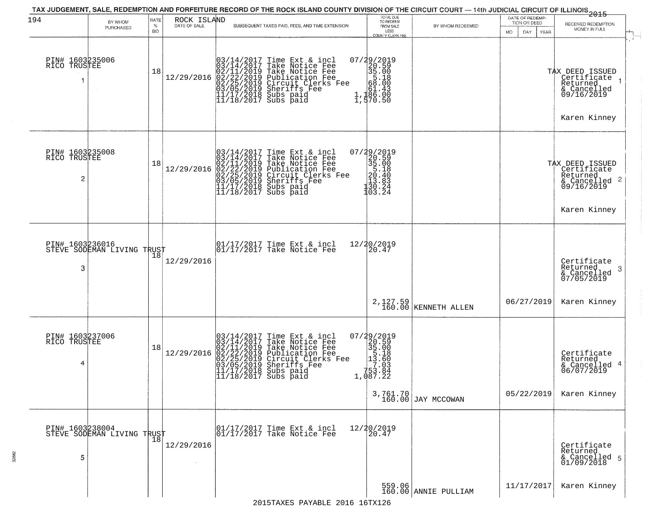| 194                                  | BY WHOM                                       | RATE<br>$\%$ | ROCK ISLAND<br>DATE OF SALE | SUBSEQUENT TAXES PAID, FEES, AND TIME EXTENSION                                                                                                                                                                                         | TOTAL DUE<br>TO REDEEM<br>FROM SALE                                                                       | BY WHOM REDEEMED                  | DATE OF REDEMP-<br>TION OR DEED | 2015<br>RECEIVED REDEMPTION                                                             |
|--------------------------------------|-----------------------------------------------|--------------|-----------------------------|-----------------------------------------------------------------------------------------------------------------------------------------------------------------------------------------------------------------------------------------|-----------------------------------------------------------------------------------------------------------|-----------------------------------|---------------------------------|-----------------------------------------------------------------------------------------|
|                                      | PURCHASED                                     | <b>BID</b>   |                             |                                                                                                                                                                                                                                         | LESS<br>COUNTY CLERK FEE                                                                                  |                                   | <b>MO</b><br>DAY<br>YEAR        | MONEY IN FULL<br>$\mathcal{L}$                                                          |
| PIN# 1603235006<br>RICO TRUSTEE      |                                               | 18           | 12/29/2016                  | $03/14/2017$ Time Ext & incl<br>$03/14/2017$ Take Notice Fee<br>$02/11/2019$ Take Notice Fee<br>$02/22/2019$ Publication Fee<br>$03/05/2019$ Sheriffs Fee<br>$11/17/2018$ Subs paid<br>$11/18/2017$ Subs paid<br>$11/18/2017$ Subs paid | $\begin{smallmatrix} 07/29/2019\\20.59\\35.00\\66.10\\5.1\\1,1\\2\end{smallmatrix}$<br>1,570.50           |                                   |                                 | TAX DEED ISSUED<br>Certificate<br>Returned<br>& Cancelled<br>09/16/2019<br>Karen Kinney |
|                                      |                                               |              |                             |                                                                                                                                                                                                                                         |                                                                                                           |                                   |                                 |                                                                                         |
| PIN# 1603235008<br>RICO TRUSTEE<br>2 |                                               | 18           | 12/29/2016                  | $03/14/2017$ Time Ext & incl<br>$03/14/2017$ Take Notice Fee<br>$02/11/2019$ Take Notice Fee<br>$02/22/2019$ Publication Fee<br>$03/05/2019$ Sheriffs Fee<br>$11/17/2018$ Subs paid<br>$11/18/2017$ Subs paid<br>$11/18/2017$ Subs paid | $\begin{smallmatrix} 07/29/2019\\20.59\\35.00\\5.18\\20.40\\20.40\\21.3\\30.24\\103.24 \end{smallmatrix}$ |                                   |                                 | TAX DEED ISSUED<br>Certificate<br>Returned<br>$\frac{1}{6}$ Cancelled 2<br>09/16/2019   |
|                                      |                                               |              |                             |                                                                                                                                                                                                                                         |                                                                                                           |                                   |                                 | Karen Kinney                                                                            |
| 3                                    | PIN# 1603236016<br>STEVE SODEMAN LIVING TRUST |              | 12/29/2016                  | 01/17/2017 Time Ext & incl<br>01/17/2017 Take Notice Fee                                                                                                                                                                                | 12/20/2019<br>20.47                                                                                       |                                   |                                 | Certificate<br>Returned<br>-3<br>& Cancelled<br>07/05/2019                              |
|                                      |                                               |              |                             |                                                                                                                                                                                                                                         |                                                                                                           | 2, 127.59<br>160.00 KENNETH ALLEN | 06/27/2019                      | Karen Kinney                                                                            |
| PIN# 1603237006<br>RICO TRUSTEE<br>4 |                                               | 18           | 12/29/2016                  | $03/14/2017$ Time Ext & incl<br>$03/14/2017$ Take Notice Fee<br>$02/11/2019$ Take Notice Fee<br>$02/22/2019$ Publication Fee<br>$03/05/2019$ Sheriffs Fee<br>$11/17/2018$ Subs paid<br>$11/18/2017$ Subs paid<br>$11/18/2017$ Subs paid | 07/29/2019<br>20.59<br>35.00<br>15.60<br>17.033<br>163.83<br>1,087.22                                     |                                   |                                 | Certificate<br>Returned<br>& Cancelled 4<br>06/07/2019                                  |
|                                      |                                               |              |                             |                                                                                                                                                                                                                                         |                                                                                                           | 3,761.70<br>160.00 JAY MCCOWAN    | 05/22/2019                      | Karen Kinney                                                                            |
| 5                                    | PIN# 1603238004<br>STEVE SODEMAN LIVING TRUST |              | 12/29/2016                  | 01/17/2017 Time Ext & incl<br>01/17/2017 Take Notice Fee                                                                                                                                                                                | 12/20/2019<br>20.47                                                                                       |                                   |                                 | Certificate<br>Returned<br>& Cancelled 5<br>01/09/2018                                  |
|                                      |                                               |              |                             | 2015TAVEC DAVABLE 2016 16TV126                                                                                                                                                                                                          |                                                                                                           | 559.06<br>160.00 ANNIE PULLIAM    | 11/17/2017                      | Karen Kinney                                                                            |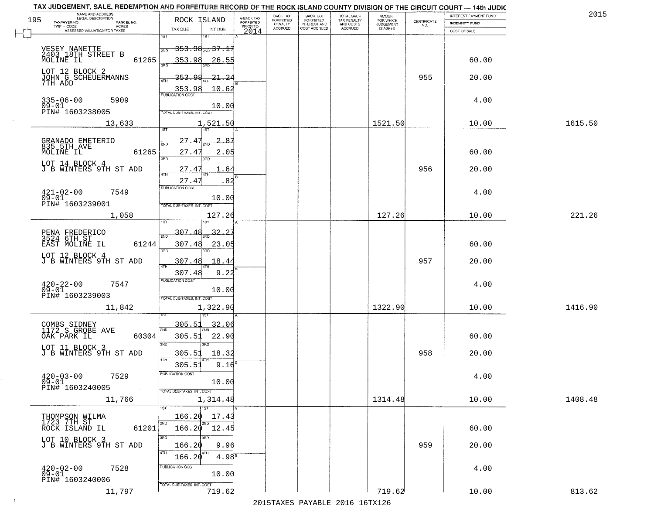| TAX JUDGEMENT, SALE, REDEMPTION AND FORFEITURE RECORD OF THE ROCK ISLAND COUNTY DIVISION OF THE CIRCUIT COURT - 14th JUDIC<br>NAME AND ADDRESS<br>LEGAL DESCRIPTION |                                                                                                             |                                     | BACK TAX             | <b>BACK TAX</b>           |                                        |                                         |                                                                 | INTEREST PAYMENT FUND  | 2015    |
|---------------------------------------------------------------------------------------------------------------------------------------------------------------------|-------------------------------------------------------------------------------------------------------------|-------------------------------------|----------------------|---------------------------|----------------------------------------|-----------------------------------------|-----------------------------------------------------------------|------------------------|---------|
| 195<br>TAXPAYER NO.<br>PARCEL NO.                                                                                                                                   | ROCK ISLAND                                                                                                 | A-BACK TAX<br>FORFEITED<br>PRIOR TO | FORFEITED<br>PENALTY | FORFEITED<br>INTEREST AND | TOTAL BACK<br>TAX PENALTY<br>AND COSTS | AMOUNT<br>FOR WHICH<br><b>JUDGEMENT</b> | $\begin{array}{c} \text{CERTIFICATE} \\ \text{NO.} \end{array}$ | <b>INDEMNITY FUND</b>  |         |
| ACRES<br>ASSESSED VALUATION FOR TAXES                                                                                                                               | TAX DUE<br>INT DUE                                                                                          | 2014                                | <b>ACCRUED</b>       | COST ACCRUED              | ACCRUED                                | IS ASKED                                |                                                                 | COST OF SALE           |         |
| VESEY NANETTE<br>2403 18TH STREET B<br>MOLINE IL<br>61265                                                                                                           | 1ST<br>18T<br><del>353.98<sub>200</sub>37.17</del><br>2ND<br>353.98<br>26.55                                |                                     |                      |                           |                                        |                                         |                                                                 | 60.00                  |         |
| LOT 12 BLOCK 2<br>JOHN G SCHEUERMANNS<br>7TH ADD                                                                                                                    | <u>353.98</u><br><u> 21, 24</u><br>10.62<br>$\frac{353.98}{PUBUCATON COST}$                                 |                                     |                      |                           |                                        |                                         | 955                                                             | 20.00                  |         |
| $335 - 06 - 00$<br>5909<br>$09 - 01$<br>PIN# 1603238005                                                                                                             | 10.00<br>TOTAL DUE-TAXES, INT. COST                                                                         |                                     |                      |                           |                                        |                                         |                                                                 | 4.00                   |         |
| 13,633                                                                                                                                                              | 1,521.50                                                                                                    |                                     |                      |                           |                                        | 1521.50                                 |                                                                 | 10.00                  | 1615.50 |
| GRANADO EMETERIO<br>835 5TH AVE<br>MOLINE IL<br>61265<br>LOT 14 BLOCK 4<br>J B WINTERS 9TH ST ADD                                                                   | 27.47<br>2.<br>-87<br>2ND<br>27.4<br>2.05<br>3RD<br>3RD<br>27.4'<br>64<br>.82<br>27.41                      |                                     |                      |                           |                                        |                                         | 956                                                             | 60.00<br>20.00         |         |
| $421 - 02 - 00$<br>7549<br>$09 - 01$<br>PIN# <sup>-1603239001</sup>                                                                                                 | PUBLICATION COST<br>10.00<br>TOTAL DUE-TAXES, INT. COST                                                     |                                     |                      |                           |                                        |                                         |                                                                 | 4.00                   |         |
| 1,058                                                                                                                                                               | 127.26<br>isT                                                                                               |                                     |                      |                           |                                        | 127.26                                  |                                                                 | 10.00                  | 221.26  |
| PENA FREDERICO<br>3524 6TH ST<br>EAST MOLINE IL<br>61244<br>LOT 12 BLOCK 4                                                                                          | $-307.48$<br>32.2<br>2ND<br>307.48<br>23.05<br>3RD<br>3RD<br>307.48                                         |                                     |                      |                           |                                        |                                         | 957                                                             | 60.00                  |         |
| J B WINTERS 9TH ST ADD<br>$420 - 22 - 00$<br>09-01<br>7547<br>PIN# 1603239003<br>11,842                                                                             | 18.4<br>ATH<br>307.48<br>9.22<br><b>PUBLICATION COST</b><br>10.00<br>TOTAL OUE-TAXES, INT. COST<br>1,322.90 |                                     |                      |                           |                                        | 1322.90                                 |                                                                 | 20.00<br>4.00<br>10.00 | 1416.90 |
|                                                                                                                                                                     |                                                                                                             |                                     |                      |                           |                                        |                                         |                                                                 |                        |         |
| COMBS SIDNEY<br>1172 S GROBE AVE<br>OAK PARK IL<br>60304<br>LOT 11 BLOCK 3<br>J B WINTERS 9TH ST ADD                                                                | 305.51<br><u>32.06</u><br>2ND<br>305.51<br>22.90<br>3 <sub>BD</sub><br><b>IRD</b><br>305.51<br>18.32        |                                     |                      |                           |                                        |                                         | 958                                                             | 60.00<br>20.00         |         |
| $420 - 03 - 00$<br>7529<br>$09 - 01$<br>PIN# 1603240005<br>$\sim 100$                                                                                               | 4TH<br>305.51<br>9.16<br>PUBLICATION CUS.<br>10.00<br>TOTAL DUE-TAXES, INT. COST                            |                                     |                      |                           |                                        |                                         |                                                                 | 4.00                   |         |
| 11,766                                                                                                                                                              | 1,314.48                                                                                                    |                                     |                      |                           |                                        | 1314.48                                 |                                                                 | 10.00                  | 1408.48 |
| THOMPSON WILMA<br>1723 7TH ST<br>ROCK ISLAND IL<br>61201<br>LOT 10 BLOCK 3<br>J B WINTERS 9TH ST ADD                                                                | 1ST<br>166.20<br>17.43<br>2ND<br>2ND<br>$166.20$ $12.45$<br>3RD<br>3RD<br>9.96<br>166.20                    |                                     |                      |                           |                                        |                                         | 959                                                             | 60.00<br>20.00         |         |
| $420 - 02 - 00$<br>7528<br>$09 - 01$<br>PIN# 1603240006                                                                                                             | 4TH<br>166.20<br>$4.98^{8}$<br>PUBLICATION COST<br>10.00<br>TOTAL DUE-TAXES, INT. COST                      |                                     |                      |                           |                                        |                                         |                                                                 | 4.00                   |         |
| 11,797                                                                                                                                                              | 719.62                                                                                                      |                                     |                      |                           |                                        | 719.62                                  |                                                                 | 10.00                  | 813.62  |

 $\sim 10^{-1}$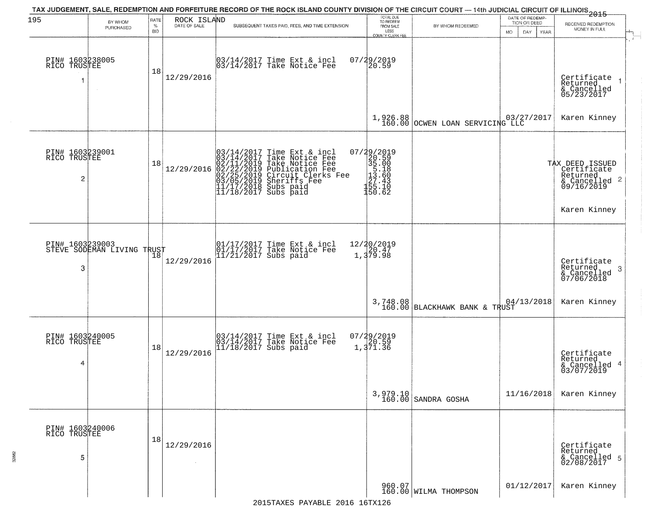| 195                                               | BY WHOM<br>PURCHASED       | RATE<br>$\%$ | ROCK ISLAND<br>DATE OF SALE | TAX JUDGEMENT, SALE, REDEMPTION AND FORFEITURE RECORD OF THE ROCK ISLAND COUNTY DIVISION OF THE CIRCUIT COURT — 14th JUDICIAL CIRCUIT OF ILLINOIS 2015<br>SUBSEQUENT TAXES PAID, FEES, AND TIME EXTENSION                                                                                                                                    | TOTAL DUE<br>TO REDEEM<br>FROM SALE                                                                  | BY WHOM REDEEMED                  | DATE OF REDEMP-<br>TION OR DEED | RECEIVED REDEMPTION                                                       |
|---------------------------------------------------|----------------------------|--------------|-----------------------------|----------------------------------------------------------------------------------------------------------------------------------------------------------------------------------------------------------------------------------------------------------------------------------------------------------------------------------------------|------------------------------------------------------------------------------------------------------|-----------------------------------|---------------------------------|---------------------------------------------------------------------------|
|                                                   |                            | <b>BID</b>   |                             |                                                                                                                                                                                                                                                                                                                                              | LESS<br><b>COUNTY CLERK FEE</b>                                                                      |                                   | MO.<br>DAY.<br><b>YEAR</b>      | MONEY IN FULL                                                             |
| PIN# 1603238005<br>RICO TRUSTEE                   |                            | 18           | 12/29/2016                  | 03/14/2017 Time Ext & incl<br>03/14/2017 Take Notice Fee                                                                                                                                                                                                                                                                                     | $07/29/2019$<br>20.59                                                                                |                                   |                                 | Certificate<br>Returned<br>& Cancelled<br>05/23/2017                      |
|                                                   |                            |              |                             |                                                                                                                                                                                                                                                                                                                                              |                                                                                                      | 1,926.88 0CWEN LOAN SERVICING LLC |                                 | Karen Kinney                                                              |
| PIN# 1603239001<br>RICO TRUSTEE<br>$\overline{c}$ |                            | 18           | 12/29/2016                  | $\begin{array}{ l} 03/14/2017 \text{ Time Ext} & \text{incl} & 0 \\ 03/14/2017 \text{ Take Notice Free} & 02/11/2019 \text{ Take Notice Free} \\ 02/22/2019 \text{ Publication Free} & 02/25/2019 \text{ Sublication Free} \\ 03/05/2019 \text{ Sheriffs Free} & 11/17/2018 \text{ Subs paid} \\ 11/18/2017 \text{ Subs paid} & \end{array}$ | $\begin{smallmatrix} 07/29/2019\\20.59\\35.00\\5.18\\11.60\\27.43\\155.10\\150.62 \end{smallmatrix}$ |                                   |                                 | TAX DEED ISSUED<br>Certificate<br>Returned<br>& Cancelled 2<br>09/16/2019 |
|                                                   |                            |              |                             |                                                                                                                                                                                                                                                                                                                                              |                                                                                                      |                                   |                                 | Karen Kinney                                                              |
| PIN# 1603239003<br>3                              | STEVE SODEMAN LIVING TRUST | 18           | 12/29/2016                  | 01/17/2017 Time Ext & incl<br>01/17/2017 Take Notice Fee<br>11/21/2017 Subs paid                                                                                                                                                                                                                                                             | 12/20/2019<br>$\frac{20.47}{1,379.98}$                                                               |                                   |                                 | Certificate<br>Returned<br>-3<br>& Cancelled<br>07/06/2018                |
|                                                   |                            |              |                             |                                                                                                                                                                                                                                                                                                                                              |                                                                                                      | $3,748.08$ BLACKHAWK BANK & TRUST | 04/13/2018                      | Karen Kinney                                                              |
| PIN# 1603240005<br>RICO TRUSTEE<br>4              |                            | 18           | 12/29/2016                  | 03/14/2017 Time Ext & incl<br>03/14/2017 Take Notice Fee<br>11/18/2017 Subs paid                                                                                                                                                                                                                                                             | 07/29/2019<br>1,371.36                                                                               |                                   |                                 | Certificate<br>Returned<br>4<br>& Cancelled<br>03/07/2019                 |
|                                                   |                            |              |                             |                                                                                                                                                                                                                                                                                                                                              |                                                                                                      | 3,979.10<br>160.00 SANDRA GOSHA   | 11/16/2018                      | Karen Kinney                                                              |
| PIN# 1603240006<br>RICO TRUSTEE<br>5              |                            | 18           | 12/29/2016                  |                                                                                                                                                                                                                                                                                                                                              |                                                                                                      |                                   |                                 | Certificate<br>Returned<br>& Cancelled 5<br>02/08/2017                    |
|                                                   |                            |              |                             |                                                                                                                                                                                                                                                                                                                                              |                                                                                                      | 960.07<br>160.00 WILMA THOMPSON   | 01/12/2017                      | Karen Kinney                                                              |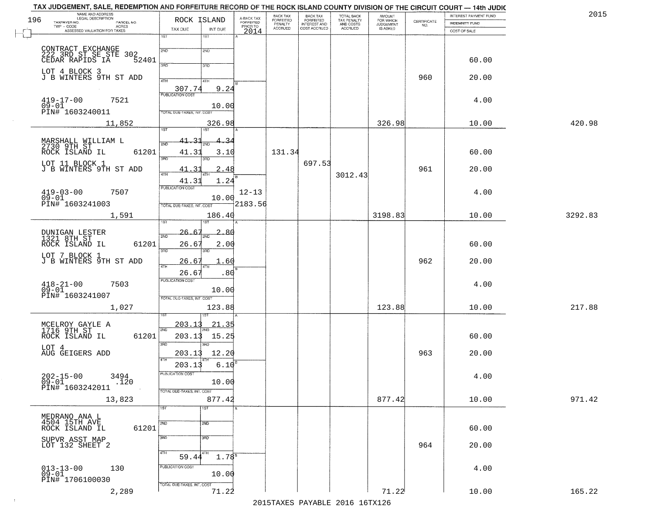| 2015    | INTEREST PAYMENT FUND |                                                                 | <b>AMOUNT</b><br>FOR WHICH | TOTAL BACK<br>TAX PENALTY<br>AND COSTS<br>ACCRUED | BACK TAX<br>FORFEITED        | BACK TAX<br><b>FORFEITED</b> | A-BACK TAX<br>FORFEITED | ROCK ISLAND                                | NAME AND ADDRESS<br>LEGAL DESCRIPTION                               |
|---------|-----------------------|-----------------------------------------------------------------|----------------------------|---------------------------------------------------|------------------------------|------------------------------|-------------------------|--------------------------------------------|---------------------------------------------------------------------|
|         | INDEMNITY FUND        | $\begin{array}{c} \text{CERTIFICATE} \\ \text{NO.} \end{array}$ | JUDGEMENT                  |                                                   | INTEREST AND<br>COST ACCRUED | PENALTY<br>ACCRUED           | PRIOR TO                |                                            | TAXPAYER NO.<br>PARCEL NO.<br>TWP - CODE<br><b>ACRES</b>            |
|         | COST OF SALE          |                                                                 |                            |                                                   |                              |                              | 2014                    | TAX DUE<br>INT DUE<br>1ST<br>1ST           | ASSESSED VALUATION FOR TAXES                                        |
|         |                       |                                                                 |                            |                                                   |                              |                              |                         |                                            |                                                                     |
|         |                       |                                                                 |                            |                                                   |                              |                              |                         | 2ND<br>2ND                                 | CONTRACT EXCHANGE<br>222 3RD ST SE STE 302<br>CEDAR RAPIDS IA 52401 |
|         | 60.00                 |                                                                 |                            |                                                   |                              |                              |                         | 3RD<br>3RD                                 |                                                                     |
|         | 20.00                 | 960                                                             |                            |                                                   |                              |                              |                         | 4TH<br>41H                                 | LOT 4 BLOCK 3<br>J B WINTERS 9TH ST ADD                             |
|         |                       |                                                                 |                            |                                                   |                              |                              |                         | 307.74<br>9.24                             |                                                                     |
|         | 4.00                  |                                                                 |                            |                                                   |                              |                              |                         | <b>PUBLICATION COST</b>                    | $419 - 17 - 00$<br>7521                                             |
|         |                       |                                                                 |                            |                                                   |                              |                              |                         | 10.00<br><b>TOTAL DUE-TAXES, INT. COST</b> | $09 - 01$<br>PIN# 1603240011                                        |
| 420.98  | 10.00                 |                                                                 | 326.98                     |                                                   |                              |                              |                         | 326.98                                     | 11,852                                                              |
|         |                       |                                                                 |                            |                                                   |                              |                              |                         | 1ST <sup>-</sup><br>1ST                    |                                                                     |
|         |                       |                                                                 |                            |                                                   |                              |                              |                         | $41 - 31$<br>.34<br>2ND                    | MARSHALL WILLIAM L<br>2730 9TH ST                                   |
|         | 60.00                 |                                                                 |                            |                                                   |                              | 131.34                       |                         | 41.31<br>3.10                              | ROCK ISLAND IL<br>61201                                             |
|         |                       |                                                                 |                            |                                                   | 697.53                       |                              |                         | 3RD                                        | LOT 11 BLOCK 1                                                      |
|         | 20.00                 | 961                                                             |                            | 3012.43                                           |                              |                              |                         | 3<br>41<br>2.48<br>47H<br>4TF              | J B WINTERS 9TH ST ADD                                              |
|         |                       |                                                                 |                            |                                                   |                              |                              |                         | 1.24<br>41.31<br>PUBLICATION COST          |                                                                     |
|         | 4.00                  |                                                                 |                            |                                                   |                              |                              | $12 - 13$               |                                            | $419-03-00$<br>09-01<br>7507                                        |
|         |                       |                                                                 |                            |                                                   |                              |                              | 2183.56                 | 10.00<br>TOTAL DUE-TAXES, INT. COST        | PIN# 1603241003                                                     |
| 3292.83 | 10.00                 |                                                                 | 3198.83                    |                                                   |                              |                              |                         | 186.40                                     | 1,591                                                               |
|         |                       |                                                                 |                            |                                                   |                              |                              |                         | <b>ST</b>                                  |                                                                     |
|         |                       |                                                                 |                            |                                                   |                              |                              |                         | 26.6<br>2.80<br>2ND                        | DUNIGAN LESTER<br>1321 8TH ST                                       |
|         | 60.00                 |                                                                 |                            |                                                   |                              |                              |                         | 26.6'<br>2.00<br>3BD<br>3RD                | 61201<br>ROCK ISLAND IL                                             |
|         | 20.00                 | 962                                                             |                            |                                                   |                              |                              |                         | <u> 26.61</u><br>.60                       | LOT 7 BLOCK 1<br>J B WINTERS 9TH ST ADD                             |
|         |                       |                                                                 |                            |                                                   |                              |                              |                         | 4TH                                        |                                                                     |
|         |                       |                                                                 |                            |                                                   |                              |                              |                         | 26.67<br>.80<br><b>PUBLICATION COST</b>    |                                                                     |
|         | 4.00                  |                                                                 |                            |                                                   |                              |                              |                         | 10.00                                      | $^{418-21-00}_{09-01}$<br>7503                                      |
|         |                       |                                                                 |                            |                                                   |                              |                              |                         | TOTAL OUE-TAXES, INT. COST                 | PIN# 1603241007                                                     |
| 217.88  | 10.00                 |                                                                 | 123.88                     |                                                   |                              |                              |                         | 123.88                                     | 1,027                                                               |
|         |                       |                                                                 |                            |                                                   |                              |                              |                         | <u>203.13</u><br><u>21.35</u>              |                                                                     |
|         | 60.00                 |                                                                 |                            |                                                   |                              |                              |                         | 2ND<br>203.13<br>15.25                     | MCELROY GAYLE A<br>1716 9TH ST<br>61201<br>ROCK ISLAND IL           |
|         |                       |                                                                 |                            |                                                   |                              |                              |                         | 3RD<br>3BD                                 |                                                                     |
|         | 20.00                 | 963                                                             |                            |                                                   |                              |                              |                         | 203.13<br>12.20                            | LOT 4<br>AUG GEIGERS ADD                                            |
|         |                       |                                                                 |                            |                                                   |                              |                              |                         | 4TH<br>6.10<br>203.13                      |                                                                     |
|         | 4.00                  |                                                                 |                            |                                                   |                              |                              |                         | PUBLICATION COST                           | 202-15-00<br>09-01<br>3494                                          |
|         |                       |                                                                 |                            |                                                   |                              |                              |                         | 10.00                                      | .120<br>PIN# 1603242011                                             |
| 971.42  | 10.00                 |                                                                 | 877.42                     |                                                   |                              |                              |                         | TOTAL DUE-TAXES, INT. COST<br>877.42       | 13,823                                                              |
|         |                       |                                                                 |                            |                                                   |                              |                              |                         | $\overline{1ST}$<br>1ST                    |                                                                     |
|         |                       |                                                                 |                            |                                                   |                              |                              |                         |                                            | MEDRANO ANA L<br>4504 15TH AVE                                      |
|         | 60.00                 |                                                                 |                            |                                                   |                              |                              |                         | 2ND<br>2ND                                 | ROCK ISLAND IL<br>61201                                             |
|         |                       |                                                                 |                            |                                                   |                              |                              |                         | 3RD<br>3 <sub>BD</sub>                     | SUPVR ASST MAP                                                      |
|         | 20.00                 | 964                                                             |                            |                                                   |                              |                              |                         | 4TH<br>4TH                                 | LOT 132 SHEET 2                                                     |
|         |                       |                                                                 |                            |                                                   |                              |                              |                         | $1.78^{8}$<br>59.44                        |                                                                     |
|         | 4.00                  |                                                                 |                            |                                                   |                              |                              |                         | PUBLICATION COST<br>10.00                  | $013 - 13 - 00$<br>09-01<br>130                                     |
|         |                       |                                                                 |                            |                                                   |                              |                              |                         | TOTAL DUE-TAXES, INT. COST                 | PIN# 1706100030                                                     |
|         |                       |                                                                 | 71.22                      |                                                   |                              |                              |                         |                                            |                                                                     |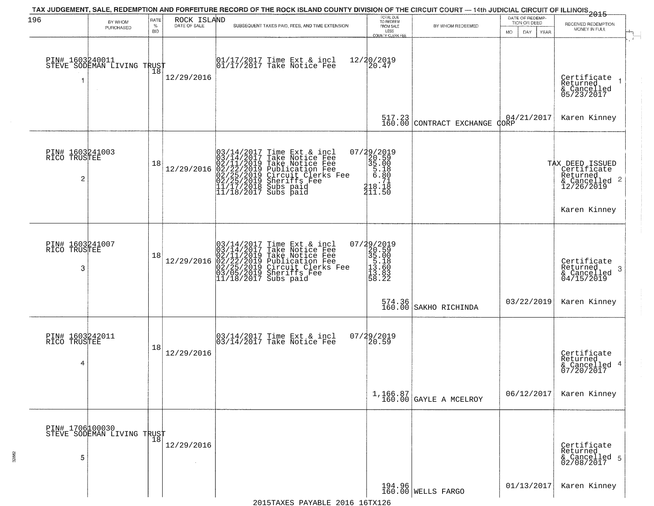| 196                             |                                                   | RATE               | ROCK ISLAND  | TAX JUDGEMENT, SALE, REDEMPTION AND FORFEITURE RECORD OF THE ROCK ISLAND COUNTY DIVISION OF THE CIRCUIT COURT — 14th JUDICIAL CIRCUIT OF ILLINOIS 2015                                                                                     | TOTAL DUE<br>TO REDEEM                                                                             |                                      | DATE OF REDEMP-                            |                                                                           |
|---------------------------------|---------------------------------------------------|--------------------|--------------|--------------------------------------------------------------------------------------------------------------------------------------------------------------------------------------------------------------------------------------------|----------------------------------------------------------------------------------------------------|--------------------------------------|--------------------------------------------|---------------------------------------------------------------------------|
|                                 | BY WHOM<br>PURCHASED                              | $\%$<br><b>BID</b> | DATE OF SALE | SUBSEQUENT TAXES PAID, FEES, AND TIME EXTENSION                                                                                                                                                                                            | FROM SALE<br>LESS                                                                                  | BY WHOM REDEEMED                     | TION OR DEED<br>MO.<br>DAY.<br><b>YEAR</b> | RECEIVED REDEMPTION<br>MONEY IN FULL                                      |
|                                 |                                                   |                    |              |                                                                                                                                                                                                                                            | COUNTY CLERK FEE                                                                                   |                                      |                                            |                                                                           |
|                                 | PIN# 1603240011    <br>STEVE SODEMAN LIVING TRUST |                    |              | 01/17/2017 Time Ext & incl<br>01/17/2017 Take Notice Fee                                                                                                                                                                                   | 12/20/2019<br>20.47                                                                                |                                      |                                            |                                                                           |
|                                 |                                                   | Ίõ                 | 12/29/2016   |                                                                                                                                                                                                                                            |                                                                                                    |                                      |                                            |                                                                           |
| 1                               |                                                   |                    |              |                                                                                                                                                                                                                                            |                                                                                                    |                                      |                                            | Certificate<br>Returned<br>$\rightarrow$<br>& Cancelled<br>05/23/2017     |
|                                 |                                                   |                    |              |                                                                                                                                                                                                                                            |                                                                                                    |                                      |                                            |                                                                           |
|                                 |                                                   |                    |              |                                                                                                                                                                                                                                            |                                                                                                    | $517.23$<br>160.00 CONTRACT EXCHANGE | 04/21/2017<br>CORP                         | Karen Kinney                                                              |
|                                 |                                                   |                    |              |                                                                                                                                                                                                                                            |                                                                                                    |                                      |                                            |                                                                           |
| PIN# 1603241003<br>RICO TRUSTEE |                                                   |                    |              |                                                                                                                                                                                                                                            | $07/29/2019$<br>20.59<br>35.00                                                                     |                                      |                                            |                                                                           |
|                                 |                                                   | 18                 | 12/29/2016   | $03/14/2017$ Time Ext & incl<br>$03/14/2017$ Take Notice Fee<br>$02/11/2019$ Take Notice Fee<br>$02/22/2019$ Publication Fee<br>$02/25/2019$ Sheriffs Fee<br>$02/25/2019$ Sheriffs Fee<br>$11/17/2018$ Subs paid<br>$11/18/2017$ Subs paid | $\begin{array}{c} 5.18 \\ 6.80 \end{array}$                                                        |                                      |                                            |                                                                           |
| 2                               |                                                   |                    |              |                                                                                                                                                                                                                                            |                                                                                                    |                                      |                                            | TAX DEED ISSUED<br>Certificate<br>Returned<br>& Cancelled 2<br>12/26/2019 |
|                                 |                                                   |                    |              |                                                                                                                                                                                                                                            | $\begin{array}{r} 0.71 \\ -718 \\ 418.18 \\ 411.50 \end{array}$                                    |                                      |                                            |                                                                           |
|                                 |                                                   |                    |              |                                                                                                                                                                                                                                            |                                                                                                    |                                      |                                            | Karen Kinney                                                              |
|                                 |                                                   |                    |              |                                                                                                                                                                                                                                            |                                                                                                    |                                      |                                            |                                                                           |
| PIN# 1603241007<br>RICO TRUSTEE |                                                   |                    |              |                                                                                                                                                                                                                                            |                                                                                                    |                                      |                                            |                                                                           |
|                                 |                                                   | 18                 | 12/29/2016   |                                                                                                                                                                                                                                            |                                                                                                    |                                      |                                            | Certificate                                                               |
| 3                               |                                                   |                    |              | $03/14/2017$ Time Ext & incl<br>03/14/2017 Take Notice Fee<br>02/11/2019 Take Notice Fee<br>02/22/2019 Publication Fee<br>02/25/2019 Circuit Clerks Fee<br>03/05/2019 Sheriffs Fee<br>11/18/2017 Subs paid                                 | $\begin{smallmatrix} 07/29/2019\\20.59\\35.00\\15.18\\5.18\\11.60\\13.60\\58.22 \end{smallmatrix}$ |                                      |                                            | Returned<br>3<br>$\alpha$ Cancelled<br>04/15/2019                         |
|                                 |                                                   |                    |              |                                                                                                                                                                                                                                            |                                                                                                    |                                      |                                            |                                                                           |
|                                 |                                                   |                    |              |                                                                                                                                                                                                                                            |                                                                                                    | 574.36<br>160.00 SAKHO RICHINDA      | 03/22/2019                                 | Karen Kinney                                                              |
|                                 |                                                   |                    |              |                                                                                                                                                                                                                                            |                                                                                                    |                                      |                                            |                                                                           |
| PIN# 1603242011<br>RICO TRUSTEE |                                                   |                    |              | 03/14/2017 Time Ext & incl<br>03/14/2017 Take Notice Fee                                                                                                                                                                                   | 07/29/2019<br>$\overline{20.59}$                                                                   |                                      |                                            |                                                                           |
|                                 |                                                   | 18                 | 12/29/2016   |                                                                                                                                                                                                                                            |                                                                                                    |                                      |                                            |                                                                           |
| 4                               |                                                   |                    |              |                                                                                                                                                                                                                                            |                                                                                                    |                                      |                                            | Certificate<br>Returned<br>4<br>& Cancelled<br>07/20/2017                 |
|                                 |                                                   |                    |              |                                                                                                                                                                                                                                            |                                                                                                    |                                      |                                            |                                                                           |
|                                 |                                                   |                    |              |                                                                                                                                                                                                                                            |                                                                                                    | $1,166.87$<br>160.00 GAYLE A MCELROY | 06/12/2017                                 | Karen Kinney                                                              |
|                                 |                                                   |                    |              |                                                                                                                                                                                                                                            |                                                                                                    |                                      |                                            |                                                                           |
| PIN# 1706100030                 |                                                   |                    |              |                                                                                                                                                                                                                                            |                                                                                                    |                                      |                                            |                                                                           |
|                                 | PIN# 1/00000000<br>STEVE SODEMAN LIVING TRUST     |                    | 12/29/2016   |                                                                                                                                                                                                                                            |                                                                                                    |                                      |                                            | Certificate                                                               |
| 5                               |                                                   |                    |              |                                                                                                                                                                                                                                            |                                                                                                    |                                      |                                            | Returned<br>& Cancelled 5<br>02/08/2017                                   |
|                                 |                                                   |                    |              |                                                                                                                                                                                                                                            |                                                                                                    |                                      |                                            |                                                                           |
|                                 |                                                   |                    |              |                                                                                                                                                                                                                                            |                                                                                                    | 194.96<br>160.00 WELLS FARGO         | 01/13/2017                                 | Karen Kinney                                                              |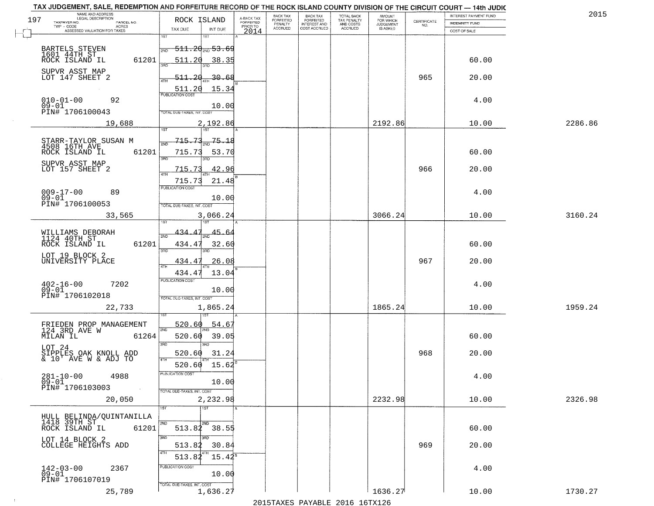|     | TAX JUDGEMENT, SALE, REDEMPTION AND FORFEITURE RECORD OF THE ROCK ISLAND COUNTY DIVISION OF THE CIRCUIT COURT - 14th JUDIC<br>NAME AND ADDRESS<br>LEGAL DESCRIPTION |                                             |                                     | BACK TAX                    |                                       |                                        | AMOUNT<br>FOR WHICH |                                                                 | INTEREST PAYMENT FUND | 2015    |
|-----|---------------------------------------------------------------------------------------------------------------------------------------------------------------------|---------------------------------------------|-------------------------------------|-----------------------------|---------------------------------------|----------------------------------------|---------------------|-----------------------------------------------------------------|-----------------------|---------|
| 197 | TAXPAYER NO.<br>PARCEL NO.                                                                                                                                          | ROCK ISLAND                                 | A-BACK TAX<br>FORFEITED<br>PRIOR TO | <b>FORFEITED</b><br>PENALTY | BACK TAX<br>FORFEITED<br>INTEREST AND | TOTAL BACK<br>TAX PENALTY<br>AND COSTS | <b>JUDGEMENT</b>    | $\begin{array}{c} \text{CERTIFICATE} \\ \text{NO.} \end{array}$ | INDEMNITY FUND        |         |
|     | TWP - CODE<br>ACRES<br>ASSESSED VALUATION FOR TAXES                                                                                                                 | TAX DUE<br>INT DUE                          | 2014                                | <b>ACCRUED</b>              | COST ACCRUED                          | ACCRUED                                | IS ASKED            |                                                                 | COST OF SALE          |         |
|     |                                                                                                                                                                     | 1ST<br>18T                                  |                                     |                             |                                       |                                        |                     |                                                                 |                       |         |
|     | BARTELS STEVEN                                                                                                                                                      | <del>511.20<sub>2ND</sub>53.69</del><br>2ND |                                     |                             |                                       |                                        |                     |                                                                 |                       |         |
|     | 1601 44TH ST<br>ROCK ISLAND IL                                                                                                                                      |                                             |                                     |                             |                                       |                                        |                     |                                                                 |                       |         |
|     | 61201                                                                                                                                                               | 511.20<br>38.35                             |                                     |                             |                                       |                                        |                     |                                                                 | 60.00                 |         |
|     | SUPVR ASST MAP                                                                                                                                                      |                                             |                                     |                             |                                       |                                        |                     |                                                                 |                       |         |
|     | LOT 147 SHEET 2                                                                                                                                                     | <u>511.20</u><br><u>30.68</u>               |                                     |                             |                                       |                                        |                     | 965                                                             | 20.00                 |         |
|     |                                                                                                                                                                     | 15.34<br>511.20                             |                                     |                             |                                       |                                        |                     |                                                                 |                       |         |
|     |                                                                                                                                                                     |                                             |                                     |                             |                                       |                                        |                     |                                                                 |                       |         |
|     | $010 - 01 - 00$<br>$09 - 01$<br>92                                                                                                                                  | 10.00                                       |                                     |                             |                                       |                                        |                     |                                                                 | 4.00                  |         |
|     | PIN# 1706100043                                                                                                                                                     | TOTAL DUE-TAXES, INT. COST                  |                                     |                             |                                       |                                        |                     |                                                                 |                       |         |
|     | 19,688                                                                                                                                                              | 2,192.86                                    |                                     |                             |                                       |                                        | 2192.86             |                                                                 | 10.00                 | 2286.86 |
|     |                                                                                                                                                                     |                                             |                                     |                             |                                       |                                        |                     |                                                                 |                       |         |
|     |                                                                                                                                                                     | 715.73<br>75.18                             |                                     |                             |                                       |                                        |                     |                                                                 |                       |         |
|     | STARR-TAYLOR SUSAN M<br>4508 16TH AVE                                                                                                                               |                                             |                                     |                             |                                       |                                        |                     |                                                                 |                       |         |
|     | 61201<br>ROCK ISLAND IL                                                                                                                                             | 715.73<br>53.70<br>3BD                      |                                     |                             |                                       |                                        |                     |                                                                 | 60.00                 |         |
|     | SUPVR ASST MAP                                                                                                                                                      |                                             |                                     |                             |                                       |                                        |                     |                                                                 |                       |         |
|     | LOT 157 SHEET 2                                                                                                                                                     | 42.96<br>715.73                             |                                     |                             |                                       |                                        |                     | 966                                                             | 20.00                 |         |
|     |                                                                                                                                                                     | 715.73<br>21.48                             |                                     |                             |                                       |                                        |                     |                                                                 |                       |         |
|     |                                                                                                                                                                     | PUBLICATION COST                            |                                     |                             |                                       |                                        |                     |                                                                 |                       |         |
|     | $009 - 17 - 00$<br>89<br>$09 - 01$                                                                                                                                  | 10.00                                       |                                     |                             |                                       |                                        |                     |                                                                 | 4.00                  |         |
|     | PIN# 1706100053                                                                                                                                                     | TOTAL DUE-TAXES, INT. COST                  |                                     |                             |                                       |                                        |                     |                                                                 |                       |         |
|     | 33,565                                                                                                                                                              | 3,066.24                                    |                                     |                             |                                       |                                        | 3066.24             |                                                                 | 10.00                 | 3160.24 |
|     |                                                                                                                                                                     | 187                                         |                                     |                             |                                       |                                        |                     |                                                                 |                       |         |
|     |                                                                                                                                                                     |                                             |                                     |                             |                                       |                                        |                     |                                                                 |                       |         |
|     | WILLIAMS DEBORAH<br>1124 40TH ST                                                                                                                                    | 434.<br>45.64<br>2ND                        |                                     |                             |                                       |                                        |                     |                                                                 |                       |         |
|     | ROCK ISLAND IL<br>61201                                                                                                                                             | 434.47<br>32.60                             |                                     |                             |                                       |                                        |                     |                                                                 | 60.00                 |         |
|     | LOT 19 BLOCK 2                                                                                                                                                      | 3RD<br>3RD                                  |                                     |                             |                                       |                                        |                     |                                                                 |                       |         |
|     | UNIVERSITY PLACE                                                                                                                                                    | 26.08<br>434.47                             |                                     |                             |                                       |                                        |                     | 967                                                             | 20.00                 |         |
|     |                                                                                                                                                                     | 434.47<br>13.04                             |                                     |                             |                                       |                                        |                     |                                                                 |                       |         |
|     |                                                                                                                                                                     | <b>PUBLICATION COST</b>                     |                                     |                             |                                       |                                        |                     |                                                                 |                       |         |
|     | 7202<br>$^{402-16-00}_{09-01}$                                                                                                                                      | 10.00                                       |                                     |                             |                                       |                                        |                     |                                                                 | 4.00                  |         |
|     | PIN# 1706102018                                                                                                                                                     | TOTAL OUE-TAXES, INT. COST                  |                                     |                             |                                       |                                        |                     |                                                                 |                       |         |
|     |                                                                                                                                                                     |                                             |                                     |                             |                                       |                                        |                     |                                                                 |                       |         |
|     | 22,733                                                                                                                                                              | 1,865.24                                    |                                     |                             |                                       |                                        | 1865.24             |                                                                 | 10.00                 | 1959.24 |
|     |                                                                                                                                                                     |                                             |                                     |                             |                                       |                                        |                     |                                                                 |                       |         |
|     | FRIEDEN PROP MANAGEMENT<br>124 3RD AVE W                                                                                                                            | 520.60<br>54.67<br>2ND                      |                                     |                             |                                       |                                        |                     |                                                                 |                       |         |
|     | MILAN IL<br>61264                                                                                                                                                   | 520.60<br>39.05                             |                                     |                             |                                       |                                        |                     |                                                                 | 60.00                 |         |
|     | LOT 24                                                                                                                                                              | 3RD<br>3BD                                  |                                     |                             |                                       |                                        |                     |                                                                 |                       |         |
|     | SIPPLES OAK KNOLL ADD<br>& 10' AVE W & ADJ TO                                                                                                                       | 520.60<br>31.24                             |                                     |                             |                                       |                                        |                     | 968                                                             | 20.00                 |         |
|     |                                                                                                                                                                     | 4TH<br>15.62<br>520.60                      |                                     |                             |                                       |                                        |                     |                                                                 |                       |         |
|     |                                                                                                                                                                     |                                             |                                     |                             |                                       |                                        |                     |                                                                 |                       |         |
|     | $281 - 10 - 00$<br>4988                                                                                                                                             | PUBLICA HUN COS-                            |                                     |                             |                                       |                                        |                     |                                                                 | 4.00                  |         |
|     | $09 - 01$<br>PIN# 1706103003<br>$\sim 10^{-1}$                                                                                                                      | 10.00                                       |                                     |                             |                                       |                                        |                     |                                                                 |                       |         |
|     |                                                                                                                                                                     | TOTAL DUE-TAXES, INT. COST                  |                                     |                             |                                       |                                        |                     |                                                                 |                       |         |
|     | 20,050                                                                                                                                                              | 2,232.98                                    |                                     |                             |                                       |                                        | 2232.98             |                                                                 | 10.00                 | 2326.98 |
|     |                                                                                                                                                                     | 1ST<br>1ST                                  |                                     |                             |                                       |                                        |                     |                                                                 |                       |         |
|     | HULL BELINDA/QUINTANILLA<br>1418 39TH ST                                                                                                                            | 2ND<br>2ND                                  |                                     |                             |                                       |                                        |                     |                                                                 |                       |         |
|     | ROCK ISLAND IL<br>61201                                                                                                                                             | 513.82 38.55                                |                                     |                             |                                       |                                        |                     |                                                                 | 60.00                 |         |
|     |                                                                                                                                                                     | 3RD                                         |                                     |                             |                                       |                                        |                     |                                                                 |                       |         |
|     | LOT 14 BLOCK 2<br>COLLEGE HEIGHTS ADD                                                                                                                               | 30.84<br>513.82                             |                                     |                             |                                       |                                        |                     | 969                                                             | 20.00                 |         |
|     |                                                                                                                                                                     | 4TH<br>$15.42^5$                            |                                     |                             |                                       |                                        |                     |                                                                 |                       |         |
|     |                                                                                                                                                                     | 513.82                                      |                                     |                             |                                       |                                        |                     |                                                                 |                       |         |
|     | 142-03-00<br>09-01<br>2367                                                                                                                                          | PUBLICATION COST                            |                                     |                             |                                       |                                        |                     |                                                                 | 4.00                  |         |
|     | PIN# 1706107019                                                                                                                                                     | 10.00                                       |                                     |                             |                                       |                                        |                     |                                                                 |                       |         |
|     |                                                                                                                                                                     | TOTAL DUE-TAXES, INT. COST                  |                                     |                             |                                       |                                        |                     |                                                                 |                       |         |
|     | 25,789                                                                                                                                                              | 1,636.27                                    |                                     |                             |                                       |                                        | 1636.27             |                                                                 | 10.00                 | 1730.27 |
|     |                                                                                                                                                                     |                                             |                                     |                             |                                       | 2015 TAVEC DAVADIE 2016 16TV126        |                     |                                                                 |                       |         |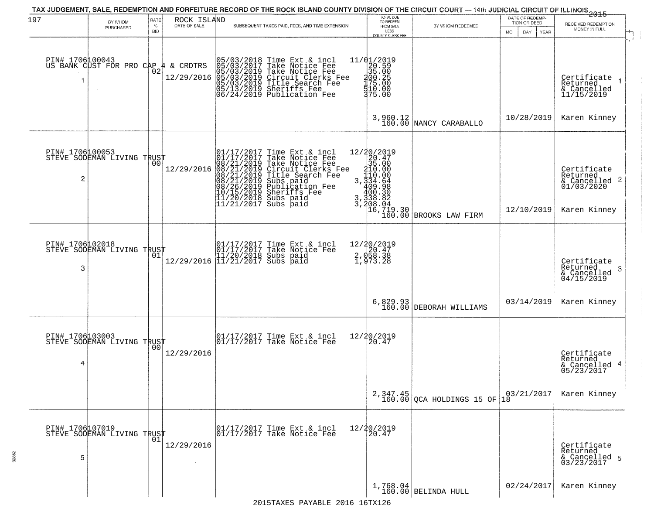| 197                  | BY WHOM                                      | RATE               | ROCK ISLAND<br>DATE OF SALE | TAX JUDGEMENT, SALE, REDEMPTION AND FORFEITURE RECORD OF THE ROCK ISLAND COUNTY DIVISION OF THE CIRCUIT COURT — 14th JUDICIAL CIRCUIT OF ILLINOIS 2015                                                                                               | TOTAL DUE<br>TO REDEEM                                                                               |                                                                                                                        | DATE OF REDEMP-<br>TION OR DEED |                                                                                    |
|----------------------|----------------------------------------------|--------------------|-----------------------------|------------------------------------------------------------------------------------------------------------------------------------------------------------------------------------------------------------------------------------------------------|------------------------------------------------------------------------------------------------------|------------------------------------------------------------------------------------------------------------------------|---------------------------------|------------------------------------------------------------------------------------|
|                      | PURCHASED                                    | $\%$<br><b>BID</b> |                             | SUBSEQUENT TAXES PAID, FEES, AND TIME EXTENSION                                                                                                                                                                                                      | FROM SALE<br>LESS<br>COUNTY CLERK FEE                                                                | BY WHOM REDEEMED                                                                                                       | MO.<br>DAY<br>YEAR              | RECEIVED REDEMPTION<br>MONEY IN FULL                                               |
| PIN# 1706100043      | US BANK CUST FOR PRO CAP                     | 02                 | & CRDTRS<br>₩<br>12/29/2016 | 05/03/2018 Time Ext & incl<br>05/03/2017 Take Notice Fee<br>05/03/2019 Take Notice Fee<br>05/03/2019 Circuit Clerks Fee<br>05/03/2019 Title Search Fee<br>05/13/2019 Sheriffs Fee<br>06/24/2019 Publication Fee                                      | 11/01/2019<br>$\begin{array}{r} 120.59 \\ 35.00 \\ 400.25 \\ 175.00 \\ 510.00 \end{array}$<br>375.00 |                                                                                                                        |                                 | Certificate<br>Returned<br>& Cancelled<br>11/15/2019                               |
|                      |                                              |                    |                             |                                                                                                                                                                                                                                                      |                                                                                                      | $3,960.12$ NANCY CARABALLO                                                                                             | 10/28/2019                      | Karen Kinney                                                                       |
| PIN# 1706100053<br>2 | STEVE SODEMAN LIVING TRUST                   |                    | 12/29/2016                  | 01/17/2017 Time Ext & incl<br>01/17/2017 Take Notice Fee<br>08/21/2019 Take Notice Fee<br>08/21/2019 Circuit Clerks Fee<br>08/21/2019 Title Search Fee<br>08/21/2019 Subs paid<br>10/15/2019 Sheriffs Fee<br>11/20/2018 Subs paid<br>11/21/2017 Subs |                                                                                                      | $12/20/2019$ $20.47$ $35.00$ $3.334.64$ $300.30$ $3.338.82$ $3.308.30$ $400.30$ $3.388.04$ $16.719.30$ EROOKS LAW FIRM | 12/10/2019                      | Certificate<br>Returned<br>$\frac{1}{6}$ Cancelled 2<br>01/03/2020<br>Karen Kinney |
| PIN# 1706102018<br>3 | STEVE SODEMAN LIVING TRUST                   |                    |                             | 01/17/2017 Time Ext & incl<br>01/17/2017 Take Notice Fee<br>11/20/2018 Subs paid<br>12/29/2016 11/21/2017 Subs paid                                                                                                                                  | 12/20/2019<br>$2, 958.38$<br>1,973.28                                                                |                                                                                                                        |                                 | Certifiçate<br>Returned<br>-3<br>& Cancelled<br>04/15/2019                         |
|                      |                                              |                    |                             |                                                                                                                                                                                                                                                      | 6,829.93<br>160.00                                                                                   | DEBORAH WILLIAMS                                                                                                       | 03/14/2019                      | Karen Kinney                                                                       |
| PIN# 1706103003<br>4 | STEVE SODEMAN LIVING TRUST                   | 00                 | 12/29/2016                  | 01/17/2017 Time Ext & incl<br>01/17/2017 Take Notice Fee                                                                                                                                                                                             | 12/20/2019<br>20.47                                                                                  |                                                                                                                        |                                 | Certificate<br>Returned<br>& Cancelled 4<br>05/23/2017                             |
|                      |                                              |                    |                             |                                                                                                                                                                                                                                                      |                                                                                                      | $2,347.45$<br>160.00 QCA HOLDINGS 15 OF                                                                                | 03/21/2017<br> 18               | Karen Kinney                                                                       |
| PIN# 1706107019<br>5 | PIN# 1/00L0/01<br>STEVE SODEMAN LIVING TRUST |                    | 12/29/2016                  | 01/17/2017 Time Ext & incl<br>01/17/2017 Take Notice Fee                                                                                                                                                                                             | 12/20/2019<br>20.47                                                                                  |                                                                                                                        |                                 | Certificate<br>Returned<br>& Cancelled 5<br>03/23/2017                             |
|                      |                                              |                    |                             |                                                                                                                                                                                                                                                      |                                                                                                      | $1,768.04$ BELINDA HULL                                                                                                | 02/24/2017                      | Karen Kinney                                                                       |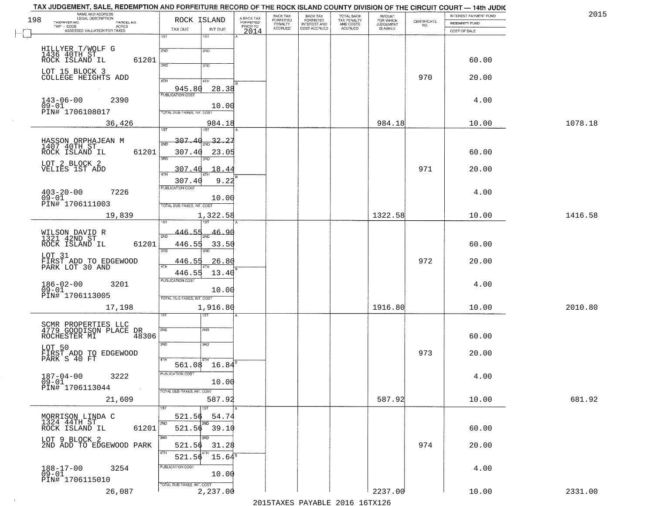|     | TAX JUDGEMENT, SALE, REDEMPTION AND FORFEITURE RECORD OF THE ROCK ISLAND COUNTY DIVISION OF THE CIRCUIT COURT - 14th JUDIC<br>NAME AND ADDRESS<br>LEGAL DESCRIPTION |                                    |                         | BACK TAX                    | BACK TAX<br>FORFEITED |                                        | AMOUNT<br>FOR WHICH |                                                                 | INTEREST PAYMENT FUND | 2015    |
|-----|---------------------------------------------------------------------------------------------------------------------------------------------------------------------|------------------------------------|-------------------------|-----------------------------|-----------------------|----------------------------------------|---------------------|-----------------------------------------------------------------|-----------------------|---------|
| 198 | TAXPAYER NO.<br>PARCEL NO.                                                                                                                                          | ROCK ISLAND                        | A-BACK TAX<br>FORFEITED | <b>FORFEITED</b><br>PENALTY | <b>INTEREST AND</b>   | TOTAL BACK<br>TAX PENALTY<br>AND COSTS | <b>JUDGEMENT</b>    | $\begin{array}{c} \text{CERTIFICATE} \\ \text{NO.} \end{array}$ | <b>INDEMNITY FUND</b> |         |
|     | ACRES<br>ASSESSED VALUATION FOR TAXES                                                                                                                               | TAX DUE<br>INT DUE                 | PRIOR TO<br>2014        | <b>ACCRUED</b>              | COST ACCRUED          | ACCRUED                                | IS ASKED            |                                                                 | COST OF SALE          |         |
|     |                                                                                                                                                                     | 1ST<br>1ST                         |                         |                             |                       |                                        |                     |                                                                 |                       |         |
|     |                                                                                                                                                                     | 2ND                                |                         |                             |                       |                                        |                     |                                                                 |                       |         |
|     | HILLYER T/WOLF G<br>1436 40TH ST<br>ROCK ISLAND IL                                                                                                                  | 2ND                                |                         |                             |                       |                                        |                     |                                                                 |                       |         |
|     | 61201                                                                                                                                                               | 3BD<br>3RD                         |                         |                             |                       |                                        |                     |                                                                 | 60.00                 |         |
|     | LOT 15 BLOCK 3                                                                                                                                                      |                                    |                         |                             |                       |                                        |                     |                                                                 |                       |         |
|     | COLLEGE HEIGHTS ADD                                                                                                                                                 | 4TH<br>4TH                         |                         |                             |                       |                                        |                     | 970                                                             | 20.00                 |         |
|     |                                                                                                                                                                     | 945.80<br>28.38                    |                         |                             |                       |                                        |                     |                                                                 |                       |         |
|     | 2390                                                                                                                                                                |                                    |                         |                             |                       |                                        |                     |                                                                 | 4.00                  |         |
|     | $143 - 06 - 00$<br>09-01                                                                                                                                            | 10.00                              |                         |                             |                       |                                        |                     |                                                                 |                       |         |
|     | PIN# 1706108017                                                                                                                                                     | TOTAL DUE-TAXES, INT. COST         |                         |                             |                       |                                        |                     |                                                                 |                       |         |
|     | 36,426                                                                                                                                                              | 984.18                             |                         |                             |                       |                                        | 984.18              |                                                                 | 10.00                 | 1078.18 |
|     |                                                                                                                                                                     | ist                                |                         |                             |                       |                                        |                     |                                                                 |                       |         |
|     | HASSON ORPHAJEAN M<br>1407 40TH ST                                                                                                                                  | $307.40_{20}$ $32.27$              |                         |                             |                       |                                        |                     |                                                                 |                       |         |
|     | 61201<br>ROCK ISLAND IL                                                                                                                                             | 307.40<br>23.05                    |                         |                             |                       |                                        |                     |                                                                 | 60.00                 |         |
|     |                                                                                                                                                                     | 3RD<br>ਬਾ                          |                         |                             |                       |                                        |                     |                                                                 |                       |         |
|     | LOT_2_BLOCK 2<br>VELIES 1ST ADD                                                                                                                                     | 307.40<br>18.44                    |                         |                             |                       |                                        |                     | 971                                                             | 20.00                 |         |
|     |                                                                                                                                                                     |                                    |                         |                             |                       |                                        |                     |                                                                 |                       |         |
|     |                                                                                                                                                                     | 9.22<br>307.40<br>PUBLICATION COST |                         |                             |                       |                                        |                     |                                                                 |                       |         |
|     | $403 - 20 - 00$<br>7226                                                                                                                                             |                                    |                         |                             |                       |                                        |                     |                                                                 | 4.00                  |         |
|     | $09 - 01$<br>PIN# 1706111003                                                                                                                                        | 10.00                              |                         |                             |                       |                                        |                     |                                                                 |                       |         |
|     |                                                                                                                                                                     | TOTAL DUE-TAXES, INT. COST         |                         |                             |                       |                                        |                     |                                                                 |                       |         |
|     | 19,839                                                                                                                                                              | 1,322.58<br>1ST                    |                         |                             |                       |                                        | 1322.58             |                                                                 | 10.00                 | 1416.58 |
|     |                                                                                                                                                                     |                                    |                         |                             |                       |                                        |                     |                                                                 |                       |         |
|     | WILSON DAVID R<br>1321 42ND ST                                                                                                                                      | 446.55<br>46.90<br>2ND             |                         |                             |                       |                                        |                     |                                                                 |                       |         |
|     | ROCK ISLAND IL<br>61201                                                                                                                                             | 446.55<br>33.50                    |                         |                             |                       |                                        |                     |                                                                 | 60.00                 |         |
|     | LOT 31                                                                                                                                                              | 3RD<br>3RD                         |                         |                             |                       |                                        |                     |                                                                 |                       |         |
|     | FIRST ADD TO EDGEWOOD<br>PARK LOT 30 AND                                                                                                                            | 446.55<br>26.80                    |                         |                             |                       |                                        |                     | 972                                                             | 20.00                 |         |
|     |                                                                                                                                                                     | 4TH<br>446.55<br>13.40             |                         |                             |                       |                                        |                     |                                                                 |                       |         |
|     |                                                                                                                                                                     | <b>PUBLICATION COST</b>            |                         |                             |                       |                                        |                     |                                                                 |                       |         |
|     | $186 - 02 - 00$<br>09-01<br>3201                                                                                                                                    | 10.00                              |                         |                             |                       |                                        |                     |                                                                 | 4.00                  |         |
|     | PIN# 1706113005                                                                                                                                                     | TOTAL OUE-TAXES, INT. COST         |                         |                             |                       |                                        |                     |                                                                 |                       |         |
|     | 17,198                                                                                                                                                              | 1,916.80                           |                         |                             |                       |                                        | 1916.80             |                                                                 | 10.00                 | 2010.80 |
|     |                                                                                                                                                                     | १९४                                |                         |                             |                       |                                        |                     |                                                                 |                       |         |
|     |                                                                                                                                                                     |                                    |                         |                             |                       |                                        |                     |                                                                 |                       |         |
|     | SCMR PROPERTIES LLC<br>4779 GOODISON PLACE DR                                                                                                                       | 2ND<br>2ND                         |                         |                             |                       |                                        |                     |                                                                 |                       |         |
|     | ROCHESTER MI<br>48306                                                                                                                                               |                                    |                         |                             |                       |                                        |                     |                                                                 | 60.00                 |         |
|     |                                                                                                                                                                     | 3RD<br>3HD                         |                         |                             |                       |                                        |                     |                                                                 |                       |         |
|     | LOT 50<br>FIRST ADD TO EDGEWOOD<br>PARK S 40 FT                                                                                                                     | 4TH                                |                         |                             |                       |                                        |                     | 973                                                             | 20.00                 |         |
|     |                                                                                                                                                                     | 561.08 16.84                       |                         |                             |                       |                                        |                     |                                                                 |                       |         |
|     | $187 - 04 - 00$<br>3222                                                                                                                                             | PUBLICATION COS-                   |                         |                             |                       |                                        |                     |                                                                 | 4.00                  |         |
|     | $09 - 01$                                                                                                                                                           | 10.00                              |                         |                             |                       |                                        |                     |                                                                 |                       |         |
|     | PIN# 1706113044<br>$\sim 10$                                                                                                                                        | TOTAL DUE-TAXES, INT. COST         |                         |                             |                       |                                        |                     |                                                                 |                       |         |
|     | 21,609                                                                                                                                                              | 587.92                             |                         |                             |                       |                                        | 587.92              |                                                                 | 10.00                 | 681.92  |
|     |                                                                                                                                                                     |                                    |                         |                             |                       |                                        |                     |                                                                 |                       |         |
|     | MORRISON LINDA C                                                                                                                                                    | 521.56<br>54.74                    |                         |                             |                       |                                        |                     |                                                                 |                       |         |
|     | 1324 44TH ST<br>ROCK ISLAND IL<br>61201                                                                                                                             | 521.56 39.10                       |                         |                             |                       |                                        |                     |                                                                 | 60.00                 |         |
|     |                                                                                                                                                                     | 3RD                                |                         |                             |                       |                                        |                     |                                                                 |                       |         |
|     | LOT 9 BLOCK 2<br>2ND ADD TO EDGEWOOD PARK                                                                                                                           | 521.56<br>31.28                    |                         |                             |                       |                                        |                     | 974                                                             | 20.00                 |         |
|     |                                                                                                                                                                     | 4TH                                |                         |                             |                       |                                        |                     |                                                                 |                       |         |
|     |                                                                                                                                                                     | $15.64^{\circ}$<br>521.56          |                         |                             |                       |                                        |                     |                                                                 |                       |         |
|     | 188-17-00<br>09-01<br>3254                                                                                                                                          | PUBLICATION COST                   |                         |                             |                       |                                        |                     |                                                                 | 4.00                  |         |
|     | PIN# 1706115010                                                                                                                                                     | 10.00                              |                         |                             |                       |                                        |                     |                                                                 |                       |         |
|     |                                                                                                                                                                     | TOTAL DUE-TAXES, INT. COST         |                         |                             |                       |                                        |                     |                                                                 |                       |         |
|     | 26,087                                                                                                                                                              | 2,237.00                           |                         |                             |                       |                                        | 2237.00             |                                                                 | 10.00                 | 2331.00 |
|     |                                                                                                                                                                     |                                    |                         |                             |                       | 2015 TAVEC DAVADIE 2016 16TV126        |                     |                                                                 |                       |         |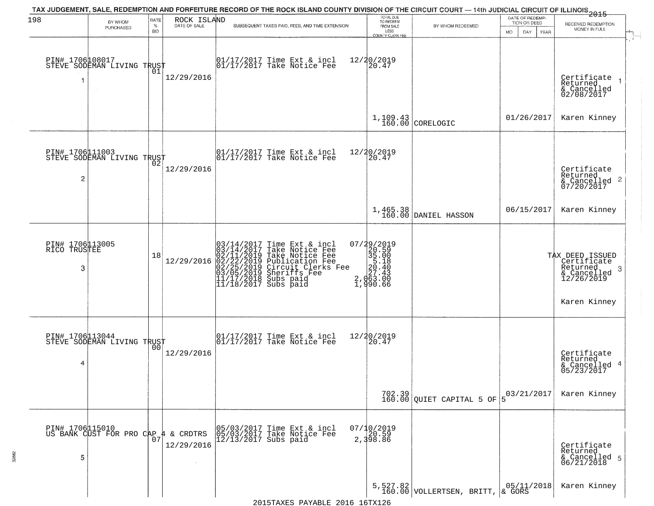| 198                             |                                                        | RATE           | ROCK ISLAND  | TAX JUDGEMENT, SALE, REDEMPTION AND FORFEITURE RECORD OF THE ROCK ISLAND COUNTY DIVISION OF THE CIRCUIT COURT — 14th JUDICIAL CIRCUIT OF ILLINOIS 2015                                                                                  | TOTAL DUE<br>TO REDEEM                                                                                   |                                                                            | DATE OF REDEMP-    |                                          |
|---------------------------------|--------------------------------------------------------|----------------|--------------|-----------------------------------------------------------------------------------------------------------------------------------------------------------------------------------------------------------------------------------------|----------------------------------------------------------------------------------------------------------|----------------------------------------------------------------------------|--------------------|------------------------------------------|
|                                 | BY WHOM<br>PURCHASED                                   | $\%$           | DATE OF SALE | SUBSEQUENT TAXES PAID, FEES, AND TIME EXTENSION                                                                                                                                                                                         | FROM SALE                                                                                                | BY WHOM REDEEMED                                                           | TION OR DEED       | RECEIVED REDEMPTION<br>MONEY IN FULL     |
|                                 |                                                        | <b>BID</b>     |              |                                                                                                                                                                                                                                         | LESS<br>COUNTY CLERK FEE                                                                                 |                                                                            | MO.<br>DAY<br>YEAR |                                          |
|                                 |                                                        |                |              |                                                                                                                                                                                                                                         |                                                                                                          |                                                                            |                    |                                          |
|                                 | PIN# 1706108017    <br>STEVE SODEMAN LIVING TRUST      |                |              | $\begin{bmatrix} 01/17/2017 \\ 01/17/2017 \end{bmatrix}$ Take Notice Fee                                                                                                                                                                | 12/20/2019<br>20.47                                                                                      |                                                                            |                    |                                          |
| 1                               |                                                        | 01             | 12/29/2016   |                                                                                                                                                                                                                                         |                                                                                                          |                                                                            |                    | Certificate<br>Returned<br>$\rightarrow$ |
|                                 |                                                        |                |              |                                                                                                                                                                                                                                         |                                                                                                          |                                                                            |                    | & Cancelled<br>02/08/2017                |
|                                 |                                                        |                |              |                                                                                                                                                                                                                                         |                                                                                                          |                                                                            |                    |                                          |
|                                 |                                                        |                |              |                                                                                                                                                                                                                                         |                                                                                                          | $1,109.43$ CORELOGIC                                                       | 01/26/2017         | Karen Kinney                             |
|                                 |                                                        |                |              |                                                                                                                                                                                                                                         |                                                                                                          |                                                                            |                    |                                          |
|                                 |                                                        |                |              |                                                                                                                                                                                                                                         |                                                                                                          |                                                                            |                    |                                          |
|                                 | PIN# 1706111003<br>STEVE SODEMAN LIVING TRUST          |                |              | $\begin{array}{c}  01/17/2017 \text{ Time Ext} & \text{incl} \\  01/17/2017 \text{ Take Notice Fe} \end{array}$                                                                                                                         | 12/20/2019<br>20.47                                                                                      |                                                                            |                    |                                          |
|                                 |                                                        |                | 12/29/2016   |                                                                                                                                                                                                                                         |                                                                                                          |                                                                            |                    | Certificate<br>Returned                  |
| 2                               |                                                        |                |              |                                                                                                                                                                                                                                         |                                                                                                          |                                                                            |                    | & Cancelled 2<br>07/20/2017              |
|                                 |                                                        |                |              |                                                                                                                                                                                                                                         |                                                                                                          |                                                                            |                    |                                          |
|                                 |                                                        |                |              |                                                                                                                                                                                                                                         |                                                                                                          | 1,465.38<br>160.00 DANIEL HASSON                                           | 06/15/2017         | Karen Kinney                             |
|                                 |                                                        |                |              |                                                                                                                                                                                                                                         |                                                                                                          |                                                                            |                    |                                          |
|                                 |                                                        |                |              |                                                                                                                                                                                                                                         |                                                                                                          |                                                                            |                    |                                          |
| PIN# 1706113005<br>RICO TRUSTEE |                                                        | 18             |              |                                                                                                                                                                                                                                         |                                                                                                          |                                                                            |                    | TAX DEED ISSUED<br>Certificate           |
| 3                               |                                                        |                | 12/29/2016   |                                                                                                                                                                                                                                         |                                                                                                          |                                                                            |                    | Returned<br>3                            |
|                                 |                                                        |                |              | $03/14/2017$ Time Ext & incl<br>$03/14/2017$ Take Notice Fee<br>$02/11/2019$ Take Notice Fee<br>$02/22/2019$ Publication Fee<br>$03/05/2019$ Sheriffs Fee<br>$11/17/2018$ Subs paid<br>$11/18/2017$ Subs paid<br>$11/18/2017$ Subs paid | $\begin{smallmatrix} 07/29/2019\\20.59\\35.00\\5.18\\20.40\\27.43\\2,063.00\\1,990.66 \end{smallmatrix}$ |                                                                            |                    | & Cancelled<br>12/26/2019                |
|                                 |                                                        |                |              |                                                                                                                                                                                                                                         |                                                                                                          |                                                                            |                    |                                          |
|                                 |                                                        |                |              |                                                                                                                                                                                                                                         |                                                                                                          |                                                                            |                    | Karen Kinney                             |
|                                 |                                                        |                |              |                                                                                                                                                                                                                                         |                                                                                                          |                                                                            |                    |                                          |
|                                 | PIN# 1706113044<br>STEVE SODEMAN LIVING TRUST          |                |              | 01/17/2017 Time Ext & incl<br>01/17/2017 Take Notice Fee                                                                                                                                                                                | 12/20/2019<br>$\left[20.47\right]$                                                                       |                                                                            |                    |                                          |
|                                 |                                                        | 0 <sub>0</sub> | 12/29/2016   |                                                                                                                                                                                                                                         |                                                                                                          |                                                                            |                    | Certificate<br>Returned                  |
| 4                               |                                                        |                |              |                                                                                                                                                                                                                                         |                                                                                                          |                                                                            |                    | & Cancelled 4<br>05/23/2017              |
|                                 |                                                        |                |              |                                                                                                                                                                                                                                         |                                                                                                          |                                                                            |                    |                                          |
|                                 |                                                        |                |              |                                                                                                                                                                                                                                         |                                                                                                          | $702.39$ QUIET CAPITAL 5 OF                                                | 03/21/2017         | Karen Kinney                             |
|                                 |                                                        |                |              |                                                                                                                                                                                                                                         |                                                                                                          |                                                                            |                    |                                          |
|                                 |                                                        |                |              |                                                                                                                                                                                                                                         |                                                                                                          |                                                                            |                    |                                          |
|                                 | PIN# 1706115010<br>US BANK CUST FOR PRO CAP 4 & CRDTRS |                |              | 05/03/2017 Time Ext & incl<br>05/03/2017 Take Notice Fee                                                                                                                                                                                | $07/10/2019$<br>20.59                                                                                    |                                                                            |                    |                                          |
|                                 |                                                        | 07             | 12/29/2016   | $12/13/2017$ Subs paid                                                                                                                                                                                                                  | 2,398.86                                                                                                 |                                                                            |                    | Certificate                              |
| 5                               |                                                        |                |              |                                                                                                                                                                                                                                         |                                                                                                          |                                                                            |                    | Returned<br>& Cancelled 5<br>06/21/2018  |
|                                 |                                                        |                |              |                                                                                                                                                                                                                                         |                                                                                                          |                                                                            |                    |                                          |
|                                 |                                                        |                |              |                                                                                                                                                                                                                                         |                                                                                                          | 5,527.82 VOLLERTSEN, BRITT, $\begin{bmatrix} 0.5/11 \\ 0.00 \end{bmatrix}$ | 05/11/2018         | Karen Kinney                             |
|                                 |                                                        |                |              |                                                                                                                                                                                                                                         |                                                                                                          |                                                                            |                    |                                          |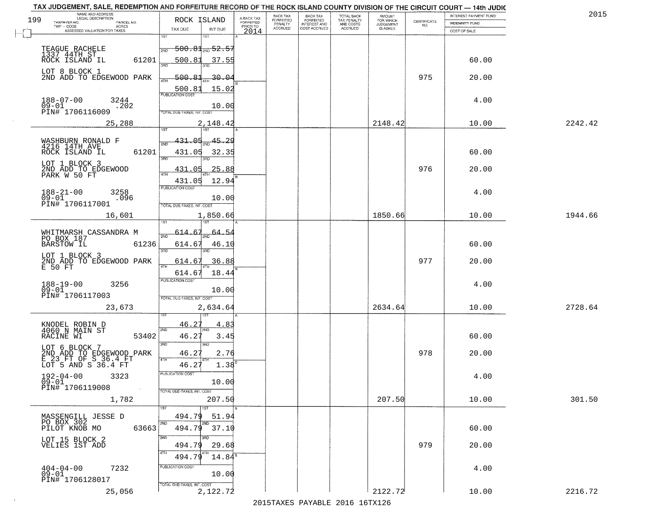|     | TAX JUDGEMENT, SALE, REDEMPTION AND FORFEITURE RECORD OF THE ROCK ISLAND COUNTY DIVISION OF THE CIRCUIT COURT - 14th JUDIC<br>NAME AND ADDRESS<br>LEGAL DESCRIPTION |                                             |                         | BACK TAX                    |                                              |                                        |                                         |                                                                 | INTEREST PAYMENT FUND | 2015    |
|-----|---------------------------------------------------------------------------------------------------------------------------------------------------------------------|---------------------------------------------|-------------------------|-----------------------------|----------------------------------------------|----------------------------------------|-----------------------------------------|-----------------------------------------------------------------|-----------------------|---------|
| 199 | TAXPAYER NO.<br>PARCEL NO.                                                                                                                                          | ROCK ISLAND                                 | A-BACK TAX<br>FORFEITED | <b>FORFEITED</b><br>PENALTY | BACK TAX<br>FORFEITED<br><b>INTEREST AND</b> | TOTAL BACK<br>TAX PENALTY<br>AND COSTS | AMOUNT<br>FOR WHICH<br><b>JUDGEMENT</b> | $\begin{array}{c} \text{CERTIFICATE} \\ \text{NO.} \end{array}$ | INDEMNITY FUND        |         |
|     | TWP - CODE<br>ACRES<br>ASSESSED VALUATION FOR TAXES                                                                                                                 | TAX DUE<br>INT DUE                          | PRIOR TO<br>2014        | <b>ACCRUED</b>              | COST ACCRUED                                 | ACCRUED                                | IS ASKED                                |                                                                 | COST OF SALE          |         |
|     |                                                                                                                                                                     | 1ST<br>1ST                                  |                         |                             |                                              |                                        |                                         |                                                                 |                       |         |
|     | TEAGUE RACHELE                                                                                                                                                      | <del>500.81<sub>2N0</sub>52.57</del><br>2ND |                         |                             |                                              |                                        |                                         |                                                                 |                       |         |
|     | 1337 44TH ST                                                                                                                                                        |                                             |                         |                             |                                              |                                        |                                         |                                                                 |                       |         |
|     | 61201<br>ROCK ISLAND IL                                                                                                                                             | 500.81<br>37.55                             |                         |                             |                                              |                                        |                                         |                                                                 | 60.00                 |         |
|     | LOT 8 BLOCK 1                                                                                                                                                       |                                             |                         |                             |                                              |                                        |                                         |                                                                 |                       |         |
|     | 2ND ADD TO EDGEWOOD PARK                                                                                                                                            | 500.81<br><u>30.04</u>                      |                         |                             |                                              |                                        |                                         | 975                                                             | 20.00                 |         |
|     |                                                                                                                                                                     | 15.02<br>500.81                             |                         |                             |                                              |                                        |                                         |                                                                 |                       |         |
|     | $188 - 07 - 00$<br>3244                                                                                                                                             |                                             |                         |                             |                                              |                                        |                                         |                                                                 | 4.00                  |         |
|     | $09 - 01$<br>.202                                                                                                                                                   | 10.00                                       |                         |                             |                                              |                                        |                                         |                                                                 |                       |         |
|     | PIN# <sup>-1706116009</sup>                                                                                                                                         | TOTAL DUE-TAXES, INT. COST                  |                         |                             |                                              |                                        |                                         |                                                                 |                       |         |
|     | 25,288                                                                                                                                                              | 2,148.42                                    |                         |                             |                                              |                                        | 2148.42                                 |                                                                 | 10.00                 | 2242.42 |
|     |                                                                                                                                                                     |                                             |                         |                             |                                              |                                        |                                         |                                                                 |                       |         |
|     | WASHBURN RONALD F<br>4216 14TH AVE                                                                                                                                  | 431.05<br>$\frac{45.29}{200}$               |                         |                             |                                              |                                        |                                         |                                                                 |                       |         |
|     | 61201<br>ROCK ISLAND IL                                                                                                                                             | 431.05<br>32.35                             |                         |                             |                                              |                                        |                                         |                                                                 | 60.00                 |         |
|     |                                                                                                                                                                     | बन्ना<br>3RD                                |                         |                             |                                              |                                        |                                         |                                                                 |                       |         |
|     | LOT 1 BLOCK 3                                                                                                                                                       | 25.88<br>431.05                             |                         |                             |                                              |                                        |                                         | 976                                                             | 20.00                 |         |
|     | 2ND ADD TO EDGEWOOD<br>PARK W 50 FT                                                                                                                                 |                                             |                         |                             |                                              |                                        |                                         |                                                                 |                       |         |
|     |                                                                                                                                                                     | 431.05<br>12.94                             |                         |                             |                                              |                                        |                                         |                                                                 |                       |         |
|     | $188 - 21 - 00$<br>3258                                                                                                                                             | PUBLICATION COST                            |                         |                             |                                              |                                        |                                         |                                                                 | 4.00                  |         |
|     | $09 - 01$<br>.096<br>PIN# 1706117001                                                                                                                                | 10.00                                       |                         |                             |                                              |                                        |                                         |                                                                 |                       |         |
|     |                                                                                                                                                                     | TOTAL DUE-TAXES, INT. COST                  |                         |                             |                                              |                                        |                                         |                                                                 |                       |         |
|     | 16,601                                                                                                                                                              | 1,850.66                                    |                         |                             |                                              |                                        | 1850.66                                 |                                                                 | 10.00                 | 1944.66 |
|     |                                                                                                                                                                     | 1ST                                         |                         |                             |                                              |                                        |                                         |                                                                 |                       |         |
|     | WHITMARSH CASSANDRA M<br>PO BOX 187                                                                                                                                 | 64.5.<br>614.<br>2ND                        |                         |                             |                                              |                                        |                                         |                                                                 |                       |         |
|     | <b>BARSTOW IL</b><br>61236                                                                                                                                          | 614.67<br>46.10                             |                         |                             |                                              |                                        |                                         |                                                                 | 60.00                 |         |
|     | LOT 1 BLOCK 3                                                                                                                                                       | 3RD<br>3RD                                  |                         |                             |                                              |                                        |                                         |                                                                 |                       |         |
|     |                                                                                                                                                                     | 614.67<br>36.88                             |                         |                             |                                              |                                        |                                         | 977                                                             | 20.00                 |         |
|     | 2ND ADD TO EDGEWOOD PARK<br>E 50 FT                                                                                                                                 | 4TH                                         |                         |                             |                                              |                                        |                                         |                                                                 |                       |         |
|     |                                                                                                                                                                     | 614.6<br>18.44<br><b>PUBLICATION COST</b>   |                         |                             |                                              |                                        |                                         |                                                                 |                       |         |
|     | 188-19-00<br>09-01<br>3256                                                                                                                                          | 10.00                                       |                         |                             |                                              |                                        |                                         |                                                                 | 4.00                  |         |
|     | PIN# 1706117003                                                                                                                                                     | TOTAL OUE-TAXES, INT. COST                  |                         |                             |                                              |                                        |                                         |                                                                 |                       |         |
|     |                                                                                                                                                                     |                                             |                         |                             |                                              |                                        |                                         |                                                                 |                       | 2728.64 |
|     | 23,673                                                                                                                                                              | 2,634.64                                    |                         |                             |                                              |                                        | 2634.64                                 |                                                                 | 10.00                 |         |
|     |                                                                                                                                                                     | 46.27                                       |                         |                             |                                              |                                        |                                         |                                                                 |                       |         |
|     | KNODEL ROBIN D<br>4060 N MAIN ST                                                                                                                                    | 4.83<br>2ND<br>2ND                          |                         |                             |                                              |                                        |                                         |                                                                 |                       |         |
|     | RACINE WI<br>53402                                                                                                                                                  | 46.27<br>3.45                               |                         |                             |                                              |                                        |                                         |                                                                 | 60.00                 |         |
|     | LOT 6 BLOCK 7                                                                                                                                                       | 3BD<br>3RD                                  |                         |                             |                                              |                                        |                                         |                                                                 |                       |         |
|     |                                                                                                                                                                     | 46.27<br>2.76                               |                         |                             |                                              |                                        |                                         | 978                                                             | 20.00                 |         |
|     | 2ND ADD TO EDGEWOOD PARK<br>E 23 FT OF S 36.4 FT<br>LOT 5 AND S 36.4 FT                                                                                             | 4TH<br>46.27<br>1.38                        |                         |                             |                                              |                                        |                                         |                                                                 |                       |         |
|     | $192 - 04 - 00$                                                                                                                                                     | PUBLICATION COS-                            |                         |                             |                                              |                                        |                                         |                                                                 |                       |         |
|     | 3323<br>$09 - 01$                                                                                                                                                   | 10.00                                       |                         |                             |                                              |                                        |                                         |                                                                 | 4.00                  |         |
|     | PIN# 1706119008<br>$\sim 10$                                                                                                                                        | TOTAL DUE-TAXES, INT. COST                  |                         |                             |                                              |                                        |                                         |                                                                 |                       |         |
|     | 1,782                                                                                                                                                               | 207.50                                      |                         |                             |                                              |                                        | 207.50                                  |                                                                 | 10.00                 | 301.50  |
|     |                                                                                                                                                                     |                                             |                         |                             |                                              |                                        |                                         |                                                                 |                       |         |
|     | MASSENGILL JESSE D                                                                                                                                                  | 494.79<br>51.94                             |                         |                             |                                              |                                        |                                         |                                                                 |                       |         |
|     | PO BOX 302<br>PILOT KNOB MO                                                                                                                                         |                                             |                         |                             |                                              |                                        |                                         |                                                                 |                       |         |
|     | 63663                                                                                                                                                               | 494.79<br>37.10                             |                         |                             |                                              |                                        |                                         |                                                                 | 60.00                 |         |
|     | LOT 15 BLOCK 2<br>VELIES 1ST ADD                                                                                                                                    | 3RD                                         |                         |                             |                                              |                                        |                                         |                                                                 |                       |         |
|     |                                                                                                                                                                     | 29.68<br>494.79                             |                         |                             |                                              |                                        |                                         | 979                                                             | 20.00                 |         |
|     |                                                                                                                                                                     | $14.84^5$<br>494.7                          |                         |                             |                                              |                                        |                                         |                                                                 |                       |         |
|     | $404 - 04 - 00$<br>7232                                                                                                                                             | PUBLICATION COST                            |                         |                             |                                              |                                        |                                         |                                                                 | 4.00                  |         |
|     | $09 - 01$<br>PIN# 1706128017                                                                                                                                        | 10.00                                       |                         |                             |                                              |                                        |                                         |                                                                 |                       |         |
|     |                                                                                                                                                                     | TOTAL DUE-TAXES, INT. COST                  |                         |                             |                                              |                                        |                                         |                                                                 |                       |         |
|     | 25,056                                                                                                                                                              | 2,122.72                                    |                         |                             |                                              |                                        | 2122.72                                 |                                                                 | 10.00                 | 2216.72 |
|     |                                                                                                                                                                     |                                             |                         |                             |                                              | 2015 TAVEC DAVADIE 2016 16TV126        |                                         |                                                                 |                       |         |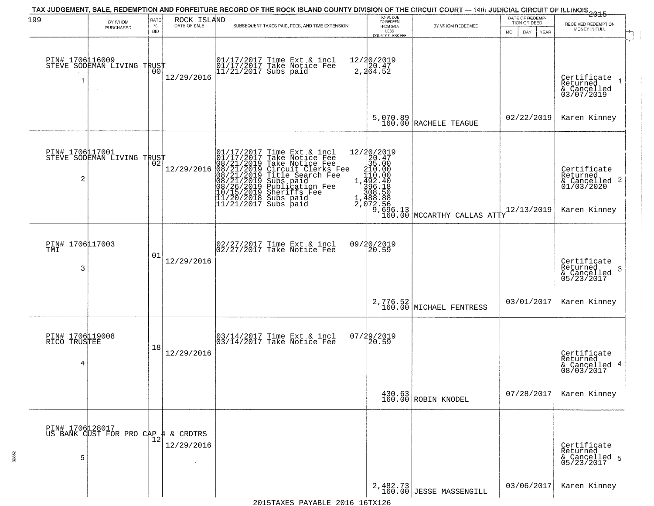| 199                                  | BY WHOM<br>PURCHASED                          | RATE<br>$\%$<br><b>BID</b> | ROCK ISLAND              |                                                                                                                                                                            | TAX JUDGEMENT, SALE, REDEMPTION AND FORFEITURE RECORD OF THE ROCK ISLAND COUNTY DIVISION OF THE CIRCUIT COURT — 14th JUDICIAL CIRCUIT OF ILLINOIS 2015<br>SUBSEQUENT TAXES PAID, FEES, AND TIME EXTENSION | TOTAL DUE<br>TO REDEEM<br>FROM SALE<br>LESS           | BY WHOM REDEEMED                    | DATE OF REDEMP-<br>TION OR DEED<br>MO.<br>DAY.<br><b>YEAR</b> | RECEIVED REDEMPTION<br>MONEY IN FULL                                               |
|--------------------------------------|-----------------------------------------------|----------------------------|--------------------------|----------------------------------------------------------------------------------------------------------------------------------------------------------------------------|-----------------------------------------------------------------------------------------------------------------------------------------------------------------------------------------------------------|-------------------------------------------------------|-------------------------------------|---------------------------------------------------------------|------------------------------------------------------------------------------------|
|                                      | PIN# 1706116009<br>STEVE SODEMAN LIVING TRUST | 00                         | 12/29/2016               |                                                                                                                                                                            | 01/17/2017 Time Ext & incl<br>01/17/2017 Take Notice Fee<br>11/21/2017 Subs paid                                                                                                                          | COUNTY CLERK FEE<br>12/20/2019<br>2,20.47<br>2,264.52 |                                     |                                                               | Certificate<br>Returned<br>$\rightarrow$<br>& Cancelled<br>03/07/2019              |
|                                      |                                               |                            |                          |                                                                                                                                                                            |                                                                                                                                                                                                           |                                                       | $5,070.89$ RACHELE TEAGUE           | 02/22/2019                                                    | Karen Kinney                                                                       |
| $\overline{c}$                       | PIN# 1706117001<br>STEVE SODEMAN LIVING TRUST |                            | 12/29/2016               | $\begin{smallmatrix} 01/17/2017\\01/17/2017\\08/21/2019\\08/21/2019\\08/21/2019\\08/21/2019\\08/21/2019\\08/26/2019\\10/15/2019\\11/20/2018\\11/21/2017 \end{smallmatrix}$ | Time Ext & incl<br>Take Notice Fee<br>Circuit Clerks<br>Circuit Clerks<br>Title Search Fee<br>Subs paid<br>Publication Fee<br>Sheriffs Fee<br>Subs paid<br>Subs paid<br>Subs paid                         |                                                       |                                     | 12/13/2019                                                    | Certificate<br>Returned<br>$\frac{1}{2}$ Cancelled 2<br>01/03/2020<br>Karen Kinney |
| PIN# 1706117003<br>TMI<br>3          |                                               | 01                         | 12/29/2016               |                                                                                                                                                                            | 02/27/2017 Time Ext & incl<br>02/27/2017 Take Notice Fee                                                                                                                                                  |                                                       |                                     |                                                               | Certificate<br>Returned<br>3<br>$\frac{6}{05/23/2017}$                             |
|                                      |                                               |                            |                          |                                                                                                                                                                            |                                                                                                                                                                                                           |                                                       | 2,776.52<br>160.00 MICHAEL FENTRESS | 03/01/2017                                                    | Karen Kinney                                                                       |
| PIN# 1706119008<br>RICO TRUSTEE<br>4 |                                               | 18                         | 12/29/2016               |                                                                                                                                                                            | 03/14/2017 Time Ext & incl<br>03/14/2017 Take Notice Fee                                                                                                                                                  | 07/29/2019<br>$\overline{20.59}$                      |                                     |                                                               | Certificate<br>Returned<br>4<br>& Cancelled<br>08/03/2017                          |
|                                      |                                               |                            |                          |                                                                                                                                                                            |                                                                                                                                                                                                           |                                                       | 430.63<br>160.00 ROBIN KNODEL       | 07/28/2017                                                    | Karen Kinney                                                                       |
| PIN# 1706128017<br>5                 | US BANK CUST FOR PRO CAP                      |                            | 4 & CRDTRS<br>12/29/2016 |                                                                                                                                                                            |                                                                                                                                                                                                           |                                                       |                                     |                                                               | Certificate<br>Returned<br>& Cancelled 5<br>05/23/2017                             |
|                                      |                                               |                            |                          |                                                                                                                                                                            |                                                                                                                                                                                                           |                                                       | 2,482.73<br>160.00 JESSE MASSENGILL | 03/06/2017                                                    | Karen Kinney                                                                       |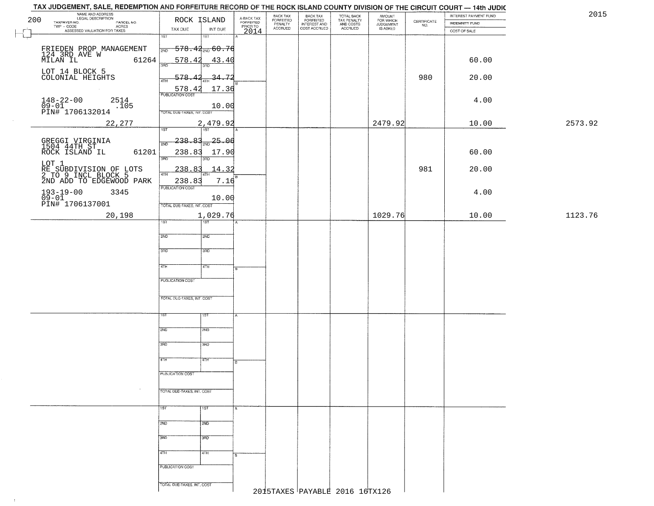| 2015    | INTEREST PAYMENT FUND | <b>INDEMNITY FUND</b> | $\begin{array}{c} \text{CERTIFICATE} \\ \text{NO.} \end{array}$ | AMOUNT<br>FOR WHICH<br>JUDGEMENT | TOTAL BACK<br>TAX PENALTY<br>AND COSTS | BACK TAX<br>FORFEITED<br>INTEREST AND | BACK TAX<br>FORFEITED<br>PENALTY | A-BACK TAX<br>FORFEITED<br>PRIOR TO |                                       | ROCK ISLAND                | NAME AND ADDRESS<br>LEGAL DESCRIPTION<br>200<br>TAXPAYER NO.<br>PARCEL NO.<br>ACRES |
|---------|-----------------------|-----------------------|-----------------------------------------------------------------|----------------------------------|----------------------------------------|---------------------------------------|----------------------------------|-------------------------------------|---------------------------------------|----------------------------|-------------------------------------------------------------------------------------|
|         |                       | COST OF SALE          |                                                                 | IS ASKED                         | <b>ACCRUED</b>                         | COST ACCRUED                          | <b>ACCRUED</b>                   | 2014                                | INT DUE                               | TAX DUE                    | TWP - CODE<br>ASSESSED VALUATION FOR TAXES                                          |
|         |                       |                       |                                                                 |                                  |                                        |                                       |                                  |                                     | 18T                                   | 1ST                        |                                                                                     |
|         |                       |                       |                                                                 |                                  |                                        |                                       |                                  |                                     | <del>578.42<sub>2ND</sub> 60.76</del> | 2ND                        | FRIEDEN PROP MANAGEMENT                                                             |
|         | 60.00                 |                       |                                                                 |                                  |                                        |                                       |                                  |                                     | 43.40                                 | 578.42                     | 124 3RD AVE W<br>MILAN IL<br>61264                                                  |
|         |                       |                       |                                                                 |                                  |                                        |                                       |                                  |                                     |                                       | 3AD                        |                                                                                     |
|         | 20.00                 |                       | 980                                                             |                                  |                                        |                                       |                                  |                                     | 34.72                                 | 578<br>4TH                 | LOT 14 BLOCK 5<br>COLONIAL HEIGHTS                                                  |
|         |                       |                       |                                                                 |                                  |                                        |                                       |                                  |                                     | 17.36                                 | 578.42                     |                                                                                     |
|         | 4.00                  |                       |                                                                 |                                  |                                        |                                       |                                  |                                     |                                       |                            | $148 - 22 - 00$<br>2514                                                             |
|         |                       |                       |                                                                 |                                  |                                        |                                       |                                  |                                     | 10.00                                 | TOTAL DUE-TAXES, INT. COST | $\frac{09-01}{\text{PINH}}$ 1706132014<br>.105                                      |
|         |                       |                       |                                                                 |                                  |                                        |                                       |                                  |                                     |                                       |                            |                                                                                     |
| 2573.92 | 10.00                 |                       |                                                                 | 2479.92                          |                                        |                                       |                                  |                                     | 2,479.92<br><b>TST</b>                | 1ST                        | 22,277                                                                              |
|         |                       |                       |                                                                 |                                  |                                        |                                       |                                  |                                     | $-25 - 06$                            | 238.83<br>2ND              |                                                                                     |
|         | 60.00                 |                       |                                                                 |                                  |                                        |                                       |                                  |                                     | 17.90                                 | 238.83                     | GREGGI VIRGINIA<br>1504 44TH ST<br>ROCK ISLAND IL<br>61201                          |
|         |                       |                       |                                                                 |                                  |                                        |                                       |                                  |                                     |                                       | 3RD                        |                                                                                     |
|         | 20.00                 |                       | 981                                                             |                                  |                                        |                                       |                                  |                                     | 14.32                                 | 238.83                     | LOT 1<br>RE SUBDIVISION OF LOTS<br>2.TO 2.INCL_BLOCK 5                              |
|         |                       |                       |                                                                 |                                  |                                        |                                       |                                  |                                     | 7.16                                  | 47H<br>238.83              | 2ND ADD TO EDGEWOOD PARK                                                            |
|         | 4.00                  |                       |                                                                 |                                  |                                        |                                       |                                  |                                     |                                       | <b>PUBLICATION COST</b>    | 3345                                                                                |
|         |                       |                       |                                                                 |                                  |                                        |                                       |                                  |                                     | 10.00                                 |                            | 193-19-00<br>09-01<br>PIN# 1706137001                                               |
|         |                       |                       |                                                                 |                                  |                                        |                                       |                                  |                                     |                                       | TOTAL DUE-TAXES, INT. COST |                                                                                     |
| 1123.76 | 10.00                 |                       |                                                                 | 1029.76                          |                                        |                                       |                                  |                                     | 1,029.76<br>187                       | īst                        | 20,198                                                                              |
|         |                       |                       |                                                                 |                                  |                                        |                                       |                                  |                                     |                                       |                            |                                                                                     |
|         |                       |                       |                                                                 |                                  |                                        |                                       |                                  |                                     | 2ND                                   | 2ND                        |                                                                                     |
|         |                       |                       |                                                                 |                                  |                                        |                                       |                                  |                                     | 3 <sub>3</sub>                        | 3 <sub>BD</sub>            |                                                                                     |
|         |                       |                       |                                                                 |                                  |                                        |                                       |                                  |                                     |                                       |                            |                                                                                     |
|         |                       |                       |                                                                 |                                  |                                        |                                       |                                  | l B.                                | 4TH                                   | 4TH                        |                                                                                     |
|         |                       |                       |                                                                 |                                  |                                        |                                       |                                  |                                     |                                       | <b>PUBLICATION COST</b>    |                                                                                     |
|         |                       |                       |                                                                 |                                  |                                        |                                       |                                  |                                     |                                       |                            |                                                                                     |
|         |                       |                       |                                                                 |                                  |                                        |                                       |                                  |                                     |                                       | TOTAL OUE-TAXES, INT. COST |                                                                                     |
|         |                       |                       |                                                                 |                                  |                                        |                                       |                                  |                                     | 15T                                   | ΙSΤ                        |                                                                                     |
|         |                       |                       |                                                                 |                                  |                                        |                                       |                                  |                                     |                                       |                            |                                                                                     |
|         |                       |                       |                                                                 |                                  |                                        |                                       |                                  |                                     | 2ND                                   | 2ND                        |                                                                                     |
|         |                       |                       |                                                                 |                                  |                                        |                                       |                                  |                                     | 3BD                                   | 3RD                        |                                                                                     |
|         |                       |                       |                                                                 |                                  |                                        |                                       |                                  |                                     |                                       |                            |                                                                                     |
|         |                       |                       |                                                                 |                                  |                                        |                                       |                                  |                                     | 4TH                                   | 4TH                        |                                                                                     |
|         |                       |                       |                                                                 |                                  |                                        |                                       |                                  |                                     |                                       | PUBLICATION COST           |                                                                                     |
|         |                       |                       |                                                                 |                                  |                                        |                                       |                                  |                                     |                                       |                            | $\sim$                                                                              |
|         |                       |                       |                                                                 |                                  |                                        |                                       |                                  |                                     |                                       | TOTAL DUE-TAXES, INT. COST |                                                                                     |
|         |                       |                       |                                                                 |                                  |                                        |                                       |                                  | $\overline{A}$                      | 1ST                                   | 1ST <sup>-</sup>           |                                                                                     |
|         |                       |                       |                                                                 |                                  |                                        |                                       |                                  |                                     |                                       |                            |                                                                                     |
|         |                       |                       |                                                                 |                                  |                                        |                                       |                                  |                                     | 2ND                                   | 2ND                        |                                                                                     |
|         |                       |                       |                                                                 |                                  |                                        |                                       |                                  |                                     | 3BD                                   | 3BD                        |                                                                                     |
|         |                       |                       |                                                                 |                                  |                                        |                                       |                                  |                                     |                                       |                            |                                                                                     |
|         |                       |                       |                                                                 |                                  |                                        |                                       |                                  | B.                                  | 4TH                                   | 4TH                        |                                                                                     |
|         |                       |                       |                                                                 |                                  |                                        |                                       |                                  |                                     |                                       | PUBLICATION COST           |                                                                                     |
|         |                       |                       |                                                                 |                                  |                                        |                                       |                                  |                                     |                                       |                            |                                                                                     |
|         |                       |                       |                                                                 |                                  |                                        |                                       |                                  |                                     |                                       |                            |                                                                                     |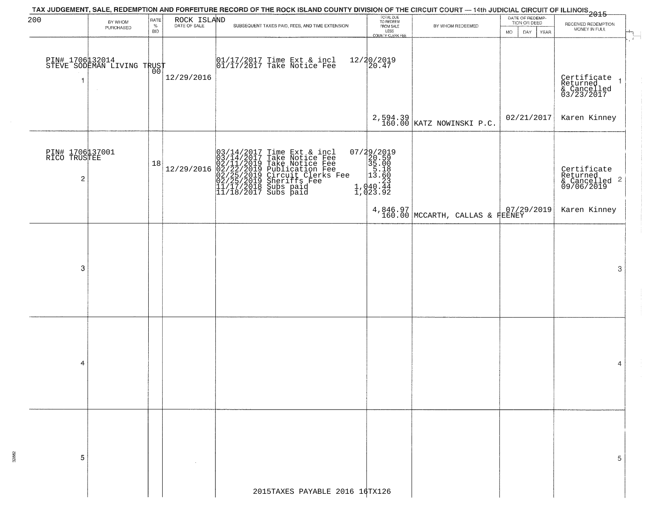| 200                                               | BY WHOM<br>PURCHASED                          | RATE<br>%  | ROCK ISLAND | SUBSEQUENT TAXES PAID, FEES, AND TIME EXTENSION                                                                                                                                                                                            | TOTAL DUE<br>TO REDEEM<br>FROM SALE                                                                   | BY WHOM REDEEMED                          | DATE OF REDEMP-<br>TION OR DEED | RECEIVED REDEMPTION<br>MONEY IN FULL                              |
|---------------------------------------------------|-----------------------------------------------|------------|-------------|--------------------------------------------------------------------------------------------------------------------------------------------------------------------------------------------------------------------------------------------|-------------------------------------------------------------------------------------------------------|-------------------------------------------|---------------------------------|-------------------------------------------------------------------|
|                                                   |                                               | <b>BID</b> |             |                                                                                                                                                                                                                                            | LESS<br>LESS<br>COUNTY CLERK FEE                                                                      |                                           | DAY<br>MO.<br>YEAR              |                                                                   |
| 1                                                 | PIN# 1706 12014<br>STEVE SODEMAN LIVING TRUST |            | 12/29/2016  | 01/17/2017 Time Ext & incl<br>01/17/2017 Take Notice Fee                                                                                                                                                                                   | 12/20/2019<br>20.47                                                                                   |                                           |                                 | Certificate<br>Returned<br>& Cancelled<br>03/23/2017              |
|                                                   |                                               |            |             |                                                                                                                                                                                                                                            |                                                                                                       | 2,594.39  <br>160.00   KATZ NOWINSKI P.C. | 02/21/2017                      | Karen Kinney                                                      |
| PIN# 1706137001<br>RICO TRUSTEE<br>$\overline{c}$ |                                               | 18         | 12/29/2016  | $03/14/2017$ Time Ext & incl<br>$03/14/2017$ Take Notice Fee<br>$02/11/2019$ Take Notice Fee<br>$02/22/2019$ Publication Fee<br>$02/25/2019$ Sheriffs Fee<br>$02/25/2019$ Sheriffs Fee<br>$11/17/2018$ Subs paid<br>$11/18/2017$ Subs paid | $\begin{smallmatrix} 07/29/2019\\20.59\\35.00\\13.18\\ \vdots\\ 1,040.44\\1,043.92 \end{smallmatrix}$ |                                           |                                 | Certificate<br>Returned<br>& Cancelled <sup>2</sup><br>09/06/2019 |
|                                                   |                                               |            |             |                                                                                                                                                                                                                                            |                                                                                                       | $4,846.97$ MCCARTH, CALLAS & FEENEY       |                                 | Karen Kinney                                                      |
| 3                                                 |                                               |            |             |                                                                                                                                                                                                                                            |                                                                                                       |                                           |                                 |                                                                   |
|                                                   |                                               |            |             |                                                                                                                                                                                                                                            |                                                                                                       |                                           |                                 | 3                                                                 |
|                                                   |                                               |            |             |                                                                                                                                                                                                                                            |                                                                                                       |                                           |                                 |                                                                   |
| 4                                                 |                                               |            |             |                                                                                                                                                                                                                                            |                                                                                                       |                                           |                                 | 4                                                                 |
|                                                   |                                               |            |             |                                                                                                                                                                                                                                            |                                                                                                       |                                           |                                 |                                                                   |
| 5                                                 |                                               |            |             |                                                                                                                                                                                                                                            |                                                                                                       |                                           |                                 |                                                                   |
|                                                   |                                               |            |             | 2015TAXES PAYABLE 2016 16TX126                                                                                                                                                                                                             |                                                                                                       |                                           |                                 |                                                                   |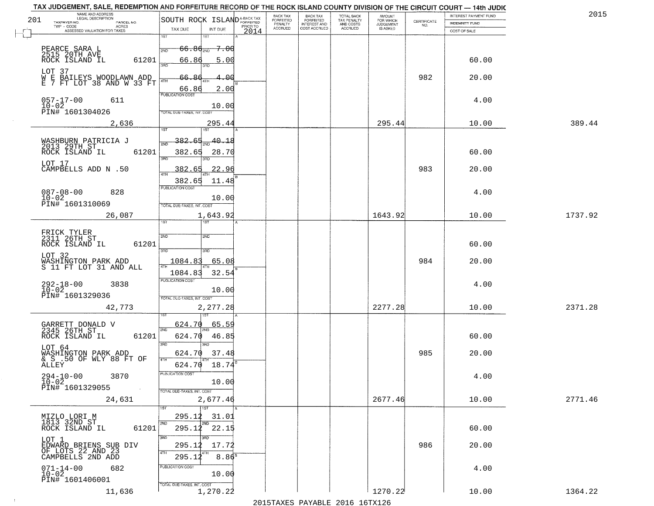|     | TAX JUDGEMENT, SALE, REDEMPTION AND FORFEITURE RECORD OF THE ROCK ISLAND COUNTY DIVISION OF THE CIRCUIT COURT - 14th JUDIC<br>NAME AND ADDRESS<br>LEGAL DESCRIPTION |                                         |                       |          | <b>BACK TAX</b>      | <b>BACK TAX</b>                         | TOTAL BACK               | <b>AMOUNT</b>                 |                                                                 | INTEREST PAYMENT FUND | 201     |
|-----|---------------------------------------------------------------------------------------------------------------------------------------------------------------------|-----------------------------------------|-----------------------|----------|----------------------|-----------------------------------------|--------------------------|-------------------------------|-----------------------------------------------------------------|-----------------------|---------|
| 201 | TAXPAYER NO.<br>PARCEL NO.<br>TWP - CODE<br><b>ACRES</b>                                                                                                            | SOUTH ROCK ISLAND <sup>A-BACK TAX</sup> |                       | PRIOR TO | FORFEITED<br>PENALTY | <b>FORFEITED</b><br><b>INTEREST AND</b> | TAX PENALTY<br>AND COSTS | FOR WHICH<br><b>JUDGEMENT</b> | $\begin{array}{c} \text{CERTIFICATE} \\ \text{NO.} \end{array}$ | <b>INDEMNITY FUND</b> |         |
|     | ASSESSED VALUATION FOR TAXES                                                                                                                                        | TAX DUE                                 | INT DUE               | 2014     | ACCRUED              | COST ACCRUED                            | ACCRUED                  | <b>IS ASKED</b>               |                                                                 | COST OF SALE          |         |
|     |                                                                                                                                                                     | 1ST                                     | 1ST                   |          |                      |                                         |                          |                               |                                                                 |                       |         |
|     | PEARCE SARA L<br>2515 20TH AVE                                                                                                                                      | 2ND                                     | $66.86_{200}$ 7.00    |          |                      |                                         |                          |                               |                                                                 |                       |         |
|     | ROCK ISLAND IL<br>61201                                                                                                                                             | 66.86                                   | 5.00                  |          |                      |                                         |                          |                               |                                                                 | 60.00                 |         |
|     |                                                                                                                                                                     | 3AD                                     |                       |          |                      |                                         |                          |                               |                                                                 |                       |         |
|     | LOT 37<br>WE BAILEYS WOODLAWN ADD<br>E 7 FT LOT 38 AND W 33 FT                                                                                                      | 66.8<br>4TH                             | 4.00                  |          |                      |                                         |                          |                               | 982                                                             | 20.00                 |         |
|     |                                                                                                                                                                     | 66.86                                   | 2.00                  |          |                      |                                         |                          |                               |                                                                 |                       |         |
|     |                                                                                                                                                                     | <b>PUBLICATION COST</b>                 |                       |          |                      |                                         |                          |                               |                                                                 |                       |         |
|     | $057 - 17 - 00$<br>611<br>$10 - 02$                                                                                                                                 |                                         | 10.00                 |          |                      |                                         |                          |                               |                                                                 | 4.00                  |         |
|     | PIN# 1601304026                                                                                                                                                     | TOTAL DUE-TAXES, INT. COST              |                       |          |                      |                                         |                          |                               |                                                                 |                       |         |
|     | 2,636                                                                                                                                                               |                                         | 295.44                |          |                      |                                         |                          | 295.44                        |                                                                 | 10.00                 | 389.44  |
|     |                                                                                                                                                                     | 1ST                                     | 1ST                   |          |                      |                                         |                          |                               |                                                                 |                       |         |
|     | WASHBURN PATRICIA J<br>2013 29TH ST                                                                                                                                 | <u>382.65</u><br>2ND                    | 40.18                 |          |                      |                                         |                          |                               |                                                                 |                       |         |
|     | 61201<br>ROCK ISLAND IL                                                                                                                                             | 382.65                                  | 28.70                 |          |                      |                                         |                          |                               |                                                                 | 60.00                 |         |
|     | LOT 17                                                                                                                                                              | 3RD                                     |                       |          |                      |                                         |                          |                               |                                                                 |                       |         |
|     | CAMPBELLS ADD N .50                                                                                                                                                 | 382.65<br>47H                           | 22.96                 |          |                      |                                         |                          |                               | 983                                                             | 20.00                 |         |
|     |                                                                                                                                                                     | 382.65                                  | 11.48                 |          |                      |                                         |                          |                               |                                                                 |                       |         |
|     | $087 - 08 - 00$<br>828                                                                                                                                              | PUBLICATION COST                        |                       |          |                      |                                         |                          |                               |                                                                 | 4.00                  |         |
|     | $10 - 02$                                                                                                                                                           |                                         | 10.00                 |          |                      |                                         |                          |                               |                                                                 |                       |         |
|     | PIN# 1601310069                                                                                                                                                     | TOTAL DUE-TAXES, INT. COST              |                       |          |                      |                                         |                          |                               |                                                                 |                       |         |
|     | 26,087                                                                                                                                                              | 1ST                                     | 1,643.92              |          |                      |                                         |                          | 1643.92                       |                                                                 | 10.00                 | 1737.92 |
|     |                                                                                                                                                                     |                                         |                       |          |                      |                                         |                          |                               |                                                                 |                       |         |
|     | FRICK TYLER<br>2311 26TH ST                                                                                                                                         | 2ND                                     | 2ND                   |          |                      |                                         |                          |                               |                                                                 |                       |         |
|     | 61201<br>ROCK ISLAND IL                                                                                                                                             | 3RD                                     |                       |          |                      |                                         |                          |                               |                                                                 | 60.00                 |         |
|     | LOT 32                                                                                                                                                              |                                         | 3BD                   |          |                      |                                         |                          |                               |                                                                 |                       |         |
|     | WASHINGTON PARK ADD<br>S 11 FT LOT 31 AND ALL                                                                                                                       | 1084.83<br>4TH                          | 65.08                 |          |                      |                                         |                          |                               | 984                                                             | 20.00                 |         |
|     |                                                                                                                                                                     | 1084.83                                 | 32.54                 |          |                      |                                         |                          |                               |                                                                 |                       |         |
|     | $292 - 18 - 00$<br>10-02<br>3838                                                                                                                                    | <b>PUBLICATION COST</b>                 |                       |          |                      |                                         |                          |                               |                                                                 | 4.00                  |         |
|     | PIN# 1601329036                                                                                                                                                     |                                         | 10.00                 |          |                      |                                         |                          |                               |                                                                 |                       |         |
|     |                                                                                                                                                                     | TOTAL OUE-TAXES, INT. COST              |                       |          |                      |                                         |                          |                               |                                                                 |                       |         |
|     | 42,773                                                                                                                                                              |                                         | 2,277.28              |          |                      |                                         |                          | 2277.28                       |                                                                 | 10.00                 | 2371.28 |
|     |                                                                                                                                                                     | 624.70                                  | 65.59                 |          |                      |                                         |                          |                               |                                                                 |                       |         |
|     | GARRETT DONALD V<br>2345 26TH ST                                                                                                                                    | 2ND                                     |                       |          |                      |                                         |                          |                               |                                                                 |                       |         |
|     | 61201<br>ROCK ISLAND IL                                                                                                                                             | 624.70<br>3RD                           | 46.85<br>3RD          |          |                      |                                         |                          |                               |                                                                 | 60.00                 |         |
|     | LOT 64                                                                                                                                                              | 624.70                                  | 37.48                 |          |                      |                                         |                          |                               | 985                                                             | 20.00                 |         |
|     | WASHINGTON PARK ADD<br>& S .50 OF WLY 88 FT OF                                                                                                                      | 4TH                                     |                       |          |                      |                                         |                          |                               |                                                                 |                       |         |
|     | ALLEY                                                                                                                                                               |                                         | 624.70 18.74          |          |                      |                                         |                          |                               |                                                                 |                       |         |
|     | $294-10-00$<br>$10-02$<br>3870                                                                                                                                      | PUBLICATION COST                        | 10.00                 |          |                      |                                         |                          |                               |                                                                 | 4.00                  |         |
|     | PIN# 1601329055<br>$\sim 10^{-1}$                                                                                                                                   | TOTAL DUE-TAXES, INT. COST              |                       |          |                      |                                         |                          |                               |                                                                 |                       |         |
|     | 24,631                                                                                                                                                              |                                         | 2,677.46              |          |                      |                                         |                          | 2677.46                       |                                                                 | 10.00                 | 2771.46 |
|     |                                                                                                                                                                     | 1ST                                     | $\overline{1ST}$      |          |                      |                                         |                          |                               |                                                                 |                       |         |
|     | MIZLO LORI M<br>1813 32ND ST                                                                                                                                        | 295.12                                  | 31.01                 |          |                      |                                         |                          |                               |                                                                 |                       |         |
|     | ROCK ISLAND IL<br>61201                                                                                                                                             | 2ND<br>295.12                           | 2ND<br>22.15          |          |                      |                                         |                          |                               |                                                                 | 60.00                 |         |
|     |                                                                                                                                                                     | 3BD                                     |                       |          |                      |                                         |                          |                               |                                                                 |                       |         |
|     | LOT 1                                                                                                                                                               | 295.12                                  | 17.72                 |          |                      |                                         |                          |                               | 986                                                             | 20.00                 |         |
|     | EDWARD BRIENS SUB DIV<br>OF LOTS 22 AND 23<br>CAMPBELLS 2ND ADD                                                                                                     | 4TH<br>295.12                           | $8.86^{\overline{5}}$ |          |                      |                                         |                          |                               |                                                                 |                       |         |
|     |                                                                                                                                                                     | PUBLICATION COST                        |                       |          |                      |                                         |                          |                               |                                                                 |                       |         |
|     | $071 - 14 - 00$<br>682<br>$10 - 02$                                                                                                                                 |                                         | 10.00                 |          |                      |                                         |                          |                               |                                                                 | 4.00                  |         |
|     | PIN# 1601406001                                                                                                                                                     | TOTAL DUE-TAXES, INT. COST              |                       |          |                      |                                         |                          |                               |                                                                 |                       |         |
|     | 11,636                                                                                                                                                              |                                         | 1,270.22              |          |                      |                                         |                          | 1270.22                       |                                                                 | 10.00                 | 1364.22 |

 $\sim 100$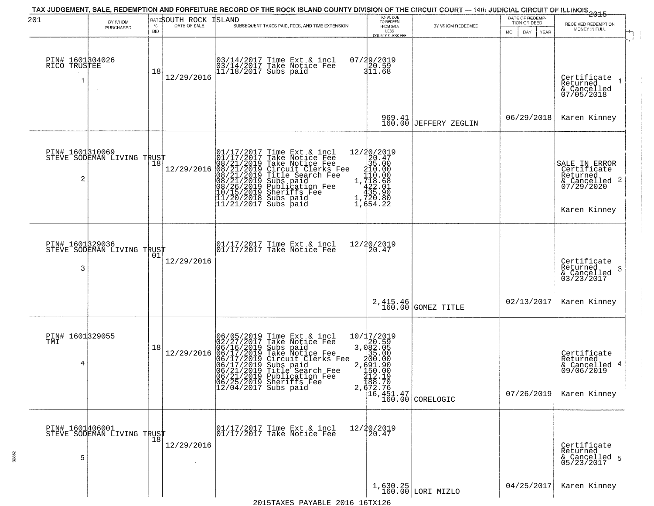| 201                             | BY WHOM<br>PURCHASED                              | $\%$             | RATESOUTH ROCK<br>DATE OF SALE | ISLAND<br>SUBSEQUENT TAXES PAID, FEES, AND TIME EXTENSION                                                                                                                                                                                             | TOTAL DUE<br>TO REDEEM<br>FROM SALE                                                                                | BY WHOM REDEEMED                                                | DATE OF REDEMP-<br>TION OR DEED | 2015<br>RECEIVED REDEMPTION<br>MONEY IN FULL                                            |
|---------------------------------|---------------------------------------------------|------------------|--------------------------------|-------------------------------------------------------------------------------------------------------------------------------------------------------------------------------------------------------------------------------------------------------|--------------------------------------------------------------------------------------------------------------------|-----------------------------------------------------------------|---------------------------------|-----------------------------------------------------------------------------------------|
| PIN# 1601304026<br>RICO TRUSTEE |                                                   | <b>BID</b><br>18 | 12/29/2016                     | 03/14/2017 Time Ext & incl<br>03/14/2017 Take Notice Fee<br>11/18/2017 Subs paid                                                                                                                                                                      | LESS<br>COUNTY CLERK FEE<br>07/29/2019<br>20.59<br>311.68                                                          |                                                                 | <b>MO</b><br>DAY<br>YEAR        | Certificate<br>Returned<br>& Cancelled<br>07/05/2018                                    |
|                                 |                                                   |                  |                                |                                                                                                                                                                                                                                                       |                                                                                                                    | 969.41<br>160.00 JEFFERY ZEGLIN                                 | 06/29/2018                      | Karen Kinney                                                                            |
| 2                               | PIN# 1601310069    <br>STEVE SODEMAN LIVING TRUST | 18               | 12/29/2016                     | 01/17/2017 Time Ext & incl<br>01/17/2017 Take Notice Fee<br>08/21/2019 Take Notice Fee<br>08/21/2019 Circuit Clerks Fee<br>08/21/2019 Title Search Fee<br>08/21/2019 Subs paid<br>08/26/2019 Sheriffs Fee<br>10/15/2019 Sheriffs Fee<br>11/20/2018 Su | ${\begin{array}{c} 12/20/2019\\20.47\\35.000\\110.000\\1,718.681\\435.90\\1,722\\1,684\\22\\1,654.22 \end{array}}$ |                                                                 |                                 | SALE IN ERROR<br>Certificate<br>Returned<br>& Cancelled 2<br>07/29/2020<br>Karen Kinney |
| 3                               | PIN# 1601329036<br>STEVE SODEMAN LIVING TRUST     | 01               | 12/29/2016                     | 01/17/2017 Time Ext & incl<br>01/17/2017 Take Notice Fee                                                                                                                                                                                              | 12/20/2019<br>20.47                                                                                                |                                                                 |                                 | Certificate<br>Returned<br>-3<br>$& \text{Cancelled} \ 03/23/2017$                      |
|                                 |                                                   |                  |                                |                                                                                                                                                                                                                                                       |                                                                                                                    | 2, 415.46<br>160.00 GOMEZ TITLE                                 | 02/13/2017                      | Karen Kinney                                                                            |
| PIN# 1601329055<br>TMI<br>4     |                                                   | 18               | 12/29/2016                     | 06/05/2019 Time Ext & incl<br>02/27/2017 Take Notice Fee<br>06/16/2019 Subs paid<br>06/17/2019 Take Notice Fee<br>06/17/2019 Circuit Clerks Fee<br>06/21/2019 Subs paid<br>06/21/2019 Publication Fee<br>06/25/2019 Sheriffs Fee<br>06/25/2019 Sherif | 10/17/2019<br>$3,082.05$<br>$3,082.05$<br>$3691.90$<br>$2,691.90$<br>$450.00$<br>$\frac{712.19}{188.70}$           | 2, $\frac{372.76}{16,451.47}$<br>16, 451.47<br>160.00 CORELOGIC | 07/26/2019                      | Certificate<br>Returned<br>& Cancelled 4<br>09/06/2019<br>Karen Kinney                  |
| 5                               | PIN# 1601406001<br>STEVE SODEMAN LIVING TRUST     |                  | 12/29/2016                     | 01/17/2017 Time Ext & incl<br>01/17/2017 Take Notice Fee                                                                                                                                                                                              | 12/20/2019<br>20.47                                                                                                |                                                                 |                                 | Certificate<br>Returned<br>& Cancelled 5<br>05/23/2017                                  |
|                                 |                                                   |                  |                                | 2015TAXES PAYARLE 2016 16TX126                                                                                                                                                                                                                        |                                                                                                                    | $1,630.25$ LORI MIZLO                                           | 04/25/2017                      | Karen Kinney                                                                            |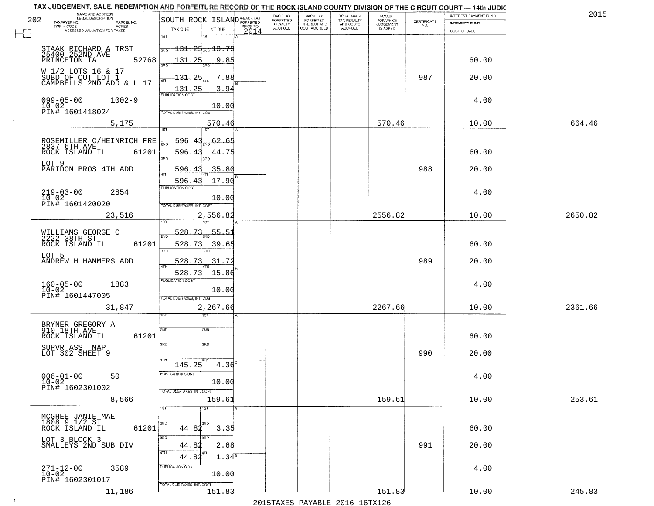| 202                                                 | NAME AND ADDRESS<br>LEGAL DESCRIPTION              | SOUTH ROCK ISLAND <sup>A-BACK TAX</sup>                    | BACK TAX<br>FORFEITED | <b>BACK TAX</b><br><b>FORFEITED</b> | TOTAL BACK<br>TAX PENALTY | <b>AMOUNT</b>                      | CERTIFICATE | INTEREST PAYMENT FUND | 2015    |
|-----------------------------------------------------|----------------------------------------------------|------------------------------------------------------------|-----------------------|-------------------------------------|---------------------------|------------------------------------|-------------|-----------------------|---------|
| TAXPAYER NO.<br>TWP - CODE                          | PARCEL NO.<br>ACRES                                | PRIOR TO<br>TAX DUE                                        | PENALTY<br>ACCRUED    | INTEREST AND<br>COST ACCRUED        | AND COSTS<br>ACCRUED      | FOR WHICH<br>JUDGEMENT<br>IS ASKED | NO.         | <b>INDEMNITY FUND</b> |         |
|                                                     | ASSESSED VALUATION FOR TAXES                       | INT DUE<br>2014<br>1ST<br>1ST                              |                       |                                     |                           |                                    |             | COST OF SALE          |         |
|                                                     | STAAK RICHARD A TRST<br>25400 252ND AVE            | $131.25_{200}13.79$<br>2ND                                 |                       |                                     |                           |                                    |             |                       |         |
| PRINCETON IA                                        | 52768                                              | 131.25<br>9.85<br>3AD                                      |                       |                                     |                           |                                    |             | 60.00                 |         |
| W 1/2 LOTS 16 & 17                                  |                                                    | 7<br>131.<br>-88                                           |                       |                                     |                           |                                    | 987         | 20.00                 |         |
|                                                     | SUBD OF OUT LOT 1<br>CAMPBELLS 2ND ADD & L 17      | 4TH<br>131.25<br>3.94                                      |                       |                                     |                           |                                    |             |                       |         |
| $099 - 05 - 00$                                     | $1002 - 9$                                         | <b>PUBLICATION COST</b>                                    |                       |                                     |                           |                                    |             | 4.00                  |         |
| $10 - 02$<br>PIN# 1601418024                        |                                                    | 10.00<br>TOTAL DUE-TAXES, INT. COST                        |                       |                                     |                           |                                    |             |                       |         |
|                                                     | 5,175                                              | 570.46<br>1ST<br>1ST                                       |                       |                                     |                           | 570.46                             |             | 10.00                 | 664.46  |
|                                                     |                                                    | 596.43<br>62.65<br>រតា                                     |                       |                                     |                           |                                    |             |                       |         |
| ROCK ISLAND IL                                      | ROSEMILLER C/HEINRICH FRE<br>2837 6TH AVE<br>61201 | 596.43<br>44.75                                            |                       |                                     |                           |                                    |             | 60.00                 |         |
| LOT 9                                               |                                                    | 3RD                                                        |                       |                                     |                           |                                    |             |                       |         |
|                                                     | PARIDON BROS 4TH ADD                               | 35.80<br>596.<br>-4<br>$\overline{ATH}$<br>17.90<br>596.43 |                       |                                     |                           |                                    | 988         | 20.00                 |         |
| $219 - 03 - 00$                                     | 2854                                               | PUBLICATION COST                                           |                       |                                     |                           |                                    |             | 4.00                  |         |
| $10-02$<br>PIN# 1601420020                          |                                                    | 10.00<br>TOTAL DUE-TAXES, INT. COST                        |                       |                                     |                           |                                    |             |                       |         |
|                                                     | 23,516                                             | 2,556.82                                                   |                       |                                     |                           | 2556.82                            |             | 10.00                 | 2650.82 |
|                                                     |                                                    | 528.73<br>55.51                                            |                       |                                     |                           |                                    |             |                       |         |
| WILLIAMS GEORGE C<br>2222 38TH ST<br>ROCK ISLAND IL | 61201                                              | 2ND<br>528.73<br>39.65                                     |                       |                                     |                           |                                    |             | 60.00                 |         |
| LOT 5                                               |                                                    | 3RD<br>3RD                                                 |                       |                                     |                           |                                    |             |                       |         |
|                                                     | ANDREW H HAMMERS ADD                               | 31.72<br>528.73<br>4TH<br>15.86<br>528.73                  |                       |                                     |                           |                                    | 989         | 20.00                 |         |
| $160 - 05 - 00$<br>$10 - 02$                        | 1883                                               | <b>PUBLICATION COST</b>                                    |                       |                                     |                           |                                    |             | 4.00                  |         |
| PIN# 1601447005                                     |                                                    | 10.00<br>TOTAL OUE-TAXES, INT. COST                        |                       |                                     |                           |                                    |             |                       |         |
|                                                     | 31,847                                             | 2,267.66                                                   |                       |                                     |                           | 2267.66                            |             | 10.00                 | 2361.66 |
|                                                     |                                                    |                                                            |                       |                                     |                           |                                    |             |                       |         |
| BRYNER GREGORY A<br>910 18TH AVE<br>ROCK ISLAND IL  | 61201                                              | 2ND<br>2ND                                                 |                       |                                     |                           |                                    |             | 60.00                 |         |
| SUPVR ASST MAP<br>LOT 302 SHEET 9                   |                                                    | 3RD<br>3RD                                                 |                       |                                     |                           |                                    | 990         | 20.00                 |         |
|                                                     |                                                    | 4TH<br>$4.36^{B}$<br>145.25                                |                       |                                     |                           |                                    |             |                       |         |
| $006 - 01 - 00$                                     | 50                                                 | PUBLICATION COST                                           |                       |                                     |                           |                                    |             | 4.00                  |         |
| $10 - 02$<br>PIN# 1602301002                        | $\sim$                                             | 10.00<br>TOTAL DUE-TAXES, INT. COST                        |                       |                                     |                           |                                    |             |                       |         |
|                                                     | 8,566                                              | 159.61                                                     |                       |                                     |                           | 159.61                             |             | 10.00                 | 253.61  |
| MCGHEE JANIE MAE<br>1808 9 1/2 ST                   |                                                    | 1ST<br>1ST                                                 |                       |                                     |                           |                                    |             |                       |         |
| ROCK ISLAND IL                                      | 61201                                              | 2ND<br>2ND<br>44.82<br>3.35                                |                       |                                     |                           |                                    |             | 60.00                 |         |
| LOT 3 BLOCK 3                                       | SMALLEYS 2ND SUB DIV                               | 3BD<br>अंग<br>44.82<br>2.68                                |                       |                                     |                           |                                    | 991         | 20.00                 |         |
|                                                     |                                                    | 4TH<br>  4TH<br>44.82<br>1.34 <sup>s</sup>                 |                       |                                     |                           |                                    |             |                       |         |
| 271-12-00<br>10-02                                  | 3589                                               | PUBLICATION COST                                           |                       |                                     |                           |                                    |             | 4.00                  |         |
| PIN# 1602301017                                     |                                                    | 10.00<br>TOTAL DUE-TAXES, INT. COST                        |                       |                                     |                           |                                    |             |                       |         |
|                                                     | 11,186                                             | 151.83                                                     |                       |                                     |                           | 151.83                             |             | 10.00                 | 245.83  |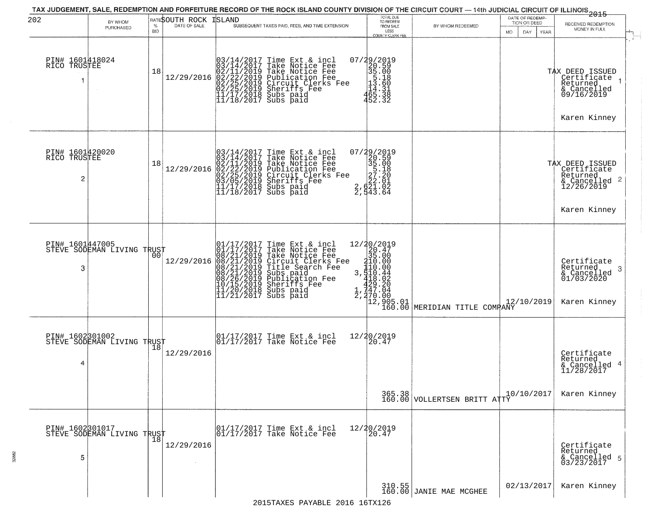| 202                                  | BY WHOM<br>PURCHASED                              | $\%$<br><b>BID</b> | RATESOUTH ROCK<br>DATE OF SALE | ISLAND<br>SUBSEQUENT TAXES PAID, FEES, AND TIME EXTENSION                                                                                                                                                                                             | TOTAL DUE<br>TO REDEEM<br>FROM SALE<br>LESS<br><b>COUNTY CLERK FEE</b>                                          | BY WHOM REDEEMED.                                                                | DATE OF REDEMP-<br>TION OR DEED<br><b>MO</b><br>DAY<br><b>YEAR</b> | <del>2015</del><br>RECEIVED REDEMPTION<br>MONEY IN FULL                                   |
|--------------------------------------|---------------------------------------------------|--------------------|--------------------------------|-------------------------------------------------------------------------------------------------------------------------------------------------------------------------------------------------------------------------------------------------------|-----------------------------------------------------------------------------------------------------------------|----------------------------------------------------------------------------------|--------------------------------------------------------------------|-------------------------------------------------------------------------------------------|
| PIN# 1601418024<br>RICO TRUSTEE      |                                                   | 18                 | 12/29/2016                     | $03/14/2017$ Time Ext & incl<br>$03/14/2017$ Take Notice Fee<br>$02/11/2019$ Take Notice Fee<br>$02/22/2019$ Publication Fee<br>$02/25/2019$ Sheriffs Fee<br>$02/25/2019$ Sheriffs Fee<br>$11/17/2018$ Subs paid<br>$11/18/2017$ Subs paid            | 07/29/2019<br>20.59<br>35.00<br>13.60<br>14.31<br>465.333<br>452.32                                             |                                                                                  |                                                                    | TAX DEED ISSUED<br>Certificate<br>Returned<br>& Cancelled<br>09/16/2019<br>Karen Kinney   |
| PIN# 1601420020<br>RICO TRUSTEE<br>2 |                                                   | 18                 | 12/29/2016                     | $03/14/2017$ Time Ext & incl<br>$03/14/2017$ Take Notice Fee<br>$02/11/2019$ Take Notice Fee<br>$02/22/2019$ Publication Fee<br>$03/05/2019$ Sheriffs Fee<br>$11/17/2018$ Subs paid<br>$11/18/2017$ Subs paid<br>$\frac{2}{2}$                        | 07/29/2019<br>35.00<br>35.00<br>35.18<br>27.20<br>2, 02.01<br>2, 02.1.02<br>543.64                              |                                                                                  |                                                                    | TAX DEED ISSUED<br>Certificate<br>Returned<br>& Cancelled 2<br>12/26/2019<br>Karen Kinney |
| 3                                    | PIN# 1601447005    <br>STEVE SODEMAN LIVING TRUST | 00 <sup>1</sup>    | 12/29/2016                     | 01/17/2017 Time Ext & incl<br>01/17/2017 Take Notice Fee<br>08/21/2019 Take Notice Fee<br>08/21/2019 Circuit Clerks Fee<br>08/21/2019 Title Search Fee<br>08/21/2019 Subs paid<br>08/26/2019 Subsidion Fee<br>10/15/2019 Sheriffs Fee<br>11/20/2018 S | $\begin{smallmatrix}12/20/2019\\20.47\\35.00\\110.00\\3.510.42\\429.20\\1.747.04\\2.770.80\\1\end{smallmatrix}$ | $\begin{vmatrix} 12 & 905 & 01 \\ 160 & 00 \end{vmatrix}$ MERIDIAN TITLE COMPANY | 12/10/2019                                                         | Certificate<br>Returned<br>3<br>& Cancelled<br>01/03/2020<br>Karen Kinney                 |
| PIN# 1602301002<br>4                 | STEVE SODEMAN LIVING TRUST                        | 18                 | 12/29/2016                     | 01/17/2017 Time Ext & incl<br>01/17/2017 Take Notice Fee                                                                                                                                                                                              | 12/20/2019<br>20.47                                                                                             |                                                                                  |                                                                    | Certificate<br>Returned<br>& Cancelled<br>11/28/2017                                      |
|                                      |                                                   |                    |                                |                                                                                                                                                                                                                                                       |                                                                                                                 | 365.38 VOLLERTSEN BRITT ATTY                                                     | 10/10/2017                                                         | Karen Kinney                                                                              |
| 5                                    | PIN# 1602301017<br>STEVE SODEMAN LIVING TRUST     |                    | 12/29/2016                     | 01/17/2017 Time Ext & incl<br>01/17/2017 Take Notice Fee                                                                                                                                                                                              | 12/20/2019<br>20.47                                                                                             |                                                                                  |                                                                    | Certificate<br>Returned<br>& Cancelled 5<br>03/23/2017                                    |
|                                      |                                                   |                    |                                | 2015TAYES DAVARLE 2016 16TY126                                                                                                                                                                                                                        | 310.55<br>160.00                                                                                                | JANIE MAE MCGHEE                                                                 | 02/13/2017                                                         | Karen Kinney                                                                              |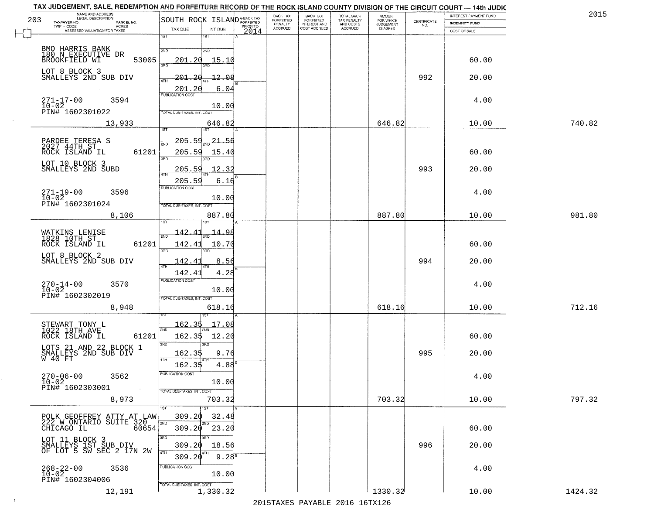|     | TAX JUDGEMENT, SALE, REDEMPTION AND FORFEITURE RECORD OF THE ROCK ISLAND COUNTY DIVISION OF THE CIRCUIT COURT - 14th JUDIC |                                         |                  | BACK TAX                  |                                       |                                        |                                     |                                                                 |                                                | 201     |
|-----|----------------------------------------------------------------------------------------------------------------------------|-----------------------------------------|------------------|---------------------------|---------------------------------------|----------------------------------------|-------------------------------------|-----------------------------------------------------------------|------------------------------------------------|---------|
| 203 | NAME AND ADDRESS<br>LEGAL DESCRIPTION<br>TAXPAYER NO.<br>PARCEL NO.                                                        | SOUTH ROCK ISLAND <sup>A-BACK TAX</sup> |                  | FORFEITED                 | BACK TAX<br>FORFEITED<br>INTEREST AND | TOTAL BACK<br>TAX PENALTY<br>AND COSTS | AMOUNT<br>FOR WHICH                 | $\begin{array}{c} \text{CERTIFICATE} \\ \text{NO.} \end{array}$ | INTEREST PAYMENT FUND<br><b>INDEMNITY FUND</b> |         |
|     | $TWP - CODE$<br><b>ACRES</b><br>ASSESSED VALUATION FOR TAXES                                                               | TAX DUE<br>INT DUE                      | PRIOR TO<br>2014 | PENALTY<br><b>ACCRUED</b> | COST ACCRUED                          | <b>ACCRUED</b>                         | <b>JUDGEMENT</b><br><b>IS ASKED</b> |                                                                 | COST OF SALE                                   |         |
|     |                                                                                                                            | 1ST<br>1ST                              |                  |                           |                                       |                                        |                                     |                                                                 |                                                |         |
|     | BMO HARRIS BANK<br>180 N_EXECUTIVE DR                                                                                      | 2ND<br>2ND                              |                  |                           |                                       |                                        |                                     |                                                                 |                                                |         |
|     | 53005<br>BROOKFIELD WI                                                                                                     | 201.20<br>15.10<br>3AD                  |                  |                           |                                       |                                        |                                     |                                                                 | 60.00                                          |         |
|     | LOT 8 BLOCK 3<br>SMALLEYS 2ND SUB DIV                                                                                      | $-201$<br>-20<br>$-12.08$<br>4TH        |                  |                           |                                       |                                        |                                     | 992                                                             | 20.00                                          |         |
|     |                                                                                                                            | 6.04<br>201.20                          |                  |                           |                                       |                                        |                                     |                                                                 |                                                |         |
|     | $271 - 17 - 00$<br>3594<br>10-02<br>PIN# 1602301022                                                                        | 10.00                                   |                  |                           |                                       |                                        |                                     |                                                                 | 4.00                                           |         |
|     |                                                                                                                            | TOTAL DUE-TAXES, INT. COST              |                  |                           |                                       |                                        |                                     |                                                                 |                                                |         |
|     | 13,933                                                                                                                     | 646.82<br>1ST<br>1ST                    |                  |                           |                                       |                                        | 646.82                              |                                                                 | 10.00                                          | 740.82  |
|     |                                                                                                                            | $205 - 59$<br>21.56                     |                  |                           |                                       |                                        |                                     |                                                                 |                                                |         |
|     | PARDEE TERESA S<br>2027 44TH ST<br>ROCK ISLAND IL<br>61201                                                                 | 2ND<br>205.59<br>15.40                  |                  |                           |                                       |                                        |                                     |                                                                 | 60.00                                          |         |
|     |                                                                                                                            | 3RD                                     |                  |                           |                                       |                                        |                                     |                                                                 |                                                |         |
|     | LOT 10 BLOCK 3<br>SMALLEYS 2ND SUBD                                                                                        | 12.32<br><u> 205.59</u><br><b>ATH</b>   |                  |                           |                                       |                                        |                                     | 993                                                             | 20.00                                          |         |
|     |                                                                                                                            | 6.16<br>205.59<br>PUBLICATION COST      |                  |                           |                                       |                                        |                                     |                                                                 |                                                |         |
|     | $271 - 19 - 00$<br>3596<br>$\overline{10} - \overline{02}$                                                                 | 10.00                                   |                  |                           |                                       |                                        |                                     |                                                                 | 4.00                                           |         |
|     | PIN# 1602301024                                                                                                            | TOTAL DUE-TAXES, INT. COST              |                  |                           |                                       |                                        |                                     |                                                                 |                                                |         |
|     | 8,106                                                                                                                      | 887.80<br>1ST                           |                  |                           |                                       |                                        | 887.80                              |                                                                 | 10.00                                          | 981.80  |
|     | WATKINS LENISE<br>1828 10TH ST                                                                                             | 142.4<br>14.98<br>2ND                   |                  |                           |                                       |                                        |                                     |                                                                 |                                                |         |
|     | ROCK ISLAND IL<br>61201                                                                                                    | 142.41<br>10.70                         |                  |                           |                                       |                                        |                                     |                                                                 | 60.00                                          |         |
|     | LOT 8 BLOCK 2<br>SMALLEYS 2ND SUB DIV                                                                                      | 3RD<br>3RD<br>142.41<br>8.56            |                  |                           |                                       |                                        |                                     | 994                                                             | 20.00                                          |         |
|     |                                                                                                                            | 4TH<br>4.28<br>142.41                   |                  |                           |                                       |                                        |                                     |                                                                 |                                                |         |
|     | 3570                                                                                                                       | <b>PUBLICATION COST</b>                 |                  |                           |                                       |                                        |                                     |                                                                 | 4.00                                           |         |
|     | $270 - 14 - 00$<br>10-02<br>PIN# 1602302019                                                                                | 10.00                                   |                  |                           |                                       |                                        |                                     |                                                                 |                                                |         |
|     | 8,948                                                                                                                      | TOTAL OUE-TAXES, INT. COST<br>618.16    |                  |                           |                                       |                                        | 618.16                              |                                                                 | 10.00                                          | 712.16  |
|     |                                                                                                                            |                                         |                  |                           |                                       |                                        |                                     |                                                                 |                                                |         |
|     | STEWART TONY L<br>1022 18TH AVE                                                                                            | 162.35<br>17.08<br>2ND                  |                  |                           |                                       |                                        |                                     |                                                                 |                                                |         |
|     | ROCK ISLAND IL<br>61201                                                                                                    | 162.35<br>12.20<br>3RD<br>ਸ਼ਸ਼ਾ         |                  |                           |                                       |                                        |                                     |                                                                 | 60.00                                          |         |
|     | LOTS 21 AND 22 BLOCK 1<br>SMALLEYS 2ND SUB DIV<br>W 40 FT                                                                  | 162.35<br>9.76                          |                  |                           |                                       |                                        |                                     | 995                                                             | 20.00                                          |         |
|     |                                                                                                                            | 4TH<br>$4.88^{6}$<br>162.35             |                  |                           |                                       |                                        |                                     |                                                                 |                                                |         |
|     | $270 - 06 - 00$<br>3562                                                                                                    | PUBLICATION COST                        |                  |                           |                                       |                                        |                                     |                                                                 | 4.00                                           |         |
|     | $10 - 02$<br>PIN# 1602303001<br><b>Contract</b>                                                                            | 10.00<br>TOTAL DUE-TAXES, INT. COST     |                  |                           |                                       |                                        |                                     |                                                                 |                                                |         |
|     | 8,973                                                                                                                      | 703.32                                  |                  |                           |                                       |                                        | 703.32                              |                                                                 | 10.00                                          | 797.32  |
|     |                                                                                                                            | 1ST<br>1ST                              |                  |                           |                                       |                                        |                                     |                                                                 |                                                |         |
|     | POLK GEOFFREY ATTY AT LAW<br>222 W ONTARIO SUITE 320<br>CHICAGO IL 60654                                                   | 309.20<br>32.48<br>2ND<br>2ND           |                  |                           |                                       |                                        |                                     |                                                                 |                                                |         |
|     |                                                                                                                            | 309.20<br>23.20<br>3RD<br>3BD.          |                  |                           |                                       |                                        |                                     |                                                                 | 60.00                                          |         |
|     | LOT 11 BLOCK 3<br>SMALLEYS 1ST SUB DIV<br>OF LOT 5 SW SEC 2 17N 2W                                                         | 309.20<br>18.56                         |                  |                           |                                       |                                        |                                     | 996                                                             | 20.00                                          |         |
|     |                                                                                                                            | 4TH<br>$9.28^{8}$<br>309.20             |                  |                           |                                       |                                        |                                     |                                                                 |                                                |         |
|     | $268 - 22 - 00$<br>10-02<br>3536                                                                                           | PUBLICATION COST<br>10.00               |                  |                           |                                       |                                        |                                     |                                                                 | 4.00                                           |         |
|     | PIN# 1602304006                                                                                                            | TOTAL DUE-TAXES, INT. COST              |                  |                           |                                       |                                        |                                     |                                                                 |                                                |         |
|     | 12,191                                                                                                                     | 1,330.32                                |                  |                           |                                       |                                        | 1330.32                             |                                                                 | 10.00                                          | 1424.32 |

 $\sim 10$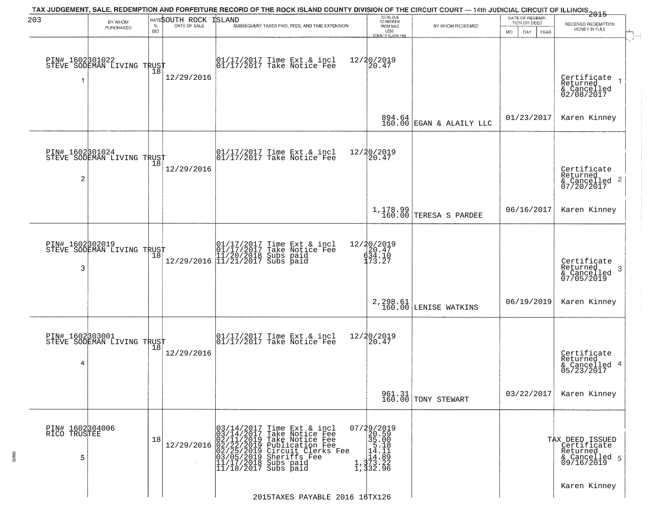| 203                                  | BY WHOM<br>PURCHASED                                  | $\%$<br><b>BID</b> | RATESOUTH ROCK<br>DATE OF SALE | TAX JUDGEMENT, SALE, REDEMPTION AND FORFEITURE RECORD OF THE ROCK ISLAND COUNTY DIVISION OF THE CIRCUIT COURT — 14th JUDICIAL CIRCUIT OF ILLINOIS 2015<br><b>ISLAND</b><br>SUBSEQUENT TAXES PAID, FEES, AND TIME EXTENSION                                                                   | TOTAL DUE<br>TO REDEEM<br>FROM SALE<br>LESS<br>COUNTY CLERK FEE                                                  | BY WHOM REDEEMED                   | DATE OF REDEMP-<br>TION OR DEED<br>DAY.<br><b>YEAR</b><br>MO. | RECEIVED REDEMPTION<br>MONEY IN FULL                                        |
|--------------------------------------|-------------------------------------------------------|--------------------|--------------------------------|----------------------------------------------------------------------------------------------------------------------------------------------------------------------------------------------------------------------------------------------------------------------------------------------|------------------------------------------------------------------------------------------------------------------|------------------------------------|---------------------------------------------------------------|-----------------------------------------------------------------------------|
|                                      | PIN# 1602301022<br>STEVE SODEMAN LIVING TRUST         | 18                 | 12/29/2016                     | 01/17/2017 Time Ext & incl<br>01/17/2017 Take Notice Fee                                                                                                                                                                                                                                     | 12/20/2019<br>20.47                                                                                              |                                    |                                                               | Certificate<br>Returned<br>& Cancelled<br>02/08/2017                        |
|                                      |                                                       |                    |                                |                                                                                                                                                                                                                                                                                              |                                                                                                                  | $894.64$ EGAN & ALAILY LLC         | 01/23/2017                                                    | Karen Kinney                                                                |
| $\overline{c}$                       | PIN# 1602301024<br>STEVE SODEMAN LIVING TRUST         | 18                 | 12/29/2016                     | $\begin{bmatrix} 01/17/2017 \\ 01/17/2017 \end{bmatrix}$ Take Notice Fee                                                                                                                                                                                                                     | 12/20/2019<br>20.47                                                                                              |                                    |                                                               | Certificate<br>Returned<br>$\overline{2}$<br>& Cancelled<br>07/20/2017      |
|                                      |                                                       |                    |                                |                                                                                                                                                                                                                                                                                              |                                                                                                                  | $1,178.99$ TERESA S PARDEE         | 06/16/2017                                                    | Karen Kinney                                                                |
| PIN# 1602302019<br>3                 | STEVE SODEMAN LIVING TRUST                            | 18                 |                                | $[ \begin{array}{c} 01/17/2017 \text{ Time Ext & incl} \\ 01/17/2017 \text{ Take Notice } \text{Fe} \\ 11/20/2018 \text{ Subs paid} \\ 12/29/2016 \text{ }  11/21/2017 \text{ Subs paid} \end{array} ]$                                                                                      | 12/20/2019<br>173.27                                                                                             |                                    |                                                               | Certificate<br>Returned<br>3<br>& Cancelled<br>07/05/2019                   |
|                                      |                                                       |                    |                                |                                                                                                                                                                                                                                                                                              |                                                                                                                  | 2, 298.61<br>160.00 LENISE WATKINS | 06/19/2019                                                    | Karen Kinney                                                                |
| PIN# 1602303001<br>4                 | <b>PIN# 10049090901</b><br>STEVE SODEMAN LIVING TRUST |                    | 12/29/2016                     | $\begin{bmatrix} 01/17/2017 \\ 01/17/2017 \end{bmatrix}$ Take Notice Fee                                                                                                                                                                                                                     | 12/20/2019<br>120.47                                                                                             |                                    |                                                               | Certificate<br>Returned<br>4<br>& Cancelled<br>05/23/2017                   |
|                                      |                                                       |                    |                                |                                                                                                                                                                                                                                                                                              |                                                                                                                  | 961.31<br>160.00 TONY STEWART      | 03/22/2017                                                    | Karen Kinney                                                                |
| PIN# 1602304006<br>RICO TRUSTEE<br>5 |                                                       | 18                 | 12/29/2016                     | 03/14/2017<br>03/14/2017<br>Time Ext & incl<br>Take Notice Fee<br>02/11/2019 Take Notic<br>02/22/2019 Publicatio<br>02/25/2019 Publicatio<br>03/25/2019 Sheriffs<br>11/17/2018 Subs paid<br>11/17/2018 Subs paid<br>Take Notice Fee<br>Publication Fee<br>Circuit Clerks Fee<br>Sheriffs Fee | 07/29/2019<br>20.59<br>$\begin{array}{r} 25.00 \\ 35.00 \\ 14.11 \\ 14.11 \\ 14.89 \\ 1,373.22 \\ 6 \end{array}$ |                                    |                                                               | TAX DEED ISSUED<br>  Certificate<br>Returned<br>& Cancelled 5<br>09/16/2019 |
|                                      |                                                       |                    |                                | 2015TAXES PAYABLE 2016 16TX126                                                                                                                                                                                                                                                               |                                                                                                                  |                                    |                                                               | Karen Kinney                                                                |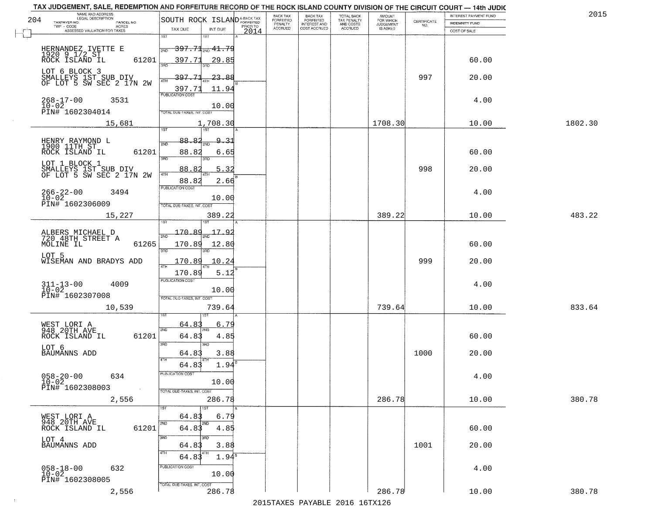| TAX JUDGEMENT, SALE, REDEMPTION AND FORFEITURE RECORD OF THE ROCK ISLAND COUNTY DIVISION OF THE CIRCUIT COURT - 14th JUDIC<br>NAME AND ADDRESS<br>LEGAL DESCRIPTION |                                                                          | BACK TAX                           | <b>BACK TAX</b>                                                     |                                         |                                                                 | INTEREST PAYMENT FUND | 2015    |
|---------------------------------------------------------------------------------------------------------------------------------------------------------------------|--------------------------------------------------------------------------|------------------------------------|---------------------------------------------------------------------|-----------------------------------------|-----------------------------------------------------------------|-----------------------|---------|
| 204<br>TAXPAYER NO.<br>PARCEL NO.                                                                                                                                   | SOUTH ROCK ISLAND <sup>A-BACK TAX</sup>                                  | FORFEITED<br>PENALTY               | TOTAL BACK<br>TAX PENALTY<br>AND COSTS<br>FORFEITED<br>INTEREST AND | AMOUNT<br>FOR WHICH<br><b>JUDGEMENT</b> | $\begin{array}{c} \text{CERTIFICATE} \\ \text{NO.} \end{array}$ | <b>INDEMNITY FUND</b> |         |
| ACRES<br>ASSESSED VALUATION FOR TAXES                                                                                                                               | TAX DUE<br>INT DUE                                                       | PRIOR TO<br><b>ACCRUED</b><br>2014 | COST ACCRUED<br><b>ACCRUED</b>                                      | IS ASKED                                |                                                                 | COST OF SALE          |         |
|                                                                                                                                                                     | 1ST<br>18T<br><del>397.71<sub>2ND</sub>41.79</del><br>2ND                |                                    |                                                                     |                                         |                                                                 |                       |         |
| HERNANDEZ IVETTE E<br>1920 9 1/2 ST<br>ROCK ISLAND IL<br>LOT 6 BLOCK 3                                                                                              | 61201<br>397.71<br><u>29.85</u>                                          |                                    |                                                                     |                                         |                                                                 | 60.00                 |         |
| SMALLEYS 1ST SUB DIV<br>OF LOT 5 SW SEC 2 17N 2W                                                                                                                    | 397.71<br>-23.88<br>$\frac{397.71}{PUBUCATONCGST}$<br>11.94              |                                    |                                                                     |                                         | 997                                                             | 20.00                 |         |
| $268 - 17 - 00$<br>$10 - 02$<br>3531<br>PIN# 1602304014                                                                                                             | 10.00<br>TOTAL DUE-TAXES, INT. COST                                      |                                    |                                                                     |                                         |                                                                 | 4.00                  |         |
| 15,681                                                                                                                                                              | 1,708.30                                                                 |                                    |                                                                     | 1708.30                                 |                                                                 | 10.00                 | 1802.30 |
| HENRY RAYMOND L<br>1900 11TH ST<br>ROCK ISLAND IL                                                                                                                   | 88.82<br><u>9.31</u><br>2ND<br>88.82<br>61201<br>6.65<br>3RD<br>3RD      |                                    |                                                                     |                                         |                                                                 | 60.00                 |         |
| LOT 1 BLOCK 1<br>SMALLEYS 1ST SUB DIV<br>OF LOT 5 SW SEC 2 17N 2W                                                                                                   | 5.32<br>88.82<br>  47H<br>88.82<br>2.66                                  |                                    |                                                                     |                                         | 998                                                             | 20.00                 |         |
| $266 - 22 - 00$<br>3494<br>$10 - 02$<br>PIN# 1602306009                                                                                                             | PUBLICATION COST<br>10.00<br>TOTAL DUE-TAXES, INT. COST                  |                                    |                                                                     |                                         |                                                                 | 4.00                  |         |
| 15,227                                                                                                                                                              | 389.22<br>isT                                                            |                                    |                                                                     | 389.22                                  |                                                                 | 10.00                 | 483.22  |
| ALBERS MICHAEL D<br>720 48TH STREET A<br>MOLINE IL                                                                                                                  | 170.89<br>17.9<br>2ND<br>61265<br>170.89<br>12.80<br>3RD<br>3RD          |                                    |                                                                     |                                         |                                                                 | 60.00                 |         |
| LOT 5<br>WISEMAN AND BRADYS ADD                                                                                                                                     | 170.89<br>10.2 <sup>4</sup><br>4TH<br>170.89<br>5.12                     |                                    |                                                                     |                                         | 999                                                             | 20.00                 |         |
| $311 - 13 - 00$<br>$10 - 02$<br>4009<br>PIN# 1602307008                                                                                                             | <b>PUBLICATION COST</b><br>10.00<br>TOTAL OUE-TAXES, INT. COST           |                                    |                                                                     |                                         |                                                                 | 4.00                  |         |
| 10,539                                                                                                                                                              | 739.64                                                                   |                                    |                                                                     | 739.64                                  |                                                                 | 10.00                 | 833.64  |
| WEST LORI A<br>948 20TH AVE<br>ROCK ISLAND IL                                                                                                                       | 64.83<br>6.79<br>2ND<br>64.83<br>61201<br>4.85<br>3 <sub>BD</sub><br>3RD |                                    |                                                                     |                                         |                                                                 | 60.00                 |         |
| LOT 6<br><b>BAUMANNS ADD</b>                                                                                                                                        | 3.88<br>64.83<br>4TH<br>1.94<br>64.83                                    |                                    |                                                                     |                                         | 1000                                                            | 20.00                 |         |
| $058 - 20 - 00$<br>634<br>$10-02$<br>PIN# 1602308003<br>$\sim 100$ km $^{-1}$                                                                                       | PUBLICATION COS-<br>10.00<br>TOTAL DUE-TAXES, INT. COST                  |                                    |                                                                     |                                         |                                                                 | 4.00                  |         |
| 2,556                                                                                                                                                               | 286.78<br>1ST                                                            |                                    |                                                                     | 286.78                                  |                                                                 | 10.00                 | 380.78  |
| WEST LORI A<br>948 20TH AVE<br>ROCK ISLAND IL                                                                                                                       | 64.83<br>6.79<br>2ND<br>2ND<br>61201<br>64.83<br>4.85                    |                                    |                                                                     |                                         |                                                                 | 60.00                 |         |
| LOT 4<br>BAUMANNS ADD                                                                                                                                               | 3RD<br>3.88<br>64.83<br>4TH<br>64.83<br>$1.94^s$                         |                                    |                                                                     |                                         | 1001                                                            | 20.00                 |         |
| $058 - 18 - 00$<br>$10 - 02$<br>632<br>PIN# 1602308005                                                                                                              | PUBLICATION COST<br>10.00                                                |                                    |                                                                     |                                         |                                                                 | 4.00                  |         |
| 2,556                                                                                                                                                               | TOTAL DUE-TAXES, INT. COST<br>286.78                                     |                                    |                                                                     | 286.78                                  |                                                                 | 10.00                 | 380.78  |

 $\sim 10^{-1}$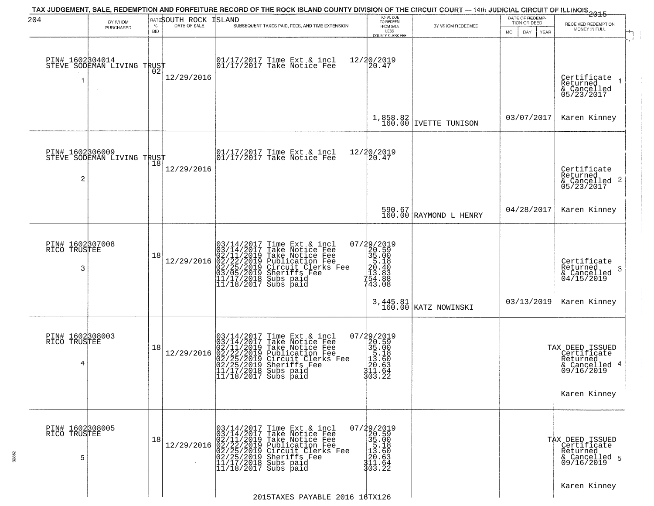| 204                                  | BY WHOM                                       |                    | RATESOUTH ROCK | ISLAND | TAX JUDGEMENT, SALE, REDEMPTION AND FORFEITURE RECORD OF THE ROCK ISLAND COUNTY DIVISION OF THE CIRCUIT COURT — 14th JUDICIAL CIRCUIT OF ILLINOIS 2015                                                                                                 | TOTAL DUE<br>TO REDEEM                                                                                      |                                   | DATE OF REDEMP-<br>TION OR DEED |                                                                                           |
|--------------------------------------|-----------------------------------------------|--------------------|----------------|--------|--------------------------------------------------------------------------------------------------------------------------------------------------------------------------------------------------------------------------------------------------------|-------------------------------------------------------------------------------------------------------------|-----------------------------------|---------------------------------|-------------------------------------------------------------------------------------------|
|                                      | PURCHASED                                     | $\%$<br><b>BID</b> | DATE OF SALE   |        | SUBSEQUENT TAXES PAID, FEES, AND TIME EXTENSION                                                                                                                                                                                                        | FROM SALE<br>LESS<br><b>COUNTY CLERK FEE</b>                                                                | BY WHOM REDEEMED                  | MO.<br>DAY.<br>YEAR             | RECEIVED REDEMPTION<br>MONEY IN FULL                                                      |
|                                      | PIN# 1602304014<br>STEVE SODEMAN LIVING TRUST | ŌŽ                 | 12/29/2016     |        | 01/17/2017 Time Ext & incl<br>01/17/2017 Take Notice Fee                                                                                                                                                                                               | 12/20/2019<br>20.47                                                                                         |                                   |                                 | Certificate<br>Returned<br>& Cancelled<br>05/23/2017                                      |
|                                      |                                               |                    |                |        |                                                                                                                                                                                                                                                        | 1,858.82<br>160.00                                                                                          | IVETTE TUNISON                    | 03/07/2017                      | Karen Kinney                                                                              |
| PIN# 1602306009<br>$\overline{c}$    | STEVE SODEMAN LIVING TRUST                    |                    | 12/29/2016     |        | $\begin{array}{cc}  01/17/2017 \text{ Time} & \text{Ext} & \text{incl} \\  01/17/2017 \text{ Take Notice } \text{Fe} \end{array}$                                                                                                                      | 12/20/2019<br>20.47                                                                                         |                                   |                                 | Certificate<br>Returned<br>& Cancelled 2<br>05/23/2017                                    |
|                                      |                                               |                    |                |        |                                                                                                                                                                                                                                                        |                                                                                                             | 590.67<br>160.00 RAYMOND L HENRY  | 04/28/2017                      | Karen Kinney                                                                              |
| PIN# 1602307008<br>RICO TRUSTEE<br>3 |                                               | 18                 | 12/29/2016     |        | $03/14/2017$ Time Ext & incl<br>$03/14/2017$ Take Notice Fee<br>$02/11/2019$ Take Notice Fee<br>$02/22/2019$ Publication Fee<br>$03/05/2019$ Sheriffs Fee<br>$11/17/2018$ Subs paid<br>$11/18/2017$ Subs paid                                          | 07/29/2019<br>$20.500$<br>$35.180$<br>$20.480$<br>$213.888$<br>$154.888$<br>743.08                          |                                   |                                 | Certificate<br>Returned<br>3<br>$\frac{1}{2}$ Cancelled<br>04/15/2019                     |
|                                      |                                               |                    |                |        |                                                                                                                                                                                                                                                        |                                                                                                             | 3, 445.81<br>160.00 KATZ NOWINSKI | 03/13/2019                      | Karen Kinney                                                                              |
| PIN# 1602308003<br>RICO TRUSTEE<br>4 |                                               | 18                 | 12/29/2016     |        | $03/14/2017$ Time Ext & incl<br>$03/14/2017$ Take Notice Fee<br>$02/11/2019$ Take Notice Fee<br>$02/22/2019$ Publication Fee<br>$02/25/2019$ Sheriffs Fee<br>$02/25/2019$ Sheriffs Fee<br>$11/17/2018$ Subs paid<br>$11/18/2017$ Subs paid             | $\begin{smallmatrix} 07/29/2019\\20.59\\35.00\\15.18\\11.60\\20.63\\311.64\\303.22 \end{smallmatrix}$       |                                   |                                 | TAX DEED ISSUED<br>Certificate<br>Returned<br>& Cancelled 4<br>09/16/2019<br>Karen Kinney |
| PIN# 1602308005<br>RICO TRUSTEE<br>5 |                                               | 18                 |                |        | 03/14/2017 Time Ext & incl<br>03/14/2017 Take Notice Fee<br>12/29/2016 02/11/2019 Take Notice Fee<br>12/29/2016 02/22/2019 Publication Fee<br>02/25/2019 Circuit Clerks Fee<br>02/25/2019 Sheriffs Fee<br>11/17/2018 Subs paid<br>11/18/2017 Subs paid | 07/29/2019<br>20.59<br>$\begin{bmatrix} 35.00 \\ 5.18 \\ 13.60 \end{bmatrix}$<br> 20.63<br>311.64<br>303.22 |                                   |                                 | TAX DEED ISSUED<br>Certificate<br>Returned<br>& Cancelled 5<br>09/16/2019                 |
|                                      |                                               |                    |                |        | 2015TAXES PAYABLE 2016 16TX126                                                                                                                                                                                                                         |                                                                                                             |                                   |                                 | Karen Kinney                                                                              |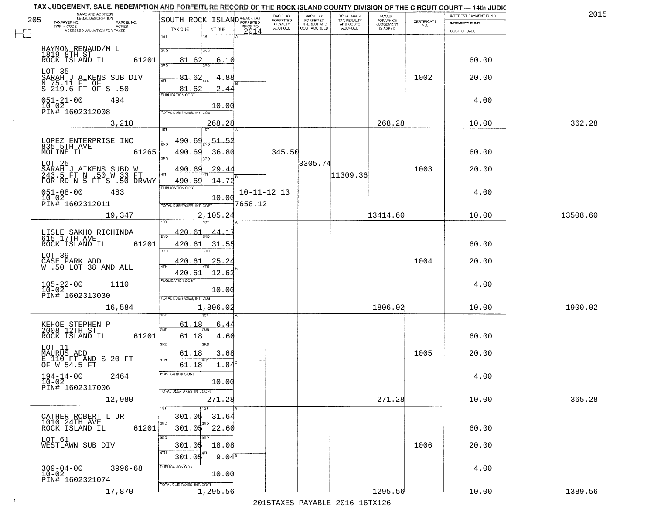| NAME AND ADDRESS<br>LEGAL DESCRIPTION<br>205                                           |                                                                |                                     |                              | BACK TAX<br>FORFEITED     | <b>BACK TAX</b><br>FORFEITED        | TOTAL BACK                                 | AMOUNT<br>FOR WHICH          |                                                                 | INTEREST PAYMENT FUND | 2015     |
|----------------------------------------------------------------------------------------|----------------------------------------------------------------|-------------------------------------|------------------------------|---------------------------|-------------------------------------|--------------------------------------------|------------------------------|-----------------------------------------------------------------|-----------------------|----------|
| TAXPAYER NO.<br>PARCEL NO.<br>TWP - CODE<br>ACRES                                      | SOUTH ROCK ISLANDA-BACK TAX                                    |                                     |                              | PENALTY<br><b>ACCRUED</b> | <b>INTEREST AND</b><br>COST ACCRUED | TAX PENALTY<br>AND COSTS<br><b>ACCRUED</b> | <b>JUDGEMENT</b><br>IS ASKED | $\begin{array}{c} \text{CEPTIFICATE} \\ \text{NO.} \end{array}$ | <b>INDEMNITY FUND</b> |          |
| ASSESSED VALUATION FOR TAXES                                                           | TAX DUE<br>1ST                                                 | INT DUE<br>$1S$ T                   | 2014                         |                           |                                     |                                            |                              |                                                                 | COST OF SALE          |          |
| HAYMON RENAUD/M L<br>1819 8TH ST<br>ROCK ISLAND IL<br>61201                            | 2ND<br>81.62                                                   | 2ND<br>6.10                         |                              |                           |                                     |                                            |                              |                                                                 | 60.00                 |          |
| LOT 35<br>SARAH J AIKENS SUB DIV<br>N 75.11 FT OF<br>S 219.6 FT OF S .50               | 3RD<br>81.62<br>4TH                                            | 88                                  |                              |                           |                                     |                                            |                              | 1002                                                            | 20.00                 |          |
| $051 - 21 - 00$<br>494<br>$10 - 02$<br>PIN# 1602312008                                 | 81.62<br><b>PUBLICATION COST</b><br>TOTAL DUE-TAXES, INT. COST | 2.44<br>10.00                       |                              |                           |                                     |                                            |                              |                                                                 | 4.00                  |          |
| 3,218                                                                                  | 1ST                                                            | 268.28<br>1ST                       |                              |                           |                                     |                                            | 268.28                       |                                                                 | 10.00                 | 362.28   |
| LOPEZ ENTERPRISE INC<br>835 5TH AVE<br>MOLINE IL<br>61265                              | <u>490.69</u><br>সাঁচ<br>490.69<br>3RD                         | $\frac{51.52}{200}$<br>36.80<br>3RD |                              | 345.50                    |                                     |                                            |                              |                                                                 | 60.00                 |          |
| LOT 25<br>SARAH J AIKENS SUBD W<br>243.5 FT N .50 W 33 FT<br>FOR RD N 5 FT S .50 DRVWY | 490.69<br>47H<br>490.69                                        | 29.44<br>14.72                      |                              |                           | 3305.74                             | 11309.36                                   |                              | 1003                                                            | 20.00                 |          |
| $051 - 08 - 00$<br>483<br>$10 - 02$<br>PIN# 1602312011                                 | PUBLICATION COST<br>TOTAL DUE-TAXES, INT. COST                 | 10.00                               | $10 - 11 - 12$ 13<br>7658.12 |                           |                                     |                                            |                              |                                                                 | 4.00                  |          |
| 19,347                                                                                 | isT                                                            | 2,105.24<br>١S٦                     |                              |                           |                                     |                                            | 13414.60                     |                                                                 | 10.00                 | 13508.60 |
| LISLE SAKHO RICHINDA<br>615 17TH AVE<br>ROCK ISLAND IL<br>61201                        | 420.61<br>2ND<br>420.61<br>3BD                                 | 44.1<br>31.55<br>3RD                |                              |                           |                                     |                                            |                              |                                                                 | 60.00                 |          |
| LOT 39<br>CASE PARK ADD<br>W .50 LOT 38 AND ALL                                        | 420.61<br>4TH<br>420.61                                        | 25.24<br>12.62                      |                              |                           |                                     |                                            |                              | 1004                                                            | 20.00                 |          |
| $105 - 22 - 00$<br>$10 - 02$<br>1110<br>PIN# 1602313030                                | <b>PUBLICATION COST</b><br>TOTAL OUE-TAXES, INT. COST          | 10.00                               |                              |                           |                                     |                                            |                              |                                                                 | 4.00                  |          |
| 16,584                                                                                 |                                                                | 1,806.02<br>187                     |                              |                           |                                     |                                            | 1806.02                      |                                                                 | 10.00                 | 1900.02  |
| KEHOE STEPHEN P<br>2008 12TH ST<br>ROCK ISLAND IL<br>61201                             | <u>61.</u> 18<br>2ND<br>61.18<br>3 <sub>BD</sub>               | 6.44<br>4.60<br>3BD                 |                              |                           |                                     |                                            |                              |                                                                 | 60.00                 |          |
| LOT 11<br>MAURUS ADD<br>E 110 FT AND S 20 FT<br>OF W 54.5 FT                           | 61.18<br>4TH<br>61.18                                          | 3.68<br>1.84                        |                              |                           |                                     |                                            |                              | 1005                                                            | 20.00                 |          |
| $194 - 14 - 00$<br>2464<br>$10 - 02$<br>PIN# 1602317006<br>$\sim 100$                  | "UBLICA HUN CUS<br>TOTAL DUE-TAXES, INT. COST                  | 10.00                               |                              |                           |                                     |                                            |                              |                                                                 | 4.00                  |          |
| 12,980                                                                                 |                                                                | 271.28<br>1ST                       |                              |                           |                                     |                                            | 271.28                       |                                                                 | 10.00                 | 365.28   |
| CATHER ROBERT L JR<br>1010 24TH AVE<br>61201<br>ROCK ISLAND IL                         | 301.05<br>2ND<br>301.05 22.60                                  | 31.64<br>2ND                        |                              |                           |                                     |                                            |                              |                                                                 | 60.00                 |          |
| LOT 61<br>WESTLAWN SUB DIV                                                             | 3RD<br>301.05<br>4TH<br>301.05                                 | 18.08<br>9.04 <sup>s</sup>          |                              |                           |                                     |                                            |                              | 1006                                                            | 20.00                 |          |
| $309 - 04 - 00$<br>$3996 - 68$<br>$10 - 02$<br>PIN# 1602321074                         | PUBLICATION COST<br>TOTAL DUE-TAXES, INT. COST                 | 10.00                               |                              |                           |                                     |                                            |                              |                                                                 | 4.00                  |          |
| 17,870                                                                                 |                                                                | 1,295.56                            |                              |                           |                                     |                                            | 1295.56                      |                                                                 | 10.00                 | 1389.56  |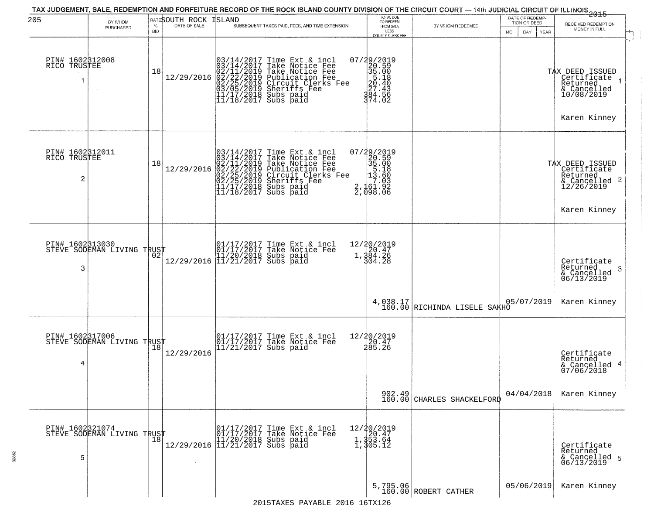| 205                                  | BY WHOM                                       | $\%$       | RATESOUTH ROCK ISLAND<br>DATE OF SALE | TAX JUDGEMENT, SALE, REDEMPTION AND FORFEITURE RECORD OF THE ROCK ISLAND COUNTY DIVISION OF THE CIRCUIT COURT — 14th JUDICIAL CIRCUIT OF ILLINOIS 2015<br>SUBSEQUENT TAXES PAID, FEES, AND TIME EXTENSION                                  | TOTAL DUE<br>TO REDEEM                                                                                                                  |                                          | DATE OF REDEMP-<br>TION OR DEED | RECEIVED REDEMPTION                                                                         |
|--------------------------------------|-----------------------------------------------|------------|---------------------------------------|--------------------------------------------------------------------------------------------------------------------------------------------------------------------------------------------------------------------------------------------|-----------------------------------------------------------------------------------------------------------------------------------------|------------------------------------------|---------------------------------|---------------------------------------------------------------------------------------------|
|                                      | PURCHASED                                     | <b>BID</b> |                                       |                                                                                                                                                                                                                                            | FROM SALE<br>LESS<br>COUNTY CLERK FEE                                                                                                   | BY WHOM REDEEMED                         | MO.<br>DAY<br><b>YEAR</b>       | MONEY IN FULL                                                                               |
| PIN# 1602312008<br>RICO TRUSTEE<br>1 |                                               | 18         | 12/29/2016                            | $03/14/2017$ Time Ext & incl<br>$03/14/2017$ Take Notice Fee<br>$02/11/2019$ Take Notice Fee<br>$02/22/2019$ Publication Fee<br>$03/05/2019$ Sheriffs Fee<br>$11/17/2018$ Subs paid<br>$11/18/2017$ Subs paid                              | 07/29/2019<br>$\begin{array}{r} 220 - 590 \\ 35 - 008 \\ 35 - 180 \\ 20 - 403 \\ 24 - 50 \\ 394 - 50 \end{array}$<br>374.02             |                                          |                                 | TAX DEED ISSUED<br>  Certificate<br>Returned<br>& Cancelled<br>10/08/2019<br>Karen Kinney   |
| PIN# 1602312011<br>RICO TRUSTEE<br>2 |                                               | 18         | 12/29/2016                            | $03/14/2017$ Time Ext & incl<br>$03/14/2017$ Take Notice Fee<br>$02/11/2019$ Take Notice Fee<br>$02/22/2019$ Publication Fee<br>$02/25/2019$ Sheriffs Fee<br>$02/25/2019$ Sheriffs Fee<br>$11/17/2018$ Subs paid<br>$11/18/2017$ Subs paid | 07/29/2019<br>$\begin{smallmatrix}2&2&6&2&6&1\\2&2&0&5&9&6\\3&5&1&8&0\\1&3&5&1&8\\1&3&6&0&0\\2&1&6&1&9&2\\2&1&9&8&0&6\end{smallmatrix}$ |                                          |                                 | TAX DEED ISSUED<br>  Certificate<br>Returned<br>& Cancelled 2<br>12/26/2019<br>Karen Kinney |
| PIN# 1602313030<br>3                 | STEVE SODEMAN LIVING TRUST                    |            |                                       | 01/17/2017 Time Ext & incl<br>01/17/2017 Take Notice Fee<br>11/20/2018 Subs paid<br>12/29/2016 11/21/2017 Subs paid                                                                                                                        | 12/20/2019<br>1,384.26<br>1,384.26<br>304.28                                                                                            |                                          |                                 | Certificate<br>Returned<br>-3<br>& Cancelled<br>06/13/2019                                  |
|                                      |                                               |            |                                       |                                                                                                                                                                                                                                            |                                                                                                                                         | 4,038.17<br>160.00 RICHINDA LISELE SAKHO | 05/07/2019                      | Karen Kinney                                                                                |
| PIN# 1602317006<br>4                 | STEVE SODEMAN LIVING TRUST                    |            | 12/29/2016                            | 01/17/2017 Time Ext & incl<br>01/17/2017 Take Notice Fee<br>11/21/2017 Subs paid                                                                                                                                                           | 12/20/2019<br>20.47<br>285.26                                                                                                           |                                          |                                 | Certificate<br>Returned<br>& Cancelled 4<br>07/06/2018                                      |
|                                      |                                               |            |                                       |                                                                                                                                                                                                                                            |                                                                                                                                         | 902.49<br>160.00 CHARLES SHACKELFORD     | 04/04/2018                      | Karen Kinney                                                                                |
| 5                                    | PIN# 1602321074<br>STEVE SODEMAN LIVING TRUST |            |                                       | r and 1/17/2017 Time Ext & incl<br>01/17/2017 Take Notice Fee<br>12/29/2016 11/21/2017 Subs paid<br>12/29/2016 11/21/2017 Subs paid                                                                                                        | 12/20/2019<br>1,353.64<br>1,353.64<br>1,305.12                                                                                          |                                          |                                 | Certificate<br>Returned<br>& Cancelled 5<br>06/13/2019                                      |
|                                      |                                               |            |                                       |                                                                                                                                                                                                                                            |                                                                                                                                         | 5,795.06<br>160.00 ROBERT CATHER         | 05/06/2019                      | Karen Kinney                                                                                |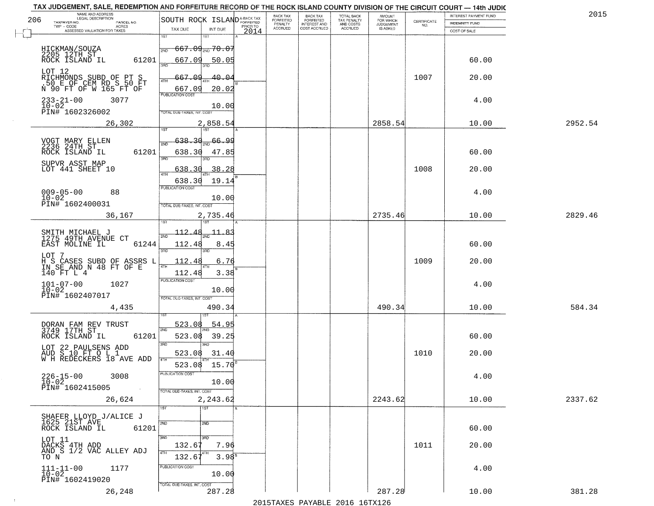| NAME AND ADDRESS<br>LEGAL DESCRIPTION<br>206                         | SOUTH ROCK ISLAND <sup>A-BACK TAX</sup>            | BACK TAX<br><b>FORFEITED</b> | <b>BACK TAX</b><br><b>FORFEITED</b> | TOTAL BACK<br>TAX PENALTY | <b>AMOUNT</b>                      |                    | INTEREST PAYMENT FUND | 2015    |
|----------------------------------------------------------------------|----------------------------------------------------|------------------------------|-------------------------------------|---------------------------|------------------------------------|--------------------|-----------------------|---------|
| TAXPAYER NO.<br>PARCEL NO.<br>TWP - CODE<br><b>ACRES</b>             | PRIOR TO<br>TAX DUE<br>INT DUE                     | PENALTY<br>ACCRUED           | INTEREST AND<br>COST ACCRUED        | AND COSTS<br>ACCRUED      | FOR WHICH<br>JUDGEMENT<br>IS ASKED | CERTIFICATE<br>NO. | <b>INDEMNITY FUND</b> |         |
| ASSESSED VALUATION FOR TAXES                                         | 2014<br>1ST<br>1ST                                 |                              |                                     |                           |                                    |                    | COST OF SALE          |         |
|                                                                      | <del>667.09<sub>2ND</sub> 70.07</del><br>2ND       |                              |                                     |                           |                                    |                    |                       |         |
| HICKMAN/SOUZA<br>2205 12TH ST<br>ROCK ISLAND IL                      | 61201<br>667.09<br>50.05                           |                              |                                     |                           |                                    |                    | 60.00                 |         |
| LOT 12                                                               | 3AD                                                |                              |                                     |                           |                                    |                    |                       |         |
| RICHMONDS SUBD OF PT S<br>.50 E OF CEM RD S 50 FT                    | 667.09<br>40.04<br>4TH                             |                              |                                     |                           |                                    | 1007               | 20.00                 |         |
| N 90 FT OF W 165 FT OF                                               | 667.09<br>20.02<br>PUBLICATION COST                |                              |                                     |                           |                                    |                    |                       |         |
| $233 - 21 - 00$<br>3077<br>$10 - 02$                                 | 10.00                                              |                              |                                     |                           |                                    |                    | 4.00                  |         |
| PIN# 1602326002                                                      | TOTAL DUE-TAXES, INT. COS                          |                              |                                     |                           |                                    |                    |                       |         |
| 26,302                                                               | 2,858.54<br>$\overline{1151}$<br>1ST               |                              |                                     |                           | 2858.54                            |                    | 10.00                 | 2952.54 |
| VOGT MARY ELLEN<br>2236 24TH ST                                      | 638.30<br>66.99<br>2ND                             |                              |                                     |                           |                                    |                    |                       |         |
| ROCK ISLAND IL                                                       | 61201<br>638.30<br>47.85                           |                              |                                     |                           |                                    |                    | 60.00                 |         |
| SUPVR ASST MAP                                                       | 3RD                                                |                              |                                     |                           |                                    |                    |                       |         |
| LOT 441 SHEET 10                                                     | 38.28<br>638<br>3<br>47H                           |                              |                                     |                           |                                    | 1008               | 20.00                 |         |
| $009 - 05 - 00$<br>88                                                | 19.14<br>638.30<br>PUBLICATION COST                |                              |                                     |                           |                                    |                    | 4.00                  |         |
| $10 - 02$<br>PIN# 1602400031                                         | 10.00                                              |                              |                                     |                           |                                    |                    |                       |         |
| 36,167                                                               | TOTAL DUE-TAXES, INT. COST<br>2,735.46             |                              |                                     |                           | 2735.46                            |                    | 10.00                 | 2829.46 |
|                                                                      |                                                    |                              |                                     |                           |                                    |                    |                       |         |
| SMITH MICHAEL J<br>1275 49TH AVENUE CT                               | 112.48<br>$-11 - 8.3$                              |                              |                                     |                           |                                    |                    |                       |         |
| EAST MOLINE IL                                                       | 61244<br>112.48<br>8.45<br>3RD<br>3RD              |                              |                                     |                           |                                    |                    | 60.00                 |         |
| LOT 7                                                                | 112.48<br>6.76<br>L                                |                              |                                     |                           |                                    | 1009               | 20.00                 |         |
| H S CASES SUBD OF ASSRS<br>IN SE AND N 48 FT OF E<br>140 FT L 4      | 4TH<br>3.38<br>112.48                              |                              |                                     |                           |                                    |                    |                       |         |
| $101 - 07 - 00$<br>$10 - 02$<br>1027                                 | <b>PUBLICATION COST</b>                            |                              |                                     |                           |                                    |                    | 4.00                  |         |
| PIN# 1602407017                                                      | 10.00<br>TOTAL OUE-TAXES, INT. COST                |                              |                                     |                           |                                    |                    |                       |         |
| 4,435                                                                | 490.34                                             |                              |                                     |                           | 490.34                             |                    | 10.00                 | 584.34  |
|                                                                      |                                                    |                              |                                     |                           |                                    |                    |                       |         |
| DORAN FAM REV TRUST<br>3749 17TH ST                                  | 54.95<br>523.08<br>2ND                             |                              |                                     |                           |                                    |                    |                       |         |
| ROCK ISLAND IL                                                       | 61201<br>523.08<br>39.25<br>3 <sub>BD</sub><br>3BD |                              |                                     |                           |                                    |                    | 60.00                 |         |
| LOT 22 PAULSENS ADD<br>AUD S 10 FT O L 1<br>W H REDECKERS 18 AVE ADD | 523.08<br>31.40                                    |                              |                                     |                           |                                    | 1010               | 20.00                 |         |
|                                                                      | 4TH<br>523.08 15.70                                |                              |                                     |                           |                                    |                    |                       |         |
| $226 - 15 - 00$<br>10-02<br>3008                                     | PUBLICATION COST<br>10.00                          |                              |                                     |                           |                                    |                    | 4.00                  |         |
| PIN# 1602415005                                                      | $\sim 10^{-1}$<br>TOTAL DUE-TAXES, INT. COST       |                              |                                     |                           |                                    |                    |                       |         |
| 26,624                                                               | 2,243.62                                           |                              |                                     |                           | 2243.62                            |                    | 10.00                 | 2337.62 |
|                                                                      | 1ST<br>1ST                                         |                              |                                     |                           |                                    |                    |                       |         |
| SHAFER LLOYD J/ALICE J<br>1625 21ST AVE<br>ROCK ISLAND IL            | 2ND<br>2ND<br>61201                                |                              |                                     |                           |                                    |                    | 60.00                 |         |
| LOT 11                                                               | 3BD<br>3 <sub>BD</sub>                             |                              |                                     |                           |                                    |                    |                       |         |
| DACKS 4TH ADD<br>AND S 1/2 VAC ALLEY ADJ                             | 132.67<br>7.96<br>4TH                              |                              |                                     |                           |                                    | 1011               | 20.00                 |         |
| TO N                                                                 | 3.98 <sup>B</sup><br>132.67                        |                              |                                     |                           |                                    |                    |                       |         |
| $111 - 11 - 00$<br>$10 - 02$<br>1177                                 | PUBLICATION COST<br>10.00                          |                              |                                     |                           |                                    |                    | 4.00                  |         |
| PIN# 1602419020                                                      | TOTAL DUE-TAXES, INT. COST                         |                              |                                     |                           |                                    |                    |                       |         |
| 26,248                                                               | 287.28                                             |                              |                                     |                           | 287.28                             |                    | 10.00                 | 381.28  |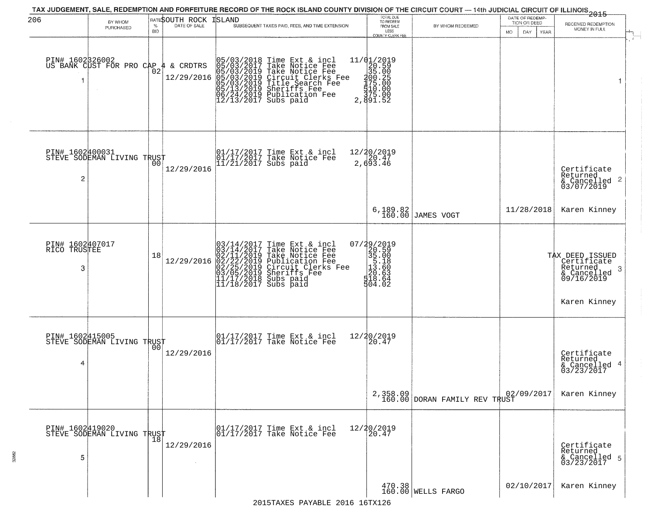| 206                                  | BY WHOM<br>PURCHASED                                   | $\%$<br><b>BID</b> | RATE\$OUTH ROCK<br>DATE OF SALE | ISLAND<br>SUBSEQUENT TAXES PAID, FEES, AND TIME EXTENSION                                                                                                                                                                                                                                                                                                                                                    | TOTAL DUE<br>TO REDEEM<br>FROM SALE<br>LESS<br><b>COUNTY CLERK FEE</b>                                          | BY WHOM REDEEMED                                                                                                       | DATE OF REDEMP-<br>TION OR DEED<br>MO.<br>DAY.<br>YEAR | ------------<br>2015<br>RECEIVED REDEMPTION<br>MONEY IN FULL                                 |
|--------------------------------------|--------------------------------------------------------|--------------------|---------------------------------|--------------------------------------------------------------------------------------------------------------------------------------------------------------------------------------------------------------------------------------------------------------------------------------------------------------------------------------------------------------------------------------------------------------|-----------------------------------------------------------------------------------------------------------------|------------------------------------------------------------------------------------------------------------------------|--------------------------------------------------------|----------------------------------------------------------------------------------------------|
|                                      | PIN# 1602B26002<br>US BANK CUST FOR PRO CAP 4 & CRDTRS | $\overline{0}2$    | 12/29/2016                      | 05/03/2018 Time Ext & incl<br>05/03/2017 Take Notice Fee<br>05/03/2019 Take Notice Fee<br>05/03/2019 Circuit Clerks Fee<br>05/03/2019 Sheriffs Fee<br>05/13/2019 Sheriffs Fee<br>06/24/2019 Publication Fee<br>12/13/2017 Subs paid                                                                                                                                                                          | $\begin{array}{r} 11/01/2019 \\ 20.59 \\ 35.00 \end{array}$<br>100:25<br>175:00<br>175:00<br>375:00<br>2,891.52 |                                                                                                                        |                                                        | $\overline{1}$                                                                               |
| PIN# 1602400031<br>$\overline{c}$    | STEVE SODEMAN LIVING TRUST                             | 00                 | 12/29/2016                      | 01/17/2017 Time Ext & incl<br>01/17/2017 Take Notice Fee<br>11/21/2017 Subs paid                                                                                                                                                                                                                                                                                                                             | 12/20/2019<br>2,693.46                                                                                          |                                                                                                                        |                                                        | Certificate<br>Returned<br>$\frac{1}{6}$ Cancelled <sup>2</sup><br>03/07/2019                |
|                                      |                                                        |                    |                                 |                                                                                                                                                                                                                                                                                                                                                                                                              |                                                                                                                 | 6,189.82<br>160.00 JAMES VOGT                                                                                          | 11/28/2018                                             | Karen Kinney                                                                                 |
| PIN# 1602407017<br>RICO TRUSTEE<br>3 |                                                        | 18                 |                                 | $[03/14/2017 \text{ Time Ext & incl} \newline [03/14/2017 \text{ Take Notice Free} \newline 02/11/2019 \text{ Take Notice Free} \newline 02/11/2019 \text{ Public action Free} \newline 02/22/2019 \text{ Publication Free} \newline 03/05/2019 \text{ Sheriffs } \text{Free} \newline 03/05/2019 \text{ Sheriffs } \text{Free} \newline 11/17/2018 \text{ Subs paid} \newline 11/18/2017 \text{ Subs paid}$ | 07/29/2019<br>$20.500$<br>$35.000$<br>$35.180$<br>$120.603$<br>$120.603$<br>504.02                              |                                                                                                                        |                                                        | TAX DEED ISSUED<br>Certificate<br>Returned<br>3<br>& Cancelled<br>09/16/2019<br>Karen Kinney |
| PIN# 1602415005<br>4                 | STEVE SODEMAN LIVING TRUST                             | 0 <sub>0</sub>     | 12/29/2016                      | 01/17/2017 Time Ext & incl<br>01/17/2017 Take Notice Fee                                                                                                                                                                                                                                                                                                                                                     | 12/20/2019<br>20.47                                                                                             |                                                                                                                        |                                                        | Certificate<br>Returned<br>& Cancelled 4<br>03/23/2017                                       |
|                                      |                                                        |                    |                                 |                                                                                                                                                                                                                                                                                                                                                                                                              |                                                                                                                 | $\begin{array}{c c} \texttt{2,358.09} & \texttt{024} \\ \texttt{160.00} & \texttt{DORAN FAMILY REV TRUST} \end{array}$ | 02/09/2017                                             | Karen Kinney                                                                                 |
| 5                                    | PIN# 1602419020    <br>STEVE SODEMAN LIVING TRUST      | 18                 | 12/29/2016                      | 01/17/2017 Time Ext & incl<br>01/17/2017 Take Notice Fee                                                                                                                                                                                                                                                                                                                                                     | 12/20/2019<br>20.47                                                                                             |                                                                                                                        |                                                        | Certificate<br>Returned<br>& Cancelled 5<br>03/23/2017                                       |
|                                      |                                                        |                    |                                 | $0.01C$ 1 $C$ matri                                                                                                                                                                                                                                                                                                                                                                                          |                                                                                                                 | 470.38<br>160.00 WELLS FARGO                                                                                           | 02/10/2017                                             | Karen Kinney                                                                                 |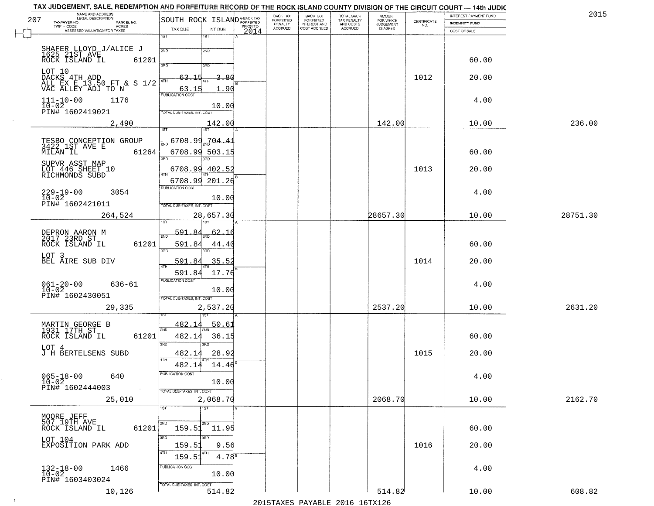| TAX JUDGEMENT, SALE, REDEMPTION AND FORFEITURE RECORD OF THE ROCK ISLAND COUNTY DIVISION OF THE CIRCUIT COURT - 14th JUDIC |                                                   |      |                           |                                     |                                            |                              |                                                                 |                       |          |
|----------------------------------------------------------------------------------------------------------------------------|---------------------------------------------------|------|---------------------------|-------------------------------------|--------------------------------------------|------------------------------|-----------------------------------------------------------------|-----------------------|----------|
| NAME AND ADDRESS<br>LEGAL DESCRIPTION<br>207                                                                               |                                                   |      | BACK TAX<br>FORFEITED     | BACK TAX<br>FORFEITED               | <b>TOTAL BACK</b>                          | AMOUNT<br>FOR WHICH          |                                                                 | INTEREST PAYMENT FUND | 2015     |
| TAXPAYER NO.<br>PARCEL NO.<br>ACRES                                                                                        | SOUTH ROCK ISLANDA-BACK TAX<br>TAX DUE<br>INT DUE |      | PENALTY<br><b>ACCRUED</b> | <b>INTEREST AND</b><br>COST ACCRUED | TAX PENALTY<br>AND COSTS<br><b>ACCRUED</b> | <b>JUDGEMENT</b><br>IS ASKED | $\begin{array}{c} \text{CEPTIFICATE} \\ \text{NO.} \end{array}$ | <b>INDEMNITY FUND</b> |          |
| ASSESSED VALUATION FOR TAXES                                                                                               | 1ST<br>$1S$ T                                     | 2014 |                           |                                     |                                            |                              |                                                                 | COST OF SALE          |          |
|                                                                                                                            |                                                   |      |                           |                                     |                                            |                              |                                                                 |                       |          |
| SHAFER LLOYD J/ALICE J<br>1625 21ST AVE<br>ROCK ISLAND IL 61:                                                              | 2ND<br>2ND                                        |      |                           |                                     |                                            |                              |                                                                 |                       |          |
| 61201                                                                                                                      | 3RD<br>3RD                                        |      |                           |                                     |                                            |                              |                                                                 | 60.00                 |          |
| LOT 10                                                                                                                     | 3.80<br>63,15                                     |      |                           |                                     |                                            |                              | 1012                                                            |                       |          |
| DACKS 4TH ADD<br>ALL EX E 13.50 FT & S 1/2<br>VAC ALLEY ADJ TO N                                                           |                                                   |      |                           |                                     |                                            |                              |                                                                 | 20.00                 |          |
|                                                                                                                            | 1.90<br>63.15<br><b>PUBLICATION COST</b>          |      |                           |                                     |                                            |                              |                                                                 |                       |          |
| $111 - 10 - 00$<br>1176<br>$10-02$                                                                                         |                                                   |      |                           |                                     |                                            |                              |                                                                 | 4.00                  |          |
| PIN# 1602419021                                                                                                            | 10.00<br>TOTAL DUE-TAXES, INT. COST               |      |                           |                                     |                                            |                              |                                                                 |                       |          |
| 2,490                                                                                                                      | 142.00                                            |      |                           |                                     |                                            | 142.00                       |                                                                 | 10.00                 | 236.00   |
|                                                                                                                            | 1ST                                               |      |                           |                                     |                                            |                              |                                                                 |                       |          |
| TESBO CONCEPTION GROUP<br>3422 1ST AVE E                                                                                   | $\frac{6708.99}{200}$ 6708.99.704.41              |      |                           |                                     |                                            |                              |                                                                 |                       |          |
| 61264<br>MILAN IL                                                                                                          | 6708.99 503.15                                    |      |                           |                                     |                                            |                              |                                                                 | 60.00                 |          |
| SUPVR ASST MAP                                                                                                             | $\overline{\text{3BD}}$<br>3BD.                   |      |                           |                                     |                                            |                              |                                                                 |                       |          |
| LOT 446 SHEET 10<br>RICHMONDS SUBD                                                                                         | 6708.99 402.52                                    |      |                           |                                     |                                            |                              | 1013                                                            | 20.00                 |          |
|                                                                                                                            | 6708.99 201.26                                    |      |                           |                                     |                                            |                              |                                                                 |                       |          |
| $229 - 19 - 00$<br>3054                                                                                                    | PUBLICATION COST                                  |      |                           |                                     |                                            |                              |                                                                 | 4.00                  |          |
| $10 - 02$<br>PIN# 1602421011                                                                                               | 10.00                                             |      |                           |                                     |                                            |                              |                                                                 |                       |          |
|                                                                                                                            | TOTAL DUE-TAXES, INT. COST                        |      |                           |                                     |                                            |                              |                                                                 |                       |          |
| 264,524                                                                                                                    | 28,657.30<br>isT<br>181                           |      |                           |                                     |                                            | 28657.30                     |                                                                 | 10.00                 | 28751.30 |
|                                                                                                                            | <u>591.84</u><br><u>62.16</u>                     |      |                           |                                     |                                            |                              |                                                                 |                       |          |
| DEPRON AARON M<br>2017 23RD ST<br>ROCK ISLAND IL<br>61201                                                                  | 2ND<br>591.84                                     |      |                           |                                     |                                            |                              |                                                                 | 60.00                 |          |
|                                                                                                                            | 44.40<br>3BD<br>3RD                               |      |                           |                                     |                                            |                              |                                                                 |                       |          |
| LOT 3<br>BEL AIRE SUB DIV                                                                                                  | 35.5<br>591.84                                    |      |                           |                                     |                                            |                              | 1014                                                            | 20.00                 |          |
|                                                                                                                            | 4TH<br>17.76<br>591.84                            |      |                           |                                     |                                            |                              |                                                                 |                       |          |
| $636 - 61$                                                                                                                 | <b>PUBLICATION COST</b>                           |      |                           |                                     |                                            |                              |                                                                 | 4.00                  |          |
| $061 - 20 - 00$<br>10-02                                                                                                   | 10.00                                             |      |                           |                                     |                                            |                              |                                                                 |                       |          |
| PIN# 1602430051                                                                                                            | TOTAL OUE-TAXES, INT. COST                        |      |                           |                                     |                                            |                              |                                                                 |                       |          |
| 29,335                                                                                                                     | 2,537.20<br>187                                   |      |                           |                                     |                                            | 2537.20                      |                                                                 | 10.00                 | 2631.20  |
|                                                                                                                            | 482.14<br>50.61                                   |      |                           |                                     |                                            |                              |                                                                 |                       |          |
| MARTIN GEORGE B<br>1931 17TH ST                                                                                            | 2ND                                               |      |                           |                                     |                                            |                              |                                                                 |                       |          |
| ROCK ISLAND IL<br>61201                                                                                                    | 482.14<br>36.15<br>3 <sub>BD</sub><br>3BD         |      |                           |                                     |                                            |                              |                                                                 | 60.00                 |          |
| LOT 4<br>J H BERTELSENS SUBD                                                                                               | 482.14<br>28.92                                   |      |                           |                                     |                                            |                              | 1015                                                            | 20.00                 |          |
|                                                                                                                            | 4TH<br>482.14<br>14.46                            |      |                           |                                     |                                            |                              |                                                                 |                       |          |
|                                                                                                                            | UBLICA HUN COS-                                   |      |                           |                                     |                                            |                              |                                                                 |                       |          |
| $065 - 18 - 00$<br>640<br>$10 - 02$                                                                                        | 10.00                                             |      |                           |                                     |                                            |                              |                                                                 | 4.00                  |          |
| PIN# 1602444003<br>$\sim 100$                                                                                              | TOTAL DUE-TAXES, INT. COST                        |      |                           |                                     |                                            |                              |                                                                 |                       |          |
| 25,010                                                                                                                     | 2,068.70                                          |      |                           |                                     |                                            | 2068.70                      |                                                                 | 10.00                 | 2162.70  |
|                                                                                                                            | $\overline{1ST}$<br>1ST                           |      |                           |                                     |                                            |                              |                                                                 |                       |          |
| MOORE JEFF<br>507 19TH AVE                                                                                                 | 2ND<br>2ND                                        |      |                           |                                     |                                            |                              |                                                                 |                       |          |
| 61201<br>ROCK ISLAND IL                                                                                                    | 159.51 11.95                                      |      |                           |                                     |                                            |                              |                                                                 | 60.00                 |          |
| LOT 104                                                                                                                    | 3RD<br>3RD                                        |      |                           |                                     |                                            |                              |                                                                 |                       |          |
| EXPOSITION PARK ADD                                                                                                        | 159.51<br>9.56<br>4TH<br>4TH                      |      |                           |                                     |                                            |                              | 1016                                                            | 20.00                 |          |
|                                                                                                                            | $4.78^{\circ}$<br>159.51                          |      |                           |                                     |                                            |                              |                                                                 |                       |          |
| $132 - 18 - 00$<br>$10 - 02$<br>1466                                                                                       | PUBLICATION COST<br>10.00                         |      |                           |                                     |                                            |                              |                                                                 | 4.00                  |          |
| PIN# 1603403024                                                                                                            | TOTAL DUE-TAXES, INT. COST                        |      |                           |                                     |                                            |                              |                                                                 |                       |          |
| 10,126                                                                                                                     | 514.82                                            |      |                           |                                     |                                            | 514.82                       |                                                                 | 10.00                 | 608.82   |
|                                                                                                                            |                                                   |      |                           |                                     |                                            |                              |                                                                 |                       |          |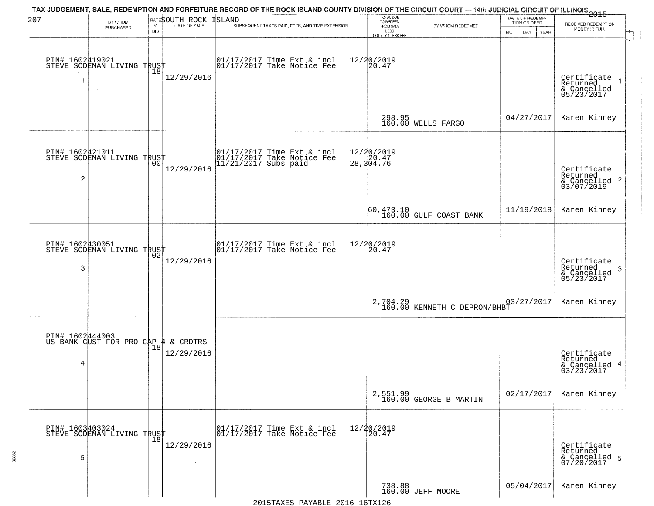| 207                               | BY WHOM<br>PURCHASED                                   | $\%$<br><b>BID</b> | RATESOUTH ROCK<br>DATE OF SALE | TAX JUDGEMENT, SALE, REDEMPTION AND FORFEITURE RECORD OF THE ROCK ISLAND COUNTY DIVISION OF THE CIRCUIT COURT — 14th JUDICIAL CIRCUIT OF ILLINOIS 2015<br><b>ISLAND</b><br>SUBSEQUENT TAXES PAID, FEES, AND TIME EXTENSION | TOTAL DUE<br>TO REDEEM<br>FROM SALE<br>LESS                     | BY WHOM REDEEMED                                                                                         | DATE OF REDEMP-<br>TION OR DEED<br>MO.<br>DAY<br>YEAR | RECEIVED REDEMPTION<br>MONEY IN FULL                       |
|-----------------------------------|--------------------------------------------------------|--------------------|--------------------------------|----------------------------------------------------------------------------------------------------------------------------------------------------------------------------------------------------------------------------|-----------------------------------------------------------------|----------------------------------------------------------------------------------------------------------|-------------------------------------------------------|------------------------------------------------------------|
|                                   | PIN# 1602419021    <br>STEVE SODEMAN LIVING TRUST      | $\overline{18}$    | 12/29/2016                     | $\begin{array}{cc} 01/17/2017 \\ 01/17/2017 \\ \end{array}$ Take Notice Fee                                                                                                                                                | <b>COUNTY CLERK FEE</b><br>12/20/2019<br>20.47                  |                                                                                                          |                                                       | Certificate<br>Returned<br>& Cancelled<br>05/23/2017       |
|                                   |                                                        |                    |                                |                                                                                                                                                                                                                            |                                                                 | 298.95<br>160.00 WELLS FARGO                                                                             | 04/27/2017                                            | Karen Kinney                                               |
| PIN# 1602421011<br>$\overline{c}$ | STEVE SODEMAN LIVING TRUST                             |                    | 12/29/2016                     | 01/17/2017 Time Ext & incl<br>01/17/2017 Take Notice Fee<br>11/21/2017 Subs paid                                                                                                                                           | 12/20/2019<br>$\frac{1}{28}$ , $\frac{1}{304}$ , $\frac{1}{76}$ |                                                                                                          |                                                       | Certificate<br>Returned<br>$\frac{12241164}{63/07/2019}$ 2 |
|                                   |                                                        |                    |                                |                                                                                                                                                                                                                            |                                                                 | $\begin{array}{ c c c c c }\hline 60,473.10 & & & \\ 160.00 & & & \\ \hline \end{array}$ GULF COAST BANK | 11/19/2018                                            | Karen Kinney                                               |
| PIN# 1602430051<br>3              | STEVE SODEMAN LIVING TRUST                             | 02                 | 12/29/2016                     | 01/17/2017 Time Ext & incl<br>01/17/2017 Take Notice Fee                                                                                                                                                                   | 12/20/2019<br>20.47                                             |                                                                                                          |                                                       | Certificate<br>Returned<br>3<br>& Cancelled<br>05/23/2017  |
|                                   |                                                        |                    |                                |                                                                                                                                                                                                                            |                                                                 | 2,704.29 KENNETH C DEPRON/BHBT                                                                           | 03/27/2017                                            | Karen Kinney                                               |
| 4                                 | PIN# 1602444003<br>US BANK CUST FOR PRO CAP 4 & CRDTRS |                    | 12/29/2016                     |                                                                                                                                                                                                                            |                                                                 |                                                                                                          |                                                       | Certificate<br>Returned<br>& Cancelled 4<br>03/23/2017     |
|                                   |                                                        |                    |                                |                                                                                                                                                                                                                            |                                                                 | $2,551.99$<br>160.00 GEORGE B MARTIN                                                                     | 02/17/2017                                            | Karen Kinney                                               |
| 5                                 | PIN# 1603403024    <br>STEVE SODEMAN LIVING TRUST      | $\overline{18}$    | 12/29/2016                     | 01/17/2017 Time Ext & incl<br>01/17/2017 Take Notice Fee                                                                                                                                                                   | 12/20/2019<br>20.47                                             |                                                                                                          |                                                       | Certificate<br>Returned<br>& Cancelled 5<br>07/20/2017     |
|                                   |                                                        |                    |                                |                                                                                                                                                                                                                            |                                                                 | 738.88<br>160.00 JEFF MOORE                                                                              | 05/04/2017                                            | Karen Kinney                                               |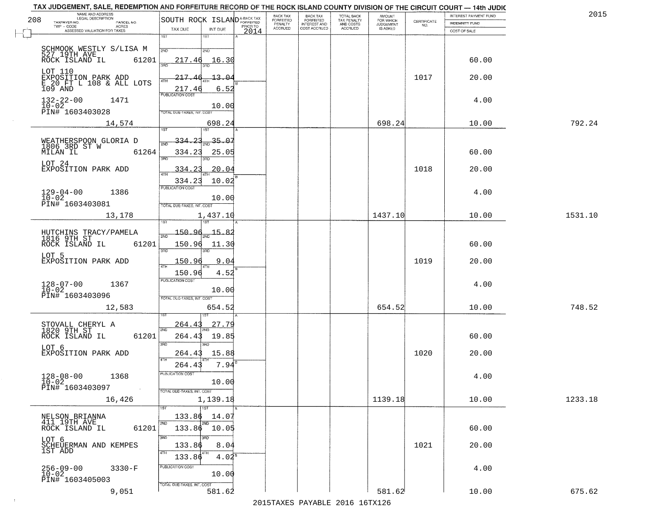|    | TAX JUDGEMENT, SALE, REDEMPTION AND FORFEITURE RECORD OF THE ROCK ISLAND COUNTY DIVISION OF THE CIRCUIT COURT - 14th JUDIC |                                           | BACK TAX                  |                                       |                                        |                              |             | INTEREST PAYMENT FUND | 2015    |
|----|----------------------------------------------------------------------------------------------------------------------------|-------------------------------------------|---------------------------|---------------------------------------|----------------------------------------|------------------------------|-------------|-----------------------|---------|
|    | NAME AND ADDRESS<br>LEGAL DESCRIPTION<br>208<br>TAXPAYER NO.<br>PARCEL NO.                                                 | SOUTH ROCK ISLAND <sup>A-BACK TAX</sup>   | FORFEITED                 | BACK TAX<br>FORFEITED<br>INTEREST AND | TOTAL BACK<br>TAX PENALTY<br>AND COSTS | AMOUNT<br>FOR WHICH          | CERTIFICATE | <b>INDEMNITY FUND</b> |         |
| r" | TWP - CODE<br>ACRES<br>ASSESSED VALUATION FOR TAXES                                                                        | PRIOR TO<br>TAX DUE<br>INT DUE<br>2014    | PENALTY<br><b>ACCRUED</b> | COST ACCRUED                          | <b>ACCRUED</b>                         | <b>JUDGEMENT</b><br>IS ASKED | NO.         | COST OF SALE          |         |
|    |                                                                                                                            | 1ST<br>$1S$ T                             |                           |                                       |                                        |                              |             |                       |         |
|    | SCHMOOK WESTLY S/LISA M                                                                                                    | 2ND<br>2ND                                |                           |                                       |                                        |                              |             |                       |         |
|    | 527 19TH AVE<br>ROCK ISLAND IL<br>61201                                                                                    | 16.30                                     |                           |                                       |                                        |                              |             | 60.00                 |         |
|    |                                                                                                                            | 217.46<br>3RD                             |                           |                                       |                                        |                              |             |                       |         |
|    | LOT 110<br>EXPOSITION PARK ADD<br>E 20 FT L 108 & ALL LOTS                                                                 | 217<br>13.0                               |                           |                                       |                                        |                              | 1017        | 20.00                 |         |
|    | 109 AND                                                                                                                    |                                           |                           |                                       |                                        |                              |             |                       |         |
|    |                                                                                                                            | 217.46<br>6.52<br><b>PUBLICATION COST</b> |                           |                                       |                                        |                              |             |                       |         |
|    | $132 - 22 - 00$<br>1471                                                                                                    | 10.00                                     |                           |                                       |                                        |                              |             | 4.00                  |         |
|    | 10-02<br>PIN# 1603403028                                                                                                   | TOTAL DUE-TAXES, INT, COST                |                           |                                       |                                        |                              |             |                       |         |
|    | 14,574                                                                                                                     | 698.24                                    |                           |                                       |                                        | 698.24                       |             | 10.00                 | 792.24  |
|    |                                                                                                                            | 1ST<br>1ST                                |                           |                                       |                                        |                              |             |                       |         |
|    | WEATHERSPOON GLORIA D<br>1806 3RD ST W<br>MILAN IL 6:                                                                      | 35.07<br>334                              |                           |                                       |                                        |                              |             |                       |         |
|    | 61264                                                                                                                      | 25.05<br>334.23                           |                           |                                       |                                        |                              |             | 60.00                 |         |
|    | LOT 24                                                                                                                     | Ë                                         |                           |                                       |                                        |                              |             |                       |         |
|    | EXPOSITION PARK ADD                                                                                                        | 20.04<br>334                              |                           |                                       |                                        |                              | 1018        | 20.00                 |         |
|    |                                                                                                                            | 10.02<br>334.23                           |                           |                                       |                                        |                              |             |                       |         |
|    | $129 - 04 - 00$<br>$10 - 02$<br>1386                                                                                       | PUBLICATION COST                          |                           |                                       |                                        |                              |             | 4.00                  |         |
|    | PIN# 1603403081                                                                                                            | 10.00<br>TOTAL DUE-TAXES, INT. COST       |                           |                                       |                                        |                              |             |                       |         |
|    |                                                                                                                            |                                           |                           |                                       |                                        | 1437.10                      |             |                       | 1531.10 |
|    | 13,178                                                                                                                     | 1,437.10                                  |                           |                                       |                                        |                              |             | 10.00                 |         |
|    |                                                                                                                            | 150.96<br>15.82                           |                           |                                       |                                        |                              |             |                       |         |
|    | HUTCHINS TRACY/PAMELA<br>1816 9TH ST<br>ROCK ISLAND IL<br>61201                                                            | 2ND<br>150.96<br>11.30                    |                           |                                       |                                        |                              |             | 60.00                 |         |
|    |                                                                                                                            | 3RD<br>3RD                                |                           |                                       |                                        |                              |             |                       |         |
|    | LOT 5<br>EXPOSITION PARK ADD                                                                                               | 150.9<br>9.04                             |                           |                                       |                                        |                              | 1019        | 20.00                 |         |
|    |                                                                                                                            | 150.96<br>4.52                            |                           |                                       |                                        |                              |             |                       |         |
|    |                                                                                                                            | <b>PUBLICATION COST</b>                   |                           |                                       |                                        |                              |             |                       |         |
|    | $128 - 07 - 00$<br>$10 - 02$<br>1367                                                                                       | 10.00                                     |                           |                                       |                                        |                              |             | 4.00                  |         |
|    | PIN# 1603403096                                                                                                            | TOTAL OUE-TAXES, INT. COST                |                           |                                       |                                        |                              |             |                       |         |
|    | 12,583                                                                                                                     | 654.52                                    |                           |                                       |                                        | 654.52                       |             | 10.00                 | 748.52  |
|    |                                                                                                                            |                                           |                           |                                       |                                        |                              |             |                       |         |
|    | STOVALL CHERYL A<br>1820 9TH ST                                                                                            | <u> 27.79</u><br>264.<br>2ND              |                           |                                       |                                        |                              |             |                       |         |
|    | ROCK ISLAND IL<br>61201                                                                                                    | 264.4<br>19.85                            |                           |                                       |                                        |                              |             | 60.00                 |         |
|    | LOT 6                                                                                                                      | 3RD<br>3RD                                |                           |                                       |                                        |                              | 1020        |                       |         |
|    | EXPOSITION PARK ADD                                                                                                        | 264.43<br>15.88<br>4TH                    |                           |                                       |                                        |                              |             | 20.00                 |         |
|    |                                                                                                                            | 7.94<br>264.43                            |                           |                                       |                                        |                              |             |                       |         |
|    | $128 - 08 - 00$<br>1368<br>$10 - 02$                                                                                       | PUBLICATION COST<br>10.00                 |                           |                                       |                                        |                              |             | 4.00                  |         |
|    | PIN# 1603403097<br>$\sim 100$                                                                                              | TOTAL DUE-TAXES, INT. COST                |                           |                                       |                                        |                              |             |                       |         |
|    | 16,426                                                                                                                     | 1,139.18                                  |                           |                                       |                                        | 1139.18                      |             | 10.00                 | 1233.18 |
|    |                                                                                                                            | $\overline{11}$<br>1ST                    |                           |                                       |                                        |                              |             |                       |         |
|    | NELSON BRIANNA<br>411 19TH AVE                                                                                             | 133.86<br>14.07                           |                           |                                       |                                        |                              |             |                       |         |
|    | 61201<br>ROCK ISLAND IL                                                                                                    | 2ND<br>$133.86$ $10.05$                   |                           |                                       |                                        |                              |             | 60.00                 |         |
|    | LOT 6                                                                                                                      | 3RD<br>3RD                                |                           |                                       |                                        |                              |             |                       |         |
|    | SCHEUERMAN AND KEMPES<br>1ST ADD                                                                                           | 8.04<br>133.86                            |                           |                                       |                                        |                              | 1021        | 20.00                 |         |
|    |                                                                                                                            | 4TH<br>4TH<br>$4.02^8$<br>133.86          |                           |                                       |                                        |                              |             |                       |         |
|    | $256 - 09 - 00$<br>$10 - 02$<br>$3330-F$                                                                                   | PUBLICATION COST                          |                           |                                       |                                        |                              |             | 4.00                  |         |
|    | PIN# 1603405003                                                                                                            | 10.00                                     |                           |                                       |                                        |                              |             |                       |         |
|    | 9,051                                                                                                                      | TOTAL DUE-TAXES, INT. COST<br>581.62      |                           |                                       |                                        | 581.62                       |             | 10.00                 | 675.62  |
|    |                                                                                                                            |                                           |                           |                                       |                                        |                              |             |                       |         |

 $\overline{+}$ 

 $\sim 10$ 

2015TAXES PAYABLE 2016 16TX126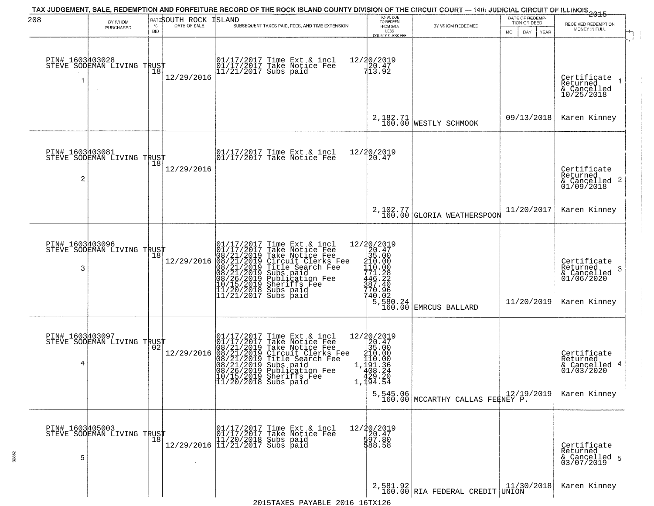| 208                  |                                               |            |                              | TAX JUDGEMENT, SALE, REDEMPTION AND FORFEITURE RECORD OF THE ROCK ISLAND COUNTY DIVISION OF THE CIRCUIT COURT — 14th JUDICIAL CIRCUIT OF ILLINOIS 2015                                                                                                                                                                                                                                                           | TOTAL DUE<br>TO REDEEM                                                                                                  |                                                                                                                                                                                               | DATE OF REDEMP-                                  |                                                                           |
|----------------------|-----------------------------------------------|------------|------------------------------|------------------------------------------------------------------------------------------------------------------------------------------------------------------------------------------------------------------------------------------------------------------------------------------------------------------------------------------------------------------------------------------------------------------|-------------------------------------------------------------------------------------------------------------------------|-----------------------------------------------------------------------------------------------------------------------------------------------------------------------------------------------|--------------------------------------------------|---------------------------------------------------------------------------|
|                      | BY WHOM<br>PURCHASED                          | <b>BID</b> | <b>RATESOUTH ROCK ISLAND</b> | SUBSEQUENT TAXES PAID, FEES, AND TIME EXTENSION                                                                                                                                                                                                                                                                                                                                                                  | FROM SALE<br>LESS<br>COUNTY CLERK FEE                                                                                   | BY WHOM REDEEMED                                                                                                                                                                              | TION OR DEED<br>DAY.<br><b>YEAR</b><br><b>MO</b> | RECEIVED REDEMPTION<br>MONEY IN FULL                                      |
| 1                    | PIN# 1603403028<br>STEVE SODEMAN LIVING TRUST |            | 12/29/2016                   | 01/17/2017 Time Ext & incl<br>01/17/2017 Take Notice Fee<br>11/21/2017 Subs paid                                                                                                                                                                                                                                                                                                                                 | 12/20/2019<br>20.47<br>13.92                                                                                            |                                                                                                                                                                                               |                                                  | Certificate<br>Returned<br>& Cancelled<br>10/25/2018<br>$\rightarrow$     |
|                      |                                               |            |                              |                                                                                                                                                                                                                                                                                                                                                                                                                  |                                                                                                                         | 2, 182.71 WESTLY SCHMOOK                                                                                                                                                                      | 09/13/2018                                       | Karen Kinney                                                              |
| 2                    | PIN# 1603403081<br>STEVE SODEMAN LIVING TRUST |            | 12/29/2016                   | 01/17/2017 Time Ext & incl<br>01/17/2017 Take Notice Fee                                                                                                                                                                                                                                                                                                                                                         | 12/20/2019<br>20.47                                                                                                     |                                                                                                                                                                                               |                                                  | Certificate<br>Returned<br>$\frac{1}{2}$ Cancelled 2<br>01/09/2018        |
|                      |                                               |            |                              |                                                                                                                                                                                                                                                                                                                                                                                                                  |                                                                                                                         | 2, 102.77<br>160.00 GLORIA WEATHERSPOON                                                                                                                                                       | 11/20/2017                                       | Karen Kinney                                                              |
| PIN# 1603403096<br>3 | STEVE SODEMAN LIVING TRUST                    | Ίõ         | 12/29/2016                   | Time Ext & incl<br>Take Notice Fee<br>Take Notice Fee<br>Circuit Clerks Fee<br>Title Search Fee<br>Subs paid<br>Bublication Fee<br>Sheriffs Fee<br>Subs paid<br>01/17/2017 Time Ext & 01/17/2017 Take Notic<br>08/21/2019 Take Notic<br>08/21/2019 Circuit Cl<br>08/21/2019 Circuit Cl<br>08/21/2019 Title Sear<br>08/26/2019 Subs paid<br>08/26/2019 Sheriffs F<br>11/20/2018 Subs paid<br>11/21/2017 Subs paid |                                                                                                                         | Le Fee<br>Press 12/20/2019<br>Press Press 35.00<br>Press 210.00<br>Press 110.00<br>Press 110.00<br>Press 140<br>771.22<br>40.02<br>740.02<br>5,580.24<br>5,580.24<br>160.00<br>EMRCUS BALLARD | 11/20/2019                                       | Certificate<br>Returned<br>3<br>& Cancelled<br>01/06/2020<br>Karen Kinney |
| 4                    | PIN# 1603403097<br>STEVE SODEMAN LIVING TRUST |            | 12/29/2016                   | Time Ext & incl<br>Take Notice Fee<br>Take Notice Fee<br>Circuit Clerks Fee<br>Title Search Fee<br>Subs paid<br>Publication Fee<br>Sheriffs Fee<br>01/17/2017 Time Ext & ir<br>01/17/2017 Take Notice B<br>08/21/2019 Take Notice B<br>08/21/2019 Circuit Clerk<br>08/21/2019 Title Search<br>08/21/2019 Subs paid<br>10/15/2019 Sheriffs Fee<br>11/20/2018 Subs paid                                            | $12/20/2019$ $20.47$ $35.00$ $1,191.36$ $1,408.24$ $1,408.24$ $1,408.24$ $1,409.26$<br>$1,1\overline{9}4.\overline{5}4$ | 5,545.06<br>160.00 MCCARTHY CALLAS FEENEY P.                                                                                                                                                  |                                                  | Certificate<br>Returned<br>& Cancelled 4<br>01/03/2020<br>Karen Kinney    |
| PIN# 1603405003<br>5 | STEVE SODEMAN LIVING TRUST                    | 18         |                              | 01/17/2017 Time Ext & incl<br>01/17/2017 Take Notice Fee<br>11/20/2018 Subs paid<br>12/29/2016 11/21/2017 Subs paid                                                                                                                                                                                                                                                                                              | 12/20/2019<br>$\begin{array}{r} 20.47 \\ 597.80 \\ 488.58 \end{array}$                                                  |                                                                                                                                                                                               |                                                  | Certificate<br>Returned<br>& Cancelled 5<br>03/07/2019                    |
|                      |                                               |            |                              |                                                                                                                                                                                                                                                                                                                                                                                                                  |                                                                                                                         | 2,581.92<br>160.00 RIA FEDERAL CREDIT UNION                                                                                                                                                   |                                                  | Karen Kinney                                                              |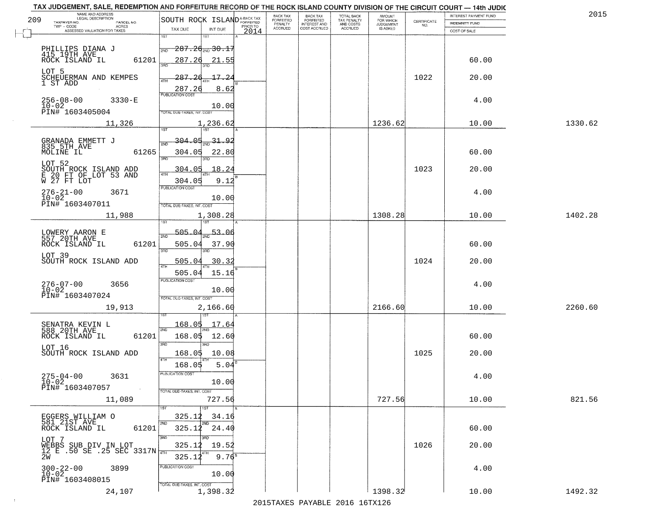| TAX JUDGEMENT, SALE, REDEMPTION AND FORFEITURE RECORD OF THE ROCK ISLAND COUNTY DIVISION OF THE CIRCUIT COURT - 14th JUDIC<br>NAME AND ADDRESS<br>LEGAL DESCRIPTION |                                                                                     |                            | BACK TAX             | BACK TAX<br>FORFEITED |                                        | AMOUNT<br>FOR WHICH |                                                                 | INTEREST PAYMENT FUND | 2015    |
|---------------------------------------------------------------------------------------------------------------------------------------------------------------------|-------------------------------------------------------------------------------------|----------------------------|----------------------|-----------------------|----------------------------------------|---------------------|-----------------------------------------------------------------|-----------------------|---------|
| 209<br>TAXPAYER NO.<br>PARCEL NO.<br>ACRES                                                                                                                          | SOUTH ROCK ISLANDA-BACK TAX                                                         |                            | FORFEITED<br>PENALTY | <b>INTEREST AND</b>   | TOTAL BACK<br>TAX PENALTY<br>AND COSTS | <b>JUDGEMENT</b>    | $\begin{array}{c} \text{CERTIFICATE} \\ \text{NO.} \end{array}$ | <b>INDEMNITY FUND</b> |         |
| ASSESSED VALUATION FOR TAXES                                                                                                                                        | TAX DUE<br>INT DUE                                                                  | 2014                       | <b>ACCRUED</b>       | COST ACCRUED          | <b>ACCRUED</b>                         | IS ASKED            |                                                                 | COST OF SALE          |         |
| PHILLIPS DIANA J<br>415 19TH AVE<br>ROCK ISLAND IL<br>61201                                                                                                         | 1ST<br>1ST<br>$287.2$ d $_{\tiny{\textrm{2ND}}}$ 30.1.<br>2ND<br>287.26             | 21.55                      |                      |                       |                                        |                     |                                                                 | 60.00                 |         |
| LOT 5<br>SCHEUERMAN AND KEMPES<br>1 ST ADD                                                                                                                          | 350<br>287.26<br>4TH                                                                | 17.2<br>8.62               |                      |                       |                                        |                     | 1022                                                            | 20.00                 |         |
| $256 - 08 - 00$<br>$3330 - E$<br>$10 - 02$<br>PIN# 1603405004                                                                                                       | 287.26<br>PUBLICATION COST<br>TOTAL DUE-TAXES, INT. COST                            | 10.00                      |                      |                       |                                        |                     |                                                                 | 4.00                  |         |
| 11,326                                                                                                                                                              | 1,236.62                                                                            |                            |                      |                       |                                        | 1236.62             |                                                                 | 10.00                 | 1330.62 |
| GRANADA EMMETT J<br>835 5TH AVE<br>MOLINE IL<br>61265<br>LOT 52                                                                                                     | <u>304.05</u><br>$\frac{31.92}{210}$<br>304.05<br>$\overline{3BD}$<br><u>304.05</u> | 22.80<br>18.24             |                      |                       |                                        |                     | 1023                                                            | 60.00<br>20.00        |         |
| SOUTH ROCK ISLAND ADD<br>E 20 FT OF LOT 53 AND<br>W 27 FT LOT<br>$276 - 21 - 00$<br>3671<br>$10 - 02$<br>PIN# 1603407011                                            | 304.05<br>PUBLICATION COST<br>TOTAL DUE-TAXES, INT. COST                            | 9.12<br>10.00              |                      |                       |                                        |                     |                                                                 | 4.00                  |         |
| 11,988                                                                                                                                                              | 1,308.28<br>1ST                                                                     |                            |                      |                       |                                        | 1308.28             |                                                                 | 10.00                 | 1402.28 |
| LOWERY AARON E<br>557 20TH AVE<br>ROCK ISLAND IL<br>61201                                                                                                           | 505.04<br>2ND<br>505.04<br>3BD<br>3RD                                               | 53.06<br>37.90             |                      |                       |                                        |                     |                                                                 | 60.00                 |         |
| LOT 39<br>SOUTH ROCK ISLAND ADD                                                                                                                                     | 505.04<br><b>ATH</b>                                                                | 30.3                       |                      |                       |                                        |                     | 1024                                                            | 20.00                 |         |
| $276 - 07 - 00$<br>10-02<br>3656<br>PIN# 1603407024                                                                                                                 | 505.04<br><b>PUBLICATION COST</b><br>TOTAL OUE-TAXES, INT. COST                     | 15.16<br>10.00             |                      |                       |                                        |                     |                                                                 | 4.00                  |         |
| 19,913                                                                                                                                                              | 2,166.60<br>187                                                                     |                            |                      |                       |                                        | 2166.60             |                                                                 | 10.00                 | 2260.60 |
| SENATRA KEVIN L<br>588 20TH AVE<br>ROCK ISLAND IL<br>61201<br>LOT 16                                                                                                | 168.05<br>2ND<br>168.05<br>3RD<br>$\overline{3BD}$                                  | 17.64<br>12.60             |                      |                       |                                        |                     |                                                                 | 60.00                 |         |
| SOUTH ROCK ISLAND ADD                                                                                                                                               | 168.05<br>4TH<br>168.05                                                             | 10.08<br>5.04              |                      |                       |                                        |                     | 1025                                                            | 20.00                 |         |
| 275-04-00<br>3631<br>$10 - 02$<br>PIN# 1603407057<br>$\sim 100$ km $^{-1}$                                                                                          | "UBLICA HUN CUS<br>TOTAL DUE-TAXES, INT. COST                                       | 10.00                      |                      |                       |                                        |                     |                                                                 | 4.00                  |         |
| 11,089                                                                                                                                                              |                                                                                     | 727.56                     |                      |                       |                                        | 727.56              |                                                                 | 10.00                 | 821.56  |
| EGGERS WILLIAM O<br>581 21ST AVE<br>61201<br>ROCK ISLAND IL                                                                                                         | 1ST<br>325.12<br>2ND<br>2ND<br>325.12                                               | 34.16<br>24.40             |                      |                       |                                        |                     |                                                                 | 60.00                 |         |
| LOT 7<br>$\overline{WEBBS}$ SUB DIV IN LOT<br>12 E .50 SE .25 SEC 3317N<br>2W                                                                                       | 3RD<br>325.12<br>325.12                                                             | 19.52<br>9.76 <sup>s</sup> |                      |                       |                                        |                     | 1026                                                            | 20.00                 |         |
| $300 - 22 - 00$<br>3899<br>$10 - 02$<br>PIN# 1603408015                                                                                                             | PUBLICATION COST<br>TOTAL DUE-TAXES, INT. COST                                      | 10.00                      |                      |                       |                                        |                     |                                                                 | 4.00                  |         |
| 24,107                                                                                                                                                              | 1,398.32                                                                            |                            |                      |                       |                                        | 1398.32             |                                                                 | 10.00                 | 1492.32 |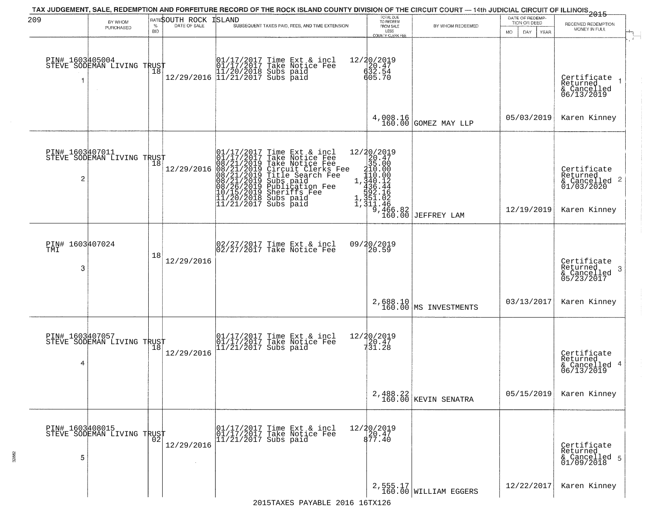| 209                         | BY WHOM                                                  |                 | RATESOUTH ROCK ISLAND | TAX JUDGEMENT, SALE, REDEMPTION AND FORFEITURE RECORD OF THE ROCK ISLAND COUNTY DIVISION OF THE CIRCUIT COURT — 14th JUDICIAL CIRCUIT OF ILLINOIS 2015                                                                                               | TOTAL DUE<br>TO REDEEM                                                                                                                                                                      |                                   | DATE OF REDEMP-<br>TION OR DEED | RECEIVED REDEMPTION                                                                |
|-----------------------------|----------------------------------------------------------|-----------------|-----------------------|------------------------------------------------------------------------------------------------------------------------------------------------------------------------------------------------------------------------------------------------------|---------------------------------------------------------------------------------------------------------------------------------------------------------------------------------------------|-----------------------------------|---------------------------------|------------------------------------------------------------------------------------|
|                             | PURCHASED                                                | %<br><b>BID</b> | DATE OF SALE          | SUBSEQUENT TAXES PAID, FEES, AND TIME EXTENSION                                                                                                                                                                                                      | FROM SALE<br>LESS<br>COUNTY CLERK FEE                                                                                                                                                       | BY WHOM REDEEMED                  | MO.<br>DAY<br><b>YEAR</b>       | MONEY IN FULL                                                                      |
| PIN# 1603405004             | STEVE SODEMAN LIVING TRUST                               | 18              |                       | $[01/17/2017 \t\t Time \t\t Ext & incl \\ 01/17/2017 \t\t Take \tNotice \t\text{Fe} \\ 11/20/2018 \t\text{Subs paid} \\ 12/29/2016 \t\t 11/21/2017 \t\text{Subs paid}$                                                                               | 12/20/2019<br>$\begin{array}{c} 20.47 \\ 632.54 \\ 605.70 \end{array}$                                                                                                                      |                                   |                                 | Certificate<br>Returned<br>& Cancelled<br>06/13/2019                               |
|                             |                                                          |                 |                       |                                                                                                                                                                                                                                                      |                                                                                                                                                                                             | $4,008.16$ GOMEZ MAY LLP          | 05/03/2019                      | Karen Kinney                                                                       |
| PIN# 1603407011<br>2        | FIN# 1003HOV/STLVING TRUST<br>STEVE SODEMAN LIVING TRUST |                 | 12/29/2016            | 01/17/2017 Time Ext & incl<br>01/17/2017 Take Notice Fee<br>08/21/2019 Take Notice Fee<br>08/21/2019 Circuit Clerks Fee<br>08/21/2019 Title Search Fee<br>08/21/2019 Subs paid<br>10/15/2019 Sheriffs Fee<br>11/20/2018 Subs paid<br>11/21/2017 Subs | $\begin{array}{r} 12/20/2019 \\20.47 \\35.00 \\ 1.10.00 \\ 1.440.12 \\ 4.635.44 \\ \end{array}$<br>$\begin{array}{c}\n 592.16 \\  351.02 \\  46\n \end{array}$<br>$\frac{9,466.82}{160.00}$ | JEFFREY LAM                       | 12/19/2019                      | Certificate<br>Returned<br>$\frac{1}{6}$ Cancelled 2<br>01/03/2020<br>Karen Kinney |
| PIN# 1603407024<br>TMI<br>3 |                                                          | 18              | 12/29/2016            | 02/27/2017 Time Ext & incl<br>02/27/2017 Take Notice Fee                                                                                                                                                                                             | 09/20/2019<br>20.59                                                                                                                                                                         |                                   |                                 | Certificate<br>Returned<br>-3<br>& Cancelled<br>05/23/2017                         |
|                             |                                                          |                 |                       |                                                                                                                                                                                                                                                      |                                                                                                                                                                                             | 2,688.10<br>160.00 MS INVESTMENTS | 03/13/2017                      | Karen Kinney                                                                       |
| PIN# 1603407057<br>4        | STEVE SODEMAN LIVING TRUST                               |                 | 12/29/2016            | 01/17/2017 Time Ext & incl<br>01/17/2017 Take Notice Fee<br>11/21/2017 Subs paid                                                                                                                                                                     | $\begin{array}{r} 12/20/2019 \\ 20.47 \\ 731.28 \end{array}$                                                                                                                                |                                   |                                 | Certificate<br>Returned<br>& Cancelled 4<br>06/13/2019                             |
|                             |                                                          |                 |                       |                                                                                                                                                                                                                                                      |                                                                                                                                                                                             | 2,488.22<br>160.00 KEVIN SENATRA  | 05/15/2019                      | Karen Kinney                                                                       |
| PIN# 1603408015<br>5        | PIN# 1003700011<br>STEVE SODEMAN LIVING TRUST            |                 | 12/29/2016            | 01/17/2017 Time Ext & incl<br>01/17/2017 Take Notice Fee<br>11/21/2017 Subs paid                                                                                                                                                                     | 12/20/2019<br>20.47<br>877.40                                                                                                                                                               |                                   |                                 | Certificate<br>Returned<br>& Cancelled 5<br>01/09/2018                             |
|                             |                                                          |                 |                       |                                                                                                                                                                                                                                                      |                                                                                                                                                                                             | 2,555.17<br>160.00 WILLIAM EGGERS | 12/22/2017                      | Karen Kinney                                                                       |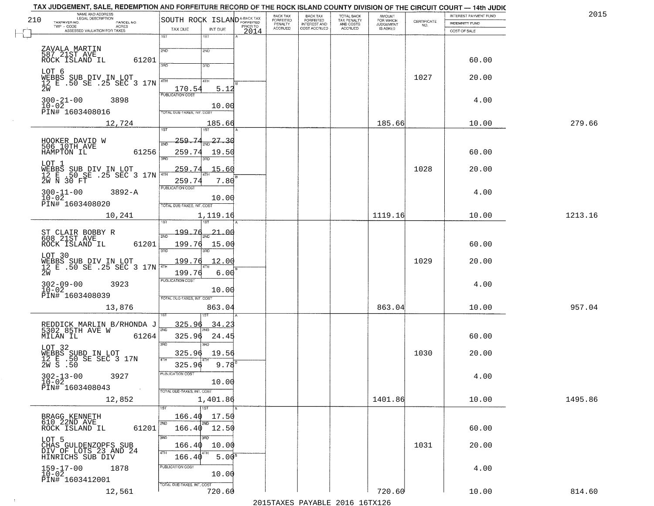| NAME AND ADDRESS<br>LEGAL DESCRIPTION                                            |                                                                      | BACK TAX<br><b>BACK TAX</b>                              |                                        | AMOUNT<br>FOR WHICH |                                                                 | INTEREST PAYMENT FUND | 2015    |
|----------------------------------------------------------------------------------|----------------------------------------------------------------------|----------------------------------------------------------|----------------------------------------|---------------------|-----------------------------------------------------------------|-----------------------|---------|
| 210<br>TAXPAYER NO.<br>PARCEL NO.<br>ACRES                                       | SOUTH ROCK ISLAND <sup>A-BACK TAX</sup><br>PRIOR TO                  | FORFEITED<br>FORFEITED<br>PENALTY<br><b>INTEREST AND</b> | TOTAL BACK<br>TAX PENALTY<br>AND COSTS | <b>JUDGEMENT</b>    | $\begin{array}{c} \text{CERTIFICATE} \\ \text{NO.} \end{array}$ | <b>INDEMNITY FUND</b> |         |
| ASSESSED VALUATION FOR TAXES                                                     | TAX DUE<br>INT DUE<br>2014<br>1ST                                    | <b>ACCRUED</b><br>COST ACCRUED                           | <b>ACCRUED</b>                         | IS ASKED            |                                                                 | COST OF SALE          |         |
| ZAVALA MARTIN<br>587 21ST AVE<br>ROCK ISLAND IL                                  | $1S$ T<br>2ND<br>2ND                                                 |                                                          |                                        |                     |                                                                 |                       |         |
| 61201<br>LOT 6                                                                   | 3RD<br>3RD                                                           |                                                          |                                        |                     |                                                                 | 60.00                 |         |
| WEBBS SUB DIV IN LOT<br>12 E .50 SE .25 SEC 3 17N<br>2W                          | 4TH<br>4TH<br>$\frac{170.54}{FUBUCATON COST}$<br>5.12                |                                                          |                                        |                     | 1027                                                            | 20.00                 |         |
| $300 - 21 - 00$<br>3898<br>$10 - 02$<br>PIN# 1603408016                          | 10.00<br>TOTAL DUE-TAXES, INT. COST                                  |                                                          |                                        |                     |                                                                 | 4.00                  |         |
| 12,724                                                                           | 185.66                                                               |                                                          |                                        | 185.66              |                                                                 | 10.00                 | 279.66  |
| HOOKER DAVID W<br>506 10TH AVE<br>HAMPTON IL<br>61256                            | 259.74<br>$\frac{27.30}{}$<br>2ND<br>259.74<br>19.50<br>उन्नत<br>3RD |                                                          |                                        |                     |                                                                 | 60.00                 |         |
| LOT 1<br>WEBBS SUB DIV IN LOT<br>12 E .50 SE .25 SEC 3 17N                       | 259.74<br>15.60<br>259.74<br>7.80                                    |                                                          |                                        |                     | 1028                                                            | 20.00                 |         |
| $300 - 11 - 00$<br>$3892 - A$<br>$10 - 02$<br>PIN# 1603408020                    | PUBLICATION COST<br>10.00<br>TOTAL DUE-TAXES, INT. COST              |                                                          |                                        |                     |                                                                 | 4.00                  |         |
| 10,241                                                                           | 1,119.16<br>1ST<br>īsT                                               |                                                          |                                        | 1119.16             |                                                                 | 10.00                 | 1213.16 |
| ST CLAIR BOBBY R<br>608 21ST AVE<br>ROCK ISLAND IL<br>61201                      | 199.76<br>$-21 - 00$<br>2ND<br>199.76<br>15.00<br>3RD<br>3RD         |                                                          |                                        |                     |                                                                 | 60.00                 |         |
| LOT 30<br>WEBBS SUB DIV IN LOT<br>12 E .50 SE .25 SEC 3 17N<br>2W                | 199.76<br>12.00<br>199.76<br>6.00                                    |                                                          |                                        |                     | 1029                                                            | 20.00                 |         |
| $302 - 09 - 00$<br>$10 - 02$<br>3923<br>PIN# 1603408039                          | <b>PUBLICATION COST</b><br>10.00<br>TOTAL OUE-TAXES, INT. COST       |                                                          |                                        |                     |                                                                 | 4.00                  |         |
| 13,876                                                                           | 863.04                                                               |                                                          |                                        | 863.04              |                                                                 | 10.00                 | 957.04  |
| REDDICK MARLIN B/RHONDA J<br>5302 85TH AVE W<br>MILAN IL<br>61264                | 325.96<br>$34.2^{\circ}$<br>2ND<br>325.96<br>24.45<br>3RD<br>חחו     |                                                          |                                        |                     |                                                                 | 60.00                 |         |
| LOT 32<br>WEBBS SUBD IN LOT<br>12 E .50 SE SEC 3 17N<br>2W S .50                 | 325.96<br>19.56<br>4TH<br>$9.78^{B}$<br>325.96                       |                                                          |                                        |                     | 1030                                                            | 20.00                 |         |
| $302 - 13 - 00$<br>3927<br>$10 - 02$<br>PIN# 1603408043<br>$\sim 100$ km $^{-1}$ | PUBLICATION COS<br>10.00<br>TOTAL DUE-TAXES, INT. COST               |                                                          |                                        |                     |                                                                 | 4.00                  |         |
| 12,852                                                                           | 1,401.86<br>1ST                                                      |                                                          |                                        | 1401.86             |                                                                 | 10.00                 | 1495.86 |
| BRAGG KENNETH<br>610 22ND AVE<br>61201<br>ROCK ISLAND IL                         | 166.40<br>17.50<br>2ND<br>2ND<br>166.40 12.50<br>3RD<br>3BD          |                                                          |                                        |                     |                                                                 | 60.00                 |         |
| LOT 5<br>CHAS GULDENZOPFS SUB<br>DIV OF LOTS 23 AND 24<br>HINRICHS SUB DIV       | 166.40<br>10.00<br>4TH<br>5.00 <sup>B</sup><br>166.40                |                                                          |                                        |                     | 1031                                                            | 20.00                 |         |
| $159 - 17 - 00$<br>1878<br>$10 - 02$<br>PIN# 1603412001                          | PUBLICATION COST<br>10.00<br>TOTAL DUE-TAXES, INT. COST              |                                                          |                                        |                     |                                                                 | 4.00                  |         |
| 12,561                                                                           | 720.60                                                               |                                                          |                                        | 720.60              |                                                                 | 10.00                 | 814.60  |

 $\sim 10^{-1}$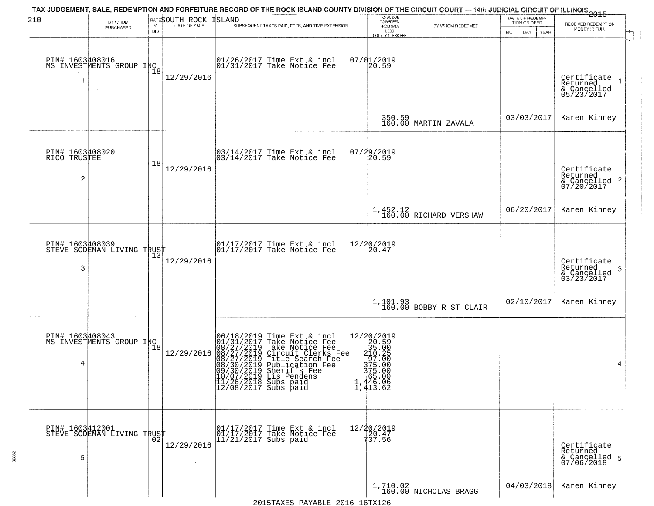| 210                                  | BY WHOM                                        | $\%$       | BATESOUTH ROCK<br>DATE OF SALE | TAX JUDGEMENT, SALE, REDEMPTION AND FORFEITURE RECORD OF THE ROCK ISLAND COUNTY DIVISION OF THE CIRCUIT COURT — 14th JUDICIAL CIRCUIT OF ILLINOIS 2015<br>ISLAND<br>SUBSEQUENT TAXES PAID, FEES, AND TIME EXTENSION                                                                                                | TOTAL DUE<br>TO REDEEM<br>FROM SALE                                                                                                        | BY WHOM REDEEMED                     | DATE OF REDEMP<br>TION OR DEED | RECEIVED REDEMPTION                                       |
|--------------------------------------|------------------------------------------------|------------|--------------------------------|--------------------------------------------------------------------------------------------------------------------------------------------------------------------------------------------------------------------------------------------------------------------------------------------------------------------|--------------------------------------------------------------------------------------------------------------------------------------------|--------------------------------------|--------------------------------|-----------------------------------------------------------|
|                                      | PURCHASED                                      | <b>BID</b> |                                |                                                                                                                                                                                                                                                                                                                    | LESS<br><b>COUNTY CLERK FEE</b>                                                                                                            |                                      | MO.<br>DAY.<br>YEAR            | MONEY IN FULL                                             |
| 1                                    | PIN# 1603408016<br>MS INVESTMENTS GROUP INC    | 18         | 12/29/2016                     | 01/26/2017 Time Ext & incl<br>01/31/2017 Take Notice Fee                                                                                                                                                                                                                                                           | $07/01/2019$<br>20.59                                                                                                                      |                                      |                                | Certificate<br>Returned<br>& Cancelled<br>05/23/2017      |
|                                      |                                                |            |                                |                                                                                                                                                                                                                                                                                                                    |                                                                                                                                            | 350.59<br>160.00 MARTIN ZAVALA       | 03/03/2017                     | Karen Kinney                                              |
| PIN# 1603408020<br>RICO TRUSTEE<br>2 |                                                | 18         | 12/29/2016                     | $\begin{bmatrix} 03/14/2017 \\ 03/14/2017 \\ 04 \end{bmatrix}$ Take Notice Fee                                                                                                                                                                                                                                     | 07/29/2019<br>20.59                                                                                                                        |                                      |                                | Certificate<br>Returned<br>& Cancelled 2<br>07/20/2017    |
|                                      |                                                |            |                                |                                                                                                                                                                                                                                                                                                                    |                                                                                                                                            | $1,452.12$<br>160.00 RICHARD VERSHAW | 06/20/2017                     | Karen Kinney                                              |
| PIN# 1603408039<br>3                 | STEVE SODEMAN LIVING TRUST                     | 13         | 12/29/2016                     | $\begin{array}{ccc}  01/17/2017 \text{ Time} & \text{Ext} & \text{incl} \\  01/17/2017 \text{ Take Notice } \text{Fe} \end{array}$                                                                                                                                                                                 | 12/20/2019<br>20.47                                                                                                                        |                                      |                                | Certificate<br>Returned<br>3<br>& Cancelled<br>03/23/2017 |
|                                      |                                                |            |                                |                                                                                                                                                                                                                                                                                                                    |                                                                                                                                            | $1,101.93$ BOBBY R ST CLAIR          | 02/10/2017                     | Karen Kinney                                              |
| 4                                    | PIN# 1603408043<br>MS INVESTMENTS GROUP INC 18 |            | 12/29/2016                     | 06/18/2019 Time Ext & incl<br>01/31/2017 Take Notice Fee<br>08/27/2019 Take Notice Fee<br>08/27/2019 Title Search Fee<br>08/27/2019 Title Search Fee<br>08/30/2019 Publication Fee<br>09/30/2019 Sheriffs Fee<br>09/30/2019 Sheriffs Fee<br>10/07/2019 Lis Pendens<br>11/26/2018 Subs paid<br>12/08/2017 Subs paid | $\begin{array}{r} 12/20/2019 \\20.59 \\35.00 \\410.2 \\975.00 \\3775.00 \\375.00 \\165.00 \end{array}$<br>1,446.00<br>1,446.06<br>1,413.62 |                                      |                                | 4                                                         |
| PIN# 1603412001<br>5                 | STEVE SODEMAN LIVING TRUST                     | 02         | 12/29/2016                     | 01/17/2017 Time Ext & incl<br>01/17/2017 Take Notice Fee<br>$11/21/2017$ Subs paid                                                                                                                                                                                                                                 | 12/20/2019<br>20.47<br>137.56                                                                                                              |                                      |                                | Certificate<br>Returned<br>& Cancelled 5<br>07/06/2018    |
|                                      |                                                |            |                                |                                                                                                                                                                                                                                                                                                                    |                                                                                                                                            | $1,710.02$ NICHOLAS BRAGG            | 04/03/2018                     | Karen Kinney                                              |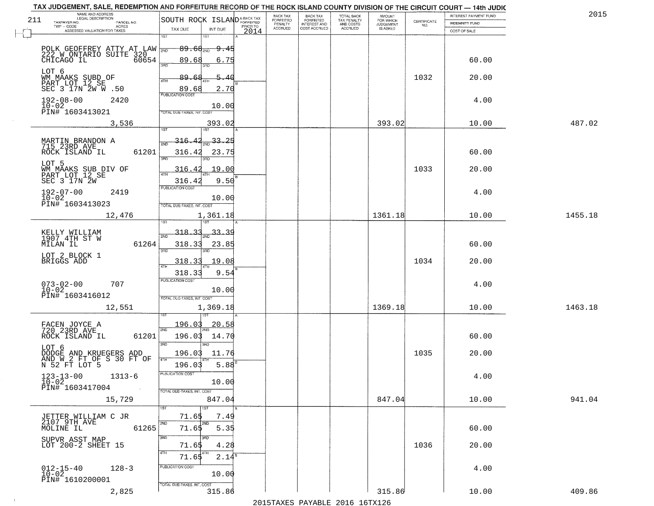|     | NAME AND ADDRESS<br>LEGAL DESCRIPTION                                                                                                                                   |                                                                                     |                                       | BACK TAX             | <b>BACK TAX</b>           |                                        | AMOUNT<br>FOR WHICH |                                                                 | INTEREST PAYMENT FUND  | 2015    |
|-----|-------------------------------------------------------------------------------------------------------------------------------------------------------------------------|-------------------------------------------------------------------------------------|---------------------------------------|----------------------|---------------------------|----------------------------------------|---------------------|-----------------------------------------------------------------|------------------------|---------|
| 211 | TAXPAYER NO.<br>PARCEL NO.<br>ACRES                                                                                                                                     | SOUTH ROCK ISLANDA-BACK TAX                                                         |                                       | FORFEITED<br>PENALTY | FORFEITED<br>INTEREST AND | TOTAL BACK<br>TAX PENALTY<br>AND COSTS | <b>JUDGEMENT</b>    | $\begin{array}{c} \text{CERTIFICATE} \\ \text{NO.} \end{array}$ | <b>INDEMNITY FUND</b>  |         |
|     | ASSESSED VALUATION FOR TAXES                                                                                                                                            | TAX DUE                                                                             | INT DUE<br>2014                       | <b>ACCRUED</b>       | COST ACCRUED              | ACCRUED                                | IS ASKED            |                                                                 | COST OF SALE           |         |
|     | POLK GEOFFREY ATTY AT LAW WE<br>222 W ONTARIO SUITE 320<br>CHICAGO IL 60654                                                                                             | 1ST<br>$89.68_{200}$<br>89.68<br>350                                                | <del>9.45</del><br>6.75               |                      |                           |                                        |                     |                                                                 | 60.00                  |         |
|     | LOT 6<br>WM MAAKS SUBD OF<br>PART LOT 12 SE<br>SEC 3 17N 2W W .50                                                                                                       | 89.68<br>4TH<br>89.68                                                               | 5.40<br>2.70                          |                      |                           |                                        |                     | 1032                                                            | 20.00                  |         |
|     | $192 - 08 - 00$<br>2420<br>$10 - 02$<br>PIN# 1603413021                                                                                                                 | <b>PUBLICATION COST</b><br>TOTAL DUE-TAXES, INT. COST                               | 10.00                                 |                      |                           |                                        |                     |                                                                 | 4.00                   |         |
|     | 3,536                                                                                                                                                                   |                                                                                     | 393.02                                |                      |                           |                                        | 393.02              |                                                                 | 10.00                  | 487.02  |
|     | MARTIN BRANDON A<br>715 23RD AVE<br>61201<br>ROCK ISLAND IL<br>LOT 5<br>WM MAAKS SUB DIV OF<br>PART LOT 12 SE<br>SEC 3 17N 2W                                           | 197<br>316.42<br>316.42<br>3RD<br>3BD.<br>316.42<br>316.42                          | $-33.25$<br>23.75<br>19.00<br>9.50    |                      |                           |                                        |                     | 1033                                                            | 60.00<br>20.00         |         |
|     | $192 - 07 - 00$<br>2419<br>$10 - 02$<br>PIN# 1603413023                                                                                                                 | <b>PUBLICATION COST</b><br>TOTAL DUE-TAXES, INT. COST                               | 10.00                                 |                      |                           |                                        |                     |                                                                 | 4.00                   |         |
|     | 12,476                                                                                                                                                                  | 1,361.18<br>1ST<br>1ST                                                              |                                       |                      |                           |                                        | 1361.18             |                                                                 | 10.00                  | 1455.18 |
|     | KELLY WILLIAM<br>1907 4TH ST W<br>MILAN IL<br>61264<br>LOT 2 BLOCK 1<br>BRIGGS ADD                                                                                      | 318.33<br>2ND<br>318.33<br>3RD<br>3RD<br>318.33<br>4TH                              | <u>33.39</u><br>23.85<br>19.08        |                      |                           |                                        |                     | 1034                                                            | 60.00<br>20.00         |         |
|     | $073 - 02 - 00$<br>10-02<br>707<br>PIN# 1603416012<br>12,551                                                                                                            | 318.33<br><b>PUBLICATION COST</b><br>TOTAL OUE-TAXES, INT. COST<br>1,369.18         | 9.54<br>10.00                         |                      |                           |                                        | 1369.18             |                                                                 | 4.00<br>10.00          | 1463.18 |
|     | FACEN JOYCE A<br>720 23RD AVE<br>ROCK ISLAND IL<br>61201<br>LOT 6<br>DODGE AND KRUEGERS ADD<br>AND W 2 FT OF S 30 FT OF<br>N 52 FT LOT 5<br>$123 - 13 - 00$<br>$1313-6$ | 196.03<br>2ND<br>196.03<br>3RD<br>3RD<br>196.03<br>4TH<br>196.03<br>"UBLICA HUN CUS | 20.58<br>14.70<br>11.76<br>$5.88^{6}$ |                      |                           |                                        |                     | 1035                                                            | 60.00<br>20.00<br>4.00 |         |
|     | $10 - 02$<br>PIN# 1603417004<br>$\sim 100$<br>15,729                                                                                                                    | TOTAL DUE-TAXES, INT. COST<br>1ST                                                   | 10.00<br>847.04                       |                      |                           |                                        | 847.04              |                                                                 | 10.00                  | 941.04  |
|     | JETTER WILLIAM C JR<br>$2107$ 9TH AVE<br>MOLINE IL<br>61265<br>SUPVR ASST MAP<br>LOT 200-2 SHEET 15                                                                     | 71.65<br>2ND<br>2ND<br>71.65<br>3RD<br>3RD<br>71.65                                 | 7.49<br>5.35<br>4.28                  |                      |                           |                                        |                     | 1036                                                            | 60.00<br>20.00         |         |
|     | $012 - 15 - 40$<br>$128 - 3$<br>$1\overline{0}$ - $0\overline{2}$<br>PIN# 1610200001                                                                                    | 4TH<br>4TH<br>71.65<br>PUBLICATION COST<br>TOTAL DUE-TAXES, INT. COST               | $2.14^8$<br>10.00                     |                      |                           |                                        |                     |                                                                 | 4.00                   |         |
|     | 2,825                                                                                                                                                                   |                                                                                     | 315.86                                |                      |                           |                                        | 315.86              |                                                                 | 10.00                  | 409.86  |

 $\sim 10^{-1}$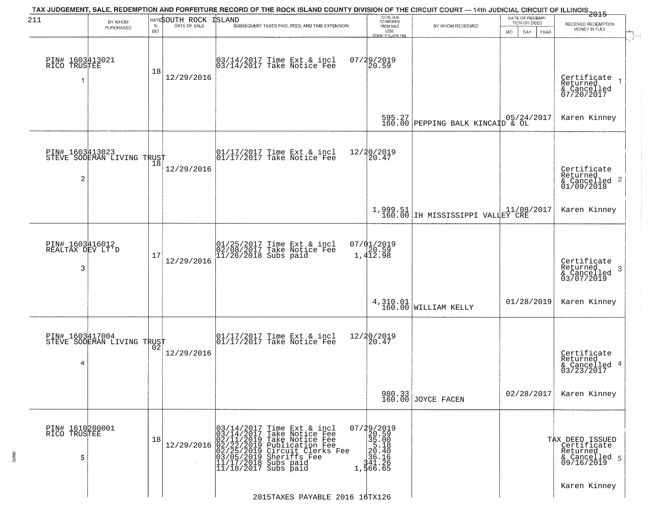| 211                                      | BY WHOM                                       |                    | RATESOUTH ROCK | TAX JUDGEMENT, SALE, REDEMPTION AND FORFEITURE RECORD OF THE ROCK ISLAND COUNTY DIVISION OF THE CIRCUIT COURT — 14th JUDICIAL CIRCUIT OF ILLINOIS 2015<br>ISLAND                                                                                       | TOTAL DUE<br>TO REDEEM                                                                                     |                                                                                                                                       | DATE OF REDEMP-<br>TION OR DEED | RECEIVED REDEMPTION                                                       |
|------------------------------------------|-----------------------------------------------|--------------------|----------------|--------------------------------------------------------------------------------------------------------------------------------------------------------------------------------------------------------------------------------------------------------|------------------------------------------------------------------------------------------------------------|---------------------------------------------------------------------------------------------------------------------------------------|---------------------------------|---------------------------------------------------------------------------|
|                                          | PURCHASED                                     | $\%$<br><b>BID</b> | DATE OF SALE   | SUBSEQUENT TAXES PAID, FEES, AND TIME EXTENSION                                                                                                                                                                                                        | FROM SALE<br>LESS<br><b>COUNTY CLERK FEE</b>                                                               | BY WHOM REDEEMED                                                                                                                      | MO.<br>DAY.<br>YEAR             | MONEY IN FULL                                                             |
| PIN# 1603413021<br>RICO TRUSTEE          |                                               | 18                 | 12/29/2016     | 03/14/2017 Time Ext & incl<br>03/14/2017 Take Notice Fee                                                                                                                                                                                               | $07/29/2019$<br>20.59                                                                                      |                                                                                                                                       |                                 | Certificate<br>Returned<br>& Cancelled<br>07/20/2017                      |
|                                          |                                               |                    |                |                                                                                                                                                                                                                                                        |                                                                                                            | $\begin{array}{ c c c c c c c c } \hline 595.27 & 05/24/2017 \ \hline 160.00 & \text{PEPPING BALK KINCAID & OLI \ \hline \end{array}$ |                                 | Karen Kinney                                                              |
| $\overline{c}$                           | PIN# 1603413023<br>STEVE SODEMAN LIVING TRUST |                    | 12/29/2016     | $\begin{array}{cc}  01/17/2017 \text{ Time} & \text{Ext} & \text{incl} \\  01/17/2017 \text{ Take Notice } \text{Fe} \end{array}$                                                                                                                      | 12/20/2019<br>20.47                                                                                        |                                                                                                                                       |                                 | Certificate<br>Returned<br>$\frac{1}{6}$ Cancelled 2<br>01/09/2018        |
|                                          |                                               |                    |                |                                                                                                                                                                                                                                                        |                                                                                                            | 1,999.51 160.00 IH MISSISSIPPI VALLEY CRE                                                                                             |                                 | Karen Kinney                                                              |
| PIN# 1603416012<br>REALTAX DEV LT'D<br>3 |                                               | 17                 | 12/29/2016     | 01/25/2017 Time Ext & incl<br>02/08/2017 Take Notice Fee<br>11/26/2018 Subs paid                                                                                                                                                                       | 07/01/2019<br>1,412.98                                                                                     |                                                                                                                                       |                                 | Certificate<br>Returned<br>3<br>& Cancelled<br>03/07/2019                 |
|                                          |                                               |                    |                |                                                                                                                                                                                                                                                        |                                                                                                            | 4, 310.01<br>160.00 WILLIAM KELLY                                                                                                     | 01/28/2019                      | Karen Kinney                                                              |
| 4                                        | PIN# 1603417004<br>STEVE SODEMAN LIVING TRUST |                    | 12/29/2016     | $\begin{bmatrix} 01/17/2017 \\ 01/17/2017 \end{bmatrix}$ Take Notice Fee                                                                                                                                                                               | 12/20/2019<br>$\overline{20.47}$                                                                           |                                                                                                                                       |                                 | Certificate<br>Returned<br>& Cancelled 4<br>03/23/2017                    |
|                                          |                                               |                    |                |                                                                                                                                                                                                                                                        |                                                                                                            | 980.33<br>160.00 JOYCE FACEN                                                                                                          | 02/28/2017                      | Karen Kinney                                                              |
| PIN# 1610200001<br>RICO TRUSTEE<br>5     |                                               | 18                 |                | 03/14/2017 Time Ext & incl<br>03/14/2017 Take Notice Fee<br>12/29/2016 02/11/2019 Take Notice Fee<br>12/29/2016 02/22/2019 Publication Fee<br>02/25/2019 Circuit Clerks Fee<br>03/05/2019 Sheriffs Fee<br>11/17/2018 Subs paid<br>11/18/2017 Subs paid | 07/29/2019<br>20.59<br>35.00<br>$\begin{array}{r} 5.18 \\ 20.40 \\ 36.16 \\ 41.26 \end{array}$<br>1,566.65 |                                                                                                                                       |                                 | TAX DEED ISSUED<br>Certificate<br>Returned<br>& Cancelled 5<br>09/16/2019 |
|                                          |                                               |                    |                | 2015TAXES PAYABLE 2016 16TX126                                                                                                                                                                                                                         |                                                                                                            |                                                                                                                                       |                                 | Karen Kinney                                                              |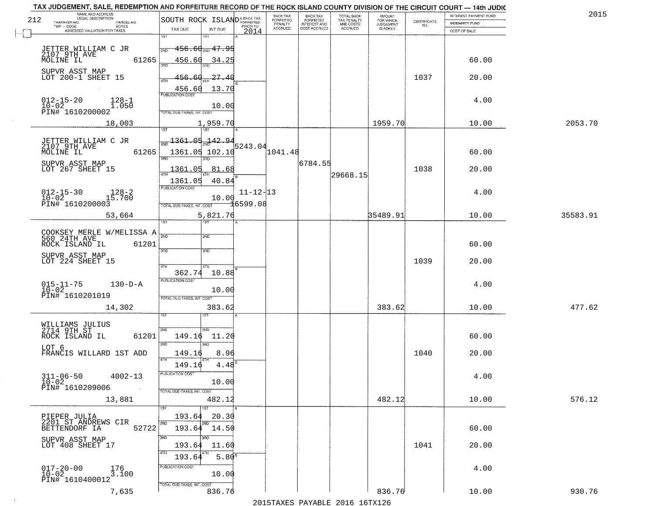| <b>INDEMNITY FUND</b><br>COST OF SALE<br>60.00<br>20.00 | $\begin{array}{c} \text{CERTIFICATE} \\ \text{NO.} \end{array}$                                                  | FOR WHICH<br><b>JUDGEMENT</b><br>IS ASKED | TOTAL BACK<br>TAX PENALTY<br>AND COSTS<br>ACCRUED | <b>FORFEITED</b><br><b>INTEREST AND</b><br>COST ACCRUED | FORFEITED<br>PENALTY<br><b>ACCRUED</b> | PRIOR TO<br>2014   | INT DUE                     | SOUTH ROCK ISLAND <sup>A-BACK TAX</sup><br>TAX DUE                                                                                                                                                                                                           | NAME AND ADDRESS<br>LEGAL DESCRIPTION<br>TAXPAYER NO.<br>PARCEL NO.<br>ACRES                                                                                                                                                                                                                                    |
|---------------------------------------------------------|------------------------------------------------------------------------------------------------------------------|-------------------------------------------|---------------------------------------------------|---------------------------------------------------------|----------------------------------------|--------------------|-----------------------------|--------------------------------------------------------------------------------------------------------------------------------------------------------------------------------------------------------------------------------------------------------------|-----------------------------------------------------------------------------------------------------------------------------------------------------------------------------------------------------------------------------------------------------------------------------------------------------------------|
|                                                         |                                                                                                                  |                                           |                                                   |                                                         |                                        |                    |                             |                                                                                                                                                                                                                                                              |                                                                                                                                                                                                                                                                                                                 |
|                                                         |                                                                                                                  |                                           |                                                   |                                                         |                                        |                    | 181                         | 1ST                                                                                                                                                                                                                                                          | ASSESSED VALUATION FOR TAXES                                                                                                                                                                                                                                                                                    |
|                                                         |                                                                                                                  |                                           |                                                   |                                                         |                                        |                    |                             |                                                                                                                                                                                                                                                              |                                                                                                                                                                                                                                                                                                                 |
|                                                         |                                                                                                                  |                                           |                                                   |                                                         |                                        |                    | <del>. 456.60 . 47.95</del> | 2ND                                                                                                                                                                                                                                                          | JETTER WILLIAM C JR<br>2107 9TH AVE<br>MOLINE IL                                                                                                                                                                                                                                                                |
|                                                         |                                                                                                                  |                                           |                                                   |                                                         |                                        |                    | 34.25                       | 456.60                                                                                                                                                                                                                                                       | 61265                                                                                                                                                                                                                                                                                                           |
|                                                         |                                                                                                                  |                                           |                                                   |                                                         |                                        |                    |                             |                                                                                                                                                                                                                                                              |                                                                                                                                                                                                                                                                                                                 |
|                                                         | 1037                                                                                                             |                                           |                                                   |                                                         |                                        |                    | -27.40                      | 456.60                                                                                                                                                                                                                                                       | SUPVR ASST MAP<br>LOT 200-1 SHEET 15                                                                                                                                                                                                                                                                            |
|                                                         |                                                                                                                  |                                           |                                                   |                                                         |                                        |                    | 13.70                       |                                                                                                                                                                                                                                                              |                                                                                                                                                                                                                                                                                                                 |
|                                                         |                                                                                                                  |                                           |                                                   |                                                         |                                        |                    |                             | 456.60                                                                                                                                                                                                                                                       |                                                                                                                                                                                                                                                                                                                 |
| 4.00                                                    |                                                                                                                  |                                           |                                                   |                                                         |                                        |                    | 10.00                       |                                                                                                                                                                                                                                                              | $012 - 15 - 20$<br>$10 - 02$<br>$128 - 1$<br>1.050                                                                                                                                                                                                                                                              |
|                                                         |                                                                                                                  |                                           |                                                   |                                                         |                                        |                    |                             | TOTAL DUE-TAXES, INT. COST                                                                                                                                                                                                                                   | PIN# 1610200002                                                                                                                                                                                                                                                                                                 |
| 10.00                                                   |                                                                                                                  | 1959.70                                   |                                                   |                                                         |                                        |                    | 1,959.70                    |                                                                                                                                                                                                                                                              | 18,003                                                                                                                                                                                                                                                                                                          |
|                                                         |                                                                                                                  |                                           |                                                   |                                                         |                                        |                    |                             |                                                                                                                                                                                                                                                              |                                                                                                                                                                                                                                                                                                                 |
|                                                         |                                                                                                                  |                                           |                                                   |                                                         |                                        |                    | $-142.94$                   |                                                                                                                                                                                                                                                              | JETTER WILLIAM C JR<br>2107 9TH AVE                                                                                                                                                                                                                                                                             |
|                                                         |                                                                                                                  |                                           |                                                   |                                                         |                                        |                    |                             |                                                                                                                                                                                                                                                              | MOLINE IL<br>61265                                                                                                                                                                                                                                                                                              |
|                                                         |                                                                                                                  |                                           |                                                   |                                                         |                                        |                    | 3RD                         |                                                                                                                                                                                                                                                              |                                                                                                                                                                                                                                                                                                                 |
|                                                         |                                                                                                                  |                                           |                                                   |                                                         |                                        |                    |                             |                                                                                                                                                                                                                                                              | SUPVR ASST MAP<br>LOT 267 SHEET 15                                                                                                                                                                                                                                                                              |
|                                                         |                                                                                                                  |                                           |                                                   |                                                         |                                        |                    |                             |                                                                                                                                                                                                                                                              |                                                                                                                                                                                                                                                                                                                 |
|                                                         |                                                                                                                  |                                           |                                                   |                                                         |                                        |                    |                             | PUBLICATION COST                                                                                                                                                                                                                                             |                                                                                                                                                                                                                                                                                                                 |
|                                                         |                                                                                                                  |                                           |                                                   |                                                         |                                        |                    |                             |                                                                                                                                                                                                                                                              | $012 - 15 - 30$<br>$128 - 2$<br>15.700                                                                                                                                                                                                                                                                          |
|                                                         |                                                                                                                  |                                           |                                                   |                                                         |                                        |                    |                             |                                                                                                                                                                                                                                                              | $10-02$<br>PIN# 1610200003                                                                                                                                                                                                                                                                                      |
|                                                         |                                                                                                                  |                                           |                                                   |                                                         |                                        |                    |                             |                                                                                                                                                                                                                                                              | 53,664                                                                                                                                                                                                                                                                                                          |
|                                                         |                                                                                                                  |                                           |                                                   |                                                         |                                        |                    | <b>IST</b>                  | īsт                                                                                                                                                                                                                                                          |                                                                                                                                                                                                                                                                                                                 |
|                                                         |                                                                                                                  |                                           |                                                   |                                                         |                                        |                    |                             |                                                                                                                                                                                                                                                              |                                                                                                                                                                                                                                                                                                                 |
|                                                         |                                                                                                                  |                                           |                                                   |                                                         |                                        |                    |                             |                                                                                                                                                                                                                                                              | COOKSEY MERLE W/MELISSA A 380<br>ROCK ISLAND IL<br>61201                                                                                                                                                                                                                                                        |
|                                                         |                                                                                                                  |                                           |                                                   |                                                         |                                        |                    | 3RD                         | 3RD                                                                                                                                                                                                                                                          |                                                                                                                                                                                                                                                                                                                 |
|                                                         |                                                                                                                  |                                           |                                                   |                                                         |                                        |                    |                             |                                                                                                                                                                                                                                                              | SUPVR ASST MAP<br>LOT 224 SHEET 15                                                                                                                                                                                                                                                                              |
|                                                         |                                                                                                                  |                                           |                                                   |                                                         |                                        |                    | 4TH                         | 4TH                                                                                                                                                                                                                                                          |                                                                                                                                                                                                                                                                                                                 |
|                                                         |                                                                                                                  |                                           |                                                   |                                                         |                                        |                    |                             |                                                                                                                                                                                                                                                              |                                                                                                                                                                                                                                                                                                                 |
| 4.00                                                    |                                                                                                                  |                                           |                                                   |                                                         |                                        |                    |                             |                                                                                                                                                                                                                                                              | $015 - 11 - 75$<br>10-02<br>$130-D-A$                                                                                                                                                                                                                                                                           |
|                                                         |                                                                                                                  |                                           |                                                   |                                                         |                                        |                    |                             |                                                                                                                                                                                                                                                              | PIN# 1610201019                                                                                                                                                                                                                                                                                                 |
|                                                         |                                                                                                                  |                                           |                                                   |                                                         |                                        |                    |                             |                                                                                                                                                                                                                                                              | 14,302                                                                                                                                                                                                                                                                                                          |
|                                                         |                                                                                                                  |                                           |                                                   |                                                         |                                        |                    |                             |                                                                                                                                                                                                                                                              |                                                                                                                                                                                                                                                                                                                 |
|                                                         |                                                                                                                  |                                           |                                                   |                                                         |                                        |                    |                             |                                                                                                                                                                                                                                                              |                                                                                                                                                                                                                                                                                                                 |
|                                                         |                                                                                                                  |                                           |                                                   |                                                         |                                        |                    | 2ND.                        | 2ND                                                                                                                                                                                                                                                          | WILLIAMS JULIUS<br>2714 9TH ST                                                                                                                                                                                                                                                                                  |
|                                                         |                                                                                                                  |                                           |                                                   |                                                         |                                        |                    |                             |                                                                                                                                                                                                                                                              | ROCK ISLAND IL<br>61201                                                                                                                                                                                                                                                                                         |
|                                                         |                                                                                                                  |                                           |                                                   |                                                         |                                        |                    |                             |                                                                                                                                                                                                                                                              | LOT 6<br>FRANCIS WILLARD 1ST ADD                                                                                                                                                                                                                                                                                |
|                                                         |                                                                                                                  |                                           |                                                   |                                                         |                                        |                    |                             | 4TH                                                                                                                                                                                                                                                          |                                                                                                                                                                                                                                                                                                                 |
|                                                         |                                                                                                                  |                                           |                                                   |                                                         |                                        |                    |                             |                                                                                                                                                                                                                                                              |                                                                                                                                                                                                                                                                                                                 |
| 4.00                                                    |                                                                                                                  |                                           |                                                   |                                                         |                                        |                    |                             | PUBLICA HUN CUS                                                                                                                                                                                                                                              | $311 - 06 - 50$<br>$4002 - 13$                                                                                                                                                                                                                                                                                  |
|                                                         |                                                                                                                  |                                           |                                                   |                                                         |                                        |                    |                             |                                                                                                                                                                                                                                                              | $10 - 02$<br>PIN# 1610209006<br>$\sim 100$                                                                                                                                                                                                                                                                      |
|                                                         |                                                                                                                  |                                           |                                                   |                                                         |                                        |                    |                             |                                                                                                                                                                                                                                                              |                                                                                                                                                                                                                                                                                                                 |
|                                                         |                                                                                                                  |                                           |                                                   |                                                         |                                        |                    |                             |                                                                                                                                                                                                                                                              | 13,881                                                                                                                                                                                                                                                                                                          |
|                                                         |                                                                                                                  |                                           |                                                   |                                                         |                                        |                    |                             |                                                                                                                                                                                                                                                              |                                                                                                                                                                                                                                                                                                                 |
|                                                         |                                                                                                                  |                                           |                                                   |                                                         |                                        |                    |                             |                                                                                                                                                                                                                                                              | PIEPER JULIA<br>2201 ST ANDREWS CIR                                                                                                                                                                                                                                                                             |
|                                                         |                                                                                                                  |                                           |                                                   |                                                         |                                        |                    |                             |                                                                                                                                                                                                                                                              | 52722<br>BETTENDORF IA                                                                                                                                                                                                                                                                                          |
|                                                         |                                                                                                                  |                                           |                                                   |                                                         |                                        |                    | 3RF                         |                                                                                                                                                                                                                                                              | SUPVR ASST MAP                                                                                                                                                                                                                                                                                                  |
|                                                         |                                                                                                                  |                                           |                                                   |                                                         |                                        |                    |                             |                                                                                                                                                                                                                                                              | LOT 408 SHEET 17                                                                                                                                                                                                                                                                                                |
|                                                         |                                                                                                                  |                                           |                                                   |                                                         |                                        |                    |                             | 193.64                                                                                                                                                                                                                                                       |                                                                                                                                                                                                                                                                                                                 |
| 4.00                                                    |                                                                                                                  |                                           |                                                   |                                                         |                                        |                    |                             | PUBLICATION COST                                                                                                                                                                                                                                             | $017 - 20 - 00$<br>$10 - 02$<br>176<br>3.100                                                                                                                                                                                                                                                                    |
|                                                         |                                                                                                                  |                                           |                                                   |                                                         |                                        |                    |                             |                                                                                                                                                                                                                                                              | PIN# 1610400012                                                                                                                                                                                                                                                                                                 |
|                                                         |                                                                                                                  |                                           |                                                   |                                                         |                                        |                    |                             |                                                                                                                                                                                                                                                              |                                                                                                                                                                                                                                                                                                                 |
|                                                         |                                                                                                                  |                                           |                                                   |                                                         |                                        |                    |                             |                                                                                                                                                                                                                                                              | 7,635                                                                                                                                                                                                                                                                                                           |
|                                                         | 60.00<br>20.00<br>4.00<br>10.00<br>60.00<br>20.00<br>10.00<br>60.00<br>20.00<br>10.00<br>60.00<br>20.00<br>10.00 | 1038<br>1039<br>1040<br>1041              | 383.62<br>482.12<br>836.76                        | 35489.91                                                | 29668.15                               | 1041.48<br>6784.55 | $11 - 12 - 13$              | 5243.04<br>81.68<br>40.84<br>10.00<br>∄6599.08<br>2ND<br>10.88<br>10.00<br>383.62<br>11.20<br>3RD<br>8.96<br>4.48<br>10.00<br>482.12<br>$\overline{\text{1ST}}$<br>20.30<br>11.60<br>5.80 <sup>s</sup><br>10.00<br>836.76<br>2015 TAVEC DAVADIE 2016 16TV126 | 1361.05<br>1361.05 102.10<br>1361.05<br>1361.05<br>TOTAL DUE-TAXES, INT. COST<br>5,821.76<br>362.74<br><b>PUBLICATION COST</b><br>TOTAL OUE-TAXES, INT. COST<br>149.16<br>3RD<br>149.16<br>149.16<br>TOTAL DUE-TAXES, INT. COST<br>193.64<br>193.64 14.50<br>3RD<br>193.64<br>4TH<br>TOTAL DUE-TAXES, INT. COST |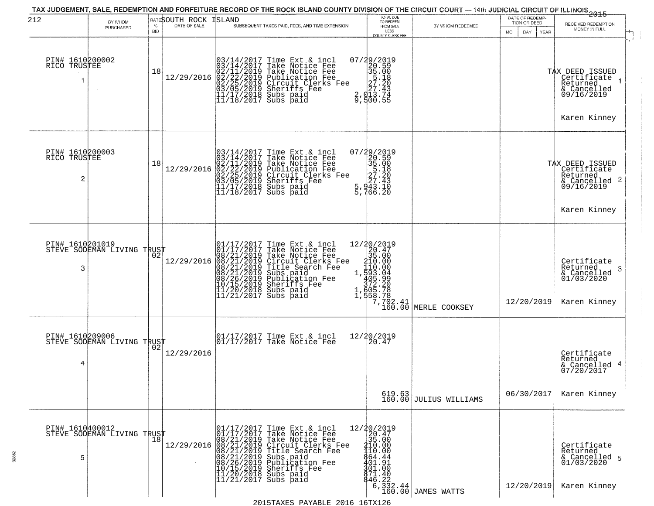| 212                                  | BY WHOM<br>PURCHASED                          | $\%$<br><b>BID</b> | RATESOUTH ROCK<br>DATE OF SALE | ISLAND<br>SUBSEQUENT TAXES PAID, FEES, AND TIME EXTENSION                                                                                                                                                                                             | TOTAL DUE<br>TO REDEEM<br>FROM SALE<br>LESS<br>COUNTY CLERK FEE                                                                                        | BY WHOM REDEEMED                                                       | DATE OF REDEMP-<br>TION OR DEED<br>MO.<br>DAY<br>YEAR | <del>2015</del><br>RECEIVED REDEMPTION<br>MONEY IN FULL                                                 |
|--------------------------------------|-----------------------------------------------|--------------------|--------------------------------|-------------------------------------------------------------------------------------------------------------------------------------------------------------------------------------------------------------------------------------------------------|--------------------------------------------------------------------------------------------------------------------------------------------------------|------------------------------------------------------------------------|-------------------------------------------------------|---------------------------------------------------------------------------------------------------------|
| PIN# 1610200002<br>RICO TRUSTEE      |                                               | 18                 | 12/29/2016                     | $03/14/2017$ Time Ext & incl<br>$03/14/2017$ Take Notice Fee<br>$02/11/2019$ Take Notice Fee<br>$02/22/2019$ Publication Fee<br>$03/05/2019$ Sheriffs Fee<br>$11/17/2018$ Subs paid<br>$11/18/2017$ Subs paid                                         | 07/29/2019<br>20.59<br>35.00<br>35.00<br>27.20<br>2, 27.43<br>2, 27.43<br>2, 2013.75<br>9,500.55                                                       |                                                                        |                                                       | TAX DEED ISSUED<br>Certificate<br>Returned<br>& Cancelled<br>09/16/2019<br>Karen Kinney                 |
| PIN# 1610200003<br>RICO TRUSTEE<br>2 |                                               | 18                 | 12/29/2016                     | $03/14/2017$ Time Ext & incl<br>03/14/2017 Take Notice Fee<br>02/11/2019 Take Notice Fee<br>02/22/2019 Publication Fee<br>02/25/2019 Circuit Clerks Fee<br>03/05/2019 Sheriffs Fee<br>11/17/2018 Subs paid<br>11/18/2017 Subs paid                    | 07/29/2019<br>20.59<br>35.00<br>35.00<br>27.20<br>27.43<br>5.942.10<br>$\frac{5}{5}, \frac{9}{166}. \frac{1}{20}$                                      |                                                                        |                                                       | TAX DEED ISSUED<br>  Certificate<br>Returned<br>$\frac{1}{6}$ Cancelled 2<br>09/16/2019<br>Karen Kinney |
| PIN# 1610201019<br>3                 | STEVE SODEMAN LIVING TRUST                    |                    | 12/29/2016                     | 01/17/2017 Time Ext & incl<br>01/17/2017 Take Notice Fee<br>08/21/2019 Take Notice Fee<br>08/21/2019 Circuit Clerks Fee<br>08/21/2019 Title Search Fee<br>08/21/2019 Subs paid<br>08/26/2019 Subsidion Fee<br>07/15/2019 Sheriffs Fee<br>11/20/2018 S | 12/20/2019<br>20.47<br>35.00<br>110.000<br>110.000<br>193.049<br>1952.200<br>1758.788<br>1958.788                                                      | $\begin{array}{c} \n 7,702.41 \\  160.00 \n \end{array}$ MERLE COOKSEY | 12/20/2019                                            | Certifiçate<br>Returned<br>3<br>& Cancelled<br>01/03/2020<br>Karen Kinney                               |
| PIN# 1610209006<br>4                 | STEVE SODEMAN LIVING TRUST                    | 02                 | 12/29/2016                     | 01/17/2017 Time Ext & incl<br>01/17/2017 Take Notice Fee                                                                                                                                                                                              | 12/20/2019<br>20.47                                                                                                                                    |                                                                        |                                                       | Certificate<br>Returned<br>& Cancelled 4<br>07/20/2017                                                  |
|                                      |                                               |                    |                                |                                                                                                                                                                                                                                                       |                                                                                                                                                        | $\begin{array}{c} 619.63 \\ 160.00 \end{array}$ JULIUS WILLIAMS        | 06/30/2017                                            | Karen Kinney                                                                                            |
| 5                                    | PIN# 1610400012<br>STEVE SODEMAN LIVING TRUST | 18                 |                                |                                                                                                                                                                                                                                                       | 12/20/2019<br>20.47<br>35.00<br>410.00<br>110.00<br>864.44<br>4ŏī.9ī<br>301.00<br>871.40<br>$\begin{matrix} 846.22 \\ 6,332.44 \\ 160.00 \end{matrix}$ | JAMES WATTS                                                            | 12/20/2019                                            | Certificate<br>Returned<br>& Cancelled 5<br>01/03/2020<br>Karen Kinney                                  |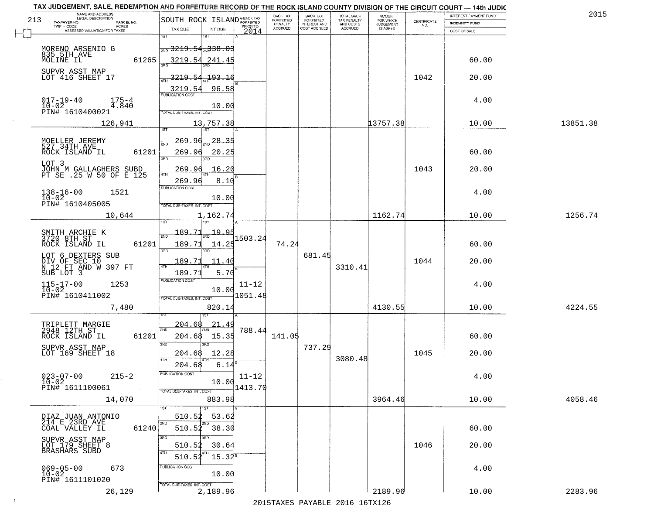|     | TAX JUDGEMENT, SALE, REDEMPTION AND FORFEITURE RECORD OF THE ROCK ISLAND COUNTY DIVISION OF THE CIRCUIT COURT - 14th JUDIC<br>NAME AND ADDRESS<br><b>LEGAL DESCRIPTION</b> |                                                                                                    | BACK TAX                        |                                       |                                        | AMOUNT<br>FOR WHICH |                                                                 | INTEREST PAYMENT FUND | 2015     |
|-----|----------------------------------------------------------------------------------------------------------------------------------------------------------------------------|----------------------------------------------------------------------------------------------------|---------------------------------|---------------------------------------|----------------------------------------|---------------------|-----------------------------------------------------------------|-----------------------|----------|
| 213 | TAXPAYER NO.<br>PARCEL NO.<br>TWP - CODE<br>ACRES                                                                                                                          | SOUTH ROCK ISLAND <sup>A-BACK TAX</sup><br>PRIOR TO                                                | <b>FORFEITED</b><br>PENALTY     | BACK TAX<br>FORFEITED<br>INTEREST AND | TOTAL BACK<br>TAX PENALTY<br>AND COSTS | <b>JUDGEMENT</b>    | $\begin{array}{c} \text{CERTIFICATE} \\ \text{NO.} \end{array}$ | <b>INDEMNITY FUND</b> |          |
|     | ASSESSED VALUATION FOR TAXES                                                                                                                                               | TAX DUE<br>INT DUE<br>2014                                                                         | <b>ACCRUED</b>                  | COST ACCRUED                          | ACCRUED                                | IS ASKED            |                                                                 | COST OF SALE          |          |
|     | MORENO ARSENIO G                                                                                                                                                           | 1ST<br>1ST<br>$\frac{1}{2ND}$ 3219.54 $\frac{338.03}{2ND}$                                         |                                 |                                       |                                        |                     |                                                                 |                       |          |
|     | 835 5TH AVE<br>61265<br>MOLINE IL                                                                                                                                          | 3219.54 241.45                                                                                     |                                 |                                       |                                        |                     |                                                                 | 60.00                 |          |
|     | SUPVR ASST MAP<br>LOT 416 SHEET 17                                                                                                                                         | 3219.54 193.16                                                                                     |                                 |                                       |                                        |                     | 1042                                                            | 20.00                 |          |
|     | $017 - 19 - 40$<br>$175 - 4$<br>$10-02$<br>4.840<br>PIN# 1610400021                                                                                                        | 3219.54<br>96.58<br>10.00<br><b>TOTAL DUE-TAXES, INT. COST</b>                                     |                                 |                                       |                                        |                     |                                                                 | 4.00                  |          |
|     | 126,941                                                                                                                                                                    | 13,757.38                                                                                          |                                 |                                       |                                        | 13757.38            |                                                                 | 10.00                 | 13851.38 |
|     | MOELLER JEREMY<br>527 34TH AVE<br>61201<br>ROCK ISLAND IL                                                                                                                  | 269.96<br>28.35<br><b>DND</b><br>269.96<br>20.25<br><b>3RD</b>                                     |                                 |                                       |                                        |                     |                                                                 | 60.00                 |          |
|     | LOT 3<br>JOHN M GALLAGHERS SUBD<br>PT SE .25 W 50 OF E 125                                                                                                                 | 16.20<br>269.96                                                                                    |                                 |                                       |                                        |                     | 1043                                                            | 20.00                 |          |
|     | $138 - 16 - 00$<br>1521<br>$10 - 02$<br>PIN# 1610405005                                                                                                                    | 269.96<br>8.10<br>PUBLICATION COST<br>10.00<br>TOTAL DUE-TAXES, INT. COST                          |                                 |                                       |                                        |                     |                                                                 | 4.00                  |          |
|     | 10,644                                                                                                                                                                     | 1,162.74<br>1ST                                                                                    |                                 |                                       |                                        | 1162.74             |                                                                 | 10.00                 | 1256.74  |
|     | SMITH ARCHIE K<br>3720 8TH ST<br>ROCK ISLAND IL<br>61201                                                                                                                   | 189.71<br>19.95<br>2ND<br>1503.24<br>14.25<br>189.71<br>3RD<br>3RD                                 | 74.24                           |                                       |                                        |                     |                                                                 | 60.00                 |          |
|     | LOT 6 DEXTERS SUB<br>DIV OF SEC 10<br>N 12 FT AND W 397 FT<br>SUB LOT 3                                                                                                    | 189.71<br>11.40<br>5.70<br>189.71                                                                  |                                 | 681.45                                | 3310.41                                |                     | 1044                                                            | 20.00                 |          |
|     | $115 - 17 - 00$<br>$10 - 02$<br>1253<br>PIN# 1610411002                                                                                                                    | PUBLICATION COST<br>$11 - 12$<br>10.00<br>1051.48<br>TOTAL OUE-TAXES, INT. COST                    |                                 |                                       |                                        |                     |                                                                 | 4.00                  |          |
|     | 7,480                                                                                                                                                                      | 820.14                                                                                             |                                 |                                       |                                        | 4130.55             |                                                                 | 10.00                 | 4224.55  |
|     | TRIPLETT MARGIE<br>$2948$ <sup>-12TH</sup> ST<br>ROCK ISLAND IL<br>61201                                                                                                   | 204.68<br>21.49<br>2ND<br>788.44<br>204.68<br>15.35<br>3RD<br>3BD                                  | 141.05                          |                                       |                                        |                     |                                                                 | 60.00                 |          |
|     | SUPVR ASST MAP<br>LOT 169 SHEET 18                                                                                                                                         | 12.28<br>204.68<br>4TH                                                                             |                                 | 737.29                                | 3080.48                                |                     | 1045                                                            | 20.00                 |          |
|     | $023 - 07 - 00$<br>$215 - 2$<br>$10 - 02$<br>PIN# 1611100061                                                                                                               | 204.68<br>6.14<br>ruslica i IUN COS<br>$11 - 12$<br>10.00<br>1413.70<br>TOTAL DUE-TAXES, INT. COST |                                 |                                       |                                        |                     |                                                                 | 4.00                  |          |
|     | 14,070                                                                                                                                                                     | 883.98<br>1ST                                                                                      |                                 |                                       |                                        | 3964.46             |                                                                 | 10.00                 | 4058.46  |
|     | DIAZ JUAN ANTONIO<br>214 E 23RD AVE<br>61240<br>COAL VALLEY IL                                                                                                             | 510.52<br>53.62<br>2ND<br>510.52 38.30                                                             |                                 |                                       |                                        |                     |                                                                 | 60.00                 |          |
|     | SUPVR ASST MAP<br>LOT 179 SHEET 8<br>BRASHARS SUBD                                                                                                                         | 3RD<br>510.52<br>30.64<br>$15.34^s$<br>510.52                                                      |                                 |                                       |                                        |                     | 1046                                                            | 20.00                 |          |
|     | $069 - 05 - 00$<br>673<br>$10 - 02$<br>PIN# 1611101020                                                                                                                     | PUBLICATION COST<br>10.00                                                                          |                                 |                                       |                                        |                     |                                                                 | 4.00                  |          |
|     | 26,129                                                                                                                                                                     | TOTAL DUE-TAXES, INT. COST<br>2,189.96                                                             | 2015 TAVEC DAVADIE 2016 16TV126 |                                       |                                        | 2189.96             |                                                                 | 10.00                 | 2283.96  |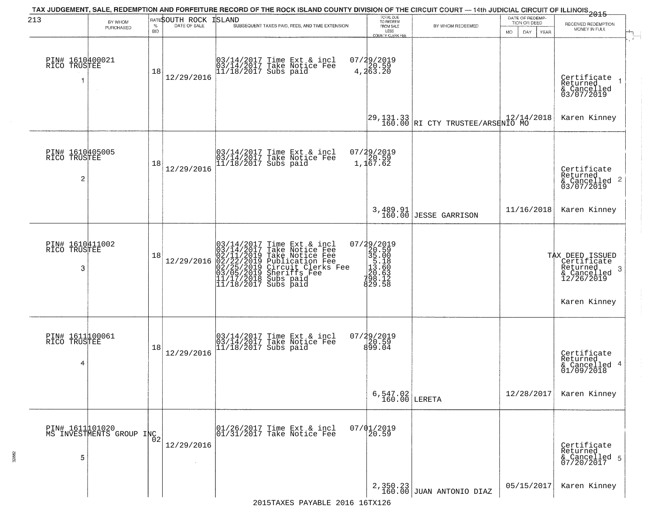| 213                                  |                                              |            |                              | TAX JUDGEMENT, SALE, REDEMPTION AND FORFEITURE RECORD OF THE ROCK ISLAND COUNTY DIVISION OF THE CIRCUIT COURT — 14th JUDICIAL CIRCUIT OF ILLINOIS<br>2015 - THE REPORT OF ILLINOIS                            | TOTAL DUE<br>TO REDEEM                                                                  |                                               | DATE OF REDEMP-                                  |                                                                                  |
|--------------------------------------|----------------------------------------------|------------|------------------------------|---------------------------------------------------------------------------------------------------------------------------------------------------------------------------------------------------------------|-----------------------------------------------------------------------------------------|-----------------------------------------------|--------------------------------------------------|----------------------------------------------------------------------------------|
|                                      | BY WHOM<br>PURCHASED                         | <b>BID</b> | <b>RATESOUTH ROCK ISLAND</b> | SUBSEQUENT TAXES PAID, FEES, AND TIME EXTENSION                                                                                                                                                               | FROM SALE<br>LESS<br>COUNTY CLERK FEE                                                   | BY WHOM REDEEMED                              | TION OR DEED<br>DAY.<br><b>YEAR</b><br><b>MO</b> | RECEIVED REDEMPTION<br>MONEY IN FULL                                             |
| PIN# 1610400021<br>RICO TRUSTEE<br>1 | $\sim$ $\sim$                                | 18         | 12/29/2016                   | 03/14/2017 Time Ext & incl<br>03/14/2017 Take Notice Fee<br>11/18/2017 Subs paid                                                                                                                              | 07/29/2019<br>4,20.59<br>4,263.20                                                       |                                               |                                                  | Certificate<br>Returned<br>& Cancelled<br>03/07/2019<br>$\overline{\phantom{a}}$ |
|                                      |                                              |            |                              |                                                                                                                                                                                                               |                                                                                         | 29,131.33<br>160.00 RI CTY TRUSTEE/ARSENIO MO |                                                  | Karen Kinney                                                                     |
| PIN# 1610405005<br>RICO TRUSTEE<br>2 |                                              | 18         | 12/29/2016                   | 03/14/2017 Time Ext & incl<br>03/14/2017 Take Notice Fee<br>11/18/2017 Subs paid                                                                                                                              | 07/29/2019<br>20.59<br>1,167.62                                                         |                                               |                                                  | Certificate<br>Returned<br>$\frac{1}{6}$ Cancelled 2<br>03/07/2019               |
|                                      |                                              |            |                              |                                                                                                                                                                                                               |                                                                                         | 3,489.91<br>160.00 JESSE GARRISON             | 11/16/2018                                       | Karen Kinney                                                                     |
| PIN# 1610411002<br>RICO TRUSTEE<br>3 |                                              | 18         | 12/29/2016                   | $03/14/2017$ Time Ext & incl<br>$03/14/2017$ Take Notice Fee<br>$02/11/2019$ Take Notice Fee<br>$02/22/2019$ Publication Fee<br>$03/05/2019$ Sheriffs Fee<br>$11/17/2018$ Subs paid<br>$11/18/2017$ Subs paid | 07/29/2019<br>320.59<br>35.00<br>5.18<br>33.560<br>33.63<br>73.83<br>73.84.12<br>829.58 |                                               |                                                  | TAX DEED ISSUED<br>  Certificate<br>Returned<br>3<br>& Cancelled<br>12/26/2019   |
|                                      |                                              |            |                              |                                                                                                                                                                                                               |                                                                                         |                                               |                                                  | Karen Kinney                                                                     |
| PIN# 1611100061<br>RICO TRUSTEE<br>4 |                                              | 18         | 12/29/2016                   | 03/14/2017 Time Ext & incl<br>03/14/2017 Take Notice Fee<br>11/18/2017 Subs paid                                                                                                                              | 07/29/2019<br>20.59<br>899.04                                                           |                                               |                                                  | Certificate<br>Returned<br>-4<br>& Cancelled<br>01/09/2018                       |
|                                      |                                              |            |                              |                                                                                                                                                                                                               | $6, 547.02$<br>160.00 LERETA                                                            |                                               | 12/28/2017                                       | Karen Kinney                                                                     |
| 5                                    | PIN# 1611 101020<br>MS INVESTMENTS GROUP INC |            | 12/29/2016                   | 01/26/2017 Time Ext & incl<br>01/31/2017 Take Notice Fee                                                                                                                                                      | $07/01/2019$<br>20.59                                                                   |                                               |                                                  | Certificate<br>Returned<br>& Cancelled 5<br>07/20/2017                           |
|                                      |                                              |            |                              |                                                                                                                                                                                                               |                                                                                         | $2,350.23$ JULAN ANTONIO DIAZ                 | 05/15/2017                                       | Karen Kinney                                                                     |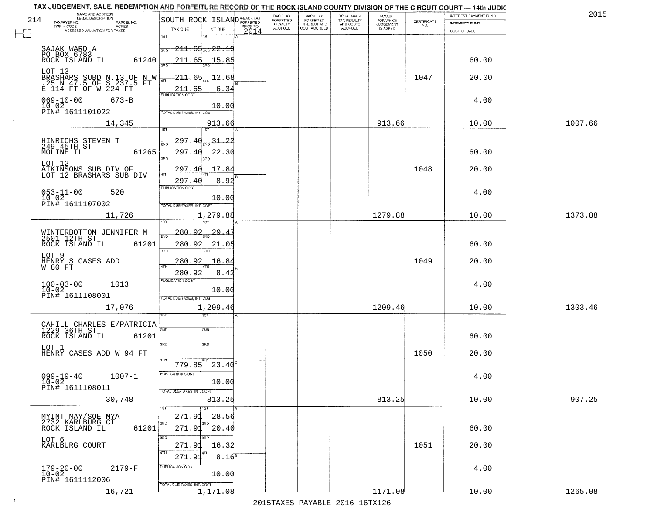|     | TAX JUDGEMENT, SALE, REDEMPTION AND FORFEITURE RECORD OF THE ROCK ISLAND COUNTY DIVISION OF THE CIRCUIT COURT - 14th JUDIC<br>NAME AND ADDRESS<br>LEGAL DESCRIPTION |                                                                           |      | BACK TAX             | BACK TAX<br>FORFEITED | <b>TOTAL BACK</b>        | AMOUNT<br>FOR WHICH |                                                                 | INTEREST PAYMENT FUND | 2015    |
|-----|---------------------------------------------------------------------------------------------------------------------------------------------------------------------|---------------------------------------------------------------------------|------|----------------------|-----------------------|--------------------------|---------------------|-----------------------------------------------------------------|-----------------------|---------|
| 214 | TAXPAYER NO.<br>PARCEL NO.<br>TWP - CODE                                                                                                                            | SOUTH ROCK ISLANDA-BACK TAX                                               |      | FORFEITED<br>PENALTY | <b>INTEREST AND</b>   | TAX PENALTY<br>AND COSTS | <b>JUDGEMENT</b>    | $\begin{array}{c} \text{CEPTIFICATE} \\ \text{NO.} \end{array}$ | <b>INDEMNITY FUND</b> |         |
|     | ACRES<br>ASSESSED VALUATION FOR TAXES                                                                                                                               | TAX DUE<br>INT DUE                                                        | 2014 | <b>ACCRUED</b>       | COST ACCRUED          | <b>ACCRUED</b>           | IS ASKED            |                                                                 | COST OF SALE          |         |
|     | SAJAK WARD A                                                                                                                                                        | 1ST<br>1ST<br><del>211.65,,,22.1</del> 9<br>2ND                           |      |                      |                       |                          |                     |                                                                 |                       |         |
|     | PO BOX 6783<br>ROCK ISLAND IL<br>61240                                                                                                                              | 15.85<br>211.65                                                           |      |                      |                       |                          |                     |                                                                 | 60.00                 |         |
|     | LOT 13<br>BRASHARS SUBD N.13 OF N W<br>.25 N 47.5 OF S 237.5 FT<br>E 114 FT OF W 224 FT                                                                             | <u> 211.65</u><br><u> 12.68</u><br>ATH<br>6.34<br>211.65                  |      |                      |                       |                          |                     | 1047                                                            | 20.00                 |         |
|     | $069 - 10 - 00$<br>$673 - B$<br>$10 - 02$<br>PIN# <sup>-1611101022</sup>                                                                                            | <b>PUBLICATION COST</b><br>10.00<br>TOTAL DUE-TAXES, INT, COST            |      |                      |                       |                          |                     |                                                                 | 4.00                  |         |
|     | 14,345                                                                                                                                                              | 913.66                                                                    |      |                      |                       |                          | 913.66              |                                                                 | 10.00                 | 1007.66 |
|     | HINRICHS STEVEN T<br>249 45TH ST<br>MOLINE IL<br>61265                                                                                                              | <u> 297.40</u><br>$\frac{31.22}{200}$<br>2ND<br>297.40<br>22.30<br>3RD    |      |                      |                       |                          |                     |                                                                 | 60.00                 |         |
|     | LOT 12<br>ATKINSONS SUB DIV OF<br>LOT 12 BRASHARS SUB DIV                                                                                                           | 17.84<br>297.40<br>8.92<br>297.40                                         |      |                      |                       |                          |                     | 1048                                                            | 20.00                 |         |
|     | $053 - 11 - 00$<br>520<br>$10 - 02$<br>PIN# 1611107002                                                                                                              | PUBLICATION COST<br>10.00<br>TOTAL DUE-TAXES, INT. COST                   |      |                      |                       |                          |                     |                                                                 | 4.00                  |         |
|     | 11,726                                                                                                                                                              | 1,279.88<br>isT                                                           |      |                      |                       |                          | 1279.88             |                                                                 | 10.00                 | 1373.88 |
|     | WINTERBOTTOM JENNIFER M<br>2501 12TH ST<br>ROCK ISLAND IL<br>61201                                                                                                  | <u> 280.92</u><br>-29 -<br>2ND<br>280.92<br>21.05<br>3BD<br>3RD           |      |                      |                       |                          |                     |                                                                 | 60.00                 |         |
|     | LOT 9<br>HENRY S CASES ADD<br>W 80 FT                                                                                                                               | 280.92<br>16.84<br>4TH<br>280.92<br>8.42                                  |      |                      |                       |                          |                     | 1049                                                            | 20.00                 |         |
|     | $100 - 03 - 00$<br>$10 - 02$<br>1013<br>PIN# 1611108001                                                                                                             | <b>PUBLICATION COST</b><br>10.00<br>TOTAL OUE-TAXES, INT. COST            |      |                      |                       |                          |                     |                                                                 | 4.00                  |         |
|     | 17,076                                                                                                                                                              | 1,209.46<br>ৰৱা                                                           |      |                      |                       |                          | 1209.46             |                                                                 | 10.00                 | 1303.46 |
|     | CAHILL CHARLES E/PATRICIA<br>1229 36TH ST<br>ROCK ISLAND IL<br>61201                                                                                                | 2ND<br>2ND<br>3RD<br>3RD                                                  |      |                      |                       |                          |                     |                                                                 | 60.00                 |         |
|     | LOT 1<br>HENRY CASES ADD W 94 FT                                                                                                                                    | 4TH                                                                       |      |                      |                       |                          |                     | 1050                                                            | 20.00                 |         |
|     | $099 - 19 - 40$<br>$1007 - 1$<br>$10 - 02$<br>PIN# 1611108011<br>$\sim 100$ km                                                                                      | 779.85<br>23.40<br>UBLICA HUN COS-<br>10.00<br>TOTAL DUE-TAXES, INT. COST |      |                      |                       |                          |                     |                                                                 | 4.00                  |         |
|     | 30,748                                                                                                                                                              | 813.25<br>1ST                                                             |      |                      |                       |                          | 813.25              |                                                                 | 10.00                 | 907.25  |
|     | MYINT MAY/SOE MYA<br>2732 KARLBURG CT<br>61201<br>ROCK ISLAND IL                                                                                                    | 271.91<br>28.56<br>2ND<br>271.91<br>20.40                                 |      |                      |                       |                          |                     |                                                                 | 60.00                 |         |
|     | LOT 6<br>KARLBURG COURT                                                                                                                                             | 3RD<br>16.32<br>271.91<br>271.91<br>8.16 <sup>8</sup>                     |      |                      |                       |                          |                     | 1051                                                            | 20.00                 |         |
|     | $179-20-00$<br>$10-02$<br>$2179-F$<br>PIN# 1611112006                                                                                                               | PUBLICATION COST<br>10.00<br>TOTAL DUE-TAXES, INT. COST                   |      |                      |                       |                          |                     |                                                                 | 4.00                  |         |
|     | 16,721                                                                                                                                                              | 1,171.08                                                                  |      |                      |                       |                          | 1171.08             |                                                                 | 10.00                 | 1265.08 |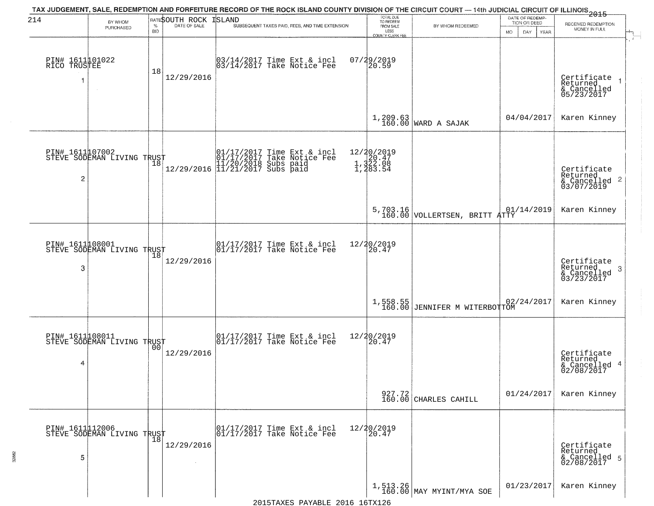| 214                                  | BY WHOM                                       |                    | BATESOUTH ROCK | TAX JUDGEMENT, SALE, REDEMPTION AND FORFEITURE RECORD OF THE ROCK ISLAND COUNTY DIVISION OF THE CIRCUIT COURT — 14th JUDICIAL CIRCUIT OF ILLINOIS 2015<br>ISLAND | TOTAL DUE<br>TO REDEEM                       |                                                                         | DATE OF REDEMP<br>TION OR DEED | RECEIVED REDEMPTION                                                |
|--------------------------------------|-----------------------------------------------|--------------------|----------------|------------------------------------------------------------------------------------------------------------------------------------------------------------------|----------------------------------------------|-------------------------------------------------------------------------|--------------------------------|--------------------------------------------------------------------|
|                                      | PURCHASED                                     | $\%$<br><b>BID</b> | DATE OF SALE   | SUBSEQUENT TAXES PAID, FEES, AND TIME EXTENSION                                                                                                                  | FROM SALE<br>LESS<br><b>COUNTY CLERK FEE</b> | BY WHOM REDEEMED                                                        | MO.<br>DAY.<br>YEAR            | MONEY IN FULL                                                      |
| PIN# 1611101022<br>RICO TRUSTEE<br>1 | $\sim$                                        | 18                 | 12/29/2016     | 03/14/2017 Time Ext & incl<br>03/14/2017 Take Notice Fee                                                                                                         | $07/29/2019$<br>20.59                        |                                                                         |                                | Certificate<br>Returned<br>& Cancelled<br>05/23/2017               |
|                                      |                                               |                    |                |                                                                                                                                                                  |                                              | $1,209.63$ WARD A SAJAK                                                 | 04/04/2017                     | Karen Kinney                                                       |
| PIN# 1611107002<br>2                 | STEVE SODEMAN LIVING TRUST                    |                    |                | $[01/17/2017$ Time Ext & incl\n01/17/2017 Take Notice Free\n11/20/2018 Subs paid\n12/29/2016] 11/21/2017 Subs paid$                                              | 12/20/2019<br>1,322.08<br>1,322.08           |                                                                         |                                | Certificate<br>Returned<br>$\frac{1}{6}$ Cancelled 2<br>03/07/2019 |
|                                      |                                               |                    |                |                                                                                                                                                                  |                                              | 5,703.16 VOLLERTSEN, BRITT $\begin{bmatrix} 01 \\ 160.00 \end{bmatrix}$ | 01/14/2019                     | Karen Kinney                                                       |
| 3                                    | PIN# 1611108001<br>STEVE SODEMAN LIVING TRUST | 18                 | 12/29/2016     | $\begin{bmatrix} 01/17/2017 \\ 01/17/2017 \\ 01 \end{bmatrix}$ Take Notice Fee                                                                                   | 12/20/2019<br>20.47                          |                                                                         |                                | Certificate<br>Returned<br>3<br>& Cancelled<br>03/23/2017          |
|                                      |                                               |                    |                |                                                                                                                                                                  |                                              | 1,558.55<br>160.00 JENNIFER M WITERBOTTOM                               | 02/24/2017                     | Karen Kinney                                                       |
| PIN# 1611108011<br>4                 | STEVE SODEMAN LIVING TRUST                    | 0 <sub>0</sub>     | 12/29/2016     | $\begin{bmatrix} 01/17/2017 \\ 01/17/2017 \end{bmatrix}$ Take Notice Fee                                                                                         | 12/20/2019<br>120.47                         |                                                                         |                                | Certificate<br>Returned<br>& Cancelled 4<br>02/08/2017             |
|                                      |                                               |                    |                |                                                                                                                                                                  |                                              | $\begin{array}{c c} 927.72 \\ 160.00 \end{array}$ CHARLES CAHILL        | 01/24/2017                     | Karen Kinney                                                       |
| 5                                    | PIN# 1611112006<br>STEVE SODEMAN LIVING TRUST |                    | 12/29/2016     | 01/17/2017 Time Ext & incl<br>01/17/2017 Take Notice Fee                                                                                                         | 12/20/2019<br>20.47                          |                                                                         |                                | Certificate<br>Returned<br>& Cancelled 5<br>02/08/2017             |
|                                      |                                               |                    |                |                                                                                                                                                                  |                                              | $1,513.26$ MAY MYINT/MYA SOE                                            | 01/23/2017                     | Karen Kinney                                                       |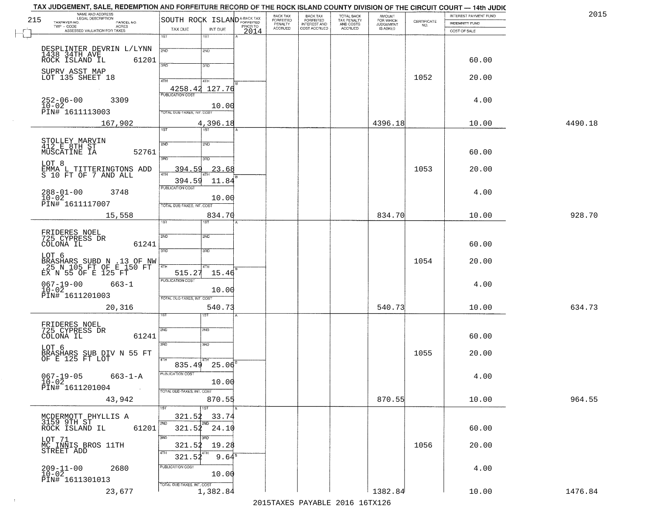| 215 | NAME AND ADDRESS<br>LEGAL DESCRIPTION<br>TAXPAYER NO.<br>PARCEL NO.<br>TWP - CODE AGRES<br>ASSESSED VALUATION FOR TAXES | SOUTH ROCK ISLAND <sup>A-BACK TAX</sup><br>TAX DUE    | INT DUE                      | PRIOR TO | BACK TAX<br><b>FORFEITED</b><br>PENALTY<br>ACCRUED | BACK TAX<br>FORFEITED<br>INTEREST AND<br>COST ACCRUED | TOTAL BACK<br>TAX PENALTY<br>AND COSTS<br>ACCRUED | <b>AMOUNT</b><br>FOR WHICH<br>JUDGEMENT<br>IS ASKED | CERTIFICATE<br>NO. | INTEREST PAYMENT FUND<br><b>INDEMNITY FUND</b><br>COST OF SALE | 2015    |
|-----|-------------------------------------------------------------------------------------------------------------------------|-------------------------------------------------------|------------------------------|----------|----------------------------------------------------|-------------------------------------------------------|---------------------------------------------------|-----------------------------------------------------|--------------------|----------------------------------------------------------------|---------|
|     |                                                                                                                         | 1ST                                                   | 1ST                          | 2014     |                                                    |                                                       |                                                   |                                                     |                    |                                                                |         |
|     | DESPLINTER DEVRIN L/LYNN<br>1438 34TH AVE<br>ROCK ISLAND IL<br>61201                                                    | 2ND<br>3AD                                            | 2ND<br>3RD                   |          |                                                    |                                                       |                                                   |                                                     |                    | 60.00                                                          |         |
|     | SUPRV ASST MAP<br>LOT 135 SHEET 18                                                                                      | 4TH<br>4258.42 127.76                                 | 4TH                          |          |                                                    |                                                       |                                                   |                                                     | 1052               | 20.00                                                          |         |
|     | $252 - 06 - 00$<br>3309<br>10-02<br>PIN# 1611113003                                                                     | PUBLICATION COST<br>TOTAL DUE-TAXES, INT. COST        | 10.00                        |          |                                                    |                                                       |                                                   |                                                     |                    | 4.00                                                           |         |
|     | 167,902                                                                                                                 |                                                       | 4,396.18                     |          |                                                    |                                                       |                                                   | 4396.18                                             |                    | 10.00                                                          | 4490.18 |
|     | STOLLEY MARVIN<br>412 E 8TH ST<br>MUSCATINE IA<br>52761                                                                 | $\overline{1ST}$<br>2ND                               | 1ST <sup>1</sup><br>2ND      |          |                                                    |                                                       |                                                   |                                                     |                    | 60.00                                                          |         |
|     | LOT 8<br>EMMA L TITTERINGTONS ADD<br>S 10 FT OF 7 AND ALL                                                               | 3BD<br>394.59<br>47H<br>394.59                        | 3HD<br>23.68<br>11.84        |          |                                                    |                                                       |                                                   |                                                     | 1053               | 20.00                                                          |         |
|     | $288 - 01 - 00$<br>$10 - 02$<br>3748<br>PIN# 1611117007                                                                 | PUBLICATION COST<br>TOTAL DUE-TAXES, INT. COST        | 10.00                        |          |                                                    |                                                       |                                                   |                                                     |                    | 4.00                                                           |         |
|     | 15,558                                                                                                                  | 1ST                                                   | 834.70                       |          |                                                    |                                                       |                                                   | 834.70                                              |                    | 10.00                                                          | 928.70  |
|     | FRIDERES NOEL<br>725 CYPRESS DR<br>COLONA IL<br>61241                                                                   | 2ND<br>3RD                                            | <b>SMD</b><br>3RD            |          |                                                    |                                                       |                                                   |                                                     |                    | 60.00                                                          |         |
|     | LOT 6<br>BRASHARS SUBD N .13 OF NW<br>.25 N 105 FT OF E 150 FT<br>EX N 55 OF E 125 FT                                   | 4TH<br>515.27                                         | 4TH<br>15.46                 |          |                                                    |                                                       |                                                   |                                                     | 1054               | 20.00                                                          |         |
|     | $067 - 19 - 00$<br>$663 - 1$<br>$10-02$<br>PIN# 1611201003                                                              | <b>PUBLICATION COST</b><br>TOTAL OUE-TAXES, INT. COST | 10.00                        |          |                                                    |                                                       |                                                   |                                                     |                    | 4.00                                                           |         |
|     | 20,316                                                                                                                  |                                                       | 540.73<br>१९४                |          |                                                    |                                                       |                                                   | 540.73                                              |                    | 10.00                                                          | 634.73  |
|     | FRIDERES NOEL<br>725 CYPRESS DR<br>61241<br>COLONA IL                                                                   | 2ND<br>3RD                                            | 2ND<br>3RD                   |          |                                                    |                                                       |                                                   |                                                     |                    | 60.00                                                          |         |
|     | LOT 6<br>BRASHARS SUB DIV N 55 FT<br>OF E 125 FT LOT                                                                    | 835.49                                                | $25.06^{B}$                  |          |                                                    |                                                       |                                                   |                                                     | 1055               | 20.00                                                          |         |
|     | $067 - 19 - 05$ 663-1-A<br>$10 - 02$<br>PIN# 1611201004                                                                 | PUBLICATION COST<br>TOTAL DUE-TAXES, INT. COST        | 10.00                        |          |                                                    |                                                       |                                                   |                                                     |                    | 4.00                                                           |         |
|     | 43,942                                                                                                                  |                                                       | 870.55                       |          |                                                    |                                                       |                                                   | 870.55                                              |                    | 10.00                                                          | 964.55  |
|     | MCDERMOTT PHYLLIS A<br>3159 9TH ST<br>ROCK ISLAND IL<br>61201                                                           | 321.52<br>2ND<br>321.52                               | 1ST<br>33.74<br>2ND<br>24.10 |          |                                                    |                                                       |                                                   |                                                     |                    | 60.00                                                          |         |
|     | LOT 71<br>MC INNIS BROS 11TH<br>STREET ADD                                                                              | 3RD<br>321.52<br>4TH<br>321.52                        | 3RD<br>19.28<br>$9.64^8$     |          |                                                    |                                                       |                                                   |                                                     | 1056               | 20.00                                                          |         |
|     | $209 - 11 - 00$<br>$10 - 02$<br>2680<br>PIN# 1611301013                                                                 | PUBLICATION COST<br>TOTAL DUE-TAXES, INT. COST        | 10.00                        |          |                                                    |                                                       |                                                   |                                                     |                    | 4.00                                                           |         |
|     | 23,677                                                                                                                  |                                                       | 1,382.84                     |          |                                                    |                                                       |                                                   | 1382.84                                             |                    | 10.00                                                          | 1476.84 |

 $\sim 10^{-1}$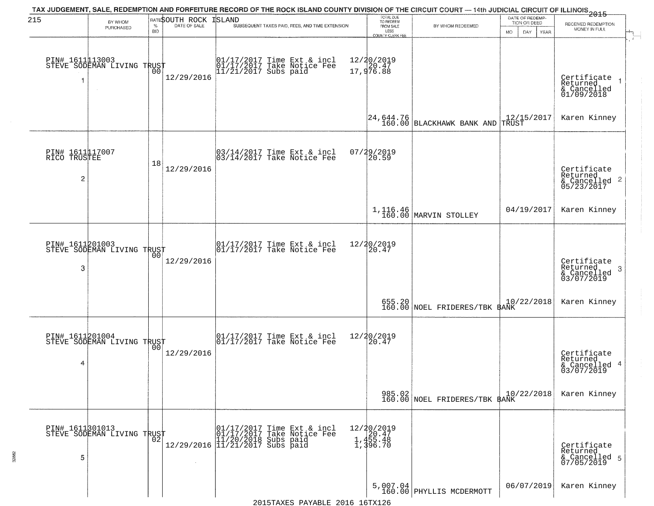| 215                                  | BY WHOM                                           |                    | BATESOUTH ROCK<br>DATE OF SALE | ISLAND | TAX JUDGEMENT, SALE, REDEMPTION AND FORFEITURE RECORD OF THE ROCK ISLAND COUNTY DIVISION OF THE CIRCUIT COURT — 14th JUDICIAL CIRCUIT OF ILLINOIS 2015 | TOTAL DUE<br>TO REDEEM                         |                                                                              | DATE OF REDEMP<br>TION OR DEED | RECEIVED REDEMPTION                                                |
|--------------------------------------|---------------------------------------------------|--------------------|--------------------------------|--------|--------------------------------------------------------------------------------------------------------------------------------------------------------|------------------------------------------------|------------------------------------------------------------------------------|--------------------------------|--------------------------------------------------------------------|
|                                      | PURCHASED                                         | $\%$<br><b>BID</b> |                                |        | SUBSEQUENT TAXES PAID, FEES, AND TIME EXTENSION                                                                                                        | FROM SALE<br>LESS<br>COUNTY CLERK FEE          | BY WHOM REDEEMED                                                             | MO.<br>DAY.<br>YEAR            | MONEY IN FULL                                                      |
| 1                                    | PIN# 1611113003    <br>STEVE SODEMAN LIVING TRUST | 00                 | 12/29/2016                     |        | 01/17/2017 Time Ext & incl<br>01/17/2017 Take Notice Fee<br>11/21/2017 Subs paid                                                                       | 12/20/2019<br>17,976.88                        |                                                                              |                                | Certificate<br>Returned<br>$\frac{1}{2}$ Cancelled                 |
|                                      |                                                   |                    |                                |        |                                                                                                                                                        |                                                | $\begin{bmatrix} 24 & 644 & 76 \\ 160 & 00 \end{bmatrix}$ BLACKHAWK BANK AND | $12/15/2017$ TRUST             | Karen Kinney                                                       |
| PIN# 1611117007<br>RICO TRUSTEE<br>2 |                                                   | 18                 | 12/29/2016                     |        | 03/14/2017 Time Ext & incl<br>03/14/2017 Take Notice Fee                                                                                               | 07/29/2019<br>20.59                            |                                                                              |                                | Certificate<br>Returned<br>$\frac{1}{2}$ Cancelled 2<br>05/23/2017 |
|                                      |                                                   |                    |                                |        |                                                                                                                                                        |                                                | 1,116.46<br>160.00 MARVIN STOLLEY                                            | 04/19/2017                     | Karen Kinney                                                       |
| 3                                    | PIN# 1611201003<br>STEVE SODEMAN LIVING TRUST     | 00                 | 12/29/2016                     |        | $\begin{array}{ccc}  01/17/2017 \text{ Time} & \text{Ext} & \text{incl} \\  01/17/2017 \text{ Take Notice } \text{Fe} \end{array}$                     | 12/20/2019<br>20.47                            |                                                                              |                                | Certificate<br>Returned<br>3<br>& Cancelled<br>03/07/2019          |
|                                      |                                                   |                    |                                |        |                                                                                                                                                        |                                                | 655.20 NOEL FRIDERES/TBK BANK                                                | 10/22/2018                     | Karen Kinney                                                       |
| 4                                    | PIN# 1611201004    <br>STEVE SODEMAN LIVING TRUST | 0 <sub>0</sub>     | 12/29/2016                     |        | $\begin{bmatrix} 01/17/2017 \\ 01/17/2017 \end{bmatrix}$ Take Notice Fee                                                                               | 12/20/2019<br>120.47                           |                                                                              |                                | Certificate<br>Returned<br>& Cancelled 4<br>03/07/2019             |
|                                      |                                                   |                    |                                |        |                                                                                                                                                        |                                                | 985.02<br>160.00 NOEL FRIDERES/TBK BANK                                      | 10/22/2018                     | Karen Kinney                                                       |
| 5                                    | PIN# 1611301013    <br>STEVE SODEMAN LIVING TRUST | 02                 |                                |        | r (01/17/2017 Time Ext & incl<br>01/17/2017 Take Notice Fee<br>12/29/2016 11/21/2017 Subs paid<br>12/29/2016 11/21/2017 Subs paid                      | 12/20/2019<br>1,455.48<br>1,455.48<br>1,396.70 |                                                                              |                                | Certificate<br>Returned<br>& Cancelled 5<br>07/05/2019             |
|                                      |                                                   |                    |                                |        |                                                                                                                                                        |                                                | $5,007.04$<br>160.00 PHYLLIS MCDERMOTT                                       | 06/07/2019                     | Karen Kinney                                                       |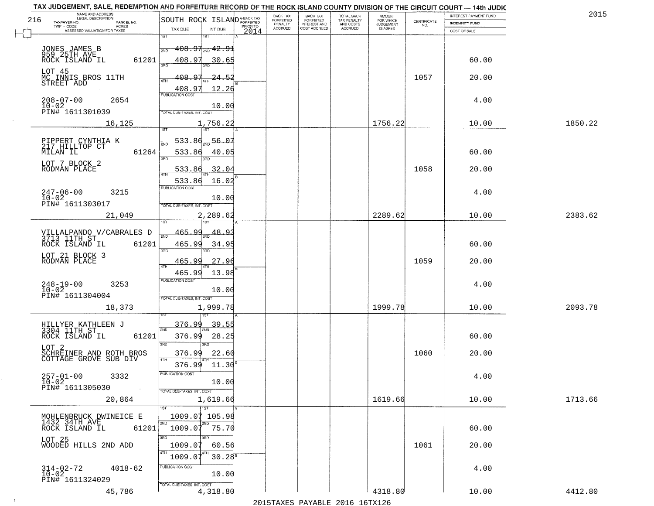| NAME AND ADDRESS<br>LEGAL DESCRIPTION<br>216                         |                                                                |      | BACK TAX<br>FORFEITED     | BACK TAX<br>FORFEITED               | TOTAL BACK<br>TAX PENALTY<br>AND COSTS | AMOUNT<br>FOR WHICH          |                                                                 | INTEREST PAYMENT FUND | 2015    |
|----------------------------------------------------------------------|----------------------------------------------------------------|------|---------------------------|-------------------------------------|----------------------------------------|------------------------------|-----------------------------------------------------------------|-----------------------|---------|
| TAXPAYER NO.<br>PARCEL NO.<br>ACRES                                  | SOUTH ROCK ISLANDA-BACK TAX                                    |      | PENALTY<br><b>ACCRUED</b> | <b>INTEREST AND</b><br>COST ACCRUED | <b>ACCRUED</b>                         | <b>JUDGEMENT</b><br>IS ASKED | $\begin{array}{c} \text{CERTIFICATE} \\ \text{NO.} \end{array}$ | <b>INDEMNITY FUND</b> |         |
| ASSESSED VALUATION FOR TAXES                                         | TAX DUE<br>INT DUE<br>1ST<br>1ST                               | 2014 |                           |                                     |                                        |                              |                                                                 | COST OF SALE          |         |
| JONES JAMES B<br>959 25TH AVE<br>ROCK ISLAND IL                      | $408.97_{\tiny{2ND}}$ $42.91$<br>2ND                           |      |                           |                                     |                                        |                              |                                                                 |                       |         |
| 61201                                                                | 408.97<br>30.65<br>350                                         |      |                           |                                     |                                        |                              |                                                                 | 60.00                 |         |
| LOT 45<br>MC INNIS BROS 11TH<br>STREET ADD                           | 408.97<br>$24 - 5.$<br>ATH<br>408.97<br>12.26                  |      |                           |                                     |                                        |                              | 1057                                                            | 20.00                 |         |
| $208 - 07 - 00$<br>2654<br>$10 - 02$<br>PIN# 1611301039              | <b>PUBLICATION COST</b><br>10.00<br>TOTAL DUE-TAXES, INT. COST |      |                           |                                     |                                        |                              |                                                                 | 4.00                  |         |
| 16, 125                                                              | 1,756.22                                                       |      |                           |                                     |                                        | 1756.22                      |                                                                 | 10.00                 | 1850.22 |
|                                                                      |                                                                |      |                           |                                     |                                        |                              |                                                                 |                       |         |
| PIPPERT CYNTHIA K<br>217 HILLTOP CT<br>61264<br>MILAN IL             | $-56.07$<br>533.86<br>533.86<br>40.05                          |      |                           |                                     |                                        |                              |                                                                 | 60.00                 |         |
| LOT 7 BLOCK 2<br>RODMAN PLACE                                        | 3RD<br>32.04<br>533.86                                         |      |                           |                                     |                                        |                              | 1058                                                            | 20.00                 |         |
|                                                                      | 16.02<br>533.86                                                |      |                           |                                     |                                        |                              |                                                                 |                       |         |
| $247 - 06 - 00$<br>3215<br>$10 - 02$                                 | PUBLICATION COST<br>10.00                                      |      |                           |                                     |                                        |                              |                                                                 | 4.00                  |         |
| PIN# 1611303017                                                      | TOTAL DUE-TAXES, INT. COST                                     |      |                           |                                     |                                        |                              |                                                                 |                       |         |
| 21,049                                                               | 2,289.62<br>isT                                                |      |                           |                                     |                                        | 2289.62                      |                                                                 | 10.00                 | 2383.62 |
| VILLALPANDO V/CABRALES D<br>3713 11TH ST                             | 465.99<br>48.<br><u>م</u><br>2ND                               |      |                           |                                     |                                        |                              |                                                                 |                       |         |
| ROCK ISLAND IL<br>61201                                              | 465.99<br>34.95<br>3RD                                         |      |                           |                                     |                                        |                              |                                                                 | 60.00                 |         |
| LOT 21 BLOCK 3<br>RODMAN PLACE                                       | 3RD<br>465.99<br>27.96                                         |      |                           |                                     |                                        |                              | 1059                                                            | 20.00                 |         |
|                                                                      | 4TH<br>465.99<br>13.98                                         |      |                           |                                     |                                        |                              |                                                                 |                       |         |
| $248 - 19 - 00$<br>$10 - 02$<br>3253                                 | <b>PUBLICATION COST</b><br>10.00                               |      |                           |                                     |                                        |                              |                                                                 | 4.00                  |         |
| PIN# 1611304004                                                      | TOTAL OUE-TAXES, INT. COST                                     |      |                           |                                     |                                        |                              |                                                                 |                       |         |
| 18,373                                                               | 1,999.78                                                       |      |                           |                                     |                                        | 1999.78                      |                                                                 | 10.00                 | 2093.78 |
| HILLYER KATHLEEN J<br>3304 11TH ST                                   | 376.99<br>39.55<br>2ND                                         |      |                           |                                     |                                        |                              |                                                                 |                       |         |
| ROCK ISLAND IL<br>61201                                              | 28.25<br>376.99<br>3RD<br>3RD                                  |      |                           |                                     |                                        |                              |                                                                 | 60.00                 |         |
| LOT <sub>2</sub><br>SCHREINER AND ROTH BROS<br>COTTAGE GROVE SUB DIV | 376.99<br>22.60                                                |      |                           |                                     |                                        |                              | 1060                                                            | 20.00                 |         |
|                                                                      | 4TH<br>376.99<br>11.30                                         |      |                           |                                     |                                        |                              |                                                                 |                       |         |
| $257 - 01 - 00$<br>3332<br>$10 - 02$<br>PIN# 1611305030              | 'usuca hun cus<br>10.00                                        |      |                           |                                     |                                        |                              |                                                                 | 4.00                  |         |
| $\sim 100$<br>20,864                                                 | TOTAL DUE-TAXES, INT. COST<br>1,619.66                         |      |                           |                                     |                                        | 1619.66                      |                                                                 | 10.00                 | 1713.66 |
|                                                                      | 1ST                                                            |      |                           |                                     |                                        |                              |                                                                 |                       |         |
| MOHLENBRUCK DWINEICE E<br>1432 34TH AVE<br>61201<br>ROCK ISLAND IL   | 1009.07 105.98<br>2ND<br>2ND<br>1009.07 75.70                  |      |                           |                                     |                                        |                              |                                                                 | 60.00                 |         |
|                                                                      | 3RD                                                            |      |                           |                                     |                                        |                              |                                                                 |                       |         |
| LOT 25<br>WOODED HILLS 2ND ADD                                       | 1009.07<br>60.56                                               |      |                           |                                     |                                        |                              | 1061                                                            | 20.00                 |         |
| 314-02-72<br>$4018 - 62$                                             | 1009.07<br>$30.28^8$<br>PUBLICATION COST                       |      |                           |                                     |                                        |                              |                                                                 | 4.00                  |         |
| $10 - 02$<br>PIN# 1611324029                                         | 10.00                                                          |      |                           |                                     |                                        |                              |                                                                 |                       |         |
| 45,786                                                               | TOTAL DUE-TAXES, INT. COST<br>4,318.80                         |      |                           |                                     |                                        | 4318.80                      |                                                                 | 10.00                 | 4412.80 |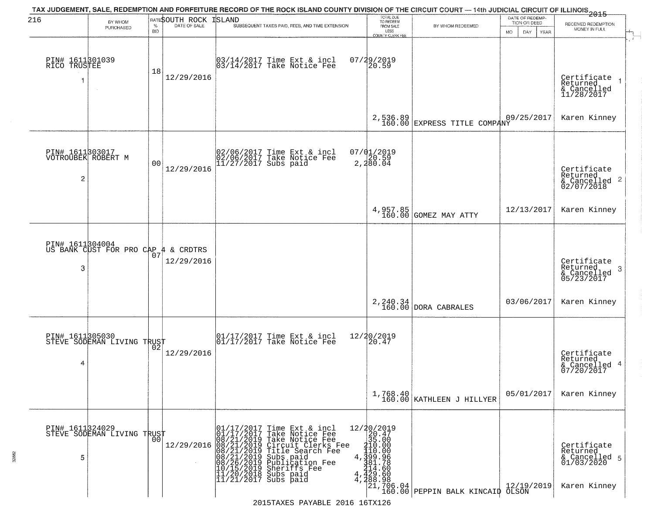| 216                                        | BY WHOM<br>PURCHASED                                   | $\%$<br><b>BID</b> | RATESOUTH ROCK ISLAND<br>DATE OF SALE | TAX JUDGEMENT, SALE, REDEMPTION AND FORFEITURE RECORD OF THE ROCK ISLAND COUNTY DIVISION OF THE CIRCUIT COURT — 14th JUDICIAL CIRCUIT OF ILLINOIS 2015<br>SUBSEQUENT TAXES PAID, FEES, AND TIME EXTENSION                                                                                        | TOTAL DUE<br>TO REDEEM<br>FROM SALE<br>LESS<br>COUNTY CLERK FEE | BY WHOM REDEEMED                                                                                                                                                                                                                                                            | DATE OF REDEMP-<br>TION OR DEED<br>MO.<br>DAY<br><b>YEAR</b> | RECEIVED REDEMPTION<br>MONEY IN FULL                                   |
|--------------------------------------------|--------------------------------------------------------|--------------------|---------------------------------------|--------------------------------------------------------------------------------------------------------------------------------------------------------------------------------------------------------------------------------------------------------------------------------------------------|-----------------------------------------------------------------|-----------------------------------------------------------------------------------------------------------------------------------------------------------------------------------------------------------------------------------------------------------------------------|--------------------------------------------------------------|------------------------------------------------------------------------|
| PIN# 1611301039<br>RICO TRUSTEE<br>1       |                                                        | 18                 | 12/29/2016                            | 03/14/2017 Time Ext & incl<br>03/14/2017 Take Notice Fee                                                                                                                                                                                                                                         | 07/29/2019<br>20.59                                             |                                                                                                                                                                                                                                                                             |                                                              | Certificate<br>Returned<br>& Cancelled<br>11/28/2017                   |
|                                            |                                                        |                    |                                       |                                                                                                                                                                                                                                                                                                  | 2,536.89<br>160.00                                              | EXPRESS TITLE COMPANY                                                                                                                                                                                                                                                       | 09/25/2017                                                   | Karen Kinney                                                           |
| PIN# 1611303017<br>VOTROUBEK ROBERT M<br>2 |                                                        | 00                 | 12/29/2016                            | 02/06/2017 Time Ext & incl<br>02/06/2017 Take Notice Fee<br>11/27/2017 Subs paid                                                                                                                                                                                                                 | 07/01/2019<br>20.59<br>2,280.04                                 |                                                                                                                                                                                                                                                                             |                                                              | Certificate<br>Returned<br>$\frac{1}{2}$ Cancelled 2<br>02/07/2018     |
|                                            |                                                        |                    |                                       |                                                                                                                                                                                                                                                                                                  | 4,957.85<br>160.00                                              | GOMEZ MAY ATTY                                                                                                                                                                                                                                                              | 12/13/2017                                                   | Karen Kinney                                                           |
| 3                                          | PIN# 1611304004<br>US BANK CUST FOR PRO CAP 4 & CRDTRS | 07                 | 12/29/2016                            |                                                                                                                                                                                                                                                                                                  |                                                                 |                                                                                                                                                                                                                                                                             |                                                              | Certificate<br>Returned<br>-3<br>& Cancelled<br>05/23/2017             |
|                                            |                                                        |                    |                                       |                                                                                                                                                                                                                                                                                                  | 2,240.34<br>160.00                                              | DORA CABRALES                                                                                                                                                                                                                                                               | 03/06/2017                                                   | Karen Kinney                                                           |
| PIN# 1611305030<br>4                       | STEVE SODEMAN LIVING TRUST                             |                    | 12/29/2016                            | 01/17/2017 Time Ext & incl<br>01/17/2017 Take Notice Fee                                                                                                                                                                                                                                         | 12/20/2019<br>20.47                                             |                                                                                                                                                                                                                                                                             |                                                              | Certificate<br>Returned<br>& Cancelled 4<br>07/20/2017                 |
|                                            |                                                        |                    |                                       |                                                                                                                                                                                                                                                                                                  |                                                                 | $1,768.40$<br>160.00 KATHLEEN J HILLYER                                                                                                                                                                                                                                     | 05/01/2017                                                   | Karen Kinney                                                           |
| 5                                          | PIN# 1611324029<br>STEVE SODEMAN LIVING TRUST          | 00                 | 12/29/2016                            | 01/17/2017 Time Ext & incl<br>01/17/2017 Take Notice Fee<br>08/21/2019 Take Notice Fee<br>08/21/2019 Circuit Clerks Fee<br>08/21/2019 Title Search Fee<br>08/21/2019 Subs paid<br>10/15/2019 Sheriffs Fee<br>10/15/2019 Sheriffs Fee<br>11/20/2018 Su<br>4,<br>4<br>$11/21/2017$ Subs paid<br>4, | $\begin{array}{r} 12/20/2019 \\ 20.47 \\ 35.00 \end{array}$     | $\begin{bmatrix} 15.000\\ 410.000\\ 199.9\\ 399.96\\ 214.600\\ 429.60\\ 728.308\\ 121.706.04\\ 120.000 \end{bmatrix} \text{PEPPIN BALK KINCALP} \begin{bmatrix} 12/19/19\\ 12/19/19/160.00\\ 0.000\\ 0.000\\ 0.000\\ 0.000\\ 0.000\\ 0.000\\ 0.000\\ 0.000\\ \end{bmatrix}$ | 12/19/2019                                                   | Certificate<br>Returned<br>& Cancelled 5<br>01/03/2020<br>Karen Kinney |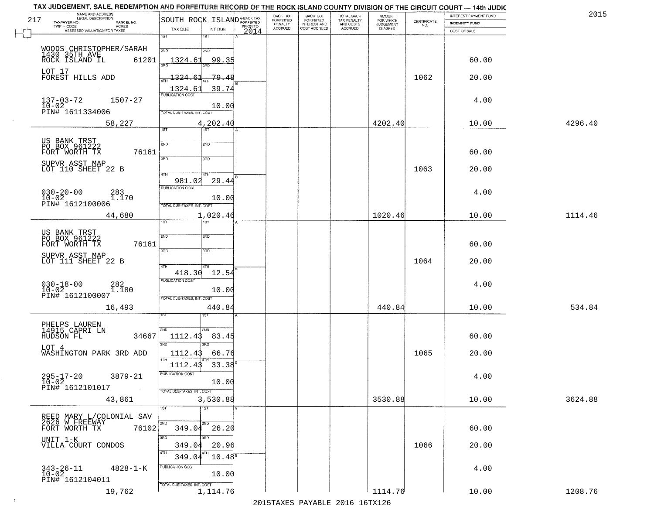| 217 | NAME AND ADDRESS<br>LEGAL DESCRIPTION<br>TAXPAYER NO.<br>PARCEL NO.  | SOUTH ROCK ISLAND <sup>A-BACK TAX</sup>             | BACK TAX<br><b>FORFEITED</b> | <b>BACK TAX</b><br><b>FORFEITED</b> | TOTAL BACK<br>TAX PENALTY<br>AND COSTS<br>ACCRUED | <b>AMOUNT</b><br>FOR WHICH<br>JUDGEMENT<br>IS ASKED | CERTIFICATE | INTEREST PAYMENT FUND<br><b>INDEMNITY FUND</b> | 2015    |
|-----|----------------------------------------------------------------------|-----------------------------------------------------|------------------------------|-------------------------------------|---------------------------------------------------|-----------------------------------------------------|-------------|------------------------------------------------|---------|
|     | TWP - CODE<br><b>ACRES</b><br>ASSESSED VALUATION FOR TAXES           | PRIOR TO<br>TAX DUE<br>INT DUE<br>2014              | PENALTY<br>ACCRUED           | INTEREST AND<br>COST ACCRUED        |                                                   |                                                     | NO.         | COST OF SALE                                   |         |
|     |                                                                      | 1ST<br>1ST                                          |                              |                                     |                                                   |                                                     |             |                                                |         |
|     | WOODS CHRISTOPHER/SARAH<br>1430 35TH AVE<br>ROCK ISLAND IL<br>61201  | 2ND<br>2ND<br><u> 1324.61</u><br>99.35              |                              |                                     |                                                   |                                                     |             | 60.00                                          |         |
|     | LOT 17<br>FOREST HILLS ADD                                           | 1324.6<br>-79.48                                    |                              |                                     |                                                   |                                                     | 1062        | 20.00                                          |         |
|     | $137 - 03 - 72$<br>1507-27                                           | 1324.61<br>39.74<br><b>PUBLICATION COST</b>         |                              |                                     |                                                   |                                                     |             | 4.00                                           |         |
|     | 10-02<br>PIN# 1611334006                                             | 10.00<br>TOTAL DUE-TAXES, INT. COST                 |                              |                                     |                                                   |                                                     |             |                                                |         |
|     | 58,227                                                               | 4,202.40<br>757<br>1ST                              |                              |                                     |                                                   | 4202.40                                             |             | 10.00                                          | 4296.40 |
|     | US BANK TRST<br>PO BOX 961222<br>FORT WORTH TX<br>76161              | 2ND<br>2ND                                          |                              |                                     |                                                   |                                                     |             | 60.00                                          |         |
|     | SUPVR ASST MAP                                                       | 3RD<br>3RD                                          |                              |                                     |                                                   |                                                     |             |                                                |         |
|     | LOT 110 SHEET 22 B                                                   | 47H<br>4TH<br>29.44<br>981.02                       |                              |                                     |                                                   |                                                     | 1063        | 20.00                                          |         |
|     | $030 - 20 - 00$<br>283<br>1.170<br>$10 - 02$                         | PUBLICATION COST<br>10.00                           |                              |                                     |                                                   |                                                     |             | 4.00                                           |         |
|     | PIN# 1612100006<br>44,680                                            | TOTAL DUE-TAXES, INT. COST<br>1,020.46<br>1ST       |                              |                                     |                                                   | 1020.46                                             |             | 10.00                                          | 1114.46 |
|     | US BANK TRST<br>PO BOX 961222                                        | 2ND<br>2ND                                          |                              |                                     |                                                   |                                                     |             |                                                |         |
|     | 76161<br>FORT WORTH TX                                               | 3BD<br>3 <sub>BD</sub>                              |                              |                                     |                                                   |                                                     |             | 60.00                                          |         |
|     | SUPVR ASST MAP<br>LOT 111 SHEET 22 B                                 | 4TH                                                 |                              |                                     |                                                   |                                                     | 1064        | 20.00                                          |         |
|     | $030 - 18 - 00$<br>10-02<br>$^{282}_{1.180}$                         | 418.30<br>12.54<br><b>PUBLICATION COST</b>          |                              |                                     |                                                   |                                                     |             | 4.00                                           |         |
|     | PIN# 1612100007                                                      | 10.00<br>TOTAL OUE-TAXES, INT. COST                 |                              |                                     |                                                   |                                                     |             |                                                |         |
|     | 16,493                                                               | 440.84                                              |                              |                                     |                                                   | 440.84                                              |             | 10.00                                          | 534.84  |
|     | PHELPS LAUREN<br>14915 CAPRI LN<br>34667<br>HUDSON FL                | 2ND<br>2ND.<br>1112.43<br>83.45                     |                              |                                     |                                                   |                                                     |             | 60.00                                          |         |
|     | LOT 4<br>WASHINGTON PARK 3RD ADD                                     | 3RD<br>3RD<br>1112.43<br>66.76                      |                              |                                     |                                                   |                                                     | 1065        | 20.00                                          |         |
|     | 3879-21                                                              | 1112.43<br>33.38<br>PUBLICATION COST                |                              |                                     |                                                   |                                                     |             | 4.00                                           |         |
|     | $295 - 17 - 20$<br>10-02<br>PIN# 1612101017                          | 10.00<br>TOTAL DUE-TAXES, INT. COST                 |                              |                                     |                                                   |                                                     |             |                                                |         |
|     | 43,861                                                               | 3,530.88<br>1ST<br>1ST                              |                              |                                     |                                                   | 3530.88                                             |             | 10.00                                          | 3624.88 |
|     | REED MARY L/COLONIAL SAV<br>2626 W FREEWAY<br>FORT WORTH TX<br>76102 | 2ND<br>$349.04$ $26.20$                             |                              |                                     |                                                   |                                                     |             | 60.00                                          |         |
|     | UNIT 1-K                                                             | 3RD                                                 |                              |                                     |                                                   |                                                     |             |                                                |         |
|     | VILLA COURT CONDOS                                                   | 349.04<br>20.96<br>4TH<br>349.04<br>$10.48^{\circ}$ |                              |                                     |                                                   |                                                     | 1066        | 20.00                                          |         |
|     |                                                                      | PUBLICATION COST                                    |                              |                                     |                                                   |                                                     |             |                                                |         |
|     | $4828 - 1 - K$<br>343-26-11<br>10-02<br>PIN# 1612104011              | 10.00                                               |                              |                                     |                                                   |                                                     |             | 4.00                                           |         |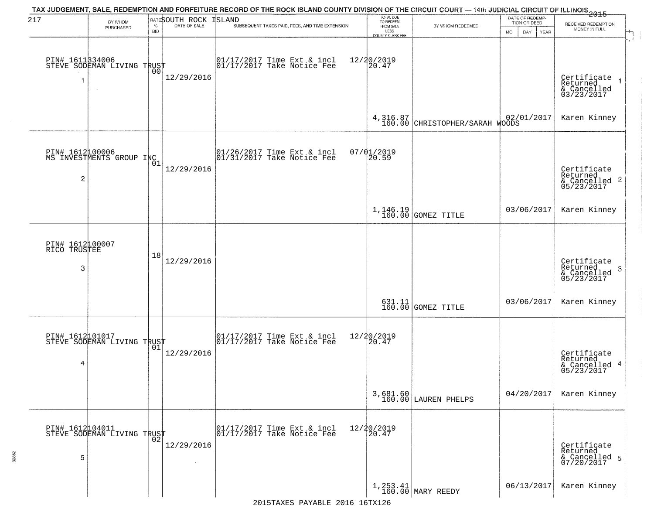| 217                                  | BY WHOM<br>PURCHASED                          | $\%$       | RATESOUTH ROCK<br>DATE OF SALE | TAX JUDGEMENT, SALE, REDEMPTION AND FORFEITURE RECORD OF THE ROCK ISLAND COUNTY DIVISION OF THE CIRCUIT COURT — 14th JUDICIAL CIRCUIT OF ILLINOIS 2015<br>ISLAND<br>SUBSEQUENT TAXES PAID, FEES, AND TIME EXTENSION | TOTAL DUE<br>TO REDEEM<br>FROM SALE | BY WHOM REDEEMED                                            | DATE OF REDEMP<br>TION OR DEED | RECEIVED REDEMPTION                                       |
|--------------------------------------|-----------------------------------------------|------------|--------------------------------|---------------------------------------------------------------------------------------------------------------------------------------------------------------------------------------------------------------------|-------------------------------------|-------------------------------------------------------------|--------------------------------|-----------------------------------------------------------|
|                                      |                                               | <b>BID</b> |                                |                                                                                                                                                                                                                     | LESS<br>COUNTY CLERK FEE            |                                                             | MO.<br>DAY.<br><b>YEAR</b>     | MONEY IN FULL                                             |
| 1                                    | PIN# 1611334006<br>STEVE SODEMAN LIVING TRUST | 00         | 12/29/2016                     | 01/17/2017 Time Ext & incl<br>01/17/2017 Take Notice Fee                                                                                                                                                            | 12/20/2019<br>20.47                 |                                                             |                                | Certificate<br>Returned<br>& Cancelled<br>03/23/2017      |
|                                      |                                               |            |                                |                                                                                                                                                                                                                     |                                     | 4,316.87<br>160.00 CHRISTOPHER/SARAH WOODS                  | 02/01/2017                     | Karen Kinney                                              |
| 2                                    | PIN# 161200006<br>MS INVESTMENTS GROUP INC    |            | 12/29/2016                     | 01/26/2017 Time Ext & incl<br>01/31/2017 Take Notice Fee                                                                                                                                                            | $07/01/2019$<br>20.59               |                                                             |                                | Certificate<br>Returned<br>& Cancelled 2<br>05/23/2017    |
|                                      |                                               |            |                                |                                                                                                                                                                                                                     |                                     | $1,146.19$ GOMEZ TITLE                                      | 03/06/2017                     | Karen Kinney                                              |
| PIN# 1612100007<br>RICO TRUSTEE<br>3 |                                               | 18         | 12/29/2016                     |                                                                                                                                                                                                                     |                                     |                                                             |                                | Certificate<br>Returned<br>3<br>& Cancelled<br>05/23/2017 |
|                                      |                                               |            |                                |                                                                                                                                                                                                                     |                                     | $\begin{array}{c} 631.11 \\ 160.00 \end{array}$ GOMEZ TITLE | 03/06/2017                     | Karen Kinney                                              |
| 4                                    | PIN# 1612101017<br>STEVE SODEMAN LIVING TRUST | 01         | 12/29/2016                     | $\begin{bmatrix} 01/17/2017 \\ 01/17/2017 \end{bmatrix}$ Take Notice Fee                                                                                                                                            | 12/20/2019<br>$\overline{20.47}$    |                                                             |                                | Certificate<br>Returned<br>& Cancelled 4<br>05/23/2017    |
|                                      |                                               |            |                                |                                                                                                                                                                                                                     |                                     | 3,681.60<br>160.00 LAUREN PHELPS                            | 04/20/2017                     | Karen Kinney                                              |
| PIN# 1612104011<br>5                 | STEVE SODEMAN LIVING TRUST                    | 02         | 12/29/2016                     | 01/17/2017 Time Ext & incl<br>01/17/2017 Take Notice Fee                                                                                                                                                            | 12/20/2019<br>20.47                 |                                                             |                                | Certificate<br>Returned<br>& Cancelled 5<br>07/20/2017    |
|                                      |                                               |            |                                | 2015TAXES PAYARLE 2016 16TX126                                                                                                                                                                                      |                                     | $1,253.41$ MARY REEDY                                       | 06/13/2017                     | Karen Kinney                                              |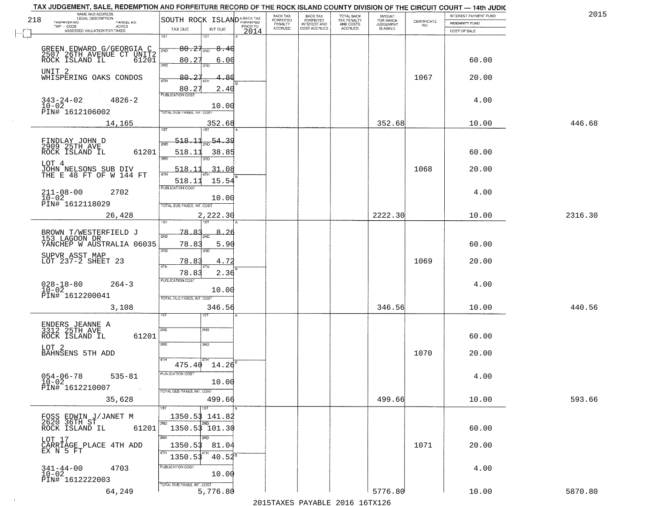| 2015    | INTEREST PAYMENT FUND |                                                                 | AMOUNT<br>FOR WHICH |                                        | <b>BACK TAX</b>           | BACK TAX             |          |                                         |                                                       | TAX JUDGEMENT, SALE, REDEMPTION AND FORFEITURE RECORD OF THE ROCK ISLAND COUNTY DIVISION OF THE CIRCUIT COURT - 14th JUDIC<br>NAME AND ADDRESS<br>LEGAL DESCRIPTION |
|---------|-----------------------|-----------------------------------------------------------------|---------------------|----------------------------------------|---------------------------|----------------------|----------|-----------------------------------------|-------------------------------------------------------|---------------------------------------------------------------------------------------------------------------------------------------------------------------------|
|         | INDEMNITY FUND        | $\begin{array}{c} \text{CERTIFICATE} \\ \text{NO.} \end{array}$ | <b>JUDGEMENT</b>    | TOTAL BACK<br>TAX PENALTY<br>AND COSTS | FORFEITED<br>INTEREST AND | FORFEITED<br>PENALTY | PRIOR TO |                                         | SOUTH ROCK ISLAND <sup>A-BACK TAX</sup>               | 218<br>TAXPAYER NO.<br>PARCEL NO.<br>ACRES                                                                                                                          |
|         | COST OF SALE          |                                                                 | IS ASKED            | <b>ACCRUED</b>                         | COST ACCRUED              | <b>ACCRUED</b>       | 2014     | INT DUE                                 | TAX DUE                                               | ASSESSED VALUATION FOR TAXES                                                                                                                                        |
|         | 60.00                 |                                                                 |                     |                                        |                           |                      |          | 1ST<br>-8.40<br>6.00                    | 1ST<br>$80.27_{200}$<br>2ND<br>80.27                  | GREEN EDWARD G/GEORGIA C<br>2507 26TH AVENUE CT UNIT2<br>ROCK ISLAND IL 61201                                                                                       |
|         | 20.00                 | 1067                                                            |                     |                                        |                           |                      |          | 3RD<br>4.80<br>2.40                     | 3RD<br>80.27<br>4TH<br>80.27                          | UNIT 2<br>WHISPERING OAKS CONDOS                                                                                                                                    |
|         | 4.00                  |                                                                 |                     |                                        |                           |                      |          | 10.00                                   | <b>PUBLICATION COST</b><br>TOTAL DUE-TAXES, INT. COST | $343 - 24 - 02$<br>$10 - 02$<br>$4826 - 2$<br>PIN# 1612106002                                                                                                       |
| 446.68  | 10.00                 |                                                                 | 352.68              |                                        |                           |                      |          | 352.68                                  |                                                       | 14,165                                                                                                                                                              |
|         | 60.00                 |                                                                 |                     |                                        |                           |                      |          | $\frac{54.39}{200}$<br>38.85<br>3RD     | <u>518.11</u><br>সমূ<br>518.11<br>3RD                 | FINDLAY JOHN D<br>2909 25TH AVE<br>ROCK ISLAND IL<br>61201<br>LOT 4                                                                                                 |
|         | 20.00<br>4.00         | 1068                                                            |                     |                                        |                           |                      |          | 31.08<br>15.54<br>10.00                 | 518.11<br>47H<br>518.11<br>PUBLICATION COST           | JOHN NELSONS SUB DIV<br>THE E 48 FT OF W 144 FT<br>$211 - 08 - 00$<br>2702<br>$10 - 02$                                                                             |
| 2316.30 | 10.00                 |                                                                 | 2222.30             |                                        |                           |                      |          | 2,222.30<br>187                         | TOTAL DUE-TAXES, INT. COST<br>īst                     | PIN# 1612118029<br>26,428                                                                                                                                           |
|         | 60.00                 |                                                                 |                     |                                        |                           |                      |          | 8.<br>5.90<br>3RD                       | -78 -<br>൧<br>2ND<br>78.83<br>3RD                     | BROWN T/WESTERFIELD J<br>153 LAGOON DR<br>YANCHEP W AUSTRALIA 06035                                                                                                 |
|         | 20.00                 | 1069                                                            |                     |                                        |                           |                      |          | 4.72<br>2.36                            | 78.83<br>4TH<br>78.83                                 | SUPVR ASST MAP<br>LOT 237-2 SHEET 23                                                                                                                                |
|         | 4.00                  |                                                                 |                     |                                        |                           |                      |          | 10.00                                   | <b>PUBLICATION COST</b><br>TOTAL OUE-TAXES, INT. COST | $028 - 18 - 80$<br>10-02<br>$264 - 3$<br>PIN# 1612200041                                                                                                            |
| 440.56  | 10.00                 |                                                                 | 346.56              |                                        |                           |                      |          | 346.56                                  |                                                       | 3,108                                                                                                                                                               |
|         | 60.00                 |                                                                 |                     |                                        |                           |                      |          | 2ND<br>3RD                              | 2ND<br>3RD                                            | ENDERS JEANNE A<br>3312 25TH AVE<br>ROCK ISLAND IL<br>61201<br>LOT 2<br>BAHNSENS 5TH ADD                                                                            |
|         | 20.00<br>4.00         | 1070                                                            |                     |                                        |                           |                      |          | $14.26^{B}$<br>10.00                    | 4TH<br>475.40<br>PUBLICATION COS.                     | $054 - 06 - 78$<br>$535 - 81$<br>$10 - 02$                                                                                                                          |
| 593.66  | 10.00                 |                                                                 | 499.66              |                                        |                           |                      |          | 499.66<br>15T                           | TOTAL DUE-TAXES, INT. COST                            | PIN# 1612210007<br><b>Contractor</b><br>35,628                                                                                                                      |
|         | 60.00                 |                                                                 |                     |                                        |                           |                      |          | 1350.53 141.82<br>2ND<br>1350.53 101.30 | l 2ND                                                 | FOSS EDWIN J/JANET M<br>2620 36TH ST<br>61201<br>ROCK ISLAND IL                                                                                                     |
|         | 20.00                 | 1071                                                            |                     |                                        |                           |                      |          | חחי<br>81.04<br>$40.52^s$               | 3RD<br>1350.53<br>4TH<br>1350.53                      | LOT 17<br>CARRIAGE PLACE 4TH ADD<br>EX N 5 FT                                                                                                                       |
|         | 4.00                  |                                                                 |                     |                                        |                           |                      |          | 10.00                                   | PUBLICATION COST                                      | $341 - 44 - 00$<br>4703<br>$10 - 02$<br>PIN# 1612222003                                                                                                             |
| 5870.80 | 10.00                 |                                                                 | 5776.80             |                                        |                           |                      |          | 5,776.80                                | TOTAL DUE-TAXES, INT. COST                            | 64,249                                                                                                                                                              |

 $\sim 10^{-1}$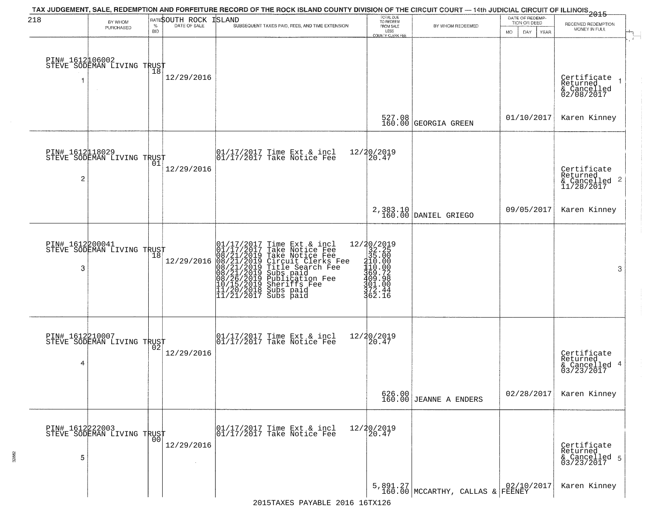| 218                  | BY WHOM                                           |                    | RATESOUTH ROCK | TAX JUDGEMENT, SALE, REDEMPTION AND FORFEITURE RECORD OF THE ROCK ISLAND COUNTY DIVISION OF THE CIRCUIT COURT — 14th JUDICIAL CIRCUIT OF ILLINOIS 2015<br>ISLAND                                                                                      | TOTAL DUE<br>TO REDEEM                                                                                                         |                                      | DATE OF REDEMP-<br>TION OR DEED | RECEIVED REDEMPTION                                                    |
|----------------------|---------------------------------------------------|--------------------|----------------|-------------------------------------------------------------------------------------------------------------------------------------------------------------------------------------------------------------------------------------------------------|--------------------------------------------------------------------------------------------------------------------------------|--------------------------------------|---------------------------------|------------------------------------------------------------------------|
|                      | PURCHASED                                         | $\%$<br><b>BID</b> | DATE OF SALE   | SUBSEQUENT TAXES PAID, FEES, AND TIME EXTENSION                                                                                                                                                                                                       | FROM SALE<br>LESS<br>COUNTY CLERK FEE                                                                                          | BY WHOM REDEEMED                     | MO.<br>DAY.<br><b>YEAR</b>      | MONEY IN FULL                                                          |
|                      | PIN# 1612106002<br>STEVE SODEMAN LIVING TRUST     |                    | 12/29/2016     |                                                                                                                                                                                                                                                       |                                                                                                                                |                                      |                                 | Certificate<br>Returned<br>$\rightarrow$<br>& Cancelled<br>02/08/2017  |
|                      |                                                   |                    |                |                                                                                                                                                                                                                                                       |                                                                                                                                | 527.08<br>160.00 GEORGIA GREEN       | 01/10/2017                      | Karen Kinney                                                           |
| $\overline{c}$       | PIN# 1612118029<br>STEVE SODEMAN LIVING TRUST     |                    | 12/29/2016     | $\begin{array}{cc}  01/17/2017 \text{ Time Ext} & \text{incl} \\  01/17/2017 \text{ Take Notice Fe} \end{array}$                                                                                                                                      | 12/20/2019<br>20.47                                                                                                            |                                      |                                 | Certificate<br>Returned<br>$\overline{2}$<br>& Cancelled<br>11/28/2017 |
|                      |                                                   |                    |                |                                                                                                                                                                                                                                                       |                                                                                                                                | 2,383.10<br>160.00 DANIEL GRIEGO     | 09/05/2017                      | Karen Kinney                                                           |
| PIN# 1612200041<br>3 | STEVE SODEMAN LIVING TRUST                        | 18                 | 12/29/2016     | 01/17/2017 Time Ext & incl<br>01/17/2017 Take Notice Fee<br>08/21/2019 Take Notice Fee<br>08/21/2019 Circuit Clerks Fee<br>08/21/2019 Title Search Fee<br>08/21/2019 Subs paid<br>08/26/2019 Subsidion Fee<br>10/15/2019 Sheriffs Fee<br>11/20/2018 S | $\begin{smallmatrix}12/20/2019\\32.25\\35.000\\110.000\\110.002\\369.728\\409.798\\501.000\\72.142\end{smallmatrix}$<br>362.16 |                                      |                                 | 3                                                                      |
| 4                    | PIN# 1612210007<br>STEVE SODEMAN LIVING TRUST     |                    | 12/29/2016     | $\begin{bmatrix} 01/17/2017 \\ 01/17/2017 \end{bmatrix}$ Take Notice Fee                                                                                                                                                                              | 12/20/2019<br>120.47                                                                                                           |                                      |                                 | Certificate<br>Returned<br>4<br>& Cancelled<br>03/23/2017              |
|                      |                                                   |                    |                |                                                                                                                                                                                                                                                       |                                                                                                                                | $626.00$<br>160.00 JEANNE A ENDERS   | 02/28/2017                      | Karen Kinney                                                           |
| 5                    | PIN# 1612222003    <br>STEVE SODEMAN LIVING TRUST | 0 <sub>0</sub>     | 12/29/2016     | 01/17/2017 Time Ext & incl<br>01/17/2017 Take Notice Fee                                                                                                                                                                                              | 12/20/2019<br>20.47                                                                                                            |                                      |                                 | Certificate<br>Returned<br>& Cancelled 5<br>03/23/2017                 |
|                      |                                                   |                    |                |                                                                                                                                                                                                                                                       |                                                                                                                                | $5,891.27$ MCCARTHY, CALLAS & FEENEY |                                 | Karen Kinney                                                           |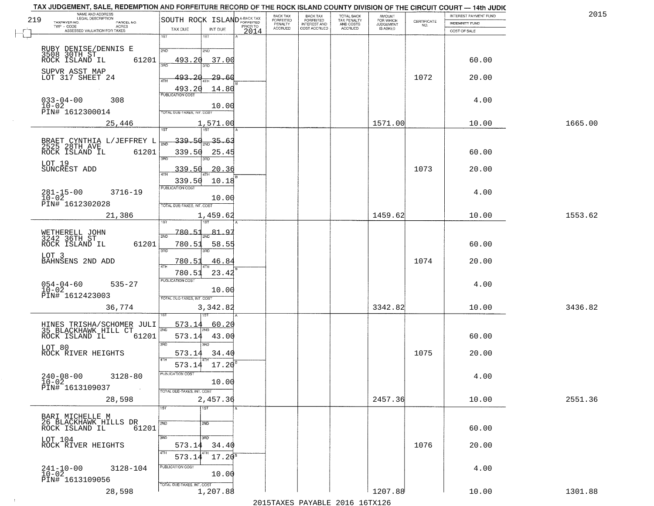|     | TAX JUDGEMENT, SALE, REDEMPTION AND FORFEITURE RECORD OF THE ROCK ISLAND COUNTY DIVISION OF THE CIRCUIT COURT - 14th JUDIC<br>NAME AND ADDRESS<br>LEGAL DESCRIPTION |                                                        |                  | BACK TAX                    |                                              |                                        |                                         |                                                                 | INTEREST PAYMENT FUND | 2015    |
|-----|---------------------------------------------------------------------------------------------------------------------------------------------------------------------|--------------------------------------------------------|------------------|-----------------------------|----------------------------------------------|----------------------------------------|-----------------------------------------|-----------------------------------------------------------------|-----------------------|---------|
| 219 | TAXPAYER NO.<br>PARCEL NO.                                                                                                                                          | SOUTH ROCK ISLAND <sup>A-BACK TAX</sup>                |                  | <b>FORFEITED</b><br>PENALTY | BACK TAX<br>FORFEITED<br><b>INTEREST AND</b> | TOTAL BACK<br>TAX PENALTY<br>AND COSTS | AMOUNT<br>FOR WHICH<br><b>JUDGEMENT</b> | $\begin{array}{c} \text{CERTIFICATE} \\ \text{NO.} \end{array}$ | INDEMNITY FUND        |         |
|     | ACRES<br>ASSESSED VALUATION FOR TAXES                                                                                                                               | TAX DUE<br>INT DUE                                     | PRIOR TO<br>2014 | <b>ACCRUED</b>              | COST ACCRUED                                 | <b>ACCRUED</b>                         | IS ASKED                                |                                                                 | COST OF SALE          |         |
|     |                                                                                                                                                                     | 1ST<br>$1S$ T                                          |                  |                             |                                              |                                        |                                         |                                                                 |                       |         |
|     |                                                                                                                                                                     |                                                        |                  |                             |                                              |                                        |                                         |                                                                 |                       |         |
|     | RUBY DENISE/DENNIS E<br>3508 30TH ST<br>ROCK ISLAND IL                                                                                                              | 2ND<br>2NP                                             |                  |                             |                                              |                                        |                                         |                                                                 |                       |         |
|     | 61201                                                                                                                                                               | 493.20<br>37.00                                        |                  |                             |                                              |                                        |                                         |                                                                 | 60.00                 |         |
|     | SUPVR ASST MAP                                                                                                                                                      |                                                        |                  |                             |                                              |                                        |                                         |                                                                 |                       |         |
|     | LOT 317 SHEET 24                                                                                                                                                    | 493.20<br>29.60                                        |                  |                             |                                              |                                        |                                         | 1072                                                            | 20.00                 |         |
|     |                                                                                                                                                                     |                                                        |                  |                             |                                              |                                        |                                         |                                                                 |                       |         |
|     |                                                                                                                                                                     | $\frac{493.20}{FUBUCATON CGST}$<br>14.80               |                  |                             |                                              |                                        |                                         |                                                                 |                       |         |
|     | $033 - 04 - 00$<br>$10 - 02$<br>308                                                                                                                                 |                                                        |                  |                             |                                              |                                        |                                         |                                                                 | 4.00                  |         |
|     | PIN# 1612300014                                                                                                                                                     | 10.00<br>TOTAL DUE-TAXES, INT. COST                    |                  |                             |                                              |                                        |                                         |                                                                 |                       |         |
|     |                                                                                                                                                                     |                                                        |                  |                             |                                              |                                        |                                         |                                                                 |                       |         |
|     | 25,446                                                                                                                                                              | 1,571.00                                               |                  |                             |                                              |                                        | 1571.00                                 |                                                                 | 10.00                 | 1665.00 |
|     |                                                                                                                                                                     |                                                        |                  |                             |                                              |                                        |                                         |                                                                 |                       |         |
|     |                                                                                                                                                                     | $-339.50_{\text{2ND}}35.63$<br>$\overline{\text{min}}$ |                  |                             |                                              |                                        |                                         |                                                                 |                       |         |
|     | BRAET CYNTHIA L/JEFFREY L<br>2525 28TH AVE                                                                                                                          |                                                        |                  |                             |                                              |                                        |                                         |                                                                 |                       |         |
|     | 61201<br>ROCK ISLAND IL                                                                                                                                             | 339.50<br>25.45<br>3RD                                 |                  |                             |                                              |                                        |                                         |                                                                 | 60.00                 |         |
|     | LOT 19                                                                                                                                                              |                                                        |                  |                             |                                              |                                        |                                         |                                                                 |                       |         |
|     | SUNCREST ADD                                                                                                                                                        | 20.36<br>339.50                                        |                  |                             |                                              |                                        |                                         | 1073                                                            | 20.00                 |         |
|     |                                                                                                                                                                     | 339.50<br>10.18                                        |                  |                             |                                              |                                        |                                         |                                                                 |                       |         |
|     |                                                                                                                                                                     | PUBLICATION COST                                       |                  |                             |                                              |                                        |                                         |                                                                 |                       |         |
|     | $281 - 15 - 00$<br>3716-19<br>$10 - 02$                                                                                                                             |                                                        |                  |                             |                                              |                                        |                                         |                                                                 | 4.00                  |         |
|     | PIN# 1612302028                                                                                                                                                     | 10.00<br>TOTAL DUE-TAXES, INT. COST                    |                  |                             |                                              |                                        |                                         |                                                                 |                       |         |
|     |                                                                                                                                                                     |                                                        |                  |                             |                                              |                                        |                                         |                                                                 |                       |         |
|     | 21,386                                                                                                                                                              | 1,459.62<br>1ST                                        |                  |                             |                                              |                                        | 1459.62                                 |                                                                 | 10.00                 | 1553.62 |
|     |                                                                                                                                                                     |                                                        |                  |                             |                                              |                                        |                                         |                                                                 |                       |         |
|     | WETHERELL JOHN<br>3242 36TH ST                                                                                                                                      | 780.51<br><u>81.95</u><br>2ND                          |                  |                             |                                              |                                        |                                         |                                                                 |                       |         |
|     | ROCK ISLAND IL<br>61201                                                                                                                                             | 780.51<br>58.55                                        |                  |                             |                                              |                                        |                                         |                                                                 | 60.00                 |         |
|     |                                                                                                                                                                     | 3BD<br>3RD                                             |                  |                             |                                              |                                        |                                         |                                                                 |                       |         |
|     | LOT 3<br>BAHNSENS 2ND ADD                                                                                                                                           | 780.53<br>46.84                                        |                  |                             |                                              |                                        |                                         | 1074                                                            | 20.00                 |         |
|     |                                                                                                                                                                     | <b>ATH</b>                                             |                  |                             |                                              |                                        |                                         |                                                                 |                       |         |
|     |                                                                                                                                                                     | 780.51<br>23.42                                        |                  |                             |                                              |                                        |                                         |                                                                 |                       |         |
|     | $535 - 27$                                                                                                                                                          | <b>PUBLICATION COST</b>                                |                  |                             |                                              |                                        |                                         |                                                                 | 4.00                  |         |
|     | $054 - 04 - 60$<br>$10 - 02$                                                                                                                                        | 10.00                                                  |                  |                             |                                              |                                        |                                         |                                                                 |                       |         |
|     | PIN# 1612423003                                                                                                                                                     | TOTAL OUE-TAXES, INT. COST                             |                  |                             |                                              |                                        |                                         |                                                                 |                       |         |
|     | 36,774                                                                                                                                                              | 3,342.82                                               |                  |                             |                                              |                                        | 3342.82                                 |                                                                 | 10.00                 | 3436.82 |
|     |                                                                                                                                                                     |                                                        |                  |                             |                                              |                                        |                                         |                                                                 |                       |         |
|     |                                                                                                                                                                     | 573.14<br>60.20                                        |                  |                             |                                              |                                        |                                         |                                                                 |                       |         |
|     | HINES TRISHA/SCHOMER JULI<br>35 BLACKHAWK HILL CT                                                                                                                   | 2ND                                                    |                  |                             |                                              |                                        |                                         |                                                                 |                       |         |
|     | ROCK ISLAND IL<br>61201                                                                                                                                             | 573.14<br>43.00                                        |                  |                             |                                              |                                        |                                         |                                                                 | 60.00                 |         |
|     | LOT 80                                                                                                                                                              | 3BD<br>3RD                                             |                  |                             |                                              |                                        |                                         |                                                                 |                       |         |
|     | ROCK RIVER HEIGHTS                                                                                                                                                  | 34.40<br>573.14                                        |                  |                             |                                              |                                        |                                         | 1075                                                            | 20.00                 |         |
|     |                                                                                                                                                                     |                                                        |                  |                             |                                              |                                        |                                         |                                                                 |                       |         |
|     |                                                                                                                                                                     | 573.14 17.20                                           |                  |                             |                                              |                                        |                                         |                                                                 |                       |         |
|     | $240 - 08 - 00$<br>$3128 - 80$                                                                                                                                      | <b>PUBLICATION COS-</b>                                |                  |                             |                                              |                                        |                                         |                                                                 | 4.00                  |         |
|     | $10 - 02$<br>PIN# 1613109037                                                                                                                                        | 10.00                                                  |                  |                             |                                              |                                        |                                         |                                                                 |                       |         |
|     | $\sim 100$                                                                                                                                                          | TOTAL DUE-TAXES, INT. COST                             |                  |                             |                                              |                                        |                                         |                                                                 |                       |         |
|     | 28,598                                                                                                                                                              | 2,457.36                                               |                  |                             |                                              |                                        | 2457.36                                 |                                                                 | 10.00                 | 2551.36 |
|     |                                                                                                                                                                     | 1ST<br>1ST                                             |                  |                             |                                              |                                        |                                         |                                                                 |                       |         |
|     | BARI MICHELLE M                                                                                                                                                     |                                                        |                  |                             |                                              |                                        |                                         |                                                                 |                       |         |
|     | 26 BLACKHAWK HILLS DR                                                                                                                                               | 2ND<br>2ND                                             |                  |                             |                                              |                                        |                                         |                                                                 |                       |         |
|     | 61201<br>ROCK ISLAND IL                                                                                                                                             |                                                        |                  |                             |                                              |                                        |                                         |                                                                 | 60.00                 |         |
|     | LOT 104                                                                                                                                                             | 3RD<br>3HD                                             |                  |                             |                                              |                                        |                                         |                                                                 |                       |         |
|     | ROCK RIVER HEIGHTS                                                                                                                                                  | 573.14<br>34.40                                        |                  |                             |                                              |                                        |                                         | 1076                                                            | 20.00                 |         |
|     |                                                                                                                                                                     | $17.20^5$<br>573.14                                    |                  |                             |                                              |                                        |                                         |                                                                 |                       |         |
|     |                                                                                                                                                                     | PUBLICATION COST                                       |                  |                             |                                              |                                        |                                         |                                                                 |                       |         |
|     | $241 - 10 - 00$<br>10-02<br>3128-104                                                                                                                                | 10.00                                                  |                  |                             |                                              |                                        |                                         |                                                                 | 4.00                  |         |
|     | PIN# 1613109056                                                                                                                                                     |                                                        |                  |                             |                                              |                                        |                                         |                                                                 |                       |         |
|     |                                                                                                                                                                     | TOTAL DUE-TAXES, INT. COST                             |                  |                             |                                              |                                        |                                         |                                                                 |                       |         |
|     | 28,598                                                                                                                                                              | 1,207.88                                               |                  |                             |                                              |                                        | 1207.88                                 |                                                                 | 10.00                 | 1301.88 |
|     |                                                                                                                                                                     |                                                        |                  |                             |                                              | 2015 TAVEC DAVADIE 2016 16TV126        |                                         |                                                                 |                       |         |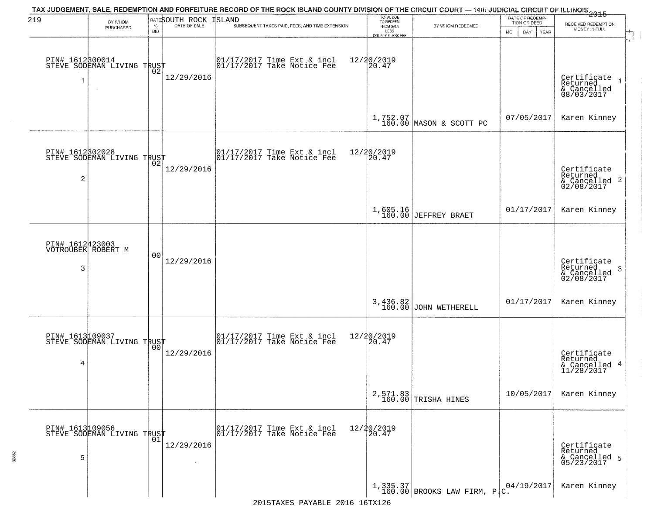| 219                  | BY WHOM<br>PURCHASED                          | $\%$<br><b>BID</b> | RATESOUTH ROCK<br>DATE OF SALE | TAX JUDGEMENT, SALE, REDEMPTION AND FORFEITURE RECORD OF THE ROCK ISLAND COUNTY DIVISION OF THE CIRCUIT COURT — 14th JUDICIAL CIRCUIT OF ILLINOIS 2015<br>ISLAND<br>SUBSEQUENT TAXES PAID, FEES, AND TIME EXTENSION | TOTAL DUE<br>TO REDEEM<br>FROM SALE<br>LESS    | BY WHOM REDEEMED                    | DATE OF REDEMP-<br>TION OR DEED<br>MO.<br>DAY.<br>YEAR | RECEIVED REDEMPTION<br>MONEY IN FULL                               |
|----------------------|-----------------------------------------------|--------------------|--------------------------------|---------------------------------------------------------------------------------------------------------------------------------------------------------------------------------------------------------------------|------------------------------------------------|-------------------------------------|--------------------------------------------------------|--------------------------------------------------------------------|
|                      | PIN# 1612800014<br>STEVE SODEMAN LIVING TRUST |                    | 12/29/2016                     | 01/17/2017 Time Ext & incl<br>01/17/2017 Take Notice Fee                                                                                                                                                            | <b>COUNTY CLERK FEE</b><br>12/20/2019<br>20.47 |                                     |                                                        | Certificate<br>Returned<br>& Cancelled<br>08/03/2017               |
|                      |                                               |                    |                                |                                                                                                                                                                                                                     |                                                | 1,752.07<br>160.00 MASON & SCOTT PC | 07/05/2017                                             | Karen Kinney                                                       |
| $\overline{c}$       | PIN# 1612302028<br>STEVE SODEMAN LIVING TRUST |                    | 12/29/2016                     | $\begin{bmatrix} 01/17/2017 \\ 01/17/2017 \end{bmatrix}$ Take Notice Fee                                                                                                                                            | 12/20/2019<br>20.47                            |                                     |                                                        | Certificate<br>Returned<br>$\frac{1}{2}$ Cancelled 2<br>02/08/2017 |
|                      |                                               |                    |                                |                                                                                                                                                                                                                     |                                                | 1,605.16<br>160.00 JEFFREY BRAET    | 01/17/2017                                             | Karen Kinney                                                       |
| 3                    | PIN# 1612423003<br>VOTROUBEK ROBERT M         | 00                 | 12/29/2016                     |                                                                                                                                                                                                                     |                                                |                                     |                                                        | Certificate<br>Returned<br>3<br>& Cancelled<br>02/08/2017          |
|                      |                                               |                    |                                |                                                                                                                                                                                                                     | 3,436.82<br>160.00                             | JOHN WETHERELL                      | 01/17/2017                                             | Karen Kinney                                                       |
| 4                    | PIN# 1613109037<br>STEVE SODEMAN LIVING TRUST | 0 <sub>0</sub>     | 12/29/2016                     | $\begin{bmatrix} 01/17/2017 \\ 01/17/2017 \end{bmatrix}$ Take Notice Fee                                                                                                                                            | 12/20/2019<br>20.47                            |                                     |                                                        | Certificate<br>Returned<br>& Cancelled 4<br>11/28/2017             |
|                      |                                               |                    |                                |                                                                                                                                                                                                                     |                                                | 2,571.83<br>160.00 TRISHA HINES     | 10/05/2017                                             | Karen Kinney                                                       |
| PIN# 1613109056<br>5 | PIN# 1613µ09090<br>STEVE SODEMAN LIVING TRUST |                    | 12/29/2016<br>$\sim$           | 01/17/2017 Time Ext & incl<br>01/17/2017 Take Notice Fee                                                                                                                                                            | 12/20/2019<br>20.47                            |                                     |                                                        | Certificate<br>Returned<br>& Cancelled 5<br>05/23/2017             |
|                      |                                               |                    |                                |                                                                                                                                                                                                                     |                                                | 1,335.37 BROOKS LAW FIRM, $P_C$ .   | 04/19/2017                                             | Karen Kinney                                                       |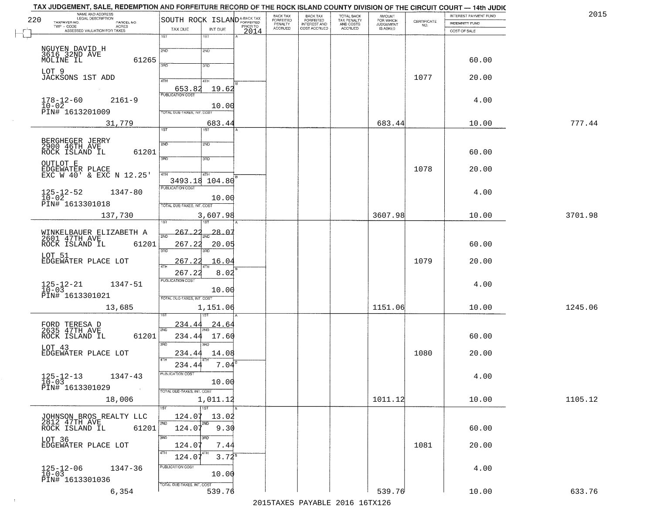| 2015    | INTEREST PAYMENT FUND |                    | <b>AMOUNT</b>                      |                                                   | <b>BACK TAX</b><br><b>FORFEITED</b> | BACK TAX<br><b>FORFEITED</b> |          | SOUTH ROCK ISLAND <sup>A-BACK TAX</sup> |                                   |                            | NAME AND ADDRESS<br>LEGAL DESCRIPTION                       |
|---------|-----------------------|--------------------|------------------------------------|---------------------------------------------------|-------------------------------------|------------------------------|----------|-----------------------------------------|-----------------------------------|----------------------------|-------------------------------------------------------------|
|         | <b>INDEMNITY FUND</b> | CERTIFICATE<br>NO. | FOR WHICH<br>JUDGEMENT<br>IS ASKED | TOTAL BACK<br>TAX PENALTY<br>AND COSTS<br>ACCRUED | INTEREST AND                        | PENALTY<br>ACCRUED           | PRIOR TO |                                         |                                   | PARCEL NO.<br><b>ACRES</b> | TAXPAYER NO.<br>TWP - CODE                                  |
|         | COST OF SALE          |                    |                                    |                                                   |                                     |                              | 2014     | INT DUE<br>1ST                          | TAX DUE<br>1ST                    |                            | ASSESSED VALUATION FOR TAXES                                |
|         |                       |                    |                                    |                                                   |                                     |                              |          | 2ND                                     | 2ND                               |                            |                                                             |
|         | 60.00                 |                    |                                    |                                                   |                                     |                              |          | 3BD                                     | 3BD                               | 61265                      | NGUYEN DAVID H<br>3616 32ND AVE<br>MOLINE IL                |
|         | 20.00                 | 1077               |                                    |                                                   |                                     |                              |          | 41H                                     | 4TH                               |                            | LOT 9<br>JACKSONS 1ST ADD                                   |
|         |                       |                    |                                    |                                                   |                                     |                              |          | 19.62                                   | 653.82<br><b>PUBLICATION COST</b> |                            |                                                             |
|         | 4.00                  |                    |                                    |                                                   |                                     |                              |          | 10.00                                   |                                   | $2161 - 9$                 | $178 - 12 - 60$<br>$10-02$<br>PIN# 1613201009               |
| 777.44  | 10.00                 |                    | 683.44                             |                                                   |                                     |                              |          | 683.44                                  | TOTAL DUE-TAXES, INT. COST        |                            | 31,779                                                      |
|         |                       |                    |                                    |                                                   |                                     |                              |          | 1ST <sup>1</sup>                        | 1ST                               |                            |                                                             |
|         |                       |                    |                                    |                                                   |                                     |                              |          | 2ND                                     | 2ND                               |                            | BERGHEGER JERRY<br>2900 46TH AVE                            |
|         | 60.00                 |                    |                                    |                                                   |                                     |                              |          | 3RD                                     | 3RD                               | 61201                      | ROCK ISLAND IL<br>OUTLOT E                                  |
|         | 20.00                 | 1078               |                                    |                                                   |                                     |                              |          | 4TH                                     | 4TH                               |                            | EDGEWATER PLACE<br>EXC W 40' & EXC N 12.25'                 |
|         | 4.00                  |                    |                                    |                                                   |                                     |                              |          | 3493.18 104.80                          | PUBLICATION COST                  | $1347 - 80$                |                                                             |
|         |                       |                    |                                    |                                                   |                                     |                              |          | 10.00                                   | TOTAL DUE-TAXES, INT. COST        |                            | $125 - 12 - 52$<br>$10 - 02$<br>PIN# <sup>-1613301018</sup> |
| 3701.98 | 10.00                 |                    | 3607.98                            |                                                   |                                     |                              |          | 3,607.98                                |                                   |                            | 137,730                                                     |
|         |                       |                    |                                    |                                                   |                                     |                              |          | $-28.07$                                | 267.<br>22                        |                            |                                                             |
|         | 60.00                 |                    |                                    |                                                   |                                     |                              |          | 20.05                                   | 267.22                            | 61201                      | WINKELBAUER ELIZABETH A<br>2601 47TH AVE<br>ROCK ISLAND IL  |
|         | 20.00                 | 1079               |                                    |                                                   |                                     |                              |          | 3 <sub>BD</sub><br>16.04                | 3RD<br>267.22                     |                            | LOT 51<br>EDGEWATER PLACE LOT                               |
|         |                       |                    |                                    |                                                   |                                     |                              |          | 8.02                                    | 267.22                            |                            |                                                             |
|         | 4.00                  |                    |                                    |                                                   |                                     |                              |          | 10.00                                   | <b>PUBLICATION COST</b>           | 1347-51                    | $125 - 12 - 21$<br>10-03                                    |
|         |                       |                    |                                    |                                                   |                                     |                              |          |                                         | TOTAL OUE-TAXES, INT. COST        |                            | PIN# 1613301021                                             |
| 1245.06 | 10.00                 |                    | 1151.06                            |                                                   |                                     |                              |          | 1,151.06                                |                                   |                            | 13,685                                                      |
|         |                       |                    |                                    |                                                   |                                     |                              |          | <u>24.64</u>                            | <u>234.44</u><br>2ND              |                            | FORD TERESA D<br>2635 47TH AVE                              |
|         | 60.00                 |                    |                                    |                                                   |                                     |                              |          | 17.60<br>3RD                            | 234.44<br>3RD                     | 61201                      | ROCK ISLAND IL<br>LOT 43                                    |
|         | 20.00                 | 1080               |                                    |                                                   |                                     |                              |          | 14.08                                   | 234.44                            |                            | EDGEWATER PLACE LOT                                         |
|         |                       |                    |                                    |                                                   |                                     |                              |          | 7.04                                    | 234.44<br>PUBLICATION COST        | $1347 - 43$                |                                                             |
|         | 4.00                  |                    |                                    |                                                   |                                     |                              |          | 10.00                                   |                                   |                            | $125 - 12 - 13$<br>10-03<br>PIN# 1613301029                 |
| 1105.12 | 10.00                 |                    | 1011.12                            |                                                   |                                     |                              |          | 1,011.12                                | TOTAL DUE-TAXES, INT. COST        |                            | 18,006                                                      |
|         |                       |                    |                                    |                                                   |                                     |                              |          | $\overline{1ST}$<br>13.02               | 1ST<br>124.07                     |                            |                                                             |
|         | 60.00                 |                    |                                    |                                                   |                                     |                              |          | 2ND<br>9.30                             | 2ND.<br>124.07                    | 61201                      | JOHNSON BROS REALTY LLC<br>2812 47TH AVE<br>ROCK ISLAND IL  |
|         |                       | 1081               |                                    |                                                   |                                     |                              |          | 3RD                                     | 3RD                               |                            | LOT 36<br>EDGEWATER PLACE LOT                               |
|         | 20.00                 |                    |                                    |                                                   |                                     |                              |          | 7.44<br>$3.72^{8}$                      | 124.07<br>ATH<br>124.07           |                            |                                                             |
|         | 4.00                  |                    |                                    |                                                   |                                     |                              |          |                                         | PUBLICATION COST                  | 1347-36                    | $125 - 12 - 06$<br>$10 - 03$                                |
|         |                       |                    |                                    |                                                   |                                     |                              |          | 10.00                                   | TOTAL DUE-TAXES, INT. COST        |                            | PIN# 1613301036                                             |
| 633.76  | 10.00                 |                    | 539.76                             |                                                   |                                     |                              |          | 539.76                                  |                                   | 6,354                      |                                                             |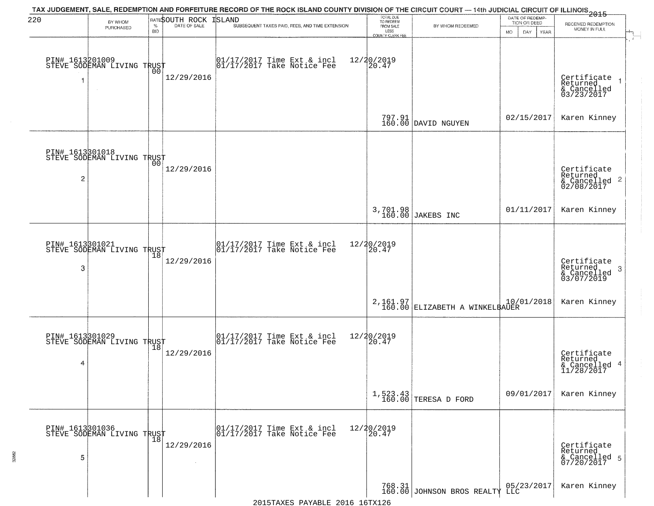| 220                               | BY WHOM<br>PURCHASED                              | $\%$             | RATESOUTH ROCK<br>DATE OF SALE | TAX JUDGEMENT, SALE, REDEMPTION AND FORFEITURE RECORD OF THE ROCK ISLAND COUNTY DIVISION OF THE CIRCUIT COURT — 14th JUDICIAL CIRCUIT OF ILLINOIS 2015<br><b>ISLAND</b><br>SUBSEQUENT TAXES PAID, FEES, AND TIME EXTENSION | TOTAL DUE<br>TO REDEEM<br>FROM SALE             | BY WHOM REDEEMED                           | DATE OF REDEMP-<br>TION OR DEED | RECEIVED REDEMPTION<br>MONEY IN FULL                               |
|-----------------------------------|---------------------------------------------------|------------------|--------------------------------|----------------------------------------------------------------------------------------------------------------------------------------------------------------------------------------------------------------------------|-------------------------------------------------|--------------------------------------------|---------------------------------|--------------------------------------------------------------------|
|                                   | PIN# 1613201009    <br>STEVE SODEMAN LIVING TRUST | <b>BID</b><br>00 | 12/29/2016                     | 01/17/2017 Time Ext & incl<br>01/17/2017 Take Notice Fee                                                                                                                                                                   | LESS<br>COUNTY CLERK FEE<br>12/20/2019<br>20.47 |                                            | MO.<br>DAY.<br>YEAR             | Certificate<br>Returned<br>& Cancelled<br>03/23/2017               |
|                                   |                                                   |                  |                                |                                                                                                                                                                                                                            |                                                 | 797.91<br>160.00 DAVID NGUYEN              | 02/15/2017                      | Karen Kinney                                                       |
| PIN# 1613301018<br>$\overline{c}$ | STEVE SODEMAN LIVING TRUST                        |                  | 12/29/2016                     |                                                                                                                                                                                                                            |                                                 |                                            |                                 | Certificate<br>Returned<br>$\frac{1}{6}$ Cancelled 2<br>02/08/2017 |
|                                   |                                                   |                  |                                |                                                                                                                                                                                                                            |                                                 | 3,701.98<br>160.00 JAKEBS INC              | 01/11/2017                      | Karen Kinney                                                       |
| 3                                 | PIN# 1613301021<br>STEVE SODEMAN LIVING TRUST     | 18               | 12/29/2016                     | 01/17/2017 Time Ext & incl<br>01/17/2017 Take Notice Fee                                                                                                                                                                   | 12/20/2019<br>20.47                             |                                            |                                 | Certificate<br>Returned<br>3<br>& Cancelled<br>03/07/2019          |
|                                   |                                                   |                  |                                |                                                                                                                                                                                                                            |                                                 | 2,161.97<br>160.00 ELIZABETH A WINKELBAUER | 10/01/2018                      | Karen Kinney                                                       |
| 4                                 | PIN# 1613301029<br>STEVE SODEMAN LIVING TRUST     | 18               | 12/29/2016                     | $\begin{array}{cc} 01/17/2017 \\ 01/17/2017 \\ \end{array}$ Take Notice Fee                                                                                                                                                | 12/20/2019<br>20.47                             |                                            |                                 | Certificate<br>Returned<br>& Cancelled 4<br>11/28/2017             |
|                                   |                                                   |                  |                                |                                                                                                                                                                                                                            |                                                 | $1,523.43$ TERESA D FORD                   | 09/01/2017                      | Karen Kinney                                                       |
| 5                                 | PIN# 1613301036    <br>STEVE SODEMAN LIVING TRUST | $\overline{18}$  | 12/29/2016                     | 01/17/2017 Time Ext & incl<br>01/17/2017 Take Notice Fee                                                                                                                                                                   | 12/20/2019<br>20.47                             |                                            |                                 | Certificate<br>Returned<br>& Cancelled 5<br>07/20/2017             |
|                                   |                                                   |                  |                                |                                                                                                                                                                                                                            |                                                 | 768.31 JOHNSON BROS REALTY LLC             |                                 | Karen Kinney                                                       |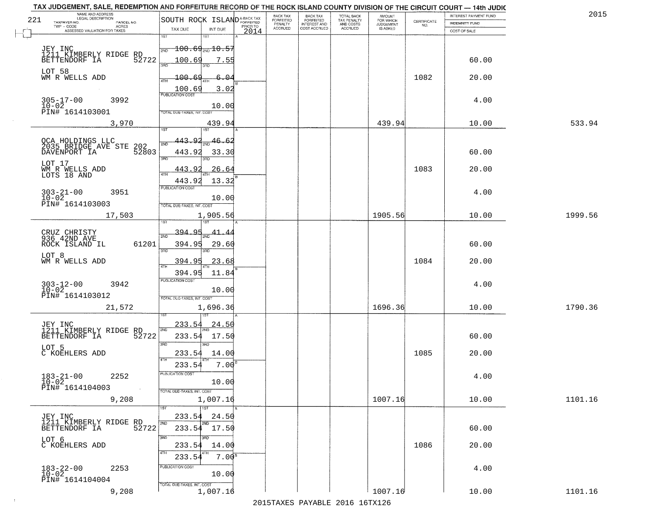| 221 | NAME AND ADDRESS<br>LEGAL DESCRIPTION         |                                   |                   |      | BACK TAX<br>FORFEITED     | BACK TAX<br>FORFEITED               | TOTAL BACK<br>TAX PENALTY<br>AND COSTS | AMOUNT<br>FOR WHICH          |                                                                 | INTEREST PAYMENT FUND | 2015    |
|-----|-----------------------------------------------|-----------------------------------|-------------------|------|---------------------------|-------------------------------------|----------------------------------------|------------------------------|-----------------------------------------------------------------|-----------------------|---------|
|     | TAXPAYER NO.<br>PARCEL NO.<br>ACRES           | SOUTH ROCK ISLANDA-BACK TAX       |                   |      | PENALTY<br><b>ACCRUED</b> | <b>INTEREST AND</b><br>COST ACCRUED | <b>ACCRUED</b>                         | <b>JUDGEMENT</b><br>IS ASKED | $\begin{array}{c} \text{CEPTIFICATE} \\ \text{NO.} \end{array}$ | <b>INDEMNITY FUND</b> |         |
|     | ASSESSED VALUATION FOR TAXES                  | TAX DUE<br>1ST                    | INT DUE<br>1ST    | 2014 |                           |                                     |                                        |                              |                                                                 | COST OF SALE          |         |
|     |                                               |                                   |                   |      |                           |                                     |                                        |                              |                                                                 |                       |         |
|     | JEY INC<br>1211 KIMBERLY RIDGE                | $100.69_{\text{2ND}}10.55$<br>2ND |                   |      |                           |                                     |                                        |                              |                                                                 |                       |         |
|     | RD<br>52722<br>BETTENDORF IA                  | 100.69<br>350                     | 7.55              |      |                           |                                     |                                        |                              |                                                                 | 60.00                 |         |
|     | LOT 58                                        |                                   |                   |      |                           |                                     |                                        |                              |                                                                 |                       |         |
|     | WM R WELLS ADD                                | 100.69<br>4TH                     | $6 - 04$          |      |                           |                                     |                                        |                              | 1082                                                            | 20.00                 |         |
|     |                                               | 100.69<br><b>PUBLICATION COST</b> | 3.02              |      |                           |                                     |                                        |                              |                                                                 |                       |         |
|     | $305 - 17 - 00$<br>$10 - 02$<br>3992          |                                   |                   |      |                           |                                     |                                        |                              |                                                                 | 4.00                  |         |
|     | PIN# 1614103001                               | TOTAL DUE-TAXES, INT. COST        | 10.00             |      |                           |                                     |                                        |                              |                                                                 |                       |         |
|     | 3,970                                         |                                   | 439.94            |      |                           |                                     |                                        | 439.94                       |                                                                 | 10.00                 | 533.94  |
|     |                                               |                                   |                   |      |                           |                                     |                                        |                              |                                                                 |                       |         |
|     | OCA HOLDINGS LLC<br>2035_BRIDGE_AVE STE 202   | 443.92<br>2ND                     | 46.62             |      |                           |                                     |                                        |                              |                                                                 |                       |         |
|     | DAVENPORT IA<br>52803                         | 443.92                            | 33.30             |      |                           |                                     |                                        |                              |                                                                 | 60.00                 |         |
|     |                                               | $\overline{3BD}$                  |                   |      |                           |                                     |                                        |                              |                                                                 |                       |         |
|     | LOT 17<br>WM R WELLS ADD<br>LOTS 18 AND       | 443.92                            | 26.64             |      |                           |                                     |                                        |                              | 1083                                                            | 20.00                 |         |
|     |                                               | ৰাম<br>443.92                     | 13.32             |      |                           |                                     |                                        |                              |                                                                 |                       |         |
|     |                                               | PUBLICATION COST                  |                   |      |                           |                                     |                                        |                              |                                                                 |                       |         |
|     | $303 - 21 - 00$<br>$10 - 02$<br>3951          |                                   | 10.00             |      |                           |                                     |                                        |                              |                                                                 | 4.00                  |         |
|     | PIN# 1614103003                               | TOTAL DUE-TAXES, INT. COST        |                   |      |                           |                                     |                                        |                              |                                                                 |                       |         |
|     | 17,503                                        |                                   | 1,905.56          |      |                           |                                     |                                        | 1905.56                      |                                                                 | 10.00                 | 1999.56 |
|     |                                               | 1ST                               |                   |      |                           |                                     |                                        |                              |                                                                 |                       |         |
|     | CRUZ CHRISTY<br>936 42ND AVE                  | 394.95<br>2ND                     |                   |      |                           |                                     |                                        |                              |                                                                 |                       |         |
|     | ROCK ISLAND IL<br>61201                       | 394.95<br>3BD                     | 29.60<br>3RD      |      |                           |                                     |                                        |                              |                                                                 | 60.00                 |         |
|     | LOT 8                                         |                                   |                   |      |                           |                                     |                                        |                              |                                                                 |                       |         |
|     | WM R WELLS ADD                                | 394.95<br>4TH                     | 23.68             |      |                           |                                     |                                        |                              | 1084                                                            | 20.00                 |         |
|     |                                               | 394.95<br><b>PUBLICATION COST</b> | 11.84             |      |                           |                                     |                                        |                              |                                                                 |                       |         |
|     | $303 - 12 - 00$<br>$10 - 02$<br>3942          |                                   | 10.00             |      |                           |                                     |                                        |                              |                                                                 | 4.00                  |         |
|     | PIN# 1614103012                               | TOTAL OUE-TAXES, INT. COST        |                   |      |                           |                                     |                                        |                              |                                                                 |                       |         |
|     | 21,572                                        |                                   | 1,696.36          |      |                           |                                     |                                        | 1696.36                      |                                                                 | 10.00                 | 1790.36 |
|     |                                               |                                   |                   |      |                           |                                     |                                        |                              |                                                                 |                       |         |
|     | JEY INC<br>1211 KIMBERLY RIDGE RD             | 233.54                            | <u>24.50</u>      |      |                           |                                     |                                        |                              |                                                                 |                       |         |
|     | BETTENDORF IA<br>52722                        | 2ND<br>233.54                     | 17.50             |      |                           |                                     |                                        |                              |                                                                 | 60.00                 |         |
|     | LOT 5                                         | 3BD                               | 3RD               |      |                           |                                     |                                        |                              |                                                                 |                       |         |
|     | C KOEHLERS ADD                                | 233.54                            | 14.00             |      |                           |                                     |                                        |                              | 1085                                                            | 20.00                 |         |
|     |                                               | 4TH<br>233.54                     | 7.00              |      |                           |                                     |                                        |                              |                                                                 |                       |         |
|     | $183 - 21 - 00$<br>2252                       | 'usuca hun cus                    |                   |      |                           |                                     |                                        |                              |                                                                 | 4.00                  |         |
|     | $10 - 02$<br>PIN# 1614104003                  |                                   | 10.00             |      |                           |                                     |                                        |                              |                                                                 |                       |         |
|     | <b>Contract</b>                               | TOTAL DUE-TAXES, INT. COST        |                   |      |                           |                                     |                                        |                              |                                                                 |                       |         |
|     | 9,208                                         |                                   | 1,007.16          |      |                           |                                     |                                        | 1007.16                      |                                                                 | 10.00                 | 1101.16 |
|     | JEY INC                                       | 233.54                            | 1ST<br>24.50      |      |                           |                                     |                                        |                              |                                                                 |                       |         |
|     | 1211 KIMBERLY RIDGE RD<br>RETTENDORF IA 52722 | 2ND                               | 2ND               |      |                           |                                     |                                        |                              |                                                                 |                       |         |
|     |                                               |                                   | 233.54 17.50      |      |                           |                                     |                                        |                              |                                                                 | 60.00                 |         |
|     | LOT 6<br>C KOEHLERS ADD                       | 3RD<br>233.54                     | חחו<br>14.00      |      |                           |                                     |                                        |                              | 1086                                                            | 20.00                 |         |
|     |                                               | 4TH                               | 7.00 <sup>s</sup> |      |                           |                                     |                                        |                              |                                                                 |                       |         |
|     |                                               | 233.54<br>PUBLICATION COST        |                   |      |                           |                                     |                                        |                              |                                                                 |                       |         |
|     | $183 - 22 - 00$<br>$10 - 02$<br>2253          |                                   | 10.00             |      |                           |                                     |                                        |                              |                                                                 | 4.00                  |         |
|     | PIN# 1614104004                               | TOTAL DUE-TAXES, INT. COST        |                   |      |                           |                                     |                                        |                              |                                                                 |                       |         |
|     | 9,208                                         |                                   | 1,007.16          |      |                           |                                     |                                        | 1007.16                      |                                                                 | 10.00                 | 1101.16 |

 $\sim 100$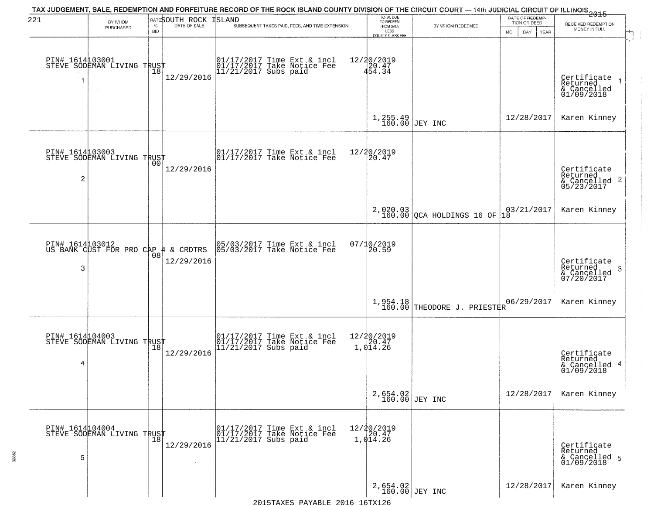| 221                  | BY WHOM                                                   |                    | RATESOUTH ROCK | ISLAND                 | TAX JUDGEMENT, SALE, REDEMPTION AND FORFEITURE RECORD OF THE ROCK ISLAND COUNTY DIVISION OF THE CIRCUIT COURT — 14th JUDICIAL CIRCUIT OF ILLINOIS 2015 | TOTAL DUE<br>TO REDEEM                                       |                                         | DATE OF REDEMP<br>TION OR DEED | RECEIVED REDEMPTION                                                |
|----------------------|-----------------------------------------------------------|--------------------|----------------|------------------------|--------------------------------------------------------------------------------------------------------------------------------------------------------|--------------------------------------------------------------|-----------------------------------------|--------------------------------|--------------------------------------------------------------------|
|                      | PURCHASED                                                 | $\%$<br><b>BID</b> | DATE OF SALE   |                        | SUBSEQUENT TAXES PAID, FEES, AND TIME EXTENSION                                                                                                        | FROM SALE<br>LESS<br>COUNTY CLERK FEE                        | BY WHOM REDEEMED                        | DAY.<br>MO.<br>YEAR            | MONEY IN FULL                                                      |
| 1                    | PIN# 1614103001    <br>STEVE SODEMAN LIVING TRUST         | Ίõ                 | 12/29/2016     |                        | 01/17/2017 Time Ext & incl<br>01/17/2017 Take Notice Fee<br>11/21/2017 Subs paid                                                                       | $\begin{array}{r} 12/20/2019 \\ 20.47 \\ 454.34 \end{array}$ |                                         |                                | Certificate<br>Returned<br>& Cancelled<br>01/09/2018               |
|                      |                                                           |                    |                |                        |                                                                                                                                                        | $1,255.49$ JEY INC                                           |                                         | 12/28/2017                     | Karen Kinney                                                       |
| PIN# 1614103003<br>2 | STEVE SODEMAN LIVING TRUST                                |                    | 12/29/2016     |                        | $\begin{bmatrix} 01/17/2017 \\ 01/17/2017 \end{bmatrix}$ Take Notice Fee                                                                               | 12/20/2019<br>20.47                                          |                                         |                                | Certificate<br>Returned<br>$\frac{1}{6}$ Cancelled 2<br>05/23/2017 |
|                      |                                                           |                    |                |                        |                                                                                                                                                        |                                                              | $2,020.03$<br>160.00 QCA HOLDINGS 16 OF | 03/21/2017<br>18               | Karen Kinney                                                       |
| 3                    | PIN# 1614 03012<br>US BANK CUST FOR PRO CAP 4 & CRDTRS    | 08                 | 12/29/2016     |                        | 05/03/2017 Time Ext & incl<br>05/03/2017 Take Notice Fee                                                                                               | 07/10/2019<br>20.59                                          |                                         |                                | Certificate<br>Returned<br>3<br>& Cancelled<br>07/20/2017          |
|                      |                                                           |                    |                |                        |                                                                                                                                                        |                                                              | $1,954.18$ THEODORE J. PRIESTRR         | 06/29/2017                     | Karen Kinney                                                       |
| 4                    | PIN# 1614 104003<br>STEVE SODEMAN LIVING TRUST            |                    | 12/29/2016     |                        | 01/17/2017 Time Ext & incl<br>01/17/2017 Take Notice Fee<br>11/21/2017 Subs paid                                                                       | 12/20/2019<br>1,014.26                                       |                                         |                                | Certificate<br>Returned<br>& Cancelled 4<br>01/09/2018             |
|                      |                                                           |                    |                |                        |                                                                                                                                                        | 2,654.02<br>160.00 JEY INC                                   |                                         | 12/28/2017                     | Karen Kinney                                                       |
| PIN# 1614104004<br>5 | PIN# 1514LV70V LIVING TRUST<br>STEVE SODEMAN LIVING TRUST |                    | 12/29/2016     | $11/21/2017$ Subs paid | 01/17/2017 Time Ext & incl<br>01/17/2017 Take Notice Fee                                                                                               | $12/20/2019$<br>$20.47$<br>1,014.26                          |                                         |                                | Certificate<br>Returned<br>& Cancelled 5<br>01/09/2018             |
|                      |                                                           |                    |                |                        |                                                                                                                                                        | 2,654.02<br>160.00 JEY INC                                   |                                         | 12/28/2017                     | Karen Kinney                                                       |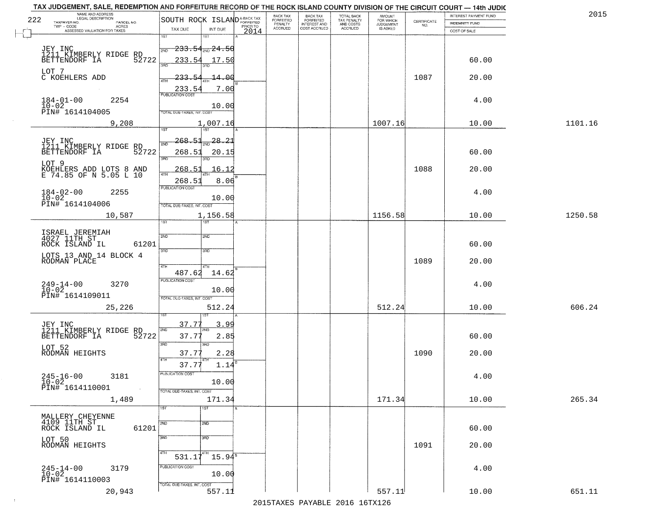| NAME AND ADDRESS<br>LEGAL DESCRIPTION<br>222                        | SOUTH ROCK ISLAND <sup>A-BACK TAX</sup>                    | BACK TAX<br>FORFEITED | BACK TAX<br>FORFEITED        | TOTAL BACK<br>TAX PENALTY | <b>AMOUNT</b>                      |                    | INTEREST PAYMENT FUND | 2015    |
|---------------------------------------------------------------------|------------------------------------------------------------|-----------------------|------------------------------|---------------------------|------------------------------------|--------------------|-----------------------|---------|
| TAXPAYER NO.<br>PARCEL NO.<br>TWP - CODE<br>ACRES                   | PRIOR TO                                                   | PENALTY<br>ACCRUED    | INTEREST AND<br>COST ACCRUED | AND COSTS                 | FOR WHICH<br>JUDGEMENT<br>IS ASKED | CERTIFICATE<br>NO. | <b>INDEMNITY FUND</b> |         |
| ASSESSED VALUATION FOR TAXES                                        | TAX DUE<br>INT DUE<br>2014<br>1ST<br>1ST                   |                       |                              | ACCRUED                   |                                    |                    | COST OF SALE          |         |
|                                                                     | $-233.54$ <sub>200</sub> $-24.50$                          |                       |                              |                           |                                    |                    |                       |         |
| JEY INC<br>1211 KIMBERLY RIDGE RD<br>1777 TA 52722                  | 2ND<br>233.54<br>17.50                                     |                       |                              |                           |                                    |                    | 60.00                 |         |
|                                                                     | 390                                                        |                       |                              |                           |                                    |                    |                       |         |
| LOT 7<br>C KOEHLERS ADD                                             | 233.54<br>-14.00<br>4TH                                    |                       |                              |                           |                                    | 1087               | 20.00                 |         |
| $184 - 01 - 00$<br>2254                                             | 7.00<br>233.54<br><b>PUBLICATION COST</b>                  |                       |                              |                           |                                    |                    | 4.00                  |         |
| $10 - 02$<br>PIN# 1614104005                                        | 10.00<br>TOTAL DUE-TAXES, INT. COS                         |                       |                              |                           |                                    |                    |                       |         |
| 9,208                                                               | 1,007.16                                                   |                       |                              |                           | 1007.16                            |                    | 10.00                 | 1101.16 |
|                                                                     | Tist<br>1ST                                                |                       |                              |                           |                                    |                    |                       |         |
| JEY INC<br>1211 KIMBERLY RIDGE RD<br>BETTENDORF IA 52               | <u> 268.51</u><br>28.21<br>2ND<br>52722<br>268.51<br>20.15 |                       |                              |                           |                                    |                    | 60.00                 |         |
| LOT 9                                                               | 3RD<br>3RD                                                 |                       |                              |                           |                                    |                    |                       |         |
| KOEHLERS ADD LOTS 8 AND<br>E 74.85 OF N 5.05 L 10                   | 268.5<br>16.12<br>47H                                      |                       |                              |                           |                                    | 1088               | 20.00                 |         |
|                                                                     | 8.06<br>268.5<br>PUBLICATION COST                          |                       |                              |                           |                                    |                    |                       |         |
| $184 - 02 - 00$<br>$10 - 02$<br>2255<br>PIN# <sup>-1614104006</sup> | 10.00                                                      |                       |                              |                           |                                    |                    | 4.00                  |         |
| 10,587                                                              | TOTAL DUE-TAXES, INT. COST<br>1,156.58                     |                       |                              |                           | 1156.58                            |                    | 10.00                 | 1250.58 |
|                                                                     | 1ST                                                        |                       |                              |                           |                                    |                    |                       |         |
| ISRAEL JEREMIAH<br>4027 11TH ST                                     | 2ND<br>2ND                                                 |                       |                              |                           |                                    |                    |                       |         |
| ROCK ISLAND IL                                                      | 61201<br>3BD<br>3 <sub>BD</sub>                            |                       |                              |                           |                                    |                    | 60.00                 |         |
| LOTS 13 AND 14 BLOCK 4<br>RODMAN PLACE                              | 4TH<br>4TH                                                 |                       |                              |                           |                                    | 1089               | 20.00                 |         |
|                                                                     | 487.62<br>14.62<br><b>PUBLICATION COST</b>                 |                       |                              |                           |                                    |                    |                       |         |
| $249 - 14 - 00$<br>$10 - 02$<br>3270                                | 10.00                                                      |                       |                              |                           |                                    |                    | 4.00                  |         |
| PIN# 1614109011<br>25,226                                           | TOTAL OUE-TAXES, INT. COST<br>512.24                       |                       |                              |                           | 512.24                             |                    | 10.00                 | 606.24  |
|                                                                     |                                                            |                       |                              |                           |                                    |                    |                       |         |
| JEY INC<br>1211_KIMBERLY RIDGE RD                                   | 37.77<br><u>3.99</u><br>2ND<br>2ND                         |                       |                              |                           |                                    |                    |                       |         |
| BETTENDORF IA                                                       | 52722<br>37.77<br>2.85<br>3 <sub>BD</sub><br>3BD           |                       |                              |                           |                                    |                    | 60.00                 |         |
| LOT 52<br>RODMAN HEIGHTS                                            | 37.77<br>2.28                                              |                       |                              |                           |                                    | 1090               | 20.00                 |         |
|                                                                     | 1.14<br>37.77<br>PUBLICATION COST                          |                       |                              |                           |                                    |                    |                       |         |
| $245 - 16 - 00$<br>10-02<br>3181                                    | 10.00                                                      |                       |                              |                           |                                    |                    | 4.00                  |         |
| PIN# 1614110001<br>1,489                                            | $\sim 10^{-1}$<br>TOTAL DUE-TAXES, INT. COST<br>171.34     |                       |                              |                           | 171.34                             |                    | 10.00                 | 265.34  |
|                                                                     | 1ST<br>1ST                                                 |                       |                              |                           |                                    |                    |                       |         |
| MALLERY CHEYENNE<br>4109 11TH ST                                    | 2ND<br>2ND                                                 |                       |                              |                           |                                    |                    |                       |         |
| ROCK ISLAND IL                                                      | 61201<br>3BD<br>3 <sub>BD</sub>                            |                       |                              |                           |                                    |                    | 60.00                 |         |
| LOT 50<br>RODMAN HEIGHTS                                            |                                                            |                       |                              |                           |                                    | 1091               | 20.00                 |         |
|                                                                     | 4TH<br>$531.1\overline{7}$<br>$15.94^{\circ}$              |                       |                              |                           |                                    |                    |                       |         |
| $245 - 14 - 00$<br>$10 - 02$<br>3179                                | PUBLICATION COST<br>10.00                                  |                       |                              |                           |                                    |                    | 4.00                  |         |
| PIN# 1614110003                                                     | TOTAL DUE-TAXES, INT. COST                                 |                       |                              |                           | 557.11                             |                    |                       | 651.11  |
| 20,943                                                              | 557.11                                                     |                       |                              |                           |                                    |                    | 10.00                 |         |

 $\sim 100$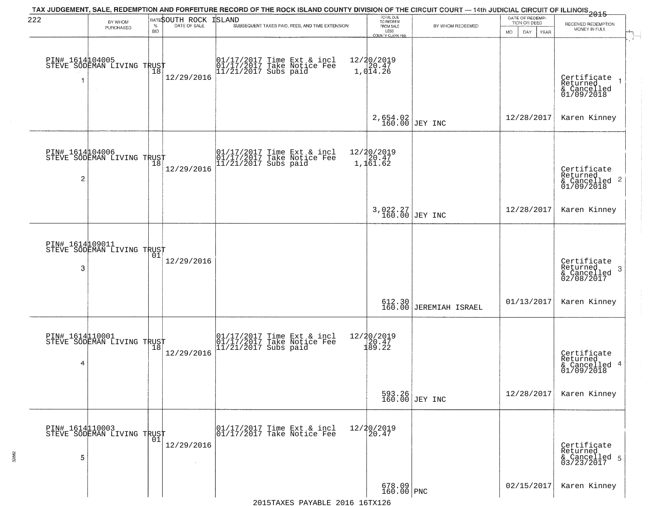| 222                  | BY WHOM<br>PURCHASED                                     | <b>BID</b> | <b>RATESOUTH ROCK ISLAND</b><br>% DATE OF SALE | TAX JUDGEMENT, SALE, REDEMPTION AND FORFEITURE RECORD OF THE ROCK ISLAND COUNTY DIVISION OF THE CIRCUIT COURT — 14th JUDICIAL CIRCUIT OF ILLINOIS 2015<br>SUBSEQUENT TAXES PAID, FEES, AND TIME EXTENSION | TOTAL DUE<br>TO REDEEM<br>FROM SALE                             | BY WHOM REDEEMED                 | DATE OF REDEMP-<br>TION OR DEED<br>MO.<br>DAY<br>YEAR | RECEIVED REDEMPTION<br>MONEY IN FULL                       |
|----------------------|----------------------------------------------------------|------------|------------------------------------------------|-----------------------------------------------------------------------------------------------------------------------------------------------------------------------------------------------------------|-----------------------------------------------------------------|----------------------------------|-------------------------------------------------------|------------------------------------------------------------|
| PIN# 1614104005<br>1 | STEVE SODEMAN LIVING TRUST                               |            | 12/29/2016                                     | 01/17/2017 Time Ext & incl<br>01/17/2017 Take Notice Fee<br>11/21/2017 Subs paid                                                                                                                          | LESS<br>COUNTY CLERK FEE<br>$12/20/2019$<br>$20.47$<br>1,014.26 |                                  |                                                       | Certificate<br>Returned<br>& Cancelled<br>01/09/2018       |
|                      |                                                          |            |                                                |                                                                                                                                                                                                           | 2,654.02<br>160.00 JEY INC                                      |                                  | 12/28/2017                                            | Karen Kinney                                               |
| PIN# 1614104006<br>2 | STEVE SODEMAN LIVING TRUST<br>STEVE SODEMAN LIVING TRUST |            | 12/29/2016                                     | 01/17/2017 Time Ext & incl<br>01/17/2017 Take Notice Fee<br>11/21/2017 Subs paid                                                                                                                          | 12/20/2019<br>20.47<br>1,161.62                                 |                                  |                                                       | Certificate<br>Returned<br>& Cancelled 2<br>01/09/2018     |
|                      |                                                          |            |                                                |                                                                                                                                                                                                           | 3,022.27<br>160.00 JEY INC                                      |                                  | 12/28/2017                                            | Karen Kinney                                               |
| PIN# 1614109011<br>3 | STEVE SODEMAN LIVING TRUST                               |            | 12/29/2016                                     |                                                                                                                                                                                                           |                                                                 |                                  |                                                       | Certificate<br>Returned<br>-3<br>& Cancelled<br>02/08/2017 |
|                      |                                                          |            |                                                |                                                                                                                                                                                                           |                                                                 | 612.30<br>160.00 JEREMIAH ISRAEL | 01/13/2017                                            | Karen Kinney                                               |
| PIN# 1614110001<br>4 | STEVE SODEMAN LIVING TRUST                               |            | 12/29/2016                                     | 01/17/2017 Time Ext & incl<br>01/17/2017 Take Notice Fee<br>11/21/2017 Subs paid                                                                                                                          | $\begin{array}{r} 12/20/2019 \\ 120.47 \\ 189.22 \end{array}$   |                                  |                                                       | Certificate<br>Returned<br>& Cancelled 4<br>01/09/2018     |
|                      |                                                          |            |                                                |                                                                                                                                                                                                           |                                                                 | 593.26<br>160.00 JEY INC         | 12/28/2017                                            | Karen Kinney                                               |
| 5                    | PIN# 1614110003<br>STEVE SODEMAN LIVING TRUST            | 01         | 12/29/2016                                     | 01/17/2017 Time Ext & incl<br>01/17/2017 Take Notice Fee                                                                                                                                                  | 12/20/2019<br>20.47                                             |                                  |                                                       | Certificate<br>Returned<br>& Cancelled 5<br>03/23/2017     |
|                      |                                                          |            |                                                |                                                                                                                                                                                                           | $678.09$ PNC                                                    |                                  | 02/15/2017                                            | Karen Kinney                                               |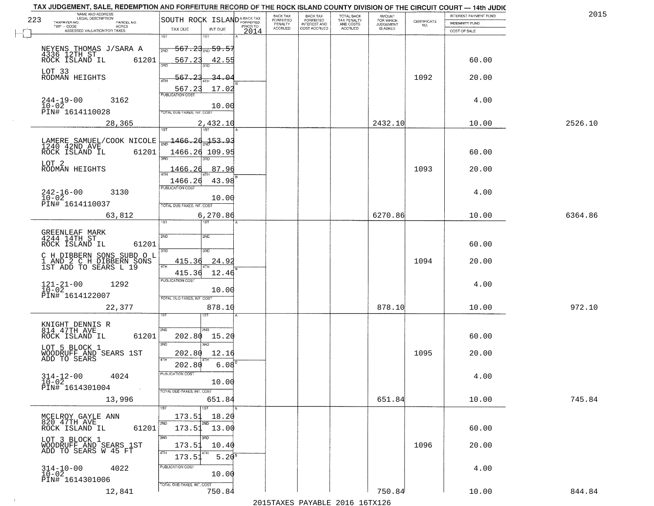|     | TAX JUDGEMENT, SALE, REDEMPTION AND FORFEITURE RECORD OF THE ROCK ISLAND COUNTY DIVISION OF THE CIRCUIT COURT - 14th JUDIC<br>NAME AND ADDRESS<br>LEGAL DESCRIPTION |                                                                                                            | BACK TAX             | <b>BACK TAX</b>           | <b>TOTAL BACK</b>        | AMOUNT<br>FOR WHICH |                                                                 | INTEREST PAYMENT FUND | 2015    |
|-----|---------------------------------------------------------------------------------------------------------------------------------------------------------------------|------------------------------------------------------------------------------------------------------------|----------------------|---------------------------|--------------------------|---------------------|-----------------------------------------------------------------|-----------------------|---------|
| 223 | TAXPAYER NO.<br>PARCEL NO.<br>ACRES                                                                                                                                 | SOUTH ROCK ISLAND <sup>A-BACK TAX</sup><br>PRIOR TO                                                        | FORFEITED<br>PENALTY | FORFEITED<br>INTEREST AND | TAX PENALTY<br>AND COSTS | <b>JUDGEMENT</b>    | $\begin{array}{c} \text{CERTIFICATE} \\ \text{NO.} \end{array}$ | INDEMNITY FUND        |         |
|     | ASSESSED VALUATION FOR TAXES                                                                                                                                        | TAX DUE<br>INT DUE<br>2014                                                                                 | <b>ACCRUED</b>       | COST ACCRUED              | <b>ACCRUED</b>           | IS ASKED            |                                                                 | COST OF SALE          |         |
|     | NEYENS THOMAS J/SARA A<br>4336 12TH ST<br>ROCK ISLAND IL 612<br>61201                                                                                               | 1ST<br>18T<br><del>567.23<sub>2ND</sub> 59.57</del><br>2ND<br>567.23<br>42.55                              |                      |                           |                          |                     |                                                                 | 60.00                 |         |
|     | LOT 33<br>RODMAN HEIGHTS                                                                                                                                            | 567.23<br><u>34.04</u><br>17.02                                                                            |                      |                           |                          |                     | 1092                                                            | 20.00                 |         |
|     | $244-19-00$<br>$10-02$<br>3162<br>PIN# 1614110028                                                                                                                   | 567.23<br>10.00<br>TOTAL DUE-TAXES, INT. COST                                                              |                      |                           |                          |                     |                                                                 | 4.00                  |         |
|     | 28,365                                                                                                                                                              | 2,432.10                                                                                                   |                      |                           |                          | 2432.10             |                                                                 | 10.00                 | 2526.10 |
|     | LAMERE SAMUEL/COOK NICOLE<br>1240 42ND AVE<br>61201<br>ROCK ISLAND IL<br>LOT 2<br>RODMAN HEIGHTS                                                                    | $\frac{1466.26}{200}$ 153.93<br>1466.26 109.95<br>87.96<br>1466.26<br>43.98<br>1466.26<br>PUBLICATION COST |                      |                           |                          |                     | 1093                                                            | 60.00<br>20.00        |         |
|     | $242 - 16 - 00$<br>3130<br>$10 - 02$<br>PIN# 1614110037<br>63,812                                                                                                   | 10.00<br>TOTAL DUE-TAXES, INT. COST<br>6, 270.86                                                           |                      |                           |                          | 6270.86             |                                                                 | 4.00<br>10.00         | 6364.86 |
|     |                                                                                                                                                                     | īst<br>1ST                                                                                                 |                      |                           |                          |                     |                                                                 |                       |         |
|     | GREENLEAF MARK<br>4244 14TH ST<br>ROCK ISLAND IL<br>61201<br>C H DIBBERN SONS SUBD O L<br>1 AND 2 C H DIBBERN SONS<br>1ST ADD TO SEARS L 19                         | 2ND<br>2ND<br>3RD<br>3RD<br>415.36<br>24.9                                                                 |                      |                           |                          |                     | 1094                                                            | 60.00<br>20.00        |         |
|     | $121 - 21 - 00$<br>$10 - 02$<br>1292<br>PIN# 1614122007                                                                                                             | 4TH<br>415.36<br>12.46<br><b>PUBLICATION COST</b><br>10.00<br>TOTAL OUE-TAXES, INT. COST                   |                      |                           |                          |                     |                                                                 | 4.00                  |         |
|     | 22,377                                                                                                                                                              | 878.10                                                                                                     |                      |                           |                          | 878.10              |                                                                 | 10.00                 | 972.10  |
|     | KNIGHT DENNIS R<br>814 47TH AVE<br>ROCK ISLAND IL<br>61201<br>LOT 5 BLOCK 1<br>WOODRUFF AND SEARS 1ST<br>ADD TO SEARS                                               | 2ND<br>'ND<br>202.80<br>15.20<br>3RD<br>m<br>202.80<br>12.16<br>4TH                                        |                      |                           |                          |                     | 1095                                                            | 60.00<br>20.00        |         |
|     | $314 - 12 - 00$<br>4024<br>$10 - 02$<br>PIN# 1614301004<br>$\sim 100$ km $^{-1}$                                                                                    | $6.08^{B}$<br>202.80<br>"UBLICA HUN CUS<br>10.00<br>TOTAL DUE-TAXES, INT. COST                             |                      |                           |                          |                     |                                                                 | 4.00                  |         |
|     | 13,996                                                                                                                                                              | 651.84                                                                                                     |                      |                           |                          | 651.84              |                                                                 | 10.00                 | 745.84  |
|     | MCELROY GAYLE ANN<br>820 47TH AVE<br>61201<br>ROCK ISLAND IL                                                                                                        | 1ST<br>173.51<br>18.20<br>2ND<br>2ND<br>$173.51$ 13.00<br>3RD<br>3BD                                       |                      |                           |                          |                     |                                                                 | 60.00                 |         |
|     | LOT 3 BLOCK 1<br>WOODRUFF AND SEARS 1ST<br>ADD TO SEARS W 45 FT                                                                                                     | 173.51<br>10.40<br>4TH<br>$5.20^{8}$<br>173.51<br>PUBLICATION COST                                         |                      |                           |                          |                     | 1096                                                            | 20.00                 |         |
|     | $314-10-00$<br>$10-02$<br>4022<br>PIN# 1614301006<br>12,841                                                                                                         | 10.00<br>TOTAL DUE-TAXES, INT. COST<br>750.84                                                              |                      |                           |                          | 750.84              |                                                                 | 4.00<br>10.00         | 844.84  |
|     |                                                                                                                                                                     |                                                                                                            |                      |                           |                          |                     |                                                                 |                       |         |

 $\sim 10^{-1}$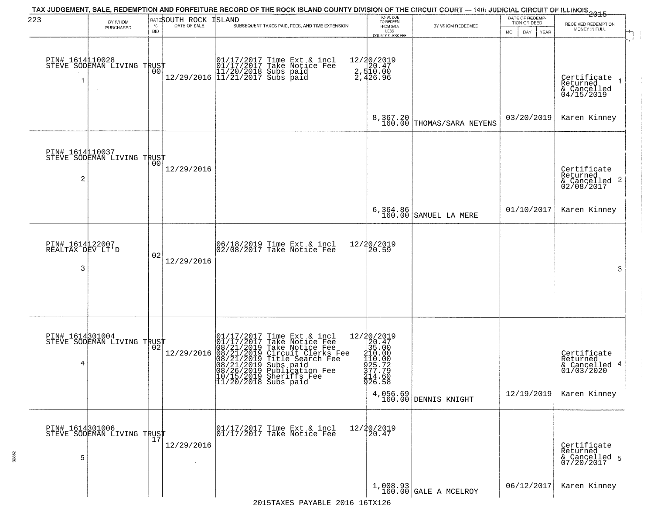| 223                                      | BY WHOM<br>PURCHASED                              | $\%$<br><b>BID</b> | RATESOUTH ROCK<br>DATE OF SALE | TAX JUDGEMENT, SALE, REDEMPTION AND FORFEITURE RECORD OF THE ROCK ISLAND COUNTY DIVISION OF THE CIRCUIT COURT — 14th JUDICIAL CIRCUIT OF ILLINOIS 2015<br><b>ISLAND</b><br>SUBSEQUENT TAXES PAID, FEES, AND TIME EXTENSION                                                             | TOTAL DUE<br>TO REDEEM<br>FROM SALE<br>LESS<br>COUNTY CLERK FEE                                                                                | BY WHOM REDEEMED                      | DATE OF REDEMP<br>TION OR DEED<br>MO.<br>DAY.<br>YEAR | RECEIVED REDEMPTION<br>MONEY IN FULL                                      |
|------------------------------------------|---------------------------------------------------|--------------------|--------------------------------|----------------------------------------------------------------------------------------------------------------------------------------------------------------------------------------------------------------------------------------------------------------------------------------|------------------------------------------------------------------------------------------------------------------------------------------------|---------------------------------------|-------------------------------------------------------|---------------------------------------------------------------------------|
|                                          | PIN# 1614110028    <br>STEVE SODEMAN LIVING TRUST | 00                 |                                | 01/17/2017 Time Ext & incl<br>01/17/2017 Take Notice Fee<br>11/20/2018 Subs paid<br>12/29/2016 11/21/2017 Subs paid                                                                                                                                                                    | 12/20/2019<br>2,520.47<br>2,510.00<br>2,426.96                                                                                                 |                                       |                                                       | Certifiçate<br>Returned<br>& Cancelled<br>04/15/2019                      |
|                                          |                                                   |                    |                                |                                                                                                                                                                                                                                                                                        |                                                                                                                                                | 8,367.20<br>160.00 THOMAS/SARA NEYENS | 03/20/2019                                            | Karen Kinney                                                              |
| $\overline{c}$                           | PIN# 1614110037<br>STEVE SODEMAN LIVING TRUST     | 00                 | 12/29/2016                     |                                                                                                                                                                                                                                                                                        |                                                                                                                                                |                                       |                                                       | Certificate<br>Returned<br>& Cancelled 2<br>02/08/2017                    |
|                                          |                                                   |                    |                                |                                                                                                                                                                                                                                                                                        |                                                                                                                                                | 6,364.86<br>160.00 SAMUEL LA MERE     | 01/10/2017                                            | Karen Kinney                                                              |
| PIN# 1614122007<br>REALTAX DEV LT'D<br>3 |                                                   | 02                 | 12/29/2016                     | 06/18/2019 Time Ext & incl<br>02/08/2017 Take Notice Fee                                                                                                                                                                                                                               | 12/20/2019<br>20.59                                                                                                                            |                                       |                                                       | 3                                                                         |
| 4                                        | PIN# 1614301004<br>STEVE SODEMAN LIVING TRUST     |                    | 12/29/2016                     | 01/17/2017 Time Ext & incl<br>01/17/2017 Take Notice Fee<br>08/21/2019 Take Notice Fee<br>08/21/2019 Title Search Fee<br>08/21/2019 Title Search Fee<br>08/21/2019 Subs paid<br>08/26/2019 Substiffs Tee<br>08/26/2019 Shariffs Tee<br>10/15/2019 Sheriffs Fee<br>11/20/2018 Subs paid | $12/20/201920.4735.00410.00$<br>$\frac{110 \cdot 00}{25 \cdot 72}$<br>$\frac{377 \cdot 79}{24 \cdot 60}$<br>$\frac{214 \cdot 60}{26 \cdot 58}$ | 4,056.69<br>160.00 DENNIS KNIGHT      | 12/19/2019                                            | Certificate<br>Returned<br>4<br>& Cancelled<br>01/03/2020<br>Karen Kinney |
| PIN# 1614301006<br>5                     | PIN# 1614301000<br>STEVE SODEMAN LIVING TRUST     |                    | 12/29/2016<br>$\sim$           | 01/17/2017 Time Ext & incl<br>01/17/2017 Take Notice Fee                                                                                                                                                                                                                               | 12/20/2019<br>20.47                                                                                                                            |                                       |                                                       | Certificate<br>Returned<br>& Cancelled 5<br>07/20/2017                    |
|                                          |                                                   |                    |                                |                                                                                                                                                                                                                                                                                        |                                                                                                                                                | 1,008.93<br>160.00 GALE A MCELROY     | 06/12/2017                                            | Karen Kinney                                                              |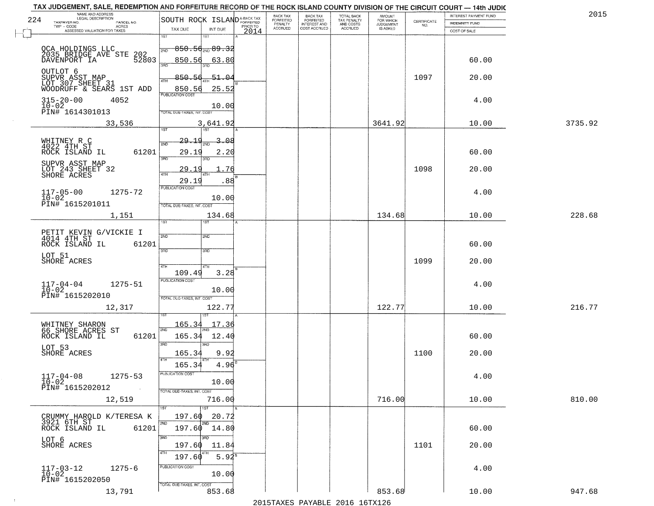|     | TAX JUDGEMENT, SALE, REDEMPTION AND FORFEITURE RECORD OF THE ROCK ISLAND COUNTY DIVISION OF THE CIRCUIT COURT - 14th JUDIC<br>NAME AND ADDRESS<br>LEGAL DESCRIPTION |                                                          |                                             |                  | BACK TAX           | <b>BACK TAX</b>              | TOTAL BACK               | <b>AMOUNT</b>                      |                    | INTEREST PAYMENT FUND | 2015    |
|-----|---------------------------------------------------------------------------------------------------------------------------------------------------------------------|----------------------------------------------------------|---------------------------------------------|------------------|--------------------|------------------------------|--------------------------|------------------------------------|--------------------|-----------------------|---------|
| 224 | TAXPAYER NO.<br>PARCEL NO.                                                                                                                                          | SOUTH ROCK ISLAND <sup>A-BACK TAX</sup>                  |                                             |                  | FORFEITED          | <b>FORFEITED</b>             | TAX PENALTY<br>AND COSTS | FOR WHICH<br>JUDGEMENT<br>IS ASKED | CERTIFICATE<br>NO. | <b>INDEMNITY FUND</b> |         |
|     | TWP - CODE<br>- CODE ACRES<br>ASSESSED VALUATION FOR TAXES                                                                                                          | TAX DUE                                                  | INT DUE                                     | PRIOR TO<br>2014 | PENALTY<br>ACCRUED | INTEREST AND<br>COST ACCRUED | ACCRUED                  |                                    |                    | COST OF SALE          |         |
|     | OCA HOLDINGS LLC<br>2035 BRIDGE AVE STE<br>202<br>52803<br>DAVENPORT IA                                                                                             | 1ST<br>-850.56 <sub>2№</sub> 89.32<br>2ND<br>850.56      | 1ST                                         |                  |                    |                              |                          |                                    |                    | 60.00                 |         |
|     | OUTLOT 6<br>SUPVR ASST MAP                                                                                                                                          | 3RD<br>850.56<br>4TH                                     | 63.80<br>3BD<br>$-51.04$                    |                  |                    |                              |                          |                                    | 1097               | 20.00                 |         |
|     | LOT 307 SHEET 31<br>WOODRUFF & SEARS 1ST ADD<br>$315 - 20 - 00$<br>4052<br>$10-02$<br>PIN# 1614301013                                                               | 850.56<br>PUBLICATION COST<br>TOTAL DUE-TAXES, INT. COST | 25.52<br>10.00                              |                  |                    |                              |                          |                                    |                    | 4.00                  |         |
|     | 33,536                                                                                                                                                              | 1ST                                                      | 3,641.92<br>75T                             |                  |                    |                              |                          | 3641.92                            |                    | 10.00                 | 3735.92 |
|     | WHITNEY R C<br>4022 4TH ST<br>ROCK ISLAND IL<br>61201                                                                                                               | <u> 29.19</u><br>2ND<br>29.19<br>3RD                     | ΩЯ<br>2.20<br>3RD                           |                  |                    |                              |                          |                                    |                    | 60.00                 |         |
|     | SUPVR ASST MAP<br>LOT 243 SHEET 32<br>SHORE ACRES                                                                                                                   | 29.1<br>47H<br>29.19                                     | 76<br>4TH<br>.88                            |                  |                    |                              |                          |                                    | 1098               | 20.00                 |         |
|     | $117 - 05 - 00$<br>1275-72<br>$10-02$<br>PIN# 1615201011                                                                                                            | PUBLICATION COST<br>TOTAL DUE-TAXES, INT. COST           | 10.00                                       |                  |                    |                              |                          |                                    |                    | 4.00                  |         |
|     | 1,151                                                                                                                                                               | ist.                                                     | 134.68<br>ST                                |                  |                    |                              |                          | 134.68                             |                    | 10.00                 | 228.68  |
|     | PETIT KEVIN G/VICKIE I<br>4014 4TH ST<br>61201<br>ROCK ISLAND IL                                                                                                    | 2ND<br>3BD                                               | 2ND<br>3 <sub>3</sub>                       |                  |                    |                              |                          |                                    |                    | 60.00                 |         |
|     | LOT 51<br>SHORE ACRES                                                                                                                                               | 4TH<br>109.49                                            | 4TH<br>3.28                                 |                  |                    |                              |                          |                                    | 1099               | 20.00                 |         |
|     | $117 - 04 - 04$<br>10-02<br>1275-51<br>PIN# 1615202010                                                                                                              | <b>PUBLICATION COST</b><br>TOTAL OUE-TAXES, INT. COST    | 10.00                                       |                  |                    |                              |                          |                                    |                    | 4.00                  |         |
|     | 12,317                                                                                                                                                              |                                                          | 122.77                                      |                  |                    |                              |                          | 122.77                             |                    | 10.00                 | 216.77  |
|     | WHITNEY SHARON<br>66 SHORE ACRES ST<br>ROCK ISLAND IL<br>61201                                                                                                      | <u> 165.34</u><br>2ND<br>165.34<br>3RD                   | 17.36<br>12.40<br>3RD                       |                  |                    |                              |                          |                                    |                    | 60.00                 |         |
|     | LOT 53<br>SHORE ACRES                                                                                                                                               | 165.34<br>4TH<br>165.34                                  | 9.92<br>4.96                                |                  |                    |                              |                          |                                    | 1100               | 20.00                 |         |
|     | $117 - 04 - 08$<br>$10 - 02$<br>$1275 - 53$<br>PIN# 1615202012                                                                                                      | PUBLICATION COST<br>TOTAL DUE-TAXES, INT. COST           | 10.00                                       |                  |                    |                              |                          |                                    |                    | 4.00                  |         |
|     | 12,519                                                                                                                                                              | 1ST <sup>1</sup>                                         | 716.00<br>1ST                               |                  |                    |                              |                          | 716.00                             |                    | 10.00                 | 810.00  |
|     | CRUMMY HAROLD K/TERESA K<br>3921 6TH ST<br>ROCK ISLAND IL<br>61201                                                                                                  | 197.60<br>2ND<br>197.60<br>3RD                           | 20.72<br>2ND<br>14.80                       |                  |                    |                              |                          |                                    |                    | 60.00                 |         |
|     | LOT 6<br>SHORE ACRES                                                                                                                                                | 197.60<br>4TH<br>197.60                                  | 3RD<br>11.84<br>4TH<br>$5.94^{\frac{8}{3}}$ |                  |                    |                              |                          |                                    | 1101               | 20.00                 |         |
|     | $1275 - 6$<br>$117 - 03 - 12$<br>10-02<br>PIN# 1615202050                                                                                                           | PUBLICATION COST<br>TOTAL DUE-TAXES, INT. COST           | 10.00                                       |                  |                    |                              |                          |                                    |                    | 4.00                  |         |
|     | 13,791                                                                                                                                                              |                                                          | 853.68                                      |                  |                    |                              |                          | 853.68                             |                    | 10.00                 | 947.68  |

 $\sim 10$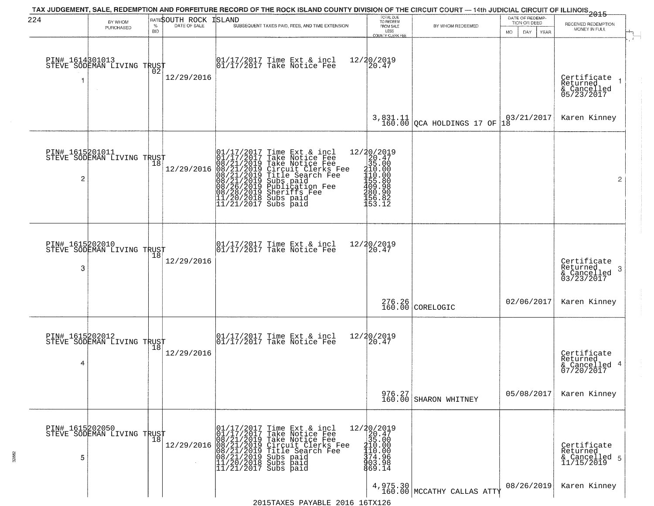| 224                  | BY WHOM<br>PURCHASED                                     | %<br><b>BID</b> | RATESOUTH ROCK ISLAND<br>DATE OF SALE | TAX JUDGEMENT, SALE, REDEMPTION AND FORFEITURE RECORD OF THE ROCK ISLAND COUNTY DIVISION OF THE CIRCUIT COURT — 14th JUDICIAL CIRCUIT OF ILLINOIS 2015<br>SUBSEQUENT TAXES PAID, FEES, AND TIME EXTENSION                                            | TOTAL DUE<br>TO REDEEM<br>FROM SALE<br>LESS<br>COUNTY CLERK FEE                                                                             | BY WHOM REDEEMED                      | DATE OF REDEMP-<br>TION OR DEED<br>MO.<br>DAY<br>YEAR | RECEIVED REDEMPTION<br>MONEY IN FULL                       |
|----------------------|----------------------------------------------------------|-----------------|---------------------------------------|------------------------------------------------------------------------------------------------------------------------------------------------------------------------------------------------------------------------------------------------------|---------------------------------------------------------------------------------------------------------------------------------------------|---------------------------------------|-------------------------------------------------------|------------------------------------------------------------|
| PIN# 1614301013      | STEVE SODEMAN LIVING TRUST                               | 02              | 12/29/2016                            | 01/17/2017 Time Ext & incl<br>01/17/2017 Take Notice Fee                                                                                                                                                                                             | 12/20/2019<br>20.47                                                                                                                         |                                       |                                                       | Certificate<br>Returned<br>& Cancelled<br>05/23/2017       |
|                      |                                                          |                 |                                       |                                                                                                                                                                                                                                                      |                                                                                                                                             | $3,831.11$ QCA HOLDINGS 17 OF         | 03/21/2017<br>18                                      | Karen Kinney                                               |
| PIN# 1615201011<br>2 | STEVE SODEMAN LIVING TRUST<br>STEVE SODEMAN LIVING TRUST |                 | 12/29/2016                            | 01/17/2017 Time Ext & incl<br>01/17/2017 Take Notice Fee<br>08/21/2019 Take Notice Fee<br>08/21/2019 Circuit Clerks Fee<br>08/21/2019 Title Search Fee<br>08/21/2019 Subs paid<br>08/26/2019 Sheriffs Fee<br>11/20/2018 Subs paid<br>11/21/2017 Subs | $=\begin{smallmatrix} 12/20/2019\\ 20.47\\ 35.00\\ 110.00\\ 110.00\\ 1155.80\\ 490.98 \end{smallmatrix}$<br>180.90<br>156.82<br>153.12      |                                       |                                                       | $\overline{2}$                                             |
| PIN# 1615202010<br>3 | STEVE SODEMAN LIVING TRUST                               |                 | 12/29/2016                            | 01/17/2017 Time Ext & incl<br>01/17/2017 Take Notice Fee                                                                                                                                                                                             | 12/20/2019<br>20.47                                                                                                                         |                                       |                                                       | Certificate<br>Returned<br>-3<br>& Cancelled<br>03/23/2017 |
|                      |                                                          |                 |                                       |                                                                                                                                                                                                                                                      |                                                                                                                                             | $276.26 \vert 160.00 \vert$ CORELOGIC | 02/06/2017                                            | Karen Kinney                                               |
| PIN# 1615202012<br>4 | STEVE SODEMAN LIVING TRUST                               |                 | 12/29/2016                            | 01/17/2017 Time Ext & incl<br>01/17/2017 Take Notice Fee                                                                                                                                                                                             | 12/20/2019<br>20.47                                                                                                                         |                                       |                                                       | Certificate<br>Returned<br>& Cancelled 4<br>07/20/2017     |
|                      |                                                          |                 |                                       |                                                                                                                                                                                                                                                      |                                                                                                                                             | 976.27<br>160.00 SHARON WHITNEY       | 05/08/2017                                            | Karen Kinney                                               |
| PIN# 1615202050<br>5 | STEVE SODEMAN LIVING TRUST                               |                 |                                       | 01/17/2017 Time Ext & incl<br>01/17/2017 Take Notice Fee<br>08/21/2019 Take Notice Fee<br>12/29/2016 08/21/2019 Circuit Clerks Fee<br>08/21/2019 Title Search Fee<br>08/21/2019 Subs paid<br>11/20/2018 Subs paid<br>11/21/2017 Subs paid            | $\begin{array}{r} 12/20/2019 \\ 20.47 \\ 35.00 \end{array}$<br>$\frac{210.00}{110.00}$<br>$\frac{110.00}{374.96}$<br>$\frac{303.98}{69.14}$ |                                       |                                                       | Certificate<br>Returned<br>& Cancelled 5<br>11/15/2019     |
|                      |                                                          |                 |                                       |                                                                                                                                                                                                                                                      |                                                                                                                                             | $4,975.30$ MCCATHY CALLAS ATTY        | 08/26/2019                                            | Karen Kinney                                               |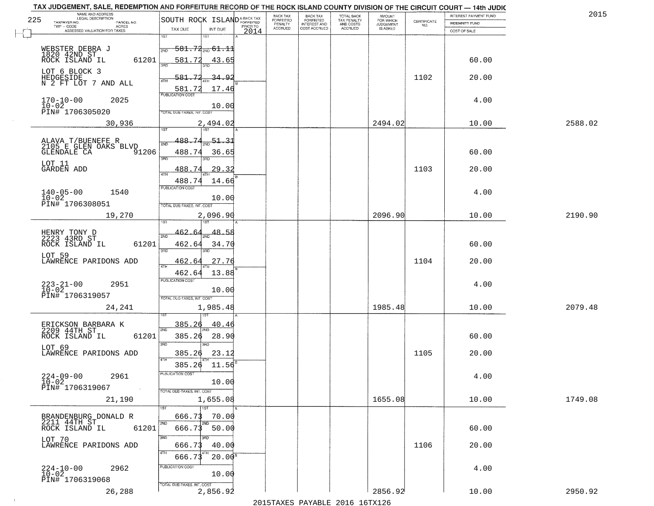|     | TAX JUDGEMENT, SALE, REDEMPTION AND FORFEITURE RECORD OF THE ROCK ISLAND COUNTY DIVISION OF THE CIRCUIT COURT - 14th JUDIC<br>NAME AND ADDRESS<br>LEGAL DESCRIPTION |                                            | BACK TAX             |                                              |                                        |                                         |                                                                 | INTEREST PAYMENT FUND | 2015    |
|-----|---------------------------------------------------------------------------------------------------------------------------------------------------------------------|--------------------------------------------|----------------------|----------------------------------------------|----------------------------------------|-----------------------------------------|-----------------------------------------------------------------|-----------------------|---------|
| 225 | TAXPAYER NO.<br>PARCEL NO.                                                                                                                                          | SOUTH ROCK ISLAND <sup>A-BACK TAX</sup>    | FORFEITED<br>PENALTY | BACK TAX<br>FORFEITED<br><b>INTEREST AND</b> | TOTAL BACK<br>TAX PENALTY<br>AND COSTS | AMOUNT<br>FOR WHICH<br><b>JUDGEMENT</b> | $\begin{array}{c} \text{CERTIFICATE} \\ \text{NO.} \end{array}$ | INDEMNITY FUND        |         |
|     | TWP - CODE<br>ACRES<br>ASSESSED VALUATION FOR TAXES                                                                                                                 | PRIOR TO<br>TAX DUE<br>INT DUE<br>2014     | <b>ACCRUED</b>       | COST ACCRUED                                 | ACCRUED                                | IS ASKED                                |                                                                 | COST OF SALE          |         |
|     |                                                                                                                                                                     | 1ST<br>1ST                                 |                      |                                              |                                        |                                         |                                                                 |                       |         |
|     |                                                                                                                                                                     | $-581.74_{\text{2ND}} 61.11$               |                      |                                              |                                        |                                         |                                                                 |                       |         |
|     | WEBSTER DEBRA J<br>1820 42ND ST<br>ROCK ISLAND IL                                                                                                                   | 2ND                                        |                      |                                              |                                        |                                         |                                                                 |                       |         |
|     | 61201                                                                                                                                                               | 581.72<br>43.65                            |                      |                                              |                                        |                                         |                                                                 | 60.00                 |         |
|     | LOT 6 BLOCK 3                                                                                                                                                       |                                            |                      |                                              |                                        |                                         | 1102                                                            |                       |         |
|     | HEDGESIDE<br>N 2 FT LOT 7 AND ALL                                                                                                                                   | 581.72<br>34.92                            |                      |                                              |                                        |                                         |                                                                 | 20.00                 |         |
|     |                                                                                                                                                                     | 17.46<br>581.72<br><b>PUBLICATION COST</b> |                      |                                              |                                        |                                         |                                                                 |                       |         |
|     | $170 - 10 - 00$<br>$10 - 02$<br>2025                                                                                                                                |                                            |                      |                                              |                                        |                                         |                                                                 | 4.00                  |         |
|     | PIN# 1706305020                                                                                                                                                     | 10.00<br>TOTAL DUE-TAXES, INT. COST        |                      |                                              |                                        |                                         |                                                                 |                       |         |
|     | 30,936                                                                                                                                                              | 2,494.02                                   |                      |                                              |                                        | 2494.02                                 |                                                                 | 10.00                 | 2588.02 |
|     |                                                                                                                                                                     |                                            |                      |                                              |                                        |                                         |                                                                 |                       |         |
|     |                                                                                                                                                                     | 51.31<br>188.74                            |                      |                                              |                                        |                                         |                                                                 |                       |         |
|     | ALAVA T/BUENEFE R<br>2105 E GLEN OAKS BLVD                                                                                                                          |                                            |                      |                                              |                                        |                                         |                                                                 |                       |         |
|     | <b>GLENDALE CA</b><br>91206                                                                                                                                         | 488.74<br>36.65<br>3RD<br>Ë                |                      |                                              |                                        |                                         |                                                                 | 60.00                 |         |
|     | LOT 11<br>GARDEN ADD                                                                                                                                                | 29.32<br>488.74                            |                      |                                              |                                        |                                         | 1103                                                            | 20.00                 |         |
|     |                                                                                                                                                                     | <b>ATH</b>                                 |                      |                                              |                                        |                                         |                                                                 |                       |         |
|     |                                                                                                                                                                     | 488.74<br>14.66<br>PUBLICATION COST        |                      |                                              |                                        |                                         |                                                                 |                       |         |
|     | $140 - 05 - 00$<br>1540                                                                                                                                             |                                            |                      |                                              |                                        |                                         |                                                                 | 4.00                  |         |
|     | $10 - 02$<br>PIN# 1706308051                                                                                                                                        | 10.00<br>TOTAL DUE-TAXES, INT. COST        |                      |                                              |                                        |                                         |                                                                 |                       |         |
|     | 19,270                                                                                                                                                              | 2,096.90                                   |                      |                                              |                                        | 2096.90                                 |                                                                 | 10.00                 | 2190.90 |
|     |                                                                                                                                                                     | 187                                        |                      |                                              |                                        |                                         |                                                                 |                       |         |
|     | HENRY TONY D<br>2223 43RD ST                                                                                                                                        | 48.58<br>462<br>2ND                        |                      |                                              |                                        |                                         |                                                                 |                       |         |
|     | ROCK ISLAND IL<br>61201                                                                                                                                             | 462.64<br>34.70                            |                      |                                              |                                        |                                         |                                                                 | 60.00                 |         |
|     |                                                                                                                                                                     | 3RD<br>3RD                                 |                      |                                              |                                        |                                         |                                                                 |                       |         |
|     | LOT 59<br>LAWRENCE PARIDONS ADD                                                                                                                                     | 462.64<br>27.76                            |                      |                                              |                                        |                                         | 1104                                                            | 20.00                 |         |
|     |                                                                                                                                                                     | 462.64<br>13.88                            |                      |                                              |                                        |                                         |                                                                 |                       |         |
|     |                                                                                                                                                                     | <b>PUBLICATION COST</b>                    |                      |                                              |                                        |                                         |                                                                 |                       |         |
|     | $223 - 21 - 00$<br>10-02<br>2951                                                                                                                                    | 10.00                                      |                      |                                              |                                        |                                         |                                                                 | 4.00                  |         |
|     | PIN# 1706319057                                                                                                                                                     | TOTAL OUE-TAXES, INT. COST                 |                      |                                              |                                        |                                         |                                                                 |                       |         |
|     | 24,241                                                                                                                                                              | 1,985.48                                   |                      |                                              |                                        | 1985.48                                 |                                                                 | 10.00                 | 2079.48 |
|     |                                                                                                                                                                     |                                            |                      |                                              |                                        |                                         |                                                                 |                       |         |
|     | ERICKSON BARBARA K<br>2209 44TH ST                                                                                                                                  | 385.26<br><u>40.46</u><br>2ND              |                      |                                              |                                        |                                         |                                                                 |                       |         |
|     | ROCK ISLAND IL<br>61201                                                                                                                                             | 385.26<br>28.90                            |                      |                                              |                                        |                                         |                                                                 | 60.00                 |         |
|     | LOT 69                                                                                                                                                              | 3RD<br>3BD                                 |                      |                                              |                                        |                                         |                                                                 |                       |         |
|     | LAWRENCE PARIDONS ADD                                                                                                                                               | 385.26<br>23.12                            |                      |                                              |                                        |                                         | 1105                                                            | 20.00                 |         |
|     |                                                                                                                                                                     | 4TH<br>385.26<br>11.56                     |                      |                                              |                                        |                                         |                                                                 |                       |         |
|     | $224 - 09 - 00$<br>2961                                                                                                                                             | PUBLICATION COS-                           |                      |                                              |                                        |                                         |                                                                 | 4.00                  |         |
|     | $10-02$                                                                                                                                                             | 10.00                                      |                      |                                              |                                        |                                         |                                                                 |                       |         |
|     | PIN# 1706319067<br>$\sim 100$                                                                                                                                       | TOTAL DUE-TAXES, INT. COST                 |                      |                                              |                                        |                                         |                                                                 |                       |         |
|     | 21,190                                                                                                                                                              | 1,655.08                                   |                      |                                              |                                        | 1655.08                                 |                                                                 | 10.00                 | 1749.08 |
|     |                                                                                                                                                                     | 1ST                                        |                      |                                              |                                        |                                         |                                                                 |                       |         |
|     | BRANDENBURG DONALD R<br>2211 44TH ST                                                                                                                                | 666.73<br>70.00<br>2ND                     |                      |                                              |                                        |                                         |                                                                 |                       |         |
|     | 61201<br>ROCK ISLAND IL                                                                                                                                             | 666.73<br>50.00                            |                      |                                              |                                        |                                         |                                                                 | 60.00                 |         |
|     | LOT 70                                                                                                                                                              | 3RD                                        |                      |                                              |                                        |                                         |                                                                 |                       |         |
|     | LAWRENCE PARIDONS ADD                                                                                                                                               | 40.00<br>666.73<br>4TH                     |                      |                                              |                                        |                                         | 1106                                                            | 20.00                 |         |
|     |                                                                                                                                                                     | $20.00^8$<br>666.7                         |                      |                                              |                                        |                                         |                                                                 |                       |         |
|     | $224-10-00$<br>10-02<br>2962                                                                                                                                        | PUBLICATION COST                           |                      |                                              |                                        |                                         |                                                                 | 4.00                  |         |
|     | PIN# 1706319068                                                                                                                                                     | 10.00                                      |                      |                                              |                                        |                                         |                                                                 |                       |         |
|     |                                                                                                                                                                     | TOTAL DUE-TAXES, INT. COST                 |                      |                                              |                                        |                                         |                                                                 |                       |         |
|     | 26,288                                                                                                                                                              | 2,856.92                                   |                      |                                              |                                        | 2856.92                                 |                                                                 | 10.00                 | 2950.92 |
|     |                                                                                                                                                                     |                                            |                      | 2015 TAVEC DAVADIE 2016 16TV126              |                                        |                                         |                                                                 |                       |         |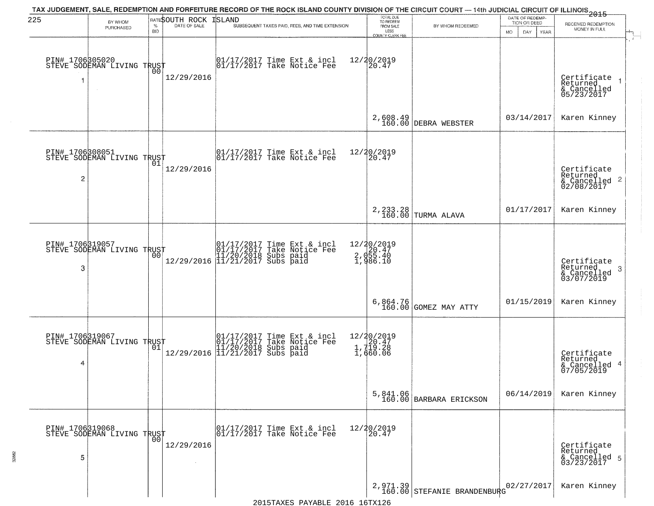| 225                  | BY WHOM                                           |                    | RATESOUTH ROCK       | TAX JUDGEMENT, SALE, REDEMPTION AND FORFEITURE RECORD OF THE ROCK ISLAND COUNTY DIVISION OF THE CIRCUIT COURT — 14th JUDICIAL CIRCUIT OF ILLINOIS 2015<br>ISLAND      | TOTAL DUE<br>TO REDEEM<br>FROM SALE               |                                           | DATE OF REDEMP-<br>TION OR DEED | RECEIVED REDEMPTION                                        |
|----------------------|---------------------------------------------------|--------------------|----------------------|-----------------------------------------------------------------------------------------------------------------------------------------------------------------------|---------------------------------------------------|-------------------------------------------|---------------------------------|------------------------------------------------------------|
|                      | PURCHASED                                         | $\%$<br><b>BID</b> | DATE OF SALE         | SUBSEQUENT TAXES PAID, FEES, AND TIME EXTENSION                                                                                                                       | LESS<br>COUNTY CLERK FEE                          | BY WHOM REDEEMED                          | MO.<br>DAY.<br>YEAR             | MONEY IN FULL                                              |
|                      | PIN# 1706305020    <br>STEVE SODEMAN LIVING TRUST | 00                 | 12/29/2016           | 01/17/2017 Time Ext & incl<br>01/17/2017 Take Notice Fee                                                                                                              | 12/20/2019<br>20.47                               |                                           |                                 | Certificate<br>Returned<br>& Cancelled<br>05/23/2017       |
|                      |                                                   |                    |                      |                                                                                                                                                                       |                                                   | 2,608.49<br>160.00 DEBRA WEBSTER          | 03/14/2017                      | Karen Kinney                                               |
| $\overline{c}$       | PIN# 1706308051<br>STEVE SODEMAN LIVING TRUST     | 01                 | 12/29/2016           | $\begin{bmatrix} 01/17/2017 \\ 01/17/2017 \end{bmatrix}$ Take Notice Fee                                                                                              | 12/20/2019<br>20.47                               |                                           |                                 | Certificate<br>Returned<br>$\frac{12241164}{62/08/2017}$ 2 |
|                      |                                                   |                    |                      |                                                                                                                                                                       |                                                   | 2, 233.28<br>160.00 TURMA ALAVA           | 01/17/2017                      | Karen Kinney                                               |
| PIN# 1706319057<br>3 | STEVE SODEMAN LIVING TRUST                        | 00                 |                      | $[01/17/2017 \t\t Time \t\t Ext & incl \\ [01/17/2017 \t\t Take \tNotice \tFeel \\ [11/20/2018 \t\ Subs \tpaid \\ [12/29/2016 \t\t \t] 11/21/2017 \t\ Subs \tpaid \t$ | 12/20/2019<br>2, d20.47<br>2, d55.40<br>1, 986.10 |                                           |                                 | Certificate<br>Returned<br>3<br>& Cancelled<br>03/07/2019  |
|                      |                                                   |                    |                      |                                                                                                                                                                       |                                                   | 6,864.76<br>160.00 GOMEZ MAY ATTY         | 01/15/2019                      | Karen Kinney                                               |
| 4                    | PIN# 1706319067<br>STEVE SODEMAN LIVING TRUST     |                    |                      | 01/17/2017 Time Ext & incl<br>01/17/2017 Take Notice Fee<br>11/20/2018 Subs paid<br>12/29/2016 11/21/2017 Subs paid                                                   | 12/20/2019<br>1,720.47<br>1,719.28<br>1,660.06    |                                           |                                 | Certificate<br>Returned<br>& Cancelled 4<br>07/05/2019     |
|                      |                                                   |                    |                      |                                                                                                                                                                       |                                                   | 5,841.06<br>160.00 BARBARA ERICKSON       | 06/14/2019                      | Karen Kinney                                               |
| 5                    | PIN# 1706319068    <br>STEVE SODEMAN LIVING TRUST | 0 <sub>0</sub>     | 12/29/2016<br>$\sim$ | 01/17/2017 Time Ext & incl<br>01/17/2017 Take Notice Fee                                                                                                              | 12/20/2019<br>20.47                               |                                           |                                 | Certificate<br>Returned<br>& Cancelled 5<br>03/23/2017     |
|                      |                                                   |                    |                      |                                                                                                                                                                       |                                                   | $2,971.39$<br>160.00 STEFANIE BRANDENBURG | 02/27/2017                      | Karen Kinney                                               |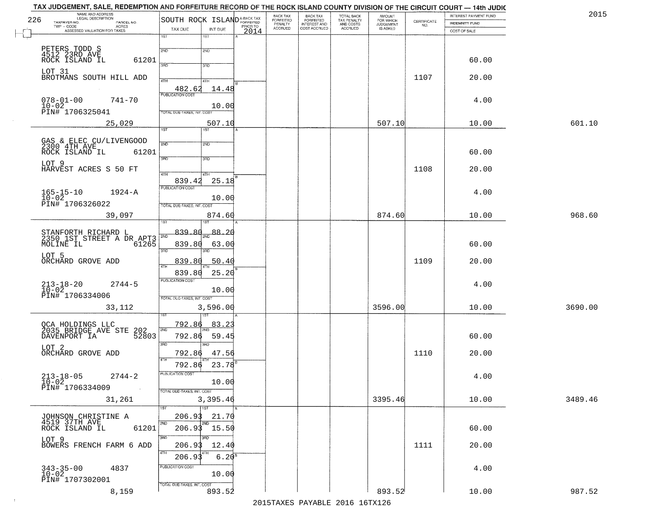| 226 | TAX JUDGEMENT, SALE, REDEMPTION AND FORFEITURE RECORD OF THE ROCK ISLAND COUNTY DIVISION OF THE CIRCUIT COURT — 14th JUDIC<br>NAME AND ADDRESS<br>LEGAL DESCRIPTION |                                                    |                     |          | BACK TAX<br>FORFEITED |                                                       |                                                   | <b>AMOUNT</b>                      |                    | INTEREST PAYMENT FUND | 2015    |
|-----|---------------------------------------------------------------------------------------------------------------------------------------------------------------------|----------------------------------------------------|---------------------|----------|-----------------------|-------------------------------------------------------|---------------------------------------------------|------------------------------------|--------------------|-----------------------|---------|
|     | TAXPAYER NO.<br>PARCEL NO.<br>$TWP - CODE$<br>ACRES                                                                                                                 | SOUTH ROCK ISLAND <sup>A-BACK TAX</sup><br>TAX DUE | INT DUE             | PRIOR TO | PENALTY<br>ACCRUED    | BACK TAX<br>FORFEITED<br>INTEREST AND<br>COST ACCRUED | TOTAL BACK<br>TAX PENALTY<br>AND COSTS<br>ACCRUED | FOR WHICH<br>JUDGEMENT<br>IS ASKED | CERTIFICATE<br>NO. | <b>INDEMNITY FUND</b> |         |
|     | ASSESSED VALUATION FOR TAXES                                                                                                                                        | 1ST                                                | 1ST                 | 2014     |                       |                                                       |                                                   |                                    |                    | COST OF SALE          |         |
|     |                                                                                                                                                                     | 2ND                                                | 2ND                 |          |                       |                                                       |                                                   |                                    |                    |                       |         |
|     | PETERS TODD S<br>4512 23RD AVE<br>ROCK ISLAND IL<br>61201                                                                                                           |                                                    |                     |          |                       |                                                       |                                                   |                                    |                    | 60.00                 |         |
|     | LOT 31                                                                                                                                                              | 3PD                                                | 3BD                 |          |                       |                                                       |                                                   |                                    |                    |                       |         |
|     | BROTMANS SOUTH HILL ADD                                                                                                                                             | 4TH                                                | 4TH                 |          |                       |                                                       |                                                   |                                    | 1107               | 20.00                 |         |
|     |                                                                                                                                                                     | 482.62<br><b>PUBLICATION COST</b>                  | 14.48               |          |                       |                                                       |                                                   |                                    |                    |                       |         |
|     | $078 - 01 - 00$<br>741-70<br>$10-02$<br>PIN# 1706325041                                                                                                             |                                                    | 10.00               |          |                       |                                                       |                                                   |                                    |                    | 4.00                  |         |
|     | 25,029                                                                                                                                                              | TOTAL DUE-TAXES, INT. COST                         | 507.10              |          |                       |                                                       |                                                   | 507.10                             |                    | 10.00                 | 601.10  |
|     |                                                                                                                                                                     | 1ST                                                | 1ST                 |          |                       |                                                       |                                                   |                                    |                    |                       |         |
|     | GAS & ELEC CU/LIVENGOOD<br>2300 4TH AVE                                                                                                                             | 2ND                                                | 2ND                 |          |                       |                                                       |                                                   |                                    |                    |                       |         |
|     | ROCK ISLAND IL<br>61201                                                                                                                                             | 3RD                                                | 3RD                 |          |                       |                                                       |                                                   |                                    |                    | 60.00                 |         |
|     | LOT 9<br>HARVEST ACRES S 50 FT                                                                                                                                      |                                                    |                     |          |                       |                                                       |                                                   |                                    | 1108               | 20.00                 |         |
|     |                                                                                                                                                                     | 47H<br>839.42                                      | 4TH<br>25.18        |          |                       |                                                       |                                                   |                                    |                    |                       |         |
|     | $165 - 15 - 10$<br>$10 - 02$<br>$1924 - A$                                                                                                                          | PUBLICATION COST                                   |                     |          |                       |                                                       |                                                   |                                    |                    | 4.00                  |         |
|     | PIN# 1706326022                                                                                                                                                     | TOTAL DUE-TAXES, INT. COST                         | 10.00               |          |                       |                                                       |                                                   |                                    |                    |                       |         |
|     | 39,097                                                                                                                                                              |                                                    | 874.60              |          |                       |                                                       |                                                   | 874.60                             |                    | 10.00                 | 968.60  |
|     |                                                                                                                                                                     | īST<br>839.80                                      | <b>ST</b><br>88.20  |          |                       |                                                       |                                                   |                                    |                    |                       |         |
|     | STANFORTH RICHARD L<br>2350 1ST STREET A DR APT3<br>MOLINE IL 61265                                                                                                 | 2ND<br>839.80                                      | 63.00               |          |                       |                                                       |                                                   |                                    |                    | 60.00                 |         |
|     | LOT 5                                                                                                                                                               | 3RD                                                | 3 <sub>BD</sub>     |          |                       |                                                       |                                                   |                                    |                    |                       |         |
|     | ORCHARD GROVE ADD                                                                                                                                                   | 839.80<br>4TH                                      | 50.40               |          |                       |                                                       |                                                   |                                    | 1109               | 20.00                 |         |
|     |                                                                                                                                                                     | 839.80<br><b>PUBLICATION COST</b>                  | 25.20               |          |                       |                                                       |                                                   |                                    |                    |                       |         |
|     | $213 - 18 - 20$<br>10-02<br>$2744 - 5$                                                                                                                              |                                                    | 10.00               |          |                       |                                                       |                                                   |                                    |                    | 4.00                  |         |
|     | PIN# 1706334006                                                                                                                                                     | TOTAL OUE-TAXES, INT. COST                         |                     |          |                       |                                                       |                                                   | 3596.00                            |                    |                       |         |
|     | 33,112                                                                                                                                                              |                                                    | 3,596.00<br>उड़ा    |          |                       |                                                       |                                                   |                                    |                    | 10.00                 | 3690.00 |
|     | OCA HOLDINGS LLC<br>2035 BRIDGE AVE STE<br>202                                                                                                                      | 792.86<br>2ND                                      | <u>83.23</u>        |          |                       |                                                       |                                                   |                                    |                    |                       |         |
|     | 52803<br>DAVENPORT IA                                                                                                                                               | 792.86                                             | 59.45               |          |                       |                                                       |                                                   |                                    |                    | 60.00                 |         |
|     | LOT 2<br>ORCHARD GROVE ADD                                                                                                                                          | 3RD<br>792.86                                      | 3RD<br>47.56        |          |                       |                                                       |                                                   |                                    | 1110               | 20.00                 |         |
|     |                                                                                                                                                                     | 4TH<br>792.86                                      | $23.78^{B}$         |          |                       |                                                       |                                                   |                                    |                    |                       |         |
|     | $213 - 18 - 05$<br>$10 - 02$<br>$2744 - 2$                                                                                                                          | PUBLICATION COST                                   |                     |          |                       |                                                       |                                                   |                                    |                    | 4.00                  |         |
|     | PIN# 1706334009                                                                                                                                                     | TOTAL DUE-TAXES, INT. COST                         | 10.00               |          |                       |                                                       |                                                   |                                    |                    |                       |         |
|     | 31,261                                                                                                                                                              |                                                    | 3,395.46            |          |                       |                                                       |                                                   | 3395.46                            |                    | 10.00                 | 3489.46 |
|     | JOHNSON CHRISTINE A                                                                                                                                                 | 1ST<br>206.93                                      | 1ST<br>21.70        |          |                       |                                                       |                                                   |                                    |                    |                       |         |
|     | 4519 37TH AVE<br>61201<br>ROCK ISLAND IL                                                                                                                            | 2ND                                                | 2ND<br>206.93 15.50 |          |                       |                                                       |                                                   |                                    |                    | 60.00                 |         |
|     | LOT 9                                                                                                                                                               | 3RD                                                | 3RD                 |          |                       |                                                       |                                                   |                                    |                    |                       |         |
|     | BOWERS FRENCH FARM 6 ADD                                                                                                                                            | 206.93<br>4TH                                      | 12.40               |          |                       |                                                       |                                                   |                                    | 1111               | 20.00                 |         |
|     |                                                                                                                                                                     | 206.93                                             | $6.20^{8}$          |          |                       |                                                       |                                                   |                                    |                    |                       |         |
|     | $343 - 35 - 00$<br>$10 - 02$<br>4837                                                                                                                                | PUBLICATION COST                                   | 10.00               |          |                       |                                                       |                                                   |                                    |                    | 4.00                  |         |
|     | PIN# 1707302001<br>8,159                                                                                                                                            | TOTAL DUE-TAXES, INT. COST                         | 893.52              |          |                       |                                                       |                                                   | 893.52                             |                    | 10.00                 | 987.52  |
|     |                                                                                                                                                                     |                                                    |                     |          |                       |                                                       |                                                   |                                    |                    |                       |         |

 $\sim 10^{-1}$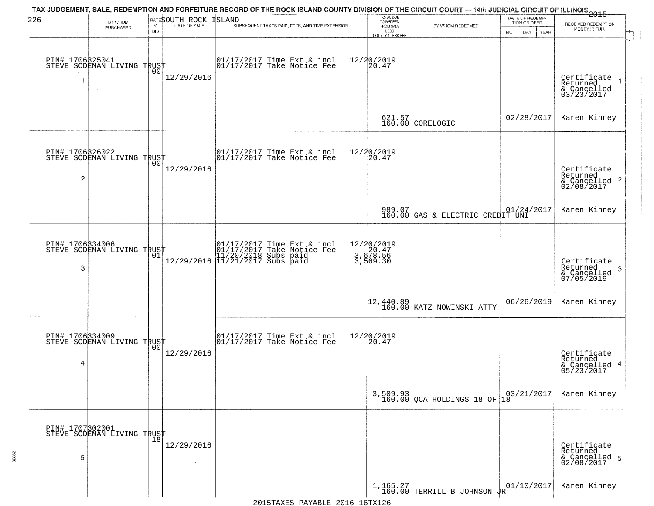| 226 | BY WHOM                                       |                    | BATESOUTH ROCK | TAX JUDGEMENT, SALE, REDEMPTION AND FORFEITURE RECORD OF THE ROCK ISLAND COUNTY DIVISION OF THE CIRCUIT COURT — 14th JUDICIAL CIRCUIT OF ILLINOIS 2015<br><b>ISLAND</b> | TOTAL DUE<br>TO REDEEM                            |                                             | DATE OF REDEMP-<br>TION OR DEED     | RECEIVED REDEMPTION                                                |
|-----|-----------------------------------------------|--------------------|----------------|-------------------------------------------------------------------------------------------------------------------------------------------------------------------------|---------------------------------------------------|---------------------------------------------|-------------------------------------|--------------------------------------------------------------------|
|     | PURCHASED                                     | $\%$<br><b>BID</b> | DATE OF SALE   | SUBSEQUENT TAXES PAID, FEES, AND TIME EXTENSION                                                                                                                         | FROM SALE<br>LESS<br>COUNTY CLERK FEE             | BY WHOM REDEEMED                            | <b>MO</b><br>DAY<br>YEAR            | MONEY IN FULL                                                      |
|     | PIN# 1706325041<br>STEVE SODEMAN LIVING TRUST |                    | 12/29/2016     | $\begin{bmatrix} 01/17/2017 \\ 01/17/2017 \end{bmatrix}$ Take Notice Fee                                                                                                | 12/20/2019<br>20.47                               |                                             |                                     | Certificate<br>Returned<br>& Cancelled<br>03/23/2017               |
|     |                                               |                    |                |                                                                                                                                                                         |                                                   | $621.57$<br>160.00 CORELOGIC                | 02/28/2017                          | Karen Kinney                                                       |
| 2   | PIN# 1706326022<br>STEVE SODEMAN LIVING TRUST | 00 l               | 12/29/2016     | $\begin{bmatrix} 01/17/2017 \\ 01/17/2017 \end{bmatrix}$ Take Notice Fee                                                                                                | 12/20/2019<br>20.47                               |                                             |                                     | Certificate<br>Returned<br>$\frac{1}{2}$ Cancelled 2<br>02/08/2017 |
|     |                                               |                    |                |                                                                                                                                                                         |                                                   | 989.07<br>160.00 GAS & ELECTRIC CREDIT UNI  |                                     | Karen Kinney                                                       |
| 3   | PIN# 1706334006<br>STEVE SODEMAN LIVING TRUST | 01                 |                |                                                                                                                                                                         | 12/20/2019<br>3, d78.56<br>3, d78.56<br>3, 569.30 |                                             |                                     | Certificate<br>Returned<br>3<br>& Cancelled<br>07/05/2019          |
|     |                                               |                    |                |                                                                                                                                                                         |                                                   | 12,440.89<br>160.00 KATZ NOWINSKI ATTY      | 06/26/2019                          | Karen Kinney                                                       |
| 4   | PIN# 1706334009<br>STEVE SODEMAN LIVING TRUST | 00                 | 12/29/2016     | 01/17/2017 Time Ext & incl<br>01/17/2017 Take Notice Fee                                                                                                                | 12/20/2019<br>20.47                               |                                             |                                     | Certificate<br>Returned<br>& Cancelled 4<br>05/23/2017             |
|     |                                               |                    |                |                                                                                                                                                                         |                                                   | $3,509.93$<br>160.00 QCA HOLDINGS 18 OF     | $\left  \frac{03}{21}/2017 \right $ | Karen Kinney                                                       |
| 5   | PIN# 1707302001<br>STEVE SODEMAN LIVING TRUST |                    | 12/29/2016     |                                                                                                                                                                         |                                                   |                                             |                                     | Certificate<br>Returned<br>& Cancelled 5<br>02/08/2017             |
|     |                                               |                    |                |                                                                                                                                                                         |                                                   | $1,165.27$ TERRILL B JOHNSON $\frac{1}{4}R$ | 01/10/2017                          | Karen Kinney                                                       |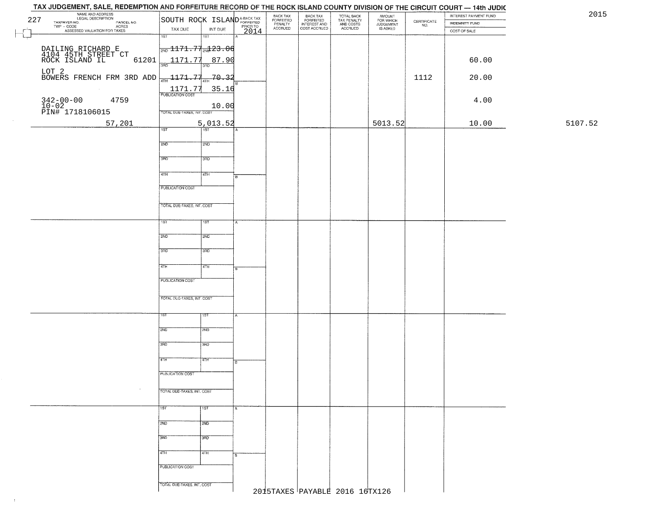|         | INTEREST PAYMENT FUND<br>INDEMNITY FUND | $\begin{array}{c} \text{CERTIFICATE} \\ \text{NO.} \end{array}$ | AMOUNT<br>FOR WHICH<br>JUDGEMENT<br>IS ASKED | TOTAL BACK<br>TAX PENALTY<br>AND COSTS<br>ACCRUED | <b>BACK TAX</b><br>FORFEITED | BACK TAX<br>FORFEITED |                  | SOUTH ROCK ISLAND <sup>A-BACK TAX</sup>       | NAME AND ADDRESS<br>LEGAL DESCRIPTION<br>227<br>TAXPAYER NO.                           |
|---------|-----------------------------------------|-----------------------------------------------------------------|----------------------------------------------|---------------------------------------------------|------------------------------|-----------------------|------------------|-----------------------------------------------|----------------------------------------------------------------------------------------|
|         | COST OF SALE                            |                                                                 |                                              |                                                   | INTEREST AND<br>COST ACCRUED | PENALTY<br>ACCRUED    | PRIOR TO<br>2014 | TAX DUE<br>INT DUE                            | AVER NO.<br>- CODE ACRES<br>- CODE ACRES<br>ASSESSED VALUATION FOR TAXES<br>TWP - CODE |
|         |                                         |                                                                 |                                              |                                                   |                              |                       |                  | 1ST<br>$\overline{181}$                       |                                                                                        |
|         |                                         |                                                                 |                                              |                                                   |                              |                       |                  | $\frac{1}{2ND}$ 1171.77 $\frac{1}{2ND}$ 13.06 | DAILING RICHARD E<br>4104 45TH STREET CT<br>ROCK ISLAND IL                             |
|         | 60.00                                   |                                                                 |                                              |                                                   |                              |                       |                  | 1171.77<br>87.90<br>38D<br>3RD                | 61201                                                                                  |
|         | 20.00                                   | 1112                                                            |                                              |                                                   |                              |                       |                  |                                               | LOT 2<br>BOWERS FRENCH FRM 3RD ADD $\frac{1}{4\pi H}$ 1171.77 $\frac{1}{4\pi H}$ 70.32 |
|         |                                         |                                                                 |                                              |                                                   |                              |                       |                  |                                               |                                                                                        |
|         | 4.00                                    |                                                                 |                                              |                                                   |                              |                       |                  | $\frac{1171.77}{PUBUCATON COST}$<br>35.16     | 4759                                                                                   |
|         |                                         |                                                                 |                                              |                                                   |                              |                       |                  | 10.00<br>TOTAL DUE-TAXES, INT. COST           | 342-00-00<br>10-02<br>PIN# 1718106015                                                  |
| 5107.52 | 10.00                                   |                                                                 | 5013.52                                      |                                                   |                              |                       |                  |                                               |                                                                                        |
|         |                                         |                                                                 |                                              |                                                   |                              |                       |                  | $\frac{5,013.52}{100}$<br>1ST                 | 57,201                                                                                 |
|         |                                         |                                                                 |                                              |                                                   |                              |                       |                  | 2ND<br>2ND                                    |                                                                                        |
|         |                                         |                                                                 |                                              |                                                   |                              |                       |                  |                                               |                                                                                        |
|         |                                         |                                                                 |                                              |                                                   |                              |                       |                  | 3BD<br>3RD                                    |                                                                                        |
|         |                                         |                                                                 |                                              |                                                   |                              |                       | ÷в.              | 47H<br>4TH                                    |                                                                                        |
|         |                                         |                                                                 |                                              |                                                   |                              |                       |                  | <b>PUBLICATION COST</b>                       |                                                                                        |
|         |                                         |                                                                 |                                              |                                                   |                              |                       |                  |                                               |                                                                                        |
|         |                                         |                                                                 |                                              |                                                   |                              |                       |                  | TOTAL DUE-TAXES, INT. COST                    |                                                                                        |
|         |                                         |                                                                 |                                              |                                                   |                              |                       |                  | 1ST<br>18T                                    |                                                                                        |
|         |                                         |                                                                 |                                              |                                                   |                              |                       |                  | 2ND<br>500                                    |                                                                                        |
|         |                                         |                                                                 |                                              |                                                   |                              |                       |                  | 3RD<br>3RD                                    |                                                                                        |
|         |                                         |                                                                 |                                              |                                                   |                              |                       |                  |                                               |                                                                                        |
|         |                                         |                                                                 |                                              |                                                   |                              |                       |                  | 4TH<br>4TH                                    |                                                                                        |
|         |                                         |                                                                 |                                              |                                                   |                              |                       |                  | <b>PUBLICATION COST</b>                       |                                                                                        |
|         |                                         |                                                                 |                                              |                                                   |                              |                       |                  |                                               |                                                                                        |
|         |                                         |                                                                 |                                              |                                                   |                              |                       |                  | TOTAL OUE-TAXES, INT. COST                    |                                                                                        |
|         |                                         |                                                                 |                                              |                                                   |                              |                       |                  | īSТ<br>१९४                                    |                                                                                        |
|         |                                         |                                                                 |                                              |                                                   |                              |                       |                  | 2ND<br>2ND                                    |                                                                                        |
|         |                                         |                                                                 |                                              |                                                   |                              |                       |                  |                                               |                                                                                        |
|         |                                         |                                                                 |                                              |                                                   |                              |                       |                  | 3RD<br>3BD                                    |                                                                                        |
|         |                                         |                                                                 |                                              |                                                   |                              |                       |                  | 4TH<br>वित्तम                                 |                                                                                        |
|         |                                         |                                                                 |                                              |                                                   |                              |                       |                  | PUBLICATION COST                              |                                                                                        |
|         |                                         |                                                                 |                                              |                                                   |                              |                       |                  |                                               | $\sim$                                                                                 |
|         |                                         |                                                                 |                                              |                                                   |                              |                       |                  | TOTAL DUE-TAXES, INT. COST                    |                                                                                        |
|         |                                         |                                                                 |                                              |                                                   |                              |                       |                  | 1ST<br>1ST<br>А                               |                                                                                        |
|         |                                         |                                                                 |                                              |                                                   |                              |                       |                  | 2ND<br>2ND                                    |                                                                                        |
|         |                                         |                                                                 |                                              |                                                   |                              |                       |                  |                                               |                                                                                        |
|         |                                         |                                                                 |                                              |                                                   |                              |                       |                  | 3BD<br>3BD                                    |                                                                                        |
|         |                                         |                                                                 |                                              |                                                   |                              |                       |                  | 4TH<br>4TH                                    |                                                                                        |
|         |                                         |                                                                 |                                              |                                                   |                              |                       |                  | PUBLICATION COST                              |                                                                                        |
|         |                                         |                                                                 |                                              |                                                   |                              |                       |                  |                                               |                                                                                        |
|         |                                         |                                                                 |                                              | 2015TAXES PAYABLE 2016 16TX126                    |                              |                       |                  | TOTAL DUE-TAXES, INT. COST                    |                                                                                        |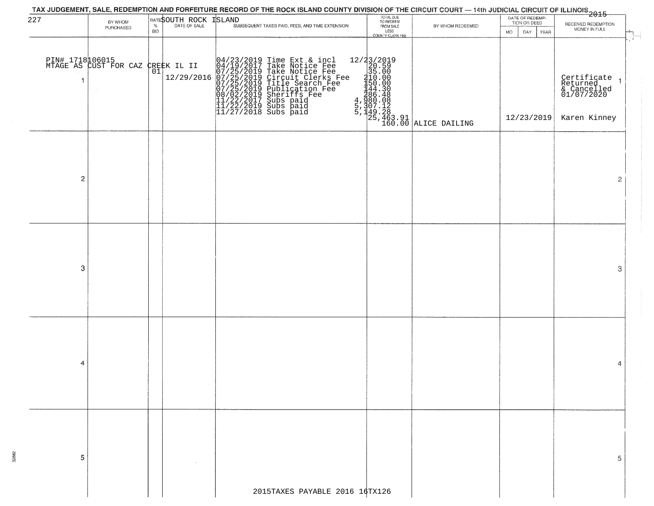| 227            |                                          |            |                              |                                                                                                                                                                                                                                                       |                                     |                                                                                                                                 | DATE OF REDEMP-<br>TION OR DEED |                                                      |
|----------------|------------------------------------------|------------|------------------------------|-------------------------------------------------------------------------------------------------------------------------------------------------------------------------------------------------------------------------------------------------------|-------------------------------------|---------------------------------------------------------------------------------------------------------------------------------|---------------------------------|------------------------------------------------------|
|                | BY WHOM<br>PURCHASED                     |            | <b>RATESOUTH ROCK ISLAND</b> | SUBSEQUENT TAXES PAID, FEES, AND TIME EXTENSION                                                                                                                                                                                                       | TOTAL DUE<br>TO REDEEM<br>FROM SALE | BY WHOM REDEEMED                                                                                                                |                                 | RECEIVED REDEMPTION<br>MONEY IN FULL                 |
|                |                                          | <b>BID</b> |                              |                                                                                                                                                                                                                                                       | LESS<br>COUNTY CLERK FEE            |                                                                                                                                 | <b>MO</b><br>DAY.<br>YEAR       |                                                      |
|                | PIN# 1718106015<br>MTAGE AS CUST FOR CAZ |            | CREEK IL II                  |                                                                                                                                                                                                                                                       |                                     |                                                                                                                                 |                                 |                                                      |
| -1             |                                          | 01         | 12/29/2016                   | 04/23/2019 Time Ext & incl<br>04/19/2017 Take Notice Fee<br>07/25/2019 Take Notice Fee<br>07/25/2019 Circuit Clerks Fee<br>07/25/2019 Title Search Fee<br>07/25/2019 Dublication Fee<br>08/02/2019 Subs paid<br>11/22/2019 Subs paid<br>11/22/2019 Su |                                     | 12/23/2019<br>20.59<br>35.00<br>44.30<br>44.30<br>44.30<br>46.48<br>48.90.08<br>5,149.28<br>5,149.28<br>160.00<br>ALICE DAILING |                                 | Certificate<br>Returned<br>& Cancelled<br>01/07/2020 |
|                |                                          |            |                              |                                                                                                                                                                                                                                                       |                                     |                                                                                                                                 | 12/23/2019                      | Karen Kinney                                         |
|                |                                          |            |                              |                                                                                                                                                                                                                                                       |                                     |                                                                                                                                 |                                 |                                                      |
| $\overline{c}$ |                                          |            |                              |                                                                                                                                                                                                                                                       |                                     |                                                                                                                                 |                                 | $\overline{2}$                                       |
|                |                                          |            |                              |                                                                                                                                                                                                                                                       |                                     |                                                                                                                                 |                                 |                                                      |
|                |                                          |            |                              |                                                                                                                                                                                                                                                       |                                     |                                                                                                                                 |                                 |                                                      |
| 3              |                                          |            |                              |                                                                                                                                                                                                                                                       |                                     |                                                                                                                                 |                                 | 3                                                    |
|                |                                          |            |                              |                                                                                                                                                                                                                                                       |                                     |                                                                                                                                 |                                 |                                                      |
|                |                                          |            |                              |                                                                                                                                                                                                                                                       |                                     |                                                                                                                                 |                                 |                                                      |
| 4              |                                          |            |                              |                                                                                                                                                                                                                                                       |                                     |                                                                                                                                 |                                 | 4                                                    |
|                |                                          |            |                              |                                                                                                                                                                                                                                                       |                                     |                                                                                                                                 |                                 |                                                      |
| 5              |                                          |            |                              |                                                                                                                                                                                                                                                       |                                     |                                                                                                                                 |                                 | 5.                                                   |
|                |                                          |            |                              | 2015TAXES PAYABLE 2016 16TX126                                                                                                                                                                                                                        |                                     |                                                                                                                                 |                                 |                                                      |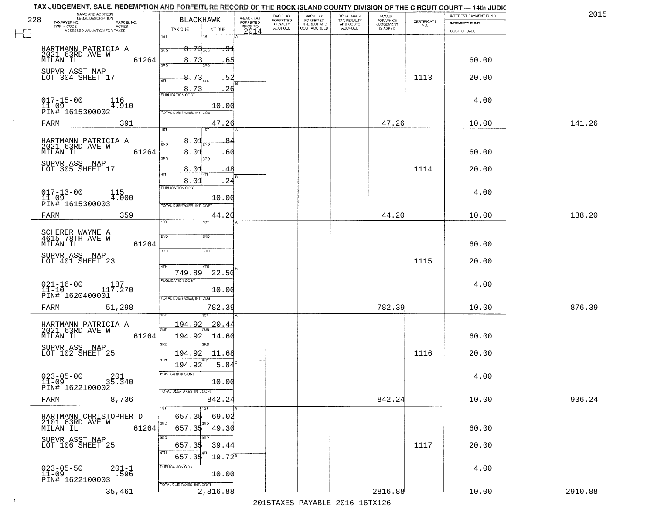| NAME AND ADDRESS<br>LEGAL DESCRIPTION<br>228                     | <b>BLACKHAWK</b>                                               |                                     | BACK TAX             | <b>BACK TAX</b>           | TOTAL BACK<br>TAX PENALTY<br>AND COSTS | AMOUNT<br>FOR WHICH |                    | INTEREST PAYMENT FUND | 2015    |
|------------------------------------------------------------------|----------------------------------------------------------------|-------------------------------------|----------------------|---------------------------|----------------------------------------|---------------------|--------------------|-----------------------|---------|
| TAXPAYER NO.<br>PARCEL NO.<br>ACRES                              |                                                                | A-BACK TAX<br>FORFEITED<br>PRIOR TO | FORFEITED<br>PENALTY | FORFEITED<br>INTEREST AND |                                        | <b>JUDGEMENT</b>    | CERTIFICATE<br>NO. | <b>INDEMNITY FUND</b> |         |
| ASSESSED VALUATION FOR TAXES                                     | TAX DUE<br>INT DUE<br>1ST<br>1ST                               | 2014                                | <b>ACCRUED</b>       | COST ACCRUED              | ACCRUED                                | <b>IS ASKED</b>     |                    | COST OF SALE          |         |
| HARTMANN PATRICIA A<br>2021 63RD AVE W<br>MILAN IL               | $8.73_{200}$<br>2ND                                            | <del>. 91</del>                     |                      |                           |                                        |                     |                    |                       |         |
| 61264<br>SUPVR ASST MAP                                          | 8.73<br>350<br>חחז                                             | 65                                  |                      |                           |                                        |                     |                    | 60.00                 |         |
| LOT 304 SHEET 17                                                 | 73<br>8.<br>4TH<br>8.73                                        | 52<br>. 26                          |                      |                           |                                        |                     | 1113               | 20.00                 |         |
| $017 - 15 - 00$<br>116<br>$11 - 09$<br>4.910                     | <b>PUBLICATION COST</b><br>10.00                               |                                     |                      |                           |                                        |                     |                    | 4.00                  |         |
| PIN# 1615300002<br>FARM<br>391                                   | TOTAL DUE-TAXES, INT. COST<br>47.26                            |                                     |                      |                           |                                        | 47.26               |                    | 10.00                 | 141.26  |
|                                                                  | 1ST<br><b>1ST</b>                                              |                                     |                      |                           |                                        |                     |                    |                       |         |
| HARTMANN PATRICIA A<br>2021 63RD AVE W<br>61264<br>MILAN IL      | 8.01<br>2ND<br>8.01                                            | .60                                 |                      |                           |                                        |                     |                    | 60.00                 |         |
| SUPVR ASST MAP<br>LOT 305 SHEET 17                               | 3RD<br>3RD<br>8.01<br>4TH<br>4TH                               | 48                                  |                      |                           |                                        |                     | 1114               | 20.00                 |         |
|                                                                  | 8.01<br>PUBLICATION COST                                       | .24                                 |                      |                           |                                        |                     |                    |                       |         |
| $017 - 13 - 00$<br>11-09<br>115<br>4.000<br>PIN# 1615300003      | 10.00<br>TOTAL DUE-TAXES, INT. COST                            |                                     |                      |                           |                                        |                     |                    | 4.00                  |         |
| 359<br>FARM                                                      | 44.20                                                          |                                     |                      |                           |                                        | 44.20               |                    | 10.00                 | 138.20  |
|                                                                  | 1ST<br>is T                                                    |                                     |                      |                           |                                        |                     |                    |                       |         |
| SCHERER WAYNE A<br>4615 78TH AVE W<br>MILAN IL<br>61264          | 2ND<br><b>SMD</b><br>3 <sub>BD</sub><br>3RD                    |                                     |                      |                           |                                        |                     |                    | 60.00                 |         |
| SUPVR ASST MAP<br>LOT 401 SHEET 23                               | 4TH<br>4TH                                                     |                                     |                      |                           |                                        |                     | 1115               | 20.00                 |         |
|                                                                  | 749.89<br>22.50<br><b>PUBLICATION COST</b>                     |                                     |                      |                           |                                        |                     |                    |                       |         |
| $021 - 16 - 00$<br>11-10<br>117.270<br>PIN# 1620400001           | 10.00<br>TOTAL OUE-TAXES, INT. COST                            |                                     |                      |                           |                                        |                     |                    | 4.00                  |         |
| FARM<br>51,298                                                   | 782.39                                                         |                                     |                      |                           |                                        | 782.39              |                    | 10.00                 | 876.39  |
| HARTMANN PATRICIA A<br>2021 63RD AVE W                           | 194.92<br>20.44<br>2ND                                         |                                     |                      |                           |                                        |                     |                    |                       |         |
| 61264<br>MILAN IL                                                | 194.92<br>14.60<br>3BD<br>3RD                                  |                                     |                      |                           |                                        |                     |                    | 60.00                 |         |
| SUPVR ASST MAP<br>LOT 102 SHEET 25                               | 194.92<br>11.68<br>4TH                                         |                                     |                      |                           |                                        |                     | 1116               | 20.00                 |         |
| $023 - 05 - 00$<br>201<br>35.340<br>$11 - 09$<br>PIN# 1622100002 | 194.92<br>PUBLICA HUN COS<br>10.00                             | 5.84                                |                      |                           |                                        |                     |                    | 4.00                  |         |
| 8,736<br>FARM                                                    | TOTAL DUE-TAXES, INT. COST<br>842.24                           |                                     |                      |                           |                                        | 842.24              |                    | 10.00                 | 936.24  |
| HARTMANN CHRISTOPHER D                                           | $\overline{1}$ 1st<br>657.35<br>69.02                          |                                     |                      |                           |                                        |                     |                    |                       |         |
| 2101 63RD AVE W<br>61264<br>MILAN IL                             | 2ND<br>2ND<br>657.35 49.30                                     |                                     |                      |                           |                                        |                     |                    | 60.00                 |         |
| SUPVR ASST MAP<br>LOT 106 SHEET 25                               | 3RD<br>657.35<br>39.44<br>4TH<br>  4TH                         |                                     |                      |                           |                                        |                     | 1117               | 20.00                 |         |
|                                                                  | 657.35                                                         | $19.72^8$                           |                      |                           |                                        |                     |                    |                       |         |
| $023 - 05 - 50$<br>$201 - 1$<br>.596<br>11-09<br>PIN# 1622100003 | <b>PUBLICATION COST</b><br>10.00<br>TOTAL DUE-TAXES, INT. COST |                                     |                      |                           |                                        |                     |                    | 4.00                  |         |
| 35,461                                                           | 2,816.88                                                       |                                     |                      |                           |                                        | 2816.88             |                    | 10.00                 | 2910.88 |

 $\sim 4$  .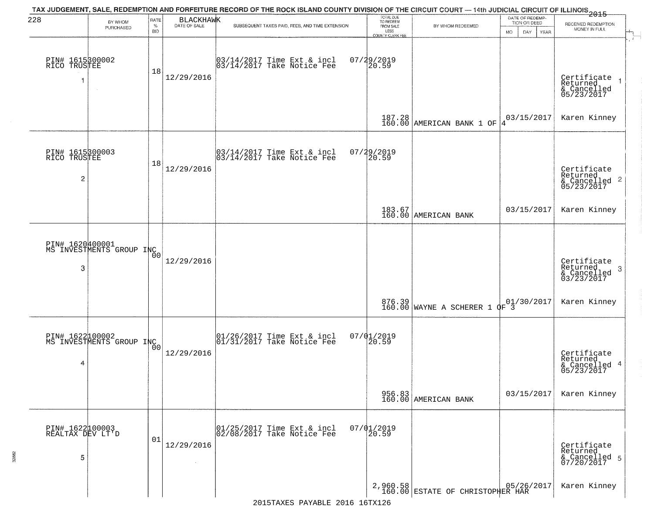| 228                                               |                                             | RATE               | <b>BLACKHAWK</b>     | TAX JUDGEMENT, SALE, REDEMPTION AND FORFEITURE RECORD OF THE ROCK ISLAND COUNTY DIVISION OF THE CIRCUIT COURT — 14th JUDICIAL CIRCUIT OF ILLINOIS 2015 | TOTAL DUE<br>TO REDEEM<br>FROM SALE     |                                    | DATE OF REDEMP-                     |                                                                   |
|---------------------------------------------------|---------------------------------------------|--------------------|----------------------|--------------------------------------------------------------------------------------------------------------------------------------------------------|-----------------------------------------|------------------------------------|-------------------------------------|-------------------------------------------------------------------|
|                                                   | BY WHOM<br>PURCHASED                        | $\%$<br><b>BID</b> | DATE OF SALE         | SUBSEQUENT TAXES PAID, FEES, AND TIME EXTENSION                                                                                                        | LESS                                    | BY WHOM REDEEMED                   | TION OR DEED<br>MO.<br>DAY.<br>YEAR | RECEIVED REDEMPTION<br>MONEY IN FULL                              |
| PIN# 1615300002<br>RICO TRUSTEE                   | $\sim$                                      | 18                 | 12/29/2016           | 03/14/2017 Time Ext & incl<br>03/14/2017 Take Notice Fee                                                                                               | COUNTY CLERK FEE<br>07/29/2019<br>20.59 |                                    |                                     | Certificate<br>Returned<br>& Cancelled<br>05/23/2017              |
|                                                   |                                             |                    |                      |                                                                                                                                                        |                                         | 187.28 AMERICAN BANK 1 OF          | 03/15/2017<br>14                    | Karen Kinney                                                      |
| PIN# 1615300003<br>RICO TRUSTEE<br>$\overline{c}$ |                                             | 18                 | 12/29/2016           | 03/14/2017 Time Ext & incl<br>03/14/2017 Take Notice Fee                                                                                               | 07/29/2019<br>20.59                     |                                    |                                     | Certificate<br>Returned<br>$& \text{Cancelled} 2$<br>$05/23/2017$ |
|                                                   |                                             |                    |                      |                                                                                                                                                        |                                         | 183.67<br>160.00 AMERICAN BANK     | 03/15/2017                          | Karen Kinney                                                      |
| 3                                                 | PIN# 1620400001<br>MS INVESTMENTS GROUP INC |                    | 12/29/2016           |                                                                                                                                                        |                                         |                                    |                                     | Certificate<br>Returned<br>3<br>& Cancelled<br>03/23/2017         |
|                                                   |                                             |                    |                      |                                                                                                                                                        |                                         | 876.39 MAYNE A SCHERER 1 OF 3      |                                     | Karen Kinney                                                      |
| 4                                                 | PIN# 1622100002<br>MS INVESTMENTS GROUP INC |                    | 12/29/2016           | $\begin{bmatrix} 01/26/2017 \\ 01/31/2017 \end{bmatrix}$ Take Notice Fee                                                                               | $07/01/2019$<br>20.59                   |                                    |                                     | Certificate<br>Returned<br>& Cancelled 4<br>05/23/2017            |
|                                                   |                                             |                    |                      |                                                                                                                                                        |                                         | 956.83<br>160.00 AMERICAN BANK     | 03/15/2017                          | Karen Kinney                                                      |
| PIN# 1622100003<br>REALTAX DEV LT'D<br>5          |                                             | 01                 | 12/29/2016<br>$\sim$ | 01/25/2017 Time Ext & incl<br>02/08/2017 Take Notice Fee                                                                                               | $07/01/2019$<br>20.59                   |                                    |                                     | Certificate<br>Returned<br>& Cancelled 5<br>07/20/2017            |
|                                                   |                                             |                    |                      |                                                                                                                                                        |                                         | 2,960.58 ESTATE OF CHRISTOPHER HAR |                                     | Karen Kinney                                                      |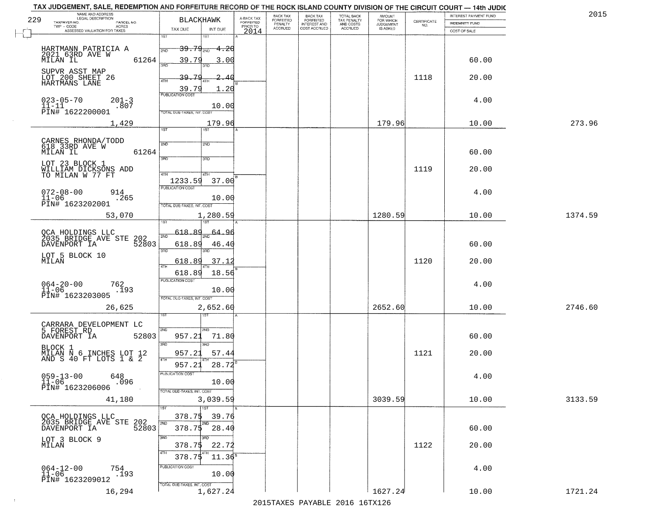|     | TAX JUDGEMENT, SALE, REDEMPTION AND FORFEITURE RECORD OF THE ROCK ISLAND COUNTY DIVISION OF THE CIRCUIT COURT - 14th JUDIC<br>NAME AND ADDRESS<br>LEGAL DESCRIPTION |                                                                 |                    |                                     | BACK TAX             | <b>BACK TAX</b>           | TOTAL BACK               |                                         |                    | INTEREST PAYMENT FUND | 2015    |
|-----|---------------------------------------------------------------------------------------------------------------------------------------------------------------------|-----------------------------------------------------------------|--------------------|-------------------------------------|----------------------|---------------------------|--------------------------|-----------------------------------------|--------------------|-----------------------|---------|
| 229 | TAXPAYER NO.<br>PARCEL NO.                                                                                                                                          | <b>BLACKHAWK</b>                                                |                    | A-BACK TAX<br>FORFEITED<br>PRIOR TO | FORFEITED<br>PENALTY | FORFEITED<br>INTEREST AND | TAX PENALTY<br>AND COSTS | AMOUNT<br>FOR WHICH<br><b>JUDGEMENT</b> | CERTIFICATE<br>NO. | <b>INDEMNITY FUND</b> |         |
|     | $TWP - CODE$<br>ACRES<br>ASSESSED VALUATION FOR TAXES                                                                                                               | TAX DUE                                                         | INT DUE            | 2014                                | <b>ACCRUED</b>       | COST ACCRUED              | <b>ACCRUED</b>           | IS ASKED                                |                    | COST OF SALE          |         |
|     | HARTMANN PATRICIA A                                                                                                                                                 | 1ST<br>1ST<br>$39.79_{200}$                                     | $-4.20$            |                                     |                      |                           |                          |                                         |                    |                       |         |
|     | 2021 63RD AVE W<br>61264<br>MILAN IL                                                                                                                                | 39.79<br>300                                                    | 3.00               |                                     |                      |                           |                          |                                         |                    | 60.00                 |         |
|     | SUPVR ASST MAP<br>LOT 200 SHEET 26<br>HARTMANS LANE                                                                                                                 | 39.79<br>4TH<br>39.79                                           | 40<br>1.20         |                                     |                      |                           |                          |                                         | 1118               | 20.00                 |         |
|     | $023 - 05 - 70$<br>$201 - 3$<br>$11 - 11$<br>.807<br>PIN# <sup>-1622200001</sup>                                                                                    | <b>PUBLICATION COST</b><br>TOTAL DUE-TAXES, INT. COST           | 10.00              |                                     |                      |                           |                          |                                         |                    | 4.00                  |         |
|     | 1,429                                                                                                                                                               | 1ST                                                             | 179.96<br>1ST      |                                     |                      |                           |                          | 179.96                                  |                    | 10.00                 | 273.96  |
|     | CARNES RHONDA/TODD<br>618 33RD AVE W<br>61264<br>MILAN IL                                                                                                           | 2ND<br>3RD<br>3RD                                               | 2ND                |                                     |                      |                           |                          |                                         |                    | 60.00                 |         |
|     | LOT 23 BLOCK 1<br>WILLIAM DICKSONS ADD<br>TO MILAN W 77 FT                                                                                                          | 47H<br>4TH<br>1233.59                                           | 37.00              |                                     |                      |                           |                          |                                         | 1119               | 20.00                 |         |
|     | $072 - 08 - 00$<br>914<br>$11 - 06$<br>.265<br>PIN# 1623202001                                                                                                      | PUBLICATION COST<br>TOTAL DUE-TAXES, INT. COST                  | 10.00              |                                     |                      |                           |                          |                                         |                    | 4.00                  |         |
|     | 53,070                                                                                                                                                              | isT                                                             | 1,280.59           |                                     |                      |                           |                          | 1280.59                                 |                    | 10.00                 | 1374.59 |
|     | QCA HOLDINGS LLC<br>2035 BRIDGE AVE STE<br>202<br>52803<br>DAVENPORT IA                                                                                             | 618.89<br>2ND<br>618.89<br>3RD<br>3RD                           | 64.<br>96<br>46.4( |                                     |                      |                           |                          |                                         |                    | 60.00                 |         |
|     | LOT 5 BLOCK 10<br>MILAN                                                                                                                                             | 618.89<br>4TH                                                   | 37.12              |                                     |                      |                           |                          |                                         | 1120               | 20.00                 |         |
|     | $064 - 20 - 00$<br>11-06<br>762<br>.193<br>PIN# 1623203005                                                                                                          | 618.89<br><b>PUBLICATION COST</b><br>TOTAL OUE-TAXES, INT. COST | 18.56<br>10.00     |                                     |                      |                           |                          |                                         |                    | 4.00                  |         |
|     | 26,625                                                                                                                                                              | नङ्ग                                                            | 2,652.60           |                                     |                      |                           |                          | 2652.60                                 |                    | 10.00                 | 2746.60 |
|     | CARRARA DEVELOPMENT LC<br>5 FOREST RD<br>DAVENPORT IA<br>52803                                                                                                      | 2ND<br>2ND<br>957.21<br>3RD                                     | 71.80              |                                     |                      |                           |                          |                                         |                    | 60.00                 |         |
|     | BLOCK 1<br>MILAN N 6 INCHES LOT 12<br>AND S 40 FT LOTS 1 & 2                                                                                                        | 3BD<br>957.21<br>4TH<br>957.21                                  | 57.44<br>28.72     |                                     |                      |                           |                          |                                         | 1121               | 20.00                 |         |
|     | $059 - 13 - 00$<br>648<br>$11 - 06$<br>.096<br>PIN# 1623206006                                                                                                      | PUBLICATION COS<br>TOTAL DUE-TAXES, INT. COST                   | 10.00              |                                     |                      |                           |                          |                                         |                    | 4.00                  |         |
|     | 41,180                                                                                                                                                              | 1ST                                                             | 3,039.59           |                                     |                      |                           |                          | 3039.59                                 |                    | 10.00                 | 3133.59 |
|     | QCA HOLDINGS LLC<br>2035 BRIDGE AVE STE<br>202<br>52803<br>DAVENPORT IA                                                                                             | 378.75<br>2ND<br>2ND<br>$378.75$ 28.40                          | 39.76              |                                     |                      |                           |                          |                                         |                    | 60.00                 |         |
|     | LOT 3 BLOCK 9<br>MILAN                                                                                                                                              | 3RD<br>3RD<br>378.75<br>4TH<br>4TH<br>378.75                    | 22.72<br>$11.36^8$ |                                     |                      |                           |                          |                                         | 1122               | 20.00                 |         |
|     | $064 - 12 - 00$<br>754<br>.193<br>$11 - 06$<br>PIN# 1623209012                                                                                                      | PUBLICATION COST<br>TOTAL DUE-TAXES, INT. COST                  | 10.00              |                                     |                      |                           |                          |                                         |                    | 4.00                  |         |
|     | 16,294                                                                                                                                                              |                                                                 | 1,627.24           |                                     |                      |                           |                          | 1627.24                                 |                    | 10.00                 | 1721.24 |

 $\sim 10^{-1}$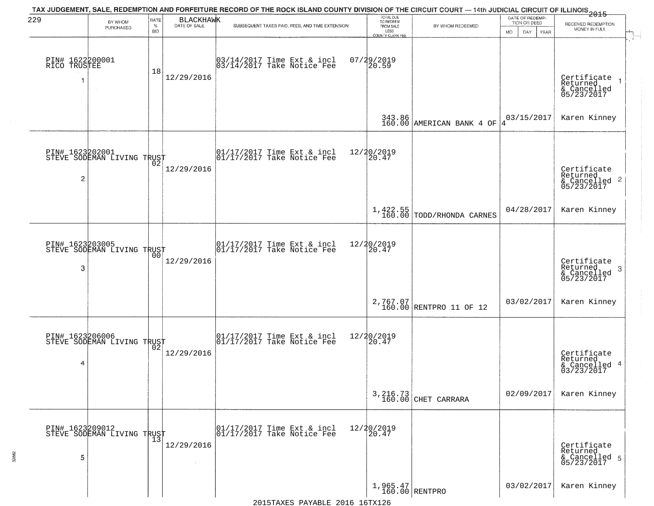| 229                             | BY WHOM                                           | RATE               | <b>BLACKHAWK</b> | TAX JUDGEMENT, SALE, REDEMPTION AND FORFEITURE RECORD OF THE ROCK ISLAND COUNTY DIVISION OF THE CIRCUIT COURT — 14th JUDICIAL CIRCUIT OF ILLINOIS 2015 | TOTAL DUE<br>TO REDEEM                       |                                         | DATE OF REDEMP-<br>TION OR DEED | RECEIVED REDEMPTION                                               |
|---------------------------------|---------------------------------------------------|--------------------|------------------|--------------------------------------------------------------------------------------------------------------------------------------------------------|----------------------------------------------|-----------------------------------------|---------------------------------|-------------------------------------------------------------------|
|                                 | PURCHASED                                         | $\%$<br><b>BID</b> | DATE OF SALE     | SUBSEQUENT TAXES PAID, FEES, AND TIME EXTENSION                                                                                                        | FROM SALE<br>LESS<br><b>COUNTY CLERK FEE</b> | BY WHOM REDEEMED                        | MO.<br>DAY.<br><b>YEAR</b>      | MONEY IN FULL                                                     |
| PIN# 1622200001<br>RICO TRUSTEE |                                                   | 18                 | 12/29/2016       | 03/14/2017 Time Ext & incl<br>03/14/2017 Take Notice Fee                                                                                               | 07/29/2019<br>20.59                          |                                         |                                 | Certificate<br>Returned<br>& Cancelled<br>05/23/2017              |
|                                 |                                                   |                    |                  |                                                                                                                                                        |                                              | 343.86<br>160.00 AMERICAN BANK 4 OF     | 03/15/2017<br>14                | Karen Kinney                                                      |
| $\overline{c}$                  | PIN# 1623202001<br>STEVE SODEMAN LIVING TRUST     |                    | 12/29/2016       | $\begin{array}{cc}  01/17/2017 \text{ Time Ext} & \text{incl} \\  01/17/2017 \text{ Take Notice } Fee \end{array}$                                     | 12/20/2019<br>20.47                          |                                         |                                 | Certificate<br>Returned<br>$& \text{Cancelled} 2$<br>$05/23/2017$ |
|                                 |                                                   |                    |                  |                                                                                                                                                        |                                              | $1,422.55$<br>160.00 TODD/RHONDA CARNES | 04/28/2017                      | Karen Kinney                                                      |
| PIN# 1623203005<br>3            | STEVE SODEMAN LIVING TRUST                        | 00                 | 12/29/2016       | 01/17/2017 Time Ext & incl<br>01/17/2017 Take Notice Fee                                                                                               | 12/20/2019<br>20.47                          |                                         |                                 | Certificate<br>Returned<br>3<br>& Cancelled<br>05/23/2017         |
|                                 |                                                   |                    |                  |                                                                                                                                                        |                                              | $2,767.07$<br>160.00 RENTPRO 11 OF 12   | 03/02/2017                      | Karen Kinney                                                      |
| 4                               | PIN# 1623206006<br>STEVE SODEMAN LIVING TRUST     |                    | 12/29/2016       | $\begin{bmatrix} 01/17/2017 \\ 01/17/2017 \end{bmatrix}$ Take Notice Fee                                                                               | 12/20/2019<br>20.47                          |                                         |                                 | Certificate<br>Returned<br>& Cancelled 4<br>03/23/2017            |
|                                 |                                                   |                    |                  |                                                                                                                                                        |                                              | 3, 216.73<br>160.00 CHET CARRARA        | 02/09/2017                      | Karen Kinney                                                      |
| 5                               | PIN# 1623209012    <br>STEVE SODEMAN LIVING TRUST | $\overline{13}$    | 12/29/2016       | 01/17/2017 Time Ext & incl<br>01/17/2017 Take Notice Fee                                                                                               | 12/20/2019<br>20.47                          |                                         |                                 | Certificate<br>Returned<br>& Cancelled 5<br>05/23/2017            |
|                                 |                                                   |                    |                  |                                                                                                                                                        | $1,965.47$<br>160.00 RENTPRO                 |                                         | 03/02/2017                      | Karen Kinney                                                      |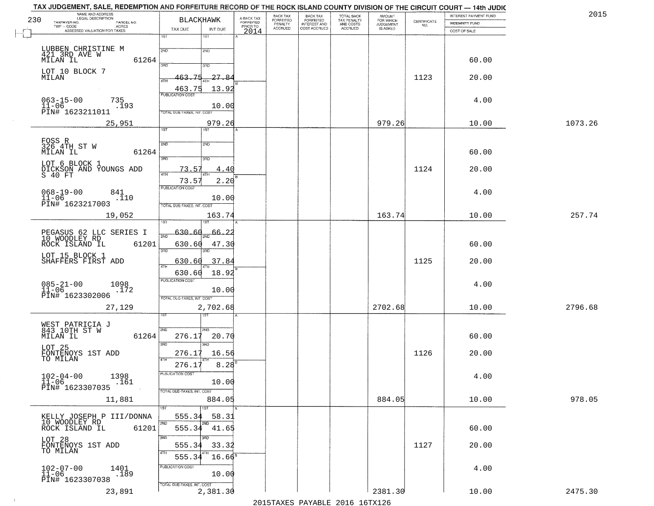| TAX JUDGEMENT, SALE, REDEMPTION AND FORFEITURE RECORD OF THE ROCK ISLAND COUNTY DIVISION OF THE CIRCUIT COURT - 14th JUDIC |                                            |                                     |                              |                       |                                        |                                  |                    |                       |         |
|----------------------------------------------------------------------------------------------------------------------------|--------------------------------------------|-------------------------------------|------------------------------|-----------------------|----------------------------------------|----------------------------------|--------------------|-----------------------|---------|
| NAME AND ADDRESS<br>LEGAL DESCRIPTION<br>230                                                                               | <b>BLACKHAWK</b>                           |                                     | <b>BACK TAX</b><br>FORFEITED | BACK TAX<br>FORFEITED | TOTAL BACK<br>TAX PENALTY<br>AND COSTS | AMOUNT<br>FOR WHICH<br>JUDGEMENT |                    | INTEREST PAYMENT FUND | 201     |
| TAXPAYER NO.<br>PARCEL NO.<br>ACRES                                                                                        |                                            | A-BACK TAX<br>FORFEITED<br>PRIOR TO | PENALTY                      | <b>INTEREST AND</b>   |                                        |                                  | CERTIFICATE<br>NO. | <b>INDEMNITY FUND</b> |         |
| ASSESSED VALUATION FOR TAXES                                                                                               | TAX DUE<br>INT DUE                         | 2014                                | <b>ACCRUED</b>               | COST ACCRUED          | ACCRUED                                | IS ASKED                         |                    | COST OF SALE          |         |
|                                                                                                                            | 1ST<br>$1S$ T<br>2ND<br>2ND                |                                     |                              |                       |                                        |                                  |                    |                       |         |
| LUBBEN CHRISTINE M<br>421 3RD AVE W<br>MILAN IL<br>61264                                                                   | 390<br>3RD                                 |                                     |                              |                       |                                        |                                  |                    | 60.00                 |         |
| LOT 10 BLOCK 7<br>MILAN                                                                                                    | 463.75<br>27.84<br><b>ATH</b>              |                                     |                              |                       |                                        |                                  | 1123               | 20.00                 |         |
| $063 - 15 - 00$<br>735                                                                                                     | 13.92<br>463.75<br><b>PUBLICATION COST</b> |                                     |                              |                       |                                        |                                  |                    | 4.00                  |         |
| $11 - 06$<br>.193<br>PIN# 1623211011                                                                                       | 10.00<br>TOTAL DUE-TAXES, INT. COST        |                                     |                              |                       |                                        |                                  |                    |                       |         |
| 25,951                                                                                                                     | 979.26<br>1ST                              |                                     |                              |                       |                                        | 979.26                           |                    | 10.00                 | 1073.26 |
|                                                                                                                            |                                            |                                     |                              |                       |                                        |                                  |                    |                       |         |
| FOSS R<br>326 4TH ST W<br>61264<br>MILAN IL                                                                                | 2ND<br>2ND<br>3RD<br>3RD                   |                                     |                              |                       |                                        |                                  |                    | 60.00                 |         |
| LOT 6 BLOCK 1<br>DICKSON AND YOUNGS ADD<br>S 40 FT                                                                         | 73.57<br><u>4.40</u>                       |                                     |                              |                       |                                        |                                  | 1124               | 20.00                 |         |
|                                                                                                                            | 73.57<br>2.20                              |                                     |                              |                       |                                        |                                  |                    |                       |         |
| $068 - 19 - 00$<br>841<br>$11 - 06$<br>.110                                                                                | <b>PUBLICATION COST</b><br>10.00           |                                     |                              |                       |                                        |                                  |                    | 4.00                  |         |
| PIN# 1623217003                                                                                                            | TOTAL DUE-TAXES, INT. COST                 |                                     |                              |                       |                                        |                                  |                    |                       | 257.74  |
| 19,052                                                                                                                     | 163.74<br>īST                              |                                     |                              |                       |                                        | 163.74                           |                    | 10.00                 |         |
| PEGASUS 62 LLC SERIES I<br>10 WOODLEY RD                                                                                   | 630.60<br><u>66.2.</u><br>2ND              |                                     |                              |                       |                                        |                                  |                    |                       |         |
| ROCK ISLAND IL<br>61201                                                                                                    | 630.60<br>47.30                            |                                     |                              |                       |                                        |                                  |                    | 60.00                 |         |
| LOT 15 BLOCK 1<br>SHAFFERS FIRST ADD                                                                                       | 3BD<br>3RD<br>37.84<br>630.60              |                                     |                              |                       |                                        |                                  | 1125               | 20.00                 |         |
|                                                                                                                            | 4TH<br>18.92<br>630.60                     |                                     |                              |                       |                                        |                                  |                    |                       |         |
| $085 - 21 - 00$<br>11-06<br>1098                                                                                           | <b>PUBLICATION COST</b>                    |                                     |                              |                       |                                        |                                  |                    | 4.00                  |         |
| .172<br>PIN# 1623302006                                                                                                    | 10.00<br>TOTAL OUE-TAXES, INT. COST        |                                     |                              |                       |                                        |                                  |                    |                       |         |
| 27,129                                                                                                                     | 2,702.68                                   |                                     |                              |                       |                                        | 2702.68                          |                    | 10.00                 | 2796.68 |
|                                                                                                                            |                                            |                                     |                              |                       |                                        |                                  |                    |                       |         |
| WEST PATRICIA J<br>843 10TH ST W<br>MILAN IL<br>61264                                                                      | 2ND<br>2ND<br>276.17<br>20.70              |                                     |                              |                       |                                        |                                  |                    | 60.00                 |         |
| LOT 25<br>FONTENOYS 1ST ADD<br>TO MILAN                                                                                    | 3RD<br>3RD<br>276.17<br>16.56              |                                     |                              |                       |                                        |                                  | 1126               | 20.00                 |         |
|                                                                                                                            | 4TH<br>$8.28^{6}$<br>276.17                |                                     |                              |                       |                                        |                                  |                    |                       |         |
| $102 - 04 - 00$<br>1398                                                                                                    | PUBLICATION COS                            |                                     |                              |                       |                                        |                                  |                    | 4.00                  |         |
| .161<br>$11 - 06$<br>PIN# 1623307035                                                                                       | 10.00<br>TOTAL DUE-TAXES, INT. COST        |                                     |                              |                       |                                        |                                  |                    |                       |         |
| 11,881                                                                                                                     | 884.05                                     |                                     |                              |                       |                                        | 884.05                           |                    | 10.00                 | 978.05  |
| KELLY JOSEPH P III/DONNA                                                                                                   | 1ST<br>555.34<br>58.31                     |                                     |                              |                       |                                        |                                  |                    |                       |         |
| 10 WOODLEY RD<br>61201<br>ROCK ISLAND IL                                                                                   | 2ND<br>2ND<br>555.34 41.65                 |                                     |                              |                       |                                        |                                  |                    | 60.00                 |         |
| LOT 28<br>FONTENOYS 1ST ADD                                                                                                | 3RD<br>3BD<br>33.32<br>555.34              |                                     |                              |                       |                                        |                                  | 1127               | 20.00                 |         |
| TO MILAN                                                                                                                   | 4TH<br>$16.66^8$<br>555.34                 |                                     |                              |                       |                                        |                                  |                    |                       |         |
| $102 - 07 - 00$<br>1401<br>.189<br>$11 - 06$                                                                               | PUBLICATION COST<br>10.00                  |                                     |                              |                       |                                        |                                  |                    | 4.00                  |         |
| PIN# 1623307038                                                                                                            | TOTAL DUE-TAXES, INT. COST                 |                                     |                              |                       |                                        |                                  |                    |                       |         |
| 23,891                                                                                                                     | 2,381.30                                   |                                     |                              |                       |                                        | 2381.30                          |                    | 10.00                 | 2475.30 |

 $\sim 10$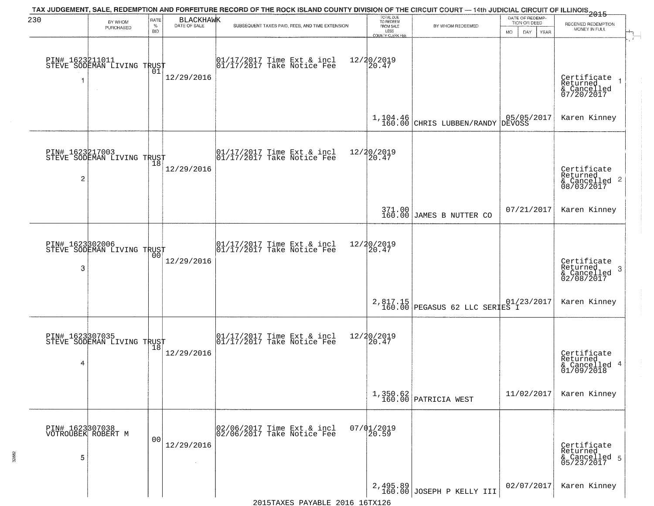| 230                  | BY WHOM                                           | RATE               | <b>BLACKHAWK</b> | TAX JUDGEMENT, SALE, REDEMPTION AND FORFEITURE RECORD OF THE ROCK ISLAND COUNTY DIVISION OF THE CIRCUIT COURT — 14th JUDICIAL CIRCUIT OF ILLINOIS 2015 | TOTAL DUE<br>TO REDEEM                |                                            | DATE OF REDEMP-<br>TION OR DEED | RECEIVED REDEMPTION                                                |
|----------------------|---------------------------------------------------|--------------------|------------------|--------------------------------------------------------------------------------------------------------------------------------------------------------|---------------------------------------|--------------------------------------------|---------------------------------|--------------------------------------------------------------------|
|                      | PURCHASED                                         | $\%$<br><b>BID</b> | DATE OF SALE     | SUBSEQUENT TAXES PAID, FEES, AND TIME EXTENSION                                                                                                        | FROM SALE<br>LESS<br>COUNTY CLERK FEE | BY WHOM REDEEMED                           | MO.<br>DAY.<br><b>YEAR</b>      | MONEY IN FULL                                                      |
| 1                    | PIN# 1623211011    <br>STEVE SODEMAN LIVING TRUST | 01                 | 12/29/2016       | 01/17/2017 Time Ext & incl<br>01/17/2017 Take Notice Fee                                                                                               | 12/20/2019<br>20.47                   |                                            |                                 | Certificate<br>Returned<br>& Cancelled<br>07/20/2017               |
|                      |                                                   |                    |                  |                                                                                                                                                        | $1,104.46$<br>$160.00$                | CHRIS LUBBEN/RANDY                         | 05/05/2017<br>DEVOSS            | Karen Kinney                                                       |
| PIN# 1623217003<br>2 | STEVE SODEMAN LIVING TRUST                        |                    | 12/29/2016       | $\begin{array}{cc}  01/17/2017 \text{ Time Ext} & \text{incl} \\  01/17/2017 \text{ Take Notice Fe} \end{array}$                                       | 12/20/2019<br>20.47                   |                                            |                                 | Certificate<br>Returned<br>$\frac{1}{6}$ Cancelled 2<br>08/03/2017 |
|                      |                                                   |                    |                  |                                                                                                                                                        |                                       | 371.00<br>160.00 JAMES B NUTTER CO         | 07/21/2017                      | Karen Kinney                                                       |
| 3                    | PIN# 1623302006    <br>STEVE SODEMAN LIVING TRUST | 00                 | 12/29/2016       | $\begin{array}{ccc}  01/17/2017 \text{ Time} & \text{Ext} & \text{incl} \\  01/17/2017 \text{ Take Notice } \text{Fe} \end{array}$                     | 12/20/2019<br>20.47                   |                                            |                                 | Certificate<br>Returned<br>3<br>& Cancelled<br>02/08/2017          |
|                      |                                                   |                    |                  |                                                                                                                                                        |                                       | 2,817.15<br>160.00 PEGASUS 62 LLC SERIES I | 01/23/2017                      | Karen Kinney                                                       |
| 4                    | PIN# 1623307035<br>STEVE SODEMAN LIVING TRUST     |                    | 12/29/2016       | $\begin{bmatrix} 01/17/2017 \\ 01/17/2017 \end{bmatrix}$ Take Notice Fee                                                                               | 12/20/2019<br>$\overline{20.47}$      |                                            |                                 | Certificate<br>Returned<br>& Cancelled 4<br>01/09/2018             |
|                      |                                                   |                    |                  |                                                                                                                                                        |                                       | 1,350.62<br>160.00 PATRICIA WEST           | 11/02/2017                      | Karen Kinney                                                       |
| 5                    | PIN# 1623307038<br>VOTROUBEK ROBERT M             | 0 <sub>0</sub>     | 12/29/2016       | 02/06/2017 Time Ext & incl<br>02/06/2017 Take Notice Fee                                                                                               | $07/01/2019$<br>20.59                 |                                            |                                 | Certificate<br>Returned<br>& Cancelled 5<br>05/23/2017             |
|                      |                                                   |                    |                  |                                                                                                                                                        |                                       | $2,495.89$<br>160.00 JOSEPH P KELLY III    | 02/07/2017                      | Karen Kinney                                                       |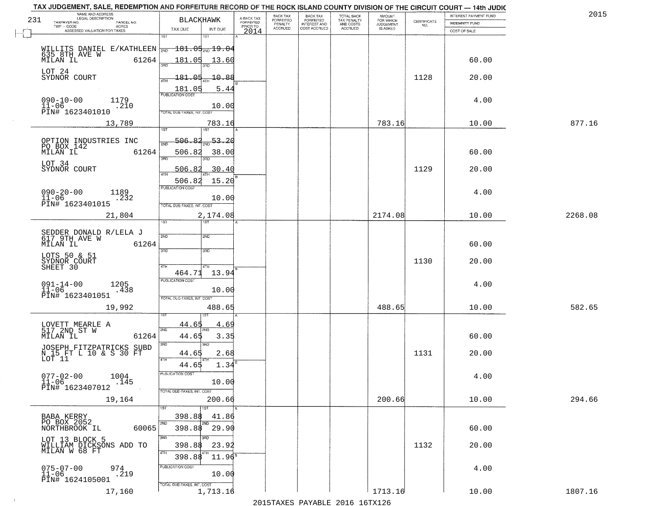|     | TAX JUDGEMENT, SALE, REDEMPTION AND FORFEITURE RECORD OF THE ROCK ISLAND COUNTY DIVISION OF THE CIRCUIT COURT - 14th JUDIC<br>NAME AND ADDRESS<br>LEGAL DESCRIPTION |                                            |                                     | BACK TAX             | <b>BACK TAX</b>           |                                        | AMOUNT<br>FOR WHICH |                    | INTEREST PAYMENT FUND | 201     |
|-----|---------------------------------------------------------------------------------------------------------------------------------------------------------------------|--------------------------------------------|-------------------------------------|----------------------|---------------------------|----------------------------------------|---------------------|--------------------|-----------------------|---------|
| 231 | TAXPAYER NO.<br>PARCEL NO.<br>ACRES                                                                                                                                 | <b>BLACKHAWK</b>                           | A-BACK TAX<br>FORFEITED<br>PRIOR TO | FORFEITED<br>PENALTY | FORFEITED<br>INTEREST AND | TOTAL BACK<br>TAX PENALTY<br>AND COSTS | <b>JUDGEMENT</b>    | CERTIFICATE<br>NO. | INDEMNITY FUND        |         |
|     | ASSESSED VALUATION FOR TAXES                                                                                                                                        | TAX DUE<br>INT DUE<br>1ST<br>1ST           | 2014                                | <b>ACCRUED</b>       | COST ACCRUED              | ACCRUED                                | <b>IS ASKED</b>     |                    | COST OF SALE          |         |
|     |                                                                                                                                                                     |                                            |                                     |                      |                           |                                        |                     |                    |                       |         |
|     | WILLITS DANIEL E/KATHLEEN $\frac{1}{200}$ 181.04 $\frac{1}{200}$ 19.04                                                                                              |                                            |                                     |                      |                           |                                        |                     |                    |                       |         |
|     | 61264<br>MILAN IL                                                                                                                                                   | 181.05<br>13.60                            |                                     |                      |                           |                                        |                     |                    | 60.00                 |         |
|     | LOT 24                                                                                                                                                              |                                            |                                     |                      |                           |                                        |                     |                    |                       |         |
|     | SYDNOR COURT                                                                                                                                                        | 181.05<br>-10.88                           |                                     |                      |                           |                                        |                     | 1128               | 20.00                 |         |
|     |                                                                                                                                                                     | 181.05<br>5.44                             |                                     |                      |                           |                                        |                     |                    |                       |         |
|     | $090 - 10 - 00$<br>1179                                                                                                                                             | <b>PUBLICATION COST</b>                    |                                     |                      |                           |                                        |                     |                    | 4.00                  |         |
|     | $11 - 06$<br>.210<br>PIN# 1623401010                                                                                                                                | 10.00                                      |                                     |                      |                           |                                        |                     |                    |                       |         |
|     |                                                                                                                                                                     | TOTAL DUE-TAXES, INT. COST                 |                                     |                      |                           |                                        |                     |                    |                       |         |
|     | 13,789                                                                                                                                                              | 783.16<br>1ST<br>1ST                       |                                     |                      |                           |                                        | 783.16              |                    | 10.00                 | 877.16  |
|     |                                                                                                                                                                     | $\frac{1}{2ND}$ 53.20<br>506.82            |                                     |                      |                           |                                        |                     |                    |                       |         |
|     | OPTION INDUSTRIES INC<br>PO BOX 142                                                                                                                                 | সাঁচ                                       |                                     |                      |                           |                                        |                     |                    |                       |         |
|     | MILAN IL<br>61264                                                                                                                                                   | 506.82<br>38.00<br>$\overline{3BD}$<br>3BD |                                     |                      |                           |                                        |                     |                    | 60.00                 |         |
|     | LOT 34                                                                                                                                                              |                                            |                                     |                      |                           |                                        |                     | 1129               |                       |         |
|     | SYDNOR COURT                                                                                                                                                        | 30.40<br>506.82                            |                                     |                      |                           |                                        |                     |                    | 20.00                 |         |
|     |                                                                                                                                                                     | 506.82<br>15.20<br>PUBLICATION COST        |                                     |                      |                           |                                        |                     |                    |                       |         |
|     | $090 - 20 - 00$<br>1189                                                                                                                                             |                                            |                                     |                      |                           |                                        |                     |                    | 4.00                  |         |
|     | $11 - 06$<br>.232<br>PIN# 1623401015                                                                                                                                | 10.00<br>TOTAL DUE-TAXES, INT. COST        |                                     |                      |                           |                                        |                     |                    |                       |         |
|     | 21,804                                                                                                                                                              | 2,174.08                                   |                                     |                      |                           |                                        | 2174.08             |                    | 10.00                 | 2268.08 |
|     |                                                                                                                                                                     | īst<br>1ST                                 |                                     |                      |                           |                                        |                     |                    |                       |         |
|     | SEDDER DONALD R/LELA J<br>617 9TH AVE W                                                                                                                             | 2ND<br><b>SMD</b>                          |                                     |                      |                           |                                        |                     |                    |                       |         |
|     | MILAN IL<br>61264                                                                                                                                                   |                                            |                                     |                      |                           |                                        |                     |                    | 60.00                 |         |
|     |                                                                                                                                                                     | 3RD<br>3RD                                 |                                     |                      |                           |                                        |                     |                    |                       |         |
|     | LOTS 50 & 51<br>SYDNOR COURT<br>SHEET 30                                                                                                                            |                                            |                                     |                      |                           |                                        |                     | 1130               | 20.00                 |         |
|     |                                                                                                                                                                     | 4TH<br>4TH<br>464.71<br>13.94              |                                     |                      |                           |                                        |                     |                    |                       |         |
|     |                                                                                                                                                                     | <b>PUBLICATION COST</b>                    |                                     |                      |                           |                                        |                     |                    |                       |         |
|     | $091 - 14 - 00$<br>11-06<br>1205<br>.438                                                                                                                            | 10.00                                      |                                     |                      |                           |                                        |                     |                    | 4.00                  |         |
|     | PIN# 1623401051                                                                                                                                                     | TOTAL OUE-TAXES, INT. COST                 |                                     |                      |                           |                                        |                     |                    |                       |         |
|     | 19,992                                                                                                                                                              | 488.65                                     |                                     |                      |                           |                                        | 488.65              |                    | 10.00                 | 582.65  |
|     |                                                                                                                                                                     |                                            |                                     |                      |                           |                                        |                     |                    |                       |         |
|     | LOVETT MEARLE A<br>517 2ND ST W                                                                                                                                     | 44.65<br>4.69<br>2ND<br>2ND                |                                     |                      |                           |                                        |                     |                    |                       |         |
|     | MILAN IL<br>61264                                                                                                                                                   | 44.65<br>3.35                              |                                     |                      |                           |                                        |                     |                    | 60.00                 |         |
|     |                                                                                                                                                                     | 3RD<br>3RD                                 |                                     |                      |                           |                                        |                     |                    |                       |         |
|     | JOSEPH FITZPATRICKS SUBD<br>N 15 FT L 10 & S 30 FT<br>LOT 11                                                                                                        | 2.68<br>44.65<br>4TH                       |                                     |                      |                           |                                        |                     | 1131               | 20.00                 |         |
|     |                                                                                                                                                                     | 44.65<br>1.34                              |                                     |                      |                           |                                        |                     |                    |                       |         |
|     | $077 - 02 - 00$<br>1004                                                                                                                                             | PUBLICATION COST                           |                                     |                      |                           |                                        |                     |                    | 4.00                  |         |
|     | $11 - 06$<br>.145<br>PIN# 1623407012                                                                                                                                | 10.00                                      |                                     |                      |                           |                                        |                     |                    |                       |         |
|     | 19,164                                                                                                                                                              | TOTAL DUE-TAXES, INT. COST<br>200.66       |                                     |                      |                           |                                        | 200.66              |                    | 10.00                 | 294.66  |
|     |                                                                                                                                                                     | 1ST                                        |                                     |                      |                           |                                        |                     |                    |                       |         |
|     | BABA KERRY                                                                                                                                                          | 398.88<br>41.86                            |                                     |                      |                           |                                        |                     |                    |                       |         |
|     | PO BOX 2052<br>60065<br>NORTHBROOK IL                                                                                                                               | 2ND<br>398.88 29.90                        |                                     |                      |                           |                                        |                     |                    | 60.00                 |         |
|     |                                                                                                                                                                     | 3RD<br>חחו                                 |                                     |                      |                           |                                        |                     |                    |                       |         |
|     | LOT 13 BLOCK 5                                                                                                                                                      | 23.92<br>398.88                            |                                     |                      |                           |                                        |                     | 1132               | 20.00                 |         |
|     | WILLIAM DICKSONS ADD TO<br>MILAN W 68 FT                                                                                                                            | 4TH                                        |                                     |                      |                           |                                        |                     |                    |                       |         |
|     |                                                                                                                                                                     | 398.88<br>$11.96^{\circ}$                  |                                     |                      |                           |                                        |                     |                    |                       |         |
|     | $^{974}_{.219}$<br>$075 - 07 - 00$<br>11-06                                                                                                                         | PUBLICATION COST<br>10.00                  |                                     |                      |                           |                                        |                     |                    | 4.00                  |         |
|     | PIN# 1624105001                                                                                                                                                     | TOTAL DUE-TAXES, INT. COST                 |                                     |                      |                           |                                        |                     |                    |                       |         |
|     | 17,160                                                                                                                                                              | 1,713.16                                   |                                     |                      |                           |                                        | 1713.16             |                    | 10.00                 | 1807.16 |
|     |                                                                                                                                                                     |                                            |                                     |                      |                           | 2015 TAVEC DAVADIE 2016 16TV126        |                     |                    |                       |         |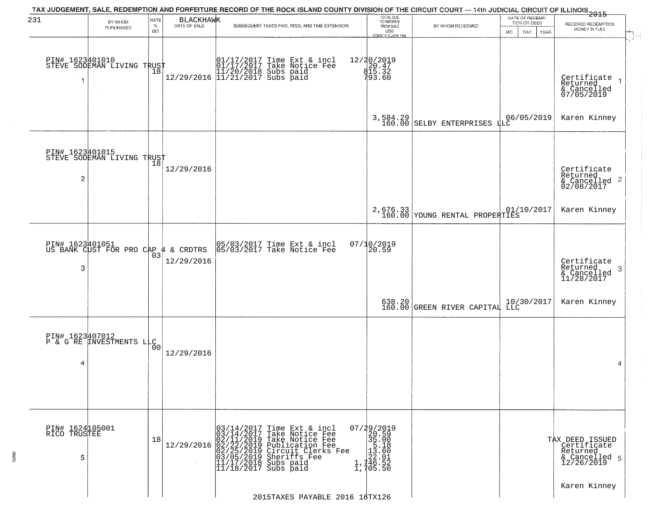| 231                                  | BY WHOM                                                | RATE               | <b>BLACKHAWK</b> | TAX JUDGEMENT, SALE, REDEMPTION AND FORFEITURE RECORD OF THE ROCK ISLAND COUNTY DIVISION OF THE CIRCUIT COURT — 14th JUDICIAL CIRCUIT OF ILLINOIS 2015                                                                                                 | TOTAL DUE<br>TO REDEEM<br>FROM SALE                                                                             |                                        | DATE OF REDEMP<br>TION OR DEED |                                                                           |
|--------------------------------------|--------------------------------------------------------|--------------------|------------------|--------------------------------------------------------------------------------------------------------------------------------------------------------------------------------------------------------------------------------------------------------|-----------------------------------------------------------------------------------------------------------------|----------------------------------------|--------------------------------|---------------------------------------------------------------------------|
|                                      | PURCHASED                                              | $\%$<br><b>BID</b> | DATE OF SALE     | SUBSEQUENT TAXES PAID, FEES, AND TIME EXTENSION                                                                                                                                                                                                        | LESS<br>COUNTY CLERK FEE                                                                                        | BY WHOM REDEEMED                       | DAY.<br>MO.<br>YEAR            | RECEIVED REDEMPTION<br>MONEY IN FULL                                      |
|                                      | PIN# 1623401010    <br>STEVE SODEMAN LIVING TRUST      | 18                 |                  | $[01/17/2017$ Time Ext & incl\n01/17/2017 Take Notice Free\n11/20/2018 Subs paid\n12/29/2016$ 11/21/2017 Subs paid$                                                                                                                                    | 12/20/2019<br>20.47<br>815.32<br>793.60                                                                         |                                        |                                | Certificate<br>Returned<br>& Cancelled<br>07/05/2019                      |
|                                      |                                                        |                    |                  |                                                                                                                                                                                                                                                        |                                                                                                                 | $3,584.29$<br>160.00 SELBY ENTERPRISES | 06/05/2019<br>LLC              | Karen Kinney                                                              |
| PIN# 1623401015<br>2                 | FIN# 1023710101<br>STEVE SODEMAN LIVING TRUST          |                    | 12/29/2016       |                                                                                                                                                                                                                                                        |                                                                                                                 |                                        |                                | Certificate<br>Returned<br>& Cancelled 2<br>02/08/2017                    |
|                                      |                                                        |                    |                  |                                                                                                                                                                                                                                                        |                                                                                                                 | $2,676.33$ voung RENTAL PROPERTIES     | 01/10/2017                     | Karen Kinney                                                              |
| 3                                    | PIN# 1623401051<br>US BANK CUST FOR PRO CAP 4 & CRDTRS | 03                 | 12/29/2016       | 05/03/2017 Time Ext & incl<br>05/03/2017 Take Notice Fee                                                                                                                                                                                               | 07/10/2019<br>20.59                                                                                             |                                        |                                | Certificate<br>Returned<br>3<br>& Cancelled<br>11/28/2017                 |
|                                      |                                                        |                    |                  |                                                                                                                                                                                                                                                        |                                                                                                                 | 638.20<br>160.00 GREEN RIVER CAPITAL   | 10/30/2017<br>LLC              | Karen Kinney                                                              |
| 4                                    | PIN# 1623407012<br>P & G RE LAVESTMENTS LLC            |                    | 12/29/2016       |                                                                                                                                                                                                                                                        |                                                                                                                 |                                        |                                | 4                                                                         |
| PIN# 1624105001<br>RICO TRUSTEE<br>5 |                                                        | 18                 |                  | 03/14/2017 Time Ext & incl<br>03/14/2017 Take Notice Fee<br>12/29/2016 02/11/2019 Take Notice Fee<br>12/29/2016 02/22/2019 Publication Fee<br>02/25/2019 Circuit Clerks Fee<br>03/05/2019 Sheriffs Fee<br>11/17/2018 Subs paid<br>11/18/2017 Subs paid | 07/29/2019<br>20.59<br>$\begin{array}{r} 25.00 \\ 35.00 \\ 15.18 \\ 122.61 \\ 1,746.52 \\ 1,705.50 \end{array}$ |                                        |                                | TAX DEED ISSUED<br>Certificate<br>Returned<br>& Cancelled 5<br>12/26/2019 |
|                                      |                                                        |                    |                  | 2015TAXES PAYABLE 2016 16TX126                                                                                                                                                                                                                         |                                                                                                                 |                                        |                                | Karen Kinney                                                              |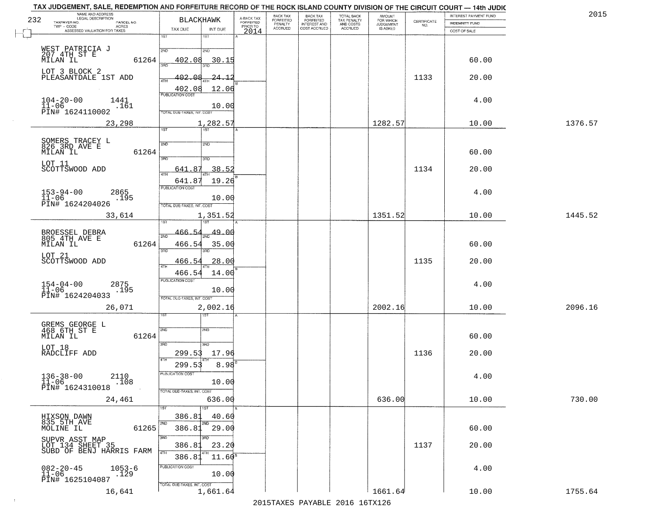| 232 | NAME AND ADDRESS<br>LEGAL DESCRIPTION<br>TAXPAYER NO.<br>PARCEL NO.<br><b>ACRES</b> | <b>BLACKHAWK</b>                                                                 | A-BACK TAX<br>FORFEITED<br>PRIOR TO | <b>BACK TAX</b><br>FORFEITED<br>PENALTY | BACK TAX<br>FORFEITED<br>INTEREST AND | TOTAL BACK<br>TAX PENALTY<br>AND COSTS | AMOUNT<br>FOR WHICH<br><b>JUDGEMENT</b> | $\begin{array}{c} \text{CERTIFICATE} \\ \text{NO.} \end{array}$ | INTEREST PAYMENT FUND<br>INDEMNITY FUND | 2015    |
|-----|-------------------------------------------------------------------------------------|----------------------------------------------------------------------------------|-------------------------------------|-----------------------------------------|---------------------------------------|----------------------------------------|-----------------------------------------|-----------------------------------------------------------------|-----------------------------------------|---------|
|     | ASSESSED VALUATION FOR TAXES                                                        | TAX DUE<br>INT DUE<br>1ST<br>1ST                                                 | 2014                                | <b>ACCRUED</b>                          | COST ACCRUED                          | ACCRUED                                | IS ASKED                                |                                                                 | COST OF SALE                            |         |
|     | WEST PATRICIA J<br>207 4TH ST E<br>MILAN IL<br>61264                                | 2ND<br>2ND<br>402.08<br>30.15                                                    |                                     |                                         |                                       |                                        |                                         |                                                                 | 60.00                                   |         |
|     | LOT 3 BLOCK 2<br>PLEASANTDALE 1ST ADD                                               | 402.<br>n g<br>-24 -<br>12.06<br>402.08                                          |                                     |                                         |                                       |                                        |                                         | 1133                                                            | 20.00                                   |         |
|     | $104 - 20 - 00$<br>1441<br>$11 - 06$<br>.161<br>PĪN# 1624110002                     | <b>PUBLICATION COST</b><br>10.00<br>TOTAL DUE-TAXES, INT. COST                   |                                     |                                         |                                       |                                        |                                         |                                                                 | 4.00                                    |         |
|     | 23,298                                                                              | 1,282.57<br>1ST<br>1ST                                                           |                                     |                                         |                                       |                                        | 1282.57                                 |                                                                 | 10.00                                   | 1376.57 |
|     | SOMERS TRACEY L<br>826 3RD AVE E<br>MILAN IL<br>61264                               | 2ND<br>2ND<br>उन्नत<br>3RD                                                       |                                     |                                         |                                       |                                        |                                         |                                                                 | 60.00                                   |         |
|     | LOT 11<br>SCOTTSWOOD ADD                                                            | 641.87<br>38.52                                                                  |                                     |                                         |                                       |                                        |                                         | 1134                                                            | 20.00                                   |         |
|     | $153 - 94 - 00$<br>$11 - 06$<br>2865<br>.195<br>PIN# 1624204026                     | 641.87<br>19.26<br>PUBLICATION COST<br>10.00<br>TOTAL DUE-TAXES, INT. COST       |                                     |                                         |                                       |                                        |                                         |                                                                 | 4.00                                    |         |
|     | 33,614                                                                              | 1,351.52                                                                         |                                     |                                         |                                       |                                        | 1351.52                                 |                                                                 | 10.00                                   | 1445.52 |
|     | BROESSEL DEBRA<br>805 4TH AVE E<br>61264<br>MILAN IL                                | 466.54<br><u>49.OC</u><br>2ND<br>466.54<br>35.00                                 |                                     |                                         |                                       |                                        |                                         |                                                                 | 60.00                                   |         |
|     | LOT 21<br>SCOTTSWOOD ADD                                                            | 3RD<br>3RD<br>28.00<br>466.54<br>14.00<br>466.54                                 |                                     |                                         |                                       |                                        |                                         | 1135                                                            | 20.00                                   |         |
|     | 2875<br>.195<br>$154 - 04 - 00$<br>$11 - 06$<br>PIN# 1624204033                     | <b>PUBLICATION COST</b><br>10.00<br>TOTAL OUE-TAXES, INT. COST                   |                                     |                                         |                                       |                                        |                                         |                                                                 | 4.00                                    |         |
|     | 26,071                                                                              | 2,002.16<br>ख़                                                                   |                                     |                                         |                                       |                                        | 2002.16                                 |                                                                 | 10.00                                   | 2096.16 |
|     | GREMS GEORGE L<br>468 6TH ST E<br>MILAN IL<br>61264                                 | 2ND<br>2ND<br>3 <sub>BD</sub><br>3HD                                             |                                     |                                         |                                       |                                        |                                         |                                                                 | 60.00                                   |         |
|     | LOT 18<br>RADCLIFF ADD                                                              | 299.53<br>17.96                                                                  |                                     |                                         |                                       |                                        |                                         | 1136                                                            | 20.00                                   |         |
|     | $136 - 38 - 00$<br>11-06<br>2110<br>.108<br>PIN# 1624310018                         | 4TH<br>299.53<br>8.98<br>PUBLICATION COST<br>10.00<br>TOTAL DUE-TAXES, INT. COST |                                     |                                         |                                       |                                        |                                         |                                                                 | 4.00                                    |         |
|     | 24,461                                                                              | 636.00                                                                           |                                     |                                         |                                       |                                        | 636.00                                  |                                                                 | 10.00                                   | 730.00  |
|     | HIXSON DAWN<br>835 5TH_AVE<br>MOLINE IL<br>61265                                    | 386.81<br>40.60<br>2ND.<br><b>2ND</b><br>386.81<br>29.00                         |                                     |                                         |                                       |                                        |                                         |                                                                 | 60.00                                   |         |
|     | SUPVR ASST MAP<br>LOT 134 SHEET 35<br>SUBD OF BENJ HARRIS FARM                      | 3RD<br>3RD<br>23.20<br>386.8<br>4TH<br>$11.60^5$<br>386.81                       |                                     |                                         |                                       |                                        |                                         | 1137                                                            | 20.00                                   |         |
|     | $082 - 20 - 45$<br>11-06<br>$1053 - 6$<br>.129<br>PIN# 1625104087                   | PUBLICATION COST<br>10.00<br>TOTAL DUE-TAXES, INT. COST                          |                                     |                                         |                                       |                                        |                                         |                                                                 | 4.00                                    |         |
|     | 16,641                                                                              | 1,661.64                                                                         |                                     |                                         |                                       |                                        | 1661.64                                 |                                                                 | 10.00                                   | 1755.64 |
|     |                                                                                     |                                                                                  |                                     |                                         |                                       | 2015 TAVEC DAVADIE 2016 16TV126        |                                         |                                                                 |                                         |         |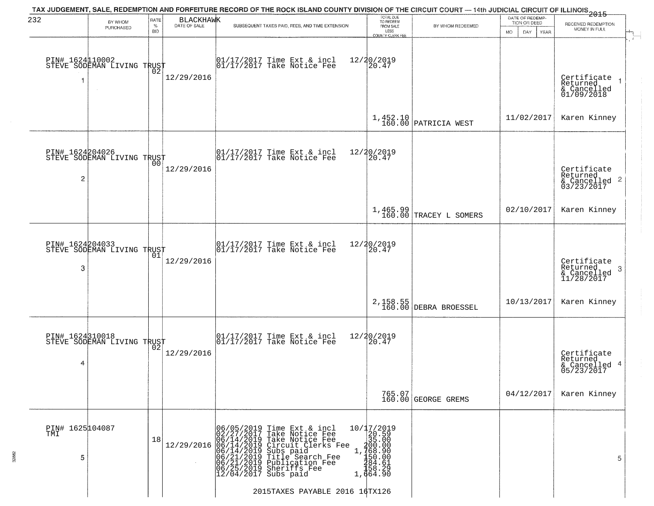| 232              | BY WHOM<br>PURCHASED                               | RATE<br>$\%$<br><b>BID</b> | <b>BLACKHAWK</b><br>DATE OF SALE | TAX JUDGEMENT, SALE, REDEMPTION AND FORFEITURE RECORD OF THE ROCK ISLAND COUNTY DIVISION OF THE CIRCUIT COURT — 14th JUDICIAL CIRCUIT OF ILLINOIS 2015<br>SUBSEQUENT TAXES PAID, FEES, AND TIME EXTENSION                                          | TOTAL DUE<br>TO REDEEM<br>FROM SALE<br>LESS                                                       | BY WHOM REDEEMED                   | DATE OF REDEMP-<br>TION OR DEED<br><b>MO</b><br>DAY<br><b>YEAR</b> | RECEIVED REDEMPTION<br>MONEY IN FULL                   |
|------------------|----------------------------------------------------|----------------------------|----------------------------------|----------------------------------------------------------------------------------------------------------------------------------------------------------------------------------------------------------------------------------------------------|---------------------------------------------------------------------------------------------------|------------------------------------|--------------------------------------------------------------------|--------------------------------------------------------|
| PIN# 1624110002  | STEVE SODEMAN LIVING TRUST                         | ŌŽ                         | 12/29/2016                       | $\begin{bmatrix} 01/17/2017 \\ 01/17/2017 \\ 01 \end{bmatrix}$ Take Notice Fee                                                                                                                                                                     | <b>COUNTY CLERK FEE</b><br>12/20/2019<br>20.47                                                    |                                    |                                                                    | Certificate<br>Returned<br>& Cancelled<br>01/09/2018   |
|                  |                                                    |                            |                                  |                                                                                                                                                                                                                                                    |                                                                                                   | $1,452.10$ PATRICIA WEST           | 11/02/2017                                                         | Karen Kinney                                           |
| PIN# 1624204026  | STEVE SODEMAN LIVING TRUST<br>$\overline{c}$       | 00                         | 12/29/2016                       | $\begin{array}{cc}  01/17/2017 \text{ Time Ext} & \text{incl} \\  01/17/2017 \text{ Take Notice Fe} \end{array}$                                                                                                                                   | 12/20/2019<br>20.47                                                                               |                                    |                                                                    | Certificate<br>Returned<br>& Cancelled 2<br>03/23/2017 |
|                  |                                                    |                            |                                  |                                                                                                                                                                                                                                                    |                                                                                                   | 1,465.99<br>160.00 TRACEY L SOMERS | 02/10/2017                                                         | Karen Kinney                                           |
| PIN# 1624204033  | STEVE SODEMAN LIVING TRUST<br>3                    | 01                         | 12/29/2016                       | 01/17/2017 Time Ext & incl<br>01/17/2017 Take Notice Fee                                                                                                                                                                                           | 12/20/2019<br>20.47                                                                               |                                    |                                                                    | Certificate<br>Returned<br>3<br>$\frac{6}{11/28/2017}$ |
|                  |                                                    |                            |                                  |                                                                                                                                                                                                                                                    | 2,158.55<br>160.00                                                                                | DEBRA BROESSEL                     | 10/13/2017                                                         | Karen Kinney                                           |
|                  | PIN# 1624310018<br>STEVE SODEMAN LIVING TRUST<br>4 |                            | 12/29/2016                       | $\begin{bmatrix} 01/17/2017 \\ 01/17/2017 \end{bmatrix}$ Take Notice Fee                                                                                                                                                                           | 12/20/2019<br>20.47                                                                               |                                    |                                                                    | Certificate<br>Returned<br>& Cancelled 4<br>05/23/2017 |
|                  |                                                    |                            |                                  |                                                                                                                                                                                                                                                    |                                                                                                   | 765.07<br>160.00 GEORGE GREMS      | 04/12/2017                                                         | Karen Kinney                                           |
| PIN# 1625 104087 | 5                                                  | 18                         |                                  | 06/05/2019 Time Ext & incl<br>02/27/2017 Take Notice Fee<br>12/29/2016 06/14/2019 Take Notice Fee<br>12/29/2016 06/14/2019 Circuit Clerks Fee<br>06/14/2019 Subs paid<br>06/21/2019 Title Search Fee<br>06/25/2019 Sheriffs Fee<br>12/04/2017 Subs | 10/17/2019<br>20.59<br>35.00<br>$1, 700.00$<br>1,768.90<br>150.00<br>284.61<br>158.28<br>1,664.90 |                                    |                                                                    | 5                                                      |
|                  |                                                    |                            |                                  | 2015TAXES PAYABLE 2016 16TX126                                                                                                                                                                                                                     |                                                                                                   |                                    |                                                                    |                                                        |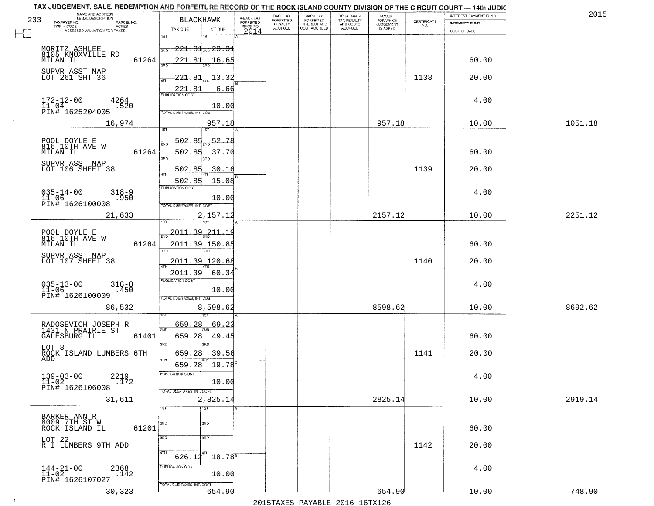| TAX JUDGEMENT, SALE, REDEMPTION AND FORFEITURE RECORD OF THE ROCK ISLAND COUNTY DIVISION OF THE CIRCUIT COURT - 14th JUDIC<br>NAME AND ADDRESS<br>LEGAL DESCRIPTION |                                          |                                     | BACK TAX             |                                       |                                        | AMOUNT<br>FOR WHICH |                                                                 | INTEREST PAYMENT FUND | 2015    |
|---------------------------------------------------------------------------------------------------------------------------------------------------------------------|------------------------------------------|-------------------------------------|----------------------|---------------------------------------|----------------------------------------|---------------------|-----------------------------------------------------------------|-----------------------|---------|
| 233<br>TAXPAYER NO.<br>PARCEL NO.                                                                                                                                   | <b>BLACKHAWK</b>                         | A-BACK TAX<br>FORFEITED<br>PRIOR TO | FORFEITED<br>PENALTY | BACK TAX<br>FORFEITED<br>INTEREST AND | TOTAL BACK<br>TAX PENALTY<br>AND COSTS | <b>JUDGEMENT</b>    | $\begin{array}{c} \text{CERTIFICATE} \\ \text{NO.} \end{array}$ | INDEMNITY FUND        |         |
| TWP - CODE<br>ACRES<br>ASSESSED VALUATION FOR TAXES                                                                                                                 | TAX DUE<br>INT DUE                       | 2014                                | <b>ACCRUED</b>       | COST ACCRUED                          | <b>ACCRUED</b>                         | IS ASKED            |                                                                 | COST OF SALE          |         |
|                                                                                                                                                                     | 1ST<br>IST                               |                                     |                      |                                       |                                        |                     |                                                                 |                       |         |
|                                                                                                                                                                     | $-221.81$ and $23.31$<br>2ND             |                                     |                      |                                       |                                        |                     |                                                                 |                       |         |
| MORITZ ASHLEE<br>8105 KNOXVILLE RD<br>61264<br>MILAN IL                                                                                                             | 221.81<br>16.65                          |                                     |                      |                                       |                                        |                     |                                                                 | 60.00                 |         |
|                                                                                                                                                                     |                                          |                                     |                      |                                       |                                        |                     |                                                                 |                       |         |
| SUPVR ASST MAP<br>LOT 261 SHT 36                                                                                                                                    | 221.81<br><u>13.32</u>                   |                                     |                      |                                       |                                        |                     | 1138                                                            | 20.00                 |         |
|                                                                                                                                                                     |                                          |                                     |                      |                                       |                                        |                     |                                                                 |                       |         |
|                                                                                                                                                                     | 6.66                                     |                                     |                      |                                       |                                        |                     |                                                                 |                       |         |
| $172 - 12 - 00$<br>$11 - 04$<br>4264                                                                                                                                |                                          |                                     |                      |                                       |                                        |                     |                                                                 | 4.00                  |         |
| .520<br>PIN# 1625204005                                                                                                                                             | 10.00<br>TOTAL DUE-TAXES, INT. COST      |                                     |                      |                                       |                                        |                     |                                                                 |                       |         |
| 16,974                                                                                                                                                              | 957.18                                   |                                     |                      |                                       |                                        | 957.18              |                                                                 | 10.00                 | 1051.18 |
|                                                                                                                                                                     |                                          |                                     |                      |                                       |                                        |                     |                                                                 |                       |         |
|                                                                                                                                                                     | 52.78<br>502.85                          |                                     |                      |                                       |                                        |                     |                                                                 |                       |         |
| POOL DOYLE E<br>816 10TH AVE W                                                                                                                                      |                                          |                                     |                      |                                       |                                        |                     |                                                                 |                       |         |
| 61264<br>MILAN IL                                                                                                                                                   | 502.85<br>37.70<br>3BD<br>3BD.           |                                     |                      |                                       |                                        |                     |                                                                 | 60.00                 |         |
| SUPVR ASST MAP                                                                                                                                                      | 502.85                                   |                                     |                      |                                       |                                        |                     | 1139                                                            |                       |         |
| LOT 106 SHEET 38                                                                                                                                                    | 30.16                                    |                                     |                      |                                       |                                        |                     |                                                                 | 20.00                 |         |
|                                                                                                                                                                     | 502.85<br>15.08<br>PUBLICATION COST      |                                     |                      |                                       |                                        |                     |                                                                 |                       |         |
| $035 - 14 - 00$<br>$318 - 9$                                                                                                                                        |                                          |                                     |                      |                                       |                                        |                     |                                                                 | 4.00                  |         |
| $11 - 06$<br>.950<br>PIN# 1626100008                                                                                                                                | 10.00<br>TOTAL DUE-TAXES, INT. COST      |                                     |                      |                                       |                                        |                     |                                                                 |                       |         |
|                                                                                                                                                                     |                                          |                                     |                      |                                       |                                        |                     |                                                                 |                       |         |
| 21,633                                                                                                                                                              | 2,157.12<br>1ST                          |                                     |                      |                                       |                                        | 2157.12             |                                                                 | 10.00                 | 2251.12 |
|                                                                                                                                                                     | <u> 2011.39</u>                          |                                     |                      |                                       |                                        |                     |                                                                 |                       |         |
| POOL DOYLE E<br>816 10TH AVE W                                                                                                                                      | <u>211.19</u><br>2ND                     |                                     |                      |                                       |                                        |                     |                                                                 |                       |         |
| MILAN IL<br>61264                                                                                                                                                   | 2011.39 150.85<br>3 <sub>BD</sub><br>3RD |                                     |                      |                                       |                                        |                     |                                                                 | 60.00                 |         |
| SUPVR ASST MAP                                                                                                                                                      |                                          |                                     |                      |                                       |                                        |                     |                                                                 |                       |         |
| LOT 107 SHEET 38                                                                                                                                                    | 2011.39<br>120.68                        |                                     |                      |                                       |                                        |                     | 1140                                                            | 20.00                 |         |
|                                                                                                                                                                     | 2011.39<br>60.34                         |                                     |                      |                                       |                                        |                     |                                                                 |                       |         |
| $035 - 13 - 00$<br>11-06<br>$318 - 8$                                                                                                                               | <b>PUBLICATION COST</b>                  |                                     |                      |                                       |                                        |                     |                                                                 | 4.00                  |         |
| .450<br>PIN# 1626100009                                                                                                                                             | 10.00                                    |                                     |                      |                                       |                                        |                     |                                                                 |                       |         |
|                                                                                                                                                                     | TOTAL OUE-TAXES, INT. COST               |                                     |                      |                                       |                                        |                     |                                                                 |                       |         |
| 86,532                                                                                                                                                              | 8,598.62                                 |                                     |                      |                                       |                                        | 8598.62             |                                                                 | 10.00                 | 8692.62 |
|                                                                                                                                                                     |                                          |                                     |                      |                                       |                                        |                     |                                                                 |                       |         |
| RADOSEVICH JOSEPH R<br>1431 N PRAIRIE ST                                                                                                                            | 659.28<br>69.23<br>2ND                   |                                     |                      |                                       |                                        |                     |                                                                 |                       |         |
| GALESBURG IL<br>61401                                                                                                                                               | 659.28<br>49.45                          |                                     |                      |                                       |                                        |                     |                                                                 | 60.00                 |         |
| LOT 8                                                                                                                                                               | 3RD<br>3BD                               |                                     |                      |                                       |                                        |                     |                                                                 |                       |         |
| ROCK ISLAND LUMBERS 6TH<br>ADD                                                                                                                                      | 659.28<br>39.56<br>4TH                   |                                     |                      |                                       |                                        |                     | 1141                                                            | 20.00                 |         |
|                                                                                                                                                                     | 19.78<br>659.28                          |                                     |                      |                                       |                                        |                     |                                                                 |                       |         |
| $139 - 03 - 00$<br>2219                                                                                                                                             | PUBLICATION COS-                         |                                     |                      |                                       |                                        |                     |                                                                 | 4.00                  |         |
| $11 - 02$<br>.172                                                                                                                                                   | 10.00                                    |                                     |                      |                                       |                                        |                     |                                                                 |                       |         |
| PIN# 1626106008                                                                                                                                                     | TOTAL DUE-TAXES, INT. COST               |                                     |                      |                                       |                                        |                     |                                                                 |                       |         |
| 31,611                                                                                                                                                              | 2,825.14                                 |                                     |                      |                                       |                                        | 2825.14             |                                                                 | 10.00                 | 2919.14 |
|                                                                                                                                                                     | 1ST<br>1ST                               |                                     |                      |                                       |                                        |                     |                                                                 |                       |         |
| BARKER ANN R<br>8009 7TH ST W                                                                                                                                       | 2ND<br>2ND                               |                                     |                      |                                       |                                        |                     |                                                                 |                       |         |
| 61201<br>ROCK ISLAND IL                                                                                                                                             |                                          |                                     |                      |                                       |                                        |                     |                                                                 | 60.00                 |         |
|                                                                                                                                                                     | 3RD<br>3RD                               |                                     |                      |                                       |                                        |                     |                                                                 |                       |         |
| LOT 22<br>R I LUMBERS 9TH ADD                                                                                                                                       |                                          |                                     |                      |                                       |                                        |                     | 1142                                                            | 20.00                 |         |
|                                                                                                                                                                     | 4TH<br>$18.78^{5}$<br>626.12             |                                     |                      |                                       |                                        |                     |                                                                 |                       |         |
| 2368                                                                                                                                                                | PUBLICATION COST                         |                                     |                      |                                       |                                        |                     |                                                                 | 4.00                  |         |
| $144 - 21 - 00$<br>$11 - 02$<br>.142                                                                                                                                | 10.00                                    |                                     |                      |                                       |                                        |                     |                                                                 |                       |         |
| PIN# 1626107027                                                                                                                                                     | TOTAL DUE-TAXES, INT. COST               |                                     |                      |                                       |                                        |                     |                                                                 |                       |         |
| 30,323                                                                                                                                                              | 654.90                                   |                                     |                      |                                       |                                        | 654.90              |                                                                 | 10.00                 | 748.90  |
|                                                                                                                                                                     |                                          |                                     |                      |                                       | 2015 TAVEC DAVADIE 2016 16TV126        |                     |                                                                 |                       |         |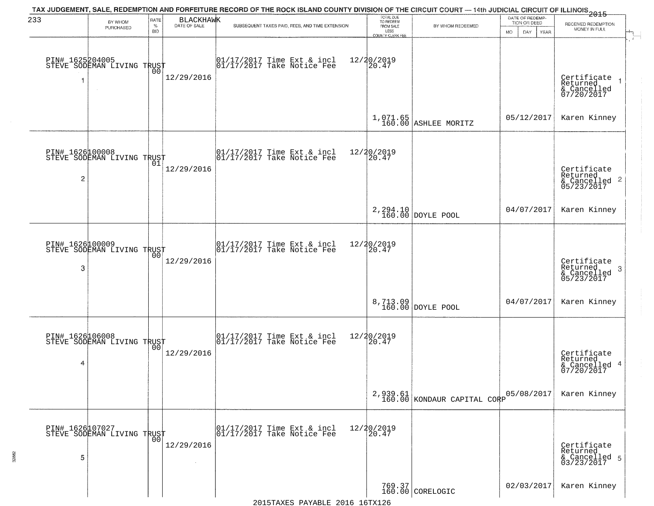| 233                  | BY WHOM                                           | RATE               | <b>BLACKHAWK</b>     | TAX JUDGEMENT, SALE, REDEMPTION AND FORFEITURE RECORD OF THE ROCK ISLAND COUNTY DIVISION OF THE CIRCUIT COURT — 14th JUDICIAL CIRCUIT OF ILLINOIS 2015 | TOTAL DUE<br>TO REDEEM<br>FROM SALE     |                                           | DATE OF REDEMP-                     |                                                                 |
|----------------------|---------------------------------------------------|--------------------|----------------------|--------------------------------------------------------------------------------------------------------------------------------------------------------|-----------------------------------------|-------------------------------------------|-------------------------------------|-----------------------------------------------------------------|
|                      | PURCHASED                                         | $\%$<br><b>BID</b> | DATE OF SALE         | SUBSEQUENT TAXES PAID, FEES, AND TIME EXTENSION                                                                                                        | LESS                                    | BY WHOM REDEEMED                          | TION OR DEED<br>MO.<br>DAY.<br>YEAR | RECEIVED REDEMPTION<br>MONEY IN FULL                            |
|                      | PIN# 1625204005    <br>STEVE SODEMAN LIVING TRUST | 00                 | 12/29/2016           | 01/17/2017 Time Ext & incl<br>01/17/2017 Take Notice Fee                                                                                               | COUNTY CLERK FEE<br>12/20/2019<br>20.47 |                                           |                                     | Certificate<br>Returned<br>& Cancelled<br>07/20/2017            |
|                      |                                                   |                    |                      |                                                                                                                                                        |                                         | $1,071.65$ ASHLEE MORITZ                  | 05/12/2017                          | Karen Kinney                                                    |
| $\overline{c}$       | PIN# 1626100008<br>STEVE SODEMAN LIVING TRUST     | 01                 | 12/29/2016           | $\begin{bmatrix} 01/17/2017 \\ 01/17/2017 \end{bmatrix}$ Take Notice Fee                                                                               | 12/20/2019<br>20.47                     |                                           |                                     | Certificate<br>Returned<br>$& \text{Cancelled}$ 2<br>05/23/2017 |
|                      |                                                   |                    |                      |                                                                                                                                                        |                                         | 2,294.10<br>160.00 DOYLE POOL             | 04/07/2017                          | Karen Kinney                                                    |
| PIN# 1626100009<br>3 | STEVE SODEMAN LIVING TRUST                        | 00                 | 12/29/2016           | 01/17/2017 Time Ext & incl<br>01/17/2017 Take Notice Fee                                                                                               | 12/20/2019<br>20.47                     |                                           |                                     | Certificate<br>Returned<br>3<br>& Cancelled<br>05/23/2017       |
|                      |                                                   |                    |                      |                                                                                                                                                        |                                         | 8,713.09<br>160.00 DOYLE POOL             | 04/07/2017                          | Karen Kinney                                                    |
| 4                    | PIN# 1626106008    <br>STEVE SODEMAN LIVING TRUST | 0 <sub>0</sub>     | 12/29/2016           | $\begin{array}{cc} 01/17/2017 & \text{Time Ext} & \text{incl} \\ 01/17/2017 & \text{Take Notice Fee} \end{array}$                                      | 12/20/2019<br>20.47                     |                                           |                                     | Certificate<br>Returned<br>& Cancelled 4<br>07/20/2017          |
|                      |                                                   |                    |                      |                                                                                                                                                        |                                         | $2,939.61$<br>160.00 KONDAUR CAPITAL CORP | 05/08/2017                          | Karen Kinney                                                    |
| 5                    | PIN# 1626107027    <br>STEVE SODEMAN LIVING TRUST | 0 <sub>0</sub>     | 12/29/2016<br>$\sim$ | 01/17/2017 Time Ext & incl<br>01/17/2017 Take Notice Fee                                                                                               | 12/20/2019<br>20.47                     |                                           |                                     | Certificate<br>Returned<br>& Cancelled 5<br>03/23/2017          |
|                      |                                                   |                    |                      |                                                                                                                                                        |                                         | 769.37<br>160.00 CORELOGIC                | 02/03/2017                          | Karen Kinney                                                    |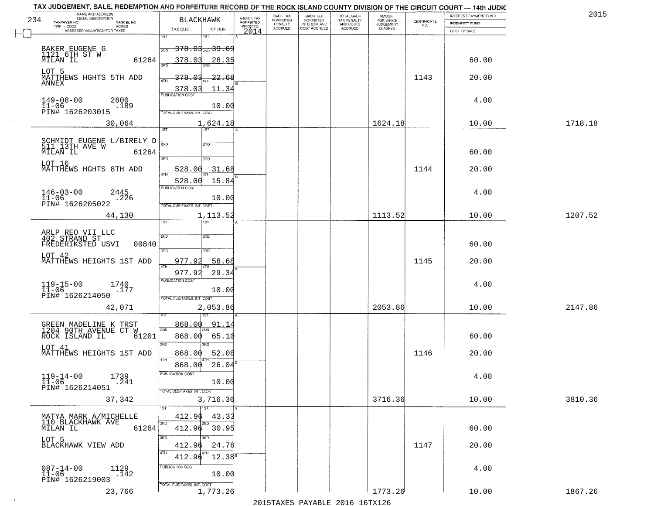|     | TAX JUDGEMENT, SALE, REDEMPTION AND FORFEITURE RECORD OF THE ROCK ISLAND COUNTY DIVISION OF THE CIRCUIT COURT - 14th JUDIC<br>NAME AND ADDRESS<br>LEGAL DESCRIPTION |                                                   |                                     | BACK TAX             | BACK TAX<br>FORFEITED           |                                        | AMOUNT<br>FOR WHICH |                                                                 | INTEREST PAYMENT FUND | 2015    |
|-----|---------------------------------------------------------------------------------------------------------------------------------------------------------------------|---------------------------------------------------|-------------------------------------|----------------------|---------------------------------|----------------------------------------|---------------------|-----------------------------------------------------------------|-----------------------|---------|
| 234 | TAXPAYER NO.<br>PARCEL NO.                                                                                                                                          | <b>BLACKHAWK</b>                                  | A-BACK TAX<br>FORFEITED<br>PRIOR TO | FORFEITED<br>PENALTY | <b>INTEREST AND</b>             | TOTAL BACK<br>TAX PENALTY<br>AND COSTS | <b>JUDGEMENT</b>    | $\begin{array}{c} \text{CERTIFICATE} \\ \text{NO.} \end{array}$ | INDEMNITY FUND        |         |
|     | TWP - CODE<br>ACRES<br>ASSESSED VALUATION FOR TAXES                                                                                                                 | TAX DUE<br>INT DUE                                | 2014                                | <b>ACCRUED</b>       | COST ACCRUED                    | ACCRUED                                | IS ASKED            |                                                                 | COST OF SALE          |         |
|     |                                                                                                                                                                     | 1ST<br>IST                                        |                                     |                      |                                 |                                        |                     |                                                                 |                       |         |
|     |                                                                                                                                                                     | <del>378.03 mg 39.69</del><br>2ND                 |                                     |                      |                                 |                                        |                     |                                                                 |                       |         |
|     | BAKER EUGENE G<br>1121 6TH ST W                                                                                                                                     |                                                   |                                     |                      |                                 |                                        |                     |                                                                 |                       |         |
|     | 61264<br>MILAN IL                                                                                                                                                   | 378.03<br>28.35                                   |                                     |                      |                                 |                                        |                     |                                                                 | 60.00                 |         |
|     | LOT 5                                                                                                                                                               | 378.03<br>22.68                                   |                                     |                      |                                 |                                        |                     | 1143                                                            | 20.00                 |         |
|     | MATTHEWS HGHTS 5TH ADD<br>ANNEX                                                                                                                                     |                                                   |                                     |                      |                                 |                                        |                     |                                                                 |                       |         |
|     |                                                                                                                                                                     | <u>378.03</u><br>11.34<br><b>PUBLICATION COST</b> |                                     |                      |                                 |                                        |                     |                                                                 |                       |         |
|     | $149 - 08 - 00$<br>2600                                                                                                                                             |                                                   |                                     |                      |                                 |                                        |                     |                                                                 | 4.00                  |         |
|     | $11 - 06$<br>.189<br>PIN# 1626203015                                                                                                                                | 10.00<br><b>TOTAL DUE-TAXES, INT, COST</b>        |                                     |                      |                                 |                                        |                     |                                                                 |                       |         |
|     |                                                                                                                                                                     |                                                   |                                     |                      |                                 |                                        |                     |                                                                 |                       |         |
|     | 30,064                                                                                                                                                              | 1,624.18                                          |                                     |                      |                                 |                                        | 1624.18             |                                                                 | 10.00                 | 1718.18 |
|     |                                                                                                                                                                     |                                                   |                                     |                      |                                 |                                        |                     |                                                                 |                       |         |
|     | SCHMIDT EUGENE L/BIRELY D<br>511 13TH AVE W                                                                                                                         | 2ND<br>2ND                                        |                                     |                      |                                 |                                        |                     |                                                                 |                       |         |
|     | MILAN IL<br>61264                                                                                                                                                   | 3RD                                               |                                     |                      |                                 |                                        |                     |                                                                 | 60.00                 |         |
|     | LOT 16                                                                                                                                                              | 3RD                                               |                                     |                      |                                 |                                        |                     |                                                                 |                       |         |
|     | MATTHEWS HGHTS 8TH ADD                                                                                                                                              | 528.00<br>31.68                                   |                                     |                      |                                 |                                        |                     | 1144                                                            | 20.00                 |         |
|     |                                                                                                                                                                     | 15.84<br>528.00                                   |                                     |                      |                                 |                                        |                     |                                                                 |                       |         |
|     | $146 - 03 - 00$<br>2445                                                                                                                                             | PUBLICATION COST                                  |                                     |                      |                                 |                                        |                     |                                                                 | 4.00                  |         |
|     | $11 - 06$<br>.226                                                                                                                                                   | 10.00                                             |                                     |                      |                                 |                                        |                     |                                                                 |                       |         |
|     | PIN# 1626205022                                                                                                                                                     | TOTAL DUE-TAXES, INT. COST                        |                                     |                      |                                 |                                        |                     |                                                                 |                       |         |
|     | 44,130                                                                                                                                                              | 1,113.52                                          |                                     |                      |                                 |                                        | 1113.52             |                                                                 | 10.00                 | 1207.52 |
|     |                                                                                                                                                                     | 18T<br>IST                                        |                                     |                      |                                 |                                        |                     |                                                                 |                       |         |
|     | ARLP REO VII LLC<br>402 STRAND ST                                                                                                                                   | SVD<br>2ND                                        |                                     |                      |                                 |                                        |                     |                                                                 |                       |         |
|     | FREDERIKSTED USVI<br>00840                                                                                                                                          |                                                   |                                     |                      |                                 |                                        |                     |                                                                 | 60.00                 |         |
|     |                                                                                                                                                                     | 3RD<br>3RD                                        |                                     |                      |                                 |                                        |                     |                                                                 |                       |         |
|     | LOT 42<br>MATTHEWS HEIGHTS 1ST ADD                                                                                                                                  | 977.9<br>58.68                                    |                                     |                      |                                 |                                        |                     | 1145                                                            | 20.00                 |         |
|     |                                                                                                                                                                     | 977.92<br>29.34                                   |                                     |                      |                                 |                                        |                     |                                                                 |                       |         |
|     |                                                                                                                                                                     | <b>PUBLICATION COST</b>                           |                                     |                      |                                 |                                        |                     |                                                                 |                       |         |
|     | $119-15-00$<br>$11-06$<br>1740<br>.177                                                                                                                              | 10.00                                             |                                     |                      |                                 |                                        |                     |                                                                 | 4.00                  |         |
|     | PIN# 1626214050                                                                                                                                                     | TOTAL OUE-TAXES, INT. COST                        |                                     |                      |                                 |                                        |                     |                                                                 |                       |         |
|     | 42,071                                                                                                                                                              | 2,053.86                                          |                                     |                      |                                 |                                        | 2053.86             |                                                                 | 10.00                 | 2147.86 |
|     |                                                                                                                                                                     |                                                   |                                     |                      |                                 |                                        |                     |                                                                 |                       |         |
|     |                                                                                                                                                                     | 868.00<br>91.14                                   |                                     |                      |                                 |                                        |                     |                                                                 |                       |         |
|     | GREEN MADELINE K TRST<br>1204 90TH AVENUE CT W<br>ROCK ISLAND IL<br>61201                                                                                           | 2ND<br>868.00<br>65.10                            |                                     |                      |                                 |                                        |                     |                                                                 | 60.00                 |         |
|     |                                                                                                                                                                     | 3RD<br>3BD                                        |                                     |                      |                                 |                                        |                     |                                                                 |                       |         |
|     | LOT 41<br>MATTHEWS HEIGHTS 1ST ADD                                                                                                                                  | 868.00<br>52.08                                   |                                     |                      |                                 |                                        |                     | 1146                                                            | 20.00                 |         |
|     |                                                                                                                                                                     | 4TH                                               |                                     |                      |                                 |                                        |                     |                                                                 |                       |         |
|     |                                                                                                                                                                     | 868.00<br>26.04                                   |                                     |                      |                                 |                                        |                     |                                                                 |                       |         |
|     | $119 - 14 - 00$<br>1739<br>.241                                                                                                                                     | PUBLICA HUN CUS                                   |                                     |                      |                                 |                                        |                     |                                                                 | 4.00                  |         |
|     | $11 - 06$<br>PIN# 1626214051                                                                                                                                        | 10.00                                             |                                     |                      |                                 |                                        |                     |                                                                 |                       |         |
|     |                                                                                                                                                                     | TOTAL DUE-TAXES, INT. COST                        |                                     |                      |                                 |                                        |                     |                                                                 |                       |         |
|     | 37,342                                                                                                                                                              | 3,716.36                                          |                                     |                      |                                 |                                        | 3716.36             |                                                                 | 10.00                 | 3810.36 |
|     |                                                                                                                                                                     | 1ST                                               |                                     |                      |                                 |                                        |                     |                                                                 |                       |         |
|     | MATYA MARK A/MICHELLE<br>110 BLACKHAWK AVE                                                                                                                          | 412.96<br>43.33<br>2ND<br>2ND                     |                                     |                      |                                 |                                        |                     |                                                                 |                       |         |
|     | 61264<br>MILAN IL                                                                                                                                                   | 412.96 30.95                                      |                                     |                      |                                 |                                        |                     |                                                                 | 60.00                 |         |
|     |                                                                                                                                                                     | 3RD                                               |                                     |                      |                                 |                                        |                     |                                                                 |                       |         |
|     | LOT 5<br>BLACKHAWK VIEW ADD                                                                                                                                         | 412.96<br>24.76                                   |                                     |                      |                                 |                                        |                     | 1147                                                            | 20.00                 |         |
|     |                                                                                                                                                                     | 4TH<br>12.38 <sup>s</sup><br>412.96               |                                     |                      |                                 |                                        |                     |                                                                 |                       |         |
|     | 1129<br>$087 - 14 - 00$                                                                                                                                             | PUBLICATION COST                                  |                                     |                      |                                 |                                        |                     |                                                                 | 4.00                  |         |
|     | $11-06$<br>$\overline{.}142$                                                                                                                                        | 10.00                                             |                                     |                      |                                 |                                        |                     |                                                                 |                       |         |
|     | PIN# 1626219003                                                                                                                                                     | TOTAL DUE-TAXES, INT. COST                        |                                     |                      |                                 |                                        |                     |                                                                 |                       |         |
|     | 23,766                                                                                                                                                              | 1,773.26                                          |                                     |                      |                                 |                                        | 1773.26             |                                                                 | 10.00                 | 1867.26 |
|     |                                                                                                                                                                     |                                                   |                                     |                      | 2015 TAVEC DAVADIE 2016 16TV126 |                                        |                     |                                                                 |                       |         |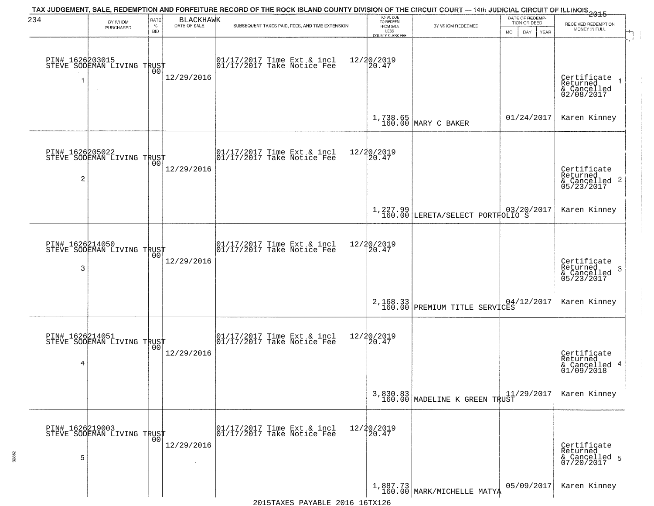| 234                  | BY WHOM<br>PURCHASED                                | RATE<br>$\%$<br><b>BID</b> | <b>BLACKHAWK</b><br>DATE OF SALE | TAX JUDGEMENT, SALE, REDEMPTION AND FORFEITURE RECORD OF THE ROCK ISLAND COUNTY DIVISION OF THE CIRCUIT COURT — 14th JUDICIAL CIRCUIT OF ILLINOIS 2015<br>SUBSEQUENT TAXES PAID, FEES, AND TIME EXTENSION | TOTAL DUE<br>TO REDEEM<br>FROM SALE<br>LESS<br><b>COUNTY CLERK FEE</b> | BY WHOM REDEEMED                                        | DATE OF REDEMP-<br>TION OR DEED<br><b>MO</b><br>DAY<br><b>YEAR</b> | RECEIVED REDEMPTION<br>MONEY IN FULL                                   |
|----------------------|-----------------------------------------------------|----------------------------|----------------------------------|-----------------------------------------------------------------------------------------------------------------------------------------------------------------------------------------------------------|------------------------------------------------------------------------|---------------------------------------------------------|--------------------------------------------------------------------|------------------------------------------------------------------------|
| 1                    | PIN# 1626203015<br>STEVE SODEMAN LIVING TRUST       | 00                         | 12/29/2016                       | 01/17/2017 Time Ext & incl<br>01/17/2017 Take Notice Fee                                                                                                                                                  | 12/20/2019<br>20.47                                                    |                                                         |                                                                    | Certificate<br>Returned<br>& Cancelled<br>02/08/2017                   |
|                      |                                                     |                            |                                  |                                                                                                                                                                                                           |                                                                        | 1,738.65<br>160.00 MARY C BAKER                         | 01/24/2017                                                         | Karen Kinney                                                           |
| PIN# 1626205022<br>2 | STEVE SODEMAN LIVING TRUST                          |                            | 12/29/2016                       | 01/17/2017 Time Ext & incl<br>01/17/2017 Take Notice Fee                                                                                                                                                  | 12/20/2019<br>20.47                                                    |                                                         |                                                                    | Certificate<br>Returned<br>$\overline{2}$<br>& Cancelled<br>05/23/2017 |
|                      |                                                     |                            |                                  |                                                                                                                                                                                                           |                                                                        | 1,227.99 03/20/2017<br>160.00 LERETA/SELECT PORTFOLIO S |                                                                    | Karen Kinney                                                           |
| 3                    | PIN# 1626214050      <br>STEVE SODEMAN LIVING TRUST | 00                         | 12/29/2016                       | 01/17/2017 Time Ext & incl<br>01/17/2017 Take Notice Fee                                                                                                                                                  | 12/20/2019<br>20.47                                                    |                                                         |                                                                    | Certificate<br>Returned<br>3<br>& Cancelled<br>05/23/2017              |
|                      |                                                     |                            |                                  |                                                                                                                                                                                                           |                                                                        | 2,168.33<br>160.00 PREMIUM TITLE SERVICES               |                                                                    | Karen Kinney                                                           |
| 4                    | PIN# 1626214051<br>STEVE SODEMAN LIVING TRUST       |                            | 12/29/2016                       | 01/17/2017 Time Ext & incl<br>01/17/2017 Take Notice Fee                                                                                                                                                  | 12/20/2019<br>$\overline{20.47}$                                       |                                                         |                                                                    | Certificate<br>Returned<br>4<br>& Cancelled<br>01/09/2018              |
|                      |                                                     |                            |                                  |                                                                                                                                                                                                           | 3,830.83<br>160.00                                                     | MADELINE K GREEN TRUST                                  | 11/29/2017                                                         | Karen Kinney                                                           |
| 5                    | PIN# 1626219003<br>STEVE SODEMAN LIVING TRUST       | 00                         | 12/29/2016                       | 01/17/2017 Time Ext & incl<br>01/17/2017 Take Notice Fee                                                                                                                                                  | 12/20/2019<br>20.47                                                    |                                                         |                                                                    | Certificate<br>Returned<br>& Cancelled 5<br>07/20/2017                 |
|                      |                                                     |                            |                                  |                                                                                                                                                                                                           |                                                                        | $1,887.73$<br>160.00 MARK/MICHELLE MATYA                | 05/09/2017                                                         | Karen Kinney                                                           |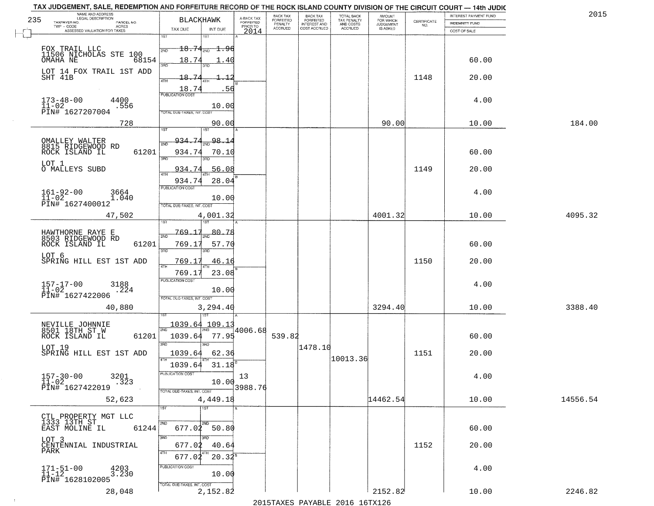|     | TAX JUDGEMENT, SALE, REDEMPTION AND FORFEITURE RECORD OF THE ROCK ISLAND COUNTY DIVISION OF THE CIRCUIT COURT - 14th JUDIC |                                                                                                   |                                     |                                     |                                     |                                        |                              |                                                                 |                       |          |
|-----|----------------------------------------------------------------------------------------------------------------------------|---------------------------------------------------------------------------------------------------|-------------------------------------|-------------------------------------|-------------------------------------|----------------------------------------|------------------------------|-----------------------------------------------------------------|-----------------------|----------|
| 235 | NAME AND ADDRESS<br>LEGAL DESCRIPTION                                                                                      | <b>BLACKHAWK</b>                                                                                  |                                     | <b>BACK TAX</b><br><b>FORFEITED</b> | BACK TAX<br>FORFEITED               | TOTAL BACK<br>TAX PENALTY<br>AND COSTS | AMOUNT<br>FOR WHICH          |                                                                 | INTEREST PAYMENT FUND | 2015     |
|     | TAXPAYER NO.<br>PARCEL NO.<br>ACRES                                                                                        |                                                                                                   | A-BACK TAX<br>FORFEITED<br>PRIOR TO | PENALTY<br><b>ACCRUED</b>           | <b>INTEREST AND</b><br>COST ACCRUED | ACCRUED                                | <b>JUDGEMENT</b><br>IS ASKED | $\begin{array}{c} \text{CERTIFICATE} \\ \text{NO.} \end{array}$ | INDEMNITY FUND        |          |
|     | ASSESSED VALUATION FOR TAXES                                                                                               | TAX DUE<br>INT DUE<br>1ST<br><b>IST</b>                                                           | 2014                                |                                     |                                     |                                        |                              |                                                                 | COST OF SALE          |          |
|     | FOX TRAIL LLC<br>11506 NICHOLAS STE 100<br>OMAHA NE 68:<br>68154                                                           | $18.74_{20}$ 1.96<br>2ND<br>18.74<br>. 4 C                                                        |                                     |                                     |                                     |                                        |                              |                                                                 | 60.00                 |          |
|     | LOT 14 FOX TRAIL 1ST ADD<br>SHT 41B                                                                                        | 3RD<br>18.74<br>4TH<br>-56                                                                        |                                     |                                     |                                     |                                        |                              | 1148                                                            | 20.00                 |          |
|     | $173 - 48 - 00$<br>$11 - 02$<br>4400<br>.556<br>PIN# 1627207004                                                            | $\frac{18.74}{FUBUCATON COST}$<br>10.00<br>TOTAL DUE-TAXES, INT. COST                             |                                     |                                     |                                     |                                        |                              |                                                                 | 4.00                  |          |
|     | 728                                                                                                                        | 90.00                                                                                             |                                     |                                     |                                     |                                        | 90.00                        |                                                                 | 10.00                 | 184.00   |
|     | OMALLEY WALTER<br>8815 RIDGEWOOD RD<br>61201<br>ROCK ISLAND IL<br>LOT 1<br>O MALLEYS SUBD                                  | 1ST<br>$\frac{98.14}{200}$<br>934.74<br>934.74<br>70.10<br>ਬਨ<br>3RD<br>56.08<br>934.74           |                                     |                                     |                                     |                                        |                              | 1149                                                            | 60.00<br>20.00        |          |
|     | $161 - 92 - 00$<br>3664<br>$11 - 02$<br>1.040<br>PIN# 1627400012                                                           | 934.74<br>28.04<br>PUBLICATION COST<br>10.00<br>TOTAL DUE-TAXES, INT. COST                        |                                     |                                     |                                     |                                        |                              |                                                                 | 4.00                  |          |
|     | 47,502                                                                                                                     | 4,001.32                                                                                          |                                     |                                     |                                     |                                        | 4001.32                      |                                                                 | 10.00                 | 4095.32  |
|     | HAWTHORNE RAYE E<br>8503 RIDGEWOOD RD<br>ROCK ISLAND IL<br>61201<br>LOT 6<br>SPRING HILL EST 1ST ADD                       | 1ST<br>769.17<br>80.78<br>2ND<br>769.17<br>57.70<br>3RD<br>3RD<br>769.17<br>46.16<br>4TH<br>769.1 |                                     |                                     |                                     |                                        |                              | 1150                                                            | 60.00<br>20.00        |          |
|     | $157 - 17 - 00$<br>$11 - 02$<br>3188<br>.224<br>PIN# 1627422006<br>40,880                                                  | 23.08<br><b>PUBLICATION COST</b><br>10.00<br>TOTAL OUE-TAXES, INT. COST<br>3,294.40               |                                     |                                     |                                     |                                        | 3294.40                      |                                                                 | 4.00<br>10.00         | 3388.40  |
|     | NEVILLE JOHNNIE<br>8501 18TH ST W<br>ROCK ISLAND IL<br>61201<br>LOT 19<br>SPRING HILL EST 1ST ADD                          | 1ST<br>1039.64<br>109.13<br>2ND<br>1039.64<br>77.95<br>3BD<br>3BD<br>1039.64<br>62.36             | 4006.68                             | 539.82                              | 1478.10                             | 10013.36                               |                              | 1151                                                            | 60.00<br>20.00        |          |
|     | $157 - 30 - 00$<br>3201<br>$11 - 02$<br>.323<br>PIN# 1627422019<br>52,623                                                  | 1039.64<br>31.18<br><b>PUBLICATION COS-</b><br>10.00<br>TOTAL DUE-TAXES, INT. COST<br>4,449.18    | 13<br>3988.76                       |                                     |                                     |                                        | 14462.54                     |                                                                 | 4.00<br>10.00         | 14556.54 |
|     | CTL PROPERTY MGT LLC<br>1333 13TH ST<br>EAST MOLINE IL<br>61244                                                            | TST<br>1ST<br>2ND<br>$677.02$ 50.80<br>3RD                                                        |                                     |                                     |                                     |                                        |                              |                                                                 | 60.00                 |          |
|     | LOT 3<br>CENTENNIAL INDUSTRIAL<br>PARK                                                                                     | 40.64<br>677.02<br>4TH                                                                            |                                     |                                     |                                     |                                        |                              | 1152                                                            | 20.00                 |          |
|     | $171 - 51 - 00$<br>$11 - 12$<br>4203<br>3.230<br>PIN# 1628102005                                                           | $20.32^8$<br>677.02<br>PUBLICATION COST<br>10.00<br>TOTAL DUE-TAXES, INT. COST                    |                                     |                                     |                                     |                                        |                              |                                                                 | 4.00                  |          |
|     | 28,048                                                                                                                     | 2,152.82                                                                                          |                                     |                                     |                                     | 2015 TAVEC DAVADIE 2016 16TV126        | 2152.82                      |                                                                 | 10.00                 | 2246.82  |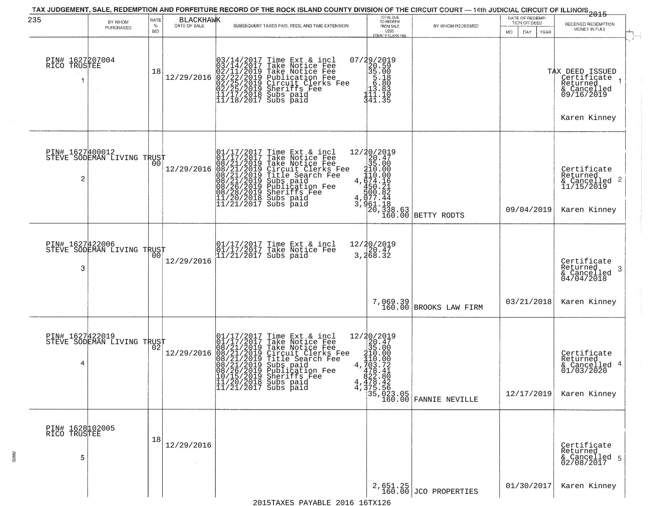| 235                                  | BY WHOM<br>PURCHASED       | RATE<br>$\%$<br><b>BID</b> | <b>BLACKHAWK</b><br>DATE OF SALE | SUBSEQUENT TAXES PAID, FEES, AND TIME EXTENSION                                                                                                                                                                                                       | TOTAL DUE<br>TO REDEEM<br>FROM SALE<br>LESS<br>COUNTY CLERK FEE                                                                                        | BY WHOM REDEEMED                                                                                                                                                                                                                                                                                                                                                                                                                                                          | DATE OF REDEMP-<br>TION OR DEED<br>MO.<br>DAY<br>YEAR | $-2015$<br>RECEIVED REDEMPTION<br>MONEY IN FULL                                    |  |
|--------------------------------------|----------------------------|----------------------------|----------------------------------|-------------------------------------------------------------------------------------------------------------------------------------------------------------------------------------------------------------------------------------------------------|--------------------------------------------------------------------------------------------------------------------------------------------------------|---------------------------------------------------------------------------------------------------------------------------------------------------------------------------------------------------------------------------------------------------------------------------------------------------------------------------------------------------------------------------------------------------------------------------------------------------------------------------|-------------------------------------------------------|------------------------------------------------------------------------------------|--|
| PIN# 1627207004<br>RICO TRUSTEE      |                            | 18                         | 12/29/2016                       | $03/14/2017$ Time Ext & incl<br>$03/14/2017$ Take Notice Fee<br>$02/11/2019$ Take Notice Fee<br>$02/22/2019$ Publication Fee<br>$02/25/2019$ Sheriffs Fee<br>$02/25/2019$ Sheriffs Fee<br>$11/17/2018$ Subs paid<br>$11/18/2017$ Subs paid            | 07/29/2019<br>20.59<br>35.00<br>5.00<br>5.80<br>13.83<br>14.1.1<br>341.35                                                                              |                                                                                                                                                                                                                                                                                                                                                                                                                                                                           |                                                       | TAX DEED ISSUED<br>Certificate<br>Returned<br>& Cancelled<br>09/16/2019            |  |
|                                      |                            |                            |                                  |                                                                                                                                                                                                                                                       |                                                                                                                                                        |                                                                                                                                                                                                                                                                                                                                                                                                                                                                           |                                                       | Karen Kinney                                                                       |  |
| PIN# 1627400012<br>2                 | STEVE SODEMAN LIVING TRUST | 00                         | 12/29/2016                       | 01/17/2017 Time Ext & incl<br>01/17/2017 Take Notice Fee<br>08/21/2019 Take Notice Fee<br>08/21/2019 Circuit Clerks Fee<br>08/21/2019 Title Search Fee<br>08/21/2019 Subs paid<br>08/26/2019 Sheriffs Fee<br>08/28/2019 Sheriffs Fee<br>11/20/2018 Su | $[ \begin{smallmatrix} 12/20/2019 \\20.47 \\35.00 \\210.00 \\110.00 \\4.474.16 \\450.21 \\5077.44 \\3.961.18 \\50.338.63 \\100.00 \end{smallmatrix} ]$ | BETTY RODTS                                                                                                                                                                                                                                                                                                                                                                                                                                                               | 09/04/2019                                            | Certificate<br>Returned<br>$\frac{1}{2}$ Cancelled 2<br>11/15/2019<br>Karen Kinney |  |
|                                      |                            |                            |                                  |                                                                                                                                                                                                                                                       |                                                                                                                                                        |                                                                                                                                                                                                                                                                                                                                                                                                                                                                           |                                                       |                                                                                    |  |
| PIN# 1627422006<br>3                 | STEVE SODEMAN LIVING TRUST |                            | 12/29/2016                       | 01/17/2017 Time Ext & incl<br>01/17/2017 Take Notice Fee<br>11/21/2017 Subs paid                                                                                                                                                                      | 12/20/2019<br>3,20.47<br>3,268.32                                                                                                                      |                                                                                                                                                                                                                                                                                                                                                                                                                                                                           |                                                       | Certificate<br>Returned<br>3<br>& Cancelled<br>04/04/2018                          |  |
|                                      |                            |                            |                                  |                                                                                                                                                                                                                                                       |                                                                                                                                                        | 7,069.39<br>160.00 BROOKS LAW FIRM                                                                                                                                                                                                                                                                                                                                                                                                                                        | 03/21/2018                                            | Karen Kinney                                                                       |  |
| PIN# 1627422019<br>4                 | STEVE SODEMAN LIVING TRUST |                            | 12/29/2016                       | 01/17/2017 Time Ext & incl<br>01/17/2017 Take Notice Fee<br>08/21/2019 Take Notice Fee<br>08/21/2019 Circuit Clerks Fee<br>08/21/2019 Title Search Fee<br>08/21/2019 Subs paid<br>08/26/2019 Subsidion Fee<br>07/15/2019 Sheriffs Fee<br>11/20/2018 S |                                                                                                                                                        | $\begin{tabular}{c c} \multicolumn{1}{c}{\textbf{1}} & \multicolumn{1}{c}{\textbf{2}} & \multicolumn{1}{c}{\textbf{2}} & \multicolumn{1}{c}{\textbf{3}} & \multicolumn{1}{c}{\textbf{3}} & \multicolumn{1}{c}{\textbf{3}} & \multicolumn{1}{c}{\textbf{3}} & \multicolumn{1}{c}{\textbf{3}} & \multicolumn{1}{c}{\textbf{3}} & \multicolumn{1}{c}{\textbf{3}} & \multicolumn{1}{c}{\textbf{3}} & \multicolumn{1}{c}{\textbf{3}} & \multicolumn{1}{c}{\textbf{3}} & \mult$ | 12/17/2019                                            | Certificate<br>Returned<br>& Cancelled 4<br>01/03/2020<br>Karen Kinney             |  |
| PIN# 1628102005<br>RICO TRUSTEE<br>5 |                            | 18                         | 12/29/2016                       |                                                                                                                                                                                                                                                       |                                                                                                                                                        |                                                                                                                                                                                                                                                                                                                                                                                                                                                                           |                                                       | Certificate<br>Returned<br>& Cancelled 5<br>02/08/2017                             |  |
|                                      |                            |                            |                                  |                                                                                                                                                                                                                                                       |                                                                                                                                                        | $2,651.25$<br>160.00 JCO PROPERTIES                                                                                                                                                                                                                                                                                                                                                                                                                                       | 01/30/2017                                            | Karen Kinney                                                                       |  |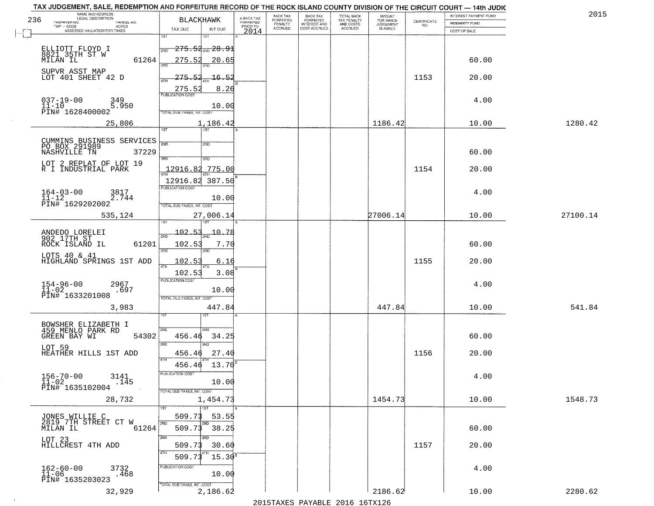|     | TAX JUDGEMENT, SALE, REDEMPTION AND FORFEITURE RECORD OF THE ROCK ISLAND COUNTY DIVISION OF THE CIRCUIT COURT - 14th JUDIC<br>NAME AND ADDRESS<br>LEGAL DESCRIPTION |                                           |                         | <b>BACK TAX</b>             |                                              |                                        |                                         |                                                                 | INTEREST PAYMENT FUND | 2015     |
|-----|---------------------------------------------------------------------------------------------------------------------------------------------------------------------|-------------------------------------------|-------------------------|-----------------------------|----------------------------------------------|----------------------------------------|-----------------------------------------|-----------------------------------------------------------------|-----------------------|----------|
| 236 | TAXPAYER NO.<br>PARCEL NO.                                                                                                                                          | <b>BLACKHAWK</b>                          | A-BACK TAX<br>FORFEITED | <b>FORFEITED</b><br>PENALTY | BACK TAX<br>FORFEITED<br><b>INTEREST AND</b> | TOTAL BACK<br>TAX PENALTY<br>AND COSTS | AMOUNT<br>FOR WHICH<br><b>JUDGEMENT</b> | $\begin{array}{c} \text{CERTIFICATE} \\ \text{NO.} \end{array}$ | INDEMNITY FUND        |          |
|     | ACRES<br>ASSESSED VALUATION FOR TAXES                                                                                                                               | TAX DUE<br>INT DUE                        | PRIOR TO<br>2014        | <b>ACCRUED</b>              | COST ACCRUED                                 | ACCRUED                                | IS ASKED                                |                                                                 | COST OF SALE          |          |
|     |                                                                                                                                                                     | 1ST<br>1ST                                |                         |                             |                                              |                                        |                                         |                                                                 |                       |          |
|     |                                                                                                                                                                     | $-275.54_{\text{\tiny 2ND}}$ $28.91$      |                         |                             |                                              |                                        |                                         |                                                                 |                       |          |
|     | ELLIOTT FLOYD I<br>8821, 35TH ST W                                                                                                                                  | 2ND                                       |                         |                             |                                              |                                        |                                         |                                                                 |                       |          |
|     | 61264<br>MILAN IL                                                                                                                                                   | 275.52<br>20.65                           |                         |                             |                                              |                                        |                                         |                                                                 | 60.00                 |          |
|     | SUPVR ASST MAP                                                                                                                                                      |                                           |                         |                             |                                              |                                        |                                         |                                                                 |                       |          |
|     | LOT 401 SHEET 42 D                                                                                                                                                  | 275.52<br>$-16.52$                        |                         |                             |                                              |                                        |                                         | 1153                                                            | 20.00                 |          |
|     |                                                                                                                                                                     | 275.52<br>8.26                            |                         |                             |                                              |                                        |                                         |                                                                 |                       |          |
|     | 349                                                                                                                                                                 |                                           |                         |                             |                                              |                                        |                                         |                                                                 | 4.00                  |          |
|     | $037 - 19 - 00$<br>11-10<br>5.950                                                                                                                                   | 10.00                                     |                         |                             |                                              |                                        |                                         |                                                                 |                       |          |
|     | PIN# 1628400002                                                                                                                                                     | TOTAL DUE-TAXES, INT. COST                |                         |                             |                                              |                                        |                                         |                                                                 |                       |          |
|     | 25,806                                                                                                                                                              | 1,186.42                                  |                         |                             |                                              |                                        | 1186.42                                 |                                                                 | 10.00                 | 1280.42  |
|     |                                                                                                                                                                     | 1ST                                       |                         |                             |                                              |                                        |                                         |                                                                 |                       |          |
|     |                                                                                                                                                                     | 2ND                                       |                         |                             |                                              |                                        |                                         |                                                                 |                       |          |
|     | CUMMINS BUSINESS SERVICES<br>PO BOX 291989<br>NASHVILLE TN 37229                                                                                                    | 2ND                                       |                         |                             |                                              |                                        |                                         |                                                                 | 60.00                 |          |
|     |                                                                                                                                                                     | 3RD<br>$\overline{\text{3AD}}$            |                         |                             |                                              |                                        |                                         |                                                                 |                       |          |
|     | LOT 2 REPLAT OF LOT 19                                                                                                                                              | 775.00                                    |                         |                             |                                              |                                        |                                         |                                                                 |                       |          |
|     | R I INDUSTRIAL PARK                                                                                                                                                 | <u>12916.82</u>                           |                         |                             |                                              |                                        |                                         | 1154                                                            | 20.00                 |          |
|     |                                                                                                                                                                     | 12916.82 387.50                           |                         |                             |                                              |                                        |                                         |                                                                 |                       |          |
|     | $164 - 03 - 00$<br>3817                                                                                                                                             | PUBLICATION COST                          |                         |                             |                                              |                                        |                                         |                                                                 | 4.00                  |          |
|     | $11 - 12$<br>2.744                                                                                                                                                  | 10.00                                     |                         |                             |                                              |                                        |                                         |                                                                 |                       |          |
|     | PIN# 1629202002                                                                                                                                                     | TOTAL DUE-TAXES, INT. COST                |                         |                             |                                              |                                        |                                         |                                                                 |                       |          |
|     | 535,124                                                                                                                                                             | 27,006.14                                 |                         |                             |                                              |                                        | 27006.14                                |                                                                 | 10.00                 | 27100.14 |
|     |                                                                                                                                                                     | <b>ST</b>                                 |                         |                             |                                              |                                        |                                         |                                                                 |                       |          |
|     | ANDEDO LORELEI<br>902 17TH ST                                                                                                                                       | $-102.53$<br>$-10 - 78$<br>2ND            |                         |                             |                                              |                                        |                                         |                                                                 |                       |          |
|     | ROCK ISLAND IL<br>61201                                                                                                                                             | 102.53<br>7.70                            |                         |                             |                                              |                                        |                                         |                                                                 | 60.00                 |          |
|     |                                                                                                                                                                     | 3RD<br>3RD                                |                         |                             |                                              |                                        |                                         |                                                                 |                       |          |
|     | LOTS 40 & 41<br>HIGHLAND SPRINGS 1ST ADD                                                                                                                            | 102.5<br>6.16                             |                         |                             |                                              |                                        |                                         | 1155                                                            | 20.00                 |          |
|     |                                                                                                                                                                     | 4TH                                       |                         |                             |                                              |                                        |                                         |                                                                 |                       |          |
|     |                                                                                                                                                                     | 102.53<br>3.08<br><b>PUBLICATION COST</b> |                         |                             |                                              |                                        |                                         |                                                                 |                       |          |
|     | $154 - 96 - 00$<br>$11 - 02$<br>2967                                                                                                                                |                                           |                         |                             |                                              |                                        |                                         |                                                                 | 4.00                  |          |
|     | .697<br>PIN# 1633201008                                                                                                                                             | 10.00                                     |                         |                             |                                              |                                        |                                         |                                                                 |                       |          |
|     |                                                                                                                                                                     | TOTAL OUE-TAXES, INT. COST                |                         |                             |                                              |                                        |                                         |                                                                 |                       |          |
|     | 3,983                                                                                                                                                               | 447.84                                    |                         |                             |                                              |                                        | 447.84                                  |                                                                 | 10.00                 | 541.84   |
|     |                                                                                                                                                                     |                                           |                         |                             |                                              |                                        |                                         |                                                                 |                       |          |
|     | BOWSHER ELIZABETH I<br>459 MENLO PARK RD                                                                                                                            | 2ND<br>2ND                                |                         |                             |                                              |                                        |                                         |                                                                 |                       |          |
|     | GREEN BAY WI<br>54302                                                                                                                                               | 34.25<br>456.46                           |                         |                             |                                              |                                        |                                         |                                                                 | 60.00                 |          |
|     | LOT 59                                                                                                                                                              | 3BD<br>3BD                                |                         |                             |                                              |                                        |                                         |                                                                 |                       |          |
|     | HEATHER HILLS 1ST ADD                                                                                                                                               | 27.40<br>456.46                           |                         |                             |                                              |                                        |                                         | 1156                                                            | 20.00                 |          |
|     |                                                                                                                                                                     | 4TH<br>13.70<br>456.46                    |                         |                             |                                              |                                        |                                         |                                                                 |                       |          |
|     |                                                                                                                                                                     | <b>PUBLICATION COS</b>                    |                         |                             |                                              |                                        |                                         |                                                                 |                       |          |
|     | $156 - 70 - 00$<br>3141<br>$11 - 02$<br>.145                                                                                                                        | 10.00                                     |                         |                             |                                              |                                        |                                         |                                                                 | 4.00                  |          |
|     | PIN# 1635102004                                                                                                                                                     | TOTAL DUE-TAXES, INT. COST                |                         |                             |                                              |                                        |                                         |                                                                 |                       |          |
|     | 28,732                                                                                                                                                              | 1,454.73                                  |                         |                             |                                              |                                        | 1454.73                                 |                                                                 | 10.00                 | 1548.73  |
|     |                                                                                                                                                                     | 1ST                                       |                         |                             |                                              |                                        |                                         |                                                                 |                       |          |
|     |                                                                                                                                                                     | 53.55<br>509.73                           |                         |                             |                                              |                                        |                                         |                                                                 |                       |          |
|     | JONES WILLIE C<br>2819 7TH STREET CT W                                                                                                                              | 2ND                                       |                         |                             |                                              |                                        |                                         |                                                                 |                       |          |
|     | 61264<br>MILAN IL                                                                                                                                                   | 509.73<br>38.25                           |                         |                             |                                              |                                        |                                         |                                                                 | 60.00                 |          |
|     | LOT 23<br>HILLCREST 4TH ADD                                                                                                                                         | 3RD                                       |                         |                             |                                              |                                        |                                         |                                                                 |                       |          |
|     |                                                                                                                                                                     | 509.73<br>30.60                           |                         |                             |                                              |                                        |                                         | 1157                                                            | 20.00                 |          |
|     |                                                                                                                                                                     | $15.30^{8}$<br>509.7                      |                         |                             |                                              |                                        |                                         |                                                                 |                       |          |
|     |                                                                                                                                                                     | PUBLICATION COST                          |                         |                             |                                              |                                        |                                         |                                                                 | 4.00                  |          |
|     | $162 - 60 - 00$<br>11-06<br>3732<br>.468                                                                                                                            | 10.00                                     |                         |                             |                                              |                                        |                                         |                                                                 |                       |          |
|     | PIN# 1635203023                                                                                                                                                     | TOTAL DUE-TAXES, INT. COST                |                         |                             |                                              |                                        |                                         |                                                                 |                       |          |
|     | 32,929                                                                                                                                                              | 2,186.62                                  |                         |                             |                                              |                                        | 2186.62                                 |                                                                 | 10.00                 | 2280.62  |
|     |                                                                                                                                                                     |                                           |                         |                             |                                              | 2015 TAVEC DAVADIE 2016 16TV126        |                                         |                                                                 |                       |          |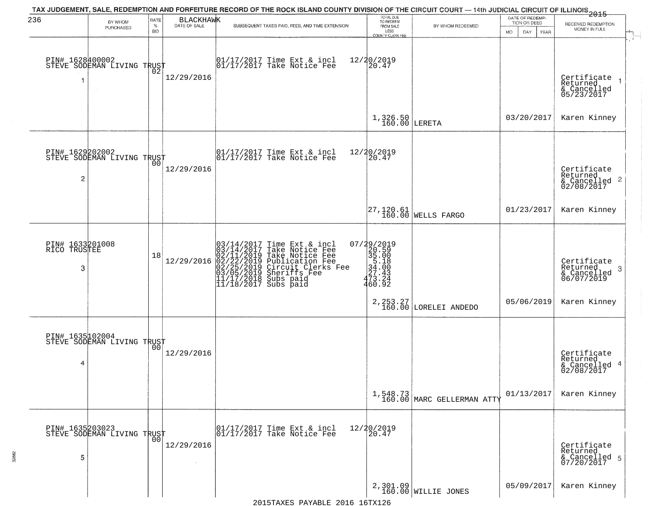| 236                                  | BY WHOM                                           | RATE               | <b>BLACKHAWK</b> | TAX JUDGEMENT, SALE, REDEMPTION AND FORFEITURE RECORD OF THE ROCK ISLAND COUNTY DIVISION OF THE CIRCUIT COURT — 14th JUDICIAL CIRCUIT OF ILLINOIS 2015                                                        | TOTAL DUE<br>TO REDEEM                                                                 |                                                                                 | DATE OF REDEMP-<br>TION OR DEED | RECEIVED REDEMPTION                                       |
|--------------------------------------|---------------------------------------------------|--------------------|------------------|---------------------------------------------------------------------------------------------------------------------------------------------------------------------------------------------------------------|----------------------------------------------------------------------------------------|---------------------------------------------------------------------------------|---------------------------------|-----------------------------------------------------------|
|                                      | PURCHASED                                         | $\%$<br><b>BID</b> | DATE OF SALE     | SUBSEQUENT TAXES PAID, FEES, AND TIME EXTENSION                                                                                                                                                               | FROM SALE<br>LESS<br><b>COUNTY CLERK FEE</b>                                           | BY WHOM REDEEMED                                                                | MO.<br>DAY.<br><b>YEAR</b>      | MONEY IN FULL                                             |
|                                      | PIN# 1628400002<br>STEVE SODEMAN LIVING TRUST     |                    | 12/29/2016       | 01/17/2017 Time Ext & incl<br>01/17/2017 Take Notice Fee                                                                                                                                                      | 12/20/2019<br>20.47                                                                    |                                                                                 |                                 | Certificate<br>Returned<br>& Cancelled<br>05/23/2017      |
|                                      |                                                   |                    |                  |                                                                                                                                                                                                               | $1,326.50$ LERETA                                                                      |                                                                                 | 03/20/2017                      | Karen Kinney                                              |
| $\overline{c}$                       | PIN# 1629202002<br>STEVE SODEMAN LIVING TRUST     |                    | 12/29/2016       | $\begin{array}{cc}  01/17/2017 \text{ Time Ext} & \text{incl} \\  01/17/2017 \text{ Take Notice Fe} \end{array}$                                                                                              | 12/20/2019<br>20.47                                                                    |                                                                                 |                                 | Certificate<br>Returned<br>& Cancelled 2<br>02/08/2017    |
|                                      |                                                   |                    |                  |                                                                                                                                                                                                               |                                                                                        | $\begin{vmatrix} 27,120.61 \\ 160.00 \end{vmatrix}$ WELLS FARGO                 | 01/23/2017                      | Karen Kinney                                              |
| PIN# 1633201008<br>RICO TRUSTEE<br>3 |                                                   | 18                 | 12/29/2016       | $03/14/2017$ Time Ext & incl<br>$03/14/2017$ Take Notice Fee<br>$02/11/2019$ Take Notice Fee<br>$02/22/2019$ Publication Fee<br>$03/05/2019$ Sheriffs Fee<br>$11/17/2018$ Subs paid<br>$11/18/2017$ Subs paid | 07/29/2019<br>$20.50$<br>$35.08$<br>$34.08$<br>$37.42$<br>$27.42$<br>$46.02$<br>460.92 |                                                                                 |                                 | Certificate<br>Returned<br>3<br>& Cancelled<br>06/07/2019 |
|                                      |                                                   |                    |                  |                                                                                                                                                                                                               |                                                                                        | 2, 253. 27<br>160.00 LORELEI ANDEDO                                             | 05/06/2019                      | Karen Kinney                                              |
| 4                                    | PIN# 1635102004    <br>STEVE SODEMAN LIVING TRUST | 00                 | 12/29/2016       |                                                                                                                                                                                                               |                                                                                        |                                                                                 |                                 | Certificate<br>Returned<br>& Cancelled 4<br>02/08/2017    |
|                                      |                                                   |                    |                  |                                                                                                                                                                                                               |                                                                                        | $\begin{array}{c} \texttt{1,548.73}\mid\texttt{MARC GELLERMAN ATTY}\end{array}$ | 01/13/2017                      | Karen Kinney                                              |
| 5                                    | PIN# 1635203023    <br>STEVE SODEMAN LIVING TRUST | 0 <sub>0</sub>     | 12/29/2016       | 01/17/2017 Time Ext & incl<br>01/17/2017 Take Notice Fee                                                                                                                                                      | 12/20/2019<br>20.47                                                                    |                                                                                 |                                 | Certificate<br>Returned<br>& Cancelled 5<br>07/20/2017    |
|                                      |                                                   |                    |                  |                                                                                                                                                                                                               |                                                                                        | 2,301.09<br>160.00 WILLIE JONES                                                 | 05/09/2017                      | Karen Kinney                                              |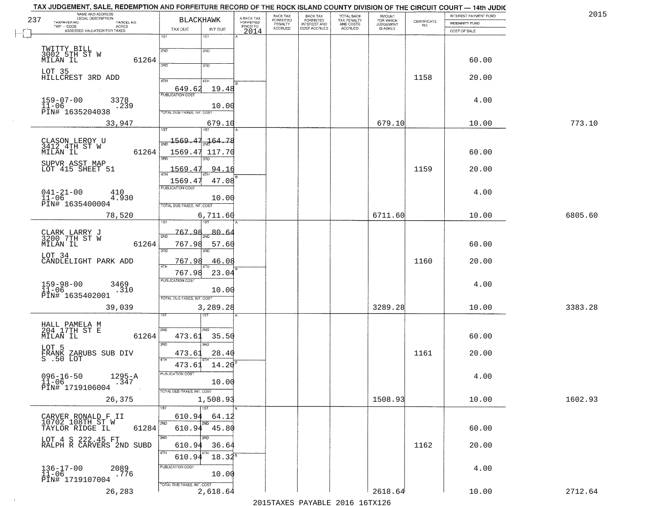| 201     | <b>INTEREST PAYMENT FUND</b> |                                                                 | AMOUNT<br>FOR WHICH          | TOTAL BACK<br>TAX PENALTY<br>AND COSTS | BACK TAX<br>FORFEITED               | BACK TAX<br>FORFEITED<br>PENALTY | A-BACK TAX<br><b>FORFEITED</b> | <b>BLACKHAWK</b>                       | NAME AND ADDRESS<br>LEGAL DESCRIPTION<br>237<br>TAXPAYER NO.<br>PARCEL NO. |
|---------|------------------------------|-----------------------------------------------------------------|------------------------------|----------------------------------------|-------------------------------------|----------------------------------|--------------------------------|----------------------------------------|----------------------------------------------------------------------------|
|         | <b>INDEMNITY FUND</b>        | $\begin{array}{c} \text{CEPTIFICATE} \\ \text{NO.} \end{array}$ | <b>JUDGEMENT</b><br>IS ASKED | <b>ACCRUED</b>                         | <b>INTEREST AND</b><br>COST ACCRUED | <b>ACCRUED</b>                   | PRIOR TO                       | INT DUE<br>TAX DUE                     | TWP - CODE<br>ACRES<br>ASSESSED VALUATION FOR TAXES                        |
|         | COST OF SALE                 |                                                                 |                              |                                        |                                     |                                  | 2014                           | 1ST<br>18T                             |                                                                            |
|         |                              |                                                                 |                              |                                        |                                     |                                  |                                | 2ND<br>2ND                             |                                                                            |
|         | 60.00                        |                                                                 |                              |                                        |                                     |                                  |                                |                                        | TWITTY BILL<br>3002 5TH ST W<br>MILAN IL<br>61264                          |
|         |                              |                                                                 |                              |                                        |                                     |                                  |                                | 3AD<br>3RD                             |                                                                            |
|         | 20.00                        | 1158                                                            |                              |                                        |                                     |                                  |                                |                                        | LOT 35<br>HILLCREST 3RD ADD                                                |
|         |                              |                                                                 |                              |                                        |                                     |                                  |                                | 4TH<br>4TH<br>19.48<br>649.62          |                                                                            |
|         |                              |                                                                 |                              |                                        |                                     |                                  |                                | <b>PUBLICATION COST</b>                |                                                                            |
|         | 4.00                         |                                                                 |                              |                                        |                                     |                                  |                                | 10.00                                  | $159 - 07 - 00$<br>3378<br>$11 - 06$<br>. 239                              |
|         |                              |                                                                 |                              |                                        |                                     |                                  |                                | TOTAL DUE-TAXES, INT. COST             | PĪN# 1635204038                                                            |
| 773.10  | 10.00                        |                                                                 | 679.10                       |                                        |                                     |                                  |                                | 679.10                                 | 33,947                                                                     |
|         |                              |                                                                 |                              |                                        |                                     |                                  |                                |                                        |                                                                            |
|         |                              |                                                                 |                              |                                        |                                     |                                  |                                | 1569.47<br>-164.78                     | CLASON LEROY U<br>3412 4TH ST W<br>MILAN IL                                |
|         | 60.00                        |                                                                 |                              |                                        |                                     |                                  |                                | 1569.47<br>117.70                      | 61264                                                                      |
|         |                              |                                                                 |                              |                                        |                                     |                                  |                                |                                        | SUPVR ASST MAP                                                             |
|         | 20.00                        | 1159                                                            |                              |                                        |                                     |                                  |                                | 1569.4<br>94.16                        | LOT 415 SHEET 51                                                           |
|         |                              |                                                                 |                              |                                        |                                     |                                  |                                | 47.08<br>1569.4<br>PUBLICATION COST    |                                                                            |
|         | 4.00                         |                                                                 |                              |                                        |                                     |                                  |                                | 10.00                                  | $041 - 21 - 00$<br>410<br>$11 - 06$<br>4.930                               |
|         |                              |                                                                 |                              |                                        |                                     |                                  |                                | TOTAL DUE-TAXES, INT. COST             | PIN# 1635400004                                                            |
| 6805.60 | 10.00                        |                                                                 | 6711.60                      |                                        |                                     |                                  |                                | 6,711.60                               | 78,520                                                                     |
|         |                              |                                                                 |                              |                                        |                                     |                                  |                                |                                        |                                                                            |
|         |                              |                                                                 |                              |                                        |                                     |                                  |                                | 767.98<br>80.64<br>2ND                 | CLARK LARRY J<br>3200 7TH ST W                                             |
|         | 60.00                        |                                                                 |                              |                                        |                                     |                                  |                                | 767.98<br>57.60                        | 61264<br>MILAN IL                                                          |
|         |                              |                                                                 |                              |                                        |                                     |                                  |                                | 3RD<br>3RD                             | LOT 34                                                                     |
|         | 20.00                        | 1160                                                            |                              |                                        |                                     |                                  |                                | 46.08<br>767.9                         | CANDLELIGHT PARK ADD                                                       |
|         |                              |                                                                 |                              |                                        |                                     |                                  |                                | 767.98<br>23.04                        |                                                                            |
|         | 4.00                         |                                                                 |                              |                                        |                                     |                                  |                                | <b>PUBLICATION COST</b>                | 159-98-00<br>11-06<br>3469                                                 |
|         |                              |                                                                 |                              |                                        |                                     |                                  |                                | 10.00                                  | .310<br>PIN# 1635402001                                                    |
| 3383.28 | 10.00                        |                                                                 | 3289.28                      |                                        |                                     |                                  |                                | TOTAL OUE-TAXES, INT. COST<br>3,289.28 | 39,039                                                                     |
|         |                              |                                                                 |                              |                                        |                                     |                                  |                                | डिक                                    |                                                                            |
|         |                              |                                                                 |                              |                                        |                                     |                                  |                                |                                        |                                                                            |
|         | 60.00                        |                                                                 |                              |                                        |                                     |                                  |                                | 2ND<br>2ND.<br>473.61<br>35.50         | HALL PAMELA M<br>204 17TH ST E<br>MILAN IL<br>61264                        |
|         |                              |                                                                 |                              |                                        |                                     |                                  |                                | 3BD<br>3BD                             |                                                                            |
|         | 20.00                        | 1161                                                            |                              |                                        |                                     |                                  |                                | 28.40<br>473.61                        | LOT 5<br>FRANK ZARUBS SUB DIV<br>S .50 LOT                                 |
|         |                              |                                                                 |                              |                                        |                                     |                                  |                                | <b>ATH</b><br>$473.61 \quad 14.20^8$   |                                                                            |
|         | 4.00                         |                                                                 |                              |                                        |                                     |                                  |                                | PUBLICATION COST                       |                                                                            |
|         |                              |                                                                 |                              |                                        |                                     |                                  |                                | 10.00                                  | $096 - 16 - 50$<br>11-06<br>$^{1295-A}_{.347}$                             |
|         |                              |                                                                 |                              |                                        |                                     |                                  |                                | TOTAL DUE-TAXES, INT. COST             | PIN# 1719106004                                                            |
| 1602.93 | 10.00                        |                                                                 | 1508.93                      |                                        |                                     |                                  |                                | 1,508.93                               | 26,375                                                                     |
|         |                              |                                                                 |                              |                                        |                                     |                                  |                                | 1ST                                    |                                                                            |
|         |                              |                                                                 |                              |                                        |                                     |                                  |                                | 610.94<br>64.12<br>2ND                 | CARVER RONALD F II<br>10702 108TH ST W                                     |
|         | 60.00                        |                                                                 |                              |                                        |                                     |                                  |                                | $610.94$ <sup>***</sup><br>45.80       | 61284<br>TAYLOR RIDGE IL                                                   |
|         | 20.00                        | 1162                                                            |                              |                                        |                                     |                                  |                                | 3RD<br>חחי<br>610.94<br>36.64          | LOT 4 S 222.45 FT<br>RALPH R CARVERS 2ND SUBD                              |
|         |                              |                                                                 |                              |                                        |                                     |                                  |                                | 4TH                                    |                                                                            |
|         |                              |                                                                 |                              |                                        |                                     |                                  |                                | $18.32^8$<br>610.94                    |                                                                            |
|         |                              |                                                                 |                              |                                        |                                     |                                  |                                |                                        |                                                                            |
|         | 4.00                         |                                                                 |                              |                                        |                                     |                                  |                                | PUBLICATION COST                       |                                                                            |
|         |                              |                                                                 |                              |                                        |                                     |                                  |                                | 10.00<br>TOTAL DUE-TAXES, INT. COST    | $136 - 17 - 00$<br>$11 - 06$<br>2089<br>.776<br>PIN# 1719107004            |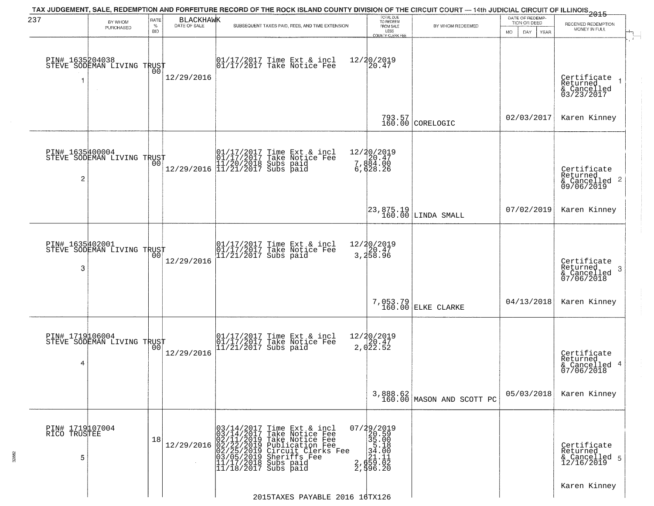| 237                                  | BY WHOM                                           | RATE               | <b>BLACKHAWK</b> | TAX JUDGEMENT, SALE, REDEMPTION AND FORFEITURE RECORD OF THE ROCK ISLAND COUNTY DIVISION OF THE CIRCUIT COURT — 14th JUDICIAL CIRCUIT OF ILLINOIS 2015                                                                                                       | TOTAL DUE<br>TO REDEEM                                                                                                   |                                                                           | DATE OF REDEMP<br>TION OR DEED | RECEIVED REDEMPTION                                       |
|--------------------------------------|---------------------------------------------------|--------------------|------------------|--------------------------------------------------------------------------------------------------------------------------------------------------------------------------------------------------------------------------------------------------------------|--------------------------------------------------------------------------------------------------------------------------|---------------------------------------------------------------------------|--------------------------------|-----------------------------------------------------------|
|                                      | PURCHASED                                         | $\%$<br><b>BID</b> | DATE OF SALE     | SUBSEQUENT TAXES PAID, FEES, AND TIME EXTENSION                                                                                                                                                                                                              | FROM SALE<br>LESS<br><b>COUNTY CLERK FEE</b>                                                                             | BY WHOM REDEEMED                                                          | DAY.<br>MO.<br>YEAR            | MONEY IN FULL                                             |
|                                      | PIN# 1635204038    <br>STEVE SODEMAN LIVING TRUST | 00                 | 12/29/2016       | 01/17/2017 Time Ext & incl<br>01/17/2017 Take Notice Fee                                                                                                                                                                                                     | 12/20/2019<br>20.47                                                                                                      |                                                                           |                                | Certificate<br>Returned<br>& Cancelled<br>03/23/2017      |
|                                      |                                                   |                    |                  |                                                                                                                                                                                                                                                              |                                                                                                                          | 793.57<br>160.00 CORELOGIC                                                | 02/03/2017                     | Karen Kinney                                              |
| PIN# 1635400004<br>$\overline{c}$    | STEVE SODEMAN LIVING TRUST                        |                    |                  | $\begin{array}{ll} & [01/17/2017 \text{ Time Ext & incl} \\ & [01/17/2017 \text{ Take Notice Fe}] \\ & [11/20/2018 \text{ Subs paid} \\ & [11/21/2017 \text{ Subs paid} \\ \end{array}$                                                                      | 12/20/2019<br>7,884.00<br>6,628.26                                                                                       |                                                                           |                                | Certificate<br>Returned<br>& Cancelled 2<br>09/06/2019    |
|                                      |                                                   |                    |                  |                                                                                                                                                                                                                                                              |                                                                                                                          | $\begin{array}{ c c c c c }\n 23,875.19 & \text{LINDA SMALL} \end{array}$ | 07/02/2019                     | Karen Kinney                                              |
| PIN# 1635402001<br>3                 | STEVE SODEMAN LIVING TRUST                        | 00                 | 12/29/2016       | 01/17/2017 Time Ext & incl<br>01/17/2017 Take Notice Fee<br>11/21/2017 Subs paid                                                                                                                                                                             | 12/20/2019<br>3,258.96                                                                                                   |                                                                           |                                | Certificate<br>Returned<br>3<br>& Cancelled<br>07/06/2018 |
|                                      |                                                   |                    |                  |                                                                                                                                                                                                                                                              |                                                                                                                          | 7,053.79<br>160.00 ELKE CLARKE                                            | 04/13/2018                     | Karen Kinney                                              |
| PIN# 1719106004<br>4                 | STEVE SODEMAN LIVING TRUST                        | 00                 | 12/29/2016       | 01/17/2017 Time Ext & incl<br>01/17/2017 Take Notice Fee<br>11/21/2017 Subs paid                                                                                                                                                                             | 12/20/2019<br>20.47<br>2,022.52                                                                                          |                                                                           |                                | Certificate<br>Returned<br>& Cancelled 4<br>07/06/2018    |
|                                      |                                                   |                    |                  |                                                                                                                                                                                                                                                              |                                                                                                                          | 3,888.62<br>160.00 MASON AND SCOTT PC                                     | 05/03/2018                     | Karen Kinney                                              |
| PIN# 1719107004<br>RICO TRUSTEE<br>5 |                                                   | 18                 |                  | 03/14/2017<br>03/14/2017<br>Time Ext & incl<br>Take Notice Fee<br>12/29/2016 02/11/2019 Take Notice Fee<br>12/29/2016 02/22/2019 Publication Fee<br>02/25/2019 Circuit Clerks Fee<br>03/05/2019 Sheriffs Fee<br>11/17/2018 Subs paid<br>11/18/2017 Subs paid | 07/29/2019<br>20.59<br>35.00<br>$\begin{array}{r} 35.18 \\ 34.00 \\ 24.00 \\ 251.11 \\ 2,659.02 \\ 2,996.20 \end{array}$ |                                                                           |                                | Certificate<br>Returned<br>& Cancelled 5<br>12/16/2019    |
|                                      |                                                   |                    |                  | 2015TAXES PAYABLE 2016 16TX126                                                                                                                                                                                                                               |                                                                                                                          |                                                                           |                                | Karen Kinney                                              |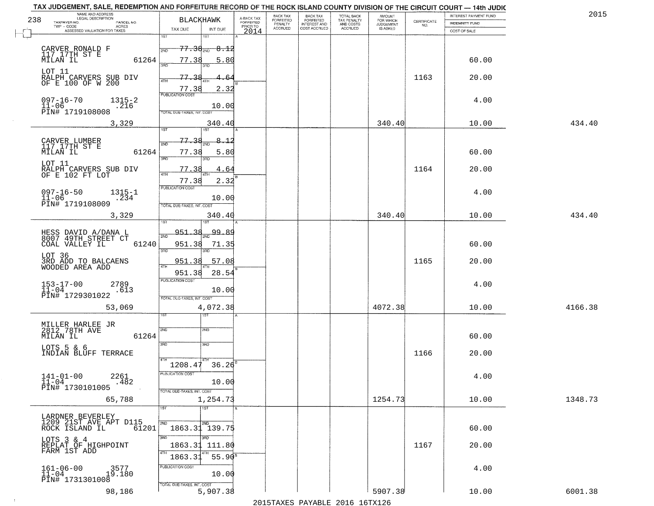| TAX JUDGEMENT, SALE, REDEMPTION AND FORFEITURE RECORD OF THE ROCK ISLAND COUNTY DIVISION OF THE CIRCUIT COURT - 14th JUDIC<br>NAME AND ADDRESS<br>LEGAL DESCRIPTION |                                                                       |                                     | BACK TAX             | <b>BACK TAX</b>                  |                                        | AMOUNT<br>FOR WHICH |                                                                 | INTEREST PAYMENT FUND | 201     |
|---------------------------------------------------------------------------------------------------------------------------------------------------------------------|-----------------------------------------------------------------------|-------------------------------------|----------------------|----------------------------------|----------------------------------------|---------------------|-----------------------------------------------------------------|-----------------------|---------|
| 238<br>TAXPAYER NO.<br>PARCEL NO.<br>TWP - CODE<br>ACRES                                                                                                            | <b>BLACKHAWK</b>                                                      | A-BACK TAX<br>FORFEITED<br>PRIOR TO | FORFEITED<br>PENALTY | FORFEITED<br><b>INTEREST AND</b> | TOTAL BACK<br>TAX PENALTY<br>AND COSTS | <b>JUDGEMENT</b>    | $\begin{array}{c} \text{CERTIFICATE} \\ \text{NO.} \end{array}$ | INDEMNITY FUND        |         |
| ASSESSED VALUATION FOR TAXES                                                                                                                                        | TAX DUE<br>INT DUE                                                    | 2014                                | <b>ACCRUED</b>       | COST ACCRUED                     | <b>ACCRUED</b>                         | IS ASKED            |                                                                 | COST OF SALE          |         |
| CARVER RONALD F<br>117 17TH ST E                                                                                                                                    | 1ST<br>181<br><del>77.38<sub>2ND</sub> 8.12</del>                     |                                     |                      |                                  |                                        |                     |                                                                 |                       |         |
| 61264<br>MILAN IL<br>LOT 11                                                                                                                                         | 77.38<br>5.80<br>sañ                                                  |                                     |                      |                                  |                                        |                     |                                                                 | 60.00                 |         |
| RALPH CARVERS SUB DIV<br>OF E 100 OF W 200                                                                                                                          | 77.38<br>4TH<br>77.38<br>2.32                                         |                                     |                      |                                  |                                        |                     | 1163                                                            | 20.00                 |         |
| $097 - 16 - 70$<br>$1315 - 2$<br>$11 - 06$<br>.216<br>PIN# 1719108008                                                                                               | <b>PUBLICATION COST</b><br>10.00<br><b>TOTAL DUE-TAXES, INT. COST</b> |                                     |                      |                                  |                                        |                     |                                                                 | 4.00                  |         |
| 3,329                                                                                                                                                               | 340.40<br>1ST<br>1ST                                                  |                                     |                      |                                  |                                        | 340.40              |                                                                 | 10.00                 | 434.40  |
|                                                                                                                                                                     | 77.38<br>8. 12                                                        |                                     |                      |                                  |                                        |                     |                                                                 |                       |         |
| CARVER LUMBER<br>117 17TH ST E<br>MILAN IL<br>61264                                                                                                                 | 2ND<br>77.38<br>5.80<br>3RD<br>3RD                                    |                                     |                      |                                  |                                        |                     |                                                                 | 60.00                 |         |
| LOT 11<br>RALPH CARVERS SUB DIV<br>OF E 102 FT LOT                                                                                                                  | 77.38<br>4.64<br>ৰাম                                                  |                                     |                      |                                  |                                        |                     | 1164                                                            | 20.00                 |         |
| $097 - 16 - 50$<br>$1315 - 1$<br>$11 - 06$<br>.234                                                                                                                  | 2.32<br>77.38<br>PUBLICATION COST<br>10.00                            |                                     |                      |                                  |                                        |                     |                                                                 | 4.00                  |         |
| PIN# 1719108009<br>3,329                                                                                                                                            | TOTAL DUE-TAXES, INT. COST<br>340.40                                  |                                     |                      |                                  |                                        | 340.40              |                                                                 | 10.00                 | 434.40  |
|                                                                                                                                                                     | 1ST                                                                   |                                     |                      |                                  |                                        |                     |                                                                 |                       |         |
| HESS DAVID A/DANA L<br>8007 49TH STREET CT                                                                                                                          | 951<br>99.89<br>-38<br>2ND                                            |                                     |                      |                                  |                                        |                     |                                                                 |                       |         |
| COAL VALLEY IL<br>61240                                                                                                                                             | 951.38<br>71.35<br>3RD<br>3RD                                         |                                     |                      |                                  |                                        |                     |                                                                 | 60.00                 |         |
| LOT 36<br>3RD ADD TO BALCAENS<br>WOODED AREA ADD                                                                                                                    | 951.38<br>57.08<br>4TF<br>951.38<br>28.54                             |                                     |                      |                                  |                                        |                     | 1165                                                            | 20.00                 |         |
| $153 - 17 - 00$<br>$11 - 04$<br>2789<br>.613                                                                                                                        | <b>PUBLICATION COST</b><br>10.00                                      |                                     |                      |                                  |                                        |                     |                                                                 | 4.00                  |         |
| PIN# 1729301022<br>53,069                                                                                                                                           | TOTAL OUE-TAXES, INT. COST<br>4,072.38                                |                                     |                      |                                  |                                        | 4072.38             |                                                                 | 10.00                 | 4166.38 |
|                                                                                                                                                                     | उड़ा                                                                  |                                     |                      |                                  |                                        |                     |                                                                 |                       |         |
| MILLER HARLEE JR<br>2812 78TH AVE<br>MILAN IL<br>61264                                                                                                              | 2ND<br>2ND                                                            |                                     |                      |                                  |                                        |                     |                                                                 | 60.00                 |         |
| LOTS 5 & 6<br>INDIAN BLUFF TERRACE                                                                                                                                  | 3RD<br>3HD<br>4TH                                                     |                                     |                      |                                  |                                        |                     | 1166                                                            | 20.00                 |         |
|                                                                                                                                                                     | 36.26<br>1208.47                                                      |                                     |                      |                                  |                                        |                     |                                                                 |                       |         |
| $141 - 01 - 00$<br>2261<br>.482<br>11-04<br>PIN# 1730101005                                                                                                         | PUBLICATION COST<br>10.00                                             |                                     |                      |                                  |                                        |                     |                                                                 | 4.00                  |         |
| 65,788                                                                                                                                                              | TOTAL DUE-TAXES, INT. COST<br>1,254.73                                |                                     |                      |                                  |                                        | 1254.73             |                                                                 | 10.00                 | 1348.73 |
| LARDNER BEVERLEY                                                                                                                                                    | 1ST<br>$\overline{1}$ 1ST                                             |                                     |                      |                                  |                                        |                     |                                                                 |                       |         |
| 1209 21ST AVE APT D115<br>61201<br>ROCK ISLAND IL                                                                                                                   | 2ND<br>2ND<br>1863.31 139.75                                          |                                     |                      |                                  |                                        |                     |                                                                 | 60.00                 |         |
| LOTS 3 & 4<br>REPLAT OF HIGHPOINT<br>FARM IST ADD                                                                                                                   | 3RD<br>उनेट<br>1863.31<br>111.80<br>4TH                               |                                     |                      |                                  |                                        |                     | 1167                                                            | 20.00                 |         |
|                                                                                                                                                                     | $55.90^8$<br>1863.31                                                  |                                     |                      |                                  |                                        |                     |                                                                 |                       |         |
| $161 - 06 - 00$<br>3577<br>19.180<br>11-04<br>PIN# 1731301008                                                                                                       | PUBLICATION COST<br>10.00                                             |                                     |                      |                                  |                                        |                     |                                                                 | 4.00                  |         |
| 98,186                                                                                                                                                              | TOTAL DUE-TAXES, INT. COST<br>5,907.38                                |                                     |                      |                                  |                                        | 5907.38             |                                                                 | 10.00                 | 6001.38 |

 $\sim 100$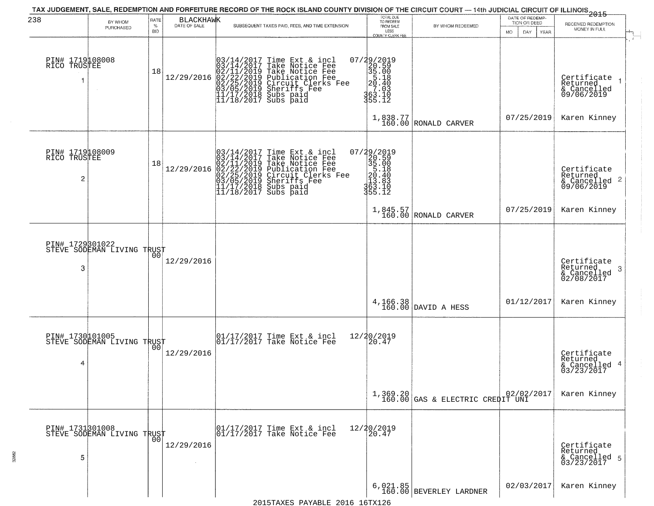| 238                                  | BY WHOM<br>PURCHASED                              | RATE<br>$\%$ | <b>BLACKHAWK</b><br>DATE OF SALE | SUBSEQUENT TAXES PAID, FEES, AND TIME EXTENSION                                                                                                                                                                                         | TOTAL DUE<br>TO REDEEM<br>FROM SALE                                                                          | BY WHOM REDEEMED                                                                                                                                      | DATE OF REDEMP-<br>TION OR DEED | 2015<br>RECEIVED REDEMPTION                                        |
|--------------------------------------|---------------------------------------------------|--------------|----------------------------------|-----------------------------------------------------------------------------------------------------------------------------------------------------------------------------------------------------------------------------------------|--------------------------------------------------------------------------------------------------------------|-------------------------------------------------------------------------------------------------------------------------------------------------------|---------------------------------|--------------------------------------------------------------------|
|                                      |                                                   | <b>BID</b>   |                                  |                                                                                                                                                                                                                                         | LESS<br>COUNTY CLERK FEE                                                                                     |                                                                                                                                                       | <b>MO</b><br>DAY<br>YEAR        | MONEY IN FULL                                                      |
| PIN# 1719108008<br>RICO TRUSTEE      |                                                   | 18           | 12/29/2016                       | $03/14/2017$ Time Ext & incl<br>$03/14/2017$ Take Notice Fee<br>$02/11/2019$ Take Notice Fee<br>$02/22/2019$ Publication Fee<br>$03/05/2019$ Sheriffs Fee<br>$11/17/2018$ Subs paid<br>$11/18/2017$ Subs paid                           | $\begin{smallmatrix} 07/29/2019\\20.59\\35.00\\51.40\\27.03\\363.10\\355.12 \end{smallmatrix}$               |                                                                                                                                                       |                                 | Certificate<br>Returned<br>& Cancelled<br>09/06/2019               |
|                                      |                                                   |              |                                  |                                                                                                                                                                                                                                         |                                                                                                              | $\left. \begin{array}{c} 1\, , 838\, , 77\\ 160\, .00 \end{array} \right  \left. \begin{array}{c} \text{RONALD} \\ \text{CARVER} \end{array} \right.$ | 07/25/2019                      | Karen Kinney                                                       |
| PIN# 1719108009<br>RICO TRUSTEE<br>2 |                                                   | 18           | 12/29/2016                       | $03/14/2017$ Time Ext & incl<br>$03/14/2017$ Take Notice Fee<br>$02/11/2019$ Take Notice Fee<br>$02/22/2019$ Publication Fee<br>$03/05/2019$ Sheriffs Fee<br>$11/17/2018$ Subs paid<br>$11/18/2017$ Subs paid<br>$11/18/2017$ Subs paid | $\begin{smallmatrix} 07/29/2019\\20.59\\35.00\\5.18\\20.40\\20.40\\213.83\\363.10\\355.12 \end{smallmatrix}$ |                                                                                                                                                       |                                 | Certificate<br>Returned<br>$\frac{1}{6}$ Cancelled 2<br>09/06/2019 |
|                                      |                                                   |              |                                  |                                                                                                                                                                                                                                         |                                                                                                              | 1,845.57<br>160.00 RONALD CARVER                                                                                                                      | 07/25/2019                      | Karen Kinney                                                       |
| 3                                    | PIN# 1729801022<br>STEVE SODEMAN LIVING TRUST     |              | 12/29/2016                       |                                                                                                                                                                                                                                         |                                                                                                              |                                                                                                                                                       |                                 | Certificate<br>Returned<br>-3<br>& Cancelled<br>02/08/2017         |
|                                      |                                                   |              |                                  |                                                                                                                                                                                                                                         |                                                                                                              | 4, 166.38<br>160.00 DAVID A HESS                                                                                                                      | 01/12/2017                      | Karen Kinney                                                       |
| PIN# 1730101005<br>4                 | STEVE SODEMAN LIVING TRUST                        | 00           | 12/29/2016                       | 01/17/2017 Time Ext & incl<br>01/17/2017 Take Notice Fee                                                                                                                                                                                | 12/20/2019<br>20.47                                                                                          |                                                                                                                                                       |                                 | Certificate<br>Returned<br>& Cancelled 4<br>03/23/2017             |
|                                      |                                                   |              |                                  |                                                                                                                                                                                                                                         |                                                                                                              | 1,369.20<br>160.00 GAS & ELECTRIC CREDIT UNI                                                                                                          |                                 | Karen Kinney                                                       |
| 5                                    | PIN# 1731301008    <br>STEVE SODEMAN LIVING TRUST | 00           | 12/29/2016                       | 01/17/2017 Time Ext & incl<br>01/17/2017 Take Notice Fee                                                                                                                                                                                | 12/20/2019<br>20.47                                                                                          |                                                                                                                                                       |                                 | Certificate<br>Returned<br>& Cancelled 5<br>03/23/2017             |
|                                      |                                                   |              |                                  | 2015TAXES PAYABLE 2016 16TX126                                                                                                                                                                                                          |                                                                                                              | 6,021.85<br>160.00 BEVERLEY LARDNER                                                                                                                   | 02/03/2017                      | Karen Kinney                                                       |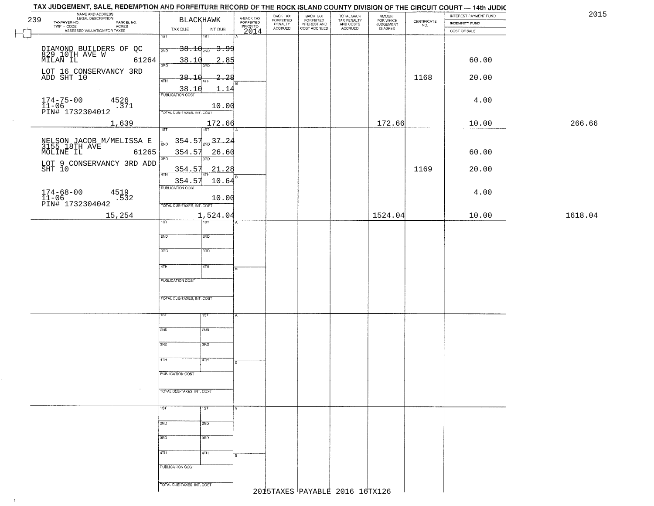|     | TAX JUDGEMENT, SALE, REDEMPTION AND FORFEITURE RECORD OF THE ROCK ISLAND COUNTY DIVISION OF THE CIRCUIT COURT - 14th JUDIC |                                   |                           |                                     |                                  |                                                       |                                        |                                  |                                                                 |                                |         |
|-----|----------------------------------------------------------------------------------------------------------------------------|-----------------------------------|---------------------------|-------------------------------------|----------------------------------|-------------------------------------------------------|----------------------------------------|----------------------------------|-----------------------------------------------------------------|--------------------------------|---------|
| 239 | NAME AND ADDRESS<br>LEGAL DESCRIPTION                                                                                      | <b>BLACKHAWK</b>                  |                           | A-BACK TAX<br>FORFEITED<br>PRIOR TO | BACK TAX<br>FORFEITED<br>PENALTY | BACK TAX<br>FORFEITED<br>INTEREST AND<br>COST ACCRUED | TOTAL BACK<br>TAX PENALTY<br>AND COSTS | AMOUNT<br>FOR WHICH<br>JUDGEMENT |                                                                 | INTEREST PAYMENT FUND          | 2015    |
|     | TAXPAYER NO.<br>PARCEL NO.<br>ACRES<br>ASSESSED VALUATION FOR TAXES                                                        | TAX DUE                           | INT DUE                   | 2014                                | <b>ACCRUED</b>                   |                                                       | ACCRUED                                | IS ASKED                         | $\begin{array}{c} \text{CERTIFICATE} \\ \text{NO.} \end{array}$ | INDEMNITY FUND<br>COST OF SALE |         |
|     |                                                                                                                            | $\overline{1ST}$                  | 18T                       |                                     |                                  |                                                       |                                        |                                  |                                                                 |                                |         |
|     |                                                                                                                            | 2ND                               | <del>38.10 avg 3.99</del> |                                     |                                  |                                                       |                                        |                                  |                                                                 |                                |         |
|     | DIAMOND BUILDERS OF QC<br>829 10TH AVE W<br>MILAN IL 612<br>61264                                                          | 38.10                             | 2.85                      |                                     |                                  |                                                       |                                        |                                  |                                                                 | 60.00                          |         |
|     |                                                                                                                            | 3RD                               |                           |                                     |                                  |                                                       |                                        |                                  |                                                                 |                                |         |
|     | LOT 16 CONSERVANCY 3RD<br>ADD SHT 10                                                                                       | 38.10<br>4TH                      | 2.28                      |                                     |                                  |                                                       |                                        |                                  | 1168                                                            | 20.00                          |         |
|     |                                                                                                                            | PUBLICATION COST                  | 1.14                      |                                     |                                  |                                                       |                                        |                                  |                                                                 |                                |         |
|     | $174 - 75 - 00$<br>4526                                                                                                    |                                   |                           |                                     |                                  |                                                       |                                        |                                  |                                                                 | 4.00                           |         |
|     | $\frac{11}{11-06}$ $\frac{11}{1732304012}$<br>.371                                                                         |                                   | 10.00                     |                                     |                                  |                                                       |                                        |                                  |                                                                 |                                |         |
|     |                                                                                                                            | TOTAL DUE-TAXES, INT. COST        |                           |                                     |                                  |                                                       |                                        |                                  |                                                                 |                                |         |
|     | 1,639                                                                                                                      | 1ST                               | 172.66<br>1ST             |                                     |                                  |                                                       |                                        | 172.66                           |                                                                 | 10.00                          | 266.66  |
|     |                                                                                                                            | 354.57                            | $-37.24$                  |                                     |                                  |                                                       |                                        |                                  |                                                                 |                                |         |
|     | NELSON JACOB M/MELISSA E<br>3155 18TH AVE 61265                                                                            |                                   |                           |                                     |                                  |                                                       |                                        |                                  |                                                                 |                                |         |
|     | 61265                                                                                                                      | 354.57<br>$\overline{\text{3AD}}$ | 26.60<br>3BD              |                                     |                                  |                                                       |                                        |                                  |                                                                 | 60.00                          |         |
|     | LOT 9 CONSERVANCY 3RD ADD<br>SHT 10                                                                                        | 354.57                            | 21.28                     |                                     |                                  |                                                       |                                        |                                  | 1169                                                            | 20.00                          |         |
|     |                                                                                                                            | 47H<br>354.57                     | 10.64                     |                                     |                                  |                                                       |                                        |                                  |                                                                 |                                |         |
|     | $174 - 68 - 00$                                                                                                            | PUBLICATION COST                  |                           |                                     |                                  |                                                       |                                        |                                  |                                                                 |                                |         |
|     | 4519<br>$11-06$<br>PIN# 1732304042<br>.532                                                                                 |                                   | 10.00                     |                                     |                                  |                                                       |                                        |                                  |                                                                 | 4.00                           |         |
|     |                                                                                                                            | TOTAL DUE-TAXES, INT. COST        |                           |                                     |                                  |                                                       |                                        |                                  |                                                                 |                                |         |
|     | 15,254                                                                                                                     | 1ST                               | 1,524.04<br>1ST           |                                     |                                  |                                                       |                                        | 1524.04                          |                                                                 | 10.00                          | 1618.04 |
|     |                                                                                                                            |                                   |                           |                                     |                                  |                                                       |                                        |                                  |                                                                 |                                |         |
|     |                                                                                                                            | 2ND                               | SMD                       |                                     |                                  |                                                       |                                        |                                  |                                                                 |                                |         |
|     |                                                                                                                            | 3 <sub>BD</sub>                   | 3RD                       |                                     |                                  |                                                       |                                        |                                  |                                                                 |                                |         |
|     |                                                                                                                            |                                   |                           |                                     |                                  |                                                       |                                        |                                  |                                                                 |                                |         |
|     |                                                                                                                            | 4TH                               | 4TH                       |                                     |                                  |                                                       |                                        |                                  |                                                                 |                                |         |
|     |                                                                                                                            | PUBLICATION COST                  |                           |                                     |                                  |                                                       |                                        |                                  |                                                                 |                                |         |
|     |                                                                                                                            |                                   |                           |                                     |                                  |                                                       |                                        |                                  |                                                                 |                                |         |
|     |                                                                                                                            | TOTAL OUE-TAXES, INT. COST        |                           |                                     |                                  |                                                       |                                        |                                  |                                                                 |                                |         |
|     |                                                                                                                            |                                   |                           |                                     |                                  |                                                       |                                        |                                  |                                                                 |                                |         |
|     |                                                                                                                            | 1ST                               | 1ST                       |                                     |                                  |                                                       |                                        |                                  |                                                                 |                                |         |
|     |                                                                                                                            | 2ND                               | 2ND                       |                                     |                                  |                                                       |                                        |                                  |                                                                 |                                |         |
|     |                                                                                                                            | 3RD                               | 3BD                       |                                     |                                  |                                                       |                                        |                                  |                                                                 |                                |         |
|     |                                                                                                                            |                                   |                           |                                     |                                  |                                                       |                                        |                                  |                                                                 |                                |         |
|     |                                                                                                                            | 4TH                               | 77H                       |                                     |                                  |                                                       |                                        |                                  |                                                                 |                                |         |
|     |                                                                                                                            | PUBLICATION COST                  |                           |                                     |                                  |                                                       |                                        |                                  |                                                                 |                                |         |
|     |                                                                                                                            |                                   |                           |                                     |                                  |                                                       |                                        |                                  |                                                                 |                                |         |
|     | $\sim$                                                                                                                     | TOTAL DUE-TAXES, INT. COST        |                           |                                     |                                  |                                                       |                                        |                                  |                                                                 |                                |         |
|     |                                                                                                                            |                                   |                           |                                     |                                  |                                                       |                                        |                                  |                                                                 |                                |         |
|     |                                                                                                                            | $\overline{115}$                  | 1ST                       | А                                   |                                  |                                                       |                                        |                                  |                                                                 |                                |         |
|     |                                                                                                                            | 2ND                               | 2ND                       |                                     |                                  |                                                       |                                        |                                  |                                                                 |                                |         |
|     |                                                                                                                            |                                   |                           |                                     |                                  |                                                       |                                        |                                  |                                                                 |                                |         |
|     |                                                                                                                            | 3BD                               | 3 <sub>BD</sub>           |                                     |                                  |                                                       |                                        |                                  |                                                                 |                                |         |
|     |                                                                                                                            | 4TH                               | 4TH                       | l B                                 |                                  |                                                       |                                        |                                  |                                                                 |                                |         |
|     |                                                                                                                            | PUBLICATION COST                  |                           |                                     |                                  |                                                       |                                        |                                  |                                                                 |                                |         |
|     |                                                                                                                            |                                   |                           |                                     |                                  |                                                       |                                        |                                  |                                                                 |                                |         |
|     |                                                                                                                            | TOTAL DUE-TAXES, INT. COST        |                           |                                     |                                  |                                                       |                                        |                                  |                                                                 |                                |         |
|     |                                                                                                                            |                                   |                           |                                     |                                  |                                                       | 2015TAXES PAYABLE 2016 16TX126         |                                  |                                                                 |                                |         |

 $\pm 1$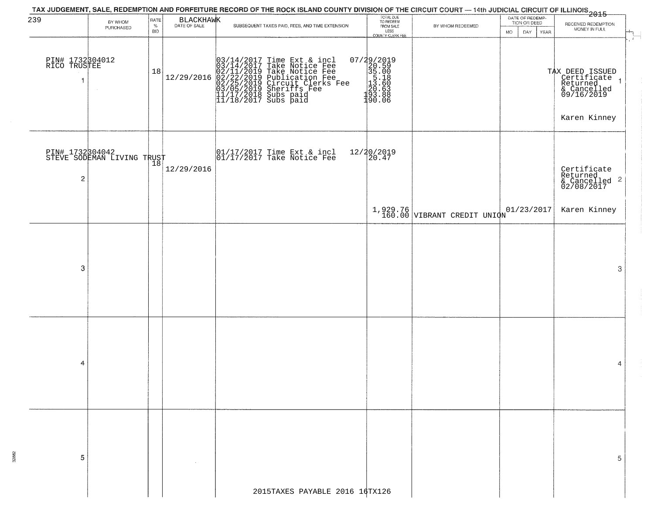|                                 |                                               |                            |            | TAX JUDGEMENT, SALE, REDEMPTION AND FORFEITURE RECORD OF THE ROCK ISLAND COUNTY DIVISION OF THE CIRCUIT COURT — 14th JUDICIAL CIRCUIT OF ILLINOIS<br>2015 - TAX TORREST MANUSCRIPT OF ILLINOIS                                                                                                                                                                |                                                                                     |                                           |                                                               |                                                                                         |
|---------------------------------|-----------------------------------------------|----------------------------|------------|---------------------------------------------------------------------------------------------------------------------------------------------------------------------------------------------------------------------------------------------------------------------------------------------------------------------------------------------------------------|-------------------------------------------------------------------------------------|-------------------------------------------|---------------------------------------------------------------|-----------------------------------------------------------------------------------------|
| 239                             | BY WHOM<br>PURCHASED                          | RATE<br>$\%$<br><b>BID</b> | BLACKHAWK  | SUBSEQUENT TAXES PAID, FEES, AND TIME EXTENSION                                                                                                                                                                                                                                                                                                               | TOTAL DUE<br>TO REDEEM<br>FROM SALE<br>LESS<br>COUNTY CLERK FEE                     | BY WHOM REDEEMED                          | DATE OF REDEMP-<br>TION OR DEED<br>DAY  <br><b>MO</b><br>YEAR | RECEIVED REDEMPTION<br>MONEY IN FULL                                                    |
| PIN# 1732304012<br>RICO TRUSTEE | $\sim$                                        | 18                         |            | $[12/29/2016] \begin{tabular}{ c c c c } \hline & 03/14/2017 Time Ext & $\&$ incl & $03/14/2017$ Take Notice Free \\ \hline 03/14/2017 Take Notice Free \\ 02/11/2019 Take Notice Free \\ 02/22/2019 Publication Free \\ 03/05/2019 Circuit & Cler's Free \\ 03/05/2019 Sherifs Free \\ 11/17/2018 Subs paid \\ 11/18/2017 Subs paid \\ \hline \end{tabular}$ | 07/29/2019<br>20.59<br>35.00<br>55.00<br>5.18<br>20.58<br>20.63<br>38.888<br>190.06 |                                           |                                                               | TAX DEED ISSUED<br>Certificate<br>Returned<br>& Cancelled<br>09/16/2019<br>Karen Kinney |
| $\mathbf 2$                     | PIN# 1732304042<br>STEVE SODEMAN LIVING TRUST |                            | 12/29/2016 | 01/17/2017 Time Ext & incl<br>01/17/2017 Take Notice Fee                                                                                                                                                                                                                                                                                                      | 12/20/2019<br>20.47                                                                 |                                           |                                                               | Certificate<br>Returned<br>$\frac{1}{2}$ Cancelled 2<br>02/08/2017                      |
|                                 |                                               |                            |            |                                                                                                                                                                                                                                                                                                                                                               |                                                                                     | $1,929.76$<br>160.00 VIBRANT CREDIT UNION | 01/23/2017                                                    | Karen Kinney                                                                            |
| 3                               |                                               |                            |            |                                                                                                                                                                                                                                                                                                                                                               |                                                                                     |                                           |                                                               | 3                                                                                       |
| 4                               |                                               |                            |            |                                                                                                                                                                                                                                                                                                                                                               |                                                                                     |                                           |                                                               | 4                                                                                       |
| 5                               |                                               |                            |            | 2015TAXES PAYABLE 2016 16TX126                                                                                                                                                                                                                                                                                                                                |                                                                                     |                                           |                                                               | 5                                                                                       |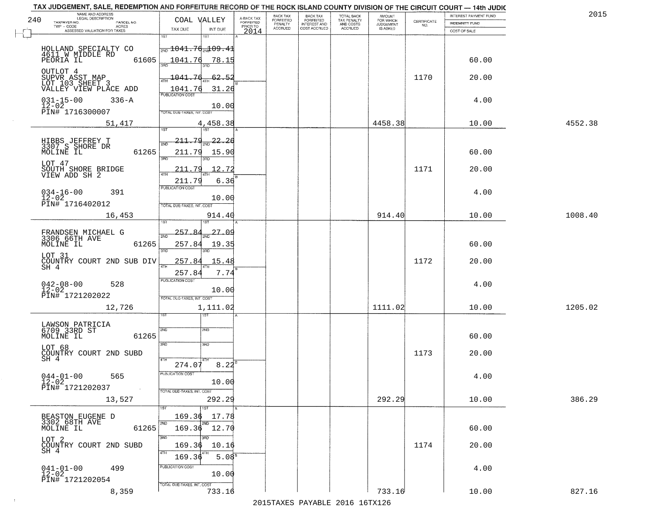|     | TAX JUDGEMENT, SALE, REDEMPTION AND FORFEITURE RECORD OF THE ROCK ISLAND COUNTY DIVISION OF THE CIRCUIT COURT - 14th JUDIC<br>NAME AND ADDRESS<br>LEGAL DESCRIPTION |                                               |                         | BACK TAX                    |                                              |                                        |                                         |                                                                 | INTEREST PAYMENT FUND | 2015    |
|-----|---------------------------------------------------------------------------------------------------------------------------------------------------------------------|-----------------------------------------------|-------------------------|-----------------------------|----------------------------------------------|----------------------------------------|-----------------------------------------|-----------------------------------------------------------------|-----------------------|---------|
| 240 | TAXPAYER NO.<br>PARCEL NO.                                                                                                                                          | COAL VALLEY                                   | A-BACK TAX<br>FORFEITED | <b>FORFEITED</b><br>PENALTY | BACK TAX<br>FORFEITED<br><b>INTEREST AND</b> | TOTAL BACK<br>TAX PENALTY<br>AND COSTS | AMOUNT<br>FOR WHICH<br><b>JUDGEMENT</b> | $\begin{array}{c} \text{CERTIFICATE} \\ \text{NO.} \end{array}$ | INDEMNITY FUND        |         |
|     | ACRES<br>ASSESSED VALUATION FOR TAXES                                                                                                                               | TAX DUE<br>INT DUE                            | PRIOR TO<br>2014        | <b>ACCRUED</b>              | COST ACCRUED                                 | <b>ACCRUED</b>                         | IS ASKED                                |                                                                 | COST OF SALE          |         |
|     |                                                                                                                                                                     | 1ST<br>$1S$ T                                 |                         |                             |                                              |                                        |                                         |                                                                 |                       |         |
|     | HOLLAND SPECIALTY CO                                                                                                                                                | $\frac{1}{200}$ 1041.76 $\frac{1}{204}$ 09.41 |                         |                             |                                              |                                        |                                         |                                                                 |                       |         |
|     | 4611 W MIDDLE RD<br>61605<br>PEORIA IL                                                                                                                              | 1041.76<br>78.15                              |                         |                             |                                              |                                        |                                         |                                                                 | 60.00                 |         |
|     |                                                                                                                                                                     |                                               |                         |                             |                                              |                                        |                                         |                                                                 |                       |         |
|     | OUTLOT 4<br>SUPVR ASST MAP<br>LOT 103 SHEET 3                                                                                                                       | 1041.76<br>62.52                              |                         |                             |                                              |                                        |                                         | 1170                                                            | 20.00                 |         |
|     |                                                                                                                                                                     |                                               |                         |                             |                                              |                                        |                                         |                                                                 |                       |         |
|     | VALLEY VIEW PLACE ADD                                                                                                                                               | 1041.76<br>31.26                              |                         |                             |                                              |                                        |                                         |                                                                 |                       |         |
|     | $031 - 15 - 00$<br>$336 - A$<br>$12 - 02$                                                                                                                           | 10.00                                         |                         |                             |                                              |                                        |                                         |                                                                 | 4.00                  |         |
|     | PIN# 1716300007                                                                                                                                                     | TOTAL DUE-TAXES, INT. COST                    |                         |                             |                                              |                                        |                                         |                                                                 |                       |         |
|     | 51,417                                                                                                                                                              | 4,458.38                                      |                         |                             |                                              |                                        | 4458.38                                 |                                                                 | 10.00                 | 4552.38 |
|     |                                                                                                                                                                     |                                               |                         |                             |                                              |                                        |                                         |                                                                 |                       |         |
|     |                                                                                                                                                                     | 211.79<br>$\frac{1}{2ND}$ 22.26               |                         |                             |                                              |                                        |                                         |                                                                 |                       |         |
|     | HIBBS JEFFREY T<br>3307 S SHORE DR<br>MOLINE IL<br>61265                                                                                                            | 211.79<br>15.90                               |                         |                             |                                              |                                        |                                         |                                                                 | 60.00                 |         |
|     |                                                                                                                                                                     | 3RD                                           |                         |                             |                                              |                                        |                                         |                                                                 |                       |         |
|     | LOT 47                                                                                                                                                              | 211.79<br>12.72                               |                         |                             |                                              |                                        |                                         | 1171                                                            | 20.00                 |         |
|     | SOUTH SHORE BRIDGE<br>VIEW ADD SH 2                                                                                                                                 |                                               |                         |                             |                                              |                                        |                                         |                                                                 |                       |         |
|     |                                                                                                                                                                     | 6.36<br>211.79<br>PUBLICATION COST            |                         |                             |                                              |                                        |                                         |                                                                 |                       |         |
|     | $034 - 16 - 00$<br>391<br>$12 - 02$                                                                                                                                 | 10.00                                         |                         |                             |                                              |                                        |                                         |                                                                 | 4.00                  |         |
|     | PIN# 1716402012                                                                                                                                                     | TOTAL DUE-TAXES, INT. COST                    |                         |                             |                                              |                                        |                                         |                                                                 |                       |         |
|     | 16,453                                                                                                                                                              | 914.40                                        |                         |                             |                                              |                                        | 914.40                                  |                                                                 | 10.00                 | 1008.40 |
|     |                                                                                                                                                                     | <b>ST</b>                                     |                         |                             |                                              |                                        |                                         |                                                                 |                       |         |
|     | FRANDSEN MICHAEL G<br>3306 66TH AVE                                                                                                                                 | 257.<br><u>27.OS</u><br>2ND                   |                         |                             |                                              |                                        |                                         |                                                                 |                       |         |
|     | MOLINE IL<br>61265                                                                                                                                                  | 257.84<br>19.35                               |                         |                             |                                              |                                        |                                         |                                                                 | 60.00                 |         |
|     |                                                                                                                                                                     | 3RD<br>3RD                                    |                         |                             |                                              |                                        |                                         |                                                                 |                       |         |
|     | LOT 31<br>COUNTRY COURT 2ND SUB DIV<br>SH 4                                                                                                                         | 257.84<br>15.48                               |                         |                             |                                              |                                        |                                         | 1172                                                            | 20.00                 |         |
|     |                                                                                                                                                                     | 4TH<br>7.74<br>257.84                         |                         |                             |                                              |                                        |                                         |                                                                 |                       |         |
|     |                                                                                                                                                                     | <b>PUBLICATION COST</b>                       |                         |                             |                                              |                                        |                                         |                                                                 |                       |         |
|     | $042 - 08 - 00$<br>12-02<br>528                                                                                                                                     | 10.00                                         |                         |                             |                                              |                                        |                                         |                                                                 | 4.00                  |         |
|     | PIN# 1721202022                                                                                                                                                     | TOTAL OUE-TAXES, INT. COST                    |                         |                             |                                              |                                        |                                         |                                                                 |                       |         |
|     | 12,726                                                                                                                                                              | 1,111.02                                      |                         |                             |                                              |                                        | 1111.02                                 |                                                                 | 10.00                 | 1205.02 |
|     |                                                                                                                                                                     | १९४                                           |                         |                             |                                              |                                        |                                         |                                                                 |                       |         |
|     | LAWSON PATRICIA<br>6709 33RD ST                                                                                                                                     | 2ND<br>2ND                                    |                         |                             |                                              |                                        |                                         |                                                                 |                       |         |
|     | MOLINE IL<br>61265                                                                                                                                                  |                                               |                         |                             |                                              |                                        |                                         |                                                                 | 60.00                 |         |
|     | LOT 68                                                                                                                                                              | 3BD<br>3HD                                    |                         |                             |                                              |                                        |                                         |                                                                 |                       |         |
|     | COUNTRY COURT 2ND SUBD                                                                                                                                              |                                               |                         |                             |                                              |                                        |                                         | 1173                                                            | 20.00                 |         |
|     | SH 4                                                                                                                                                                | 4TH<br>274.07<br>8.22                         |                         |                             |                                              |                                        |                                         |                                                                 |                       |         |
|     | $044 - 01 - 00$<br>565                                                                                                                                              | PUBLICATION COS.                              |                         |                             |                                              |                                        |                                         |                                                                 | 4.00                  |         |
|     | $12 - 02$                                                                                                                                                           | 10.00                                         |                         |                             |                                              |                                        |                                         |                                                                 |                       |         |
|     | PIN# 1721202037<br>$\sim 10$                                                                                                                                        | TOTAL DUE-TAXES, INT. COST                    |                         |                             |                                              |                                        |                                         |                                                                 |                       |         |
|     | 13,527                                                                                                                                                              | 292.29                                        |                         |                             |                                              |                                        | 292.29                                  |                                                                 | 10.00                 | 386.29  |
|     |                                                                                                                                                                     |                                               |                         |                             |                                              |                                        |                                         |                                                                 |                       |         |
|     | BEASTON EUGENE D<br>3302 68TH AVE                                                                                                                                   | 169.36<br>17.78                               |                         |                             |                                              |                                        |                                         |                                                                 |                       |         |
|     | 61265<br>MOLINE IL                                                                                                                                                  | 169.36 12.70                                  |                         |                             |                                              |                                        |                                         |                                                                 | 60.00                 |         |
|     |                                                                                                                                                                     | 3RD<br>חוז                                    |                         |                             |                                              |                                        |                                         |                                                                 |                       |         |
|     | LOT 2<br>COUNTRY COURT 2ND SUBD<br>SH 4                                                                                                                             | 169.36<br>10.16                               |                         |                             |                                              |                                        |                                         | 1174                                                            | 20.00                 |         |
|     |                                                                                                                                                                     | 4TH<br>5.08 <sup>B</sup><br>169.36            |                         |                             |                                              |                                        |                                         |                                                                 |                       |         |
|     | 499                                                                                                                                                                 | PUBLICATION COST                              |                         |                             |                                              |                                        |                                         |                                                                 | 4.00                  |         |
|     | $041 - 01 - 00$<br>12-02                                                                                                                                            | 10.00                                         |                         |                             |                                              |                                        |                                         |                                                                 |                       |         |
|     | PIN# 1721202054                                                                                                                                                     | TOTAL DUE-TAXES, INT. COST                    |                         |                             |                                              |                                        |                                         |                                                                 |                       |         |
|     | 8,359                                                                                                                                                               | 733.16                                        |                         |                             |                                              |                                        | 733.16                                  |                                                                 | 10.00                 | 827.16  |
|     |                                                                                                                                                                     |                                               |                         |                             |                                              | 2015 TAVEC DAVADIE 2016 16TV126        |                                         |                                                                 |                       |         |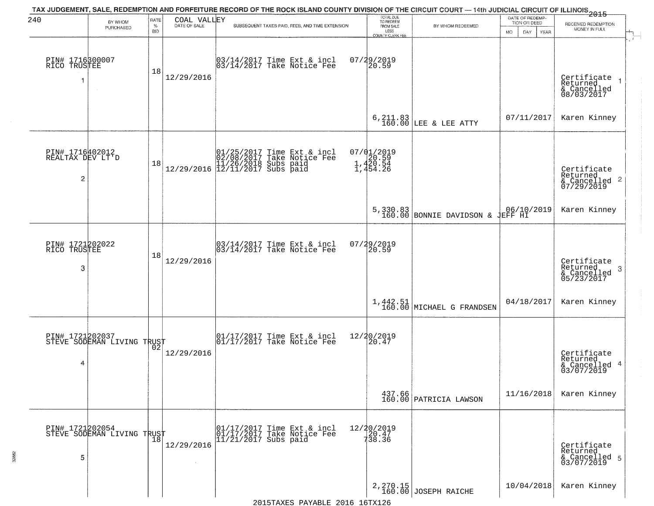| 240                                                   | BY WHOM<br>PURCHASED                          | RATE<br>$\%$ | COAL VALLEY<br>DATE OF SALE | TAX JUDGEMENT, SALE, REDEMPTION AND FORFEITURE RECORD OF THE ROCK ISLAND COUNTY DIVISION OF THE CIRCUIT COURT — 14th JUDICIAL CIRCUIT OF ILLINOIS 2015<br>SUBSEQUENT TAXES PAID, FEES, AND TIME EXTENSION | TOTAL DUE<br>TO REDEEM<br>FROM SALE         | BY WHOM REDEEMED                                                                                                                          | DATE OF REDEMP-<br>TION OR DEED | RECEIVED REDEMPTION                                                |
|-------------------------------------------------------|-----------------------------------------------|--------------|-----------------------------|-----------------------------------------------------------------------------------------------------------------------------------------------------------------------------------------------------------|---------------------------------------------|-------------------------------------------------------------------------------------------------------------------------------------------|---------------------------------|--------------------------------------------------------------------|
|                                                       |                                               | <b>BID</b>   |                             |                                                                                                                                                                                                           | LESS<br><b>COUNTY CLERK FEE</b>             |                                                                                                                                           | MO.<br>DAY.<br>YEAR             | MONEY IN FULL                                                      |
| PIN# 1716300007<br>RICO TRUSTEE<br>1                  | $\sim$                                        | 18           | 12/29/2016                  | 03/14/2017 Time Ext & incl<br>03/14/2017 Take Notice Fee                                                                                                                                                  | 07/29/2019<br>20.59                         |                                                                                                                                           |                                 | Certificate<br>Returned<br>& Cancelled<br>08/03/2017               |
|                                                       |                                               |              |                             |                                                                                                                                                                                                           |                                             | $\begin{array}{c c} 6,211.83 \\ 160.00 \end{array} \begin{array}{ l } \texttt{LEE} & \texttt{a} \texttt{LEE} & \texttt{ATTY} \end{array}$ | 07/11/2017                      | Karen Kinney                                                       |
| PIN# 1716402012<br>REALTAX DEV LT'D<br>$\overline{c}$ |                                               | 18           |                             | $[01/25/2017 \tTime Ext & incl \\ 02/08/2017 \tTake Notice Free \\ 11/26/2018 Subs paid \\ 12/29/2016 \t[12/11/2017 Subs paid]$                                                                           | 07/01/2019<br>20.59<br>1,420.54<br>1,454.26 |                                                                                                                                           |                                 | Certificate<br>Returned<br>$\frac{1}{2}$ Cancelled 2<br>07/29/2019 |
|                                                       |                                               |              |                             |                                                                                                                                                                                                           |                                             | 5,330.83<br>160.00 BONNIE DAVIDSON & JEFF HI                                                                                              |                                 | Karen Kinney                                                       |
| PIN# 1721202022<br>RICO TRUSTEE<br>3                  |                                               | 18           | 12/29/2016                  | 03/14/2017 Time Ext & incl<br>03/14/2017 Take Notice Fee                                                                                                                                                  | 07/29/2019<br>20.59                         |                                                                                                                                           |                                 | Certificate<br>Returned<br>3<br>& Cancelled<br>05/23/2017          |
|                                                       |                                               |              |                             |                                                                                                                                                                                                           |                                             | $1,442.51$<br>160.00 MICHAEL G FRANDSEN                                                                                                   | 04/18/2017                      | Karen Kinney                                                       |
| 4                                                     | PIN# 1721202037<br>STEVE SODEMAN LIVING TRUST |              | 12/29/2016                  | $\begin{bmatrix} 01/17/2017 \\ 01/17/2017 \end{bmatrix}$ Take Notice Fee                                                                                                                                  | 12/20/2019<br>20.47                         |                                                                                                                                           |                                 | Certificate<br>Returned<br>& Cancelled 4<br>03/07/2019             |
|                                                       |                                               |              |                             |                                                                                                                                                                                                           |                                             | $\begin{array}{c} 437.66 \\ 160.00 \end{array}$ PATRICIA LAWSON                                                                           | 11/16/2018                      | Karen Kinney                                                       |
| PIN# 1721202054<br>5                                  | PIN# 1721202057<br>STEVE SODEMAN LIVING TRUST |              | 12/29/2016                  | 01/17/2017 Time Ext & incl<br>01/17/2017 Take Notice Fee<br>$11/21/2017$ Subs paid                                                                                                                        | 12/20/2019<br>120.47<br>738.36              |                                                                                                                                           |                                 | Certificate<br>Returned<br>& Cancelled 5<br>03/07/2019             |
|                                                       |                                               |              |                             |                                                                                                                                                                                                           |                                             | 2, 270.15<br>160.00 JOSEPH RAICHE                                                                                                         | 10/04/2018                      | Karen Kinney                                                       |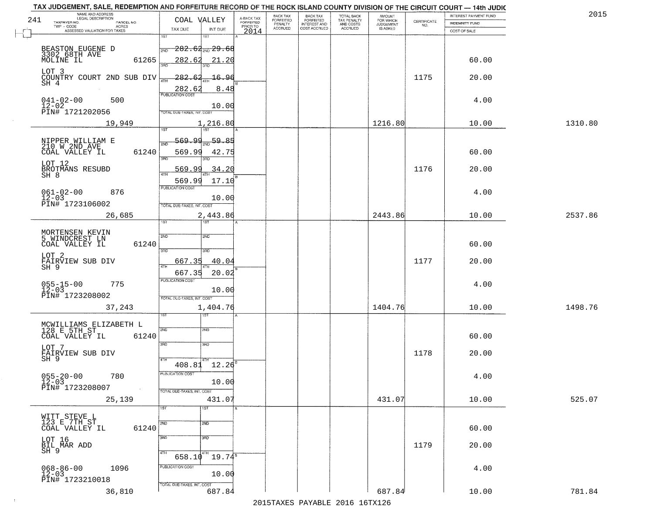| TAX JUDGEMENT, SALE, REDEMPTION AND FORFEITURE RECORD OF THE ROCK ISLAND COUNTY DIVISION OF THE CIRCUIT COURT - 14th JUDIC<br>NAME AND ADDRESS<br>LEGAL DESCRIPTION |                                             |                                     | BACK TAX                    | BACK TAX<br>FORFEITED |                                        | AMOUNT<br>FOR WHICH |                                                                 | INTEREST PAYMENT FUND | 2015    |
|---------------------------------------------------------------------------------------------------------------------------------------------------------------------|---------------------------------------------|-------------------------------------|-----------------------------|-----------------------|----------------------------------------|---------------------|-----------------------------------------------------------------|-----------------------|---------|
| 241<br>TAXPAYER NO.<br>PARCEL NO.                                                                                                                                   | COAL VALLEY                                 | A-BACK TAX<br>FORFEITED<br>PRIOR TO | <b>FORFEITED</b><br>PENALTY | <b>INTEREST AND</b>   | TOTAL BACK<br>TAX PENALTY<br>AND COSTS | <b>JUDGEMENT</b>    | $\begin{array}{c} \text{CERTIFICATE} \\ \text{NO.} \end{array}$ | INDEMNITY FUND        |         |
| ACRES<br>ASSESSED VALUATION FOR TAXES                                                                                                                               | INT DUE<br>TAX DUE                          | 2014                                | <b>ACCRUED</b>              | COST ACCRUED          | <b>ACCRUED</b>                         | IS ASKED            |                                                                 | COST OF SALE          |         |
|                                                                                                                                                                     | 1ST<br>1ST                                  |                                     |                             |                       |                                        |                     |                                                                 |                       |         |
|                                                                                                                                                                     | $-282.64_{\text{\tiny 2ND}}$ $29.68$<br>2ND |                                     |                             |                       |                                        |                     |                                                                 |                       |         |
| BEASTON EUGENE D<br>3302 68TH AVE<br>MOLINE IL<br>61265                                                                                                             | 282.62<br>21.20                             |                                     |                             |                       |                                        |                     |                                                                 | 60.00                 |         |
|                                                                                                                                                                     |                                             |                                     |                             |                       |                                        |                     |                                                                 |                       |         |
| LOT 3<br>COUNTRY COURT 2ND SUB DIV                                                                                                                                  | $-282.62$<br><u> 16.96</u>                  |                                     |                             |                       |                                        |                     | 1175                                                            | 20.00                 |         |
| SH 4                                                                                                                                                                | ATH                                         |                                     |                             |                       |                                        |                     |                                                                 |                       |         |
|                                                                                                                                                                     | 282.62<br>8.48                              |                                     |                             |                       |                                        |                     |                                                                 |                       |         |
| $041 - 02 - 00$<br>$12 - 02$<br>500                                                                                                                                 |                                             |                                     |                             |                       |                                        |                     |                                                                 | 4.00                  |         |
| PIN# 1721202056                                                                                                                                                     | 10.00<br>TOTAL DUE-TAXES, INT. COST         |                                     |                             |                       |                                        |                     |                                                                 |                       |         |
| 19,949                                                                                                                                                              | 1,216.80                                    |                                     |                             |                       |                                        | 1216.80             |                                                                 | 10.00                 | 1310.80 |
|                                                                                                                                                                     |                                             |                                     |                             |                       |                                        |                     |                                                                 |                       |         |
|                                                                                                                                                                     | $\frac{59.85}{200}$<br><u>569.99</u>        |                                     |                             |                       |                                        |                     |                                                                 |                       |         |
| NIPPER WILLIAM E<br>210 W 2ND AVE                                                                                                                                   |                                             |                                     |                             |                       |                                        |                     |                                                                 |                       |         |
| 61240<br>COAL VALLEY IL                                                                                                                                             | 569.99<br>42.75<br>ਬਨ<br>3RD                |                                     |                             |                       |                                        |                     |                                                                 | 60.00                 |         |
| LOT 12                                                                                                                                                              | <u>569.99</u><br>34.20                      |                                     |                             |                       |                                        |                     | 1176                                                            | 20.00                 |         |
| BROTMANS RESUBD<br>SH 8                                                                                                                                             |                                             |                                     |                             |                       |                                        |                     |                                                                 |                       |         |
|                                                                                                                                                                     | 569.99<br>17.10<br>PUBLICATION COST         |                                     |                             |                       |                                        |                     |                                                                 |                       |         |
| $061 - 02 - 00$<br>876                                                                                                                                              |                                             |                                     |                             |                       |                                        |                     |                                                                 | 4.00                  |         |
| $12 - 03$<br>PIN# 1723106002                                                                                                                                        | 10.00<br>TOTAL DUE-TAXES, INT. COST         |                                     |                             |                       |                                        |                     |                                                                 |                       |         |
|                                                                                                                                                                     |                                             |                                     |                             |                       |                                        | 2443.86             |                                                                 |                       | 2537.86 |
| 26,685                                                                                                                                                              | 2,443.86<br>1ST<br>ist                      |                                     |                             |                       |                                        |                     |                                                                 | 10.00                 |         |
|                                                                                                                                                                     |                                             |                                     |                             |                       |                                        |                     |                                                                 |                       |         |
| MORTENSEN KEVIN<br>5 WINDCREST LN                                                                                                                                   | SVD<br>2ND                                  |                                     |                             |                       |                                        |                     |                                                                 |                       |         |
| 61240<br>COAL VALLEY IL                                                                                                                                             | 3BD<br>3RD                                  |                                     |                             |                       |                                        |                     |                                                                 | 60.00                 |         |
| LOT 2                                                                                                                                                               |                                             |                                     |                             |                       |                                        |                     |                                                                 |                       |         |
| FAIRVIEW SUB DIV<br>SH 9                                                                                                                                            | 40.04<br>667.35<br>4TH                      |                                     |                             |                       |                                        |                     | 1177                                                            | 20.00                 |         |
|                                                                                                                                                                     | 667.35<br>20.02                             |                                     |                             |                       |                                        |                     |                                                                 |                       |         |
| $055 - 15 - 00$<br>12-03<br>775                                                                                                                                     | <b>PUBLICATION COST</b>                     |                                     |                             |                       |                                        |                     |                                                                 | 4.00                  |         |
| PIN# 1723208002                                                                                                                                                     | 10.00<br>TOTAL OUE-TAXES, INT. COST         |                                     |                             |                       |                                        |                     |                                                                 |                       |         |
|                                                                                                                                                                     |                                             |                                     |                             |                       |                                        | 1404.76             |                                                                 |                       |         |
| 37,243                                                                                                                                                              | 1,404.76<br>ৰজা                             |                                     |                             |                       |                                        |                     |                                                                 | 10.00                 | 1498.76 |
|                                                                                                                                                                     |                                             |                                     |                             |                       |                                        |                     |                                                                 |                       |         |
| MCWILLIAMS ELIZABETH L<br>128 E 5TH ST<br>COAL VALLEY IL 612                                                                                                        | 2ND<br>2ND                                  |                                     |                             |                       |                                        |                     |                                                                 |                       |         |
| 61240                                                                                                                                                               |                                             |                                     |                             |                       |                                        |                     |                                                                 | 60.00                 |         |
| LOT 7                                                                                                                                                               | 3RD<br>3HD                                  |                                     |                             |                       |                                        |                     |                                                                 |                       |         |
| FĀĪRVIEW SUB DIV<br>SH 9                                                                                                                                            | 4TH                                         |                                     |                             |                       |                                        |                     | 1178                                                            | 20.00                 |         |
|                                                                                                                                                                     | 408.81 12.26                                |                                     |                             |                       |                                        |                     |                                                                 |                       |         |
| $055 - 20 - 00$<br>12-03<br>780                                                                                                                                     | PUBLICATION COS-                            |                                     |                             |                       |                                        |                     |                                                                 | 4.00                  |         |
| PIN# 1723208007<br>$\sim 100$                                                                                                                                       | 10.00                                       |                                     |                             |                       |                                        |                     |                                                                 |                       |         |
|                                                                                                                                                                     | TOTAL DUE-TAXES, INT. COST                  |                                     |                             |                       |                                        |                     |                                                                 |                       |         |
| 25,139                                                                                                                                                              | 431.07<br>1ST<br>1ST                        |                                     |                             |                       |                                        | 431.07              |                                                                 | 10.00                 | 525.07  |
|                                                                                                                                                                     |                                             |                                     |                             |                       |                                        |                     |                                                                 |                       |         |
| WITT STEVE L<br>123 E 7TH ST                                                                                                                                        | 2ND<br>2ND                                  |                                     |                             |                       |                                        |                     |                                                                 |                       |         |
| 61240<br>COAL VALLEY IL                                                                                                                                             |                                             |                                     |                             |                       |                                        |                     |                                                                 | 60.00                 |         |
|                                                                                                                                                                     | 3RD<br>3RD                                  |                                     |                             |                       |                                        |                     |                                                                 |                       |         |
| LOT 16<br>BIL MAR ADD<br>SH 9                                                                                                                                       | 4TH                                         |                                     |                             |                       |                                        |                     | 1179                                                            | 20.00                 |         |
|                                                                                                                                                                     | $19.74^{\circ}$<br>658.10                   |                                     |                             |                       |                                        |                     |                                                                 |                       |         |
| 1096<br>068-86-00<br>12-03                                                                                                                                          | PUBLICATION COST                            |                                     |                             |                       |                                        |                     |                                                                 | 4.00                  |         |
| PIN# 1723210018                                                                                                                                                     | 10.00                                       |                                     |                             |                       |                                        |                     |                                                                 |                       |         |
|                                                                                                                                                                     | TOTAL DUE-TAXES, INT. COST                  |                                     |                             |                       |                                        |                     |                                                                 |                       |         |
| 36,810                                                                                                                                                              | 687.84                                      |                                     |                             |                       |                                        | 687.84              |                                                                 | 10.00                 | 781.84  |
|                                                                                                                                                                     |                                             |                                     |                             |                       | 2015 TAVEC DAVADIE 2016 16TV126        |                     |                                                                 |                       |         |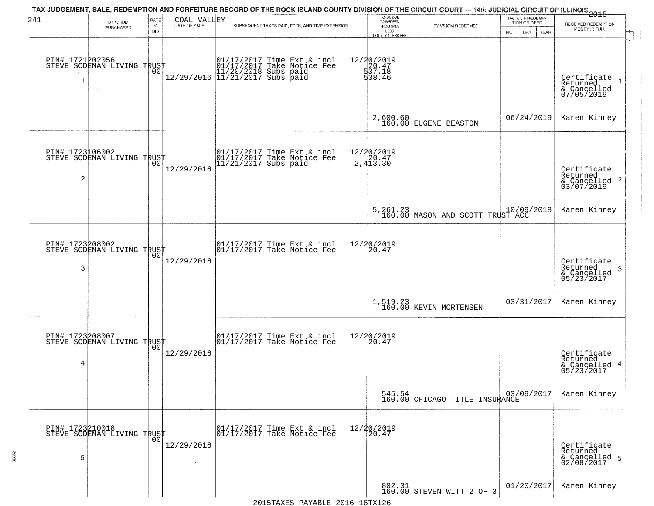| 241                  | BY WHOM                                           | RATE               | COAL VALLEY  | TAX JUDGEMENT, SALE, REDEMPTION AND FORFEITURE RECORD OF THE ROCK ISLAND COUNTY DIVISION OF THE CIRCUIT COURT — 14th JUDICIAL CIRCUIT OF ILLINOIS 2015 | TOTAL DUE<br>TO REDEEM                  |                                                     | DATE OF REDEMP<br>TION OR DEED | RECEIVED REDEMPTION                                                |
|----------------------|---------------------------------------------------|--------------------|--------------|--------------------------------------------------------------------------------------------------------------------------------------------------------|-----------------------------------------|-----------------------------------------------------|--------------------------------|--------------------------------------------------------------------|
|                      | PURCHASED                                         | $\%$<br><b>BID</b> | DATE OF SALE | SUBSEQUENT TAXES PAID, FEES, AND TIME EXTENSION                                                                                                        | FROM SALE<br>LESS<br>COUNTY CLERK FEE   | BY WHOM REDEEMED                                    | MO.<br>DAY.<br>YEAR            | MONEY IN FULL                                                      |
| 1                    | PIN# 1721202056    <br>STEVE SODEMAN LIVING TRUST | 00                 |              | 01/17/2017 Time Ext & incl<br>01/17/2017 Take Notice Fee<br>11/20/2018 Subs paid<br>12/29/2016 11/21/2017 Subs paid                                    | 12/20/2019<br>20.47<br>537.18<br>538.46 |                                                     |                                | Certificate<br>Returned<br>& Cancelled<br>07/05/2019               |
|                      |                                                   |                    |              |                                                                                                                                                        |                                         | 2,600.60<br>160.00 EUGENE BEASTON                   | 06/24/2019                     | Karen Kinney                                                       |
| 2                    | PIN# 1723106002<br>STEVE SODEMAN LIVING TRUST     |                    | 12/29/2016   | 01/17/2017 Time Ext & incl<br>01/17/2017 Take Notice Fee<br>11/21/2017 Subs paid                                                                       | 12/20/2019<br>20.47<br>2,413.30         |                                                     |                                | Certificate<br>Returned<br>$\frac{1}{6}$ Cancelled 2<br>03/07/2019 |
|                      |                                                   |                    |              |                                                                                                                                                        |                                         | 5,261.23 10/09,<br>160.00 MASON AND SCOTT TRUST ACC | 10/09/2018                     | Karen Kinney                                                       |
| 3                    | PIN# 1723208002<br>STEVE SODEMAN LIVING TRUST     | 00                 | 12/29/2016   | $\begin{bmatrix} 01/17/2017 \\ 01/17/2017 \\ 01 \end{bmatrix}$ Take Notice Fee                                                                         | 12/20/2019<br>20.47                     |                                                     |                                | Certificate<br>Returned<br>3<br>& Cancelled<br>05/23/2017          |
|                      |                                                   |                    |              |                                                                                                                                                        |                                         | $1, 519.23$ KEVIN MORTENSEN                         | 03/31/2017                     | Karen Kinney                                                       |
| PIN# 1723208007<br>4 | STEVE SODEMAN LIVING TRUST                        | 0 <sub>0</sub>     | 12/29/2016   | $\begin{bmatrix} 01/17/2017 \\ 01/17/2017 \end{bmatrix}$ Take Notice Fee                                                                               | 12/20/2019<br>120.47                    |                                                     |                                | Certificate<br>Returned<br>& Cancelled 4<br>05/23/2017             |
|                      |                                                   |                    |              |                                                                                                                                                        |                                         | 545.54<br>160.00 CHICAGO TITLE INSURANCE            |                                | Karen Kinney                                                       |
| 5                    | PIN# 1723210018    <br>STEVE SODEMAN LIVING TRUST | 0 <sub>0</sub>     | 12/29/2016   | 01/17/2017 Time Ext & incl<br>01/17/2017 Take Notice Fee                                                                                               | 12/20/2019<br>20.47                     |                                                     |                                | Certificate<br>Returned<br>& Cancelled 5<br>02/08/2017             |
|                      |                                                   |                    |              |                                                                                                                                                        |                                         | 802.31<br>160.00 STEVEN WITT 2 OF 3                 | 01/20/2017                     | Karen Kinney                                                       |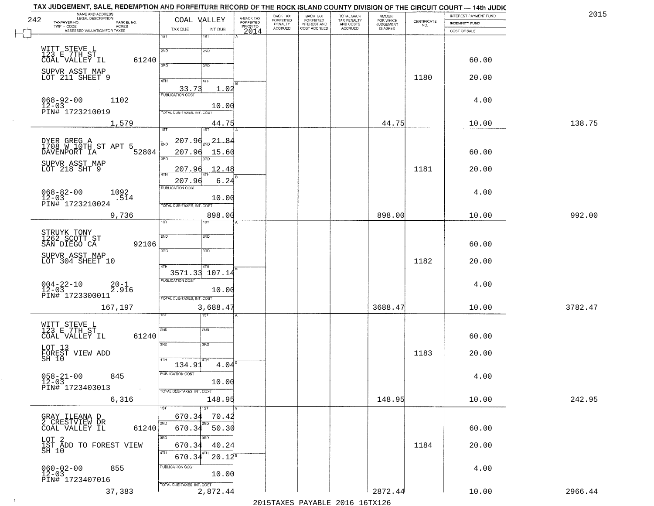|     | TAX JUDGEMENT, SALE, REDEMPTION AND FORFEITURE RECORD OF THE ROCK ISLAND COUNTY DIVISION OF THE CIRCUIT COURT — 14th JUDIC |                                  |                   |                                     |                             |                                                       |                                                   |                                    |                                                                 |                       |         |
|-----|----------------------------------------------------------------------------------------------------------------------------|----------------------------------|-------------------|-------------------------------------|-----------------------------|-------------------------------------------------------|---------------------------------------------------|------------------------------------|-----------------------------------------------------------------|-----------------------|---------|
|     | NAME AND ADDRESS<br>LEGAL DESCRIPTION                                                                                      |                                  |                   |                                     | BACK TAX                    |                                                       |                                                   | <b>AMOUNT</b>                      |                                                                 | INTEREST PAYMENT FUND | 2015    |
| 242 | TAXPAYER NO.<br>PARCEL NO.<br>TWP - CODE                                                                                   | COAL VALLEY                      |                   | A-BACK TAX<br>FORFEITED<br>PRIOR TO | <b>FORFEITED</b><br>PENALTY | BACK TAX<br>FORFEITED<br>INTEREST AND<br>COST ACCRUED | TOTAL BACK<br>TAX PENALTY<br>AND COSTS<br>ACCRUED | FOR WHICH<br>JUDGEMENT<br>IS ASKED | $\begin{array}{c} \text{CERTIFICATE} \\ \text{NO.} \end{array}$ | <b>INDEMNITY FUND</b> |         |
|     | - CODE ACRES<br>ASSESSED VALUATION FOR TAXES                                                                               | TAX DUE                          | INT DUE           | 2014                                | <b>ACCRUED</b>              |                                                       |                                                   |                                    |                                                                 | COST OF SALE          |         |
|     |                                                                                                                            | $\overline{1ST}$                 | 1ST               |                                     |                             |                                                       |                                                   |                                    |                                                                 |                       |         |
|     |                                                                                                                            |                                  |                   |                                     |                             |                                                       |                                                   |                                    |                                                                 |                       |         |
|     | WITT STEVE L<br>123 E 7TH ST                                                                                               | 2ND                              | 2ND               |                                     |                             |                                                       |                                                   |                                    |                                                                 |                       |         |
|     | COAL VALLEY IL<br>61240                                                                                                    |                                  |                   |                                     |                             |                                                       |                                                   |                                    |                                                                 | 60.00                 |         |
|     | SUPVR ASST MAP                                                                                                             | 3RD                              | 3RD               |                                     |                             |                                                       |                                                   |                                    |                                                                 |                       |         |
|     | LOT 211 SHEET 9                                                                                                            |                                  |                   |                                     |                             |                                                       |                                                   |                                    | 1180                                                            | 20.00                 |         |
|     |                                                                                                                            | 4TH                              | 4TH               |                                     |                             |                                                       |                                                   |                                    |                                                                 |                       |         |
|     |                                                                                                                            | 33.73<br><b>PUBLICATION COST</b> | 1.02              |                                     |                             |                                                       |                                                   |                                    |                                                                 |                       |         |
|     | $068 - 92 - 00$<br>1102                                                                                                    |                                  |                   |                                     |                             |                                                       |                                                   |                                    |                                                                 | 4.00                  |         |
|     | $12 - 03$                                                                                                                  |                                  | 10.00             |                                     |                             |                                                       |                                                   |                                    |                                                                 |                       |         |
|     | PIN# 1723210019                                                                                                            | TOTAL DUE-TAXES, INT. COST       |                   |                                     |                             |                                                       |                                                   |                                    |                                                                 |                       |         |
|     | 1,579                                                                                                                      |                                  | 44.75             |                                     |                             |                                                       |                                                   | 44.75                              |                                                                 | 10.00                 | 138.75  |
|     |                                                                                                                            | 1ST                              | 1ST               |                                     |                             |                                                       |                                                   |                                    |                                                                 |                       |         |
|     |                                                                                                                            |                                  |                   |                                     |                             |                                                       |                                                   |                                    |                                                                 |                       |         |
|     | DYER GREG A<br>1708 W 10TH ST APT 5                                                                                        | <u> 207.96</u><br>2ND            | 21.84             |                                     |                             |                                                       |                                                   |                                    |                                                                 |                       |         |
|     | 52804<br>DAVENPORT IA                                                                                                      | 207.96                           | 15.60             |                                     |                             |                                                       |                                                   |                                    |                                                                 | 60.00                 |         |
|     |                                                                                                                            | 3RD                              | 3RD               |                                     |                             |                                                       |                                                   |                                    |                                                                 |                       |         |
|     | SUPVR ASST MAP<br>LOT 218 SHT 9                                                                                            | 207.96                           | 12.48             |                                     |                             |                                                       |                                                   |                                    | 1181                                                            | 20.00                 |         |
|     |                                                                                                                            | 47H                              |                   |                                     |                             |                                                       |                                                   |                                    |                                                                 |                       |         |
|     |                                                                                                                            | 207.96                           | 6.24              |                                     |                             |                                                       |                                                   |                                    |                                                                 |                       |         |
|     | 1092                                                                                                                       | <b>PUBLICATION COST</b>          |                   |                                     |                             |                                                       |                                                   |                                    |                                                                 | 4.00                  |         |
|     | $068 - 82 - 00$<br>12-03<br>.514                                                                                           |                                  | 10.00             |                                     |                             |                                                       |                                                   |                                    |                                                                 |                       |         |
|     | PIN# 1723210024                                                                                                            | TOTAL DUE-TAXES, INT. COST       |                   |                                     |                             |                                                       |                                                   |                                    |                                                                 |                       |         |
|     | 9,736                                                                                                                      |                                  | 898.00            |                                     |                             |                                                       |                                                   | 898.00                             |                                                                 | 10.00                 | 992.00  |
|     |                                                                                                                            | 1ST                              |                   |                                     |                             |                                                       |                                                   |                                    |                                                                 |                       |         |
|     |                                                                                                                            |                                  |                   |                                     |                             |                                                       |                                                   |                                    |                                                                 |                       |         |
|     | STRUYK TONY<br>1262 SCOTT ST<br>SAN DIEGO CA                                                                               | 2ND                              | 2ND               |                                     |                             |                                                       |                                                   |                                    |                                                                 |                       |         |
|     | 92106                                                                                                                      |                                  |                   |                                     |                             |                                                       |                                                   |                                    |                                                                 | 60.00                 |         |
|     |                                                                                                                            | 3BD                              | 3BD               |                                     |                             |                                                       |                                                   |                                    |                                                                 |                       |         |
|     | SUPVR ASST MAP                                                                                                             |                                  |                   |                                     |                             |                                                       |                                                   |                                    | 1182                                                            |                       |         |
|     | LOT 304 SHEET 10                                                                                                           | 4TH                              | 4TH               |                                     |                             |                                                       |                                                   |                                    |                                                                 | 20.00                 |         |
|     |                                                                                                                            | 3571.33 107.14                   |                   |                                     |                             |                                                       |                                                   |                                    |                                                                 |                       |         |
|     |                                                                                                                            | <b>PUBLICATION COST</b>          |                   |                                     |                             |                                                       |                                                   |                                    |                                                                 |                       |         |
|     | $004 - 22 - 10$<br>12-03<br>$20-1$<br>2.916                                                                                |                                  | 10.00             |                                     |                             |                                                       |                                                   |                                    |                                                                 | 4.00                  |         |
|     | PIN# 1723300011                                                                                                            | TOTAL OUE-TAXES, INT. COST       |                   |                                     |                             |                                                       |                                                   |                                    |                                                                 |                       |         |
|     |                                                                                                                            |                                  |                   |                                     |                             |                                                       |                                                   | 3688.47                            |                                                                 |                       | 3782.47 |
|     | 167,197                                                                                                                    |                                  | 3,688.47          |                                     |                             |                                                       |                                                   |                                    |                                                                 | 10.00                 |         |
|     |                                                                                                                            |                                  | ख़                |                                     |                             |                                                       |                                                   |                                    |                                                                 |                       |         |
|     | WITT STEVE L<br>123 E 7TH ST                                                                                               | 2ND                              | 2ND               |                                     |                             |                                                       |                                                   |                                    |                                                                 |                       |         |
|     | 61240<br>COAL VALLEY IL                                                                                                    |                                  |                   |                                     |                             |                                                       |                                                   |                                    |                                                                 | 60.00                 |         |
|     |                                                                                                                            | 3RD                              | 3RD               |                                     |                             |                                                       |                                                   |                                    |                                                                 |                       |         |
|     | LOT 13                                                                                                                     |                                  |                   |                                     |                             |                                                       |                                                   |                                    |                                                                 |                       |         |
|     | FOREST VIEW ADD<br>SH 10                                                                                                   | 4TH                              |                   |                                     |                             |                                                       |                                                   |                                    | 1183                                                            | 20.00                 |         |
|     |                                                                                                                            | 134.91                           | 4.04              |                                     |                             |                                                       |                                                   |                                    |                                                                 |                       |         |
|     |                                                                                                                            | PUBLICATION COST                 |                   |                                     |                             |                                                       |                                                   |                                    |                                                                 |                       |         |
|     | $058 - 21 - 00$<br>845<br>$12 - 03$                                                                                        |                                  | 10.00             |                                     |                             |                                                       |                                                   |                                    |                                                                 | 4.00                  |         |
|     | PIN# 1723403013                                                                                                            | TOTAL DUE-TAXES, INT. COST       |                   |                                     |                             |                                                       |                                                   |                                    |                                                                 |                       |         |
|     |                                                                                                                            |                                  | 148.95            |                                     |                             |                                                       |                                                   | 148.95                             |                                                                 | 10.00                 | 242.95  |
|     | 6,316                                                                                                                      |                                  |                   |                                     |                             |                                                       |                                                   |                                    |                                                                 |                       |         |
|     |                                                                                                                            | 1ST                              | 1ST               |                                     |                             |                                                       |                                                   |                                    |                                                                 |                       |         |
|     | GRAY ILEANA D<br>2 CRESTVIEW DR                                                                                            | 670.34                           | 70.42             |                                     |                             |                                                       |                                                   |                                    |                                                                 |                       |         |
|     | COAL VALLEY IL<br>61240                                                                                                    | 2ND                              | $670.34$ 50.30    |                                     |                             |                                                       |                                                   |                                    |                                                                 | 60.00                 |         |
|     |                                                                                                                            | 3RD                              | $\overline{3}$ RD |                                     |                             |                                                       |                                                   |                                    |                                                                 |                       |         |
|     | LOT 2<br>1ST ADD TO FOREST VIEW<br>SH 10                                                                                   |                                  |                   |                                     |                             |                                                       |                                                   |                                    |                                                                 |                       |         |
|     |                                                                                                                            | 670.34<br>4TH                    | 40.24             |                                     |                             |                                                       |                                                   |                                    | 1184                                                            | 20.00                 |         |
|     |                                                                                                                            | 670.34                           | 4TH<br>$20.12^5$  |                                     |                             |                                                       |                                                   |                                    |                                                                 |                       |         |
|     |                                                                                                                            | PUBLICATION COST                 |                   |                                     |                             |                                                       |                                                   |                                    |                                                                 |                       |         |
|     | $060 - 02 - 00$<br>12-03<br>855                                                                                            |                                  | 10.00             |                                     |                             |                                                       |                                                   |                                    |                                                                 | 4.00                  |         |
|     | PIN# 1723407016                                                                                                            |                                  |                   |                                     |                             |                                                       |                                                   |                                    |                                                                 |                       |         |
|     |                                                                                                                            | TOTAL DUE-TAXES, INT. COST       |                   |                                     |                             |                                                       |                                                   |                                    |                                                                 |                       |         |
|     | 37,383                                                                                                                     |                                  | 2,872.44          |                                     |                             |                                                       |                                                   | 2872.44                            |                                                                 | 10.00                 | 2966.44 |
|     |                                                                                                                            |                                  |                   |                                     |                             |                                                       | 2015 TAVEC DAVADIE 2016 16TV126                   |                                    |                                                                 |                       |         |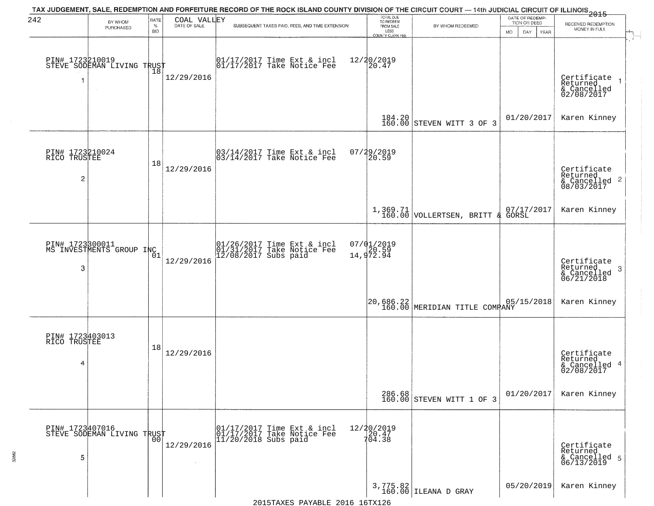| 242                                               | BY WHOM                                       | RATE               | COAL VALLEY  | TAX JUDGEMENT, SALE, REDEMPTION AND FORFEITURE RECORD OF THE ROCK ISLAND COUNTY DIVISION OF THE CIRCUIT COURT — 14th JUDICIAL CIRCUIT OF ILLINOIS 2015 | TOTAL DUE<br>TO REDEEM                         |                                     | DATE OF REDEMP-                           |                                                                        |
|---------------------------------------------------|-----------------------------------------------|--------------------|--------------|--------------------------------------------------------------------------------------------------------------------------------------------------------|------------------------------------------------|-------------------------------------|-------------------------------------------|------------------------------------------------------------------------|
|                                                   | PURCHASED                                     | $\%$<br><b>BID</b> | DATE OF SALE | SUBSEQUENT TAXES PAID, FEES, AND TIME EXTENSION                                                                                                        | FROM SALE<br>LESS                              | BY WHOM REDEEMED                    | TION OR DEED<br>MO.<br>DAY<br><b>YEAR</b> | RECEIVED REDEMPTION<br>MONEY IN FULL                                   |
|                                                   | PIN# 1723210019<br>STEVE SODEMAN LIVING TRUST | $\overline{18}$    | 12/29/2016   | $\begin{bmatrix} 01/17/2017 \\ 01/17/2017 \\ 01 \end{bmatrix}$ Take Notice Fee                                                                         | <b>COUNTY CLERK FEE</b><br>12/20/2019<br>20.47 |                                     |                                           | Certificate<br>Returned<br>& Cancelled<br>02/08/2017                   |
|                                                   |                                               |                    |              |                                                                                                                                                        |                                                | 184.20 STEVEN WITT 3 OF 3           | 01/20/2017                                | Karen Kinney                                                           |
| PIN# 1723210024<br>RICO TRUSTEE<br>$\overline{c}$ |                                               | 18                 | 12/29/2016   | 03/14/2017 Time Ext & incl<br>03/14/2017 Take Notice Fee                                                                                               | 07/29/2019<br>20.59                            |                                     |                                           | Certificate<br>Returned<br>$\frac{12241164}{68/03/2017}$<br>08/03/2017 |
|                                                   |                                               |                    |              |                                                                                                                                                        |                                                | $1,369.71$ VOLLERTSEN, BRITT &      | 07/17/2017<br>GORSL                       | Karen Kinney                                                           |
| 3                                                 | PIN# 1723300011<br>MS INVESTMENTS GROUP INC   | 01                 | 12/29/2016   | 01/26/2017 Time Ext & incl<br>01/31/2017 Take Notice Fee<br>12/08/2017 Subs paid                                                                       | 07/01/2019<br>14,972.94                        |                                     |                                           | Certificate<br>Returned<br>3<br>& Cancelled<br>06/21/2018              |
|                                                   |                                               |                    |              |                                                                                                                                                        |                                                | 20,686.22 MERIDIAN TITLE COMPANY    | 05/15/2018                                | Karen Kinney                                                           |
| PIN# 1723403013<br>RICO TRUSTEE<br>4              |                                               | 18                 | 12/29/2016   |                                                                                                                                                        |                                                |                                     |                                           | Certificate<br>Returned<br>& Cancelled 4<br>02/08/2017                 |
|                                                   |                                               |                    |              |                                                                                                                                                        |                                                | 286.68<br>160.00 STEVEN WITT 1 OF 3 | 01/20/2017                                | Karen Kinney                                                           |
| PIN# 1723407016<br>5                              | STEVE SODEMAN LIVING TRUST                    | 00                 | 12/29/2016   | 01/17/2017 Time Ext & incl<br>01/17/2017 Take Notice Fee<br>$11/20/2018$ Subs paid                                                                     | 12/20/2019<br>20.47<br>704.38                  |                                     |                                           | Certificate<br>Returned<br>& Cancelled 5<br>06/13/2019                 |
|                                                   |                                               |                    |              | 2015TAXES PAYABLE 2016 16TX126                                                                                                                         |                                                | 3,775.82<br>160.00 ILEANA D GRAY    | 05/20/2019                                | Karen Kinney                                                           |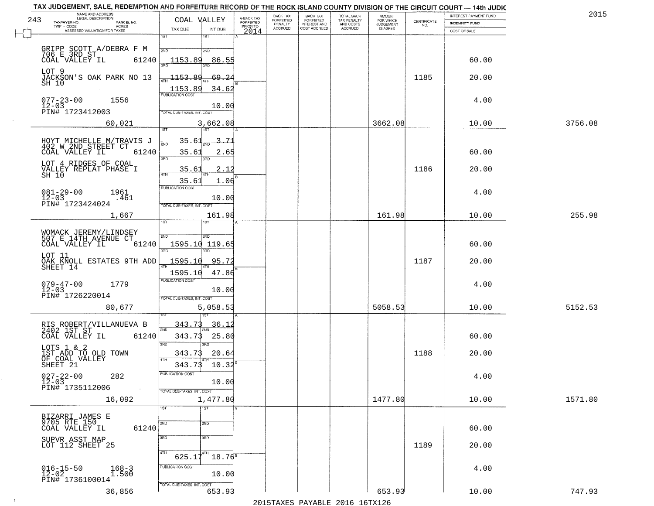|     | TAX JUDGEMENT, SALE, REDEMPTION AND FORFEITURE RECORD OF THE ROCK ISLAND COUNTY DIVISION OF THE CIRCUIT COURT - 14th JUDIC<br>NAME AND ADDRESS<br>LEGAL DESCRIPTION |                                                                         |                                     | BACK TAX             | <b>BACK TAX</b>                  |                                        | AMOUNT<br>FOR WHICH |                    | <b>INTEREST PAYMENT FUND</b> | 201     |
|-----|---------------------------------------------------------------------------------------------------------------------------------------------------------------------|-------------------------------------------------------------------------|-------------------------------------|----------------------|----------------------------------|----------------------------------------|---------------------|--------------------|------------------------------|---------|
| 243 | TAXPAYER NO.<br>PARCEL NO.                                                                                                                                          | COAL VALLEY                                                             | A-BACK TAX<br>FORFEITED<br>PRIOR TO | FORFEITED<br>PENALTY | FORFEITED<br>INTEREST AND        | TOTAL BACK<br>TAX PENALTY<br>AND COSTS | <b>JUDGEMENT</b>    | CERTIFICATE<br>NO. | INDEMNITY FUND               |         |
|     | <b>ACRES</b><br>ASSESSED VALUATION FOR TAXES                                                                                                                        | TAX DUE<br>INT DUE                                                      | 2014                                | <b>ACCRUED</b>       | COST ACCRUED                     | ACCRUED                                | IS ASKED            |                    | COST OF SALE                 |         |
|     | GRIPP SCOTT A/DEBRA F M<br>706 E 3RD ST - 6100                                                                                                                      | 1ST<br>18T<br>2ND<br>2ND                                                |                                     |                      |                                  |                                        |                     |                    |                              |         |
|     | 61240<br>COAL VALLEY IL                                                                                                                                             | 1153.89<br>86.55                                                        |                                     |                      |                                  |                                        |                     |                    | 60.00                        |         |
|     | LOT 9<br>JACKSON'S OAK PARK NO 13<br>SH 10                                                                                                                          | 1153.89<br>69.24<br>1153.89<br>34.62                                    |                                     |                      |                                  |                                        |                     | 1185               | 20.00                        |         |
|     | $077 - 23 - 00$<br>12-03<br>1556<br>PIN# 1723412003                                                                                                                 | <b>PUBLICATION COST</b><br>10.00<br>TOTAL DUE-TAXES, INT, COST          |                                     |                      |                                  |                                        |                     |                    | 4.00                         |         |
|     | 60,021                                                                                                                                                              | 3,662.08<br>1ST                                                         |                                     |                      |                                  |                                        | 3662.08             |                    | 10.00                        | 3756.08 |
|     | HOYT MICHELLE M/TRAVIS J<br>402 W 2ND STREET CT<br>COAL VALLEY IL<br>61240                                                                                          | -71<br><u>35.61</u><br>সাঁচ<br>35.63<br>2.65<br>$\overline{3BD}$<br>3RD |                                     |                      |                                  |                                        |                     |                    | 60.00                        |         |
|     | LOT 4 RIDGES OF COAL<br>VALLEY REPLAT PHASE I<br>SH 10                                                                                                              | 2.12<br>35.6.<br>35.61<br>1.06                                          |                                     |                      |                                  |                                        |                     | 1186               | 20.00                        |         |
|     | $081 - 29 - 00$<br>1961<br>$12 - 03$<br>.461<br>PIN# 1723424024                                                                                                     | PUBLICATION COST<br>10.00<br>TOTAL DUE-TAXES, INT. COST                 |                                     |                      |                                  |                                        |                     |                    | 4.00                         |         |
|     | 1,667                                                                                                                                                               | 161.98<br>īST.<br><b>IST</b>                                            |                                     |                      |                                  |                                        | 161.98              |                    | 10.00                        | 255.98  |
|     | WOMACK JEREMY/LINDSEY<br>507 E 14TH AVENUE CT<br>COAL VALLEY IL<br>61240                                                                                            | 2ND<br>2ND<br>1595.10 119.65<br>3RD<br>3 <sub>BD</sub>                  |                                     |                      |                                  |                                        |                     |                    | 60.00                        |         |
|     | LOT 11<br>OAK KNOLL ESTATES 9TH ADD<br>SHEET 14                                                                                                                     | 1595.10<br>95.72<br>1595.10<br>47.86                                    |                                     |                      |                                  |                                        |                     | 1187               | 20.00                        |         |
|     | $079 - 47 - 00$<br>1779<br>$12 - 03$<br>PIN# 1726220014                                                                                                             | <b>PUBLICATION COST</b><br>10.00<br>TOTAL OUE-TAXES, INT. COST          |                                     |                      |                                  |                                        |                     |                    | 4.00                         |         |
|     | 80,677                                                                                                                                                              | 5,058.53                                                                |                                     |                      |                                  |                                        | 5058.53             |                    | 10.00                        | 5152.53 |
|     | RIS ROBERT/VILLANUEVA B<br>2402 1ST ST<br>COAL VALLEY IL<br>61240                                                                                                   | 343.7<br>36.1<br>2ND<br>343.73<br>25.80<br>3RD                          |                                     |                      |                                  |                                        |                     |                    | 60.00                        |         |
|     | LOTS 1 & 2<br>IST ADD TO OLD TOWN<br>OF COAL VALLEY<br>SHEET 21                                                                                                     | 3RD<br>343.73<br>20.64<br>4TH<br>343.73<br>10.32                        |                                     |                      |                                  |                                        |                     | 1188               | 20.00                        |         |
|     | $027 - 22 - 00$<br>12-03<br>282<br>PIN# 1735112006<br>$\sim$ $\sim$                                                                                                 | PUBLICATION COST<br>10.00<br>TOTAL DUE-TAXES, INT. COST                 |                                     |                      |                                  |                                        |                     |                    | 4.00                         |         |
|     | 16,092                                                                                                                                                              | 1,477.80<br>1ST<br>1ST                                                  |                                     |                      |                                  |                                        | 1477.80             |                    | 10.00                        | 1571.80 |
|     | BIZARRI JAMES E<br>9705 RTE 150<br>COAL VALLEY IL<br>61240                                                                                                          | 2ND<br>2ND                                                              |                                     |                      |                                  |                                        |                     |                    | 60.00                        |         |
|     | SUPVR ASST MAP<br>LOT 112 SHEET 25                                                                                                                                  | 3RD<br>$\overline{3}$ RD<br>4TH<br>$18.76^8$<br>625.17                  |                                     |                      |                                  |                                        |                     | 1189               | 20.00                        |         |
|     | $016 - 15 - 50$<br>12-02<br>$168 - 3$<br>1.500<br>PIN# 1736100014                                                                                                   | PUBLICATION COST<br>10.00                                               |                                     |                      |                                  |                                        |                     |                    | 4.00                         |         |
|     | 36,856                                                                                                                                                              | TOTAL DUE-TAXES, INT. COST<br>653.93                                    |                                     |                      | 2015 TAVEC DAVADIE 2016 16 TV126 |                                        | 653.93              |                    | 10.00                        | 747.93  |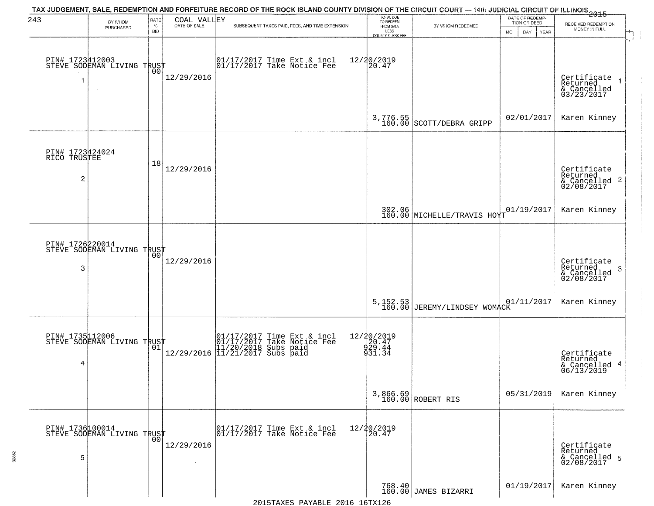| 243                                               | BY WHOM<br>PURCHASED                              | RATE<br>$\%$<br><b>BID</b> | COAL VALLEY<br>DATE OF SALE | TAX JUDGEMENT, SALE, REDEMPTION AND FORFEITURE RECORD OF THE ROCK ISLAND COUNTY DIVISION OF THE CIRCUIT COURT — 14th JUDICIAL CIRCUIT OF ILLINOIS 2015<br>SUBSEQUENT TAXES PAID, FEES, AND TIME EXTENSION | TOTAL DUE<br>TO REDEEM<br>FROM SALE<br>LESS<br><b>COUNTY CLERK FEE</b> | BY WHOM REDEEMED                            | DATE OF REDEMP-<br>TION OR DEED<br>MO.<br>DAY<br>YEAR | RECEIVED REDEMPTION<br>MONEY IN FULL                               |
|---------------------------------------------------|---------------------------------------------------|----------------------------|-----------------------------|-----------------------------------------------------------------------------------------------------------------------------------------------------------------------------------------------------------|------------------------------------------------------------------------|---------------------------------------------|-------------------------------------------------------|--------------------------------------------------------------------|
|                                                   | PIN# 1723412003    <br>STEVE SODEMAN LIVING TRUST | 00                         | 12/29/2016                  | 01/17/2017 Time Ext & incl<br>01/17/2017 Take Notice Fee                                                                                                                                                  | 12/20/2019<br>20.47                                                    |                                             |                                                       | Certificate<br>Returned<br>& Cancelled<br>03/23/2017               |
|                                                   |                                                   |                            |                             |                                                                                                                                                                                                           | $3,776.55$<br>$160.00$                                                 | SCOTT/DEBRA GRIPP                           | 02/01/2017                                            | Karen Kinney                                                       |
| PIN# 1723424024<br>RICO TRUSTEE<br>$\overline{c}$ |                                                   | 18                         | 12/29/2016                  |                                                                                                                                                                                                           |                                                                        |                                             |                                                       | Certificate<br>Returned<br>$\frac{1}{2}$ Cancelled 2<br>02/08/2017 |
|                                                   |                                                   |                            |                             |                                                                                                                                                                                                           |                                                                        | 302.06 MICHELLE/TRAVIS HOYT                 | 01/19/2017                                            | Karen Kinney                                                       |
| 3                                                 | PIN# 1726220014<br>STEVE SODEMAN LIVING TRUST     | 00                         | 12/29/2016                  |                                                                                                                                                                                                           |                                                                        |                                             |                                                       | Certificate<br>Returned<br>3<br>& Cancelled<br>02/08/2017          |
|                                                   |                                                   |                            |                             |                                                                                                                                                                                                           | 5, 152.53<br>160.00                                                    | JEREMY/LINDSEY WOMACK <sup>01/11/2017</sup> |                                                       | Karen Kinney                                                       |
| 4                                                 | PIN# 1735112006<br>STEVE SODEMAN LIVING TRUST     |                            |                             | 01/17/2017 Time Ext & incl<br>01/17/2017 Take Notice Fee<br>11/20/2018 Subs paid<br>12/29/2016 11/21/2017 Subs paid                                                                                       | 12/20/2019<br>20.47<br>929.44<br>931.34                                |                                             |                                                       | Certificate<br>Returned<br>& Cancelled 4<br>06/13/2019             |
|                                                   |                                                   |                            |                             |                                                                                                                                                                                                           |                                                                        | 3,866.69<br>160.00 ROBERT RIS               | 05/31/2019                                            | Karen Kinney                                                       |
| PIN# 1736100014<br>5                              | STEVE SODEMAN LIVING TRUST                        | 00                         | 12/29/2016                  | 01/17/2017 Time Ext & incl<br>01/17/2017 Take Notice Fee                                                                                                                                                  | 12/20/2019<br>20.47                                                    |                                             |                                                       | Certificate<br>Returned<br>& Cancelled 5<br>02/08/2017             |
|                                                   |                                                   |                            |                             |                                                                                                                                                                                                           |                                                                        | 768.40<br>160.00 JAMES BIZARRI              | 01/19/2017                                            | Karen Kinney                                                       |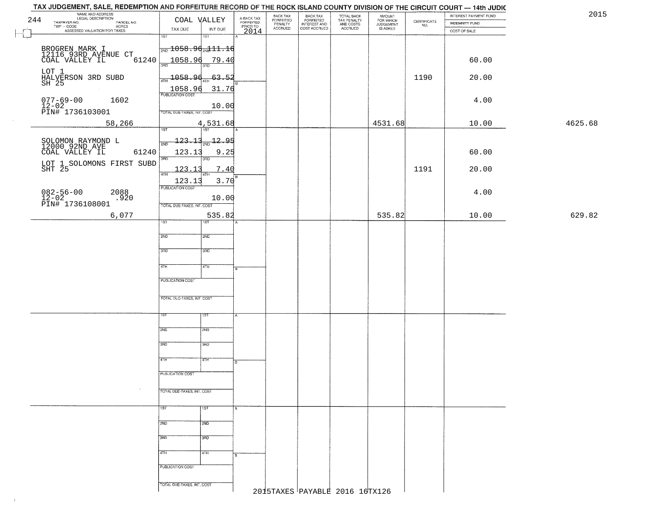|     | TAX JUDGEMENT, SALE, REDEMPTION AND FORFEITURE RECORD OF THE ROCK ISLAND COUNTY DIVISION OF THE CIRCUIT COURT — 14th JUDIC |                                              |                |                                     |                                  |                                                       |                                                   |                                  |                                                                 |                       |         |
|-----|----------------------------------------------------------------------------------------------------------------------------|----------------------------------------------|----------------|-------------------------------------|----------------------------------|-------------------------------------------------------|---------------------------------------------------|----------------------------------|-----------------------------------------------------------------|-----------------------|---------|
|     | NAME AND ADDRESS<br>LEGAL DESCRIPTION                                                                                      |                                              |                |                                     | BACK TAX<br>FORFEITED<br>PENALTY | BACK TAX<br>FORFEITED<br>INTEREST AND<br>COST ACCRUED | TOTAL BACK<br>TAX PENALTY<br>AND COSTS<br>ACCRUED | AMOUNT<br>FOR WHICH<br>JUDGEMENT |                                                                 | INTEREST PAYMENT FUND | 2015    |
| 244 | TAXPAYER NO.<br>PARCEL NO.<br>ACRES                                                                                        | COAL VALLEY                                  |                | A-BACK TAX<br>FORFEITED<br>PRIOR TO |                                  |                                                       |                                                   |                                  | $\begin{array}{c} \text{CERTIFICATE} \\ \text{NO.} \end{array}$ | INDEMNITY FUND        |         |
| ۳   | ASSESSED VALUATION FOR TAXES                                                                                               | TAX DUE                                      | INT DUE        | 2014                                | <b>ACCRUED</b>                   |                                                       |                                                   | IS ASKED                         |                                                                 | COST OF SALE          |         |
| レコ  |                                                                                                                            | $\overline{1ST}$                             | 1ST            |                                     |                                  |                                                       |                                                   |                                  |                                                                 |                       |         |
|     |                                                                                                                            |                                              |                |                                     |                                  |                                                       |                                                   |                                  |                                                                 |                       |         |
|     | BROGREN MARK I<br>12116 93RD AVENUE CT<br>COAL VALLEY IL                                                                   | $\frac{1}{200}$ 1058.9 $\frac{1}{200}$ 11.16 |                |                                     |                                  |                                                       |                                                   |                                  |                                                                 |                       |         |
|     | 61240                                                                                                                      | 1058.96                                      | <u>79.40</u>   |                                     |                                  |                                                       |                                                   |                                  |                                                                 | 60.00                 |         |
|     |                                                                                                                            | 3RD                                          | 3BD.           |                                     |                                  |                                                       |                                                   |                                  |                                                                 |                       |         |
|     |                                                                                                                            |                                              |                |                                     |                                  |                                                       |                                                   |                                  |                                                                 |                       |         |
|     | LOT 1<br>HALVERSON 3RD SUBD<br>SH 25                                                                                       | 1058.96                                      | 63.52          |                                     |                                  |                                                       |                                                   |                                  | 1190                                                            | 20.00                 |         |
|     |                                                                                                                            |                                              |                |                                     |                                  |                                                       |                                                   |                                  |                                                                 |                       |         |
|     |                                                                                                                            | 1058.96                                      | 31.76          |                                     |                                  |                                                       |                                                   |                                  |                                                                 |                       |         |
|     | $077 - 69 - 00$<br>1602                                                                                                    |                                              |                |                                     |                                  |                                                       |                                                   |                                  |                                                                 | 4.00                  |         |
|     |                                                                                                                            |                                              | 10.00          |                                     |                                  |                                                       |                                                   |                                  |                                                                 |                       |         |
|     | 12-02<br>PIN# 1736103001                                                                                                   | TOTAL DUE-TAXES, INT. COST                   |                |                                     |                                  |                                                       |                                                   |                                  |                                                                 |                       |         |
|     |                                                                                                                            |                                              |                |                                     |                                  |                                                       |                                                   |                                  |                                                                 |                       |         |
|     | 58,266                                                                                                                     |                                              | 4,531.68       |                                     |                                  |                                                       |                                                   | 4531.68                          |                                                                 | 10.00                 | 4625.68 |
|     |                                                                                                                            | 1ST                                          | 1ST            |                                     |                                  |                                                       |                                                   |                                  |                                                                 |                       |         |
|     |                                                                                                                            | <u> 123.13</u>                               | $-12.95$       |                                     |                                  |                                                       |                                                   |                                  |                                                                 |                       |         |
|     | SOLOMON RAYMOND L<br>12000 92ND AVE                                                                                        | 2ND                                          |                |                                     |                                  |                                                       |                                                   |                                  |                                                                 |                       |         |
|     | COAL VALLEY IL<br>61240                                                                                                    | 123.13                                       | 9.25           |                                     |                                  |                                                       |                                                   |                                  |                                                                 | 60.00                 |         |
|     |                                                                                                                            | 3BD                                          | 3BD            |                                     |                                  |                                                       |                                                   |                                  |                                                                 |                       |         |
|     | LOT 1 SOLOMONS FIRST SUBD<br>SHT 25                                                                                        |                                              |                |                                     |                                  |                                                       |                                                   |                                  |                                                                 |                       |         |
|     |                                                                                                                            | 123.13<br>$\overline{47H}$                   | 7.40           |                                     |                                  |                                                       |                                                   |                                  | 1191                                                            | 20.00                 |         |
|     |                                                                                                                            | 123.13                                       | 3.70           |                                     |                                  |                                                       |                                                   |                                  |                                                                 |                       |         |
|     |                                                                                                                            | PUBLICATION COST                             |                |                                     |                                  |                                                       |                                                   |                                  |                                                                 |                       |         |
|     | 082-56-00<br>12-02<br>PIN# 1736108001<br>2088                                                                              |                                              |                |                                     |                                  |                                                       |                                                   |                                  |                                                                 | 4.00                  |         |
|     | .920                                                                                                                       |                                              | 10.00          |                                     |                                  |                                                       |                                                   |                                  |                                                                 |                       |         |
|     |                                                                                                                            | TOTAL DUE-TAXES, INT. COST                   |                |                                     |                                  |                                                       |                                                   |                                  |                                                                 |                       |         |
|     | 6,077                                                                                                                      |                                              |                |                                     |                                  |                                                       |                                                   | 535.82                           |                                                                 | 10.00                 | 629.82  |
|     |                                                                                                                            | 1ST                                          | 535.82<br>ST   |                                     |                                  |                                                       |                                                   |                                  |                                                                 |                       |         |
|     |                                                                                                                            |                                              |                |                                     |                                  |                                                       |                                                   |                                  |                                                                 |                       |         |
|     |                                                                                                                            | 2ND                                          | 2ND            |                                     |                                  |                                                       |                                                   |                                  |                                                                 |                       |         |
|     |                                                                                                                            |                                              |                |                                     |                                  |                                                       |                                                   |                                  |                                                                 |                       |         |
|     |                                                                                                                            |                                              |                |                                     |                                  |                                                       |                                                   |                                  |                                                                 |                       |         |
|     |                                                                                                                            | 3BD                                          | 3 <sub>3</sub> |                                     |                                  |                                                       |                                                   |                                  |                                                                 |                       |         |
|     |                                                                                                                            |                                              |                |                                     |                                  |                                                       |                                                   |                                  |                                                                 |                       |         |
|     |                                                                                                                            | 4TH                                          | 4TH            |                                     |                                  |                                                       |                                                   |                                  |                                                                 |                       |         |
|     |                                                                                                                            |                                              |                |                                     |                                  |                                                       |                                                   |                                  |                                                                 |                       |         |
|     |                                                                                                                            | <b>PUBLICATION COST</b>                      |                |                                     |                                  |                                                       |                                                   |                                  |                                                                 |                       |         |
|     |                                                                                                                            |                                              |                |                                     |                                  |                                                       |                                                   |                                  |                                                                 |                       |         |
|     |                                                                                                                            |                                              |                |                                     |                                  |                                                       |                                                   |                                  |                                                                 |                       |         |
|     |                                                                                                                            | TOTAL OUE-TAXES, INT. COST                   |                |                                     |                                  |                                                       |                                                   |                                  |                                                                 |                       |         |
|     |                                                                                                                            |                                              |                |                                     |                                  |                                                       |                                                   |                                  |                                                                 |                       |         |
|     |                                                                                                                            | 1ST                                          | १९४            |                                     |                                  |                                                       |                                                   |                                  |                                                                 |                       |         |
|     |                                                                                                                            |                                              |                |                                     |                                  |                                                       |                                                   |                                  |                                                                 |                       |         |
|     |                                                                                                                            | 2ND                                          | 2ND            |                                     |                                  |                                                       |                                                   |                                  |                                                                 |                       |         |
|     |                                                                                                                            |                                              |                |                                     |                                  |                                                       |                                                   |                                  |                                                                 |                       |         |
|     |                                                                                                                            |                                              |                |                                     |                                  |                                                       |                                                   |                                  |                                                                 |                       |         |
|     |                                                                                                                            | 3RD                                          | 3BD            |                                     |                                  |                                                       |                                                   |                                  |                                                                 |                       |         |
|     |                                                                                                                            |                                              |                |                                     |                                  |                                                       |                                                   |                                  |                                                                 |                       |         |
|     |                                                                                                                            | 4TH                                          | 4TH            |                                     |                                  |                                                       |                                                   |                                  |                                                                 |                       |         |
|     |                                                                                                                            |                                              |                |                                     |                                  |                                                       |                                                   |                                  |                                                                 |                       |         |
|     |                                                                                                                            | PUBLICATION COST                             |                |                                     |                                  |                                                       |                                                   |                                  |                                                                 |                       |         |
|     |                                                                                                                            |                                              |                |                                     |                                  |                                                       |                                                   |                                  |                                                                 |                       |         |
|     |                                                                                                                            |                                              |                |                                     |                                  |                                                       |                                                   |                                  |                                                                 |                       |         |
|     |                                                                                                                            | TOTAL DUE-TAXES, INT. COST                   |                |                                     |                                  |                                                       |                                                   |                                  |                                                                 |                       |         |
|     |                                                                                                                            |                                              |                |                                     |                                  |                                                       |                                                   |                                  |                                                                 |                       |         |
|     |                                                                                                                            | 1ST <sup>1</sup>                             | 1ST            |                                     |                                  |                                                       |                                                   |                                  |                                                                 |                       |         |
|     |                                                                                                                            |                                              |                |                                     |                                  |                                                       |                                                   |                                  |                                                                 |                       |         |
|     |                                                                                                                            | 2ND                                          | 2ND            |                                     |                                  |                                                       |                                                   |                                  |                                                                 |                       |         |
|     |                                                                                                                            |                                              |                |                                     |                                  |                                                       |                                                   |                                  |                                                                 |                       |         |
|     |                                                                                                                            |                                              |                |                                     |                                  |                                                       |                                                   |                                  |                                                                 |                       |         |
|     |                                                                                                                            | 3RD                                          | 3RD            |                                     |                                  |                                                       |                                                   |                                  |                                                                 |                       |         |
|     |                                                                                                                            |                                              |                |                                     |                                  |                                                       |                                                   |                                  |                                                                 |                       |         |
|     |                                                                                                                            | 4TH                                          | 4TH            |                                     |                                  |                                                       |                                                   |                                  |                                                                 |                       |         |
|     |                                                                                                                            |                                              |                |                                     |                                  |                                                       |                                                   |                                  |                                                                 |                       |         |
|     |                                                                                                                            | PUBLICATION COST                             |                |                                     |                                  |                                                       |                                                   |                                  |                                                                 |                       |         |
|     |                                                                                                                            |                                              |                |                                     |                                  |                                                       |                                                   |                                  |                                                                 |                       |         |
|     |                                                                                                                            | TOTAL DUE-TAXES, INT. COST                   |                |                                     |                                  |                                                       |                                                   |                                  |                                                                 |                       |         |
|     |                                                                                                                            |                                              |                |                                     |                                  |                                                       | 2015TAXES PAYABLE 2016 16TX126                    |                                  |                                                                 |                       |         |
|     |                                                                                                                            |                                              |                |                                     |                                  |                                                       |                                                   |                                  |                                                                 |                       |         |

 $\vdash$ 

 $\uparrow$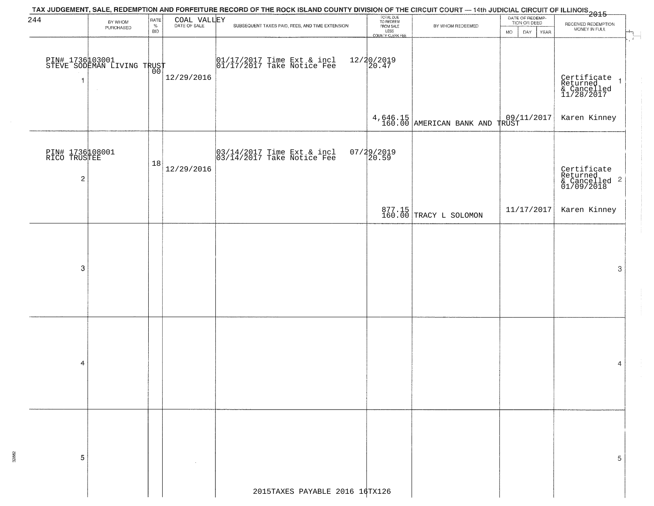|                                                   |                                              |                            |             | TAX JUDGEMENT, SALE, REDEMPTION AND FORFEITURE RECORD OF THE ROCK ISLAND COUNTY DIVISION OF THE CIRCUIT COURT — 14th JUDICIAL CIRCUIT OF ILLINOIS<br>2015 - The Contemporary of the Contemporary of the Carolina of the County of |                                                                 |                                           |                                                                    |                                                                   |
|---------------------------------------------------|----------------------------------------------|----------------------------|-------------|-----------------------------------------------------------------------------------------------------------------------------------------------------------------------------------------------------------------------------------|-----------------------------------------------------------------|-------------------------------------------|--------------------------------------------------------------------|-------------------------------------------------------------------|
| 244                                               | BY WHOM<br>PURCHASED                         | RATE<br>$\%$<br><b>BID</b> | COAL VALLEY | SUBSEQUENT TAXES PAID, FEES, AND TIME EXTENSION                                                                                                                                                                                   | TOTAL DUE<br>TO REDEEM<br>FROM SALE<br>LESS<br>COUNTY CLERK FEE | BY WHOM REDEEMED                          | DATE OF REDEMP-<br>TION OR DEED<br>DAY<br><b>YEAR</b><br><b>MO</b> | RECEIVED REDEMPTION<br>MONEY IN FULL                              |
| $\overline{1}$                                    | PIN# 173600001<br>STEVE SODEMAN LIVING TRUST |                            | 12/29/2016  | $\begin{array}{cc} 01/17/2017 & \text{Time Ext} & \text{incl} \\ 01/17/2017 & \text{Take Notice Free} \end{array}$                                                                                                                | 12/20/2019<br>20.47                                             |                                           |                                                                    | Certificate 1<br>Returned 1<br>& Cancelled<br>11/28/2017          |
|                                                   |                                              |                            |             |                                                                                                                                                                                                                                   |                                                                 | $4,646.15$ 160.00 AMERICAN BANK AND TRUST |                                                                    | Karen Kinney                                                      |
| PIN# 1736108001<br>RICO TRUSTEE<br>$\overline{c}$ |                                              | 18                         | 12/29/2016  | $\begin{bmatrix} 03/14/2017 \\ 03/14/2017 \\ 04 \end{bmatrix}$ Take Notice Fee                                                                                                                                                    | 07/29/2019<br>20.59                                             |                                           |                                                                    | Certificate<br>Returned<br>& Cancelled <sup>2</sup><br>01/09/2018 |
|                                                   |                                              |                            |             |                                                                                                                                                                                                                                   |                                                                 | 877.15<br>160.00 TRACY L SOLOMON          | 11/17/2017                                                         | Karen Kinney                                                      |
| 3                                                 |                                              |                            |             |                                                                                                                                                                                                                                   |                                                                 |                                           |                                                                    | 3                                                                 |
| 4                                                 |                                              |                            |             |                                                                                                                                                                                                                                   |                                                                 |                                           |                                                                    | 4                                                                 |
| 5                                                 |                                              |                            |             |                                                                                                                                                                                                                                   |                                                                 |                                           |                                                                    | 5                                                                 |
|                                                   |                                              |                            |             | 2015TAXES PAYABLE 2016 16TX126                                                                                                                                                                                                    |                                                                 |                                           |                                                                    |                                                                   |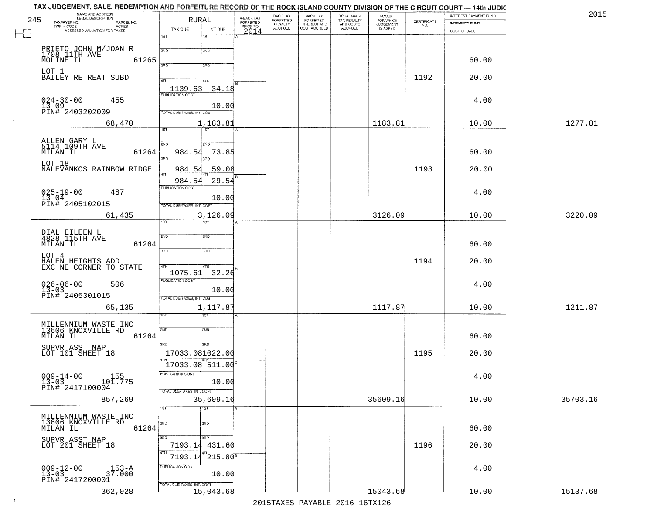| TAX JUDGEMENT, SALE, REDEMPTION AND FORFEITURE RECORD OF THE ROCK ISLAND COUNTY DIVISION OF THE CIRCUIT COURT - 14th JUDIC<br>NAME AND ADDRESS<br>LEGAL DESCRIPTION |                                   |                                     | BACK TAX                    |                                       |                                        | AMOUNT<br>FOR WHICH |                                                                 | INTEREST PAYMENT FUND | 2015     |
|---------------------------------------------------------------------------------------------------------------------------------------------------------------------|-----------------------------------|-------------------------------------|-----------------------------|---------------------------------------|----------------------------------------|---------------------|-----------------------------------------------------------------|-----------------------|----------|
| 245<br>TAXPAYER NO.<br>PARCEL NO.                                                                                                                                   | RURAL                             | A-BACK TAX<br>FORFEITED<br>PRIOR TO | <b>FORFEITED</b><br>PENALTY | BACK TAX<br>FORFEITED<br>INTEREST AND | TOTAL BACK<br>TAX PENALTY<br>AND COSTS | <b>JUDGEMENT</b>    | $\begin{array}{c} \text{CERTIFICATE} \\ \text{NO.} \end{array}$ | INDEMNITY FUND        |          |
| TWP - CODE<br>ACRES<br>ASSESSED VALUATION FOR TAXES                                                                                                                 | TAX DUE<br>INT DUE                | 2014                                | <b>ACCRUED</b>              | COST ACCRUED                          | ACCRUED                                | IS ASKED            |                                                                 | COST OF SALE          |          |
|                                                                                                                                                                     | 1ST<br>1ST                        |                                     |                             |                                       |                                        |                     |                                                                 |                       |          |
|                                                                                                                                                                     |                                   |                                     |                             |                                       |                                        |                     |                                                                 |                       |          |
| PRIETO JOHN M/JOAN R<br>1708 11TH AVE                                                                                                                               | 2ND<br>2ND                        |                                     |                             |                                       |                                        |                     |                                                                 |                       |          |
| 61265<br>MOLINE IL                                                                                                                                                  |                                   |                                     |                             |                                       |                                        |                     |                                                                 | 60.00                 |          |
|                                                                                                                                                                     | 3RD<br>3 <sub>BD</sub>            |                                     |                             |                                       |                                        |                     |                                                                 |                       |          |
| LOT 1<br>BAILEY RETREAT SUBD                                                                                                                                        |                                   |                                     |                             |                                       |                                        |                     | 1192                                                            | 20.00                 |          |
|                                                                                                                                                                     | 4TH<br>4TH                        |                                     |                             |                                       |                                        |                     |                                                                 |                       |          |
|                                                                                                                                                                     | 1139.63<br>34.18                  |                                     |                             |                                       |                                        |                     |                                                                 |                       |          |
| 455                                                                                                                                                                 |                                   |                                     |                             |                                       |                                        |                     |                                                                 | 4.00                  |          |
| $024 - 30 - 00$<br>$13 - 09$                                                                                                                                        | 10.00                             |                                     |                             |                                       |                                        |                     |                                                                 |                       |          |
| PIN# 2403202009                                                                                                                                                     | <b>TOTAL DUE-TAXES, INT. COST</b> |                                     |                             |                                       |                                        |                     |                                                                 |                       |          |
| 68,470                                                                                                                                                              | 1,183.81                          |                                     |                             |                                       |                                        | 1183.81             |                                                                 | 10.00                 | 1277.81  |
|                                                                                                                                                                     |                                   |                                     |                             |                                       |                                        |                     |                                                                 |                       |          |
|                                                                                                                                                                     |                                   |                                     |                             |                                       |                                        |                     |                                                                 |                       |          |
| ALLEN GARY L<br>5114 109TH AVE                                                                                                                                      | 2ND<br>5 <sub>MD</sub>            |                                     |                             |                                       |                                        |                     |                                                                 |                       |          |
| 61264<br>MILAN IL                                                                                                                                                   | 73.85<br>984.54                   |                                     |                             |                                       |                                        |                     |                                                                 | 60.00                 |          |
| LOT 18                                                                                                                                                              | ਭਸ਼ਨ<br>Ë                         |                                     |                             |                                       |                                        |                     |                                                                 |                       |          |
| NALEVANKOS RAINBOW RIDGE                                                                                                                                            | 59.08<br>984.54                   |                                     |                             |                                       |                                        |                     | 1193                                                            | 20.00                 |          |
|                                                                                                                                                                     | 984.54<br>29.54                   |                                     |                             |                                       |                                        |                     |                                                                 |                       |          |
|                                                                                                                                                                     | PUBLICATION COST                  |                                     |                             |                                       |                                        |                     |                                                                 |                       |          |
| $025 - 19 - 00$<br>13-04<br>487                                                                                                                                     |                                   |                                     |                             |                                       |                                        |                     |                                                                 | 4.00                  |          |
| PIN# 2405102015                                                                                                                                                     | 10.00                             |                                     |                             |                                       |                                        |                     |                                                                 |                       |          |
|                                                                                                                                                                     | TOTAL DUE-TAXES, INT. COST        |                                     |                             |                                       |                                        |                     |                                                                 |                       |          |
| 61,435                                                                                                                                                              | 3,126.09                          |                                     |                             |                                       |                                        | 3126.09             |                                                                 | 10.00                 | 3220.09  |
|                                                                                                                                                                     | 18T<br>IST                        |                                     |                             |                                       |                                        |                     |                                                                 |                       |          |
| DIAL EILEEN L<br>4828 115TH AVE                                                                                                                                     | SVD<br>SND                        |                                     |                             |                                       |                                        |                     |                                                                 |                       |          |
| MILAN IL<br>61264                                                                                                                                                   |                                   |                                     |                             |                                       |                                        |                     |                                                                 | 60.00                 |          |
|                                                                                                                                                                     | 3BD<br>3 <sub>BD</sub>            |                                     |                             |                                       |                                        |                     |                                                                 |                       |          |
| LOT 4                                                                                                                                                               |                                   |                                     |                             |                                       |                                        |                     |                                                                 |                       |          |
| HALEN HEIGHTS ADD<br>EXC NE CORNER TO STATE                                                                                                                         | 4TH<br>4TH                        |                                     |                             |                                       |                                        |                     | 1194                                                            | 20.00                 |          |
|                                                                                                                                                                     | 1075.61<br>32.26                  |                                     |                             |                                       |                                        |                     |                                                                 |                       |          |
|                                                                                                                                                                     | <b>PUBLICATION COST</b>           |                                     |                             |                                       |                                        |                     |                                                                 |                       |          |
| $026 - 06 - 00$<br>506<br>$13 - 03$                                                                                                                                 | 10.00                             |                                     |                             |                                       |                                        |                     |                                                                 | 4.00                  |          |
| PIN# 2405301015                                                                                                                                                     | TOTAL OUE-TAXES, INT. COST        |                                     |                             |                                       |                                        |                     |                                                                 |                       |          |
|                                                                                                                                                                     |                                   |                                     |                             |                                       |                                        |                     |                                                                 |                       |          |
| 65,135                                                                                                                                                              | 1,117.87<br>187                   |                                     |                             |                                       |                                        | 1117.87             |                                                                 | 10.00                 | 1211.87  |
|                                                                                                                                                                     |                                   |                                     |                             |                                       |                                        |                     |                                                                 |                       |          |
| MILLENNIUM WASTE INC<br>13606 KNOXVILLE RD                                                                                                                          | 2ND<br>2ND                        |                                     |                             |                                       |                                        |                     |                                                                 |                       |          |
| MILAN IL<br>61264                                                                                                                                                   |                                   |                                     |                             |                                       |                                        |                     |                                                                 | 60.00                 |          |
|                                                                                                                                                                     | 3RD<br>3BD                        |                                     |                             |                                       |                                        |                     |                                                                 |                       |          |
| SUPVR ASST MAP<br>LOT 101 SHEET 18                                                                                                                                  | 17033.081022.00                   |                                     |                             |                                       |                                        |                     | 1195                                                            | 20.00                 |          |
|                                                                                                                                                                     |                                   |                                     |                             |                                       |                                        |                     |                                                                 |                       |          |
|                                                                                                                                                                     | 17033.08 511.00                   |                                     |                             |                                       |                                        |                     |                                                                 |                       |          |
| $009 - 14 - 00$<br>155                                                                                                                                              | PUBLICATION COS-                  |                                     |                             |                                       |                                        |                     |                                                                 | 4.00                  |          |
| $13 - 03$<br>101.775                                                                                                                                                | 10.00                             |                                     |                             |                                       |                                        |                     |                                                                 |                       |          |
| PIN# 2417100004                                                                                                                                                     | TOTAL DUE-TAXES, INT. COST        |                                     |                             |                                       |                                        |                     |                                                                 |                       |          |
| 857,269                                                                                                                                                             | 35,609.16                         |                                     |                             |                                       |                                        | 35609.16            |                                                                 | 10.00                 | 35703.16 |
|                                                                                                                                                                     | 1ST<br>1ST                        |                                     |                             |                                       |                                        |                     |                                                                 |                       |          |
|                                                                                                                                                                     |                                   |                                     |                             |                                       |                                        |                     |                                                                 |                       |          |
| MILLENNIUM WASTE INC<br>13606 KNOXVILLE RD                                                                                                                          | 2ND<br>2ND                        |                                     |                             |                                       |                                        |                     |                                                                 |                       |          |
| 61264<br>MILAN IL                                                                                                                                                   |                                   |                                     |                             |                                       |                                        |                     |                                                                 | 60.00                 |          |
|                                                                                                                                                                     | 3RD<br>3RD                        |                                     |                             |                                       |                                        |                     |                                                                 |                       |          |
| SUPVR ASST MAP<br>LOT 201 SHEET 18                                                                                                                                  | 7193.14 431.60                    |                                     |                             |                                       |                                        |                     | 1196                                                            | 20.00                 |          |
|                                                                                                                                                                     | 4TH                               |                                     |                             |                                       |                                        |                     |                                                                 |                       |          |
|                                                                                                                                                                     | $4^{47}$ $215.80^{8}$<br>7193.14  |                                     |                             |                                       |                                        |                     |                                                                 |                       |          |
|                                                                                                                                                                     | PUBLICATION COST                  |                                     |                             |                                       |                                        |                     |                                                                 | 4.00                  |          |
| $009 - 12 - 00$<br>13-03<br>37.000                                                                                                                                  | 10.00                             |                                     |                             |                                       |                                        |                     |                                                                 |                       |          |
| PIN# 2417200001                                                                                                                                                     | TOTAL DUE-TAXES, INT. COST        |                                     |                             |                                       |                                        |                     |                                                                 |                       |          |
|                                                                                                                                                                     | 15,043.68                         |                                     |                             |                                       |                                        | 15043.68            |                                                                 | 10.00                 | 15137.68 |
|                                                                                                                                                                     |                                   |                                     |                             |                                       |                                        |                     |                                                                 |                       |          |
| 362,028                                                                                                                                                             |                                   |                                     |                             | 2015 TAVEC DAVADIE 2016 16TV126       |                                        |                     |                                                                 |                       |          |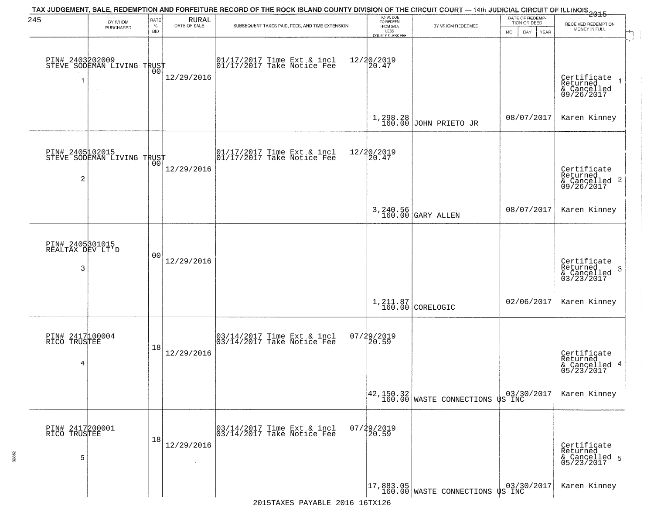| 245                                      | BY WHOM                                                 | RATE               | <b>RURAL</b> | TAX JUDGEMENT, SALE, REDEMPTION AND FORFEITURE RECORD OF THE ROCK ISLAND COUNTY DIVISION OF THE CIRCUIT COURT — 14th JUDICIAL CIRCUIT OF ILLINOIS 2015 | TOTAL DUE<br>TO REDEEM                       |                                                                                                                             | DATE OF REDEMP-<br>TION OR DEED | RECEIVED REDEMPTION                                       |
|------------------------------------------|---------------------------------------------------------|--------------------|--------------|--------------------------------------------------------------------------------------------------------------------------------------------------------|----------------------------------------------|-----------------------------------------------------------------------------------------------------------------------------|---------------------------------|-----------------------------------------------------------|
|                                          | PURCHASED                                               | $\%$<br><b>BID</b> | DATE OF SALE | SUBSEQUENT TAXES PAID, FEES, AND TIME EXTENSION                                                                                                        | FROM SALE<br>LESS<br><b>COUNTY CLERK FEE</b> | BY WHOM REDEEMED                                                                                                            | MO.<br>DAY.<br><b>YEAR</b>      | MONEY IN FULL                                             |
| 1                                        | PIN# 2403202009<br>STEVE SODEMAN LIVING TRUST<br>$\sim$ | 00                 | 12/29/2016   | 01/17/2017 Time Ext & incl<br>01/17/2017 Take Notice Fee                                                                                               | 12/20/2019<br>20.47                          |                                                                                                                             |                                 | Certificate<br>Returned<br>& Cancelled<br>09/26/2017      |
|                                          |                                                         |                    |              |                                                                                                                                                        |                                              | $1,298.28$<br>160.00 JOHN PRIETO JR                                                                                         | 08/07/2017                      | Karen Kinney                                              |
| 2                                        | PIN# 2405102015<br>STEVE SODEMAN LIVING TRUST           |                    | 12/29/2016   | 01/17/2017 Time Ext & incl<br>01/17/2017 Take Notice Fee                                                                                               | 12/20/2019<br>20.47                          |                                                                                                                             |                                 | Certificate<br>Returned<br>& Cancelled 2<br>09/26/2017    |
|                                          |                                                         |                    |              |                                                                                                                                                        |                                              | 3, 240.56<br>160.00 GARY ALLEN                                                                                              | 08/07/2017                      | Karen Kinney                                              |
| PIN# 2405301015<br>REALTAX DEV LT'D<br>3 |                                                         | 0 <sub>0</sub>     | 12/29/2016   |                                                                                                                                                        |                                              |                                                                                                                             |                                 | Certificate<br>Returned<br>3<br>& Cancelled<br>03/23/2017 |
|                                          |                                                         |                    |              |                                                                                                                                                        |                                              | $1,211.87$ CORELOGIC                                                                                                        | 02/06/2017                      | Karen Kinney                                              |
| PIN# 2417100004<br>RICO TRUSTEE<br>4     |                                                         | 18                 | 12/29/2016   | 03/14/2017 Time Ext & incl<br>03/14/2017 Take Notice Fee                                                                                               | 07/29/2019<br>120.59                         |                                                                                                                             |                                 | Certificate<br>Returned<br>& Cancelled 4<br>05/23/2017    |
|                                          |                                                         |                    |              |                                                                                                                                                        |                                              | $\begin{array}{ c c c c c c }\n 42,150.32 & 03/30/2017 \\  \hline\n 160.00 & \text{WASTE COMNECTIONS US INC}\n \end{array}$ |                                 | Karen Kinney                                              |
| PIN# 2417200001<br>RICO TRUSTEE<br>5     |                                                         | 18                 | 12/29/2016   | 03/14/2017 Time Ext & incl<br>03/14/2017 Take Notice Fee                                                                                               | $07/29/2019$<br>20.59                        |                                                                                                                             |                                 | Certificate<br>Returned<br>& Cancelled 5<br>05/23/2017    |
|                                          |                                                         |                    |              |                                                                                                                                                        |                                              | $\begin{vmatrix} 17,883.05 \\ 160.00 \end{vmatrix}$ WASTE CONNECTIONS US INC                                                |                                 | Karen Kinney                                              |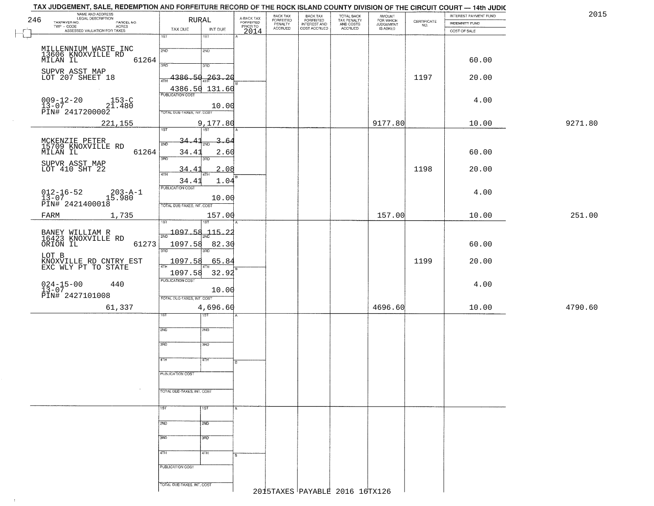| 246    | NAME AND ADDRESS<br>LEGAL DESCRIPTION<br>TAXPAYER NO.                                                              |                            | RURAL              | A-BACK TAX<br>FORFEITED | BACK TAX                        |                                                       | TOTAL BACK<br>TAX PENALTY<br>AND COSTS | <b>AMOUNT</b>                      | CERTIFICATE | INTEREST PAYMENT FUND | 2015    |
|--------|--------------------------------------------------------------------------------------------------------------------|----------------------------|--------------------|-------------------------|---------------------------------|-------------------------------------------------------|----------------------------------------|------------------------------------|-------------|-----------------------|---------|
|        | PARCEL NO.<br>TWP - CODE<br>ACRES<br>ASSESSED VALUATION FOR TAXES                                                  | TAX DUE                    | INT DUE            | PRIOR TO                | FORFEITED<br>PENALTY<br>ACCRUED | BACK TAX<br>FORFEITED<br>INTEREST AND<br>COST ACCRUED | ACCRUED                                | FOR WHICH<br>JUDGEMENT<br>IS ASKED | NO.         | <b>INDEMNITY FUND</b> |         |
| $\Box$ |                                                                                                                    | 1ST                        | 1ST                | 2014                    |                                 |                                                       |                                        |                                    |             | COST OF SALE          |         |
|        | MILLENNIUM WASTE INC                                                                                               |                            |                    |                         |                                 |                                                       |                                        |                                    |             |                       |         |
|        | 13606 KNOXVILLE RD                                                                                                 | 2ND                        | 2ND                |                         |                                 |                                                       |                                        |                                    |             |                       |         |
|        | 61264<br>MILAN IL                                                                                                  | 3RD                        | 3RD                |                         |                                 |                                                       |                                        |                                    |             | 60.00                 |         |
|        | SUPVR ASST MAP<br>LOT 207 SHEET 18                                                                                 | 4386.50                    | 263, 20            |                         |                                 |                                                       |                                        |                                    | 1197        | 20.00                 |         |
|        |                                                                                                                    | <b>ATH</b>                 |                    |                         |                                 |                                                       |                                        |                                    |             |                       |         |
|        |                                                                                                                    | <b>PUBLICATION COST</b>    | 4386.50 131.60     |                         |                                 |                                                       |                                        |                                    |             |                       |         |
|        | $009 - 12 - 20$<br>$153 - C$<br>21.480                                                                             |                            | 10.00              |                         |                                 |                                                       |                                        |                                    |             | 4.00                  |         |
|        | $13-07$ 2417200002                                                                                                 | TOTAL DUE-TAXES, INT. COST |                    |                         |                                 |                                                       |                                        |                                    |             |                       |         |
|        | 221,155                                                                                                            |                            | 9,177.80           |                         |                                 |                                                       |                                        | 9177.80                            |             | 10.00                 | 9271.80 |
|        |                                                                                                                    | $\overline{1ST}$           | $\overline{157}$   |                         |                                 |                                                       |                                        |                                    |             |                       |         |
|        | MCKENZIE PETER<br>15709 KNOXVILLE RD<br>MILAN IL                                                                   | $34.41_{200}$<br>2ND       | 3.64               |                         |                                 |                                                       |                                        |                                    |             |                       |         |
|        | 61264                                                                                                              | 34.41                      | 2.60               |                         |                                 |                                                       |                                        |                                    |             | 60.00                 |         |
|        | SUPVR ASST MAP<br>LOT 410 SHT 22                                                                                   | 3RD                        | 3RD                |                         |                                 |                                                       |                                        |                                    |             |                       |         |
|        |                                                                                                                    | 34.41<br>47H               | 2.08<br><b>ATH</b> |                         |                                 |                                                       |                                        |                                    | 1198        | 20.00                 |         |
|        |                                                                                                                    | 34.41<br>PUBLICATION COST  | 1.04               |                         |                                 |                                                       |                                        |                                    |             |                       |         |
|        | $012 - 16 - 52$<br>$203 - A - 1$                                                                                   |                            |                    |                         |                                 |                                                       |                                        |                                    |             | 4.00                  |         |
|        | $\begin{array}{c} \texttt{13--01} \\ \texttt{PIN\#} \end{array} \begin{array}{c} 15.980 \\ 2421400018 \end{array}$ | TOTAL DUE-TAXES, INT. COST | 10.00              |                         |                                 |                                                       |                                        |                                    |             |                       |         |
|        | FARM<br>1,735                                                                                                      |                            | 157.00             |                         |                                 |                                                       |                                        | 157.00                             |             | 10.00                 | 251.00  |
|        |                                                                                                                    | ist                        | 1ST                |                         |                                 |                                                       |                                        |                                    |             |                       |         |
|        |                                                                                                                    | 1097.58                    | 115.22             |                         |                                 |                                                       |                                        |                                    |             |                       |         |
|        | BANEY WILLIAM R<br>16423 KNOXVILLE RD<br>ORION IL<br>61273                                                         | 1097.58                    | 82.30              |                         |                                 |                                                       |                                        |                                    |             | 60.00                 |         |
|        | LOT B                                                                                                              | 3RD                        | 3RD                |                         |                                 |                                                       |                                        |                                    |             |                       |         |
|        | KNOXVILLE RD CNTRY EST<br>EXC WLY PT TO STATE                                                                      | <u>1097.58</u>             | 65.84              |                         |                                 |                                                       |                                        |                                    | 1199        | 20.00                 |         |
|        |                                                                                                                    | 1097.58                    | 32.92              |                         |                                 |                                                       |                                        |                                    |             |                       |         |
|        | $024 - 15 - 00$<br>13-07<br>440                                                                                    | <b>PUBLICATION COST</b>    |                    |                         |                                 |                                                       |                                        |                                    |             | 4.00                  |         |
|        | PIN# 2427101008                                                                                                    |                            | 10.00              |                         |                                 |                                                       |                                        |                                    |             |                       |         |
|        |                                                                                                                    | TOTAL OUE-TAXES, INT. COST |                    |                         |                                 |                                                       |                                        | 4696.60                            |             |                       |         |
|        | 61,337                                                                                                             | 1ST                        | 4,696.60<br>गड़ा   |                         |                                 |                                                       |                                        |                                    |             | 10.00                 | 4790.60 |
|        |                                                                                                                    |                            |                    |                         |                                 |                                                       |                                        |                                    |             |                       |         |
|        |                                                                                                                    | 2ND                        | 2ND                |                         |                                 |                                                       |                                        |                                    |             |                       |         |
|        |                                                                                                                    | 3RD                        | 3HD                |                         |                                 |                                                       |                                        |                                    |             |                       |         |
|        |                                                                                                                    |                            |                    |                         |                                 |                                                       |                                        |                                    |             |                       |         |
|        |                                                                                                                    | 4TH                        | 77H                | R                       |                                 |                                                       |                                        |                                    |             |                       |         |
|        |                                                                                                                    | PUBLICATION COST           |                    |                         |                                 |                                                       |                                        |                                    |             |                       |         |
|        |                                                                                                                    |                            |                    |                         |                                 |                                                       |                                        |                                    |             |                       |         |
|        |                                                                                                                    | TOTAL DUE-TAXES, INT. COST |                    |                         |                                 |                                                       |                                        |                                    |             |                       |         |
|        |                                                                                                                    |                            |                    |                         |                                 |                                                       |                                        |                                    |             |                       |         |
|        |                                                                                                                    | 1ST                        | 1ST                |                         |                                 |                                                       |                                        |                                    |             |                       |         |
|        |                                                                                                                    | 2ND                        | 2ND                |                         |                                 |                                                       |                                        |                                    |             |                       |         |
|        |                                                                                                                    |                            |                    |                         |                                 |                                                       |                                        |                                    |             |                       |         |
|        |                                                                                                                    | 3RD                        | 3RD                |                         |                                 |                                                       |                                        |                                    |             |                       |         |
|        |                                                                                                                    | 4TH                        | 4TH                | в.                      |                                 |                                                       |                                        |                                    |             |                       |         |
|        |                                                                                                                    |                            |                    |                         |                                 |                                                       |                                        |                                    |             |                       |         |
|        |                                                                                                                    | PUBLICATION COST           |                    |                         |                                 |                                                       |                                        |                                    |             |                       |         |
|        |                                                                                                                    | TOTAL DUE-TAXES, INT. COST |                    |                         |                                 |                                                       |                                        |                                    |             |                       |         |
|        |                                                                                                                    |                            |                    |                         |                                 |                                                       | 2015TAXES PAYABLE 2016 16TX126         |                                    |             |                       |         |

 $\sim 10$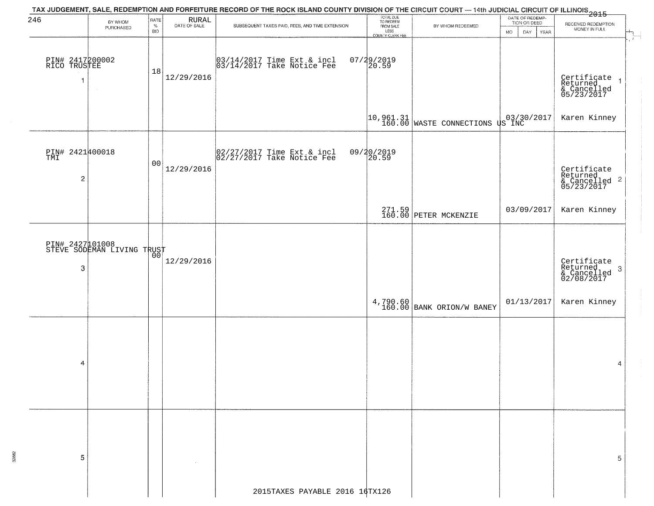| 246                                   | BY WHOM                                       | RATE               | <b>RURAL</b> |                                                          | TOTAL DUE<br>TO REDEEM<br>FROM SALE |                                                                              | DATE OF REDEMP-<br>TION OR DEED | RECEIVED REDEMPTION                                                          |
|---------------------------------------|-----------------------------------------------|--------------------|--------------|----------------------------------------------------------|-------------------------------------|------------------------------------------------------------------------------|---------------------------------|------------------------------------------------------------------------------|
|                                       | PURCHASED                                     | $\%$<br><b>BID</b> | DATE OF SALE | SUBSEQUENT TAXES PAID, FEES, AND TIME EXTENSION          | LESS<br><b>COUNTY CLERK FEE</b>     | BY WHOM REDEEMED                                                             | <b>MO</b><br>DAY<br>YEAR        | MONEY IN FULL                                                                |
| PIN# 2417200002<br>RICO TRUSTEE<br>-1 | $\sim$                                        | 18                 | 12/29/2016   | 03/14/2017 Time Ext & incl<br>03/14/2017 Take Notice Fee | $07/29/2019$<br>20.59               |                                                                              |                                 | Certificate<br>Returned<br>& Cancelled<br>05/23/2017                         |
|                                       |                                               |                    |              |                                                          |                                     | $\begin{bmatrix} 10,961.31 \\ 160.00 \end{bmatrix}$ WASTE CONNECTIONS US INC |                                 | Karen Kinney                                                                 |
| PIN# 2421400018<br>$\overline{c}$     |                                               | 0 <sub>0</sub>     | 12/29/2016   | 02/27/2017 Time Ext & incl<br>02/27/2017 Take Notice Fee | 09/20/2019<br>20.59                 |                                                                              |                                 | Certificate<br>Returned<br>& Cancelled 2<br>05/23/2017                       |
|                                       |                                               |                    |              |                                                          |                                     | 271.59 PETER MCKENZIE                                                        | 03/09/2017                      | Karen Kinney                                                                 |
| 3                                     | PIN# 2427101008<br>STEVE SODEMAN LIVING TRUST |                    | 12/29/2016   |                                                          |                                     |                                                                              |                                 | Certificate<br>Returned<br>$\boldsymbol{\beta}$<br>& Cancelled<br>02/08/2017 |
|                                       |                                               |                    |              |                                                          |                                     | 4,790.60 BANK ORION/W BANEY                                                  | 01/13/2017                      | Karen Kinney                                                                 |
| 4                                     |                                               |                    |              |                                                          |                                     |                                                                              |                                 | 4                                                                            |
| -5                                    |                                               |                    |              |                                                          |                                     |                                                                              |                                 | 5                                                                            |
|                                       |                                               |                    |              | 2015TAXES PAYABLE 2016 16TX126                           |                                     |                                                                              |                                 |                                                                              |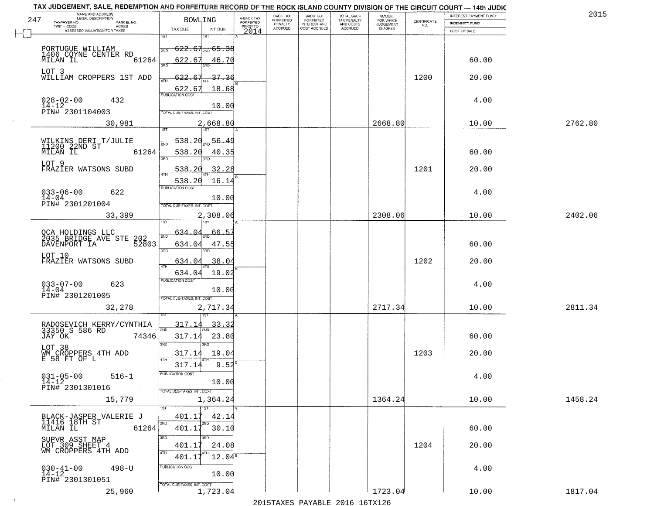| 201     | INTEREST PAYMENT FUND                 | <b>CERTIFICATE</b> | <b>AMOUNT</b>                      | TOTAL BACK<br>TAX PENALTY<br>AND COSTS<br>ACCRUED | <b>BACK TAX</b><br><b>FORFEITED</b> | BACK TAX<br>FORFEITED | A-BACK TAX<br>FORFEITED | BOWLING                                    | NAME AND ADDRESS<br>LEGAL DESCRIPTION<br>247<br>TAXPAYER NO.         |
|---------|---------------------------------------|--------------------|------------------------------------|---------------------------------------------------|-------------------------------------|-----------------------|-------------------------|--------------------------------------------|----------------------------------------------------------------------|
|         | <b>INDEMNITY FUND</b><br>COST OF SALE | NO.                | FOR WHICH<br>JUDGEMENT<br>IS ASKED |                                                   | INTEREST AND<br>COST ACCRUED        | PENALTY<br>ACCRUED    | PRIOR TO                | TAX DUE<br>INT DUE                         | PARCEL NO.<br>TWP - CODE<br>ACRES<br>ASSESSED VALUATION FOR TAXES    |
|         |                                       |                    |                                    |                                                   |                                     |                       | 2014                    | 1ST<br>18T                                 |                                                                      |
|         |                                       |                    |                                    |                                                   |                                     |                       |                         | <del>622.61<sub>2№</sub>65.38</del><br>2ND | PORTUGUE WILLIAM<br>1406 COYNE CENTER RD                             |
|         | 60.00                                 |                    |                                    |                                                   |                                     |                       |                         | 622.67<br>46.70<br>3RD                     | MILAN IL<br>61264                                                    |
|         | 20.00                                 | 1200               |                                    |                                                   |                                     |                       |                         | 37.36<br>-622.                             | LOT 3<br>WILLIAM CROPPERS 1ST ADD                                    |
|         |                                       |                    |                                    |                                                   |                                     |                       |                         | 4TH<br>622.6<br>18.68                      |                                                                      |
|         | 4.00                                  |                    |                                    |                                                   |                                     |                       |                         | <b>PUBLICATION COST</b>                    | $028 - 02 - 00$<br>432                                               |
|         |                                       |                    |                                    |                                                   |                                     |                       |                         | 10.00<br>TOTAL DUE-TAXES, INT. COST        | $14 - 12$<br>PIN# 2301104003                                         |
| 2762.80 | 10.00                                 |                    | 2668.80                            |                                                   |                                     |                       |                         | 2,668.80                                   | 30,981                                                               |
|         |                                       |                    |                                    |                                                   |                                     |                       |                         | 1ST<br>1ST                                 |                                                                      |
|         |                                       |                    |                                    |                                                   |                                     |                       |                         | 20<br>56.49<br>538                         | WILKINS DERI T/JULIE<br>11200 22ND ST                                |
|         | 60.00                                 |                    |                                    |                                                   |                                     |                       |                         | 538.20<br>40.35<br>3BD                     | 61264<br>MILAN IL                                                    |
|         | 20.00                                 | 1201               |                                    |                                                   |                                     |                       |                         | 32.28<br>538<br>d <sub>T</sub> +           | LOT 9<br>FRAZIER WATSONS SUBD                                        |
|         |                                       |                    |                                    |                                                   |                                     |                       |                         | 538.20<br>16.14                            |                                                                      |
|         | 4.00                                  |                    |                                    |                                                   |                                     |                       |                         | <b>PUBLICATION COST</b><br>10.00           | $033 - 06 - 00$<br>622<br>$14 - 04$                                  |
|         |                                       |                    |                                    |                                                   |                                     |                       |                         | TOTAL DUE-TAXES, INT. COST                 | PIN# 2301201004                                                      |
| 2402.06 | 10.00                                 |                    | 2308.06                            |                                                   |                                     |                       |                         | 2,308.06                                   | 33,399                                                               |
|         |                                       |                    |                                    |                                                   |                                     |                       |                         | 634<br>-66 -<br>2ND                        |                                                                      |
|         | 60.00                                 |                    |                                    |                                                   |                                     |                       |                         | 634.04<br>47.55                            | QCA HOLDINGS LLC<br>2035 BRIDGE AVE STE 202<br>52803<br>DAVENPORT IA |
|         |                                       |                    |                                    |                                                   |                                     |                       |                         | 3RD<br>3RD                                 | LOT 10                                                               |
|         | 20.00                                 | 1202               |                                    |                                                   |                                     |                       |                         | 38.04<br>634.04                            | FRAZIER WATSONS SUBD                                                 |
|         | 4.00                                  |                    |                                    |                                                   |                                     |                       |                         | 634.04<br>19.02<br><b>PUBLICATION COST</b> | 623                                                                  |
|         |                                       |                    |                                    |                                                   |                                     |                       |                         | 10.00                                      | $033 - 07 - 00$<br>14-04<br>PIN# 2301201005                          |
| 2811.34 | 10.00                                 |                    | 2717.34                            |                                                   |                                     |                       |                         | TOTAL OUE-TAXES, INT. COST<br>2,717.34     | 32,278                                                               |
|         |                                       |                    |                                    |                                                   |                                     |                       |                         |                                            |                                                                      |
|         |                                       |                    |                                    |                                                   |                                     |                       |                         | 317.14<br><u>33.3</u><br>2ND               | RADOSEVICH KERRY/CYNTHIA<br>33350 S 586 RD                           |
|         | 60.00                                 |                    |                                    |                                                   |                                     |                       |                         | 317.14<br>23.80<br>3RD<br>3RD              | 74346<br>JAY OK                                                      |
|         | 20.00                                 | 1203               |                                    |                                                   |                                     |                       |                         | 317.14<br>19.04                            | LOT 38<br>WM CROPPERS 4TH ADD<br>E 58 FT OF L                        |
|         |                                       |                    |                                    |                                                   |                                     |                       |                         | $9.54^{B}$<br>317.14                       |                                                                      |
|         | 4.00                                  |                    |                                    |                                                   |                                     |                       |                         | PUBLICATION COST                           | $031 - 05 - 00$<br>14-12<br>$516 - 1$                                |
|         |                                       |                    |                                    |                                                   |                                     |                       |                         | 10.00<br>TOTAL DUE-TAXES, INT. COST        | PIN# 2301301016<br>$\sim 100$                                        |
| 1458.24 | 10.00                                 |                    | 1364.24                            |                                                   |                                     |                       |                         | 1,364.24                                   | 15,779                                                               |
|         |                                       |                    |                                    |                                                   |                                     |                       |                         | 1ST<br>1ST<br>42.14<br>401.17              |                                                                      |
|         | 60.00                                 |                    |                                    |                                                   |                                     |                       |                         | 2ND<br>2ND<br>30.10<br>401.17              | BLACK-JASPER VALERIE J<br>11416 18TH ST<br>MILAN IL<br>61264         |
|         |                                       |                    |                                    |                                                   |                                     |                       |                         | 3RD                                        | SUPVR ASST MAP                                                       |
|         | 20.00                                 | 1204               |                                    |                                                   |                                     |                       |                         | 401.17<br>24.08<br>4TH                     | LOT 309 SHEET 4<br>WM CROPPERS 4TH ADD                               |
|         |                                       |                    |                                    |                                                   |                                     |                       |                         | 401.17<br>$12.04^{\circ}$                  |                                                                      |
|         | 4.00                                  |                    |                                    |                                                   |                                     |                       |                         | PUBLICATION COST<br>10.00                  | $030 - 41 - 00$<br>14-12<br>$498 - U$                                |
| 1817.04 |                                       |                    |                                    |                                                   |                                     |                       |                         | TOTAL DUE-TAXES, INT. COST                 | PIN# 2301301051                                                      |
|         | 10.00                                 |                    | 1723.04                            |                                                   |                                     |                       |                         | 1,723.04                                   | 25,960                                                               |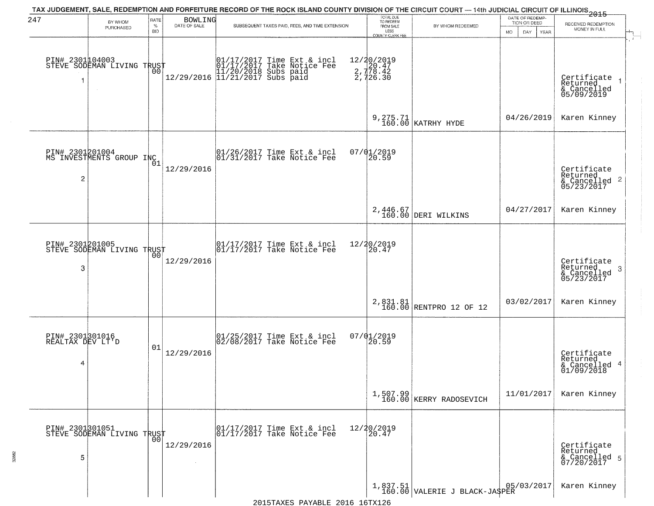| 247                                      | BY WHOM<br>PURCHASED                                        | RATE<br>$\%$<br><b>BID</b> | <b>BOWLING</b><br>DATE OF SALE | TAX JUDGEMENT, SALE, REDEMPTION AND FORFEITURE RECORD OF THE ROCK ISLAND COUNTY DIVISION OF THE CIRCUIT COURT — 14th JUDICIAL CIRCUIT OF ILLINOIS 2015<br>SUBSEQUENT TAXES PAID, FEES, AND TIME EXTENSION | TOTAL DUE<br>TO REDEEM<br>FROM SALE<br>LESS<br><b>COUNTY CLERK FEE</b> | BY WHOM REDEEMED                           | DATE OF REDEMP-<br>TION OR DEED<br>MO.<br>DAY.<br>YEAR | RECEIVED REDEMPTION<br>MONEY IN FULL                            |
|------------------------------------------|-------------------------------------------------------------|----------------------------|--------------------------------|-----------------------------------------------------------------------------------------------------------------------------------------------------------------------------------------------------------|------------------------------------------------------------------------|--------------------------------------------|--------------------------------------------------------|-----------------------------------------------------------------|
|                                          | PIN# 2301104003    <br>STEVE SODEMAN LIVING TRUST<br>$\sim$ | 00                         |                                | $[\begin{array}{c} 01/17/2017 \text{ Time Ext & incl} \\ 01/17/2017 \text{ Take Notice } \text{Fe} \\ 11/20/2018 \text{ Subs paid} \\ 12/29/2016 \text{ 11/21/2017 Subs paid} \end{array}]$               | 12/20/2019<br>20.47<br>2, 778.42<br>2, 726.30                          |                                            |                                                        | Certificate<br>Returned<br>& Cancelled<br>05/09/2019            |
|                                          |                                                             |                            |                                |                                                                                                                                                                                                           |                                                                        | 9, 275.71<br>160.00 KATRHY HYDE            | 04/26/2019                                             | Karen Kinney                                                    |
| $\overline{c}$                           | PIN# 2301201004<br>MS INVESTMENTS GROUP INC                 | 01                         | 12/29/2016                     | $\begin{array}{cc}  01/26/2017 \text{ Time} & \text{Ext} & \text{incl} \\  01/31/2017 \text{ Take Notice } \text{Fe} \end{array}$                                                                         | 07/01/2019<br>20.59                                                    |                                            |                                                        | Certificate<br>Returned<br>$& \text{Cancelled}$ 2<br>05/23/2017 |
|                                          |                                                             |                            |                                |                                                                                                                                                                                                           |                                                                        | 2,446.67<br>160.00 DERI WILKINS            | 04/27/2017                                             | Karen Kinney                                                    |
| PIN# 2301201005<br>3                     | STEVE SODEMAN LIVING TRUST                                  | 0 <sub>0</sub>             | 12/29/2016                     | $\begin{array}{ccc}  01/17/2017 \text{ Time} & \text{Ext} & \text{incl} \\  01/17/2017 \text{ Take Notice } \text{Fe} \end{array}$                                                                        | 12/20/2019<br>20.47                                                    |                                            |                                                        | Certificate<br>Returned<br>3<br>& Cancelled<br>05/23/2017       |
|                                          |                                                             |                            |                                |                                                                                                                                                                                                           |                                                                        | 2,831.81<br>160.00 RENTPRO 12 OF 12        | 03/02/2017                                             | Karen Kinney                                                    |
| PIN# 2301301016<br>REALTAX DEV LT'D<br>4 |                                                             | 01                         | 12/29/2016                     | $\begin{array}{c} 01/25/2017 \\ 02/08/2017 \\ 03 \end{array}$ Take Notice Fee                                                                                                                             | 07/01/2019<br>20.59                                                    |                                            |                                                        | Certificate<br>Returned<br>& Cancelled 4<br>01/09/2018          |
|                                          |                                                             |                            |                                |                                                                                                                                                                                                           |                                                                        | $1,507.99$<br>160.00 KERRY RADOSEVICH      | 11/01/2017                                             | Karen Kinney                                                    |
| 5                                        | PIN# 2301301051    <br>STEVE SODEMAN LIVING TRUST           | 0 <sub>0</sub>             | 12/29/2016                     | 01/17/2017 Time Ext & incl<br>01/17/2017 Take Notice Fee                                                                                                                                                  | 12/20/2019<br>20.47                                                    |                                            |                                                        | Certificate<br>Returned<br>& Cancelled 5<br>07/20/2017          |
|                                          |                                                             |                            |                                |                                                                                                                                                                                                           |                                                                        | 1,837.51<br>160.00 VALERIE J BLACK-JA\$PER | 05/03/2017                                             | Karen Kinney                                                    |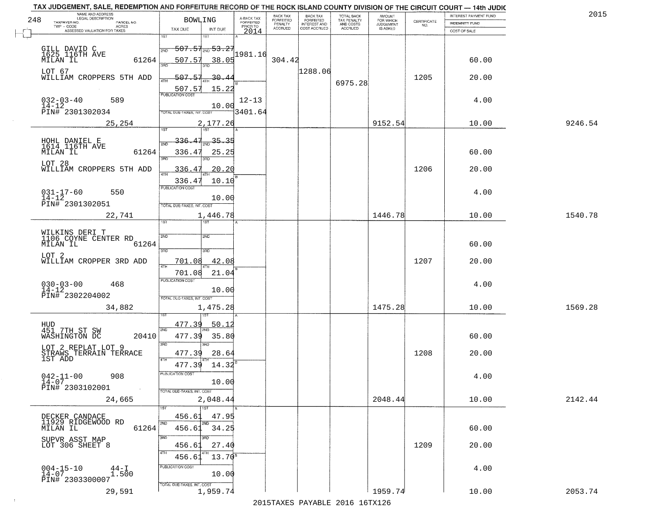|     | TAX JUDGEMENT, SALE, REDEMPTION AND FORFEITURE RECORD OF THE ROCK ISLAND COUNTY DIVISION OF THE CIRCUIT COURT - 14th JUDIC<br>NAME AND ADDRESS<br>LEGAL DESCRIPTION |                                       |                                     | BACK TAX                    |                                              |                                        |                                         |                                                                 | INTEREST PAYMENT FUND | 2015    |
|-----|---------------------------------------------------------------------------------------------------------------------------------------------------------------------|---------------------------------------|-------------------------------------|-----------------------------|----------------------------------------------|----------------------------------------|-----------------------------------------|-----------------------------------------------------------------|-----------------------|---------|
| 248 | TAXPAYER NO.<br>PARCEL NO.                                                                                                                                          | <b>BOWLING</b>                        | A-BACK TAX<br>FORFEITED<br>PRIOR TO | <b>FORFEITED</b><br>PENALTY | BACK TAX<br>FORFEITED<br><b>INTEREST AND</b> | TOTAL BACK<br>TAX PENALTY<br>AND COSTS | AMOUNT<br>FOR WHICH<br><b>JUDGEMENT</b> | $\begin{array}{c} \text{CERTIFICATE} \\ \text{NO.} \end{array}$ | INDEMNITY FUND        |         |
|     | ACRES<br>ASSESSED VALUATION FOR TAXES                                                                                                                               | TAX DUE<br>INT DUE                    | 2014                                | <b>ACCRUED</b>              | COST ACCRUED                                 | <b>ACCRUED</b>                         | IS ASKED                                |                                                                 | COST OF SALE          |         |
|     |                                                                                                                                                                     | 1ST<br>۱ST                            |                                     |                             |                                              |                                        |                                         |                                                                 |                       |         |
|     |                                                                                                                                                                     | <del>507.51<sub>2ND</sub> 53.25</del> |                                     |                             |                                              |                                        |                                         |                                                                 |                       |         |
|     | GILL DAVID C<br>1625 116TH AVE                                                                                                                                      | 2ND                                   | 1981.16                             |                             |                                              |                                        |                                         |                                                                 |                       |         |
|     | 61264<br>MILAN IL                                                                                                                                                   | 507.57<br>38.05                       |                                     | 304.42                      |                                              |                                        |                                         |                                                                 | 60.00                 |         |
|     | LOT 67                                                                                                                                                              |                                       |                                     |                             | 1288.06                                      |                                        |                                         |                                                                 |                       |         |
|     | WILLIAM CROPPERS 5TH ADD                                                                                                                                            | 507.57<br>$-30.44$                    |                                     |                             |                                              |                                        |                                         | 1205                                                            | 20.00                 |         |
|     |                                                                                                                                                                     | 15.22                                 |                                     |                             |                                              | 6975.28                                |                                         |                                                                 |                       |         |
|     |                                                                                                                                                                     | 507.57                                |                                     |                             |                                              |                                        |                                         |                                                                 |                       |         |
|     | $032 - 03 - 40$<br>14-12<br>589                                                                                                                                     | 10.00                                 | $12 - 13$                           |                             |                                              |                                        |                                         |                                                                 | 4.00                  |         |
|     | PIN# 2301302034                                                                                                                                                     | TOTAL DUE-TAXES, INT, COST            | 3401.64                             |                             |                                              |                                        |                                         |                                                                 |                       |         |
|     | 25,254                                                                                                                                                              | 2,177.26                              |                                     |                             |                                              |                                        | 9152.54                                 |                                                                 | 10.00                 | 9246.54 |
|     |                                                                                                                                                                     |                                       |                                     |                             |                                              |                                        |                                         |                                                                 |                       |         |
|     |                                                                                                                                                                     | $\frac{35.35}{200}$<br><u>336.47</u>  |                                     |                             |                                              |                                        |                                         |                                                                 |                       |         |
|     | HOHL DANIEL E<br>1614 116TH AVE                                                                                                                                     |                                       |                                     |                             |                                              |                                        |                                         |                                                                 |                       |         |
|     | MILAN IL<br>61264                                                                                                                                                   | 336.47<br>25.25<br>3RD                |                                     |                             |                                              |                                        |                                         |                                                                 | 60.00                 |         |
|     | LOT 28                                                                                                                                                              |                                       |                                     |                             |                                              |                                        |                                         |                                                                 |                       |         |
|     | WILLIAM CROPPERS 5TH ADD                                                                                                                                            | 20.20<br>336.47                       |                                     |                             |                                              |                                        |                                         | 1206                                                            | 20.00                 |         |
|     |                                                                                                                                                                     | 10.10<br>336.47                       |                                     |                             |                                              |                                        |                                         |                                                                 |                       |         |
|     | 550                                                                                                                                                                 | <b>PUBLICATION COST</b>               |                                     |                             |                                              |                                        |                                         |                                                                 | 4.00                  |         |
|     | $031 - 17 - 60$<br>14-12                                                                                                                                            | 10.00                                 |                                     |                             |                                              |                                        |                                         |                                                                 |                       |         |
|     | PIN# 2301302051                                                                                                                                                     | TOTAL DUE-TAXES, INT. COST            |                                     |                             |                                              |                                        |                                         |                                                                 |                       |         |
|     | 22,741                                                                                                                                                              | 1,446.78                              |                                     |                             |                                              |                                        | 1446.78                                 |                                                                 | 10.00                 | 1540.78 |
|     |                                                                                                                                                                     | 1ST<br>is T                           |                                     |                             |                                              |                                        |                                         |                                                                 |                       |         |
|     |                                                                                                                                                                     |                                       |                                     |                             |                                              |                                        |                                         |                                                                 |                       |         |
|     | WILKINS DERI T<br>1106 COYNE CENTER RD                                                                                                                              | SVD<br>SMD                            |                                     |                             |                                              |                                        |                                         |                                                                 |                       |         |
|     | MILAN IL<br>61264                                                                                                                                                   | 3BD<br>3RD                            |                                     |                             |                                              |                                        |                                         |                                                                 | 60.00                 |         |
|     | LOT <sub>2</sub>                                                                                                                                                    |                                       |                                     |                             |                                              |                                        |                                         |                                                                 |                       |         |
|     | WILLIAM CROPPER 3RD ADD                                                                                                                                             | 42.08<br>701.08<br>4TH                |                                     |                             |                                              |                                        |                                         | 1207                                                            | 20.00                 |         |
|     |                                                                                                                                                                     | 21.04<br>701.08                       |                                     |                             |                                              |                                        |                                         |                                                                 |                       |         |
|     | 468                                                                                                                                                                 | <b>PUBLICATION COST</b>               |                                     |                             |                                              |                                        |                                         |                                                                 | 4.00                  |         |
|     | $030 - 03 - 00$<br>14-12                                                                                                                                            | 10.00                                 |                                     |                             |                                              |                                        |                                         |                                                                 |                       |         |
|     | PIN# 2302204002                                                                                                                                                     | TOTAL OUE-TAXES, INT. COST            |                                     |                             |                                              |                                        |                                         |                                                                 |                       |         |
|     | 34,882                                                                                                                                                              | 1,475.28                              |                                     |                             |                                              |                                        | 1475.28                                 |                                                                 | 10.00                 | 1569.28 |
|     |                                                                                                                                                                     |                                       |                                     |                             |                                              |                                        |                                         |                                                                 |                       |         |
|     | HUD<br>451_7TH_ST_SW                                                                                                                                                | 477.39<br>50.12                       |                                     |                             |                                              |                                        |                                         |                                                                 |                       |         |
|     | WASHINGTON DC<br>20410                                                                                                                                              | 2ND<br>35.80<br>477.39                |                                     |                             |                                              |                                        |                                         |                                                                 | 60.00                 |         |
|     |                                                                                                                                                                     | 3BD<br>3RD                            |                                     |                             |                                              |                                        |                                         |                                                                 |                       |         |
|     | LOT 2 REPLAT LOT 9                                                                                                                                                  | 477.39<br>28.64                       |                                     |                             |                                              |                                        |                                         | 1208                                                            | 20.00                 |         |
|     | STRAWS TERRAIN TERRACE<br>1ST ADD                                                                                                                                   | 4TH                                   |                                     |                             |                                              |                                        |                                         |                                                                 |                       |         |
|     |                                                                                                                                                                     | 14.32<br>477.39                       |                                     |                             |                                              |                                        |                                         |                                                                 |                       |         |
|     | $042 - 11 - 00$<br>908                                                                                                                                              | PUBLICATION COS-                      |                                     |                             |                                              |                                        |                                         |                                                                 | 4.00                  |         |
|     | $14 - 07$<br>PIN# 2303102001                                                                                                                                        | 10.00                                 |                                     |                             |                                              |                                        |                                         |                                                                 |                       |         |
|     |                                                                                                                                                                     | TOTAL DUE-TAXES, INT. COST            |                                     |                             |                                              |                                        |                                         |                                                                 |                       |         |
|     | 24,665                                                                                                                                                              | 2,048.44                              |                                     |                             |                                              |                                        | 2048.44                                 |                                                                 | 10.00                 | 2142.44 |
|     |                                                                                                                                                                     | TST                                   |                                     |                             |                                              |                                        |                                         |                                                                 |                       |         |
|     | DECKER CANDACE<br>11929 RIDGEWOOD RD                                                                                                                                | 47.95<br>456.6                        |                                     |                             |                                              |                                        |                                         |                                                                 |                       |         |
|     | 61264<br>MILAN IL                                                                                                                                                   | 2ND<br>2ND<br>456.61<br>34.25         |                                     |                             |                                              |                                        |                                         |                                                                 | 60.00                 |         |
|     |                                                                                                                                                                     | 3RD<br>3RD                            |                                     |                             |                                              |                                        |                                         |                                                                 |                       |         |
|     | SUPVR ASST MAP<br>LOT 306 SHEET 8                                                                                                                                   | 27.40<br>456.61                       |                                     |                             |                                              |                                        |                                         | 1209                                                            | 20.00                 |         |
|     |                                                                                                                                                                     |                                       |                                     |                             |                                              |                                        |                                         |                                                                 |                       |         |
|     |                                                                                                                                                                     | $13.70^8$<br>456.63                   |                                     |                             |                                              |                                        |                                         |                                                                 |                       |         |
|     | $004 - 15 - 10$<br>14-07<br>$^{44-1}_{1.500}$                                                                                                                       | PUBLICATION COST                      |                                     |                             |                                              |                                        |                                         |                                                                 | 4.00                  |         |
|     | PIN# 2303300007                                                                                                                                                     | 10.00                                 |                                     |                             |                                              |                                        |                                         |                                                                 |                       |         |
|     |                                                                                                                                                                     | TOTAL DUE-TAXES, INT. COST            |                                     |                             |                                              |                                        |                                         |                                                                 |                       |         |
|     | 29,591                                                                                                                                                              | 1,959.74                              |                                     |                             |                                              |                                        | 1959.74                                 |                                                                 | 10.00                 | 2053.74 |
|     |                                                                                                                                                                     |                                       |                                     |                             |                                              | 2015 TAVEC DAVADIE 2016 16TV126        |                                         |                                                                 |                       |         |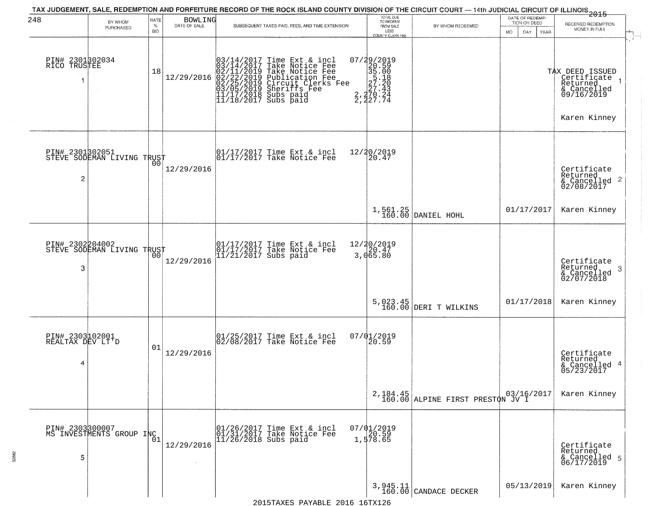| 248                                      | BY WHOM<br>PURCHASED                              | RATE<br>$\%$<br><b>BID</b> | <b>BOWLING</b><br>DATE OF SALE | TAX JUDGEMENT, SALE, REDEMPTION AND FORFEITURE RECORD OF THE ROCK ISLAND COUNTY DIVISION OF THE CIRCUIT COURT — 14th JUDICIAL CIRCUIT OF ILLINOIS 2015<br>SUBSEQUENT TAXES PAID, FEES, AND TIME EXTENSION     | TOTAL DUE<br>TO REDEEM<br>FROM SALE<br>LESS<br>COUNTY CLERK FEE                                                                                                | BY WHOM REDEEMED                             | DATE OF REDEMP-<br>TION OR DEED<br>DAY<br>MO.<br>YEAR | RECEIVED REDEMPTION<br>MONEY IN FULL                                                    |
|------------------------------------------|---------------------------------------------------|----------------------------|--------------------------------|---------------------------------------------------------------------------------------------------------------------------------------------------------------------------------------------------------------|----------------------------------------------------------------------------------------------------------------------------------------------------------------|----------------------------------------------|-------------------------------------------------------|-----------------------------------------------------------------------------------------|
| PIN# 2301302034<br>RICO TRUSTEE          |                                                   | 18                         | 12/29/2016                     | $03/14/2017$ Time Ext & incl<br>$03/14/2017$ Take Notice Fee<br>$02/11/2019$ Take Notice Fee<br>$02/22/2019$ Publication Fee<br>$03/05/2019$ Sheriffs Fee<br>$11/17/2018$ Subs paid<br>$11/18/2017$ Subs paid | $\begin{smallmatrix} 07/29/2019\\20.59\\35.00\\5\end{smallmatrix}$<br>= $\begin{smallmatrix} 20.59\\35.18\\27.28\\27.43\\2,270.24\\2,227.74 \end{smallmatrix}$ |                                              |                                                       | TAX DEED ISSUED<br>Certificate<br>Returned<br>& Cancelled<br>09/16/2019<br>Karen Kinney |
| 2                                        | PIN# 2301302051    <br>STEVE SODEMAN LIVING TRUST | 0 <sub>0</sub>             | 12/29/2016                     | 01/17/2017 Time Ext & incl<br>01/17/2017 Take Notice Fee                                                                                                                                                      | 12/20/2019<br>$\overline{20.47}$                                                                                                                               |                                              |                                                       | Certificate<br>Returned<br>$\frac{1}{6}$ Cancelled 2<br>02/08/2017                      |
|                                          |                                                   |                            |                                |                                                                                                                                                                                                               |                                                                                                                                                                | $1,561.25$ DANIEL HOHL                       | 01/17/2017                                            | Karen Kinney                                                                            |
| PIN# 2302204002<br>3                     | STEVE SODEMAN LIVING TRUST                        | 00                         | 12/29/2016                     | 01/17/2017 Time Ext & incl<br>01/17/2017 Take Notice Fee<br>11/21/2017 Subs paid                                                                                                                              | 12/20/2019<br>3,065.80                                                                                                                                         |                                              |                                                       | Certificate<br>Returned<br>-3<br>& Cancelled<br>02/07/2018                              |
|                                          |                                                   |                            |                                |                                                                                                                                                                                                               | 5,023.45<br>160.00                                                                                                                                             | DERI T WILKINS                               | 01/17/2018                                            | Karen Kinney                                                                            |
| PIN# 2303102001<br>REALTAX DEV LT'D<br>4 |                                                   | 01                         | 12/29/2016                     | 01/25/2017 Time Ext & incl<br>02/08/2017 Take Notice Fee                                                                                                                                                      | $07/01/2019$<br>20.59                                                                                                                                          |                                              |                                                       | Certificate<br>Returned<br>& Cancelled 4<br>05/23/2017                                  |
|                                          |                                                   |                            |                                |                                                                                                                                                                                                               |                                                                                                                                                                | 2,184.45<br>160.00 ALPINE FIRST PRESTON JV I |                                                       | Karen Kinney                                                                            |
| 5                                        | PIN# 2303300007<br>MS INVESTMENTS GROUP INC       |                            | 12/29/2016                     | 01/26/2017 Time Ext & incl<br>01/31/2017 Take Notice Fee<br>11/26/2018 Subs paid                                                                                                                              | $07/01/2019$<br>$20.59$<br>1,578.65                                                                                                                            |                                              |                                                       | Certificate<br>Returned<br>& Cancelled 5<br>06/17/2019                                  |
|                                          |                                                   |                            |                                |                                                                                                                                                                                                               |                                                                                                                                                                | 3,945.11<br>160.00 CANDACE DECKER            | 05/13/2019                                            | Karen Kinney                                                                            |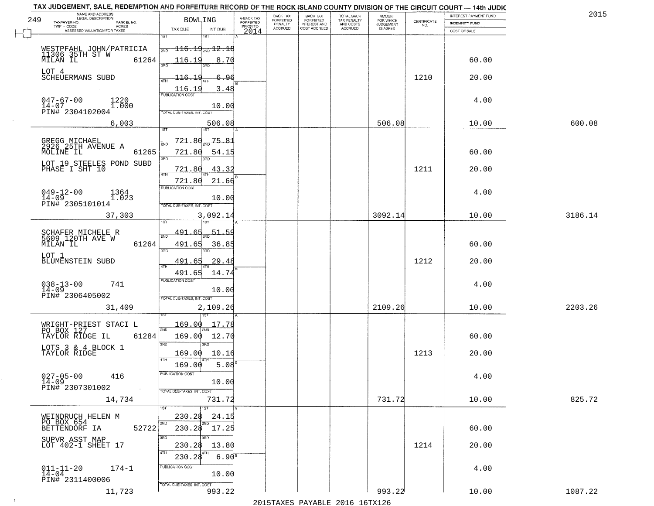|     | TAX JUDGEMENT, SALE, REDEMPTION AND FORFEITURE RECORD OF THE ROCK ISLAND COUNTY DIVISION OF THE CIRCUIT COURT - 14th JUDIC |                                                                        |                                     |                              |                                     |                                        |                                  |                                                                 |                       |         |
|-----|----------------------------------------------------------------------------------------------------------------------------|------------------------------------------------------------------------|-------------------------------------|------------------------------|-------------------------------------|----------------------------------------|----------------------------------|-----------------------------------------------------------------|-----------------------|---------|
| 249 | NAME AND ADDRESS<br>LEGAL DESCRIPTION                                                                                      | <b>BOWLING</b>                                                         |                                     | <b>BACK TAX</b><br>FORFEITED | BACK TAX<br>FORFEITED               | TOTAL BACK<br>TAX PENALTY<br>AND COSTS | AMOUNT<br>FOR WHICH<br>JUDGEMENT |                                                                 | INTEREST PAYMENT FUND | 201     |
|     | TAXPAYER NO.<br>PARCEL NO.<br>ACRES                                                                                        |                                                                        | A-BACK TAX<br>FORFEITED<br>PRIOR TO | PENALTY<br><b>ACCRUED</b>    | <b>INTEREST AND</b><br>COST ACCRUED | ACCRUED                                | <b>IS ASKED</b>                  | $\begin{array}{c} \text{CERTIFICATE} \\ \text{NO.} \end{array}$ | INDEMNITY FUND        |         |
|     | ASSESSED VALUATION FOR TAXES                                                                                               | TAX DUE<br>INT DUE<br>1ST                                              | 2014                                |                              |                                     |                                        |                                  |                                                                 | COST OF SALE          |         |
|     | WESTPFAHL JOHN/PATRICIA                                                                                                    | $-116.19_{\rm 200}$ $12.18$<br>2ND                                     |                                     |                              |                                     |                                        |                                  |                                                                 |                       |         |
|     | 11306 35TH ST W<br>MILAN IL<br>61264<br>LOT 4                                                                              | 116.19<br>8.70                                                         |                                     |                              |                                     |                                        |                                  |                                                                 | 60.00                 |         |
|     | SCHEUERMANS SUBD                                                                                                           | $-116.19$<br>6.96<br>3.48                                              |                                     |                              |                                     |                                        |                                  | 1210                                                            | 20.00                 |         |
|     | $047 - 67 - 00$<br>1220<br>$14 - 07$<br>1.000<br>PIN# 2304102004                                                           | $\frac{116.19}{FUBUCATON CGST}$<br>10.00<br>TOTAL DUE-TAXES, INT. COST |                                     |                              |                                     |                                        |                                  |                                                                 | 4.00                  |         |
|     | 6,003                                                                                                                      | 506.08                                                                 |                                     |                              |                                     |                                        | 506.08                           |                                                                 | 10.00                 | 600.08  |
|     |                                                                                                                            |                                                                        |                                     |                              |                                     |                                        |                                  |                                                                 |                       |         |
|     | GREGG MICHAEL<br>2926 25TH AVENUE A<br>61265<br>MOLINE IL                                                                  | <u>721.80</u><br>75.81<br><b>DNF</b><br>721.80<br>54.15<br>3RD<br>3RD  |                                     |                              |                                     |                                        |                                  |                                                                 | 60.00                 |         |
|     | LOT 19 STEELES POND SUBD<br>PHASE I SHT 10                                                                                 | 43.32<br>721.80<br>4TH                                                 |                                     |                              |                                     |                                        |                                  | 1211                                                            | 20.00                 |         |
|     | $049 - 12 - 00$<br>1364                                                                                                    | 721.80<br>21.66<br>PUBLICATION COST                                    |                                     |                              |                                     |                                        |                                  |                                                                 | 4.00                  |         |
|     | $14 - 09$<br>1.023<br>PIN# 2305101014                                                                                      | 10.00<br>TOTAL DUE-TAXES, INT. COST                                    |                                     |                              |                                     |                                        |                                  |                                                                 |                       |         |
|     | 37,303                                                                                                                     | 3,092.14<br>1ST<br>1ST                                                 |                                     |                              |                                     |                                        | 3092.14                          |                                                                 | 10.00                 | 3186.14 |
|     | SCHAFER MICHELE R<br>5609 120TH AVE W<br>MILAN IL<br>61264                                                                 | 491.65<br><u>51.59</u><br>2ND<br>491.65<br>36.85                       |                                     |                              |                                     |                                        |                                  |                                                                 | 60.00                 |         |
|     | LOT 1                                                                                                                      | 3RD<br>3RD<br>491.65                                                   |                                     |                              |                                     |                                        |                                  |                                                                 |                       |         |
|     | BLUMENSTEIN SUBD                                                                                                           | 29.48<br>4TH<br>491.65<br>14.74                                        |                                     |                              |                                     |                                        |                                  | 1212                                                            | 20.00                 |         |
|     | $038 - 13 - 00$<br>14-09<br>741<br>PIN# 2306405002                                                                         | <b>PUBLICATION COST</b><br>10.00<br>TOTAL OUE-TAXES, INT. COST         |                                     |                              |                                     |                                        |                                  |                                                                 | 4.00                  |         |
|     | 31,409                                                                                                                     | 2,109.26                                                               |                                     |                              |                                     |                                        | 2109.26                          |                                                                 | 10.00                 | 2203.26 |
|     | WRIGHT-PRIEST STACI L<br>PO BOX 127                                                                                        | 169.00<br>17.78<br>2ND                                                 |                                     |                              |                                     |                                        |                                  |                                                                 |                       |         |
|     | TAYLOR RIDGE IL<br>61284                                                                                                   | 169.00<br>12.70<br>3RD<br>3BD                                          |                                     |                              |                                     |                                        |                                  |                                                                 | 60.00                 |         |
|     | LOTS 3 & 4 BLOCK 1<br>TAYLOR RIDGE                                                                                         | 10.16<br>169.00<br>4TH                                                 |                                     |                              |                                     |                                        |                                  | 1213                                                            | 20.00                 |         |
|     | $027 - 05 - 00$                                                                                                            | 5.08<br>169.00<br>PUBLICATION COS                                      |                                     |                              |                                     |                                        |                                  |                                                                 |                       |         |
|     | 416<br>$14 - 09$<br>PIN# 2307301002<br>$\sim$                                                                              | 10.00<br>TOTAL DUE-TAXES, INT. COST                                    |                                     |                              |                                     |                                        |                                  |                                                                 | 4.00                  |         |
|     | 14,734                                                                                                                     | 731.72<br>1ST<br>1ST                                                   |                                     |                              |                                     |                                        | 731.72                           |                                                                 | 10.00                 | 825.72  |
|     | WEINDRUCH HELEN M                                                                                                          | 230.28<br>24.15                                                        |                                     |                              |                                     |                                        |                                  |                                                                 |                       |         |
|     | PO BOX 654<br>52722<br>BETTENDORF IA                                                                                       | 2ND<br>2ND<br>230.28 17.25                                             |                                     |                              |                                     |                                        |                                  |                                                                 | 60.00                 |         |
|     | SUPVR ASST MAP<br>LOT 402-1 SHEET 17                                                                                       | 3RD<br>13.80<br>230.28<br>4TH                                          |                                     |                              |                                     |                                        |                                  | 1214                                                            | 20.00                 |         |
|     |                                                                                                                            | 6.90 <sup>8</sup><br>230.28<br>PUBLICATION COST                        |                                     |                              |                                     |                                        |                                  |                                                                 |                       |         |
|     | $011 - 11 - 20$<br>$174 - 1$<br>14-04<br>PIN# 2311400006                                                                   | 10.00                                                                  |                                     |                              |                                     |                                        |                                  |                                                                 | 4.00                  |         |
|     | 11,723                                                                                                                     | TOTAL DUE-TAXES, INT. COST<br>993.22                                   |                                     |                              |                                     |                                        | 993.22                           |                                                                 | 10.00                 | 1087.22 |

 $\sim 100$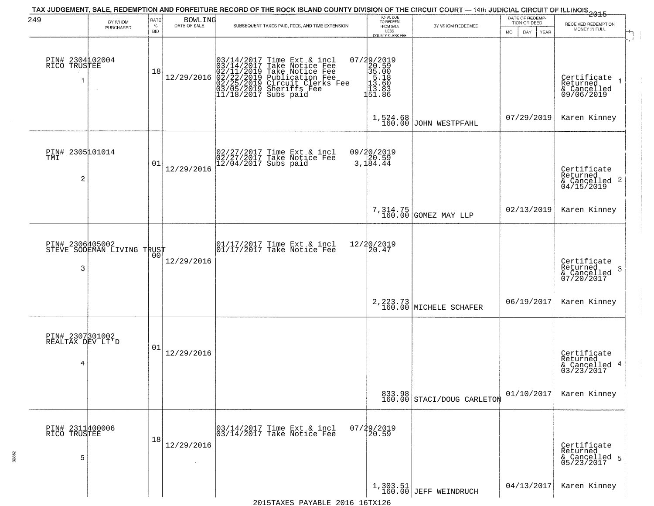| 249                                      | BY WHOM<br>PURCHASED       | <b>RATE</b><br>$\%$<br><b>BID</b> | BOWLING<br>DATE OF SALE | TAX JUDGEMENT, SALE, REDEMPTION AND FORFEITURE RECORD OF THE ROCK ISLAND COUNTY DIVISION OF THE CIRCUIT COURT — 14th JUDICIAL CIRCUIT OF ILLINOIS 2015<br>SUBSEQUENT TAXES PAID, FEES, AND TIME EXTENSION           | TOTAL DUE<br>TO REDEEM<br>FROM SALE<br>LESS<br>COUNTY CLERK FEE                                | BY WHOM REDEEMED                     | DATE OF REDEMP-<br>TION OR DEED<br><b>MO</b><br>DAY<br><b>YEAR</b> | RECEIVED REDEMPTION<br>MONEY IN FULL                               |
|------------------------------------------|----------------------------|-----------------------------------|-------------------------|---------------------------------------------------------------------------------------------------------------------------------------------------------------------------------------------------------------------|------------------------------------------------------------------------------------------------|--------------------------------------|--------------------------------------------------------------------|--------------------------------------------------------------------|
| PIN# 2304102004<br>RICO TRUSTEE          |                            | 18                                | 12/29/2016              | $03/14/2017$ Time Ext & incl<br>$03/14/2017$ Take Notice Fee<br>$02/11/2019$ Take Notice Fee<br>$02/22/2019$ Circuit Clerks Fee<br>$03/05/2019$ Sheriffs Fee<br>$03/05/2019$ Sheriffs Fee<br>$11/18/2017$ Subs paid | $\begin{smallmatrix} 07/29/2019\\20.59\\35.00\\15.18\\11.60\\13.60\\151.8\\ \end{smallmatrix}$ |                                      |                                                                    | Certificate<br>Returned<br>& Cancelled<br>09/06/2019               |
|                                          |                            |                                   |                         |                                                                                                                                                                                                                     | 1,524.68<br>160.00                                                                             | JOHN WESTPFAHL                       | 07/29/2019                                                         | Karen Kinney                                                       |
| PIN# 2305001014<br>TMI<br>2              |                            | 01                                | 12/29/2016              | 02/27/2017 Time Ext & incl<br>02/27/2017 Take Notice Fee<br>12/04/2017 Subs paid                                                                                                                                    | 09/20/2019<br>20.59<br>3,184.44                                                                |                                      |                                                                    | Certificate<br>Returned<br>$\frac{1}{6}$ Cancelled 2<br>04/15/2019 |
|                                          |                            |                                   |                         |                                                                                                                                                                                                                     |                                                                                                | 7,314.75<br>160.00 GOMEZ MAY LLP     | 02/13/2019                                                         | Karen Kinney                                                       |
| PIN# 2306405002<br>3                     | STEVE SODEMAN LIVING TRUST | 00                                | 12/29/2016              | $\begin{array}{ccc}  01/17/2017 \text{ Time} & \text{Ext} & \text{incl} \\  01/17/2017 \text{ Take Notice } \text{Fe} \end{array}$                                                                                  | 12/20/2019<br>20.47                                                                            |                                      |                                                                    | Certificate<br>Returned<br>-3<br>& Cancelled<br>07/20/2017         |
|                                          |                            |                                   |                         |                                                                                                                                                                                                                     |                                                                                                | 2, 223.73<br>160.00 MICHELE SCHAFER  | 06/19/2017                                                         | Karen Kinney                                                       |
| PIN# 2307301002<br>REALTAX DEV LT'D<br>4 |                            | 01                                | 12/29/2016              |                                                                                                                                                                                                                     |                                                                                                |                                      |                                                                    | Certificate<br>Returned<br>& Cancelled 4<br>03/23/2017             |
|                                          |                            |                                   |                         |                                                                                                                                                                                                                     |                                                                                                | 833.98<br>160.00 STACI/DOUG CARLETON | 01/10/2017                                                         | Karen Kinney                                                       |
| PIN# 2311400006<br>RICO TRUSTEE<br>5     |                            | 18                                | 12/29/2016              | 03/14/2017 Time Ext & incl<br>03/14/2017 Take Notice Fee                                                                                                                                                            | 07/29/2019<br>20.59                                                                            |                                      |                                                                    | Certificate<br>Returned<br>& Cancelled 5<br>05/23/2017             |
|                                          |                            |                                   |                         |                                                                                                                                                                                                                     |                                                                                                | 1,303.51<br>160.00 JEFF WEINDRUCH    | 04/13/2017                                                         | Karen Kinney                                                       |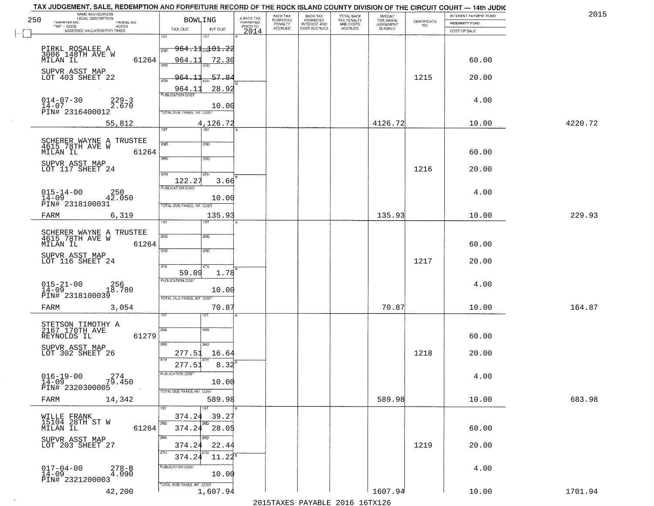| 250 | NAME AND ADDRESS<br>LEGAL DESCRIPTION                  |                            | <b>BOWLING</b>             |                              | A-BACK TAX            | BACK TAX<br><b>FORFEITED</b> | <b>BACK TAX</b><br><b>FORFEITED</b> | TOTAL BACK<br>TAX PENALTY<br>AND COSTS<br>ACCRUED | <b>AMOUNT</b><br>FOR WHICH |                                                                 | INTEREST PAYMENT FUND | 2015    |
|-----|--------------------------------------------------------|----------------------------|----------------------------|------------------------------|-----------------------|------------------------------|-------------------------------------|---------------------------------------------------|----------------------------|-----------------------------------------------------------------|-----------------------|---------|
|     | TAXPAYER NO.<br>TWP - CODE                             | PARCEL NO.<br><b>ACRES</b> |                            |                              | FORFEITED<br>PRIOR TO | PENALTY<br>ACCRUED           | INTEREST AND<br>COST ACCRUED        |                                                   | JUDGEMENT                  | $\begin{array}{c} \text{CERTIFICATE} \\ \text{NO.} \end{array}$ | <b>INDEMNITY FUND</b> |         |
|     | ASSESSED VALUATION FOR TAXES                           |                            | TAX DUE<br>1ST             | INT DUE<br>श्डा              | 2014                  |                              |                                     |                                                   |                            |                                                                 | COST OF SALE          |         |
|     |                                                        |                            |                            |                              |                       |                              |                                     |                                                   |                            |                                                                 |                       |         |
|     | PIRKL ROSALEE A<br>3006 148TH AVE W                    |                            | $964.11$ $101.22$<br>2ND   |                              |                       |                              |                                     |                                                   |                            |                                                                 |                       |         |
|     | MILAN IL                                               | 61264                      | 964.11                     | <u>72.30</u>                 |                       |                              |                                     |                                                   |                            |                                                                 | 60.00                 |         |
|     | SUPVR ASST MAP<br>LOT 403 SHEET 22                     |                            | 964.                       | 57.84                        |                       |                              |                                     |                                                   |                            | 1215                                                            | 20.00                 |         |
|     |                                                        |                            | 4TH<br>964.11              | 28.92                        |                       |                              |                                     |                                                   |                            |                                                                 |                       |         |
|     | $014 - 07 - 30$                                        | $229 - 3$                  | <b>PUBLICATION COST</b>    |                              |                       |                              |                                     |                                                   |                            |                                                                 | 4.00                  |         |
|     | $14-07$<br>PIN# 2316400012                             | 2.670                      |                            | 10.00                        |                       |                              |                                     |                                                   |                            |                                                                 |                       |         |
|     |                                                        |                            | TOTAL DUE-TAXES, INT. COST |                              |                       |                              |                                     |                                                   |                            |                                                                 |                       |         |
|     |                                                        | 55,812                     | 1ST                        | 4,126.72<br>$\overline{15T}$ |                       |                              |                                     |                                                   | 4126.72                    |                                                                 | 10.00                 | 4220.72 |
|     |                                                        |                            |                            |                              |                       |                              |                                     |                                                   |                            |                                                                 |                       |         |
|     | SCHERER WAYNE A TRUSTEE<br>4615 78TH AVE W<br>MILAN IL | 61264                      | 2ND                        | 2ND                          |                       |                              |                                     |                                                   |                            |                                                                 | 60.00                 |         |
|     |                                                        |                            | 3RD                        | 3RD                          |                       |                              |                                     |                                                   |                            |                                                                 |                       |         |
|     | SUPVR ASST MAP<br>LOT 117 SHEET 24                     |                            |                            |                              |                       |                              |                                     |                                                   |                            | 1216                                                            | 20.00                 |         |
|     |                                                        |                            | 47H<br>122.27              | 4TH<br>3.66                  |                       |                              |                                     |                                                   |                            |                                                                 |                       |         |
|     | $015 - 14 - 00$                                        |                            | PUBLICATION COST           |                              |                       |                              |                                     |                                                   |                            |                                                                 | 4.00                  |         |
|     | $14 - 09$<br>PIN# 2318100031                           | 42.050                     | TOTAL DUE-TAXES, INT. COST | 10.00                        |                       |                              |                                     |                                                   |                            |                                                                 |                       |         |
|     | FARM                                                   | 6,319                      |                            | 135.93                       |                       |                              |                                     |                                                   | 135.93                     |                                                                 | 10.00                 | 229.93  |
|     |                                                        |                            | 1ST <sup>-</sup>           | 1ST                          |                       |                              |                                     |                                                   |                            |                                                                 |                       |         |
|     | SCHERER WAYNE A TRUSTEE<br>4615 78TH AVE W             |                            | 2ND                        | 2ND                          |                       |                              |                                     |                                                   |                            |                                                                 |                       |         |
|     | MILAN IL                                               | 61264                      |                            |                              |                       |                              |                                     |                                                   |                            |                                                                 | 60.00                 |         |
|     | SUPVR ASST MAP                                         |                            | 3BD                        | 3 <sub>BD</sub>              |                       |                              |                                     |                                                   |                            |                                                                 |                       |         |
|     | LOT 116 SHEET 24                                       |                            | 4TH                        | 4TH                          |                       |                              |                                     |                                                   |                            | 1217                                                            | 20.00                 |         |
|     |                                                        |                            | 59.09                      | 1.78                         |                       |                              |                                     |                                                   |                            |                                                                 |                       |         |
|     | $015 - 21 - 00$<br>14-09                               | <sup>256</sup><br>18.780   | <b>PUBLICATION COST</b>    |                              |                       |                              |                                     |                                                   |                            |                                                                 | 4.00                  |         |
|     | PIN# 2318100039                                        |                            | TOTAL OUE-TAXES, INT. COST | 10.00                        |                       |                              |                                     |                                                   |                            |                                                                 |                       |         |
|     | FARM                                                   | 3,054                      |                            | 70.87                        |                       |                              |                                     |                                                   | 70.87                      |                                                                 | 10.00                 | 164.87  |
|     |                                                        |                            |                            | IST                          |                       |                              |                                     |                                                   |                            |                                                                 |                       |         |
|     | STETSON TIMOTHY A<br>2167 170TH AVE                    |                            | SVD                        | SND                          |                       |                              |                                     |                                                   |                            |                                                                 |                       |         |
|     | REYNOLDS IL                                            | 61279                      |                            |                              |                       |                              |                                     |                                                   |                            |                                                                 | 60.00                 |         |
|     | SUPVR ASST MAP                                         |                            | 3RD                        | 3HD                          |                       |                              |                                     |                                                   |                            |                                                                 |                       |         |
|     | LOT 302 SHEET 26                                       |                            | 277.51<br>4TH              | 16.64                        |                       |                              |                                     |                                                   |                            | 1218                                                            | 20.00                 |         |
|     |                                                        |                            | 277.51<br>PUBLICATION COST | $8.32^{B}$                   |                       |                              |                                     |                                                   |                            |                                                                 |                       |         |
|     | $016 - 19 - 00$<br>14-09                               | $7\overset{2}{9}.450$      |                            | 10.00                        |                       |                              |                                     |                                                   |                            |                                                                 | 4.00                  |         |
|     | PIN# 2320300005                                        |                            | TOTAL DUE-TAXES, INT. COST |                              |                       |                              |                                     |                                                   |                            |                                                                 |                       |         |
|     | FARM                                                   | 14,342                     |                            | 589.98                       |                       |                              |                                     |                                                   | 589.98                     |                                                                 | 10.00                 | 683.98  |
|     |                                                        |                            |                            | 1ST                          |                       |                              |                                     |                                                   |                            |                                                                 |                       |         |
|     | WILLE FRANK<br>15104 28TH ST W                         |                            | 374.24<br>2ND              | 39.27<br>2ND                 |                       |                              |                                     |                                                   |                            |                                                                 |                       |         |
|     | MILAN IL                                               | 61264                      | 374.24                     | 28.05<br>3RD                 |                       |                              |                                     |                                                   |                            |                                                                 | 60.00                 |         |
|     | SUPVR ASST MAP<br>LOT 203 SHEET 27                     |                            | 3RD<br>374.24              | 22.44                        |                       |                              |                                     |                                                   |                            | 1219                                                            | 20.00                 |         |
|     |                                                        |                            | 4TH<br>374.24              | $11.24^{\circ}$              |                       |                              |                                     |                                                   |                            |                                                                 |                       |         |
|     |                                                        | $278 - B$                  | PUBLICATION COST           |                              |                       |                              |                                     |                                                   |                            |                                                                 | 4.00                  |         |
|     | $017 - 04 - 00$<br>14-09                               | 4.090                      |                            | 10.00                        |                       |                              |                                     |                                                   |                            |                                                                 |                       |         |
|     | PIN# 2321200003                                        |                            | TOTAL DUE-TAXES, INT. COST |                              |                       |                              |                                     |                                                   |                            |                                                                 |                       |         |
|     |                                                        | 42,200                     |                            | 1,607.94                     |                       |                              |                                     |                                                   | 1607.94                    |                                                                 | 10.00                 | 1701.94 |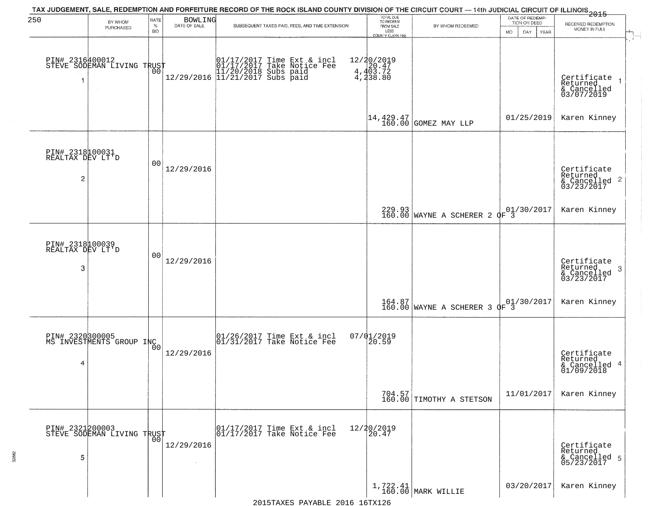| 250                                      | BY WHOM<br>PURCHASED                          | RATE<br>$\%$     | BOWLING<br>DATE OF SALE | TAX JUDGEMENT, SALE, REDEMPTION AND FORFEITURE RECORD OF THE ROCK ISLAND COUNTY DIVISION OF THE CIRCUIT COURT — 14th JUDICIAL CIRCUIT OF ILLINOIS 2015<br>SUBSEQUENT TAXES PAID, FEES, AND TIME EXTENSION | TOTAL DUE<br>TO REDEEM<br>FROM SALE                                        | BY WHOM REDEEMED                                                    | DATE OF REDEMP-<br>TION OR DEED | RECEIVED REDEMPTION<br>MONEY IN FULL                       |
|------------------------------------------|-----------------------------------------------|------------------|-------------------------|-----------------------------------------------------------------------------------------------------------------------------------------------------------------------------------------------------------|----------------------------------------------------------------------------|---------------------------------------------------------------------|---------------------------------|------------------------------------------------------------|
| PIN# 2316400012                          | STEVE SODEMAN LIVING TRUST<br>$\sim$          | <b>BID</b><br>00 |                         |                                                                                                                                                                                                           | LESS<br>COUNTY CLERK FEE<br>12/20/2019<br>4,403.72<br>4,403.72<br>4,438.80 |                                                                     | <b>MO</b><br>DAY<br>YEAR        | Certificate<br>Returned<br>& Cancelled<br>03/07/2019       |
|                                          |                                               |                  |                         |                                                                                                                                                                                                           | $14, 429.47$<br>$160.00$                                                   | GOMEZ MAY LLP                                                       | 01/25/2019                      | Karen Kinney                                               |
| PIN# 2318100031<br>REALTAX DEV LT'D<br>2 |                                               | 00               | 12/29/2016              |                                                                                                                                                                                                           |                                                                            |                                                                     |                                 | Certificate<br>Returned<br>& Cancelled 2<br>03/23/2017     |
|                                          |                                               |                  |                         |                                                                                                                                                                                                           |                                                                            | 229.93<br>160.00 WAYNE A SCHERER 2                                  | 01/30/2017<br>OF 3              | Karen Kinney                                               |
| PIN# 2318100039<br>REALTAX DEV LT'D<br>3 |                                               | 00               | 12/29/2016              |                                                                                                                                                                                                           |                                                                            |                                                                     |                                 | Certificate<br>Returned<br>-3<br>& Cancelled<br>03/23/2017 |
|                                          |                                               |                  |                         |                                                                                                                                                                                                           |                                                                            | $\begin{array}{c c} 164.87 \\ 160.00 \end{array}$ WAYNE A SCHERER 3 | 01/30/2017<br>$\Phi$ F 3        | Karen Kinney                                               |
| 4                                        | PIN# 2320300005<br>MS INVESTMENTS GROUP INC   |                  | 12/29/2016              | $\begin{array}{cc} 01/26/2017 & \text{Time Ext} & \text{incl} \\ 01/31/2017 & \text{Take Notice Fee} \end{array}$                                                                                         | $07/01/2019$<br>20.59                                                      |                                                                     |                                 | Certificate<br>Returned<br>& Cancelled 4<br>01/09/2018     |
|                                          |                                               |                  |                         |                                                                                                                                                                                                           |                                                                            | $704.57$<br>160.00 TIMOTHY A STETSON                                | 11/01/2017                      | Karen Kinney                                               |
| 5                                        | PIN# 2321200003<br>STEVE SODEMAN LIVING TRUST |                  | 12/29/2016              | 01/17/2017 Time Ext & incl<br>01/17/2017 Take Notice Fee                                                                                                                                                  | 12/20/2019<br>20.47                                                        |                                                                     |                                 | Certificate<br>Returned<br>& Cancelled 5<br>05/23/2017     |
|                                          |                                               |                  |                         |                                                                                                                                                                                                           |                                                                            | $1,722.41$ MARK WILLIE                                              | 03/20/2017                      | Karen Kinney                                               |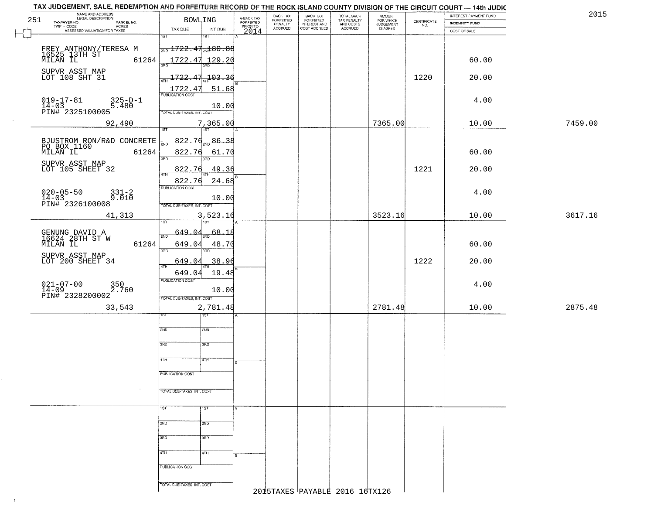|     | TAX JUDGEMENT, SALE, REDEMPTION AND FORFEITURE RECORD OF THE ROCK ISLAND COUNTY DIVISION OF THE CIRCUIT COURT — 14th JUDIC |                                             |                                     |                                 |                                                       |                                                   |                                  |                                                                 |                       |         |
|-----|----------------------------------------------------------------------------------------------------------------------------|---------------------------------------------|-------------------------------------|---------------------------------|-------------------------------------------------------|---------------------------------------------------|----------------------------------|-----------------------------------------------------------------|-----------------------|---------|
|     | NAME AND ADDRESS<br>LEGAL DESCRIPTION                                                                                      |                                             |                                     | BACK TAX                        |                                                       | TOTAL BACK<br>TAX PENALTY<br>AND COSTS<br>ACCRUED |                                  |                                                                 | INTEREST PAYMENT FUND | 2015    |
| 251 | TAXPAYER NO.<br>PARCEL NO.                                                                                                 | <b>BOWLING</b>                              | A-BACK TAX<br>FORFEITED<br>PRIOR TO | FORFEITED<br>PENALTY<br>ACCRUED | BACK TAX<br>FORFEITED<br>INTEREST AND<br>COST ACCRUED |                                                   | AMOUNT<br>FOR WHICH<br>JUDGEMENT | $\begin{array}{c} \text{CERTIFICATE} \\ \text{NO.} \end{array}$ | <b>INDEMNITY FUND</b> |         |
|     | $\textsf{TWP} \textsf{-CODE}$<br>- CODE<br>ACRES<br>ASSESSED VALUATION FOR TAXES                                           | TAX DUE<br>INT DUE                          | 2014                                |                                 |                                                       |                                                   | IS ASKED                         |                                                                 | COST OF SALE          |         |
|     |                                                                                                                            | $\overline{1ST}$<br>1ST                     |                                     |                                 |                                                       |                                                   |                                  |                                                                 |                       |         |
|     |                                                                                                                            |                                             |                                     |                                 |                                                       |                                                   |                                  |                                                                 |                       |         |
|     | FREY ANTHONY/TERESA M<br>16525 13TH ST                                                                                     | $\frac{1}{200}$ 1722.47 $_{20}$ 80.88       |                                     |                                 |                                                       |                                                   |                                  |                                                                 |                       |         |
|     | MILAN IL<br>61264                                                                                                          | <u> 1722.47 129.20</u>                      |                                     |                                 |                                                       |                                                   |                                  |                                                                 | 60.00                 |         |
|     |                                                                                                                            |                                             |                                     |                                 |                                                       |                                                   |                                  |                                                                 |                       |         |
|     | SUPVR ASST MAP                                                                                                             |                                             |                                     |                                 |                                                       |                                                   |                                  |                                                                 |                       |         |
|     | LOT 108 SHT 31                                                                                                             | 103.36<br>-722.                             |                                     |                                 |                                                       |                                                   |                                  | 1220                                                            | 20.00                 |         |
|     |                                                                                                                            |                                             |                                     |                                 |                                                       |                                                   |                                  |                                                                 |                       |         |
|     |                                                                                                                            | 1722.47<br>51.68<br><b>PUBLICATION COST</b> |                                     |                                 |                                                       |                                                   |                                  |                                                                 |                       |         |
|     | $019 - 17 - 81$                                                                                                            |                                             |                                     |                                 |                                                       |                                                   |                                  |                                                                 | 4.00                  |         |
|     | 325-D-1<br>5.480<br>$14 - 03$                                                                                              | 10.00                                       |                                     |                                 |                                                       |                                                   |                                  |                                                                 |                       |         |
|     | PIN# 2325100005                                                                                                            | TOTAL DUE-TAXES, INT. COST                  |                                     |                                 |                                                       |                                                   |                                  |                                                                 |                       |         |
|     |                                                                                                                            |                                             |                                     |                                 |                                                       |                                                   |                                  |                                                                 |                       |         |
|     | 92,490                                                                                                                     | 7,365.00<br>1ST<br>1ST <sup>1</sup>         |                                     |                                 |                                                       |                                                   | 7365.00                          |                                                                 | 10.00                 | 7459.00 |
|     |                                                                                                                            |                                             |                                     |                                 |                                                       |                                                   |                                  |                                                                 |                       |         |
|     | BJUSTROM RON/R&D CONCRETE<br>PO BOX_1160                                                                                   | 822.76<br>86.38                             |                                     |                                 |                                                       |                                                   |                                  |                                                                 |                       |         |
|     |                                                                                                                            |                                             |                                     |                                 |                                                       |                                                   |                                  |                                                                 |                       |         |
|     | 61264<br>MILAN IL                                                                                                          | 822.76<br>61.70<br>3RF                      |                                     |                                 |                                                       |                                                   |                                  |                                                                 | 60.00                 |         |
|     |                                                                                                                            | חחי                                         |                                     |                                 |                                                       |                                                   |                                  |                                                                 |                       |         |
|     | SUPVR ASST MAP<br>LOT 105 SHEET 32                                                                                         | 822.76<br>49.36                             |                                     |                                 |                                                       |                                                   |                                  | 1221                                                            | 20.00                 |         |
|     |                                                                                                                            | 47H                                         |                                     |                                 |                                                       |                                                   |                                  |                                                                 |                       |         |
|     |                                                                                                                            | 24.68<br>822.76                             |                                     |                                 |                                                       |                                                   |                                  |                                                                 |                       |         |
|     | $331 - 2$                                                                                                                  | PUBLICATION COST                            |                                     |                                 |                                                       |                                                   |                                  |                                                                 | 4.00                  |         |
|     | $020 - 05 - 50$<br>$14 - 03$<br>9.010                                                                                      | 10.00                                       |                                     |                                 |                                                       |                                                   |                                  |                                                                 |                       |         |
|     | PIN# 2326100008                                                                                                            | TOTAL DUE-TAXES, INT. COST                  |                                     |                                 |                                                       |                                                   |                                  |                                                                 |                       |         |
|     |                                                                                                                            |                                             |                                     |                                 |                                                       |                                                   |                                  |                                                                 |                       |         |
|     | 41,313                                                                                                                     | 3,523.16                                    |                                     |                                 |                                                       |                                                   | 3523.16                          |                                                                 | 10.00                 | 3617.16 |
|     |                                                                                                                            | 1ST                                         |                                     |                                 |                                                       |                                                   |                                  |                                                                 |                       |         |
|     |                                                                                                                            | 649.04<br>$-68.18$                          |                                     |                                 |                                                       |                                                   |                                  |                                                                 |                       |         |
|     | GENUNG DAVID A<br>16624 28TH ST W                                                                                          | 2ND                                         |                                     |                                 |                                                       |                                                   |                                  |                                                                 |                       |         |
|     | 61264<br>MILAN IL                                                                                                          | 649.04<br>48.70                             |                                     |                                 |                                                       |                                                   |                                  |                                                                 | 60.00                 |         |
|     |                                                                                                                            | 3 <sub>BD</sub><br>3RD                      |                                     |                                 |                                                       |                                                   |                                  |                                                                 |                       |         |
|     | SUPVR ASST MAP<br>LOT 200 SHEET 34                                                                                         | 38.96<br>649.04                             |                                     |                                 |                                                       |                                                   |                                  | 1222                                                            | 20.00                 |         |
|     |                                                                                                                            | 4TH                                         |                                     |                                 |                                                       |                                                   |                                  |                                                                 |                       |         |
|     |                                                                                                                            | 19.48<br>649.04                             |                                     |                                 |                                                       |                                                   |                                  |                                                                 |                       |         |
|     |                                                                                                                            | <b>PUBLICATION COST</b>                     |                                     |                                 |                                                       |                                                   |                                  |                                                                 |                       |         |
|     | $021 - 07 - 00$<br>$14 - 09$<br>350<br>2.760                                                                               | 10.00                                       |                                     |                                 |                                                       |                                                   |                                  |                                                                 | 4.00                  |         |
|     | PIN# 2328200002                                                                                                            |                                             |                                     |                                 |                                                       |                                                   |                                  |                                                                 |                       |         |
|     |                                                                                                                            | TOTAL OUE-TAXES, INT. COST                  |                                     |                                 |                                                       |                                                   |                                  |                                                                 |                       |         |
|     | 33,543                                                                                                                     | 2,781.48                                    |                                     |                                 |                                                       |                                                   | 2781.48                          |                                                                 | 10.00                 | 2875.48 |
|     |                                                                                                                            | १९४                                         |                                     |                                 |                                                       |                                                   |                                  |                                                                 |                       |         |
|     |                                                                                                                            |                                             |                                     |                                 |                                                       |                                                   |                                  |                                                                 |                       |         |
|     |                                                                                                                            | 2ND<br>2ND                                  |                                     |                                 |                                                       |                                                   |                                  |                                                                 |                       |         |
|     |                                                                                                                            |                                             |                                     |                                 |                                                       |                                                   |                                  |                                                                 |                       |         |
|     |                                                                                                                            | 3BD<br>3BD                                  |                                     |                                 |                                                       |                                                   |                                  |                                                                 |                       |         |
|     |                                                                                                                            |                                             |                                     |                                 |                                                       |                                                   |                                  |                                                                 |                       |         |
|     |                                                                                                                            | 4TH<br>बाम                                  |                                     |                                 |                                                       |                                                   |                                  |                                                                 |                       |         |
|     |                                                                                                                            |                                             | B.                                  |                                 |                                                       |                                                   |                                  |                                                                 |                       |         |
|     |                                                                                                                            | PUBLICATION COST                            |                                     |                                 |                                                       |                                                   |                                  |                                                                 |                       |         |
|     |                                                                                                                            |                                             |                                     |                                 |                                                       |                                                   |                                  |                                                                 |                       |         |
|     |                                                                                                                            |                                             |                                     |                                 |                                                       |                                                   |                                  |                                                                 |                       |         |
|     |                                                                                                                            | TOTAL DUE-TAXES, INT. COST                  |                                     |                                 |                                                       |                                                   |                                  |                                                                 |                       |         |
|     |                                                                                                                            |                                             |                                     |                                 |                                                       |                                                   |                                  |                                                                 |                       |         |
|     |                                                                                                                            | 1ST<br><b>TST</b>                           |                                     |                                 |                                                       |                                                   |                                  |                                                                 |                       |         |
|     |                                                                                                                            |                                             |                                     |                                 |                                                       |                                                   |                                  |                                                                 |                       |         |
|     |                                                                                                                            |                                             |                                     |                                 |                                                       |                                                   |                                  |                                                                 |                       |         |
|     |                                                                                                                            | 2ND<br>2ND                                  |                                     |                                 |                                                       |                                                   |                                  |                                                                 |                       |         |
|     |                                                                                                                            |                                             |                                     |                                 |                                                       |                                                   |                                  |                                                                 |                       |         |
|     |                                                                                                                            | 3RD<br>3BD                                  |                                     |                                 |                                                       |                                                   |                                  |                                                                 |                       |         |
|     |                                                                                                                            |                                             |                                     |                                 |                                                       |                                                   |                                  |                                                                 |                       |         |
|     |                                                                                                                            | 4TH<br>4TH                                  |                                     |                                 |                                                       |                                                   |                                  |                                                                 |                       |         |
|     |                                                                                                                            |                                             |                                     |                                 |                                                       |                                                   |                                  |                                                                 |                       |         |
|     |                                                                                                                            | PUBLICATION COST                            |                                     |                                 |                                                       |                                                   |                                  |                                                                 |                       |         |
|     |                                                                                                                            |                                             |                                     |                                 |                                                       |                                                   |                                  |                                                                 |                       |         |
|     |                                                                                                                            | TOTAL DUE-TAXES, INT. COST                  |                                     |                                 |                                                       |                                                   |                                  |                                                                 |                       |         |
|     |                                                                                                                            |                                             |                                     |                                 |                                                       | 2015TAXES PAYABLE 2016 16TX126                    |                                  |                                                                 |                       |         |
|     |                                                                                                                            |                                             |                                     |                                 |                                                       |                                                   |                                  |                                                                 |                       |         |
|     |                                                                                                                            |                                             |                                     |                                 |                                                       |                                                   |                                  |                                                                 |                       |         |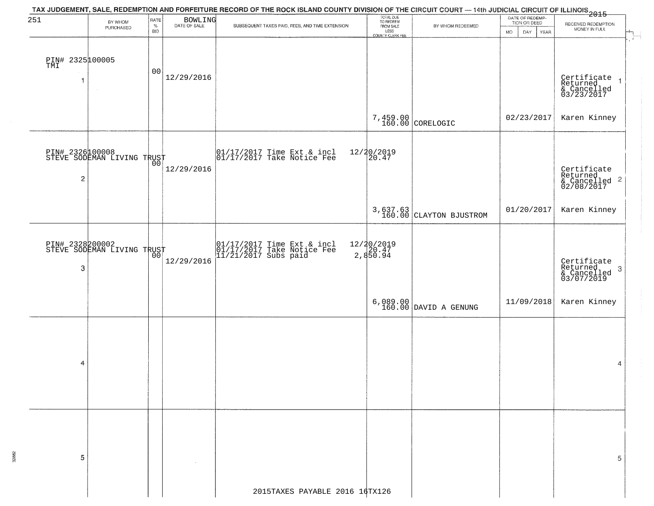| 251              |                                               | RATE           |                         | TAX JUDGEMENT, SALE, REDEMPTION AND FORFEITURE RECORD OF THE ROCK ISLAND COUNTY DIVISION OF THE CIRCUIT COURT — 14th JUDICIAL CIRCUIT OF ILLINOIS<br>2015 - The Contemporary of the Contemporary of the Carolina of the County of | TOTAL DUE<br>TO REDEEM          |                                      | DATE OF REDEMP-          |                                                                        |
|------------------|-----------------------------------------------|----------------|-------------------------|-----------------------------------------------------------------------------------------------------------------------------------------------------------------------------------------------------------------------------------|---------------------------------|--------------------------------------|--------------------------|------------------------------------------------------------------------|
|                  | BY WHOM<br>PURCHASED                          | $\%$           | BOWLING<br>DATE OF SALE | SUBSEQUENT TAXES PAID, FEES, AND TIME EXTENSION                                                                                                                                                                                   | FROM SALE                       | BY WHOM REDEEMED                     | TION OR DEED             | RECEIVED REDEMPTION<br>MONEY IN FULL                                   |
|                  |                                               | <b>BID</b>     |                         |                                                                                                                                                                                                                                   | LESS<br>COUNTY CLERK FEE        |                                      | <b>MO</b><br>DAY<br>YEAR |                                                                        |
|                  |                                               |                |                         |                                                                                                                                                                                                                                   |                                 |                                      |                          |                                                                        |
| PIN# 2325 100005 |                                               |                |                         |                                                                                                                                                                                                                                   |                                 |                                      |                          |                                                                        |
|                  |                                               | 0 <sub>0</sub> | 12/29/2016              |                                                                                                                                                                                                                                   |                                 |                                      |                          |                                                                        |
| 1                | $\sim$                                        |                |                         |                                                                                                                                                                                                                                   |                                 |                                      |                          | Certificate<br>Returned<br>& Cancelled<br>03/23/2017<br>$\overline{1}$ |
|                  |                                               |                |                         |                                                                                                                                                                                                                                   |                                 |                                      |                          |                                                                        |
|                  |                                               |                |                         |                                                                                                                                                                                                                                   |                                 |                                      |                          |                                                                        |
|                  |                                               |                |                         |                                                                                                                                                                                                                                   |                                 | 7,459.00<br>160.00 CORELOGIC         | 02/23/2017               | Karen Kinney                                                           |
|                  |                                               |                |                         |                                                                                                                                                                                                                                   |                                 |                                      |                          |                                                                        |
|                  |                                               |                |                         | 01/17/2017 Time Ext & incl<br>01/17/2017 Take Notice Fee                                                                                                                                                                          | 12/20/2019<br>20.47             |                                      |                          |                                                                        |
|                  | PIN# 232600008<br>STEVE SODEMAN LIVING TRUST  |                |                         |                                                                                                                                                                                                                                   |                                 |                                      |                          |                                                                        |
| 2                |                                               |                | 12/29/2016              |                                                                                                                                                                                                                                   |                                 |                                      |                          | Certificate<br>Returned<br>& Cancelled <sup>2</sup><br>02/08/2017      |
|                  |                                               |                |                         |                                                                                                                                                                                                                                   |                                 |                                      |                          |                                                                        |
|                  |                                               |                |                         |                                                                                                                                                                                                                                   |                                 |                                      |                          |                                                                        |
|                  |                                               |                |                         |                                                                                                                                                                                                                                   |                                 | $3,637.63$ $160.00$ CLAYTON BJUSTROM | 01/20/2017               | Karen Kinney                                                           |
|                  |                                               |                |                         |                                                                                                                                                                                                                                   |                                 |                                      |                          |                                                                        |
|                  |                                               |                |                         |                                                                                                                                                                                                                                   |                                 |                                      |                          |                                                                        |
|                  | PIN# 2328200002<br>STEVE SODEMAN LIVING TRUST |                |                         | 01/17/2017 Time Ext & incl<br>01/17/2017 Take Notice Fee<br>11/21/2017 Subs paid                                                                                                                                                  | 12/20/2019<br>20.47<br>2,850.94 |                                      |                          |                                                                        |
| 3                |                                               |                | 12/29/2016              |                                                                                                                                                                                                                                   |                                 |                                      |                          | Certificate<br>Returned<br>3                                           |
|                  |                                               |                |                         |                                                                                                                                                                                                                                   |                                 |                                      |                          | & Cancelled<br>03/07/2019                                              |
|                  |                                               |                |                         |                                                                                                                                                                                                                                   |                                 |                                      |                          |                                                                        |
|                  |                                               |                |                         |                                                                                                                                                                                                                                   |                                 | $6,089.00$ DAVID A GENUNG            | 11/09/2018               | Karen Kinney                                                           |
|                  |                                               |                |                         |                                                                                                                                                                                                                                   |                                 |                                      |                          |                                                                        |
|                  |                                               |                |                         |                                                                                                                                                                                                                                   |                                 |                                      |                          |                                                                        |
|                  |                                               |                |                         |                                                                                                                                                                                                                                   |                                 |                                      |                          |                                                                        |
|                  |                                               |                |                         |                                                                                                                                                                                                                                   |                                 |                                      |                          |                                                                        |
| 4                |                                               |                |                         |                                                                                                                                                                                                                                   |                                 |                                      |                          | 4                                                                      |
|                  |                                               |                |                         |                                                                                                                                                                                                                                   |                                 |                                      |                          |                                                                        |
|                  |                                               |                |                         |                                                                                                                                                                                                                                   |                                 |                                      |                          |                                                                        |
|                  |                                               |                |                         |                                                                                                                                                                                                                                   |                                 |                                      |                          |                                                                        |
|                  |                                               |                |                         |                                                                                                                                                                                                                                   |                                 |                                      |                          |                                                                        |
|                  |                                               |                |                         |                                                                                                                                                                                                                                   |                                 |                                      |                          |                                                                        |
|                  |                                               |                |                         |                                                                                                                                                                                                                                   |                                 |                                      |                          |                                                                        |
| 5                |                                               |                |                         |                                                                                                                                                                                                                                   |                                 |                                      |                          | 5                                                                      |
|                  |                                               |                |                         |                                                                                                                                                                                                                                   |                                 |                                      |                          |                                                                        |
|                  |                                               |                |                         |                                                                                                                                                                                                                                   |                                 |                                      |                          |                                                                        |
|                  |                                               |                |                         | 2015TAXES PAYABLE 2016 16TX126                                                                                                                                                                                                    |                                 |                                      |                          |                                                                        |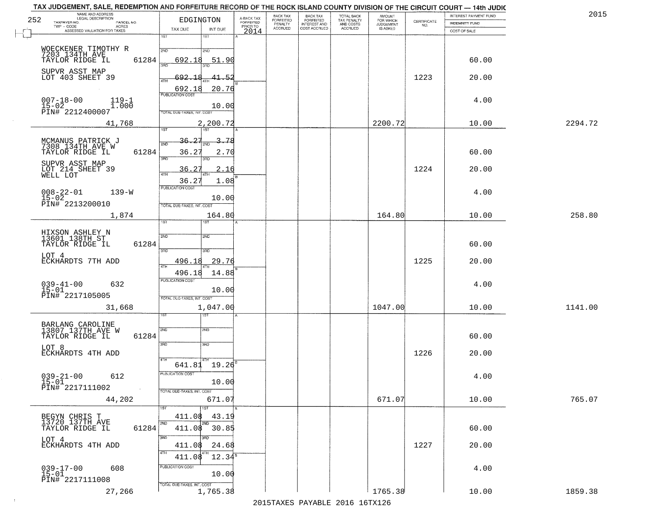| 252 | NAME AND ADDRESS<br>LEGAL DESCRIPTION<br>TAXPAYER NO.<br>PARCEL NO. | EDGINGTON                                         | A-BACK TAX<br>FORFEITED | BACK TAX<br>FORFEITED | <b>BACK TAX</b><br><b>FORFEITED</b> | TOTAL BACK<br>TAX PENALTY | <b>AMOUNT</b><br>FOR WHICH<br>JUDGEMENT<br>IS ASKED | $\begin{array}{c} \text{CERTIFICATE} \\ \text{NO.} \end{array}$ | INTEREST PAYMENT FUND<br><b>INDEMNITY FUND</b> | 2015    |
|-----|---------------------------------------------------------------------|---------------------------------------------------|-------------------------|-----------------------|-------------------------------------|---------------------------|-----------------------------------------------------|-----------------------------------------------------------------|------------------------------------------------|---------|
|     | TWP - CODE<br>ACRES<br>ASSESSED VALUATION FOR TAXES                 | TAX DUE<br>INT DUE                                | PRIOR TO<br>2014        | PENALTY<br>ACCRUED    | INTEREST AND<br>COST ACCRUED        | AND COSTS<br>ACCRUED      |                                                     |                                                                 | COST OF SALE                                   |         |
|     |                                                                     | 1ST<br>1ST                                        |                         |                       |                                     |                           |                                                     |                                                                 |                                                |         |
|     | WOECKENER TIMOTHY R<br>7203_134TH_AVE_                              | 2ND<br>2ND                                        |                         |                       |                                     |                           |                                                     |                                                                 |                                                |         |
|     | TAYLOR RIDGE IL<br>61284                                            | 692.18<br>51.90<br>3AD                            |                         |                       |                                     |                           |                                                     |                                                                 | 60.00                                          |         |
|     | SUPVR ASST MAP<br>LOT 403 SHEET 39                                  | 692.18<br>41.5.<br>4TH                            |                         |                       |                                     |                           |                                                     | 1223                                                            | 20.00                                          |         |
|     |                                                                     | 692.18<br>20.76                                   |                         |                       |                                     |                           |                                                     |                                                                 |                                                |         |
|     | $007 - 18 - 00$<br>$119 - 1$                                        | <b>PUBLICATION COST</b>                           |                         |                       |                                     |                           |                                                     |                                                                 | 4.00                                           |         |
|     | $15-02$<br>PIN# 2212400007<br>1.000                                 | 10.00<br>TOTAL DUE-TAXES, INT. COST               |                         |                       |                                     |                           |                                                     |                                                                 |                                                |         |
|     | 41,768                                                              | 2,200.72<br>1ST<br>1ST                            |                         |                       |                                     |                           | 2200.72                                             |                                                                 | 10.00                                          | 2294.72 |
|     |                                                                     | 36.27<br>3.78                                     |                         |                       |                                     |                           |                                                     |                                                                 |                                                |         |
|     | MCMANUS PATRICK J<br>7308_134TH_AVE_W<br>TAYLOR RIDGE IL<br>61284   | 36.2'<br>2.70                                     |                         |                       |                                     |                           |                                                     |                                                                 | 60.00                                          |         |
|     | SUPVR ASST MAP                                                      | 3RD<br>3RD                                        |                         |                       |                                     |                           |                                                     |                                                                 |                                                |         |
|     | LOT 214 SHEET 39<br>WELL LOT                                        | 36.2<br>2.16<br>$\sqrt{4}$                        |                         |                       |                                     |                           |                                                     | 1224                                                            | 20.00                                          |         |
|     |                                                                     | 36.27<br>1.08<br><b>PUBLICATION COST</b>          |                         |                       |                                     |                           |                                                     |                                                                 |                                                |         |
|     | $008 - 22 - 01$<br>15-02<br>$139 - W$<br>PIN# 2213200010            | 10.00                                             |                         |                       |                                     |                           |                                                     |                                                                 | 4.00                                           |         |
|     | 1,874                                                               | TOTAL DUE-TAXES, INT. COST<br>164.80              |                         |                       |                                     |                           | 164.80                                              |                                                                 | 10.00                                          | 258.80  |
|     |                                                                     | 1ST<br><b>ST</b>                                  |                         |                       |                                     |                           |                                                     |                                                                 |                                                |         |
|     | HIXSON ASHLEY N<br>13601 138TH ST                                   | 2ND<br>2ND                                        |                         |                       |                                     |                           |                                                     |                                                                 |                                                |         |
|     | 61284<br>TAYLOR RIDGE IL                                            | 3RD<br>3RD                                        |                         |                       |                                     |                           |                                                     |                                                                 | 60.00                                          |         |
|     | LOT 4<br>ECKHARDTS 7TH ADD                                          | 29.76<br>496.18                                   |                         |                       |                                     |                           |                                                     | 1225                                                            | 20.00                                          |         |
|     |                                                                     | 4TH<br>14.88<br>496.18                            |                         |                       |                                     |                           |                                                     |                                                                 |                                                |         |
|     | $039-41-00$<br>15-01<br>632                                         | <b>PUBLICATION COST</b><br>10.00                  |                         |                       |                                     |                           |                                                     |                                                                 | 4.00                                           |         |
|     | PIN# 2217105005                                                     | TOTAL OUE-TAXES, INT. COST                        |                         |                       |                                     |                           |                                                     |                                                                 |                                                |         |
|     | 31,668                                                              | 1,047.00<br>१९४                                   |                         |                       |                                     |                           | 1047.00                                             |                                                                 | 10.00                                          | 1141.00 |
|     |                                                                     |                                                   |                         |                       |                                     |                           |                                                     |                                                                 |                                                |         |
|     | BARLANG CAROLINE<br>13807 137TH AVE W<br>61284<br>TAYLOR RIDGE IL   | 2ND<br>2ND                                        |                         |                       |                                     |                           |                                                     |                                                                 | 60.00                                          |         |
|     | LOT 8                                                               | 3RD<br>3BD                                        |                         |                       |                                     |                           |                                                     |                                                                 |                                                |         |
|     | ECKHARDTS 4TH ADD                                                   | 4TH                                               |                         |                       |                                     |                           |                                                     | 1226                                                            | 20.00                                          |         |
|     |                                                                     | $641.81$ $19.26$ <sup>E</sup><br>PUBLICATION COST |                         |                       |                                     |                           |                                                     |                                                                 |                                                |         |
|     | $039 - 21 - 00$<br>15-01<br>612<br>PIN# 2217111002                  | 10.00                                             |                         |                       |                                     |                           |                                                     |                                                                 | 4.00                                           |         |
|     | $\sim 100$<br>44,202                                                | TOTAL DUE-TAXES, INT. COST<br>671.07              |                         |                       |                                     |                           | 671.07                                              |                                                                 | 10.00                                          | 765.07  |
|     |                                                                     | 1ST <sup>1</sup><br>1ST                           |                         |                       |                                     |                           |                                                     |                                                                 |                                                |         |
|     | BEGYN CHRIS T<br>13720 137TH AVE                                    | 411.08<br>43.19<br>2ND<br>2ND                     |                         |                       |                                     |                           |                                                     |                                                                 |                                                |         |
|     | 61284<br>TAYLOR RIDGE IL                                            | $411.08$ $30.85$<br>3RD<br>3BD                    |                         |                       |                                     |                           |                                                     |                                                                 | 60.00                                          |         |
|     | LOT 4<br>ECKHARDTS 4TH ADD                                          | 411.08<br>24.68                                   |                         |                       |                                     |                           |                                                     | 1227                                                            | 20.00                                          |         |
|     |                                                                     | 4TH<br>4TH<br>$12.34$ <sup>s</sup><br>411.08      |                         |                       |                                     |                           |                                                     |                                                                 |                                                |         |
|     | 039-17-00<br>15-01<br>608                                           | PUBLICATION COST<br>10.00                         |                         |                       |                                     |                           |                                                     |                                                                 | 4.00                                           |         |
|     | PIN# 2217111008                                                     | TOTAL DUE-TAXES, INT. COST                        |                         |                       |                                     |                           |                                                     |                                                                 |                                                |         |
|     | 27,266                                                              | 1,765.38                                          |                         |                       |                                     |                           | 1765.38                                             |                                                                 | 10.00                                          | 1859.38 |

 $\sim 100$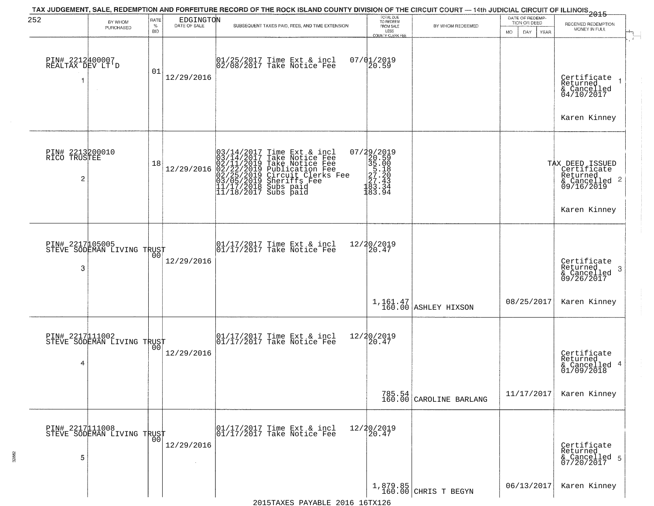| 252                                  | BY WHOM<br>PURCHASED                              | RATE<br>$\%$<br><b>BID</b> | EDGINGTON  | SUBSEQUENT TAXES PAID, FEES, AND TIME EXTENSION                                                                                                                                                                                         | TOTAL DUE<br>TO REDEEM<br>FROM SALE<br>LESS                                                           | BY WHOM REDEEMED                  | DATE OF REDEMP-<br>TION OR DEED<br><b>MO</b><br>DAY<br>YEAR | $-2015$<br>RECEIVED REDEMPTION<br>MONEY IN FULL                                           |
|--------------------------------------|---------------------------------------------------|----------------------------|------------|-----------------------------------------------------------------------------------------------------------------------------------------------------------------------------------------------------------------------------------------|-------------------------------------------------------------------------------------------------------|-----------------------------------|-------------------------------------------------------------|-------------------------------------------------------------------------------------------|
| PIN# 2212400007<br>REALTAX DEV LT'D  |                                                   | 01                         | 12/29/2016 | 01/25/2017 Time Ext & incl<br>02/08/2017 Take Notice Fee                                                                                                                                                                                | COUNTY CLERK FEE<br>$07/01/2019$<br>20.59                                                             |                                   |                                                             | $\mathcal{F}$ .<br>Certificate<br>Returned<br>& Cancelled<br>04/10/2017<br>Karen Kinney   |
| PIN# 2213200010<br>RICO TRUSTEE<br>2 |                                                   | 18                         | 12/29/2016 | $03/14/2017$ Time Ext & incl<br>$03/14/2017$ Take Notice Fee<br>$02/11/2019$ Take Notice Fee<br>$02/22/2019$ Publication Fee<br>$03/05/2019$ Sheriffs Fee<br>$11/17/2018$ Subs paid<br>$11/18/2017$ Subs paid<br>$11/18/2017$ Subs paid | $\begin{smallmatrix} 07/29/2019\\20.59\\35.00\\57.18\\27.43\\27.43\\183.34\\183.94 \end{smallmatrix}$ |                                   |                                                             | TAX DEED ISSUED<br>Certificate<br>Returned<br>& Cancelled 2<br>09/16/2019<br>Karen Kinney |
| 3                                    | PIN# 2217105005<br>STEVE SODEMAN LIVING TRUST     | 00                         | 12/29/2016 | 01/17/2017 Time Ext & incl<br>01/17/2017 Take Notice Fee                                                                                                                                                                                | 12/20/2019<br>20.47                                                                                   |                                   |                                                             | Certificate<br>Returned<br>3<br>& Cancelled<br>09/26/2017                                 |
|                                      |                                                   |                            |            |                                                                                                                                                                                                                                         |                                                                                                       | 1,161.47<br>160.00 ASHLEY HIXSON  | 08/25/2017                                                  | Karen Kinney                                                                              |
| 4                                    | PIN# 2217111002<br>STEVE SODEMAN LIVING TRUST     | 00                         | 12/29/2016 | 01/17/2017 Time Ext & incl<br>01/17/2017 Take Notice Fee                                                                                                                                                                                | 12/20/2019<br>20.47                                                                                   |                                   |                                                             | Certificate<br>Returned<br>& Cancelled 4<br>01/09/2018                                    |
|                                      |                                                   |                            |            |                                                                                                                                                                                                                                         |                                                                                                       | 785.54<br>160.00 CAROLINE BARLANG | 11/17/2017                                                  | Karen Kinney                                                                              |
| 5                                    | PIN# 2217111008    <br>STEVE SODEMAN LIVING TRUST | 00                         | 12/29/2016 | 01/17/2017 Time Ext & incl<br>01/17/2017 Take Notice Fee                                                                                                                                                                                | 12/20/2019<br>20.47                                                                                   |                                   |                                                             | Certificate<br>Returned<br>& Cancelled 5<br>07/20/2017                                    |
|                                      |                                                   |                            |            | $2015$ $T375C$ $D375F$ $F$ $2016$ $16T$ $T36$                                                                                                                                                                                           |                                                                                                       | 1,879.85<br>160.00 CHRIS T BEGYN  | 06/13/2017                                                  | Karen Kinney                                                                              |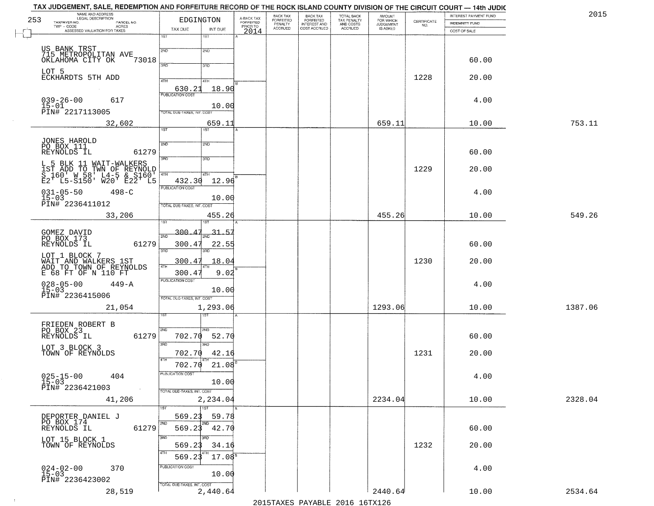| NAME AND ADDRESS<br>LEGAL DESCRIPTION<br>253                                        | EDGINGTON                                 |                                     | BACK TAX<br>FORFEITED     | <b>BACK TAX</b><br>FORFEITED<br>INTEREST AND | TOTAL BACK<br>TAX PENALTY<br>AND COSTS | AMOUNT<br>FOR WHICH          |                                                                 | INTEREST PAYMENT FUND | 2015    |
|-------------------------------------------------------------------------------------|-------------------------------------------|-------------------------------------|---------------------------|----------------------------------------------|----------------------------------------|------------------------------|-----------------------------------------------------------------|-----------------------|---------|
| TAXPAYER NO.<br>PARCEL NO.<br>ACRES                                                 | TAX DUE<br>INT DUE                        | A-BACK TAX<br>FORFEITED<br>PRIOR TO | PENALTY<br><b>ACCRUED</b> | COST ACCRUED                                 | <b>ACCRUED</b>                         | <b>JUDGEMENT</b><br>IS ASKED | $\begin{array}{c} \text{CEPTIFICATE} \\ \text{NO.} \end{array}$ | <b>INDEMNITY FUND</b> |         |
| ASSESSED VALUATION FOR TAXES                                                        | 18T<br>1ST                                | 2014                                |                           |                                              |                                        |                              |                                                                 | COST OF SALE          |         |
| US BANK TRST                                                                        | 2ND<br>2ND                                |                                     |                           |                                              |                                        |                              |                                                                 |                       |         |
| 715 METROPOLITAN AVE<br>73018<br>OKLAHOMA CITY OK                                   |                                           |                                     |                           |                                              |                                        |                              |                                                                 | 60.00                 |         |
|                                                                                     | 3RD<br>3RD                                |                                     |                           |                                              |                                        |                              |                                                                 |                       |         |
| LOT 5<br>ECKHARDTS 5TH ADD                                                          | 4TH<br>4TH                                |                                     |                           |                                              |                                        |                              | 1228                                                            | 20.00                 |         |
|                                                                                     | $\frac{630.21}{FUBUCATONCGST}$<br>18.90   |                                     |                           |                                              |                                        |                              |                                                                 |                       |         |
| $039 - 26 - 00$<br>617                                                              |                                           |                                     |                           |                                              |                                        |                              |                                                                 | 4.00                  |         |
| $15 - 01$<br>PIN# 2217113005                                                        | 10.00<br>TOTAL DUE-TAXES, INT. COST       |                                     |                           |                                              |                                        |                              |                                                                 |                       |         |
| 32,602                                                                              | 659.11                                    |                                     |                           |                                              |                                        | 659.11                       |                                                                 | 10.00                 | 753.11  |
|                                                                                     | 1ST<br>1ST                                |                                     |                           |                                              |                                        |                              |                                                                 |                       |         |
| JONES HAROLD                                                                        | 2ND<br>2ND                                |                                     |                           |                                              |                                        |                              |                                                                 |                       |         |
| PO BOX 111<br>REYNOLDS IL<br>61279                                                  |                                           |                                     |                           |                                              |                                        |                              |                                                                 | 60.00                 |         |
| L 5 BLK 11 WAIT-WALKERS                                                             | 3BD<br>3RD                                |                                     |                           |                                              |                                        |                              |                                                                 |                       |         |
| IST ADD TO TWN OF REYNOLD<br>S 160' W 58' L4-5 & S160'<br>E2' L5-S150' W20' E22' L5 | $\sqrt{4}$<br>4TH                         |                                     |                           |                                              |                                        |                              | 1229                                                            | 20.00                 |         |
|                                                                                     | 12.96<br>432.30                           |                                     |                           |                                              |                                        |                              |                                                                 |                       |         |
| $031 - 05 - 50$<br>$498 - C$                                                        | PUBLICATION COST                          |                                     |                           |                                              |                                        |                              |                                                                 | 4.00                  |         |
| $15 - 03$<br>PIN# 2236411012                                                        | 10.00<br>TOTAL DUE-TAXES, INT. COST       |                                     |                           |                                              |                                        |                              |                                                                 |                       |         |
| 33,206                                                                              | 455.26                                    |                                     |                           |                                              |                                        | 455.26                       |                                                                 | 10.00                 | 549.26  |
|                                                                                     | ist<br>1ST                                |                                     |                           |                                              |                                        |                              |                                                                 |                       |         |
| GOMEZ DAVID<br>PO BOX 173                                                           | 300.47<br><u>31.5.</u><br>2ND             |                                     |                           |                                              |                                        |                              |                                                                 |                       |         |
| REYNOLDS IL<br>61279                                                                | 300.47<br>22.55<br>3 <sub>BD</sub>        |                                     |                           |                                              |                                        |                              |                                                                 | 60.00                 |         |
| LOT 1 BLOCK 7                                                                       | 3 <sub>BD</sub>                           |                                     |                           |                                              |                                        |                              |                                                                 |                       |         |
| WAIT AND WALKERS 1ST<br>ADD TO TOWN OF REYNOLDS                                     | 300.47<br>18.04<br>4TH                    |                                     |                           |                                              |                                        |                              | 1230                                                            | 20.00                 |         |
| E 68 FT OF N 110 FT                                                                 | 300.4'<br>9.02<br><b>PUBLICATION COST</b> |                                     |                           |                                              |                                        |                              |                                                                 |                       |         |
| $028 - 05 - 00$<br>15-03<br>$449 - A$                                               | 10.00                                     |                                     |                           |                                              |                                        |                              |                                                                 | 4.00                  |         |
| PIN# 2236415006                                                                     | TOTAL OUE-TAXES, INT. COST                |                                     |                           |                                              |                                        |                              |                                                                 |                       |         |
| 21,054                                                                              | 1,293.06<br>नङ्ग                          |                                     |                           |                                              |                                        | 1293.06                      |                                                                 | 10.00                 | 1387.06 |
|                                                                                     |                                           |                                     |                           |                                              |                                        |                              |                                                                 |                       |         |
| FRIEDEN ROBERT B<br>PO BOX 23<br>REYNOLDS IL<br>61279                               | 2ND<br>2ND.<br>702.70<br>52.70            |                                     |                           |                                              |                                        |                              |                                                                 | 60.00                 |         |
|                                                                                     | 3RD<br>$\overline{3BD}$                   |                                     |                           |                                              |                                        |                              |                                                                 |                       |         |
| LOT 3 BLOCK 3<br>TOWN OF REYNOLDS                                                   | 42.16<br>702.70                           |                                     |                           |                                              |                                        |                              | 1231                                                            | 20.00                 |         |
|                                                                                     | 4TH<br>702.70<br>21.08                    |                                     |                           |                                              |                                        |                              |                                                                 |                       |         |
| $025 - 15 - 00$<br>15-03<br>404                                                     | UBLICA HUN COS-                           |                                     |                           |                                              |                                        |                              |                                                                 | 4.00                  |         |
| PIN# 2236421003<br>$\sim 100$                                                       | 10.00                                     |                                     |                           |                                              |                                        |                              |                                                                 |                       |         |
| 41,206                                                                              | TOTAL DUE-TAXES, INT. COST<br>2,234.04    |                                     |                           |                                              |                                        | 2234.04                      |                                                                 | 10.00                 | 2328.04 |
|                                                                                     | 1ST                                       |                                     |                           |                                              |                                        |                              |                                                                 |                       |         |
| DEPORTER DANIEL J<br>PO BOX 174                                                     | 59.78<br>569.23                           |                                     |                           |                                              |                                        |                              |                                                                 |                       |         |
| REYNOLDS IL<br>61279                                                                | 2ND<br>569.23<br>42.70                    |                                     |                           |                                              |                                        |                              |                                                                 | 60.00                 |         |
| LOT 15 BLOCK 1                                                                      | 3RD                                       |                                     |                           |                                              |                                        |                              |                                                                 |                       |         |
| TOWN OF REYNOLDS                                                                    | 569.23<br>34.16                           |                                     |                           |                                              |                                        |                              | 1232                                                            | 20.00                 |         |
|                                                                                     | 569.23<br>$17.08^{\circ}$                 |                                     |                           |                                              |                                        |                              |                                                                 |                       |         |
| $024 - 02 - 00$<br>15-03<br>370                                                     | PUBLICATION COST<br>10.00                 |                                     |                           |                                              |                                        |                              |                                                                 | 4.00                  |         |
| PIN# 2236423002                                                                     | TOTAL DUE-TAXES, INT. COST                |                                     |                           |                                              |                                        |                              |                                                                 |                       |         |
| 28,519                                                                              | 2,440.64                                  |                                     |                           |                                              |                                        | 2440.64                      |                                                                 | 10.00                 | 2534.64 |

 $\sim 100$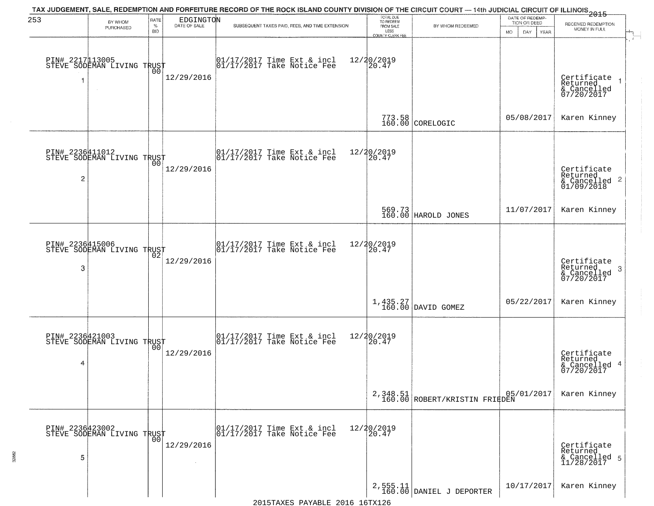| 253            | BY WHOM                                           | RATE               | EDGINGTON    | TAX JUDGEMENT, SALE, REDEMPTION AND FORFEITURE RECORD OF THE ROCK ISLAND COUNTY DIVISION OF THE CIRCUIT COURT — 14th JUDICIAL CIRCUIT OF ILLINOIS 2015 | TOTAL DUE<br>TO REDEEM                       |                                                                            | DATE OF REDEMP-<br>TION OR DEED |                                                                    |
|----------------|---------------------------------------------------|--------------------|--------------|--------------------------------------------------------------------------------------------------------------------------------------------------------|----------------------------------------------|----------------------------------------------------------------------------|---------------------------------|--------------------------------------------------------------------|
|                | <b>PURCHASED</b>                                  | $\%$<br><b>BID</b> | DATE OF SALE | SUBSEQUENT TAXES PAID, FEES, AND TIME EXTENSION                                                                                                        | FROM SALE<br>LESS<br><b>COUNTY CLERK FEE</b> | BY WHOM REDEEMED                                                           | MO.<br>DAY.<br><b>YEAR</b>      | RECEIVED REDEMPTION<br>MONEY IN FULL                               |
|                | PIN# 2217113005    <br>STEVE SODEMAN LIVING TRUST | 0 <sub>0</sub>     | 12/29/2016   | $\begin{bmatrix} 01/17/2017 \\ 01/17/2017 \\ 01 \end{bmatrix}$ Take Notice Fee                                                                         | 12/20/2019<br>20.47                          |                                                                            |                                 | Certificate<br>Returned<br>& Cancelled<br>07/20/2017               |
|                |                                                   |                    |              |                                                                                                                                                        |                                              | 773.58<br>160.00 CORELOGIC                                                 | 05/08/2017                      | Karen Kinney                                                       |
| $\overline{c}$ | PIN# 2236411012<br>STEVE SODEMAN LIVING TRUST     |                    | 12/29/2016   | $\begin{array}{cc}  01/17/2017 \text{ Time Ext} & \text{incl} \\  01/17/2017 \text{ Take Notice Fe} \end{array}$                                       | 12/20/2019<br>20.47                          |                                                                            |                                 | Certificate<br>Returned<br>$\frac{1}{2}$ Cancelled 2<br>01/09/2018 |
|                |                                                   |                    |              |                                                                                                                                                        |                                              | 569.73<br>160.00 HAROLD JONES                                              | 11/07/2017                      | Karen Kinney                                                       |
| 3              | PIN# 2236415006<br>STEVE SODEMAN LIVING TRUST     | 02                 | 12/29/2016   | $\begin{array}{ccc}  01/17/2017 \text{ Time} & \text{Ext} & \text{incl} \\  01/17/2017 \text{ Take Notice } \text{Fe} \end{array}$                     | 12/20/2019<br>20.47                          |                                                                            |                                 | Certificate<br>Returned<br>3<br>& Cancelled<br>07/20/2017          |
|                |                                                   |                    |              |                                                                                                                                                        |                                              | $\left[\begin{array}{c} 1,435.27 \\ 160.00 \end{array}\right]$ DAVID GOMEZ | 05/22/2017                      | Karen Kinney                                                       |
| 4              | PIN# 2236421003<br>STEVE SODEMAN LIVING TRUST     | 00                 | 12/29/2016   | $\begin{bmatrix} 01/17/2017 \\ 01/17/2017 \end{bmatrix}$ Take Notice Fee                                                                               | 12/20/2019<br>$\overline{20.47}$             |                                                                            |                                 | Certificate<br>Returned<br>& Cancelled 4<br>07/20/2017             |
|                |                                                   |                    |              |                                                                                                                                                        |                                              | $2,348.51$ ROBERT/KRISTIN FRIEDEN                                          | 05/01/2017                      | Karen Kinney                                                       |
| 5              | PIN# 2236423002    <br>STEVE SODEMAN LIVING TRUST | 0 <sub>0</sub>     | 12/29/2016   | 01/17/2017 Time Ext & incl<br>01/17/2017 Take Notice Fee                                                                                               | 12/20/2019<br>20.47                          |                                                                            |                                 | Certificate<br>Returned<br>& Cancelled 5<br>11/28/2017             |
|                |                                                   |                    |              |                                                                                                                                                        |                                              | $2,555.11$<br>160.00 DANIEL J DEPORTER                                     | 10/17/2017                      | Karen Kinney                                                       |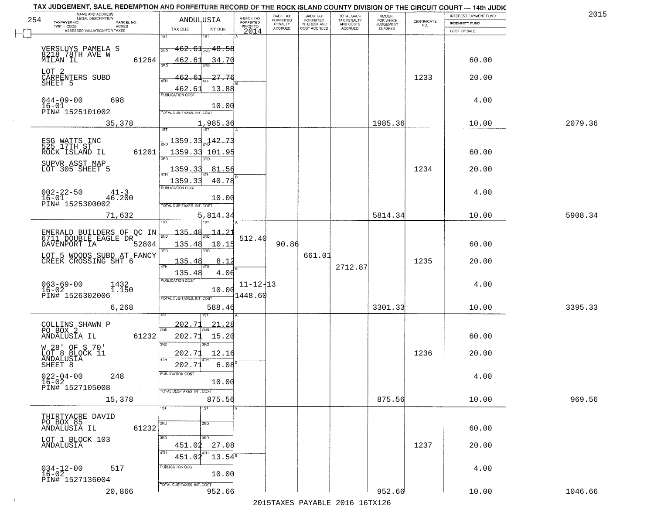|     | TAX JUDGEMENT, SALE, REDEMPTION AND FORFEITURE RECORD OF THE ROCK ISLAND COUNTY DIVISION OF THE CIRCUIT COURT - 14th JUDIC<br>NAME AND ADDRESS<br>LEGAL DESCRIPTION |                                      |                         | BACK TAX                    |                                              |                                        |                                         |                                                                 | INTEREST PAYMENT FUND | 2015    |
|-----|---------------------------------------------------------------------------------------------------------------------------------------------------------------------|--------------------------------------|-------------------------|-----------------------------|----------------------------------------------|----------------------------------------|-----------------------------------------|-----------------------------------------------------------------|-----------------------|---------|
| 254 | TAXPAYER NO.<br>PARCEL NO.                                                                                                                                          | ANDULUSIA                            | A-BACK TAX<br>FORFEITED | <b>FORFEITED</b><br>PENALTY | BACK TAX<br>FORFEITED<br><b>INTEREST AND</b> | TOTAL BACK<br>TAX PENALTY<br>AND COSTS | AMOUNT<br>FOR WHICH<br><b>JUDGEMENT</b> | $\begin{array}{c} \text{CERTIFICATE} \\ \text{NO.} \end{array}$ | INDEMNITY FUND        |         |
|     | ACRES<br>ASSESSED VALUATION FOR TAXES                                                                                                                               | TAX DUE<br>INT DUE                   | PRIOR TO<br>2014        | <b>ACCRUED</b>              | COST ACCRUED                                 | <b>ACCRUED</b>                         | IS ASKED                                |                                                                 | COST OF SALE          |         |
|     |                                                                                                                                                                     | 1ST<br>IST.                          |                         |                             |                                              |                                        |                                         |                                                                 |                       |         |
|     |                                                                                                                                                                     | $-462.61$ <sub>2ND</sub> $48.58$     |                         |                             |                                              |                                        |                                         |                                                                 |                       |         |
|     | VERSLUYS PAMELA S<br>8218_78TH AVE W                                                                                                                                | 2ND                                  |                         |                             |                                              |                                        |                                         |                                                                 |                       |         |
|     | 61264<br>MILAN IL                                                                                                                                                   | 462.61<br>34.70                      |                         |                             |                                              |                                        |                                         |                                                                 | 60.00                 |         |
|     | LOT 2                                                                                                                                                               |                                      |                         |                             |                                              |                                        |                                         |                                                                 |                       |         |
|     | CARPENTERS SUBD<br>SHEET 5                                                                                                                                          | 462.61<br>27.76                      |                         |                             |                                              |                                        |                                         | 1233                                                            | 20.00                 |         |
|     |                                                                                                                                                                     | 13.88                                |                         |                             |                                              |                                        |                                         |                                                                 |                       |         |
|     |                                                                                                                                                                     | $\frac{462.61}{FUBUCATON COST}$      |                         |                             |                                              |                                        |                                         |                                                                 |                       |         |
|     | $044 - 09 - 00$<br>698<br>$16 - 01$                                                                                                                                 |                                      |                         |                             |                                              |                                        |                                         |                                                                 | 4.00                  |         |
|     | PIN# 1525101002                                                                                                                                                     | 10.00<br>TOTAL DUE-TAXES, INT. COST  |                         |                             |                                              |                                        |                                         |                                                                 |                       |         |
|     |                                                                                                                                                                     |                                      |                         |                             |                                              |                                        |                                         |                                                                 |                       |         |
|     | 35,378                                                                                                                                                              | 1,985.36                             |                         |                             |                                              |                                        | 1985.36                                 |                                                                 | 10.00                 | 2079.36 |
|     |                                                                                                                                                                     |                                      |                         |                             |                                              |                                        |                                         |                                                                 |                       |         |
|     | ESG WATTS INC<br>525 17TH ST                                                                                                                                        | $-142.73$<br><u> 1359.33.</u>        |                         |                             |                                              |                                        |                                         |                                                                 |                       |         |
|     | 61201<br>ROCK ISLAND IL                                                                                                                                             | 1359.33 101.95                       |                         |                             |                                              |                                        |                                         |                                                                 | 60.00                 |         |
|     |                                                                                                                                                                     | 3RD                                  |                         |                             |                                              |                                        |                                         |                                                                 |                       |         |
|     | SUPVR ASST MAP<br>LOT 305 SHEET 5                                                                                                                                   | <u>1359.33</u><br>81.56              |                         |                             |                                              |                                        |                                         | 1234                                                            | 20.00                 |         |
|     |                                                                                                                                                                     |                                      |                         |                             |                                              |                                        |                                         |                                                                 |                       |         |
|     |                                                                                                                                                                     | 1359.33<br>40.78<br>PUBLICATION COST |                         |                             |                                              |                                        |                                         |                                                                 |                       |         |
|     | $002 - 22 - 50$<br>$41 - 3$                                                                                                                                         |                                      |                         |                             |                                              |                                        |                                         |                                                                 | 4.00                  |         |
|     | $16 - 01$<br>46.200<br>PIN# 1525300002                                                                                                                              | 10.00                                |                         |                             |                                              |                                        |                                         |                                                                 |                       |         |
|     |                                                                                                                                                                     | TOTAL DUE-TAXES, INT. COST           |                         |                             |                                              |                                        |                                         |                                                                 |                       |         |
|     | 71,632                                                                                                                                                              | 5,814.34                             |                         |                             |                                              |                                        | 5814.34                                 |                                                                 | 10.00                 | 5908.34 |
|     |                                                                                                                                                                     | 1ST                                  |                         |                             |                                              |                                        |                                         |                                                                 |                       |         |
|     | EMERALD BUILDERS OF QC IN<br>6711 DOUBLE EAGLE DR                                                                                                                   | 135.48<br><u>14.21</u><br>2ND        |                         |                             |                                              |                                        |                                         |                                                                 |                       |         |
|     | DAVENPORT IA<br>52804                                                                                                                                               | 135.48<br>10.15                      | 512.40                  | 90.86                       |                                              |                                        |                                         |                                                                 | 60.00                 |         |
|     |                                                                                                                                                                     | 3RD<br>3RD                           |                         |                             |                                              |                                        |                                         |                                                                 |                       |         |
|     | LOT 5 WOODS SUBD AT FANCY<br>CREEK CROSSING SHT 6                                                                                                                   | 135.48<br>8.12                       |                         |                             | 661.01                                       |                                        |                                         | 1235                                                            | 20.00                 |         |
|     |                                                                                                                                                                     | 4TH                                  |                         |                             |                                              | 2712.87                                |                                         |                                                                 |                       |         |
|     |                                                                                                                                                                     | 135.48<br>4.06                       |                         |                             |                                              |                                        |                                         |                                                                 |                       |         |
|     | $063 - 69 - 00$                                                                                                                                                     | <b>PUBLICATION COST</b>              | $11 - 12 - 13$          |                             |                                              |                                        |                                         |                                                                 | 4.00                  |         |
|     | $1432$<br>$1.150$<br>$16 - 02$                                                                                                                                      | 10.00                                |                         |                             |                                              |                                        |                                         |                                                                 |                       |         |
|     | PIN# 1526302006                                                                                                                                                     | TOTAL OUE-TAXES, INT. COST           | 1448.60                 |                             |                                              |                                        |                                         |                                                                 |                       |         |
|     | 6,268                                                                                                                                                               | 588.46                               |                         |                             |                                              |                                        | 3301.33                                 |                                                                 | 10.00                 | 3395.33 |
|     |                                                                                                                                                                     |                                      |                         |                             |                                              |                                        |                                         |                                                                 |                       |         |
|     | COLLINS SHAWN P                                                                                                                                                     | 202.71<br><u> 21.28</u><br>2ND       |                         |                             |                                              |                                        |                                         |                                                                 |                       |         |
|     | PO BOX 2<br>61232<br>ANDALUSIA IL                                                                                                                                   | 202.71<br>15.20                      |                         |                             |                                              |                                        |                                         |                                                                 | 60.00                 |         |
|     |                                                                                                                                                                     | 3RD<br>3RD                           |                         |                             |                                              |                                        |                                         |                                                                 |                       |         |
|     | W 28' OF S 70'<br>LOT 8 BLOCK 11<br>ANDALUSIA<br>SHEET 8                                                                                                            | 12.16<br>202.71                      |                         |                             |                                              |                                        |                                         | 1236                                                            | 20.00                 |         |
|     |                                                                                                                                                                     | 4TH                                  |                         |                             |                                              |                                        |                                         |                                                                 |                       |         |
|     |                                                                                                                                                                     | 6.08<br>202.71                       |                         |                             |                                              |                                        |                                         |                                                                 |                       |         |
|     | $022 - 04 - 00$<br>16-02<br>248                                                                                                                                     | PUBLICATION COS-                     |                         |                             |                                              |                                        |                                         |                                                                 | 4.00                  |         |
|     |                                                                                                                                                                     | 10.00                                |                         |                             |                                              |                                        |                                         |                                                                 |                       |         |
|     | PIN# 1527105008<br>$\sim$                                                                                                                                           | TOTAL DUE-TAXES, INT. COST           |                         |                             |                                              |                                        |                                         |                                                                 |                       |         |
|     | 15,378                                                                                                                                                              | 875.56                               |                         |                             |                                              |                                        | 875.56                                  |                                                                 | 10.00                 | 969.56  |
|     |                                                                                                                                                                     | 1ST<br>1ST                           |                         |                             |                                              |                                        |                                         |                                                                 |                       |         |
|     | THIRTYACRE DAVID                                                                                                                                                    |                                      |                         |                             |                                              |                                        |                                         |                                                                 |                       |         |
|     | PO BOX 85<br>ANDALUSIA IL<br>61232                                                                                                                                  | 2ND<br>2ND                           |                         |                             |                                              |                                        |                                         |                                                                 | 60.00                 |         |
|     |                                                                                                                                                                     |                                      |                         |                             |                                              |                                        |                                         |                                                                 |                       |         |
|     | LOT 1 BLOCK 103<br>ANDALUSIA                                                                                                                                        | 3RD<br>3RD<br>27.08                  |                         |                             |                                              |                                        |                                         | 1237                                                            | 20.00                 |         |
|     |                                                                                                                                                                     | 451.02                               |                         |                             |                                              |                                        |                                         |                                                                 |                       |         |
|     |                                                                                                                                                                     | $13.54^{\circ}$<br>451.02            |                         |                             |                                              |                                        |                                         |                                                                 |                       |         |
|     | 517                                                                                                                                                                 | PUBLICATION COST                     |                         |                             |                                              |                                        |                                         |                                                                 | 4.00                  |         |
|     | $034-12-00$<br>16-02                                                                                                                                                | 10.00                                |                         |                             |                                              |                                        |                                         |                                                                 |                       |         |
|     | PIN# 1527136004                                                                                                                                                     | TOTAL DUE-TAXES, INT. COST           |                         |                             |                                              |                                        |                                         |                                                                 |                       |         |
|     | 20,866                                                                                                                                                              | 952.66                               |                         |                             |                                              |                                        | 952.66                                  |                                                                 | 10.00                 | 1046.66 |
|     |                                                                                                                                                                     |                                      |                         |                             |                                              | 2015 TAVEC DAVADIE 2016 16TV126        |                                         |                                                                 |                       |         |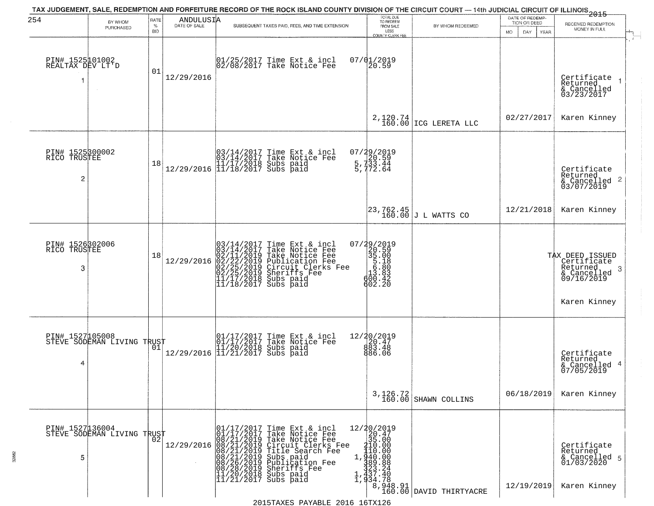| 254                                      |                                               | RATE            |                                                                          | TAX JUDGEMENT, SALE, REDEMPTION AND FORFEITURE RECORD OF THE ROCK ISLAND COUNTY DIVISION OF THE CIRCUIT COURT — 14th JUDICIAL CIRCUIT OF ILLINOIS 2015                                                                                                                     | TOTAL DUE<br>TO REDEEM                                                                                                                                                                                                                                                                                                                                         |                                     | DATE OF REDEMP-                          |                                                                                               |
|------------------------------------------|-----------------------------------------------|-----------------|--------------------------------------------------------------------------|----------------------------------------------------------------------------------------------------------------------------------------------------------------------------------------------------------------------------------------------------------------------------|----------------------------------------------------------------------------------------------------------------------------------------------------------------------------------------------------------------------------------------------------------------------------------------------------------------------------------------------------------------|-------------------------------------|------------------------------------------|-----------------------------------------------------------------------------------------------|
|                                          | BY WHOM<br>PURCHASED                          | %<br><b>BID</b> | $\begin{array}{c}\n\text{ANDULUS I} \\ \text{DATE of SALE}\n\end{array}$ | SUBSEQUENT TAXES PAID, FEES, AND TIME EXTENSION                                                                                                                                                                                                                            | FROM SALE<br>LESS<br>COUNTY CLERK FEE                                                                                                                                                                                                                                                                                                                          | BY WHOM REDEEMED                    | TION OR DEED<br><b>MO</b><br>DAY<br>YEAR | RECEIVED REDEMPTION<br>MONEY IN FULL                                                          |
| PIN# 1525101002<br>REALTAX DEV LT'D<br>1 | $\sim$                                        | 01              | 12/29/2016                                                               | 01/25/2017 Time Ext & incl<br>02/08/2017 Take Notice Fee                                                                                                                                                                                                                   | 07/01/2019<br>20.59                                                                                                                                                                                                                                                                                                                                            |                                     |                                          | Certificate<br>Returned<br>& Cancelled<br>03/23/2017                                          |
|                                          |                                               |                 |                                                                          |                                                                                                                                                                                                                                                                            | 2,120.74<br>160.00                                                                                                                                                                                                                                                                                                                                             | ICG LERETA LLC                      | 02/27/2017                               | Karen Kinney                                                                                  |
| PIN# 1525300002<br>RICO TRUSTEE<br>2     |                                               | 18              |                                                                          | $[03/14/2017 \tTime Ext & incl \\ 03/14/2017 \tTake Notice Free \\ 11/17/2018 Subs paid \\ 12/29/2016 \t[ 11/18/2017 Subs paid]$                                                                                                                                           | 07/29/2019<br>20.59<br>5.733.44<br>5,772.64                                                                                                                                                                                                                                                                                                                    |                                     |                                          | Certificate<br>Returned<br>$\frac{1}{6}$ Cancelled 2<br>03/07/2019                            |
|                                          |                                               |                 |                                                                          |                                                                                                                                                                                                                                                                            |                                                                                                                                                                                                                                                                                                                                                                | $23,762.45$<br>160.00 J L WATTS CO  | 12/21/2018                               | Karen Kinney                                                                                  |
| PIN# 1526302006<br>TRUSTEE<br>RICO<br>3  |                                               | 18              | 12/29/2016                                                               | $03/14/2017$ Time Ext & incl<br>$03/14/2017$ Take Notice Fee<br>$02/11/2019$ Take Notice Fee<br>$02/22/2019$ Publication Fee<br>$02/25/2019$ Sheriffs Fee<br>$11/17/2018$ Subs paid<br>$11/18/2017$ Subs paid                                                              | 07/29/2019<br>35.00<br>35.00<br>5.18<br>5.80<br>13.83<br>600.43<br>602.20                                                                                                                                                                                                                                                                                      |                                     |                                          | TAX DEED ISSUED<br>Certificate<br>Returned<br>-3<br>& Cancelled<br>09/16/2019<br>Karen Kinney |
| 4                                        | PIN# 1527105008<br>STEVE SODEMAN LIVING TRUST |                 |                                                                          | 01/17/2017 Time Ext & incl<br>01/17/2017 Take Notice Fee<br>11/20/2018 Subs paid<br>12/29/2016 11/21/2017 Subs paid                                                                                                                                                        | 12/20/2019<br>20.47<br>883.48<br>886.06                                                                                                                                                                                                                                                                                                                        |                                     |                                          | Certificate<br>Returned<br>& Cancelled 4<br>07/05/2019                                        |
|                                          |                                               |                 |                                                                          |                                                                                                                                                                                                                                                                            |                                                                                                                                                                                                                                                                                                                                                                | 3, 126.72<br>160.00 SHAWN COLLINS   | 06/18/2019                               | Karen Kinney                                                                                  |
| 5                                        | PIN# 1527136004<br>STEVE SODEMAN LIVING TRUST |                 |                                                                          | r<br>$12/29/2016$<br>$01/17/2017$ Take Notice Fee<br>$12/29/2016$<br>$08/21/2019$ Take Notice Fee<br>$08/21/2019$ Circuit Clerks Fee<br>$08/21/2019$ Subsidiation Fee<br>$08/21/2019$ Sublication Fee<br>$08/26/2019$ Sublication Fee<br>$08/28$<br>$11/21/2017$ Subs paid | 12/20/2019<br>20.47<br>35.00<br>$1, \begin{smallmatrix} 1 & 0 & 0 & 0 \\ 1 & 1 & 0 & 0 & 0 \\ 1 & 1 & 0 & 0 & 0 \\ 1 & 0 & 4 & 0 & 0 & 0 \\ 3 & 0 & 0 & 0 & 8 \\ 1 & 0 & 3 & 7 & 4 & 0 \\ 1 & 0 & 3 & 4 & 7 & 8 \\ 2 & 3 & 4 & 7 & 8 & 8 \\ 3 & 4 & 7 & 8 & 8 & 8 \\ 4 & 3 & 4 & 7 & 8 & 8 \\ 5 & 6 & 7 & 8 & 8 & 8 \\ 1 & 0 & 0 & 0 & 0 & 0 \\ 1 & 0 & 0 & 0$ | 8,948.91<br>160.00 DAVID THIRTYACRE | 12/19/2019                               | Certificate<br>Returned<br>& Cancelled 5<br>01/03/2020<br>Karen Kinney                        |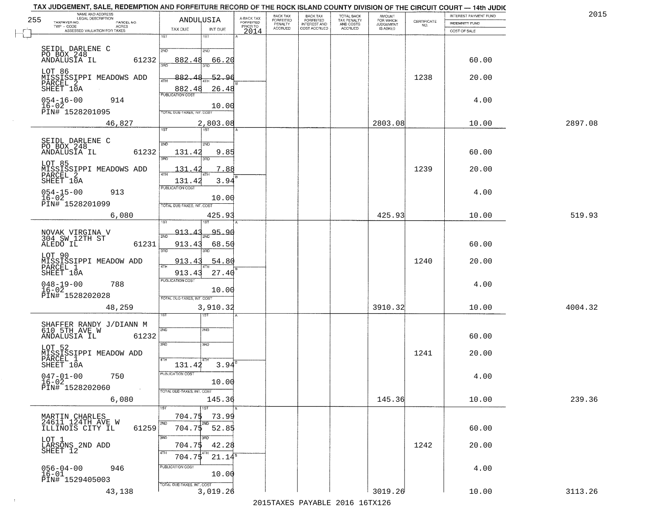| 255 | TAX JUDGEMENT, SALE, REDEMPTION AND FORFEITURE RECORD OF THE ROCK ISLAND COUNTY DIVISION OF THE CIRCUIT COURT — 14th JUDIC<br>NAME AND ADDRESS<br>LEGAL DESCRIPTION |                                   |                    |                                     | BACK TAX<br><b>FORFEITED</b> | <b>BACK TAX</b>                           |                                                   | <b>AMOUNT</b>                      |                    | INTEREST PAYMENT FUND | 201     |
|-----|---------------------------------------------------------------------------------------------------------------------------------------------------------------------|-----------------------------------|--------------------|-------------------------------------|------------------------------|-------------------------------------------|---------------------------------------------------|------------------------------------|--------------------|-----------------------|---------|
|     | TAXPAYER NO.<br>PARCEL NO.<br>$TWP - CODE$<br><b>ACRES</b><br>ASSESSED VALUATION FOR TAXES                                                                          | ANDULUSIA<br>TAX DUE              | INT DUE            | A-BACK TAX<br>FORFEITED<br>PRIOR TO | PENALTY<br>ACCRUED           | FORFEITED<br>INTEREST AND<br>COST ACCRUED | TOTAL BACK<br>TAX PENALTY<br>AND COSTS<br>ACCRUED | FOR WHICH<br>JUDGEMENT<br>IS ASKED | CERTIFICATE<br>NO. | <b>INDEMNITY FUND</b> |         |
|     |                                                                                                                                                                     | $\overline{1ST}$                  | 1ST                | 2014                                |                              |                                           |                                                   |                                    |                    | COST OF SALE          |         |
|     | SEIDL DARLENE C                                                                                                                                                     | 2ND                               | 2ND                |                                     |                              |                                           |                                                   |                                    |                    |                       |         |
|     | PO BOX 248<br>ANDALUSIA IL<br>61232                                                                                                                                 | 882.48                            | 66.20              |                                     |                              |                                           |                                                   |                                    |                    | 60.00                 |         |
|     | LOT 86                                                                                                                                                              | 3BD                               |                    |                                     |                              |                                           |                                                   |                                    |                    |                       |         |
|     | MISSISSIPPI MEADOWS ADD<br>PARCEL 2                                                                                                                                 | 882.<br>4TH                       | 52.96              |                                     |                              |                                           |                                                   |                                    | 1238               | 20.00                 |         |
|     | SHEET 10A                                                                                                                                                           | 882.48<br>PUBLICATION COST        | 26.48              |                                     |                              |                                           |                                                   |                                    |                    |                       |         |
|     | $054 - 16 - 00$<br>914<br>$16 - 02$                                                                                                                                 |                                   | 10.00              |                                     |                              |                                           |                                                   |                                    |                    | 4.00                  |         |
|     | PIN# 1528201095                                                                                                                                                     | TOTAL DUE-TAXES, INT, COST        |                    |                                     |                              |                                           |                                                   |                                    |                    |                       |         |
|     | 46,827                                                                                                                                                              | 1ST                               | 2,803.08<br> 1ST   |                                     |                              |                                           |                                                   | 2803.08                            |                    | 10.00                 | 2897.08 |
|     | SEIDL DARLENE C<br>PO BOX 248                                                                                                                                       | 2ND                               | 2ND                |                                     |                              |                                           |                                                   |                                    |                    |                       |         |
|     | 61232<br>ANDALUSIA IL                                                                                                                                               | 131.42                            | 9.85               |                                     |                              |                                           |                                                   |                                    |                    | 60.00                 |         |
|     | LOT 85                                                                                                                                                              | <u>श्मा</u>                       |                    |                                     |                              |                                           |                                                   |                                    |                    |                       |         |
|     | MISSISSIPPI MEADOWS ADD<br>PARCEL 2                                                                                                                                 | 131<br>$\overline{a}$<br>ৰ্বাম    | 7.88               |                                     |                              |                                           |                                                   |                                    | 1239               | 20.00                 |         |
|     | SHEET 10A                                                                                                                                                           | 131.4<br>PUBLICATION COST         | 3.94               |                                     |                              |                                           |                                                   |                                    |                    |                       |         |
|     | $054 - 15 - 00$<br>913<br>$16 - 02$                                                                                                                                 |                                   | 10.00              |                                     |                              |                                           |                                                   |                                    |                    | 4.00                  |         |
|     | PIN# <sup>-1528201099</sup>                                                                                                                                         | TOTAL DUE-TAXES, INT. COST        |                    |                                     |                              |                                           |                                                   |                                    |                    |                       |         |
|     | 6,080                                                                                                                                                               | 1S1                               | 425.93             |                                     |                              |                                           |                                                   | 425.93                             |                    | 10.00                 | 519.93  |
|     | NOVAK VIRGINA V<br>304 SW 12TH ST                                                                                                                                   | 913.43<br>2ND                     | 95.90              |                                     |                              |                                           |                                                   |                                    |                    |                       |         |
|     | 61231<br>ALEDO IL                                                                                                                                                   | 913.43                            | 68.50              |                                     |                              |                                           |                                                   |                                    |                    | 60.00                 |         |
|     | LOT 90                                                                                                                                                              | 3RD                               | 3RD                |                                     |                              |                                           |                                                   |                                    |                    |                       |         |
|     | MISSISSIPPI MEADOW ADD<br>PARCEL <sup>1</sup>                                                                                                                       | 913.43<br>4TH                     | 54.80              |                                     |                              |                                           |                                                   |                                    | 1240               | 20.00                 |         |
|     | SHEET 10A                                                                                                                                                           | 913.43<br><b>PUBLICATION COST</b> | 27.40              |                                     |                              |                                           |                                                   |                                    |                    |                       |         |
|     | $048 - 19 - 00$<br>16-02<br>788                                                                                                                                     |                                   | 10.00              |                                     |                              |                                           |                                                   |                                    |                    | 4.00                  |         |
|     | PIN# 1528202028                                                                                                                                                     | TOTAL OUE-TAXES, INT. COST        |                    |                                     |                              |                                           |                                                   |                                    |                    |                       |         |
|     | 48,259                                                                                                                                                              |                                   | 3,910.32<br>ड़ा    |                                     |                              |                                           |                                                   | 3910.32                            |                    | 10.00                 | 4004.32 |
|     | SHAFFER RANDY J/DIANN M<br>610 5TH AVE W                                                                                                                            |                                   |                    |                                     |                              |                                           |                                                   |                                    |                    |                       |         |
|     | 61232<br>ANDALUSIA IL                                                                                                                                               | 2ND                               | 2ND                |                                     |                              |                                           |                                                   |                                    |                    | 60.00                 |         |
|     | LOT 52                                                                                                                                                              | 3RD                               | 3 <sub>BD</sub>    |                                     |                              |                                           |                                                   |                                    |                    |                       |         |
|     | MISSISSIPPI MEADOW ADD<br>PARCEL 1                                                                                                                                  | 4TH                               |                    | в                                   |                              |                                           |                                                   |                                    | 1241               | 20.00                 |         |
|     | SHEET 10A                                                                                                                                                           | 131.42<br>PUBLICATION COST        | 3.94               |                                     |                              |                                           |                                                   |                                    |                    |                       |         |
|     | $047 - 01 - 00$<br>750<br>16-02                                                                                                                                     |                                   | 10.00              |                                     |                              |                                           |                                                   |                                    |                    | 4.00                  |         |
|     | PIN# 1528202060                                                                                                                                                     | TOTAL DUE-TAXES, INT. COST        |                    |                                     |                              |                                           |                                                   |                                    |                    |                       |         |
|     | 6,080                                                                                                                                                               | 1ST                               | 145.36<br>1ST      |                                     |                              |                                           |                                                   | 145.36                             |                    | 10.00                 | 239.36  |
|     | MARTIN CHARLES<br>24611 124TH AVE W                                                                                                                                 | 704.75                            | 73.99              |                                     |                              |                                           |                                                   |                                    |                    |                       |         |
|     | ILLINOIS CITY IL<br>61259                                                                                                                                           | 2ND<br>704.75                     | 52.85              |                                     |                              |                                           |                                                   |                                    |                    | 60.00                 |         |
|     | LOT 1                                                                                                                                                               | 3RD                               | 3RD                |                                     |                              |                                           |                                                   |                                    |                    |                       |         |
|     | LÁRSONS 2ND ADD<br>SHEET 12                                                                                                                                         | 704.75<br>4TH<br>704.75           | 42.28<br>$21.14^5$ |                                     |                              |                                           |                                                   |                                    | 1242               | 20.00                 |         |
|     | $056 - 04 - 00$<br>946                                                                                                                                              | PUBLICATION COST                  |                    |                                     |                              |                                           |                                                   |                                    |                    | 4.00                  |         |
|     | $16 - 01$<br>PIN# 1529405003                                                                                                                                        |                                   | 10.00              |                                     |                              |                                           |                                                   |                                    |                    |                       |         |
|     | 43,138                                                                                                                                                              | TOTAL DUE-TAXES, INT. COST        | 3,019.26           |                                     |                              |                                           |                                                   | 3019.26                            |                    | 10.00                 | 3113.26 |
|     |                                                                                                                                                                     |                                   |                    |                                     |                              |                                           |                                                   |                                    |                    |                       |         |

 $\sim 10^{-1}$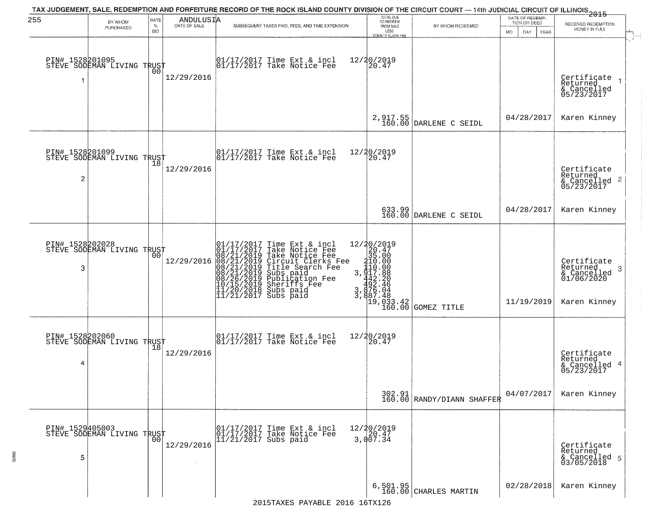| 255                  | BY WHOM<br>PURCHASED                              | RATE<br>$\%$<br><b>BID</b> | $\begin{array}{c}\n\text{ANDULUS I} \\ \text{DATE of SALE}\n\end{array}$ | TAX JUDGEMENT, SALE, REDEMPTION AND FORFEITURE RECORD OF THE ROCK ISLAND COUNTY DIVISION OF THE CIRCUIT COURT — 14th JUDICIAL CIRCUIT OF ILLINOIS 2015<br>SUBSEQUENT TAXES PAID, FEES, AND TIME EXTENSION                                             | TOTAL DUE<br>TO REDEEM<br>FROM SALE<br>LESS                                                                                                                             | BY WHOM REDEEMED                                                                     | DATE OF REDEMP-<br>TION OR DEED<br>MO.<br>DAY.<br>YEAR | RECEIVED REDEMPTION<br>MONEY IN FULL                                      |
|----------------------|---------------------------------------------------|----------------------------|--------------------------------------------------------------------------|-------------------------------------------------------------------------------------------------------------------------------------------------------------------------------------------------------------------------------------------------------|-------------------------------------------------------------------------------------------------------------------------------------------------------------------------|--------------------------------------------------------------------------------------|--------------------------------------------------------|---------------------------------------------------------------------------|
|                      | PIN# 1528201095    <br>STEVE SODEMAN LIVING TRUST | 00                         | 12/29/2016                                                               | 01/17/2017 Time Ext & incl<br>01/17/2017 Take Notice Fee                                                                                                                                                                                              | <b>COUNTY CLERK FEE</b><br>12/20/2019<br>20.47                                                                                                                          |                                                                                      |                                                        | Certificate<br>Returned<br>& Cancelled<br>05/23/2017                      |
|                      |                                                   |                            |                                                                          |                                                                                                                                                                                                                                                       |                                                                                                                                                                         | 2,917.55<br>160.00 DARLENE C SEIDL                                                   | 04/28/2017                                             | Karen Kinney                                                              |
| $\overline{c}$       | PIN# 1528201099<br>STEVE SODEMAN LIVING TRUST     | 18                         | 12/29/2016                                                               | $\begin{array}{cc}  01/17/2017 \text{ Time} & \text{Ext} & \text{incl} \\  01/17/2017 \text{ Take Notice } \text{Fe} \end{array}$                                                                                                                     | 12/20/2019<br>20.47                                                                                                                                                     |                                                                                      |                                                        | Certificate<br>Returned<br>& Cancelled 2<br>05/23/2017                    |
|                      |                                                   |                            |                                                                          |                                                                                                                                                                                                                                                       |                                                                                                                                                                         | 633.99<br>160.00 DARLENE C SEIDL                                                     | 04/28/2017                                             | Karen Kinney                                                              |
| PIN# 1528202028<br>3 | STEVE SODEMAN LIVING TRUST                        | 00                         | 12/29/2016                                                               | 01/17/2017 Time Ext & incl<br>01/17/2017 Take Notice Fee<br>08/21/2019 Circuit Clerks Fee<br>08/21/2019 Circuit Clerks Fee<br>08/21/2019 Title Search Fee<br>08/21/2019 Subs paid<br>00/26/2019 Sheriffs Fee<br>10/15/2019 Sheriffs Fee<br>11/20/2018 | 12/20/2019<br>$\begin{array}{r} 2/201 \\ 201 \\ 35.60 \\ 410.00 \\ 3,410.00 \\ 442.20 \\ 462.46 \\ 3,876.04 \\ 3,876.48 \\ 3,910.83 \end{array}$<br>19,033.42<br>160.00 | GOMEZ TITLE                                                                          | 11/19/2019                                             | Certificate<br>Returned<br>3<br>& Cancelled<br>01/06/2020<br>Karen Kinney |
| 4                    | PIN# 1528202060<br>STEVE SODEMAN LIVING TRUST     |                            | 12/29/2016                                                               | $\begin{array}{cc} 01/17/2017 \\ 01/17/2017 \\ \end{array}$ Take Notice Fee                                                                                                                                                                           | 12/20/2019<br>$\left[20.47\right]$                                                                                                                                      |                                                                                      |                                                        | Certificate<br>Returned<br>& Cancelled 4<br>05/23/2017                    |
|                      |                                                   |                            |                                                                          |                                                                                                                                                                                                                                                       |                                                                                                                                                                         | $\begin{array}{c c} 302.91 \ \hline 160.00 \ \hline \end{array}$ RANDY/DIANN SHAFFER | 04/07/2017                                             | Karen Kinney                                                              |
| PIN# 1529405003<br>5 | STEVE SODEMAN LIVING TRUST<br>  00                |                            | 12/29/2016                                                               | 01/17/2017 Time Ext & incl<br>01/17/2017 Take Notice Fee<br>11/21/2017 Subs paid                                                                                                                                                                      | 12/20/2019<br>3,007.34                                                                                                                                                  |                                                                                      |                                                        | Certificate<br>Returned<br>& Cancelled 5<br>03/05/2018                    |
|                      |                                                   |                            |                                                                          |                                                                                                                                                                                                                                                       |                                                                                                                                                                         | $6, 501.95$<br>160.00 CHARLES MARTIN                                                 | 02/28/2018                                             | Karen Kinney                                                              |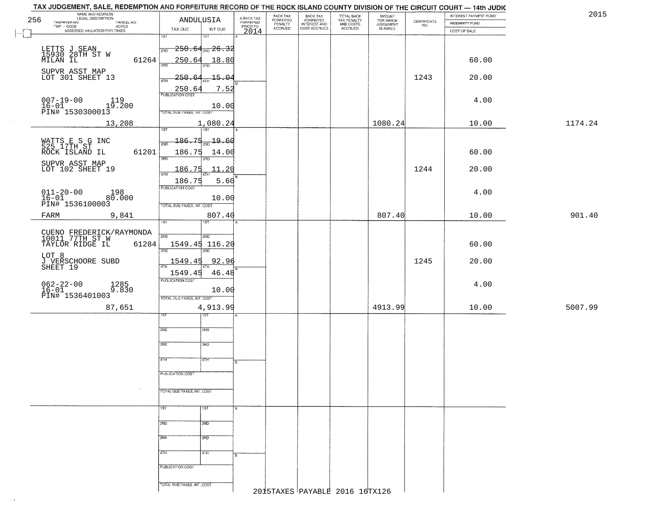|     | TAX JUDGEMENT, SALE, REDEMPTION AND FORFEITURE RECORD OF THE ROCK ISLAND COUNTY DIVISION OF THE CIRCUIT COURT — 14th JUDIC |                                             |                                     |                                 |                                                       |                                                   |                                  |                                                                 |                       |         |
|-----|----------------------------------------------------------------------------------------------------------------------------|---------------------------------------------|-------------------------------------|---------------------------------|-------------------------------------------------------|---------------------------------------------------|----------------------------------|-----------------------------------------------------------------|-----------------------|---------|
|     | NAME AND ADDRESS<br>LEGAL DESCRIPTION                                                                                      |                                             |                                     | BACK TAX                        |                                                       | TOTAL BACK<br>TAX PENALTY<br>AND COSTS<br>ACCRUED |                                  |                                                                 | INTEREST PAYMENT FUND | 2015    |
| 256 | TAXPAYER NO.<br>PARCEL NO.                                                                                                 | ANDULUSIA                                   | A-BACK TAX<br>FORFEITED<br>PRIOR TO | FORFEITED<br>PENALTY<br>ACCRUED | BACK TAX<br>FORFEITED<br>INTEREST AND<br>COST ACCRUED |                                                   | AMOUNT<br>FOR WHICH<br>JUDGEMENT | $\begin{array}{c} \text{CERTIFICATE} \\ \text{NO.} \end{array}$ | <b>INDEMNITY FUND</b> |         |
|     | $\textsf{TWP} \textsf{-CODE}$<br>- CODE<br>ASSESSED VALUATION FOR TAXES                                                    | TAX DUE                                     | INT DUE<br>2014                     |                                 |                                                       |                                                   | IS ASKED                         |                                                                 | COST OF SALE          |         |
|     |                                                                                                                            | $\overline{1ST}$<br>1ST                     |                                     |                                 |                                                       |                                                   |                                  |                                                                 |                       |         |
|     |                                                                                                                            |                                             |                                     |                                 |                                                       |                                                   |                                  |                                                                 |                       |         |
|     | LETTS J SEAN<br>15930 28TH ST W<br>MILAN IL                                                                                | $\frac{1}{200}$ 250.64 <sub>2ND</sub> 26.32 |                                     |                                 |                                                       |                                                   |                                  |                                                                 |                       |         |
|     | 61264                                                                                                                      | 250.64                                      | 18.80                               |                                 |                                                       |                                                   |                                  |                                                                 | 60.00                 |         |
|     |                                                                                                                            | 3BD<br>3RD                                  |                                     |                                 |                                                       |                                                   |                                  |                                                                 |                       |         |
|     | SUPVR ASST MAP                                                                                                             |                                             |                                     |                                 |                                                       |                                                   |                                  |                                                                 |                       |         |
|     | LOT 301 SHEET 13                                                                                                           | 250.<br>4TH                                 | $-15 - 04$                          |                                 |                                                       |                                                   |                                  | 1243                                                            | 20.00                 |         |
|     |                                                                                                                            | 250.64                                      | 7.52                                |                                 |                                                       |                                                   |                                  |                                                                 |                       |         |
|     |                                                                                                                            | <b>PUBLICATION COST</b>                     |                                     |                                 |                                                       |                                                   |                                  |                                                                 |                       |         |
|     | $007 - 19 - 00$<br>$16 - 01$<br>119                                                                                        |                                             |                                     |                                 |                                                       |                                                   |                                  |                                                                 | 4.00                  |         |
|     | $16-01$<br>PIN# 1530300013                                                                                                 |                                             | 10.00                               |                                 |                                                       |                                                   |                                  |                                                                 |                       |         |
|     |                                                                                                                            | TOTAL DUE-TAXES, INT. COST                  |                                     |                                 |                                                       |                                                   |                                  |                                                                 |                       |         |
|     | 13,208                                                                                                                     |                                             | 1,080.24                            |                                 |                                                       |                                                   | 1080.24                          |                                                                 | 10.00                 | 1174.24 |
|     |                                                                                                                            | 1ST <sup>1</sup><br>187                     |                                     |                                 |                                                       |                                                   |                                  |                                                                 |                       |         |
|     |                                                                                                                            |                                             |                                     |                                 |                                                       |                                                   |                                  |                                                                 |                       |         |
|     | WATTS E S G INC<br>525 17TH ST                                                                                             | $-186.75$<br>2ND                            | $-19.60$                            |                                 |                                                       |                                                   |                                  |                                                                 |                       |         |
|     | 61201<br>ROCK ISLAND IL                                                                                                    | 186.75                                      | 14.00                               |                                 |                                                       |                                                   |                                  |                                                                 | 60.00                 |         |
|     |                                                                                                                            |                                             |                                     |                                 |                                                       |                                                   |                                  |                                                                 |                       |         |
|     | SUPVR ASST MAP<br>LOT 102 SHEET 19                                                                                         |                                             |                                     |                                 |                                                       |                                                   |                                  |                                                                 |                       |         |
|     |                                                                                                                            | 186.75<br>47H<br>4TH                        | $\overline{11.20}$                  |                                 |                                                       |                                                   |                                  | 1244                                                            | 20.00                 |         |
|     |                                                                                                                            | 186.75                                      | 5.60                                |                                 |                                                       |                                                   |                                  |                                                                 |                       |         |
|     |                                                                                                                            | PUBLICATION COST                            |                                     |                                 |                                                       |                                                   |                                  |                                                                 |                       |         |
|     | $011 - 20 - 00$<br>16-01<br>198                                                                                            |                                             |                                     |                                 |                                                       |                                                   |                                  |                                                                 | 4.00                  |         |
|     | 80.000                                                                                                                     |                                             | 10.00                               |                                 |                                                       |                                                   |                                  |                                                                 |                       |         |
|     | PIN# 1536100003                                                                                                            | TOTAL DUE-TAXES, INT. COST                  |                                     |                                 |                                                       |                                                   |                                  |                                                                 |                       |         |
|     | 9,841<br>FARM                                                                                                              |                                             | 807.40                              |                                 |                                                       |                                                   | 807.40                           |                                                                 | 10.00                 | 901.40  |
|     |                                                                                                                            | 1ST                                         |                                     |                                 |                                                       |                                                   |                                  |                                                                 |                       |         |
|     |                                                                                                                            |                                             |                                     |                                 |                                                       |                                                   |                                  |                                                                 |                       |         |
|     | CUENO FREDERICK/RAYMONDA<br>10011 77TH ST W                                                                                | 2ND<br>SND                                  |                                     |                                 |                                                       |                                                   |                                  |                                                                 |                       |         |
|     | TAYLOR RIDGE IL<br>61284                                                                                                   | 1549.45 116.20                              |                                     |                                 |                                                       |                                                   |                                  |                                                                 | 60.00                 |         |
|     |                                                                                                                            | 3BD<br>3RD                                  |                                     |                                 |                                                       |                                                   |                                  |                                                                 |                       |         |
|     | LOT 8                                                                                                                      |                                             |                                     |                                 |                                                       |                                                   |                                  |                                                                 |                       |         |
|     | J VERSCHOORE SUBD<br>SHEET 19                                                                                              | 1549.45                                     | 92.96                               |                                 |                                                       |                                                   |                                  | 1245                                                            | 20.00                 |         |
|     |                                                                                                                            | 1549.45                                     | 46.48                               |                                 |                                                       |                                                   |                                  |                                                                 |                       |         |
|     |                                                                                                                            | <b>PUBLICATION COST</b>                     |                                     |                                 |                                                       |                                                   |                                  |                                                                 |                       |         |
|     | $062 - 22 - 00$<br>16-01<br>1285<br>9.830                                                                                  |                                             |                                     |                                 |                                                       |                                                   |                                  |                                                                 | 4.00                  |         |
|     |                                                                                                                            |                                             | 10.00                               |                                 |                                                       |                                                   |                                  |                                                                 |                       |         |
|     | PIN# 1536401003                                                                                                            | TOTAL OUE-TAXES, INT. COST                  |                                     |                                 |                                                       |                                                   |                                  |                                                                 |                       |         |
|     | 87,651                                                                                                                     |                                             | 4,913.99                            |                                 |                                                       |                                                   | 4913.99                          |                                                                 | 10.00                 | 5007.99 |
|     |                                                                                                                            | १९४                                         |                                     |                                 |                                                       |                                                   |                                  |                                                                 |                       |         |
|     |                                                                                                                            |                                             |                                     |                                 |                                                       |                                                   |                                  |                                                                 |                       |         |
|     |                                                                                                                            | 2ND<br>2ND                                  |                                     |                                 |                                                       |                                                   |                                  |                                                                 |                       |         |
|     |                                                                                                                            |                                             |                                     |                                 |                                                       |                                                   |                                  |                                                                 |                       |         |
|     |                                                                                                                            | 3BD<br>3BD                                  |                                     |                                 |                                                       |                                                   |                                  |                                                                 |                       |         |
|     |                                                                                                                            |                                             |                                     |                                 |                                                       |                                                   |                                  |                                                                 |                       |         |
|     |                                                                                                                            | 4TH<br>बाम                                  |                                     |                                 |                                                       |                                                   |                                  |                                                                 |                       |         |
|     |                                                                                                                            |                                             | B.                                  |                                 |                                                       |                                                   |                                  |                                                                 |                       |         |
|     |                                                                                                                            | PUBLICATION COST                            |                                     |                                 |                                                       |                                                   |                                  |                                                                 |                       |         |
|     |                                                                                                                            |                                             |                                     |                                 |                                                       |                                                   |                                  |                                                                 |                       |         |
|     |                                                                                                                            |                                             |                                     |                                 |                                                       |                                                   |                                  |                                                                 |                       |         |
|     |                                                                                                                            | <b>TOTAL DUE-TAXES, INT. COST</b>           |                                     |                                 |                                                       |                                                   |                                  |                                                                 |                       |         |
|     |                                                                                                                            |                                             |                                     |                                 |                                                       |                                                   |                                  |                                                                 |                       |         |
|     |                                                                                                                            | 1ST<br><b>TST</b>                           |                                     |                                 |                                                       |                                                   |                                  |                                                                 |                       |         |
|     |                                                                                                                            |                                             |                                     |                                 |                                                       |                                                   |                                  |                                                                 |                       |         |
|     |                                                                                                                            | 2ND<br>2ND                                  |                                     |                                 |                                                       |                                                   |                                  |                                                                 |                       |         |
|     |                                                                                                                            |                                             |                                     |                                 |                                                       |                                                   |                                  |                                                                 |                       |         |
|     |                                                                                                                            | 3RD<br>$\overline{\text{3AD}}$              |                                     |                                 |                                                       |                                                   |                                  |                                                                 |                       |         |
|     |                                                                                                                            |                                             |                                     |                                 |                                                       |                                                   |                                  |                                                                 |                       |         |
|     |                                                                                                                            |                                             |                                     |                                 |                                                       |                                                   |                                  |                                                                 |                       |         |
|     |                                                                                                                            | 4TH<br>4TH                                  |                                     |                                 |                                                       |                                                   |                                  |                                                                 |                       |         |
|     |                                                                                                                            |                                             |                                     |                                 |                                                       |                                                   |                                  |                                                                 |                       |         |
|     |                                                                                                                            | PUBLICATION COST                            |                                     |                                 |                                                       |                                                   |                                  |                                                                 |                       |         |
|     |                                                                                                                            |                                             |                                     |                                 |                                                       |                                                   |                                  |                                                                 |                       |         |
|     |                                                                                                                            | TOTAL DUE-TAXES, INT. COST                  |                                     |                                 |                                                       |                                                   |                                  |                                                                 |                       |         |
|     |                                                                                                                            |                                             |                                     |                                 |                                                       | 2015TAXES PAYABLE 2016 16TX126                    |                                  |                                                                 |                       |         |
|     |                                                                                                                            |                                             |                                     |                                 |                                                       |                                                   |                                  |                                                                 |                       |         |
|     |                                                                                                                            |                                             |                                     |                                 |                                                       |                                                   |                                  |                                                                 |                       |         |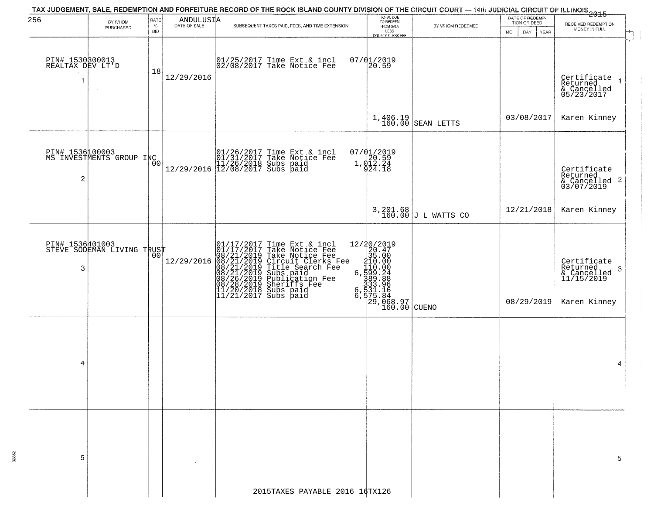|                                           |                                                     |                            |            | TAX JUDGEMENT, SALE, REDEMPTION AND FORFEITURE RECORD OF THE ROCK ISLAND COUNTY DIVISION OF THE CIRCUIT COURT — 14th JUDICIAL CIRCUIT OF ILLINOIS<br>2015 - The Contemporary County of Tennis 1995                                                   |                                                                                                                                                                                                  |                         |                                                              |                                                                            |
|-------------------------------------------|-----------------------------------------------------|----------------------------|------------|------------------------------------------------------------------------------------------------------------------------------------------------------------------------------------------------------------------------------------------------------|--------------------------------------------------------------------------------------------------------------------------------------------------------------------------------------------------|-------------------------|--------------------------------------------------------------|----------------------------------------------------------------------------|
| 256                                       | BY WHOM<br>PURCHASED                                | RATE<br>$\%$<br><b>BID</b> | ANDULUSIA  | SUBSEQUENT TAXES PAID, FEES, AND TIME EXTENSION                                                                                                                                                                                                      | TOTAL DUE<br>TO REDEEM<br>FROM SALE<br>LESS<br>COUNTY CLERK FEE                                                                                                                                  | BY WHOM REDEEMED        | DATE OF REDEMP-<br>TION OR DEED<br><b>YEAR</b><br>MO.<br>DAY | RECEIVED REDEMPTION<br>MONEY IN FULL                                       |
| PIN# 1530300013<br>REALTAX DEV LT'D<br>-1 |                                                     | 18                         | 12/29/2016 | 01/25/2017 Time Ext & incl<br>02/08/2017 Take Notice Fee                                                                                                                                                                                             | $07/01/2019$<br>20.59                                                                                                                                                                            |                         |                                                              | Certificate<br>Returned<br>& Cancelled<br>05/23/2017                       |
|                                           |                                                     |                            |            |                                                                                                                                                                                                                                                      |                                                                                                                                                                                                  | $1,406.19$ SEAN LETTS   | 03/08/2017                                                   | Karen Kinney                                                               |
| $\overline{c}$                            | PIN# 1536100003<br>MS INVESTMENTS GROUP INC         | 0 <sub>0</sub>             |            | $[01/26/2017 \t{Time Ext & incl} 01/31/2017 \t{Take Notice Fee} 11/26/2018 \t{Subs paid} 12/29/2016 \t{12/08/2017 \t{Subs paid}$                                                                                                                     | 07/01/2019<br>1,020.59<br>1,012.24<br>924.18                                                                                                                                                     |                         |                                                              | Certificate<br>Returned<br>& Cancelled 2<br>03/07/2019                     |
|                                           |                                                     |                            |            |                                                                                                                                                                                                                                                      |                                                                                                                                                                                                  | $3,201.68$ J L WATTS CO | 12/21/2018                                                   | Karen Kinney                                                               |
| 3                                         | PIN# 1536401003      <br>STEVE SODEMAN LIVING TRUST | 00                         | 12/29/2016 | 01/17/2017 Time Ext & incl<br>01/17/2017 Take Notice Fee<br>08/21/2019 Take Notice Fee<br>08/21/2019 Circuit Clerks Fee<br>08/21/2019 Title Search Fee<br>08/21/2019 Subs paid<br>08/26/2019 Sheriffs Fee<br>11/20/2018 Subs paid<br>11/21/2017 Subs | 12/20/2019<br>20.47<br>35.00<br>$r = e$<br>$r = e$<br>$r = 110.000$<br>$r = 110.000$<br>$r = 110.000$<br>$r = 100.000$<br>$r = 100.000$<br>$r = 160.00$<br>$r = 160.00$<br>$r = 160.00$<br>CUENO |                         | 08/29/2019                                                   | Certificate<br>Returned<br>-3<br>& Cancelled<br>11/15/2019<br>Karen Kinney |
| 4                                         |                                                     |                            |            |                                                                                                                                                                                                                                                      |                                                                                                                                                                                                  |                         |                                                              | 4                                                                          |
| 5                                         |                                                     |                            |            |                                                                                                                                                                                                                                                      |                                                                                                                                                                                                  |                         |                                                              | 5                                                                          |
|                                           |                                                     |                            |            | 2015TAXES PAYABLE 2016 16TX126                                                                                                                                                                                                                       |                                                                                                                                                                                                  |                         |                                                              |                                                                            |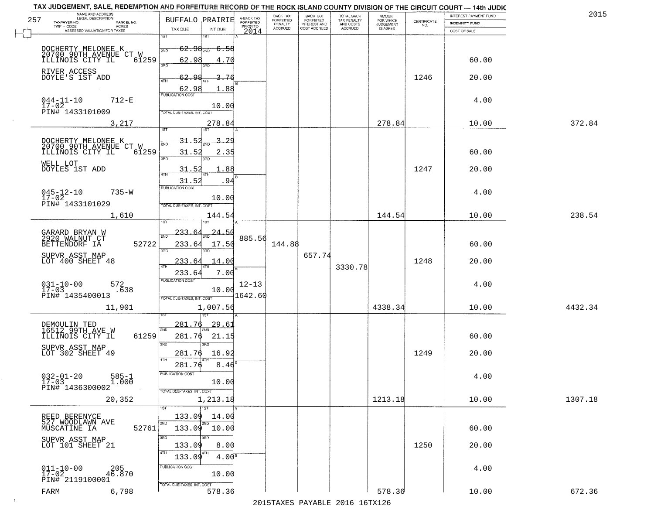|     | TAX JUDGEMENT, SALE, REDEMPTION AND FORFEITURE RECORD OF THE ROCK ISLAND COUNTY DIVISION OF THE CIRCUIT COURT - 14th JUDIC<br>NAME AND ADDRESS<br>LEGAL DESCRIPTION |                                                                                  |                         | BACK TAX                    |                                              |                                        |                                         |                                                                 | INTEREST PAYMENT FUND | 2015    |
|-----|---------------------------------------------------------------------------------------------------------------------------------------------------------------------|----------------------------------------------------------------------------------|-------------------------|-----------------------------|----------------------------------------------|----------------------------------------|-----------------------------------------|-----------------------------------------------------------------|-----------------------|---------|
| 257 | TAXPAYER NO.<br>PARCEL NO.                                                                                                                                          | <b>BUFFALO PRAIRIE</b>                                                           | A-BACK TAX<br>FORFEITED | <b>FORFEITED</b><br>PENALTY | BACK TAX<br>FORFEITED<br><b>INTEREST AND</b> | TOTAL BACK<br>TAX PENALTY<br>AND COSTS | AMOUNT<br>FOR WHICH<br><b>JUDGEMENT</b> | $\begin{array}{c} \text{CERTIFICATE} \\ \text{NO.} \end{array}$ | INDEMNITY FUND        |         |
|     | ACRES<br>ASSESSED VALUATION FOR TAXES                                                                                                                               | TAX DUE<br>INT DUE                                                               | PRIOR TO<br>2014        | <b>ACCRUED</b>              | COST ACCRUED                                 | <b>ACCRUED</b>                         | IS ASKED                                |                                                                 | COST OF SALE          |         |
|     | DOCHERTY MELONEE K                                                                                                                                                  | 1ST<br>1ST<br>$62.98_{200}$<br><del>6.58</del><br>2ND                            |                         |                             |                                              |                                        |                                         |                                                                 |                       |         |
|     | 20700 90TH AVENUE CT W<br>ILLINOIS CITY IL 612<br>61259                                                                                                             | 62.9<br>4.70<br>3RD                                                              |                         |                             |                                              |                                        |                                         |                                                                 | 60.00                 |         |
|     | RIVER ACCESS<br>DOYLE'S 1ST ADD                                                                                                                                     | 62.98<br>76<br>4TH<br>1.88                                                       |                         |                             |                                              |                                        |                                         | 1246                                                            | 20.00                 |         |
|     | $044 - 11 - 10$<br>17-02<br>712-E<br>PIN# 1433101009                                                                                                                | 62.98<br>PUBLICATION COST<br>10.00<br>TOTAL DUE-TAXES, INT. COST                 |                         |                             |                                              |                                        |                                         |                                                                 | 4.00                  |         |
|     | 3,217                                                                                                                                                               | 278.84<br><b>IST</b>                                                             |                         |                             |                                              |                                        | 278.84                                  |                                                                 | 10.00                 | 372.84  |
|     | DOCHERTY MELONEE K<br>20700 90TH AVENUE CT W<br>61259<br>ILLINOIS CITY IL                                                                                           | 31.52<br>3.29<br>31.52<br>2.35<br>3RD                                            |                         |                             |                                              |                                        |                                         |                                                                 | 60.00                 |         |
|     | WELL LOT<br>DOYLES 1ST ADD                                                                                                                                          | 31.52<br>-88                                                                     |                         |                             |                                              |                                        |                                         | 1247                                                            | 20.00                 |         |
|     | $045 - 12 - 10$<br>$735 - W$<br>$17 - 02$<br>PIN# 1433101029                                                                                                        | 31.52<br>.94<br>PUBLICATION COST<br>10.00<br>TOTAL DUE-TAXES, INT. COST          |                         |                             |                                              |                                        |                                         |                                                                 | 4.00                  |         |
|     | 1,610                                                                                                                                                               | 144.54<br>IST                                                                    |                         |                             |                                              |                                        | 144.54                                  |                                                                 | 10.00                 | 238.54  |
|     | GARARD BRYAN W<br>2920 WALNUT CT<br>52722<br>BETTENDORF IA                                                                                                          | $-233-$<br>24.50<br>2ND<br>17.50<br>233.64<br>3RD<br>3RD                         | 885.56                  | 144.88                      |                                              |                                        |                                         |                                                                 | 60.00                 |         |
|     | SUPVR ASST MAP<br>LOT 400 SHEET 48                                                                                                                                  | 233.64<br>14.00                                                                  |                         |                             | 657.74                                       | 3330.78                                |                                         | 1248                                                            | 20.00                 |         |
|     | $031 - 10 - 00$<br>17-03<br>572<br>.638<br>PIN# 1435400013                                                                                                          | 7.00<br>233.64<br><b>PUBLICATION COST</b><br>10.00<br>TOTAL OUE-TAXES, INT. COST | $12 - 13$<br>1642.60    |                             |                                              |                                        |                                         |                                                                 | 4.00                  |         |
|     | 11,901                                                                                                                                                              | 1,007.56                                                                         |                         |                             |                                              |                                        | 4338.34                                 |                                                                 | 10.00                 | 4432.34 |
|     | DEMOULIN TED<br>16512 99TH AVE W<br>ILLINOIS CITY IL<br>61259                                                                                                       | 281.76<br><u>29.61</u><br>2ND<br>281.76<br>21.15<br>3RD<br>3BD                   |                         |                             |                                              |                                        |                                         |                                                                 | 60.00                 |         |
|     | SUPVR ASST MAP<br>LOT 302 SHEET 49                                                                                                                                  | 16.92<br>281.76                                                                  |                         |                             |                                              |                                        |                                         | 1249                                                            | 20.00                 |         |
|     | $032 - 01 - 20$<br>17-03<br>$585 - 1$<br>1.000<br>PIN# 1436300002                                                                                                   | 281.76<br>8.46<br>PUBLICA HUN COS<br>10.00<br>TOTAL DUE-TAXES, INT. COST         |                         |                             |                                              |                                        |                                         |                                                                 | 4.00                  |         |
|     | 20,352                                                                                                                                                              | 1,213.18<br>$\overline{1}$ 1ST                                                   |                         |                             |                                              |                                        | 1213.18                                 |                                                                 | 10.00                 | 1307.18 |
|     | REED BERENYCE<br>527 WOODLAWN AVE<br>52761<br>MUSCATINE IA                                                                                                          | 133.09<br>14.00<br>2ND<br>2ND<br>133.09<br>10.00                                 |                         |                             |                                              |                                        |                                         |                                                                 | 60.00                 |         |
|     | SUPVR ASST MAP<br>LOT 101 SHEET 21                                                                                                                                  | 3RD<br>3RD<br>133.09<br>8.00                                                     |                         |                             |                                              |                                        |                                         | 1250                                                            | 20.00                 |         |
|     | $011 - 10 - 00$<br>17-02<br>205<br>46.870<br>PIN# 2119100001                                                                                                        | $4.00^{\overline{8}}$<br>133.09<br>PUBLICATION COST<br>10.00                     |                         |                             |                                              |                                        |                                         |                                                                 | 4.00                  |         |
|     | 6,798<br>FARM                                                                                                                                                       | TOTAL DUE-TAXES, INT. COST<br>578.36                                             |                         |                             |                                              | 2015 TAVEC DAVADIE 2016 16TV126        | 578.36                                  |                                                                 | 10.00                 | 672.36  |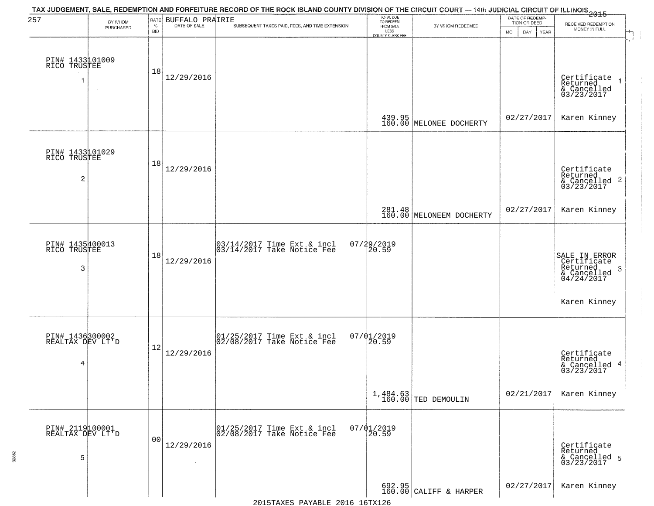| 257                                               | BY WHOM<br>PURCHASED | RATE<br>$\%$<br><b>BID</b> | BUFFALO PRAIRIE<br>DATE OF SALE | TAX JUDGEMENT, SALE, REDEMPTION AND FORFEITURE RECORD OF THE ROCK ISLAND COUNTY DIVISION OF THE CIRCUIT COURT — 14th JUDICIAL CIRCUIT OF ILLINOIS 2015<br>SUBSEQUENT TAXES PAID, FEES, AND TIME EXTENSION | TOTAL DUE<br>TO REDEEM<br>FROM SALE<br>LESS<br><b>COUNTY CLERK FEE</b> | BY WHOM REDEEMED                   | DATE OF REDEMP-<br>TION OR DEED<br>MO.<br>DAY.<br><b>YEAR</b> | RECEIVED REDEMPTION<br>MONEY IN FULL                                                    |
|---------------------------------------------------|----------------------|----------------------------|---------------------------------|-----------------------------------------------------------------------------------------------------------------------------------------------------------------------------------------------------------|------------------------------------------------------------------------|------------------------------------|---------------------------------------------------------------|-----------------------------------------------------------------------------------------|
| PIN# 1433101009<br>RICO TRUSTEE                   |                      | 18                         | 12/29/2016                      |                                                                                                                                                                                                           |                                                                        |                                    |                                                               | Certificate<br>Returned<br>& Cancelled<br>03/23/2017                                    |
|                                                   |                      |                            |                                 |                                                                                                                                                                                                           |                                                                        | 439.95<br>160.00 MELONEE DOCHERTY  | 02/27/2017                                                    | Karen Kinney                                                                            |
| PIN# 1433101029<br>RICO TRUSTEE<br>$\overline{c}$ |                      | 18                         | 12/29/2016                      |                                                                                                                                                                                                           |                                                                        |                                    |                                                               | Certificate<br>Returned<br>$\frac{1}{2}$ Cancelled 2<br>03/23/2017                      |
|                                                   |                      |                            |                                 |                                                                                                                                                                                                           |                                                                        | 281.48<br>160.00 MELONEEM DOCHERTY | 02/27/2017                                                    | Karen Kinney                                                                            |
| PIN# 1435400013<br>RICO TRUSTEE<br>3              |                      | 18                         | 12/29/2016                      | $\begin{bmatrix} 03/14/2017 \\ 03/14/2017 \end{bmatrix}$ Take Notice Fee                                                                                                                                  | 07/29/2019<br>20.59                                                    |                                    |                                                               | SALE IN ERROR<br>Certificate<br>Returned<br>-3<br>$\frac{2}{6}$ Cancelled<br>04/24/2017 |
|                                                   |                      |                            |                                 |                                                                                                                                                                                                           |                                                                        |                                    |                                                               | Karen Kinney                                                                            |
| PIN# 1436300002<br>REALTAX DEV LT'D<br>4          |                      | 12                         | 12/29/2016                      | $[01/25/2017$ Time Ext & incl<br>$[02/08/2017$ Take Notice Fee                                                                                                                                            | $07/01/2019$<br>20.59                                                  |                                    |                                                               | Certificate<br>Returned<br>-4<br>& Cancelled<br>03/23/2017                              |
|                                                   |                      |                            |                                 |                                                                                                                                                                                                           |                                                                        | $1,484.63$ TED DEMOULIN            | 02/21/2017                                                    | Karen Kinney                                                                            |
| PIN# 2119100001<br>REALTAX DEV LT'D<br>5          |                      | 0 <sub>0</sub>             | 12/29/2016<br>$\sim$            | 01/25/2017 Time Ext & incl<br>02/08/2017 Take Notice Fee                                                                                                                                                  | $07/01/2019$<br>20.59                                                  |                                    |                                                               | Certificate<br>Returned<br>& Cancelled 5<br>03/23/2017                                  |
|                                                   |                      |                            |                                 |                                                                                                                                                                                                           |                                                                        | $692.95$ CALIFF & HARPER           | 02/27/2017                                                    | Karen Kinney                                                                            |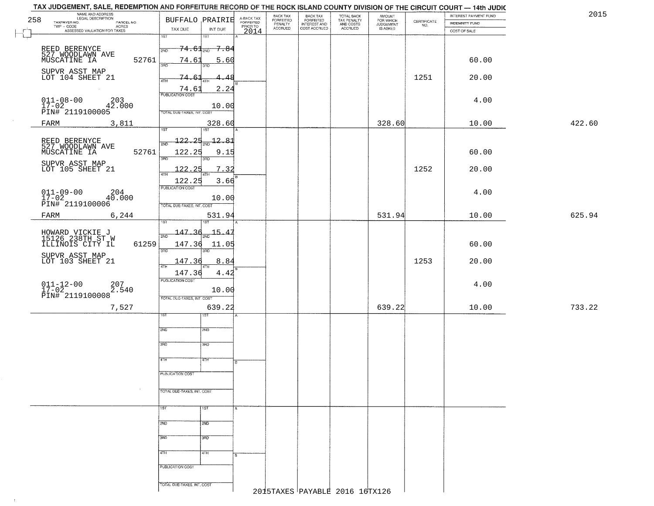|     | TAX JUDGEMENT, SALE, REDEMPTION AND FORFEITURE RECORD OF THE ROCK ISLAND COUNTY DIVISION OF THE CIRCUIT COURT — 14th JUDIC        |                                                 |               |                         |                                             |                                                       |                                                   |                                              |                                                                 |                                                |        |
|-----|-----------------------------------------------------------------------------------------------------------------------------------|-------------------------------------------------|---------------|-------------------------|---------------------------------------------|-------------------------------------------------------|---------------------------------------------------|----------------------------------------------|-----------------------------------------------------------------|------------------------------------------------|--------|
| 258 | NAME AND ADDRESS<br>LEGAL DESCRIPTION<br>TAXPAYER NO.<br>PARCEL NO.<br>TWP - CODE<br>- CODE ACRES<br>ASSESSED VALUATION FOR TAXES | <b>BUFFALO PRAIRIE</b>                          |               | A-BACK TAX<br>FORFEITED | BACK TAX<br>FORFEITED<br>PENALTY<br>ACCRUED | BACK TAX<br>FORFEITED<br>INTEREST AND<br>COST ACCRUED | TOTAL BACK<br>TAX PENALTY<br>AND COSTS<br>ACCRUED | AMOUNT<br>FOR WHICH<br>JUDGEMENT<br>IS ASKED | $\begin{array}{c} \text{CERTIFICATE} \\ \text{NO.} \end{array}$ | INTEREST PAYMENT FUND<br><b>INDEMNITY FUND</b> | 2015   |
|     |                                                                                                                                   | TAX DUE<br>$\overline{1ST}$<br>$\overline{1ST}$ | INT DUE       | PRIORTO                 |                                             |                                                       |                                                   |                                              |                                                                 | COST OF SALE                                   |        |
|     | REED BERENYCE<br>527 WOODLAWN AVE                                                                                                 | $74.61_{200}$ 7.84<br>2ND                       |               |                         |                                             |                                                       |                                                   |                                              |                                                                 |                                                |        |
|     | 52761<br>MUSCATINE IA                                                                                                             | 74.61<br>3BD<br>3RD                             | <u>5.60</u>   |                         |                                             |                                                       |                                                   |                                              |                                                                 | 60.00                                          |        |
|     | SUPVR ASST MAP<br>LOT 104 SHEET 21                                                                                                | 74.6<br>4TH<br>4TH                              |               |                         |                                             |                                                       |                                                   |                                              | 1251                                                            | 20.00                                          |        |
|     |                                                                                                                                   | 74.61<br><b>PUBLICATION COST</b>                | 2.24          |                         |                                             |                                                       |                                                   |                                              |                                                                 |                                                |        |
|     | UII-U8-00 203<br>17-02 42.000<br>PIN# 2119100005<br>--                                                                            |                                                 | 10.00         |                         |                                             |                                                       |                                                   |                                              |                                                                 | 4.00                                           |        |
|     |                                                                                                                                   | TOTAL DUE-TAXES, INT. COST                      |               |                         |                                             |                                                       |                                                   |                                              |                                                                 |                                                |        |
|     | 3,811<br>FARM                                                                                                                     | 1ST<br>1ST                                      | 328.60        |                         |                                             |                                                       |                                                   | 328.60                                       |                                                                 | 10.00                                          | 422.60 |
|     | REED BERENYCE<br>527 WOODLAWN AVE                                                                                                 | 122.25                                          | <u> 12.81</u> |                         |                                             |                                                       |                                                   |                                              |                                                                 |                                                |        |
|     | 52761<br>MUSCATINE IA                                                                                                             | 122.25<br>380<br>3RD                            | 9.15          |                         |                                             |                                                       |                                                   |                                              |                                                                 | 60.00                                          |        |
|     | SUPVR ASST MAP<br>LOT 105 SHEET 21                                                                                                | 122.25<br>47H                                   | 7.32          |                         |                                             |                                                       |                                                   |                                              | 1252                                                            | 20.00                                          |        |
|     |                                                                                                                                   | 122.25<br>PUBLICATION COST                      | 3.66          |                         |                                             |                                                       |                                                   |                                              |                                                                 |                                                |        |
|     | $011 - 09 - 00$<br>$17 - 02$<br>204<br>40.000<br>PIN# 2119100006                                                                  |                                                 | 10.00         |                         |                                             |                                                       |                                                   |                                              |                                                                 | 4.00                                           |        |
|     | 6,244<br>FARM                                                                                                                     | TOTAL DUE-TAXES, INT. COST                      | 531.94        |                         |                                             |                                                       |                                                   | 531.94                                       |                                                                 | 10.00                                          | 625.94 |
|     |                                                                                                                                   | <b>ST</b>                                       |               |                         |                                             |                                                       |                                                   |                                              |                                                                 |                                                |        |
|     | HOWARD VICKIE J<br>15126 238TH ST W<br>ILLINOIS CITY IL<br>61259                                                                  | $147.36_{200}$ 15.47<br>2ND<br>147.36           | 11.05         |                         |                                             |                                                       |                                                   |                                              |                                                                 | 60.00                                          |        |
|     | SUPVR ASST MAP<br>LOT 103 SHEET 21                                                                                                | 3RD<br>3RD                                      |               |                         |                                             |                                                       |                                                   |                                              |                                                                 |                                                |        |
|     |                                                                                                                                   | 147.36                                          | 8.84          |                         |                                             |                                                       |                                                   |                                              | 1253                                                            | 20.00                                          |        |
|     |                                                                                                                                   | 147.36<br><b>PUBLICATION COST</b>               | 4.42          |                         |                                             |                                                       |                                                   |                                              |                                                                 | 4.00                                           |        |
|     | $011 - 12 - 00$<br>17-02<br>207<br>2.540<br>PIN# 2119100008                                                                       | TOTAL OUE-TAXES, INT. COST                      | 10.00         |                         |                                             |                                                       |                                                   |                                              |                                                                 |                                                |        |
|     | 7,527                                                                                                                             |                                                 | 639.22        |                         |                                             |                                                       |                                                   | 639.22                                       |                                                                 | 10.00                                          | 733.22 |
|     |                                                                                                                                   | १९४                                             |               |                         |                                             |                                                       |                                                   |                                              |                                                                 |                                                |        |
|     |                                                                                                                                   | 2ND<br>2ND                                      |               |                         |                                             |                                                       |                                                   |                                              |                                                                 |                                                |        |
|     |                                                                                                                                   | 3RD<br>3HD                                      |               |                         |                                             |                                                       |                                                   |                                              |                                                                 |                                                |        |
|     |                                                                                                                                   | 4TH<br>77H                                      |               |                         |                                             |                                                       |                                                   |                                              |                                                                 |                                                |        |
|     |                                                                                                                                   | PUBLICATION COST                                |               |                         |                                             |                                                       |                                                   |                                              |                                                                 |                                                |        |
|     |                                                                                                                                   | TOTAL DUE-TAXES, INT. COST                      |               |                         |                                             |                                                       |                                                   |                                              |                                                                 |                                                |        |
|     |                                                                                                                                   | 1ST<br>1ST                                      |               |                         |                                             |                                                       |                                                   |                                              |                                                                 |                                                |        |
|     |                                                                                                                                   | 2ND<br>2ND                                      |               |                         |                                             |                                                       |                                                   |                                              |                                                                 |                                                |        |
|     |                                                                                                                                   | 3RD<br>3BD                                      |               |                         |                                             |                                                       |                                                   |                                              |                                                                 |                                                |        |
|     |                                                                                                                                   |                                                 |               |                         |                                             |                                                       |                                                   |                                              |                                                                 |                                                |        |
|     |                                                                                                                                   | 4TH<br>4TH                                      |               |                         |                                             |                                                       |                                                   |                                              |                                                                 |                                                |        |
|     |                                                                                                                                   | PUBLICATION COST                                |               |                         |                                             |                                                       |                                                   |                                              |                                                                 |                                                |        |
|     |                                                                                                                                   | TOTAL DUE-TAXES, INT. COST                      |               |                         |                                             |                                                       | 2015TAXES PAYABLE 2016 16TX126                    |                                              |                                                                 |                                                |        |
|     |                                                                                                                                   |                                                 |               |                         |                                             |                                                       |                                                   |                                              |                                                                 |                                                |        |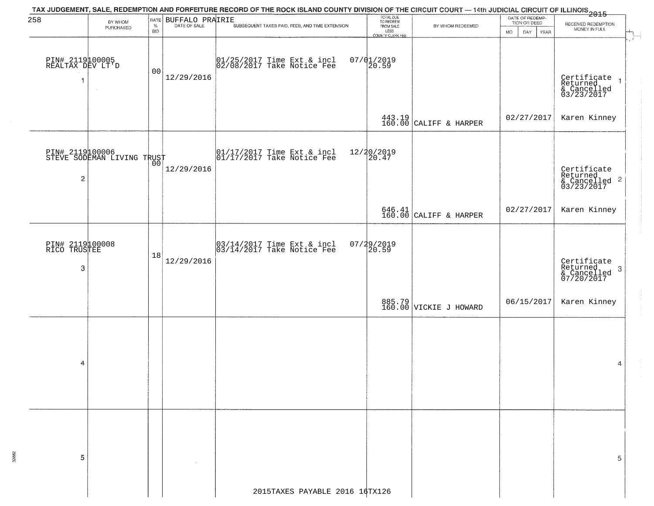|                                     |                                               |                |                             | TAX JUDGEMENT, SALE, REDEMPTION AND FORFEITURE RECORD OF THE ROCK ISLAND COUNTY DIVISION OF THE CIRCUIT COURT — 14th JUDICIAL CIRCUIT OF ILLINOIS 2015 |                                     |                                                                              | DATE OF REDEMP-            |                                                                                                |
|-------------------------------------|-----------------------------------------------|----------------|-----------------------------|--------------------------------------------------------------------------------------------------------------------------------------------------------|-------------------------------------|------------------------------------------------------------------------------|----------------------------|------------------------------------------------------------------------------------------------|
| 258                                 | BY WHOM<br>PURCHASED                          |                | <b>RATE BUFFALO PRAIRIE</b> | SUBSEQUENT TAXES PAID, FEES, AND TIME EXTENSION                                                                                                        | TOTAL DUE<br>TO REDEEM<br>FROM SALE | BY WHOM REDEEMED                                                             | TION OR DEED               | RECEIVED REDEMPTION<br>$\begin{array}{c}\n\downarrow \\ \downarrow \\ \downarrow\n\end{array}$ |
|                                     |                                               | <b>BID</b>     |                             |                                                                                                                                                        | LESS<br>COUNTY CLERK FEE            |                                                                              | MO.<br>DAY.<br><b>YEAR</b> | MONEY IN FULL                                                                                  |
|                                     |                                               |                |                             |                                                                                                                                                        |                                     |                                                                              |                            |                                                                                                |
| PIN# 2119100005<br>REALTAX DEV LT'D |                                               |                |                             | $01/25/2017$ Time Ext & incl<br>$02/08/2017$ Take Notice Fee                                                                                           | $07/01/2019$<br>20.59               |                                                                              |                            |                                                                                                |
|                                     |                                               | 0 <sub>0</sub> |                             |                                                                                                                                                        |                                     |                                                                              |                            |                                                                                                |
| 1                                   |                                               |                | 12/29/2016                  |                                                                                                                                                        |                                     |                                                                              |                            | Certificate<br>Returned 1<br>& Cancelled<br>03/23/2017                                         |
|                                     |                                               |                |                             |                                                                                                                                                        |                                     |                                                                              |                            |                                                                                                |
|                                     |                                               |                |                             |                                                                                                                                                        |                                     |                                                                              |                            |                                                                                                |
|                                     |                                               |                |                             |                                                                                                                                                        |                                     | $\left.\begin{array}{c} 443.19 \\ 160.00 \end{array}\right $ CALIFF & HARPER | 02/27/2017                 | Karen Kinney                                                                                   |
|                                     |                                               |                |                             |                                                                                                                                                        |                                     |                                                                              |                            |                                                                                                |
|                                     |                                               |                |                             |                                                                                                                                                        |                                     |                                                                              |                            |                                                                                                |
|                                     | PIN# 2119100006<br>STEVE SODEMAN LIVING TRUST |                |                             | 01/17/2017 Time Ext & incl<br>01/17/2017 Take Notice Fee                                                                                               | 12/20/2019<br>20.47                 |                                                                              |                            |                                                                                                |
|                                     |                                               |                | 12/29/2016                  |                                                                                                                                                        |                                     |                                                                              |                            | Certificate<br>Returned                                                                        |
| $\overline{c}$                      |                                               |                |                             |                                                                                                                                                        |                                     |                                                                              |                            | & Cancelled 2<br>03/23/2017                                                                    |
|                                     |                                               |                |                             |                                                                                                                                                        |                                     |                                                                              |                            |                                                                                                |
|                                     |                                               |                |                             |                                                                                                                                                        |                                     |                                                                              | 02/27/2017                 | Karen Kinney                                                                                   |
|                                     |                                               |                |                             |                                                                                                                                                        |                                     | $646.41$ CALIFF & HARPER                                                     |                            |                                                                                                |
|                                     |                                               |                |                             |                                                                                                                                                        |                                     |                                                                              |                            |                                                                                                |
| PIN# 2119100008<br>RICO TRUSTEE     |                                               |                |                             | $\begin{bmatrix} 03/14/2017 \\ 03/14/2017 \end{bmatrix}$ Time Ext & incl                                                                               | $07/29/2019$<br>20.59               |                                                                              |                            |                                                                                                |
|                                     |                                               | 18             | 12/29/2016                  |                                                                                                                                                        |                                     |                                                                              |                            |                                                                                                |
| 3                                   |                                               |                |                             |                                                                                                                                                        |                                     |                                                                              |                            | Certificate<br>Returned<br>-3                                                                  |
|                                     |                                               |                |                             |                                                                                                                                                        |                                     |                                                                              |                            | & Cancelled<br>07/20/2017                                                                      |
|                                     |                                               |                |                             |                                                                                                                                                        |                                     |                                                                              |                            |                                                                                                |
|                                     |                                               |                |                             |                                                                                                                                                        |                                     | 885.79<br>160.00 VICKIE J HOWARD                                             | 06/15/2017                 | Karen Kinney                                                                                   |
|                                     |                                               |                |                             |                                                                                                                                                        |                                     |                                                                              |                            |                                                                                                |
|                                     |                                               |                |                             |                                                                                                                                                        |                                     |                                                                              |                            |                                                                                                |
|                                     |                                               |                |                             |                                                                                                                                                        |                                     |                                                                              |                            |                                                                                                |
|                                     |                                               |                |                             |                                                                                                                                                        |                                     |                                                                              |                            |                                                                                                |
| 4                                   |                                               |                |                             |                                                                                                                                                        |                                     |                                                                              |                            | 4                                                                                              |
|                                     |                                               |                |                             |                                                                                                                                                        |                                     |                                                                              |                            |                                                                                                |
|                                     |                                               |                |                             |                                                                                                                                                        |                                     |                                                                              |                            |                                                                                                |
|                                     |                                               |                |                             |                                                                                                                                                        |                                     |                                                                              |                            |                                                                                                |
|                                     |                                               |                |                             |                                                                                                                                                        |                                     |                                                                              |                            |                                                                                                |
|                                     |                                               |                |                             |                                                                                                                                                        |                                     |                                                                              |                            |                                                                                                |
|                                     |                                               |                |                             |                                                                                                                                                        |                                     |                                                                              |                            |                                                                                                |
| 5                                   |                                               |                |                             |                                                                                                                                                        |                                     |                                                                              |                            | 5                                                                                              |
|                                     |                                               |                |                             |                                                                                                                                                        |                                     |                                                                              |                            |                                                                                                |
|                                     |                                               |                |                             |                                                                                                                                                        |                                     |                                                                              |                            |                                                                                                |
|                                     |                                               |                |                             | 2015TAXES PAYABLE 2016 16TX126                                                                                                                         |                                     |                                                                              |                            |                                                                                                |
|                                     |                                               |                |                             |                                                                                                                                                        |                                     |                                                                              |                            |                                                                                                |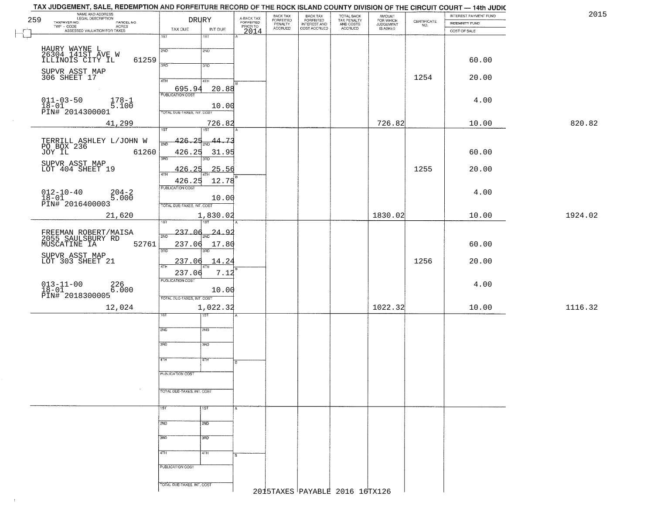|     |                                                                     | TAX JUDGEMENT, SALE, REDEMPTION AND FORFEITURE RECORD OF THE ROCK ISLAND COUNTY DIVISION OF THE CIRCUIT COURT - 14th JUDIC |                  |                         |                                  |                                           |                                                   |                                    |                                                                 | INTEREST PAYMENT FUND | 2015    |  |
|-----|---------------------------------------------------------------------|----------------------------------------------------------------------------------------------------------------------------|------------------|-------------------------|----------------------------------|-------------------------------------------|---------------------------------------------------|------------------------------------|-----------------------------------------------------------------|-----------------------|---------|--|
| 259 | NAME AND ADDRESS<br>LEGAL DESCRIPTION<br>TAXPAYER NO.<br>PARCEL NO. | DRURY                                                                                                                      |                  | A-BACK TAX<br>FORFEITED | BACK TAX<br>FORFEITED<br>PENALTY | <b>BACK TAX</b>                           | TOTAL BACK<br>TAX PENALTY<br>AND COSTS<br>ACCRUED | <b>AMOUNT</b>                      | $\begin{array}{c} \text{CERTIFICATE} \\ \text{NO.} \end{array}$ | <b>INDEMNITY FUND</b> |         |  |
|     | $TWP - CODE$<br>ACRES<br>ASSESSED VALUATION FOR TAXES               | TAX DUE                                                                                                                    | INT DUE          | PRIORTO<br>2014         | <b>ACCRUED</b>                   | FORFEITED<br>INTEREST AND<br>COST ACCRUED |                                                   | FOR WHICH<br>JUDGEMENT<br>IS ASKED |                                                                 | COST OF SALE          |         |  |
|     |                                                                     | $\overline{1ST}$                                                                                                           | $\overline{1ST}$ |                         |                                  |                                           |                                                   |                                    |                                                                 |                       |         |  |
|     |                                                                     |                                                                                                                            |                  |                         |                                  |                                           |                                                   |                                    |                                                                 |                       |         |  |
|     | HAURY WAYNE L<br>26304 141ST AVE W                                  | 2ND                                                                                                                        | 2ND              |                         |                                  |                                           |                                                   |                                    |                                                                 |                       |         |  |
|     | 61259<br>ILLINOIS CITY IL                                           | 3RD                                                                                                                        | 3RD              |                         |                                  |                                           |                                                   |                                    |                                                                 | 60.00                 |         |  |
|     | SUPVR ASST MAP<br>306 SHEET 17                                      |                                                                                                                            |                  |                         |                                  |                                           |                                                   |                                    | 1254                                                            | 20.00                 |         |  |
|     |                                                                     | 4TH                                                                                                                        | 4TH              |                         |                                  |                                           |                                                   |                                    |                                                                 |                       |         |  |
|     |                                                                     | 695.94<br><b>PUBLICATION COST</b>                                                                                          | 20.88            |                         |                                  |                                           |                                                   |                                    |                                                                 |                       |         |  |
|     | $011 - 03 - 50$<br>$178 - 1$<br>5.100                               |                                                                                                                            |                  |                         |                                  |                                           |                                                   |                                    |                                                                 | 4.00                  |         |  |
|     | $18-01$<br>PIN# 2014300001                                          | TOTAL DUE-TAXES, INT. COST                                                                                                 | 10.00            |                         |                                  |                                           |                                                   |                                    |                                                                 |                       |         |  |
|     | 41,299                                                              |                                                                                                                            | 726.82           |                         |                                  |                                           |                                                   | 726.82                             |                                                                 | 10.00                 | 820.82  |  |
|     |                                                                     | 1ST                                                                                                                        | 1ST <sup>1</sup> |                         |                                  |                                           |                                                   |                                    |                                                                 |                       |         |  |
|     | TERRILL ASHLEY L/JOHN W<br>PO BOX 236                               | <u>426.25</u><br>2ND                                                                                                       | 44.73<br>ब्रेज़  |                         |                                  |                                           |                                                   |                                    |                                                                 |                       |         |  |
|     | JOY IL<br>61260                                                     | 426.25                                                                                                                     | 31.95            |                         |                                  |                                           |                                                   |                                    |                                                                 | 60.00                 |         |  |
|     |                                                                     | 3BD                                                                                                                        | 3BD              |                         |                                  |                                           |                                                   |                                    |                                                                 |                       |         |  |
|     | SUPVR ASST MAP<br>LOT 404 SHEET 19                                  | 426.25                                                                                                                     | 25.56            |                         |                                  |                                           |                                                   |                                    | 1255                                                            | 20.00                 |         |  |
|     |                                                                     | 47H<br>426.25                                                                                                              | 12.78            |                         |                                  |                                           |                                                   |                                    |                                                                 |                       |         |  |
|     |                                                                     | PUBLICATION COST                                                                                                           |                  |                         |                                  |                                           |                                                   |                                    |                                                                 |                       |         |  |
|     | $012 - 10 - 40$<br>$204 - 2$<br>5.000<br>$18 - 01$                  |                                                                                                                            | 10.00            |                         |                                  |                                           |                                                   |                                    |                                                                 | 4.00                  |         |  |
|     | PIN# <sup>-</sup> 2016400003                                        | TOTAL DUE-TAXES, INT. COST                                                                                                 |                  |                         |                                  |                                           |                                                   |                                    |                                                                 |                       |         |  |
|     | 21,620                                                              |                                                                                                                            | 1,830.02         |                         |                                  |                                           |                                                   | 1830.02                            |                                                                 | 10.00                 | 1924.02 |  |
|     |                                                                     | 1ST                                                                                                                        | <b>ST</b>        |                         |                                  |                                           |                                                   |                                    |                                                                 |                       |         |  |
|     | FREEMAN ROBERT/MAISA                                                | 237.06<br>2ND                                                                                                              | 24.92            |                         |                                  |                                           |                                                   |                                    |                                                                 |                       |         |  |
|     | 2055 SAULSBURY RD<br>MUSCATINE IA<br>52761                          | 237.06                                                                                                                     | 17.80            |                         |                                  |                                           |                                                   |                                    |                                                                 | 60.00                 |         |  |
|     |                                                                     | 3RD                                                                                                                        |                  |                         |                                  |                                           |                                                   |                                    |                                                                 |                       |         |  |
|     | SUPVR ASST MAP<br>LOT 303 SHEET 21                                  | 237.06                                                                                                                     | 14.24            |                         |                                  |                                           |                                                   |                                    | 1256                                                            | 20.00                 |         |  |
|     |                                                                     | 4TH<br>237.06                                                                                                              | 7.12             |                         |                                  |                                           |                                                   |                                    |                                                                 |                       |         |  |
|     |                                                                     | <b>PUBLICATION COST</b>                                                                                                    |                  |                         |                                  |                                           |                                                   |                                    |                                                                 | 4.00                  |         |  |
|     | $013 - 11 - 00$<br>$18 - 01$<br>226<br>6.000                        |                                                                                                                            | 10.00            |                         |                                  |                                           |                                                   |                                    |                                                                 |                       |         |  |
|     | PIN# 2018300005                                                     | TOTAL OUE-TAXES, INT. COST                                                                                                 |                  |                         |                                  |                                           |                                                   |                                    |                                                                 |                       |         |  |
|     | 12,024                                                              |                                                                                                                            | 1,022.32         |                         |                                  |                                           |                                                   | 1022.32                            |                                                                 | 10.00                 | 1116.32 |  |
|     |                                                                     | 1ST                                                                                                                        | उड़ा             |                         |                                  |                                           |                                                   |                                    |                                                                 |                       |         |  |
|     |                                                                     | 2ND                                                                                                                        | 2ND              |                         |                                  |                                           |                                                   |                                    |                                                                 |                       |         |  |
|     |                                                                     |                                                                                                                            |                  |                         |                                  |                                           |                                                   |                                    |                                                                 |                       |         |  |
|     |                                                                     | 3RD                                                                                                                        | 3BD              |                         |                                  |                                           |                                                   |                                    |                                                                 |                       |         |  |
|     |                                                                     | 4TH                                                                                                                        | 47H              |                         |                                  |                                           |                                                   |                                    |                                                                 |                       |         |  |
|     |                                                                     |                                                                                                                            |                  |                         |                                  |                                           |                                                   |                                    |                                                                 |                       |         |  |
|     |                                                                     | PUBLICATION COST                                                                                                           |                  |                         |                                  |                                           |                                                   |                                    |                                                                 |                       |         |  |
|     |                                                                     |                                                                                                                            |                  |                         |                                  |                                           |                                                   |                                    |                                                                 |                       |         |  |
|     |                                                                     | TOTAL DUE-TAXES, INT. COST                                                                                                 |                  |                         |                                  |                                           |                                                   |                                    |                                                                 |                       |         |  |
|     |                                                                     |                                                                                                                            |                  |                         |                                  |                                           |                                                   |                                    |                                                                 |                       |         |  |
|     |                                                                     | 1ST                                                                                                                        | 1ST              |                         |                                  |                                           |                                                   |                                    |                                                                 |                       |         |  |
|     |                                                                     | 2ND                                                                                                                        | 2ND              |                         |                                  |                                           |                                                   |                                    |                                                                 |                       |         |  |
|     |                                                                     |                                                                                                                            |                  |                         |                                  |                                           |                                                   |                                    |                                                                 |                       |         |  |
|     |                                                                     | 3BD                                                                                                                        | 3RD              |                         |                                  |                                           |                                                   |                                    |                                                                 |                       |         |  |
|     |                                                                     | 4TH                                                                                                                        | 4TH              |                         |                                  |                                           |                                                   |                                    |                                                                 |                       |         |  |
|     |                                                                     |                                                                                                                            |                  |                         |                                  |                                           |                                                   |                                    |                                                                 |                       |         |  |
|     |                                                                     | PUBLICATION COST                                                                                                           |                  |                         |                                  |                                           |                                                   |                                    |                                                                 |                       |         |  |
|     |                                                                     |                                                                                                                            |                  |                         |                                  |                                           |                                                   |                                    |                                                                 |                       |         |  |
|     |                                                                     | TOTAL DUE-TAXES, INT. COST                                                                                                 |                  |                         |                                  |                                           | 2015TAXES PAYABLE 2016 16TX126                    |                                    |                                                                 |                       |         |  |
|     |                                                                     |                                                                                                                            |                  |                         |                                  |                                           |                                                   |                                    |                                                                 |                       |         |  |

 $\sim 10$